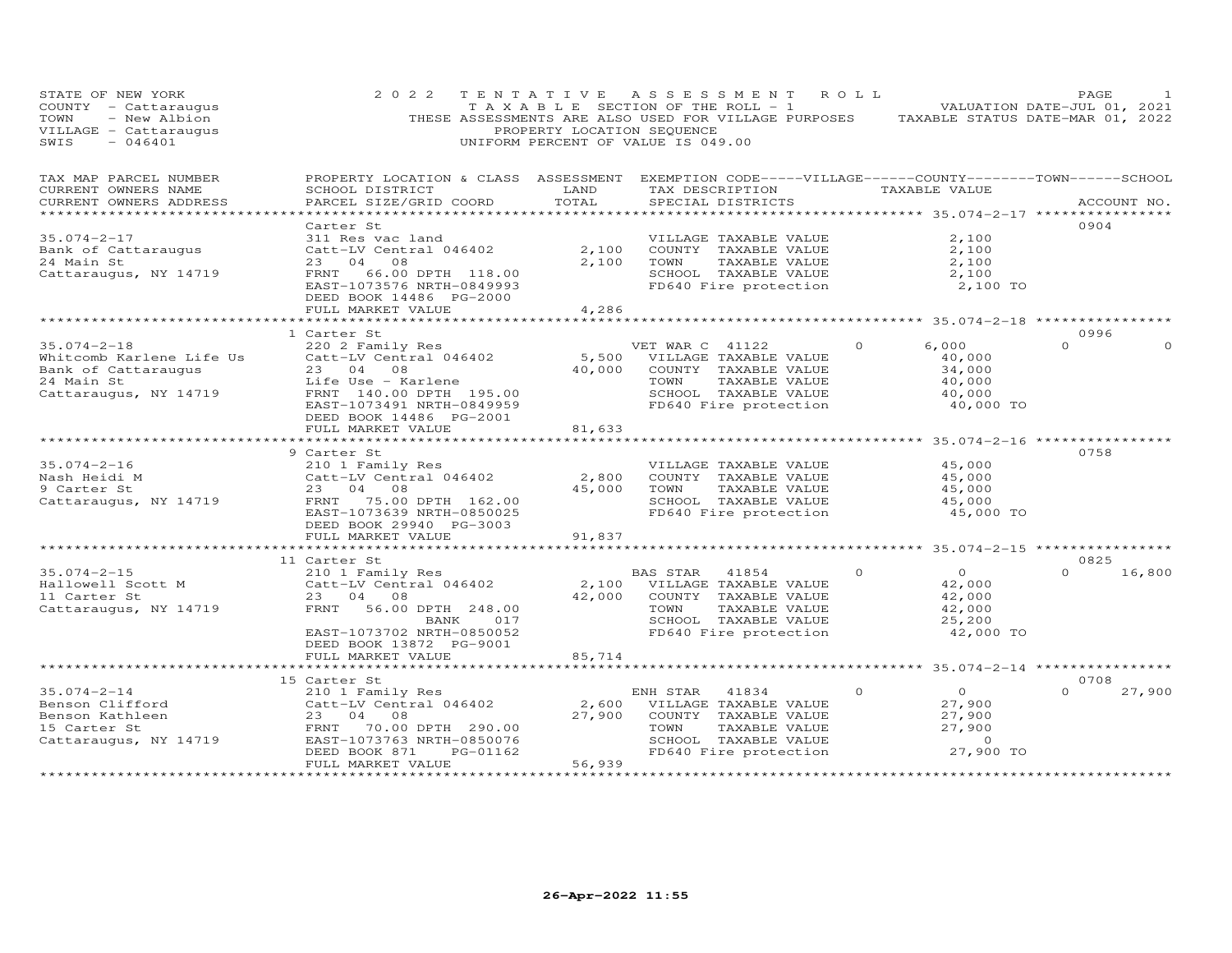| STATE OF NEW YORK<br>COUNTY - Cattaraugus<br>TOWN<br>- New Albion<br>VILLAGE - Cattaraugus<br>SWIS<br>$-046401$ | 2 0 2 2                                                                                                                                                                    | PROPERTY LOCATION SEQUENCE | TENTATIVE ASSESSMENT ROLL<br>T A X A B L E SECTION OF THE ROLL - 1<br>THESE ASSESSMENTS ARE ALSO USED FOR VILLAGE PURPOSES TAXABLE STATUS DATE-MAR 01, 2022<br>UNIFORM PERCENT OF VALUE IS 049.00 |                                                                                         | PAGE<br>VALUATION DATE-JUL 01, 2021 |
|-----------------------------------------------------------------------------------------------------------------|----------------------------------------------------------------------------------------------------------------------------------------------------------------------------|----------------------------|---------------------------------------------------------------------------------------------------------------------------------------------------------------------------------------------------|-----------------------------------------------------------------------------------------|-------------------------------------|
| TAX MAP PARCEL NUMBER<br>CURRENT OWNERS NAME<br>CURRENT OWNERS ADDRESS                                          | PROPERTY LOCATION & CLASS ASSESSMENT EXEMPTION CODE-----VILLAGE------COUNTY-------TOWN------SCHOOL<br>SCHOOL DISTRICT<br>PARCEL SIZE/GRID COORD                            | LAND<br>TOTAL              | TAX DESCRIPTION TAXABLE VALUE<br>SPECIAL DISTRICTS                                                                                                                                                |                                                                                         | ACCOUNT NO.                         |
| $35.074 - 2 - 17$<br>Bank of Cattaraugus<br>24 Main St<br>Cattaraugus, NY 14719                                 | Carter St<br>311 Res vac land<br>Catt-LV Central 046402<br>23 04 08<br>FRNT<br>66.00 DPTH 118.00<br>EAST-1073576 NRTH-0849993<br>DEED BOOK 14486 PG-2000                   | 2,100<br>2,100             | VILLAGE TAXABLE VALUE<br>COUNTY TAXABLE VALUE<br>TAXABLE VALUE<br>TOWN<br>SCHOOL TAXABLE VALUE<br>FD640 Fire protection                                                                           | 2,100<br>2,100<br>2,100<br>2,100<br>2,100 TO                                            | 0904                                |
|                                                                                                                 | FULL MARKET VALUE                                                                                                                                                          | 4,286                      |                                                                                                                                                                                                   |                                                                                         |                                     |
| $35.074 - 2 - 18$                                                                                               | 1 Carter St<br>220 2 Family Res                                                                                                                                            |                            | VET WAR C 41122                                                                                                                                                                                   | *********************** 35.074-2-18 **************<br>6,000<br>$\circ$                  | 0996<br>$\Omega$                    |
| Whitcomb Karlene Life Us<br>Bank of Cattaraugus<br>24 Main St<br>Cattaraugus, NY 14719                          | Catt-LV Central 046402<br>23 04 08<br>Life Use - Karlene<br>FRNT 140.00 DPTH 195.00<br>EAST-1073491 NRTH-0849959<br>DEED BOOK 14486 PG-2001                                | 40,000                     | 5,500 VILLAGE TAXABLE VALUE<br>COUNTY TAXABLE VALUE<br>TOWN<br>TAXABLE VALUE<br>SCHOOL TAXABLE VALUE<br>FD640 Fire protection                                                                     | 40,000<br>34,000<br>40,000<br>40,000<br>40,000 TO                                       |                                     |
|                                                                                                                 | FULL MARKET VALUE                                                                                                                                                          | 81,633                     |                                                                                                                                                                                                   |                                                                                         |                                     |
| $35.074 - 2 - 16$<br>Nash Heidi M<br>9 Carter St<br>Cattaraugus, NY 14719                                       | 9 Carter St<br>210 1 Family Res<br>Catt-LV Central 046402<br>23 04 08<br>FRNT 75.00 DPTH 162.00<br>EAST-1073639 NRTH-0850025<br>DEED BOOK 29940 PG-3003                    | 2,800<br>45,000            | VILLAGE TAXABLE VALUE<br>COUNTY TAXABLE VALUE<br>TOWN<br>TAXABLE VALUE<br>SCHOOL TAXABLE VALUE<br>FD640 Fire protection                                                                           | 45,000<br>45,000<br>45,000<br>45,000<br>45,000 TO                                       | 0758                                |
|                                                                                                                 | FULL MARKET VALUE                                                                                                                                                          | 91,837                     |                                                                                                                                                                                                   | ********** 35.074-2-15 *************                                                    |                                     |
| $35.074 - 2 - 15$<br>Hallowell Scott M<br>11 Carter St<br>Cattaraugus, NY 14719                                 | 11 Carter St<br>210 1 Family Res<br>Catt-LV Central 046402<br>23 04 08<br>FRNT<br>56.00 DPTH 248.00<br>BANK<br>017<br>EAST-1073702 NRTH-0850052<br>DEED BOOK 13872 PG-9001 | 42,000                     | BAS STAR 41854<br>2,100 VILLAGE TAXABLE VALUE<br>COUNTY TAXABLE VALUE<br>TOWN<br>TAXABLE VALUE<br>SCHOOL TAXABLE VALUE<br>FD640 Fire protection                                                   | $\Omega$<br>$\Omega$<br>42,000<br>42,000<br>42,000<br>25,200<br>42,000 TO               | 0825<br>$\Omega$<br>16,800          |
|                                                                                                                 | FULL MARKET VALUE                                                                                                                                                          | 85,714                     |                                                                                                                                                                                                   |                                                                                         |                                     |
|                                                                                                                 | 15 Carter St                                                                                                                                                               |                            |                                                                                                                                                                                                   |                                                                                         | 0708                                |
| $35.074 - 2 - 14$<br>Benson Clifford<br>Benson Kathleen<br>15 Carter St<br>Cattaraugus, NY 14719                | 210 1 Family Res<br>Catt-LV Central 046402<br>23 04 08<br>FRNT 70.00 DPTH 290.00<br>EAST-1073763 NRTH-0850076<br>DEED BOOK 871<br>PG-01162<br>FULL MARKET VALUE            | 2,600<br>27,900<br>56,939  | ENH STAR<br>41834<br>VILLAGE TAXABLE VALUE<br>COUNTY TAXABLE VALUE<br>TOWN<br>TAXABLE VALUE<br>SCHOOL TAXABLE VALUE<br>FD640 Fire protection                                                      | $\overline{O}$<br>$\Omega$<br>27,900<br>27,900<br>27,900<br>$\overline{O}$<br>27,900 TO | 27,900                              |
|                                                                                                                 | **********************                                                                                                                                                     | *************              |                                                                                                                                                                                                   |                                                                                         |                                     |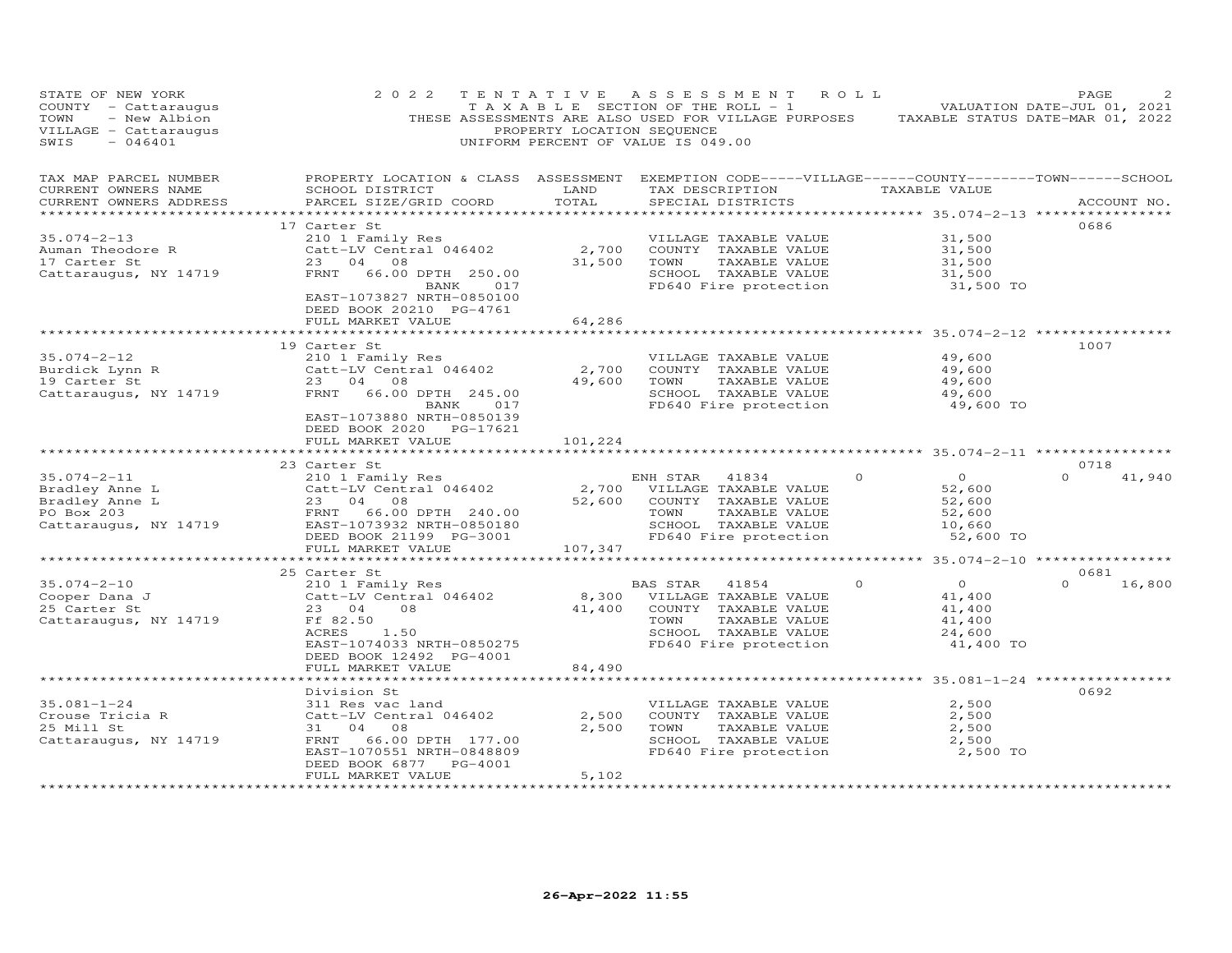| STATE OF NEW YORK<br>COUNTY - Cattaraugus<br>TOWN<br>- New Albion<br>VILLAGE - Cattaraugus<br>SWIS<br>$-046401$ | 2 0 2 2                                                                                                                                         | PROPERTY LOCATION SEQUENCE | TENTATIVE ASSESSMENT ROLL<br>T A X A B L E SECTION OF THE ROLL - 1<br>UNIFORM PERCENT OF VALUE IS 049.00 | THESE ASSESSMENTS ARE ALSO USED FOR VILLAGE PURPOSES TAXABLE STATUS DATE-MAR 01, 2022 | PAGE<br>VALUATION DATE-JUL 01, 2021 |
|-----------------------------------------------------------------------------------------------------------------|-------------------------------------------------------------------------------------------------------------------------------------------------|----------------------------|----------------------------------------------------------------------------------------------------------|---------------------------------------------------------------------------------------|-------------------------------------|
| TAX MAP PARCEL NUMBER<br>CURRENT OWNERS NAME<br>CURRENT OWNERS ADDRESS                                          | PROPERTY LOCATION & CLASS ASSESSMENT EXEMPTION CODE-----VILLAGE------COUNTY-------TOWN------SCHOOL<br>SCHOOL DISTRICT<br>PARCEL SIZE/GRID COORD | LAND<br>TOTAL              | TAX DESCRIPTION<br>SPECIAL DISTRICTS                                                                     | TAXABLE VALUE                                                                         | ACCOUNT NO.                         |
|                                                                                                                 |                                                                                                                                                 |                            |                                                                                                          |                                                                                       |                                     |
|                                                                                                                 | 17 Carter St                                                                                                                                    |                            |                                                                                                          |                                                                                       | 0686                                |
| $35.074 - 2 - 13$                                                                                               | 210 1 Family Res                                                                                                                                |                            | VILLAGE TAXABLE VALUE                                                                                    | 31,500                                                                                |                                     |
| Auman Theodore R                                                                                                | Catt-LV Central 046402                                                                                                                          | 2,700                      | COUNTY TAXABLE VALUE                                                                                     | 31,500                                                                                |                                     |
| 17 Carter St                                                                                                    | 23 04 08                                                                                                                                        | 31,500                     | TOWN<br>TAXABLE VALUE                                                                                    | 31,500                                                                                |                                     |
| Cattaraugus, NY 14719                                                                                           | FRNT<br>66.00 DPTH 250.00                                                                                                                       |                            | SCHOOL TAXABLE VALUE                                                                                     | 31,500                                                                                |                                     |
|                                                                                                                 | 017<br>BANK<br>EAST-1073827 NRTH-0850100<br>DEED BOOK 20210 PG-4761<br>FULL MARKET VALUE                                                        | 64,286                     | FD640 Fire protection                                                                                    | 31,500 TO                                                                             |                                     |
|                                                                                                                 |                                                                                                                                                 |                            |                                                                                                          |                                                                                       |                                     |
|                                                                                                                 | 19 Carter St                                                                                                                                    |                            |                                                                                                          |                                                                                       | 1007                                |
| $35.074 - 2 - 12$                                                                                               | 210 1 Family Res                                                                                                                                |                            | VILLAGE TAXABLE VALUE                                                                                    | 49,600                                                                                |                                     |
| Burdick Lynn R<br>10 September 2t                                                                               | Catt-LV Central 046402                                                                                                                          | 2,700                      | COUNTY TAXABLE VALUE                                                                                     | 49,600                                                                                |                                     |
| 19 Carter St                                                                                                    | 23 04 08                                                                                                                                        | 49,600                     | TOWN<br>TAXABLE VALUE                                                                                    | 49,600                                                                                |                                     |
| Cattaraugus, NY 14719                                                                                           | FRNT 66.00 DPTH 245.00                                                                                                                          |                            | SCHOOL TAXABLE VALUE                                                                                     | 49,600                                                                                |                                     |
|                                                                                                                 | BANK<br>017<br>EAST-1073880 NRTH-0850139<br>DEED BOOK 2020 PG-17621<br>FULL MARKET VALUE                                                        | 101,224                    | FD640 Fire protection                                                                                    | 49,600 TO                                                                             |                                     |
|                                                                                                                 |                                                                                                                                                 |                            |                                                                                                          | ********** 35.074-2-11 ***********                                                    |                                     |
|                                                                                                                 | 23 Carter St                                                                                                                                    |                            |                                                                                                          |                                                                                       | 0718                                |
| $35.074 - 2 - 11$                                                                                               | 210 1 Family Res                                                                                                                                |                            | ENH STAR<br>41834                                                                                        | $\overline{O}$<br>$\circ$                                                             | $\Omega$<br>41,940                  |
| Bradley Anne L                                                                                                  | Catt-LV Central 046402                                                                                                                          | 2,700                      | VILLAGE TAXABLE VALUE                                                                                    | 52,600                                                                                |                                     |
| Bradley Anne L                                                                                                  | 23 04 08                                                                                                                                        | 52,600                     | COUNTY TAXABLE VALUE                                                                                     | 52,600                                                                                |                                     |
| PO Box 203                                                                                                      | FRNT<br>66.00 DPTH 240.00                                                                                                                       |                            | TAXABLE VALUE<br>TOWN                                                                                    | 52,600                                                                                |                                     |
| Cattaraugus, NY 14719                                                                                           | EAST-1073932 NRTH-0850180                                                                                                                       |                            | SCHOOL TAXABLE VALUE                                                                                     | 10,660                                                                                |                                     |
|                                                                                                                 | DEED BOOK 21199 PG-3001                                                                                                                         |                            | FD640 Fire protection                                                                                    | 52,600 TO                                                                             |                                     |
|                                                                                                                 | FULL MARKET VALUE                                                                                                                               | 107,347                    |                                                                                                          |                                                                                       |                                     |
|                                                                                                                 |                                                                                                                                                 |                            |                                                                                                          |                                                                                       |                                     |
|                                                                                                                 | 25 Carter St                                                                                                                                    |                            |                                                                                                          |                                                                                       | 0681                                |
| $35.074 - 2 - 10$                                                                                               | 210 1 Family Res                                                                                                                                |                            | BAS STAR<br>41854                                                                                        | $\overline{O}$<br>$\Omega$                                                            | $\Omega$<br>16,800                  |
| Cooper Dana J                                                                                                   | Catt-LV Central 046402                                                                                                                          | 8,300                      | VILLAGE TAXABLE VALUE                                                                                    | 41,400                                                                                |                                     |
| 25 Carter St                                                                                                    | 23 04<br>08                                                                                                                                     | 41,400                     | COUNTY TAXABLE VALUE                                                                                     | 41,400                                                                                |                                     |
| Cattaraugus, NY 14719                                                                                           | Ff 82.50                                                                                                                                        |                            | TAXABLE VALUE<br>TOWN                                                                                    | 41,400                                                                                |                                     |
|                                                                                                                 | ACRES<br>1.50                                                                                                                                   |                            | SCHOOL TAXABLE VALUE                                                                                     | 24,600                                                                                |                                     |
|                                                                                                                 | EAST-1074033 NRTH-0850275                                                                                                                       |                            | FD640 Fire protection                                                                                    | 41,400 TO                                                                             |                                     |
|                                                                                                                 | DEED BOOK 12492 PG-4001                                                                                                                         |                            |                                                                                                          |                                                                                       |                                     |
|                                                                                                                 | FULL MARKET VALUE                                                                                                                               | 84,490                     |                                                                                                          |                                                                                       |                                     |
|                                                                                                                 |                                                                                                                                                 |                            |                                                                                                          | ********* 35.081-1-24 **********                                                      | 0692                                |
| $35.081 - 1 - 24$                                                                                               | Division St                                                                                                                                     |                            |                                                                                                          | 2,500                                                                                 |                                     |
| Crouse Tricia R                                                                                                 | 311 Res vac land<br>Catt-LV Central 046402                                                                                                      | 2,500                      | VILLAGE TAXABLE VALUE<br>COUNTY TAXABLE VALUE                                                            | 2,500                                                                                 |                                     |
| 25 Mill St                                                                                                      | 31 04 08                                                                                                                                        | 2,500                      | TAXABLE VALUE<br>TOWN                                                                                    | 2,500                                                                                 |                                     |
| Cattaraugus, NY 14719                                                                                           | FRNT<br>66.00 DPTH 177.00                                                                                                                       |                            | SCHOOL TAXABLE VALUE                                                                                     | 2,500                                                                                 |                                     |
|                                                                                                                 | EAST-1070551 NRTH-0848809                                                                                                                       |                            | FD640 Fire protection                                                                                    | 2,500 TO                                                                              |                                     |
|                                                                                                                 | PG-4001<br>DEED BOOK 6877                                                                                                                       |                            |                                                                                                          |                                                                                       |                                     |
|                                                                                                                 | FULL MARKET VALUE                                                                                                                               | 5,102                      |                                                                                                          |                                                                                       |                                     |
|                                                                                                                 |                                                                                                                                                 |                            |                                                                                                          |                                                                                       |                                     |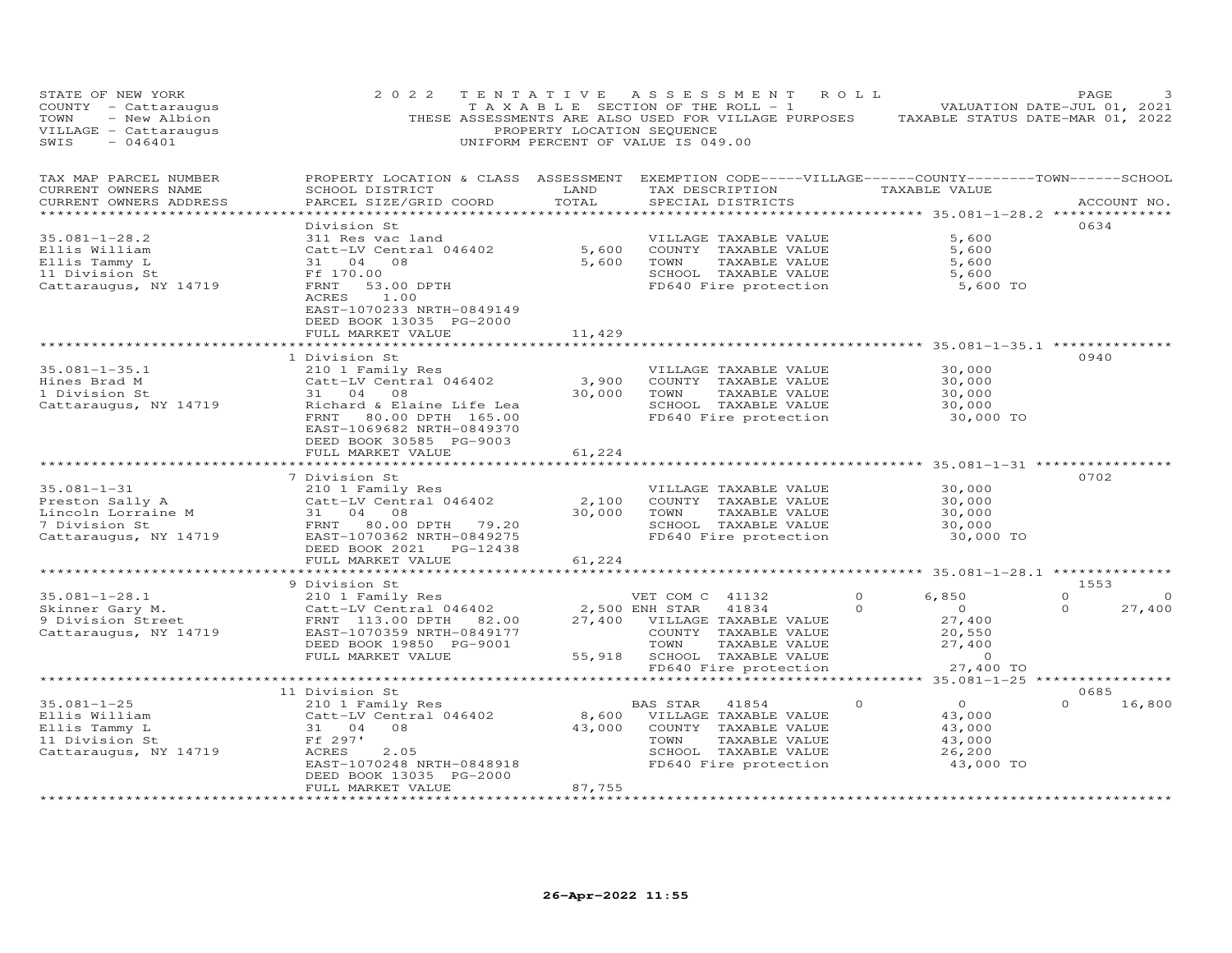| STATE OF NEW YORK<br>COUNTY - Cattaraugus<br>- New Albion<br>TOWN<br>VILLAGE - Cattaraugus<br>SWIS<br>$-046401$ | 2 0 2 2                                                                                                                                                                                   | TENTATIVE<br>PROPERTY LOCATION SEQUENCE | A S S E S S M E N T<br>TAXABLE SECTION OF THE ROLL - 1<br>THESE ASSESSMENTS ARE ALSO USED FOR VILLAGE PURPOSES<br>UNIFORM PERCENT OF VALUE IS 049.00                  | ROLL                                                                                                                   | PAGE<br>VALUATION DATE-JUL 01, 2021<br>TAXABLE STATUS DATE-MAR 01, 2022 |
|-----------------------------------------------------------------------------------------------------------------|-------------------------------------------------------------------------------------------------------------------------------------------------------------------------------------------|-----------------------------------------|-----------------------------------------------------------------------------------------------------------------------------------------------------------------------|------------------------------------------------------------------------------------------------------------------------|-------------------------------------------------------------------------|
| TAX MAP PARCEL NUMBER<br>CURRENT OWNERS NAME<br>CURRENT OWNERS ADDRESS<br>************************              | PROPERTY LOCATION & CLASS ASSESSMENT EXEMPTION CODE-----VILLAGE------COUNTY-------TOWN------SCHOOL<br>SCHOOL DISTRICT<br>PARCEL SIZE/GRID COORD                                           | LAND<br>TOTAL                           | TAX DESCRIPTION<br>SPECIAL DISTRICTS                                                                                                                                  | TAXABLE VALUE                                                                                                          | ACCOUNT NO.                                                             |
| $35.081 - 1 - 28.2$<br>Ellis William<br>Ellis Tammy L<br>11 Division St<br>Cattaraugus, NY 14719                | Division St<br>311 Res vac land<br>Catt-LV Central 046402<br>31 04<br>08<br>Ff 170.00<br>FRNT<br>53.00 DPTH<br>ACRES<br>1.00<br>EAST-1070233 NRTH-0849149<br>DEED BOOK 13035 PG-2000      | 5,600<br>5,600                          | VILLAGE TAXABLE VALUE<br>COUNTY TAXABLE VALUE<br>TOWN<br>TAXABLE VALUE<br>SCHOOL TAXABLE VALUE<br>FD640 Fire protection                                               | 5,600<br>5,600<br>5,600<br>5,600<br>5,600 TO                                                                           | 0634                                                                    |
|                                                                                                                 | FULL MARKET VALUE                                                                                                                                                                         | 11,429                                  |                                                                                                                                                                       |                                                                                                                        |                                                                         |
| $35.081 - 1 - 35.1$<br>Hines Brad M<br>1 Division St<br>Cattaraugus, NY 14719                                   | 1 Division St<br>210 1 Family Res<br>Catt-LV Central 046402<br>31 04<br>08<br>Richard & Elaine Life Lea<br>FRNT 80.00 DPTH 165.00<br>EAST-1069682 NRTH-0849370<br>DEED BOOK 30585 PG-9003 | **********<br>3,900<br>30,000           | VILLAGE TAXABLE VALUE<br>COUNTY TAXABLE VALUE<br>TOWN<br>TAXABLE VALUE<br>SCHOOL TAXABLE VALUE<br>FD640 Fire protection                                               | *********************************** 35.081-1-35.1 ***************<br>30,000<br>30,000<br>30,000<br>30,000<br>30,000 TO | 0940                                                                    |
|                                                                                                                 | FULL MARKET VALUE<br>***********************                                                                                                                                              | 61,224                                  |                                                                                                                                                                       |                                                                                                                        |                                                                         |
| $35.081 - 1 - 31$<br>Preston Sally A<br>Lincoln Lorraine M<br>7 Division St<br>Cattaraugus, NY 14719            | 7 Division St<br>210 1 Family Res<br>Catt-LV Central 046402<br>31 04<br>08<br>FRNT 80.00 DPTH 79.20<br>EAST-1070362 NRTH-0849275<br>DEED BOOK 2021 PG-12438<br>FULL MARKET VALUE          | 2,100<br>30,000<br>61,224               | VILLAGE TAXABLE VALUE<br>COUNTY TAXABLE VALUE<br>TOWN<br>TAXABLE VALUE<br>SCHOOL TAXABLE VALUE<br>FD640 Fire protection                                               | 30,000<br>30,000<br>30,000<br>30,000<br>30,000 TO                                                                      | 0702                                                                    |
|                                                                                                                 | ***********************                                                                                                                                                                   | ************                            |                                                                                                                                                                       | ********************* 35.081-1-28.1 ***************                                                                    |                                                                         |
| $35.081 - 1 - 28.1$<br>Skinner Gary M.<br>9 Division Street<br>Cattaraugus, NY 14719                            | 9 Division St<br>210 1 Family Res<br>Catt-LV Central 046402<br>FRNT 113.00 DPTH 82.00<br>EAST-1070359 NRTH-0849177<br>DEED BOOK 19850 PG-9001<br>FULL MARKET VALUE                        | 27,400<br>55,918                        | VET COM C 41132<br>2,500 ENH STAR<br>41834<br>VILLAGE TAXABLE VALUE<br>COUNTY TAXABLE VALUE<br>TOWN<br>TAXABLE VALUE<br>SCHOOL TAXABLE VALUE<br>FD640 Fire protection | 6,850<br>0<br>$\Omega$<br>$\overline{O}$<br>27,400<br>20,550<br>27,400<br>$\circ$<br>27,400 TO                         | 1553<br>$\Omega$<br>$\circ$<br>$\Omega$<br>27,400                       |
|                                                                                                                 | ********************************                                                                                                                                                          |                                         |                                                                                                                                                                       |                                                                                                                        |                                                                         |
|                                                                                                                 | 11 Division St                                                                                                                                                                            |                                         |                                                                                                                                                                       |                                                                                                                        | 0685                                                                    |
| $35.081 - 1 - 25$<br>Ellis William<br>Ellis Tammy L<br>11 Division St<br>Cattaraugus, NY 14719                  | 210 1 Family Res<br>Catt-LV Central 046402<br>08<br>31 04<br>Ff 297'<br>ACRES<br>2.05<br>EAST-1070248 NRTH-0848918<br>DEED BOOK 13035 PG-2000<br>FULL MARKET VALUE                        | 8,600<br>43,000<br>87,755               | BAS STAR 41854<br>VILLAGE TAXABLE VALUE<br>COUNTY TAXABLE VALUE<br>TAXABLE VALUE<br>TOWN<br>SCHOOL TAXABLE VALUE<br>FD640 Fire protection                             | $\overline{O}$<br>$\Omega$<br>43,000<br>43,000<br>43,000<br>26,200<br>43,000 TO                                        | $\Omega$<br>16,800                                                      |
|                                                                                                                 |                                                                                                                                                                                           | .                                       |                                                                                                                                                                       |                                                                                                                        |                                                                         |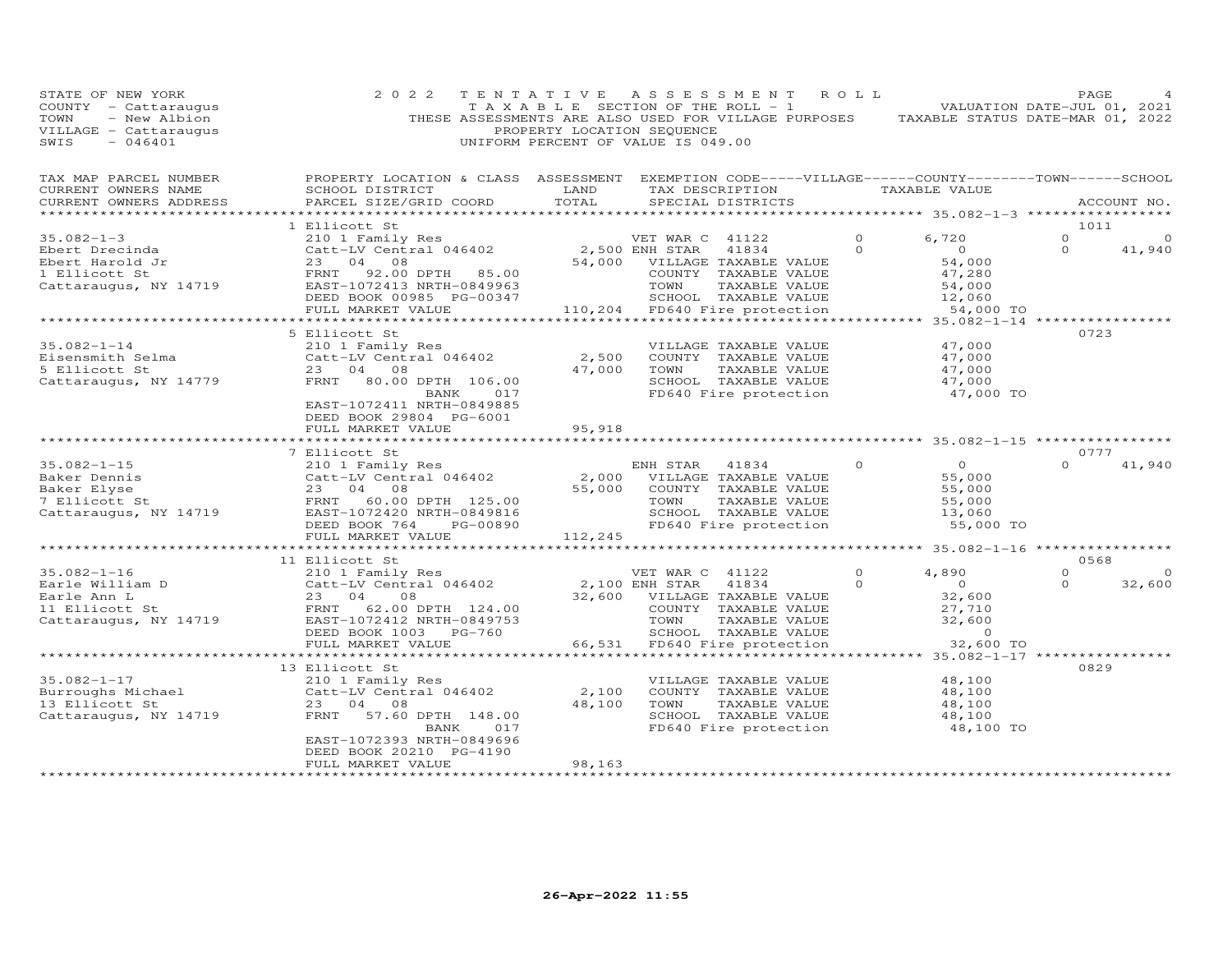| STATE OF NEW YORK<br>COUNTY - Cattaraugus<br>- New Albion<br>TOWN<br>VILLAGE - Cattaraugus<br>SWIS<br>$-046401$ | 2 0 2 2                                                                                                                                                                                           | TENTATIVE<br>PROPERTY LOCATION SEQUENCE | A S S E S S M E N T<br>T A X A B L E SECTION OF THE ROLL - 1<br>THESE ASSESSMENTS ARE ALSO USED FOR VILLAGE PURPOSES<br>UNIFORM PERCENT OF VALUE IS 049.00            | ROLL                 | VALUATION DATE-JUL 01, 2021<br>TAXABLE STATUS DATE-MAR 01, 2022               | PAGE                        |                   |
|-----------------------------------------------------------------------------------------------------------------|---------------------------------------------------------------------------------------------------------------------------------------------------------------------------------------------------|-----------------------------------------|-----------------------------------------------------------------------------------------------------------------------------------------------------------------------|----------------------|-------------------------------------------------------------------------------|-----------------------------|-------------------|
| TAX MAP PARCEL NUMBER<br>CURRENT OWNERS NAME<br>CURRENT OWNERS ADDRESS                                          | PROPERTY LOCATION & CLASS ASSESSMENT EXEMPTION CODE-----VILLAGE------COUNTY-------TOWN------SCHOOL<br>SCHOOL DISTRICT<br>PARCEL SIZE/GRID COORD                                                   | LAND<br>TOTAL                           | TAX DESCRIPTION<br>SPECIAL DISTRICTS                                                                                                                                  |                      | TAXABLE VALUE                                                                 |                             | ACCOUNT NO.       |
| ***********************                                                                                         |                                                                                                                                                                                                   |                                         |                                                                                                                                                                       |                      |                                                                               |                             |                   |
| $35.082 - 1 - 3$<br>Ebert Drecinda<br>Ebert Harold Jr<br>1 Ellicott St<br>Cattaraugus, NY 14719                 | 1 Ellicott St<br>210 1 Family Res<br>Catt-LV Central 046402<br>23<br>04<br>08<br>FRNT<br>92.00 DPTH 85.00<br>EAST-1072413 NRTH-0849963<br>DEED BOOK 00985 PG-00347                                | 54,000                                  | VET WAR C 41122<br>2,500 ENH STAR<br>41834<br>VILLAGE TAXABLE VALUE<br>COUNTY TAXABLE VALUE<br>TOWN<br>TAXABLE VALUE<br>SCHOOL TAXABLE VALUE                          | $\Omega$<br>$\Omega$ | 6,720<br>$\overline{O}$<br>54,000<br>47,280<br>54,000<br>12,060               | 1011<br>$\circ$<br>$\Omega$ | 0<br>41,940       |
|                                                                                                                 | FULL MARKET VALUE<br>******************************                                                                                                                                               |                                         | 110,204 FD640 Fire protection                                                                                                                                         |                      | 54,000 TO                                                                     |                             |                   |
| $35.082 - 1 - 14$<br>Eisensmith Selma<br>5 Ellicott St<br>Cattaraugus, NY 14779                                 | 5 Ellicott St<br>210 1 Family Res<br>Catt-LV Central 046402<br>23 04 08<br>FRNT<br>80.00 DPTH 106.00<br>017<br>BANK<br>EAST-1072411 NRTH-0849885<br>DEED BOOK 29804 PG-6001                       | 2,500<br>47,000                         | VILLAGE TAXABLE VALUE<br>COUNTY TAXABLE VALUE<br>TOWN<br>TAXABLE VALUE<br>SCHOOL TAXABLE VALUE<br>FD640 Fire protection                                               |                      | 47,000<br>47,000<br>47,000<br>47,000<br>47,000 TO                             | 0723                        |                   |
|                                                                                                                 | FULL MARKET VALUE                                                                                                                                                                                 | 95,918                                  |                                                                                                                                                                       |                      |                                                                               |                             |                   |
|                                                                                                                 | *********                                                                                                                                                                                         |                                         |                                                                                                                                                                       |                      | **************************** 35.082-1-15 ****************                     |                             |                   |
| $35.082 - 1 - 15$<br>Baker Dennis<br>Baker Elyse<br>7 Ellicott St<br>Cattaraugus, NY 14719                      | 7 Ellicott St<br>210 1 Family Res<br>Catt-LV Central 046402<br>23 04<br>08<br>FRNT<br>60.00 DPTH 125.00<br>EAST-1072420 NRTH-0849816<br>DEED BOOK 764<br>PG-00890<br>FULL MARKET VALUE            | 2,000<br>55,000<br>112,245              | ENH STAR<br>41834<br>VILLAGE TAXABLE VALUE<br>COUNTY TAXABLE VALUE<br>TAXABLE VALUE<br>TOWN<br>SCHOOL TAXABLE VALUE<br>FD640 Fire protection                          | $\Omega$             | $\overline{O}$<br>55,000<br>55,000<br>55,000<br>13,060<br>55,000 TO           | 0777<br>$\Omega$            | 41,940            |
|                                                                                                                 |                                                                                                                                                                                                   |                                         |                                                                                                                                                                       |                      |                                                                               |                             |                   |
|                                                                                                                 | 11 Ellicott St                                                                                                                                                                                    |                                         |                                                                                                                                                                       |                      |                                                                               | 0568                        |                   |
| $35.082 - 1 - 16$<br>Earle William D<br>Earle Ann L<br>11 Ellicott St<br>Cattaraugus, NY 14719                  | 210 1 Family Res<br>Catt-LV Central 046402<br>23 04<br>08<br>62.00 DPTH 124.00<br>FRNT<br>EAST-1072412 NRTH-0849753<br>DEED BOOK 1003<br>PG-760<br>FULL MARKET VALUE                              | 32,600<br>66,531                        | VET WAR C 41122<br>2,100 ENH STAR<br>41834<br>VILLAGE TAXABLE VALUE<br>COUNTY TAXABLE VALUE<br>TOWN<br>TAXABLE VALUE<br>SCHOOL TAXABLE VALUE<br>FD640 Fire protection | 0<br>$\Omega$        | 4,890<br>$\overline{0}$<br>32,600<br>27,710<br>32,600<br>$\circ$<br>32,600 TO | $\Omega$<br>$\Omega$        | $\circ$<br>32,600 |
|                                                                                                                 | * * * * * * * * * * * *                                                                                                                                                                           |                                         |                                                                                                                                                                       |                      | ** 35.082-1-17 **************                                                 |                             |                   |
| $35.082 - 1 - 17$<br>Burroughs Michael<br>13 Ellicott St<br>Cattaraugus, NY 14719                               | 13 Ellicott St<br>210 1 Family Res<br>Catt-LV Central 046402<br>23 04 08<br>57.60 DPTH 148.00<br>FRNT<br>BANK<br>017<br>EAST-1072393 NRTH-0849696<br>DEED BOOK 20210 PG-4190<br>FULL MARKET VALUE | 2,100<br>48,100<br>98,163               | VILLAGE TAXABLE VALUE<br>COUNTY TAXABLE VALUE<br>TAXABLE VALUE<br>TOWN<br>SCHOOL TAXABLE VALUE<br>FD640 Fire protection                                               |                      | 48,100<br>48,100<br>48,100<br>48,100<br>48,100 TO                             | 0829                        |                   |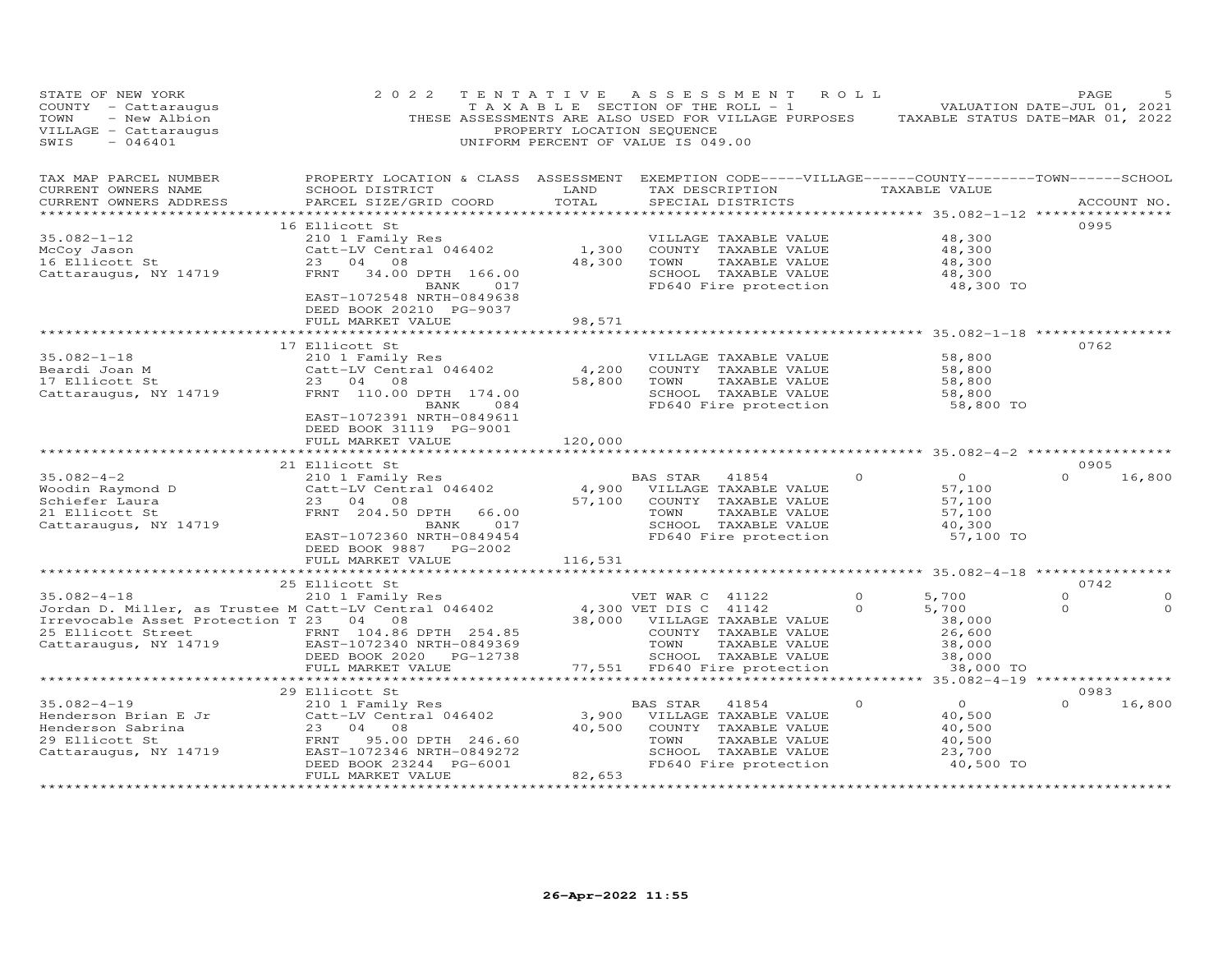| STATE OF NEW YORK<br>COUNTY - Cattaraugus<br>TOWN<br>- New Albion<br>VILLAGE - Cattaraugus<br>SWIS<br>$-046401$ | 2 0 2 2<br>THESE ASSESSMENTS ARE ALSO USED FOR VILLAGE PURPOSES                                                                                 | TENTATIVE<br>TAXABLE SECTION OF THE ROLL - 1<br>PROPERTY LOCATION SEQUENCE<br>UNIFORM PERCENT OF VALUE IS 049.00 | ASSESSMENT            |                                      | ROLL     | TAXABLE STATUS DATE-MAR 01, 2022              | PAGE<br>VALUATION DATE-JUL 01, 2021 |             |
|-----------------------------------------------------------------------------------------------------------------|-------------------------------------------------------------------------------------------------------------------------------------------------|------------------------------------------------------------------------------------------------------------------|-----------------------|--------------------------------------|----------|-----------------------------------------------|-------------------------------------|-------------|
| TAX MAP PARCEL NUMBER<br>CURRENT OWNERS NAME<br>CURRENT OWNERS ADDRESS                                          | PROPERTY LOCATION & CLASS ASSESSMENT EXEMPTION CODE-----VILLAGE------COUNTY-------TOWN------SCHOOL<br>SCHOOL DISTRICT<br>PARCEL SIZE/GRID COORD | LAND<br>TOTAL                                                                                                    |                       | TAX DESCRIPTION<br>SPECIAL DISTRICTS |          | TAXABLE VALUE                                 |                                     | ACCOUNT NO. |
|                                                                                                                 | 16 Ellicott St                                                                                                                                  |                                                                                                                  |                       |                                      |          |                                               | 0995                                |             |
| $35.082 - 1 - 12$                                                                                               | 210 1 Family Res                                                                                                                                |                                                                                                                  |                       | VILLAGE TAXABLE VALUE                |          | 48,300                                        |                                     |             |
| McCoy Jason                                                                                                     | Catt-LV Central 046402                                                                                                                          | 1,300                                                                                                            |                       | COUNTY TAXABLE VALUE                 |          | 48,300                                        |                                     |             |
| 16 Ellicott St                                                                                                  | 23 04<br>08                                                                                                                                     | 48,300                                                                                                           | TOWN                  | TAXABLE VALUE                        |          | 48,300                                        |                                     |             |
| Cattaraugus, NY 14719                                                                                           | FRNT<br>34.00 DPTH 166.00                                                                                                                       |                                                                                                                  |                       | SCHOOL TAXABLE VALUE                 |          | 48,300                                        |                                     |             |
|                                                                                                                 | BANK<br>017<br>EAST-1072548 NRTH-0849638<br>DEED BOOK 20210 PG-9037                                                                             |                                                                                                                  |                       | FD640 Fire protection                |          | 48,300 TO                                     |                                     |             |
|                                                                                                                 | FULL MARKET VALUE                                                                                                                               | 98,571                                                                                                           |                       |                                      |          |                                               |                                     |             |
|                                                                                                                 | 17 Ellicott St                                                                                                                                  |                                                                                                                  |                       |                                      |          |                                               | 0762                                |             |
| $35.082 - 1 - 18$                                                                                               | 210 1 Family Res                                                                                                                                |                                                                                                                  |                       | VILLAGE TAXABLE VALUE                |          | 58,800                                        |                                     |             |
| Beardi Joan M                                                                                                   | Catt-LV Central 046402                                                                                                                          | 4,200                                                                                                            |                       | COUNTY TAXABLE VALUE                 |          | 58,800                                        |                                     |             |
| 17 Ellicott St                                                                                                  | 23 04<br>08                                                                                                                                     | 58,800                                                                                                           | TOWN                  | TAXABLE VALUE                        |          | 58,800                                        |                                     |             |
| Cattaraugus, NY 14719                                                                                           | FRNT 110.00 DPTH 174.00                                                                                                                         |                                                                                                                  |                       | SCHOOL TAXABLE VALUE                 |          | 58,800                                        |                                     |             |
|                                                                                                                 | BANK<br>084<br>EAST-1072391 NRTH-0849611<br>DEED BOOK 31119 PG-9001<br>FULL MARKET VALUE                                                        | 120,000                                                                                                          |                       | FD640 Fire protection                |          | 58,800 TO<br>********* 35.082-4-2 *********** |                                     |             |
|                                                                                                                 | 21 Ellicott St                                                                                                                                  |                                                                                                                  |                       |                                      |          |                                               | 0905                                |             |
| $35.082 - 4 - 2$                                                                                                | 210 1 Family Res                                                                                                                                |                                                                                                                  | BAS STAR              | 41854                                | $\circ$  | $\circ$                                       | $\Omega$                            | 16,800      |
| Woodin Raymond D                                                                                                | Catt-LV Central 046402                                                                                                                          | 4,900                                                                                                            |                       | VILLAGE TAXABLE VALUE                |          | 57,100                                        |                                     |             |
| Schiefer Laura                                                                                                  | 23 04<br>08                                                                                                                                     | 57,100                                                                                                           |                       | COUNTY TAXABLE VALUE                 |          | 57,100                                        |                                     |             |
| 21 Ellicott St                                                                                                  | FRNT 204.50 DPTH<br>66.00                                                                                                                       |                                                                                                                  | TOWN                  | TAXABLE VALUE                        |          | 57,100                                        |                                     |             |
| Cattaraugus, NY 14719                                                                                           | 017<br>BANK                                                                                                                                     |                                                                                                                  |                       | SCHOOL TAXABLE VALUE                 |          | 40,300                                        |                                     |             |
|                                                                                                                 | EAST-1072360 NRTH-0849454                                                                                                                       |                                                                                                                  |                       | FD640 Fire protection                |          | 57,100 TO                                     |                                     |             |
|                                                                                                                 | DEED BOOK 9887 PG-2002<br>FULL MARKET VALUE                                                                                                     |                                                                                                                  |                       |                                      |          |                                               |                                     |             |
|                                                                                                                 | ********************                                                                                                                            | 116,531                                                                                                          |                       |                                      |          |                                               |                                     |             |
|                                                                                                                 | 25 Ellicott St                                                                                                                                  |                                                                                                                  |                       |                                      |          |                                               | 0742                                |             |
| $35.082 - 4 - 18$                                                                                               | 210 1 Family Res                                                                                                                                |                                                                                                                  | VET WAR C 41122       |                                      | $\Omega$ | 5,700                                         | $\Omega$                            | ∩           |
| Jordan D. Miller, as Trustee M Catt-LV Central 046402                                                           |                                                                                                                                                 |                                                                                                                  | 4,300 VET DIS C 41142 |                                      | $\Omega$ | 5,700                                         | $\circ$                             | 0           |
| Irrevocable Asset Protection T 23 04 08                                                                         |                                                                                                                                                 | 38,000                                                                                                           |                       | VILLAGE TAXABLE VALUE                |          | 38,000                                        |                                     |             |
| 25 Ellicott Street                                                                                              | FRNT 104.86 DPTH 254.85                                                                                                                         |                                                                                                                  |                       | COUNTY TAXABLE VALUE                 |          | 26,600                                        |                                     |             |
| Cattaraugus, NY 14719                                                                                           | EAST-1072340 NRTH-0849369                                                                                                                       |                                                                                                                  | TOWN                  | TAXABLE VALUE                        |          | 38,000                                        |                                     |             |
|                                                                                                                 | DEED BOOK 2020 PG-12738                                                                                                                         |                                                                                                                  |                       | SCHOOL TAXABLE VALUE                 |          | 38,000                                        |                                     |             |
|                                                                                                                 | FULL MARKET VALUE<br>***********************                                                                                                    | 77,551                                                                                                           |                       | FD640 Fire protection                |          | 38,000 TO                                     |                                     |             |
|                                                                                                                 | 29 Ellicott St                                                                                                                                  |                                                                                                                  |                       |                                      |          |                                               | 0983                                |             |
| $35.082 - 4 - 19$                                                                                               | 210 1 Family Res                                                                                                                                |                                                                                                                  | <b>BAS STAR</b>       | 41854                                | $\Omega$ | $\Omega$                                      | $\Omega$                            | 16,800      |
| Henderson Brian E Jr                                                                                            | Catt-LV Central 046402                                                                                                                          | 3,900                                                                                                            |                       | VILLAGE TAXABLE VALUE                |          | 40,500                                        |                                     |             |
| Henderson Sabrina                                                                                               | 23<br>04<br>08                                                                                                                                  | 40,500                                                                                                           |                       | COUNTY TAXABLE VALUE                 |          | 40,500                                        |                                     |             |
| 29 Ellicott St                                                                                                  | FRNT<br>95.00 DPTH 246.60                                                                                                                       |                                                                                                                  | TOWN                  | TAXABLE VALUE                        |          | 40,500                                        |                                     |             |
| Cattaraugus, NY 14719                                                                                           | EAST-1072346 NRTH-0849272                                                                                                                       |                                                                                                                  |                       | SCHOOL TAXABLE VALUE                 |          | 23,700                                        |                                     |             |
|                                                                                                                 | DEED BOOK 23244 PG-6001                                                                                                                         |                                                                                                                  |                       | FD640 Fire protection                |          | 40,500 TO                                     |                                     |             |
|                                                                                                                 | FULL MARKET VALUE<br>******************                                                                                                         | 82,653                                                                                                           |                       |                                      |          |                                               |                                     |             |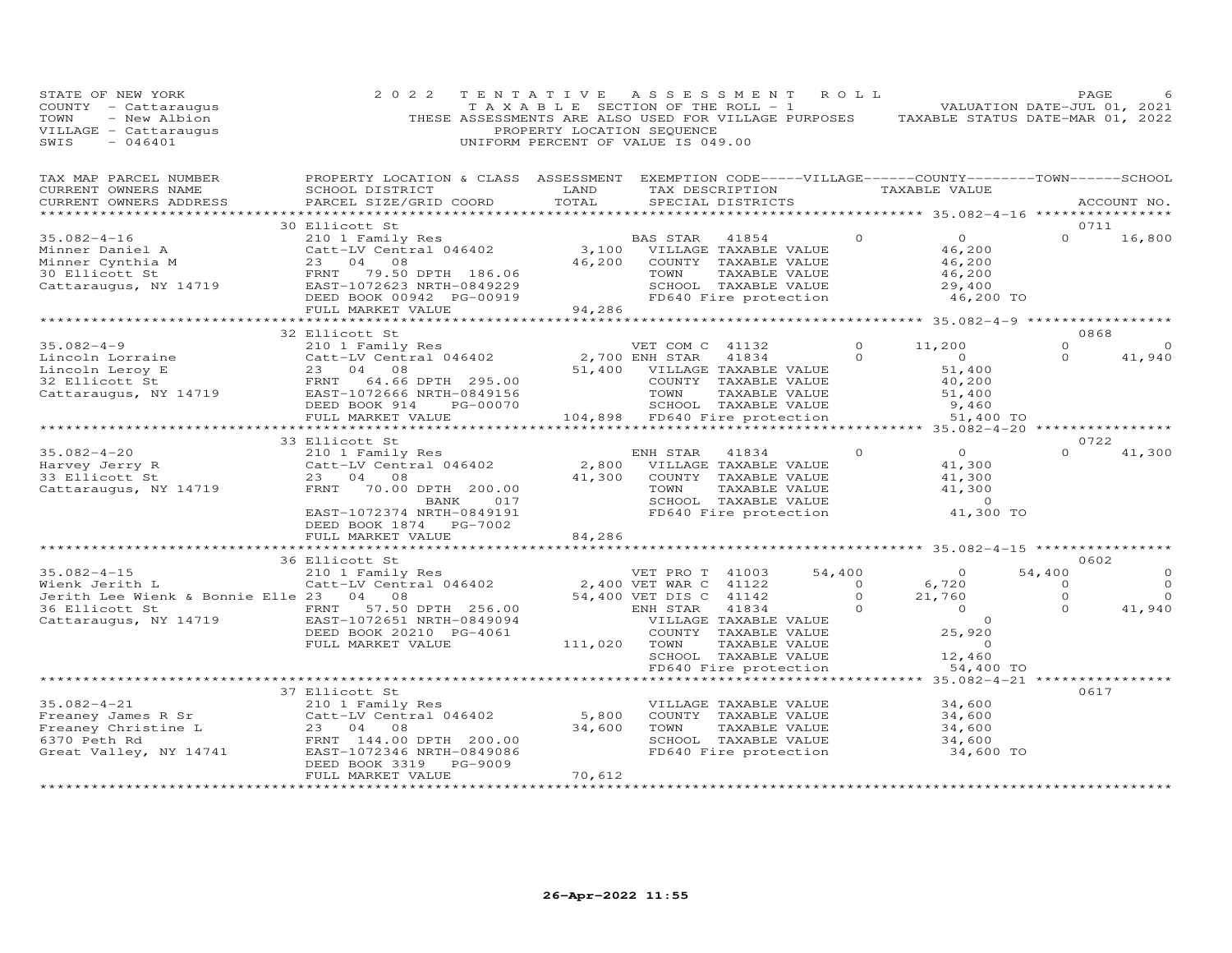| STATE OF NEW YORK<br>COUNTY - Cattaraugus<br>TOWN<br>- New Albion<br>VILLAGE - Cattaraugus<br>$-046401$<br>SWIS          | 2 0 2 2                                                                                                                                                                               | TENTATIVE<br>T A X A B L E SECTION OF THE ROLL - 1<br>PROPERTY LOCATION SEQUENCE<br>UNIFORM PERCENT OF VALUE IS 049.00 | ASSESSMENT ROLL                                        |                                                                                                                          |                | THESE ASSESSMENTS ARE ALSO USED FOR VILLAGE PURPOSES TAXABLE STATUS DATE-MAR 01, 2022 |          | PAGE<br>VALUATION DATE-JUL 01, 2021 |
|--------------------------------------------------------------------------------------------------------------------------|---------------------------------------------------------------------------------------------------------------------------------------------------------------------------------------|------------------------------------------------------------------------------------------------------------------------|--------------------------------------------------------|--------------------------------------------------------------------------------------------------------------------------|----------------|---------------------------------------------------------------------------------------|----------|-------------------------------------|
| TAX MAP PARCEL NUMBER<br>CURRENT OWNERS NAME<br>CURRENT OWNERS ADDRESS                                                   | PROPERTY LOCATION & CLASS ASSESSMENT EXEMPTION CODE-----VILLAGE------COUNTY--------TOWN------SCHOOL<br>SCHOOL DISTRICT<br>PARCEL SIZE/GRID COORD                                      | LAND<br>TOTAL                                                                                                          |                                                        | SPECIAL DISTRICTS                                                                                                        |                | TAX DESCRIPTION TAXABLE VALUE                                                         |          | ACCOUNT NO.                         |
|                                                                                                                          | 30 Ellicott St                                                                                                                                                                        |                                                                                                                        |                                                        |                                                                                                                          |                |                                                                                       |          | 0711                                |
| $35.082 - 4 - 16$                                                                                                        | 210 1 Family Res                                                                                                                                                                      |                                                                                                                        | BAS STAR                                               | 41854                                                                                                                    |                | $\Omega$<br>$\Omega$                                                                  | $\Omega$ | 16,800                              |
| Minner Daniel A<br>Minner Cynthia M<br>30 Ellicott St<br>30 Ellicott St<br>Cattaraugus, NY 14719                         | Catt-LV Central 046402<br>23 04 08<br>FRNT 79.50 DPTH 186.06<br>EAST-1072623 NRTH-0849229<br>DEED BOOK 00942 PG-00919<br>FULL MARKET VALUE                                            | 46,200<br>94,286                                                                                                       | 3,100 VILLAGE TAXABLE VALUE<br>TOWN                    | COUNTY TAXABLE VALUE<br>TAXABLE VALUE<br>SCHOOL TAXABLE VALUE<br>FD640 Fire protection                                   |                | 46,200<br>46,200<br>46,200<br>29,400<br>46,200 TO                                     |          |                                     |
|                                                                                                                          | ************************                                                                                                                                                              |                                                                                                                        | ***********************                                |                                                                                                                          |                | ******************** 35.082-4-9 ******************                                    |          |                                     |
|                                                                                                                          | 32 Ellicott St                                                                                                                                                                        |                                                                                                                        |                                                        |                                                                                                                          |                |                                                                                       |          | 0868                                |
| $35.082 - 4 - 9$                                                                                                         | 210 1 Family Res                                                                                                                                                                      |                                                                                                                        | VET COM C 41132                                        |                                                                                                                          |                | 11,200<br>$\Omega$                                                                    | $\Omega$ | $\circ$                             |
| Lincoln Lorraine Catt-LV C<br>Lincoln Leroy E 23 04<br>32 Ellicott St FRNT 64<br>Cattaraugus, NY 14719                   | Catt-LV Central 046402<br>08<br>FRNT 64.66 DPTH 295.00<br>EAST-1072666 NRTH-0849156<br>DEED BOOK 914<br>PG-00070                                                                      |                                                                                                                        | 2,700 ENH STAR<br>51,400 VILLAGE TAXABLE VALUE<br>TOWN | 41834<br>COUNTY TAXABLE VALUE<br>TAXABLE VALUE<br>SCHOOL TAXABLE VALUE                                                   |                | $\Omega$<br>$\overline{O}$<br>51,400<br>40,200<br>51,400<br>9,460                     | $\Omega$ | 41,940                              |
|                                                                                                                          | FULL MARKET VALUE                                                                                                                                                                     | 104,898 FD640 Fire protection                                                                                          |                                                        |                                                                                                                          |                | 51,400 TO                                                                             |          |                                     |
|                                                                                                                          | *************************                                                                                                                                                             |                                                                                                                        |                                                        |                                                                                                                          |                |                                                                                       |          | 0722                                |
| $35.082 - 4 - 20$<br>Harvey Jerry R<br>33 Ellicott St<br>Cattaraugus, NY 14719                                           | 33 Ellicott St<br>210 1 Family Res<br>Catt-LV Central 046402<br>23 04 08<br>FRNT<br>70.00 DPTH 200.00<br>017<br>BANK<br>EAST-1072374 NRTH-0849191<br>DEED BOOK 1874    PG-7002        | 2,800<br>41,300                                                                                                        | ENH STAR<br>TOWN                                       | 41834<br>VILLAGE TAXABLE VALUE<br>COUNTY TAXABLE VALUE<br>TAXABLE VALUE<br>SCHOOL TAXABLE VALUE<br>FD640 Fire protection |                | $\Omega$<br>$\Omega$<br>41,300<br>41,300<br>41,300<br>$\sim$ 0<br>41,300 TO           | $\Omega$ | 41,300                              |
|                                                                                                                          | FULL MARKET VALUE                                                                                                                                                                     | 84,286                                                                                                                 |                                                        |                                                                                                                          |                |                                                                                       |          |                                     |
|                                                                                                                          |                                                                                                                                                                                       | * * * * * * * * * * * *                                                                                                |                                                        |                                                                                                                          |                | ****************** 35.082-4-15 ************                                           |          |                                     |
| $35.082 - 4 - 15$                                                                                                        | 36 Ellicott St<br>210 1 Family Res                                                                                                                                                    |                                                                                                                        | VET PRO T 41003                                        |                                                                                                                          | 54,400         | $\overline{0}$                                                                        | 54,400   | 0602<br>0                           |
| Wienk Jerith L                                                                                                           | Catt-LV Central 046402                                                                                                                                                                |                                                                                                                        | 2,400 VET WAR C 41122                                  |                                                                                                                          | $\overline{0}$ | 6,720                                                                                 | $\circ$  | $\Omega$                            |
| Jerith Lee Wienk & Bonnie Elle 23 04 08                                                                                  |                                                                                                                                                                                       |                                                                                                                        | 54,400 VET DIS C 41142                                 |                                                                                                                          |                | $\circ$<br>21,760                                                                     | $\circ$  | $\Omega$                            |
| 36 Ellicott St<br>Cattaraugus, NY 14719                                                                                  | 57.50 DPTH 256.00<br>FRNT<br>EAST-1072651 NRTH-0849094<br>DEED BOOK 20210 PG-4061<br>FULL MARKET VALUE                                                                                | 111,020 TOWN                                                                                                           | ENH STAR                                               | 41834<br>VILLAGE TAXABLE VALUE<br>COUNTY TAXABLE VALUE<br>TAXABLE VALUE<br>SCHOOL TAXABLE VALUE<br>FD640 Fire protection | $\Omega$       | $\overline{O}$<br>$\circ$<br>25,920<br>$\circ$<br>12,460<br>54,400 TO                 | $\Omega$ | 41,940                              |
|                                                                                                                          |                                                                                                                                                                                       |                                                                                                                        |                                                        |                                                                                                                          |                |                                                                                       |          |                                     |
| $35.082 - 4 - 21$<br>Freaney James R Sr<br>Freaney Christine L<br>6370 Peth Rd<br>6370 Peth Rd<br>Great Valley, NY 14741 | 37 Ellicott St<br>210 1 Family Res<br>Catt-LV Central 046402<br>23 04<br>08<br>FRNT 144.00 DPTH 200.00<br>EAST-1072346 NRTH-0849086<br>PG-9009<br>DEED BOOK 3319<br>FULL MARKET VALUE | 5,800<br>34,600<br>70,612                                                                                              | TOWN                                                   | VILLAGE TAXABLE VALUE<br>COUNTY TAXABLE VALUE<br>TAXABLE VALUE<br>SCHOOL TAXABLE VALUE<br>FD640 Fire protection          |                | 34,600<br>34,600<br>34,600<br>34,600<br>34,600 TO                                     |          | 0617                                |
|                                                                                                                          |                                                                                                                                                                                       |                                                                                                                        |                                                        |                                                                                                                          |                |                                                                                       |          |                                     |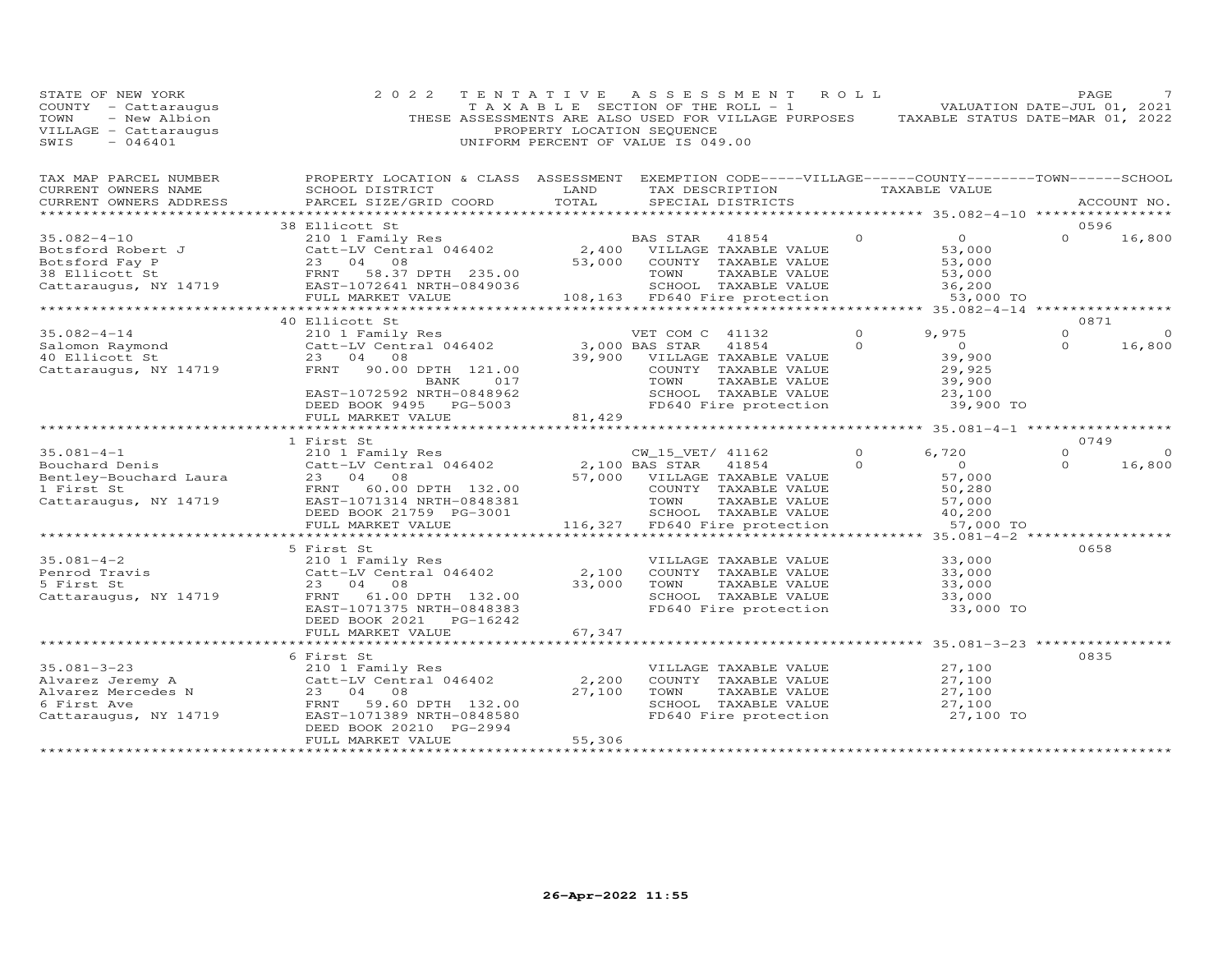| STATE OF NEW YORK<br>COUNTY - Cattaraugus<br>TOWN<br>- New Albion<br>VILLAGE - Cattaraugus<br>$-046401$<br>SWIS                                                                                                                | 2 0 2 2                                                                                                                                                                                                                | PROPERTY LOCATION SEQUENCE                                                                                             | TENTATIVE ASSESSMENT ROLL<br>TAXABLE SECTION OF THE ROLL - 1<br>THESE ASSESSMENTS ARE ALSO USED FOR VILLAGE PURPOSES TAXABLE STATUS DATE-MAR 01, 2022<br>UNIFORM PERCENT OF VALUE IS 049.00 |          | VALUATION DATE-JUL 01, 2021           | PAGE     |             |
|--------------------------------------------------------------------------------------------------------------------------------------------------------------------------------------------------------------------------------|------------------------------------------------------------------------------------------------------------------------------------------------------------------------------------------------------------------------|------------------------------------------------------------------------------------------------------------------------|---------------------------------------------------------------------------------------------------------------------------------------------------------------------------------------------|----------|---------------------------------------|----------|-------------|
| TAX MAP PARCEL NUMBER<br>CURRENT OWNERS NAME                                                                                                                                                                                   | PROPERTY LOCATION & CLASS ASSESSMENT EXEMPTION CODE-----VILLAGE------COUNTY-------TOWN------SCHOOL<br>SCHOOL DISTRICT                                                                                                  | <b>EXAMPLE SERVICE SERVICE SERVICE SERVICE SERVICE SERVICE SERVICE SERVICE SERVICE SERVICE SERVICE SERVICE SERVICE</b> | TAX DESCRIPTION TAXABLE VALUE                                                                                                                                                               |          |                                       |          |             |
| CURRENT OWNERS ADDRESS                                                                                                                                                                                                         | PARCEL SIZE/GRID COORD                                                                                                                                                                                                 | TOTAL                                                                                                                  | SPECIAL DISTRICTS                                                                                                                                                                           |          |                                       |          | ACCOUNT NO. |
|                                                                                                                                                                                                                                | 38 Ellicott St                                                                                                                                                                                                         |                                                                                                                        |                                                                                                                                                                                             |          |                                       | 0596     |             |
| 35.082-4-10<br>Botsford Robert J<br>Botsford Fay P<br>38 Ellicott St<br>Cattaraugus, NY 14719<br>Botsford Fay P<br>23 04 08<br>FRNT 58.37 DPTH 235.00<br>EAST 1072641 NRTH-0849036<br>THE 1072641 NRTH-0849036                 |                                                                                                                                                                                                                        |                                                                                                                        | BAS STAR 41854                                                                                                                                                                              | $\Omega$ | $\overline{O}$                        | $\Omega$ | 16,800      |
|                                                                                                                                                                                                                                |                                                                                                                                                                                                                        |                                                                                                                        | 2,400 VILLAGE TAXABLE VALUE                                                                                                                                                                 |          | 53,000                                |          |             |
|                                                                                                                                                                                                                                |                                                                                                                                                                                                                        |                                                                                                                        | 53,000 COUNTY TAXABLE VALUE                                                                                                                                                                 |          | 53,000                                |          |             |
|                                                                                                                                                                                                                                |                                                                                                                                                                                                                        |                                                                                                                        | TAXABLE VALUE<br>TOWN                                                                                                                                                                       |          | 53,000<br>36,200                      |          |             |
|                                                                                                                                                                                                                                |                                                                                                                                                                                                                        |                                                                                                                        | SCHOOL TAXABLE VALUE                                                                                                                                                                        |          |                                       |          |             |
|                                                                                                                                                                                                                                | FULL MARKET VALUE<br>***********************                                                                                                                                                                           |                                                                                                                        | 108,163 FD640 Fire protection                                                                                                                                                               |          | 53,000 TO                             |          |             |
|                                                                                                                                                                                                                                | 40 Ellicott St                                                                                                                                                                                                         |                                                                                                                        |                                                                                                                                                                                             |          |                                       | 0871     |             |
| 210 1 Family<br>210 1 Family<br>23 04 08<br>Cattaraugus, NY 14719<br>23 04 08<br>FRNT 90 00                                                                                                                                    |                                                                                                                                                                                                                        |                                                                                                                        | VET COM C 41132                                                                                                                                                                             | $\Omega$ | 9,975                                 | $\Omega$ | $\Omega$    |
|                                                                                                                                                                                                                                |                                                                                                                                                                                                                        |                                                                                                                        | $3,000$ BAS STAR<br>41854                                                                                                                                                                   | $\Omega$ | $\overline{0}$                        | $\Omega$ | 16,800      |
|                                                                                                                                                                                                                                | 210 1 Family Res<br>Catt-LV Central 046402<br>23 04 08                                                                                                                                                                 |                                                                                                                        | 39,900 VILLAGE TAXABLE VALUE                                                                                                                                                                |          | 39,900                                |          |             |
|                                                                                                                                                                                                                                | FRNT 90.00 DPTH 121.00                                                                                                                                                                                                 |                                                                                                                        | COUNTY TAXABLE VALUE                                                                                                                                                                        |          | 29,925                                |          |             |
|                                                                                                                                                                                                                                | 017<br>BANK                                                                                                                                                                                                            |                                                                                                                        | TOWN<br>TAXABLE VALUE                                                                                                                                                                       |          | 39,900<br>23,100                      |          |             |
|                                                                                                                                                                                                                                | EAST-1072592 NRTH-0848962                                                                                                                                                                                              |                                                                                                                        | SCHOOL TAXABLE VALUE                                                                                                                                                                        |          | 23,100                                |          |             |
|                                                                                                                                                                                                                                | DEED BOOK 9495 PG-5003<br>FULL MARKET VALUE                                                                                                                                                                            | 81,429                                                                                                                 | FD640 Fire protection                                                                                                                                                                       |          | 39,900 TO                             |          |             |
|                                                                                                                                                                                                                                | ************************                                                                                                                                                                                               |                                                                                                                        |                                                                                                                                                                                             |          |                                       |          |             |
|                                                                                                                                                                                                                                | 1 First St<br>210 1 Family Res<br>Catt-LV Central 046402<br>2,100 BAS STAR 41854<br>23 04 08<br>57,000 VILLAGE TAXABLE VALUE<br>COUNTY TAXABLE VALUE<br>TOWN TAXABLE VALUE<br>TOWN TAXABLE VALUE<br>TOWN TAXABLE VALUE |                                                                                                                        |                                                                                                                                                                                             |          |                                       | 0749     |             |
| 35.081-4-1<br>Bouchard Denis                                                                                                                                                                                                   |                                                                                                                                                                                                                        |                                                                                                                        |                                                                                                                                                                                             | $\Omega$ | 6,720                                 | $\Omega$ | $\Omega$    |
|                                                                                                                                                                                                                                |                                                                                                                                                                                                                        |                                                                                                                        |                                                                                                                                                                                             | $\Omega$ | $\overline{0}$                        | $\Omega$ | 16,800      |
| Bentley-Bouchard Laura                                                                                                                                                                                                         |                                                                                                                                                                                                                        |                                                                                                                        |                                                                                                                                                                                             |          | 57,000                                |          |             |
| 1 First St                                                                                                                                                                                                                     |                                                                                                                                                                                                                        |                                                                                                                        |                                                                                                                                                                                             |          | 50,280                                |          |             |
| Cattaraugus, NY 14719                                                                                                                                                                                                          |                                                                                                                                                                                                                        |                                                                                                                        | COUNTY<br>TOWN<br>SCHOOL                                                                                                                                                                    |          | 57,000                                |          |             |
|                                                                                                                                                                                                                                | DEED BOOK 21759 PG-3001                                                                                                                                                                                                |                                                                                                                        | SCHOOL TAXABLE VALUE<br>116,327 FD640 Fire protection                                                                                                                                       |          | 40,200                                |          |             |
|                                                                                                                                                                                                                                | FULL MARKET VALUE<br>***********************                                                                                                                                                                           |                                                                                                                        |                                                                                                                                                                                             |          | 57,000 TO                             |          |             |
|                                                                                                                                                                                                                                | 5 First St                                                                                                                                                                                                             |                                                                                                                        |                                                                                                                                                                                             |          |                                       | 0658     |             |
| $35.081 - 4 - 2$                                                                                                                                                                                                               | 210 1 Family Res                                                                                                                                                                                                       |                                                                                                                        | VILLAGE TAXABLE VALUE                                                                                                                                                                       |          | 33,000                                |          |             |
| Penrod Travis                                                                                                                                                                                                                  | Catt-LV Central 046402                                                                                                                                                                                                 | 2,100                                                                                                                  | COUNTY TAXABLE VALUE                                                                                                                                                                        |          | 33,000                                |          |             |
| 5 First St                                                                                                                                                                                                                     | 23 04 08                                                                                                                                                                                                               | 33,000                                                                                                                 | TOWN<br>TAXABLE VALUE                                                                                                                                                                       |          | 33,000                                |          |             |
| Cattaraugus, NY 14719                                                                                                                                                                                                          | FRNT 61.00 DPTH 132.00                                                                                                                                                                                                 |                                                                                                                        | SCHOOL TAXABLE VALUE                                                                                                                                                                        |          | 33,000                                |          |             |
|                                                                                                                                                                                                                                | EAST-1071375 NRTH-0848383                                                                                                                                                                                              |                                                                                                                        | FD640 Fire protection                                                                                                                                                                       |          | 33,000 TO                             |          |             |
|                                                                                                                                                                                                                                | DEED BOOK 2021    PG-16242                                                                                                                                                                                             |                                                                                                                        |                                                                                                                                                                                             |          |                                       |          |             |
|                                                                                                                                                                                                                                | FULL MARKET VALUE<br>***********************                                                                                                                                                                           | 67,347                                                                                                                 |                                                                                                                                                                                             |          | ************* 35.081-3-23 *********** |          |             |
|                                                                                                                                                                                                                                |                                                                                                                                                                                                                        |                                                                                                                        |                                                                                                                                                                                             |          |                                       | 0835     |             |
|                                                                                                                                                                                                                                |                                                                                                                                                                                                                        |                                                                                                                        | VILLAGE TAXABLE VALUE                                                                                                                                                                       |          | 27,100                                |          |             |
| CONTROLL OF THE SERVICE SERVICE SERVICE SERVICE SERVICE SERVICE SERVICE SERVICE SERVICE SERVICE SERVICE SERVICE SERVICE SERVICE SERVICE SERVICE SERVICE SERVICE SERVICE SERVICE SERVICE SERVICE SERVICE SERVICE SERVICE SERVIC |                                                                                                                                                                                                                        | 2,200                                                                                                                  | COUNTY TAXABLE VALUE                                                                                                                                                                        |          | 27,100                                |          |             |
|                                                                                                                                                                                                                                |                                                                                                                                                                                                                        | 27,100                                                                                                                 | TOWN<br>TAXABLE VALUE                                                                                                                                                                       |          | 27,100                                |          |             |
|                                                                                                                                                                                                                                |                                                                                                                                                                                                                        |                                                                                                                        | SCHOOL TAXABLE VALUE                                                                                                                                                                        |          | 27,100                                |          |             |
|                                                                                                                                                                                                                                |                                                                                                                                                                                                                        |                                                                                                                        | FD640 Fire protection                                                                                                                                                                       |          | 27,100 TO                             |          |             |
|                                                                                                                                                                                                                                | DEED BOOK 20210 PG-2994                                                                                                                                                                                                |                                                                                                                        |                                                                                                                                                                                             |          |                                       |          |             |
| **********************                                                                                                                                                                                                         | FULL MARKET VALUE<br>************************                                                                                                                                                                          | 55,306<br>******************                                                                                           |                                                                                                                                                                                             |          |                                       |          |             |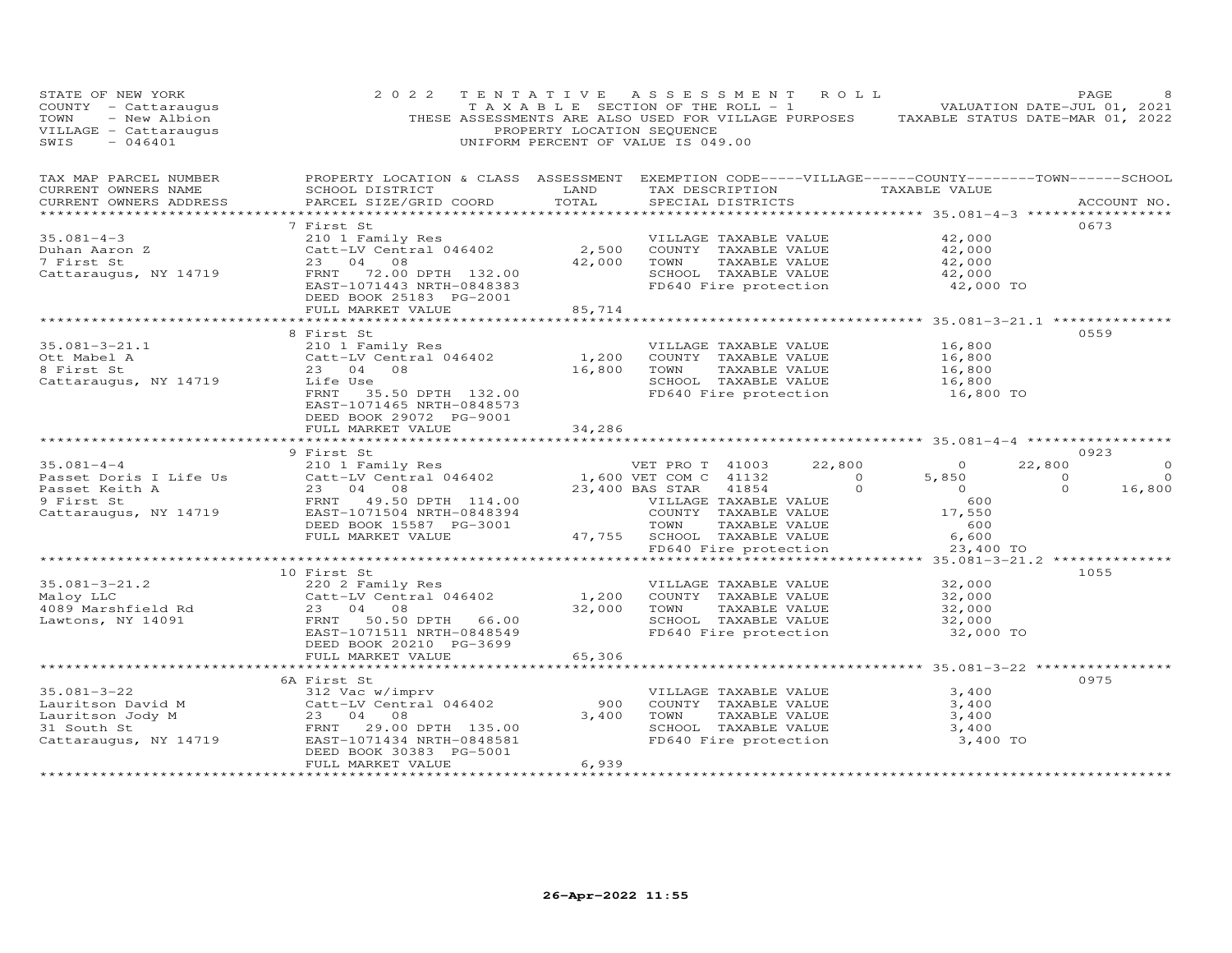| STATE OF NEW YORK<br>COUNTY - Cattaraugus<br>- New Albion<br>TOWN<br>VILLAGE - Cattaraugus<br>SWIS<br>$-046401$ | 2 0 2 2                                                                                                                                         | TENTATIVE<br>T A X A B L E SECTION OF THE ROLL - 1<br>PROPERTY LOCATION SEQUENCE<br>UNIFORM PERCENT OF VALUE IS 049.00 | A S S E S S M E N T         |                                       | ROLL                  | THESE ASSESSMENTS ARE ALSO USED FOR VILLAGE PURPOSES TAXABLE STATUS DATE-MAR 01, 2022 | PAGE<br>VALUATION DATE-JUL 01, 2021 |         |
|-----------------------------------------------------------------------------------------------------------------|-------------------------------------------------------------------------------------------------------------------------------------------------|------------------------------------------------------------------------------------------------------------------------|-----------------------------|---------------------------------------|-----------------------|---------------------------------------------------------------------------------------|-------------------------------------|---------|
| TAX MAP PARCEL NUMBER<br>CURRENT OWNERS NAME<br>CURRENT OWNERS ADDRESS<br>************************              | PROPERTY LOCATION & CLASS ASSESSMENT EXEMPTION CODE-----VILLAGE------COUNTY-------TOWN------SCHOOL<br>SCHOOL DISTRICT<br>PARCEL SIZE/GRID COORD | LAND<br>TOTAL                                                                                                          |                             | SPECIAL DISTRICTS                     |                       | TAX DESCRIPTION TAXABLE VALUE                                                         | ACCOUNT NO.                         |         |
|                                                                                                                 | 7 First St                                                                                                                                      |                                                                                                                        |                             |                                       |                       |                                                                                       | 0673                                |         |
| $35.081 - 4 - 3$                                                                                                | 210 1 Family Res                                                                                                                                |                                                                                                                        |                             | VILLAGE TAXABLE VALUE                 |                       | 42,000                                                                                |                                     |         |
| Duhan Aaron Z                                                                                                   | Catt-LV Central 046402                                                                                                                          | 2,500                                                                                                                  |                             | COUNTY TAXABLE VALUE                  |                       | 42,000                                                                                |                                     |         |
| 7 First St                                                                                                      | 23 04 08                                                                                                                                        | 42,000                                                                                                                 | TOWN                        | TAXABLE VALUE                         |                       | 42,000                                                                                |                                     |         |
| Cattaraugus, NY 14719                                                                                           | FRNT 72.00 DPTH 132.00                                                                                                                          |                                                                                                                        |                             | SCHOOL TAXABLE VALUE                  |                       | 42,000                                                                                |                                     |         |
|                                                                                                                 | EAST-1071443 NRTH-0848383<br>DEED BOOK 25183 PG-2001                                                                                            |                                                                                                                        |                             | FD640 Fire protection                 |                       | 42,000 TO                                                                             |                                     |         |
|                                                                                                                 | FULL MARKET VALUE                                                                                                                               | 85,714                                                                                                                 |                             |                                       |                       |                                                                                       |                                     |         |
|                                                                                                                 |                                                                                                                                                 |                                                                                                                        |                             |                                       |                       | ************************ 35.081-3-21.1 ***************                                |                                     |         |
|                                                                                                                 | 8 First St                                                                                                                                      |                                                                                                                        |                             |                                       |                       |                                                                                       | 0559                                |         |
| $35.081 - 3 - 21.1$                                                                                             | 210 1 Family Res                                                                                                                                |                                                                                                                        |                             | VILLAGE TAXABLE VALUE                 |                       | 16,800                                                                                |                                     |         |
| Ott Mabel A<br>8 First St                                                                                       | Catt-LV Central 046402<br>23 04 08                                                                                                              | 1,200<br>16,800                                                                                                        | TOWN                        | COUNTY TAXABLE VALUE<br>TAXABLE VALUE |                       | 16,800<br>16,800                                                                      |                                     |         |
| Cattaraugus, NY 14719                                                                                           | Life Use                                                                                                                                        |                                                                                                                        |                             | SCHOOL TAXABLE VALUE                  |                       | 16,800                                                                                |                                     |         |
|                                                                                                                 | FRNT<br>35.50 DPTH 132.00                                                                                                                       |                                                                                                                        |                             | FD640 Fire protection                 |                       | 16,800 TO                                                                             |                                     |         |
|                                                                                                                 | EAST-1071465 NRTH-0848573                                                                                                                       |                                                                                                                        |                             |                                       |                       |                                                                                       |                                     |         |
|                                                                                                                 | DEED BOOK 29072 PG-9001                                                                                                                         |                                                                                                                        |                             |                                       |                       |                                                                                       |                                     |         |
|                                                                                                                 | FULL MARKET VALUE                                                                                                                               | 34,286                                                                                                                 |                             |                                       |                       |                                                                                       |                                     |         |
|                                                                                                                 | 9 First St                                                                                                                                      |                                                                                                                        |                             |                                       |                       |                                                                                       | 0923                                |         |
| $35.081 - 4 - 4$                                                                                                | 210 1 Family Res                                                                                                                                |                                                                                                                        | VET PRO T 41003             |                                       | 22,800                | $\circ$                                                                               | 22,800                              | $\circ$ |
| Passet Doris I Life Us                                                                                          | Catt-LV Central 046402                                                                                                                          |                                                                                                                        | 1,600 VET COM C 41132       |                                       | $\overline{0}$        | 5,850                                                                                 | $\circ$                             | $\circ$ |
| Passet Keith A                                                                                                  | 23 04 08                                                                                                                                        |                                                                                                                        | 23,400 BAS STAR             | 41854                                 | $\Omega$              | $\overline{0}$                                                                        | $\Omega$                            | 16,800  |
| 9 First St                                                                                                      |                                                                                                                                                 |                                                                                                                        |                             |                                       |                       |                                                                                       |                                     |         |
|                                                                                                                 | FRNT 49.50 DPTH 114.00                                                                                                                          |                                                                                                                        | VILLAGE TAXABLE VALUE       |                                       |                       | 600                                                                                   |                                     |         |
| Cattaraugus, NY 14719                                                                                           | EAST-1071504 NRTH-0848394                                                                                                                       |                                                                                                                        |                             | COUNTY TAXABLE VALUE                  |                       | 17,550                                                                                |                                     |         |
|                                                                                                                 | DEED BOOK 15587 PG-3001                                                                                                                         |                                                                                                                        | TOWN                        | TAXABLE VALUE                         |                       | 600                                                                                   |                                     |         |
|                                                                                                                 | FULL MARKET VALUE                                                                                                                               |                                                                                                                        | 47,755 SCHOOL TAXABLE VALUE |                                       |                       | 6,600                                                                                 |                                     |         |
|                                                                                                                 |                                                                                                                                                 |                                                                                                                        |                             |                                       | FD640 Fire protection | 23,400 TO                                                                             |                                     |         |
|                                                                                                                 | 10 First St                                                                                                                                     |                                                                                                                        |                             |                                       |                       |                                                                                       | 1055                                |         |
| $35.081 - 3 - 21.2$                                                                                             | 220 2 Family Res                                                                                                                                |                                                                                                                        |                             | VILLAGE TAXABLE VALUE                 |                       | 32,000                                                                                |                                     |         |
| Maloy LLC                                                                                                       | Catt-LV Central 046402                                                                                                                          | 1,200                                                                                                                  |                             | COUNTY TAXABLE VALUE                  |                       | 32,000                                                                                |                                     |         |
| 4089 Marshfield Rd                                                                                              | 23 04 08                                                                                                                                        | 32,000                                                                                                                 | TOWN                        | TAXABLE VALUE                         |                       | 32,000                                                                                |                                     |         |
| Lawtons, NY 14091                                                                                               | FRNT 50.50 DPTH 66.00                                                                                                                           |                                                                                                                        |                             | SCHOOL TAXABLE VALUE                  |                       | 32,000                                                                                |                                     |         |
|                                                                                                                 | EAST-1071511 NRTH-0848549<br>DEED BOOK 20210 PG-3699                                                                                            |                                                                                                                        |                             | FD640 Fire protection                 |                       | 32,000 TO                                                                             |                                     |         |
|                                                                                                                 | FULL MARKET VALUE                                                                                                                               | 65,306                                                                                                                 |                             |                                       |                       |                                                                                       |                                     |         |
|                                                                                                                 | **********************                                                                                                                          | **********                                                                                                             |                             |                                       |                       | ******************** 35.081-3-22 **************                                       |                                     |         |
|                                                                                                                 | 6A First St                                                                                                                                     |                                                                                                                        |                             |                                       |                       |                                                                                       | 0975                                |         |
| $35.081 - 3 - 22$                                                                                               | 312 Vac w/imprv                                                                                                                                 |                                                                                                                        |                             | VILLAGE TAXABLE VALUE                 |                       | 3,400                                                                                 |                                     |         |
| Lauritson David M                                                                                               | Catt-LV Central 046402<br>23 04 08                                                                                                              | 900<br>3,400                                                                                                           | TOWN                        | COUNTY TAXABLE VALUE<br>TAXABLE VALUE |                       | 3,400<br>3,400                                                                        |                                     |         |
| Lauritson Jody M<br>31 South St                                                                                 | 29.00 DPTH 135.00<br>FRNT                                                                                                                       |                                                                                                                        |                             | SCHOOL TAXABLE VALUE                  |                       | 3,400                                                                                 |                                     |         |
| Cattaraugus, NY 14719                                                                                           | EAST-1071434 NRTH-0848581                                                                                                                       |                                                                                                                        |                             | FD640 Fire protection                 |                       | 3,400 TO                                                                              |                                     |         |
|                                                                                                                 | DEED BOOK 30383 PG-5001<br>FULL MARKET VALUE                                                                                                    | 6,939                                                                                                                  |                             |                                       |                       |                                                                                       |                                     |         |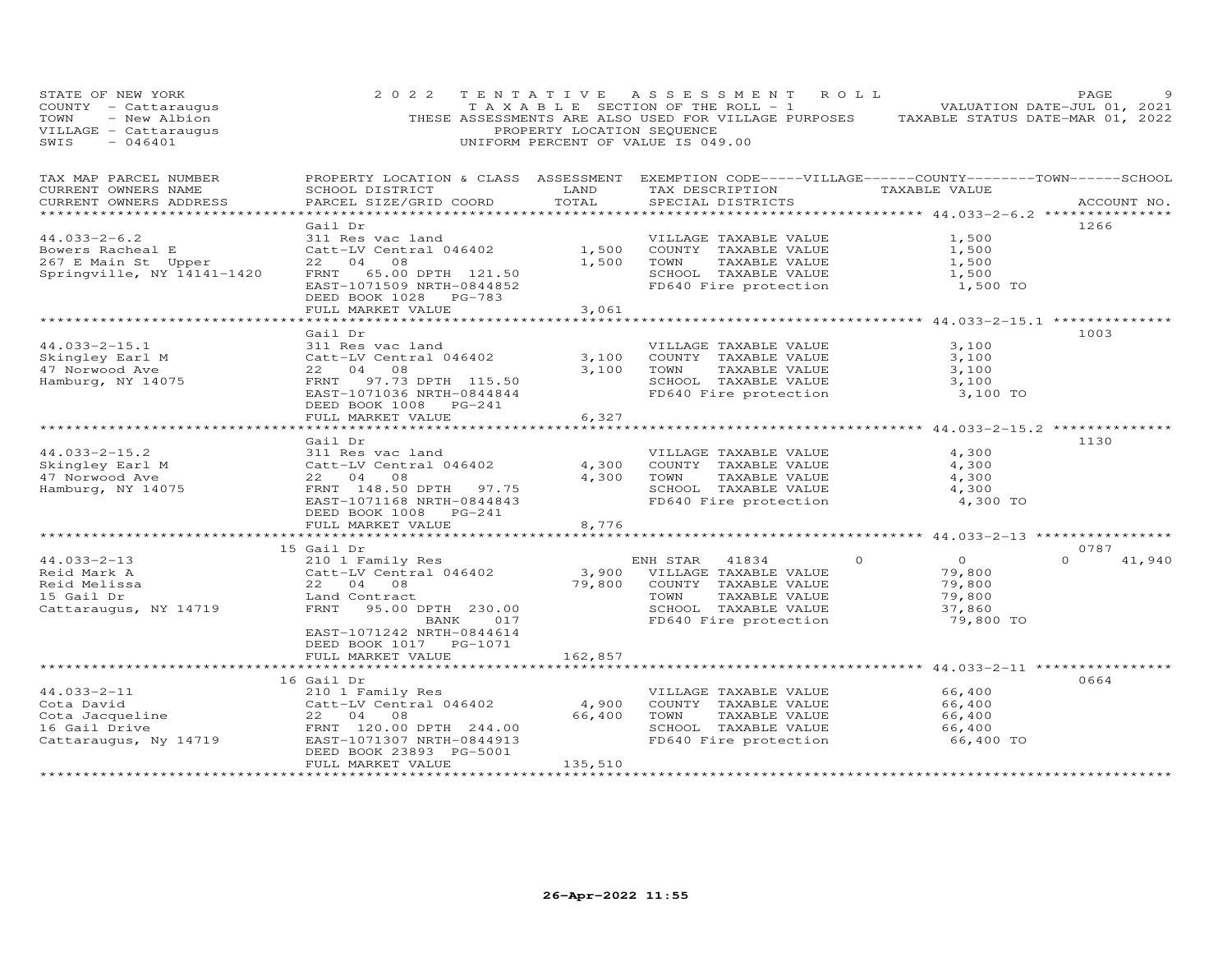| STATE OF NEW YORK<br>COUNTY - Cattaraugus<br>TOWN<br>- New Albion<br>VILLAGE - Cattaraugus<br>SWIS<br>$-046401$ | 2 0 2 2                                                                                                                                                                | PROPERTY LOCATION SEQUENCE  | TENTATIVE ASSESSMENT ROLL<br>T A X A B L E SECTION OF THE ROLL - 1<br>UNIFORM PERCENT OF VALUE IS 049.00                                                              | PAGE<br>VALUATION DATE-JUL 01, 2021<br>THESE ASSESSMENTS ARE ALSO USED FOR VILLAGE PURPOSES TAXABLE STATUS DATE-MAR 01, 2022 |        |
|-----------------------------------------------------------------------------------------------------------------|------------------------------------------------------------------------------------------------------------------------------------------------------------------------|-----------------------------|-----------------------------------------------------------------------------------------------------------------------------------------------------------------------|------------------------------------------------------------------------------------------------------------------------------|--------|
| TAX MAP PARCEL NUMBER<br>CURRENT OWNERS NAME<br>CURRENT OWNERS ADDRESS                                          | SCHOOL DISTRICT<br>PARCEL SIZE/GRID COORD                                                                                                                              | LAND<br>TOTAL               | TAX DESCRIPTION TAXABLE VALUE<br>SPECIAL DISTRICTS                                                                                                                    | PROPERTY LOCATION & CLASS ASSESSMENT EXEMPTION CODE-----VILLAGE------COUNTY-------TOWN------SCHOOL<br>ACCOUNT NO.            |        |
| $44.033 - 2 - 6.2$<br>Bowers Racheal E<br>267 E Main St Upper<br>Springville, NY 14141-1420                     | Gail Dr<br>311 Res vac land<br>Catt-LV Central 046402<br>22 04 08<br>FRNT 65.00 DPTH 121.50<br>EAST-1071509 NRTH-0844852<br>DEED BOOK 1028 PG-783                      | 1,500<br>1,500              | VILLAGE TAXABLE VALUE<br>COUNTY TAXABLE VALUE<br>TOWN<br>TAXABLE VALUE<br>SCHOOL TAXABLE VALUE<br>FD640 Fire protection                                               | 1266<br>1,500<br>1,500<br>1,500<br>1,500<br>1,500 TO                                                                         |        |
|                                                                                                                 | FULL MARKET VALUE                                                                                                                                                      | 3,061                       |                                                                                                                                                                       |                                                                                                                              |        |
| $44.033 - 2 - 15.1$<br>Skingley Earl M<br>47 Norwood Ave<br>Hamburg, NY 14075                                   | Gail Dr<br>311 Res vac land<br>Catt-LV Central 046402<br>22 04 08<br>FRNT 97.73 DPTH 115.50<br>EAST-1071036 NRTH-0844844<br>DEED BOOK 1008 PG-241<br>FULL MARKET VALUE | 3,100<br>3,100<br>6,327     | VILLAGE TAXABLE VALUE<br>COUNTY TAXABLE VALUE<br>TAXABLE VALUE<br>TOWN<br>SCHOOL TAXABLE VALUE<br>FD640 Fire protection                                               | 1003<br>3,100<br>3,100<br>3,100<br>3,100<br>3,100 TO                                                                         |        |
|                                                                                                                 |                                                                                                                                                                        |                             |                                                                                                                                                                       |                                                                                                                              |        |
| $44.033 - 2 - 15.2$<br>Skingley Earl M<br>47 Norwood Ave<br>Hamburg, NY 14075                                   | Gail Dr<br>311 Res vac land<br>Catt-LV Central 046402<br>22 04 08<br>FRNT 148.50 DPTH 97.75<br>EAST-1071168 NRTH-0844843<br>DEED BOOK 1008 PG-241                      | 4,300<br>4,300              | VILLAGE TAXABLE VALUE<br>COUNTY TAXABLE VALUE<br>TOWN<br>TAXABLE VALUE<br>SCHOOL TAXABLE VALUE<br>FD640 Fire protection                                               | 1130<br>4,300<br>4,300<br>4,300<br>4,300<br>4,300 TO                                                                         |        |
|                                                                                                                 | FULL MARKET VALUE                                                                                                                                                      | 8,776                       |                                                                                                                                                                       |                                                                                                                              |        |
|                                                                                                                 |                                                                                                                                                                        |                             |                                                                                                                                                                       |                                                                                                                              |        |
| $44.033 - 2 - 13$<br>Reid Mark A<br>Reid Melissa<br>15 Gail Dr<br>Cattaraugus, NY 14719                         | 15 Gail Dr<br>210 1 Family Res<br>Catt-LV Central 046402<br>22 04 08<br>Land Contract<br>FRNT 95.00 DPTH 230.00<br>BANK 017<br>EAST-1071242 NRTH-0844614               |                             | ENH STAR<br>41834<br>$\Omega$<br>3,900 VILLAGE TAXABLE VALUE<br>79,800 COUNTY TAXABLE VALUE<br>TAXABLE VALUE<br>TOWN<br>SCHOOL TAXABLE VALUE<br>FD640 Fire protection | 0787<br>$\circ$<br>$\Omega$<br>79,800<br>79,800<br>79,800<br>37,860<br>79,800 TO                                             | 41,940 |
|                                                                                                                 | DEED BOOK 1017 PG-1071<br>FULL MARKET VALUE                                                                                                                            | 162,857                     |                                                                                                                                                                       |                                                                                                                              |        |
|                                                                                                                 |                                                                                                                                                                        |                             |                                                                                                                                                                       |                                                                                                                              |        |
| $44.033 - 2 - 11$<br>Cota David<br>Cota Bavia<br>Cota Jacqueline<br>16 Gail Drive<br>Cattaraugus, Ny 14719      | 16 Gail Dr<br>210 1 Family Res<br>Catt-LV Central 046402<br>22 04 08<br>FRNT 120.00 DPTH 244.00<br>EAST-1071307 NRTH-0844913<br>DEED BOOK 23893 PG-5001                | 4,900<br>66,400             | VILLAGE TAXABLE VALUE<br>COUNTY TAXABLE VALUE<br>TOWN<br>TAXABLE VALUE<br>SCHOOL TAXABLE VALUE<br>FD640 Fire protection                                               | 0664<br>66,400<br>66,400<br>66,400<br>66,400<br>66,400 TO                                                                    |        |
| *************************                                                                                       | FULL MARKET VALUE<br>************************                                                                                                                          | 135,510<br>**************** |                                                                                                                                                                       |                                                                                                                              |        |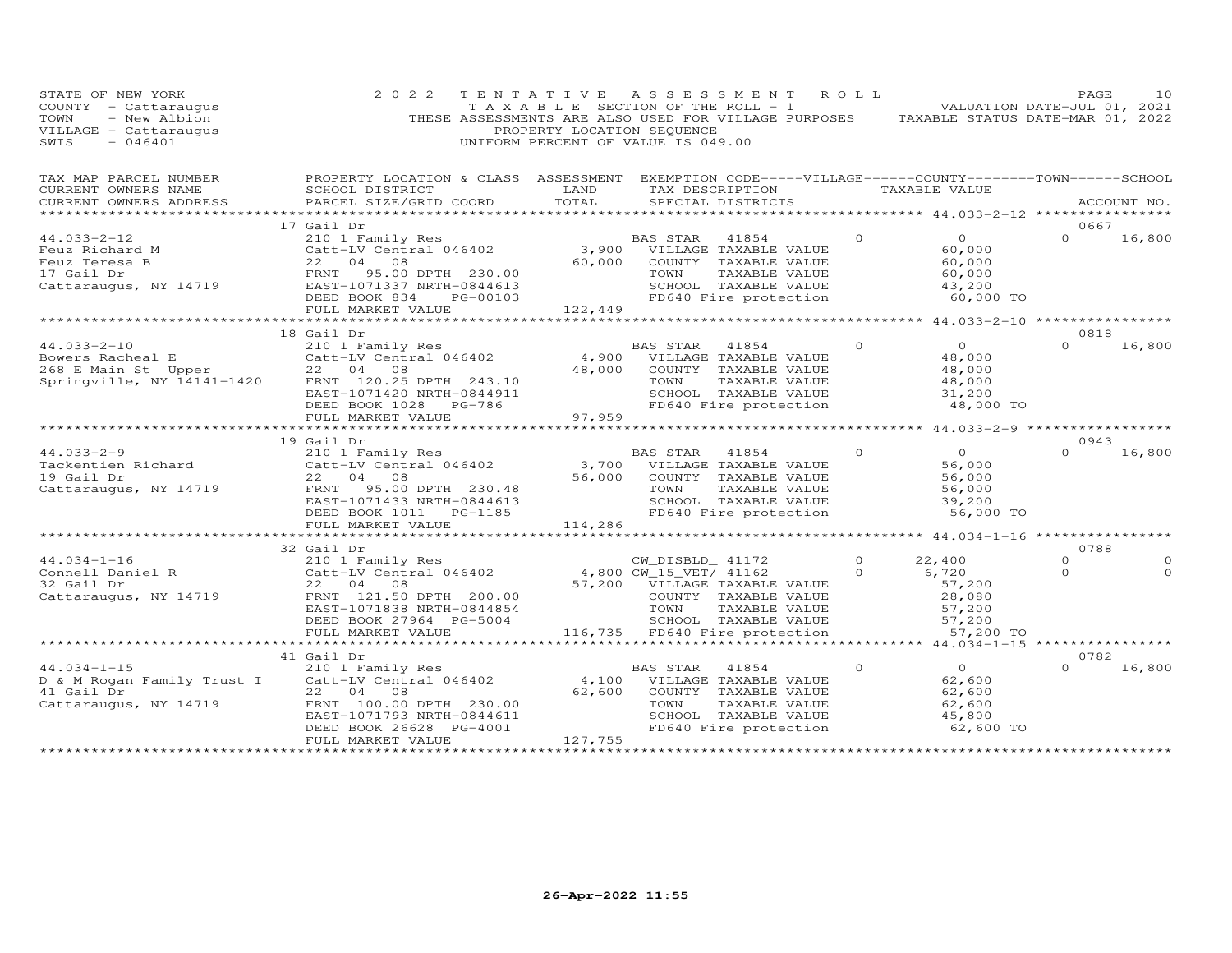|                                                                                                                                                                                                                                        | 2 0 2 2                                                                                                                                                       |         | TENTATIVE ASSESSMENT ROLL<br>T A X A B L E SECTION OF THE ROLL - 1 A V A B VALUATION DATE-JUL 01, 2021<br>THESE ASSESSMENTS ARE ALSO USED FOR VILLAGE PURPOSES TAXABLE STATUS DATE-MAR 01, 2022<br>PROPERTY LOCATION SEQUENCE<br>UNIFORM PERCENT OF VALUE IS 049.00 |          |                                                                     | PAGE                         | 1 O      |
|----------------------------------------------------------------------------------------------------------------------------------------------------------------------------------------------------------------------------------------|---------------------------------------------------------------------------------------------------------------------------------------------------------------|---------|---------------------------------------------------------------------------------------------------------------------------------------------------------------------------------------------------------------------------------------------------------------------|----------|---------------------------------------------------------------------|------------------------------|----------|
| TAX MAP PARCEL NUMBER THE PROPERTY LOCATION & CLASS ASSESSMENT EXEMPTION CODE-----VILLAGE------COUNTY-------TOWN------SCHOOL<br>CURRENT OWNERS NAME<br>CURRENT OWNERS ADDRESS<br>***********************                               | SCHOOL DISTRICT LAND<br>PARCEL SIZE/GRID COORD                                                                                                                | TOTAL   | TAX DESCRIPTION TAXABLE VALUE<br>SPECIAL DISTRICTS                                                                                                                                                                                                                  |          |                                                                     | ACCOUNT NO.                  |          |
|                                                                                                                                                                                                                                        | 17 Gail Dr                                                                                                                                                    |         |                                                                                                                                                                                                                                                                     |          |                                                                     | 0667                         |          |
| $44.033 - 2 - 12$<br>44.035-2-12<br>Feuz Richard M<br>Feuz Teresa B<br>17 Gail Dr<br>Cattaraugus, NY 14719<br>Cattaraugus, NY 14719<br>EAST-1071337 NRTH-0844613                                                                       | 210 1 Family Res<br>Catt-LV Central 046402 3,900 VILLAGE TAXABLE VALUE<br>22 04 08 60,000 COUNTY TAXABLE VALUE<br>DEED BOOK 834 PG-00103<br>FULL MARKET VALUE | 122,449 | 60,000 COUNTY TAXABLE VALUE<br>TOWN TAXABLE VALUE<br>SCHOOL TAXABLE VALUE<br>FD640 Fire protection                                                                                                                                                                  | $\circ$  | $\overline{0}$<br>60,000<br>60,000<br>60,000<br>43,200<br>60,000 TO | $0 \t 16,800$                |          |
|                                                                                                                                                                                                                                        |                                                                                                                                                               |         |                                                                                                                                                                                                                                                                     |          |                                                                     |                              |          |
|                                                                                                                                                                                                                                        | 18 Gail Dr                                                                                                                                                    |         |                                                                                                                                                                                                                                                                     |          |                                                                     | 0818                         |          |
| 44.033-2-10<br>BAS STAR 41854<br>Bowers Racheal E Catt-LV Central 046402 4,900 VILLAGE TAXABLE VALUE<br>268 E Main St Upper 22 04 08 48,000 COUNTY TAXABLE VALUE<br>Springville, NY 14141-1420 FRNT 120.25 DPTH 243.10 TOWN TAXABLE VA | EAST-1071420 NRTH-0844911<br>DEED BOOK 1028 PG-786                                                                                                            |         | 243.10 TOWN TAXABLE VALUE<br>844911 SCHOOL TAXABLE VALUE<br>-786 97,959 TD640 Fire protection                                                                                                                                                                       | $\Omega$ | $\overline{0}$<br>48,000<br>48,000<br>48,000<br>31,200<br>48,000 TO | $0 \t16,800$                 |          |
|                                                                                                                                                                                                                                        | FULL MARKET VALUE                                                                                                                                             |         |                                                                                                                                                                                                                                                                     |          |                                                                     |                              |          |
|                                                                                                                                                                                                                                        |                                                                                                                                                               |         |                                                                                                                                                                                                                                                                     |          | ******************** 44.033-2-9 ******************                  |                              |          |
|                                                                                                                                                                                                                                        | 19 Gail Dr                                                                                                                                                    |         |                                                                                                                                                                                                                                                                     |          |                                                                     | 0943                         |          |
|                                                                                                                                                                                                                                        | EAST-1071433 NRTH-0844613<br>DEED BOOK 1011    PG-1185                                                                                                        |         | BAS STAR 41854<br>56,000 COUNTY TAXABLE VALUE<br>TOWN TAXABLE VALUE<br>SCHOOL TAXABLE VALUE<br>FD640 Fire protection                                                                                                                                                | $\Omega$ | $\overline{0}$<br>56,000<br>56,000<br>56,000<br>39,200<br>56,000 TO | $\Omega$                     | 16,800   |
|                                                                                                                                                                                                                                        | FULL MARKET VALUE                                                                                                                                             | 114,286 |                                                                                                                                                                                                                                                                     |          |                                                                     |                              |          |
|                                                                                                                                                                                                                                        |                                                                                                                                                               |         |                                                                                                                                                                                                                                                                     |          |                                                                     |                              |          |
| 44.034-1-16<br>Connell Daniel R<br>Connell Daniel R<br>Catt-LV Central 046402<br>22 04 08<br>Cattaraugus, NY 14719<br>FRNT 121.50 DPTH 200.00<br>FRNT 121.50 DPTH 200.00<br>COUNTY TAXABLE VALUE<br>COUNTY TAXABLE VALUE               | 32 Gail Dr<br>EAST-1071838 NRTH-0844854<br>DEED BOOK 27964 PG-5004                                                                                            |         | TOWN<br>TAXABLE VALUE<br>SCHOOL TAXABLE VALUE                                                                                                                                                                                                                       |          | 22,400<br>6,720<br>57,200<br>28,080<br>57,200<br>57,200             | 0788<br>$\Omega$<br>$\Omega$ | $\Omega$ |
|                                                                                                                                                                                                                                        | FULL MARKET VALUE                                                                                                                                             |         | 116,735 FD640 Fire protection                                                                                                                                                                                                                                       |          | 57,200 TO                                                           |                              |          |
|                                                                                                                                                                                                                                        | *************************                                                                                                                                     |         |                                                                                                                                                                                                                                                                     |          |                                                                     |                              |          |
|                                                                                                                                                                                                                                        | 41 Gail Dr                                                                                                                                                    |         |                                                                                                                                                                                                                                                                     |          |                                                                     | 0782                         |          |
| 44.034-1-15<br>D & M Rogan Family Trust I Catt-LV Central 046402<br>22 04 08<br>Cattaraugus, NY 14719<br>Cattaraugus, NY 14719<br>ERNT 100.00 DPTH 230.00<br>FRNT 100.00 DPTH 230.00<br>CALLE TAXABLE VALUE                            | EAST-1071793 NRTH-0844611                                                                                                                                     |         | TOWN TAXABLE VILLE<br>SCHOOL TAXABLE VALUE                                                                                                                                                                                                                          | $\Omega$ | 62<br>62,600<br>62,600<br>45,800                                    | $\Omega$                     | 16,800   |
|                                                                                                                                                                                                                                        | DEED BOOK 26628 PG-4001<br>FULL MARKET VALUE                                                                                                                  | 127,755 | ******************************                                                                                                                                                                                                                                      |          | 62,600 TO                                                           |                              |          |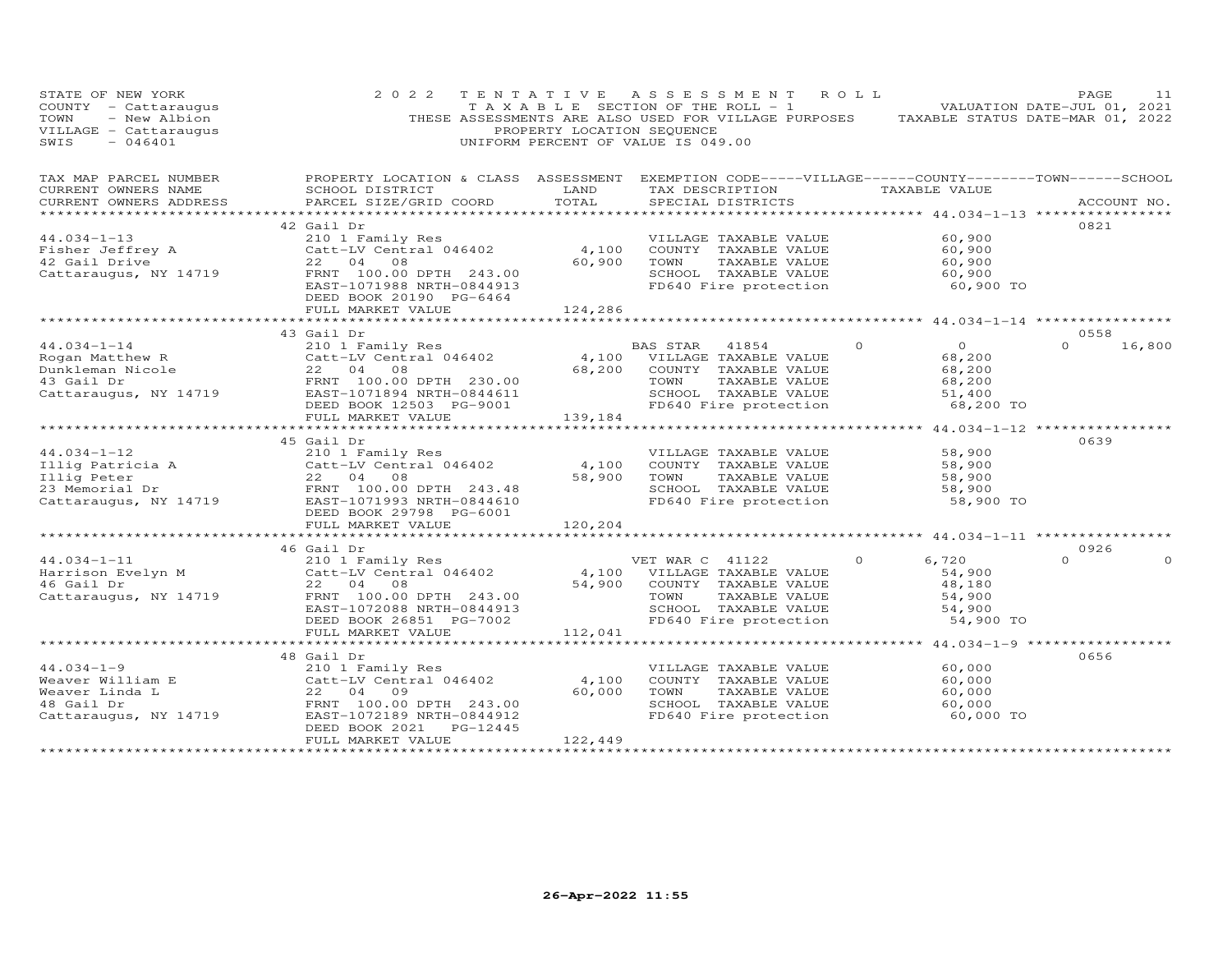| STATE OF NEW YORK<br>SINE OF NEW YORK COUNTY - CALLENDARY OF A SECTION OF A SAMPLE OF NEW ALUATION DATE-JUL 01, 2021<br>TAXABLE SECTION OF THE ROLL - 1 WALUATION DATE-JUL 01, 2021<br>TOWN - New Albion THESE ASSESSMENTS ARE ALSO USED FOR VILLAGE P<br>$-046401$<br>SWIS                                                                                                                                                                              | 2 0 2 2                  |          | TENTATIVE ASSESSMENT ROLL<br>UNIFORM PERCENT OF VALUE IS 049.00 |                                                 | PAGE         | 11 |
|----------------------------------------------------------------------------------------------------------------------------------------------------------------------------------------------------------------------------------------------------------------------------------------------------------------------------------------------------------------------------------------------------------------------------------------------------------|--------------------------|----------|-----------------------------------------------------------------|-------------------------------------------------|--------------|----|
| TAX MAP PARCEL NUMBER<br>SUPPRIMP SINIPS NAMES NOTER THE PROPERTY LOCATION & CLASS ASSESSMENT EXEMPTION CODE-----VILLAGE------COUNTY--------TOWN------SCHOOL                                                                                                                                                                                                                                                                                             |                          |          |                                                                 |                                                 |              |    |
| CURRENT OWNERS NAME<br>CURRENT OWNERS ADDRESS PARCEL SIZE/GRID COORD                                                                                                                                                                                                                                                                                                                                                                                     | SCHOOL DISTRICT LAND     | TOTAL    | TAX DESCRIPTION TAXABLE VALUE<br>SPECIAL DISTRICTS              |                                                 | ACCOUNT NO.  |    |
|                                                                                                                                                                                                                                                                                                                                                                                                                                                          |                          |          |                                                                 |                                                 |              |    |
|                                                                                                                                                                                                                                                                                                                                                                                                                                                          |                          |          |                                                                 |                                                 | 0821         |    |
|                                                                                                                                                                                                                                                                                                                                                                                                                                                          |                          |          |                                                                 | 60,900<br>60,900                                |              |    |
|                                                                                                                                                                                                                                                                                                                                                                                                                                                          |                          |          |                                                                 |                                                 |              |    |
|                                                                                                                                                                                                                                                                                                                                                                                                                                                          |                          |          |                                                                 | 60,900                                          |              |    |
|                                                                                                                                                                                                                                                                                                                                                                                                                                                          |                          |          | CHOOL TAXABLE VALUE<br>FD640 Fire protection 60,900 TO          |                                                 |              |    |
| $\begin{array}{cccccc} 44.034-1-13 & & & & 42\text{ Gail Dr} & & & & & & \\\text{Fisher Jeffrey A} & & & & & & 210\text{ I Family Res} & & & & & & \\\text{Fisher Jeffrey A} & & & & & & & \\\text{210 I Family Res} & & & & & & & \\\text{22 I0 I Family Res} & & & & & & & \\\text{23 I Drive} & & & & & & \\\text{24 I1 Drive} & & & & & & \\\text{25 I2 I1 Drive} & & & & & & \\\text{26 I2 I2 II} & & & & & & \\\text{27 I3 I2 II} & & & & & & \\\$ |                          |          |                                                                 |                                                 |              |    |
|                                                                                                                                                                                                                                                                                                                                                                                                                                                          | FULL MARKET VALUE        | 124,286  |                                                                 |                                                 |              |    |
|                                                                                                                                                                                                                                                                                                                                                                                                                                                          |                          |          |                                                                 |                                                 |              |    |
|                                                                                                                                                                                                                                                                                                                                                                                                                                                          | 43 Gail Dr               |          |                                                                 |                                                 | 0558         |    |
|                                                                                                                                                                                                                                                                                                                                                                                                                                                          |                          |          |                                                                 | $\begin{array}{c} 0 \\ 68,200 \end{array}$      | $0 \t16,800$ |    |
|                                                                                                                                                                                                                                                                                                                                                                                                                                                          |                          |          |                                                                 |                                                 |              |    |
|                                                                                                                                                                                                                                                                                                                                                                                                                                                          |                          |          |                                                                 | 68,200                                          |              |    |
|                                                                                                                                                                                                                                                                                                                                                                                                                                                          |                          |          |                                                                 | $68,200$<br>$51,400$                            |              |    |
|                                                                                                                                                                                                                                                                                                                                                                                                                                                          |                          |          |                                                                 | 68,200 TO                                       |              |    |
| 44.034-1-14<br>$\begin{array}{lllllllllllll} \text{Rogan Matthew R} & & & & \text{BAS STAR} & 41854 & 0 \\ \text{Rogan Matthew R} & & & & \text{Catt-LV Central} & 046402 & & 4,100 & \text{VILLAGE TAXABLE VALUE} \\ & & & & \text{Cattenz} & 04 & 08 & & 68,200 & \text{COUNTY TAXABLE VALUE} \\ & & & & \text{FRNT} & 100.00 \text{ DPH} & 230.00 & & & \text{TOWN} & \text{TAXABLE VALUE} \\ & & & & \text{FRNT} & 100.00 \text{ D$                  |                          |          |                                                                 |                                                 |              |    |
|                                                                                                                                                                                                                                                                                                                                                                                                                                                          |                          |          |                                                                 | ****************** 44.034-1-12 **************** |              |    |
|                                                                                                                                                                                                                                                                                                                                                                                                                                                          | 45 Gail Dr               |          |                                                                 |                                                 | 0639         |    |
|                                                                                                                                                                                                                                                                                                                                                                                                                                                          |                          |          |                                                                 |                                                 |              |    |
|                                                                                                                                                                                                                                                                                                                                                                                                                                                          |                          |          |                                                                 |                                                 |              |    |
|                                                                                                                                                                                                                                                                                                                                                                                                                                                          |                          |          |                                                                 |                                                 |              |    |
|                                                                                                                                                                                                                                                                                                                                                                                                                                                          |                          |          |                                                                 |                                                 |              |    |
|                                                                                                                                                                                                                                                                                                                                                                                                                                                          |                          |          |                                                                 |                                                 |              |    |
|                                                                                                                                                                                                                                                                                                                                                                                                                                                          | ---<br>FULL MARKET VALUE | 120, 204 |                                                                 |                                                 |              |    |
|                                                                                                                                                                                                                                                                                                                                                                                                                                                          |                          |          |                                                                 |                                                 |              |    |
|                                                                                                                                                                                                                                                                                                                                                                                                                                                          | 46 Gail Dr               |          |                                                                 |                                                 | 0926         |    |
|                                                                                                                                                                                                                                                                                                                                                                                                                                                          |                          |          |                                                                 | 6,720                                           | $\Omega$     |    |
|                                                                                                                                                                                                                                                                                                                                                                                                                                                          |                          |          |                                                                 | 54,900                                          |              |    |
|                                                                                                                                                                                                                                                                                                                                                                                                                                                          |                          |          |                                                                 | 48,180                                          |              |    |
|                                                                                                                                                                                                                                                                                                                                                                                                                                                          |                          |          |                                                                 | $54,900$<br>$54,900$                            |              |    |
| $\begin{tabular}{lllllllllllllllllll} \multicolumn{3}{c }{\text{\small 40.634--1--11}} & \multicolumn{3}{c }{\text{\small 40.634--1--11}} & \multicolumn{3}{c }{\text{\small 40.634--1--11}} & \multicolumn{3}{c }{\text{\small 41.634--1--11}} & \multicolumn{3}{c }{\text{\small 45.634--1--11}} & \multicolumn{3}{c }{\text{\small 46.634--1}} & \multicolumn{3}{c }{\text{\small 47.63--107}} & \multicolumn{3}{c }{\text$                           |                          |          |                                                                 | 54,900 TO                                       |              |    |
|                                                                                                                                                                                                                                                                                                                                                                                                                                                          |                          |          |                                                                 |                                                 |              |    |
|                                                                                                                                                                                                                                                                                                                                                                                                                                                          |                          |          |                                                                 |                                                 |              |    |
|                                                                                                                                                                                                                                                                                                                                                                                                                                                          | 48 Gail Dr               |          |                                                                 |                                                 | 0656         |    |
|                                                                                                                                                                                                                                                                                                                                                                                                                                                          |                          |          | VILLAGE TAXABLE VALUE 60,000<br>COUNTY TAXABLE VALUE 60,000     |                                                 |              |    |
|                                                                                                                                                                                                                                                                                                                                                                                                                                                          |                          |          |                                                                 |                                                 |              |    |
|                                                                                                                                                                                                                                                                                                                                                                                                                                                          |                          |          |                                                                 | 60,000                                          |              |    |
|                                                                                                                                                                                                                                                                                                                                                                                                                                                          |                          |          | SCHOOL TAXABLE VALUE<br>FD640 Fire protection                   | 60,000<br>60,000 TO                             |              |    |
| 44.034-1-9<br>WELLAGE TAXABLE VALUE<br>Weaver William E<br>Weaver Linda L<br>Catt -LV Central 046402<br>22 04 09<br>48 Gail Dr<br>EAST-1072189 NRTH-0844912<br>Cattaraugus, NY 14719<br>DEED BOOK 2021<br>PG-12445<br>TEAST-1072189 NRTH-0844912<br>P                                                                                                                                                                                                    |                          |          |                                                                 |                                                 |              |    |
|                                                                                                                                                                                                                                                                                                                                                                                                                                                          | FULL MARKET VALUE        | 122,449  |                                                                 |                                                 |              |    |
|                                                                                                                                                                                                                                                                                                                                                                                                                                                          |                          |          |                                                                 |                                                 |              |    |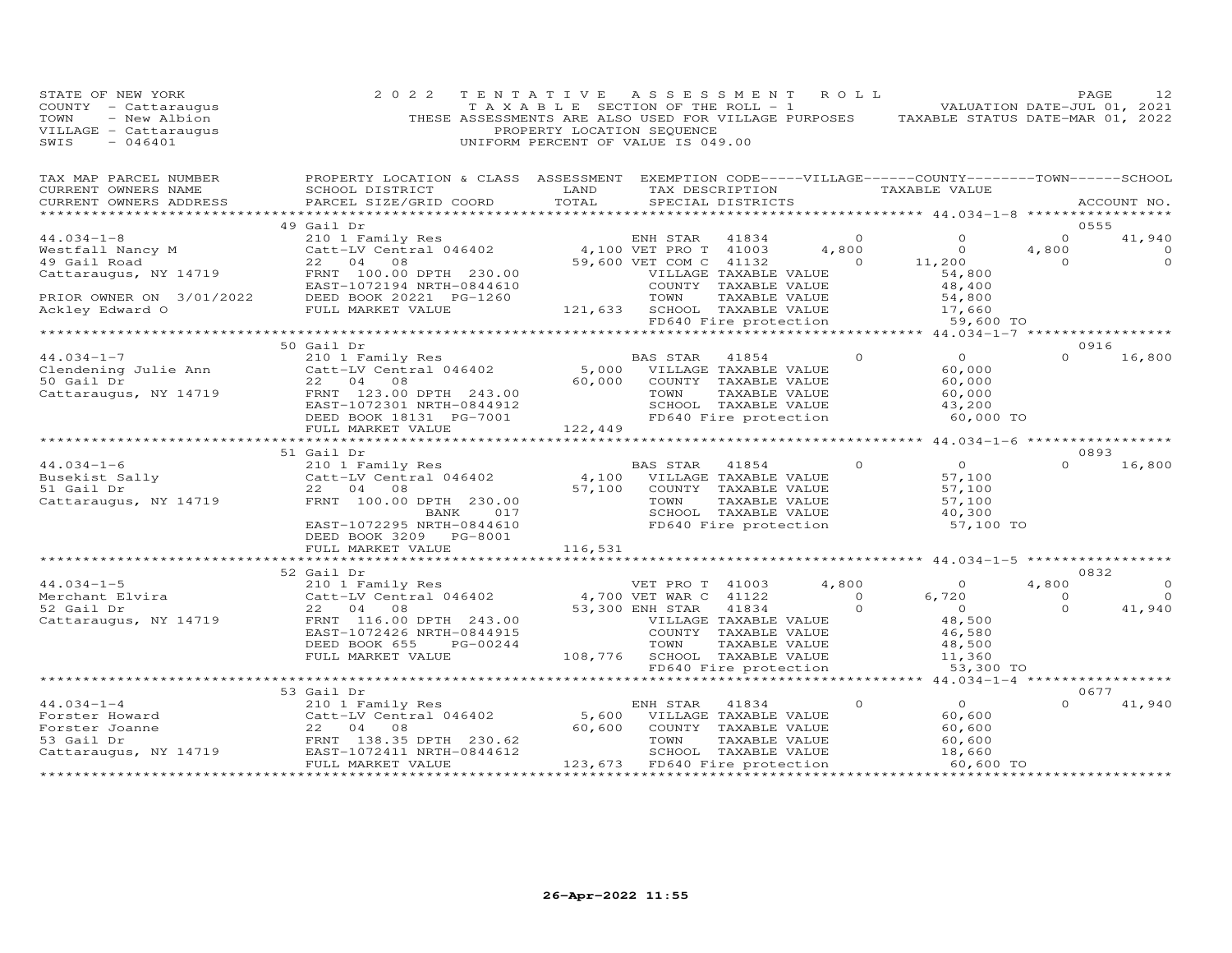| STATE OF NEW YORK | 2 0 2 2                                                                                                                                                                                                                                                                                                                                                                                                                                                       | TENTATIVE ASSESSMENT ROLL |                |  |                                                                                                                                                                                   |                | PAGE<br>12     |
|-------------------|---------------------------------------------------------------------------------------------------------------------------------------------------------------------------------------------------------------------------------------------------------------------------------------------------------------------------------------------------------------------------------------------------------------------------------------------------------------|---------------------------|----------------|--|-----------------------------------------------------------------------------------------------------------------------------------------------------------------------------------|----------------|----------------|
|                   | TAX MAP PARCEL NUMBER BROPERTY LOCATION & CLASS ASSESSMENT EXEMPTION CODE-----VILLAGE------COUNTY--------TOWN------SCHOOL CURRENT OWNERS NAME SCHOOL DISTRICT LAND TAX DESCRIPTION TAXABLE VALUE TAXABLE VALUE ACCOUNT NO.                                                                                                                                                                                                                                    |                           |                |  |                                                                                                                                                                                   |                |                |
|                   |                                                                                                                                                                                                                                                                                                                                                                                                                                                               |                           |                |  |                                                                                                                                                                                   |                |                |
|                   | 49 Gail Dr<br>$\begin{tabular}{lllllllllllll} \multicolumn{3}{c }{\textbf{44.034--1-8}} & \multicolumn{3}{c }{\textbf{49 Gali Dr}} & \multicolumn{3}{c }{\textbf{EM} S1AR} & \multicolumn{3}{c }{\textbf{41834}} & \multicolumn{3}{c }{\textbf{0}} & \multicolumn{3}{c }{\textbf{0}} & \multicolumn{3}{c }{\textbf{0}} & \multicolumn{3}{c }{\textbf{0}} & \multicolumn{3}{c }{\textbf{0}} & \multicolumn{3}{c }{\textbf{0}} & \multicolumn{3}{c }{\textbf{0$ |                           |                |  |                                                                                                                                                                                   |                | 0555<br>41,940 |
|                   |                                                                                                                                                                                                                                                                                                                                                                                                                                                               |                           |                |  |                                                                                                                                                                                   |                | $\overline{0}$ |
|                   |                                                                                                                                                                                                                                                                                                                                                                                                                                                               |                           |                |  |                                                                                                                                                                                   |                | $\overline{0}$ |
|                   |                                                                                                                                                                                                                                                                                                                                                                                                                                                               |                           |                |  |                                                                                                                                                                                   |                |                |
|                   |                                                                                                                                                                                                                                                                                                                                                                                                                                                               |                           |                |  |                                                                                                                                                                                   |                |                |
|                   |                                                                                                                                                                                                                                                                                                                                                                                                                                                               |                           |                |  |                                                                                                                                                                                   |                |                |
|                   |                                                                                                                                                                                                                                                                                                                                                                                                                                                               |                           |                |  |                                                                                                                                                                                   |                |                |
|                   |                                                                                                                                                                                                                                                                                                                                                                                                                                                               |                           |                |  |                                                                                                                                                                                   |                |                |
|                   |                                                                                                                                                                                                                                                                                                                                                                                                                                                               |                           |                |  |                                                                                                                                                                                   |                |                |
|                   | 50 Gail Dr                                                                                                                                                                                                                                                                                                                                                                                                                                                    |                           |                |  |                                                                                                                                                                                   |                | 0916           |
|                   |                                                                                                                                                                                                                                                                                                                                                                                                                                                               |                           |                |  | $\begin{tabular}{lllllllllll} \texttt{BAS STAR} & 41854 & 0 & 0 \\ & \texttt{VILLAGE TAXABLE VALUE} & & & 60,000 \\ \end{tabular}$                                                |                | $0 \t16,800$   |
|                   |                                                                                                                                                                                                                                                                                                                                                                                                                                                               |                           |                |  |                                                                                                                                                                                   |                |                |
|                   |                                                                                                                                                                                                                                                                                                                                                                                                                                                               |                           |                |  |                                                                                                                                                                                   |                |                |
|                   |                                                                                                                                                                                                                                                                                                                                                                                                                                                               |                           |                |  |                                                                                                                                                                                   |                |                |
|                   |                                                                                                                                                                                                                                                                                                                                                                                                                                                               |                           |                |  | 60,000 TO                                                                                                                                                                         |                |                |
|                   |                                                                                                                                                                                                                                                                                                                                                                                                                                                               |                           |                |  |                                                                                                                                                                                   |                |                |
|                   |                                                                                                                                                                                                                                                                                                                                                                                                                                                               |                           |                |  |                                                                                                                                                                                   |                |                |
|                   | 51 Gail Dr                                                                                                                                                                                                                                                                                                                                                                                                                                                    |                           |                |  |                                                                                                                                                                                   |                | 0893           |
|                   |                                                                                                                                                                                                                                                                                                                                                                                                                                                               |                           |                |  |                                                                                                                                                                                   |                | $0 \t16,800$   |
|                   |                                                                                                                                                                                                                                                                                                                                                                                                                                                               |                           |                |  |                                                                                                                                                                                   |                |                |
|                   |                                                                                                                                                                                                                                                                                                                                                                                                                                                               |                           |                |  |                                                                                                                                                                                   |                |                |
|                   |                                                                                                                                                                                                                                                                                                                                                                                                                                                               |                           |                |  |                                                                                                                                                                                   |                |                |
|                   |                                                                                                                                                                                                                                                                                                                                                                                                                                                               |                           |                |  | BAS STAR 41854 0<br>VILLAGE TAXABLE VALUE 57,100<br>COUNTY TAXABLE VALUE 57,100<br>TOWN TAXABLE VALUE 57,100<br>SCHOOL TAXABLE VALUE 40,300<br>FD640 Fire protection<br>57,100 TO |                |                |
|                   |                                                                                                                                                                                                                                                                                                                                                                                                                                                               |                           |                |  |                                                                                                                                                                                   |                |                |
|                   | FULL MARKET VALUE 116,531                                                                                                                                                                                                                                                                                                                                                                                                                                     |                           |                |  |                                                                                                                                                                                   |                |                |
|                   |                                                                                                                                                                                                                                                                                                                                                                                                                                                               |                           |                |  |                                                                                                                                                                                   |                |                |
|                   | 52 Gail Dr                                                                                                                                                                                                                                                                                                                                                                                                                                                    |                           |                |  |                                                                                                                                                                                   |                | 0832           |
|                   |                                                                                                                                                                                                                                                                                                                                                                                                                                                               |                           |                |  |                                                                                                                                                                                   | 4,800          | $\overline{0}$ |
|                   |                                                                                                                                                                                                                                                                                                                                                                                                                                                               |                           |                |  |                                                                                                                                                                                   | $\overline{0}$ | $\circ$        |
|                   |                                                                                                                                                                                                                                                                                                                                                                                                                                                               |                           |                |  |                                                                                                                                                                                   | $\overline{0}$ | 41,940         |
|                   |                                                                                                                                                                                                                                                                                                                                                                                                                                                               |                           |                |  |                                                                                                                                                                                   |                |                |
|                   |                                                                                                                                                                                                                                                                                                                                                                                                                                                               |                           |                |  |                                                                                                                                                                                   |                |                |
|                   |                                                                                                                                                                                                                                                                                                                                                                                                                                                               |                           |                |  |                                                                                                                                                                                   |                |                |
|                   |                                                                                                                                                                                                                                                                                                                                                                                                                                                               |                           |                |  |                                                                                                                                                                                   |                |                |
|                   |                                                                                                                                                                                                                                                                                                                                                                                                                                                               |                           |                |  |                                                                                                                                                                                   |                |                |
|                   | 53 Gail Dr                                                                                                                                                                                                                                                                                                                                                                                                                                                    |                           |                |  |                                                                                                                                                                                   |                | 0677           |
|                   |                                                                                                                                                                                                                                                                                                                                                                                                                                                               |                           | ENH STAR 41834 |  |                                                                                                                                                                                   | $\Omega$       | 41,940         |
|                   |                                                                                                                                                                                                                                                                                                                                                                                                                                                               |                           |                |  |                                                                                                                                                                                   |                |                |
|                   |                                                                                                                                                                                                                                                                                                                                                                                                                                                               |                           |                |  |                                                                                                                                                                                   |                |                |
|                   |                                                                                                                                                                                                                                                                                                                                                                                                                                                               |                           |                |  |                                                                                                                                                                                   |                |                |
|                   | 44.034-1-4<br>Forster Howard<br>Forster Joanne<br>S3 Gail Dr<br>210 1 Family Res<br>Catt-LV Central 046402<br>22 04 08<br>57 Gail Dr<br>230.62<br>57 Gail Dr<br>230.62<br>57 Gail Dr<br>230.62<br>230.62<br>230.62<br>230.62<br>230.62<br>230.62<br>230.62<br>230.6                                                                                                                                                                                           |                           |                |  |                                                                                                                                                                                   |                |                |
|                   |                                                                                                                                                                                                                                                                                                                                                                                                                                                               |                           |                |  |                                                                                                                                                                                   |                |                |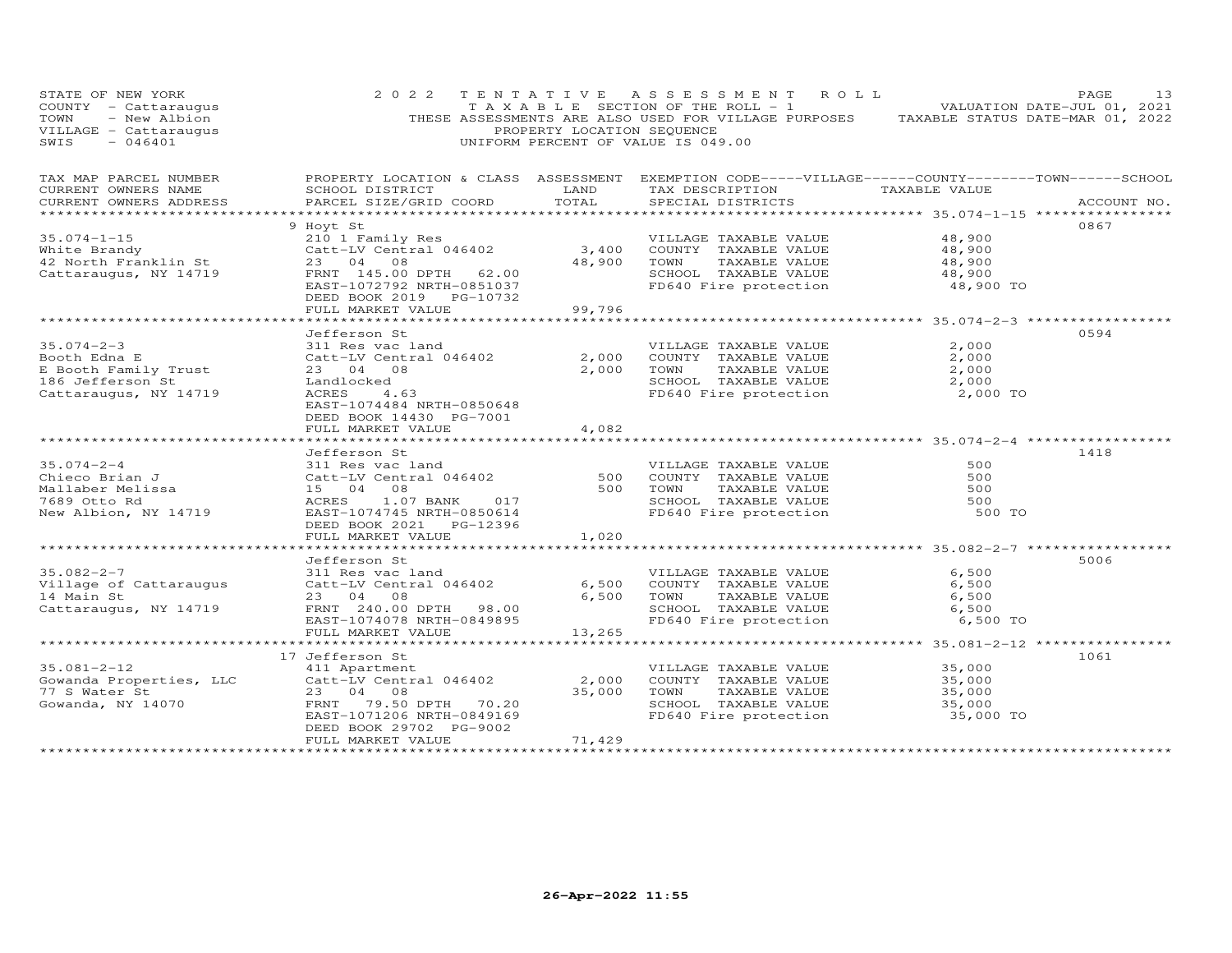| STATE OF NEW YORA<br>COUNTY - Cattaraugus<br>TOWN - New Albion<br>--------- - Cattaraugus<br>$-046401$<br>SWIS                                                                                                                                   | 2 0 2 2                                              | PROPERTY LOCATION SEQUENCE | TENTATIVE ASSESSMENT ROLL<br>TAXABLE SECTION OF THE ROLL - 1<br>THESE ASSESSMENTS ARE ALSO USED FOR VILLAGE PURPOSES TAXABLE STATUS DATE-MAR 01, 2022<br>UNIFORM PERCENT OF VALUE IS 049.00 |                                  | PAGE<br>13  |
|--------------------------------------------------------------------------------------------------------------------------------------------------------------------------------------------------------------------------------------------------|------------------------------------------------------|----------------------------|---------------------------------------------------------------------------------------------------------------------------------------------------------------------------------------------|----------------------------------|-------------|
| TAX MAP PARCEL NUMBER PROPERTY LOCATION & CLASS ASSESSMENT EXEMPTION CODE-----VILLAGE------COUNTY--------TOWN------SCHOOL<br>CURRENT OWNERS NAME<br>CURRENT OWNERS ADDRESS                                                                       | SCHOOL DISTRICT LAND<br>PARCEL SIZE/GRID COORD TOTAL |                            | TAX DESCRIPTION TAXABLE VALUE<br>SPECIAL DISTRICTS                                                                                                                                          |                                  | ACCOUNT NO. |
|                                                                                                                                                                                                                                                  |                                                      |                            |                                                                                                                                                                                             |                                  |             |
|                                                                                                                                                                                                                                                  |                                                      |                            |                                                                                                                                                                                             |                                  | 0867        |
|                                                                                                                                                                                                                                                  |                                                      |                            | VILLAGE TAXABLE VALUE                                                                                                                                                                       | 48,900                           |             |
|                                                                                                                                                                                                                                                  |                                                      |                            |                                                                                                                                                                                             | 48,900                           |             |
|                                                                                                                                                                                                                                                  |                                                      |                            |                                                                                                                                                                                             | 48,900                           |             |
|                                                                                                                                                                                                                                                  |                                                      |                            | FD640 Fire protection                                                                                                                                                                       | 48,900<br>48,900 TO              |             |
|                                                                                                                                                                                                                                                  | FULL MARKET VALUE                                    | 99,796                     |                                                                                                                                                                                             |                                  |             |
|                                                                                                                                                                                                                                                  |                                                      |                            |                                                                                                                                                                                             |                                  |             |
|                                                                                                                                                                                                                                                  | Jefferson St                                         |                            |                                                                                                                                                                                             |                                  | 0594        |
| 35.074-2-3<br>Booth Edna E<br>E Booth Family Trust 23 04 08<br>Catt-LV Central 046402<br>2,000 COUNTY TAXABLE VALUE<br>2,000 COUNTY TAXABLE VALUE<br>2,000 COUNTY TAXABLE VALUE<br>2,000 TOWN TAXABLE VALUE<br>2,000 TOWN TAXABLE VALUE<br>2,00  |                                                      |                            | VILLAGE TAXABLE VALUE                                                                                                                                                                       | 2,000                            |             |
|                                                                                                                                                                                                                                                  |                                                      |                            |                                                                                                                                                                                             | 2,000                            |             |
|                                                                                                                                                                                                                                                  |                                                      |                            |                                                                                                                                                                                             | 2,000                            |             |
|                                                                                                                                                                                                                                                  |                                                      |                            |                                                                                                                                                                                             | 2,000                            |             |
|                                                                                                                                                                                                                                                  |                                                      |                            | FD640 Fire protection                                                                                                                                                                       | 2,000 TO                         |             |
|                                                                                                                                                                                                                                                  | EAST-1074484 NRTH-0850648                            |                            |                                                                                                                                                                                             |                                  |             |
|                                                                                                                                                                                                                                                  | DEED BOOK 14430 PG-7001                              |                            |                                                                                                                                                                                             |                                  |             |
|                                                                                                                                                                                                                                                  | FULL MARKET VALUE                                    | 4,082                      |                                                                                                                                                                                             |                                  |             |
|                                                                                                                                                                                                                                                  |                                                      |                            |                                                                                                                                                                                             |                                  |             |
|                                                                                                                                                                                                                                                  | Jefferson St                                         |                            |                                                                                                                                                                                             |                                  | 1418        |
|                                                                                                                                                                                                                                                  |                                                      |                            | VILLAGE TAXABLE VALUE                                                                                                                                                                       | 500                              |             |
|                                                                                                                                                                                                                                                  |                                                      |                            | COUNTY TAXABLE VALUE<br>TOWN      TAXABLE VALUE                                                                                                                                             | 500                              |             |
|                                                                                                                                                                                                                                                  |                                                      |                            |                                                                                                                                                                                             | 500                              |             |
|                                                                                                                                                                                                                                                  |                                                      |                            | SCHOOL TAXABLE VALUE 500<br>FD640 Fire protection 500 TO                                                                                                                                    |                                  |             |
| 35.074-2-4<br>Chieco Brian J<br>Chieco Brian J<br>Mallaber Melissa (2008)<br>Mallaber Melissa (2008)<br>T689 Otto Rd (2008)<br>New Albion, NY 14719 (2008)<br>EAST-1074745 NRTH-08506614 (2009)<br>EAST-1074745 NRTH-08506614 (2009)<br>EAST-107 |                                                      |                            |                                                                                                                                                                                             |                                  |             |
|                                                                                                                                                                                                                                                  | DEED BOOK 2021    PG-12396                           |                            |                                                                                                                                                                                             |                                  |             |
|                                                                                                                                                                                                                                                  | FULL MARKET VALUE                                    | 1,020                      |                                                                                                                                                                                             |                                  |             |
|                                                                                                                                                                                                                                                  | Jefferson St                                         |                            |                                                                                                                                                                                             |                                  | 5006        |
|                                                                                                                                                                                                                                                  |                                                      |                            | VILLAGE TAXABLE VALUE                                                                                                                                                                       | 6,500                            |             |
|                                                                                                                                                                                                                                                  |                                                      | 6,500                      |                                                                                                                                                                                             | 6,500                            |             |
| 35.082-2-7<br>Village of Cattaraugus and Catt-LV Central 046402<br>14 Main St 23 04 08                                                                                                                                                           |                                                      | 6,500                      | COUNTY TAXABLE VALUE<br>TOWN      TAXABLE VALUE                                                                                                                                             | 6,500                            |             |
|                                                                                                                                                                                                                                                  |                                                      |                            |                                                                                                                                                                                             |                                  |             |
| 14 mail 50<br>Cattaraugus, NY 14719 (ERNT 240.00 DPTH 98.00                                                                                                                                                                                      | EAST-1074078 NRTH-0849895                            |                            | SCHOOL TAXABLE VALUE 6,500<br>FD640 Fire protection 6,500 TO                                                                                                                                |                                  |             |
|                                                                                                                                                                                                                                                  | FULL MARKET VALUE                                    | 13,265                     |                                                                                                                                                                                             |                                  |             |
|                                                                                                                                                                                                                                                  |                                                      |                            |                                                                                                                                                                                             |                                  |             |
|                                                                                                                                                                                                                                                  | 17 Jefferson St                                      |                            |                                                                                                                                                                                             |                                  | 1061        |
|                                                                                                                                                                                                                                                  |                                                      |                            | VILLAGE TAXABLE VALUE 35,000                                                                                                                                                                |                                  |             |
|                                                                                                                                                                                                                                                  |                                                      |                            |                                                                                                                                                                                             | 35,000                           |             |
|                                                                                                                                                                                                                                                  |                                                      |                            |                                                                                                                                                                                             | 35,000                           |             |
|                                                                                                                                                                                                                                                  |                                                      |                            | 35,000 TOWN TAXABLE VALUE<br>SCHOOL TAXABLE VALUE                                                                                                                                           | $35,000$<br>35,000               |             |
|                                                                                                                                                                                                                                                  |                                                      |                            | FD640 Fire protection                                                                                                                                                                       | 35,000 TO                        |             |
|                                                                                                                                                                                                                                                  | DEED BOOK 29702 PG-9002                              |                            |                                                                                                                                                                                             |                                  |             |
|                                                                                                                                                                                                                                                  | FULL MARKET VALUE                                    | 71,429                     |                                                                                                                                                                                             |                                  |             |
|                                                                                                                                                                                                                                                  |                                                      |                            |                                                                                                                                                                                             | ******************************** |             |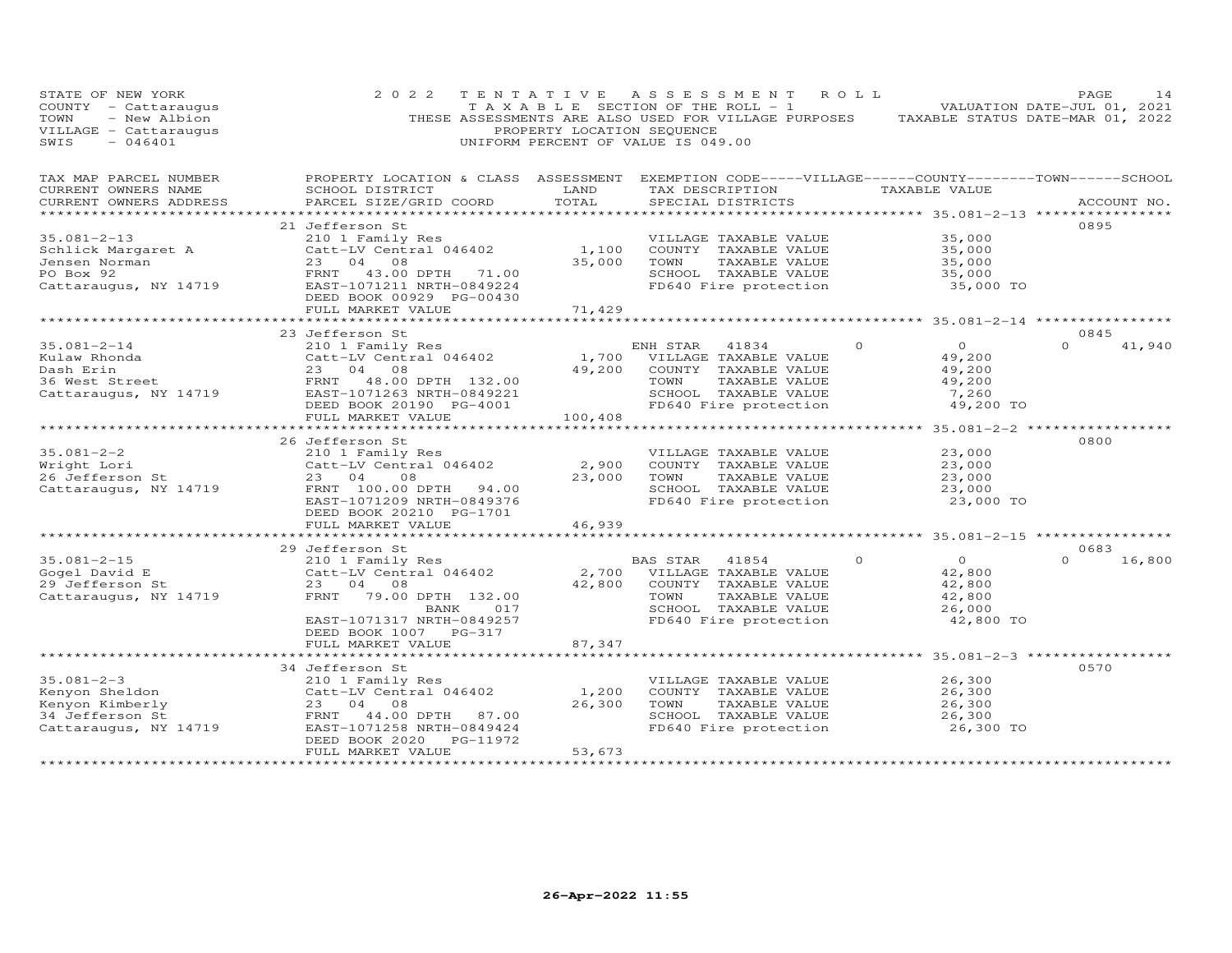| STATE OF NEW YORK<br>COUNTY - Cattaraugus<br>- New Albion<br>TOWN<br>VILLAGE - Cattaraugus<br>SWIS<br>$-046401$                                                                         | 2 0 2 2                                                                                                                                                                                  | PROPERTY LOCATION SEQUENCE | TENTATIVE ASSESSMENT<br>T A X A B L E SECTION OF THE ROLL - 1<br>THESE ASSESSMENTS ARE ALSO USED FOR VILLAGE PURPOSES TAXABLE STATUS DATE-MAR 01, 2022<br>UNIFORM PERCENT OF VALUE IS 049.00 | R O L L  | VALUATION DATE-JUL 01, 2021                                         | PAGE             | 14          |
|-----------------------------------------------------------------------------------------------------------------------------------------------------------------------------------------|------------------------------------------------------------------------------------------------------------------------------------------------------------------------------------------|----------------------------|----------------------------------------------------------------------------------------------------------------------------------------------------------------------------------------------|----------|---------------------------------------------------------------------|------------------|-------------|
| TAX MAP PARCEL NUMBER<br>CURRENT OWNERS NAME<br>CURRENT OWNERS ADDRESS                                                                                                                  | PROPERTY LOCATION & CLASS ASSESSMENT<br>SCHOOL DISTRICT<br>PARCEL SIZE/GRID COORD<br>******************************                                                                      | LAND<br>TOTAL              | EXEMPTION CODE-----VILLAGE------COUNTY--------TOWN------SCHOOL<br>TAX DESCRIPTION TAXABLE VALUE<br>SPECIAL DISTRICTS                                                                         |          | ************ 35.081-2-13 ****************                           |                  | ACCOUNT NO. |
| $35.081 - 2 - 13$<br>PO Box 92<br>Cattaraugus, NY 14719<br>Cattaraugus, NY 14719<br>Cattaraugus, NY 14719<br>Cattaraugus, NY 14719<br>Cattaraugus, NY 14719<br>CAST-1071211 NRTH-004000 | 21 Jefferson St<br>210 1 Family Res<br>FULL MARKET VALUE                                                                                                                                 | 1,100<br>35,000<br>71,429  | VILLAGE TAXABLE VALUE<br>COUNTY TAXABLE VALUE<br>TOWN<br>TAXABLE VALUE<br>SCHOOL TAXABLE VALUE<br>FD640 Fire protection                                                                      |          | 35,000<br>35,000<br>35,000<br>35,000<br>35,000 TO                   | 0895             |             |
|                                                                                                                                                                                         |                                                                                                                                                                                          |                            |                                                                                                                                                                                              |          |                                                                     |                  |             |
| Dash Erin<br>23 04 08<br>Cattaraugus, NY 14719<br>23 04 08<br>Cattaraugus, NY 14719<br>23 04 08<br>EAST-1071263 NRTH-004000                                                             | 23 Jefferson St<br>210 1 Family Res<br>$Catt-LV$ Central $046402$                                                                                                                        | 1,700<br>49,200            | ENH STAR 41834<br>VILLAGE TAXABLE VALUE<br>COUNTY TAXABLE VALUE<br>TOWN<br>TAXABLE VALUE<br>SCHOOL TAXABLE VALUE                                                                             | $\Omega$ | $\overline{O}$<br>49,200<br>49,200<br>49,200<br>7,260               | 0845<br>$\Omega$ | 41,940      |
|                                                                                                                                                                                         | FULL MARKET VALUE                                                                                                                                                                        | 100,408                    | FD640 Fire protection                                                                                                                                                                        |          | 49,200 TO                                                           |                  |             |
| $35.081 - 2 - 2$<br>Wright Lori<br>$26$ Jefferson St<br>Cattaraugus, NY 14719                                                                                                           | 26 Jefferson St<br>210 1 Family Res<br>Catt-LV Central 046402<br>23 04<br>08<br>FRNT 100.00 DPTH 94.00<br>EAST-1071209 NRTH-0849376<br>DEED BOOK 20210 PG-1701                           | 2,900<br>23,000            | VILLAGE TAXABLE VALUE<br>COUNTY TAXABLE VALUE<br>TOWN<br>TAXABLE VALUE<br>SCHOOL TAXABLE VALUE<br>FD640 Fire protection                                                                      |          | 23,000<br>23,000<br>23,000<br>23,000<br>23,000 TO                   | 0800             |             |
|                                                                                                                                                                                         | FULL MARKET VALUE                                                                                                                                                                        | 46,939                     |                                                                                                                                                                                              |          |                                                                     |                  |             |
|                                                                                                                                                                                         | 29 Jefferson St                                                                                                                                                                          |                            |                                                                                                                                                                                              |          | ************************ 35.081-2-15 *****************              | 0683             |             |
| $35.081 - 2 - 15$<br>Gogel David E<br>29 Jefferson St<br>Cattaraugus, NY 14719                                                                                                          | 210 1 Family Res<br>Catt-LV Central 046402<br>23 04 08<br>FRNT<br>79.00 DPTH 132.00<br>017<br>BANK<br>EAST-1071317 NRTH-0849257                                                          | 2,700<br>42,800            | BAS STAR<br>41854<br>VILLAGE TAXABLE VALUE<br>COUNTY TAXABLE VALUE<br>TOWN<br>TAXABLE VALUE<br>SCHOOL TAXABLE VALUE<br>FD640 Fire protection                                                 | $\circ$  | $\overline{O}$<br>42,800<br>42,800<br>42,800<br>26,000<br>42,800 TO | $\Omega$         | 16,800      |
|                                                                                                                                                                                         | DEED BOOK 1007 PG-317<br>FULL MARKET VALUE                                                                                                                                               | 87,347                     |                                                                                                                                                                                              |          |                                                                     |                  |             |
| $35.081 - 2 - 3$<br>Kenyon Sheldon<br>Kenyon Kimberly<br>34 Jefferson St<br>Cattaraugus, NY 14719                                                                                       | 34 Jefferson St<br>210 1 Family Res<br>Catt-LV Central 046402<br>23 04 08<br>FRNT<br>44.00 DPTH<br>87.00<br>EAST-1071258 NRTH-0849424<br>DEED BOOK 2020<br>PG-11972<br>FULL MARKET VALUE | 1,200<br>26,300<br>53,673  | VILLAGE TAXABLE VALUE<br>COUNTY TAXABLE VALUE<br>TOWN<br>TAXABLE VALUE<br>SCHOOL TAXABLE VALUE<br>FD640 Fire protection                                                                      |          | 26,300<br>26,300<br>26,300<br>26,300<br>26,300 TO                   | 0570             |             |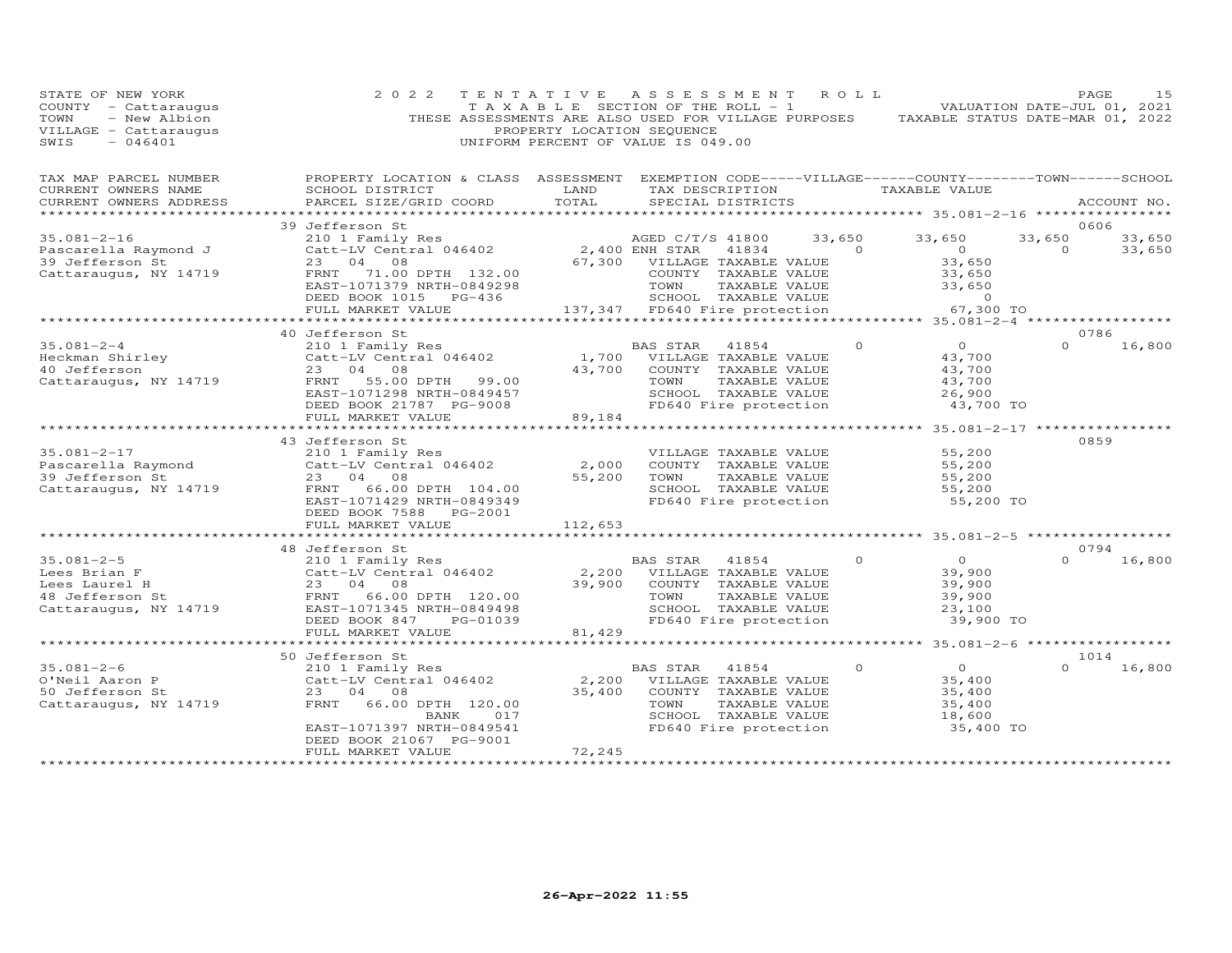| STATE OF NEW YORK<br>COUNTY - Cattaraugus<br>- New Albion<br>TOWN<br>VILLAGE - Cattaraugus<br>SWIS<br>$-046401$ | 2 0 2 2                                                                                                                                                            | TENTATIVE<br>PROPERTY LOCATION SEQUENCE | A S S E S S M E N T<br>T A X A B L E SECTION OF THE ROLL - 1<br>THESE ASSESSMENTS ARE ALSO USED FOR VILLAGE PURPOSES<br>UNIFORM PERCENT OF VALUE IS 049.00 | ROLL               | TAXABLE STATUS DATE-MAR 01, 2022                              |                    | PAGE<br>15<br>VALUATION DATE-JUL 01, 2021 |
|-----------------------------------------------------------------------------------------------------------------|--------------------------------------------------------------------------------------------------------------------------------------------------------------------|-----------------------------------------|------------------------------------------------------------------------------------------------------------------------------------------------------------|--------------------|---------------------------------------------------------------|--------------------|-------------------------------------------|
| TAX MAP PARCEL NUMBER<br>CURRENT OWNERS NAME<br>CURRENT OWNERS ADDRESS                                          | PROPERTY LOCATION & CLASS ASSESSMENT<br>SCHOOL DISTRICT<br>PARCEL SIZE/GRID COORD                                                                                  | LAND<br>TOTAL<br>*********              | EXEMPTION CODE-----VILLAGE------COUNTY-------TOWN------SCHOOL<br>TAX DESCRIPTION<br>SPECIAL DISTRICTS                                                      |                    | TAXABLE VALUE<br>*********** 35.081-2-16 ****************     |                    | ACCOUNT NO.                               |
|                                                                                                                 | 39 Jefferson St                                                                                                                                                    |                                         |                                                                                                                                                            |                    |                                                               |                    | 0606                                      |
| $35.081 - 2 - 16$<br>Pascarella Raymond J                                                                       | 210 1 Family Res<br>Catt-LV Central 046402                                                                                                                         |                                         | AGED C/T/S 41800<br>2,400 ENH STAR<br>41834                                                                                                                | 33,650<br>$\Omega$ | 33,650<br>$\overline{O}$                                      | 33,650<br>$\Omega$ | 33,650<br>33,650                          |
| 39 Jefferson St<br>Cattaraugus, NY 14719                                                                        | 23<br>04 08<br>71.00 DPTH 132.00<br>FRNT<br>EAST-1071379 NRTH-0849298<br>DEED BOOK 1015 PG-436                                                                     | 67,300                                  | VILLAGE TAXABLE VALUE<br>COUNTY TAXABLE VALUE<br>TOWN<br>TAXABLE VALUE<br>SCHOOL TAXABLE VALUE                                                             |                    | 33,650<br>33,650<br>33,650<br>$\Omega$                        |                    |                                           |
|                                                                                                                 | FULL MARKET VALUE                                                                                                                                                  |                                         | 137,347 FD640 Fire protection                                                                                                                              |                    | 67,300 TO                                                     |                    |                                           |
|                                                                                                                 |                                                                                                                                                                    |                                         |                                                                                                                                                            |                    |                                                               |                    |                                           |
|                                                                                                                 | 40 Jefferson St                                                                                                                                                    |                                         |                                                                                                                                                            |                    |                                                               | $\Omega$           | 0786                                      |
| $35.081 - 2 - 4$<br>Heckman Shirley<br>40 Jefferson<br>Cattaraugus, NY 14719                                    | 210 1 Family Res<br>Catt-LV Central 046402<br>23 04 08<br>55.00 DPTH<br>99.00<br>FRNT<br>EAST-1071298 NRTH-0849457                                                 | 1,700<br>43,700                         | BAS STAR<br>41854<br>VILLAGE TAXABLE VALUE<br>COUNTY TAXABLE VALUE<br>TOWN<br>TAXABLE VALUE<br>SCHOOL TAXABLE VALUE                                        | $\Omega$           | $\overline{O}$<br>43,700<br>43,700<br>43,700<br>26,900        |                    | 16,800                                    |
|                                                                                                                 | DEED BOOK 21787 PG-9008                                                                                                                                            |                                         | FD640 Fire protection                                                                                                                                      |                    | 43,700 TO                                                     |                    |                                           |
|                                                                                                                 | FULL MARKET VALUE                                                                                                                                                  | 89,184                                  |                                                                                                                                                            |                    |                                                               |                    |                                           |
|                                                                                                                 |                                                                                                                                                                    |                                         |                                                                                                                                                            |                    |                                                               |                    |                                           |
| $35.081 - 2 - 17$<br>Pascarella Raymond<br>39 Jefferson St                                                      | 43 Jefferson St<br>210 1 Family Res<br>Catt-LV Central 046402<br>23 04 08                                                                                          | 2,000<br>55,200                         | VILLAGE TAXABLE VALUE<br>COUNTY TAXABLE VALUE<br>TOWN<br>TAXABLE VALUE                                                                                     |                    | 55,200<br>55,200<br>55,200                                    |                    | 0859                                      |
| Cattaraugus, NY 14719                                                                                           | FRNT<br>66.00 DPTH 104.00<br>EAST-1071429 NRTH-0849349<br>DEED BOOK 7588<br>PG-2001<br>FULL MARKET VALUE                                                           | 112,653                                 | SCHOOL TAXABLE VALUE<br>FD640 Fire protection                                                                                                              |                    | 55,200<br>55,200 TO                                           |                    |                                           |
|                                                                                                                 |                                                                                                                                                                    |                                         |                                                                                                                                                            |                    |                                                               |                    |                                           |
|                                                                                                                 | 48 Jefferson St                                                                                                                                                    |                                         |                                                                                                                                                            |                    |                                                               |                    | 0794                                      |
| $35.081 - 2 - 5$<br>Lees Brian F<br>Lees Laurel H<br>48 Jefferson St<br>Cattaraugus, NY 14719                   | 210 1 Family Res<br>Catt-LV Central 046402<br>23 04 08<br>FRNT<br>66.00 DPTH 120.00<br>EAST-1071345 NRTH-0849498<br>DEED BOOK 847<br>PG-01039<br>FULL MARKET VALUE | 2,200<br>39,900<br>81,429               | BAS STAR<br>41854<br>VILLAGE TAXABLE VALUE<br>COUNTY TAXABLE VALUE<br>TOWN<br>TAXABLE VALUE<br>SCHOOL TAXABLE VALUE<br>FD640 Fire protection               | $\circ$            | $\Omega$<br>39,900<br>39,900<br>39,900<br>23,100<br>39,900 TO | $\Omega$           | 16,800                                    |
|                                                                                                                 |                                                                                                                                                                    | **********                              |                                                                                                                                                            |                    | ************* 35.081-2-6 ******************                   |                    |                                           |
|                                                                                                                 | 50 Jefferson St                                                                                                                                                    |                                         |                                                                                                                                                            |                    |                                                               |                    | 1014                                      |
| $35.081 - 2 - 6$<br>O'Neil Aaron P<br>50 Jefferson St<br>Cattaraugus, NY 14719                                  | 210 1 Family Res<br>Catt-LV Central 046402<br>23<br>04 08<br>FRNT<br>66.00 DPTH 120.00<br>BANK<br>017<br>EAST-1071397 NRTH-0849541                                 | 2,200<br>35,400                         | BAS STAR<br>41854<br>VILLAGE TAXABLE VALUE<br>COUNTY TAXABLE VALUE<br>TOWN<br>TAXABLE VALUE<br>SCHOOL TAXABLE VALUE<br>FD640 Fire protection               | $\Omega$           | $\Omega$<br>35,400<br>35,400<br>35,400<br>18,600<br>35,400 TO | $\Omega$           | 16,800                                    |
|                                                                                                                 | DEED BOOK 21067 PG-9001<br>FULL MARKET VALUE                                                                                                                       | 72,245                                  |                                                                                                                                                            |                    |                                                               |                    |                                           |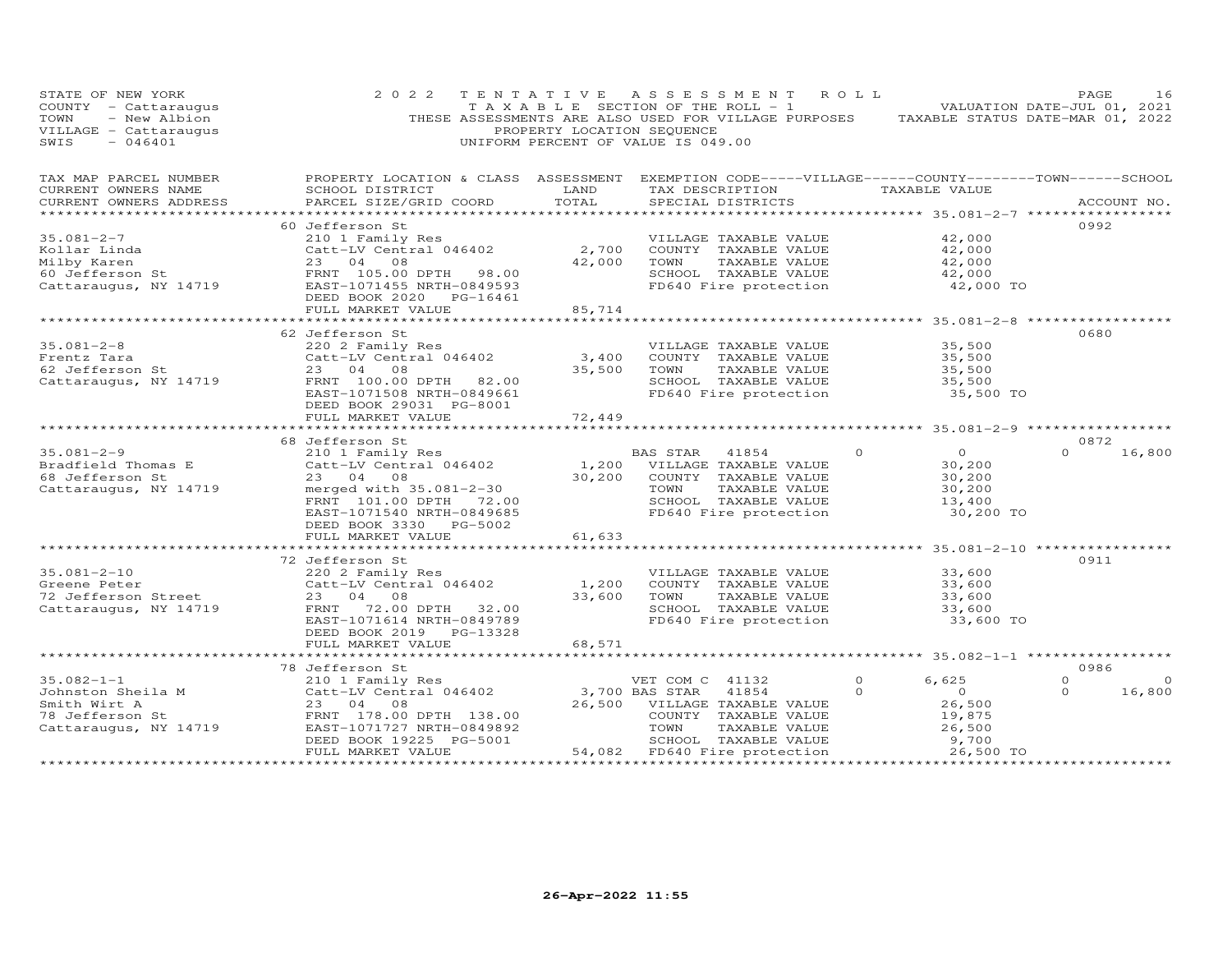| STATE OF NEW YORK<br>COUNTY - Cattaraugus<br>TOWN<br>- New Albion<br>VILLAGE - Cattaraugus<br>SWIS<br>$-046401$ | 2 0 2 2<br>THESE ASSESSMENTS ARE ALSO USED FOR VILLAGE PURPOSES                                                                                                                      | TENTATIVE<br>T A X A B L E SECTION OF THE ROLL - 1<br>PROPERTY LOCATION SEQUENCE<br>UNIFORM PERCENT OF VALUE IS 049.00 |                                           | A S S E S S M E N T                                                                                                             | ROLL                | TAXABLE STATUS DATE-MAR 01, 2022                                            | PAGE<br>VALUATION DATE-JUL 01, 2021 | 16                |
|-----------------------------------------------------------------------------------------------------------------|--------------------------------------------------------------------------------------------------------------------------------------------------------------------------------------|------------------------------------------------------------------------------------------------------------------------|-------------------------------------------|---------------------------------------------------------------------------------------------------------------------------------|---------------------|-----------------------------------------------------------------------------|-------------------------------------|-------------------|
| TAX MAP PARCEL NUMBER<br>CURRENT OWNERS NAME<br>CURRENT OWNERS ADDRESS                                          | PROPERTY LOCATION & CLASS ASSESSMENT EXEMPTION CODE-----VILLAGE------COUNTY--------TOWN------SCHOOL<br>SCHOOL DISTRICT<br>PARCEL SIZE/GRID COORD                                     | LAND<br>TOTAL                                                                                                          |                                           | TAX DESCRIPTION<br>SPECIAL DISTRICTS                                                                                            |                     | TAXABLE VALUE                                                               |                                     | ACCOUNT NO.       |
| $35.081 - 2 - 7$<br>Kollar Linda<br>Milby Karen<br>60 Jefferson St<br>Cattaraugus, NY 14719                     | 60 Jefferson St<br>210 1 Family Res<br>Catt-LV Central 046402<br>23 04 08<br>FRNT 105.00 DPTH 98.00<br>EAST-1071455 NRTH-0849593<br>DEED BOOK 2020 PG-16461                          | 2,700<br>42,000                                                                                                        | TOWN                                      | VILLAGE TAXABLE VALUE<br>COUNTY TAXABLE VALUE<br>TAXABLE VALUE<br>SCHOOL TAXABLE VALUE<br>FD640 Fire protection                 |                     | 42,000<br>42,000<br>42,000<br>42,000<br>42,000 TO                           | 0992                                |                   |
|                                                                                                                 | FULL MARKET VALUE                                                                                                                                                                    | 85,714                                                                                                                 |                                           |                                                                                                                                 |                     |                                                                             |                                     |                   |
| $35.081 - 2 - 8$<br>Frentz Tara<br>62 Jefferson St<br>Cattaraugus, NY 14719                                     | 62 Jefferson St<br>220 2 Family Res<br>Catt-LV Central 046402<br>23 04 08<br>FRNT 100.00 DPTH 82.00<br>EAST-1071508 NRTH-0849661<br>DEED BOOK 29031 PG-8001                          | 3,400<br>35,500                                                                                                        | TOWN                                      | VILLAGE TAXABLE VALUE<br>COUNTY TAXABLE VALUE<br>TAXABLE VALUE<br>SCHOOL TAXABLE VALUE<br>FD640 Fire protection                 |                     | 35,500<br>35,500<br>35,500<br>35,500<br>35,500 TO                           | 0680                                |                   |
|                                                                                                                 | FULL MARKET VALUE                                                                                                                                                                    | 72,449                                                                                                                 |                                           |                                                                                                                                 |                     |                                                                             |                                     |                   |
| $35.081 - 2 - 9$<br>Bradfield Thomas E<br>68 Jefferson St<br>Cattaraugus, NY 14719                              | 68 Jefferson St<br>210 1 Family Res<br>Catt-LV Central 046402<br>23 04 08<br>merged with 35.081-2-30<br>FRNT 101.00 DPTH 72.00<br>EAST-1071540 NRTH-0849685                          | 30,200                                                                                                                 | BAS STAR<br>TOWN                          | 41854<br>1,200 VILLAGE TAXABLE VALUE<br>COUNTY TAXABLE VALUE<br>TAXABLE VALUE<br>SCHOOL TAXABLE VALUE<br>FD640 Fire protection  | $\Omega$            | $\overline{0}$<br>30,200<br>30,200<br>30,200<br>13,400<br>30,200 TO         | 0872<br>$\Omega$                    | 16,800            |
|                                                                                                                 | DEED BOOK 3330 PG-5002<br>FULL MARKET VALUE                                                                                                                                          | 61,633                                                                                                                 |                                           |                                                                                                                                 |                     |                                                                             |                                     |                   |
| $35.081 - 2 - 10$<br>Greene Peter<br>72 Jefferson Street<br>Cattaraugus, NY 14719                               | 72 Jefferson St<br>220 2 Family Res<br>Catt-LV Central 046402<br>23 04 08<br>72.00 DPTH 32.00<br>FRNT<br>EAST-1071614 NRTH-0849789<br>DEED BOOK 2019 PG-13328                        | 1,200<br>33,600                                                                                                        | TOWN                                      | VILLAGE TAXABLE VALUE<br>COUNTY TAXABLE VALUE<br>TAXABLE VALUE<br>SCHOOL TAXABLE VALUE<br>FD640 Fire protection                 |                     | 33,600<br>33,600<br>33,600<br>33,600<br>33,600 TO                           | 0911                                |                   |
|                                                                                                                 | FULL MARKET VALUE                                                                                                                                                                    | 68,571                                                                                                                 |                                           |                                                                                                                                 |                     |                                                                             |                                     |                   |
| $35.082 - 1 - 1$<br>Johnston Sheila M<br>Smith Wirt A<br>78 Jefferson St<br>Cattaraugus, NY 14719               | 78 Jefferson St<br>210 1 Family Res<br>Catt-LV Central 046402<br>23 04<br>08<br>FRNT 178.00 DPTH 138.00<br>EAST-1071727 NRTH-0849892<br>DEED BOOK 19225 PG-5001<br>FULL MARKET VALUE | 26,500                                                                                                                 | VET COM C 41132<br>3,700 BAS STAR<br>TOWN | 41854<br>VILLAGE TAXABLE VALUE<br>COUNTY TAXABLE VALUE<br>TAXABLE VALUE<br>SCHOOL TAXABLE VALUE<br>54,082 FD640 Fire protection | $\circ$<br>$\Omega$ | 6,625<br>$\overline{O}$<br>26,500<br>19,875<br>26,500<br>9,700<br>26,500 TO | 0986<br>$\Omega$<br>$\Omega$        | $\circ$<br>16,800 |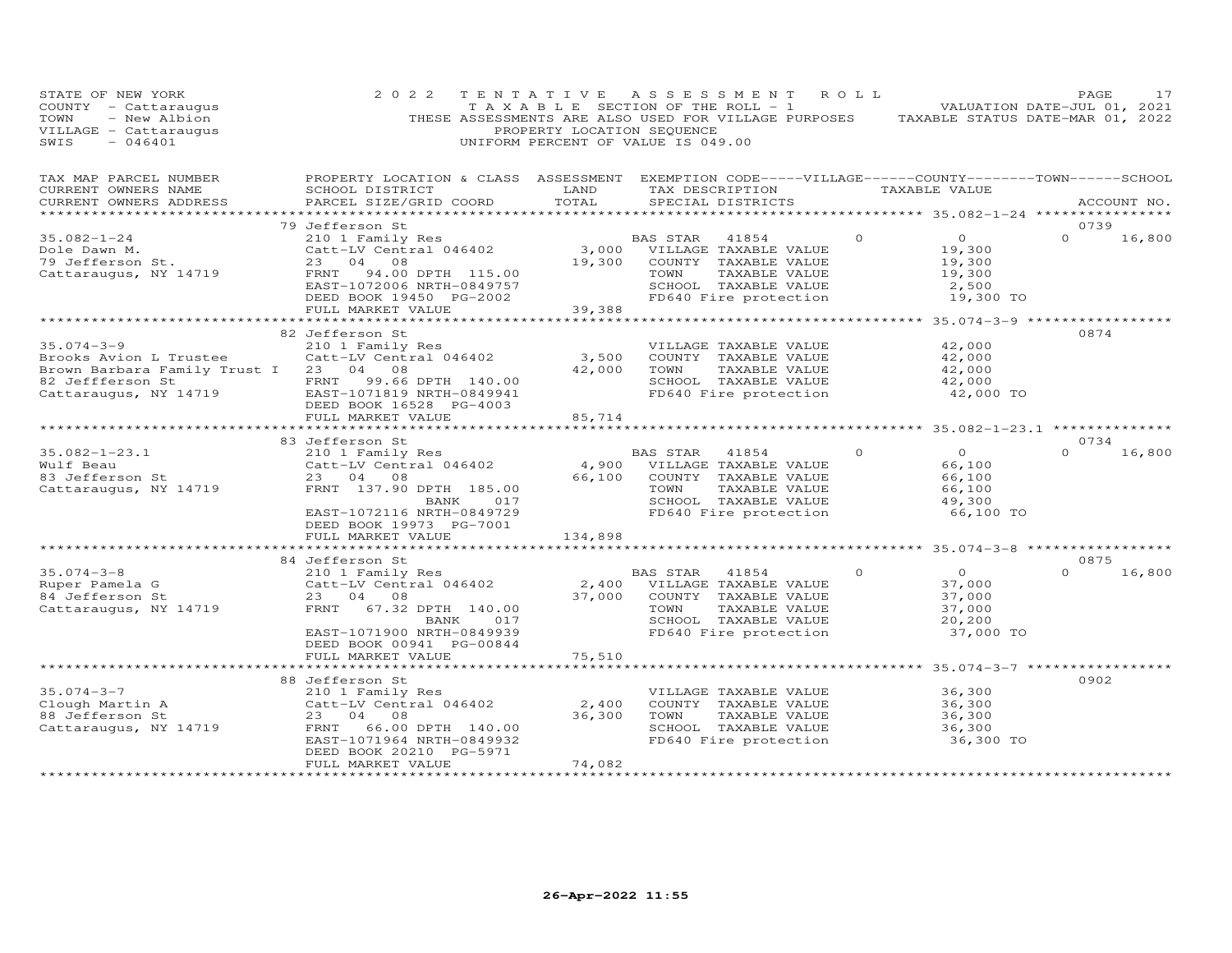| STATE OF NEW YORK<br>COUNTY - Cattaraugus<br>- New Albion<br>TOWN<br>VILLAGE - Cattaraugus<br>SWIS<br>$-046401$                                                                                | 2 0 2 2                                                                                                                                                                        | TENTATIVE<br>PROPERTY LOCATION SEQUENCE | A S S E S S M E N T<br>T A X A B L E SECTION OF THE ROLL - 1<br>THESE ASSESSMENTS ARE ALSO USED FOR VILLAGE PURPOSES TAXABLE STATUS DATE-MAR 01, 2022<br>UNIFORM PERCENT OF VALUE IS 049.00 | ROLL                                                                            | PAGE<br>17<br>VALUATION DATE-JUL 01, 2021 |
|------------------------------------------------------------------------------------------------------------------------------------------------------------------------------------------------|--------------------------------------------------------------------------------------------------------------------------------------------------------------------------------|-----------------------------------------|---------------------------------------------------------------------------------------------------------------------------------------------------------------------------------------------|---------------------------------------------------------------------------------|-------------------------------------------|
| TAX MAP PARCEL NUMBER<br>CURRENT OWNERS NAME<br>CURRENT OWNERS ADDRESS<br>************************                                                                                             | PROPERTY LOCATION & CLASS ASSESSMENT EXEMPTION CODE-----VILLAGE------COUNTY-------TOWN------SCHOOL<br>SCHOOL DISTRICT<br>PARCEL SIZE/GRID COORD                                | LAND<br>TOTAL                           | TAX DESCRIPTION<br>SPECIAL DISTRICTS                                                                                                                                                        | TAXABLE VALUE                                                                   | ACCOUNT NO.                               |
|                                                                                                                                                                                                | 79 Jefferson St                                                                                                                                                                |                                         |                                                                                                                                                                                             |                                                                                 | 0739                                      |
| $35.082 - 1 - 24$<br>Dole Dawn M.<br>79 Jefferson St.<br>Cattaraugus, NY 14719                                                                                                                 | 210 1 Family Res<br>Catt-LV Central 046402<br>23<br>04<br>08<br>94.00 DPTH 115.00<br>FRNT<br>EAST-1072006 NRTH-0849757                                                         | 19,300                                  | 41854<br>BAS STAR<br>3,000 VILLAGE TAXABLE VALUE<br>COUNTY TAXABLE VALUE<br>TOWN<br>TAXABLE VALUE<br>SCHOOL TAXABLE VALUE                                                                   | $\Omega$<br>$\overline{O}$<br>19,300<br>19,300<br>19,300<br>2,500               | $\Omega$<br>16,800                        |
|                                                                                                                                                                                                | DEED BOOK 19450 PG-2002<br>FULL MARKET VALUE                                                                                                                                   | 39,388                                  | FD640 Fire protection                                                                                                                                                                       | 19,300 TO                                                                       |                                           |
|                                                                                                                                                                                                |                                                                                                                                                                                |                                         |                                                                                                                                                                                             |                                                                                 |                                           |
| $35.074 - 3 - 9$<br>Brooks Avion L Trustee<br>Brown Barbara Family Trust I 23 04 08<br>82 Jeffferson St <sup>7</sup> FRNT 99.66 DPTH 140.00<br>Cattaraugus, NY 14719 EAST-1071819 NRTH-0849941 | 82 Jefferson St<br>210 1 Family Res<br>Catt-LV Central 046402<br>DEED BOOK 16528 PG-4003                                                                                       | 3,500<br>42,000                         | VILLAGE TAXABLE VALUE<br>COUNTY TAXABLE VALUE<br>TOWN<br>TAXABLE VALUE<br>SCHOOL TAXABLE VALUE<br>FD640 Fire protection                                                                     | 42,000<br>42,000<br>42,000<br>42,000<br>42,000 TO                               | 0874                                      |
|                                                                                                                                                                                                | FULL MARKET VALUE                                                                                                                                                              | 85,714<br>*********                     |                                                                                                                                                                                             | ********** 35.082-1-23.1 **************                                         |                                           |
|                                                                                                                                                                                                | 83 Jefferson St                                                                                                                                                                |                                         |                                                                                                                                                                                             |                                                                                 | 0734                                      |
| $35.082 - 1 - 23.1$<br>Wulf Beau<br>83 Jefferson St<br>Cattaraugus, NY 14719                                                                                                                   | 210 1 Family Res<br>Catt-LV Central 046402<br>23 04 08<br>FRNT 137.90 DPTH 185.00<br>BANK<br>017<br>EAST-1072116 NRTH-0849729<br>DEED BOOK 19973 PG-7001                       | 4,900<br>66,100                         | BAS STAR<br>41854<br>VILLAGE TAXABLE VALUE<br>COUNTY TAXABLE VALUE<br>TOWN<br>TAXABLE VALUE<br>SCHOOL TAXABLE VALUE<br>FD640 Fire protection                                                | $\overline{0}$<br>$\Omega$<br>66,100<br>66,100<br>66,100<br>49,300<br>66,100 TO | $\Omega$<br>16,800                        |
|                                                                                                                                                                                                | FULL MARKET VALUE                                                                                                                                                              | 134,898                                 |                                                                                                                                                                                             |                                                                                 |                                           |
|                                                                                                                                                                                                |                                                                                                                                                                                |                                         |                                                                                                                                                                                             | ********** 35.074-3-8 **************                                            |                                           |
| $35.074 - 3 - 8$<br>Ruper Pamela G<br>84 Jefferson St<br>Cattaraugus, NY 14719                                                                                                                 | 84 Jefferson St<br>210 1 Family Res<br>Catt-LV Central 046402<br>23 04 08<br>FRNT<br>67.32 DPTH 140.00<br>BANK<br>017<br>EAST-1071900 NRTH-0849939<br>DEED BOOK 00941 PG-00844 | 2,400<br>37,000                         | BAS STAR<br>41854<br>VILLAGE TAXABLE VALUE<br>COUNTY TAXABLE VALUE<br>TOWN<br>TAXABLE VALUE<br>SCHOOL TAXABLE VALUE<br>FD640 Fire protection                                                | $\overline{0}$<br>$\Omega$<br>37,000<br>37,000<br>37,000<br>20,200<br>37,000 TO | 0875<br>$\Omega$<br>16,800                |
|                                                                                                                                                                                                | FULL MARKET VALUE                                                                                                                                                              | 75,510                                  |                                                                                                                                                                                             |                                                                                 |                                           |
|                                                                                                                                                                                                | 88 Jefferson St                                                                                                                                                                |                                         |                                                                                                                                                                                             |                                                                                 | 0902                                      |
| $35.074 - 3 - 7$<br>Clough Martin A<br>88 Jefferson St<br>Cattaraugus, NY 14719                                                                                                                | 210 1 Family Res<br>Catt-LV Central 046402<br>23<br>08<br>04<br>66.00 DPTH 140.00<br>FRNT<br>EAST-1071964 NRTH-0849932<br>DEED BOOK 20210 PG-5971                              | 2,400<br>36,300                         | VILLAGE TAXABLE VALUE<br>COUNTY TAXABLE VALUE<br>TOWN<br>TAXABLE VALUE<br>SCHOOL TAXABLE VALUE<br>FD640 Fire protection                                                                     | 36,300<br>36,300<br>36,300<br>36,300<br>36,300 TO                               |                                           |
|                                                                                                                                                                                                | FULL MARKET VALUE<br>***********************                                                                                                                                   | 74,082<br>*****************             |                                                                                                                                                                                             |                                                                                 |                                           |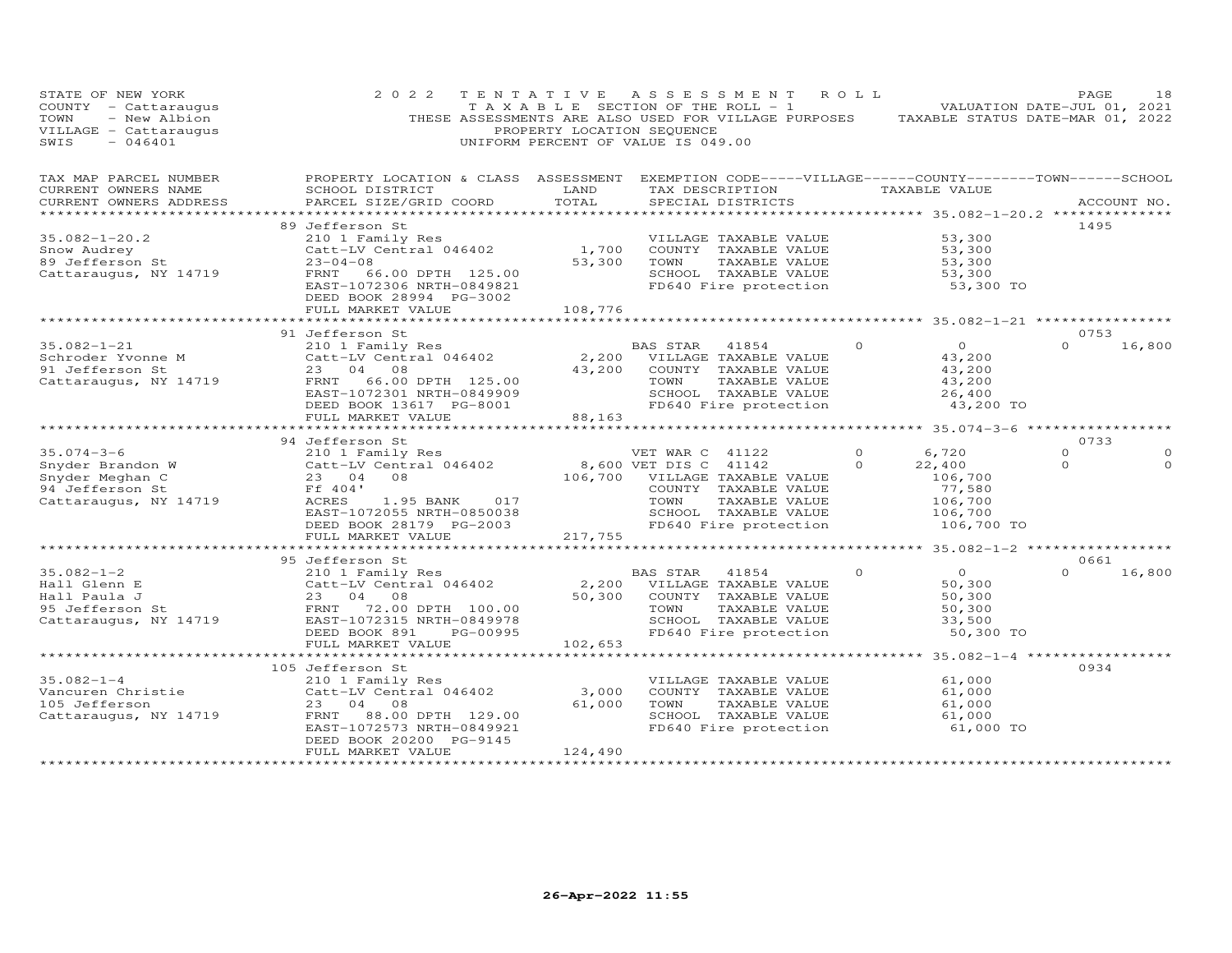| STATE OF NEW YORK<br>COUNTY - Cattaraugus<br>- New Albion<br>TOWN<br>VILLAGE - Cattaraugus<br>SWIS<br>$-046401$ | 2 0 2 2                                                                                                                                                                                  | TENTATIVE<br>PROPERTY LOCATION SEQUENCE | ASSESSMENT ROLL<br>T A X A B L E SECTION OF THE ROLL - 1<br>THESE ASSESSMENTS ARE ALSO USED FOR VILLAGE PURPOSES<br>UNIFORM PERCENT OF VALUE IS 049.00                      |                     | TAXABLE STATUS DATE-MAR 01, 2022                                         | PAGE<br>VALUATION DATE-JUL 01, 2021 | 18                   |
|-----------------------------------------------------------------------------------------------------------------|------------------------------------------------------------------------------------------------------------------------------------------------------------------------------------------|-----------------------------------------|-----------------------------------------------------------------------------------------------------------------------------------------------------------------------------|---------------------|--------------------------------------------------------------------------|-------------------------------------|----------------------|
| TAX MAP PARCEL NUMBER<br>CURRENT OWNERS NAME<br>CURRENT OWNERS ADDRESS                                          | PROPERTY LOCATION & CLASS ASSESSMENT<br>SCHOOL DISTRICT<br>PARCEL SIZE/GRID COORD                                                                                                        | LAND<br>TOTAL<br>*************          | EXEMPTION CODE-----VILLAGE------COUNTY--------TOWN------SCHOOL<br>TAX DESCRIPTION TAXABLE VALUE<br>SPECIAL DISTRICTS                                                        |                     | *********** 35.082-1-20.2 **************                                 |                                     | ACCOUNT NO.          |
| $35.082 - 1 - 20.2$<br>Snow Audrey<br>89 Jefferson St<br>Cattaraugus, NY 14719                                  | 89 Jefferson St<br>210 1 Family Res<br>Catt-LV Central 046402<br>$23 - 04 - 08$<br>FRNT 66.00 DPTH 125.00<br>EAST-1072306 NRTH-0849821<br>DEED BOOK 28994 PG-3002<br>FULL MARKET VALUE   | 1,700<br>53,300<br>108,776              | VILLAGE TAXABLE VALUE<br>COUNTY TAXABLE VALUE<br>TOWN<br>TAXABLE VALUE<br>SCHOOL TAXABLE VALUE<br>FD640 Fire protection                                                     |                     | 53,300<br>53,300<br>53,300<br>53,300<br>53,300 TO                        | 1495                                |                      |
|                                                                                                                 |                                                                                                                                                                                          |                                         |                                                                                                                                                                             |                     |                                                                          |                                     |                      |
| $35.082 - 1 - 21$<br>Schroder Yvonne M<br>^^ Tofferson St<br>Cattaraugus, NY 14719                              | 91 Jefferson St<br>210 1 Family Res<br>Catt-LV Central 046402<br>23 04 08<br>66.00 DPTH 125.00<br>FRNT<br>EAST-1072301 NRTH-0849909<br>DEED BOOK 13617 PG-8001                           | 43,200                                  | BAS STAR<br>41854<br>2,200 VILLAGE TAXABLE VALUE<br>COUNTY TAXABLE VALUE<br>TOWN<br>TAXABLE VALUE<br>SCHOOL TAXABLE VALUE<br>FD640 Fire protection                          | $\Omega$            | $\overline{0}$<br>43,200<br>43,200<br>43,200<br>26,400<br>43,200 TO      | 0753<br>$\Omega$                    | 16,800               |
|                                                                                                                 | FULL MARKET VALUE                                                                                                                                                                        | 88,163                                  |                                                                                                                                                                             |                     |                                                                          |                                     |                      |
|                                                                                                                 |                                                                                                                                                                                          |                                         |                                                                                                                                                                             |                     |                                                                          |                                     |                      |
|                                                                                                                 | 94 Jefferson St                                                                                                                                                                          |                                         |                                                                                                                                                                             |                     |                                                                          | 0733<br>$\circ$                     |                      |
| $35.074 - 3 - 6$<br>Snyder Brandon W<br>Snyder Meghan C<br>94 Jefferson St<br>Cattaraugus, NY 14719             | 210 1 Family Res<br>Catt-LV Central 046402<br>08<br>23 04<br>Ff 404'<br>ACRES<br>1.95 BANK<br>017<br>EAST-1072055 NRTH-0850038<br>DEED BOOK 28179 PG-2003                                |                                         | VET WAR C 41122<br>8,600 VET DIS C 41142<br>106,700 VILLAGE TAXABLE VALUE<br>COUNTY TAXABLE VALUE<br>TAXABLE VALUE<br>TOWN<br>SCHOOL TAXABLE VALUE<br>FD640 Fire protection | $\circ$<br>$\Omega$ | 6,720<br>22,400<br>106,700<br>77,580<br>106,700<br>106,700<br>106,700 TO | $\Omega$                            | $\Omega$<br>$\Omega$ |
|                                                                                                                 | FULL MARKET VALUE                                                                                                                                                                        | 217,755                                 |                                                                                                                                                                             |                     |                                                                          |                                     |                      |
|                                                                                                                 | ****************************                                                                                                                                                             | ****************************            |                                                                                                                                                                             |                     | *********** 35.082-1-2 ******************                                |                                     |                      |
| $35.082 - 1 - 2$<br>Hall Glenn E<br>nail Dienn E<br>Hall Paula J<br>95 Jefferson St<br>Cattaraugus, NY 14719    | 95 Jefferson St<br>210 1 Family Res<br>Catt-LV Central 046402<br>23 04<br>08<br>72.00 DPTH 100.00<br>FRNT<br>EAST-1072315 NRTH-0849978<br>DEED BOOK 891<br>PG-00995<br>FULL MARKET VALUE | 50,300<br>102,653                       | 41854<br>BAS STAR<br>2,200 VILLAGE TAXABLE VALUE<br>COUNTY TAXABLE VALUE<br>TOWN<br>TAXABLE VALUE<br>SCHOOL TAXABLE VALUE<br>FD640 Fire protection                          | $\Omega$            | $\overline{O}$<br>50,300<br>50,300<br>50,300<br>33,500<br>50,300 TO      | 0661<br>$\Omega$                    | 16,800               |
|                                                                                                                 | *************************                                                                                                                                                                |                                         |                                                                                                                                                                             |                     | ************** 35.082-1-4 ***************                                |                                     |                      |
| $35.082 - 1 - 4$<br>Jo. voz<br>Vancuren Christie<br>105 Jefferson<br>Cattaraugus, NY 14719                      | 105 Jefferson St<br>210 1 Family Res<br>Catt-LV Central 046402<br>23 04<br>08<br>FRNT<br>88.00 DPTH 129.00<br>EAST-1072573 NRTH-0849921<br>DEED BOOK 20200 PG-9145                       | 3,000<br>61,000                         | VILLAGE TAXABLE VALUE<br>COUNTY TAXABLE VALUE<br>TOWN<br>TAXABLE VALUE<br>SCHOOL TAXABLE VALUE<br>FD640 Fire protection                                                     |                     | 61,000<br>61,000<br>61,000<br>61,000<br>61,000 TO                        | 0934                                |                      |
|                                                                                                                 | FULL MARKET VALUE                                                                                                                                                                        | 124,490                                 |                                                                                                                                                                             |                     |                                                                          |                                     |                      |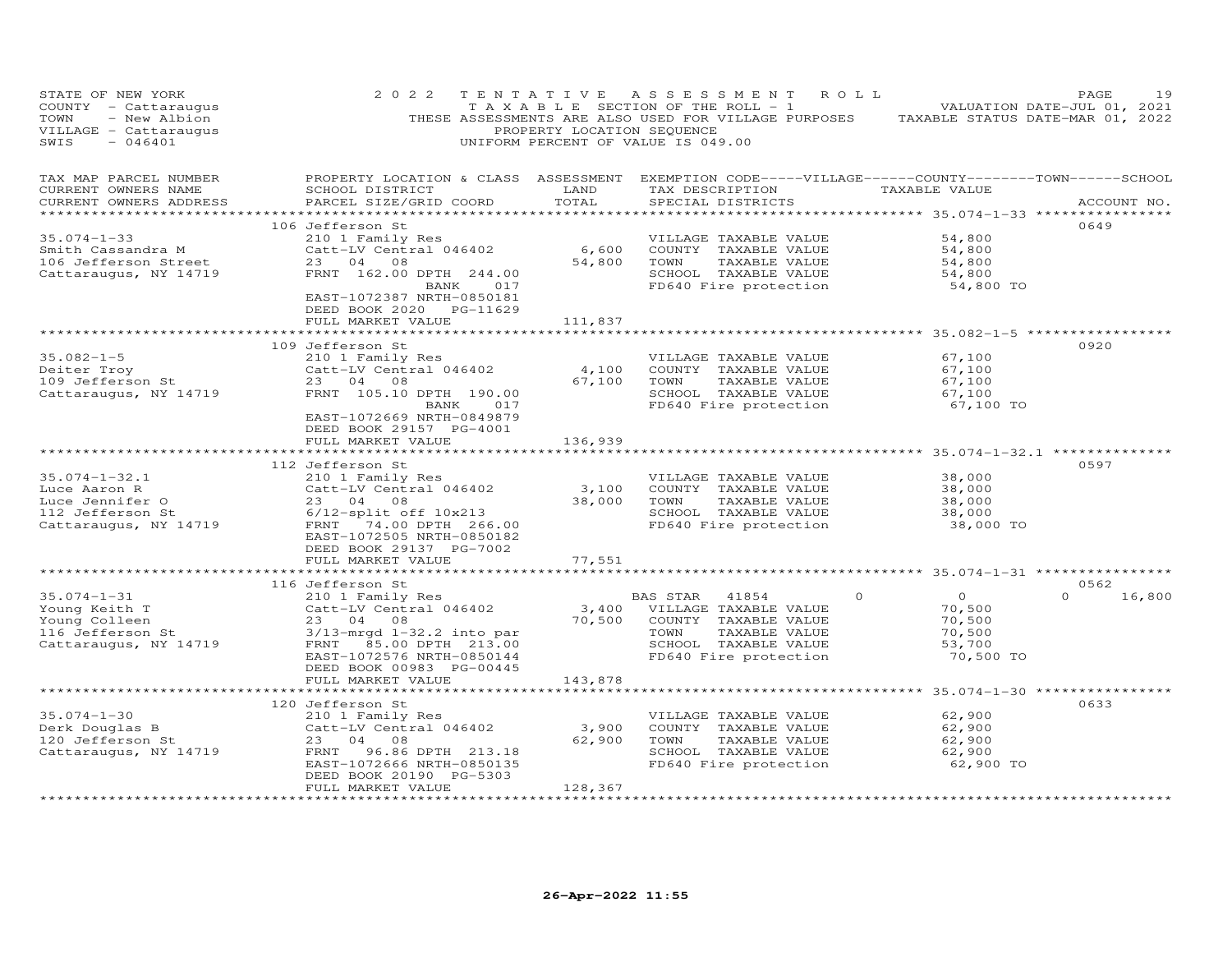| STATE OF NEW YORK<br>COUNTY - Cattaraugus<br>- New Albion<br>TOWN<br>VILLAGE - Cattaraugus<br>SWIS<br>$-046401$ | 2 0 2 2                                                                                                                                                                                              | PROPERTY LOCATION SEQUENCE | TENTATIVE ASSESSMENT ROLL<br>T A X A B L E SECTION OF THE ROLL - 1<br>THESE ASSESSMENTS ARE ALSO USED FOR VILLAGE PURPOSES TAXABLE STATUS DATE-MAR 01, 2022<br>UNIFORM PERCENT OF VALUE IS 049.00 |                                                       | PAGE<br>19<br>VALUATION DATE-JUL 01, 2021 |
|-----------------------------------------------------------------------------------------------------------------|------------------------------------------------------------------------------------------------------------------------------------------------------------------------------------------------------|----------------------------|---------------------------------------------------------------------------------------------------------------------------------------------------------------------------------------------------|-------------------------------------------------------|-------------------------------------------|
| TAX MAP PARCEL NUMBER<br>CURRENT OWNERS NAME<br>CURRENT OWNERS ADDRESS                                          | PROPERTY LOCATION & CLASS ASSESSMENT EXEMPTION CODE-----VILLAGE------COUNTY-------TOWN------SCHOOL<br>SCHOOL DISTRICT<br>PARCEL SIZE/GRID COORD                                                      | LAND<br>TOTAL              | TAX DESCRIPTION<br>SPECIAL DISTRICTS                                                                                                                                                              | TAXABLE VALUE                                         | ACCOUNT NO.                               |
| $35.074 - 1 - 33$<br>Smith Cassandra M<br>106 Jefferson Street<br>Cattaraugus, NY 14719                         | 106 Jefferson St<br>210 1 Family Res<br>Catt-LV Central 046402<br>23 04 08<br>FRNT 162.00 DPTH 244.00<br>BANK 017<br>EAST-1072387 NRTH-0850181<br>DEED BOOK 2020 PG-11629<br>FULL MARKET VALUE       | 6,600<br>54,800<br>111,837 | VILLAGE TAXABLE VALUE<br>COUNTY TAXABLE VALUE<br>TOWN<br>TAXABLE VALUE<br>SCHOOL TAXABLE VALUE<br>FD640 Fire protection                                                                           | 54,800<br>54,800<br>54,800<br>54,800<br>54,800 TO     | 0649                                      |
|                                                                                                                 | ***************************                                                                                                                                                                          |                            | ******************************** 35.082—1—5 ****************                                                                                                                                      |                                                       |                                           |
| $35.082 - 1 - 5$<br>Deiter Troy<br>$109$ Jefferson St<br>Cattaraugus, NY 14719                                  | 109 Jefferson St<br>210 1 Family Res<br>Catt-LV Central 046402<br>23 04 08<br>FRNT 105.10 DPTH 190.00<br>BANK 017<br>EAST-1072669 NRTH-0849879<br>DEED BOOK 29157 PG-4001                            | 4,100<br>67,100            | VILLAGE TAXABLE VALUE<br>COUNTY TAXABLE VALUE<br>TOWN<br>TAXABLE VALUE<br>SCHOOL TAXABLE VALUE<br>FD640 Fire protection                                                                           | 67,100<br>67,100<br>67,100<br>67,100<br>67,100 TO     | 0920                                      |
|                                                                                                                 | FULL MARKET VALUE                                                                                                                                                                                    | 136,939                    |                                                                                                                                                                                                   |                                                       |                                           |
| $35.074 - 1 - 32.1$<br>Luce Aaron R<br>Luce Jennifer O<br>112 Jefferson St<br>Cattaraugus, NY 14719             | 112 Jefferson St<br>210 1 Family Res<br>Catt-LV Central 046402<br>23 04 08<br>$6/12$ -split off $10x213$<br>FRNT 74.00 DPTH 266.00<br>EAST-1072505 NRTH-0850182<br>DEED BOOK 29137 PG-7002           | 3,100<br>38,000            | VILLAGE TAXABLE VALUE<br>COUNTY TAXABLE VALUE<br>TOWN<br>TAXABLE VALUE<br>SCHOOL TAXABLE VALUE<br>FD640 Fire protection                                                                           | 38,000<br>38,000<br>38,000<br>38,000<br>38,000 TO     | 0597                                      |
|                                                                                                                 | FULL MARKET VALUE                                                                                                                                                                                    | 77,551                     |                                                                                                                                                                                                   |                                                       |                                           |
| $35.074 - 1 - 31$<br>Young Keith T<br>Young Colleen                                                             | 116 Jefferson St<br>210 1 Family Res<br>Catt-LV Central 046402<br>23 04 08                                                                                                                           |                            | BAS STAR<br>41854<br>3,400 VILLAGE TAXABLE VALUE<br>70,500 COUNTY TAXABLE VALUE                                                                                                                   | $\circ$<br>$\overline{O}$<br>70,500<br>70,500         | 0562<br>16,800<br>$\Omega$                |
| 116 Jefferson St<br>Cattaraugus, NY 14719                                                                       | $3/13$ -mrgd $1-32.2$ into par<br>FRNT 85.00 DPTH 213.00<br>EAST-1072576 NRTH-0850144<br>DEED BOOK 00983 PG-00445                                                                                    |                            | TAXABLE VALUE<br>TOWN<br>SCHOOL TAXABLE VALUE<br>FD640 Fire protection                                                                                                                            | 70,500<br>53,700<br>70,500 TO                         |                                           |
|                                                                                                                 | FULL MARKET VALUE<br>***************************                                                                                                                                                     | 143,878                    |                                                                                                                                                                                                   | ************************* 35.074-1-30 *************** |                                           |
| $35.074 - 1 - 30$<br>Derk Douglas B<br>120 Jefferson St<br>Cattaraugus, NY 14719                                | 120 Jefferson St<br>210 1 Family Res<br>Catt-LV Central 046402<br>23   04   08<br>23 04 08<br>FRNT<br>96.86 DPTH 213.18<br>EAST-1072666 NRTH-0850135<br>DEED BOOK 20190 PG-5303<br>FULL MARKET VALUE | 3,900<br>62,900<br>128,367 | VILLAGE TAXABLE VALUE<br>COUNTY TAXABLE VALUE<br>TOWN<br>TAXABLE VALUE<br>SCHOOL TAXABLE VALUE<br>FD640 Fire protection                                                                           | 62,900<br>62,900<br>62,900<br>62,900<br>62,900 TO     | 0633                                      |
| ***********************                                                                                         | ****************************                                                                                                                                                                         | ******************         |                                                                                                                                                                                                   |                                                       |                                           |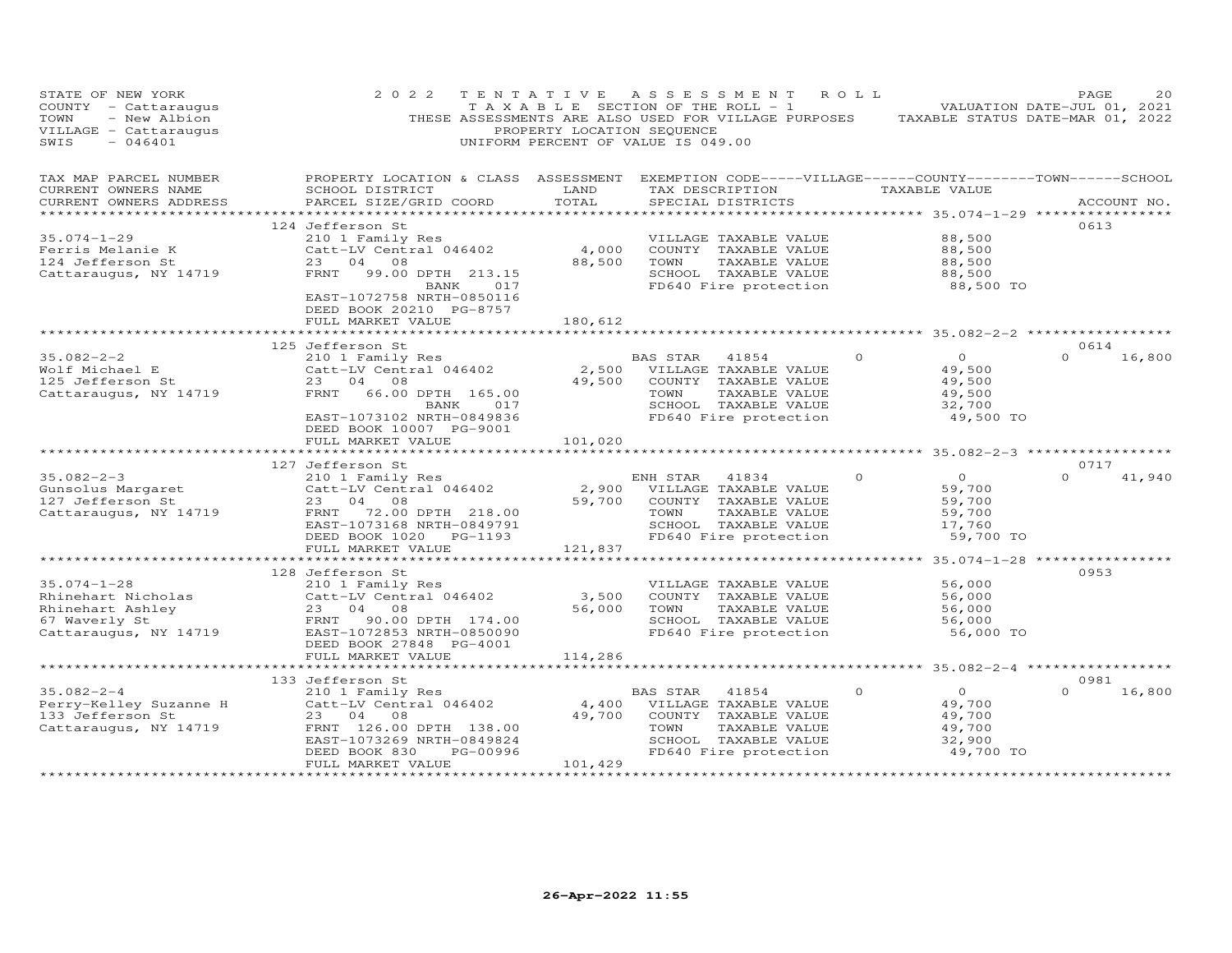| STATE OF NEW YORK<br>COUNTY - Cattaraugus<br>TOWN<br>- New Albion<br>VILLAGE - Cattaraugus<br>$-046401$<br>SWIS | 2022                                                                                                                                                                                                | TENTATIVE<br>PROPERTY LOCATION SEQUENCE | UNIFORM PERCENT OF VALUE IS 049.00                                | ASSESSMENT ROLL<br>T A X A B L E SECTION OF THE ROLL - 1                                                        | THESE ASSESSMENTS ARE ALSO USED FOR VILLAGE PURPOSES TAXABLE STATUS DATE-MAR 01, 2022 | PAGE<br>2.0<br>VALUATION DATE-JUL 01, 2021 |
|-----------------------------------------------------------------------------------------------------------------|-----------------------------------------------------------------------------------------------------------------------------------------------------------------------------------------------------|-----------------------------------------|-------------------------------------------------------------------|-----------------------------------------------------------------------------------------------------------------|---------------------------------------------------------------------------------------|--------------------------------------------|
| TAX MAP PARCEL NUMBER<br>CURRENT OWNERS NAME<br>CURRENT OWNERS ADDRESS<br>******************                    | PROPERTY LOCATION & CLASS ASSESSMENT EXEMPTION CODE-----VILLAGE------COUNTY-------TOWN------SCHOOL<br>SCHOOL DISTRICT<br>PARCEL SIZE/GRID COORD<br>**********************************               | LAND<br>TOTAL                           | SPECIAL DISTRICTS                                                 |                                                                                                                 | TAX DESCRIPTION TAXABLE VALUE<br>*********** 35.074-1-29 ****************             | ACCOUNT NO.                                |
| $35.074 - 1 - 29$<br>Ferris Melanie K<br>124 Jefferson St<br>Cattaraugus, NY 14719                              | 124 Jefferson St<br>210 1 Family Res<br>Catt-LV Central 046402<br>23 04 08<br>FRNT<br>99.00 DPTH 213.15<br>BANK<br>017<br>EAST-1072758 NRTH-0850116<br>DEED BOOK 20210 PG-8757                      | 4,000<br>88,500                         | TOWN                                                              | VILLAGE TAXABLE VALUE<br>COUNTY TAXABLE VALUE<br>TAXABLE VALUE<br>SCHOOL TAXABLE VALUE<br>FD640 Fire protection | 88,500<br>88,500<br>88,500<br>88,500<br>88,500 TO                                     | 0613                                       |
|                                                                                                                 | FULL MARKET VALUE                                                                                                                                                                                   | 180,612                                 |                                                                   |                                                                                                                 |                                                                                       |                                            |
| $35.082 - 2 - 2$<br>Wolf Michael E<br>125 Jefferson St<br>Cattaraugus, NY 14719                                 | 125 Jefferson St<br>210 1 Family Res<br>Catt-LV Central 046402<br>23 04 08<br>FRNT<br>66.00 DPTH 165.00<br>017<br>BANK<br>EAST-1073102 NRTH-0849836<br>DEED BOOK 10007 PG-9001<br>FULL MARKET VALUE | 49,500<br>101,020                       | BAS STAR<br>2,500 VILLAGE TAXABLE VALUE<br>TOWN                   | 41854<br>COUNTY TAXABLE VALUE<br>TAXABLE VALUE<br>SCHOOL TAXABLE VALUE<br>FD640 Fire protection                 | $\Omega$<br>$\Omega$<br>49,500<br>49,500<br>49,500<br>32,700<br>49,500 TO             | 0614<br>$\Omega$<br>16,800                 |
|                                                                                                                 |                                                                                                                                                                                                     |                                         |                                                                   |                                                                                                                 |                                                                                       |                                            |
| $35.082 - 2 - 3$<br>Gunsolus Margaret<br>127 Jefferson St<br>127 Jefferson St<br>Cattaraugus, NY 14719          | 127 Jefferson St<br>210 1 Family Res<br>Catt-LV Central 046402<br>23 04 08<br>FRNT<br>72.00 DPTH 218.00<br>EAST-1073168 NRTH-0849791<br>DEED BOOK 1020 PG-1193<br>FULL MARKET VALUE                 | 2,900<br>59,700<br>121,837              | ENH STAR<br>VILLAGE TAXABLE VALUE<br>TOWN                         | 41834<br>COUNTY TAXABLE VALUE<br>TAXABLE VALUE<br>SCHOOL TAXABLE VALUE<br>FD640 Fire protection                 | $\Omega$<br>$\Omega$<br>59,700<br>59,700<br>59,700<br>17,760<br>59,700 TO             | 0717<br>41,940<br>$\Omega$                 |
|                                                                                                                 |                                                                                                                                                                                                     |                                         |                                                                   |                                                                                                                 |                                                                                       |                                            |
| $35.074 - 1 - 28$<br>Rhinehart Nicholas<br>Rhinehart Ashley<br>67 Waverly St<br>Cattaraugus, NY 14719           | 128 Jefferson St<br>210 1 Family Res<br>Catt-LV Central 046402<br>23 04 08<br>FRNT 90.00 DPTH 174.00<br>EAST-1072853 NRTH-0850090                                                                   | 3,500<br>56,000                         | TOWN                                                              | VILLAGE TAXABLE VALUE<br>COUNTY TAXABLE VALUE<br>TAXABLE VALUE<br>SCHOOL TAXABLE VALUE<br>FD640 Fire protection | 56,000<br>56,000<br>56,000<br>56,000<br>56,000 TO                                     | 0953                                       |
|                                                                                                                 | DEED BOOK 27848 PG-4001<br>FULL MARKET VALUE                                                                                                                                                        | 114,286                                 |                                                                   |                                                                                                                 |                                                                                       |                                            |
|                                                                                                                 | 133 Jefferson St                                                                                                                                                                                    | * * * * * * * * * * * * *               |                                                                   |                                                                                                                 | *********** 35.082-2-4 ******************                                             | 0981                                       |
| $35.082 - 2 - 4$<br>Perry-Kelley Suzanne H<br>133 Jefferson St<br>Cattaraugus, NY 14719                         | 210 1 Family Res<br>Catt-LV Central 046402<br>23 04 08<br>FRNT 126.00 DPTH 138.00<br>EAST-1073269 NRTH-0849824<br>DEED BOOK 830<br>PG-00996<br>FULL MARKET VALUE                                    | 4,400<br>49,700<br>101,429              | BAS STAR<br>VILLAGE TAXABLE VALUE<br>COUNTY TAXABLE VALUE<br>TOWN | 41854<br>TAXABLE VALUE<br>SCHOOL TAXABLE VALUE<br>FD640 Fire protection                                         | $\overline{O}$<br>$\Omega$<br>49,700<br>49,700<br>49,700<br>32,900<br>49,700 TO       | $\Omega$<br>16,800                         |
|                                                                                                                 | *************************                                                                                                                                                                           | * * * * * * * * * * * * * * * * * *     |                                                                   |                                                                                                                 |                                                                                       |                                            |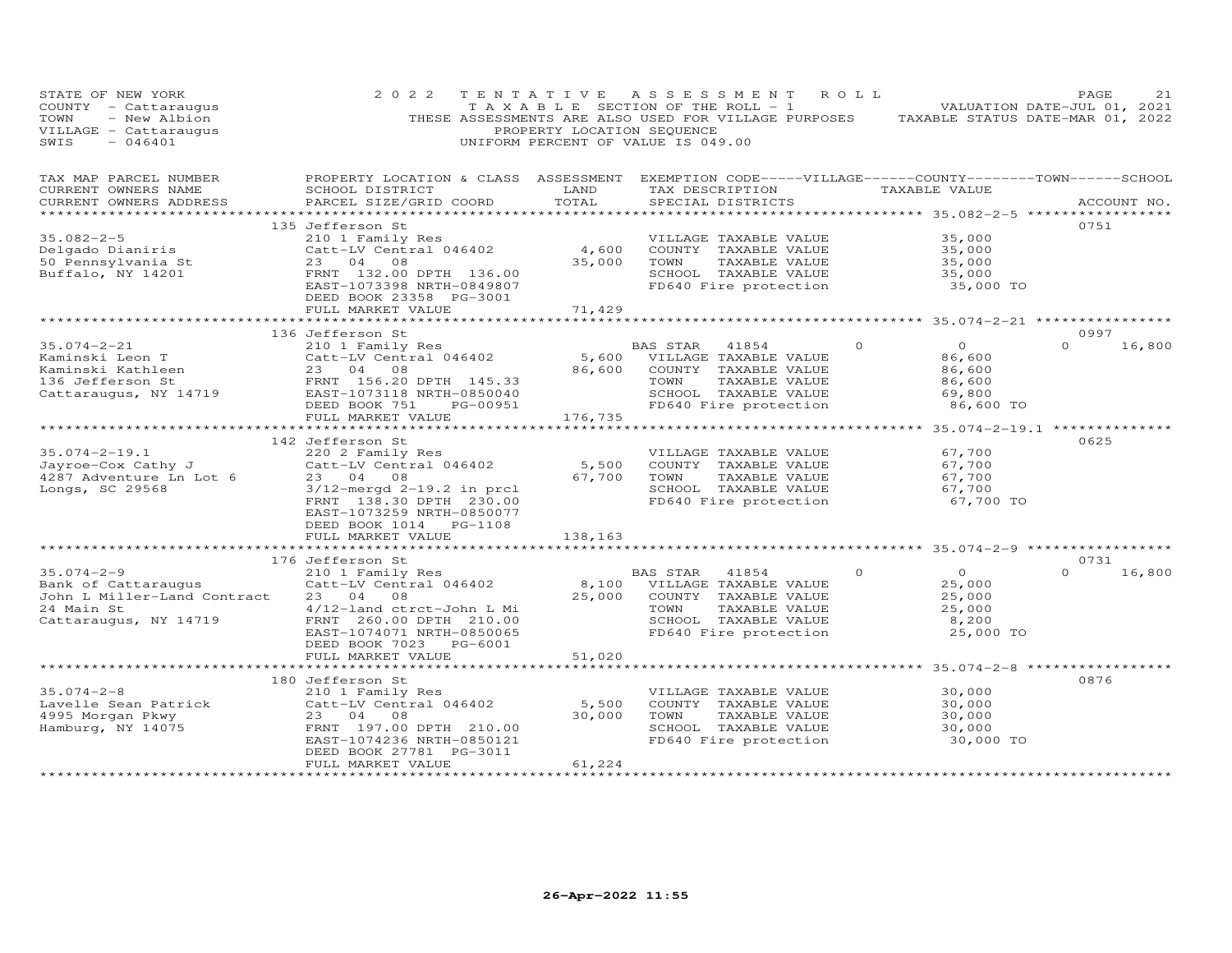| STATE OF NEW YORK<br>COUNTY - Cattaraugus<br>- New Albion<br>TOWN<br>VILLAGE - Cattaraugus<br>SWIS<br>$-046401$                                         | 2 0 2 2                                                                                                                                                                                                                                                           | TENTATIVE<br>PROPERTY LOCATION SEQUENCE                           | A S S E S S M E N T<br>TAXABLE SECTION OF THE ROLL - 1<br>THESE ASSESSMENTS ARE ALSO USED FOR VILLAGE PURPOSES<br>UNIFORM PERCENT OF VALUE IS 049.00 | ROLL                                                                                                                 | PAGE<br>21<br>VALUATION DATE-JUL 01, 2021<br>TAXABLE STATUS DATE-MAR 01, 2022 |
|---------------------------------------------------------------------------------------------------------------------------------------------------------|-------------------------------------------------------------------------------------------------------------------------------------------------------------------------------------------------------------------------------------------------------------------|-------------------------------------------------------------------|------------------------------------------------------------------------------------------------------------------------------------------------------|----------------------------------------------------------------------------------------------------------------------|-------------------------------------------------------------------------------|
| TAX MAP PARCEL NUMBER<br>CURRENT OWNERS NAME<br>CURRENT OWNERS ADDRESS<br>***********************                                                       | PROPERTY LOCATION & CLASS ASSESSMENT EXEMPTION CODE-----VILLAGE------COUNTY-------TOWN------SCHOOL<br>SCHOOL DISTRICT<br>PARCEL SIZE/GRID COORD                                                                                                                   | LAND<br>TOTAL                                                     | TAX DESCRIPTION TAXABLE VALUE<br>SPECIAL DISTRICTS                                                                                                   |                                                                                                                      | ACCOUNT NO.                                                                   |
| $35.082 - 2 - 5$<br>Delgado Dianiris<br>50 Pennsylvania St<br>Buffalo, NY 14201                                                                         | 135 Jefferson St<br>210 1 Family Res<br>Catt-LV Central 046402<br>23 04 08<br>FRNT 132.00 DPTH 136.00<br>EAST-1073398 NRTH-0849807                                                                                                                                | 4,600<br>35,000                                                   | VILLAGE TAXABLE VALUE<br>COUNTY TAXABLE VALUE<br>TAXABLE VALUE<br>TOWN<br>SCHOOL TAXABLE VALUE<br>FD640 Fire protection                              | 35,000<br>35,000<br>35,000<br>35,000<br>35,000 TO                                                                    | 0751                                                                          |
|                                                                                                                                                         | DEED BOOK 23358 PG-3001<br>FULL MARKET VALUE                                                                                                                                                                                                                      | 71,429                                                            |                                                                                                                                                      | ********* 35.074-2-21 ****************                                                                               |                                                                               |
| $35.074 - 2 - 21$<br>Kaminski Leon T<br>Kaminski Kathleen<br>136 Jefferson St<br>136 Jefferson St<br>Cattaraugus, NY 14719<br>EAST-1073118 NRTH-0850040 | 136 Jefferson St<br>210 1 Family Res<br>Catt-LV Central 046402<br>23 04 08<br>DEED BOOK 751<br>PG-00951<br>FULL MARKET VALUE                                                                                                                                      | 5,600<br>86,600<br>176,735                                        | <b>BAS STAR</b><br>41854<br>VILLAGE TAXABLE VALUE<br>COUNTY TAXABLE VALUE<br>TOWN<br>TAXABLE VALUE<br>SCHOOL TAXABLE VALUE<br>FD640 Fire protection  | $\overline{O}$<br>$\circ$<br>86,600<br>86,600<br>86,600<br>69,800<br>86,600 TO                                       | 0997<br>$\Omega$<br>16,800                                                    |
| $35.074 - 2 - 19.1$<br>Jayroe-Cox Cathy J<br>4287 Adventure Ln Lot 6<br>Longs, SC 29568                                                                 | 142 Jefferson St<br>220 2 Family Res<br>Catt-LV Central 046402<br>23 04 08<br>$3/12$ -mergd $2-19.2$ in prcl<br>FRNT 138.30 DPTH 230.00<br>EAST-1073259 NRTH-0850077<br>DEED BOOK 1014 PG-1108<br>FULL MARKET VALUE                                               | ********************<br>5,500<br>67,700<br>138,163                | VILLAGE TAXABLE VALUE<br>COUNTY TAXABLE VALUE<br>TOWN<br>TAXABLE VALUE<br>SCHOOL TAXABLE VALUE<br>FD640 Fire protection                              | ******************* 35.074-2-19.1 ***************<br>67,700<br>67,700<br>67,700<br>67,700<br>67,700 TO               | 0625                                                                          |
| $35.074 - 2 - 9$<br>Bank of Cattaraugus<br>John L Miller-Land Contract<br>24 Main St<br>Cattaraugus, NY 14719                                           | 176 Jefferson St<br>210 1 Family Res<br>Catt-LV Central 046402<br>23 04<br>08<br>4/12-land ctrct-John L Mi<br>FRNT 260.00 DPTH 210.00<br>EAST-1074071 NRTH-0850065<br>DEED BOOK 7023 PG-6001                                                                      | 8,100<br>25,000                                                   | BAS STAR<br>41854<br>VILLAGE TAXABLE VALUE<br>COUNTY TAXABLE VALUE<br>TOWN<br>TAXABLE VALUE<br>SCHOOL TAXABLE VALUE<br>FD640 Fire protection         | *********** 35.074-2-9 ***********<br>$\overline{0}$<br>$\Omega$<br>25,000<br>25,000<br>25,000<br>8,200<br>25,000 TO | 0731<br>$\Omega$<br>16,800                                                    |
| $35.074 - 2 - 8$<br>Lavelle Sean Patrick<br>4995 Morgan Pkwy<br>Hamburg, NY 14075                                                                       | FULL MARKET VALUE<br>*************************<br>180 Jefferson St<br>210 1 Family Res<br>Catt-LV Central 046402<br>23 04<br>08<br>FRNT 197.00 DPTH 210.00<br>EAST-1074236 NRTH-0850121<br>DEED BOOK 27781 PG-3011<br>FULL MARKET VALUE<br>********************** | 51,020<br>**********<br>5,500<br>30,000<br>61,224<br>************ | VILLAGE TAXABLE VALUE<br>COUNTY TAXABLE VALUE<br>TOWN<br>TAXABLE VALUE<br>SCHOOL TAXABLE VALUE<br>FD640 Fire protection                              | ****************** 35.074-2-8 ******************<br>30,000<br>30,000<br>30,000<br>30,000<br>30,000 TO                | 0876                                                                          |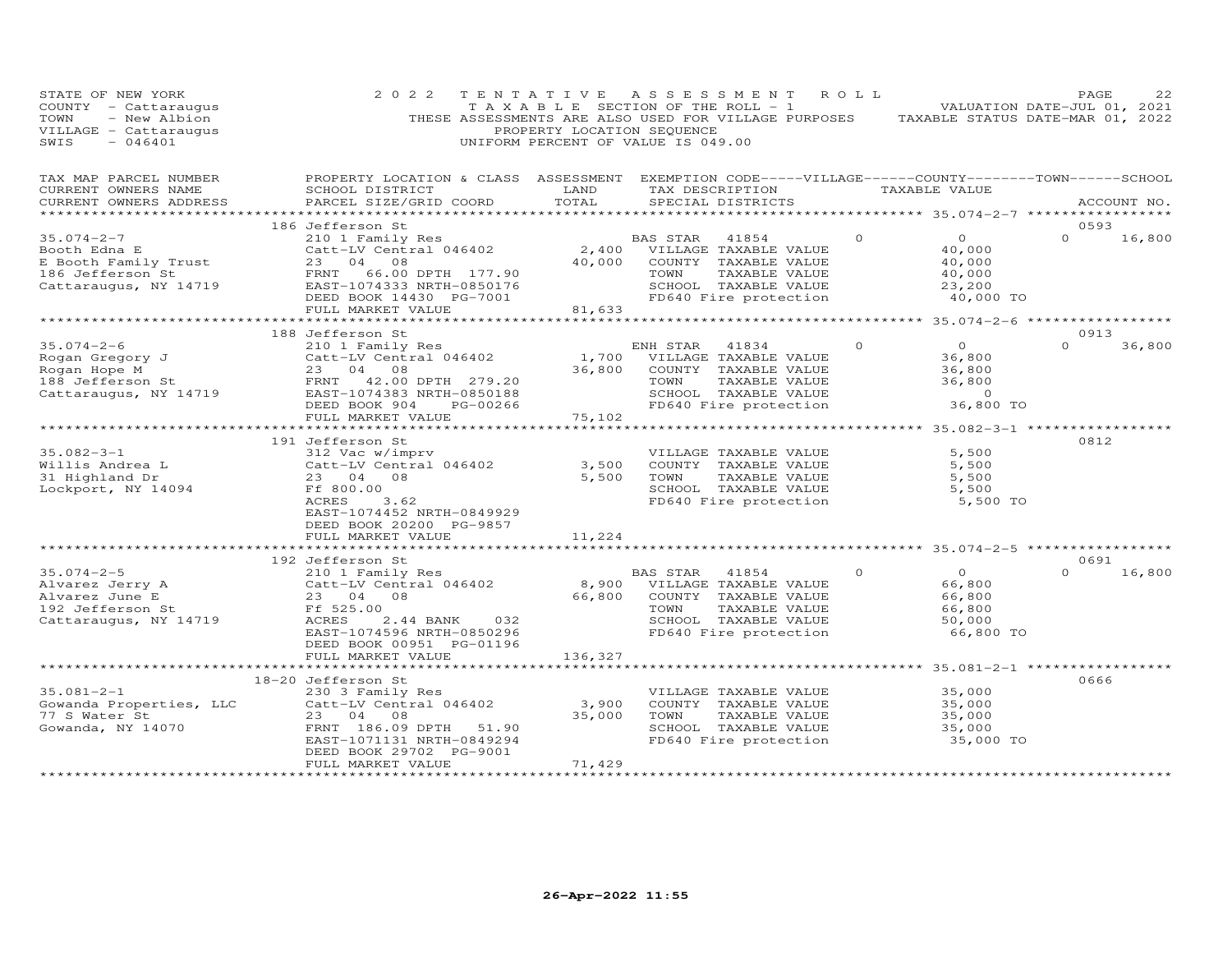| STATE OF NEW YORK<br>COUNTY - Cattaraugus<br>- New Albion<br>TOWN<br>VILLAGE - Cattaraugus<br>SWIS<br>$-046401$                                                                                                                    | 2 0 2 2                                                                                                                                                                       | TENTATIVE<br>PROPERTY LOCATION SEQUENCE | A S S E S S M E N T<br>T A X A B L E SECTION OF THE ROLL - 1<br>THESE ASSESSMENTS ARE ALSO USED FOR VILLAGE PURPOSES TAXABLE STATUS DATE-MAR 01, 2022<br>UNIFORM PERCENT OF VALUE IS 049.00 | R O L L  |                                                                     | PAGE<br>VALUATION DATE-JUL 01, 2021 | 22     |
|------------------------------------------------------------------------------------------------------------------------------------------------------------------------------------------------------------------------------------|-------------------------------------------------------------------------------------------------------------------------------------------------------------------------------|-----------------------------------------|---------------------------------------------------------------------------------------------------------------------------------------------------------------------------------------------|----------|---------------------------------------------------------------------|-------------------------------------|--------|
| TAX MAP PARCEL NUMBER<br>CURRENT OWNERS NAME<br>CURRENT OWNERS ADDRESS                                                                                                                                                             | PROPERTY LOCATION & CLASS ASSESSMENT EXEMPTION CODE-----VILLAGE------COUNTY--------TOWN------SCHOOL<br>SCHOOL DISTRICT<br>PARCEL SIZE/GRID COORD                              | LAND<br>TOTAL                           | TAX DESCRIPTION<br>SPECIAL DISTRICTS                                                                                                                                                        |          | TAXABLE VALUE                                                       | ACCOUNT NO.                         |        |
|                                                                                                                                                                                                                                    | 186 Jefferson St                                                                                                                                                              |                                         |                                                                                                                                                                                             |          |                                                                     | 0593                                |        |
| $35.074 - 2 - 7$<br>Booth Edna E<br>E Booth Family Trust<br>186 Jefferson St<br>Cattaraugus, NY 14719                                                                                                                              | 210 1 Family Res<br>Catt-LV Central 046402<br>23 04 08<br>66.00 DPTH 177.90<br>FRNT<br>EAST-1074333 NRTH-0850176<br>DEED BOOK 14430 PG-7001                                   | 40,000                                  | BAS STAR<br>41854<br>2,400 VILLAGE TAXABLE VALUE<br>COUNTY TAXABLE VALUE<br>TOWN<br>TAXABLE VALUE<br>SCHOOL TAXABLE VALUE<br>FD640 Fire protection                                          | $\Omega$ | $\overline{O}$<br>40,000<br>40,000<br>40,000<br>23,200<br>40,000 TO | $\Omega$                            | 16,800 |
|                                                                                                                                                                                                                                    | FULL MARKET VALUE                                                                                                                                                             | 81,633                                  |                                                                                                                                                                                             |          |                                                                     |                                     |        |
| $35.074 - 2 - 6$                                                                                                                                                                                                                   | 188 Jefferson St<br>210 1 Family Res                                                                                                                                          | 1,700                                   | ENH STAR<br>41834<br>VILLAGE TAXABLE VALUE                                                                                                                                                  | $\circ$  | $\overline{O}$<br>36,800                                            | 0913<br>$\Omega$                    | 36,800 |
| Eogan Gregory J<br>Rogan Hope M<br>188 Jefferson St<br>Cattaraugus, NY 14719<br>23 04 08<br>FRNT 42.00 DPTH 279.20<br>23 04 08<br>279.20<br>279.20<br>279.20<br>279.20<br>279.20<br>279.20<br>279.20<br>279.20<br>279.20<br>279.20 | DEED BOOK 904<br>PG-00266                                                                                                                                                     | 36,800                                  | COUNTY TAXABLE VALUE<br>TOWN<br>TAXABLE VALUE<br>SCHOOL TAXABLE VALUE<br>FD640 Fire protection                                                                                              |          | 36,800<br>36,800<br>$\overline{0}$<br>36,800 TO                     |                                     |        |
|                                                                                                                                                                                                                                    | FULL MARKET VALUE                                                                                                                                                             | 75,102<br>**********                    |                                                                                                                                                                                             |          | ************* 35.082-3-1 *****                                      |                                     |        |
|                                                                                                                                                                                                                                    | 191 Jefferson St                                                                                                                                                              |                                         |                                                                                                                                                                                             |          |                                                                     | 0812                                |        |
| $35.082 - 3 - 1$<br>Willis Andrea L<br>31 Highland Dr<br>Lockport, NY 14094                                                                                                                                                        | 312 Vac w/imprv<br>Catt-LV Central 046402<br>23 04 08<br>Ff 800.00<br>ACRES<br>3.62<br>EAST-1074452 NRTH-0849929<br>DEED BOOK 20200 PG-9857                                   | 3,500<br>5,500                          | VILLAGE TAXABLE VALUE<br>COUNTY TAXABLE VALUE<br>TOWN<br>TAXABLE VALUE<br>SCHOOL TAXABLE VALUE<br>FD640 Fire protection                                                                     |          | 5,500<br>5,500<br>5,500<br>5,500<br>5,500 TO                        |                                     |        |
|                                                                                                                                                                                                                                    | FULL MARKET VALUE                                                                                                                                                             | 11,224                                  |                                                                                                                                                                                             |          |                                                                     |                                     |        |
|                                                                                                                                                                                                                                    |                                                                                                                                                                               |                                         |                                                                                                                                                                                             |          | ********************* 35.074-2-5 **************                     | 0691                                |        |
| $35.074 - 2 - 5$<br>Alvarez Jerry A<br>Alvarez June E<br>192 Jefferson St<br>Cattaraugus, NY 14719                                                                                                                                 | 192 Jefferson St<br>210 1 Family Res<br>Catt-LV Central 046402<br>23 04 08<br>Ff 525.00<br>ACRES<br>2.44 BANK<br>032<br>EAST-1074596 NRTH-0850296<br>DEED BOOK 00951 PG-01196 | 8,900<br>66,800                         | BAS STAR 41854<br>VILLAGE TAXABLE VALUE<br>COUNTY TAXABLE VALUE<br>TOWN<br>TAXABLE VALUE<br>SCHOOL TAXABLE VALUE<br>FD640 Fire protection                                                   | $\Omega$ | $\circ$<br>66,800<br>66,800<br>66,800<br>50,000<br>66,800 TO        | $\Omega$                            | 16,800 |
|                                                                                                                                                                                                                                    | FULL MARKET VALUE                                                                                                                                                             | 136,327                                 |                                                                                                                                                                                             |          |                                                                     |                                     |        |
|                                                                                                                                                                                                                                    |                                                                                                                                                                               |                                         |                                                                                                                                                                                             |          |                                                                     |                                     |        |
| $35.081 - 2 - 1$<br>water St<br>Gowanda, NY 14070                                                                                                                                                                                  | 18-20 Jefferson St<br>230 3 Family Res<br>Catt-LV Central 046402<br>23 04 08<br>FRNT 186.09 DPTH<br>51.90<br>EAST-1071131 NRTH-0849294                                        | 3,900<br>35,000                         | VILLAGE TAXABLE VALUE<br>COUNTY TAXABLE VALUE<br>TOWN<br>TAXABLE VALUE<br>SCHOOL TAXABLE VALUE<br>FD640 Fire protection                                                                     |          | 35,000<br>35,000<br>35,000<br>35,000<br>35,000 TO                   | 0666                                |        |
|                                                                                                                                                                                                                                    | DEED BOOK 29702 PG-9001<br>FULL MARKET VALUE                                                                                                                                  | 71,429<br>******************            |                                                                                                                                                                                             |          |                                                                     |                                     |        |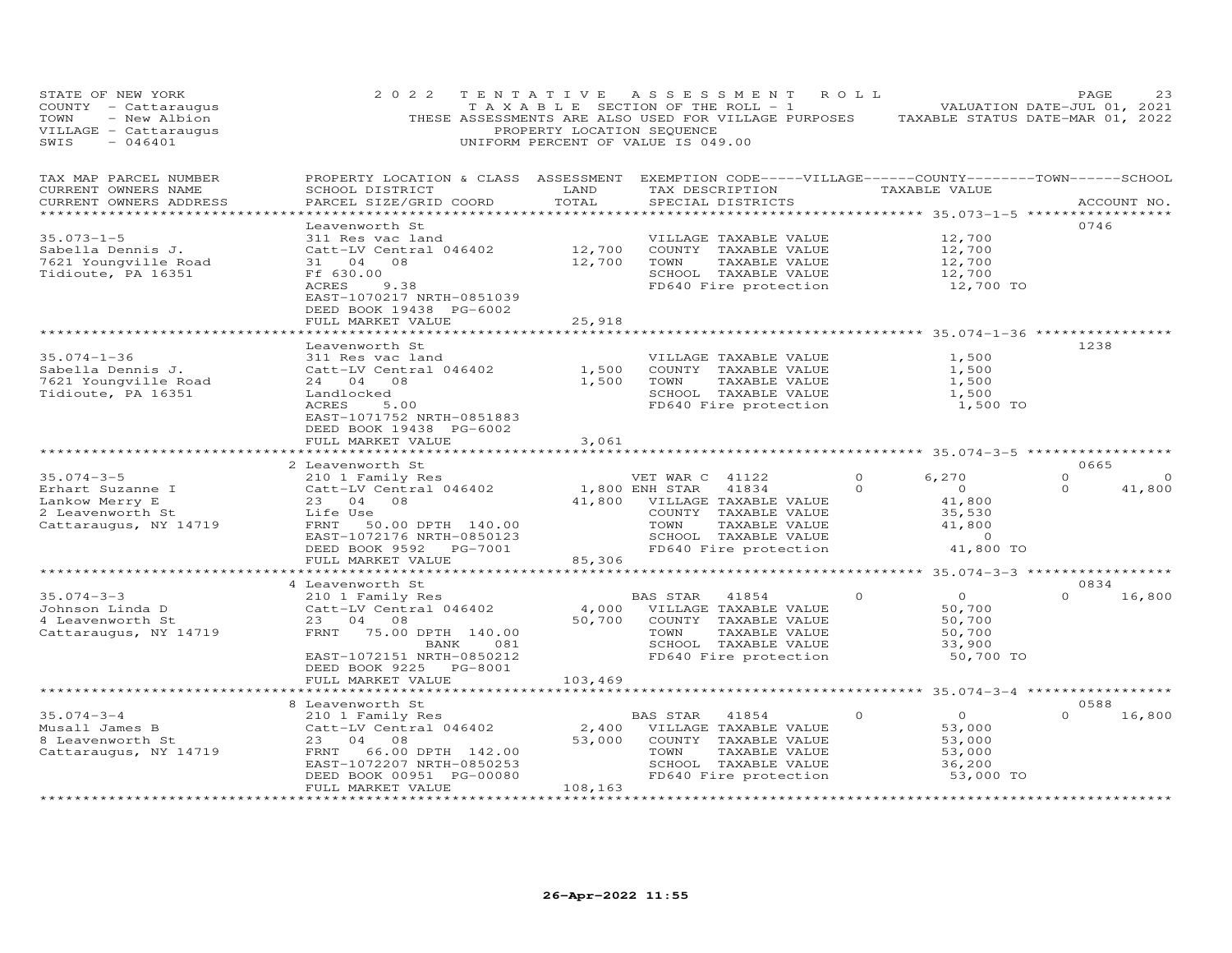| STATE OF NEW YORK<br>COUNTY - Cattaraugus<br>- New Albion<br>TOWN<br>VILLAGE - Cattaraugus<br>SWIS<br>$-046401$ | 2 0 2 2                                                                                                                                                                              | TENTATIVE<br>PROPERTY LOCATION SEQUENCE | A S S E S S M E N T<br>TAXABLE SECTION OF THE ROLL - 1<br>THESE ASSESSMENTS ARE ALSO USED FOR VILLAGE PURPOSES<br>UNIFORM PERCENT OF VALUE IS 049.00                  | R O L L              | TAXABLE STATUS DATE-MAR 01, 2022                                              | PAGE<br>VALUATION DATE-JUL 01, 2021 | 23                 |
|-----------------------------------------------------------------------------------------------------------------|--------------------------------------------------------------------------------------------------------------------------------------------------------------------------------------|-----------------------------------------|-----------------------------------------------------------------------------------------------------------------------------------------------------------------------|----------------------|-------------------------------------------------------------------------------|-------------------------------------|--------------------|
| TAX MAP PARCEL NUMBER<br>CURRENT OWNERS NAME<br>CURRENT OWNERS ADDRESS                                          | PROPERTY LOCATION & CLASS ASSESSMENT<br>SCHOOL DISTRICT<br>PARCEL SIZE/GRID COORD                                                                                                    | LAND<br>TOTAL                           | EXEMPTION CODE-----VILLAGE------COUNTY--------TOWN------SCHOOL<br>TAX DESCRIPTION<br>SPECIAL DISTRICTS                                                                |                      | TAXABLE VALUE<br>********* 35.073-1-5                                         |                                     | ACCOUNT NO.        |
| $35.073 - 1 - 5$<br>Sabella Dennis J.<br>7621 Youngville Road<br>Tidioute, PA 16351                             | Leavenworth St<br>311 Res vac land<br>Catt-LV Central 046402<br>31 04 08<br>Ff 630.00<br>ACRES<br>9.38<br>EAST-1070217 NRTH-0851039<br>DEED BOOK 19438 PG-6002<br>FULL MARKET VALUE  | 12,700<br>12,700<br>25,918              | VILLAGE TAXABLE VALUE<br>COUNTY TAXABLE VALUE<br>TOWN<br>TAXABLE VALUE<br>SCHOOL TAXABLE VALUE<br>FD640 Fire protection                                               |                      | 12,700<br>12,700<br>12,700<br>12,700<br>12,700 TO                             | 0746                                |                    |
|                                                                                                                 |                                                                                                                                                                                      |                                         |                                                                                                                                                                       |                      | ********* 35.074-1-36 ****                                                    |                                     |                    |
| $35.074 - 1 - 36$<br>Sabella Dennis J.<br>7621 Youngville Road<br>Tidioute, PA 16351                            | Leavenworth St<br>311 Res vac land<br>Catt-LV Central 046402<br>24 04 08<br>Landlocked<br>ACRES<br>5.00<br>EAST-1071752 NRTH-0851883<br>DEED BOOK 19438 PG-6002<br>FULL MARKET VALUE | 1,500<br>1,500<br>3,061                 | VILLAGE TAXABLE VALUE<br>COUNTY TAXABLE VALUE<br>TAXABLE VALUE<br>TOWN<br>SCHOOL TAXABLE VALUE<br>FD640 Fire protection                                               |                      | 1,500<br>1,500<br>1,500<br>1,500<br>1,500 TO                                  | 1238                                |                    |
|                                                                                                                 | 2 Leavenworth St                                                                                                                                                                     |                                         |                                                                                                                                                                       |                      | ********* 35.074-3-5 ***********                                              | 0665                                |                    |
| $35.074 - 3 - 5$<br>Erhart Suzanne I<br>Lankow Merry E<br>2 Leavenworth St<br>Cattaraugus, NY 14719             | 210 1 Family Res<br>Catt-LV Central 046402<br>23<br>04<br>08<br>Life Use<br>FRNT<br>50.00 DPTH 140.00<br>EAST-1072176 NRTH-0850123<br>DEED BOOK 9592 PG-7001                         | 41,800                                  | VET WAR C 41122<br>1,800 ENH STAR<br>41834<br>VILLAGE TAXABLE VALUE<br>COUNTY TAXABLE VALUE<br>TOWN<br>TAXABLE VALUE<br>SCHOOL TAXABLE VALUE<br>FD640 Fire protection | $\Omega$<br>$\Omega$ | 6,270<br>$\overline{O}$<br>41,800<br>35,530<br>41,800<br>$\circ$<br>41,800 TO | $\Omega$<br>$\Omega$                | $\Omega$<br>41,800 |
|                                                                                                                 | FULL MARKET VALUE<br>+ + + + + + + + + + + + + + + + + + +                                                                                                                           | 85,306<br>************                  |                                                                                                                                                                       |                      | *********** 35.074-3-3 *****************                                      |                                     |                    |
| $35.074 - 3 - 3$<br>Johnson Linda D<br>4 Leavenworth St<br>Cattaraugus, NY 14719                                | 4 Leavenworth St<br>210 1 Family Res<br>Catt-LV Central 046402<br>23 04<br>08<br>FRNT<br>75.00 DPTH 140.00<br>BANK<br>081<br>EAST-1072151 NRTH-0850212<br>DEED BOOK 9225<br>PG-8001  | 50,700                                  | BAS STAR<br>41854<br>4,000 VILLAGE TAXABLE VALUE<br>COUNTY TAXABLE VALUE<br>TOWN<br>TAXABLE VALUE<br>SCHOOL TAXABLE VALUE<br>FD640 Fire protection                    | $\Omega$             | $\circ$<br>50,700<br>50,700<br>50,700<br>33,900<br>50,700 TO                  | 0834<br>$\Omega$                    | 16,800             |
|                                                                                                                 | FULL MARKET VALUE                                                                                                                                                                    | 103,469                                 |                                                                                                                                                                       |                      |                                                                               |                                     |                    |
|                                                                                                                 | ************************<br>8 Leavenworth St                                                                                                                                         |                                         |                                                                                                                                                                       |                      |                                                                               | 0588                                |                    |
| $35.074 - 3 - 4$<br>Musall James B<br>8 Leavenworth St<br>Cattaraugus, NY 14719                                 | 210 1 Family Res<br>Catt-LV Central 046402<br>23<br>04<br>08<br>FRNT<br>66.00 DPTH 142.00<br>EAST-1072207 NRTH-0850253<br>DEED BOOK 00951 PG-00080<br>FULL MARKET VALUE              | 2,400<br>53,000<br>108,163              | BAS STAR<br>41854<br>VILLAGE TAXABLE VALUE<br>COUNTY TAXABLE VALUE<br>TOWN<br>TAXABLE VALUE<br>SCHOOL TAXABLE VALUE<br>FD640 Fire protection                          | $\circ$              | $\circ$<br>53,000<br>53,000<br>53,000<br>36,200<br>53,000 TO                  | $\Omega$                            | 16,800             |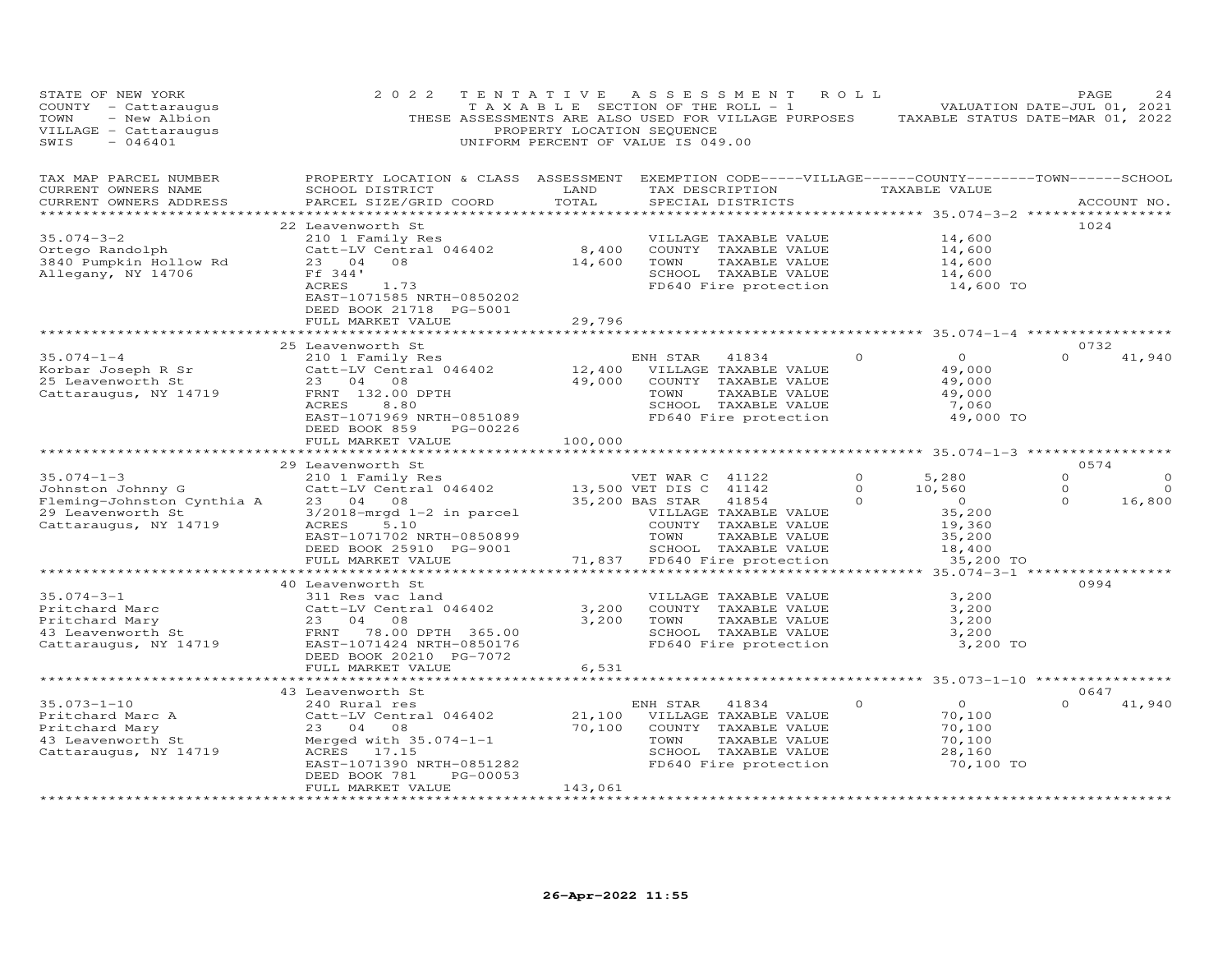| STATE OF NEW YORK<br>COUNTY - Cattaraugus<br>TOWN<br>- New Albion<br>VILLAGE - Cattaraugus<br>SWIS<br>$-046401$   | 2 0 2 2                                                                                                                                                                                                     | PROPERTY LOCATION SEQUENCE                       | TENTATIVE ASSESSMENT<br>T A X A B L E SECTION OF THE ROLL - 1<br>THESE ASSESSMENTS ARE ALSO USED FOR VILLAGE PURPOSES<br>UNIFORM PERCENT OF VALUE IS 049.00                                      | R O L L                         | VALUATION DATE-JUL 01, 2021<br>TAXABLE STATUS DATE-MAR 01, 2022                        | PAGE                                   | 24                             |
|-------------------------------------------------------------------------------------------------------------------|-------------------------------------------------------------------------------------------------------------------------------------------------------------------------------------------------------------|--------------------------------------------------|--------------------------------------------------------------------------------------------------------------------------------------------------------------------------------------------------|---------------------------------|----------------------------------------------------------------------------------------|----------------------------------------|--------------------------------|
| TAX MAP PARCEL NUMBER<br>CURRENT OWNERS NAME<br>CURRENT OWNERS ADDRESS                                            | PROPERTY LOCATION & CLASS ASSESSMENT EXEMPTION CODE-----VILLAGE------COUNTY-------TOWN------SCHOOL<br>SCHOOL DISTRICT<br>PARCEL SIZE/GRID COORD                                                             | LAND<br>TOTAL                                    | TAX DESCRIPTION<br>SPECIAL DISTRICTS                                                                                                                                                             |                                 | TAXABLE VALUE                                                                          |                                        | ACCOUNT NO.                    |
| $35.074 - 3 - 2$<br>Ortego Randolph<br>3840 Pumpkin Hollow Rd<br>Allegany, NY 14706                               | 22 Leavenworth St<br>210 1 Family Res<br>$Catt-LV$ Central 046402 8,400<br>23 04<br>08<br>Ff 344'<br>ACRES<br>1.73<br>EAST-1071585 NRTH-0850202<br>DEED BOOK 21718 PG-5001<br>FULL MARKET VALUE             | 14,600<br>29,796                                 | VILLAGE TAXABLE VALUE<br>COUNTY TAXABLE VALUE<br>TOWN<br>TAXABLE VALUE<br>SCHOOL TAXABLE VALUE<br>FD640 Fire protection                                                                          |                                 | 14,600<br>14,600<br>14,600<br>14,600<br>14,600 TO                                      | 1024                                   |                                |
|                                                                                                                   |                                                                                                                                                                                                             |                                                  |                                                                                                                                                                                                  |                                 | ********************* 35.074-1-4 **************                                        |                                        |                                |
| $35.074 - 1 - 4$<br>Korbar Joseph R Sr<br>25 Leavenworth St<br>Cattaraugus, NY 14719                              | 25 Leavenworth St<br>210 1 Family Res<br>Catt-LV Central 046402<br>23 04 08<br>FRNT 132.00 DPTH<br>ACRES<br>8.80<br>EAST-1071969 NRTH-0851089<br>DEED BOOK 859<br>PG-00226<br>FULL MARKET VALUE             | 49,000<br>100,000                                | ENH STAR 41834<br>12,400 VILLAGE TAXABLE VALUE<br>COUNTY TAXABLE VALUE<br>TOWN<br>TAXABLE VALUE<br>SCHOOL TAXABLE VALUE<br>FD640 Fire protection                                                 | $\circ$                         | $\overline{O}$<br>49,000<br>49,000<br>49,000<br>7,060<br>49,000 TO                     | 0732<br>$\Omega$                       | 41,940                         |
|                                                                                                                   |                                                                                                                                                                                                             |                                                  |                                                                                                                                                                                                  |                                 |                                                                                        |                                        |                                |
| $35.074 - 1 - 3$<br>Johnston Johnny G<br>Fleming-Johnston Cynthia A<br>29 Leavenworth St<br>Cattaraugus, NY 14719 | 29 Leavenworth St<br>210 1 Family Res<br>Catt-LV Central 046402<br>23 04 08<br>$3/2018$ -mrgd $1-2$ in parcel<br>ACRES<br>5.10<br>EAST-1071702 NRTH-0850899<br>DEED BOOK 25910 PG-9001<br>FULL MARKET VALUE | 71,837                                           | VET WAR C 41122<br>13,500 VET DIS C 41142<br>35,200 BAS STAR<br>41854<br>VILLAGE TAXABLE VALUE<br>COUNTY TAXABLE VALUE<br>TOWN<br>TAXABLE VALUE<br>SCHOOL TAXABLE VALUE<br>FD640 Fire protection | $\Omega$<br>$\Omega$<br>$\circ$ | 5,280<br>10,560<br>$\overline{0}$<br>35,200<br>19,360<br>35,200<br>18,400<br>35,200 TO | 0574<br>$\Omega$<br>$\circ$<br>$\circ$ | $\Omega$<br>$\Omega$<br>16,800 |
|                                                                                                                   |                                                                                                                                                                                                             |                                                  |                                                                                                                                                                                                  |                                 |                                                                                        |                                        |                                |
| $35.074 - 3 - 1$<br>---conard Mary<br>43 Leavenworth St<br>Cattaraugus, NY 14719                                  | 40 Leavenworth St<br>311 Res vac land<br>Catt-LV Central 046402<br>23 04<br>08<br>FRNT 78.00 DPTH 365.00<br>EAST-1071424 NRTH-0850176<br>DEED BOOK 20210 PG-7072<br>FULL MARKET VALUE                       | 3,200<br>6,531                                   | VILLAGE TAXABLE VALUE<br>COUNTY TAXABLE VALUE<br>3,200 TOWN<br>TAXABLE VALUE<br>SCHOOL TAXABLE VALUE<br>FD640 Fire protection                                                                    |                                 | 3,200<br>3,200<br>3,200<br>3,200<br>3,200 TO                                           | 0994                                   |                                |
|                                                                                                                   |                                                                                                                                                                                                             |                                                  |                                                                                                                                                                                                  |                                 | ********** 35.073-1-10 *************                                                   |                                        |                                |
| $35.073 - 1 - 10$<br>Pritchard Marc A<br>Pritchard Mary<br>43 Leavenworth St<br>Cattaraugus, NY 14719             | 43 Leavenworth St<br>240 Rural res<br>Catt-LV Central 046402<br>23 04 08<br>Merged with 35.074-1-1<br>ACRES 17.15<br>EAST-1071390 NRTH-0851282<br>DEED BOOK 781<br>PG-00053<br>FULL MARKET VALUE            | 21,100<br>70,100<br>143,061<br>***************** | ENH STAR 41834<br>VILLAGE TAXABLE VALUE<br>COUNTY TAXABLE VALUE<br>TOWN<br>TAXABLE VALUE<br>SCHOOL TAXABLE VALUE<br>FD640 Fire protection                                                        | $\Omega$                        | $\overline{O}$<br>70,100<br>70,100<br>70,100<br>28,160<br>70,100 TO                    | 0647<br>$\Omega$                       | 41,940                         |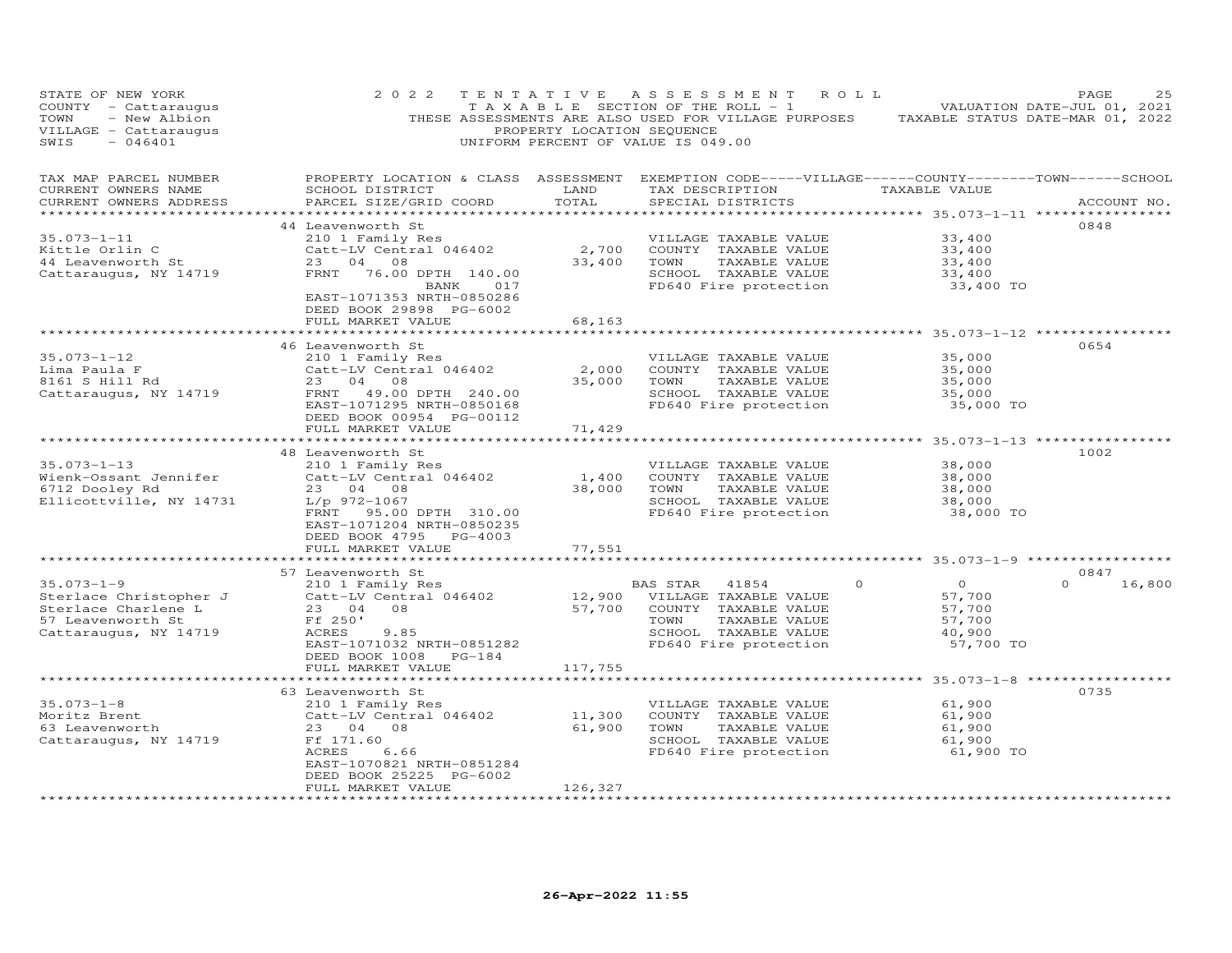| STATE OF NEW YORK<br>COUNTY - Cattaraugus<br>TOWN<br>- New Albion<br>VILLAGE - Cattaraugus<br>SWIS<br>$-046401$ | 2 0 2 2                                                                                                                                                                      | PROPERTY LOCATION SEQUENCE      | TENTATIVE ASSESSMENT ROLL<br>T A X A B L E SECTION OF THE ROLL - 1<br>THESE ASSESSMENTS ARE ALSO USED FOR VILLAGE PURPOSES TAXABLE STATUS DATE-MAR 01, 2022<br>UNIFORM PERCENT OF VALUE IS 049.00 |                                                                                | PAGE<br>25<br>VALUATION DATE-JUL 01, 2021 |
|-----------------------------------------------------------------------------------------------------------------|------------------------------------------------------------------------------------------------------------------------------------------------------------------------------|---------------------------------|---------------------------------------------------------------------------------------------------------------------------------------------------------------------------------------------------|--------------------------------------------------------------------------------|-------------------------------------------|
| TAX MAP PARCEL NUMBER<br>CURRENT OWNERS NAME<br>CURRENT OWNERS ADDRESS                                          | PROPERTY LOCATION & CLASS ASSESSMENT EXEMPTION CODE-----VILLAGE------COUNTY--------TOWN------SCHOOL<br>SCHOOL DISTRICT<br>PARCEL SIZE/GRID COORD                             | LAND<br>TOTAL                   | TAX DESCRIPTION<br>SPECIAL DISTRICTS                                                                                                                                                              | TAXABLE VALUE                                                                  | ACCOUNT NO.                               |
| $35.073 - 1 - 11$<br>Kittle Orlin C<br>44 Leavenworth St<br>Cattaraugus, NY 14719                               | 44 Leavenworth St<br>210 1 Family Res<br>Catt-LV Central 046402<br>23 04 08<br>FRNT 76.00 DPTH 140.00<br>017<br>BANK<br>EAST-1071353 NRTH-0850286<br>DEED BOOK 29898 PG-6002 | 2,700<br>33,400                 | VILLAGE TAXABLE VALUE<br>COUNTY TAXABLE VALUE<br>TOWN<br>TAXABLE VALUE<br>SCHOOL TAXABLE VALUE<br>FD640 Fire protection                                                                           | 33,400<br>33,400<br>33,400<br>33,400<br>33,400 TO                              | 0848                                      |
|                                                                                                                 | FULL MARKET VALUE                                                                                                                                                            | 68,163                          |                                                                                                                                                                                                   |                                                                                |                                           |
| $35.073 - 1 - 12$<br>Lima Paula F<br>8161 S Hill Rd<br>Cattaraugus, NY 14719                                    | 46 Leavenworth St<br>210 1 Family Res<br>Catt-LV Central 046402<br>23 04 08<br>FRNT 49.00 DPTH 240.00<br>EAST-1071295 NRTH-0850168<br>DEED BOOK 00954 PG-00112               | 2,000<br>35,000                 | VILLAGE TAXABLE VALUE<br>COUNTY TAXABLE VALUE<br>TOWN<br>TAXABLE VALUE<br>SCHOOL TAXABLE VALUE<br>FD640 Fire protection                                                                           | 35,000<br>35,000<br>35,000<br>35,000<br>35,000 TO                              | 0654                                      |
|                                                                                                                 | FULL MARKET VALUE<br>*************************                                                                                                                               | 71,429<br>* * * * * * * * * * * |                                                                                                                                                                                                   |                                                                                |                                           |
| $35.073 - 1 - 13$<br>Wienk-Ossant Jennifer<br>6712 Dooley Rd<br>Ellicottville, NY 14731                         | 48 Leavenworth St<br>210 1 Family Res<br>Catt-LV Central 046402<br>23 04 08<br>L/p 972-1067<br>FRNT 95.00 DPTH 310.00<br>EAST-1071204 NRTH-0850235<br>DEED BOOK 4795 PG-4003 | 1,400<br>38,000                 | VILLAGE TAXABLE VALUE<br>COUNTY TAXABLE VALUE<br>TOWN<br>TAXABLE VALUE<br>SCHOOL TAXABLE VALUE<br>FD640 Fire protection                                                                           | 38,000<br>38,000<br>38,000<br>38,000<br>38,000 TO                              | 1002                                      |
|                                                                                                                 | FULL MARKET VALUE                                                                                                                                                            | 77,551                          |                                                                                                                                                                                                   | ********************* 35.073-1-9 ***********                                   |                                           |
|                                                                                                                 | 57 Leavenworth St                                                                                                                                                            |                                 |                                                                                                                                                                                                   |                                                                                | 0847                                      |
| $35.073 - 1 - 9$<br>Sterlace Christopher J<br>Sterlace Charlene L<br>57 Leavenworth St<br>Cattaraugus, NY 14719 | 210 1 Family Res<br>Catt-LV Central 046402<br>23 04 08<br>Ff 250'<br>ACRES<br>9.85<br>EAST-1071032 NRTH-0851282<br>DEED BOOK 1008 PG-184                                     | 57,700                          | BAS STAR<br>41854<br>12,900 VILLAGE TAXABLE VALUE<br>COUNTY TAXABLE VALUE<br>TAXABLE VALUE<br>TOWN<br>SCHOOL TAXABLE VALUE<br>FD640 Fire protection                                               | $\overline{O}$<br>$\circ$<br>57,700<br>57,700<br>57,700<br>40,900<br>57,700 TO | $\Omega$<br>16,800                        |
|                                                                                                                 | FULL MARKET VALUE                                                                                                                                                            | 117,755                         |                                                                                                                                                                                                   | **************** 35.073-1-8 *****                                              |                                           |
| $35.073 - 1 - 8$<br>Moritz Brent<br>63 Leavenworth<br>Cattaraugus, NY 14719                                     | 63 Leavenworth St<br>210 1 Family Res<br>Catt-LV Central 046402<br>23 04 08<br>Ff 171.60<br>ACRES<br>6.66<br>EAST-1070821 NRTH-0851284<br>DEED BOOK 25225 PG-6002            | 11,300<br>61,900                | VILLAGE TAXABLE VALUE<br>COUNTY TAXABLE VALUE<br>TOWN<br>TAXABLE VALUE<br>SCHOOL TAXABLE VALUE<br>FD640 Fire protection                                                                           | 61,900<br>61,900<br>61,900<br>61,900<br>61,900 TO                              | 0735                                      |
|                                                                                                                 | FULL MARKET VALUE                                                                                                                                                            | 126,327                         |                                                                                                                                                                                                   |                                                                                |                                           |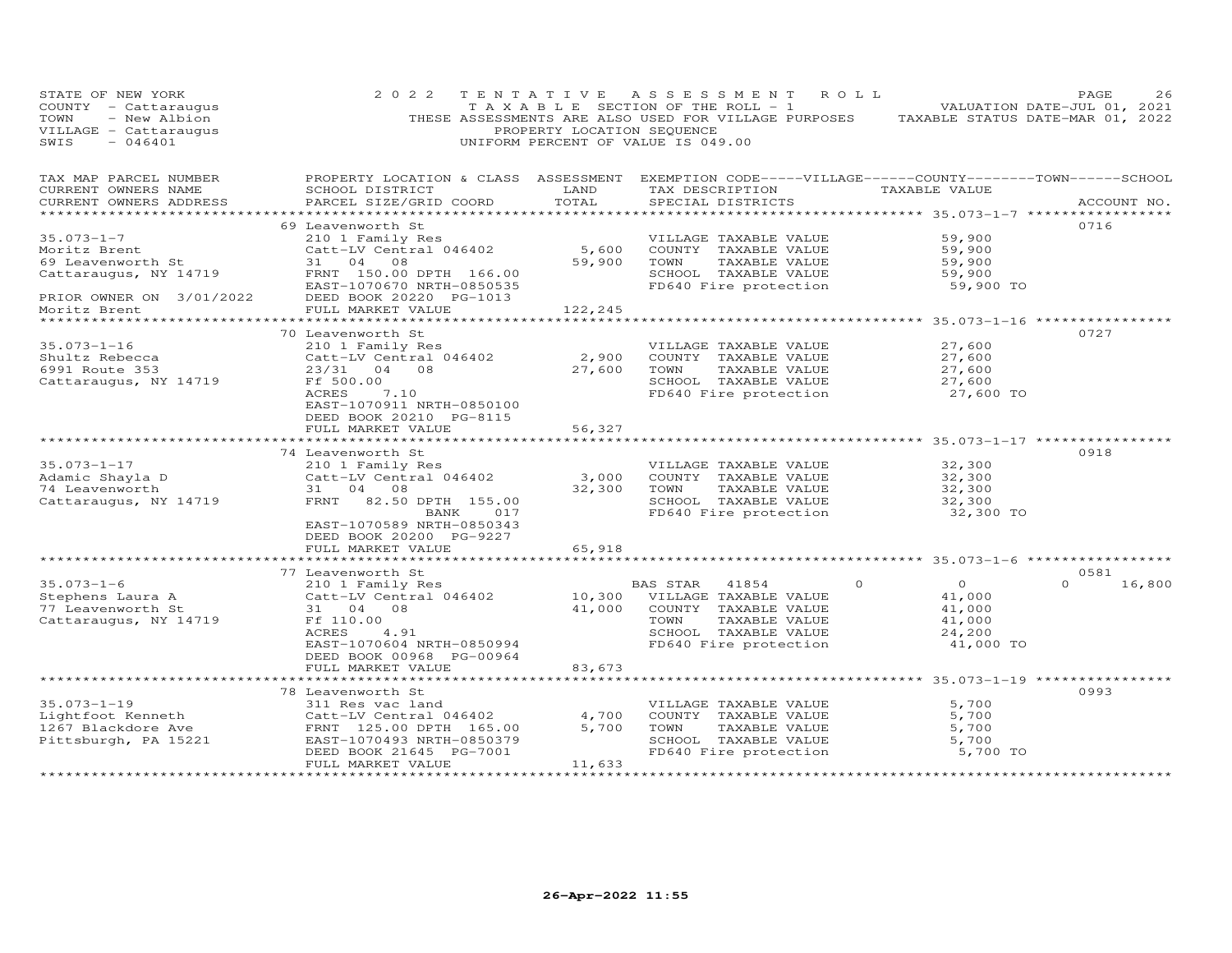| STATE OF NEW YORK<br>COUNTY - Cattaraugus<br>- New Albion<br>TOWN<br>VILLAGE - Cattaraugus<br>SWIS<br>$-046401$ | 2 0 2 2                                                                                                                                                                                 | PROPERTY LOCATION SEQUENCE | TENTATIVE ASSESSMENT<br>TAXABLE SECTION OF THE ROLL - 1<br>THESE ASSESSMENTS ARE ALSO USED FOR VILLAGE PURPOSES<br>UNIFORM PERCENT OF VALUE IS 049.00 | R O L L                                                                   | PAGE<br>26<br>VALUATION DATE-JUL 01, 2021<br>TAXABLE STATUS DATE-MAR 01, 2022 |
|-----------------------------------------------------------------------------------------------------------------|-----------------------------------------------------------------------------------------------------------------------------------------------------------------------------------------|----------------------------|-------------------------------------------------------------------------------------------------------------------------------------------------------|---------------------------------------------------------------------------|-------------------------------------------------------------------------------|
| TAX MAP PARCEL NUMBER<br>CURRENT OWNERS NAME<br>CURRENT OWNERS ADDRESS<br>***********************               | PROPERTY LOCATION & CLASS ASSESSMENT<br>SCHOOL DISTRICT<br>PARCEL SIZE/GRID COORD                                                                                                       | LAND<br>TOTAL              | EXEMPTION CODE-----VILLAGE------COUNTY-------TOWN------SCHOOL<br>TAX DESCRIPTION<br>SPECIAL DISTRICTS                                                 | TAXABLE VALUE                                                             | ACCOUNT NO.                                                                   |
| $35.073 - 1 - 7$<br>Moritz Brent<br>69 Leavenworth St<br>Cattaraugus, NY 14719<br>PRIOR OWNER ON 3/01/2022      | 69 Leavenworth St<br>210 1 Family Res<br>Catt-LV Central 046402<br>31 04 08<br>FRNT 150.00 DPTH 166.00<br>EAST-1070670 NRTH-0850535<br>DEED BOOK 20220 PG-1013                          | 5,600<br>59,900            | VILLAGE TAXABLE VALUE<br>COUNTY TAXABLE VALUE<br>TOWN<br>TAXABLE VALUE<br>SCHOOL TAXABLE VALUE<br>FD640 Fire protection                               | 59,900<br>59,900<br>59,900<br>59,900<br>59,900 TO                         | 0716                                                                          |
| Moritz Brent                                                                                                    | FULL MARKET VALUE<br>***************************                                                                                                                                        | 122,245                    | ************************************ 35.073-1-16 *****************                                                                                    |                                                                           |                                                                               |
| $35.073 - 1 - 16$<br>Shultz Rebecca<br>6991 Route 353<br>Cattaraugus, NY 14719                                  | 70 Leavenworth St<br>210 1 Family Res<br>Catt-LV Central 046402<br>23/31 04 08<br>Ff 500.00<br>7.10<br>ACRES<br>EAST-1070911 NRTH-0850100<br>DEED BOOK 20210 PG-8115                    | 2,900<br>27,600            | VILLAGE TAXABLE VALUE<br>COUNTY TAXABLE VALUE<br>TOWN<br>TAXABLE VALUE<br>SCHOOL TAXABLE VALUE<br>FD640 Fire protection                               | 27,600<br>27,600<br>27,600<br>27,600<br>27,600 TO                         | 0727                                                                          |
|                                                                                                                 | FULL MARKET VALUE                                                                                                                                                                       | 56,327                     |                                                                                                                                                       |                                                                           |                                                                               |
| $35.073 - 1 - 17$<br>Adamic Shayla D<br>74 Leavenworth<br>Cattaraugus, NY 14719                                 | 74 Leavenworth St<br>210 1 Family Res<br>Catt-LV Central 046402<br>31 04 08<br>FRNT 82.50 DPTH 155.00<br>BANK<br>017<br>EAST-1070589 NRTH-0850343<br>DEED BOOK 20200 PG-9227            | 3,000<br>32,300            | VILLAGE TAXABLE VALUE<br>COUNTY TAXABLE VALUE<br>TOWN<br>TAXABLE VALUE<br>SCHOOL TAXABLE VALUE<br>FD640 Fire protection                               | 32,300<br>32,300<br>32,300<br>32,300<br>32,300 TO                         | 0918                                                                          |
|                                                                                                                 | FULL MARKET VALUE                                                                                                                                                                       | 65,918                     |                                                                                                                                                       |                                                                           |                                                                               |
|                                                                                                                 | **********************                                                                                                                                                                  | ************               |                                                                                                                                                       | ********************* 35.073-1-6 ******************                       | 0581                                                                          |
| $35.073 - 1 - 6$<br>Stephens Laura A<br>77 Leavenworth St<br>Cattaraugus, NY 14719                              | 77 Leavenworth St<br>210 1 Family Res<br>Catt-LV Central 046402<br>31 04 08<br>Ff 110.00<br>ACRES<br>4.91<br>EAST-1070604 NRTH-0850994<br>DEED BOOK 00968 PG-00964<br>FULL MARKET VALUE | 10,300<br>41,000<br>83,673 | BAS STAR<br>41854<br>VILLAGE TAXABLE VALUE<br>COUNTY TAXABLE VALUE<br>TOWN<br>TAXABLE VALUE<br>SCHOOL TAXABLE VALUE<br>FD640 Fire protection          | $\Omega$<br>$\Omega$<br>41,000<br>41,000<br>41,000<br>24,200<br>41,000 TO | $\Omega$<br>16,800                                                            |
|                                                                                                                 |                                                                                                                                                                                         |                            | ************************************ 35.073–1–19 *****************                                                                                    |                                                                           |                                                                               |
| $35.073 - 1 - 19$<br>Lightfoot Kenneth<br>1267 Blackdore Ave<br>Pittsburgh, PA 15221                            | 78 Leavenworth St<br>311 Res vac land<br>Catt-LV Central 046402<br>FRNT 125.00 DPTH 165.00<br>EAST-1070493 NRTH-0850379<br>DEED BOOK 21645 PG-7001<br>FULL MARKET VALUE                 | 4,700<br>5,700<br>11,633   | VILLAGE TAXABLE VALUE<br>COUNTY TAXABLE VALUE<br>TOWN<br>TAXABLE VALUE<br>SCHOOL TAXABLE VALUE<br>FD640 Fire protection                               | 5,700<br>5,700<br>5,700<br>5,700<br>5,700 TO                              | 0993                                                                          |
|                                                                                                                 | *********************                                                                                                                                                                   | ************               |                                                                                                                                                       |                                                                           |                                                                               |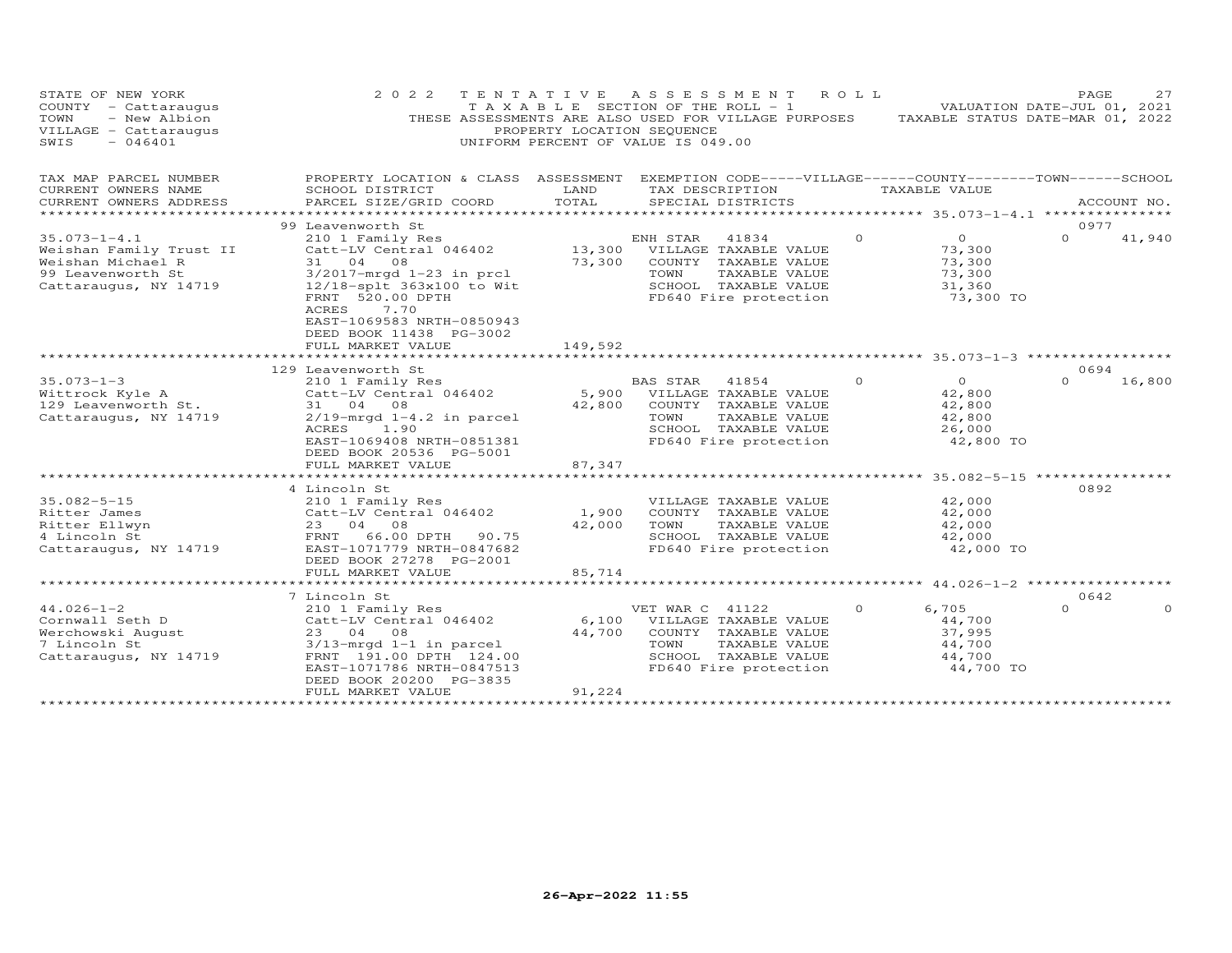| STATE OF NEW YORK<br>COUNTY - Cattaraugus<br>- New Albion<br>TOWN<br>VILLAGE - Cattaraugus<br>SWIS<br>$-046401$ | 2 0 2 2                                                                                                                                                                                        | TENTATIVE<br>PROPERTY LOCATION SEQUENCE | A S S E S S M E N T<br>TAXABLE SECTION OF THE ROLL - 1<br>THESE ASSESSMENTS ARE ALSO USED FOR VILLAGE PURPOSES<br>UNIFORM PERCENT OF VALUE IS 049.00 | R O L L  |                                                               | 27<br>PAGE<br>VALUATION DATE-JUL 01, 2021<br>TAXABLE STATUS DATE-MAR 01, 2022 |
|-----------------------------------------------------------------------------------------------------------------|------------------------------------------------------------------------------------------------------------------------------------------------------------------------------------------------|-----------------------------------------|------------------------------------------------------------------------------------------------------------------------------------------------------|----------|---------------------------------------------------------------|-------------------------------------------------------------------------------|
| TAX MAP PARCEL NUMBER<br>CURRENT OWNERS NAME<br>CURRENT OWNERS ADDRESS                                          | PROPERTY LOCATION & CLASS ASSESSMENT EXEMPTION CODE-----VILLAGE------COUNTY-------TOWN------SCHOOL<br>SCHOOL DISTRICT<br>PARCEL SIZE/GRID COORD                                                | LAND<br>TOTAL                           | TAX DESCRIPTION<br>SPECIAL DISTRICTS                                                                                                                 |          | TAXABLE VALUE                                                 | ACCOUNT NO.                                                                   |
|                                                                                                                 |                                                                                                                                                                                                |                                         |                                                                                                                                                      |          |                                                               |                                                                               |
| $35.073 - 1 - 4.1$<br>Weishan Family Trust II<br>Weishan Michael R<br>99 Leavenworth St                         | 99 Leavenworth St<br>210 1 Family Res<br>Catt-LV Central 046402<br>31 04 08<br>$3/2017$ -mrqd $1-23$ in prcl                                                                                   | 73,300                                  | ENH STAR<br>41834<br>13,300 VILLAGE TAXABLE VALUE<br>COUNTY TAXABLE VALUE<br>TOWN<br>TAXABLE VALUE<br>SCHOOL TAXABLE VALUE                           | $\Omega$ | $\overline{O}$<br>73,300<br>73,300<br>73,300                  | 0977<br>$\Omega$<br>41,940                                                    |
| Cattaraugus, NY 14719                                                                                           | 12/18-splt 363x100 to Wit<br>FRNT 520.00 DPTH<br>ACRES<br>7.70<br>EAST-1069583 NRTH-0850943<br>DEED BOOK 11438 PG-3002<br>FULL MARKET VALUE                                                    | 149,592                                 | FD640 Fire protection                                                                                                                                |          | 31,360<br>73,300 TO                                           |                                                                               |
|                                                                                                                 |                                                                                                                                                                                                |                                         |                                                                                                                                                      |          |                                                               |                                                                               |
|                                                                                                                 | 129 Leavenworth St                                                                                                                                                                             |                                         |                                                                                                                                                      |          |                                                               | 0694                                                                          |
| $35.073 - 1 - 3$<br>Wittrock Kyle A<br>129 Leavenworth St.<br>Cattaraugus, NY 14719                             | 210 1 Family Res<br>Catt-LV Central 046402<br>31 04 08<br>$2/19$ -mrqd $1-4.2$ in parcel<br>1.90<br>ACRES<br>EAST-1069408 NRTH-0851381<br>DEED BOOK 20536 PG-5001                              | 5,900<br>42,800                         | BAS STAR<br>41854<br>VILLAGE TAXABLE VALUE<br>COUNTY TAXABLE VALUE<br>TOWN<br>TAXABLE VALUE<br>SCHOOL TAXABLE VALUE<br>FD640 Fire protection         | $\Omega$ | $\Omega$<br>42,800<br>42,800<br>42,800<br>26,000<br>42,800 TO | $\Omega$<br>16,800                                                            |
|                                                                                                                 | FULL MARKET VALUE                                                                                                                                                                              | 87,347                                  |                                                                                                                                                      |          |                                                               |                                                                               |
|                                                                                                                 | 4 Lincoln St                                                                                                                                                                                   |                                         |                                                                                                                                                      |          |                                                               | 0892                                                                          |
| $35.082 - 5 - 15$<br>Ritter James<br>Ritter Ellwyn<br>4 Lincoln St<br>Cattaraugus, NY 14719                     | 210 1 Family Res<br>Catt-LV Central 046402<br>23 04 08<br>FRNT<br>66.00 DPTH<br>90.75<br>EAST-1071779 NRTH-0847682<br>DEED BOOK 27278 PG-2001                                                  | 1,900<br>42,000                         | VILLAGE TAXABLE VALUE<br>COUNTY TAXABLE VALUE<br>TOWN<br>TAXABLE VALUE<br>SCHOOL TAXABLE VALUE<br>FD640 Fire protection                              |          | 42,000<br>42,000<br>42,000<br>42,000<br>42,000 TO             |                                                                               |
|                                                                                                                 | FULL MARKET VALUE<br>***********************                                                                                                                                                   | 85,714                                  |                                                                                                                                                      |          |                                                               |                                                                               |
|                                                                                                                 | 7 Lincoln St                                                                                                                                                                                   |                                         | ************************ 44.026-1-2 ******                                                                                                           |          |                                                               | 0642                                                                          |
| $44.026 - 1 - 2$<br>Cornwall Seth D<br>Werchowski August<br>7 Lincoln St<br>Cattaraugus, NY 14719               | 210 1 Family Res<br>Catt-LV Central 046402<br>23 04 08<br>$3/13$ -mrgd $1-1$ in parcel<br>FRNT 191.00 DPTH 124.00<br>EAST-1071786 NRTH-0847513<br>DEED BOOK 20200 PG-3835<br>FULL MARKET VALUE | 6,100<br>44,700<br>91,224               | VET WAR C 41122<br>VILLAGE TAXABLE VALUE<br>COUNTY TAXABLE VALUE<br>TOWN<br>TAXABLE VALUE<br>SCHOOL TAXABLE VALUE<br>FD640 Fire protection           | $\Omega$ | 6,705<br>44,700<br>37,995<br>44,700<br>44,700<br>44,700 TO    | $\Omega$                                                                      |
|                                                                                                                 |                                                                                                                                                                                                |                                         |                                                                                                                                                      |          |                                                               |                                                                               |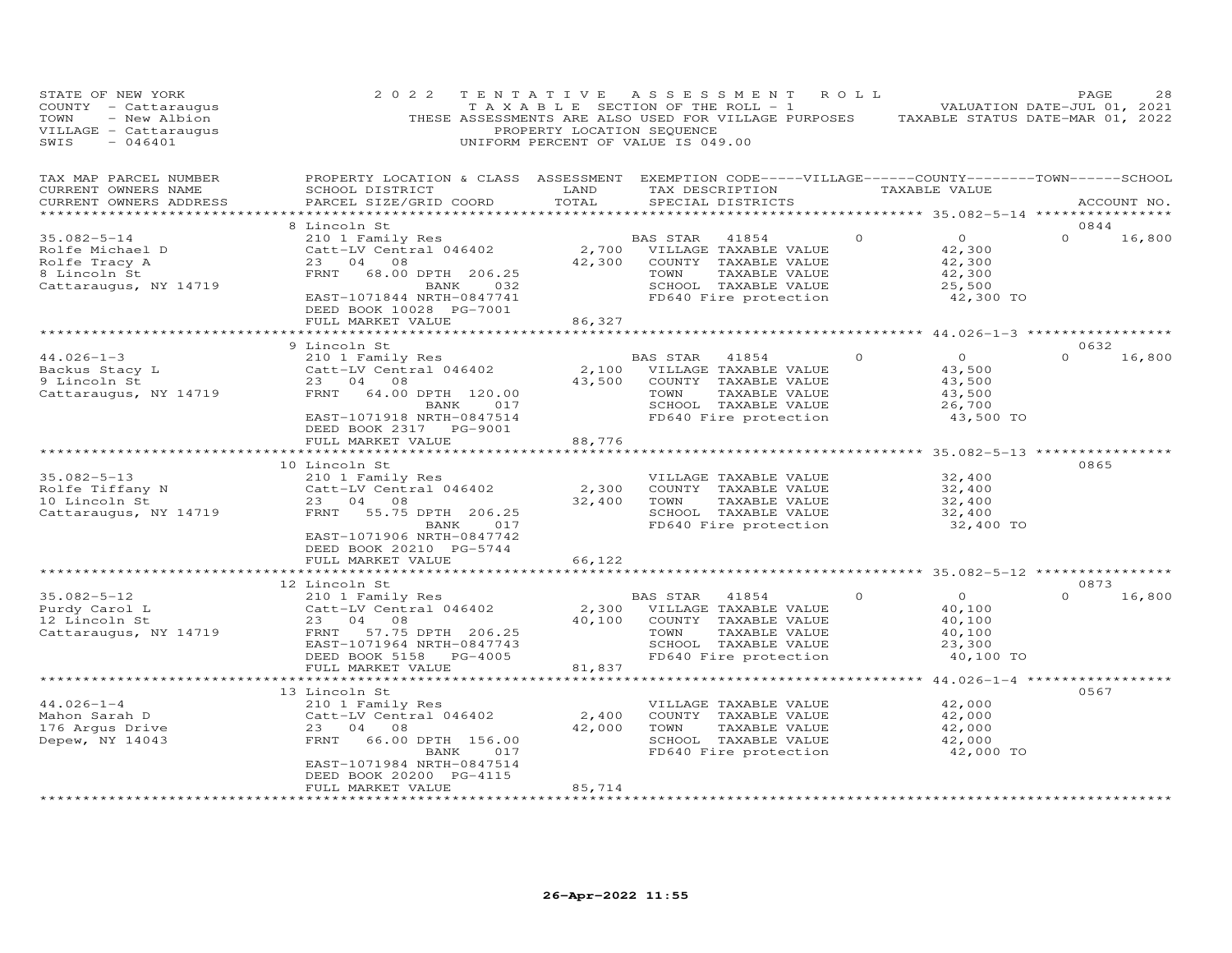| STATE OF NEW YORK<br>COUNTY - Cattaraugus<br>- New Albion<br>TOWN<br>VILLAGE - Cattaraugus<br>SWIS<br>$-046401$ | 2 0 2 2                                                                                                                                                                                       | TENTATIVE<br>PROPERTY LOCATION SEQUENCE | A S S E S S M E N T<br>T A X A B L E SECTION OF THE ROLL - 1<br>THESE ASSESSMENTS ARE ALSO USED FOR VILLAGE PURPOSES TAXABLE STATUS DATE-MAR 01, 2022<br>UNIFORM PERCENT OF VALUE IS 049.00 | ROLL     | VALUATION DATE-JUL 01, 2021                                         | PAGE             | 28          |
|-----------------------------------------------------------------------------------------------------------------|-----------------------------------------------------------------------------------------------------------------------------------------------------------------------------------------------|-----------------------------------------|---------------------------------------------------------------------------------------------------------------------------------------------------------------------------------------------|----------|---------------------------------------------------------------------|------------------|-------------|
| TAX MAP PARCEL NUMBER<br>CURRENT OWNERS NAME<br>CURRENT OWNERS ADDRESS<br>************************              | PROPERTY LOCATION & CLASS ASSESSMENT EXEMPTION CODE-----VILLAGE------COUNTY-------TOWN------SCHOOL<br>SCHOOL DISTRICT<br>PARCEL SIZE/GRID COORD                                               | LAND<br>TOTAL                           | TAX DESCRIPTION TAXABLE VALUE<br>SPECIAL DISTRICTS                                                                                                                                          |          |                                                                     |                  | ACCOUNT NO. |
|                                                                                                                 | 8 Lincoln St                                                                                                                                                                                  |                                         |                                                                                                                                                                                             |          |                                                                     | 0844             |             |
| $35.082 - 5 - 14$<br>Rolfe Michael D<br>Rolfe Tracy A<br>8 Lincoln St<br>Cattaraugus, NY 14719                  | 210 1 Family Res<br>Catt-LV Central 046402<br>23 04 08<br>FRNT 68.00 DPTH 206.25<br>BANK 032<br>EAST-1071844 NRTH-0847741<br>DEED BOOK 10028 PG-7001                                          | 42,300                                  | BAS STAR<br>41854<br>2,700 VILLAGE TAXABLE VALUE<br>COUNTY TAXABLE VALUE<br>TAXABLE VALUE<br>TOWN<br>SCHOOL TAXABLE VALUE<br>FD640 Fire protection                                          | $\circ$  | $\overline{O}$<br>42,300<br>42,300<br>42,300<br>25,500<br>42,300 TO | $\Omega$         | 16,800      |
|                                                                                                                 | FULL MARKET VALUE                                                                                                                                                                             | 86,327                                  |                                                                                                                                                                                             |          |                                                                     |                  |             |
|                                                                                                                 |                                                                                                                                                                                               |                                         |                                                                                                                                                                                             |          |                                                                     |                  |             |
| $44.026 - 1 - 3$<br>Backus Stacy L<br>9 Lincoln St<br>Cattaraugus, NY 14719                                     | 9 Lincoln St<br>210 1 Family Res<br>Catt-LV Central 046402<br>23 04 08<br>FRNT 64.00 DPTH 120.00<br>017<br>BANK<br>EAST-1071918 NRTH-0847514<br>DEED BOOK 2317 PG-9001                        | 43,500                                  | BAS STAR 41854<br>2,100 VILLAGE TAXABLE VALUE<br>COUNTY TAXABLE VALUE<br>TOWN<br>TAXABLE VALUE<br>SCHOOL TAXABLE VALUE<br>FD640 Fire protection                                             | $\Omega$ | $\overline{O}$<br>43,500<br>43,500<br>43,500<br>26,700<br>43,500 TO | 0632<br>$\Omega$ | 16,800      |
|                                                                                                                 | FULL MARKET VALUE                                                                                                                                                                             | 88,776                                  |                                                                                                                                                                                             |          |                                                                     |                  |             |
| $35.082 - 5 - 13$<br>Rolfe Tiffany N<br>10 Lincoln St<br>Cattaraugus, NY 14719                                  | 10 Lincoln St<br>210 1 Family Res<br>Catt-LV Central 046402<br>23 04 08<br>FRNT 55.75 DPTH 206.25<br>BANK<br>017<br>EAST-1071906 NRTH-0847742<br>DEED BOOK 20210 PG-5744                      | 2,300<br>32,400                         | VILLAGE TAXABLE VALUE<br>COUNTY TAXABLE VALUE<br>TOWN<br>TAXABLE VALUE<br>SCHOOL TAXABLE VALUE<br>FD640 Fire protection                                                                     |          | 32,400<br>32,400<br>32,400<br>32,400<br>32,400 TO                   | 0865             |             |
|                                                                                                                 | FULL MARKET VALUE                                                                                                                                                                             | 66,122                                  |                                                                                                                                                                                             |          |                                                                     |                  |             |
|                                                                                                                 | *******************************                                                                                                                                                               | **************                          |                                                                                                                                                                                             |          | ********************* 35.082-5-12 ****************                  |                  |             |
| $35.082 - 5 - 12$<br>Purdy Carol L<br>12 Lincoln St<br>Cattaraugus, NY 14719                                    | 12 Lincoln St<br>210 1 Family Res<br>Catt-LV Central 046402<br>23 04 08<br>57.75 DPTH 206.25<br>FRNT<br>EAST-1071964 NRTH-0847743<br>DEED BOOK 5158 PG-4005<br>FULL MARKET VALUE              | 2,300<br>81,837                         | BAS STAR<br>41854<br>VILLAGE TAXABLE VALUE<br>40,100 COUNTY TAXABLE VALUE<br>TOWN<br>TAXABLE VALUE<br>SCHOOL TAXABLE VALUE<br>FD640 Fire protection                                         | $\Omega$ | $\Omega$<br>40,100<br>40,100<br>40,100<br>23,300<br>40,100 TO       | 0873<br>$\Omega$ | 16,800      |
|                                                                                                                 | ********************                                                                                                                                                                          |                                         |                                                                                                                                                                                             |          | ************* 44.026-1-4 *****************                          |                  |             |
| $44.026 - 1 - 4$<br>Mahon Sarah D<br>176 Arqus Drive<br>Depew, NY 14043                                         | 13 Lincoln St<br>210 1 Family Res<br>Catt-LV Central 046402<br>23 04 08<br>FRNT 66.00 DPTH 156.00<br>BANK<br>017<br>EAST-1071984 NRTH-0847514<br>DEED BOOK 20200 PG-4115<br>FULL MARKET VALUE | 2,400<br>42,000<br>85,714               | VILLAGE TAXABLE VALUE<br>COUNTY TAXABLE VALUE<br>TOWN<br>TAXABLE VALUE<br>SCHOOL TAXABLE VALUE<br>FD640 Fire protection                                                                     |          | 42,000<br>42,000<br>42,000<br>42,000<br>42,000 TO                   | 0567             |             |
| ************************                                                                                        |                                                                                                                                                                                               |                                         |                                                                                                                                                                                             |          |                                                                     |                  |             |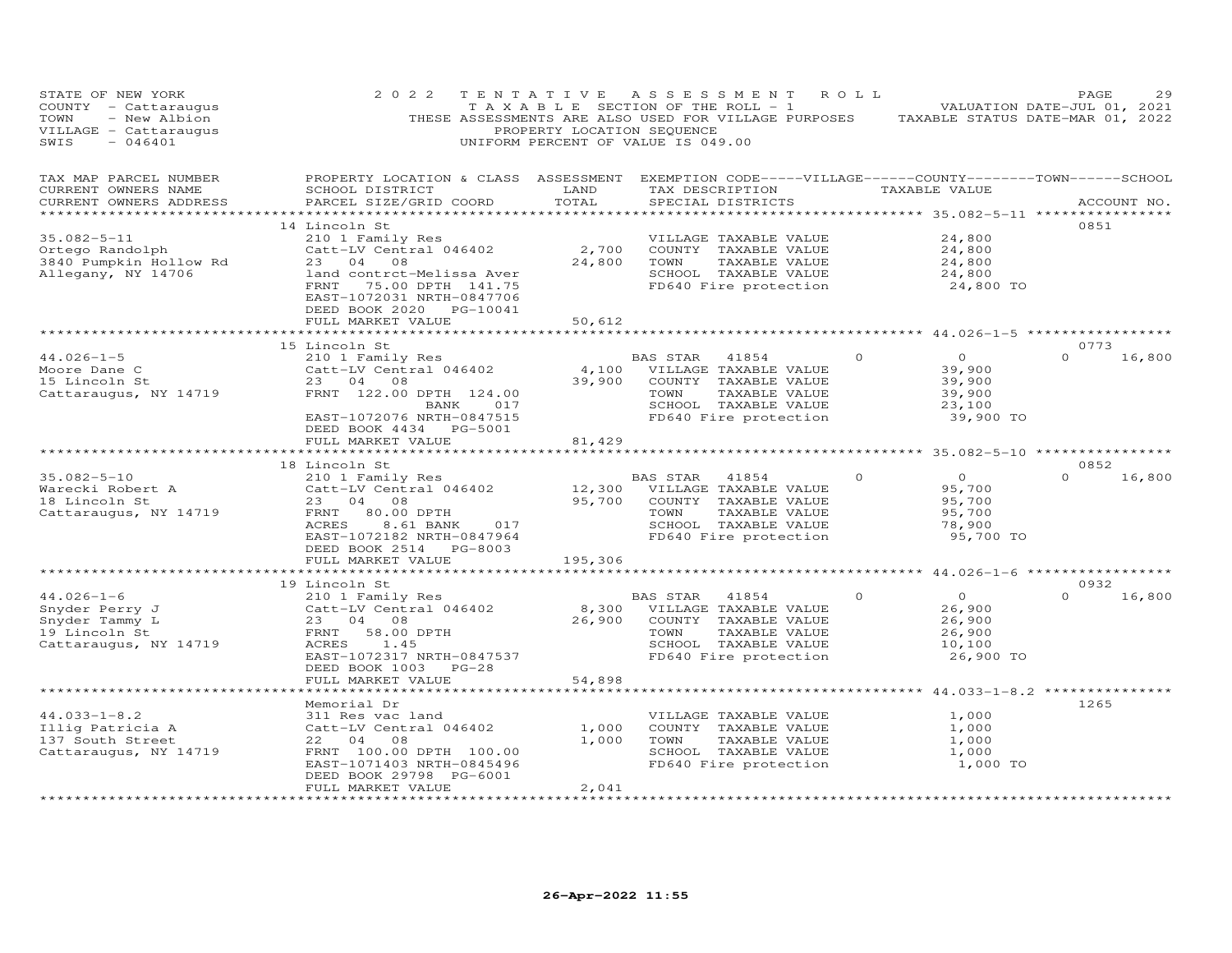| PROPERTY LOCATION & CLASS ASSESSMENT EXEMPTION CODE-----VILLAGE------COUNTY-------TOWN------SCHOOL<br>ACCOUNT NO.<br>0851 |
|---------------------------------------------------------------------------------------------------------------------------|
|                                                                                                                           |
|                                                                                                                           |
|                                                                                                                           |
| 0773<br>16,800                                                                                                            |
|                                                                                                                           |
| 0852                                                                                                                      |
| 16,800                                                                                                                    |
|                                                                                                                           |
| 0932<br>16,800                                                                                                            |
|                                                                                                                           |
| *************** $44.033 - 1 - 8.2$ *************<br>1265                                                                  |
|                                                                                                                           |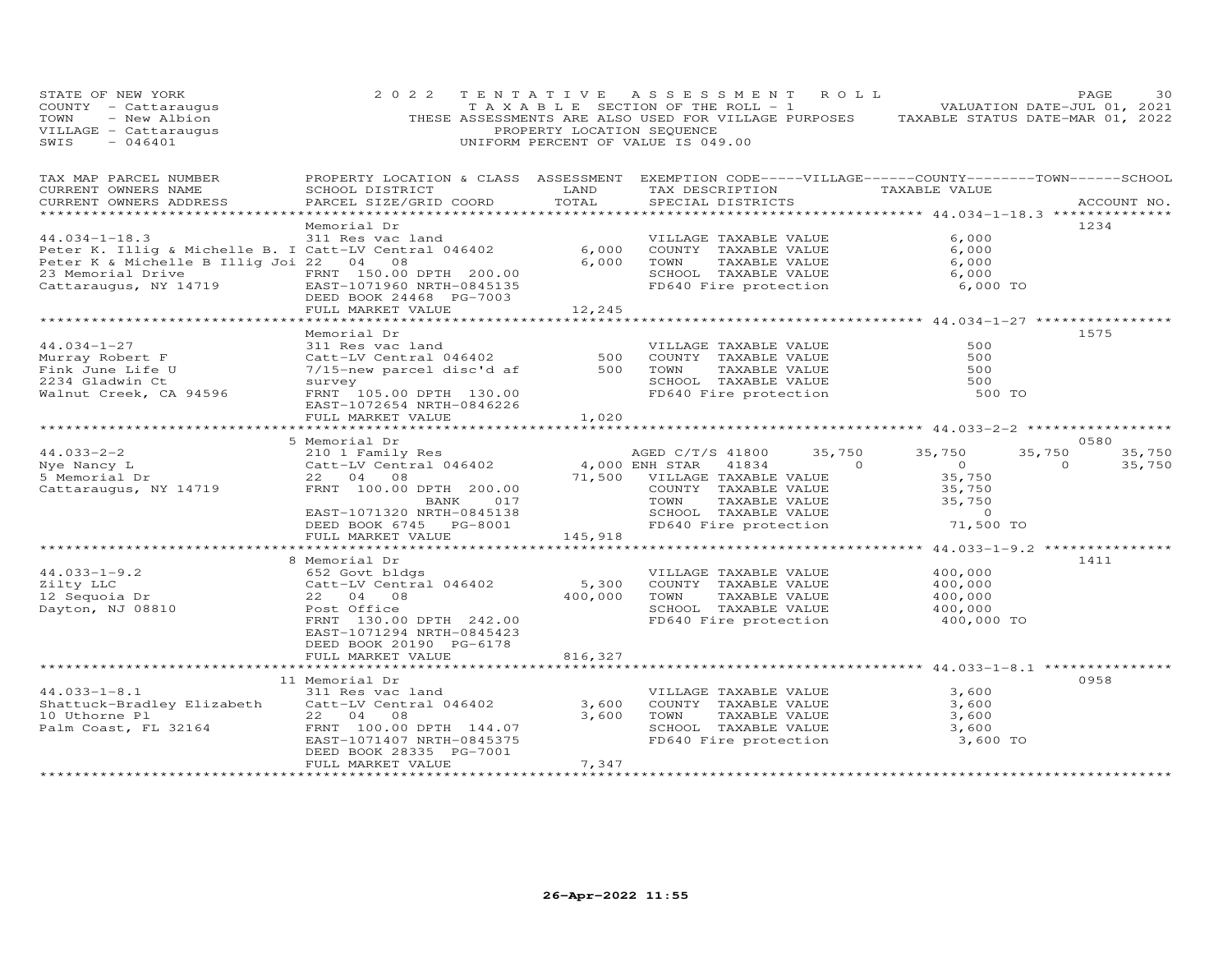| STATE OF NEW YORK<br>COUNTY - Cattaraugus<br>- New Albion<br>TOWN<br>VILLAGE - Cattaraugus<br>SWIS<br>$-046401$                                                                                                           | 2 0 2 2                                                                                                                                                                                                   | PROPERTY LOCATION SEQUENCE | TENTATIVE ASSESSMENT ROLL<br>T A X A B L E SECTION OF THE ROLL - 1<br>THESE ASSESSMENTS ARE ALSO USED FOR VILLAGE PURPOSES TAXABLE STATUS DATE-MAR 01, 2022<br>UNIFORM PERCENT OF VALUE IS 049.00                                                                                                                                                                                                                                                                                                                |                                                                                       | PAGE<br>30<br>VALUATION DATE-JUL 01, 2021    |
|---------------------------------------------------------------------------------------------------------------------------------------------------------------------------------------------------------------------------|-----------------------------------------------------------------------------------------------------------------------------------------------------------------------------------------------------------|----------------------------|------------------------------------------------------------------------------------------------------------------------------------------------------------------------------------------------------------------------------------------------------------------------------------------------------------------------------------------------------------------------------------------------------------------------------------------------------------------------------------------------------------------|---------------------------------------------------------------------------------------|----------------------------------------------|
| TAX MAP PARCEL NUMBER<br>CURRENT OWNERS NAME<br>CURRENT OWNERS ADDRESS                                                                                                                                                    | PROPERTY LOCATION & CLASS ASSESSMENT EXEMPTION CODE-----VILLAGE------COUNTY--------TOWN------SCHOOL<br>SCHOOL DISTRICT<br>PARCEL SIZE/GRID COORD                                                          | LAND<br>TOTAL              | TAX DESCRIPTION TAXABLE VALUE<br>SPECIAL DISTRICTS                                                                                                                                                                                                                                                                                                                                                                                                                                                               |                                                                                       | ACCOUNT NO.                                  |
| $44.034 - 1 - 18.3$<br>Peter K. Illig & Michelle B. I Catt-LV Central 046402<br>Peter K & Michelle B Illig Joi 22 04 08<br>23 Memorial Drive<br>Cattaraugus, NY 14719<br>Cattaraugus, NY 14719<br>DEED BOOK 24468 PG-7003 | Memorial Dr<br>311 Res vac land<br>DEED BOOK 24468 PG-7003<br>FULL MARKET VALUE                                                                                                                           | 6,000<br>6,000<br>12,245   | VILLAGE TAXABLE VALUE<br>COUNTY TAXABLE VALUE<br>TOWN<br>TAXABLE VALUE<br>SCHOOL TAXABLE VALUE<br>FD640 Fire protection                                                                                                                                                                                                                                                                                                                                                                                          | 6,000<br>6,000<br>6,000<br>6,000<br>6,000 TO                                          | 1234                                         |
| $44.034 - 1 - 27$<br>Murray Robert F<br>Fink June Life U<br>2234 Gladwin Ct<br>Walnut Creek, CA 94596                                                                                                                     | Memorial Dr<br>311 Res vac land<br>Catt-LV Central 046402<br>7/15-new parcel disc'd af<br>survey<br>FRNT 105.00 DPTH 130.00<br>EAST-1072654 NRTH-0846226<br>FULL MARKET VALUE<br>************************ | 500<br>500<br>1,020        | VILLAGE TAXABLE VALUE<br>COUNTY TAXABLE VALUE<br>TOWN<br>TAXABLE VALUE<br>SCHOOL TAXABLE VALUE<br>FD640 Fire protection                                                                                                                                                                                                                                                                                                                                                                                          | 500<br>500<br>500<br>500<br>500 TO                                                    | 1575                                         |
|                                                                                                                                                                                                                           | 5 Memorial Dr                                                                                                                                                                                             | ***********                |                                                                                                                                                                                                                                                                                                                                                                                                                                                                                                                  | ************************ 44.033-2-2 *****************                                 | 0580                                         |
| $44.033 - 2 - 2$<br>Nye Nancy L<br>5 Memorial Dr<br>Cattaraugus, NY 14719                                                                                                                                                 | 210 1 Family Res<br>Catt-LV Central 046402<br>22 04 08<br>FRNT 100.00 DPTH 200.00<br>017<br>BANK<br>EAST-1071320 NRTH-0845138<br>DEED BOOK 6745 PG-8001                                                   |                            | AGED C/T/S 41800<br>4,000 ENH STAR<br>$\overline{a}$ and $\overline{a}$ and $\overline{a}$ and $\overline{a}$ and $\overline{a}$ and $\overline{a}$ and $\overline{a}$ and $\overline{a}$ and $\overline{a}$ and $\overline{a}$ and $\overline{a}$ and $\overline{a}$ and $\overline{a}$ and $\overline{a}$ and $\overline{a}$ and $\overline{a}$ and $\overline{a}$ and<br>41834<br>71,500 VILLAGE TAXABLE VALUE<br>COUNTY TAXABLE VALUE<br>TOWN TAXABLE VALUE<br>SCHOOL TAXABLE VALUE<br>FD640 Fire protection | 35,750<br>35,750<br>$\bigcirc$<br>35,750<br>35,750<br>35,750<br>$\sim$ 0<br>71,500 TO | 35,750<br>35,750<br>$\overline{0}$<br>35,750 |
|                                                                                                                                                                                                                           | FULL MARKET VALUE                                                                                                                                                                                         | 145,918                    |                                                                                                                                                                                                                                                                                                                                                                                                                                                                                                                  | ************** 44.033-1-9.2 *************                                             |                                              |
| $44.033 - 1 - 9.2$<br>Zilty LLC<br>aiity mhu<br>12 Sequoia Dr<br>Dayton, NJ 08810                                                                                                                                         | 8 Memorial Dr<br>652 Govt bldgs<br>Catt-LV Central 046402<br>22 04 08<br>Post Office<br>FRNT 130.00 DPTH 242.00<br>EAST-1071294 NRTH-0845423<br>DEED BOOK 20190 PG-6178                                   | 5,300<br>400,000           | VILLAGE TAXABLE VALUE<br>COUNTY TAXABLE VALUE<br>TOWN<br>TAXABLE VALUE<br>SCHOOL TAXABLE VALUE<br>FD640 Fire protection                                                                                                                                                                                                                                                                                                                                                                                          | 400,000<br>400,000<br>400,000<br>400,000<br>400,000 TO                                | 1411                                         |
|                                                                                                                                                                                                                           | FULL MARKET VALUE                                                                                                                                                                                         | 816,327                    |                                                                                                                                                                                                                                                                                                                                                                                                                                                                                                                  |                                                                                       |                                              |
| $44.033 - 1 - 8.1$<br>Shattuck-Bradley Elizabeth<br>10 Uthorne Pl<br>Palm Coast, FL 32164                                                                                                                                 | 11 Memorial Dr<br>311 Res vac land<br>Catt-LV Central 046402<br>22 04 08<br>FRNT 100.00 DPTH 144.07<br>EAST-1071407 NRTH-0845375<br>DEED BOOK 28335 PG-7001<br>FULL MARKET VALUE                          | 3,600<br>3,600<br>7,347    | VILLAGE TAXABLE VALUE<br>COUNTY TAXABLE VALUE<br>TOWN<br>TAXABLE VALUE<br>SCHOOL TAXABLE VALUE<br>FD640 Fire protection                                                                                                                                                                                                                                                                                                                                                                                          | 3,600<br>3,600<br>3,600<br>3,600<br>3,600 TO                                          | 0958                                         |
|                                                                                                                                                                                                                           | **************************                                                                                                                                                                                | ******************         |                                                                                                                                                                                                                                                                                                                                                                                                                                                                                                                  |                                                                                       |                                              |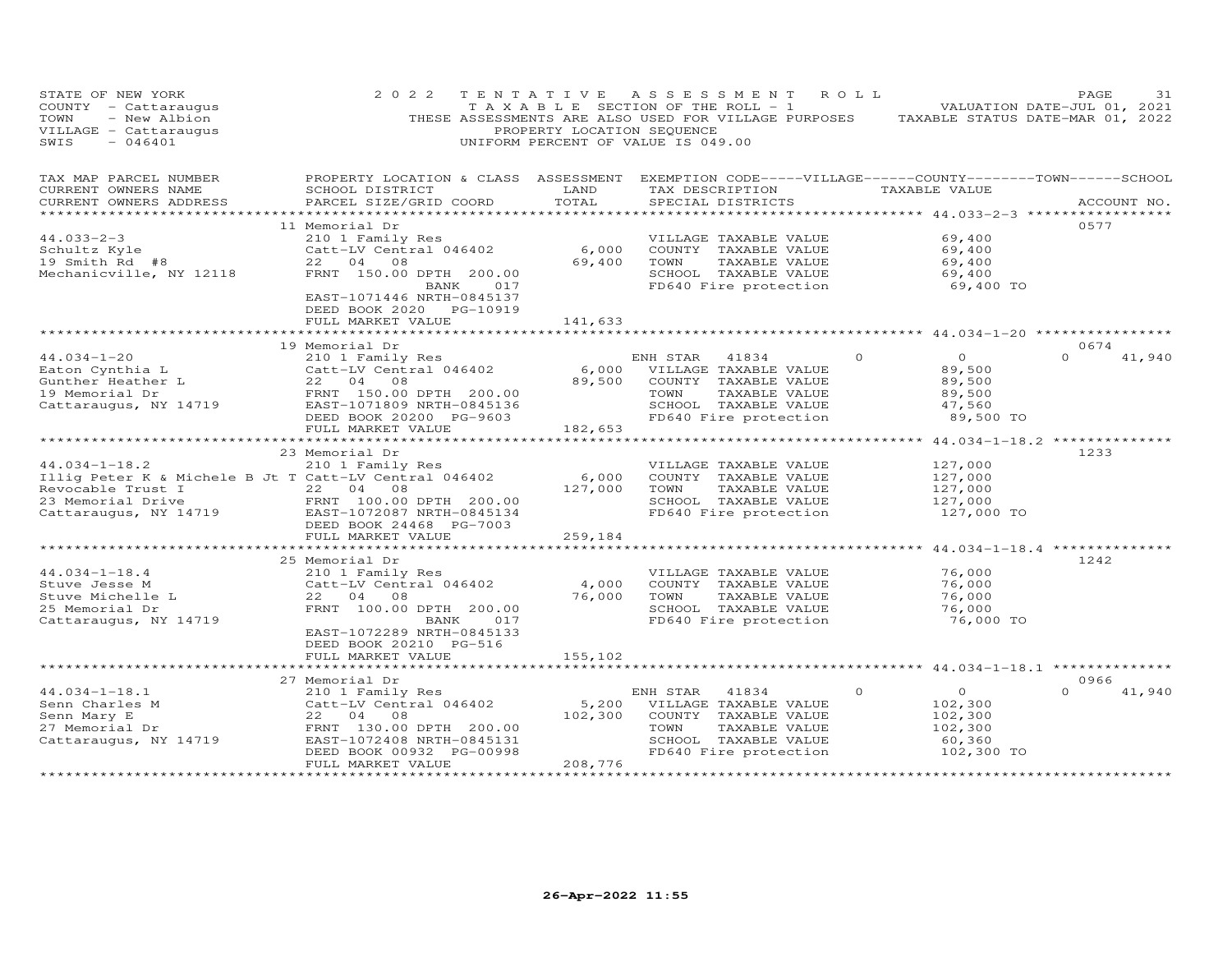| STATE OF NEW YORK<br>COUNTY - Cattaraugus<br>TOWN<br>- New Albion<br>VILLAGE - Cattaraugus<br>$-046401$<br>SWIS                                                                                                                        | 2 0 2 2                                                                                                                                                                                        |                                              | TENTATIVE ASSESSMENT ROLL<br>T A X A B L E SECTION OF THE ROLL - 1<br>THESE ASSESSMENTS ARE ALSO USED FOR VILLAGE PURPOSES TAXABLE STATUS DATE-MAR 01, 2022<br>PROPERTY LOCATION SEQUENCE<br>UNIFORM PERCENT OF VALUE IS 049.00 |                                                                                                  | PAGE<br>31<br>VALUATION DATE-JUL 01, 2021 |
|----------------------------------------------------------------------------------------------------------------------------------------------------------------------------------------------------------------------------------------|------------------------------------------------------------------------------------------------------------------------------------------------------------------------------------------------|----------------------------------------------|---------------------------------------------------------------------------------------------------------------------------------------------------------------------------------------------------------------------------------|--------------------------------------------------------------------------------------------------|-------------------------------------------|
| TAX MAP PARCEL NUMBER<br>CURRENT OWNERS NAME<br>CURRENT OWNERS ADDRESS                                                                                                                                                                 | PROPERTY LOCATION & CLASS ASSESSMENT EXEMPTION CODE-----VILLAGE------COUNTY--------TOWN------SCHOOL<br>SCHOOL DISTRICT<br>PARCEL SIZE/GRID COORD                                               | LAND<br>TOTAL<br>*************               | TAX DESCRIPTION<br>SPECIAL DISTRICTS                                                                                                                                                                                            | TAXABLE VALUE<br>********** 44.033-2-3 ***************                                           | ACCOUNT NO.                               |
| $44.033 - 2 - 3$<br>Schultz Kyle<br>19 Smith Rd #8<br>Mechanicville, NY 12118                                                                                                                                                          | 11 Memorial Dr<br>210 1 Family Res<br>Catt-LV Central 046402<br>22 04 08<br>FRNT 150.00 DPTH 200.00<br>BANK<br>017<br>EAST-1071446 NRTH-0845137                                                | 6,000<br>69,400                              | VILLAGE TAXABLE VALUE<br>COUNTY TAXABLE VALUE<br>TAXABLE VALUE<br>TOWN<br>SCHOOL TAXABLE VALUE<br>FD640 Fire protection                                                                                                         | 69,400<br>69,400<br>69,400<br>69,400<br>69,400 TO                                                | 0577                                      |
|                                                                                                                                                                                                                                        | DEED BOOK 2020 PG-10919<br>FULL MARKET VALUE                                                                                                                                                   | 141,633<br>************                      |                                                                                                                                                                                                                                 | ******************************44.034-1-20 ******************                                     | 0674                                      |
| $44.034 - 1 - 20$<br>Eaton Cynthia L<br>Gunther Heather L<br>19 Memorial Dr<br>19 Memorial Dr<br>Cattaraugus, NY 14719                                                                                                                 | 19 Memorial Dr<br>210 1 Family Res<br>Catt-LV Central 046402<br>22 04 08<br>FRNT 150.00 DPTH 200.00<br>EAST-1071809 NRTH-0845136<br>DEED BOOK 20200 PG-9603<br>FULL MARKET VALUE               | 89,500<br>182,653                            | ENH STAR<br>41834<br>6,000 VILLAGE TAXABLE VALUE<br>COUNTY TAXABLE VALUE<br>TOWN<br>TAXABLE VALUE<br>SCHOOL TAXABLE VALUE<br>FD640 Fire protection                                                                              | $\Omega$<br>$\circ$<br>89,500<br>89,500<br>89,500<br>47,560<br>89,500 TO                         | $\Omega$<br>41,940                        |
| $44.034 - 1 - 18.2$<br>Illig Peter K & Michele B Jt T Catt-LV Central 046402<br>Revocable Trust I and 22 04 08<br>23 Memorial Drive               FRNT 100.00 DPTH 200.00<br>Cattaraugus, NY 14719           EAST-1072087 NRTH-0845134 | ********************<br>23 Memorial Dr<br>210 1 Family Res<br>DEED BOOK 24468 PG-7003                                                                                                          | 6,000<br>127,000                             | VILLAGE TAXABLE VALUE<br>COUNTY TAXABLE VALUE<br>TOWN<br>TAXABLE VALUE<br>SCHOOL TAXABLE VALUE<br>FD640 Fire protection                                                                                                         | ********** 44.034-1-18.2 *************<br>127,000<br>127,000<br>127,000<br>127,000<br>127,000 TO | 1233                                      |
| $44.034 - 1 - 18.4$<br>Stuve Jesse M<br>Stuve Michelle L<br>25 Memorial Dr<br>Cattaraugus, NY 14719                                                                                                                                    | FULL MARKET VALUE<br>**********************<br>25 Memorial Dr<br>210 1 Family Res<br>Catt-LV Central 046402<br>22 04 08<br>FRNT 100.00 DPTH 200.00<br>BANK<br>017<br>EAST-1072289 NRTH-0845133 | 259,184<br>**************<br>4,000<br>76,000 | VILLAGE TAXABLE VALUE<br>COUNTY TAXABLE VALUE<br>TOWN<br>TAXABLE VALUE<br>SCHOOL TAXABLE VALUE<br>FD640 Fire protection                                                                                                         | 76,000<br>76,000<br>76,000<br>76,000<br>76,000 TO                                                | 1242                                      |
|                                                                                                                                                                                                                                        | DEED BOOK 20210 PG-516<br>FULL MARKET VALUE<br>**********************<br>27 Memorial Dr                                                                                                        | 155,102                                      |                                                                                                                                                                                                                                 | *********** 44.034-1-18.1 **************                                                         | 0966                                      |
| $44.034 - 1 - 18.1$<br>Senn Charles M<br>Senn Mary E<br>27 Memorial Dr<br>Cattaraugus, NY 14719                                                                                                                                        | 210 1 Family Res<br>Catt-LV Central 046402<br>22 04 08<br>FRNT 130.00 DPTH 200.00<br>EAST-1072408 NRTH-0845131<br>DEED BOOK 00932 PG-00998<br>FULL MARKET VALUE<br>***********************     | 5,200<br>102,300<br>208,776                  | ENH STAR<br>41834<br>VILLAGE TAXABLE VALUE<br>COUNTY TAXABLE VALUE<br>TOWN<br>TAXABLE VALUE<br>SCHOOL TAXABLE VALUE<br>FD640 Fire protection                                                                                    | $\Omega$<br>$\circ$<br>102,300<br>102,300<br>102,300<br>60,360<br>102,300 TO                     | $\cap$<br>41,940                          |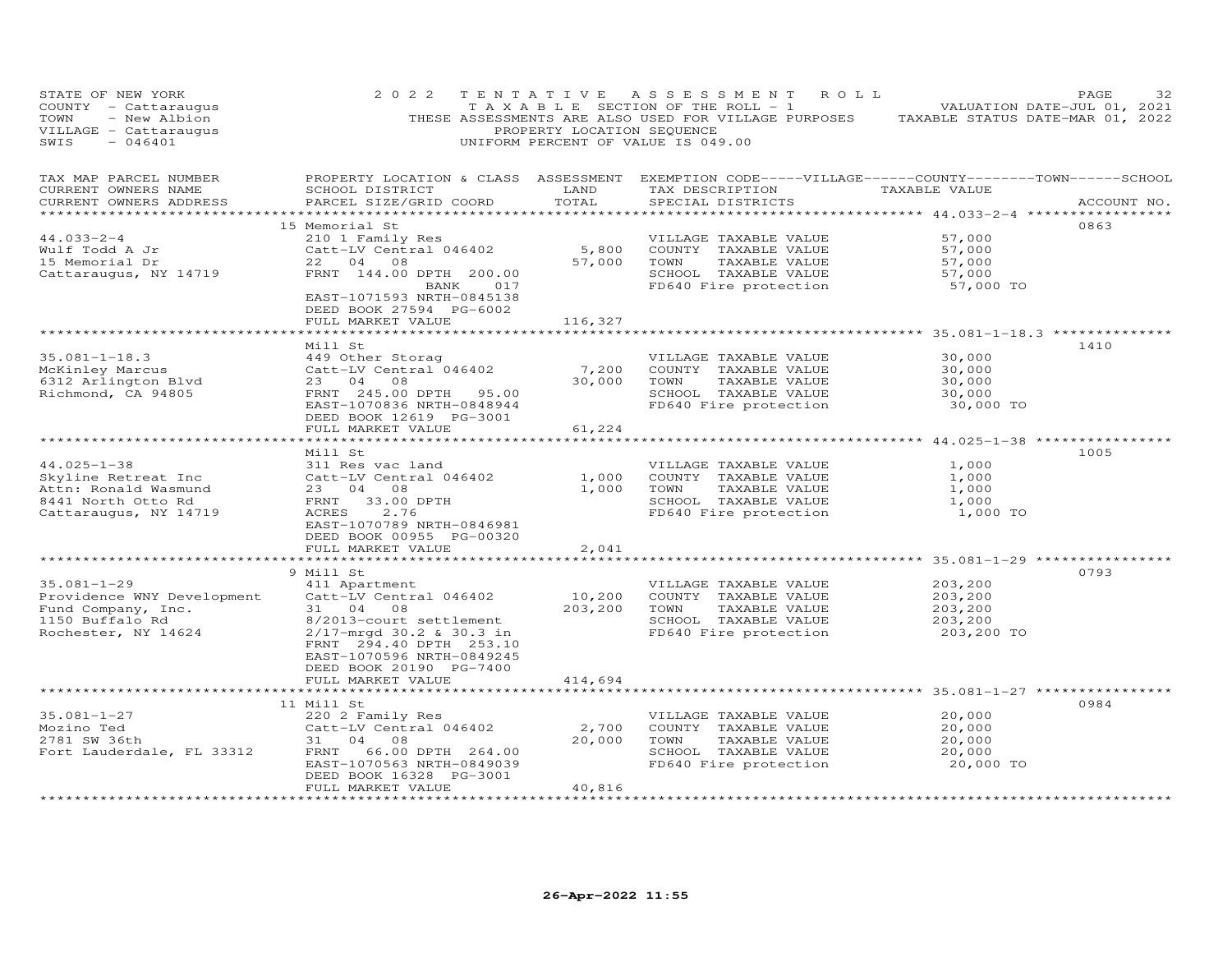| STATE OF NEW YORK<br>COUNTY - Cattaraugus<br>TOWN<br>- New Albion<br>VILLAGE - Cattaraugus<br>SWIS<br>$-046401$ | 2 0 2 2                                                                                                                                                                                                    | TENTATIVE<br>PROPERTY LOCATION SEQUENCE         | A S S E S S M E N T<br>ROLL<br>T A X A B L E SECTION OF THE ROLL - 1<br>THESE ASSESSMENTS ARE ALSO USED FOR VILLAGE PURPOSES TAXABLE STATUS DATE-MAR 01, 2022<br>UNIFORM PERCENT OF VALUE IS 049.00 |                                                                                                   | PAGE<br>32<br>VALUATION DATE-JUL 01, 2021 |
|-----------------------------------------------------------------------------------------------------------------|------------------------------------------------------------------------------------------------------------------------------------------------------------------------------------------------------------|-------------------------------------------------|-----------------------------------------------------------------------------------------------------------------------------------------------------------------------------------------------------|---------------------------------------------------------------------------------------------------|-------------------------------------------|
| TAX MAP PARCEL NUMBER<br>CURRENT OWNERS NAME<br>CURRENT OWNERS ADDRESS                                          | SCHOOL DISTRICT<br>PARCEL SIZE/GRID COORD                                                                                                                                                                  | LAND<br>TOTAL                                   | PROPERTY LOCATION & CLASS ASSESSMENT EXEMPTION CODE-----VILLAGE------COUNTY-------TOWN------SCHOOL<br>TAX DESCRIPTION<br>SPECIAL DISTRICTS                                                          | TAXABLE VALUE                                                                                     | ACCOUNT NO.                               |
| $44.033 - 2 - 4$<br>Wulf Todd A Jr<br>15 Memorial Dr<br>Cattaraugus, NY 14719                                   | 15 Memorial St<br>210 1 Family Res<br>Catt-LV Central 046402<br>22 04 08<br>FRNT 144.00 DPTH 200.00<br>BANK 017<br>EAST-1071593 NRTH-0845138<br>DEED BOOK 27594 PG-6002<br>FULL MARKET VALUE               | 57,000<br>116,327                               | VILLAGE TAXABLE VALUE<br>5,800 COUNTY TAXABLE VALUE<br>TOWN<br>TAXABLE VALUE<br>SCHOOL TAXABLE VALUE<br>FD640 Fire protection                                                                       | 57,000<br>57,000<br>57,000<br>57,000<br>57,000 TO                                                 | 0863                                      |
| $35.081 - 1 - 18.3$<br>McKinley Marcus<br>6312 Arlington Blvd<br>Richmond Ca. 94995<br>Richmond, CA 94805       | *********************************<br>Mill St<br>449 Other Storag<br>Catt-LV Central 046402<br>23 04 08<br>FRNT 245.00 DPTH 95.00<br>EAST-1070836 NRTH-0848944<br>DEED BOOK 12619 PG-3001                   | 7,200<br>30,000                                 | VILLAGE TAXABLE VALUE<br>COUNTY TAXABLE VALUE<br>TOWN<br>TAXABLE VALUE<br>SCHOOL TAXABLE VALUE<br>FD640 Fire protection                                                                             | 30,000<br>30,000<br>30,000<br>30,000<br>30,000 TO                                                 | 1410                                      |
|                                                                                                                 | FULL MARKET VALUE<br>*******************                                                                                                                                                                   | 61,224                                          |                                                                                                                                                                                                     | ********************* 44.025-1-38 ****************                                                |                                           |
| $44.025 - 1 - 38$<br>Skyline Retreat Inc<br>Attn: Ronald Wasmund<br>8441 North Otto Rd<br>Cattaraugus, NY 14719 | Mill St<br>311 Res vac land<br>Catt-LV Central 046402<br>23 04 08<br>33.00 DPTH<br>FRNT<br>ACRES<br>2.76<br>EAST-1070789 NRTH-0846981<br>DEED BOOK 00955 PG-00320<br>FULL MARKET VALUE                     | 1,000<br>1,000<br>2,041                         | VILLAGE TAXABLE VALUE<br>COUNTY TAXABLE VALUE<br>TOWN<br>TAXABLE VALUE<br>SCHOOL TAXABLE VALUE<br>FD640 Fire protection                                                                             | 1,000<br>1,000<br>1,000<br>1,000<br>1,000 TO                                                      | 1005                                      |
|                                                                                                                 | *********************                                                                                                                                                                                      |                                                 | ************************************* 35.081-1-29 *************                                                                                                                                     |                                                                                                   |                                           |
| $35.081 - 1 - 29$<br>Providence WNY Development<br>Fund Company, Inc.<br>1150 Buffalo Rd<br>Rochester, NY 14624 | 9 Mill St<br>411 Apartment<br>Catt-LV Central 046402<br>31 04 08<br>8/2013-court settlement<br>2/17-mrgd 30.2 & 30.3 in<br>FRNT 294.40 DPTH 253.10<br>EAST-1070596 NRTH-0849245<br>DEED BOOK 20190 PG-7400 | 10,200<br>203,200                               | VILLAGE TAXABLE VALUE<br>COUNTY TAXABLE VALUE<br>TOWN<br>TAXABLE VALUE<br>SCHOOL TAXABLE VALUE<br>FD640 Fire protection                                                                             | 203,200<br>203,200<br>203,200<br>203,200<br>203,200 TO                                            | 0793                                      |
|                                                                                                                 | FULL MARKET VALUE<br>**************************                                                                                                                                                            | 414,694                                         |                                                                                                                                                                                                     |                                                                                                   |                                           |
| $35.081 - 1 - 27$<br>Mozino Ted<br>2781 SW 36th<br>Fort Lauderdale, FL 33312<br>**********************          | 11 Mill St<br>220 2 Family Res<br>Catt-LV Central 046402<br>31 04 08<br>FRNT 66.00 DPTH 264.00<br>EAST-1070563 NRTH-0849039<br>DEED BOOK 16328 PG-3001<br>FULL MARKET VALUE<br>***********************     | 2,700<br>20,000<br>40,816<br>****************** | VILLAGE TAXABLE VALUE<br>COUNTY TAXABLE VALUE<br>TOWN<br>TAXABLE VALUE<br>SCHOOL TAXABLE VALUE<br>FD640 Fire protection                                                                             | ***************** 35.081-1-27 **************<br>20,000<br>20,000<br>20,000<br>20,000<br>20,000 TO | 0984                                      |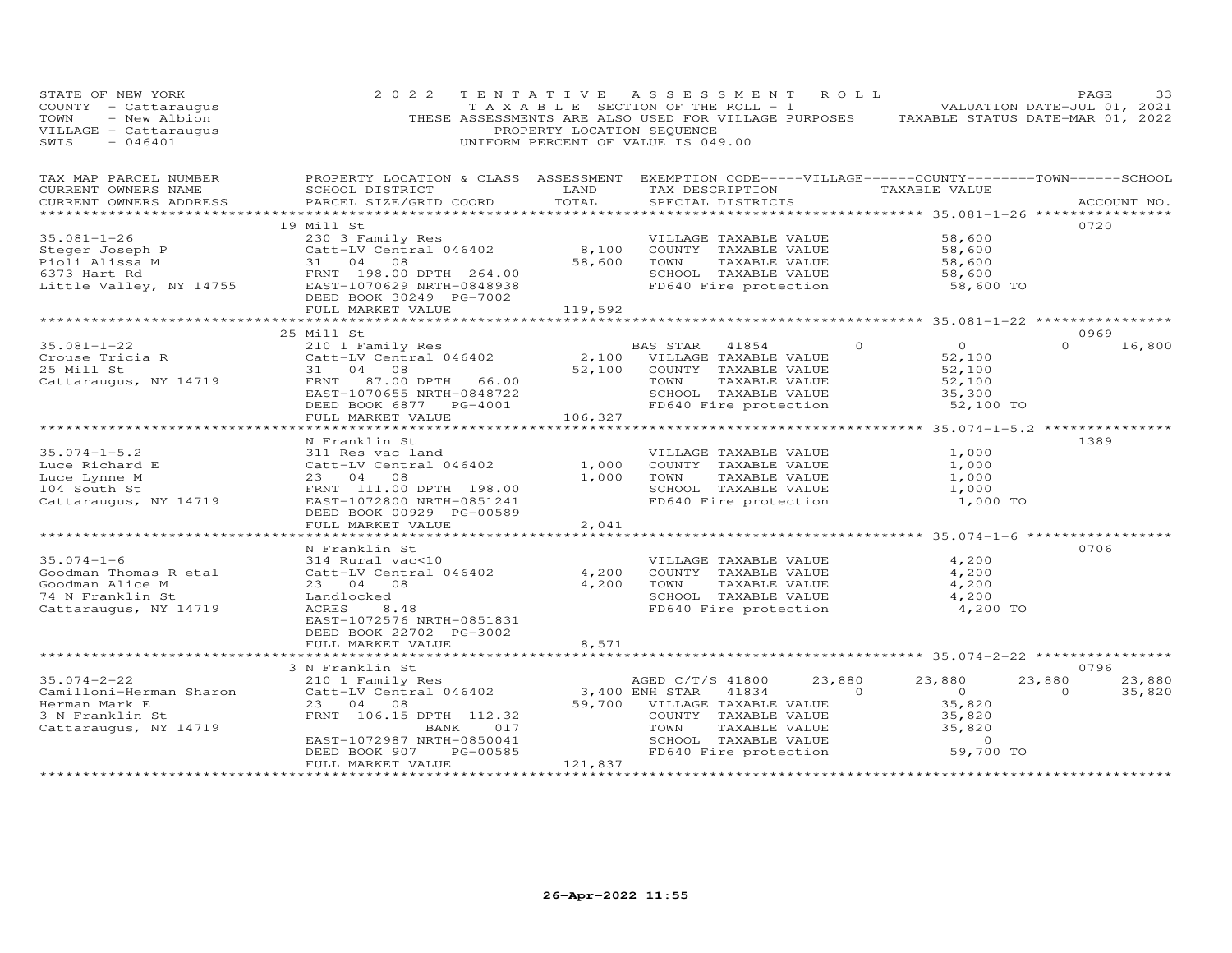| STATE OF NEW YORK<br>COUNTY - Cattaraugus<br>- New Albion<br>TOWN<br>VILLAGE - Cattaraugus<br>SWIS<br>$-046401$ | 2 0 2 2                                                                                                                                          | PROPERTY LOCATION SEQUENCE | TENTATIVE ASSESSMENT<br>T A X A B L E SECTION OF THE ROLL - 1<br>THESE ASSESSMENTS ARE ALSO USED FOR VILLAGE PURPOSES TAXABLE STATUS DATE-MAR 01, 2022<br>UNIFORM PERCENT OF VALUE IS 049.00 | R O L L          | VALUATION DATE-JUL 01, 2021                    | PAGE<br>33  |
|-----------------------------------------------------------------------------------------------------------------|--------------------------------------------------------------------------------------------------------------------------------------------------|----------------------------|----------------------------------------------------------------------------------------------------------------------------------------------------------------------------------------------|------------------|------------------------------------------------|-------------|
| TAX MAP PARCEL NUMBER<br>CURRENT OWNERS NAME<br>CURRENT OWNERS ADDRESS                                          | PROPERTY LOCATION & CLASS ASSESSMENT EXEMPTION CODE-----VILLAGE------COUNTY--------TOWN------SCHOOL<br>SCHOOL DISTRICT<br>PARCEL SIZE/GRID COORD | LAND<br>TOTAL              | TAX DESCRIPTION<br>SPECIAL DISTRICTS                                                                                                                                                         | TAXABLE VALUE    |                                                | ACCOUNT NO. |
|                                                                                                                 | 19 Mill St                                                                                                                                       |                            |                                                                                                                                                                                              |                  |                                                | 0720        |
| $35.081 - 1 - 26$                                                                                               | 230 3 Family Res                                                                                                                                 |                            | VILLAGE TAXABLE VALUE                                                                                                                                                                        |                  | 58,600                                         |             |
| Steger Joseph P                                                                                                 | Catt-LV Central 046402                                                                                                                           | 8,100                      | COUNTY TAXABLE VALUE                                                                                                                                                                         |                  | 58,600                                         |             |
| Pioli Alissa M                                                                                                  | 31 04 08                                                                                                                                         | 58,600                     | TOWN<br>TAXABLE VALUE                                                                                                                                                                        |                  | 58,600                                         |             |
| 6373 Hart Rd<br>Little Valley, NY 14755                                                                         | FRNT 198.00 DPTH 264.00<br>EAST-1070629 NRTH-0848938                                                                                             |                            | SCHOOL TAXABLE VALUE<br>FD640 Fire protection                                                                                                                                                |                  | 58,600<br>58,600 TO                            |             |
|                                                                                                                 | DEED BOOK 30249 PG-7002                                                                                                                          |                            |                                                                                                                                                                                              |                  |                                                |             |
|                                                                                                                 | FULL MARKET VALUE                                                                                                                                | 119,592                    |                                                                                                                                                                                              |                  |                                                |             |
|                                                                                                                 |                                                                                                                                                  |                            |                                                                                                                                                                                              |                  |                                                |             |
|                                                                                                                 | 25 Mill St                                                                                                                                       |                            |                                                                                                                                                                                              |                  |                                                | 0969        |
| $35.081 - 1 - 22$                                                                                               | 210 1 Family Res                                                                                                                                 |                            | BAS STAR<br>41854                                                                                                                                                                            | $\circ$          | $\overline{O}$<br>$\Omega$                     | 16,800      |
| Crouse Tricia R<br>25 Mill St                                                                                   | Catt-LV Central 046402<br>31 04 08                                                                                                               | 2,100<br>52,100            | VILLAGE TAXABLE VALUE<br>COUNTY TAXABLE VALUE                                                                                                                                                |                  | 52,100<br>52,100                               |             |
| Cattaraugus, NY 14719                                                                                           | FRNT 87.00 DPTH 66.00                                                                                                                            |                            | TOWN<br>TAXABLE VALUE                                                                                                                                                                        |                  | 52,100                                         |             |
|                                                                                                                 | EAST-1070655 NRTH-0848722                                                                                                                        |                            | SCHOOL TAXABLE VALUE                                                                                                                                                                         |                  | 35,300                                         |             |
|                                                                                                                 | DEED BOOK 6877 PG-4001                                                                                                                           |                            | FD640 Fire protection                                                                                                                                                                        |                  | 52,100 TO                                      |             |
|                                                                                                                 | FULL MARKET VALUE                                                                                                                                | 106,327                    |                                                                                                                                                                                              |                  |                                                |             |
|                                                                                                                 |                                                                                                                                                  |                            |                                                                                                                                                                                              |                  | ****************** 35.074-1-5.2 ************** |             |
|                                                                                                                 | N Franklin St                                                                                                                                    |                            |                                                                                                                                                                                              |                  |                                                | 1389        |
| $35.074 - 1 - 5.2$<br>Luce Richard E                                                                            | 311 Res vac land<br>Catt-LV Central 046402                                                                                                       | 1,000                      | VILLAGE TAXABLE VALUE<br>COUNTY TAXABLE VALUE                                                                                                                                                |                  | 1,000<br>1,000                                 |             |
| Luce Lynne M                                                                                                    | 23 04<br>08                                                                                                                                      | 1,000                      | TOWN<br>TAXABLE VALUE                                                                                                                                                                        |                  | 1,000                                          |             |
| 104 South St                                                                                                    | FRNT 111.00 DPTH 198.00                                                                                                                          |                            | SCHOOL TAXABLE VALUE                                                                                                                                                                         |                  | 1,000                                          |             |
| Cattaraugus, NY 14719                                                                                           | EAST-1072800 NRTH-0851241                                                                                                                        |                            | FD640 Fire protection                                                                                                                                                                        |                  | 1,000 TO                                       |             |
|                                                                                                                 | DEED BOOK 00929 PG-00589                                                                                                                         |                            |                                                                                                                                                                                              |                  |                                                |             |
|                                                                                                                 | FULL MARKET VALUE                                                                                                                                | 2,041                      |                                                                                                                                                                                              |                  |                                                |             |
|                                                                                                                 |                                                                                                                                                  |                            |                                                                                                                                                                                              |                  |                                                |             |
| $35.074 - 1 - 6$                                                                                                | N Franklin St<br>314 Rural vac<10                                                                                                                |                            | VILLAGE TAXABLE VALUE                                                                                                                                                                        |                  | 4,200                                          | 0706        |
| Goodman Thomas R etal                                                                                           | Catt-LV Central 046402                                                                                                                           | 4,200                      | COUNTY TAXABLE VALUE                                                                                                                                                                         |                  | 4,200                                          |             |
| Goodman Alice M                                                                                                 | 23 04 08                                                                                                                                         | 4,200                      | TOWN<br>TAXABLE VALUE                                                                                                                                                                        |                  | 4,200                                          |             |
| 74 N Franklin St                                                                                                | Landlocked                                                                                                                                       |                            | SCHOOL TAXABLE VALUE                                                                                                                                                                         |                  | 4,200                                          |             |
| Cattaraugus, NY 14719                                                                                           | ACRES<br>8.48                                                                                                                                    |                            | FD640 Fire protection                                                                                                                                                                        |                  | 4,200 TO                                       |             |
|                                                                                                                 | EAST-1072576 NRTH-0851831                                                                                                                        |                            |                                                                                                                                                                                              |                  |                                                |             |
|                                                                                                                 | DEED BOOK 22702 PG-3002                                                                                                                          |                            |                                                                                                                                                                                              |                  |                                                |             |
|                                                                                                                 | FULL MARKET VALUE<br>*********************                                                                                                       | 8,571                      |                                                                                                                                                                                              |                  |                                                |             |
|                                                                                                                 | 3 N Franklin St                                                                                                                                  |                            |                                                                                                                                                                                              |                  |                                                | 0796        |
| $35.074 - 2 - 22$                                                                                               | 210 1 Family Res                                                                                                                                 |                            | AGED C/T/S 41800                                                                                                                                                                             | 23,880<br>23,880 | 23,880                                         | 23,880      |
| Camilloni-Herman Sharon                                                                                         | Catt-LV Central 046402                                                                                                                           |                            | 3,400 ENH STAR<br>41834                                                                                                                                                                      | $\Omega$         | $\overline{O}$<br>$\Omega$                     | 35,820      |
| Herman Mark E                                                                                                   | 23 04 08                                                                                                                                         | 59,700                     | VILLAGE TAXABLE VALUE                                                                                                                                                                        |                  | 35,820                                         |             |
| 3 N Franklin St                                                                                                 | FRNT 106.15 DPTH 112.32                                                                                                                          |                            | COUNTY TAXABLE VALUE                                                                                                                                                                         |                  | 35,820                                         |             |
| Cattaraugus, NY 14719                                                                                           | 017<br>BANK                                                                                                                                      |                            | TOWN<br>TAXABLE VALUE<br>SCHOOL TAXABLE VALUE                                                                                                                                                |                  | 35,820<br>$\Omega$                             |             |
|                                                                                                                 | EAST-1072987 NRTH-0850041<br>DEED BOOK 907<br>PG-00585                                                                                           |                            | FD640 Fire protection                                                                                                                                                                        |                  | 59,700 TO                                      |             |
|                                                                                                                 | FULL MARKET VALUE                                                                                                                                | 121,837                    |                                                                                                                                                                                              |                  |                                                |             |
|                                                                                                                 | *******************                                                                                                                              | *****************          |                                                                                                                                                                                              |                  | ************************                       |             |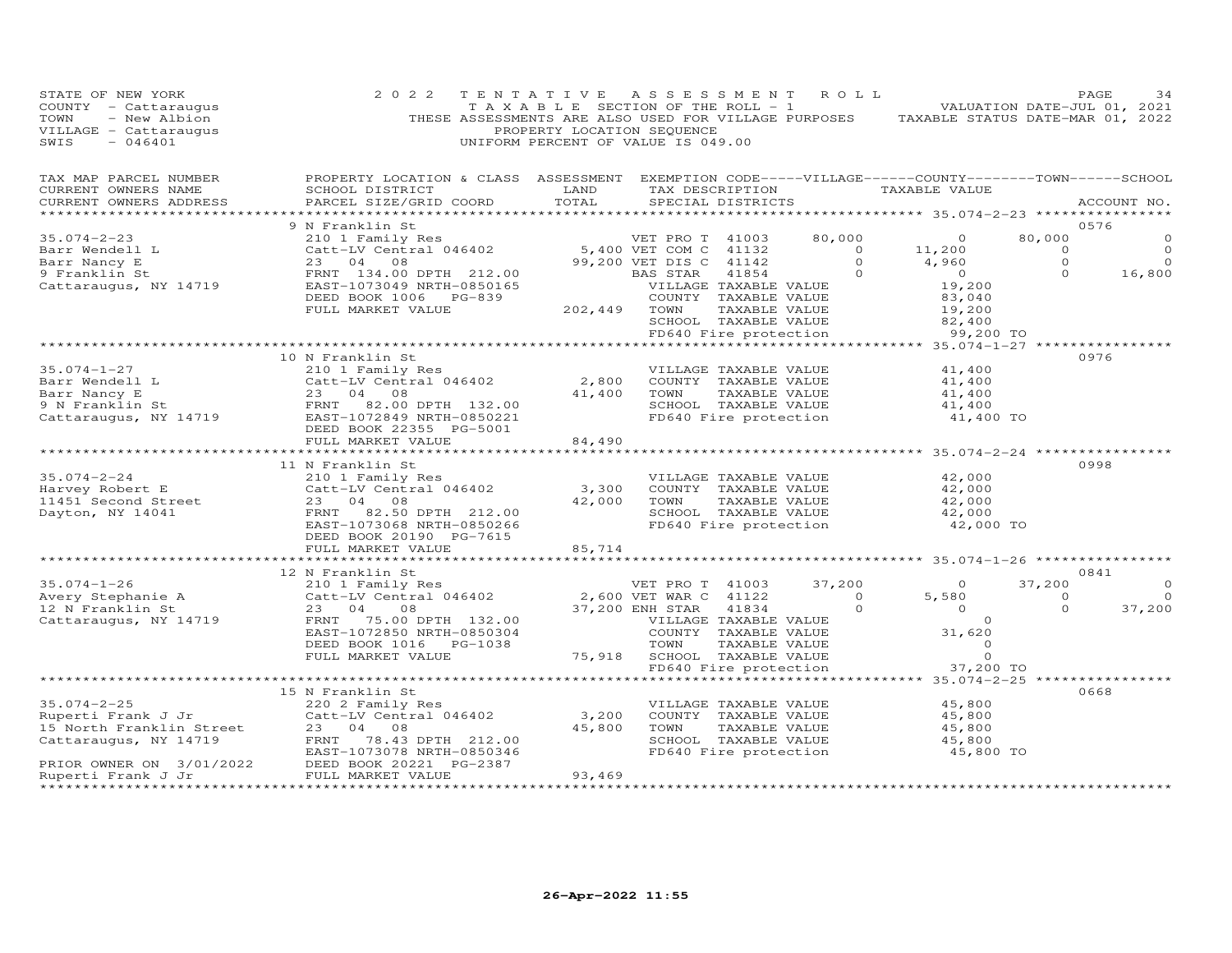| STATE OF NEW YORK<br>COUNTY - Cattaraugus<br>TOWN<br>- New Albion<br>VILLAGE - Cattaraugus<br>SWIS<br>$-046401$ | 2 0 2 2                                                                                                                                                                                                                                              | TENTATIVE ASSESSMENT ROLL<br>T A X A B L E SECTION OF THE ROLL - 1<br>PROPERTY LOCATION SEQUENCE<br>UNIFORM PERCENT OF VALUE IS 049.00 |                                                                         |                       |                                                                | THESE ASSESSMENTS ARE ALSO USED FOR VILLAGE PURPOSES TAXABLE STATUS DATE-MAR 01, 2022 |                    | PAGE<br>34<br>VALUATION DATE-JUL 01, 2021 |
|-----------------------------------------------------------------------------------------------------------------|------------------------------------------------------------------------------------------------------------------------------------------------------------------------------------------------------------------------------------------------------|----------------------------------------------------------------------------------------------------------------------------------------|-------------------------------------------------------------------------|-----------------------|----------------------------------------------------------------|---------------------------------------------------------------------------------------|--------------------|-------------------------------------------|
| TAX MAP PARCEL NUMBER<br>CURRENT OWNERS NAME<br>CURRENT OWNERS ADDRESS                                          | PROPERTY LOCATION & CLASS ASSESSMENT EXEMPTION CODE-----VILLAGE------COUNTY--------TOWN------SCHOOL<br>SCHOOL DISTRICT<br>PARCEL SIZE/GRID COORD                                                                                                     |                                                                                                                                        |                                                                         |                       |                                                                | TAXABLE VALUE                                                                         |                    | ACCOUNT NO.                               |
|                                                                                                                 | 9 N Franklin St                                                                                                                                                                                                                                      |                                                                                                                                        |                                                                         |                       |                                                                |                                                                                       |                    | 0576                                      |
|                                                                                                                 |                                                                                                                                                                                                                                                      |                                                                                                                                        |                                                                         |                       |                                                                |                                                                                       | 80,000             |                                           |
|                                                                                                                 |                                                                                                                                                                                                                                                      |                                                                                                                                        |                                                                         |                       |                                                                |                                                                                       | $\sim$ 0           |                                           |
|                                                                                                                 |                                                                                                                                                                                                                                                      |                                                                                                                                        |                                                                         |                       |                                                                |                                                                                       | $\Omega$           | $\Omega$                                  |
|                                                                                                                 | N Franklin St<br>210 1 Family Res<br>Catt-LV Central 046402 5,400 VET COM C 41132 0 11,200<br>23 04 08 99,200 VET DIS C 41142 0 4,960                                                                                                                |                                                                                                                                        | BAS STAR - 41854<br>- VILLAGE TAXABLE VALUE<br>- COUNTY - TAXABLE VALUE |                       |                                                                |                                                                                       | $\circ$            | 16,800                                    |
|                                                                                                                 |                                                                                                                                                                                                                                                      |                                                                                                                                        |                                                                         |                       |                                                                | 19,200<br>83,040                                                                      |                    |                                           |
|                                                                                                                 |                                                                                                                                                                                                                                                      |                                                                                                                                        | COUNTY TAXABLE VALUE                                                    |                       |                                                                |                                                                                       |                    |                                           |
|                                                                                                                 |                                                                                                                                                                                                                                                      |                                                                                                                                        |                                                                         | TAXABLE VALUE         |                                                                | 19,200                                                                                |                    |                                           |
|                                                                                                                 |                                                                                                                                                                                                                                                      |                                                                                                                                        |                                                                         |                       | SCHOOL TAXABLE VALUE<br>FD640 Fire protection                  | 82,400                                                                                |                    |                                           |
|                                                                                                                 | *********************************                                                                                                                                                                                                                    |                                                                                                                                        |                                                                         |                       |                                                                | 99,200 TO                                                                             |                    |                                           |
|                                                                                                                 | 10 N Franklin St                                                                                                                                                                                                                                     |                                                                                                                                        |                                                                         |                       |                                                                |                                                                                       |                    | 0976                                      |
|                                                                                                                 |                                                                                                                                                                                                                                                      |                                                                                                                                        |                                                                         | VILLAGE TAXABLE VALUE |                                                                | 41,400                                                                                |                    |                                           |
|                                                                                                                 |                                                                                                                                                                                                                                                      | 2,800                                                                                                                                  | COUNTY TAXABLE VALUE                                                    |                       |                                                                | 41,400                                                                                |                    |                                           |
|                                                                                                                 |                                                                                                                                                                                                                                                      | 41,400                                                                                                                                 | TOWN                                                                    | TAXABLE VALUE         |                                                                | 41,400                                                                                |                    |                                           |
|                                                                                                                 |                                                                                                                                                                                                                                                      |                                                                                                                                        |                                                                         |                       | SCHOOL TAXABLE VALUE<br>FD640 Fire protection                  | 41,400                                                                                |                    |                                           |
|                                                                                                                 | Example 1 1 210 1 Family Res<br>Barr Nancy E 23 04 08<br>9 N Franklin St ERNT 82.00 DPTH 132.00<br>Cattaraugus, NY 14719 EAST-1072849 NRTH-0850221<br>DEED BOOK 22355 DOCS                                                                           |                                                                                                                                        |                                                                         |                       |                                                                | 41,400 TO                                                                             |                    |                                           |
|                                                                                                                 | FULL MARKET VALUE<br>**************************                                                                                                                                                                                                      | 84,490<br>*************                                                                                                                |                                                                         |                       |                                                                | ******************** 35.074-2-24 *****************                                    |                    |                                           |
|                                                                                                                 | 11 N Franklin St                                                                                                                                                                                                                                     |                                                                                                                                        |                                                                         |                       |                                                                |                                                                                       |                    | 0998                                      |
| $35.074 - 2 - 24$                                                                                               | 210 1 Family Res                                                                                                                                                                                                                                     |                                                                                                                                        |                                                                         | VILLAGE TAXABLE VALUE |                                                                | 42,000                                                                                |                    |                                           |
| Harvey Robert E                                                                                                 | Catt-LV Central 046402                                                                                                                                                                                                                               |                                                                                                                                        | 3,300 COUNTY TAXABLE VALUE                                              |                       |                                                                | 42,000                                                                                |                    |                                           |
| Harvey Robert E<br>11451 Second Street<br>Dayton, NY 14041                                                      | 23 04 08                                                                                                                                                                                                                                             |                                                                                                                                        | 42,000 TOWN                                                             |                       | TAXABLE VALUE                                                  | 42,000                                                                                |                    |                                           |
|                                                                                                                 | FRNT 82.50 DPTH 212.00                                                                                                                                                                                                                               |                                                                                                                                        |                                                                         |                       | SCHOOL TAXABLE VALUE                                           | 42,000                                                                                |                    |                                           |
|                                                                                                                 | EAST-1073068 NRTH-0850266                                                                                                                                                                                                                            |                                                                                                                                        |                                                                         |                       | FD640 Fire protection                                          | 42,000 TO                                                                             |                    |                                           |
|                                                                                                                 | DEED BOOK 20190 PG-7615                                                                                                                                                                                                                              |                                                                                                                                        |                                                                         |                       |                                                                |                                                                                       |                    |                                           |
|                                                                                                                 | FULL MARKET VALUE                                                                                                                                                                                                                                    | 85,714                                                                                                                                 |                                                                         |                       |                                                                |                                                                                       |                    |                                           |
|                                                                                                                 |                                                                                                                                                                                                                                                      |                                                                                                                                        |                                                                         |                       |                                                                |                                                                                       |                    |                                           |
|                                                                                                                 | 12 N Franklin St                                                                                                                                                                                                                                     |                                                                                                                                        |                                                                         |                       |                                                                |                                                                                       |                    | 0841                                      |
| $35.074 - 1 - 26$                                                                                               | 210 1 Family Res                                                                                                                                                                                                                                     |                                                                                                                                        | VET PRO T 41003<br>2,600 VET WAR C 41122                                |                       | 37,200                                                         | $\overline{0}$<br>5,580                                                               | 37,200<br>$\sim$ 0 | $\Omega$<br>$\overline{0}$                |
|                                                                                                                 | Solutional Catto-LV Central 046402<br>12 N Franklin St 23 04 08<br>Cattaraugus, NY 14719 FRNT 75.00 DPTH 132.00                                                                                                                                      |                                                                                                                                        | 37,200 ENH STAR                                                         | 41834                 | $\overline{0}$<br>$\circ$                                      | $\overline{0}$                                                                        | $\circ$            | 37,200                                    |
|                                                                                                                 |                                                                                                                                                                                                                                                      |                                                                                                                                        |                                                                         |                       |                                                                | $\overline{0}$                                                                        |                    |                                           |
|                                                                                                                 | EAST-1072850 NRTH-0850304                                                                                                                                                                                                                            |                                                                                                                                        |                                                                         |                       | VILLAGE TAXABLE VALUE<br>COUNTY TAXABLE VALUE<br>TAXABLE VALUE | 31,620                                                                                |                    |                                           |
|                                                                                                                 |                                                                                                                                                                                                                                                      |                                                                                                                                        |                                                                         |                       |                                                                | $\Omega$                                                                              |                    |                                           |
|                                                                                                                 | FULL MARKET VALUE                                                                                                                                                                                                                                    |                                                                                                                                        | 75,918 SCHOOL TAXABLE VALUE                                             |                       |                                                                | $\circ$                                                                               |                    |                                           |
|                                                                                                                 |                                                                                                                                                                                                                                                      |                                                                                                                                        |                                                                         | FD640 Fire protection |                                                                | 37,200 TO                                                                             |                    |                                           |
|                                                                                                                 |                                                                                                                                                                                                                                                      |                                                                                                                                        |                                                                         |                       |                                                                | **** 35.074-2-25 **                                                                   |                    |                                           |
|                                                                                                                 | 15 N Franklin St                                                                                                                                                                                                                                     |                                                                                                                                        |                                                                         |                       |                                                                |                                                                                       |                    | 0668                                      |
| $35.074 - 2 - 25$                                                                                               | 220 2 Family Res                                                                                                                                                                                                                                     |                                                                                                                                        |                                                                         | VILLAGE TAXABLE VALUE |                                                                | 45,800                                                                                |                    |                                           |
|                                                                                                                 | Catt-LV Central 046402<br>Experti Frank J Jr Catt-LV Central 046402<br>15 North Franklin Street 23 04 08<br>Cattaraugus, NY 14719 FRNT 78.43 DPTH 212.00<br>FRIOR OWNER ON 3/01/2022 DEED BOOK 20221 PG-2387<br>Ruperti Frank J Jr FULL MARKET VALUE | 3,200                                                                                                                                  | COUNTY TAXABLE VALUE                                                    |                       |                                                                | 45,800                                                                                |                    |                                           |
|                                                                                                                 |                                                                                                                                                                                                                                                      | 45,800                                                                                                                                 | TOWN                                                                    | TAXABLE VALUE         |                                                                | 45,800                                                                                |                    |                                           |
|                                                                                                                 | FRNT 78.43 DPTH 212.00                                                                                                                                                                                                                               |                                                                                                                                        |                                                                         | SCHOOL TAXABLE VALUE  |                                                                | 45,800                                                                                |                    |                                           |
|                                                                                                                 | EAST-1073078 NRTH-0850346                                                                                                                                                                                                                            |                                                                                                                                        |                                                                         |                       | FD640 Fire protection                                          | 45,800 TO                                                                             |                    |                                           |
|                                                                                                                 |                                                                                                                                                                                                                                                      | 93,469                                                                                                                                 |                                                                         |                       |                                                                |                                                                                       |                    |                                           |
|                                                                                                                 |                                                                                                                                                                                                                                                      |                                                                                                                                        |                                                                         |                       |                                                                |                                                                                       |                    |                                           |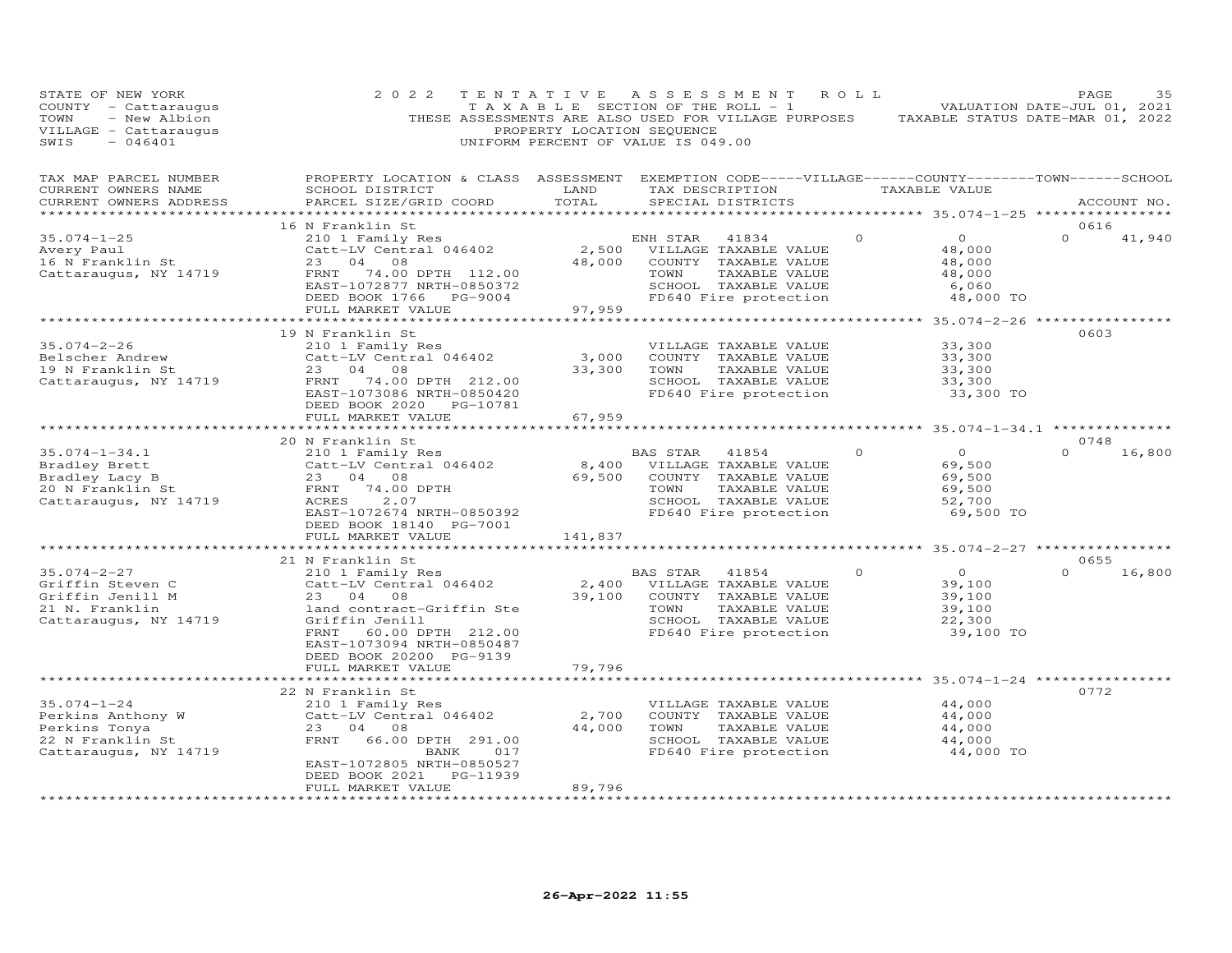| STATE OF NEW YORK<br>COUNTY - Cattaraugus<br>- New Albion<br>TOWN<br>VILLAGE - Cattaraugus<br>SWIS<br>$-046401$ | 2 0 2 2                                                                                                                                                                                                | TENTATIVE<br>PROPERTY LOCATION SEQUENCE | ASSESSMENT ROLL<br>T A X A B L E SECTION OF THE ROLL - 1<br>THESE ASSESSMENTS ARE ALSO USED FOR VILLAGE PURPOSES<br>UNIFORM PERCENT OF VALUE IS 049.00 |          | VALUATION DATE-JUL 01, 2021<br>TAXABLE STATUS DATE-MAR 01, 2022     | PAGE             | 35     |
|-----------------------------------------------------------------------------------------------------------------|--------------------------------------------------------------------------------------------------------------------------------------------------------------------------------------------------------|-----------------------------------------|--------------------------------------------------------------------------------------------------------------------------------------------------------|----------|---------------------------------------------------------------------|------------------|--------|
| TAX MAP PARCEL NUMBER<br>CURRENT OWNERS NAME<br>CURRENT OWNERS ADDRESS<br>************************              | PROPERTY LOCATION & CLASS ASSESSMENT EXEMPTION CODE-----VILLAGE------COUNTY-------TOWN------SCHOOL<br>SCHOOL DISTRICT<br>PARCEL SIZE/GRID COORD                                                        | LAND<br>TOTAL                           | TAX DESCRIPTION<br>SPECIAL DISTRICTS                                                                                                                   |          | TAXABLE VALUE                                                       | ACCOUNT NO.      |        |
| $35.074 - 1 - 25$<br>Avery Paul<br>16 N Franklin St<br>Cattaraugus, NY 14719                                    | 16 N Franklin St<br>210 1 Family Res<br>Catt-LV Central 046402<br>23<br>04 08<br>FRNT 74.00 DPTH 112.00<br>EAST-1072877 NRTH-0850372<br>DEED BOOK 1766 PG-9004<br>FULL MARKET VALUE                    | 2,500<br>48,000<br>97,959               | ENH STAR<br>41834<br>VILLAGE TAXABLE VALUE<br>COUNTY TAXABLE VALUE<br>TOWN<br>TAXABLE VALUE<br>SCHOOL TAXABLE VALUE<br>FD640 Fire protection           | $\circ$  | $\circ$<br>48,000<br>48,000<br>48,000<br>6,060<br>48,000 TO         | 0616<br>$\Omega$ | 41,940 |
|                                                                                                                 |                                                                                                                                                                                                        |                                         |                                                                                                                                                        |          | ************* 35.074-2-26 *****************                         |                  |        |
| $35.074 - 2 - 26$<br>Belscher Andrew<br>19 N Franklin St<br>Cattaraugus, NY 14719                               | 19 N Franklin St<br>210 1 Family Res<br>Catt-LV Central 046402<br>23 04 08<br>FRNT<br>74.00 DPTH 212.00<br>EAST-1073086 NRTH-0850420<br>DEED BOOK 2020 PG-10781<br>FULL MARKET VALUE                   | 3,000<br>33,300<br>67,959               | VILLAGE TAXABLE VALUE<br>COUNTY TAXABLE VALUE<br>TAXABLE VALUE<br>TOWN<br>SCHOOL TAXABLE VALUE<br>FD640 Fire protection                                |          | 33,300<br>33,300<br>33,300<br>33,300<br>33,300 TO                   | 0603             |        |
|                                                                                                                 |                                                                                                                                                                                                        |                                         |                                                                                                                                                        |          |                                                                     |                  |        |
| $35.074 - 1 - 34.1$<br>Bradley Brett<br>Bradley Lacy B<br>20 N Franklin St<br>Cattaraugus, NY 14719             | 20 N Franklin St<br>210 1 Family Res<br>Catt-LV Central 046402<br>23 04 08<br>FRNT<br>74.00 DPTH<br>2.07<br>ACRES<br>EAST-1072674 NRTH-0850392<br>DEED BOOK 18140 PG-7001<br>FULL MARKET VALUE         | 8,400<br>69,500<br>141,837              | BAS STAR<br>41854<br>VILLAGE TAXABLE VALUE<br>COUNTY TAXABLE VALUE<br>TOWN<br>TAXABLE VALUE<br>SCHOOL TAXABLE VALUE<br>FD640 Fire protection           | $\Omega$ | $\overline{O}$<br>69,500<br>69,500<br>69,500<br>52,700<br>69,500 TO | 0748<br>$\Omega$ | 16,800 |
|                                                                                                                 |                                                                                                                                                                                                        |                                         |                                                                                                                                                        |          |                                                                     |                  |        |
|                                                                                                                 | 21 N Franklin St                                                                                                                                                                                       |                                         |                                                                                                                                                        |          |                                                                     | 0655             |        |
| $35.074 - 2 - 27$<br>Griffin Steven C<br>Griffin Jenill M<br>21 N. Franklin<br>Cattaraugus, NY 14719            | 210 1 Family Res<br>Catt-LV Central 046402<br>23 04 08<br>land contract-Griffin Ste<br>Griffin Jenill<br>FRNT<br>60.00 DPTH 212.00<br>EAST-1073094 NRTH-0850487<br>DEED BOOK 20200 PG-9139             | 2,400<br>39,100                         | BAS STAR<br>41854<br>VILLAGE TAXABLE VALUE<br>COUNTY TAXABLE VALUE<br>TOWN<br>TAXABLE VALUE<br>SCHOOL TAXABLE VALUE<br>FD640 Fire protection           | $\Omega$ | $\overline{O}$<br>39,100<br>39,100<br>39,100<br>22,300<br>39,100 TO | $\Omega$         | 16,800 |
|                                                                                                                 | FULL MARKET VALUE                                                                                                                                                                                      | 79,796                                  |                                                                                                                                                        |          |                                                                     |                  |        |
|                                                                                                                 |                                                                                                                                                                                                        |                                         |                                                                                                                                                        |          | $************35.074-1-24***$                                        |                  |        |
| $35.074 - 1 - 24$<br>Perkins Anthony W<br>Perkins Tonya<br>22 N Franklin St<br>Cattaraugus, NY 14719            | 22 N Franklin St<br>210 1 Family Res<br>Catt-LV Central 046402<br>23 04 08<br>FRNT<br>66.00 DPTH 291.00<br>BANK<br>017<br>EAST-1072805 NRTH-0850527<br>DEED BOOK 2021<br>PG-11939<br>FULL MARKET VALUE | 2,700<br>44,000<br>89,796               | VILLAGE TAXABLE VALUE<br>COUNTY TAXABLE VALUE<br>TAXABLE VALUE<br>TOWN<br>SCHOOL TAXABLE VALUE<br>FD640 Fire protection                                |          | 44,000<br>44,000<br>44,000<br>44,000<br>44,000 TO                   | 0772             |        |
|                                                                                                                 | ********************                                                                                                                                                                                   | **********                              |                                                                                                                                                        |          |                                                                     |                  |        |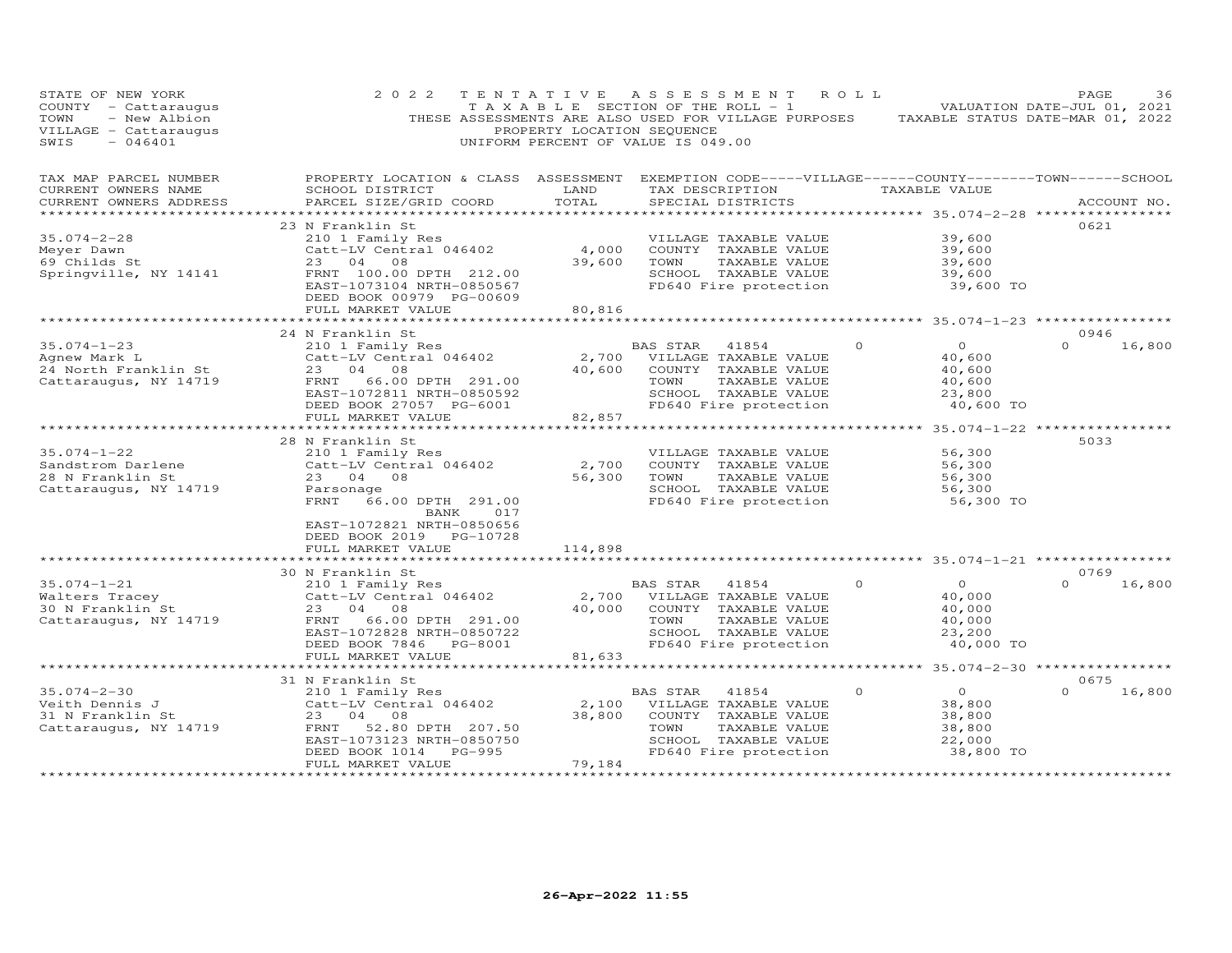| STATE OF NEW YORK<br>COUNTY - Cattaraugus<br>- New Albion<br>TOWN<br>VILLAGE - Cattaraugus<br>SWIS<br>$-046401$ | 2 0 2 2<br>THESE ASSESSMENTS ARE ALSO USED FOR VILLAGE PURPOSES                                                                                                                            | TENTATIVE<br>TAXABLE SECTION OF THE ROLL - 1<br>PROPERTY LOCATION SEQUENCE<br>UNIFORM PERCENT OF VALUE IS 049.00 | A S S E S S M E N T     |                                                                                                                          | ROLL     | TAXABLE STATUS DATE-MAR 01, 2022                                               | PAGE<br>VALUATION DATE-JUL 01, 2021 | 36     |
|-----------------------------------------------------------------------------------------------------------------|--------------------------------------------------------------------------------------------------------------------------------------------------------------------------------------------|------------------------------------------------------------------------------------------------------------------|-------------------------|--------------------------------------------------------------------------------------------------------------------------|----------|--------------------------------------------------------------------------------|-------------------------------------|--------|
| TAX MAP PARCEL NUMBER<br>CURRENT OWNERS NAME<br>CURRENT OWNERS ADDRESS<br>***********************               | PROPERTY LOCATION & CLASS ASSESSMENT<br>SCHOOL DISTRICT<br>PARCEL SIZE/GRID COORD<br>****************************                                                                          | LAND<br>TOTAL                                                                                                    | TAX DESCRIPTION         | SPECIAL DISTRICTS                                                                                                        |          | EXEMPTION CODE-----VILLAGE------COUNTY-------TOWN------SCHOOL<br>TAXABLE VALUE | ACCOUNT NO.                         |        |
| $35.074 - 2 - 28$<br>Meyer Dawn<br>69 Childs St<br>Springville, NY 14141                                        | 23 N Franklin St<br>210 1 Family Res<br>Catt-LV Central 046402<br>23<br>04<br>08<br>FRNT 100.00 DPTH 212.00<br>EAST-1073104 NRTH-0850567<br>DEED BOOK 00979 PG-00609<br>FULL MARKET VALUE  | 4,000<br>39,600<br>80,816                                                                                        | TOWN                    | VILLAGE TAXABLE VALUE<br>COUNTY TAXABLE VALUE<br>TAXABLE VALUE<br>SCHOOL TAXABLE VALUE<br>FD640 Fire protection          |          | 39,600<br>39,600<br>39,600<br>39,600<br>39,600 TO                              | 0621                                |        |
|                                                                                                                 |                                                                                                                                                                                            |                                                                                                                  |                         |                                                                                                                          |          | ********** 35.074-1-23 *****************                                       |                                     |        |
| $35.074 - 1 - 23$<br>Agnew Mark L<br>24 North Franklin St<br>Cattaraugus, NY 14719                              | 24 N Franklin St<br>210 1 Family Res<br>Catt-LV Central 046402<br>04<br>08<br>23<br>66.00 DPTH 291.00<br>FRNT<br>EAST-1072811 NRTH-0850592<br>DEED BOOK 27057 PG-6001<br>FULL MARKET VALUE | 2,700<br>40,600<br>82,857                                                                                        | <b>BAS STAR</b><br>TOWN | 41854<br>VILLAGE TAXABLE VALUE<br>COUNTY TAXABLE VALUE<br>TAXABLE VALUE<br>SCHOOL TAXABLE VALUE<br>FD640 Fire protection | 0        | $\circ$<br>40,600<br>40,600<br>40,600<br>23,800<br>40,600 TO                   | 0946<br>$\Omega$                    | 16,800 |
|                                                                                                                 |                                                                                                                                                                                            |                                                                                                                  |                         |                                                                                                                          |          | *********** 35.074-1-22 **********                                             |                                     |        |
| $35.074 - 1 - 22$<br>Sandstrom Darlene<br>28 N Franklin St<br>Cattaraugus, NY 14719                             | 28 N Franklin St<br>210 1 Family Res<br>Catt-LV Central 046402<br>23<br>04<br>08<br>Parsonage<br>FRNT<br>66.00 DPTH 291.00<br>BANK<br>017<br>EAST-1072821 NRTH-0850656                     | 2,700<br>56,300                                                                                                  | TOWN                    | VILLAGE TAXABLE VALUE<br>COUNTY TAXABLE VALUE<br>TAXABLE VALUE<br>SCHOOL TAXABLE VALUE<br>FD640 Fire protection          |          | 56,300<br>56,300<br>56,300<br>56,300<br>56,300 TO                              | 5033                                |        |
|                                                                                                                 | DEED BOOK 2019<br>PG-10728                                                                                                                                                                 |                                                                                                                  |                         |                                                                                                                          |          |                                                                                |                                     |        |
|                                                                                                                 | FULL MARKET VALUE                                                                                                                                                                          | 114,898<br>**********                                                                                            |                         |                                                                                                                          |          | ********* 35.074-1-21 **************                                           |                                     |        |
| $35.074 - 1 - 21$<br>Walters Tracey<br>30 N Franklin St<br>Cattaraugus, NY 14719                                | 30 N Franklin St<br>210 1 Family Res<br>Catt-LV Central 046402<br>23<br>04<br>08<br>FRNT<br>66.00 DPTH 291.00<br>EAST-1072828 NRTH-0850722<br>DEED BOOK 7846<br>PG-8001                    | 2,700<br>40,000                                                                                                  | <b>BAS STAR</b><br>TOWN | 41854<br>VILLAGE TAXABLE VALUE<br>COUNTY TAXABLE VALUE<br>TAXABLE VALUE<br>SCHOOL TAXABLE VALUE<br>FD640 Fire protection | $\Omega$ | $\Omega$<br>40,000<br>40,000<br>40,000<br>23,200<br>40,000 TO                  | 0769<br>$\Omega$                    | 16,800 |
|                                                                                                                 | FULL MARKET VALUE                                                                                                                                                                          | 81,633                                                                                                           |                         |                                                                                                                          |          |                                                                                |                                     |        |
|                                                                                                                 |                                                                                                                                                                                            | ***********                                                                                                      |                         |                                                                                                                          |          | ******** 35.074-2-30 *****************                                         |                                     |        |
| $35.074 - 2 - 30$<br>Veith Dennis J<br>31 N Franklin St<br>Cattaraugus, NY 14719                                | 31 N Franklin St<br>210 1 Family Res<br>Catt-LV Central 046402<br>23<br>04<br>08<br>FRNT<br>52.80 DPTH 207.50<br>EAST-1073123 NRTH-0850750<br>DEED BOOK 1014<br>$PG-995$                   | 2,100<br>38,800                                                                                                  | BAS STAR<br>TOWN        | 41854<br>VILLAGE TAXABLE VALUE<br>COUNTY TAXABLE VALUE<br>TAXABLE VALUE<br>SCHOOL TAXABLE VALUE<br>FD640 Fire protection | 0        | $\circ$<br>38,800<br>38,800<br>38,800<br>22,000<br>38,800 TO                   | 0675<br>$\cap$                      | 16,800 |
|                                                                                                                 | FULL MARKET VALUE<br>******************                                                                                                                                                    | 79,184                                                                                                           |                         |                                                                                                                          |          |                                                                                |                                     |        |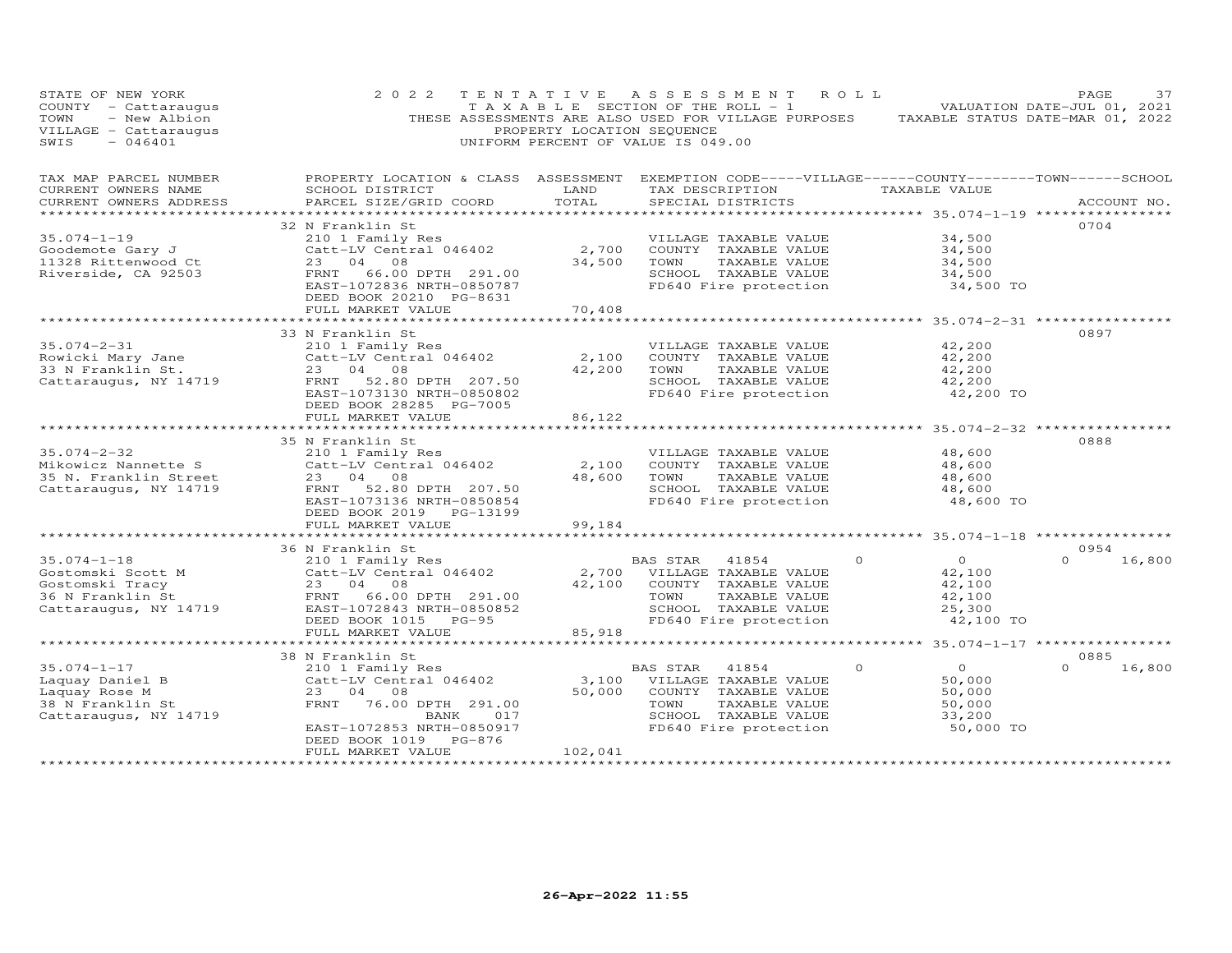| STATE OF NEW YORK<br>$COUNTY - Cattaraugus$<br>- New Albion<br>TOWN<br>VILLAGE - Cattaraugus<br>SWIS<br>$-046401$ | 2 0 2 2                                                                                                                                                                                    | TENTATIVE<br>PROPERTY LOCATION SEQUENCE | A S S E S S M E N T<br>T A X A B L E SECTION OF THE ROLL - 1<br>THESE ASSESSMENTS ARE ALSO USED FOR VILLAGE PURPOSES<br>UNIFORM PERCENT OF VALUE IS 049.00 | ROLL                                                                      | PAGE<br>37<br>VALUATION DATE-JUL 01, 2021<br>TAXABLE STATUS DATE-MAR 01, 2022 |
|-------------------------------------------------------------------------------------------------------------------|--------------------------------------------------------------------------------------------------------------------------------------------------------------------------------------------|-----------------------------------------|------------------------------------------------------------------------------------------------------------------------------------------------------------|---------------------------------------------------------------------------|-------------------------------------------------------------------------------|
| TAX MAP PARCEL NUMBER<br>CURRENT OWNERS NAME<br>CURRENT OWNERS ADDRESS                                            | PROPERTY LOCATION & CLASS ASSESSMENT<br>SCHOOL DISTRICT<br>PARCEL SIZE/GRID COORD                                                                                                          | LAND<br>TOTAL<br>********               | EXEMPTION CODE-----VILLAGE------COUNTY--------TOWN------SCHOOL<br>TAX DESCRIPTION<br>SPECIAL DISTRICTS                                                     | TAXABLE VALUE<br>********** 35.074-1-19 ****                              | ACCOUNT NO.                                                                   |
| $35.074 - 1 - 19$<br>Goodemote Gary J<br>11328 Rittenwood Ct<br>Riverside, CA 92503                               | 32 N Franklin St<br>210 1 Family Res<br>Catt-LV Central 046402<br>23<br>04<br>08<br>FRNT<br>66.00 DPTH 291.00<br>EAST-1072836 NRTH-0850787<br>DEED BOOK 20210 PG-8631<br>FULL MARKET VALUE | 2,700<br>34,500<br>70,408               | VILLAGE TAXABLE VALUE<br>COUNTY TAXABLE VALUE<br>TAXABLE VALUE<br>TOWN<br>SCHOOL TAXABLE VALUE<br>FD640 Fire protection                                    | 34,500<br>34,500<br>34,500<br>34,500<br>34,500 TO                         | 0704                                                                          |
|                                                                                                                   | ***********************                                                                                                                                                                    | <b>***********</b> *                    |                                                                                                                                                            | ****************** 35.074-2-31 ***************                            |                                                                               |
| $35.074 - 2 - 31$<br>Rowicki Mary Jane<br>33 N Franklin St.<br>Cattaraugus, NY 14719                              | 33 N Franklin St<br>210 1 Family Res<br>Catt-LV Central 046402<br>23 04<br>08<br>52.80 DPTH 207.50<br>FRNT<br>EAST-1073130 NRTH-0850802<br>DEED BOOK 28285 PG-7005                         | 2,100<br>42,200<br>86,122               | VILLAGE TAXABLE VALUE<br>COUNTY TAXABLE VALUE<br>TAXABLE VALUE<br>TOWN<br>SCHOOL TAXABLE VALUE<br>FD640 Fire protection                                    | 42,200<br>42,200<br>42,200<br>42,200<br>42,200 TO                         | 0897                                                                          |
|                                                                                                                   | FULL MARKET VALUE                                                                                                                                                                          |                                         |                                                                                                                                                            | ******************* 35.074-2-32 **************                            |                                                                               |
| $35.074 - 2 - 32$<br>Mikowicz Nannette S<br>35 N. Franklin Street<br>Cattaraugus, NY 14719                        | 35 N Franklin St<br>210 1 Family Res<br>Catt-LV Central 046402<br>23 04<br>08<br>52.80 DPTH 207.50<br>FRNT<br>EAST-1073136 NRTH-0850854<br>DEED BOOK 2019<br>PG-13199<br>FULL MARKET VALUE | 2,100<br>48,600<br>99,184               | VILLAGE TAXABLE VALUE<br>COUNTY TAXABLE VALUE<br>TAXABLE VALUE<br>TOWN<br>SCHOOL TAXABLE VALUE<br>FD640 Fire protection                                    | 48,600<br>48,600<br>48,600<br>48,600<br>48,600 TO                         | 0888                                                                          |
|                                                                                                                   |                                                                                                                                                                                            |                                         |                                                                                                                                                            | ********************* 35.074-1-18 *****************                       |                                                                               |
| $35.074 - 1 - 18$<br>Gostomski Scott M<br>Gostomski Tracy<br>36 N Franklin St<br>Cattaraugus, NY 14719            | 36 N Franklin St<br>210 1 Family Res<br>Catt-LV Central 046402<br>23 04 08<br>66.00 DPTH 291.00<br>FRNT<br>EAST-1072843 NRTH-0850852<br>DEED BOOK 1015<br>$PG-95$<br>FULL MARKET VALUE     | 2,700<br>42,100<br>85,918               | <b>BAS STAR</b><br>41854<br>VILLAGE TAXABLE VALUE<br>COUNTY TAXABLE VALUE<br>TOWN<br>TAXABLE VALUE<br>SCHOOL TAXABLE VALUE<br>FD640 Fire protection        | $\circ$<br>$\circ$<br>42,100<br>42,100<br>42,100<br>25,300<br>42,100 TO   | 0954<br>16,800<br>$\Omega$                                                    |
|                                                                                                                   |                                                                                                                                                                                            |                                         |                                                                                                                                                            | ************ 35.074-1-17 *****************                                |                                                                               |
| $35.074 - 1 - 17$<br>Laquay Daniel B<br>Laquay Rose M<br>38 N Franklin St<br>Cattaraugus, NY 14719                | 38 N Franklin St<br>210 1 Family Res<br>Catt-LV Central 046402<br>23<br>04<br>08<br>FRNT<br>76.00 DPTH 291.00<br>BANK<br>017<br>EAST-1072853 NRTH-0850917<br>DEED BOOK 1019<br>PG-876      | 3,100<br>50,000                         | <b>BAS STAR</b><br>41854<br>VILLAGE TAXABLE VALUE<br>COUNTY TAXABLE VALUE<br>TOWN<br>TAXABLE VALUE<br>SCHOOL TAXABLE VALUE<br>FD640 Fire protection        | $\Omega$<br>$\Omega$<br>50,000<br>50,000<br>50,000<br>33,200<br>50,000 TO | 0885<br>$\Omega$<br>16,800                                                    |
|                                                                                                                   | FULL MARKET VALUE                                                                                                                                                                          | 102,041                                 |                                                                                                                                                            |                                                                           |                                                                               |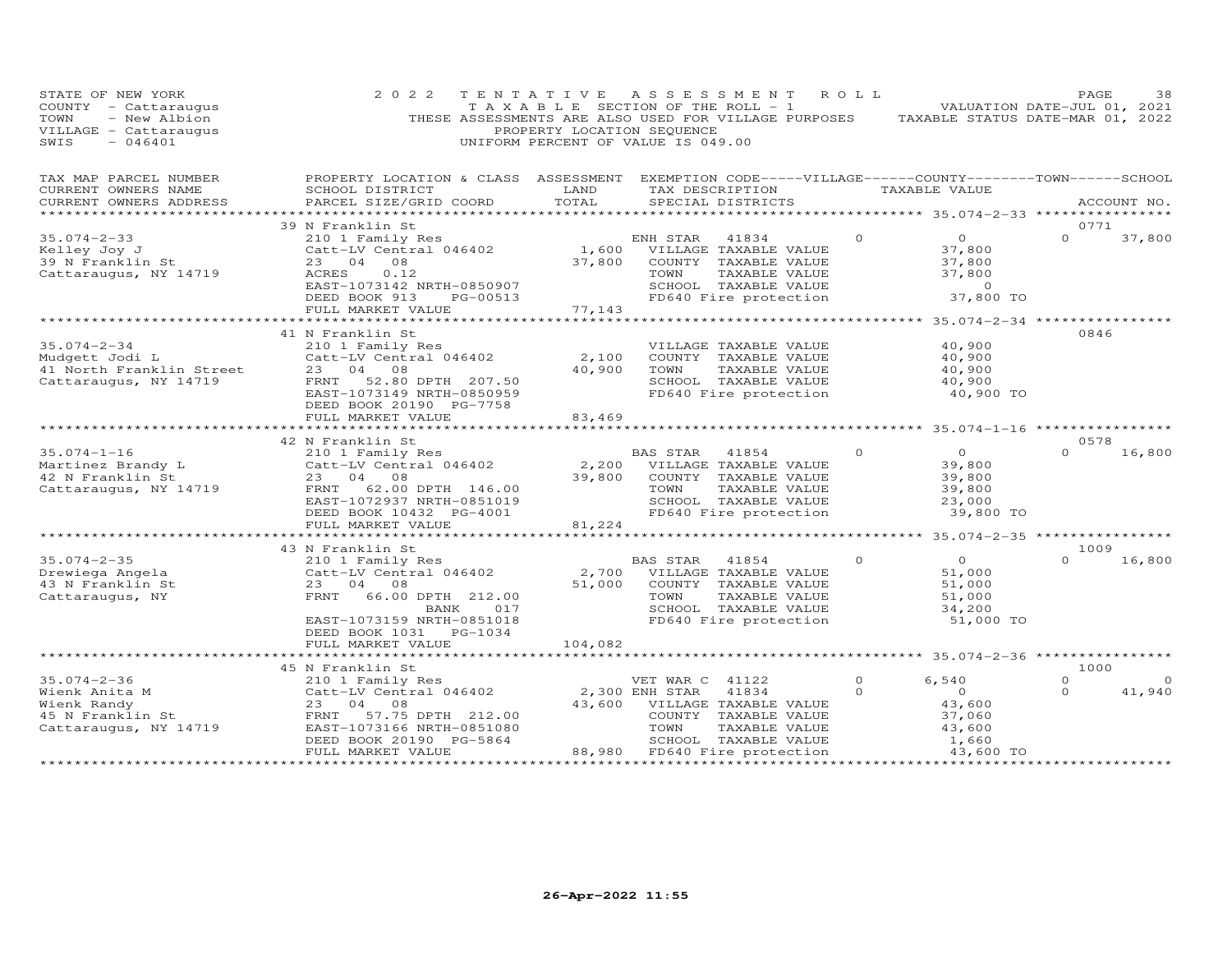| STATE OF NEW YORK<br>COUNTY - Cattaraugus<br>- New Albion<br>TOWN<br>VILLAGE - Cattaraugus<br>SWIS<br>$-046401$ | 2 0 2 2<br>TENTATIVE<br>THESE ASSESSMENTS ARE ALSO USED FOR VILLAGE PURPOSES                                                                    |                 | A S S E S S M E N T<br>PROPERTY LOCATION SEQUENCE<br>UNIFORM PERCENT OF VALUE IS 049.00 | T A X A B L E SECTION OF THE ROLL - 1                                                           | ROLL ROLL | TAXABLE STATUS DATE-MAR 01, 2022                        | PAGE<br>VALUATION DATE-JUL 01, 2021 | 38      |
|-----------------------------------------------------------------------------------------------------------------|-------------------------------------------------------------------------------------------------------------------------------------------------|-----------------|-----------------------------------------------------------------------------------------|-------------------------------------------------------------------------------------------------|-----------|---------------------------------------------------------|-------------------------------------|---------|
| TAX MAP PARCEL NUMBER<br>CURRENT OWNERS NAME<br>CURRENT OWNERS ADDRESS                                          | PROPERTY LOCATION & CLASS ASSESSMENT EXEMPTION CODE-----VILLAGE------COUNTY-------TOWN------SCHOOL<br>SCHOOL DISTRICT<br>PARCEL SIZE/GRID COORD | LAND<br>TOTAL   |                                                                                         | TAX DESCRIPTION TAXABLE VALUE<br>SPECIAL DISTRICTS                                              |           |                                                         | ACCOUNT NO.                         |         |
|                                                                                                                 | 39 N Franklin St                                                                                                                                |                 |                                                                                         |                                                                                                 |           |                                                         | 0771                                |         |
| $35.074 - 2 - 33$<br>Kelley Joy J<br>39 N Franklin St<br>Cattaraugus, NY 14719                                  | 210 1 Family Res<br>Catt-LV Central 046402<br>08<br>23 04<br>0.12<br>ACRES<br>EAST-1073142 NRTH-0850907                                         | 1,600<br>37,800 | ENH STAR<br>TOWN                                                                        | 41834<br>VILLAGE TAXABLE VALUE<br>COUNTY TAXABLE VALUE<br>TAXABLE VALUE<br>SCHOOL TAXABLE VALUE | $\Omega$  | $\circ$<br>37,800<br>37,800<br>37,800<br>$\overline{0}$ | $\Omega$                            | 37,800  |
|                                                                                                                 | DEED BOOK 913<br>PG-00513                                                                                                                       |                 |                                                                                         | FD640 Fire protection                                                                           |           | 37,800 TO                                               |                                     |         |
|                                                                                                                 | FULL MARKET VALUE                                                                                                                               | 77,143          |                                                                                         |                                                                                                 |           |                                                         |                                     |         |
|                                                                                                                 | **********************                                                                                                                          |                 |                                                                                         |                                                                                                 |           |                                                         |                                     |         |
|                                                                                                                 | 41 N Franklin St                                                                                                                                |                 |                                                                                         |                                                                                                 |           |                                                         | 0846                                |         |
| $35.074 - 2 - 34$                                                                                               | 210 1 Family Res                                                                                                                                |                 |                                                                                         | VILLAGE TAXABLE VALUE                                                                           |           | 40,900                                                  |                                     |         |
| Mudgett Jodi L                                                                                                  | Catt-LV Central 046402                                                                                                                          | 2,100           |                                                                                         | COUNTY TAXABLE VALUE                                                                            |           | 40,900                                                  |                                     |         |
| 41 North Franklin Street                                                                                        | 23 04 08                                                                                                                                        | 40,900          | TOWN                                                                                    | TAXABLE VALUE                                                                                   |           | 40,900                                                  |                                     |         |
| Cattaraugus, NY 14719                                                                                           | 52.80 DPTH 207.50<br>FRNT<br>EAST-1073149 NRTH-0850959                                                                                          |                 |                                                                                         | SCHOOL TAXABLE VALUE<br>FD640 Fire protection                                                   |           | 40,900<br>40,900 TO                                     |                                     |         |
|                                                                                                                 | DEED BOOK 20190 PG-7758                                                                                                                         |                 |                                                                                         |                                                                                                 |           |                                                         |                                     |         |
|                                                                                                                 | FULL MARKET VALUE                                                                                                                               | 83,469          |                                                                                         |                                                                                                 |           |                                                         |                                     |         |
|                                                                                                                 |                                                                                                                                                 |                 |                                                                                         |                                                                                                 |           |                                                         |                                     |         |
|                                                                                                                 | 42 N Franklin St                                                                                                                                |                 |                                                                                         |                                                                                                 |           |                                                         | 0578                                |         |
| $35.074 - 1 - 16$                                                                                               | 210 1 Family Res                                                                                                                                |                 | BAS STAR                                                                                | 41854                                                                                           | $\Omega$  | $\circ$                                                 | $\Omega$                            | 16,800  |
| Martinez Brandy L                                                                                               | Catt-LV Central 046402                                                                                                                          | 2,200           |                                                                                         | VILLAGE TAXABLE VALUE                                                                           |           | 39,800                                                  |                                     |         |
| 42 N Franklin St<br>Cattaraugus, NY 14719                                                                       | 23 04 08<br>FRNT<br>62.00 DPTH 146.00                                                                                                           | 39,800          | TOWN                                                                                    | COUNTY TAXABLE VALUE<br>TAXABLE VALUE                                                           |           | 39,800<br>39,800                                        |                                     |         |
|                                                                                                                 | EAST-1072937 NRTH-0851019                                                                                                                       |                 |                                                                                         | SCHOOL TAXABLE VALUE                                                                            |           | 23,000                                                  |                                     |         |
|                                                                                                                 | DEED BOOK 10432 PG-4001                                                                                                                         |                 |                                                                                         | FD640 Fire protection                                                                           |           | 39,800 TO                                               |                                     |         |
|                                                                                                                 | FULL MARKET VALUE                                                                                                                               | 81,224          |                                                                                         |                                                                                                 |           |                                                         |                                     |         |
|                                                                                                                 |                                                                                                                                                 |                 |                                                                                         |                                                                                                 |           | *************** 35.074-2-35 *****************           |                                     |         |
|                                                                                                                 | 43 N Franklin St                                                                                                                                |                 |                                                                                         |                                                                                                 |           |                                                         | 1009                                |         |
| $35.074 - 2 - 35$                                                                                               | 210 1 Family Res                                                                                                                                |                 | BAS STAR                                                                                | 41854                                                                                           | $\Omega$  | $\Omega$                                                | $\Omega$                            | 16,800  |
| Drewiega Angela<br>43 N Franklin St                                                                             | Catt-LV Central 046402<br>23 04 08                                                                                                              | 2,700<br>51,000 |                                                                                         | VILLAGE TAXABLE VALUE<br>COUNTY TAXABLE VALUE                                                   |           | 51,000<br>51,000                                        |                                     |         |
| Cattaraugus, NY                                                                                                 | FRNT<br>66.00 DPTH 212.00                                                                                                                       |                 | TOWN                                                                                    | TAXABLE VALUE                                                                                   |           | 51,000                                                  |                                     |         |
|                                                                                                                 | BANK<br>017                                                                                                                                     |                 |                                                                                         | SCHOOL TAXABLE VALUE                                                                            |           | 34,200                                                  |                                     |         |
|                                                                                                                 | EAST-1073159 NRTH-0851018                                                                                                                       |                 |                                                                                         | FD640 Fire protection                                                                           |           | 51,000 TO                                               |                                     |         |
|                                                                                                                 | DEED BOOK 1031 PG-1034                                                                                                                          |                 |                                                                                         |                                                                                                 |           |                                                         |                                     |         |
|                                                                                                                 | FULL MARKET VALUE                                                                                                                               | 104,082         |                                                                                         |                                                                                                 |           |                                                         |                                     |         |
|                                                                                                                 |                                                                                                                                                 |                 |                                                                                         |                                                                                                 |           |                                                         |                                     |         |
| $35.074 - 2 - 36$                                                                                               | 45 N Franklin St<br>210 1 Family Res                                                                                                            |                 | VET WAR C                                                                               | 41122                                                                                           | $\Omega$  | 6,540                                                   | 1000<br>$\Omega$                    | $\circ$ |
| Wienk Anita M                                                                                                   | Catt-LV Central 046402                                                                                                                          |                 | 2,300 ENH STAR                                                                          | 41834                                                                                           | $\circ$   | $\circ$                                                 | $\Omega$                            | 41,940  |
| Wienk Randy                                                                                                     | 23 04<br>08                                                                                                                                     | 43,600          |                                                                                         | VILLAGE TAXABLE VALUE                                                                           |           | 43,600                                                  |                                     |         |
| 45 N Franklin St                                                                                                | FRNT<br>57.75 DPTH 212.00                                                                                                                       |                 |                                                                                         | COUNTY TAXABLE VALUE                                                                            |           | 37,060                                                  |                                     |         |
| Cattaraugus, NY 14719                                                                                           | EAST-1073166 NRTH-0851080                                                                                                                       |                 | TOWN                                                                                    | TAXABLE VALUE                                                                                   |           | 43,600                                                  |                                     |         |
|                                                                                                                 | DEED BOOK 20190 PG-5864                                                                                                                         |                 |                                                                                         | SCHOOL TAXABLE VALUE                                                                            |           | 1,660                                                   |                                     |         |
|                                                                                                                 | FULL MARKET VALUE<br>**********************                                                                                                     |                 |                                                                                         | 88,980 FD640 Fire protection                                                                    |           | 43,600 TO                                               | * * * * * * * * * * * * * * * * * * |         |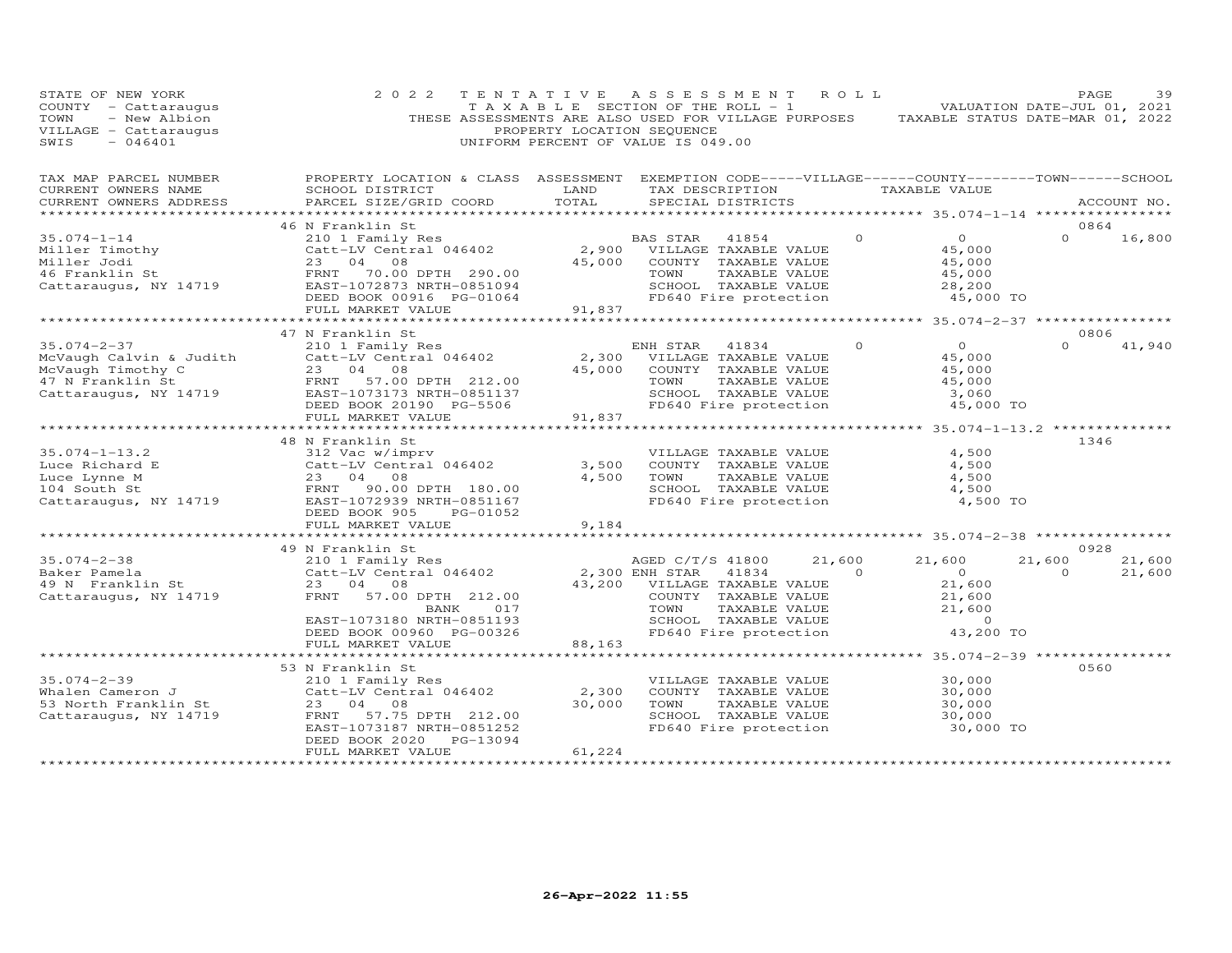| STATE OF NEW YORK<br>COUNTY - Cattaraugus<br>- New Albion<br>TOWN<br>VILLAGE - Cattaraugus<br>SWIS<br>$-046401$ | 2 0 2 2                                                                                                                                                                                                                | TENTATIVE<br>PROPERTY LOCATION SEQUENCE              | ASSESSMENT<br>T A X A B L E SECTION OF THE ROLL - 1<br>THESE ASSESSMENTS ARE ALSO USED FOR VILLAGE PURPOSES<br>UNIFORM PERCENT OF VALUE IS 049.00                      | ROLL                     | VALUATION DATE-JUL 01, 2021<br>TAXABLE STATUS DATE-MAR 01, 2022                       | PAGE               | 39               |
|-----------------------------------------------------------------------------------------------------------------|------------------------------------------------------------------------------------------------------------------------------------------------------------------------------------------------------------------------|------------------------------------------------------|------------------------------------------------------------------------------------------------------------------------------------------------------------------------|--------------------------|---------------------------------------------------------------------------------------|--------------------|------------------|
| TAX MAP PARCEL NUMBER<br>CURRENT OWNERS NAME<br>CURRENT OWNERS ADDRESS<br>******************                    | PROPERTY LOCATION & CLASS ASSESSMENT EXEMPTION CODE-----VILLAGE------COUNTY--------TOWN------SCHOOL<br>SCHOOL DISTRICT<br>PARCEL SIZE/GRID COORD                                                                       | LAND<br>TOTAL                                        | TAX DESCRIPTION<br>SPECIAL DISTRICTS                                                                                                                                   |                          | TAXABLE VALUE                                                                         |                    | ACCOUNT NO.      |
|                                                                                                                 | 46 N Franklin St                                                                                                                                                                                                       |                                                      |                                                                                                                                                                        |                          |                                                                                       | 0864               |                  |
| $35.074 - 1 - 14$<br>Miller Timothy<br>Miller Jodi<br>46 Franklin St<br>Cattaraugus, NY 14719                   | 210 1 Family Res<br>Catt-LV Central 046402<br>23 04 08<br>FRNT 70.00 DPTH 290.00<br>EAST-1072873 NRTH-0851094<br>DEED BOOK 00916 PG-01064<br>FULL MARKET VALUE                                                         | 45,000<br>91,837                                     | BAS STAR<br>41854<br>2,900 VILLAGE TAXABLE VALUE<br>COUNTY TAXABLE VALUE<br>TOWN<br>TAXABLE VALUE<br>SCHOOL TAXABLE VALUE<br>FD640 Fire protection                     | $\Omega$                 | $\overline{0}$<br>45,000<br>45,000<br>45,000<br>28,200<br>45,000 TO                   | $\Omega$           | 16,800           |
|                                                                                                                 | ************************                                                                                                                                                                                               |                                                      |                                                                                                                                                                        |                          |                                                                                       |                    |                  |
| $35.074 - 2 - 37$<br>McVaugh Calvin & Judith<br>McVaugh Timothy C<br>47 N Franklin St<br>Cattaraugus, NY 14719  | 47 N Franklin St<br>210 1 Family Res<br>Catt-LV Central 046402<br>23 04 08<br>FRNT<br>57.00 DPTH 212.00<br>EAST-1073173 NRTH-0851137                                                                                   | 2,300<br>45,000                                      | ENH STAR 41834<br>VILLAGE TAXABLE VALUE<br>COUNTY TAXABLE VALUE<br>TOWN<br>TAXABLE VALUE<br>SCHOOL TAXABLE VALUE                                                       | $\Omega$                 | $\circ$<br>45,000<br>45,000<br>45,000<br>3,060                                        | 0806<br>$\Omega$   | 41,940           |
|                                                                                                                 | DEED BOOK 20190 PG-5506<br>FULL MARKET VALUE                                                                                                                                                                           | 91,837                                               | FD640 Fire protection                                                                                                                                                  |                          | 45,000 TO                                                                             |                    |                  |
| $35.074 - 1 - 13.2$<br>Luce Richard E<br>Luce Lynne M<br>104 South St<br>Cattaraugus, NY 14719                  | 48 N Franklin St<br>312 Vac w/imprv<br>Catt-LV Central 046402<br>23 04<br>08<br>FRNT<br>90.00 DPTH 180.00<br>EAST-1072939 NRTH-0851167<br>DEED BOOK 905<br>PG-01052                                                    | 3,500<br>4,500                                       | VILLAGE TAXABLE VALUE<br>COUNTY TAXABLE VALUE<br>TOWN<br>TAXABLE VALUE<br>SCHOOL TAXABLE VALUE<br>FD640 Fire protection                                                |                          | 4,500<br>4,500<br>4,500<br>4,500<br>4,500 TO                                          | 1346               |                  |
|                                                                                                                 | FULL MARKET VALUE                                                                                                                                                                                                      | 9,184                                                |                                                                                                                                                                        |                          | ************************ 35.074-2-38 ************                                     |                    |                  |
|                                                                                                                 | 49 N Franklin St                                                                                                                                                                                                       |                                                      |                                                                                                                                                                        |                          |                                                                                       | 0928               |                  |
| $35.074 - 2 - 38$<br>Baker Pamela<br>49 N Franklin St<br>Cattaraugus, NY 14719                                  | 210 1 Family Res<br>Catt-LV Central 046402<br>23 04 08<br>57.00 DPTH 212.00<br>FRNT<br>017<br>BANK<br>EAST-1073180 NRTH-0851193<br>DEED BOOK 00960 PG-00326                                                            | 43,200                                               | AGED C/T/S 41800<br>2,300 ENH STAR<br>41834<br>VILLAGE TAXABLE VALUE<br>COUNTY TAXABLE VALUE<br>TOWN<br>TAXABLE VALUE<br>SCHOOL TAXABLE VALUE<br>FD640 Fire protection | 21,600<br>$\overline{0}$ | 21,600<br>$\overline{0}$<br>21,600<br>21,600<br>21,600<br>$\overline{O}$<br>43,200 TO | 21,600<br>$\Omega$ | 21,600<br>21,600 |
|                                                                                                                 | FULL MARKET VALUE<br>******************************                                                                                                                                                                    | 88,163                                               |                                                                                                                                                                        |                          |                                                                                       |                    |                  |
| $35.074 - 2 - 39$<br>Whalen Cameron J<br>53 North Franklin St<br>Cattaraugus, NY 14719<br>*******************   | 53 N Franklin St<br>210 1 Family Res<br>Catt-LV Central 046402<br>23<br>08<br>04<br>FRNT<br>57.75 DPTH 212.00<br>EAST-1073187 NRTH-0851252<br>PG-13094<br>DEED BOOK 2020<br>FULL MARKET VALUE<br>********************* | 2,300<br>30,000<br>61,224<br>* * * * * * * * * * * * | VILLAGE TAXABLE VALUE<br>COUNTY TAXABLE VALUE<br>TOWN<br>TAXABLE VALUE<br>SCHOOL TAXABLE VALUE<br>FD640 Fire protection                                                |                          | 30,000<br>30,000<br>30,000<br>30,000<br>30,000 TO                                     | 0560               |                  |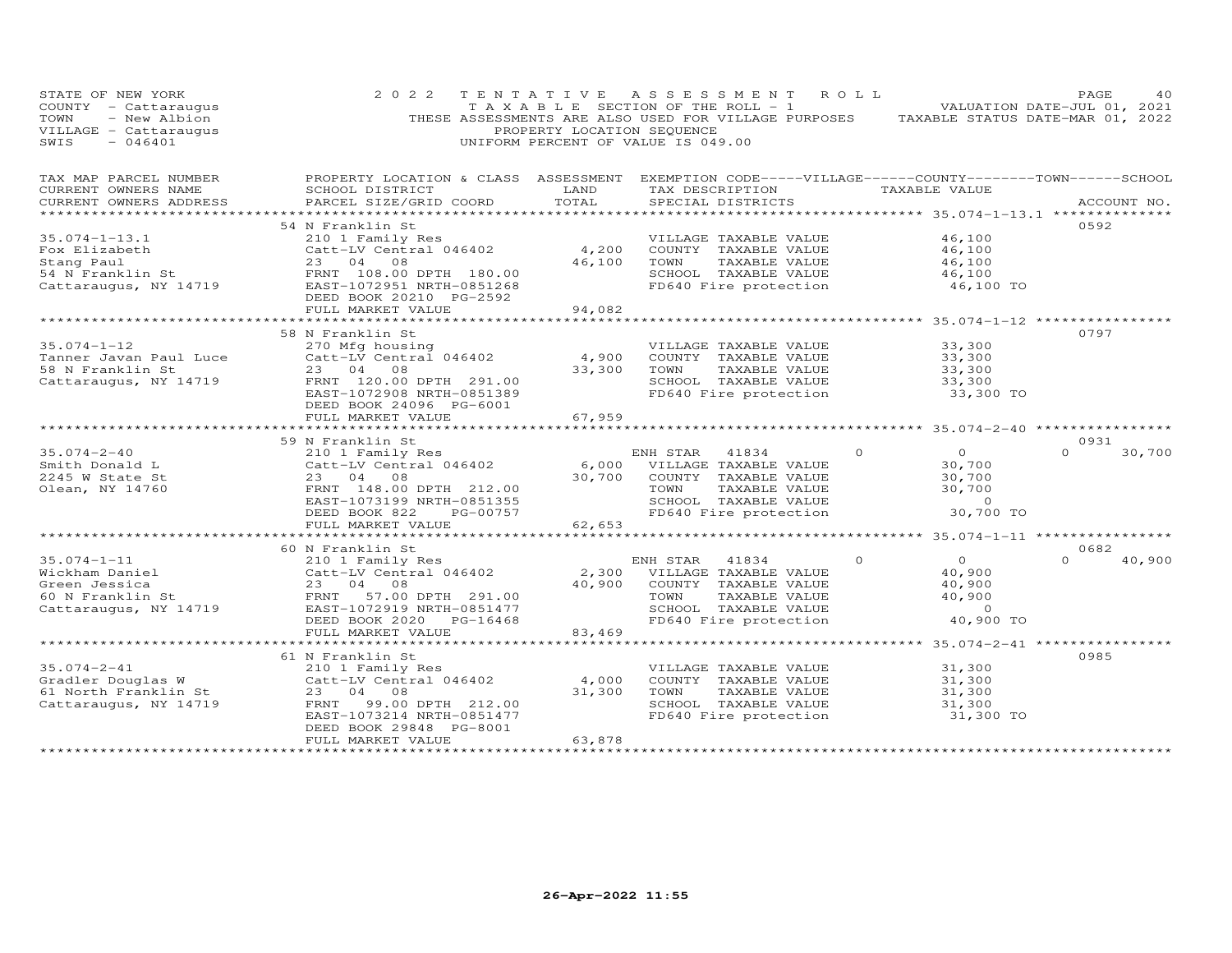| STATE OF NEW YORK<br>COUNTY - Cattaraugus<br>- New Albion<br>TOWN<br>VILLAGE - Cattaraugus<br>$-046401$<br>SWIS  | 2 0 2 2                                                                                                                                                      | PROPERTY LOCATION SEQUENCE  | TENTATIVE ASSESSMENT ROLL<br>T A X A B L E SECTION OF THE ROLL - 1<br>THESE ASSESSMENTS ARE ALSO USED FOR VILLAGE PURPOSES TAXABLE STATUS DATE-MAR 01, 2022<br>UNIFORM PERCENT OF VALUE IS 049.00 |                                                                                                  | PAGE<br>40<br>VALUATION DATE-JUL 01, 2021 |
|------------------------------------------------------------------------------------------------------------------|--------------------------------------------------------------------------------------------------------------------------------------------------------------|-----------------------------|---------------------------------------------------------------------------------------------------------------------------------------------------------------------------------------------------|--------------------------------------------------------------------------------------------------|-------------------------------------------|
| TAX MAP PARCEL NUMBER<br>CURRENT OWNERS NAME<br>CURRENT OWNERS ADDRESS                                           | PROPERTY LOCATION & CLASS ASSESSMENT EXEMPTION CODE-----VILLAGE------COUNTY-------TOWN------SCHOOL<br>SCHOOL DISTRICT<br>PARCEL SIZE/GRID COORD              | LAND<br>TOTAL               | TAX DESCRIPTION TAXABLE VALUE<br>SPECIAL DISTRICTS                                                                                                                                                |                                                                                                  | ACCOUNT NO.                               |
|                                                                                                                  |                                                                                                                                                              |                             |                                                                                                                                                                                                   | ****************** 35.074-1-13.1 **************                                                  |                                           |
| $35.074 - 1 - 13.1$<br>Fox Elizabeth<br>Stang Paul<br>54 N Franklin St<br>Cattaraugus, NY 14719                  | 54 N Franklin St<br>210 1 Family Res<br>Catt-LV Central 046402<br>23 04 08<br>FRNT 108.00 DPTH 180.00<br>EAST-1072951 NRTH-0851268                           | 4,200<br>46,100             | VILLAGE TAXABLE VALUE<br>COUNTY TAXABLE VALUE<br>TOWN<br>TAXABLE VALUE<br>SCHOOL TAXABLE VALUE<br>FD640 Fire protection                                                                           | 46,100<br>46,100<br>46,100<br>46,100<br>46,100 TO                                                | 0592                                      |
|                                                                                                                  | DEED BOOK 20210 PG-2592                                                                                                                                      |                             |                                                                                                                                                                                                   |                                                                                                  |                                           |
|                                                                                                                  | FULL MARKET VALUE                                                                                                                                            | 94,082                      |                                                                                                                                                                                                   |                                                                                                  |                                           |
| $35.074 - 1 - 12$<br>Tanner Javan Paul Luce<br>58 N Franklin St<br>Cattaraugus, NY 14719 FRNT 120.00 DPTH 291.00 | 58 N Franklin St<br>270 Mfg housing<br>$Catt-LV$ Central 046402<br>23 04 08<br>EAST-1072908 NRTH-0851389<br>DEED BOOK 24096 PG-6001                          | 4,900<br>33,300             | VILLAGE TAXABLE VALUE<br>COUNTY TAXABLE VALUE<br>TOWN<br>TAXABLE VALUE<br>SCHOOL TAXABLE VALUE<br>FD640 Fire protection                                                                           | 33,300<br>33,300<br>33,300<br>33,300<br>33,300 TO                                                | 0797                                      |
|                                                                                                                  | FULL MARKET VALUE<br>*************************                                                                                                               | 67,959                      |                                                                                                                                                                                                   |                                                                                                  |                                           |
|                                                                                                                  | 59 N Franklin St                                                                                                                                             |                             |                                                                                                                                                                                                   |                                                                                                  | 0931                                      |
| $35.074 - 2 - 40$<br>Smith Donald L<br>2245 W State St<br>Olean, NY 14760                                        | 210 1 Family Res<br>Catt-LV Central 046402<br>23 04 08<br>FRNT 148.00 DPTH 212.00<br>EAST-1073199 NRTH-0851355<br>DEED BOOK 822<br>PG-00757                  | 30,700                      | ENH STAR 41834<br>6,000 VILLAGE TAXABLE VALUE<br>COUNTY TAXABLE VALUE<br>TOWN<br>TAXABLE VALUE<br>SCHOOL TAXABLE VALUE<br>FD640 Fire protection                                                   | $\overline{O}$<br>$\Omega$<br>30,700<br>30,700<br>30,700<br>$\sim$ 0<br>30,700 TO                | $\Omega$<br>30,700                        |
|                                                                                                                  | FULL MARKET VALUE                                                                                                                                            | 62,653                      |                                                                                                                                                                                                   |                                                                                                  |                                           |
|                                                                                                                  | ******************************                                                                                                                               |                             |                                                                                                                                                                                                   |                                                                                                  |                                           |
| $35.074 - 1 - 11$<br>Wickham Daniel<br>Green Jessica<br>60 N Franklin St<br>Cattaraugus, NY 14719                | 60 N Franklin St<br>210 1 Family Res<br>Catt-LV Central 046402<br>23 04 08<br>FRNT 57.00 DPTH 291.00<br>EAST-1072919 NRTH-0851477<br>DEED BOOK 2020 PG-16468 | 40,900                      | ENH STAR 41834<br>2,300 VILLAGE TAXABLE VALUE<br>COUNTY TAXABLE VALUE<br>TOWN<br>TAXABLE VALUE<br>SCHOOL TAXABLE VALUE<br>FD640 Fire protection                                                   | $\Omega$<br>$\overline{O}$<br>40,900<br>40,900<br>40,900<br>$\overline{0}$<br>40,900 TO          | 0682<br>40,900<br>$\Omega$                |
|                                                                                                                  | FULL MARKET VALUE<br>**********************                                                                                                                  | 83,469                      |                                                                                                                                                                                                   |                                                                                                  |                                           |
| $35.074 - 2 - 41$<br>Gradler Douglas W<br>$61$ North Franklin St<br>Cattaraugus, NY 14719                        | 61 N Franklin St<br>210 1 Family Res<br>Catt-LV Central 046402<br>23 04 08<br>99.00 DPTH 212.00<br>FRNT<br>EAST-1073214 NRTH-0851477                         | 4,000<br>31,300             | VILLAGE TAXABLE VALUE<br>COUNTY TAXABLE VALUE<br>TOWN<br>TAXABLE VALUE<br>SCHOOL TAXABLE VALUE<br>FD640 Fire protection                                                                           | ************* 35.074-2-41 *****************<br>31,300<br>31,300<br>31,300<br>31,300<br>31,300 TO | 0985                                      |
| ***********************                                                                                          | DEED BOOK 29848 PG-8001<br>FULL MARKET VALUE<br>************************                                                                                     | 63,878<br>***************** |                                                                                                                                                                                                   |                                                                                                  |                                           |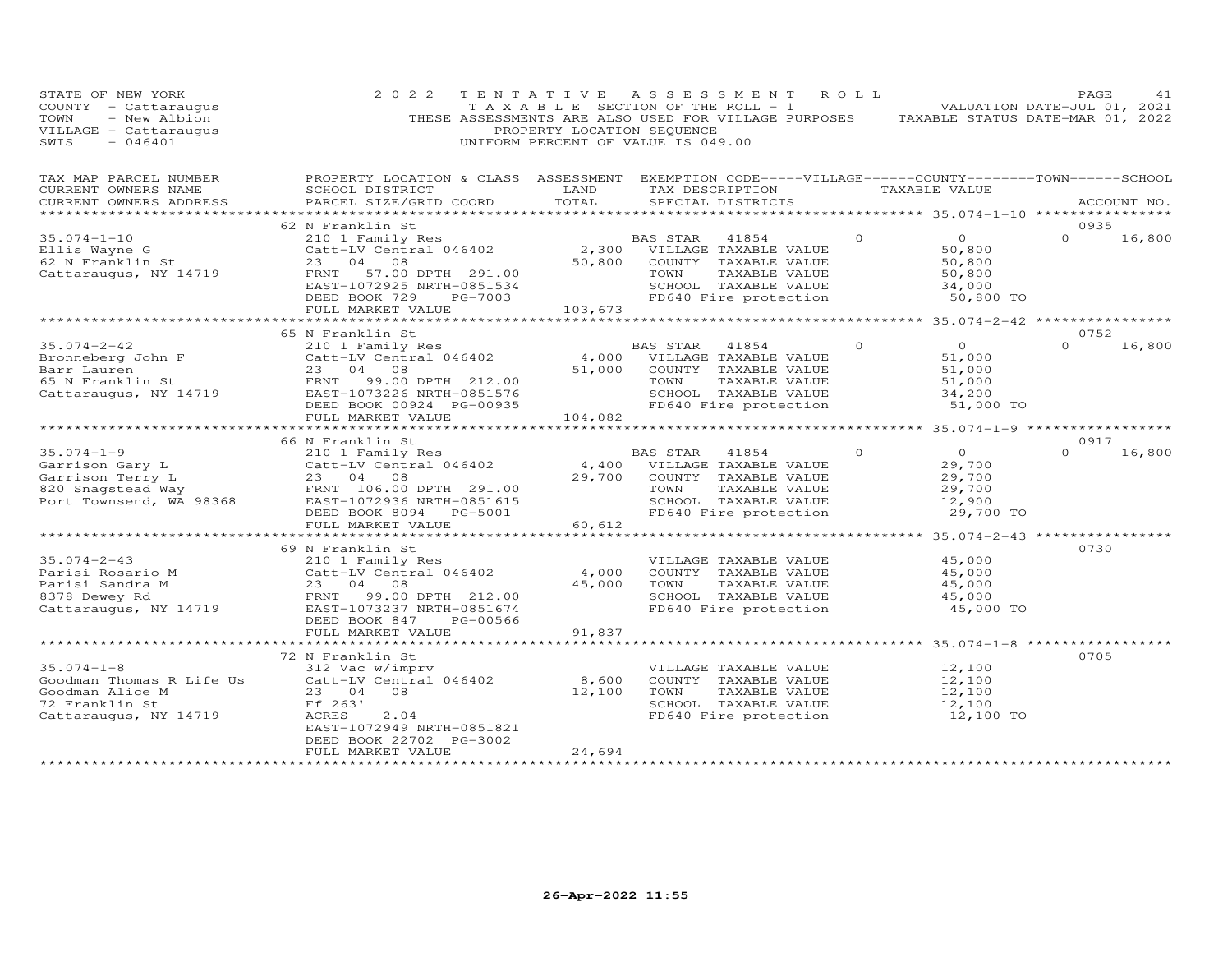| STATE OF NEW YORK<br>COUNTY - Cattaraugus<br>- New Albion<br>TOWN<br>VILLAGE - Cattaraugus<br>SWIS<br>$-046401$   | 2 0 2 2                                                                                                                                                                                | TENTATIVE<br>PROPERTY LOCATION SEQUENCE | A S S E S S M E N T<br>TAXABLE SECTION OF THE ROLL - 1<br>THESE ASSESSMENTS ARE ALSO USED FOR VILLAGE PURPOSES<br>UNIFORM PERCENT OF VALUE IS 049.00      | ROLL <sup></sup> | TAXABLE STATUS DATE-MAR 01, 2022                                    | PAGE<br>VALUATION DATE-JUL 01, 2021 | 41          |
|-------------------------------------------------------------------------------------------------------------------|----------------------------------------------------------------------------------------------------------------------------------------------------------------------------------------|-----------------------------------------|-----------------------------------------------------------------------------------------------------------------------------------------------------------|------------------|---------------------------------------------------------------------|-------------------------------------|-------------|
| TAX MAP PARCEL NUMBER<br>CURRENT OWNERS NAME<br>CURRENT OWNERS ADDRESS<br>****************                        | PROPERTY LOCATION & CLASS ASSESSMENT<br>SCHOOL DISTRICT<br>PARCEL SIZE/GRID COORD                                                                                                      | LAND<br>TOTAL                           | EXEMPTION CODE-----VILLAGE------COUNTY--------TOWN------SCHOOL<br>TAX DESCRIPTION TAXABLE VALUE<br>SPECIAL DISTRICTS<br>***************************       |                  | ******************* 35.074-1-10 *****************                   |                                     | ACCOUNT NO. |
|                                                                                                                   | 62 N Franklin St                                                                                                                                                                       |                                         |                                                                                                                                                           |                  |                                                                     | 0935                                |             |
| $35.074 - 1 - 10$<br>Ellis Wayne G<br>62 N Franklin St<br>Cattaraugus, NY 14719                                   | 210 1 Family Res<br>Catt-LV Central 046402<br>23 04 08<br>57.00 DPTH 291.00<br>FRNT<br>EAST-1072925 NRTH-0851534<br>DEED BOOK 729<br>PG-7003<br>FULL MARKET VALUE                      | 50,800<br>103,673                       | <b>BAS STAR</b><br>41854<br>2,300 VILLAGE TAXABLE VALUE<br>COUNTY TAXABLE VALUE<br>TAXABLE VALUE<br>TOWN<br>SCHOOL TAXABLE VALUE<br>FD640 Fire protection | $\Omega$         | $\overline{O}$<br>50,800<br>50,800<br>50,800<br>34,000<br>50,800 TO | $\Omega$                            | 16,800      |
|                                                                                                                   |                                                                                                                                                                                        |                                         |                                                                                                                                                           |                  |                                                                     |                                     |             |
| $35.074 - 2 - 42$<br>Bronneberg John F<br>Dorm Lauren<br>Barr Lauren<br>65 N Franklin St<br>Cattaraugus, NY 14719 | 65 N Franklin St<br>210 1 Family Res<br>Catt-LV Central 046402<br>23 04 08<br>99.00 DPTH 212.00<br>FRNT<br>EAST-1073226 NRTH-0851576<br>DEED BOOK 00924 PG-00935                       | 4,000<br>51,000                         | BAS STAR<br>41854<br>VILLAGE TAXABLE VALUE<br>COUNTY TAXABLE VALUE<br>TOWN<br>TAXABLE VALUE<br>SCHOOL TAXABLE VALUE<br>FD640 Fire protection              | $\Omega$         | $\circ$<br>51,000<br>51,000<br>51,000<br>34,200<br>51,000 TO        | 0752<br>$\Omega$                    | 16,800      |
|                                                                                                                   | FULL MARKET VALUE                                                                                                                                                                      | 104,082                                 |                                                                                                                                                           |                  |                                                                     | ****************                    |             |
|                                                                                                                   | 66 N Franklin St                                                                                                                                                                       |                                         |                                                                                                                                                           |                  |                                                                     | 0917                                |             |
| $35.074 - 1 - 9$<br>Garrison Gary L<br>Garrison Terry L<br>820 Snagstead Way<br>Port Townsend, WA 98368           | 210 1 Family Res<br>Catt-LV Central 046402<br>23 04 08<br>FRNT 106.00 DPTH 291.00<br>EAST-1072936 NRTH-0851615<br>DEED BOOK 8094<br>PG-5001                                            | 4,400<br>29,700                         | BAS STAR<br>41854<br>VILLAGE TAXABLE VALUE<br>COUNTY TAXABLE VALUE<br>TOWN<br>TAXABLE VALUE<br>SCHOOL TAXABLE VALUE<br>FD640 Fire protection              | $\Omega$         | $\Omega$<br>29,700<br>29,700<br>29,700<br>12,900<br>29,700 TO       | $\Omega$                            | 16,800      |
|                                                                                                                   | FULL MARKET VALUE                                                                                                                                                                      | 60,612                                  |                                                                                                                                                           |                  |                                                                     |                                     |             |
|                                                                                                                   |                                                                                                                                                                                        |                                         |                                                                                                                                                           |                  | *************** 35.074-2-43 ************                            |                                     |             |
| $35.074 - 2 - 43$<br>Parisi Rosario M<br>Parisi Sandra M<br>8378 Dewey Rd<br>Cattaraugus, NY 14719                | 69 N Franklin St<br>210 1 Family Res<br>Catt-LV Central 046402<br>23 04<br>08<br>FRNT 99.00 DPTH 212.00<br>EAST-1073237 NRTH-0851674<br>DEED BOOK 847<br>PG-00566<br>FULL MARKET VALUE | 4,000<br>45,000<br>91,837               | VILLAGE TAXABLE VALUE<br>COUNTY TAXABLE VALUE<br>TOWN<br>TAXABLE VALUE<br>SCHOOL TAXABLE VALUE<br>FD640 Fire protection                                   |                  | 45,000<br>45,000<br>45,000<br>45,000<br>45,000 TO                   | 0730                                |             |
|                                                                                                                   |                                                                                                                                                                                        | **********                              |                                                                                                                                                           |                  | **************** 35.074-1-8 ************                            |                                     |             |
| $35.074 - 1 - 8$<br>Goodman Thomas R Life Us<br>Goodman Alice M<br>72 Franklin St<br>Cattaraugus, NY 14719        | 72 N Franklin St<br>312 Vac w/imprv<br>Catt-LV Central 046402<br>23 04<br>08<br>Ff 263'<br>ACRES<br>2.04<br>EAST-1072949 NRTH-0851821                                                  | 8,600<br>12,100                         | VILLAGE TAXABLE VALUE<br>COUNTY TAXABLE VALUE<br>TOWN<br>TAXABLE VALUE<br>SCHOOL TAXABLE VALUE<br>FD640 Fire protection                                   |                  | 12,100<br>12,100<br>12,100<br>12,100<br>12,100 TO                   | 0705                                |             |
|                                                                                                                   | DEED BOOK 22702 PG-3002<br>FULL MARKET VALUE                                                                                                                                           | 24,694                                  |                                                                                                                                                           |                  |                                                                     |                                     |             |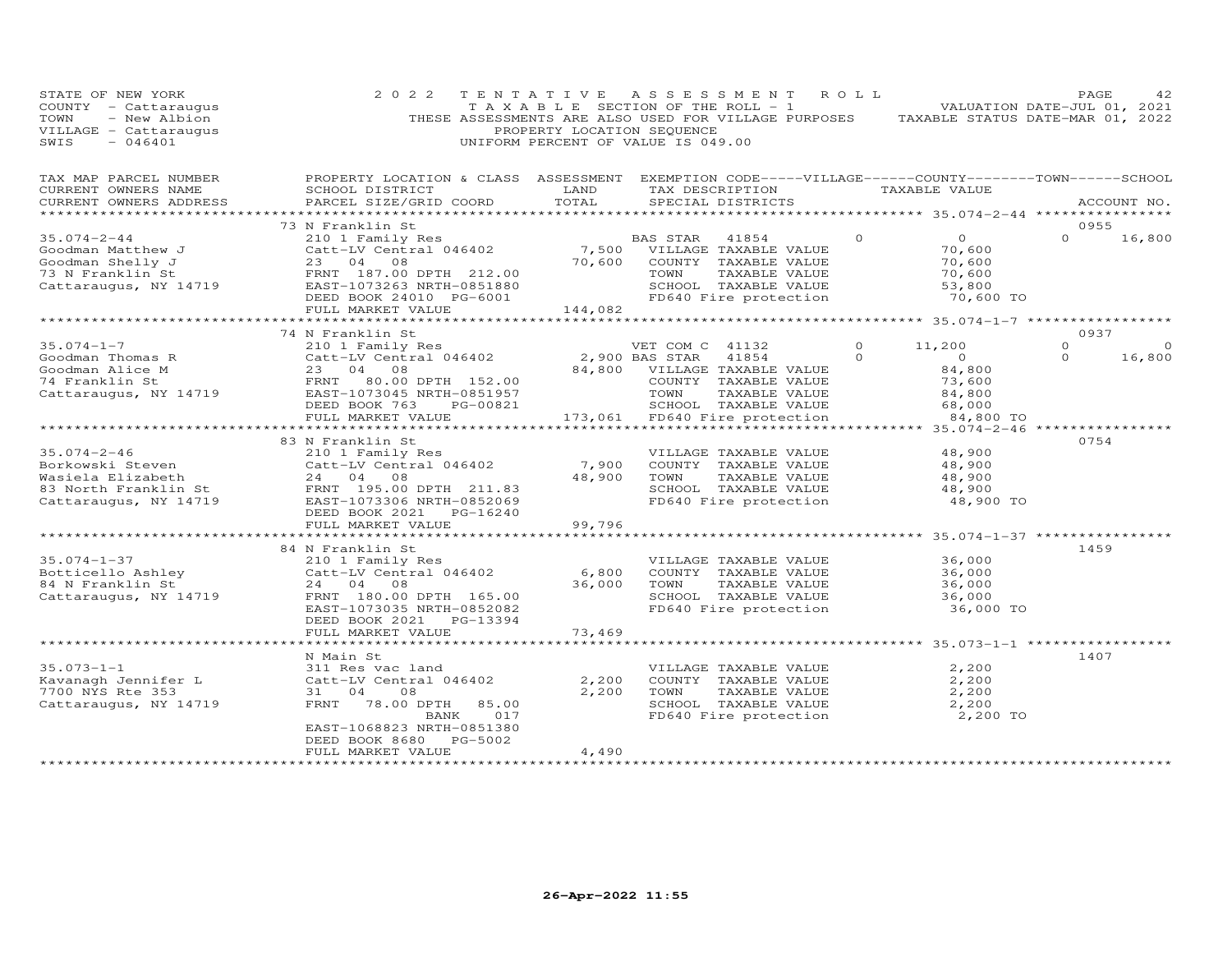| STATE OF NEW YORK<br>COUNTY - Cattaraugus<br>- New Albion<br>TOWN<br>VILLAGE - Cattaraugus<br>SWIS<br>$-046401$ | 2 0 2 2                                                                                                                                                                                     | TENTATIVE<br>PROPERTY LOCATION SEQUENCE              | ASSESSMENT ROLL<br>TAXABLE SECTION OF THE ROLL - 1<br>THESE ASSESSMENTS ARE ALSO USED FOR VILLAGE PURPOSES TAXABLE STATUS DATE-MAR 01, 2022<br>UNIFORM PERCENT OF VALUE IS 049.00 |                      |                                                                                                          | PAGE<br>VALUATION DATE-JUL 01, 2021 | 42                 |
|-----------------------------------------------------------------------------------------------------------------|---------------------------------------------------------------------------------------------------------------------------------------------------------------------------------------------|------------------------------------------------------|-----------------------------------------------------------------------------------------------------------------------------------------------------------------------------------|----------------------|----------------------------------------------------------------------------------------------------------|-------------------------------------|--------------------|
| TAX MAP PARCEL NUMBER<br>CURRENT OWNERS NAME<br>CURRENT OWNERS ADDRESS<br>******************                    | PROPERTY LOCATION & CLASS ASSESSMENT EXEMPTION CODE-----VILLAGE------COUNTY--------TOWN------SCHOOL<br>SCHOOL DISTRICT<br>PARCEL SIZE/GRID COORD                                            | LAND<br>TOTAL                                        | TAX DESCRIPTION TAXABLE VALUE<br>SPECIAL DISTRICTS                                                                                                                                |                      | ********************* 35.074-2-44 *****************                                                      | ACCOUNT NO.                         |                    |
|                                                                                                                 | 73 N Franklin St                                                                                                                                                                            |                                                      |                                                                                                                                                                                   |                      |                                                                                                          | 0955                                |                    |
| $35.074 - 2 - 44$<br>Goodman Matthew J<br>Goodman Shelly J<br>73 N Franklin St<br>Cattaraugus, NY 14719         | 210 1 Family Res<br>Catt-LV Central 046402<br>23 04<br>08<br>FRNT 187.00 DPTH 212.00<br>EAST-1073263 NRTH-0851880<br>DEED BOOK 24010 PG-6001                                                | 70,600                                               | BAS STAR<br>41854<br>7,500 VILLAGE TAXABLE VALUE<br>COUNTY TAXABLE VALUE<br>TOWN<br>TAXABLE VALUE<br>SCHOOL TAXABLE VALUE<br>FD640 Fire protection                                | $\circ$              | $\overline{O}$<br>70,600<br>70,600<br>70,600<br>53,800<br>70,600 TO                                      | $\Omega$                            | 16,800             |
|                                                                                                                 | FULL MARKET VALUE                                                                                                                                                                           | 144,082                                              |                                                                                                                                                                                   |                      |                                                                                                          |                                     |                    |
| $35.074 - 1 - 7$<br>Goodman Thomas R                                                                            | 74 N Franklin St<br>210 1 Family Res<br>$Catt-LV$ Central 046402                                                                                                                            | 2,900 BAS STAR                                       | VET COM C 41132<br>41854                                                                                                                                                          | $\Omega$<br>$\Omega$ | 11,200<br>$\circ$                                                                                        | 0937<br>$\Omega$<br>$\Omega$        | $\Omega$<br>16,800 |
| Goodman Alice M<br>74 Franklin St<br>Cattaraugus, NY 14719                                                      | 08<br>23<br>04<br>FRNT<br>80.00 DPTH 152.00<br>EAST-1073045 NRTH-0851957<br>DEED BOOK 763<br>PG-00821                                                                                       | 84,800                                               | VILLAGE TAXABLE VALUE<br>COUNTY TAXABLE VALUE<br>TOWN<br>TAXABLE VALUE<br>SCHOOL TAXABLE VALUE                                                                                    |                      | 84,800<br>73,600<br>84,800<br>68,000                                                                     |                                     |                    |
|                                                                                                                 | FULL MARKET VALUE                                                                                                                                                                           | 173,061                                              | FD640 Fire protection                                                                                                                                                             |                      | 84,800 TO                                                                                                |                                     |                    |
|                                                                                                                 |                                                                                                                                                                                             |                                                      |                                                                                                                                                                                   |                      | $35.074 - 2 - 46$ **                                                                                     |                                     |                    |
| $35.074 - 2 - 46$<br>Borkowski Steven<br>Wasiela Elizabeth<br>83 North Franklin St<br>Cattaraugus, NY 14719     | 83 N Franklin St<br>210 1 Family Res<br>Catt-LV Central 046402<br>24 04 08<br>FRNT 195.00 DPTH 211.83<br>EAST-1073306 NRTH-0852069<br>DEED BOOK 2021 PG-16240                               | 7,900<br>48,900                                      | VILLAGE TAXABLE VALUE<br>COUNTY TAXABLE VALUE<br>TAXABLE VALUE<br>TOWN<br>SCHOOL TAXABLE VALUE<br>FD640 Fire protection                                                           |                      | 48,900<br>48,900<br>48,900<br>48,900<br>48,900 TO                                                        | 0754                                |                    |
|                                                                                                                 | FULL MARKET VALUE                                                                                                                                                                           | 99,796                                               |                                                                                                                                                                                   |                      |                                                                                                          |                                     |                    |
| $35.074 - 1 - 37$<br>Botticello Ashley<br>84 N Franklin St<br>Cattaraugus, NY 14719                             | 84 N Franklin St<br>210 1 Family Res<br>Catt-LV Central 046402<br>24<br>08<br>04<br>FRNT 180.00 DPTH 165.00<br>EAST-1073035 NRTH-0852082<br>DEED BOOK 2021<br>PG-13394<br>FULL MARKET VALUE | * * * * * * * * * * * *<br>6,800<br>36,000<br>73,469 | VILLAGE TAXABLE VALUE<br>COUNTY TAXABLE VALUE<br>TOWN<br>TAXABLE VALUE<br>SCHOOL TAXABLE VALUE<br>FD640 Fire protection                                                           |                      | ************************ 35.074-1-37 **************<br>36,000<br>36,000<br>36,000<br>36,000<br>36,000 TO | 1459                                |                    |
|                                                                                                                 |                                                                                                                                                                                             |                                                      |                                                                                                                                                                                   |                      | ********** 35.073-1-1 ***                                                                                |                                     |                    |
| $35.073 - 1 - 1$<br>Kavanagh Jennifer L<br>7700 NYS Rte 353<br>Cattaraugus, NY 14719                            | N Main St<br>311 Res vac land<br>Catt-LV Central 046402<br>31 04<br>08<br>FRNT<br>78.00 DPTH<br>85.00<br>017<br>BANK<br>EAST-1068823 NRTH-0851380                                           | 2,200<br>2,200                                       | VILLAGE TAXABLE VALUE<br>COUNTY TAXABLE VALUE<br>TOWN<br>TAXABLE VALUE<br>SCHOOL TAXABLE VALUE<br>FD640 Fire protection                                                           |                      | 2,200<br>2,200<br>2,200<br>2,200<br>2,200 TO                                                             | 1407                                |                    |
|                                                                                                                 | DEED BOOK 8680<br>PG-5002<br>FULL MARKET VALUE                                                                                                                                              | 4,490                                                |                                                                                                                                                                                   |                      |                                                                                                          |                                     |                    |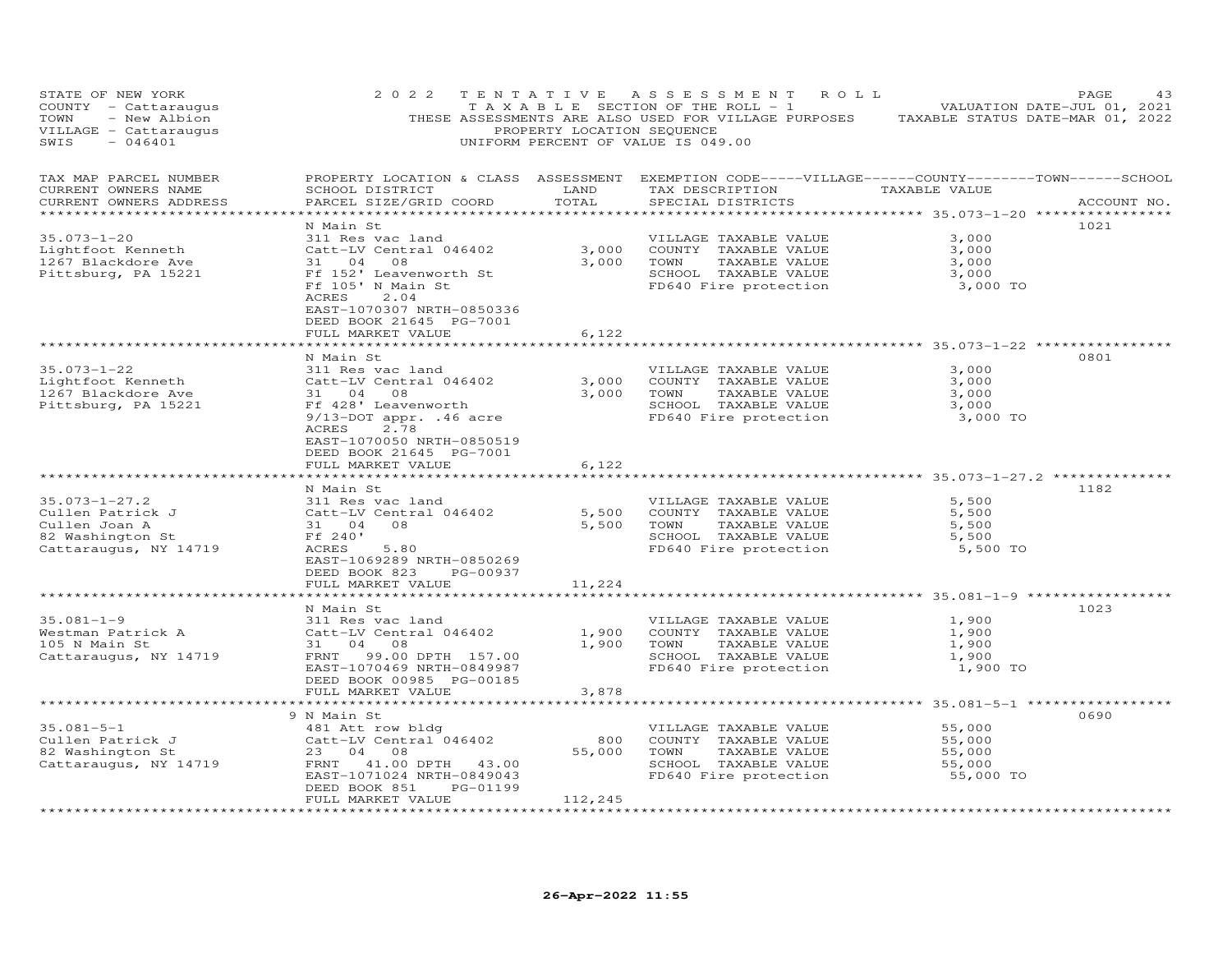| STATE OF NEW YORK<br>COUNTY - Cattaraugus<br>- New Albion<br>TOWN<br>VILLAGE - Cattaraugus<br>SWIS<br>$-046401$ | 2 0 2 2                                                                                                                                                                                        | PROPERTY LOCATION SEQUENCE         | TENTATIVE ASSESSMENT<br>R O L L<br>TAXABLE SECTION OF THE ROLL - 1<br>THESE ASSESSMENTS ARE ALSO USED FOR VILLAGE PURPOSES<br>UNIFORM PERCENT OF VALUE IS 049.00                                               | TAXABLE STATUS DATE-MAR 01, 2022                  | PAGE<br>43<br>VALUATION DATE-JUL 01, 2021 |
|-----------------------------------------------------------------------------------------------------------------|------------------------------------------------------------------------------------------------------------------------------------------------------------------------------------------------|------------------------------------|----------------------------------------------------------------------------------------------------------------------------------------------------------------------------------------------------------------|---------------------------------------------------|-------------------------------------------|
| TAX MAP PARCEL NUMBER<br>CURRENT OWNERS NAME<br>CURRENT OWNERS ADDRESS<br>***********************               | SCHOOL DISTRICT<br>PARCEL SIZE/GRID COORD<br>***************************                                                                                                                       | LAND<br>TOTAL<br>**********        | PROPERTY LOCATION & CLASS ASSESSMENT EXEMPTION CODE-----VILLAGE------COUNTY--------TOWN------SCHOOL<br>TAX DESCRIPTION<br>SPECIAL DISTRICTS<br>********************************** 35.073-1-20 **************** | TAXABLE VALUE                                     | ACCOUNT NO.                               |
| $35.073 - 1 - 20$<br>Lightfoot Kenneth<br>1267 Blackdore Ave<br>Pittsburg, PA 15221                             | N Main St<br>311 Res vac land<br>Catt-LV Central 046402<br>31 04<br>08<br>Ff 152' Leavenworth St<br>Ff 105' N Main St<br>ACRES<br>2.04<br>EAST-1070307 NRTH-0850336<br>DEED BOOK 21645 PG-7001 | 3,000<br>3,000                     | VILLAGE TAXABLE VALUE<br>COUNTY TAXABLE VALUE<br>TOWN<br>TAXABLE VALUE<br>SCHOOL TAXABLE VALUE<br>FD640 Fire protection                                                                                        | 3,000<br>3,000<br>3,000<br>3,000<br>3,000 TO      | 1021                                      |
|                                                                                                                 | FULL MARKET VALUE                                                                                                                                                                              | 6,122                              |                                                                                                                                                                                                                |                                                   |                                           |
| $35.073 - 1 - 22$<br>Lightfoot Kenneth<br>1267 Blackdore Ave<br>Pittsburg, PA 15221                             | *******************<br>N Main St<br>311 Res vac land<br>Catt-LV Central 046402<br>31 04 08<br>Ff 428' Leavenworth                                                                              | ********<br>3,000<br>3,000         | ******************************** 35.073-1-22 ************<br>VILLAGE TAXABLE VALUE<br>COUNTY TAXABLE VALUE<br>TOWN<br>TAXABLE VALUE<br>SCHOOL TAXABLE VALUE                                                    | 3,000<br>3,000<br>3,000<br>3,000                  | 0801                                      |
|                                                                                                                 | 9/13-DOT appr. .46 acre<br>2.78<br>ACRES<br>EAST-1070050 NRTH-0850519<br>DEED BOOK 21645 PG-7001<br>FULL MARKET VALUE                                                                          | 6,122                              | FD640 Fire protection                                                                                                                                                                                          | 3,000 TO                                          |                                           |
|                                                                                                                 |                                                                                                                                                                                                |                                    | ********************************* 35.073-1-27.2 **************                                                                                                                                                 |                                                   |                                           |
| $35.073 - 1 - 27.2$<br>Cullen Patrick J<br>Cullen Joan A<br>82 Washington St<br>Cattaraugus, NY 14719           | N Main St<br>311 Res vac land<br>Catt-LV Central 046402<br>31 04<br>08<br>Ff 240'<br>ACRES<br>5.80<br>EAST-1069289 NRTH-0850269<br>DEED BOOK 823<br>PG-00937<br>FULL MARKET VALUE              | 5,500<br>5,500<br>11,224           | VILLAGE TAXABLE VALUE<br>COUNTY TAXABLE VALUE<br>TOWN<br>TAXABLE VALUE<br>SCHOOL TAXABLE VALUE<br>FD640 Fire protection                                                                                        | 5,500<br>5,500<br>5,500<br>5,500<br>5,500 TO      | 1182                                      |
|                                                                                                                 | **************************                                                                                                                                                                     |                                    |                                                                                                                                                                                                                |                                                   |                                           |
| $35.081 - 1 - 9$<br>Westman Patrick A<br>105 N Main St<br>Cattaraugus, NY 14719                                 | N Main St<br>311 Res vac land<br>Catt-LV Central 046402<br>04<br>31<br>08<br>FRNT<br>99.00 DPTH 157.00<br>EAST-1070469 NRTH-0849987<br>DEED BOOK 00985 PG-00185<br>FULL MARKET VALUE           | 1,900<br>1,900<br>3,878            | VILLAGE TAXABLE VALUE<br>COUNTY TAXABLE VALUE<br>TOWN<br>TAXABLE VALUE<br>SCHOOL TAXABLE VALUE<br>FD640 Fire protection                                                                                        | 1,900<br>1,900<br>1,900<br>1,900<br>1,900 TO      | 1023                                      |
|                                                                                                                 |                                                                                                                                                                                                |                                    |                                                                                                                                                                                                                | **** 35.081-5-1 ************                      |                                           |
| $35.081 - 5 - 1$<br>Cullen Patrick J<br>82 Washington St<br>Cattaraugus, NY 14719                               | 9 N Main St<br>481 Att row bldg<br>Catt-LV Central 046402<br>23 04 08<br>FRNT 41.00 DPTH 43.00<br>EAST-1071024 NRTH-0849043<br>PG-01199<br>DEED BOOK 851                                       | 800<br>55,000                      | VILLAGE TAXABLE VALUE<br>COUNTY TAXABLE VALUE<br>TOWN<br>TAXABLE VALUE<br>SCHOOL TAXABLE VALUE<br>FD640 Fire protection                                                                                        | 55,000<br>55,000<br>55,000<br>55,000<br>55,000 TO | 0690                                      |
| *********************                                                                                           | FULL MARKET VALUE<br>*******************                                                                                                                                                       | 112,245<br>* * * * * * * * * * * * |                                                                                                                                                                                                                |                                                   |                                           |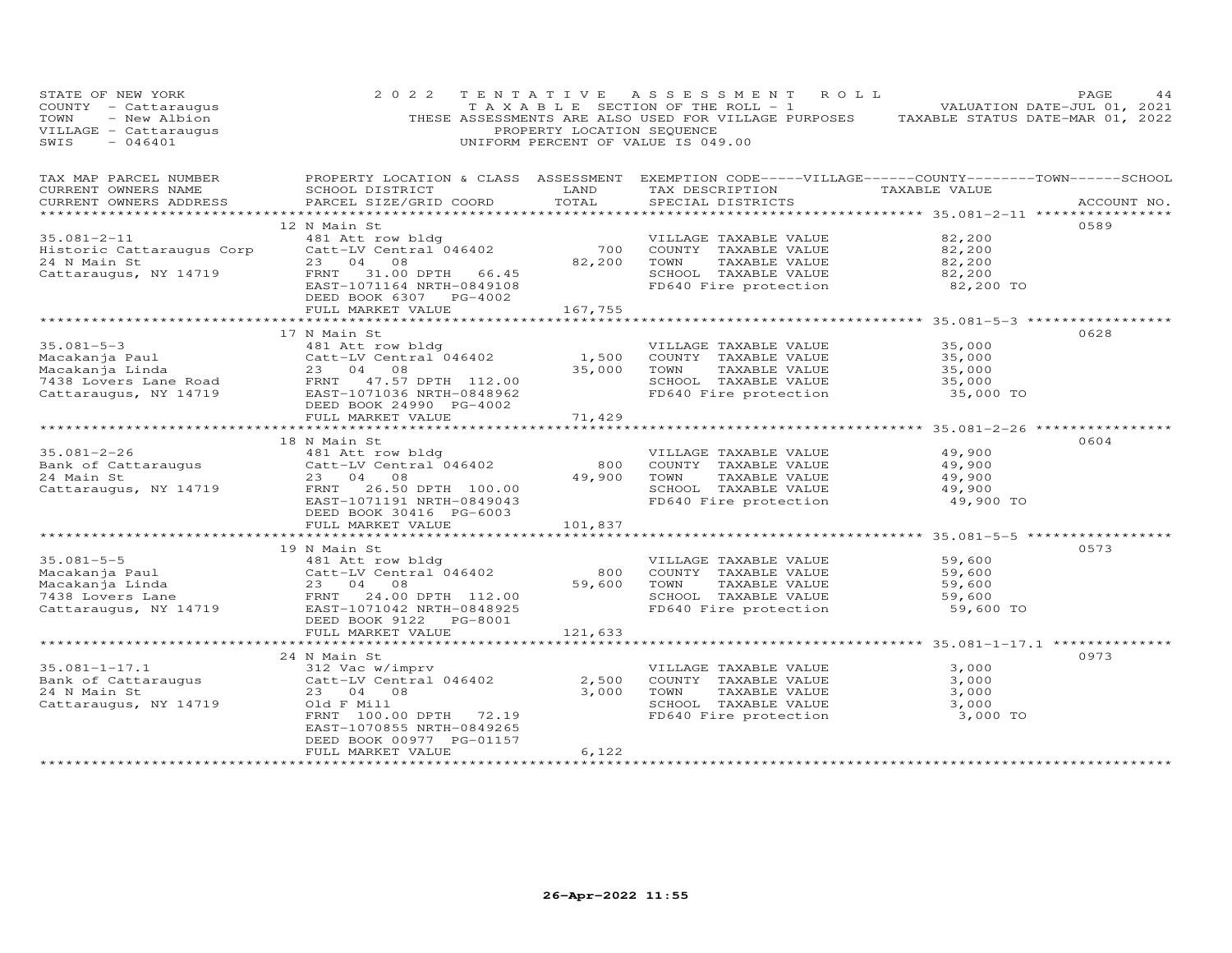| STATE OF NEW YORK<br>COUNTY - Cattaraugus<br>- New Albion<br>TOWN<br>VILLAGE - Cattaraugus<br>SWIS<br>$-046401$ | 2 0 2 2                                                                                                                                                            | TENTATIVE<br>PROPERTY LOCATION SEQUENCE | A S S E S S M E N T<br>R O L L<br>TAXABLE SECTION OF THE ROLL - 1<br>THESE ASSESSMENTS ARE ALSO USED FOR VILLAGE PURPOSES<br>UNIFORM PERCENT OF VALUE IS 049.00 |                                                    | PAGE<br>44<br>VALUATION DATE-JUL 01, 2021<br>TAXABLE STATUS DATE-MAR 01, 2022 |
|-----------------------------------------------------------------------------------------------------------------|--------------------------------------------------------------------------------------------------------------------------------------------------------------------|-----------------------------------------|-----------------------------------------------------------------------------------------------------------------------------------------------------------------|----------------------------------------------------|-------------------------------------------------------------------------------|
| TAX MAP PARCEL NUMBER<br>CURRENT OWNERS NAME<br>CURRENT OWNERS ADDRESS                                          | SCHOOL DISTRICT<br>PARCEL SIZE/GRID COORD                                                                                                                          | LAND<br>TOTAL                           | PROPERTY LOCATION & CLASS ASSESSMENT EXEMPTION CODE-----VILLAGE------COUNTY--------TOWN------SCHOOL<br>TAX DESCRIPTION<br>SPECIAL DISTRICTS                     | TAXABLE VALUE<br>********** 35.081-2-11 ********** | ACCOUNT NO.                                                                   |
|                                                                                                                 | 12 N Main St                                                                                                                                                       |                                         |                                                                                                                                                                 |                                                    | 0589                                                                          |
| $35.081 - 2 - 11$<br>Historic Cattaraugus Corp<br>24 N Main St<br>Cattaraugus, NY 14719                         | 481 Att row bldg<br>Catt-LV Central 046402<br>23 04 08<br>FRNT 31.00 DPTH 66.45<br>EAST-1071164 NRTH-0849108<br>DEED BOOK 6307 PG-4002                             | 700<br>82,200                           | VILLAGE TAXABLE VALUE<br>COUNTY TAXABLE VALUE<br>TAXABLE VALUE<br>TOWN<br>SCHOOL TAXABLE VALUE<br>FD640 Fire protection                                         | 82,200<br>82,200<br>82,200<br>82,200<br>82,200 TO  |                                                                               |
|                                                                                                                 | FULL MARKET VALUE                                                                                                                                                  | 167,755                                 |                                                                                                                                                                 |                                                    |                                                                               |
| $35.081 - 5 - 3$                                                                                                | 17 N Main St<br>481 Att row bldg                                                                                                                                   |                                         | VILLAGE TAXABLE VALUE                                                                                                                                           | 35,000                                             | 0628                                                                          |
| Macakanja Paul<br>Macakanja Linda<br>7438 Lovers Lane Road<br>Cattaraugus, NY 14719                             | Catt-LV Central 046402<br>23 04<br>08<br>FRNT 47.57 DPTH 112.00<br>EAST-1071036 NRTH-0848962<br>DEED BOOK 24990 PG-4002                                            | 1,500<br>35,000                         | COUNTY TAXABLE VALUE<br>TAXABLE VALUE<br>TOWN<br>SCHOOL TAXABLE VALUE<br>FD640 Fire protection                                                                  | 35,000<br>35,000<br>35,000<br>35,000 TO            |                                                                               |
|                                                                                                                 | FULL MARKET VALUE                                                                                                                                                  | 71,429                                  |                                                                                                                                                                 |                                                    |                                                                               |
|                                                                                                                 |                                                                                                                                                                    |                                         |                                                                                                                                                                 | *************** 35.081-2-26 ***********            |                                                                               |
|                                                                                                                 | 18 N Main St                                                                                                                                                       |                                         |                                                                                                                                                                 |                                                    | 0604                                                                          |
| $35.081 - 2 - 26$<br>Bank of Cattaraugus                                                                        | 481 Att row bldg<br>Catt-LV Central 046402                                                                                                                         | 800                                     | VILLAGE TAXABLE VALUE<br>COUNTY TAXABLE VALUE                                                                                                                   | 49,900<br>49,900                                   |                                                                               |
| 24 Main St                                                                                                      | 23 04 08                                                                                                                                                           | 49,900                                  | TAXABLE VALUE<br>TOWN                                                                                                                                           | 49,900                                             |                                                                               |
| Cattaraugus, NY 14719                                                                                           | 26.50 DPTH 100.00<br>FRNT<br>EAST-1071191 NRTH-0849043<br>DEED BOOK 30416 PG-6003                                                                                  |                                         | SCHOOL TAXABLE VALUE<br>FD640 Fire protection                                                                                                                   | 49,900<br>49,900 TO                                |                                                                               |
|                                                                                                                 | FULL MARKET VALUE                                                                                                                                                  | 101,837                                 |                                                                                                                                                                 |                                                    |                                                                               |
|                                                                                                                 | 19 N Main St                                                                                                                                                       |                                         |                                                                                                                                                                 | ******************* 35.081-5-5 ************        | 0573                                                                          |
| $35.081 - 5 - 5$<br>Macakanja Paul<br>Macakanja Linda<br>7438 Lovers Lane<br>Cattaraugus, NY 14719              | 481 Att row bldg<br>Catt-LV Central 046402<br>23 04<br>08<br>FRNT 24.00 DPTH 112.00<br>EAST-1071042 NRTH-0848925<br>DEED BOOK 9122<br>PG-8001<br>FULL MARKET VALUE | 800<br>59,600<br>121,633                | VILLAGE TAXABLE VALUE<br>COUNTY TAXABLE VALUE<br>TOWN<br>TAXABLE VALUE<br>SCHOOL TAXABLE VALUE<br>FD640 Fire protection                                         | 59,600<br>59,600<br>59,600<br>59,600<br>59,600 TO  |                                                                               |
|                                                                                                                 |                                                                                                                                                                    |                                         |                                                                                                                                                                 |                                                    |                                                                               |
|                                                                                                                 | 24 N Main St                                                                                                                                                       |                                         |                                                                                                                                                                 |                                                    | 0973                                                                          |
| $35.081 - 1 - 17.1$<br>Bank of Cattaraugus<br>24 N Main St<br>Cattaraugus, NY 14719                             | 312 Vac w/imprv<br>Catt-LV Central 046402<br>23 04 08<br>Old F Mill<br>FRNT 100.00 DPTH 72.19<br>EAST-1070855 NRTH-0849265<br>DEED BOOK 00977 PG-01157             | 2,500<br>3,000                          | VILLAGE TAXABLE VALUE<br>COUNTY TAXABLE VALUE<br>TOWN<br>TAXABLE VALUE<br>SCHOOL TAXABLE VALUE<br>FD640 Fire protection                                         | 3,000<br>3,000<br>3,000<br>3,000<br>3,000 TO       |                                                                               |
|                                                                                                                 | FULL MARKET VALUE                                                                                                                                                  | 6,122                                   |                                                                                                                                                                 |                                                    |                                                                               |
|                                                                                                                 |                                                                                                                                                                    |                                         |                                                                                                                                                                 |                                                    |                                                                               |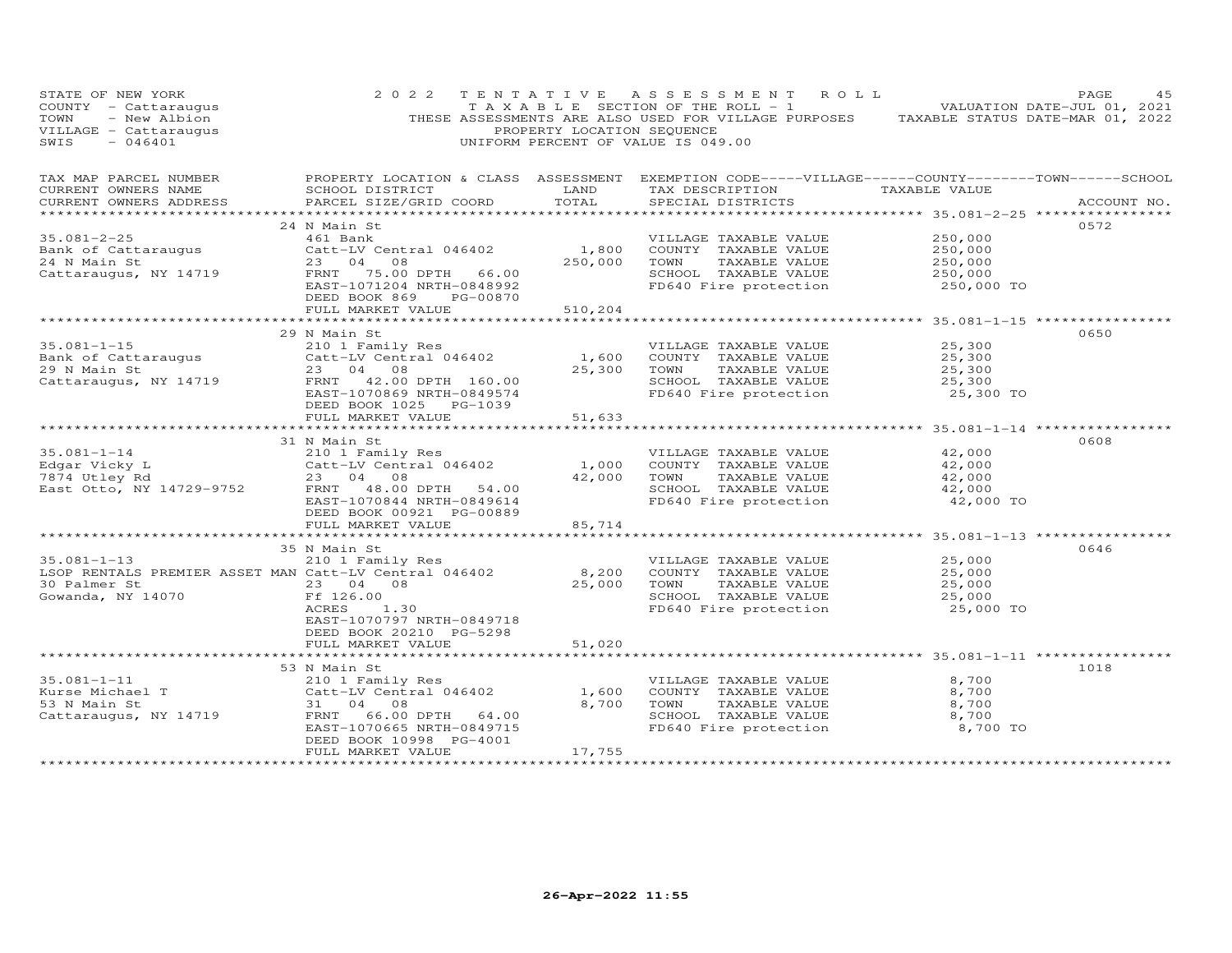| STATE OF NEW YORK<br>COUNTY - Cattaraugus<br>- New Albion<br>TOWN<br>VILLAGE - Cattaraugus<br>SWIS<br>$-046401$ | 2 0 2 2                                                                                                                                                                | PROPERTY LOCATION SEQUENCE  | TENTATIVE ASSESSMENT ROLL<br>TAXABLE SECTION OF THE ROLL - 1 VALUATION DATE-JUL 01, 2021<br>THESE ASSESSMENTS ARE ALSO USED FOR VILLAGE PURPOSES TAXABLE STATUS DATE-MAR 01, 2022<br>UNIFORM PERCENT OF VALUE IS 049.00 |                                                        | PAGE<br>45  |
|-----------------------------------------------------------------------------------------------------------------|------------------------------------------------------------------------------------------------------------------------------------------------------------------------|-----------------------------|-------------------------------------------------------------------------------------------------------------------------------------------------------------------------------------------------------------------------|--------------------------------------------------------|-------------|
| TAX MAP PARCEL NUMBER<br>CURRENT OWNERS NAME<br>CURRENT OWNERS ADDRESS                                          | SCHOOL DISTRICT<br>PARCEL SIZE/GRID COORD                                                                                                                              | LAND<br>TOTAL               | PROPERTY LOCATION & CLASS ASSESSMENT EXEMPTION CODE-----VILLAGE------COUNTY-------TOWN------SCHOOL<br>TAX DESCRIPTION TAXABLE VALUE<br>SPECIAL DISTRICTS                                                                | ****************** 35.081-2-25 ****************        | ACCOUNT NO. |
| $35.081 - 2 - 25$<br>Bank of Cattaraugus<br>24 N Main St<br>Cattaraugus, NY 14719                               | 24 N Main St<br>461 Bank<br>Catt-LV Central 046402<br>23 04 08<br>FRNT 75.00 DPTH 66.00<br>EAST-1071204 NRTH-0848992<br>DEED BOOK 869<br>PG-00870<br>FULL MARKET VALUE | 1,800<br>250,000<br>510,204 | VILLAGE TAXABLE VALUE<br>COUNTY TAXABLE VALUE<br>TOWN<br>TAXABLE VALUE<br>SCHOOL TAXABLE VALUE<br>FD640 Fire protection                                                                                                 | 250,000<br>250,000<br>250,000<br>250,000<br>250,000 TO | 0572        |
|                                                                                                                 |                                                                                                                                                                        |                             |                                                                                                                                                                                                                         |                                                        |             |
| $35.081 - 1 - 15$<br>Bank of Cattaraugus<br>29 N Main St<br>Cattaraugus, NY 14719                               | 29 N Main St<br>210 1 Family Res<br>Catt-LV Central 046402<br>23 04 08<br>FRNT 42.00 DPTH 160.00<br>EAST-1070869 NRTH-0849574<br>DEED BOOK 1025 PG-1039                | 1,600<br>25,300             | VILLAGE TAXABLE VALUE<br>COUNTY TAXABLE VALUE<br>TAXABLE VALUE<br>TOWN<br>SCHOOL TAXABLE VALUE<br>FD640 Fire protection                                                                                                 | 25,300<br>25,300<br>25,300<br>25,300<br>25,300 TO      | 0650        |
|                                                                                                                 | FULL MARKET VALUE                                                                                                                                                      | 51,633                      |                                                                                                                                                                                                                         |                                                        |             |
|                                                                                                                 |                                                                                                                                                                        |                             |                                                                                                                                                                                                                         |                                                        |             |
| $35.081 - 1 - 14$<br>Edgar Vicky L<br>7874 Utley Rd<br>East Otto, NY 14729-9752                                 | 31 N Main St<br>210 1 Family Res<br>Catt-LV Central 046402<br>23 04 08<br>FRNT 48.00 DPTH 54.00<br>EAST-1070844 NRTH-0849614<br>DEED BOOK 00921 PG-00889               | 1,000<br>42,000             | VILLAGE TAXABLE VALUE<br>COUNTY TAXABLE VALUE<br>TAXABLE VALUE<br>TOWN<br>SCHOOL TAXABLE VALUE<br>FD640 Fire protection                                                                                                 | 42,000<br>42,000<br>42,000<br>42,000<br>42,000 TO      | 0608        |
|                                                                                                                 | FULL MARKET VALUE                                                                                                                                                      | 85,714                      |                                                                                                                                                                                                                         | ************************ 35.081-1-13 ***************   |             |
| $35.081 - 1 - 13$<br>LSOP RENTALS PREMIER ASSET MAN Catt-LV Central 046402<br>30 Palmer St<br>Gowanda, NY 14070 | 35 N Main St<br>210 1 Family Res<br>23 04 08<br>Ff 126.00<br>ACRES<br>1.30<br>EAST-1070797 NRTH-0849718<br>DEED BOOK 20210 PG-5298                                     | 8,200<br>25,000             | VILLAGE TAXABLE VALUE<br>COUNTY TAXABLE VALUE<br>TOWN<br>TAXABLE VALUE<br>SCHOOL TAXABLE VALUE<br>FD640 Fire protection                                                                                                 | 25,000<br>25,000<br>25,000<br>25,000<br>25,000 TO      | 0646        |
|                                                                                                                 | FULL MARKET VALUE                                                                                                                                                      | 51,020                      |                                                                                                                                                                                                                         |                                                        |             |
|                                                                                                                 | ************************<br>53 N Main St                                                                                                                               |                             | ************************************ 35.081-1-11 ***********                                                                                                                                                            |                                                        | 1018        |
| $35.081 - 1 - 11$<br>Kurse Michael T<br>53 N Main St<br>Cattaraugus, NY 14719                                   | 210 1 Family Res<br>Catt-LV Central 046402<br>31 04<br>08<br>FRNT<br>66.00 DPTH 64.00<br>EAST-1070665 NRTH-0849715<br>DEED BOOK 10998 PG-4001<br>FULL MARKET VALUE     | 1,600<br>8,700<br>17,755    | VILLAGE TAXABLE VALUE<br>COUNTY TAXABLE VALUE<br>TOWN<br>TAXABLE VALUE<br>SCHOOL TAXABLE VALUE<br>FD640 Fire protection                                                                                                 | 8,700<br>8,700<br>8,700<br>8,700<br>8,700 TO           |             |
|                                                                                                                 |                                                                                                                                                                        |                             |                                                                                                                                                                                                                         |                                                        |             |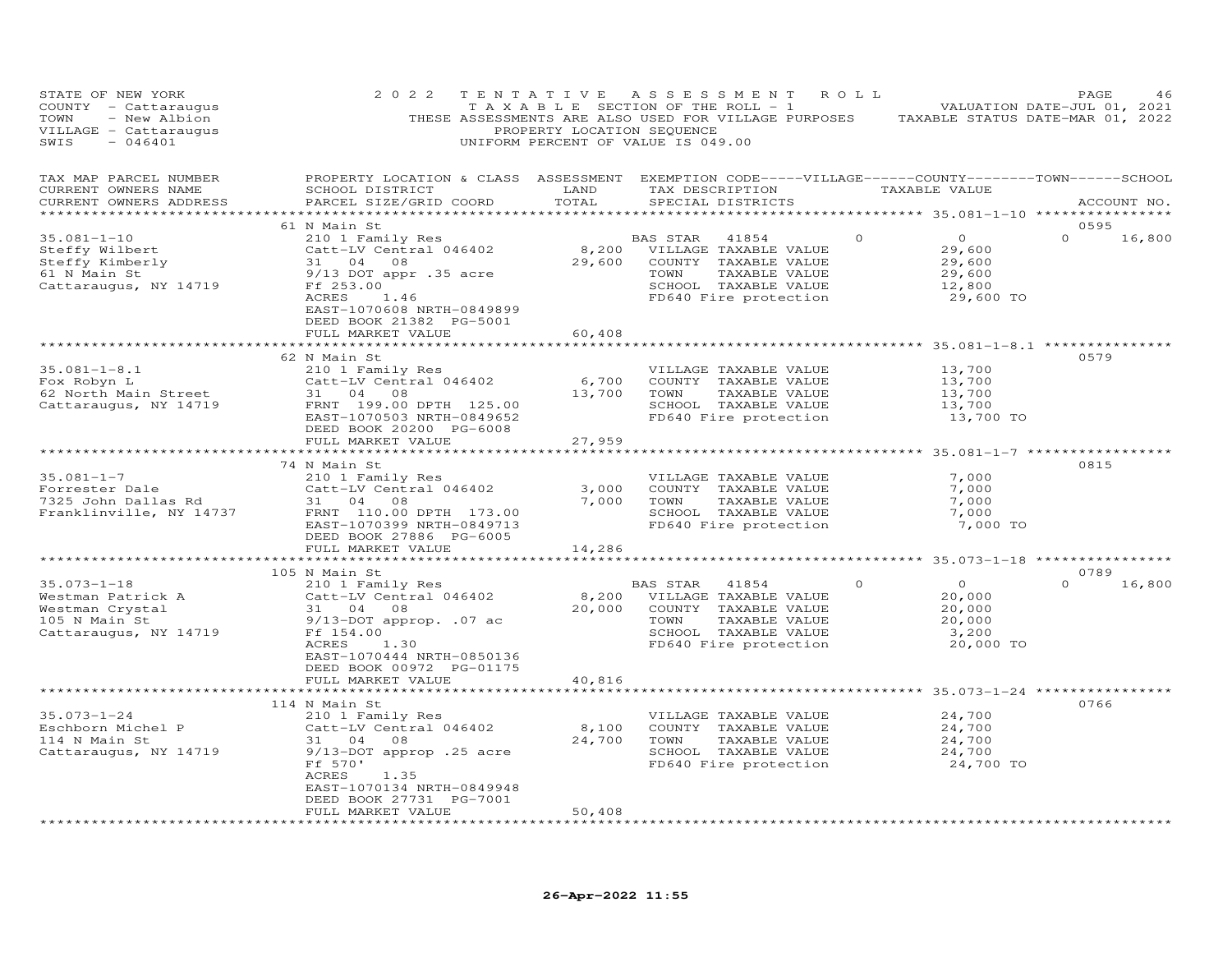| STATE OF NEW YORK<br>COUNTY - Cattaraugus<br>TOWN<br>- New Albion<br>VILLAGE - Cattaraugus<br>$-046401$<br>SWIS | 2 0 2 2                                                                                                                                                                                                     | TENTATIVE<br>PROPERTY LOCATION SEQUENCE | A S S E S S M E N T<br>T A X A B L E SECTION OF THE ROLL - 1<br>THESE ASSESSMENTS ARE ALSO USED FOR VILLAGE PURPOSES<br>UNIFORM PERCENT OF VALUE IS 049.00 | ROLL     |                                                              | PAGE<br>46<br>VALUATION DATE-JUL 01, 2021<br>TAXABLE STATUS DATE-MAR 01, 2022 |
|-----------------------------------------------------------------------------------------------------------------|-------------------------------------------------------------------------------------------------------------------------------------------------------------------------------------------------------------|-----------------------------------------|------------------------------------------------------------------------------------------------------------------------------------------------------------|----------|--------------------------------------------------------------|-------------------------------------------------------------------------------|
| TAX MAP PARCEL NUMBER<br>CURRENT OWNERS NAME<br>CURRENT OWNERS ADDRESS                                          | PROPERTY LOCATION & CLASS ASSESSMENT EXEMPTION CODE-----VILLAGE------COUNTY-------TOWN------SCHOOL<br>SCHOOL DISTRICT<br>PARCEL SIZE/GRID COORD                                                             | LAND<br>TOTAL<br>*********              | TAX DESCRIPTION<br>SPECIAL DISTRICTS                                                                                                                       |          | TAXABLE VALUE<br>*********** 35.081-1-10 **                  | ACCOUNT NO.<br>***********                                                    |
| 35.081-1-10<br>Steffy Wilbert<br>Steffy Kimberly<br>61 N Main St<br>Cattaraugus, NY 14719                       | 61 N Main St<br>210 1 Family Res<br>Catt-LV Central 046402<br>31 04 08<br>9/13 DOT appr .35 acre<br>Ff 253.00<br>ACRES<br>1.46<br>EAST-1070608 NRTH-0849899<br>DEED BOOK 21382 PG-5001<br>FULL MARKET VALUE | 29,600<br>60,408                        | BAS STAR 41854<br>8,200 VILLAGE TAXABLE VALUE<br>COUNTY TAXABLE VALUE<br>TOWN<br>TAXABLE VALUE<br>SCHOOL TAXABLE VALUE<br>FD640 Fire protection            | $\Omega$ | $\circ$<br>29,600<br>29,600<br>29,600<br>12,800<br>29,600 TO | 0595<br>$\Omega$<br>16,800                                                    |
|                                                                                                                 |                                                                                                                                                                                                             | * * * * * * * * * * * *                 |                                                                                                                                                            |          |                                                              |                                                                               |
| $35.081 - 1 - 8.1$<br>Fox Robyn L<br>Concording to the Street<br>Cattaraugus, NY 14719                          | 62 N Main St<br>210 1 Family Res<br>Catt-LV Central 046402<br>31 04 08<br>FRNT 199.00 DPTH 125.00<br>FRNT 1070503 NRTH-0849652<br>DEED BOOK 20200 PG-6008<br>FULL MARKET VALUE                              | 6,700<br>13,700<br>27,959               | VILLAGE TAXABLE VALUE<br>COUNTY TAXABLE VALUE<br>TOWN<br>TAXABLE VALUE<br>SCHOOL TAXABLE VALUE<br>FD640 Fire protection                                    |          | 13,700<br>13,700<br>13,700<br>13,700<br>13,700 TO            | 0579                                                                          |
|                                                                                                                 |                                                                                                                                                                                                             | * * * * * * * *                         |                                                                                                                                                            |          | ************ 35.081-1-7 ***********                          |                                                                               |
| $35.081 - 1 - 7$<br>Forrester Dale<br>7325 John Dallas Rd<br>Franklinville, NY 14737                            | 74 N Main St<br>210 1 Family Res<br>Catt-LV Central 046402<br>31 04 08<br>FRNT 110.00 DPTH 173.00<br>EAST-1070399 NRTH-0849713<br>DEED BOOK 27886 PG-6005<br>FULL MARKET VALUE                              | 3,000<br>7,000<br>14,286                | VILLAGE TAXABLE VALUE<br>COUNTY TAXABLE VALUE<br>TOWN<br>TAXABLE VALUE<br>SCHOOL TAXABLE VALUE<br>FD640 Fire protection                                    |          | 7,000<br>7,000<br>7,000<br>7,000<br>7,000 TO                 | 0815                                                                          |
|                                                                                                                 |                                                                                                                                                                                                             |                                         |                                                                                                                                                            |          |                                                              |                                                                               |
| $35.073 - 1 - 18$<br>Westman Patrick A<br>Westman Crystal<br>105 N Main St<br>Cattaraugus, NY 14719             | 105 N Main St<br>210 1 Family Res<br>Catt-LV Central 046402<br>31 04 08<br>9/13-DOT approp. .07 ac<br>Ff 154.00<br>ACRES<br>1.30<br>EAST-1070444 NRTH-0850136                                               | 8,200<br>20,000                         | BAS STAR<br>41854<br>VILLAGE TAXABLE VALUE<br>COUNTY TAXABLE VALUE<br>TAXABLE VALUE<br>TOWN<br>SCHOOL TAXABLE VALUE<br>FD640 Fire protection               | $\Omega$ | $\Omega$<br>20,000<br>20,000<br>20,000<br>3,200<br>20,000 TO | 0789<br>$\Omega$<br>16,800                                                    |
|                                                                                                                 | DEED BOOK 00972 PG-01175<br>FULL MARKET VALUE                                                                                                                                                               | 40,816                                  |                                                                                                                                                            |          |                                                              | *********** 35.073-1-24 **************                                        |
|                                                                                                                 | 114 N Main St                                                                                                                                                                                               |                                         |                                                                                                                                                            |          |                                                              | 0766                                                                          |
| $35.073 - 1 - 24$<br>Eschborn Michel P<br>114 N Main St<br>Cattaraugus, NY 14719                                | 210 1 Family Res<br>Catt-LV Central 046402<br>08<br>31 04<br>9/13-DOT approp .25 acre<br>Ff 570'<br>ACRES<br>1.35<br>EAST-1070134 NRTH-0849948<br>DEED BOOK 27731 PG-7001                                   | 8,100<br>24,700                         | VILLAGE TAXABLE VALUE<br>COUNTY TAXABLE VALUE<br>TOWN<br>TAXABLE VALUE<br>SCHOOL TAXABLE VALUE<br>FD640 Fire protection                                    |          | 24,700<br>24,700<br>24,700<br>24,700<br>24,700 TO            |                                                                               |
| **********************                                                                                          | FULL MARKET VALUE<br>********************                                                                                                                                                                   | 50,408                                  |                                                                                                                                                            |          |                                                              |                                                                               |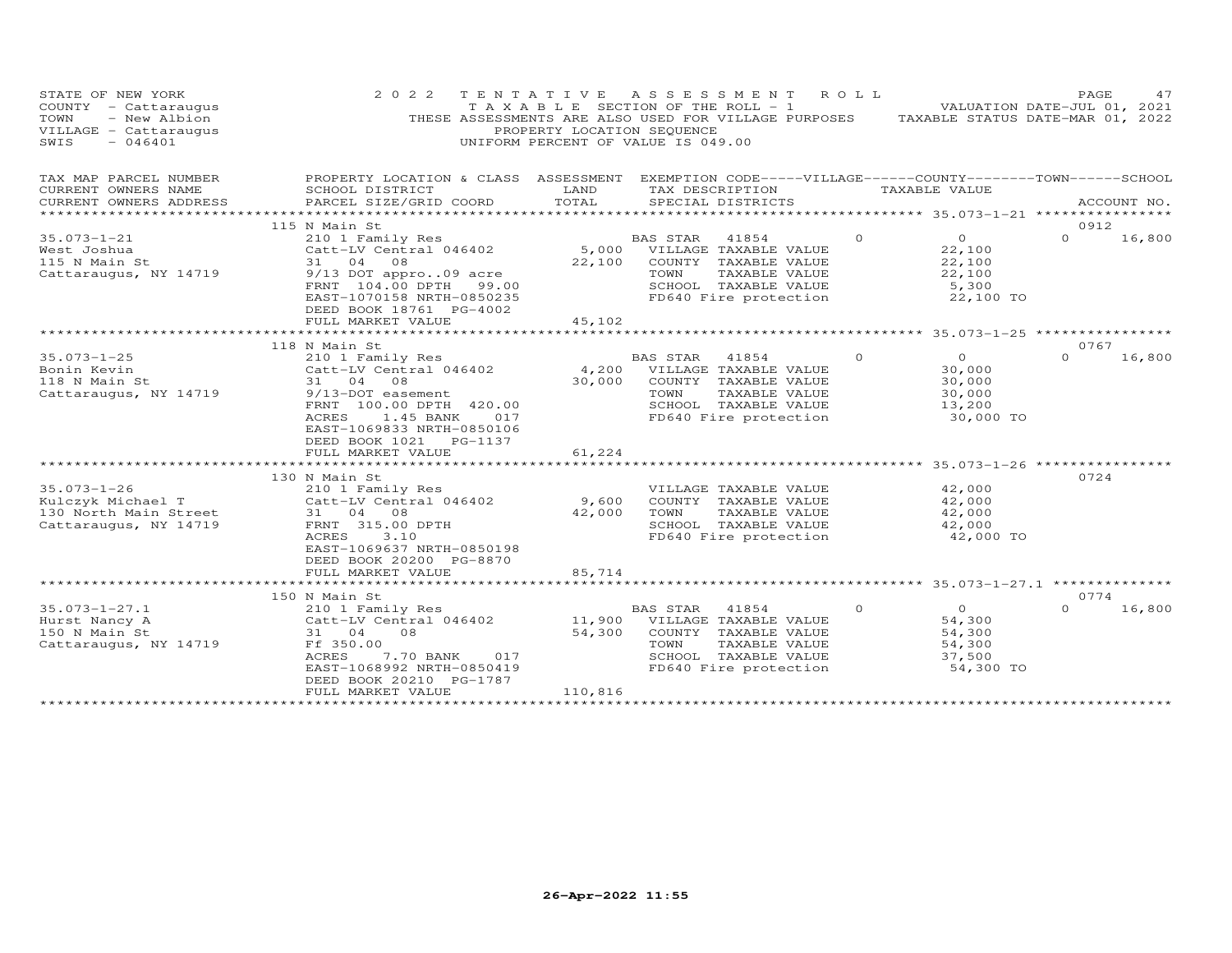| STATE OF NEW YORK<br>COUNTY - Cattaraugus<br>TOWN<br>- New Albion<br>VILLAGE - Cattaraugus<br>SWIS<br>$-046401$ | 2 0 2 2                                                                                                                                                                                                                                                 | PROPERTY LOCATION SEQUENCE<br>UNIFORM PERCENT OF VALUE IS 049.00 | TENTATIVE ASSESSMENT<br>T A X A B L E SECTION OF THE ROLL - 1<br>THESE ASSESSMENTS ARE ALSO USED FOR VILLAGE PURPOSES TAXABLE STATUS DATE-MAR 01, 2022 | R O L L  | VALUATION DATE-JUL 01, 2021                                         | PAGE             | 47     |
|-----------------------------------------------------------------------------------------------------------------|---------------------------------------------------------------------------------------------------------------------------------------------------------------------------------------------------------------------------------------------------------|------------------------------------------------------------------|--------------------------------------------------------------------------------------------------------------------------------------------------------|----------|---------------------------------------------------------------------|------------------|--------|
| TAX MAP PARCEL NUMBER<br>CURRENT OWNERS NAME<br>CURRENT OWNERS ADDRESS<br>**********************                | PROPERTY LOCATION & CLASS ASSESSMENT<br>SCHOOL DISTRICT<br>PARCEL SIZE/GRID COORD                                                                                                                                                                       | LAND<br>TOTAL                                                    | EXEMPTION CODE-----VILLAGE------COUNTY--------TOWN------SCHOOL<br>TAX DESCRIPTION<br>SPECIAL DISTRICTS                                                 |          | TAXABLE VALUE                                                       | ACCOUNT NO.      |        |
| $35.073 - 1 - 21$<br>West Joshua<br>115 N Main St<br>Cattaraugus, NY 14719                                      | 115 N Main St<br>210 1 Family Res<br>Catt-LV Central 046402<br>31 04<br>08<br>9/13 DOT appro09 acre<br>FRNT 104.00 DPTH<br>EAST-1070158 NRTH-0850235<br>DEED BOOK 18761 PG-4002<br>FULL MARKET VALUE                                                    | 22,100<br>99.00<br>45,102                                        | BAS STAR<br>41854<br>5,000 VILLAGE TAXABLE VALUE<br>COUNTY TAXABLE VALUE<br>TAXABLE VALUE<br>TOWN<br>SCHOOL TAXABLE VALUE<br>FD640 Fire protection     | $\circ$  | $\overline{O}$<br>22,100<br>22,100<br>22,100<br>5,300<br>22,100 TO  | 0912<br>$\Omega$ | 16,800 |
|                                                                                                                 |                                                                                                                                                                                                                                                         |                                                                  |                                                                                                                                                        |          |                                                                     |                  |        |
| $35.073 - 1 - 25$<br>Bonin Kevin<br>118 N Main St<br>Cattaraugus, NY 14719                                      | 118 N Main St<br>210 1 Family Res<br>Catt-LV Central 046402<br>31 04 08<br>9/13-DOT easement<br>FRNT 100.00 DPTH 420.00<br>ACRES<br>1.45 BANK<br>EAST-1069833 NRTH-0850106<br>DEED BOOK 1021 PG-1137<br>FULL MARKET VALUE<br>************************** | 4,200<br>30,000<br>017<br>61,224                                 | <b>BAS STAR</b><br>41854<br>VILLAGE TAXABLE VALUE<br>COUNTY TAXABLE VALUE<br>TOWN<br>TAXABLE VALUE<br>SCHOOL TAXABLE VALUE<br>FD640 Fire protection    | $\Omega$ | $\Omega$<br>30,000<br>30,000<br>30,000<br>13,200<br>30,000 TO       | 0767<br>$\Omega$ | 16,800 |
| $35.073 - 1 - 26$<br>Kulczyk Michael T<br>130 North Main Street<br>Cattaraugus, NY 14719                        | 130 N Main St<br>210 1 Family Res<br>Catt-LV Central 046402<br>31 04 08<br>FRNT 315.00 DPTH<br>ACRES<br>3.10<br>EAST-1069637 NRTH-0850198<br>DEED BOOK 20200 PG-8870<br>FULL MARKET VALUE                                                               | 9,600<br>42,000<br>85,714                                        | VILLAGE TAXABLE VALUE<br>COUNTY TAXABLE VALUE<br>TOWN<br>TAXABLE VALUE<br>SCHOOL TAXABLE VALUE<br>FD640 Fire protection                                |          | 42,000<br>42,000<br>42,000<br>42,000<br>42,000 TO                   | 0724             |        |
|                                                                                                                 | 150 N Main St                                                                                                                                                                                                                                           |                                                                  |                                                                                                                                                        |          |                                                                     | 0774             |        |
| $35.073 - 1 - 27.1$<br>Hurst Nancy A<br>150 N Main St<br>Cattaraugus, NY 14719                                  | 210 1 Family Res<br>Catt-LV Central 046402<br>31 04<br>08<br>Ff 350.00<br>ACRES<br>7.70 BANK<br>EAST-1068992 NRTH-0850419<br>DEED BOOK 20210 PG-1787<br>FULL MARKET VALUE                                                                               | 11,900<br>54,300<br>017<br>110,816                               | BAS STAR<br>41854<br>VILLAGE TAXABLE VALUE<br>COUNTY TAXABLE VALUE<br>TOWN<br>TAXABLE VALUE<br>SCHOOL TAXABLE VALUE<br>FD640 Fire protection           | $\circ$  | $\overline{0}$<br>54,300<br>54,300<br>54,300<br>37,500<br>54,300 TO | $\Omega$         | 16,800 |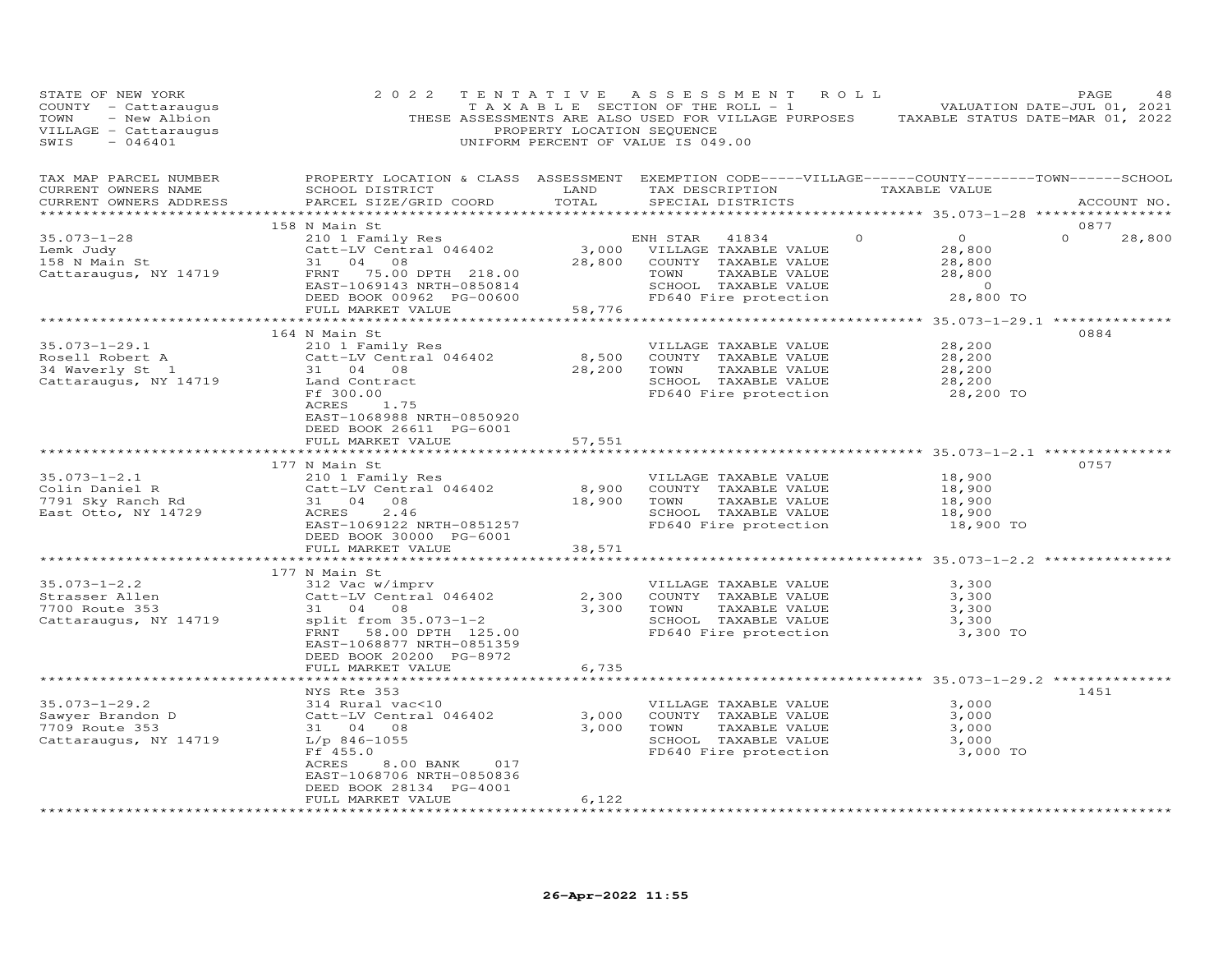| STATE OF NEW YORK<br>COUNTY - Cattaraugus<br>- New Albion<br>TOWN<br>VILLAGE - Cattaraugus<br>$-046401$<br>SWIS | 2 0 2 2                                                                                                                                                                                                       | PROPERTY LOCATION SEQUENCE | TENTATIVE ASSESSMENT ROLL<br>UNIFORM PERCENT OF VALUE IS 049.00                                                                                                                                     |          | PAGE<br>48<br>TAXABLE SECTION OF THE ROLL - 1 VALUATION DATE-JUL 01, 2021<br>THESE ASSESSMENTS ARE ALSO USED FOR VILLAGE PURPOSES TAXABLE STATUS DATE-MAR 01, 2022 |
|-----------------------------------------------------------------------------------------------------------------|---------------------------------------------------------------------------------------------------------------------------------------------------------------------------------------------------------------|----------------------------|-----------------------------------------------------------------------------------------------------------------------------------------------------------------------------------------------------|----------|--------------------------------------------------------------------------------------------------------------------------------------------------------------------|
| TAX MAP PARCEL NUMBER<br>CURRENT OWNERS NAME<br>CURRENT OWNERS ADDRESS                                          | PROPERTY LOCATION & CLASS ASSESSMENT EXEMPTION CODE-----VILLAGE------COUNTY--------TOWN------SCHOOL<br>SCHOOL DISTRICT LAND<br>PARCEL SIZE/GRID COORD                                                         | TOTAL                      | TAX DESCRIPTION TAXABLE VALUE<br>SPECIAL DISTRICTS                                                                                                                                                  |          | ACCOUNT NO.                                                                                                                                                        |
| $35.073 - 1 - 28$<br>Lemk Judy<br>158 N Main St<br>Cattaraugus, NY 14719                                        | 158 N Main St<br>210 1 Family Res<br>Catt-LV Central 046402<br>31 04 08<br>PDJLE 4<br>FRNT 75.00 DPTH 218.00<br>EAST-1069143 NRTH-0850814<br>DEED BOOK 00962 PG-00600                                         |                            | ENH STAR 41834<br>3,000 VILLAGE TAXABLE VALUE<br>28,800 COUNTY TAXABLE VALUE<br>TOWN<br>TAXABLE VALUE<br>SCHOOL TAXABLE VALUE<br>FD640 Fire protection                                              | $\Omega$ | 0877<br>$\overline{0}$<br>$\Omega$<br>28,800<br>28,800<br>28,800<br>28,800<br>$\overline{0}$<br>28,800 TO                                                          |
|                                                                                                                 | FULL MARKET VALUE                                                                                                                                                                                             | 58,776                     |                                                                                                                                                                                                     |          |                                                                                                                                                                    |
| $35.073 - 1 - 29.1$<br>Kosell Robert A<br>34 Waverly St 1<br>Cattaraugus, NY 14719                              | ******************************<br>164 N Main St<br>210 1 Family Res<br>Catt-LV Central 046402<br>31 04 08<br>Land Contract<br>Ff 300.00<br>ACRES 1.75<br>EAST-1068988 NRTH-0850920<br>DEED BOOK 26611 PG-6001 |                            | VILLAGE TAXABLE VALUE<br>8,500 COUNTY TAXABLE VALUE<br>28,200 TOWN TAXABLE VALUE<br>SCHOOL TAXABLE VALUE<br>FD640 Fire protection<br>TAXABLE VALUE<br>SCHOOL TAXABLE VALUE<br>FD640 Fire protection |          | 0884<br>28,200<br>28,200<br>28,200<br>28,200<br>28,200 TO                                                                                                          |
|                                                                                                                 | FULL MARKET VALUE                                                                                                                                                                                             | 57,551                     |                                                                                                                                                                                                     |          |                                                                                                                                                                    |
|                                                                                                                 | 177 N Main St                                                                                                                                                                                                 |                            |                                                                                                                                                                                                     |          | 0757                                                                                                                                                               |
| $35.073 - 1 - 2.1$<br>Colin Daniel R<br>7791 Sky Ranch Rd<br>East Otto, NY 14729                                | 210 1 Family Res<br>Catt-LV Central 046402<br>31 04 08<br>ACRES 2.46<br>EAST-1069122 NRTH-0851257<br>DEED BOOK 30000 PG-6001                                                                                  | 8,900<br>18,900 TOWN       | VILLAGE TAXABLE VALUE<br>COUNTY TAXABLE VALUE<br>TAXABLE VALUE<br>SCHOOL TAXABLE VALUE<br>FD640 Fire protection                                                                                     |          | 18,900<br>18,900<br>18,900<br>18,900<br>18,900 TO                                                                                                                  |
|                                                                                                                 | FULL MARKET VALUE                                                                                                                                                                                             | 38,571                     |                                                                                                                                                                                                     |          |                                                                                                                                                                    |
|                                                                                                                 | 177 N Main St                                                                                                                                                                                                 |                            |                                                                                                                                                                                                     |          |                                                                                                                                                                    |
| $35.073 - 1 - 2.2$<br>$35.073 - 2.$<br>Strasser Allen<br>Cattaraugus, NY 14719                                  | 312 Vac w/imprv<br>Catt-LV Central 046402<br>31 04 08<br>split from 35.073-1-2<br>FRNT 58.00 DPTH 125.00<br>EAST-1068877 NRTH-0851359<br>DEED BOOK 20200 PG-8972                                              | 2,300                      | VILLAGE TAXABLE VALUE<br>COUNTY TAXABLE VALUE<br>3,300 TOWN<br>TAXABLE VALUE<br>SCHOOL TAXABLE VALUE<br>FD640 Fire protection                                                                       |          | 3,300<br>3,300<br>3,300<br>3,300<br>3,300 TO                                                                                                                       |
|                                                                                                                 | FULL MARKET VALUE                                                                                                                                                                                             | 6,735<br>*********         |                                                                                                                                                                                                     |          | *************** 35.073-1-29.2 **********                                                                                                                           |
| $35.073 - 1 - 29.2$<br>Sawyer Brandon D<br>7709 Route 353<br>Cattaraugus, NY 14719                              | NYS Rte 353<br>314 Rural vac<10<br>Catt-LV Central 046402<br>$\frac{1}{2}$<br>31 04 08<br>L/p 846-1055<br>Ff 455.0<br>8.00 BANK<br>017<br>ACRES<br>EAST-1068706 NRTH-0850836                                  | 3,000                      | VILLAGE TAXABLE VALUE<br>COUNTY TAXABLE VALUE<br>3,000 TOWN<br>TAXABLE VALUE<br>SCHOOL TAXABLE VALUE<br>FD640 Fire protection                                                                       |          | 1451<br>3,000<br>3,000<br>3,000<br>3,000<br>3,000 TO                                                                                                               |
|                                                                                                                 | DEED BOOK 28134 PG-4001<br>FULL MARKET VALUE                                                                                                                                                                  | 6,122                      |                                                                                                                                                                                                     |          |                                                                                                                                                                    |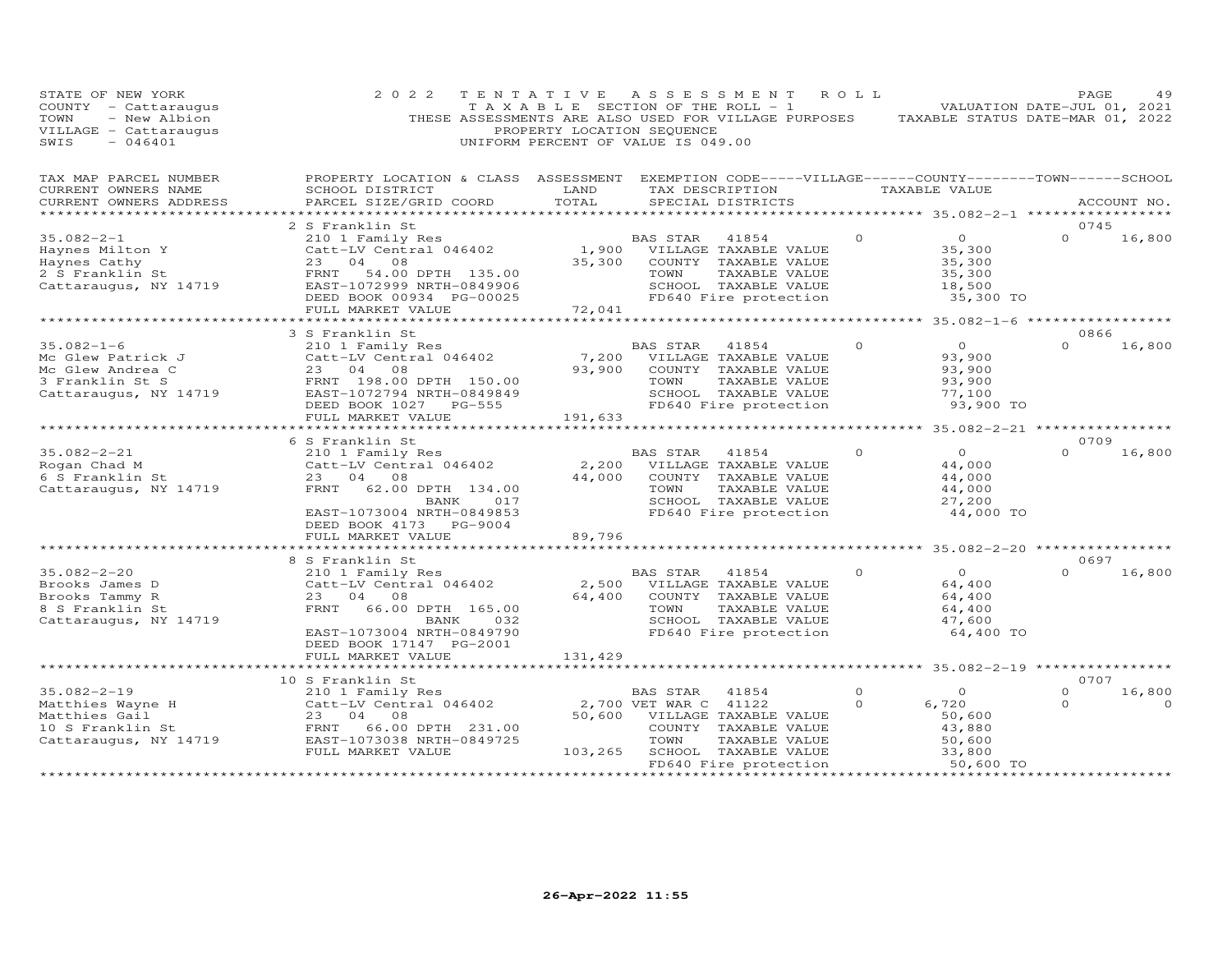| STATE OF NEW YORK<br>COUNTY - Cattaraugus<br>- New Albion<br>TOWN<br>VILLAGE - Cattaraugus<br>SWIS<br>$-046401$ | 2 0 2 2                                                                                                                                                            | TENTATIVE<br>PROPERTY LOCATION SEQUENCE | A S S E S S M E N T<br>TAXABLE SECTION OF THE ROLL - 1<br>THESE ASSESSMENTS ARE ALSO USED FOR VILLAGE PURPOSES<br>UNIFORM PERCENT OF VALUE IS 049.00 | ROLL                | TAXABLE STATUS DATE-MAR 01, 2022                                    | PAGE<br>VALUATION DATE-JUL 01, 2021 | 49                 |
|-----------------------------------------------------------------------------------------------------------------|--------------------------------------------------------------------------------------------------------------------------------------------------------------------|-----------------------------------------|------------------------------------------------------------------------------------------------------------------------------------------------------|---------------------|---------------------------------------------------------------------|-------------------------------------|--------------------|
| TAX MAP PARCEL NUMBER<br>CURRENT OWNERS NAME<br>CURRENT OWNERS ADDRESS                                          | PROPERTY LOCATION & CLASS ASSESSMENT<br>SCHOOL DISTRICT<br>PARCEL SIZE/GRID COORD                                                                                  | LAND<br>TOTAL                           | EXEMPTION CODE-----VILLAGE------COUNTY-------TOWN------SCHOOL<br>TAX DESCRIPTION<br>SPECIAL DISTRICTS                                                |                     | TAXABLE VALUE                                                       |                                     | ACCOUNT NO.        |
|                                                                                                                 |                                                                                                                                                                    |                                         |                                                                                                                                                      |                     |                                                                     | 0745                                |                    |
| $35.082 - 2 - 1$<br>Haynes Milton Y<br>Haynes Cathy<br>2 S Franklin St<br>Cattaraugus, NY 14719                 | 2 S Franklin St<br>210 1 Family Res<br>Catt-LV Central 046402<br>23<br>04<br>08<br>FRNT<br>54.00 DPTH 135.00<br>EAST-1072999 NRTH-0849906                          | 1,900<br>35,300                         | 41854<br>BAS STAR<br>VILLAGE TAXABLE VALUE<br>COUNTY TAXABLE VALUE<br>TOWN<br>TAXABLE VALUE<br>SCHOOL TAXABLE VALUE                                  | $\Omega$            | $\overline{O}$<br>35,300<br>35,300<br>35,300<br>18,500              | $\Omega$                            | 16,800             |
|                                                                                                                 | DEED BOOK 00934 PG-00025<br>FULL MARKET VALUE                                                                                                                      | 72,041                                  | FD640 Fire protection                                                                                                                                |                     | 35,300 TO                                                           |                                     |                    |
|                                                                                                                 |                                                                                                                                                                    |                                         |                                                                                                                                                      |                     |                                                                     |                                     |                    |
| $35.082 - 1 - 6$<br>Mc Glew Patrick J<br>Mc Glew Andrea C<br>3 Franklin St S<br>Cattaraugus, NY 14719           | 3 S Franklin St<br>210 1 Family Res<br>Catt-LV Central 046402<br>23 04<br>08<br>FRNT 198.00 DPTH 150.00<br>EAST-1072794 NRTH-0849849<br>DEED BOOK 1027<br>$PG-555$ | 7,200<br>93,900                         | <b>BAS STAR</b><br>41854<br>VILLAGE TAXABLE VALUE<br>COUNTY TAXABLE VALUE<br>TOWN<br>TAXABLE VALUE<br>SCHOOL TAXABLE VALUE<br>FD640 Fire protection  | $\Omega$            | $\Omega$<br>93,900<br>93,900<br>93,900<br>77,100<br>93,900 TO       | 0866<br>$\Omega$                    | 16,800             |
|                                                                                                                 | FULL MARKET VALUE                                                                                                                                                  | 191,633                                 |                                                                                                                                                      |                     | 35.082-2-21 **************                                          |                                     |                    |
|                                                                                                                 | 6 S Franklin St                                                                                                                                                    |                                         |                                                                                                                                                      |                     |                                                                     | 0709                                |                    |
| $35.082 - 2 - 21$<br>Rogan Chad M<br>6 S Franklin St<br>Cattaraugus, NY 14719                                   | 210 1 Family Res<br>Catt-LV Central 046402<br>23<br>04<br>08<br>FRNT<br>62.00 DPTH 134.00<br>017<br>BANK<br>EAST-1073004 NRTH-0849853                              | 2,200<br>44,000                         | BAS STAR<br>41854<br>VILLAGE TAXABLE VALUE<br>COUNTY TAXABLE VALUE<br>TAXABLE VALUE<br>TOWN<br>SCHOOL TAXABLE VALUE<br>FD640 Fire protection         |                     | $\circ$<br>44,000<br>44,000<br>44,000<br>27,200<br>44,000 TO        | $\Omega$                            | 16,800             |
|                                                                                                                 | DEED BOOK 4173<br>PG-9004<br>FULL MARKET VALUE                                                                                                                     | 89,796                                  |                                                                                                                                                      |                     |                                                                     |                                     |                    |
|                                                                                                                 |                                                                                                                                                                    |                                         |                                                                                                                                                      |                     | ******** 35.082-2-20 ****                                           |                                     |                    |
|                                                                                                                 | 8 S Franklin St                                                                                                                                                    |                                         |                                                                                                                                                      |                     |                                                                     | 0697                                |                    |
| $35.082 - 2 - 20$<br>Brooks James D<br>Brooks Tammy R<br>8 S Franklin St<br>Cattaraugus, NY 14719               | 210 1 Family Res<br>Catt-LV Central 046402<br>08<br>23 04<br>FRNT<br>66.00 DPTH 165.00<br>BANK<br>032<br>EAST-1073004 NRTH-0849790<br>DEED BOOK 17147 PG-2001      | 2,500<br>64,400                         | BAS STAR<br>41854<br>VILLAGE TAXABLE VALUE<br>COUNTY TAXABLE VALUE<br>TOWN<br>TAXABLE VALUE<br>SCHOOL TAXABLE VALUE<br>FD640 Fire protection         | $\Omega$            | $\overline{O}$<br>64,400<br>64,400<br>64,400<br>47,600<br>64,400 TO | $\Omega$                            | 16,800             |
|                                                                                                                 | FULL MARKET VALUE                                                                                                                                                  | 131,429                                 |                                                                                                                                                      |                     |                                                                     |                                     |                    |
|                                                                                                                 |                                                                                                                                                                    |                                         |                                                                                                                                                      |                     |                                                                     |                                     |                    |
| $35.082 - 2 - 19$<br>Matthies Wayne H<br>Matthies Gail<br>10 S Franklin St<br>Cattaraugus, NY 14719             | 10 S Franklin St<br>210 1 Family Res<br>Catt-LV Central 046402<br>23 04<br>08<br>66.00 DPTH 231.00<br>FRNT<br>EAST-1073038 NRTH-0849725<br>FULL MARKET VALUE       | 50,600<br>103,265                       | BAS STAR<br>41854<br>2,700 VET WAR C 41122<br>VILLAGE TAXABLE VALUE<br>COUNTY TAXABLE VALUE<br>TOWN<br>TAXABLE VALUE<br>SCHOOL TAXABLE VALUE         | $\Omega$<br>$\circ$ | $\circ$<br>6,720<br>50,600<br>43,880<br>50,600<br>33,800            | 0707<br>$\Omega$<br>$\Omega$        | 16,800<br>$\Omega$ |
|                                                                                                                 |                                                                                                                                                                    |                                         | FD640 Fire protection                                                                                                                                |                     | 50,600 TO                                                           |                                     |                    |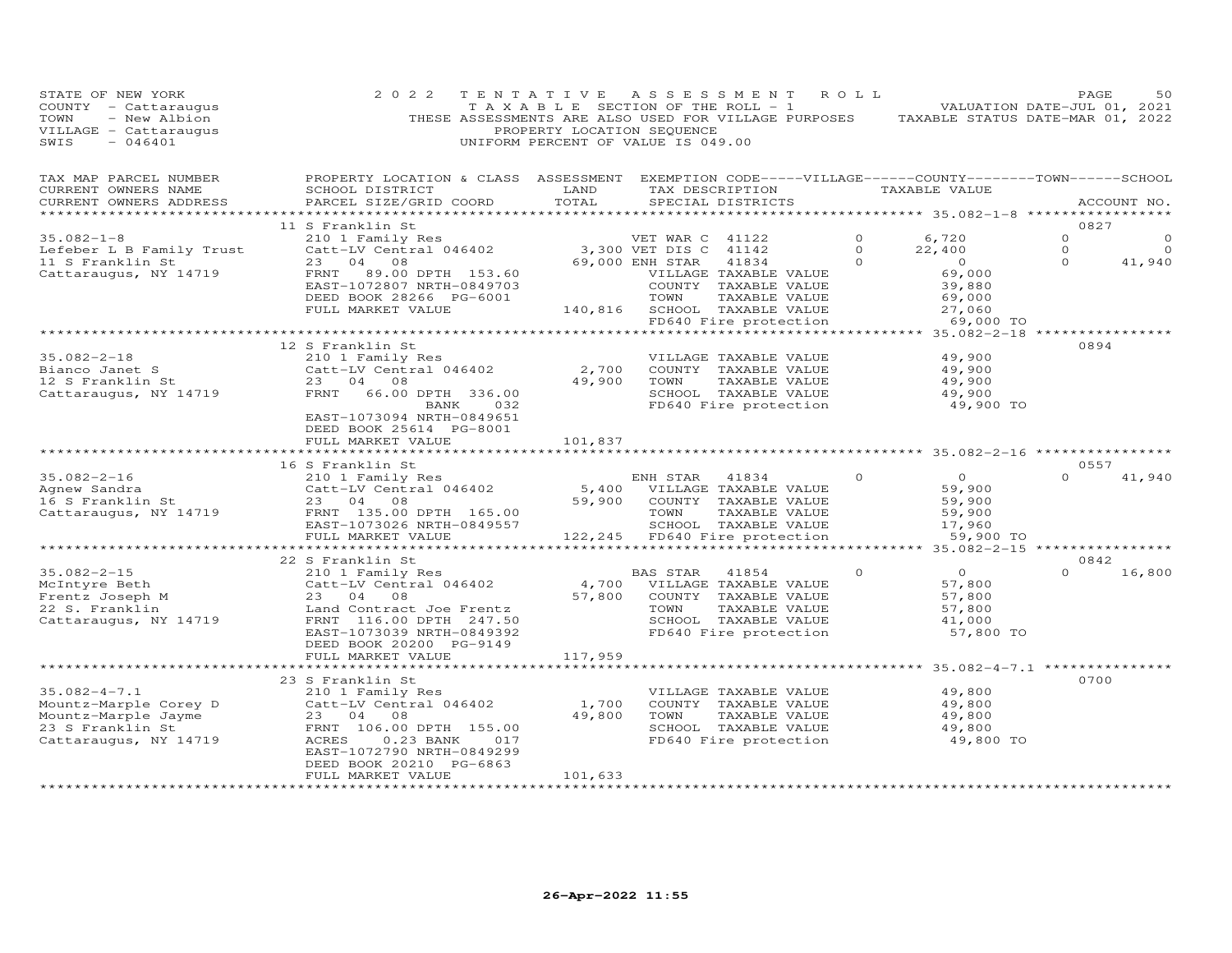| STATE OF NEW YORK<br>COUNTY - Cattaraugus<br>- New Albion<br>TOWN<br>VILLAGE - Cattaraugus<br>SWIS<br>$-046401$ | 2 0 2 2<br>THESE ASSESSMENTS ARE ALSO USED FOR VILLAGE PURPOSES                                                                                 | TENTATIVE<br>T A X A B L E SECTION OF THE ROLL - 1<br>PROPERTY LOCATION SEQUENCE<br>UNIFORM PERCENT OF VALUE IS 049.00 | A S S E S S M E N T |                                       | R O L L  | TAXABLE STATUS DATE-MAR 01, 2022    | PAGE<br>VALUATION DATE-JUL 01, 2021 | 50          |
|-----------------------------------------------------------------------------------------------------------------|-------------------------------------------------------------------------------------------------------------------------------------------------|------------------------------------------------------------------------------------------------------------------------|---------------------|---------------------------------------|----------|-------------------------------------|-------------------------------------|-------------|
| TAX MAP PARCEL NUMBER<br>CURRENT OWNERS NAME<br>CURRENT OWNERS ADDRESS<br>***********************               | PROPERTY LOCATION & CLASS ASSESSMENT EXEMPTION CODE-----VILLAGE------COUNTY-------TOWN------SCHOOL<br>SCHOOL DISTRICT<br>PARCEL SIZE/GRID COORD | LAND<br>TOTAL                                                                                                          |                     | TAX DESCRIPTION<br>SPECIAL DISTRICTS  |          | TAXABLE VALUE                       |                                     | ACCOUNT NO. |
|                                                                                                                 | 11 S Franklin St                                                                                                                                |                                                                                                                        |                     |                                       |          |                                     | 0827                                |             |
| $35.082 - 1 - 8$                                                                                                | 210 1 Family Res                                                                                                                                |                                                                                                                        | VET WAR C 41122     |                                       | $\Omega$ | 6,720                               | $\Omega$                            | $\circ$     |
| Lefeber L B Family Trust                                                                                        | Catt-LV Central 046402                                                                                                                          |                                                                                                                        | 3,300 VET DIS C     | 41142                                 | $\Omega$ | 22,400                              | $\circ$                             | $\Omega$    |
| 11 S Franklin St                                                                                                | 23<br>04<br>08                                                                                                                                  |                                                                                                                        | 69,000 ENH STAR     | 41834                                 | $\Omega$ | $\circ$                             | $\Omega$                            | 41,940      |
| Cattaraugus, NY 14719                                                                                           | 89.00 DPTH 153.60<br>FRNT                                                                                                                       |                                                                                                                        |                     | VILLAGE TAXABLE VALUE                 |          | 69,000                              |                                     |             |
|                                                                                                                 | EAST-1072807 NRTH-0849703<br>DEED BOOK 28266 PG-6001                                                                                            |                                                                                                                        | TOWN                | COUNTY TAXABLE VALUE<br>TAXABLE VALUE |          | 39,880<br>69,000                    |                                     |             |
|                                                                                                                 | FULL MARKET VALUE                                                                                                                               |                                                                                                                        |                     | 140,816 SCHOOL TAXABLE VALUE          |          | 27,060                              |                                     |             |
|                                                                                                                 |                                                                                                                                                 |                                                                                                                        |                     | FD640 Fire protection                 |          | 69,000 TO                           |                                     |             |
|                                                                                                                 |                                                                                                                                                 |                                                                                                                        |                     |                                       |          |                                     |                                     |             |
|                                                                                                                 | 12 S Franklin St                                                                                                                                |                                                                                                                        |                     |                                       |          |                                     | 0894                                |             |
| $35.082 - 2 - 18$                                                                                               | 210 1 Family Res                                                                                                                                |                                                                                                                        |                     | VILLAGE TAXABLE VALUE                 |          | 49,900                              |                                     |             |
| Bianco Janet S                                                                                                  | Catt-LV Central 046402                                                                                                                          | 2,700                                                                                                                  |                     | COUNTY TAXABLE VALUE                  |          | 49,900                              |                                     |             |
| 12 S Franklin St                                                                                                | 23<br>04<br>08                                                                                                                                  | 49,900                                                                                                                 | TOWN                | TAXABLE VALUE                         |          | 49,900                              |                                     |             |
| Cattaraugus, NY 14719                                                                                           | FRNT<br>66.00 DPTH 336.00                                                                                                                       |                                                                                                                        |                     | SCHOOL TAXABLE VALUE                  |          | 49,900                              |                                     |             |
|                                                                                                                 | <b>BANK</b><br>032<br>EAST-1073094 NRTH-0849651<br>DEED BOOK 25614 PG-8001<br>FULL MARKET VALUE                                                 | 101,837                                                                                                                |                     | FD640 Fire protection                 |          | 49,900 TO                           |                                     |             |
|                                                                                                                 |                                                                                                                                                 |                                                                                                                        |                     |                                       |          | ********* 35.082-2-16 **********    |                                     |             |
|                                                                                                                 | 16 S Franklin St                                                                                                                                |                                                                                                                        |                     |                                       |          |                                     | 0557                                |             |
| $35.082 - 2 - 16$                                                                                               | 210 1 Family Res                                                                                                                                |                                                                                                                        | ENH STAR            | 41834                                 | $\circ$  | $\circ$                             | $\Omega$                            | 41,940      |
| Agnew Sandra                                                                                                    | Catt-LV Central 046402                                                                                                                          | 5,400                                                                                                                  |                     | VILLAGE TAXABLE VALUE                 |          | 59,900                              |                                     |             |
| 16 S Franklin St                                                                                                | 23 04<br>08                                                                                                                                     | 59,900                                                                                                                 | TOWN                | COUNTY TAXABLE VALUE<br>TAXABLE VALUE |          | 59,900                              |                                     |             |
| Cattaraugus, NY 14719                                                                                           | FRNT 135.00 DPTH 165.00<br>EAST-1073026 NRTH-0849557                                                                                            |                                                                                                                        |                     | SCHOOL TAXABLE VALUE                  |          | 59,900<br>17,960                    |                                     |             |
|                                                                                                                 | FULL MARKET VALUE                                                                                                                               | 122,245                                                                                                                |                     | FD640 Fire protection                 |          | 59,900 TO                           |                                     |             |
|                                                                                                                 | ***********************                                                                                                                         |                                                                                                                        |                     |                                       |          | $35.082 - 2 - 15$ ***************** |                                     |             |
|                                                                                                                 | 22 S Franklin St                                                                                                                                |                                                                                                                        |                     |                                       |          |                                     | 0842                                |             |
| $35.082 - 2 - 15$                                                                                               | 210 1 Family Res                                                                                                                                |                                                                                                                        | BAS STAR            | 41854                                 | $\Omega$ | $\overline{O}$                      | $\Omega$                            | 16,800      |
| McIntyre Beth                                                                                                   | Catt-LV Central 046402                                                                                                                          | 4,700                                                                                                                  |                     | VILLAGE TAXABLE VALUE                 |          | 57,800                              |                                     |             |
| Frentz Joseph M                                                                                                 | 23<br>04<br>08                                                                                                                                  | 57,800                                                                                                                 |                     | COUNTY TAXABLE VALUE                  |          | 57,800                              |                                     |             |
| 22 S. Franklin<br>Cattaraugus, NY 14719                                                                         | Land Contract Joe Frentz<br>FRNT 116.00 DPTH 247.50                                                                                             |                                                                                                                        | TOWN                | TAXABLE VALUE<br>SCHOOL TAXABLE VALUE |          | 57,800<br>41,000                    |                                     |             |
|                                                                                                                 | EAST-1073039 NRTH-0849392                                                                                                                       |                                                                                                                        |                     | FD640 Fire protection                 |          | 57,800 TO                           |                                     |             |
|                                                                                                                 | DEED BOOK 20200 PG-9149                                                                                                                         |                                                                                                                        |                     |                                       |          |                                     |                                     |             |
|                                                                                                                 | FULL MARKET VALUE                                                                                                                               | 117,959                                                                                                                |                     |                                       |          |                                     |                                     |             |
|                                                                                                                 |                                                                                                                                                 |                                                                                                                        |                     |                                       |          |                                     |                                     |             |
|                                                                                                                 | 23 S Franklin St                                                                                                                                |                                                                                                                        |                     |                                       |          |                                     | 0700                                |             |
| $35.082 - 4 - 7.1$                                                                                              | 210 1 Family Res                                                                                                                                |                                                                                                                        |                     | VILLAGE TAXABLE VALUE                 |          | 49,800                              |                                     |             |
| Mountz-Marple Corey D<br>Mountz-Marple Jayme                                                                    | Catt-LV Central 046402<br>23 04<br>08                                                                                                           | 1,700<br>49,800                                                                                                        | TOWN                | COUNTY TAXABLE VALUE<br>TAXABLE VALUE |          | 49,800<br>49,800                    |                                     |             |
| 23 S Franklin St                                                                                                | FRNT 106.00 DPTH 155.00                                                                                                                         |                                                                                                                        |                     | SCHOOL TAXABLE VALUE                  |          | 49,800                              |                                     |             |
| Cattaraugus, NY 14719                                                                                           | ACRES<br>$0.23$ BANK<br>017                                                                                                                     |                                                                                                                        |                     | FD640 Fire protection                 |          | 49,800 TO                           |                                     |             |
|                                                                                                                 | EAST-1072790 NRTH-0849299                                                                                                                       |                                                                                                                        |                     |                                       |          |                                     |                                     |             |
|                                                                                                                 | DEED BOOK 20210 PG-6863                                                                                                                         |                                                                                                                        |                     |                                       |          |                                     |                                     |             |
|                                                                                                                 | FULL MARKET VALUE<br>*******************                                                                                                        | 101,633<br>*******                                                                                                     |                     |                                       |          |                                     |                                     |             |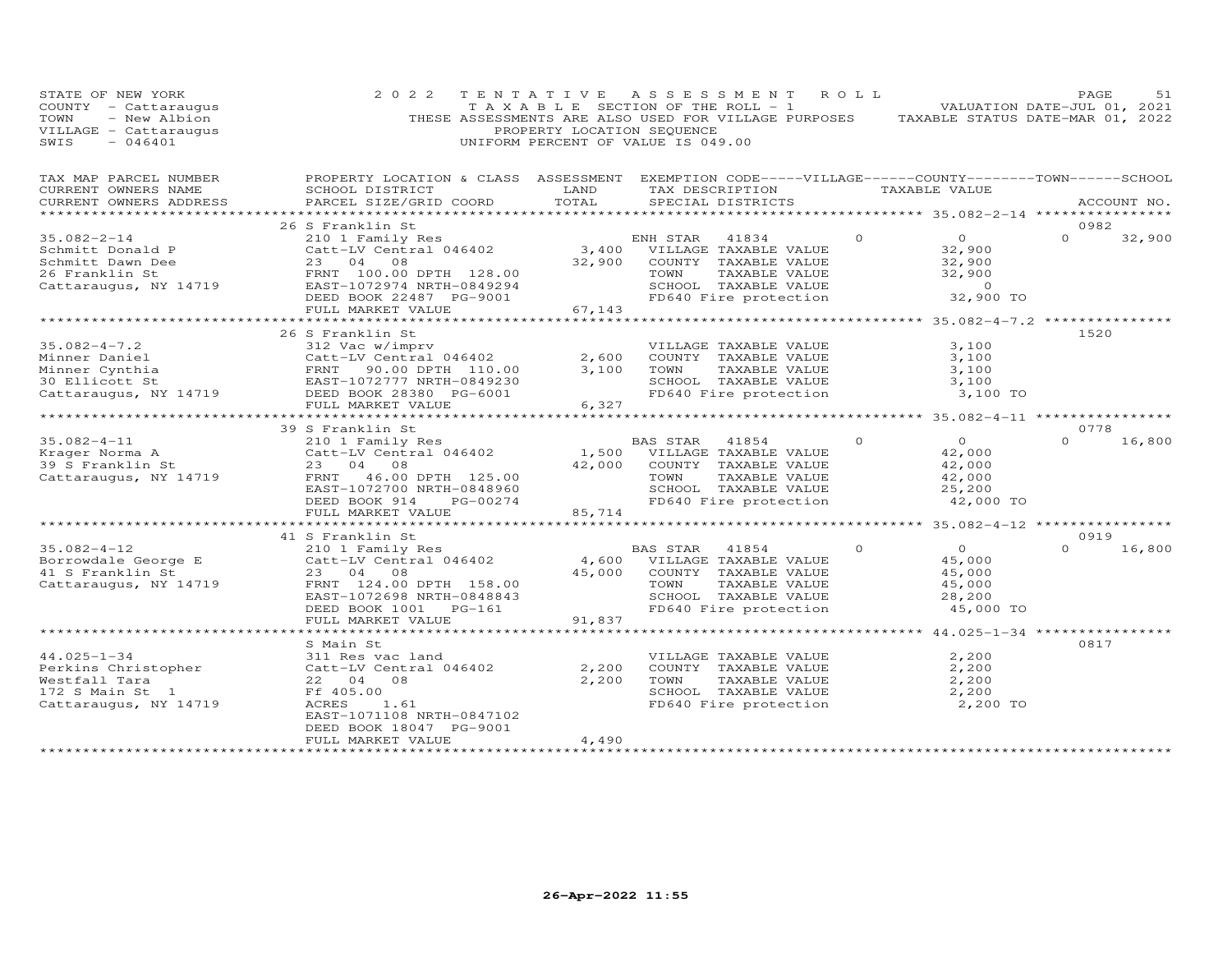| STATE OF NEW YORK<br>COUNTY - Cattaraugus<br>- New Albion<br>TOWN<br>VILLAGE - Cattaraugus<br>SWIS<br>$-046401$ | 2 0 2 2                                                                                                                                                                                            | TENTATIVE<br>PROPERTY LOCATION SEQUENCE | ASSESSMENT<br>TAXABLE SECTION OF THE ROLL - 1<br>THESE ASSESSMENTS ARE ALSO USED FOR VILLAGE PURPOSES<br>UNIFORM PERCENT OF VALUE IS 049.00         | ROLL     | TAXABLE STATUS DATE-MAR 01, 2022                                            | PAGE<br>VALUATION DATE-JUL 01, 2021 | 51     |
|-----------------------------------------------------------------------------------------------------------------|----------------------------------------------------------------------------------------------------------------------------------------------------------------------------------------------------|-----------------------------------------|-----------------------------------------------------------------------------------------------------------------------------------------------------|----------|-----------------------------------------------------------------------------|-------------------------------------|--------|
| TAX MAP PARCEL NUMBER<br>CURRENT OWNERS NAME<br>CURRENT OWNERS ADDRESS                                          | PROPERTY LOCATION & CLASS ASSESSMENT EXEMPTION CODE-----VILLAGE------COUNTY-------TOWN------SCHOOL<br>SCHOOL DISTRICT<br>PARCEL SIZE/GRID COORD                                                    | LAND<br>TOTAL                           | TAX DESCRIPTION<br>SPECIAL DISTRICTS<br>*************************                                                                                   |          | TAXABLE VALUE<br>******************** 35.082-2-14 *****************         | ACCOUNT NO.                         |        |
| $35.082 - 2 - 14$<br>Schmitt Donald P<br>Schmitt Dawn Dee<br>26 Franklin St<br>Cattaraugus, NY 14719            | 26 S Franklin St<br>210 1 Family Res<br>Catt-LV Central 046402<br>23 04 08<br>FRNT 100.00 DPTH 128.00<br>EAST-1072974 NRTH-0849294<br>DEED BOOK 22487 PG-9001<br>FULL MARKET VALUE                 | 32,900<br>67,143                        | ENH STAR<br>41834<br>3,400 VILLAGE TAXABLE VALUE<br>COUNTY TAXABLE VALUE<br>TOWN<br>TAXABLE VALUE<br>SCHOOL TAXABLE VALUE<br>FD640 Fire protection  | $\Omega$ | $\overline{O}$<br>32,900<br>32,900<br>32,900<br>$\overline{0}$<br>32,900 TO | 0982<br>$\Omega$                    | 32,900 |
|                                                                                                                 | ********************                                                                                                                                                                               |                                         |                                                                                                                                                     |          |                                                                             |                                     |        |
| $35.082 - 4 - 7.2$<br>Minner Daniel<br>Minner Cynthia<br>30 Ellicott St<br>Cattaraugus, NY 14719                | 26 S Franklin St<br>312 Vac w/imprv<br>Catt-LV Central 046402<br>Catt-LV Central 046402<br>FRNT - 90.00 DPTH - 110.00<br>EAST-1072777 NRTH-0849230<br>DEED BOOK 28380 PG-6001<br>FULL MARKET VALUE | 2,600<br>3,100<br>6,327                 | VILLAGE TAXABLE VALUE<br>COUNTY TAXABLE VALUE<br>TAXABLE VALUE<br>TOWN<br>SCHOOL TAXABLE VALUE<br>FD640 Fire protection                             |          | 3,100<br>3,100<br>3,100<br>3,100<br>3,100 TO                                | 1520                                |        |
|                                                                                                                 | ***********************                                                                                                                                                                            | **********                              |                                                                                                                                                     |          | *********** 35.082-4-11 *****************                                   |                                     |        |
| $35.082 - 4 - 11$<br>Krager Norma A<br>39 S Franklin St<br>Cattaraugus, NY 14719                                | 39 S Franklin St<br>210 1 Family Res<br>Catt-LV Central 046402<br>23 04 08<br>FRNT 46.00 DPTH 125.00<br>EAST-1072700 NRTH-0848960<br>DEED BOOK 914<br>PG-00274<br>FULL MARKET VALUE                | 1,500<br>42,000<br>85,714               | BAS STAR<br>41854<br>VILLAGE TAXABLE VALUE<br>COUNTY TAXABLE VALUE<br>TOWN<br>TAXABLE VALUE<br>SCHOOL TAXABLE VALUE<br>FD640 Fire protection        | $\Omega$ | $\overline{O}$<br>42,000<br>42,000<br>42,000<br>25,200<br>42,000 TO         | 0778<br>$\Omega$                    | 16,800 |
|                                                                                                                 |                                                                                                                                                                                                    | **********                              |                                                                                                                                                     |          | *********** 35.082-4-12 *****************                                   |                                     |        |
| $35.082 - 4 - 12$<br>Borrowdale George E<br>41 S Franklin St<br>Cattaraugus, NY 14719                           | 41 S Franklin St<br>210 1 Family Res<br>Catt-LV Central 046402<br>23 04<br>08<br>FRNT 124.00 DPTH 158.00<br>EAST-1072698 NRTH-0848843<br>DEED BOOK 1001<br>PG-161<br>FULL MARKET VALUE             | 4,600<br>45,000<br>91,837               | <b>BAS STAR</b><br>41854<br>VILLAGE TAXABLE VALUE<br>COUNTY TAXABLE VALUE<br>TAXABLE VALUE<br>TOWN<br>SCHOOL TAXABLE VALUE<br>FD640 Fire protection | $\Omega$ | $\Omega$<br>45,000<br>45,000<br>45,000<br>28,200<br>45,000 TO               | 0919<br>$\Omega$                    | 16,800 |
|                                                                                                                 |                                                                                                                                                                                                    |                                         |                                                                                                                                                     |          | $44.025 - 1 - 34$ **                                                        |                                     |        |
| $44.025 - 1 - 34$<br>Perkins Christopher<br>Westfall Tara<br>172 S Main St 1<br>Cattaraugus, NY 14719           | S Main St<br>311 Res vac land<br>Catt-LV Central 046402<br>22 04<br>08<br>Ff 405.00<br>ACRES<br>1.61<br>EAST-1071108 NRTH-0847102                                                                  | 2,200<br>2,200                          | VILLAGE TAXABLE VALUE<br>COUNTY TAXABLE VALUE<br>TOWN<br>TAXABLE VALUE<br>SCHOOL TAXABLE VALUE<br>FD640 Fire protection                             |          | 2,200<br>2,200<br>2,200<br>2,200<br>2,200 TO                                | 0817                                |        |
| **********************                                                                                          | DEED BOOK 18047 PG-9001<br>FULL MARKET VALUE                                                                                                                                                       | 4,490                                   |                                                                                                                                                     |          |                                                                             |                                     |        |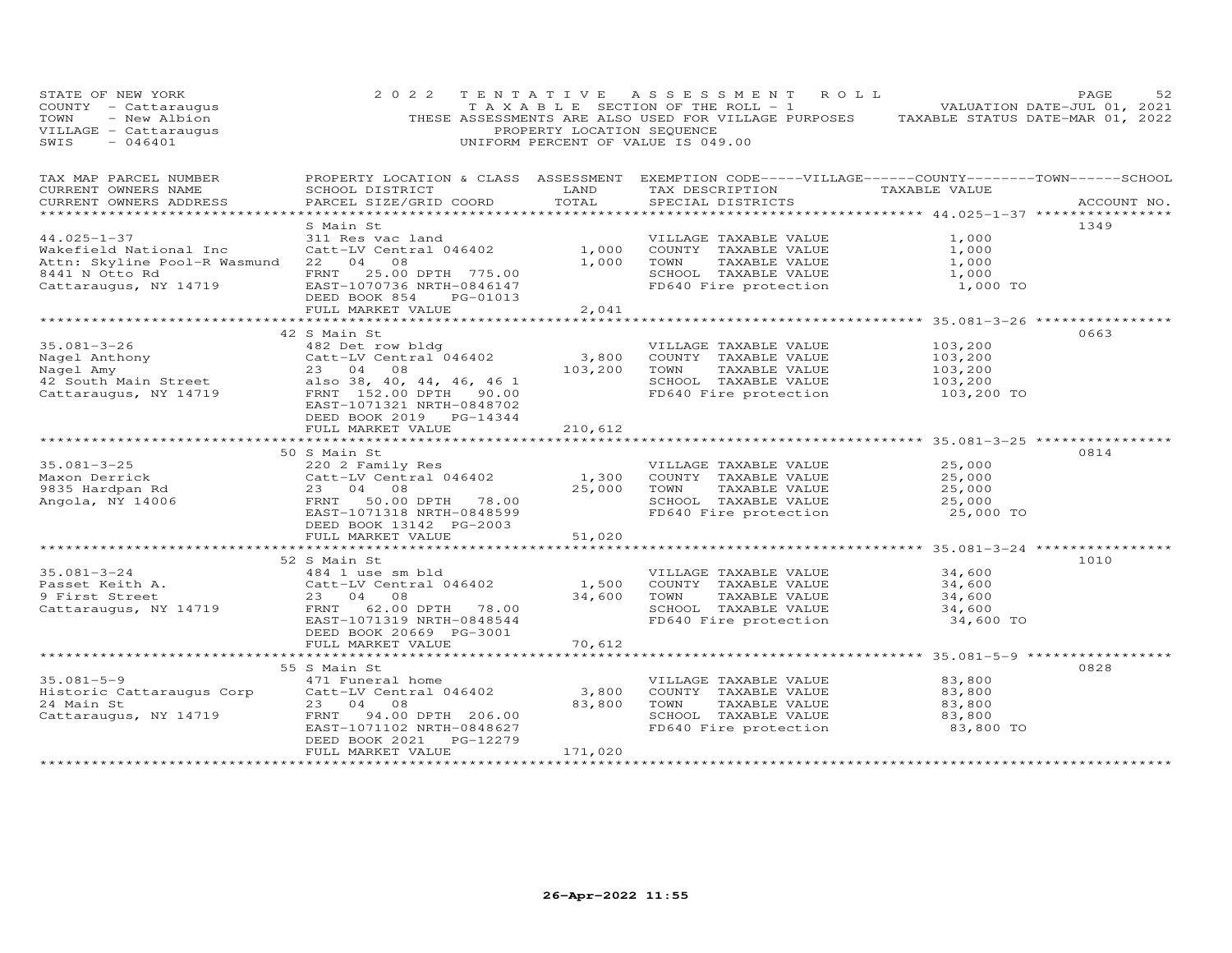| STATE OF NEW YORK<br>COUNTY - Cattaraugus<br>TOWN - New Albion<br>VILLAGE - Cattaraugus<br>$-046401$<br>SWIS                                                                                                                                     | 2 0 2 2                                                                                   | PROPERTY LOCATION SEQUENCE | TENTATIVE ASSESSMENT ROLL<br>TAXABLE SECTION OF THE ROLL - 1 VALUATION DATE-JUL 01, 2021<br>THESE ASSESSMENTS ARE ALSO USED FOR VILLAGE PURPOSES TAXABLE STATUS DATE-MAR 01, 2022<br>UNIFORM PERCENT OF VALUE IS 049.00 |                                                        | PAGE<br>52  |
|--------------------------------------------------------------------------------------------------------------------------------------------------------------------------------------------------------------------------------------------------|-------------------------------------------------------------------------------------------|----------------------------|-------------------------------------------------------------------------------------------------------------------------------------------------------------------------------------------------------------------------|--------------------------------------------------------|-------------|
| TAX MAP PARCEL NUMBER<br>CURRENT OWNERS NAME<br>CURRENT OWNERS ADDRESS                                                                                                                                                                           | SCHOOL DISTRICT LAND<br>PARCEL SIZE/GRID COORD                                            | TOTAL                      | PROPERTY LOCATION & CLASS ASSESSMENT EXEMPTION CODE-----VILLAGE------COUNTY-------TOWN------SCHOOL<br>TAX DESCRIPTION TAXABLE VALUE<br>SPECIAL DISTRICTS                                                                |                                                        | ACCOUNT NO. |
| $44.025 - 1 - 37$<br>Wakefield National Inc Catt-LV Central 046402 1,000<br>Attn: Skyline Pool-R Wasmund 22 04 08<br>8441 N Otto Rd<br>Cattaraugus, NY 14719 EAST-1070736 NRTH-0846147                                                           | S Main St<br>311 Res vac land<br>DEED BOOK 854<br>PG-01013<br>FULL MARKET VALUE           | 1,000<br>2,041             | VILLAGE TAXABLE VALUE<br>COUNTY TAXABLE VALUE<br>TOWN TAXABLE VALUE<br>SCHOOL TAXABLE VALUE<br>FD640 Fire protection                                                                                                    | 1,000<br>1,000<br>1,000<br>1,000<br>1,000 TO           | 1349        |
|                                                                                                                                                                                                                                                  |                                                                                           |                            |                                                                                                                                                                                                                         |                                                        |             |
| $35.081 - 3 - 26$<br>Nagel Anthony<br>Nagel Amy<br>Nagel Amy<br>23 04 08<br>23 04 08<br>23 04 08<br>23 04 08<br>23 04 08<br>23 00 DPTH 90.00<br>23 00 DPTH 90.00<br>23 00 DPTH 90.00<br>23 00 DPTH 90.00<br>23 00 DPTH 90.00<br>23 00 DPTH 90.00 | 42 S Main St<br>482 Det row bldg<br>EAST-1071321 NRTH-0848702<br>DEED BOOK 2019 PG-14344  | $3,800$<br>103,200         | VILLAGE TAXABLE VALUE<br>COUNTY TAXABLE VALUE<br>TOWN<br>TAXABLE VALUE<br>SCHOOL TAXABLE VALUE<br>FD640 Fire protection                                                                                                 | 103,200<br>103,200<br>103,200<br>103,200<br>103,200 TO | 0663        |
|                                                                                                                                                                                                                                                  | FULL MARKET VALUE                                                                         | 210,612                    |                                                                                                                                                                                                                         |                                                        |             |
|                                                                                                                                                                                                                                                  | 50 S Main St                                                                              |                            |                                                                                                                                                                                                                         | *********************** 35.081-3-25 ***********        | 0814        |
| $35.081 - 3 - 25$<br>booter<br>1885 Hardpan Rd<br>Angola, NY 14006                                                                                                                                                                               | 220 2 Family Res<br>EAST-1071318 NRTH-0848599<br>DEED BOOK 13142 PG-2003                  |                            | VILLAGE TAXABLE VALUE<br>1,300 COUNTY TAXABLE VALUE<br>25,000 TOWN TAXABLE VALUE<br>SCHOOL TAXABLE VALUE 25,000<br>FD640 Fire protection 25,000 TO                                                                      | 25,000<br>25,000<br>25,000                             |             |
|                                                                                                                                                                                                                                                  | FULL MARKET VALUE                                                                         | 51,020                     |                                                                                                                                                                                                                         |                                                        |             |
|                                                                                                                                                                                                                                                  | 52 S Main St                                                                              |                            |                                                                                                                                                                                                                         | 34,600                                                 | 1010        |
| 35.081-3-24<br>Passet Keith A. (23 04 08)<br>Cattaraugus, NY 14719 First Street 23 04 08<br>Cattaraugus, NY 14719 FRNT 62.00 DPTH 78.00                                                                                                          | EAST-1071319 NRTH-0848544<br>DEED BOOK 20669 PG-3001                                      |                            | VILLAGE TAXABLE VALUE<br>1,500 COUNTY TAXABLE VALUE<br>34,600 TOWN TAVARIE<br>TAXABLE VALUE<br>SCHOOL TAXABLE VALUE<br>FD640 Fire protection                                                                            | 34,600<br>$34,600$<br>$34,600$<br>34,600 TO            |             |
|                                                                                                                                                                                                                                                  | FULL MARKET VALUE                                                                         | 70,612                     |                                                                                                                                                                                                                         |                                                        |             |
|                                                                                                                                                                                                                                                  |                                                                                           |                            |                                                                                                                                                                                                                         |                                                        |             |
| 35.081-5-9<br>Historic Cattaraugus Corp<br>24 Main St<br>23 04 08<br>Cattaraugus, NY 14719<br>23 04 08<br>23 04 08<br>24.00 DPTH 206.00                                                                                                          | 55 S Main St<br>EAST-1071102 NRTH-0848627<br>DEED BOOK 2021 PG-12279<br>FULL MARKET VALUE | 171,020                    | VILLAGE TAXABLE VALUE<br>3,800 COUNTY TAXABLE VALUE<br>83,800 TOWN<br>TAXABLE VALUE<br>SCHOOL TAXABLE VALUE<br>FD640 Fire protection                                                                                    | 83,800<br>83,800<br>83,800<br>83,800<br>83,800 TO      | 0828        |
|                                                                                                                                                                                                                                                  |                                                                                           |                            |                                                                                                                                                                                                                         |                                                        |             |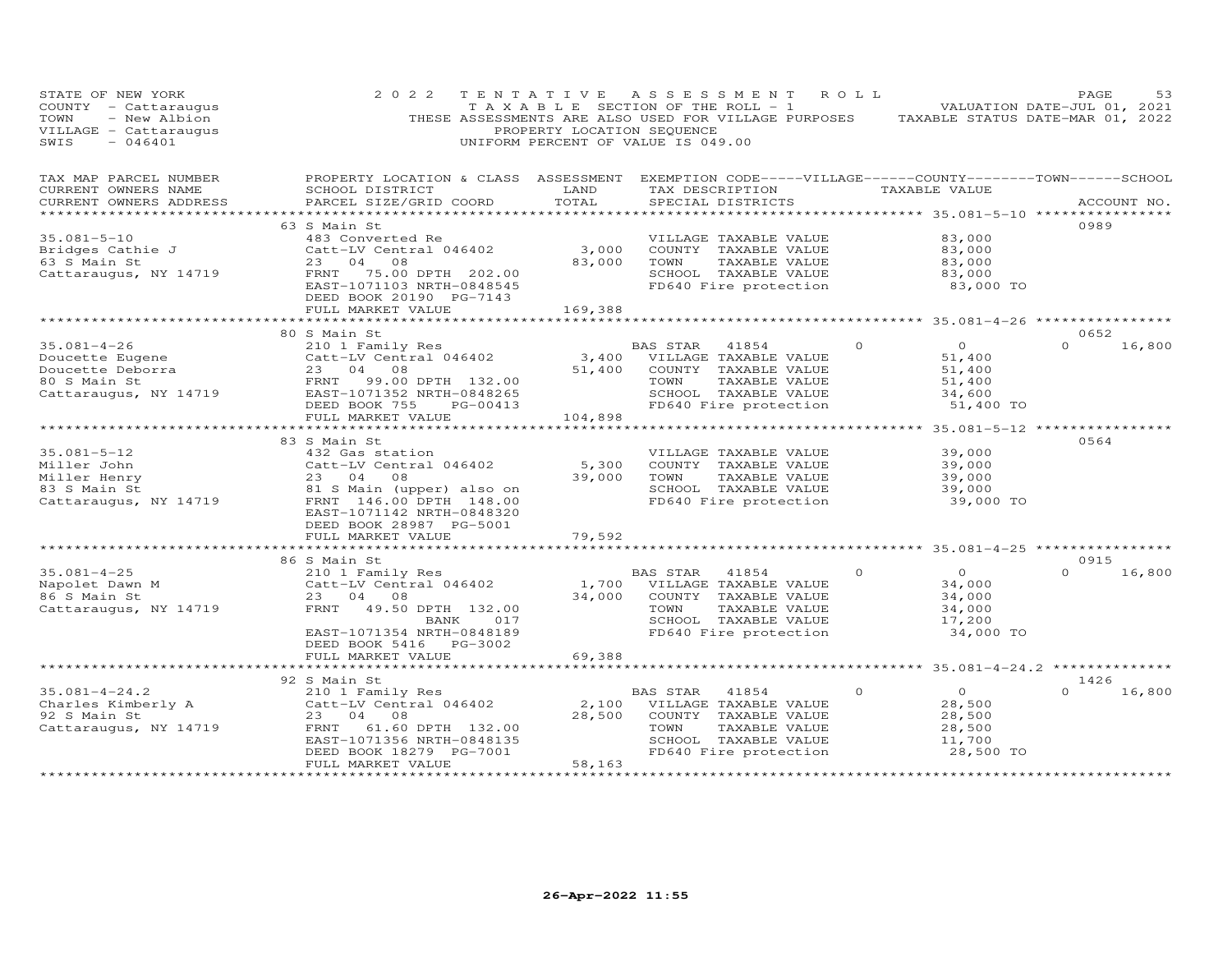| STATE OF NEW YORK<br>COUNTY - Cattaraugus<br>- New Albion<br>TOWN<br>VILLAGE - Cattaraugus<br>SWIS<br>$-046401$ | 2 0 2 2                                                                                                                                         | TENTATIVE<br>PROPERTY LOCATION SEQUENCE | A S S E S S M E N T<br>T A X A B L E SECTION OF THE ROLL - 1<br>THESE ASSESSMENTS ARE ALSO USED FOR VILLAGE PURPOSES<br>UNIFORM PERCENT OF VALUE IS 049.00 | ROLL     | TAXABLE STATUS DATE-MAR 01, 2022                     | PAGE<br>VALUATION DATE-JUL 01, 2021 | 53     |
|-----------------------------------------------------------------------------------------------------------------|-------------------------------------------------------------------------------------------------------------------------------------------------|-----------------------------------------|------------------------------------------------------------------------------------------------------------------------------------------------------------|----------|------------------------------------------------------|-------------------------------------|--------|
| TAX MAP PARCEL NUMBER<br>CURRENT OWNERS NAME<br>CURRENT OWNERS ADDRESS                                          | PROPERTY LOCATION & CLASS ASSESSMENT EXEMPTION CODE-----VILLAGE------COUNTY-------TOWN------SCHOOL<br>SCHOOL DISTRICT<br>PARCEL SIZE/GRID COORD | LAND<br>TOTAL                           | TAX DESCRIPTION TAXABLE VALUE<br>SPECIAL DISTRICTS                                                                                                         |          |                                                      | ACCOUNT NO.                         |        |
| ***********************                                                                                         |                                                                                                                                                 |                                         |                                                                                                                                                            |          |                                                      |                                     |        |
| $35.081 - 5 - 10$                                                                                               | 63 S Main St<br>483 Converted Re                                                                                                                |                                         | VILLAGE TAXABLE VALUE                                                                                                                                      |          | 83,000                                               | 0989                                |        |
| Bridges Cathie J                                                                                                | Catt-LV Central 046402                                                                                                                          | 3,000                                   | COUNTY TAXABLE VALUE                                                                                                                                       |          | 83,000                                               |                                     |        |
| 63 S Main St                                                                                                    | 23<br>04<br>08                                                                                                                                  | 83,000                                  | TOWN<br>TAXABLE VALUE                                                                                                                                      |          | 83,000                                               |                                     |        |
| Cattaraugus, NY 14719                                                                                           | 75.00 DPTH 202.00<br>FRNT                                                                                                                       |                                         | SCHOOL TAXABLE VALUE                                                                                                                                       |          | 83,000                                               |                                     |        |
|                                                                                                                 | EAST-1071103 NRTH-0848545<br>DEED BOOK 20190 PG-7143                                                                                            |                                         | FD640 Fire protection                                                                                                                                      |          | 83,000 TO                                            |                                     |        |
|                                                                                                                 | FULL MARKET VALUE                                                                                                                               | 169,388                                 |                                                                                                                                                            |          |                                                      |                                     |        |
|                                                                                                                 |                                                                                                                                                 |                                         |                                                                                                                                                            |          | ********************** 35.081-4-26 ***************** |                                     |        |
|                                                                                                                 | 80 S Main St                                                                                                                                    |                                         |                                                                                                                                                            |          |                                                      | 0652                                |        |
| $35.081 - 4 - 26$                                                                                               | 210 1 Family Res                                                                                                                                |                                         | <b>BAS STAR</b><br>41854                                                                                                                                   | $\circ$  | $\overline{0}$                                       | $\Omega$                            | 16,800 |
| Doucette Eugene<br>Doucette Deborra                                                                             | Catt-LV Central 046402<br>23 04 08                                                                                                              | 3,400<br>51,400                         | VILLAGE TAXABLE VALUE<br>COUNTY TAXABLE VALUE                                                                                                              |          | 51,400<br>51,400                                     |                                     |        |
| 80 S Main St                                                                                                    | FRNT<br>99.00 DPTH 132.00                                                                                                                       |                                         | TOWN<br>TAXABLE VALUE                                                                                                                                      |          | 51,400                                               |                                     |        |
| Cattaraugus, NY 14719                                                                                           | EAST-1071352 NRTH-0848265                                                                                                                       |                                         | SCHOOL TAXABLE VALUE                                                                                                                                       |          | 34,600                                               |                                     |        |
|                                                                                                                 | DEED BOOK 755<br>PG-00413                                                                                                                       |                                         | FD640 Fire protection                                                                                                                                      |          | 51,400 TO                                            |                                     |        |
|                                                                                                                 | FULL MARKET VALUE                                                                                                                               | 104,898                                 |                                                                                                                                                            |          |                                                      |                                     |        |
|                                                                                                                 | ************************                                                                                                                        |                                         |                                                                                                                                                            |          | *************** 35.081-5-12 *****************        |                                     |        |
|                                                                                                                 | 83 S Main St                                                                                                                                    |                                         |                                                                                                                                                            |          |                                                      | 0564                                |        |
| $35.081 - 5 - 12$                                                                                               | 432 Gas station                                                                                                                                 |                                         | VILLAGE TAXABLE VALUE                                                                                                                                      |          | 39,000                                               |                                     |        |
| Miller John                                                                                                     | Catt-LV Central 046402                                                                                                                          | 5,300                                   | COUNTY TAXABLE VALUE                                                                                                                                       |          | 39,000                                               |                                     |        |
| Miller Henry<br>83 S Main St                                                                                    | 23 04<br>08                                                                                                                                     | 39,000                                  | TOWN<br>TAXABLE VALUE<br>SCHOOL TAXABLE VALUE                                                                                                              |          | 39,000<br>39,000                                     |                                     |        |
| Cattaraugus, NY 14719                                                                                           | 81 S Main (upper) also on<br>FRNT 146.00 DPTH 148.00                                                                                            |                                         | FD640 Fire protection                                                                                                                                      |          | 39,000 TO                                            |                                     |        |
|                                                                                                                 | EAST-1071142 NRTH-0848320                                                                                                                       |                                         |                                                                                                                                                            |          |                                                      |                                     |        |
|                                                                                                                 | DEED BOOK 28987 PG-5001                                                                                                                         |                                         |                                                                                                                                                            |          |                                                      |                                     |        |
|                                                                                                                 | FULL MARKET VALUE                                                                                                                               | 79,592                                  |                                                                                                                                                            |          |                                                      |                                     |        |
|                                                                                                                 |                                                                                                                                                 |                                         |                                                                                                                                                            |          | *********** 35.081-4-25 ***********                  |                                     |        |
|                                                                                                                 | 86 S Main St                                                                                                                                    |                                         |                                                                                                                                                            |          |                                                      | 0915                                |        |
| $35.081 - 4 - 25$                                                                                               | 210 1 Family Res                                                                                                                                |                                         | BAS STAR<br>41854                                                                                                                                          | $\Omega$ | $\Omega$                                             | $\Omega$                            | 16,800 |
| Napolet Dawn M                                                                                                  | Catt-LV Central 046402<br>23 04 08                                                                                                              | 1,700<br>34,000                         | VILLAGE TAXABLE VALUE                                                                                                                                      |          | 34,000                                               |                                     |        |
| 86 S Main St<br>Cattaraugus, NY 14719                                                                           | FRNT<br>49.50 DPTH 132.00                                                                                                                       |                                         | COUNTY TAXABLE VALUE<br>TOWN<br>TAXABLE VALUE                                                                                                              |          | 34,000<br>34,000                                     |                                     |        |
|                                                                                                                 | BANK<br>017                                                                                                                                     |                                         | SCHOOL TAXABLE VALUE                                                                                                                                       |          | 17,200                                               |                                     |        |
|                                                                                                                 | EAST-1071354 NRTH-0848189                                                                                                                       |                                         | FD640 Fire protection                                                                                                                                      |          | 34,000 TO                                            |                                     |        |
|                                                                                                                 | DEED BOOK 5416 PG-3002                                                                                                                          |                                         |                                                                                                                                                            |          |                                                      |                                     |        |
|                                                                                                                 | FULL MARKET VALUE                                                                                                                               | 69,388                                  |                                                                                                                                                            |          |                                                      |                                     |        |
|                                                                                                                 | *************************                                                                                                                       |                                         |                                                                                                                                                            |          |                                                      |                                     |        |
|                                                                                                                 | 92 S Main St                                                                                                                                    |                                         |                                                                                                                                                            |          |                                                      | 1426                                |        |
| $35.081 - 4 - 24.2$                                                                                             | 210 1 Family Res                                                                                                                                |                                         | BAS STAR<br>41854                                                                                                                                          | $\circ$  | $\circ$                                              |                                     | 16,800 |
| Charles Kimberly A<br>92 S Main St                                                                              | Catt-LV Central 046402<br>23 04<br>08                                                                                                           | 2,100<br>28,500                         | VILLAGE TAXABLE VALUE<br>COUNTY TAXABLE VALUE                                                                                                              |          | 28,500<br>28,500                                     |                                     |        |
| Cattaraugus, NY 14719                                                                                           | FRNT<br>61.60 DPTH 132.00                                                                                                                       |                                         | TOWN<br>TAXABLE VALUE                                                                                                                                      |          | 28,500                                               |                                     |        |
|                                                                                                                 | EAST-1071356 NRTH-0848135                                                                                                                       |                                         | SCHOOL TAXABLE VALUE                                                                                                                                       |          | 11,700                                               |                                     |        |
|                                                                                                                 | DEED BOOK 18279 PG-7001                                                                                                                         |                                         | FD640 Fire protection                                                                                                                                      |          | 28,500 TO                                            |                                     |        |
|                                                                                                                 | FULL MARKET VALUE                                                                                                                               | 58,163                                  |                                                                                                                                                            |          |                                                      |                                     |        |
|                                                                                                                 | *********************                                                                                                                           | *************                           |                                                                                                                                                            |          |                                                      |                                     |        |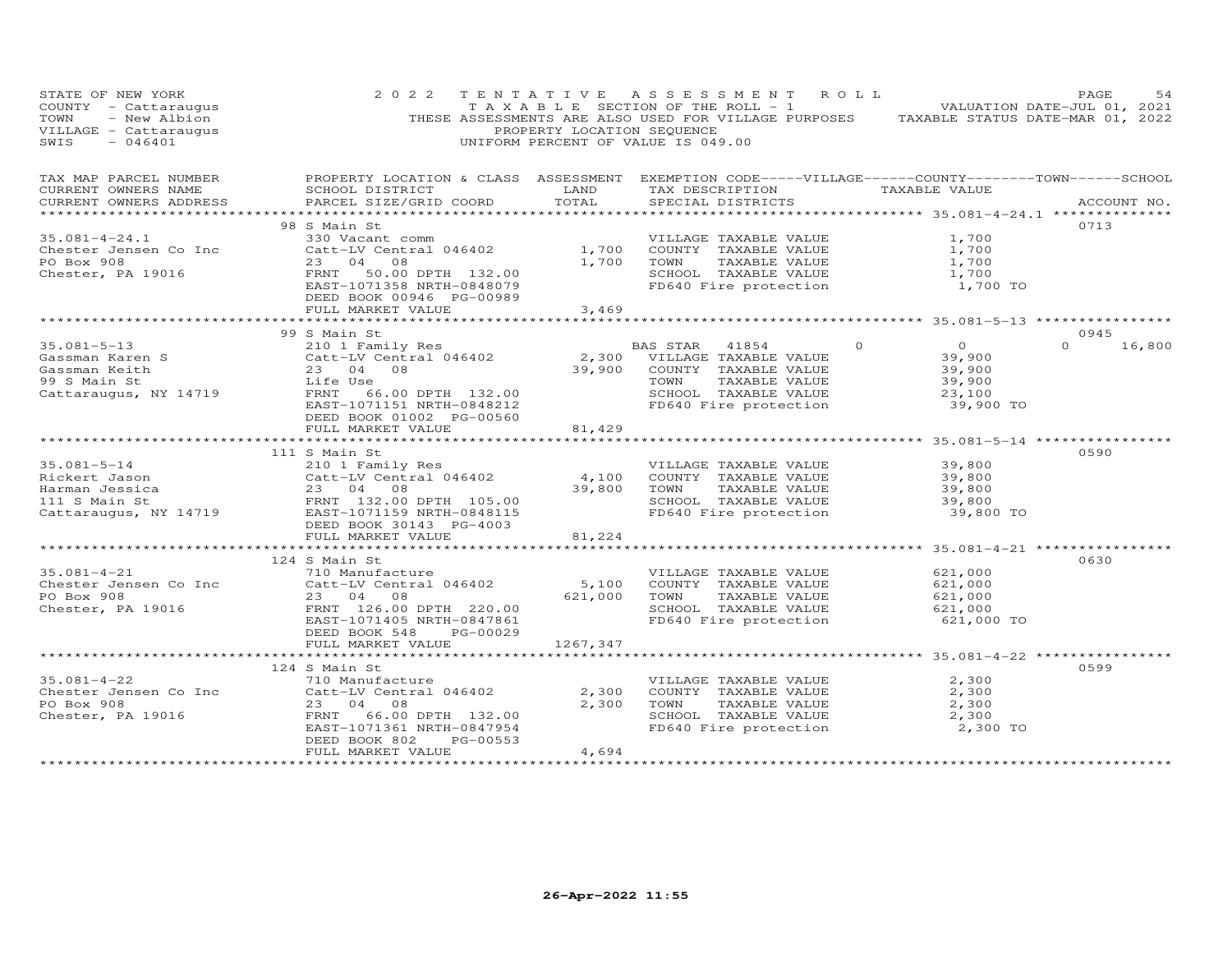| STATE OF NEW IONA<br>COUNTY - Cattaraugus<br>TOWN - New Albion<br>VILLAGE - Cattaraugus<br>0046401                                                                                                                                    | 2 0 2 2                                                                                                                |                | TENTATIVE ASSESSMENT ROLL<br>TAXABLE SECTION OF THE ROLL - 1 VALUATION DATE-JUL 01, 2021<br>THESE ASSESSMENTS ARE ALSO USED FOR VILLAGE PURPOSES TAXABLE STATUS DATE-MAR 01, 2022<br>PROPERTY LOCATION SEQUENCE<br>UNIFORM PERCENT OF VALUE IS 049.00 |                                                                                              | PAGE<br>54                 |
|---------------------------------------------------------------------------------------------------------------------------------------------------------------------------------------------------------------------------------------|------------------------------------------------------------------------------------------------------------------------|----------------|-------------------------------------------------------------------------------------------------------------------------------------------------------------------------------------------------------------------------------------------------------|----------------------------------------------------------------------------------------------|----------------------------|
| TAX MAP PARCEL NUMBER FROPERTY LOCATION & CLASS ASSESSMENT EXEMPTION CODE-----VILLAGE------COUNTY-------TOWN------SCHOOL<br>CURRENT OWNERS NAME<br>CURRENT OWNERS ADDRESS                                                             | SCHOOL DISTRICT LAND<br>PARCEL SIZE/GRID COORD                                                                         | TOTAL          | TAX DESCRIPTION TAXABLE VALUE<br>SPECIAL DISTRICTS                                                                                                                                                                                                    |                                                                                              | ACCOUNT NO.                |
| $35.081 - 4 - 24.1$<br>Chester Jensen Co Inc<br>PO Box 908<br>Chester, PA 19016                                                                                                                                                       | 98 S Main St<br>330 Vacant comm<br>Catt-LV Central 046402<br>23 04 08<br>DEED BOOK 00946 PG-00989<br>FULL MARKET VALUE | 1,700<br>3,469 | VILLAGE TAXABLE VALUE<br>COUNTY TAXABLE VALUE<br>1,700 TOWN<br>TAXABLE VALUE<br>SCHOOL TAXABLE VALUE<br>FD640 Fire protection                                                                                                                         | 1,700<br>1,700<br>1,700<br>1,700<br>1,700 TO                                                 | 0713                       |
|                                                                                                                                                                                                                                       |                                                                                                                        |                |                                                                                                                                                                                                                                                       |                                                                                              |                            |
| $35.081 - 5 - 13$                                                                                                                                                                                                                     | 99 S Main St<br>210 1 Family Res<br>Catt-LV Central 046402<br>23 04 08<br>Life Use                                     |                | BAS STAR 41854<br>2,300 VILLAGE TAXABLE VALUE<br>39,900 COUNTY TAXABLE VALUE                                                                                                                                                                          | $\overline{0}$<br>$\circ$<br>39,900<br>39,900                                                | 0945<br>$\Omega$<br>16,800 |
| Cassman Karen S<br>Cassman Keith<br>99 S Main St<br>Cattaraugus, NY 14719<br>Cattaraugus, NY 14719<br>FRNT 66                                                                                                                         | FRNT 66.00 DPTH 132.00<br>EAST-1071151 NRTH-0848212<br>DEED BOOK 01002 PG-00560<br>FULL MARKET VALUE                   | 81,429         | TAXABLE VALUE<br>TOWN<br>SCHOOL TAXABLE VALUE<br>FD640 Fire protection                                                                                                                                                                                | 39,900<br>23,100<br>39,900 TO                                                                |                            |
|                                                                                                                                                                                                                                       | **************************                                                                                             | ************   |                                                                                                                                                                                                                                                       | *************** 35.081-5-14 ***************                                                  |                            |
| $35.081 - 5 - 14$<br>Catt-LV Central 046402<br>Rickert Jason Catt-LV Central 046402<br>Harman Jessica 23 04 08<br>111 S Main St FRNT 132.00 DPTH 105.00<br>Cattaraugus, NY 14719 EAST-1071159 NRTH-0848115<br>DEED BOOK 30143 PG-4003 | 111 S Main St<br>210 1 Family Res                                                                                      | 4,100          | VILLAGE TAXABLE VALUE<br>COUNTY TAXABLE VALUE<br>39,800 TOWN<br>TAXABLE VALUE                                                                                                                                                                         | 39,800<br>39,800<br>39,800<br>SCHOOL TAXABLE VALUE 39,800<br>FD640 Fire protection 39,800 TO | 0590                       |
|                                                                                                                                                                                                                                       | FULL MARKET VALUE                                                                                                      | 81,224         |                                                                                                                                                                                                                                                       |                                                                                              |                            |
| $35.081 - 4 - 21$                                                                                                                                                                                                                     | 124 S Main St<br>710 Manufacture<br>Catt-LV Central 046402                                                             | 5,100          | VILLAGE TAXABLE VALUE<br>COUNTY TAXABLE VALUE                                                                                                                                                                                                         | 621,000<br>621,000                                                                           | 0630                       |
| Chester Jensen Co Inc<br>PO Box 908<br>Chester, PA 19016<br>Chester, PA 19016<br>FRNT 126.00                                                                                                                                          | FRNT 126.00 DPTH 220.00<br>EAST-1071405 NRTH-0847861<br>DEED BOOK 548<br>PG-00029                                      |                | 621,000 TOWN<br>TAXABLE VALUE<br>SCHOOL TAXABLE VALUE<br>FD640 Fire protection                                                                                                                                                                        | 621,000<br>621,000<br>621,000 TO                                                             |                            |
|                                                                                                                                                                                                                                       | FULL MARKET VALUE                                                                                                      | 1267,347       |                                                                                                                                                                                                                                                       |                                                                                              |                            |
|                                                                                                                                                                                                                                       |                                                                                                                        |                |                                                                                                                                                                                                                                                       |                                                                                              |                            |
| $35.081 - 4 - 22$<br>Chester Jensen Co Inc Catt-LV Central 046402<br>PO Box 908 23 04 08<br>Chester, PA 19016 FRNT 66.00 DPTH 132.00                                                                                                  | 124 S Main St<br>710 Manufacture<br>Catt-LV Central 046402<br>23 04 08                                                 |                | VILLAGE TAXABLE VALUE<br>2,300 COUNTY TAXABLE VALUE<br>2,300 TOWN<br>TAXABLE VALUE<br>SCHOOL TAXABLE VALUE                                                                                                                                            | 2,300<br>2,300<br>2,300<br>2,300                                                             | 0599                       |
|                                                                                                                                                                                                                                       | EAST-1071361 NRTH-0847954<br>DEED BOOK 802<br>PG-00553<br>FULL MARKET VALUE                                            | 4,694          | FD640 Fire protection                                                                                                                                                                                                                                 | 2,300 TO                                                                                     |                            |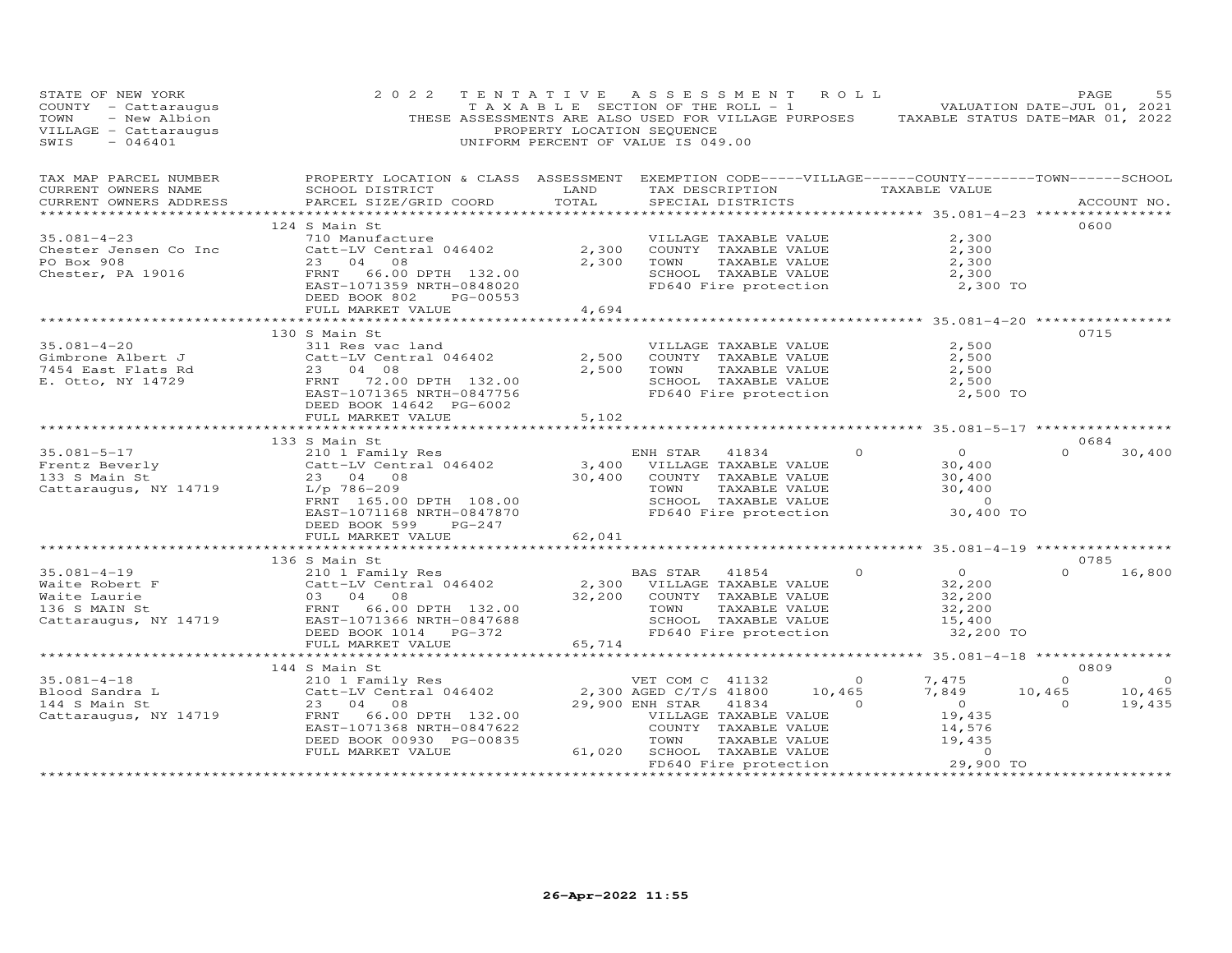| STATE OF NEW YORK<br>COUNTY - Cattaraugus<br>TOWN - New Albion<br>VTLLAGE - Cattaraugus<br>ACAO1                                                                                                                                                     | 2 0 2 2                                                                                                                                                                                                                        | PROPERTY LOCATION SEQUENCE | TENTATIVE ASSESSMENT ROLL<br>UNIFORM PERCENT OF VALUE IS 049.00                                                                                                                   |                                            | TAXABLE SECTION OF THE ROLL - 1 VALUATION DATE-JUL 01, 2021<br>THESE ASSESSMENTS ARE ALSO USED FOR VILLAGE PURPOSES TAXABLE STATUS DATE-MAR 01, 2022 | PAGE                                   | 55                          |
|------------------------------------------------------------------------------------------------------------------------------------------------------------------------------------------------------------------------------------------------------|--------------------------------------------------------------------------------------------------------------------------------------------------------------------------------------------------------------------------------|----------------------------|-----------------------------------------------------------------------------------------------------------------------------------------------------------------------------------|--------------------------------------------|------------------------------------------------------------------------------------------------------------------------------------------------------|----------------------------------------|-----------------------------|
| TAX MAP PARCEL NUMBER<br>CURRENT OWNERS NAME<br>CURRENT OWNERS ADDRESS                                                                                                                                                                               | PROPERTY LOCATION & CLASS ASSESSMENT EXEMPTION CODE-----VILLAGE------COUNTY--------TOWN------SCHOOL<br>SCHOOL DISTRICT<br>PARCEL SIZE/GRID COORD                                                                               | LAND<br>TOTAL              | TAX DESCRIPTION TAXABLE VALUE<br>SPECIAL DISTRICTS                                                                                                                                |                                            |                                                                                                                                                      | ACCOUNT NO.                            |                             |
| $35.081 - 4 - 23$<br>Chester Jensen Co Inc<br>PO Box 908<br>Chester, PA 19016                                                                                                                                                                        | 124 S Main St<br>710 Manufacture<br>Catt-LV Central 046402 2,300<br>23 04 08 2.300<br>FRNT 66.00 DPTH 132.00<br>EAST-1071359 NRTH-0848020<br>DEED BOOK 802<br>PG-00553<br>FULL MARKET VALUE                                    | 4,694                      | VILLAGE TAXABLE VALUE<br>COUNTY TAXABLE VALUE<br>TOWN<br>SCHOOL TAXABLE VALUE<br>FD640 Fire protection                                                                            | TAXABLE VALUE<br>TAXABLE VALUE             | 2,300<br>2,300<br>2,300<br>2,300<br>2,300 TO                                                                                                         | 0600                                   |                             |
| $35.081 - 4 - 20$<br>Gimbrone Albert J<br>7454 East Flats Rd<br>T. Otto, NY 14729                                                                                                                                                                    | 130 S Main St<br>311 Res vac land<br>Catt-LV Central 046402<br>23 04 08<br>FRNT 72.00 DPTH 132.00<br>EAST-1071365 NRTH-0847756<br>DEED BOOK 14642 PG-6002<br>FULL MARKET VALUE                                                 | 2,500<br>2,500<br>5,102    | VILLAGE TAXABLE VALUE<br>COUNTY TAXABLE VALUE<br>TOWN<br>SCHOOL TAXABLE VALUE<br>FD640 Fire protection                                                                            | TAXABLE VALUE                              | 2,500<br>2,500<br>2,500<br>2,500<br>2,500 TO                                                                                                         | 0715                                   |                             |
|                                                                                                                                                                                                                                                      |                                                                                                                                                                                                                                | ************               |                                                                                                                                                                                   |                                            | ************************************ 35.081-5-17 *****************                                                                                   | 0684                                   |                             |
| $35.081 - 5 - 17$<br>Frentz Beverly<br>133 S Main St<br>Cattaraugus, NY 14719                                                                                                                                                                        | 133 S Main St<br>210 1 Family Res<br>Catt-LV Central 046402<br>23 04 00<br>23 04 08<br>$23$ 04 00<br>L/p 786-209<br>FRNT 165.00 DPTH 108.00<br>EAST-1071168 NRTH-0847870<br>DEED BOOK 599<br>PG-247                            |                            | ENH STAR<br>41834<br>3,400 VILLAGE TAXABLE VALUE<br>30,400 COUNTY TAXABLE VALUE<br>COUNTY TAXABLE VALUE<br>TOWN<br>TAXABLE VALUE<br>SCHOOL TAXABLE VALUE<br>FD640 Fire protection | $\circ$                                    | $\overline{O}$<br>30,400<br>$\frac{30}{30}$ , 400<br>30, 400<br>$\sim$ 0<br>30,400 TO                                                                | $\Omega$                               | 30,400                      |
|                                                                                                                                                                                                                                                      |                                                                                                                                                                                                                                |                            |                                                                                                                                                                                   |                                            | ******************* 35.081-4-19 *************                                                                                                        |                                        |                             |
| Waite Robert F<br>Waite Robert F<br>Waite Laurie<br>Main St<br>Catt-LV Central 046402<br>Main St<br>Catt-LV Central 046402<br>2,300 VILLAGE TAXABLE VALUE<br>Main St<br>2,300 VILLAGE TAXABLE VALUE<br>2,300 VILLAGE TAXABLE VALUE<br>2,200 COUNTY T |                                                                                                                                                                                                                                |                            | FD640 Fire protection                                                                                                                                                             | $\Omega$                                   | $\overline{O}$<br>32,200<br>32,200<br>32,200<br>15,400<br>32,200 TO                                                                                  | 0785<br>$\Omega$                       | 16,800                      |
|                                                                                                                                                                                                                                                      | FULL MARKET VALUE<br>*******************************                                                                                                                                                                           | 65,714                     |                                                                                                                                                                                   |                                            |                                                                                                                                                      |                                        |                             |
| $35.081 - 4 - 18$<br>Blood Sandra L<br>144 S Main St<br>Cattaraugus, NY 14719                                                                                                                                                                        | 144 S Main St<br>VET COM C 41132<br>Catt-LV Central 046402 2,300 AGED C/T/S 41800<br>23 04 08 29.900 ENH STAR 41904<br>FRNT<br>66.00 DPTH 132.00<br>EAST-1071368 NRTH-0847622<br>DEED BOOK 00930 PG-00835<br>FULL MARKET VALUE | 61,020                     | VILLAGE TAXABLE VALUE<br>COUNTY TAXABLE VALUE<br>TAXABLE VALUE<br>TOWN<br>SCHOOL TAXABLE VALUE                                                                                    | $\overline{O}$<br>10,465<br>$\overline{0}$ | 7,475<br>7,849<br>$\overline{0}$<br>19,435<br>14,576<br>19,435<br>$\Omega$<br>29,900 TO                                                              | 0809<br>$\Omega$<br>10,465<br>$\Omega$ | $\circ$<br>10,465<br>19,435 |
|                                                                                                                                                                                                                                                      |                                                                                                                                                                                                                                |                            | FD640 Fire protection                                                                                                                                                             |                                            |                                                                                                                                                      |                                        |                             |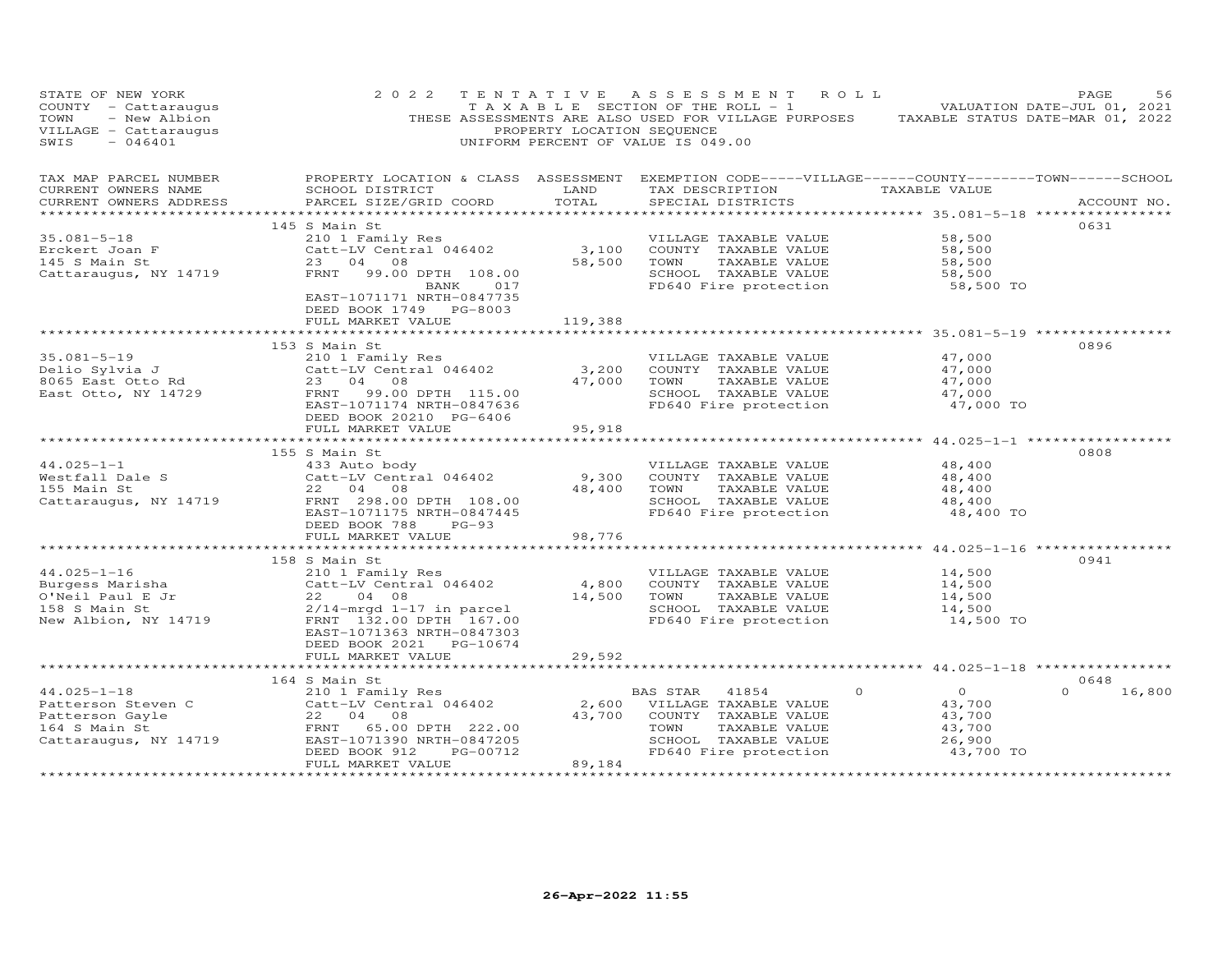| STATE OF NEW YORK<br>COUNTY - Cattaraugus<br>TOWN<br>- New Albion<br>VILLAGE - Cattaraugus<br>SWIS<br>$-046401$                                     | 2 0 2 2                                                                                                                                                                                                        | PROPERTY LOCATION SEQUENCE                                | TENTATIVE ASSESSMENT ROLL<br>TAXABLE SECTION OF THE ROLL - 1 VALUATION DATE-JUL 01, 2021<br>THESE ASSESSMENTS ARE ALSO USED FOR VILLAGE PURPOSES TAXABLE STATUS DATE-MAR 01, 2022<br>UNIFORM PERCENT OF VALUE IS 049.00 |                                                                                | PAGE<br>56                 |
|-----------------------------------------------------------------------------------------------------------------------------------------------------|----------------------------------------------------------------------------------------------------------------------------------------------------------------------------------------------------------------|-----------------------------------------------------------|-------------------------------------------------------------------------------------------------------------------------------------------------------------------------------------------------------------------------|--------------------------------------------------------------------------------|----------------------------|
| TAX MAP PARCEL NUMBER<br>CURRENT OWNERS NAME<br>CURRENT OWNERS ADDRESS<br>***********************                                                   | PROPERTY LOCATION & CLASS ASSESSMENT EXEMPTION CODE-----VILLAGE------COUNTY--------TOWN------SCHOOL<br>SCHOOL DISTRICT<br>PARCEL SIZE/GRID COORD                                                               | LAND<br>TOTAL                                             | TAX DESCRIPTION TAXABLE VALUE<br>SPECIAL DISTRICTS                                                                                                                                                                      |                                                                                | ACCOUNT NO.                |
| $35.081 - 5 - 18$<br>Erckert Joan F<br>145 S Main St<br>Cattaraugus, NY 14719                                                                       | 145 S Main St<br>210 1 Family Res<br>Catt-LV Central 046402<br>23 04 08<br>FRNT 99.00 DPTH 108.00<br>BANK 017<br>EAST-1071171 NRTH-0847735<br>DEED BOOK 1749 PG-8003                                           | 3,100<br>58,500                                           | VILLAGE TAXABLE VALUE<br>COUNTY TAXABLE VALUE<br>TAXABLE VALUE<br>TOWN<br>SCHOOL TAXABLE VALUE<br>FD640 Fire protection                                                                                                 | 58,500<br>58,500<br>58,500<br>58,500<br>58,500 TO                              | 0631                       |
|                                                                                                                                                     | FULL MARKET VALUE<br>153 S Main St                                                                                                                                                                             | 119,388                                                   |                                                                                                                                                                                                                         |                                                                                | 0896                       |
| $35.081 - 5 - 19$<br>سدعات Sylvia J<br>8065 East Otto Rd<br>East Otto, NY 14729                                                                     | 210 1 Family Res<br>Catt-LV Central 046402<br>23 04 08<br>FRNT<br>99.00 DPTH 115.00<br>EAST-1071174 NRTH-0847636<br>DEED BOOK 20210 PG-6406<br>FULL MARKET VALUE                                               | 3,200<br>47,000<br>95,918                                 | VILLAGE TAXABLE VALUE<br>COUNTY TAXABLE VALUE<br>TOWN<br>TAXABLE VALUE<br>SCHOOL TAXABLE VALUE<br>FD640 Fire protection                                                                                                 | 47,000<br>47,000<br>47,000<br>47,000<br>47,000 TO                              |                            |
|                                                                                                                                                     |                                                                                                                                                                                                                |                                                           |                                                                                                                                                                                                                         |                                                                                |                            |
| Westfall Dale S<br>Westfall Dale S<br>155 Main St<br>Catt-LV Central 046402<br>22 04 08<br>Catters<br>Cattaraugus, NY 14719 FRNT 298.00 DPTH 108.00 | 155 S Main St<br>EAST-1071175 NRTH-0847445<br>DEED BOOK 788 PG-93                                                                                                                                              | 9,300<br>48,400                                           | VILLAGE TAXABLE VALUE<br>COUNTY TAXABLE VALUE<br>TAXABLE VALUE<br>TOWN<br>SCHOOL TAXABLE VALUE<br>FD640 Fire protection                                                                                                 | 48,400<br>48,400<br>48,400<br>48,400<br>48,400 TO                              | 0808                       |
|                                                                                                                                                     | FULL MARKET VALUE<br>**************************                                                                                                                                                                | 98,776                                                    |                                                                                                                                                                                                                         |                                                                                |                            |
| $44.025 - 1 - 16$<br>Burgess Marisha<br>O'Neil Paul E Jr<br>158 S Main St<br>158 S Main St<br>New Albion, NY 14719                                  | 158 S Main St<br>210 1 Family Res<br>Catt-LV Central 046402<br>22 04 08<br>$2/14$ -mrgd $1-17$ in parcel<br>FRNT 132.00 DPTH 167.00<br>EAST-1071363 NRTH-0847303<br>DEED BOOK 2021    PG-10674                 | 4,800<br>14,500                                           | VILLAGE TAXABLE VALUE<br>COUNTY TAXABLE VALUE<br>TOWN<br>TAXABLE VALUE<br>SCHOOL TAXABLE VALUE<br>FD640 Fire protection                                                                                                 | 14,500<br>14,500<br>14,500<br>14,500<br>14,500 TO                              | 0941                       |
|                                                                                                                                                     | FULL MARKET VALUE                                                                                                                                                                                              | 29,592<br>*************                                   | ************************************ 44.025-1-18 *****************                                                                                                                                                      |                                                                                |                            |
| $44.025 - 1 - 18$<br>Patterson Steven C<br>Patterson Gayle<br>164 S Main St<br>Cattaraugus, NY 14719<br>***********************                     | 164 S Main St<br>210 1 Family Res<br>Catt-LV Central 046402<br>22 04 08<br>FRNT 65.00 DPTH 222.00<br>EAST-1071390 NRTH-0847205<br>PG-00712<br>DEED BOOK 912<br>FULL MARKET VALUE<br>************************** | 2,600<br>43,700<br>89,184<br>**************************** | BAS STAR<br>41854<br>VILLAGE TAXABLE VALUE<br>COUNTY TAXABLE VALUE<br>TOWN<br>TAXABLE VALUE<br>SCHOOL TAXABLE VALUE<br>FD640 Fire protection                                                                            | $\overline{O}$<br>$\circ$<br>43,700<br>43,700<br>43,700<br>26,900<br>43,700 TO | 0648<br>$\Omega$<br>16,800 |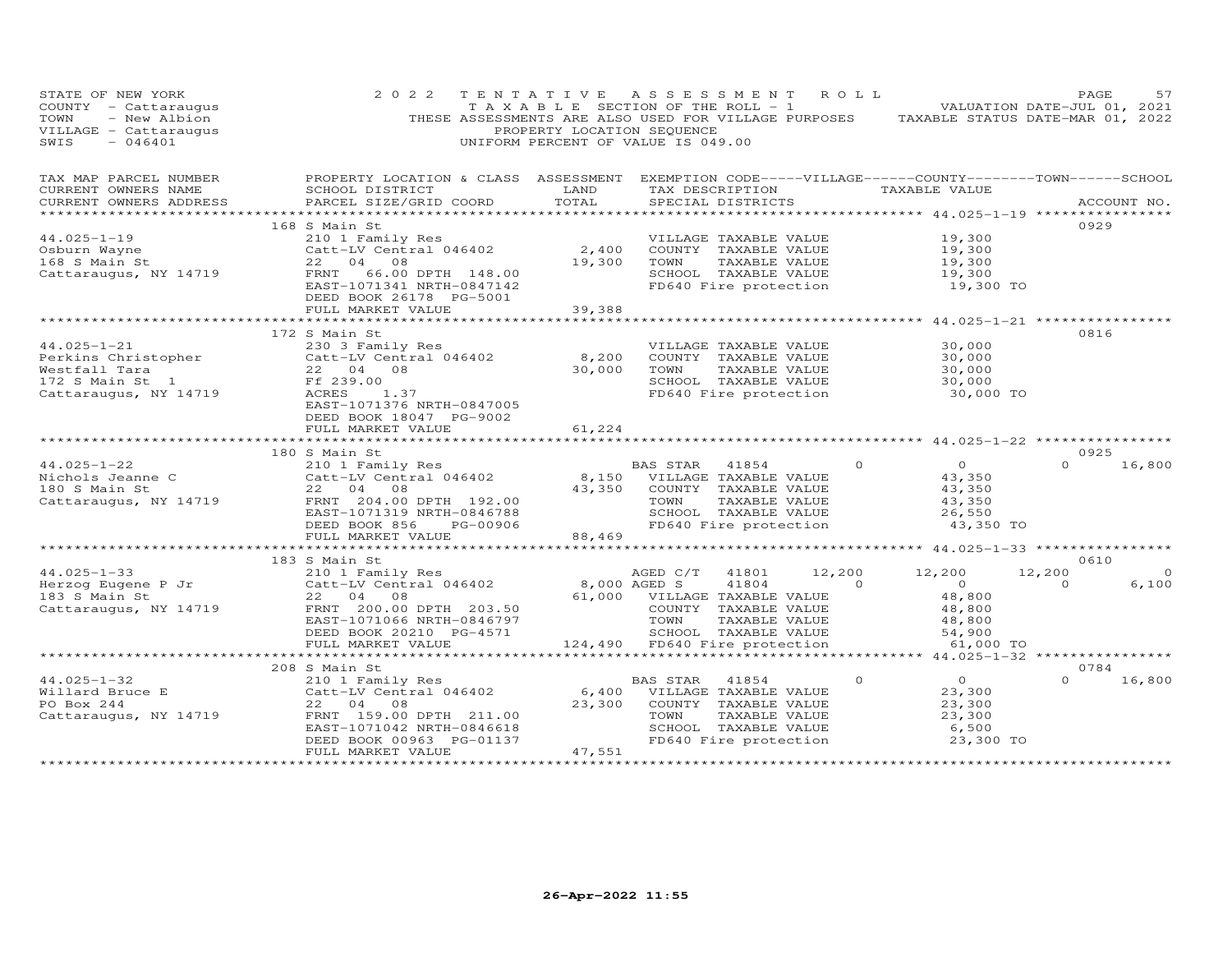| STATE OF NEW YORK<br>COUNTY - Cattaraugus<br>TOWN<br>- New Albion<br>VILLAGE - Cattaraugus<br>$-046401$<br>SWIS      | 2 0 2 2                                                                                                                                                                              | TENTATIVE ASSESSMENT ROLL<br>T A X A B L E SECTION OF THE ROLL - 1<br>PROPERTY LOCATION SEQUENCE<br>UNIFORM PERCENT OF VALUE IS 049.00 |                                                  |                                                                                                                 |                            | THESE ASSESSMENTS ARE ALSO USED FOR VILLAGE PURPOSES TAXABLE STATUS DATE-MAR 01, 2022 | PAGE<br>VALUATION DATE-JUL 01, 2021 | 57                |
|----------------------------------------------------------------------------------------------------------------------|--------------------------------------------------------------------------------------------------------------------------------------------------------------------------------------|----------------------------------------------------------------------------------------------------------------------------------------|--------------------------------------------------|-----------------------------------------------------------------------------------------------------------------|----------------------------|---------------------------------------------------------------------------------------|-------------------------------------|-------------------|
| TAX MAP PARCEL NUMBER<br>CURRENT OWNERS NAME<br>CURRENT OWNERS ADDRESS                                               | PROPERTY LOCATION & CLASS ASSESSMENT EXEMPTION CODE-----VILLAGE------COUNTY--------TOWN------SCHOOL<br>SCHOOL DISTRICT<br>PARCEL SIZE/GRID COORD                                     | LAND<br>TOTAL                                                                                                                          |                                                  | SPECIAL DISTRICTS                                                                                               |                            | TAX DESCRIPTION TAXABLE VALUE<br>******************** 44.025-1-19 *****************   |                                     | ACCOUNT NO.       |
| $44.025 - 1 - 19$<br>Osburn Wayne<br>168 S Main St<br>Cattaraugus, NY 14719                                          | 168 S Main St<br>210 1 Family Res<br>Catt-LV Central 046402<br>22 04<br>08<br>FRNT<br>66.00 DPTH 148.00<br>EAST-1071341 NRTH-0847142<br>DEED BOOK 26178 PG-5001<br>FULL MARKET VALUE | 2,400<br>19,300<br>39,388                                                                                                              | TOWN                                             | VILLAGE TAXABLE VALUE<br>COUNTY TAXABLE VALUE<br>TAXABLE VALUE<br>SCHOOL TAXABLE VALUE                          | FD640 Fire protection      | 19,300<br>19,300<br>19,300<br>19,300<br>19,300 TO                                     | 0929                                |                   |
|                                                                                                                      |                                                                                                                                                                                      |                                                                                                                                        |                                                  |                                                                                                                 |                            | ************************************ 44.025-1-21 *****************                    |                                     |                   |
| $44.025 - 1 - 21$<br>Perkins Christopher<br>sooraal fara<br>172 S Main St - 1<br>Cattarauru<br>Cattaraugus, NY 14719 | 172 S Main St<br>230 3 Family Res<br>Catt-LV Central 046402<br>22 04 08<br>Ff 239.00<br>ACRES 1.37<br>EAST-1071376 NRTH-0847005<br>DEED BOOK 18047 PG-9002<br>FULL MARKET VALUE      | 8,200<br>30,000<br>61,224                                                                                                              | TOWN                                             | VILLAGE TAXABLE VALUE<br>COUNTY TAXABLE VALUE<br>TAXABLE VALUE<br>SCHOOL TAXABLE VALUE<br>FD640 Fire protection |                            | 30,000<br>30,000<br>30,000<br>30,000<br>30,000 TO                                     | 0816                                |                   |
|                                                                                                                      |                                                                                                                                                                                      | * * * * * * * * * *                                                                                                                    |                                                  |                                                                                                                 |                            | $************44.025-1-22$ ***********                                                 |                                     |                   |
| $44.025 - 1 - 22$<br>Nichols Jeanne C<br>180 S Main St<br>Cattaraugus, NY 14719                                      | 180 S Main St<br>210 1 Family Res<br>Catt-LV Central 046402<br>22 04<br>08<br>FRNT 204.00 DPTH 192.00<br>EAST-1071319 NRTH-0846788                                                   | 8,150<br>43,350                                                                                                                        | BAS STAR<br>TOWN                                 | 41854<br>VILLAGE TAXABLE VALUE<br>COUNTY TAXABLE VALUE<br>TAXABLE VALUE<br>SCHOOL TAXABLE VALUE                 | $\Omega$                   | $\circ$<br>43,350<br>43,350<br>43,350<br>26,550                                       | 0925<br>$\Omega$                    | 16,800            |
|                                                                                                                      | DEED BOOK 856<br>PG-00906<br>FULL MARKET VALUE                                                                                                                                       | 88,469                                                                                                                                 |                                                  | FD640 Fire protection                                                                                           |                            | 43,350 TO                                                                             |                                     |                   |
|                                                                                                                      |                                                                                                                                                                                      |                                                                                                                                        |                                                  |                                                                                                                 |                            |                                                                                       |                                     |                   |
| $44.025 - 1 - 33$<br>Herzog Eugene P Jr<br>183 S Main St<br>Cattaraugus, NY 14719                                    | 183 S Main St<br>210 1 Family Res<br>Catt-LV Central 046402<br>22 04<br>08<br>FRNT 200.00 DPTH 203.50<br>EAST-1071066 NRTH-0846797<br>DEED BOOK 20210 PG-4571                        | 8,000 AGED S                                                                                                                           | AGED C/T<br>61,000 VILLAGE TAXABLE VALUE<br>TOWN | 41801<br>41804<br>COUNTY TAXABLE VALUE<br>TAXABLE VALUE<br>SCHOOL TAXABLE VALUE                                 | 12,200<br>$\overline{0}$   | 12,200<br>$\overline{0}$<br>48,800<br>48,800<br>48,800<br>54,900                      | 0610<br>12,200<br>$\Omega$          | $\Omega$<br>6,100 |
|                                                                                                                      | FULL MARKET VALUE                                                                                                                                                                    |                                                                                                                                        | 124,490 FD640 Fire protection                    |                                                                                                                 |                            | 61,000 TO                                                                             |                                     |                   |
|                                                                                                                      | ************************                                                                                                                                                             |                                                                                                                                        |                                                  |                                                                                                                 |                            |                                                                                       |                                     |                   |
| $44.025 - 1 - 32$<br>Willard Bruce E<br>PO Box 244<br>PO Box 244<br>Cattaraugus, NY 14719                            | 208 S Main St<br>210 1 Family Res<br>Catt-LV Central 046402<br>22 04<br>08<br>FRNT 159.00 DPTH 211.00<br>EAST-1071042 NRTH-0846618<br>DEED BOOK 00963 PG-01137<br>FULL MARKET VALUE  | 6,400<br>23,300<br>47,551                                                                                                              | BAS STAR<br>TOWN                                 | 41854<br>VILLAGE TAXABLE VALUE<br>COUNTY TAXABLE VALUE<br>TAXABLE VALUE<br>SCHOOL TAXABLE VALUE                 | 0<br>FD640 Fire protection | $\overline{O}$<br>23,300<br>23,300<br>23,300<br>6,500<br>23,300 TO                    | 0784<br>$\Omega$                    | 16,800            |
|                                                                                                                      |                                                                                                                                                                                      |                                                                                                                                        |                                                  |                                                                                                                 |                            |                                                                                       |                                     |                   |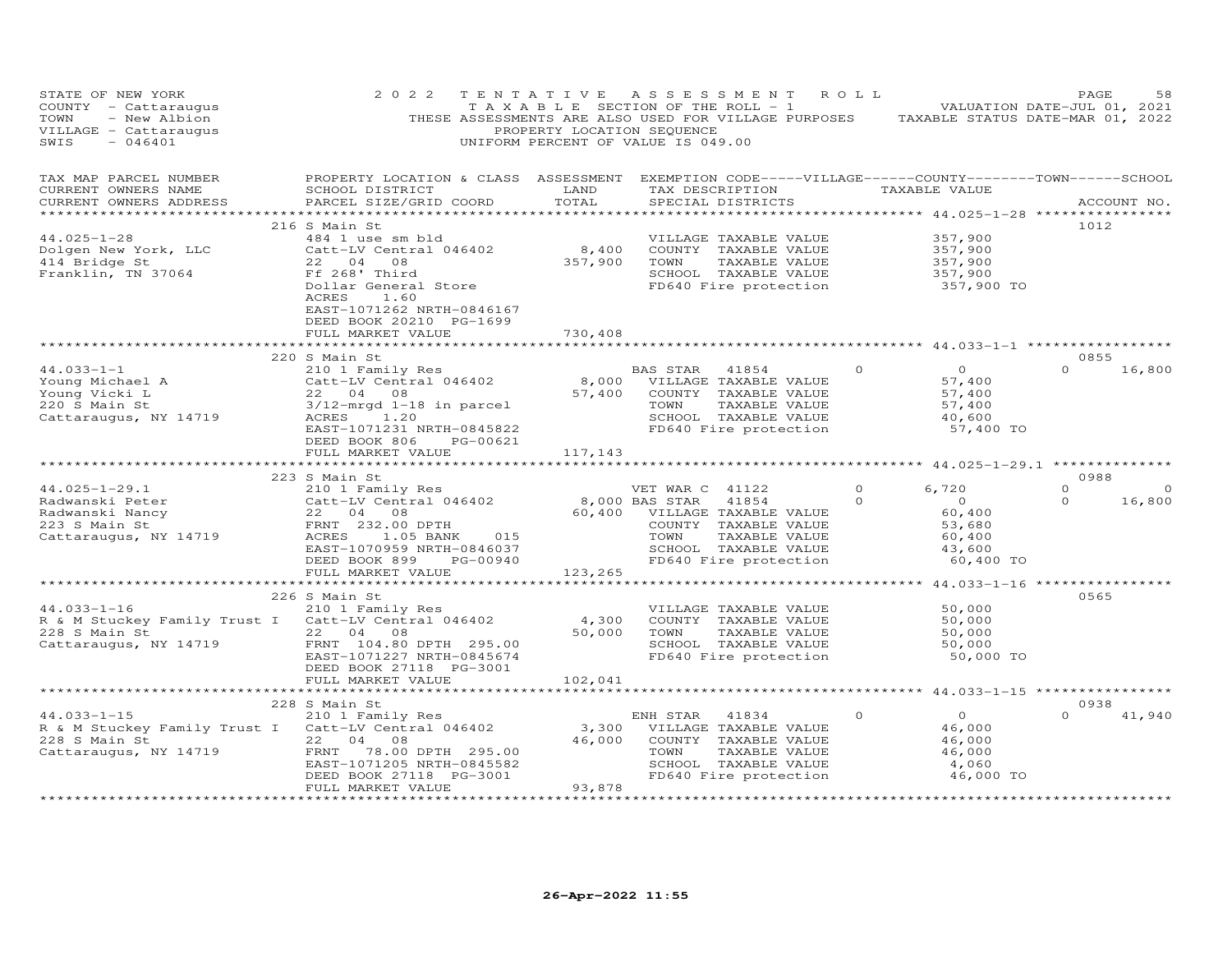| STATE OF NEW YORK<br>COUNTY - Cattaraugus<br>- New Albion<br>TOWN<br>VILLAGE - Cattaraugus<br>SWIS<br>$-046401$                                                   | 2 0 2 2<br>THESE ASSESSMENTS ARE ALSO USED FOR VILLAGE PURPOSES TAXABLE STATUS DATE-MAR 01, 2022                                                                                                                                          | TENTATIVE<br>PROPERTY LOCATION SEQUENCE      | A S S E S S M E N T<br>T A X A B L E SECTION OF THE ROLL - 1<br>UNIFORM PERCENT OF VALUE IS 049.00 |                                                                                                                                                                          | R O L L             | VALUATION DATE-JUL 01, 2021                                                                     | PAGE                        | 58                 |
|-------------------------------------------------------------------------------------------------------------------------------------------------------------------|-------------------------------------------------------------------------------------------------------------------------------------------------------------------------------------------------------------------------------------------|----------------------------------------------|----------------------------------------------------------------------------------------------------|--------------------------------------------------------------------------------------------------------------------------------------------------------------------------|---------------------|-------------------------------------------------------------------------------------------------|-----------------------------|--------------------|
| TAX MAP PARCEL NUMBER<br>CURRENT OWNERS NAME<br>CURRENT OWNERS ADDRESS                                                                                            | PROPERTY LOCATION & CLASS ASSESSMENT EXEMPTION CODE-----VILLAGE------COUNTY-------TOWN------SCHOOL<br>SCHOOL DISTRICT<br>PARCEL SIZE/GRID COORD<br>********************************                                                       | LAND<br>TOTAL                                | SPECIAL DISTRICTS                                                                                  | TAX DESCRIPTION                                                                                                                                                          |                     | TAXABLE VALUE                                                                                   | ACCOUNT NO.                 |                    |
| $44.025 - 1 - 28$<br>Dolgen New York, LLC<br>$414$ Bridge St<br>Franklin, TN 37064                                                                                | 216 S Main St<br>484 1 use sm bld<br>Catt-LV Central 046402<br>22 04 08<br>Ff 268' Third<br>Dollar General Store<br>1.60<br>ACRES<br>EAST-1071262 NRTH-0846167<br>DEED BOOK 20210 PG-1699<br>FULL MARKET VALUE<br>*********************** | 8,400<br>357,900<br>730,408<br>************* | TOWN                                                                                               | VILLAGE TAXABLE VALUE<br>COUNTY TAXABLE VALUE<br>TAXABLE VALUE<br>SCHOOL TAXABLE VALUE<br>FD640 Fire protection<br>*********************** 44.033-1-1 ****************** |                     | 357,900<br>357,900<br>357,900<br>357,900<br>357,900 TO                                          | 1012                        |                    |
|                                                                                                                                                                   |                                                                                                                                                                                                                                           |                                              |                                                                                                    |                                                                                                                                                                          |                     |                                                                                                 | 0855                        |                    |
| $44.033 - 1 - 1$<br>Young Michael A<br>Young Vicki L<br>220 S Main St<br>Cattaraugus, NY 14719                                                                    | 220 S Main St<br>210 1 Family Res<br>Catt-LV Central 046402<br>22 04 08<br>3/12-mrgd 1-18 in parcel<br>ACRES<br>1.20<br>EAST-1071231 NRTH-0845822<br>DEED BOOK 806<br>PG-00621                                                            | $8,000$<br>57,400<br>57,400                  | BAS STAR<br>TOWN                                                                                   | 41854<br>VILLAGE TAXABLE VALUE<br>COUNTY TAXABLE VALUE<br>TAXABLE VALUE<br>SCHOOL TAXABLE VALUE<br>FD640 Fire protection                                                 | $\Omega$            | $\circ$<br>57,400<br>57,400<br>57,400<br>40,600<br>57,400 TO                                    | $\Omega$                    | 16,800             |
|                                                                                                                                                                   | FULL MARKET VALUE                                                                                                                                                                                                                         | 117,143                                      |                                                                                                    |                                                                                                                                                                          |                     |                                                                                                 |                             |                    |
|                                                                                                                                                                   | ***********************                                                                                                                                                                                                                   |                                              |                                                                                                    |                                                                                                                                                                          |                     |                                                                                                 |                             |                    |
| $44.025 - 1 - 29.1$<br>Radwanski Peter (Catt-LV Central 04<br>Radwanski Nancy (22 04 08<br>223 S Main St (FRNT 232.00 DPTH Cattaraugus, NY 14719 (ACRES 1.05 BANK | 223 S Main St<br>S Main St<br>210 1 Family Res<br>Catt-LV Central 046402<br>22 04 08<br>1.05 BANK<br>015<br>EAST-1070959 NRTH-0846037<br>DEED BOOK 899 PG-00940                                                                           | VET WAR C<br>8,000 BAS STAR                  | VET WAR C 41122<br>60,400 VILLAGE TAXABLE VALUE<br>TOWN                                            | 41854<br>COUNTY TAXABLE VALUE<br>TAXABLE VALUE<br>SCHOOL TAXABLE VALUE<br>FD640 Fire protection                                                                          | $\Omega$<br>$\circ$ | 6,720<br>$\overline{0}$<br>60,400<br>53,680<br>60,400<br>43,600<br>60,400 TO                    | 0988<br>$\Omega$<br>$\circ$ | $\Omega$<br>16,800 |
|                                                                                                                                                                   | FULL MARKET VALUE                                                                                                                                                                                                                         | 123,265<br>*************                     |                                                                                                    |                                                                                                                                                                          |                     |                                                                                                 |                             |                    |
| $44.033 - 1 - 16$<br>R & M Stuckey Family Trust I Catt-LV Central 046402<br>228 S Main St<br>Cattaraugus, NY 14719                                                | 226 S Main St<br>210 1 Family Res<br>22 04 08<br>FRNT 104.80 DPTH 295.00<br>EAST-1071227 NRTH-0845674<br>DEED BOOK 27118 PG-3001                                                                                                          | 4,300<br>50,000                              | TOWN                                                                                               | VILLAGE TAXABLE VALUE<br>COUNTY TAXABLE VALUE<br>TAXABLE VALUE<br>SCHOOL TAXABLE VALUE<br>FD640 Fire protection                                                          |                     | ************ 44.033-1-16 *****************<br>50,000<br>50,000<br>50,000<br>50,000<br>50,000 TO | 0565                        |                    |
|                                                                                                                                                                   | FULL MARKET VALUE                                                                                                                                                                                                                         | 102,041                                      |                                                                                                    |                                                                                                                                                                          |                     |                                                                                                 |                             |                    |
|                                                                                                                                                                   |                                                                                                                                                                                                                                           | ********************                         |                                                                                                    | ************************ 44.033-1-15 *****************                                                                                                                   |                     |                                                                                                 |                             |                    |
| $44.033 - 1 - 15$<br>R & M Stuckey Family Trust I Catt-LV Central 046402<br>228 S Main St<br>Cattaraugus, NY 14719                                                | 228 S Main St<br>210 1 Family Res<br>22<br>04<br>08<br>FRNT<br>78.00 DPTH 295.00<br>EAST-1071205 NRTH-0845582<br>DEED BOOK 27118 PG-3001<br>FULL MARKET VALUE                                                                             | 3,300<br>46,000<br>93,878<br>.               | ENH STAR<br>TOWN                                                                                   | 41834<br>VILLAGE TAXABLE VALUE<br>COUNTY TAXABLE VALUE<br>TAXABLE VALUE<br>SCHOOL TAXABLE VALUE<br>FD640 Fire protection                                                 | $\circ$             | $\overline{0}$<br>46,000<br>46,000<br>46,000<br>4,060<br>46,000 TO                              | 0938<br>$\Omega$            | 41,940             |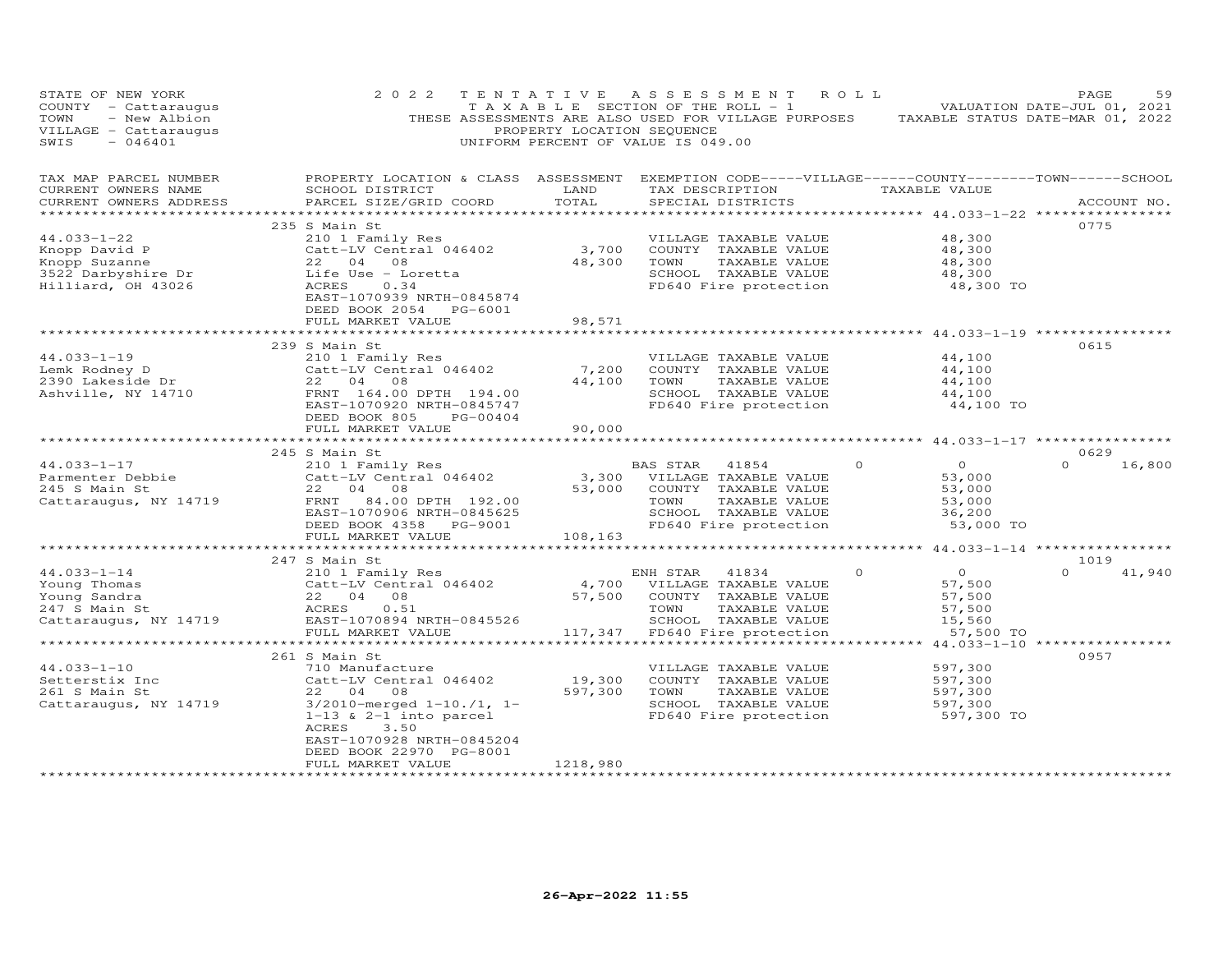| PROPERTY LOCATION & CLASS ASSESSMENT EXEMPTION CODE-----VILLAGE------COUNTY-------TOWN------SCHOOL<br>TAX MAP PARCEL NUMBER<br>SCHOOL DISTRICT                      LAND        TAX DESCRIPTION                   TAXABLE VALUE<br>CURRENT OWNERS NAME<br>TOTAL<br>PARCEL SIZE/GRID COORD<br>CURRENT OWNERS ADDRESS<br>SPECIAL DISTRICTS<br>ACCOUNT NO.<br>0775<br>235 S Main St<br>44.033-1-22<br>48,300<br>210 1 Family Res<br>VILLAGE TAXABLE VALUE<br>3,700 COUNTY TAXABLE VALUE<br>48,300 TOWN TAXABLE VALUE<br>5CHOOL TAXABLE VALUE<br>5CHOOL TAXABLE VALUE<br>Catt-LV Central 046402<br>Knopp David P<br>Knopp Suzanne<br>3522 Darbyshire Dr<br>48,300<br>TAXABLE VALUE<br>a na matangan na kalendar na kalendar na kalendar na kalendar na kalendar na kalendar na kalendar na kalendar<br>Mga kalendar na kalendar na kalendar na kalendar na kalendar na kalendar na kalendar na kalendar na kalendar n<br>$\frac{48}{300}$ , 300<br>22 04 08<br>Life Use - Loretta<br>ACRES 0.34<br>SCHOOL TAXABLE VALUE<br>Hilliard, OH 43026<br>FD640 Fire protection<br>48,300 TO<br>EAST-1070939 NRTH-0845874<br>DEED BOOK 2054 PG-6001<br>98,571<br>FULL MARKET VALUE<br>0615<br>239 S Main St<br>$44.033 - 1 - 19$<br>210 1 Family Res<br>Catt-LV Central 046402<br>22 04 08<br>VILLAGE TAXABLE VALUE<br>44,100<br>44.033-1-19<br>Lemk Rodney D<br>2390 Lakeside Dr. 22 04 08<br>Ashville, NY 14710 FRNT 164.00<br>7,200 COUNTY TAXABLE VALUE<br>44,100<br>44,100 TOWN<br>TAXABLE VALUE<br>44,100<br>SCHOOL TAXABLE VALUE<br>FRNT 164.00 DPTH 194.00<br>44,100<br>FD640 Fire protection<br>EAST-1070920 NRTH-0845747<br>44,100 TO<br>DEED BOOK 805 PG-00404<br>90,000<br>FULL MARKET VALUE<br>*************************<br>* * * * * * * * * * * * * * * * * * *<br>0629<br>245 S Main St<br>$\Omega$<br>BAS STAR 41854<br>$\Omega$<br>$\Omega$<br>16,800<br>Catt-LV Central 046402<br>Catt-LV Central 046402<br>22 04 08 53,000 VILLAGE TAXABLE VALUE<br>FRNT 84.00 DPTH 192.00 53,000 COUNTY TAXABLE VALUE<br>EAST-1070906 NRTH-0845625 SCHOOL TAXABLE VALUE<br>DEED BOOK 4358 PG-9001 FD640 Fire p<br>53,000<br>53,000<br>Cattaraugus, NY 14719<br>53,000<br>SCHOOL TAXABLE VALUE<br>FD640 Fire protection<br>36,200<br>DEED BOOK 4358 PG-9001<br>53,000 TO<br>108,163<br>FULL MARKET VALUE<br>1019<br>$\overline{0}$<br>41,940<br>$\circ$<br>$\Omega$<br>57,500 |
|----------------------------------------------------------------------------------------------------------------------------------------------------------------------------------------------------------------------------------------------------------------------------------------------------------------------------------------------------------------------------------------------------------------------------------------------------------------------------------------------------------------------------------------------------------------------------------------------------------------------------------------------------------------------------------------------------------------------------------------------------------------------------------------------------------------------------------------------------------------------------------------------------------------------------------------------------------------------------------------------------------------------------------------------------------------------------------------------------------------------------------------------------------------------------------------------------------------------------------------------------------------------------------------------------------------------------------------------------------------------------------------------------------------------------------------------------------------------------------------------------------------------------------------------------------------------------------------------------------------------------------------------------------------------------------------------------------------------------------------------------------------------------------------------------------------------------------------------------------------------------------------------------------------------------------------------------------------------------------------------------------------------------------------------------------------------------------------------------------------------------------------------------------------------------------------------------------------------------------------------------------------------------------------------------------------------------------------------------------------------|
|                                                                                                                                                                                                                                                                                                                                                                                                                                                                                                                                                                                                                                                                                                                                                                                                                                                                                                                                                                                                                                                                                                                                                                                                                                                                                                                                                                                                                                                                                                                                                                                                                                                                                                                                                                                                                                                                                                                                                                                                                                                                                                                                                                                                                                                                                                                                                                      |
|                                                                                                                                                                                                                                                                                                                                                                                                                                                                                                                                                                                                                                                                                                                                                                                                                                                                                                                                                                                                                                                                                                                                                                                                                                                                                                                                                                                                                                                                                                                                                                                                                                                                                                                                                                                                                                                                                                                                                                                                                                                                                                                                                                                                                                                                                                                                                                      |
|                                                                                                                                                                                                                                                                                                                                                                                                                                                                                                                                                                                                                                                                                                                                                                                                                                                                                                                                                                                                                                                                                                                                                                                                                                                                                                                                                                                                                                                                                                                                                                                                                                                                                                                                                                                                                                                                                                                                                                                                                                                                                                                                                                                                                                                                                                                                                                      |
|                                                                                                                                                                                                                                                                                                                                                                                                                                                                                                                                                                                                                                                                                                                                                                                                                                                                                                                                                                                                                                                                                                                                                                                                                                                                                                                                                                                                                                                                                                                                                                                                                                                                                                                                                                                                                                                                                                                                                                                                                                                                                                                                                                                                                                                                                                                                                                      |
|                                                                                                                                                                                                                                                                                                                                                                                                                                                                                                                                                                                                                                                                                                                                                                                                                                                                                                                                                                                                                                                                                                                                                                                                                                                                                                                                                                                                                                                                                                                                                                                                                                                                                                                                                                                                                                                                                                                                                                                                                                                                                                                                                                                                                                                                                                                                                                      |
|                                                                                                                                                                                                                                                                                                                                                                                                                                                                                                                                                                                                                                                                                                                                                                                                                                                                                                                                                                                                                                                                                                                                                                                                                                                                                                                                                                                                                                                                                                                                                                                                                                                                                                                                                                                                                                                                                                                                                                                                                                                                                                                                                                                                                                                                                                                                                                      |
|                                                                                                                                                                                                                                                                                                                                                                                                                                                                                                                                                                                                                                                                                                                                                                                                                                                                                                                                                                                                                                                                                                                                                                                                                                                                                                                                                                                                                                                                                                                                                                                                                                                                                                                                                                                                                                                                                                                                                                                                                                                                                                                                                                                                                                                                                                                                                                      |
|                                                                                                                                                                                                                                                                                                                                                                                                                                                                                                                                                                                                                                                                                                                                                                                                                                                                                                                                                                                                                                                                                                                                                                                                                                                                                                                                                                                                                                                                                                                                                                                                                                                                                                                                                                                                                                                                                                                                                                                                                                                                                                                                                                                                                                                                                                                                                                      |
|                                                                                                                                                                                                                                                                                                                                                                                                                                                                                                                                                                                                                                                                                                                                                                                                                                                                                                                                                                                                                                                                                                                                                                                                                                                                                                                                                                                                                                                                                                                                                                                                                                                                                                                                                                                                                                                                                                                                                                                                                                                                                                                                                                                                                                                                                                                                                                      |
|                                                                                                                                                                                                                                                                                                                                                                                                                                                                                                                                                                                                                                                                                                                                                                                                                                                                                                                                                                                                                                                                                                                                                                                                                                                                                                                                                                                                                                                                                                                                                                                                                                                                                                                                                                                                                                                                                                                                                                                                                                                                                                                                                                                                                                                                                                                                                                      |
|                                                                                                                                                                                                                                                                                                                                                                                                                                                                                                                                                                                                                                                                                                                                                                                                                                                                                                                                                                                                                                                                                                                                                                                                                                                                                                                                                                                                                                                                                                                                                                                                                                                                                                                                                                                                                                                                                                                                                                                                                                                                                                                                                                                                                                                                                                                                                                      |
|                                                                                                                                                                                                                                                                                                                                                                                                                                                                                                                                                                                                                                                                                                                                                                                                                                                                                                                                                                                                                                                                                                                                                                                                                                                                                                                                                                                                                                                                                                                                                                                                                                                                                                                                                                                                                                                                                                                                                                                                                                                                                                                                                                                                                                                                                                                                                                      |
|                                                                                                                                                                                                                                                                                                                                                                                                                                                                                                                                                                                                                                                                                                                                                                                                                                                                                                                                                                                                                                                                                                                                                                                                                                                                                                                                                                                                                                                                                                                                                                                                                                                                                                                                                                                                                                                                                                                                                                                                                                                                                                                                                                                                                                                                                                                                                                      |
|                                                                                                                                                                                                                                                                                                                                                                                                                                                                                                                                                                                                                                                                                                                                                                                                                                                                                                                                                                                                                                                                                                                                                                                                                                                                                                                                                                                                                                                                                                                                                                                                                                                                                                                                                                                                                                                                                                                                                                                                                                                                                                                                                                                                                                                                                                                                                                      |
|                                                                                                                                                                                                                                                                                                                                                                                                                                                                                                                                                                                                                                                                                                                                                                                                                                                                                                                                                                                                                                                                                                                                                                                                                                                                                                                                                                                                                                                                                                                                                                                                                                                                                                                                                                                                                                                                                                                                                                                                                                                                                                                                                                                                                                                                                                                                                                      |
|                                                                                                                                                                                                                                                                                                                                                                                                                                                                                                                                                                                                                                                                                                                                                                                                                                                                                                                                                                                                                                                                                                                                                                                                                                                                                                                                                                                                                                                                                                                                                                                                                                                                                                                                                                                                                                                                                                                                                                                                                                                                                                                                                                                                                                                                                                                                                                      |
|                                                                                                                                                                                                                                                                                                                                                                                                                                                                                                                                                                                                                                                                                                                                                                                                                                                                                                                                                                                                                                                                                                                                                                                                                                                                                                                                                                                                                                                                                                                                                                                                                                                                                                                                                                                                                                                                                                                                                                                                                                                                                                                                                                                                                                                                                                                                                                      |
|                                                                                                                                                                                                                                                                                                                                                                                                                                                                                                                                                                                                                                                                                                                                                                                                                                                                                                                                                                                                                                                                                                                                                                                                                                                                                                                                                                                                                                                                                                                                                                                                                                                                                                                                                                                                                                                                                                                                                                                                                                                                                                                                                                                                                                                                                                                                                                      |
|                                                                                                                                                                                                                                                                                                                                                                                                                                                                                                                                                                                                                                                                                                                                                                                                                                                                                                                                                                                                                                                                                                                                                                                                                                                                                                                                                                                                                                                                                                                                                                                                                                                                                                                                                                                                                                                                                                                                                                                                                                                                                                                                                                                                                                                                                                                                                                      |
|                                                                                                                                                                                                                                                                                                                                                                                                                                                                                                                                                                                                                                                                                                                                                                                                                                                                                                                                                                                                                                                                                                                                                                                                                                                                                                                                                                                                                                                                                                                                                                                                                                                                                                                                                                                                                                                                                                                                                                                                                                                                                                                                                                                                                                                                                                                                                                      |
|                                                                                                                                                                                                                                                                                                                                                                                                                                                                                                                                                                                                                                                                                                                                                                                                                                                                                                                                                                                                                                                                                                                                                                                                                                                                                                                                                                                                                                                                                                                                                                                                                                                                                                                                                                                                                                                                                                                                                                                                                                                                                                                                                                                                                                                                                                                                                                      |
|                                                                                                                                                                                                                                                                                                                                                                                                                                                                                                                                                                                                                                                                                                                                                                                                                                                                                                                                                                                                                                                                                                                                                                                                                                                                                                                                                                                                                                                                                                                                                                                                                                                                                                                                                                                                                                                                                                                                                                                                                                                                                                                                                                                                                                                                                                                                                                      |
|                                                                                                                                                                                                                                                                                                                                                                                                                                                                                                                                                                                                                                                                                                                                                                                                                                                                                                                                                                                                                                                                                                                                                                                                                                                                                                                                                                                                                                                                                                                                                                                                                                                                                                                                                                                                                                                                                                                                                                                                                                                                                                                                                                                                                                                                                                                                                                      |
|                                                                                                                                                                                                                                                                                                                                                                                                                                                                                                                                                                                                                                                                                                                                                                                                                                                                                                                                                                                                                                                                                                                                                                                                                                                                                                                                                                                                                                                                                                                                                                                                                                                                                                                                                                                                                                                                                                                                                                                                                                                                                                                                                                                                                                                                                                                                                                      |
|                                                                                                                                                                                                                                                                                                                                                                                                                                                                                                                                                                                                                                                                                                                                                                                                                                                                                                                                                                                                                                                                                                                                                                                                                                                                                                                                                                                                                                                                                                                                                                                                                                                                                                                                                                                                                                                                                                                                                                                                                                                                                                                                                                                                                                                                                                                                                                      |
|                                                                                                                                                                                                                                                                                                                                                                                                                                                                                                                                                                                                                                                                                                                                                                                                                                                                                                                                                                                                                                                                                                                                                                                                                                                                                                                                                                                                                                                                                                                                                                                                                                                                                                                                                                                                                                                                                                                                                                                                                                                                                                                                                                                                                                                                                                                                                                      |
|                                                                                                                                                                                                                                                                                                                                                                                                                                                                                                                                                                                                                                                                                                                                                                                                                                                                                                                                                                                                                                                                                                                                                                                                                                                                                                                                                                                                                                                                                                                                                                                                                                                                                                                                                                                                                                                                                                                                                                                                                                                                                                                                                                                                                                                                                                                                                                      |
|                                                                                                                                                                                                                                                                                                                                                                                                                                                                                                                                                                                                                                                                                                                                                                                                                                                                                                                                                                                                                                                                                                                                                                                                                                                                                                                                                                                                                                                                                                                                                                                                                                                                                                                                                                                                                                                                                                                                                                                                                                                                                                                                                                                                                                                                                                                                                                      |
|                                                                                                                                                                                                                                                                                                                                                                                                                                                                                                                                                                                                                                                                                                                                                                                                                                                                                                                                                                                                                                                                                                                                                                                                                                                                                                                                                                                                                                                                                                                                                                                                                                                                                                                                                                                                                                                                                                                                                                                                                                                                                                                                                                                                                                                                                                                                                                      |
|                                                                                                                                                                                                                                                                                                                                                                                                                                                                                                                                                                                                                                                                                                                                                                                                                                                                                                                                                                                                                                                                                                                                                                                                                                                                                                                                                                                                                                                                                                                                                                                                                                                                                                                                                                                                                                                                                                                                                                                                                                                                                                                                                                                                                                                                                                                                                                      |
| 57,500                                                                                                                                                                                                                                                                                                                                                                                                                                                                                                                                                                                                                                                                                                                                                                                                                                                                                                                                                                                                                                                                                                                                                                                                                                                                                                                                                                                                                                                                                                                                                                                                                                                                                                                                                                                                                                                                                                                                                                                                                                                                                                                                                                                                                                                                                                                                                               |
| 57,500                                                                                                                                                                                                                                                                                                                                                                                                                                                                                                                                                                                                                                                                                                                                                                                                                                                                                                                                                                                                                                                                                                                                                                                                                                                                                                                                                                                                                                                                                                                                                                                                                                                                                                                                                                                                                                                                                                                                                                                                                                                                                                                                                                                                                                                                                                                                                               |
| 15,560                                                                                                                                                                                                                                                                                                                                                                                                                                                                                                                                                                                                                                                                                                                                                                                                                                                                                                                                                                                                                                                                                                                                                                                                                                                                                                                                                                                                                                                                                                                                                                                                                                                                                                                                                                                                                                                                                                                                                                                                                                                                                                                                                                                                                                                                                                                                                               |
| 57,500 TO                                                                                                                                                                                                                                                                                                                                                                                                                                                                                                                                                                                                                                                                                                                                                                                                                                                                                                                                                                                                                                                                                                                                                                                                                                                                                                                                                                                                                                                                                                                                                                                                                                                                                                                                                                                                                                                                                                                                                                                                                                                                                                                                                                                                                                                                                                                                                            |
| ******************<br>************** 44.033-1-10 ****************                                                                                                                                                                                                                                                                                                                                                                                                                                                                                                                                                                                                                                                                                                                                                                                                                                                                                                                                                                                                                                                                                                                                                                                                                                                                                                                                                                                                                                                                                                                                                                                                                                                                                                                                                                                                                                                                                                                                                                                                                                                                                                                                                                                                                                                                                                    |
| 0957<br>261 S Main St                                                                                                                                                                                                                                                                                                                                                                                                                                                                                                                                                                                                                                                                                                                                                                                                                                                                                                                                                                                                                                                                                                                                                                                                                                                                                                                                                                                                                                                                                                                                                                                                                                                                                                                                                                                                                                                                                                                                                                                                                                                                                                                                                                                                                                                                                                                                                |
| $44.033 - 1 - 10$<br>597,300<br>710 Manufacture<br>VILLAGE TAXABLE VALUE                                                                                                                                                                                                                                                                                                                                                                                                                                                                                                                                                                                                                                                                                                                                                                                                                                                                                                                                                                                                                                                                                                                                                                                                                                                                                                                                                                                                                                                                                                                                                                                                                                                                                                                                                                                                                                                                                                                                                                                                                                                                                                                                                                                                                                                                                             |
| 19,300<br>597,300<br>Catt-LV Central 046402<br>COUNTY TAXABLE VALUE<br>Setterstix Inc<br>261 S Main St<br>597,300<br>597,300                                                                                                                                                                                                                                                                                                                                                                                                                                                                                                                                                                                                                                                                                                                                                                                                                                                                                                                                                                                                                                                                                                                                                                                                                                                                                                                                                                                                                                                                                                                                                                                                                                                                                                                                                                                                                                                                                                                                                                                                                                                                                                                                                                                                                                         |
| TAXABLE VALUE<br>22 04 08<br>TOWN                                                                                                                                                                                                                                                                                                                                                                                                                                                                                                                                                                                                                                                                                                                                                                                                                                                                                                                                                                                                                                                                                                                                                                                                                                                                                                                                                                                                                                                                                                                                                                                                                                                                                                                                                                                                                                                                                                                                                                                                                                                                                                                                                                                                                                                                                                                                    |
| $3/2010$ -merged $1-10$ ./1, 1-<br>SCHOOL TAXABLE VALUE<br>Cattaraugus, NY 14719<br>597,300                                                                                                                                                                                                                                                                                                                                                                                                                                                                                                                                                                                                                                                                                                                                                                                                                                                                                                                                                                                                                                                                                                                                                                                                                                                                                                                                                                                                                                                                                                                                                                                                                                                                                                                                                                                                                                                                                                                                                                                                                                                                                                                                                                                                                                                                          |
| FD640 Fire protection<br>$1-13$ & $2-1$ into parcel<br>597,300 TO                                                                                                                                                                                                                                                                                                                                                                                                                                                                                                                                                                                                                                                                                                                                                                                                                                                                                                                                                                                                                                                                                                                                                                                                                                                                                                                                                                                                                                                                                                                                                                                                                                                                                                                                                                                                                                                                                                                                                                                                                                                                                                                                                                                                                                                                                                    |
| ACRES<br>3.50                                                                                                                                                                                                                                                                                                                                                                                                                                                                                                                                                                                                                                                                                                                                                                                                                                                                                                                                                                                                                                                                                                                                                                                                                                                                                                                                                                                                                                                                                                                                                                                                                                                                                                                                                                                                                                                                                                                                                                                                                                                                                                                                                                                                                                                                                                                                                        |
|                                                                                                                                                                                                                                                                                                                                                                                                                                                                                                                                                                                                                                                                                                                                                                                                                                                                                                                                                                                                                                                                                                                                                                                                                                                                                                                                                                                                                                                                                                                                                                                                                                                                                                                                                                                                                                                                                                                                                                                                                                                                                                                                                                                                                                                                                                                                                                      |
| EAST-1070928 NRTH-0845204                                                                                                                                                                                                                                                                                                                                                                                                                                                                                                                                                                                                                                                                                                                                                                                                                                                                                                                                                                                                                                                                                                                                                                                                                                                                                                                                                                                                                                                                                                                                                                                                                                                                                                                                                                                                                                                                                                                                                                                                                                                                                                                                                                                                                                                                                                                                            |
| DEED BOOK 22970 PG-8001<br>1218,980<br>FULL MARKET VALUE                                                                                                                                                                                                                                                                                                                                                                                                                                                                                                                                                                                                                                                                                                                                                                                                                                                                                                                                                                                                                                                                                                                                                                                                                                                                                                                                                                                                                                                                                                                                                                                                                                                                                                                                                                                                                                                                                                                                                                                                                                                                                                                                                                                                                                                                                                             |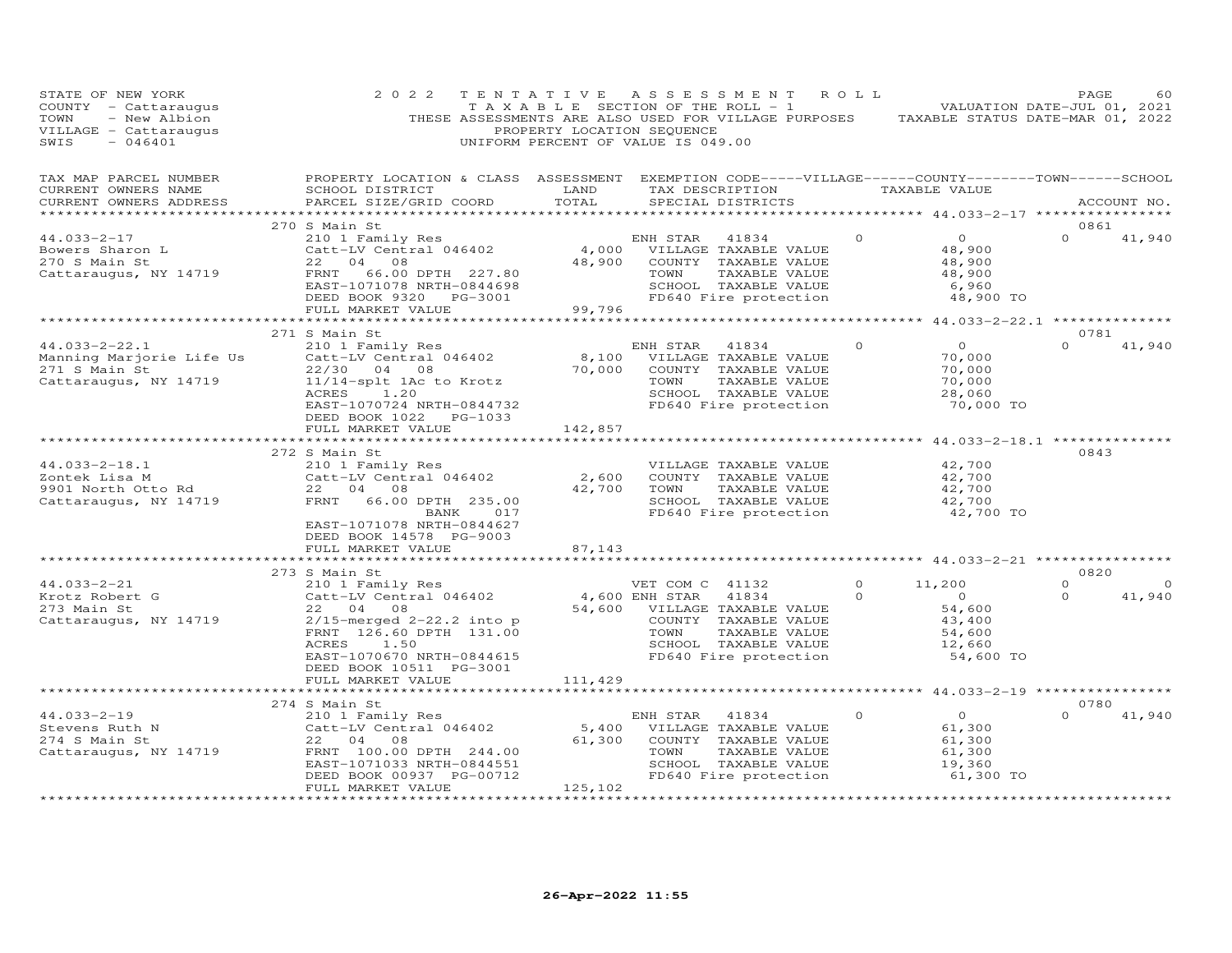| STATE OF NEW YORK<br>COUNTY - Cattaraugus<br>- New Albion<br>TOWN<br>VILLAGE - Cattaraugus<br>SWIS<br>$-046401$ | 2 0 2 2                                                                                                                                                                                      | TENTATIVE<br>PROPERTY LOCATION SEQUENCE                   | ASSESSMENT<br>TAXABLE SECTION OF THE ROLL - 1<br>THESE ASSESSMENTS ARE ALSO USED FOR VILLAGE PURPOSES<br>UNIFORM PERCENT OF VALUE IS 049.00                           | R O L L              | VALUATION DATE-JUL 01, 2021<br>TAXABLE STATUS DATE-MAR 01, 2022               | PAGE             | 60                 |
|-----------------------------------------------------------------------------------------------------------------|----------------------------------------------------------------------------------------------------------------------------------------------------------------------------------------------|-----------------------------------------------------------|-----------------------------------------------------------------------------------------------------------------------------------------------------------------------|----------------------|-------------------------------------------------------------------------------|------------------|--------------------|
| TAX MAP PARCEL NUMBER<br>CURRENT OWNERS NAME<br>CURRENT OWNERS ADDRESS                                          | PROPERTY LOCATION & CLASS ASSESSMENT EXEMPTION CODE-----VILLAGE------COUNTY--------TOWN------SCHOOL<br>SCHOOL DISTRICT<br>PARCEL SIZE/GRID COORD                                             | LAND<br>TOTAL                                             | TAX DESCRIPTION<br>SPECIAL DISTRICTS                                                                                                                                  |                      | TAXABLE VALUE                                                                 |                  | ACCOUNT NO.        |
| ***********************                                                                                         | 270 S Main St                                                                                                                                                                                |                                                           |                                                                                                                                                                       |                      | *********** 44.033-2-17 *****************                                     | 0861             |                    |
| 44.033-2-17<br>Bowers Sharon L<br>270 S Main St<br>Cattaraugus, NY 14719                                        | 210 1 Family Res<br>Catt-LV Central 046402<br>22<br>04<br>08<br>FRNT<br>66.00 DPTH 227.80<br>EAST-1071078 NRTH-0844698<br>DEED BOOK 9320 PG-3001<br>FULL MARKET VALUE                        | 4,000<br>48,900<br>99,796                                 | ENH STAR<br>41834<br>VILLAGE TAXABLE VALUE<br>COUNTY TAXABLE VALUE<br>TOWN<br>TAXABLE VALUE<br>SCHOOL TAXABLE VALUE<br>FD640 Fire protection                          | $\Omega$             | $\Omega$<br>48,900<br>48,900<br>48,900<br>6,960<br>48,900 TO                  | $\Omega$         | 41,940             |
|                                                                                                                 | ************************                                                                                                                                                                     | *********************                                     |                                                                                                                                                                       |                      | *********** 44.033-2-22.1 **************                                      |                  |                    |
| $44.033 - 2 - 22.1$<br>Manning Marjorie Life Us<br>271 S Main St<br>Cattaraugus, NY 14719                       | 271 S Main St<br>210 1 Family Res<br>Catt-LV Central 046402<br>22/30 04<br>08<br>11/14-splt 1Ac to Krotz<br>ACRES<br>1,20<br>EAST-1070724 NRTH-0844732<br>DEED BOOK 1022 PG-1033             | 8,100<br>70,000                                           | ENH STAR<br>41834<br>VILLAGE TAXABLE VALUE<br>COUNTY TAXABLE VALUE<br>TOWN<br>TAXABLE VALUE<br>SCHOOL TAXABLE VALUE<br>FD640 Fire protection                          | $\Omega$             | $\circ$<br>70,000<br>70,000<br>70,000<br>28,060<br>70,000 TO                  | 0781<br>$\Omega$ | 41,940             |
|                                                                                                                 | FULL MARKET VALUE                                                                                                                                                                            | 142,857                                                   |                                                                                                                                                                       |                      | ********* 44.033-2-18.1 ***********                                           |                  |                    |
| $44.033 - 2 - 18.1$<br>Zontek Lisa M<br>9901 North Otto Rd<br>Cattaraugus, NY 14719                             | 272 S Main St<br>210 1 Family Res<br>Catt-LV Central 046402<br>22 04<br>08<br>FRNT<br>66.00 DPTH 235.00<br>BANK<br>017<br>EAST-1071078 NRTH-0844627                                          | 2,600<br>42,700                                           | VILLAGE TAXABLE VALUE<br>COUNTY TAXABLE VALUE<br>TOWN<br>TAXABLE VALUE<br>SCHOOL TAXABLE VALUE<br>FD640 Fire protection                                               |                      | 42,700<br>42,700<br>42,700<br>42,700<br>42,700 TO                             | 0843             |                    |
|                                                                                                                 | DEED BOOK 14578 PG-9003<br>FULL MARKET VALUE                                                                                                                                                 | 87,143                                                    |                                                                                                                                                                       |                      |                                                                               |                  |                    |
|                                                                                                                 | *********************                                                                                                                                                                        |                                                           |                                                                                                                                                                       |                      |                                                                               |                  |                    |
|                                                                                                                 | 273 S Main St                                                                                                                                                                                |                                                           |                                                                                                                                                                       |                      |                                                                               | 0820<br>$\Omega$ |                    |
| $44.033 - 2 - 21$<br>Krotz Robert G<br>273 Main St<br>Cattaraugus, NY 14719                                     | 210 1 Family Res<br>Catt-LV Central 046402<br>22 04 08<br>$2/15$ -merged $2-22.2$ into p<br>FRNT 126.60 DPTH 131.00<br>ACRES<br>1.50<br>EAST-1070670 NRTH-0844615<br>DEED BOOK 10511 PG-3001 | 54,600                                                    | VET COM C 41132<br>41834<br>4,600 ENH STAR<br>VILLAGE TAXABLE VALUE<br>COUNTY TAXABLE VALUE<br>TAXABLE VALUE<br>TOWN<br>SCHOOL TAXABLE VALUE<br>FD640 Fire protection | $\Omega$<br>$\Omega$ | 11,200<br>$\overline{0}$<br>54,600<br>43,400<br>54,600<br>12,660<br>54,600 TO | $\Omega$         | $\Omega$<br>41,940 |
|                                                                                                                 | FULL MARKET VALUE                                                                                                                                                                            | 111,429                                                   |                                                                                                                                                                       |                      |                                                                               |                  |                    |
|                                                                                                                 | *************************<br>274 S Main St                                                                                                                                                   |                                                           |                                                                                                                                                                       |                      |                                                                               | 0780             |                    |
| $44.033 - 2 - 19$<br>Stevens Ruth N<br>274 S Main St<br>Cattaraugus, NY 14719                                   | 210 1 Family Res<br>Catt-LV Central 046402<br>22<br>04<br>08<br>FRNT 100.00 DPTH 244.00<br>EAST-1071033 NRTH-0844551<br>DEED BOOK 00937 PG-00712<br>FULL MARKET VALUE<br>.                   | 5,400<br>61,300<br>125,102<br>+ + + + + + + + + + + + + + | ENH STAR<br>41834<br>VILLAGE TAXABLE VALUE<br>COUNTY TAXABLE VALUE<br>TOWN<br>TAXABLE VALUE<br>SCHOOL TAXABLE VALUE<br>FD640 Fire protection                          | $\circ$              | $\circ$<br>61,300<br>61,300<br>61,300<br>19,360<br>61,300 TO                  | $\Omega$         | 41,940             |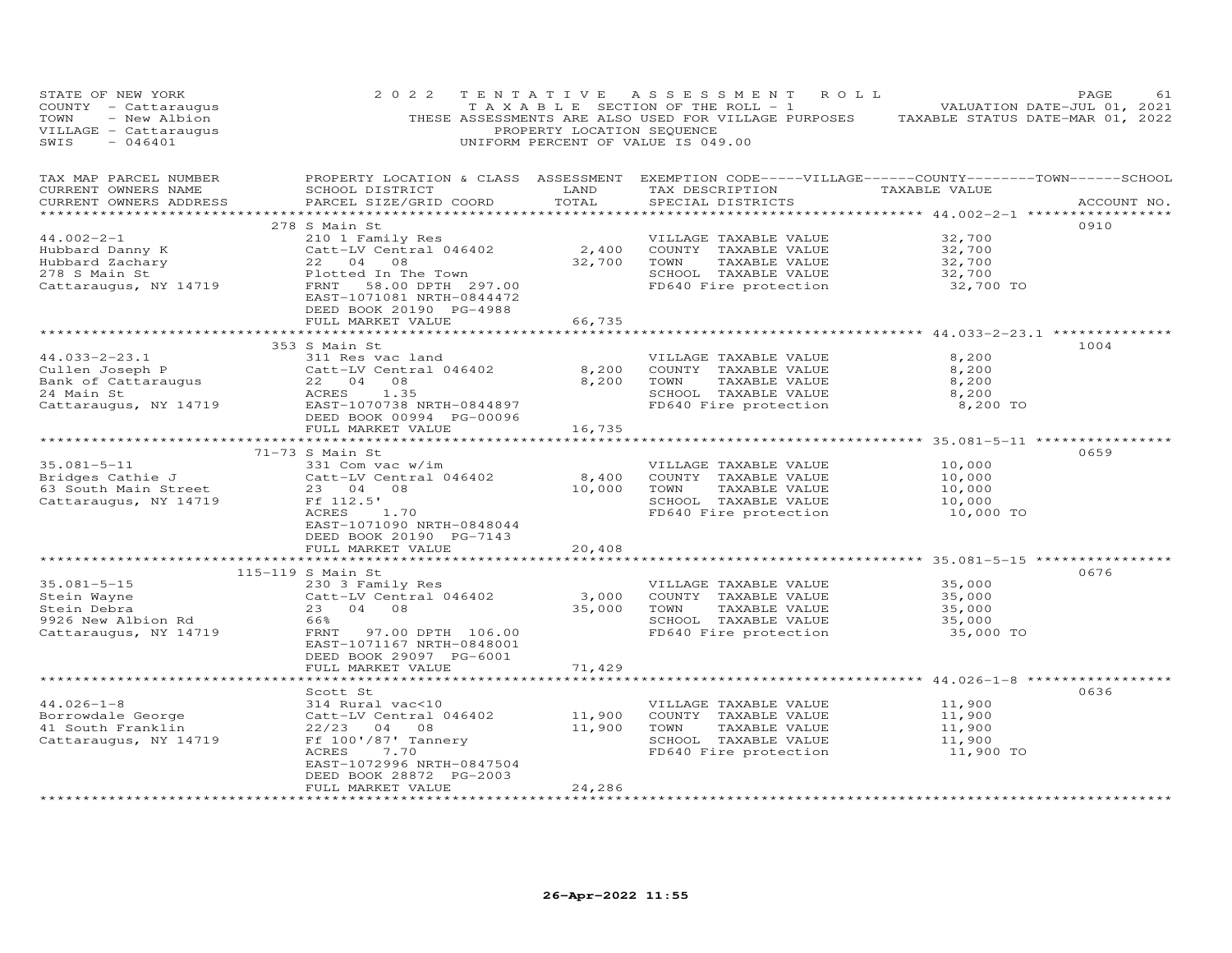| STATE OF NEW YORK<br>COUNTY - Cattaraugus<br>TOWN<br>- New Albion<br>VILLAGE - Cattaraugus<br>SWIS<br>$-046401$     | 2 0 2 2                                                                                                                                                                                                                                         | TENTATIVE<br>PROPERTY LOCATION SEQUENCE | ASSESSMENT ROLL<br>T A X A B L E SECTION OF THE ROLL - 1<br>THESE ASSESSMENTS ARE ALSO USED FOR VILLAGE PURPOSES TAXABLE STATUS DATE-MAR 01, 2022<br>UNIFORM PERCENT OF VALUE IS 049.00                     |                                                   | PAGE<br>61<br>VALUATION DATE-JUL 01, 2021 |
|---------------------------------------------------------------------------------------------------------------------|-------------------------------------------------------------------------------------------------------------------------------------------------------------------------------------------------------------------------------------------------|-----------------------------------------|-------------------------------------------------------------------------------------------------------------------------------------------------------------------------------------------------------------|---------------------------------------------------|-------------------------------------------|
| TAX MAP PARCEL NUMBER<br>CURRENT OWNERS NAME<br>CURRENT OWNERS ADDRESS                                              | SCHOOL DISTRICT<br>PARCEL SIZE/GRID COORD                                                                                                                                                                                                       | LAND<br>TOTAL                           | PROPERTY LOCATION & CLASS ASSESSMENT EXEMPTION CODE-----VILLAGE------COUNTY--------TOWN------SCHOOL<br>TAX DESCRIPTION<br>SPECIAL DISTRICTS                                                                 | TAXABLE VALUE                                     | ACCOUNT NO.                               |
| $44.002 - 2 - 1$<br>Hubbard Danny K<br>Hubbard Zachary<br>Hubbard Zachary<br>278 S Main St<br>Cattaraugus, NY 14719 | 278 S Main St<br>210 1 Family Res<br>2.400<br>Catt-LV Central 046402 2,400<br>22 04 08 32,700<br>Plotted In The Town<br>1 In The Town<br>58.00 DPTH 297.00<br>FRNT<br>EAST-1071081 NRTH-0844472<br>DEED BOOK 20190 PG-4988<br>FULL MARKET VALUE | 66,735                                  | VILLAGE TAXABLE VALUE<br>COUNTY TAXABLE VALUE<br>TOWN<br>TAXABLE VALUE<br>SCHOOL TAXABLE VALUE<br>FD640 Fire protection 32,700 TO                                                                           | 32,700<br>32,700<br>32,700<br>32,700              | 0910                                      |
| $44.033 - 2 - 23.1$                                                                                                 | 353 S Main St<br>311 Res vac land                                                                                                                                                                                                               | 8,200<br>8,200                          | ************************************44.033-2-23.1 ******************************<br>VILLAGE TAXABLE VALUE<br>COUNTY TAXABLE VALUE<br>TOWN<br>TAXABLE VALUE<br>SCHOOL TAXABLE VALUE<br>FD640 Fire protection | 8,200<br>8,200<br>8,200<br>8,200<br>8,200 TO      | 1004                                      |
|                                                                                                                     | FULL MARKET VALUE                                                                                                                                                                                                                               | 16,735<br>*************                 |                                                                                                                                                                                                             |                                                   |                                           |
| $35.081 - 5 - 11$<br>Bridges Cathie J<br>63 South Main Street<br>Cattaraugus, NY 14719                              | 71-73 S Main St<br>331 Com vac w/im<br>Catt-LV Central 046402<br>$\frac{1}{2}$<br>23 04 08<br>Ff 112.5'<br>ACRES<br>1.70<br>EAST-1071090 NRTH-0848044<br>DEED BOOK 20190 PG-7143                                                                | $8,400$<br>$10,000$                     | VILLAGE TAXABLE VALUE<br>COUNTY TAXABLE VALUE<br>TOWN<br>TAXABLE VALUE<br>SCHOOL TAXABLE VALUE<br>FD640 Fire protection                                                                                     | 10,000<br>10,000<br>10,000<br>10,000<br>10,000 TO | 0659                                      |
|                                                                                                                     | FULL MARKET VALUE                                                                                                                                                                                                                               | 20,408                                  |                                                                                                                                                                                                             |                                                   |                                           |
| $35.081 - 5 - 15$<br>Stein Wayne<br>Stein Debra<br>9926 New Albion Rd<br>Cattaraugus, NY 14719                      | 115-119 S Main St<br>230 3 Family Res<br>Catt-LV Central 046402<br>23 04 08<br>66%<br>FRNT 97.00 DPTH 106.00<br>EAST-1071167 NRTH-0848001<br>DEED BOOK 29097 PG-6001                                                                            | 3,000<br>35,000                         | VILLAGE TAXABLE VALUE<br>COUNTY TAXABLE VALUE<br>TAXABLE VALUE<br>TOWN<br>SCHOOL TAXABLE VALUE<br>FD640 Fire protection                                                                                     | 35,000<br>35,000<br>35,000<br>35,000<br>35,000 TO | 0676                                      |
|                                                                                                                     | FULL MARKET VALUE                                                                                                                                                                                                                               | 71,429                                  |                                                                                                                                                                                                             |                                                   |                                           |
| $44.026 - 1 - 8$<br>Jwuale George<br>41 South Franklin<br>Cattaraugus, NY 14719                                     | Scott St<br>314 Rural vac<10<br>Catt-LV Central 046402<br>22/23 04 08<br>Ff 100'/87' Tannery<br>7.70<br>ACRES<br>EAST-1072996 NRTH-0847504<br>DEED BOOK 28872 PG-2003<br>FULL MARKET VALUE                                                      | 11,900<br>11,900<br>24,286              | VILLAGE TAXABLE VALUE<br>COUNTY TAXABLE VALUE<br>TOWN<br>TAXABLE VALUE<br>SCHOOL TAXABLE VALUE<br>FD640 Fire protection                                                                                     | 11,900<br>11,900<br>11,900<br>11,900<br>11,900 TO | 0636                                      |
|                                                                                                                     | ********************                                                                                                                                                                                                                            | .                                       |                                                                                                                                                                                                             |                                                   |                                           |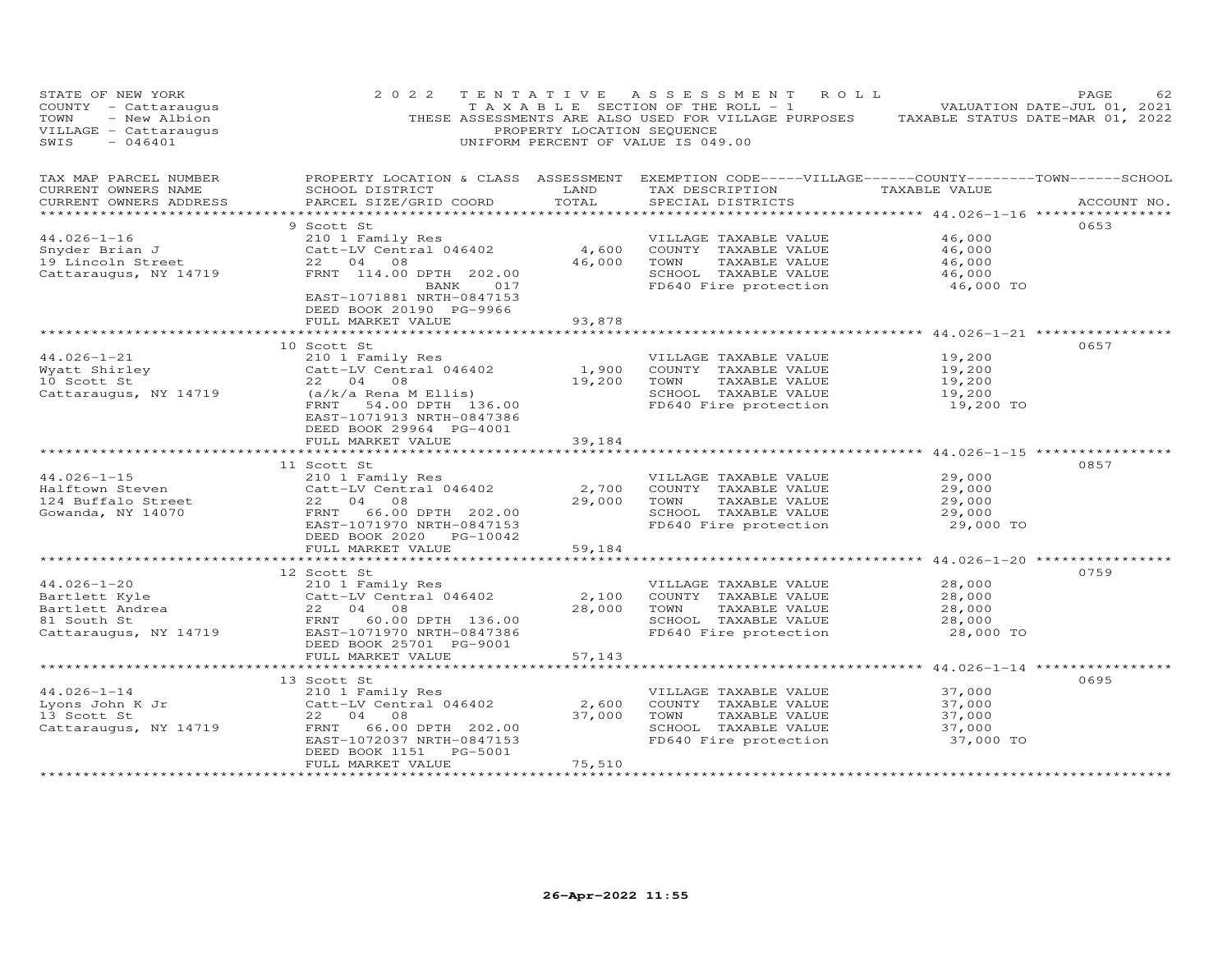| STATE OF NEW YORK<br>COUNTY - Cattaraugus<br>TOWN<br>- New Albion<br>VILLAGE - Cattaraugus<br>$-046401$<br>SWIS                                                 | 2 0 2 2                                                                                                                                                                                       | PROPERTY LOCATION SEQUENCE      | TENTATIVE ASSESSMENT ROLL<br>T A X A B L E SECTION OF THE ROLL - 1 VALUATION DATE-JUL 01, 2021<br>THESE ASSESSMENTS ARE ALSO USED FOR VILLAGE PURPOSES TAXABLE STATUS DATE-MAR 01, 2022<br>UNIFORM PERCENT OF VALUE IS 049.00 |                                                       | PAGE<br>62  |
|-----------------------------------------------------------------------------------------------------------------------------------------------------------------|-----------------------------------------------------------------------------------------------------------------------------------------------------------------------------------------------|---------------------------------|-------------------------------------------------------------------------------------------------------------------------------------------------------------------------------------------------------------------------------|-------------------------------------------------------|-------------|
| TAX MAP PARCEL NUMBER<br>CURRENT OWNERS NAME<br>CURRENT OWNERS ADDRESS<br>***********************                                                               | SCHOOL DISTRICT<br>PARCEL SIZE/GRID COORD                                                                                                                                                     | <b>Example 12</b> LAND<br>TOTAL | PROPERTY LOCATION & CLASS ASSESSMENT EXEMPTION CODE-----VILLAGE------COUNTY-------TOWN------SCHOOL<br>TAX DESCRIPTION TAXABLE VALUE<br>SPECIAL DISTRICTS                                                                      |                                                       | ACCOUNT NO. |
| $44.026 - 1 - 16$<br>Snyder Brian J<br>19 Lincoln Street<br>Cattaraugus, NY 14719                                                                               | 9 Scott St<br>210 1 Family Res<br>Catt-LV Central 046402<br>22 04 08<br>FRNT 114.00 DPTH 202.00<br>BANK 017<br>EAST-1071881 NRTH-0847153<br>DEED BOOK 20190 PG-9966                           | 4,600<br>46,000                 | VILLAGE TAXABLE VALUE<br>COUNTY TAXABLE VALUE<br>TOWN<br>TAXABLE VALUE<br>SCHOOL TAXABLE VALUE<br>FD640 Fire protection                                                                                                       | 46,000<br>46,000<br>46,000<br>46,000<br>46,000 TO     | 0653        |
|                                                                                                                                                                 | FULL MARKET VALUE                                                                                                                                                                             | 93,878                          |                                                                                                                                                                                                                               |                                                       |             |
| $44.026 - 1 - 21$<br>44.026-1-21 210 1 Family Res<br>Wyatt Shirley Catt-LV Central 046402<br>10 Scott St 22 04 08<br>Cattaraugus, NY 14719 (a/k/a Rena M Ellis) | 10 Scott St<br>210 1 Family Res<br>Catt-LV Central 046402<br>FRNT 54.00 DPTH 136.00<br>EAST-1071913 NRTH-0847386<br>DEED BOOK 29964 PG-4001<br>FULL MARKET VALUE                              | 1,900<br>19,200 TOWN<br>39,184  | VILLAGE TAXABLE VALUE<br>COUNTY TAXABLE VALUE<br>TAXABLE VALUE<br>SCHOOL TAXABLE VALUE<br>FD640 Fire protection                                                                                                               | 19,200<br>19,200<br>19,200<br>19,200<br>19,200 TO     | 0657        |
|                                                                                                                                                                 | 11 Scott St                                                                                                                                                                                   |                                 |                                                                                                                                                                                                                               |                                                       | 0857        |
| $44.026 - 1 - 15$<br>Halftown Steven<br>nailtown Steven<br>124 Buffalo Street<br>Gowanda, NY 14070                                                              | 210 1 Family Res<br>Catt-LV Central 046402<br>22 04 08<br>FRNT 66.00 DPTH 202.00<br>EAST-1071970 NRTH-0847153<br>DEED BOOK 2020 PG-10042                                                      | 2,700<br>29,000                 | VILLAGE TAXABLE VALUE<br>COUNTY TAXABLE VALUE<br>TAXABLE VALUE<br>TOWN<br>SCHOOL TAXABLE VALUE<br>FD640 Fire protection                                                                                                       | 29,000<br>29,000<br>29,000<br>29,000<br>29,000 TO     |             |
|                                                                                                                                                                 | FULL MARKET VALUE                                                                                                                                                                             | 59,184                          |                                                                                                                                                                                                                               | ************************* 44.026-1-20 *************** |             |
| $44.026 - 1 - 20$<br>Fartlett Kyle<br>Bartlett Andrea<br>81 South St<br>Cattaraugus, NY 14719<br>Cattaraugus, NY 14719<br>PERSON POOK 25701 PC-9001             | 12 Scott St<br>210 1 Family Res                                                                                                                                                               | 2,100<br>28,000                 | VILLAGE TAXABLE VALUE<br>COUNTY TAXABLE VALUE<br>TOWN<br>TAXABLE VALUE<br>SCHOOL TAXABLE VALUE<br>FD640 Fire protection                                                                                                       | 28,000<br>28,000<br>28,000<br>28,000<br>28,000 TO     | 0759        |
|                                                                                                                                                                 | DEED BOOK 25701 PG-9001<br>FULL MARKET VALUE                                                                                                                                                  | 57,143                          |                                                                                                                                                                                                                               |                                                       |             |
| $44.026 - 1 - 14$<br>Lyons John K Jr<br>13 Scott St<br>13 Scott St<br>Cattaraugus, NY 14719                                                                     | 13 Scott St<br>210 1 Family Res<br>Catt-LV Central 046402<br>22 04 08<br>22 04 08<br>66.00 DPTH 202.00<br>FRNT<br>EAST-1072037 NRTH-0847153<br>PG-5001<br>DEED BOOK 1151<br>FULL MARKET VALUE | 2,600<br>37,000<br>75,510       | VILLAGE TAXABLE VALUE<br>COUNTY TAXABLE VALUE<br>TOWN<br>TAXABLE VALUE<br>SCHOOL TAXABLE VALUE<br>FD640 Fire protection                                                                                                       | 37,000<br>37,000<br>37,000<br>37,000<br>37,000 TO     | 0695        |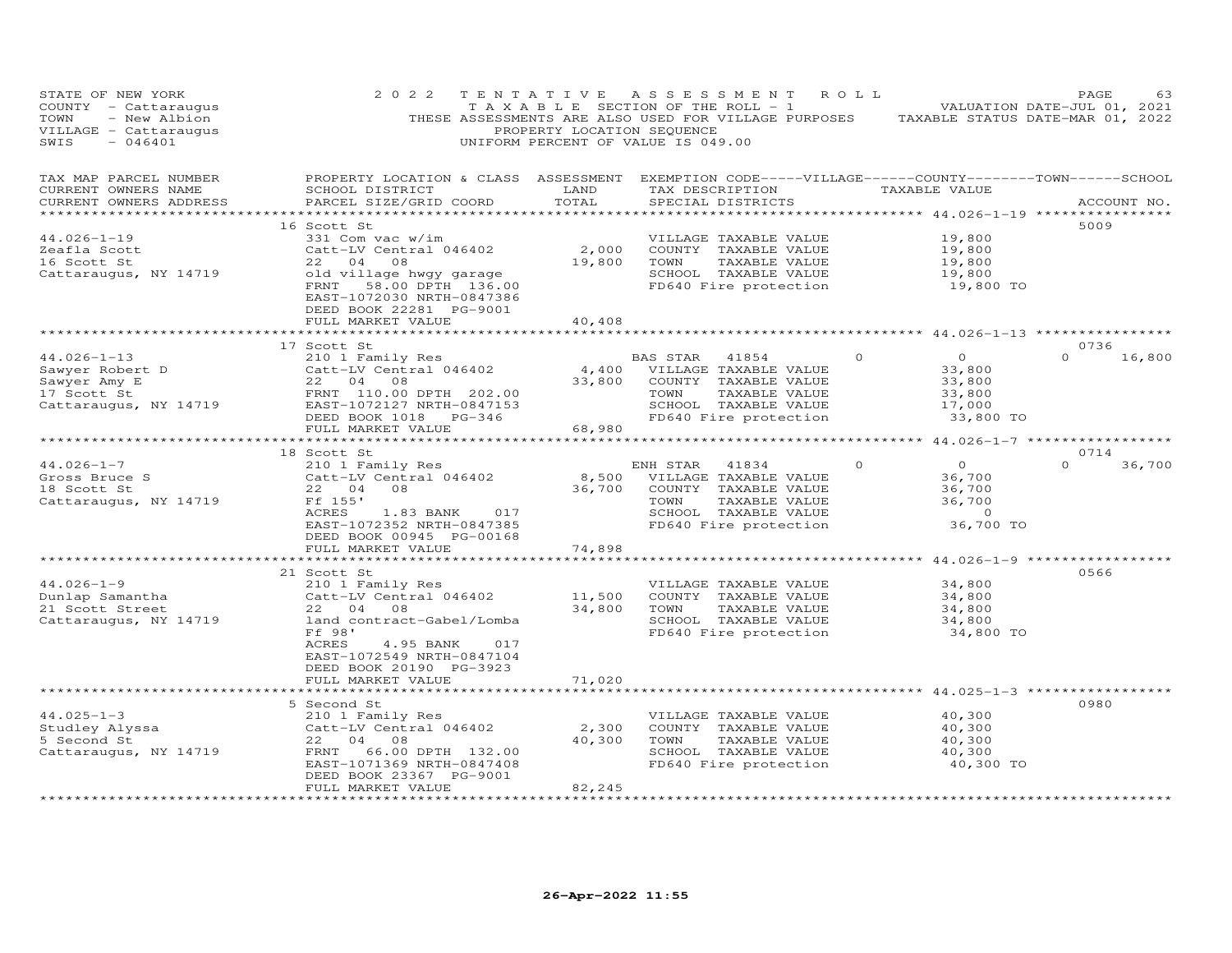| 2 0 2 2                                                                                                                                                                                           |                                                                                                                                                                                                                                             |                                                                                                                                  |                                                                                                                                                                                       |                                                                                                                                      | PAGE             | 63                                                                                                                                                                                                                                                                                             |
|---------------------------------------------------------------------------------------------------------------------------------------------------------------------------------------------------|---------------------------------------------------------------------------------------------------------------------------------------------------------------------------------------------------------------------------------------------|----------------------------------------------------------------------------------------------------------------------------------|---------------------------------------------------------------------------------------------------------------------------------------------------------------------------------------|--------------------------------------------------------------------------------------------------------------------------------------|------------------|------------------------------------------------------------------------------------------------------------------------------------------------------------------------------------------------------------------------------------------------------------------------------------------------|
| SCHOOL DISTRICT<br>PARCEL SIZE/GRID COORD                                                                                                                                                         | LAND<br>TOTAL                                                                                                                                                                                                                               | SPECIAL DISTRICTS                                                                                                                |                                                                                                                                                                                       |                                                                                                                                      |                  | ACCOUNT NO.                                                                                                                                                                                                                                                                                    |
| 331 Com vac w/im<br>Catt-LV Central 046402<br>22<br>04<br>08<br>old village hwgy garage<br>FRNT<br>58.00 DPTH 136.00<br>EAST-1072030 NRTH-0847386<br>DEED BOOK 22281 PG-9001<br>FULL MARKET VALUE | 19,800<br>40,408                                                                                                                                                                                                                            | VILLAGE TAXABLE VALUE<br>COUNTY TAXABLE VALUE<br>TOWN<br>TAXABLE VALUE<br>SCHOOL TAXABLE VALUE                                   |                                                                                                                                                                                       | 19,800<br>19,800<br>19,800<br>19,800<br>19,800 TO                                                                                    | 5009             |                                                                                                                                                                                                                                                                                                |
|                                                                                                                                                                                                   |                                                                                                                                                                                                                                             |                                                                                                                                  |                                                                                                                                                                                       |                                                                                                                                      |                  |                                                                                                                                                                                                                                                                                                |
| 210 1 Family Res<br>Catt-LV Central 046402<br>22 04<br>08<br>FRNT 110.00 DPTH 202.00<br>EAST-1072127 NRTH-0847153<br>DEED BOOK 1018 PG-346                                                        | 4,400<br>33,800                                                                                                                                                                                                                             | 41854<br>VILLAGE TAXABLE VALUE<br>COUNTY TAXABLE VALUE<br>TOWN<br>TAXABLE VALUE<br>SCHOOL TAXABLE VALUE<br>FD640 Fire protection |                                                                                                                                                                                       | $\overline{O}$<br>33,800<br>33,800<br>33,800<br>17,000<br>33,800 TO                                                                  | $\Omega$         | 16,800                                                                                                                                                                                                                                                                                         |
|                                                                                                                                                                                                   |                                                                                                                                                                                                                                             |                                                                                                                                  |                                                                                                                                                                                       |                                                                                                                                      |                  |                                                                                                                                                                                                                                                                                                |
| 210 1 Family Res<br>Catt-LV Central 046402<br>22 04<br>08<br>Ff 155'<br>ACRES<br>EAST-1072352 NRTH-0847385                                                                                        | 8,500<br>36,700                                                                                                                                                                                                                             | 41834<br>VILLAGE TAXABLE VALUE<br>COUNTY TAXABLE VALUE<br>TOWN<br>TAXABLE VALUE<br>SCHOOL TAXABLE VALUE<br>FD640 Fire protection | $\Omega$                                                                                                                                                                              | $\overline{O}$<br>36,700<br>36,700<br>36,700<br>$\overline{0}$<br>36,700 TO                                                          | 0714<br>$\Omega$ | 36,700                                                                                                                                                                                                                                                                                         |
| FULL MARKET VALUE                                                                                                                                                                                 | 74,898                                                                                                                                                                                                                                      |                                                                                                                                  |                                                                                                                                                                                       |                                                                                                                                      |                  |                                                                                                                                                                                                                                                                                                |
| 210 1 Family Res<br>Catt-LV Central 046402<br>22 04<br>08<br>land contract-Gabel/Lomba<br>Ff 98'<br>ACRES<br>4.95 BANK<br>017<br>EAST-1072549 NRTH-0847104<br>DEED BOOK 20190 PG-3923             | 34,800                                                                                                                                                                                                                                      | VILLAGE TAXABLE VALUE<br>COUNTY TAXABLE VALUE<br>TOWN<br>TAXABLE VALUE<br>SCHOOL TAXABLE VALUE                                   |                                                                                                                                                                                       | 34,800<br>34,800<br>34,800<br>34,800<br>34,800 TO                                                                                    | 0566             |                                                                                                                                                                                                                                                                                                |
|                                                                                                                                                                                                   |                                                                                                                                                                                                                                             |                                                                                                                                  |                                                                                                                                                                                       |                                                                                                                                      |                  |                                                                                                                                                                                                                                                                                                |
| 210 1 Family Res<br>Catt-LV Central 046402<br>22<br>04<br>08<br>FRNT<br>66.00 DPTH 132.00<br>EAST-1071369 NRTH-0847408<br>DEED BOOK 23367 PG-9001<br>FULL MARKET VALUE                            | 2,300<br>40,300<br>82,245                                                                                                                                                                                                                   | VILLAGE TAXABLE VALUE<br>COUNTY TAXABLE VALUE<br>TOWN<br>TAXABLE VALUE<br>SCHOOL TAXABLE VALUE<br>FD640 Fire protection          |                                                                                                                                                                                       | 40,300<br>40,300<br>40,300<br>40,300<br>40,300 TO                                                                                    | 0980             |                                                                                                                                                                                                                                                                                                |
|                                                                                                                                                                                                   | 16 Scott St<br>**************************<br>17 Scott St<br>FULL MARKET VALUE<br>18 Scott St<br>DEED BOOK 00945 PG-00168<br>********************************<br>21 Scott St<br>FULL MARKET VALUE<br>************************<br>5 Second St | TENTATIVE<br>68,980<br>1.83 BANK 017<br>71,020<br>+++++++++++++++                                                                | ASSESSMENT<br>TAXABLE SECTION OF THE ROLL - 1<br>PROPERTY LOCATION SEQUENCE<br>UNIFORM PERCENT OF VALUE IS 049.00<br>2,000<br>BAS STAR<br>* * * * * * * * * * *<br>ENH STAR<br>11,500 | R O L L<br>THESE ASSESSMENTS ARE ALSO USED FOR VILLAGE PURPOSES<br>TAX DESCRIPTION<br>FD640 Fire protection<br>FD640 Fire protection | TAXABLE VALUE    | VALUATION DATE-JUL 01, 2021<br>TAXABLE STATUS DATE-MAR 01, 2022<br>PROPERTY LOCATION & CLASS ASSESSMENT EXEMPTION CODE-----VILLAGE------COUNTY-------TOWN------SCHOOL<br>0736<br>*********** 44.026-1-7 ***************<br>************************************* 44.025-1-3 ****************** |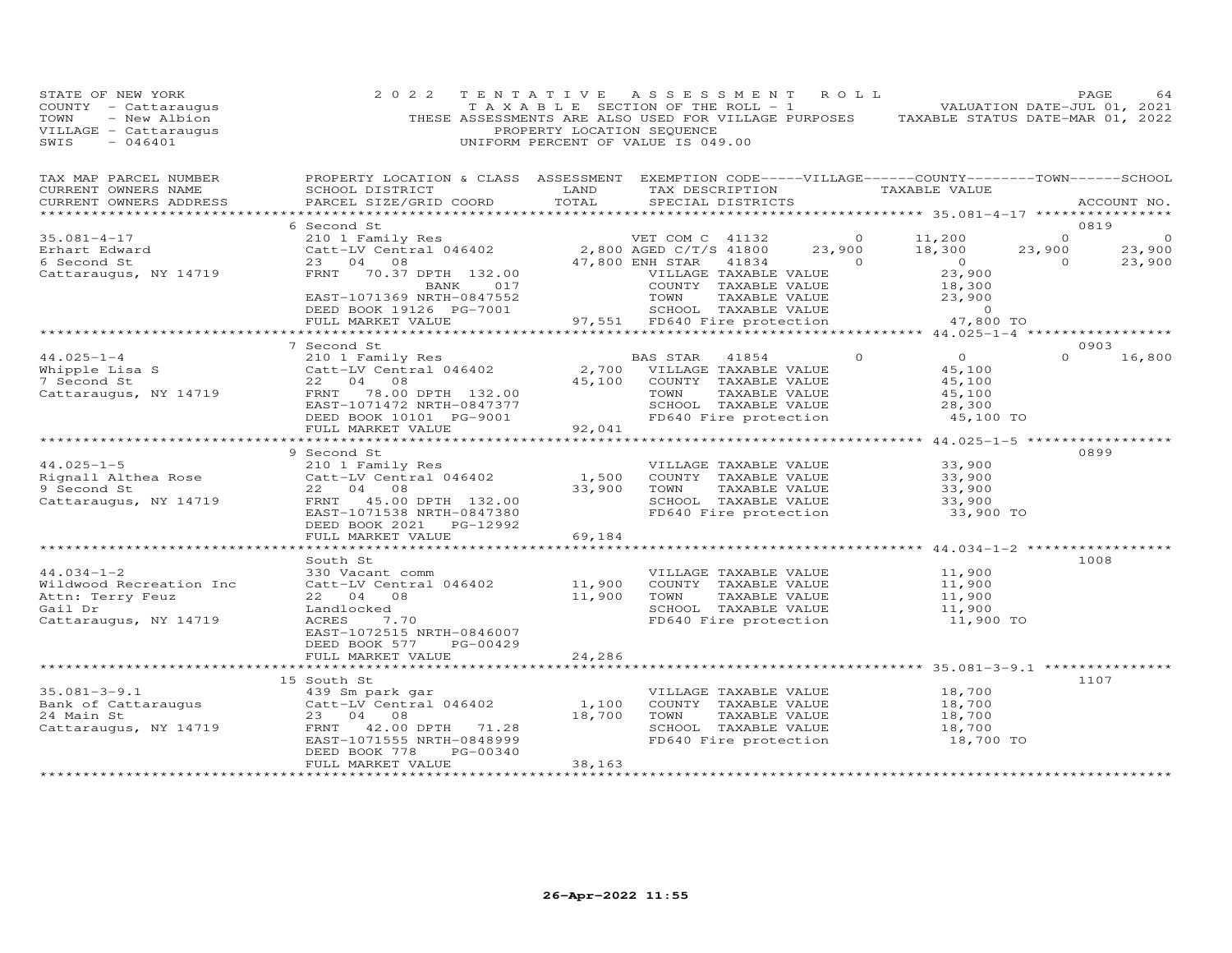| STATE OF NEW YORK<br>COUNTY - Cattaraugus<br>- New Albion<br>TOWN<br>VILLAGE - Cattaraugus<br>$-046401$<br>SWIS | 2022                                                                                                                                             | PROPERTY LOCATION SEQUENCE    | TENTATIVE ASSESSMENT ROLL<br>TAXABLE SECTION OF THE ROLL - 1 VALUATION DATE-JUL 01, 2021<br>THESE ASSESSMENTS ARE ALSO USED FOR VILLAGE PURPOSES TAXABLE STATUS DATE-MAR 01, 2022<br>UNIFORM PERCENT OF VALUE IS 049.00 |                |                                                             |                                     | PAGE<br>64             |
|-----------------------------------------------------------------------------------------------------------------|--------------------------------------------------------------------------------------------------------------------------------------------------|-------------------------------|-------------------------------------------------------------------------------------------------------------------------------------------------------------------------------------------------------------------------|----------------|-------------------------------------------------------------|-------------------------------------|------------------------|
| TAX MAP PARCEL NUMBER<br>CURRENT OWNERS NAME<br>CURRENT OWNERS ADDRESS                                          | PROPERTY LOCATION & CLASS ASSESSMENT EXEMPTION CODE-----VILLAGE------COUNTY--------TOWN------SCHOOL<br>SCHOOL DISTRICT<br>PARCEL SIZE/GRID COORD | TOTAL                         | LAND TAX DESCRIPTION TAXABLE VALUE<br>SPECIAL DISTRICTS                                                                                                                                                                 |                |                                                             |                                     | ACCOUNT NO.            |
|                                                                                                                 |                                                                                                                                                  |                               |                                                                                                                                                                                                                         |                |                                                             |                                     |                        |
| $35.081 - 4 - 17$                                                                                               | 6 Second St                                                                                                                                      |                               |                                                                                                                                                                                                                         | $\overline{0}$ |                                                             | $\Omega$                            | 0819<br>$\overline{0}$ |
| Erhart Edward                                                                                                   |                                                                                                                                                  |                               |                                                                                                                                                                                                                         | 23,900         | 11,200<br>18,300                                            | 23,900                              | 23,900                 |
| 6 Second St                                                                                                     | 210 1 Family Res<br>Catt-LV Central 046402<br>2,800 AGED C/T/S 41800<br>23 04 08 47,800 ENH STAR 41834                                           |                               |                                                                                                                                                                                                                         | 41834 0        |                                                             | $\begin{matrix} 0 \ 0 \end{matrix}$ | 23,900                 |
| Cattaraugus, NY 14719                                                                                           | FRNT 70.37 DPTH 132.00                                                                                                                           |                               | VILLAGE TAXABLE VALUE                                                                                                                                                                                                   |                | $0$<br>23.900<br>23,900                                     |                                     |                        |
|                                                                                                                 | BANK 017                                                                                                                                         |                               | COUNTY TAXABLE VALUE                                                                                                                                                                                                    |                | 18,300                                                      |                                     |                        |
|                                                                                                                 | EAST-1071369 NRTH-0847552                                                                                                                        |                               | TOWN TAXABLE VALUE<br>SCHOOL TAXABLE VALUE<br>97,551 FD640 Fire protection                                                                                                                                              |                | 23,900                                                      |                                     |                        |
|                                                                                                                 | DEED BOOK 19126 PG-7001<br>FULL MARKET VALUE 97,551                                                                                              |                               |                                                                                                                                                                                                                         |                | $\overline{0}$                                              |                                     |                        |
|                                                                                                                 |                                                                                                                                                  |                               |                                                                                                                                                                                                                         |                | 47,800 TO                                                   |                                     |                        |
|                                                                                                                 | 7 Second St                                                                                                                                      |                               |                                                                                                                                                                                                                         |                |                                                             |                                     | 0903                   |
| $44.025 - 1 - 4$                                                                                                | 210 1 Family Res                                                                                                                                 |                               | BAS STAR 41854                                                                                                                                                                                                          | $\Omega$       | $\overline{O}$                                              | $\Omega$                            | 16,800                 |
| Whipple Lisa S<br>7 Second St                                                                                   | Catt-LV Central 046402                                                                                                                           |                               | 2,700 VILLAGE TAXABLE VALUE                                                                                                                                                                                             |                | 45,100                                                      |                                     |                        |
| 7 Second St                                                                                                     | 22 04 08                                                                                                                                         |                               | 45,100 COUNTY TAXABLE VALUE                                                                                                                                                                                             |                | 45,100                                                      |                                     |                        |
| Cattaraugus, NY 14719                                                                                           | FRNT 78.00 DPTH 132.00                                                                                                                           |                               | TAXABLE VALUE<br>TOWN                                                                                                                                                                                                   |                | 45,100                                                      |                                     |                        |
|                                                                                                                 | EAST-1071472 NRTH-0847377                                                                                                                        |                               | SCHOOL TAXABLE VALUE                                                                                                                                                                                                    |                | 28,300                                                      |                                     |                        |
|                                                                                                                 | DEED BOOK 10101 PG-9001<br>FULL MARKET VALUE                                                                                                     | 92,041                        | FD640 Fire protection                                                                                                                                                                                                   |                | 45,100 TO                                                   |                                     |                        |
|                                                                                                                 |                                                                                                                                                  |                               |                                                                                                                                                                                                                         |                |                                                             |                                     |                        |
|                                                                                                                 | 9 Second St                                                                                                                                      |                               |                                                                                                                                                                                                                         |                |                                                             |                                     | 0899                   |
| $44.025 - 1 - 5$                                                                                                | 210 1 Family Res                                                                                                                                 |                               | VILLAGE TAXABLE VALUE                                                                                                                                                                                                   |                | 33,900                                                      |                                     |                        |
| Rignall Althea Rose                                                                                             | Catt-LV Central 046402                                                                                                                           | 1,500                         | COUNTY TAXABLE VALUE                                                                                                                                                                                                    |                | 33,900                                                      |                                     |                        |
| 9 Second St                                                                                                     | 22 04 08                                                                                                                                         | 33,900                        | TOWN                                                                                                                                                                                                                    | TAXABLE VALUE  | 33,900                                                      |                                     |                        |
| Cattaraugus, NY 14719                                                                                           | FRNT 45.00 DPTH 132.00<br>EAST-1071538 NRTH-0847380                                                                                              |                               | SCHOOL TAXABLE VALUE<br>FD640 Fire protection                                                                                                                                                                           |                | 33,900<br>33,900 TO                                         |                                     |                        |
|                                                                                                                 | DEED BOOK 2021    PG-12992                                                                                                                       |                               |                                                                                                                                                                                                                         |                |                                                             |                                     |                        |
|                                                                                                                 | FULL MARKET VALUE                                                                                                                                | 69,184                        |                                                                                                                                                                                                                         |                |                                                             |                                     |                        |
|                                                                                                                 |                                                                                                                                                  |                               |                                                                                                                                                                                                                         |                | ********************************** 44.034-1-2 ************* |                                     |                        |
|                                                                                                                 | South St                                                                                                                                         |                               |                                                                                                                                                                                                                         |                |                                                             |                                     | 1008                   |
| $44.034 - 1 - 2$                                                                                                | 330 Vacant comm                                                                                                                                  |                               | VILLAGE TAXABLE VALUE                                                                                                                                                                                                   |                | 11,900                                                      |                                     |                        |
| Wildwood Recreation Inc                                                                                         | Catt-LV Central 046402<br>22 04 08                                                                                                               | 11,900<br>11,900              | COUNTY TAXABLE VALUE<br>TOWN<br>TAXABLE VALUE                                                                                                                                                                           |                | 11,900<br>11,900                                            |                                     |                        |
| Attn: Terry Feuz<br>Gail Dr                                                                                     | Landlocked                                                                                                                                       |                               | SCHOOL TAXABLE VALUE                                                                                                                                                                                                    |                | 11,900                                                      |                                     |                        |
| Cattaraugus, NY 14719                                                                                           | ACRES 7.70                                                                                                                                       |                               | FD640 Fire protection                                                                                                                                                                                                   |                | 11,900 TO                                                   |                                     |                        |
|                                                                                                                 | EAST-1072515 NRTH-0846007                                                                                                                        |                               |                                                                                                                                                                                                                         |                |                                                             |                                     |                        |
|                                                                                                                 | DEED BOOK 577<br>PG-00429                                                                                                                        |                               |                                                                                                                                                                                                                         |                |                                                             |                                     |                        |
|                                                                                                                 | FULL MARKET VALUE<br>****************************                                                                                                | 24,286                        |                                                                                                                                                                                                                         |                |                                                             |                                     |                        |
|                                                                                                                 |                                                                                                                                                  | ************                  |                                                                                                                                                                                                                         |                |                                                             |                                     |                        |
| $35.081 - 3 - 9.1$                                                                                              | 15 South St<br>439 Sm park gar                                                                                                                   |                               | VILLAGE TAXABLE VALUE                                                                                                                                                                                                   |                | 18,700                                                      |                                     | 1107                   |
| Bank of Cattaraugus                                                                                             | Catt-LV Central 046402                                                                                                                           | 1,100                         | COUNTY TAXABLE VALUE                                                                                                                                                                                                    |                | 18,700                                                      |                                     |                        |
| 24 Main St                                                                                                      | 23 04 08                                                                                                                                         | 18,700                        | TOWN                                                                                                                                                                                                                    | TAXABLE VALUE  | 18,700                                                      |                                     |                        |
| Cattaraugus, NY 14719                                                                                           | FRNT 42.00 DPTH 71.28                                                                                                                            |                               | SCHOOL TAXABLE VALUE                                                                                                                                                                                                    |                | 18,700                                                      |                                     |                        |
|                                                                                                                 | EAST-1071555 NRTH-0848999                                                                                                                        |                               | FD640 Fire protection                                                                                                                                                                                                   |                | 18,700 TO                                                   |                                     |                        |
|                                                                                                                 | DEED BOOK 778<br>PG-00340                                                                                                                        |                               |                                                                                                                                                                                                                         |                |                                                             |                                     |                        |
|                                                                                                                 | FULL MARKET VALUE                                                                                                                                | 38,163<br>******************* |                                                                                                                                                                                                                         |                |                                                             |                                     |                        |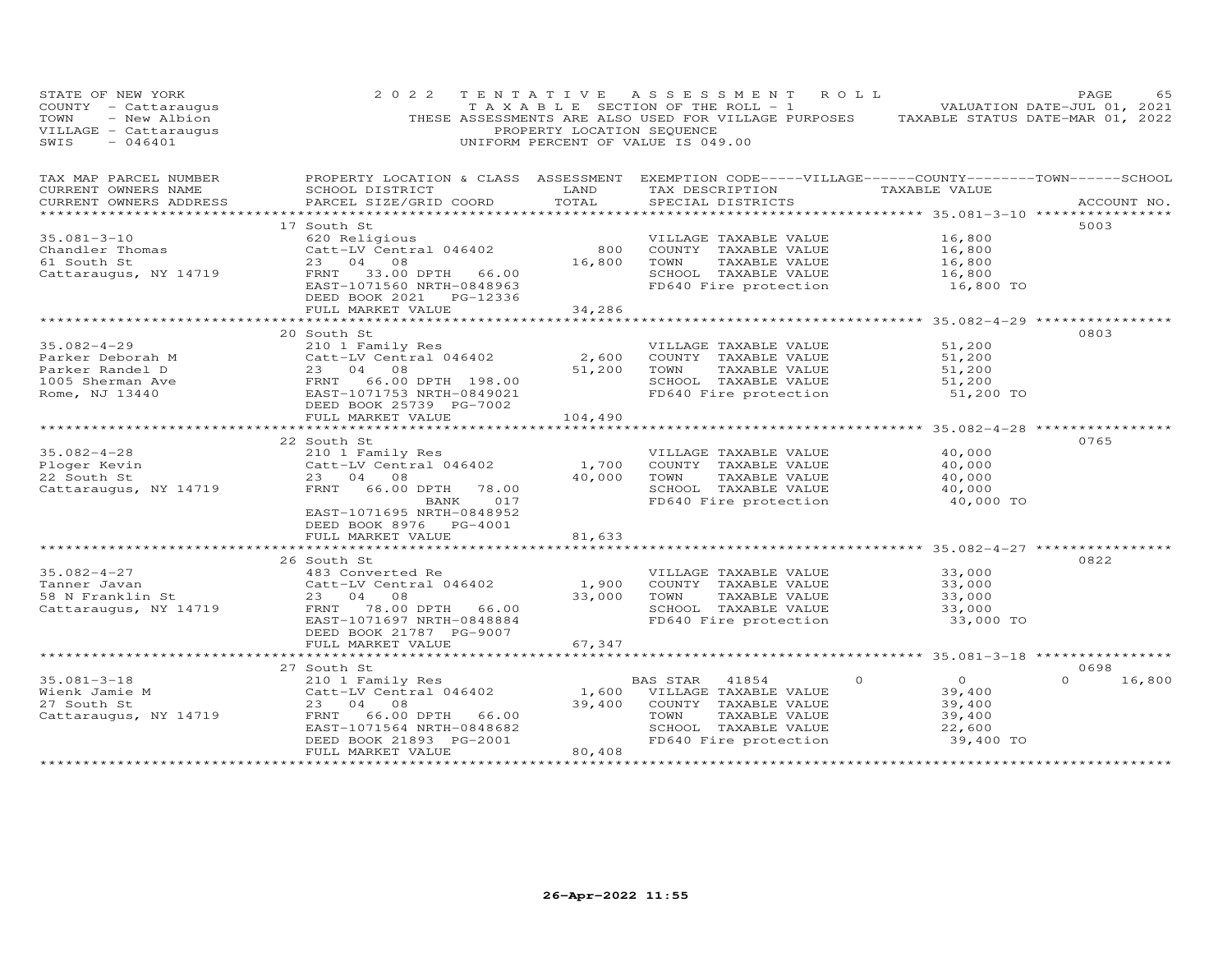| STATE OF NEW YORK<br>COUNTY - Cattaraugus<br>- New Albion<br>TOWN<br>VILLAGE - Cattaraugus<br>SWIS<br>$-046401$ | 2 0 2 2                                                                                                                                                                                                                                                                   | PROPERTY LOCATION SEQUENCE | TENTATIVE ASSESSMENT ROLL<br>T A X A B L E SECTION OF THE ROLL - 1<br>THESE ASSESSMENTS ARE ALSO USED FOR VILLAGE PURPOSES TAXABLE STATUS DATE-MAR 01, 2022<br>UNIFORM PERCENT OF VALUE IS 049.00 |                                                                     | PAGE<br>65<br>VALUATION DATE-JUL 01, 2021 |
|-----------------------------------------------------------------------------------------------------------------|---------------------------------------------------------------------------------------------------------------------------------------------------------------------------------------------------------------------------------------------------------------------------|----------------------------|---------------------------------------------------------------------------------------------------------------------------------------------------------------------------------------------------|---------------------------------------------------------------------|-------------------------------------------|
| TAX MAP PARCEL NUMBER<br>CURRENT OWNERS NAME<br>CURRENT OWNERS ADDRESS                                          | PROPERTY LOCATION & CLASS ASSESSMENT EXEMPTION CODE-----VILLAGE------COUNTY-------TOWN------SCHOOL<br>SCHOOL DISTRICT<br><b>EXAMPLE SERVICE SERVICE SERVICE SERVICE SERVICE SERVICE SERVICE SERVICE SERVICE SERVICE SERVICE SERVICE SERVICE</b><br>PARCEL SIZE/GRID COORD | TOTAL                      | TAX DESCRIPTION TAXABLE VALUE<br>SPECIAL DISTRICTS<br>********************************** 35.081-3-10 ****************                                                                             |                                                                     | ACCOUNT NO.                               |
| $35.081 - 3 - 10$<br>Chandler Thomas<br>61 South St<br>Cattaraugus, NY 14719                                    | 17 South St<br>620 Religious<br>Catt-LV Central 046402<br>23 04 08<br>FRNT 33.00 DPTH 66.00<br>EAST-1071560 NRTH-0848963<br>DEED BOOK 2021 PG-12336<br>FULL MARKET VALUE                                                                                                  | 800<br>16,800<br>34,286    | VILLAGE TAXABLE VALUE<br>COUNTY TAXABLE VALUE<br>TOWN<br>TAXABLE VALUE<br>SCHOOL TAXABLE VALUE<br>FD640 Fire protection                                                                           | 16,800<br>16,800<br>16,800<br>16,800<br>16,800 TO                   | 5003                                      |
|                                                                                                                 |                                                                                                                                                                                                                                                                           |                            |                                                                                                                                                                                                   |                                                                     |                                           |
| $35.082 - 4 - 29$<br>Parker Deborah M<br>Parker Randel D<br>1005 Sherman Ave<br>Rome, NJ 13440                  | 20 South St<br>210 1 Family Res<br>Catt-LV Central 046402<br>23 04 08<br>FRNT 66.00 DPTH 198.00<br>EAST-1071753 NRTH-0849021<br>DEED BOOK 25739 PG-7002<br>FULL MARKET VALUE                                                                                              | 2,600<br>51,200<br>104,490 | VILLAGE TAXABLE VALUE<br>COUNTY TAXABLE VALUE<br>TOWN<br>TAXABLE VALUE<br>SCHOOL TAXABLE VALUE<br>FD640 Fire protection                                                                           | 51,200<br>51,200<br>51,200<br>51,200<br>51,200 TO                   | 0803                                      |
|                                                                                                                 |                                                                                                                                                                                                                                                                           |                            |                                                                                                                                                                                                   |                                                                     |                                           |
| $35.082 - 4 - 28$<br>Ploger Kevin<br>22 South St<br>Cattaraugus, NY 14719                                       | 22 South St<br>210 1 Family Res<br>Catt-LV Central 046402<br>23 04 08<br>FRNT 66.00 DPTH 78.00<br>BANK<br>017<br>EAST-1071695 NRTH-0848952                                                                                                                                | 1,700<br>40,000            | VILLAGE TAXABLE VALUE<br>COUNTY TAXABLE VALUE<br>TAXABLE VALUE<br>TOWN<br>SCHOOL TAXABLE VALUE<br>FD640 Fire protection                                                                           | 40,000<br>40,000<br>40,000<br>40,000<br>40,000 TO                   | 0765                                      |
|                                                                                                                 | DEED BOOK 8976 PG-4001<br>FULL MARKET VALUE                                                                                                                                                                                                                               | 81,633                     |                                                                                                                                                                                                   |                                                                     |                                           |
| $35.082 - 4 - 27$<br>Tanner Javan<br>58 N Franklin St<br>Cattaraugus, NY 14719                                  | 26 South St<br>483 Converted Re<br>Catt-LV Central 046402<br>23 04 08<br>FRNT 78.00 DPTH 66.00<br>EAST-1071697 NRTH-0848884                                                                                                                                               | 1,900<br>33,000            | VILLAGE TAXABLE VALUE<br>COUNTY TAXABLE VALUE<br>TOWN<br>TAXABLE VALUE<br>SCHOOL TAXABLE VALUE<br>FD640 Fire protection                                                                           | 33,000<br>33,000<br>33,000<br>33,000<br>33,000 TO                   | 0822                                      |
|                                                                                                                 | DEED BOOK 21787 PG-9007<br>FULL MARKET VALUE                                                                                                                                                                                                                              | 67,347                     |                                                                                                                                                                                                   |                                                                     |                                           |
| $35.081 - 3 - 18$<br>Wienk Jamie M<br>27 South St<br>Cattaraugus, NY 14719                                      | 27 South St<br>210 1 Family Res<br>Catt-LV Central 046402<br>23 04<br>08<br>FRNT<br>66.00 DPTH 66.00<br>EAST-1071564 NRTH-0848682<br>DEED BOOK 21893 PG-2001<br>FULL MARKET VALUE                                                                                         | 39,400<br>80,408           | $\Omega$<br>BAS STAR<br>41854<br>1,600 VILLAGE TAXABLE VALUE<br>COUNTY TAXABLE VALUE<br>TOWN<br>TAXABLE VALUE<br>SCHOOL TAXABLE VALUE<br>FD640 Fire protection                                    | $\overline{O}$<br>39,400<br>39,400<br>39,400<br>22,600<br>39,400 TO | 0698<br>$\Omega$<br>16,800                |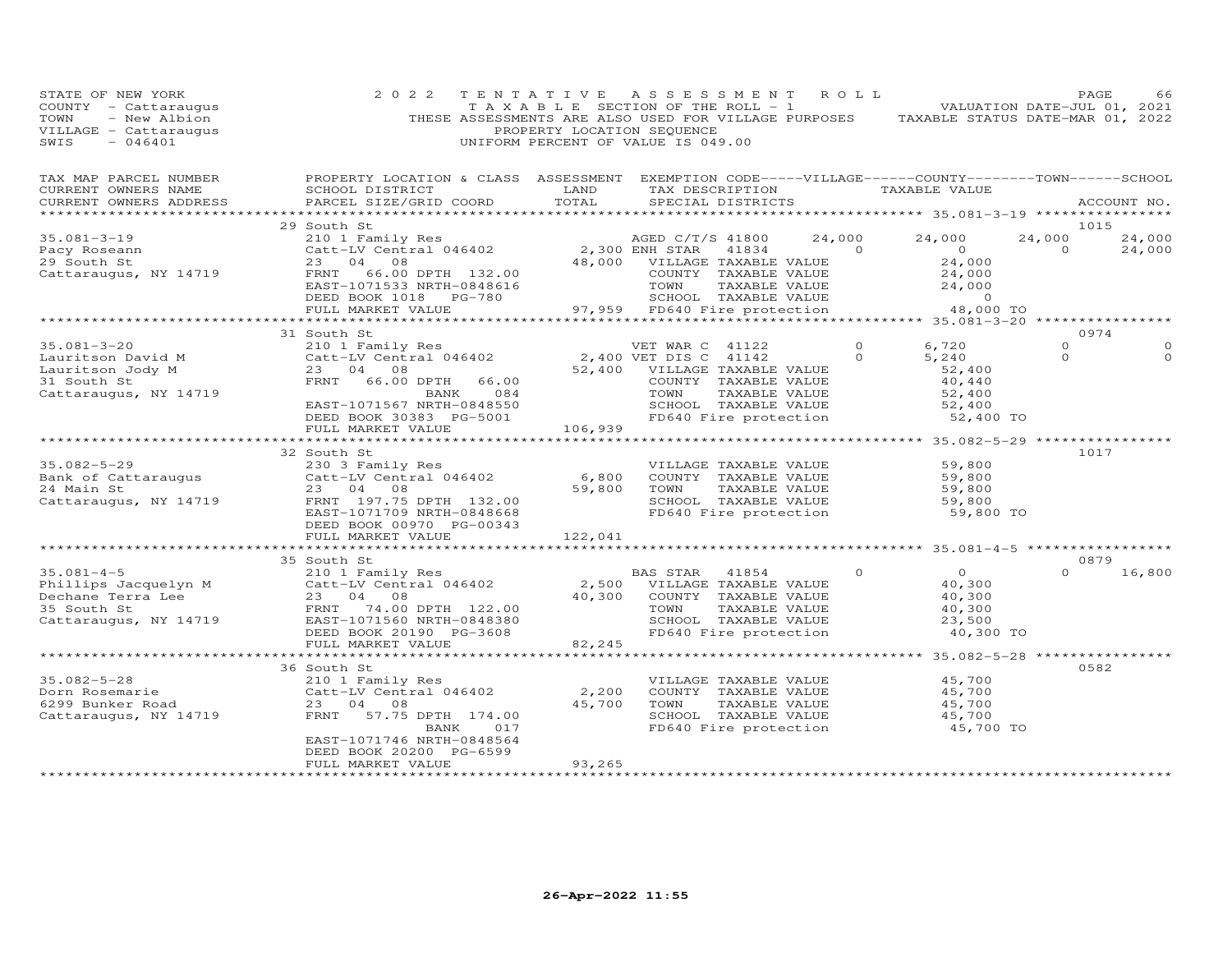| STATE OF NEW YORK<br>COUNTY - Cattaraugus<br>- New Albion<br>TOWN<br>VILLAGE - Cattaraugus<br>SWIS<br>$-046401$                                         | 2 0 2 2                                                                                                                                                                                        | TENTATIVE<br>PROPERTY LOCATION SEQUENCE | A S S E S S M E N T<br>T A X A B L E SECTION OF THE ROLL - 1<br>THESE ASSESSMENTS ARE ALSO USED FOR VILLAGE PURPOSES<br>UNIFORM PERCENT OF VALUE IS 049.00          | ROLL                                                                                                                                                                                                                                                                                                                                         | TAXABLE STATUS DATE-MAR 01, 2022                                                                | PAGE<br>VALUATION DATE-JUL 01, 2021 |                  |
|---------------------------------------------------------------------------------------------------------------------------------------------------------|------------------------------------------------------------------------------------------------------------------------------------------------------------------------------------------------|-----------------------------------------|---------------------------------------------------------------------------------------------------------------------------------------------------------------------|----------------------------------------------------------------------------------------------------------------------------------------------------------------------------------------------------------------------------------------------------------------------------------------------------------------------------------------------|-------------------------------------------------------------------------------------------------|-------------------------------------|------------------|
| TAX MAP PARCEL NUMBER<br>CURRENT OWNERS NAME<br>CURRENT OWNERS ADDRESS                                                                                  | PROPERTY LOCATION & CLASS ASSESSMENT EXEMPTION CODE-----VILLAGE------COUNTY-------TOWN------SCHOOL<br>SCHOOL DISTRICT<br>PARCEL SIZE/GRID COORD                                                | LAND<br>TOTAL                           | TAX DESCRIPTION<br>SPECIAL DISTRICTS                                                                                                                                |                                                                                                                                                                                                                                                                                                                                              | TAXABLE VALUE                                                                                   |                                     | ACCOUNT NO.      |
| $35.081 - 3 - 19$<br>Pacy Roseann<br>29 South St<br>Cattaraugus, NY 14719                                                                               | 29 South St<br>210 1 Family Res<br>Catt-LV Central 046402<br>23 04 08<br>FRNT<br>66.00 DPTH 132.00<br>EAST-1071533 NRTH-0848616<br>DEED BOOK 1018 PG-780<br>FULL MARKET VALUE                  | 2,300 ENH STAR                          | AGED C/T/S 41800<br>41834<br>48,000 VILLAGE TAXABLE VALUE<br>COUNTY TAXABLE VALUE<br>TOWN<br>TAXABLE VALUE<br>SCHOOL TAXABLE VALUE<br>97,959 FD640 Fire protection  | 24,000<br>$\overline{a}$ and $\overline{a}$ and $\overline{a}$ and $\overline{a}$ and $\overline{a}$ and $\overline{a}$ and $\overline{a}$ and $\overline{a}$ and $\overline{a}$ and $\overline{a}$ and $\overline{a}$ and $\overline{a}$ and $\overline{a}$ and $\overline{a}$ and $\overline{a}$ and $\overline{a}$ and $\overline{a}$ and | 24,000<br>$\overline{0}$<br>24,000<br>$24,000$<br>$24,000$<br>$24,000$<br>$\sim$ 0<br>48,000 TO | 1015<br>24,000<br>$\circ$           | 24,000<br>24,000 |
|                                                                                                                                                         | ******************************                                                                                                                                                                 |                                         |                                                                                                                                                                     |                                                                                                                                                                                                                                                                                                                                              |                                                                                                 |                                     |                  |
| $35.081 - 3 - 20$<br>Lauritson David M<br>Lauritson Jody M<br>31 South St<br>Cattaraugus, NY 14719                                                      | 31 South St<br>210 1 Family Res<br>Catt-LV Central 046402<br>23 04 08<br>FRNT<br>66.00 DPTH<br>66.00<br>084<br>BANK<br>EAST-1071567 NRTH-0848550<br>DEED BOOK 30383 PG-5001                    | 52,400                                  | VET WAR C 41122<br>2,400 VET DIS C 41142<br>VILLAGE TAXABLE VALUE<br>COUNTY TAXABLE VALUE<br>TAXABLE VALUE<br>TOWN<br>SCHOOL TAXABLE VALUE<br>FD640 Fire protection | $\circ$<br>$\Omega$                                                                                                                                                                                                                                                                                                                          | 6,720<br>5,240<br>52,400<br>40,440<br>52,400<br>52,400<br>52,400 TO                             | 0974<br>$\circ$<br>$\Omega$         | $\Omega$         |
|                                                                                                                                                         | FULL MARKET VALUE                                                                                                                                                                              | 106,939                                 |                                                                                                                                                                     |                                                                                                                                                                                                                                                                                                                                              |                                                                                                 |                                     |                  |
| $35.082 - 5 - 29$<br>Bank of Cattaraugus<br>24 Main St<br>Cattaraugus, NY 14719                                                                         | *****************<br>32 South St<br>230 3 Family Res<br>Catt-LV Central 046402<br>23 04<br>08<br>FRNT 197.75 DPTH 132.00                                                                       | 6,800<br>59,800                         | VILLAGE TAXABLE VALUE<br>COUNTY TAXABLE VALUE<br>TOWN<br>TAXABLE VALUE<br>SCHOOL TAXABLE VALUE                                                                      |                                                                                                                                                                                                                                                                                                                                              | ***************** 35.082-5-29 *****************<br>59,800<br>59,800<br>59,800<br>59,800         | 1017                                |                  |
|                                                                                                                                                         | EAST-1071709 NRTH-0848668<br>DEED BOOK 00970 PG-00343<br>FULL MARKET VALUE                                                                                                                     | 122,041                                 | FD640 Fire protection                                                                                                                                               |                                                                                                                                                                                                                                                                                                                                              | 59,800 TO                                                                                       |                                     |                  |
|                                                                                                                                                         |                                                                                                                                                                                                |                                         |                                                                                                                                                                     |                                                                                                                                                                                                                                                                                                                                              |                                                                                                 |                                     |                  |
| $35.081 - 4 - 5$<br>Jo.001-4 J<br>Phillips Jacquelyn M<br>Dechane Terra Lee<br>Dechane Terra Lee<br>35 South St<br>35 South St<br>Cattaraugus, NY 14719 | 35 South St<br>210 1 Family Res<br>Catt-LV Central 046402<br>23 04 08<br>FRNT 74.00 DPTH 122.00<br>EAST-1071560 NRTH-0848380<br>DEED BOOK 20190 PG-3608<br>FULL MARKET VALUE                   | 2,500<br>40,300<br>82,245               | BAS STAR 41854<br>VILLAGE TAXABLE VALUE<br>COUNTY TAXABLE VALUE<br>TOWN<br>TAXABLE VALUE<br>SCHOOL TAXABLE VALUE<br>FD640 Fire protection                           | 0                                                                                                                                                                                                                                                                                                                                            | $\overline{O}$<br>40,300<br>40,300<br>40,300<br>23,500<br>40,300 TO                             | 0879<br>$\Omega$                    | 16,800           |
|                                                                                                                                                         |                                                                                                                                                                                                |                                         |                                                                                                                                                                     |                                                                                                                                                                                                                                                                                                                                              | ************************ 35.082-5-28 ****************                                           |                                     |                  |
| 35.082-5-28<br>Dorn Rosemarie<br>6299 Bunker Road<br>Cattaraugus, NY 14719                                                                              | 36 South St<br>210 1 Family Res<br>Catt-LV Central 046402<br>23 04 08<br>57.75 DPTH 174.00<br>FRNT<br>BANK<br>017<br>EAST-1071746 NRTH-0848564<br>DEED BOOK 20200 PG-6599<br>FULL MARKET VALUE | 2,200<br>45,700<br>93,265               | VILLAGE TAXABLE VALUE<br>COUNTY TAXABLE VALUE<br>TOWN<br>TAXABLE VALUE<br>SCHOOL TAXABLE VALUE<br>FD640 Fire protection                                             |                                                                                                                                                                                                                                                                                                                                              | 45,700<br>45,700<br>45,700<br>45,700<br>45,700 TO                                               | 0582                                |                  |
|                                                                                                                                                         |                                                                                                                                                                                                |                                         |                                                                                                                                                                     |                                                                                                                                                                                                                                                                                                                                              |                                                                                                 |                                     |                  |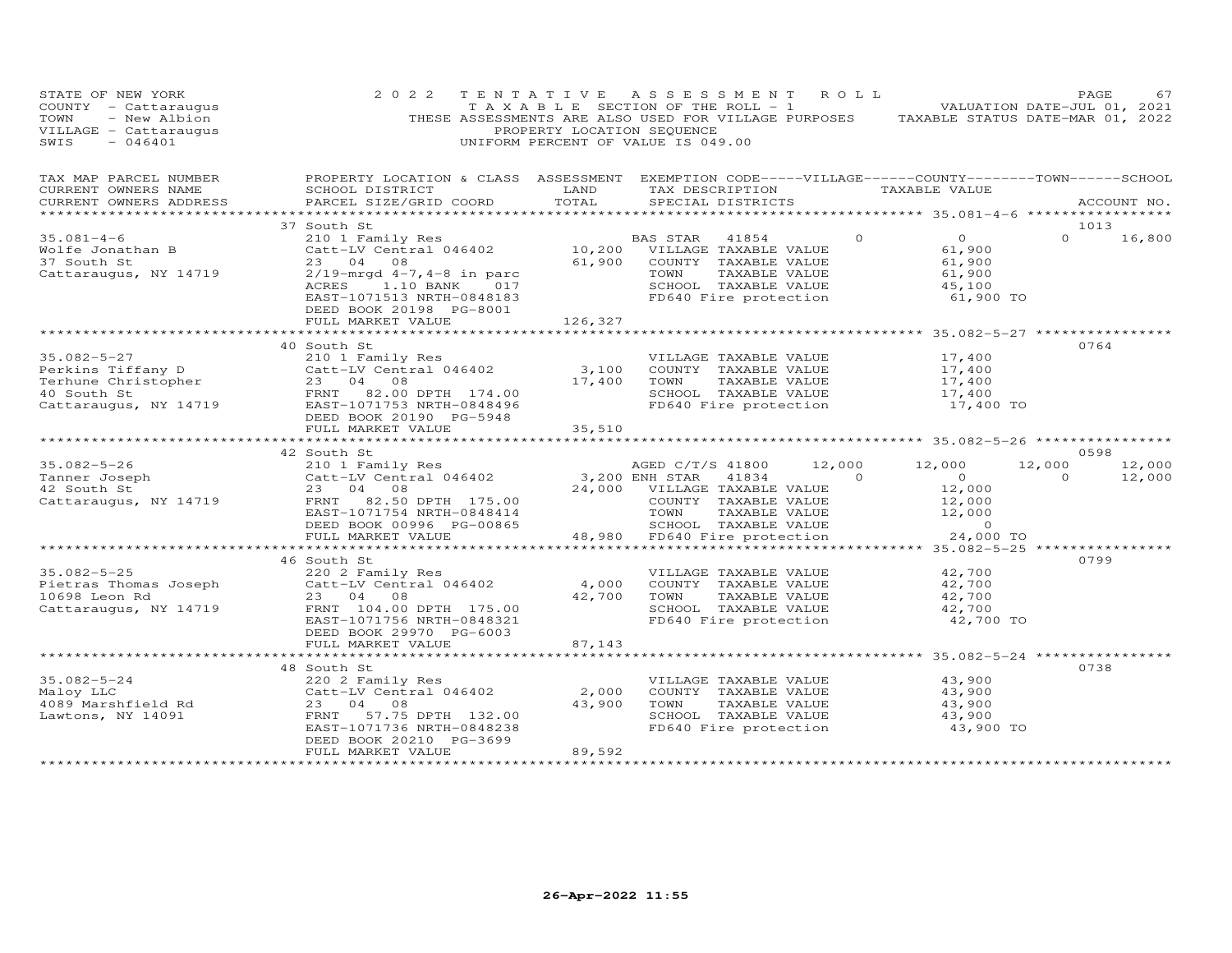| STATE OF NEW YORK<br>COUNTY - Cattaraugus<br>TOWN<br>- New Albion<br>VILLAGE - Cattaraugus<br>$-046401$<br>SWIS                                               | 2 0 2 2                                                                                                                                                                          | PROPERTY LOCATION SEQUENCE | TENTATIVE ASSESSMENT ROLL<br>T A X A B L E SECTION OF THE ROLL - 1<br>THESE ASSESSMENTS ARE ALSO USED FOR VILLAGE PURPOSES<br>UNIFORM PERCENT OF VALUE IS 049.00 | TAXABLE STATUS DATE-MAR 01, 2022                                    | PAGE<br>67<br>VALUATION DATE-JUL 01, 2021 |
|---------------------------------------------------------------------------------------------------------------------------------------------------------------|----------------------------------------------------------------------------------------------------------------------------------------------------------------------------------|----------------------------|------------------------------------------------------------------------------------------------------------------------------------------------------------------|---------------------------------------------------------------------|-------------------------------------------|
| TAX MAP PARCEL NUMBER<br>CURRENT OWNERS NAME<br>CURRENT OWNERS ADDRESS<br>***********************                                                             | SCHOOL DISTRICT<br>PARCEL SIZE/GRID COORD                                                                                                                                        | LAND<br>TOTAL              | PROPERTY LOCATION & CLASS ASSESSMENT EXEMPTION CODE-----VILLAGE------COUNTY-------TOWN------SCHOOL<br>TAX DESCRIPTION TAXABLE VALUE<br>SPECIAL DISTRICTS         |                                                                     | ACCOUNT NO.                               |
|                                                                                                                                                               | 37 South St                                                                                                                                                                      |                            |                                                                                                                                                                  |                                                                     | 1013                                      |
| $35.081 - 4 - 6$<br>Wolfe Jonathan B<br>37 South St<br>Cattaraugus, NY 14719                                                                                  | 210 1 Family Res<br>Catt-LV Central 046402 10,200 VILLAGE TAXABLE VALUE<br>23 04 08<br>$2/19$ -mrgd $4-7$ , $4-8$ in parc<br>1.10 BANK 017<br>ACRES<br>EAST-1071513 NRTH-0848183 |                            | $\Omega$<br>BAS STAR<br>41854<br>61,900 COUNTY TAXABLE VALUE<br>TAXABLE VALUE<br>TOWN<br>SCHOOL TAXABLE VALUE<br>FD640 Fire protection                           | $\overline{O}$<br>61,900<br>61,900<br>61,900<br>45,100<br>61,900 TO | $\Omega$<br>16,800                        |
|                                                                                                                                                               | DEED BOOK 20198 PG-8001                                                                                                                                                          |                            |                                                                                                                                                                  |                                                                     |                                           |
|                                                                                                                                                               | FULL MARKET VALUE<br>************************                                                                                                                                    | 126,327                    |                                                                                                                                                                  |                                                                     |                                           |
|                                                                                                                                                               | 40 South St                                                                                                                                                                      |                            |                                                                                                                                                                  |                                                                     | 0764                                      |
| $35.082 - 5 - 27$<br>Perkins Tiffany D<br>Terhune Christopher<br>40 South St<br>Cattaraugus, NY 14719<br>ERST -1071753 NRTH-0848496<br>FRNT 82.00 DPTH 174.00 | 210 1 Family Res<br>Catt-LV Central 046402<br>DEED BOOK 20190 PG-5948                                                                                                            | 3,100<br>17,400            | VILLAGE TAXABLE VALUE<br>COUNTY TAXABLE VALUE<br>TOWN<br>TAXABLE VALUE<br>SCHOOL TAXABLE VALUE<br>FD640 Fire protection                                          | 17,400<br>17,400<br>17,400<br>17,400<br>17,400 TO                   |                                           |
|                                                                                                                                                               | FULL MARKET VALUE                                                                                                                                                                | 35,510                     |                                                                                                                                                                  |                                                                     |                                           |
|                                                                                                                                                               |                                                                                                                                                                                  |                            |                                                                                                                                                                  | ************* 35.082-5-26 ************                              |                                           |
|                                                                                                                                                               | 42 South St                                                                                                                                                                      |                            |                                                                                                                                                                  |                                                                     | 0598                                      |
| $35.082 - 5 - 26$<br>Tanner Joseph                                                                                                                            | 210 1 Family Res<br>Catt-LV Central 046402                                                                                                                                       |                            | AGED C/T/S 41800<br>12,000<br>3,200 ENH STAR<br>41834<br>$\overline{0}$                                                                                          | 12,000<br>$\overline{O}$                                            | 12,000<br>12,000<br>$\Omega$<br>12,000    |
| 42 South St                                                                                                                                                   | 23 04 08                                                                                                                                                                         | 24,000                     | VILLAGE TAXABLE VALUE                                                                                                                                            | 12,000                                                              |                                           |
| Cattaraugus, NY 14719                                                                                                                                         | FRNT 82.50 DPTH 175.00                                                                                                                                                           |                            | COUNTY TAXABLE VALUE                                                                                                                                             | 12,000                                                              |                                           |
|                                                                                                                                                               | EAST-1071754 NRTH-0848414                                                                                                                                                        |                            | TOWN<br>TAXABLE VALUE                                                                                                                                            | 12,000                                                              |                                           |
|                                                                                                                                                               | DEED BOOK 00996 PG-00865                                                                                                                                                         |                            | SCHOOL TAXABLE VALUE                                                                                                                                             | $\sim$ 0                                                            |                                           |
|                                                                                                                                                               | FULL MARKET VALUE                                                                                                                                                                |                            | 48,980 FD640 Fire protection                                                                                                                                     | 24,000 TO                                                           |                                           |
|                                                                                                                                                               |                                                                                                                                                                                  |                            |                                                                                                                                                                  |                                                                     |                                           |
|                                                                                                                                                               | 46 South St                                                                                                                                                                      |                            |                                                                                                                                                                  |                                                                     | 0799                                      |
| $35.082 - 5 - 25$<br>Pietras Thomas Joseph                                                                                                                    | 220 2 Family Res<br>Catt-LV Central 046402                                                                                                                                       | 4,000                      | VILLAGE TAXABLE VALUE<br>COUNTY TAXABLE VALUE                                                                                                                    | 42,700<br>42,700                                                    |                                           |
| 10698 Leon Rd                                                                                                                                                 | 23 04 08                                                                                                                                                                         | 42,700                     | TOWN<br>TAXABLE VALUE                                                                                                                                            | 42,700                                                              |                                           |
| Cattaraugus, NY 14719                                                                                                                                         | FRNT 104.00 DPTH 175.00                                                                                                                                                          |                            | SCHOOL TAXABLE VALUE                                                                                                                                             | 42,700                                                              |                                           |
|                                                                                                                                                               | EAST-1071756 NRTH-0848321                                                                                                                                                        |                            | FD640 Fire protection                                                                                                                                            | 42,700 TO                                                           |                                           |
|                                                                                                                                                               | DEED BOOK 29970 PG-6003                                                                                                                                                          |                            |                                                                                                                                                                  |                                                                     |                                           |
|                                                                                                                                                               | FULL MARKET VALUE                                                                                                                                                                | 87,143                     |                                                                                                                                                                  |                                                                     |                                           |
|                                                                                                                                                               |                                                                                                                                                                                  |                            |                                                                                                                                                                  |                                                                     |                                           |
|                                                                                                                                                               | 48 South St                                                                                                                                                                      |                            |                                                                                                                                                                  |                                                                     | 0738                                      |
| $35.082 - 5 - 24$                                                                                                                                             | 220 2 Family Res                                                                                                                                                                 |                            | VILLAGE TAXABLE VALUE                                                                                                                                            | 43,900                                                              |                                           |
| Maloy LLC<br>4089 Marshfield Rd                                                                                                                               | Catt-LV Central 046402<br>23 04 08                                                                                                                                               | 2,000<br>43,900            | COUNTY TAXABLE VALUE<br>TOWN<br>TAXABLE VALUE                                                                                                                    | 43,900<br>43,900                                                    |                                           |
| Lawtons, NY 14091                                                                                                                                             | FRNT<br>57.75 DPTH 132.00                                                                                                                                                        |                            | SCHOOL TAXABLE VALUE                                                                                                                                             | 43,900                                                              |                                           |
|                                                                                                                                                               | EAST-1071736 NRTH-0848238                                                                                                                                                        |                            | FD640 Fire protection                                                                                                                                            | 43,900 TO                                                           |                                           |
|                                                                                                                                                               | DEED BOOK 20210 PG-3699                                                                                                                                                          |                            |                                                                                                                                                                  |                                                                     |                                           |
|                                                                                                                                                               | FULL MARKET VALUE                                                                                                                                                                | 89,592                     |                                                                                                                                                                  |                                                                     |                                           |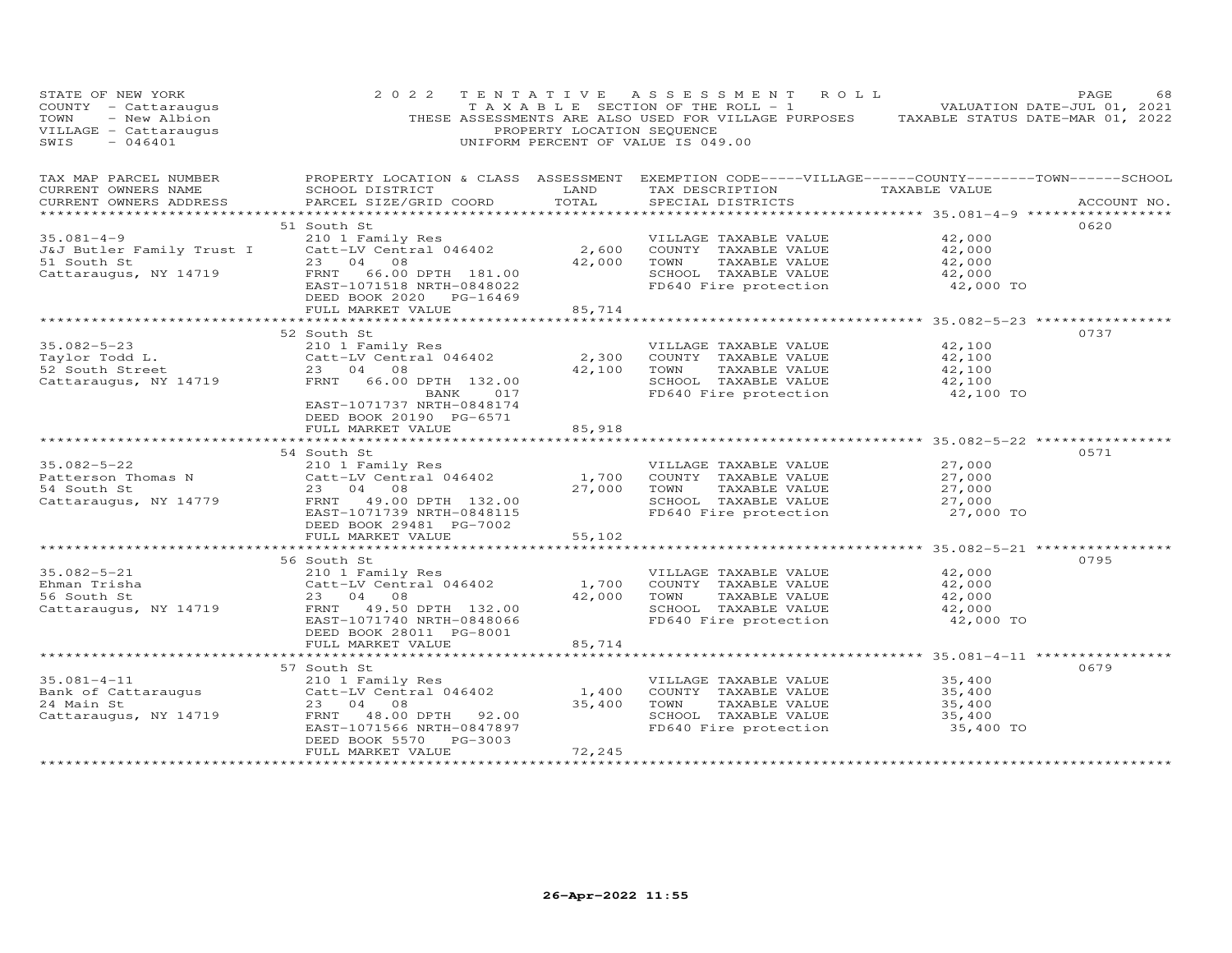| STATE OF NEW YORK<br>COUNTY - Cattaraugus<br>- New Albion<br>TOWN<br>VILLAGE - Cattaraugus<br>$-046401$<br>SWIS                                  | 2 0 2 2                                                                                                                                                 | PROPERTY LOCATION SEQUENCE | TENTATIVE ASSESSMENT ROLL<br>TAXABLE SECTION OF THE ROLL - 1 VALUATION DATE-JUL 01, 2021<br>THESE ASSESSMENTS ARE ALSO USED FOR VILLAGE PURPOSES TAXABLE STATUS DATE-MAR 01, 2022<br>UNIFORM PERCENT OF VALUE IS 049.00 |                                                   | PAGE<br>68  |
|--------------------------------------------------------------------------------------------------------------------------------------------------|---------------------------------------------------------------------------------------------------------------------------------------------------------|----------------------------|-------------------------------------------------------------------------------------------------------------------------------------------------------------------------------------------------------------------------|---------------------------------------------------|-------------|
| TAX MAP PARCEL NUMBER<br>CURRENT OWNERS NAME<br>CURRENT OWNERS ADDRESS                                                                           | SCHOOL DISTRICT<br>PARCEL SIZE/GRID COORD                                                                                                               | LAND<br>TOTAL              | PROPERTY LOCATION & CLASS ASSESSMENT EXEMPTION CODE-----VILLAGE------COUNTY-------TOWN------SCHOOL<br>TAX DESCRIPTION TAXABLE VALUE<br>SPECIAL DISTRICTS                                                                |                                                   | ACCOUNT NO. |
| $35.081 - 4 - 9$<br>J&J Butler Family Trust I Catt-LV Central 046402<br>51 South St<br>Cattaraugus, NY 14719                                     | 51 South St<br>210 1 Family Res<br>23 04 08<br>EAST-1071518 NRTH-0848022<br>DEED BOOK 2020 PG-16469<br>FULL MARKET VALUE                                | 2,600<br>42,000<br>85,714  | VILLAGE TAXABLE VALUE<br>COUNTY TAXABLE VALUE<br>TOWN<br>TAXABLE VALUE<br>SCHOOL TAXABLE VALUE<br>FD640 Fire protection                                                                                                 | 42,000<br>42,000<br>42,000<br>42,000<br>42,000 TO | 0620        |
|                                                                                                                                                  |                                                                                                                                                         |                            |                                                                                                                                                                                                                         |                                                   |             |
| $35.082 - 5 - 23$<br>Taylor Todd L.<br>52 South Street<br>Cattaraugus, NY 14719                                                                  | 52 South St<br>210 1 Family Res<br>Catt-LV Central 046402<br>23 04 08<br>FRNT 66.00 DPTH 132.00<br>BANK<br>017                                          | 2,300<br>42,100            | VILLAGE TAXABLE VALUE<br>COUNTY TAXABLE VALUE<br>TAXABLE VALUE<br>TOWN<br>SCHOOL TAXABLE VALUE<br>FD640 Fire protection                                                                                                 | 42,100<br>42,100<br>42,100<br>42,100<br>42,100 TO | 0737        |
|                                                                                                                                                  | EAST-1071737 NRTH-0848174<br>DEED BOOK 20190 PG-6571<br>FULL MARKET VALUE                                                                               | 85,918<br>**********       |                                                                                                                                                                                                                         | **************** 35.082-5-22 *********            |             |
| $35.082 - 5 - 22$<br>Patterson Thomas N<br>54 South St<br>Cattaraugus, NY 14779                                                                  | 54 South St<br>210 1 Family Res<br>Catt-LV Central 046402<br>23 04 08<br>FRNT 49.00 DPTH 132.00<br>EAST-1071739 NRTH-0848115<br>DEED BOOK 29481 PG-7002 | 1,700<br>27,000            | VILLAGE TAXABLE VALUE<br>COUNTY TAXABLE VALUE<br>TOWN<br>TAXABLE VALUE<br>SCHOOL TAXABLE VALUE<br>FD640 Fire protection 27,000 TO                                                                                       | 27,000<br>27,000<br>27,000<br>27,000              | 0571        |
|                                                                                                                                                  | FULL MARKET VALUE                                                                                                                                       | 55,102                     |                                                                                                                                                                                                                         |                                                   |             |
| $35.082 - 5 - 21$<br>Ehman Trisha<br>56 South St<br>Cattaraugus, NY 14719                                                                        | 56 South St<br>210 1 Family Res<br>Catt-LV Central 046402<br>23 04 08<br>FRNT 49.50 DPTH 132.00<br>EAST-1071740 NRTH-0848066<br>DEED BOOK 28011 PG-8001 | 1,700<br>42,000            | VILLAGE TAXABLE VALUE<br>COUNTY TAXABLE VALUE<br>TOWN<br>TAXABLE VALUE<br>SCHOOL TAXABLE VALUE<br>FD640 Fire protection                                                                                                 | 42,000<br>42,000<br>42,000<br>42,000<br>42,000 TO | 0795        |
|                                                                                                                                                  | FULL MARKET VALUE                                                                                                                                       | 85,714                     |                                                                                                                                                                                                                         |                                                   |             |
| 35.081-4-11 210 1 Family Res<br>Bank of Cattaraugus catt-LV Central 046402<br>24 Main St 23 04 08<br>Cattaraugus, NY 14719 FRNT 48.00 DPTH 92.00 | 57 South St<br>EAST-1071566 NRTH-0847897<br>DEED BOOK 5570 PG-3003<br>FULL MARKET VALUE                                                                 | 1,400<br>35,400<br>72,245  | VILLAGE TAXABLE VALUE<br>COUNTY TAXABLE VALUE<br>TOWN<br>TAXABLE VALUE<br>SCHOOL TAXABLE VALUE<br>FD640 Fire protection                                                                                                 | 35,400<br>35,400<br>35,400<br>35,400<br>35,400 TO | 0679        |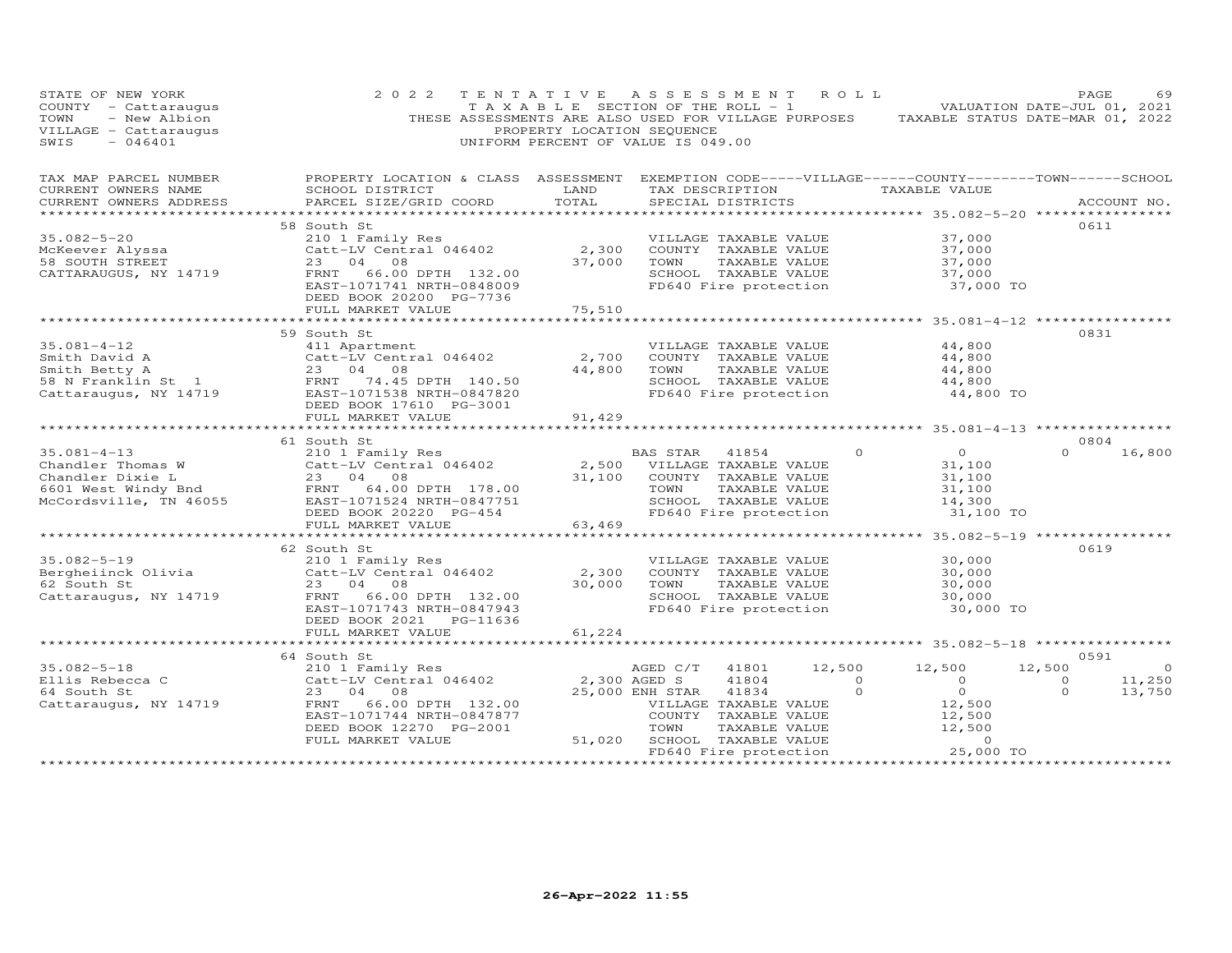| STATE OF NEW YORK<br>COUNTY - Cattaraugus<br>- New Albion<br>TOWN<br>VILLAGE - Cattaraugus<br>SWIS<br>$-046401$         | 2 0 2 2<br>THESE ASSESSMENTS ARE ALSO USED FOR VILLAGE PURPOSES                                                                                                                       | TENTATIVE ASSESSMENT ROLL<br>T A X A B L E SECTION OF THE ROLL - 1<br>PROPERTY LOCATION SEQUENCE<br>UNIFORM PERCENT OF VALUE IS 049.00 |                                                 |                                                                                                                 |                            | TAXABLE STATUS DATE-MAR 01, 2022                                                                                                           | PAGE<br>VALUATION DATE-JUL 01, 2021 | 69               |
|-------------------------------------------------------------------------------------------------------------------------|---------------------------------------------------------------------------------------------------------------------------------------------------------------------------------------|----------------------------------------------------------------------------------------------------------------------------------------|-------------------------------------------------|-----------------------------------------------------------------------------------------------------------------|----------------------------|--------------------------------------------------------------------------------------------------------------------------------------------|-------------------------------------|------------------|
| TAX MAP PARCEL NUMBER<br>CURRENT OWNERS NAME<br>CURRENT OWNERS ADDRESS                                                  | PROPERTY LOCATION & CLASS ASSESSMENT<br>SCHOOL DISTRICT<br>PARCEL SIZE/GRID COORD                                                                                                     | LAND<br>TOTAL<br>*************                                                                                                         |                                                 | SPECIAL DISTRICTS                                                                                               |                            | EXEMPTION CODE-----VILLAGE------COUNTY-------TOWN------SCHOOL<br>TAX DESCRIPTION TAXABLE VALUE<br>*********** 35.082-5-20 **************** |                                     | ACCOUNT NO.      |
| $35.082 - 5 - 20$<br>McKeever Alyssa<br>58 SOUTH STREET<br>CATTARAUGUS, NY 14719                                        | 58 South St<br>210 1 Family Res<br>Catt-LV Central 046402<br>23<br>04<br>08<br>FRNT<br>66.00 DPTH 132.00<br>EAST-1071741 NRTH-0848009<br>DEED BOOK 20200 PG-7736<br>FULL MARKET VALUE | 2,300<br>37,000<br>75,510                                                                                                              | TOWN                                            | VILLAGE TAXABLE VALUE<br>COUNTY TAXABLE VALUE<br>TAXABLE VALUE<br>SCHOOL TAXABLE VALUE<br>FD640 Fire protection |                            | 37,000<br>37,000<br>37,000<br>37,000<br>37,000 TO                                                                                          | 0611                                |                  |
|                                                                                                                         |                                                                                                                                                                                       |                                                                                                                                        |                                                 |                                                                                                                 |                            |                                                                                                                                            |                                     |                  |
| $35.081 - 4 - 12$                                                                                                       | 59 South St<br>411 Apartment<br>Catt-LV Central 046402                                                                                                                                | 2,700<br>44,800                                                                                                                        | TOWN                                            | VILLAGE TAXABLE VALUE<br>COUNTY TAXABLE VALUE<br>TAXABLE VALUE<br>SCHOOL TAXABLE VALUE<br>FD640 Fire protection |                            | 44,800<br>44,800<br>44,800<br>44,800<br>44,800 TO                                                                                          | 0831                                |                  |
|                                                                                                                         | FULL MARKET VALUE                                                                                                                                                                     | 91,429                                                                                                                                 |                                                 |                                                                                                                 |                            |                                                                                                                                            |                                     |                  |
|                                                                                                                         | 61 South St                                                                                                                                                                           |                                                                                                                                        |                                                 |                                                                                                                 |                            |                                                                                                                                            | 0804                                |                  |
| $35.081 - 4 - 13$<br>Chandler Thomas W<br>andre DIX1e L<br>6601 West Windy Bnd<br>McCordewill<br>McCordsville, TN 46055 | 210 1 Family Res<br>Catt-LV Central 046402<br>23 04 08<br>64.00 DPTH 178.00<br>FRNT<br>EAST-1071524 NRTH-0847751<br>DEED BOOK 20220 PG-454                                            | 31,100                                                                                                                                 | BAS STAR<br>2,500 VILLAGE TAXABLE VALUE<br>TOWN | 41854<br>COUNTY TAXABLE VALUE<br>TAXABLE VALUE<br>SCHOOL TAXABLE VALUE<br>FD640 Fire protection                 | $\circ$                    | $\overline{0}$<br>31,100<br>31,100<br>31,100<br>14,300<br>31,100 TO                                                                        | $\Omega$                            | 16,800           |
|                                                                                                                         | FULL MARKET VALUE                                                                                                                                                                     | 63,469                                                                                                                                 |                                                 |                                                                                                                 |                            |                                                                                                                                            |                                     |                  |
|                                                                                                                         | ***********************                                                                                                                                                               |                                                                                                                                        |                                                 |                                                                                                                 |                            |                                                                                                                                            |                                     |                  |
| $35.082 - 5 - 19$<br>Bergheiinck Olivia<br>62 South St<br>Cattaraugus, NY 14719                                         | 62 South St<br>210 1 Family Res<br>Catt-LV Central 046402<br>23<br>04 08<br>66.00 DPTH 132.00<br>FRNT<br>EAST-1071743 NRTH-0847943<br>DEED BOOK 2021<br>PG-11636                      | 2,300<br>30,000                                                                                                                        | TOWN                                            | VILLAGE TAXABLE VALUE<br>COUNTY TAXABLE VALUE<br>TAXABLE VALUE<br>SCHOOL TAXABLE VALUE<br>FD640 Fire protection |                            | 30,000<br>30,000<br>30,000<br>30,000<br>30,000 TO                                                                                          | 0619                                |                  |
|                                                                                                                         | FULL MARKET VALUE<br>**********************                                                                                                                                           | 61,224                                                                                                                                 |                                                 |                                                                                                                 |                            | ************************ 35.082-5-18 **************                                                                                        |                                     |                  |
|                                                                                                                         | 64 South St                                                                                                                                                                           |                                                                                                                                        |                                                 |                                                                                                                 |                            |                                                                                                                                            | 0591                                |                  |
| $35.082 - 5 - 18$                                                                                                       | 210 1 Family Res                                                                                                                                                                      |                                                                                                                                        | AGED C/T                                        | 41801                                                                                                           | 12,500                     | 12,500                                                                                                                                     | 12,500                              | $\circ$          |
| Ellis Rebecca C<br>64 South St<br>Cattaraugus, NY 14719                                                                 | Catt-LV Central 046402<br>23 04 08<br>FRNT<br>66.00 DPTH 132.00                                                                                                                       | 2,300 AGED S                                                                                                                           | 25,000 ENH STAR                                 | 41804<br>41834<br>VILLAGE TAXABLE VALUE                                                                         | $\overline{0}$<br>$\Omega$ | $\circ$<br>$\circ$<br>12,500                                                                                                               | $\circ$<br>$\Omega$                 | 11,250<br>13,750 |
|                                                                                                                         | EAST-1071744 NRTH-0847877<br>DEED BOOK 12270 PG-2001<br>FULL MARKET VALUE                                                                                                             | 51,020                                                                                                                                 | TOWN                                            | COUNTY TAXABLE VALUE<br>TAXABLE VALUE<br>SCHOOL TAXABLE VALUE<br>FD640 Fire protection                          |                            | 12,500<br>12,500<br>$\circ$<br>25,000 TO                                                                                                   | ***************                     |                  |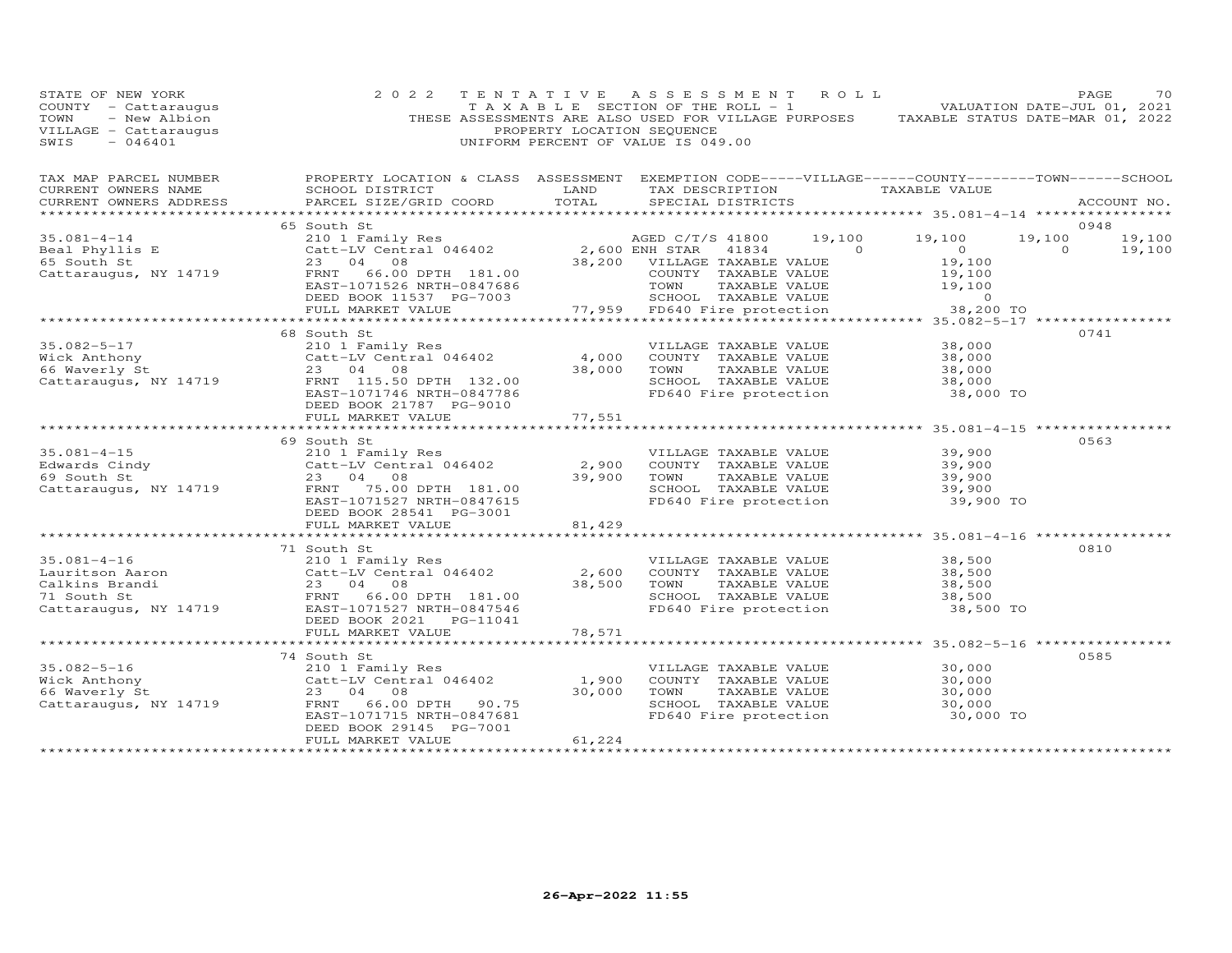| STATE OF NEW YORK<br>COUNTY - Cattaraugus<br>TOWN<br>- New Albion<br>VILLAGE - Cattaraugus<br>$-046401$<br>SWIS | 2 0 2 2                                                                                                                                                                                                                                                                                                                                | PROPERTY LOCATION SEQUENCE | TENTATIVE ASSESSMENT ROLL<br>TAXABLE SECTION OF THE ROLL - 1 VALUATION DATE-JUL 01, 2021<br>THESE ASSESSMENTS ARE ALSO USED FOR VILLAGE PURPOSES TAXABLE STATUS DATE-MAR 01, 2022<br>UNIFORM PERCENT OF VALUE IS 049.00 |                               | PAGE<br>70       |
|-----------------------------------------------------------------------------------------------------------------|----------------------------------------------------------------------------------------------------------------------------------------------------------------------------------------------------------------------------------------------------------------------------------------------------------------------------------------|----------------------------|-------------------------------------------------------------------------------------------------------------------------------------------------------------------------------------------------------------------------|-------------------------------|------------------|
| CURRENT OWNERS NAME                                                                                             | TAX MAP PARCEL NUMBER FROPERTY LOCATION & CLASS ASSESSMENT EXEMPTION CODE-----VILLAGE------COUNTY-------TOWN-----SCHOOL                                                                                                                                                                                                                |                            | SCHOOL DISTRICT                       LAND         TAX DESCRIPTION                   TAXABLE VALUE                                                                                                                      |                               |                  |
| CURRENT OWNERS ADDRESS                                                                                          | PARCEL SIZE/GRID COORD                                                                                                                                                                                                                                                                                                                 | TOTAL                      | SPECIAL DISTRICTS                                                                                                                                                                                                       |                               | ACCOUNT NO.      |
|                                                                                                                 | 65 South St                                                                                                                                                                                                                                                                                                                            |                            |                                                                                                                                                                                                                         |                               | 0948             |
|                                                                                                                 | $\begin{array}{cccccccc} 35.081-4-14 & 65 & 8outh & 55 & 8outh & 55 & 8outh & 55 & 8outh & 55 & 8outh & 55 & 8outh & 55 & 8outh & 55 & 8outh & 55 & 8outh & 55 & 8outh & 55 & 8outh & 55 & 8outh & 55 & 8outh & 55 & 8outh & 55 & 8outh & 55 & 8outh & 55 & 8outh & 55 & 8outh & 55 & 8outh & 55 & 8outh & 55 & 8outh & 55 & 8outh & $ |                            |                                                                                                                                                                                                                         |                               | 19,100<br>19,100 |
|                                                                                                                 |                                                                                                                                                                                                                                                                                                                                        |                            |                                                                                                                                                                                                                         | $\overline{0}$                | 19,100           |
|                                                                                                                 |                                                                                                                                                                                                                                                                                                                                        |                            |                                                                                                                                                                                                                         |                               |                  |
|                                                                                                                 |                                                                                                                                                                                                                                                                                                                                        |                            |                                                                                                                                                                                                                         |                               |                  |
|                                                                                                                 |                                                                                                                                                                                                                                                                                                                                        |                            |                                                                                                                                                                                                                         |                               |                  |
|                                                                                                                 |                                                                                                                                                                                                                                                                                                                                        |                            |                                                                                                                                                                                                                         |                               |                  |
|                                                                                                                 |                                                                                                                                                                                                                                                                                                                                        |                            |                                                                                                                                                                                                                         |                               |                  |
|                                                                                                                 | 68 South St                                                                                                                                                                                                                                                                                                                            |                            |                                                                                                                                                                                                                         |                               | 0741             |
| $35.082 - 5 - 17$                                                                                               | 210 1 Family Res                                                                                                                                                                                                                                                                                                                       |                            | VILLAGE TAXABLE VALUE                                                                                                                                                                                                   | 38,000<br>38,000              |                  |
|                                                                                                                 | 210 1 Family Res<br>Catt-LV Central 046402<br>23   04   08                                                                                                                                                                                                                                                                             |                            | 4,000 COUNTY TAXABLE VALUE                                                                                                                                                                                              |                               |                  |
|                                                                                                                 |                                                                                                                                                                                                                                                                                                                                        |                            | TAXABLE VALUE<br>38,000 TOWN                                                                                                                                                                                            | 38,000                        |                  |
|                                                                                                                 | USING Anthony<br>Wick Anthony<br>66 Waverly St 23 04 08<br>Cattaraugus, NY 14719<br>FRAT 1071746 NPTH-0847786                                                                                                                                                                                                                          |                            | SCHOOL TAXABLE VALUE                                                                                                                                                                                                    | 38,000<br>38,000 TO           |                  |
|                                                                                                                 | EAST-1071746 NRTH-0847786<br>DEED BOOK 21787 PG-9010                                                                                                                                                                                                                                                                                   |                            | FD640 Fire protection                                                                                                                                                                                                   |                               |                  |
|                                                                                                                 | FULL MARKET VALUE                                                                                                                                                                                                                                                                                                                      | 77,551                     |                                                                                                                                                                                                                         |                               |                  |
|                                                                                                                 |                                                                                                                                                                                                                                                                                                                                        |                            |                                                                                                                                                                                                                         |                               |                  |
|                                                                                                                 | 69 South St                                                                                                                                                                                                                                                                                                                            |                            |                                                                                                                                                                                                                         |                               | 0563             |
|                                                                                                                 |                                                                                                                                                                                                                                                                                                                                        |                            | VILLAGE TAXABLE VALUE                                                                                                                                                                                                   | $39,900$<br>$39,900$          |                  |
|                                                                                                                 |                                                                                                                                                                                                                                                                                                                                        |                            | 2,900 COUNTY TAXABLE VALUE                                                                                                                                                                                              |                               |                  |
|                                                                                                                 |                                                                                                                                                                                                                                                                                                                                        |                            | 39,900 TOWN<br>TAXABLE VALUE<br>SCHOOL TAXABLE VALUE                                                                                                                                                                    | 39,900                        |                  |
|                                                                                                                 | 35.081-4-15<br>Edwards Cindy<br>69 South St<br>Cattaraugus, NY 14719<br>Cattaraugus, NY 14719<br>Cattaraugus, NY 14719<br>Cattaraugus, NY 14719<br>Cattaraugus, NY 14719<br>CALLER CONSINUES<br>EAST-1071527 NRTH-0847615                                                                                                              |                            | FD640 Fire protection                                                                                                                                                                                                   | 39,900<br>39,900 TO           |                  |
|                                                                                                                 | DEED BOOK 28541 PG-3001                                                                                                                                                                                                                                                                                                                |                            |                                                                                                                                                                                                                         |                               |                  |
|                                                                                                                 | FULL MARKET VALUE                                                                                                                                                                                                                                                                                                                      | 81,429                     |                                                                                                                                                                                                                         |                               |                  |
|                                                                                                                 |                                                                                                                                                                                                                                                                                                                                        | **************             |                                                                                                                                                                                                                         |                               |                  |
|                                                                                                                 | 71 South St                                                                                                                                                                                                                                                                                                                            |                            |                                                                                                                                                                                                                         | $38,500$<br>$38,500$<br>$500$ | 0810             |
|                                                                                                                 |                                                                                                                                                                                                                                                                                                                                        |                            | VILLAGE TAXABLE VALUE                                                                                                                                                                                                   |                               |                  |
|                                                                                                                 |                                                                                                                                                                                                                                                                                                                                        | 2,600                      | COUNTY TAXABLE VALUE                                                                                                                                                                                                    |                               |                  |
|                                                                                                                 |                                                                                                                                                                                                                                                                                                                                        | 38,500                     | TOWN<br>TAXABLE VALUE<br>SCHOOL TAXABLE VALUE                                                                                                                                                                           | 38,500<br>38,500              |                  |
|                                                                                                                 | 35.081-4-16<br>Lauritson Aaron (210 1 Family Res<br>Calkins Brandi (23 04 08)<br>71 South St (23 04 08)<br>Cattaraugus, NY 14719 (23 04 08)<br>Cattaraugus, NY 14719 (27 NTH-0847546)                                                                                                                                                  |                            | FD640 Fire protection                                                                                                                                                                                                   | 38,500 TO                     |                  |
|                                                                                                                 | DEED BOOK 2021    PG-11041                                                                                                                                                                                                                                                                                                             |                            |                                                                                                                                                                                                                         |                               |                  |
|                                                                                                                 | FULL MARKET VALUE                                                                                                                                                                                                                                                                                                                      | 78,571                     |                                                                                                                                                                                                                         |                               |                  |
|                                                                                                                 | ****************************                                                                                                                                                                                                                                                                                                           |                            |                                                                                                                                                                                                                         |                               |                  |
|                                                                                                                 |                                                                                                                                                                                                                                                                                                                                        |                            |                                                                                                                                                                                                                         |                               | 0585             |
|                                                                                                                 | Wick Anthony<br>Wick Anthony<br>Example 210 1 Family Res<br>Cattaraugus, NY 14719<br>Cattaraugus, NY 14719<br>Cattaraugus, NY 14719<br>Cattaraugus, NY 14719<br>Cattaraugus, NY 14719<br>Cattaraugus, NY 14719                                                                                                                         |                            | VILLAGE TAXABLE VALUE                                                                                                                                                                                                   | 30,000                        |                  |
|                                                                                                                 |                                                                                                                                                                                                                                                                                                                                        |                            | 1,900 COUNTY TAXABLE VALUE                                                                                                                                                                                              | 30,000                        |                  |
|                                                                                                                 |                                                                                                                                                                                                                                                                                                                                        | 30,000                     | TOWN TAXABLE VALUE<br>SCHOOL TAXABLE VALUE                                                                                                                                                                              | 30,000                        |                  |
|                                                                                                                 |                                                                                                                                                                                                                                                                                                                                        |                            | FD640 Fire protection                                                                                                                                                                                                   | 30,000<br>30,000 TO           |                  |
|                                                                                                                 | DEED BOOK 29145 PG-7001                                                                                                                                                                                                                                                                                                                |                            |                                                                                                                                                                                                                         |                               |                  |
|                                                                                                                 | FULL MARKET VALUE                                                                                                                                                                                                                                                                                                                      | 61,224                     |                                                                                                                                                                                                                         |                               |                  |
|                                                                                                                 |                                                                                                                                                                                                                                                                                                                                        |                            |                                                                                                                                                                                                                         |                               |                  |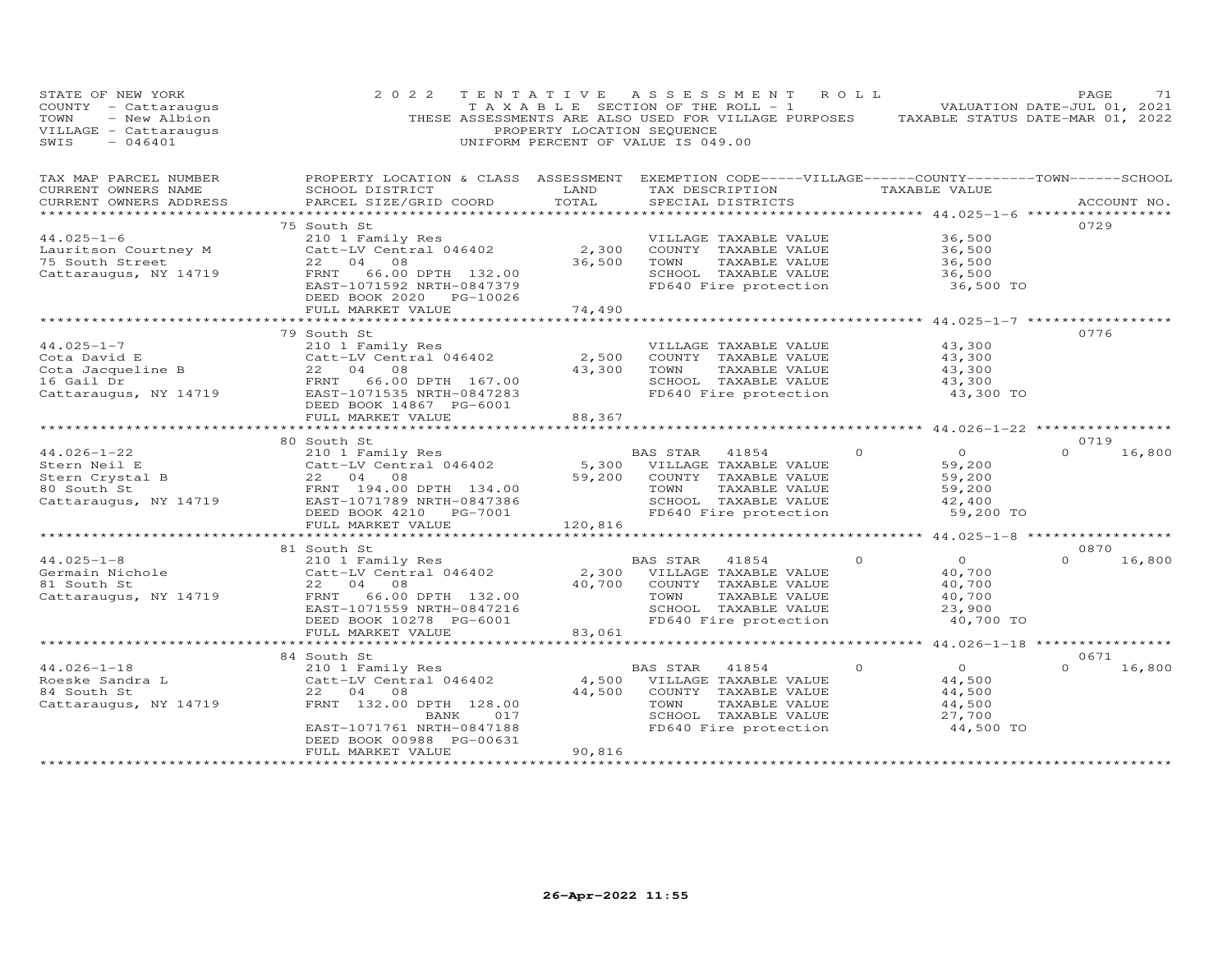| STATE OF NEW YORK<br>$COUNTY - Cattarauqus$<br>- New Albion<br>TOWN<br>VILLAGE - Cattaraugus<br>$-046401$<br>SWIS | 2 0 2 2                                                                                                                                                                                  | TENTATIVE<br>PROPERTY LOCATION SEQUENCE | ASSESSMENT ROLL<br>T A X A B L E SECTION OF THE ROLL - 1<br>THESE ASSESSMENTS ARE ALSO USED FOR VILLAGE PURPOSES TAXABLE STATUS DATE-MAR 01, 2022<br>UNIFORM PERCENT OF VALUE IS 049.00 |                                                                                | PAGE<br>71<br>VALUATION DATE-JUL 01, 2021 |
|-------------------------------------------------------------------------------------------------------------------|------------------------------------------------------------------------------------------------------------------------------------------------------------------------------------------|-----------------------------------------|-----------------------------------------------------------------------------------------------------------------------------------------------------------------------------------------|--------------------------------------------------------------------------------|-------------------------------------------|
| TAX MAP PARCEL NUMBER<br>CURRENT OWNERS NAME<br>CURRENT OWNERS ADDRESS                                            | PROPERTY LOCATION & CLASS ASSESSMENT EXEMPTION CODE-----VILLAGE------COUNTY-------TOWN------SCHOOL<br>SCHOOL DISTRICT<br>PARCEL SIZE/GRID COORD                                          | LAND<br>TOTAL<br>************           | TAX DESCRIPTION<br>SPECIAL DISTRICTS                                                                                                                                                    | TAXABLE VALUE<br>*********** 44.025-1-6 ****                                   | ACCOUNT NO.<br>************               |
| $44.025 - 1 - 6$<br>Lauritson Courtney M<br>75 South Street<br>Cattaraugus, NY 14719                              | 75 South St<br>210 1 Family Res<br>Catt-LV Central 046402<br>22 04 08<br>66.00 DPTH 132.00<br>FRNT<br>EAST-1071592 NRTH-0847379<br>DEED BOOK 2020 PG-10026<br>FULL MARKET VALUE          | 2,300<br>36,500<br>74,490               | VILLAGE TAXABLE VALUE<br>COUNTY TAXABLE VALUE<br>TOWN<br>TAXABLE VALUE<br>SCHOOL TAXABLE VALUE<br>FD640 Fire protection                                                                 | 36,500<br>36,500<br>36,500<br>36,500<br>36,500 TO                              | 0729                                      |
|                                                                                                                   | ******************************                                                                                                                                                           |                                         |                                                                                                                                                                                         |                                                                                |                                           |
| $44.025 - 1 - 7$<br>Cota David E<br>Cota Jacqueline B<br>16 Gail Dr<br>Cattaraugus, NY 14719                      | 79 South St<br>210 1 Family Res<br>Catt-LV Central 046402<br>22 04 08<br>FRNT<br>66.00 DPTH 167.00<br>EAST-1071535 NRTH-0847283<br>DEED BOOK 14867 PG-6001                               | 2,500<br>43,300                         | VILLAGE TAXABLE VALUE<br>COUNTY TAXABLE VALUE<br>TAXABLE VALUE<br>TOWN<br>SCHOOL TAXABLE VALUE<br>FD640 Fire protection                                                                 | 43,300<br>43,300<br>43,300<br>43,300<br>43,300 TO                              | 0776                                      |
|                                                                                                                   | FULL MARKET VALUE                                                                                                                                                                        | 88,367                                  |                                                                                                                                                                                         |                                                                                |                                           |
| $44.026 - 1 - 22$<br>Stern Neil E<br>Stern Crystal B<br>80 South St<br>Cattaraugus, NY 14719                      | 80 South St<br>South St<br>210 1 Family Res<br>Catt-LV Central 046402<br>22 04 08<br>FRNT 194.00 DPTH 134.00<br>EAST-1071789 NRTH-0847386<br>DEED BOOK 4210 PG-7001<br>FULL MARKET VALUE | 5,300<br>59,200<br>120,816              | BAS STAR<br>41854<br>VILLAGE TAXABLE VALUE<br>COUNTY TAXABLE VALUE<br>TOWN<br>TAXABLE VALUE<br>SCHOOL TAXABLE VALUE<br>FD640 Fire protection                                            | $\Omega$<br>$\Omega$<br>59,200<br>59,200<br>59,200<br>42,400<br>59,200 TO      | 0719<br>$\Omega$<br>16,800                |
|                                                                                                                   |                                                                                                                                                                                          |                                         |                                                                                                                                                                                         |                                                                                |                                           |
| $44.025 - 1 - 8$<br>Germain Nichole<br>81 South St<br>Cattaraugus, NY 14719                                       | 81 South St<br>210 1 Family Res<br>Catt-LV Central 046402<br>22 04 08<br>FRNT 66.00 DPTH 132.00<br>EAST-1071559 NRTH-0847216<br>DEED BOOK 10278 PG-6001<br>FULL MARKET VALUE             | 2,300<br>40,700<br>83,061               | BAS STAR<br>41854<br>VILLAGE TAXABLE VALUE<br>COUNTY TAXABLE VALUE<br>TOWN<br>TAXABLE VALUE<br>SCHOOL TAXABLE VALUE<br>FD640 Fire protection                                            | $\circ$<br>$\overline{O}$<br>40,700<br>40,700<br>40,700<br>23,900<br>40,700 TO | 0870<br>$\Omega$<br>16,800                |
|                                                                                                                   |                                                                                                                                                                                          |                                         |                                                                                                                                                                                         | ******************* 44.026-1-18 *****************                              |                                           |
| $44.026 - 1 - 18$<br>Roeske Sandra L<br>84 South St<br>Cattaraugus, NY 14719                                      | 84 South St<br>210 1 Family Res<br>Catt-LV Central 046402<br>22 04 08<br>FRNT 132.00 DPTH 128.00<br>BANK<br>017<br>EAST-1071761 NRTH-0847188<br>DEED BOOK 00988 PG-00631                 | 4,500<br>44,500                         | BAS STAR<br>41854<br>VILLAGE TAXABLE VALUE<br>COUNTY TAXABLE VALUE<br>TOWN<br>TAXABLE VALUE<br>SCHOOL TAXABLE VALUE<br>FD640 Fire protection                                            | $\Omega$<br>$\Omega$<br>44,500<br>44,500<br>44,500<br>27,700<br>44,500 TO      | 0671<br>$\Omega$<br>16,800                |
|                                                                                                                   | FULL MARKET VALUE                                                                                                                                                                        | 90,816                                  |                                                                                                                                                                                         |                                                                                |                                           |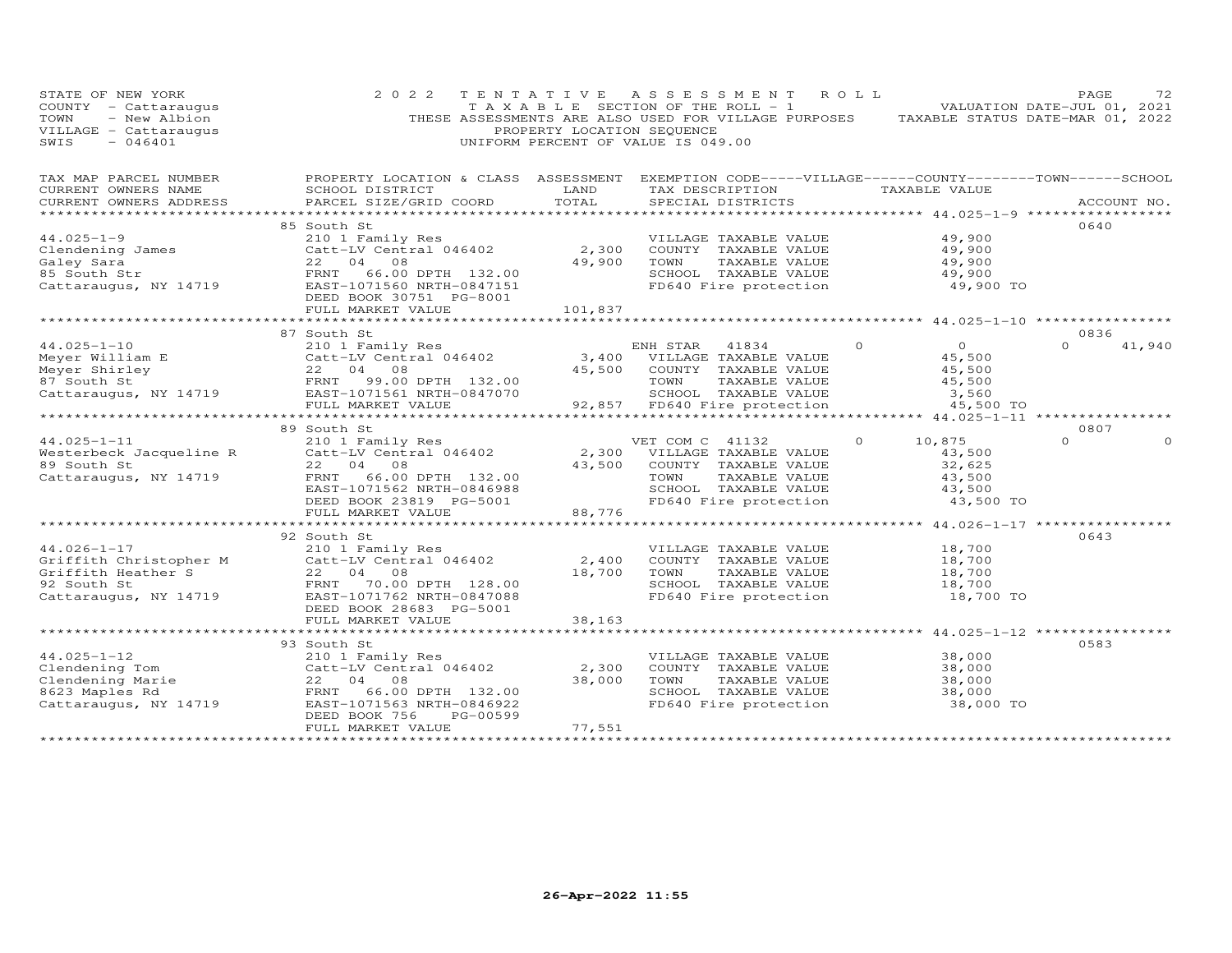| STATE OF NEW YORK<br>COUNTY - Cattaraugus<br>- New Albion<br>TOWN<br>VILLAGE - Cattaraugus<br>SWIS<br>$-046401$                                                       | 2 0 2 2                                                                                                               | PROPERTY LOCATION SEQUENCE | TENTATIVE ASSESSMENT ROLL<br>T A X A B L E SECTION OF THE ROLL - 1<br>THESE ASSESSMENTS ARE ALSO USED FOR VILLAGE PURPOSES TAXABLE STATUS DATE-MAR 01, 2022<br>UNIFORM PERCENT OF VALUE IS 049.00 |                            | PAGE<br>72<br>VALUATION DATE-JUL 01, 2021 |
|-----------------------------------------------------------------------------------------------------------------------------------------------------------------------|-----------------------------------------------------------------------------------------------------------------------|----------------------------|---------------------------------------------------------------------------------------------------------------------------------------------------------------------------------------------------|----------------------------|-------------------------------------------|
| TAX MAP PARCEL NUMBER<br>CURRENT OWNERS NAME                                                                                                                          | PROPERTY LOCATION & CLASS ASSESSMENT EXEMPTION CODE-----VILLAGE------COUNTY-------TOWN------SCHOOL<br>SCHOOL DISTRICT | LAND                       | TAX DESCRIPTION TAXABLE VALUE                                                                                                                                                                     |                            |                                           |
| CURRENT OWNERS ADDRESS                                                                                                                                                | PARCEL SIZE/GRID COORD                                                                                                | TOTAL                      | SPECIAL DISTRICTS                                                                                                                                                                                 |                            | ACCOUNT NO.                               |
|                                                                                                                                                                       |                                                                                                                       |                            |                                                                                                                                                                                                   |                            | 0640                                      |
|                                                                                                                                                                       |                                                                                                                       |                            | VILLAGE TAXABLE VALUE                                                                                                                                                                             | 49,900                     |                                           |
|                                                                                                                                                                       |                                                                                                                       | 2,300                      | COUNTY TAXABLE VALUE                                                                                                                                                                              | 49,900                     |                                           |
|                                                                                                                                                                       |                                                                                                                       | 49,900                     | TOWN<br>TAXABLE VALUE                                                                                                                                                                             | 49,900                     |                                           |
|                                                                                                                                                                       |                                                                                                                       |                            | SCHOOL TAXABLE VALUE                                                                                                                                                                              | 49,900                     |                                           |
| Clendening James<br>Clendening James<br>Clendening James<br>Caley Sara<br>85 South Str<br>Cattaraugus, NY 14719<br>Cattaraugus, NY 14719<br>EAST-1071560 NRTH-0847151 |                                                                                                                       |                            | FD640 Fire protection                                                                                                                                                                             | 49,900 TO                  |                                           |
|                                                                                                                                                                       | FULL MARKET VALUE                                                                                                     | 101,837                    |                                                                                                                                                                                                   |                            |                                           |
|                                                                                                                                                                       |                                                                                                                       |                            |                                                                                                                                                                                                   |                            |                                           |
|                                                                                                                                                                       | 87 South St                                                                                                           |                            |                                                                                                                                                                                                   |                            | 0836<br>$\Omega$                          |
| $44.025 - 1 - 10$<br>44.025-1-10<br>Meyer William E<br>Meyer Shirley<br>87 South St<br>Cattaraugus, NY 14719<br>Cattaraugus, NY 14719<br>FULL MARKET VALUE            | 210 1 Family Res                                                                                                      |                            | ENH STAR 41834                                                                                                                                                                                    | $\overline{O}$<br>$\Omega$ | 41,940                                    |
|                                                                                                                                                                       |                                                                                                                       |                            | 3,400 VILLAGE TAXABLE VALUE                                                                                                                                                                       | 45,500                     |                                           |
|                                                                                                                                                                       |                                                                                                                       |                            | 45,500 COUNTY TAXABLE VALUE                                                                                                                                                                       | 45,500                     |                                           |
|                                                                                                                                                                       |                                                                                                                       |                            | TOWN<br>TAXABLE VALUE<br>SCHOOL TAXABLE VALUE                                                                                                                                                     | 45,500                     |                                           |
|                                                                                                                                                                       |                                                                                                                       |                            |                                                                                                                                                                                                   | 3,560                      |                                           |
|                                                                                                                                                                       | FULL MARKET VALUE                                                                                                     |                            | 92,857 FD640 Fire protection                                                                                                                                                                      | 45,500 TO                  |                                           |
|                                                                                                                                                                       | 89 South St                                                                                                           |                            |                                                                                                                                                                                                   |                            | 0807                                      |
| $44.025 - 1 - 11$                                                                                                                                                     |                                                                                                                       |                            |                                                                                                                                                                                                   | $\circ$<br>10,875          | $\Omega$                                  |
| Westerbeck Jacqueline R                                                                                                                                               | 210 1 Family Res<br>Catt-LV Central 046402 2,300 VILLAGE TAXABLE VALUE<br>22 04 08 43,500 COUNTY TAXABLE VALUE        |                            |                                                                                                                                                                                                   | 43,500                     |                                           |
| 89 South St                                                                                                                                                           | 22 04 08                                                                                                              |                            | 43,500 COUNTY TAXABLE VALUE                                                                                                                                                                       | 32,625                     |                                           |
| Cattaraugus, NY 14719                                                                                                                                                 | FRNT                                                                                                                  |                            | TOWN<br>TAXABLE VALUE                                                                                                                                                                             | 43,500                     |                                           |
|                                                                                                                                                                       | EAST-1071562 NRTH-0846988                                                                                             |                            |                                                                                                                                                                                                   | 43,500                     |                                           |
|                                                                                                                                                                       | DEED BOOK 23819 PG-5001                                                                                               |                            | SCHOOL TAXABLE VALUE<br>FD640 Fire protection                                                                                                                                                     | 43,500 TO                  |                                           |
|                                                                                                                                                                       | 4 00<br>06.00 DPTH 132.00<br>071562 NRTH-0846988<br>OOK 23819 PG-5001 88,776<br>FULL MARKET VALUE                     |                            |                                                                                                                                                                                                   |                            |                                           |
|                                                                                                                                                                       |                                                                                                                       |                            |                                                                                                                                                                                                   |                            |                                           |
|                                                                                                                                                                       | 92 South St                                                                                                           |                            |                                                                                                                                                                                                   |                            | 0643                                      |
| $44.026 - 1 - 17$                                                                                                                                                     | 210 1 Family Res                                                                                                      |                            | VILLAGE TAXABLE VALUE                                                                                                                                                                             | 18,700                     |                                           |
|                                                                                                                                                                       |                                                                                                                       | 2,400                      | COUNTY TAXABLE VALUE                                                                                                                                                                              | 18,700                     |                                           |
|                                                                                                                                                                       |                                                                                                                       | 18,700                     | TOWN<br>TAXABLE VALUE                                                                                                                                                                             | 18,700                     |                                           |
|                                                                                                                                                                       |                                                                                                                       |                            | SCHOOL TAXABLE VALUE                                                                                                                                                                              | 18,700                     |                                           |
| Catt-LV Central 046402<br>Catt-LV Central 046402<br>Griffith Heather S<br>22 04 08<br>92 South St<br>Cattaraugus, NY 14719<br>EAST-1071762 NRTH-0847088               |                                                                                                                       |                            | FD640 Fire protection                                                                                                                                                                             | 18,700 TO                  |                                           |
|                                                                                                                                                                       | DEED BOOK 28683 PG-5001                                                                                               |                            |                                                                                                                                                                                                   |                            |                                           |
|                                                                                                                                                                       | FULL MARKET VALUE                                                                                                     | 38,163                     |                                                                                                                                                                                                   |                            |                                           |
|                                                                                                                                                                       |                                                                                                                       |                            |                                                                                                                                                                                                   |                            |                                           |
|                                                                                                                                                                       | 93 South St                                                                                                           |                            |                                                                                                                                                                                                   |                            | 0583                                      |
| $44.025 - 1 - 12$<br>44.025-1-12<br>Clendening Tom Clendening Marie<br>8623 Maples Rd 22 04 08<br>Cattaraugus, NY 14719 EAST-1071563 NRTH-0846922                     | 210 1 Family Res                                                                                                      |                            | VILLAGE TAXABLE VALUE                                                                                                                                                                             | 38,000                     |                                           |
|                                                                                                                                                                       |                                                                                                                       | 2,300                      | COUNTY TAXABLE VALUE                                                                                                                                                                              | 38,000                     |                                           |
|                                                                                                                                                                       |                                                                                                                       | 38,000                     | TAXABLE VALUE<br>TOWN                                                                                                                                                                             | 38,000                     |                                           |
|                                                                                                                                                                       |                                                                                                                       |                            | SCHOOL TAXABLE VALUE                                                                                                                                                                              | 38,000                     |                                           |
|                                                                                                                                                                       |                                                                                                                       |                            | FD640 Fire protection                                                                                                                                                                             | 38,000 TO                  |                                           |
|                                                                                                                                                                       | DEED BOOK 756<br>PG-00599                                                                                             |                            |                                                                                                                                                                                                   |                            |                                           |
|                                                                                                                                                                       | FULL MARKET VALUE                                                                                                     | 77,551                     |                                                                                                                                                                                                   |                            |                                           |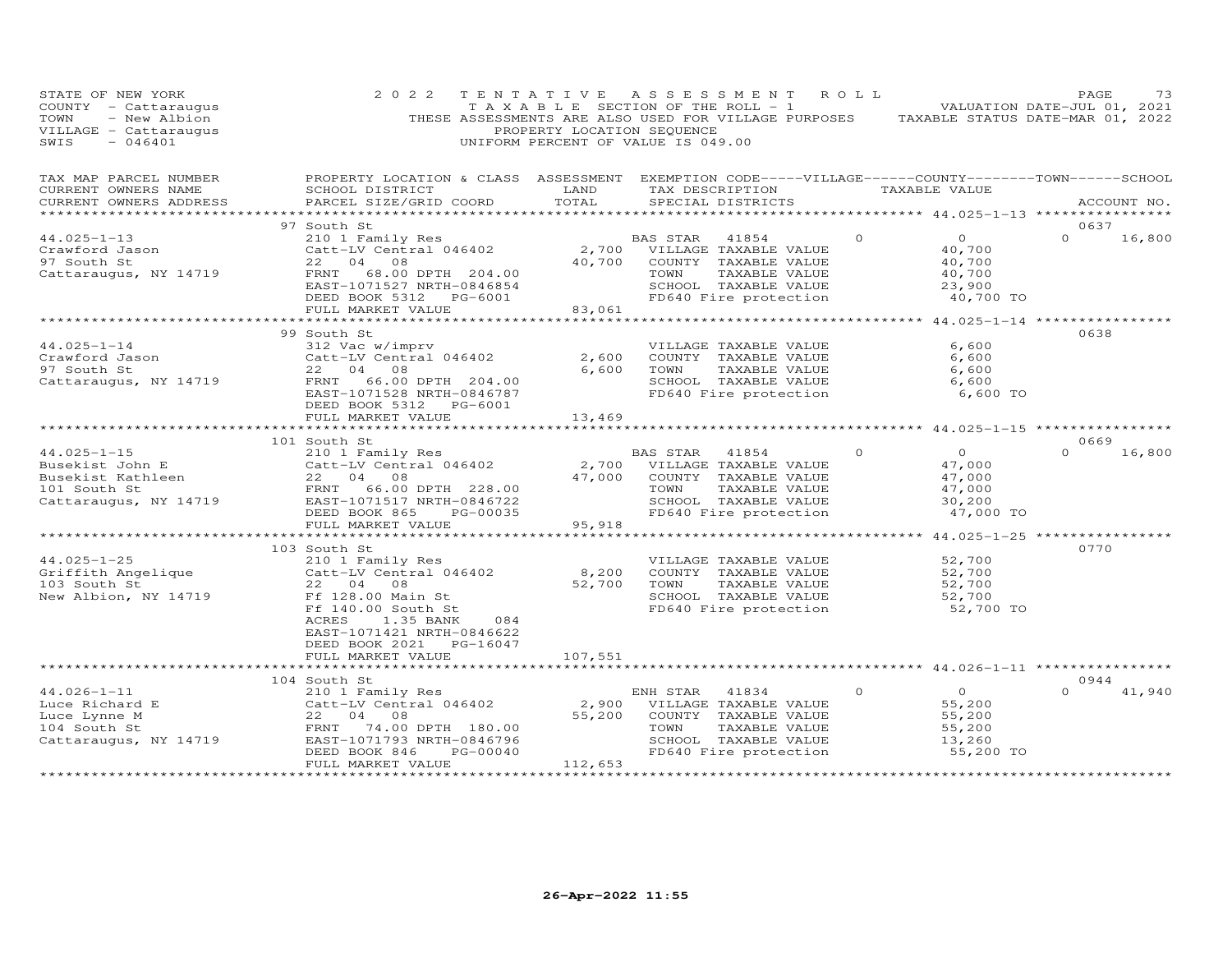| STATE OF NEW YORK<br>COUNTY - Cattaraugus<br>- New Albion<br>TOWN<br>VILLAGE - Cattaraugus<br>SWIS<br>$-046401$ | 2 0 2 2                                                                                                                                          | PROPERTY LOCATION SEQUENCE                     | TENTATIVE ASSESSMENT ROLL<br>T A X A B L E SECTION OF THE ROLL - 1<br>THESE ASSESSMENTS ARE ALSO USED FOR VILLAGE PURPOSES TAXABLE STATUS DATE-MAR 01, 2022<br>UNIFORM PERCENT OF VALUE IS 049.00 |                            | PAGE<br>73<br>VALUATION DATE-JUL 01, 2021  |
|-----------------------------------------------------------------------------------------------------------------|--------------------------------------------------------------------------------------------------------------------------------------------------|------------------------------------------------|---------------------------------------------------------------------------------------------------------------------------------------------------------------------------------------------------|----------------------------|--------------------------------------------|
| TAX MAP PARCEL NUMBER<br>CURRENT OWNERS NAME<br>CURRENT OWNERS ADDRESS                                          | PROPERTY LOCATION & CLASS ASSESSMENT EXEMPTION CODE-----VILLAGE------COUNTY--------TOWN------SCHOOL<br>SCHOOL DISTRICT<br>PARCEL SIZE/GRID COORD | LAND<br>TOTAL                                  | TAX DESCRIPTION TAXABLE VALUE<br>SPECIAL DISTRICTS                                                                                                                                                |                            | ACCOUNT NO.                                |
|                                                                                                                 | 97 South St                                                                                                                                      |                                                |                                                                                                                                                                                                   |                            | 0637                                       |
| $44.025 - 1 - 13$                                                                                               | 210 1 Family Res                                                                                                                                 |                                                | BAS STAR<br>41854                                                                                                                                                                                 | $\Omega$<br>$\overline{O}$ | $\Omega$<br>16,800                         |
| Crawford Jason                                                                                                  | Catt-LV Central 046402                                                                                                                           |                                                | 2,700 VILLAGE TAXABLE VALUE                                                                                                                                                                       | 40,700                     |                                            |
| 97 South St                                                                                                     | 22 04 08                                                                                                                                         | 40,700                                         | COUNTY TAXABLE VALUE                                                                                                                                                                              | 40,700                     |                                            |
| Cattaraugus, NY 14719                                                                                           | FRNT<br>68.00 DPTH 204.00                                                                                                                        |                                                | TOWN<br>TAXABLE VALUE                                                                                                                                                                             | 40,700                     |                                            |
|                                                                                                                 | EAST-1071527 NRTH-0846854<br>DEED BOOK 5312 PG-6001                                                                                              |                                                | SCHOOL TAXABLE VALUE<br>FD640 Fire protection                                                                                                                                                     | 23,900                     | 40,700 TO                                  |
|                                                                                                                 | FULL MARKET VALUE                                                                                                                                | 83,061                                         |                                                                                                                                                                                                   |                            |                                            |
|                                                                                                                 |                                                                                                                                                  |                                                | ************************************* 44.025-1-14 ***************                                                                                                                                 |                            |                                            |
|                                                                                                                 | 99 South St                                                                                                                                      |                                                |                                                                                                                                                                                                   |                            | 0638                                       |
| $44.025 - 1 - 14$                                                                                               | 312 Vac w/imprv                                                                                                                                  |                                                | VILLAGE TAXABLE VALUE                                                                                                                                                                             |                            | 6,600                                      |
| Crawford Jason                                                                                                  | Catt-LV Central 046402                                                                                                                           | 2,600                                          | COUNTY TAXABLE VALUE                                                                                                                                                                              |                            | 6,600                                      |
| 97 South St                                                                                                     | 22 04 08<br>FRNT<br>66.00 DPTH 204.00                                                                                                            | 6,600                                          | TOWN<br>TAXABLE VALUE<br>SCHOOL TAXABLE VALUE                                                                                                                                                     |                            | 6,600<br>6,600                             |
| Cattaraugus, NY 14719                                                                                           | EAST-1071528 NRTH-0846787                                                                                                                        |                                                | FD640 Fire protection                                                                                                                                                                             |                            | 6,600 TO                                   |
|                                                                                                                 | DEED BOOK 5312 PG-6001                                                                                                                           |                                                |                                                                                                                                                                                                   |                            |                                            |
|                                                                                                                 | FULL MARKET VALUE                                                                                                                                | 13,469                                         |                                                                                                                                                                                                   |                            |                                            |
|                                                                                                                 | *******************************                                                                                                                  |                                                |                                                                                                                                                                                                   |                            |                                            |
|                                                                                                                 | 101 South St                                                                                                                                     |                                                |                                                                                                                                                                                                   |                            | 0669                                       |
| $44.025 - 1 - 15$                                                                                               | 210 1 Family Res                                                                                                                                 |                                                | BAS STAR<br>41854                                                                                                                                                                                 | $\Omega$                   | $\overline{O}$<br>$\Omega$<br>16,800       |
| Busekist John E                                                                                                 | Catt-LV Central 046402<br>22 04 08                                                                                                               | 2,700<br>47,000                                | VILLAGE TAXABLE VALUE<br>COUNTY TAXABLE VALUE                                                                                                                                                     | 47,000<br>47,000           |                                            |
| Busekist John E<br>Busekist Kathleen<br>101 South St<br>101 South St                                            | FRNT 66.00 DPTH 228.00                                                                                                                           |                                                | TAXABLE VALUE<br>TOWN                                                                                                                                                                             | 47,000                     |                                            |
| Cattaraugus, NY 14719                                                                                           | EAST-1071517 NRTH-0846722                                                                                                                        |                                                | SCHOOL TAXABLE VALUE                                                                                                                                                                              | 30,200                     |                                            |
|                                                                                                                 | DEED BOOK 865<br>PG-00035                                                                                                                        |                                                | FD640 Fire protection                                                                                                                                                                             |                            | 47,000 TO                                  |
|                                                                                                                 | FULL MARKET VALUE                                                                                                                                | 95,918                                         |                                                                                                                                                                                                   |                            |                                            |
|                                                                                                                 | **************************                                                                                                                       |                                                | **********************                                                                                                                                                                            |                            | ************* 44.025-1-25 **************** |
|                                                                                                                 | 103 South St                                                                                                                                     |                                                |                                                                                                                                                                                                   |                            | 0770                                       |
| $44.025 - 1 - 25$                                                                                               | 210 1 Family Res<br>Catt-LV Central 046402                                                                                                       | 8,200                                          | VILLAGE TAXABLE VALUE<br>COUNTY TAXABLE VALUE                                                                                                                                                     | 52,700<br>52,700           |                                            |
| 44.025-1-25<br>Griffith Angelique<br>103 South St<br>103 South St                                               | 22 04 08                                                                                                                                         | 52,700                                         | TOWN<br>TAXABLE VALUE                                                                                                                                                                             | 52,700                     |                                            |
| New Albion, NY 14719                                                                                            | Ff 128.00 Main St                                                                                                                                |                                                | SCHOOL TAXABLE VALUE                                                                                                                                                                              | 52,700                     |                                            |
|                                                                                                                 | Ff 140.00 South St                                                                                                                               |                                                | FD640 Fire protection                                                                                                                                                                             |                            | 52,700 TO                                  |
|                                                                                                                 | ACRES<br>084<br>1.35 BANK                                                                                                                        |                                                |                                                                                                                                                                                                   |                            |                                            |
|                                                                                                                 | EAST-1071421 NRTH-0846622                                                                                                                        |                                                |                                                                                                                                                                                                   |                            |                                            |
|                                                                                                                 | DEED BOOK 2021 PG-16047                                                                                                                          |                                                |                                                                                                                                                                                                   |                            |                                            |
|                                                                                                                 | FULL MARKET VALUE<br>***************************                                                                                                 | 107,551<br>************                        |                                                                                                                                                                                                   |                            |                                            |
|                                                                                                                 | 104 South St                                                                                                                                     |                                                |                                                                                                                                                                                                   |                            | 0944                                       |
| $44.026 - 1 - 11$                                                                                               | 210 1 Family Res                                                                                                                                 |                                                | ENH STAR<br>41834                                                                                                                                                                                 | $\circ$<br>$\overline{0}$  | $\Omega$<br>41,940                         |
| Luce Richard E                                                                                                  | Catt-LV Central 046402                                                                                                                           | 2,900                                          | VILLAGE TAXABLE VALUE                                                                                                                                                                             | 55,200                     |                                            |
| Luce Lynne M                                                                                                    | 22 04 08                                                                                                                                         | 55,200                                         | COUNTY TAXABLE VALUE                                                                                                                                                                              | 55,200                     |                                            |
| 104 South St                                                                                                    | FRNT<br>74.00 DPTH 180.00                                                                                                                        |                                                | TOWN<br>TAXABLE VALUE                                                                                                                                                                             | 55,200                     |                                            |
| Cattaraugus, NY 14719                                                                                           | EAST-1071793 NRTH-0846796                                                                                                                        |                                                | SCHOOL TAXABLE VALUE                                                                                                                                                                              | 13,260                     |                                            |
|                                                                                                                 | DEED BOOK 846<br>PG-00040<br>FULL MARKET VALUE                                                                                                   |                                                | FD640 Fire protection                                                                                                                                                                             |                            | 55,200 TO                                  |
|                                                                                                                 | ***********************                                                                                                                          | 112,653<br>* * * * * * * * * * * * * * * * * * |                                                                                                                                                                                                   |                            |                                            |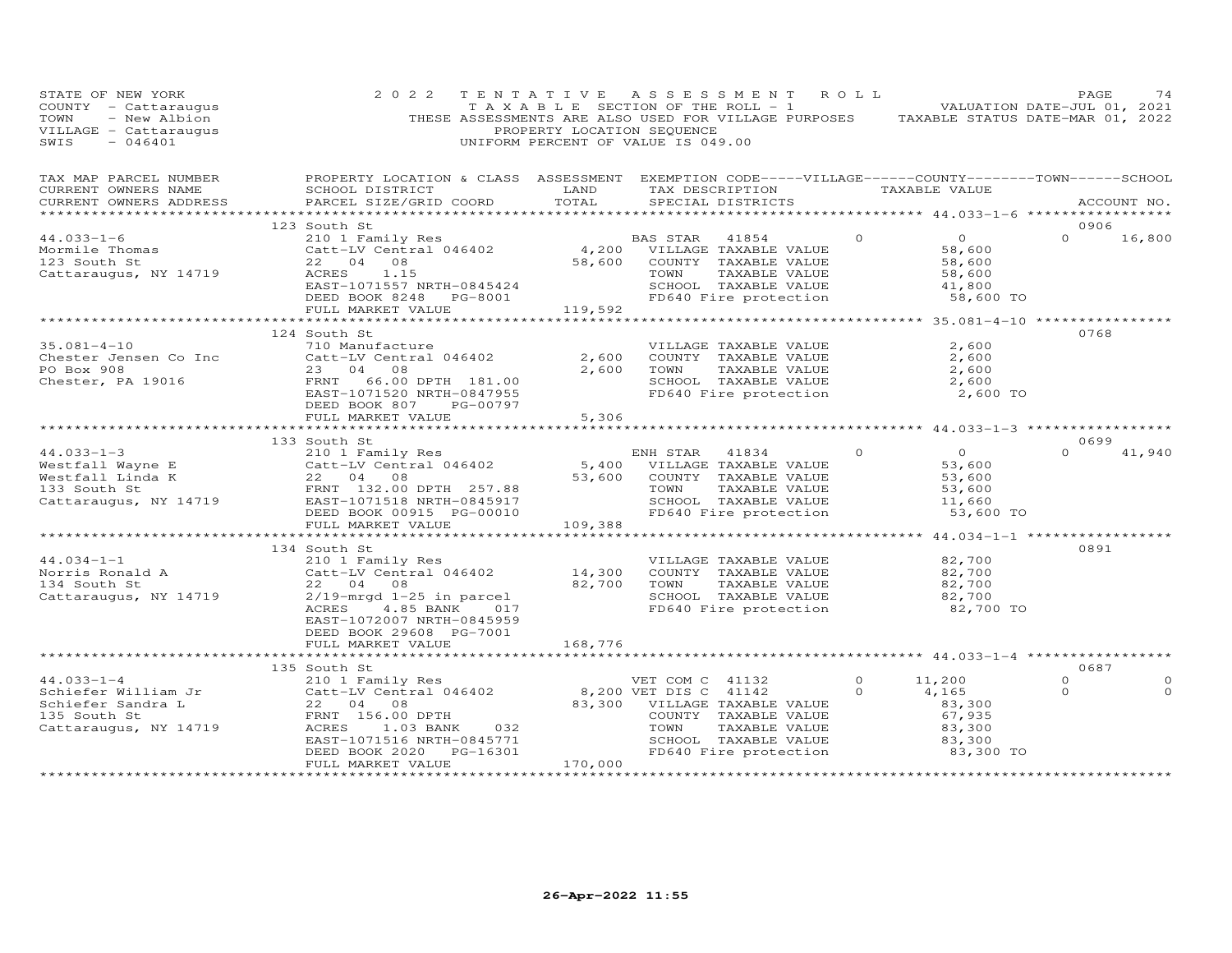| STATE OF NEW YORK<br>COUNTY - Cattaraugus<br>TOWN - New Albion<br>VILLAGE - Cattaraugus<br>----- - 046401                                                                                                                                                       | 2 0 2 2                                                                                                                                                                                                                                                                                                   | PROPERTY LOCATION SEQUENCE | TENTATIVE ASSESSMENT ROLL<br>TAXABLE SECTION OF THE ROLL - 1 VALUATION DATE-JUL 01, 2021<br>THESE ASSESSMENTS ARE ALSO USED FOR VILLAGE PURPOSES TAXABLE STATUS DATE-MAR 01, 2022<br>UNIFORM PERCENT OF VALUE IS 049.00 |                                                                          | PAGE<br>74                                     |
|-----------------------------------------------------------------------------------------------------------------------------------------------------------------------------------------------------------------------------------------------------------------|-----------------------------------------------------------------------------------------------------------------------------------------------------------------------------------------------------------------------------------------------------------------------------------------------------------|----------------------------|-------------------------------------------------------------------------------------------------------------------------------------------------------------------------------------------------------------------------|--------------------------------------------------------------------------|------------------------------------------------|
| TAX MAP PARCEL NUMBER BROPERTY LOCATION & CLASS ASSESSMENT EXEMPTION CODE-----VILLAGE------COUNTY--------TOWN------SCHOOL CURRENT OWNERS NAME SCHOOL DISTRICT LAND TAX DESCRIPTION TAXABLE VALUE<br>CURRENT OWNERS ADDRESS                                      | PARCEL SIZE/GRID COORD TOTAL SPECIAL DISTRICTS                                                                                                                                                                                                                                                            |                            | LAND TAX DESCRIPTION TAXABLE VALUE                                                                                                                                                                                      |                                                                          | ACCOUNT NO.                                    |
|                                                                                                                                                                                                                                                                 | 123 South St                                                                                                                                                                                                                                                                                              |                            |                                                                                                                                                                                                                         |                                                                          | 0906                                           |
| $44.033 - 1 - 6$                                                                                                                                                                                                                                                |                                                                                                                                                                                                                                                                                                           |                            |                                                                                                                                                                                                                         | $\overline{O}$<br>$\overline{0}$                                         | $\Omega$<br>16,800                             |
| Mormile Thomas<br>123 South St<br>Cattaraugus, NY 14719                                                                                                                                                                                                         | CONTRACT AND TRINITY RESULT FOR THE MANUSCRIP OF THE PARABLE OF THE VALUE OF THE VALUE OF THE SEAL OF THE SEAL<br>CALL TRINITY OF THE SEAL OF SEAL OF SEAL OF THE VALUE OF THE SEAL OF THE SEAL OF THE SEAL OF THE SEAL OF THE S<br><br>ACRES 1.15<br>EAST-1071557 NRTH-0845424<br>DEED BOOK 8248 PG-8001 |                            | TAXABLE VALUE<br>SCHOOL TAXABLE VALUE 41,800<br>FD640 Fire protection 58,600 TO                                                                                                                                         | $\begin{array}{r} 0 \\ 58,600 \\ 58,600 \\ 58,600 \\ 41,800 \end{array}$ |                                                |
|                                                                                                                                                                                                                                                                 | DEED BOOK 8248 PG-8001<br>FULL MARKET VALUE                                                                                                                                                                                                                                                               | 119,592                    |                                                                                                                                                                                                                         |                                                                          |                                                |
|                                                                                                                                                                                                                                                                 |                                                                                                                                                                                                                                                                                                           |                            |                                                                                                                                                                                                                         |                                                                          |                                                |
| $35.081 - 4 - 10$<br>Chester Jensen Co Inc<br>PO Box 908<br>Chester Rice<br>Chester, PA 19016                                                                                                                                                                   | 124 South St<br>710 Manufacture<br>710 Manufacture<br>Catt-LV Central 046402<br>23 04 08<br>23 04 08<br>FRNT 66.00 DPTH 181.00<br>EAST-1071520 NRTH-0847955<br>DEED BOOK 807 PG-00797<br>FULL MARKET VALUE                                                                                                | 2,600<br>2,600<br>5,306    | VILLAGE TAXABLE VALUE<br>COUNTY TAXABLE VALUE<br>TOWN TAXABLE VALUE<br>SCHOOL TAXABLE VALUE<br>FD640 Fire protection                                                                                                    | 2,600<br>2,600<br>2,600<br>2,600<br>2,600 TO                             | 0768                                           |
|                                                                                                                                                                                                                                                                 |                                                                                                                                                                                                                                                                                                           |                            |                                                                                                                                                                                                                         |                                                                          |                                                |
|                                                                                                                                                                                                                                                                 | 133 South St                                                                                                                                                                                                                                                                                              |                            |                                                                                                                                                                                                                         |                                                                          | 0699                                           |
| 44.033-1-3<br>Westfall Wayne E 210 1 Family Res<br>Westfall Mayne E 210 1 Family Res<br>Westfall Linda K 22 04 08<br>TAXABLE VALUE 53,600<br>S3,600 CALLAGE TAXABLE VALUE 53,600<br>S3,600 CALLAGE TAXABLE VALUE 53,600<br>S3,600 CALLAGE TA                    | FULL MARKET VALUE                                                                                                                                                                                                                                                                                         | 109,388                    | TOWN TAXABLE VALUE<br>SCHOOL TAXABLE VALUE<br>FD640 Fire protection                                                                                                                                                     | 53,600 TO                                                                | $\Omega$<br>41,940                             |
|                                                                                                                                                                                                                                                                 |                                                                                                                                                                                                                                                                                                           |                            |                                                                                                                                                                                                                         |                                                                          |                                                |
| 134 South St<br>134 South St<br>210 1 Family Res<br>Norris Ronald A<br>22 04 08<br>Cattaraugus, NY 14719<br>2719-mrgd 1-25 in parcel<br>4.85 BANK<br>23 04 08<br>2719-mrgd 1-25 in parcel<br>26 14,300 COUNTY TAXABLE VALUE<br>27100 TOWN TAXABLE VA            | DEED BOOK 29608 PG-7001<br>FULL MARKET VALUE                                                                                                                                                                                                                                                              | 168,776                    | VILLAGE TAXABLE VALUE 82,700<br>SCHOOL TAXABLE VALUE<br>FD640 Fire protection                                                                                                                                           | 82,700<br>82,700<br>82,700<br>82,700 TO                                  | 0891                                           |
|                                                                                                                                                                                                                                                                 |                                                                                                                                                                                                                                                                                                           |                            |                                                                                                                                                                                                                         |                                                                          |                                                |
|                                                                                                                                                                                                                                                                 | 135 South St                                                                                                                                                                                                                                                                                              |                            |                                                                                                                                                                                                                         |                                                                          | 0687                                           |
| 135 South St<br>135 South St<br>210 1 Family Res<br>22 04 08<br>22 04 08<br>22 04 08<br>22 04 08<br>23 South St<br>ERNT 156.00 DPTH<br>Cattaraugus, NY 14719<br>20 ACRES<br>23 DANK 232<br>20 ACRES<br>23 DANK 232<br>20 22 04 08<br>22 04 08<br>22 04 08<br>22 | EAST-1071516 NRTH-0845771<br>DEED BOOK 2020 PG-16301<br>FULL MARKET VALUE                                                                                                                                                                                                                                 | 170,000                    | TOWN TAXABLE VALUE<br>SCHOOL TAXABLE VALUE 83,300 TO                                                                                                                                                                    | 11,200<br>4,165<br>83,300<br>67,935<br>83,300<br>83,300                  | $\Omega$<br>$\mathbf 0$<br>$\circ$<br>$\Omega$ |
|                                                                                                                                                                                                                                                                 |                                                                                                                                                                                                                                                                                                           |                            |                                                                                                                                                                                                                         |                                                                          |                                                |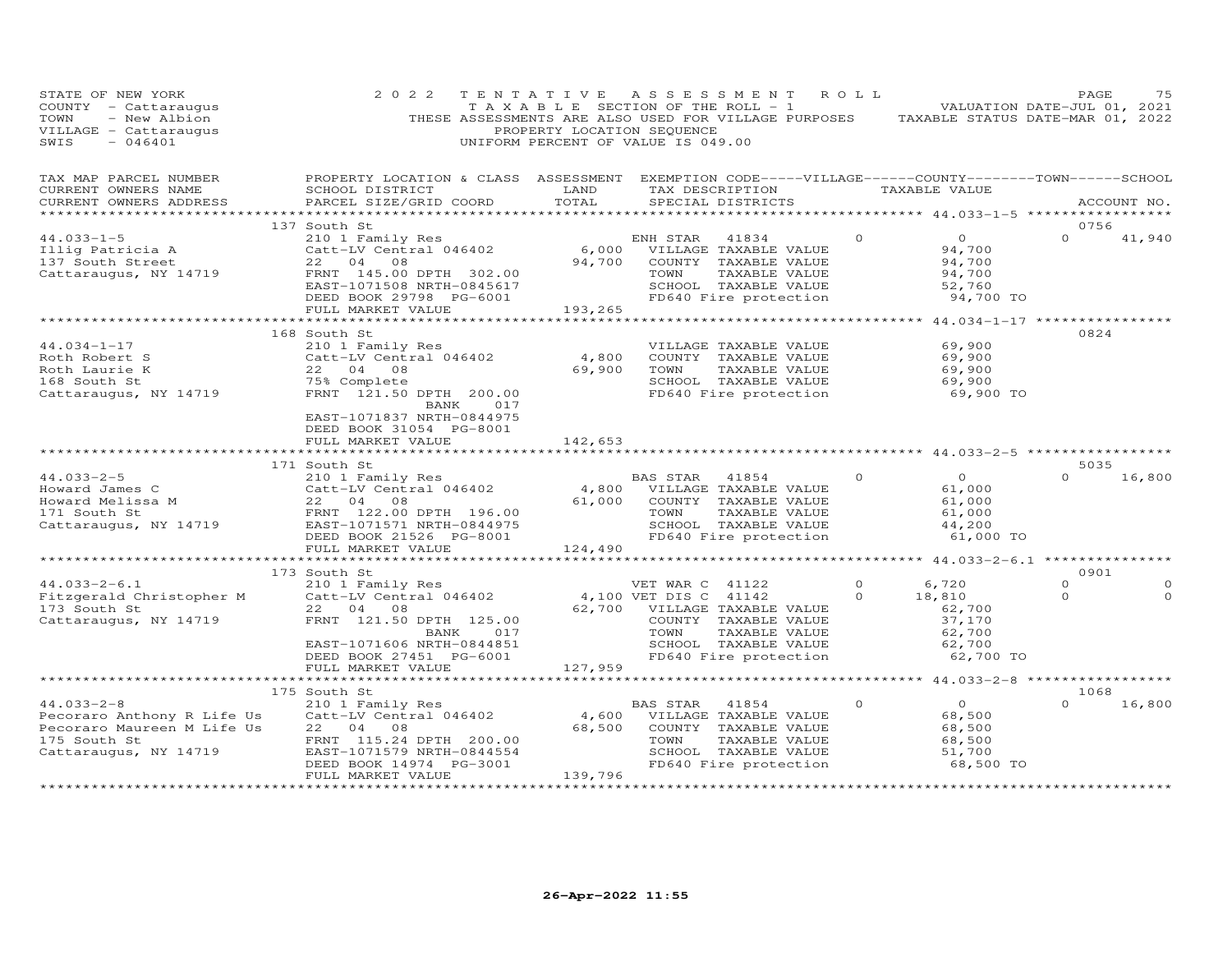| STATE OF NEW YORK<br>COUNTY - Cattaraugus<br>TOWN<br>- New Albion<br>VILLAGE - Cattaraugus<br>SWIS<br>$-046401$                                                                                                                                                                                                                                                                                                                      | 2 0 2 2                                                                                                                                                                  | TENTATIVE<br>PROPERTY LOCATION SEQUENCE | ASSESSMENT ROLL<br>T A X A B L E SECTION OF THE ROLL - 1<br>THESE ASSESSMENTS ARE ALSO USED FOR VILLAGE PURPOSES TAXABLE STATUS DATE-MAR 01, 2022<br>UNIFORM PERCENT OF VALUE IS 049.00 |                                      |                                                                                | PAGE<br>VALUATION DATE-JUL 01, 2021 | 75                   |
|--------------------------------------------------------------------------------------------------------------------------------------------------------------------------------------------------------------------------------------------------------------------------------------------------------------------------------------------------------------------------------------------------------------------------------------|--------------------------------------------------------------------------------------------------------------------------------------------------------------------------|-----------------------------------------|-----------------------------------------------------------------------------------------------------------------------------------------------------------------------------------------|--------------------------------------|--------------------------------------------------------------------------------|-------------------------------------|----------------------|
| TAX MAP PARCEL NUMBER<br>CURRENT OWNERS NAME<br>CURRENT OWNERS ADDRESS                                                                                                                                                                                                                                                                                                                                                               | PROPERTY LOCATION & CLASS ASSESSMENT EXEMPTION CODE-----VILLAGE------COUNTY-------TOWN------SCHOOL<br>SCHOOL DISTRICT<br>PARCEL SIZE/GRID COORD                          | LAND<br>TOTAL                           | TAX DESCRIPTION TAXABLE VALUE<br>SPECIAL DISTRICTS                                                                                                                                      |                                      |                                                                                |                                     | ACCOUNT NO.          |
|                                                                                                                                                                                                                                                                                                                                                                                                                                      |                                                                                                                                                                          |                                         |                                                                                                                                                                                         |                                      |                                                                                |                                     |                      |
| $44.033 - 1 - 5$<br>Illig Patricia A<br>137 South Street<br>Cattaraugus, NY 14719                                                                                                                                                                                                                                                                                                                                                    | 137 South St<br>210 1 Family Res<br>Catt-LV Central 046402 6,000<br>22 04 08 94,700<br>FRNT 145.00 DPTH 302.00<br>EAST-1071508 NRTH-0845617                              |                                         | ENH STAR<br>41834<br>VILLAGE TAXABLE VALUE<br>COUNTY TAXABLE VALUE<br>TOWN<br>TAXABLE VALUE<br>SCHOOL TAXABLE VALUE                                                                     | $\Omega$                             | $\overline{0}$<br>94,700<br>94,700<br>94,700<br>52,760                         | 0756<br>$\Omega$                    | 41,940               |
|                                                                                                                                                                                                                                                                                                                                                                                                                                      | DEED BOOK 29798 PG-6001<br>FULL MARKET VALUE                                                                                                                             | 193,265                                 | FD640 Fire protection                                                                                                                                                                   |                                      | 94,700 TO                                                                      |                                     |                      |
|                                                                                                                                                                                                                                                                                                                                                                                                                                      |                                                                                                                                                                          |                                         |                                                                                                                                                                                         |                                      | ************* 44.034-1-17 ***************                                      |                                     |                      |
| $44.034 - 1 - 17$<br>Roth Robert S<br>Roth Laurie K<br>168 South St<br>Cattaraugus, NY 14719                                                                                                                                                                                                                                                                                                                                         | 168 South St<br>210 1 Family Res<br>Catt-LV Central 046402<br>22 04 08<br>75% Complete<br>FRNT 121.50 DPTH 200.00<br>017<br>BANK                                         | 4,800<br>69,900                         | VILLAGE TAXABLE VALUE<br>COUNTY TAXABLE VALUE<br>TOWN<br>TAXABLE VALUE<br>SCHOOL TAXABLE VALUE<br>FD640 Fire protection                                                                 |                                      | 69,900<br>69,900<br>69,900<br>69,900<br>69,900 TO                              | 0824                                |                      |
|                                                                                                                                                                                                                                                                                                                                                                                                                                      | EAST-1071837 NRTH-0844975<br>DEED BOOK 31054 PG-8001<br>FULL MARKET VALUE                                                                                                | 142,653                                 |                                                                                                                                                                                         |                                      |                                                                                |                                     |                      |
|                                                                                                                                                                                                                                                                                                                                                                                                                                      | 171 South St                                                                                                                                                             |                                         |                                                                                                                                                                                         |                                      |                                                                                | 5035                                |                      |
| $44.033 - 2 - 5$<br>Howard James C<br>$\begin{tabular}{llllll} \multicolumn{3}{l} \textbf{H} \textbf{0} \textbf{0} \textbf{0} \textbf{1} \textbf{1} \textbf{1} \textbf{1} \textbf{1} \textbf{1} \textbf{1} \textbf{1} \textbf{1} \textbf{1} \textbf{1} \textbf{1} \textbf{1} \textbf{1} \textbf{1} \textbf{1} \textbf{1} \textbf{1} \textbf{1} \textbf{1} \textbf{1} \textbf{1} \textbf{1} \textbf{1} \textbf{1} \textbf{1} \textbf$ | 210 1 Family Res<br>Catt-LV Central 046402<br>08<br>FRNT 122.00 DPTH 196.00<br>EAST-1071571 NRTH-0844975<br>DEED BOOK 21526 PG-8001                                      | 61,000                                  | BAS STAR<br>41854<br>4,800 VILLAGE TAXABLE VALUE<br>COUNTY TAXABLE VALUE<br>TOWN<br>TAXABLE VALUE<br>SCHOOL TAXABLE VALUE<br>FD640 Fire protection                                      | $\Omega$                             | $\overline{O}$<br>61,000<br>61,000<br>61,000<br>44,200<br>61,000 TO            | $\Omega$                            | 16,800               |
|                                                                                                                                                                                                                                                                                                                                                                                                                                      | FULL MARKET VALUE                                                                                                                                                        | 124,490                                 |                                                                                                                                                                                         |                                      |                                                                                |                                     |                      |
|                                                                                                                                                                                                                                                                                                                                                                                                                                      |                                                                                                                                                                          |                                         |                                                                                                                                                                                         |                                      | *************** 44.033-2-6.1 ****************                                  | 0901                                |                      |
| $44.033 - 2 - 6.1$<br>Fitzgerald Christopher M<br>173 South St<br>Cattaraugus, NY 14719                                                                                                                                                                                                                                                                                                                                              | 173 South St<br>210 1 Family Res<br>Catt-LV Central 046402<br>22 04 08<br>FRNT 121.50 DPTH 125.00<br>017<br>BANK<br>EAST-1071606 NRTH-0844851<br>DEED BOOK 27451 PG-6001 |                                         | VET WAR C 41122<br>4,100 VET DIS C 41142<br>62,700 VILLAGE TAXABLE VALUE<br>COUNTY TAXABLE VALUE<br>TOWN<br>SCHOOL TAXABLE VALUE<br>FD640 Fire protection                               | $\circ$<br>$\Omega$<br>TAXABLE VALUE | 6,720<br>18,810<br>62,700<br>37,170<br>62,700<br>62,700<br>62,700<br>62,700 TO | $\circ$<br>$\Omega$                 | $\Omega$<br>$\Omega$ |
|                                                                                                                                                                                                                                                                                                                                                                                                                                      | FULL MARKET VALUE                                                                                                                                                        | 127,959                                 |                                                                                                                                                                                         |                                      |                                                                                |                                     |                      |
|                                                                                                                                                                                                                                                                                                                                                                                                                                      |                                                                                                                                                                          |                                         |                                                                                                                                                                                         |                                      |                                                                                |                                     |                      |
|                                                                                                                                                                                                                                                                                                                                                                                                                                      | 175 South St                                                                                                                                                             |                                         |                                                                                                                                                                                         |                                      |                                                                                | 1068                                |                      |
| $44.033 - 2 - 8$<br>Pecoraro Anthony R Life Us<br>Pecoraro Maureen M Life Us<br>175 South St<br>Cattaraugus, NY 14719                                                                                                                                                                                                                                                                                                                | 210 1 Family Res<br>Catt-LV Central 046402<br>22 04 08<br>FRNT 115.24 DPTH 200.00<br>EAST-1071579 NRTH-0844554<br>DEED BOOK 14974 PG-3001<br>FULL MARKET VALUE           | 4,600<br>68,500<br>139,796              | BAS STAR<br>41854<br>VILLAGE TAXABLE VALUE<br>COUNTY TAXABLE VALUE<br>TOWN<br>TAXABLE VALUE<br>SCHOOL TAXABLE VALUE<br>FD640 Fire protection                                            | $\Omega$                             | $\overline{O}$<br>68,500<br>68,500<br>68,500<br>51,700<br>68,500 TO            | $\Omega$                            | 16,800               |
| ***********************                                                                                                                                                                                                                                                                                                                                                                                                              | ************************                                                                                                                                                 | * * * * * * * * * * * * * * * * * *     |                                                                                                                                                                                         |                                      |                                                                                |                                     |                      |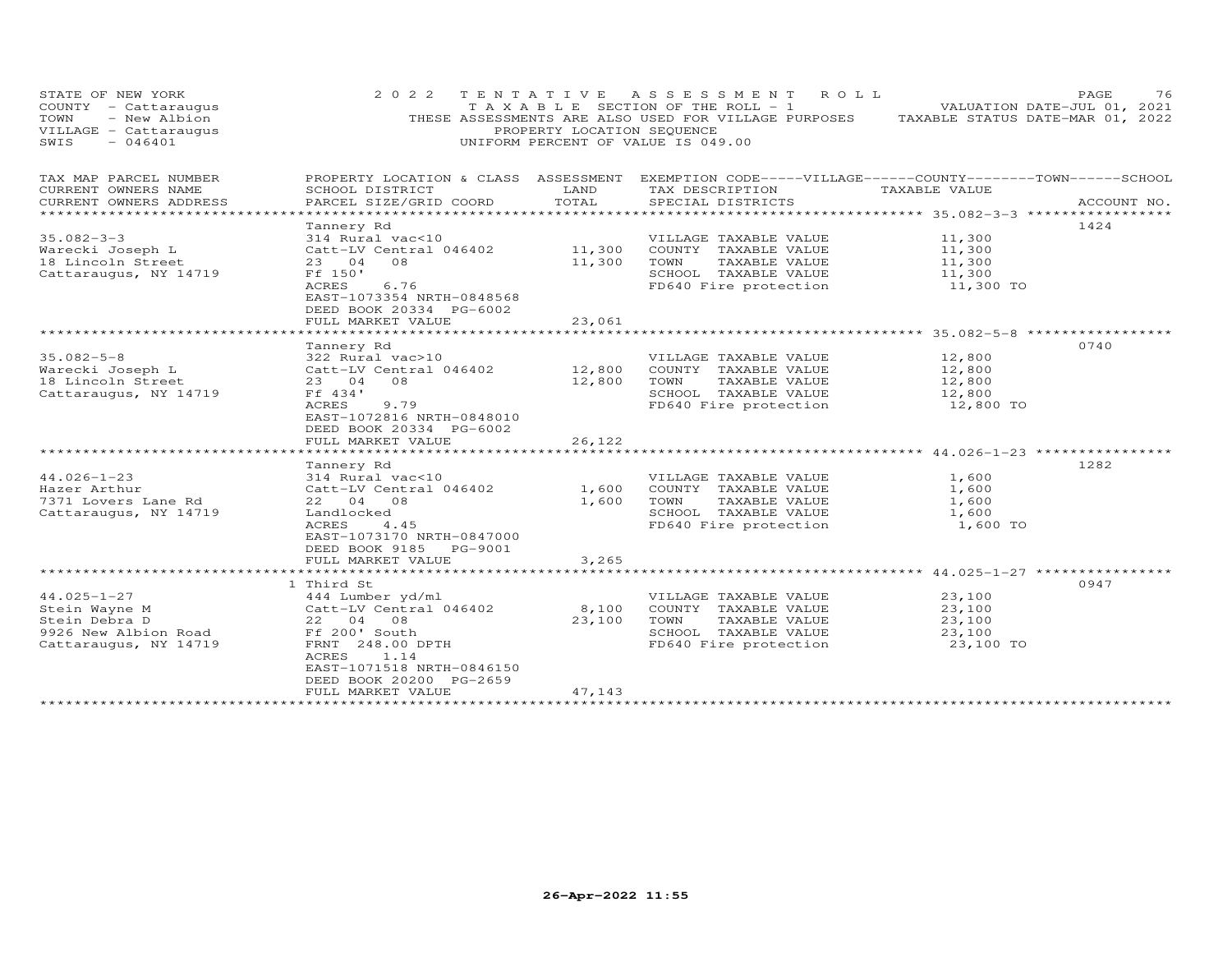| STATE OF NEW YORK<br>COUNTY - Cattaraugus<br>TOWN<br>- New Albion<br>VILLAGE - Cattaraugus<br>SWIS<br>$-046401$ | 2 0 2 2                                                                                                                                                                                                    | PROPERTY LOCATION SEQUENCE | TENTATIVE ASSESSMENT ROLL<br>T A X A B L E SECTION OF THE ROLL - 1<br>THESE ASSESSMENTS ARE ALSO USED FOR VILLAGE PURPOSES TAXABLE STATUS DATE-MAR 01, 2022<br>UNIFORM PERCENT OF VALUE IS 049.00 | VALUATION DATE-JUL 01, 2021                       | 76<br>PAGE  |
|-----------------------------------------------------------------------------------------------------------------|------------------------------------------------------------------------------------------------------------------------------------------------------------------------------------------------------------|----------------------------|---------------------------------------------------------------------------------------------------------------------------------------------------------------------------------------------------|---------------------------------------------------|-------------|
| TAX MAP PARCEL NUMBER<br>CURRENT OWNERS NAME<br>CURRENT OWNERS ADDRESS                                          | PROPERTY LOCATION & CLASS ASSESSMENT EXEMPTION CODE-----VILLAGE------COUNTY--------TOWN------SCHOOL<br>SCHOOL DISTRICT<br>PARCEL SIZE/GRID COORD                                                           | LAND<br>TOTAL              | TAX DESCRIPTION<br>SPECIAL DISTRICTS                                                                                                                                                              | TAXABLE VALUE                                     | ACCOUNT NO. |
| $35.082 - 3 - 3$<br>Warecki Joseph L<br>18 Lincoln Street<br>Cattaraugus, NY 14719                              | Tannery Rd<br>314 Rural vac<10<br>Catt-LV Central 046402<br>23 04<br>08<br>Ff 150'<br>6.76<br>ACRES<br>EAST-1073354 NRTH-0848568<br>DEED BOOK 20334 PG-6002<br>FULL MARKET VALUE                           | 11,300<br>11,300<br>23,061 | VILLAGE TAXABLE VALUE<br>COUNTY TAXABLE VALUE<br>TOWN<br>TAXABLE VALUE<br>SCHOOL TAXABLE VALUE<br>FD640 Fire protection                                                                           | 11,300<br>11,300<br>11,300<br>11,300<br>11,300 TO | 1424        |
|                                                                                                                 |                                                                                                                                                                                                            |                            |                                                                                                                                                                                                   |                                                   |             |
| $35.082 - 5 - 8$<br>Warecki Joseph L<br>18 Lincoln Street<br>Cattaraugus, NY 14719                              | Tannery Rd<br>322 Rural vac>10<br>Catt-LV Central 046402<br>23 04<br>08<br>Ff 434'<br>ACRES<br>9.79<br>EAST-1072816 NRTH-0848010<br>DEED BOOK 20334 PG-6002<br>FULL MARKET VALUE                           | 12,800<br>12,800<br>26,122 | VILLAGE TAXABLE VALUE<br>COUNTY TAXABLE VALUE<br>TOWN<br>TAXABLE VALUE<br>SCHOOL TAXABLE VALUE<br>FD640 Fire protection                                                                           | 12,800<br>12,800<br>12,800<br>12,800<br>12,800 TO | 0740        |
| $44.026 - 1 - 23$<br>Hazer Arthur<br>7371 Lovers Lane Rd<br>Cattaraugus, NY 14719                               | Tannery Rd<br>314 Rural vac<10<br>Catt-LV Central 046402<br>22 04 08<br>Landlocked<br>ACRES<br>4.45<br>EAST-1073170 NRTH-0847000<br>DEED BOOK 9185 PG-9001<br>FULL MARKET VALUE                            | 1,600<br>1,600<br>3,265    | VILLAGE TAXABLE VALUE<br>COUNTY TAXABLE VALUE<br>TOWN<br>TAXABLE VALUE<br>SCHOOL TAXABLE VALUE<br>FD640 Fire protection                                                                           | 1,600<br>1,600<br>1,600<br>1,600<br>1,600 TO      | 1282        |
|                                                                                                                 |                                                                                                                                                                                                            |                            |                                                                                                                                                                                                   |                                                   |             |
| $44.025 - 1 - 27$<br>Stein Wayne M<br>Stein Debra D<br>9926 New Albion Road<br>Cattaraugus, NY 14719            | 1 Third St<br>444 Lumber yd/ml<br>Catt-LV Central 046402<br>22 04<br>08<br>Ff 200' South<br>FRNT 248.00 DPTH<br>ACRES<br>1.14<br>EAST-1071518 NRTH-0846150<br>DEED BOOK 20200 PG-2659<br>FULL MARKET VALUE | 8,100<br>23,100<br>47,143  | VILLAGE TAXABLE VALUE<br>COUNTY TAXABLE VALUE<br>TOWN<br>TAXABLE VALUE<br>SCHOOL TAXABLE VALUE<br>FD640 Fire protection                                                                           | 23,100<br>23,100<br>23,100<br>23,100<br>23,100 TO | 0947        |
|                                                                                                                 |                                                                                                                                                                                                            |                            |                                                                                                                                                                                                   |                                                   |             |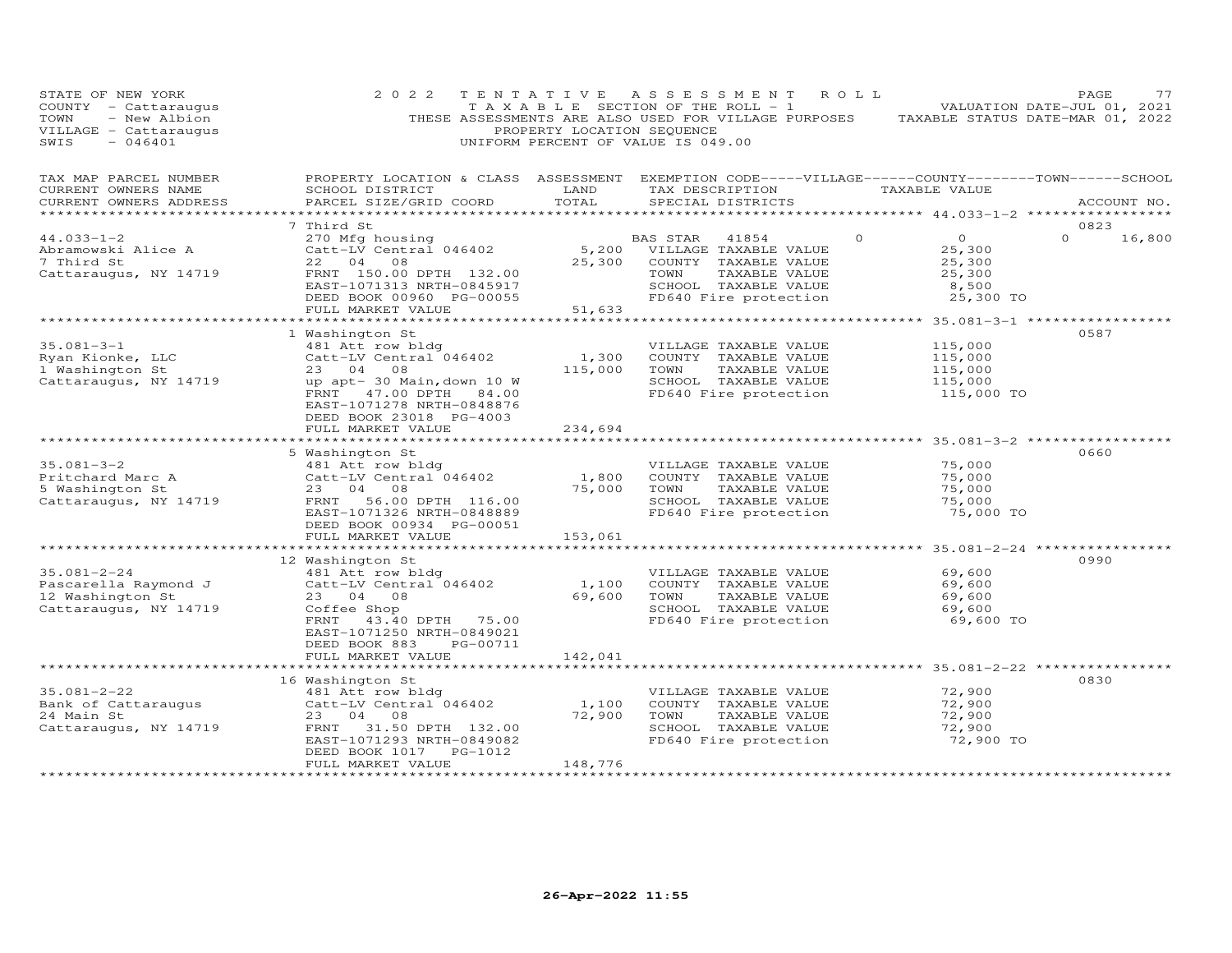| STATE OF NEW YORK<br>COUNTY - Cattaraugus<br>- New Albion<br>TOWN<br>VILLAGE - Cattaraugus<br>SWIS<br>$-046401$ | 2 0 2 2                                                                                                                                                                                                                            | PROPERTY LOCATION SEQUENCE                                  | TENTATIVE ASSESSMENT<br>ROLL<br>T A X A B L E SECTION OF THE ROLL - 1<br>THESE ASSESSMENTS ARE ALSO USED FOR VILLAGE PURPOSES<br>UNIFORM PERCENT OF VALUE IS 049.00 | PAGE<br>77<br>VALUATION DATE-JUL 01, 2021<br>TAXABLE STATUS DATE-MAR 01, 2022                                                |
|-----------------------------------------------------------------------------------------------------------------|------------------------------------------------------------------------------------------------------------------------------------------------------------------------------------------------------------------------------------|-------------------------------------------------------------|---------------------------------------------------------------------------------------------------------------------------------------------------------------------|------------------------------------------------------------------------------------------------------------------------------|
| TAX MAP PARCEL NUMBER<br>CURRENT OWNERS NAME<br>CURRENT OWNERS ADDRESS<br>************************              | SCHOOL DISTRICT<br>PARCEL SIZE/GRID COORD                                                                                                                                                                                          | LAND<br>TOTAL                                               | TAX DESCRIPTION TAXABLE VALUE<br>SPECIAL DISTRICTS                                                                                                                  | PROPERTY LOCATION & CLASS ASSESSMENT EXEMPTION CODE-----VILLAGE------COUNTY--------TOWN------SCHOOL<br>ACCOUNT NO.           |
| $44.033 - 1 - 2$<br>Abramowski Alice A<br>7 Third St<br>Cattaraugus, NY 14719                                   | 7 Third St<br>270 Mfg housing<br>$Catt-LV$ Central 046402<br>22 04 08<br>FRNT 150.00 DPTH 132.00<br>EAST-1071313 NRTH-0845917<br>DEED BOOK 00960 PG-00055                                                                          | 25,300                                                      | $\Omega$<br>BAS STAR<br>41854<br>5,200 VILLAGE TAXABLE VALUE<br>COUNTY TAXABLE VALUE<br>TAXABLE VALUE<br>TOWN<br>SCHOOL TAXABLE VALUE<br>FD640 Fire protection      | 0823<br>$\overline{0}$<br>$\Omega$<br>16,800<br>25,300<br>25,300<br>25,300<br>8,500<br>25,300 TO                             |
| $35.081 - 3 - 1$<br>Ryan Kionke, LLC<br>1 Washington St<br>Cattaraugus, NY 14719                                | FULL MARKET VALUE<br>1 Washington St<br>481 Att row bldg<br>Catt-LV Central 046402<br>23 04 08<br>up apt- 30 Main, down 10 W<br>FRNT 47.00 DPTH 84.00<br>EAST-1071278 NRTH-0848876<br>DEED BOOK 23018 PG-4003<br>FULL MARKET VALUE | 51,633<br>1,300<br>115,000<br>234,694                       | VILLAGE TAXABLE VALUE<br>COUNTY TAXABLE VALUE<br>TAXABLE VALUE<br>TOWN<br>SCHOOL TAXABLE VALUE<br>FD640 Fire protection                                             | ******************************** 35.081-3-1 **************<br>0587<br>115,000<br>115,000<br>115,000<br>115,000<br>115,000 TO |
| $35.081 - 3 - 2$<br>Pritchard Marc A<br>5 Washington St<br>Cattaraugus, NY 14719                                | **********************<br>5 Washington St<br>481 Att row bldg<br>Catt-LV Central 046402<br>23 04 08<br>FRNT<br>56.00 DPTH 116.00<br>EAST-1071326 NRTH-0848889<br>DEED BOOK 00934 PG-00051<br>FULL MARKET VALUE                     | *************<br>1,800<br>75,000<br>153,061                 | VILLAGE TAXABLE VALUE<br>COUNTY TAXABLE VALUE<br>TOWN<br>TAXABLE VALUE<br>SCHOOL TAXABLE VALUE<br>FD640 Fire protection                                             | ******************************** 35.081-3-2 ************<br>0660<br>75,000<br>75,000<br>75,000<br>75,000<br>75,000 TO        |
| $35.081 - 2 - 24$<br>Pascarella Raymond J<br>12 Washington St<br>Cattaraugus, NY 14719                          | ***********************<br>12 Washington St<br>481 Att row bldg<br>Catt-LV Central 046402<br>23 04 08<br>Coffee Shop<br>43.40 DPTH 75.00<br>FRNT<br>EAST-1071250 NRTH-0849021<br>DEED BOOK 883<br>PG-00711<br>FULL MARKET VALUE    | * * * * * * * * * * * * * * *<br>1,100<br>69,600<br>142,041 | VILLAGE TAXABLE VALUE<br>COUNTY TAXABLE VALUE<br>TOWN<br>TAXABLE VALUE<br>SCHOOL TAXABLE VALUE<br>FD640 Fire protection                                             | *********** 35.081-2-24 ***************<br>0990<br>69,600<br>69,600<br>69,600<br>69,600<br>69,600 TO                         |
| $35.081 - 2 - 22$<br>Bank of Cattaraugus<br>24 Main St<br>Cattaraugus, NY 14719                                 | *************************<br>16 Washington St<br>481 Att row bldg<br>Catt-LV Central 046402<br>23 04 08<br>FRNT 31.50 DPTH 132.00<br>EAST-1071293 NRTH-0849082<br>DEED BOOK 1017 PG-1012<br>FULL MARKET VALUE                      | 1,100<br>72,900<br>148,776<br>*****************             | VILLAGE TAXABLE VALUE<br>COUNTY TAXABLE VALUE<br>TOWN<br>TAXABLE VALUE<br>SCHOOL TAXABLE VALUE<br>FD640 Fire protection                                             | ********************** 35.081-2-22 *****************<br>0830<br>72,900<br>72,900<br>72,900<br>72,900<br>72,900 TO            |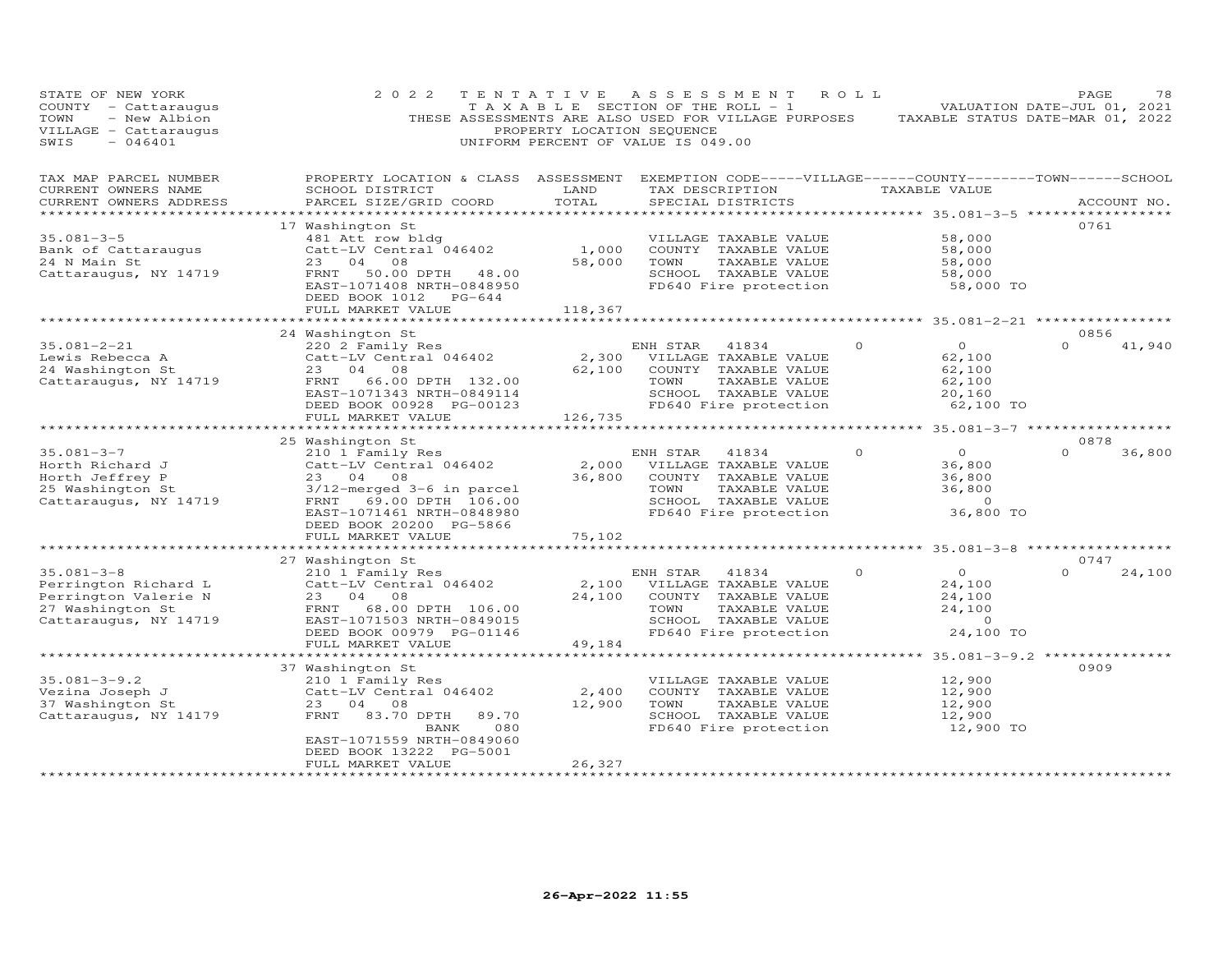| STATE OF NEW YORK<br>COUNTY - Cattaraugus<br>- New Albion<br>TOWN<br>VILLAGE - Cattaraugus<br>SWIS<br>$-046401$ | 2 0 2 2                                                                                                                                                                                                              | TENTATIVE<br>PROPERTY LOCATION SEQUENCE | A S S E S S M E N T<br>TAXABLE SECTION OF THE ROLL - 1<br>THESE ASSESSMENTS ARE ALSO USED FOR VILLAGE PURPOSES<br>UNIFORM PERCENT OF VALUE IS 049.00 | ROLL                                                       | PAGE<br>78<br>VALUATION DATE-JUL 01, 2021<br>TAXABLE STATUS DATE-MAR 01, 2022 |
|-----------------------------------------------------------------------------------------------------------------|----------------------------------------------------------------------------------------------------------------------------------------------------------------------------------------------------------------------|-----------------------------------------|------------------------------------------------------------------------------------------------------------------------------------------------------|------------------------------------------------------------|-------------------------------------------------------------------------------|
| TAX MAP PARCEL NUMBER<br>CURRENT OWNERS NAME<br>CURRENT OWNERS ADDRESS<br>**********************                | PROPERTY LOCATION & CLASS ASSESSMENT<br>SCHOOL DISTRICT<br>PARCEL SIZE/GRID COORD                                                                                                                                    | LAND<br>TOTAL                           | TAX DESCRIPTION<br>SPECIAL DISTRICTS                                                                                                                 | TAXABLE VALUE                                              | EXEMPTION CODE-----VILLAGE------COUNTY--------TOWN------SCHOOL<br>ACCOUNT NO. |
| $35.081 - 3 - 5$<br>Bank of Cattaraugus<br>24 N Main St<br>Cattaraugus, NY 14719                                | 17 Washington St<br>481 Att row bldg<br>Catt-LV Central 046402<br>23<br>04<br>08<br>50.00 DPTH<br>48.00<br>FRNT<br>EAST-1071408 NRTH-0848950<br>DEED BOOK 1012<br>$PG-644$<br>FULL MARKET VALUE                      | 1,000<br>58,000<br>118,367              | VILLAGE TAXABLE VALUE<br>COUNTY TAXABLE VALUE<br>TAXABLE VALUE<br>TOWN<br>SCHOOL TAXABLE VALUE<br>FD640 Fire protection                              | 58,000<br>58,000<br>58,000<br>58,000                       | 0761<br>58,000 TO                                                             |
|                                                                                                                 |                                                                                                                                                                                                                      | *********************                   |                                                                                                                                                      |                                                            | ************************    35.081-2-21    *****************                  |
| $35.081 - 2 - 21$<br>Lewis Rebecca A<br>24 Washington St<br>Cattaraugus, NY 14719                               | 24 Washington St<br>220 2 Family Res<br>Catt-LV Central 046402<br>23<br>04<br>08<br>66.00 DPTH 132.00<br>FRNT<br>EAST-1071343 NRTH-0849114<br>DEED BOOK 00928 PG-00123<br>FULL MARKET VALUE                          | 2,300<br>62,100<br>126,735              | ENH STAR<br>41834<br>VILLAGE TAXABLE VALUE<br>COUNTY TAXABLE VALUE<br>TOWN<br>TAXABLE VALUE<br>SCHOOL TAXABLE VALUE<br>FD640 Fire protection         | $\circ$<br>$\circ$<br>62,100<br>62,100<br>62,100<br>20,160 | 0856<br>$\Omega$<br>41,940<br>62,100 TO                                       |
|                                                                                                                 |                                                                                                                                                                                                                      | *********                               |                                                                                                                                                      |                                                            | ******* 35.081-3-7 *************                                              |
| $35.081 - 3 - 7$<br>Horth Richard J<br>Horth Jeffrey P<br>25 Washington St<br>Cattaraugus, NY 14719             | 25 Washington St<br>210 1 Family Res<br>Catt-LV Central 046402<br>23 04<br>08<br>3/12-merged 3-6 in parcel<br>FRNT<br>69.00 DPTH 106.00<br>EAST-1071461 NRTH-0848980<br>DEED BOOK 20200 PG-5866<br>FULL MARKET VALUE | 2,000<br>36,800<br>75,102               | ENH STAR<br>41834<br>VILLAGE TAXABLE VALUE<br>COUNTY TAXABLE VALUE<br>TOWN<br>TAXABLE VALUE<br>SCHOOL TAXABLE VALUE<br>FD640 Fire protection         | $\circ$<br>0<br>36,800<br>36,800<br>36,800                 | 0878<br>$\Omega$<br>36,800<br>$\Omega$<br>36,800 TO                           |
|                                                                                                                 |                                                                                                                                                                                                                      |                                         |                                                                                                                                                      |                                                            |                                                                               |
| $35.081 - 3 - 8$<br>Perrington Richard L<br>Perrington Valerie N<br>27 Washington St<br>Cattaraugus, NY 14719   | 27 Washington St<br>210 1 Family Res<br>Catt-LV Central 046402<br>23<br>04<br>08<br>68.00 DPTH 106.00<br>FRNT<br>EAST-1071503 NRTH-0849015<br>DEED BOOK 00979 PG-01146                                               | 2,100<br>24,100                         | ENH STAR<br>41834<br>VILLAGE TAXABLE VALUE<br>COUNTY TAXABLE VALUE<br>TAXABLE VALUE<br>TOWN<br>SCHOOL TAXABLE VALUE<br>FD640 Fire protection         | $\circ$<br>$\Omega$<br>24,100<br>24,100<br>24,100          | 0747<br>$\Omega$<br>24,100<br>$\circ$<br>24,100 TO                            |
|                                                                                                                 | FULL MARKET VALUE                                                                                                                                                                                                    | 49,184                                  |                                                                                                                                                      |                                                            |                                                                               |
| $35.081 - 3 - 9.2$<br>Vezina Joseph J<br>37 Washington St<br>Cattaraugus, NY 14179                              | 37 Washington St<br>210 1 Family Res<br>Catt-LV Central 046402<br>23<br>04<br>08<br>FRNT<br>83.70 DPTH<br>89.70<br>080<br>BANK<br>EAST-1071559 NRTH-0849060<br>DEED BOOK 13222 PG-5001<br>FULL MARKET VALUE          | 2,400<br>12,900<br>26,327               | VILLAGE TAXABLE VALUE<br>COUNTY TAXABLE VALUE<br>TAXABLE VALUE<br>TOWN<br>SCHOOL TAXABLE VALUE<br>FD640 Fire protection                              | 12,900<br>12,900<br>12,900<br>12,900                       | ************** 35.081-3-9.2 ************<br>0909<br>12,900 TO                 |
|                                                                                                                 |                                                                                                                                                                                                                      |                                         |                                                                                                                                                      |                                                            |                                                                               |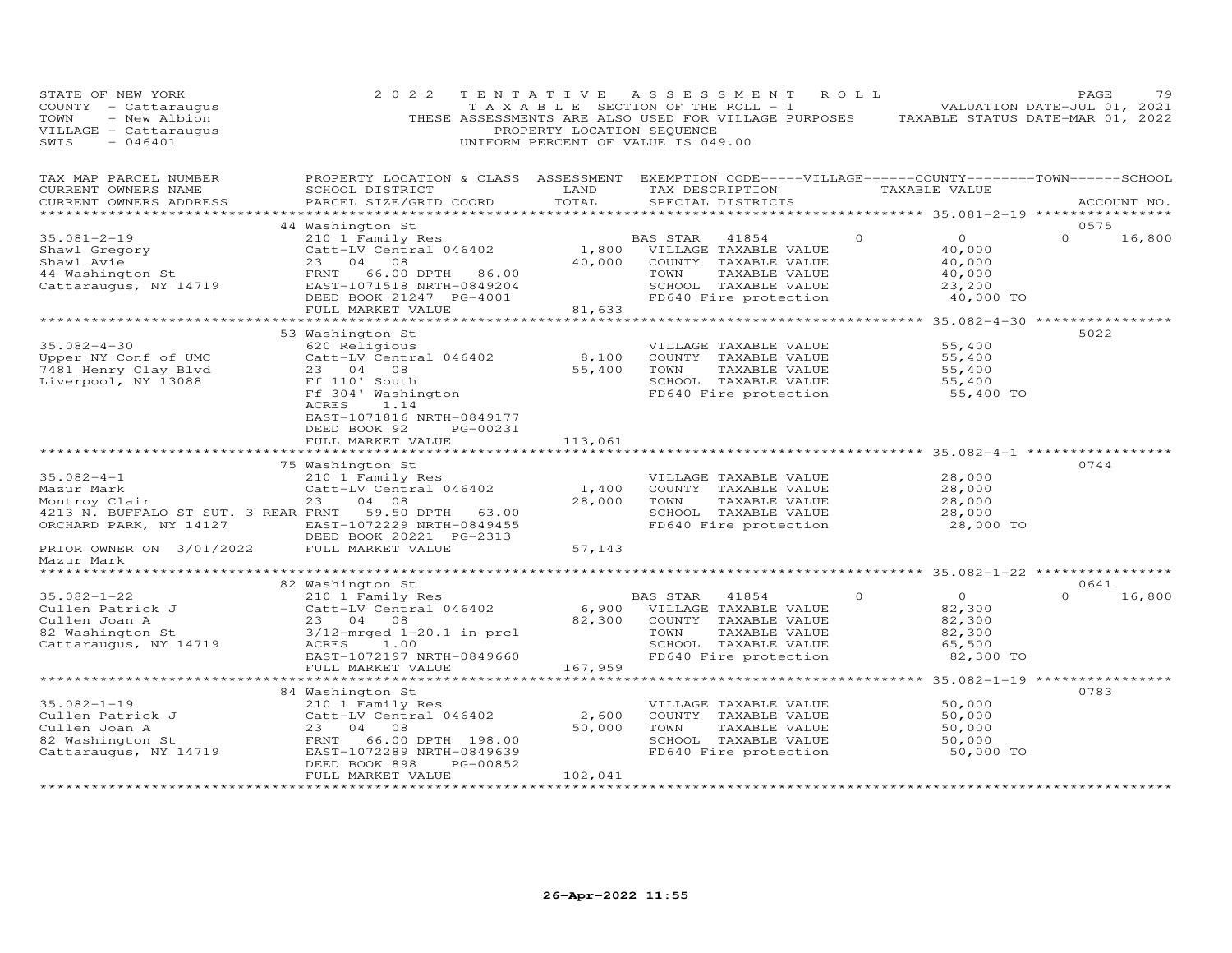| STATE OF NEW YORK<br>STATE OF NEW YORN<br>COUNTY - Cattaraugus<br>TOWN - New Albion<br>VILLAGE - Cattaraugus<br>000001                                                                                                                   | 2 0 2 2                                                                                                                                                                                                                                                                 | TENTATIVE<br>PROPERTY LOCATION SEQUENCE | ASSESSMENT ROLL<br>T A X A B L E SECTION OF THE ROLL - 1<br>THESE ASSESSMENTS ARE ALSO USED FOR VILLAGE PURPOSES TAXABLE STATUS DATE-MAR 01, 2022<br>UNIFORM PERCENT OF VALUE IS 049.00 |          |                                                                               | 79<br>PAGE<br>VALUATION DATE-JUL 01, 2021          |
|------------------------------------------------------------------------------------------------------------------------------------------------------------------------------------------------------------------------------------------|-------------------------------------------------------------------------------------------------------------------------------------------------------------------------------------------------------------------------------------------------------------------------|-----------------------------------------|-----------------------------------------------------------------------------------------------------------------------------------------------------------------------------------------|----------|-------------------------------------------------------------------------------|----------------------------------------------------|
| TAX MAP PARCEL NUMBER<br>CURRENT OWNERS NAME<br>CURRENT OWNERS ADDRESS                                                                                                                                                                   | PROPERTY LOCATION & CLASS ASSESSMENT EXEMPTION CODE-----VILLAGE------COUNTY-------TOWN------SCHOOL<br>SCHOOL DISTRICT<br>PARCEL SIZE/GRID COORD                                                                                                                         | LAND<br>TOTAL                           | TAX DESCRIPTION TAXABLE VALUE<br>SPECIAL DISTRICTS                                                                                                                                      |          |                                                                               | ACCOUNT NO.                                        |
| $35.081 - 2 - 19$<br>Shawl Gregory<br>Shawl Avie 23 04 08 40,000<br>44 Washington St FRNT 66.00 DPTH 86.00<br>Cattaraugus, NY 14719 EAST-1071518 NRTH-0849204<br>DEED BOOK 21247 PG-4001                                                 | 44 Washington St<br>COMPTET SURFALL PRINT VIOLATION AND RESULT AND RESULT A SAN MANUE CALL PARTICLE VALUE VALUE OF A SAN MANUE OF A SAN MANUE OF A SAN MANUE OF A SAN MANUE OF A SAN MANUE OF A SAN MANUE OF A SAN MANUE OF A SAN MANUE OF A SAN M<br>FULL MARKET VALUE | 81,633                                  | TOWN<br>TAXABLE VALUE<br>SCHOOL TAXABLE VALUE<br>FD640 Fire protection                                                                                                                  | $\Omega$ | $\overline{0}$<br>40,000<br>40.000<br>40,000<br>40,000<br>23,200<br>40,000 TO | 0575<br>$\Omega$<br>16,800                         |
| 35.082-4-30<br>Upper NY Conf of UMC Catt-LV Centra<br>7481 Henry Clay Blvd<br>Liverpool, NY 13088 Ff 110' South<br>Ff 304' Washin                                                                                                        | 53 Washington St<br>Catt-LV Central 046402 8,100<br>23 04 08 55,400<br>Ff 110' South<br>Ff 304' Washington<br>Ff 304' Washington<br>CRES 1.14<br>ACRES<br>1.14<br>EAST-1071816 NRTH-0849177<br>DEED BOOK 92<br>PG-00231<br>FULL MARKET VALUE                            | 113,061                                 | VILLAGE TAXABLE VALUE<br>COUNTY TAXABLE VALUE<br>TAXABLE VALUE<br>TOWN<br>SCHOOL TAXABLE VALUE<br>FD640 Fire protection                                                                 |          | 55,400<br>55,400<br>55,400<br>55,400<br>55,400 TO                             | ************** 35.082-4-30 ***************<br>5022 |
|                                                                                                                                                                                                                                          |                                                                                                                                                                                                                                                                         | * * * * * * * * * * *                   |                                                                                                                                                                                         |          | ********************** 35.082-4-1 **********                                  |                                                    |
| $35.082 - 4 - 1$<br>Mazur Mark<br>Montroy Clair<br>4213 N. BUFFALO ST SUT. 3 REAR FRNT 59.50 DPTH 63.00<br>ORCHARD PARK, NY 14127                                                                                                        | 75 Washington St<br>210 1 Family Res<br>Catt-LV Central 046402<br>23 04 08<br>EAST-1072229 NRTH-0849455<br>DEED BOOK 20221 PG-2313                                                                                                                                      | 1,400<br>28,000                         | VILLAGE TAXABLE VALUE<br>COUNTY TAXABLE VALUE<br>TAXABLE VALUE<br>TOWN<br>SCHOOL TAXABLE VALUE<br>FD640 Fire protection                                                                 |          | 28,000<br>28,000<br>28,000<br>28,000<br>28,000 TO                             | 0744                                               |
| PRIOR OWNER ON 3/01/2022 FULL MARKET VALUE<br>Mazur Mark                                                                                                                                                                                 |                                                                                                                                                                                                                                                                         | 57,143                                  |                                                                                                                                                                                         |          |                                                                               |                                                    |
|                                                                                                                                                                                                                                          |                                                                                                                                                                                                                                                                         |                                         |                                                                                                                                                                                         |          |                                                                               |                                                    |
| 82 Washington St<br>35.082-1-22 210 1 Family Res<br>Cullen Patrick J Culten Joan A 23 04 08<br>82 Washington St 3/12-mrged 1-20.1 in prcl<br>Cattaraugus, NY 14719 ACRES 1.00<br>EAST-1072197 NRTH-0849660 227 302 2010 FIFE40 Fire prot |                                                                                                                                                                                                                                                                         |                                         | 41854 0<br>TAXABLE VALUE<br>SCHOOL TAXABLE VALUE                                                                                                                                        |          | $\overline{O}$<br>82,300<br>82,300<br>82,300<br>65,500<br>82,300 TO           | 0641<br>16,800<br>$\Omega$                         |
|                                                                                                                                                                                                                                          | FULL MARKET VALUE                                                                                                                                                                                                                                                       | 167,959                                 |                                                                                                                                                                                         |          |                                                                               | ************** 35.082-1-19 **************          |
| $35.082 - 1 - 19$<br>Cullen Patrick J<br>Cullen Joan A<br>23 04 08<br>82 Washington St<br>Cattaraugus, NY 14719<br>EAST-1072289 NRTH-0849639                                                                                             | 84 Washington St<br>210 1 Family Res<br>Catt-LV Central 046402<br>23 04 08<br>DEED BOOK 898<br>PG-00852<br>FULL MARKET VALUE                                                                                                                                            | 2,600<br>50,000<br>102,041              | VILLAGE TAXABLE VALUE<br>COUNTY TAXABLE VALUE<br>TOWN<br>TAXABLE VALUE<br>SCHOOL TAXABLE VALUE<br>FD640 Fire protection                                                                 |          | 50,000<br>50,000<br>50,000<br>50,000<br>50,000 TO                             | 0783                                               |
| ************************                                                                                                                                                                                                                 | **************************                                                                                                                                                                                                                                              | ******************                      |                                                                                                                                                                                         |          |                                                                               |                                                    |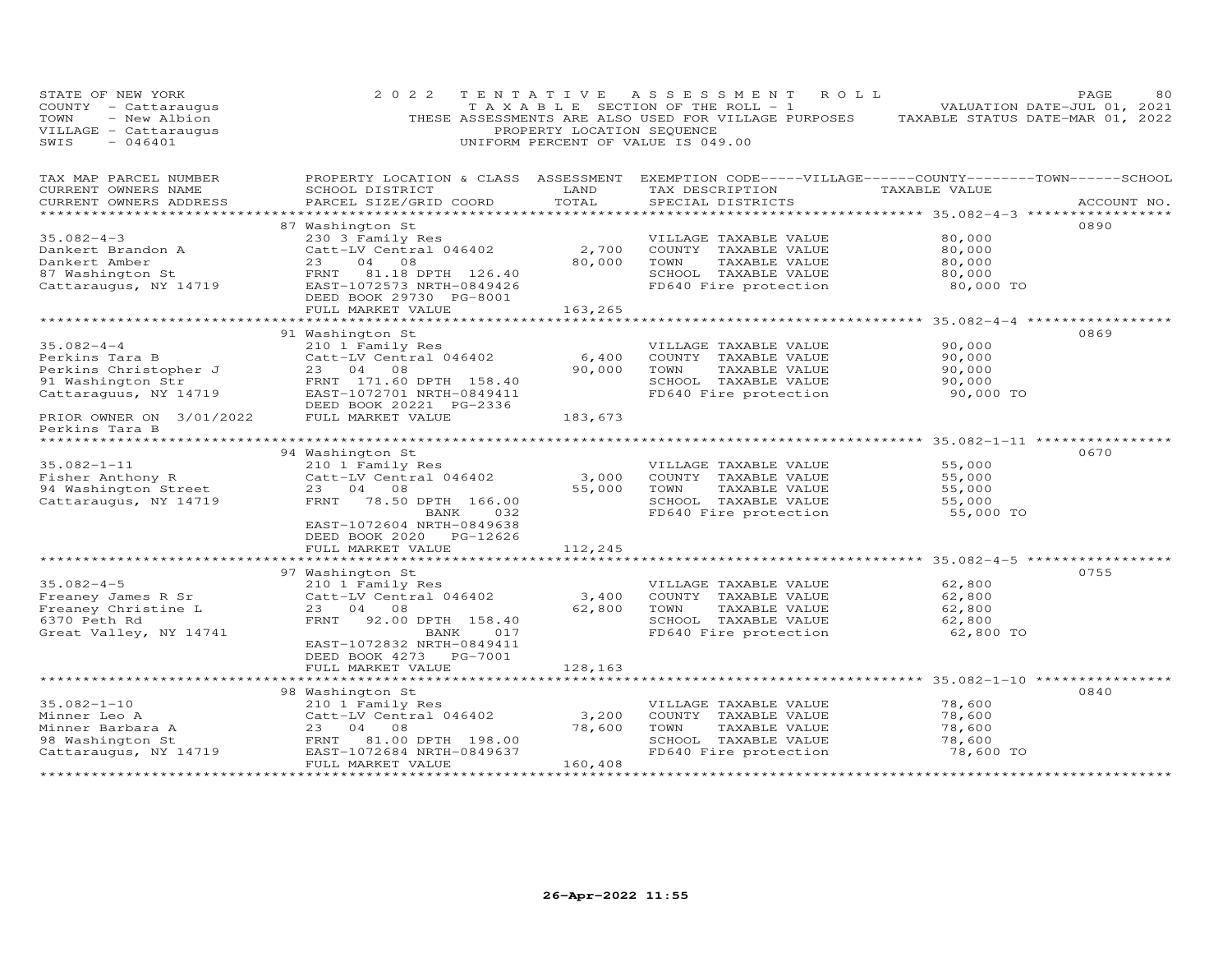| STATE OF NEW YORK<br>COUNTY - Cattaraugus<br>- New Albion<br>TOWN<br>VILLAGE - Cattaraugus<br>SWIS<br>$-046401$ | 2 0 2 2                                                                                                                                                            | TENTATIVE<br>PROPERTY LOCATION SEQUENCE | A S S E S S M E N T<br>R O L L<br>T A X A B L E SECTION OF THE ROLL - 1<br>THESE ASSESSMENTS ARE ALSO USED FOR VILLAGE PURPOSES<br>UNIFORM PERCENT OF VALUE IS 049.00 | TAXABLE STATUS DATE-MAR 01, 2022                  | PAGE<br>80<br>VALUATION DATE-JUL 01, 2021 |
|-----------------------------------------------------------------------------------------------------------------|--------------------------------------------------------------------------------------------------------------------------------------------------------------------|-----------------------------------------|-----------------------------------------------------------------------------------------------------------------------------------------------------------------------|---------------------------------------------------|-------------------------------------------|
| TAX MAP PARCEL NUMBER<br>CURRENT OWNERS NAME<br>CURRENT OWNERS ADDRESS                                          | PROPERTY LOCATION & CLASS ASSESSMENT<br>SCHOOL DISTRICT<br>PARCEL SIZE/GRID COORD                                                                                  | LAND<br>TOTAL<br>**************         | EXEMPTION CODE-----VILLAGE------COUNTY--------TOWN------SCHOOL<br>TAX DESCRIPTION TAXABLE VALUE<br>SPECIAL DISTRICTS                                                  | ************ 35.082-4-3 ******************        | ACCOUNT NO.                               |
| $35.082 - 4 - 3$<br>Dankert Brandon A<br>Dankert Amber<br>87 Washington St<br>Cattaraugus, NY 14719             | 87 Washington St<br>230 3 Family Res<br>Catt-LV Central 046402<br>23<br>04 08<br>FRNT<br>81.18 DPTH 126.40<br>EAST-1072573 NRTH-0849426<br>DEED BOOK 29730 PG-8001 | 2,700<br>80,000                         | VILLAGE TAXABLE VALUE<br>COUNTY TAXABLE VALUE<br>TOWN<br>TAXABLE VALUE<br>SCHOOL TAXABLE VALUE<br>FD640 Fire protection                                               | 80,000<br>80,000<br>80,000<br>80,000<br>80,000 TO | 0890                                      |
|                                                                                                                 | FULL MARKET VALUE                                                                                                                                                  | 163,265                                 |                                                                                                                                                                       | ***************** 35.082-4-4 ****************     |                                           |
| $35.082 - 4 - 4$<br>Perkins Tara B<br>Perkins Christopher J<br>91 Washington Str<br>Cattaraguus, NY 14719       | 91 Washington St<br>210 1 Family Res<br>Catt-LV Central 046402<br>23 04 08<br>FRNT 171.60 DPTH 158.40<br>EAST-1072701 NRTH-0849411<br>DEED BOOK 20221 PG-2336      | 6,400<br>90,000                         | VILLAGE TAXABLE VALUE<br>COUNTY TAXABLE VALUE<br>TOWN<br>TAXABLE VALUE<br>SCHOOL TAXABLE VALUE<br>FD640 Fire protection                                               | 90,000<br>90,000<br>90,000<br>90,000<br>90,000 TO | 0869                                      |
| PRIOR OWNER ON 3/01/2022                                                                                        | FULL MARKET VALUE                                                                                                                                                  | 183,673                                 |                                                                                                                                                                       |                                                   |                                           |
| Perkins Tara B                                                                                                  |                                                                                                                                                                    |                                         |                                                                                                                                                                       |                                                   |                                           |
| $35.082 - 1 - 11$<br>Fisher Anthony R<br>94 Washington Street<br>Cattaraugus, NY 14719                          | 94 Washington St<br>210 1 Family Res<br>Catt-LV Central 046402<br>23 04 08<br>FRNT<br>78.50 DPTH 166.00<br>BANK<br>032<br>EAST-1072604 NRTH-0849638                | 3,000<br>55,000                         | VILLAGE TAXABLE VALUE<br>COUNTY TAXABLE VALUE<br>TOWN<br>TAXABLE VALUE<br>SCHOOL TAXABLE VALUE<br>FD640 Fire protection                                               | 55,000<br>55,000<br>55,000<br>55,000<br>55,000 TO | 0670                                      |
|                                                                                                                 | DEED BOOK 2020 PG-12626<br>FULL MARKET VALUE                                                                                                                       | 112,245                                 |                                                                                                                                                                       |                                                   |                                           |
|                                                                                                                 | 97 Washington St                                                                                                                                                   |                                         |                                                                                                                                                                       |                                                   | 0755                                      |
| $35.082 - 4 - 5$<br>Freaney James R Sr<br>Freaney Christine L<br>6370 Peth Rd<br>Great Valley, NY 14741         | 210 1 Family Res<br>Catt-LV Central 046402<br>23 04 08<br>FRNT<br>92.00 DPTH 158.40<br>017<br>BANK                                                                 | 3,400<br>62,800                         | VILLAGE TAXABLE VALUE<br>COUNTY TAXABLE VALUE<br>TOWN<br>TAXABLE VALUE<br>SCHOOL TAXABLE VALUE<br>FD640 Fire protection                                               | 62,800<br>62,800<br>62,800<br>62,800<br>62,800 TO |                                           |
|                                                                                                                 | EAST-1072832 NRTH-0849411<br>DEED BOOK 4273 PG-7001<br>FULL MARKET VALUE                                                                                           | 128,163                                 |                                                                                                                                                                       |                                                   |                                           |
|                                                                                                                 | 98 Washington St                                                                                                                                                   |                                         |                                                                                                                                                                       |                                                   | 0840                                      |
| $35.082 - 1 - 10$<br>Minner Leo A<br>Minner Barbara A<br>98 Washington St<br>Cattaraugus, NY 14719              | 210 1 Family Res<br>Catt-LV Central 046402<br>23<br>04 08<br>FRNT 81.00 DPTH 198.00<br>EAST-1072684 NRTH-0849637<br>FULL MARKET VALUE                              | 3,200<br>78,600<br>160,408              | VILLAGE TAXABLE VALUE<br>COUNTY TAXABLE VALUE<br>TOWN<br>TAXABLE VALUE<br>SCHOOL TAXABLE VALUE<br>FD640 Fire protection                                               | 78,600<br>78,600<br>78,600<br>78,600<br>78,600 TO |                                           |
| ***********                                                                                                     |                                                                                                                                                                    | *********************                   |                                                                                                                                                                       |                                                   |                                           |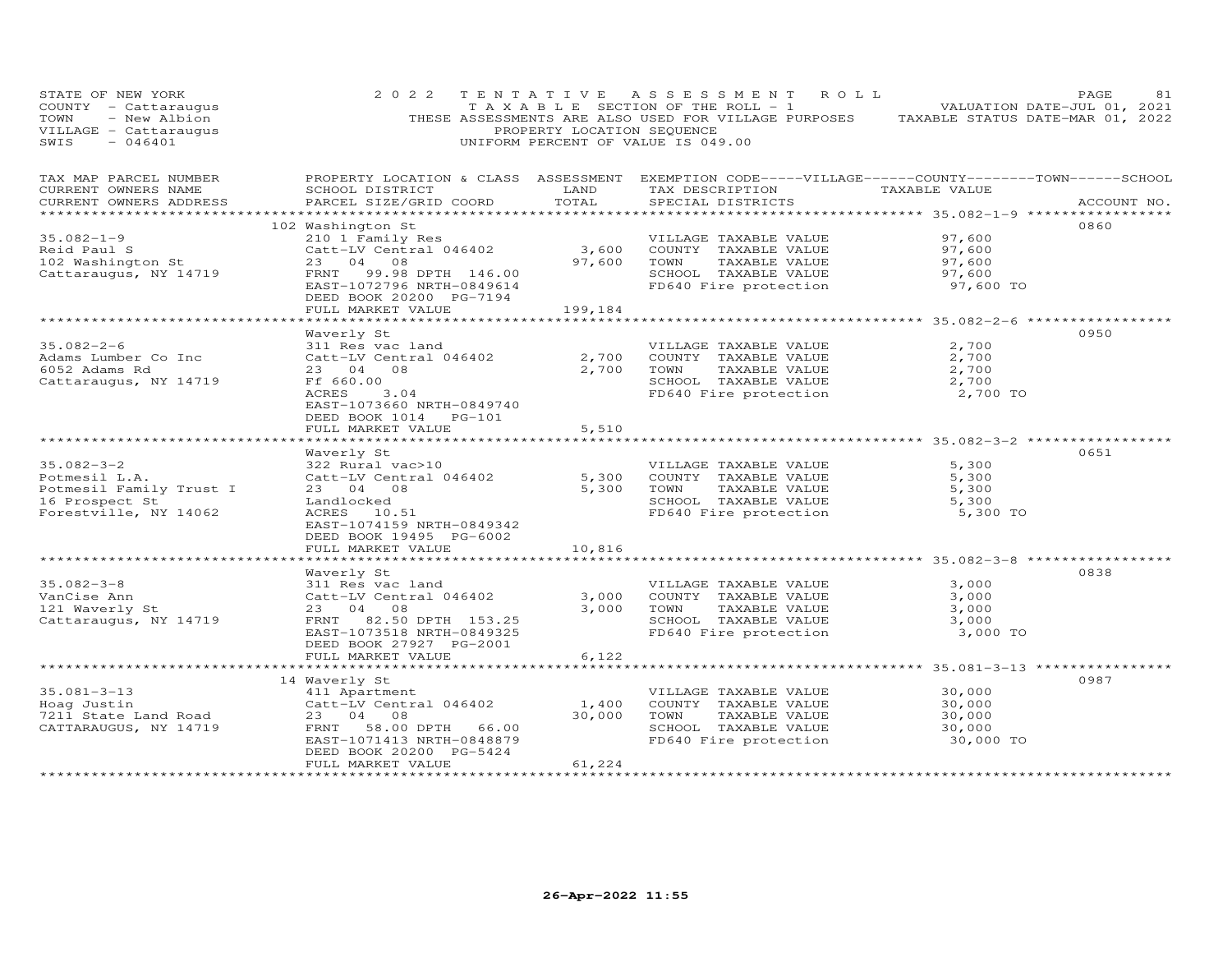| STATE OF NEW YORK<br>COUNTY - Cattaraugus<br>- New Albion<br>TOWN<br>VILLAGE - Cattaraugus<br>SWIS<br>$-046401$ | 2 0 2 2                                                                                                                                                                               | PROPERTY LOCATION SEQUENCE | TENTATIVE ASSESSMENT<br>ROLL<br>TAXABLE SECTION OF THE ROLL - 1<br>THESE ASSESSMENTS ARE ALSO USED FOR VILLAGE PURPOSES<br>UNIFORM PERCENT OF VALUE IS 049.00 |                                                   | PAGE<br>81<br>VALUATION DATE-JUL 01, 2021<br>TAXABLE STATUS DATE-MAR 01, 2022 |
|-----------------------------------------------------------------------------------------------------------------|---------------------------------------------------------------------------------------------------------------------------------------------------------------------------------------|----------------------------|---------------------------------------------------------------------------------------------------------------------------------------------------------------|---------------------------------------------------|-------------------------------------------------------------------------------|
| TAX MAP PARCEL NUMBER<br>CURRENT OWNERS NAME<br>CURRENT OWNERS ADDRESS                                          | SCHOOL DISTRICT<br>PARCEL SIZE/GRID COORD                                                                                                                                             | LAND<br>TOTAL              | PROPERTY LOCATION & CLASS ASSESSMENT EXEMPTION CODE-----VILLAGE------COUNTY-------TOWN------SCHOOL<br>TAX DESCRIPTION<br>SPECIAL DISTRICTS                    | TAXABLE VALUE                                     | ACCOUNT NO.                                                                   |
| $35.082 - 1 - 9$<br>Reid Paul S<br>102 Washington St<br>Cattaraugus, NY 14719                                   | 102 Washington St<br>210 1 Family Res<br>Catt-LV Central 046402<br>23 04 08<br>99.98 DPTH 146.00<br>FRNT<br>EAST-1072796 NRTH-0849614<br>DEED BOOK 20200 PG-7194<br>FULL MARKET VALUE | 3,600<br>97,600<br>199,184 | VILLAGE TAXABLE VALUE<br>COUNTY TAXABLE VALUE<br>TOWN<br>TAXABLE VALUE<br>SCHOOL TAXABLE VALUE<br>FD640 Fire protection                                       | 97,600<br>97,600<br>97,600<br>97,600<br>97,600 TO | 0860                                                                          |
| $35.082 - 2 - 6$<br>Adams Lumber Co Inc<br>6052 Adams Rd<br>Cattaraugus, NY 14719                               | Waverly St<br>311 Res vac land<br>Catt-LV Central 046402<br>23 04 08<br>Ff 660.00<br>3.04<br>ACRES<br>EAST-1073660 NRTH-0849740<br>DEED BOOK 1014 PG-101<br>FULL MARKET VALUE         | 2,700<br>2,700<br>5,510    | VILLAGE TAXABLE VALUE<br>COUNTY TAXABLE VALUE<br>TAXABLE VALUE<br>TOWN<br>SCHOOL TAXABLE VALUE<br>FD640 Fire protection                                       | 2,700<br>2,700<br>2,700<br>2,700<br>2,700 TO      | 0950                                                                          |
| $35.082 - 3 - 2$<br>Potmesil L.A.<br>Potmesil Family Trust I<br>16 Prospect St<br>Forestville, NY 14062         | Waverly St<br>322 Rural vac>10<br>Catt-LV Central 046402<br>23 04 08<br>Landlocked<br>ACRES 10.51<br>EAST-1074159 NRTH-0849342<br>DEED BOOK 19495 PG-6002<br>FULL MARKET VALUE        | 5,300<br>5,300<br>10,816   | VILLAGE TAXABLE VALUE<br>COUNTY TAXABLE VALUE<br>TOWN<br>TAXABLE VALUE<br>SCHOOL TAXABLE VALUE<br>FD640 Fire protection                                       | 5,300<br>5,300<br>5,300<br>5,300<br>5,300 TO      | 0651                                                                          |
|                                                                                                                 |                                                                                                                                                                                       | *************              | ******************************** 35.082-3-8 **************                                                                                                    |                                                   |                                                                               |
| $35.082 - 3 - 8$<br>VanCise Ann<br>121 Waverly St<br>Cattaraugus, NY 14719                                      | Waverly St<br>311 Res vac land<br>Catt-LV Central 046402<br>23 04 08<br>FRNT 82.50 DPTH 153.25<br>EAST-1073518 NRTH-0849325                                                           | 3,000<br>3,000             | VILLAGE TAXABLE VALUE<br>COUNTY TAXABLE VALUE<br>TOWN<br>TAXABLE VALUE<br>SCHOOL TAXABLE VALUE<br>FD640 Fire protection                                       | 3,000<br>3,000<br>3,000<br>3,000<br>3,000 TO      | 0838                                                                          |
|                                                                                                                 | DEED BOOK 27927 PG-2001<br>FULL MARKET VALUE                                                                                                                                          | 6,122                      |                                                                                                                                                               |                                                   |                                                                               |
| $35.081 - 3 - 13$<br>Hoag Justin<br>7211 State Land Road<br>CATTARAUGUS, NY 14719                               | 14 Waverly St<br>411 Apartment<br>Catt-LV Central 046402<br>23 04 08<br>FRNT<br>58.00 DPTH 66.00<br>EAST-1071413 NRTH-0848879<br>DEED BOOK 20200 PG-5424<br>FULL MARKET VALUE         | 1,400<br>30,000<br>61,224  | VILLAGE TAXABLE VALUE<br>COUNTY TAXABLE VALUE<br>TOWN<br>TAXABLE VALUE<br>SCHOOL TAXABLE VALUE<br>FD640 Fire protection                                       | 30,000<br>30,000<br>30,000<br>30,000<br>30,000 TO | 0987                                                                          |
| ***********************                                                                                         | **********************                                                                                                                                                                |                            |                                                                                                                                                               |                                                   |                                                                               |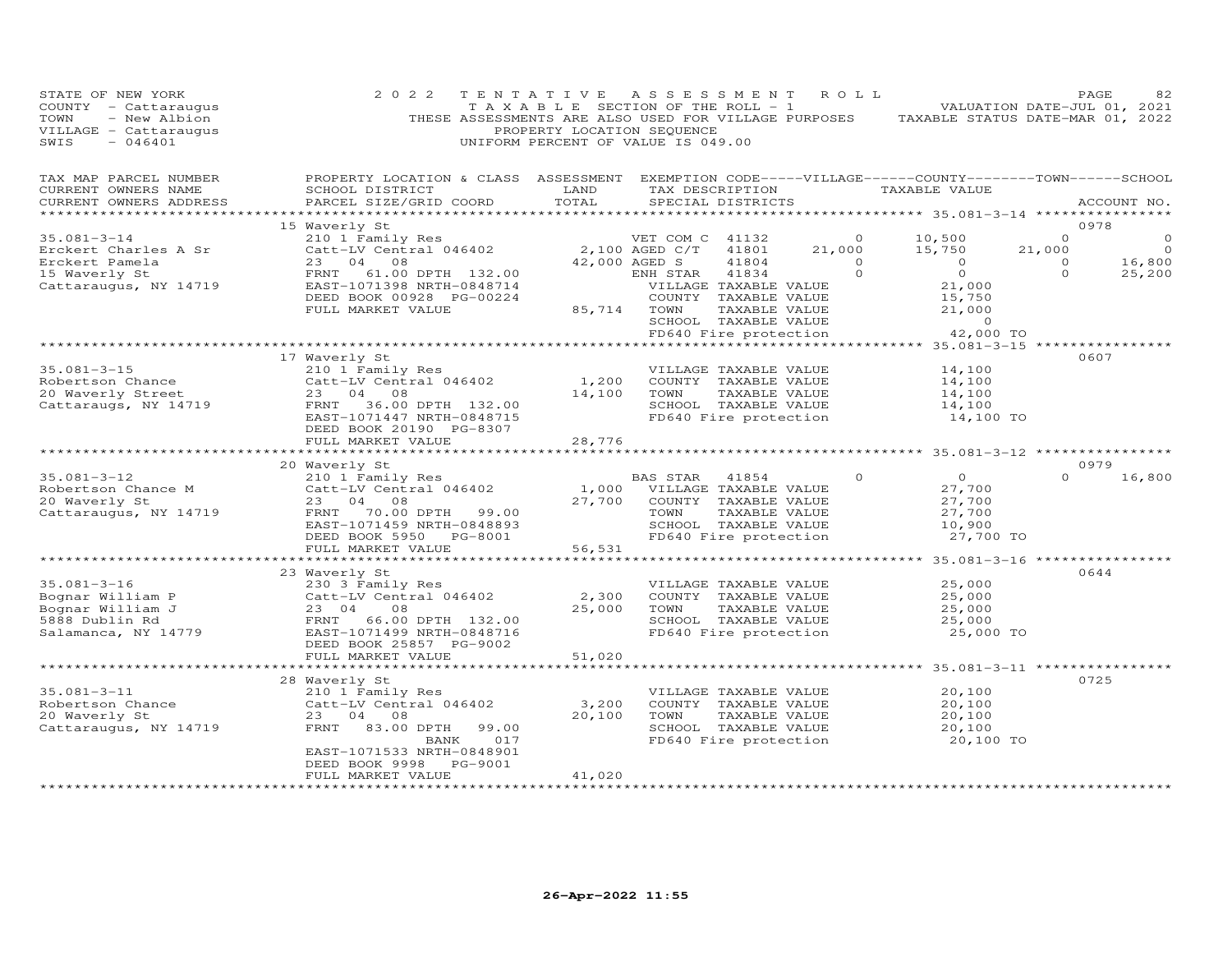| STATE OF NEW YORK<br>COUNTY - Cattaraugus<br>- New Albion<br>TOWN<br>VILLAGE - Cattaraugus<br>SWIS<br>$-046401$ | 2 0 2 2<br>THESE ASSESSMENTS ARE ALSO USED FOR VILLAGE PURPOSES                                                                                                                                     | TENTATIVE<br>TAXABLE SECTION OF THE ROLL - 1<br>PROPERTY LOCATION SEQUENCE<br>UNIFORM PERCENT OF VALUE IS 049.00 | A S S E S S M E N T                                            |                                                                                                                          | R O L L                                               | TAXABLE STATUS DATE-MAR 01, 2022                                                                  |                                          | PAGE<br>82<br>VALUATION DATE-JUL 01, 2021 |
|-----------------------------------------------------------------------------------------------------------------|-----------------------------------------------------------------------------------------------------------------------------------------------------------------------------------------------------|------------------------------------------------------------------------------------------------------------------|----------------------------------------------------------------|--------------------------------------------------------------------------------------------------------------------------|-------------------------------------------------------|---------------------------------------------------------------------------------------------------|------------------------------------------|-------------------------------------------|
| TAX MAP PARCEL NUMBER<br>CURRENT OWNERS NAME<br>CURRENT OWNERS ADDRESS<br>***********************               | PROPERTY LOCATION & CLASS ASSESSMENT EXEMPTION CODE-----VILLAGE------COUNTY-------TOWN------SCHOOL<br>SCHOOL DISTRICT<br>PARCEL SIZE/GRID COORD                                                     | LAND<br>TOTAL                                                                                                    |                                                                | SPECIAL DISTRICTS                                                                                                        | TAX DESCRIPTION                                       | TAXABLE VALUE                                                                                     |                                          | ACCOUNT NO.                               |
|                                                                                                                 | 15 Waverly St                                                                                                                                                                                       |                                                                                                                  |                                                                |                                                                                                                          |                                                       |                                                                                                   |                                          | 0978                                      |
| $35.081 - 3 - 14$<br>Erckert Charles A Sr<br>Erckert Pamela<br>15 Waverly St<br>Cattaraugus, NY 14719           | 210 1 Family Res<br>Catt-LV Central 046402<br>$23$ 04<br>$29$ 08<br>$29$ 08<br>FRNT<br>61.00 DPTH 132.00<br>EAST-1071398 NRTH-0848714                                                               |                                                                                                                  | VET COM C 41132<br>2,100 AGED C/T<br>42,000 AGED S<br>ENH STAR | 41801<br>41804<br>41834<br>VILLAGE TAXABLE VALUE                                                                         | $\overline{O}$<br>21,000<br>$\overline{0}$<br>$\circ$ | 10,500<br>15,750<br>$\Omega$<br>$\overline{O}$<br>21,000                                          | $\Omega$<br>21,000<br>$\circ$<br>$\circ$ | $\circ$<br>$\Omega$<br>16,800<br>25,200   |
|                                                                                                                 | DEED BOOK 00928 PG-00224<br>FULL MARKET VALUE                                                                                                                                                       | 85,714                                                                                                           | TOWN                                                           | COUNTY TAXABLE VALUE<br>TAXABLE VALUE<br>SCHOOL TAXABLE VALUE<br>FD640 Fire protection                                   |                                                       | 15,750<br>21,000<br>$\circ$<br>42,000 TO                                                          |                                          |                                           |
|                                                                                                                 |                                                                                                                                                                                                     |                                                                                                                  |                                                                |                                                                                                                          |                                                       |                                                                                                   |                                          |                                           |
| $35.081 - 3 - 15$<br>Robertson Chance<br>20 Waverly Street<br>Cattaraugs, NY 14719                              | 17 Waverly St<br>210 1 Family Res<br>Catt-LV Central 046402<br>23 04 08<br>FRNT<br>36.00 DPTH 132.00                                                                                                | 1,200<br>14,100                                                                                                  | TOWN                                                           | VILLAGE TAXABLE VALUE<br>COUNTY TAXABLE VALUE<br>TAXABLE VALUE<br>SCHOOL TAXABLE VALUE                                   |                                                       | 14,100<br>14,100<br>14,100<br>14,100                                                              |                                          | 0607                                      |
|                                                                                                                 | EAST-1071447 NRTH-0848715<br>DEED BOOK 20190 PG-8307<br>FULL MARKET VALUE                                                                                                                           | 28,776<br>*********                                                                                              |                                                                | FD640 Fire protection                                                                                                    |                                                       | 14,100 TO<br>******** 35.081-3-12 ***********                                                     |                                          |                                           |
|                                                                                                                 | 20 Waverly St                                                                                                                                                                                       |                                                                                                                  |                                                                |                                                                                                                          |                                                       |                                                                                                   |                                          | 0979                                      |
| $35.081 - 3 - 12$<br>Robertson Chance M<br>20 Waverly St<br>Cattaraugus, NY 14719                               | 210 1 Family Res<br>Catt-LV Central 046402<br>23 04 08<br>FRNT<br>70.00 DPTH<br>99.00<br>EAST-1071459 NRTH-0848893<br>DEED BOOK 5950<br>PG-8001                                                     | 1,000<br>27,700                                                                                                  | BAS STAR<br>TOWN                                               | 41854<br>VILLAGE TAXABLE VALUE<br>COUNTY TAXABLE VALUE<br>TAXABLE VALUE<br>SCHOOL TAXABLE VALUE<br>FD640 Fire protection | $\Omega$                                              | $\overline{O}$<br>27,700<br>27,700<br>27,700<br>10,900<br>27,700 TO                               | $\Omega$                                 | 16,800                                    |
|                                                                                                                 | FULL MARKET VALUE                                                                                                                                                                                   | 56,531                                                                                                           |                                                                |                                                                                                                          |                                                       |                                                                                                   |                                          |                                           |
| $35.081 - 3 - 16$<br>Bognar William P<br>Bognar William J<br>5888 Dublin Rd<br>Salamanca, NY 14779              | ********************************<br>23 Waverly St<br>230 3 Family Res<br>Catt-LV Central 046402<br>23 04<br>08<br>66.00 DPTH 132.00<br>FRNT<br>EAST-1071499 NRTH-0848716<br>DEED BOOK 25857 PG-9002 | **************************<br>2,300<br>25,000                                                                    | TOWN                                                           | VILLAGE TAXABLE VALUE<br>COUNTY TAXABLE VALUE<br>TAXABLE VALUE<br>SCHOOL TAXABLE VALUE<br>FD640 Fire protection          |                                                       | ************** 35.081-3-16 *****************<br>25,000<br>25,000<br>25,000<br>25,000<br>25,000 TO |                                          | 0644                                      |
|                                                                                                                 | FULL MARKET VALUE                                                                                                                                                                                   | 51,020                                                                                                           |                                                                |                                                                                                                          |                                                       |                                                                                                   |                                          |                                           |
|                                                                                                                 | *************************                                                                                                                                                                           | **************                                                                                                   |                                                                |                                                                                                                          |                                                       | ******************* 35.081-3-11 ***************                                                   |                                          |                                           |
| $35.081 - 3 - 11$<br>Robertson Chance<br>20 Waverly St<br>Cattaraugus, NY 14719                                 | 28 Waverly St<br>210 1 Family Res<br>Catt-LV Central 046402<br>23 04<br>08<br>FRNT<br>83.00 DPTH<br>99.00<br>BANK<br>017<br>EAST-1071533 NRTH-0848901<br>DEED BOOK 9998 PG-9001                     | 3,200<br>20,100                                                                                                  | TOWN                                                           | VILLAGE TAXABLE VALUE<br>COUNTY TAXABLE VALUE<br>TAXABLE VALUE<br>SCHOOL TAXABLE VALUE<br>FD640 Fire protection          |                                                       | 20,100<br>20,100<br>20,100<br>20,100<br>20,100 TO                                                 |                                          | 0725                                      |
|                                                                                                                 | FULL MARKET VALUE<br>*******************                                                                                                                                                            | 41,020                                                                                                           |                                                                |                                                                                                                          |                                                       |                                                                                                   |                                          |                                           |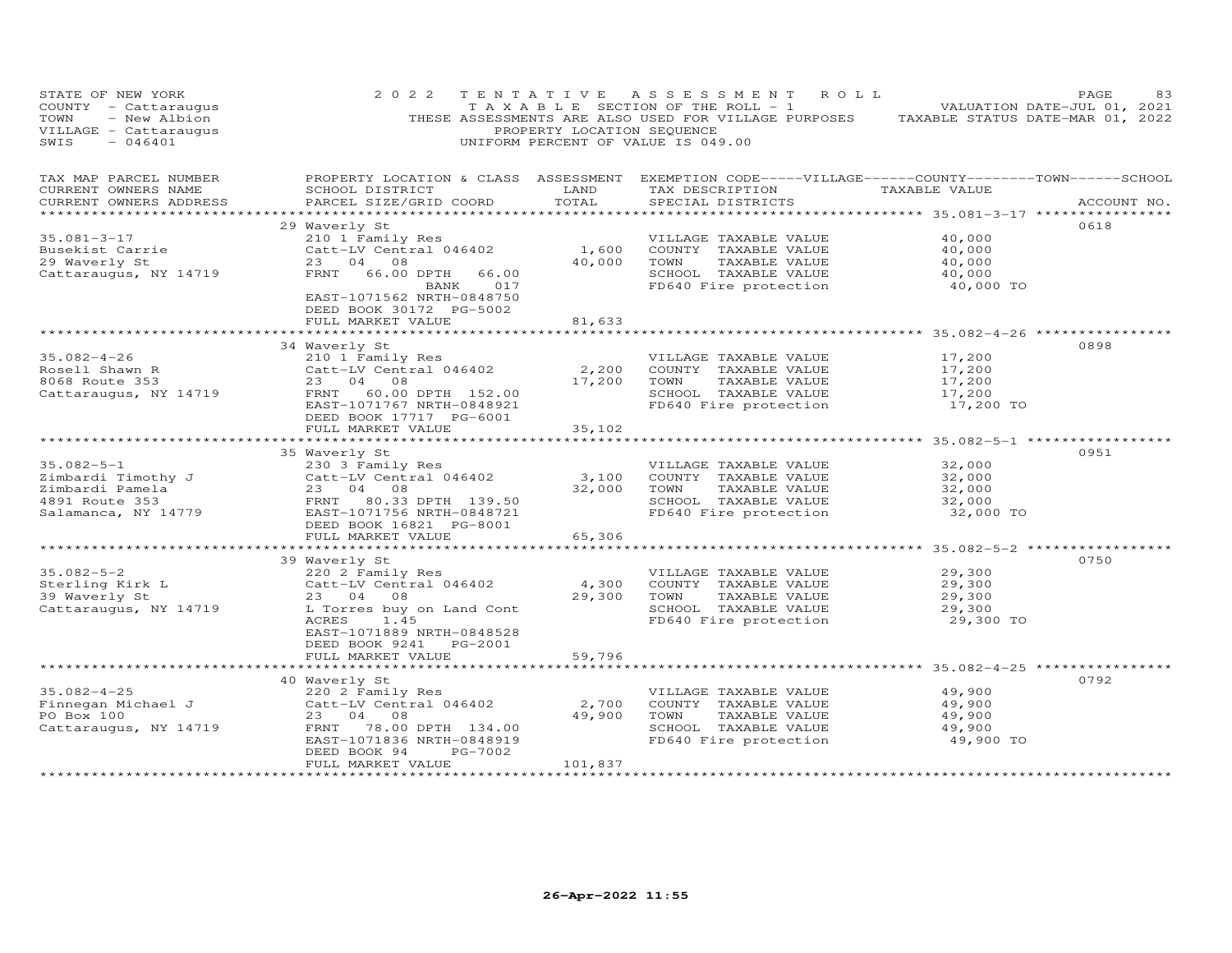| STATE OF NEW IONA<br>COUNTY - Cattaraugus<br>TOWN - New Albion<br>---------- Cattaraugus                                                                                                                                                                       | 2 0 2 2                                                                                    | PROPERTY LOCATION SEQUENCE | TENTATIVE ASSESSMENT ROLL<br>UNIFORM PERCENT OF VALUE IS 049.00                                                                                                              | PAGE<br>83<br>TAXABLE SECTION OF THE ROLL - 1 VALUATION DATE-JUL 01, 2021<br>THESE ASSESSMENTS ARE ALSO USED FOR VILLAGE PURPOSES TAXABLE STATUS DATE-MAR 01, 2022 |
|----------------------------------------------------------------------------------------------------------------------------------------------------------------------------------------------------------------------------------------------------------------|--------------------------------------------------------------------------------------------|----------------------------|------------------------------------------------------------------------------------------------------------------------------------------------------------------------------|--------------------------------------------------------------------------------------------------------------------------------------------------------------------|
| CURRENT OWNERS NAME<br>CURRENT OWNERS ADDRESS                                                                                                                                                                                                                  | PARCEL SIZE/GRID COORD                                                                     | TOTAL                      | SCHOOL DISTRICT                       LAND         TAX DESCRIPTION                  TAXABLE VALUE<br>SPECIAL DISTRICTS                                                       | TAX MAP PARCEL NUMBER FROPERTY LOCATION & CLASS ASSESSMENT EXEMPTION CODE-----VILLAGE------COUNTY-------TOWN------SCHOOL<br>ACCOUNT NO.                            |
| 35.081-3-17<br>29 Waverly School (2010) Family Res<br>29 Waverly St. 23 04 08<br>29 Waverly St. 23 04 08<br>29 Waverly St. 23 04 08<br>29 Waverly St. 23 04 08<br>29 Waverly St. 23 04 08<br>29 Waverly St. 23 04 08<br>29 Waverly St. 23 04 0                 | 29 Waverly St<br>BANK 017<br>EAST-1071562 NRTH-0848750<br>DEED BOOK 30172 PG-5002          |                            | SCHOOL TAXABLE VALUE<br>FD640 Fire protection                                                                                                                                | 0618<br>40,000 TO                                                                                                                                                  |
|                                                                                                                                                                                                                                                                | FULL MARKET VALUE<br>34 Waverly St                                                         | 81,633                     |                                                                                                                                                                              | 0898                                                                                                                                                               |
|                                                                                                                                                                                                                                                                | DEED BOOK 17717 PG-6001<br>FULL MARKET VALUE                                               | 35,102                     |                                                                                                                                                                              |                                                                                                                                                                    |
|                                                                                                                                                                                                                                                                |                                                                                            |                            |                                                                                                                                                                              |                                                                                                                                                                    |
| 35.082-5-1<br>Zimbardi Timothy J<br>Zimbardi Timothy J<br>Zimbardi Pamela and Catt-LV Central 046402<br>2303 Family Res<br>2303 Family Res<br>2304 08<br>2304 08<br>2304 08<br>2304 08<br>2304 08<br>2304 08<br>2304 08<br>2304 08<br>2304 08<br>2304 08<br>23 | 35 Waverly St                                                                              |                            | VILLAGE TAXABLE VALUE<br>COUNTY TAXABLE VALUE<br>TOWN TAXABLE VALUE<br>SCHOOL TAXABLE VALUE<br>FD640 Fire protection                                                         | 0951<br>32,000<br>32,000<br>32,000<br>32,000<br>32,000 TO                                                                                                          |
|                                                                                                                                                                                                                                                                | FULL MARKET VALUE                                                                          | 65,306                     |                                                                                                                                                                              |                                                                                                                                                                    |
| 35.082-5-2<br>Sterling Kirk L<br>39 Waverly St<br>Cattaraugus, NY 14719<br>Cattaraugus, NY 14719<br>Cattaraugus, NY 14719<br>L<br>Torres by OR Tarking Cont<br>L<br>Torres by OR Tarking Cont<br>L<br>Torres by OR Tarking Cont<br>$\frac{1}{4}$               | 39 Waverly St<br>ACRES 1.45<br>EAST-1071889 NRTH-0848528                                   | 4,300<br>29,300            | VILLAGE TAXABLE VALUE<br>COUNTY TAXABLE VALUE<br>TOWN TAXABLE VALUE 29,300<br>SCHOOL TAXABLE VALUE 29,300<br>29,300<br>TOWN<br>SCHOOL TAXABLE VALUE<br>FD640 Fire protection | 0750<br>29,300<br>29,300 TO                                                                                                                                        |
|                                                                                                                                                                                                                                                                | DEED BOOK 9241 PG-2001<br>FULL MARKET VALUE                                                | 59,796                     |                                                                                                                                                                              |                                                                                                                                                                    |
| 35.082-4-25<br>Finnegan Michael J<br>Po Box 100<br>Catt-LV Central 046402<br>Po Box 100<br>Cattaraugus, NY 14719<br>Cattaraugus, NY 14719<br>Po Box 100<br>Cattaraugus, NY 14719<br>Po Box 100<br>FRNT 78.00 DPTH 134.00<br>PO Box 100<br>CATTARABLE V         | 40 Waverly St<br>EAST-1071836 NRTH-0848919<br>PG-7002<br>DEED BOOK 94<br>FULL MARKET VALUE | 101,837                    | VILLAGE TAXABLE VALUE<br>49,900 TOWN TAXABLE VALUE<br>SCHOOL TAXABLE VALUE<br>FD640 Fire protection                                                                          | 0792<br>49,900<br>49,900<br>49,900<br>49,900<br>49,900 TO                                                                                                          |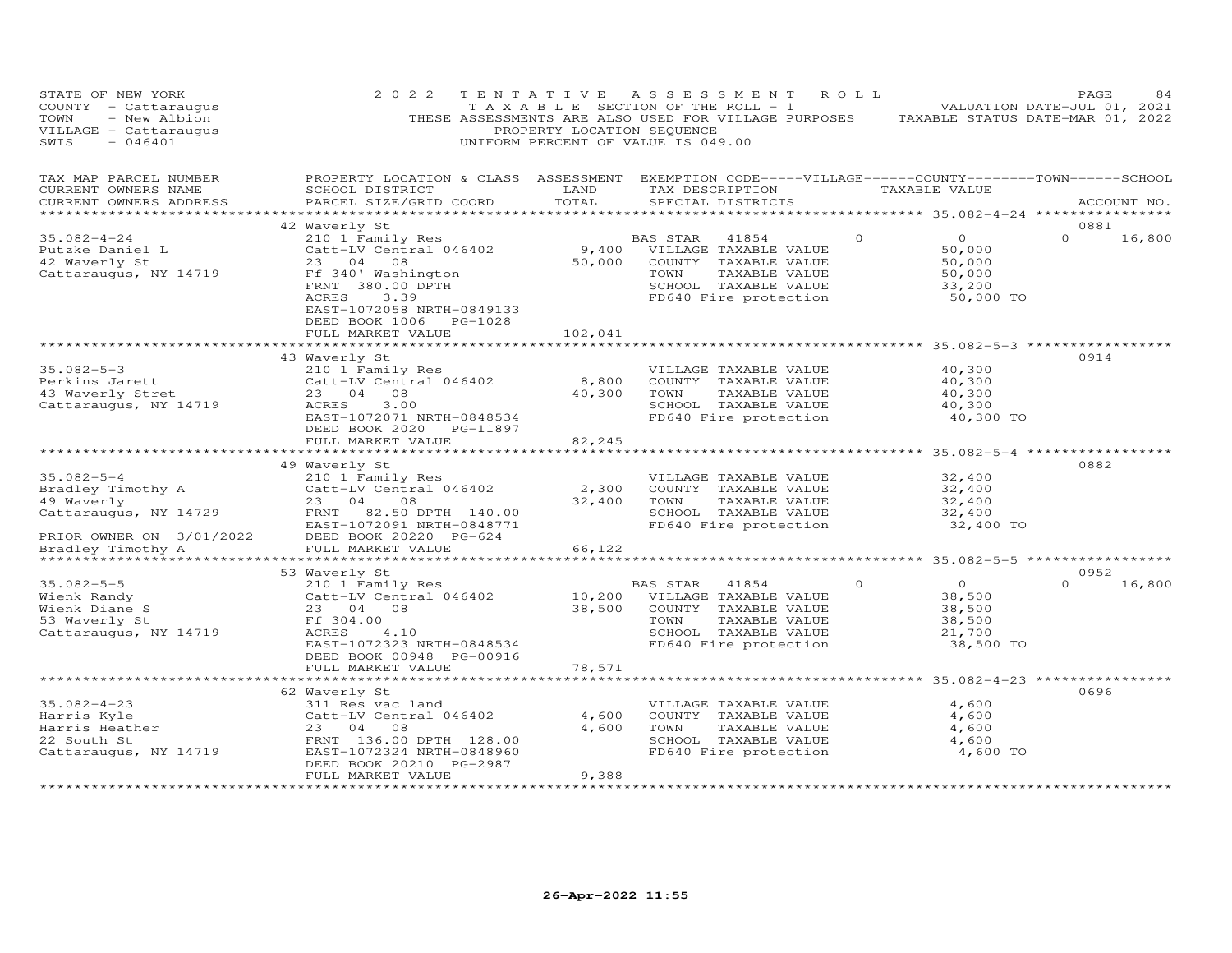| STATE OF NEW YORK<br>COUNTY - Cattaraugus<br>- New Albion<br>TOWN<br>VILLAGE - Cattaraugus<br>SWIS<br>$-046401$               | 2 0 2 2                                                                                                                                                                           | TENTATIVE<br>PROPERTY LOCATION SEQUENCE | ASSESSMENT ROLL<br>T A X A B L E SECTION OF THE ROLL - 1<br>THESE ASSESSMENTS ARE ALSO USED FOR VILLAGE PURPOSES TAXABLE STATUS DATE-MAR 01, 2022<br>UNIFORM PERCENT OF VALUE IS 049.00 |          |                                                               | PAGE<br>VALUATION DATE-JUL 01, 2021 | 84          |
|-------------------------------------------------------------------------------------------------------------------------------|-----------------------------------------------------------------------------------------------------------------------------------------------------------------------------------|-----------------------------------------|-----------------------------------------------------------------------------------------------------------------------------------------------------------------------------------------|----------|---------------------------------------------------------------|-------------------------------------|-------------|
| TAX MAP PARCEL NUMBER<br>CURRENT OWNERS NAME<br>CURRENT OWNERS ADDRESS                                                        | PROPERTY LOCATION & CLASS ASSESSMENT EXEMPTION CODE-----VILLAGE------COUNTY-------TOWN------SCHOOL<br>SCHOOL DISTRICT<br>PARCEL SIZE/GRID COORD                                   | LAND<br>TOTAL                           | TAX DESCRIPTION TAXABLE VALUE<br>SPECIAL DISTRICTS                                                                                                                                      |          |                                                               |                                     | ACCOUNT NO. |
|                                                                                                                               | 42 Waverly St                                                                                                                                                                     |                                         |                                                                                                                                                                                         |          |                                                               | 0881                                |             |
| $35.082 - 4 - 24$<br>Putzke Daniel L<br>42 Waverly St<br>Cattaraugus, NY 14719                                                | 210 1 Family Res<br>Catt-LV Central 046402<br>23 04 08<br>Ff 340' Washington<br>$\text{FRNT}$ 380.00 DPTH<br>ACRES<br>3.39<br>EAST-1072058 NRTH-0849133<br>DEED BOOK 1006 PG-1028 | 9,400<br>50,000                         | 41854<br>BAS STAR<br>VILLAGE TAXABLE VALUE<br>COUNTY TAXABLE VALUE<br>TOWN<br>TAXABLE VALUE<br>SCHOOL TAXABLE VALUE<br>FD640 Fire protection                                            | $\Omega$ | $\Omega$<br>50,000<br>50,000<br>50,000<br>33,200<br>50,000 TO | $\Omega$                            | 16,800      |
|                                                                                                                               | FULL MARKET VALUE                                                                                                                                                                 | 102,041                                 |                                                                                                                                                                                         |          |                                                               |                                     |             |
| $35.082 - 5 - 3$                                                                                                              | 43 Waverly St<br>210 1 Family Res                                                                                                                                                 |                                         | VILLAGE TAXABLE VALUE                                                                                                                                                                   |          | 40,300                                                        | 0914                                |             |
| - Jinius Jarett<br>43 Waverly Stret<br>Catteri<br>Cattaraugus, NY 14719                                                       | Catt-LV Central 046402<br>23 04 08<br>ACRES<br>3.00<br>EAST-1072071 NRTH-0848534<br>DEED BOOK 2020 PG-11897                                                                       | 8,800<br>40,300                         | COUNTY TAXABLE VALUE<br>TAXABLE VALUE<br>TOWN<br>SCHOOL TAXABLE VALUE<br>FD640 Fire protection                                                                                          |          | 40,300<br>40,300<br>40,300<br>40,300 TO                       |                                     |             |
|                                                                                                                               | FULL MARKET VALUE                                                                                                                                                                 | 82,245<br>*********                     |                                                                                                                                                                                         |          | ************ 35.082-5-4 ***********                           |                                     |             |
|                                                                                                                               | 49 Waverly St                                                                                                                                                                     |                                         |                                                                                                                                                                                         |          |                                                               | 0882                                |             |
| $35.082 - 5 - 4$<br>Bradley Timothy A<br>49 Waverly<br>Cattaraugus, NY 14729<br>PRIOR OWNER ON 3/01/2022<br>Bradley Timothy A | 210 1 Family Res<br>Catt-LV Central 046402<br>23 04<br>08<br>FRNT<br>82.50 DPTH 140.00<br>EAST-1072091 NRTH-0848771<br>DEED BOOK 20220 PG-624                                     | 2,300<br>32,400                         | VILLAGE TAXABLE VALUE<br>COUNTY TAXABLE VALUE<br>TOWN<br>TAXABLE VALUE<br>SCHOOL TAXABLE VALUE<br>FD640 Fire protection                                                                 |          | 32,400<br>32,400<br>32,400<br>32,400<br>32,400 TO             |                                     |             |
|                                                                                                                               | FULL MARKET VALUE                                                                                                                                                                 | 66,122                                  |                                                                                                                                                                                         |          |                                                               |                                     |             |
| *********************                                                                                                         |                                                                                                                                                                                   |                                         |                                                                                                                                                                                         |          |                                                               |                                     |             |
| $35.082 - 5 - 5$<br>Wienk Randy<br>Wienk Diane S<br>53 Waverly St<br>Cattaraugus, NY 14719                                    | 53 Waverly St<br>210 1 Family Res<br>Catt-LV Central 046402<br>23 04 08<br>Ff 304.00<br>ACRES<br>4.10<br>EAST-1072323 NRTH-0848534<br>DEED BOOK 00948 PG-00916                    | 10,200<br>38,500                        | 41854<br>BAS STAR<br>VILLAGE TAXABLE VALUE<br>COUNTY TAXABLE VALUE<br>TOWN<br>TAXABLE VALUE<br>SCHOOL TAXABLE VALUE<br>FD640 Fire protection                                            | $\Omega$ | $\Omega$<br>38,500<br>38,500<br>38,500<br>21,700<br>38,500 TO | 0952<br>$\Omega$                    | 16,800      |
|                                                                                                                               | FULL MARKET VALUE                                                                                                                                                                 | 78,571                                  |                                                                                                                                                                                         |          |                                                               |                                     |             |
|                                                                                                                               |                                                                                                                                                                                   | **********                              |                                                                                                                                                                                         |          | ************* 35.082-4-23 ************                        |                                     |             |
| $35.082 - 4 - 23$<br>Harris Kyle<br>Harris Heather<br>22 South St<br>Cattaraugus, NY 14719                                    | 62 Waverly St<br>311 Res vac land<br>Catt-LV Central 046402<br>23 04<br>08<br>FRNT 136.00 DPTH 128.00<br>EAST-1072324 NRTH-0848960<br>DEED BOOK 20210 PG-2987                     | 4,600<br>4,600                          | VILLAGE TAXABLE VALUE<br>COUNTY TAXABLE VALUE<br>TOWN<br>TAXABLE VALUE<br>SCHOOL TAXABLE VALUE<br>FD640 Fire protection                                                                 |          | 4,600<br>4,600<br>4,600<br>4,600<br>4,600 TO                  | 0696                                |             |
|                                                                                                                               | FULL MARKET VALUE<br>************************                                                                                                                                     | 9,388<br>****************               |                                                                                                                                                                                         |          |                                                               |                                     |             |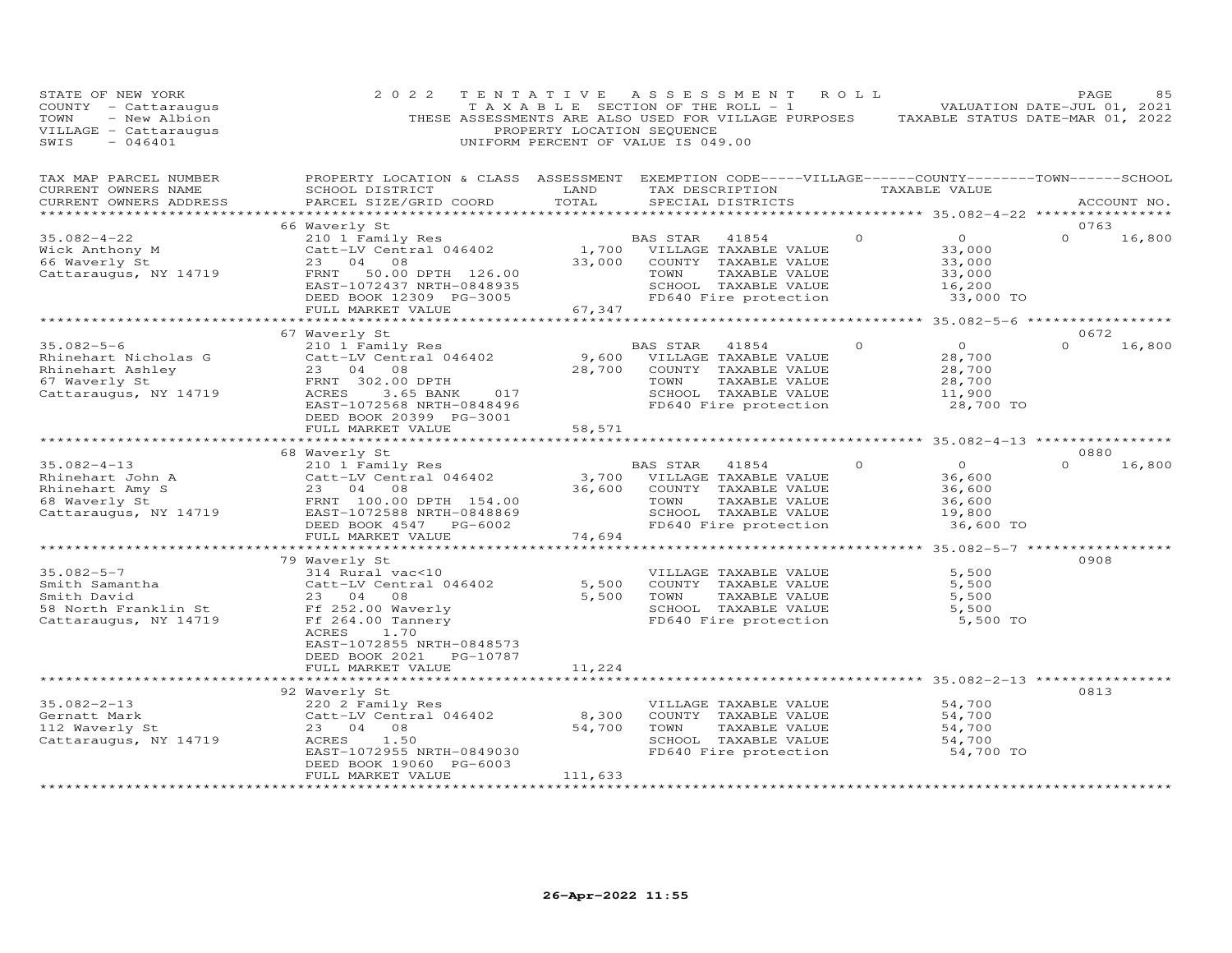| STATE OF NEW YORK<br>COUNTY - Cattaraugus<br>- New Albion<br>TOWN<br>VILLAGE - Cattaraugus<br>SWIS<br>$-046401$                                                                                                                                    | 2 0 2 2                                                                                                                                                                                                                                                                                                                                                                                                        | TENTATIVE<br>PROPERTY LOCATION SEQUENCE | A S S E S S M E N T<br>T A X A B L E SECTION OF THE ROLL - 1<br>THESE ASSESSMENTS ARE ALSO USED FOR VILLAGE PURPOSES TAXABLE STATUS DATE-MAR 01, 2022<br>UNIFORM PERCENT OF VALUE IS 049.00 | ROLL     |                                                                     | PAGE<br>85<br>VALUATION DATE-JUL 01, 2021 |
|----------------------------------------------------------------------------------------------------------------------------------------------------------------------------------------------------------------------------------------------------|----------------------------------------------------------------------------------------------------------------------------------------------------------------------------------------------------------------------------------------------------------------------------------------------------------------------------------------------------------------------------------------------------------------|-----------------------------------------|---------------------------------------------------------------------------------------------------------------------------------------------------------------------------------------------|----------|---------------------------------------------------------------------|-------------------------------------------|
| TAX MAP PARCEL NUMBER<br>CURRENT OWNERS NAME<br>CURRENT OWNERS ADDRESS                                                                                                                                                                             | PROPERTY LOCATION & CLASS ASSESSMENT EXEMPTION CODE-----VILLAGE------COUNTY-------TOWN------SCHOOL<br>SCHOOL DISTRICT<br>PARCEL SIZE/GRID COORD                                                                                                                                                                                                                                                                | LAND<br>TOTAL                           | TAX DESCRIPTION TAXABLE VALUE<br>SPECIAL DISTRICTS                                                                                                                                          |          |                                                                     | ACCOUNT NO.                               |
|                                                                                                                                                                                                                                                    | 66 Waverly St                                                                                                                                                                                                                                                                                                                                                                                                  |                                         |                                                                                                                                                                                             |          |                                                                     | 0763                                      |
| $35.082 - 4 - 22$<br>Wick Anthony M<br>66 Waverly St<br>Cattaraugus, NY 14719                                                                                                                                                                      | $\begin{array}{cccc} \texttt{210 1} & \texttt{Family Res} \\ \texttt{Catt-LV Central 046402} & & & \texttt{BAS STAR} & 41854 \\ \texttt{Catt-LV Central 046402} & & & \texttt{1,700} & \texttt{VILLAGE TAXABLE VALUE} \\ \texttt{23 04 08} & & & \texttt{33,000} & \texttt{COUNTY TAXABLE VALUE} \end{array}$<br>23 04 08<br>FRNT<br>50.00 DPTH 126.00<br>EAST-1072437 NRTH-0848935<br>DEED BOOK 12309 PG-3005 | 33,000                                  | COUNTY TAXABLE VALUE<br>TOWN<br>TAXABLE VALUE<br>SCHOOL TAXABLE VALUE<br>FD640 Fire protection                                                                                              | $\Omega$ | $\overline{O}$<br>33,000<br>33,000<br>33,000<br>16,200<br>33,000 TO | $\Omega$<br>16,800                        |
|                                                                                                                                                                                                                                                    | FULL MARKET VALUE                                                                                                                                                                                                                                                                                                                                                                                              | 67,347<br>***********                   |                                                                                                                                                                                             |          |                                                                     | ************ 35.082-5-6 **************    |
|                                                                                                                                                                                                                                                    |                                                                                                                                                                                                                                                                                                                                                                                                                |                                         |                                                                                                                                                                                             |          |                                                                     | 0672                                      |
| $35.082 - 5 - 6$<br>Rhinehart Nicholas G<br>Rhinehart Ashley<br>67 Waverly St<br>Cattaraugus, NY 14719                                                                                                                                             | 67 Waverly St<br>210 1 Family Res<br>Catt-LV Central 046402<br>23 04 08<br>FRNT 302.00 DPTH<br>$3.65$ BANK 017<br>ACRES<br>EAST-1072568 NRTH-0848496<br>DEED BOOK 20399 PG-3001                                                                                                                                                                                                                                | 9,600<br>28,700                         | BAS STAR<br>41854<br>VILLAGE TAXABLE VALUE<br>COUNTY TAXABLE VALUE<br>TOWN<br>TAXABLE VALUE<br>SCHOOL TAXABLE VALUE<br>FD640 Fire protection                                                | $\circ$  | $\overline{O}$<br>28,700<br>28,700<br>28,700<br>11,900<br>28,700 TO | $\Omega$<br>16,800                        |
|                                                                                                                                                                                                                                                    | FULL MARKET VALUE                                                                                                                                                                                                                                                                                                                                                                                              | 58,571                                  |                                                                                                                                                                                             |          |                                                                     |                                           |
|                                                                                                                                                                                                                                                    |                                                                                                                                                                                                                                                                                                                                                                                                                |                                         |                                                                                                                                                                                             |          |                                                                     |                                           |
|                                                                                                                                                                                                                                                    | 68 Waverly St                                                                                                                                                                                                                                                                                                                                                                                                  |                                         |                                                                                                                                                                                             |          |                                                                     | 0880                                      |
| $35.082 - 4 - 13$                                                                                                                                                                                                                                  |                                                                                                                                                                                                                                                                                                                                                                                                                |                                         | BAS STAR<br>41854                                                                                                                                                                           | $\Omega$ | $\Omega$                                                            | $\Omega$<br>16,800                        |
| Rhinehart John A<br>Rhinehart Amy S<br>68 Waverly St<br>Cattaraugus, NY 14719<br>Cattaraugus, NY 14719<br>Cattaraugus, NY 14719<br>Cattaraugus, NY 14719<br>Cattaraugus, NY 14719<br>Cattaraugus, NY 14719<br>Cattaraugus, NY 14719<br>Cattaraugus | Waverly St<br>210 1 Family Res<br>Catt-LV Central 046402                                                                                                                                                                                                                                                                                                                                                       | 3,700<br>36,600                         | VILLAGE TAXABLE VALUE<br>COUNTY TAXABLE VALUE<br>TOWN<br>TAXABLE VALUE<br>SCHOOL TAXABLE VALUE                                                                                              |          | 36,600<br>36,600<br>36,600<br>19,800                                |                                           |
|                                                                                                                                                                                                                                                    | DEED BOOK 4547 PG-6002                                                                                                                                                                                                                                                                                                                                                                                         |                                         | FD640 Fire protection                                                                                                                                                                       |          | 36,600 TO                                                           |                                           |
|                                                                                                                                                                                                                                                    | FULL MARKET VALUE                                                                                                                                                                                                                                                                                                                                                                                              | 74,694                                  |                                                                                                                                                                                             |          |                                                                     |                                           |
|                                                                                                                                                                                                                                                    |                                                                                                                                                                                                                                                                                                                                                                                                                | * * * * * * * * * * * * * *             | ******************************* 35.082-5-7 *****************                                                                                                                                |          |                                                                     | 0908                                      |
| $35.082 - 5 - 7$<br>Smith Samantha<br>Smith David<br>58 North Franklin St<br>Cattaraugus, NY 14719                                                                                                                                                 | 79 Waverly St<br>314 Rural vac<10<br>Catt-LV Central 046402<br>23 04<br>08<br>Ff 252.00 Waverly<br>Ff 264.00 Tannery<br>ACRES<br>1.70<br>EAST-1072855 NRTH-0848573<br>DEED BOOK 2021    PG-10787                                                                                                                                                                                                               | 5,500<br>5,500                          | VILLAGE TAXABLE VALUE<br>COUNTY TAXABLE VALUE<br>TOWN<br>TAXABLE VALUE<br>SCHOOL TAXABLE VALUE<br>FD640 Fire protection                                                                     |          | 5,500<br>5,500<br>5,500<br>5,500<br>5,500 TO                        |                                           |
|                                                                                                                                                                                                                                                    | FULL MARKET VALUE                                                                                                                                                                                                                                                                                                                                                                                              | 11,224                                  |                                                                                                                                                                                             |          |                                                                     |                                           |
|                                                                                                                                                                                                                                                    |                                                                                                                                                                                                                                                                                                                                                                                                                | *********                               |                                                                                                                                                                                             |          | *************** 35.082-2-13 **********                              |                                           |
| $35.082 - 2 - 13$<br>Gernatt Mark<br>112 Waverly St<br>Cattaraugus, NY 14719                                                                                                                                                                       | 92 Waverly St<br>220 2 Family Res<br>Catt-LV Central 046402<br>23 04 08<br>1.50<br>ACRES<br>EAST-1072955 NRTH-0849030<br>DEED BOOK 19060 PG-6003                                                                                                                                                                                                                                                               | 8,300<br>54,700                         | VILLAGE TAXABLE VALUE<br>COUNTY TAXABLE VALUE<br>TOWN<br>TAXABLE VALUE<br>SCHOOL TAXABLE VALUE<br>FD640 Fire protection                                                                     |          | 54,700<br>54,700<br>54,700<br>54,700<br>54,700 TO                   | 0813                                      |
|                                                                                                                                                                                                                                                    | FULL MARKET VALUE<br>**************************                                                                                                                                                                                                                                                                                                                                                                | 111,633<br>*****************            |                                                                                                                                                                                             |          |                                                                     |                                           |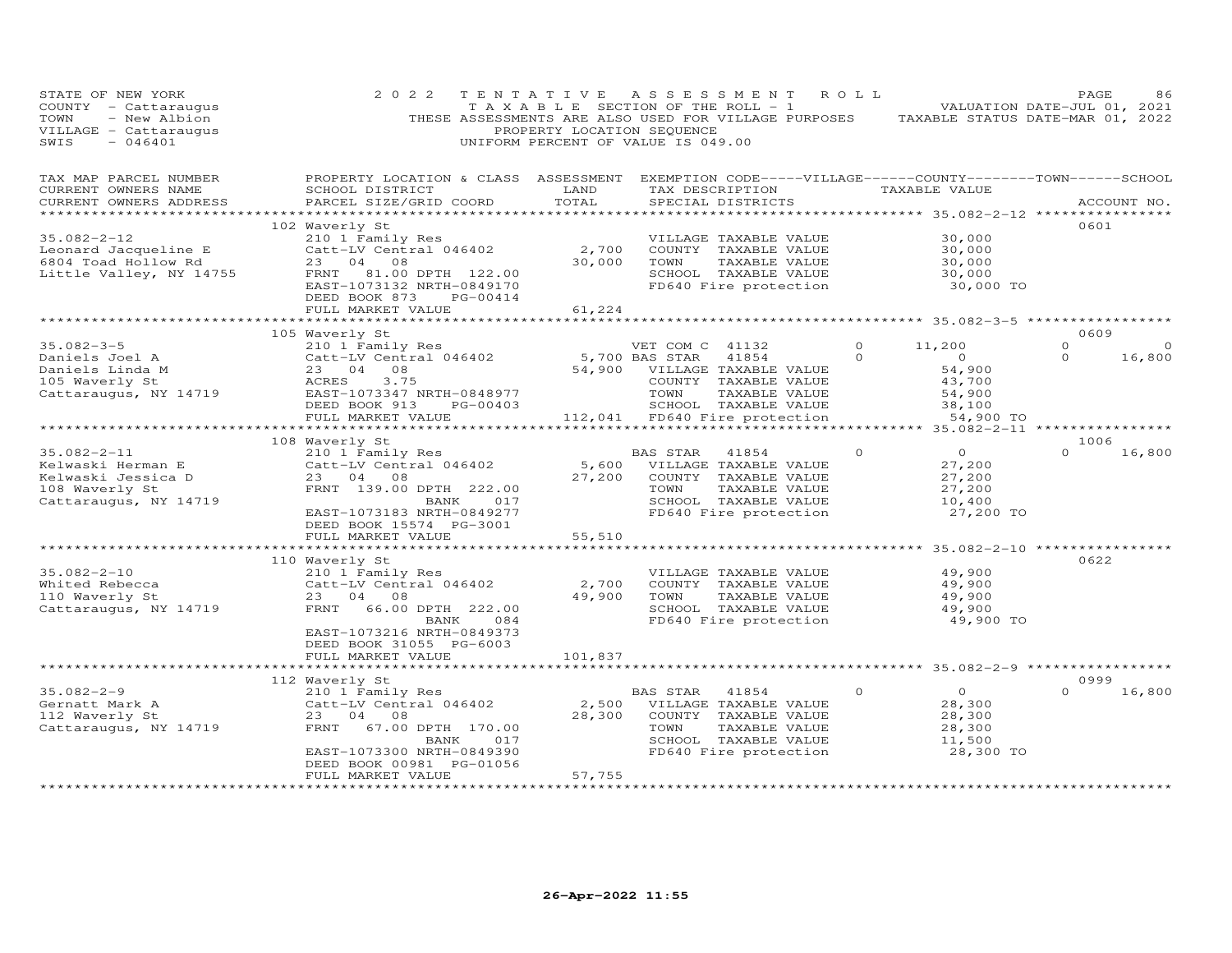| STATE OF NEW YORK<br>COUNTY - Cattaraugus<br>- New Albion<br>TOWN<br>VILLAGE - Cattaraugus<br>SWIS<br>$-046401$                           | 2 0 2 2                                                                                                                                                                                                  | TENTATIVE<br>PROPERTY LOCATION SEQUENCE        | ASSESSMENT ROLL<br>T A X A B L E SECTION OF THE ROLL - 1<br>THESE ASSESSMENTS ARE ALSO USED FOR VILLAGE PURPOSES TAXABLE STATUS DATE-MAR 01, 2022<br>UNIFORM PERCENT OF VALUE IS 049.00 |                     |                                                                     | PAGE<br>VALUATION DATE-JUL 01, 2021 | 86                |
|-------------------------------------------------------------------------------------------------------------------------------------------|----------------------------------------------------------------------------------------------------------------------------------------------------------------------------------------------------------|------------------------------------------------|-----------------------------------------------------------------------------------------------------------------------------------------------------------------------------------------|---------------------|---------------------------------------------------------------------|-------------------------------------|-------------------|
| TAX MAP PARCEL NUMBER<br>CURRENT OWNERS NAME<br>CURRENT OWNERS ADDRESS                                                                    | PROPERTY LOCATION & CLASS ASSESSMENT EXEMPTION CODE-----VILLAGE------COUNTY-------TOWN------SCHOOL<br>SCHOOL DISTRICT<br>PARCEL SIZE/GRID COORD                                                          | LAND<br>TOTAL                                  | TAX DESCRIPTION<br>SPECIAL DISTRICTS                                                                                                                                                    |                     | TAXABLE VALUE                                                       |                                     | ACCOUNT NO.       |
| $35.082 - 2 - 12$<br>Leonard Jacqueline E<br>Leonard Jacqueline E<br>6804 Toad Hollow Rd<br>Little Valley, NY 14755                       | 102 Waverly St<br>210 1 $\bar{F}$ amily Res<br>Catt-LV Central 046402<br>23 04 08<br>23 04 08<br>FRNT 81.00 DPTH 122.00<br>EAST-1073132 NRTH-0849170<br>DEED BOOK 873<br>PG-00414                        | 2,700<br>30,000                                | VILLAGE TAXABLE VALUE<br>COUNTY TAXABLE VALUE<br>TOWN<br>TAXABLE VALUE<br>SCHOOL TAXABLE VALUE<br>FD640 Fire protection                                                                 |                     | 30,000<br>30,000<br>30,000<br>30,000<br>30,000 TO                   | 0601                                |                   |
|                                                                                                                                           | FULL MARKET VALUE                                                                                                                                                                                        | 61,224<br>***********                          |                                                                                                                                                                                         |                     |                                                                     |                                     |                   |
|                                                                                                                                           |                                                                                                                                                                                                          |                                                |                                                                                                                                                                                         |                     | ***************** 35.082-3-5 ***************                        | 0609                                |                   |
| $35.082 - 3 - 5$<br>Cattle TV<br>Daniels Linda M<br>105 Waverly St<br>Cattaraugus, NY 14719<br>23 D4<br>Cattaraugus, NY 14719<br>EAST-107 | 105 Waverly St<br>210 1 Family Res<br>Catt-LV Central 046402<br>23 04 08<br>ACRES 3.75<br>EAST-1073347 NRTH-0848977<br>DEED BOOK 913<br>PG-00403                                                         |                                                | VET COM C 41132<br>5,700 BAS STAR 41854<br>54,900 VILLAGE TAXABLE VALUE<br>COUNTY TAXABLE VALUE<br>TOWN<br>TAXABLE VALUE<br>SCHOOL TAXABLE VALUE                                        | $\circ$<br>$\Omega$ | 11,200<br>$\overline{O}$<br>54,900<br>43,700<br>54,900<br>38,100    | $\circ$<br>$\Omega$                 | $\circ$<br>16,800 |
|                                                                                                                                           | FULL MARKET VALUE                                                                                                                                                                                        |                                                | 112,041 FD640 Fire protection                                                                                                                                                           |                     | 54,900 TO                                                           |                                     |                   |
|                                                                                                                                           | ***********************                                                                                                                                                                                  |                                                |                                                                                                                                                                                         |                     |                                                                     | *****                               |                   |
|                                                                                                                                           | 108 Waverly St                                                                                                                                                                                           |                                                |                                                                                                                                                                                         |                     |                                                                     | 1006                                |                   |
| $35.082 - 2 - 11$<br>Kelwaski Herman E<br>Kelwaski Jessica D<br>108 Waverly St<br>Cattaraugus, NY 14719                                   | 210 1 Family Res<br>Catt-LV Central 046402<br>23 04 08<br>FRNT 139.00 DPTH 222.00<br>BANK<br>017<br>EAST-1073183 NRTH-0849277<br>DEED BOOK 15574 PG-3001<br>FULL MARKET VALUE                            | 5,600<br>27,200<br>55,510                      | BAS STAR<br>41854<br>VILLAGE TAXABLE VALUE<br>COUNTY TAXABLE VALUE<br>TAXABLE VALUE<br>TOWN<br>SCHOOL TAXABLE VALUE<br>FD640 Fire protection                                            | $\circ$             | $\overline{O}$<br>27,200<br>27,200<br>27,200<br>10,400<br>27,200 TO | $\Omega$                            | 16,800            |
|                                                                                                                                           | ************************                                                                                                                                                                                 | **************                                 |                                                                                                                                                                                         |                     | ************************* 35.082-2-10 ***************               |                                     |                   |
| $35.082 - 2 - 10$<br>Whited Rebecca<br>110 Waverly St<br>Cattaraugus, NY 14719                                                            | 110 Waverly St<br>210 1 Family Res<br>Catt-LV Central 046402<br>23 04 08<br>FRNT<br>66.00 DPTH 222.00<br>BANK<br>084<br>EAST-1073216 NRTH-0849373<br>DEED BOOK 31055 PG-6003<br>FULL MARKET VALUE        | 2,700<br>49,900<br>101,837                     | VILLAGE TAXABLE VALUE<br>COUNTY TAXABLE VALUE<br>TOWN<br>TAXABLE VALUE<br>SCHOOL TAXABLE VALUE<br>FD640 Fire protection                                                                 |                     | 49,900<br>49,900<br>49,900<br>49,900<br>49,900 TO                   | 0622                                |                   |
|                                                                                                                                           |                                                                                                                                                                                                          |                                                |                                                                                                                                                                                         |                     |                                                                     |                                     |                   |
|                                                                                                                                           | 112 Waverly St                                                                                                                                                                                           |                                                |                                                                                                                                                                                         |                     |                                                                     | 0999                                |                   |
| $35.082 - 2 - 9$<br>Gernatt Mark A<br>112 Waverly St<br>Cattaraugus, NY 14719                                                             | 210 1 Family Res<br>Catt-LV Central 046402<br>23 04<br>08<br>67.00 DPTH 170.00<br>FRNT<br>BANK 017<br>EAST-1073300 NRTH-0849390<br>DEED BOOK 00981 PG-01056<br>FULL MARKET VALUE<br>******************** | 2,500<br>28,300<br>57,755<br>***************** | BAS STAR<br>41854<br>VILLAGE TAXABLE VALUE<br>COUNTY TAXABLE VALUE<br>TOWN<br>TAXABLE VALUE<br>SCHOOL TAXABLE VALUE<br>FD640 Fire protection                                            | $\circ$             | $\overline{0}$<br>28,300<br>28,300<br>28,300<br>11,500<br>28,300 TO | $\Omega$                            | 16,800            |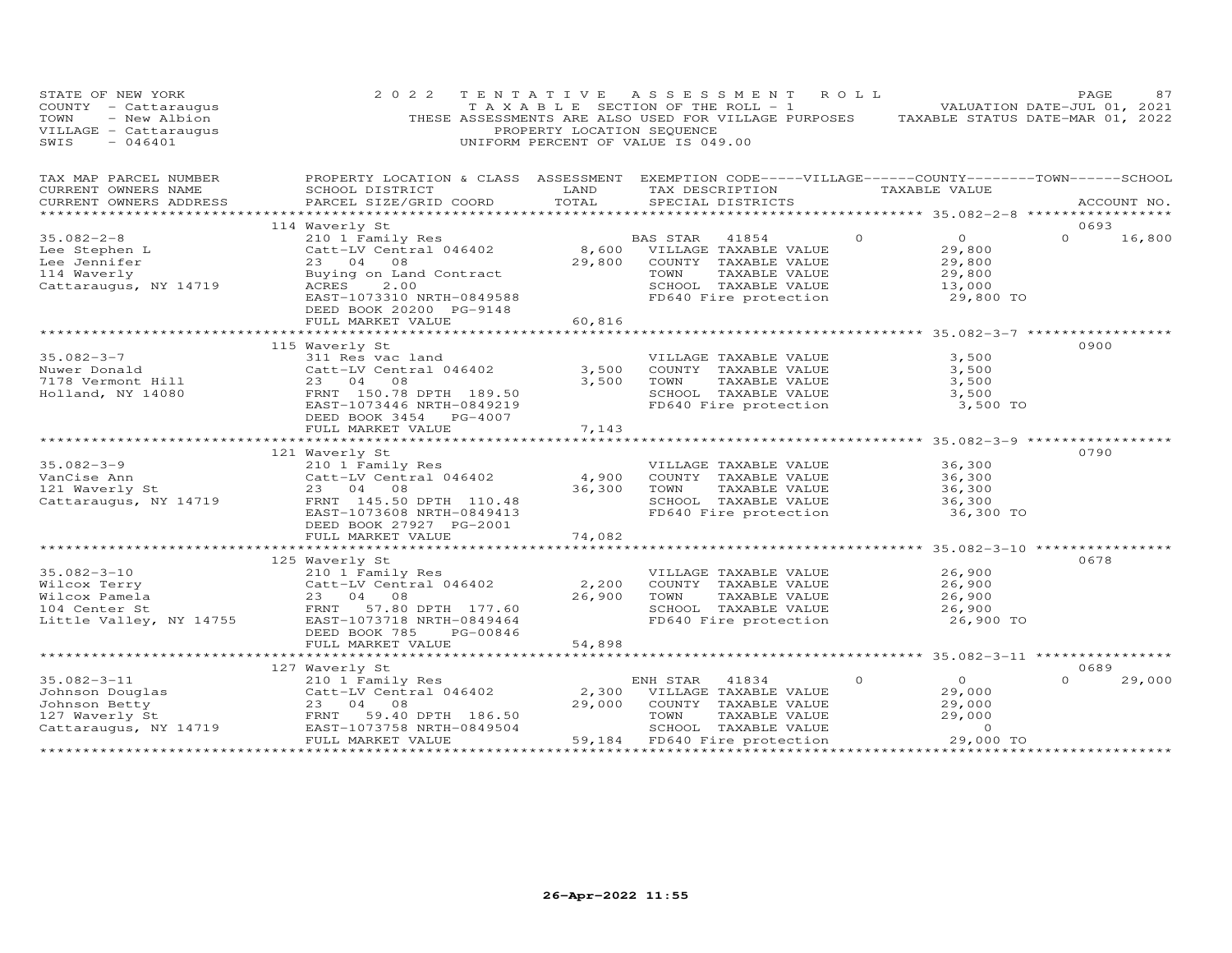| PROPERTY LOCATION & CLASS ASSESSMENT EXEMPTION CODE-----VILLAGE------COUNTY-------TOWN------SCHOOL<br>TAX MAP PARCEL NUMBER<br>LAND<br>CURRENT OWNERS NAME<br>SCHOOL DISTRICT<br>TAX DESCRIPTION TAXABLE VALUE<br>TOTAL<br>CURRENT OWNERS ADDRESS<br>PARCEL SIZE/GRID COORD<br>SPECIAL DISTRICTS<br>ACCOUNT NO.<br>114 Waverly St<br>0693<br>$35.082 - 2 - 8$<br>$\Omega$<br>$\overline{O}$<br>$\Omega$<br>210 1 Family Res<br>BAS STAR 41854<br>16,800<br>Catt-LV Central 046402<br>8,600<br>Lee Stephen L<br>VILLAGE TAXABLE VALUE<br>29,800<br>29,800<br>Lee Jennifer<br>23 04 08<br>COUNTY TAXABLE VALUE<br>29,800<br>29,800<br>114 Waverly<br>Buying on Land Contract<br>TOWN<br>TAXABLE VALUE<br>Cattaraugus, NY 14719<br>ACRES<br>2.00<br>SCHOOL TAXABLE VALUE<br>13,000<br>FD640 Fire protection<br>29,800 TO<br>EAST-1073310 NRTH-0849588<br>DEED BOOK 20200 PG-9148<br>60,816<br>FULL MARKET VALUE<br>0900<br>115 Waverly St<br>35.082-3-7<br>311 Res vac land<br>3,500<br>VILLAGE TAXABLE VALUE<br>3,500<br>Nuwer Donald<br>Catt-LV Central 046402<br>COUNTY TAXABLE VALUE<br>3,500<br>3,500<br>7178 Vermont Hill<br>23 04 08<br>3,500<br>TOWN<br>TAXABLE VALUE<br>Holland, NY 14080<br>FRNT 150.78 DPTH 189.50<br>SCHOOL TAXABLE VALUE<br>3,500<br>EAST-1073446 NRTH-0849219<br>FD640 Fire protection<br>3,500 TO<br>DEED BOOK 3454 PG-4007<br>7,143<br>FULL MARKET VALUE<br>0790<br>121 Waverly St<br>$35.082 - 3 - 9$<br>36,300<br>210 1 Family Res<br>VILLAGE TAXABLE VALUE<br>4,900<br>VanCise Ann<br>Catt-LV Central 046402<br>COUNTY TAXABLE VALUE<br>36,300<br>121 Waverly St<br>23 04 08<br>36,300<br>TOWN<br>TAXABLE VALUE<br>36,300<br>SCHOOL TAXABLE VALUE<br>Cattaraugus, NY 14719<br>FRNT 145.50 DPTH 110.48<br>36,300<br>EAST-1073608 NRTH-0849413<br>FD640 Fire protection<br>36,300 TO<br>DEED BOOK 27927 PG-2001<br>74,082<br>FULL MARKET VALUE<br>************************************** 35.082-3-10 *****************<br>0678<br>125 Waverly St<br>$35.082 - 3 - 10$<br>26,900<br>210 1 Family Res<br>VILLAGE TAXABLE VALUE<br>Wilcox Terry<br>Catt-LV Central 046402<br>2,200<br>COUNTY TAXABLE VALUE<br>26,900<br>Wilcox Pamela<br>26,900<br>TAXABLE VALUE<br>26,900<br>23 04 08<br>TOWN<br>SCHOOL TAXABLE VALUE<br>104 Center St<br>FRNT 57.80 DPTH 177.60<br>26,900<br>Little Valley, NY 14755<br>EAST-1073718 NRTH-0849464<br>FD640 Fire protection<br>26,900 TO<br>DEED BOOK 785<br>PG-00846<br>54,898<br>FULL MARKET VALUE<br>***************************<br>0689<br>127 Waverly St<br>$\overline{O}$<br>$35.082 - 3 - 11$<br>$\Omega$<br>29,000<br>210 1 Family Res<br>ENH STAR 41834<br>$\Omega$<br>Catt-LV Central 046402<br>2,300<br>29,000<br>Johnson Douglas<br>VILLAGE TAXABLE VALUE<br>Johnson Betty<br>23 04<br>29,000<br>COUNTY TAXABLE VALUE<br>29,000<br>08<br>FRNT 59.40 DPTH 186.50<br>TOWN<br>29,000<br>127 Waverly St<br>TAXABLE VALUE<br>Cattaraugus, NY 14719<br>EAST-1073758 NRTH-0849504<br>SCHOOL TAXABLE VALUE<br>$\Omega$<br>FULL MARKET VALUE<br>59,184 FD640 Fire protection<br>29,000 TO | STATE OF NEW YORK<br>COUNTY - Cattaraugus<br>- New Albion<br>TOWN<br>VILLAGE - Cattaraugus<br>$-046401$<br>SWIS | 2 0 2 2<br>TENTATIVE | PROPERTY LOCATION SEQUENCE | A S S E S S M E N T<br>T A X A B L E SECTION OF THE ROLL - 1<br>THESE ASSESSMENTS ARE ALSO USED FOR VILLAGE PURPOSES<br>UNIFORM PERCENT OF VALUE IS 049.00 | R O L L | TAXABLE STATUS DATE-MAR 01, 2022 | PAGE<br>VALUATION DATE-JUL 01, 2021 | 87 |
|----------------------------------------------------------------------------------------------------------------------------------------------------------------------------------------------------------------------------------------------------------------------------------------------------------------------------------------------------------------------------------------------------------------------------------------------------------------------------------------------------------------------------------------------------------------------------------------------------------------------------------------------------------------------------------------------------------------------------------------------------------------------------------------------------------------------------------------------------------------------------------------------------------------------------------------------------------------------------------------------------------------------------------------------------------------------------------------------------------------------------------------------------------------------------------------------------------------------------------------------------------------------------------------------------------------------------------------------------------------------------------------------------------------------------------------------------------------------------------------------------------------------------------------------------------------------------------------------------------------------------------------------------------------------------------------------------------------------------------------------------------------------------------------------------------------------------------------------------------------------------------------------------------------------------------------------------------------------------------------------------------------------------------------------------------------------------------------------------------------------------------------------------------------------------------------------------------------------------------------------------------------------------------------------------------------------------------------------------------------------------------------------------------------------------------------------------------------------------------------------------------------------------------------------------------------------------------------------------------------------------------------------------------------------------------------------------------------------------------------------------------------------------------------------------------------------------------------------------------------------------------------------------------------------------------------------------------------------------------------------------------------------------------------------------------|-----------------------------------------------------------------------------------------------------------------|----------------------|----------------------------|------------------------------------------------------------------------------------------------------------------------------------------------------------|---------|----------------------------------|-------------------------------------|----|
|                                                                                                                                                                                                                                                                                                                                                                                                                                                                                                                                                                                                                                                                                                                                                                                                                                                                                                                                                                                                                                                                                                                                                                                                                                                                                                                                                                                                                                                                                                                                                                                                                                                                                                                                                                                                                                                                                                                                                                                                                                                                                                                                                                                                                                                                                                                                                                                                                                                                                                                                                                                                                                                                                                                                                                                                                                                                                                                                                                                                                                                          |                                                                                                                 |                      |                            |                                                                                                                                                            |         |                                  |                                     |    |
|                                                                                                                                                                                                                                                                                                                                                                                                                                                                                                                                                                                                                                                                                                                                                                                                                                                                                                                                                                                                                                                                                                                                                                                                                                                                                                                                                                                                                                                                                                                                                                                                                                                                                                                                                                                                                                                                                                                                                                                                                                                                                                                                                                                                                                                                                                                                                                                                                                                                                                                                                                                                                                                                                                                                                                                                                                                                                                                                                                                                                                                          |                                                                                                                 |                      |                            |                                                                                                                                                            |         |                                  |                                     |    |
|                                                                                                                                                                                                                                                                                                                                                                                                                                                                                                                                                                                                                                                                                                                                                                                                                                                                                                                                                                                                                                                                                                                                                                                                                                                                                                                                                                                                                                                                                                                                                                                                                                                                                                                                                                                                                                                                                                                                                                                                                                                                                                                                                                                                                                                                                                                                                                                                                                                                                                                                                                                                                                                                                                                                                                                                                                                                                                                                                                                                                                                          |                                                                                                                 |                      |                            |                                                                                                                                                            |         |                                  |                                     |    |
|                                                                                                                                                                                                                                                                                                                                                                                                                                                                                                                                                                                                                                                                                                                                                                                                                                                                                                                                                                                                                                                                                                                                                                                                                                                                                                                                                                                                                                                                                                                                                                                                                                                                                                                                                                                                                                                                                                                                                                                                                                                                                                                                                                                                                                                                                                                                                                                                                                                                                                                                                                                                                                                                                                                                                                                                                                                                                                                                                                                                                                                          |                                                                                                                 |                      |                            |                                                                                                                                                            |         |                                  |                                     |    |
|                                                                                                                                                                                                                                                                                                                                                                                                                                                                                                                                                                                                                                                                                                                                                                                                                                                                                                                                                                                                                                                                                                                                                                                                                                                                                                                                                                                                                                                                                                                                                                                                                                                                                                                                                                                                                                                                                                                                                                                                                                                                                                                                                                                                                                                                                                                                                                                                                                                                                                                                                                                                                                                                                                                                                                                                                                                                                                                                                                                                                                                          |                                                                                                                 |                      |                            |                                                                                                                                                            |         |                                  |                                     |    |
|                                                                                                                                                                                                                                                                                                                                                                                                                                                                                                                                                                                                                                                                                                                                                                                                                                                                                                                                                                                                                                                                                                                                                                                                                                                                                                                                                                                                                                                                                                                                                                                                                                                                                                                                                                                                                                                                                                                                                                                                                                                                                                                                                                                                                                                                                                                                                                                                                                                                                                                                                                                                                                                                                                                                                                                                                                                                                                                                                                                                                                                          |                                                                                                                 |                      |                            |                                                                                                                                                            |         |                                  |                                     |    |
|                                                                                                                                                                                                                                                                                                                                                                                                                                                                                                                                                                                                                                                                                                                                                                                                                                                                                                                                                                                                                                                                                                                                                                                                                                                                                                                                                                                                                                                                                                                                                                                                                                                                                                                                                                                                                                                                                                                                                                                                                                                                                                                                                                                                                                                                                                                                                                                                                                                                                                                                                                                                                                                                                                                                                                                                                                                                                                                                                                                                                                                          |                                                                                                                 |                      |                            |                                                                                                                                                            |         |                                  |                                     |    |
|                                                                                                                                                                                                                                                                                                                                                                                                                                                                                                                                                                                                                                                                                                                                                                                                                                                                                                                                                                                                                                                                                                                                                                                                                                                                                                                                                                                                                                                                                                                                                                                                                                                                                                                                                                                                                                                                                                                                                                                                                                                                                                                                                                                                                                                                                                                                                                                                                                                                                                                                                                                                                                                                                                                                                                                                                                                                                                                                                                                                                                                          |                                                                                                                 |                      |                            |                                                                                                                                                            |         |                                  |                                     |    |
|                                                                                                                                                                                                                                                                                                                                                                                                                                                                                                                                                                                                                                                                                                                                                                                                                                                                                                                                                                                                                                                                                                                                                                                                                                                                                                                                                                                                                                                                                                                                                                                                                                                                                                                                                                                                                                                                                                                                                                                                                                                                                                                                                                                                                                                                                                                                                                                                                                                                                                                                                                                                                                                                                                                                                                                                                                                                                                                                                                                                                                                          |                                                                                                                 |                      |                            |                                                                                                                                                            |         |                                  |                                     |    |
|                                                                                                                                                                                                                                                                                                                                                                                                                                                                                                                                                                                                                                                                                                                                                                                                                                                                                                                                                                                                                                                                                                                                                                                                                                                                                                                                                                                                                                                                                                                                                                                                                                                                                                                                                                                                                                                                                                                                                                                                                                                                                                                                                                                                                                                                                                                                                                                                                                                                                                                                                                                                                                                                                                                                                                                                                                                                                                                                                                                                                                                          |                                                                                                                 |                      |                            |                                                                                                                                                            |         |                                  |                                     |    |
|                                                                                                                                                                                                                                                                                                                                                                                                                                                                                                                                                                                                                                                                                                                                                                                                                                                                                                                                                                                                                                                                                                                                                                                                                                                                                                                                                                                                                                                                                                                                                                                                                                                                                                                                                                                                                                                                                                                                                                                                                                                                                                                                                                                                                                                                                                                                                                                                                                                                                                                                                                                                                                                                                                                                                                                                                                                                                                                                                                                                                                                          |                                                                                                                 |                      |                            |                                                                                                                                                            |         |                                  |                                     |    |
|                                                                                                                                                                                                                                                                                                                                                                                                                                                                                                                                                                                                                                                                                                                                                                                                                                                                                                                                                                                                                                                                                                                                                                                                                                                                                                                                                                                                                                                                                                                                                                                                                                                                                                                                                                                                                                                                                                                                                                                                                                                                                                                                                                                                                                                                                                                                                                                                                                                                                                                                                                                                                                                                                                                                                                                                                                                                                                                                                                                                                                                          |                                                                                                                 |                      |                            |                                                                                                                                                            |         |                                  |                                     |    |
|                                                                                                                                                                                                                                                                                                                                                                                                                                                                                                                                                                                                                                                                                                                                                                                                                                                                                                                                                                                                                                                                                                                                                                                                                                                                                                                                                                                                                                                                                                                                                                                                                                                                                                                                                                                                                                                                                                                                                                                                                                                                                                                                                                                                                                                                                                                                                                                                                                                                                                                                                                                                                                                                                                                                                                                                                                                                                                                                                                                                                                                          |                                                                                                                 |                      |                            |                                                                                                                                                            |         |                                  |                                     |    |
|                                                                                                                                                                                                                                                                                                                                                                                                                                                                                                                                                                                                                                                                                                                                                                                                                                                                                                                                                                                                                                                                                                                                                                                                                                                                                                                                                                                                                                                                                                                                                                                                                                                                                                                                                                                                                                                                                                                                                                                                                                                                                                                                                                                                                                                                                                                                                                                                                                                                                                                                                                                                                                                                                                                                                                                                                                                                                                                                                                                                                                                          |                                                                                                                 |                      |                            |                                                                                                                                                            |         |                                  |                                     |    |
|                                                                                                                                                                                                                                                                                                                                                                                                                                                                                                                                                                                                                                                                                                                                                                                                                                                                                                                                                                                                                                                                                                                                                                                                                                                                                                                                                                                                                                                                                                                                                                                                                                                                                                                                                                                                                                                                                                                                                                                                                                                                                                                                                                                                                                                                                                                                                                                                                                                                                                                                                                                                                                                                                                                                                                                                                                                                                                                                                                                                                                                          |                                                                                                                 |                      |                            |                                                                                                                                                            |         |                                  |                                     |    |
|                                                                                                                                                                                                                                                                                                                                                                                                                                                                                                                                                                                                                                                                                                                                                                                                                                                                                                                                                                                                                                                                                                                                                                                                                                                                                                                                                                                                                                                                                                                                                                                                                                                                                                                                                                                                                                                                                                                                                                                                                                                                                                                                                                                                                                                                                                                                                                                                                                                                                                                                                                                                                                                                                                                                                                                                                                                                                                                                                                                                                                                          |                                                                                                                 |                      |                            |                                                                                                                                                            |         |                                  |                                     |    |
|                                                                                                                                                                                                                                                                                                                                                                                                                                                                                                                                                                                                                                                                                                                                                                                                                                                                                                                                                                                                                                                                                                                                                                                                                                                                                                                                                                                                                                                                                                                                                                                                                                                                                                                                                                                                                                                                                                                                                                                                                                                                                                                                                                                                                                                                                                                                                                                                                                                                                                                                                                                                                                                                                                                                                                                                                                                                                                                                                                                                                                                          |                                                                                                                 |                      |                            |                                                                                                                                                            |         |                                  |                                     |    |
|                                                                                                                                                                                                                                                                                                                                                                                                                                                                                                                                                                                                                                                                                                                                                                                                                                                                                                                                                                                                                                                                                                                                                                                                                                                                                                                                                                                                                                                                                                                                                                                                                                                                                                                                                                                                                                                                                                                                                                                                                                                                                                                                                                                                                                                                                                                                                                                                                                                                                                                                                                                                                                                                                                                                                                                                                                                                                                                                                                                                                                                          |                                                                                                                 |                      |                            |                                                                                                                                                            |         |                                  |                                     |    |
|                                                                                                                                                                                                                                                                                                                                                                                                                                                                                                                                                                                                                                                                                                                                                                                                                                                                                                                                                                                                                                                                                                                                                                                                                                                                                                                                                                                                                                                                                                                                                                                                                                                                                                                                                                                                                                                                                                                                                                                                                                                                                                                                                                                                                                                                                                                                                                                                                                                                                                                                                                                                                                                                                                                                                                                                                                                                                                                                                                                                                                                          |                                                                                                                 |                      |                            |                                                                                                                                                            |         |                                  |                                     |    |
|                                                                                                                                                                                                                                                                                                                                                                                                                                                                                                                                                                                                                                                                                                                                                                                                                                                                                                                                                                                                                                                                                                                                                                                                                                                                                                                                                                                                                                                                                                                                                                                                                                                                                                                                                                                                                                                                                                                                                                                                                                                                                                                                                                                                                                                                                                                                                                                                                                                                                                                                                                                                                                                                                                                                                                                                                                                                                                                                                                                                                                                          |                                                                                                                 |                      |                            |                                                                                                                                                            |         |                                  |                                     |    |
|                                                                                                                                                                                                                                                                                                                                                                                                                                                                                                                                                                                                                                                                                                                                                                                                                                                                                                                                                                                                                                                                                                                                                                                                                                                                                                                                                                                                                                                                                                                                                                                                                                                                                                                                                                                                                                                                                                                                                                                                                                                                                                                                                                                                                                                                                                                                                                                                                                                                                                                                                                                                                                                                                                                                                                                                                                                                                                                                                                                                                                                          |                                                                                                                 |                      |                            |                                                                                                                                                            |         |                                  |                                     |    |
|                                                                                                                                                                                                                                                                                                                                                                                                                                                                                                                                                                                                                                                                                                                                                                                                                                                                                                                                                                                                                                                                                                                                                                                                                                                                                                                                                                                                                                                                                                                                                                                                                                                                                                                                                                                                                                                                                                                                                                                                                                                                                                                                                                                                                                                                                                                                                                                                                                                                                                                                                                                                                                                                                                                                                                                                                                                                                                                                                                                                                                                          |                                                                                                                 |                      |                            |                                                                                                                                                            |         |                                  |                                     |    |
|                                                                                                                                                                                                                                                                                                                                                                                                                                                                                                                                                                                                                                                                                                                                                                                                                                                                                                                                                                                                                                                                                                                                                                                                                                                                                                                                                                                                                                                                                                                                                                                                                                                                                                                                                                                                                                                                                                                                                                                                                                                                                                                                                                                                                                                                                                                                                                                                                                                                                                                                                                                                                                                                                                                                                                                                                                                                                                                                                                                                                                                          |                                                                                                                 |                      |                            |                                                                                                                                                            |         |                                  |                                     |    |
|                                                                                                                                                                                                                                                                                                                                                                                                                                                                                                                                                                                                                                                                                                                                                                                                                                                                                                                                                                                                                                                                                                                                                                                                                                                                                                                                                                                                                                                                                                                                                                                                                                                                                                                                                                                                                                                                                                                                                                                                                                                                                                                                                                                                                                                                                                                                                                                                                                                                                                                                                                                                                                                                                                                                                                                                                                                                                                                                                                                                                                                          |                                                                                                                 |                      |                            |                                                                                                                                                            |         |                                  |                                     |    |
|                                                                                                                                                                                                                                                                                                                                                                                                                                                                                                                                                                                                                                                                                                                                                                                                                                                                                                                                                                                                                                                                                                                                                                                                                                                                                                                                                                                                                                                                                                                                                                                                                                                                                                                                                                                                                                                                                                                                                                                                                                                                                                                                                                                                                                                                                                                                                                                                                                                                                                                                                                                                                                                                                                                                                                                                                                                                                                                                                                                                                                                          |                                                                                                                 |                      |                            |                                                                                                                                                            |         |                                  |                                     |    |
|                                                                                                                                                                                                                                                                                                                                                                                                                                                                                                                                                                                                                                                                                                                                                                                                                                                                                                                                                                                                                                                                                                                                                                                                                                                                                                                                                                                                                                                                                                                                                                                                                                                                                                                                                                                                                                                                                                                                                                                                                                                                                                                                                                                                                                                                                                                                                                                                                                                                                                                                                                                                                                                                                                                                                                                                                                                                                                                                                                                                                                                          |                                                                                                                 |                      |                            |                                                                                                                                                            |         |                                  |                                     |    |
|                                                                                                                                                                                                                                                                                                                                                                                                                                                                                                                                                                                                                                                                                                                                                                                                                                                                                                                                                                                                                                                                                                                                                                                                                                                                                                                                                                                                                                                                                                                                                                                                                                                                                                                                                                                                                                                                                                                                                                                                                                                                                                                                                                                                                                                                                                                                                                                                                                                                                                                                                                                                                                                                                                                                                                                                                                                                                                                                                                                                                                                          |                                                                                                                 |                      |                            |                                                                                                                                                            |         |                                  |                                     |    |
|                                                                                                                                                                                                                                                                                                                                                                                                                                                                                                                                                                                                                                                                                                                                                                                                                                                                                                                                                                                                                                                                                                                                                                                                                                                                                                                                                                                                                                                                                                                                                                                                                                                                                                                                                                                                                                                                                                                                                                                                                                                                                                                                                                                                                                                                                                                                                                                                                                                                                                                                                                                                                                                                                                                                                                                                                                                                                                                                                                                                                                                          |                                                                                                                 |                      |                            |                                                                                                                                                            |         |                                  |                                     |    |
|                                                                                                                                                                                                                                                                                                                                                                                                                                                                                                                                                                                                                                                                                                                                                                                                                                                                                                                                                                                                                                                                                                                                                                                                                                                                                                                                                                                                                                                                                                                                                                                                                                                                                                                                                                                                                                                                                                                                                                                                                                                                                                                                                                                                                                                                                                                                                                                                                                                                                                                                                                                                                                                                                                                                                                                                                                                                                                                                                                                                                                                          |                                                                                                                 |                      |                            |                                                                                                                                                            |         |                                  |                                     |    |
|                                                                                                                                                                                                                                                                                                                                                                                                                                                                                                                                                                                                                                                                                                                                                                                                                                                                                                                                                                                                                                                                                                                                                                                                                                                                                                                                                                                                                                                                                                                                                                                                                                                                                                                                                                                                                                                                                                                                                                                                                                                                                                                                                                                                                                                                                                                                                                                                                                                                                                                                                                                                                                                                                                                                                                                                                                                                                                                                                                                                                                                          |                                                                                                                 |                      |                            |                                                                                                                                                            |         |                                  |                                     |    |
|                                                                                                                                                                                                                                                                                                                                                                                                                                                                                                                                                                                                                                                                                                                                                                                                                                                                                                                                                                                                                                                                                                                                                                                                                                                                                                                                                                                                                                                                                                                                                                                                                                                                                                                                                                                                                                                                                                                                                                                                                                                                                                                                                                                                                                                                                                                                                                                                                                                                                                                                                                                                                                                                                                                                                                                                                                                                                                                                                                                                                                                          |                                                                                                                 |                      |                            |                                                                                                                                                            |         |                                  |                                     |    |
|                                                                                                                                                                                                                                                                                                                                                                                                                                                                                                                                                                                                                                                                                                                                                                                                                                                                                                                                                                                                                                                                                                                                                                                                                                                                                                                                                                                                                                                                                                                                                                                                                                                                                                                                                                                                                                                                                                                                                                                                                                                                                                                                                                                                                                                                                                                                                                                                                                                                                                                                                                                                                                                                                                                                                                                                                                                                                                                                                                                                                                                          |                                                                                                                 |                      |                            |                                                                                                                                                            |         |                                  |                                     |    |
|                                                                                                                                                                                                                                                                                                                                                                                                                                                                                                                                                                                                                                                                                                                                                                                                                                                                                                                                                                                                                                                                                                                                                                                                                                                                                                                                                                                                                                                                                                                                                                                                                                                                                                                                                                                                                                                                                                                                                                                                                                                                                                                                                                                                                                                                                                                                                                                                                                                                                                                                                                                                                                                                                                                                                                                                                                                                                                                                                                                                                                                          |                                                                                                                 |                      |                            |                                                                                                                                                            |         |                                  |                                     |    |
|                                                                                                                                                                                                                                                                                                                                                                                                                                                                                                                                                                                                                                                                                                                                                                                                                                                                                                                                                                                                                                                                                                                                                                                                                                                                                                                                                                                                                                                                                                                                                                                                                                                                                                                                                                                                                                                                                                                                                                                                                                                                                                                                                                                                                                                                                                                                                                                                                                                                                                                                                                                                                                                                                                                                                                                                                                                                                                                                                                                                                                                          |                                                                                                                 |                      |                            |                                                                                                                                                            |         |                                  |                                     |    |
|                                                                                                                                                                                                                                                                                                                                                                                                                                                                                                                                                                                                                                                                                                                                                                                                                                                                                                                                                                                                                                                                                                                                                                                                                                                                                                                                                                                                                                                                                                                                                                                                                                                                                                                                                                                                                                                                                                                                                                                                                                                                                                                                                                                                                                                                                                                                                                                                                                                                                                                                                                                                                                                                                                                                                                                                                                                                                                                                                                                                                                                          |                                                                                                                 |                      |                            |                                                                                                                                                            |         |                                  |                                     |    |
|                                                                                                                                                                                                                                                                                                                                                                                                                                                                                                                                                                                                                                                                                                                                                                                                                                                                                                                                                                                                                                                                                                                                                                                                                                                                                                                                                                                                                                                                                                                                                                                                                                                                                                                                                                                                                                                                                                                                                                                                                                                                                                                                                                                                                                                                                                                                                                                                                                                                                                                                                                                                                                                                                                                                                                                                                                                                                                                                                                                                                                                          |                                                                                                                 |                      |                            |                                                                                                                                                            |         |                                  |                                     |    |
|                                                                                                                                                                                                                                                                                                                                                                                                                                                                                                                                                                                                                                                                                                                                                                                                                                                                                                                                                                                                                                                                                                                                                                                                                                                                                                                                                                                                                                                                                                                                                                                                                                                                                                                                                                                                                                                                                                                                                                                                                                                                                                                                                                                                                                                                                                                                                                                                                                                                                                                                                                                                                                                                                                                                                                                                                                                                                                                                                                                                                                                          |                                                                                                                 |                      |                            |                                                                                                                                                            |         |                                  |                                     |    |
|                                                                                                                                                                                                                                                                                                                                                                                                                                                                                                                                                                                                                                                                                                                                                                                                                                                                                                                                                                                                                                                                                                                                                                                                                                                                                                                                                                                                                                                                                                                                                                                                                                                                                                                                                                                                                                                                                                                                                                                                                                                                                                                                                                                                                                                                                                                                                                                                                                                                                                                                                                                                                                                                                                                                                                                                                                                                                                                                                                                                                                                          |                                                                                                                 |                      |                            |                                                                                                                                                            |         |                                  |                                     |    |
|                                                                                                                                                                                                                                                                                                                                                                                                                                                                                                                                                                                                                                                                                                                                                                                                                                                                                                                                                                                                                                                                                                                                                                                                                                                                                                                                                                                                                                                                                                                                                                                                                                                                                                                                                                                                                                                                                                                                                                                                                                                                                                                                                                                                                                                                                                                                                                                                                                                                                                                                                                                                                                                                                                                                                                                                                                                                                                                                                                                                                                                          |                                                                                                                 |                      |                            |                                                                                                                                                            |         |                                  |                                     |    |
|                                                                                                                                                                                                                                                                                                                                                                                                                                                                                                                                                                                                                                                                                                                                                                                                                                                                                                                                                                                                                                                                                                                                                                                                                                                                                                                                                                                                                                                                                                                                                                                                                                                                                                                                                                                                                                                                                                                                                                                                                                                                                                                                                                                                                                                                                                                                                                                                                                                                                                                                                                                                                                                                                                                                                                                                                                                                                                                                                                                                                                                          |                                                                                                                 |                      |                            |                                                                                                                                                            |         |                                  |                                     |    |
|                                                                                                                                                                                                                                                                                                                                                                                                                                                                                                                                                                                                                                                                                                                                                                                                                                                                                                                                                                                                                                                                                                                                                                                                                                                                                                                                                                                                                                                                                                                                                                                                                                                                                                                                                                                                                                                                                                                                                                                                                                                                                                                                                                                                                                                                                                                                                                                                                                                                                                                                                                                                                                                                                                                                                                                                                                                                                                                                                                                                                                                          |                                                                                                                 |                      |                            |                                                                                                                                                            |         |                                  |                                     |    |
|                                                                                                                                                                                                                                                                                                                                                                                                                                                                                                                                                                                                                                                                                                                                                                                                                                                                                                                                                                                                                                                                                                                                                                                                                                                                                                                                                                                                                                                                                                                                                                                                                                                                                                                                                                                                                                                                                                                                                                                                                                                                                                                                                                                                                                                                                                                                                                                                                                                                                                                                                                                                                                                                                                                                                                                                                                                                                                                                                                                                                                                          |                                                                                                                 |                      |                            |                                                                                                                                                            |         |                                  |                                     |    |
| **********<br>***********************************<br>****************                                                                                                                                                                                                                                                                                                                                                                                                                                                                                                                                                                                                                                                                                                                                                                                                                                                                                                                                                                                                                                                                                                                                                                                                                                                                                                                                                                                                                                                                                                                                                                                                                                                                                                                                                                                                                                                                                                                                                                                                                                                                                                                                                                                                                                                                                                                                                                                                                                                                                                                                                                                                                                                                                                                                                                                                                                                                                                                                                                                    |                                                                                                                 |                      |                            |                                                                                                                                                            |         |                                  |                                     |    |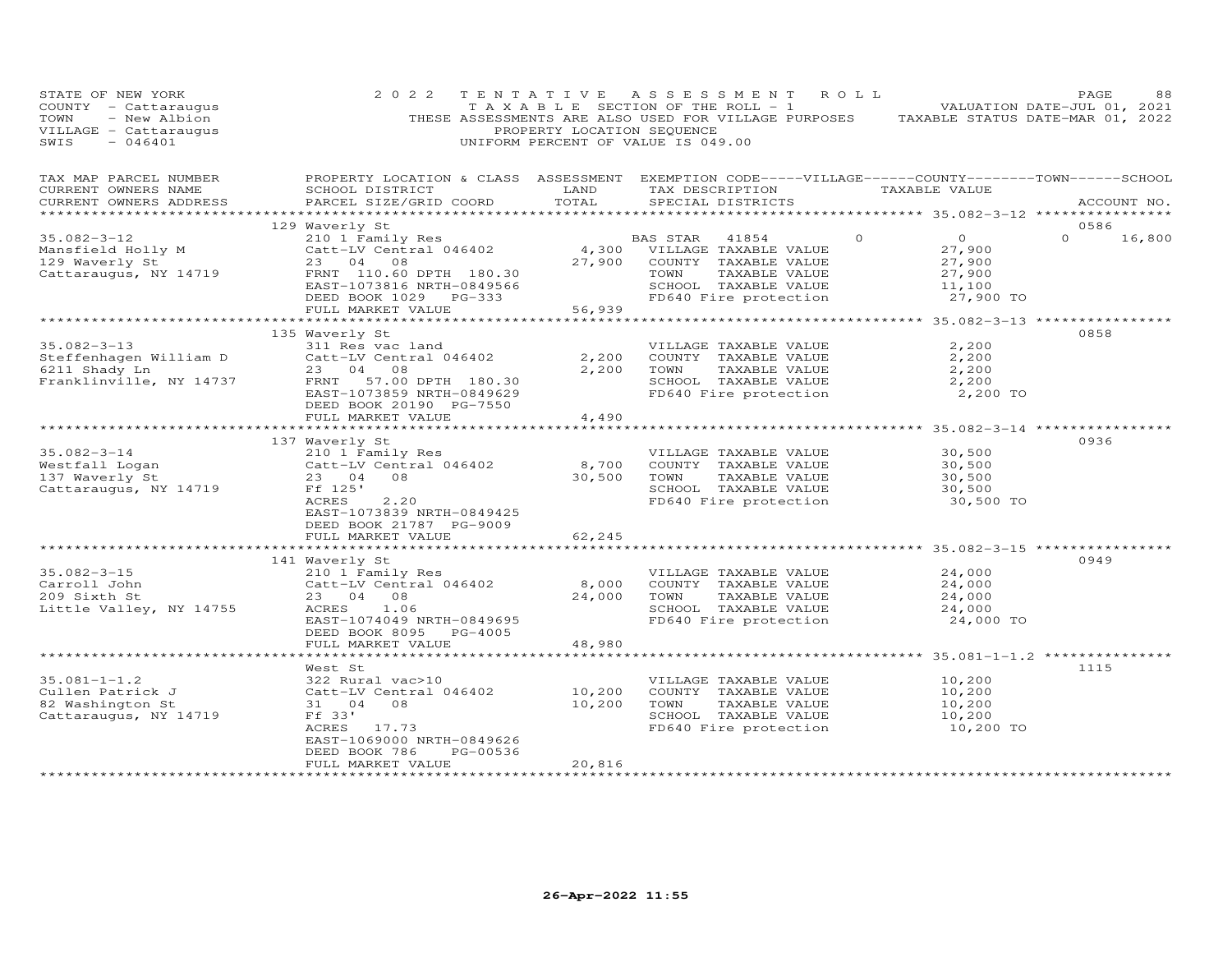| STATE OF NEW YORK<br>COUNTY - Cattaraugus<br>TOWN<br>- New Albion<br>VILLAGE - Cattaraugus<br>SWIS<br>$-046401$ | 2 0 2 2                                                                                                                                         | PROPERTY LOCATION SEQUENCE | TENTATIVE ASSESSMENT ROLL<br>T A X A B L E SECTION OF THE ROLL - 1<br>THESE ASSESSMENTS ARE ALSO USED FOR VILLAGE PURPOSES TAXABLE STATUS DATE-MAR 01, 2022<br>UNIFORM PERCENT OF VALUE IS 049.00 |                                            | PAGE<br>88<br>VALUATION DATE-JUL 01, 2021 |
|-----------------------------------------------------------------------------------------------------------------|-------------------------------------------------------------------------------------------------------------------------------------------------|----------------------------|---------------------------------------------------------------------------------------------------------------------------------------------------------------------------------------------------|--------------------------------------------|-------------------------------------------|
| TAX MAP PARCEL NUMBER<br>CURRENT OWNERS NAME<br>CURRENT OWNERS ADDRESS                                          | PROPERTY LOCATION & CLASS ASSESSMENT EXEMPTION CODE-----VILLAGE------COUNTY-------TOWN------SCHOOL<br>SCHOOL DISTRICT<br>PARCEL SIZE/GRID COORD | TOTAL                      | LAND TAX DESCRIPTION TAXABLE VALUE<br>SPECIAL DISTRICTS                                                                                                                                           |                                            | ACCOUNT NO.                               |
|                                                                                                                 | 129 Waverly St                                                                                                                                  |                            |                                                                                                                                                                                                   |                                            | 0586                                      |
| $35.082 - 3 - 12$                                                                                               |                                                                                                                                                 |                            | BAS STAR 41854<br>$\circ$                                                                                                                                                                         | $\overline{0}$                             | 16,800<br>$\Omega$                        |
| Mansfield Holly M<br>129 Waverly St                                                                             | 210 1 Family Res<br>Catt-LV Central 046402<br>23 04 08                                                                                          |                            | 4,300 VILLAGE TAXABLE VALUE                                                                                                                                                                       | 27,900                                     |                                           |
| 129 Waverly St                                                                                                  | 23 04 08                                                                                                                                        | 27,900                     | COUNTY TAXABLE VALUE                                                                                                                                                                              | 27,900                                     |                                           |
| Cattaraugus, NY 14719                                                                                           | FRNT 110.60 DPTH 180.30                                                                                                                         |                            | TOWN<br>TAXABLE VALUE                                                                                                                                                                             | 27,900                                     |                                           |
|                                                                                                                 | EAST-1073816 NRTH-0849566                                                                                                                       |                            | SCHOOL TAXABLE VALUE<br>FD640 Fire protection                                                                                                                                                     | 11,100<br>27,900 TO                        |                                           |
|                                                                                                                 | DEED BOOK 1029 PG-333<br>FULL MARKET VALUE                                                                                                      | 56,939                     |                                                                                                                                                                                                   |                                            |                                           |
|                                                                                                                 |                                                                                                                                                 |                            |                                                                                                                                                                                                   |                                            |                                           |
|                                                                                                                 | 135 Waverly St                                                                                                                                  |                            |                                                                                                                                                                                                   |                                            | 0858                                      |
| $35.082 - 3 - 13$                                                                                               | 311 Res vac land                                                                                                                                |                            | VILLAGE TAXABLE VALUE                                                                                                                                                                             | 2,200                                      |                                           |
| Steffenhagen William D                                                                                          | Catt-LV Central 046402                                                                                                                          | 2,200                      | COUNTY TAXABLE VALUE                                                                                                                                                                              | 2,200                                      |                                           |
| 6211 Shady Ln                                                                                                   | 23 04 08                                                                                                                                        | 2,200                      | TOWN<br>TAXABLE VALUE                                                                                                                                                                             | 2,200                                      |                                           |
| Franklinville, NY 14737                                                                                         | FRNT 57.00 DPTH 180.30<br>EAST-1073859 NRTH-0849629                                                                                             |                            | SCHOOL TAXABLE VALUE<br>FD640 Fire protection                                                                                                                                                     | 2,200<br>2,200 TO                          |                                           |
|                                                                                                                 | DEED BOOK 20190 PG-7550                                                                                                                         |                            |                                                                                                                                                                                                   |                                            |                                           |
|                                                                                                                 | FULL MARKET VALUE                                                                                                                               | 4,490                      |                                                                                                                                                                                                   |                                            |                                           |
|                                                                                                                 |                                                                                                                                                 | *********                  |                                                                                                                                                                                                   | **************** 35.082-3-14 ************* |                                           |
|                                                                                                                 | 137 Waverly St                                                                                                                                  |                            |                                                                                                                                                                                                   |                                            | 0936                                      |
| $35.082 - 3 - 14$<br>Westfall Logan                                                                             |                                                                                                                                                 | 8,700                      | VILLAGE TAXABLE VALUE<br>COUNTY TAXABLE VALUE                                                                                                                                                     | 30,500<br>30,500                           |                                           |
| 137 Waverly St                                                                                                  | 210 1 Family Res<br>Catt-LV Central 046402<br>23   04   08                                                                                      | 30,500                     | TOWN<br>TAXABLE VALUE                                                                                                                                                                             | 30,500                                     |                                           |
| Cattaraugus, NY 14719                                                                                           | Ff 125'                                                                                                                                         |                            | SCHOOL TAXABLE VALUE                                                                                                                                                                              | 30,500                                     |                                           |
|                                                                                                                 | 2, 20<br>ACRES                                                                                                                                  |                            | FD640 Fire protection                                                                                                                                                                             | 30,500 TO                                  |                                           |
|                                                                                                                 | EAST-1073839 NRTH-0849425                                                                                                                       |                            |                                                                                                                                                                                                   |                                            |                                           |
|                                                                                                                 | DEED BOOK 21787 PG-9009                                                                                                                         |                            |                                                                                                                                                                                                   |                                            |                                           |
|                                                                                                                 | FULL MARKET VALUE<br>**********************************                                                                                         | 62,245                     | *********************************** 35.082-3-15 ************                                                                                                                                      |                                            |                                           |
|                                                                                                                 | 141 Waverly St                                                                                                                                  |                            |                                                                                                                                                                                                   |                                            | 0949                                      |
| $35.082 - 3 - 15$                                                                                               | 210 1 Family Res                                                                                                                                |                            | VILLAGE TAXABLE VALUE                                                                                                                                                                             | 24,000                                     |                                           |
| Carroll John                                                                                                    | Catt-LV Central 046402                                                                                                                          | 8,000                      | COUNTY TAXABLE VALUE                                                                                                                                                                              | 24,000                                     |                                           |
| 209 Sixth St                                                                                                    | 23 04 08                                                                                                                                        | 24,000                     | TAXABLE VALUE<br>TOWN                                                                                                                                                                             | 24,000                                     |                                           |
| Little Valley, NY 14755                                                                                         | ACRES<br>1.06                                                                                                                                   |                            | SCHOOL TAXABLE VALUE                                                                                                                                                                              | 24,000                                     |                                           |
|                                                                                                                 | EAST-1074049 NRTH-0849695<br>DEED BOOK 8095 PG-4005                                                                                             |                            | FD640 Fire protection                                                                                                                                                                             | 24,000 TO                                  |                                           |
|                                                                                                                 | FULL MARKET VALUE                                                                                                                               | 48,980                     |                                                                                                                                                                                                   |                                            |                                           |
|                                                                                                                 |                                                                                                                                                 |                            |                                                                                                                                                                                                   | *********** 35.081-1-1.2 **********        |                                           |
|                                                                                                                 | West St                                                                                                                                         |                            |                                                                                                                                                                                                   |                                            | 1115                                      |
| $35.081 - 1 - 1.2$                                                                                              | 322 Rural vac>10                                                                                                                                |                            | VILLAGE TAXABLE VALUE                                                                                                                                                                             | 10,200                                     |                                           |
| Cullen Patrick J                                                                                                | Catt-LV Central 046402<br>31 04 08                                                                                                              | 10,200                     | COUNTY TAXABLE VALUE<br>TAXABLE VALUE<br>TOWN                                                                                                                                                     | 10,200                                     |                                           |
| 82 Washington St<br>Cattaraugus, NY 14719                                                                       | Ff 33'                                                                                                                                          | 10,200                     |                                                                                                                                                                                                   | 10,200<br>10,200                           |                                           |
|                                                                                                                 | ACRES 17.73                                                                                                                                     |                            | SCHOOL TAXABLE VALUE<br>FD640 Fire protection                                                                                                                                                     | 10,200 TO                                  |                                           |
|                                                                                                                 | EAST-1069000 NRTH-0849626                                                                                                                       |                            |                                                                                                                                                                                                   |                                            |                                           |
|                                                                                                                 | PG-00536<br>DEED BOOK 786                                                                                                                       |                            |                                                                                                                                                                                                   |                                            |                                           |
|                                                                                                                 | FULL MARKET VALUE                                                                                                                               | 20,816                     |                                                                                                                                                                                                   |                                            |                                           |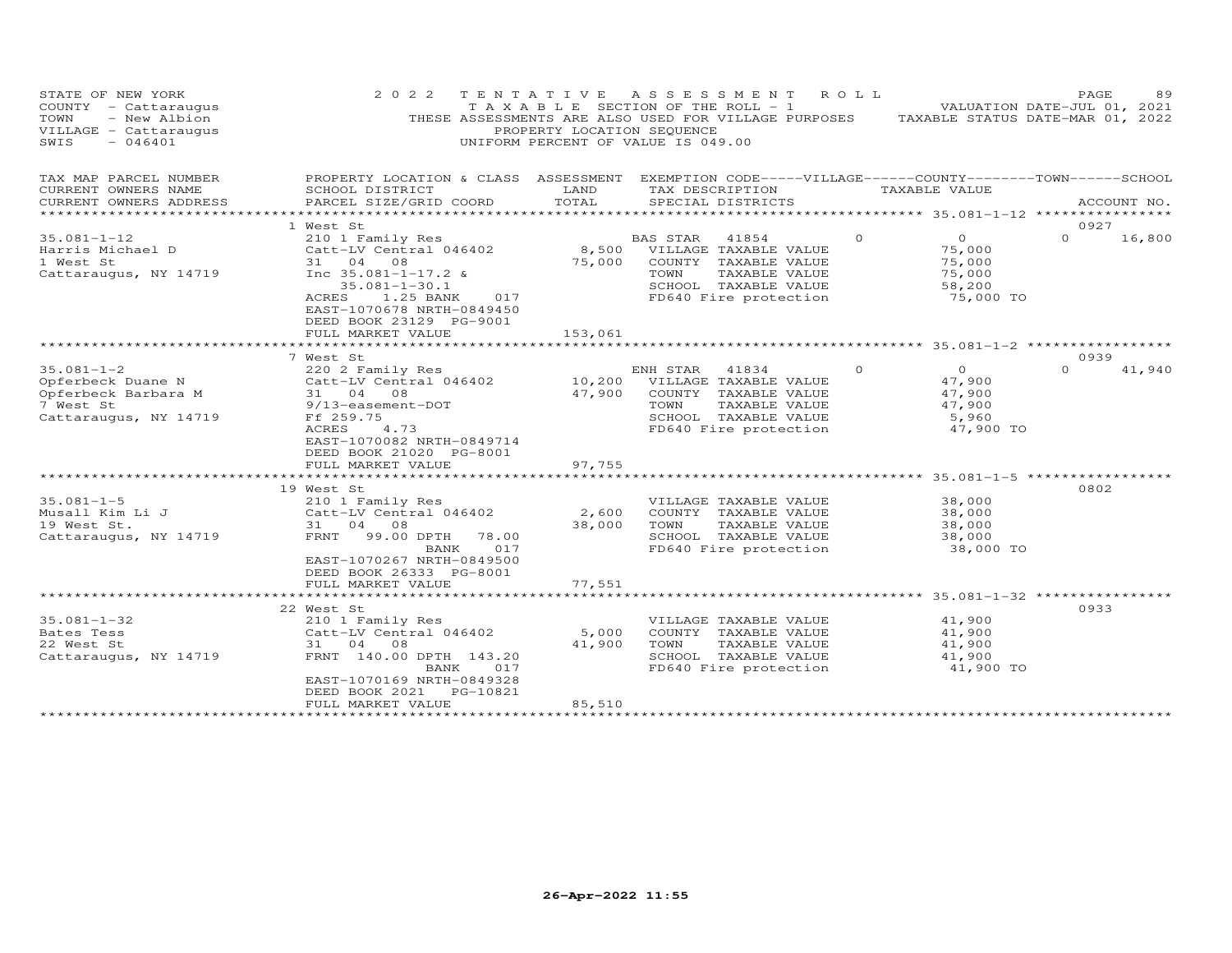| STATE OF NEW YORK<br>COUNTY - Cattaraugus<br>- New Albion<br>TOWN<br>VILLAGE - Cattaraugus<br>$-046401$<br>SWIS | 2 0 2 2<br>TENTATIVE                                                                                                                            | PROPERTY LOCATION SEQUENCE | A S S E S S M E N T<br>T A X A B L E SECTION OF THE ROLL - 1<br>THESE ASSESSMENTS ARE ALSO USED FOR VILLAGE PURPOSES<br>UNIFORM PERCENT OF VALUE IS 049.00 | ROLL                                                          | 89<br>PAGE<br>VALUATION DATE-JUL 01, 2021<br>TAXABLE STATUS DATE-MAR 01, 2022 |
|-----------------------------------------------------------------------------------------------------------------|-------------------------------------------------------------------------------------------------------------------------------------------------|----------------------------|------------------------------------------------------------------------------------------------------------------------------------------------------------|---------------------------------------------------------------|-------------------------------------------------------------------------------|
| TAX MAP PARCEL NUMBER<br>CURRENT OWNERS NAME<br>CURRENT OWNERS ADDRESS                                          | PROPERTY LOCATION & CLASS ASSESSMENT EXEMPTION CODE-----VILLAGE------COUNTY-------TOWN------SCHOOL<br>SCHOOL DISTRICT<br>PARCEL SIZE/GRID COORD | LAND<br>TOTAL              | TAX DESCRIPTION<br>SPECIAL DISTRICTS                                                                                                                       | TAXABLE VALUE                                                 | ACCOUNT NO.                                                                   |
| ***********************                                                                                         |                                                                                                                                                 |                            |                                                                                                                                                            |                                                               |                                                                               |
|                                                                                                                 | 1 West St                                                                                                                                       |                            |                                                                                                                                                            |                                                               | 0927                                                                          |
| $35.081 - 1 - 12$                                                                                               | 210 1 Family Res                                                                                                                                |                            | BAS STAR<br>41854                                                                                                                                          | 0<br>$\circ$                                                  | $\Omega$<br>16,800                                                            |
| Harris Michael D                                                                                                | Catt-LV Central 046402                                                                                                                          | 8,500                      | VILLAGE TAXABLE VALUE                                                                                                                                      | 75,000                                                        |                                                                               |
| 1 West St                                                                                                       | 31<br>04<br>08                                                                                                                                  | 75,000                     | COUNTY TAXABLE VALUE                                                                                                                                       | 75,000                                                        |                                                                               |
| Cattaraugus, NY 14719                                                                                           | Inc $35.081 - 1 - 17.2$ &                                                                                                                       |                            | TAXABLE VALUE<br>TOWN                                                                                                                                      | 75,000                                                        |                                                                               |
|                                                                                                                 | $35.081 - 1 - 30.1$                                                                                                                             |                            | SCHOOL TAXABLE VALUE                                                                                                                                       | 58,200                                                        |                                                                               |
|                                                                                                                 | 1.25 BANK<br><b>ACRES</b><br>017                                                                                                                |                            | FD640 Fire protection                                                                                                                                      | 75,000 TO                                                     |                                                                               |
|                                                                                                                 | EAST-1070678 NRTH-0849450                                                                                                                       |                            |                                                                                                                                                            |                                                               |                                                                               |
|                                                                                                                 | DEED BOOK 23129 PG-9001                                                                                                                         |                            |                                                                                                                                                            |                                                               |                                                                               |
|                                                                                                                 | FULL MARKET VALUE<br>**********************                                                                                                     | 153,061                    |                                                                                                                                                            |                                                               |                                                                               |
|                                                                                                                 |                                                                                                                                                 |                            |                                                                                                                                                            |                                                               |                                                                               |
|                                                                                                                 | 7 West St                                                                                                                                       |                            |                                                                                                                                                            |                                                               | 0939<br>$\Omega$                                                              |
| $35.081 - 1 - 2$                                                                                                | 220 2 Family Res                                                                                                                                |                            | ENH STAR<br>41834                                                                                                                                          | $\Omega$<br>$\circ$                                           | 41,940                                                                        |
| Opferbeck Duane N                                                                                               | Catt-LV Central 046402<br>31 04 08                                                                                                              | 10,200                     | VILLAGE TAXABLE VALUE                                                                                                                                      | 47,900                                                        |                                                                               |
| Opferbeck Barbara M<br>7 West St                                                                                | 9/13-easement-DOT                                                                                                                               | 47,900                     | COUNTY TAXABLE VALUE<br>TAXABLE VALUE<br>TOWN                                                                                                              | 47,900<br>47,900                                              |                                                                               |
| Cattaraugus, NY 14719                                                                                           | Ff 259.75                                                                                                                                       |                            | SCHOOL TAXABLE VALUE                                                                                                                                       | 5,960                                                         |                                                                               |
|                                                                                                                 | <b>ACRES</b><br>4.73                                                                                                                            |                            | FD640 Fire protection                                                                                                                                      | 47,900 TO                                                     |                                                                               |
|                                                                                                                 | EAST-1070082 NRTH-0849714                                                                                                                       |                            |                                                                                                                                                            |                                                               |                                                                               |
|                                                                                                                 | DEED BOOK 21020 PG-8001                                                                                                                         |                            |                                                                                                                                                            |                                                               |                                                                               |
|                                                                                                                 | FULL MARKET VALUE                                                                                                                               | 97,755                     |                                                                                                                                                            |                                                               |                                                                               |
|                                                                                                                 | ********************                                                                                                                            |                            | ********************************* 35.081-1-5 ****************                                                                                              |                                                               |                                                                               |
|                                                                                                                 | 19 West St                                                                                                                                      |                            |                                                                                                                                                            |                                                               | 0802                                                                          |
| $35.081 - 1 - 5$                                                                                                | 210 1 Family Res                                                                                                                                |                            | VILLAGE TAXABLE VALUE                                                                                                                                      | 38,000                                                        |                                                                               |
| Musall Kim Li J                                                                                                 | Catt-LV Central 046402                                                                                                                          | 2,600                      | COUNTY TAXABLE VALUE                                                                                                                                       | 38,000                                                        |                                                                               |
| 19 West St.                                                                                                     | 31<br>04<br>08                                                                                                                                  | 38,000                     | TOWN<br>TAXABLE VALUE                                                                                                                                      | 38,000                                                        |                                                                               |
| Cattaraugus, NY 14719                                                                                           | FRNT<br>99.00 DPTH<br>78.00                                                                                                                     |                            | SCHOOL TAXABLE VALUE                                                                                                                                       | 38,000                                                        |                                                                               |
|                                                                                                                 | 017<br>BANK                                                                                                                                     |                            | FD640 Fire protection                                                                                                                                      | 38,000 TO                                                     |                                                                               |
|                                                                                                                 | EAST-1070267 NRTH-0849500                                                                                                                       |                            |                                                                                                                                                            |                                                               |                                                                               |
|                                                                                                                 | DEED BOOK 26333 PG-8001                                                                                                                         |                            |                                                                                                                                                            |                                                               |                                                                               |
|                                                                                                                 | FULL MARKET VALUE                                                                                                                               | 77,551                     |                                                                                                                                                            |                                                               |                                                                               |
|                                                                                                                 |                                                                                                                                                 |                            |                                                                                                                                                            | ******************************** 35.081-1-32 **************** |                                                                               |
|                                                                                                                 | 22 West St                                                                                                                                      |                            |                                                                                                                                                            |                                                               | 0933                                                                          |
| $35.081 - 1 - 32$                                                                                               | 210 1 Family Res                                                                                                                                |                            | VILLAGE TAXABLE VALUE                                                                                                                                      | 41,900                                                        |                                                                               |
| Bates Tess                                                                                                      | Catt-LV Central 046402                                                                                                                          | 5,000                      | COUNTY TAXABLE VALUE                                                                                                                                       | 41,900                                                        |                                                                               |
| 22 West St                                                                                                      | 31 04<br>08                                                                                                                                     | 41,900                     | TOWN<br>TAXABLE VALUE                                                                                                                                      | 41,900                                                        |                                                                               |
| Cattaraugus, NY 14719                                                                                           | FRNT 140.00 DPTH 143.20<br>BANK<br>017                                                                                                          |                            | SCHOOL TAXABLE VALUE                                                                                                                                       | 41,900                                                        |                                                                               |
|                                                                                                                 | EAST-1070169 NRTH-0849328                                                                                                                       |                            | FD640 Fire protection                                                                                                                                      | 41,900 TO                                                     |                                                                               |
|                                                                                                                 | DEED BOOK 2021<br>PG-10821                                                                                                                      |                            |                                                                                                                                                            |                                                               |                                                                               |
|                                                                                                                 | FULL MARKET VALUE                                                                                                                               | 85,510                     |                                                                                                                                                            |                                                               |                                                                               |
|                                                                                                                 |                                                                                                                                                 |                            |                                                                                                                                                            |                                                               |                                                                               |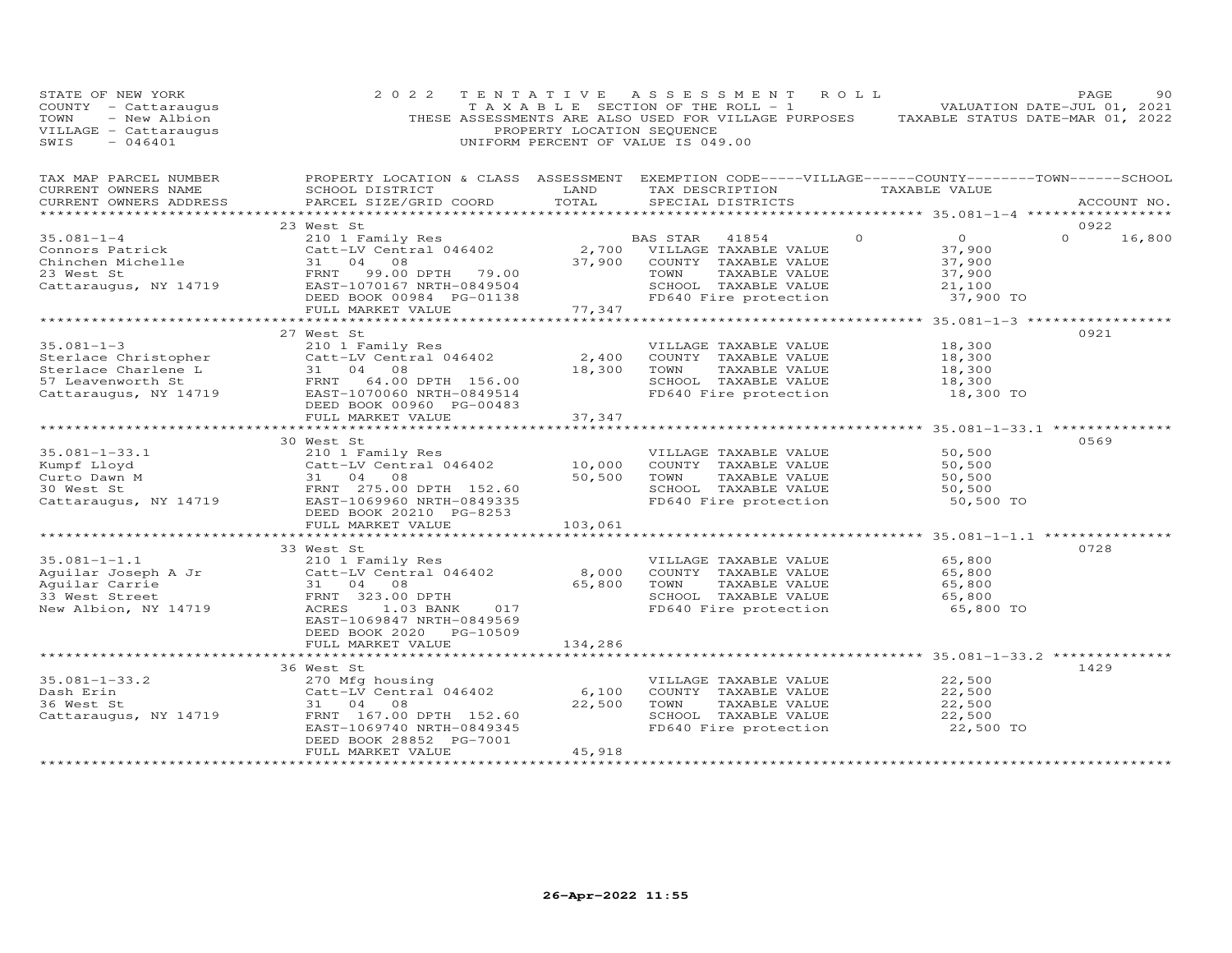| STATE OF NEW YORK<br>COUNTY - Cattaraugus<br>- New Albion<br>TOWN<br>VILLAGE - Cattaraugus<br>SWIS<br>$-046401$                                     | 2 0 2 2                                                                                                                                                                        | TENTATIVE<br>PROPERTY LOCATION SEQUENCE | A S S E S S M E N T<br>ROLL<br>T A X A B L E SECTION OF THE ROLL - 1<br>UNIFORM PERCENT OF VALUE IS 049.00                                                         | PAGE<br>90<br>VALUATION DATE-JUL 01, 2021<br>THESE ASSESSMENTS ARE ALSO USED FOR VILLAGE PURPOSES TAXABLE STATUS DATE-MAR 01, 2022                                               |
|-----------------------------------------------------------------------------------------------------------------------------------------------------|--------------------------------------------------------------------------------------------------------------------------------------------------------------------------------|-----------------------------------------|--------------------------------------------------------------------------------------------------------------------------------------------------------------------|----------------------------------------------------------------------------------------------------------------------------------------------------------------------------------|
| TAX MAP PARCEL NUMBER<br>CURRENT OWNERS NAME<br>CURRENT OWNERS ADDRESS                                                                              | SCHOOL DISTRICT<br>PARCEL SIZE/GRID COORD                                                                                                                                      | LAND<br>TOTAL                           | TAX DESCRIPTION<br>SPECIAL DISTRICTS                                                                                                                               | PROPERTY LOCATION & CLASS ASSESSMENT EXEMPTION CODE-----VILLAGE------COUNTY-------TOWN------SCHOOL<br>TAXABLE VALUE<br>ACCOUNT NO.<br>************ 35.081-1-4 ****************** |
| $35.081 - 1 - 4$<br>Connors Patrick<br>Chinchen Michelle<br>23 West St<br>Cattaraugus, NY 14719                                                     | 23 West St<br>west St<br>210 1 Family Res<br>Catt-LV Central 046402<br>31 04<br>08<br>FRNT<br>99.00 DPTH 79.00<br>EAST-1070167 NRTH-0849504<br>DEED BOOK 00984 PG-01138        |                                         | $\Omega$<br>BAS STAR 41854<br>2,700 VILLAGE TAXABLE VALUE<br>37,900 COUNTY TAXABLE VALUE<br>TOWN<br>TAXABLE VALUE<br>SCHOOL TAXABLE VALUE<br>FD640 Fire protection | 0922<br>$\overline{O}$<br>$\Omega$<br>16,800<br>37,900<br>37,900<br>37,900<br>21,100<br>37,900 TO                                                                                |
|                                                                                                                                                     | FULL MARKET VALUE                                                                                                                                                              | 77,347                                  |                                                                                                                                                                    |                                                                                                                                                                                  |
| $35.081 - 1 - 3$<br>Sterlace Christopher Catt-LV<br>Sterlace Charlene L 31 04<br>57 Leavenworth St FRNT<br>Cattaraugus, NY 14719 BAST-10<br>PEED BC | 27 West St<br>210 1 Family Res<br>Catt-LV Central 046402<br>31 04 08<br>64.00 DPTH 156.00<br>EAST-1070060 NRTH-0849514<br>DEED BOOK 00960 PG-00483<br>FULL MARKET VALUE        | 2,400<br>18,300<br>37,347               | VILLAGE TAXABLE VALUE<br>COUNTY TAXABLE VALUE<br>TOWN<br>TAXABLE VALUE<br>SCHOOL TAXABLE VALUE<br>FD640 Fire protection                                            | 0921<br>18,300<br>18,300<br>18,300<br>18,300<br>18,300 TO                                                                                                                        |
| $35.081 - 1 - 33.1$<br>Kumpf Lloyd<br>Curto Dawn M<br>30 West St<br>Cattaraugus, NY 14719                                                           | 30 West St<br>210 1 Family Res<br>Catt-LV Central 046402<br>31 04 08<br>FRNT 275.00 DPTH 152.60<br>EAST-1069060 ----<br>EAST-1069960 NRTH-0849335<br>DEED BOOK 20210 PG-8253   | 10,000<br>50,500                        | VILLAGE TAXABLE VALUE<br>COUNTY TAXABLE VALUE<br>TOWN<br>TAXABLE VALUE<br>SCHOOL TAXABLE VALUE<br>FD640 Fire protection                                            | 0569<br>50,500<br>50,500<br>50,500<br>50,500<br>50,500 TO                                                                                                                        |
|                                                                                                                                                     | FULL MARKET VALUE                                                                                                                                                              | 103,061                                 |                                                                                                                                                                    |                                                                                                                                                                                  |
| $35.081 - 1 - 1.1$<br>Aguilar Joseph A Jr<br>Aquilar Carrie<br>33 West Street<br>New Albion, NY 14719                                               | 33 West St<br>210 1 Family Res<br>Catt-LV Central 046402<br>31 04 08<br>FRNT 323.00 DPTH<br>1.03 BANK<br>ACRES<br>017<br>EAST-1069847 NRTH-0849569<br>DEED BOOK 2020 PG-10509  | 8,000<br>65,800                         | VILLAGE TAXABLE VALUE<br>COUNTY TAXABLE VALUE<br>TOWN<br>TAXABLE VALUE<br>SCHOOL TAXABLE VALUE<br>FD640 Fire protection                                            | 0728<br>65,800<br>65,800<br>65,800<br>65,800<br>65,800 TO                                                                                                                        |
|                                                                                                                                                     | FULL MARKET VALUE<br>************************                                                                                                                                  | 134,286                                 |                                                                                                                                                                    | ********************************* 35.081-1-33.2 *********                                                                                                                        |
| $35.081 - 1 - 33.2$<br>Dash Erin<br>36 West St<br>Cattaraugus, NY 14719                                                                             | 36 West St<br>270 Mfg housing<br>Catt-LV Central 046402<br>31 04<br>08<br>FRNT 167.00 DPTH 152.60<br>EAST-1069740 NRTH-0849345<br>DEED BOOK 28852 PG-7001<br>FULL MARKET VALUE | 6,100<br>22,500<br>45,918               | VILLAGE TAXABLE VALUE<br>COUNTY TAXABLE VALUE<br>TOWN<br>TAXABLE VALUE<br>SCHOOL TAXABLE VALUE<br>FD640 Fire protection                                            | 1429<br>22,500<br>22,500<br>22,500<br>22,500<br>22,500 TO                                                                                                                        |
|                                                                                                                                                     |                                                                                                                                                                                |                                         |                                                                                                                                                                    |                                                                                                                                                                                  |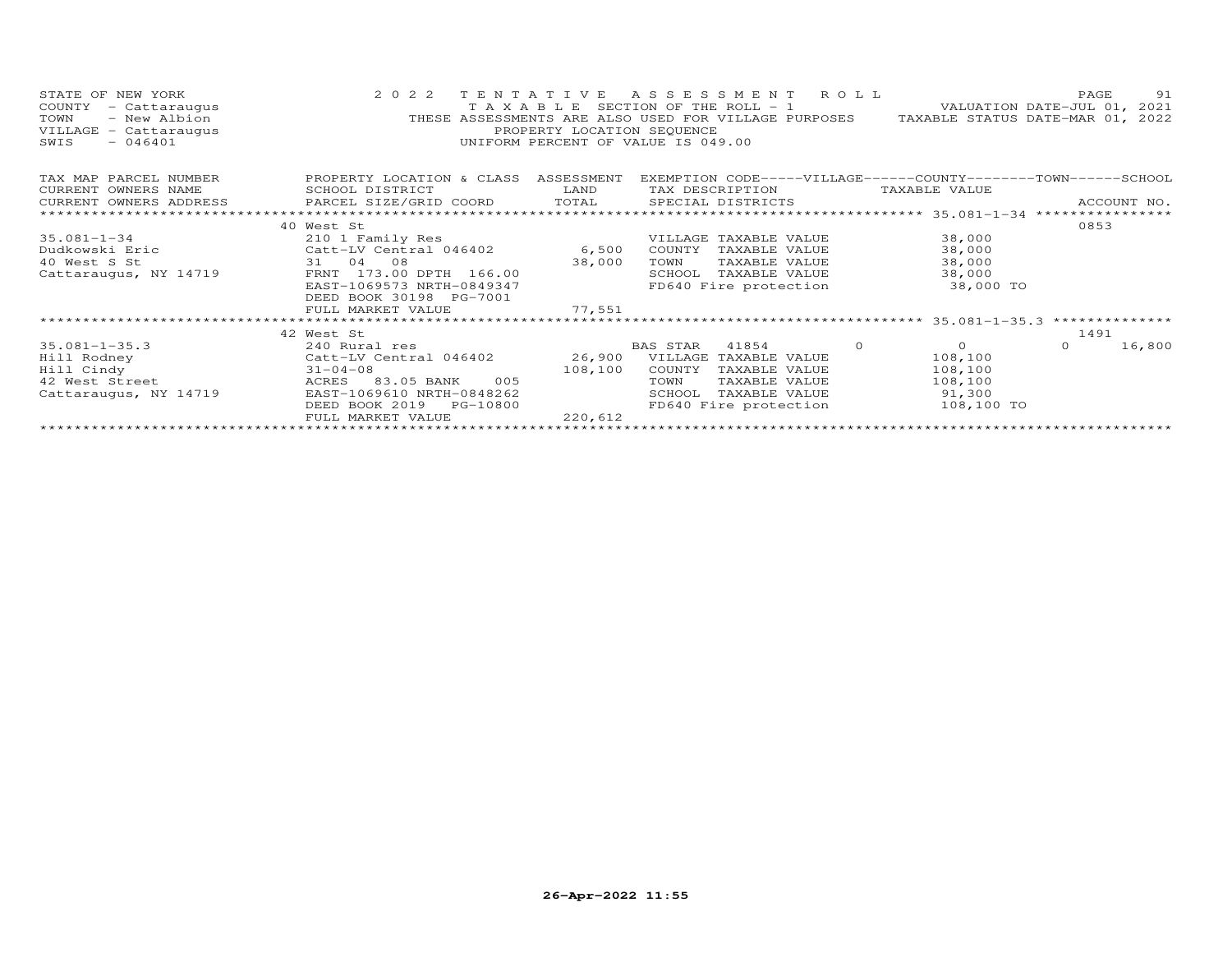| STATE OF NEW YORK<br>COUNTY<br>- Cattaraugus<br>TOWN<br>- New Albion<br>VILLAGE - Cattaraugus<br>$-046401$<br>SWIS | 2 0 2 2<br>TAXABLE<br>THESE ASSESSMENTS ARE ALSO USED FOR VILLAGE PURPOSES | TENTATIVE<br>PROPERTY LOCATION SEOUENCE<br>UNIFORM PERCENT OF VALUE IS 049.00 |                 | A S S E S S M E N T<br>SECTION OF THE ROLL $-1$ | R O L L              | PAGE<br>VALUATION DATE-JUL 01, 2021<br>TAXABLE STATUS DATE-MAR 01, 2022 | 91     |
|--------------------------------------------------------------------------------------------------------------------|----------------------------------------------------------------------------|-------------------------------------------------------------------------------|-----------------|-------------------------------------------------|----------------------|-------------------------------------------------------------------------|--------|
| TAX MAP PARCEL NUMBER                                                                                              | PROPERTY LOCATION & CLASS                                                  | ASSESSMENT                                                                    |                 |                                                 |                      | EXEMPTION CODE-----VILLAGE------COUNTY--------TOWN------SCHOOL          |        |
| CURRENT OWNERS NAME                                                                                                | SCHOOL DISTRICT                                                            | LAND                                                                          | TAX DESCRIPTION |                                                 | TAXABLE VALUE        |                                                                         |        |
| CURRENT OWNERS ADDRESS                                                                                             | PARCEL SIZE/GRID COORD                                                     | TOTAL                                                                         |                 | SPECIAL DISTRICTS                               |                      | ACCOUNT NO.                                                             |        |
| *********************                                                                                              |                                                                            |                                                                               |                 |                                                 |                      |                                                                         |        |
|                                                                                                                    | 40 West St                                                                 |                                                                               |                 |                                                 |                      | 0853                                                                    |        |
| $35.081 - 1 - 34$                                                                                                  | 210 1 Family Res                                                           |                                                                               |                 | VILLAGE TAXABLE VALUE                           | 38,000               |                                                                         |        |
| Dudkowski Eric                                                                                                     | Catt-LV Central 046402                                                     | 6,500                                                                         | COUNTY          | TAXABLE VALUE                                   | 38,000               |                                                                         |        |
| 40 West S St                                                                                                       | 31 04<br>08                                                                | 38,000                                                                        | TOWN            | TAXABLE VALUE                                   | 38,000               |                                                                         |        |
| Cattaraugus, NY 14719                                                                                              | FRNT 173.00 DPTH 166.00                                                    |                                                                               | SCHOOL          | TAXABLE VALUE                                   | 38,000               |                                                                         |        |
|                                                                                                                    | EAST-1069573 NRTH-0849347                                                  | FD640 Fire protection<br>38,000 TO                                            |                 |                                                 |                      |                                                                         |        |
|                                                                                                                    | DEED BOOK 30198 PG-7001                                                    |                                                                               |                 |                                                 |                      |                                                                         |        |
|                                                                                                                    | FULL MARKET VALUE                                                          | 77,551                                                                        |                 |                                                 |                      |                                                                         |        |
|                                                                                                                    |                                                                            |                                                                               |                 |                                                 |                      |                                                                         |        |
|                                                                                                                    | 42 West St                                                                 |                                                                               |                 |                                                 |                      | 1491                                                                    |        |
| $35.081 - 1 - 35.3$                                                                                                | 240 Rural res                                                              |                                                                               | BAS STAR        | 41854                                           | $\Omega$<br>$\Omega$ | $\Omega$                                                                | 16,800 |
| Hill Rodney                                                                                                        | Catt-LV Central 046402                                                     | 26,900                                                                        |                 | VILLAGE TAXABLE VALUE                           | 108,100              |                                                                         |        |
| Hill Cindy                                                                                                         | $31 - 04 - 08$                                                             | 108,100                                                                       | COUNTY          | TAXABLE VALUE                                   | 108,100              |                                                                         |        |
| 42 West Street                                                                                                     | 83.05 BANK<br>005<br>ACRES                                                 |                                                                               | TOWN            | TAXABLE VALUE                                   | 108,100              |                                                                         |        |
| Cattaraugus, NY 14719                                                                                              | EAST-1069610 NRTH-0848262                                                  |                                                                               | SCHOOL          | TAXABLE VALUE                                   | 91,300               |                                                                         |        |
|                                                                                                                    | DEED BOOK 2019<br>PG-10800                                                 |                                                                               |                 | FD640 Fire protection                           |                      | 108,100 TO                                                              |        |
|                                                                                                                    | FULL MARKET VALUE                                                          | 220,612                                                                       |                 |                                                 |                      |                                                                         |        |
|                                                                                                                    |                                                                            |                                                                               |                 |                                                 |                      |                                                                         |        |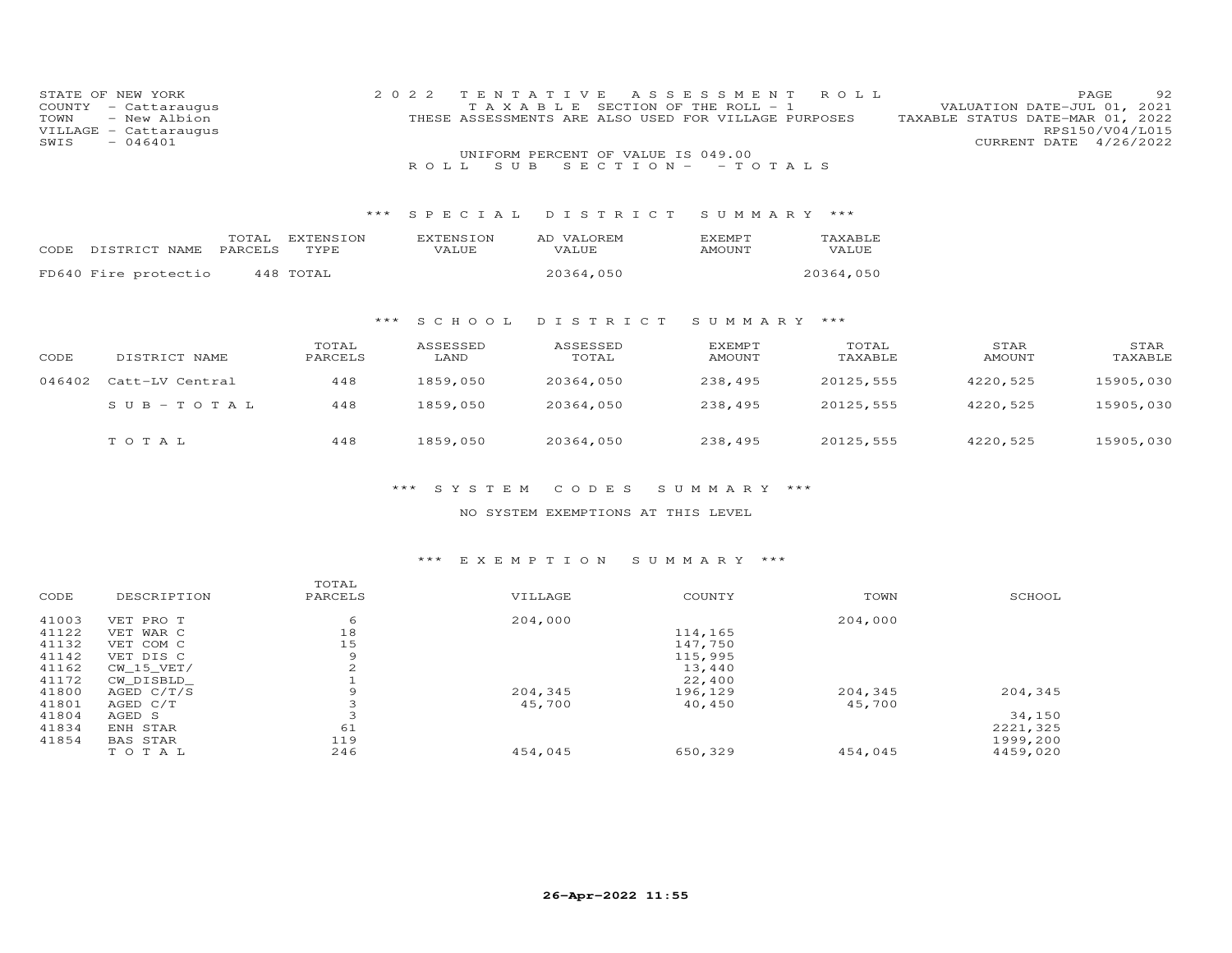| STATE OF<br>NEW YORK<br>COUNTY<br>- Cattaraugus<br>TOWN<br>- New Albion<br>VILLAGE<br>- Cattaraugus<br>$-046401$<br>SWIS |                         |                          | 2022<br>T E<br>TAXABLE<br>S U B<br>R O L L | Е<br>S<br>- S<br>THESE ASSESSMENTS ARE ALSO USED FOR VILLAGE PURPOSES<br>UNIFORM PERCENT OF VALUE IS 049.00<br>$S$ E C T I O N $-$ | Е<br>- S<br>S M E<br>SECTION OF THE ROLL -<br>$-TOTALS$ | R O L L          |                       | PAGE<br>-92<br>VALUATION DATE-JUL 01, 2021<br>TAXABLE STATUS DATE-MAR 01, 2022<br>RPS150/V04/L015<br>CURRENT DATE<br>4/26/2022 |
|--------------------------------------------------------------------------------------------------------------------------|-------------------------|--------------------------|--------------------------------------------|------------------------------------------------------------------------------------------------------------------------------------|---------------------------------------------------------|------------------|-----------------------|--------------------------------------------------------------------------------------------------------------------------------|
|                                                                                                                          |                         | ***                      | SPECIAL                                    | DISTRICT                                                                                                                           | SUMMARY ***                                             |                  |                       |                                                                                                                                |
| DISTRICT NAME<br>CODE                                                                                                    | TOTAL<br>PARCELS        | <b>EXTENSION</b><br>TYPE | <b>EXTENSION</b><br>VALUE                  | AD VALOREM<br>VALUE                                                                                                                | <b>EXEMPT</b><br><b>AMOUNT</b>                          | TAXABLE<br>VALUE |                       |                                                                                                                                |
| FD640 Fire protectio                                                                                                     |                         | 448 TOTAL                |                                            | 20364,050                                                                                                                          |                                                         | 20364,050        |                       |                                                                                                                                |
|                                                                                                                          |                         | $***$                    | S C H O O L                                | DISTRICT                                                                                                                           | SUMMARY                                                 | ***              |                       |                                                                                                                                |
| DISTRICT NAME<br>CODE                                                                                                    |                         | TOTAL<br>PARCELS         | ASSESSED<br>LAND                           | ASSESSED<br>TOTAL                                                                                                                  | <b>EXEMPT</b><br><b>AMOUNT</b>                          | TOTAL<br>TAXABLE | STAR<br><b>AMOUNT</b> | STAR<br>TAXABLE                                                                                                                |
| 046402<br>Catt-LV Central                                                                                                |                         | 448                      | 1859,050                                   | 20364,050                                                                                                                          | 238,495                                                 | 20125,555        | 4220,525              | 15905,030                                                                                                                      |
|                                                                                                                          | $S \cup B - T \cup T A$ | 448                      | 1859,050                                   | 20364,050                                                                                                                          | 238,495                                                 | 20125,555        | 4220,525              | 15905,030                                                                                                                      |
| TOTAL                                                                                                                    |                         | 448                      | 1859,050                                   | 20364,050                                                                                                                          | 238,495                                                 | 20125,555        | 4220,525              | 15905,030                                                                                                                      |

\*\*\* S Y S T E M C O D E S S U M M A R Y \*\*\*

NO SYSTEM EXEMPTIONS AT THIS LEVEL

## \*\*\* E X E M P T I O N S U M M A R Y \*\*\*

| CODE  | DESCRIPTION     | TOTAL<br>PARCELS | VILLAGE | COUNTY  | TOWN    | SCHOOL   |
|-------|-----------------|------------------|---------|---------|---------|----------|
| 41003 | VET PRO T       | 6                | 204,000 |         | 204,000 |          |
| 41122 | VET WAR C       | 18               |         | 114,165 |         |          |
| 41132 | VET COM C       | 15               |         | 147,750 |         |          |
| 41142 | VET DIS C       | 9                |         | 115,995 |         |          |
| 41162 | $CW_15_VET/$    | 2                |         | 13,440  |         |          |
| 41172 | CW DISBLD       |                  |         | 22,400  |         |          |
| 41800 | AGED $C/T/S$    | 9                | 204,345 | 196,129 | 204,345 | 204,345  |
| 41801 | AGED C/T        |                  | 45,700  | 40,450  | 45,700  |          |
| 41804 | AGED S          |                  |         |         |         | 34,150   |
| 41834 | ENH STAR        | 61               |         |         |         | 2221,325 |
| 41854 | <b>BAS STAR</b> | 119              |         |         |         | 1999,200 |
|       | TOTAL           | 246              | 454,045 | 650,329 | 454,045 | 4459,020 |
|       |                 |                  |         |         |         |          |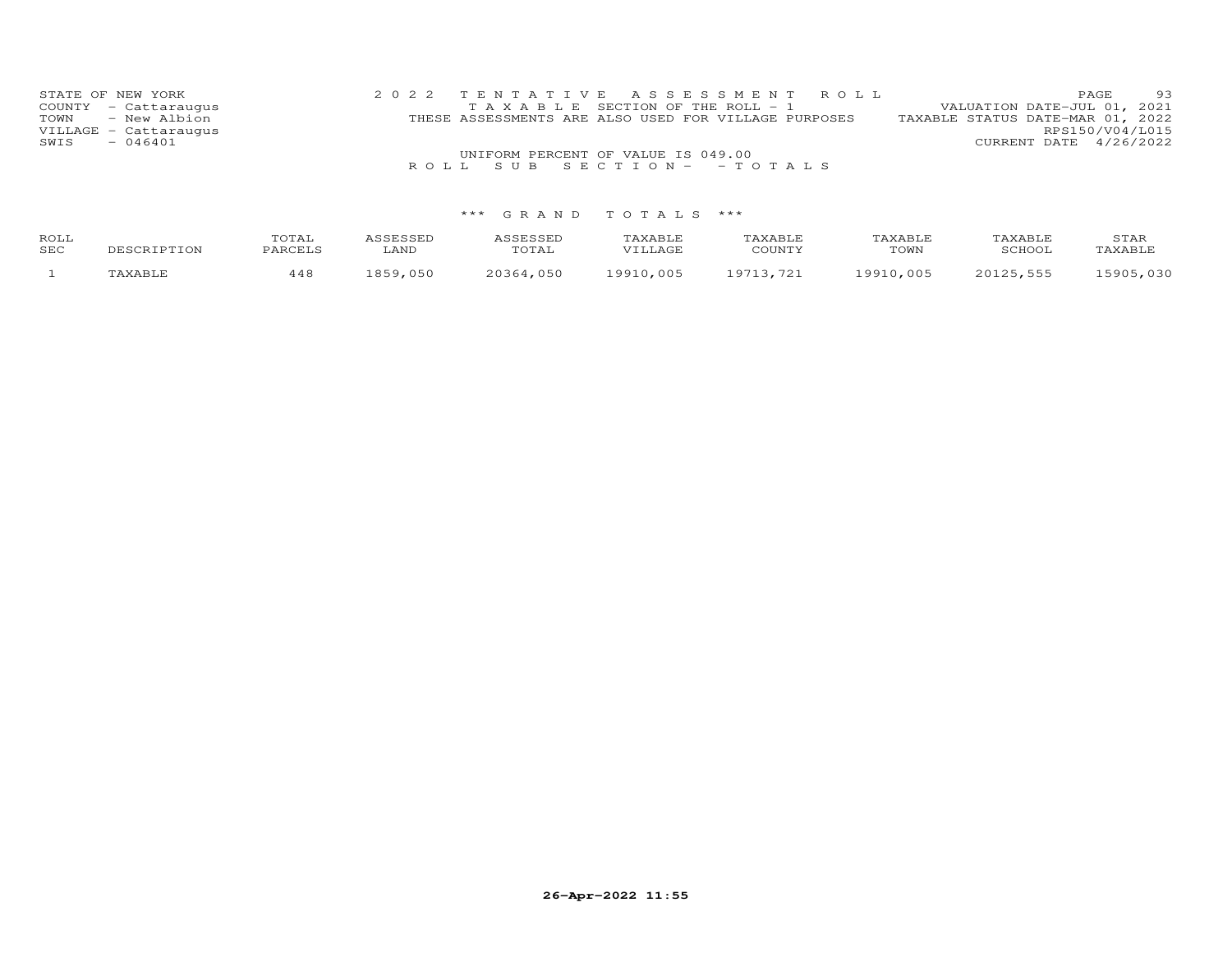| STATE OF NEW YORK     | 2022 TENTATIVE ASSESSMENT ROLL                       | 93<br><b>PAGE</b>                |
|-----------------------|------------------------------------------------------|----------------------------------|
| COUNTY - Cattaraugus  | T A X A B L E SECTION OF THE ROLL - 1                | VALUATION DATE-JUL 01, 2021      |
| TOWN - New Albion     | THESE ASSESSMENTS ARE ALSO USED FOR VILLAGE PURPOSES | TAXABLE STATUS DATE-MAR 01, 2022 |
| VILLAGE - Cattaraugus |                                                      | RPS150/V04/L015                  |
| $-046401$<br>SWIS     |                                                      | CURRENT DATE 4/26/2022           |
|                       | UNIFORM PERCENT OF VALUE IS 049.00                   |                                  |
|                       | ROLL SUB SECTION - - TOTALS                          |                                  |

| ROLL<br><b>SEC</b> | DESCRIPTION | TOTAL<br>PARCELS | <i><b>\SSESSED</b></i><br>LAND | <b>\SSESSED</b><br>TOTAL | TAXABLE<br>VTIJAGE | TAXABLE<br>COUNTY | TAXABLE<br>TOWN | TAXABLE<br>SCHOOT | STAR<br><b>TAXABLE</b> |
|--------------------|-------------|------------------|--------------------------------|--------------------------|--------------------|-------------------|-----------------|-------------------|------------------------|
|                    | 'AXABLE     | 448              | 1859.050                       | 20364,050                | 19910,005          | 19713.721         | 19910,005       | 20125,555         | 15905,030              |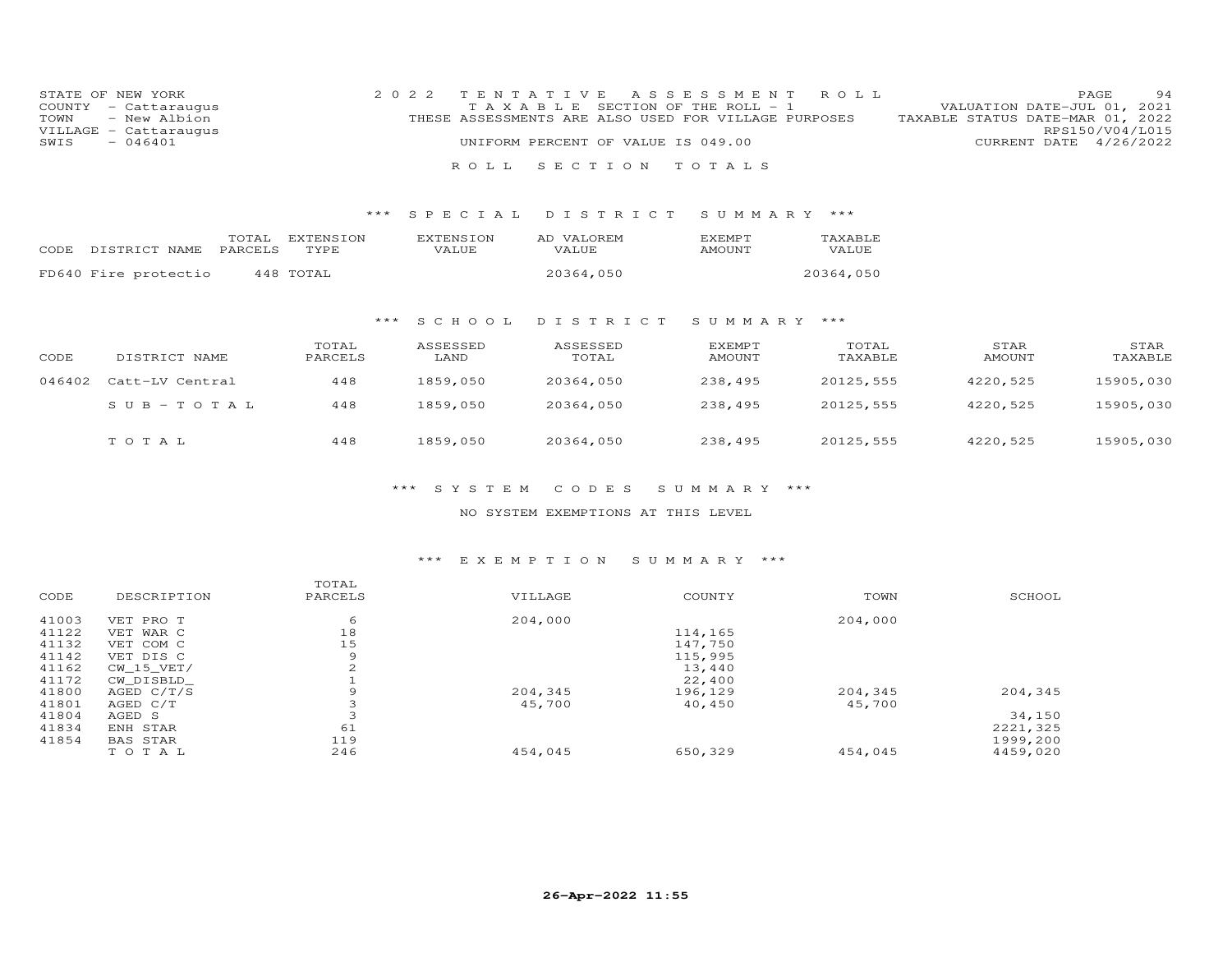|      | STATE OF NEW YORK     | 2022 TENTATIVE ASSESSMENT ROLL                                                           | <b>PAGE</b>            | 94 |
|------|-----------------------|------------------------------------------------------------------------------------------|------------------------|----|
|      | COUNTY - Cattaraugus  | VALUATION DATE-JUL 01, 2021<br>TAXABLE SECTION OF THE ROLL - 1                           |                        |    |
|      | TOWN - New Albion     | TAXABLE STATUS DATE-MAR 01, 2022<br>THESE ASSESSMENTS ARE ALSO USED FOR VILLAGE PURPOSES |                        |    |
|      | VILLAGE - Cattaraugus |                                                                                          | RPS150/V04/L015        |    |
| SWIS | $-046401$             | UNIFORM PERCENT OF VALUE IS 049.00                                                       | CURRENT DATE 4/26/2022 |    |
|      |                       |                                                                                          |                        |    |
|      |                       | ROLL SECTION TOTALS                                                                      |                        |    |

### \*\*\* S P E C I A L D I S T R I C T S U M M A R Y \*\*\*

| CODE DISTRICT NAME PARCELS | TOTAL EXTENSION<br>TYPE | <b>EXTENSION</b><br>VALUE. | AD VALOREM<br>VALUE | <b>FXFMPT</b><br>AMOUNT | <b>TAXABLE</b><br>VALUE |
|----------------------------|-------------------------|----------------------------|---------------------|-------------------------|-------------------------|
| FD640 Fire protectio       | 448 TOTAL               |                            | 20364,050           |                         | 20364,050               |

## \*\*\* S C H O O L D I S T R I C T S U M M A R Y \*\*\*

| CODE   | DISTRICT NAME   | TOTAL<br>PARCELS | ASSESSED<br>LAND | ASSESSED<br>TOTAL | EXEMPT<br>AMOUNT | TOTAL<br>TAXABLE | STAR<br><b>AMOUNT</b> | STAR<br>TAXABLE |
|--------|-----------------|------------------|------------------|-------------------|------------------|------------------|-----------------------|-----------------|
| 046402 | Catt-LV Central | 448              | 1859,050         | 20364,050         | 238,495          | 20125,555        | 4220,525              | 15905,030       |
|        | $SUB - TO T AL$ | 448              | 1859,050         | 20364,050         | 238,495          | 20125,555        | 4220,525              | 15905,030       |
|        | тотаь           | 448              | 1859,050         | 20364,050         | 238,495          | 20125,555        | 4220,525              | 15905,030       |

### \*\*\* S Y S T E M C O D E S S U M M A R Y \*\*\*

### NO SYSTEM EXEMPTIONS AT THIS LEVEL

#### \*\*\* E X E M P T I O N S U M M A R Y \*\*\*

| CODE  | DESCRIPTION  | TOTAL<br>PARCELS   | VILLAGE | COUNTY  | TOWN    | SCHOOL   |
|-------|--------------|--------------------|---------|---------|---------|----------|
| 41003 | VET PRO T    | 6                  | 204,000 |         | 204,000 |          |
| 41122 | VET WAR C    | 18                 |         | 114,165 |         |          |
| 41132 | VET COM C    | 15                 |         | 147,750 |         |          |
| 41142 | VET DIS C    | 9                  |         | 115,995 |         |          |
| 41162 | CW 15 VET/   | $\mathcal{D}$<br>∠ |         | 13,440  |         |          |
| 41172 | CW DISBLD    |                    |         | 22,400  |         |          |
| 41800 | AGED $C/T/S$ | 9                  | 204,345 | 196,129 | 204,345 | 204,345  |
| 41801 | AGED C/T     |                    | 45,700  | 40,450  | 45,700  |          |
| 41804 | AGED S       |                    |         |         |         | 34,150   |
| 41834 | ENH STAR     | 61                 |         |         |         | 2221,325 |
| 41854 | BAS STAR     | 119                |         |         |         | 1999,200 |
|       | TOTAL        | 246                | 454,045 | 650,329 | 454,045 | 4459,020 |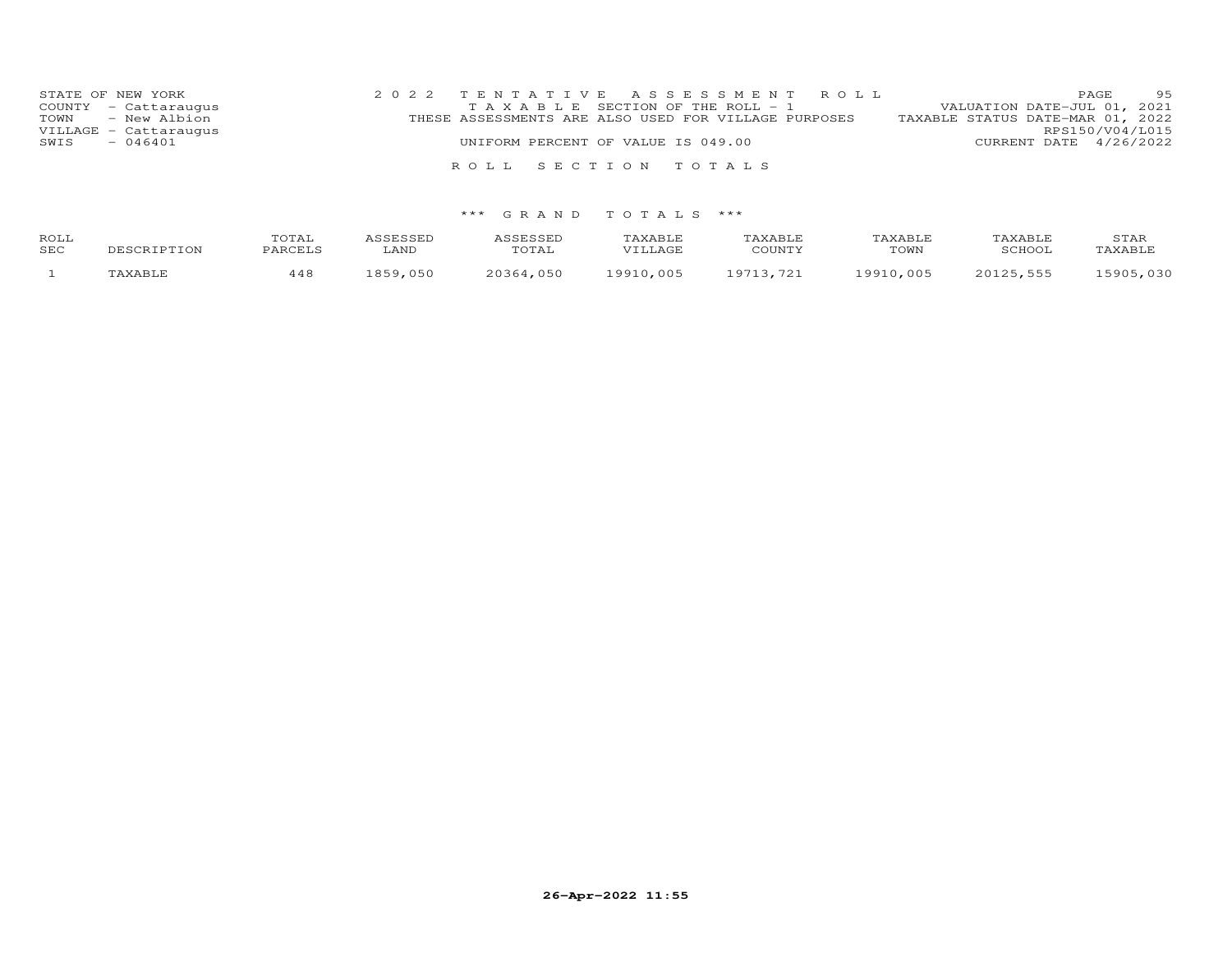| STATE OF NEW YORK                         | 2022 TENTATIVE ASSESSMENT ROLL                                                                | 95<br>PAGE                                                      |
|-------------------------------------------|-----------------------------------------------------------------------------------------------|-----------------------------------------------------------------|
| COUNTY - Cattaraugus<br>TOWN - New Albion | T A X A B L E SECTION OF THE ROLL - 1<br>THESE ASSESSMENTS ARE ALSO USED FOR VILLAGE PURPOSES | VALUATION DATE-JUL 01, 2021<br>TAXABLE STATUS DATE-MAR 01, 2022 |
| VILLAGE - Cattaraugus                     |                                                                                               | RPS150/V04/L015                                                 |
| $-046401$<br>SWIS                         | UNIFORM PERCENT OF VALUE IS 049.00                                                            | CURRENT DATE 4/26/2022                                          |
|                                           |                                                                                               |                                                                 |
|                                           | ROLL SECTION TOTALS                                                                           |                                                                 |

| ROLL | DESCRIPTION | TOTAL   | ASSESSED | ASSESSED  | TAXABLE   | TAXABLE   | TAXABLE   | TAXABLE   | STAR      |
|------|-------------|---------|----------|-----------|-----------|-----------|-----------|-----------|-----------|
| SEC  |             | PARCELS | LAND     | TOTAL     | VILLAGE   | COUNTY    | TOWN      | SCHOOL    | TAXABLE   |
|      | TAXABLE     | 448     | 1859.050 | 20364,050 | 19910.005 | 19713,721 | 19910,005 | 20125,555 | 15905,030 |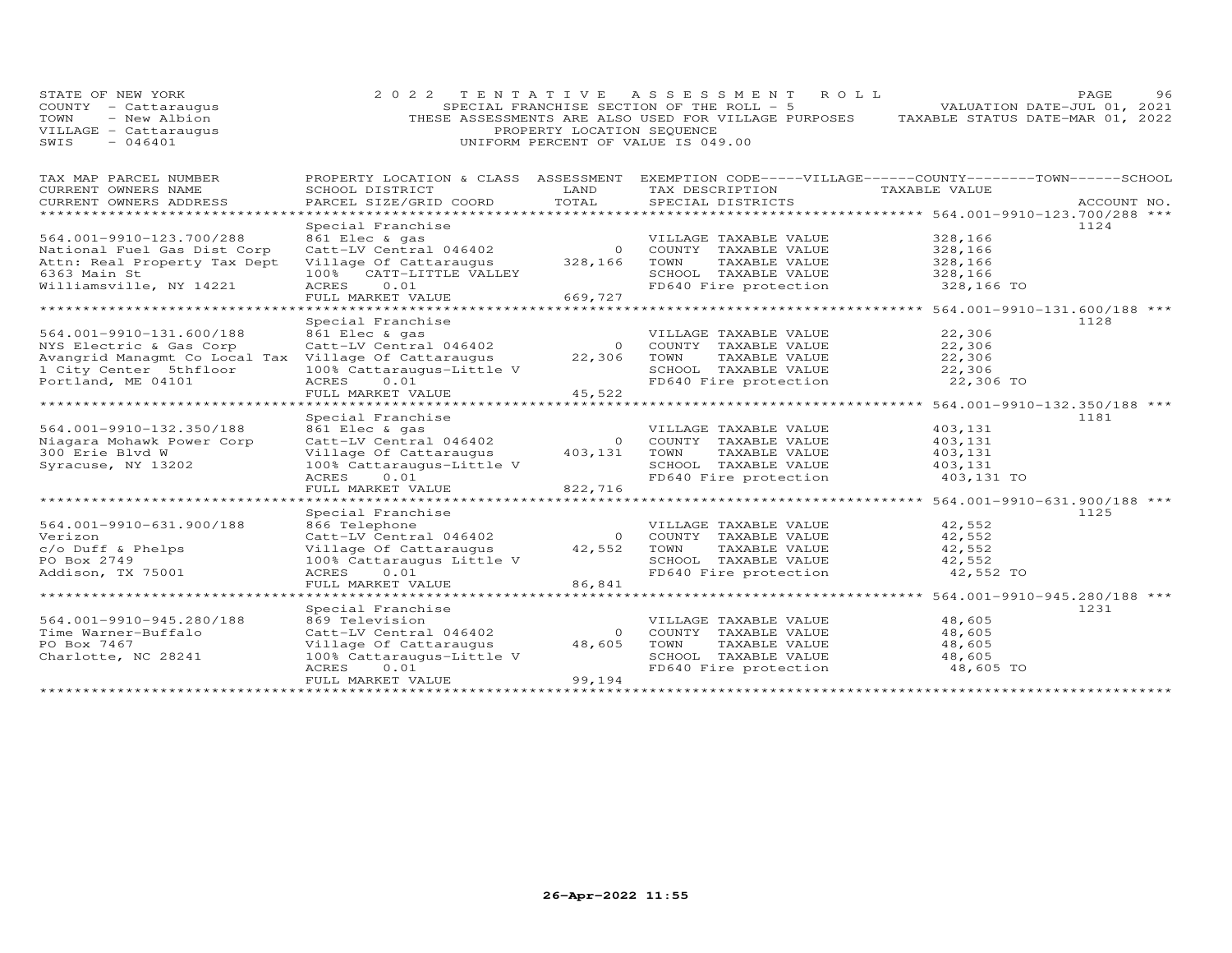| STATE OF NEW YORK<br>COUNTY - Cattaraugus<br>TOWN<br>- New Albion<br>VILLAGE - Cattaraugus<br>SWIS<br>$-046401$ | 2 0 2 2                                             | TENTATIVE<br>PROPERTY LOCATION SEQUENCE | A S S E S S M E N T<br>R O L L<br>SPECIAL FRANCHISE SECTION OF THE ROLL - 5<br>THESE ASSESSMENTS ARE ALSO USED FOR VILLAGE PURPOSES<br>UNIFORM PERCENT OF VALUE IS 049.00 |                                             | PAGE<br>96<br>VALUATION DATE-JUL 01, 2021<br>TAXABLE STATUS DATE-MAR 01, 2022 |
|-----------------------------------------------------------------------------------------------------------------|-----------------------------------------------------|-----------------------------------------|---------------------------------------------------------------------------------------------------------------------------------------------------------------------------|---------------------------------------------|-------------------------------------------------------------------------------|
| TAX MAP PARCEL NUMBER                                                                                           | PROPERTY LOCATION & CLASS ASSESSMENT                |                                         | EXEMPTION CODE-----VILLAGE------COUNTY-------TOWN------SCHOOL                                                                                                             |                                             |                                                                               |
| CURRENT OWNERS NAME                                                                                             | SCHOOL DISTRICT                                     | LAND                                    | TAX DESCRIPTION                                                                                                                                                           | TAXABLE VALUE                               |                                                                               |
| CURRENT OWNERS ADDRESS<br>***********************                                                               | PARCEL SIZE/GRID COORD                              | TOTAL                                   | SPECIAL DISTRICTS                                                                                                                                                         |                                             | ACCOUNT NO.                                                                   |
|                                                                                                                 | Special Franchise                                   |                                         |                                                                                                                                                                           |                                             | 1124                                                                          |
| 564.001-9910-123.700/288                                                                                        | 861 Elec & gas                                      |                                         | VILLAGE TAXABLE VALUE                                                                                                                                                     | 328,166                                     |                                                                               |
| National Fuel Gas Dist Corp                                                                                     | Catt-LV Central 046402                              | $\Omega$                                | COUNTY TAXABLE VALUE                                                                                                                                                      | 328,166                                     |                                                                               |
| Attn: Real Property Tax Dept                                                                                    | Village Of Cattaraugus                              | 328,166                                 | TOWN<br>TAXABLE VALUE                                                                                                                                                     | 328,166                                     |                                                                               |
| 6363 Main St                                                                                                    | CATT-LITTLE VALLEY<br>100%                          |                                         | SCHOOL TAXABLE VALUE                                                                                                                                                      | 328,166                                     |                                                                               |
| Williamsville, NY 14221                                                                                         | 0.01<br><b>ACRES</b>                                |                                         | FD640 Fire protection                                                                                                                                                     | 328,166 TO                                  |                                                                               |
|                                                                                                                 | FULL MARKET VALUE                                   | 669,727                                 |                                                                                                                                                                           |                                             |                                                                               |
|                                                                                                                 | Special Franchise                                   |                                         |                                                                                                                                                                           |                                             | 564.001-9910-131.600/188 ***<br>1128                                          |
| 564.001-9910-131.600/188                                                                                        | 861 Elec & gas                                      |                                         | VILLAGE TAXABLE VALUE                                                                                                                                                     | 22,306                                      |                                                                               |
| NYS Electric & Gas Corp                                                                                         | Catt-LV Central 046402                              | $\circ$                                 | COUNTY TAXABLE VALUE                                                                                                                                                      | 22,306                                      |                                                                               |
| Avangrid Managmt Co Local Tax Village Of Cattaraugus                                                            |                                                     | 22,306                                  | TOWN<br>TAXABLE VALUE                                                                                                                                                     | 22,306                                      |                                                                               |
| 1 City Center 5thfloor                                                                                          | 100% Cattaraugus-Little V                           |                                         | SCHOOL TAXABLE VALUE                                                                                                                                                      | 22,306                                      |                                                                               |
| Portland, ME 04101                                                                                              | 0.01<br><b>ACRES</b>                                |                                         | FD640 Fire protection                                                                                                                                                     | 22,306 TO                                   |                                                                               |
|                                                                                                                 | FULL MARKET VALUE                                   | 45,522                                  |                                                                                                                                                                           |                                             |                                                                               |
| ******************                                                                                              | *****************                                   |                                         |                                                                                                                                                                           |                                             | 564.001-9910-132.350/188 ***                                                  |
|                                                                                                                 | Special Franchise<br>861 Elec & gas                 |                                         |                                                                                                                                                                           |                                             | 1181                                                                          |
| 564.001-9910-132.350/188<br>Niagara Mohawk Power Corp                                                           | Catt-LV Central 046402                              | $\circ$                                 | VILLAGE TAXABLE VALUE<br>COUNTY TAXABLE VALUE                                                                                                                             | 403,131<br>403,131                          |                                                                               |
| 300 Erie Blyd W                                                                                                 | Village Of Cattaraugus                              | 403,131                                 | TOWN<br>TAXABLE VALUE                                                                                                                                                     | 403,131                                     |                                                                               |
| Syracuse, NY 13202                                                                                              | 100% Cattaraugus-Little V                           |                                         | SCHOOL TAXABLE VALUE                                                                                                                                                      | 403,131                                     |                                                                               |
|                                                                                                                 | <b>ACRES</b><br>0.01                                |                                         | FD640 Fire protection                                                                                                                                                     | 403,131 TO                                  |                                                                               |
|                                                                                                                 | FULL MARKET VALUE                                   | 822,716                                 |                                                                                                                                                                           |                                             |                                                                               |
|                                                                                                                 |                                                     |                                         |                                                                                                                                                                           |                                             | 564.001-9910-631.900/188 ***                                                  |
|                                                                                                                 | Special Franchise                                   |                                         |                                                                                                                                                                           |                                             | 1125                                                                          |
| 564.001-9910-631.900/188                                                                                        | 866 Telephone                                       |                                         | VILLAGE TAXABLE VALUE                                                                                                                                                     | 42,552                                      |                                                                               |
| Verizon                                                                                                         | Catt-LV Central 046402                              | $\Omega$<br>42,552                      | COUNTY TAXABLE VALUE<br>TOWN<br>TAXABLE VALUE                                                                                                                             | 42,552<br>42,552                            |                                                                               |
| c/o Duff & Phelps<br>PO Box 2749                                                                                | Village Of Cattaraugus<br>100% Cattaraugus Little V |                                         | SCHOOL TAXABLE VALUE                                                                                                                                                      | 42,552                                      |                                                                               |
| Addison, TX 75001                                                                                               | ACRES<br>0.01                                       |                                         | FD640 Fire protection                                                                                                                                                     | 42,552 TO                                   |                                                                               |
|                                                                                                                 | FULL MARKET VALUE                                   | 86,841                                  |                                                                                                                                                                           |                                             |                                                                               |
|                                                                                                                 | ****************                                    |                                         |                                                                                                                                                                           | ************** 564.001-9910-945.280/188 *** |                                                                               |
|                                                                                                                 | Special Franchise                                   |                                         |                                                                                                                                                                           |                                             | 1231                                                                          |
| 564.001-9910-945.280/188                                                                                        | 869 Television                                      |                                         | VILLAGE TAXABLE VALUE                                                                                                                                                     | 48,605                                      |                                                                               |
| Time Warner-Buffalo                                                                                             | Catt-LV Central 046402                              | $\Omega$                                | COUNTY TAXABLE VALUE                                                                                                                                                      | 48,605                                      |                                                                               |
| PO Box 7467                                                                                                     | Village Of Cattaraugus                              | 48,605                                  | TOWN<br>TAXABLE VALUE<br>SCHOOL TAXABLE VALUE                                                                                                                             | 48,605                                      |                                                                               |
| Charlotte, NC 28241                                                                                             | 100% Cattaraugus-Little V<br>ACRES<br>0.01          |                                         | FD640 Fire protection                                                                                                                                                     | 48,605<br>48,605 TO                         |                                                                               |
|                                                                                                                 | FULL MARKET VALUE                                   | 99,194                                  |                                                                                                                                                                           |                                             |                                                                               |
|                                                                                                                 | * * * * * * * * * * * * * * * * * * * *             |                                         |                                                                                                                                                                           |                                             |                                                                               |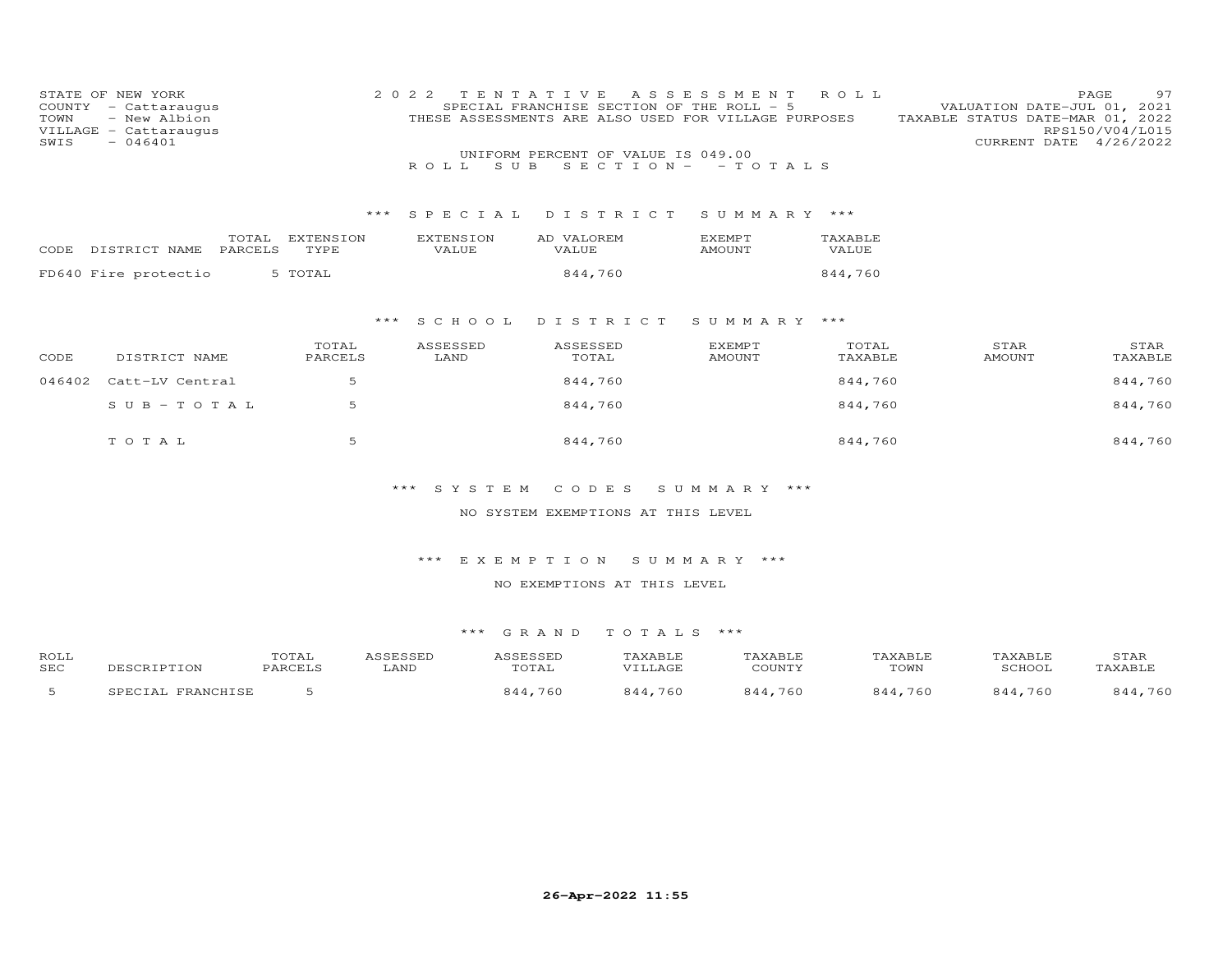| TOWN<br>SWIS | STATE OF NEW YORK<br>COUNTY - Cattaraugus<br>- New Albion<br>VILLAGE - Cattaraugus<br>$-046401$ | 2 0 2 2                           | TENTATIVE<br>ROLL.<br>S U B                                                                                         | SPECIAL FRANCHISE SECTION OF THE ROLL - 5<br>THESE ASSESSMENTS ARE ALSO USED FOR VILLAGE PURPOSES<br>UNIFORM PERCENT OF VALUE IS 049.00 | ASSESSMENT<br>$SECTION - - TO TALS$ | ROLL             | VALUATION DATE-JUL 01, 2021<br>TAXABLE STATUS DATE-MAR 01, 2022<br>CURRENT DATE 4/26/2022 | 97<br>PAGE<br>RPS150/V04/L015 |
|--------------|-------------------------------------------------------------------------------------------------|-----------------------------------|---------------------------------------------------------------------------------------------------------------------|-----------------------------------------------------------------------------------------------------------------------------------------|-------------------------------------|------------------|-------------------------------------------------------------------------------------------|-------------------------------|
|              |                                                                                                 |                                   | *** SPECIAL                                                                                                         | DISTRICT                                                                                                                                | SUMMARY ***                         |                  |                                                                                           |                               |
|              | CODE DISTRICT NAME PARCELS                                                                      | TOTAL EXTENSION<br>TYPE           | <b>EXTENSION</b><br>VALUE                                                                                           | AD VALOREM<br>VALUE                                                                                                                     | EXEMPT<br><b>AMOUNT</b>             | TAXABLE<br>VALUE |                                                                                           |                               |
|              | FD640 Fire protectio                                                                            | 5 TOTAL                           |                                                                                                                     | 844,760                                                                                                                                 |                                     | 844,760          |                                                                                           |                               |
|              |                                                                                                 | $***$                             | S C H O O L                                                                                                         | DISTRICT                                                                                                                                | SUMMARY ***                         |                  |                                                                                           |                               |
| CODE         | DISTRICT NAME                                                                                   | TOTAL<br>PARCELS                  | ASSESSED<br>LAND                                                                                                    | ASSESSED<br>TOTAL                                                                                                                       | <b>EXEMPT</b><br>AMOUNT             | TOTAL<br>TAXABLE | STAR<br><b>AMOUNT</b>                                                                     | STAR<br>TAXABLE               |
| 046402       | Catt-LV Central                                                                                 | 5                                 |                                                                                                                     | 844,760                                                                                                                                 |                                     | 844,760          |                                                                                           | 844,760                       |
|              | $SUB - TO T AL$                                                                                 | 5                                 |                                                                                                                     | 844,760                                                                                                                                 |                                     | 844,760          |                                                                                           | 844,760                       |
|              | TOTAL                                                                                           | 5                                 |                                                                                                                     | 844,760                                                                                                                                 |                                     | 844,760          |                                                                                           | 844,760                       |
|              |                                                                                                 |                                   | *** SYSTEM                                                                                                          | CODES                                                                                                                                   | SUMMARY ***                         |                  |                                                                                           |                               |
|              |                                                                                                 |                                   |                                                                                                                     | NO SYSTEM EXEMPTIONS AT THIS LEVEL                                                                                                      |                                     |                  |                                                                                           |                               |
|              |                                                                                                 |                                   | *** EXEMPTION                                                                                                       | NO EXEMPTIONS AT THIS LEVEL                                                                                                             | SUMMARY ***                         |                  |                                                                                           |                               |
|              |                                                                                                 |                                   | *** GRAND                                                                                                           | TOTALS ***                                                                                                                              |                                     |                  |                                                                                           |                               |
| $R = 1$      |                                                                                                 | $m \wedge m \wedge r$<br>$\ldots$ | $\mathcal{L} \cap \mathcal{L} \cap \mathcal{L} \cap \mathcal{L} \cap \mathcal{L} \cap \mathcal{L} \cap \mathcal{L}$ | $m \times m \times m$                                                                                                                   |                                     |                  | $m \times r \times r \times r$<br>$\cdots \cdots$                                         | $\sim$ $\sim$ $\sim$ $\sim$   |

| ROLL       |                   | TOTAL   | ASSESSED | <b>ASSESSED</b> | TAXABLE | TAXABLE | <b>TAXABLE</b> | TAXABLE | STAR    |
|------------|-------------------|---------|----------|-----------------|---------|---------|----------------|---------|---------|
| <b>SEC</b> | DESCRIPTION       | PARCELS | LAND     | TOTAL           | VILLAGE | COUNTY  | TOWN           | SCHOOL  | TAXABLE |
|            | SPECIAL FRANCHISE |         |          | 844,760         | 844,760 | 844,760 | 844,760        | 844,760 | 844,760 |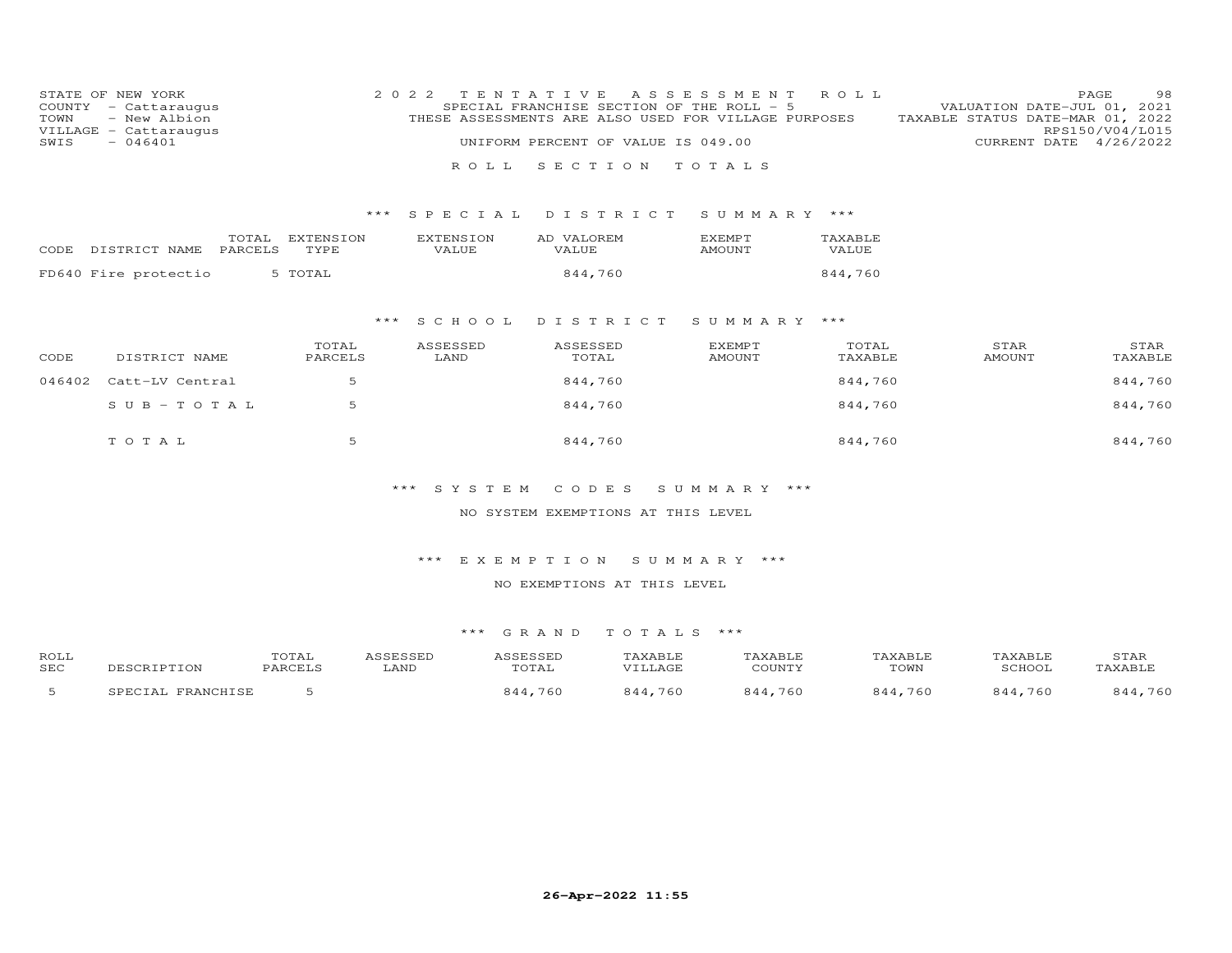| TOWN<br>SWIS | STATE OF NEW YORK<br>COUNTY - Cattaraugus<br>- New Albion<br>VILLAGE - Cattaraugus<br>$-046401$ | 2 0 2 2           | ROLL                      | TENTATIVE<br>SPECIAL FRANCHISE SECTION OF THE ROLL - 5<br>THESE ASSESSMENTS ARE ALSO USED FOR VILLAGE PURPOSES<br>UNIFORM PERCENT OF VALUE IS 049.00<br>SECTION | A S S E S S M E N T<br>TOTALS  | ROLL             | VALUATION DATE-JUL 01, 2021<br>TAXABLE STATUS DATE-MAR 01, 2022 | 98<br>PAGE<br>RPS150/V04/L015<br>CURRENT DATE 4/26/2022 |
|--------------|-------------------------------------------------------------------------------------------------|-------------------|---------------------------|-----------------------------------------------------------------------------------------------------------------------------------------------------------------|--------------------------------|------------------|-----------------------------------------------------------------|---------------------------------------------------------|
|              |                                                                                                 | ***               | SPECIAL                   | DISTRICT                                                                                                                                                        | SUMMARY ***                    |                  |                                                                 |                                                         |
| CODE         | TOTAL<br>DISTRICT NAME<br>PARCELS                                                               | EXTENSION<br>TYPE | <b>EXTENSION</b><br>VALUE | AD VALOREM<br>VALUE                                                                                                                                             | EXEMPT<br>AMOUNT               | TAXABLE<br>VALUE |                                                                 |                                                         |
|              | FD640 Fire protectio                                                                            | 5 TOTAL           |                           | 844,760                                                                                                                                                         |                                | 844,760          |                                                                 |                                                         |
|              |                                                                                                 | ***               | S C H O O L               | DISTRICT                                                                                                                                                        | SUMMARY ***                    |                  |                                                                 |                                                         |
| CODE         | DISTRICT NAME                                                                                   | TOTAL<br>PARCELS  | ASSESSED<br>LAND          | ASSESSED<br>TOTAL                                                                                                                                               | <b>EXEMPT</b><br><b>AMOUNT</b> | TOTAL<br>TAXABLE | STAR<br><b>AMOUNT</b>                                           | STAR<br>TAXABLE                                         |
| 046402       | Catt-LV Central                                                                                 | 5                 |                           | 844,760                                                                                                                                                         |                                | 844,760          |                                                                 | 844,760                                                 |
|              | $SUB - TO T AL$                                                                                 | 5                 |                           | 844,760                                                                                                                                                         |                                | 844,760          |                                                                 | 844,760                                                 |
|              | TOTAL                                                                                           | 5                 |                           | 844,760                                                                                                                                                         |                                | 844,760          |                                                                 | 844,760                                                 |
|              |                                                                                                 | ***               | SYSTEM                    | CODES<br>NO SYSTEM EXEMPTIONS AT THIS LEVEL                                                                                                                     | SUMMARY ***                    |                  |                                                                 |                                                         |
|              |                                                                                                 |                   |                           |                                                                                                                                                                 |                                |                  |                                                                 |                                                         |
|              |                                                                                                 |                   | $***$                     | EXEMPTION                                                                                                                                                       | SUMMARY ***                    |                  |                                                                 |                                                         |
|              |                                                                                                 |                   |                           | NO EXEMPTIONS AT THIS LEVEL                                                                                                                                     |                                |                  |                                                                 |                                                         |

| ROLL<br><b>SEC</b> |                      | TOTAL<br><b>PARCEL:</b> | LAND | <b>SSESSED</b><br>.<br>TOTAL | TAXABLE | TAXABLE<br>COUNTY | TAXABLE<br>TOWN | TAXABLE<br>SCHOOL | STAR<br>TAXABLE |
|--------------------|----------------------|-------------------------|------|------------------------------|---------|-------------------|-----------------|-------------------|-----------------|
|                    | FRANCHISE<br>SPECIAL |                         |      | 760<br>9.44                  | 760     | 760<br>844        | .760<br>844     | 760<br>9.44       | . 760<br>844,   |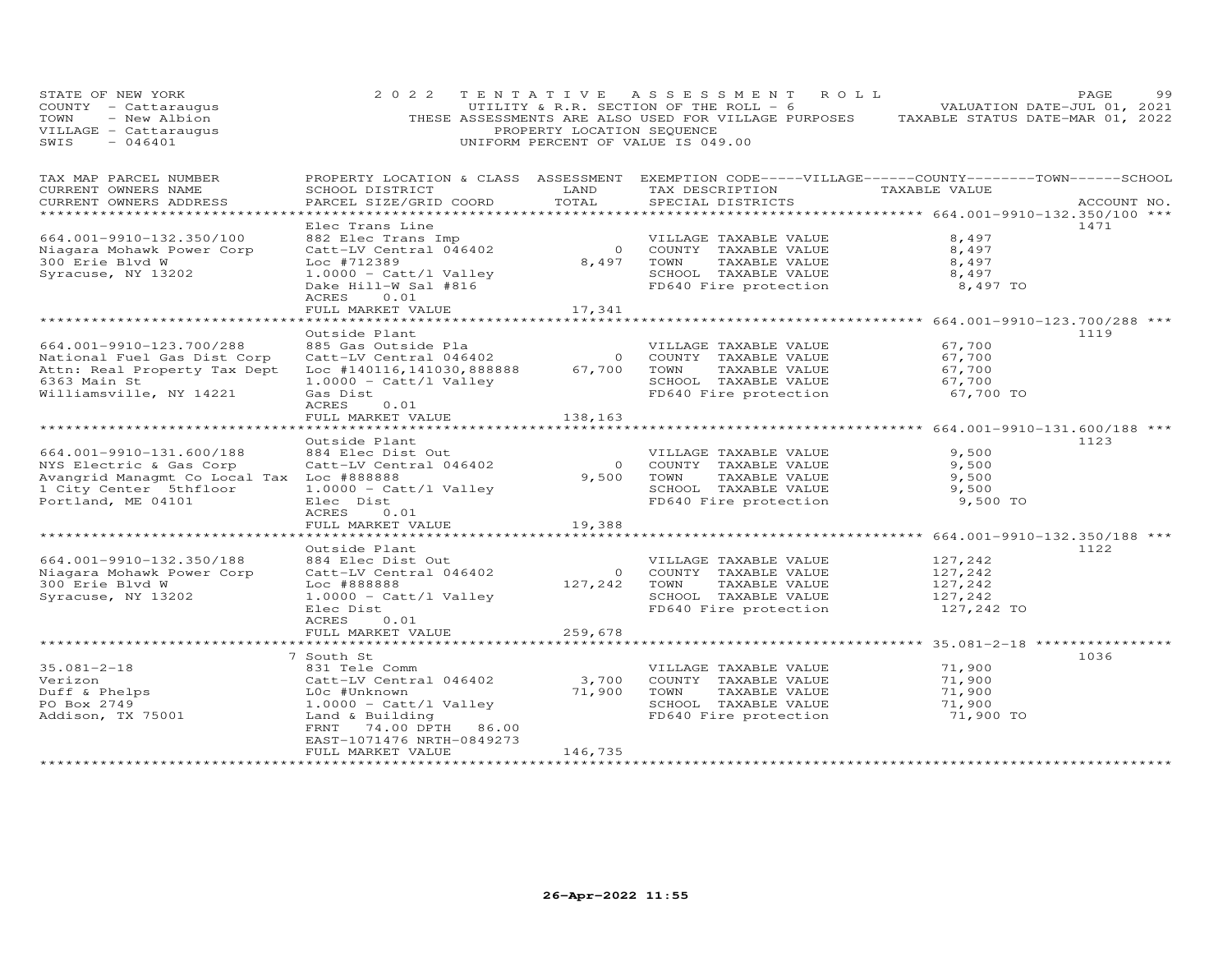| STATE OF NEW YORK<br>COUNTY - Cattaraugus<br>- New Albion<br>TOWN<br>VILLAGE - Cattaraugus<br>SWIS<br>$-046401$                                  | 2 0 2 2                                                                                                                                                                                                                  | PROPERTY LOCATION SEQUENCE           | TENTATIVE ASSESSMENT ROLL<br>UTILITY & R.R. SECTION OF THE ROLL - 6<br>THESE ASSESSMENTS ARE ALSO USED FOR VILLAGE PURPOSES<br>UNIFORM PERCENT OF VALUE IS 049.00                     | TAXABLE STATUS DATE-MAR 01, 2022                           | PAGE<br>VALUATION DATE-JUL 01, 2021 | 99 |
|--------------------------------------------------------------------------------------------------------------------------------------------------|--------------------------------------------------------------------------------------------------------------------------------------------------------------------------------------------------------------------------|--------------------------------------|---------------------------------------------------------------------------------------------------------------------------------------------------------------------------------------|------------------------------------------------------------|-------------------------------------|----|
| TAX MAP PARCEL NUMBER<br>CURRENT OWNERS NAME<br>CURRENT OWNERS ADDRESS                                                                           | SCHOOL DISTRICT<br>PARCEL SIZE/GRID COORD                                                                                                                                                                                | LAND<br>TOTAL                        | PROPERTY LOCATION & CLASS ASSESSMENT EXEMPTION CODE-----VILLAGE------COUNTY-------TOWN------SCHOOL<br>TAX DESCRIPTION<br>SPECIAL DISTRICTS                                            | TAXABLE VALUE<br>************ 664.001-9910-132.350/100 *** | ACCOUNT NO.                         |    |
| 664.001-9910-132.350/100<br>Niagara Mohawk Power Corp<br>300 Erie Blvd W<br>Syracuse, NY 13202                                                   | Elec Trans Line<br>882 Elec Trans Imp<br>Catt-LV Central 046402<br>Loc #712389<br>$1.0000 - \text{Catt/l Value}$<br>Dake Hill-W Sal #816<br>0.01<br>ACRES<br>FULL MARKET VALUE                                           | $\overline{O}$<br>8,497<br>17,341    | VILLAGE TAXABLE VALUE<br>COUNTY TAXABLE VALUE<br>TAXABLE VALUE<br>TOWN<br>SCHOOL TAXABLE VALUE<br>FD640 Fire protection                                                               | 8,497<br>8,497<br>8,497<br>8,497<br>8,497 TO               | 1471                                |    |
|                                                                                                                                                  |                                                                                                                                                                                                                          |                                      | ******************************* 664.001-9910-123.700/288 ***                                                                                                                          |                                                            |                                     |    |
| 664.001-9910-123.700/288<br>National Fuel Gas Dist Corp<br>Attn: Real Property Tax Dept<br>6363 Main St<br>Williamsville, NY 14221               | Outside Plant<br>885 Gas Outside Pla<br>Catt-LV Central 046402<br>Catt-LV Central 046402<br>Loc #140116,141030,888888<br>$1.0000 - \text{Cat}/1 \text{ Valley}$<br>Gas Dist<br><b>ACRES</b><br>0.01<br>FULL MARKET VALUE | $\overline{O}$<br>67,700<br>138,163  | VILLAGE TAXABLE VALUE<br>COUNTY TAXABLE VALUE<br>TOWN<br>TAXABLE VALUE<br>SCHOOL TAXABLE VALUE<br>FD640 Fire protection                                                               | 67,700<br>67,700<br>67,700<br>67,700<br>67,700 TO          | 1119                                |    |
|                                                                                                                                                  | ********************                                                                                                                                                                                                     |                                      | ******************************* 664.001-9910-131.600/188 ***                                                                                                                          |                                                            |                                     |    |
| 664.001-9910-131.600/188<br>NYS Electric & Gas Corp<br>Avangrid Managmt Co Local Tax Loc #888888<br>1 City Center 5thfloor<br>Portland, ME 04101 | Outside Plant<br>884 Elec Dist Out<br>Catt-LV Central 046402<br>$1.0000 - \text{Catt/l Value}$<br>Elec Dist<br>ACRES<br>0.01                                                                                             | $\bigcirc$<br>9,500                  | VILLAGE TAXABLE VALUE<br>COUNTY TAXABLE VALUE<br>TOWN<br>TAXABLE VALUE<br>SCHOOL TAXABLE VALUE<br>FD640 Fire protection                                                               | 9,500<br>9,500<br>9,500<br>9,500<br>9,500 TO               | 1123                                |    |
|                                                                                                                                                  | FULL MARKET VALUE                                                                                                                                                                                                        | 19,388                               |                                                                                                                                                                                       |                                                            |                                     |    |
| 664.001-9910-132.350/188<br>Niagara Mohawk Power Corp<br>300 Erie Blvd W<br>Syracuse, NY 13202                                                   | *********************<br>Outside Plant<br>884 Elec Dist Out<br>Catt-LV Central 046402<br>Loc #888888<br>$1.0000 - \text{Catt/l Value}$<br>Elec Dist<br><b>ACRES</b><br>0.01<br>FULL MARKET VALUE                         | $\overline{O}$<br>127,242<br>259,678 | ***************************** 664.001-9910-132.350/188 ***<br>VILLAGE TAXABLE VALUE<br>COUNTY TAXABLE VALUE<br>TOWN<br>TAXABLE VALUE<br>SCHOOL TAXABLE VALUE<br>FD640 Fire protection | 127,242<br>127,242<br>127,242<br>127,242<br>127,242 TO     | 1122                                |    |
|                                                                                                                                                  |                                                                                                                                                                                                                          |                                      |                                                                                                                                                                                       | **************** 35.081-2-18 ************                  |                                     |    |
| $35.081 - 2 - 18$<br>Verizon<br>Duff & Phelps<br>PO Box 2749<br>Addison, TX 75001                                                                | 7 South St<br>831 Tele Comm<br>Catt-LV Central 046402<br>LOC #Unknown<br>$1.0000 - \text{Cat} / 1$ Valley<br>Land & Building<br>FRNT<br>74.00 DPTH 86.00<br>EAST-1071476 NRTH-0849273                                    | 3,700<br>71,900                      | VILLAGE TAXABLE VALUE<br>COUNTY TAXABLE VALUE<br>TOWN<br>TAXABLE VALUE<br>SCHOOL TAXABLE VALUE<br>FD640 Fire protection                                                               | 71,900<br>71,900<br>71,900<br>71,900<br>71,900 TO          | 1036                                |    |
|                                                                                                                                                  | FULL MARKET VALUE                                                                                                                                                                                                        | 146,735                              |                                                                                                                                                                                       |                                                            |                                     |    |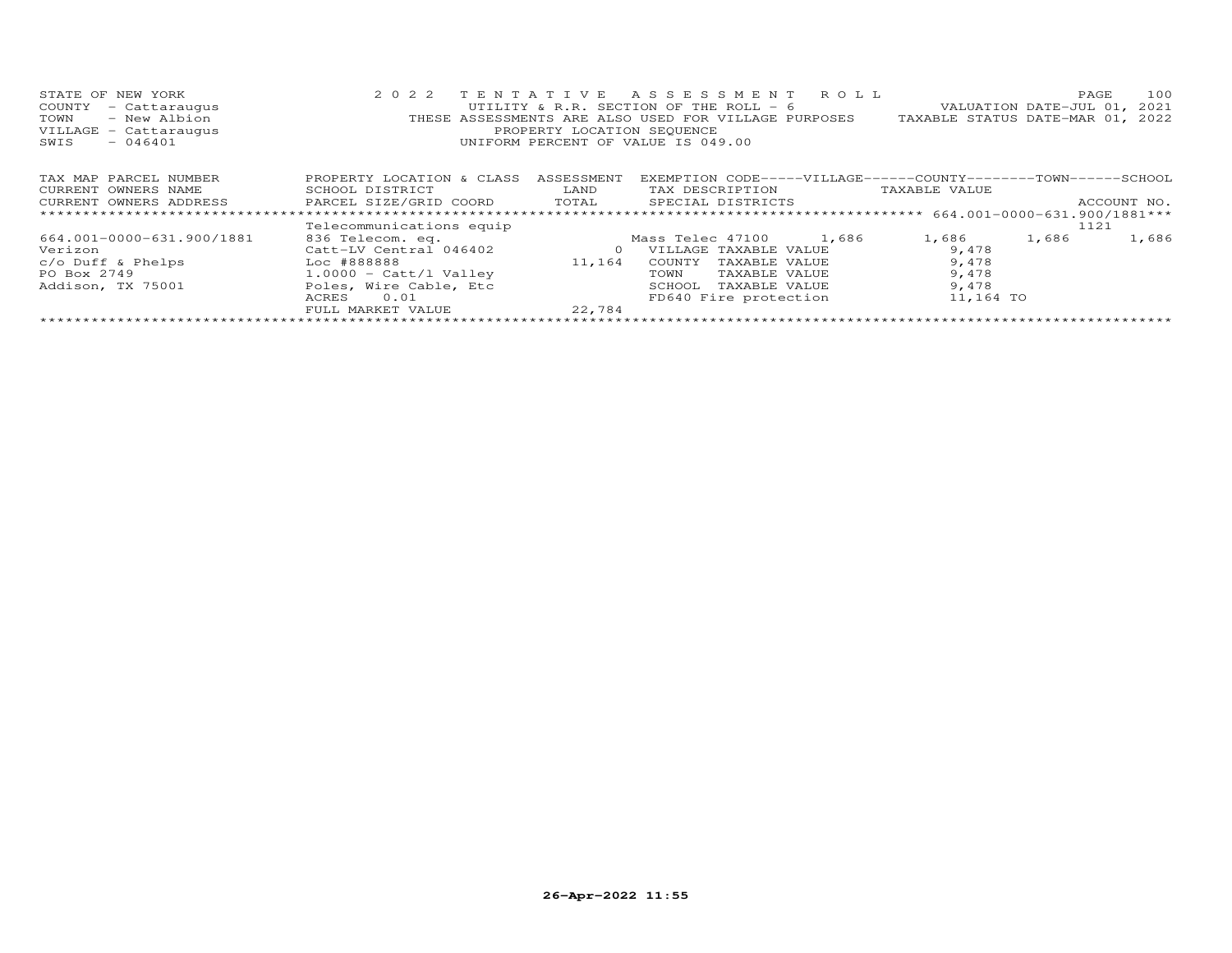| STATE OF NEW YORK                                   | 2 0 2 2                        |                            | TENTATIVE ASSESSMENT ROLL                                     |               | 100<br>PAGE                      |
|-----------------------------------------------------|--------------------------------|----------------------------|---------------------------------------------------------------|---------------|----------------------------------|
| COUNTY<br>- Cattaraugus                             |                                |                            | UTILITY & R.R. SECTION OF THE ROLL - 6                        |               | VALUATION DATE-JUL 01,<br>2021   |
| - New Albion<br>TOWN                                |                                |                            | THESE ASSESSMENTS ARE ALSO USED FOR VILLAGE PURPOSES          |               | TAXABLE STATUS DATE-MAR 01, 2022 |
| VILLAGE - Cattaraugus                               |                                | PROPERTY LOCATION SEQUENCE |                                                               |               |                                  |
| $-046401$<br>SWIS                                   |                                |                            | UNIFORM PERCENT OF VALUE IS 049.00                            |               |                                  |
|                                                     |                                |                            |                                                               |               |                                  |
| TAX MAP PARCEL NUMBER                               | PROPERTY LOCATION & CLASS      | ASSESSMENT                 | EXEMPTION CODE-----VILLAGE------COUNTY-------TOWN------SCHOOL |               |                                  |
| CURRENT OWNERS NAME                                 | SCHOOL DISTRICT                | LAND                       | TAX DESCRIPTION                                               | TAXABLE VALUE |                                  |
|                                                     |                                |                            |                                                               |               |                                  |
| CURRENT OWNERS ADDRESS FARCEL SIZE/GRID COORD TOTAL |                                |                            | SPECIAL DISTRICTS                                             |               | ACCOUNT NO.                      |
|                                                     |                                |                            |                                                               |               |                                  |
|                                                     | Telecommunications equip       |                            |                                                               |               | 1121                             |
| 664.001-0000-631.900/1881                           | 836 Telecom. eq.               |                            | 1,686<br>Mass Telec 47100                                     | 1,686         | 1,686<br>1,686                   |
| Verizon                                             | Catt-LV Central 046402         | $\circ$                    | VILLAGE TAXABLE VALUE                                         | 9,478         |                                  |
| $c/o$ Duff & Phelps $\qquad \qquad$ Loc #888888     |                                | 11,164                     | COUNTY<br>TAXABLE VALUE                                       | 9,478         |                                  |
| PO Box 2749                                         | $1.0000 - \text{Catt/l Value}$ |                            | TOWN<br>TAXABLE VALUE                                         | 9,478         |                                  |
| Addison, TX 75001                                   | Poles, Wire Cable, Etc         |                            | TAXABLE VALUE<br>SCHOOL                                       | 9,478         |                                  |
|                                                     | 0.01<br>ACRES                  |                            | FD640 Fire protection                                         | 11,164 TO     |                                  |
|                                                     | FULL MARKET VALUE              | 22.784                     |                                                               |               |                                  |
|                                                     |                                |                            |                                                               |               |                                  |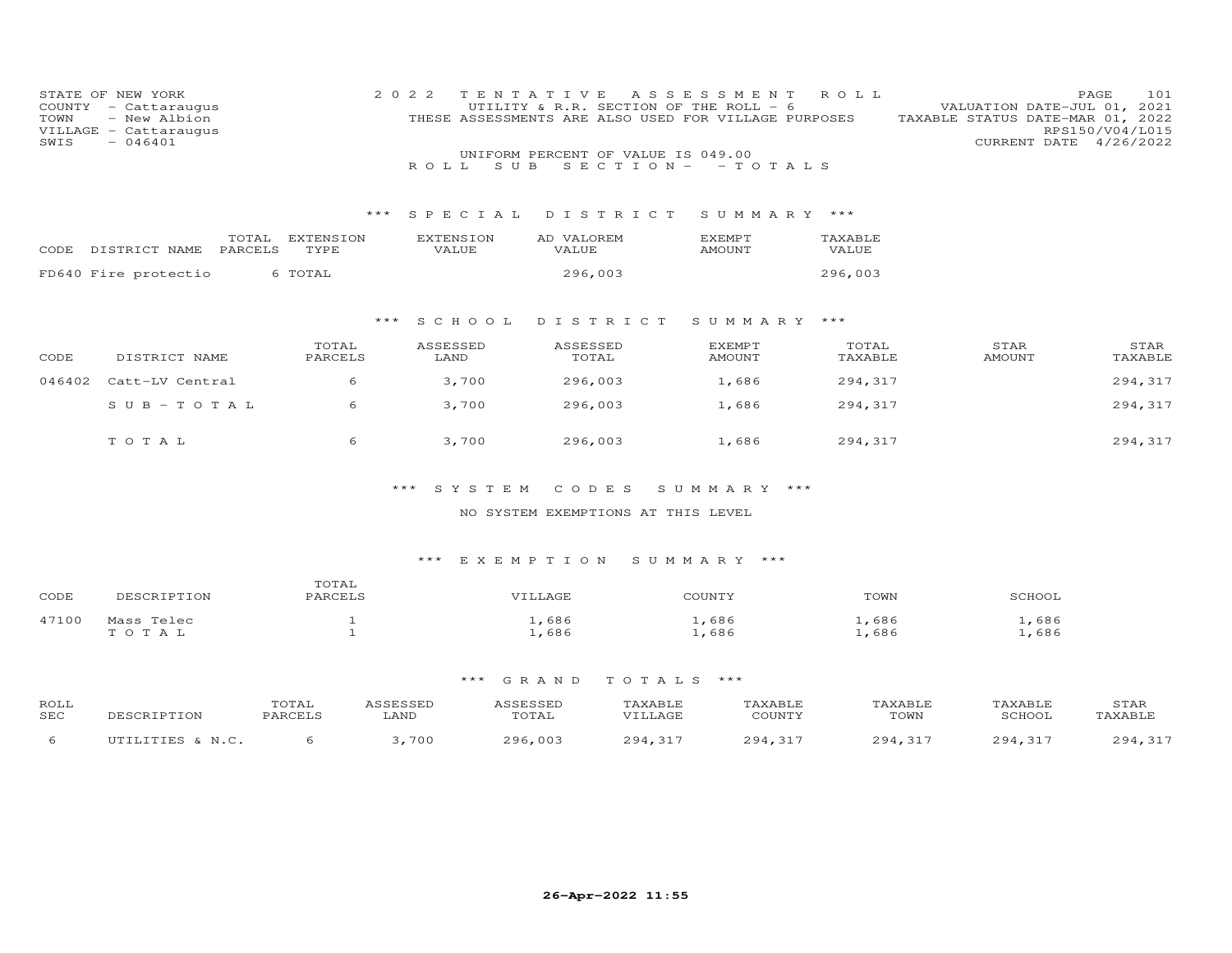| COUNTY<br>TOWN<br>SWIS | STATE OF NEW YORK<br>- Cattaraugus<br>- New Albion<br>VILLAGE - Cattaraugus<br>$-046401$ |                   | 2 0 2 2<br>S U B<br>R O L L | TENTATIVE<br>UTILITY & R.R. SECTION OF THE ROLL - 6<br>THESE ASSESSMENTS ARE ALSO USED FOR VILLAGE PURPOSES<br>UNIFORM PERCENT OF VALUE IS 049.00<br>SECTION $-$ -TOTALS | A S S E S S M E N T            | ROLL             | VALUATION DATE-JUL 01, 2021<br>TAXABLE STATUS DATE-MAR 01, 2022<br>CURRENT DATE 4/26/2022 | PAGE<br>101<br>RPS150/V04/L015 |
|------------------------|------------------------------------------------------------------------------------------|-------------------|-----------------------------|--------------------------------------------------------------------------------------------------------------------------------------------------------------------------|--------------------------------|------------------|-------------------------------------------------------------------------------------------|--------------------------------|
|                        |                                                                                          | ***               | SPECIAL                     | DISTRICT                                                                                                                                                                 | SUMMARY ***                    |                  |                                                                                           |                                |
|                        | TOTAL<br>PARCELS<br>CODE DISTRICT NAME                                                   | EXTENSION<br>TYPE | <b>EXTENSION</b><br>VALUE   | AD VALOREM<br>VALUE                                                                                                                                                      | <b>EXEMPT</b><br>AMOUNT        | TAXABLE<br>VALUE |                                                                                           |                                |
|                        | FD640 Fire protectio                                                                     | 6 TOTAL           |                             | 296,003                                                                                                                                                                  |                                | 296,003          |                                                                                           |                                |
|                        |                                                                                          | ***               | S C H O O L                 | DISTRICT                                                                                                                                                                 | SUMMARY ***                    |                  |                                                                                           |                                |
| CODE                   | DISTRICT NAME                                                                            | TOTAL<br>PARCELS  | ASSESSED<br>LAND            | ASSESSED<br>TOTAL                                                                                                                                                        | <b>EXEMPT</b><br><b>AMOUNT</b> | TOTAL<br>TAXABLE | STAR<br>AMOUNT                                                                            | STAR<br>TAXABLE                |
| 046402                 | Catt-LV Central                                                                          | 6                 | 3,700                       | 296,003                                                                                                                                                                  | 1,686                          | 294,317          |                                                                                           | 294,317                        |
|                        | $S \cup B - T \cup T A L$                                                                | 6                 | 3,700                       | 296,003                                                                                                                                                                  | 1,686                          | 294,317          |                                                                                           | 294,317                        |
|                        | TOTAL                                                                                    | 6                 | 3,700                       | 296,003                                                                                                                                                                  | 1,686                          | 294,317          |                                                                                           | 294,317                        |

\*\*\* S Y S T E M C O D E S S U M M A R Y \*\*\*

## NO SYSTEM EXEMPTIONS AT THIS LEVEL

## \*\*\* E X E M P T I O N S U M M A R Y \*\*\*

| CODE  | DESCRIPTION         | TOTAL<br><b>PARCELS</b> | VILLAGE      | COUNTY       | TOWN         | SCHOOL       |
|-------|---------------------|-------------------------|--------------|--------------|--------------|--------------|
| 47100 | Mass Telec<br>TOTAL |                         | ,686<br>,686 | ,686<br>,686 | ,686<br>,686 | ,686<br>,686 |

| ROLL<br>SEC | DESCRIPTION      | <b>OTAL</b><br>PARCELS | ASSESSED<br>LAND | ASSESSED<br>TOTAL | TAXABLE<br>VTLLAGE | TAXABLE<br>COUNTY | TAXABLE<br>TOWN | TAXABLE<br>SCHOOL | STAR<br>TAXABLE   |
|-------------|------------------|------------------------|------------------|-------------------|--------------------|-------------------|-----------------|-------------------|-------------------|
|             | UTILITIES & N.C. |                        | 700              | 296,003           | 294,317            | 294,317           | 294.317         | 294.317           | $-217$<br>294,317 |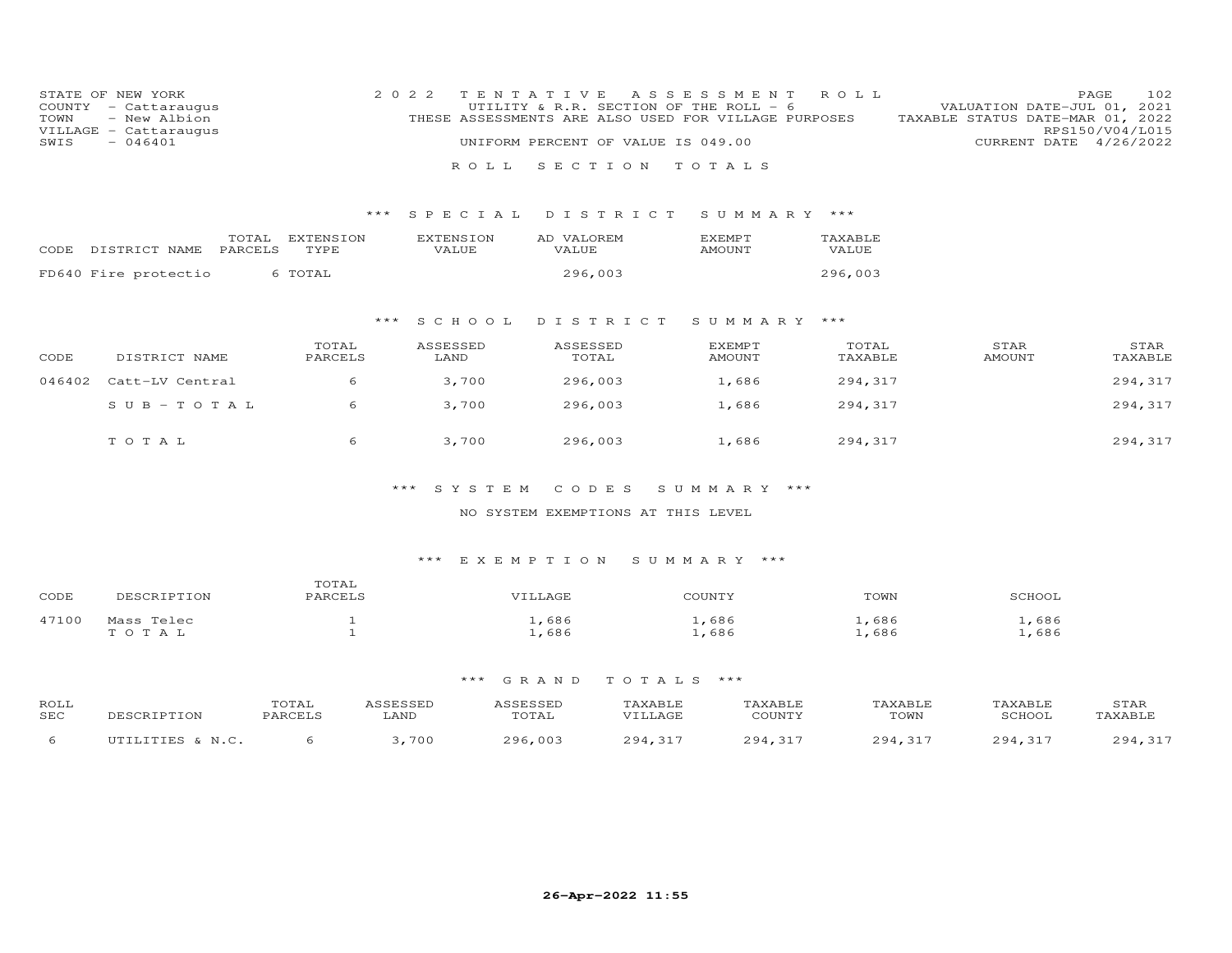| STATE OF NEW YORK<br>COUNTY - Cattaraugus | 2022 TENTATIVE ASSESSMENT ROLL<br>UTILITY & R.R. SECTION OF THE ROLL $-6$ | 102<br>PAGE<br>VALUATION DATE-JUL 01, 2021 |
|-------------------------------------------|---------------------------------------------------------------------------|--------------------------------------------|
| TOWN - New Albion                         | THESE ASSESSMENTS ARE ALSO USED FOR VILLAGE PURPOSES                      | TAXABLE STATUS DATE-MAR 01, 2022           |
| VILLAGE - Cattaraugus                     |                                                                           | RPS150/V04/L015                            |
| SWIS<br>- 046401                          | UNIFORM PERCENT OF VALUE IS 049.00                                        | CURRENT DATE 4/26/2022                     |
|                                           | ROLL SECTION TOTALS                                                       |                                            |
|                                           |                                                                           |                                            |
|                                           |                                                                           |                                            |
|                                           |                                                                           |                                            |

### \*\*\* S P E C I A L D I S T R I C T S U M M A R Y \*\*\*

| CODE | DISTRICT NAME PARCELS | TOTAL | EXTENSION<br>TYPE | EXTENSION<br>VALUE. | AD VALOREM<br><b>VALUE</b> | EXEMPT<br>AMOUNT | TAXABLE<br>VALUE |
|------|-----------------------|-------|-------------------|---------------------|----------------------------|------------------|------------------|
|      | FD640 Fire protectio  |       | 6 TOTAL           |                     | 296,003                    |                  | 296,003          |

# \*\*\* S C H O O L D I S T R I C T S U M M A R Y \*\*\*

| CODE   | DISTRICT NAME   | TOTAL<br>PARCELS | ASSESSED<br>LAND | ASSESSED<br>TOTAL | EXEMPT<br>AMOUNT | TOTAL<br>TAXABLE | STAR<br>AMOUNT | STAR<br>TAXABLE |
|--------|-----------------|------------------|------------------|-------------------|------------------|------------------|----------------|-----------------|
| 046402 | Catt-LV Central |                  | 3,700            | 296,003           | 1,686            | 294,317          |                | 294,317         |
|        | $SUB - TO T AL$ |                  | 3,700            | 296,003           | 1,686            | 294,317          |                | 294,317         |
|        | TOTAL           |                  | 3,700            | 296,003           | 1,686            | 294,317          |                | 294,317         |

#### \*\*\* S Y S T E M C O D E S S U M M A R Y \*\*\*

#### NO SYSTEM EXEMPTIONS AT THIS LEVEL

#### \*\*\* E X E M P T I O N S U M M A R Y \*\*\*

| CODE  | DESCRIPTION | TOTAL<br>PARCELS | VILLAGE | COUNTY | TOWN  | SCHOOL |
|-------|-------------|------------------|---------|--------|-------|--------|
| 47100 | Mass Telec  |                  | ⊥,686   | .,686  | L,686 | ,686   |
|       | TOTAL       |                  | ⊥,686   | ⊥,686  | ⊥,686 | ,686   |

| ROLL<br>SEC | DESCRIPTION      | TOTAL<br>PARCELS | ASSESSED<br>LAND | ASSESSED<br>TOTAL | TAXABLE<br>VILLAGE | TAXABLE<br>COUNTY | TAXABLE<br>TOWN | TAXABLE<br>SCHOOL | STAR<br>TAXABLE |
|-------------|------------------|------------------|------------------|-------------------|--------------------|-------------------|-----------------|-------------------|-----------------|
|             | UTILITIES & N.C. |                  | 700              | 296,003           | 294,317            | 294,317           | 294.317         | 294.317           | 294.317         |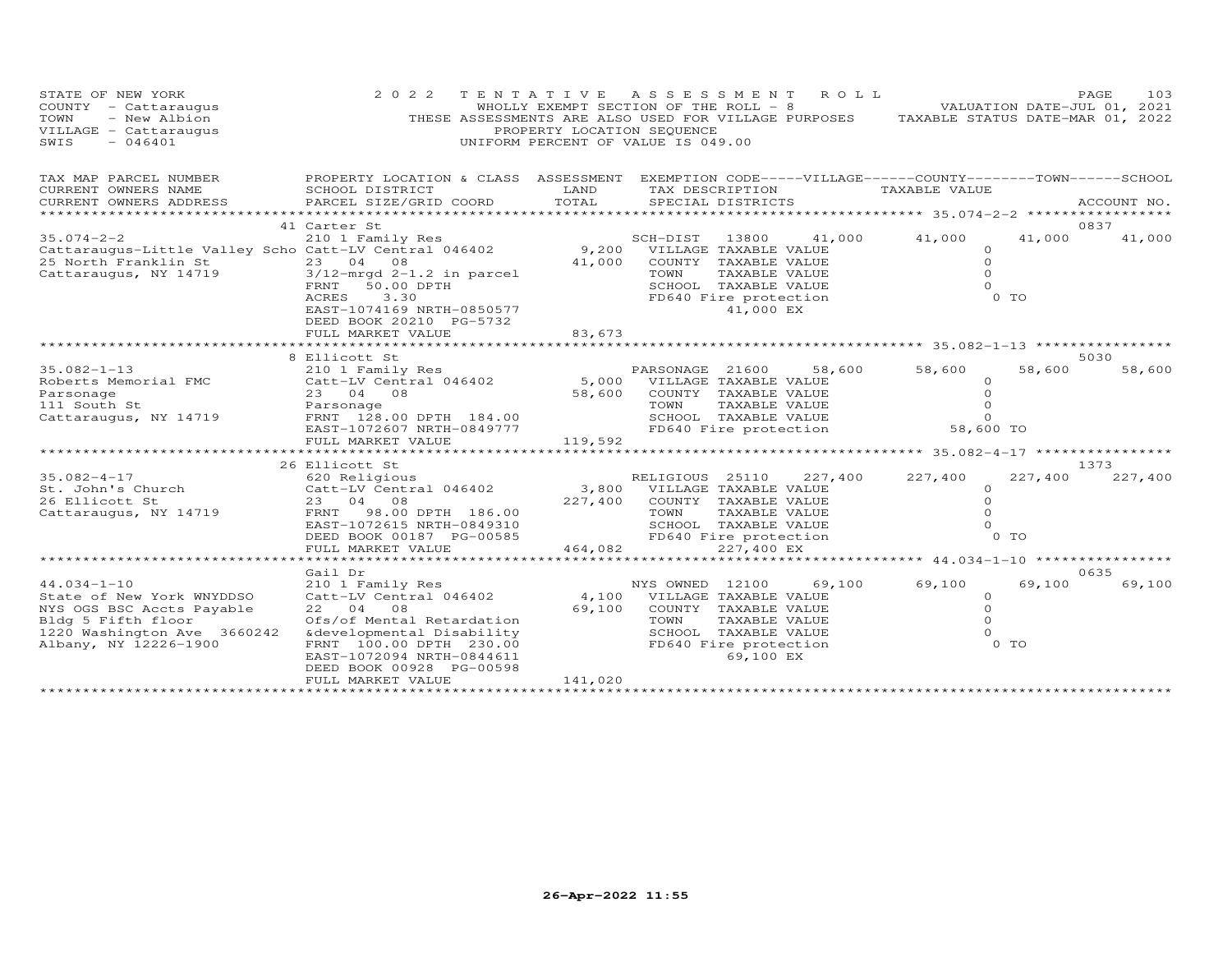| STATE OF NEW YORK<br>COUNTY - Cattaraugus<br>- New Albion<br>TOWN<br>VILLAGE - Cattaraugus<br>SWIS<br>$-046401$                                           | 2 0 2 2                                                                                                                                                                                                                   | PROPERTY LOCATION SEQUENCE | TENTATIVE ASSESSMENT<br>ROLL<br>WHOLLY EXEMPT SECTION OF THE ROLL - 8<br>THESE ASSESSMENTS ARE ALSO USED FOR VILLAGE PURPOSES TAXABLE STATUS DATE-MAR 01, 2022<br>UNIFORM PERCENT OF VALUE IS 049.00 | VALUATION DATE-JUL 01, 2021                                                      | PAGE<br>103 |
|-----------------------------------------------------------------------------------------------------------------------------------------------------------|---------------------------------------------------------------------------------------------------------------------------------------------------------------------------------------------------------------------------|----------------------------|------------------------------------------------------------------------------------------------------------------------------------------------------------------------------------------------------|----------------------------------------------------------------------------------|-------------|
| TAX MAP PARCEL NUMBER<br>CURRENT OWNERS NAME                                                                                                              | SCHOOL DISTRICT                                                                                                                                                                                                           | LAND                       | PROPERTY LOCATION & CLASS ASSESSMENT EXEMPTION CODE-----VILLAGE------COUNTY--------TOWN------SCHOOL<br>TAX DESCRIPTION                                                                               | TAXABLE VALUE                                                                    |             |
| CURRENT OWNERS ADDRESS<br>**********************                                                                                                          | PARCEL SIZE/GRID COORD                                                                                                                                                                                                    | TOTAL                      | SPECIAL DISTRICTS                                                                                                                                                                                    |                                                                                  | ACCOUNT NO. |
|                                                                                                                                                           | 41 Carter St                                                                                                                                                                                                              |                            |                                                                                                                                                                                                      |                                                                                  | 0837        |
| $35.074 - 2 - 2$<br>Cattaraugus-Little Valley Scho Catt-LV Central 046402<br>25 North Franklin St<br>Cattaraugus, NY 14719                                | 210 1 Family Res<br>23 04 08<br>$3/12$ -mrgd $2-1.2$ in parcel<br>50.00 DPTH<br>FRNT<br>3.30<br>ACRES<br>EAST-1074169 NRTH-0850577<br>DEED BOOK 20210 PG-5732                                                             | 41,000                     | SCH-DIST<br>41,000<br>13800<br>9,200 VILLAGE TAXABLE VALUE<br>COUNTY TAXABLE VALUE<br>TAXABLE VALUE<br>TOWN<br>SCHOOL TAXABLE VALUE<br>FD640 Fire protection<br>41,000 EX                            | 41,000<br>41,000<br>$\circ$<br>$\circ$<br>$\Omega$<br>$\Omega$<br>0 <sub>T</sub> | 41,000      |
|                                                                                                                                                           | FULL MARKET VALUE                                                                                                                                                                                                         | 83,673                     |                                                                                                                                                                                                      |                                                                                  |             |
|                                                                                                                                                           | 8 Ellicott St                                                                                                                                                                                                             |                            | *********************************** 35.082-1-13 ***********                                                                                                                                          |                                                                                  | 5030        |
| $35.082 - 1 - 13$<br>Roberts Memorial FMC<br>Parsonage<br>111 South St<br>Cattaraugus, NY 14719                                                           | 210 1 Family Res<br>Catt-LV Central 046402<br>23 04 08<br>Parsonage<br>FRNT 128.00 DPTH 184.00                                                                                                                            | 58,600                     | PARSONAGE 21600<br>58,600<br>5,000 VILLAGE TAXABLE VALUE<br>COUNTY TAXABLE VALUE<br>TOWN<br>TAXABLE VALUE<br>SCHOOL TAXABLE VALUE                                                                    | 58,600<br>58,600<br>$\Omega$<br>$\circ$<br>$\Omega$<br>$\Omega$                  | 58,600      |
|                                                                                                                                                           | EAST-1072607 NRTH-0849777<br>FULL MARKET VALUE                                                                                                                                                                            | 119,592                    | FD640 Fire protection                                                                                                                                                                                | 58,600 TO                                                                        |             |
|                                                                                                                                                           |                                                                                                                                                                                                                           |                            |                                                                                                                                                                                                      |                                                                                  |             |
|                                                                                                                                                           | 26 Ellicott St                                                                                                                                                                                                            |                            |                                                                                                                                                                                                      |                                                                                  | 1373        |
| $35.082 - 4 - 17$<br>St. John's Church<br>26 Ellicott St<br>Cattaraugus, NY 14719                                                                         | 620 Religious<br>Catt-LV Central 046402<br>23 04 08<br>FRNT 98.00 DPTH 186.00<br>EAST-1072615 NRTH-0849310<br>DEED BOOK 00187 PG-00585<br>FULL MARKET VALUE                                                               | 464,082                    | RELIGIOUS 25110<br>227,400<br>3,800 VILLAGE TAXABLE VALUE<br>227,400 COUNTY TAXABLE VALUE<br>TAXABLE VALUE<br>TOWN<br>SCHOOL TAXABLE VALUE<br>FD640 Fire protection<br>227,400 EX                    | 227,400<br>227,400<br>$\Omega$<br>$\Omega$<br>$\Omega$<br>$\Omega$<br>0 TO       | 227,400     |
|                                                                                                                                                           |                                                                                                                                                                                                                           |                            |                                                                                                                                                                                                      |                                                                                  |             |
|                                                                                                                                                           | Gail Dr                                                                                                                                                                                                                   |                            |                                                                                                                                                                                                      |                                                                                  | 0635        |
| $44.034 - 1 - 10$<br>State of New York WNYDDSO<br>NYS OGS BSC Accts Payable<br>Bldg 5 Fifth floor<br>1220 Washington Ave 3660242<br>Albany, NY 12226-1900 | 210 1 Family Res<br>Catt-LV Central 046402<br>22 04 08<br>Ofs/of Mental Retardation<br>&developmental Disability<br>FRNT 100.00 DPTH 230.00<br>EAST-1072094 NRTH-0844611<br>DEED BOOK 00928 PG-00598<br>FULL MARKET VALUE | 4,100<br>69,100<br>141,020 | NYS OWNED 12100<br>69,100<br>VILLAGE TAXABLE VALUE<br>COUNTY TAXABLE VALUE<br>TOWN<br>TAXABLE VALUE<br>SCHOOL TAXABLE VALUE<br>FD640 Fire protection<br>69,100 EX                                    | 69,100<br>69,100<br>$\circ$<br>$\circ$<br>$\Omega$<br>$\Omega$<br>0 TO           | 69,100      |
|                                                                                                                                                           |                                                                                                                                                                                                                           |                            |                                                                                                                                                                                                      |                                                                                  |             |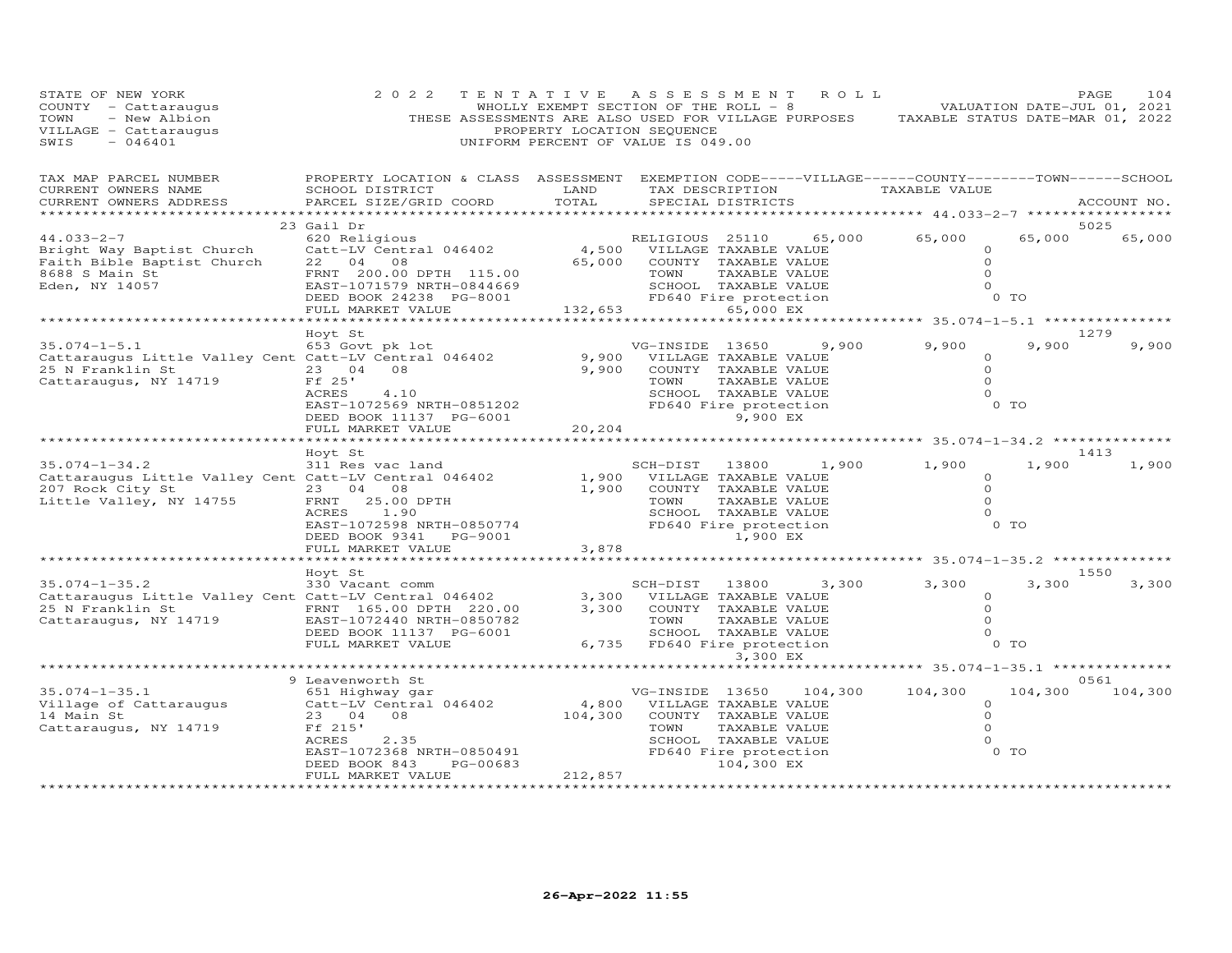| STATE OF NEW YORK<br>COUNTY - Cattaraugus<br>- New Albion<br>TOWN<br>VILLAGE - Cattaraugus<br>SWIS<br>$-046401$ | 2 0 2 2<br>THESE ASSESSMENTS ARE ALSO USED FOR VILLAGE PURPOSES TAXABLE STATUS DATE-MAR 01, 2022                                                                | TENTATIVE ASSESSMENT<br>PROPERTY LOCATION SEQUENCE<br>UNIFORM PERCENT OF VALUE IS 049.00 |                                                           |               | R O L L                                                                                                          | WHOLLY EXEMPT SECTION OF THE ROLL - 8 (1) - 8 VALUATION DATE-JUL 01, 2021                       |                                | PAGE<br>104    |
|-----------------------------------------------------------------------------------------------------------------|-----------------------------------------------------------------------------------------------------------------------------------------------------------------|------------------------------------------------------------------------------------------|-----------------------------------------------------------|---------------|------------------------------------------------------------------------------------------------------------------|-------------------------------------------------------------------------------------------------|--------------------------------|----------------|
| TAX MAP PARCEL NUMBER<br>CURRENT OWNERS NAME<br>CURRENT OWNERS ADDRESS                                          | PROPERTY LOCATION & CLASS ASSESSMENT EXEMPTION CODE-----VILLAGE------COUNTY--------TOWN------SCHOOL<br>SCHOOL DISTRICT<br>PARCEL SIZE/GRID COORD                | LAND<br>TOTAL                                                                            | SPECIAL DISTRICTS                                         |               | TAX DESCRIPTION                                                                                                  | TAXABLE VALUE                                                                                   |                                | ACCOUNT NO.    |
|                                                                                                                 |                                                                                                                                                                 |                                                                                          |                                                           |               |                                                                                                                  |                                                                                                 |                                |                |
| $44.033 - 2 - 7$                                                                                                | 23 Gail Dr                                                                                                                                                      |                                                                                          |                                                           |               | 65,000                                                                                                           | 65,000                                                                                          | 65,000                         | 5025<br>65,000 |
| Bright Way Baptist Church<br>Faith Bible Baptist Church<br>8688 S Main St<br>Eden, NY 14057                     | 620 Religious<br>Catt-LV Central 046402 (att-LV Central 046402)<br>22 04 08 (5,000 COUNTY TAXABLE VALUE<br>FRNT 200.00 DPTH 115.00<br>EAST-1071579 NRTH-0844669 |                                                                                          |                                                           |               | COUNIT TAXABLE VALUE<br>TOWN TAXABLE VALUE<br>SCHOOL TAXABLE VALUE<br>FD640 Fire protection<br>132,653 65.000 FV | $\Omega$                                                                                        | $\circ$<br>$\circ$<br>$\Omega$ |                |
|                                                                                                                 | DEED BOOK 24238 PG-8001                                                                                                                                         |                                                                                          |                                                           |               |                                                                                                                  |                                                                                                 | $0$ TO                         |                |
|                                                                                                                 | FULL MARKET VALUE                                                                                                                                               | *************                                                                            |                                                           |               |                                                                                                                  |                                                                                                 |                                |                |
|                                                                                                                 |                                                                                                                                                                 |                                                                                          |                                                           |               |                                                                                                                  | **************************** 35.074-1-5.1 ****************                                      |                                | 1279           |
| $35.074 - 1 - 5.1$<br>Cattaraugus Little Valley Cent Catt-LV Central 046402                                     | Hoyt St<br>653 Govt pk lot                                                                                                                                      |                                                                                          | VG-INSIDE 13650                                           |               | 9,900                                                                                                            | 9,900                                                                                           | 9,900<br>$\Omega$              | 9,900          |
|                                                                                                                 | 23 04 08                                                                                                                                                        |                                                                                          | 9,900 VILLAGE TAXABLE VALUE<br>9,900 COUNTY TAXABLE VALUE |               |                                                                                                                  | $\Omega$                                                                                        |                                |                |
| 25 N Franklin St<br>Cattaraugus, NY 14719                                                                       | Ff 25'<br>ACRES<br>4.10                                                                                                                                         |                                                                                          |                                                           |               |                                                                                                                  | TOWN TAXABLE VALUE 0<br>SCHOOL TAXABLE VALUE 0<br>FD640 Fire protection 0 TO<br>$\alpha$ and rv |                                |                |
|                                                                                                                 |                                                                                                                                                                 |                                                                                          |                                                           |               |                                                                                                                  |                                                                                                 |                                |                |
|                                                                                                                 | ACKES<br>EAST-1072569 NRTH-0851202<br>DEED BOOK 11137 PG-6001<br>FULL MARKET VALUE 20,204                                                                       |                                                                                          |                                                           | 9,900 EX      |                                                                                                                  |                                                                                                 |                                |                |
|                                                                                                                 |                                                                                                                                                                 |                                                                                          |                                                           |               |                                                                                                                  |                                                                                                 |                                |                |
|                                                                                                                 |                                                                                                                                                                 |                                                                                          |                                                           |               |                                                                                                                  |                                                                                                 |                                |                |
| $35.074 - 1 - 34.2$                                                                                             | Hoyt St<br>311 Res vac land                                                                                                                                     |                                                                                          | SCH-DIST 13800                                            |               | 1,900                                                                                                            | 1,900                                                                                           | 1,900                          | 1413<br>1,900  |
| Cattaraugus Little Valley Cent Catt-LV Central 046402                                                           |                                                                                                                                                                 |                                                                                          | 1,900 VILLAGE TAXABLE VALUE                               |               |                                                                                                                  |                                                                                                 | $\circ$                        |                |
|                                                                                                                 | 23 04 08                                                                                                                                                        | 1,900                                                                                    | COUNTY TAXABLE VALUE                                      |               |                                                                                                                  | $\Omega$                                                                                        |                                |                |
| 207 Rock City St<br>Little Valley, NY 14755                                                                     | FRNT 25.00 DPTH                                                                                                                                                 |                                                                                          | TOWN                                                      | TAXABLE VALUE |                                                                                                                  | $\Omega$                                                                                        |                                |                |
|                                                                                                                 | ACRES 1.90                                                                                                                                                      |                                                                                          | SCHOOL TAXABLE VALUE                                      |               |                                                                                                                  | $\bigcirc$                                                                                      |                                |                |
|                                                                                                                 | EAST-1072598 NRTH-0850774<br>DEED BOOK 9341 PG-9001                                                                                                             |                                                                                          | FD640 Fire protection                                     | 1,900 EX      |                                                                                                                  |                                                                                                 | $0$ TO                         |                |
|                                                                                                                 | FULL MARKET VALUE                                                                                                                                               | 3,878                                                                                    |                                                           |               |                                                                                                                  |                                                                                                 |                                |                |
|                                                                                                                 |                                                                                                                                                                 |                                                                                          |                                                           |               |                                                                                                                  |                                                                                                 |                                | 1550           |
| $35.074 - 1 - 35.2$                                                                                             | Hoyt St<br>330 Vacant comm                                                                                                                                      |                                                                                          | SCH-DIST 13800                                            |               | 3,300                                                                                                            | 3,300                                                                                           | 3,300                          | 3,300          |
| Cattaraugus Little Valley Cent Catt-LV Central 046402                                                           |                                                                                                                                                                 |                                                                                          | 3,300 VILLAGE TAXABLE VALUE                               |               |                                                                                                                  |                                                                                                 | $\Omega$                       |                |
| 25 N Franklin St                                                                                                | FRNT 165.00 DPTH 220.00                                                                                                                                         |                                                                                          | 3,300 COUNTY TAXABLE VALUE                                |               |                                                                                                                  | $\circ$                                                                                         |                                |                |
| Cattaraugus, NY 14719                                                                                           | EAST-1072440 NRTH-0850782                                                                                                                                       |                                                                                          | TOWN                                                      | TAXABLE VALUE |                                                                                                                  | $\Omega$                                                                                        |                                |                |
|                                                                                                                 | DEED BOOK 11137 PG-6001                                                                                                                                         |                                                                                          | SCHOOL TAXABLE VALUE                                      |               |                                                                                                                  | $\Omega$                                                                                        |                                |                |
|                                                                                                                 | FULL MARKET VALUE                                                                                                                                               |                                                                                          | 6,735 FD640 Fire protection                               |               |                                                                                                                  |                                                                                                 | 0 <sub>T</sub>                 |                |
|                                                                                                                 |                                                                                                                                                                 |                                                                                          |                                                           | 3,300 EX      |                                                                                                                  |                                                                                                 |                                |                |
|                                                                                                                 | 9 Leavenworth St                                                                                                                                                |                                                                                          |                                                           |               |                                                                                                                  |                                                                                                 |                                | 0561           |
| $35.074 - 1 - 35.1$                                                                                             | eavenworth St<br>651 Highway gar                                                                                                                                |                                                                                          |                                                           |               | VG-INSIDE 13650 104,300                                                                                          | 104,300                                                                                         | 104,300                        | 104,300        |
| Village of Cattaraugus                                                                                          | Catt-LV Central 046402                                                                                                                                          | VG-INSIDE 13650 104,<br>4,800 VILLAGE TAXABLE VALUE                                      |                                                           |               |                                                                                                                  | $\circ$                                                                                         |                                |                |
| 14 Main St                                                                                                      | 23 04 08                                                                                                                                                        | 104,300                                                                                  | COUNTY TAXABLE VALUE                                      |               |                                                                                                                  | $\circ$                                                                                         |                                |                |
| Cattaraugus, NY 14719                                                                                           | Ff 215'                                                                                                                                                         |                                                                                          | TOWN                                                      | TAXABLE VALUE |                                                                                                                  |                                                                                                 | $\Omega$                       |                |
|                                                                                                                 | ACRES<br>2.35                                                                                                                                                   |                                                                                          | SCHOOL TAXABLE VALUE                                      |               |                                                                                                                  |                                                                                                 | $\circ$                        |                |
|                                                                                                                 | EAST-1072368 NRTH-0850491                                                                                                                                       |                                                                                          | FD640 Fire protection                                     |               |                                                                                                                  |                                                                                                 | 0 TO                           |                |
|                                                                                                                 | DEED BOOK 843<br>PG-00683                                                                                                                                       | 212,857                                                                                  |                                                           | 104,300 EX    |                                                                                                                  |                                                                                                 |                                |                |
|                                                                                                                 | FULL MARKET VALUE<br>*******************                                                                                                                        | ****************                                                                         |                                                           |               |                                                                                                                  |                                                                                                 |                                |                |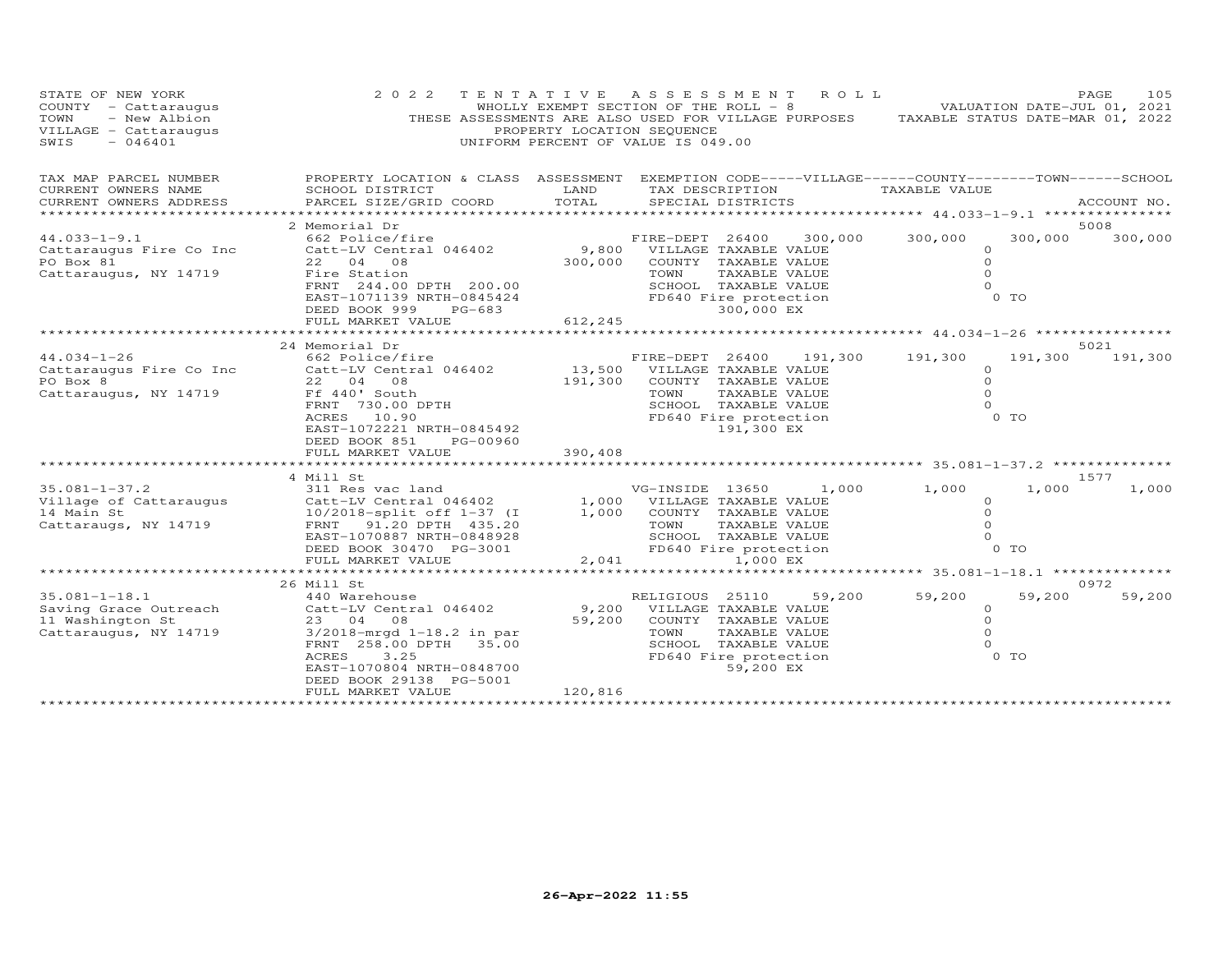| STATE OF NEW YORK<br>COUNTY - Cattaraugus<br>- New Albion<br>TOWN<br>VILLAGE - Cattaraugus<br>SWIS<br>$-046401$ | 2 0 2 2                                                                                                                                                                                                                   | TENTATIVE<br>PROPERTY LOCATION SEQUENCE<br>UNIFORM PERCENT OF VALUE IS 049.00 | A S S E S S M E N T<br>WHOLLY EXEMPT SECTION OF THE ROLL - 8<br>THESE ASSESSMENTS ARE ALSO USED FOR VILLAGE PURPOSES TAXABLE STATUS DATE-MAR 01, 2022                                  | ROLL ROLL<br>VALUATION DATE-JUL 01, 2021 |                                                                         | PAGE<br>105     |
|-----------------------------------------------------------------------------------------------------------------|---------------------------------------------------------------------------------------------------------------------------------------------------------------------------------------------------------------------------|-------------------------------------------------------------------------------|----------------------------------------------------------------------------------------------------------------------------------------------------------------------------------------|------------------------------------------|-------------------------------------------------------------------------|-----------------|
| TAX MAP PARCEL NUMBER<br>CURRENT OWNERS NAME<br>CURRENT OWNERS ADDRESS                                          | SCHOOL DISTRICT<br>PARCEL SIZE/GRID COORD                                                                                                                                                                                 | LAND<br>TOTAL                                                                 | PROPERTY LOCATION & CLASS ASSESSMENT EXEMPTION CODE-----VILLAGE------COUNTY-------TOWN------SCHOOL<br>TAX DESCRIPTION<br>SPECIAL DISTRICTS                                             | TAXABLE VALUE                            |                                                                         | ACCOUNT NO.     |
| $44.033 - 1 - 9.1$<br>Cattaraugus Fire Co Inc<br>PO Box 81<br>Cattaraugus, NY 14719                             | 2 Memorial Dr<br>662 Police/fire<br>Catt-LV Central 046402<br>22 04 08<br>Fire Station<br>FRNT 244.00 DPTH 200.00<br>EAST-1071139 NRTH-0845424<br>DEED BOOK 999<br>PG-683<br>FULL MARKET VALUE                            | 300,000<br>612,245                                                            | FIRE-DEPT 26400<br>9,800 VILLAGE TAXABLE VALUE<br>COUNTY TAXABLE VALUE<br>TAXABLE VALUE<br>TOWN<br>SCHOOL TAXABLE VALUE<br>FD640 Fire protection<br>300,000 EX                         | 300,000<br>300,000                       | 300,000<br>$\circ$<br>$\Omega$<br>$\Omega$<br>$\Omega$<br>$0$ TO        | 5008<br>300,000 |
|                                                                                                                 |                                                                                                                                                                                                                           |                                                                               |                                                                                                                                                                                        |                                          |                                                                         |                 |
| $44.034 - 1 - 26$<br>Cattaraugus Fire Co Inc<br>PO Box 8<br>Cattaraugus, NY 14719                               | 24 Memorial Dr<br>662 Police/fire<br>Catt-LV Central 046402<br>22 04 08<br>Ff 440' South<br>FRNT 730.00 DPTH<br>ACRES 10.90<br>EAST-1072221 NRTH-0845492<br>DEED BOOK 851<br>PG-00960<br>FULL MARKET VALUE                | 191,300<br>390,408                                                            | FIRE-DEPT 26400 191,300<br>13,500 VILLAGE TAXABLE VALUE<br>COUNTY TAXABLE VALUE<br>TOWN<br>TAXABLE VALUE<br>SCHOOL TAXABLE VALUE<br>FD640 Fire protection<br>191,300 EX                | 191,300                                  | 191,300<br>$\circ$<br>$\Omega$<br>$\circ$<br>$\Omega$<br>$0$ TO         | 5021<br>191,300 |
|                                                                                                                 |                                                                                                                                                                                                                           |                                                                               |                                                                                                                                                                                        |                                          |                                                                         |                 |
| $35.081 - 1 - 37.2$<br>Village of Cattaraugus<br>14 Main St<br>Cattaraugs, NY 14719                             | 4 Mill St<br>311 Res vac land<br>Catt-LV Central 046402<br>10/2018-split off 1-37 (I<br>FRNT 91.20 DPTH 435.20<br>EAST-1070887 NRTH-0848928<br>DEED BOOK 30470 PG-3001<br>FULL MARKET VALUE                               | 1,000<br>2,041                                                                | VG-INSIDE 13650<br>1,000 $\frac{1}{1000}$ $\frac{1}{1000}$ TAXABLE VALUE<br>COUNTY TAXABLE VALUE<br>TAXABLE VALUE<br>TOWN<br>SCHOOL TAXABLE VALUE<br>FD640 Fire protection<br>1,000 EX | 1,000<br>1,000                           | 1,000<br>$\circ$<br>$\Omega$<br>$\circ$<br>$\Omega$<br>0 TO             | 1577<br>1,000   |
|                                                                                                                 | ***********************                                                                                                                                                                                                   | *************                                                                 |                                                                                                                                                                                        |                                          |                                                                         |                 |
| $35.081 - 1 - 18.1$<br>Saving Grace Outreach<br>11 Washington St<br>Cattaraugus, NY 14719                       | 26 Mill St<br>440 Warehouse<br>Catt-LV Central 046402<br>23 04<br>08<br>3/2018-mrgd 1-18.2 in par<br>FRNT 258.00 DPTH 35.00<br>ACRES<br>3.25<br>EAST-1070804 NRTH-0848700<br>DEED BOOK 29138 PG-5001<br>FULL MARKET VALUE | 9,200<br>59,200<br>120,816                                                    | RELIGIOUS 25110<br>VILLAGE TAXABLE VALUE<br>COUNTY TAXABLE VALUE<br>TOWN<br>TAXABLE VALUE<br>SCHOOL TAXABLE VALUE<br>FD640 Fire protection<br>59,200 EX                                | 59,200<br>59,200                         | 59,200<br>$\circ$<br>$\Omega$<br>$\Omega$<br>$\Omega$<br>0 <sub>T</sub> | 0972<br>59,200  |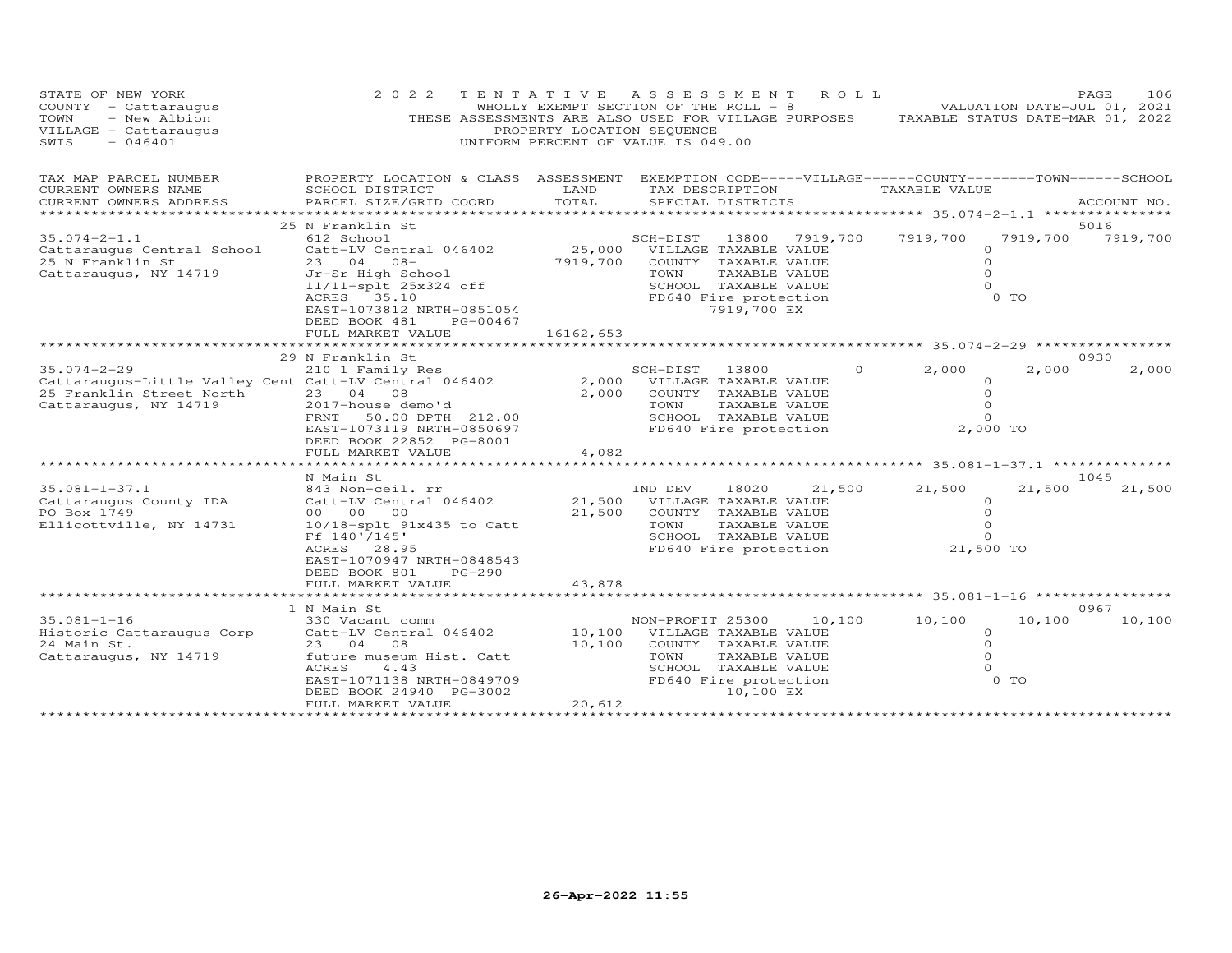| STATE OF NEW YORK<br>COUNTY - Cattaraugus<br>- New Albion<br>TOWN<br>VILLAGE - Cattaraugus<br>$-046401$<br>SWIS                 | 2 0 2 2                                                                                                                                                                                                  | PROPERTY LOCATION SEQUENCE | TENTATIVE ASSESSMENT<br>WHOLLY EXEMPT SECTION OF THE ROLL - 8<br>THESE ASSESSMENTS ARE ALSO USED FOR VILLAGE PURPOSES<br>UNIFORM PERCENT OF VALUE IS 049.00      | ROLL     | VALUATION DATE-JUL 01, 2021<br>TAXABLE STATUS DATE-MAR 01, 2022                                                         |                          | PAGE<br>106      |
|---------------------------------------------------------------------------------------------------------------------------------|----------------------------------------------------------------------------------------------------------------------------------------------------------------------------------------------------------|----------------------------|------------------------------------------------------------------------------------------------------------------------------------------------------------------|----------|-------------------------------------------------------------------------------------------------------------------------|--------------------------|------------------|
| TAX MAP PARCEL NUMBER<br>CURRENT OWNERS NAME<br>CURRENT OWNERS ADDRESS                                                          | PROPERTY LOCATION & CLASS ASSESSMENT<br>SCHOOL DISTRICT<br>PARCEL SIZE/GRID COORD                                                                                                                        | LAND<br>TOTAL              | EXEMPTION CODE-----VILLAGE------COUNTY-------TOWN------SCHOOL<br>TAX DESCRIPTION<br>SPECIAL DISTRICTS                                                            |          | TAXABLE VALUE                                                                                                           |                          | ACCOUNT NO.      |
| ********************                                                                                                            |                                                                                                                                                                                                          |                            |                                                                                                                                                                  |          |                                                                                                                         |                          |                  |
| $35.074 - 2 - 1.1$<br>Cattaraugus Central School<br>25 N Franklin St<br>Cattaraugus, NY 14719                                   | 25 N Franklin St<br>612 School<br>Catt-LV Central 046402<br>23 04 08-<br>Jr-Sr High School<br>11/11-splt 25x324 off<br>35.10<br>ACRES<br>EAST-1073812 NRTH-0851054<br>DEED BOOK 481<br>PG-00467          | 25,000<br>7919,700         | SCH-DIST<br>13800<br>VILLAGE TAXABLE VALUE<br>COUNTY TAXABLE VALUE<br>TOWN<br>TAXABLE VALUE<br>SCHOOL TAXABLE VALUE<br>FD640 Fire protection<br>7919,700 EX      | 7919,700 | 7919,700<br>$\circ$<br>$\circ$<br>$\Omega$<br>$\Omega$                                                                  | 7919,700<br>$0$ TO       | 5016<br>7919,700 |
|                                                                                                                                 | FULL MARKET VALUE                                                                                                                                                                                        | 16162,653                  |                                                                                                                                                                  |          |                                                                                                                         |                          |                  |
|                                                                                                                                 | *************************                                                                                                                                                                                |                            |                                                                                                                                                                  |          |                                                                                                                         |                          | 0930             |
| $35.074 - 2 - 29$<br>Cattaraugus-Little Valley Cent Catt-LV Central 046402<br>25 Franklin Street North<br>Cattaraugus, NY 14719 | 29 N Franklin St<br>210 1 Family Res<br>23 04 08<br>2017-house demo'd<br>50.00 DPTH 212.00<br>FRNT<br>EAST-1073119 NRTH-0850697<br>DEED BOOK 22852 PG-8001<br>FULL MARKET VALUE<br>********************* | 2,000<br>2,000<br>4,082    | SCH-DIST 13800<br>VILLAGE TAXABLE VALUE<br>COUNTY TAXABLE VALUE<br>TAXABLE VALUE<br>TOWN<br>SCHOOL TAXABLE VALUE<br>FD640 Fire protection<br>******************* | $\Omega$ | 2,000<br>$\circ$<br>$\circ$<br>$\circ$<br>$\Omega$<br>2,000 TO<br>************************ 35.081-1-37.1 ************** | 2,000                    | 2,000            |
|                                                                                                                                 | N Main St                                                                                                                                                                                                |                            |                                                                                                                                                                  |          |                                                                                                                         |                          | 1045             |
| $35.081 - 1 - 37.1$<br>Cattaraugus County IDA<br>PO Box 1749<br>Ellicottville, NY 14731                                         | 843 Non-ceil. rr<br>Catt-LV Central 046402<br>00 00<br>00<br>10/18-splt 91x435 to Catt<br>Ff 140'/145'<br>ACRES 28.95<br>EAST-1070947 NRTH-0848543<br>DEED BOOK 801<br>PG-290                            | 21,500<br>21,500           | IND DEV<br>18020<br>VILLAGE TAXABLE VALUE<br>COUNTY TAXABLE VALUE<br>TOWN<br>TAXABLE VALUE<br>SCHOOL TAXABLE VALUE<br>FD640 Fire protection                      | 21,500   | 21,500<br>$\circ$<br>$\circ$<br>$\circ$<br>$\Omega$<br>21,500 TO                                                        | 21,500                   | 21,500           |
|                                                                                                                                 | FULL MARKET VALUE                                                                                                                                                                                        | 43,878                     |                                                                                                                                                                  |          |                                                                                                                         |                          |                  |
|                                                                                                                                 | 1 N Main St                                                                                                                                                                                              |                            |                                                                                                                                                                  |          |                                                                                                                         |                          | 0967             |
| $35.081 - 1 - 16$<br>Historic Cattaraugus Corp<br>24 Main St.<br>Cattaraugus, NY 14719                                          | 330 Vacant comm<br>Catt-LV Central 046402<br>23 04 08<br>future museum Hist. Catt<br>ACRES<br>4.43<br>EAST-1071138 NRTH-0849709<br>DEED BOOK 24940 PG-3002<br>FULL MARKET VALUE                          | 10,100<br>10,100<br>20,612 | NON-PROFIT 25300<br>VILLAGE TAXABLE VALUE<br>COUNTY TAXABLE VALUE<br>TOWN<br>TAXABLE VALUE<br>SCHOOL TAXABLE VALUE<br>FD640 Fire protection<br>10,100 EX         | 10,100   | 10,100<br>$\circ$<br>$\circ$<br>$\Omega$<br>$\Omega$                                                                    | 10,100<br>0 <sub>T</sub> | 10,100           |
|                                                                                                                                 | * * * * * * * * * * * * * * * * * * * *                                                                                                                                                                  |                            |                                                                                                                                                                  |          |                                                                                                                         |                          |                  |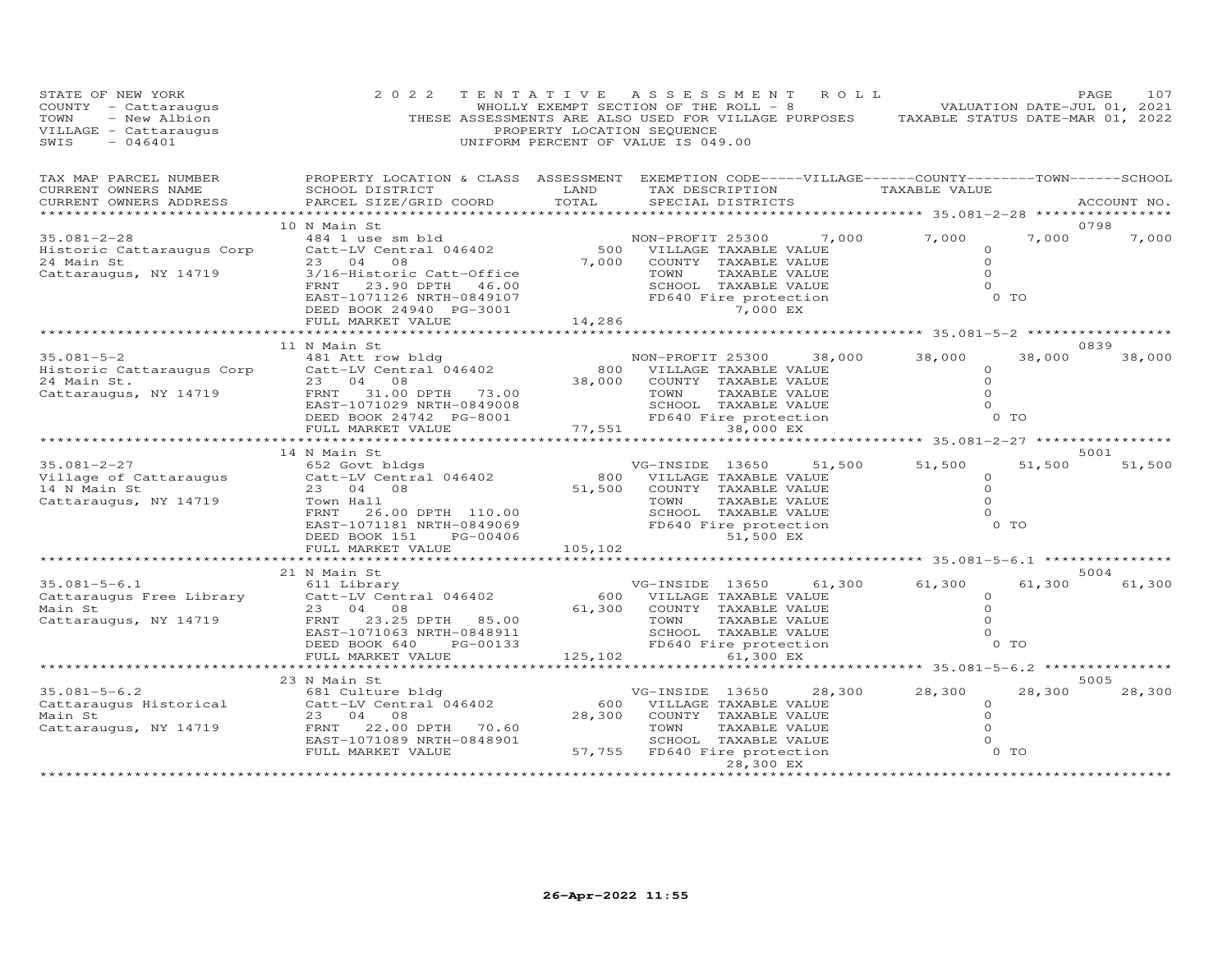| STATE OF NEW YORK<br>COUNTY - Cattaraugus<br>TOWN - New Albion<br>VILLAGE - Cattaraugus<br>SWIS - 046401 | 2 0 2 2                                                                                                                                                                                                                                                       | PROPERTY LOCATION SEQUENCE | TENTATIVE ASSESSMENT ROLL<br>WHOLLY EXEMPT SECTION OF THE ROLL - 8 VALUATION DATE-JUL 01, 2021<br>THESE ASSESSMENTS ARE ALSO USED FOR VILLAGE PURPOSES TAXABLE STATUS DATE-MAR 01, 2022<br>UNIFORM PERCENT OF VALUE IS 049.00                                                             |                                                                                 | PAGE<br>107    |
|----------------------------------------------------------------------------------------------------------|---------------------------------------------------------------------------------------------------------------------------------------------------------------------------------------------------------------------------------------------------------------|----------------------------|-------------------------------------------------------------------------------------------------------------------------------------------------------------------------------------------------------------------------------------------------------------------------------------------|---------------------------------------------------------------------------------|----------------|
| TAX MAP PARCEL NUMBER<br>CURRENT OWNERS NAME<br>CURRENT OWNERS ADDRESS                                   | SCHOOL DISTRICT LAND<br>PARCEL SIZE/GRID COORD<br>**********************************                                                                                                                                                                          | TOTAL                      | PROPERTY LOCATION & CLASS ASSESSMENT EXEMPTION CODE-----VILLAGE------COUNTY--------TOWN------SCHOOL<br>TAX DESCRIPTION TAXABLE VALUE<br>SPECIAL DISTRICTS                                                                                                                                 | *********** 35.081-2-28 **************                                          | ACCOUNT NO.    |
| $35.081 - 2 - 28$<br>Historic Cattaraugus Corp<br>24 Main St<br>Cattaraugus, NY 14719                    | 10 N Main St<br>3/16-Historic Catt-Office<br>FRNT 23.90 DPTH 46.00<br>EAST-1071126 NRTH-0849107<br>DEED BOOK 24940 PG-3001<br>FULL MARKET VALUE<br>FULL MARKET VALUE<br>FULL MARKET VALUE<br>FULL MARKET VALUE<br>TAXABLE VALUE<br>14,286<br>TAXABLE 7,000 EX |                            | 484 1 use sm bld<br>Catt-LV Central 046402 (500 VILLAGE TAXABLE VALUE)<br>23 04 08 (7,000 COUNTY TAXABLE VALUE)<br>TAXABLE VALUE<br>TOWN TAXABLE VALUE<br>SCHOOL TAXABLE VALUE<br>FD640 Fire protection                                                                                   | 7,000<br>$\Omega$<br>$\Omega$<br>$\Omega$<br>$0$ TO                             | 0798<br>7,000  |
|                                                                                                          |                                                                                                                                                                                                                                                               |                            |                                                                                                                                                                                                                                                                                           |                                                                                 |                |
|                                                                                                          | 11 N Main St<br>35.081-5-2<br>Historic Cattaraugus Corp<br>24 Main St. 23 04 08<br>Cattaraugus, NY 14719 FRNT 31.00 DPTH 73.00<br>EAST-1071029 NRTH-0849008<br>DEED BOOK 24742 PG-8001<br>FULL MARKET VALUE                                                   |                            | NON-PROFIT 25300<br>38,000<br>800 VILLAGE TAXABLE VALUE<br>38,000 COUNTY TAXABLE VALUE<br>TOWN<br>TAXABLE VALUE<br>TAXABLE VALUE<br>SCHOOL TAXABLE VALUE<br>FD640 Fire protection<br>77,551                                                                                               | 38,000<br>38,000<br>$\Omega$<br>$\circ$<br>$\Omega$<br>$\Omega$<br>0 TO         | 0839<br>38,000 |
|                                                                                                          | *******************<br>14 N Main St                                                                                                                                                                                                                           |                            |                                                                                                                                                                                                                                                                                           | ********************* 35.081-2-27 ************                                  | 5001           |
| 35.081-2-27<br>Village of Cattaraugus<br>14 N Main St<br>Cattaraugus, NY 14719                           | .<br>652 Govt bldgs<br>Catt-LV Central 046402<br>23 04 08<br>Town Hall<br>DEED BOOK 151 PG-00406<br>FULL MARKET VALUE                                                                                                                                         | 105,102                    | VG-INSIDE 13650 51,<br>800 VILLAGE TAXABLE VALUE<br>51,500 COUNTY TAXABLE VALUE<br>TOWN<br>TAXABLE VALUE<br>TOWN       TAXABLE  VALUE<br>SCHOOL    TAXABLE  VALUE<br>FRNT 26.00 DPTH 110.00<br>FRNT 26.00 DPTH 110.00<br>EAST-1071181 NRTH-0849069<br>DEED ROOK 151 PG-00406<br>51,500 EX | 51,500 51,500<br>51,500<br>$\circ$<br>$\circ$<br>$\Omega$<br>$\Omega$<br>$0$ TO | 51,500         |
|                                                                                                          | ************************                                                                                                                                                                                                                                      |                            |                                                                                                                                                                                                                                                                                           |                                                                                 |                |
| $35.081 - 5 - 6.1$<br>Cattaraugus Free Library<br>Main St<br>Cattaraugus, NY 14719                       | 21 N Main St<br>611 Library<br>Catt-LV Central 046402<br>23 04 08<br>FRNT 23.25 DPTH 85.00<br>EAST-1071063 NRTH-0848911<br>DEED BOOK 640<br>PG-00133                                                                                                          |                            | VG-INSIDE 13650 61,300<br>600 VILLAGE TAXABLE VALUE<br>61,300 COUNTY TAXABLE VALUE<br>01, SUU COUNTT TAXABLE VALUE<br>TOWN TAXABLE VALUE<br>SCHOOL TAXABLE VALUE<br>FD640 Fire protection                                                                                                 | 61,300<br>61,300<br>$\circ$<br>$\circ$<br>$\Omega$<br>$\Omega$<br>$0$ TO        | 5004<br>61,300 |
|                                                                                                          | FULL MARKET VALUE                                                                                                                                                                                                                                             |                            | 125,102<br>61,300 EX                                                                                                                                                                                                                                                                      |                                                                                 |                |
|                                                                                                          | *************                                                                                                                                                                                                                                                 | ************               |                                                                                                                                                                                                                                                                                           | ********** 35.081-5-6.2 ****************                                        |                |
| $35.081 - 5 - 6.2$<br>Main St<br>Cattaraugus, NY 14719                                                   | 23 N Main St<br>681 Culture bldg<br>Cattaraugus Historical Catt-LV Central 046402<br>23 04 08<br>FRNT 22.00 DPTH 70.60<br>EAST-1071089 NRTH-0848901<br>FULL MARKET VALUE                                                                                      |                            | VG-INSIDE 13650 28,300<br>600 VILLAGE TAXABLE VALUE<br>28,300 COUNTY TAXABLE VALUE<br>TOWN<br>TAXABLE VALUE<br>SCHOOL TAXABLE VALUE<br>57,755 FD640 Fire protection<br>28,300 EX                                                                                                          | 28,300<br>28,300<br>$\Omega$<br>$\circ$<br>$\Omega$<br>$\Omega$<br>$0$ TO       | 5005<br>28,300 |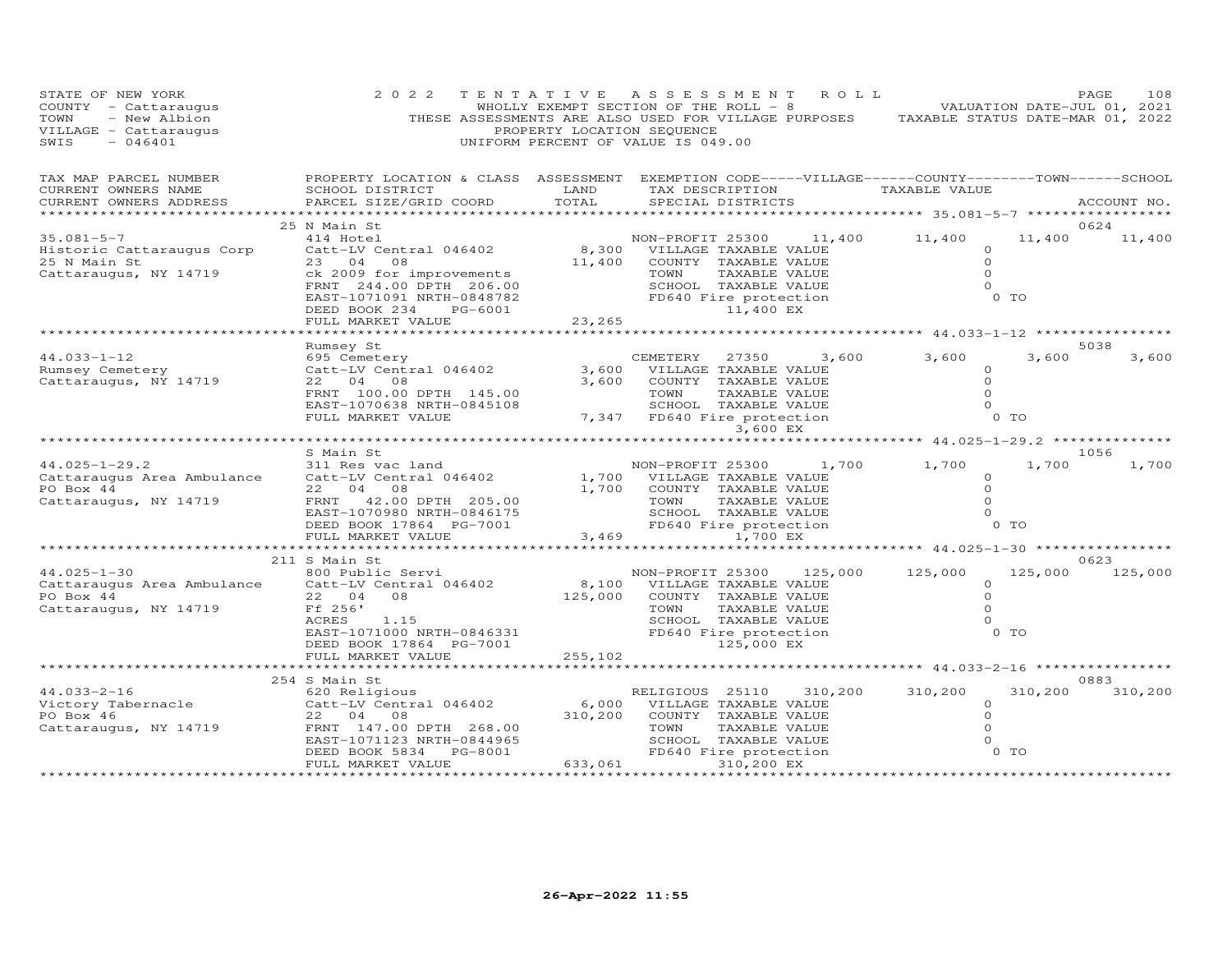| STATE OF NEW YORK<br>COUNTY - Cattaraugus<br>TOWN<br>- New Albion<br>VILLAGE - Cattaraugus<br>$-046401$<br>SWIS  | 2 0 2 2                                                                                                                                                                    | PROPERTY LOCATION SEQUENCE | TENTATIVE ASSESSMENT ROLL<br>WHOLLY EXEMPT SECTION OF THE ROLL - 8 VOLUMENTION DATE-JUL 01, 2021<br>THESE ASSESSMENTS ARE ALSO USED FOR VILLAGE PURPOSES TAXABLE STATUS DATE-MAR 01, 2022<br>UNIFORM PERCENT OF VALUE IS 049.00 |       |                                                   |                      | PAGE<br>108     |
|------------------------------------------------------------------------------------------------------------------|----------------------------------------------------------------------------------------------------------------------------------------------------------------------------|----------------------------|---------------------------------------------------------------------------------------------------------------------------------------------------------------------------------------------------------------------------------|-------|---------------------------------------------------|----------------------|-----------------|
| TAX MAP PARCEL NUMBER<br>CURRENT OWNERS NAME<br>CURRENT OWNERS ADDRESS                                           | PROPERTY LOCATION & CLASS ASSESSMENT EXEMPTION CODE-----VILLAGE------COUNTY--------TOWN------SCHOOL<br>SCHOOL DISTRICT<br><b>Example 12</b> LAND<br>PARCEL SIZE/GRID COORD | TOTAL                      | TAX DESCRIPTION TAXABLE VALUE<br>SPECIAL DISTRICTS                                                                                                                                                                              |       | ****************** 35.081-5-7 ***************     |                      | ACCOUNT NO.     |
|                                                                                                                  | 25 N Main St                                                                                                                                                               |                            |                                                                                                                                                                                                                                 |       |                                                   |                      | 0624            |
| $35.081 - 5 - 7$                                                                                                 | 414 Hotel                                                                                                                                                                  |                            | NON-PROFIT 25300 11,400 11,400                                                                                                                                                                                                  |       |                                                   | 11,400               | 11,400          |
| Historic Cattaraugus Corp                                                                                        | Catt-LV Central 046402                                                                                                                                                     |                            | 8,300 VILLAGE TAXABLE VALUE                                                                                                                                                                                                     |       |                                                   | $\circ$              |                 |
| 25 N Main St                                                                                                     | 23 04 08                                                                                                                                                                   | 11,400                     | COUNTY TAXABLE VALUE                                                                                                                                                                                                            |       |                                                   | $\Omega$<br>$\Omega$ |                 |
| Cattaraugus, NY 14719                                                                                            | ck 2009 for improvements<br>FRNT 244.00 DPTH 206.00                                                                                                                        |                            | TOWN<br>TAXABLE VALUE<br>SCHOOL TAXABLE VALUE                                                                                                                                                                                   |       |                                                   | $\Omega$             |                 |
|                                                                                                                  | EAST-1071091 NRTH-0848782                                                                                                                                                  |                            | FD640 Fire protection                                                                                                                                                                                                           |       |                                                   | $0$ TO               |                 |
|                                                                                                                  | DEED BOOK 234<br>PG-6001                                                                                                                                                   |                            | 11,400 EX                                                                                                                                                                                                                       |       |                                                   |                      |                 |
|                                                                                                                  | FULL MARKET VALUE                                                                                                                                                          | 23,265                     |                                                                                                                                                                                                                                 |       |                                                   |                      |                 |
|                                                                                                                  |                                                                                                                                                                            |                            |                                                                                                                                                                                                                                 |       |                                                   |                      |                 |
|                                                                                                                  | Rumsey St                                                                                                                                                                  |                            |                                                                                                                                                                                                                                 |       |                                                   |                      | 5038            |
| $44.033 - 1 - 12$                                                                                                | 695 Cemetery                                                                                                                                                               |                            | CEMETERY<br>27350                                                                                                                                                                                                               | 3,600 | 3,600                                             | 3,600                | 3,600           |
| Rumsey Cemetery                                                                                                  | Catt-LV Central 046402                                                                                                                                                     |                            | 3,600 VILLAGE TAXABLE VALUE                                                                                                                                                                                                     |       |                                                   | $\Omega$             |                 |
| Cattaraugus, NY 14719                                                                                            | 22 04 08                                                                                                                                                                   |                            | 3,600 COUNTY TAXABLE VALUE                                                                                                                                                                                                      |       |                                                   | $\circ$              |                 |
|                                                                                                                  | FRNT 100.00 DPTH 145.00                                                                                                                                                    |                            | TAXABLE VALUE<br>TOWN                                                                                                                                                                                                           |       |                                                   | $\Omega$             |                 |
|                                                                                                                  | EAST-1070638 NRTH-0845108                                                                                                                                                  |                            | SCHOOL TAXABLE VALUE                                                                                                                                                                                                            |       |                                                   |                      |                 |
|                                                                                                                  | FULL MARKET VALUE                                                                                                                                                          |                            | 7,347 FD640 Fire protection                                                                                                                                                                                                     |       | $\overline{\phantom{a}}$ 0 TO                     |                      |                 |
|                                                                                                                  |                                                                                                                                                                            |                            | 3,600 EX                                                                                                                                                                                                                        |       | ******************** 44.025-1-29.2 ************** |                      |                 |
|                                                                                                                  | S Main St                                                                                                                                                                  |                            |                                                                                                                                                                                                                                 |       |                                                   |                      | 1056            |
|                                                                                                                  |                                                                                                                                                                            |                            | NON-PROFIT 25300 1,700 1,700                                                                                                                                                                                                    |       |                                                   |                      | 1,700 1,700     |
| 44.025-1-29.2 311 Res vac land<br>Cattaraugus Area Ambulance Catt-LV Central 046402                              |                                                                                                                                                                            |                            | 1,700 VILLAGE TAXABLE VALUE                                                                                                                                                                                                     |       |                                                   | $\circ$              |                 |
|                                                                                                                  |                                                                                                                                                                            |                            | 1,700 COUNTY TAXABLE VALUE                                                                                                                                                                                                      |       |                                                   | $\circ$              |                 |
|                                                                                                                  |                                                                                                                                                                            |                            | TOWN<br>TAXABLE VALUE                                                                                                                                                                                                           |       |                                                   | $\circ$              |                 |
|                                                                                                                  | EAST-1070980 NRTH-0846175                                                                                                                                                  |                            |                                                                                                                                                                                                                                 |       |                                                   | $\Omega$             |                 |
|                                                                                                                  | DEED BOOK 17864 PG-7001                                                                                                                                                    |                            | SCHOOL TAXABLE VALUE<br>FD640 Fire protection<br>T200 EX                                                                                                                                                                        |       |                                                   | $0$ TO               |                 |
|                                                                                                                  | FULL MARKET VALUE                                                                                                                                                          |                            | 3,469<br>1,700 EX                                                                                                                                                                                                               |       |                                                   |                      |                 |
|                                                                                                                  | ************************                                                                                                                                                   | ************               | ************************************* 44.025-1-30 *****************                                                                                                                                                             |       |                                                   |                      |                 |
|                                                                                                                  | 211 S Main St                                                                                                                                                              |                            |                                                                                                                                                                                                                                 |       |                                                   |                      | 0623            |
| $44.025 - 1 - 30$                                                                                                | 800 Public Servi                                                                                                                                                           |                            | NON-PROFIT 25300 125,000                                                                                                                                                                                                        |       | 125,000                                           |                      | 125,000 125,000 |
| Cattaraugus Area Ambulance Catt-LV Central 046402                                                                |                                                                                                                                                                            | 8,100                      | VILLAGE TAXABLE VALUE                                                                                                                                                                                                           |       |                                                   | $\circ$              |                 |
| PO Box 44                                                                                                        | 22 04 08                                                                                                                                                                   | 125,000                    | COUNTY TAXABLE VALUE                                                                                                                                                                                                            |       |                                                   | $\circ$              |                 |
| Cattaraugus, NY 14719                                                                                            | Ff 256'                                                                                                                                                                    |                            | TOWN<br>TAXABLE VALUE                                                                                                                                                                                                           |       |                                                   | $\Omega$             |                 |
|                                                                                                                  | ACRES<br>1.15                                                                                                                                                              |                            | SCHOOL TAXABLE VALUE                                                                                                                                                                                                            |       |                                                   | $\Omega$<br>$0$ TO   |                 |
|                                                                                                                  | EAST-1071000 NRTH-0846331<br>DEED BOOK 17864 PG-7001                                                                                                                       |                            | FD640 Fire protection<br>125,000 EX                                                                                                                                                                                             |       |                                                   |                      |                 |
|                                                                                                                  | FULL MARKET VALUE                                                                                                                                                          | 255,102                    |                                                                                                                                                                                                                                 |       |                                                   |                      |                 |
|                                                                                                                  |                                                                                                                                                                            |                            |                                                                                                                                                                                                                                 |       |                                                   |                      |                 |
|                                                                                                                  |                                                                                                                                                                            |                            |                                                                                                                                                                                                                                 |       |                                                   |                      |                 |
|                                                                                                                  |                                                                                                                                                                            |                            |                                                                                                                                                                                                                                 |       |                                                   |                      |                 |
| $44.033 - 2 - 16$                                                                                                | 254 S Main St                                                                                                                                                              |                            | RELIGIOUS 25110 310,200                                                                                                                                                                                                         |       | 310,200                                           |                      | 0883            |
|                                                                                                                  | 620 Religious                                                                                                                                                              |                            | 6,000 VILLAGE TAXABLE VALUE                                                                                                                                                                                                     |       |                                                   | $\Omega$             | 310,200 310,200 |
|                                                                                                                  |                                                                                                                                                                            | 310,200                    | COUNTY TAXABLE VALUE                                                                                                                                                                                                            |       |                                                   | $\circ$              |                 |
|                                                                                                                  |                                                                                                                                                                            |                            | TOWN<br>TAXABLE VALUE                                                                                                                                                                                                           |       |                                                   | $\Omega$             |                 |
| Victory Tabernacle Catt-LV Central 046402<br>PO Box 46 22 04 08<br>Cattaraugus, NY 14719 FRNT 147.00 DPTH 268.00 | EAST-1071123 NRTH-0844965                                                                                                                                                  |                            | SCHOOL TAXABLE VALUE                                                                                                                                                                                                            |       |                                                   | $\Omega$             |                 |
|                                                                                                                  | DEED BOOK 5834 PG-8001<br>FULL MARKET VALUE                                                                                                                                | 633,061                    | FD640 Fire protection<br>310,200 EX                                                                                                                                                                                             |       |                                                   | 0 <sub>T</sub>       |                 |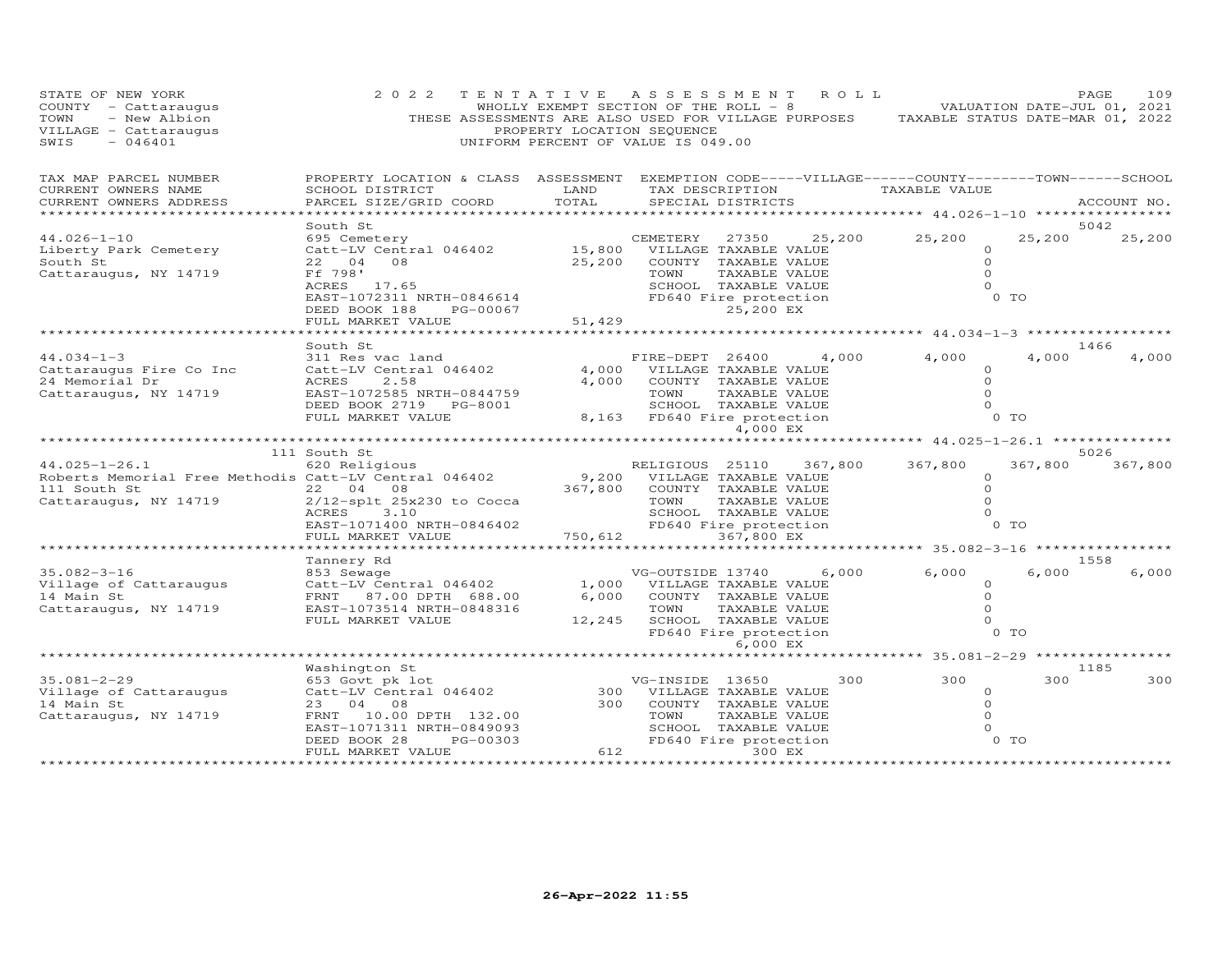| STATE OF NEW YORK<br>COUNTY - Cattaraugus<br>- New Albion<br>TOWN<br>VILLAGE - Cattaraugus<br>$-046401$<br>SWIS       | 2 0 2 2<br>THESE ASSESSMENTS ARE ALSO USED FOR VILLAGE PURPOSES TAXABLE STATUS DATE-MAR 01, 2022                                                                               | TENTATIVE ASSESSMENT<br>PROPERTY LOCATION SEQUENCE<br>UNIFORM PERCENT OF VALUE IS 049.00 |                                                         |                                                                                                              | R O L L         | WHOLLY EXEMPT SECTION OF THE ROLL - 8 VALUATION DATE-JUL 01, 2021 |                                                                    | PAGE<br>109    |
|-----------------------------------------------------------------------------------------------------------------------|--------------------------------------------------------------------------------------------------------------------------------------------------------------------------------|------------------------------------------------------------------------------------------|---------------------------------------------------------|--------------------------------------------------------------------------------------------------------------|-----------------|-------------------------------------------------------------------|--------------------------------------------------------------------|----------------|
| TAX MAP PARCEL NUMBER<br>CURRENT OWNERS NAME<br>CURRENT OWNERS ADDRESS<br>*****************                           | PROPERTY LOCATION & CLASS ASSESSMENT EXEMPTION CODE-----VILLAGE------COUNTY-------TOWN------SCHOOL<br>SCHOOL DISTRICT<br>PARCEL SIZE/GRID COORD                                | LAND<br>TOTAL                                                                            |                                                         | SPECIAL DISTRICTS                                                                                            | TAX DESCRIPTION | TAXABLE VALUE                                                     |                                                                    | ACCOUNT NO.    |
| $44.026 - 1 - 10$<br>Liberty Park Cemetery<br>South St<br>Cattaraugus, NY 14719                                       | South St<br>695 Cemetery<br>Catt-LV Central 046402<br>22 04<br>08<br>Ff 798'<br>ACRES 17.65<br>EAST-1072311 NRTH-0846614<br>DEED BOOK 188<br>PG-00067<br>FULL MARKET VALUE     | 25,200<br>51,429                                                                         | CEMETERY<br>15,800 VILLAGE TAXABLE VALUE<br>TOWN        | 27350<br>COUNTY TAXABLE VALUE<br>TAXABLE VALUE<br>SCHOOL TAXABLE VALUE<br>FD640 Fire protection<br>25,200 EX | 25,200          | 25,200                                                            | 25,200<br>$\circ$<br>$\circ$<br>$\Omega$<br>$\circ$<br>$0$ TO      | 5042<br>25,200 |
|                                                                                                                       |                                                                                                                                                                                | * * * * * * * * * * * *                                                                  |                                                         |                                                                                                              |                 | ************************************* 44.034-1-3 **************** |                                                                    |                |
| $44.034 - 1 - 3$<br>Cattaraugus Fire Co Inc<br>24 Memorial Dr<br>Cattaraugus, NY 14719                                | South St<br>311 Res vac land<br>Catt-LV Central 046402<br>2.58<br>ACRES<br>EAST-1072585 NRTH-0844759<br>DEED BOOK 2719 PG-8001<br>FULL MARKET VALUE                            | 4,000<br>4,000                                                                           | FIRE-DEPT 26400<br>TOWN<br>8,163 FD640 Fire protection  | VILLAGE TAXABLE VALUE<br>COUNTY TAXABLE VALUE<br>TAXABLE VALUE<br>SCHOOL TAXABLE VALUE                       | 4,000           | 4,000                                                             | 4,000<br>$\Omega$<br>$\circ$<br>$\Omega$<br>$\Omega$<br>$0$ TO     | 1466<br>4,000  |
|                                                                                                                       |                                                                                                                                                                                |                                                                                          |                                                         | 4,000 EX                                                                                                     |                 | ******** 44.025-1-26.1 ************                               |                                                                    |                |
|                                                                                                                       | 111 South St                                                                                                                                                                   |                                                                                          |                                                         |                                                                                                              |                 |                                                                   |                                                                    | 5026           |
| $44.025 - 1 - 26.1$<br>Roberts Memorial Free Methodis Catt-LV Central 046402<br>111 South St<br>Cattaraugus, NY 14719 | 620 Religious<br>22 04<br>08<br>$2/12$ -splt $25x230$ to Cocca<br>ACRES<br>3.10<br>EAST-1071400 NRTH-0846402<br>FULL MARKET VALUE                                              | 9,200<br>367,800<br>750,612                                                              | RELIGIOUS 25110<br>TOWN<br>FD640 Fire protection        | VILLAGE TAXABLE VALUE<br>COUNTY TAXABLE VALUE<br>TAXABLE VALUE<br>SCHOOL TAXABLE VALUE<br>367,800 EX         | 367,800         | 367,800                                                           | 367,800<br>$\circ$<br>$\circ$<br>$\circ$<br>$\Omega$<br>0 TO       | 367,800        |
|                                                                                                                       | *****************                                                                                                                                                              | ************                                                                             |                                                         |                                                                                                              |                 | ***************************** 35.082-3-16 ****************        |                                                                    |                |
| $35.082 - 3 - 16$<br>Village of Cattaraugus<br>14 Main St<br>Cattaraugus, NY 14719                                    | Tannery Rd<br>853 Sewage<br>Catt-LV Central 046402<br>FRNT 87.00 DPTH 688.00<br>EAST-1073514 NRTH-0848316<br>FULL MARKET VALUE                                                 | 6,000<br>12,245                                                                          | VG-OUTSIDE 13740<br>1,000 VILLAGE TAXABLE VALUE<br>TOWN | COUNTY TAXABLE VALUE<br>TAXABLE VALUE<br>SCHOOL TAXABLE VALUE<br>FD640 Fire protection<br>6,000 EX           | 6,000           | 6,000                                                             | 6,000<br>0<br>$\circ$<br>$\Omega$<br>$\Omega$<br>0 <sub>T</sub>    | 1558<br>6,000  |
|                                                                                                                       |                                                                                                                                                                                |                                                                                          |                                                         |                                                                                                              |                 | *********************** 35.081–2–29 *****************             |                                                                    |                |
| $35.081 - 2 - 29$<br>Village of Cattaraugus<br>14 Main St<br>Cattaraugus, NY 14719                                    | Washington St<br>653 Govt pk lot<br>Catt-LV Central 046402<br>23 04 08<br>FRNT 10.00 DPTH 132.00<br>EAST-1071311 NRTH-0849093<br>PG-00303<br>DEED BOOK 28<br>FULL MARKET VALUE | 300<br>612                                                                               | VG-INSIDE 13650<br>300 VILLAGE TAXABLE VALUE<br>TOWN    | COUNTY TAXABLE VALUE<br>TAXABLE VALUE<br>SCHOOL TAXABLE VALUE<br>FD640 Fire protection<br>300 EX             | 300             | 300                                                               | 300<br>$\circ$<br>$\circ$<br>$\Omega$<br>$\circ$<br>0 <sub>T</sub> | 1185<br>300    |
| ************************                                                                                              | *************************                                                                                                                                                      | *************************************                                                    |                                                         |                                                                                                              |                 |                                                                   |                                                                    |                |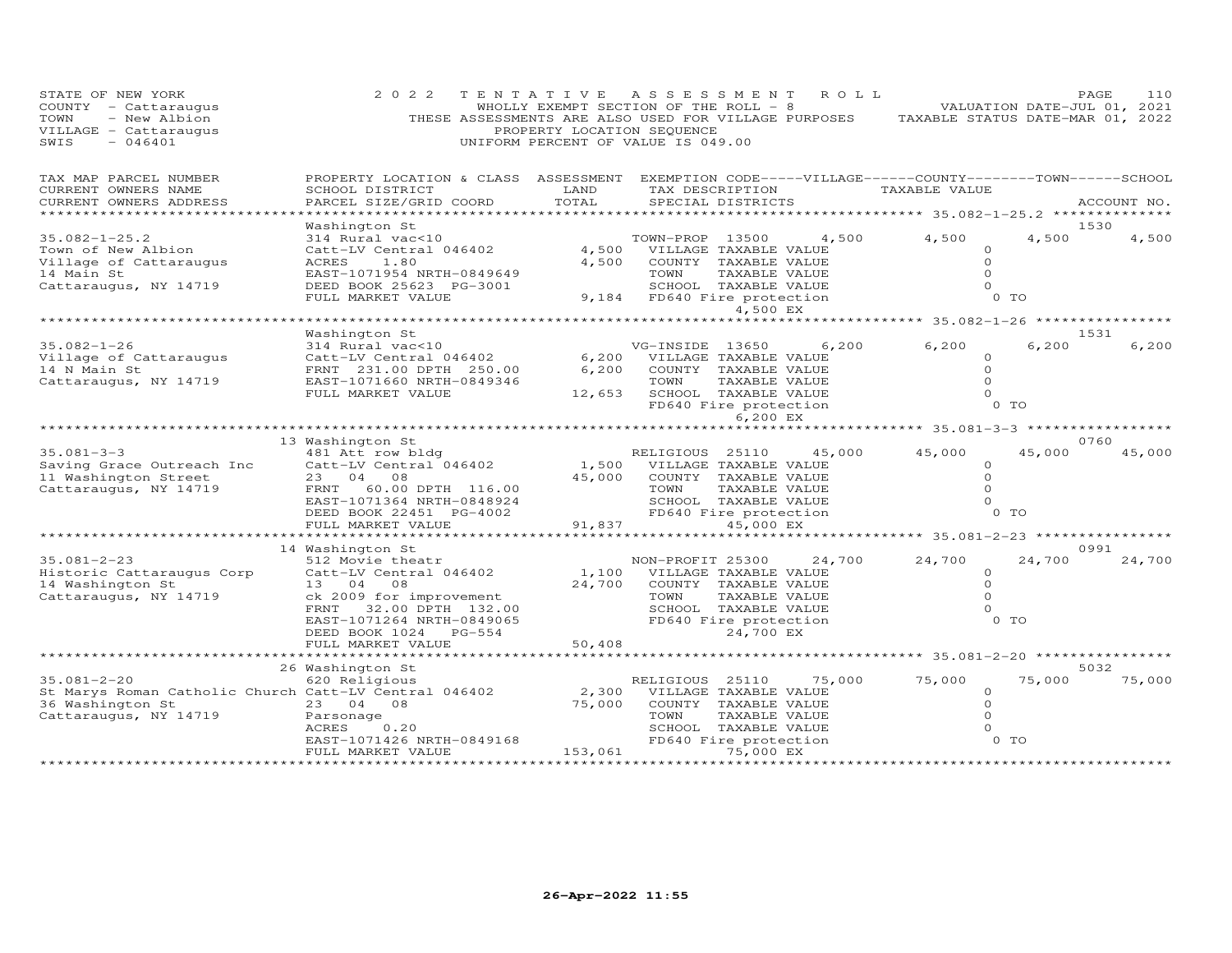| STATE OF NEW YORK<br>COUNTY - Cattaraugus<br>- New Albion<br>TOWN<br>VILLAGE - Cattaraugus<br>SWIS<br>$-046401$         | 2 0 2 2<br>THESE ASSESSMENTS ARE ALSO USED FOR VILLAGE PURPOSES TAXABLE STATUS DATE-MAR 01, 2022                                                                  | PROPERTY LOCATION SEQUENCE | TENTATIVE ASSESSMENT<br>WHOLLY EXEMPT SECTION OF THE ROLL $-8$<br>UNIFORM PERCENT OF VALUE IS 049.00                                   |                            | ROLL   |                                                                                  | VALUATION DATE-JUL 01, 2021 | PAGE<br>110    |
|-------------------------------------------------------------------------------------------------------------------------|-------------------------------------------------------------------------------------------------------------------------------------------------------------------|----------------------------|----------------------------------------------------------------------------------------------------------------------------------------|----------------------------|--------|----------------------------------------------------------------------------------|-----------------------------|----------------|
| TAX MAP PARCEL NUMBER<br>CURRENT OWNERS NAME<br>CURRENT OWNERS ADDRESS                                                  | PROPERTY LOCATION & CLASS ASSESSMENT EXEMPTION CODE-----VILLAGE------COUNTY--------TOWN------SCHOOL<br>SCHOOL DISTRICT<br>PARCEL SIZE/GRID COORD                  | LAND<br>TOTAL              | SPECIAL DISTRICTS                                                                                                                      |                            |        | TAX DESCRIPTION TAXABLE VALUE<br>****************** 35.082-1-25.2 ************** |                             | ACCOUNT NO.    |
| $35.082 - 1 - 25.2$<br>Town of New Albion<br>Village of Cattaraugus<br>14 Main St<br>Cattaraugus, NY 14719              | Washington St<br>314 Rural vac<10<br>Catt-LV Central 046402<br>ACRES<br>1.80<br>EAST-1071954 NRTH-0849649<br>DEED BOOK 25623 PG-3001<br>FULL MARKET VALUE         | 4,500                      | TOWN-PROP 13500<br>4,500 VILLAGE TAXABLE VALUE<br>COUNTY TAXABLE VALUE<br>TOWN<br>SCHOOL TAXABLE VALUE<br>9,184 FD640 Fire protection  | TAXABLE VALUE<br>4,500 EX  | 4,500  | 4,500<br>$\circ$<br>$\Omega$<br>$\Omega$<br>$\circ$                              | 4,500<br>$0$ TO             | 1530<br>4,500  |
|                                                                                                                         |                                                                                                                                                                   |                            |                                                                                                                                        |                            |        | ****************** 35.082-1-26 *****************                                 |                             |                |
| $35.082 - 1 - 26$<br>Village of Cattaraugus<br>14 N Main St<br>Cattaraugus, NY 14719                                    | Washington St<br>314 Rural vac<10<br>Catt-LV Central 046402<br>FRNT 231.00 DPTH 250.00<br>EAST-1071660 NRTH-0849346<br>FULL MARKET VALUE                          | 6,200<br>6,200             | VG-INSIDE 13650<br>VILLAGE TAXABLE VALUE<br>COUNTY TAXABLE VALUE<br>TOWN<br>12,653 SCHOOL TAXABLE VALUE<br>FD640 Fire protection       | TAXABLE VALUE              | 6,200  | 6,200<br>$\Omega$<br>$\Omega$<br>$\Omega$<br>$\circ$                             | 6,200<br>$0$ TO             | 1531<br>6,200  |
|                                                                                                                         |                                                                                                                                                                   |                            |                                                                                                                                        | 6,200 EX                   |        |                                                                                  |                             |                |
|                                                                                                                         | 13 Washington St                                                                                                                                                  |                            |                                                                                                                                        |                            |        |                                                                                  |                             | 0760           |
| $35.081 - 3 - 3$<br>Saving Grace Outreach Inc<br>11 Washington Street<br>Cattaraugus, NY 14719                          | 481 Att row bldg<br>Catt-LV Central 046402<br>23 04 08<br>FRNT 60.00 DPTH 116.00<br>EAST-1071364 NRTH-0848924<br>DEED BOOK 22451 PG-4002<br>FULL MARKET VALUE     | 91,837                     | RELIGIOUS 25110<br>1,500 VILLAGE TAXABLE VALUE<br>45,000 COUNTY TAXABLE VALUE<br>TOWN<br>SCHOOL TAXABLE VALUE<br>FD640 Fire protection | TAXABLE VALUE<br>45,000 EX | 45,000 | 45,000<br>$\Omega$<br>$\circ$<br>$\Omega$<br>$\Omega$                            | 45,000<br>$0$ TO            | 45,000         |
|                                                                                                                         |                                                                                                                                                                   |                            |                                                                                                                                        |                            |        |                                                                                  |                             |                |
|                                                                                                                         | 14 Washington St                                                                                                                                                  |                            |                                                                                                                                        |                            |        |                                                                                  |                             | 0991           |
| $35.081 - 2 - 23$<br>Historic Cattaraugus Corp<br>14 Washington St<br>Cattaraugus, NY 14719                             | 512 Movie theatr<br>Catt-LV Central 046402<br>13 04 08<br>ck 2009 for improvement<br>FRNT 32.00 DPTH 132.00<br>EAST-1071264 NRTH-0849065<br>DEED BOOK 1024 PG-554 | 1,100<br>24,700            | NON-PROFIT 25300<br>VILLAGE TAXABLE VALUE<br>COUNTY TAXABLE VALUE<br>TOWN<br>SCHOOL TAXABLE VALUE<br>FD640 Fire protection             | TAXABLE VALUE<br>24,700 EX | 24,700 | 24,700<br>$\circ$<br>$\circ$<br>$\Omega$<br>$\circ$                              | 24,700<br>$0$ TO            | 24,700         |
|                                                                                                                         | FULL MARKET VALUE                                                                                                                                                 | 50,408                     |                                                                                                                                        |                            |        |                                                                                  |                             |                |
| $35.081 - 2 - 20$<br>St Marys Roman Catholic Church Catt-LV Central 046402<br>36 Washington St<br>Cattaraugus, NY 14719 | 26 Washington St<br>620 Religious<br>23 04 08<br>Parsonage<br>ACRES<br>0.20                                                                                       | 2,300<br>75,000            | RELIGIOUS 25110<br>VILLAGE TAXABLE VALUE<br>COUNTY TAXABLE VALUE<br>TOWN<br>SCHOOL TAXABLE VALUE                                       | TAXABLE VALUE              | 75,000 | 75,000<br>$\circ$<br>$\circ$<br>$\circ$<br>$\Omega$                              | 75,000                      | 5032<br>75,000 |
|                                                                                                                         | EAST-1071426 NRTH-0849168<br>FULL MARKET VALUE                                                                                                                    | 153,061                    | FD640 Fire protection                                                                                                                  | 75,000 EX                  |        |                                                                                  | 0 <sub>T</sub>              |                |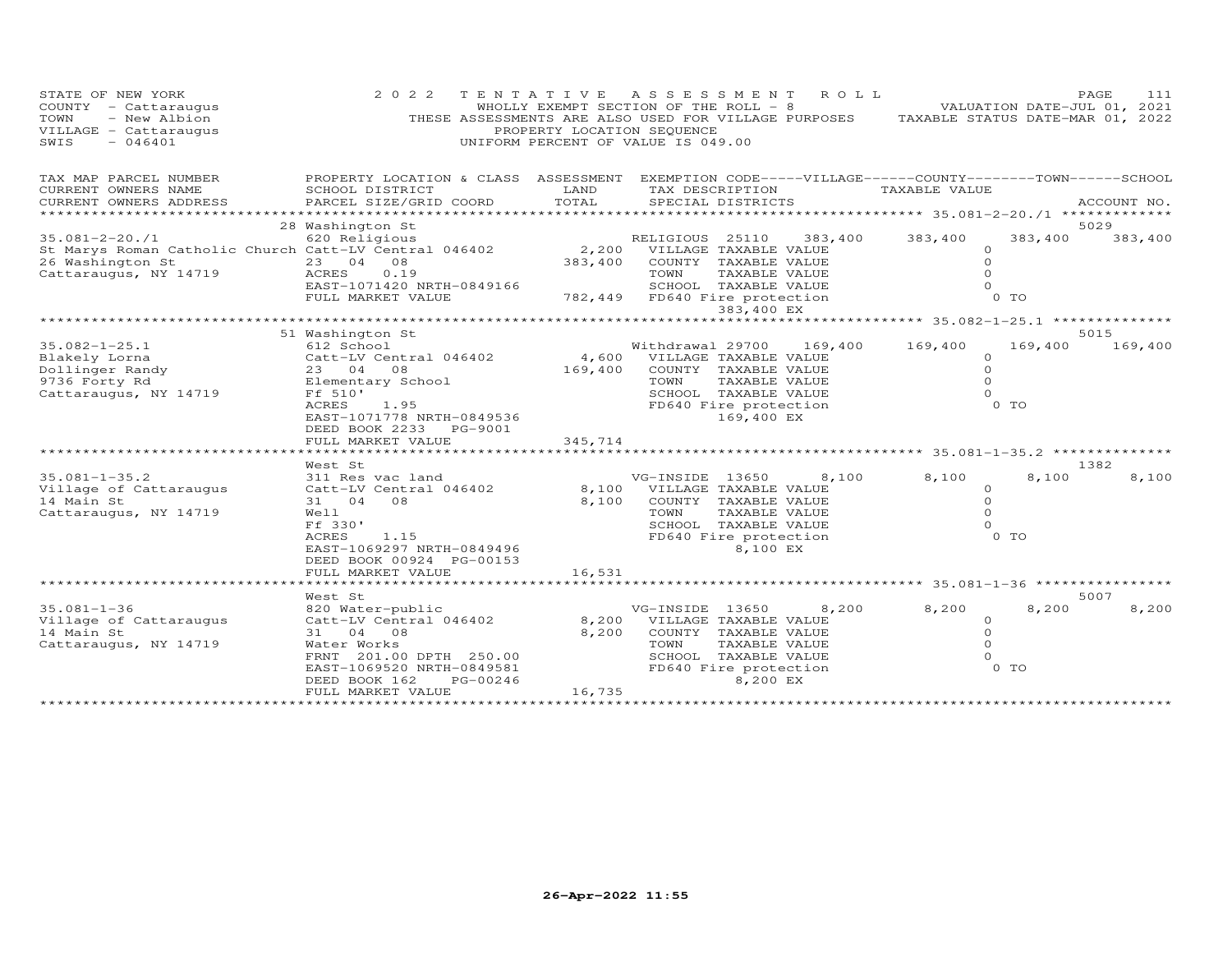| STATE OF NEW YORK<br>COUNTY - Cattaraugus<br>- New Albion<br>TOWN<br>VILLAGE - Cattaraugus<br>SWIS<br>$-046401$                                                                                   | 2 0 2 2                                                                                                                                                                                                                                                                                  | PROPERTY LOCATION SEQUENCE  | TENTATIVE ASSESSMENT<br>R O L L<br>WHOLLY EXEMPT SECTION OF THE ROLL - 8<br>THESE ASSESSMENTS ARE ALSO USED FOR VILLAGE PURPOSES TAXABLE STATUS DATE-MAR 01, 2022<br>UNIFORM PERCENT OF VALUE IS 049.00                                                                                                             | VALUATION DATE-JUL 01, 2021                                                                                                      | PAGE<br>111                      |
|---------------------------------------------------------------------------------------------------------------------------------------------------------------------------------------------------|------------------------------------------------------------------------------------------------------------------------------------------------------------------------------------------------------------------------------------------------------------------------------------------|-----------------------------|---------------------------------------------------------------------------------------------------------------------------------------------------------------------------------------------------------------------------------------------------------------------------------------------------------------------|----------------------------------------------------------------------------------------------------------------------------------|----------------------------------|
| TAX MAP PARCEL NUMBER<br>CURRENT OWNERS NAME<br>CURRENT OWNERS ADDRESS                                                                                                                            | PROPERTY LOCATION & CLASS ASSESSMENT EXEMPTION CODE-----VILLAGE------COUNTY--------TOWN------SCHOOL<br>SCHOOL DISTRICT<br>PARCEL SIZE/GRID COORD                                                                                                                                         | LAND<br>TOTAL               | TAX DESCRIPTION<br>SPECIAL DISTRICTS                                                                                                                                                                                                                                                                                | TAXABLE VALUE                                                                                                                    | ACCOUNT NO.                      |
| 26 Washington St<br>Cattaraugus, NY 14719                                                                                                                                                         | 28 Washington St<br>23 04 08<br>0.19<br>ACRES<br>EAST-1071420 NRTH-0849166<br>FULL MARKET VALUE<br>782,449 FD640 Fire protection<br>782,449 FD640 Fire protection                                                                                                                        | 383,400                     | COUNTY TAXABLE VALUE<br>TAXABLE VALUE<br>TOWN<br>383,400 EX                                                                                                                                                                                                                                                         | 383,400<br>383,400<br>$\circ$<br>$\Omega$<br>$\Omega$<br>$\Omega$<br>O TO                                                        | 5029<br>383,400                  |
|                                                                                                                                                                                                   |                                                                                                                                                                                                                                                                                          |                             |                                                                                                                                                                                                                                                                                                                     | ************************** 35.082-1-25.1 ***************                                                                         |                                  |
| $35.082 - 1 - 25.1$<br>Blakely Lorna<br>Dollinger Randy<br>y/30 Forty Rd<br>Cattaraugus, NY 14719 Ff 510'<br>$35.081 - 1 - 35.2$<br>Village of Cattaraugus<br>14 Main St<br>Cattaraugus, NY 14719 | 51 Washington St<br>612 School<br>612 SCNOO1<br>Catt-LV Centr<br>23 04 08<br>Catt-LV Central 046402<br>ACRES<br>1.95<br>EAST-1071778 NRTH-0849536<br>DEED BOOK 2233 PG-9001<br>FULL MARKET VALUE<br>West St<br>311 Res vac land<br>Catt-LV Central 046402<br>31 04 08<br>Well<br>Ff 330' | 169,400<br>345,714<br>8,100 | Withdrawal 29700 169,400 169,400<br>4,600 VILLAGE TAXABLE VALUE<br>COUNTY TAXABLE VALUE<br>TAXABLE VALUE<br>TOWN<br>SCHOOL TAXABLE VALUE<br>FD640 Fire protection<br>169,400 EX<br>VG-INSIDE 13650<br>8,100<br>8,100 VILLAGE TAXABLE VALUE<br>COUNTY TAXABLE VALUE<br>TOWN<br>TAXABLE VALUE<br>SCHOOL TAXABLE VALUE | 169,400<br>$\circ$<br>$\Omega$<br>$\Omega$<br>$\Omega$<br>0 TO<br>8,100<br>8,100<br>$\Omega$<br>$\Omega$<br>$\Omega$<br>$\Omega$ | 5015<br>169,400<br>1382<br>8,100 |
|                                                                                                                                                                                                   | 1.15<br>ACRES<br>EAST-1069297 NRTH-0849496<br>DEED BOOK 00924 PG-00153                                                                                                                                                                                                                   |                             | FD640 Fire protection<br>8,100 EX                                                                                                                                                                                                                                                                                   | O TO                                                                                                                             |                                  |
|                                                                                                                                                                                                   | West St                                                                                                                                                                                                                                                                                  |                             |                                                                                                                                                                                                                                                                                                                     |                                                                                                                                  | 5007                             |
| $35.081 - 1 - 36$<br>Village of Cattaraugus<br>14 Main St<br>Cattaraugus, NY 14719                                                                                                                | 820 Water-public<br>Catt-LV Central 046402<br>31 04 08<br>Water Works<br>FRNT 201.00 DPTH 250.00<br>EAST-1069520 NRTH-0849581<br>DEED BOOK 162<br>PG-00246<br>FULL MARKET VALUE                                                                                                          | 8,200<br>8,200<br>16,735    | VG-INSIDE 13650<br>8,200<br>VILLAGE TAXABLE VALUE<br>COUNTY TAXABLE VALUE<br>TAXABLE VALUE<br>TOWN<br>SCHOOL TAXABLE VALUE<br>FD640 Fire protection<br>8,200 EX                                                                                                                                                     | 8,200<br>8,200<br>$\circ$<br>$\circ$<br>$\Omega$<br>$\Omega$<br>$0$ TO                                                           | 8,200                            |
|                                                                                                                                                                                                   |                                                                                                                                                                                                                                                                                          |                             |                                                                                                                                                                                                                                                                                                                     |                                                                                                                                  |                                  |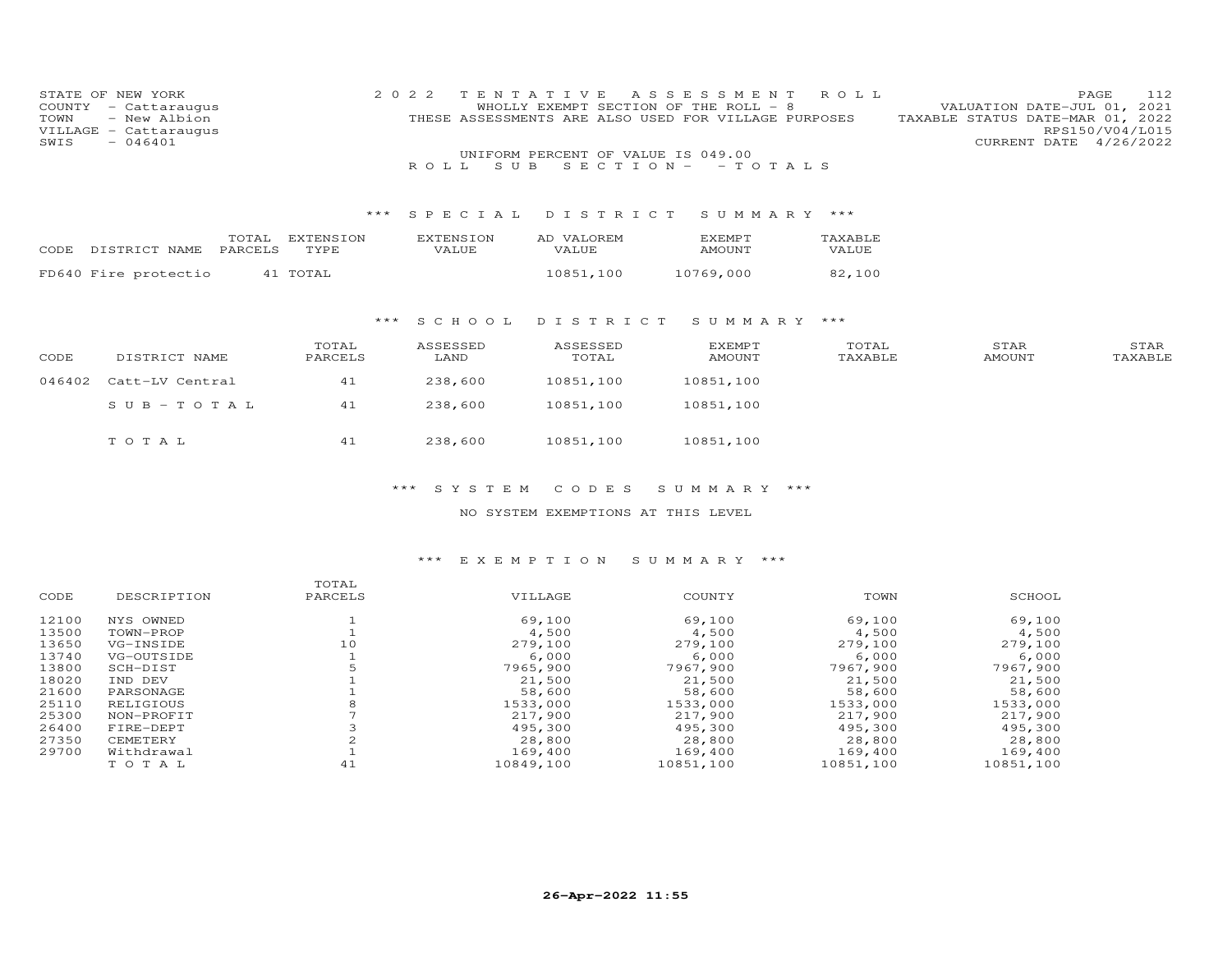| STATE OF NEW YORK     | 2022 TENTATIVE ASSESSMENT ROLL                       | 112<br>PAGE                      |
|-----------------------|------------------------------------------------------|----------------------------------|
| COUNTY - Cattaraugus  | WHOLLY EXEMPT SECTION OF THE ROLL - 8                | VALUATION DATE-JUL 01, 2021      |
| TOWN - New Albion     | THESE ASSESSMENTS ARE ALSO USED FOR VILLAGE PURPOSES | TAXABLE STATUS DATE-MAR 01, 2022 |
| VILLAGE - Cattaraugus |                                                      | RPS150/V04/L015                  |
| $SWIS - 046401$       |                                                      | CURRENT DATE 4/26/2022           |
|                       | UNIFORM PERCENT OF VALUE IS 049.00                   |                                  |
|                       | ROLL SUB SECTION - - TOTALS                          |                                  |

#### \*\*\* S P E C I A L D I S T R I C T S U M M A R Y \*\*\*

| CODE DISTRICT NAME PARCELS TYPE | TOTAL EXTENSION | <b>FXTENSION</b><br><b>VALUE</b> | AD VALOREM<br>VALUE. | <b>EXEMPT</b><br>AMOUNT | TAXABLE<br><b>VALUE</b> |
|---------------------------------|-----------------|----------------------------------|----------------------|-------------------------|-------------------------|
|                                 |                 |                                  |                      |                         |                         |
| FD640 Fire protectio            | 41 TOTAL        |                                  | 10851,100            | 10769,000               | 82.100                  |

#### \*\*\* S C H O O L D I S T R I C T S U M M A R Y \*\*\*

| CODE | DISTRICT NAME          | TOTAL<br>PARCELS | ASSESSED<br>LAND | ASSESSED<br>TOTAL | <b>EXEMPT</b><br>AMOUNT | TOTAL<br>TAXABLE | STAR<br>AMOUNT | STAR<br>TAXABLE |
|------|------------------------|------------------|------------------|-------------------|-------------------------|------------------|----------------|-----------------|
|      | 046402 Catt-LV Central | 41               | 238,600          | 10851,100         | 10851,100               |                  |                |                 |
|      | SUB-TOTAL              | 41               | 238,600          | 10851,100         | 10851,100               |                  |                |                 |
|      | TOTAL                  | 41               | 238,600          | 10851,100         | 10851,100               |                  |                |                 |

#### \*\*\* S Y S T E M C O D E S S U M M A R Y \*\*\*

#### NO SYSTEM EXEMPTIONS AT THIS LEVEL

#### \*\*\* E X E M P T I O N S U M M A R Y \*\*\*

|       |             | TOTAL   |           |           |           |           |
|-------|-------------|---------|-----------|-----------|-----------|-----------|
| CODE  | DESCRIPTION | PARCELS | VILLAGE   | COUNTY    | TOWN      | SCHOOL    |
| 12100 | NYS OWNED   |         | 69,100    | 69,100    | 69,100    | 69,100    |
| 13500 | TOWN-PROP   |         | 4,500     | 4,500     | 4,500     | 4,500     |
| 13650 | VG-INSIDE   | 10      | 279,100   | 279,100   | 279,100   | 279,100   |
| 13740 | VG-OUTSIDE  |         | 6,000     | 6,000     | 6,000     | 6,000     |
| 13800 | SCH-DIST    |         | 7965,900  | 7967,900  | 7967,900  | 7967,900  |
| 18020 | IND DEV     |         | 21,500    | 21,500    | 21,500    | 21,500    |
| 21600 | PARSONAGE   |         | 58,600    | 58,600    | 58,600    | 58,600    |
| 25110 | RELIGIOUS   |         | 1533,000  | 1533,000  | 1533,000  | 1533,000  |
| 25300 | NON-PROFIT  |         | 217,900   | 217,900   | 217,900   | 217,900   |
| 26400 | FIRE-DEPT   |         | 495,300   | 495,300   | 495,300   | 495,300   |
| 27350 | CEMETERY    |         | 28,800    | 28,800    | 28,800    | 28,800    |
| 29700 | Withdrawal  |         | 169,400   | 169,400   | 169,400   | 169,400   |
|       | TOTAL       | 41      | 10849,100 | 10851,100 | 10851,100 | 10851,100 |
|       |             |         |           |           |           |           |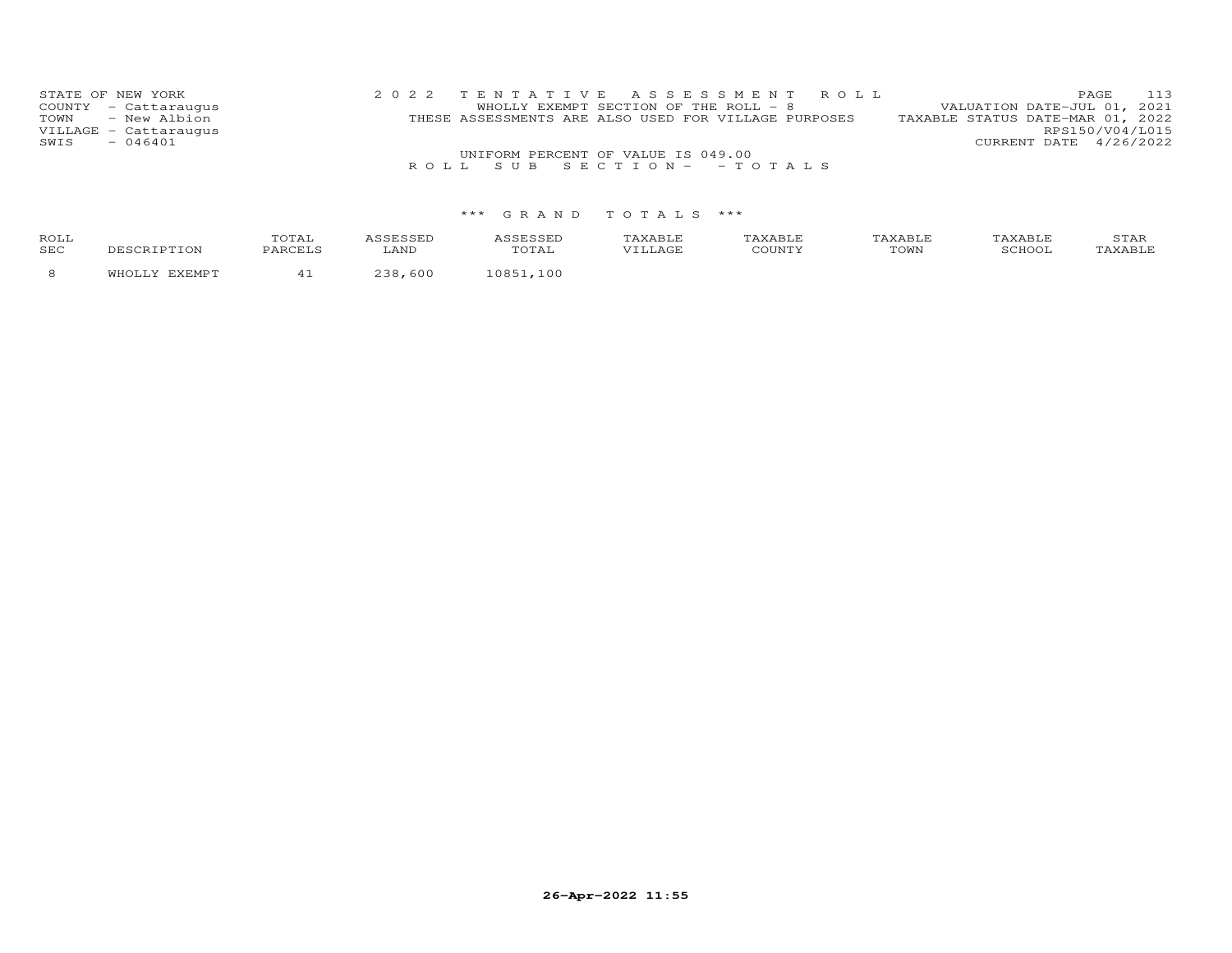| STATE OF NEW YORK     |  | 2022 TENTATIVE ASSESSMENT ROLL                       |  |  |                                  |                        | PAGE            | 113 |
|-----------------------|--|------------------------------------------------------|--|--|----------------------------------|------------------------|-----------------|-----|
| COUNTY - Cattaraugus  |  | WHOLLY EXEMPT SECTION OF THE ROLL $-8$               |  |  | VALUATION DATE-JUL 01, 2021      |                        |                 |     |
| TOWN - New Albion     |  | THESE ASSESSMENTS ARE ALSO USED FOR VILLAGE PURPOSES |  |  | TAXABLE STATUS DATE-MAR 01, 2022 |                        |                 |     |
| VILLAGE - Cattaraugus |  |                                                      |  |  |                                  |                        | RPS150/V04/L015 |     |
| $-046401$<br>SWIS     |  |                                                      |  |  |                                  | CURRENT DATE 4/26/2022 |                 |     |
|                       |  | UNIFORM PERCENT OF VALUE IS 049.00                   |  |  |                                  |                        |                 |     |
|                       |  | ROLL SUB SECTION--TOTALS                             |  |  |                                  |                        |                 |     |

| ROLL<br>SEC |  | ANT. | T T T T | T <sub>0</sub> T T T<br>⊥∪ທນ | ᆠᅎᅶ |
|-------------|--|------|---------|------------------------------|-----|
|             |  |      |         |                              |     |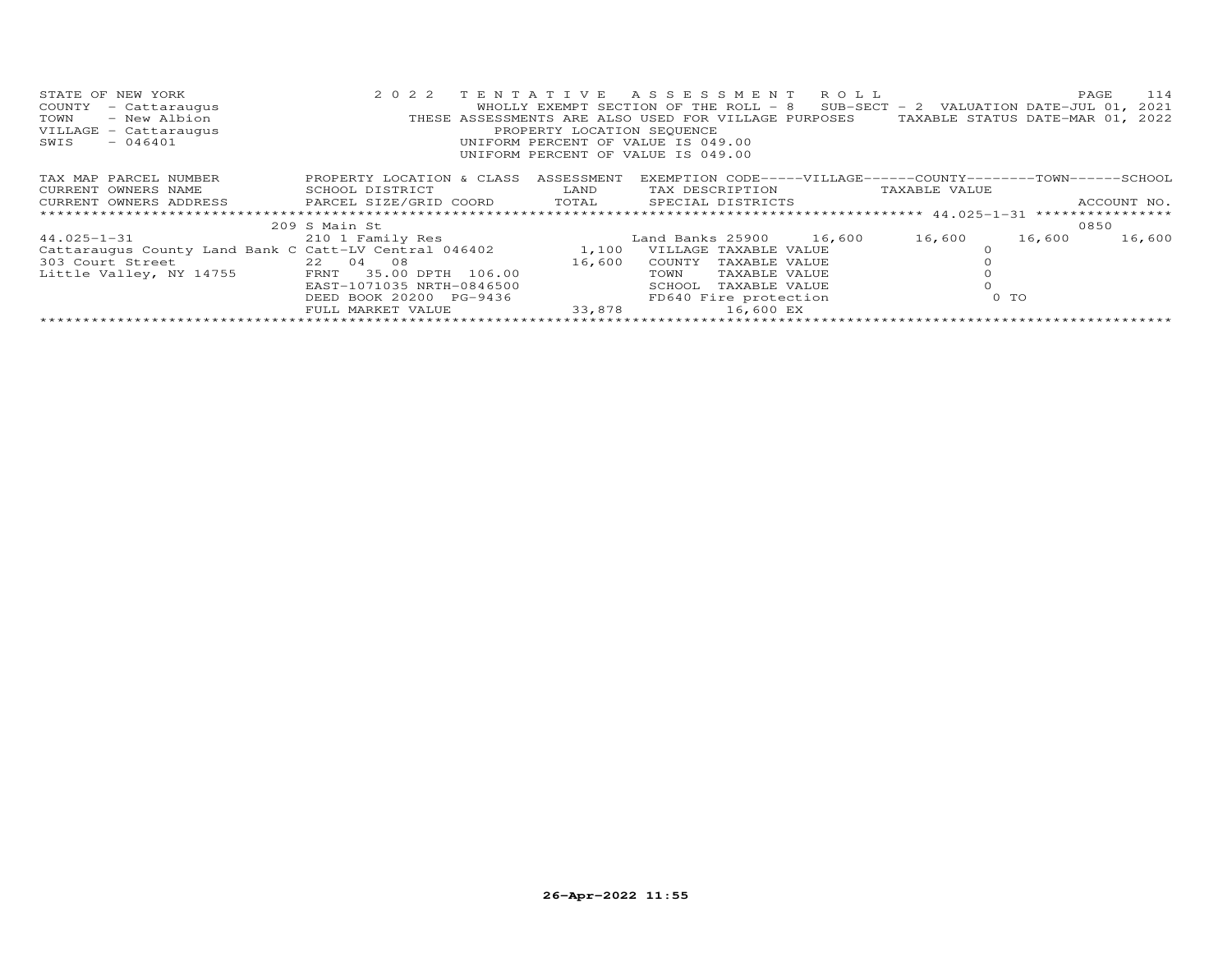| STATE OF NEW YORK<br>COUNTY<br>- Cattaraugus<br>- New Albion<br>TOWN<br>VILLAGE - Cattaraugus<br>$-046401$<br>SWIS | 2 0 2 2                                     | PROPERTY LOCATION SEQUENCE | TENTATIVE ASSESSMENT ROLL<br>WHOLLY EXEMPT SECTION OF THE ROLL - 8 SUB-SECT - 2 VALUATION DATE-JUL 01, 2021<br>THESE ASSESSMENTS ARE ALSO USED FOR VILLAGE PURPOSES<br>UNIFORM PERCENT OF VALUE IS 049.00<br>UNIFORM PERCENT OF VALUE IS 049.00 |        | 114<br>PAGE<br>TAXABLE STATUS DATE-MAR 01, 2022                |
|--------------------------------------------------------------------------------------------------------------------|---------------------------------------------|----------------------------|-------------------------------------------------------------------------------------------------------------------------------------------------------------------------------------------------------------------------------------------------|--------|----------------------------------------------------------------|
| TAX MAP PARCEL NUMBER                                                                                              | PROPERTY LOCATION & CLASS                   | ASSESSMENT                 |                                                                                                                                                                                                                                                 |        | EXEMPTION CODE-----VILLAGE------COUNTY--------TOWN------SCHOOL |
| CURRENT OWNERS NAME                                                                                                | SCHOOL DISTRICT<br><b>EXAMPLE TO A LAND</b> |                            | TAX DESCRIPTION TAXABLE VALUE                                                                                                                                                                                                                   |        |                                                                |
| CURRENT OWNERS ADDRESS 6 PARCEL SIZE/GRID COORD 6 TOTAL 6 SPECIAL DISTRICTS                                        |                                             |                            |                                                                                                                                                                                                                                                 |        | ACCOUNT NO.                                                    |
|                                                                                                                    | 209 S Main St                               |                            |                                                                                                                                                                                                                                                 |        | 0850                                                           |
| 44.025-1-31 210 1 Family Res                                                                                       |                                             |                            | Land Banks 25900 16,600                                                                                                                                                                                                                         | 16,600 | 16,600<br>16,600                                               |
| Cattaraugus County Land Bank C Catt-LV Central 046402 1,100                                                        |                                             |                            | VILLAGE TAXABLE VALUE                                                                                                                                                                                                                           |        |                                                                |
| 303 Court Street                                                                                                   | 22 04 08                                    | 16,600                     | COUNTY<br>TAXABLE VALUE                                                                                                                                                                                                                         |        |                                                                |
| Little Valley, NY 14755 FRNT                                                                                       | 35.00 DPTH 106.00                           |                            | TOWN<br>TAXABLE VALUE                                                                                                                                                                                                                           |        |                                                                |
|                                                                                                                    | EAST-1071035 NRTH-0846500                   |                            | SCHOOL<br>TAXABLE VALUE                                                                                                                                                                                                                         |        |                                                                |
|                                                                                                                    | DEED BOOK 20200 PG-9436                     |                            | FD640 Fire protection                                                                                                                                                                                                                           | 0 TO   |                                                                |
|                                                                                                                    | FULL MARKET VALUE                           | 33,878                     | 16,600 EX                                                                                                                                                                                                                                       |        |                                                                |
|                                                                                                                    |                                             |                            |                                                                                                                                                                                                                                                 |        |                                                                |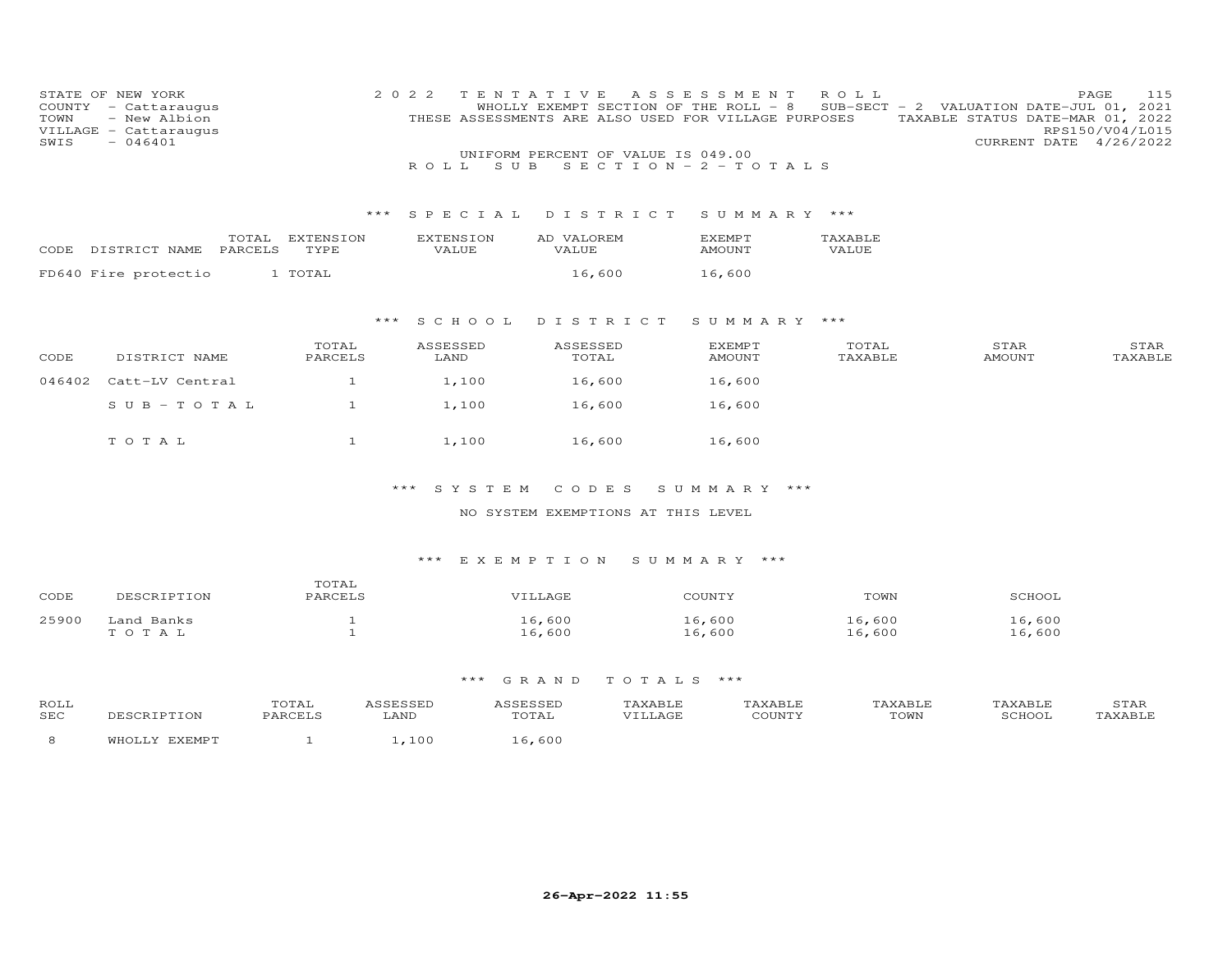| COUNTY<br>TOWN<br>SWIS | STATE OF NEW YORK<br>- Cattaraugus<br>- New Albion<br>VILLAGE - Cattaraugus<br>$-046401$ |                   | 2 0 2 2<br>ROLL<br>S U B  | TENTATIVE<br>WHOLLY EXEMPT SECTION OF THE ROLL - 8<br>THESE ASSESSMENTS ARE ALSO USED FOR VILLAGE PURPOSES<br>UNIFORM PERCENT OF VALUE IS 049.00<br>SECTION - $2$ - TOTALS | A S S E S S M E N T            | ROLL             | 115<br>PAGE<br>SUB-SECT - 2 VALUATION DATE-JUL 01, 2021<br>TAXABLE STATUS DATE-MAR 01, 2022<br>RPS150/V04/L015<br>CURRENT DATE 4/26/2022 |
|------------------------|------------------------------------------------------------------------------------------|-------------------|---------------------------|----------------------------------------------------------------------------------------------------------------------------------------------------------------------------|--------------------------------|------------------|------------------------------------------------------------------------------------------------------------------------------------------|
|                        |                                                                                          |                   | *** SPECIAL               | DISTRICT                                                                                                                                                                   | SUMMARY ***                    |                  |                                                                                                                                          |
|                        | TOTAL<br>PARCELS<br>CODE DISTRICT NAME                                                   | EXTENSION<br>TYPE | <b>EXTENSION</b><br>VALUE | AD VALOREM<br>VALUE                                                                                                                                                        | <b>EXEMPT</b><br><b>AMOUNT</b> | TAXABLE<br>VALUE |                                                                                                                                          |
|                        | FD640 Fire protectio                                                                     | 1 TOTAL           |                           | 16,600                                                                                                                                                                     | 16,600                         |                  |                                                                                                                                          |
|                        |                                                                                          | ***               | S C H O O L               | DISTRICT                                                                                                                                                                   | SUMMARY ***                    |                  |                                                                                                                                          |
| CODE                   | DISTRICT NAME                                                                            | TOTAL<br>PARCELS  | ASSESSED<br>LAND          | ASSESSED<br>TOTAL                                                                                                                                                          | <b>EXEMPT</b><br>AMOUNT        | TOTAL<br>TAXABLE | STAR<br>STAR<br>TAXABLE<br><b>AMOUNT</b>                                                                                                 |
| 046402                 | Catt-LV Central                                                                          | $\mathbf{1}$      | 1,100                     | 16,600                                                                                                                                                                     | 16,600                         |                  |                                                                                                                                          |
|                        | $SUB - TO TAL$                                                                           | $\mathbf{1}$      | 1,100                     | 16,600                                                                                                                                                                     | 16,600                         |                  |                                                                                                                                          |
|                        | TOTAL                                                                                    | $\mathbf{1}$      | 1,100                     | 16,600                                                                                                                                                                     | 16,600                         |                  |                                                                                                                                          |
|                        |                                                                                          |                   | $***$<br>SYSTEM           | CODES                                                                                                                                                                      | SUMMARY ***                    |                  |                                                                                                                                          |

#### NO SYSTEM EXEMPTIONS AT THIS LEVEL

#### \*\*\* E X E M P T I O N S U M M A R Y \*\*\*

| CODE  | DESCRIPTION | TOTAL<br>PARCELS | VILLAGE | COUNTY | TOWN   | SCHOOL |
|-------|-------------|------------------|---------|--------|--------|--------|
| 25900 | Land Banks  |                  | 16,600  | 16,600 | 16,600 | 16,600 |
|       | TOTAL       |                  | 16,600  | 16,600 | 16,600 | 16,600 |

| ROLI<br><b>SEC</b> | SCRIPTION            | TOTAL<br>PARCELS | LAND       | TOTAT<br>∸∪ ⊥ ∠ ⊥ | 'A Y A R T.F<br>VILLAGE | <b>AXABLF</b><br>COUNT'' | AXABI.F<br>TOWN | <b>VADTE</b><br>SCHOOL | 3TAR<br>TAXABLE |
|--------------------|----------------------|------------------|------------|-------------------|-------------------------|--------------------------|-----------------|------------------------|-----------------|
|                    | <b>EVEMD'</b><br>ᄭᅜᇧ |                  | $. \, 100$ | 600               |                         |                          |                 |                        |                 |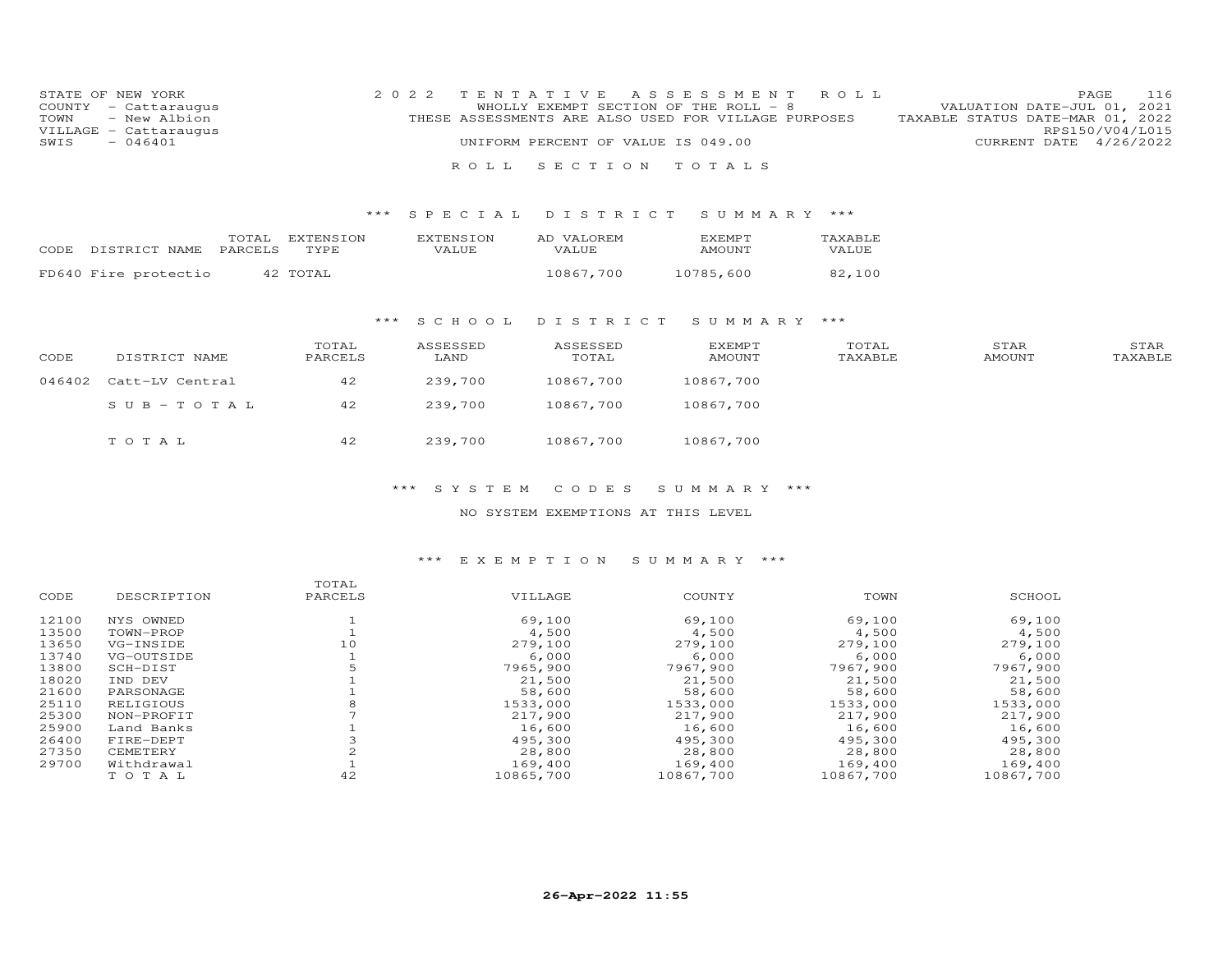|      | STATE OF NEW YORK     |  |                                                      |  | 2022 TENTATIVE ASSESSMENT ROLL |                                  |                        | PAGE 116 |
|------|-----------------------|--|------------------------------------------------------|--|--------------------------------|----------------------------------|------------------------|----------|
|      | COUNTY - Cattaraugus  |  | WHOLLY EXEMPT SECTION OF THE ROLL - 8                |  |                                | VALUATION DATE-JUL 01, 2021      |                        |          |
|      | TOWN - New Albion     |  | THESE ASSESSMENTS ARE ALSO USED FOR VILLAGE PURPOSES |  |                                | TAXABLE STATUS DATE-MAR 01, 2022 |                        |          |
|      | VILLAGE - Cattaraugus |  |                                                      |  |                                |                                  | RPS150/V04/L015        |          |
| SWIS | $-046401$             |  | UNIFORM PERCENT OF VALUE IS 049.00                   |  |                                |                                  | CURRENT DATE 4/26/2022 |          |
|      |                       |  |                                                      |  |                                |                                  |                        |          |
|      |                       |  | ROLL SECTION TOTALS                                  |  |                                |                                  |                        |          |

#### \*\*\* S P E C I A L D I S T R I C T S U M M A R Y \*\*\*

| CODE | DISTRICT NAME PARCELS | TOTAL EXTENSION<br>TYPE. | <b>EXTENSION</b><br>VALUE. | AD VALOREM<br>VALUE. | <b>FXEMPT</b><br>AMOUNT | TAXABLE<br>VALUE |
|------|-----------------------|--------------------------|----------------------------|----------------------|-------------------------|------------------|
|      | FD640 Fire protectio  | 42 TOTAL                 |                            | 10867,700            | 10785,600               | 82,100           |

#### \*\*\* S C H O O L D I S T R I C T S U M M A R Y \*\*\*

| CODE | DISTRICT NAME          | TOTAL<br>PARCELS | ASSESSED<br>LAND | ASSESSED<br>TOTAL | <b>EXEMPT</b><br>AMOUNT | TOTAL<br>TAXABLE | STAR<br>AMOUNT | STAR<br>TAXABLE |
|------|------------------------|------------------|------------------|-------------------|-------------------------|------------------|----------------|-----------------|
|      | 046402 Catt-LV Central | 42               | 239,700          | 10867,700         | 10867,700               |                  |                |                 |
|      | SUB-TOTAL              | 42               | 239,700          | 10867,700         | 10867,700               |                  |                |                 |
|      | TOTAL                  | 42               | 239,700          | 10867,700         | 10867,700               |                  |                |                 |

#### \*\*\* S Y S T E M C O D E S S U M M A R Y \*\*\*

#### NO SYSTEM EXEMPTIONS AT THIS LEVEL

#### \*\*\* E X E M P T I O N S U M M A R Y \*\*\*

|       |             | TOTAL   |           |           |           |           |
|-------|-------------|---------|-----------|-----------|-----------|-----------|
| CODE  | DESCRIPTION | PARCELS | VILLAGE   | COUNTY    | TOWN      | SCHOOL    |
| 12100 | NYS OWNED   |         | 69,100    | 69,100    | 69,100    | 69,100    |
| 13500 | TOWN-PROP   |         | 4,500     | 4,500     | 4,500     | 4,500     |
| 13650 | VG-INSIDE   | 10      | 279,100   | 279,100   | 279,100   | 279,100   |
| 13740 | VG-OUTSIDE  |         | 6,000     | 6,000     | 6,000     | 6,000     |
| 13800 | SCH-DIST    |         | 7965,900  | 7967,900  | 7967,900  | 7967,900  |
| 18020 | IND DEV     |         | 21,500    | 21,500    | 21,500    | 21,500    |
| 21600 | PARSONAGE   |         | 58,600    | 58,600    | 58,600    | 58,600    |
| 25110 | RELIGIOUS   |         | 1533,000  | 1533,000  | 1533,000  | 1533,000  |
| 25300 | NON-PROFIT  |         | 217,900   | 217,900   | 217,900   | 217,900   |
| 25900 | Land Banks  |         | 16,600    | 16,600    | 16,600    | 16,600    |
| 26400 | FIRE-DEPT   |         | 495,300   | 495,300   | 495,300   | 495,300   |
| 27350 | CEMETERY    |         | 28,800    | 28,800    | 28,800    | 28,800    |
| 29700 | Withdrawal  |         | 169,400   | 169,400   | 169,400   | 169,400   |
|       | TOTAL       | 42      | 10865,700 | 10867,700 | 10867,700 | 10867,700 |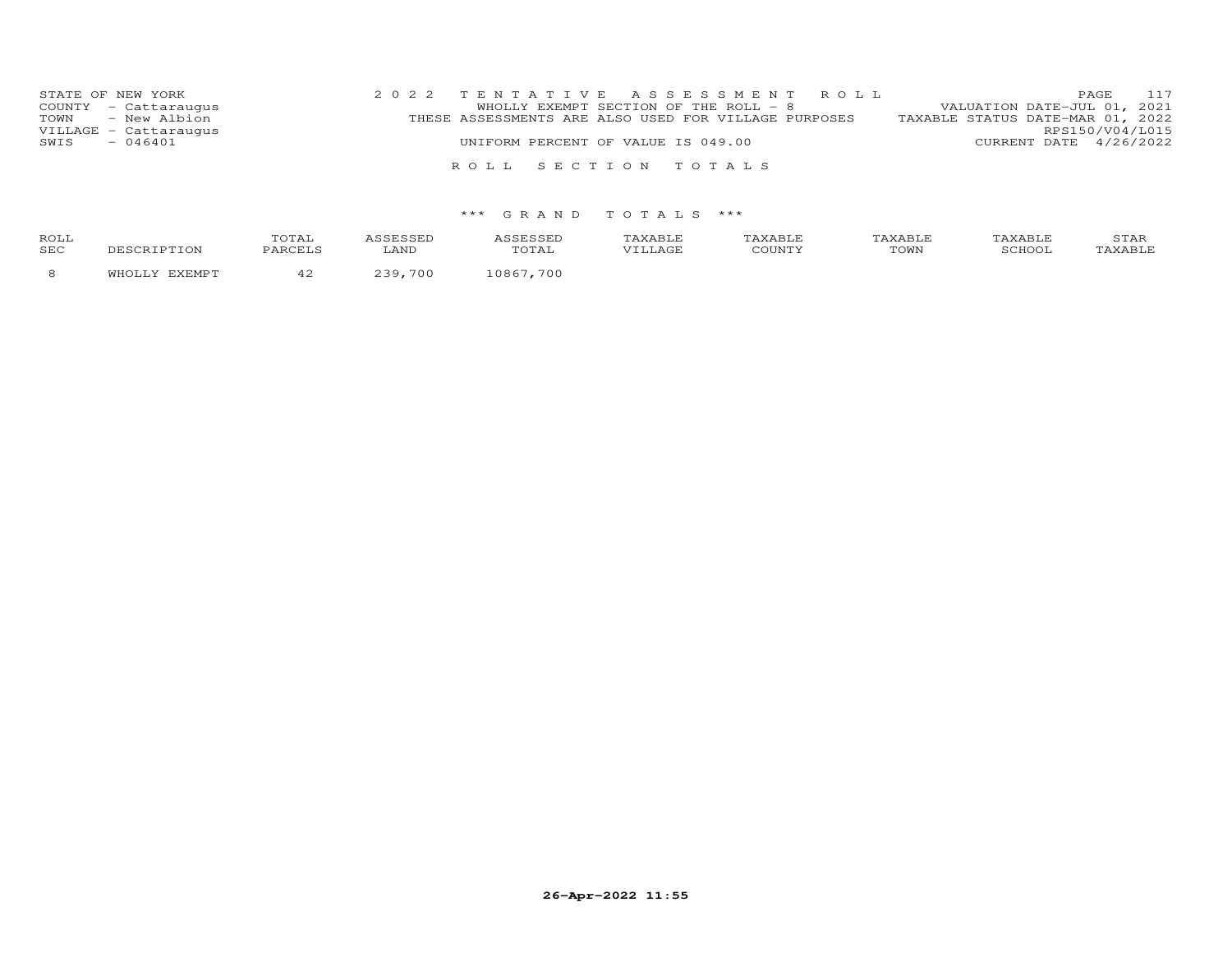| STATE OF NEW YORK     | 2022 TENTATIVE ASSESSMENT ROLL                       | 117<br>PAGE                      |
|-----------------------|------------------------------------------------------|----------------------------------|
| COUNTY - Cattaraugus  | WHOLLY EXEMPT SECTION OF THE ROLL - 8                | VALUATION DATE-JUL 01, 2021      |
| TOWN - New Albion     | THESE ASSESSMENTS ARE ALSO USED FOR VILLAGE PURPOSES | TAXABLE STATUS DATE-MAR 01, 2022 |
| VILLAGE - Cattaraugus |                                                      | RPS150/V04/L015                  |
| SWIS<br>$-046401$     | UNIFORM PERCENT OF VALUE IS 049.00                   | CURRENT DATE 4/26/2022           |
|                       |                                                      |                                  |
|                       | ROLL SECTION TOTALS                                  |                                  |

| ROL.<br>SEC |  |  |  | $m \wedge r$ . $n$<br>ົ∪∨∨⊥ |  |
|-------------|--|--|--|-----------------------------|--|
|             |  |  |  |                             |  |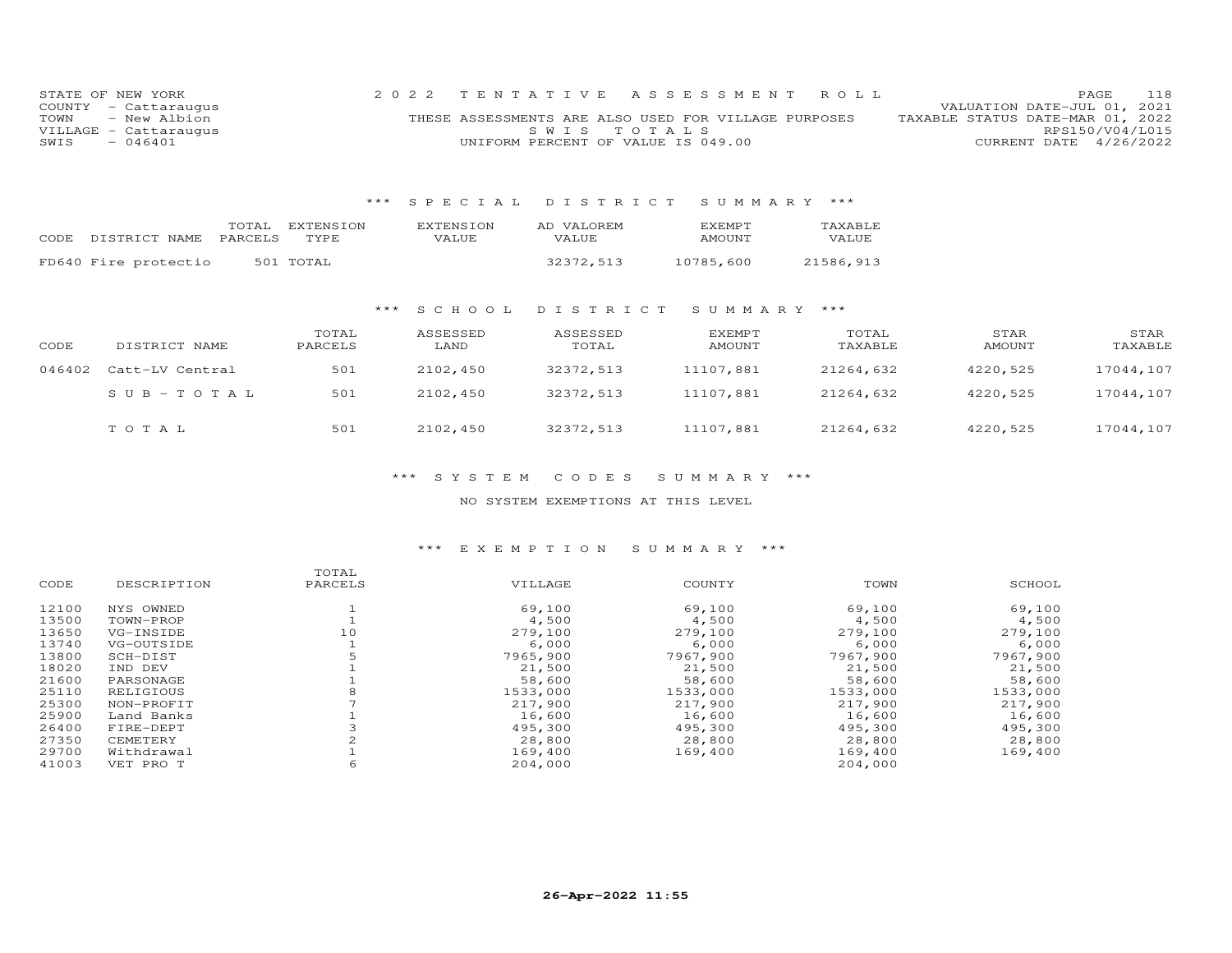|      | STATE OF NEW YORK     |                                                      |             | 2022 TENTATIVE ASSESSMENT ROLL |                                  | PAGE                        | 118 |
|------|-----------------------|------------------------------------------------------|-------------|--------------------------------|----------------------------------|-----------------------------|-----|
|      | COUNTY - Cattaraugus  |                                                      |             |                                |                                  | VALUATION DATE-JUL 01, 2021 |     |
| TOWN | - New Albion          | THESE ASSESSMENTS ARE ALSO USED FOR VILLAGE PURPOSES |             |                                | TAXABLE STATUS DATE-MAR 01, 2022 |                             |     |
|      | VILLAGE - Cattaraugus |                                                      | SWIS TOTALS |                                |                                  | RPS150/V04/L015             |     |
| SWIS | $-046401$             | UNIFORM PERCENT OF VALUE IS 049.00                   |             |                                |                                  | CURRENT DATE 4/26/2022      |     |

#### \*\*\* S P E C I A L D I S T R I C T S U M M A R Y \*\*\*

|       |                      | TOTAL   | EXTENSION | <b>EXTENSION</b> | AD VALOREM | <b>EXEMPT</b> | TAXABLE      |
|-------|----------------------|---------|-----------|------------------|------------|---------------|--------------|
| CODE. | DISTRICT NAME        | PARCELS | TYPE      | VALUE            | VALUE      | AMOUNT        | <b>VALUE</b> |
|       |                      |         |           |                  |            |               |              |
|       | FD640 Fire protectio |         | 501 TOTAL |                  | 32372.513  | 10785,600     | 21586,913    |

#### \*\*\* S C H O O L D I S T R I C T S U M M A R Y \*\*\*

| CODE   | DISTRICT NAME   | TOTAL<br>PARCELS | ASSESSED<br>LAND | ASSESSED<br>TOTAL | EXEMPT<br>AMOUNT | TOTAL<br>TAXABLE | STAR<br>AMOUNT | STAR<br>TAXABLE |
|--------|-----------------|------------------|------------------|-------------------|------------------|------------------|----------------|-----------------|
| 046402 | Catt-LV Central | 501              | 2102,450         | 32372,513         | 11107,881        | 21264,632        | 4220,525       | 17044,107       |
|        | $SUB - TO TAL$  | 501              | 2102,450         | 32372,513         | 11107,881        | 21264,632        | 4220,525       | 17044,107       |
|        | TOTAL           | 501              | 2102,450         | 32372,513         | 11107,881        | 21264,632        | 4220,525       | 17044,107       |

#### \*\*\* S Y S T E M C O D E S S U M M A R Y \*\*\*

#### NO SYSTEM EXEMPTIONS AT THIS LEVEL

#### \*\*\* E X E M P T I O N S U M M A R Y \*\*\*

|       |             | TOTAL   |          |          |          |          |
|-------|-------------|---------|----------|----------|----------|----------|
| CODE  | DESCRIPTION | PARCELS | VILLAGE  | COUNTY   | TOWN     | SCHOOL   |
| 12100 | NYS OWNED   |         | 69,100   | 69,100   | 69,100   | 69,100   |
| 13500 | TOWN-PROP   |         | 4,500    | 4,500    | 4,500    | 4,500    |
| 13650 | VG-INSIDE   | 10      | 279,100  | 279,100  | 279,100  | 279,100  |
| 13740 | VG-OUTSIDE  |         | 6,000    | 6,000    | 6,000    | 6,000    |
| 13800 | SCH-DIST    |         | 7965,900 | 7967,900 | 7967,900 | 7967,900 |
| 18020 | IND DEV     |         | 21,500   | 21,500   | 21,500   | 21,500   |
| 21600 | PARSONAGE   |         | 58,600   | 58,600   | 58,600   | 58,600   |
| 25110 | RELIGIOUS   |         | 1533,000 | 1533,000 | 1533,000 | 1533,000 |
| 25300 | NON-PROFIT  |         | 217,900  | 217,900  | 217,900  | 217,900  |
| 25900 | Land Banks  |         | 16,600   | 16,600   | 16,600   | 16,600   |
| 26400 | FIRE-DEPT   |         | 495,300  | 495,300  | 495,300  | 495,300  |
| 27350 | CEMETERY    |         | 28,800   | 28,800   | 28,800   | 28,800   |
| 29700 | Withdrawal  |         | 169,400  | 169,400  | 169,400  | 169,400  |
| 41003 | VET PRO T   |         | 204,000  |          | 204,000  |          |
|       |             |         |          |          |          |          |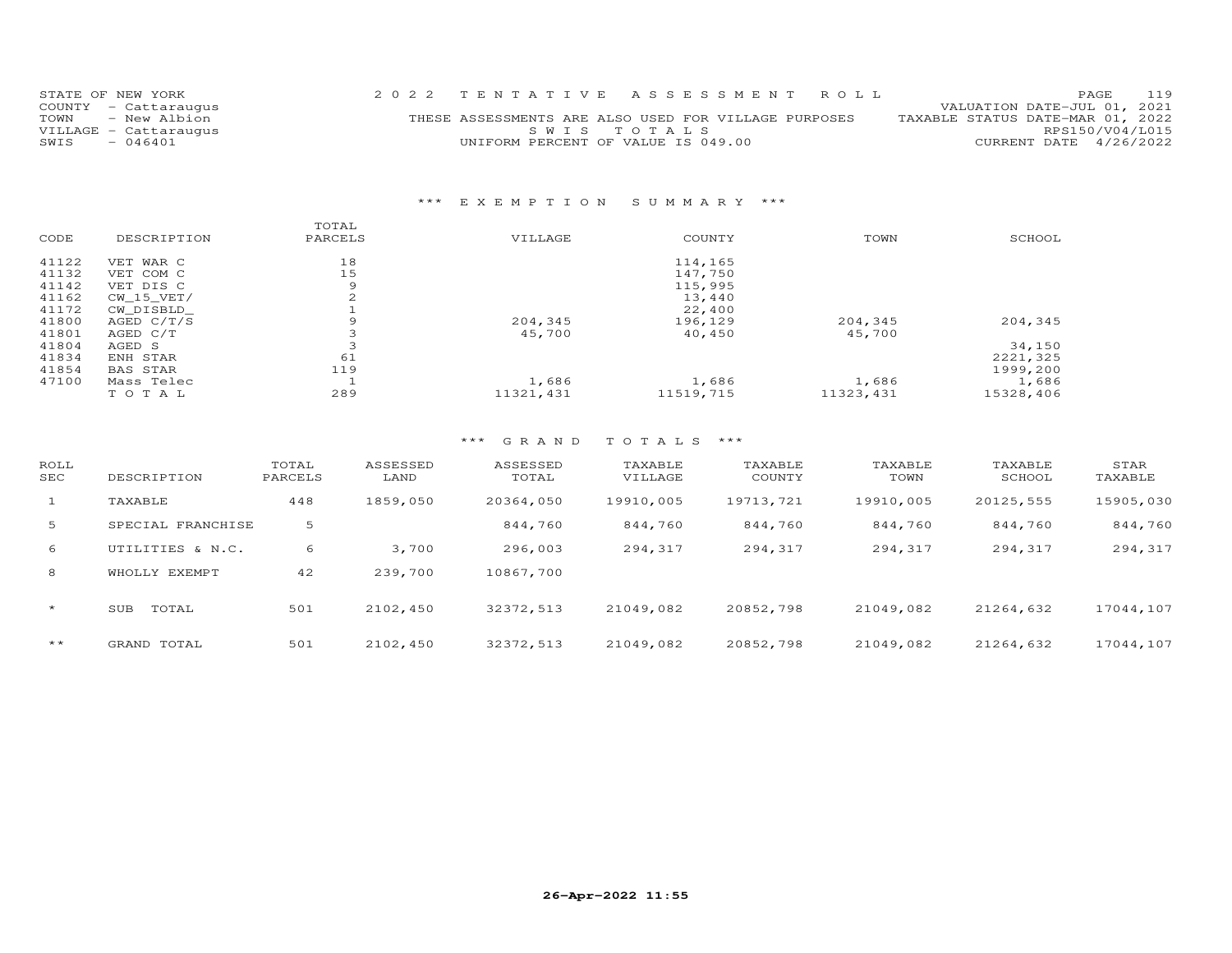| STATE OF NEW YORK     | 2022 TENTATIVE ASSESSMENT ROLL                       | PAGE 119                         |
|-----------------------|------------------------------------------------------|----------------------------------|
| COUNTY - Cattaraugus  |                                                      | VALUATION DATE-JUL 01, 2021      |
| TOWN - New Albion     | THESE ASSESSMENTS ARE ALSO USED FOR VILLAGE PURPOSES | TAXABLE STATUS DATE-MAR 01, 2022 |
| VILLAGE - Cattaraugus | SWIS TOTALS                                          | RPS150/V04/L015                  |
| SWIS<br>$-046401$     | UNIFORM PERCENT OF VALUE IS 049.00                   | CURRENT DATE 4/26/2022           |

#### \*\*\* E X E M P T I O N S U M M A R Y \*\*\*

|       |                 | TOTAL   |            |           |            |           |
|-------|-----------------|---------|------------|-----------|------------|-----------|
| CODE  | DESCRIPTION     | PARCELS | VILLAGE    | COUNTY    | TOWN       | SCHOOL    |
| 41122 | VET WAR C       | 18      |            | 114,165   |            |           |
| 41132 | VET COM C       | 15      |            | 147,750   |            |           |
| 41142 | VET DIS C       | 9       |            | 115,995   |            |           |
| 41162 | CW 15 VET/      | $\sim$  |            | 13,440    |            |           |
| 41172 | CW DISBLD       |         |            | 22,400    |            |           |
| 41800 | AGED C/T/S      | 9       | 204,345    | 196,129   | 204,345    | 204,345   |
| 41801 | AGED C/T        |         | 45,700     | 40,450    | 45,700     |           |
| 41804 | AGED S          |         |            |           |            | 34,150    |
| 41834 | ENH STAR        | 61      |            |           |            | 2221,325  |
| 41854 | <b>BAS STAR</b> | 119     |            |           |            | 1999,200  |
| 47100 | Mass Telec      |         | 1,686      | 1,686     | 1,686      | 1,686     |
|       | TOTAL           | 289     | 11321, 431 | 11519,715 | 11323, 431 | 15328,406 |

| ROLL<br>SEC  | DESCRIPTION       | TOTAL<br>PARCELS | ASSESSED<br>LAND | ASSESSED<br>TOTAL | TAXABLE<br>VILLAGE | TAXABLE<br>COUNTY | TAXABLE<br>TOWN | TAXABLE<br>SCHOOL | STAR<br>TAXABLE |
|--------------|-------------------|------------------|------------------|-------------------|--------------------|-------------------|-----------------|-------------------|-----------------|
| $\mathbf{1}$ | TAXABLE           | 448              | 1859,050         | 20364,050         | 19910,005          | 19713,721         | 19910,005       | 20125,555         | 15905,030       |
| 5            | SPECIAL FRANCHISE | 5                |                  | 844,760           | 844,760            | 844,760           | 844,760         | 844,760           | 844,760         |
| 6            | UTILITIES & N.C.  | 6                | 3,700            | 296,003           | 294,317            | 294,317           | 294,317         | 294,317           | 294,317         |
| 8            | WHOLLY EXEMPT     | 42               | 239,700          | 10867,700         |                    |                   |                 |                   |                 |
| $\star$      | TOTAL<br>SUB      | 501              | 2102,450         | 32372,513         | 21049,082          | 20852,798         | 21049,082       | 21264,632         | 17044,107       |
| $***$        | GRAND TOTAL       | 501              | 2102,450         | 32372,513         | 21049.082          | 20852,798         | 21049,082       | 21264,632         | 17044,107       |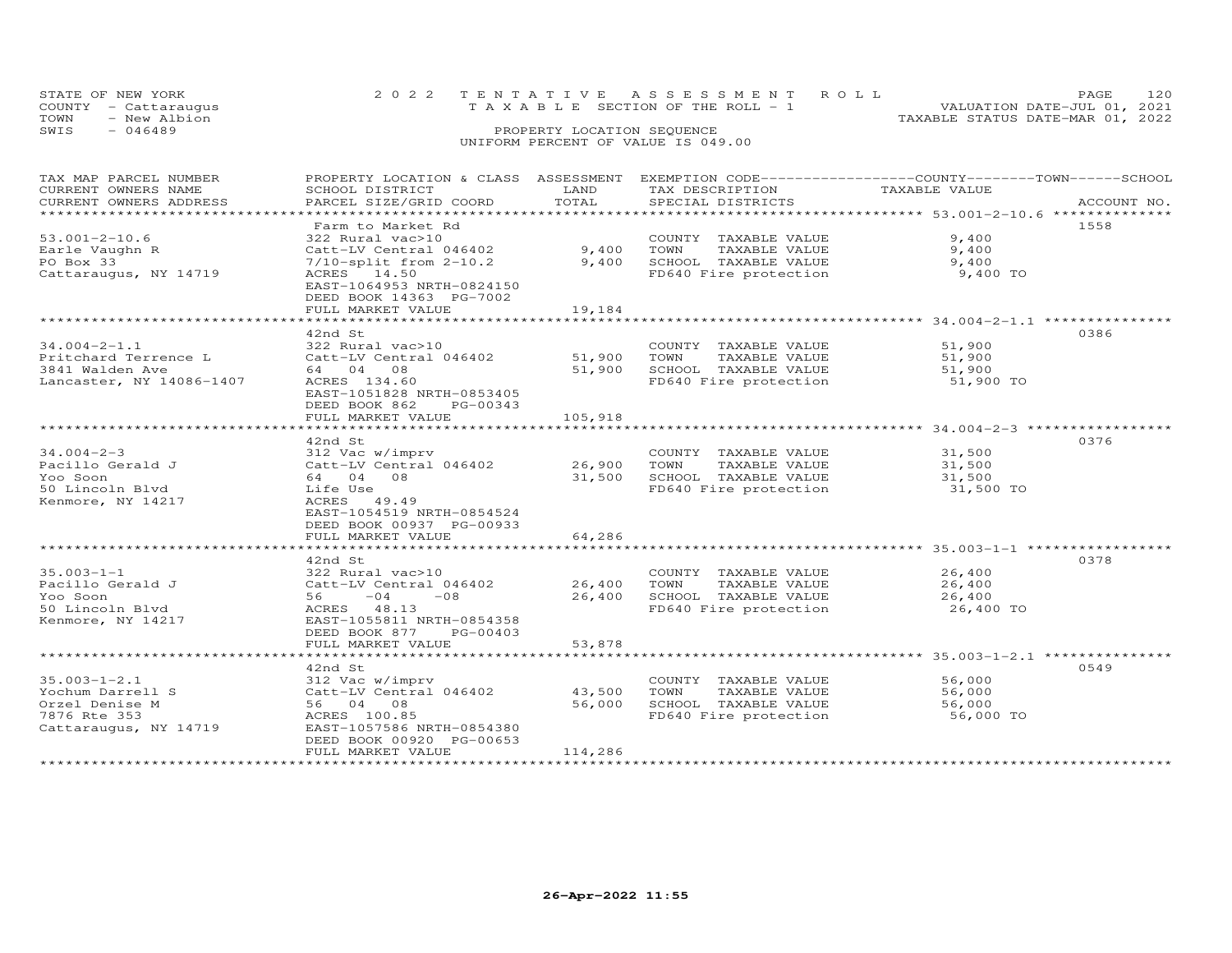| STATE OF NEW YORK    | 2022 TENTATIVE ASSESSMENT ROLL        |  | PAGE.                            | 120 |
|----------------------|---------------------------------------|--|----------------------------------|-----|
| COUNTY - Cattaraugus | T A X A B L E SECTION OF THE ROLL - 1 |  | VALUATION DATE-JUL 01, 2021      |     |
| TOWN<br>- New Albion |                                       |  | TAXABLE STATUS DATE-MAR 01, 2022 |     |
| SWIS<br>- 046489     | PROPERTY LOCATION SEQUENCE            |  |                                  |     |
|                      | UNIFORM PERCENT OF VALUE IS 049.00    |  |                                  |     |

| TAX MAP PARCEL NUMBER    | PROPERTY LOCATION & CLASS ASSESSMENT |              | EXEMPTION CODE-----------------COUNTY-------TOWN------SCHOOL |                                                                |             |
|--------------------------|--------------------------------------|--------------|--------------------------------------------------------------|----------------------------------------------------------------|-------------|
| CURRENT OWNERS NAME      | SCHOOL DISTRICT                      | LAND         | TAX DESCRIPTION                                              | TAXABLE VALUE                                                  |             |
| CURRENT OWNERS ADDRESS   | PARCEL SIZE/GRID COORD               | TOTAL        | SPECIAL DISTRICTS                                            |                                                                | ACCOUNT NO. |
| ***********************  |                                      |              |                                                              |                                                                |             |
|                          | Farm to Market Rd                    |              |                                                              |                                                                | 1558        |
| $53.001 - 2 - 10.6$      | 322 Rural vac>10                     |              | COUNTY TAXABLE VALUE                                         | 9,400                                                          |             |
| Earle Vaughn R           | Catt-LV Central 046402               | 9,400        | TOWN<br>TAXABLE VALUE                                        | 9,400                                                          |             |
| PO Box 33                | $7/10$ -split from $2-10.2$          | 9,400        | SCHOOL TAXABLE VALUE                                         | 9,400                                                          |             |
| Cattaraugus, NY 14719    | ACRES 14.50                          |              | FD640 Fire protection                                        | 9,400 TO                                                       |             |
|                          | EAST-1064953 NRTH-0824150            |              |                                                              |                                                                |             |
|                          | DEED BOOK 14363 PG-7002              |              |                                                              |                                                                |             |
|                          | FULL MARKET VALUE                    | 19,184       |                                                              |                                                                |             |
|                          |                                      |              |                                                              |                                                                |             |
|                          | 42nd St                              |              |                                                              |                                                                | 0386        |
| $34.004 - 2 - 1.1$       | 322 Rural vac>10                     |              | COUNTY TAXABLE VALUE                                         | 51,900                                                         |             |
| Pritchard Terrence L     | Catt-LV Central 046402               | 51,900       | TAXABLE VALUE<br>TOWN                                        | 51,900                                                         |             |
| 3841 Walden Ave          | 64 04 08                             | 51,900       | SCHOOL TAXABLE VALUE                                         | 51,900                                                         |             |
|                          |                                      |              |                                                              |                                                                |             |
| Lancaster, NY 14086-1407 | ACRES 134.60                         |              | FD640 Fire protection                                        | 51,900 TO                                                      |             |
|                          | EAST-1051828 NRTH-0853405            |              |                                                              |                                                                |             |
|                          | DEED BOOK 862<br>PG-00343            |              |                                                              |                                                                |             |
|                          | FULL MARKET VALUE                    | 105,918      |                                                              |                                                                |             |
|                          |                                      |              |                                                              |                                                                |             |
|                          | 42nd St                              |              |                                                              |                                                                | 0376        |
| $34.004 - 2 - 3$         | 312 Vac w/imprv                      |              | COUNTY TAXABLE VALUE                                         | 31,500                                                         |             |
| Pacillo Gerald J         | Catt-LV Central 046402               | 26,900       | TOWN<br>TAXABLE VALUE                                        | 31,500                                                         |             |
| Yoo Soon                 | 64 04 08                             | 31,500       | SCHOOL TAXABLE VALUE                                         | 31,500                                                         |             |
| 50 Lincoln Blvd          | Life Use                             |              | FD640 Fire protection                                        | 31,500 TO                                                      |             |
| Kenmore, NY 14217        | ACRES 49.49                          |              |                                                              |                                                                |             |
|                          | EAST-1054519 NRTH-0854524            |              |                                                              |                                                                |             |
|                          | DEED BOOK 00937 PG-00933             |              |                                                              |                                                                |             |
|                          | FULL MARKET VALUE                    | 64,286       |                                                              |                                                                |             |
|                          | ***********************              | ************ |                                                              | ******************************** 35.003-1-1 ****************** |             |
|                          | 42nd St                              |              |                                                              |                                                                | 0378        |
| $35.003 - 1 - 1$         | 322 Rural vac>10                     |              | COUNTY TAXABLE VALUE                                         | 26,400                                                         |             |
| Pacillo Gerald J         | Catt-LV Central 046402               | 26,400       | TOWN<br>TAXABLE VALUE                                        | 26,400                                                         |             |
| Yoo Soon                 | $-04$<br>$-08$<br>56 —               | 26,400       | SCHOOL TAXABLE VALUE                                         | 26,400                                                         |             |
| 50 Lincoln Blvd          | ACRES 48.13                          |              | FD640 Fire protection                                        | 26,400 TO                                                      |             |
| Kenmore, NY 14217        | EAST-1055811 NRTH-0854358            |              |                                                              |                                                                |             |
|                          | DEED BOOK 877<br>PG-00403            |              |                                                              |                                                                |             |
|                          | FULL MARKET VALUE                    | 53,878       |                                                              |                                                                |             |
|                          |                                      |              |                                                              |                                                                |             |
|                          | 42nd St                              |              |                                                              |                                                                | 0549        |
| $35.003 - 1 - 2.1$       | 312 Vac w/imprv                      |              | COUNTY TAXABLE VALUE                                         | 56,000                                                         |             |
| Yochum Darrell S         | Catt-LV Central 046402               | 43,500       | TOWN<br>TAXABLE VALUE                                        | 56,000                                                         |             |
| Orzel Denise M           | 56 04 08                             | 56,000       | SCHOOL TAXABLE VALUE                                         | 56,000                                                         |             |
| 7876 Rte 353             | ACRES 100.85                         |              | FD640 Fire protection                                        | 56,000 TO                                                      |             |
| Cattaraugus, NY 14719    | EAST-1057586 NRTH-0854380            |              |                                                              |                                                                |             |
|                          | DEED BOOK 00920 PG-00653             |              |                                                              |                                                                |             |
|                          | FULL MARKET VALUE                    | 114,286      |                                                              |                                                                |             |
|                          |                                      |              |                                                              |                                                                |             |
|                          |                                      |              |                                                              |                                                                |             |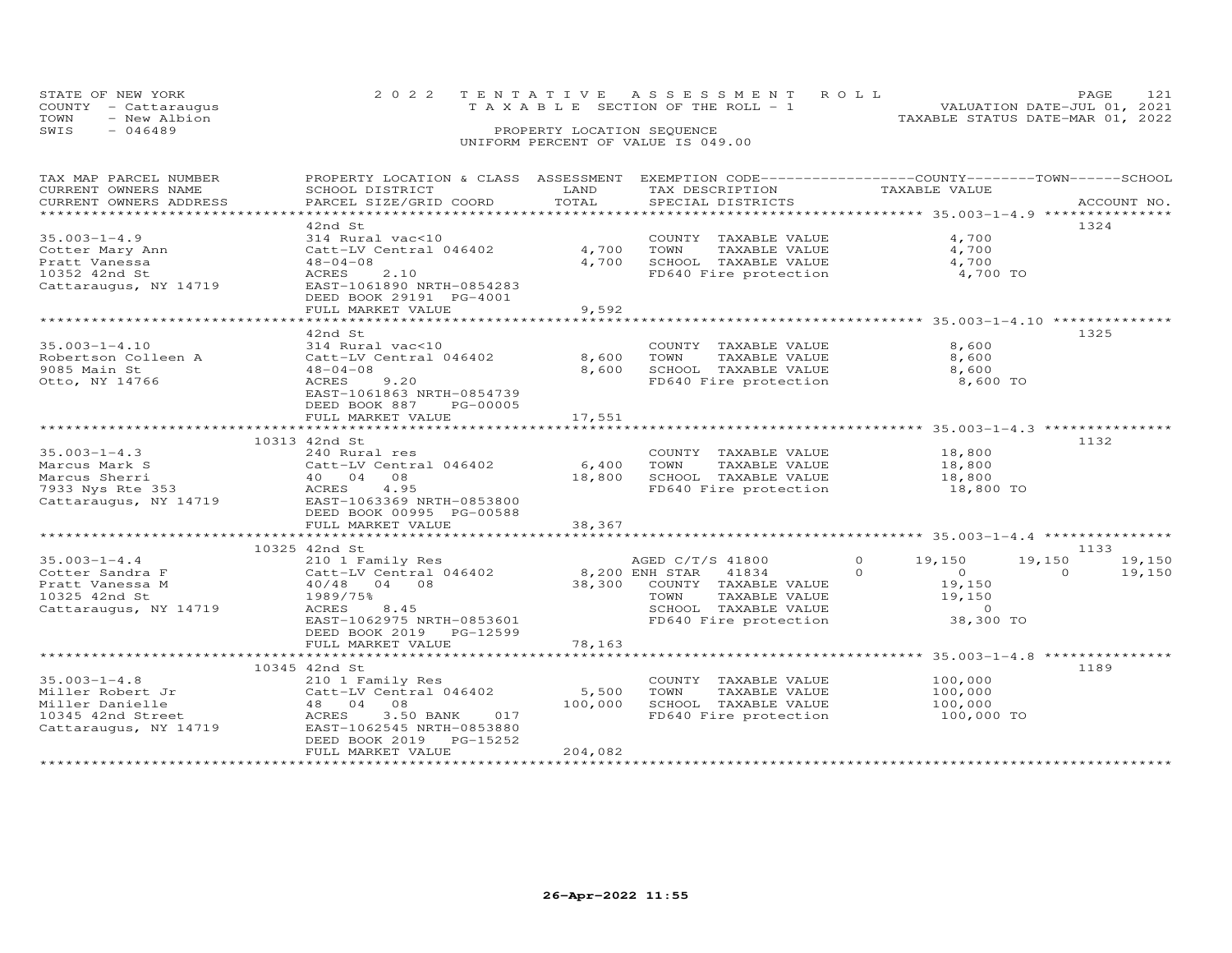|      | STATE OF NEW YORK    | 2022 TENTATIVE ASSESSMENT ROLL        |                            |  |                                  | PAGE.                       |  |
|------|----------------------|---------------------------------------|----------------------------|--|----------------------------------|-----------------------------|--|
|      | COUNTY - Cattaraugus | T A X A B L E SECTION OF THE ROLL - 1 |                            |  |                                  | VALUATION DATE-JUL 01, 2021 |  |
| TOWN | - New Albion         |                                       |                            |  | TAXABLE STATUS DATE-MAR 01, 2022 |                             |  |
| SWIS | $-046489$            |                                       | PROPERTY LOCATION SEQUENCE |  |                                  |                             |  |
|      |                      | UNIFORM PERCENT OF VALUE IS 049.00    |                            |  |                                  |                             |  |

## TAX MAP PARCEL NUMBER PROPERTY LOCATION & CLASS ASSESSMENT EXEMPTION CODE------------------COUNTY--------TOWN------SCHOOL CURRENT OWNERS NAME SCHOOL DISTRICT LAND TAX DESCRIPTION TAXABLE VALUE CURRENT OWNERS ADDRESS PARCEL SIZE/GRID COORD TOTAL SPECIAL DISTRICTS ACCOUNT NO. \*\*\*\*\*\*\*\*\*\*\*\*\*\*\*\*\*\*\*\*\*\*\*\*\*\*\*\*\*\*\*\*\*\*\*\*\*\*\*\*\*\*\*\*\*\*\*\*\*\*\*\*\*\*\*\*\*\*\*\*\*\*\*\*\*\*\*\*\*\*\*\*\*\*\*\*\*\*\*\*\*\*\*\*\*\*\*\*\*\*\*\*\*\*\*\*\*\*\*\*\*\*\* 35.003-1-4.9 \*\*\*\*\*\*\*\*\*\*\*\*\*\*\* 42nd St 132435.003-1-4.9 314 Rural vac<10 COUNTY TAXABLE VALUE 4,700Cotter Mary Ann Catt-LV Central 046402 4,700 TOWN TAXABLE VALUE 4,700Pratt Vanessa 48-04-08 4,700 SCHOOL TAXABLE VALUE 4,70010352 42nd St ACRES 2.10 FD640 Fire protection 4,700 TOCattaraugus, NY 14719 EAST-1061890 NRTH-0854283 DEED BOOK 29191 PG-4001 FULL MARKET VALUE 9,5924,700 4,700 4,700 TO \*\*\*\*\*\*\*\*\*\*\*\*\*\*\*\*\*\*\*\*\*\*\*\*\*\*\*\*\*\*\*\*\*\*\*\*\*\*\*\*\*\*\*\*\*\*\*\*\*\*\*\*\*\*\*\*\*\*\*\*\*\*\*\*\*\*\*\*\*\*\*\*\*\*\*\*\*\*\*\*\*\*\*\*\*\*\*\*\*\*\*\*\*\*\*\*\*\*\*\*\*\*\* 35.003-1-4.10 \*\*\*\*\*\*\*\*\*\*\*\*\*\* 42nd St 132535.003-1-4.10 314 Rural vac<10 COUNTY TAXABLE VALUE 8,600 Robertson Colleen A Catt-LV Central 046402 8,600 TOWN TAXABLE VALUE 8,600 9085 Main St 48-04-08 8,600 SCHOOL TAXABLE VALUE 8,600 Otto, NY 14766 ACRES 9.20 FD640 Fire protection 8,600 TO EAST-1061863 NRTH-0854739 DEED BOOK 887 PG-00005 FULL MARKET VALUE 17,551 \*\*\*\*\*\*\*\*\*\*\*\*\*\*\*\*\*\*\*\*\*\*\*\*\*\*\*\*\*\*\*\*\*\*\*\*\*\*\*\*\*\*\*\*\*\*\*\*\*\*\*\*\*\*\*\*\*\*\*\*\*\*\*\*\*\*\*\*\*\*\*\*\*\*\*\*\*\*\*\*\*\*\*\*\*\*\*\*\*\*\*\*\*\*\*\*\*\*\*\*\*\*\* 35.003-1-4.3 \*\*\*\*\*\*\*\*\*\*\*\*\*\*\* 10313 42nd St 113235.003-1-4.3 240 Rural res COUNTY TAXABLE VALUE 18,800 Marcus Mark S Catt-LV Central 046402 6,400 TOWN TAXABLE VALUE 18,800 Marcus Sherri 40 04 08 18,800 SCHOOL TAXABLE VALUE 18,800 7933 Nys Rte 353 ACRES 4.95 FD640 Fire protection 18,800 TOCattaraugus, NY 14719 EAST-1063369 NRTH-0853800 DEED BOOK 00995 PG-00588 FULL MARKET VALUE 38,367 \*\*\*\*\*\*\*\*\*\*\*\*\*\*\*\*\*\*\*\*\*\*\*\*\*\*\*\*\*\*\*\*\*\*\*\*\*\*\*\*\*\*\*\*\*\*\*\*\*\*\*\*\*\*\*\*\*\*\*\*\*\*\*\*\*\*\*\*\*\*\*\*\*\*\*\*\*\*\*\*\*\*\*\*\*\*\*\*\*\*\*\*\*\*\*\*\*\*\*\*\*\*\* 35.003-1-4.4 \*\*\*\*\*\*\*\*\*\*\*\*\*\*\* 10325 42nd St 1133 35.003-1-4.4 210 1 Family Res AGED C/T/S 41800 0 19,150 19,150 19,150 Cotter Sandra F Catt-LV Central 046402 8,200 ENH STAR 41834 0 0 0 19,150 Pratt Vanessa M 40/48 04 08 38,300 COUNTY TAXABLE VALUE 19,150 10325 42nd St 1989/75% TOWN TAXABLE VALUE 19,150 Cattaraugus, NY 14719 ACRES 8.45 SCHOOL TAXABLE VALUE 0 EAST-1062975 NRTH-0853601 FD640 Fire protection 38,300 TO DEED BOOK 2019 PG-12599 FULL MARKET VALUE 78,163 \*\*\*\*\*\*\*\*\*\*\*\*\*\*\*\*\*\*\*\*\*\*\*\*\*\*\*\*\*\*\*\*\*\*\*\*\*\*\*\*\*\*\*\*\*\*\*\*\*\*\*\*\*\*\*\*\*\*\*\*\*\*\*\*\*\*\*\*\*\*\*\*\*\*\*\*\*\*\*\*\*\*\*\*\*\*\*\*\*\*\*\*\*\*\*\*\*\*\*\*\*\*\* 35.003-1-4.8 \*\*\*\*\*\*\*\*\*\*\*\*\*\*\* 10345 42nd St 118935.003-1-4.8 210 1 Family Res COUNTY TAXABLE VALUE 100,000 Miller Robert Jr Catt-LV Central 046402 5,500 TOWN TAXABLE VALUE 100,000 Miller Danielle 48 04 08 100,000 SCHOOL TAXABLE VALUE 100,000 10345 42nd Street ACRES 3.50 BANK 017 FD640 Fire protection 100,000 TO Cattaraugus, NY 14719 EAST-1062545 NRTH-0853880 DEED BOOK 2019 PG-15252FULL MARKET VALUE 204,082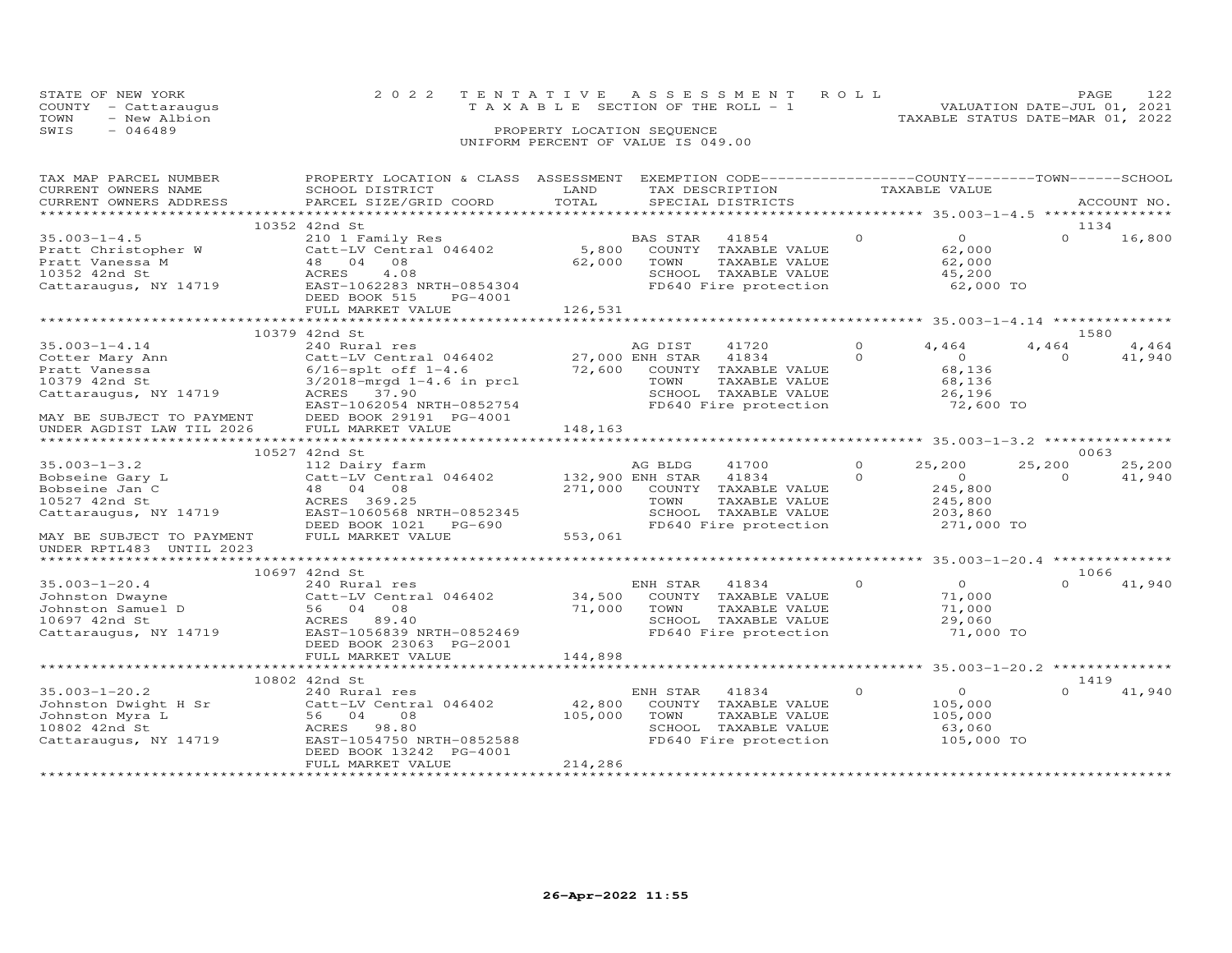| STATE OF NEW YORK    |              | 2022 TENTATIVE ASSESSMENT ROLL           |                            |  |                                  | PAGE.                       |  |
|----------------------|--------------|------------------------------------------|----------------------------|--|----------------------------------|-----------------------------|--|
| COUNTY - Cattaraugus |              | $T A X A B L E$ SECTION OF THE ROLL $-1$ |                            |  |                                  | VALUATION DATE-JUL 01, 2021 |  |
| TOWN                 | - New Albion |                                          |                            |  | TAXABLE STATUS DATE-MAR 01, 2022 |                             |  |
| SWIS<br>- 046489     |              |                                          | PROPERTY LOCATION SEQUENCE |  |                                  |                             |  |
|                      |              | UNIFORM PERCENT OF VALUE IS 049.00       |                            |  |                                  |                             |  |

| TAX MAP PARCEL NUMBER                         | PROPERTY LOCATION & CLASS ASSESSMENT      |                       |                  | EXEMPTION CODE-----------------COUNTY-------TOWN-----SCHOOL |          | TAXABLE VALUE                                   |          |             |
|-----------------------------------------------|-------------------------------------------|-----------------------|------------------|-------------------------------------------------------------|----------|-------------------------------------------------|----------|-------------|
| CURRENT OWNERS NAME<br>CURRENT OWNERS ADDRESS | SCHOOL DISTRICT<br>PARCEL SIZE/GRID COORD | LAND<br>TOTAL         |                  | TAX DESCRIPTION<br>SPECIAL DISTRICTS                        |          |                                                 |          | ACCOUNT NO. |
|                                               |                                           | ********************* |                  | ********************** 35.003-1-4.5 ****************        |          |                                                 |          |             |
|                                               | 10352 42nd St                             |                       |                  |                                                             |          |                                                 | 1134     |             |
| $35.003 - 1 - 4.5$                            | 210 1 Family Res                          |                       | BAS STAR         | 41854                                                       | $\Omega$ | $\Omega$                                        | $\Omega$ | 16,800      |
| Pratt Christopher W                           | Catt-LV Central 046402                    | 5,800                 |                  | COUNTY TAXABLE VALUE                                        |          | 62,000                                          |          |             |
| Pratt Vanessa M                               | 48 04<br>08                               | 62,000                | TOWN             | TAXABLE VALUE                                               |          | 62,000                                          |          |             |
| 10352 42nd St                                 | ACRES<br>4.08                             |                       |                  | SCHOOL TAXABLE VALUE                                        |          | 45,200                                          |          |             |
| Cattaraugus, NY 14719                         | EAST-1062283 NRTH-0854304                 |                       |                  | FD640 Fire protection                                       |          | 62,000 TO                                       |          |             |
|                                               | DEED BOOK 515<br>PG-4001                  |                       |                  |                                                             |          |                                                 |          |             |
|                                               | FULL MARKET VALUE                         | 126,531               |                  |                                                             |          |                                                 |          |             |
|                                               | ***********************                   |                       |                  |                                                             |          |                                                 |          |             |
|                                               | 10379 42nd St                             |                       |                  |                                                             |          |                                                 | 1580     |             |
| $35.003 - 1 - 4.14$                           | 240 Rural res                             |                       | AG DIST          | 41720                                                       | $\Omega$ | 4,464                                           | 4,464    | 4,464       |
| Cotter Mary Ann                               | Catt-LV Central 046402                    |                       | 27,000 ENH STAR  | 41834                                                       | $\Omega$ | $\Omega$                                        | $\Omega$ | 41,940      |
| Pratt Vanessa                                 | $6/16$ -splt off $1-4.6$                  | 72,600                | COUNTY           | TAXABLE VALUE                                               |          | 68,136                                          |          |             |
| 10379 42nd St                                 | $3/2018 - mrgd 1 - 4.6$ in prcl           |                       | TOWN             | TAXABLE VALUE                                               |          | 68,136                                          |          |             |
| Cattaraugus, NY 14719                         | 37.90<br>ACRES                            |                       |                  | SCHOOL TAXABLE VALUE                                        |          | 26,196                                          |          |             |
|                                               | EAST-1062054 NRTH-0852754                 |                       |                  | FD640 Fire protection                                       |          | 72,600 TO                                       |          |             |
| MAY BE SUBJECT TO PAYMENT                     | DEED BOOK 29191 PG-4001                   |                       |                  |                                                             |          |                                                 |          |             |
| UNDER AGDIST LAW TIL 2026                     | FULL MARKET VALUE                         | 148,163               |                  |                                                             |          |                                                 |          |             |
|                                               |                                           |                       |                  |                                                             |          |                                                 |          |             |
|                                               | 10527 42nd St                             |                       |                  |                                                             |          |                                                 | 0063     |             |
| $35.003 - 1 - 3.2$                            | 112 Dairy farm                            |                       | AG BLDG          | 41700                                                       | $\Omega$ | 25,200                                          | 25,200   | 25,200      |
| Bobseine Gary L                               | Catt-LV Central 046402                    |                       | 132,900 ENH STAR | 41834                                                       | $\Omega$ | $\overline{O}$                                  | $\Omega$ | 41,940      |
| Bobseine Jan C                                | 48 04 08                                  | 271,000               |                  | COUNTY TAXABLE VALUE                                        |          | 245,800                                         |          |             |
| 10527 42nd St                                 | ACRES 369.25                              |                       | TOWN             | TAXABLE VALUE                                               |          | 245,800                                         |          |             |
| Cattaraugus, NY 14719                         | EAST-1060568 NRTH-0852345                 |                       |                  | SCHOOL TAXABLE VALUE                                        |          | 203,860                                         |          |             |
|                                               | DEED BOOK 1021<br>PG-690                  |                       |                  | FD640 Fire protection                                       |          | 271,000 TO                                      |          |             |
| MAY BE SUBJECT TO PAYMENT                     | FULL MARKET VALUE                         | 553,061               |                  |                                                             |          |                                                 |          |             |
| UNDER RPTL483 UNTIL 2023                      |                                           |                       |                  |                                                             |          |                                                 |          |             |
|                                               |                                           |                       |                  |                                                             |          |                                                 |          |             |
|                                               | 10697 42nd St                             |                       |                  |                                                             |          |                                                 | 1066     |             |
| $35.003 - 1 - 20.4$                           | 240 Rural res                             |                       | ENH STAR         | 41834                                                       | $\Omega$ | $\Omega$                                        | $\Omega$ | 41,940      |
| Johnston Dwayne                               | Catt-LV Central 046402                    | 34,500                |                  | COUNTY TAXABLE VALUE                                        |          | 71,000                                          |          |             |
| Johnston Samuel D                             | 56 04<br>08                               | 71,000                | TOWN             | TAXABLE VALUE                                               |          | 71,000                                          |          |             |
| 10697 42nd St                                 | ACRES<br>89.40                            |                       |                  | SCHOOL TAXABLE VALUE                                        |          | 29,060                                          |          |             |
| Cattaraugus, NY 14719                         | EAST-1056839 NRTH-0852469                 |                       |                  | FD640 Fire protection                                       |          | 71,000 TO                                       |          |             |
|                                               | DEED BOOK 23063 PG-2001                   |                       |                  |                                                             |          |                                                 |          |             |
|                                               | FULL MARKET VALUE                         | 144,898               |                  |                                                             |          |                                                 |          |             |
|                                               | **********************                    | * * * * * * * * * * * |                  |                                                             |          | ****************** 35.003-1-20.2 ************** |          |             |
|                                               | 10802 42nd St                             |                       |                  |                                                             |          |                                                 | 1419     |             |
| $35.003 - 1 - 20.2$                           | 240 Rural res                             |                       | ENH STAR         | 41834                                                       | $\Omega$ | $\Omega$                                        | $\Omega$ | 41,940      |
| Johnston Dwight H Sr                          | Catt-LV Central 046402                    | 42,800                |                  | COUNTY TAXABLE VALUE                                        |          | 105,000                                         |          |             |
| Johnston Myra L                               | 56 04<br>08                               | 105,000               | TOWN             | TAXABLE VALUE                                               |          | 105,000                                         |          |             |
| 10802 42nd St                                 | ACRES<br>98.80                            |                       |                  | SCHOOL TAXABLE VALUE                                        |          | 63,060                                          |          |             |
| Cattaraugus, NY 14719                         | EAST-1054750 NRTH-0852588                 |                       |                  | FD640 Fire protection                                       |          | 105,000 TO                                      |          |             |
|                                               | DEED BOOK 13242 PG-4001                   |                       |                  |                                                             |          |                                                 |          |             |
|                                               | FULL MARKET VALUE                         | 214,286               |                  |                                                             |          |                                                 |          |             |
|                                               |                                           |                       |                  |                                                             |          |                                                 |          |             |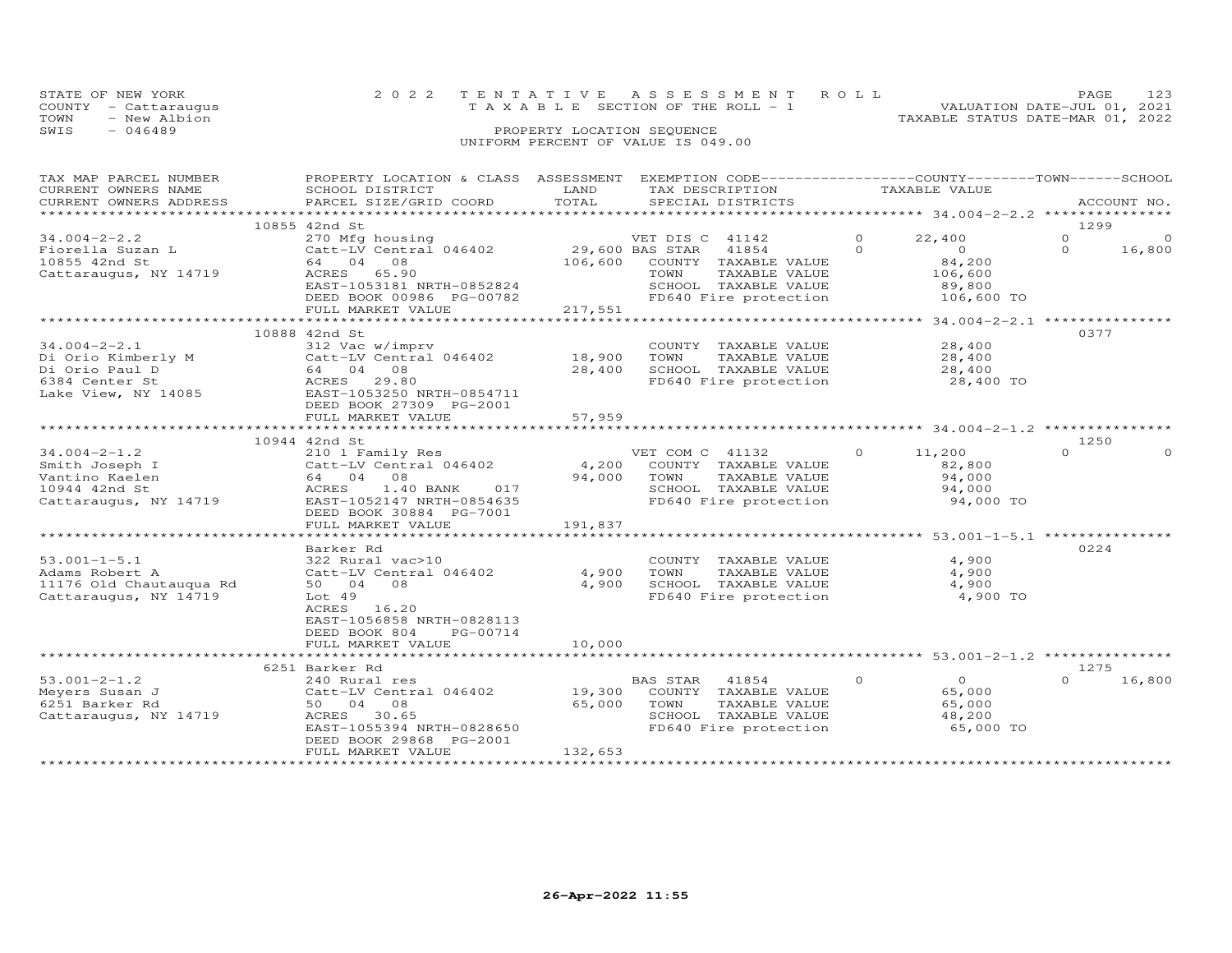| STATE OF NEW YORK    | 2022 TENTATIVE ASSESSMENT ROLL        | <b>PAGE</b>                      |
|----------------------|---------------------------------------|----------------------------------|
| COUNTY - Cattaraugus | T A X A B L E SECTION OF THE ROLL - 1 | VALUATION DATE-JUL 01, 2021      |
| TOWN<br>- New Albion |                                       | TAXABLE STATUS DATE-MAR 01, 2022 |
| SWIS<br>$-046489$    | PROPERTY LOCATION SEQUENCE            |                                  |
|                      | UNIFORM PERCENT OF VALUE IS 049.00    |                                  |

| TAX MAP PARCEL NUMBER   | PROPERTY LOCATION & CLASS ASSESSMENT |                           | EXEMPTION CODE-----------------COUNTY-------TOWN-----SCHOOL |          |                                                       |          |             |
|-------------------------|--------------------------------------|---------------------------|-------------------------------------------------------------|----------|-------------------------------------------------------|----------|-------------|
| CURRENT OWNERS NAME     | SCHOOL DISTRICT                      | LAND                      | TAX DESCRIPTION                                             |          | TAXABLE VALUE                                         |          |             |
| CURRENT OWNERS ADDRESS  | PARCEL SIZE/GRID COORD               | TOTAL                     | SPECIAL DISTRICTS                                           |          |                                                       |          | ACCOUNT NO. |
| *********************** |                                      | ************************* |                                                             |          | ************************ 34.004-2-2.2 *************** |          |             |
|                         | 10855 42nd St                        |                           |                                                             |          |                                                       | 1299     |             |
| $34.004 - 2 - 2.2$      | 270 Mfg housing                      |                           | VET DIS C 41142                                             | $\Omega$ | 22,400                                                | $\Omega$ | $\Omega$    |
| Fiorella Suzan L        | Catt-LV Central 046402               | 29,600 BAS STAR           | 41854                                                       | $\Omega$ | $\overline{0}$                                        | $\Omega$ | 16,800      |
| 10855 42nd St           | 64 04<br>08                          | 106,600                   | COUNTY TAXABLE VALUE                                        |          | 84,200                                                |          |             |
| Cattaraugus, NY 14719   | 65.90<br>ACRES                       |                           | TOWN<br>TAXABLE VALUE                                       |          | 106,600                                               |          |             |
|                         | EAST-1053181 NRTH-0852824            |                           | SCHOOL TAXABLE VALUE                                        |          | 89,800                                                |          |             |
|                         | DEED BOOK 00986 PG-00782             |                           | FD640 Fire protection                                       |          | 106,600 TO                                            |          |             |
|                         | FULL MARKET VALUE                    | 217,551                   |                                                             |          |                                                       |          |             |
|                         |                                      | ******************        |                                                             |          | ***************** 34.004-2-2.1 ****************       |          |             |
|                         | 10888 42nd St                        |                           |                                                             |          |                                                       | 0377     |             |
| $34.004 - 2 - 2.1$      | 312 Vac w/imprv                      |                           | COUNTY TAXABLE VALUE                                        |          | 28,400                                                |          |             |
| Di Orio Kimberly M      | Catt-LV Central 046402               | 18,900                    | TAXABLE VALUE<br>TOWN                                       |          | 28,400                                                |          |             |
| Di Orio Paul D          | 64 04 08                             | 28,400                    | SCHOOL TAXABLE VALUE                                        |          | 28,400                                                |          |             |
| 6384 Center St          | ACRES<br>29.80                       |                           | FD640 Fire protection                                       |          | 28,400 TO                                             |          |             |
|                         | EAST-1053250 NRTH-0854711            |                           |                                                             |          |                                                       |          |             |
| Lake View, NY 14085     |                                      |                           |                                                             |          |                                                       |          |             |
|                         | DEED BOOK 27309 PG-2001              |                           |                                                             |          |                                                       |          |             |
|                         | FULL MARKET VALUE                    | 57,959                    |                                                             |          |                                                       |          |             |
|                         |                                      |                           |                                                             |          |                                                       |          |             |
|                         | 10944 42nd St                        |                           |                                                             |          |                                                       | 1250     |             |
| $34.004 - 2 - 1.2$      | 210 1 Family Res                     |                           | VET COM C 41132                                             | $\Omega$ | 11,200                                                | $\Omega$ |             |
| Smith Joseph I          | Catt-LV Central 046402               | 4,200                     | COUNTY TAXABLE VALUE                                        |          | 82,800                                                |          |             |
| Vantino Kaelen          | 64 04<br>08                          | 94,000                    | TAXABLE VALUE<br>TOWN                                       |          | 94,000                                                |          |             |
| 10944 42nd St           | ACRES<br>1.40 BANK<br>017            |                           | SCHOOL TAXABLE VALUE                                        |          | 94,000                                                |          |             |
| Cattaraugus, NY 14719   | EAST-1052147 NRTH-0854635            |                           | FD640 Fire protection                                       |          | 94,000 TO                                             |          |             |
|                         | DEED BOOK 30884 PG-7001              |                           |                                                             |          |                                                       |          |             |
|                         | FULL MARKET VALUE                    | 191,837                   |                                                             |          |                                                       |          |             |
|                         | ***************************          |                           |                                                             |          |                                                       |          |             |
|                         | Barker Rd                            |                           |                                                             |          |                                                       | 0224     |             |
| $53.001 - 1 - 5.1$      | 322 Rural vac>10                     |                           | COUNTY TAXABLE VALUE                                        |          | 4,900                                                 |          |             |
| Adams Robert A          | Catt-LV Central 046402               | 4,900                     | TOWN<br>TAXABLE VALUE                                       |          | 4,900                                                 |          |             |
| 11176 Old Chautauqua Rd | 50 04<br>08                          | 4,900                     | SCHOOL TAXABLE VALUE                                        |          | 4,900                                                 |          |             |
| Cattaraugus, NY 14719   | Lot <sub>49</sub>                    |                           | FD640 Fire protection                                       |          | 4,900 TO                                              |          |             |
|                         | ACRES<br>16.20                       |                           |                                                             |          |                                                       |          |             |
|                         | EAST-1056858 NRTH-0828113            |                           |                                                             |          |                                                       |          |             |
|                         |                                      |                           |                                                             |          |                                                       |          |             |
|                         | DEED BOOK 804<br>PG-00714            |                           |                                                             |          |                                                       |          |             |
|                         | FULL MARKET VALUE                    | 10,000                    |                                                             |          |                                                       |          |             |
|                         |                                      |                           |                                                             |          |                                                       |          |             |
|                         | 6251 Barker Rd                       |                           |                                                             |          |                                                       | 1275     |             |
| $53.001 - 2 - 1.2$      | 240 Rural res                        |                           | BAS STAR<br>41854                                           | $\Omega$ | $\overline{0}$                                        | $\Omega$ | 16,800      |
| Meyers Susan J          | Catt-LV Central 046402               | 19,300                    | COUNTY TAXABLE VALUE                                        |          | 65,000                                                |          |             |
| 6251 Barker Rd          | 50 04<br>08                          | 65,000                    | TOWN<br>TAXABLE VALUE                                       |          | 65,000                                                |          |             |
| Cattaraugus, NY 14719   | ACRES 30.65                          |                           | SCHOOL TAXABLE VALUE                                        |          | 48,200                                                |          |             |
|                         | EAST-1055394 NRTH-0828650            |                           | FD640 Fire protection                                       |          | 65,000 TO                                             |          |             |
|                         | DEED BOOK 29868 PG-2001              |                           |                                                             |          |                                                       |          |             |
|                         | FULL MARKET VALUE                    | 132,653                   |                                                             |          |                                                       |          |             |
|                         |                                      |                           |                                                             |          |                                                       |          |             |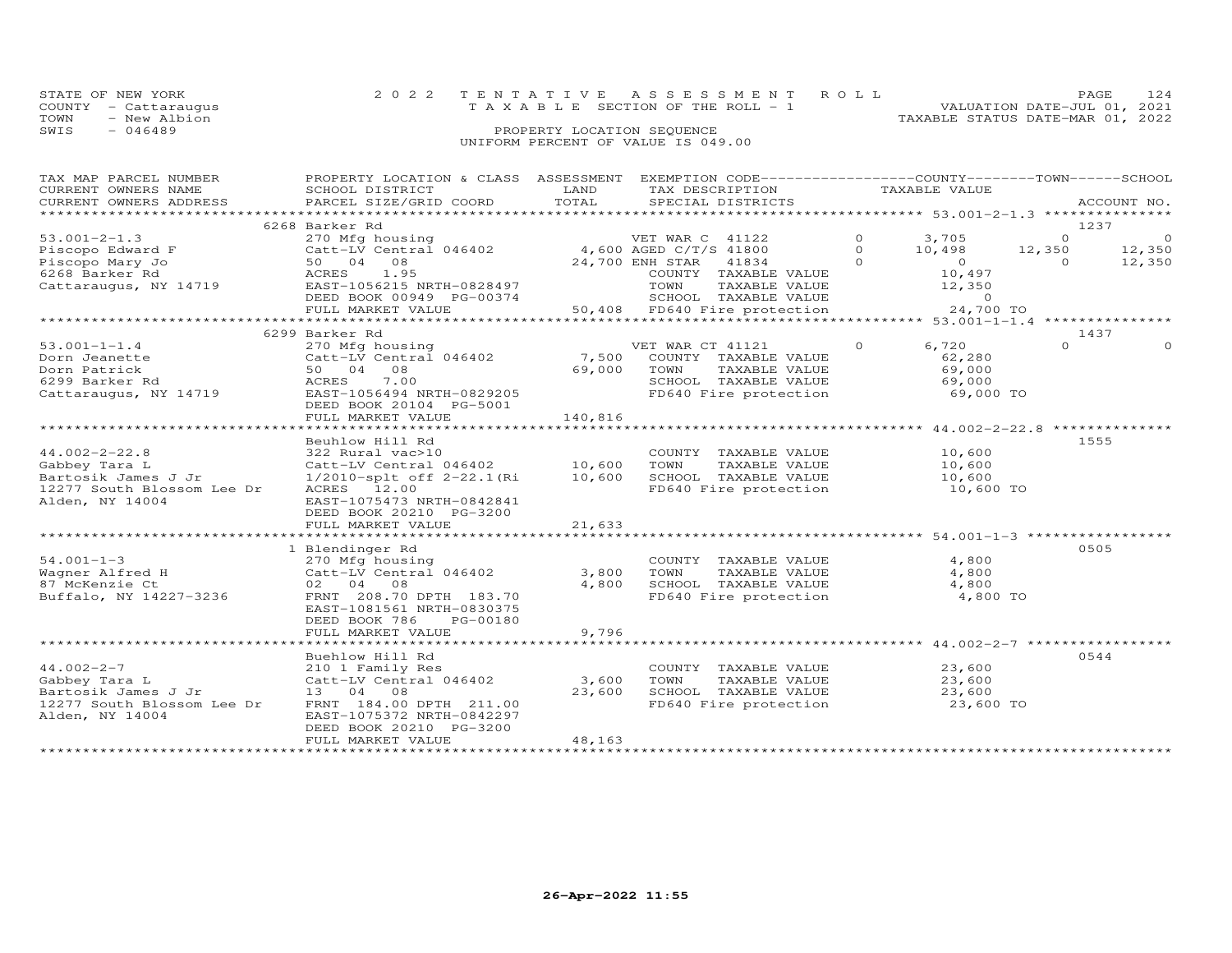|      | STATE OF NEW YORK    |  | 2022 TENTATIVE ASSESSMENT ROLL        |  |                                  | PAGE                        |  |
|------|----------------------|--|---------------------------------------|--|----------------------------------|-----------------------------|--|
|      | COUNTY - Cattaraugus |  | T A X A B L E SECTION OF THE ROLL - 1 |  |                                  | VALUATION DATE-JUL 01, 2021 |  |
| TOWN | - New Albion         |  |                                       |  | TAXABLE STATUS DATE-MAR 01, 2022 |                             |  |
| SWIS | $-046489$            |  | PROPERTY LOCATION SEQUENCE            |  |                                  |                             |  |
|      |                      |  | UNIFORM PERCENT OF VALUE IS 049.00    |  |                                  |                             |  |

| TAX MAP PARCEL NUMBER      | PROPERTY LOCATION & CLASS ASSESSMENT EXEMPTION CODE----------------COUNTY-------TOWN------SCHOOL |              |                                               |          |                   |                |                          |
|----------------------------|--------------------------------------------------------------------------------------------------|--------------|-----------------------------------------------|----------|-------------------|----------------|--------------------------|
| CURRENT OWNERS NAME        | SCHOOL DISTRICT                                                                                  | LAND         | TAX DESCRIPTION                               |          | TAXABLE VALUE     |                |                          |
| CURRENT OWNERS ADDRESS     | PARCEL SIZE/GRID COORD                                                                           | TOTAL        | SPECIAL DISTRICTS                             |          |                   |                | ACCOUNT NO.              |
|                            |                                                                                                  |              |                                               |          |                   |                |                          |
|                            | 6268 Barker Rd                                                                                   |              |                                               |          |                   |                | 1237                     |
| $53.001 - 2 - 1.3$         | 270 Mfg housing                                                                                  |              | VET WAR C 41122                               | $\circ$  | 3,705             | $\Omega$       | $\overline{\phantom{0}}$ |
| Piscopo Edward F           | 270 Mig nousing<br>Catt-LV Central 046402 4,600 AGED C/T/S 41800                                 |              |                                               | $\Omega$ | 10,498            | 12,350         | 12,350                   |
| Piscopo Mary Jo            | 50 04 08                                                                                         |              | 24,700 ENH STAR<br>41834                      | $\Omega$ | $\overline{O}$    | $\overline{0}$ | 12,350                   |
| 6268 Barker Rd             | ACRES 1.95                                                                                       |              | COUNTY TAXABLE VALUE                          |          | 10,497            |                |                          |
|                            |                                                                                                  |              | TOWN                                          |          |                   |                |                          |
| Cattaraugus, NY 14719      | EAST-1056215 NRTH-0828497<br>DEED BOOK 00949 PG-00374                                            |              | TAXABLE VALUE<br>SCHOOL TAXABLE VALUE         |          | 12,350<br>$\circ$ |                |                          |
|                            |                                                                                                  | in a shekara |                                               |          |                   |                |                          |
|                            | FULL MARKET VALUE                                                                                |              | 50,408 FD640 Fire protection                  |          | 24,700 TO         |                |                          |
|                            |                                                                                                  |              |                                               |          |                   |                |                          |
|                            | 6299 Barker Rd                                                                                   |              |                                               |          |                   |                | 1437                     |
| $53.001 - 1 - 1.4$         | 270 Mfg housing                                                                                  |              | VET WAR CT 41121                              | $\Omega$ | 6,720             | $\Omega$       | $\Omega$                 |
| Dorn Jeanette              | Catt-LV Central 046402                                                                           | 7,500        | COUNTY TAXABLE VALUE                          |          | 62,280            |                |                          |
| Dorn Patrick               | 50 04 08                                                                                         | 69,000       | TAXABLE VALUE<br>TOWN                         |          | 69,000            |                |                          |
| 6299 Barker Rd             | ACRES 7.00                                                                                       |              | IOWN IAXABLE VALUE<br>SCHOOL TAXABLE VALUE    |          | 69,000            |                |                          |
| Cattaraugus, NY 14719      | EAST-1056494 NRTH-0829205                                                                        |              | FD640 Fire protection 69,000 TO               |          |                   |                |                          |
|                            | DEED BOOK 20104 PG-5001                                                                          |              |                                               |          |                   |                |                          |
|                            | FULL MARKET VALUE                                                                                | 140,816      |                                               |          |                   |                |                          |
|                            |                                                                                                  |              |                                               |          |                   |                |                          |
|                            | Beuhlow Hill Rd                                                                                  |              |                                               |          |                   |                | 1555                     |
| $44.002 - 2 - 22.8$        | 322 Rural vac>10                                                                                 |              | COUNTY TAXABLE VALUE                          |          | 10,600            |                |                          |
| Gabbey Tara L              | Catt-LV Central 046402 10,600                                                                    |              | TOWN<br>TAXABLE VALUE                         |          | 10,600            |                |                          |
| Bartosik James J Jr        | 1/2010-splt off 2-22.1(Ri                                                                        | 10,600       |                                               |          | 10,600            |                |                          |
| 12277 South Blossom Lee Dr | ACRES 12.00                                                                                      |              | SCHOOL TAXABLE VALUE<br>FD640 Fire protection |          | 10,600 TO         |                |                          |
|                            |                                                                                                  |              |                                               |          |                   |                |                          |
| Alden, NY 14004            | EAST-1075473 NRTH-0842841                                                                        |              |                                               |          |                   |                |                          |
|                            | DEED BOOK 20210 PG-3200                                                                          |              |                                               |          |                   |                |                          |
|                            | FULL MARKET VALUE                                                                                | 21,633       |                                               |          |                   |                |                          |
|                            |                                                                                                  |              |                                               |          |                   |                |                          |
|                            | 1 Blendinger Rd                                                                                  |              |                                               |          |                   |                | 0505                     |
| $54.001 - 1 - 3$           | 270 Mfg housing                                                                                  |              | COUNTY TAXABLE VALUE                          |          | 4,800             |                |                          |
| Wagner Alfred H            | Catt-LV Central 046402                                                                           | 3,800        | TOWN<br>TAXABLE VALUE                         |          | 4,800             |                |                          |
| 87 McKenzie Ct             | 02 04 08                                                                                         | 4,800        | SCHOOL TAXABLE VALUE<br>FD640 Fire protection |          | 4,800             |                |                          |
| Buffalo, NY 14227-3236     | FRNT 208.70 DPTH 183.70                                                                          |              |                                               |          | 4,800 TO          |                |                          |
|                            | EAST-1081561 NRTH-0830375                                                                        |              |                                               |          |                   |                |                          |
|                            | DEED BOOK 786<br>PG-00180                                                                        |              |                                               |          |                   |                |                          |
|                            | FULL MARKET VALUE                                                                                | 9,796        |                                               |          |                   |                |                          |
|                            |                                                                                                  |              |                                               |          |                   |                |                          |
|                            | Buehlow Hill Rd                                                                                  |              |                                               |          |                   |                | 0544                     |
| $44.002 - 2 - 7$           | 210 1 Family Res                                                                                 |              | COUNTY TAXABLE VALUE                          |          | 23,600            |                |                          |
| Gabbey Tara L              | Catt-LV Central 046402                                                                           | 3,600        | TOWN<br>TAXABLE VALUE                         |          | 23,600            |                |                          |
| Bartosik James J Jr        | 13 04 08                                                                                         | 23,600       | SCHOOL TAXABLE VALUE                          |          | 23,600            |                |                          |
| 12277 South Blossom Lee Dr | FRNT 184.00 DPTH 211.00                                                                          |              | FD640 Fire protection 23,600 TO               |          |                   |                |                          |
| Alden, NY 14004            | EAST-1075372 NRTH-0842297                                                                        |              |                                               |          |                   |                |                          |
|                            | DEED BOOK 20210 PG-3200                                                                          |              |                                               |          |                   |                |                          |
|                            | FULL MARKET VALUE                                                                                | 48,163       |                                               |          |                   |                |                          |
|                            |                                                                                                  |              |                                               |          |                   |                |                          |
|                            |                                                                                                  |              |                                               |          |                   |                |                          |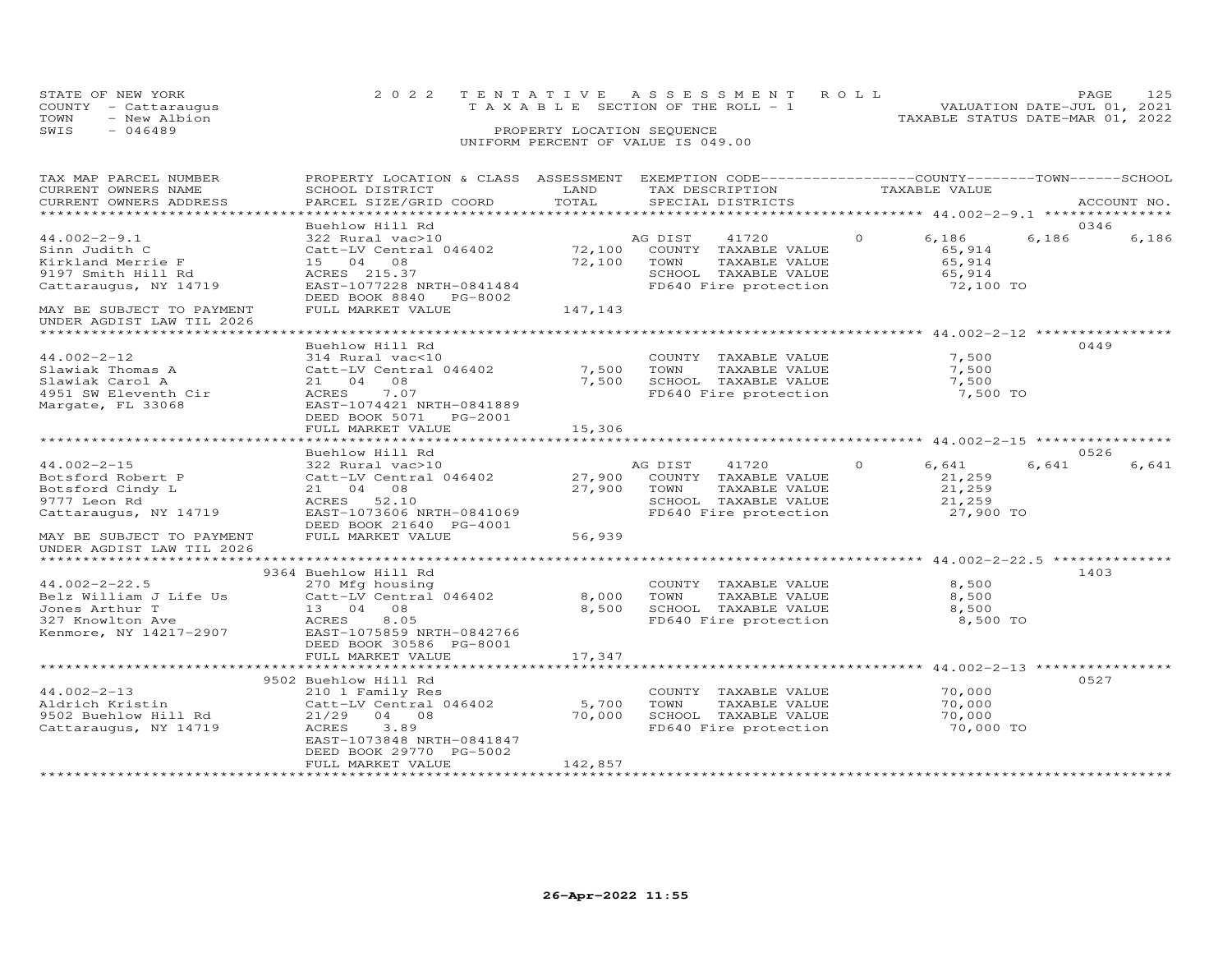| STATE OF NEW YORK<br>COUNTY - Cattaraugus | 2022 TENTATIVE ASSESSMENT ROLL<br>T A X A B L E SECTION OF THE ROLL - 1 | <b>PAGE</b><br>VALUATION DATE-JUL 01, 2021 | 125 |
|-------------------------------------------|-------------------------------------------------------------------------|--------------------------------------------|-----|
| - New Albion<br>TOWN                      |                                                                         | TAXABLE STATUS DATE-MAR 01, 2022           |     |
| $-046489$<br>SWIS                         | PROPERTY LOCATION SEOUENCE                                              |                                            |     |
|                                           | UNIFORM PERCENT OF VALUE IS 049.00                                      |                                            |     |

| TAX MAP PARCEL NUMBER                                  | PROPERTY LOCATION & CLASS ASSESSMENT EXEMPTION CODE----------------COUNTY-------TOWN-----SCHOOL |         |                                                              |                   |                |
|--------------------------------------------------------|-------------------------------------------------------------------------------------------------|---------|--------------------------------------------------------------|-------------------|----------------|
| CURRENT OWNERS NAME                                    | SCHOOL DISTRICT                                                                                 | LAND    | TAX DESCRIPTION                                              | TAXABLE VALUE     |                |
| CURRENT OWNERS ADDRESS                                 | PARCEL SIZE/GRID COORD                                                                          | TOTAL   | SPECIAL DISTRICTS                                            |                   | ACCOUNT NO.    |
|                                                        |                                                                                                 |         |                                                              |                   |                |
|                                                        | Buehlow Hill Rd                                                                                 |         |                                                              |                   | 0346           |
| $44.002 - 2 - 9.1$                                     | 322 Rural vac>10                                                                                |         | AG DIST<br>41720                                             | $\Omega$<br>6,186 | 6,186<br>6,186 |
| Sinn Judith C                                          | Catt-LV Central 046402                                                                          | 72,100  | COUNTY TAXABLE VALUE                                         | 65,914            |                |
| Kirkland Merrie F                                      | 15 04 08                                                                                        | 72,100  | TOWN<br>TAXABLE VALUE                                        | 65,914            |                |
| 9197 Smith Hill Rd                                     | ACRES 215.37                                                                                    |         | SCHOOL TAXABLE VALUE                                         | 65,914            |                |
| Cattaraugus, NY 14719                                  | EAST-1077228 NRTH-0841484                                                                       |         | FD640 Fire protection                                        | 72,100 TO         |                |
|                                                        | DEED BOOK 8840 PG-8002                                                                          |         |                                                              |                   |                |
| MAY BE SUBJECT TO PAYMENT<br>UNDER AGDIST LAW TIL 2026 | FULL MARKET VALUE                                                                               | 147,143 |                                                              |                   |                |
|                                                        |                                                                                                 |         |                                                              |                   |                |
|                                                        | Buehlow Hill Rd                                                                                 |         |                                                              |                   | 0449           |
| $44.002 - 2 - 12$                                      | 314 Rural vac<10                                                                                |         | COUNTY TAXABLE VALUE                                         | 7,500             |                |
| Slawiak Thomas A                                       | Catt-LV Central 046402                                                                          | 7,500   | TOWN<br>TAXABLE VALUE                                        | 7,500             |                |
| Slawiak Carol A                                        | 21 04 08                                                                                        | 7,500   |                                                              |                   |                |
| 4951 SW Eleventh Cir                                   | ACRES<br>7.07                                                                                   |         | SCHOOL TAXABLE VALUE 7,500<br>FD640 Fire protection 7,500 TO |                   |                |
| Margate, FL 33068                                      | EAST-1074421 NRTH-0841889                                                                       |         |                                                              |                   |                |
|                                                        | DEED BOOK 5071 PG-2001                                                                          |         |                                                              |                   |                |
|                                                        | FULL MARKET VALUE                                                                               | 15,306  |                                                              |                   |                |
|                                                        |                                                                                                 |         |                                                              |                   |                |
|                                                        | Buehlow Hill Rd                                                                                 |         |                                                              |                   | 0526           |
| $44.002 - 2 - 15$                                      | 322 Rural vac>10                                                                                |         | AG DIST 41720                                                | $\circ$<br>6,641  | 6,641<br>6,641 |
| Botsford Robert P                                      | Catt-LV Central 046402                                                                          | 27,900  | COUNTY TAXABLE VALUE                                         | 21,259            |                |
| Botsford Cindy L                                       | 21 04 08                                                                                        | 27,900  | TOWN<br>TAXABLE VALUE                                        | 21,259            |                |
| 9777 Leon Rd                                           | ACRES 52.10                                                                                     |         | SCHOOL TAXABLE VALUE                                         | 21,259            |                |
| Cattaraugus, NY 14719                                  | EAST-1073606 NRTH-0841069                                                                       |         | FD640 Fire protection                                        | 27,900 TO         |                |
|                                                        | DEED BOOK 21640 PG-4001                                                                         |         |                                                              |                   |                |
| MAY BE SUBJECT TO PAYMENT                              | FULL MARKET VALUE                                                                               | 56,939  |                                                              |                   |                |
| UNDER AGDIST LAW TIL 2026                              |                                                                                                 |         |                                                              |                   |                |
|                                                        |                                                                                                 |         |                                                              |                   |                |
|                                                        | 9364 Buehlow Hill Rd                                                                            |         |                                                              |                   | 1403           |
| $44.002 - 2 - 22.5$                                    | 270 Mfg housing                                                                                 |         | COUNTY TAXABLE VALUE                                         | 8,500             |                |
|                                                        | Belz William J Life Us Catt-LV Central 046402                                                   | 8,000   | TOWN<br>TAXABLE VALUE                                        | 8,500             |                |
| Jones Arthur T                                         | 13 04 08                                                                                        | 8,500   | SCHOOL TAXABLE VALUE                                         | 8,500             |                |
| 327 Knowlton Ave                                       | ACRES<br>8.05                                                                                   |         | FD640 Fire protection                                        | 8,500 TO          |                |
| Kenmore, NY 14217-2907                                 | EAST-1075859 NRTH-0842766                                                                       |         |                                                              |                   |                |
|                                                        | DEED BOOK 30586 PG-8001                                                                         |         |                                                              |                   |                |
|                                                        | FULL MARKET VALUE                                                                               | 17,347  |                                                              |                   |                |
|                                                        |                                                                                                 |         |                                                              |                   |                |
|                                                        | 9502 Buehlow Hill Rd                                                                            |         |                                                              |                   | 0527           |
| $44.002 - 2 - 13$                                      | 210 1 Family Res                                                                                |         | COUNTY TAXABLE VALUE                                         | 70,000            |                |
| Aldrich Kristin                                        | Catt-LV Central 046402                                                                          | 5,700   | TOWN<br>TAXABLE VALUE                                        | 70,000            |                |
| 9502 Buehlow Hill Rd                                   | $21/29$ 04 08                                                                                   | 70,000  |                                                              | 70,000            |                |
| Cattaraugus, NY 14719                                  | 3.89<br>ACRES                                                                                   |         | SCHOOL TAXABLE VALUE<br>FD640 Fire protection                | 70,000 TO         |                |
|                                                        | EAST-1073848 NRTH-0841847                                                                       |         |                                                              |                   |                |
|                                                        | DEED BOOK 29770 PG-5002                                                                         |         |                                                              |                   |                |
|                                                        | FULL MARKET VALUE                                                                               | 142,857 |                                                              |                   |                |
|                                                        |                                                                                                 |         |                                                              |                   |                |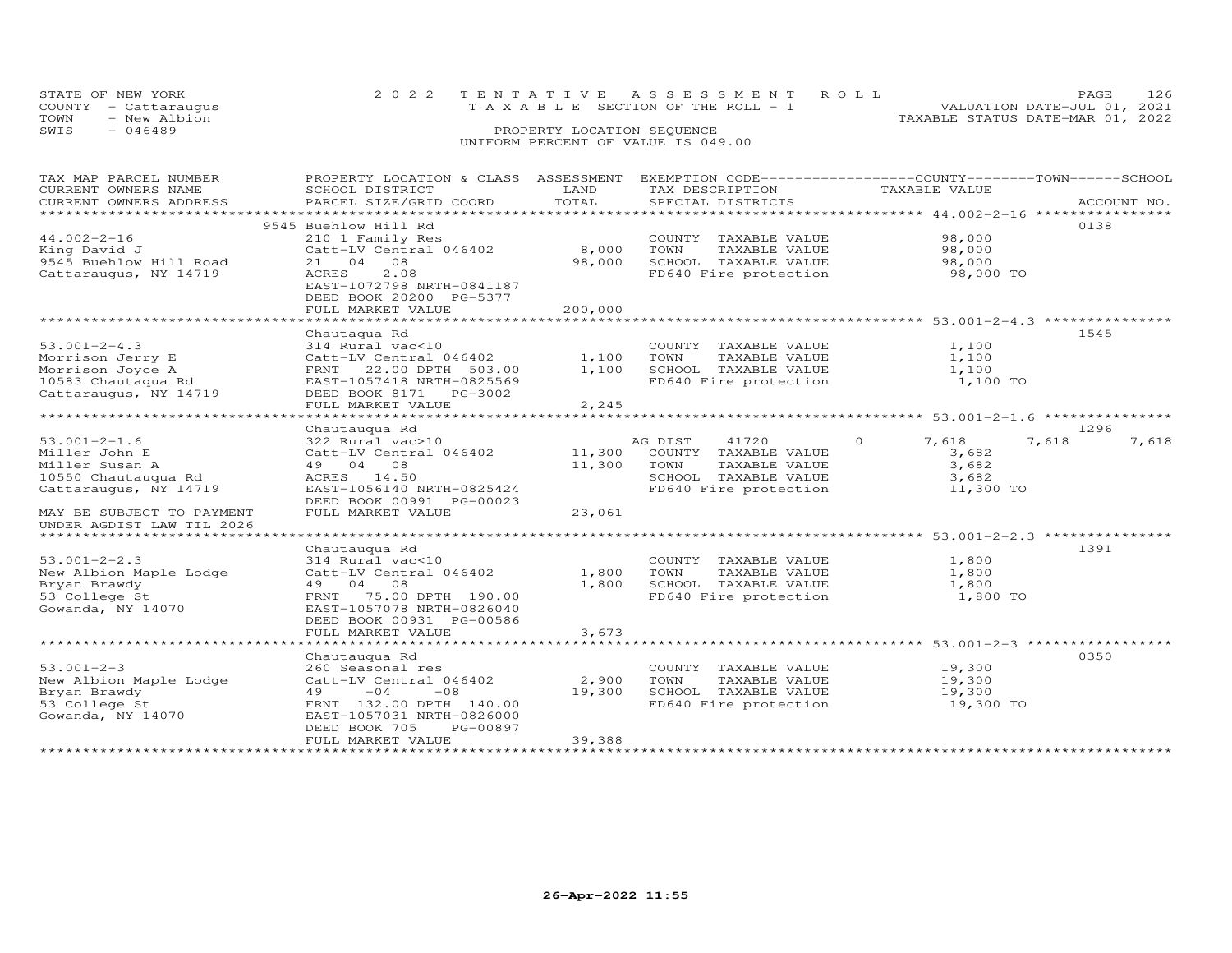| STATE OF NEW YORK    | 2022 TENTATIVE ASSESSMENT ROLL     | 126<br>PAGE.                     |
|----------------------|------------------------------------|----------------------------------|
| COUNTY - Cattaraugus | TAXABLE SECTION OF THE ROLL - 1    | VALUATION DATE-JUL 01, 2021      |
| TOWN - New Albion    |                                    | TAXABLE STATUS DATE-MAR 01, 2022 |
| SWIS<br>$-046489$    | PROPERTY LOCATION SEOUENCE         |                                  |
|                      | UNIFORM PERCENT OF VALUE IS 049.00 |                                  |
|                      |                                    |                                  |

| TAX MAP PARCEL NUMBER<br>CURRENT OWNERS NAME<br>CURRENT OWNERS ADDRESS                                                                                          | PROPERTY LOCATION & CLASS ASSESSMENT<br>SCHOOL DISTRICT<br>PARCEL SIZE/GRID COORD                                                                                                             | LAND<br>TOTAL                                 | EXEMPTION CODE-----------------COUNTY-------TOWN------SCHOOL<br>TAX DESCRIPTION<br>SPECIAL DISTRICTS               | TAXABLE VALUE                                                                                         | ACCOUNT NO.            |
|-----------------------------------------------------------------------------------------------------------------------------------------------------------------|-----------------------------------------------------------------------------------------------------------------------------------------------------------------------------------------------|-----------------------------------------------|--------------------------------------------------------------------------------------------------------------------|-------------------------------------------------------------------------------------------------------|------------------------|
| $44.002 - 2 - 16$<br>King David J<br>9545 Buehlow Hill Road<br>Cattaraugus, NY 14719                                                                            | 9545 Buehlow Hill Rd<br>210 1 Family Res<br>Catt-LV Central 046402<br>21 04 08<br>2.08<br><b>ACRES</b><br>EAST-1072798 NRTH-0841187<br>DEED BOOK 20200 PG-5377<br>FULL MARKET VALUE           | 8,000<br>98,000<br>200,000<br>*************** | COUNTY TAXABLE VALUE<br>TOWN<br>TAXABLE VALUE<br>SCHOOL TAXABLE VALUE<br>FD640 Fire protection                     | 98,000<br>98,000<br>98,000<br>98,000 TO                                                               | 0138                   |
| $53.001 - 2 - 4.3$<br>Morrison Jerry E<br>Morrison Joyce A<br>10583 Chautaqua Rd<br>Cattaraugus, NY 14719                                                       | Chautaqua Rd<br>314 Rural vac<10<br>Catt-LV Central 046402<br>22.00 DPTH 503.00<br>FRNT<br>EAST-1057418 NRTH-0825569<br>DEED BOOK 8171 PG-3002<br>FULL MARKET VALUE                           | 1,100<br>1,100<br>2,245                       | COUNTY TAXABLE VALUE<br>TOWN<br>TAXABLE VALUE<br>SCHOOL TAXABLE VALUE<br>FD640 Fire protection                     | ******************************** 53.001-2-4.3 ****************<br>1,100<br>1,100<br>1,100<br>1,100 TO | 1545                   |
| $53.001 - 2 - 1.6$<br>Miller John E<br>Miller Susan A<br>10550 Chautauqua Rd<br>Cattaraugus, NY 14719<br>MAY BE SUBJECT TO PAYMENT<br>UNDER AGDIST LAW TIL 2026 | Chautauqua Rd<br>322 Rural vac>10<br>Catt-LV Central 046402<br>49 04 08<br>ACRES 14.50<br>EAST-1056140 NRTH-0825424<br>DEED BOOK 00991 PG-00023<br>FULL MARKET VALUE                          | 11,300<br>11,300<br>23,061                    | 41720<br>AG DIST<br>COUNTY TAXABLE VALUE<br>TOWN<br>TAXABLE VALUE<br>SCHOOL TAXABLE VALUE<br>FD640 Fire protection | $\Omega$<br>7,618<br>3,682<br>3,682<br>3,682<br>11,300 TO                                             | 1296<br>7,618<br>7,618 |
| ******************************<br>$53.001 - 2 - 2.3$<br>New Albion Maple Lodge<br>Bryan Brawdy<br>53 College St<br>Gowanda, NY 14070                            | Chautauqua Rd<br>314 Rural vac<10<br>Catt-LV Central 046402<br>49 04 08<br>75.00 DPTH 190.00<br>FRNT<br>EAST-1057078 NRTH-0826040<br>DEED BOOK 00931 PG-00586<br>FULL MARKET VALUE            | 1,800<br>1,800<br>3,673                       | COUNTY TAXABLE VALUE<br>TOWN<br>TAXABLE VALUE<br>SCHOOL TAXABLE VALUE<br>FD640 Fire protection                     | 1,800<br>1,800<br>1,800<br>1,800 TO                                                                   | 1391                   |
| $53.001 - 2 - 3$<br>New Albion Maple Lodge<br>Bryan Brawdy<br>53 College St<br>Gowanda, NY 14070                                                                | Chautauqua Rd<br>260 Seasonal res<br>Catt-LV Central 046402<br>$-04$<br>$-08$<br>49<br>FRNT 132.00 DPTH 140.00<br>EAST-1057031 NRTH-0826000<br>PG-00897<br>DEED BOOK 705<br>FULL MARKET VALUE | 2,900<br>19,300<br>39,388                     | COUNTY TAXABLE VALUE<br>TOWN<br>TAXABLE VALUE<br>SCHOOL TAXABLE VALUE<br>FD640 Fire protection                     | 19,300<br>19,300<br>19,300<br>19,300 TO                                                               | 0350                   |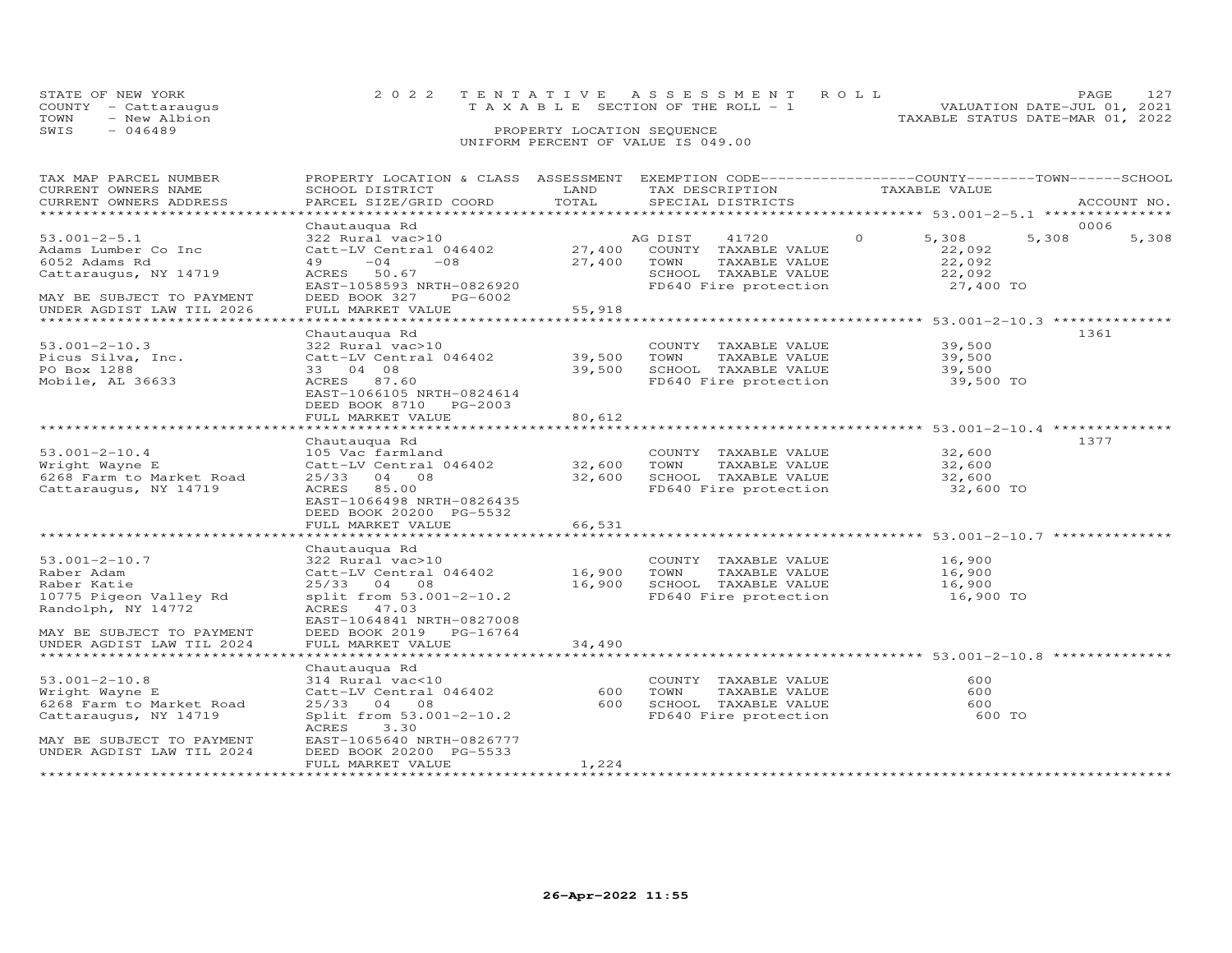|      | STATE OF NEW YORK    | 2022 TENTATIVE ASSESSMENT ROLL            |  | PAGE.                            |  |
|------|----------------------|-------------------------------------------|--|----------------------------------|--|
|      | COUNTY - Cattaraugus | $T A X A B I. E$ SECTION OF THE ROLL $-1$ |  | VALUATION DATE-JUL 01, 2021      |  |
| TOWN | - New Albion         |                                           |  | TAXABLE STATUS DATE-MAR 01, 2022 |  |
| SWIS | $-046489$            | PROPERTY LOCATION SEQUENCE                |  |                                  |  |

### UNIFORM PERCENT OF VALUE IS 049.00

| TAX MAP PARCEL NUMBER     | PROPERTY LOCATION & CLASS ASSESSMENT EXEMPTION CODE----------------COUNTY-------TOWN-----SCHOOL |               |                                                              |                   |                |
|---------------------------|-------------------------------------------------------------------------------------------------|---------------|--------------------------------------------------------------|-------------------|----------------|
| CURRENT OWNERS NAME       | SCHOOL DISTRICT                                                                                 | LAND          | TAX DESCRIPTION                                              | TAXABLE VALUE     |                |
| CURRENT OWNERS ADDRESS    | PARCEL SIZE/GRID COORD                                                                          | TOTAL         | SPECIAL DISTRICTS                                            |                   | ACCOUNT NO.    |
|                           |                                                                                                 |               |                                                              |                   |                |
|                           | Chautauqua Rd                                                                                   |               |                                                              |                   | 0006           |
| $53.001 - 2 - 5.1$        | 322 Rural vac>10                                                                                |               | AG DIST<br>41720                                             | 5,308<br>$\Omega$ | 5,308<br>5,308 |
| Adams Lumber Co Inc       | Catt-LV Central 046402                                                                          | 27,400        | COUNTY TAXABLE VALUE                                         | 22,092            |                |
| 6052 Adams Rd             | 49<br>$-04$<br>$-08$                                                                            | 27,400        | TOWN<br>TAXABLE VALUE                                        | 22,092            |                |
| Cattaraugus, NY 14719     | ACRES 50.67                                                                                     |               | SCHOOL TAXABLE VALUE                                         | 22,092            |                |
|                           | EAST-1058593 NRTH-0826920                                                                       |               | FD640 Fire protection                                        | 27,400 TO         |                |
| MAY BE SUBJECT TO PAYMENT | DEED BOOK 327<br>PG-6002                                                                        |               |                                                              |                   |                |
| UNDER AGDIST LAW TIL 2026 | FULL MARKET VALUE                                                                               | 55,918        |                                                              |                   |                |
|                           |                                                                                                 |               |                                                              |                   |                |
|                           | Chautauqua Rd                                                                                   |               |                                                              |                   | 1361           |
| $53.001 - 2 - 10.3$       | 322 Rural vac>10                                                                                |               | COUNTY TAXABLE VALUE                                         | 39,500            |                |
| Picus Silva, Inc.         | Catt-LV Central 046402                                                                          | 39,500        | TAXABLE VALUE<br>TOWN                                        | 39,500            |                |
| PO Box 1288               | 33 04 08                                                                                        | 39,500        | SCHOOL TAXABLE VALUE                                         | 39,500            |                |
|                           |                                                                                                 |               |                                                              |                   |                |
| Mobile, AL 36633          | ACRES 87.60                                                                                     |               | FD640 Fire protection                                        | 39,500 TO         |                |
|                           | EAST-1066105 NRTH-0824614                                                                       |               |                                                              |                   |                |
|                           | DEED BOOK 8710<br>PG-2003                                                                       |               |                                                              |                   |                |
|                           | FULL MARKET VALUE                                                                               | 80,612        |                                                              |                   |                |
|                           |                                                                                                 |               |                                                              |                   |                |
|                           | Chautauqua Rd                                                                                   |               |                                                              |                   | 1377           |
| $53.001 - 2 - 10.4$       | 105 Vac farmland                                                                                |               | COUNTY TAXABLE VALUE                                         | 32,600            |                |
| Wright Wayne E            | Catt-LV Central 046402                                                                          | 32,600        | TOWN<br>TAXABLE VALUE                                        | 32,600            |                |
| 6268 Farm to Market Road  | 25/33<br>04 08                                                                                  | 32,600        | SCHOOL TAXABLE VALUE                                         | 32,600            |                |
| Cattaraugus, NY 14719     | ACRES 85.00                                                                                     |               | FD640 Fire protection                                        | 32,600 TO         |                |
|                           | EAST-1066498 NRTH-0826435                                                                       |               |                                                              |                   |                |
|                           | DEED BOOK 20200 PG-5532                                                                         |               |                                                              |                   |                |
|                           | FULL MARKET VALUE                                                                               | 66,531        |                                                              |                   |                |
|                           | ************************                                                                        | ************* | ***********************************53.001-2-10.7 *********** |                   |                |
|                           | Chautauqua Rd                                                                                   |               |                                                              |                   |                |
| $53.001 - 2 - 10.7$       | 322 Rural vac>10                                                                                |               | COUNTY TAXABLE VALUE                                         | 16,900            |                |
| Raber Adam                | Catt-LV Central 046402                                                                          | 16,900        | TOWN<br>TAXABLE VALUE                                        | 16,900            |                |
| Raber Katie               | 25/33 04<br>08                                                                                  | 16,900        | SCHOOL TAXABLE VALUE                                         | 16,900            |                |
| 10775 Pigeon Valley Rd    | split from 53.001-2-10.2                                                                        |               | FD640 Fire protection                                        | 16,900 TO         |                |
| Randolph, NY 14772        | ACRES 47.03                                                                                     |               |                                                              |                   |                |
|                           | EAST-1064841 NRTH-0827008                                                                       |               |                                                              |                   |                |
|                           |                                                                                                 |               |                                                              |                   |                |
| MAY BE SUBJECT TO PAYMENT | DEED BOOK 2019<br>PG-16764                                                                      |               |                                                              |                   |                |
| UNDER AGDIST LAW TIL 2024 | FULL MARKET VALUE                                                                               | 34,490        |                                                              |                   |                |
|                           |                                                                                                 |               |                                                              |                   |                |
|                           | Chautauqua Rd                                                                                   |               |                                                              |                   |                |
| $53.001 - 2 - 10.8$       | 314 Rural vac<10                                                                                |               | COUNTY TAXABLE VALUE                                         | 600               |                |
| Wright Wayne E            | Catt-LV Central 046402                                                                          | 600           | TOWN<br>TAXABLE VALUE                                        | 600               |                |
| 6268 Farm to Market Road  | 25/33 04 08                                                                                     | 600           | SCHOOL TAXABLE VALUE                                         | 600               |                |
| Cattaraugus, NY 14719     | Split from 53.001-2-10.2                                                                        |               | FD640 Fire protection                                        | 600 TO            |                |
|                           | ACRES<br>3.30                                                                                   |               |                                                              |                   |                |
| MAY BE SUBJECT TO PAYMENT | EAST-1065640 NRTH-0826777                                                                       |               |                                                              |                   |                |
| UNDER AGDIST LAW TIL 2024 | DEED BOOK 20200 PG-5533                                                                         |               |                                                              |                   |                |
|                           | FULL MARKET VALUE                                                                               | 1,224         |                                                              |                   |                |
|                           |                                                                                                 |               |                                                              |                   |                |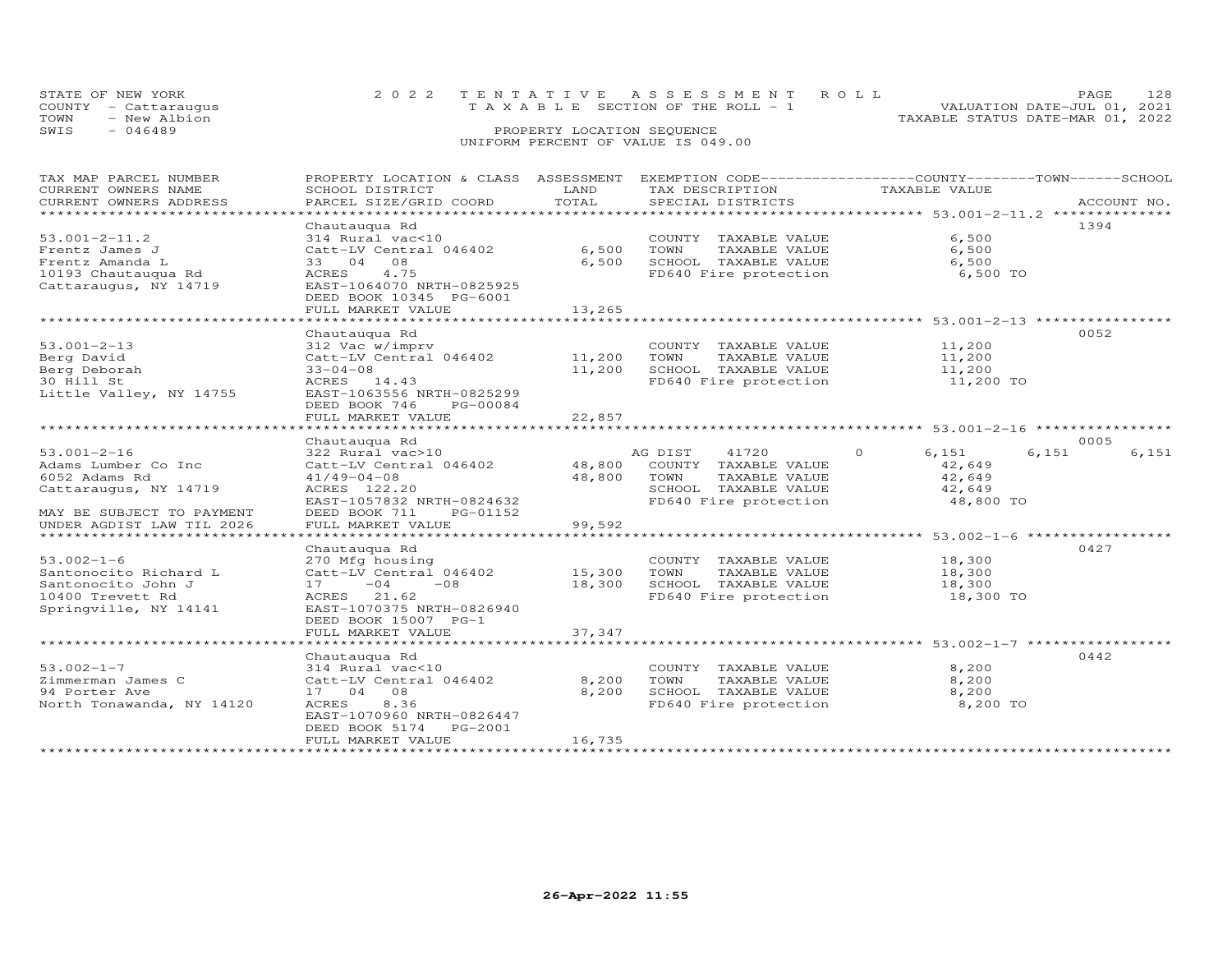| STATE OF NEW YORK    |  | 2022 TENTATIVE ASSESSMENT ROLL        |  | PAGE.                            |  |
|----------------------|--|---------------------------------------|--|----------------------------------|--|
| COUNTY - Cattaraugus |  | T A X A B L E SECTION OF THE ROLL - 1 |  | VALUATION DATE-JUL 01, 2021      |  |
| TOWN<br>- New Albion |  |                                       |  | TAXABLE STATUS DATE-MAR 01, 2022 |  |
| SWIS<br>- 046489     |  | PROPERTY LOCATION SEQUENCE            |  |                                  |  |
|                      |  | UNIFORM PERCENT OF VALUE IS 049.00    |  |                                  |  |

| TAX MAP PARCEL NUMBER          | PROPERTY LOCATION & CLASS ASSESSMENT EXEMPTION CODE----------------COUNTY-------TOWN------SCHOOL |               |                             |                  |                |
|--------------------------------|--------------------------------------------------------------------------------------------------|---------------|-----------------------------|------------------|----------------|
| CURRENT OWNERS NAME            | SCHOOL DISTRICT                                                                                  | LAND          | TAX DESCRIPTION             | TAXABLE VALUE    |                |
| CURRENT OWNERS ADDRESS         | PARCEL SIZE/GRID COORD                                                                           | TOTAL         | SPECIAL DISTRICTS           |                  | ACCOUNT NO.    |
| **********************         |                                                                                                  |               |                             |                  |                |
|                                | Chautauqua Rd                                                                                    |               |                             |                  | 1394           |
| $53.001 - 2 - 11.2$            | 314 Rural vac<10                                                                                 |               | COUNTY TAXABLE VALUE        | 6,500            |                |
| Frentz James J                 | Catt-LV Central 046402                                                                           | 6,500         | TOWN<br>TAXABLE VALUE       | 6,500            |                |
| Frentz Amanda L                | 33 04 08                                                                                         | 6,500         | SCHOOL TAXABLE VALUE        | 6,500            |                |
| 10193 Chautauqua Rd            | ACRES<br>4.75                                                                                    |               | FD640 Fire protection       | 6,500 TO         |                |
| Cattaraugus, NY 14719          | EAST-1064070 NRTH-0825925                                                                        |               |                             |                  |                |
|                                | DEED BOOK 10345 PG-6001                                                                          |               |                             |                  |                |
|                                | FULL MARKET VALUE                                                                                | 13,265        |                             |                  |                |
|                                |                                                                                                  |               |                             |                  |                |
|                                | Chautauqua Rd                                                                                    |               |                             |                  | 0052           |
| $53.001 - 2 - 13$              | 312 Vac w/imprv                                                                                  |               | COUNTY TAXABLE VALUE        | 11,200           |                |
| Berg David                     | Catt-LV Central 046402                                                                           | $11,200$ TOWN | TAXABLE VALUE               | 11,200           |                |
| Berg Deborah                   | $33 - 04 - 08$                                                                                   | 11,200        | SCHOOL TAXABLE VALUE        | 11,200           |                |
| 30 Hill St                     | ACRES 14.43                                                                                      |               | FD640 Fire protection       | 11,200 TO        |                |
| Little Valley, NY 14755        | EAST-1063556 NRTH-0825299                                                                        |               |                             |                  |                |
|                                | DEED BOOK 746<br>PG-00084                                                                        |               |                             |                  |                |
|                                | FULL MARKET VALUE                                                                                | 22,857        |                             |                  |                |
|                                |                                                                                                  |               |                             |                  |                |
|                                | Chautauqua Rd                                                                                    |               |                             |                  | 0005           |
| $53.001 - 2 - 16$              | 322 Rural vac>10                                                                                 |               | 41720<br>AG DIST            | 6,151<br>$\circ$ | 6,151<br>6,151 |
| Adams Lumber Co Inc            | Catt-LV Central 046402                                                                           |               | 48,800 COUNTY TAXABLE VALUE | 42,649           |                |
| 6052 Adams Rd                  | $41/49 - 04 - 08$                                                                                | 48,800        | TOWN<br>TAXABLE VALUE       | 42,649           |                |
| Cattaraugus, NY 14719          | ACRES 122.20                                                                                     |               | SCHOOL TAXABLE VALUE        | 42,649           |                |
|                                | EAST-1057832 NRTH-0824632                                                                        |               | FD640 Fire protection       | 48,800 TO        |                |
| MAY BE SUBJECT TO PAYMENT      | DEED BOOK 711<br>PG-01152                                                                        |               |                             |                  |                |
| UNDER AGDIST LAW TIL 2026      | FULL MARKET VALUE                                                                                | 99,592        |                             |                  |                |
| ****************************** |                                                                                                  |               |                             |                  |                |
|                                | Chautauqua Rd                                                                                    |               |                             |                  | 0427           |
| $53.002 - 1 - 6$               | 270 Mfg housing                                                                                  |               | COUNTY TAXABLE VALUE        | 18,300           |                |
| Santonocito Richard L          | Catt-LV Central 046402                                                                           | 15,300        | TOWN<br>TAXABLE VALUE       | 18,300           |                |
| Santonocito John J             | $17 - 04$<br>$-08$                                                                               | 18,300        | SCHOOL TAXABLE VALUE        | 18,300           |                |
| 10400 Trevett Rd               | ACRES 21.62                                                                                      |               | FD640 Fire protection       | 18,300 TO        |                |
| Springville, NY 14141          | EAST-1070375 NRTH-0826940                                                                        |               |                             |                  |                |
|                                | DEED BOOK 15007 PG-1                                                                             |               |                             |                  |                |
|                                | FULL MARKET VALUE                                                                                | 37,347        |                             |                  |                |
|                                |                                                                                                  |               |                             |                  |                |
|                                | Chautauqua Rd                                                                                    |               |                             |                  | 0442           |
| $53.002 - 1 - 7$               | 314 Rural vac<10                                                                                 |               | COUNTY TAXABLE VALUE        | 8,200            |                |
| Zimmerman James C              | Catt-LV Central 046402                                                                           | 8,200         | TOWN<br>TAXABLE VALUE       | 8,200            |                |
| 94 Porter Ave                  | 17 04 08                                                                                         | 8,200         | SCHOOL TAXABLE VALUE        | 8,200            |                |
| North Tonawanda, NY 14120      | ACRES<br>8.36                                                                                    |               | FD640 Fire protection       | 8,200 TO         |                |
|                                | EAST-1070960 NRTH-0826447                                                                        |               |                             |                  |                |
|                                | DEED BOOK 5174 PG-2001                                                                           |               |                             |                  |                |
|                                | FULL MARKET VALUE                                                                                | 16,735        |                             |                  |                |
|                                |                                                                                                  |               |                             |                  |                |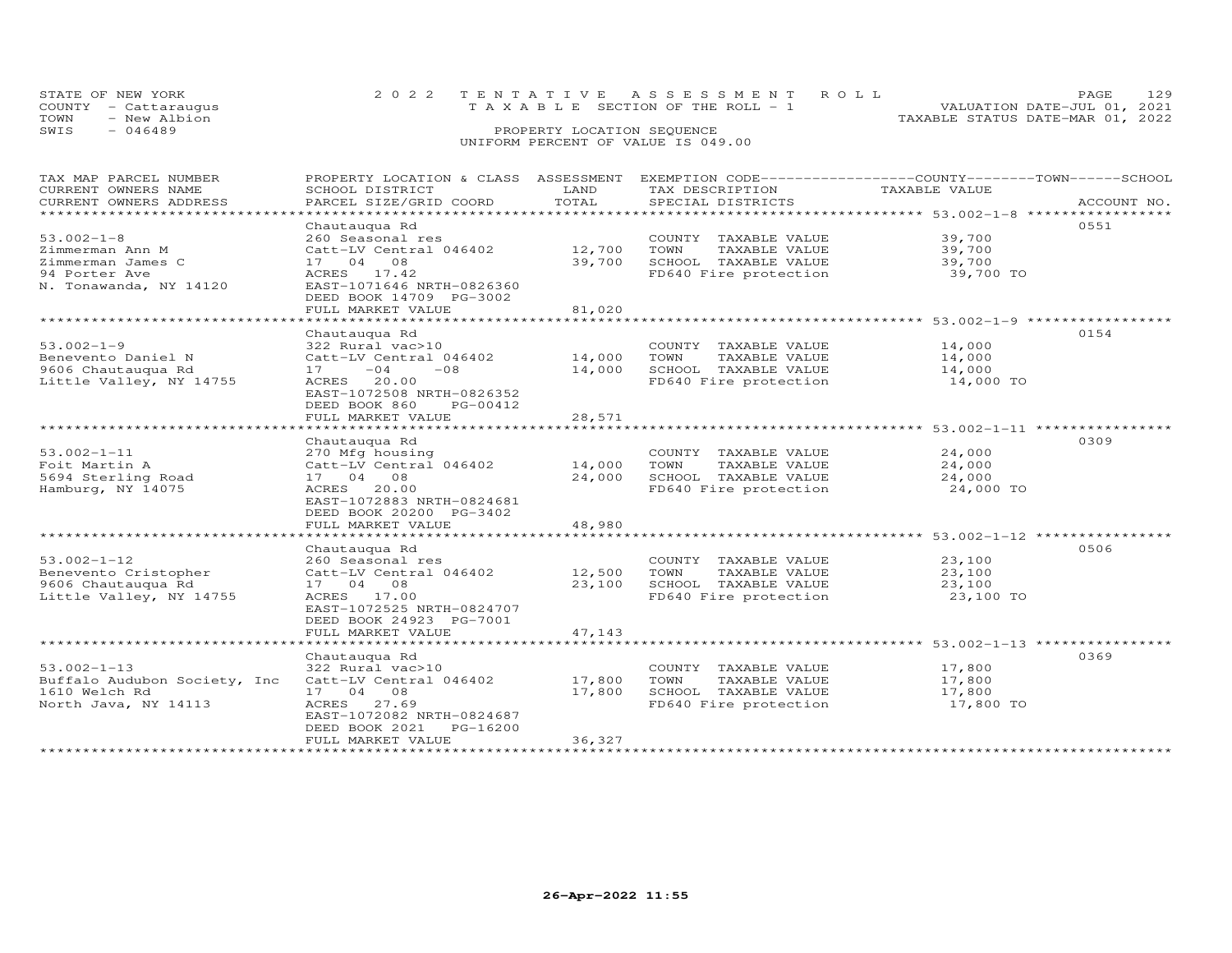| STATE OF NEW YORK    | 2022 TENTATIVE ASSESSMENT ROLL        | PAGE.                            |  |
|----------------------|---------------------------------------|----------------------------------|--|
| COUNTY - Cattarauqus | T A X A B L E SECTION OF THE ROLL - 1 | VALUATION DATE-JUL 01, 2021      |  |
| TOWN<br>- New Albion |                                       | TAXABLE STATUS DATE-MAR 01, 2022 |  |
| SWIS<br>- 046489     | PROPERTY LOCATION SEQUENCE            |                                  |  |
|                      | UNIFORM PERCENT OF VALUE IS 049.00    |                                  |  |

| TAX MAP PARCEL NUMBER<br>CURRENT OWNERS NAME<br>CURRENT OWNERS ADDRESS                     | PROPERTY LOCATION & CLASS ASSESSMENT EXEMPTION CODE-----------------COUNTY-------TOWN------SCHOOL<br>SCHOOL DISTRICT<br>PARCEL SIZE/GRID COORD               | LAND<br>TOTAL              | TAX DESCRIPTION<br>SPECIAL DISTRICTS                                                           | TAXABLE VALUE                                                      | ACCOUNT NO. |
|--------------------------------------------------------------------------------------------|--------------------------------------------------------------------------------------------------------------------------------------------------------------|----------------------------|------------------------------------------------------------------------------------------------|--------------------------------------------------------------------|-------------|
| *********************                                                                      | **************************************                                                                                                                       |                            |                                                                                                |                                                                    |             |
| $53.002 - 1 - 8$                                                                           | Chautauqua Rd<br>260 Seasonal res                                                                                                                            |                            | COUNTY TAXABLE VALUE                                                                           | 39,700                                                             | 0551        |
| Zimmerman Ann M<br>Zimmerman James C<br>94 Porter Ave<br>N. Tonawanda, NY 14120            | Catt-LV Central 046402<br>17 04 08<br>ACRES 17.42<br>EAST-1071646 NRTH-0826360                                                                               | 12,700<br>39,700           | TOWN<br>TAXABLE VALUE<br>SCHOOL TAXABLE VALUE<br>FD640 Fire protection                         | 39,700<br>39,700<br>39,700 TO                                      |             |
|                                                                                            | DEED BOOK 14709 PG-3002<br>FULL MARKET VALUE                                                                                                                 | 81,020                     |                                                                                                |                                                                    |             |
|                                                                                            | **************************                                                                                                                                   |                            |                                                                                                |                                                                    |             |
| $53.002 - 1 - 9$<br>Benevento Daniel N<br>9606 Chautauqua Rd<br>Little Valley, NY 14755    | Chautauqua Rd<br>322 Rural vac>10<br>Catt-LV Central 046402<br>$-04$<br>$-08$<br>17<br>ACRES 20.00<br>EAST-1072508 NRTH-0826352<br>DEED BOOK 860<br>PG-00412 | 14,000<br>14,000           | COUNTY TAXABLE VALUE<br>TOWN<br>TAXABLE VALUE<br>SCHOOL TAXABLE VALUE<br>FD640 Fire protection | 14,000<br>14,000<br>14,000<br>14,000 TO                            | 0154        |
|                                                                                            | FULL MARKET VALUE                                                                                                                                            | 28,571                     |                                                                                                |                                                                    |             |
|                                                                                            |                                                                                                                                                              |                            |                                                                                                | **************** 53.002-1-11 **                                    |             |
| $53.002 - 1 - 11$<br>Foit Martin A<br>5694 Sterling Road<br>Hamburg, NY 14075              | Chautauqua Rd<br>270 Mfg housing<br>Catt-LV Central 046402<br>17 04 08<br>20.00<br>ACRES<br>EAST-1072883 NRTH-0824681<br>DEED BOOK 20200 PG-3402             | 14,000<br>24,000           | COUNTY TAXABLE VALUE<br>TOWN<br>TAXABLE VALUE<br>SCHOOL TAXABLE VALUE<br>FD640 Fire protection | 24,000<br>24,000<br>24,000<br>24,000 TO                            | 0309        |
|                                                                                            | FULL MARKET VALUE                                                                                                                                            | 48,980                     |                                                                                                |                                                                    |             |
|                                                                                            | *********************<br>Chautauqua Rd                                                                                                                       |                            |                                                                                                | ******************* 53.002-1-12 *********                          | 0506        |
| $53.002 - 1 - 12$<br>Benevento Cristopher<br>9606 Chautauqua Rd<br>Little Valley, NY 14755 | 260 Seasonal res<br>Catt-LV Central 046402<br>17 04 08<br>ACRES 17.00<br>EAST-1072525 NRTH-0824707<br>DEED BOOK 24923 PG-7001<br>FULL MARKET VALUE           | 12,500<br>23,100<br>47,143 | COUNTY TAXABLE VALUE<br>TOWN<br>TAXABLE VALUE<br>SCHOOL TAXABLE VALUE<br>FD640 Fire protection | 23,100<br>23,100<br>23,100<br>23,100 TO                            |             |
|                                                                                            | **********************                                                                                                                                       | **************             |                                                                                                | **************************************53.002-1-13 **************** |             |
|                                                                                            | Chautauqua Rd                                                                                                                                                |                            |                                                                                                |                                                                    | 0369        |
| $53.002 - 1 - 13$<br>Buffalo Audubon Society, Inc<br>1610 Welch Rd<br>North Java, NY 14113 | 322 Rural vac>10<br>Catt-LV Central 046402<br>17 04 08<br>ACRES 27.69<br>EAST-1072082 NRTH-0824687<br>DEED BOOK 2021<br>PG-16200                             | 17,800<br>17,800           | COUNTY TAXABLE VALUE<br>TOWN<br>TAXABLE VALUE<br>SCHOOL TAXABLE VALUE<br>FD640 Fire protection | 17,800<br>17,800<br>17,800<br>17,800 TO                            |             |
| **********************                                                                     | FULL MARKET VALUE                                                                                                                                            | 36,327                     |                                                                                                |                                                                    |             |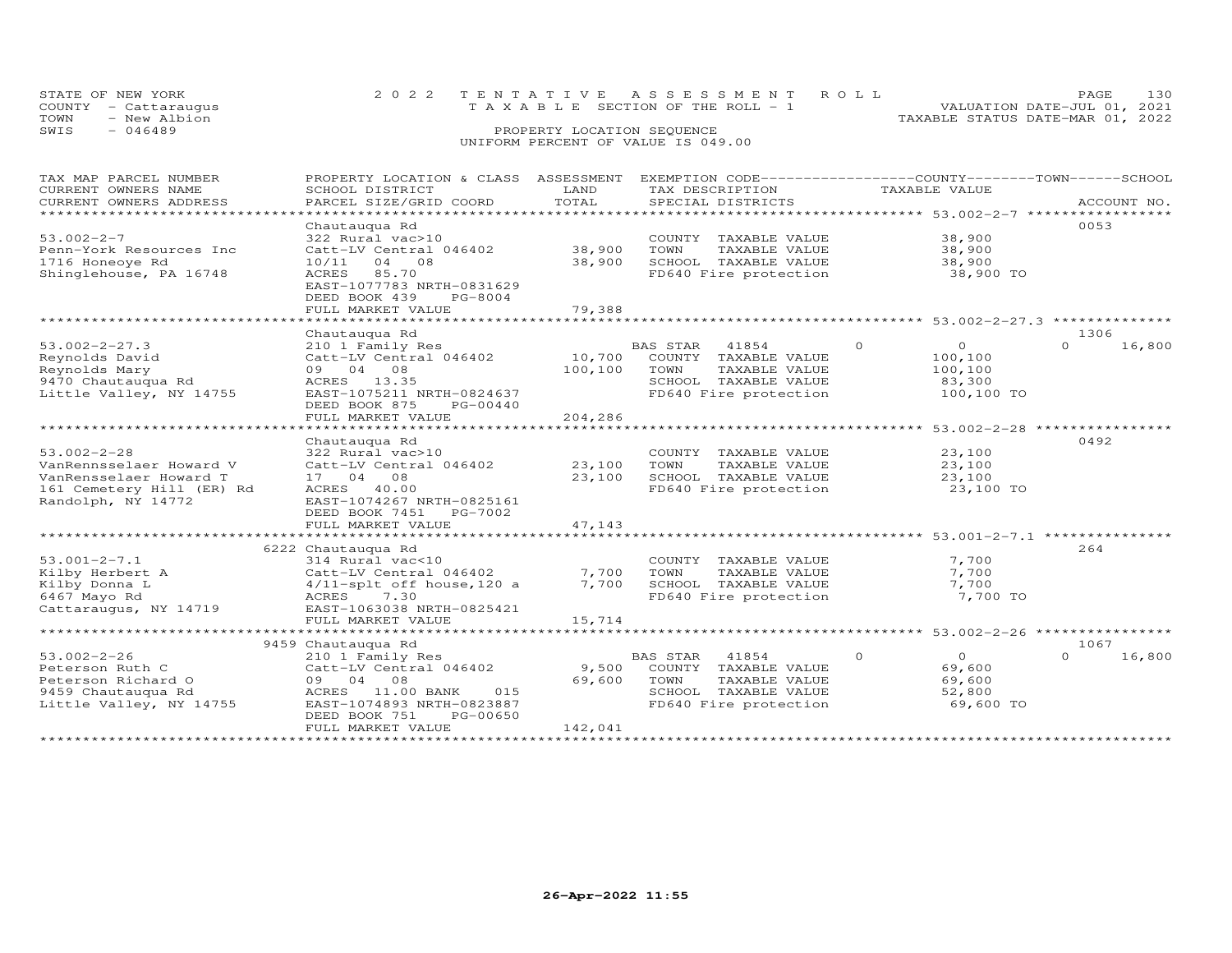| STATE OF NEW YORK    | 2022 TENTATIVE ASSESSMENT ROLL        | <b>PAGE 130</b>                  |
|----------------------|---------------------------------------|----------------------------------|
| COUNTY - Cattaraugus | T A X A B L E SECTION OF THE ROLL - 1 | VALUATION DATE-JUL 01, 2021      |
| TOWN<br>- New Albion |                                       | TAXABLE STATUS DATE-MAR 01, 2022 |
| SWIS<br>- 046489     | PROPERTY LOCATION SEQUENCE            |                                  |
|                      | UNIFORM PERCENT OF VALUE IS 049.00    |                                  |

| TAX MAP PARCEL NUMBER<br>CURRENT OWNERS NAME<br>CURRENT OWNERS ADDRESS                                                    | PROPERTY LOCATION & CLASS ASSESSMENT<br>SCHOOL DISTRICT<br>PARCEL SIZE/GRID COORD                                                                                                                       | LAND<br>TOTAL                | TAX DESCRIPTION<br>SPECIAL DISTRICTS                                                                                       | EXEMPTION CODE-----------------COUNTY-------TOWN------SCHOOL<br>TAXABLE VALUE | ACCOUNT NO.                |
|---------------------------------------------------------------------------------------------------------------------------|---------------------------------------------------------------------------------------------------------------------------------------------------------------------------------------------------------|------------------------------|----------------------------------------------------------------------------------------------------------------------------|-------------------------------------------------------------------------------|----------------------------|
| *************************<br>$53.002 - 2 - 7$<br>Penn-York Resources Inc<br>1716 Honeoye Rd<br>Shinglehouse, PA 16748     | Chautauqua Rd<br>322 Rural vac>10<br>Catt-LV Central 046402<br>10/11 04 08<br>85.70<br>ACRES<br>EAST-1077783 NRTH-0831629<br>DEED BOOK 439<br>PG-8004<br>FULL MARKET VALUE                              | 38,900<br>38,900<br>79,388   | COUNTY TAXABLE VALUE<br>TOWN<br>TAXABLE VALUE<br>SCHOOL TAXABLE VALUE<br>FD640 Fire protection                             | 38,900<br>38,900<br>38,900<br>38,900 TO                                       | 0053                       |
| $53.002 - 2 - 27.3$<br>Reynolds David<br>Reynolds Mary<br>9470 Chautauqua Rd<br>Little Valley, NY 14755                   | Chautauqua Rd<br>210 1 Family Res<br>Catt-LV Central 046402<br>09 04 08<br>ACRES 13.35<br>EAST-1075211 NRTH-0824637<br>DEED BOOK 875<br>PG-00440<br>FULL MARKET VALUE                                   | 10,700<br>100,100<br>204,286 | <b>BAS STAR</b><br>41854<br>COUNTY TAXABLE VALUE<br>TOWN<br>TAXABLE VALUE<br>SCHOOL TAXABLE VALUE<br>FD640 Fire protection | $\circ$<br>$\overline{0}$<br>100,100<br>100,100<br>83,300<br>100,100 TO       | 1306<br>$\Omega$<br>16,800 |
| $53.002 - 2 - 28$<br>VanRennsselaer Howard V<br>VanRensselaer Howard T<br>161 Cemetery Hill (ER) Rd<br>Randolph, NY 14772 | Chautauqua Rd<br>322 Rural vac>10<br>Catt-LV Central 046402<br>17 04 08<br>40.00<br>ACRES<br>EAST-1074267 NRTH-0825161<br>DEED BOOK 7451<br>PG-7002<br>FULL MARKET VALUE                                | 23,100<br>23,100<br>47,143   | COUNTY TAXABLE VALUE<br>TOWN<br>TAXABLE VALUE<br>SCHOOL TAXABLE VALUE<br>FD640 Fire protection                             | 23,100<br>23,100<br>23,100<br>23,100 TO                                       | 0492                       |
| $53.001 - 2 - 7.1$<br>Kilby Herbert A<br>Kilby Donna L<br>6467 Mayo Rd<br>Cattaraugus, NY 14719                           | *******************************<br>6222 Chautauqua Rd<br>314 Rural vac<10<br>Catt-LV Central 046402<br>$4/11$ -splt off house, 120 a<br>ACRES<br>7.30<br>EAST-1063038 NRTH-0825421<br>FULL MARKET VALUE | 7,700<br>7,700<br>15,714     | COUNTY TAXABLE VALUE<br>TAXABLE VALUE<br>TOWN<br>SCHOOL TAXABLE VALUE<br>FD640 Fire protection                             | 7,700<br>7,700<br>7,700<br>7,700 TO                                           | 264                        |
| $53.002 - 2 - 26$<br>Peterson Ruth C<br>Peterson Richard O<br>9459 Chautauqua Rd<br>Little Valley, NY 14755               | 9459 Chautauqua Rd<br>210 1 Family Res<br>Catt-LV Central 046402<br>09 04 08<br>ACRES 11.00 BANK<br>015<br>EAST-1074893 NRTH-0823887<br>DEED BOOK 751<br>PG-00650<br>FULL MARKET VALUE                  | 9,500<br>69,600<br>142,041   | BAS STAR<br>41854<br>COUNTY TAXABLE VALUE<br>TOWN<br>TAXABLE VALUE<br>SCHOOL TAXABLE VALUE<br>FD640 Fire protection        | $\Omega$<br>$\Omega$<br>69,600<br>69,600<br>52,800<br>69,600 TO               | 1067<br>$\Omega$<br>16,800 |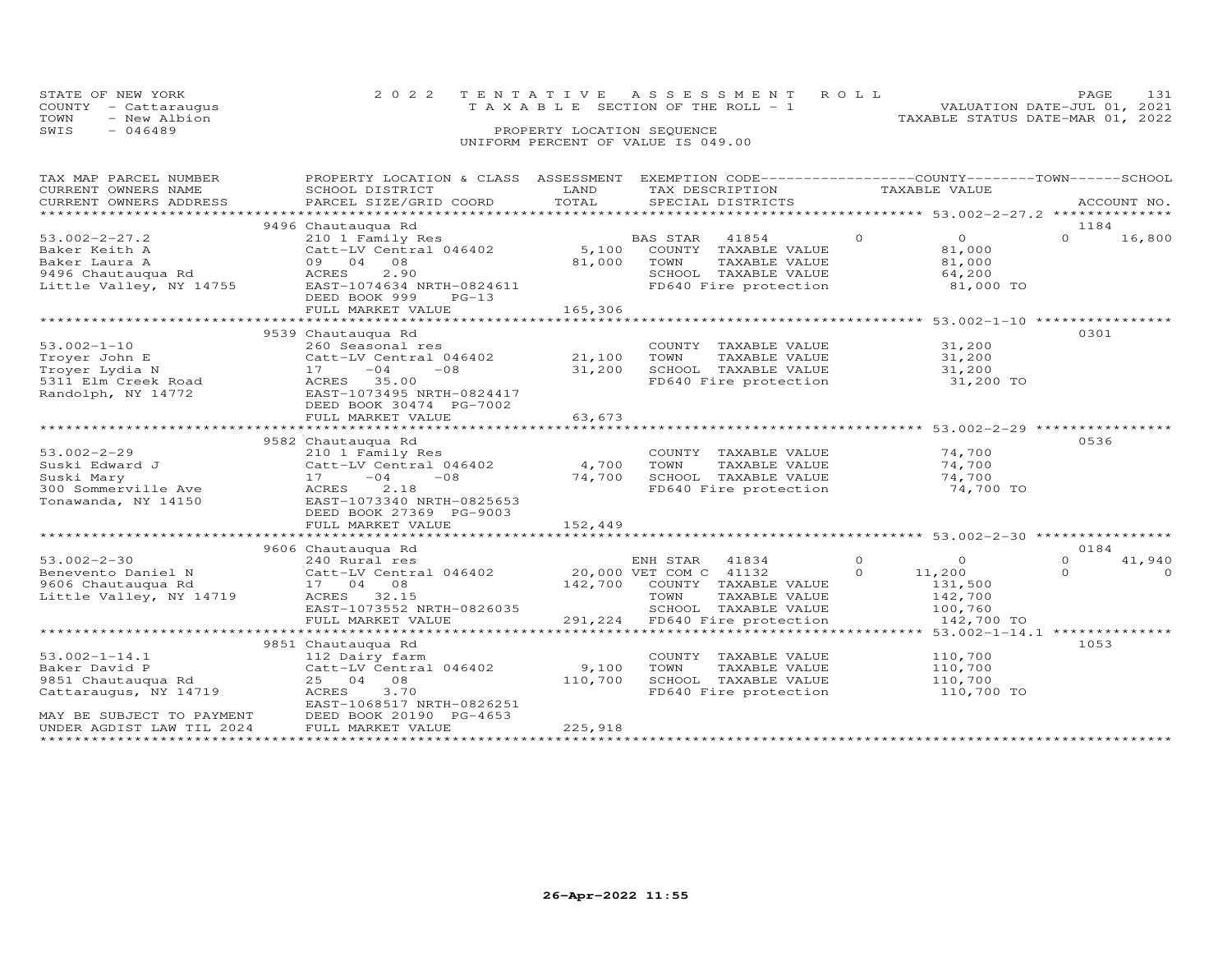|      | STATE OF NEW YORK    |  | 2022 TENTATIVE ASSESSMENT ROLL        |  |                                  | PAGE                        |  |
|------|----------------------|--|---------------------------------------|--|----------------------------------|-----------------------------|--|
|      | COUNTY - Cattaraugus |  | T A X A B L E SECTION OF THE ROLL - 1 |  |                                  | VALUATION DATE-JUL 01, 2021 |  |
| TOWN | - New Albion         |  |                                       |  | TAXABLE STATUS DATE-MAR 01, 2022 |                             |  |
| SWIS | - 046489             |  | PROPERTY LOCATION SEQUENCE            |  |                                  |                             |  |
|      |                      |  | UNIFORM PERCENT OF VALUE IS 049.00    |  |                                  |                             |  |

| PROPERTY LOCATION & CLASS ASSESSMENT EXEMPTION CODE----------------COUNTY-------TOWN------SCHOOL<br>TAX MAP PARCEL NUMBER<br>CURRENT OWNERS NAME<br>SCHOOL DISTRICT |                                                                                                       | LAND    | TAX DESCRIPTION                                                               | TAXABLE VALUE  |                                         |                  |             |
|---------------------------------------------------------------------------------------------------------------------------------------------------------------------|-------------------------------------------------------------------------------------------------------|---------|-------------------------------------------------------------------------------|----------------|-----------------------------------------|------------------|-------------|
| CURRENT OWNERS ADDRESS                                                                                                                                              | PARCEL SIZE/GRID COORD                                                                                | TOTAL   | SPECIAL DISTRICTS                                                             |                |                                         |                  | ACCOUNT NO. |
|                                                                                                                                                                     |                                                                                                       |         |                                                                               |                |                                         |                  |             |
| $53.002 - 2 - 27.2$<br>Baker Keith A                                                                                                                                | 9496 Chautauqua Rd<br>210 1 Family Res<br>Catt-LV Central 046402                                      | 5,100   | BAS STAR<br>41854<br>COUNTY TAXABLE VALUE                                     | $\overline{O}$ | $\overline{0}$<br>81,000                | 1184<br>$\Omega$ | 16,800      |
| Baker Laura A<br>9496 Chautauqua Rd<br>Little Valley, NY 14755                                                                                                      | 09 04<br>08<br>ACRES<br>2.90<br>EAST-1074634 NRTH-0824611<br>DEED BOOK 999<br>$PG-13$                 | 81,000  | TOWN<br>TAXABLE VALUE<br>SCHOOL TAXABLE VALUE<br>FD640 Fire protection        |                | 81,000<br>64,200<br>81,000 TO           |                  |             |
|                                                                                                                                                                     | FULL MARKET VALUE                                                                                     | 165,306 |                                                                               |                |                                         |                  |             |
| $53.002 - 1 - 10$                                                                                                                                                   | 9539 Chautauqua Rd                                                                                    |         |                                                                               |                |                                         | 0301             |             |
| Trover John E                                                                                                                                                       | 260 Seasonal res<br>Catt-LV Central 046402                                                            | 21,100  | COUNTY TAXABLE VALUE<br>TOWN<br>TAXABLE VALUE                                 |                | 31,200<br>31,200                        |                  |             |
| Troyer Lydia N                                                                                                                                                      | $17 - 04$<br>$-08$                                                                                    | 31,200  |                                                                               |                |                                         |                  |             |
| 5311 Elm Creek Road<br>Randolph, NY 14772                                                                                                                           | ACRES 35.00<br>EAST-1073495 NRTH-0824417<br>DEED BOOK 30474 PG-7002                                   |         | SCHOOL TAXABLE VALUE 31,200<br>FD640 Fire protection 31,200 TO                |                |                                         |                  |             |
|                                                                                                                                                                     | FULL MARKET VALUE                                                                                     | 63,673  |                                                                               |                |                                         |                  |             |
|                                                                                                                                                                     |                                                                                                       |         |                                                                               |                |                                         |                  |             |
|                                                                                                                                                                     | 9582 Chautauqua Rd                                                                                    |         |                                                                               |                |                                         | 0536             |             |
| $53.002 - 2 - 29$<br>Suski Edward J                                                                                                                                 | 210 1 Family Res<br>Catt-LV Central 046402                                                            | 4,700   | COUNTY TAXABLE VALUE<br>TOWN<br>TAXABLE VALUE                                 |                | 74,700<br>74,700                        |                  |             |
| Suski Mary                                                                                                                                                          | $-08$<br>17<br>$-04$                                                                                  | 74,700  |                                                                               |                | 74,700                                  |                  |             |
| 300 Sommerville Ave<br>Tonawanda, NY 14150                                                                                                                          | 2.18<br>ACRES<br>EAST-1073340 NRTH-0825653<br>DEED BOOK 27369 PG-9003                                 |         | SCHOOL TAXABLE VALUE<br>FD640 Fire protection                                 |                | 74,700 TO                               |                  |             |
|                                                                                                                                                                     | FULL MARKET VALUE                                                                                     | 152,449 |                                                                               |                |                                         |                  |             |
|                                                                                                                                                                     | 9606 Chautauqua Rd                                                                                    |         |                                                                               |                |                                         | 0184             |             |
| $53.002 - 2 - 30$                                                                                                                                                   | 240 Rural res                                                                                         |         | ENH STAR 41834                                                                | $\overline{0}$ | $\circ$                                 | $\Omega$         | 41,940      |
| Benevento Daniel N<br>9606 Chautauqua Rd<br>Little Valley, NY 14719                                                                                                 | Catt-LV Central 046402 20,000 VET COM C 41132<br>17 04 08<br>ACRES 32.15<br>EAST-1073552 NRTH-0826035 |         | 142,700 COUNTY TAXABLE VALUE<br>TOWN<br>TAXABLE VALUE<br>SCHOOL TAXABLE VALUE | $\Omega$       | 11,200<br>131,500<br>142,700<br>100,760 | $\Omega$         | $\Omega$    |
|                                                                                                                                                                     | FULL MARKET VALUE                                                                                     | 291,224 | FD640 Fire protection                                                         |                | 142,700 TO                              |                  |             |
|                                                                                                                                                                     |                                                                                                       |         |                                                                               |                |                                         | ***************  |             |
|                                                                                                                                                                     | 9851 Chautauqua Rd                                                                                    |         |                                                                               |                |                                         | 1053             |             |
| $53.002 - 1 - 14.1$                                                                                                                                                 | 112 Dairy farm                                                                                        |         | COUNTY TAXABLE VALUE                                                          |                | 110,700                                 |                  |             |
| Baker David P                                                                                                                                                       | Catt-LV Central 046402                                                                                | 9,100   | TOWN<br>TAXABLE VALUE                                                         |                | 110,700                                 |                  |             |
| 9851 Chautauqua Rd<br>Cattaraugus, NY 14719                                                                                                                         | 08<br>25 04<br>ACRES<br>3.70<br>EAST-1068517 NRTH-0826251                                             | 110,700 | SCHOOL TAXABLE VALUE<br>FD640 Fire protection                                 |                | 110,700<br>110,700 TO                   |                  |             |
| MAY BE SUBJECT TO PAYMENT<br>UNDER AGDIST LAW TIL 2024                                                                                                              | DEED BOOK 20190 PG-4653<br>FULL MARKET VALUE                                                          | 225,918 |                                                                               |                |                                         |                  |             |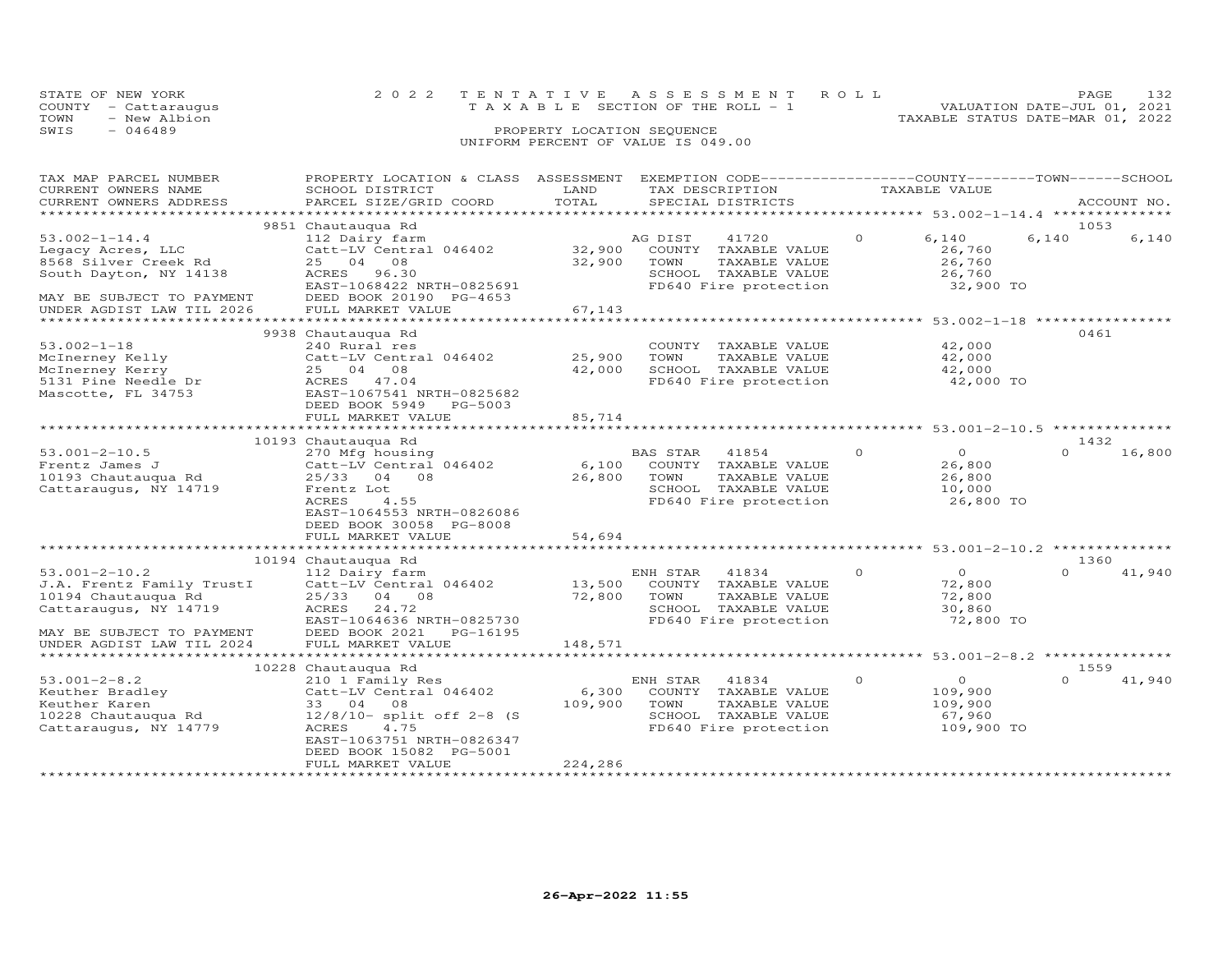| STATE OF NEW YORK    |  | 2022 TENTATIVE ASSESSMENT ROLL        | PAGE.                            |
|----------------------|--|---------------------------------------|----------------------------------|
| COUNTY - Cattaraugus |  | T A X A B L E SECTION OF THE ROLL - 1 | VALUATION DATE-JUL 01, 2021      |
| TOWN<br>- New Albion |  |                                       | TAXABLE STATUS DATE-MAR 01, 2022 |
| SWIS<br>$-046489$    |  |                                       |                                  |
|                      |  | UNIFORM PERCENT OF VALUE IS 049.00    |                                  |

| TAX MAP PARCEL NUMBER<br>CURRENT OWNERS NAME<br>CURRENT OWNERS ADDRESS                                                  | PROPERTY LOCATION & CLASS ASSESSMENT<br>SCHOOL DISTRICT<br>PARCEL SIZE/GRID COORD                                                                                                    | LAND<br>TOTAL                               | EXEMPTION CODE------------------COUNTY-------TOWN------SCHOOL<br>TAX DESCRIPTION<br>SPECIAL DISTRICTS               | TAXABLE VALUE                                                                 |               | ACCOUNT NO. |
|-------------------------------------------------------------------------------------------------------------------------|--------------------------------------------------------------------------------------------------------------------------------------------------------------------------------------|---------------------------------------------|---------------------------------------------------------------------------------------------------------------------|-------------------------------------------------------------------------------|---------------|-------------|
| *************************                                                                                               |                                                                                                                                                                                      |                                             |                                                                                                                     |                                                                               |               |             |
| $53.002 - 1 - 14.4$<br>Legacy Acres, LLC<br>8568 Silver Creek Rd<br>South Dayton, NY 14138<br>MAY BE SUBJECT TO PAYMENT | 9851 Chautauqua Rd<br>112 Dairy farm<br>Catt-LV Central 046402<br>25<br>04 08<br>ACRES<br>96.30<br>EAST-1068422 NRTH-0825691<br>DEED BOOK 20190 PG-4653                              | 32,900<br>32,900                            | AG DIST<br>41720<br>COUNTY TAXABLE VALUE<br>TAXABLE VALUE<br>TOWN<br>SCHOOL TAXABLE VALUE<br>FD640 Fire protection  | $\circ$<br>6,140<br>26,760<br>26,760<br>26,760<br>32,900 TO                   | 1053<br>6,140 | 6,140       |
| UNDER AGDIST LAW TIL 2026                                                                                               | FULL MARKET VALUE                                                                                                                                                                    | 67,143                                      |                                                                                                                     |                                                                               |               |             |
| $53.002 - 1 - 18$<br>McInerney Kelly<br>McInerney Kerry<br>5131 Pine Needle Dr<br>Mascotte, FL 34753                    | 9938 Chautauqua Rd<br>240 Rural res<br>Catt-LV Central 046402<br>25 04 08<br>ACRES 47.04<br>EAST-1067541 NRTH-0825682<br>DEED BOOK 5949<br>PG-5003                                   | * * * * * * * * * * * *<br>25,900<br>42,000 | COUNTY TAXABLE VALUE<br>TAXABLE VALUE<br>TOWN<br>SCHOOL TAXABLE VALUE<br>FD640 Fire protection                      | ********** 53.002-1-18 ***********<br>42,000<br>42,000<br>42,000<br>42,000 TO | 0461          |             |
|                                                                                                                         | FULL MARKET VALUE                                                                                                                                                                    | 85,714                                      |                                                                                                                     |                                                                               |               |             |
|                                                                                                                         |                                                                                                                                                                                      |                                             |                                                                                                                     |                                                                               | 1432          |             |
| $53.001 - 2 - 10.5$<br>Frentz James J<br>10193 Chautauqua Rd<br>Cattaraugus, NY 14719                                   | 10193 Chautauqua Rd<br>270 Mfg housing<br>Catt-LV Central 046402<br>25/33 04 08<br>Frentz Lot<br>ACRES<br>4.55<br>EAST-1064553 NRTH-0826086<br>DEED BOOK 30058 PG-8008               | 6,100<br>26,800                             | BAS STAR<br>41854<br>COUNTY TAXABLE VALUE<br>TAXABLE VALUE<br>TOWN<br>SCHOOL TAXABLE VALUE<br>FD640 Fire protection | $\Omega$<br>$\Omega$<br>26,800<br>26,800<br>10,000<br>26,800 TO               | $\Omega$      | 16,800      |
|                                                                                                                         | FULL MARKET VALUE                                                                                                                                                                    | 54,694                                      |                                                                                                                     |                                                                               |               |             |
|                                                                                                                         | 10194 Chautauqua Rd                                                                                                                                                                  |                                             |                                                                                                                     |                                                                               | 1360          |             |
| $53.001 - 2 - 10.2$<br>J.A. Frentz Family TrustI<br>10194 Chautauqua Rd<br>Cattaraugus, NY 14719                        | 112 Dairy farm<br>Catt-LV Central 046402<br>25/33 04 08<br>ACRES<br>24.72<br>EAST-1064636 NRTH-0825730                                                                               | 13,500<br>72,800                            | ENH STAR<br>41834<br>COUNTY TAXABLE VALUE<br>TOWN<br>TAXABLE VALUE<br>SCHOOL TAXABLE VALUE<br>FD640 Fire protection | $\circ$<br>$\Omega$<br>72,800<br>72,800<br>30,860<br>72,800 TO                | $\cap$        | 41,940      |
| MAY BE SUBJECT TO PAYMENT<br>UNDER AGDIST LAW TIL 2024                                                                  | DEED BOOK 2021<br>PG-16195<br>FULL MARKET VALUE                                                                                                                                      | 148,571                                     |                                                                                                                     |                                                                               |               |             |
|                                                                                                                         | 10228 Chautauqua Rd                                                                                                                                                                  |                                             |                                                                                                                     |                                                                               | 1559          |             |
| $53.001 - 2 - 8.2$<br>Keuther Bradley<br>Keuther Karen<br>10228 Chautauqua Rd<br>Cattaraugus, NY 14779                  | 210 1 Family Res<br>Catt-LV Central 046402<br>33 04 08<br>$12/8/10$ - split off 2-8 (S<br>ACRES<br>4.75<br>EAST-1063751 NRTH-0826347<br>DEED BOOK 15082 PG-5001<br>FULL MARKET VALUE | 6,300<br>109,900<br>224,286                 | ENH STAR<br>41834<br>COUNTY TAXABLE VALUE<br>TOWN<br>TAXABLE VALUE<br>SCHOOL TAXABLE VALUE<br>FD640 Fire protection | $\Omega$<br>$\Omega$<br>109,900<br>109,900<br>67,960<br>109,900 TO            | $\Omega$      | 41,940      |
|                                                                                                                         |                                                                                                                                                                                      |                                             |                                                                                                                     |                                                                               |               |             |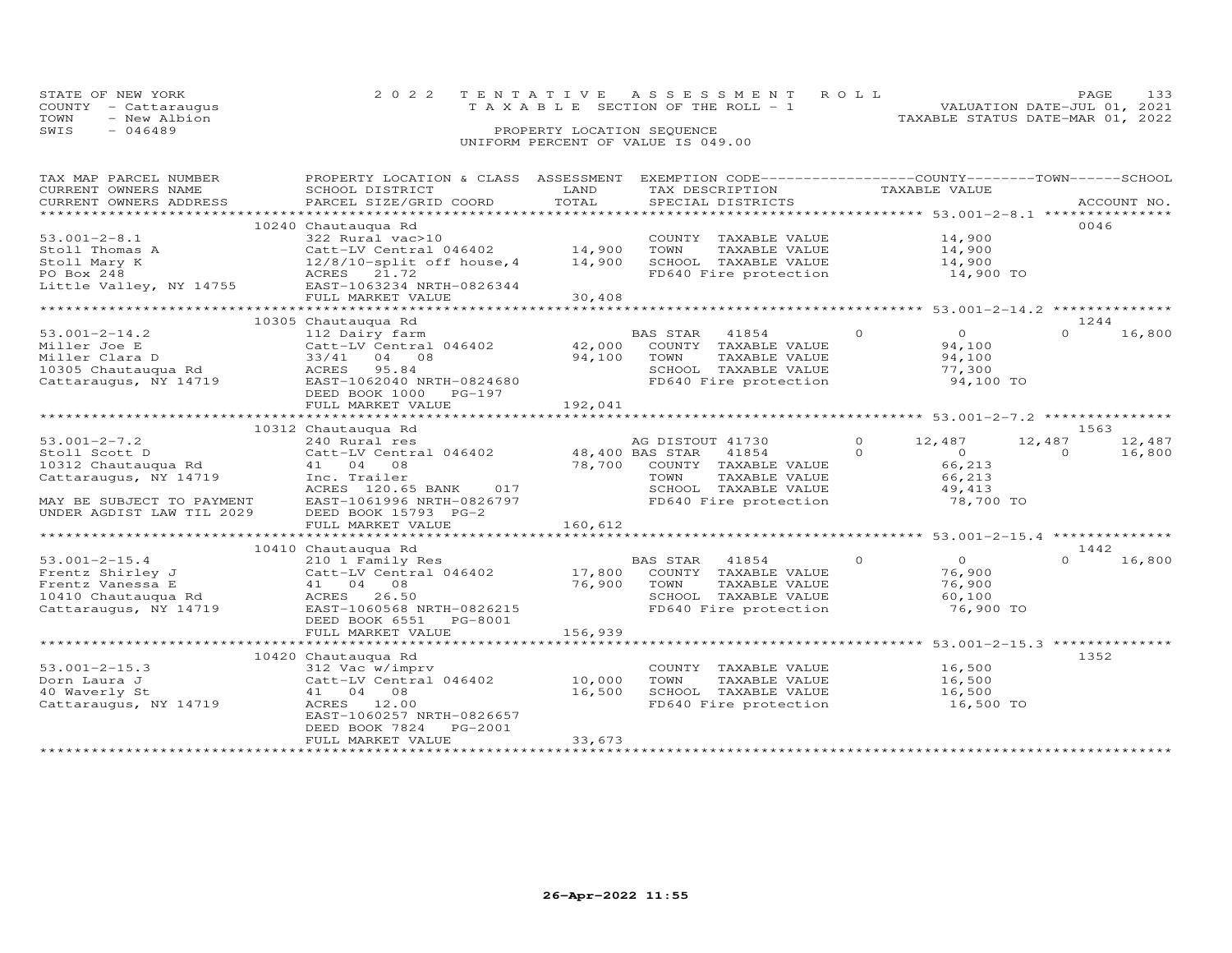| STATE OF NEW YORK    | 2022 TENTATIVE ASSESSMENT ROLL        | PAGE.                            |  |
|----------------------|---------------------------------------|----------------------------------|--|
| COUNTY - Cattarauqus | T A X A B L E SECTION OF THE ROLL - 1 | VALUATION DATE-JUL 01, 2021      |  |
| TOWN<br>- New Albion |                                       | TAXABLE STATUS DATE-MAR 01, 2022 |  |
| SWIS<br>- 046489     | PROPERTY LOCATION SEQUENCE            |                                  |  |
|                      | UNIFORM PERCENT OF VALUE IS 049.00    |                                  |  |

 $0 \t 16,800$ 

# TAX MAP PARCEL NUMBER PROPERTY LOCATION & CLASS ASSESSMENT EXEMPTION CODE------------------COUNTY--------TOWN------SCHOOL CURRENT OWNERS NAME SCHOOL DISTRICT LAND TAX DESCRIPTION TAXABLE VALUE CURRENT OWNERS ADDRESS PARCEL SIZE/GRID COORD TOTAL SPECIAL DISTRICTS ACCOUNT NO. \*\*\*\*\*\*\*\*\*\*\*\*\*\*\*\*\*\*\*\*\*\*\*\*\*\*\*\*\*\*\*\*\*\*\*\*\*\*\*\*\*\*\*\*\*\*\*\*\*\*\*\*\*\*\*\*\*\*\*\*\*\*\*\*\*\*\*\*\*\*\*\*\*\*\*\*\*\*\*\*\*\*\*\*\*\*\*\*\*\*\*\*\*\*\*\*\*\*\*\*\*\*\* 53.001-2-8.1 \*\*\*\*\*\*\*\*\*\*\*\*\*\*\*10240 Chautauqua Rd 10240 Chautauqua Rd 10240 Chautauqua Rd 10046<br>
322 Rural vac>10 1000 COUNTY TAXABLE VALUE 14,900 53.001-2-8.1 322 Rural vac>10 COUNTY TAXABLE VALUE 14,900 Stoll Thomas A Catt-LV Central 046402 14,900 TOWN TAXABLE VALUE 14,900 Stoll Mary K 12/8/10-split off house,4 14,900 SCHOOL TAXABLE VALUE 14,900 PO Box 248 ACRES 21.72 FD640 Fire protection 14,900 TO Little Valley, NY 14755 EAST-1063234 NRTH-0826344 FULL MARKET VALUE 30,408 \*\*\*\*\*\*\*\*\*\*\*\*\*\*\*\*\*\*\*\*\*\*\*\*\*\*\*\*\*\*\*\*\*\*\*\*\*\*\*\*\*\*\*\*\*\*\*\*\*\*\*\*\*\*\*\*\*\*\*\*\*\*\*\*\*\*\*\*\*\*\*\*\*\*\*\*\*\*\*\*\*\*\*\*\*\*\*\*\*\*\*\*\*\*\*\*\*\*\*\*\*\*\* 53.001-2-14.2 \*\*\*\*\*\*\*\*\*\*\*\*\*\*10305 Chautauqua Rd<br>
Miller Joe E 112 Dairy farm BAS STAR 41854 0 0 0 0 16,800<br>
Miller Clara D 33/41 04 08 94,100 TOWN TAXABLE VALUE 94,100<br>
10305 Chautauqua Rd ACRES 95.84 SCHOOL TAXABLE VALUE 94,100<br>
Cattaraugus, NY 1471

|                           | DEED BOOK IOOO<br>EU 121  |         |                     |                       |          |                                                    |                                    |                |
|---------------------------|---------------------------|---------|---------------------|-----------------------|----------|----------------------------------------------------|------------------------------------|----------------|
|                           | FULL MARKET VALUE         | 192,041 |                     |                       |          | ********************* 53.001-2-7.2 *************** |                                    |                |
|                           |                           |         |                     |                       |          |                                                    | 1563                               |                |
| $53.001 - 2 - 7.2$        | 10312 Chautauqua Rd       |         | AG DISTOUT 41730    |                       |          |                                                    |                                    |                |
|                           | 240 Rural res             |         |                     |                       |          | 12,487                                             | 12,487                             | 12,487         |
| Stoll Scott D             | Catt-LV Central 046402    |         | 48,400 BAS STAR     | 41854                 | $\cap$   | $\Omega$                                           | $\Omega$                           | 16,800         |
| 10312 Chautauqua Rd       | 41 04 08                  | 78,700  |                     | COUNTY TAXABLE VALUE  |          | 66,213                                             |                                    |                |
| Cattaraugus, NY 14719     | Inc. Trailer              |         | TOWN                | TAXABLE VALUE         |          | 66,213                                             |                                    |                |
|                           | ACRES 120.65 BANK<br>017  |         | SCHOOL              | TAXABLE VALUE         |          | 49,413                                             |                                    |                |
| MAY BE SUBJECT TO PAYMENT | EAST-1061996 NRTH-0826797 |         |                     | FD640 Fire protection |          | 78,700 TO                                          |                                    |                |
| UNDER AGDIST LAW TIL 2029 | DEED BOOK 15793 PG-2      |         |                     |                       |          |                                                    |                                    |                |
|                           | FULL MARKET VALUE         | 160,612 |                     |                       |          |                                                    |                                    |                |
|                           |                           |         | ******************* |                       |          |                                                    | $53.001 - 2 - 15.4$ ************** |                |
|                           | 10410 Chautauqua Rd       |         |                     |                       |          |                                                    | 1442                               |                |
| $53.001 - 2 - 15.4$       | 210 1 Family Res          |         | BAS STAR            | 41854                 | $\Omega$ | $\Omega$                                           | $\Omega$                           | 16,800         |
| Frentz Shirley J          | Catt-LV Central 046402    | 17,800  | COUNTY              | TAXABLE VALUE         |          | 76,900                                             |                                    |                |
| Frentz Vanessa E          | 41 04 08                  | 76,900  | TOWN                | TAXABLE VALUE         |          | 76,900                                             |                                    |                |
| 10410 Chautauqua Rd       | ACRES 26.50               |         | SCHOOL              | TAXABLE VALUE         |          | 60,100                                             |                                    |                |
| Cattaraugus, NY 14719     | EAST-1060568 NRTH-0826215 |         |                     | FD640 Fire protection |          | 76,900 TO                                          |                                    |                |
|                           | DEED BOOK 6551<br>PG-8001 |         |                     |                       |          |                                                    |                                    |                |
|                           | FULL MARKET VALUE         | 156,939 |                     |                       |          |                                                    |                                    |                |
|                           | *******************       |         |                     |                       |          | $53.001 - 2 - 15.3$                                |                                    | ************** |
|                           | 10420 Chautauqua Rd       |         |                     |                       |          |                                                    | 1352                               |                |
| $53.001 - 2 - 15.3$       | 312 Vac w/imprv           |         | COUNTY              | TAXABLE VALUE         |          | 16,500                                             |                                    |                |
| Dorn Laura J              | Catt-LV Central 046402    | 10,000  | TOWN                | TAXABLE VALUE         |          | 16,500                                             |                                    |                |
| 40 Waverly St             | 41 04 08                  | 16,500  | SCHOOL              | TAXABLE VALUE         |          | 16,500                                             |                                    |                |
| Cattaraugus, NY 14719     | 12.00<br>ACRES            |         |                     | FD640 Fire protection |          | 16,500 TO                                          |                                    |                |
|                           | EAST-1060257 NRTH-0826657 |         |                     |                       |          |                                                    |                                    |                |
|                           | DEED BOOK 7824<br>PG-2001 |         |                     |                       |          |                                                    |                                    |                |
|                           | FULL MARKET VALUE         | 33,673  |                     |                       |          |                                                    |                                    |                |
|                           |                           |         |                     |                       |          |                                                    |                                    |                |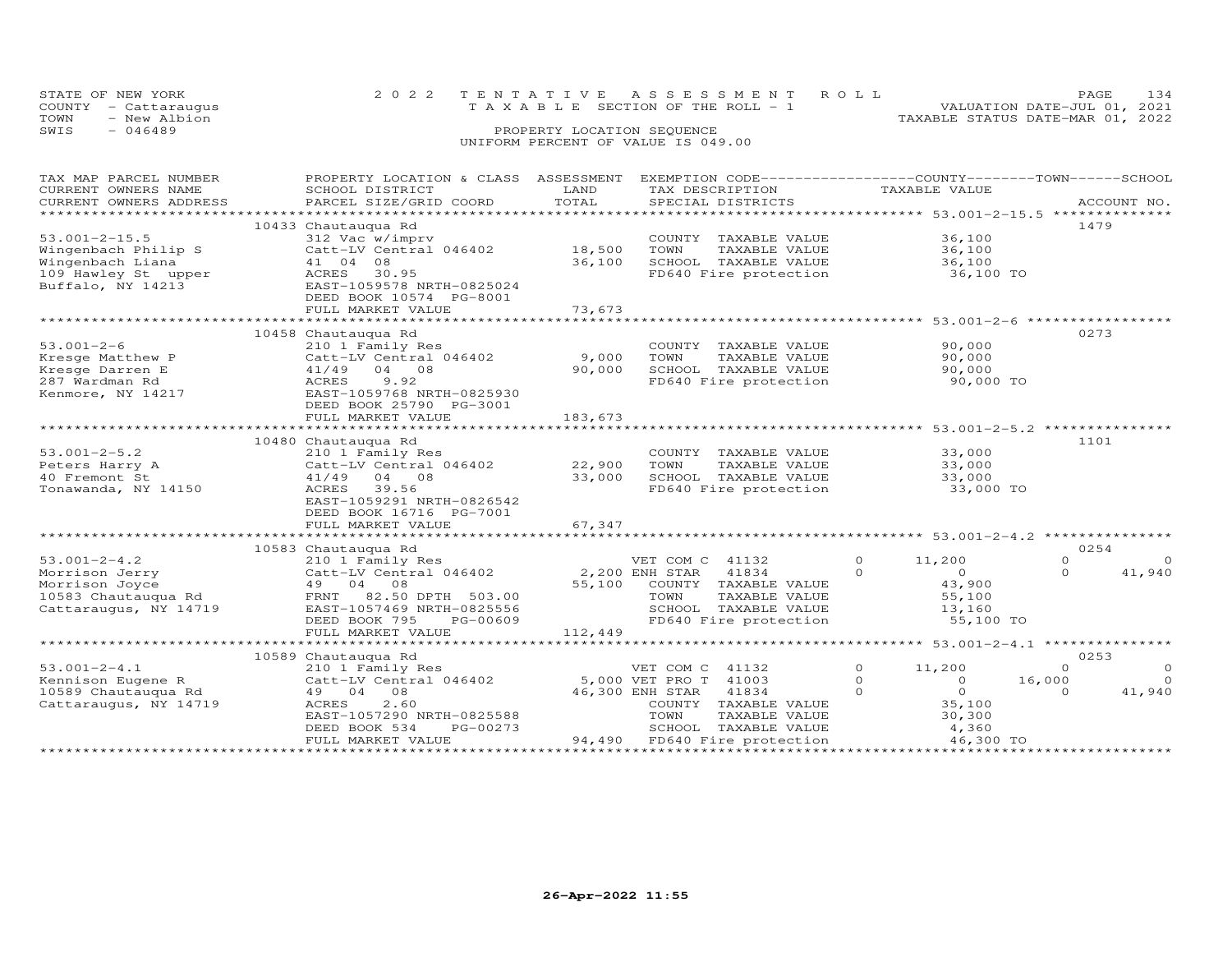| STATE OF NEW YORK    | 2022 TENTATIVE ASSESSMENT ROLL        | PAGE                             | 134 |
|----------------------|---------------------------------------|----------------------------------|-----|
| COUNTY - Cattaraugus | T A X A B L E SECTION OF THE ROLL - 1 | VALUATION DATE-JUL 01, 2021      |     |
| TOWN<br>- New Albion |                                       | TAXABLE STATUS DATE-MAR 01, 2022 |     |
| SWIS<br>$-046489$    | PROPERTY LOCATION SEQUENCE            |                                  |     |
|                      | UNIFORM PERCENT OF VALUE IS 049.00    |                                  |     |

| TAX MAP PARCEL NUMBER  | PROPERTY LOCATION & CLASS                                                    | ASSESSMENT | EXEMPTION CODE-----------------COUNTY-------TOWN------SCHOOL |                            |                      |
|------------------------|------------------------------------------------------------------------------|------------|--------------------------------------------------------------|----------------------------|----------------------|
| CURRENT OWNERS NAME    | SCHOOL DISTRICT                                                              | LAND       | TAX DESCRIPTION                                              | TAXABLE VALUE              |                      |
| CURRENT OWNERS ADDRESS | PARCEL SIZE/GRID COORD                                                       | TOTAL      | SPECIAL DISTRICTS                                            |                            | ACCOUNT NO.          |
|                        |                                                                              |            |                                                              |                            |                      |
|                        | 10433 Chautauqua Rd                                                          |            |                                                              |                            | 1479                 |
| $53.001 - 2 - 15.5$    | 312 Vac w/imprv                                                              |            | COUNTY TAXABLE VALUE                                         | 36,100                     |                      |
| Wingenbach Philip S    | Catt-LV Central 046402                                                       | 18,500     | TOWN<br>TAXABLE VALUE                                        | 36,100                     |                      |
| Wingenbach Liana       | 41 04 08                                                                     | 36,100     | SCHOOL TAXABLE VALUE                                         | 36,100                     |                      |
| 109 Hawley St upper    | ACRES<br>30.95                                                               |            | FD640 Fire protection                                        | 36,100 TO                  |                      |
| Buffalo, NY 14213      | EAST-1059578 NRTH-0825024                                                    |            |                                                              |                            |                      |
|                        | DEED BOOK 10574 PG-8001                                                      |            |                                                              |                            |                      |
|                        | FULL MARKET VALUE                                                            | 73,673     |                                                              |                            |                      |
|                        |                                                                              |            |                                                              |                            |                      |
|                        | 10458 Chautauqua Rd                                                          |            |                                                              |                            | 0273                 |
| $53.001 - 2 - 6$       | 210 1 Family Res                                                             |            | COUNTY TAXABLE VALUE                                         | 90,000                     |                      |
|                        |                                                                              |            |                                                              |                            |                      |
| Kresge Matthew P       | Catt-LV Central 046402                                                       | 9,000      | TOWN<br>TAXABLE VALUE                                        | 90,000                     |                      |
| Kresge Darren E        | 41/49 04 08                                                                  | 90,000     | SCHOOL TAXABLE VALUE                                         | 90,000                     |                      |
| 287 Wardman Rd         | ACRES<br>9.92                                                                |            | FD640 Fire protection                                        | 90,000 TO                  |                      |
| Kenmore, NY 14217      | EAST-1059768 NRTH-0825930                                                    |            |                                                              |                            |                      |
|                        | DEED BOOK 25790 PG-3001                                                      |            |                                                              |                            |                      |
|                        | FULL MARKET VALUE                                                            | 183,673    |                                                              |                            |                      |
|                        |                                                                              |            |                                                              |                            |                      |
|                        | 10480 Chautauqua Rd                                                          |            |                                                              |                            | 1101                 |
| $53.001 - 2 - 5.2$     | 210 1 Family Res                                                             |            | COUNTY TAXABLE VALUE                                         | 33,000                     |                      |
| Peters Harry A         | Catt-LV Central 046402                                                       | 22,900     | TAXABLE VALUE<br>TOWN                                        | 33,000                     |                      |
| 40 Fremont St          | 41/49 04 08                                                                  | 33,000     |                                                              | 33,000                     |                      |
| Tonawanda, NY 14150    | ACRES<br>39.56                                                               |            | SCHOOL TAXABLE VALUE<br>FD640 Fire protection                | 33,000 TO                  |                      |
|                        | EAST-1059291 NRTH-0826542                                                    |            |                                                              |                            |                      |
|                        | DEED BOOK 16716 PG-7001                                                      |            |                                                              |                            |                      |
|                        | FULL MARKET VALUE                                                            | 67,347     |                                                              |                            |                      |
|                        |                                                                              |            |                                                              |                            |                      |
|                        | 10583 Chautauqua Rd                                                          |            |                                                              |                            | 0254                 |
| $53.001 - 2 - 4.2$     | 210 1 Family Res                                                             |            | VET COM C 41132                                              | $\Omega$<br>11,200         | $\Omega$<br>$\Omega$ |
| Morrison Jerry         | Catt-LV Central $046402$ 2,200 ENH STAR 41834                                |            |                                                              | $\Omega$<br>$\overline{0}$ | $\Omega$<br>41,940   |
| Morrison Joyce         | 49 04 08                                                                     | 55,100     | COUNTY TAXABLE VALUE                                         | 43,900                     |                      |
|                        | 10583 Chautauqua Rd                             FRNT     82.50 DPTH   503.00 |            | TOWN<br>TAXABLE VALUE                                        | 55,100                     |                      |
| Cattaraugus, NY 14719  | EAST-1057469 NRTH-0825556                                                    |            |                                                              |                            |                      |
|                        | PG-00609                                                                     |            | SCHOOL TAXABLE VALUE<br>FD640 Fire protection                | 13,160                     |                      |
|                        | DEED BOOK 795                                                                |            |                                                              | 55,100 TO                  |                      |
|                        | FULL MARKET VALUE                                                            | 112,449    |                                                              |                            |                      |
|                        |                                                                              |            |                                                              |                            |                      |
|                        | 10589 Chautauqua Rd                                                          |            |                                                              |                            | 0253                 |
| $53.001 - 2 - 4.1$     | 210 1 Family Res                                                             |            | VET COM C 41132                                              | $\circ$<br>11,200          | $\circ$<br>$\Omega$  |
| Kennison Eugene R      | Catt-LV Central 046402                                                       |            | 5,000 VET PRO T 41003                                        | $\Omega$<br>$\Omega$       | $\Omega$<br>16,000   |
| 10589 Chautauqua Rd    | 49 04 08                                                                     |            | 46,300 ENH STAR 41834                                        | $\overline{O}$<br>$\Omega$ | $\Omega$<br>41,940   |
| Cattaraugus, NY 14719  | ACRES<br>2.60                                                                |            | COUNTY TAXABLE VALUE                                         | 35,100                     |                      |
|                        | EAST-1057290 NRTH-0825588                                                    |            | TOWN<br>TAXABLE VALUE                                        | 30,300                     |                      |
|                        | DEED BOOK 534<br>PG-00273                                                    |            | SCHOOL TAXABLE VALUE                                         | 4,360                      |                      |
|                        | FULL MARKET VALUE                                                            |            | 94,490 FD640 Fire protection                                 | 46,300 TO                  |                      |
|                        |                                                                              |            |                                                              |                            |                      |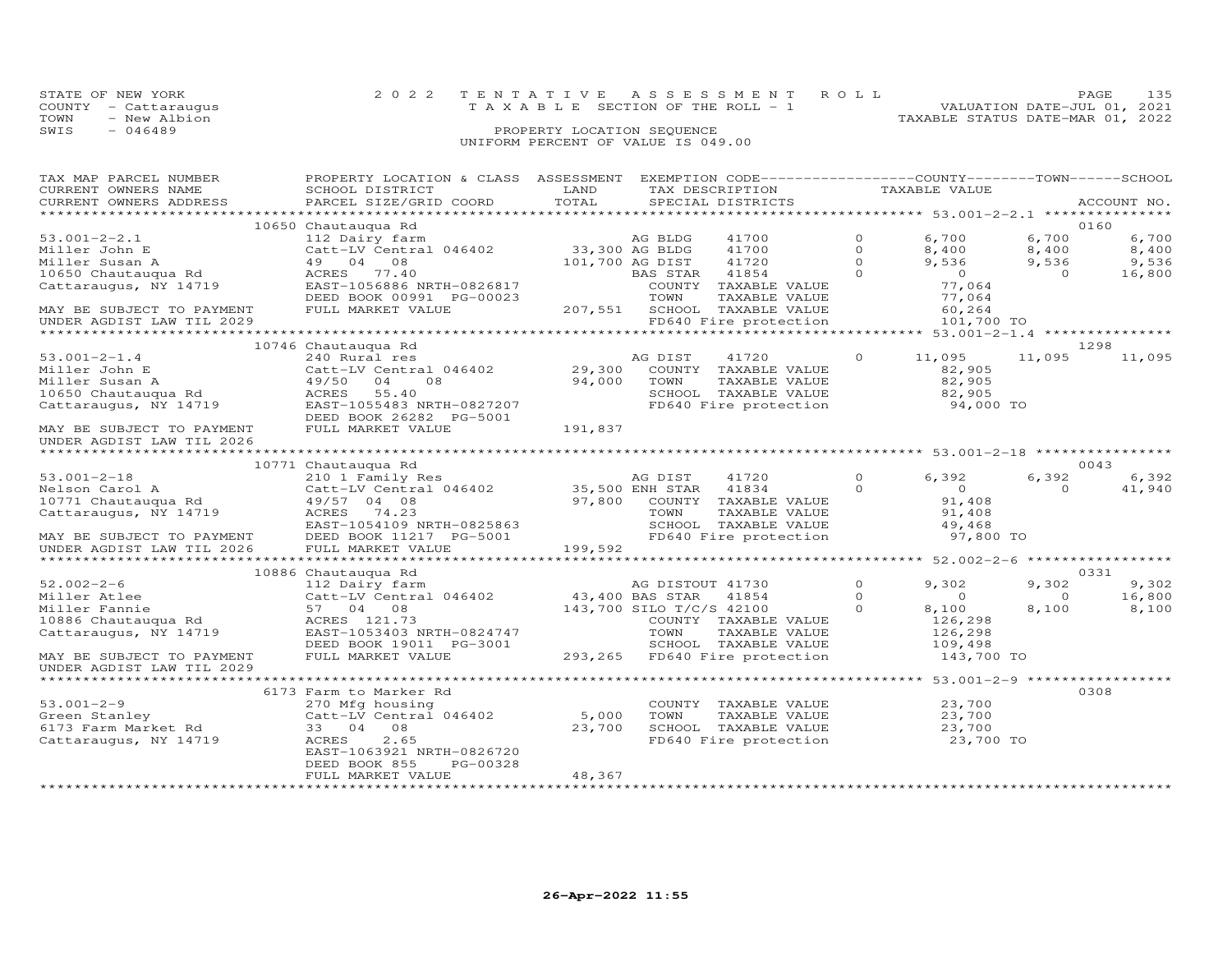| STATE OF NEW YORK    |  | 2022 TENTATIVE ASSESSMENT ROLL        |  | PAGE.                            | 135 |
|----------------------|--|---------------------------------------|--|----------------------------------|-----|
| COUNTY - Cattaraugus |  | T A X A B L E SECTION OF THE ROLL - 1 |  | VALUATION DATE-JUL 01, 2021      |     |
| TOWN<br>- New Albion |  |                                       |  | TAXABLE STATUS DATE-MAR 01, 2022 |     |
| SWIS<br>- 046489     |  |                                       |  |                                  |     |
|                      |  | UNIFORM PERCENT OF VALUE IS 049.00    |  |                                  |     |

| TAX MAP PARCEL NUMBER                                  | PROPERTY LOCATION & CLASS ASSESSMENT EXEMPTION CODE---------------COUNTY-------TOWN------SCHOOL |                          |                  |                               |          |                  |                |             |
|--------------------------------------------------------|-------------------------------------------------------------------------------------------------|--------------------------|------------------|-------------------------------|----------|------------------|----------------|-------------|
| CURRENT OWNERS NAME                                    | SCHOOL DISTRICT                                                                                 | LAND                     |                  | TAX DESCRIPTION               |          | TAXABLE VALUE    |                |             |
| CURRENT OWNERS ADDRESS                                 | PARCEL SIZE/GRID COORD                                                                          | TOTAL                    |                  | SPECIAL DISTRICTS             |          |                  |                | ACCOUNT NO. |
|                                                        |                                                                                                 |                          |                  |                               |          |                  |                |             |
|                                                        | 10650 Chautauqua Rd                                                                             |                          |                  |                               |          |                  |                | 0160        |
| $53.001 - 2 - 2.1$                                     | 112 Dairy farm                                                                                  |                          | AG BLDG          | 41700                         | $\circ$  | 6,700            | 6,700          | 6,700       |
| Miller John E                                          | Catt-LV Central 046402                                                                          | 33,300 AG BLDG           |                  | 41700                         | $\circ$  | 8,400            | 8,400          | 8,400       |
| Miller Susan A                                         | 49 04 08                                                                                        |                          | 101,700 AG DIST  | 41720                         | $\Omega$ | 9,536            | 9,536          | 9,536       |
|                                                        | ACRES 77.40                                                                                     |                          | BAS STAR         | 41854                         | $\Omega$ | $\overline{0}$   | $\overline{0}$ | 16,800      |
| 10650 Chautauqua Rd<br>Cattaraugus, NY 14719           | EAST-1056886 NRTH-0826817                                                                       |                          |                  | COUNTY TAXABLE VALUE          |          | 77,064           |                |             |
|                                                        | DEED BOOK 00991 PG-00023                                                                        |                          | TOWN             | TAXABLE VALUE                 |          | 77,064           |                |             |
| MAY BE SUBJECT TO PAYMENT                              | FULL MARKET VALUE                                                                               |                          |                  | 207,551 SCHOOL TAXABLE VALUE  |          | 60,264           |                |             |
| UNDER AGDIST LAW TIL 2029                              |                                                                                                 |                          |                  | FD640 Fire protection         |          | 101,700 TO       |                |             |
|                                                        |                                                                                                 |                          |                  |                               |          |                  |                |             |
|                                                        |                                                                                                 |                          |                  |                               |          |                  |                | 1298        |
|                                                        | 10746 Chautauqua Rd                                                                             |                          |                  |                               |          |                  |                |             |
| $53.001 - 2 - 1.4$                                     | 240 Rural res<br>240 Rural res<br>Catt-LV Central 046402 29,300                                 |                          | AG DIST          | 41720                         | $\circ$  | 11,095           | 11,095         | 11,095      |
| Miller John E                                          |                                                                                                 |                          |                  | COUNTY TAXABLE VALUE          |          | 82,905           |                |             |
| Miller Susan A                                         | 49/50<br>04<br>08                                                                               | 94,000                   | TOWN             | TAXABLE VALUE                 |          | 82,905           |                |             |
| 10650 Chautauqua Rd                                    | 55.40<br>ACRES                                                                                  |                          |                  | SCHOOL TAXABLE VALUE          |          | 82,905           |                |             |
| Cattaraugus, NY 14719                                  | EAST-1055483 NRTH-0827207                                                                       |                          |                  | FD640 Fire protection         |          | 94,000 TO        |                |             |
|                                                        | DEED BOOK 26282 PG-5001                                                                         |                          |                  |                               |          |                  |                |             |
| MAY BE SUBJECT TO PAYMENT                              | FULL MARKET VALUE                                                                               | 191,837                  |                  |                               |          |                  |                |             |
| UNDER AGDIST LAW TIL 2026                              |                                                                                                 |                          |                  |                               |          |                  |                |             |
|                                                        |                                                                                                 |                          |                  |                               |          |                  |                |             |
|                                                        | 10771 Chautauqua Rd                                                                             |                          |                  |                               |          |                  |                | 0043        |
| $53.001 - 2 - 18$                                      | 210 1 Family Res                                                                                |                          | AG DIST          | 41720                         | $\Omega$ | 6,392            | 6,392          | 6,392       |
| Nelson Carol A                                         | Catt-LV Central 046402 35,500 ENH STAR                                                          |                          |                  | 41834                         | $\Omega$ | $\overline{0}$   | $\Omega$       | 41,940      |
| 10771 Chautauqua Rd                                    | 49/57 04 08                                                                                     |                          |                  | 97,800 COUNTY TAXABLE VALUE   |          | 91,408           |                |             |
| Cattaraugus, NY 14719                                  |                                                                                                 |                          |                  |                               |          |                  |                |             |
|                                                        | ACRES 74.23                                                                                     |                          | TOWN             | TAXABLE VALUE                 |          | 91,408<br>49,468 |                |             |
|                                                        | EAST-1054109 NRTH-0825863                                                                       |                          |                  | SCHOOL TAXABLE VALUE          |          |                  |                |             |
| MAY BE SUBJECT TO PAYMENT<br>UNDER AGDIST LAW TIL 2026 | DEED BOOK 11217 PG-5001                                                                         |                          |                  | FD640 Fire protection         |          | 97,800 TO        |                |             |
|                                                        | FULL MARKET VALUE                                                                               | 199,592                  |                  |                               |          |                  |                |             |
|                                                        |                                                                                                 |                          |                  |                               |          |                  |                |             |
|                                                        | 10886 Chautauqua Rd                                                                             |                          |                  |                               |          |                  |                | 0331        |
| $52.002 - 2 - 6$                                       | 112 Dairy farm                                                                                  |                          | AG DISTOUT 41730 |                               | $\Omega$ | 9,302            | 9,302          | 9,302       |
| Miller Atlee                                           | Catt-LV Central 046402 43,400 BAS STAR                                                          |                          |                  | 41854                         | $\Omega$ | $\overline{0}$   | $\circ$        | 16,800      |
| Miller Fannie                                          | 57 04 08                                                                                        | 143,700 SILO T/C/S 42100 |                  |                               | $\Omega$ | 8,100            | 8,100          | 8,100       |
| 10886 Chautauqua Rd                                    | ACRES 121.73                                                                                    |                          |                  | COUNTY TAXABLE VALUE          |          | 126,298          |                |             |
| Cattaraugus, NY 14719                                  | EAST-1053403 NRTH-0824747                                                                       |                          | TOWN             | TAXABLE VALUE                 |          | 126,298          |                |             |
|                                                        | DEED BOOK 19011 PG-3001                                                                         |                          |                  | SCHOOL TAXABLE VALUE          |          | 109,498          |                |             |
| MAY BE SUBJECT TO PAYMENT                              | FULL MARKET VALUE                                                                               |                          |                  | 293,265 FD640 Fire protection |          | 143,700 TO       |                |             |
| UNDER AGDIST LAW TIL 2029                              |                                                                                                 |                          |                  |                               |          |                  |                |             |
|                                                        |                                                                                                 |                          |                  |                               |          |                  |                |             |
|                                                        | 6173 Farm to Marker Rd                                                                          |                          |                  |                               |          |                  |                | 0308        |
| $53.001 - 2 - 9$                                       |                                                                                                 |                          |                  | COUNTY TAXABLE VALUE          |          |                  |                |             |
|                                                        | 270 Mfg housing<br>Catt-LV Central 046402                                                       | 5,000                    |                  |                               |          | 23,700           |                |             |
| Green Stanley<br>6173 Farm Market Rd                   |                                                                                                 |                          | TOWN             | TAXABLE VALUE                 |          | 23,700           |                |             |
|                                                        | 08<br>33 04                                                                                     | 23,700                   |                  | SCHOOL TAXABLE VALUE          |          | 23,700           |                |             |
| Cattaraugus, NY 14719                                  | 2.65<br>ACRES                                                                                   |                          |                  | FD640 Fire protection         |          | 23,700 TO        |                |             |
|                                                        | EAST-1063921 NRTH-0826720                                                                       |                          |                  |                               |          |                  |                |             |
|                                                        | DEED BOOK 855<br>PG-00328                                                                       |                          |                  |                               |          |                  |                |             |
|                                                        | FULL MARKET VALUE                                                                               | 48,367                   |                  |                               |          |                  |                |             |
|                                                        |                                                                                                 |                          |                  |                               |          |                  |                |             |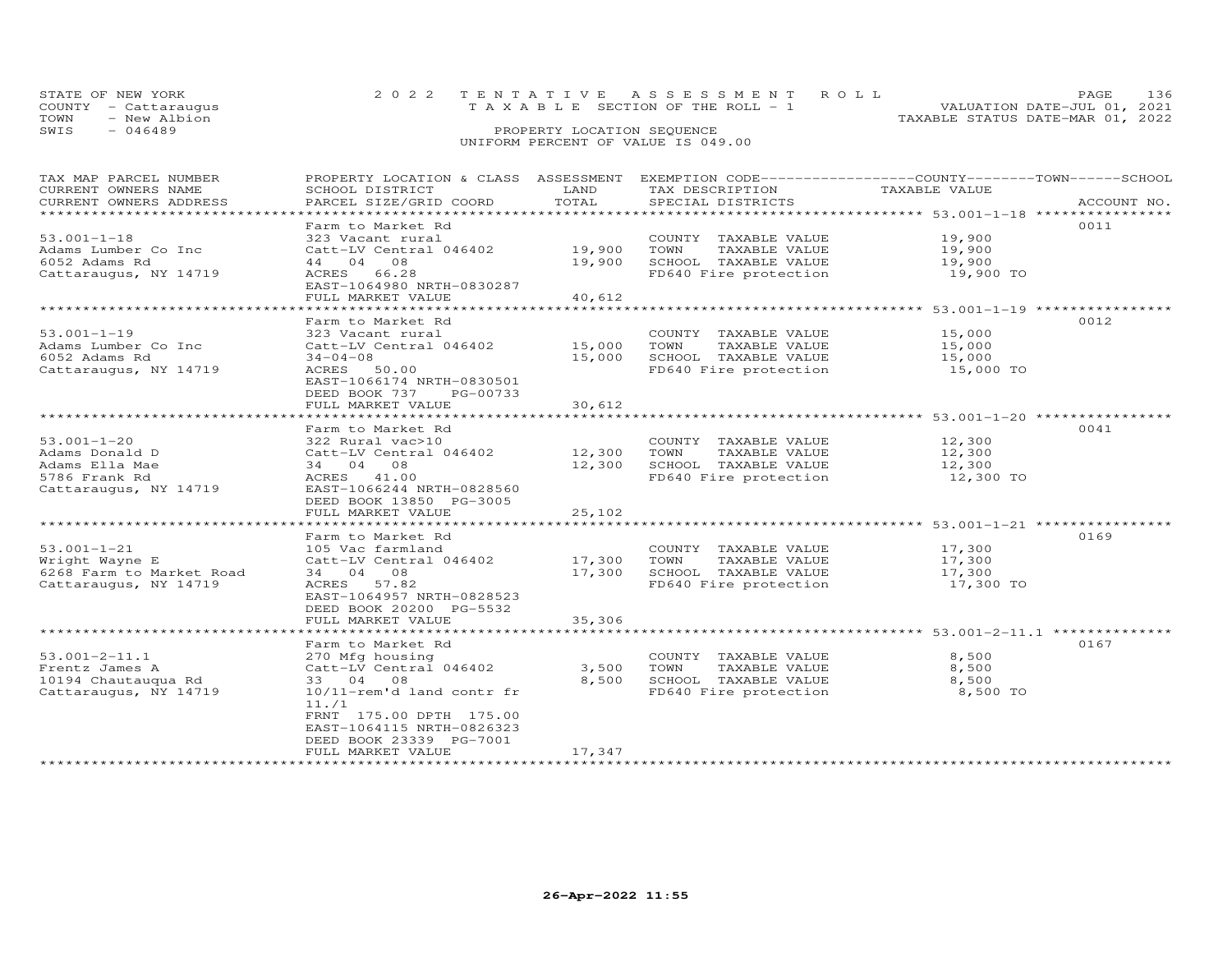| STATE OF NEW YORK                  |  | 2022 TENTATIVE ASSESSMENT ROLL  |  | PAGE.                            |  |  |  |
|------------------------------------|--|---------------------------------|--|----------------------------------|--|--|--|
| COUNTY - Cattaraugus               |  | TAXABLE SECTION OF THE ROLL - 1 |  | VALUATION DATE-JUL 01, 2021      |  |  |  |
| TOWN<br>- New Albion               |  |                                 |  | TAXABLE STATUS DATE-MAR 01, 2022 |  |  |  |
| SWIS<br>- 046489                   |  | PROPERTY LOCATION SEQUENCE      |  |                                  |  |  |  |
| UNIFORM PERCENT OF VALUE IS 049.00 |  |                                 |  |                                  |  |  |  |

| TAX MAP PARCEL NUMBER    | PROPERTY LOCATION & CLASS ASSESSMENT EXEMPTION CODE----------------COUNTY-------TOWN------SCHOOL |                |                                                                |               |             |
|--------------------------|--------------------------------------------------------------------------------------------------|----------------|----------------------------------------------------------------|---------------|-------------|
| CURRENT OWNERS NAME      | SCHOOL DISTRICT                                                                                  | LAND           | TAX DESCRIPTION                                                | TAXABLE VALUE |             |
| CURRENT OWNERS ADDRESS   | PARCEL SIZE/GRID COORD                                                                           | TOTAL          | SPECIAL DISTRICTS                                              |               | ACCOUNT NO. |
|                          |                                                                                                  |                |                                                                |               |             |
|                          | Farm to Market Rd                                                                                |                |                                                                |               | 0011        |
| $53.001 - 1 - 18$        | 323 Vacant rural                                                                                 |                | COUNTY TAXABLE VALUE                                           | 19,900        |             |
| Adams Lumber Co Inc      | Catt-LV Central 046402                                                                           | 19,900         | TOWN<br>TAXABLE VALUE                                          | 19,900        |             |
| 6052 Adams Rd            | 44 04 08                                                                                         | 19,900         | SCHOOL TAXABLE VALUE                                           | 19,900        |             |
| Cattaraugus, NY 14719    | ACRES 66.28                                                                                      |                | FD640 Fire protection                                          | 19,900 TO     |             |
|                          | EAST-1064980 NRTH-0830287                                                                        |                |                                                                |               |             |
|                          | FULL MARKET VALUE                                                                                | 40,612         |                                                                |               |             |
|                          |                                                                                                  |                |                                                                |               |             |
|                          | Farm to Market Rd                                                                                |                |                                                                |               | 0012        |
| $53.001 - 1 - 19$        | 323 Vacant rural                                                                                 |                | COUNTY TAXABLE VALUE                                           | 15,000        |             |
| Adams Lumber Co Inc      | Catt-LV Central 046402                                                                           | 15,000         | TOWN<br>TAXABLE VALUE                                          | 15,000        |             |
| 6052 Adams Rd            | $34 - 04 - 08$                                                                                   | 15,000         | SCHOOL TAXABLE VALUE                                           | 15,000        |             |
| Cattaraugus, NY 14719    | ACRES 50.00                                                                                      |                | FD640 Fire protection                                          | 15,000 TO     |             |
|                          | EAST-1066174 NRTH-0830501                                                                        |                |                                                                |               |             |
|                          | DEED BOOK 737<br>PG-00733                                                                        |                |                                                                |               |             |
|                          | FULL MARKET VALUE                                                                                | 30,612         |                                                                |               |             |
|                          | ***************************                                                                      |                | ******************************** 53.001-1-20 ***************** |               |             |
|                          | Farm to Market Rd                                                                                |                |                                                                |               | 0041        |
| $53.001 - 1 - 20$        | 322 Rural vac>10                                                                                 |                | COUNTY TAXABLE VALUE                                           | 12,300        |             |
| Adams Donald D           | Catt-LV Central 046402                                                                           | 12,300         | TAXABLE VALUE<br>TOWN                                          | 12,300        |             |
| Adams Ella Mae           | 34 04 08                                                                                         | 12,300         | SCHOOL TAXABLE VALUE                                           | 12,300        |             |
| 5786 Frank Rd            | ACRES 41.00                                                                                      |                | FD640 Fire protection                                          | 12,300 TO     |             |
| Cattaraugus, NY 14719    | EAST-1066244 NRTH-0828560                                                                        |                |                                                                |               |             |
|                          | DEED BOOK 13850 PG-3005                                                                          |                |                                                                |               |             |
|                          | FULL MARKET VALUE                                                                                | 25,102         |                                                                |               |             |
|                          |                                                                                                  |                |                                                                |               |             |
|                          | Farm to Market Rd                                                                                |                |                                                                |               | 0169        |
| $53.001 - 1 - 21$        | 105 Vac farmland                                                                                 |                | COUNTY TAXABLE VALUE                                           | 17,300        |             |
| Wright Wayne E           | Catt-LV Central 046402                                                                           | 17,300         | TOWN<br>TAXABLE VALUE                                          | 17,300        |             |
| 6268 Farm to Market Road | 34 04 08                                                                                         | 17,300         | SCHOOL TAXABLE VALUE                                           | 17,300        |             |
| Cattaraugus, NY 14719    | ACRES 57.82                                                                                      |                | FD640 Fire protection                                          | 17,300 TO     |             |
|                          | EAST-1064957 NRTH-0828523                                                                        |                |                                                                |               |             |
|                          | DEED BOOK 20200 PG-5532                                                                          |                |                                                                |               |             |
|                          | FULL MARKET VALUE                                                                                | 35,306         |                                                                |               |             |
|                          | *************************                                                                        | ************** | ******************************** 53.001-2-11.1 *************** |               |             |
|                          | Farm to Market Rd                                                                                |                |                                                                |               | 0167        |
| $53.001 - 2 - 11.1$      | 270 Mfg housing                                                                                  |                | COUNTY TAXABLE VALUE                                           | 8,500         |             |
| Frentz James A           | Catt-LV Central 046402                                                                           | 3,500          | TOWN<br>TAXABLE VALUE                                          | 8,500         |             |
| 10194 Chautauqua Rd      | 33 04 08                                                                                         | 8,500          | SCHOOL TAXABLE VALUE                                           | 8,500         |             |
| Cattaraugus, NY 14719    | 10/11-rem'd land contr fr                                                                        |                | FD640 Fire protection                                          | 8,500 TO      |             |
|                          | 11.71                                                                                            |                |                                                                |               |             |
|                          | FRNT 175.00 DPTH 175.00                                                                          |                |                                                                |               |             |
|                          | EAST-1064115 NRTH-0826323                                                                        |                |                                                                |               |             |
|                          | DEED BOOK 23339 PG-7001                                                                          |                |                                                                |               |             |
|                          | FULL MARKET VALUE                                                                                | 17,347         |                                                                |               |             |
|                          |                                                                                                  |                |                                                                |               |             |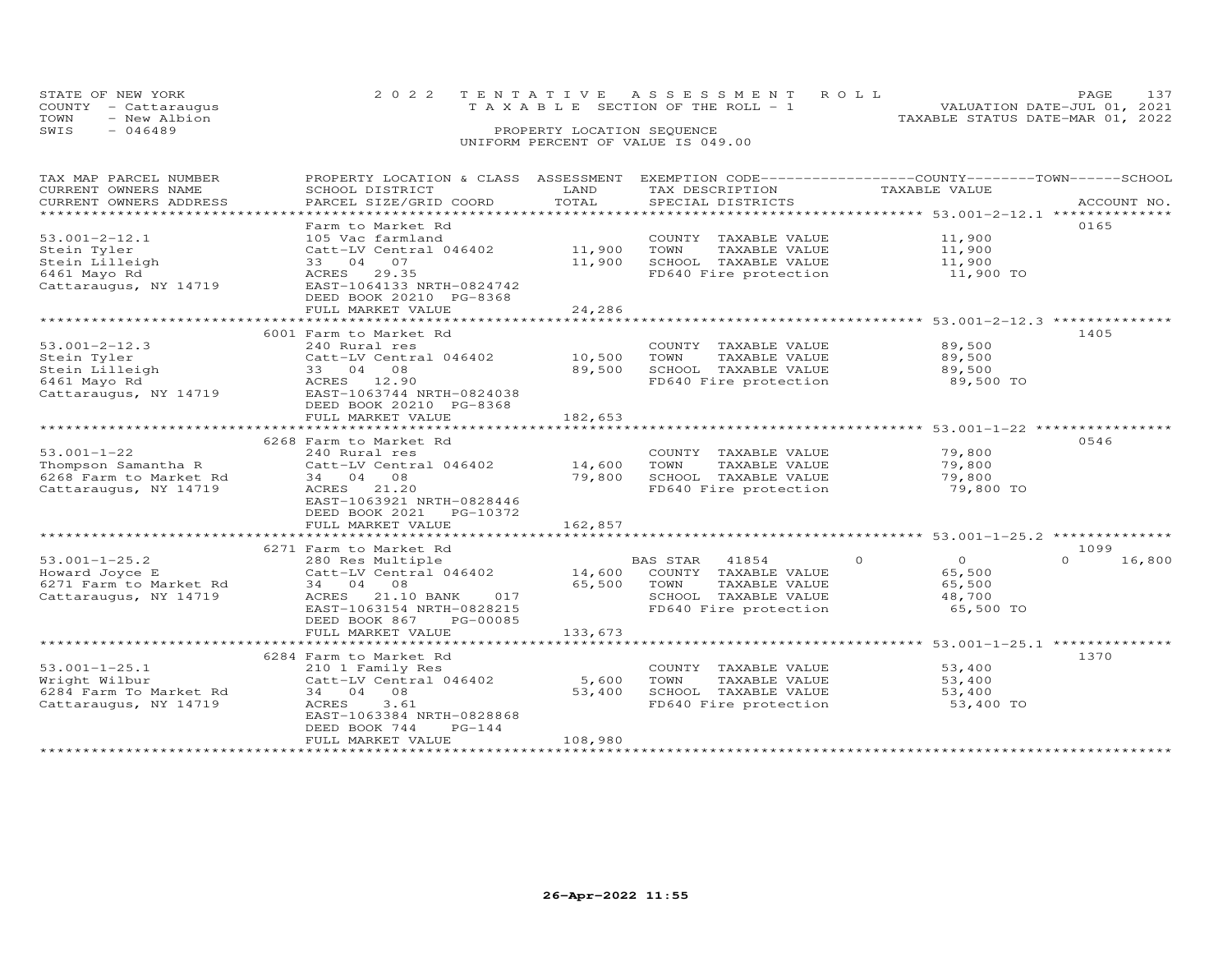|      | STATE OF NEW YORK    | 2022 TENTATIVE ASSESSMENT ROLL        |  |  |  |                                  | PAGE.                       |  |
|------|----------------------|---------------------------------------|--|--|--|----------------------------------|-----------------------------|--|
|      | COUNTY - Cattaraugus | T A X A B L E SECTION OF THE ROLL - 1 |  |  |  |                                  | VALUATION DATE-JUL 01, 2021 |  |
| TOWN | - New Albion         |                                       |  |  |  | TAXABLE STATUS DATE-MAR 01, 2022 |                             |  |
| SWIS | $-046489$            | PROPERTY LOCATION SEQUENCE            |  |  |  |                                  |                             |  |
|      |                      | UNIFORM PERCENT OF VALUE IS 049.00    |  |  |  |                                  |                             |  |

### TAX MAP PARCEL NUMBER PROPERTY LOCATION & CLASS ASSESSMENT EXEMPTION CODE------------------COUNTY--------TOWN------SCHOOL CURRENT OWNERS NAME SCHOOL DISTRICT LAND TAX DESCRIPTION TAXABLE VALUE CURRENT OWNERS ADDRESS PARCEL SIZE/GRID COORD TOTAL SPECIAL DISTRICTS ACCOUNT NO. \*\*\*\*\*\*\*\*\*\*\*\*\*\*\*\*\*\*\*\*\*\*\*\*\*\*\*\*\*\*\*\*\*\*\*\*\*\*\*\*\*\*\*\*\*\*\*\*\*\*\*\*\*\*\*\*\*\*\*\*\*\*\*\*\*\*\*\*\*\*\*\*\*\*\*\*\*\*\*\*\*\*\*\*\*\*\*\*\*\*\*\*\*\*\*\*\*\*\*\*\*\*\* 53.001-2-12.1 \*\*\*\*\*\*\*\*\*\*\*\*\*\* Farm to Market Rd 016553.001-2-12.1 105 Vac farmland COUNTY TAXABLE VALUE 11,900<br>Stein Iilleigh Catt-LV Central 046402 11,900 TOWN TAXABLE VALUE 11,900<br>Stein Lilleigh 33 04 07 11,900 SCHOOL TAXABLE VALUE 11,900<br>6461 Mayo Rd ACRES 29.35 FD640 Fi FULL MARKET VALUE 24,286 \*\*\*\*\*\*\*\*\*\*\*\*\*\*\*\*\*\*\*\*\*\*\*\*\*\*\*\*\*\*\*\*\*\*\*\*\*\*\*\*\*\*\*\*\*\*\*\*\*\*\*\*\*\*\*\*\*\*\*\*\*\*\*\*\*\*\*\*\*\*\*\*\*\*\*\*\*\*\*\*\*\*\*\*\*\*\*\*\*\*\*\*\*\*\*\*\*\*\*\*\*\*\* 53.001-2-12.3 \*\*\*\*\*\*\*\*\*\*\*\*\*\* 6001 Farm to Market Rd 140553.001-2-12.3 240 Rural res COUNTY TAXABLE VALUE 89,500 Stein Tyler Catt-LV Central 046402 10,500 TOWN TAXABLE VALUE 89,500 Stein Lilleigh 33 04 08 89,500 SCHOOL TAXABLE VALUE 89,500 6461 Mayo Rd ACRES 12.90 FD640 Fire protection 89,500 TOCattaraugus, NY 14719 EAST-1063744 NRTH-0824038 DEED BOOK 20210 PG-8368 FULL MARKET VALUE 182,653 \*\*\*\*\*\*\*\*\*\*\*\*\*\*\*\*\*\*\*\*\*\*\*\*\*\*\*\*\*\*\*\*\*\*\*\*\*\*\*\*\*\*\*\*\*\*\*\*\*\*\*\*\*\*\*\*\*\*\*\*\*\*\*\*\*\*\*\*\*\*\*\*\*\*\*\*\*\*\*\*\*\*\*\*\*\*\*\*\*\*\*\*\*\*\*\*\*\*\*\*\*\*\* 53.001-1-22 \*\*\*\*\*\*\*\*\*\*\*\*\*\*\*\*6268 Farm to Market Rd<br>
240 Rural res = 240 COUNTY TAXABLE VALUE 79,800<br>
241 Rural 046402 14,600 TOWN TAXABLE VALUE 79,800<br>
6268 Farm to Market Rd 34 04 08 79,800 SCHOOL TAXABLE VALUE 79,800<br>
24 Cattaraugus, NY 14719 ACRES FULL MARKET VALUE 162,857 \*\*\*\*\*\*\*\*\*\*\*\*\*\*\*\*\*\*\*\*\*\*\*\*\*\*\*\*\*\*\*\*\*\*\*\*\*\*\*\*\*\*\*\*\*\*\*\*\*\*\*\*\*\*\*\*\*\*\*\*\*\*\*\*\*\*\*\*\*\*\*\*\*\*\*\*\*\*\*\*\*\*\*\*\*\*\*\*\*\*\*\*\*\*\*\*\*\*\*\*\*\*\* 53.001-1-25.2 \*\*\*\*\*\*\*\*\*\*\*\*\*\* 6271 Farm to Market Rd 1099 $0 \t 16,800$ 53.001-1-25.2 280 Res Multiple bas STAR 41854 0<br>
Howard Joyce E Catt-LV Central 046402 14,600 COUNTY TAXABLE VALUE 65,500 0 16,800<br>
6271 Farm to Market Rd 34 04 08 65,500 TOWN TAXABLE VALUE 65,500<br>
Cattaraugus, NY 14719 AC FULL MARKET VALUE 133,673 \*\*\*\*\*\*\*\*\*\*\*\*\*\*\*\*\*\*\*\*\*\*\*\*\*\*\*\*\*\*\*\*\*\*\*\*\*\*\*\*\*\*\*\*\*\*\*\*\*\*\*\*\*\*\*\*\*\*\*\*\*\*\*\*\*\*\*\*\*\*\*\*\*\*\*\*\*\*\*\*\*\*\*\*\*\*\*\*\*\*\*\*\*\*\*\*\*\*\*\*\*\*\* 53.001-1-25.1 \*\*\*\*\*\*\*\*\*\*\*\*\*\*6284 Farm to Market Rd<br>
Family Res (2000) 210 1 Family Res (2000) For COUNTY TAXABLE VALUE 53,400<br>
6284 Farm To Market Rd 34 04 08<br>
Cattaraugus, NY 14719 ACRES 3.61 53,400 53,400 FD640 Fire protection 53,400<br>
EAST-1063384 DEED BOOK 744 PG-144 FULL MARKET VALUE 108,980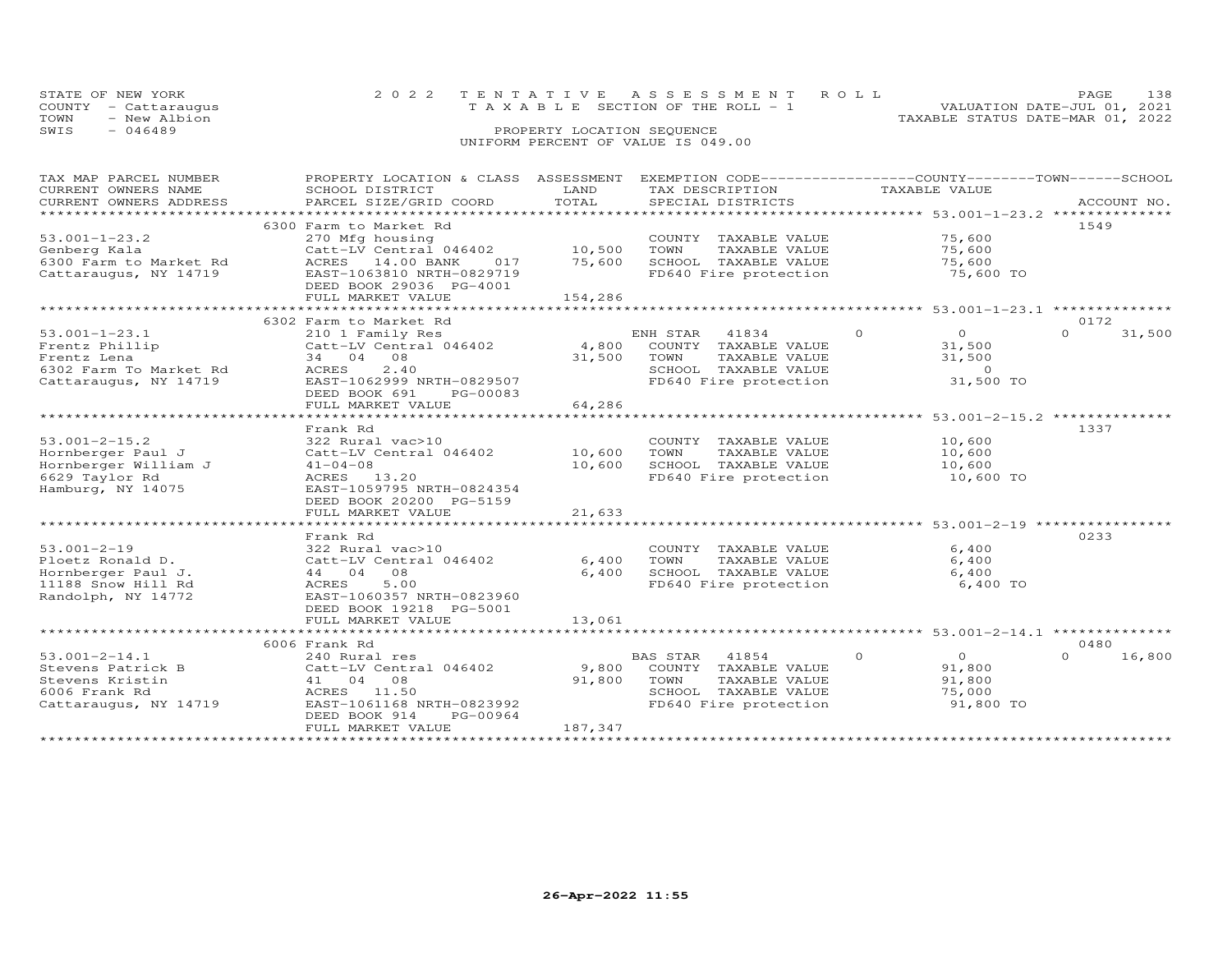| STATE OF NEW YORK    | 2022 TENTATIVE ASSESSMENT ROLL        | 138<br>PAGE.                     |
|----------------------|---------------------------------------|----------------------------------|
| COUNTY - Cattaraugus | T A X A B L E SECTION OF THE ROLL - 1 | VALUATION DATE-JUL 01, 2021      |
| - New Albion<br>TOWN |                                       | TAXABLE STATUS DATE-MAR 01, 2022 |
| SWIS<br>$-046489$    | PROPERTY LOCATION SEQUENCE            |                                  |
|                      | UNIFORM PERCENT OF VALUE IS 049.00    |                                  |

| TAX MAP PARCEL NUMBER                              | PROPERTY LOCATION & CLASS ASSESSMENT         |               | TAX DESCRIPTION |                       | EXEMPTION CODE-----------------COUNTY-------TOWN------SCHOOL<br>TAXABLE VALUE |                                     |                    |
|----------------------------------------------------|----------------------------------------------|---------------|-----------------|-----------------------|-------------------------------------------------------------------------------|-------------------------------------|--------------------|
| CURRENT OWNERS NAME                                | SCHOOL DISTRICT                              | LAND<br>TOTAL |                 |                       |                                                                               |                                     |                    |
| CURRENT OWNERS ADDRESS<br>************************ | PARCEL SIZE/GRID COORD                       |               |                 | SPECIAL DISTRICTS     |                                                                               |                                     | ACCOUNT NO.        |
|                                                    | 6300 Farm to Market Rd                       |               |                 |                       |                                                                               |                                     | 1549               |
| $53.001 - 1 - 23.2$                                | 270 Mfg housing                              |               |                 |                       |                                                                               | 75,600                              |                    |
|                                                    |                                              |               | TOWN            | COUNTY TAXABLE VALUE  |                                                                               |                                     |                    |
| Genberg Kala                                       | Catt-LV Central 046402                       | 10,500        |                 | TAXABLE VALUE         |                                                                               | 75,600                              |                    |
| 6300 Farm to Market Rd                             | ACRES<br>14.00 BANK<br>017                   | 75,600        |                 | SCHOOL TAXABLE VALUE  |                                                                               | 75,600                              |                    |
| Cattaraugus, NY 14719                              | EAST-1063810 NRTH-0829719                    |               |                 | FD640 Fire protection |                                                                               | 75,600 TO                           |                    |
|                                                    | DEED BOOK 29036 PG-4001<br>FULL MARKET VALUE | 154,286       |                 |                       |                                                                               |                                     |                    |
|                                                    |                                              |               |                 |                       |                                                                               |                                     |                    |
|                                                    | 6302 Farm to Market Rd                       |               |                 |                       |                                                                               |                                     | 0172               |
| $53.001 - 1 - 23.1$                                | 210 1 Family Res                             |               | ENH STAR        | 41834                 | $\circ$                                                                       | $\overline{O}$                      | $\Omega$           |
|                                                    | Catt-LV Central 046402                       | 4,800         |                 |                       |                                                                               |                                     | 31,500             |
| Frentz Phillip                                     |                                              |               |                 | COUNTY TAXABLE VALUE  |                                                                               | 31,500                              |                    |
| Frentz Lena                                        | 34 04 08<br>2.40                             | 31,500        | TOWN            | TAXABLE VALUE         |                                                                               | 31,500                              |                    |
| 6302 Farm To Market Rd                             | ACRES                                        |               |                 | SCHOOL TAXABLE VALUE  |                                                                               | $\Omega$                            |                    |
| Cattaraugus, NY 14719                              | EAST-1062999 NRTH-0829507                    |               |                 | FD640 Fire protection |                                                                               | 31,500 TO                           |                    |
|                                                    | DEED BOOK 691<br>PG-00083                    |               |                 |                       |                                                                               |                                     |                    |
|                                                    | FULL MARKET VALUE                            | 64,286<br>.   |                 |                       |                                                                               | ****************** 53.001-2-15.2 ** |                    |
|                                                    |                                              |               |                 |                       |                                                                               |                                     |                    |
|                                                    | Frank Rd                                     |               |                 |                       |                                                                               |                                     | 1337               |
| $53.001 - 2 - 15.2$                                | 322 Rural vac>10                             |               |                 | COUNTY TAXABLE VALUE  |                                                                               | 10,600                              |                    |
| Hornberger Paul J                                  | Catt-LV Central 046402                       | 10,600        | TOWN            | TAXABLE VALUE         |                                                                               | 10,600                              |                    |
| Hornberger William J                               | $41 - 04 - 08$                               | 10,600        |                 | SCHOOL TAXABLE VALUE  |                                                                               | 10,600                              |                    |
| 6629 Taylor Rd                                     | ACRES 13.20                                  |               |                 | FD640 Fire protection |                                                                               | 10,600 TO                           |                    |
| Hamburg, NY 14075                                  | EAST-1059795 NRTH-0824354                    |               |                 |                       |                                                                               |                                     |                    |
|                                                    | DEED BOOK 20200 PG-5159                      |               |                 |                       |                                                                               |                                     |                    |
|                                                    | FULL MARKET VALUE                            | 21,633        |                 |                       |                                                                               |                                     |                    |
|                                                    |                                              |               |                 |                       |                                                                               |                                     |                    |
|                                                    | Frank Rd                                     |               |                 |                       |                                                                               |                                     | 0233               |
| $53.001 - 2 - 19$                                  | 322 Rural vac>10                             |               |                 | COUNTY TAXABLE VALUE  |                                                                               | 6,400                               |                    |
| Ploetz Ronald D.                                   | Catt-LV Central 046402                       | 6,400         | TOWN            | TAXABLE VALUE         |                                                                               | 6,400                               |                    |
| Hornberger Paul J.                                 | 44 04 08                                     | 6,400         |                 | SCHOOL TAXABLE VALUE  |                                                                               | 6,400                               |                    |
| 11188 Snow Hill Rd                                 | 5.00<br>ACRES                                |               |                 | FD640 Fire protection |                                                                               | 6,400 TO                            |                    |
| Randolph, NY 14772                                 | EAST-1060357 NRTH-0823960                    |               |                 |                       |                                                                               |                                     |                    |
|                                                    | DEED BOOK 19218 PG-5001                      |               |                 |                       |                                                                               |                                     |                    |
|                                                    | FULL MARKET VALUE                            | 13,061        |                 |                       |                                                                               |                                     |                    |
|                                                    |                                              |               |                 |                       |                                                                               |                                     |                    |
|                                                    | 6006 Frank Rd                                |               |                 |                       |                                                                               |                                     | 0480               |
| $53.001 - 2 - 14.1$                                | 240 Rural res                                |               | BAS STAR        | 41854                 | $\Omega$                                                                      | $\overline{0}$                      | $\Omega$<br>16,800 |
| Stevens Patrick B                                  | Catt-LV Central 046402                       | 9,800         |                 | COUNTY TAXABLE VALUE  |                                                                               | 91,800                              |                    |
| Stevens Kristin                                    | 41 04 08                                     | 91,800        | TOWN            | TAXABLE VALUE         |                                                                               | 91,800                              |                    |
| 6006 Frank Rd                                      | ACRES 11.50                                  |               |                 | SCHOOL TAXABLE VALUE  |                                                                               | 75,000                              |                    |
| Cattaraugus, NY 14719                              | EAST-1061168 NRTH-0823992                    |               |                 | FD640 Fire protection |                                                                               | 91,800 TO                           |                    |
|                                                    | DEED BOOK 914<br>PG-00964                    |               |                 |                       |                                                                               |                                     |                    |
|                                                    | FULL MARKET VALUE                            | 187,347       |                 |                       |                                                                               |                                     |                    |
|                                                    |                                              |               |                 |                       |                                                                               |                                     |                    |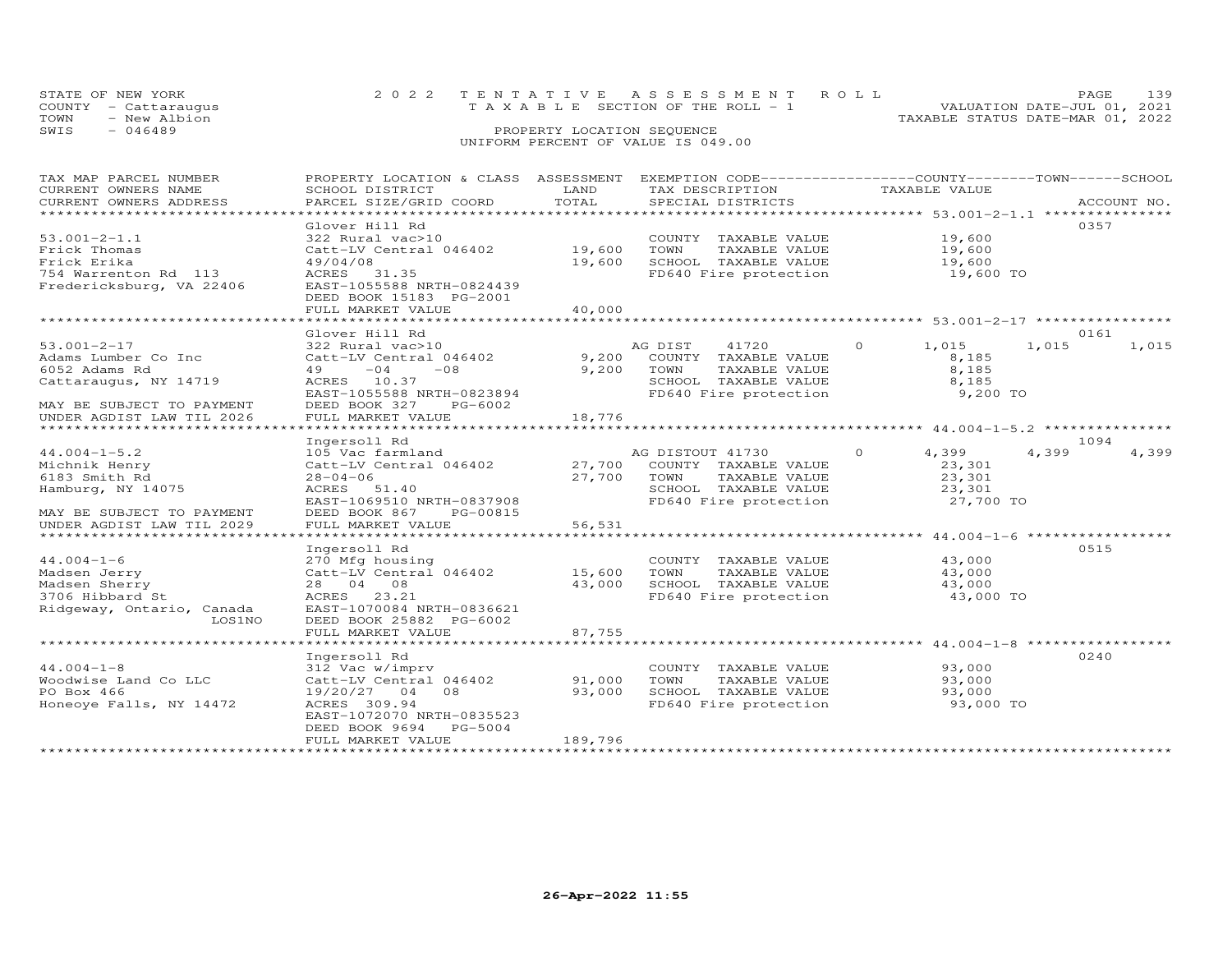| STATE OF NEW YORK    | 2022 TENTATIVE ASSESSMENT ROLL        | 139<br>PAGE.                     |
|----------------------|---------------------------------------|----------------------------------|
| COUNTY - Cattaraugus | T A X A B L E SECTION OF THE ROLL - 1 | VALUATION DATE-JUL 01, 2021      |
| TOWN<br>- New Albion |                                       | TAXABLE STATUS DATE-MAR 01, 2022 |
| SWIS<br>- 046489     | PROPERTY LOCATION SEQUENCE            |                                  |
|                      | UNIFORM PERCENT OF VALUE IS 049.00    |                                  |

| TAX MAP PARCEL NUMBER                             | PROPERTY LOCATION & CLASS ASSESSMENT EXEMPTION CODE----------------COUNTY-------TOWN------SCHOOL |             |                                               |                   |             |       |
|---------------------------------------------------|--------------------------------------------------------------------------------------------------|-------------|-----------------------------------------------|-------------------|-------------|-------|
| CURRENT OWNERS NAME                               | SCHOOL DISTRICT                                                                                  | LAND        | TAX DESCRIPTION                               | TAXABLE VALUE     |             |       |
| CURRENT OWNERS ADDRESS<br>*********************** | PARCEL SIZE/GRID COORD                                                                           | TOTAL       | SPECIAL DISTRICTS                             |                   | ACCOUNT NO. |       |
|                                                   |                                                                                                  |             |                                               |                   |             |       |
|                                                   | Glover Hill Rd                                                                                   |             |                                               |                   | 0357        |       |
| $53.001 - 2 - 1.1$                                | 322 Rural vac>10                                                                                 |             | COUNTY TAXABLE VALUE                          | 19,600            |             |       |
| Frick Thomas                                      | Catt-LV Central 046402                                                                           | 19,600      | TOWN<br>TAXABLE VALUE                         | 19,600            |             |       |
| Frick Erika                                       | 49/04/08                                                                                         | 19,600      | SCHOOL TAXABLE VALUE                          | 19,600            |             |       |
| 754 Warrenton Rd 113                              | ACRES 31.35                                                                                      |             | FD640 Fire protection                         | 19,600 TO         |             |       |
| Fredericksburg, VA 22406                          | EAST-1055588 NRTH-0824439                                                                        |             |                                               |                   |             |       |
|                                                   | DEED BOOK 15183 PG-2001                                                                          |             |                                               |                   |             |       |
|                                                   | FULL MARKET VALUE                                                                                | 40,000      |                                               |                   |             |       |
|                                                   |                                                                                                  |             |                                               |                   |             |       |
|                                                   | Glover Hill Rd                                                                                   |             |                                               |                   | 0161        |       |
| $53.001 - 2 - 17$                                 | 322 Rural vac>10                                                                                 |             | AG DIST<br>41720                              | $\Omega$<br>1,015 | 1,015       | 1,015 |
| Adams Lumber Co Inc                               | Catt-LV Central 046402                                                                           |             | 9,200 COUNTY TAXABLE VALUE                    | 8,185             |             |       |
| 6052 Adams Rd                                     | 49<br>$-04$<br>$-08$                                                                             |             | 9,200 TOWN<br>TAXABLE VALUE                   | 8,185             |             |       |
| Cattaraugus, NY 14719                             | ACRES 10.37                                                                                      |             | SCHOOL TAXABLE VALUE<br>FD640 Fire protection | 8,185             |             |       |
|                                                   | EAST-1055588 NRTH-0823894                                                                        |             |                                               | 9,200 TO          |             |       |
| MAY BE SUBJECT TO PAYMENT                         | DEED BOOK 327<br>PG-6002                                                                         |             |                                               |                   |             |       |
| UNDER AGDIST LAW TIL 2026                         | FULL MARKET VALUE                                                                                | 18,776      |                                               |                   |             |       |
|                                                   |                                                                                                  |             |                                               |                   |             |       |
|                                                   | Ingersoll Rd                                                                                     |             |                                               |                   | 1094        |       |
| $44.004 - 1 - 5.2$                                | 105 Vac farmland                                                                                 |             | AG DISTOUT 41730                              | $\Omega$<br>4,399 | 4,399       | 4,399 |
| Michnik Henry                                     | Catt-LV Central 046402                                                                           |             | 27,700 COUNTY TAXABLE VALUE                   | 23,301            |             |       |
| 6183 Smith Rd                                     | $28 - 04 - 06$                                                                                   | 27,700 TOWN | TAXABLE VALUE                                 | 23,301            |             |       |
| Hamburg, NY 14075                                 | ACRES 51.40                                                                                      |             | SCHOOL TAXABLE VALUE<br>FD640 Fire protection | 23,301            |             |       |
|                                                   | EAST-1069510 NRTH-0837908                                                                        |             |                                               | 27,700 TO         |             |       |
| MAY BE SUBJECT TO PAYMENT                         | DEED BOOK 867 PG-00815                                                                           |             |                                               |                   |             |       |
| UNDER AGDIST LAW TIL 2029                         | FULL MARKET VALUE                                                                                | 56,531      |                                               |                   |             |       |
|                                                   |                                                                                                  |             |                                               |                   |             |       |
|                                                   | Ingersoll Rd                                                                                     |             |                                               |                   | 0515        |       |
| $44.004 - 1 - 6$                                  | 270 Mfg housing                                                                                  |             | COUNTY TAXABLE VALUE                          | 43,000            |             |       |
| Madsen Jerry                                      | $Cat$ -LV Central 046402 15,600                                                                  |             | TOWN<br>TAXABLE VALUE                         | 43,000            |             |       |
| Madsen Sherry                                     | 28 04 08                                                                                         | 43,000      | SCHOOL TAXABLE VALUE                          | 43,000            |             |       |
| 3706 Hibbard St                                   | ACRES 23.21                                                                                      |             | FD640 Fire protection                         | 43,000 TO         |             |       |
| Ridgeway, Ontario, Canada                         | EAST-1070084 NRTH-0836621                                                                        |             |                                               |                   |             |       |
| LOS1NO                                            | DEED BOOK 25882 PG-6002                                                                          |             |                                               |                   |             |       |
|                                                   | FULL MARKET VALUE                                                                                | 87,755      |                                               |                   |             |       |
|                                                   |                                                                                                  |             |                                               |                   |             |       |
|                                                   | Ingersoll Rd                                                                                     |             |                                               |                   | 0240        |       |
| $44.004 - 1 - 8$                                  | 312 Vac w/imprv                                                                                  |             | COUNTY TAXABLE VALUE                          | 93,000            |             |       |
| Woodwise Land Co LLC                              | Catt-LV Central 046402                                                                           | 91,000      | TOWN<br>TAXABLE VALUE                         | 93,000            |             |       |
| PO Box 466                                        | 19/20/27 04 08                                                                                   | 93,000      | SCHOOL TAXABLE VALUE<br>FD640 Fire protection | 93,000            |             |       |
| Honeoye Falls, NY 14472                           | ACRES 309.94                                                                                     |             |                                               | 93,000 TO         |             |       |
|                                                   | EAST-1072070 NRTH-0835523                                                                        |             |                                               |                   |             |       |
|                                                   | DEED BOOK 9694 PG-5004                                                                           |             |                                               |                   |             |       |
|                                                   | FULL MARKET VALUE                                                                                | 189,796     |                                               |                   |             |       |
|                                                   |                                                                                                  |             |                                               |                   |             |       |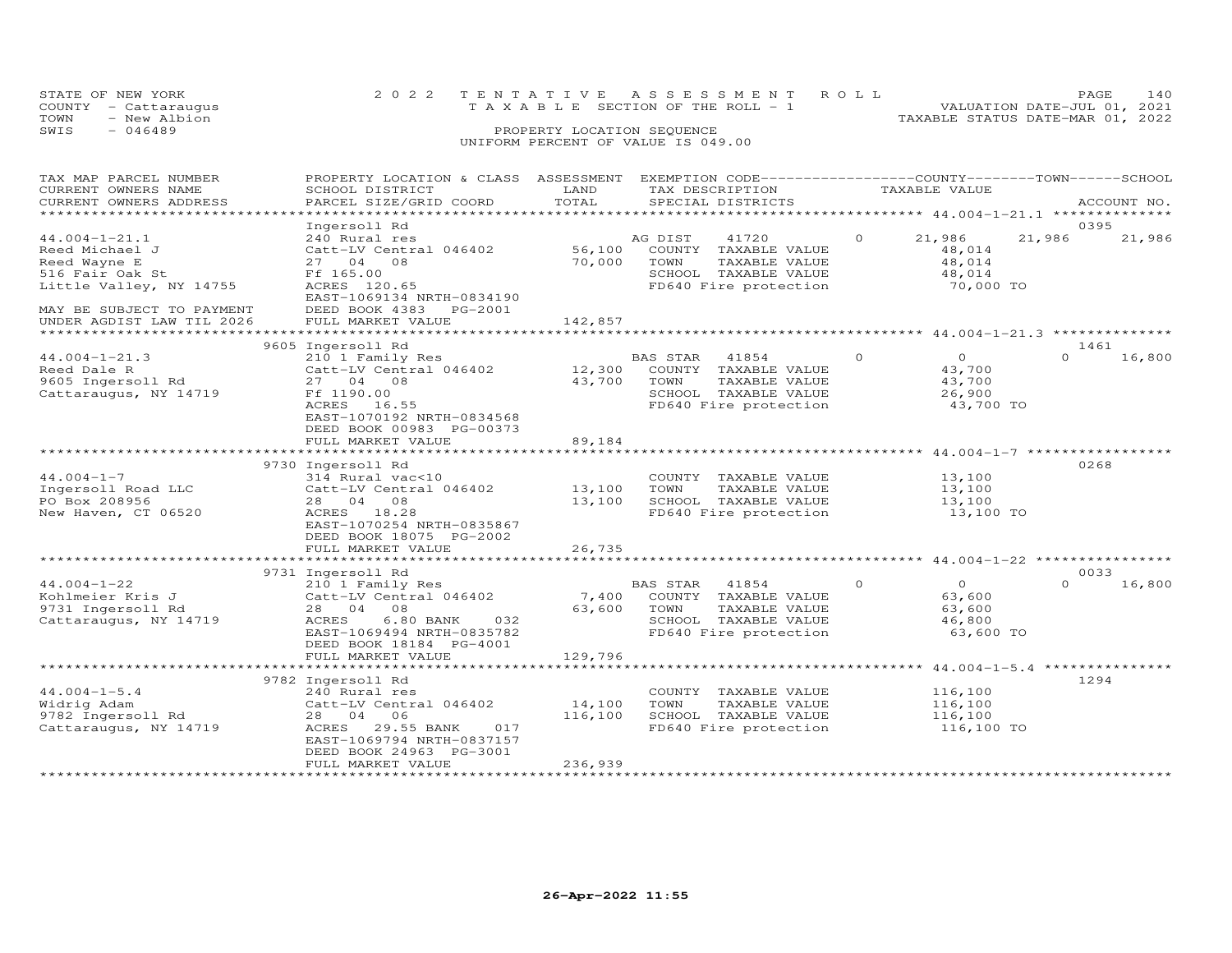|      | STATE OF NEW YORK    | 2022 TENTATIVE ASSESSMENT ROLL        |                            |  | PAGE.                            | 140 |
|------|----------------------|---------------------------------------|----------------------------|--|----------------------------------|-----|
|      | COUNTY - Cattaraugus | T A X A B L E SECTION OF THE ROLL - 1 |                            |  | VALUATION DATE-JUL 01, 2021      |     |
| TOWN | - New Albion         |                                       |                            |  | TAXABLE STATUS DATE-MAR 01, 2022 |     |
| SWIS | $-046489$            |                                       | PROPERTY LOCATION SEQUENCE |  |                                  |     |
|      |                      | UNIFORM PERCENT OF VALUE IS 049.00    |                            |  |                                  |     |

### TAX MAP PARCEL NUMBER PROPERTY LOCATION & CLASS ASSESSMENT EXEMPTION CODE------------------COUNTY--------TOWN------SCHOOL CURRENT OWNERS NAME SCHOOL DISTRICT LAND TAX DESCRIPTION TAXABLE VALUE CURRENT OWNERS ADDRESS PARCEL SIZE/GRID COORD TOTAL SPECIAL DISTRICTS ACCOUNT NO. \*\*\*\*\*\*\*\*\*\*\*\*\*\*\*\*\*\*\*\*\*\*\*\*\*\*\*\*\*\*\*\*\*\*\*\*\*\*\*\*\*\*\*\*\*\*\*\*\*\*\*\*\*\*\*\*\*\*\*\*\*\*\*\*\*\*\*\*\*\*\*\*\*\*\*\*\*\*\*\*\*\*\*\*\*\*\*\*\*\*\*\*\*\*\*\*\*\*\*\*\*\*\* 44.004-1-21.1 \*\*\*\*\*\*\*\*\*\*\*\*\*\*19395 (1,986)<br>Reed Michael J (21,986) 21,986 (21,986) 21,986 (21,986 (21,986 (21,986 (21,986 (21,986 (21,986 (21,986 (21,986<br>Reed Wayne E (27 04 08 (27 04 08 (2000) 2000) 2000 (2000) 21,986 (21,986 (21,986 (21,986 (21,986 21,986 21,986 DEED BOOK 4383 PG-2001 MAY BE SUBJECT TO PAYMENT DEED BOOK 4383 PG-2001 UNDER AGDIST LAW TIL 2026 FULL MARKET VALUE 142,857 \*\*\*\*\*\*\*\*\*\*\*\*\*\*\*\*\*\*\*\*\*\*\*\*\*\*\*\*\*\*\*\*\*\*\*\*\*\*\*\*\*\*\*\*\*\*\*\*\*\*\*\*\*\*\*\*\*\*\*\*\*\*\*\*\*\*\*\*\*\*\*\*\*\*\*\*\*\*\*\*\*\*\*\*\*\*\*\*\*\*\*\*\*\*\*\*\*\*\*\*\*\*\* 44.004-1-21.3 \*\*\*\*\*\*\*\*\*\*\*\*\*\* 9605 Ingersoll Rd 1461 44.004-1-21.3 210 1 Family Res BAS STAR 41854 0 0 0 16,800 Reed Dale R Catt-LV Central 046402 12,300 COUNTY TAXABLE VALUE 43,700 9605 Ingersoll Rd 27 04 08 43,700 TOWN TAXABLE VALUE 43,700 Cattaraugus, NY 14719 Ff 1190.00 SCHOOL TAXABLE VALUE 26,900 ACRES 16.55 FD640 Fire protection 43,700 TO EAST-1070192 NRTH-0834568 DEED BOOK 00983 PG-00373 FULL MARKET VALUE 89,184 \*\*\*\*\*\*\*\*\*\*\*\*\*\*\*\*\*\*\*\*\*\*\*\*\*\*\*\*\*\*\*\*\*\*\*\*\*\*\*\*\*\*\*\*\*\*\*\*\*\*\*\*\*\*\*\*\*\*\*\*\*\*\*\*\*\*\*\*\*\*\*\*\*\*\*\*\*\*\*\*\*\*\*\*\*\*\*\*\*\*\*\*\*\*\*\*\*\*\*\*\*\*\* 44.004-1-7 \*\*\*\*\*\*\*\*\*\*\*\*\*\*\*\*\* 9730 Ingersoll Rd 026844.004-1-7 314 Rural vac<10 COUNTY TAXABLE VALUE 13,100 Ingersoll Road LLC Catt-LV Central 046402 13,100 TOWN TAXABLE VALUE 13,100 PO Box 208956 28 04 08 13,100 SCHOOL TAXABLE VALUE 13,100 New Haven, CT 06520 ACRES 18.28 FD640 Fire protection 13,100 TO EAST-1070254 NRTH-0835867 DEED BOOK 18075 PG-2002FULL MARKET VALUE 26,735 3731 Ingersoll Rd 28 04 08<br>Cattaraugus, NY 14719 BEED BOOK 18184 PG-4001<br>DEED BOOK 18184 PG-4001<br>DEED BOOK 18184 PG-4001<br>DEED BOOK 18184 PG-4001<br>DEED BOOK 18184 PG-4001<br>DEED BOOK 18184 PG-4001<br>Cattaraugus, NY 14719 DEED BO \*\*\*\*\*\*\*\*\*\*\*\*\*\*\*\*\*\*\*\*\*\*\*\*\*\*\*\*\*\*\*\*\*\*\*\*\*\*\*\*\*\*\*\*\*\*\*\*\*\*\*\*\*\*\*\*\*\*\*\*\*\*\*\*\*\*\*\*\*\*\*\*\*\*\*\*\*\*\*\*\*\*\*\*\*\*\*\*\*\*\*\*\*\*\*\*\*\*\*\*\*\*\* 44.004-1-22 \*\*\*\*\*\*\*\*\*\*\*\*\*\*\*\* $0$   $0$   $0$   $0$   $16,800$ FULL MARKET VALUE 129,796 \*\*\*\*\*\*\*\*\*\*\*\*\*\*\*\*\*\*\*\*\*\*\*\*\*\*\*\*\*\*\*\*\*\*\*\*\*\*\*\*\*\*\*\*\*\*\*\*\*\*\*\*\*\*\*\*\*\*\*\*\*\*\*\*\*\*\*\*\*\*\*\*\*\*\*\*\*\*\*\*\*\*\*\*\*\*\*\*\*\*\*\*\*\*\*\*\*\*\*\*\*\*\* 44.004-1-5.4 \*\*\*\*\*\*\*\*\*\*\*\*\*\*\* 9782 Ingersoll Rd 129444.004-1-5.4 240 Rural res COUNTY TAXABLE VALUE 116,100 Widrig Adam Catt-LV Central 046402 14,100 TOWN TAXABLE VALUE 116,100 9782 Ingersoll Rd 28 04 06 116,100 SCHOOL TAXABLE VALUE 116,100 Cattaraugus, NY 14719 ACRES 29.55 BANK 017 FD640 Fire protection 116,100 TO EAST-1069794 NRTH-0837157 DEED BOOK 24963 PG-3001FULL MARKET VALUE 236,939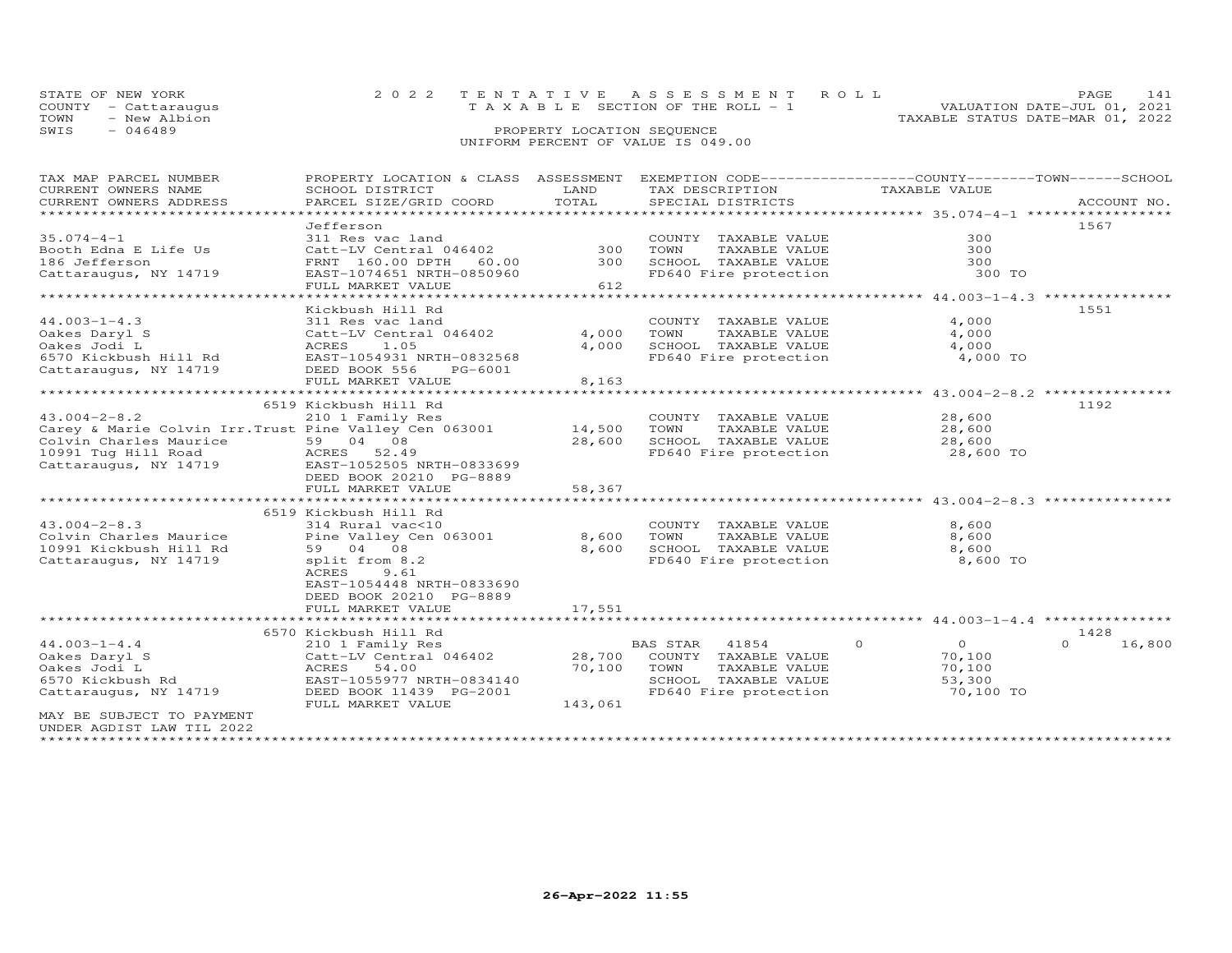| STATE OF NEW YORK    | 2022 TENTATIVE ASSESSMENT ROLL        | 147<br>PAGE.                     |
|----------------------|---------------------------------------|----------------------------------|
| COUNTY - Cattarauqus | T A X A B L E SECTION OF THE ROLL - 1 | VALUATION DATE-JUL 01, 2021      |
| TOWN<br>- New Albion |                                       | TAXABLE STATUS DATE-MAR 01, 2022 |
| SWIS<br>- 046489     | PROPERTY LOCATION SEQUENCE            |                                  |
|                      | UNIFORM PERCENT OF VALUE IS 049.00    |                                  |

## TAX MAP PARCEL NUMBER PROPERTY LOCATION & CLASS ASSESSMENT EXEMPTION CODE------------------COUNTY--------TOWN------SCHOOL CURRENT OWNERS NAME SCHOOL DISTRICT LAND TAX DESCRIPTION TAXABLE VALUE CURRENT OWNERS ADDRESS PARCEL SIZE/GRID COORD TOTAL SPECIAL DISTRICTS ACCOUNT NO. \*\*\*\*\*\*\*\*\*\*\*\*\*\*\*\*\*\*\*\*\*\*\*\*\*\*\*\*\*\*\*\*\*\*\*\*\*\*\*\*\*\*\*\*\*\*\*\*\*\*\*\*\*\*\*\*\*\*\*\*\*\*\*\*\*\*\*\*\*\*\*\*\*\*\*\*\*\*\*\*\*\*\*\*\*\*\*\*\*\*\*\*\*\*\*\*\*\*\*\*\*\*\* 35.074-4-1 \*\*\*\*\*\*\*\*\*\*\*\*\*\*\*\*\* Jefferson 156735.074-4-1 311 Res vac land COUNTY TAXABLE VALUE 300Booth Edna E Life Us Catt-LV Central 046402 300 TOWN TAXABLE VALUE 300186 Jefferson FRNT 160.00 DPTH 60.00 300 SCHOOL TAXABLE VALUE 300Cattaraugus, NY 14719 EAST-1074651 NRTH-0850960 FD640 Fire protection 300 TO FULL MARKET VALUE 612  $300$ 300 300 TO \*\*\*\*\*\*\*\*\*\*\*\*\*\*\*\*\*\*\*\*\*\*\*\*\*\*\*\*\*\*\*\*\*\*\*\*\*\*\*\*\*\*\*\*\*\*\*\*\*\*\*\*\*\*\*\*\*\*\*\*\*\*\*\*\*\*\*\*\*\*\*\*\*\*\*\*\*\*\*\*\*\*\*\*\*\*\*\*\*\*\*\*\*\*\*\*\*\*\*\*\*\*\* 44.003-1-4.3 \*\*\*\*\*\*\*\*\*\*\*\*\*\*\* Kickbush Hill Rd 155144.003-1-4.3 311 Res vac land COUNTY TAXABLE VALUE 4,000 Oakes Daryl S Catt-LV Central 046402 4,000 TOWN TAXABLE VALUE 4,000 Oakes Jodi L ACRES 1.05 4,000 SCHOOL TAXABLE VALUE 4,000 6570 Kickbush Hill Rd EAST-1054931 NRTH-0832568 FD640 Fire protection 4,000 TOCattaraugus, NY 14719 DEED BOOK 556 PG-6001 FULL MARKET VALUE 8,163 \*\*\*\*\*\*\*\*\*\*\*\*\*\*\*\*\*\*\*\*\*\*\*\*\*\*\*\*\*\*\*\*\*\*\*\*\*\*\*\*\*\*\*\*\*\*\*\*\*\*\*\*\*\*\*\*\*\*\*\*\*\*\*\*\*\*\*\*\*\*\*\*\*\*\*\*\*\*\*\*\*\*\*\*\*\*\*\*\*\*\*\*\*\*\*\*\*\*\*\*\*\*\* 43.004-2-8.2 \*\*\*\*\*\*\*\*\*\*\*\*\*\*\*6519 Kickbush Hill Rd<br>Carey & Marie Colvin Irr.Trust Pine Valley Cen 063001<br>Colvin Charles Maurice 59 04 08<br>Colvin Charles Maurice 59 04 08<br>Colvin Charles Maurice 59 04 08<br>Cattaraugus, NY 14719 EQEED BOOK 20210 PG-8889<br>Cat 6519 Kickbush Hill Rd<br>Colvin Charles Maurice and Rine Valley Cen 063001 (Colvin Charles Maurice 1991 Kickbush Hill Rd<br>10991 Kickbush Hill Rd 59 04 08 (Sen 063001 8,600 SCHOOL TAXABLE VALUE 10991 Kickbush Hill Rd 59 04 08<br>C DEED BOOK 20210 PG-8889FULL MARKET VALUE 17,551 \*\*\*\*\*\*\*\*\*\*\*\*\*\*\*\*\*\*\*\*\*\*\*\*\*\*\*\*\*\*\*\*\*\*\*\*\*\*\*\*\*\*\*\*\*\*\*\*\*\*\*\*\*\*\*\*\*\*\*\*\*\*\*\*\*\*\*\*\*\*\*\*\*\*\*\*\*\*\*\*\*\*\*\*\*\*\*\*\*\*\*\*\*\*\*\*\*\*\*\*\*\*\* 44.003-1-4.4 \*\*\*\*\*\*\*\*\*\*\*\*\*\*\* 6570 Kickbush Hill Rd 142844.003-1-4.4 210 1 Family Res BAS STAR 41854 0 0 0 16,800Oakes Daryl S Catt-LV Central 046402 28,700 COUNTY TAXABLE VALUE 70,100 Oakes Jodi L ACRES 54.00 70,100 TOWN TAXABLE VALUE 70,100 6570 Kickbush Rd EAST-1055977 NRTH-0834140 SCHOOL TAXABLE VALUE 53,300 Cattaraugus, NY 14719 DEED BOOK 11439 PG-2001 FD640 Fire protection 70,100 TO FULL MARKET VALUE 143,061  $0 \t 16,800$ MAY BE SUBJECT TO PAYMENTUNDER AGDIST LAW TIL 2022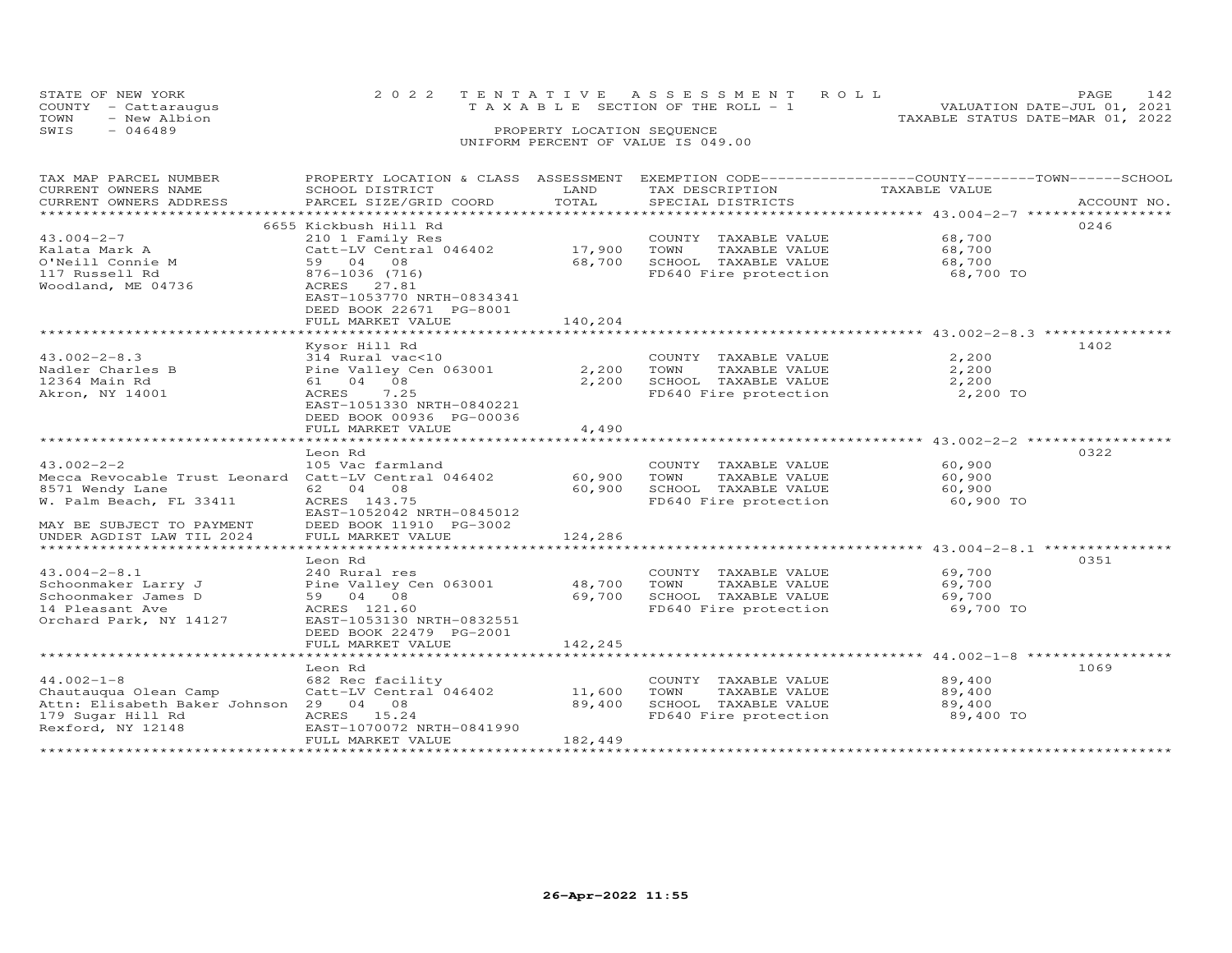|      | STATE OF NEW YORK<br>COUNTY - Cattaraugus | 2022 TENTATIVE ASSESSMENT ROLL<br>PAGE<br>VALUATION DATE-JUL 01, 2021<br>T A X A B L E SECTION OF THE ROLL - 1 | 142 |
|------|-------------------------------------------|----------------------------------------------------------------------------------------------------------------|-----|
| TOWN | - New Albion                              | TAXABLE STATUS DATE-MAR 01, 2022                                                                               |     |
| SWIS | $-046489$                                 | PROPERTY LOCATION SEQUENCE                                                                                     |     |
|      |                                           | UNIFORM PERCENT OF VALUE IS 049.00                                                                             |     |

| TAX MAP PARCEL NUMBER                                | PROPERTY LOCATION & CLASS ASSESSMENT |         | EXEMPTION CODE-----------------COUNTY-------TOWN------SCHOOL |                                                 |             |
|------------------------------------------------------|--------------------------------------|---------|--------------------------------------------------------------|-------------------------------------------------|-------------|
| CURRENT OWNERS NAME                                  | SCHOOL DISTRICT                      | LAND    | TAX DESCRIPTION                                              | TAXABLE VALUE                                   |             |
| CURRENT OWNERS ADDRESS                               | PARCEL SIZE/GRID COORD               | TOTAL   | SPECIAL DISTRICTS                                            |                                                 | ACCOUNT NO. |
|                                                      |                                      |         |                                                              |                                                 |             |
|                                                      | 6655 Kickbush Hill Rd                |         |                                                              |                                                 | 0246        |
| $43.004 - 2 - 7$                                     | 210 1 Family Res                     |         | COUNTY TAXABLE VALUE                                         | 68,700                                          |             |
| Kalata Mark A                                        | Catt-LV Central 046402               | 17,900  | TOWN<br>TAXABLE VALUE                                        | 68,700                                          |             |
| O'Neill Connie M                                     | 59 04 08                             | 68,700  | SCHOOL TAXABLE VALUE                                         | 68,700                                          |             |
| 117 Russell Rd                                       | 876-1036 (716)                       |         | FD640 Fire protection                                        | 68,700 TO                                       |             |
| Woodland, ME 04736                                   | ACRES<br>27.81                       |         |                                                              |                                                 |             |
|                                                      | EAST-1053770 NRTH-0834341            |         |                                                              |                                                 |             |
|                                                      | DEED BOOK 22671 PG-8001              |         |                                                              |                                                 |             |
|                                                      |                                      |         |                                                              |                                                 |             |
|                                                      | FULL MARKET VALUE                    | 140,204 |                                                              |                                                 |             |
|                                                      |                                      |         |                                                              |                                                 |             |
|                                                      | Kysor Hill Rd                        |         |                                                              |                                                 | 1402        |
| $43.002 - 2 - 8.3$                                   | 314 Rural vac<10                     |         | COUNTY TAXABLE VALUE                                         | 2,200                                           |             |
| Nadler Charles B                                     | Pine Valley Cen 063001               | 2,200   | TOWN<br>TAXABLE VALUE                                        | 2,200                                           |             |
| 12364 Main Rd                                        | 61 04 08                             | 2,200   | SCHOOL TAXABLE VALUE                                         | 2,200                                           |             |
| Akron, NY 14001                                      | ACRES<br>7.25                        |         | FD640 Fire protection                                        | 2,200 TO                                        |             |
|                                                      | EAST-1051330 NRTH-0840221            |         |                                                              |                                                 |             |
|                                                      | DEED BOOK 00936 PG-00036             |         |                                                              |                                                 |             |
|                                                      | FULL MARKET VALUE                    | 4,490   |                                                              |                                                 |             |
|                                                      | ************************             |         |                                                              | ****************** 43.002-2-2 ***************** |             |
|                                                      | Leon Rd                              |         |                                                              |                                                 | 0322        |
| $43.002 - 2 - 2$                                     | 105 Vac farmland                     |         | COUNTY TAXABLE VALUE                                         | 60,900                                          |             |
| Mecca Revocable Trust Leonard Catt-LV Central 046402 |                                      | 60,900  | TAXABLE VALUE<br>TOWN                                        | 60,900                                          |             |
| 8571 Wendy Lane                                      | 62 04 08                             | 60,900  | SCHOOL TAXABLE VALUE                                         | 60,900                                          |             |
| W. Palm Beach, FL 33411                              | ACRES 143.75                         |         | FD640 Fire protection                                        | 60,900 TO                                       |             |
|                                                      | EAST-1052042 NRTH-0845012            |         |                                                              |                                                 |             |
| MAY BE SUBJECT TO PAYMENT                            | DEED BOOK 11910 PG-3002              |         |                                                              |                                                 |             |
| UNDER AGDIST LAW TIL 2024                            | FULL MARKET VALUE                    | 124,286 |                                                              |                                                 |             |
|                                                      |                                      |         |                                                              |                                                 |             |
|                                                      | Leon Rd                              |         |                                                              |                                                 | 0351        |
| $43.004 - 2 - 8.1$                                   | 240 Rural res                        |         | COUNTY TAXABLE VALUE                                         | 69,700                                          |             |
| Schoonmaker Larry J                                  | Pine Valley Cen 063001               | 48,700  | TOWN<br>TAXABLE VALUE                                        | 69,700                                          |             |
| Schoonmaker James D                                  | 59 04 08                             | 69,700  | SCHOOL TAXABLE VALUE                                         | 69,700                                          |             |
| 14 Pleasant Ave                                      | ACRES 121.60                         |         | FD640 Fire protection                                        | 69,700 TO                                       |             |
| Orchard Park, NY 14127                               | EAST-1053130 NRTH-0832551            |         |                                                              |                                                 |             |
|                                                      |                                      |         |                                                              |                                                 |             |
|                                                      | DEED BOOK 22479 PG-2001              |         |                                                              |                                                 |             |
|                                                      | FULL MARKET VALUE                    | 142,245 |                                                              |                                                 |             |
|                                                      |                                      |         |                                                              |                                                 |             |
|                                                      | Leon Rd                              |         |                                                              |                                                 | 1069        |
| $44.002 - 1 - 8$                                     | 682 Rec facility                     |         | COUNTY TAXABLE VALUE                                         | 89,400                                          |             |
| Chautauqua Olean Camp                                | Catt-LV Central 046402               | 11,600  | TAXABLE VALUE<br>TOWN                                        | 89,400                                          |             |
| Attn: Elisabeth Baker Johnson 29 04 08               |                                      | 89,400  | SCHOOL TAXABLE VALUE                                         | 89,400                                          |             |
| 179 Sugar Hill Rd                                    | ACRES 15.24                          |         | FD640 Fire protection                                        | 89,400 TO                                       |             |
| Rexford, NY 12148                                    | EAST-1070072 NRTH-0841990            |         |                                                              |                                                 |             |
|                                                      | FULL MARKET VALUE                    | 182,449 |                                                              |                                                 |             |
|                                                      |                                      |         |                                                              |                                                 |             |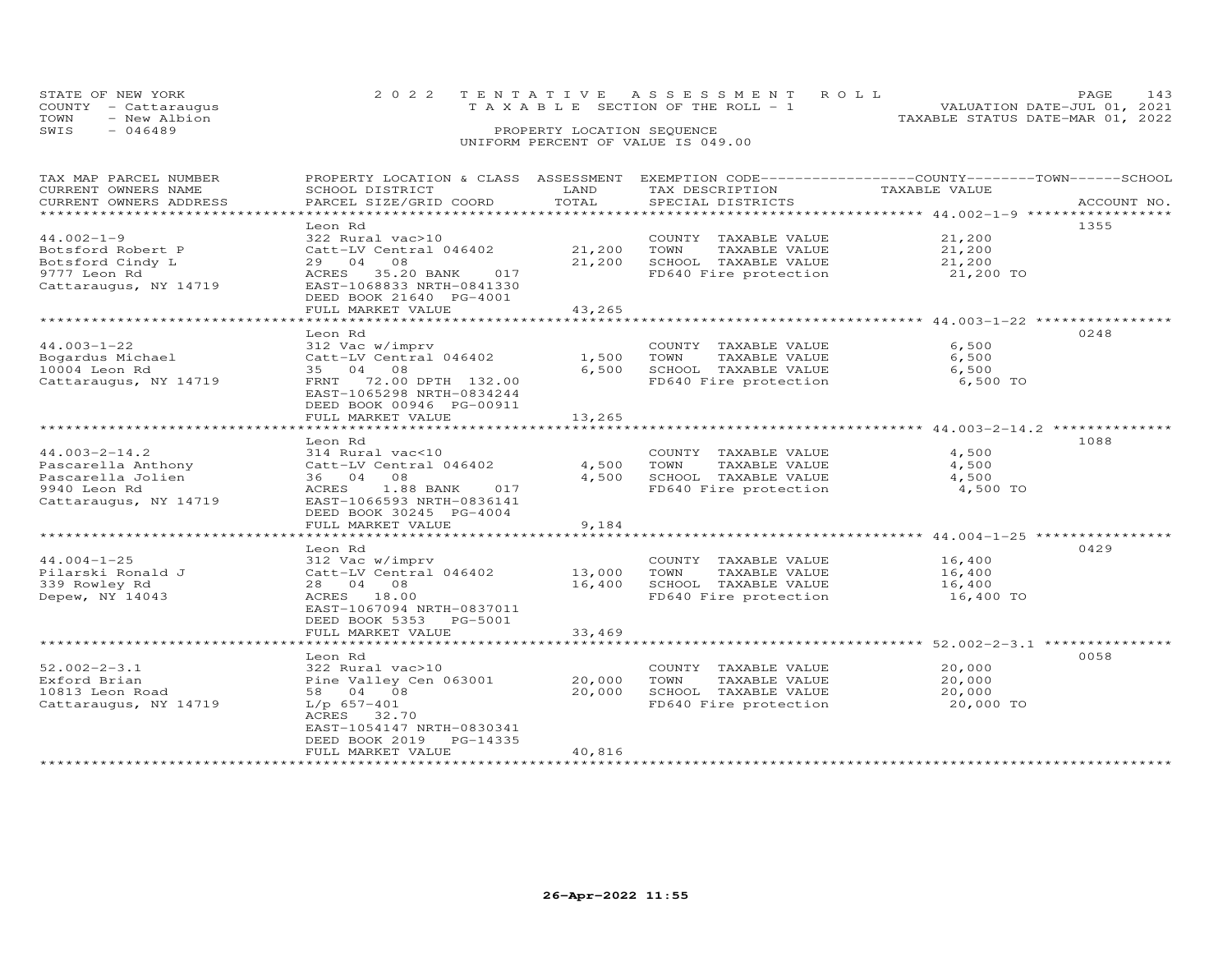|      | STATE OF NEW YORK    | 2022 TENTATIVE ASSESSMENT ROLL                 | PAGE.                            |
|------|----------------------|------------------------------------------------|----------------------------------|
|      | COUNTY - Cattarauqus | $T A X A B I E S E C T I ON OF THE R O I. - 1$ | VALUATION DATE-JUL 01, 2021      |
| TOWN | - New Albion         |                                                | TAXABLE STATUS DATE-MAR 01, 2022 |
| SWIS | - 046489             | PROPERTY LOCATION SEQUENCE                     |                                  |
|      |                      | UNIFORM PERCENT OF VALUE IS 049.00             |                                  |

| TAX MAP PARCEL NUMBER<br>CURRENT OWNERS NAME | PROPERTY LOCATION & CLASS ASSESSMENT<br>SCHOOL DISTRICT | LAND            | EXEMPTION CODE-----------------COUNTY-------TOWN------SCHOOL<br>TAX DESCRIPTION | TAXABLE VALUE                                                  |             |
|----------------------------------------------|---------------------------------------------------------|-----------------|---------------------------------------------------------------------------------|----------------------------------------------------------------|-------------|
| CURRENT OWNERS ADDRESS                       | PARCEL SIZE/GRID COORD                                  | TOTAL           | SPECIAL DISTRICTS                                                               |                                                                | ACCOUNT NO. |
|                                              |                                                         | * * * * * * * * |                                                                                 | ********** 44.002-1-9 ****                                     |             |
|                                              | Leon Rd                                                 |                 |                                                                                 |                                                                | 1355        |
| $44.002 - 1 - 9$                             | 322 Rural vac>10                                        |                 | COUNTY TAXABLE VALUE                                                            | 21,200                                                         |             |
| Botsford Robert P                            | Catt-LV Central 046402                                  | 21,200          | TOWN<br>TAXABLE VALUE                                                           | 21,200                                                         |             |
| Botsford Cindy L                             | 29 04<br>08                                             | 21,200          | SCHOOL TAXABLE VALUE                                                            | 21,200                                                         |             |
| 9777 Leon Rd                                 | ACRES<br>35.20 BANK<br>017                              |                 | FD640 Fire protection                                                           | 21,200 TO                                                      |             |
| Cattaraugus, NY 14719                        | EAST-1068833 NRTH-0841330                               |                 |                                                                                 |                                                                |             |
|                                              | DEED BOOK 21640 PG-4001                                 |                 |                                                                                 |                                                                |             |
|                                              | FULL MARKET VALUE                                       | 43,265          |                                                                                 |                                                                |             |
|                                              |                                                         |                 |                                                                                 | **************************** 44.003-1-22 ***********           |             |
|                                              | Leon Rd                                                 |                 |                                                                                 |                                                                | 0248        |
| $44.003 - 1 - 22$                            | 312 Vac w/imprv                                         |                 | COUNTY TAXABLE VALUE                                                            | 6,500                                                          |             |
| Bogardus Michael                             | Catt-LV Central 046402                                  | 1,500           | TOWN<br>TAXABLE VALUE                                                           | 6,500                                                          |             |
| 10004 Leon Rd                                | 35 04<br>08                                             | 6,500           | SCHOOL TAXABLE VALUE                                                            | 6,500                                                          |             |
| Cattaraugus, NY 14719                        | 72.00 DPTH 132.00<br>FRNT                               |                 | FD640 Fire protection                                                           | 6,500 TO                                                       |             |
|                                              | EAST-1065298 NRTH-0834244                               |                 |                                                                                 |                                                                |             |
|                                              | DEED BOOK 00946 PG-00911                                |                 |                                                                                 |                                                                |             |
|                                              | FULL MARKET VALUE                                       | 13,265          |                                                                                 |                                                                |             |
|                                              | *****************************                           |                 |                                                                                 |                                                                |             |
|                                              | Leon Rd                                                 |                 |                                                                                 |                                                                | 1088        |
| $44.003 - 2 - 14.2$                          | 314 Rural vac<10                                        |                 | COUNTY TAXABLE VALUE                                                            | 4,500                                                          |             |
| Pascarella Anthony                           | Catt-LV Central 046402                                  | 4,500           | TOWN<br>TAXABLE VALUE                                                           | 4,500                                                          |             |
| Pascarella Jolien                            | 36 04 08                                                | 4,500           | SCHOOL TAXABLE VALUE                                                            | 4,500                                                          |             |
| 9940 Leon Rd                                 | 1.88 BANK<br>017<br>ACRES                               |                 | FD640 Fire protection                                                           | 4,500 TO                                                       |             |
| Cattaraugus, NY 14719                        | EAST-1066593 NRTH-0836141                               |                 |                                                                                 |                                                                |             |
|                                              | DEED BOOK 30245 PG-4004                                 |                 |                                                                                 |                                                                |             |
|                                              | FULL MARKET VALUE                                       | 9,184           |                                                                                 |                                                                |             |
|                                              |                                                         |                 |                                                                                 |                                                                |             |
|                                              | Leon Rd                                                 |                 |                                                                                 |                                                                | 0429        |
| $44.004 - 1 - 25$                            | 312 Vac w/imprv                                         |                 | COUNTY TAXABLE VALUE                                                            | 16,400                                                         |             |
| Pilarski Ronald J                            | Catt-LV Central 046402                                  | 13,000          | TOWN<br>TAXABLE VALUE                                                           | 16,400                                                         |             |
| 339 Rowley Rd                                | 28 04 08                                                | 16,400          | SCHOOL TAXABLE VALUE                                                            | 16,400                                                         |             |
| Depew, NY 14043                              | ACRES 18.00                                             |                 | FD640 Fire protection                                                           | 16,400 TO                                                      |             |
|                                              | EAST-1067094 NRTH-0837011                               |                 |                                                                                 |                                                                |             |
|                                              | DEED BOOK 5353<br>PG-5001                               |                 |                                                                                 |                                                                |             |
|                                              | FULL MARKET VALUE                                       | 33,469          |                                                                                 |                                                                |             |
|                                              | ***********************                                 | ************    |                                                                                 | .******************************* 52.002-2-3.1 **************** |             |
|                                              | Leon Rd                                                 |                 |                                                                                 |                                                                | 0058        |
| $52.002 - 2 - 3.1$                           | 322 Rural vac>10                                        |                 | COUNTY TAXABLE VALUE                                                            | 20,000                                                         |             |
| Exford Brian                                 | Pine Valley Cen 063001                                  | 20,000          | TOWN<br>TAXABLE VALUE                                                           | 20,000                                                         |             |
| 10813 Leon Road                              | 58 04 08                                                | 20,000          | SCHOOL TAXABLE VALUE                                                            | 20,000                                                         |             |
| Cattaraugus, NY 14719                        | $L/p$ 657-401                                           |                 | FD640 Fire protection                                                           | 20,000 TO                                                      |             |
|                                              | ACRES 32.70                                             |                 |                                                                                 |                                                                |             |
|                                              | EAST-1054147 NRTH-0830341                               |                 |                                                                                 |                                                                |             |
|                                              | DEED BOOK 2019<br>PG-14335                              |                 |                                                                                 |                                                                |             |
|                                              | FULL MARKET VALUE                                       | 40,816          |                                                                                 |                                                                |             |
|                                              |                                                         |                 |                                                                                 |                                                                |             |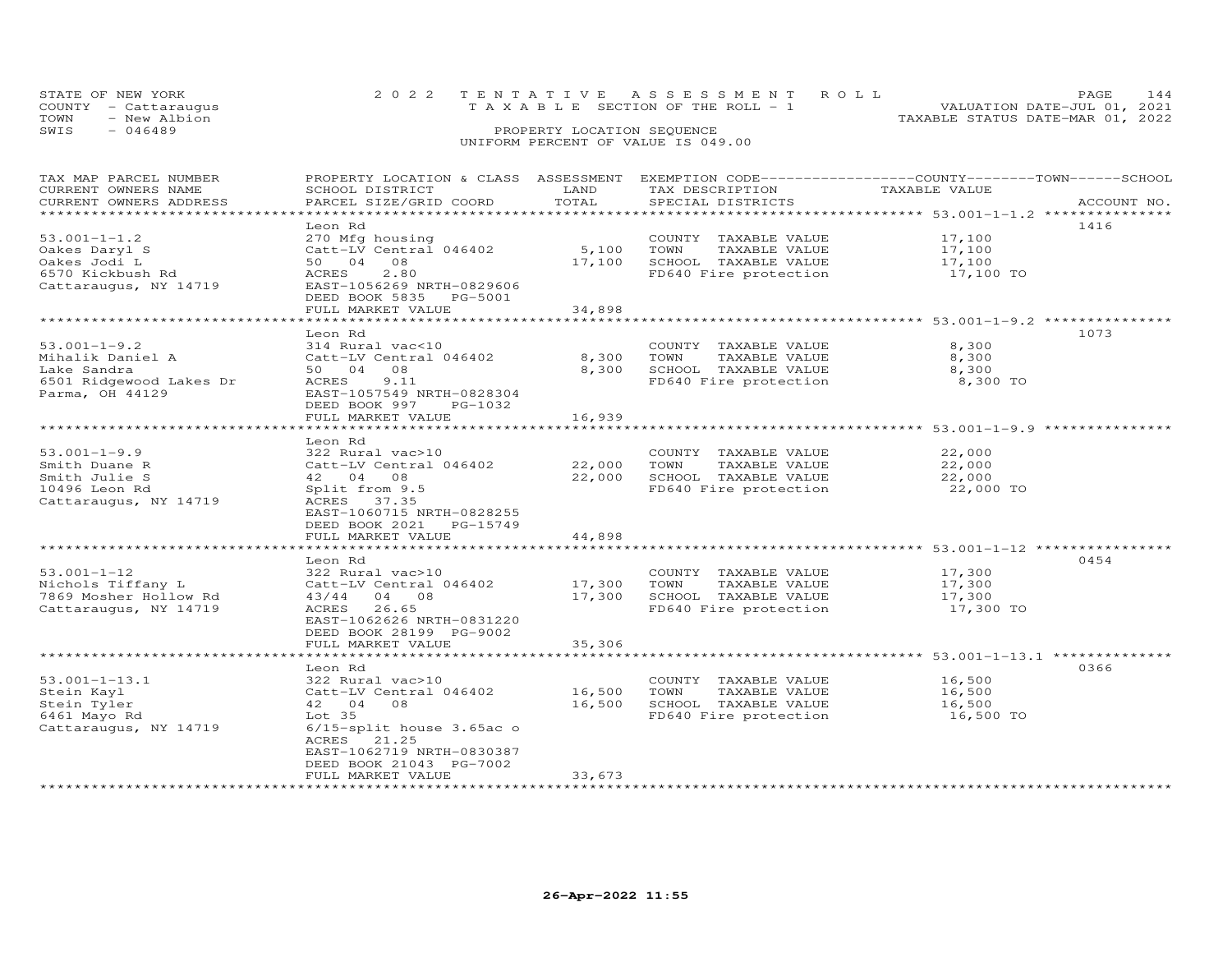| STATE OF NEW YORK    |  | 2022 TENTATIVE ASSESSMENT ROLL                                 | PAGE | 144 |
|----------------------|--|----------------------------------------------------------------|------|-----|
| COUNTY - Cattaraugus |  | VALUATION DATE-JUL 01, 2021<br>TAXABLE SECTION OF THE ROLL - 1 |      |     |
| TOWN - New Albion    |  | TAXABLE STATUS DATE-MAR 01, 2022                               |      |     |
| SWIS<br>- 046489     |  | PROPERTY LOCATION SEQUENCE                                     |      |     |
|                      |  | UNIFORM PERCENT OF VALUE IS 049.00                             |      |     |

| TAX MAP PARCEL NUMBER   | PROPERTY LOCATION & CLASS ASSESSMENT EXEMPTION CODE----------------COUNTY-------TOWN------SCHOOL |             |                             |                             |             |
|-------------------------|--------------------------------------------------------------------------------------------------|-------------|-----------------------------|-----------------------------|-------------|
| CURRENT OWNERS NAME     | SCHOOL DISTRICT                                                                                  | LAND        | TAX DESCRIPTION             | -COUNTY---<br>TAXABLE VALUE |             |
| CURRENT OWNERS ADDRESS  | PARCEL SIZE/GRID COORD                                                                           | TOTAL       | SPECIAL DISTRICTS           |                             | ACCOUNT NO. |
|                         |                                                                                                  |             |                             |                             |             |
|                         | Leon Rd                                                                                          |             |                             |                             | 1416        |
| $53.001 - 1 - 1.2$      | 270 Mfg housing                                                                                  |             | COUNTY TAXABLE VALUE        | 17,100                      |             |
| Oakes Daryl S           | Catt-LV Central 046402                                                                           | 5,100       | TOWN<br>TAXABLE VALUE       | 17,100                      |             |
| Oakes Jodi L            | 50 04<br>08                                                                                      |             | 17,100 SCHOOL TAXABLE VALUE | 17,100                      |             |
| 6570 Kickbush Rd        | ACRES<br>2.80                                                                                    |             | FD640 Fire protection       | 17,100 TO                   |             |
| Cattaraugus, NY 14719   | EAST-1056269 NRTH-0829606                                                                        |             |                             |                             |             |
|                         | DEED BOOK 5835 PG-5001                                                                           |             |                             |                             |             |
|                         | FULL MARKET VALUE                                                                                | 34,898      |                             |                             |             |
|                         |                                                                                                  |             |                             |                             |             |
|                         | Leon Rd                                                                                          |             |                             |                             | 1073        |
| $53.001 - 1 - 9.2$      | 314 Rural vac<10                                                                                 |             | COUNTY TAXABLE VALUE        | 8,300                       |             |
| Mihalik Daniel A        | Catt-LV Central 046402                                                                           | 8,300       | TOWN<br>TAXABLE VALUE       | 8,300                       |             |
| Lake Sandra             | 50 04 08                                                                                         | 8,300       | SCHOOL TAXABLE VALUE        | 8,300                       |             |
| 6501 Ridgewood Lakes Dr | ACRES<br>9.11                                                                                    |             | FD640 Fire protection       | 8,300 TO                    |             |
| Parma, OH 44129         | EAST-1057549 NRTH-0828304                                                                        |             |                             |                             |             |
|                         | DEED BOOK 997<br>PG-1032                                                                         |             |                             |                             |             |
|                         | FULL MARKET VALUE                                                                                | 16,939      |                             |                             |             |
|                         |                                                                                                  |             |                             |                             |             |
|                         | Leon Rd                                                                                          |             |                             |                             |             |
| $53.001 - 1 - 9.9$      | 322 Rural vac>10                                                                                 |             | COUNTY TAXABLE VALUE        | 22,000                      |             |
| Smith Duane R           | Catt-LV Central 046402 22,000 TOWN                                                               |             | TAXABLE VALUE               | 22,000                      |             |
| Smith Julie S           | 42 04 08                                                                                         |             |                             | 22,000                      |             |
| 10496 Leon Rd           | Split from 9.5                                                                                   |             |                             | 22,000 TO                   |             |
| Cattaraugus, NY 14719   | ACRES 37.35                                                                                      |             |                             |                             |             |
|                         | EAST-1060715 NRTH-0828255                                                                        |             |                             |                             |             |
|                         | DEED BOOK 2021 PG-15749                                                                          |             |                             |                             |             |
|                         | FULL MARKET VALUE                                                                                | 44,898      |                             |                             |             |
|                         |                                                                                                  |             |                             |                             |             |
|                         | Leon Rd                                                                                          |             |                             |                             | 0454        |
| $53.001 - 1 - 12$       | 322 Rural vac>10                                                                                 |             | COUNTY TAXABLE VALUE        | 17,300                      |             |
| Nichols Tiffany L       | Catt-LV Central 046402                                                                           | 17,300 TOWN | TAXABLE VALUE               | 17,300                      |             |
| 7869 Mosher Hollow Rd   | 43/44 04 08                                                                                      |             | 17,300 SCHOOL TAXABLE VALUE | 17,300                      |             |
| Cattaraugus, NY 14719   | 26.65<br>ACRES                                                                                   |             | FD640 Fire protection       | 17,300 TO                   |             |
|                         | EAST-1062626 NRTH-0831220                                                                        |             |                             |                             |             |
|                         | DEED BOOK 28199 PG-9002                                                                          |             |                             |                             |             |
|                         | FULL MARKET VALUE                                                                                | 35,306      |                             |                             |             |
|                         |                                                                                                  |             |                             |                             |             |
|                         | Leon Rd                                                                                          |             |                             |                             | 0366        |
| $53.001 - 1 - 13.1$     | 322 Rural vac>10                                                                                 |             | COUNTY TAXABLE VALUE        | 16,500                      |             |
| Stein Kayl              | Catt-LV Central 046402                                                                           | 16,500      | TOWN<br>TAXABLE VALUE       | 16,500                      |             |
| Stein Tyler             | 42 04<br>08                                                                                      |             | 16,500 SCHOOL TAXABLE VALUE | 16,500                      |             |
| 6461 Mayo Rd            | Lot <sub>35</sub>                                                                                |             | FD640 Fire protection       | 16,500 TO                   |             |
| Cattaraugus, NY 14719   | $6/15$ -split house 3.65ac o                                                                     |             |                             |                             |             |
|                         | ACRES 21.25                                                                                      |             |                             |                             |             |
|                         | EAST-1062719 NRTH-0830387                                                                        |             |                             |                             |             |
|                         | DEED BOOK 21043 PG-7002                                                                          |             |                             |                             |             |
|                         |                                                                                                  |             |                             |                             |             |
|                         | FULL MARKET VALUE                                                                                | 33,673      |                             |                             |             |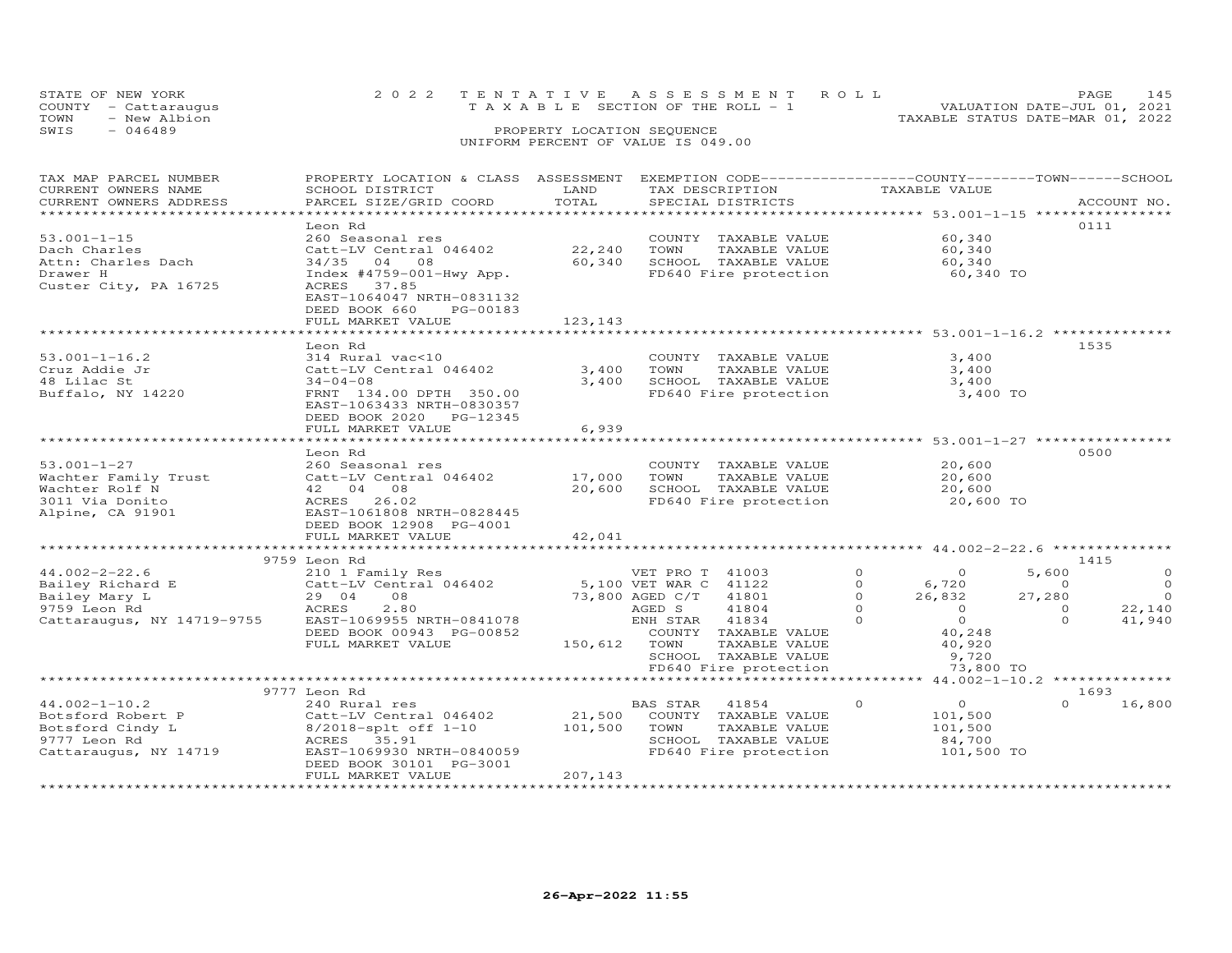| STATE OF NEW YORK    | 2022 TENTATIVE ASSESSMENT ROLL        | <b>PAGE</b>                      | 145 |
|----------------------|---------------------------------------|----------------------------------|-----|
| COUNTY - Cattaraugus | T A X A B L E SECTION OF THE ROLL - 1 | VALUATION DATE-JUL 01, 2021      |     |
| - New Albion<br>TOWN |                                       | TAXABLE STATUS DATE-MAR 01, 2022 |     |
| $-046489$<br>SWIS    | PROPERTY LOCATION SEQUENCE            |                                  |     |
|                      | $\frac{1}{2}$                         |                                  |     |

### UNIFORM PERCENT OF VALUE IS 049.00

| CURRENT OWNERS NAME<br>SCHOOL DISTRICT<br>LAND<br>TAX DESCRIPTION<br>TAXABLE VALUE<br>TOTAL<br>CURRENT OWNERS ADDRESS<br>PARCEL SIZE/GRID COORD<br>SPECIAL DISTRICTS<br>ACCOUNT NO.<br>0111<br>Leon Rd |          |
|--------------------------------------------------------------------------------------------------------------------------------------------------------------------------------------------------------|----------|
|                                                                                                                                                                                                        |          |
|                                                                                                                                                                                                        |          |
|                                                                                                                                                                                                        |          |
|                                                                                                                                                                                                        |          |
| $53.001 - 1 - 15$<br>60,340<br>260 Seasonal res<br>COUNTY TAXABLE VALUE                                                                                                                                |          |
| 22,240<br>Dach Charles<br>Catt-LV Central 046402<br>TOWN<br>TAXABLE VALUE<br>60,340                                                                                                                    |          |
| 60,340<br>Attn: Charles Dach<br>$34/35$ 04<br>SCHOOL TAXABLE VALUE<br>60,340<br>08                                                                                                                     |          |
| Index $#4759-001-Hwy App.$<br>FD640 Fire protection<br>Drawer H<br>60,340 TO                                                                                                                           |          |
| Custer City, PA 16725<br>37.85<br>ACRES                                                                                                                                                                |          |
| EAST-1064047 NRTH-0831132                                                                                                                                                                              |          |
| DEED BOOK 660<br>PG-00183                                                                                                                                                                              |          |
| FULL MARKET VALUE<br>123,143                                                                                                                                                                           |          |
| ************************ 53.001-1-16.2 ***************<br>1535                                                                                                                                         |          |
| Leon Rd<br>3.400                                                                                                                                                                                       |          |
| $53.001 - 1 - 16.2$<br>314 Rural vac<10<br>COUNTY TAXABLE VALUE                                                                                                                                        |          |
| 3,400<br>Cruz Addie Jr<br>Catt-LV Central 046402<br>TOWN<br>TAXABLE VALUE<br>3,400                                                                                                                     |          |
| 48 Lilac St<br>3,400<br>SCHOOL TAXABLE VALUE<br>3,400<br>$34 - 04 - 08$                                                                                                                                |          |
| Buffalo, NY 14220<br>FRNT 134.00 DPTH 350.00<br>FD640 Fire protection<br>3,400 TO<br>EAST-1063433 NRTH-0830357                                                                                         |          |
| DEED BOOK 2020 PG-12345                                                                                                                                                                                |          |
| FULL MARKET VALUE<br>6,939                                                                                                                                                                             |          |
| ******************************** 53.001-1-27 **********                                                                                                                                                |          |
| 0500<br>Leon Rd                                                                                                                                                                                        |          |
| $53.001 - 1 - 27$<br>260 Seasonal res<br>20,600<br>COUNTY TAXABLE VALUE                                                                                                                                |          |
| TAXABLE VALUE<br>20,600<br>Wachter Family Trust<br>Catt-LV Central 046402<br>17,000<br>TOWN                                                                                                            |          |
| Wachter Rolf N<br>42 04 08<br>20,600<br>SCHOOL TAXABLE VALUE<br>20,600                                                                                                                                 |          |
| FD640 Fire protection<br>3011 Via Donito<br>ACRES<br>26.02<br>20,600 TO                                                                                                                                |          |
| EAST-1061808 NRTH-0828445<br>Alpine, CA 91901                                                                                                                                                          |          |
| DEED BOOK 12908 PG-4001                                                                                                                                                                                |          |
| 42,041<br>FULL MARKET VALUE                                                                                                                                                                            |          |
| ************************<br>**************** 44.002-2-22.6 ***********                                                                                                                                 |          |
| 1415<br>9759 Leon Rd                                                                                                                                                                                   |          |
| $44.002 - 2 - 22.6$<br>$\Omega$<br>5,600<br>210 1 Family Res<br>VET PRO T 41003<br>$\Omega$                                                                                                            | $\Omega$ |
| Bailey Richard E<br>Catt-LV Central 046402<br>5,100 VET WAR C 41122<br>$\Omega$<br>6,720<br>$\Omega$                                                                                                   | $\Omega$ |
| Bailey Mary L<br>08<br>73,800 AGED C/T<br>41801<br>26,832<br>27,280<br>29 04<br>$\Omega$                                                                                                               | $\Omega$ |
| 2.80<br>$\Omega$<br>$\overline{O}$<br>9759 Leon Rd<br>ACRES<br>AGED S<br>41804<br>$\Omega$                                                                                                             | 22,140   |
| Cattaraugus, NY 14719-9755<br>$\Omega$<br>EAST-1069955 NRTH-0841078<br>ENH STAR<br>41834<br>$\Omega$<br>$\Omega$                                                                                       | 41,940   |
| 40,248<br>DEED BOOK 00943 PG-00852<br>COUNTY TAXABLE VALUE                                                                                                                                             |          |
| FULL MARKET VALUE<br>150,612<br>TOWN<br>TAXABLE VALUE<br>40,920                                                                                                                                        |          |
| SCHOOL TAXABLE VALUE<br>9,720                                                                                                                                                                          |          |
| FD640 Fire protection<br>73,800 TO                                                                                                                                                                     |          |
| 44.002-1-10.2 *************                                                                                                                                                                            |          |
| 9777 Leon Rd<br>1693                                                                                                                                                                                   |          |
| $44.002 - 1 - 10.2$<br>$\overline{O}$<br>$\Omega$<br>240 Rural res<br>BAS STAR<br>41854<br>$\circ$                                                                                                     | 16,800   |
| 21,500<br>101,500<br>Botsford Robert P<br>Catt-LV Central 046402<br>COUNTY TAXABLE VALUE                                                                                                               |          |
| Botsford Cindy L<br>101,500<br>TOWN<br>TAXABLE VALUE<br>101,500<br>$8/2018$ -splt off $1-10$                                                                                                           |          |
| 9777 Leon Rd<br>35.91<br>SCHOOL TAXABLE VALUE<br>ACRES<br>84,700                                                                                                                                       |          |
| Cattaraugus, NY 14719<br>EAST-1069930 NRTH-0840059<br>FD640 Fire protection<br>101,500 TO                                                                                                              |          |
| DEED BOOK 30101 PG-3001                                                                                                                                                                                |          |
| 207,143<br>FULL MARKET VALUE                                                                                                                                                                           |          |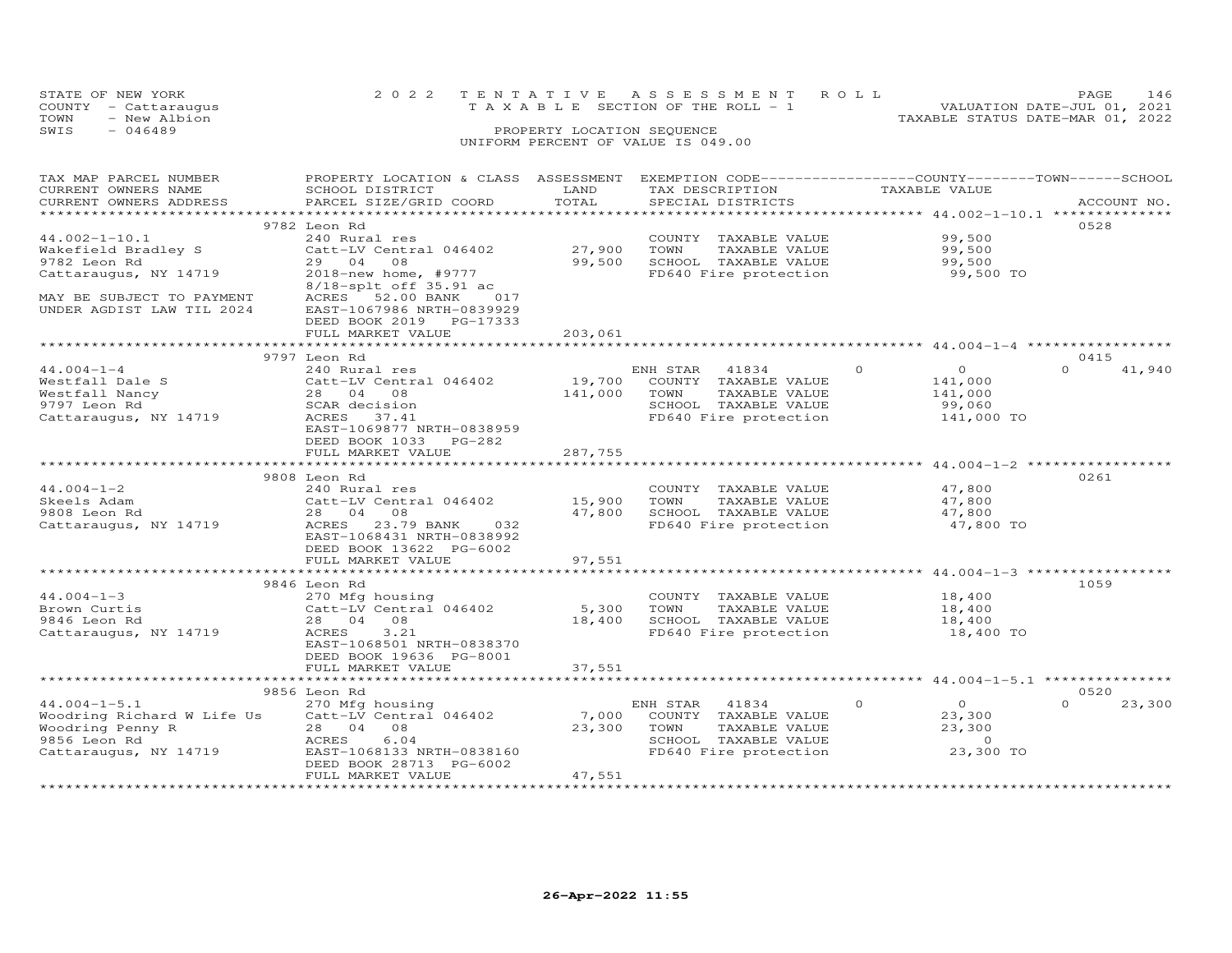|      | STATE OF NEW YORK    |  | 2022 TENTATIVE ASSESSMENT ROLL        |  |  | <b>PAGE</b>                      | 146 |
|------|----------------------|--|---------------------------------------|--|--|----------------------------------|-----|
|      | COUNTY - Cattaraugus |  | T A X A B L E SECTION OF THE ROLL - 1 |  |  | VALUATION DATE-JUL 01, 2021      |     |
| TOWN | - New Albion         |  |                                       |  |  | TAXABLE STATUS DATE-MAR 01, 2022 |     |
| SWIS | - 046489             |  | PROPERTY LOCATION SEQUENCE            |  |  |                                  |     |
|      |                      |  | UNIFORM PERCENT OF VALUE IS 049.00    |  |  |                                  |     |

| TAX MAP PARCEL NUMBER      | PROPERTY LOCATION & CLASS ASSESSMENT |                        | EXEMPTION CODE-----------------COUNTY-------TOWN------SCHOOL |                                                       |                    |
|----------------------------|--------------------------------------|------------------------|--------------------------------------------------------------|-------------------------------------------------------|--------------------|
| CURRENT OWNERS NAME        | SCHOOL DISTRICT                      | LAND                   | TAX DESCRIPTION                                              | TAXABLE VALUE                                         |                    |
| CURRENT OWNERS ADDRESS     | PARCEL SIZE/GRID COORD               | TOTAL                  | SPECIAL DISTRICTS                                            |                                                       | ACCOUNT NO.        |
|                            |                                      |                        |                                                              |                                                       |                    |
|                            | 9782 Leon Rd                         |                        |                                                              |                                                       | 0528               |
| $44.002 - 1 - 10.1$        | 240 Rural res                        |                        | COUNTY TAXABLE VALUE                                         | 99,500                                                |                    |
| Wakefield Bradley S        | Catt-LV Central 046402               | 27,900                 | TAXABLE VALUE<br>TOWN                                        | 99,500                                                |                    |
|                            | 29 04 08                             | 99,500                 | SCHOOL TAXABLE VALUE                                         |                                                       |                    |
| 9782 Leon Rd               |                                      |                        |                                                              | 99,500                                                |                    |
| Cattaraugus, NY 14719      | 2018-new home, #9777                 |                        | FD640 Fire protection                                        | 99,500 TO                                             |                    |
|                            | 8/18-splt off 35.91 ac               |                        |                                                              |                                                       |                    |
| MAY BE SUBJECT TO PAYMENT  | ACRES 52.00 BANK<br>017              |                        |                                                              |                                                       |                    |
| UNDER AGDIST LAW TIL 2024  | EAST-1067986 NRTH-0839929            |                        |                                                              |                                                       |                    |
|                            | DEED BOOK 2019 PG-17333              |                        |                                                              |                                                       |                    |
|                            | FULL MARKET VALUE                    | 203,061                |                                                              |                                                       |                    |
|                            |                                      |                        |                                                              |                                                       |                    |
|                            | 9797 Leon Rd                         |                        |                                                              |                                                       | 0415               |
| $44.004 - 1 - 4$           | 240 Rural res                        |                        | ENH STAR 41834                                               | $\circ$<br>$\overline{O}$                             | $\Omega$<br>41,940 |
| Westfall Dale S            | Catt-LV Central 046402               | 19,700                 | COUNTY TAXABLE VALUE                                         | 141,000                                               |                    |
| Westfall Nancy             | Catt-LV Centi<br>28     04     08    | 141,000                | TOWN<br>TAXABLE VALUE                                        | 141,000                                               |                    |
| 9797 Leon Rd               | SCAR decision                        |                        | SCHOOL TAXABLE VALUE                                         | 99,060                                                |                    |
| Cattaraugus, NY 14719      | ACRES 37.41                          |                        | FD640 Fire protection                                        | 141,000 TO                                            |                    |
|                            | EAST-1069877 NRTH-0838959            |                        |                                                              |                                                       |                    |
|                            | DEED BOOK 1033 PG-282                |                        |                                                              |                                                       |                    |
|                            |                                      |                        |                                                              |                                                       |                    |
|                            | FULL MARKET VALUE                    | 287,755<br>*********** |                                                              | *********************** 44.004-1-2 ****************** |                    |
|                            |                                      |                        |                                                              |                                                       |                    |
|                            | 9808 Leon Rd                         |                        |                                                              |                                                       | 0261               |
| $44.004 - 1 - 2$           | 240 Rural res                        |                        | COUNTY TAXABLE VALUE                                         | 47,800                                                |                    |
| Skeels Adam                | Catt-LV Central 046402               | 15,900                 | TOWN<br>TAXABLE VALUE                                        | 47,800                                                |                    |
| 9808 Leon Rd               | 28  04  08                           | 47,800                 | SCHOOL TAXABLE VALUE                                         | 47,800                                                |                    |
| Cattaraugus, NY 14719      | ACRES 23.79 BANK 032                 |                        | FD640 Fire protection                                        | 47,800 TO                                             |                    |
|                            | EAST-1068431 NRTH-0838992            |                        |                                                              |                                                       |                    |
|                            | DEED BOOK 13622 PG-6002              |                        |                                                              |                                                       |                    |
|                            | FULL MARKET VALUE                    | 97,551                 |                                                              |                                                       |                    |
|                            |                                      |                        |                                                              |                                                       |                    |
|                            | 9846 Leon Rd                         |                        |                                                              |                                                       | 1059               |
| $44.004 - 1 - 3$           | 270 Mfg housing                      |                        | COUNTY TAXABLE VALUE                                         | 18,400                                                |                    |
| Brown Curtis               | Catt-LV Central 046402               | 5,300                  | TOWN<br>TAXABLE VALUE                                        | 18,400                                                |                    |
| 9846 Leon Rd               | 28 04 08                             | 18,400                 | SCHOOL TAXABLE VALUE                                         | 18,400                                                |                    |
|                            | 3.21                                 |                        | FD640 Fire protection                                        | 18,400 TO                                             |                    |
| Cattaraugus, NY 14719      | ACRES                                |                        |                                                              |                                                       |                    |
|                            | EAST-1068501 NRTH-0838370            |                        |                                                              |                                                       |                    |
|                            | DEED BOOK 19636 PG-8001              |                        |                                                              |                                                       |                    |
|                            | FULL MARKET VALUE                    | 37,551                 |                                                              |                                                       |                    |
|                            |                                      |                        |                                                              |                                                       |                    |
|                            | 9856 Leon Rd                         |                        |                                                              |                                                       | 0520               |
| $44.004 - 1 - 5.1$         | 270 Mfg housing                      |                        | 41834<br>ENH STAR                                            | $\circ$<br>$\overline{O}$                             | $\Omega$<br>23,300 |
| Woodring Richard W Life Us | Catt-LV Central 046402               | 7,000                  | COUNTY TAXABLE VALUE                                         | 23,300                                                |                    |
| Woodring Penny R           | 28 04 08                             | 23,300                 | TAXABLE VALUE<br>TOWN                                        | 23,300                                                |                    |
| 9856 Leon Rd               | ACRES<br>6.04                        |                        | SCHOOL TAXABLE VALUE                                         | $\Omega$                                              |                    |
| Cattaraugus, NY 14719      | EAST-1068133 NRTH-0838160            |                        | FD640 Fire protection                                        | 23,300 TO                                             |                    |
|                            | DEED BOOK 28713 PG-6002              |                        |                                                              |                                                       |                    |
|                            | FULL MARKET VALUE                    | 47,551                 |                                                              |                                                       |                    |
|                            |                                      |                        |                                                              |                                                       |                    |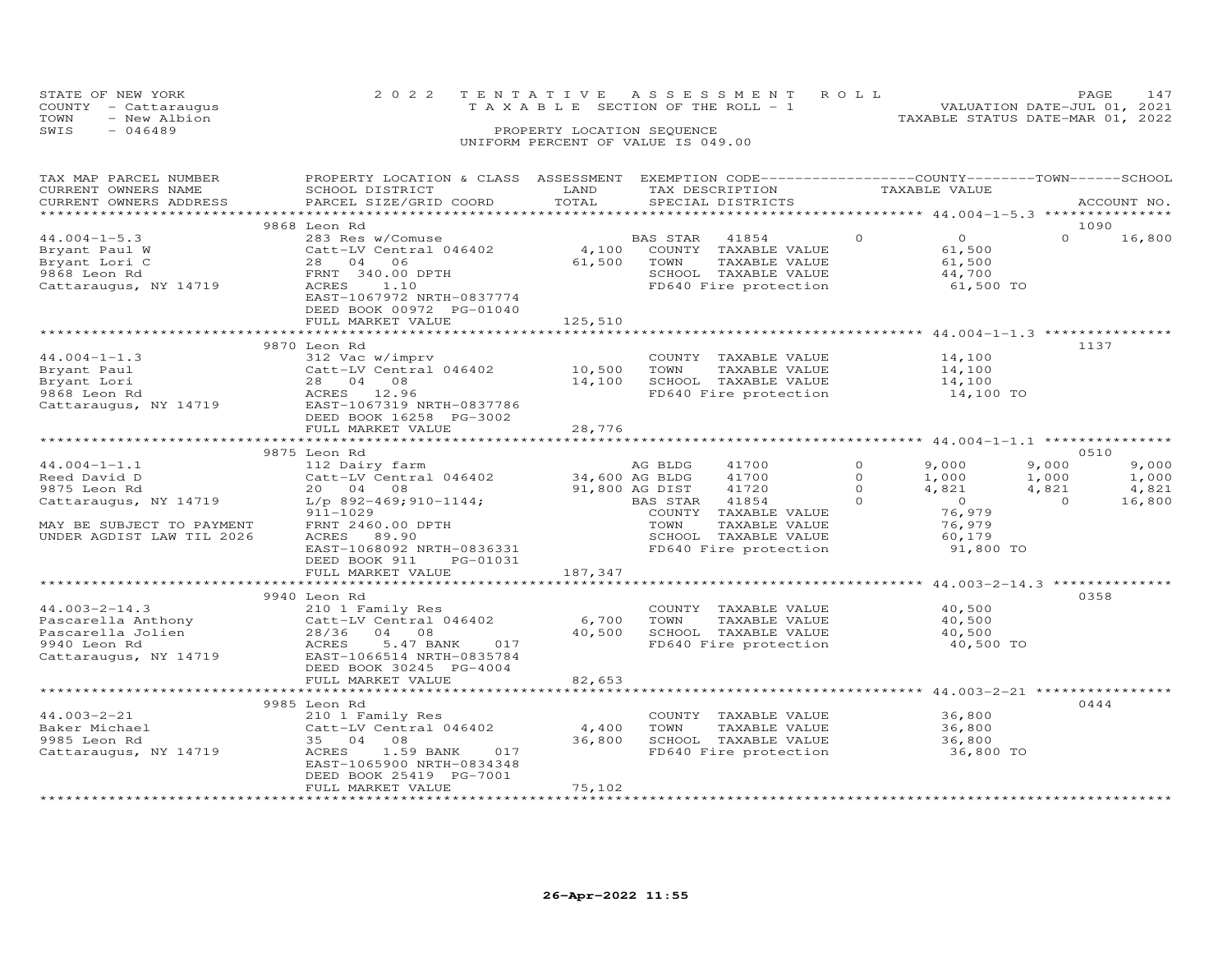|      | STATE OF NEW YORK    | 2022 TENTATIVE ASSESSMENT ROLL        |                            |  | PAGE.                            | 147 |
|------|----------------------|---------------------------------------|----------------------------|--|----------------------------------|-----|
|      | COUNTY - Cattaraugus | T A X A B L E SECTION OF THE ROLL - 1 |                            |  | VALUATION DATE-JUL 01, 2021      |     |
| TOWN | - New Albion         |                                       |                            |  | TAXABLE STATUS DATE-MAR 01, 2022 |     |
| SWIS | $-046489$            |                                       | PROPERTY LOCATION SEQUENCE |  |                                  |     |
|      |                      | UNIFORM PERCENT OF VALUE IS 049.00    |                            |  |                                  |     |

### TAX MAP PARCEL NUMBER PROPERTY LOCATION & CLASS ASSESSMENT EXEMPTION CODE------------------COUNTY--------TOWN------SCHOOL CURRENT OWNERS NAME SCHOOL DISTRICT LAND TAX DESCRIPTION TAXABLE VALUE CURRENT OWNERS ADDRESS PARCEL SIZE/GRID COORD TOTAL SPECIAL DISTRICTS ACCOUNT NO. \*\*\*\*\*\*\*\*\*\*\*\*\*\*\*\*\*\*\*\*\*\*\*\*\*\*\*\*\*\*\*\*\*\*\*\*\*\*\*\*\*\*\*\*\*\*\*\*\*\*\*\*\*\*\*\*\*\*\*\*\*\*\*\*\*\*\*\*\*\*\*\*\*\*\*\*\*\*\*\*\*\*\*\*\*\*\*\*\*\*\*\*\*\*\*\*\*\*\*\*\*\*\* 44.004-1-5.3 \*\*\*\*\*\*\*\*\*\*\*\*\*\*\*9868 Leon Rd<br>
9868 Leon Rd<br>
28 O4 O6 28 O4 O6 51,500 5 28 O4 O6 50 500 61,500 5 28 O4 O6 51,500 5<br>
28 O4 O6 51,500 500 500 61,500 5000 5000 61,500 5000 61,500 61,500 61,500<br>
28 O4 O6 51,500 5000 5000 5000 5000 5000 61,500  $0 \t 16,800$  DEED BOOK 00972 PG-01040FULL MARKET VALUE 125,510 \*\*\*\*\*\*\*\*\*\*\*\*\*\*\*\*\*\*\*\*\*\*\*\*\*\*\*\*\*\*\*\*\*\*\*\*\*\*\*\*\*\*\*\*\*\*\*\*\*\*\*\*\*\*\*\*\*\*\*\*\*\*\*\*\*\*\*\*\*\*\*\*\*\*\*\*\*\*\*\*\*\*\*\*\*\*\*\*\*\*\*\*\*\*\*\*\*\*\*\*\*\*\* 44.004-1-1.3 \*\*\*\*\*\*\*\*\*\*\*\*\*\*\* 9870 Leon Rd 113744.004-1-1.3 312 Vac w/imprv COUNTY TAXABLE VALUE 14,100Bryant Paul Catt-LV Central 046402 10,500 TOWN TAXABLE VALUE 14,100Bryant Lori 28 04 08 14,100 SCHOOL TAXABLE VALUE 14,1009868 Leon Rd ACRES 12.96 FD640 Fire protection 14,100 TOCattaraugus, NY 14719 EAST-1067319 NRTH-083778614,100 14,100 14,100 TO DEED BOOK 16258 PG-3002FULL MARKET VALUE FULL MARKET VALUE 28,776 \*\*\*\*\*\*\*\*\*\*\*\*\*\*\*\*\*\*\*\*\*\*\*\*\*\*\*\*\*\*\*\*\*\*\*\*\*\*\*\*\*\*\*\*\*\*\*\*\*\*\*\*\*\*\*\*\*\*\*\*\*\*\*\*\*\*\*\*\*\*\*\*\*\*\*\*\*\*\*\*\*\*\*\*\*\*\*\*\*\*\*\*\*\*\*\*\*\*\*\*\*\*\* 44.004-1-1.1 \*\*\*\*\*\*\*\*\*\*\*\*\*\*\* 9875 Leon Rd 0510 44.004-1-1.1 112 Dairy farm AG BLDG 41700 0 9,000 9,000 9,000 Reed David D Catt-LV Central 046402 34,600 AG BLDG 41700 0 1,000 1,000 1,000 9875 Leon Rd 20 04 08 91,800 AG DIST 41720 0 4,821 4,821 4,821 Cattaraugus, NY 14719 L/p 892-469;910-1144; BAS STAR 41854 0 0 0 16,800 911-1029 COUNTY TAXABLE VALUE 76,979 MAY BE SUBJECT TO PAYMENT FRNT 2460.00 DPTH TOWN TAXABLE VALUE 76,979 UNDER AGDIST LAW TIL 2026 ACRES 89.90 SCHOOL TAXABLE VALUE 60,179 EAST-1068092 NRTH-0836331 FD640 Fire protection 91,800 TO DEED BOOK 911 PG-01031FULL MARKET VALUE 187,347 \*\*\*\*\*\*\*\*\*\*\*\*\*\*\*\*\*\*\*\*\*\*\*\*\*\*\*\*\*\*\*\*\*\*\*\*\*\*\*\*\*\*\*\*\*\*\*\*\*\*\*\*\*\*\*\*\*\*\*\*\*\*\*\*\*\*\*\*\*\*\*\*\*\*\*\*\*\*\*\*\*\*\*\*\*\*\*\*\*\*\*\*\*\*\*\*\*\*\*\*\*\*\* 44.003-2-14.3 \*\*\*\*\*\*\*\*\*\*\*\*\*\*9940 Leon Rd<br>
9958 0358 COUNTY TAXABLE VALUE 40,500 41.003-2-14.3 210 1 Family Res COUNTY TAXABLE VALUE<br>
Pascarella Anthony Catt-LV Central 046402 6,700 TOWN TAXABLE VALUE 40,500<br>
Pascarella Jolien 28/36 04 08 40,500 SCHOOL TAXABLE VALUE 40,500<br>
9940 Leon Rd 40,500 40,500 40,500 TO FULL MARKET VALUE 82,653 \*\*\*\*\*\*\*\*\*\*\*\*\*\*\*\*\*\*\*\*\*\*\*\*\*\*\*\*\*\*\*\*\*\*\*\*\*\*\*\*\*\*\*\*\*\*\*\*\*\*\*\*\*\*\*\*\*\*\*\*\*\*\*\*\*\*\*\*\*\*\*\*\*\*\*\*\*\*\*\*\*\*\*\*\*\*\*\*\*\*\*\*\*\*\*\*\*\*\*\*\*\*\* 44.003-2-21 \*\*\*\*\*\*\*\*\*\*\*\*\*\*\*\*9985 Leon Rd<br>
210 1 Family Res<br>
210 1 Family Res<br>
210 1 Family Res<br>
210 1 Family Res<br>
210 1 Family Res<br>
210 1 Family Res<br>
210 1 Family Res<br>
210 1 Family Res<br>
210 2016 2020 2020 2036,800<br>
36,800 500 2021 2021 2021 2023<br>
36, DEED BOOK 25419 PG-7001FULL MARKET VALUE 75,102

\*\*\*\*\*\*\*\*\*\*\*\*\*\*\*\*\*\*\*\*\*\*\*\*\*\*\*\*\*\*\*\*\*\*\*\*\*\*\*\*\*\*\*\*\*\*\*\*\*\*\*\*\*\*\*\*\*\*\*\*\*\*\*\*\*\*\*\*\*\*\*\*\*\*\*\*\*\*\*\*\*\*\*\*\*\*\*\*\*\*\*\*\*\*\*\*\*\*\*\*\*\*\*\*\*\*\*\*\*\*\*\*\*\*\*\*\*\*\*\*\*\*\*\*\*\*\*\*\*\*\*\*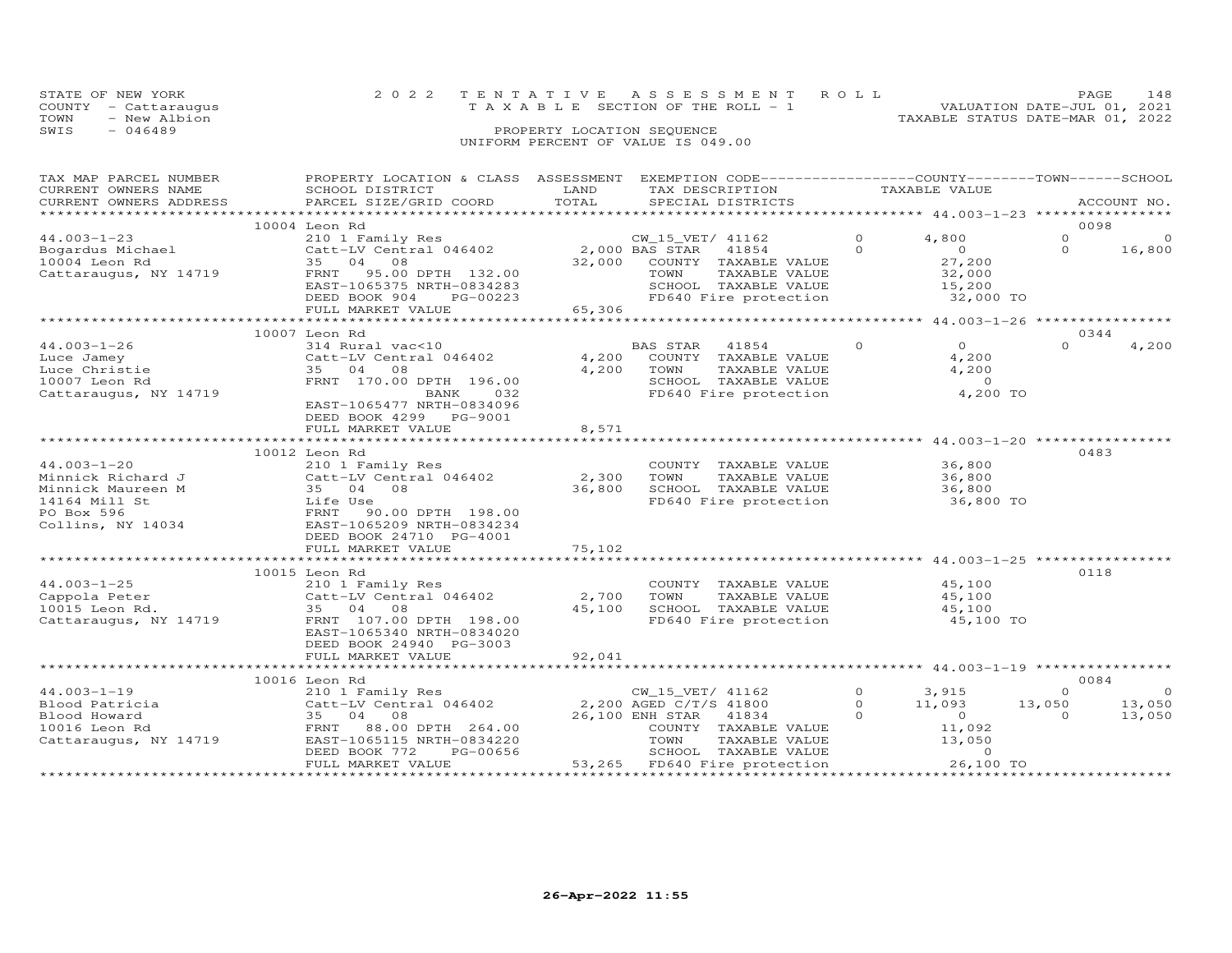| STATE OF NEW YORK<br>COUNTY - Cattaraugus |              | 2022 TENTATIVE ASSESSMENT ROLL<br>T A X A B L E SECTION OF THE ROLL - 1 |  |                                  | PAGE.<br>VALUATION DATE-JUL 01, 2021 | 148 |
|-------------------------------------------|--------------|-------------------------------------------------------------------------|--|----------------------------------|--------------------------------------|-----|
| TOWN                                      | - New Albion |                                                                         |  | TAXABLE STATUS DATE-MAR 01, 2022 |                                      |     |
| SWIS                                      | $-046489$    | PROPERTY LOCATION SEQUENCE                                              |  |                                  |                                      |     |
|                                           |              | UNIFORM PERCENT OF VALUE IS 049.00                                      |  |                                  |                                      |     |

| TAX MAP PARCEL NUMBER                                                       | PROPERTY LOCATION & CLASS ASSESSMENT                      |                |                   | EXEMPTION CODE-----------------COUNTY-------TOWN------SCHOOL          |          |                                            |          |                |
|-----------------------------------------------------------------------------|-----------------------------------------------------------|----------------|-------------------|-----------------------------------------------------------------------|----------|--------------------------------------------|----------|----------------|
| CURRENT OWNERS NAME                                                         | SCHOOL DISTRICT                                           | LAND           | TAX DESCRIPTION   |                                                                       |          | TAXABLE VALUE                              |          |                |
| CURRENT OWNERS ADDRESS                                                      | PARCEL SIZE/GRID COORD                                    | TOTAL          | SPECIAL DISTRICTS |                                                                       |          |                                            |          | ACCOUNT NO.    |
|                                                                             |                                                           |                |                   |                                                                       |          |                                            |          |                |
|                                                                             | 10004 Leon Rd                                             |                |                   |                                                                       |          |                                            | 0098     |                |
| $44.003 - 1 - 23$                                                           | 210 1 Family Res<br>Catt-LV Central 046402 2,000 BAS STAR |                | CW_15_VET/ 41162  |                                                                       | $\Omega$ | 4,800                                      | $\Omega$ | $\Omega$       |
| Bogardus Michael                                                            |                                                           |                |                   | 41854                                                                 | $\Omega$ | $\overline{0}$                             | $\Omega$ | 16,800         |
| 10004 Leon Rd                                                               | 35 04 08                                                  | 32,000         |                   | COUNTY TAXABLE VALUE                                                  |          | 27,200                                     |          |                |
| Cattaraugus, NY 14719                                                       | FRNT 95.00 DPTH 132.00                                    |                | TOWN              | TAXABLE VALUE                                                         |          | 32,000                                     |          |                |
|                                                                             | EAST-1065375 NRTH-0834283                                 |                |                   |                                                                       |          |                                            |          |                |
|                                                                             | DEED BOOK 904<br>PG-00223                                 |                |                   | SCHOOL TAXABLE VALUE 15,200<br>FD640 Fire protection 32,000 TO        |          |                                            |          |                |
|                                                                             | FULL MARKET VALUE                                         | 65,306         |                   |                                                                       |          |                                            |          |                |
|                                                                             |                                                           |                |                   |                                                                       |          |                                            |          |                |
|                                                                             | 10007 Leon Rd                                             |                |                   |                                                                       |          |                                            | 0344     |                |
| $44.003 - 1 - 26$                                                           | 314 Rural vac<10                                          |                | BAS STAR          | 41854                                                                 | $\Omega$ | $\overline{O}$                             | $\Omega$ | 4,200          |
| Luce Jamey                                                                  | Catt-LV Central 046402                                    | 4,200          |                   | COUNTY TAXABLE VALUE                                                  |          | 4,200                                      |          |                |
| Luce Christie                                                               | 35 04 08                                                  | 4,200          | TOWN              | TAXABLE VALUE                                                         |          | 4,200                                      |          |                |
| 10007 Leon Rd                                                               | FRNT 170.00 DPTH 196.00                                   |                |                   | SCHOOL TAXABLE VALUE<br>SCHOOL TAXABLE VALUE<br>FD640 Fire protection |          | $\overline{0}$                             |          |                |
| Cattaraugus, NY 14719                                                       | BANK<br>032                                               |                |                   |                                                                       |          | 4,200 TO                                   |          |                |
|                                                                             | EAST-1065477 NRTH-0834096                                 |                |                   |                                                                       |          |                                            |          |                |
|                                                                             | DEED BOOK 4299 PG-9001                                    |                |                   |                                                                       |          |                                            |          |                |
|                                                                             | FULL MARKET VALUE                                         | 8,571          |                   |                                                                       |          |                                            |          |                |
|                                                                             | *********************************                         | ************** |                   |                                                                       |          |                                            |          |                |
|                                                                             | 10012 Leon Rd                                             |                |                   |                                                                       |          |                                            | 0483     |                |
| $44.003 - 1 - 20$                                                           | 210 1 Family Res                                          |                |                   | COUNTY TAXABLE VALUE                                                  |          | $36,800$<br>$36,800$                       |          |                |
|                                                                             | Catt-LV Central 046402                                    | 2,300          | TOWN              | TAXABLE VALUE                                                         |          |                                            |          |                |
|                                                                             | 35 04 08                                                  | 36,800         |                   | SCHOOL TAXABLE VALUE                                                  |          | 36,800                                     |          |                |
|                                                                             |                                                           |                |                   | FD640 Fire protection                                                 |          | 36,800 TO                                  |          |                |
|                                                                             | FRNT 90.00 DPTH 198.00                                    |                |                   |                                                                       |          |                                            |          |                |
|                                                                             | EAST-1065209 NRTH-0834234                                 |                |                   |                                                                       |          |                                            |          |                |
|                                                                             | DEED BOOK 24710 PG-4001                                   |                |                   |                                                                       |          |                                            |          |                |
| Uatt-LV<br>35 04<br>20 Box 596<br>Collins, NY 14034<br>EAST-100<br>EAST-100 | FULL MARKET VALUE                                         | 75,102         |                   |                                                                       |          |                                            |          |                |
|                                                                             |                                                           |                |                   |                                                                       |          |                                            |          |                |
|                                                                             | 10015 Leon Rd                                             |                |                   |                                                                       |          |                                            | 0118     |                |
| $44.003 - 1 - 25$                                                           | 210 1 Family Res                                          |                |                   | COUNTY TAXABLE VALUE                                                  |          | 45,100                                     |          |                |
| Cappola Peter                                                               | $210$ $1$ $200$ $11$ $200$ $11$ $200$ $100$               | 2,700          | TOWN              | TAXABLE VALUE                                                         |          | 45,100                                     |          |                |
| 10015 Leon Rd.                                                              | 35 04 08                                                  | 45,100         |                   | SCHOOL TAXABLE VALUE<br>FD640 Fire protection                         |          | 45,100                                     |          |                |
| Cattaraugus, NY 14719                                                       | FRNT 107.00 DPTH 198.00                                   |                |                   |                                                                       |          | 45,100 TO                                  |          |                |
|                                                                             | EAST-1065340 NRTH-0834020                                 |                |                   |                                                                       |          |                                            |          |                |
|                                                                             | DEED BOOK 24940 PG-3003                                   |                |                   |                                                                       |          |                                            |          |                |
|                                                                             | FULL MARKET VALUE                                         | 92,041         |                   |                                                                       |          |                                            |          |                |
|                                                                             | ****************************                              | ************   |                   | *********************************** 44.003-1-19 ******************    |          |                                            |          |                |
|                                                                             | 10016 Leon Rd                                             |                |                   |                                                                       |          |                                            | 0084     |                |
| $44.003 - 1 - 19$                                                           |                                                           |                | CW_15_VET/ 41162  |                                                                       | $\circ$  | 3,915                                      | $\Omega$ | $\overline{a}$ |
| Blood Patricia                                                              |                                                           |                |                   |                                                                       | $\Omega$ | 11,093                                     | 13,050   | 13,050         |
| Blood Howard                                                                | 35 04 08                                                  |                | 26,100 ENH STAR   | $\overline{0}$<br>41834                                               |          | $\begin{array}{c} 0 \\ 11,092 \end{array}$ | $\Omega$ | 13,050         |
| 10016 Leon Rd                                                               | FRNT 88.00 DPTH 264.00                                    |                |                   | COUNTY TAXABLE VALUE                                                  |          |                                            |          |                |
| Cattaraugus, NY 14719                                                       | EAST-1065115 NRTH-0834220                                 |                | TOWN              | TAXABLE VALUE                                                         |          | 13,050                                     |          |                |
|                                                                             | PG-00656<br>DEED BOOK 772                                 |                |                   | SCHOOL TAXABLE VALUE                                                  |          | $\Omega$                                   |          |                |
|                                                                             | FULL MARKET VALUE                                         |                |                   | 53,265 FD640 Fire protection                                          |          | $26,100$ TO                                |          |                |
|                                                                             |                                                           |                |                   |                                                                       |          |                                            |          |                |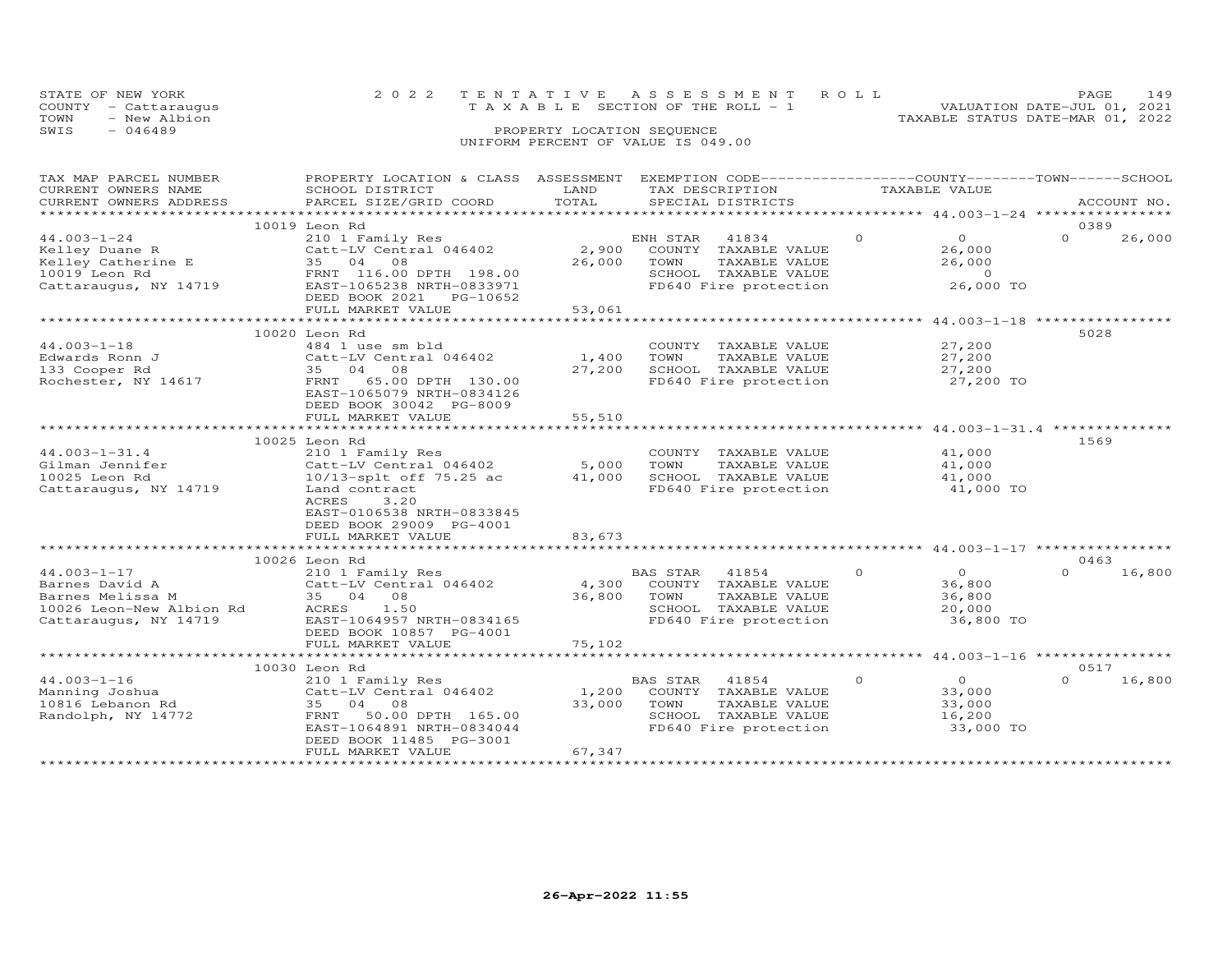|      | STATE OF NEW YORK<br>COUNTY - Cattaraugus | 2022 TENTATIVE ASSESSMENT ROLL<br>T A X A B L E SECTION OF THE ROLL - 1 |                            |  |                                  | PAGE.<br>VALUATION DATE-JUL 01, 2021 | 149 |
|------|-------------------------------------------|-------------------------------------------------------------------------|----------------------------|--|----------------------------------|--------------------------------------|-----|
| TOWN | - New Albion                              |                                                                         |                            |  | TAXABLE STATUS DATE-MAR 01, 2022 |                                      |     |
| SWIS | $-046489$                                 |                                                                         | PROPERTY LOCATION SEQUENCE |  |                                  |                                      |     |
|      |                                           | UNIFORM PERCENT OF VALUE IS 049.00                                      |                            |  |                                  |                                      |     |

# TAX MAP PARCEL NUMBER PROPERTY LOCATION & CLASS ASSESSMENT EXEMPTION CODE------------------COUNTY--------TOWN------SCHOOL CURRENT OWNERS NAME SCHOOL DISTRICT LAND TAX DESCRIPTION TAXABLE VALUE CURRENT OWNERS ADDRESS PARCEL SIZE/GRID COORD TOTAL SPECIAL DISTRICTS ACCOUNT NO. \*\*\*\*\*\*\*\*\*\*\*\*\*\*\*\*\*\*\*\*\*\*\*\*\*\*\*\*\*\*\*\*\*\*\*\*\*\*\*\*\*\*\*\*\*\*\*\*\*\*\*\*\*\*\*\*\*\*\*\*\*\*\*\*\*\*\*\*\*\*\*\*\*\*\*\*\*\*\*\*\*\*\*\*\*\*\*\*\*\*\*\*\*\*\*\*\*\*\*\*\*\*\* 44.003-1-24 \*\*\*\*\*\*\*\*\*\*\*\*\*\*\*\* 10019 Leon Rd 038944.003-1-24 210 1 Family Res ENH STAR 41834 0 0 0 26,000Kelley Duane R Catt-LV Central 046402 2,900 COUNTY TAXABLE VALUE 26,000 Kelley Catherine E 35 04 08 26,000 TOWN TAXABLE VALUE 26,000 10019 Leon Rd FRNT 116.00 DPTH 198.00 SCHOOL TAXABLE VALUE 0 Cattaraugus, NY 14719 EAST-1065238 NRTH-0833971 FD640 Fire protection 26,000 TO DEED BOOK 2021 PG-10652 FULL MARKET VALUE 53,061 $0 \t 26,000$  \*\*\*\*\*\*\*\*\*\*\*\*\*\*\*\*\*\*\*\*\*\*\*\*\*\*\*\*\*\*\*\*\*\*\*\*\*\*\*\*\*\*\*\*\*\*\*\*\*\*\*\*\*\*\*\*\*\*\*\*\*\*\*\*\*\*\*\*\*\*\*\*\*\*\*\*\*\*\*\*\*\*\*\*\*\*\*\*\*\*\*\*\*\*\*\*\*\*\*\*\*\*\* 44.003-1-18 \*\*\*\*\*\*\*\*\*\*\*\*\*\*\*\*10020 Leon Rd<br>
27,200 Many 10020 Leon Rd<br>
Edwards Ronn J (27,200 Catt-LV Central 046402 1,400 TOWN TAXABLE VALUE 27,200<br>
27,200 SCHOOL TAXABLE VALUE 27,200<br>
27,200 SCHOOL TAXABLE VALUE 27,200<br>
Rochester, NY 14617 EAST-1065 FULL MARKET VALUE 55,510 10025 Leon Rd 156944.003-1-31.4 210 1 Family Res COUNTY TAXABLE VALUE 41,000 Gilman Jennifer Catt-LV Central 046402 5,000 TOWN TAXABLE VALUE 41,000 10025 Leon Rd 10/13-splt off 75.25 ac 41,000 SCHOOL TAXABLE VALUE 41,000 Cattaraugus, NY 14719 Land contract FD640 Fire protection 41,000 TO ACRES 3.20\*\*\*\*\*\*\*\*\*\*\*\*\*\*\*\*\*\*\*\*\*\*\*\*\*\*\*\*\*\*\*\*\*\*\*\*\*\*\*\*\*\*\*\*\*\*\*\*\*\*\*\*\*\*\*\*\*\*\*\*\*\*\*\*\*\*\*\*\*\*\*\*\*\*\*\*\*\*\*\*\*\*\*\*\*\*\*\*\*\*\*\*\*\*\*\*\*\*\*\*\*\*\* 44.003-1-31.4 \*\*\*\*\*\*\*\*\*\*\*\*\*\* EAST-0106538 NRTH-0833845 DEED BOOK 29009 PG-4001FULL MARKET VALUE 83,673 \*\*\*\*\*\*\*\*\*\*\*\*\*\*\*\*\*\*\*\*\*\*\*\*\*\*\*\*\*\*\*\*\*\*\*\*\*\*\*\*\*\*\*\*\*\*\*\*\*\*\*\*\*\*\*\*\*\*\*\*\*\*\*\*\*\*\*\*\*\*\*\*\*\*\*\*\*\*\*\*\*\*\*\*\*\*\*\*\*\*\*\*\*\*\*\*\*\*\*\*\*\*\* 44.003-1-17 \*\*\*\*\*\*\*\*\*\*\*\*\*\*\*\* 10026 Leon Rd 0463 44.003-1-17 210 1 Family Res BAS STAR 41854 0 0 0 16,800Barnes David A Catt-LV Central 046402 4,300 COUNTY TAXABLE VALUE 36,800 Barnes Melissa M 35 04 08 36,800 TOWN TAXABLE VALUE 36,800 10026 Leon-New Albion Rd ACRES 1.50 SCHOOL TAXABLE VALUE 20,000 Cattaraugus, NY 14719 EAST-1064957 NRTH-0834165 FD640 Fire protection 36,800 TO DEED BOOK 10857 PG-4001 FULL MARKET VALUE 75,102 \*\*\*\*\*\*\*\*\*\*\*\*\*\*\*\*\*\*\*\*\*\*\*\*\*\*\*\*\*\*\*\*\*\*\*\*\*\*\*\*\*\*\*\*\*\*\*\*\*\*\*\*\*\*\*\*\*\*\*\*\*\*\*\*\*\*\*\*\*\*\*\*\*\*\*\*\*\*\*\*\*\*\*\*\*\*\*\*\*\*\*\*\*\*\*\*\*\*\*\*\*\*\* 44.003-1-16 \*\*\*\*\*\*\*\*\*\*\*\*\*\*\*\*10030 Leon Rd<br>
210030 Leon Ranning Joshua (2011 Family Res (210 1 Family Res (210 1 Family Res (210 1 Family Res (210 1 Family Res (210 1 Family Res (210 1 Family Res (210 1 Family Res (210 1 Family Res (210 1 Family Res ( FULL MARKET VALUE 67,347

\*\*\*\*\*\*\*\*\*\*\*\*\*\*\*\*\*\*\*\*\*\*\*\*\*\*\*\*\*\*\*\*\*\*\*\*\*\*\*\*\*\*\*\*\*\*\*\*\*\*\*\*\*\*\*\*\*\*\*\*\*\*\*\*\*\*\*\*\*\*\*\*\*\*\*\*\*\*\*\*\*\*\*\*\*\*\*\*\*\*\*\*\*\*\*\*\*\*\*\*\*\*\*\*\*\*\*\*\*\*\*\*\*\*\*\*\*\*\*\*\*\*\*\*\*\*\*\*\*\*\*\*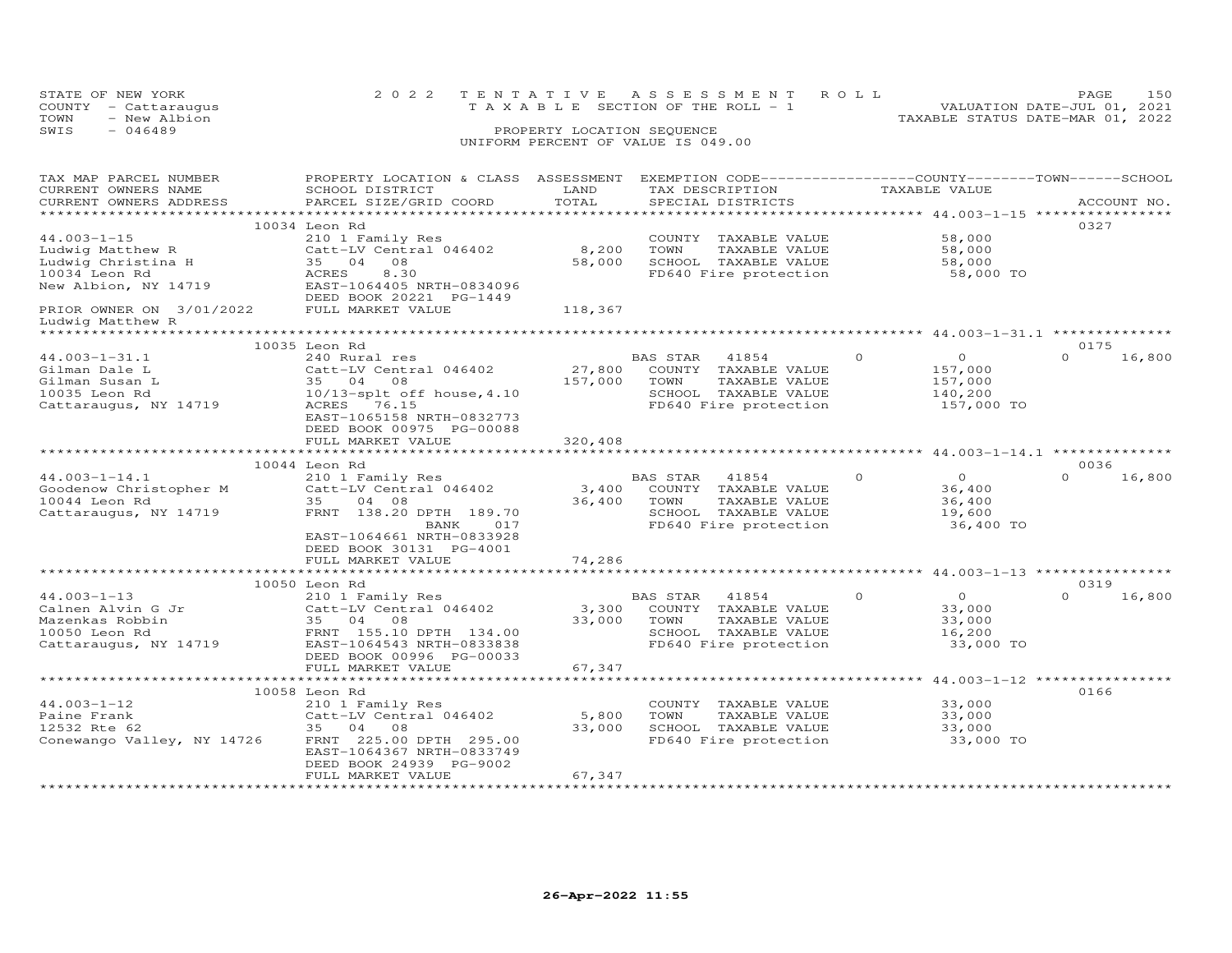|      | STATE OF NEW YORK    | 2022 TENTATIVE ASSESSMENT ROLL        | <b>PAGE</b>                      | 150 |
|------|----------------------|---------------------------------------|----------------------------------|-----|
|      | COUNTY - Cattaraugus | T A X A B L E SECTION OF THE ROLL - 1 | VALUATION DATE-JUL 01, 2021      |     |
| TOWN | - New Albion         |                                       | TAXABLE STATUS DATE-MAR 01, 2022 |     |
| SWIS | $-046489$            | PROPERTY LOCATION SEQUENCE            |                                  |     |
|      |                      | UNIFORM PERCENT OF VALUE IS 049.00    |                                  |     |

| TAX MAP PARCEL NUMBER<br>CURRENT OWNERS NAME      | PROPERTY LOCATION & CLASS ASSESSMENT<br>SCHOOL DISTRICT | LAND                            | EXEMPTION CODE------------------COUNTY-------TOWN------SCHOOL<br>TAX DESCRIPTION |          | TAXABLE VALUE               |                                                                  |
|---------------------------------------------------|---------------------------------------------------------|---------------------------------|----------------------------------------------------------------------------------|----------|-----------------------------|------------------------------------------------------------------|
| CURRENT OWNERS ADDRESS<br>*********************** | PARCEL SIZE/GRID COORD                                  | TOTAL<br>********************** | SPECIAL DISTRICTS                                                                |          |                             | ACCOUNT NO.<br>******************* 44.003-1-15 ***************** |
|                                                   |                                                         |                                 |                                                                                  |          |                             |                                                                  |
| $44.003 - 1 - 15$                                 | 10034 Leon Rd                                           |                                 |                                                                                  |          | 58,000                      | 0327                                                             |
|                                                   | 210 1 Family Res                                        | 8,200                           | COUNTY TAXABLE VALUE<br>TOWN                                                     |          |                             |                                                                  |
| Ludwig Matthew R<br>Ludwig Christina H            | Catt-LV Central 046402<br>35 04<br>08                   | 58,000                          | TAXABLE VALUE<br>SCHOOL TAXABLE VALUE                                            |          | 58,000<br>58,000            |                                                                  |
| 10034 Leon Rd                                     | ACRES<br>8.30                                           |                                 | FD640 Fire protection                                                            |          | 58,000 TO                   |                                                                  |
| New Albion, NY 14719                              | EAST-1064405 NRTH-0834096                               |                                 |                                                                                  |          |                             |                                                                  |
|                                                   | DEED BOOK 20221 PG-1449                                 |                                 |                                                                                  |          |                             |                                                                  |
| PRIOR OWNER ON 3/01/2022                          | FULL MARKET VALUE                                       | 118,367                         |                                                                                  |          |                             |                                                                  |
| Ludwig Matthew R<br>******************            |                                                         |                                 |                                                                                  |          |                             |                                                                  |
|                                                   | 10035 Leon Rd                                           |                                 |                                                                                  |          |                             | 0175                                                             |
| $44.003 - 1 - 31.1$                               | 240 Rural res                                           |                                 | BAS STAR<br>41854                                                                | $\circ$  | $\overline{O}$              | $\Omega$<br>16,800                                               |
| Gilman Dale L                                     | Catt-LV Central 046402                                  | 27,800                          | COUNTY TAXABLE VALUE                                                             |          | 157,000                     |                                                                  |
| Gilman Susan L                                    | 35 04 08                                                | 157,000                         | TOWN<br>TAXABLE VALUE                                                            |          | 157,000                     |                                                                  |
| 10035 Leon Rd                                     | $10/13$ -splt off house, $4.10$                         |                                 | SCHOOL TAXABLE VALUE                                                             |          | 140,200                     |                                                                  |
| Cattaraugus, NY 14719                             | ACRES 76.15                                             |                                 | FD640 Fire protection                                                            |          | 157,000 TO                  |                                                                  |
|                                                   | EAST-1065158 NRTH-0832773                               |                                 |                                                                                  |          |                             |                                                                  |
|                                                   | DEED BOOK 00975 PG-00088                                |                                 |                                                                                  |          |                             |                                                                  |
|                                                   | FULL MARKET VALUE                                       | 320,408                         |                                                                                  |          |                             |                                                                  |
|                                                   |                                                         |                                 |                                                                                  |          |                             |                                                                  |
|                                                   | 10044 Leon Rd                                           |                                 |                                                                                  |          |                             | 0036                                                             |
| $44.003 - 1 - 14.1$                               | 210 1 Family Res                                        |                                 | BAS STAR<br>41854                                                                | $\Omega$ | $\overline{0}$              | $\Omega$<br>16,800                                               |
| Goodenow Christopher M                            | Catt-LV Central 046402                                  | 3,400                           | COUNTY TAXABLE VALUE                                                             |          | 36,400                      |                                                                  |
| 10044 Leon Rd                                     | 35<br>04 08                                             | 36,400                          | TOWN<br>TAXABLE VALUE                                                            |          | 36,400                      |                                                                  |
| Cattaraugus, NY 14719                             | FRNT 138.20 DPTH 189.70                                 |                                 | SCHOOL TAXABLE VALUE                                                             |          | 19,600                      |                                                                  |
|                                                   | BANK<br>017                                             |                                 | FD640 Fire protection                                                            |          | 36,400 TO                   |                                                                  |
|                                                   | EAST-1064661 NRTH-0833928                               |                                 |                                                                                  |          |                             |                                                                  |
|                                                   | DEED BOOK 30131 PG-4001                                 |                                 |                                                                                  |          |                             |                                                                  |
|                                                   | FULL MARKET VALUE<br>**********************             | 74,286                          |                                                                                  |          |                             |                                                                  |
|                                                   |                                                         |                                 |                                                                                  |          | ********** 44.003-1-13 **** |                                                                  |
| $44.003 - 1 - 13$                                 | 10050 Leon Rd                                           |                                 |                                                                                  | $\Omega$ | $\Omega$                    | 0319<br>$\Omega$                                                 |
|                                                   | 210 1 Family Res<br>Catt-LV Central 046402              |                                 | 41854<br>BAS STAR                                                                |          |                             | 16,800                                                           |
| Calnen Alvin G Jr<br>Mazenkas Robbin              | 35 04 08                                                | 3,300<br>33,000                 | COUNTY TAXABLE VALUE<br>TOWN<br>TAXABLE VALUE                                    |          | 33,000<br>33,000            |                                                                  |
| 10050 Leon Rd                                     | FRNT 155.10 DPTH 134.00                                 |                                 | SCHOOL TAXABLE VALUE                                                             |          | 16,200                      |                                                                  |
| Cattaraugus, NY 14719                             | EAST-1064543 NRTH-0833838                               |                                 | FD640 Fire protection                                                            |          | 33,000 TO                   |                                                                  |
|                                                   | DEED BOOK 00996 PG-00033                                |                                 |                                                                                  |          |                             |                                                                  |
|                                                   | FULL MARKET VALUE                                       | 67,347                          |                                                                                  |          |                             |                                                                  |
|                                                   | **********************                                  |                                 |                                                                                  |          |                             | *********** 44.003-1-12 ****************                         |
|                                                   | 10058 Leon Rd                                           |                                 |                                                                                  |          |                             | 0166                                                             |
| $44.003 - 1 - 12$                                 | 210 1 Family Res                                        |                                 | COUNTY TAXABLE VALUE                                                             |          | 33,000                      |                                                                  |
| Paine Frank                                       | Catt-LV Central 046402                                  | 5,800                           | TOWN<br>TAXABLE VALUE                                                            |          | 33,000                      |                                                                  |
| 12532 Rte 62                                      | 35 04 08                                                | 33,000                          | SCHOOL TAXABLE VALUE                                                             |          | 33,000                      |                                                                  |
| Conewango Valley, NY 14726                        | FRNT 225.00 DPTH 295.00                                 |                                 | FD640 Fire protection                                                            |          | 33,000 TO                   |                                                                  |
|                                                   | EAST-1064367 NRTH-0833749                               |                                 |                                                                                  |          |                             |                                                                  |
|                                                   | DEED BOOK 24939 PG-9002                                 |                                 |                                                                                  |          |                             |                                                                  |
|                                                   | FULL MARKET VALUE                                       | 67,347                          |                                                                                  |          |                             |                                                                  |
|                                                   |                                                         |                                 |                                                                                  |          |                             |                                                                  |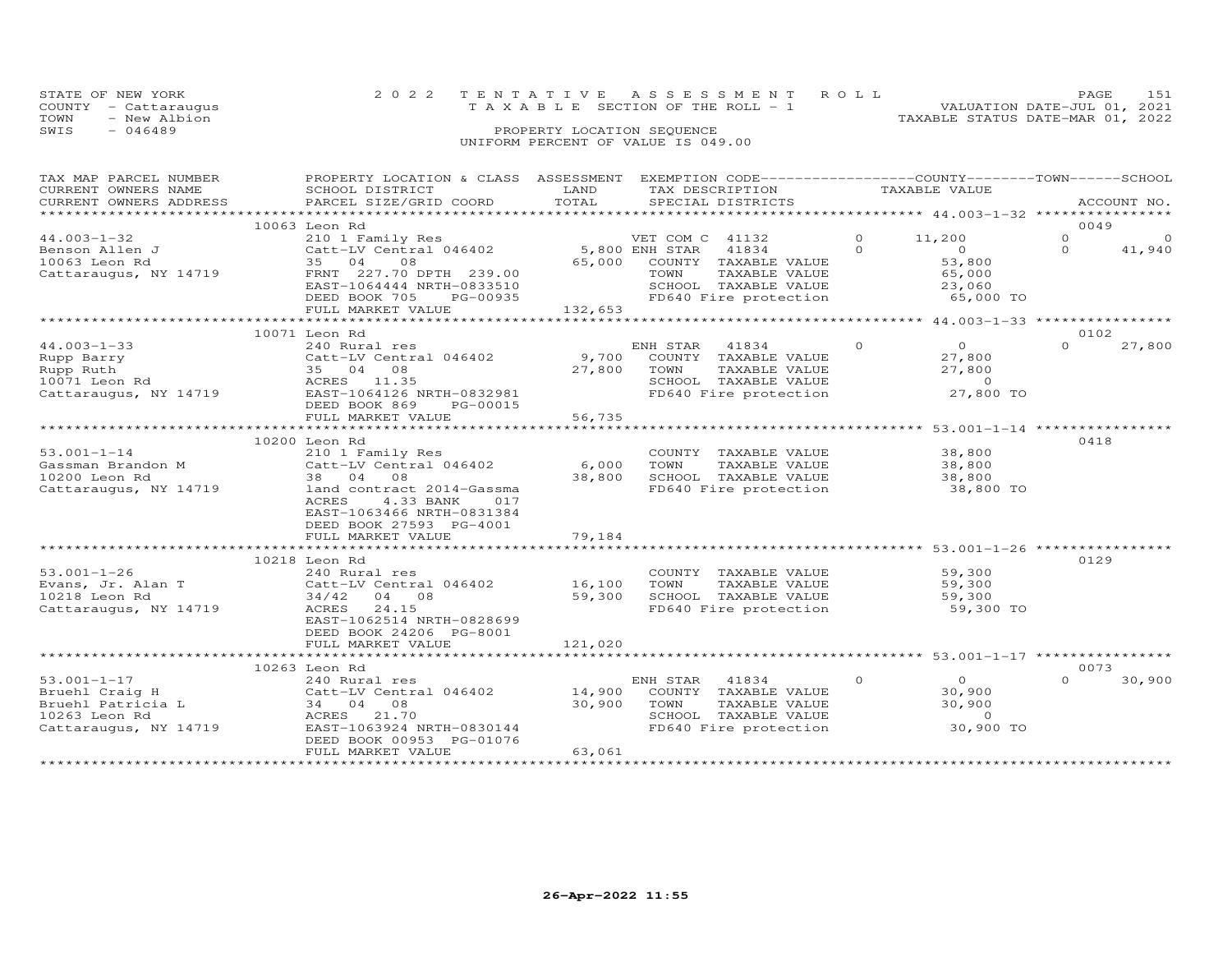| STATE OF NEW YORK    | 2022 TENTATIVE ASSESSMENT ROLL     | 151<br>PAGE.                     |
|----------------------|------------------------------------|----------------------------------|
| COUNTY - Cattaraugus | TAXABLE SECTION OF THE ROLL - 1    | VALUATION DATE-JUL 01, 2021      |
| TOWN<br>- New Albion |                                    | TAXABLE STATUS DATE-MAR 01, 2022 |
| SWIS<br>$-046489$    | PROPERTY LOCATION SEQUENCE         |                                  |
|                      | UNIFORM PERCENT OF VALUE IS 049.00 |                                  |

| TAX MAP PARCEL NUMBER  | PROPERTY LOCATION & CLASS ASSESSMENT |                | EXEMPTION CODE-----------------COUNTY-------TOWN------SCHOOL |          |                                                      |          |             |
|------------------------|--------------------------------------|----------------|--------------------------------------------------------------|----------|------------------------------------------------------|----------|-------------|
| CURRENT OWNERS NAME    | SCHOOL DISTRICT                      | LAND           | TAX DESCRIPTION                                              |          | TAXABLE VALUE                                        |          |             |
| CURRENT OWNERS ADDRESS | PARCEL SIZE/GRID COORD               | TOTAL          | SPECIAL DISTRICTS                                            |          |                                                      |          | ACCOUNT NO. |
| ********************** |                                      |                |                                                              |          | ********************** 44.003-1-32 ***************** |          |             |
|                        | 10063 Leon Rd                        |                |                                                              |          |                                                      |          | 0049        |
| $44.003 - 1 - 32$      | 210 1 Family Res                     |                | VET COM C 41132                                              | $\Omega$ | 11,200                                               | $\Omega$ | $\Omega$    |
| Benson Allen J         | Catt-LV Central 046402               | 5,800 ENH STAR | 41834                                                        | $\Omega$ | $\overline{O}$                                       | $\Omega$ | 41,940      |
| 10063 Leon Rd          | 35 04<br>08                          | 65,000         | COUNTY TAXABLE VALUE                                         |          | 53,800                                               |          |             |
| Cattaraugus, NY 14719  | FRNT 227.70 DPTH 239.00              |                | TOWN<br>TAXABLE VALUE                                        |          | 65,000                                               |          |             |
|                        | EAST-1064444 NRTH-0833510            |                | SCHOOL TAXABLE VALUE                                         |          | 23,060                                               |          |             |
|                        | DEED BOOK 705<br>PG-00935            |                | FD640 Fire protection                                        |          | 65,000 TO                                            |          |             |
|                        | FULL MARKET VALUE                    | 132,653        |                                                              |          |                                                      |          |             |
|                        | **************************           |                |                                                              |          |                                                      |          |             |
|                        | 10071 Leon Rd                        |                |                                                              |          |                                                      |          | 0102        |
| $44.003 - 1 - 33$      | 240 Rural res                        |                | ENH STAR<br>41834                                            | $\Omega$ | $\Omega$                                             | $\Omega$ | 27,800      |
| Rupp Barry             | Catt-LV Central 046402               | 9,700          | COUNTY TAXABLE VALUE                                         |          | 27,800                                               |          |             |
| Rupp Ruth              | 35 04 08                             | 27,800         | TOWN<br>TAXABLE VALUE                                        |          | 27,800                                               |          |             |
| 10071 Leon Rd          | ACRES 11.35                          |                | SCHOOL TAXABLE VALUE                                         |          | $\overline{0}$                                       |          |             |
| Cattaraugus, NY 14719  | EAST-1064126 NRTH-0832981            |                | FD640 Fire protection                                        |          | 27,800 TO                                            |          |             |
|                        | DEED BOOK 869<br>PG-00015            |                |                                                              |          |                                                      |          |             |
|                        |                                      |                |                                                              |          |                                                      |          |             |
|                        | FULL MARKET VALUE                    | 56,735         |                                                              |          |                                                      |          |             |
|                        |                                      |                |                                                              |          |                                                      |          |             |
|                        | 10200 Leon Rd                        |                |                                                              |          |                                                      |          | 0418        |
| $53.001 - 1 - 14$      | 210 1 Family Res                     |                | COUNTY TAXABLE VALUE                                         |          | 38,800                                               |          |             |
| Gassman Brandon M      | Catt-LV Central 046402               | 6,000          | TOWN<br>TAXABLE VALUE                                        |          | 38,800                                               |          |             |
| 10200 Leon Rd          | 38 04 08                             | 38,800         | SCHOOL TAXABLE VALUE                                         |          | 38,800                                               |          |             |
| Cattaraugus, NY 14719  | land contract 2014-Gassma            |                | FD640 Fire protection                                        |          | 38,800 TO                                            |          |             |
|                        | <b>ACRES</b><br>4.33 BANK<br>017     |                |                                                              |          |                                                      |          |             |
|                        | EAST-1063466 NRTH-0831384            |                |                                                              |          |                                                      |          |             |
|                        | DEED BOOK 27593 PG-4001              |                |                                                              |          |                                                      |          |             |
|                        | FULL MARKET VALUE                    | 79,184         |                                                              |          |                                                      |          |             |
|                        |                                      |                |                                                              |          |                                                      |          |             |
|                        | 10218 Leon Rd                        |                |                                                              |          |                                                      |          | 0129        |
| $53.001 - 1 - 26$      | 240 Rural res                        |                | COUNTY TAXABLE VALUE                                         |          | 59,300                                               |          |             |
| Evans, Jr. Alan T      | Catt-LV Central 046402               | 16,100         | TOWN<br>TAXABLE VALUE                                        |          | 59,300                                               |          |             |
| 10218 Leon Rd          | 34/42<br>04 08                       | 59,300         | SCHOOL TAXABLE VALUE                                         |          | 59,300                                               |          |             |
| Cattaraugus, NY 14719  | 24.15<br>ACRES                       |                | FD640 Fire protection                                        |          | 59,300 TO                                            |          |             |
|                        | EAST-1062514 NRTH-0828699            |                |                                                              |          |                                                      |          |             |
|                        | DEED BOOK 24206 PG-8001              |                |                                                              |          |                                                      |          |             |
|                        | FULL MARKET VALUE                    | 121,020        |                                                              |          |                                                      |          |             |
|                        |                                      |                |                                                              |          |                                                      |          |             |
|                        | 10263 Leon Rd                        |                |                                                              |          |                                                      |          | 0073        |
| $53.001 - 1 - 17$      | 240 Rural res                        |                | ENH STAR<br>41834                                            | $\Omega$ | $\Omega$                                             | $\cap$   | 30,900      |
| Bruehl Craig H         | Catt-LV Central 046402               | 14,900         | COUNTY TAXABLE VALUE                                         |          | 30,900                                               |          |             |
| Bruehl Patricia L      | 34 04<br>08                          | 30,900         | TOWN<br>TAXABLE VALUE                                        |          | 30,900                                               |          |             |
| 10263 Leon Rd          | ACRES 21.70                          |                | SCHOOL TAXABLE VALUE                                         |          | $\sim$ 0                                             |          |             |
| Cattaraugus, NY 14719  | EAST-1063924 NRTH-0830144            |                | FD640 Fire protection                                        |          | 30,900 TO                                            |          |             |
|                        |                                      |                |                                                              |          |                                                      |          |             |
|                        | DEED BOOK 00953 PG-01076             |                |                                                              |          |                                                      |          |             |
|                        | FULL MARKET VALUE                    | 63,061         |                                                              |          |                                                      |          |             |
|                        |                                      |                |                                                              |          |                                                      |          |             |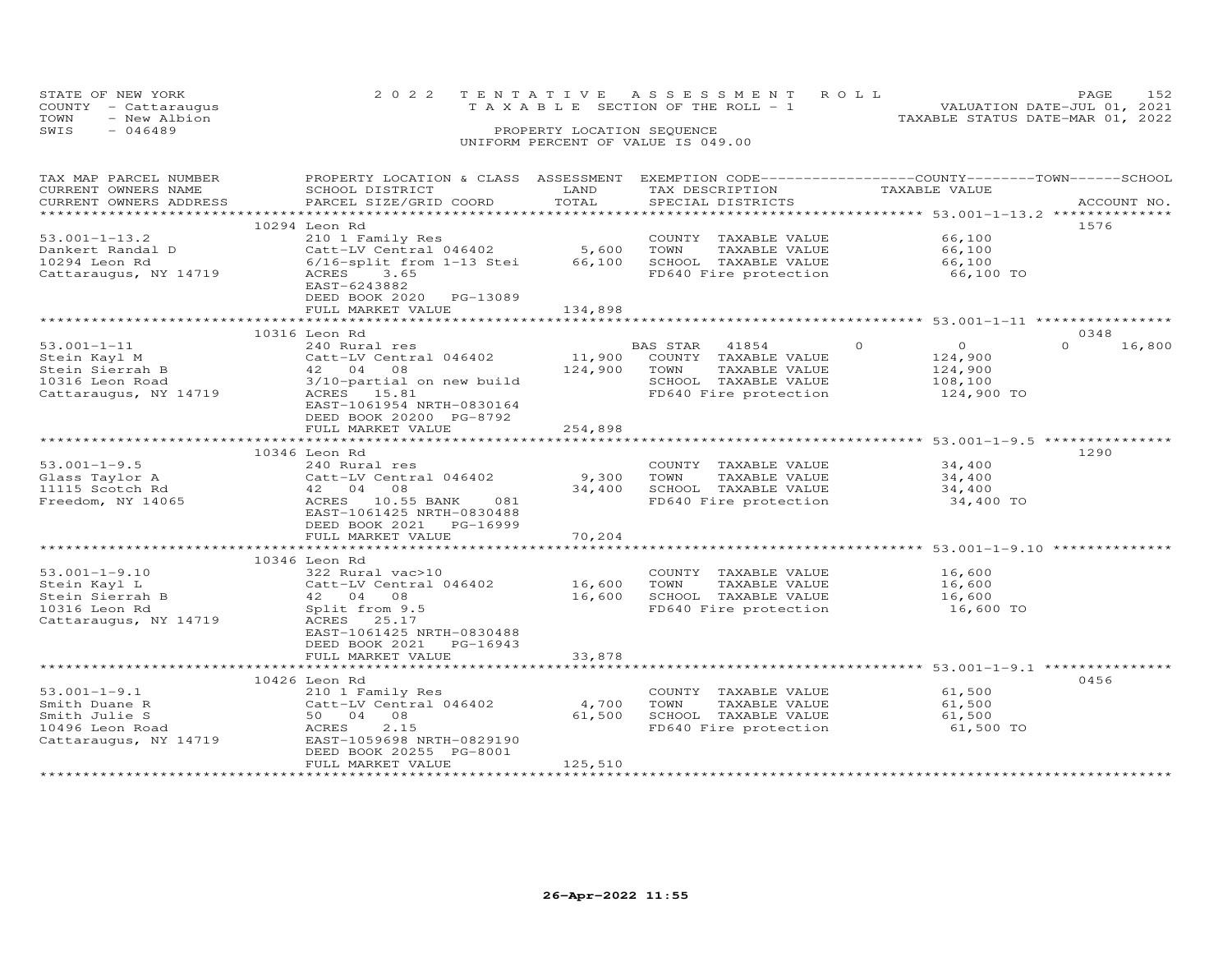| STATE OF NEW YORK    | 2022 TENTATIVE ASSESSMENT ROLL        | PAGE.                            | 152 |
|----------------------|---------------------------------------|----------------------------------|-----|
| COUNTY - Cattaraugus | T A X A B L E SECTION OF THE ROLL - 1 | VALUATION DATE-JUL 01, 2021      |     |
| TOWN<br>- New Albion |                                       | TAXABLE STATUS DATE-MAR 01, 2022 |     |
| SWIS<br>$-046489$    | PROPERTY LOCATION SEQUENCE            |                                  |     |
|                      | UNIFORM PERCENT OF VALUE IS 049.00    |                                  |     |

| TAX MAP PARCEL NUMBER  | PROPERTY LOCATION & CLASS ASSESSMENT |              |                |                                               |               |                | EXEMPTION CODE-----------------COUNTY-------TOWN------SCHOOL |
|------------------------|--------------------------------------|--------------|----------------|-----------------------------------------------|---------------|----------------|--------------------------------------------------------------|
| CURRENT OWNERS NAME    | SCHOOL DISTRICT                      | LAND         |                | TAX DESCRIPTION                               | TAXABLE VALUE |                |                                                              |
| CURRENT OWNERS ADDRESS | PARCEL SIZE/GRID COORD               | TOTAL        |                | SPECIAL DISTRICTS                             |               |                | ACCOUNT NO.                                                  |
|                        |                                      |              |                |                                               |               |                |                                                              |
|                        | 10294 Leon Rd                        |              |                |                                               |               |                | 1576                                                         |
|                        |                                      |              |                |                                               |               | 66,100         |                                                              |
| $53.001 - 1 - 13.2$    | 210 1 Family Res                     |              |                | COUNTY TAXABLE VALUE                          |               |                |                                                              |
| Dankert Randal D       | $Catt-LV$ Central 046402 5,600       |              | TOWN           | TAXABLE VALUE                                 |               | 66,100         |                                                              |
| 10294 Leon Rd          | 6/16-split from 1-13 Stei            | 66,100       |                | SCHOOL TAXABLE VALUE                          |               | 66,100         |                                                              |
| Cattaraugus, NY 14719  | ACRES<br>3.65                        |              |                | FD640 Fire protection                         |               | 66,100 TO      |                                                              |
|                        | EAST-6243882                         |              |                |                                               |               |                |                                                              |
|                        | DEED BOOK 2020 PG-13089              |              |                |                                               |               |                |                                                              |
|                        | FULL MARKET VALUE                    | 134,898      |                |                                               |               |                |                                                              |
|                        |                                      |              |                |                                               |               |                |                                                              |
|                        | 10316 Leon Rd                        |              |                |                                               |               |                | 0348                                                         |
| $53.001 - 1 - 11$      |                                      |              |                |                                               | $\circ$       | $\overline{O}$ | $\Omega$                                                     |
|                        | 240 Rural res                        |              | BAS STAR 41854 |                                               |               |                | 16,800                                                       |
| Stein Kayl M           | Catt-LV Central 046402               |              |                | 11,900 COUNTY TAXABLE VALUE                   |               | 124,900        |                                                              |
| Stein Sierrah B        | $42$ 04 08<br>3/10-partial           | 124,900 TOWN |                | TAXABLE VALUE                                 |               | 124,900        |                                                              |
| 10316 Leon Road        | 3/10-partial on new build            |              |                | SCHOOL TAXABLE VALUE                          |               | 108, 100       |                                                              |
| Cattaraugus, NY 14719  | ACRES 15.81                          |              |                | FD640 Fire protection                         |               | 124,900 TO     |                                                              |
|                        | EAST-1061954 NRTH-0830164            |              |                |                                               |               |                |                                                              |
|                        | DEED BOOK 20200 PG-8792              |              |                |                                               |               |                |                                                              |
|                        | FULL MARKET VALUE                    | 254,898      |                |                                               |               |                |                                                              |
|                        |                                      |              |                |                                               |               |                |                                                              |
|                        |                                      |              |                |                                               |               |                | 1290                                                         |
|                        | 10346 Leon Rd                        |              |                |                                               |               |                |                                                              |
| $53.001 - 1 - 9.5$     | 240 Rural res                        |              |                | COUNTY TAXABLE VALUE                          |               | 34,400         |                                                              |
| Glass Taylor A         | Catt-LV Central 046402               | 9,300 TOWN   |                | TAXABLE VALUE                                 |               | 34,400         |                                                              |
| 11115 Scotch Rd        | 42 04 08                             | 34,400       |                | SCHOOL TAXABLE VALUE<br>FD640 Fire protection |               | 34,400         |                                                              |
| Freedom, NY 14065      | ACRES 10.55 BANK<br>081              |              |                |                                               |               | 34,400 TO      |                                                              |
|                        | EAST-1061425 NRTH-0830488            |              |                |                                               |               |                |                                                              |
|                        | DEED BOOK 2021 PG-16999              |              |                |                                               |               |                |                                                              |
|                        | FULL MARKET VALUE                    | 70,204       |                |                                               |               |                |                                                              |
|                        |                                      |              |                |                                               |               |                |                                                              |
|                        | 10346 Leon Rd                        |              |                |                                               |               |                |                                                              |
| $53.001 - 1 - 9.10$    | 322 Rural vac>10                     |              |                | COUNTY TAXABLE VALUE                          |               | 16,600         |                                                              |
|                        |                                      |              |                |                                               |               |                |                                                              |
| Stein Kayl L           | Catt-LV Central 046402               | 16,600 TOWN  |                | TAXABLE VALUE                                 |               | 16,600         |                                                              |
| Stein Sierrah B        | 42 04 08                             |              |                | 16,600 SCHOOL TAXABLE VALUE                   |               | 16,600         |                                                              |
| 10316 Leon Rd          | Split from 9.5                       |              |                | FD640 Fire protection                         |               | 16,600 TO      |                                                              |
| Cattaraugus, NY 14719  | ACRES 25.17                          |              |                |                                               |               |                |                                                              |
|                        | EAST-1061425 NRTH-0830488            |              |                |                                               |               |                |                                                              |
|                        | DEED BOOK 2021 PG-16943              |              |                |                                               |               |                |                                                              |
|                        | FULL MARKET VALUE                    | 33,878       |                |                                               |               |                |                                                              |
|                        |                                      |              |                |                                               |               |                |                                                              |
|                        | 10426 Leon Rd                        |              |                |                                               |               |                | 0456                                                         |
|                        |                                      |              |                |                                               |               |                |                                                              |
| $53.001 - 1 - 9.1$     | 210 1 Family Res                     |              |                | COUNTY TAXABLE VALUE                          |               | 61,500         |                                                              |
| Smith Duane R          | Catt-LV Central 046402               | 4,700        | TOWN           | TAXABLE VALUE                                 |               | 61,500         |                                                              |
| Smith Julie S          | 50 04 08                             | 61,500       |                | SCHOOL TAXABLE VALUE<br>FD640 Fire protection |               | 61,500         |                                                              |
| 10496 Leon Road        | 2.15<br>ACRES                        |              |                |                                               |               | 61,500 TO      |                                                              |
| Cattaraugus, NY 14719  | EAST-1059698 NRTH-0829190            |              |                |                                               |               |                |                                                              |
|                        | DEED BOOK 20255 PG-8001              |              |                |                                               |               |                |                                                              |
|                        | FULL MARKET VALUE                    | 125,510      |                |                                               |               |                |                                                              |
|                        |                                      |              |                |                                               |               |                |                                                              |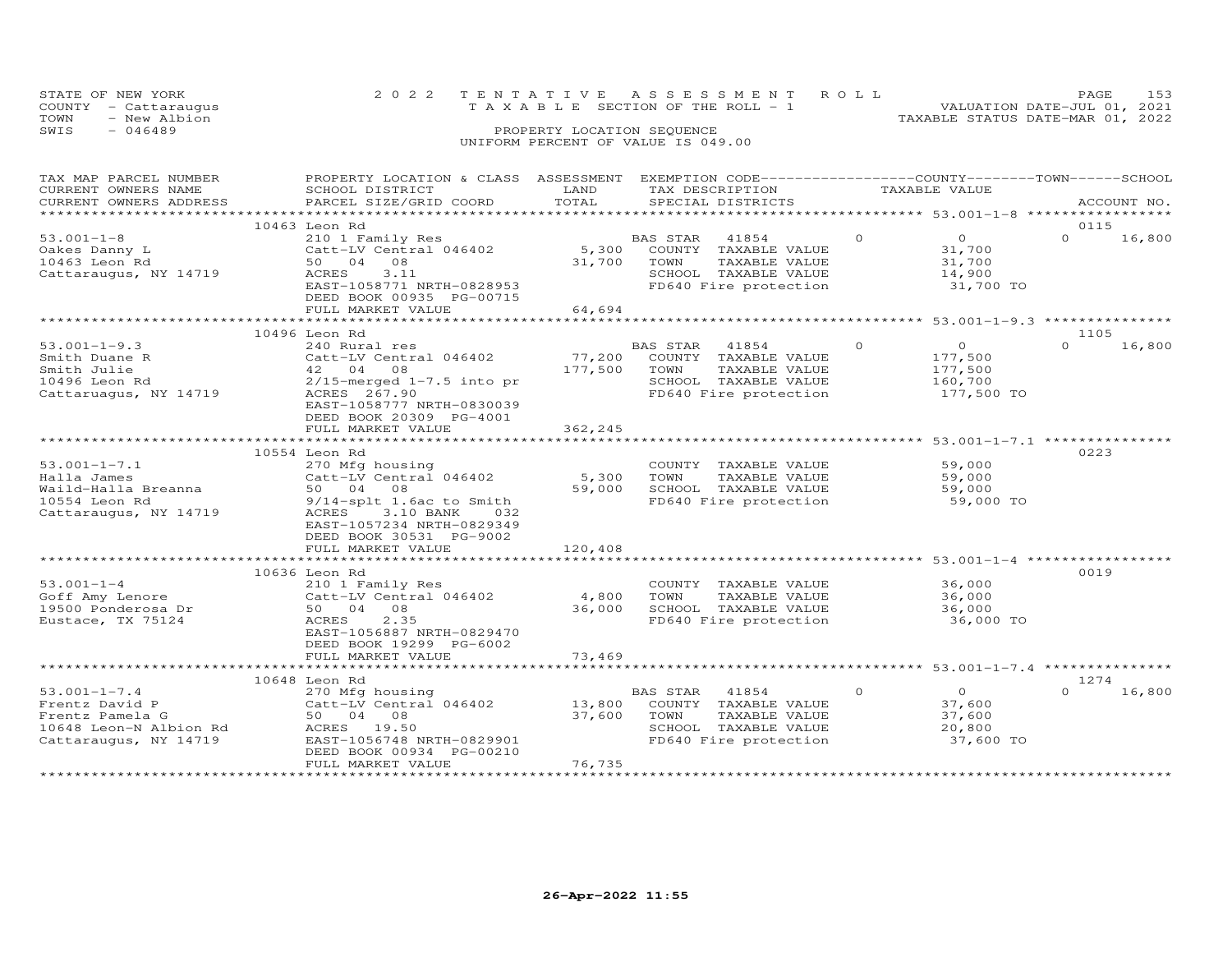| STATE OF NEW YORK<br>COUNTY - Cattaraugus | 2022 TENTATIVE ASSESSMENT ROLL<br>T A X A B L E SECTION OF THE ROLL - 1 | 153<br>PAGE.<br>VALUATION DATE-JUL 01, 2021 |  |
|-------------------------------------------|-------------------------------------------------------------------------|---------------------------------------------|--|
| TOWN<br>- New Albion                      |                                                                         | TAXABLE STATUS DATE-MAR 01, 2022            |  |
| SWIS<br>- 046489                          | PROPERTY LOCATION SEQUENCE                                              |                                             |  |
|                                           | UNIFORM PERCENT OF VALUE IS 049.00                                      |                                             |  |

| TAX MAP PARCEL NUMBER<br>CURRENT OWNERS NAME | PROPERTY LOCATION & CLASS ASSESSMENT<br>SCHOOL DISTRICT | LAND    | EXEMPTION CODE-----------------COUNTY-------TOWN------SCHOOL<br>TAX DESCRIPTION |          | TAXABLE VALUE               |                  |             |
|----------------------------------------------|---------------------------------------------------------|---------|---------------------------------------------------------------------------------|----------|-----------------------------|------------------|-------------|
| CURRENT OWNERS ADDRESS                       | PARCEL SIZE/GRID COORD                                  | TOTAL   | SPECIAL DISTRICTS                                                               |          |                             |                  | ACCOUNT NO. |
|                                              |                                                         |         |                                                                                 |          |                             |                  |             |
|                                              | 10463 Leon Rd                                           |         |                                                                                 | $\Omega$ | $\Omega$                    | 0115<br>$\Omega$ |             |
| $53.001 - 1 - 8$                             | 210 1 Family Res                                        | 5,300   | BAS STAR 41854<br>COUNTY TAXABLE VALUE                                          |          | 31,700                      |                  | 16,800      |
| Oakes Danny L<br>10463 Leon Rd               | Catt-LV Central 046402<br>50 04 08                      | 31,700  | TOWN<br>TAXABLE VALUE                                                           |          | 31,700                      |                  |             |
| Cattaraugus, NY 14719                        | ACRES<br>3.11                                           |         | SCHOOL TAXABLE VALUE                                                            |          | 14,900                      |                  |             |
|                                              | EAST-1058771 NRTH-0828953                               |         | FD640 Fire protection                                                           |          | 31,700 TO                   |                  |             |
|                                              | DEED BOOK 00935 PG-00715                                |         |                                                                                 |          |                             |                  |             |
|                                              | FULL MARKET VALUE                                       | 64,694  |                                                                                 |          |                             |                  |             |
|                                              |                                                         |         | ************************************53.001-1-9.3 ****************               |          |                             |                  |             |
|                                              | 10496 Leon Rd                                           |         |                                                                                 |          |                             | 1105             |             |
| $53.001 - 1 - 9.3$                           | 240 Rural res                                           |         | BAS STAR<br>41854                                                               | $\Omega$ | $\Omega$                    | $\Omega$         | 16,800      |
| Smith Duane R                                | Catt-LV Central 046402                                  | 77,200  | COUNTY TAXABLE VALUE                                                            |          | 177,500                     |                  |             |
| Smith Julie                                  | 42 04 08                                                | 177,500 | TAXABLE VALUE<br>TOWN                                                           |          | 177,500                     |                  |             |
| 10496 Leon Rd                                | $2/15$ -merged $1-7.5$ into pr                          |         | SCHOOL TAXABLE VALUE                                                            |          | 160,700                     |                  |             |
| Cattaruagus, NY 14719                        | ACRES 267.90                                            |         | FD640 Fire protection                                                           |          | 177,500 TO                  |                  |             |
|                                              | EAST-1058777 NRTH-0830039                               |         |                                                                                 |          |                             |                  |             |
|                                              | DEED BOOK 20309 PG-4001<br>FULL MARKET VALUE            | 362,245 |                                                                                 |          |                             |                  |             |
|                                              |                                                         |         |                                                                                 |          |                             |                  |             |
|                                              | 10554 Leon Rd                                           |         |                                                                                 |          |                             | 0223             |             |
| $53.001 - 1 - 7.1$                           | 270 Mfg housing                                         |         | COUNTY TAXABLE VALUE                                                            |          | 59,000                      |                  |             |
| Halla James                                  | Catt-LV Central 046402                                  | 5,300   | TOWN<br>TAXABLE VALUE                                                           |          | 59,000                      |                  |             |
| Waild-Halla Breanna                          | 50 04 08                                                | 59,000  | SCHOOL TAXABLE VALUE                                                            |          | 59,000                      |                  |             |
| 10554 Leon Rd                                | 9/14-splt 1.6ac to Smith                                |         | FD640 Fire protection                                                           |          | 59,000 TO                   |                  |             |
| Cattaraugus, NY 14719                        | ACRES<br>3.10 BANK<br>032                               |         |                                                                                 |          |                             |                  |             |
|                                              | EAST-1057234 NRTH-0829349                               |         |                                                                                 |          |                             |                  |             |
|                                              | DEED BOOK 30531 PG-9002                                 |         |                                                                                 |          |                             |                  |             |
|                                              | FULL MARKET VALUE                                       | 120,408 |                                                                                 |          |                             |                  |             |
|                                              |                                                         |         |                                                                                 |          | ********** 53.001-1-4 ***** |                  |             |
|                                              | 10636 Leon Rd                                           |         |                                                                                 |          |                             | 0019             |             |
| $53.001 - 1 - 4$                             | 210 1 Family Res<br>Catt-LV Central 046402              | 4,800   | COUNTY TAXABLE VALUE<br>TOWN<br>TAXABLE VALUE                                   |          | 36,000<br>36,000            |                  |             |
| Goff Amy Lenore<br>19500 Ponderosa Dr        | 50 04 08                                                | 36,000  | SCHOOL TAXABLE VALUE                                                            |          | 36,000                      |                  |             |
| Eustace, TX 75124                            | ACRES<br>2.35                                           |         | FD640 Fire protection                                                           |          | 36,000 TO                   |                  |             |
|                                              | EAST-1056887 NRTH-0829470                               |         |                                                                                 |          |                             |                  |             |
|                                              | DEED BOOK 19299 PG-6002                                 |         |                                                                                 |          |                             |                  |             |
|                                              | FULL MARKET VALUE                                       | 73,469  |                                                                                 |          |                             |                  |             |
|                                              | ***************************                             |         |                                                                                 |          |                             |                  |             |
|                                              | 10648 Leon Rd                                           |         |                                                                                 |          |                             | 1274             |             |
| $53.001 - 1 - 7.4$                           | 270 Mfg housing                                         |         | BAS STAR<br>41854                                                               | $\circ$  | $\overline{O}$              | $\Omega$         | 16,800      |
| Frentz David P                               | Catt-LV Central 046402                                  | 13,800  | COUNTY TAXABLE VALUE                                                            |          | 37,600                      |                  |             |
| Frentz Pamela G                              | 50 04 08                                                | 37,600  | TAXABLE VALUE<br>TOWN                                                           |          | 37,600                      |                  |             |
| 10648 Leon-N Albion Rd                       | ACRES 19.50                                             |         | SCHOOL TAXABLE VALUE                                                            |          | 20,800                      |                  |             |
| Cattaraugus, NY 14719                        | EAST-1056748 NRTH-0829901                               |         | FD640 Fire protection                                                           |          | 37,600 TO                   |                  |             |
|                                              | DEED BOOK 00934 PG-00210                                |         |                                                                                 |          |                             |                  |             |
|                                              | FULL MARKET VALUE                                       | 76,735  |                                                                                 |          |                             |                  |             |
|                                              |                                                         |         |                                                                                 |          |                             |                  |             |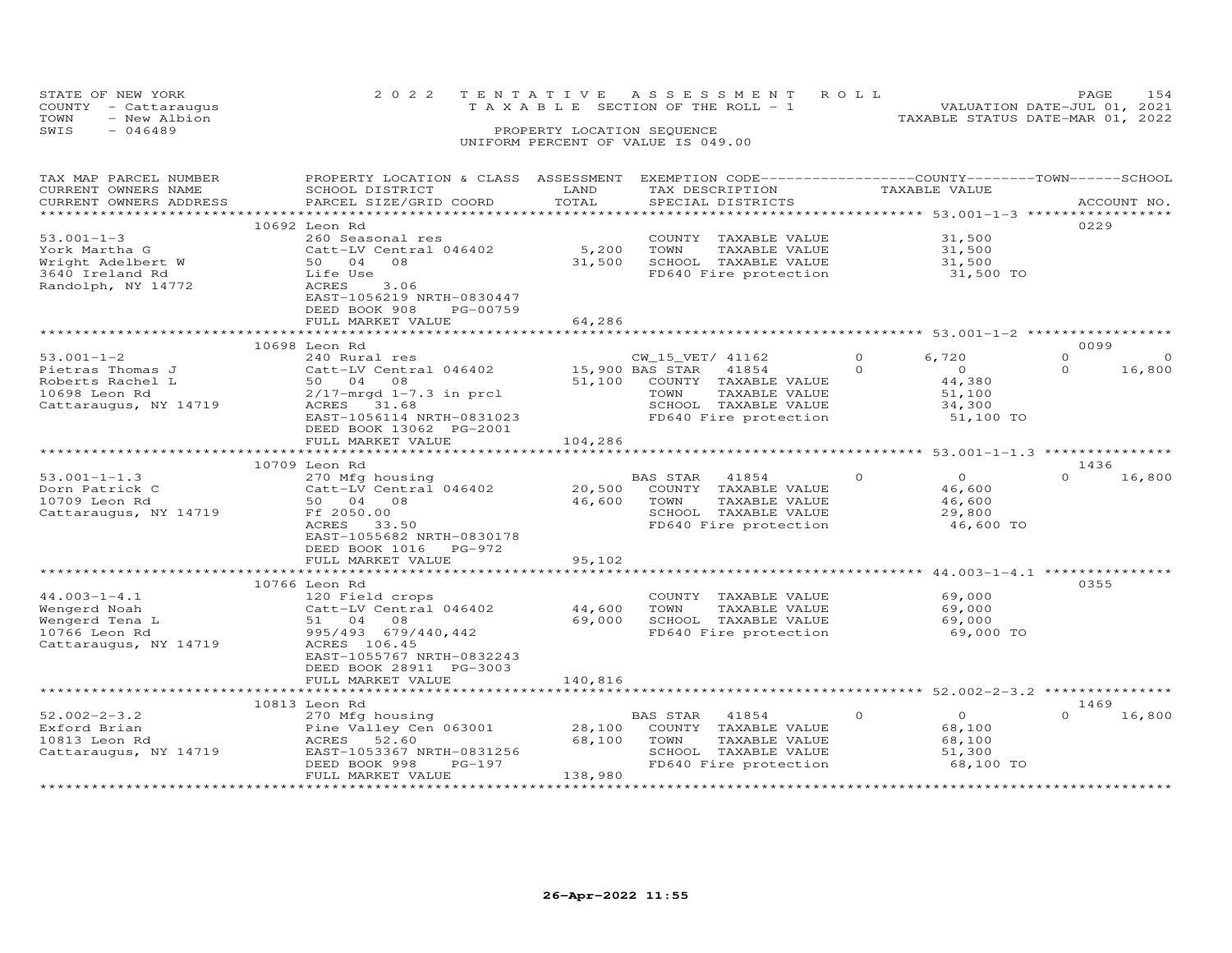| STATE OF NEW YORK<br>- Cattaraugus<br>COUNTY<br>- New Albion<br>TOWN<br>$-046489$<br>SWIS |                           | PROPERTY LOCATION SEQUENCE<br>UNIFORM PERCENT OF VALUE IS 049.00 | 2022 TENTATIVE ASSESSMENT ROLL<br>T A X A B L E SECTION OF THE ROLL - 1 | TAXABLE STATUS DATE-MAR 01, 2022 | PAGE<br>VALUATION DATE-JUL 01, 2021 | 154 |
|-------------------------------------------------------------------------------------------|---------------------------|------------------------------------------------------------------|-------------------------------------------------------------------------|----------------------------------|-------------------------------------|-----|
| TAX MAP PARCEL NUMBER                                                                     | PROPERTY LOCATION & CLASS | ASSESSMENT                                                       | EXEMPTION CODE-----------------COUNTY--------TOWN------SCHOOL           |                                  |                                     |     |

| CURRENT OWNERS NAME    | SCHOOL DISTRICT              | LAND         | TAX DESCRIPTION                                                | TAXABLE VALUE |           |                      |
|------------------------|------------------------------|--------------|----------------------------------------------------------------|---------------|-----------|----------------------|
| CURRENT OWNERS ADDRESS | PARCEL SIZE/GRID COORD       | TOTAL        | SPECIAL DISTRICTS                                              |               |           | ACCOUNT NO.          |
|                        |                              | ************ | ************************************ 53.001-1-3 **********     |               |           |                      |
|                        | 10692 Leon Rd                |              |                                                                |               |           | 0229                 |
| $53.001 - 1 - 3$       | 260 Seasonal res             |              | COUNTY TAXABLE VALUE                                           |               | 31,500    |                      |
| York Martha G          | Catt-LV Central 046402       | 5,200        | TOWN<br>TAXABLE VALUE                                          |               | 31,500    |                      |
| Wright Adelbert W      | 0 <sub>4</sub><br>08<br>50   | 31,500       | SCHOOL TAXABLE VALUE                                           |               | 31,500    |                      |
| 3640 Ireland Rd        | Life Use                     |              | FD640 Fire protection                                          |               | 31,500 TO |                      |
| Randolph, NY 14772     | 3.06<br>ACRES                |              |                                                                |               |           |                      |
|                        | EAST-1056219 NRTH-0830447    |              |                                                                |               |           |                      |
|                        | DEED BOOK 908<br>PG-00759    |              |                                                                |               |           |                      |
|                        | FULL MARKET VALUE            | 64,286       |                                                                |               |           |                      |
|                        | ******************           |              | ********************************* 53.001-1-2 ***************** |               |           |                      |
|                        | 10698 Leon Rd                |              |                                                                |               |           | 0099                 |
| $53.001 - 1 - 2$       | 240 Rural res                |              | CW_15_VET/ 41162                                               | $\Omega$      | 6,720     | $\Omega$<br>$\Omega$ |
| Pietras Thomas J       | Catt-LV Central 046402       |              | 15,900 BAS STAR<br>41854                                       | $\Omega$      | $\circ$   | $\Omega$<br>16,800   |
| Roberts Rachel L       | 08<br>50 04                  | 51,100       | COUNTY TAXABLE VALUE                                           |               | 44,380    |                      |
| 10698 Leon Rd          | $2/17$ -mrqd $1-7.3$ in prcl |              | TOWN<br>TAXABLE VALUE                                          |               | 51,100    |                      |
| Cattaraugus, NY 14719  | ACRES<br>31.68               |              | SCHOOL TAXABLE VALUE                                           |               | 34,300    |                      |
|                        | EAST-1056114 NRTH-0831023    |              | FD640 Fire protection                                          |               | 51,100 TO |                      |
|                        | DEED BOOK 13062 PG-2001      |              |                                                                |               |           |                      |
|                        | FULL MARKET VALUE            | 104,286      |                                                                |               |           |                      |
|                        | ************************     |              |                                                                |               |           |                      |
|                        | 10709 Leon Rd                |              |                                                                |               |           | 1436                 |
| $53.001 - 1 - 1.3$     | 270 Mfg housing              |              | BAS STAR<br>41854                                              | $\Omega$      | $\Omega$  | $\Omega$<br>16,800   |
| Dorn Patrick C         | Catt-LV Central 046402       | 20,500       | COUNTY TAXABLE VALUE                                           |               | 46,600    |                      |
| 10709 Leon Rd          | 50 04 08                     | 46,600       | TAXABLE VALUE<br>TOWN                                          |               | 46,600    |                      |
| Cattaraugus, NY 14719  | Ff 2050.00                   |              | SCHOOL TAXABLE VALUE                                           |               | 29,800    |                      |
|                        | ACRES<br>33.50               |              | FD640 Fire protection                                          |               | 46,600 TO |                      |
|                        | EAST-1055682 NRTH-0830178    |              |                                                                |               |           |                      |
|                        | DEED BOOK 1016<br>$PG-972$   |              |                                                                |               |           |                      |
|                        | FULL MARKET VALUE            | 95,102       |                                                                |               |           |                      |
|                        |                              |              | **************************** 44.003-1-4.1 ***                  |               |           |                      |
|                        | 10766 Leon Rd                |              |                                                                |               |           | 0355                 |
| $44.003 - 1 - 4.1$     | 120 Field crops              |              | COUNTY TAXABLE VALUE                                           |               | 69,000    |                      |
| Wengerd Noah           | Catt-LV Central 046402       | 44,600       | TOWN<br>TAXABLE VALUE                                          |               | 69,000    |                      |
| Wengerd Tena L         | 51 04<br>08                  | 69,000       | SCHOOL TAXABLE VALUE                                           |               | 69,000    |                      |
| 10766 Leon Rd          | 995/493 679/440,442          |              | FD640 Fire protection                                          |               | 69,000 TO |                      |
| Cattaraugus, NY 14719  | ACRES 106.45                 |              |                                                                |               |           |                      |
|                        | EAST-1055767 NRTH-0832243    |              |                                                                |               |           |                      |
|                        | DEED BOOK 28911 PG-3003      |              |                                                                |               |           |                      |
|                        | FULL MARKET VALUE            | 140,816      |                                                                |               |           |                      |
|                        |                              |              | ****************************** 52.002-2-3.2 **********         |               |           |                      |
|                        | 10813 Leon Rd                |              |                                                                |               |           | 1469                 |
| $52.002 - 2 - 3.2$     | 270 Mfg housing              |              | 41854<br>BAS STAR                                              | $\Omega$      | $\Omega$  | $\Omega$<br>16,800   |
| Exford Brian           | Pine Valley Cen 063001       | 28,100       | COUNTY<br>TAXABLE VALUE                                        |               | 68,100    |                      |
| 10813 Leon Rd          | 52.60<br>ACRES               | 68,100       | TAXABLE VALUE<br>TOWN                                          |               | 68,100    |                      |
| Cattaraugus, NY 14719  | EAST-1053367 NRTH-0831256    |              | SCHOOL TAXABLE VALUE                                           |               | 51,300    |                      |
|                        | DEED BOOK 998<br>$PG-197$    |              | FD640 Fire protection                                          |               | 68,100 TO |                      |
|                        | FULL MARKET VALUE            | 138,980      |                                                                |               |           |                      |
|                        |                              |              |                                                                |               |           |                      |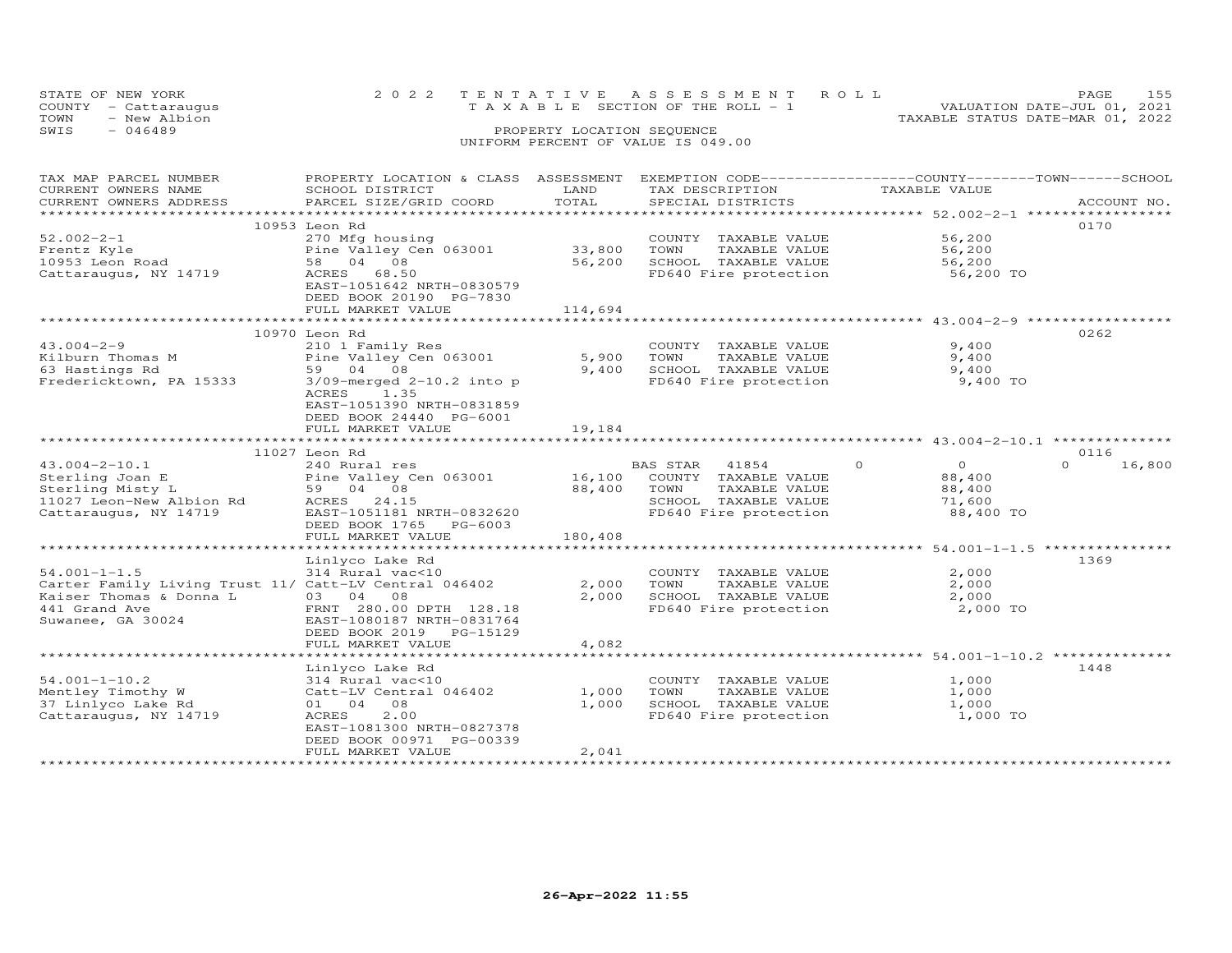| STATE OF NEW YORK    |  |                                    | 2022 TENTATIVE ASSESSMENT ROLL  |                                  | <b>PAGE</b> | 155 |
|----------------------|--|------------------------------------|---------------------------------|----------------------------------|-------------|-----|
| COUNTY - Cattaraugus |  |                                    | TAXABLE SECTION OF THE ROLL - 1 | VALUATION DATE-JUL 01, 2021      |             |     |
| - New Albion<br>TOWN |  |                                    |                                 | TAXABLE STATUS DATE-MAR 01, 2022 |             |     |
| SWIS<br>- 046489     |  | PROPERTY LOCATION SEQUENCE         |                                 |                                  |             |     |
|                      |  | UNIFORM PERCENT OF VALUE IS 049.00 |                                 |                                  |             |     |

| TAX MAP PARCEL NUMBER                                 | PROPERTY LOCATION & CLASS ASSESSMENT EXEMPTION CODE-----------------COUNTY-------TOWN------SCHOOL |             |                                               |                                                           |                    |
|-------------------------------------------------------|---------------------------------------------------------------------------------------------------|-------------|-----------------------------------------------|-----------------------------------------------------------|--------------------|
| CURRENT OWNERS NAME                                   | SCHOOL DISTRICT                                                                                   | LAND        | TAX DESCRIPTION                               | TAXABLE VALUE                                             |                    |
| CURRENT OWNERS ADDRESS                                | PARCEL SIZE/GRID COORD                                                                            | TOTAL       | SPECIAL DISTRICTS                             |                                                           | ACCOUNT NO.        |
| ******************************                        |                                                                                                   |             | ********************************              | **************** 52.002-2-1 **********                    |                    |
|                                                       | 10953 Leon Rd                                                                                     |             |                                               |                                                           | 0170               |
| $52.002 - 2 - 1$                                      | 270 Mfg housing                                                                                   |             | COUNTY TAXABLE VALUE                          | 56,200                                                    |                    |
|                                                       |                                                                                                   |             |                                               |                                                           |                    |
| Frentz Kyle                                           | Pine Valley Cen 063001                                                                            | 33,800      | TAXABLE VALUE<br>TOWN                         | 56,200                                                    |                    |
| 10953 Leon Road                                       | 58 04 08                                                                                          | 56,200      | SCHOOL TAXABLE VALUE                          | 56,200                                                    |                    |
| Cattaraugus, NY 14719                                 | ACRES 68.50                                                                                       |             | FD640 Fire protection                         | 56,200 TO                                                 |                    |
|                                                       | EAST-1051642 NRTH-0830579                                                                         |             |                                               |                                                           |                    |
|                                                       | DEED BOOK 20190 PG-7830                                                                           |             |                                               |                                                           |                    |
|                                                       | FULL MARKET VALUE                                                                                 | 114,694     |                                               |                                                           |                    |
|                                                       |                                                                                                   |             |                                               | ********************************** 43.004-2-9 *********** |                    |
|                                                       | 10970 Leon Rd                                                                                     |             |                                               |                                                           | 0262               |
| $43.004 - 2 - 9$                                      | 210 1 Family Res                                                                                  |             | COUNTY TAXABLE VALUE                          | 9,400                                                     |                    |
| Kilburn Thomas M                                      | Pine Valley Cen 063001                                                                            | 5,900       | TOWN<br>TAXABLE VALUE                         | 9,400                                                     |                    |
| 63 Hastings Rd                                        | 59 04 08                                                                                          | 9,400       | SCHOOL TAXABLE VALUE                          | 9,400                                                     |                    |
|                                                       |                                                                                                   |             |                                               |                                                           |                    |
| Fredericktown, PA 15333                               | $3/09$ -merged $2-10.2$ into p                                                                    |             | FD640 Fire protection                         | 9,400 TO                                                  |                    |
|                                                       | ACRES<br>1.35                                                                                     |             |                                               |                                                           |                    |
|                                                       | EAST-1051390 NRTH-0831859                                                                         |             |                                               |                                                           |                    |
|                                                       | DEED BOOK 24440 PG-6001                                                                           |             |                                               |                                                           |                    |
|                                                       | FULL MARKET VALUE                                                                                 | 19,184      |                                               |                                                           |                    |
|                                                       |                                                                                                   | *********** |                                               |                                                           |                    |
|                                                       | 11027 Leon Rd                                                                                     |             |                                               |                                                           | 0116               |
| $43.004 - 2 - 10.1$                                   | 240 Rural res                                                                                     |             | BAS STAR<br>41854                             | $\Omega$<br>$\overline{O}$                                | $\Omega$<br>16,800 |
| Sterling Joan E                                       | Pine Valley Cen 063001<br>59 04 08                                                                | 16,100      | COUNTY TAXABLE VALUE                          | 88,400                                                    |                    |
| Sterling Misty L                                      | 59 04 08                                                                                          | 88,400      | TOWN<br>TAXABLE VALUE                         | 88,400                                                    |                    |
| 11027 Leon-New Albion Rd                              | ACRES 24.15                                                                                       |             | SCHOOL TAXABLE VALUE                          | 71,600                                                    |                    |
| Cattaraugus, NY 14719                                 | EAST-1051181 NRTH-0832620                                                                         |             | FD640 Fire protection                         | 88,400 TO                                                 |                    |
|                                                       | DEED BOOK 1765 PG-6003                                                                            |             |                                               |                                                           |                    |
|                                                       |                                                                                                   |             |                                               |                                                           |                    |
|                                                       | FULL MARKET VALUE                                                                                 | 180,408     |                                               |                                                           |                    |
|                                                       |                                                                                                   |             |                                               |                                                           |                    |
|                                                       | Linlyco Lake Rd                                                                                   |             |                                               |                                                           | 1369               |
| $54.001 - 1 - 1.5$                                    | 314 Rural vac<10                                                                                  |             | COUNTY TAXABLE VALUE                          | 2,000                                                     |                    |
| Carter Family Living Trust 11/ Catt-LV Central 046402 |                                                                                                   | 2,000       | TOWN<br>TAXABLE VALUE                         | 2,000                                                     |                    |
| Kaiser Thomas & Donna L                               | 03 04 08                                                                                          | 2,000       |                                               | 2,000                                                     |                    |
| 441 Grand Ave                                         | FRNT 280.00 DPTH 128.18                                                                           |             | SCHOOL TAXABLE VALUE<br>FD640 Fire protection | 2,000 TO                                                  |                    |
| Suwanee, GA 30024                                     | EAST-1080187 NRTH-0831764                                                                         |             |                                               |                                                           |                    |
|                                                       | DEED BOOK 2019 PG-15129                                                                           |             |                                               |                                                           |                    |
|                                                       | FULL MARKET VALUE                                                                                 | 4,082       |                                               |                                                           |                    |
|                                                       |                                                                                                   |             |                                               |                                                           |                    |
|                                                       | Linlyco Lake Rd                                                                                   |             |                                               |                                                           | 1448               |
| $54.001 - 1 - 10.2$                                   | 314 Rural vac<10                                                                                  |             | COUNTY TAXABLE VALUE                          | 1,000                                                     |                    |
|                                                       |                                                                                                   | 1,000       | TOWN<br>TAXABLE VALUE                         | 1,000                                                     |                    |
| Mentley Timothy W                                     | Catt-LV Central 046402                                                                            |             |                                               |                                                           |                    |
| 37 Linlyco Lake Rd                                    | 01 04 08                                                                                          | 1,000       | SCHOOL TAXABLE VALUE                          | 1,000                                                     |                    |
| Cattaraugus, NY 14719                                 | ACRES<br>2.00                                                                                     |             | FD640 Fire protection                         | 1,000 TO                                                  |                    |
|                                                       | EAST-1081300 NRTH-0827378                                                                         |             |                                               |                                                           |                    |
|                                                       | DEED BOOK 00971 PG-00339                                                                          |             |                                               |                                                           |                    |
|                                                       | FULL MARKET VALUE                                                                                 | 2,041       |                                               |                                                           |                    |
|                                                       |                                                                                                   |             |                                               |                                                           |                    |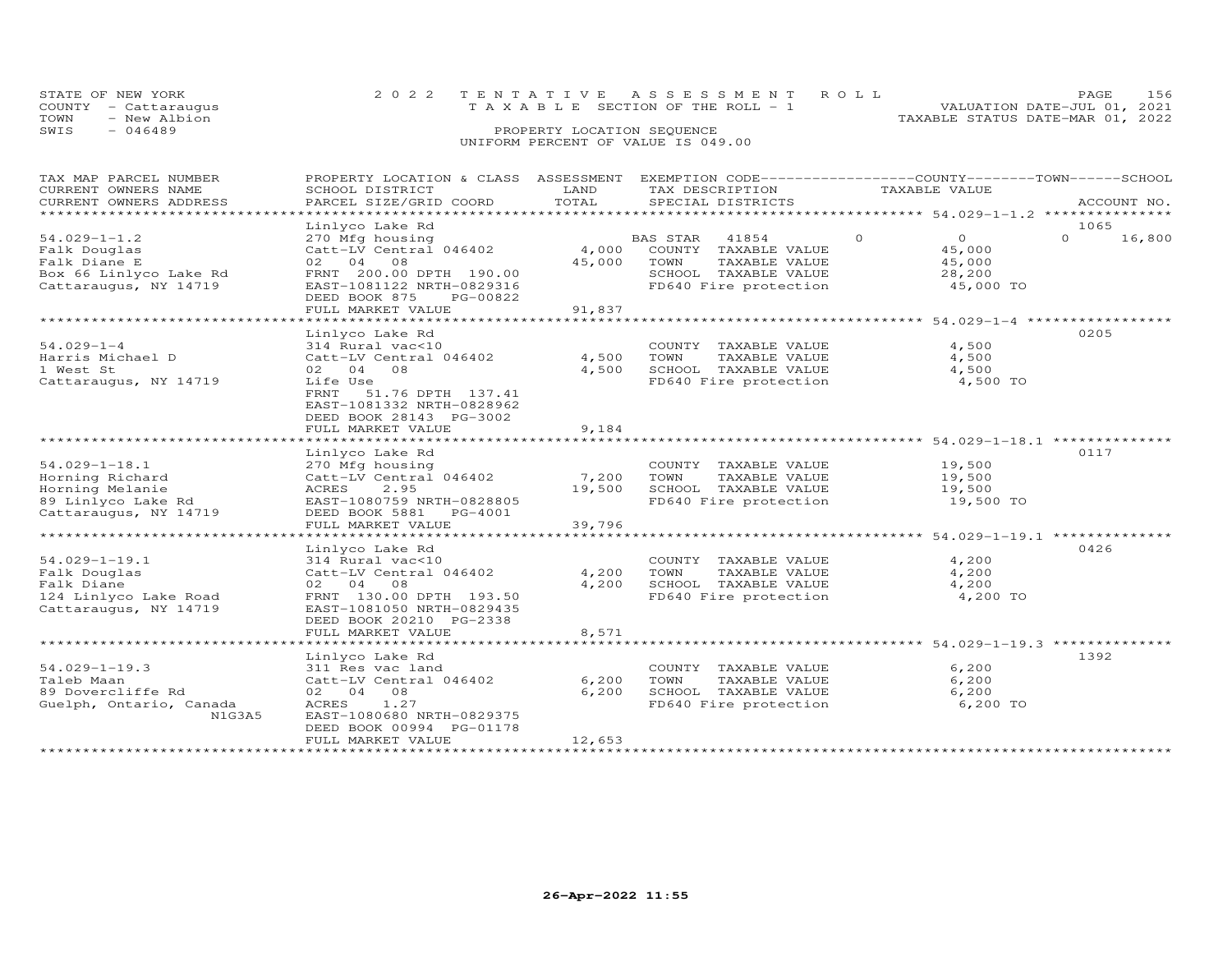| STATE OF NEW YORK    | 2022 TENTATIVE ASSESSMENT ROLL        | PAGE.                            |
|----------------------|---------------------------------------|----------------------------------|
| COUNTY - Cattaraugus | T A X A B L E SECTION OF THE ROLL - 1 | VALUATION DATE-JUL 01, 2021      |
| TOWN<br>- New Albion |                                       | TAXABLE STATUS DATE-MAR 01, 2022 |
| SWIS<br>- 046489     | PROPERTY LOCATION SEQUENCE            |                                  |
|                      | UNIFORM PERCENT OF VALUE IS 049.00    |                                  |

| TAX MAP PARCEL NUMBER                   | PROPERTY LOCATION & CLASS |        | ASSESSMENT EXEMPTION CODE------------------COUNTY-------TOWN------SCHOOL |                           |                    |
|-----------------------------------------|---------------------------|--------|--------------------------------------------------------------------------|---------------------------|--------------------|
| CURRENT OWNERS NAME                     | SCHOOL DISTRICT           | LAND   | TAX DESCRIPTION                                                          | TAXABLE VALUE             |                    |
| CURRENT OWNERS ADDRESS                  | PARCEL SIZE/GRID COORD    | TOTAL  | SPECIAL DISTRICTS                                                        |                           | ACCOUNT NO.        |
| * * * * * * * * * * * * * * * * * * * * | *****************         |        |                                                                          |                           |                    |
|                                         | Linlyco Lake Rd           |        |                                                                          |                           | 1065               |
| $54.029 - 1 - 1.2$                      | 270 Mfg housing           |        | BAS STAR<br>41854                                                        | $\overline{0}$<br>$\circ$ | $\Omega$<br>16,800 |
| Falk Douglas                            | Catt-LV Central 046402    | 4,000  | COUNTY TAXABLE VALUE                                                     | 45,000                    |                    |
| Falk Diane E                            | 02 04<br>08               | 45,000 | TAXABLE VALUE<br>TOWN                                                    | 45,000                    |                    |
| Box 66 Linlyco Lake Rd                  | FRNT 200.00 DPTH 190.00   |        | SCHOOL TAXABLE VALUE                                                     | 28,200                    |                    |
| Cattaraugus, NY 14719                   | EAST-1081122 NRTH-0829316 |        | FD640 Fire protection                                                    | 45,000 TO                 |                    |
|                                         | DEED BOOK 875<br>PG-00822 |        |                                                                          |                           |                    |
|                                         | FULL MARKET VALUE         | 91,837 |                                                                          |                           |                    |
|                                         |                           |        |                                                                          |                           |                    |
|                                         | Linlyco Lake Rd           |        |                                                                          |                           | 0205               |
| $54.029 - 1 - 4$                        | 314 Rural vac<10          |        | COUNTY TAXABLE VALUE                                                     | 4,500                     |                    |
| Harris Michael D                        | Catt-LV Central 046402    | 4,500  | TOWN<br>TAXABLE VALUE                                                    | 4,500                     |                    |
| 1 West St                               | 02 04 08                  | 4,500  | SCHOOL TAXABLE VALUE                                                     | 4,500                     |                    |
| Cattaraugus, NY 14719                   | Life Use                  |        | FD640 Fire protection                                                    | 4,500 TO                  |                    |
|                                         | FRNT<br>51.76 DPTH 137.41 |        |                                                                          |                           |                    |
|                                         | EAST-1081332 NRTH-0828962 |        |                                                                          |                           |                    |
|                                         | DEED BOOK 28143 PG-3002   |        |                                                                          |                           |                    |
|                                         | FULL MARKET VALUE         | 9,184  |                                                                          |                           |                    |
|                                         |                           |        |                                                                          |                           |                    |
|                                         | Linlyco Lake Rd           |        |                                                                          |                           | 0117               |
| $54.029 - 1 - 18.1$                     | 270 Mfg housing           |        | COUNTY TAXABLE VALUE                                                     | 19,500                    |                    |
| Horning Richard                         | Catt-LV Central 046402    | 7,200  | TOWN<br>TAXABLE VALUE                                                    | 19,500                    |                    |
| Horning Melanie                         | 2.95<br>ACRES             | 19,500 | SCHOOL TAXABLE VALUE                                                     | 19,500                    |                    |
| 89 Linlyco Lake Rd                      | EAST-1080759 NRTH-0828805 |        | FD640 Fire protection                                                    | 19,500 TO                 |                    |
| Cattaraugus, NY 14719                   | DEED BOOK 5881 PG-4001    |        |                                                                          |                           |                    |
|                                         | FULL MARKET VALUE         | 39,796 |                                                                          |                           |                    |
|                                         |                           |        |                                                                          |                           |                    |
|                                         | Linlyco Lake Rd           |        |                                                                          |                           | 0426               |
| $54.029 - 1 - 19.1$                     | 314 Rural vac<10          |        | COUNTY TAXABLE VALUE                                                     | 4,200                     |                    |
| Falk Douglas                            | Catt-LV Central 046402    | 4,200  | TAXABLE VALUE<br>TOWN                                                    | 4,200                     |                    |
| Falk Diane                              | 02 04 08                  | 4,200  | SCHOOL TAXABLE VALUE                                                     | 4,200                     |                    |
| 124 Linlyco Lake Road                   | FRNT 130.00 DPTH 193.50   |        | FD640 Fire protection                                                    | 4,200 TO                  |                    |
| Cattaraugus, NY 14719                   | EAST-1081050 NRTH-0829435 |        |                                                                          |                           |                    |
|                                         | DEED BOOK 20210 PG-2338   |        |                                                                          |                           |                    |
|                                         | FULL MARKET VALUE         | 8,571  |                                                                          |                           |                    |
|                                         |                           |        |                                                                          |                           |                    |
|                                         | Linlyco Lake Rd           |        |                                                                          |                           | 1392               |
| $54.029 - 1 - 19.3$                     | 311 Res vac land          |        | COUNTY TAXABLE VALUE                                                     | 6,200                     |                    |
| Taleb Maan                              | Catt-LV Central 046402    | 6,200  | TOWN<br>TAXABLE VALUE                                                    | 6,200                     |                    |
| 89 Dovercliffe Rd                       | 02 04 08                  | 6,200  | SCHOOL TAXABLE VALUE                                                     | 6,200                     |                    |
| Guelph, Ontario, Canada                 | 1.27<br>ACRES             |        | FD640 Fire protection                                                    | 6,200 TO                  |                    |
| N1G3A5                                  | EAST-1080680 NRTH-0829375 |        |                                                                          |                           |                    |
|                                         | DEED BOOK 00994 PG-01178  |        |                                                                          |                           |                    |
|                                         | FULL MARKET VALUE         | 12,653 |                                                                          |                           |                    |
| ************************                |                           |        |                                                                          |                           |                    |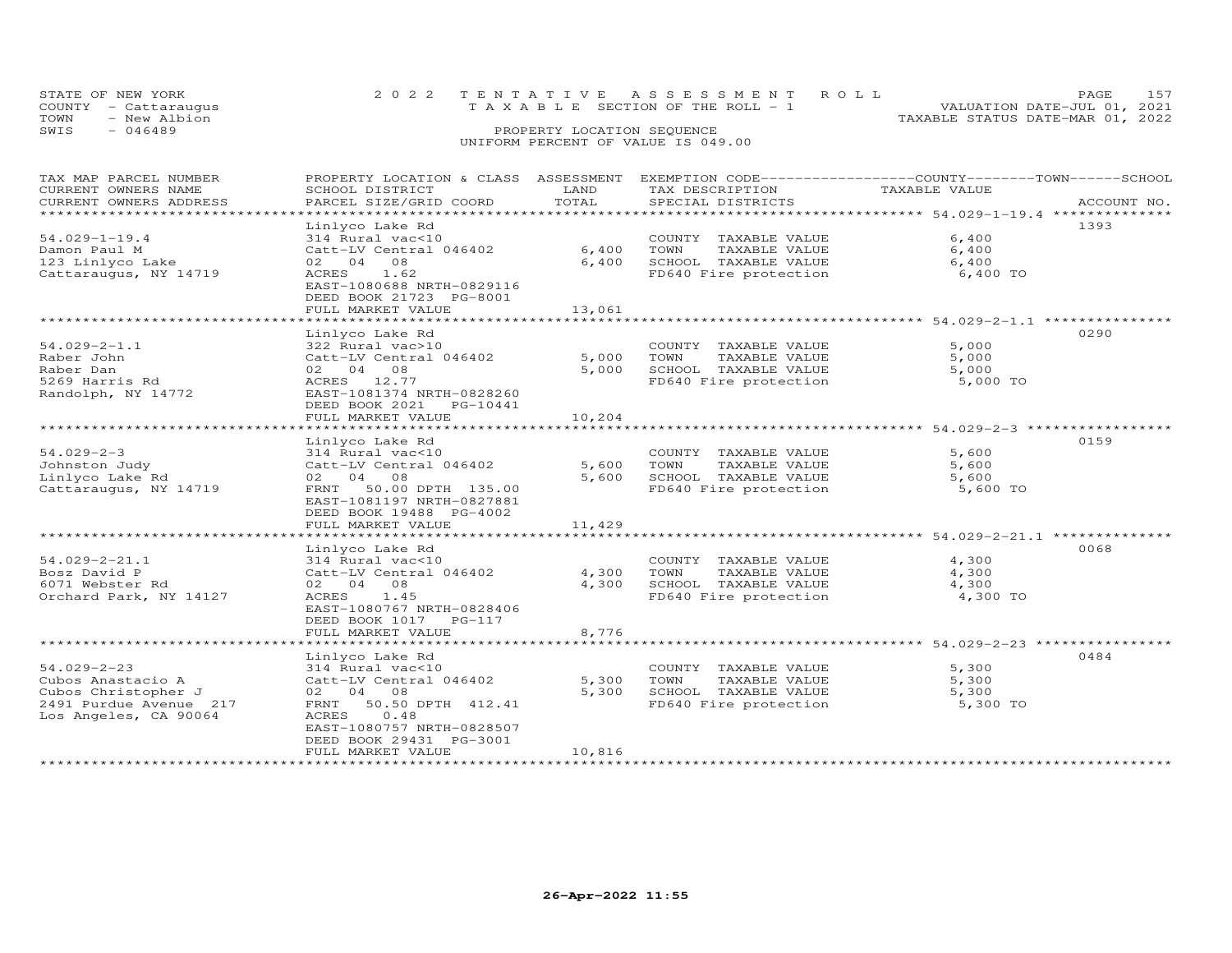| STATE OF NEW YORK<br>COUNTY - Cattaraugus<br>TOWN<br>- New Albion | 2022 TENTATIVE ASSESSMENT ROLL<br>T A X A B L E SECTION OF THE ROLL - 1 | PAGE<br>VALUATION DATE-JUL 01, 2021<br>TAXABLE STATUS DATE-MAR 01, 2022 | 157 |
|-------------------------------------------------------------------|-------------------------------------------------------------------------|-------------------------------------------------------------------------|-----|
| SWIS<br>$-046489$                                                 | PROPERTY LOCATION SEQUENCE<br>UNIFORM PERCENT OF VALUE IS 049.00        |                                                                         |     |

| TAX MAP PARCEL NUMBER     | PROPERTY LOCATION & CLASS ASSESSMENT |        | EXEMPTION CODE-----------------COUNTY-------TOWN------SCHOOL |                                                     |             |
|---------------------------|--------------------------------------|--------|--------------------------------------------------------------|-----------------------------------------------------|-------------|
| CURRENT OWNERS NAME       | SCHOOL DISTRICT                      | LAND   | TAX DESCRIPTION                                              | TAXABLE VALUE                                       |             |
| CURRENT OWNERS ADDRESS    | PARCEL SIZE/GRID COORD               | TOTAL  | SPECIAL DISTRICTS                                            |                                                     | ACCOUNT NO. |
| ***********************   |                                      |        |                                                              |                                                     |             |
|                           | Linlyco Lake Rd                      |        |                                                              |                                                     | 1393        |
| $54.029 - 1 - 19.4$       | 314 Rural vac<10                     |        | COUNTY TAXABLE VALUE                                         | 6,400                                               |             |
| Damon Paul M              | Catt-LV Central 046402               | 6,400  | TOWN<br>TAXABLE VALUE                                        | 6,400                                               |             |
| 123 Linlyco Lake          | 02 04 08                             | 6,400  | SCHOOL TAXABLE VALUE                                         | 6,400                                               |             |
| Cattaraugus, NY 14719     | 1.62<br>ACRES                        |        | FD640 Fire protection                                        | 6,400 TO                                            |             |
|                           | EAST-1080688 NRTH-0829116            |        |                                                              |                                                     |             |
|                           | DEED BOOK 21723 PG-8001              |        |                                                              |                                                     |             |
|                           | FULL MARKET VALUE                    | 13,061 |                                                              |                                                     |             |
|                           |                                      |        |                                                              |                                                     |             |
|                           | Linlyco Lake Rd                      |        |                                                              |                                                     | 0290        |
| $54.029 - 2 - 1.1$        | 322 Rural vac>10                     |        |                                                              | 5,000                                               |             |
|                           |                                      |        | COUNTY TAXABLE VALUE                                         |                                                     |             |
| Raber John                | Catt-LV Central 046402               | 5,000  | TAXABLE VALUE<br>TOWN                                        | 5,000                                               |             |
| Raber Dan                 | 02 04 08                             | 5,000  | SCHOOL TAXABLE VALUE                                         | 5,000                                               |             |
| 5269 Harris Rd            | ACRES 12.77                          |        | FD640 Fire protection                                        | 5,000 TO                                            |             |
| Randolph, NY 14772        | EAST-1081374 NRTH-0828260            |        |                                                              |                                                     |             |
|                           | DEED BOOK 2021<br>PG-10441           |        |                                                              |                                                     |             |
|                           | FULL MARKET VALUE                    | 10,204 |                                                              |                                                     |             |
|                           | ********************************     |        |                                                              |                                                     |             |
|                           | Linlyco Lake Rd                      |        |                                                              |                                                     | 0159        |
| $54.029 - 2 - 3$          | 314 Rural vac<10                     |        | COUNTY TAXABLE VALUE                                         | 5,600                                               |             |
| Johnston Judy             | Catt-LV Central 046402               | 5,600  | TOWN<br>TAXABLE VALUE                                        | 5,600                                               |             |
| Linlyco Lake Rd           | 02 04 08                             | 5,600  | SCHOOL TAXABLE VALUE                                         | 5,600                                               |             |
| Cattaraugus, NY 14719     | FRNT 50.00 DPTH 135.00               |        | FD640 Fire protection                                        | 5,600 TO                                            |             |
|                           | EAST-1081197 NRTH-0827881            |        |                                                              |                                                     |             |
|                           | DEED BOOK 19488 PG-4002              |        |                                                              |                                                     |             |
|                           | FULL MARKET VALUE                    | 11,429 |                                                              |                                                     |             |
|                           |                                      |        |                                                              | ********************* 54.029-2-21.1 *************** |             |
|                           | Linlyco Lake Rd                      |        |                                                              |                                                     | 0068        |
| $54.029 - 2 - 21.1$       | 314 Rural vac<10                     |        | COUNTY TAXABLE VALUE                                         | 4,300                                               |             |
| Bosz David P              | Catt-LV Central 046402               | 4,300  | TOWN<br>TAXABLE VALUE                                        | 4,300                                               |             |
| 6071 Webster Rd           | 02 04 08                             | 4,300  | SCHOOL TAXABLE VALUE                                         | 4,300                                               |             |
| Orchard Park, NY 14127    | ACRES<br>1.45                        |        | FD640 Fire protection                                        | 4,300 TO                                            |             |
|                           | EAST-1080767 NRTH-0828406            |        |                                                              |                                                     |             |
|                           |                                      |        |                                                              |                                                     |             |
|                           | DEED BOOK 1017 PG-117                |        |                                                              |                                                     |             |
| ************************* | FULL MARKET VALUE                    | 8,776  |                                                              |                                                     |             |
|                           |                                      |        |                                                              |                                                     |             |
|                           | Linlyco Lake Rd                      |        |                                                              |                                                     | 0484        |
| $54.029 - 2 - 23$         | 314 Rural vac<10                     |        | COUNTY TAXABLE VALUE                                         | 5,300                                               |             |
| Cubos Anastacio A         | Catt-LV Central 046402               | 5,300  | TOWN<br>TAXABLE VALUE                                        | 5,300                                               |             |
| Cubos Christopher J       | 02 04 08                             | 5,300  | SCHOOL TAXABLE VALUE                                         | 5,300                                               |             |
| 2491 Purdue Avenue 217    | 50.50 DPTH 412.41<br>FRNT            |        | FD640 Fire protection                                        | 5,300 TO                                            |             |
| Los Angeles, CA 90064     | ACRES<br>0.48                        |        |                                                              |                                                     |             |
|                           | EAST-1080757 NRTH-0828507            |        |                                                              |                                                     |             |
|                           | DEED BOOK 29431 PG-3001              |        |                                                              |                                                     |             |
|                           | FULL MARKET VALUE                    | 10,816 |                                                              |                                                     |             |
|                           |                                      |        |                                                              |                                                     |             |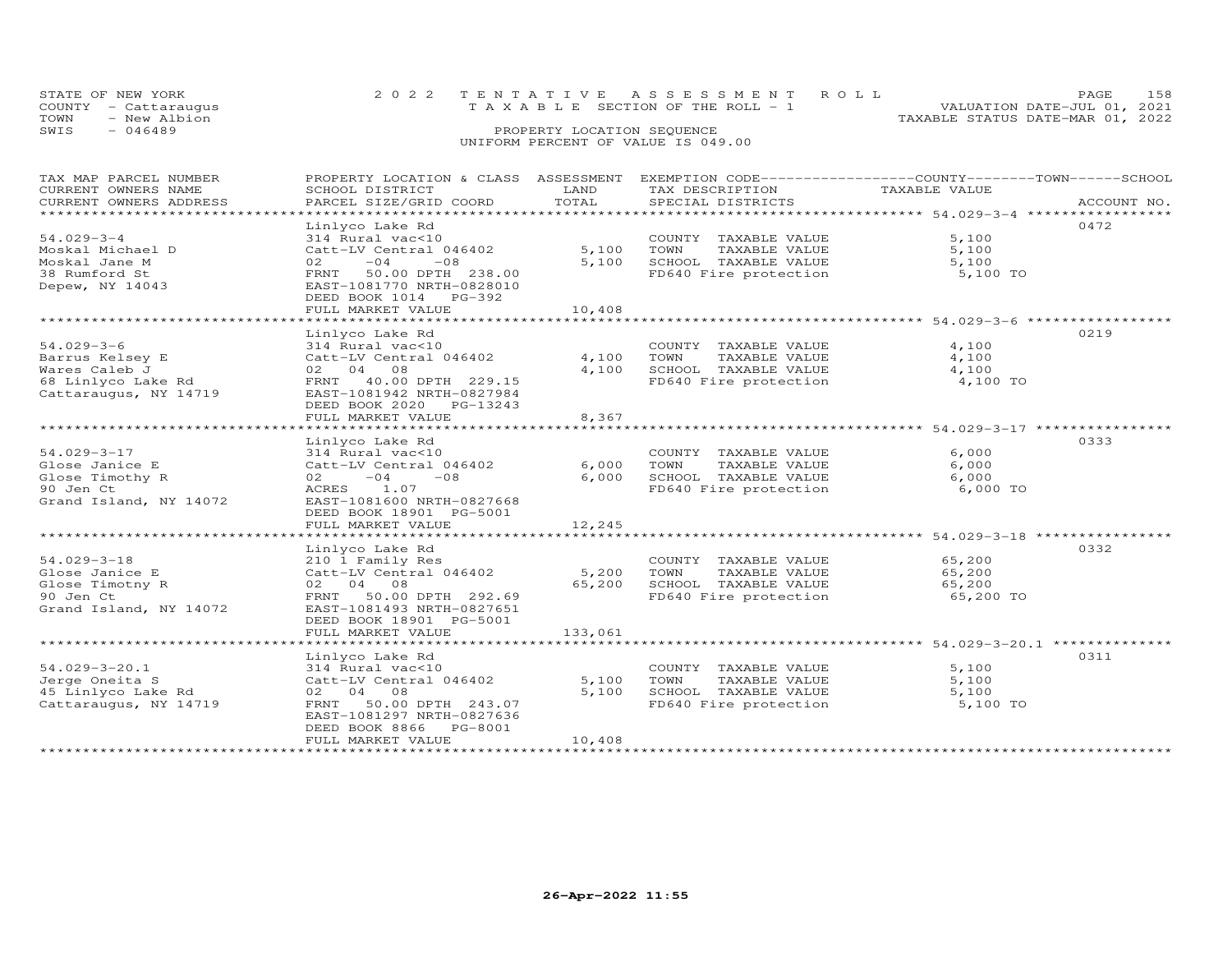|                                    | STATE OF NEW YORK    |  | 2022 TENTATIVE ASSESSMENT ROLL                                          | <b>PAGE</b> | 158 |  |
|------------------------------------|----------------------|--|-------------------------------------------------------------------------|-------------|-----|--|
|                                    | COUNTY - Cattaraugus |  | VALUATION DATE-JUL 01, 2021<br>$T A X A B L E$ SECTION OF THE ROLL $-1$ |             |     |  |
| TOWN                               | - New Albion         |  | TAXABLE STATUS DATE-MAR 01, 2022                                        |             |     |  |
| SWIS                               | - 046489             |  | PROPERTY LOCATION SEQUENCE                                              |             |     |  |
| UNIFORM PERCENT OF VALUE IS 049.00 |                      |  |                                                                         |             |     |  |

| TAX MAP PARCEL NUMBER  | PROPERTY LOCATION & CLASS ASSESSMENT |         | EXEMPTION CODE-----------------COUNTY-------TOWN------SCHOOL |               |             |
|------------------------|--------------------------------------|---------|--------------------------------------------------------------|---------------|-------------|
| CURRENT OWNERS NAME    | SCHOOL DISTRICT                      | LAND    | TAX DESCRIPTION                                              | TAXABLE VALUE |             |
| CURRENT OWNERS ADDRESS | PARCEL SIZE/GRID COORD               | TOTAL   | SPECIAL DISTRICTS                                            |               | ACCOUNT NO. |
|                        |                                      |         |                                                              |               |             |
|                        | Linlyco Lake Rd                      |         |                                                              |               | 0472        |
| $54.029 - 3 - 4$       | 314 Rural vac<10                     |         | COUNTY TAXABLE VALUE                                         | 5,100         |             |
| Moskal Michael D       | Catt-LV Central 046402               | 5,100   | TOWN<br>TAXABLE VALUE                                        | 5,100         |             |
| Moskal Jane M          | 02<br>$-04$<br>$-08$                 | 5,100   | SCHOOL TAXABLE VALUE                                         | 5,100         |             |
| 38 Rumford St          | FRNT 50.00 DPTH 238.00               |         | FD640 Fire protection                                        | 5,100 TO      |             |
| Depew, NY 14043        | EAST-1081770 NRTH-0828010            |         |                                                              |               |             |
|                        | DEED BOOK 1014 PG-392                |         |                                                              |               |             |
|                        | FULL MARKET VALUE                    | 10,408  |                                                              |               |             |
|                        |                                      |         |                                                              |               |             |
|                        | Linlyco Lake Rd                      |         |                                                              |               | 0219        |
| $54.029 - 3 - 6$       |                                      |         |                                                              |               |             |
|                        | 314 Rural vac<10                     |         | COUNTY TAXABLE VALUE                                         | 4,100         |             |
| Barrus Kelsey E        | Catt-LV Central 046402               | 4,100   | TOWN<br>TAXABLE VALUE                                        | 4,100         |             |
| Wares Caleb J          | 02 04 08                             | 4,100   | SCHOOL TAXABLE VALUE                                         | 4,100         |             |
| 68 Linlyco Lake Rd     | FRNT 40.00 DPTH 229.15               |         | FD640 Fire protection                                        | 4,100 TO      |             |
| Cattaraugus, NY 14719  | EAST-1081942 NRTH-0827984            |         |                                                              |               |             |
|                        | DEED BOOK 2020 PG-13243              |         |                                                              |               |             |
|                        | FULL MARKET VALUE                    | 8,367   |                                                              |               |             |
|                        |                                      |         |                                                              |               |             |
|                        | Linlyco Lake Rd                      |         |                                                              |               | 0333        |
| 54.029-3-17            | 314 Rural vac<10                     |         | COUNTY TAXABLE VALUE                                         | 6,000         |             |
| Glose Janice E         | Catt-LV Central 046402               | 6,000   | TOWN<br>TAXABLE VALUE                                        | 6,000         |             |
| Glose Timothy R        | $-04$<br>$-08$<br>02                 | 6,000   | SCHOOL TAXABLE VALUE                                         | 6,000         |             |
| 90 Jen Ct              | ACRES 1.07                           |         | FD640 Fire protection                                        | 6,000 TO      |             |
| Grand Island, NY 14072 | EAST-1081600 NRTH-0827668            |         |                                                              |               |             |
|                        | DEED BOOK 18901 PG-5001              |         |                                                              |               |             |
|                        | FULL MARKET VALUE                    | 12,245  |                                                              |               |             |
|                        |                                      |         |                                                              |               |             |
|                        | Linlyco Lake Rd                      |         |                                                              |               | 0332        |
| $54.029 - 3 - 18$      | 210 1 Family Res                     |         | COUNTY TAXABLE VALUE                                         | 65,200        |             |
| Glose Janice E         | Catt-LV Central 046402               | 5,200   | TOWN<br>TAXABLE VALUE                                        | 65,200        |             |
| Glose Timotny R        | 02 04 08                             | 65,200  | SCHOOL TAXABLE VALUE                                         | 65,200        |             |
| 90 Jen Ct              | FRNT 50.00 DPTH 292.69               |         | FD640 Fire protection                                        | 65,200 TO     |             |
| Grand Island, NY 14072 | EAST-1081493 NRTH-0827651            |         |                                                              |               |             |
|                        | DEED BOOK 18901 PG-5001              |         |                                                              |               |             |
|                        |                                      |         |                                                              |               |             |
|                        | FULL MARKET VALUE                    | 133,061 |                                                              |               |             |
|                        |                                      |         |                                                              |               |             |
|                        | Linlyco Lake Rd                      |         |                                                              |               | 0311        |
| $54.029 - 3 - 20.1$    | 314 Rural vac<10                     |         | COUNTY TAXABLE VALUE                                         | 5,100         |             |
| Jerge Oneita S         | Catt-LV Central 046402               | 5,100   | TOWN<br>TAXABLE VALUE                                        | 5,100         |             |
| 45 Linlyco Lake Rd     | 02 04 08                             | 5,100   | SCHOOL TAXABLE VALUE<br>FD640 Fire protection                | 5,100         |             |
| Cattaraugus, NY 14719  | FRNT 50.00 DPTH 243.07               |         |                                                              | 5,100 TO      |             |
|                        | EAST-1081297 NRTH-0827636            |         |                                                              |               |             |
|                        | DEED BOOK 8866 PG-8001               |         |                                                              |               |             |
|                        | FULL MARKET VALUE                    | 10,408  |                                                              |               |             |
|                        |                                      |         |                                                              |               |             |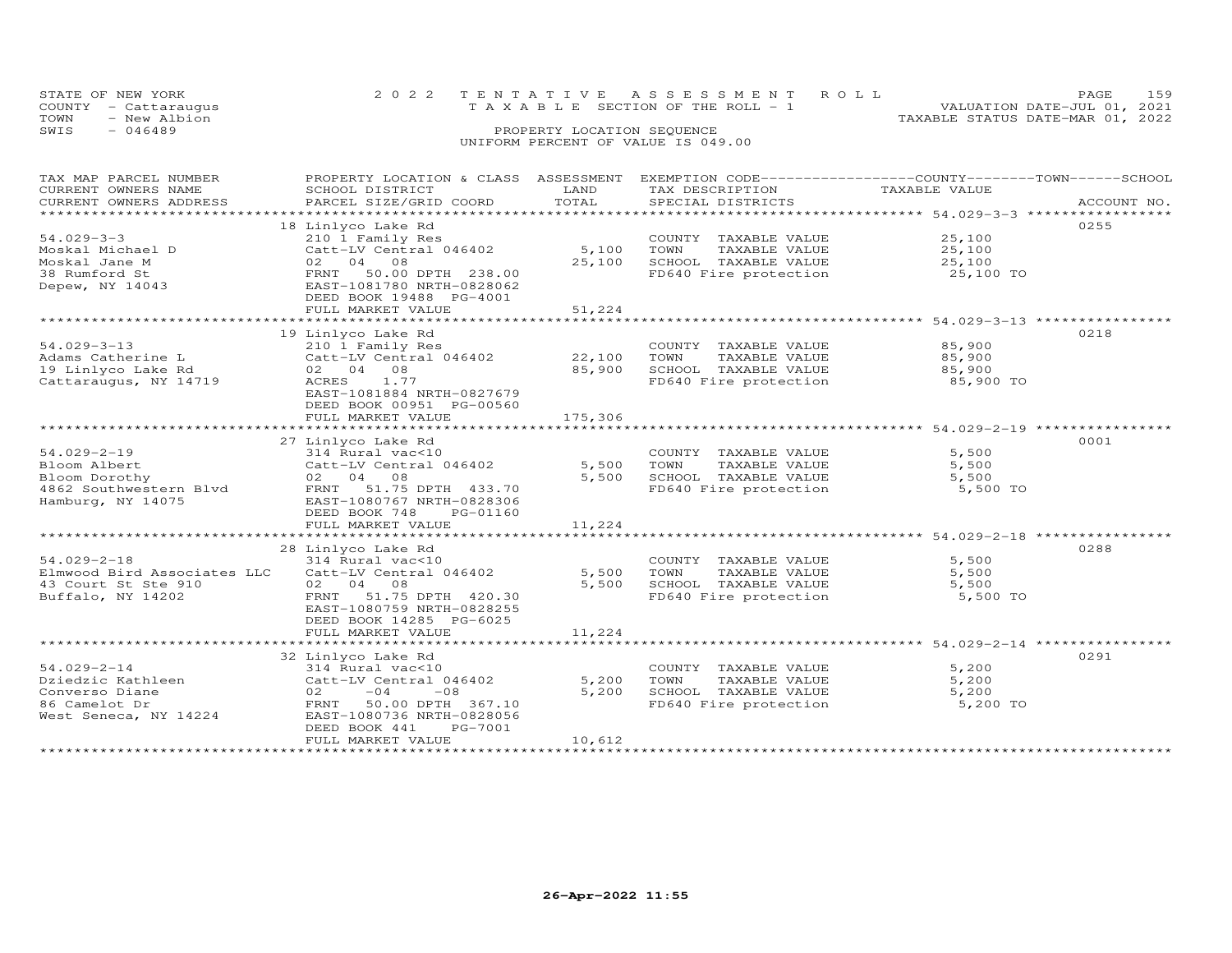|      | STATE OF NEW YORK                    |                            | 2022 TENTATIVE ASSESSMENT ROLL  |  |  |  |                                  | PAGE.                       | 159 |
|------|--------------------------------------|----------------------------|---------------------------------|--|--|--|----------------------------------|-----------------------------|-----|
| TOWN | COUNTY - Cattaraugus<br>- New Albion |                            | TAXABLE SECTION OF THE ROLL - 1 |  |  |  | TAXABLE STATUS DATE-MAR 01, 2022 | VALUATION DATE-JUL 01, 2021 |     |
| SWIS | - 046489                             | PROPERTY LOCATION SEQUENCE |                                 |  |  |  |                                  |                             |     |
|      | UNIFORM PERCENT OF VALUE IS 049.00   |                            |                                 |  |  |  |                                  |                             |     |

| TAX MAP PARCEL NUMBER  | PROPERTY LOCATION & CLASS ASSESSMENT                                                      |         | EXEMPTION CODE-----------------COUNTY-------TOWN------SCHOOL |               |             |
|------------------------|-------------------------------------------------------------------------------------------|---------|--------------------------------------------------------------|---------------|-------------|
| CURRENT OWNERS NAME    | SCHOOL DISTRICT                                                                           | LAND    | TAX DESCRIPTION                                              | TAXABLE VALUE |             |
| CURRENT OWNERS ADDRESS | PARCEL SIZE/GRID COORD                                                                    | TOTAL   | SPECIAL DISTRICTS                                            |               | ACCOUNT NO. |
|                        |                                                                                           |         |                                                              |               |             |
|                        | 18 Linlyco Lake Rd                                                                        |         |                                                              |               | 0255        |
| $54.029 - 3 - 3$       |                                                                                           |         |                                                              | 25,100        |             |
|                        | 210 1 Family Res                                                                          |         | COUNTY TAXABLE VALUE                                         |               |             |
| Moskal Michael D       | Catt-LV Central 046402                                                                    | 5,100   | TAXABLE VALUE<br>TOWN                                        | 25,100        |             |
| Moskal Jane M          | 02 04 08                                                                                  | 25,100  | SCHOOL TAXABLE VALUE                                         | 25,100        |             |
| 38 Rumford St          | FRNT 50.00 DPTH 238.00                                                                    |         | FD640 Fire protection                                        | 25,100 TO     |             |
| Depew, NY 14043        | EAST-1081780 NRTH-0828062                                                                 |         |                                                              |               |             |
|                        | DEED BOOK 19488 PG-4001                                                                   |         |                                                              |               |             |
|                        | FULL MARKET VALUE                                                                         | 51,224  |                                                              |               |             |
|                        |                                                                                           |         |                                                              |               |             |
|                        | 19 Linlyco Lake Rd                                                                        |         |                                                              |               | 0218        |
| $54.029 - 3 - 13$      | 210 1 Family Res                                                                          |         | COUNTY TAXABLE VALUE                                         | 85,900        |             |
|                        |                                                                                           |         |                                                              |               |             |
| Adams Catherine L      |                                                                                           |         | TOWN<br>TAXABLE VALUE                                        | 85,900        |             |
| 19 Linlyco Lake Rd     |                                                                                           | 85,900  | SCHOOL TAXABLE VALUE                                         | 85,900        |             |
| Cattaraugus, NY 14719  | ACRES 1.77                                                                                |         | FD640 Fire protection                                        | 85,900 TO     |             |
|                        | EAST-1081884 NRTH-0827679                                                                 |         |                                                              |               |             |
|                        | DEED BOOK 00951 PG-00560                                                                  |         |                                                              |               |             |
|                        | FULL MARKET VALUE                                                                         | 175,306 |                                                              |               |             |
|                        |                                                                                           |         |                                                              |               |             |
|                        | 27 Linlyco Lake Rd                                                                        |         |                                                              |               | 0001        |
| $54.029 - 2 - 19$      | 314 Rural vac<10                                                                          |         | COUNTY TAXABLE VALUE                                         | 5,500         |             |
| Bloom Albert           | 314 Rural vac<10<br>Catt-LV Central 046402                                                | 5,500   | TAXABLE VALUE<br>TOWN                                        | 5,500         |             |
|                        |                                                                                           | 5,500   |                                                              |               |             |
|                        | Bloom Dorothy<br>4862 Southwestern Blvd<br>Hamburg, NY 14075<br>EAST-1080767 NRTH-0828306 |         | SCHOOL TAXABLE VALUE<br>FD640 Fire protection                | 5,500         |             |
|                        |                                                                                           |         |                                                              | 5,500 TO      |             |
|                        |                                                                                           |         |                                                              |               |             |
|                        | DEED BOOK 748<br>PG-01160                                                                 |         |                                                              |               |             |
|                        | FULL MARKET VALUE                                                                         | 11,224  |                                                              |               |             |
|                        |                                                                                           |         |                                                              |               |             |
|                        | 28 Linlyco Lake Rd                                                                        |         |                                                              |               | 0288        |
| $54.029 - 2 - 18$      | 314 Rural vac<10                                                                          |         | COUNTY TAXABLE VALUE                                         | 5,500         |             |
|                        | Elmwood Bird Associates LLC Catt-LV Central 046402                                        | 5,500   | TAXABLE VALUE<br>TOWN                                        | 5,500         |             |
| 43 Court St Ste 910    | 02 04 08                                                                                  | 5,500   |                                                              | 5,500         |             |
| Buffalo, NY 14202      | FRNT 51.75 DPTH 420.30                                                                    |         | SCHOOL TAXABLE VALUE<br>FD640 Fire protection                | 5,500 TO      |             |
|                        | EAST-1080759 NRTH-0828255                                                                 |         |                                                              |               |             |
|                        |                                                                                           |         |                                                              |               |             |
|                        | DEED BOOK 14285 PG-6025                                                                   |         |                                                              |               |             |
|                        | FULL MARKET VALUE                                                                         | 11,224  |                                                              |               |             |
|                        |                                                                                           |         |                                                              |               |             |
|                        | 32 Linlyco Lake Rd                                                                        |         |                                                              |               | 0291        |
| $54.029 - 2 - 14$      | 314 Rural vac<10                                                                          |         | COUNTY TAXABLE VALUE                                         | 5,200         |             |
| Dziedzic Kathleen      | Catt-LV Central 046402                                                                    | 5,200   | TAXABLE VALUE<br>TOWN                                        | 5,200         |             |
| Converso Diane         | $-04$<br>$-08$<br>02                                                                      | 5,200   |                                                              | 5,200         |             |
| 86 Camelot Dr          | FRNT<br>50.00 DPTH 367.10                                                                 |         | SCHOOL TAXABLE VALUE<br>FD640 Fire protection                | 5,200 TO      |             |
| West Seneca, NY 14224  | EAST-1080736 NRTH-0828056                                                                 |         |                                                              |               |             |
|                        | PG-7001<br>DEED BOOK 441                                                                  |         |                                                              |               |             |
|                        | FULL MARKET VALUE                                                                         | 10,612  |                                                              |               |             |
|                        |                                                                                           |         |                                                              |               |             |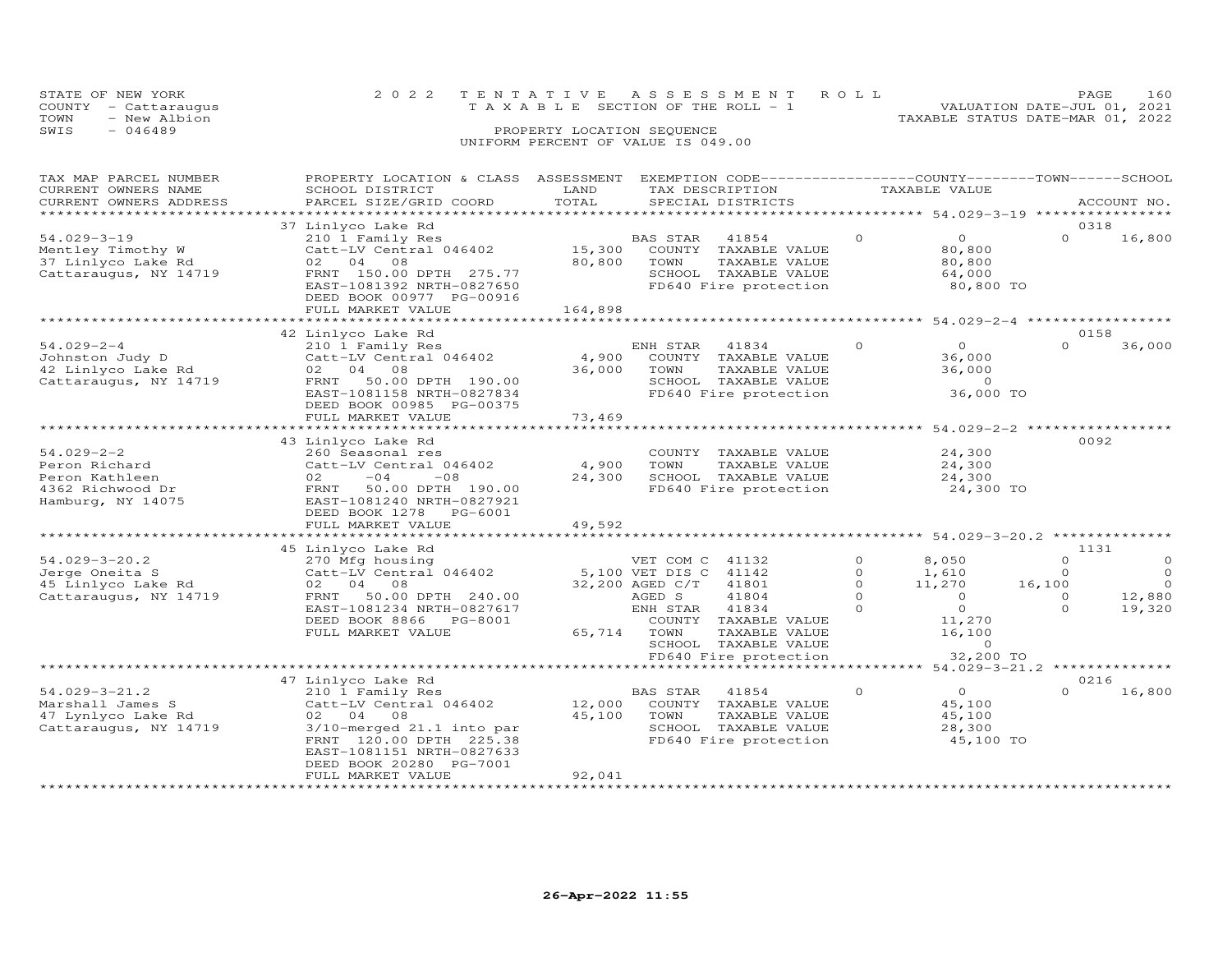| STATE OF NEW YORK<br>COUNTY - Cattaraugus<br>- New Albion<br>TOWN<br>SWIS<br>$-046489$           | 2 0 2 2                                                                                                                                                                                                                                      | TENTATIVE<br>PROPERTY LOCATION SEQUENCE | A S S E S S M E N T<br>T A X A B L E SECTION OF THE ROLL - 1                                                                                                                                                         | ROLL                                                  | TAXABLE STATUS DATE-MAR 01, 2022                                                                   | PAGE<br>VALUATION DATE-JUL 01, 2021                         | 160                                                |
|--------------------------------------------------------------------------------------------------|----------------------------------------------------------------------------------------------------------------------------------------------------------------------------------------------------------------------------------------------|-----------------------------------------|----------------------------------------------------------------------------------------------------------------------------------------------------------------------------------------------------------------------|-------------------------------------------------------|----------------------------------------------------------------------------------------------------|-------------------------------------------------------------|----------------------------------------------------|
|                                                                                                  |                                                                                                                                                                                                                                              |                                         | UNIFORM PERCENT OF VALUE IS 049.00                                                                                                                                                                                   |                                                       |                                                                                                    |                                                             |                                                    |
| TAX MAP PARCEL NUMBER<br>CURRENT OWNERS NAME<br>CURRENT OWNERS ADDRESS<br>********************** | PROPERTY LOCATION & CLASS ASSESSMENT<br>SCHOOL DISTRICT<br>PARCEL SIZE/GRID COORD                                                                                                                                                            | LAND<br>TOTAL                           | EXEMPTION CODE-----------------COUNTY-------TOWN------SCHOOL<br>TAX DESCRIPTION<br>SPECIAL DISTRICTS                                                                                                                 |                                                       | TAXABLE VALUE                                                                                      |                                                             | ACCOUNT NO.                                        |
|                                                                                                  | 37 Linlyco Lake Rd                                                                                                                                                                                                                           |                                         |                                                                                                                                                                                                                      |                                                       |                                                                                                    | 0318                                                        |                                                    |
| $54.029 - 3 - 19$<br>Mentley Timothy W<br>37 Linlyco Lake Rd<br>Cattaraugus, NY 14719            | 210 1 Family Res<br>Catt-LV Central 046402<br>02<br>04<br>08<br>FRNT 150.00 DPTH 275.77<br>EAST-1081392 NRTH-0827650<br>DEED BOOK 00977 PG-00916<br>FULL MARKET VALUE                                                                        | 15,300<br>80,800<br>164,898             | BAS STAR<br>41854<br>COUNTY TAXABLE VALUE<br>TOWN<br>TAXABLE VALUE<br>SCHOOL TAXABLE VALUE<br>FD640 Fire protection                                                                                                  | $\circ$                                               | $\circ$<br>80,800<br>80,800<br>64,000<br>80,800 TO                                                 | $\Omega$                                                    | 16,800                                             |
|                                                                                                  |                                                                                                                                                                                                                                              | *********                               |                                                                                                                                                                                                                      |                                                       | ******** 54.029-2-4 ******************                                                             |                                                             |                                                    |
| $54.029 - 2 - 4$<br>Johnston Judy D<br>42 Linlyco Lake Rd<br>Cattaraugus, NY 14719               | 42 Linlyco Lake Rd<br>210 1 Family Res<br>Catt-LV Central 046402<br>02<br>04<br>08<br>50.00 DPTH 190.00<br>FRNT<br>EAST-1081158 NRTH-0827834<br>DEED BOOK 00985 PG-00375                                                                     | 4,900<br>36,000                         | ENH STAR<br>41834<br>COUNTY<br>TAXABLE VALUE<br>TOWN<br>TAXABLE VALUE<br>SCHOOL TAXABLE VALUE<br>FD640 Fire protection                                                                                               | $\Omega$                                              | $\Omega$<br>36,000<br>36,000<br>$\circ$<br>36,000 TO                                               | 0158<br>$\Omega$                                            | 36,000                                             |
|                                                                                                  | FULL MARKET VALUE                                                                                                                                                                                                                            | 73,469                                  |                                                                                                                                                                                                                      |                                                       |                                                                                                    |                                                             |                                                    |
| $54.029 - 2 - 2$<br>Peron Richard<br>Peron Kathleen<br>4362 Richwood Dr<br>Hamburg, NY 14075     | 43 Linlyco Lake Rd<br>260 Seasonal res<br>Catt-LV Central 046402<br>02<br>$-04$<br>$-08$<br>FRNT<br>50.00 DPTH 190.00<br>EAST-1081240 NRTH-0827921<br>DEED BOOK 1278<br>PG-6001<br>FULL MARKET VALUE                                         | 4,900<br>24,300                         | COUNTY TAXABLE VALUE<br>TOWN<br>TAXABLE VALUE<br>SCHOOL TAXABLE VALUE<br>FD640 Fire protection                                                                                                                       |                                                       | ********** 54.029-2-2 ***************<br>24,300<br>24,300<br>24,300<br>24,300 TO                   | 0092                                                        |                                                    |
|                                                                                                  |                                                                                                                                                                                                                                              | 49,592                                  |                                                                                                                                                                                                                      |                                                       | ********* 54.029-3-20.2 **                                                                         |                                                             |                                                    |
| $54.029 - 3 - 20.2$<br>Jerge Oneita S<br>45 Linlyco Lake Rd<br>Cattaraugus, NY 14719             | 45 Linlyco Lake Rd<br>270 Mfg housing<br>Catt-LV Central 046402<br>02<br>04<br>08<br>50.00 DPTH 240.00<br>FRNT<br>EAST-1081234 NRTH-0827617<br>DEED BOOK 8866<br>PG-8001<br>FULL MARKET VALUE                                                | 65,714                                  | VET COM C<br>41132<br>5,100 VET DIS C<br>41142<br>41801<br>32,200 AGED C/T<br>41804<br>AGED S<br>41834<br>ENH STAR<br>COUNTY TAXABLE VALUE<br>TOWN<br>TAXABLE VALUE<br>SCHOOL TAXABLE VALUE<br>FD640 Fire protection | $\circ$<br>$\circ$<br>$\circ$<br>$\Omega$<br>$\Omega$ | 8,050<br>1,610<br>11,270<br>$\overline{0}$<br>$\circ$<br>11,270<br>16,100<br>$\Omega$<br>32,200 TO | 1131<br>$\circ$<br>$\circ$<br>16,100<br>$\circ$<br>$\Omega$ | $\circ$<br>$\circ$<br>$\Omega$<br>12,880<br>19,320 |
|                                                                                                  |                                                                                                                                                                                                                                              |                                         |                                                                                                                                                                                                                      |                                                       | $54.029 - 3 - 21.2$ **************                                                                 |                                                             |                                                    |
| $54.029 - 3 - 21.2$<br>Marshall James S<br>47 Lynlyco Lake Rd<br>Cattaraugus, NY 14719           | 47 Linlyco Lake Rd<br>210 1 Family Res<br>Catt-LV Central 046402<br>04<br>02<br>08<br>3/10-merged 21.1 into par<br>FRNT 120.00 DPTH 225.38<br>EAST-1081151 NRTH-0827633<br>DEED BOOK 20280 PG-7001<br>FULL MARKET VALUE<br>***************** | 12,000<br>45,100<br>92,041              | <b>BAS STAR</b><br>41854<br>COUNTY<br>TAXABLE VALUE<br>TOWN<br>TAXABLE VALUE<br>SCHOOL TAXABLE VALUE<br>FD640 Fire protection                                                                                        | $\circ$                                               | $\circ$<br>45,100<br>45,100<br>28,300<br>45,100 TO                                                 | 0216<br>$\Omega$                                            | 16,800                                             |

PAGE 160<br>VALUATION DATE-JUL 01, 2021

#### **26-Apr-2022 11:55**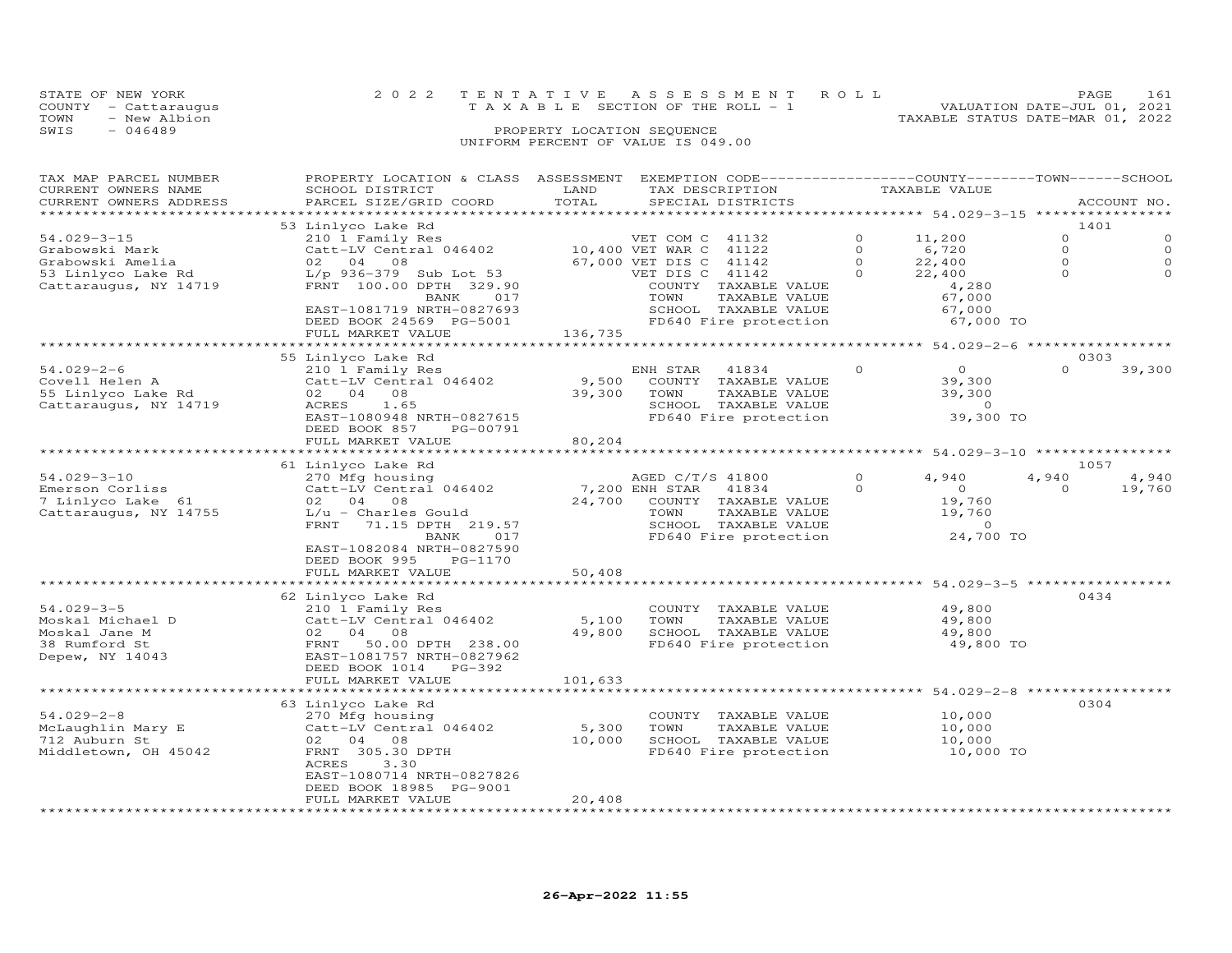|                                    | STATE OF NEW YORK    | 2022 TENTATIVE ASSESSMENT ROLL |                                 |  |                                  | PAGE.                       | 161 |
|------------------------------------|----------------------|--------------------------------|---------------------------------|--|----------------------------------|-----------------------------|-----|
|                                    | COUNTY - Cattaraugus |                                | TAXABLE SECTION OF THE ROLL - 1 |  |                                  | VALUATION DATE-JUL 01, 2021 |     |
| TOWN                               | - New Albion         |                                |                                 |  | TAXABLE STATUS DATE-MAR 01, 2022 |                             |     |
| SWIS                               | - 046489             |                                | PROPERTY LOCATION SEQUENCE      |  |                                  |                             |     |
| UNIFORM PERCENT OF VALUE IS 049.00 |                      |                                |                                 |  |                                  |                             |     |

| TAX MAP PARCEL NUMBER  | PROPERTY LOCATION & CLASS ASSESSMENT EXEMPTION CODE----------------COUNTY-------TOWN-----SCHOOL | LAND             |                                   |          |                |          |             |
|------------------------|-------------------------------------------------------------------------------------------------|------------------|-----------------------------------|----------|----------------|----------|-------------|
| CURRENT OWNERS NAME    | SCHOOL DISTRICT                                                                                 | TOTAL            | TAX DESCRIPTION                   |          | TAXABLE VALUE  |          |             |
| CURRENT OWNERS ADDRESS | PARCEL SIZE/GRID COORD                                                                          |                  | SPECIAL DISTRICTS                 |          |                |          | ACCOUNT NO. |
|                        | 53 Linlyco Lake Rd                                                                              |                  |                                   |          |                | 1401     |             |
| $54.029 - 3 - 15$      | 210 1 Family Res                                                                                |                  | VET COM C 41132                   | $\Omega$ | 11,200         | $\Omega$ | $\Omega$    |
| Grabowski Mark         | Catt-LV Central 046402                                                                          | 10,400 VET WAR C | 41122                             | $\Omega$ | 6,720          | $\circ$  | $\Omega$    |
| Grabowski Amelia       | 02 04 08                                                                                        | 67,000 VET DIS C | 41142                             | $\Omega$ | 22,400         | $\circ$  | $\Omega$    |
| 53 Linlyco Lake Rd     | L/p 936-379 Sub Lot 53                                                                          |                  | VET DIS C 41142                   | $\Omega$ | 22,400         | $\Omega$ | $\Omega$    |
| Cattaraugus, NY 14719  | FRNT 100.00 DPTH 329.90                                                                         |                  | COUNTY TAXABLE VALUE              |          | 4,280          |          |             |
|                        | 017<br>BANK                                                                                     |                  | TOWN<br>TAXABLE VALUE             |          | 67,000         |          |             |
|                        | EAST-1081719 NRTH-0827693                                                                       |                  | SCHOOL TAXABLE VALUE              |          | 67,000         |          |             |
|                        | DEED BOOK 24569 PG-5001                                                                         |                  | FD640 Fire protection             |          | 67,000 TO      |          |             |
|                        | FULL MARKET VALUE                                                                               | 136,735          |                                   |          |                |          |             |
|                        |                                                                                                 |                  |                                   |          |                |          |             |
|                        | 55 Linlyco Lake Rd                                                                              |                  |                                   |          |                | 0303     |             |
| $54.029 - 2 - 6$       | 210 1 Family Res                                                                                |                  | ENH STAR<br>41834                 | $\Omega$ | $\overline{O}$ | $\Omega$ | 39,300      |
| Covell Helen A         | Catt-LV Central 046402                                                                          | 9,500            | COUNTY TAXABLE VALUE              |          | 39,300         |          |             |
| 55 Linlyco Lake Rd     | 02 04 08                                                                                        | 39,300           | TOWN<br>TAXABLE VALUE             |          | 39,300         |          |             |
| Cattaraugus, NY 14719  | ACRES<br>1.65                                                                                   |                  | SCHOOL TAXABLE VALUE              |          | $\overline{0}$ |          |             |
|                        | EAST-1080948 NRTH-0827615                                                                       |                  | FD640 Fire protection             |          | 39,300 TO      |          |             |
|                        | DEED BOOK 857<br>PG-00791                                                                       |                  |                                   |          |                |          |             |
|                        | FULL MARKET VALUE                                                                               | 80,204           |                                   |          |                |          |             |
|                        | 61 Linlyco Lake Rd                                                                              |                  |                                   |          |                | 1057     |             |
| $54.029 - 3 - 10$      | 270 Mfg housing                                                                                 |                  | AGED C/T/S 41800                  |          | 4,940          | 4,940    | 4,940       |
| Emerson Corliss        | Catt-LV Central 046402                                                                          |                  | 7,200 ENH STAR<br>41834           | $\Omega$ | $\overline{O}$ | $\Omega$ | 19,760      |
| 7 Linlyco Lake 61      | 02 04 08                                                                                        | 24,700           | COUNTY TAXABLE VALUE              |          | 19,760         |          |             |
| Cattaraugus, NY 14755  | $L/u$ - Charles Gould                                                                           |                  | TOWN<br>TAXABLE VALUE             |          | 19,760         |          |             |
|                        | FRNT<br>71.15 DPTH 219.57                                                                       |                  | SCHOOL TAXABLE VALUE              |          | $\Omega$       |          |             |
|                        | 017<br>BANK                                                                                     |                  | FD640 Fire protection             |          | 24,700 TO      |          |             |
|                        | EAST-1082084 NRTH-0827590                                                                       |                  |                                   |          |                |          |             |
|                        | DEED BOOK 995<br>PG-1170                                                                        |                  |                                   |          |                |          |             |
|                        | FULL MARKET VALUE                                                                               | 50,408           |                                   |          |                |          |             |
|                        | ****************************                                                                    |                  |                                   |          |                |          |             |
|                        | 62 Linlyco Lake Rd                                                                              |                  |                                   |          |                | 0434     |             |
| $54.029 - 3 - 5$       | 210 1 Family Res                                                                                |                  | COUNTY TAXABLE VALUE              |          | 49,800         |          |             |
| Moskal Michael D       | Catt-LV Central 046402                                                                          | 5,100            | TOWN<br>TAXABLE VALUE             |          | 49,800         |          |             |
| Moskal Jane M          | 02 04 08                                                                                        | 49,800           | SCHOOL TAXABLE VALUE              |          | 49,800         |          |             |
| 38 Rumford St          | FRNT 50.00 DPTH 238.00                                                                          |                  | FD640 Fire protection             |          | 49,800 TO      |          |             |
| Depew, NY 14043        | EAST-1081757 NRTH-0827962<br>DEED BOOK 1014 PG-392                                              |                  |                                   |          |                |          |             |
|                        | FULL MARKET VALUE                                                                               | 101,633          |                                   |          |                |          |             |
|                        |                                                                                                 |                  |                                   |          |                |          |             |
|                        | 63 Linlyco Lake Rd                                                                              |                  |                                   |          |                | 0304     |             |
| $54.029 - 2 - 8$       | 270 Mfg housing                                                                                 |                  | COUNTY TAXABLE VALUE              |          | 10,000         |          |             |
| McLaughlin Mary E      | Catt-LV Central 046402                                                                          | 5,300            | TOWN<br>TAXABLE VALUE             |          | 10,000         |          |             |
| 712 Auburn St          | 02 04 08                                                                                        | 10,000           | SCHOOL TAXABLE VALUE              |          | 10,000         |          |             |
| Middletown, OH 45042   | FRNT 305.30 DPTH                                                                                |                  | FD640 Fire protection             |          | 10,000 TO      |          |             |
|                        | ACRES<br>3.30                                                                                   |                  |                                   |          |                |          |             |
|                        | EAST-1080714 NRTH-0827826                                                                       |                  |                                   |          |                |          |             |
|                        | DEED BOOK 18985 PG-9001                                                                         |                  |                                   |          |                |          |             |
|                        | FULL MARKET VALUE                                                                               | 20,408           |                                   |          |                |          |             |
|                        |                                                                                                 |                  | ********************************* |          |                |          |             |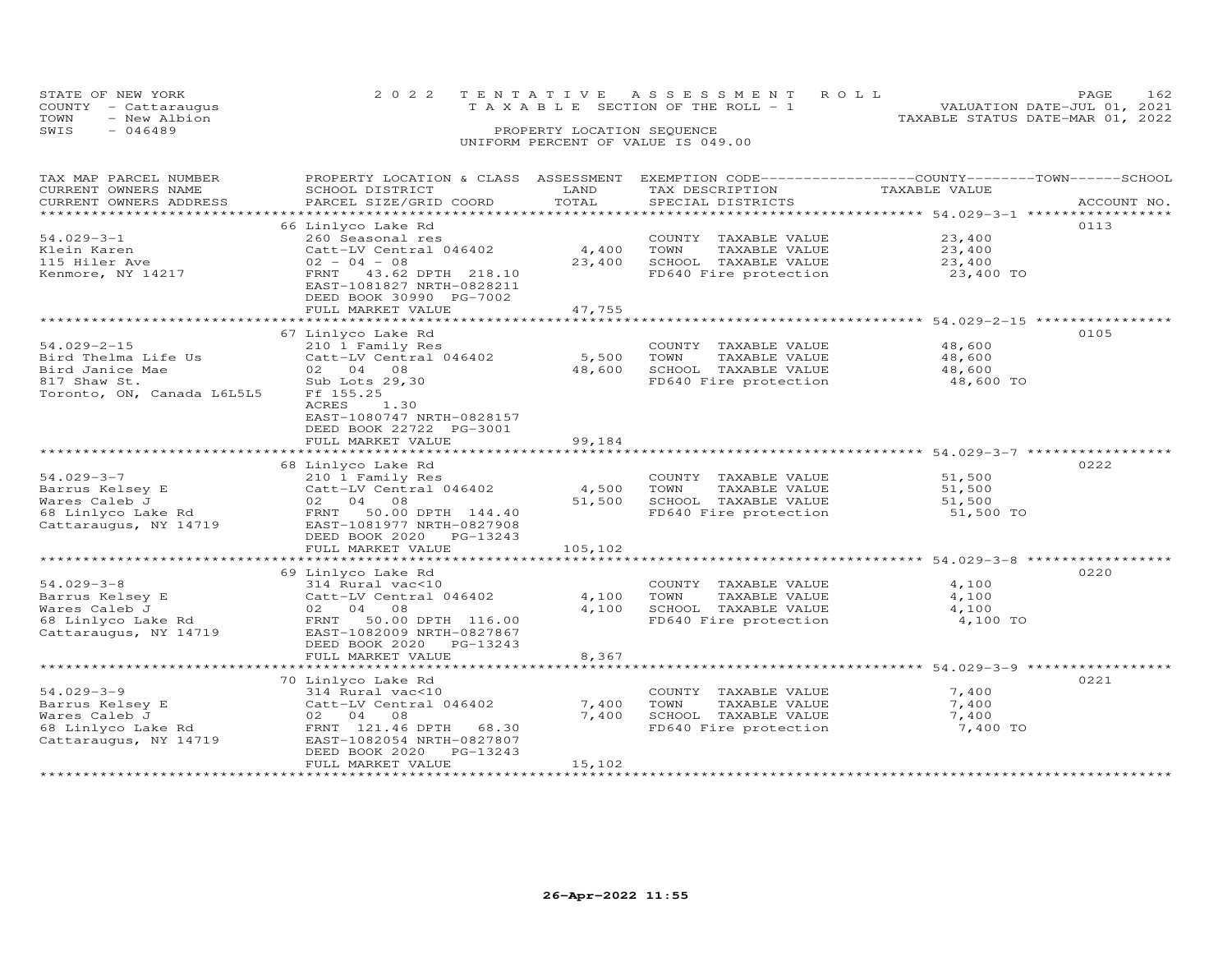| STATE OF NEW YORK<br>COUNTY - Cattaraugus<br>TOWN<br>- New Albion |  | 2022 TENTATIVE ASSESSMENT ROLL<br>TAXABLE SECTION OF THE ROLL - 1 |  |  | TAXABLE STATUS DATE-MAR 01, 2022 | PAGE.<br>VALUATION DATE-JUL 01, 2021 | 162 |
|-------------------------------------------------------------------|--|-------------------------------------------------------------------|--|--|----------------------------------|--------------------------------------|-----|
| SWTS<br>- 046489                                                  |  | PROPERTY LOCATION SEQUENCE<br>UNIFORM PERCENT OF VALUE IS 049.00  |  |  |                                  |                                      |     |

| TAX MAP PARCEL NUMBER<br>CURRENT OWNERS NAME<br>CURRENT OWNERS ADDRESS                                    | PROPERTY LOCATION & CLASS ASSESSMENT<br>SCHOOL DISTRICT<br>PARCEL SIZE/GRID COORD                                                                                                   | LAND<br>TOTAL              | EXEMPTION CODE-----------------COUNTY-------TOWN------SCHOOL<br>TAX DESCRIPTION<br>SPECIAL DISTRICTS | TAXABLE VALUE                                          | ACCOUNT NO. |
|-----------------------------------------------------------------------------------------------------------|-------------------------------------------------------------------------------------------------------------------------------------------------------------------------------------|----------------------------|------------------------------------------------------------------------------------------------------|--------------------------------------------------------|-------------|
| ***************************<br>$54.029 - 3 - 1$<br>Klein Karen<br>115 Hiler Ave<br>Kenmore, NY 14217      | 66 Linlyco Lake Rd<br>260 Seasonal res<br>Catt-LV Central 046402<br>$02 - 04 - 08$<br>FRNT 43.62 DPTH 218.10<br>EAST-1081827 NRTH-0828211<br>DEED BOOK 30990 PG-7002                | 4,400<br>23,400            | COUNTY TAXABLE VALUE<br>TOWN<br>TAXABLE VALUE<br>SCHOOL TAXABLE VALUE<br>FD640 Fire protection       | 23,400<br>23,400<br>23,400<br>23,400 TO                | 0113        |
|                                                                                                           | FULL MARKET VALUE                                                                                                                                                                   | 47,755                     |                                                                                                      | ******************************* 54.029-2-15 ********** |             |
| $54.029 - 2 - 15$<br>Bird Thelma Life Us<br>Bird Janice Mae<br>817 Shaw St.<br>Toronto, ON, Canada L6L5L5 | 67 Linlyco Lake Rd<br>210 1 Family Res<br>Catt-LV Central 046402<br>02 04 08<br>Sub Lots 29,30<br>Ff 155.25<br>ACRES<br>1.30                                                        | 5,500<br>48,600            | COUNTY TAXABLE VALUE<br>TAXABLE VALUE<br>TOWN<br>SCHOOL TAXABLE VALUE<br>FD640 Fire protection       | 48,600<br>48,600<br>48,600<br>48,600 TO                | 0105        |
|                                                                                                           | EAST-1080747 NRTH-0828157<br>DEED BOOK 22722 PG-3001<br>FULL MARKET VALUE                                                                                                           | 99,184                     |                                                                                                      |                                                        |             |
|                                                                                                           | 68 Linlyco Lake Rd                                                                                                                                                                  |                            |                                                                                                      |                                                        | 0222        |
| $54.029 - 3 - 7$<br>Barrus Kelsey E<br>Wares Caleb J<br>68 Linlyco Lake Rd<br>Cattaraugus, NY 14719       | 210 1 Family Res<br>Catt-LV Central 046402<br>02 04 08<br>50.00 DPTH 144.40<br>FRNT<br>EAST-1081977 NRTH-0827908<br>DEED BOOK 2020 PG-13243<br>FULL MARKET VALUE                    | 4,500<br>51,500<br>105,102 | COUNTY TAXABLE VALUE<br>TOWN<br>TAXABLE VALUE<br>SCHOOL TAXABLE VALUE<br>FD640 Fire protection       | 51,500<br>51,500<br>51,500<br>51,500 TO                |             |
|                                                                                                           |                                                                                                                                                                                     |                            |                                                                                                      |                                                        |             |
| $54.029 - 3 - 8$<br>Barrus Kelsey E<br>Wares Caleb J<br>68 Linlyco Lake Rd<br>Cattaraugus, NY 14719       | 69 Linlyco Lake Rd<br>314 Rural vac<10<br>Catt-LV Central 046402<br>02 04 08<br>FRNT 50.00 DPTH 116.00<br>EAST-1082009 NRTH-0827867<br>DEED BOOK 2020 PG-13243<br>FULL MARKET VALUE | 4,100<br>4,100<br>8,367    | COUNTY TAXABLE VALUE<br>TOWN<br>TAXABLE VALUE<br>SCHOOL TAXABLE VALUE<br>FD640 Fire protection       | 4,100<br>4,100<br>4,100<br>4,100 TO                    | 0220        |
|                                                                                                           | *************************                                                                                                                                                           |                            |                                                                                                      | ********************* 54.029-3-9 ************          |             |
| $54.029 - 3 - 9$<br>Barrus Kelsey E<br>Wares Caleb J<br>68 Linlyco Lake Rd<br>Cattaraugus, NY 14719       | 70 Linlyco Lake Rd<br>314 Rural vac<10<br>Catt-LV Central 046402<br>02 04 08<br>FRNT 121.46 DPTH 68.30<br>EAST-1082054 NRTH-0827807<br>DEED BOOK 2020 PG-13243<br>FULL MARKET VALUE | 7,400<br>7,400<br>15,102   | COUNTY TAXABLE VALUE<br>TOWN<br>TAXABLE VALUE<br>SCHOOL TAXABLE VALUE<br>FD640 Fire protection       | 7,400<br>7,400<br>7,400<br>7,400 TO                    | 0221        |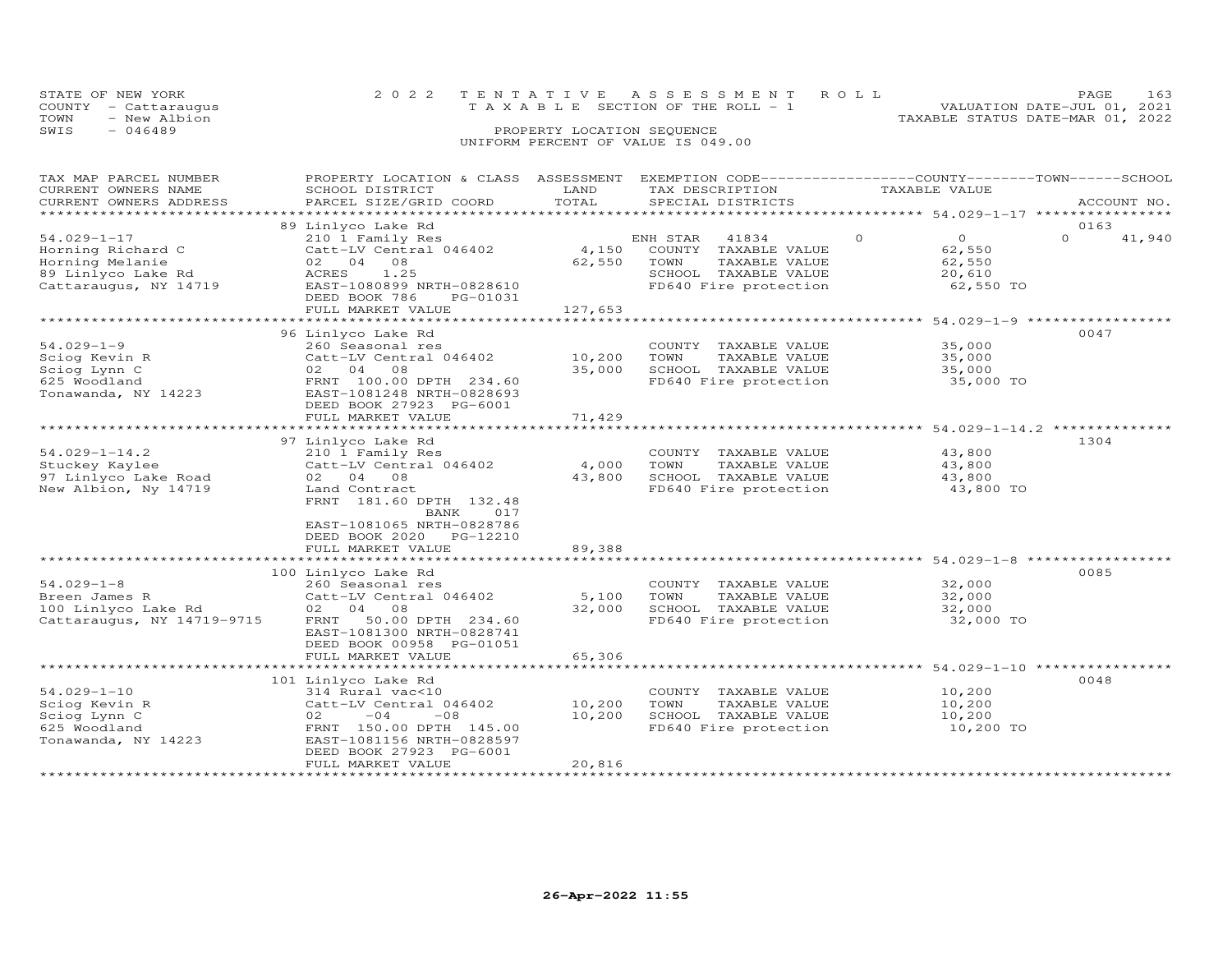| STATE OF NEW YORK    | 2022 TENTATIVE ASSESSMENT ROLL        | 163<br><b>PAGE</b>               |
|----------------------|---------------------------------------|----------------------------------|
| COUNTY - Cattaraugus | T A X A B L E SECTION OF THE ROLL - 1 | VALUATION DATE-JUL 01, 2021      |
| - New Albion<br>TOWN |                                       | TAXABLE STATUS DATE-MAR 01, 2022 |
| SWIS<br>- 046489     | PROPERTY LOCATION SEQUENCE            |                                  |
|                      | UNIFORM PERCENT OF VALUE IS 049.00    |                                  |

| 0163<br>41,940                                                   |
|------------------------------------------------------------------|
|                                                                  |
| 0047                                                             |
|                                                                  |
| 1304                                                             |
|                                                                  |
| ******************************** 54.029-1-8 ****************     |
| 0085                                                             |
| ********************************** 54.029-1-10 ***************** |
| 0048                                                             |
|                                                                  |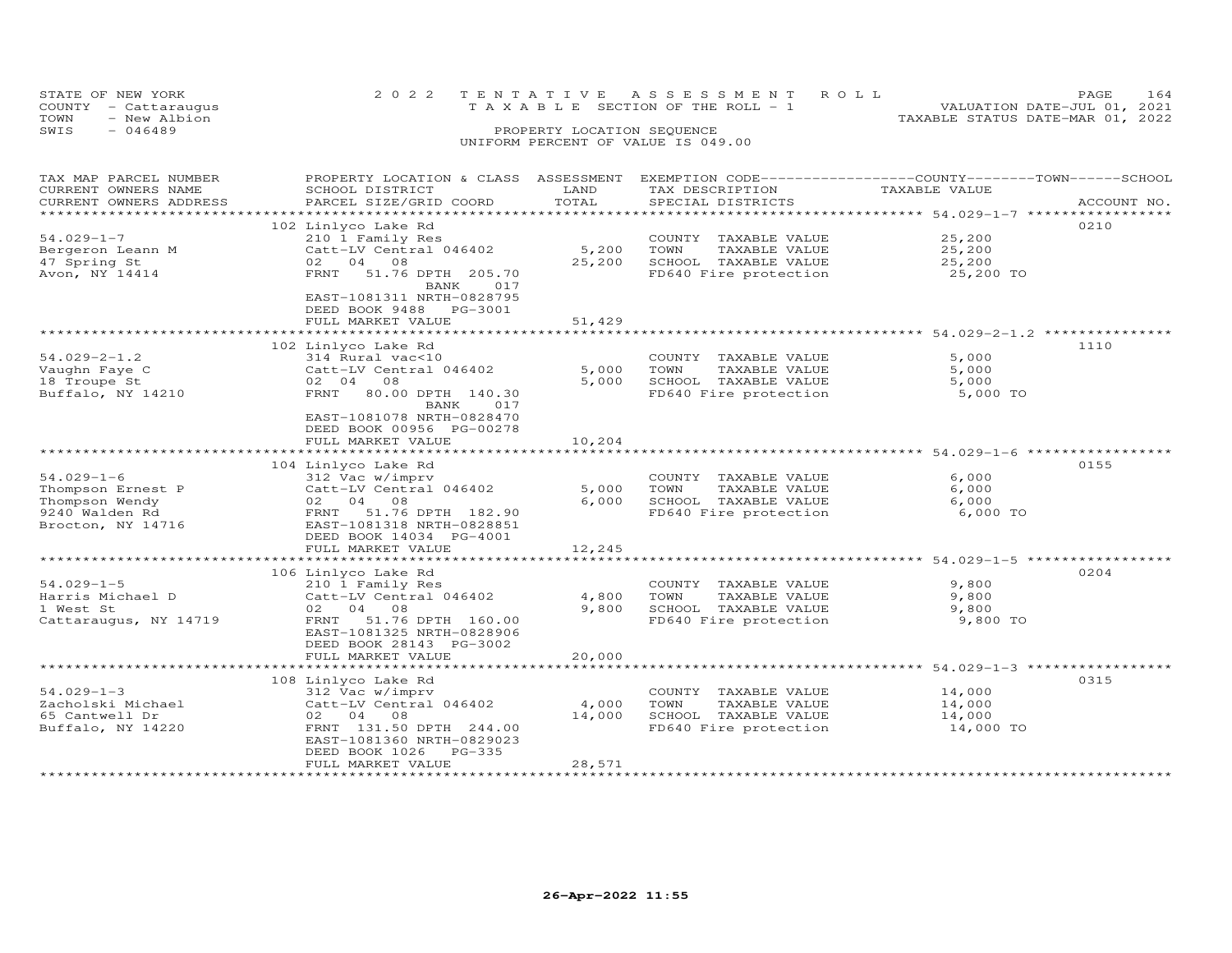| STATE OF NEW YORK    |              | 2022 TENTATIVE ASSESSMENT ROLL     |                                       |                                  | <b>PAGE</b>                 | 164 |
|----------------------|--------------|------------------------------------|---------------------------------------|----------------------------------|-----------------------------|-----|
| COUNTY - Cattaraugus |              |                                    | T A X A B L E SECTION OF THE ROLL - 1 |                                  | VALUATION DATE-JUL 01, 2021 |     |
| TOWN                 | - New Albion |                                    |                                       | TAXABLE STATUS DATE-MAR 01, 2022 |                             |     |
| SWIS<br>$-046489$    |              | PROPERTY LOCATION SEQUENCE         |                                       |                                  |                             |     |
|                      |              | UNIFORM PERCENT OF VALUE IS 049.00 |                                       |                                  |                             |     |

| TAX MAP PARCEL NUMBER  | PROPERTY LOCATION & CLASS | ASSESSMENT | EXEMPTION CODE-----------------COUNTY-------TOWN------SCHOOL    |                                                         |             |
|------------------------|---------------------------|------------|-----------------------------------------------------------------|---------------------------------------------------------|-------------|
| CURRENT OWNERS NAME    | SCHOOL DISTRICT           | LAND       | TAX DESCRIPTION                                                 | TAXABLE VALUE                                           |             |
| CURRENT OWNERS ADDRESS | PARCEL SIZE/GRID COORD    | TOTAL      | SPECIAL DISTRICTS                                               |                                                         | ACCOUNT NO. |
| ********************   |                           |            |                                                                 |                                                         |             |
|                        | 102 Linlyco Lake Rd       |            |                                                                 |                                                         | 0210        |
| $54.029 - 1 - 7$       | 210 1 Family Res          |            | COUNTY TAXABLE VALUE                                            | 25,200                                                  |             |
| Bergeron Leann M       | Catt-LV Central 046402    | 5,200      | TAXABLE VALUE<br>TOWN                                           | 25,200                                                  |             |
| 47 Spring St           | 02 04 08                  | 25,200     | SCHOOL TAXABLE VALUE                                            | 25,200                                                  |             |
| Avon, NY 14414         | FRNT 51.76 DPTH 205.70    |            | FD640 Fire protection                                           | 25,200 TO                                               |             |
|                        | 017<br>BANK               |            |                                                                 |                                                         |             |
|                        | EAST-1081311 NRTH-0828795 |            |                                                                 |                                                         |             |
|                        | DEED BOOK 9488 PG-3001    |            |                                                                 |                                                         |             |
|                        | FULL MARKET VALUE         | 51,429     |                                                                 |                                                         |             |
|                        |                           |            |                                                                 |                                                         |             |
|                        | 102 Linlyco Lake Rd       |            |                                                                 |                                                         | 1110        |
| $54.029 - 2 - 1.2$     | 314 Rural vac<10          |            | COUNTY TAXABLE VALUE                                            | 5,000                                                   |             |
| Vaughn Faye C          | Catt-LV Central 046402    | 5,000      | TOWN<br>TAXABLE VALUE                                           | 5,000                                                   |             |
| 18 Troupe St           | 02 04<br>08               | 5,000      | SCHOOL TAXABLE VALUE                                            | 5,000                                                   |             |
| Buffalo, NY 14210      | FRNT<br>80.00 DPTH 140.30 |            | FD640 Fire protection                                           | 5,000 TO                                                |             |
|                        | BANK<br>017               |            |                                                                 |                                                         |             |
|                        | EAST-1081078 NRTH-0828470 |            |                                                                 |                                                         |             |
|                        | DEED BOOK 00956 PG-00278  |            |                                                                 |                                                         |             |
|                        | FULL MARKET VALUE         | 10,204     |                                                                 |                                                         |             |
|                        |                           |            |                                                                 | ******************************** 54.029-1-6 *********** |             |
|                        | 104 Linlyco Lake Rd       |            |                                                                 |                                                         | 0155        |
| $54.029 - 1 - 6$       | 312 Vac w/imprv           |            | COUNTY TAXABLE VALUE                                            | 6,000                                                   |             |
| Thompson Ernest P      | Catt-LV Central 046402    | 5,000      | TOWN<br>TAXABLE VALUE                                           | 6,000                                                   |             |
| Thompson Wendy         | 02 04 08                  | 6,000      | SCHOOL TAXABLE VALUE                                            | 6,000                                                   |             |
| 9240 Walden Rd         | FRNT 51.76 DPTH 182.90    |            | FD640 Fire protection                                           | 6,000 TO                                                |             |
| Brocton, NY 14716      | EAST-1081318 NRTH-0828851 |            |                                                                 |                                                         |             |
|                        | DEED BOOK 14034 PG-4001   |            |                                                                 |                                                         |             |
|                        | FULL MARKET VALUE         | 12,245     |                                                                 |                                                         |             |
|                        |                           |            |                                                                 |                                                         |             |
|                        | 106 Linlyco Lake Rd       |            |                                                                 |                                                         | 0204        |
| $54.029 - 1 - 5$       |                           |            | COUNTY TAXABLE VALUE                                            | 9,800                                                   |             |
| Harris Michael D       | 210 1 Family Res          |            | TOWN<br>TAXABLE VALUE                                           |                                                         |             |
|                        | Catt-LV Central 046402    | 4,800      | SCHOOL TAXABLE VALUE                                            | 9,800                                                   |             |
| 1 West St              | 02 04 08<br>FRNT          | 9,800      |                                                                 | 9,800                                                   |             |
| Cattaraugus, NY 14719  | 51.76 DPTH 160.00         |            | FD640 Fire protection                                           | 9,800 TO                                                |             |
|                        | EAST-1081325 NRTH-0828906 |            |                                                                 |                                                         |             |
|                        | DEED BOOK 28143 PG-3002   |            |                                                                 |                                                         |             |
|                        | FULL MARKET VALUE         | 20,000     | ********************************* 54.029-1-3 ****************** |                                                         |             |
|                        |                           |            |                                                                 |                                                         |             |
|                        | 108 Linlyco Lake Rd       |            |                                                                 |                                                         | 0315        |
| $54.029 - 1 - 3$       | 312 Vac w/imprv           |            | COUNTY TAXABLE VALUE                                            | 14,000                                                  |             |
| Zacholski Michael      | Catt-LV Central 046402    | 4,000      | TOWN<br>TAXABLE VALUE                                           | 14,000                                                  |             |
| 65 Cantwell Dr         | 02 04 08                  | 14,000     | SCHOOL TAXABLE VALUE                                            | 14,000                                                  |             |
| Buffalo, NY 14220      | FRNT 131.50 DPTH 244.00   |            | FD640 Fire protection                                           | 14,000 TO                                               |             |
|                        | EAST-1081360 NRTH-0829023 |            |                                                                 |                                                         |             |
|                        | DEED BOOK 1026<br>PG-335  |            |                                                                 |                                                         |             |
|                        | FULL MARKET VALUE         | 28,571     |                                                                 |                                                         |             |
|                        |                           |            |                                                                 |                                                         |             |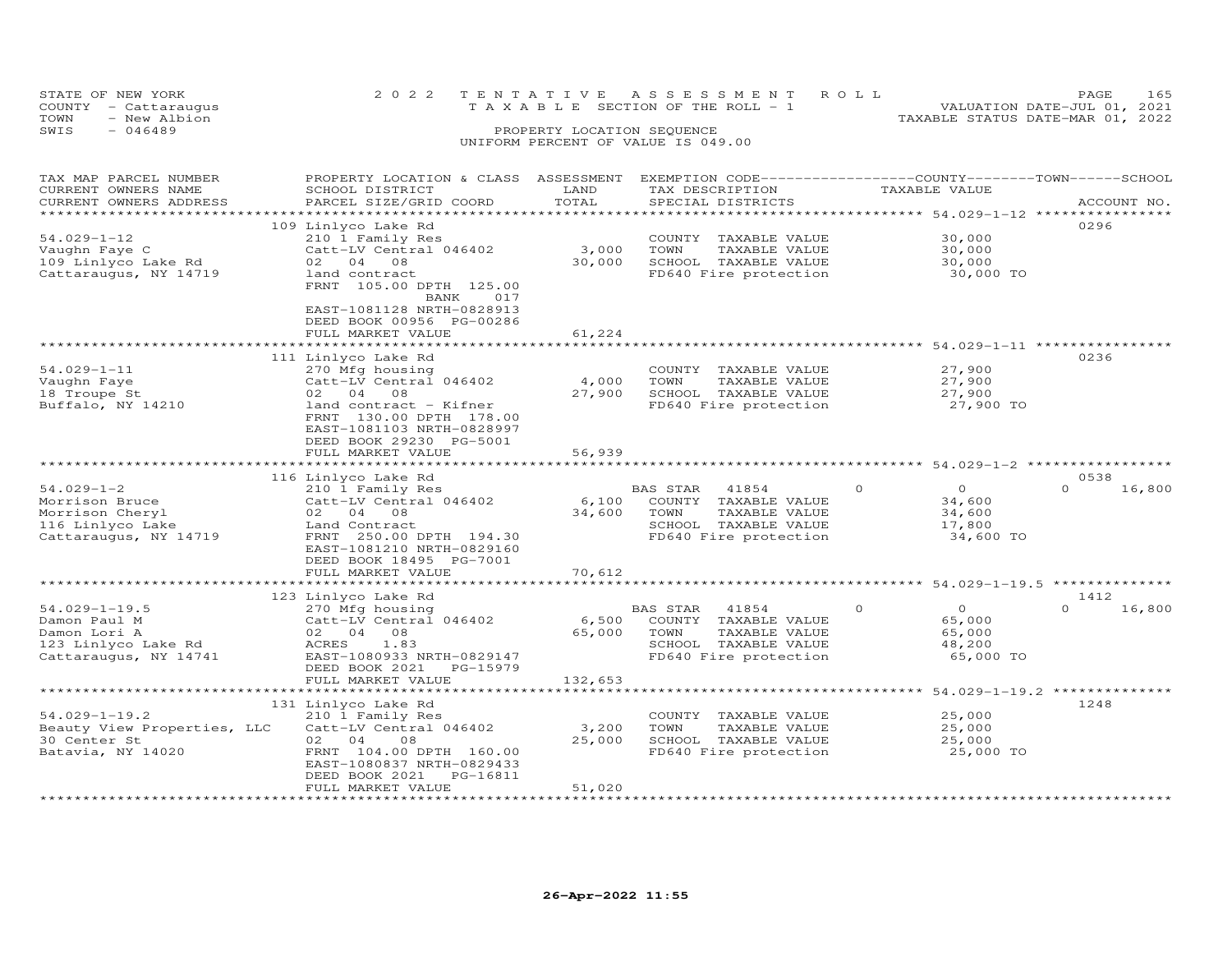|      | STATE OF NEW YORK                       |  | 2022 TENTATIVE ASSESSMENT ROLL        |  |  |  |                                  | <b>PAGE</b>                 | 165 |
|------|-----------------------------------------|--|---------------------------------------|--|--|--|----------------------------------|-----------------------------|-----|
| TOWN | COUNTY - Cattaraugus<br>- New Albion    |  | T A X A B L E SECTION OF THE ROLL - 1 |  |  |  | TAXABLE STATUS DATE-MAR 01, 2022 | VALUATION DATE-JUL 01, 2021 |     |
| SWIS | $-046489$<br>PROPERTY LOCATION SEQUENCE |  |                                       |  |  |  |                                  |                             |     |
|      |                                         |  | UNIFORM PERCENT OF VALUE IS 049.00    |  |  |  |                                  |                             |     |

| TAX MAP PARCEL NUMBER       | PROPERTY LOCATION & CLASS                                                       | ASSESSMENT | EXEMPTION CODE-----------------COUNTY-------TOWN------SCHOOL |                                                        |                    |
|-----------------------------|---------------------------------------------------------------------------------|------------|--------------------------------------------------------------|--------------------------------------------------------|--------------------|
| CURRENT OWNERS NAME         | SCHOOL DISTRICT                                                                 | LAND       | TAX DESCRIPTION                                              | TAXABLE VALUE                                          |                    |
| CURRENT OWNERS ADDRESS      | PARCEL SIZE/GRID COORD                                                          | TOTAL      | SPECIAL DISTRICTS                                            |                                                        | ACCOUNT NO.        |
|                             |                                                                                 |            |                                                              | ***************** 54.029-1-12 **********               |                    |
|                             | 109 Linlyco Lake Rd                                                             |            |                                                              |                                                        | 0296               |
| $54.029 - 1 - 12$           | 210 1 Family Res                                                                |            | COUNTY TAXABLE VALUE                                         | 30,000                                                 |                    |
|                             | Catt-LV Central 046402                                                          | 3,000      | TOWN<br>TAXABLE VALUE                                        | 30,000                                                 |                    |
| Vaughn Faye C               |                                                                                 |            |                                                              |                                                        |                    |
| 109 Linlyco Lake Rd         | 02 04<br>08                                                                     | 30,000     | SCHOOL TAXABLE VALUE                                         | 30,000                                                 |                    |
| Cattaraugus, NY 14719       | land contract<br>FRNT 105.00 DPTH 125.00<br>BANK<br>017                         |            | FD640 Fire protection                                        | 30,000 TO                                              |                    |
|                             | EAST-1081128 NRTH-0828913<br>DEED BOOK 00956 PG-00286                           |            |                                                              |                                                        |                    |
|                             | FULL MARKET VALUE                                                               | 61,224     |                                                              |                                                        |                    |
|                             |                                                                                 |            |                                                              | ******************************* 54.029-1-11 ********** |                    |
|                             | 111 Linlyco Lake Rd                                                             |            |                                                              |                                                        | 0236               |
| $54.029 - 1 - 11$           | 270 Mfg housing                                                                 |            | COUNTY TAXABLE VALUE                                         | 27,900                                                 |                    |
| Vaughn Faye                 | Catt-LV Central 046402                                                          | 4,000      | TOWN<br>TAXABLE VALUE                                        | 27,900                                                 |                    |
| 18 Troupe St                | 02 04 08                                                                        | 27,900     | SCHOOL TAXABLE VALUE                                         | 27,900                                                 |                    |
| Buffalo, NY 14210           | land contract - Kifner                                                          |            | FD640 Fire protection                                        | 27,900 TO                                              |                    |
|                             | FRNT 130.00 DPTH 178.00<br>EAST-1081103 NRTH-0828997<br>DEED BOOK 29230 PG-5001 |            |                                                              |                                                        |                    |
|                             | FULL MARKET VALUE                                                               | 56,939     |                                                              |                                                        |                    |
|                             | ************************                                                        |            |                                                              |                                                        |                    |
|                             | 116 Linlyco Lake Rd                                                             |            |                                                              |                                                        | 0538               |
| $54.029 - 1 - 2$            | 210 1 Family Res                                                                |            | BAS STAR<br>41854                                            | $\Omega$<br>$\Omega$                                   | $\Omega$<br>16,800 |
| Morrison Bruce              | Catt-LV Central 046402                                                          | 6,100      | COUNTY TAXABLE VALUE                                         | 34,600                                                 |                    |
| Morrison Cheryl             | 02 04 08                                                                        | 34,600     | TOWN<br>TAXABLE VALUE                                        | 34,600                                                 |                    |
| 116 Linlyco Lake            | Land Contract                                                                   |            | SCHOOL TAXABLE VALUE                                         | 17,800                                                 |                    |
| Cattaraugus, NY 14719       | FRNT 250.00 DPTH 194.30                                                         |            | FD640 Fire protection                                        | 34,600 TO                                              |                    |
|                             | EAST-1081210 NRTH-0829160                                                       |            |                                                              |                                                        |                    |
|                             | DEED BOOK 18495 PG-7001                                                         |            |                                                              |                                                        |                    |
|                             | FULL MARKET VALUE                                                               | 70,612     |                                                              |                                                        |                    |
|                             | **********************                                                          |            |                                                              | ************************ 54.029-1-19.5 *********       |                    |
|                             | 123 Linlyco Lake Rd                                                             |            |                                                              |                                                        | 1412               |
|                             |                                                                                 |            |                                                              |                                                        | $\Omega$           |
| $54.029 - 1 - 19.5$         | 270 Mfg housing                                                                 |            | BAS STAR<br>41854                                            | $\overline{O}$<br>$\Omega$                             | 16,800             |
| Damon Paul M                | Catt-LV Central 046402                                                          | 6,500      | COUNTY TAXABLE VALUE                                         | 65,000                                                 |                    |
| Damon Lori A                | 08<br>02 04                                                                     | 65,000     | TAXABLE VALUE<br>TOWN                                        | 65,000                                                 |                    |
| 123 Linlyco Lake Rd         | <b>ACRES</b><br>1.83                                                            |            | SCHOOL TAXABLE VALUE                                         | 48,200                                                 |                    |
| Cattaraugus, NY 14741       | EAST-1080933 NRTH-0829147                                                       |            | FD640 Fire protection                                        | 65,000 TO                                              |                    |
|                             | DEED BOOK 2021<br>PG-15979                                                      |            |                                                              |                                                        |                    |
|                             | FULL MARKET VALUE                                                               | 132,653    |                                                              |                                                        |                    |
|                             |                                                                                 |            |                                                              | **************** 54.029-1-19.2 **************          |                    |
|                             | 131 Linlyco Lake Rd                                                             |            |                                                              |                                                        | 1248               |
| $54.029 - 1 - 19.2$         | 210 1 Family Res                                                                |            | COUNTY TAXABLE VALUE                                         | 25,000                                                 |                    |
| Beauty View Properties, LLC | Catt-LV Central 046402                                                          | 3,200      | TOWN<br>TAXABLE VALUE                                        | 25,000                                                 |                    |
| 30 Center St                | 02 04<br>08                                                                     | 25,000     | SCHOOL TAXABLE VALUE                                         | 25,000                                                 |                    |
| Batavia, NY 14020           | FRNT 104.00 DPTH 160.00                                                         |            | FD640 Fire protection                                        | 25,000 TO                                              |                    |
|                             | EAST-1080837 NRTH-0829433                                                       |            |                                                              |                                                        |                    |
|                             | DEED BOOK 2021<br>PG-16811                                                      |            |                                                              |                                                        |                    |
|                             | FULL MARKET VALUE                                                               | 51,020     |                                                              |                                                        |                    |
|                             |                                                                                 |            |                                                              |                                                        |                    |
|                             |                                                                                 |            |                                                              |                                                        |                    |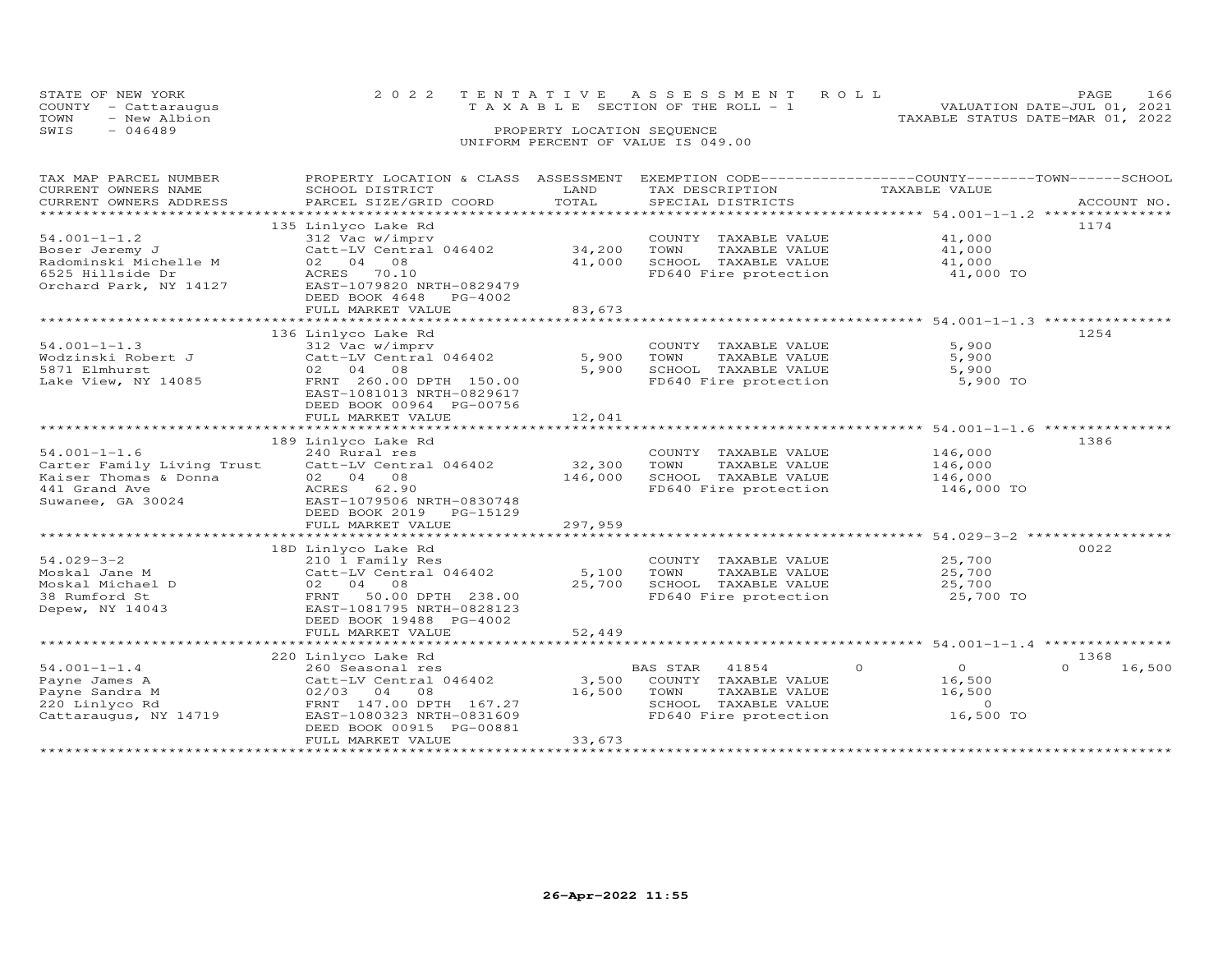|      | STATE OF NEW YORK    | 2022 TENTATIVE ASSESSMENT ROLL        | PAGE                             | L 6 6 |
|------|----------------------|---------------------------------------|----------------------------------|-------|
|      | COUNTY - Cattaraugus | T A X A B L E SECTION OF THE ROLL - 1 | VALUATION DATE-JUL 01, 2021      |       |
| TOWN | - New Albion         |                                       | TAXABLE STATUS DATE-MAR 01, 2022 |       |
| SWIS | $-046489$            | PROPERTY LOCATION SEQUENCE            |                                  |       |
|      |                      | UNIFORM PERCENT OF VALUE IS 049.00    |                                  |       |

## TAX MAP PARCEL NUMBER PROPERTY LOCATION & CLASS ASSESSMENT EXEMPTION CODE------------------COUNTY--------TOWN------SCHOOL CURRENT OWNERS NAME SCHOOL DISTRICT LAND TAX DESCRIPTION TAXABLE VALUE CURRENT OWNERS ADDRESS PARCEL SIZE/GRID COORD TOTAL SPECIAL DISTRICTS ACCOUNT NO. \*\*\*\*\*\*\*\*\*\*\*\*\*\*\*\*\*\*\*\*\*\*\*\*\*\*\*\*\*\*\*\*\*\*\*\*\*\*\*\*\*\*\*\*\*\*\*\*\*\*\*\*\*\*\*\*\*\*\*\*\*\*\*\*\*\*\*\*\*\*\*\*\*\*\*\*\*\*\*\*\*\*\*\*\*\*\*\*\*\*\*\*\*\*\*\*\*\*\*\*\*\*\* 54.001-1-1.2 \*\*\*\*\*\*\*\*\*\*\*\*\*\*\*135 Linlyco Lake Rd 135 Linlyco Lake Rd 1174<br>312 Vac w/imprv COUNTY TAXABLE VALUE 41,000 41,000 54.001-1-1.2 312 Vac w/imprv (COUNTY TAXABLE VALUE 41,000<br>
Radominski Michelle M (2 catt-LV Central 046402 34,200 TOWN TAXABLE VALUE 41,000<br>
Radominski Michelle M (2 04 08 41,000 SCHOOL TAXABLE VALUE 41,000<br>
6525 Hillside \*\*\*\*\*\*\*\*\*\*\*\*\*\*\*\*\*\*\*\*\*\*\*\*\*\*\*\*\*\*\*\*\*\*\*\*\*\*\*\*\*\*\*\*\*\*\*\*\*\*\*\*\*\*\*\*\*\*\*\*\*\*\*\*\*\*\*\*\*\*\*\*\*\*\*\*\*\*\*\*\*\*\*\*\*\*\*\*\*\*\*\*\*\*\*\*\*\*\*\*\*\*\* 54.001-1-1.3 \*\*\*\*\*\*\*\*\*\*\*\*\*\*\*136 Linlyco Lake Rd<br>
312 Vac w/imprv<br>
312 Vac w/imprv<br>
5,900 TOWN TAXABLE VALUE 5,900<br>
5,900 SCHOOL TAXABLE VALUE 5,900<br>
5,900 SCHOOL TAXABLE VALUE 5,900<br>
1254<br>
5,900 SCHOOL TAXABLE VALUE 5,900<br>
5,900 SCHOOL TAXABLE VALUE

|                            | EAST-1081013 NRTH-0829617   |                             |                 |                                         |          |                    |          |                   |
|----------------------------|-----------------------------|-----------------------------|-----------------|-----------------------------------------|----------|--------------------|----------|-------------------|
|                            | DEED BOOK 00964 PG-00756    |                             |                 |                                         |          |                    |          |                   |
|                            | FULL MARKET VALUE           | 12,041                      |                 |                                         |          |                    |          |                   |
|                            | ***********************     | * * * * * * * * * * * * * * |                 |                                         |          | $54.001 - 1 - 1.6$ |          | ***************   |
|                            | 189 Linlyco Lake Rd         |                             |                 |                                         |          |                    | 1386     |                   |
| $54.001 - 1 - 1.6$         | 240 Rural res               |                             | COUNTY          | TAXABLE VALUE                           |          | 146,000            |          |                   |
| Carter Family Living Trust | Catt-LV Central 046402      | 32,300                      | TOWN            | TAXABLE VALUE                           |          | 146,000            |          |                   |
| Kaiser Thomas & Donna      | 02 04 08                    | 146,000                     | SCHOOL          | TAXABLE VALUE                           |          | 146,000            |          |                   |
| 441 Grand Ave              | 62.90<br>ACRES              |                             |                 | FD640 Fire protection                   |          | 146,000 TO         |          |                   |
| Suwanee, GA 30024          | EAST-1079506 NRTH-0830748   |                             |                 |                                         |          |                    |          |                   |
|                            | DEED BOOK 2019<br>PG-15129  |                             |                 |                                         |          |                    |          |                   |
|                            | FULL MARKET VALUE           | 297,959                     |                 |                                         |          |                    |          |                   |
|                            | *************************** |                             |                 | $***************************54.029-3-2$ |          |                    |          | ***************** |
|                            | 18D Linlyco Lake Rd         |                             |                 |                                         |          |                    | 0022     |                   |
| $54.029 - 3 - 2$           | 210 1 Family Res            |                             | COUNTY          | TAXABLE VALUE                           |          | 25,700             |          |                   |
| Moskal Jane M              | Catt-LV Central 046402      | 5,100                       | TOWN            | TAXABLE VALUE                           |          | 25,700             |          |                   |
| Moskal Michael D           | 04 08<br>02                 | 25,700                      | SCHOOL          | TAXABLE VALUE                           |          | 25,700             |          |                   |
| 38 Rumford St              | 50.00 DPTH 238.00<br>FRNT   |                             |                 | FD640 Fire protection                   |          | 25,700 TO          |          |                   |
| Depew, NY 14043            | EAST-1081795 NRTH-0828123   |                             |                 |                                         |          |                    |          |                   |
|                            | DEED BOOK 19488 PG-4002     |                             |                 |                                         |          |                    |          |                   |
|                            | FULL MARKET VALUE           | 52,449                      |                 |                                         |          |                    |          |                   |
|                            |                             |                             |                 |                                         |          | $54.001 - 1 - 1.4$ |          | ***************   |
|                            | 220 Linlyco Lake Rd         |                             |                 |                                         |          |                    | 1368     |                   |
| $54.001 - 1 - 1.4$         | 260 Seasonal res            |                             | <b>BAS STAR</b> | 41854                                   | $\Omega$ | $\Omega$           | $\Omega$ | 16,500            |
| Payne James A              | Catt-LV Central 046402      | 3,500                       | COUNTY          | TAXABLE VALUE                           |          | 16,500             |          |                   |
| Payne Sandra M             | 02/03 04<br>08              | 16,500                      | TOWN            | TAXABLE VALUE                           |          | 16,500             |          |                   |
| 220 Linlyco Rd             | FRNT 147.00 DPTH 167.27     |                             | SCHOOL          | TAXABLE VALUE                           |          | $\Omega$           |          |                   |
| Cattaraugus, NY 14719      | EAST-1080323 NRTH-0831609   |                             |                 | FD640 Fire protection                   |          | 16,500 TO          |          |                   |
|                            | DEED BOOK 00915 PG-00881    |                             |                 |                                         |          |                    |          |                   |
|                            | FULL MARKET VALUE           | 33,673                      |                 |                                         |          |                    |          |                   |
|                            |                             |                             |                 |                                         |          |                    |          |                   |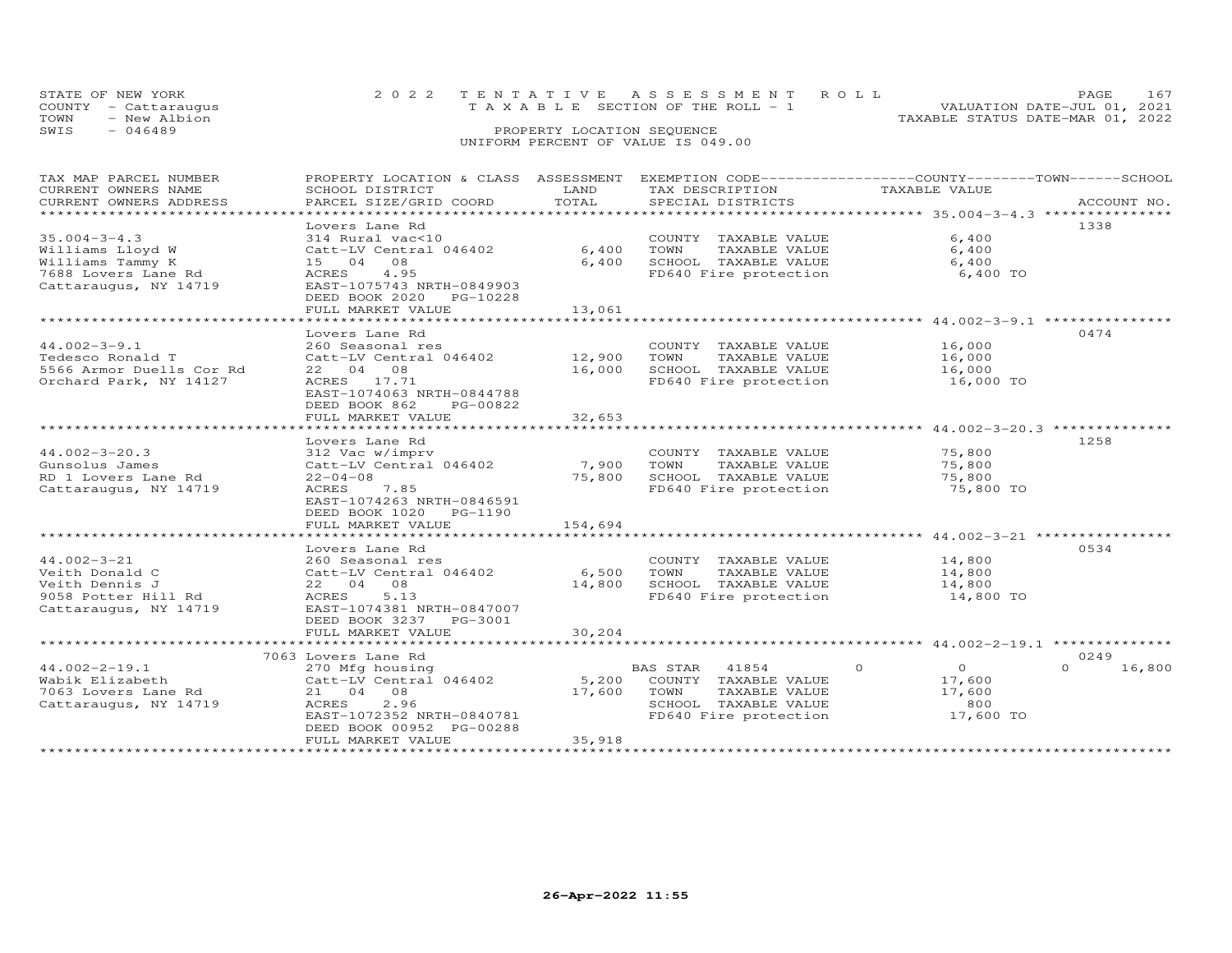|      | STATE OF NEW YORK                    | 2022 TENTATIVE ASSESSMENT ROLL        |                            |  |                                  | PAGE.                       |  |
|------|--------------------------------------|---------------------------------------|----------------------------|--|----------------------------------|-----------------------------|--|
| TOWN | COUNTY - Cattaraugus<br>- New Albion | T A X A B L E SECTION OF THE ROLL - 1 |                            |  | TAXABLE STATUS DATE-MAR 01, 2022 | VALUATION DATE-JUL 01, 2021 |  |
| SWIS | $-046489$                            |                                       | PROPERTY LOCATION SEQUENCE |  |                                  |                             |  |
|      |                                      | UNIFORM PERCENT OF VALUE IS 049.00    |                            |  |                                  |                             |  |

| TAX MAP PARCEL NUMBER    | PROPERTY LOCATION & CLASS ASSESSMENT   |            | EXEMPTION CODE-----------------COUNTY-------TOWN------SCHOOL |                            |                  |
|--------------------------|----------------------------------------|------------|--------------------------------------------------------------|----------------------------|------------------|
| CURRENT OWNERS NAME      | SCHOOL DISTRICT                        | LAND       | TAX DESCRIPTION                                              | TAXABLE VALUE              |                  |
| CURRENT OWNERS ADDRESS   | PARCEL SIZE/GRID COORD                 | TOTAL      | SPECIAL DISTRICTS                                            |                            | ACCOUNT NO.      |
| ***********************  |                                        |            |                                                              |                            |                  |
|                          | Lovers Lane Rd                         |            |                                                              |                            | 1338             |
| $35.004 - 3 - 4.3$       | 314 Rural vac<10                       |            | COUNTY TAXABLE VALUE                                         | 6,400                      |                  |
| Williams Lloyd W         | Catt-LV Central 046402                 | 6,400 TOWN | TAXABLE VALUE                                                | 6,400                      |                  |
| Williams Tammy K         | 15 04 08                               | 6,400      | SCHOOL TAXABLE VALUE                                         | 6,400                      |                  |
| 7688 Lovers Lane Rd      | ACRES<br>4.95                          |            | FD640 Fire protection                                        | 6,400 TO                   |                  |
| Cattaraugus, NY 14719    | EAST-1075743 NRTH-0849903              |            |                                                              |                            |                  |
|                          | DEED BOOK 2020 PG-10228                |            |                                                              |                            |                  |
|                          | FULL MARKET VALUE                      | 13,061     |                                                              |                            |                  |
|                          |                                        |            |                                                              |                            |                  |
|                          | Lovers Lane Rd                         |            |                                                              |                            | 0474             |
| $44.002 - 3 - 9.1$       | 260 Seasonal res                       |            | COUNTY TAXABLE VALUE                                         | 16,000                     |                  |
| Tedesco Ronald T         |                                        |            | TAXABLE VALUE                                                | 16,000                     |                  |
| 5566 Armor Duells Cor Rd | 22 04 08                               |            | 16,000 SCHOOL TAXABLE VALUE                                  | 16,000                     |                  |
| Orchard Park, NY 14127   | ACRES 17.71                            |            | FD640 Fire protection                                        | 16,000 TO                  |                  |
|                          | EAST-1074063 NRTH-0844788              |            |                                                              |                            |                  |
|                          | DEED BOOK 862<br>PG-00822              |            |                                                              |                            |                  |
|                          | FULL MARKET VALUE                      | 32,653     |                                                              |                            |                  |
|                          |                                        |            |                                                              |                            |                  |
|                          | Lovers Lane Rd                         |            |                                                              |                            | 1258             |
| 44.002-3-20.3            | 312 Vac w/imprv                        |            |                                                              | 75,800                     |                  |
| Gunsolus James           | Catt-LV Central 046402 7,900 TOWN      |            | COUNTY TAXABLE VALUE<br>TOWN     TAXABLE VALUE               | 75,800                     |                  |
| RD 1 Lovers Lane Rd      | $22 - 04 - 08$                         | 75,800     | SCHOOL TAXABLE VALUE                                         | 75,800                     |                  |
| Cattaraugus, NY 14719    | ACRES 7.85                             |            | FD640 Fire protection                                        | $75,800$ TO                |                  |
|                          | EAST-1074263 NRTH-0846591              |            |                                                              |                            |                  |
|                          | DEED BOOK 1020 PG-1190                 |            |                                                              |                            |                  |
|                          | FULL MARKET VALUE                      | 154,694    |                                                              |                            |                  |
|                          |                                        |            |                                                              |                            |                  |
|                          | Lovers Lane Rd                         |            |                                                              |                            | 0534             |
| $44.002 - 3 - 21$        | 260 Seasonal res                       |            | COUNTY TAXABLE VALUE                                         | 14,800                     |                  |
| Veith Donald C           | Catt-LV Central 046402 6,500           |            | TAXABLE VALUE<br>TOWN                                        | 14,800                     |                  |
| Veith Dennis J           | 22 04 08                               | 14,800     |                                                              | 14,800                     |                  |
| 9058 Potter Hill Rd      | ACRES<br>5.13                          |            | SCHOOL TAXABLE VALUE<br>FD640 Fire protection                | 14,800 TO                  |                  |
| Cattaraugus, NY 14719    | EAST-1074381 NRTH-0847007              |            |                                                              |                            |                  |
|                          | DEED BOOK 3237 PG-3001                 |            |                                                              |                            |                  |
|                          | FULL MARKET VALUE                      | 30,204     |                                                              |                            |                  |
|                          |                                        |            |                                                              |                            |                  |
|                          |                                        |            |                                                              |                            | 0249             |
| $44.002 - 2 - 19.1$      | 7063 Lovers Lane Rd<br>270 Mfg housing |            | BAS STAR 41854                                               | $\Omega$<br>$\overline{0}$ | $\cap$<br>16,800 |
|                          |                                        |            |                                                              |                            |                  |
| Wabik Elizabeth          | Catt-LV Central $046402$ 5,200         |            | COUNTY TAXABLE VALUE                                         | 17,600                     |                  |
| 7063 Lovers Lane Rd      | 21 04 08                               | 17,600     | TOWN<br>TOWN     TAXABLE VALUE<br>SCHOOL   TAXABLE VALUE     | 17,600                     |                  |
| Cattaraugus, NY 14719    | 2.96<br>ACRES                          |            |                                                              | 800                        |                  |
|                          | EAST-1072352 NRTH-0840781              |            | FD640 Fire protection                                        | 17,600 TO                  |                  |
|                          | DEED BOOK 00952 PG-00288               |            |                                                              |                            |                  |
|                          | FULL MARKET VALUE                      | 35,918     |                                                              |                            |                  |
|                          |                                        |            |                                                              |                            |                  |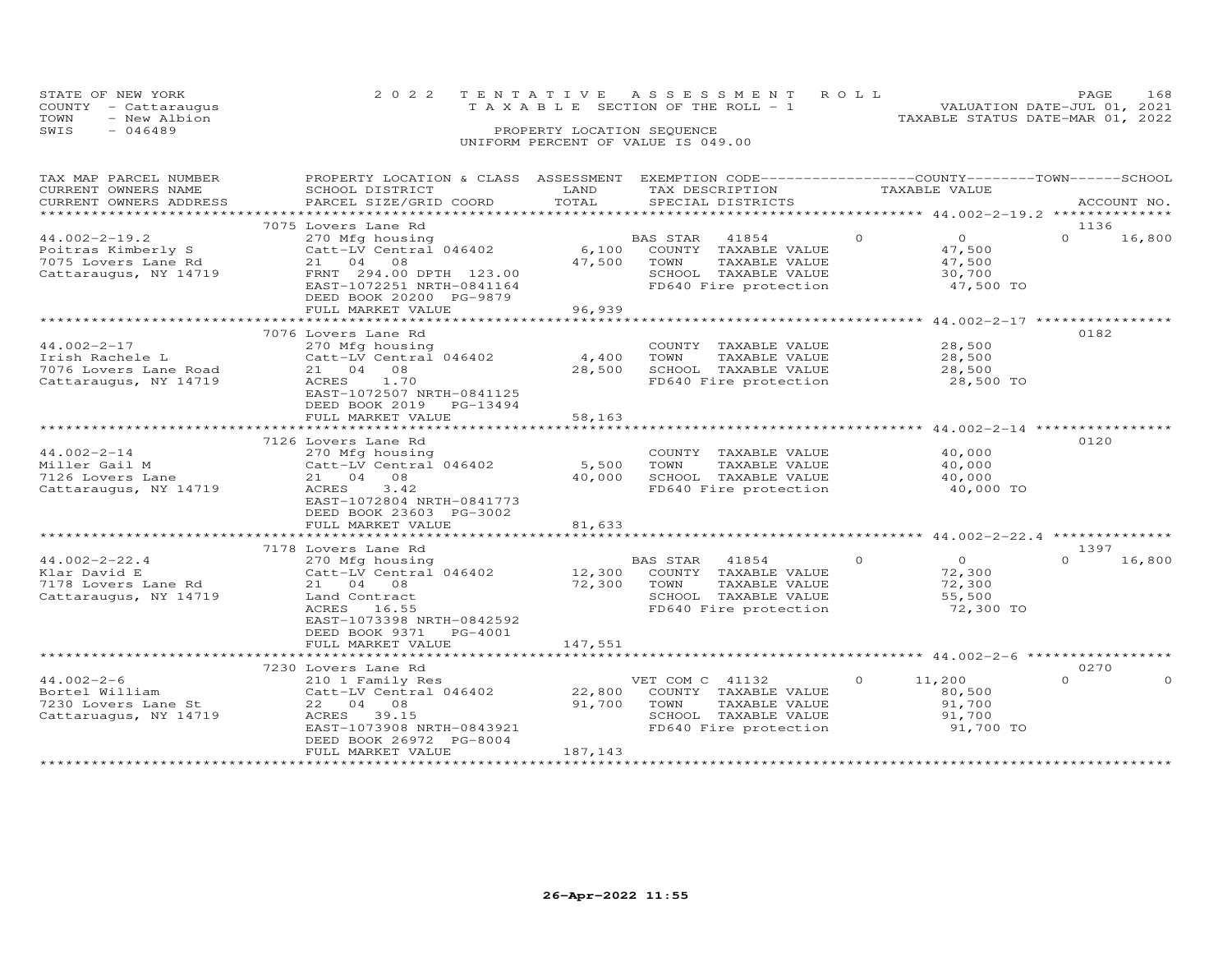| STATE OF NEW YORK<br>COUNTY - Cattaraugus | 2022 TENTATIVE ASSESSMENT ROLL<br>T A X A B L E SECTION OF THE ROLL - 1 | PAGE.<br>VALUATION DATE-JUL 01, 2021 | 168 |
|-------------------------------------------|-------------------------------------------------------------------------|--------------------------------------|-----|
| TOWN<br>- New Albion                      |                                                                         | TAXABLE STATUS DATE-MAR 01, 2022     |     |
| SWIS<br>- 046489                          | PROPERTY LOCATION SEQUENCE                                              |                                      |     |
|                                           | UNIFORM PERCENT OF VALUE IS 049.00                                      |                                      |     |

| TAX MAP PARCEL NUMBER<br>CURRENT OWNERS NAME | PROPERTY LOCATION & CLASS ASSESSMENT<br>SCHOOL DISTRICT | LAND    | EXEMPTION CODE-----------------COUNTY-------TOWN------SCHOOL<br>TAX DESCRIPTION |          | TAXABLE VALUE                                |          |             |
|----------------------------------------------|---------------------------------------------------------|---------|---------------------------------------------------------------------------------|----------|----------------------------------------------|----------|-------------|
| CURRENT OWNERS ADDRESS                       | PARCEL SIZE/GRID COORD                                  | TOTAL   | SPECIAL DISTRICTS                                                               |          |                                              |          | ACCOUNT NO. |
| *******************                          |                                                         |         |                                                                                 |          |                                              |          |             |
|                                              | 7075 Lovers Lane Rd                                     |         |                                                                                 |          |                                              | 1136     |             |
| $44.002 - 2 - 19.2$                          | 270 Mfg housing                                         |         | 41854<br>BAS STAR                                                               | $\Omega$ | $\overline{0}$                               | $\Omega$ | 16,800      |
| Poitras Kimberly S                           | Catt-LV Central 046402                                  | 6,100   | COUNTY TAXABLE VALUE                                                            |          | 47,500                                       |          |             |
| 7075 Lovers Lane Rd                          | 21 04 08                                                | 47,500  | TOWN<br>TAXABLE VALUE                                                           |          | 47,500                                       |          |             |
| Cattaraugus, NY 14719                        | FRNT 294.00 DPTH 123.00                                 |         | SCHOOL TAXABLE VALUE                                                            |          | 30,700                                       |          |             |
|                                              | EAST-1072251 NRTH-0841164                               |         | FD640 Fire protection                                                           |          | 47,500 TO                                    |          |             |
|                                              | DEED BOOK 20200 PG-9879                                 |         |                                                                                 |          |                                              |          |             |
|                                              | FULL MARKET VALUE                                       | 96,939  |                                                                                 |          |                                              |          |             |
|                                              |                                                         |         |                                                                                 |          |                                              |          |             |
|                                              | 7076 Lovers Lane Rd                                     |         |                                                                                 |          |                                              | 0182     |             |
| $44.002 - 2 - 17$                            | 270 Mfg housing                                         |         | COUNTY TAXABLE VALUE                                                            |          | 28,500                                       |          |             |
| Irish Rachele L                              | Catt-LV Central 046402                                  | 4,400   | TOWN<br>TAXABLE VALUE                                                           |          | 28,500                                       |          |             |
| 7076 Lovers Lane Road                        | 21 04 08                                                | 28,500  | SCHOOL TAXABLE VALUE                                                            |          | 28,500                                       |          |             |
| Cattaraugus, NY 14719                        | ACRES<br>1.70                                           |         | FD640 Fire protection                                                           |          | 28,500 TO                                    |          |             |
|                                              | EAST-1072507 NRTH-0841125                               |         |                                                                                 |          |                                              |          |             |
|                                              | DEED BOOK 2019<br>PG-13494                              |         |                                                                                 |          |                                              |          |             |
|                                              | FULL MARKET VALUE                                       | 58,163  |                                                                                 |          |                                              |          |             |
|                                              |                                                         |         |                                                                                 |          |                                              |          |             |
|                                              | 7126 Lovers Lane Rd                                     |         |                                                                                 |          |                                              | 0120     |             |
| $44.002 - 2 - 14$                            | 270 Mfg housing                                         |         | COUNTY TAXABLE VALUE                                                            |          | 40,000                                       |          |             |
| Miller Gail M                                | Catt-LV Central 046402                                  | 5,500   | TOWN<br>TAXABLE VALUE                                                           |          | 40,000                                       |          |             |
| 7126 Lovers Lane                             | 21 04 08                                                | 40,000  | SCHOOL TAXABLE VALUE                                                            |          | 40,000                                       |          |             |
| Cattaraugus, NY 14719                        | 3.42<br>ACRES                                           |         | FD640 Fire protection                                                           |          | 40,000 TO                                    |          |             |
|                                              | EAST-1072804 NRTH-0841773                               |         |                                                                                 |          |                                              |          |             |
|                                              | DEED BOOK 23603 PG-3002                                 |         |                                                                                 |          |                                              |          |             |
|                                              | FULL MARKET VALUE                                       | 81,633  |                                                                                 |          |                                              |          |             |
|                                              |                                                         |         |                                                                                 |          | ******************** 44.002-2-22.4 ********* |          |             |
|                                              | 7178 Lovers Lane Rd                                     |         |                                                                                 |          |                                              | 1397     |             |
| $44.002 - 2 - 22.4$                          | 270 Mfg housing                                         |         | BAS STAR 41854                                                                  | $\circ$  | $\overline{O}$                               | $\Omega$ | 16,800      |
| Klar David E                                 | Catt-LV Central 046402                                  | 12,300  | COUNTY TAXABLE VALUE                                                            |          | 72,300                                       |          |             |
| 7178 Lovers Lane Rd                          | 21 04 08                                                | 72,300  | TOWN<br>TAXABLE VALUE                                                           |          | 72,300                                       |          |             |
| Cattaraugus, NY 14719                        | Land Contract                                           |         | SCHOOL TAXABLE VALUE                                                            |          | 55,500                                       |          |             |
|                                              | ACRES 16.55                                             |         | FD640 Fire protection                                                           |          | 72,300 TO                                    |          |             |
|                                              | EAST-1073398 NRTH-0842592                               |         |                                                                                 |          |                                              |          |             |
|                                              | DEED BOOK 9371 PG-4001                                  |         |                                                                                 |          |                                              |          |             |
|                                              | FULL MARKET VALUE                                       | 147,551 |                                                                                 |          |                                              |          |             |
|                                              |                                                         |         |                                                                                 |          |                                              |          |             |
|                                              | 7230 Lovers Lane Rd                                     |         |                                                                                 |          |                                              | 0270     |             |
| $44.002 - 2 - 6$                             | 210 1 Family Res                                        |         | VET COM C 41132                                                                 | $\circ$  | 11,200                                       | $\Omega$ | $\Omega$    |
| Bortel William                               | Catt-LV Central 046402                                  | 22,800  | COUNTY TAXABLE VALUE                                                            |          | 80,500                                       |          |             |
| 7230 Lovers Lane St                          | 22 04 08                                                | 91,700  | TOWN<br>TAXABLE VALUE                                                           |          | 91,700                                       |          |             |
| Cattaruagus, NY 14719                        | ACRES 39.15                                             |         | SCHOOL TAXABLE VALUE                                                            |          | 91,700                                       |          |             |
|                                              | EAST-1073908 NRTH-0843921                               |         | FD640 Fire protection                                                           |          | 91,700 TO                                    |          |             |
|                                              | DEED BOOK 26972 PG-8004                                 |         |                                                                                 |          |                                              |          |             |
|                                              | FULL MARKET VALUE                                       | 187,143 |                                                                                 |          |                                              |          |             |
|                                              |                                                         |         |                                                                                 |          |                                              |          |             |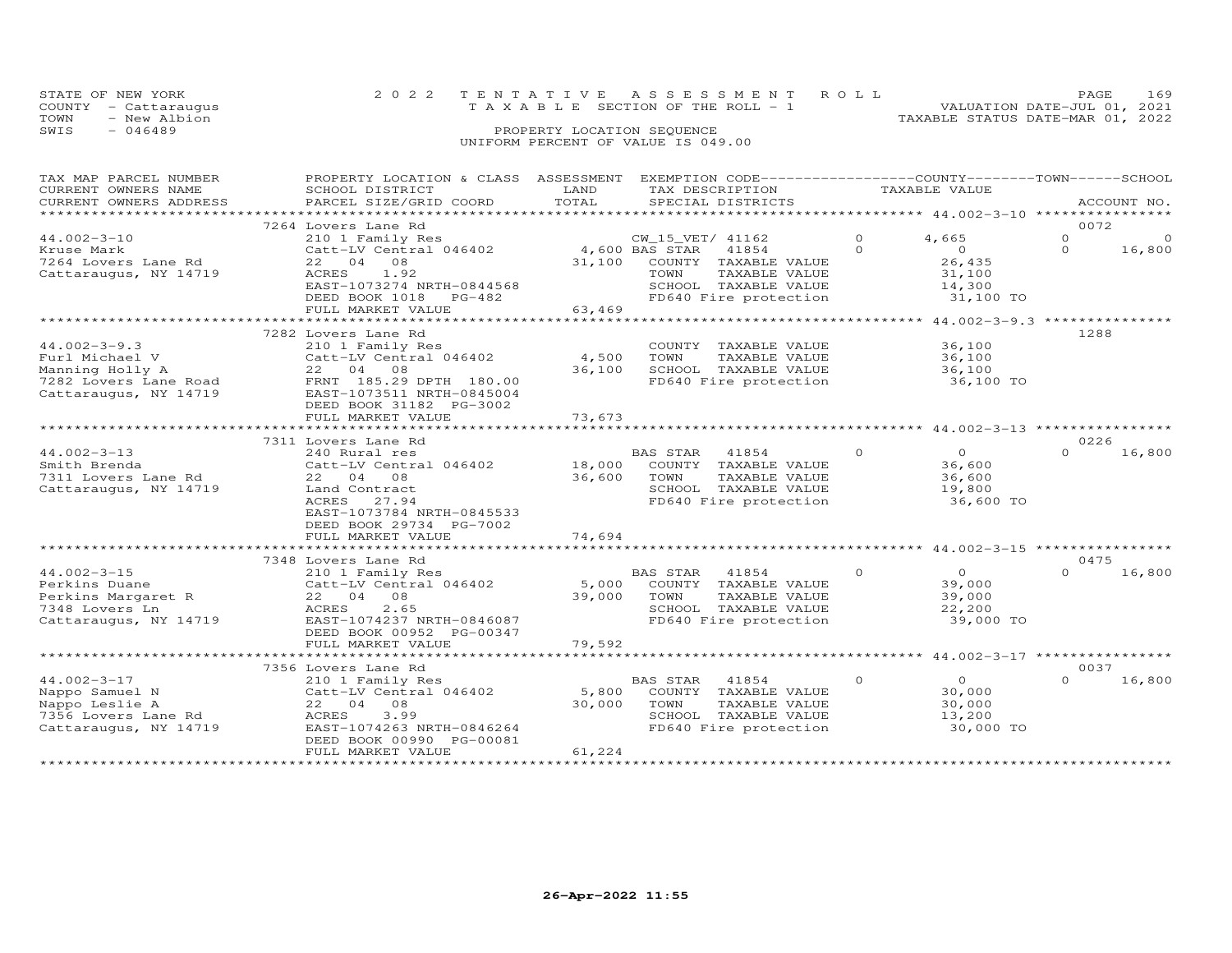| STATE OF NEW YORK<br>COUNTY - Cattaraugus |  | 2022 TENTATIVE ASSESSMENT ROLL<br>TAXABLE SECTION OF THE ROLL - 1 | PAGE.<br>VALUATION DATE-JUL 01, 2021 | 169 |
|-------------------------------------------|--|-------------------------------------------------------------------|--------------------------------------|-----|
| - New Albion<br>TOWN                      |  |                                                                   | TAXABLE STATUS DATE-MAR 01, 2022     |     |
| - 046489<br>SWIS                          |  | PROPERTY LOCATION SEQUENCE                                        |                                      |     |
|                                           |  | UNIFORM PERCENT OF VALUE IS 049.00                                |                                      |     |

| TAX MAP PARCEL NUMBER   | PROPERTY LOCATION & CLASS ASSESSMENT |                       | EXEMPTION CODE------------------COUNTY-------TOWN-----SCHOOL |                                                             |          |             |
|-------------------------|--------------------------------------|-----------------------|--------------------------------------------------------------|-------------------------------------------------------------|----------|-------------|
| CURRENT OWNERS NAME     | SCHOOL DISTRICT                      | LAND                  | TAX DESCRIPTION                                              | TAXABLE VALUE                                               |          |             |
| CURRENT OWNERS ADDRESS  | PARCEL SIZE/GRID COORD               | TOTAL                 | SPECIAL DISTRICTS                                            |                                                             |          | ACCOUNT NO. |
| *********************** | *****************************        |                       |                                                              |                                                             |          |             |
|                         | 7264 Lovers Lane Rd                  |                       |                                                              |                                                             |          | 0072        |
| $44.002 - 3 - 10$       | 210 1 Family Res                     |                       | CW_15_VET/ 41162                                             | 4,665<br>$\Omega$                                           | $\Omega$ | $\Omega$    |
| Kruse Mark              | Catt-LV Central 046402               | 4,600 BAS STAR        | 41854                                                        | $\overline{0}$<br>$\Omega$                                  | $\Omega$ | 16,800      |
| 7264 Lovers Lane Rd     | 22 04 08                             | 31,100                | COUNTY TAXABLE VALUE                                         | 26,435                                                      |          |             |
| Cattaraugus, NY 14719   | ACRES<br>1.92                        |                       | TAXABLE VALUE<br>TOWN                                        | 31,100                                                      |          |             |
|                         | EAST-1073274 NRTH-0844568            |                       | SCHOOL TAXABLE VALUE                                         | 14,300                                                      |          |             |
|                         | DEED BOOK 1018 PG-482                |                       | FD640 Fire protection                                        | 31,100 TO                                                   |          |             |
|                         | FULL MARKET VALUE                    | 63,469                |                                                              |                                                             |          |             |
|                         |                                      |                       |                                                              |                                                             |          |             |
|                         | 7282 Lovers Lane Rd                  |                       |                                                              |                                                             |          | 1288        |
| $44.002 - 3 - 9.3$      | 210 1 Family Res                     |                       | COUNTY TAXABLE VALUE                                         | 36,100                                                      |          |             |
| Furl Michael V          | Catt-LV Central 046402               | 4,500                 | TAXABLE VALUE<br>TOWN                                        | 36,100                                                      |          |             |
| Manning Holly A         | 22 04 08                             | 36,100                | SCHOOL TAXABLE VALUE                                         | 36,100                                                      |          |             |
| 7282 Lovers Lane Road   | FRNT 185.29 DPTH 180.00              |                       | FD640 Fire protection                                        | 36,100 TO                                                   |          |             |
| Cattaraugus, NY 14719   | EAST-1073511 NRTH-0845004            |                       |                                                              |                                                             |          |             |
|                         | DEED BOOK 31182 PG-3002              |                       |                                                              |                                                             |          |             |
|                         | FULL MARKET VALUE                    | 73,673                |                                                              |                                                             |          |             |
|                         |                                      |                       |                                                              |                                                             |          |             |
|                         | 7311 Lovers Lane Rd                  |                       |                                                              |                                                             |          | 0226        |
| $44.002 - 3 - 13$       | 240 Rural res                        |                       | BAS STAR<br>41854                                            | $\Omega$<br>$\Omega$                                        | $\Omega$ | 16,800      |
| Smith Brenda            | Catt-LV Central 046402               | 18,000                | COUNTY TAXABLE VALUE                                         | 36,600                                                      |          |             |
| 7311 Lovers Lane Rd     | 22 04 08                             | 36,600                | TOWN<br>TAXABLE VALUE                                        | 36,600                                                      |          |             |
|                         |                                      |                       |                                                              |                                                             |          |             |
| Cattaraugus, NY 14719   | Land Contract                        |                       | SCHOOL TAXABLE VALUE                                         | 19,800                                                      |          |             |
|                         | ACRES<br>27.94                       |                       | FD640 Fire protection                                        | 36,600 TO                                                   |          |             |
|                         | EAST-1073784 NRTH-0845533            |                       |                                                              |                                                             |          |             |
|                         | DEED BOOK 29734 PG-7002              |                       |                                                              |                                                             |          |             |
|                         | FULL MARKET VALUE                    | 74,694<br>*********** |                                                              | ******************************44.002-3-15 ***************** |          |             |
|                         |                                      |                       |                                                              |                                                             |          |             |
|                         | 7348 Lovers Lane Rd                  |                       |                                                              |                                                             |          | 0475        |
| $44.002 - 3 - 15$       | 210 1 Family Res                     |                       | BAS STAR<br>41854                                            | $\circ$<br>$\Omega$                                         | $\Omega$ | 16,800      |
| Perkins Duane           | Catt-LV Central 046402               | 5,000                 | COUNTY TAXABLE VALUE                                         | 39,000                                                      |          |             |
| Perkins Margaret R      | 22 04 08                             | 39,000                | TOWN<br>TAXABLE VALUE                                        | 39,000                                                      |          |             |
| 7348 Lovers Ln          | 2.65<br>ACRES                        |                       | SCHOOL TAXABLE VALUE                                         | 22,200                                                      |          |             |
| Cattaraugus, NY 14719   | EAST-1074237 NRTH-0846087            |                       | FD640 Fire protection                                        | 39,000 TO                                                   |          |             |
|                         | DEED BOOK 00952 PG-00347             |                       |                                                              |                                                             |          |             |
|                         | FULL MARKET VALUE                    | 79,592                |                                                              |                                                             |          |             |
|                         |                                      |                       |                                                              |                                                             |          |             |
|                         | 7356 Lovers Lane Rd                  |                       |                                                              |                                                             |          | 0037        |
| $44.002 - 3 - 17$       | 210 1 Family Res                     |                       | BAS STAR<br>41854                                            | $\circ$<br>$\overline{O}$                                   | $\cap$   | 16,800      |
| Nappo Samuel N          | Catt-LV Central 046402               | 5,800                 | COUNTY TAXABLE VALUE                                         | 30,000                                                      |          |             |
| Nappo Leslie A          | 22 04 08                             | 30,000                | TOWN<br>TAXABLE VALUE                                        | 30,000                                                      |          |             |
| 7356 Lovers Lane Rd     | 3.99<br>ACRES                        |                       | SCHOOL TAXABLE VALUE                                         | 13,200                                                      |          |             |
| Cattaraugus, NY 14719   | EAST-1074263 NRTH-0846264            |                       | FD640 Fire protection                                        | 30,000 TO                                                   |          |             |
|                         | DEED BOOK 00990 PG-00081             |                       |                                                              |                                                             |          |             |
|                         | FULL MARKET VALUE                    | 61,224                |                                                              |                                                             |          |             |
|                         |                                      |                       |                                                              |                                                             |          |             |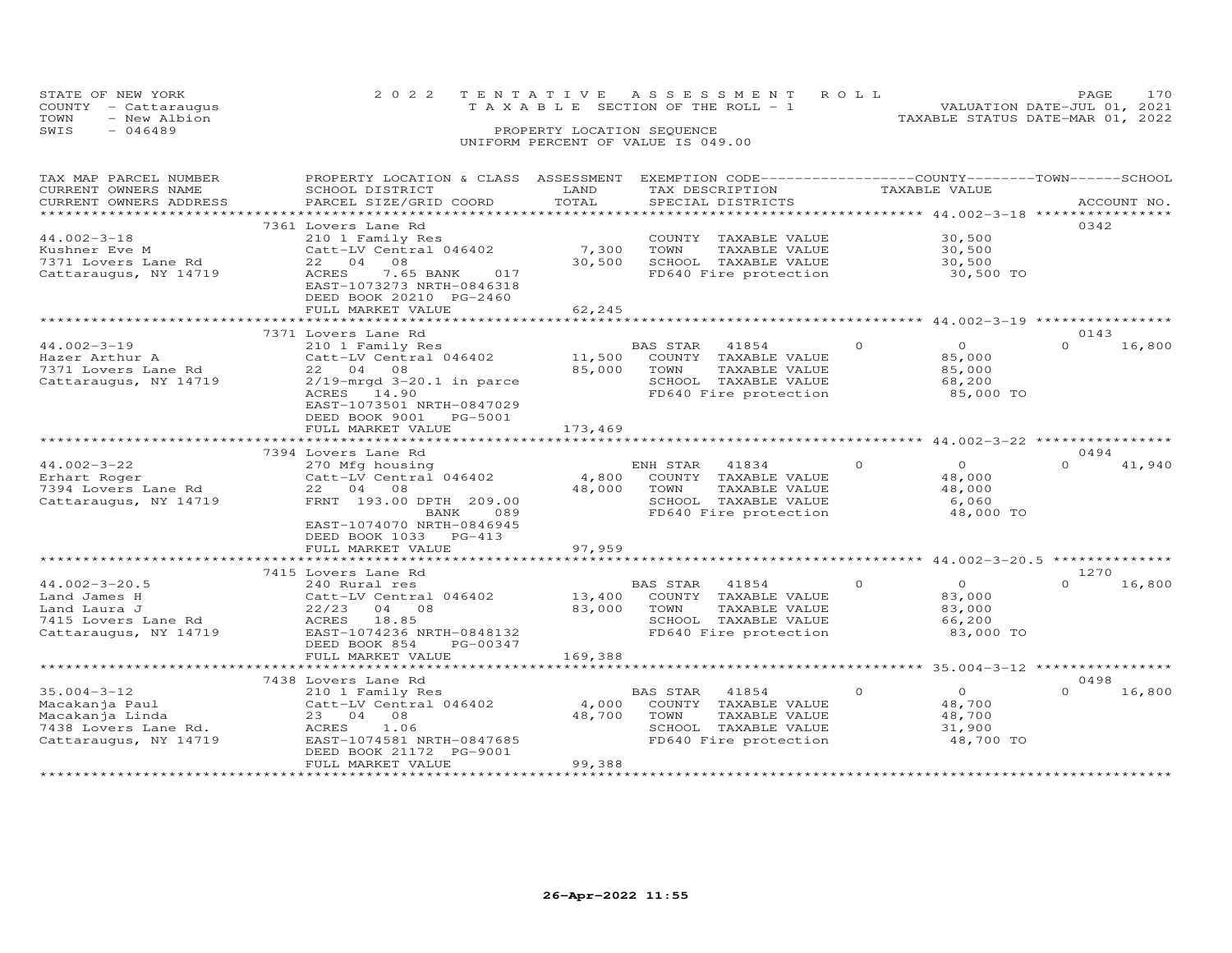|      | STATE OF NEW YORK    | 2022 TENTATIVE ASSESSMENT ROLL     |  |                                  | <b>PAGE</b>                 | 170 |
|------|----------------------|------------------------------------|--|----------------------------------|-----------------------------|-----|
|      | COUNTY - Cattaraugus | TAXABLE SECTION OF THE ROLL - 1    |  |                                  | VALUATION DATE-JUL 01, 2021 |     |
| TOWN | - New Albion         |                                    |  | TAXABLE STATUS DATE-MAR 01, 2022 |                             |     |
| SWTS | $-046489$            | PROPERTY LOCATION SEQUENCE         |  |                                  |                             |     |
|      |                      | UNIFORM PERCENT OF VALUE IS 049.00 |  |                                  |                             |     |

| TAX MAP PARCEL NUMBER  | PROPERTY LOCATION & CLASS ASSESSMENT |         |                | EXEMPTION CODE-----------------COUNTY-------TOWN-----SCHOOL   |          |                                                   |          |             |
|------------------------|--------------------------------------|---------|----------------|---------------------------------------------------------------|----------|---------------------------------------------------|----------|-------------|
| CURRENT OWNERS NAME    | SCHOOL DISTRICT                      | LAND    |                | TAX DESCRIPTION                                               |          | TAXABLE VALUE                                     |          |             |
| CURRENT OWNERS ADDRESS | PARCEL SIZE/GRID COORD               | TOTAL   |                | SPECIAL DISTRICTS                                             |          |                                                   |          | ACCOUNT NO. |
| ******************     | ***************************          |         |                |                                                               |          |                                                   |          |             |
|                        | 7361 Lovers Lane Rd                  |         |                |                                                               |          |                                                   | 0342     |             |
| $44.002 - 3 - 18$      | 210 1 Family Res                     |         |                | COUNTY TAXABLE VALUE                                          |          | 30,500                                            |          |             |
| Kushner Eve M          | Catt-LV Central 046402               | 7,300   | TOWN           | TAXABLE VALUE                                                 |          | 30,500                                            |          |             |
| 7371 Lovers Lane Rd    | 08<br>22 04                          | 30,500  |                | SCHOOL TAXABLE VALUE                                          |          | 30,500                                            |          |             |
| Cattaraugus, NY 14719  | ACRES<br>7.65 BANK<br>017            |         |                | FD640 Fire protection                                         |          | 30,500 TO                                         |          |             |
|                        | EAST-1073273 NRTH-0846318            |         |                |                                                               |          |                                                   |          |             |
|                        | DEED BOOK 20210 PG-2460              |         |                |                                                               |          |                                                   |          |             |
|                        | FULL MARKET VALUE                    | 62,245  |                |                                                               |          |                                                   |          |             |
|                        |                                      |         |                | ************************************ 44.002-3-19 ************ |          |                                                   |          |             |
|                        | 7371 Lovers Lane Rd                  |         |                |                                                               |          |                                                   | 0143     |             |
| $44.002 - 3 - 19$      | 210 1 Family Res                     |         | BAS STAR       | 41854                                                         | $\circ$  | $\overline{O}$                                    | $\circ$  | 16,800      |
| Hazer Arthur A         | Catt-LV Central 046402               | 11,500  |                | COUNTY TAXABLE VALUE                                          |          | 85,000                                            |          |             |
| 7371 Lovers Lane Rd    | 22 04 08                             | 85,000  | TOWN           | TAXABLE VALUE                                                 |          | 85,000                                            |          |             |
| Cattaraugus, NY 14719  | $2/19$ -mrgd $3-20.1$ in parce       |         |                | SCHOOL TAXABLE VALUE                                          |          | 68,200                                            |          |             |
|                        | ACRES 14.90                          |         |                | FD640 Fire protection                                         |          | 85,000 TO                                         |          |             |
|                        | EAST-1073501 NRTH-0847029            |         |                |                                                               |          |                                                   |          |             |
|                        | DEED BOOK 9001<br>PG-5001            |         |                |                                                               |          |                                                   |          |             |
|                        | FULL MARKET VALUE                    | 173,469 |                |                                                               |          |                                                   |          |             |
|                        |                                      |         |                |                                                               |          |                                                   |          |             |
|                        | 7394 Lovers Lane Rd                  |         |                |                                                               |          |                                                   | 0494     |             |
| $44.002 - 3 - 22$      | 270 Mfg housing                      |         | ENH STAR       | 41834                                                         | $\circ$  | $\overline{0}$                                    | $\Omega$ | 41,940      |
| Erhart Roger           | Catt-LV Central 046402               | 4,800   |                | COUNTY TAXABLE VALUE                                          |          | 48,000                                            |          |             |
| 7394 Lovers Lane Rd    | 22 04 08                             | 48,000  | TOWN           | TAXABLE VALUE                                                 |          | 48,000                                            |          |             |
| Cattaraugus, NY 14719  | FRNT 193.00 DPTH 209.00              |         |                | SCHOOL TAXABLE VALUE                                          |          | 6,060                                             |          |             |
|                        | BANK<br>089                          |         |                | FD640 Fire protection                                         |          | 48,000 TO                                         |          |             |
|                        | EAST-1074070 NRTH-0846945            |         |                |                                                               |          |                                                   |          |             |
|                        | DEED BOOK 1033 PG-413                |         |                |                                                               |          |                                                   |          |             |
|                        | FULL MARKET VALUE                    | 97,959  |                |                                                               |          |                                                   |          |             |
|                        |                                      |         |                |                                                               |          |                                                   |          |             |
|                        | 7415 Lovers Lane Rd                  |         |                |                                                               |          |                                                   | 1270     |             |
| $44.002 - 3 - 20.5$    | 240 Rural res                        |         | BAS STAR 41854 |                                                               | $\Omega$ | $\overline{O}$                                    | $\Omega$ | 16,800      |
| Land James H           | Catt-LV Central 046402               | 13,400  |                | COUNTY TAXABLE VALUE                                          |          | 83,000                                            |          |             |
| Land Laura J           | $22/23$ 04 08                        | 83,000  | TOWN           | TAXABLE VALUE                                                 |          | 83,000                                            |          |             |
| 7415 Lovers Lane Rd    | ACRES<br>18.85                       |         |                | SCHOOL TAXABLE VALUE                                          |          | 66,200                                            |          |             |
| Cattaraugus, NY 14719  | EAST-1074236 NRTH-0848132            |         |                | FD640 Fire protection                                         |          | 83,000 TO                                         |          |             |
|                        | DEED BOOK 854<br>PG-00347            |         |                |                                                               |          |                                                   |          |             |
|                        | FULL MARKET VALUE                    | 169,388 |                |                                                               |          |                                                   |          |             |
|                        |                                      |         |                |                                                               |          | ******************* 35.004-3-12 ***************** |          |             |
|                        | 7438 Lovers Lane Rd                  |         |                |                                                               |          |                                                   | 0498     |             |
| $35.004 - 3 - 12$      | 210 1 Family Res                     |         | BAS STAR       | 41854                                                         | $\circ$  | $\overline{O}$                                    | $\Omega$ | 16,800      |
| Macakanja Paul         | Catt-LV Central 046402               | 4,000   |                | COUNTY TAXABLE VALUE                                          |          | 48,700                                            |          |             |
| Macakanja Linda        | 23 04 08                             | 48,700  | TOWN           | TAXABLE VALUE                                                 |          | 48,700                                            |          |             |
| 7438 Lovers Lane Rd.   | ACRES<br>1.06                        |         |                | SCHOOL TAXABLE VALUE                                          |          | 31,900                                            |          |             |
| Cattaraugus, NY 14719  | EAST-1074581 NRTH-0847685            |         |                | FD640 Fire protection                                         |          | 48,700 TO                                         |          |             |
|                        | DEED BOOK 21172 PG-9001              |         |                |                                                               |          |                                                   |          |             |
|                        | FULL MARKET VALUE                    | 99,388  |                |                                                               |          |                                                   |          |             |
|                        | **********************               |         |                |                                                               |          |                                                   |          |             |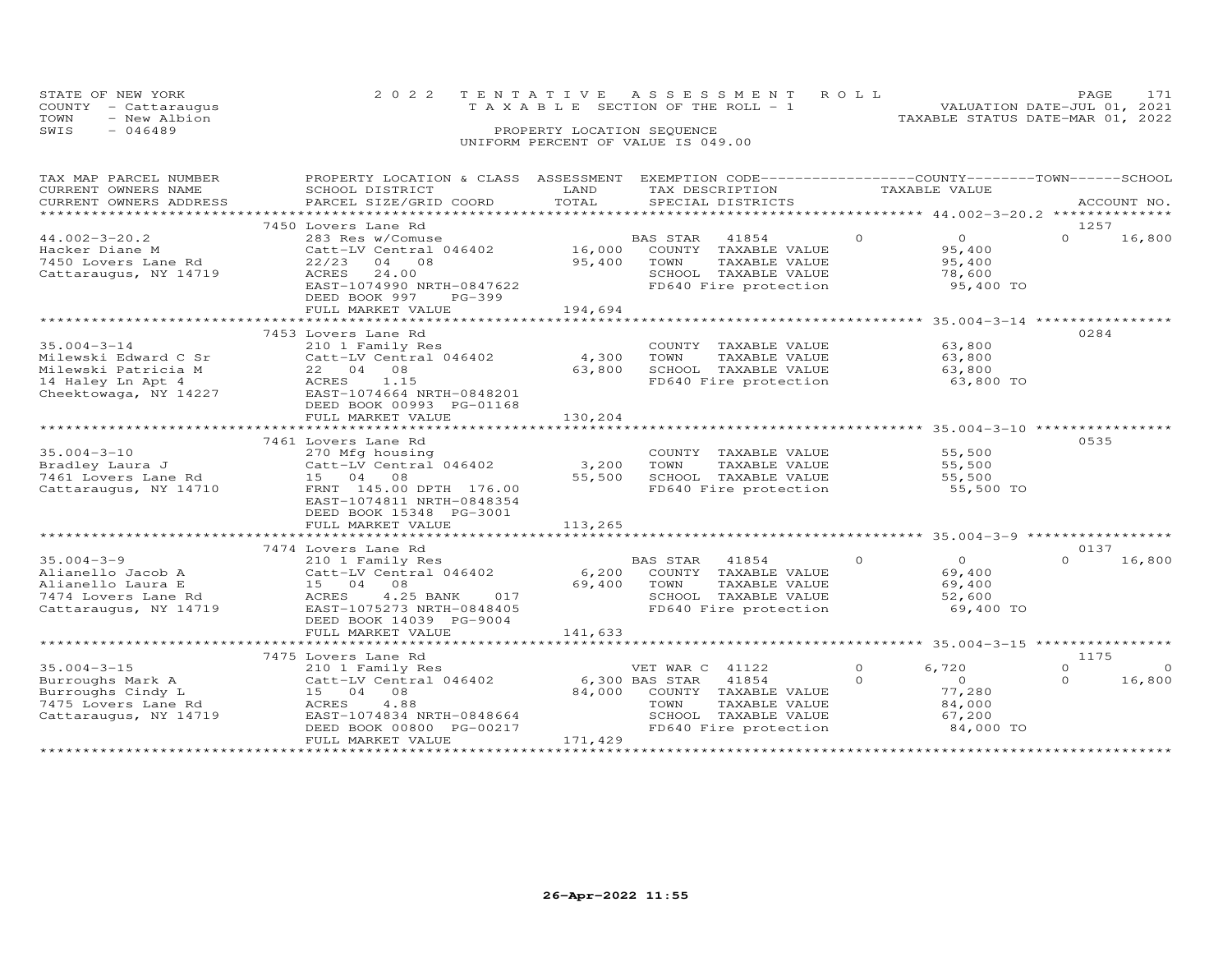|      | STATE OF NEW YORK    | 2022 TENTATIVE ASSESSMENT ROLL                                          | <b>PAGE</b> |  |
|------|----------------------|-------------------------------------------------------------------------|-------------|--|
|      | COUNTY - Cattaraugus | VALUATION DATE-JUL 01, 2021<br>$T A X A B I F$ SECTION OF THE ROLL $-1$ |             |  |
| TOWN | - New Albion         | TAXABLE STATUS DATE-MAR 01, 2022                                        |             |  |
| SWIS | - 046489             | PROPERTY LOCATION SEQUENCE                                              |             |  |
|      |                      | UNIFORM PERCENT OF VALUE IS 049.00                                      |             |  |

| TAX MAP PARCEL NUMBER<br>CURRENT OWNERS NAME<br>CURRENT OWNERS ADDRESS                                     | PROPERTY LOCATION & CLASS ASSESSMENT<br>SCHOOL DISTRICT<br>PARCEL SIZE/GRID COORD                                                                                                                                 | LAND<br>TOTAL               | EXEMPTION CODE------------------COUNTY-------TOWN------SCHOOL<br>TAX DESCRIPTION<br>SPECIAL DISTRICTS                    | TAXABLE VALUE                                                                             | ACCOUNT NO.                                              |
|------------------------------------------------------------------------------------------------------------|-------------------------------------------------------------------------------------------------------------------------------------------------------------------------------------------------------------------|-----------------------------|--------------------------------------------------------------------------------------------------------------------------|-------------------------------------------------------------------------------------------|----------------------------------------------------------|
|                                                                                                            |                                                                                                                                                                                                                   |                             |                                                                                                                          |                                                                                           |                                                          |
|                                                                                                            | 7450 Lovers Lane Rd                                                                                                                                                                                               |                             |                                                                                                                          |                                                                                           | 1257                                                     |
| $44.002 - 3 - 20.2$<br>nacker Diane M<br>7450 Lovers Lane Rd<br>Cattaraugus, NY 14719                      | 283 Res w/Comuse<br>Catt-LV Central 046402<br>$22/23$ 04 08<br>ACRES<br>24.00<br>EAST-1074990 NRTH-0847622<br>DEED BOOK 997<br>PG-399<br>FULL MARKET VALUE                                                        | 16,000<br>95,400<br>194,694 | BAS STAR 41854<br>COUNTY TAXABLE VALUE<br>TOWN<br>TAXABLE VALUE<br>SCHOOL TAXABLE VALUE<br>FD640 Fire protection         | $\Omega$<br>$\overline{0}$<br>95,400<br>95,400<br>78,600<br>95,400 TO                     | 16,800<br>$\Omega$                                       |
|                                                                                                            |                                                                                                                                                                                                                   |                             |                                                                                                                          |                                                                                           |                                                          |
| $35.004 - 3 - 14$<br>Milewski Edward C Sr<br>Milewski Patricia M<br>14 Haley Ln Apt 4                      | 7453 Lovers Lane Rd<br>210 1 Family Res<br>Catt-LV Central 046402<br>22 04 08<br>ACRES<br>1.15<br>14 Haley Ln Apt 4 (ACRES 1.15 )<br>Cheektowaga, NY 14227 (EAST-1074664 NRTH-0848201<br>DEED BOOK 00993 PG-01168 | 4,300<br>63,800             | COUNTY TAXABLE VALUE<br>TOWN<br>TAXABLE VALUE<br>SCHOOL TAXABLE VALUE<br>FD640 Fire protection                           | 63,800<br>63,800<br>63,800<br>63,800 TO                                                   | 0284                                                     |
|                                                                                                            | FULL MARKET VALUE                                                                                                                                                                                                 | 130,204                     |                                                                                                                          |                                                                                           |                                                          |
|                                                                                                            | **************************                                                                                                                                                                                        | *************               |                                                                                                                          |                                                                                           |                                                          |
| $35.004 - 3 - 10$<br>Bradley Laura J<br>7461 Lovers Lane Rd<br>Cattaraugus, NY 14710                       | 7461 Lovers Lane Rd<br>270 Mfg housing<br>Catt-LV Central 046402<br>15 04 08<br>FRNT 145.00 DPTH 176.00<br>EAST-1074811 NRTH-0848354<br>DEED BOOK 15348 PG-3001                                                   | 3,200<br>55,500             | COUNTY TAXABLE VALUE<br>TOWN<br>TAXABLE VALUE<br>SCHOOL TAXABLE VALUE<br>FD640 Fire protection                           | 55,500<br>55,500<br>55,500<br>55,500 TO                                                   | 0535                                                     |
|                                                                                                            | FULL MARKET VALUE                                                                                                                                                                                                 | 113,265                     |                                                                                                                          |                                                                                           |                                                          |
|                                                                                                            |                                                                                                                                                                                                                   |                             |                                                                                                                          |                                                                                           |                                                          |
| $35.004 - 3 - 9$<br>Alianello Jacob A<br>Alianello Laura E<br>7474 Lovers Lane Rd<br>Cattaraugus, NY 14719 | 7474 Lovers Lane Rd<br>210 1 Family Res<br>Catt-LV Central 046402<br>15 04 08<br>4.25 BANK<br>017<br>ACRES<br>EAST-1075273 NRTH-0848405<br>DEED BOOK 14039 PG-9004                                                | 69,400 TOWN                 | BAS STAR<br>41854<br>6,200 COUNTY TAXABLE VALUE<br>TAXABLE VALUE<br>SCHOOL TAXABLE VALUE<br>FD640 Fire protection        | $\circ$<br>$\overline{O}$<br>69,400<br>69,400<br>52,600<br>69,400 TO                      | 0137<br>16,800<br>$\Omega$                               |
|                                                                                                            | FULL MARKET VALUE                                                                                                                                                                                                 | 141,633                     |                                                                                                                          |                                                                                           |                                                          |
|                                                                                                            |                                                                                                                                                                                                                   |                             |                                                                                                                          |                                                                                           |                                                          |
| $35.004 - 3 - 15$<br>Burroughs Mark A<br>Burroughs Cindy L<br>7475 Lovers Lane Rd<br>Cattaraugus, NY 14719 | 7475 Lovers Lane Rd<br>210 1 Family Res<br>Catt-LV Central 046402 6,300 BAS STAR 41854<br>15 04 08<br>ACRES<br>4.88<br>EAST-1074834 NRTH-0848664<br>DEED BOOK 00800 PG-00217<br>FULL MARKET VALUE                 | 171,429                     | VET WAR C 41122<br>84,000 COUNTY TAXABLE VALUE<br>TOWN<br>TAXABLE VALUE<br>SCHOOL TAXABLE VALUE<br>FD640 Fire protection | $\circ$<br>6,720<br>$\overline{0}$<br>$\Omega$<br>77,280<br>84,000<br>67,200<br>84,000 TO | 1175<br>$\overline{0}$<br>$\Omega$<br>$\Omega$<br>16,800 |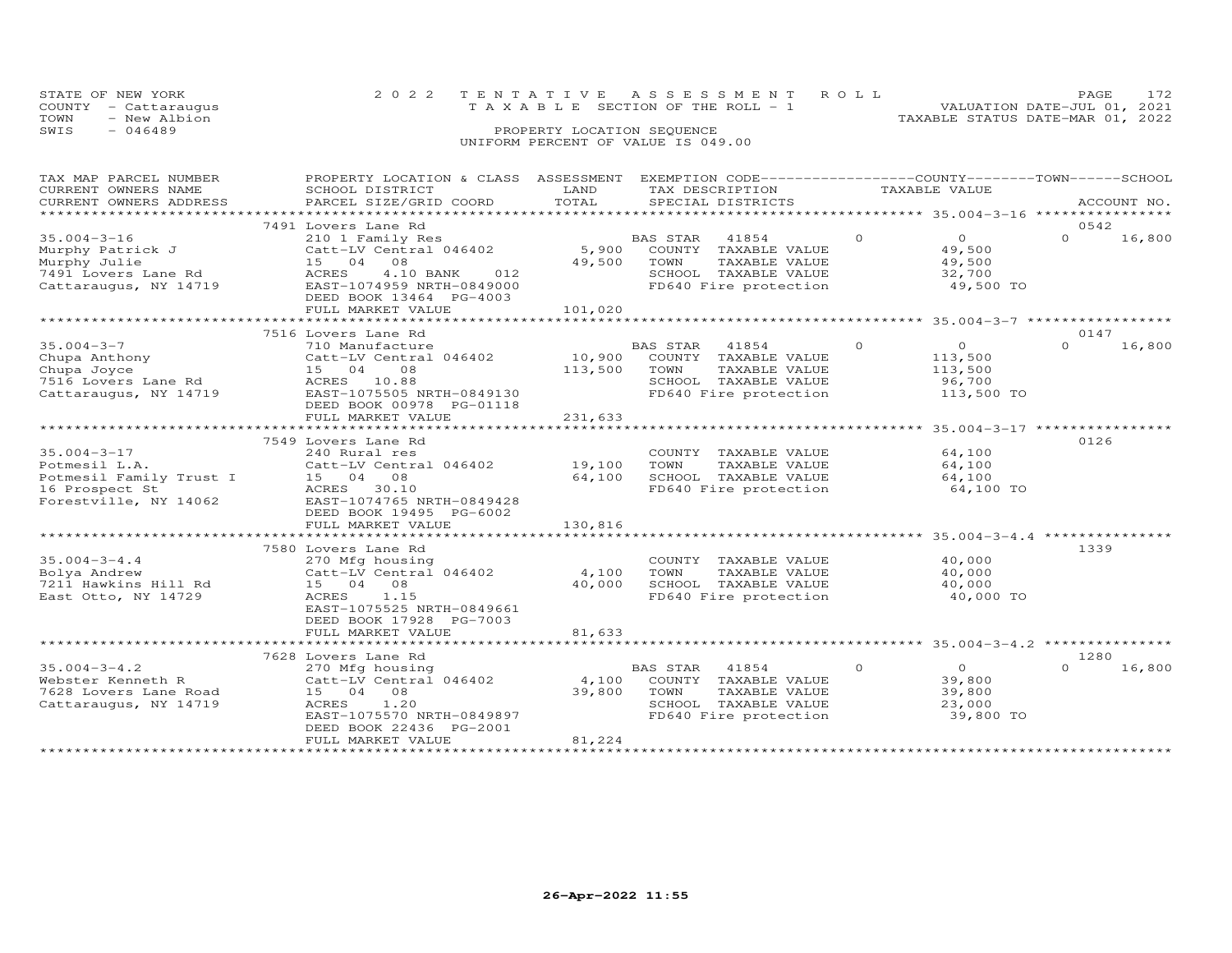| STATE OF NEW YORK |                      | 2022 TENTATIVE ASSESSMENT ROLL                                 | PAGE. |  |
|-------------------|----------------------|----------------------------------------------------------------|-------|--|
|                   | COUNTY - Cattaraugus | VALUATION DATE-JUL 01, 2021<br>TAXABLE SECTION OF THE ROLL - 1 |       |  |
| TOWN              | - New Albion         | TAXABLE STATUS DATE-MAR 01, 2022                               |       |  |
| SWIS              | - 046489             | PROPERTY LOCATION SEQUENCE                                     |       |  |
|                   |                      | UNIFORM PERCENT OF VALUE IS 049.00                             |       |  |

| TAX MAP PARCEL NUMBER   | PROPERTY LOCATION & CLASS ASSESSMENT            |         | EXEMPTION CODE-----------------COUNTY-------TOWN------SCHOOL |          |                |          |             |
|-------------------------|-------------------------------------------------|---------|--------------------------------------------------------------|----------|----------------|----------|-------------|
| CURRENT OWNERS NAME     | SCHOOL DISTRICT                                 | LAND    | TAX DESCRIPTION                                              |          | TAXABLE VALUE  |          |             |
| CURRENT OWNERS ADDRESS  | PARCEL SIZE/GRID COORD                          | TOTAL   | SPECIAL DISTRICTS                                            |          |                |          | ACCOUNT NO. |
| *********************** |                                                 |         |                                                              |          |                |          |             |
|                         | 7491 Lovers Lane Rd                             |         |                                                              |          |                | 0542     |             |
| $35.004 - 3 - 16$       | 210 1 Family Res                                |         | 41854<br>BAS STAR                                            | $\Omega$ | $\Omega$       | $\Omega$ | 16,800      |
| Murphy Patrick J        | Catt-LV Central 046402                          |         | 5,900 COUNTY TAXABLE VALUE                                   |          | 49,500         |          |             |
| Murphy Julie            | 15 04<br>08                                     | 49,500  | TOWN<br>TAXABLE VALUE                                        |          | 49,500         |          |             |
| 7491 Lovers Lane Rd     | ACRES<br>4.10 BANK 012                          |         | SCHOOL TAXABLE VALUE                                         |          | 32,700         |          |             |
| Cattaraugus, NY 14719   | EAST-1074959 NRTH-0849000                       |         | SCHOOL TAXABLE VALUE<br>FD640 Fire protection                |          | 49,500 TO      |          |             |
|                         | DEED BOOK 13464 PG-4003                         |         |                                                              |          |                |          |             |
|                         | FULL MARKET VALUE                               | 101,020 |                                                              |          |                |          |             |
|                         | *****************************                   |         |                                                              |          |                |          |             |
|                         | 7516 Lovers Lane Rd                             |         |                                                              |          |                | 0147     |             |
| $35.004 - 3 - 7$        | 710 Manufacture                                 |         | BAS STAR 41854<br>10,900 COUNTY TAXABLE VALUE                | $\Omega$ | $\overline{O}$ | $\Omega$ | 16,800      |
| Chupa Anthony           | Catt-LV Central 046402                          |         |                                                              |          | 113,500        |          |             |
| Chupa Joyce             | 15 04<br>08                                     | 113,500 | TOWN<br>TAXABLE VALUE                                        |          | 113,500        |          |             |
| 7516 Lovers Lane Rd     | ACRES 10.88                                     |         | SCHOOL TAXABLE VALUE<br>FD640 Fire protection                |          | 96,700         |          |             |
|                         | Cattaraugus, NY 14719 EAST-1075505 NRTH-0849130 |         |                                                              |          | 113,500 TO     |          |             |
|                         | DEED BOOK 00978 PG-01118                        |         |                                                              |          |                |          |             |
|                         | FULL MARKET VALUE                               | 231,633 |                                                              |          |                |          |             |
|                         |                                                 |         |                                                              |          |                |          |             |
|                         | 7549 Lovers Lane Rd                             |         |                                                              |          |                | 0126     |             |
| $35.004 - 3 - 17$       | 240 Rural res                                   |         | COUNTY TAXABLE VALUE                                         |          | 64,100         |          |             |
| Potmesil L.A.           | 240 Kurai res<br>Catt-LV Central 046402 19,100  |         | TOWN<br>TAXABLE VALUE                                        |          | 64,100         |          |             |
| Potmesil Family Trust I | 15 04 08                                        | 64,100  | SCHOOL TAXABLE VALUE                                         |          | 64,100         |          |             |
| 16 Prospect St          | ACRES 30.10                                     |         | FD640 Fire protection                                        |          | 64,100 TO      |          |             |
| Forestville, NY 14062   | EAST-1074765 NRTH-0849428                       |         |                                                              |          |                |          |             |
|                         | DEED BOOK 19495 PG-6002                         |         |                                                              |          |                |          |             |
|                         | FULL MARKET VALUE                               | 130,816 |                                                              |          |                |          |             |
|                         |                                                 |         |                                                              |          |                |          |             |
|                         | 7580 Lovers Lane Rd                             |         |                                                              |          |                | 1339     |             |
| $35.004 - 3 - 4.4$      | 270 Mfg housing                                 |         | COUNTY TAXABLE VALUE                                         |          | 40,000         |          |             |
| Bolya Andrew            | Catt-LV Central 046402                          | 4,100   | TOWN<br>TAXABLE VALUE                                        |          | 40,000         |          |             |
| 7211 Hawkins Hill Rd    | 15 04 08                                        | 40,000  | SCHOOL TAXABLE VALUE                                         |          | 40,000         |          |             |
| East Otto, NY 14729     | 1.15<br>ACRES                                   |         | FD640 Fire protection                                        |          | 40,000 TO      |          |             |
|                         | EAST-1075525 NRTH-0849661                       |         |                                                              |          |                |          |             |
|                         | DEED BOOK 17928 PG-7003                         |         |                                                              |          |                |          |             |
|                         | FULL MARKET VALUE                               | 81,633  |                                                              |          |                |          |             |
|                         |                                                 |         |                                                              |          |                |          |             |
|                         | 7628 Lovers Lane Rd                             |         |                                                              |          |                | 1280     |             |
| $35.004 - 3 - 4.2$      | 270 Mfg housing                                 |         | BAS STAR 41854                                               | $\Omega$ | $\Omega$       | $\Omega$ | 16,800      |
| Webster Kenneth R       | Catt-LV Central 046402                          | 4,100   | COUNTY TAXABLE VALUE                                         |          | 39,800         |          |             |
| 7628 Lovers Lane Road   | 15 04 08                                        | 39,800  |                                                              |          | 39,800         |          |             |
| Cattaraugus, NY 14719   | ACRES<br>1.20                                   |         | TOWN       TAXABLE  VALUE<br>SCHOOL    TAXABLE  VALUE        |          | 23,000         |          |             |
|                         | EAST-1075570 NRTH-0849897                       |         | FD640 Fire protection                                        |          | 39,800 TO      |          |             |
|                         | DEED BOOK 22436 PG-2001                         |         |                                                              |          |                |          |             |
|                         | FULL MARKET VALUE                               | 81,224  |                                                              |          |                |          |             |
|                         |                                                 |         |                                                              |          |                |          |             |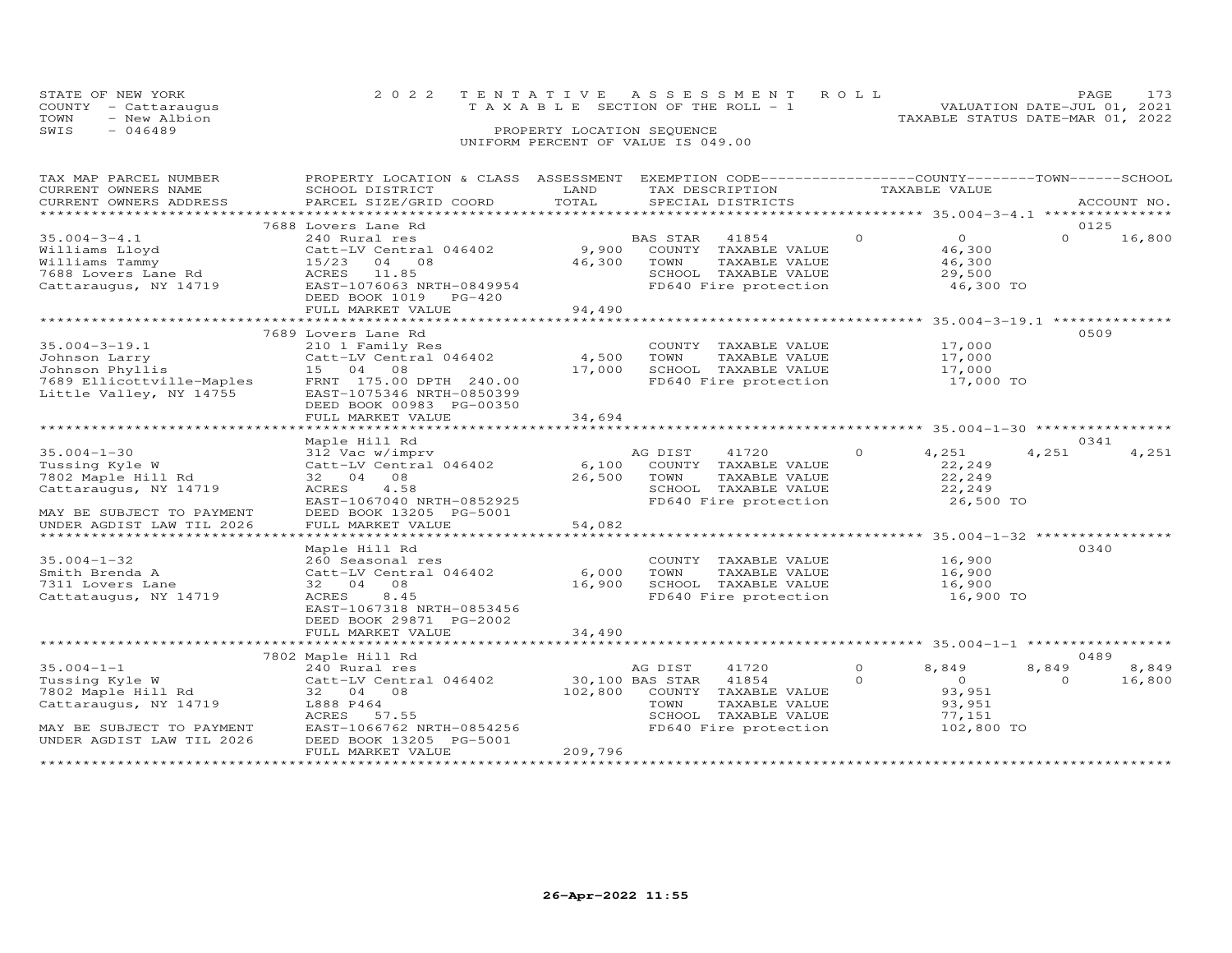|      | STATE OF NEW YORK    | 2022 TENTATIVE ASSESSMENT ROLL     |                            |  |                                  | PAGE.                       |  |
|------|----------------------|------------------------------------|----------------------------|--|----------------------------------|-----------------------------|--|
|      | COUNTY - Cattaraugus | TAXABLE SECTION OF THE ROLL - 1    |                            |  |                                  | VALUATION DATE-JUL 01, 2021 |  |
| TOWN | - New Albion         |                                    |                            |  | TAXABLE STATUS DATE-MAR 01, 2022 |                             |  |
| SWIS | - 046489             |                                    | PROPERTY LOCATION SEQUENCE |  |                                  |                             |  |
|      |                      | UNIFORM PERCENT OF VALUE IS 049.00 |                            |  |                                  |                             |  |

## TAX MAP PARCEL NUMBER PROPERTY LOCATION & CLASS ASSESSMENT EXEMPTION CODE------------------COUNTY--------TOWN------SCHOOL CURRENT OWNERS NAME SCHOOL DISTRICT LAND TAX DESCRIPTION TAXABLE VALUE CURRENT OWNERS ADDRESS PARCEL SIZE/GRID COORD TOTAL SPECIAL DISTRICTS ACCOUNT NO. \*\*\*\*\*\*\*\*\*\*\*\*\*\*\*\*\*\*\*\*\*\*\*\*\*\*\*\*\*\*\*\*\*\*\*\*\*\*\*\*\*\*\*\*\*\*\*\*\*\*\*\*\*\*\*\*\*\*\*\*\*\*\*\*\*\*\*\*\*\*\*\*\*\*\*\*\*\*\*\*\*\*\*\*\*\*\*\*\*\*\*\*\*\*\*\*\*\*\*\*\*\*\* 35.004-3-4.1 \*\*\*\*\*\*\*\*\*\*\*\*\*\*\* 7688 Lovers Lane Rd 012535.004-3-4.1 240 Rural res BAS STAR 41854 0 0 0 16,800Williams Lloyd Catt-LV Central 046402 9,900 COUNTY TAXABLE VALUE 46,300 Williams Tammy 15/23 04 08 46,300 TOWN TAXABLE VALUE 46,300 7688 Lovers Lane Rd ACRES 11.85 SCHOOL TAXABLE VALUE 29,500 Cattaraugus, NY 14719 EAST-1076063 NRTH-0849954 FD640 Fire protection 46,300 TO DEED BOOK 1019 PG-420 FULL MARKET VALUE 94,490 \*\*\*\*\*\*\*\*\*\*\*\*\*\*\*\*\*\*\*\*\*\*\*\*\*\*\*\*\*\*\*\*\*\*\*\*\*\*\*\*\*\*\*\*\*\*\*\*\*\*\*\*\*\*\*\*\*\*\*\*\*\*\*\*\*\*\*\*\*\*\*\*\*\*\*\*\*\*\*\*\*\*\*\*\*\*\*\*\*\*\*\*\*\*\*\*\*\*\*\*\*\*\* 35.004-3-19.1 \*\*\*\*\*\*\*\*\*\*\*\*\*\* $0 \t 16,800$ 35.004-3-19.1 7689 Lovers Lane Rd<br>
Johnson Larry 210 1 Family Res<br>
Johnson Phyllis 15 04 08 FRNT 17,000 509<br>
Johnson Phyllis 15 04 08 FRNT 17,000 5CHOOL TAXABLE VALUE 17,000<br>
17,000 5CHOOL TAXABLE VALUE 17,000 17,000<br>
17,0 \*\*\*\*\*\*\*\*\*\*\*\*\*\*\*\*\*\*\*\*\*\*\*\*\*\*\*\*\*\*\*\*\*\*\*\*\*\*\*\*\*\*\*\*\*\*\*\*\*\*\*\*\*\*\*\*\*\*\*\*\*\*\*\*\*\*\*\*\*\*\*\*\*\*\*\*\*\*\*\*\*\*\*\*\*\*\*\*\*\*\*\*\*\*\*\*\*\*\*\*\*\*\* 35.004-1-30 \*\*\*\*\*\*\*\*\*\*\*\*\*\*\*\* Maple Hill Rd 0341 35.004-1-30 312 Vac w/imprv AG DIST 41720 0 4,251 4,251 4,251Tussing Kyle W Catt-LV Central 046402 6,100 COUNTY TAXABLE VALUE 22,249 7802 Maple Hill Rd 32 04 08 26,500 TOWN TAXABLE VALUE 22,249 Cattaraugus, NY 14719 ACRES 4.58 SCHOOL TAXABLE VALUE 22,249 EAST-1067040 NRTH-0852925 FD640 Fire protection 26,500 TO MAY BE SUBJECT TO PAYMENT DEED BOOK 13205 PG-5001 UNDER AGDIST LAW TIL 2026 FULL MARKET VALUE 54,082 \*\*\*\*\*\*\*\*\*\*\*\*\*\*\*\*\*\*\*\*\*\*\*\*\*\*\*\*\*\*\*\*\*\*\*\*\*\*\*\*\*\*\*\*\*\*\*\*\*\*\*\*\*\*\*\*\*\*\*\*\*\*\*\*\*\*\*\*\*\*\*\*\*\*\*\*\*\*\*\*\*\*\*\*\*\*\*\*\*\*\*\*\*\*\*\*\*\*\*\*\*\*\* 35.004-1-32 \*\*\*\*\*\*\*\*\*\*\*\*\*\*\*\* Maple Hill Rd 034035.004-1-32 260 Seasonal res COUNTY TAXABLE VALUE 16,900Smith Brenda A Catt-LV Central 046402 6,000 TOWN TAXABLE VALUE 16,9007311 Lovers Lane 32 04 08 16,900 SCHOOL TAXABLE VALUE 16,900Cattataugus, NY 14719 ACRES 8.45 FD640 Fire protection 16,900 TO EAST-1067318 NRTH-085345616,900 16,900 16,900 TO DEED BOOK 29871 PG-2002FULL MARKET VALUE 34,490 \*\*\*\*\*\*\*\*\*\*\*\*\*\*\*\*\*\*\*\*\*\*\*\*\*\*\*\*\*\*\*\*\*\*\*\*\*\*\*\*\*\*\*\*\*\*\*\*\*\*\*\*\*\*\*\*\*\*\*\*\*\*\*\*\*\*\*\*\*\*\*\*\*\*\*\*\*\*\*\*\*\*\*\*\*\*\*\*\*\*\*\*\*\*\*\*\*\*\*\*\*\*\* 35.004-1-1 \*\*\*\*\*\*\*\*\*\*\*\*\*\*\*\*\* 7802 Maple Hill Rd 0489 35.004-1-1 240 Rural res AG DIST 41720 0 8,849 8,849 8,849 Tussing Kyle W Catt-LV Central 046402 30,100 BAS STAR 41854 0 0 0 16,800 7802 Maple Hill Rd 32 04 08 102,800 COUNTY TAXABLE VALUE 93,951 Cattaraugus, NY 14719 L888 P464 TOWN TAXABLE VALUE 93,951 ACRES 57.55 SCHOOL TAXABLE VALUE 77,151 MAY BE SUBJECT TO PAYMENT EAST-1066762 NRTH-0854256 FD640 Fire protection 102,800 TO UNDER AGDIST LAW TIL 2026 DEED BOOK 13205 PG-5001 FULL MARKET VALUE 209,796

\*\*\*\*\*\*\*\*\*\*\*\*\*\*\*\*\*\*\*\*\*\*\*\*\*\*\*\*\*\*\*\*\*\*\*\*\*\*\*\*\*\*\*\*\*\*\*\*\*\*\*\*\*\*\*\*\*\*\*\*\*\*\*\*\*\*\*\*\*\*\*\*\*\*\*\*\*\*\*\*\*\*\*\*\*\*\*\*\*\*\*\*\*\*\*\*\*\*\*\*\*\*\*\*\*\*\*\*\*\*\*\*\*\*\*\*\*\*\*\*\*\*\*\*\*\*\*\*\*\*\*\*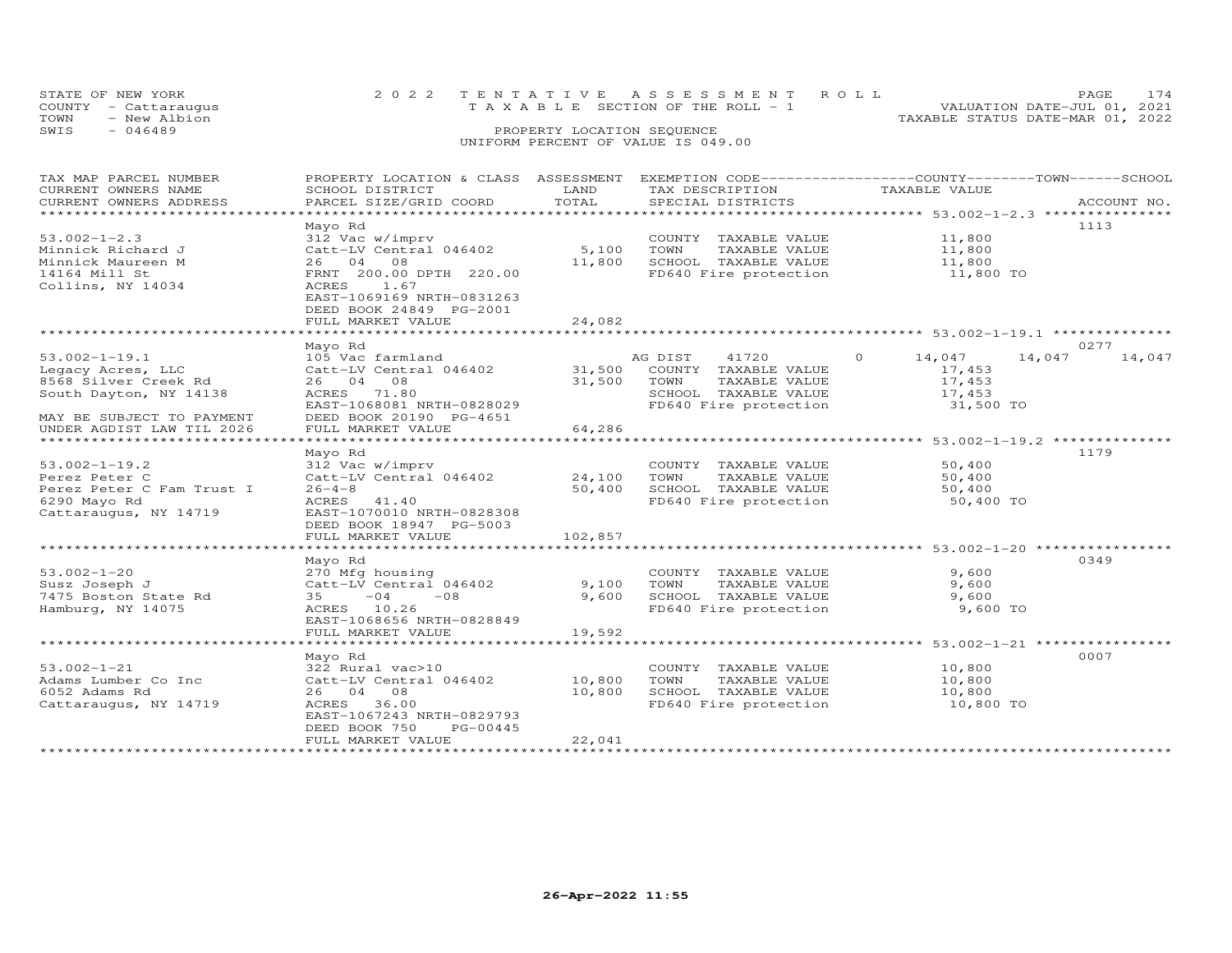| STATE OF NEW YORK<br>COUNTY - Cattaraugus | 2022 TENTATIVE ASSESSMENT ROLL<br>T A X A B L E SECTION OF THE ROLL - 1 | PAGE.<br>VALUATION DATE-JUL 01, 2021 |  |
|-------------------------------------------|-------------------------------------------------------------------------|--------------------------------------|--|
| - New Albion<br>TOWN<br>SWIS<br>$-046489$ | PROPERTY LOCATION SEQUENCE                                              | TAXABLE STATUS DATE-MAR 01, 2022     |  |
|                                           | UNIFORM PERCENT OF VALUE IS 049.00                                      |                                      |  |

| TAX MAP PARCEL NUMBER<br>CURRENT OWNERS NAME<br>CURRENT OWNERS ADDRESS                                                  | PROPERTY LOCATION & CLASS ASSESSMENT<br>SCHOOL DISTRICT<br>PARCEL SIZE/GRID COORD                                                                                                         | LAND<br>TOTAL              | TAX DESCRIPTION<br>SPECIAL DISTRICTS                                                                               | EXEMPTION CODE------------------COUNTY-------TOWN------SCHOOL<br>TAXABLE VALUE | ACCOUNT NO.      |
|-------------------------------------------------------------------------------------------------------------------------|-------------------------------------------------------------------------------------------------------------------------------------------------------------------------------------------|----------------------------|--------------------------------------------------------------------------------------------------------------------|--------------------------------------------------------------------------------|------------------|
| $53.002 - 1 - 2.3$<br>Minnick Richard J<br>Minnick Maureen M<br>14164 Mill St<br>Collins, NY 14034                      | Mayo Rd<br>312 Vac w/imprv<br>Catt-LV Central 046402<br>26 04 08<br>FRNT 200.00 DPTH 220.00<br>1.67<br>ACRES<br>EAST-1069169 NRTH-0831263<br>DEED BOOK 24849 PG-2001<br>FULL MARKET VALUE | 5,100<br>11,800<br>24,082  | COUNTY TAXABLE VALUE<br>TOWN<br>TAXABLE VALUE<br>SCHOOL TAXABLE VALUE<br>FD640 Fire protection                     | 11,800<br>11,800<br>11,800<br>11,800 TO                                        | 1113             |
|                                                                                                                         | Mayo Rd                                                                                                                                                                                   |                            |                                                                                                                    |                                                                                | 0277             |
| $53.002 - 1 - 19.1$<br>Legacy Acres, LLC<br>8568 Silver Creek Rd<br>South Dayton, NY 14138<br>MAY BE SUBJECT TO PAYMENT | 105 Vac farmland<br>Catt-LV Central 046402<br>26 04 08<br>ACRES 71.80<br>EAST-1068081 NRTH-0828029<br>DEED BOOK 20190 PG-4651                                                             | 31,500<br>31,500           | AG DIST<br>41720<br>COUNTY TAXABLE VALUE<br>TOWN<br>TAXABLE VALUE<br>SCHOOL TAXABLE VALUE<br>FD640 Fire protection | 14,047<br>$\circ$<br>17,453<br>17,453<br>17,453<br>31,500 TO                   | 14,047<br>14,047 |
| UNDER AGDIST LAW TIL 2026                                                                                               | FULL MARKET VALUE                                                                                                                                                                         | 64,286                     |                                                                                                                    |                                                                                |                  |
| *************************                                                                                               | *******************                                                                                                                                                                       | ********************       |                                                                                                                    |                                                                                |                  |
| $53.002 - 1 - 19.2$<br>Perez Peter C<br>Perez Peter C Fam Trust I<br>6290 Mayo Rd<br>Cattaraugus, NY 14719              | Mayo Rd<br>312 Vac w/imprv<br>Catt-LV Central 046402<br>$26 - 4 - 8$<br>ACRES 41.40<br>EAST-1070010 NRTH-0828308<br>DEED BOOK 18947 PG-5003                                               | 24,100<br>50,400           | COUNTY TAXABLE VALUE<br>TOWN<br>TAXABLE VALUE<br>SCHOOL TAXABLE VALUE<br>FD640 Fire protection                     | 50,400<br>50,400<br>50,400<br>50,400 TO                                        | 1179             |
|                                                                                                                         | FULL MARKET VALUE                                                                                                                                                                         | 102,857                    |                                                                                                                    |                                                                                |                  |
| $53.002 - 1 - 20$<br>Susz Joseph J<br>7475 Boston State Rd<br>Hamburg, NY 14075                                         | Mayo Rd<br>270 Mfg housing<br>Catt-LV Central 046402<br>$-08$<br>35<br>$-04$<br>ACRES 10.26<br>EAST-1068656 NRTH-0828849                                                                  | 9,100<br>9,600             | COUNTY TAXABLE VALUE<br>TOWN<br>TAXABLE VALUE<br>SCHOOL TAXABLE VALUE<br>FD640 Fire protection                     | 9,600<br>9,600<br>9,600<br>9,600 TO                                            | 0349             |
|                                                                                                                         | FULL MARKET VALUE<br>***********************                                                                                                                                              | 19,592                     |                                                                                                                    |                                                                                |                  |
| $53.002 - 1 - 21$<br>Adams Lumber Co Inc<br>6052 Adams Rd<br>Cattaraugus, NY 14719                                      | Mayo Rd<br>322 Rural vac>10<br>Catt-LV Central 046402<br>26 04 08<br>ACRES 36.00<br>EAST-1067243 NRTH-0829793<br>DEED BOOK 750<br>PG-00445<br>FULL MARKET VALUE                           | 10,800<br>10,800<br>22,041 | COUNTY TAXABLE VALUE<br>TOWN<br>TAXABLE VALUE<br>SCHOOL TAXABLE VALUE<br>FD640 Fire protection                     | 10,800<br>10,800<br>10,800<br>10,800 TO                                        | 0007             |
|                                                                                                                         |                                                                                                                                                                                           |                            |                                                                                                                    |                                                                                |                  |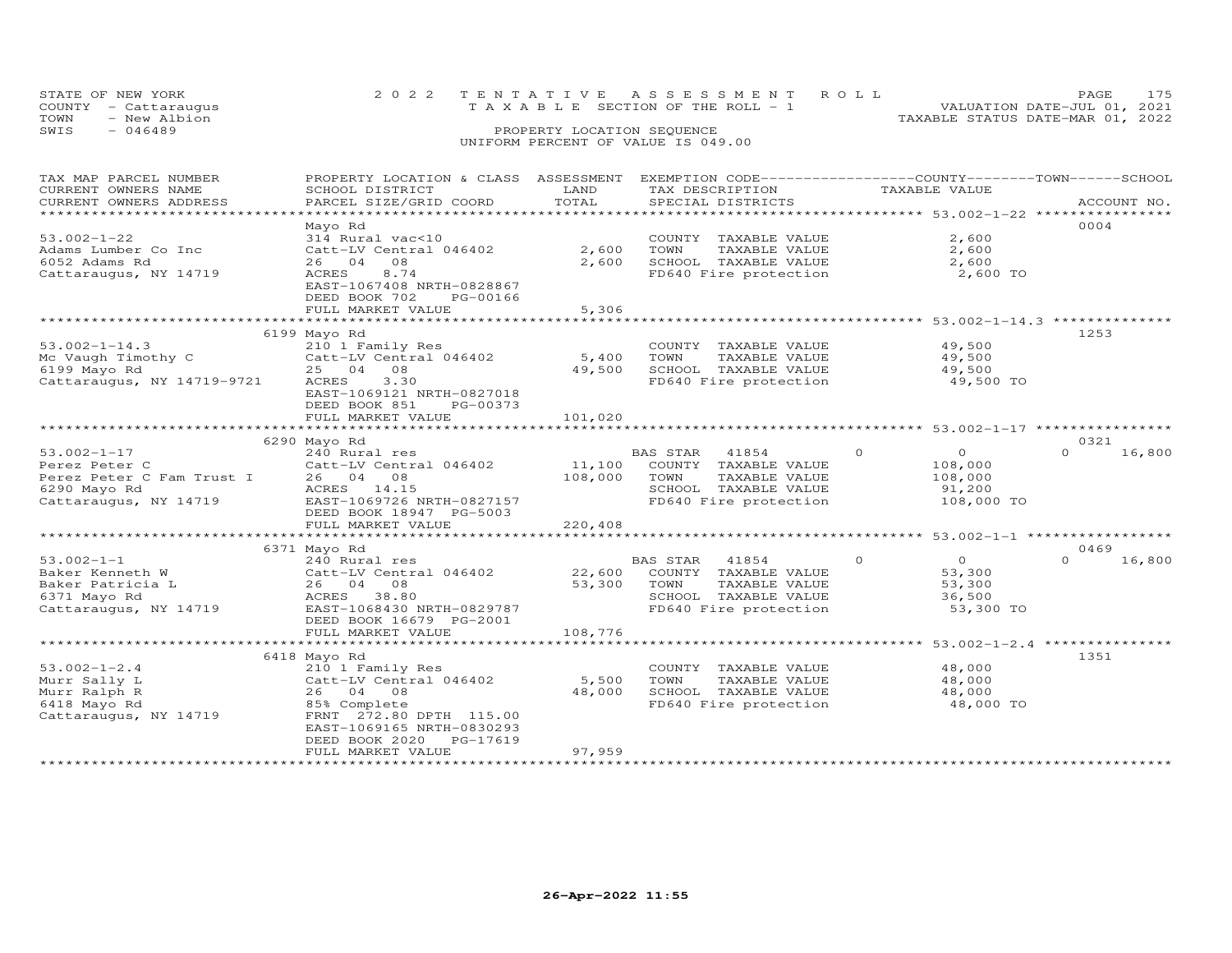| STATE OF NEW YORK<br>COUNTY - Cattaraugus | 2022 TENTATIVE ASSESSMENT ROLL<br>TAXABLE SECTION OF THE ROLL - 1 | PAGE<br>VALUATION DATE-JUL 01, 2021 |
|-------------------------------------------|-------------------------------------------------------------------|-------------------------------------|
| TOWN<br>- New Albion                      |                                                                   | TAXABLE STATUS DATE-MAR 01, 2022    |
| SWIS<br>$-046489$                         | PROPERTY LOCATION SEQUENCE                                        |                                     |
|                                           | UNIFORM PERCENT OF VALUE IS 049.00                                |                                     |

### TAX MAP PARCEL NUMBER PROPERTY LOCATION & CLASS ASSESSMENT EXEMPTION CODE------------------COUNTY--------TOWN------SCHOOL CURRENT OWNERS NAME SCHOOL DISTRICT LAND TAX DESCRIPTION TAXABLE VALUE CURRENT OWNERS ADDRESS PARCEL SIZE/GRID COORD TOTAL SPECIAL DISTRICTS ACCOUNT NO. \*\*\*\*\*\*\*\*\*\*\*\*\*\*\*\*\*\*\*\*\*\*\*\*\*\*\*\*\*\*\*\*\*\*\*\*\*\*\*\*\*\*\*\*\*\*\*\*\*\*\*\*\*\*\*\*\*\*\*\*\*\*\*\*\*\*\*\*\*\*\*\*\*\*\*\*\*\*\*\*\*\*\*\*\*\*\*\*\*\*\*\*\*\*\*\*\*\*\*\*\*\*\* 53.002-1-22 \*\*\*\*\*\*\*\*\*\*\*\*\*\*\*\* Mayo Rd 000453.002-1-22 314 Rural vac<10 COUNTY TAXABLE VALUE 2,600Adams Lumber Co Inc Catt-LV Central 046402 2,600 TOWN TAXABLE VALUE 2,6006052 Adams Rd 26 04 08 2,600 SCHOOL TAXABLE VALUE 2,600Cattaraugus, NY 14719 ACRES 8.74 FD640 Fire protection 2,600 TO2,600  $2,600$ 2,600 TO EAST-1067408 NRTH-0828867 DEED BOOK 702 PG-00166FULL MARKET VALUE 5,306 \*\*\*\*\*\*\*\*\*\*\*\*\*\*\*\*\*\*\*\*\*\*\*\*\*\*\*\*\*\*\*\*\*\*\*\*\*\*\*\*\*\*\*\*\*\*\*\*\*\*\*\*\*\*\*\*\*\*\*\*\*\*\*\*\*\*\*\*\*\*\*\*\*\*\*\*\*\*\*\*\*\*\*\*\*\*\*\*\*\*\*\*\*\*\*\*\*\*\*\*\*\*\* 53.002-1-14.3 \*\*\*\*\*\*\*\*\*\*\*\*\*\* 6199 Mayo Rd 125353.002-1-14.3 210 1 Family Res COUNTY TAXABLE VALUE 49,500 Mc Vaugh Timothy C Catt-LV Central 046402 5,400 TOWN TAXABLE VALUE 49,500 6199 Mayo Rd 25 04 08 49,500 SCHOOL TAXABLE VALUE 49,500 Cattaraugus, NY 14719-9721 ACRES 3.30 FD640 Fire protection 49,500 TOEAST-1069121 NRTH-0827018<br>DEED BOOK 851 PG-00373<br>FULL MARKET VALUE 101,020 \*\*\*\*\*\*\*\*\*\*\*\*\*\*\*\*\*\*\*\*\*\*\*\*\*\*\*\*\*\*\*\*\*\*\*\*\*\*\*\*\*\*\*\*\*\*\*\*\*\*\*\*\*\*\*\*\*\*\*\*\*\*\*\*\*\*\*\*\*\*\*\*\*\*\*\*\*\*\*\*\*\*\*\*\*\*\*\*\*\*\*\*\*\*\*\*\*\*\*\*\*\*\* 53.002-1-17 \*\*\*\*\*\*\*\*\*\*\*\*\*\*\*\* 6290 Mayo Rd 0321 53.002-1-17 240 Rural res BAS STAR 41854 0 0 0 16,800 Perez Peter C Catt-LV Central 046402 11,100 COUNTY TAXABLE VALUE 108,000 Perez Peter C Fam Trust I 26 04 08 108,000 TOWN TAXABLE VALUE 108,000 6290 Mayo Rd ACRES 14.15 SCHOOL TAXABLE VALUE 91,200 Cattaraugus, NY 14719 EAST-1069726 NRTH-0827157 FD640 Fire protection 108,000 TO DEED BOOK 18947 PG-5003 FULL MARKET VALUE 220,408 \*\*\*\*\*\*\*\*\*\*\*\*\*\*\*\*\*\*\*\*\*\*\*\*\*\*\*\*\*\*\*\*\*\*\*\*\*\*\*\*\*\*\*\*\*\*\*\*\*\*\*\*\*\*\*\*\*\*\*\*\*\*\*\*\*\*\*\*\*\*\*\*\*\*\*\*\*\*\*\*\*\*\*\*\*\*\*\*\*\*\*\*\*\*\*\*\*\*\*\*\*\*\* 53.002-1-1 \*\*\*\*\*\*\*\*\*\*\*\*\*\*\*\*\*53.002-1-1 6371 Mayo Rd<br>
Baker Kenneth W 240 Catt-LV Central 046402 22,600 COUNTY TAXABLE VALUE<br>
Baker Patricia L 26 04 08 53,300 TOWN TAXABLE VALUE 53,300<br>
6371 Mayo Rd ACRES 38.80 SCHOOL TAXABLE VALUE 53,300<br>
Cattaraugus  $0 \t 16,800$  \*\*\*\*\*\*\*\*\*\*\*\*\*\*\*\*\*\*\*\*\*\*\*\*\*\*\*\*\*\*\*\*\*\*\*\*\*\*\*\*\*\*\*\*\*\*\*\*\*\*\*\*\*\*\*\*\*\*\*\*\*\*\*\*\*\*\*\*\*\*\*\*\*\*\*\*\*\*\*\*\*\*\*\*\*\*\*\*\*\*\*\*\*\*\*\*\*\*\*\*\*\*\* 53.002-1-2.4 \*\*\*\*\*\*\*\*\*\*\*\*\*\*\*53.002-1-2.4 6418 Mayo Rd 210 1 Family Res country TAXABLE VALUE 48,000<br>
Murr Sally L Catt-LV Central 046402 5,500 TOWN TAXABLE VALUE 48,000<br>
Murr Ralph R 26 04 08 48,000 SCHOOL TAXABLE VALUE 48,000<br>
6418 Mayo Rd 85% Compl

\*\*\*\*\*\*\*\*\*\*\*\*\*\*\*\*\*\*\*\*\*\*\*\*\*\*\*\*\*\*\*\*\*\*\*\*\*\*\*\*\*\*\*\*\*\*\*\*\*\*\*\*\*\*\*\*\*\*\*\*\*\*\*\*\*\*\*\*\*\*\*\*\*\*\*\*\*\*\*\*\*\*\*\*\*\*\*\*\*\*\*\*\*\*\*\*\*\*\*\*\*\*\*\*\*\*\*\*\*\*\*\*\*\*\*\*\*\*\*\*\*\*\*\*\*\*\*\*\*\*\*\*

FULL MARKET VALUE 37,959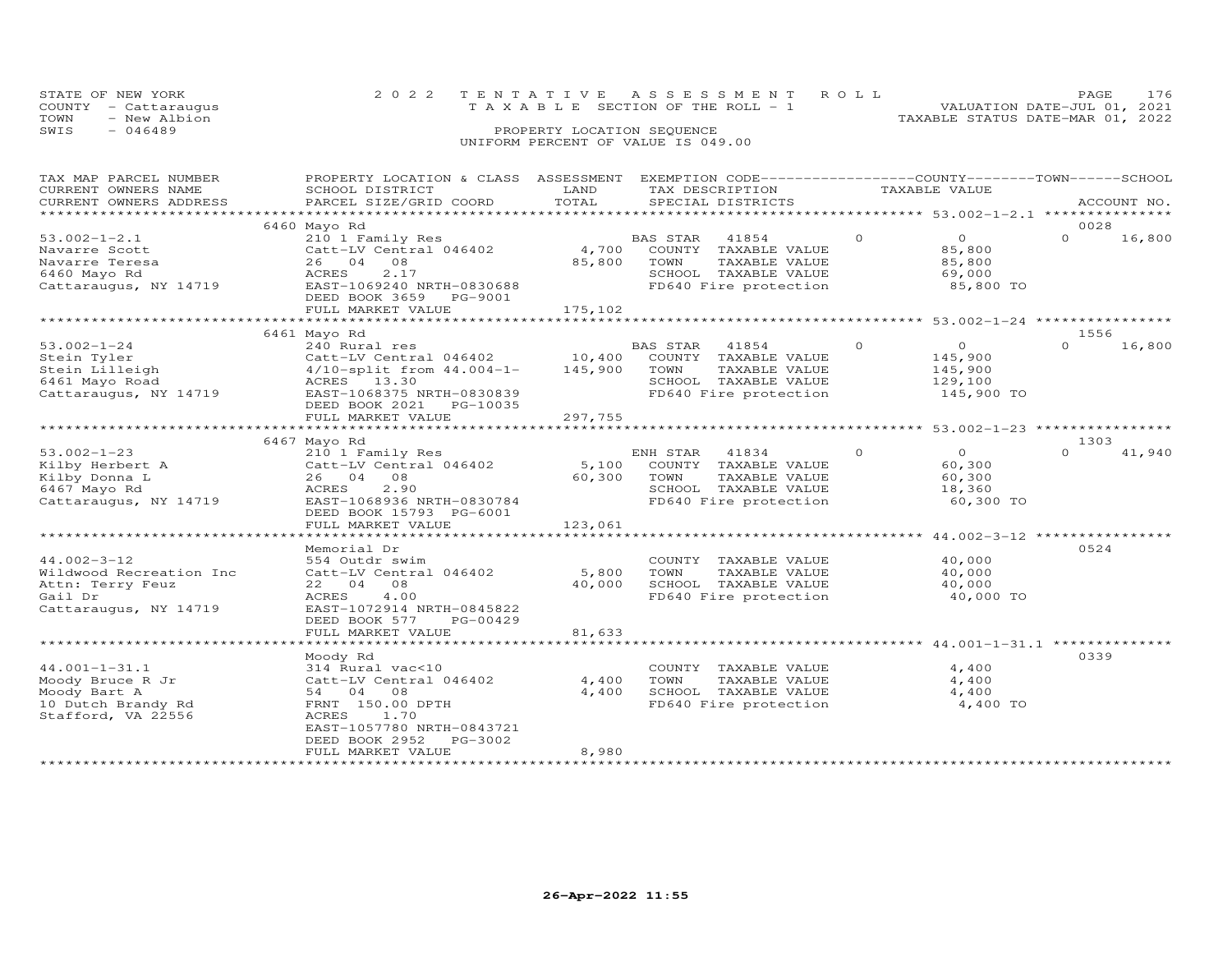| STATE OF NEW YORK    | 2022 TENTATIVE ASSESSMENT ROLL        | PAGE.                            |
|----------------------|---------------------------------------|----------------------------------|
| COUNTY - Cattaraugus | T A X A B L E SECTION OF THE ROLL - 1 | VALUATION DATE-JUL 01, 2021      |
| TOWN<br>- New Albion |                                       | TAXABLE STATUS DATE-MAR 01, 2022 |
| SWIS<br>- 046489     | PROPERTY LOCATION SEQUENCE            |                                  |
|                      | UNIFORM PERCENT OF VALUE IS 049.00    |                                  |

| TAX MAP PARCEL NUMBER<br>CURRENT OWNERS NAME<br>CURRENT OWNERS ADDRESS<br>***********************    | PROPERTY LOCATION & CLASS ASSESSMENT<br>SCHOOL DISTRICT<br>PARCEL SIZE/GRID COORD                                                                                         | LAND<br>TOTAL              | EXEMPTION CODE------------------COUNTY-------TOWN-----SCHOOL<br>TAX DESCRIPTION<br>SPECIAL DISTRICTS                       | TAXABLE VALUE |                                                               | ACCOUNT NO.                                           |
|------------------------------------------------------------------------------------------------------|---------------------------------------------------------------------------------------------------------------------------------------------------------------------------|----------------------------|----------------------------------------------------------------------------------------------------------------------------|---------------|---------------------------------------------------------------|-------------------------------------------------------|
|                                                                                                      |                                                                                                                                                                           |                            |                                                                                                                            |               |                                                               | 0028                                                  |
| $53.002 - 1 - 2.1$<br>Navarre Scott<br>Navarre Teresa<br>6460 Mayo Rd<br>Cattaraugus, NY 14719       | 6460 Mayo Rd<br>210 1 Family Res<br>Catt-LV Central 046402<br>26 04<br>08<br>ACRES<br>2.17<br>EAST-1069240 NRTH-0830688<br>DEED BOOK 3659<br>PG-9001<br>FULL MARKET VALUE | 4,700<br>85,800<br>175,102 | <b>BAS STAR</b><br>41854<br>COUNTY TAXABLE VALUE<br>TOWN<br>TAXABLE VALUE<br>SCHOOL TAXABLE VALUE<br>FD640 Fire protection | $\Omega$      | $\overline{O}$<br>85,800<br>85,800<br>69,000<br>85,800 TO     | 16,800<br>$\Omega$                                    |
|                                                                                                      | *************************                                                                                                                                                 |                            | ***********************                                                                                                    |               |                                                               | *********************** 53.002-1-24 ***************** |
| $53.002 - 1 - 24$<br>Stein Tyler<br>Stein Lilleigh<br>6461 Mayo Road<br>Cattaraugus, NY 14719        | 6461 Mayo Rd<br>240 Rural res<br>Catt-LV Central 046402<br>$4/10$ -split from $44.004 - 1 -$<br>ACRES 13.30<br>EAST-1068375 NRTH-0830839<br>DEED BOOK 2021 PG-10035       | 10,400<br>145,900          | BAS STAR<br>41854<br>COUNTY TAXABLE VALUE<br>TOWN<br>TAXABLE VALUE<br>SCHOOL TAXABLE VALUE<br>FD640 Fire protection        | $\circ$       | $\overline{O}$<br>145,900<br>145,900<br>129,100<br>145,900 TO | 1556<br>16,800<br>$\Omega$                            |
|                                                                                                      | FULL MARKET VALUE                                                                                                                                                         | 297,755                    |                                                                                                                            |               |                                                               |                                                       |
|                                                                                                      |                                                                                                                                                                           |                            |                                                                                                                            |               |                                                               |                                                       |
|                                                                                                      | 6467 Mayo Rd                                                                                                                                                              |                            |                                                                                                                            |               |                                                               | 1303                                                  |
| $53.002 - 1 - 23$<br>Kilby Herbert A<br>Kilby Donna L<br>6467 Mayo Rd<br>Cattaraugus, NY 14719       | 210 1 Family Res<br>Catt-LV Central 046402<br>26 04<br>08<br>2.90<br>ACRES<br>EAST-1068936 NRTH-0830784<br>DEED BOOK 15793 PG-6001<br>FULL MARKET VALUE                   | 5,100<br>60,300<br>123,061 | ENH STAR<br>41834<br>COUNTY TAXABLE VALUE<br>TOWN<br>TAXABLE VALUE<br>SCHOOL TAXABLE VALUE<br>FD640 Fire protection        | $\circ$       | $\Omega$<br>60,300<br>60,300<br>18,360<br>60,300 TO           | $\cap$<br>41,940                                      |
|                                                                                                      |                                                                                                                                                                           |                            |                                                                                                                            |               |                                                               | ******************* 44.002-3-12 ****************      |
| $44.002 - 3 - 12$<br>Wildwood Recreation Inc<br>Attn: Terry Feuz<br>Gail Dr<br>Cattaraugus, NY 14719 | Memorial Dr<br>554 Outdr swim<br>Catt-LV Central 046402<br>22 04<br>08<br>ACRES<br>4.00<br>EAST-1072914 NRTH-0845822<br>DEED BOOK 577<br>PG-00429                         | 5,800<br>40,000            | COUNTY TAXABLE VALUE<br>TOWN<br>TAXABLE VALUE<br>SCHOOL TAXABLE VALUE<br>FD640 Fire protection                             |               | 40,000<br>40,000<br>40,000<br>40,000 TO                       | 0524                                                  |
|                                                                                                      | FULL MARKET VALUE                                                                                                                                                         | 81,633                     |                                                                                                                            |               |                                                               |                                                       |
|                                                                                                      |                                                                                                                                                                           |                            |                                                                                                                            |               |                                                               |                                                       |
| $44.001 - 1 - 31.1$<br>Moody Bruce R Jr<br>Moody Bart A<br>10 Dutch Brandy Rd<br>Stafford, VA 22556  | Moody Rd<br>314 Rural vac<10<br>Catt-LV Central 046402<br>54 04 08<br>FRNT 150.00 DPTH<br>ACRES<br>1.70<br>EAST-1057780 NRTH-0843721<br>PG-3002<br>DEED BOOK 2952         | 4,400<br>4,400             | COUNTY TAXABLE VALUE<br>TOWN<br>TAXABLE VALUE<br>SCHOOL TAXABLE VALUE<br>FD640 Fire protection                             |               | 4,400<br>4,400<br>4,400<br>4,400 TO                           | 0339                                                  |
| *************************                                                                            | FULL MARKET VALUE<br>***************************                                                                                                                          | 8,980                      |                                                                                                                            |               |                                                               |                                                       |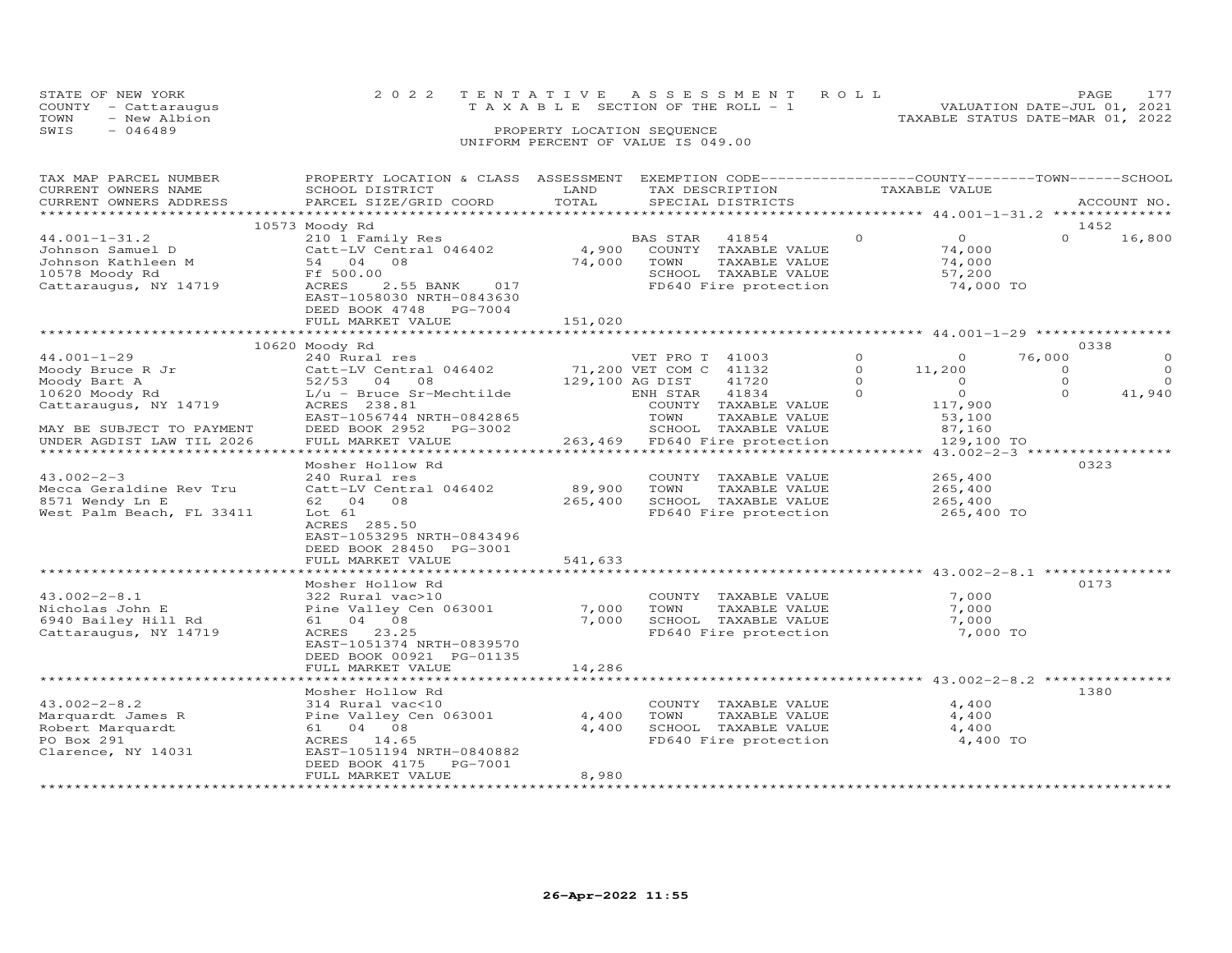| STATE OF NEW YORK    |              |  |                                    |  | 2022 TENTATIVE ASSESSMENT ROLL        |  |                                  | <b>PAGE</b>                 | 177 |
|----------------------|--------------|--|------------------------------------|--|---------------------------------------|--|----------------------------------|-----------------------------|-----|
| COUNTY - Cattaraugus |              |  |                                    |  | T A X A B L E SECTION OF THE ROLL - 1 |  |                                  | VALUATION DATE-JUL 01, 2021 |     |
| TOWN                 | - New Albion |  |                                    |  |                                       |  | TAXABLE STATUS DATE-MAR 01, 2022 |                             |     |
| SWIS<br>- 046489     |              |  | PROPERTY LOCATION SEQUENCE         |  |                                       |  |                                  |                             |     |
|                      |              |  | UNIFORM PERCENT OF VALUE IS 049.00 |  |                                       |  |                                  |                             |     |

| TAX MAP PARCEL NUMBER                              | PROPERTY LOCATION & CLASS ASSESSMENT EXEMPTION CODE-----------------COUNTY-------TOWN------SCHOOL |                 |                                                   |                            |                     |
|----------------------------------------------------|---------------------------------------------------------------------------------------------------|-----------------|---------------------------------------------------|----------------------------|---------------------|
| CURRENT OWNERS NAME                                | SCHOOL DISTRICT                                                                                   | LAND            | TAX DESCRIPTION                                   | TAXABLE VALUE              |                     |
| CURRENT OWNERS ADDRESS                             | PARCEL SIZE/GRID COORD                                                                            | TOTAL           | SPECIAL DISTRICTS                                 |                            | ACCOUNT NO.         |
|                                                    |                                                                                                   |                 |                                                   |                            |                     |
|                                                    | 10573 Moody Rd                                                                                    |                 |                                                   |                            | 1452                |
| $44.001 - 1 - 31.2$                                | 210 1 Family Res                                                                                  |                 | BAS STAR<br>41854                                 | $\overline{O}$<br>$\Omega$ | $\Omega$<br>16,800  |
| Johnson Samuel D                                   | 210 1 Family Res<br>Catt-LV Central 046402<br>54   04   08                                        | 4,900           | COUNTY TAXABLE VALUE                              | 74,000                     |                     |
| Jonnson Samuel D<br>Johnson Kathleen M             |                                                                                                   | 74,000          | TOWN<br>TAXABLE VALUE                             | 74,000                     |                     |
| 10578 Moody Rd                                     | Ff 500.00                                                                                         |                 |                                                   | 57,200                     |                     |
| Cattaraugus, NY 14719                              | 2.55 BANK<br>017<br>ACRES                                                                         |                 | SCHOOL TAXABLE VALUE<br>FD640 Fire protection     | 74,000 TO                  |                     |
|                                                    | EAST-1058030 NRTH-0843630                                                                         |                 |                                                   |                            |                     |
|                                                    | DEED BOOK 4748 PG-7004                                                                            |                 |                                                   |                            |                     |
|                                                    | FULL MARKET VALUE                                                                                 | 151,020         |                                                   |                            |                     |
|                                                    | ************************                                                                          | ************    |                                                   |                            |                     |
|                                                    | 10620 Moody Rd                                                                                    |                 |                                                   |                            | 0338                |
| $44.001 - 1 - 29$                                  | 240 Rural res                                                                                     |                 | VET PRO T 41003                                   | $\circ$<br>$\Omega$        | 76,000<br>$\Omega$  |
|                                                    | Catt-LV Central 046402 71,200 VET COM C 41132                                                     |                 |                                                   | $\circ$<br>11,200          | $\circ$<br>$\circ$  |
|                                                    | 52/53 04 08                                                                                       | 129,100 AG DIST | 41720                                             | $\circ$<br>$\overline{0}$  | $\Omega$<br>$\circ$ |
| noody Bruce R Jr<br>Moody Bart A<br>10620 Moody Rd | L/u - Bruce Sr-Mechtilde                                                                          |                 | ENH STAR 41834                                    | $\circ$<br>$\overline{0}$  | 41,940<br>$\Omega$  |
| Cattaraugus, NY 14719                              | ACRES 238.81                                                                                      |                 | COUNTY TAXABLE VALUE                              | 117,900                    |                     |
|                                                    | EAST-1056744 NRTH-0842865                                                                         |                 | TAXABLE VALUE<br>TOWN                             | 53,100                     |                     |
|                                                    |                                                                                                   |                 | SCHOOL TAXABLE VALUE                              |                            |                     |
| MAY BE SUBJECT TO PAYMENT                          | DEED BOOK 2952 PG-3002<br>FULL MARKET VALUE                                                       |                 | 263,469 FD640 Fire protection                     | 87,160                     |                     |
| UNDER AGDIST LAW TIL 2026                          |                                                                                                   |                 |                                                   | 129,100 TO                 |                     |
|                                                    |                                                                                                   |                 |                                                   |                            |                     |
|                                                    | Mosher Hollow Rd                                                                                  |                 |                                                   |                            | 0323                |
| $43.002 - 2 - 3$                                   | 240 Rural res                                                                                     |                 | COUNTY TAXABLE VALUE                              | 265,400                    |                     |
| Mecca Geraldine Rev Tru                            | Catt-LV Central 046402                                                                            | 89,900          | TOWN<br>TAXABLE VALUE                             | 265,400                    |                     |
| 8571 Wendy Ln E                                    | 62 04 08                                                                                          | 265,400         | SCHOOL TAXABLE VALUE                              | 265,400                    |                     |
| West Palm Beach, FL 33411                          | Lot 61                                                                                            |                 | FD640 Fire protection 265,400 TO                  |                            |                     |
|                                                    | ACRES 285.50                                                                                      |                 |                                                   |                            |                     |
|                                                    | EAST-1053295 NRTH-0843496                                                                         |                 |                                                   |                            |                     |
|                                                    | DEED BOOK 28450 PG-3001                                                                           |                 |                                                   |                            |                     |
|                                                    | FULL MARKET VALUE                                                                                 | 541,633         |                                                   |                            |                     |
|                                                    |                                                                                                   |                 |                                                   |                            |                     |
|                                                    | Mosher Hollow Rd                                                                                  |                 |                                                   |                            | 0173                |
| $43.002 - 2 - 8.1$                                 | 322 Rural vac>10                                                                                  |                 | COUNTY TAXABLE VALUE                              | 7,000                      |                     |
| Nicholas John E                                    | Pine Valley Cen 063001                                                                            | 7,000           | TOWN<br>TAXABLE VALUE                             | 7,000                      |                     |
| 6940 Bailey Hill Rd                                | 61 04 08                                                                                          | 7,000           | SCHOOL TAXABLE VALUE                              | 7,000                      |                     |
| Cattaraugus, NY 14719                              | ACRES 23.25                                                                                       |                 | FD640 Fire protection                             | 7,000 TO                   |                     |
|                                                    | EAST-1051374 NRTH-0839570                                                                         |                 |                                                   |                            |                     |
|                                                    | DEED BOOK 00921 PG-01135                                                                          |                 |                                                   |                            |                     |
|                                                    | FULL MARKET VALUE                                                                                 | 14,286          |                                                   |                            |                     |
|                                                    |                                                                                                   |                 |                                                   |                            |                     |
|                                                    | Mosher Hollow Rd                                                                                  |                 |                                                   |                            | 1380                |
| $43.002 - 2 - 8.2$                                 | 314 Rural vac<10                                                                                  |                 | COUNTY TAXABLE VALUE                              | 4,400                      |                     |
| Marquardt James R                                  | Pine Valley Cen 063001                                                                            | 4,400           | TOWN      TAXABLE VALUE<br>SCHOOL   TAXABLE VALUE | 4,400                      |                     |
| Robert Marquardt                                   | 61 04 08                                                                                          | 4,400           |                                                   | 4,400                      |                     |
| PO Box 291                                         | ACRES 14.65                                                                                       |                 | FD640 Fire protection                             | 4,400 TO                   |                     |
| Clarence, NY 14031                                 | EAST-1051194 NRTH-0840882                                                                         |                 |                                                   |                            |                     |
|                                                    | PG-7001<br>DEED BOOK 4175                                                                         |                 |                                                   |                            |                     |
|                                                    | FULL MARKET VALUE                                                                                 | 8,980           |                                                   |                            |                     |
|                                                    |                                                                                                   |                 |                                                   |                            |                     |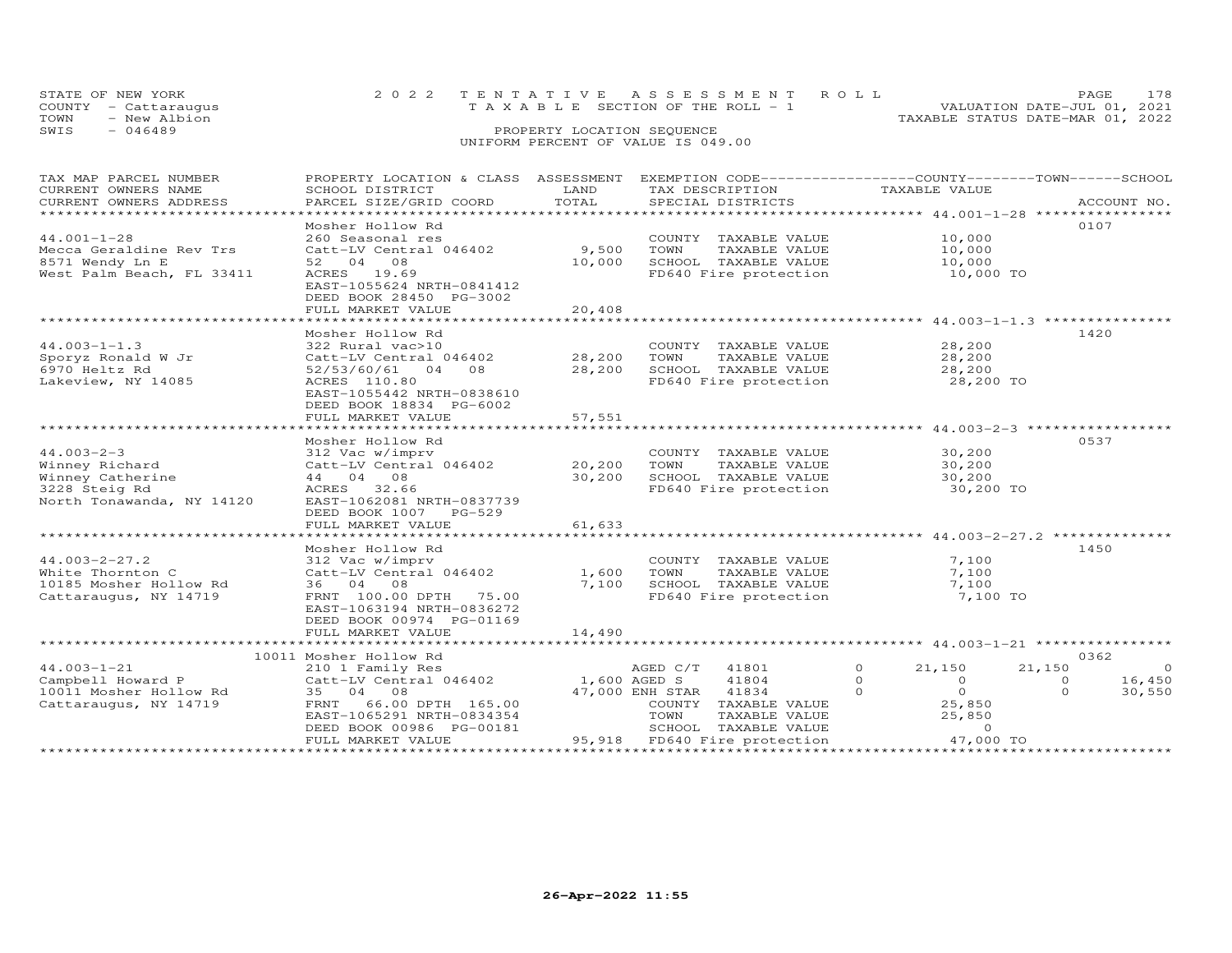|      | STATE OF NEW YORK    | 2022 TENTATIVE ASSESSMENT ROLL |                                          |  |                                  | PAGE.                       | 178 |
|------|----------------------|--------------------------------|------------------------------------------|--|----------------------------------|-----------------------------|-----|
|      | COUNTY - Cattaraugus |                                | $T A X A B I F$ SECTION OF THE ROLL $-1$ |  |                                  | VALUATION DATE-JUL 01, 2021 |     |
| TOWN | - New Albion         |                                |                                          |  | TAXABLE STATUS DATE-MAR 01, 2022 |                             |     |
| SWIS | - 046489             |                                | PROPERTY LOCATION SEQUENCE               |  |                                  |                             |     |
|      |                      |                                | UNIFORM PERCENT OF VALUE IS 049.00       |  |                                  |                             |     |

| TAX MAP PARCEL NUMBER<br>CURRENT OWNERS NAME                                                         | PROPERTY LOCATION & CLASS<br>SCHOOL DISTRICT                                                                                                                                               | ASSESSMENT<br>LAND              | EXEMPTION CODE------------------COUNTY-------TOWN------SCHOOL<br>TAX DESCRIPTION                                                                                | TAXABLE VALUE                                                                                                 |                                                                      |
|------------------------------------------------------------------------------------------------------|--------------------------------------------------------------------------------------------------------------------------------------------------------------------------------------------|---------------------------------|-----------------------------------------------------------------------------------------------------------------------------------------------------------------|---------------------------------------------------------------------------------------------------------------|----------------------------------------------------------------------|
| CURRENT OWNERS ADDRESS<br>*************************                                                  | PARCEL SIZE/GRID COORD                                                                                                                                                                     | TOTAL                           | SPECIAL DISTRICTS                                                                                                                                               |                                                                                                               | ACCOUNT NO.                                                          |
| $44.001 - 1 - 28$<br>Mecca Geraldine Rev Trs<br>8571 Wendy Ln E<br>West Palm Beach, FL 33411         | Mosher Hollow Rd<br>260 Seasonal res<br>Catt-LV Central 046402<br>52 04 08<br>ACRES 19.69<br>EAST-1055624 NRTH-0841412<br>DEED BOOK 28450 PG-3002<br>FULL MARKET VALUE                     | 9,500<br>10,000<br>20,408       | COUNTY TAXABLE VALUE<br>TOWN<br>TAXABLE VALUE<br>SCHOOL TAXABLE VALUE<br>FD640 Fire protection                                                                  | 10,000<br>10,000<br>10,000<br>10,000 TO                                                                       | 0107                                                                 |
|                                                                                                      |                                                                                                                                                                                            |                                 |                                                                                                                                                                 | ********************* 44.003-1-1.3 ***************                                                            |                                                                      |
| $44.003 - 1 - 1.3$<br>Sporyz Ronald W Jr<br>6970 Heltz Rd<br>Lakeview, NY 14085                      | Mosher Hollow Rd<br>322 Rural vac>10<br>Catt-LV Central 046402<br>52/53/60/61 04<br>- 08<br>ACRES 110.80<br>EAST-1055442 NRTH-0838610<br>DEED BOOK 18834 PG-6002<br>FULL MARKET VALUE<br>. | 28,200<br>28,200<br>57,551<br>. | COUNTY TAXABLE VALUE<br>TOWN<br>TAXABLE VALUE<br>SCHOOL TAXABLE VALUE<br>FD640 Fire protection                                                                  | 28,200<br>28,200<br>28,200<br>28,200 TO<br>********************* 44.003-2-3 *************                     | 1420                                                                 |
|                                                                                                      | Mosher Hollow Rd                                                                                                                                                                           |                                 |                                                                                                                                                                 |                                                                                                               | 0537                                                                 |
| $44.003 - 2 - 3$<br>Winney Richard<br>Winney Catherine<br>3228 Steig Rd<br>North Tonawanda, NY 14120 | 312 Vac w/imprv<br>Catt-LV Central 046402<br>44 04 08<br>ACRES 32.66<br>EAST-1062081 NRTH-0837739<br>DEED BOOK 1007<br>PG-529                                                              | 20,200<br>30,200                | COUNTY TAXABLE VALUE<br>TOWN<br>TAXABLE VALUE<br>SCHOOL TAXABLE VALUE<br>FD640 Fire protection                                                                  | 30,200<br>30,200<br>30,200<br>30,200 TO                                                                       |                                                                      |
|                                                                                                      | FULL MARKET VALUE                                                                                                                                                                          | 61,633                          |                                                                                                                                                                 |                                                                                                               |                                                                      |
| $44.003 - 2 - 27.2$<br>White Thornton C<br>10185 Mosher Hollow Rd<br>Cattaraugus, NY 14719           | Mosher Hollow Rd<br>312 Vac w/imprv<br>Catt-LV Central 046402<br>36 04 08<br>FRNT 100.00 DPTH 75.00<br>EAST-1063194 NRTH-0836272<br>DEED BOOK 00974 PG-01169                               | 1,600<br>7,100                  | COUNTY TAXABLE VALUE<br>TOWN<br>TAXABLE VALUE<br>SCHOOL TAXABLE VALUE<br>FD640 Fire protection                                                                  | 7,100<br>7,100<br>7,100<br>7,100 TO                                                                           | 1450                                                                 |
|                                                                                                      | FULL MARKET VALUE<br>*******************************                                                                                                                                       | 14,490                          |                                                                                                                                                                 |                                                                                                               |                                                                      |
|                                                                                                      | 10011 Mosher Hollow Rd                                                                                                                                                                     |                                 |                                                                                                                                                                 |                                                                                                               | 0362                                                                 |
| $44.003 - 1 - 21$<br>Campbell Howard P<br>10011 Mosher Hollow Rd<br>Cattaraugus, NY 14719            | 210 1 Family Res<br>Catt-LV Central 046402<br>35 04 08<br>66.00 DPTH 165.00<br>FRNT<br>EAST-1065291 NRTH-0834354<br>DEED BOOK 00986 PG-00181<br>FULL MARKET VALUE                          | 1,600 AGED S                    | AGED C/T<br>41801<br>41804<br>47,000 ENH STAR<br>41834<br>COUNTY TAXABLE VALUE<br>TOWN<br>TAXABLE VALUE<br>SCHOOL TAXABLE VALUE<br>95,918 FD640 Fire protection | $\circ$<br>21,150<br>$\Omega$<br>$\Omega$<br>$\Omega$<br>$\Omega$<br>25,850<br>25,850<br>$\circ$<br>47,000 TO | $\overline{O}$<br>21,150<br>16,450<br>$\Omega$<br>30,550<br>$\Omega$ |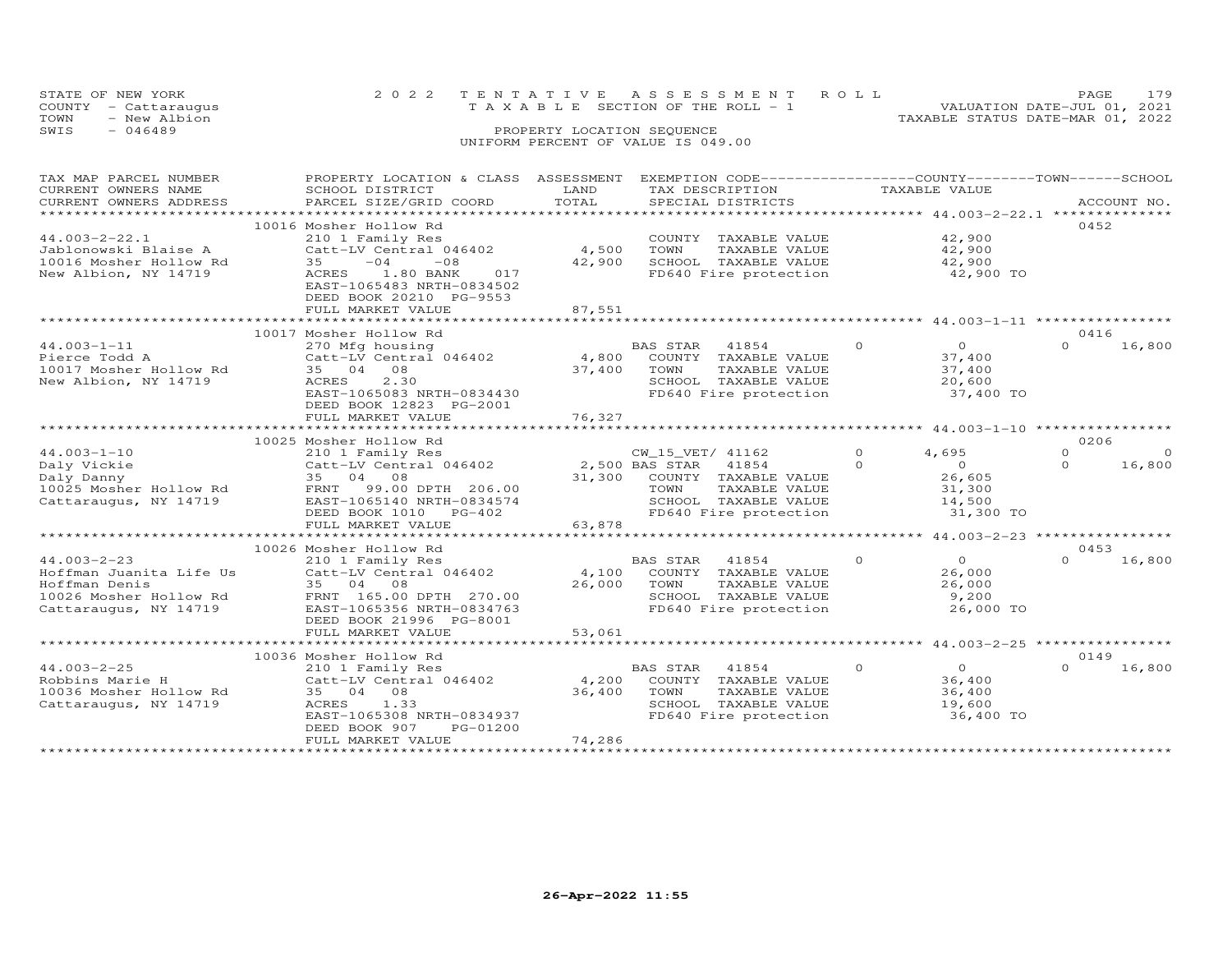| STATE OF NEW YORK<br>COUNTY - Cattaraugus<br>TOWN<br>- New Albion | 2022 TENTATIVE ASSESSMENT ROLL<br>TAXABLE SECTION OF THE ROLL - 1 | 179<br>PAGE.<br>VALUATION DATE-JUL 01, 2021<br>TAXABLE STATUS DATE-MAR 01, 2022 |
|-------------------------------------------------------------------|-------------------------------------------------------------------|---------------------------------------------------------------------------------|
| SWIS<br>- 046489                                                  | PROPERTY LOCATION SEOUENCE<br>UNIFORM PERCENT OF VALUE IS 049.00  |                                                                                 |

| TAX MAP PARCEL NUMBER<br>CURRENT OWNERS NAME<br>CURRENT OWNERS ADDRESS                                                     | PROPERTY LOCATION & CLASS ASSESSMENT<br>SCHOOL DISTRICT<br>PARCEL SIZE/GRID COORD                                                                                                                      | LAND<br>TOTAL             | EXEMPTION CODE-----------------COUNTY-------TOWN------SCHOOL<br>TAX DESCRIPTION<br>SPECIAL DISTRICTS                        | TAXABLE VALUE                                                                              | ACCOUNT NO.                                |
|----------------------------------------------------------------------------------------------------------------------------|--------------------------------------------------------------------------------------------------------------------------------------------------------------------------------------------------------|---------------------------|-----------------------------------------------------------------------------------------------------------------------------|--------------------------------------------------------------------------------------------|--------------------------------------------|
| $44.003 - 2 - 22.1$<br>Jablonowski Blaise A<br>10016 Mosher Hollow Rd<br>New Albion, NY 14719                              | 10016 Mosher Hollow Rd<br>210 1 Family Res<br>Catt-LV Central 046402<br>$-08$<br>35<br>$-04$<br>ACRES<br>1.80 BANK<br>017<br>EAST-1065483 NRTH-0834502<br>DEED BOOK 20210 PG-9553<br>FULL MARKET VALUE | 4,500<br>42,900<br>87,551 | COUNTY TAXABLE VALUE<br>TOWN<br>TAXABLE VALUE<br>SCHOOL TAXABLE VALUE<br>SCHOOL TAXABLE VALUE<br>FD640 Fire protection      | 42,900<br>42,900<br>42,900<br>42,900 TO                                                    | 0452                                       |
| $44.003 - 1 - 11$<br>Pierce Todd A<br>10017 Mosher Hollow Rd<br>New Albion, NY 14719                                       | 10017 Mosher Hollow Rd<br>270 Mfg housing<br>Catt-LV Central 046402<br>35 04 08<br>ACRES<br>2,30<br>EAST-1065083 NRTH-0834430<br>DEED BOOK 12823 PG-2001<br>FULL MARKET VALUE                          | 4,800<br>37,400<br>76,327 | BAS STAR 41854<br>COUNTY TAXABLE VALUE<br>TOWN<br>TAXABLE VALUE<br>SCHOOL TAXABLE VALUE<br>FD640 Fire protection            | $\overline{O}$<br>$\overline{0}$<br>37,400<br>37,400<br>20,600<br>37,400 TO                | 0416<br>$\Omega$<br>16,800                 |
|                                                                                                                            | 10025 Mosher Hollow Rd                                                                                                                                                                                 |                           |                                                                                                                             |                                                                                            | 0206                                       |
| $44.003 - 1 - 10$<br>Daly Vickie<br>Daly Danny<br>10025 Mosher Hollow Rd<br>Cattaraugus, NY 14719<br>Cattaraugus, NY 14719 | 210 1 Family Res<br>Catt-LV Central 046402 2,500 BAS STAR 41854<br>35 04 08<br>FRNT 99.00 DPTH 206.00<br>EAST-1065140 NRTH-0834574<br>DEED BOOK 1010 PG-402                                            |                           | 31,300 COUNTY TAXABLE VALUE<br>TOWN TAXABLE VALUE<br>TOWN<br>TAXABLE VALUE<br>SCHOOL TAXABLE VALUE<br>FD640 Fire protection | $\Omega$<br>4,695<br>$\Omega$<br>$\overline{O}$<br>26,605<br>31,300<br>14,500<br>31,300 TO | $\Omega$<br>$\Omega$<br>$\Omega$<br>16,800 |
|                                                                                                                            | FULL MARKET VALUE                                                                                                                                                                                      | 63,878                    |                                                                                                                             | **************** 44.003-2-23 *****************                                             |                                            |
|                                                                                                                            | 10026 Mosher Hollow Rd                                                                                                                                                                                 |                           |                                                                                                                             |                                                                                            | 0453                                       |
| $44.003 - 2 - 23$<br>Hoffman Juanita Life Us<br>Hoffman Denis<br>Cattaraugus, NY 14719                                     | 210 1 Family Res<br>Catt-LV Central 046402<br>35 04 08<br>10026 Mosher Hollow Rd FRNT 165.00 DPTH 270.00<br>EAST-1065356 NRTH-0834763<br>DEED BOOK 21996 PG-8001                                       | 4,100<br>26,000           | <b>BAS STAR</b><br>41854<br>COUNTY TAXABLE VALUE<br>TOWN<br>TAXABLE VALUE<br>SCHOOL TAXABLE VALUE<br>FD640 Fire protection  | $\circ$<br>$\overline{O}$<br>26,000<br>26,000<br>9,200<br>26,000 TO                        | $\Omega$<br>16,800                         |
|                                                                                                                            | FULL MARKET VALUE                                                                                                                                                                                      | 53,061                    |                                                                                                                             |                                                                                            |                                            |
|                                                                                                                            | 10036 Mosher Hollow Rd                                                                                                                                                                                 |                           |                                                                                                                             |                                                                                            | 0149                                       |
| $44.003 - 2 - 25$<br>Robbins Marie H<br>10036 Mosher Hollow Rd<br>Cattaraugus, NY 14719                                    | 210 1 Family Res<br>Catt-LV Central 046402<br>35 04 08<br>ACRES<br>1.33<br>EAST-1065308 NRTH-0834937<br>DEED BOOK 907<br>PG-01200<br>FULL MARKET VALUE                                                 | 4,200<br>36,400<br>74,286 | BAS STAR 41854<br>COUNTY TAXABLE VALUE<br>TOWN<br>TAXABLE VALUE<br>SCHOOL TAXABLE VALUE<br>FD640 Fire protection            | $\Omega$<br>$\overline{O}$<br>36,400<br>36,400<br>19,600<br>36,400 TO                      | $\Omega$<br>16,800                         |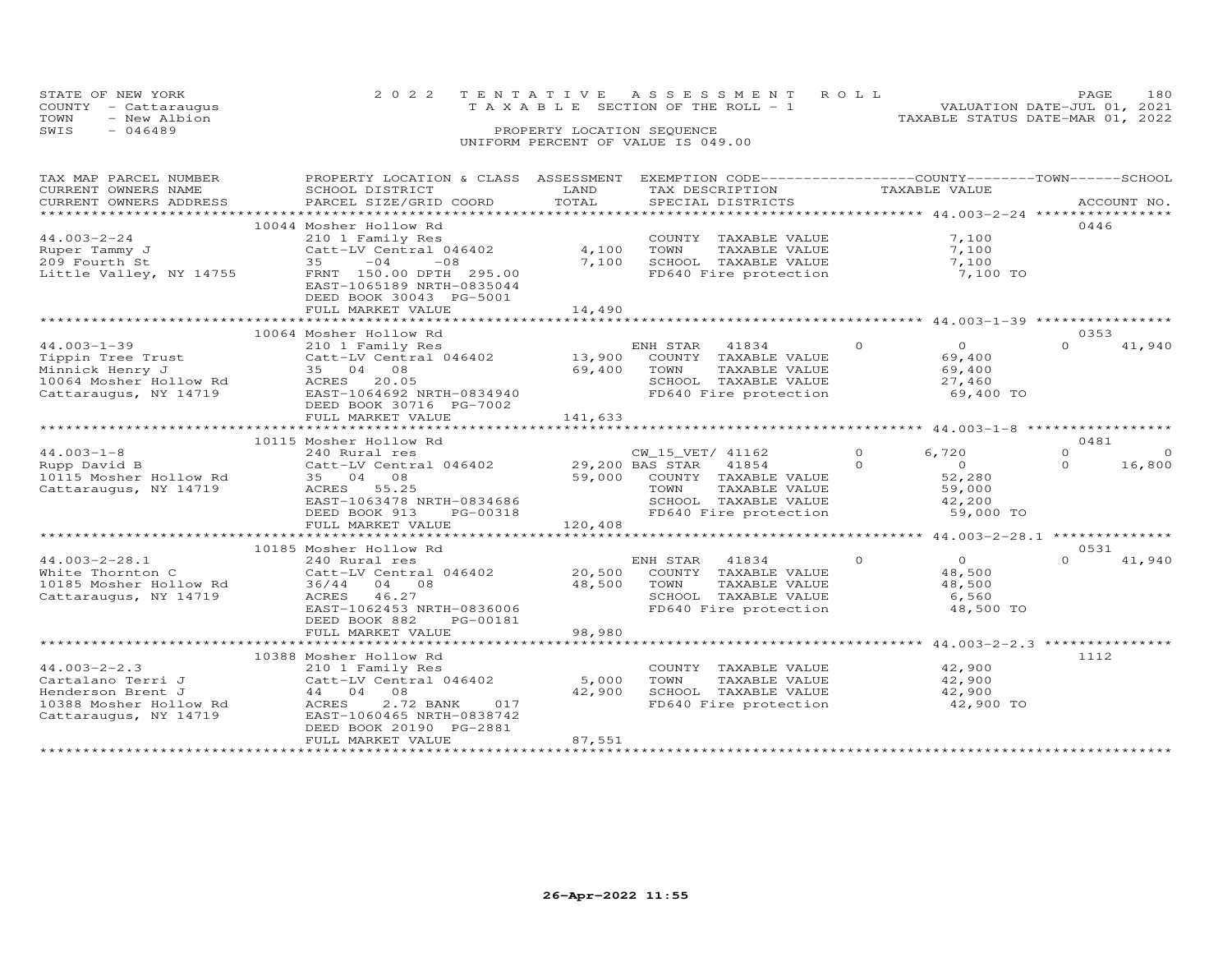| STATE OF NEW YORK    | 2022 TENTATIVE ASSESSMENT ROLL        |  | PAGE.                            | 180 |
|----------------------|---------------------------------------|--|----------------------------------|-----|
| COUNTY - Cattaraugus | T A X A B L E SECTION OF THE ROLL - 1 |  | VALUATION DATE-JUL 01, 2021      |     |
| TOWN<br>- New Albion |                                       |  | TAXABLE STATUS DATE-MAR 01, 2022 |     |
| SWIS<br>- 046489     | PROPERTY LOCATION SEQUENCE            |  |                                  |     |
|                      | UNIFORM PERCENT OF VALUE IS 049.00    |  |                                  |     |

| TAX MAP PARCEL NUMBER   | PROPERTY LOCATION & CLASS ASSESSMENT |         | EXEMPTION CODE-----------------COUNTY-------TOWN------SCHOOL |                            |                      |
|-------------------------|--------------------------------------|---------|--------------------------------------------------------------|----------------------------|----------------------|
| CURRENT OWNERS NAME     | SCHOOL DISTRICT                      | LAND    | TAX DESCRIPTION                                              | TAXABLE VALUE              |                      |
| CURRENT OWNERS ADDRESS  | PARCEL SIZE/GRID COORD               | TOTAL   | SPECIAL DISTRICTS                                            |                            | ACCOUNT NO.          |
|                         |                                      |         |                                                              |                            |                      |
|                         | 10044 Mosher Hollow Rd               |         |                                                              |                            | 0446                 |
| $44.003 - 2 - 24$       | 210 1 Family Res                     |         | COUNTY TAXABLE VALUE                                         | 7,100                      |                      |
| Ruper Tammy J           | Catt-LV Central 046402               | 4,100   | TOWN<br>TAXABLE VALUE                                        | 7,100                      |                      |
| 209 Fourth St           | 35<br>$-04$<br>$-08$                 | 7,100   | SCHOOL TAXABLE VALUE                                         | 7,100                      |                      |
| Little Valley, NY 14755 | FRNT 150.00 DPTH 295.00              |         | FD640 Fire protection                                        | 7,100 TO                   |                      |
|                         | EAST-1065189 NRTH-0835044            |         |                                                              |                            |                      |
|                         | DEED BOOK 30043 PG-5001              |         |                                                              |                            |                      |
|                         | FULL MARKET VALUE                    | 14,490  |                                                              |                            |                      |
|                         |                                      |         |                                                              |                            |                      |
|                         | 10064 Mosher Hollow Rd               |         |                                                              |                            | 0353                 |
| $44.003 - 1 - 39$       | 210 1 Family Res                     |         | ENH STAR<br>41834                                            | $\Omega$<br>$\Omega$       | 41,940<br>$\Omega$   |
| Tippin Tree Trust       | Catt-LV Central 046402               | 13,900  | COUNTY TAXABLE VALUE                                         | 69,400                     |                      |
| Minnick Henry J         | 35 04 08                             | 69,400  | TOWN<br>TAXABLE VALUE                                        | 69,400                     |                      |
| 10064 Mosher Hollow Rd  | ACRES 20.05                          |         | SCHOOL TAXABLE VALUE                                         | 27,460                     |                      |
| Cattaraugus, NY 14719   | EAST-1064692 NRTH-0834940            |         | FD640 Fire protection                                        | 69,400 TO                  |                      |
|                         | DEED BOOK 30716 PG-7002              |         |                                                              |                            |                      |
|                         | FULL MARKET VALUE                    | 141,633 |                                                              |                            |                      |
|                         |                                      |         |                                                              |                            |                      |
|                         | 10115 Mosher Hollow Rd               |         |                                                              |                            | 0481                 |
|                         |                                      |         |                                                              | $\Omega$                   | $\Omega$<br>$\Omega$ |
| $44.003 - 1 - 8$        | 240 Rural res                        |         | CW_15_VET/ 41162                                             | 6,720<br>$\Omega$          | $\Omega$             |
| Rupp David B            | Catt-LV Central 046402               |         | 29,200 BAS STAR 41854                                        | $\overline{0}$             | 16,800               |
| 10115 Mosher Hollow Rd  | 35 04 08                             |         | 59,000 COUNTY TAXABLE VALUE                                  | 52,280                     |                      |
| Cattaraugus, NY 14719   | ACRES 55.25                          |         | TOWN<br>TAXABLE VALUE                                        | 59,000                     |                      |
|                         | EAST-1063478 NRTH-0834686            |         | SCHOOL TAXABLE VALUE                                         | 42,200                     |                      |
|                         | DEED BOOK 913<br>PG-00318            |         | FD640 Fire protection                                        | 59,000 TO                  |                      |
|                         | FULL MARKET VALUE                    | 120,408 |                                                              |                            |                      |
|                         |                                      |         |                                                              |                            |                      |
|                         | 10185 Mosher Hollow Rd               |         |                                                              |                            | 0531                 |
| $44.003 - 2 - 28.1$     | 240 Rural res                        |         | ENH STAR 41834                                               | $\overline{0}$<br>$\Omega$ | $\cap$<br>41,940     |
| White Thornton C        | Catt-LV Central 046402               | 20,500  | COUNTY TAXABLE VALUE                                         | 48,500                     |                      |
| 10185 Mosher Hollow Rd  | 36/44 04 08                          | 48,500  | TOWN<br>TAXABLE VALUE                                        | 48,500                     |                      |
| Cattaraugus, NY 14719   | ACRES 46.27                          |         | SCHOOL TAXABLE VALUE                                         | 6,560                      |                      |
|                         | EAST-1062453 NRTH-0836006            |         | FD640 Fire protection                                        | 48,500 TO                  |                      |
|                         | DEED BOOK 882<br>PG-00181            |         |                                                              |                            |                      |
|                         | FULL MARKET VALUE                    | 98,980  |                                                              |                            |                      |
|                         |                                      |         |                                                              |                            |                      |
|                         | 10388 Mosher Hollow Rd               |         |                                                              |                            | 1112                 |
| $44.003 - 2 - 2.3$      | 210 1 Family Res                     |         | COUNTY TAXABLE VALUE                                         | 42,900                     |                      |
| Cartalano Terri J       | Catt-LV Central 046402               | 5,000   | TOWN<br>TAXABLE VALUE                                        | 42,900                     |                      |
| Henderson Brent J       | 44 04 08                             | 42,900  | SCHOOL TAXABLE VALUE                                         | 42,900                     |                      |
| 10388 Mosher Hollow Rd  | 2.72 BANK<br>ACRES<br>017            |         | FD640 Fire protection                                        | 42,900 TO                  |                      |
| Cattaraugus, NY 14719   | EAST-1060465 NRTH-0838742            |         |                                                              |                            |                      |
|                         | DEED BOOK 20190 PG-2881              |         |                                                              |                            |                      |
|                         | FULL MARKET VALUE                    | 87,551  |                                                              |                            |                      |
|                         |                                      |         |                                                              |                            |                      |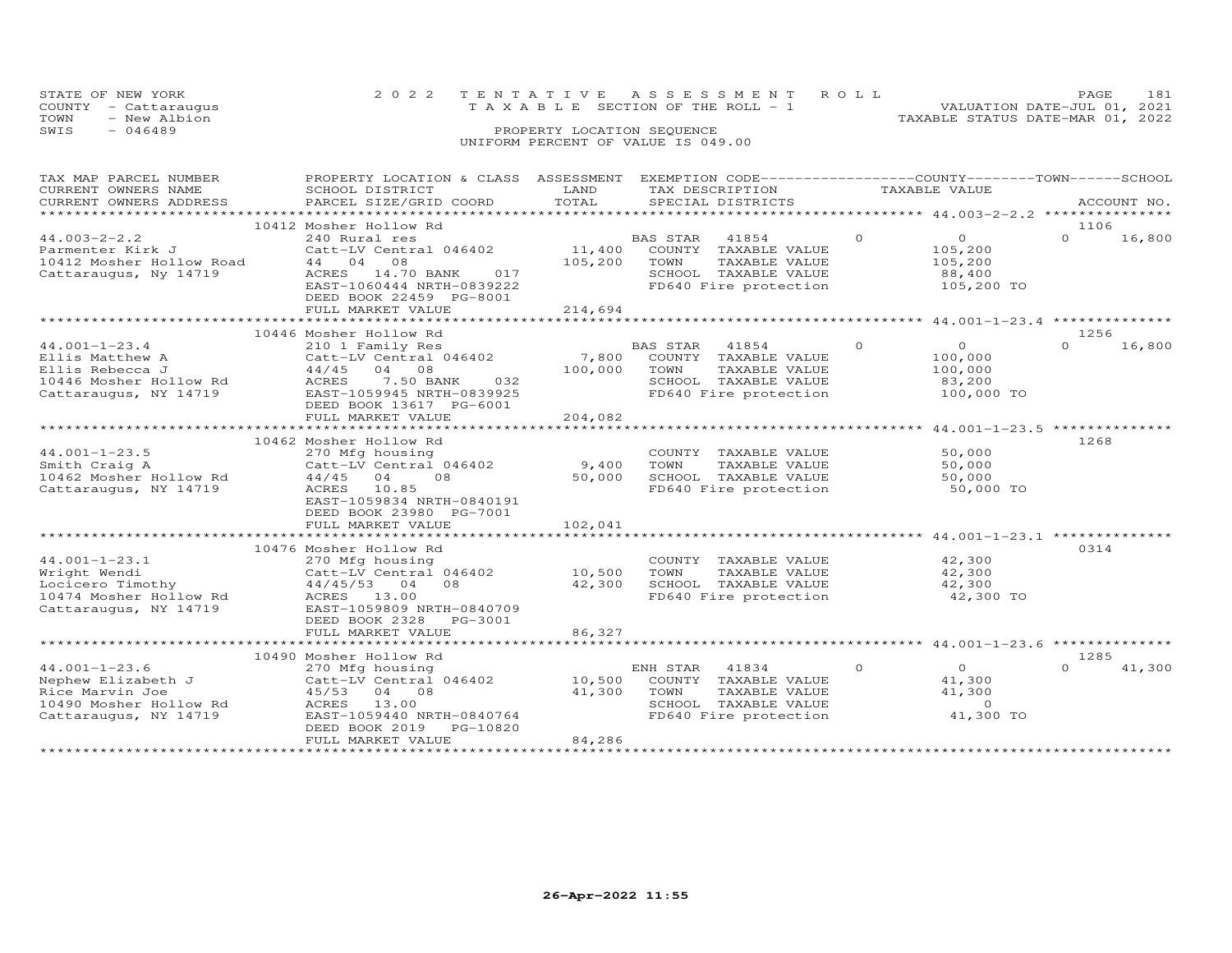| STATE OF NEW YORK    | 2022 TENTATIVE ASSESSMENT ROLL        | 181<br><b>PAGE</b>               |
|----------------------|---------------------------------------|----------------------------------|
| COUNTY - Cattaraugus | T A X A B L E SECTION OF THE ROLL - 1 | VALUATION DATE-JUL 01, 2021      |
| - New Albion<br>TOWN |                                       | TAXABLE STATUS DATE-MAR 01, 2022 |
| SWIS<br>- 046489     | PROPERTY LOCATION SEQUENCE            |                                  |
|                      | UNIFORM PERCENT OF VALUE IS 049.00    |                                  |

| TAX MAP PARCEL NUMBER<br>CURRENT OWNERS NAME<br>CURRENT OWNERS ADDRESS<br>************************              | PROPERTY LOCATION & CLASS ASSESSMENT<br>SCHOOL DISTRICT<br>PARCEL SIZE/GRID COORD                                                                                                               | LAND<br>TOTAL                | TAX DESCRIPTION<br>SPECIAL DISTRICTS                                                                                | EXEMPTION CODE-----------------COUNTY-------TOWN------SCHOOL<br>TAXABLE VALUE | ACCOUNT NO.                |
|-----------------------------------------------------------------------------------------------------------------|-------------------------------------------------------------------------------------------------------------------------------------------------------------------------------------------------|------------------------------|---------------------------------------------------------------------------------------------------------------------|-------------------------------------------------------------------------------|----------------------------|
| $44.003 - 2 - 2.2$<br>Parmenter Kirk J<br>10412 Mosher Hollow Road<br>Cattaraugus, Ny 14719                     | 10412 Mosher Hollow Rd<br>240 Rural res<br>Catt-LV Central 046402<br>44 04 08<br>ACRES 14.70 BANK<br>017<br>EAST-1060444 NRTH-0839222<br>DEED BOOK 22459 PG-8001<br>FULL MARKET VALUE           | 11,400<br>105,200<br>214,694 | BAS STAR<br>41854<br>COUNTY TAXABLE VALUE<br>TOWN<br>TAXABLE VALUE<br>SCHOOL TAXABLE VALUE<br>FD640 Fire protection | $\circ$<br>$\overline{O}$<br>105,200<br>105,200<br>88,400<br>105,200 TO       | 1106<br>$\Omega$<br>16,800 |
|                                                                                                                 |                                                                                                                                                                                                 |                              |                                                                                                                     |                                                                               |                            |
| $44.001 - 1 - 23.4$<br>Ellis Matthew A<br>Ellis Rebecca J<br>10446 Mosher Hollow Rd<br>Cattaraugus, NY 14719    | 10446 Mosher Hollow Rd<br>210 1 Family Res<br>Catt-LV Central 046402<br>$44/45$ 04 08<br>ACRES<br>7.50 BANK<br>032<br>EAST-1059945 NRTH-0839925<br>DEED BOOK 13617 PG-6001<br>FULL MARKET VALUE | 7,800<br>100,000<br>204,082  | BAS STAR 41854<br>COUNTY TAXABLE VALUE<br>TOWN<br>TAXABLE VALUE<br>SCHOOL TAXABLE VALUE<br>FD640 Fire protection    | $\circ$<br>$\overline{O}$<br>100,000<br>100,000<br>83,200<br>100,000 TO       | 1256<br>$\Omega$<br>16,800 |
|                                                                                                                 | 10462 Mosher Hollow Rd                                                                                                                                                                          |                              |                                                                                                                     | ******************** 44.001-1-23.5 **************                             | 1268                       |
| $44.001 - 1 - 23.5$<br>Smith Craig A<br>10462 Mosher Hollow Rd<br>Cattaraugus, NY 14719                         | 270 Mfg housing<br>Catt-LV Central 046402<br>$44/45$ 04<br>08<br>ACRES 10.85<br>EAST-1059834 NRTH-0840191<br>DEED BOOK 23980 PG-7001<br>FULL MARKET VALUE                                       | 9,400<br>50,000<br>102,041   | COUNTY TAXABLE VALUE<br>TOWN<br>TAXABLE VALUE<br>SCHOOL TAXABLE VALUE<br>FD640 Fire protection                      | 50,000<br>50,000<br>50,000<br>50,000 TO                                       |                            |
|                                                                                                                 | ************************                                                                                                                                                                        | ***********                  |                                                                                                                     | ***************************** 44.001-1-23.1 **************                    |                            |
| $44.001 - 1 - 23.1$<br>Wright Wendi<br>Locicero Timothy<br>10474 Mosher Hollow Rd<br>Cattaraugus, NY 14719      | 10476 Mosher Hollow Rd<br>270 Mfg housing<br>Catt-LV Central 046402<br>$44/45/53$ 04<br>08<br>ACRES 13.00<br>EAST-1059809 NRTH-0840709<br>DEED BOOK 2328 PG-3001                                | 10,500<br>42,300             | COUNTY TAXABLE VALUE<br>TAXABLE VALUE<br>TOWN<br>SCHOOL TAXABLE VALUE<br>FD640 Fire protection                      | 42,300<br>42,300<br>42,300<br>42,300 TO                                       | 0.314                      |
| ***********************                                                                                         | FULL MARKET VALUE<br>********************************                                                                                                                                           | 86,327                       |                                                                                                                     |                                                                               |                            |
|                                                                                                                 | 10490 Mosher Hollow Rd                                                                                                                                                                          |                              |                                                                                                                     |                                                                               | 1285                       |
| $44.001 - 1 - 23.6$<br>Nephew Elizabeth J<br>Rice Marvin Joe<br>10490 Mosher Hollow Rd<br>Cattaraugus, NY 14719 | 270 Mfg housing<br>Catt-LV Central 046402<br>45/53 04 08<br>13.00<br>ACRES<br>EAST-1059440 NRTH-0840764<br>DEED BOOK 2019<br>PG-10820<br>FULL MARKET VALUE                                      | 10,500<br>41,300<br>84,286   | ENH STAR<br>41834<br>COUNTY TAXABLE VALUE<br>TOWN<br>TAXABLE VALUE<br>SCHOOL TAXABLE VALUE<br>FD640 Fire protection | $\circ$<br>$\overline{O}$<br>41,300<br>41,300<br>$\circ$<br>41,300 TO         | $\Omega$<br>41,300         |
|                                                                                                                 |                                                                                                                                                                                                 |                              |                                                                                                                     |                                                                               |                            |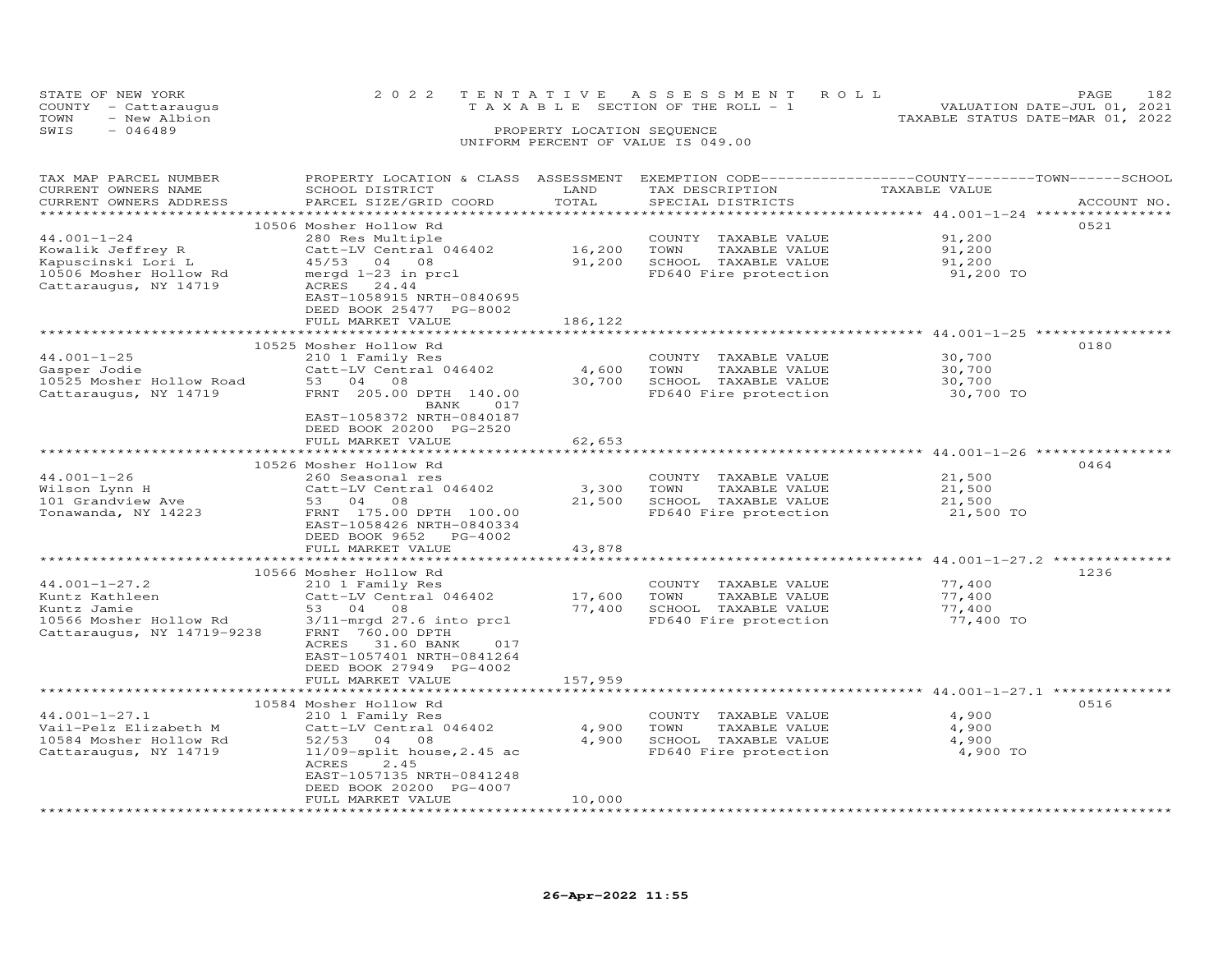| STATE OF NEW YORK    |              | 2022 TENTATIVE ASSESSMENT ROLL     |  |  |                                  | PAGE. | 182 |
|----------------------|--------------|------------------------------------|--|--|----------------------------------|-------|-----|
| COUNTY - Cattaraugus |              | TAXABLE SECTION OF THE ROLL - 1    |  |  | VALUATION DATE-JUL 01, 2021      |       |     |
| TOWN                 | - New Albion |                                    |  |  | TAXABLE STATUS DATE-MAR 01, 2022 |       |     |
| SWIS<br>$-046489$    |              | PROPERTY LOCATION SEQUENCE         |  |  |                                  |       |     |
|                      |              | UNIFORM PERCENT OF VALUE IS 049.00 |  |  |                                  |       |     |

| TAX MAP PARCEL NUMBER             | PROPERTY LOCATION & CLASS ASSESSMENT EXEMPTION CODE----------------COUNTY-------TOWN------SCHOOL |                      |                             |                                                     |             |
|-----------------------------------|--------------------------------------------------------------------------------------------------|----------------------|-----------------------------|-----------------------------------------------------|-------------|
| CURRENT OWNERS NAME               | SCHOOL DISTRICT                                                                                  | LAND                 | TAX DESCRIPTION             | TAXABLE VALUE                                       |             |
| CURRENT OWNERS ADDRESS            | PARCEL SIZE/GRID COORD                                                                           | TOTAL                | SPECIAL DISTRICTS           |                                                     | ACCOUNT NO. |
|                                   |                                                                                                  |                      |                             |                                                     |             |
|                                   | 10506 Mosher Hollow Rd                                                                           |                      |                             |                                                     | 0521        |
| $44.001 - 1 - 24$                 | 280 Res Multiple                                                                                 |                      | COUNTY TAXABLE VALUE        | 91,200                                              |             |
| Kowalik Jeffrey R                 | Catt-LV Central 046402                                                                           | 16,200 TOWN          | TAXABLE VALUE               | 91,200                                              |             |
| Kapuscinski Lori L                | 45/53 04 08                                                                                      |                      | 91,200 SCHOOL TAXABLE VALUE | 91,200                                              |             |
| 10506 Mosher Hollow Rd            | mergd 1-23 in prcl                                                                               |                      | FD640 Fire protection       | 91,200 TO                                           |             |
| Cattaraugus, NY 14719             | ACRES 24.44                                                                                      |                      |                             |                                                     |             |
|                                   | EAST-1058915 NRTH-0840695                                                                        |                      |                             |                                                     |             |
|                                   | DEED BOOK 25477 PG-8002                                                                          |                      |                             |                                                     |             |
|                                   | FULL MARKET VALUE                                                                                | 186,122              |                             |                                                     |             |
|                                   |                                                                                                  |                      |                             |                                                     |             |
|                                   |                                                                                                  |                      |                             |                                                     | 0180        |
|                                   | 10525 Mosher Hollow Rd                                                                           |                      |                             |                                                     |             |
| $44.001 - 1 - 25$                 | 210 1 Family Res                                                                                 |                      | COUNTY TAXABLE VALUE        | 30,700                                              |             |
| Gasper Jodie                      | Catt-LV Central 046402                                                                           |                      | 4,600 TOWN<br>TAXABLE VALUE | 30,700                                              |             |
| 10525 Mosher Hollow Road 53 04 08 |                                                                                                  |                      | 30,700 SCHOOL TAXABLE VALUE | 30,700                                              |             |
| Cattaraugus, NY 14719             | FRNT 205.00 DPTH 140.00                                                                          |                      | FD640 Fire protection       | 30,700 TO                                           |             |
|                                   | BANK<br>017                                                                                      |                      |                             |                                                     |             |
|                                   | EAST-1058372 NRTH-0840187                                                                        |                      |                             |                                                     |             |
|                                   | DEED BOOK 20200 PG-2520                                                                          |                      |                             |                                                     |             |
|                                   | FULL MARKET VALUE                                                                                | 62,653               |                             |                                                     |             |
|                                   |                                                                                                  | ******************** |                             |                                                     |             |
|                                   | 10526 Mosher Hollow Rd                                                                           |                      |                             |                                                     | 0464        |
| $44.001 - 1 - 26$                 | 260 Seasonal res                                                                                 |                      | COUNTY TAXABLE VALUE        | 21,500                                              |             |
| Wilson Lynn H                     | Catt-LV Central 046402                                                                           | 3,300 TOWN           | TAXABLE VALUE               | 21,500                                              |             |
| 101 Grandview Ave                 |                                                                                                  |                      | 21,500 SCHOOL TAXABLE VALUE | 21,500                                              |             |
| Tonawanda, NY 14223               | 53 04 08<br>FRNT 175.00 DPTH 100.00                                                              |                      | FD640 Fire protection       | 21,500 TO                                           |             |
|                                   | EAST-1058426 NRTH-0840334                                                                        |                      |                             |                                                     |             |
|                                   | DEED BOOK 9652 PG-4002                                                                           |                      |                             |                                                     |             |
|                                   | FULL MARKET VALUE                                                                                | 43,878               |                             |                                                     |             |
|                                   |                                                                                                  |                      |                             | ********************* 44.001-1-27.2 *************** |             |
|                                   | 10566 Mosher Hollow Rd                                                                           |                      |                             |                                                     | 1236        |
| $44.001 - 1 - 27.2$               | 210 1 Family Res                                                                                 |                      | COUNTY TAXABLE VALUE        | 77,400                                              |             |
| Kuntz Kathleen                    | Catt-LV Central 046402                                                                           | 17,600               | TOWN<br>TAXABLE VALUE       | 77,400                                              |             |
| Kuntz Jamie                       | 53 04 08                                                                                         | 77,400               | SCHOOL TAXABLE VALUE        | 77,400                                              |             |
| 10566 Mosher Hollow Rd            | $3/11$ -mrqd 27.6 into prcl                                                                      |                      | FD640 Fire protection       | 77,400 TO                                           |             |
|                                   |                                                                                                  |                      |                             |                                                     |             |
| Cattaraugus, NY 14719-9238        | FRNT 760.00 DPTH                                                                                 |                      |                             |                                                     |             |
|                                   | ACRES 31.60 BANK<br>017                                                                          |                      |                             |                                                     |             |
|                                   | EAST-1057401 NRTH-0841264                                                                        |                      |                             |                                                     |             |
|                                   | DEED BOOK 27949 PG-4002                                                                          |                      |                             |                                                     |             |
|                                   | FULL MARKET VALUE                                                                                | 157,959              |                             |                                                     |             |
|                                   |                                                                                                  |                      |                             |                                                     |             |
|                                   | 10584 Mosher Hollow Rd                                                                           |                      |                             |                                                     | 0516        |
| $44.001 - 1 - 27.1$               | 210 1 Family Res                                                                                 |                      | COUNTY TAXABLE VALUE        | 4,900                                               |             |
| Vail-Pelz Elizabeth M             | Catt-LV Central 046402                                                                           | 4,900                | TOWN<br>TAXABLE VALUE       | 4,900                                               |             |
| 10584 Mosher Hollow Rd            | 52/53 04 08                                                                                      |                      | 4,900 SCHOOL TAXABLE VALUE  | 4,900                                               |             |
| Cattaraugus, NY 14719             | $11/09$ -split house, $2.45$ ac                                                                  |                      | FD640 Fire protection       | 4,900 TO                                            |             |
|                                   | 2.45<br>ACRES                                                                                    |                      |                             |                                                     |             |
|                                   | EAST-1057135 NRTH-0841248                                                                        |                      |                             |                                                     |             |
|                                   | DEED BOOK 20200 PG-4007                                                                          |                      |                             |                                                     |             |
|                                   | FULL MARKET VALUE                                                                                | 10,000               |                             |                                                     |             |
|                                   |                                                                                                  |                      |                             |                                                     |             |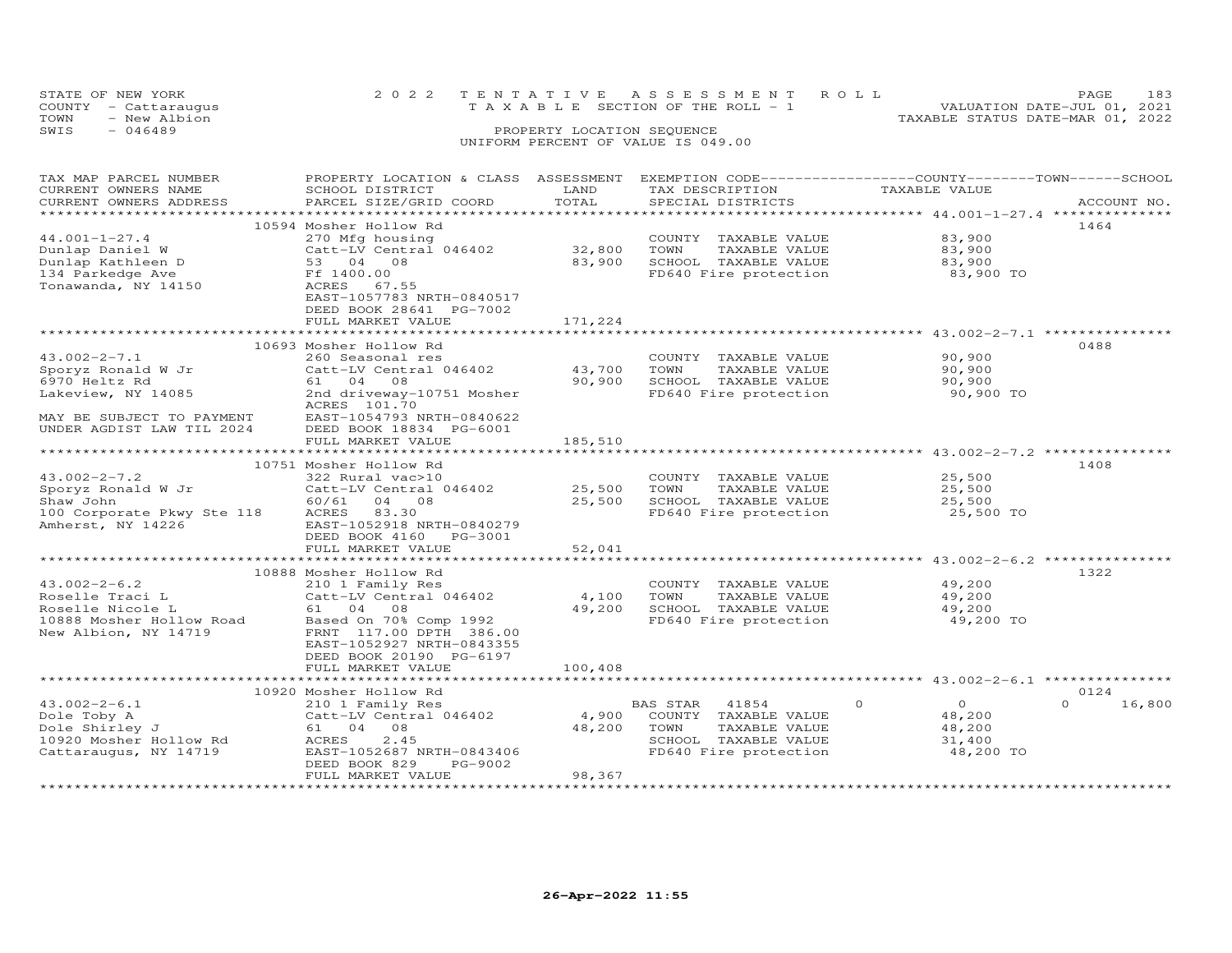| STATE OF NEW YORK    | 2022 TENTATIVE ASSESSMENT ROLL     | <b>PAGE</b>                 | 183 |
|----------------------|------------------------------------|-----------------------------|-----|
| COUNTY - Cattaraugus | TAXABLE SECTION OF THE ROLL - 1    | VALUATION DATE-JUL 01, 2021 |     |
| TOWN<br>- New Albion | TAXABLE STATUS DATE-MAR 01, 2022   |                             |     |
| $-046489$<br>SWIS    | PROPERTY LOCATION SEQUENCE         |                             |     |
|                      | UNIFORM PERCENT OF VALUE IS 049.00 |                             |     |

| TAX MAP PARCEL NUMBER      | PROPERTY LOCATION & CLASS ASSESSMENT |         | EXEMPTION CODE-----------------COUNTY-------TOWN------SCHOOL |                      |                    |
|----------------------------|--------------------------------------|---------|--------------------------------------------------------------|----------------------|--------------------|
| CURRENT OWNERS NAME        | SCHOOL DISTRICT                      | LAND    | TAX DESCRIPTION                                              | TAXABLE VALUE        |                    |
| CURRENT OWNERS ADDRESS     | PARCEL SIZE/GRID COORD               | TOTAL   | SPECIAL DISTRICTS                                            |                      | ACCOUNT NO.        |
|                            |                                      |         |                                                              |                      |                    |
|                            | 10594 Mosher Hollow Rd               |         |                                                              |                      | 1464               |
| $44.001 - 1 - 27.4$        | 270 Mfg housing                      |         | COUNTY TAXABLE VALUE                                         | 83,900               |                    |
| Dunlap Daniel W            | Catt-LV Central 046402               | 32,800  | TOWN<br>TAXABLE VALUE                                        | 83,900               |                    |
| Dunlap Kathleen D          | 53 04 08                             | 83,900  | SCHOOL TAXABLE VALUE                                         | 83,900               |                    |
| 134 Parkedge Ave           | Ff 1400.00                           |         | FD640 Fire protection                                        | 83,900 TO            |                    |
| Tonawanda, NY 14150        | ACRES<br>67.55                       |         |                                                              |                      |                    |
|                            | EAST-1057783 NRTH-0840517            |         |                                                              |                      |                    |
|                            |                                      |         |                                                              |                      |                    |
|                            | DEED BOOK 28641 PG-7002              |         |                                                              |                      |                    |
|                            | FULL MARKET VALUE                    | 171,224 |                                                              |                      |                    |
|                            |                                      |         |                                                              |                      |                    |
|                            | 10693 Mosher Hollow Rd               |         |                                                              |                      | 0488               |
| $43.002 - 2 - 7.1$         | 260 Seasonal res                     |         | COUNTY TAXABLE VALUE                                         | 90,900               |                    |
| Sporyz Ronald W Jr         | Catt-LV Central 046402               | 43,700  | TAXABLE VALUE<br>TOWN                                        | 90,900               |                    |
| 6970 Heltz Rd              | 61 04 08                             | 90,900  | SCHOOL TAXABLE VALUE                                         | 90,900               |                    |
| Lakeview, NY 14085         | 2nd driveway-10751 Mosher            |         | FD640 Fire protection                                        | 90,900 TO            |                    |
|                            | ACRES 101.70                         |         |                                                              |                      |                    |
| MAY BE SUBJECT TO PAYMENT  | EAST-1054793 NRTH-0840622            |         |                                                              |                      |                    |
| UNDER AGDIST LAW TIL 2024  | DEED BOOK 18834 PG-6001              |         |                                                              |                      |                    |
|                            | FULL MARKET VALUE                    | 185,510 |                                                              |                      |                    |
|                            |                                      |         |                                                              |                      |                    |
|                            | 10751 Mosher Hollow Rd               |         |                                                              |                      | 1408               |
| $43.002 - 2 - 7.2$         | 322 Rural vac>10                     |         | COUNTY TAXABLE VALUE                                         | 25,500               |                    |
| Sporyz Ronald W Jr         | Catt-LV Central 046402               | 25,500  | TOWN<br>TAXABLE VALUE                                        | 25,500               |                    |
| Shaw John                  | 60/61 04 08                          | 25,500  | SCHOOL TAXABLE VALUE                                         | 25,500               |                    |
| 100 Corporate Pkwy Ste 118 | ACRES 83.30                          |         | FD640 Fire protection                                        | 25,500 TO            |                    |
| Amherst, NY 14226          | EAST-1052918 NRTH-0840279            |         |                                                              |                      |                    |
|                            |                                      |         |                                                              |                      |                    |
|                            | DEED BOOK 4160 PG-3001               |         |                                                              |                      |                    |
|                            | FULL MARKET VALUE                    | 52,041  |                                                              |                      |                    |
|                            |                                      |         |                                                              |                      |                    |
|                            | 10888 Mosher Hollow Rd               |         |                                                              |                      | 1322               |
| $43.002 - 2 - 6.2$         | 210 1 Family Res                     |         | COUNTY TAXABLE VALUE                                         | 49,200               |                    |
| Roselle Traci L            | Catt-LV Central 046402               | 4,100   | TOWN<br>TAXABLE VALUE                                        | 49,200               |                    |
| Roselle Nicole L           | 61 04 08                             | 49,200  | SCHOOL TAXABLE VALUE                                         | 49,200               |                    |
| 10888 Mosher Hollow Road   | Based On 70% Comp 1992               |         | FD640 Fire protection                                        | 49,200 TO            |                    |
| New Albion, NY 14719       | FRNT 117.00 DPTH 386.00              |         |                                                              |                      |                    |
|                            | EAST-1052927 NRTH-0843355            |         |                                                              |                      |                    |
|                            | DEED BOOK 20190 PG-6197              |         |                                                              |                      |                    |
|                            | FULL MARKET VALUE                    | 100,408 |                                                              |                      |                    |
|                            |                                      |         |                                                              |                      |                    |
|                            | 10920 Mosher Hollow Rd               |         |                                                              |                      | 0124               |
| $43.002 - 2 - 6.1$         | 210 1 Family Res                     |         | BAS STAR<br>41854                                            | $\Omega$<br>$\Omega$ | $\Omega$<br>16,800 |
| Dole Toby A                | Catt-LV Central 046402               | 4,900   | COUNTY TAXABLE VALUE                                         | 48,200               |                    |
| Dole Shirley J             | 61 04 08                             | 48,200  | TOWN<br>TAXABLE VALUE                                        | 48,200               |                    |
| 10920 Mosher Hollow Rd     | ACRES<br>2.45                        |         | SCHOOL TAXABLE VALUE                                         | 31,400               |                    |
| Cattaraugus, NY 14719      | EAST-1052687 NRTH-0843406            |         | FD640 Fire protection                                        | 48,200 TO            |                    |
|                            | DEED BOOK 829<br>PG-9002             |         |                                                              |                      |                    |
|                            | FULL MARKET VALUE                    | 98,367  |                                                              |                      |                    |
|                            |                                      |         |                                                              |                      |                    |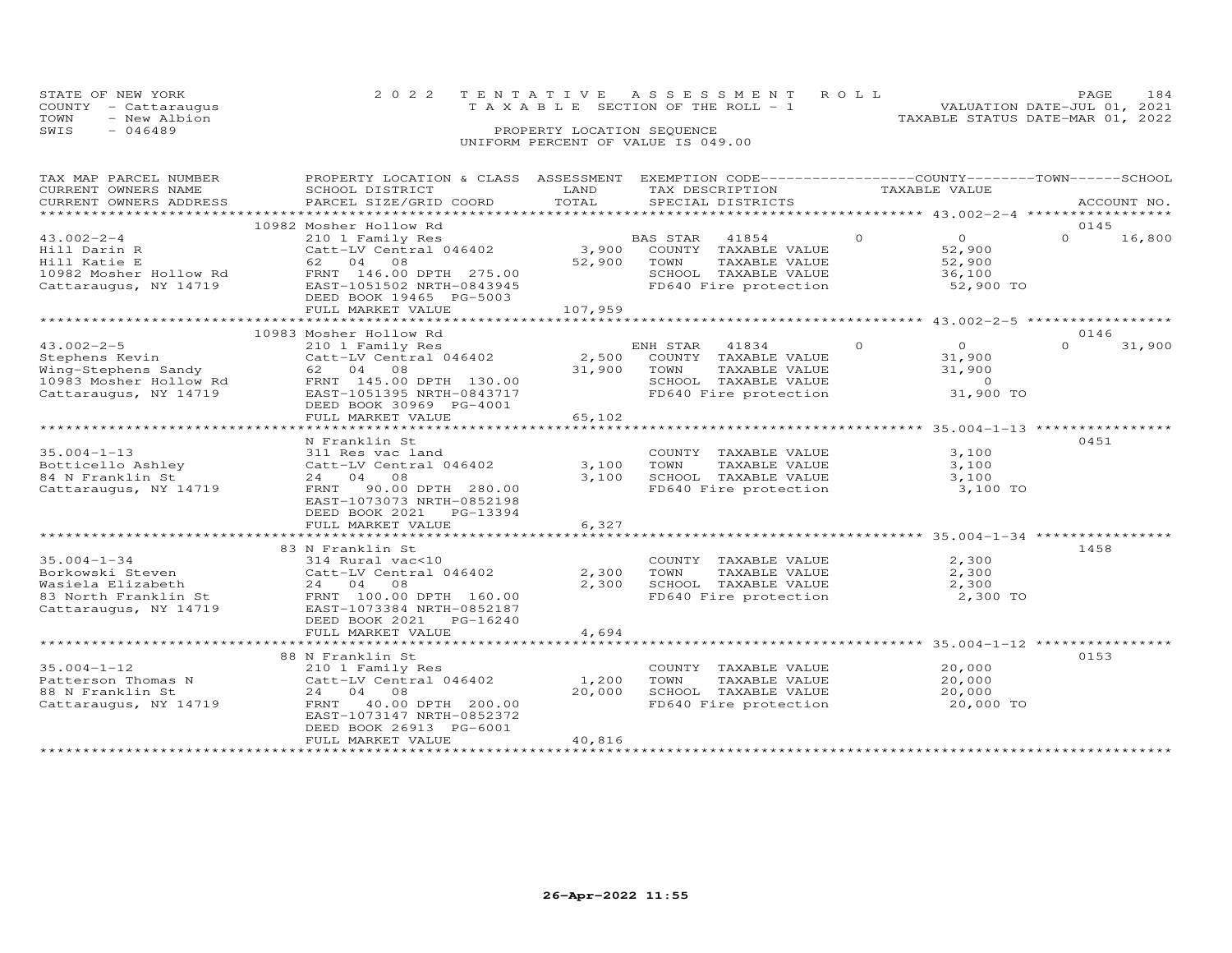|      | STATE OF NEW YORK    | 2022 TENTATIVE ASSESSMENT ROLL     |                                  | PAGE.                       | 184 |
|------|----------------------|------------------------------------|----------------------------------|-----------------------------|-----|
|      | COUNTY - Cattaraugus | TAXABLE SECTION OF THE ROLL - 1    |                                  | VALUATION DATE-JUL 01, 2021 |     |
| TOWN | - New Albion         |                                    | TAXABLE STATUS DATE-MAR 01, 2022 |                             |     |
| SWIS | $-046489$            | PROPERTY LOCATION SEQUENCE         |                                  |                             |     |
|      |                      | UNIFORM PERCENT OF VALUE IS 049.00 |                                  |                             |     |

| TAX MAP PARCEL NUMBER                                                | PROPERTY LOCATION & CLASS ASSESSMENT         |         | EXEMPTION CODE-----------------COUNTY-------TOWN------SCHOOL |          |                                                      |          |             |
|----------------------------------------------------------------------|----------------------------------------------|---------|--------------------------------------------------------------|----------|------------------------------------------------------|----------|-------------|
| CURRENT OWNERS NAME                                                  | SCHOOL DISTRICT                              | LAND    | TAX DESCRIPTION                                              |          | TAXABLE VALUE                                        |          |             |
| CURRENT OWNERS ADDRESS                                               | PARCEL SIZE/GRID COORD                       | TOTAL   | SPECIAL DISTRICTS                                            |          |                                                      |          | ACCOUNT NO. |
|                                                                      |                                              |         |                                                              |          |                                                      |          |             |
|                                                                      | 10982 Mosher Hollow Rd                       |         |                                                              |          |                                                      | 0145     |             |
| $43.002 - 2 - 4$                                                     | 210 1 Family Res                             |         | BAS STAR 41854                                               | $\Omega$ | $\overline{O}$                                       | $\Omega$ | 16,800      |
| Hill Darin R                                                         | Catt-LV Central 046402                       | 3,900   | COUNTY TAXABLE VALUE                                         |          | 52,900                                               |          |             |
| Hill Katie E                                                         | 62 04 08                                     | 52,900  | TOWN<br>TAXABLE VALUE                                        |          | 52,900                                               |          |             |
| 10982 Mosher Hollow Rd                                               | FRNT 146.00 DPTH 275.00                      |         | SCHOOL TAXABLE VALUE                                         |          | 36,100                                               |          |             |
| Cattaraugus, NY 14719                                                | EAST-1051502 NRTH-0843945                    |         | FD640 Fire protection 52,900 TO                              |          |                                                      |          |             |
|                                                                      | DEED BOOK 19465 PG-5003                      |         |                                                              |          |                                                      |          |             |
|                                                                      | FULL MARKET VALUE                            | 107,959 |                                                              |          |                                                      |          |             |
|                                                                      |                                              |         |                                                              |          |                                                      |          |             |
|                                                                      | 10983 Mosher Hollow Rd                       |         |                                                              |          |                                                      | 0146     |             |
| $43.002 - 2 - 5$                                                     | 210 1 Family Res                             |         | ENH STAR 41834                                               | $\Omega$ | $\overline{O}$                                       | $\Omega$ | 31,900      |
|                                                                      |                                              |         |                                                              |          |                                                      |          |             |
| Stephens Kevin                                                       | Catt-LV Central 046402                       | 2,500   | COUNTY TAXABLE VALUE                                         |          | 31,900                                               |          |             |
| Wing-Stephens Sandy<br>Wing-Stephens Sandy<br>10983 Mosher Hollow Rd | 62 04 08                                     | 31,900  | TOWN<br>TAXABLE VALUE                                        |          | 31,900                                               |          |             |
|                                                                      | FRNT 145.00 DPTH 130.00                      |         | SCHOOL TAXABLE VALUE                                         |          | $\overline{a}$ and $\overline{a}$ and $\overline{a}$ |          |             |
| Cattaraugus, NY 14719                                                | EAST-1051395 NRTH-0843717                    |         | FD640 Fire protection                                        |          | 31,900 TO                                            |          |             |
|                                                                      | DEED BOOK 30969 PG-4001                      |         |                                                              |          |                                                      |          |             |
|                                                                      | FULL MARKET VALUE                            | 65,102  |                                                              |          |                                                      |          |             |
|                                                                      |                                              |         |                                                              |          |                                                      |          |             |
|                                                                      | N Franklin St                                |         |                                                              |          |                                                      | 0451     |             |
| $35.004 - 1 - 13$                                                    | 311 Res vac land                             |         | COUNTY TAXABLE VALUE                                         |          | 3,100                                                |          |             |
|                                                                      |                                              | 3,100   | TAXABLE VALUE<br>TOWN                                        |          | 3,100                                                |          |             |
| 84 N Franklin St                                                     | 24 04 08                                     | 3,100   |                                                              |          | 3,100                                                |          |             |
| Cattaraugus, NY 14719                                                | FRNT 90.00 DPTH 280.00                       |         | SCHOOL TAXABLE VALUE<br>FD640 Fire protection                |          | 3,100 TO                                             |          |             |
|                                                                      | EAST-1073073 NRTH-0852198                    |         |                                                              |          |                                                      |          |             |
|                                                                      |                                              |         |                                                              |          |                                                      |          |             |
|                                                                      | DEED BOOK 2021 PG-13394                      |         |                                                              |          |                                                      |          |             |
|                                                                      | FULL MARKET VALUE                            | 6,327   |                                                              |          |                                                      |          |             |
|                                                                      |                                              |         |                                                              |          |                                                      |          |             |
|                                                                      | 83 N Franklin St                             |         |                                                              |          |                                                      | 1458     |             |
| $35.004 - 1 - 34$                                                    | 314 Rural vac<10                             |         | COUNTY TAXABLE VALUE                                         |          | 2,300                                                |          |             |
| Borkowski Steven                                                     | Catt-LV Central 046402                       | 2,300   | TOWN<br>TAXABLE VALUE                                        |          | 2,300                                                |          |             |
| Wasiela Elizabeth                                                    | 24 04 08                                     | 2,300   |                                                              |          | 2,300                                                |          |             |
|                                                                      | 83 North Franklin St FRNT 100.00 DPTH 160.00 |         | SCHOOL TAXABLE VALUE<br>FD640 Fire protection                |          | 2,300 TO                                             |          |             |
| Cattaraugus, NY 14719                                                | EAST-1073384 NRTH-0852187                    |         |                                                              |          |                                                      |          |             |
|                                                                      | DEED BOOK 2021 PG-16240                      |         |                                                              |          |                                                      |          |             |
|                                                                      | FULL MARKET VALUE                            | 4,694   |                                                              |          |                                                      |          |             |
|                                                                      |                                              |         |                                                              |          |                                                      |          |             |
|                                                                      | 88 N Franklin St                             |         |                                                              |          |                                                      | 0153     |             |
| $35.004 - 1 - 12$                                                    | 210 1 Family Res                             |         | COUNTY TAXABLE VALUE                                         |          | 20,000                                               |          |             |
|                                                                      |                                              |         |                                                              |          |                                                      |          |             |
| Patterson Thomas N                                                   | Catt-LV Central 046402                       | 1,200   | TOWN<br>TAXABLE VALUE                                        |          | 20,000                                               |          |             |
| 88 N Franklin St                                                     | 24 04 08                                     | 20,000  | SCHOOL TAXABLE VALUE                                         |          | 20,000                                               |          |             |
| Cattaraugus, NY 14719                                                | FRNT 40.00 DPTH 200.00                       |         | FD640 Fire protection                                        |          | 20,000 TO                                            |          |             |
|                                                                      | EAST-1073147 NRTH-0852372                    |         |                                                              |          |                                                      |          |             |
|                                                                      | DEED BOOK 26913 PG-6001                      |         |                                                              |          |                                                      |          |             |
|                                                                      | FULL MARKET VALUE                            | 40,816  |                                                              |          |                                                      |          |             |
|                                                                      |                                              |         |                                                              |          |                                                      |          |             |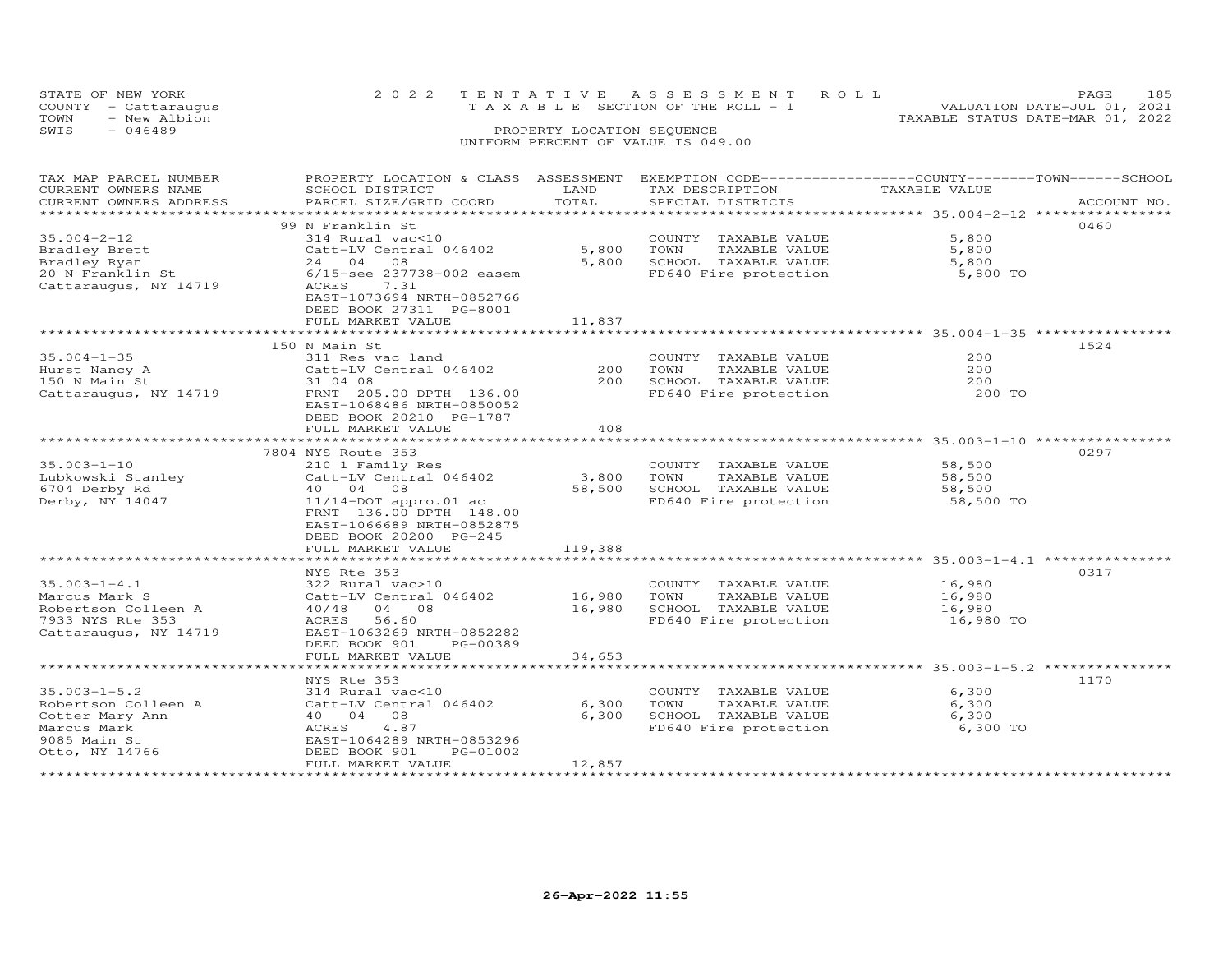| STATE OF NEW YORK                            |  | 2022 TENTATIVE ASSESSMENT ROLL        | 185<br>PAGE                                                     |
|----------------------------------------------|--|---------------------------------------|-----------------------------------------------------------------|
| COUNTY - Cattaraugus<br>TOWN<br>- New Albion |  | T A X A B L E SECTION OF THE ROLL - 1 | VALUATION DATE-JUL 01, 2021<br>TAXABLE STATUS DATE-MAR 01, 2022 |
| SWIS<br>- 046489                             |  | PROPERTY LOCATION SEQUENCE            |                                                                 |
|                                              |  | UNIFORM PERCENT OF VALUE IS 049.00    |                                                                 |

| TAX MAP PARCEL NUMBER  | PROPERTY LOCATION & CLASS ASSESSMENT EXEMPTION CODE----------------COUNTY-------TOWN------SCHOOL |               |                                                                     |               |             |
|------------------------|--------------------------------------------------------------------------------------------------|---------------|---------------------------------------------------------------------|---------------|-------------|
| CURRENT OWNERS NAME    | SCHOOL DISTRICT                                                                                  | LAND          | TAX DESCRIPTION                                                     | TAXABLE VALUE |             |
| CURRENT OWNERS ADDRESS | PARCEL SIZE/GRID COORD                                                                           | TOTAL         | SPECIAL DISTRICTS                                                   |               | ACCOUNT NO. |
|                        |                                                                                                  |               |                                                                     |               |             |
|                        | 99 N Franklin St                                                                                 |               |                                                                     |               | 0460        |
| $35.004 - 2 - 12$      | 314 Rural vac<10                                                                                 |               | COUNTY TAXABLE VALUE                                                | 5,800         |             |
| Bradley Brett          | Catt-LV Central 046402                                                                           | 5,800         | TOWN<br>TAXABLE VALUE                                               | 5,800         |             |
| Bradley Ryan           | 24 04 08                                                                                         | 5,800         | SCHOOL TAXABLE VALUE                                                | 5,800         |             |
| 20 N Franklin St       | 6/15-see 237738-002 easem                                                                        |               | FD640 Fire protection                                               | 5,800 TO      |             |
| Cattaraugus, NY 14719  | ACRES<br>7.31                                                                                    |               |                                                                     |               |             |
|                        | EAST-1073694 NRTH-0852766                                                                        |               |                                                                     |               |             |
|                        | DEED BOOK 27311 PG-8001                                                                          |               |                                                                     |               |             |
|                        | FULL MARKET VALUE                                                                                | 11,837        |                                                                     |               |             |
|                        |                                                                                                  |               |                                                                     |               |             |
|                        | 150 N Main St                                                                                    |               |                                                                     |               | 1524        |
| $35.004 - 1 - 35$      | 311 Res vac land                                                                                 |               | COUNTY TAXABLE VALUE                                                | 200           |             |
| Hurst Nancy A          | Catt-LV Central 046402                                                                           | 200           | TOWN<br>TAXABLE VALUE                                               | 200           |             |
| 150 N Main St          | 31 04 08                                                                                         | 200           | SCHOOL TAXABLE VALUE                                                | 200           |             |
| Cattaraugus, NY 14719  | FRNT 205.00 DPTH 136.00                                                                          |               | FD640 Fire protection                                               | 200 TO        |             |
|                        | EAST-1068486 NRTH-0850052                                                                        |               |                                                                     |               |             |
|                        | DEED BOOK 20210 PG-1787                                                                          |               |                                                                     |               |             |
|                        | FULL MARKET VALUE                                                                                | 408           |                                                                     |               |             |
|                        | ****************************                                                                     | ************* |                                                                     |               |             |
|                        | 7804 NYS Route 353                                                                               |               |                                                                     |               | 0297        |
| $35.003 - 1 - 10$      | 210 1 Family Res                                                                                 |               | COUNTY TAXABLE VALUE                                                | 58,500        |             |
| Lubkowski Stanley      | Catt-LV Central 046402                                                                           | 3,800         | TOWN<br>TAXABLE VALUE                                               | 58,500        |             |
| 6704 Derby Rd          | 40 04 08                                                                                         | 58,500        | SCHOOL TAXABLE VALUE                                                | 58,500        |             |
| Derby, NY 14047        | $11/14$ -DOT appro.01 ac                                                                         |               | FD640 Fire protection                                               | 58,500 TO     |             |
|                        | FRNT 136.00 DPTH 148.00                                                                          |               |                                                                     |               |             |
|                        | EAST-1066689 NRTH-0852875                                                                        |               |                                                                     |               |             |
|                        | DEED BOOK 20200 PG-245                                                                           |               |                                                                     |               |             |
|                        | FULL MARKET VALUE                                                                                | 119,388       |                                                                     |               |             |
|                        |                                                                                                  |               |                                                                     |               |             |
|                        | NYS Rte 353                                                                                      |               |                                                                     |               | 0317        |
| $35.003 - 1 - 4.1$     | 322 Rural vac>10                                                                                 |               | COUNTY TAXABLE VALUE                                                | 16,980        |             |
| Marcus Mark S          | Catt-LV Central 046402                                                                           | 16,980        | TOWN<br>TAXABLE VALUE                                               | 16,980        |             |
| Robertson Colleen A    | 40/48 04 08                                                                                      | 16,980        | SCHOOL TAXABLE VALUE                                                | 16,980        |             |
| 7933 NYS Rte 353       | ACRES<br>56.60                                                                                   |               | FD640 Fire protection                                               | 16,980 TO     |             |
| Cattaraugus, NY 14719  | EAST-1063269 NRTH-0852282                                                                        |               |                                                                     |               |             |
|                        | DEED BOOK 901<br>PG-00389                                                                        |               |                                                                     |               |             |
|                        | FULL MARKET VALUE                                                                                | 34,653        |                                                                     |               |             |
|                        | * * * * * * * * * * * * * * * * * * *                                                            |               | *************************************35.003-1-5.2 ***************** |               |             |
|                        | NYS Rte 353                                                                                      |               |                                                                     |               | 1170        |
| $35.003 - 1 - 5.2$     | 314 Rural vac<10                                                                                 |               | COUNTY TAXABLE VALUE                                                | 6,300         |             |
| Robertson Colleen A    | Catt-LV Central 046402                                                                           | 6,300         | TOWN<br>TAXABLE VALUE                                               | 6,300         |             |
| Cotter Mary Ann        | 40  04  08                                                                                       | 6,300         | SCHOOL TAXABLE VALUE                                                | 6,300         |             |
| Marcus Mark            | 4.87<br>ACRES                                                                                    |               | FD640 Fire protection                                               | 6,300 TO      |             |
| 9085 Main St           | EAST-1064289 NRTH-0853296                                                                        |               |                                                                     |               |             |
| Otto, NY 14766         | DEED BOOK 901<br>PG-01002                                                                        |               |                                                                     |               |             |
|                        | FULL MARKET VALUE                                                                                | 12,857        |                                                                     |               |             |
|                        |                                                                                                  |               |                                                                     |               |             |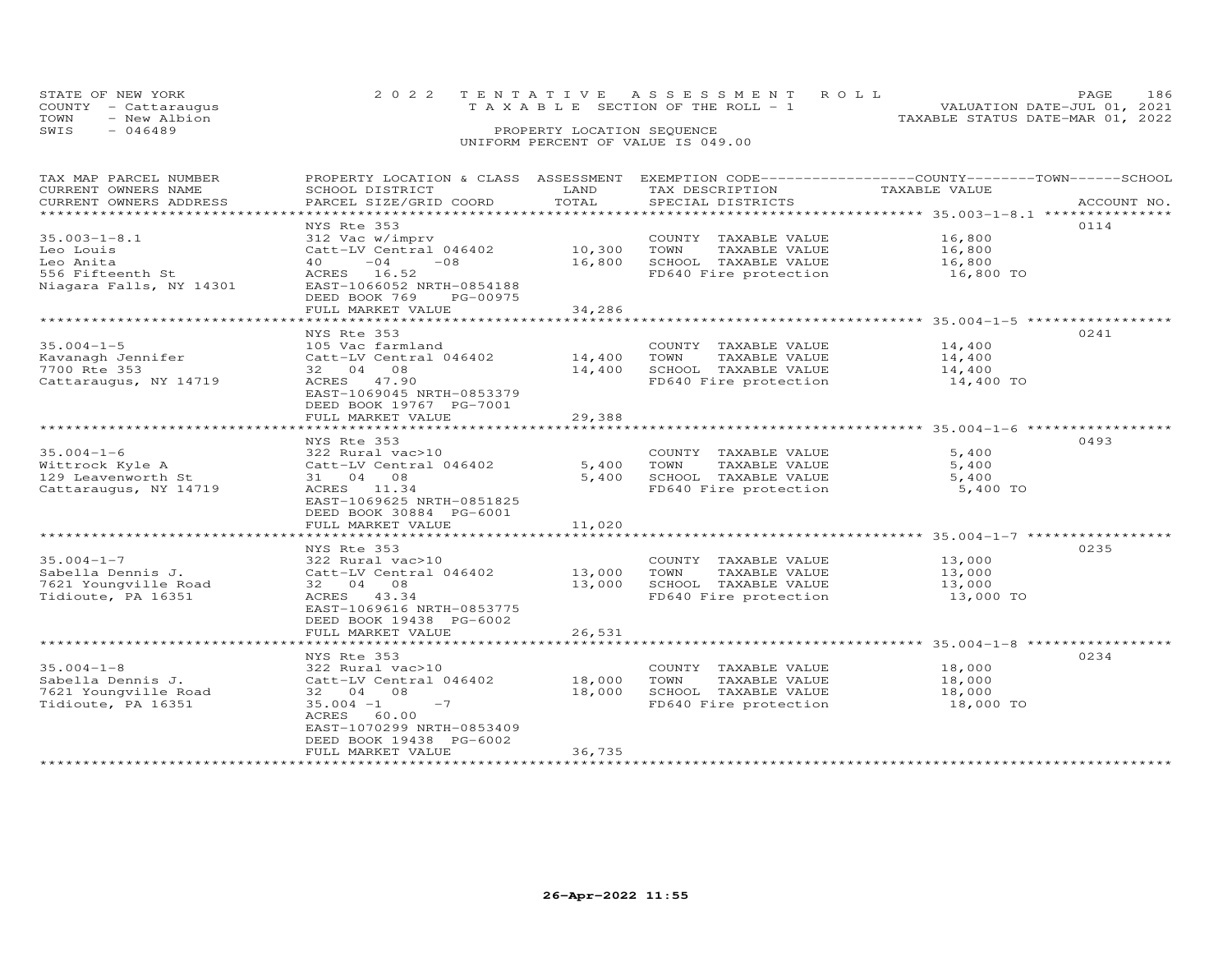| STATE OF NEW YORK |                      | 2022 TENTATIVE ASSESSMENT ROLL |                                       |  |                                  | <b>PAGE</b>                 | - 186 |
|-------------------|----------------------|--------------------------------|---------------------------------------|--|----------------------------------|-----------------------------|-------|
|                   | COUNTY - Cattarauqus |                                | T A X A B L E SECTION OF THE ROLL - 1 |  |                                  | VALUATION DATE-JUL 01, 2021 |       |
| TOWN              | - New Albion         |                                |                                       |  | TAXABLE STATUS DATE-MAR 01, 2022 |                             |       |
| SWIS              | - 046489             |                                | PROPERTY LOCATION SEQUENCE            |  |                                  |                             |       |
|                   |                      |                                | UNIFORM PERCENT OF VALUE IS 049.00    |  |                                  |                             |       |

| TAX MAP PARCEL NUMBER   | PROPERTY LOCATION & CLASS ASSESSMENT |               | EXEMPTION CODE-----------------COUNTY-------TOWN------SCHOOL |               |             |
|-------------------------|--------------------------------------|---------------|--------------------------------------------------------------|---------------|-------------|
| CURRENT OWNERS NAME     | SCHOOL DISTRICT                      | LAND          | TAX DESCRIPTION                                              | TAXABLE VALUE |             |
| CURRENT OWNERS ADDRESS  | PARCEL SIZE/GRID COORD               | TOTAL         | SPECIAL DISTRICTS                                            |               | ACCOUNT NO. |
| *********************   |                                      |               |                                                              |               |             |
|                         | NYS Rte 353                          |               |                                                              |               | 0114        |
| $35.003 - 1 - 8.1$      | 312 Vac w/imprv                      |               | COUNTY TAXABLE VALUE                                         | 16,800        |             |
| Leo Louis               | Catt-LV Central 046402               | 10,300        | TOWN<br>TAXABLE VALUE                                        | 16,800        |             |
| Leo Anita               | $40 -04$<br>$-08$                    | 16,800        | SCHOOL TAXABLE VALUE                                         | 16,800        |             |
| 556 Fifteenth St        | ACRES 16.52                          |               | FD640 Fire protection                                        | 16,800 TO     |             |
| Niagara Falls, NY 14301 | EAST-1066052 NRTH-0854188            |               |                                                              |               |             |
|                         | DEED BOOK 769<br>PG-00975            |               |                                                              |               |             |
|                         | FULL MARKET VALUE                    | 34,286        |                                                              |               |             |
|                         |                                      |               |                                                              |               |             |
|                         |                                      |               |                                                              |               | 0241        |
| $35.004 - 1 - 5$        | NYS Rte 353                          |               |                                                              |               |             |
|                         | 105 Vac farmland                     |               | COUNTY TAXABLE VALUE                                         | 14,400        |             |
| Kavanagh Jennifer       | Catt-LV Central 046402               | 14,400        | TAXABLE VALUE<br>TOWN                                        | 14,400        |             |
| 7700 Rte 353            | 32 04 08                             | 14,400        | SCHOOL TAXABLE VALUE                                         | 14,400        |             |
| Cattaraugus, NY 14719   | ACRES 47.90                          |               | FD640 Fire protection                                        | 14,400 TO     |             |
|                         | EAST-1069045 NRTH-0853379            |               |                                                              |               |             |
|                         | DEED BOOK 19767 PG-7001              |               |                                                              |               |             |
|                         | FULL MARKET VALUE                    | 29,388        |                                                              |               |             |
|                         |                                      |               |                                                              |               |             |
|                         | NYS Rte 353                          |               |                                                              |               | 0493        |
| $35.004 - 1 - 6$        | 322 Rural vac>10                     |               | COUNTY TAXABLE VALUE                                         | 5,400         |             |
| Wittrock Kyle A         | Catt-LV Central 046402               | 5,400         | TAXABLE VALUE<br>TOWN                                        | 5,400         |             |
| 129 Leavenworth St      | 31 04 08                             | 5,400         | SCHOOL TAXABLE VALUE                                         | 5,400         |             |
| Cattaraugus, NY 14719   | ACRES 11.34                          |               | FD640 Fire protection                                        | 5,400 TO      |             |
|                         | EAST-1069625 NRTH-0851825            |               |                                                              |               |             |
|                         | DEED BOOK 30884 PG-6001              |               |                                                              |               |             |
|                         | FULL MARKET VALUE                    | 11,020        |                                                              |               |             |
|                         | ******************************       | ************* |                                                              |               |             |
|                         | NYS Rte 353                          |               |                                                              |               | 0235        |
| $35.004 - 1 - 7$        | 322 Rural vac>10                     |               | COUNTY TAXABLE VALUE                                         | 13,000        |             |
| Sabella Dennis J.       | Catt-LV Central 046402               | 13,000        | TOWN<br>TAXABLE VALUE                                        | 13,000        |             |
| 7621 Youngville Road    | 32 04 08                             | 13,000        | SCHOOL TAXABLE VALUE                                         | 13,000        |             |
|                         | ACRES 43.34                          |               | FD640 Fire protection                                        | 13,000 TO     |             |
| Tidioute, PA 16351      |                                      |               |                                                              |               |             |
|                         | EAST-1069616 NRTH-0853775            |               |                                                              |               |             |
|                         | DEED BOOK 19438 PG-6002              |               |                                                              |               |             |
|                         | FULL MARKET VALUE                    | 26,531        |                                                              |               |             |
|                         |                                      |               |                                                              |               |             |
|                         | NYS Rte 353                          |               |                                                              |               | 0234        |
| $35.004 - 1 - 8$        | 322 Rural vac>10                     |               | COUNTY TAXABLE VALUE                                         | 18,000        |             |
| Sabella Dennis J.       | Catt-LV Central 046402               | 18,000        | TOWN<br>TAXABLE VALUE                                        | 18,000        |             |
| 7621 Youngville Road    | 32 04 08                             | 18,000        | SCHOOL TAXABLE VALUE                                         | 18,000        |             |
| Tidioute, PA 16351      | $35.004 -1$<br>$-7$                  |               | FD640 Fire protection                                        | 18,000 TO     |             |
|                         | ACRES 60.00                          |               |                                                              |               |             |
|                         | EAST-1070299 NRTH-0853409            |               |                                                              |               |             |
|                         | DEED BOOK 19438 PG-6002              |               |                                                              |               |             |
|                         | FULL MARKET VALUE                    | 36,735        |                                                              |               |             |
|                         |                                      |               |                                                              |               |             |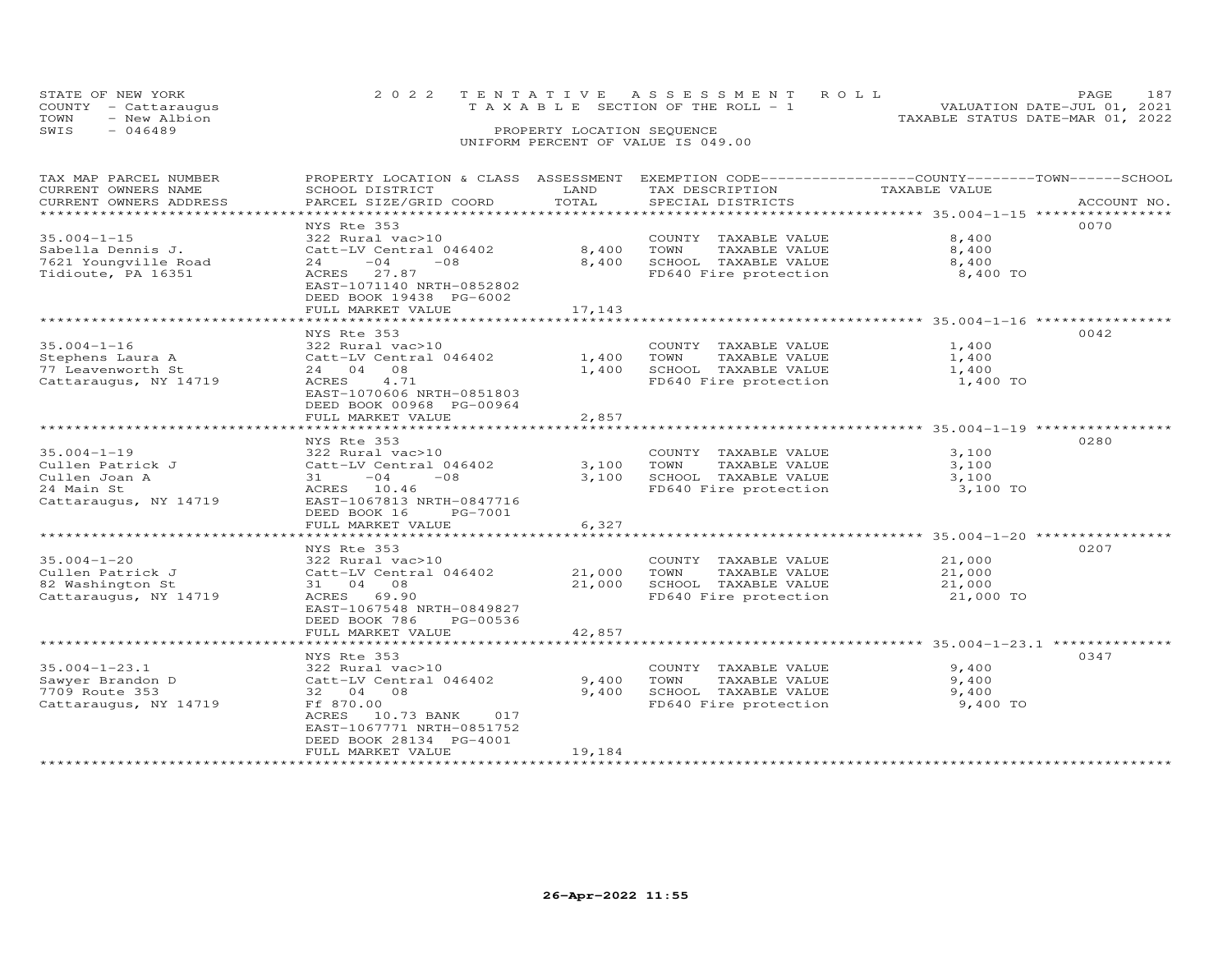| STATE OF NEW YORK<br>COUNTY - Cattaraugus | 2022 TENTATIVE ASSESSMENT ROLL | TAXABLE SECTION OF THE ROLL - 1    |  |                                  | PAGE.<br>VALUATION DATE-JUL 01, 2021 |  |
|-------------------------------------------|--------------------------------|------------------------------------|--|----------------------------------|--------------------------------------|--|
| TOWN<br>- New Albion                      |                                |                                    |  | TAXABLE STATUS DATE-MAR 01, 2022 |                                      |  |
| SWIS<br>$-046489$                         |                                | PROPERTY LOCATION SEQUENCE         |  |                                  |                                      |  |
|                                           |                                | UNIFORM PERCENT OF VALUE IS 049.00 |  |                                  |                                      |  |

| TAX MAP PARCEL NUMBER<br>CURRENT OWNERS NAME | PROPERTY LOCATION & CLASS ASSESSMENT EXEMPTION CODE-----------------COUNTY-------TOWN------SCHOOL<br>SCHOOL DISTRICT | LAND             | TAX DESCRIPTION                               | TAXABLE VALUE                                   |             |
|----------------------------------------------|----------------------------------------------------------------------------------------------------------------------|------------------|-----------------------------------------------|-------------------------------------------------|-------------|
| CURRENT OWNERS ADDRESS                       | PARCEL SIZE/GRID COORD                                                                                               | TOTAL            | SPECIAL DISTRICTS                             |                                                 | ACCOUNT NO. |
| ******************************               |                                                                                                                      |                  |                                               |                                                 |             |
|                                              | NYS Rte 353                                                                                                          |                  |                                               |                                                 | 0070        |
| $35.004 - 1 - 15$                            | 322 Rural vac>10                                                                                                     |                  | COUNTY TAXABLE VALUE                          | 8,400                                           |             |
| Sabella Dennis J.                            | Catt-LV Central 046402                                                                                               | 8,400            | TAXABLE VALUE<br>TOWN                         | 8,400                                           |             |
| 7621 Youngville Road                         | $-04$<br>$-0.8$<br>24                                                                                                | 8,400            | SCHOOL TAXABLE VALUE                          | 8,400                                           |             |
| Tidioute, PA 16351                           | ACRES 27.87                                                                                                          |                  | FD640 Fire protection                         | 8,400 TO                                        |             |
|                                              | EAST-1071140 NRTH-0852802                                                                                            |                  |                                               |                                                 |             |
|                                              | DEED BOOK 19438 PG-6002                                                                                              |                  |                                               |                                                 |             |
|                                              | FULL MARKET VALUE                                                                                                    | 17,143           |                                               |                                                 |             |
|                                              | NYS Rte 353                                                                                                          |                  |                                               |                                                 | 0042        |
| $35.004 - 1 - 16$                            | 322 Rural vac>10                                                                                                     |                  | COUNTY TAXABLE VALUE                          | 1,400                                           |             |
| Stephens Laura A                             | Catt-LV Central 046402                                                                                               | 1,400            | TOWN<br>TAXABLE VALUE                         | 1,400                                           |             |
| 77 Leavenworth St                            | 24 04 08                                                                                                             | 1,400            | SCHOOL TAXABLE VALUE                          | 1,400                                           |             |
| Cattaraugus, NY 14719                        | ACRES<br>4.71                                                                                                        |                  | FD640 Fire protection                         | 1,400 TO                                        |             |
|                                              | EAST-1070606 NRTH-0851803                                                                                            |                  |                                               |                                                 |             |
|                                              | DEED BOOK 00968 PG-00964                                                                                             |                  |                                               |                                                 |             |
|                                              | FULL MARKET VALUE                                                                                                    | 2,857            |                                               |                                                 |             |
|                                              |                                                                                                                      |                  |                                               |                                                 |             |
|                                              | NYS Rte 353                                                                                                          |                  |                                               |                                                 | 0280        |
| $35.004 - 1 - 19$                            | 322 Rural vac>10                                                                                                     |                  | COUNTY TAXABLE VALUE                          | 3,100                                           |             |
| Cullen Patrick J                             | Catt-LV Central 046402                                                                                               | 3,100            | TOWN<br>TAXABLE VALUE                         | 3,100                                           |             |
| Cullen Joan A                                | $-04$<br>$-08$<br>31 —                                                                                               | 3,100            | SCHOOL TAXABLE VALUE                          | 3,100                                           |             |
| 24 Main St                                   | ACRES 10.46                                                                                                          |                  | FD640 Fire protection                         | 3,100 TO                                        |             |
| Cattaraugus, NY 14719                        | EAST-1067813 NRTH-0847716                                                                                            |                  |                                               |                                                 |             |
|                                              | DEED BOOK 16<br>PG-7001                                                                                              |                  |                                               |                                                 |             |
|                                              | FULL MARKET VALUE                                                                                                    | 6,327            |                                               |                                                 |             |
|                                              |                                                                                                                      |                  |                                               |                                                 |             |
|                                              | NYS Rte 353                                                                                                          |                  |                                               |                                                 | 0207        |
| $35.004 - 1 - 20$                            | 322 Rural vac>10                                                                                                     |                  | COUNTY TAXABLE VALUE                          | 21,000                                          |             |
| Cullen Patrick J<br>82 Washington St         | Catt-LV Central 046402<br>31 04 08                                                                                   | 21,000<br>21,000 | TAXABLE VALUE<br>TOWN<br>SCHOOL TAXABLE VALUE | 21,000<br>21,000                                |             |
| Cattaraugus, NY 14719                        | ACRES 69.90                                                                                                          |                  | FD640 Fire protection                         | 21,000 TO                                       |             |
|                                              | EAST-1067548 NRTH-0849827                                                                                            |                  |                                               |                                                 |             |
|                                              | DEED BOOK 786<br>PG-00536                                                                                            |                  |                                               |                                                 |             |
|                                              | FULL MARKET VALUE                                                                                                    | 42,857           |                                               |                                                 |             |
|                                              |                                                                                                                      |                  |                                               | ************************ 35.004-1-23.1 ******** |             |
|                                              | NYS Rte 353                                                                                                          |                  |                                               |                                                 | 0347        |
| $35.004 - 1 - 23.1$                          | 322 Rural vac>10                                                                                                     |                  | COUNTY TAXABLE VALUE                          | 9,400                                           |             |
| Sawyer Brandon D                             | Catt-LV Central 046402                                                                                               | 9,400            | TOWN<br>TAXABLE VALUE                         | 9,400                                           |             |
| 7709 Route 353                               | 32 04 08                                                                                                             | 9,400            | SCHOOL TAXABLE VALUE                          | 9,400                                           |             |
| Cattaraugus, NY 14719                        | Ff 870.00                                                                                                            |                  | FD640 Fire protection                         | 9,400 TO                                        |             |
|                                              | 10.73 BANK<br>ACRES<br>017                                                                                           |                  |                                               |                                                 |             |
|                                              | EAST-1067771 NRTH-0851752                                                                                            |                  |                                               |                                                 |             |
|                                              | DEED BOOK 28134 PG-4001                                                                                              |                  |                                               |                                                 |             |
|                                              | FULL MARKET VALUE                                                                                                    | 19,184           |                                               |                                                 |             |
|                                              |                                                                                                                      |                  |                                               |                                                 |             |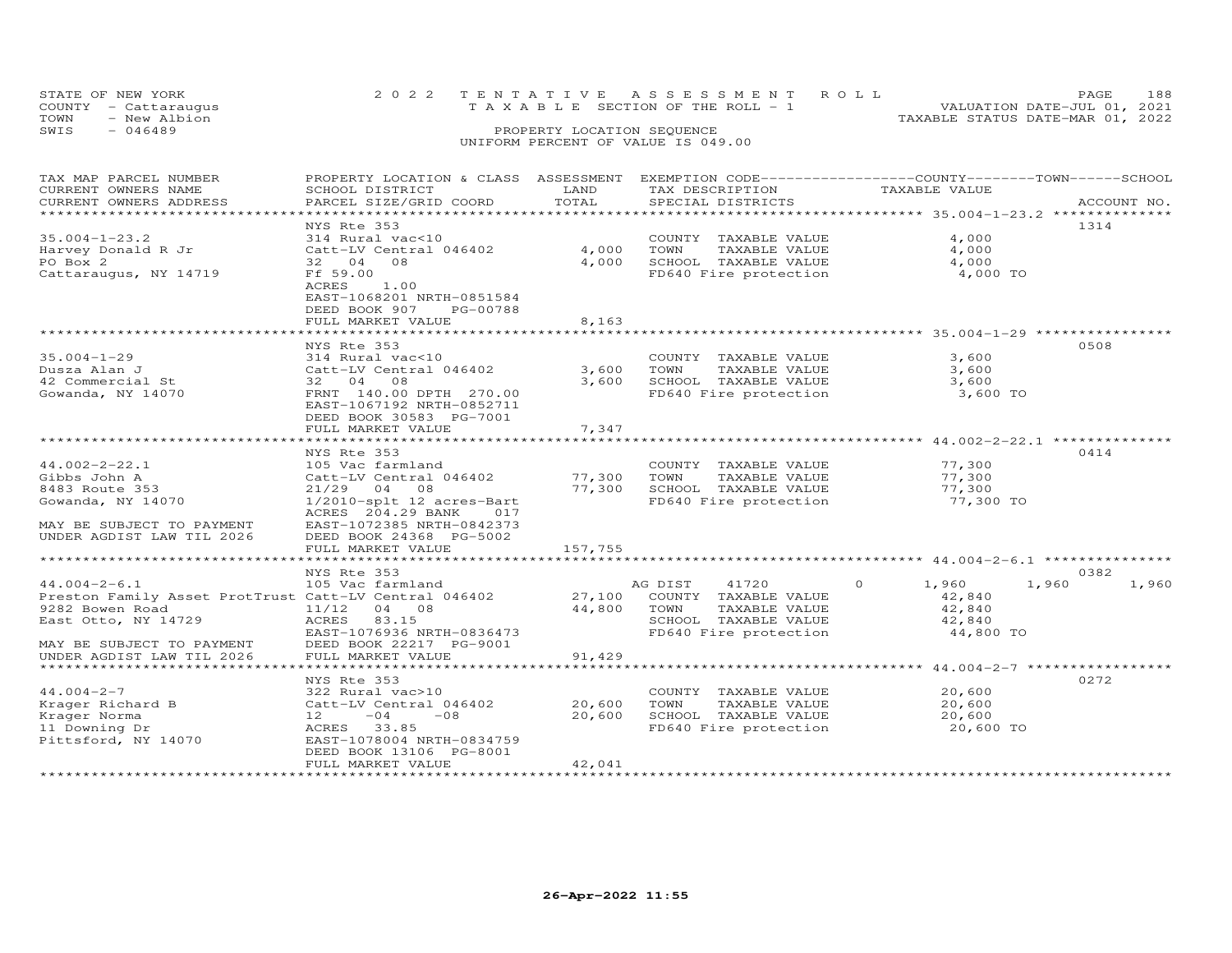| STATE OF NEW YORK<br>COUNTY - Cattaraugus | 2022 TENTATIVE ASSESSMENT ROLL<br>TAXABLE SECTION OF THE ROLL - 1 | 188<br><b>PAGE</b><br>VALUATION DATE-JUL 01, 2021 |
|-------------------------------------------|-------------------------------------------------------------------|---------------------------------------------------|
| TOWN<br>- New Albion                      |                                                                   | TAXABLE STATUS DATE-MAR 01, 2022                  |
| SWIS<br>$-046489$                         | PROPERTY LOCATION SEQUENCE                                        |                                                   |
|                                           | UNIFORM PERCENT OF VALUE IS 049.00                                |                                                   |

| TOTAL<br>PARCEL SIZE/GRID COORD<br>SPECIAL DISTRICTS<br>ACCOUNT NO.<br>*******************<br>NYS Rte 353<br>1314<br>4,000<br>314 Rural vac<10<br>COUNTY TAXABLE VALUE<br>4,000<br>4,000<br>Harvey Donald R Jr<br>Catt-LV Central 046402<br>TOWN<br>TAXABLE VALUE<br>4,000<br>PO Box 2<br>SCHOOL TAXABLE VALUE<br>4,000<br>32 04<br>08<br>Cattaraugus, NY 14719<br>Ff 59.00<br>FD640 Fire protection<br>4,000 TO<br>1.00<br>ACRES<br>EAST-1068201 NRTH-0851584<br>DEED BOOK 907<br>PG-00788<br>8,163<br>FULL MARKET VALUE<br>0508<br>NYS Rte 353<br>314 Rural vac<10<br>3,600<br>COUNTY TAXABLE VALUE<br>3,600<br>TAXABLE VALUE<br>3,600<br>Catt-LV Central 046402<br>TOWN<br>32 04 08<br>3,600<br>SCHOOL TAXABLE VALUE<br>3,600<br>FD640 Fire protection<br>3,600 TO<br>FRNT 140.00 DPTH 270.00<br>EAST-1067192 NRTH-0852711<br>DEED BOOK 30583 PG-7001<br>FULL MARKET VALUE<br>7,347<br>*******************************44.002-2-22.1 ****************<br>***********************<br>********<br>0414<br>NYS Rte 353<br>$44.002 - 2 - 22.1$<br>77,300<br>105 Vac farmland<br>COUNTY TAXABLE VALUE<br>77,300<br>77,300<br>Gibbs John A<br>Catt-LV Central 046402<br>TOWN<br>TAXABLE VALUE<br>77,300<br>8483 Route 353<br>$21/29$ 04<br>SCHOOL TAXABLE VALUE<br>77,300<br>08<br>Gowanda, NY 14070<br>1/2010-splt 12 acres-Bart<br>FD640 Fire protection<br>77,300 TO<br>ACRES 204.29 BANK<br>017<br>MAY BE SUBJECT TO PAYMENT<br>EAST-1072385 NRTH-0842373<br>DEED BOOK 24368 PG-5002<br>157,755<br>FULL MARKET VALUE<br>NYS Rte 353<br>0382<br>AG DIST<br>41720<br>$\circ$<br>1,960<br>1,960<br>1,960<br>105 Vac farmland<br>Preston Family Asset ProtTrust Catt-LV Central 046402<br>27,100<br>42,840<br>COUNTY TAXABLE VALUE<br>44,800<br>9282 Bowen Road<br>11/12<br>04 08<br>TOWN<br>TAXABLE VALUE<br>42,840<br>East Otto, NY 14729<br>ACRES<br>83.15<br>SCHOOL TAXABLE VALUE<br>42,840<br>EAST-1076936 NRTH-0836473<br>FD640 Fire protection<br>44,800 TO<br>DEED BOOK 22217 PG-9001<br>MAY BE SUBJECT TO PAYMENT<br>FULL MARKET VALUE<br>91,429<br>UNDER AGDIST LAW TIL 2026<br>*********************** 44.004-2-7 ******************<br>0272<br>NYS Rte 353<br>$44.004 - 2 - 7$<br>COUNTY TAXABLE VALUE<br>20,600<br>322 Rural vac>10<br>20,600<br>Krager Richard B<br>Catt-LV Central 046402<br>TOWN<br>TAXABLE VALUE<br>20,600<br>20,600<br>SCHOOL TAXABLE VALUE<br>20,600<br>12<br>$-04$<br>$-08$<br>33.85<br>FD640 Fire protection<br>20,600 TO<br>ACRES<br>EAST-1078004 NRTH-0834759 | TAX MAP PARCEL NUMBER<br>CURRENT OWNERS NAME | PROPERTY LOCATION & CLASS ASSESSMENT<br>SCHOOL DISTRICT | LAND | EXEMPTION CODE-----------------COUNTY-------TOWN-----SCHOOL<br>TAX DESCRIPTION | TAXABLE VALUE |  |
|--------------------------------------------------------------------------------------------------------------------------------------------------------------------------------------------------------------------------------------------------------------------------------------------------------------------------------------------------------------------------------------------------------------------------------------------------------------------------------------------------------------------------------------------------------------------------------------------------------------------------------------------------------------------------------------------------------------------------------------------------------------------------------------------------------------------------------------------------------------------------------------------------------------------------------------------------------------------------------------------------------------------------------------------------------------------------------------------------------------------------------------------------------------------------------------------------------------------------------------------------------------------------------------------------------------------------------------------------------------------------------------------------------------------------------------------------------------------------------------------------------------------------------------------------------------------------------------------------------------------------------------------------------------------------------------------------------------------------------------------------------------------------------------------------------------------------------------------------------------------------------------------------------------------------------------------------------------------------------------------------------------------------------------------------------------------------------------------------------------------------------------------------------------------------------------------------------------------------------------------------------------------------------------------------------------------------------------------------------------------------------------------------------------------------------------------------------------------------------------------------|----------------------------------------------|---------------------------------------------------------|------|--------------------------------------------------------------------------------|---------------|--|
|                                                                                                                                                                                                                                                                                                                                                                                                                                                                                                                                                                                                                                                                                                                                                                                                                                                                                                                                                                                                                                                                                                                                                                                                                                                                                                                                                                                                                                                                                                                                                                                                                                                                                                                                                                                                                                                                                                                                                                                                                                                                                                                                                                                                                                                                                                                                                                                                                                                                                                  | CURRENT OWNERS ADDRESS                       |                                                         |      |                                                                                |               |  |
|                                                                                                                                                                                                                                                                                                                                                                                                                                                                                                                                                                                                                                                                                                                                                                                                                                                                                                                                                                                                                                                                                                                                                                                                                                                                                                                                                                                                                                                                                                                                                                                                                                                                                                                                                                                                                                                                                                                                                                                                                                                                                                                                                                                                                                                                                                                                                                                                                                                                                                  |                                              |                                                         |      |                                                                                |               |  |
|                                                                                                                                                                                                                                                                                                                                                                                                                                                                                                                                                                                                                                                                                                                                                                                                                                                                                                                                                                                                                                                                                                                                                                                                                                                                                                                                                                                                                                                                                                                                                                                                                                                                                                                                                                                                                                                                                                                                                                                                                                                                                                                                                                                                                                                                                                                                                                                                                                                                                                  |                                              |                                                         |      |                                                                                |               |  |
|                                                                                                                                                                                                                                                                                                                                                                                                                                                                                                                                                                                                                                                                                                                                                                                                                                                                                                                                                                                                                                                                                                                                                                                                                                                                                                                                                                                                                                                                                                                                                                                                                                                                                                                                                                                                                                                                                                                                                                                                                                                                                                                                                                                                                                                                                                                                                                                                                                                                                                  | $35.004 - 1 - 23.2$                          |                                                         |      |                                                                                |               |  |
|                                                                                                                                                                                                                                                                                                                                                                                                                                                                                                                                                                                                                                                                                                                                                                                                                                                                                                                                                                                                                                                                                                                                                                                                                                                                                                                                                                                                                                                                                                                                                                                                                                                                                                                                                                                                                                                                                                                                                                                                                                                                                                                                                                                                                                                                                                                                                                                                                                                                                                  |                                              |                                                         |      |                                                                                |               |  |
|                                                                                                                                                                                                                                                                                                                                                                                                                                                                                                                                                                                                                                                                                                                                                                                                                                                                                                                                                                                                                                                                                                                                                                                                                                                                                                                                                                                                                                                                                                                                                                                                                                                                                                                                                                                                                                                                                                                                                                                                                                                                                                                                                                                                                                                                                                                                                                                                                                                                                                  |                                              |                                                         |      |                                                                                |               |  |
|                                                                                                                                                                                                                                                                                                                                                                                                                                                                                                                                                                                                                                                                                                                                                                                                                                                                                                                                                                                                                                                                                                                                                                                                                                                                                                                                                                                                                                                                                                                                                                                                                                                                                                                                                                                                                                                                                                                                                                                                                                                                                                                                                                                                                                                                                                                                                                                                                                                                                                  |                                              |                                                         |      |                                                                                |               |  |
|                                                                                                                                                                                                                                                                                                                                                                                                                                                                                                                                                                                                                                                                                                                                                                                                                                                                                                                                                                                                                                                                                                                                                                                                                                                                                                                                                                                                                                                                                                                                                                                                                                                                                                                                                                                                                                                                                                                                                                                                                                                                                                                                                                                                                                                                                                                                                                                                                                                                                                  |                                              |                                                         |      |                                                                                |               |  |
|                                                                                                                                                                                                                                                                                                                                                                                                                                                                                                                                                                                                                                                                                                                                                                                                                                                                                                                                                                                                                                                                                                                                                                                                                                                                                                                                                                                                                                                                                                                                                                                                                                                                                                                                                                                                                                                                                                                                                                                                                                                                                                                                                                                                                                                                                                                                                                                                                                                                                                  |                                              |                                                         |      |                                                                                |               |  |
|                                                                                                                                                                                                                                                                                                                                                                                                                                                                                                                                                                                                                                                                                                                                                                                                                                                                                                                                                                                                                                                                                                                                                                                                                                                                                                                                                                                                                                                                                                                                                                                                                                                                                                                                                                                                                                                                                                                                                                                                                                                                                                                                                                                                                                                                                                                                                                                                                                                                                                  |                                              |                                                         |      |                                                                                |               |  |
|                                                                                                                                                                                                                                                                                                                                                                                                                                                                                                                                                                                                                                                                                                                                                                                                                                                                                                                                                                                                                                                                                                                                                                                                                                                                                                                                                                                                                                                                                                                                                                                                                                                                                                                                                                                                                                                                                                                                                                                                                                                                                                                                                                                                                                                                                                                                                                                                                                                                                                  |                                              |                                                         |      |                                                                                |               |  |
|                                                                                                                                                                                                                                                                                                                                                                                                                                                                                                                                                                                                                                                                                                                                                                                                                                                                                                                                                                                                                                                                                                                                                                                                                                                                                                                                                                                                                                                                                                                                                                                                                                                                                                                                                                                                                                                                                                                                                                                                                                                                                                                                                                                                                                                                                                                                                                                                                                                                                                  |                                              |                                                         |      |                                                                                |               |  |
|                                                                                                                                                                                                                                                                                                                                                                                                                                                                                                                                                                                                                                                                                                                                                                                                                                                                                                                                                                                                                                                                                                                                                                                                                                                                                                                                                                                                                                                                                                                                                                                                                                                                                                                                                                                                                                                                                                                                                                                                                                                                                                                                                                                                                                                                                                                                                                                                                                                                                                  | $35.004 - 1 - 29$                            |                                                         |      |                                                                                |               |  |
|                                                                                                                                                                                                                                                                                                                                                                                                                                                                                                                                                                                                                                                                                                                                                                                                                                                                                                                                                                                                                                                                                                                                                                                                                                                                                                                                                                                                                                                                                                                                                                                                                                                                                                                                                                                                                                                                                                                                                                                                                                                                                                                                                                                                                                                                                                                                                                                                                                                                                                  | Dusza Alan J                                 |                                                         |      |                                                                                |               |  |
|                                                                                                                                                                                                                                                                                                                                                                                                                                                                                                                                                                                                                                                                                                                                                                                                                                                                                                                                                                                                                                                                                                                                                                                                                                                                                                                                                                                                                                                                                                                                                                                                                                                                                                                                                                                                                                                                                                                                                                                                                                                                                                                                                                                                                                                                                                                                                                                                                                                                                                  | 42 Commercial St                             |                                                         |      |                                                                                |               |  |
|                                                                                                                                                                                                                                                                                                                                                                                                                                                                                                                                                                                                                                                                                                                                                                                                                                                                                                                                                                                                                                                                                                                                                                                                                                                                                                                                                                                                                                                                                                                                                                                                                                                                                                                                                                                                                                                                                                                                                                                                                                                                                                                                                                                                                                                                                                                                                                                                                                                                                                  | Gowanda, NY 14070                            |                                                         |      |                                                                                |               |  |
|                                                                                                                                                                                                                                                                                                                                                                                                                                                                                                                                                                                                                                                                                                                                                                                                                                                                                                                                                                                                                                                                                                                                                                                                                                                                                                                                                                                                                                                                                                                                                                                                                                                                                                                                                                                                                                                                                                                                                                                                                                                                                                                                                                                                                                                                                                                                                                                                                                                                                                  |                                              |                                                         |      |                                                                                |               |  |
|                                                                                                                                                                                                                                                                                                                                                                                                                                                                                                                                                                                                                                                                                                                                                                                                                                                                                                                                                                                                                                                                                                                                                                                                                                                                                                                                                                                                                                                                                                                                                                                                                                                                                                                                                                                                                                                                                                                                                                                                                                                                                                                                                                                                                                                                                                                                                                                                                                                                                                  |                                              |                                                         |      |                                                                                |               |  |
|                                                                                                                                                                                                                                                                                                                                                                                                                                                                                                                                                                                                                                                                                                                                                                                                                                                                                                                                                                                                                                                                                                                                                                                                                                                                                                                                                                                                                                                                                                                                                                                                                                                                                                                                                                                                                                                                                                                                                                                                                                                                                                                                                                                                                                                                                                                                                                                                                                                                                                  |                                              |                                                         |      |                                                                                |               |  |
|                                                                                                                                                                                                                                                                                                                                                                                                                                                                                                                                                                                                                                                                                                                                                                                                                                                                                                                                                                                                                                                                                                                                                                                                                                                                                                                                                                                                                                                                                                                                                                                                                                                                                                                                                                                                                                                                                                                                                                                                                                                                                                                                                                                                                                                                                                                                                                                                                                                                                                  |                                              |                                                         |      |                                                                                |               |  |
|                                                                                                                                                                                                                                                                                                                                                                                                                                                                                                                                                                                                                                                                                                                                                                                                                                                                                                                                                                                                                                                                                                                                                                                                                                                                                                                                                                                                                                                                                                                                                                                                                                                                                                                                                                                                                                                                                                                                                                                                                                                                                                                                                                                                                                                                                                                                                                                                                                                                                                  |                                              |                                                         |      |                                                                                |               |  |
|                                                                                                                                                                                                                                                                                                                                                                                                                                                                                                                                                                                                                                                                                                                                                                                                                                                                                                                                                                                                                                                                                                                                                                                                                                                                                                                                                                                                                                                                                                                                                                                                                                                                                                                                                                                                                                                                                                                                                                                                                                                                                                                                                                                                                                                                                                                                                                                                                                                                                                  |                                              |                                                         |      |                                                                                |               |  |
|                                                                                                                                                                                                                                                                                                                                                                                                                                                                                                                                                                                                                                                                                                                                                                                                                                                                                                                                                                                                                                                                                                                                                                                                                                                                                                                                                                                                                                                                                                                                                                                                                                                                                                                                                                                                                                                                                                                                                                                                                                                                                                                                                                                                                                                                                                                                                                                                                                                                                                  |                                              |                                                         |      |                                                                                |               |  |
|                                                                                                                                                                                                                                                                                                                                                                                                                                                                                                                                                                                                                                                                                                                                                                                                                                                                                                                                                                                                                                                                                                                                                                                                                                                                                                                                                                                                                                                                                                                                                                                                                                                                                                                                                                                                                                                                                                                                                                                                                                                                                                                                                                                                                                                                                                                                                                                                                                                                                                  |                                              |                                                         |      |                                                                                |               |  |
|                                                                                                                                                                                                                                                                                                                                                                                                                                                                                                                                                                                                                                                                                                                                                                                                                                                                                                                                                                                                                                                                                                                                                                                                                                                                                                                                                                                                                                                                                                                                                                                                                                                                                                                                                                                                                                                                                                                                                                                                                                                                                                                                                                                                                                                                                                                                                                                                                                                                                                  |                                              |                                                         |      |                                                                                |               |  |
|                                                                                                                                                                                                                                                                                                                                                                                                                                                                                                                                                                                                                                                                                                                                                                                                                                                                                                                                                                                                                                                                                                                                                                                                                                                                                                                                                                                                                                                                                                                                                                                                                                                                                                                                                                                                                                                                                                                                                                                                                                                                                                                                                                                                                                                                                                                                                                                                                                                                                                  |                                              |                                                         |      |                                                                                |               |  |
|                                                                                                                                                                                                                                                                                                                                                                                                                                                                                                                                                                                                                                                                                                                                                                                                                                                                                                                                                                                                                                                                                                                                                                                                                                                                                                                                                                                                                                                                                                                                                                                                                                                                                                                                                                                                                                                                                                                                                                                                                                                                                                                                                                                                                                                                                                                                                                                                                                                                                                  | UNDER AGDIST LAW TIL 2026                    |                                                         |      |                                                                                |               |  |
|                                                                                                                                                                                                                                                                                                                                                                                                                                                                                                                                                                                                                                                                                                                                                                                                                                                                                                                                                                                                                                                                                                                                                                                                                                                                                                                                                                                                                                                                                                                                                                                                                                                                                                                                                                                                                                                                                                                                                                                                                                                                                                                                                                                                                                                                                                                                                                                                                                                                                                  |                                              |                                                         |      |                                                                                |               |  |
|                                                                                                                                                                                                                                                                                                                                                                                                                                                                                                                                                                                                                                                                                                                                                                                                                                                                                                                                                                                                                                                                                                                                                                                                                                                                                                                                                                                                                                                                                                                                                                                                                                                                                                                                                                                                                                                                                                                                                                                                                                                                                                                                                                                                                                                                                                                                                                                                                                                                                                  |                                              |                                                         |      |                                                                                |               |  |
|                                                                                                                                                                                                                                                                                                                                                                                                                                                                                                                                                                                                                                                                                                                                                                                                                                                                                                                                                                                                                                                                                                                                                                                                                                                                                                                                                                                                                                                                                                                                                                                                                                                                                                                                                                                                                                                                                                                                                                                                                                                                                                                                                                                                                                                                                                                                                                                                                                                                                                  |                                              |                                                         |      |                                                                                |               |  |
|                                                                                                                                                                                                                                                                                                                                                                                                                                                                                                                                                                                                                                                                                                                                                                                                                                                                                                                                                                                                                                                                                                                                                                                                                                                                                                                                                                                                                                                                                                                                                                                                                                                                                                                                                                                                                                                                                                                                                                                                                                                                                                                                                                                                                                                                                                                                                                                                                                                                                                  | $44.004 - 2 - 6.1$                           |                                                         |      |                                                                                |               |  |
|                                                                                                                                                                                                                                                                                                                                                                                                                                                                                                                                                                                                                                                                                                                                                                                                                                                                                                                                                                                                                                                                                                                                                                                                                                                                                                                                                                                                                                                                                                                                                                                                                                                                                                                                                                                                                                                                                                                                                                                                                                                                                                                                                                                                                                                                                                                                                                                                                                                                                                  |                                              |                                                         |      |                                                                                |               |  |
|                                                                                                                                                                                                                                                                                                                                                                                                                                                                                                                                                                                                                                                                                                                                                                                                                                                                                                                                                                                                                                                                                                                                                                                                                                                                                                                                                                                                                                                                                                                                                                                                                                                                                                                                                                                                                                                                                                                                                                                                                                                                                                                                                                                                                                                                                                                                                                                                                                                                                                  |                                              |                                                         |      |                                                                                |               |  |
|                                                                                                                                                                                                                                                                                                                                                                                                                                                                                                                                                                                                                                                                                                                                                                                                                                                                                                                                                                                                                                                                                                                                                                                                                                                                                                                                                                                                                                                                                                                                                                                                                                                                                                                                                                                                                                                                                                                                                                                                                                                                                                                                                                                                                                                                                                                                                                                                                                                                                                  |                                              |                                                         |      |                                                                                |               |  |
|                                                                                                                                                                                                                                                                                                                                                                                                                                                                                                                                                                                                                                                                                                                                                                                                                                                                                                                                                                                                                                                                                                                                                                                                                                                                                                                                                                                                                                                                                                                                                                                                                                                                                                                                                                                                                                                                                                                                                                                                                                                                                                                                                                                                                                                                                                                                                                                                                                                                                                  |                                              |                                                         |      |                                                                                |               |  |
|                                                                                                                                                                                                                                                                                                                                                                                                                                                                                                                                                                                                                                                                                                                                                                                                                                                                                                                                                                                                                                                                                                                                                                                                                                                                                                                                                                                                                                                                                                                                                                                                                                                                                                                                                                                                                                                                                                                                                                                                                                                                                                                                                                                                                                                                                                                                                                                                                                                                                                  |                                              |                                                         |      |                                                                                |               |  |
|                                                                                                                                                                                                                                                                                                                                                                                                                                                                                                                                                                                                                                                                                                                                                                                                                                                                                                                                                                                                                                                                                                                                                                                                                                                                                                                                                                                                                                                                                                                                                                                                                                                                                                                                                                                                                                                                                                                                                                                                                                                                                                                                                                                                                                                                                                                                                                                                                                                                                                  |                                              |                                                         |      |                                                                                |               |  |
|                                                                                                                                                                                                                                                                                                                                                                                                                                                                                                                                                                                                                                                                                                                                                                                                                                                                                                                                                                                                                                                                                                                                                                                                                                                                                                                                                                                                                                                                                                                                                                                                                                                                                                                                                                                                                                                                                                                                                                                                                                                                                                                                                                                                                                                                                                                                                                                                                                                                                                  |                                              |                                                         |      |                                                                                |               |  |
|                                                                                                                                                                                                                                                                                                                                                                                                                                                                                                                                                                                                                                                                                                                                                                                                                                                                                                                                                                                                                                                                                                                                                                                                                                                                                                                                                                                                                                                                                                                                                                                                                                                                                                                                                                                                                                                                                                                                                                                                                                                                                                                                                                                                                                                                                                                                                                                                                                                                                                  |                                              |                                                         |      |                                                                                |               |  |
|                                                                                                                                                                                                                                                                                                                                                                                                                                                                                                                                                                                                                                                                                                                                                                                                                                                                                                                                                                                                                                                                                                                                                                                                                                                                                                                                                                                                                                                                                                                                                                                                                                                                                                                                                                                                                                                                                                                                                                                                                                                                                                                                                                                                                                                                                                                                                                                                                                                                                                  |                                              |                                                         |      |                                                                                |               |  |
|                                                                                                                                                                                                                                                                                                                                                                                                                                                                                                                                                                                                                                                                                                                                                                                                                                                                                                                                                                                                                                                                                                                                                                                                                                                                                                                                                                                                                                                                                                                                                                                                                                                                                                                                                                                                                                                                                                                                                                                                                                                                                                                                                                                                                                                                                                                                                                                                                                                                                                  | Krager Norma                                 |                                                         |      |                                                                                |               |  |
|                                                                                                                                                                                                                                                                                                                                                                                                                                                                                                                                                                                                                                                                                                                                                                                                                                                                                                                                                                                                                                                                                                                                                                                                                                                                                                                                                                                                                                                                                                                                                                                                                                                                                                                                                                                                                                                                                                                                                                                                                                                                                                                                                                                                                                                                                                                                                                                                                                                                                                  | 11 Downing Dr                                |                                                         |      |                                                                                |               |  |
|                                                                                                                                                                                                                                                                                                                                                                                                                                                                                                                                                                                                                                                                                                                                                                                                                                                                                                                                                                                                                                                                                                                                                                                                                                                                                                                                                                                                                                                                                                                                                                                                                                                                                                                                                                                                                                                                                                                                                                                                                                                                                                                                                                                                                                                                                                                                                                                                                                                                                                  | Pittsford, NY 14070                          |                                                         |      |                                                                                |               |  |
|                                                                                                                                                                                                                                                                                                                                                                                                                                                                                                                                                                                                                                                                                                                                                                                                                                                                                                                                                                                                                                                                                                                                                                                                                                                                                                                                                                                                                                                                                                                                                                                                                                                                                                                                                                                                                                                                                                                                                                                                                                                                                                                                                                                                                                                                                                                                                                                                                                                                                                  |                                              | DEED BOOK 13106 PG-8001                                 |      |                                                                                |               |  |
| 42,041<br>FULL MARKET VALUE                                                                                                                                                                                                                                                                                                                                                                                                                                                                                                                                                                                                                                                                                                                                                                                                                                                                                                                                                                                                                                                                                                                                                                                                                                                                                                                                                                                                                                                                                                                                                                                                                                                                                                                                                                                                                                                                                                                                                                                                                                                                                                                                                                                                                                                                                                                                                                                                                                                                      |                                              |                                                         |      |                                                                                |               |  |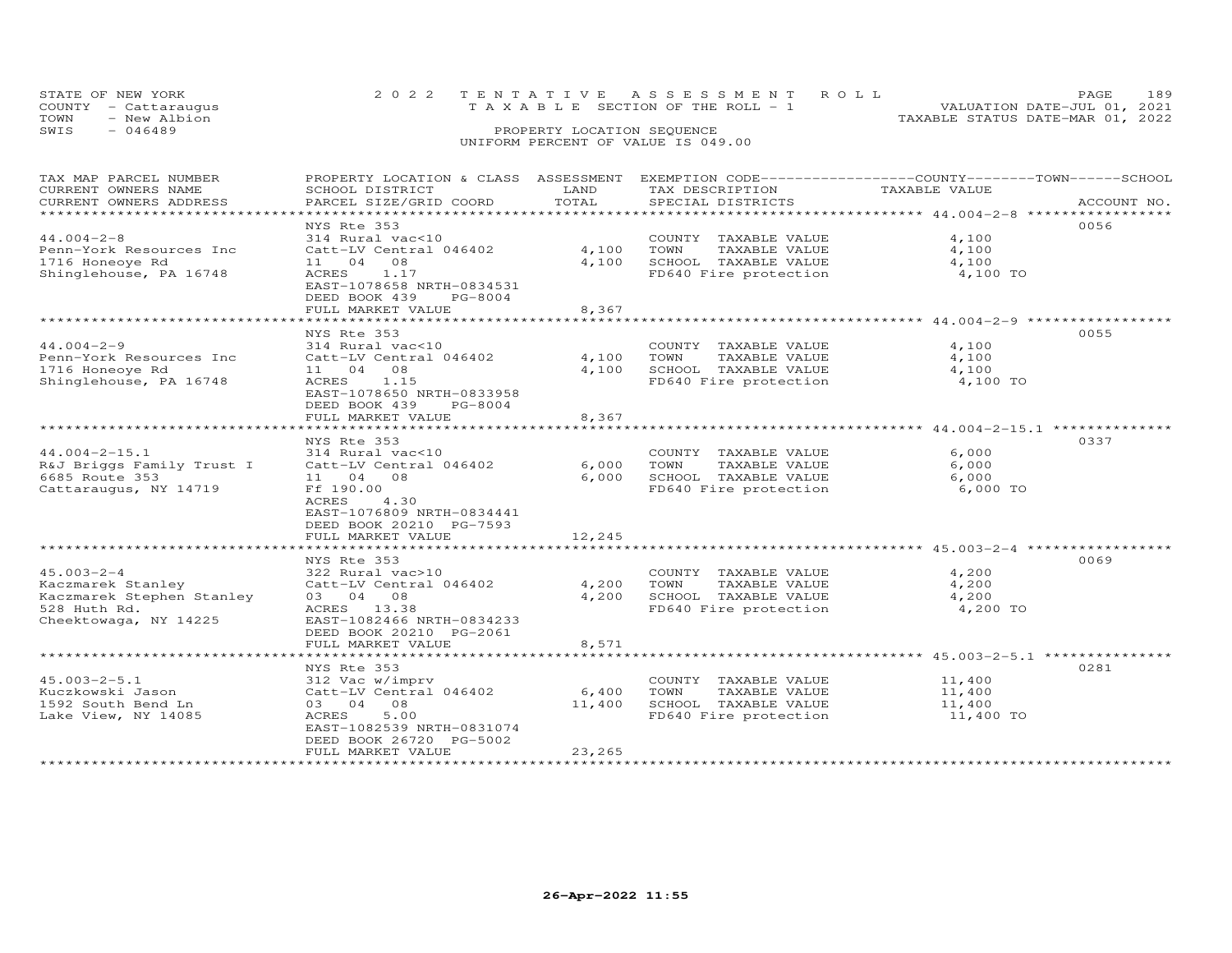| STATE OF NEW YORK<br>COUNTY - Cattaraugus |              | 2022 TENTATIVE ASSESSMENT ROLL<br>T A X A B L E SECTION OF THE ROLL - 1 |                            |  |                                  | PAGE.<br>VALUATION DATE-JUL 01, 2021 | 189 |
|-------------------------------------------|--------------|-------------------------------------------------------------------------|----------------------------|--|----------------------------------|--------------------------------------|-----|
| TOWN                                      | - New Albion |                                                                         |                            |  | TAXABLE STATUS DATE-MAR 01, 2022 |                                      |     |
| SWIS                                      | $-046489$    |                                                                         | PROPERTY LOCATION SEQUENCE |  |                                  |                                      |     |
|                                           |              | UNIFORM PERCENT OF VALUE IS 049.00                                      |                            |  |                                  |                                      |     |

| TAX MAP PARCEL NUMBER<br>CURRENT OWNERS NAME<br>CURRENT OWNERS ADDRESS | PROPERTY LOCATION & CLASS ASSESSMENT<br>SCHOOL DISTRICT<br>PARCEL SIZE/GRID COORD | LAND<br>TOTAL | EXEMPTION CODE-----------------COUNTY-------TOWN------SCHOOL<br>TAX DESCRIPTION<br>SPECIAL DISTRICTS | TAXABLE VALUE                                                 | ACCOUNT NO. |
|------------------------------------------------------------------------|-----------------------------------------------------------------------------------|---------------|------------------------------------------------------------------------------------------------------|---------------------------------------------------------------|-------------|
| *************************                                              |                                                                                   |               |                                                                                                      |                                                               |             |
|                                                                        | NYS Rte 353                                                                       |               |                                                                                                      |                                                               | 0056        |
| $44.004 - 2 - 8$                                                       | 314 Rural vac<10                                                                  |               | COUNTY TAXABLE VALUE                                                                                 | 4,100                                                         |             |
| Penn-York Resources Inc                                                | Catt-LV Central 046402                                                            | 4,100         | TOWN<br>TAXABLE VALUE                                                                                | 4,100                                                         |             |
| 1716 Honeoye Rd                                                        | 11 04<br>08                                                                       | 4,100         | SCHOOL TAXABLE VALUE                                                                                 | 4,100                                                         |             |
| Shinglehouse, PA 16748                                                 | ACRES<br>1.17<br>EAST-1078658 NRTH-0834531<br>DEED BOOK 439<br>PG-8004            |               | FD640 Fire protection                                                                                | 4,100 TO                                                      |             |
|                                                                        | FULL MARKET VALUE                                                                 | 8,367         |                                                                                                      |                                                               |             |
|                                                                        | *******************                                                               | ************  |                                                                                                      | ************************************94-2-9 *************      |             |
|                                                                        | NYS Rte 353                                                                       |               |                                                                                                      |                                                               | 0055        |
| $44.004 - 2 - 9$                                                       | 314 Rural vac<10                                                                  |               | COUNTY TAXABLE VALUE                                                                                 | 4,100                                                         |             |
| Penn-York Resources Inc                                                | Catt-LV Central 046402                                                            | 4,100         | TOWN<br>TAXABLE VALUE                                                                                | 4,100                                                         |             |
| 1716 Honeove Rd                                                        | 11 04 08                                                                          | 4,100         | SCHOOL TAXABLE VALUE                                                                                 | 4,100                                                         |             |
| Shinglehouse, PA 16748                                                 | ACRES<br>1.15<br>EAST-1078650 NRTH-0833958<br>DEED BOOK 439<br>PG-8004            |               | FD640 Fire protection                                                                                | 4,100 TO                                                      |             |
|                                                                        | FULL MARKET VALUE                                                                 | 8,367         |                                                                                                      |                                                               |             |
|                                                                        | ***************************                                                       |               |                                                                                                      | **************************************44.004-2-15.1 ********* |             |
|                                                                        | NYS Rte 353                                                                       |               |                                                                                                      |                                                               | 0337        |
| $44.004 - 2 - 15.1$                                                    | 314 Rural vac<10                                                                  |               | COUNTY TAXABLE VALUE                                                                                 | 6,000                                                         |             |
| R&J Briggs Family Trust I                                              | Catt-LV Central 046402                                                            | 6,000         | TAXABLE VALUE<br>TOWN                                                                                | 6,000                                                         |             |
| 6685 Route 353                                                         | 11 04 08                                                                          | 6,000         | SCHOOL TAXABLE VALUE                                                                                 | 6,000                                                         |             |
| Cattaraugus, NY 14719                                                  | Ff 190.00<br><b>ACRES</b><br>4.30                                                 |               | FD640 Fire protection                                                                                | 6,000 TO                                                      |             |
|                                                                        | EAST-1076809 NRTH-0834441<br>DEED BOOK 20210 PG-7593                              |               |                                                                                                      |                                                               |             |
|                                                                        | FULL MARKET VALUE                                                                 | 12,245        |                                                                                                      |                                                               |             |
|                                                                        | *********************                                                             | ***********   |                                                                                                      | ************************************ 45.003-2-4 ************  |             |
|                                                                        | NYS Rte 353                                                                       |               |                                                                                                      |                                                               | 0069        |
| $45.003 - 2 - 4$                                                       | 322 Rural vac>10                                                                  |               | COUNTY TAXABLE VALUE                                                                                 | 4,200                                                         |             |
| Kaczmarek Stanley                                                      | Catt-LV Central 046402                                                            | 4,200         | TOWN<br>TAXABLE VALUE                                                                                | 4,200                                                         |             |
| Kaczmarek Stephen Stanley                                              | 03 04 08                                                                          | 4,200         | SCHOOL TAXABLE VALUE                                                                                 | 4,200                                                         |             |
| 528 Huth Rd.                                                           | ACRES 13.38                                                                       |               | FD640 Fire protection                                                                                | 4,200 TO                                                      |             |
| Cheektowaga, NY 14225                                                  | EAST-1082466 NRTH-0834233                                                         |               |                                                                                                      |                                                               |             |
|                                                                        | DEED BOOK 20210 PG-2061                                                           |               |                                                                                                      |                                                               |             |
|                                                                        | FULL MARKET VALUE                                                                 | 8,571         |                                                                                                      |                                                               |             |
|                                                                        | **************************                                                        |               |                                                                                                      |                                                               |             |
|                                                                        | NYS Rte 353                                                                       |               |                                                                                                      |                                                               | 0281        |
| $45.003 - 2 - 5.1$                                                     | 312 Vac w/imprv                                                                   |               | COUNTY TAXABLE VALUE                                                                                 | 11,400                                                        |             |
| Kuczkowski Jason                                                       | Catt-LV Central 046402                                                            | 6,400         | TOWN<br>TAXABLE VALUE                                                                                | 11,400                                                        |             |
| 1592 South Bend Ln                                                     | 03 04 08                                                                          | 11,400        | SCHOOL TAXABLE VALUE                                                                                 | 11,400                                                        |             |
| Lake View, NY 14085                                                    | 5.00<br>ACRES                                                                     |               | FD640 Fire protection                                                                                | 11,400 TO                                                     |             |
|                                                                        | EAST-1082539 NRTH-0831074<br>DEED BOOK 26720 PG-5002                              |               |                                                                                                      |                                                               |             |
|                                                                        | FULL MARKET VALUE                                                                 | 23,265        |                                                                                                      |                                                               |             |
|                                                                        | * * * * * * * * * * * * * * * * *                                                 |               |                                                                                                      |                                                               |             |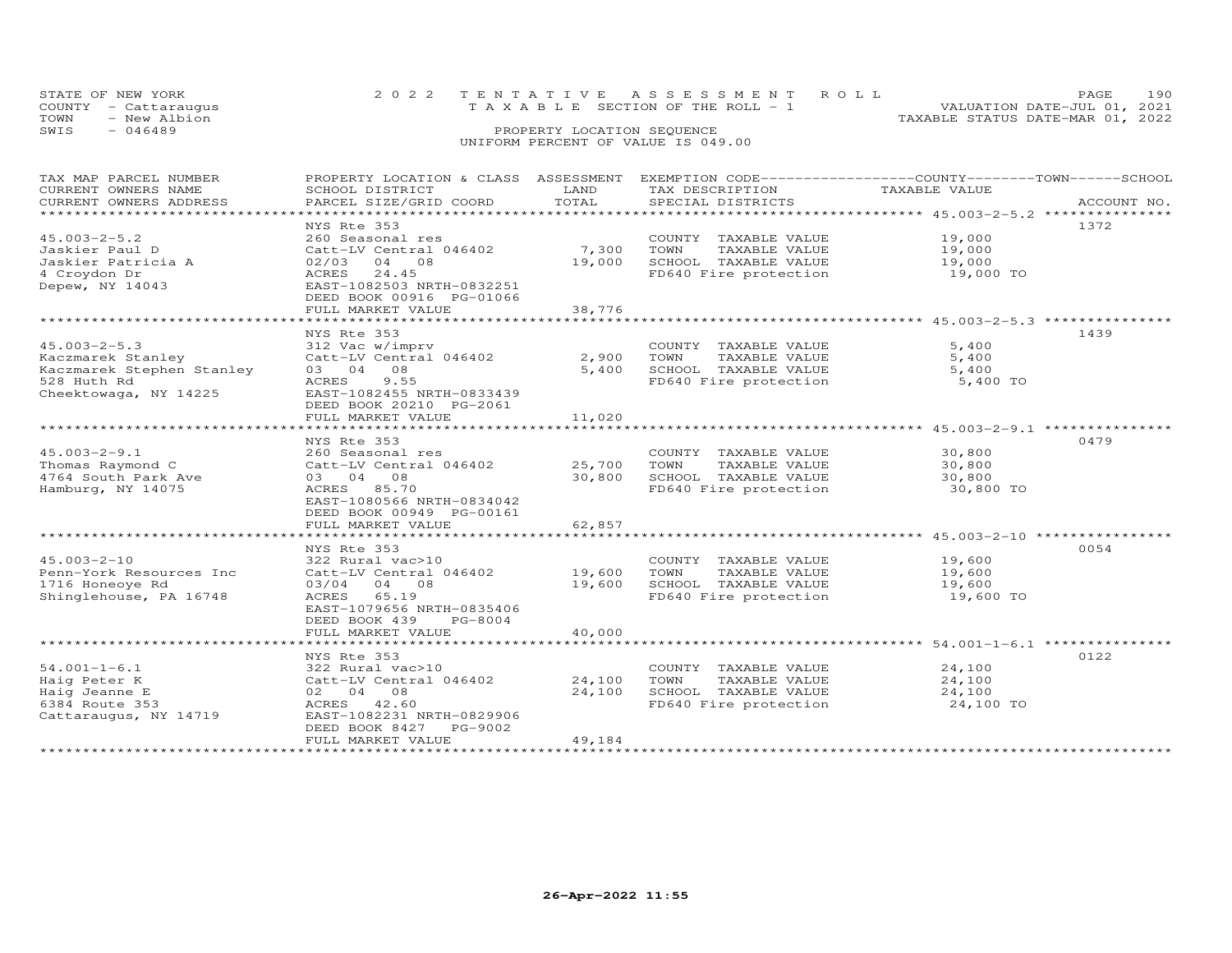| STATE OF NEW YORK<br>COUNTY - Cattaraugus | 2022 TENTATIVE ASSESSMENT ROLL<br>T A X A B L E SECTION OF THE ROLL - 1 | PAGE<br>VALUATION DATE-JUL 01, 2021 | 190 |
|-------------------------------------------|-------------------------------------------------------------------------|-------------------------------------|-----|
| TOWN<br>- New Albion                      |                                                                         | TAXABLE STATUS DATE-MAR 01, 2022    |     |
| SWIS<br>$-046489$                         | PROPERTY LOCATION SEQUENCE                                              |                                     |     |
|                                           | UNIFORM PERCENT OF VALUE IS 049.00                                      |                                     |     |

| TAX MAP PARCEL NUMBER        | PROPERTY LOCATION & CLASS ASSESSMENT EXEMPTION CODE----------------COUNTY-------TOWN-----SCHOOL |             |                                                |               |             |
|------------------------------|-------------------------------------------------------------------------------------------------|-------------|------------------------------------------------|---------------|-------------|
| CURRENT OWNERS NAME          | SCHOOL DISTRICT                                                                                 | LAND        | TAX DESCRIPTION                                | TAXABLE VALUE |             |
| CURRENT OWNERS ADDRESS       | PARCEL SIZE/GRID COORD                                                                          | TOTAL       | SPECIAL DISTRICTS                              |               | ACCOUNT NO. |
| **************************** |                                                                                                 |             |                                                |               |             |
|                              | NYS Rte 353                                                                                     |             |                                                |               | 1372        |
| $45.003 - 2 - 5.2$           | 260 Seasonal res                                                                                |             | COUNTY TAXABLE VALUE                           | 19,000        |             |
| Jaskier Paul D               | Catt-LV Central 046402                                                                          | 7,300 TOWN  | TAXABLE VALUE                                  | 19,000        |             |
| Jaskier Patricia A           | 02/03<br>04 08                                                                                  | 19,000      | SCHOOL TAXABLE VALUE                           | 19,000        |             |
| 4 Croydon Dr                 | ACRES 24.45                                                                                     |             | FD640 Fire protection                          | 19,000 TO     |             |
| Depew, NY 14043              | EAST-1082503 NRTH-0832251                                                                       |             |                                                |               |             |
|                              | DEED BOOK 00916 PG-01066                                                                        |             |                                                |               |             |
|                              | FULL MARKET VALUE                                                                               | 38,776      |                                                |               |             |
|                              |                                                                                                 |             |                                                |               |             |
|                              | NYS Rte 353                                                                                     |             |                                                |               | 1439        |
| $45.003 - 2 - 5.3$           | 312 Vac w/imprv                                                                                 |             | COUNTY TAXABLE VALUE                           | 5,400         |             |
| Kaczmarek Stanley            | Catt-LV Central 046402                                                                          |             | 2,900 TOWN<br>TAXABLE VALUE                    | 5,400         |             |
| Kaczmarek Stephen Stanley    | 03 04 08                                                                                        | 5,400       | SCHOOL TAXABLE VALUE                           | 5,400         |             |
| 528 Huth Rd                  | 9.55<br>ACRES                                                                                   |             | FD640 Fire protection                          | 5,400 TO      |             |
| Cheektowaga, NY 14225        | EAST-1082455 NRTH-0833439                                                                       |             |                                                |               |             |
|                              | DEED BOOK 20210 PG-2061                                                                         |             |                                                |               |             |
|                              | FULL MARKET VALUE                                                                               | 11,020      |                                                |               |             |
|                              |                                                                                                 |             |                                                |               |             |
|                              | NYS Rte 353                                                                                     |             |                                                |               | 0479        |
| $45.003 - 2 - 9.1$           | 260 Seasonal res                                                                                |             | COUNTY TAXABLE VALUE                           | 30,800        |             |
| Thomas Raymond C             | Catt-LV Central 046402                                                                          | 25,700 TOWN | TAXABLE VALUE                                  | 30,800        |             |
| 4764 South Park Ave          | 03 04 08                                                                                        | 30,800      | SCHOOL TAXABLE VALUE                           | 30,800        |             |
| Hamburg, NY 14075            | ACRES 85.70                                                                                     |             | FD640 Fire protection                          | 30,800 TO     |             |
|                              | EAST-1080566 NRTH-0834042                                                                       |             |                                                |               |             |
|                              | DEED BOOK 00949 PG-00161                                                                        |             |                                                |               |             |
|                              | FULL MARKET VALUE                                                                               | 62,857      |                                                |               |             |
|                              |                                                                                                 |             |                                                |               |             |
|                              | NYS Rte 353                                                                                     |             |                                                |               | 0054        |
| $45.003 - 2 - 10$            | 322 Rural vac>10                                                                                |             | COUNTY TAXABLE VALUE                           | 19,600        |             |
| Penn-York Resources Inc      | Catt-LV Central 046402                                                                          | 19,600      | TAXABLE VALUE<br>TOWN                          | 19,600        |             |
| 1716 Honeoye Rd              | 03/04 04 08                                                                                     | 19,600      | SCHOOL TAXABLE VALUE<br>FD640 Fire protection  | 19,600        |             |
| Shinglehouse, PA 16748       | ACRES 65.19                                                                                     |             |                                                | 19,600 TO     |             |
|                              | EAST-1079656 NRTH-0835406                                                                       |             |                                                |               |             |
|                              | DEED BOOK 439 PG-8004                                                                           |             |                                                |               |             |
|                              | FULL MARKET VALUE                                                                               | 40,000      |                                                |               |             |
|                              |                                                                                                 |             |                                                |               |             |
|                              | NYS Rte 353                                                                                     |             |                                                |               | 0122        |
| $54.001 - 1 - 6.1$           | 322 Rural vac>10                                                                                |             | COUNTY TAXABLE VALUE                           | 24,100        |             |
| Haig Peter K                 | Catt-LV Central 046402                                                                          | 24,100      | TOWN<br>TAXABLE VALUE                          | 24,100        |             |
| Haig Jeanne E                | 02 04 08                                                                                        | 24,100      | USINOUL IAXABLE VALUE<br>FD640 Fire protection | 24,100        |             |
| 6384 Route 353               | ACRES 42.60                                                                                     |             |                                                | 24,100 TO     |             |
| Cattaraugus, NY 14719        | EAST-1082231 NRTH-0829906                                                                       |             |                                                |               |             |
|                              | DEED BOOK 8427 PG-9002                                                                          |             |                                                |               |             |
|                              | FULL MARKET VALUE                                                                               | 49,184      |                                                |               |             |
|                              |                                                                                                 |             |                                                |               |             |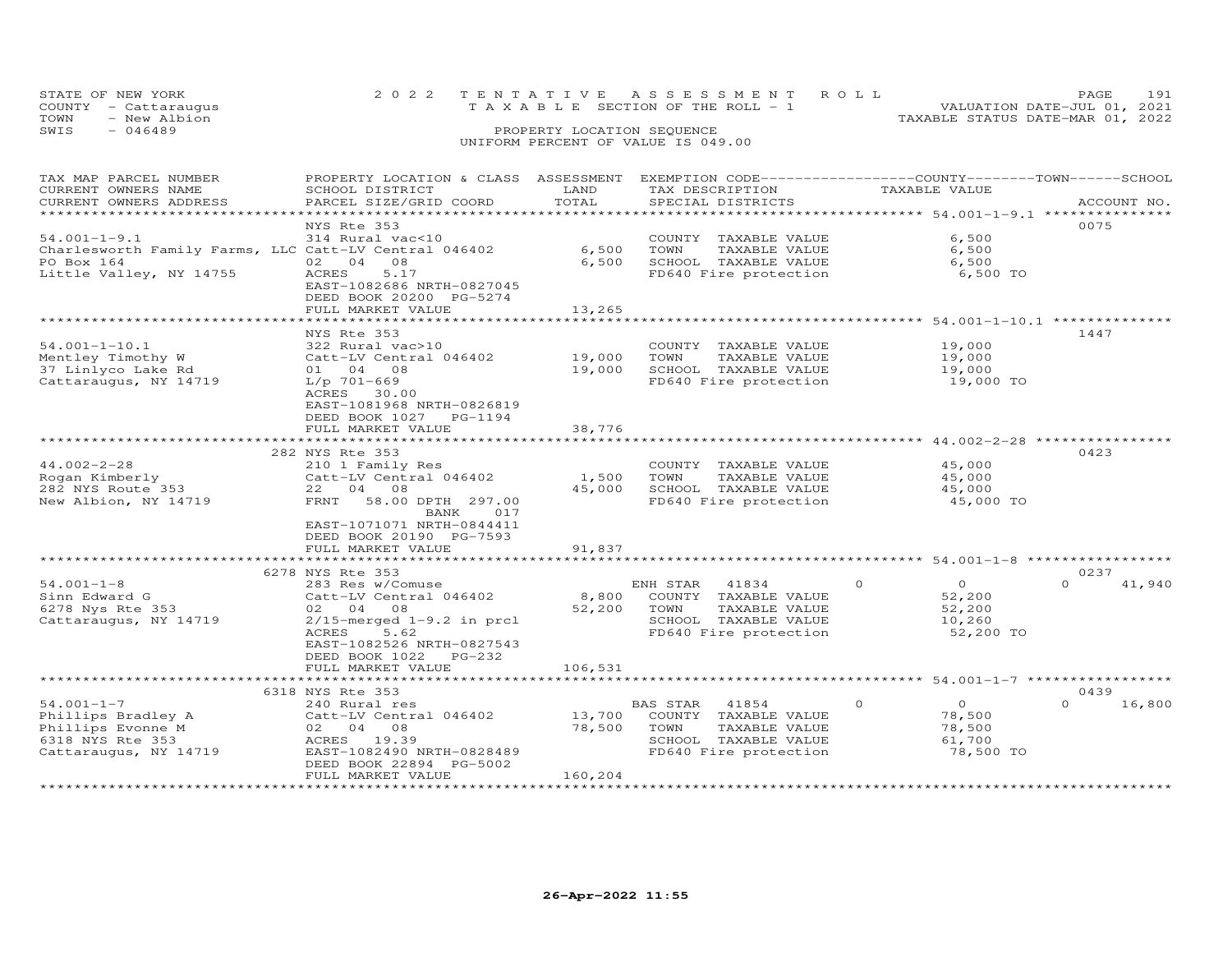|      | STATE OF NEW YORK    | 2022 TENTATIVE ASSESSMENT ROLL     |                                       |  | PAGE.                            | 191 |
|------|----------------------|------------------------------------|---------------------------------------|--|----------------------------------|-----|
|      | COUNTY - Cattaraugus |                                    | T A X A B L E SECTION OF THE ROLL - 1 |  | VALUATION DATE-JUL 01, 2021      |     |
| TOWN | - New Albion         |                                    |                                       |  | TAXABLE STATUS DATE-MAR 01, 2022 |     |
| SWIS | $-046489$            |                                    | PROPERTY LOCATION SEQUENCE            |  |                                  |     |
|      |                      | UNIFORM PERCENT OF VALUE IS 049.00 |                                       |  |                                  |     |

| TAX MAP PARCEL NUMBER<br>CURRENT OWNERS NAME<br>CURRENT OWNERS ADDRESS                                               | PROPERTY LOCATION & CLASS ASSESSMENT<br>SCHOOL DISTRICT<br>PARCEL SIZE/GRID COORD                                                                                                                         | LAND<br>TOTAL                          | EXEMPTION CODE-----------------COUNTY-------TOWN-----SCHOOL<br>TAX DESCRIPTION<br>SPECIAL DISTRICTS                 | TAXABLE VALUE                                                                                   | ACCOUNT NO.        |
|----------------------------------------------------------------------------------------------------------------------|-----------------------------------------------------------------------------------------------------------------------------------------------------------------------------------------------------------|----------------------------------------|---------------------------------------------------------------------------------------------------------------------|-------------------------------------------------------------------------------------------------|--------------------|
|                                                                                                                      |                                                                                                                                                                                                           | *********                              | *********************************** 54.001-1-9.1 ***************                                                    |                                                                                                 |                    |
| $54.001 - 1 - 9.1$<br>Charlesworth Family Farms, LLC Catt-LV Central 046402<br>PO Box 164<br>Little Valley, NY 14755 | NYS Rte 353<br>314 Rural vac<10<br>02 04<br>08<br>ACRES<br>5.17<br>EAST-1082686 NRTH-0827045                                                                                                              | 6,500<br>6,500                         | COUNTY TAXABLE VALUE<br>TOWN<br>TAXABLE VALUE<br>SCHOOL TAXABLE VALUE<br>FD640 Fire protection                      | 6,500<br>6,500<br>6,500<br>6,500 TO                                                             | 0075               |
|                                                                                                                      | DEED BOOK 20200 PG-5274<br>FULL MARKET VALUE                                                                                                                                                              | 13,265                                 |                                                                                                                     |                                                                                                 |                    |
|                                                                                                                      |                                                                                                                                                                                                           |                                        |                                                                                                                     | ******************** 54.001-1-10.1 **************                                               |                    |
| $54.001 - 1 - 10.1$<br>Mentley Timothy W<br>37 Linlyco Lake Rd<br>Cattaraugus, NY 14719                              | NYS Rte 353<br>322 Rural vac>10<br>Catt-LV Central 046402<br>01 04 08<br>L/p 701-669<br>ACRES 30.00<br>EAST-1081968 NRTH-0826819<br>DEED BOOK 1027 PG-1194                                                | 19,000<br>19,000                       | COUNTY TAXABLE VALUE<br>TOWN<br>TAXABLE VALUE<br>SCHOOL TAXABLE VALUE<br>FD640 Fire protection                      | 19,000<br>19,000<br>19,000<br>19,000 TO                                                         | 1447               |
|                                                                                                                      | FULL MARKET VALUE                                                                                                                                                                                         | 38,776                                 |                                                                                                                     |                                                                                                 |                    |
|                                                                                                                      |                                                                                                                                                                                                           |                                        |                                                                                                                     | **************** 44.002-2-28                                                                    |                    |
| $44.002 - 2 - 28$<br>Rogan Kimberly<br>282 NYS Route 353<br>New Albion, NY 14719                                     | 282 NYS Rte 353<br>210 1 Family Res<br>Catt-LV Central 046402<br>22 04 08<br>FRNT<br>58.00 DPTH 297.00<br><b>BANK</b><br>017<br>EAST-1071071 NRTH-0844411<br>DEED BOOK 20190 PG-7593<br>FULL MARKET VALUE | 1,500<br>45,000<br>91,837<br>********* | COUNTY TAXABLE VALUE<br>TOWN<br>TAXABLE VALUE<br>SCHOOL TAXABLE VALUE<br>FD640 Fire protection                      | 45,000<br>45,000<br>45,000<br>45,000 TO<br>********************** 54.001-1-8 ****************** | 0423               |
|                                                                                                                      |                                                                                                                                                                                                           |                                        |                                                                                                                     |                                                                                                 | 0237               |
| $54.001 - 1 - 8$<br>Sinn Edward G<br>6278 Nys Rte 353<br>Cattaraugus, NY 14719                                       | 6278 NYS Rte 353<br>283 Res w/Comuse<br>Catt-LV Central 046402<br>02 04 08<br>$2/15$ -merged $1-9.2$ in prcl<br>5.62<br>ACRES<br>EAST-1082526 NRTH-0827543<br>DEED BOOK 1022 PG-232                       | 8,800<br>52,200                        | ENH STAR<br>41834<br>COUNTY TAXABLE VALUE<br>TOWN<br>TAXABLE VALUE<br>SCHOOL TAXABLE VALUE<br>FD640 Fire protection | $\overline{O}$<br>$\circ$<br>52,200<br>52,200<br>10,260<br>52,200 TO                            | $\Omega$<br>41,940 |
|                                                                                                                      | FULL MARKET VALUE                                                                                                                                                                                         | 106,531                                |                                                                                                                     |                                                                                                 |                    |
|                                                                                                                      | 6318 NYS Rte 353                                                                                                                                                                                          |                                        |                                                                                                                     |                                                                                                 | 0439               |
| $54.001 - 1 - 7$<br>Phillips Bradley A<br>Phillips Evonne M<br>6318 NYS Rte 353<br>Cattaraugus, NY 14719             | 240 Rural res<br>Catt-LV Central 046402<br>02 04 08<br>ACRES 19.39<br>EAST-1082490 NRTH-0828489<br>DEED BOOK 22894 PG-5002<br>FULL MARKET VALUE                                                           | 13,700<br>78,500<br>160,204            | 41854<br>BAS STAR<br>COUNTY TAXABLE VALUE<br>TOWN<br>TAXABLE VALUE<br>SCHOOL TAXABLE VALUE<br>FD640 Fire protection | $\circ$<br>$\circ$<br>78,500<br>78,500<br>61,700<br>78,500 TO                                   | $\Omega$<br>16,800 |
| *********************                                                                                                |                                                                                                                                                                                                           |                                        |                                                                                                                     |                                                                                                 |                    |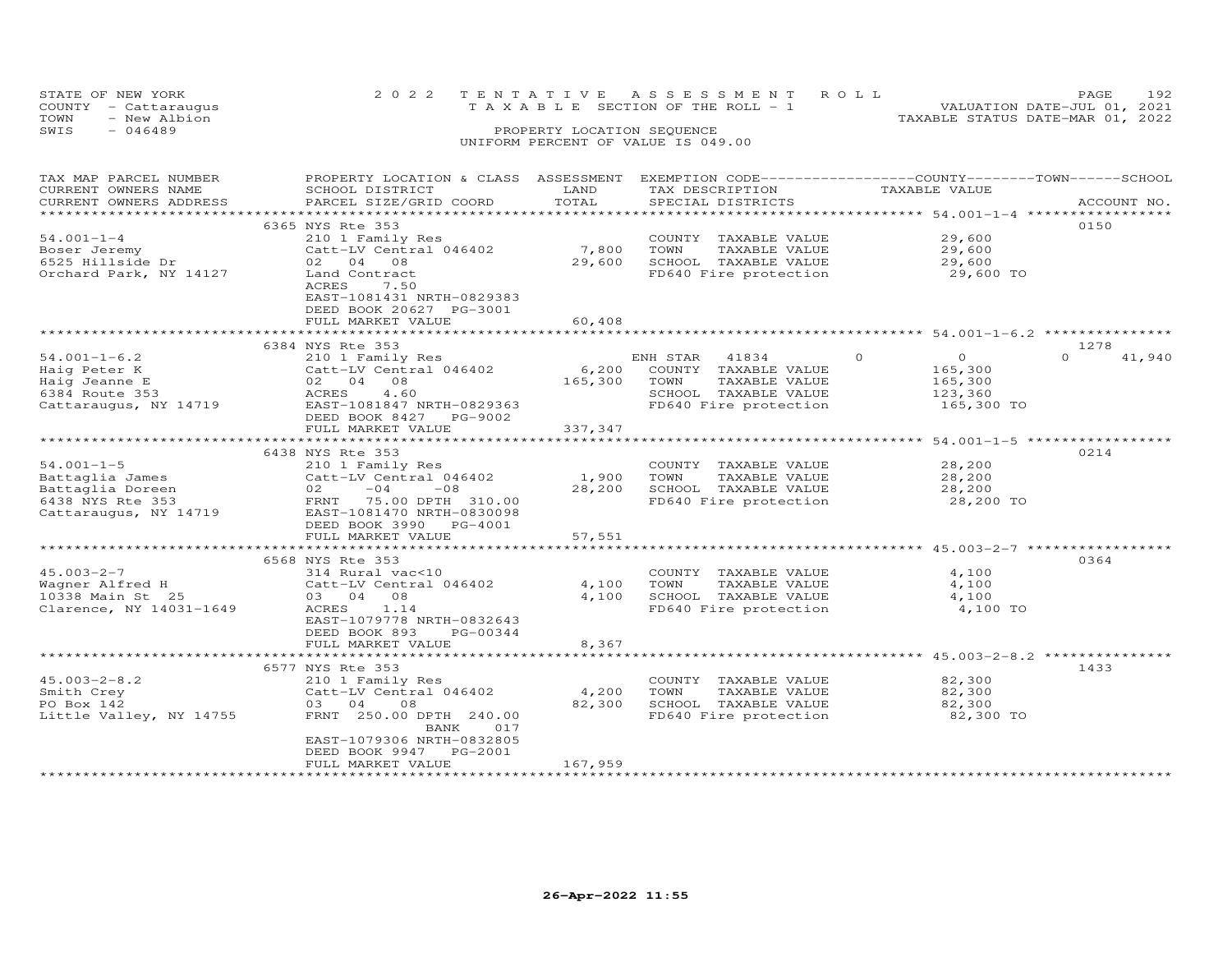| STATE OF NEW YORK    | 2022 TENTATIVE ASSESSMENT ROLL        | PAGE.                            | 192 |
|----------------------|---------------------------------------|----------------------------------|-----|
| COUNTY - Cattaraugus | T A X A B L E SECTION OF THE ROLL - 1 | VALUATION DATE-JUL 01, 2021      |     |
| TOWN<br>- New Albion |                                       | TAXABLE STATUS DATE-MAR 01, 2022 |     |
| SWIS<br>$-046489$    | PROPERTY LOCATION SEQUENCE            |                                  |     |
|                      | UNIFORM PERCENT OF VALUE IS 049.00    |                                  |     |

| TAX MAP PARCEL NUMBER   | PROPERTY LOCATION & CLASS ASSESSMENT |                       | EXEMPTION CODE-----------------COUNTY-------TOWN------SCHOOL |                                                       |                    |
|-------------------------|--------------------------------------|-----------------------|--------------------------------------------------------------|-------------------------------------------------------|--------------------|
| CURRENT OWNERS NAME     | SCHOOL DISTRICT                      | LAND                  | TAX DESCRIPTION                                              | TAXABLE VALUE                                         |                    |
| CURRENT OWNERS ADDRESS  | PARCEL SIZE/GRID COORD               | TOTAL                 | SPECIAL DISTRICTS                                            |                                                       | ACCOUNT NO.        |
|                         |                                      |                       |                                                              |                                                       |                    |
|                         | 6365 NYS Rte 353                     |                       |                                                              |                                                       | 0150               |
| $54.001 - 1 - 4$        | 210 1 Family Res                     |                       | COUNTY TAXABLE VALUE                                         | 29,600                                                |                    |
| Boser Jeremy            | Catt-LV Central 046402               | 7,800                 | TOWN<br>TAXABLE VALUE                                        | 29,600                                                |                    |
| 6525 Hillside Dr        | 02 04 08                             | 29,600                | SCHOOL TAXABLE VALUE                                         | 29,600                                                |                    |
| Orchard Park, NY 14127  | Land Contract                        |                       | FD640 Fire protection                                        | 29,600 TO                                             |                    |
|                         | ACRES<br>7.50                        |                       |                                                              |                                                       |                    |
|                         | EAST-1081431 NRTH-0829383            |                       |                                                              |                                                       |                    |
|                         |                                      |                       |                                                              |                                                       |                    |
|                         | DEED BOOK 20627 PG-3001              |                       |                                                              |                                                       |                    |
|                         | FULL MARKET VALUE                    | 60,408                |                                                              |                                                       |                    |
|                         |                                      |                       |                                                              |                                                       |                    |
|                         | 6384 NYS Rte 353                     |                       |                                                              |                                                       | 1278               |
| $54.001 - 1 - 6.2$      | 210 1 Family Res                     |                       | ENH STAR 41834                                               | $\circ$<br>$\overline{0}$                             | $\Omega$<br>41,940 |
| Haig Peter K            | Catt-LV Central 046402               | 6,200                 | COUNTY TAXABLE VALUE                                         | 165,300                                               |                    |
| Haig Jeanne E           | 02 04 08                             | 165,300               | TOWN<br>TAXABLE VALUE                                        | 165,300                                               |                    |
| 6384 Route 353          | ACRES<br>4.60                        |                       | SCHOOL TAXABLE VALUE                                         | 123,360                                               |                    |
| Cattaraugus, NY 14719   | EAST-1081847 NRTH-0829363            |                       | FD640 Fire protection                                        | 165,300 TO                                            |                    |
|                         | DEED BOOK 8427 PG-9002               |                       |                                                              |                                                       |                    |
|                         | FULL MARKET VALUE                    | 337,347               |                                                              |                                                       |                    |
|                         |                                      |                       |                                                              |                                                       |                    |
|                         |                                      |                       |                                                              |                                                       |                    |
|                         | 6438 NYS Rte 353                     |                       |                                                              |                                                       | 0214               |
| $54.001 - 1 - 5$        | 210 1 Family Res                     |                       | COUNTY TAXABLE VALUE                                         | 28,200                                                |                    |
| Battaglia James         | Catt-LV Central 046402               | 1,900                 | TOWN<br>TAXABLE VALUE                                        | 28,200                                                |                    |
| Battaglia Doreen        | 02<br>$-04$<br>$-08$                 | 28,200                | SCHOOL TAXABLE VALUE                                         | 28,200                                                |                    |
| 6438 NYS Rte 353        | FRNT 75.00 DPTH 310.00               |                       | FD640 Fire protection                                        | 28,200 TO                                             |                    |
| Cattaraugus, NY 14719   | EAST-1081470 NRTH-0830098            |                       |                                                              |                                                       |                    |
|                         | DEED BOOK 3990 PG-4001               |                       |                                                              |                                                       |                    |
|                         | FULL MARKET VALUE                    | 57,551                |                                                              |                                                       |                    |
|                         | ************************             |                       |                                                              | *********************************** 45.003-2-7 ****** |                    |
|                         | 6568 NYS Rte 353                     |                       |                                                              |                                                       | 0364               |
| $45.003 - 2 - 7$        | 314 Rural vac<10                     |                       | COUNTY TAXABLE VALUE                                         | 4,100                                                 |                    |
| Wagner Alfred H         |                                      |                       |                                                              |                                                       |                    |
|                         | Catt-LV Central 046402               | 4,100                 | TAXABLE VALUE<br>TOWN                                        | 4,100                                                 |                    |
| 10338 Main St 25        | 03 04 08                             | 4,100                 | SCHOOL TAXABLE VALUE                                         | 4,100                                                 |                    |
| Clarence, NY 14031-1649 | ACRES<br>1.14                        |                       | FD640 Fire protection                                        | 4,100 TO                                              |                    |
|                         | EAST-1079778 NRTH-0832643            |                       |                                                              |                                                       |                    |
|                         | DEED BOOK 893<br>PG-00344            |                       |                                                              |                                                       |                    |
|                         | FULL MARKET VALUE                    | 8,367                 |                                                              |                                                       |                    |
|                         | ***************************          | * * * * * * * * * * * |                                                              | ************************ 45.003-2-8.2 *************** |                    |
|                         | 6577 NYS Rte 353                     |                       |                                                              |                                                       | 1433               |
| $45.003 - 2 - 8.2$      | 210 1 Family Res                     |                       | COUNTY TAXABLE VALUE                                         | 82,300                                                |                    |
| Smith Crey              | Catt-LV Central 046402               | 4,200                 | TOWN<br>TAXABLE VALUE                                        | 82,300                                                |                    |
| PO Box 142              | 03 04<br>08                          | 82,300                | SCHOOL TAXABLE VALUE                                         | 82,300                                                |                    |
| Little Valley, NY 14755 | FRNT 250.00 DPTH 240.00              |                       | FD640 Fire protection                                        | 82,300 TO                                             |                    |
|                         | 017                                  |                       |                                                              |                                                       |                    |
|                         | BANK                                 |                       |                                                              |                                                       |                    |
|                         | EAST-1079306 NRTH-0832805            |                       |                                                              |                                                       |                    |
|                         | DEED BOOK 9947 PG-2001               |                       |                                                              |                                                       |                    |
|                         | FULL MARKET VALUE                    | 167,959               |                                                              |                                                       |                    |
|                         |                                      |                       |                                                              |                                                       |                    |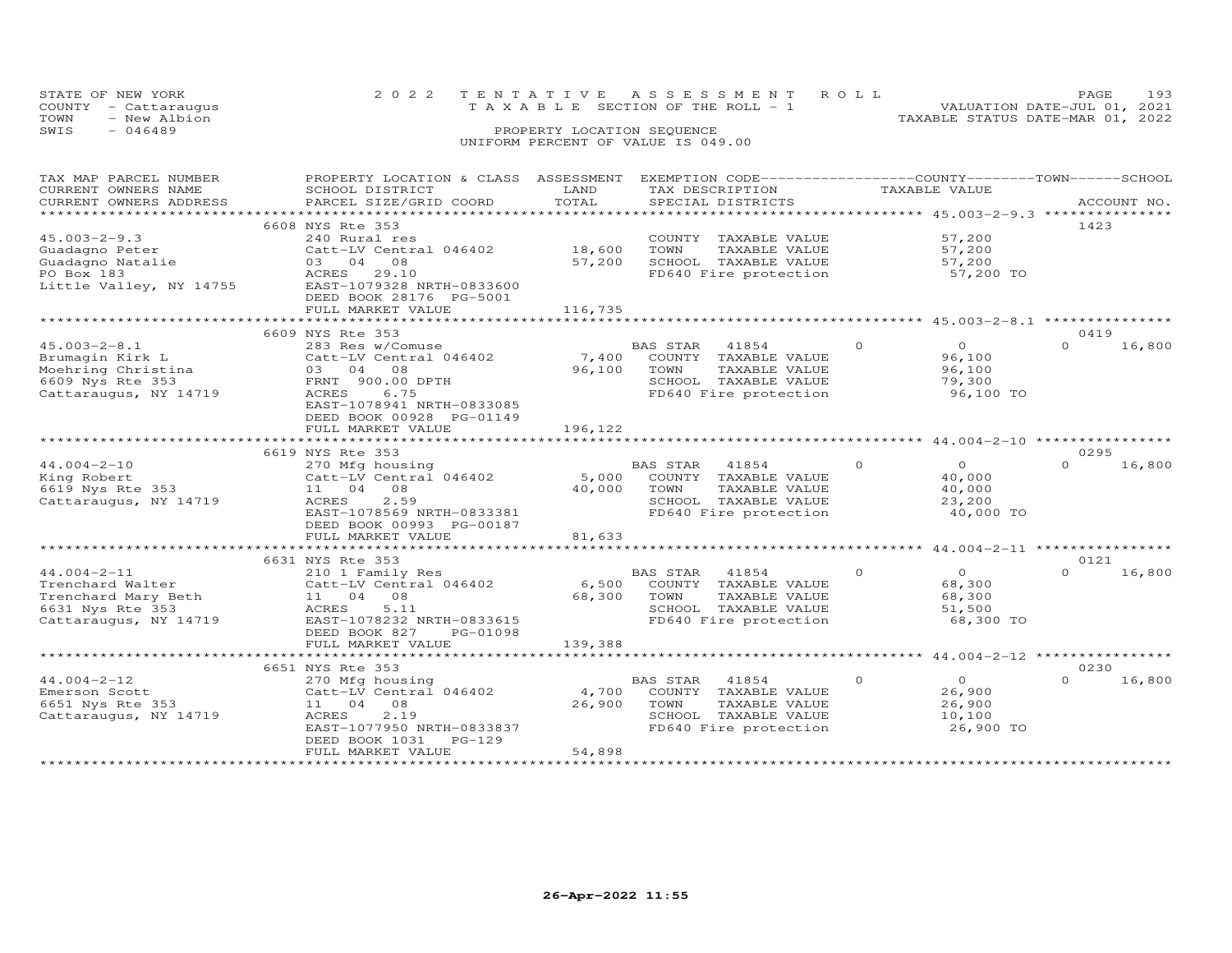|      | STATE OF NEW YORK    |  | 2022 TENTATIVE ASSESSMENT ROLL        |  |  | PAGE.                            | 193 |
|------|----------------------|--|---------------------------------------|--|--|----------------------------------|-----|
|      | COUNTY - Cattaraugus |  | T A X A B L E SECTION OF THE ROLL - 1 |  |  | VALUATION DATE-JUL 01, 2021      |     |
| TOWN | - New Albion         |  |                                       |  |  | TAXABLE STATUS DATE-MAR 01, 2022 |     |
| SWIS | $-046489$            |  | PROPERTY LOCATION SEQUENCE            |  |  |                                  |     |
|      |                      |  | UNIFORM PERCENT OF VALUE IS 049.00    |  |  |                                  |     |

| TAX MAP PARCEL NUMBER   | PROPERTY LOCATION & CLASS ASSESSMENT EXEMPTION CODE-----------------COUNTY--------TOWN------SCHOOL |             |                          |                                     |                    |
|-------------------------|----------------------------------------------------------------------------------------------------|-------------|--------------------------|-------------------------------------|--------------------|
| CURRENT OWNERS NAME     | SCHOOL DISTRICT                                                                                    | LAND        | TAX DESCRIPTION          | TAXABLE VALUE                       |                    |
| CURRENT OWNERS ADDRESS  | PARCEL SIZE/GRID COORD                                                                             | TOTAL       | SPECIAL DISTRICTS        |                                     | ACCOUNT NO.        |
| **********************  |                                                                                                    |             |                          |                                     |                    |
|                         | 6608 NYS Rte 353                                                                                   |             |                          |                                     | 1423               |
| $45.003 - 2 - 9.3$      | 240 Rural res                                                                                      |             | COUNTY TAXABLE VALUE     | 57,200                              |                    |
| Guadagno Peter          | Catt-LV Central 046402                                                                             | 18,600      | TOWN<br>TAXABLE VALUE    | 57,200                              |                    |
| Guadagno Natalie        | 03 04<br>08                                                                                        | 57,200      | SCHOOL TAXABLE VALUE     | 57,200                              |                    |
| PO Box 183              | 29.10<br>ACRES                                                                                     |             | FD640 Fire protection    | 57,200 TO                           |                    |
| Little Valley, NY 14755 | EAST-1079328 NRTH-0833600                                                                          |             |                          |                                     |                    |
|                         | DEED BOOK 28176 PG-5001                                                                            |             |                          |                                     |                    |
|                         | FULL MARKET VALUE                                                                                  | 116,735     |                          |                                     |                    |
|                         |                                                                                                    |             |                          |                                     |                    |
|                         | 6609 NYS Rte 353                                                                                   |             |                          |                                     | 0419               |
| $45.003 - 2 - 8.1$      | 283 Res w/Comuse                                                                                   |             | BAS STAR<br>41854        | $\circ$<br>$\overline{0}$           | 16,800<br>$\Omega$ |
| Brumagin Kirk L         | Catt-LV Central 046402                                                                             | 7,400       | COUNTY TAXABLE VALUE     | 96,100                              |                    |
| Moehring Christina      | 03 04<br>08                                                                                        | 96,100      | TOWN<br>TAXABLE VALUE    | 96,100                              |                    |
| 6609 Nys Rte 353        | FRNT 900.00 DPTH                                                                                   |             | SCHOOL TAXABLE VALUE     | 79,300                              |                    |
| Cattaraugus, NY 14719   | ACRES<br>6.75                                                                                      |             | FD640 Fire protection    | 96,100 TO                           |                    |
|                         | EAST-1078941 NRTH-0833085                                                                          |             |                          |                                     |                    |
|                         | DEED BOOK 00928 PG-01149                                                                           |             |                          |                                     |                    |
|                         | FULL MARKET VALUE                                                                                  | 196,122     |                          |                                     |                    |
|                         | **************************                                                                         |             |                          |                                     |                    |
|                         | 6619 NYS Rte 353                                                                                   |             |                          |                                     | 0295               |
| $44.004 - 2 - 10$       | 270 Mfg housing                                                                                    |             | BAS STAR<br>41854        | $\Omega$<br>$\circ$                 | $\Omega$<br>16,800 |
| King Robert             | Catt-LV Central 046402                                                                             | 5,000       | COUNTY TAXABLE VALUE     | 40,000                              |                    |
| 6619 Nys Rte 353        | 11 04<br>08                                                                                        | 40,000      | TOWN<br>TAXABLE VALUE    | 40,000                              |                    |
| Cattaraugus, NY 14719   | ACRES<br>2.59                                                                                      |             | SCHOOL TAXABLE VALUE     | 23,200                              |                    |
|                         | EAST-1078569 NRTH-0833381                                                                          |             | FD640 Fire protection    | 40,000 TO                           |                    |
|                         | DEED BOOK 00993 PG-00187                                                                           |             |                          |                                     |                    |
|                         | FULL MARKET VALUE                                                                                  | 81,633      |                          |                                     |                    |
|                         |                                                                                                    |             |                          |                                     |                    |
|                         | 6631 NYS Rte 353                                                                                   |             |                          |                                     | 0121               |
| $44.004 - 2 - 11$       | 210 1 Family Res                                                                                   |             | <b>BAS STAR</b><br>41854 | $\Omega$<br>$\overline{O}$          | 16,800<br>$\Omega$ |
| Trenchard Walter        | Catt-LV Central 046402                                                                             | 6,500       | COUNTY TAXABLE VALUE     | 68,300                              |                    |
| Trenchard Mary Beth     | 11 04<br>08                                                                                        | 68,300      | TOWN<br>TAXABLE VALUE    | 68,300                              |                    |
| 6631 Nys Rte 353        | ACRES<br>5.11                                                                                      |             | SCHOOL TAXABLE VALUE     | 51,500                              |                    |
| Cattaraugus, NY 14719   | EAST-1078232 NRTH-0833615                                                                          |             | FD640 Fire protection    | 68,300 TO                           |                    |
|                         | DEED BOOK 827<br>PG-01098                                                                          |             |                          |                                     |                    |
|                         | FULL MARKET VALUE                                                                                  | 139,388     |                          |                                     |                    |
|                         | ********************                                                                               | *********** |                          | ********* 44.004-2-12 ************* |                    |
|                         | 6651 NYS Rte 353                                                                                   |             |                          |                                     | 0230               |
| $44.004 - 2 - 12$       | 270 Mfg housing                                                                                    |             | BAS STAR<br>41854        | $\circ$<br>$\overline{O}$           | 16,800<br>$\Omega$ |
| Emerson Scott           | Catt-LV Central 046402                                                                             | 4,700       | COUNTY TAXABLE VALUE     | 26,900                              |                    |
| 6651 Nys Rte 353        | 11 04 08                                                                                           | 26,900      | TOWN<br>TAXABLE VALUE    | 26,900                              |                    |
| Cattaraugus, NY 14719   | ACRES<br>2.19                                                                                      |             | SCHOOL TAXABLE VALUE     | 10,100                              |                    |
|                         | EAST-1077950 NRTH-0833837                                                                          |             | FD640 Fire protection    | 26,900 TO                           |                    |
|                         | DEED BOOK 1031<br>PG-129                                                                           |             |                          |                                     |                    |
|                         | FULL MARKET VALUE                                                                                  | 54,898      |                          |                                     |                    |
| **********************  |                                                                                                    |             |                          |                                     |                    |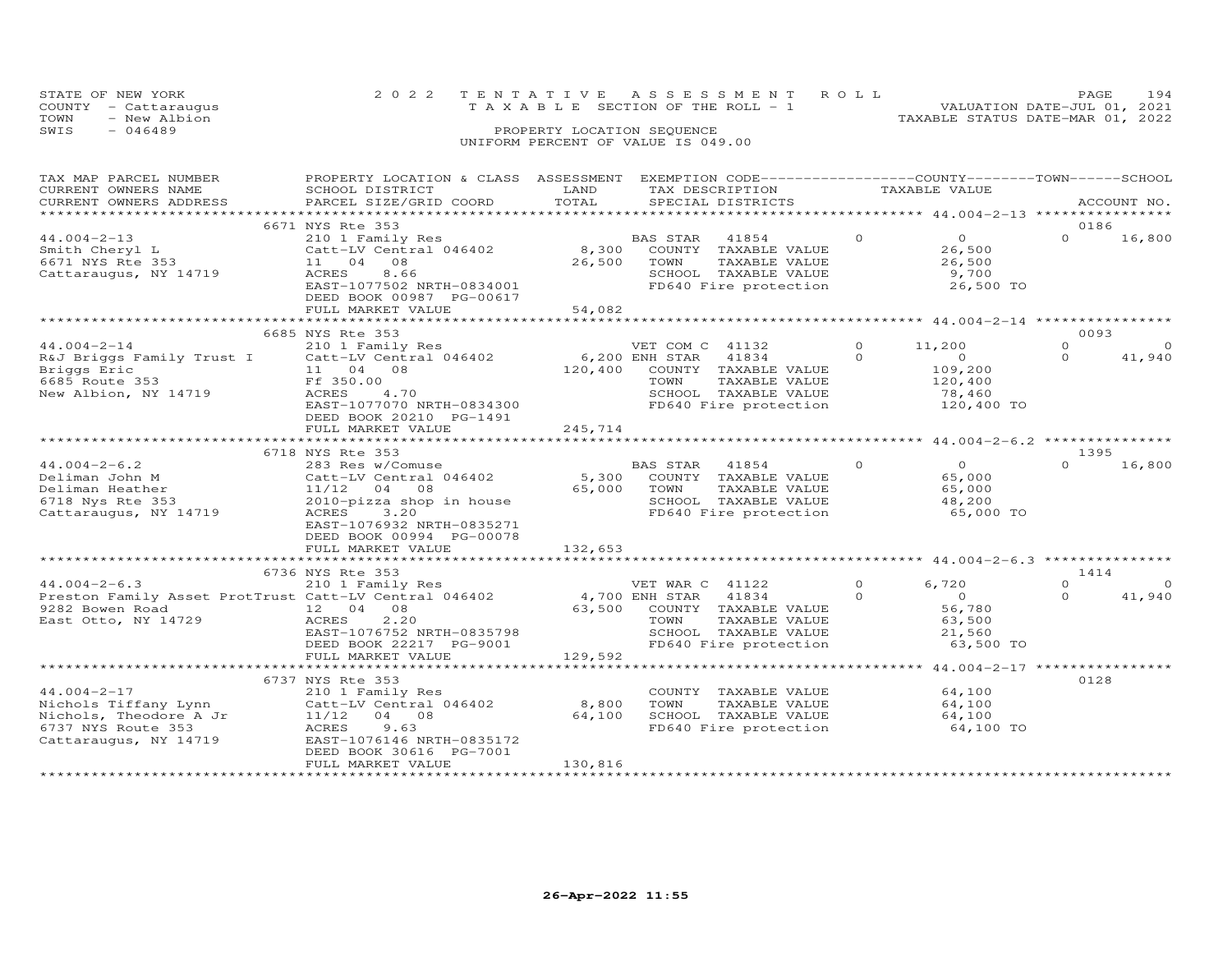|      | STATE OF NEW YORK    | 2022 TENTATIVE ASSESSMENT ROLL     |  |                                  | PAGE.                       | 194 |
|------|----------------------|------------------------------------|--|----------------------------------|-----------------------------|-----|
|      | COUNTY - Cattaraugus | TAXABLE SECTION OF THE ROLL - 1    |  |                                  | VALUATION DATE-JUL 01, 2021 |     |
| TOWN | - New Albion         |                                    |  | TAXABLE STATUS DATE-MAR 01, 2022 |                             |     |
| SWIS | - 046489             | PROPERTY LOCATION SEQUENCE         |  |                                  |                             |     |
|      |                      | UNIFORM PERCENT OF VALUE IS 049.00 |  |                                  |                             |     |

| TAX MAP PARCEL NUMBER<br>CURRENT OWNERS NAME<br>CURRENT OWNERS ADDRESS                                                | PROPERTY LOCATION & CLASS ASSESSMENT<br>SCHOOL DISTRICT<br>PARCEL SIZE/GRID COORD                                                                                              | LAND<br>TOTAL                       | TAX DESCRIPTION<br>SPECIAL DISTRICTS                                                                                                         |                      | EXEMPTION CODE-----------------COUNTY-------TOWN-----SCHOOL<br>TAXABLE VALUE |                      | ACCOUNT NO.                |
|-----------------------------------------------------------------------------------------------------------------------|--------------------------------------------------------------------------------------------------------------------------------------------------------------------------------|-------------------------------------|----------------------------------------------------------------------------------------------------------------------------------------------|----------------------|------------------------------------------------------------------------------|----------------------|----------------------------|
|                                                                                                                       | 6671 NYS Rte 353                                                                                                                                                               |                                     |                                                                                                                                              |                      |                                                                              |                      | 0186                       |
| $44.004 - 2 - 13$<br>Smith Cheryl L<br>6671 NYS Rte 353<br>Cattaraugus, NY 14719                                      | 210 1 Family Res<br>Catt-LV Central 046402<br>08<br>11 04<br>ACRES<br>8.66<br>EAST-1077502 NRTH-0834001<br>DEED BOOK 00987 PG-00617                                            | 8,300<br>26,500                     | 41854<br>BAS STAR<br>COUNTY TAXABLE VALUE<br>TAXABLE VALUE<br>TOWN<br>SCHOOL TAXABLE VALUE<br>FD640 Fire protection                          | $\circ$              | $\overline{0}$<br>26,500<br>26,500<br>9,700<br>26,500 TO                     | $\Omega$             | 16,800                     |
|                                                                                                                       | FULL MARKET VALUE<br>************************                                                                                                                                  | 54,082                              |                                                                                                                                              |                      |                                                                              |                      |                            |
|                                                                                                                       |                                                                                                                                                                                |                                     |                                                                                                                                              |                      |                                                                              |                      |                            |
| $44.004 - 2 - 14$<br>R&J Briggs Family Trust I<br>Briggs Eric<br>6685 Route 353<br>New Albion, NY 14719               | 6685 NYS Rte 353<br>210 1 Family Res<br>Catt-LV Central 046402<br>11 04<br>08<br>Ff 350.00<br>4.70<br>ACRES<br>EAST-1077070 NRTH-0834300<br>DEED BOOK 20210 PG-1491            | 120,400                             | VET COM C 41132<br>6,200 ENH STAR<br>41834<br>COUNTY TAXABLE VALUE<br>TOWN<br>TAXABLE VALUE<br>SCHOOL TAXABLE VALUE<br>FD640 Fire protection | $\Omega$<br>$\Omega$ | 11,200<br>$\circ$<br>109,200<br>120,400<br>78,460<br>120,400 TO              | $\Omega$<br>$\Omega$ | 0093<br>$\circ$<br>41,940  |
|                                                                                                                       | FULL MARKET VALUE                                                                                                                                                              | 245,714                             |                                                                                                                                              |                      |                                                                              |                      |                            |
|                                                                                                                       | ****************************                                                                                                                                                   |                                     |                                                                                                                                              |                      |                                                                              |                      |                            |
|                                                                                                                       | 6718 NYS Rte 353                                                                                                                                                               |                                     |                                                                                                                                              |                      |                                                                              | 1395                 |                            |
| $44.004 - 2 - 6.2$<br>Deliman John M<br>Deliman Heather<br>6718 Nys Rte 353<br>Cattaraugus, NY 14719                  | 283 Res w/Comuse<br>Catt-LV Central 046402<br>$11/12$ 04<br>08<br>2010-pizza shop in house<br>3.20<br>ACRES<br>EAST-1076932 NRTH-0835271<br>DEED BOOK 00994 PG-00078           | 5,300<br>65,000                     | BAS STAR<br>41854<br>COUNTY TAXABLE VALUE<br>TOWN<br>TAXABLE VALUE<br>SCHOOL TAXABLE VALUE<br>FD640 Fire protection                          | $\Omega$             | $\overline{O}$<br>65,000<br>65,000<br>48,200<br>65,000 TO                    | $\Omega$             | 16,800                     |
|                                                                                                                       | FULL MARKET VALUE                                                                                                                                                              | 132,653                             |                                                                                                                                              |                      |                                                                              |                      |                            |
|                                                                                                                       | ************************                                                                                                                                                       |                                     |                                                                                                                                              |                      |                                                                              |                      |                            |
| $44.004 - 2 - 6.3$<br>Preston Family Asset ProtTrust Catt-LV Central 046402<br>9282 Bowen Road<br>East Otto, NY 14729 | 6736 NYS Rte 353<br>210 1 Family Res<br>12 04<br>08<br>2,20<br>ACRES<br>EAST-1076752 NRTH-0835798<br>DEED BOOK 22217 PG-9001<br>FULL MARKET VALUE                              | 4,700 ENH STAR<br>63,500<br>129,592 | VET WAR C 41122<br>41834<br>COUNTY TAXABLE VALUE<br>TAXABLE VALUE<br>TOWN<br>SCHOOL TAXABLE VALUE<br>FD640 Fire protection                   | $\circ$<br>$\Omega$  | 6,720<br>$\overline{0}$<br>56,780<br>63,500<br>21,560<br>63,500 TO           | $\circ$<br>$\Omega$  | 1414<br>$\Omega$<br>41,940 |
|                                                                                                                       | *****************************                                                                                                                                                  |                                     |                                                                                                                                              |                      |                                                                              |                      |                            |
| $44.004 - 2 - 17$<br>Nichols Tiffany Lynn<br>Nichols, Theodore A Jr<br>6737 NYS Route 353<br>Cattaraugus, NY 14719    | 6737 NYS Rte 353<br>210 1 Family Res<br>Catt-LV Central 046402<br>11/12<br>04 08<br>ACRES<br>9.63<br>EAST-1076146 NRTH-0835172<br>DEED BOOK 30616 PG-7001<br>FULL MARKET VALUE | 8,800<br>64,100<br>130,816          | COUNTY TAXABLE VALUE<br>TOWN<br>TAXABLE VALUE<br>SCHOOL TAXABLE VALUE<br>FD640 Fire protection                                               |                      | 64,100<br>64,100<br>64,100<br>64,100 TO                                      | 0128                 |                            |
|                                                                                                                       |                                                                                                                                                                                |                                     |                                                                                                                                              |                      |                                                                              |                      |                            |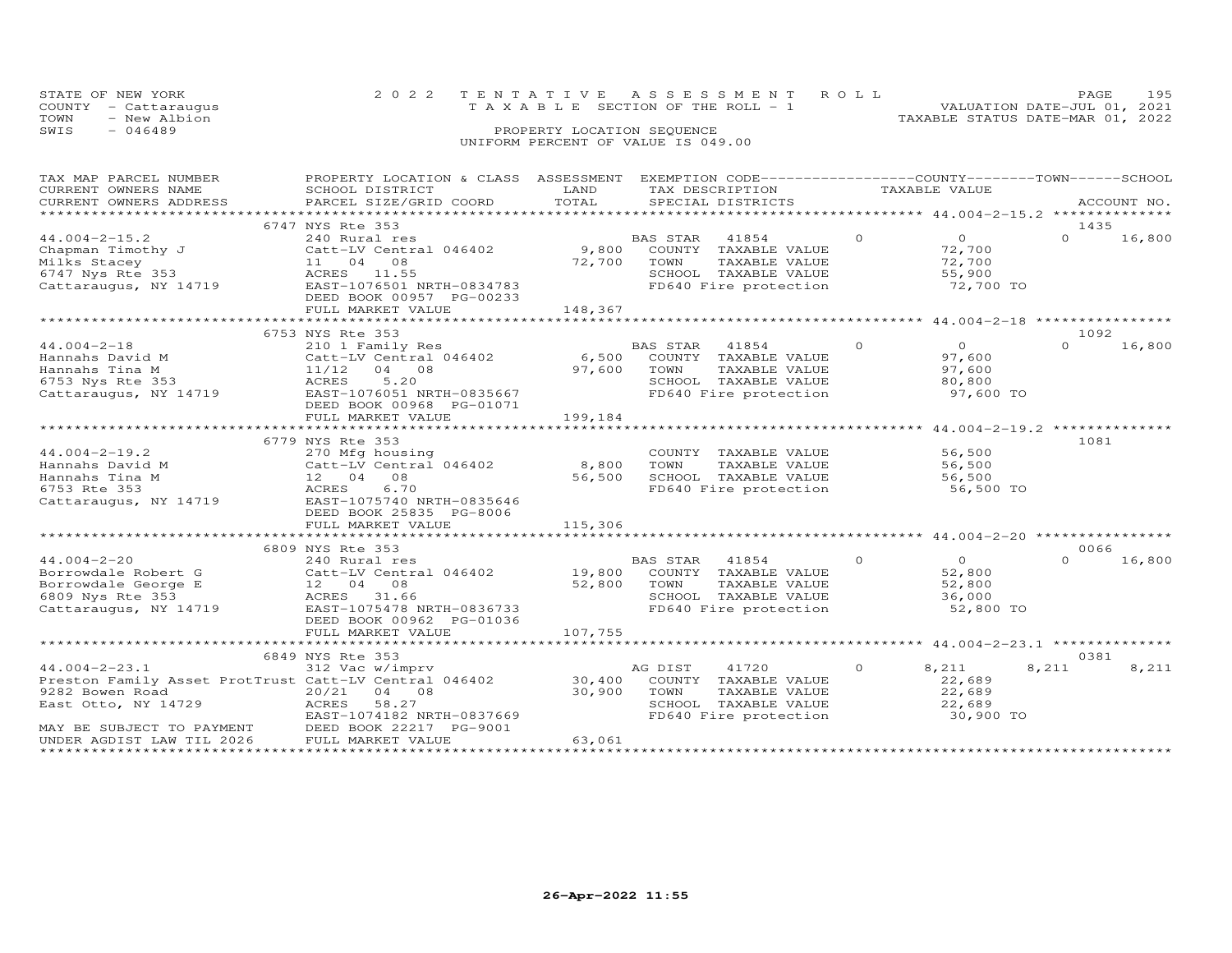|      | STATE OF NEW YORK    | 2022 TENTATIVE ASSESSMENT ROLL        |  |                                  | PAGE.                       | 195 |
|------|----------------------|---------------------------------------|--|----------------------------------|-----------------------------|-----|
|      | COUNTY - Cattaraugus | T A X A B L E SECTION OF THE ROLL - 1 |  |                                  | VALUATION DATE-JUL 01, 2021 |     |
| TOWN | - New Albion         |                                       |  | TAXABLE STATUS DATE-MAR 01, 2022 |                             |     |
| SWIS | - 046489             | PROPERTY LOCATION SEQUENCE            |  |                                  |                             |     |
|      |                      | UNIFORM PERCENT OF VALUE IS 049.00    |  |                                  |                             |     |

| TAX MAP PARCEL NUMBER                                 | PROPERTY LOCATION & CLASS ASSESSMENT EXEMPTION CODE---------------COUNTY-------TOWN-----SCHOOL |         |                       |               |                |          |             |
|-------------------------------------------------------|------------------------------------------------------------------------------------------------|---------|-----------------------|---------------|----------------|----------|-------------|
| CURRENT OWNERS NAME                                   | SCHOOL DISTRICT                                                                                | LAND    | TAX DESCRIPTION       | TAXABLE VALUE |                |          |             |
| CURRENT OWNERS ADDRESS                                | PARCEL SIZE/GRID COORD                                                                         | TOTAL   | SPECIAL DISTRICTS     |               |                |          | ACCOUNT NO. |
|                                                       |                                                                                                |         |                       |               |                |          |             |
|                                                       | 6747 NYS Rte 353                                                                               |         |                       |               |                | 1435     |             |
| $44.004 - 2 - 15.2$                                   | 240 Rural res                                                                                  |         | BAS STAR<br>41854     | $\circ$       | $\overline{0}$ | $\Omega$ | 16,800      |
| Chapman Timothy J                                     | Catt-LV Central 046402                                                                         | 9,800   | COUNTY TAXABLE VALUE  |               | 72,700         |          |             |
| Milks Stacey                                          | 11 04 08                                                                                       | 72,700  | TOWN<br>TAXABLE VALUE |               | 72,700         |          |             |
| 6747 Nys Rte 353                                      | ACRES 11.55                                                                                    |         | SCHOOL TAXABLE VALUE  |               | 55,900         |          |             |
| Cattaraugus, NY 14719                                 | EAST-1076501 NRTH-0834783                                                                      |         | FD640 Fire protection |               | 72,700 TO      |          |             |
|                                                       | DEED BOOK 00957 PG-00233                                                                       |         |                       |               |                |          |             |
|                                                       | FULL MARKET VALUE                                                                              | 148,367 |                       |               |                |          |             |
|                                                       |                                                                                                |         |                       |               |                |          |             |
|                                                       | 6753 NYS Rte 353                                                                               |         |                       |               |                | 1092     |             |
|                                                       |                                                                                                |         |                       | $\circ$       | $\overline{O}$ | $\Omega$ | 16,800      |
| $44.004 - 2 - 18$                                     | 210 1 Family Res                                                                               |         | BAS STAR<br>41854     |               |                |          |             |
| Hannahs David M                                       | Catt-LV Central 046402                                                                         | 6,500   | COUNTY TAXABLE VALUE  |               | 97,600         |          |             |
| Hannahs Tina M                                        | 11/12 04 08                                                                                    | 97,600  | TOWN<br>TAXABLE VALUE |               | 97,600         |          |             |
| 6753 Nys Rte 353                                      | 5.20<br>ACRES                                                                                  |         | SCHOOL TAXABLE VALUE  |               | 80,800         |          |             |
| Cattaraugus, NY 14719                                 | EAST-1076051 NRTH-0835667                                                                      |         | FD640 Fire protection |               | 97,600 TO      |          |             |
|                                                       | DEED BOOK 00968 PG-01071                                                                       |         |                       |               |                |          |             |
|                                                       | FULL MARKET VALUE                                                                              | 199,184 |                       |               |                |          |             |
|                                                       |                                                                                                |         |                       |               |                |          |             |
|                                                       | 6779 NYS Rte 353                                                                               |         |                       |               |                | 1081     |             |
| $44.004 - 2 - 19.2$                                   | 270 Mfg housing                                                                                |         | COUNTY TAXABLE VALUE  |               | 56,500         |          |             |
| Hannahs David M                                       | Catt-LV Central 046402                                                                         | 8,800   | TAXABLE VALUE<br>TOWN |               | 56,500         |          |             |
| Hannahs Tina M                                        | 12 04 08                                                                                       | 56,500  | SCHOOL TAXABLE VALUE  |               | 56,500         |          |             |
| 6753 Rte 353                                          | ACRES<br>6.70                                                                                  |         | FD640 Fire protection |               | 56,500 TO      |          |             |
| Cattaraugus, NY 14719                                 | EAST-1075740 NRTH-0835646                                                                      |         |                       |               |                |          |             |
|                                                       | DEED BOOK 25835 PG-8006                                                                        |         |                       |               |                |          |             |
|                                                       | FULL MARKET VALUE                                                                              | 115,306 |                       |               |                |          |             |
|                                                       |                                                                                                |         |                       |               |                |          |             |
|                                                       | 6809 NYS Rte 353                                                                               |         |                       |               |                | 0066     |             |
| $44.004 - 2 - 20$                                     | 240 Rural res                                                                                  |         | BAS STAR 41854        | $\Omega$      | $\overline{O}$ | $\cap$   | 16,800      |
| Borrowdale Robert G                                   | Catt-LV Central 046402                                                                         | 19,800  | COUNTY TAXABLE VALUE  |               | 52,800         |          |             |
| Borrowdale George E                                   | 12 04 08                                                                                       | 52,800  | TOWN<br>TAXABLE VALUE |               | 52,800         |          |             |
| 6809 Nys Rte 353                                      | ACRES 31.66                                                                                    |         | SCHOOL TAXABLE VALUE  |               | 36,000         |          |             |
| Cattaraugus, NY 14719                                 | EAST-1075478 NRTH-0836733                                                                      |         | FD640 Fire protection |               | 52,800 TO      |          |             |
|                                                       | DEED BOOK 00962 PG-01036                                                                       |         |                       |               |                |          |             |
|                                                       | FULL MARKET VALUE                                                                              | 107,755 |                       |               |                |          |             |
|                                                       |                                                                                                |         |                       |               |                |          |             |
|                                                       |                                                                                                |         |                       |               |                |          |             |
|                                                       | 6849 NYS Rte 353                                                                               |         |                       |               |                | 0381     |             |
| $44.004 - 2 - 23.1$                                   | 312 Vac w/imprv                                                                                |         | AG DIST<br>41720      | $\circ$       | 8,211          | 8,211    | 8,211       |
| Preston Family Asset ProtTrust Catt-LV Central 046402 |                                                                                                | 30,400  | COUNTY TAXABLE VALUE  |               | 22,689         |          |             |
| 9282 Bowen Road                                       | 20/21 04 08                                                                                    | 30,900  | TOWN<br>TAXABLE VALUE |               | 22,689         |          |             |
| East Otto, NY 14729                                   | 58.27<br>ACRES                                                                                 |         | SCHOOL TAXABLE VALUE  |               | 22,689         |          |             |
|                                                       | EAST-1074182 NRTH-0837669                                                                      |         | FD640 Fire protection |               | 30,900 TO      |          |             |
| MAY BE SUBJECT TO PAYMENT DEED BOOK 22217 PG-9001     |                                                                                                |         |                       |               |                |          |             |
| UNDER AGDIST LAW TIL 2026                             | FULL MARKET VALUE                                                                              | 63,061  |                       |               |                |          |             |
|                                                       |                                                                                                |         |                       |               |                |          |             |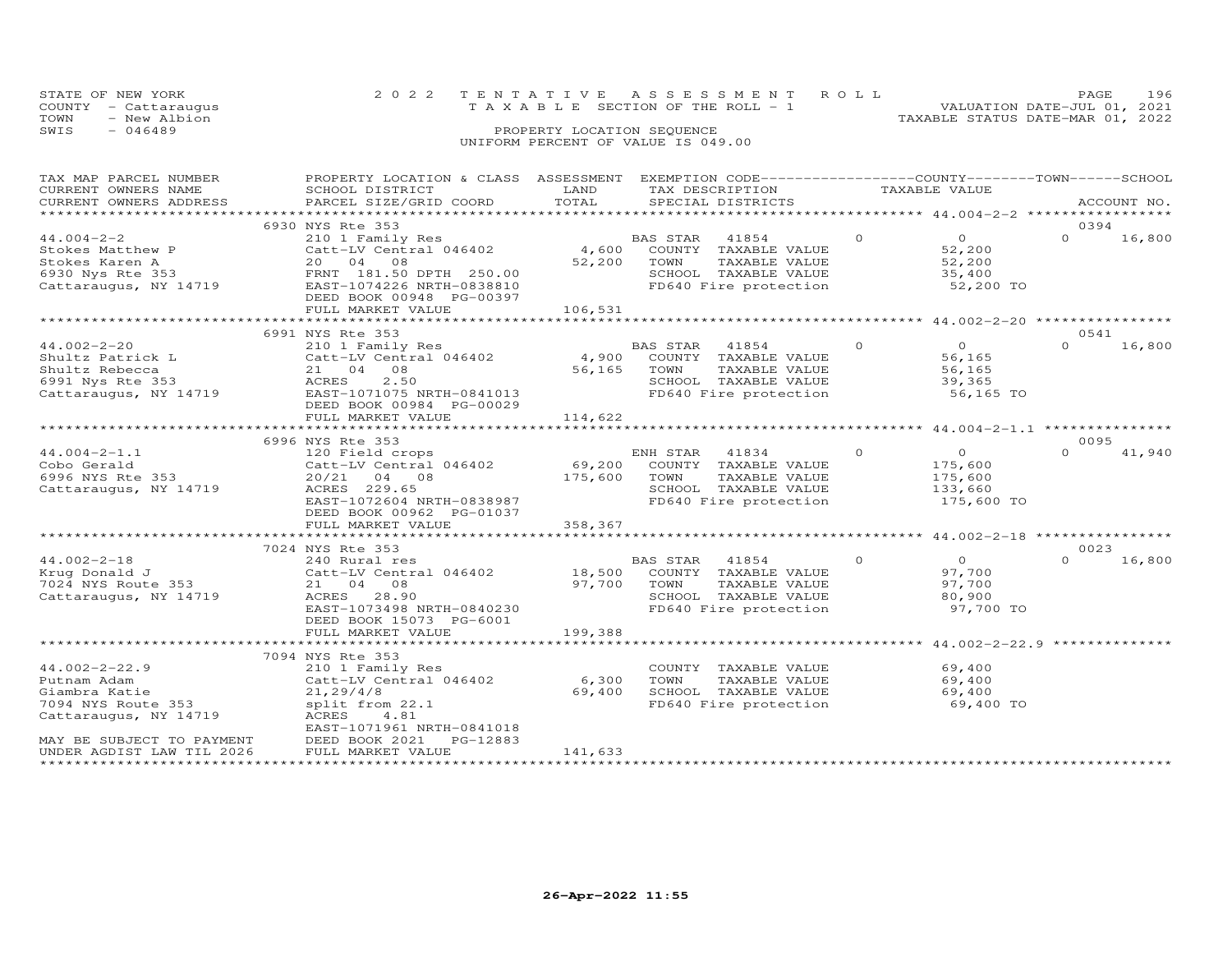| STATE OF NEW YORK<br>COUNTY - Cattaraugus | 2022 TENTATIVE ASSESSMENT ROLL<br>T A X A B L E SECTION OF THE ROLL - 1 | PAGE.<br>VALUATION DATE-JUL 01, 2021 | 196 |
|-------------------------------------------|-------------------------------------------------------------------------|--------------------------------------|-----|
| TOWN<br>- New Albion                      |                                                                         | TAXABLE STATUS DATE-MAR 01, 2022     |     |
| SWIS<br>$-046489$                         | PROPERTY LOCATION SEQUENCE                                              |                                      |     |
|                                           | UNIFORM PERCENT OF VALUE IS 049.00                                      |                                      |     |

| TAX MAP PARCEL NUMBER                              | PROPERTY LOCATION & CLASS ASSESSMENT |              | EXEMPTION CODE-----------------COUNTY-------TOWN------SCHOOL |                |                                                    |          |             |
|----------------------------------------------------|--------------------------------------|--------------|--------------------------------------------------------------|----------------|----------------------------------------------------|----------|-------------|
| CURRENT OWNERS NAME                                | SCHOOL DISTRICT                      | LAND         | TAX DESCRIPTION                                              |                | TAXABLE VALUE                                      |          |             |
| CURRENT OWNERS ADDRESS                             | PARCEL SIZE/GRID COORD               | TOTAL        | SPECIAL DISTRICTS                                            |                |                                                    |          | ACCOUNT NO. |
|                                                    |                                      |              |                                                              |                |                                                    |          |             |
|                                                    | 6930 NYS Rte 353                     |              |                                                              |                |                                                    | 0394     |             |
| $44.004 - 2 - 2$                                   | 210 1 Family Res                     |              | BAS STAR 41854                                               | $\Omega$       | $\overline{O}$                                     | $\Omega$ | 16,800      |
| Stokes Matthew P                                   | Catt-LV Central 046402               | 4,600        | COUNTY TAXABLE VALUE                                         |                | 52,200                                             |          |             |
| Stokes Karen A                                     | 20 04 08                             | 52,200       | TOWN<br>TAXABLE VALUE                                        |                | 52,200                                             |          |             |
| 6930 Nys Rte 353                                   |                                      |              | SCHOOL TAXABLE VALUE                                         |                | 35,400                                             |          |             |
| Cattaraugus, NY 14719                              | EAST-1074226 NRTH-0838810            |              | FD640 Fire protection                                        |                | 52,200 TO                                          |          |             |
|                                                    | DEED BOOK 00948 PG-00397             |              |                                                              |                |                                                    |          |             |
|                                                    | FULL MARKET VALUE                    | 106,531      |                                                              |                |                                                    |          |             |
|                                                    |                                      |              |                                                              |                |                                                    |          |             |
|                                                    | 6991 NYS Rte 353                     |              |                                                              |                |                                                    | 0541     |             |
| $44.002 - 2 - 20$                                  | 210 1 Family Res                     |              | BAS STAR<br>41854                                            | $\Omega$       | $\overline{O}$                                     | $\Omega$ | 16,800      |
| Shultz Patrick L                                   | Catt-LV Central 046402               | 4,900        | COUNTY TAXABLE VALUE                                         |                | 56,165                                             |          |             |
| Shultz Rebecca                                     | 21 04 08                             | 56,165       | TOWN<br>TAXABLE VALUE                                        |                | 56,165                                             |          |             |
| 6991 Nys Rte 353                                   | ACRES<br>2.50                        |              |                                                              |                | 39,365                                             |          |             |
| Cattaraugus, NY 14719                              | EAST-1071075 NRTH-0841013            |              | SCHOOL TAXABLE VALUE<br>FD640 Fire protection                |                | 56,165 TO                                          |          |             |
|                                                    | DEED BOOK 00984 PG-00029             |              |                                                              |                |                                                    |          |             |
|                                                    | FULL MARKET VALUE                    | 114,622      |                                                              |                |                                                    |          |             |
|                                                    |                                      |              |                                                              |                |                                                    |          |             |
|                                                    |                                      |              |                                                              |                |                                                    | 0095     |             |
|                                                    | 6996 NYS Rte 353                     |              |                                                              |                |                                                    |          |             |
| $44.004 - 2 - 1.1$                                 | 120 Field crops                      |              | ENH STAR 41834                                               | $\overline{a}$ | $\Omega$                                           | $\Omega$ | 41,940      |
| Cobo Gerald                                        | Catt-LV Central 046402               | 69,200       | COUNTY TAXABLE VALUE                                         |                | 175,600                                            |          |             |
| 6996 NYS Rte 353                                   | 20/21 04 08                          | 175,600      | TOWN<br>TAXABLE VALUE                                        |                | 175,600                                            |          |             |
| Cattaraugus, NY 14719                              | ACRES 229.65                         |              | SCHOOL TAXABLE VALUE                                         |                | 133,660                                            |          |             |
|                                                    | EAST-1072604 NRTH-0838987            |              | FD640 Fire protection                                        |                | 175,600 TO                                         |          |             |
|                                                    | DEED BOOK 00962 PG-01037             |              |                                                              |                |                                                    |          |             |
|                                                    | FULL MARKET VALUE                    | 358,367      |                                                              |                |                                                    |          |             |
|                                                    | **************************           | ************ |                                                              |                | ******************** 44.002-2-18 ***************** |          |             |
|                                                    | 7024 NYS Rte 353                     |              |                                                              |                |                                                    | 0023     |             |
| $44.002 - 2 - 18$                                  | 240 Rural res                        |              | $\overline{0}$<br>41854<br>BAS STAR                          |                | $\overline{0}$                                     | $\Omega$ | 16,800      |
| 44.002-2-18<br>Krug Donald J<br>7024 NYS Route 353 | Catt-LV Central 046402               |              | 18,500 COUNTY TAXABLE VALUE                                  |                | 97,700                                             |          |             |
|                                                    | 21 04 08                             | 97,700       | TOWN<br>TAXABLE VALUE                                        |                | 97,700                                             |          |             |
| Cattaraugus, NY 14719                              | ACRES 28.90                          |              | SCHOOL TAXABLE VALUE                                         |                | 80,900                                             |          |             |
|                                                    | EAST-1073498 NRTH-0840230            |              | FD640 Fire protection                                        |                | 97,700 TO                                          |          |             |
|                                                    | DEED BOOK 15073 PG-6001              |              |                                                              |                |                                                    |          |             |
|                                                    | FULL MARKET VALUE                    | 199,388      |                                                              |                |                                                    |          |             |
|                                                    |                                      |              |                                                              |                |                                                    |          |             |
|                                                    | 7094 NYS Rte 353                     |              |                                                              |                |                                                    |          |             |
| 44.002-2-22.9                                      | 210 1 Family Res                     |              | COUNTY TAXABLE VALUE                                         |                | 69,400                                             |          |             |
| Putnam Adam                                        | Catt-LV Central 046402               | 6,300        | TOWN<br>TAXABLE VALUE                                        |                | 69,400                                             |          |             |
| Giambra Katie                                      | 21, 29/4/8                           | 69,400       | SCHOOL TAXABLE VALUE                                         |                | 69,400                                             |          |             |
| 7094 NYS Route 353                                 | split from 22.1                      |              | SCHOOL TAXABLE VALUE<br>FD640 Fire protection                |                | 69,400 TO                                          |          |             |
| Cattaraugus, NY 14719                              | 4.81<br>ACRES                        |              |                                                              |                |                                                    |          |             |
|                                                    | EAST-1071961 NRTH-0841018            |              |                                                              |                |                                                    |          |             |
| MAY BE SUBJECT TO PAYMENT                          | DEED BOOK 2021 PG-12883              |              |                                                              |                |                                                    |          |             |
| UNDER AGDIST LAW TIL 2026                          | FULL MARKET VALUE                    | 141,633      |                                                              |                |                                                    |          |             |
|                                                    |                                      |              |                                                              |                |                                                    |          |             |
|                                                    |                                      |              |                                                              |                |                                                    |          |             |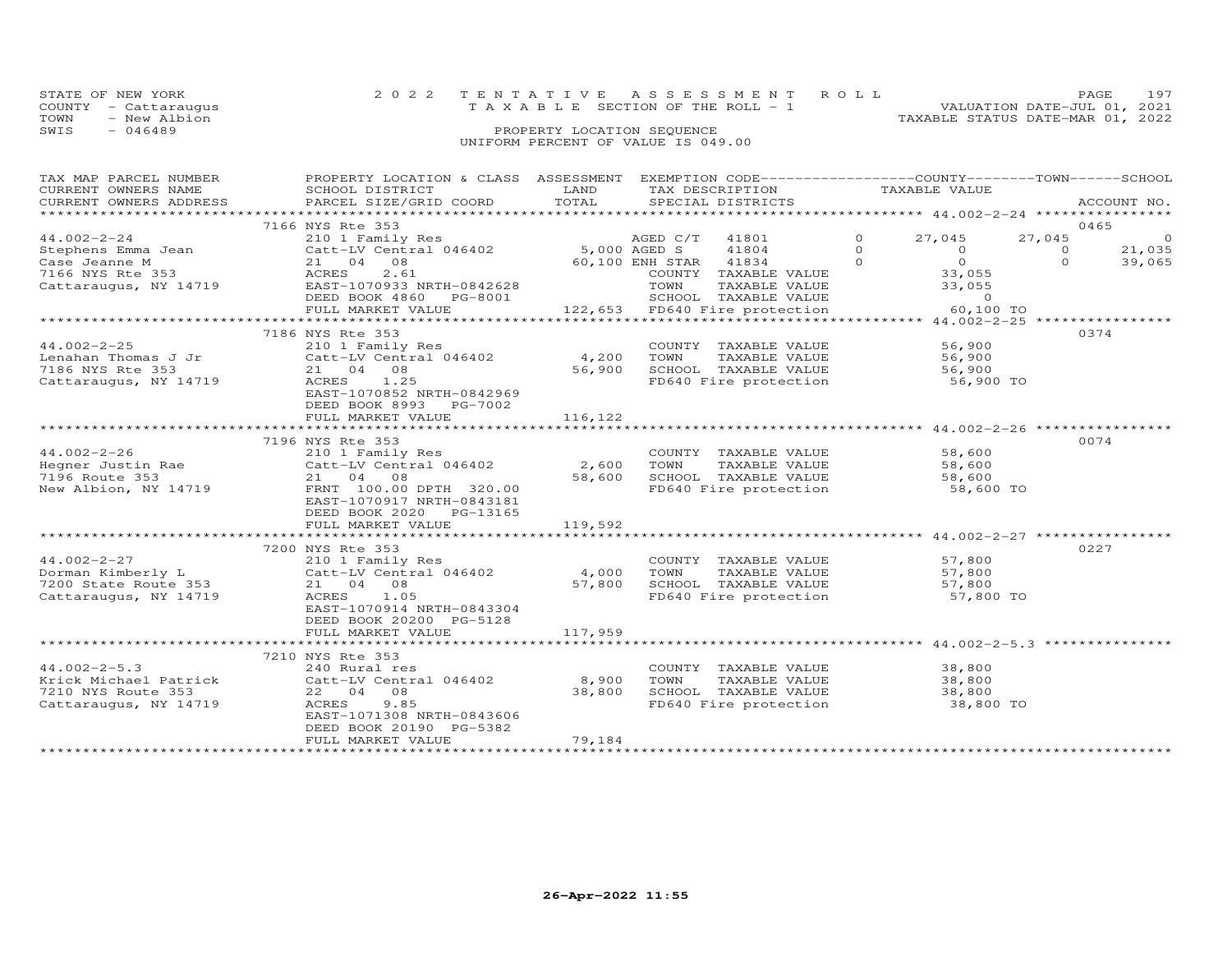| STATE OF NEW YORK    |  | 2022 TENTATIVE ASSESSMENT ROLL     |                            |  | PAGE.                            | 197 |
|----------------------|--|------------------------------------|----------------------------|--|----------------------------------|-----|
| COUNTY - Cattaraugus |  | TAXABLE SECTION OF THE ROLL - 1    |                            |  | VALUATION DATE-JUL 01, 2021      |     |
| TOWN<br>- New Albion |  |                                    |                            |  | TAXABLE STATUS DATE-MAR 01, 2022 |     |
| SWIS<br>- 046489     |  |                                    | PROPERTY LOCATION SEQUENCE |  |                                  |     |
|                      |  | UNIFORM PERCENT OF VALUE IS 049.00 |                            |  |                                  |     |

| TAX MAP PARCEL NUMBER                     | PROPERTY LOCATION & CLASS ASSESSMENT EXEMPTION CODE----------------COUNTY-------TOWN------SCHOOL            |         |                                                                |          |                                            |          |                |
|-------------------------------------------|-------------------------------------------------------------------------------------------------------------|---------|----------------------------------------------------------------|----------|--------------------------------------------|----------|----------------|
| CURRENT OWNERS NAME                       | SCHOOL DISTRICT                                                                                             | LAND    | TAX DESCRIPTION                                                |          | TAXABLE VALUE                              |          |                |
|                                           | CURRENT OWNERS ADDRESS PARCEL SIZE/GRID COORD                                                               | TOTAL   | SPECIAL DISTRICTS                                              |          |                                            |          | ACCOUNT NO.    |
|                                           |                                                                                                             |         |                                                                |          |                                            |          |                |
|                                           | 7166 NYS Rte 353                                                                                            |         |                                                                |          |                                            |          | 0465           |
| $44.002 - 2 - 24$                         |                                                                                                             |         |                                                                | $\circ$  | 27,045                                     | 27,045   | $\overline{0}$ |
| Stephens Emma Jean<br>Case Jeanne M       |                                                                                                             |         |                                                                | $\Omega$ | $\overline{0}$                             | $\Omega$ | 21,035         |
|                                           |                                                                                                             |         |                                                                | $\Omega$ | $\begin{array}{c} 0 \\ 33,055 \end{array}$ | $\Omega$ | 39,065         |
|                                           |                                                                                                             |         |                                                                |          |                                            |          |                |
|                                           | Case Jeanne M<br>7166 NYS Rte 353<br>7166 NYS Rte 353<br>Cattaraugus, NY 14719<br>EAST-1070933 NRTH-0842628 |         |                                                                |          | 33,055                                     |          |                |
|                                           | DEED BOOK 4860 PG-8001                                                                                      |         |                                                                |          | $\sim$ 0                                   |          |                |
|                                           | FULL MARKET VALUE                                                                                           |         | 122,653 FD640 Fire protection                                  |          | 60,100 TO                                  |          |                |
|                                           |                                                                                                             |         |                                                                |          |                                            |          |                |
|                                           | 7186 NYS Rte 353                                                                                            |         |                                                                |          |                                            |          | 0374           |
| 44.002-2-25                               | 210 1 Family Res                                                                                            |         | COUNTY TAXABLE VALUE<br>TOWN     TAXABLE VALUE                 |          | 56,900                                     |          |                |
| Lenahan Thomas J Jr                       |                                                                                                             |         |                                                                |          | 56,900                                     |          |                |
| 7186 NYS Rte 353<br>Cattaraugus, NY 14719 | 21 04 08<br>ACRES 1.25                                                                                      | 56,900  |                                                                |          |                                            |          |                |
|                                           |                                                                                                             |         |                                                                |          |                                            |          |                |
|                                           | EAST-1070852 NRTH-0842969                                                                                   |         |                                                                |          |                                            |          |                |
|                                           | DEED BOOK 8993 PG-7002                                                                                      |         |                                                                |          |                                            |          |                |
|                                           | FULL MARKET VALUE                                                                                           | 116,122 |                                                                |          |                                            |          |                |
|                                           |                                                                                                             |         |                                                                |          |                                            |          |                |
|                                           | 7196 NYS Rte 353                                                                                            |         |                                                                |          |                                            |          | 0074           |
| $44.002 - 2 - 26$                         | 210 1 Family Res                                                                                            |         |                                                                |          |                                            |          |                |
|                                           |                                                                                                             |         | COUNTY TAXABLE VALUE 58,600<br>TOWN TAXABLE VALUE 58,600       |          |                                            |          |                |
|                                           |                                                                                                             |         |                                                                |          |                                            |          |                |
|                                           |                                                                                                             |         |                                                                |          |                                            |          |                |
|                                           | EAST-1070917 NRTH-0843181                                                                                   |         |                                                                |          |                                            |          |                |
|                                           | DEED BOOK 2020 PG-13165                                                                                     |         |                                                                |          |                                            |          |                |
|                                           |                                                                                                             |         |                                                                |          |                                            |          |                |
|                                           |                                                                                                             |         |                                                                |          |                                            |          |                |
|                                           | 7200 NYS Rte 353                                                                                            |         |                                                                |          |                                            |          | 0227           |
|                                           |                                                                                                             |         | COUNTY TAXABLE VALUE                                           |          | 57,800                                     |          |                |
|                                           |                                                                                                             |         | TAXABLE VALUE 57,800<br>TOWN                                   |          |                                            |          |                |
|                                           |                                                                                                             |         |                                                                |          |                                            |          |                |
|                                           |                                                                                                             |         |                                                                |          |                                            |          |                |
|                                           | EAST-1070914 NRTH-0843304                                                                                   |         |                                                                |          |                                            |          |                |
|                                           | DEED BOOK 20200 PG-5128                                                                                     |         |                                                                |          |                                            |          |                |
|                                           | FULL MARKET VALUE                                                                                           | 117,959 |                                                                |          |                                            |          |                |
|                                           |                                                                                                             |         |                                                                |          |                                            |          |                |
|                                           | 7210 NYS Rte 353                                                                                            |         |                                                                |          |                                            |          |                |
| $44.002 - 2 - 5.3$                        | 240 Rural res                                                                                               |         | COUNTY TAXABLE VALUE                                           |          | 38,800                                     |          |                |
| Krick Michael Patrick                     | Catt-LV Central 046402 8,900                                                                                |         | TOWN<br>TAXABLE VALUE 38,800                                   |          |                                            |          |                |
| 7210 NYS Route 353                        | 22 04 08                                                                                                    | 38,800  |                                                                |          |                                            |          |                |
| Cattaraugus, NY 14719                     | ACRES<br>9.85                                                                                               |         | SCHOOL TAXABLE VALUE 38,800<br>FD640 Fire protection 38,800 TO |          |                                            |          |                |
|                                           | EAST-1071308 NRTH-0843606                                                                                   |         |                                                                |          |                                            |          |                |
|                                           | DEED BOOK 20190 PG-5382                                                                                     |         |                                                                |          |                                            |          |                |
|                                           | FULL MARKET VALUE                                                                                           | 79,184  |                                                                |          |                                            |          |                |
|                                           |                                                                                                             |         |                                                                |          |                                            |          |                |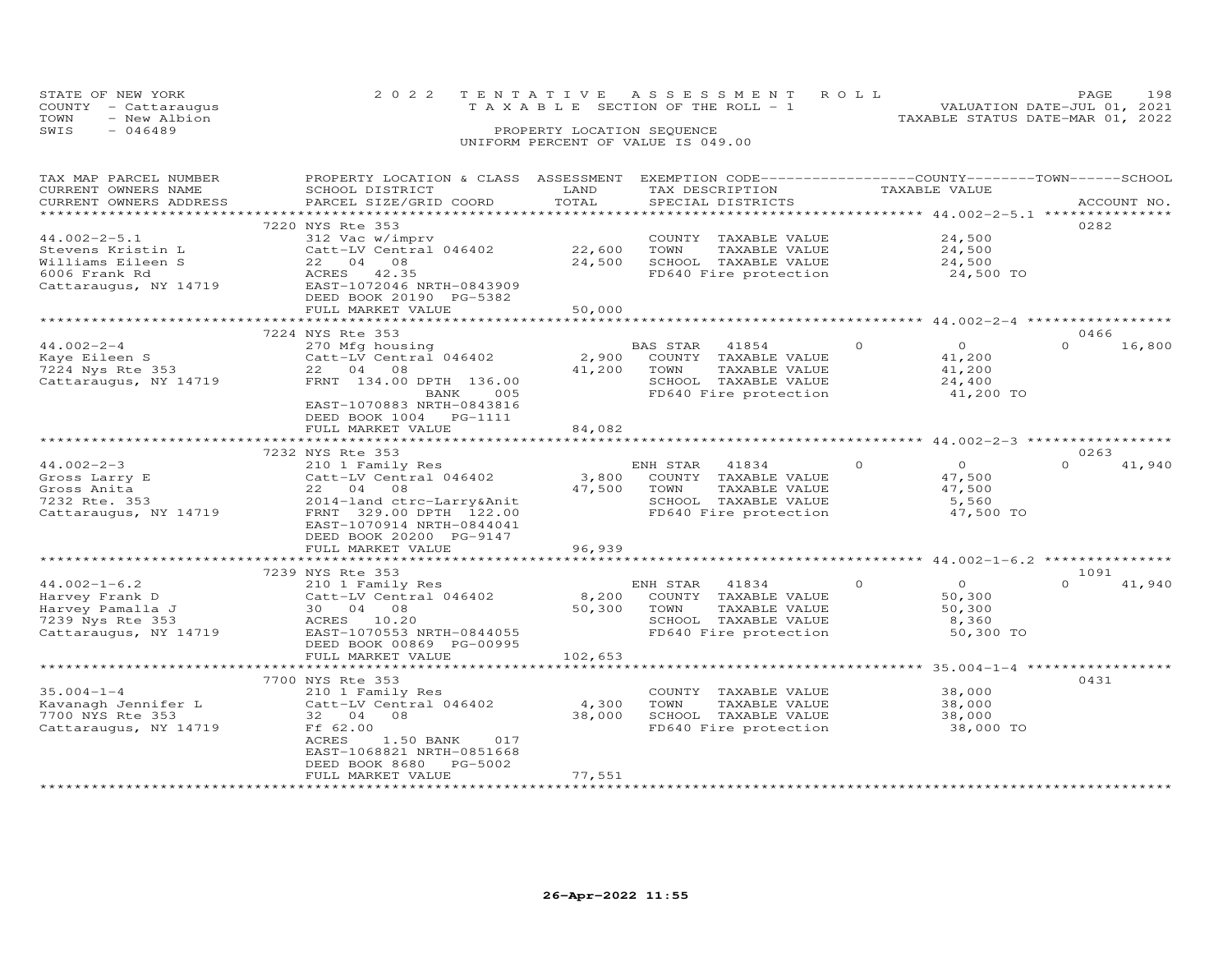| STATE OF NEW YORK    | 2022 TENTATIVE ASSESSMENT ROLL        | 198<br>PAGE.                     |
|----------------------|---------------------------------------|----------------------------------|
| COUNTY - Cattaraugus | T A X A B L E SECTION OF THE ROLL - 1 | VALUATION DATE-JUL 01, 2021      |
| TOWN<br>- New Albion |                                       | TAXABLE STATUS DATE-MAR 01, 2022 |
| SWIS<br>- 046489     | PROPERTY LOCATION SEQUENCE            |                                  |
|                      | UNIFORM PERCENT OF VALUE IS 049.00    |                                  |

| TAX MAP PARCEL NUMBER<br>CURRENT OWNERS NAME | PROPERTY LOCATION & CLASS ASSESSMENT EXEMPTION CODE-----------------COUNTY-------TOWN------SCHOOL<br>SCHOOL DISTRICT | LAND                | TAX DESCRIPTION                               | TAXABLE VALUE                               |                    |
|----------------------------------------------|----------------------------------------------------------------------------------------------------------------------|---------------------|-----------------------------------------------|---------------------------------------------|--------------------|
| CURRENT OWNERS ADDRESS                       | PARCEL SIZE/GRID COORD                                                                                               | TOTAL               | SPECIAL DISTRICTS                             |                                             | ACCOUNT NO.        |
| **********************                       |                                                                                                                      |                     |                                               |                                             |                    |
|                                              | 7220 NYS Rte 353                                                                                                     |                     |                                               |                                             | 0282               |
| $44.002 - 2 - 5.1$                           | 312 Vac w/imprv                                                                                                      |                     | COUNTY TAXABLE VALUE                          | 24,500                                      |                    |
| Stevens Kristin L                            | Catt-LV Central 046402                                                                                               | 22,600              | TOWN<br>TAXABLE VALUE                         | 24,500                                      |                    |
| Williams Eileen S                            | 22 04<br>08                                                                                                          | 24,500              | SCHOOL TAXABLE VALUE                          | 24,500                                      |                    |
| 6006 Frank Rd                                | ACRES<br>42.35                                                                                                       |                     | FD640 Fire protection                         | 24,500 TO                                   |                    |
| Cattaraugus, NY 14719                        | EAST-1072046 NRTH-0843909                                                                                            |                     |                                               |                                             |                    |
|                                              | DEED BOOK 20190 PG-5382                                                                                              |                     |                                               |                                             |                    |
|                                              | FULL MARKET VALUE                                                                                                    | 50,000              |                                               |                                             |                    |
|                                              | ************************                                                                                             |                     |                                               |                                             |                    |
|                                              | 7224 NYS Rte 353                                                                                                     |                     |                                               |                                             | 0466               |
| $44.002 - 2 - 4$                             | 270 Mfg housing                                                                                                      |                     | BAS STAR<br>41854                             | $\Omega$<br>$\circ$                         | 16,800             |
| Kaye Eileen S                                | Catt-LV Central 046402                                                                                               | 2,900               | COUNTY TAXABLE VALUE                          | 41,200                                      |                    |
| 7224 Nys Rte 353                             | 22 04<br>- 08                                                                                                        | 41,200              | TOWN<br>TAXABLE VALUE                         | 41,200                                      |                    |
| Cattaraugus, NY 14719                        | FRNT 134.00 DPTH 136.00                                                                                              |                     | SCHOOL TAXABLE VALUE                          | 24,400                                      |                    |
|                                              | BANK<br>005                                                                                                          |                     | FD640 Fire protection                         | 41,200 TO                                   |                    |
|                                              | EAST-1070883 NRTH-0843816                                                                                            |                     |                                               |                                             |                    |
|                                              | DEED BOOK 1004    PG-1111                                                                                            |                     |                                               |                                             |                    |
|                                              | FULL MARKET VALUE                                                                                                    | 84,082              |                                               | ********* 44.002-2-3 ***************        |                    |
|                                              |                                                                                                                      |                     |                                               |                                             |                    |
| $44.002 - 2 - 3$                             | 7232 NYS Rte 353                                                                                                     |                     |                                               | $\circ$<br>$\circ$                          | 0263<br>$\Omega$   |
|                                              | 210 1 Family Res                                                                                                     |                     | 41834<br>ENH STAR                             |                                             | 41,940             |
| Gross Larry E<br>Gross Anita                 | Catt-LV Central 046402<br>22 04<br>08                                                                                | 3,800<br>47,500     | COUNTY TAXABLE VALUE<br>TOWN<br>TAXABLE VALUE | 47,500<br>47,500                            |                    |
|                                              |                                                                                                                      |                     |                                               |                                             |                    |
| 7232 Rte. 353<br>Cattaraugus, NY 14719       | 2014-land ctrc-Larry&Anit                                                                                            |                     | SCHOOL TAXABLE VALUE<br>FD640 Fire protection | 5,560<br>47,500 TO                          |                    |
|                                              | FRNT 329.00 DPTH 122.00                                                                                              |                     |                                               |                                             |                    |
|                                              | EAST-1070914 NRTH-0844041<br>DEED BOOK 20200 PG-9147                                                                 |                     |                                               |                                             |                    |
|                                              |                                                                                                                      | 96,939              |                                               |                                             |                    |
|                                              | FULL MARKET VALUE<br>***************************                                                                     |                     |                                               |                                             |                    |
|                                              | 7239 NYS Rte 353                                                                                                     |                     |                                               |                                             | 1091               |
| $44.002 - 1 - 6.2$                           | 210 1 Family Res                                                                                                     |                     | ENH STAR<br>41834                             | $\circ$<br>$\circ$                          | 41,940<br>$\Omega$ |
| Harvey Frank D                               | Catt-LV Central 046402                                                                                               | 8,200               | COUNTY TAXABLE VALUE                          | 50,300                                      |                    |
| Harvey Pamalla J                             | 30  04  08                                                                                                           | 50,300              | TOWN<br>TAXABLE VALUE                         | 50,300                                      |                    |
| 7239 Nys Rte 353                             | ACRES 10.20                                                                                                          |                     | SCHOOL TAXABLE VALUE                          | 8,360                                       |                    |
| Cattaraugus, NY 14719                        | EAST-1070553 NRTH-0844055                                                                                            |                     | FD640 Fire protection                         | 50,300 TO                                   |                    |
|                                              | DEED BOOK 00869 PG-00995                                                                                             |                     |                                               |                                             |                    |
|                                              | FULL MARKET VALUE                                                                                                    | 102,653             |                                               |                                             |                    |
|                                              |                                                                                                                      | **************      |                                               | ******************** 35.004-1-4 *********** |                    |
|                                              | 7700 NYS Rte 353                                                                                                     |                     |                                               |                                             | 0431               |
| $35.004 - 1 - 4$                             | 210 1 Family Res                                                                                                     |                     | COUNTY TAXABLE VALUE                          | 38,000                                      |                    |
| Kavanagh Jennifer L                          | Catt-LV Central 046402                                                                                               | 4,300               | TOWN<br>TAXABLE VALUE                         | 38,000                                      |                    |
| 7700 NYS Rte 353                             | 32 04<br>08                                                                                                          | 38,000              | SCHOOL TAXABLE VALUE                          | 38,000                                      |                    |
| Cattaraugus, NY 14719                        | Ff 62.00                                                                                                             |                     | FD640 Fire protection                         | 38,000 TO                                   |                    |
|                                              | ACRES<br>1.50 BANK<br>017                                                                                            |                     |                                               |                                             |                    |
|                                              | EAST-1068821 NRTH-0851668                                                                                            |                     |                                               |                                             |                    |
|                                              | DEED BOOK 8680<br>PG-5002                                                                                            |                     |                                               |                                             |                    |
|                                              | FULL MARKET VALUE                                                                                                    | 77,551              |                                               |                                             |                    |
| *********************                        | ************************                                                                                             | ******************* |                                               |                                             |                    |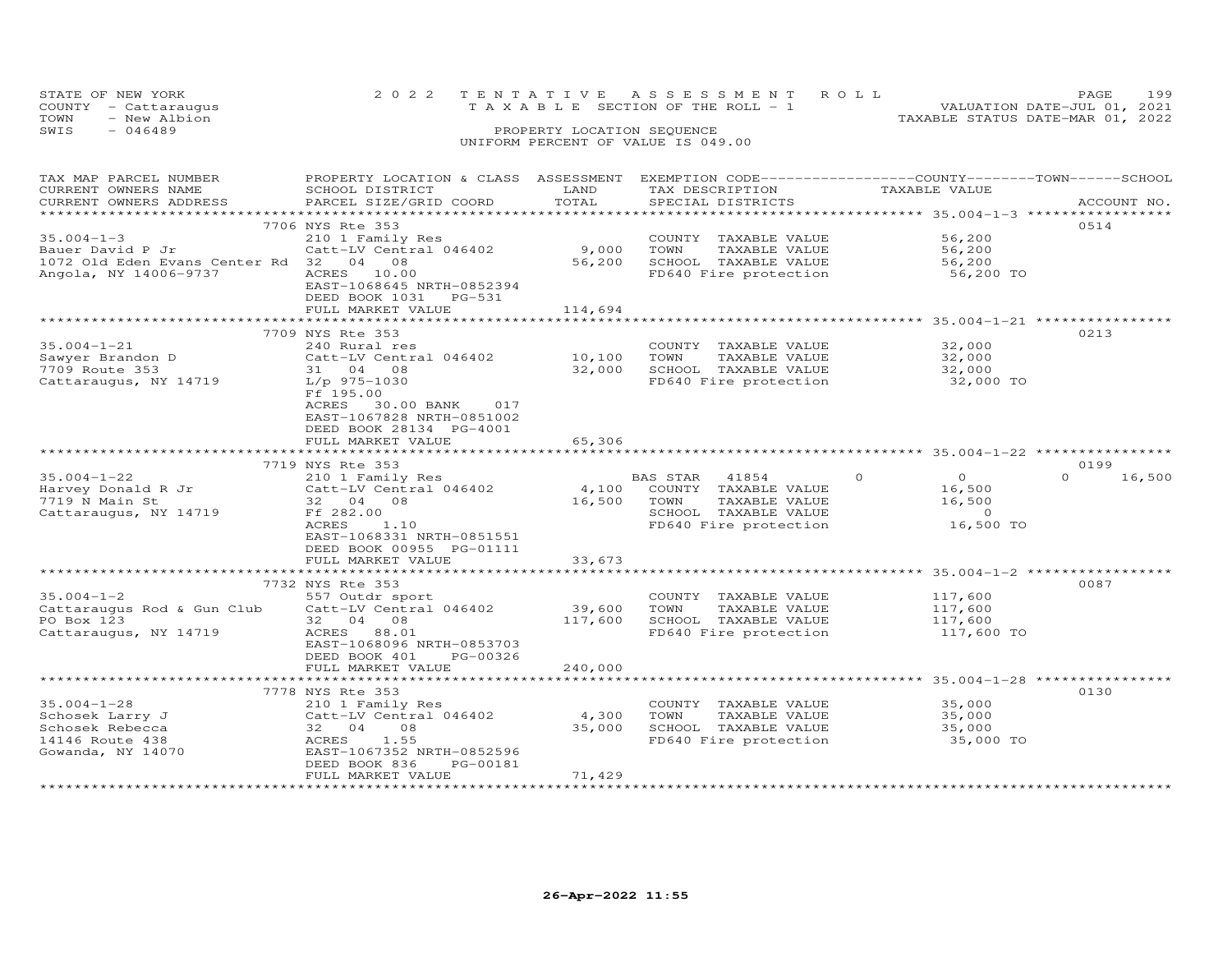| STATE OF NEW YORK    | 2022 TENTATIVE ASSESSMENT ROLL     | 199<br>PAGE.                     |
|----------------------|------------------------------------|----------------------------------|
| COUNTY - Cattaraugus | TAXABLE SECTION OF THE ROLL - 1    | VALUATION DATE-JUL 01, 2021      |
| TOWN<br>- New Albion |                                    | TAXABLE STATUS DATE-MAR 01, 2022 |
| SWIS<br>- 046489     | PROPERTY LOCATION SEQUENCE         |                                  |
|                      | UNIFORM PERCENT OF VALUE IS 049.00 |                                  |

| TAX MAP PARCEL NUMBER<br>CURRENT OWNERS NAME | PROPERTY LOCATION & CLASS ASSESSMENT<br>SCHOOL DISTRICT                                      | LAND                | EXEMPTION CODE-----------------COUNTY-------TOWN-----SCHOOL<br>TAX DESCRIPTION | TAXABLE VALUE                                      |                    |
|----------------------------------------------|----------------------------------------------------------------------------------------------|---------------------|--------------------------------------------------------------------------------|----------------------------------------------------|--------------------|
| CURRENT OWNERS ADDRESS                       | PARCEL SIZE/GRID COORD                                                                       | TOTAL               | SPECIAL DISTRICTS                                                              |                                                    | ACCOUNT NO.        |
|                                              | 7706 NYS Rte 353                                                                             |                     |                                                                                |                                                    | 0514               |
| $35.004 - 1 - 3$                             | 210 1 Family Res                                                                             |                     | COUNTY TAXABLE VALUE                                                           | 56,200                                             |                    |
| Bauer David P Jr                             | Catt-LV Central 046402                                                                       | 9,000               | TOWN<br>TAXABLE VALUE                                                          | 56,200                                             |                    |
| 1072 Old Eden Evans Center Rd 32 04          | 08                                                                                           | 56,200              | SCHOOL TAXABLE VALUE                                                           | 56,200                                             |                    |
| Angola, NY 14006-9737                        | 10.00<br>ACRES<br>EAST-1068645 NRTH-0852394<br>DEED BOOK 1031<br>PG-531<br>FULL MARKET VALUE | 114,694             | FD640 Fire protection                                                          | 56,200 TO                                          |                    |
|                                              |                                                                                              |                     |                                                                                |                                                    |                    |
|                                              | 7709 NYS Rte 353                                                                             |                     |                                                                                |                                                    | 0213               |
| $35.004 - 1 - 21$                            | 240 Rural res                                                                                |                     | COUNTY TAXABLE VALUE                                                           | 32,000                                             |                    |
| Sawyer Brandon D                             | Catt-LV Central 046402                                                                       | 10,100              | TAXABLE VALUE<br>TOWN                                                          | 32,000                                             |                    |
| 7709 Route 353                               | 31 04 08                                                                                     | 32,000              | SCHOOL TAXABLE VALUE                                                           | 32,000                                             |                    |
| Cattaraugus, NY 14719                        | $L/p$ 975-1030                                                                               |                     | FD640 Fire protection                                                          | 32,000 TO                                          |                    |
|                                              | Ff 195.00<br>ACRES<br>30.00 BANK<br>017                                                      |                     |                                                                                |                                                    |                    |
|                                              | EAST-1067828 NRTH-0851002                                                                    |                     |                                                                                |                                                    |                    |
|                                              | DEED BOOK 28134 PG-4001<br>FULL MARKET VALUE                                                 | 65,306              |                                                                                |                                                    |                    |
|                                              |                                                                                              |                     |                                                                                |                                                    |                    |
|                                              | 7719 NYS Rte 353                                                                             |                     |                                                                                |                                                    | 0199               |
| $35.004 - 1 - 22$                            | 210 1 Family Res                                                                             |                     | BAS STAR<br>41854                                                              | $\circ$<br>$\overline{O}$                          | $\Omega$<br>16,500 |
| Harvey Donald R Jr                           | Catt-LV Central 046402                                                                       | 4,100               | COUNTY TAXABLE VALUE                                                           | 16,500                                             |                    |
| 7719 N Main St                               | 32 04<br>08                                                                                  | 16,500              | TOWN<br>TAXABLE VALUE                                                          | 16,500                                             |                    |
| Cattaraugus, NY 14719                        | Ff 282.00                                                                                    |                     | SCHOOL TAXABLE VALUE                                                           | $\circ$                                            |                    |
|                                              | ACRES<br>1.10                                                                                |                     | FD640 Fire protection                                                          | 16,500 TO                                          |                    |
|                                              | EAST-1068331 NRTH-0851551                                                                    |                     |                                                                                |                                                    |                    |
|                                              | DEED BOOK 00955 PG-01111                                                                     |                     |                                                                                |                                                    |                    |
|                                              | FULL MARKET VALUE                                                                            | 33,673              |                                                                                |                                                    |                    |
|                                              | ***********************                                                                      | ******************* | ********************************** 35.004-1-2 ***********                      |                                                    |                    |
|                                              | 7732 NYS Rte 353                                                                             |                     |                                                                                |                                                    | 0087               |
| $35.004 - 1 - 2$                             | 557 Outdr sport                                                                              |                     | COUNTY TAXABLE VALUE                                                           | 117,600                                            |                    |
| Cattaraugus Rod & Gun Club                   | Catt-LV Central 046402                                                                       | 39,600              | TOWN<br>TAXABLE VALUE                                                          | 117,600                                            |                    |
| PO Box 123                                   | 32 04<br>08                                                                                  | 117,600             | SCHOOL TAXABLE VALUE                                                           | 117,600                                            |                    |
| Cattaraugus, NY 14719                        | ACRES<br>88.01                                                                               |                     | FD640 Fire protection                                                          | 117,600 TO                                         |                    |
|                                              | EAST-1068096 NRTH-0853703                                                                    |                     |                                                                                |                                                    |                    |
|                                              | DEED BOOK 401<br>PG-00326                                                                    |                     |                                                                                |                                                    |                    |
|                                              | FULL MARKET VALUE                                                                            | 240,000             |                                                                                |                                                    |                    |
|                                              | ************                                                                                 |                     |                                                                                | *********************** 35.004-1-28 ************** |                    |
|                                              | 7778 NYS Rte 353                                                                             |                     |                                                                                |                                                    | 0130               |
| $35.004 - 1 - 28$                            | 210 1 Family Res                                                                             |                     | COUNTY<br>TAXABLE VALUE                                                        | 35,000                                             |                    |
| Schosek Larry J                              | Catt-LV Central 046402                                                                       | 4,300               | TOWN<br>TAXABLE VALUE                                                          | 35,000                                             |                    |
| Schosek Rebecca                              | 32 04<br>08                                                                                  | 35,000              | SCHOOL TAXABLE VALUE                                                           | 35,000                                             |                    |
| 14146 Route 438                              | ACRES<br>1.55                                                                                |                     | FD640 Fire protection                                                          | 35,000 TO                                          |                    |
| Gowanda, NY 14070                            | EAST-1067352 NRTH-0852596                                                                    |                     |                                                                                |                                                    |                    |
|                                              | DEED BOOK 836<br>PG-00181                                                                    |                     |                                                                                |                                                    |                    |
|                                              | FULL MARKET VALUE                                                                            | 71,429              |                                                                                |                                                    |                    |
|                                              |                                                                                              |                     |                                                                                |                                                    |                    |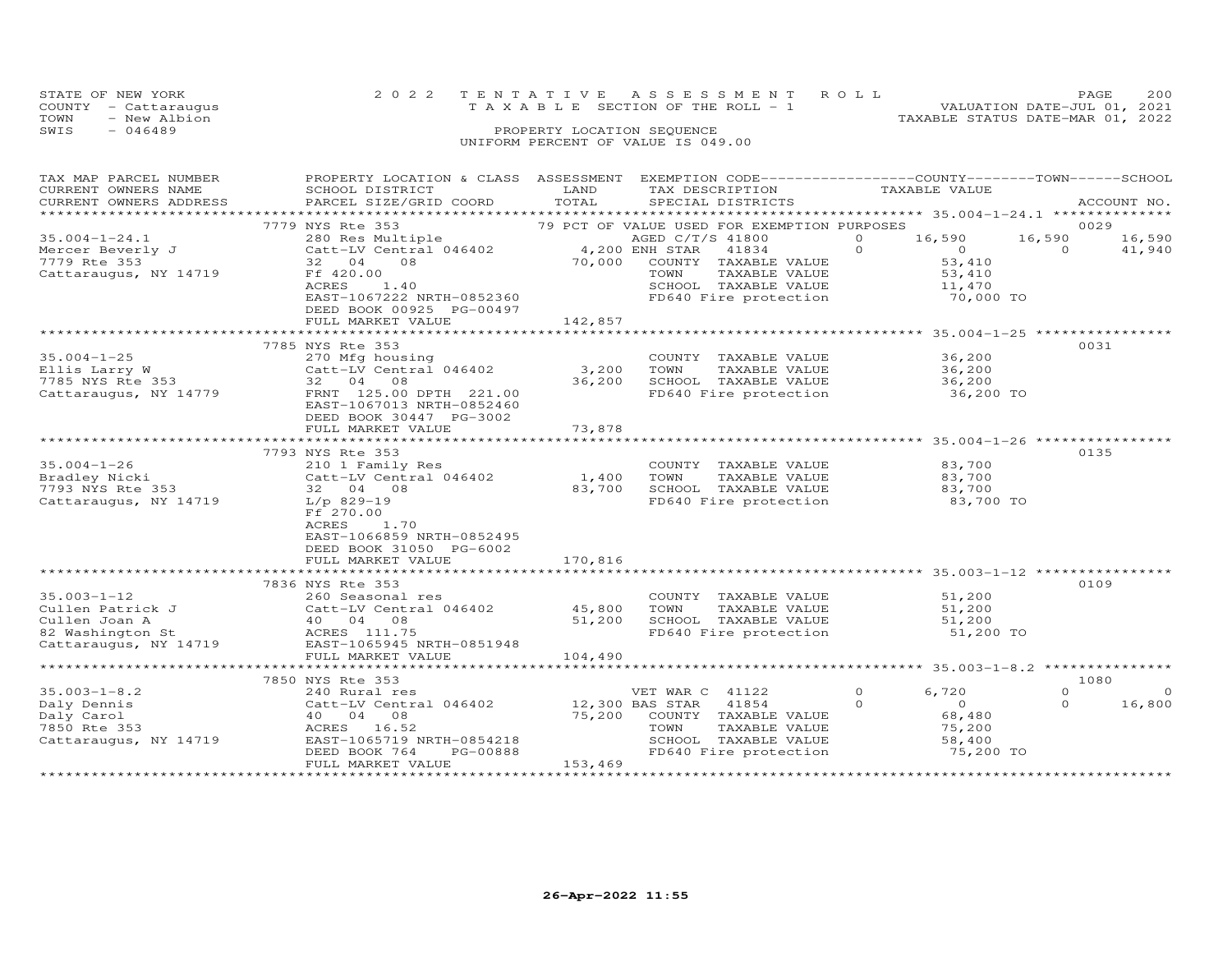|      | STATE OF NEW YORK    |  |  |                                    |  |  |                                 | 2022 TENTATIVE ASSESSMENT ROLL |                                  | PAGE.                       | 200 |
|------|----------------------|--|--|------------------------------------|--|--|---------------------------------|--------------------------------|----------------------------------|-----------------------------|-----|
|      | COUNTY - Cattaraugus |  |  |                                    |  |  | TAXABLE SECTION OF THE ROLL - 1 |                                |                                  | VALUATION DATE-JUL 01, 2021 |     |
| TOWN | - New Albion         |  |  |                                    |  |  |                                 |                                | TAXABLE STATUS DATE-MAR 01, 2022 |                             |     |
| SWIS | - 046489             |  |  | PROPERTY LOCATION SEQUENCE         |  |  |                                 |                                |                                  |                             |     |
|      |                      |  |  | UNIFORM PERCENT OF VALUE IS 049.00 |  |  |                                 |                                |                                  |                             |     |

| TAX MAP PARCEL NUMBER  | PROPERTY LOCATION & CLASS ASSESSMENT EXEMPTION CODE----------------COUNTY-------TOWN------SCHOOL |                               |                                                                 |                                                   |                      |
|------------------------|--------------------------------------------------------------------------------------------------|-------------------------------|-----------------------------------------------------------------|---------------------------------------------------|----------------------|
| CURRENT OWNERS NAME    | SCHOOL DISTRICT                                                                                  | LAND                          | TAX DESCRIPTION                                                 | TAXABLE VALUE                                     |                      |
| CURRENT OWNERS ADDRESS | PARCEL SIZE/GRID COORD                                                                           | TOTAL                         | SPECIAL DISTRICTS                                               |                                                   | ACCOUNT NO.          |
|                        | 7779 NYS Rte 353                                                                                 |                               |                                                                 |                                                   | 0029                 |
| $35.004 - 1 - 24.1$    |                                                                                                  |                               | 79 PCT OF VALUE USED FOR EXEMPTION PURPOSES<br>AGED C/T/S 41800 | 16,590<br>$\Omega$                                | 16,590               |
|                        | 280 Res Multiple<br>Catt-LV Central 046402 4,200 ENH STAR                                        |                               | 41834                                                           | $\Omega$<br>$\overline{O}$                        | 16,590<br>$\Omega$   |
| Mercer Beverly J       |                                                                                                  |                               |                                                                 |                                                   | 41,940               |
| 7779 Rte 353           | 32 04<br>08                                                                                      | 70,000                        | COUNTY TAXABLE VALUE                                            | 53,410                                            |                      |
| Cattaraugus, NY 14719  | Ff 420.00<br>1.40                                                                                |                               | TOWN<br>TAXABLE VALUE<br>SCHOOL TAXABLE VALUE                   | 53,410                                            |                      |
|                        | ACRES<br>EAST-1067222 NRTH-0852360                                                               |                               |                                                                 | 11,470                                            |                      |
|                        | DEED BOOK 00925 PG-00497                                                                         |                               | FD640 Fire protection                                           | 70,000 TO                                         |                      |
|                        | FULL MARKET VALUE                                                                                | 142,857                       |                                                                 |                                                   |                      |
|                        |                                                                                                  |                               |                                                                 |                                                   |                      |
|                        | 7785 NYS Rte 353                                                                                 |                               |                                                                 |                                                   | 0031                 |
| $35.004 - 1 - 25$      |                                                                                                  |                               | COUNTY TAXABLE VALUE                                            | 36,200                                            |                      |
| Ellis Larry W          | 270 Mfg housing<br>Catt-LV Central 046402                                                        | 3,200                         | TOWN<br>TAXABLE VALUE                                           | 36,200                                            |                      |
| 7785 NYS Rte 353       | 32 04<br>08                                                                                      | 36,200                        | SCHOOL TAXABLE VALUE                                            |                                                   |                      |
| Cattaraugus, NY 14779  | FRNT 125.00 DPTH 221.00                                                                          |                               | FD640 Fire protection                                           | 36,200<br>36,200 TO                               |                      |
|                        | EAST-1067013 NRTH-0852460                                                                        |                               |                                                                 |                                                   |                      |
|                        |                                                                                                  |                               |                                                                 |                                                   |                      |
|                        | DEED BOOK 30447 PG-3002<br>FULL MARKET VALUE                                                     |                               |                                                                 |                                                   |                      |
|                        |                                                                                                  | 73,878<br>* * * * * * * * * * |                                                                 | ************************ 35.004-1-26 ************ |                      |
|                        | 7793 NYS Rte 353                                                                                 |                               |                                                                 |                                                   | 0135                 |
| $35.004 - 1 - 26$      | 210 1 Family Res                                                                                 |                               | COUNTY TAXABLE VALUE                                            | 83,700                                            |                      |
| Bradley Nicki          | Catt-LV Central 046402                                                                           | 1,400                         | TOWN<br>TAXABLE VALUE                                           | 83,700                                            |                      |
| 7793 NYS Rte 353       | 32 04 08                                                                                         | 83,700                        | SCHOOL TAXABLE VALUE                                            | 83,700                                            |                      |
| Cattaraugus, NY 14719  | $L/p$ 829-19                                                                                     |                               | FD640 Fire protection                                           | 83,700 TO                                         |                      |
|                        | Ff 270.00                                                                                        |                               |                                                                 |                                                   |                      |
|                        | ACRES<br>1.70                                                                                    |                               |                                                                 |                                                   |                      |
|                        | EAST-1066859 NRTH-0852495                                                                        |                               |                                                                 |                                                   |                      |
|                        | DEED BOOK 31050 PG-6002                                                                          |                               |                                                                 |                                                   |                      |
|                        | FULL MARKET VALUE                                                                                | 170,816                       |                                                                 |                                                   |                      |
|                        |                                                                                                  |                               |                                                                 |                                                   |                      |
|                        | 7836 NYS Rte 353                                                                                 |                               |                                                                 |                                                   | 0109                 |
| $35.003 - 1 - 12$      | 260 Seasonal res                                                                                 |                               | COUNTY TAXABLE VALUE                                            | 51,200                                            |                      |
| Cullen Patrick J       | Catt-LV Central 046402                                                                           | 45,800                        | TOWN<br>TAXABLE VALUE                                           | 51,200                                            |                      |
| Cullen Joan A          | 40  04  08                                                                                       | 51,200                        | SCHOOL TAXABLE VALUE                                            | 51,200                                            |                      |
| 82 Washington St       | ACRES 111.75                                                                                     |                               | FD640 Fire protection                                           | 51,200 TO                                         |                      |
| Cattaraugus, NY 14719  | EAST-1065945 NRTH-0851948                                                                        |                               |                                                                 |                                                   |                      |
|                        | FULL MARKET VALUE                                                                                | 104,490                       |                                                                 |                                                   |                      |
|                        |                                                                                                  |                               |                                                                 | *********** 35.003-1-8.2 **************           |                      |
|                        | 7850 NYS Rte 353                                                                                 |                               |                                                                 |                                                   | 1080                 |
| $35.003 - 1 - 8.2$     | 240 Rural res                                                                                    |                               | VET WAR C 41122                                                 | 6,720<br>$\circ$                                  | $\Omega$<br>$\Omega$ |
| Daly Dennis            | Catt-LV Central 046402                                                                           |                               | 12,300 BAS STAR<br>41854                                        | $\Omega$<br>$\Omega$                              | $\Omega$<br>16,800   |
| Daly Carol             | 40 04 08                                                                                         | 75,200                        | COUNTY TAXABLE VALUE                                            | 68,480                                            |                      |
| 7850 Rte 353           | ACRES 16.52                                                                                      |                               | TOWN<br>TAXABLE VALUE                                           | 75,200                                            |                      |
| Cattaraugus, NY 14719  | EAST-1065719 NRTH-0854218                                                                        |                               | SCHOOL TAXABLE VALUE                                            | 58,400                                            |                      |
|                        | PG-00888<br>DEED BOOK 764                                                                        |                               | FD640 Fire protection                                           | 75,200 TO                                         |                      |
|                        | FULL MARKET VALUE                                                                                | 153,469                       |                                                                 |                                                   |                      |
|                        |                                                                                                  |                               |                                                                 |                                                   |                      |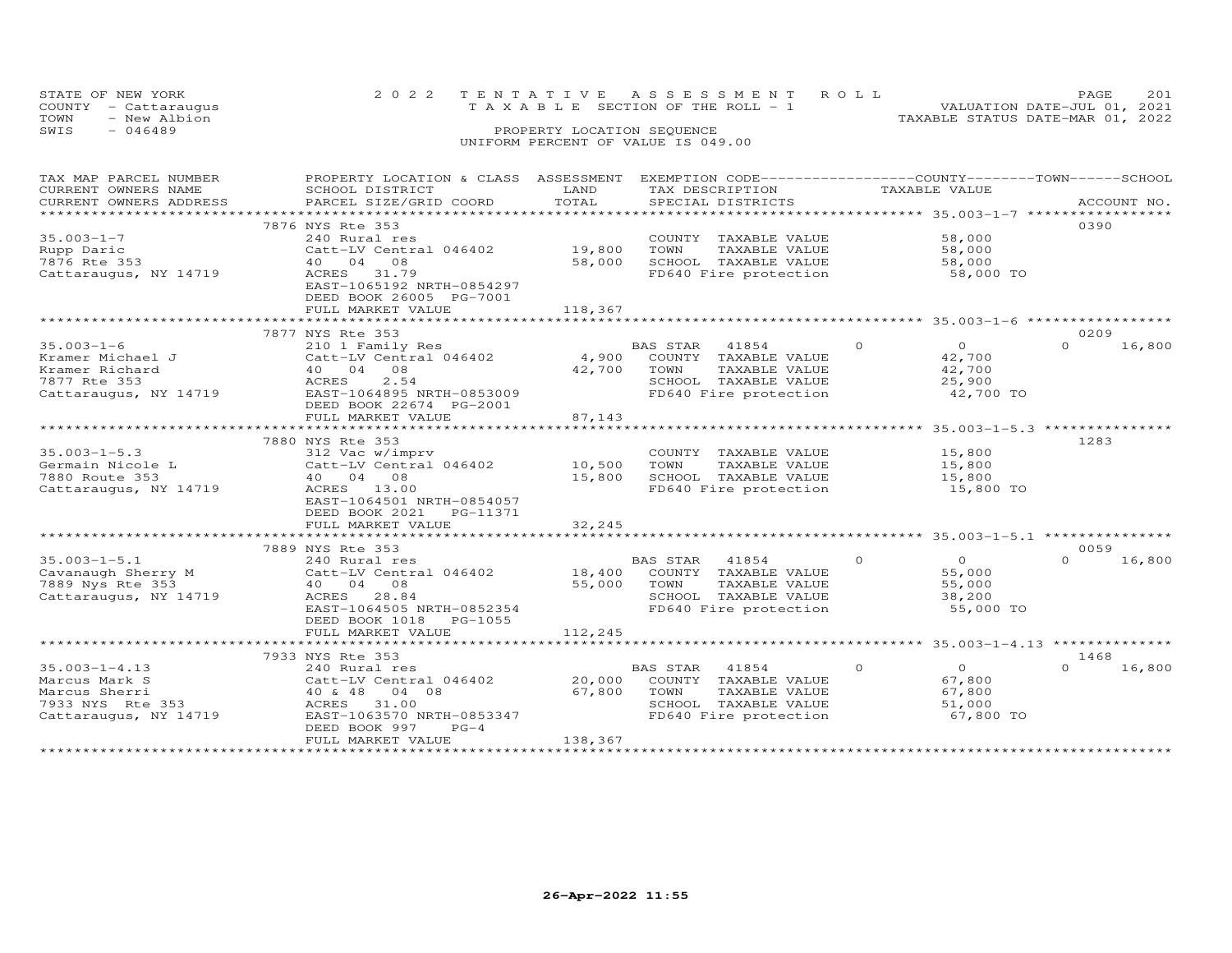|      | STATE OF NEW YORK    | 2022 TENTATIVE ASSESSMENT ROLL                                       | PAGE. | 201 |
|------|----------------------|----------------------------------------------------------------------|-------|-----|
|      | COUNTY - Cattaraugus | VALUATION DATE-JUL 01, 2021<br>T A X A B L E SECTION OF THE ROLL - 1 |       |     |
| TOWN | - New Albion         | TAXABLE STATUS DATE-MAR 01, 2022                                     |       |     |
| SWIS | - 046489             | PROPERTY LOCATION SEQUENCE                                           |       |     |
|      |                      | UNIFORM PERCENT OF VALUE IS 049.00                                   |       |     |

| CURRENT OWNERS NAME<br>SCHOOL DISTRICT<br>LAND<br>TAX DESCRIPTION<br>TOTAL<br>CURRENT OWNERS ADDRESS<br>PARCEL SIZE/GRID COORD<br>SPECIAL DISTRICTS<br>ACCOUNT NO.<br>7876 NYS Rte 353<br>0390<br>$35.003 - 1 - 7$<br>58,000<br>240 Rural res<br>COUNTY TAXABLE VALUE<br>19,800<br>58,000<br>Rupp Daric<br>Catt-LV Central 046402<br>TOWN<br>TAXABLE VALUE<br>7876 Rte 353<br>40  04  08<br>58,000<br>SCHOOL TAXABLE VALUE<br>58,000<br>ACRES 31.79<br>FD640 Fire protection<br>Cattaraugus, NY 14719<br>58,000 TO<br>EAST-1065192 NRTH-0854297<br>DEED BOOK 26005 PG-7001<br>FULL MARKET VALUE<br>118,367<br>7877 NYS Rte 353<br>0209<br>$35.003 - 1 - 6$<br>$\circ$<br>$\overline{O}$<br>$\Omega$<br>16,800<br>210 1 Family Res<br>BAS STAR<br>41854<br>4,900<br>Kramer Michael J<br>Catt-LV Central 046402<br>COUNTY TAXABLE VALUE<br>42,700<br>Kramer Richard<br>40 04 08<br>42,700<br>42,700<br>TOWN<br>TAXABLE VALUE<br>7877 Rte 353<br>2.54<br>SCHOOL TAXABLE VALUE<br>ACRES<br>25,900<br>FD640 Fire protection<br>Cattaraugus, NY 14719<br>EAST-1064895 NRTH-0853009<br>42,700 TO<br>DEED BOOK 22674 PG-2001<br>87,143<br>FULL MARKET VALUE<br>1283<br>7880 NYS Rte 353<br>$35.003 - 1 - 5.3$<br>312 Vac w/imprv<br>COUNTY TAXABLE VALUE<br>15,800<br>$Catt-LV$ Central 046402 10,500<br>TOWN<br>TAXABLE VALUE<br>Germain Nicole L<br>15,800<br>SCHOOL TAXABLE VALUE<br>40 04 08<br>15,800<br>15,800<br>ACRES 13.00<br>FD640 Fire protection<br>15,800 TO<br>EAST-1064501 NRTH-0854057<br>DEED BOOK 2021    PG-11371<br>FULL MARKET VALUE<br>32,245<br>0059<br>7889 NYS Rte 353<br>$\Omega$<br>$\Omega$<br>$35.003 - 1 - 5.1$<br>$\Omega$<br>16,800<br>240 Rural res<br>BAS STAR 41854<br>Cavanaugh Sherry M $\frac{230 \text{ Nucleus}}{2889 \text{ Nvs}}$ Pass 253<br>18,400<br>COUNTY TAXABLE VALUE<br>55,000<br>7889 Nys Rte 353<br>40 04 08<br>55,000<br>TAXABLE VALUE<br>55,000<br>TOWN<br>IOWN IAXABLE VALUE<br>SCHOOL TAXABLE VALUE<br>Cattaraugus, NY 14719<br>ACRES 28.84<br>38,200<br>EAST-1064505 NRTH-0852354<br>FD640 Fire protection<br>55,000 TO<br>DEED BOOK 1018<br>PG-1055<br>FULL MARKET VALUE<br>112,245<br>7933 NYS Rte 353<br>1468<br>$\overline{O}$<br>16,800<br>$35.003 - 1 - 4.13$<br>BAS STAR 41854<br>$\Omega$<br>$\cap$<br>240 Rural res<br>20,000<br>Catt-LV Central 046402<br>COUNTY TAXABLE VALUE<br>67,800<br>67,800<br>Marcus Sherri<br>40 & 48 04 08<br>TOWN<br>TAXABLE VALUE<br>67,800<br>7933 NYS Rte 353<br>ACRES 31.00<br>SCHOOL TAXABLE VALUE<br>51,000<br>Cattaraugus, NY 14719<br>FD640 Fire protection<br>EAST-1063570 NRTH-0853347<br>67,800 TO<br>DEED BOOK 997<br>$PG-4$<br>138,367<br>FULL MARKET VALUE | TAX MAP PARCEL NUMBER | PROPERTY LOCATION & CLASS ASSESSMENT EXEMPTION CODE---------------COUNTY-------TOWN-----SCHOOL |  |               |  |
|----------------------------------------------------------------------------------------------------------------------------------------------------------------------------------------------------------------------------------------------------------------------------------------------------------------------------------------------------------------------------------------------------------------------------------------------------------------------------------------------------------------------------------------------------------------------------------------------------------------------------------------------------------------------------------------------------------------------------------------------------------------------------------------------------------------------------------------------------------------------------------------------------------------------------------------------------------------------------------------------------------------------------------------------------------------------------------------------------------------------------------------------------------------------------------------------------------------------------------------------------------------------------------------------------------------------------------------------------------------------------------------------------------------------------------------------------------------------------------------------------------------------------------------------------------------------------------------------------------------------------------------------------------------------------------------------------------------------------------------------------------------------------------------------------------------------------------------------------------------------------------------------------------------------------------------------------------------------------------------------------------------------------------------------------------------------------------------------------------------------------------------------------------------------------------------------------------------------------------------------------------------------------------------------------------------------------------------------------------------------------------------------------------------------------------------------------------------------------------------------------------------------------------------------------------------------------------------------------------------------------------------------------------------|-----------------------|------------------------------------------------------------------------------------------------|--|---------------|--|
|                                                                                                                                                                                                                                                                                                                                                                                                                                                                                                                                                                                                                                                                                                                                                                                                                                                                                                                                                                                                                                                                                                                                                                                                                                                                                                                                                                                                                                                                                                                                                                                                                                                                                                                                                                                                                                                                                                                                                                                                                                                                                                                                                                                                                                                                                                                                                                                                                                                                                                                                                                                                                                                                |                       |                                                                                                |  | TAXABLE VALUE |  |
|                                                                                                                                                                                                                                                                                                                                                                                                                                                                                                                                                                                                                                                                                                                                                                                                                                                                                                                                                                                                                                                                                                                                                                                                                                                                                                                                                                                                                                                                                                                                                                                                                                                                                                                                                                                                                                                                                                                                                                                                                                                                                                                                                                                                                                                                                                                                                                                                                                                                                                                                                                                                                                                                |                       |                                                                                                |  |               |  |
|                                                                                                                                                                                                                                                                                                                                                                                                                                                                                                                                                                                                                                                                                                                                                                                                                                                                                                                                                                                                                                                                                                                                                                                                                                                                                                                                                                                                                                                                                                                                                                                                                                                                                                                                                                                                                                                                                                                                                                                                                                                                                                                                                                                                                                                                                                                                                                                                                                                                                                                                                                                                                                                                |                       |                                                                                                |  |               |  |
|                                                                                                                                                                                                                                                                                                                                                                                                                                                                                                                                                                                                                                                                                                                                                                                                                                                                                                                                                                                                                                                                                                                                                                                                                                                                                                                                                                                                                                                                                                                                                                                                                                                                                                                                                                                                                                                                                                                                                                                                                                                                                                                                                                                                                                                                                                                                                                                                                                                                                                                                                                                                                                                                |                       |                                                                                                |  |               |  |
|                                                                                                                                                                                                                                                                                                                                                                                                                                                                                                                                                                                                                                                                                                                                                                                                                                                                                                                                                                                                                                                                                                                                                                                                                                                                                                                                                                                                                                                                                                                                                                                                                                                                                                                                                                                                                                                                                                                                                                                                                                                                                                                                                                                                                                                                                                                                                                                                                                                                                                                                                                                                                                                                |                       |                                                                                                |  |               |  |
|                                                                                                                                                                                                                                                                                                                                                                                                                                                                                                                                                                                                                                                                                                                                                                                                                                                                                                                                                                                                                                                                                                                                                                                                                                                                                                                                                                                                                                                                                                                                                                                                                                                                                                                                                                                                                                                                                                                                                                                                                                                                                                                                                                                                                                                                                                                                                                                                                                                                                                                                                                                                                                                                |                       |                                                                                                |  |               |  |
|                                                                                                                                                                                                                                                                                                                                                                                                                                                                                                                                                                                                                                                                                                                                                                                                                                                                                                                                                                                                                                                                                                                                                                                                                                                                                                                                                                                                                                                                                                                                                                                                                                                                                                                                                                                                                                                                                                                                                                                                                                                                                                                                                                                                                                                                                                                                                                                                                                                                                                                                                                                                                                                                |                       |                                                                                                |  |               |  |
|                                                                                                                                                                                                                                                                                                                                                                                                                                                                                                                                                                                                                                                                                                                                                                                                                                                                                                                                                                                                                                                                                                                                                                                                                                                                                                                                                                                                                                                                                                                                                                                                                                                                                                                                                                                                                                                                                                                                                                                                                                                                                                                                                                                                                                                                                                                                                                                                                                                                                                                                                                                                                                                                |                       |                                                                                                |  |               |  |
|                                                                                                                                                                                                                                                                                                                                                                                                                                                                                                                                                                                                                                                                                                                                                                                                                                                                                                                                                                                                                                                                                                                                                                                                                                                                                                                                                                                                                                                                                                                                                                                                                                                                                                                                                                                                                                                                                                                                                                                                                                                                                                                                                                                                                                                                                                                                                                                                                                                                                                                                                                                                                                                                |                       |                                                                                                |  |               |  |
|                                                                                                                                                                                                                                                                                                                                                                                                                                                                                                                                                                                                                                                                                                                                                                                                                                                                                                                                                                                                                                                                                                                                                                                                                                                                                                                                                                                                                                                                                                                                                                                                                                                                                                                                                                                                                                                                                                                                                                                                                                                                                                                                                                                                                                                                                                                                                                                                                                                                                                                                                                                                                                                                |                       |                                                                                                |  |               |  |
|                                                                                                                                                                                                                                                                                                                                                                                                                                                                                                                                                                                                                                                                                                                                                                                                                                                                                                                                                                                                                                                                                                                                                                                                                                                                                                                                                                                                                                                                                                                                                                                                                                                                                                                                                                                                                                                                                                                                                                                                                                                                                                                                                                                                                                                                                                                                                                                                                                                                                                                                                                                                                                                                |                       |                                                                                                |  |               |  |
|                                                                                                                                                                                                                                                                                                                                                                                                                                                                                                                                                                                                                                                                                                                                                                                                                                                                                                                                                                                                                                                                                                                                                                                                                                                                                                                                                                                                                                                                                                                                                                                                                                                                                                                                                                                                                                                                                                                                                                                                                                                                                                                                                                                                                                                                                                                                                                                                                                                                                                                                                                                                                                                                |                       |                                                                                                |  |               |  |
|                                                                                                                                                                                                                                                                                                                                                                                                                                                                                                                                                                                                                                                                                                                                                                                                                                                                                                                                                                                                                                                                                                                                                                                                                                                                                                                                                                                                                                                                                                                                                                                                                                                                                                                                                                                                                                                                                                                                                                                                                                                                                                                                                                                                                                                                                                                                                                                                                                                                                                                                                                                                                                                                |                       |                                                                                                |  |               |  |
|                                                                                                                                                                                                                                                                                                                                                                                                                                                                                                                                                                                                                                                                                                                                                                                                                                                                                                                                                                                                                                                                                                                                                                                                                                                                                                                                                                                                                                                                                                                                                                                                                                                                                                                                                                                                                                                                                                                                                                                                                                                                                                                                                                                                                                                                                                                                                                                                                                                                                                                                                                                                                                                                |                       |                                                                                                |  |               |  |
|                                                                                                                                                                                                                                                                                                                                                                                                                                                                                                                                                                                                                                                                                                                                                                                                                                                                                                                                                                                                                                                                                                                                                                                                                                                                                                                                                                                                                                                                                                                                                                                                                                                                                                                                                                                                                                                                                                                                                                                                                                                                                                                                                                                                                                                                                                                                                                                                                                                                                                                                                                                                                                                                |                       |                                                                                                |  |               |  |
|                                                                                                                                                                                                                                                                                                                                                                                                                                                                                                                                                                                                                                                                                                                                                                                                                                                                                                                                                                                                                                                                                                                                                                                                                                                                                                                                                                                                                                                                                                                                                                                                                                                                                                                                                                                                                                                                                                                                                                                                                                                                                                                                                                                                                                                                                                                                                                                                                                                                                                                                                                                                                                                                |                       |                                                                                                |  |               |  |
|                                                                                                                                                                                                                                                                                                                                                                                                                                                                                                                                                                                                                                                                                                                                                                                                                                                                                                                                                                                                                                                                                                                                                                                                                                                                                                                                                                                                                                                                                                                                                                                                                                                                                                                                                                                                                                                                                                                                                                                                                                                                                                                                                                                                                                                                                                                                                                                                                                                                                                                                                                                                                                                                |                       |                                                                                                |  |               |  |
|                                                                                                                                                                                                                                                                                                                                                                                                                                                                                                                                                                                                                                                                                                                                                                                                                                                                                                                                                                                                                                                                                                                                                                                                                                                                                                                                                                                                                                                                                                                                                                                                                                                                                                                                                                                                                                                                                                                                                                                                                                                                                                                                                                                                                                                                                                                                                                                                                                                                                                                                                                                                                                                                |                       |                                                                                                |  |               |  |
|                                                                                                                                                                                                                                                                                                                                                                                                                                                                                                                                                                                                                                                                                                                                                                                                                                                                                                                                                                                                                                                                                                                                                                                                                                                                                                                                                                                                                                                                                                                                                                                                                                                                                                                                                                                                                                                                                                                                                                                                                                                                                                                                                                                                                                                                                                                                                                                                                                                                                                                                                                                                                                                                |                       |                                                                                                |  |               |  |
|                                                                                                                                                                                                                                                                                                                                                                                                                                                                                                                                                                                                                                                                                                                                                                                                                                                                                                                                                                                                                                                                                                                                                                                                                                                                                                                                                                                                                                                                                                                                                                                                                                                                                                                                                                                                                                                                                                                                                                                                                                                                                                                                                                                                                                                                                                                                                                                                                                                                                                                                                                                                                                                                |                       |                                                                                                |  |               |  |
|                                                                                                                                                                                                                                                                                                                                                                                                                                                                                                                                                                                                                                                                                                                                                                                                                                                                                                                                                                                                                                                                                                                                                                                                                                                                                                                                                                                                                                                                                                                                                                                                                                                                                                                                                                                                                                                                                                                                                                                                                                                                                                                                                                                                                                                                                                                                                                                                                                                                                                                                                                                                                                                                |                       |                                                                                                |  |               |  |
|                                                                                                                                                                                                                                                                                                                                                                                                                                                                                                                                                                                                                                                                                                                                                                                                                                                                                                                                                                                                                                                                                                                                                                                                                                                                                                                                                                                                                                                                                                                                                                                                                                                                                                                                                                                                                                                                                                                                                                                                                                                                                                                                                                                                                                                                                                                                                                                                                                                                                                                                                                                                                                                                |                       |                                                                                                |  |               |  |
|                                                                                                                                                                                                                                                                                                                                                                                                                                                                                                                                                                                                                                                                                                                                                                                                                                                                                                                                                                                                                                                                                                                                                                                                                                                                                                                                                                                                                                                                                                                                                                                                                                                                                                                                                                                                                                                                                                                                                                                                                                                                                                                                                                                                                                                                                                                                                                                                                                                                                                                                                                                                                                                                |                       |                                                                                                |  |               |  |
|                                                                                                                                                                                                                                                                                                                                                                                                                                                                                                                                                                                                                                                                                                                                                                                                                                                                                                                                                                                                                                                                                                                                                                                                                                                                                                                                                                                                                                                                                                                                                                                                                                                                                                                                                                                                                                                                                                                                                                                                                                                                                                                                                                                                                                                                                                                                                                                                                                                                                                                                                                                                                                                                |                       |                                                                                                |  |               |  |
|                                                                                                                                                                                                                                                                                                                                                                                                                                                                                                                                                                                                                                                                                                                                                                                                                                                                                                                                                                                                                                                                                                                                                                                                                                                                                                                                                                                                                                                                                                                                                                                                                                                                                                                                                                                                                                                                                                                                                                                                                                                                                                                                                                                                                                                                                                                                                                                                                                                                                                                                                                                                                                                                |                       |                                                                                                |  |               |  |
|                                                                                                                                                                                                                                                                                                                                                                                                                                                                                                                                                                                                                                                                                                                                                                                                                                                                                                                                                                                                                                                                                                                                                                                                                                                                                                                                                                                                                                                                                                                                                                                                                                                                                                                                                                                                                                                                                                                                                                                                                                                                                                                                                                                                                                                                                                                                                                                                                                                                                                                                                                                                                                                                |                       |                                                                                                |  |               |  |
|                                                                                                                                                                                                                                                                                                                                                                                                                                                                                                                                                                                                                                                                                                                                                                                                                                                                                                                                                                                                                                                                                                                                                                                                                                                                                                                                                                                                                                                                                                                                                                                                                                                                                                                                                                                                                                                                                                                                                                                                                                                                                                                                                                                                                                                                                                                                                                                                                                                                                                                                                                                                                                                                | 7880 Route 353        |                                                                                                |  |               |  |
|                                                                                                                                                                                                                                                                                                                                                                                                                                                                                                                                                                                                                                                                                                                                                                                                                                                                                                                                                                                                                                                                                                                                                                                                                                                                                                                                                                                                                                                                                                                                                                                                                                                                                                                                                                                                                                                                                                                                                                                                                                                                                                                                                                                                                                                                                                                                                                                                                                                                                                                                                                                                                                                                | Cattaraugus, NY 14719 |                                                                                                |  |               |  |
|                                                                                                                                                                                                                                                                                                                                                                                                                                                                                                                                                                                                                                                                                                                                                                                                                                                                                                                                                                                                                                                                                                                                                                                                                                                                                                                                                                                                                                                                                                                                                                                                                                                                                                                                                                                                                                                                                                                                                                                                                                                                                                                                                                                                                                                                                                                                                                                                                                                                                                                                                                                                                                                                |                       |                                                                                                |  |               |  |
|                                                                                                                                                                                                                                                                                                                                                                                                                                                                                                                                                                                                                                                                                                                                                                                                                                                                                                                                                                                                                                                                                                                                                                                                                                                                                                                                                                                                                                                                                                                                                                                                                                                                                                                                                                                                                                                                                                                                                                                                                                                                                                                                                                                                                                                                                                                                                                                                                                                                                                                                                                                                                                                                |                       |                                                                                                |  |               |  |
|                                                                                                                                                                                                                                                                                                                                                                                                                                                                                                                                                                                                                                                                                                                                                                                                                                                                                                                                                                                                                                                                                                                                                                                                                                                                                                                                                                                                                                                                                                                                                                                                                                                                                                                                                                                                                                                                                                                                                                                                                                                                                                                                                                                                                                                                                                                                                                                                                                                                                                                                                                                                                                                                |                       |                                                                                                |  |               |  |
|                                                                                                                                                                                                                                                                                                                                                                                                                                                                                                                                                                                                                                                                                                                                                                                                                                                                                                                                                                                                                                                                                                                                                                                                                                                                                                                                                                                                                                                                                                                                                                                                                                                                                                                                                                                                                                                                                                                                                                                                                                                                                                                                                                                                                                                                                                                                                                                                                                                                                                                                                                                                                                                                |                       |                                                                                                |  |               |  |
|                                                                                                                                                                                                                                                                                                                                                                                                                                                                                                                                                                                                                                                                                                                                                                                                                                                                                                                                                                                                                                                                                                                                                                                                                                                                                                                                                                                                                                                                                                                                                                                                                                                                                                                                                                                                                                                                                                                                                                                                                                                                                                                                                                                                                                                                                                                                                                                                                                                                                                                                                                                                                                                                |                       |                                                                                                |  |               |  |
|                                                                                                                                                                                                                                                                                                                                                                                                                                                                                                                                                                                                                                                                                                                                                                                                                                                                                                                                                                                                                                                                                                                                                                                                                                                                                                                                                                                                                                                                                                                                                                                                                                                                                                                                                                                                                                                                                                                                                                                                                                                                                                                                                                                                                                                                                                                                                                                                                                                                                                                                                                                                                                                                |                       |                                                                                                |  |               |  |
|                                                                                                                                                                                                                                                                                                                                                                                                                                                                                                                                                                                                                                                                                                                                                                                                                                                                                                                                                                                                                                                                                                                                                                                                                                                                                                                                                                                                                                                                                                                                                                                                                                                                                                                                                                                                                                                                                                                                                                                                                                                                                                                                                                                                                                                                                                                                                                                                                                                                                                                                                                                                                                                                |                       |                                                                                                |  |               |  |
|                                                                                                                                                                                                                                                                                                                                                                                                                                                                                                                                                                                                                                                                                                                                                                                                                                                                                                                                                                                                                                                                                                                                                                                                                                                                                                                                                                                                                                                                                                                                                                                                                                                                                                                                                                                                                                                                                                                                                                                                                                                                                                                                                                                                                                                                                                                                                                                                                                                                                                                                                                                                                                                                |                       |                                                                                                |  |               |  |
|                                                                                                                                                                                                                                                                                                                                                                                                                                                                                                                                                                                                                                                                                                                                                                                                                                                                                                                                                                                                                                                                                                                                                                                                                                                                                                                                                                                                                                                                                                                                                                                                                                                                                                                                                                                                                                                                                                                                                                                                                                                                                                                                                                                                                                                                                                                                                                                                                                                                                                                                                                                                                                                                |                       |                                                                                                |  |               |  |
|                                                                                                                                                                                                                                                                                                                                                                                                                                                                                                                                                                                                                                                                                                                                                                                                                                                                                                                                                                                                                                                                                                                                                                                                                                                                                                                                                                                                                                                                                                                                                                                                                                                                                                                                                                                                                                                                                                                                                                                                                                                                                                                                                                                                                                                                                                                                                                                                                                                                                                                                                                                                                                                                |                       |                                                                                                |  |               |  |
|                                                                                                                                                                                                                                                                                                                                                                                                                                                                                                                                                                                                                                                                                                                                                                                                                                                                                                                                                                                                                                                                                                                                                                                                                                                                                                                                                                                                                                                                                                                                                                                                                                                                                                                                                                                                                                                                                                                                                                                                                                                                                                                                                                                                                                                                                                                                                                                                                                                                                                                                                                                                                                                                |                       |                                                                                                |  |               |  |
|                                                                                                                                                                                                                                                                                                                                                                                                                                                                                                                                                                                                                                                                                                                                                                                                                                                                                                                                                                                                                                                                                                                                                                                                                                                                                                                                                                                                                                                                                                                                                                                                                                                                                                                                                                                                                                                                                                                                                                                                                                                                                                                                                                                                                                                                                                                                                                                                                                                                                                                                                                                                                                                                |                       |                                                                                                |  |               |  |
|                                                                                                                                                                                                                                                                                                                                                                                                                                                                                                                                                                                                                                                                                                                                                                                                                                                                                                                                                                                                                                                                                                                                                                                                                                                                                                                                                                                                                                                                                                                                                                                                                                                                                                                                                                                                                                                                                                                                                                                                                                                                                                                                                                                                                                                                                                                                                                                                                                                                                                                                                                                                                                                                |                       |                                                                                                |  |               |  |
|                                                                                                                                                                                                                                                                                                                                                                                                                                                                                                                                                                                                                                                                                                                                                                                                                                                                                                                                                                                                                                                                                                                                                                                                                                                                                                                                                                                                                                                                                                                                                                                                                                                                                                                                                                                                                                                                                                                                                                                                                                                                                                                                                                                                                                                                                                                                                                                                                                                                                                                                                                                                                                                                |                       |                                                                                                |  |               |  |
|                                                                                                                                                                                                                                                                                                                                                                                                                                                                                                                                                                                                                                                                                                                                                                                                                                                                                                                                                                                                                                                                                                                                                                                                                                                                                                                                                                                                                                                                                                                                                                                                                                                                                                                                                                                                                                                                                                                                                                                                                                                                                                                                                                                                                                                                                                                                                                                                                                                                                                                                                                                                                                                                |                       |                                                                                                |  |               |  |
|                                                                                                                                                                                                                                                                                                                                                                                                                                                                                                                                                                                                                                                                                                                                                                                                                                                                                                                                                                                                                                                                                                                                                                                                                                                                                                                                                                                                                                                                                                                                                                                                                                                                                                                                                                                                                                                                                                                                                                                                                                                                                                                                                                                                                                                                                                                                                                                                                                                                                                                                                                                                                                                                |                       |                                                                                                |  |               |  |
|                                                                                                                                                                                                                                                                                                                                                                                                                                                                                                                                                                                                                                                                                                                                                                                                                                                                                                                                                                                                                                                                                                                                                                                                                                                                                                                                                                                                                                                                                                                                                                                                                                                                                                                                                                                                                                                                                                                                                                                                                                                                                                                                                                                                                                                                                                                                                                                                                                                                                                                                                                                                                                                                | Marcus Mark S         |                                                                                                |  |               |  |
|                                                                                                                                                                                                                                                                                                                                                                                                                                                                                                                                                                                                                                                                                                                                                                                                                                                                                                                                                                                                                                                                                                                                                                                                                                                                                                                                                                                                                                                                                                                                                                                                                                                                                                                                                                                                                                                                                                                                                                                                                                                                                                                                                                                                                                                                                                                                                                                                                                                                                                                                                                                                                                                                |                       |                                                                                                |  |               |  |
|                                                                                                                                                                                                                                                                                                                                                                                                                                                                                                                                                                                                                                                                                                                                                                                                                                                                                                                                                                                                                                                                                                                                                                                                                                                                                                                                                                                                                                                                                                                                                                                                                                                                                                                                                                                                                                                                                                                                                                                                                                                                                                                                                                                                                                                                                                                                                                                                                                                                                                                                                                                                                                                                |                       |                                                                                                |  |               |  |
|                                                                                                                                                                                                                                                                                                                                                                                                                                                                                                                                                                                                                                                                                                                                                                                                                                                                                                                                                                                                                                                                                                                                                                                                                                                                                                                                                                                                                                                                                                                                                                                                                                                                                                                                                                                                                                                                                                                                                                                                                                                                                                                                                                                                                                                                                                                                                                                                                                                                                                                                                                                                                                                                |                       |                                                                                                |  |               |  |
|                                                                                                                                                                                                                                                                                                                                                                                                                                                                                                                                                                                                                                                                                                                                                                                                                                                                                                                                                                                                                                                                                                                                                                                                                                                                                                                                                                                                                                                                                                                                                                                                                                                                                                                                                                                                                                                                                                                                                                                                                                                                                                                                                                                                                                                                                                                                                                                                                                                                                                                                                                                                                                                                |                       |                                                                                                |  |               |  |
|                                                                                                                                                                                                                                                                                                                                                                                                                                                                                                                                                                                                                                                                                                                                                                                                                                                                                                                                                                                                                                                                                                                                                                                                                                                                                                                                                                                                                                                                                                                                                                                                                                                                                                                                                                                                                                                                                                                                                                                                                                                                                                                                                                                                                                                                                                                                                                                                                                                                                                                                                                                                                                                                |                       |                                                                                                |  |               |  |
|                                                                                                                                                                                                                                                                                                                                                                                                                                                                                                                                                                                                                                                                                                                                                                                                                                                                                                                                                                                                                                                                                                                                                                                                                                                                                                                                                                                                                                                                                                                                                                                                                                                                                                                                                                                                                                                                                                                                                                                                                                                                                                                                                                                                                                                                                                                                                                                                                                                                                                                                                                                                                                                                |                       |                                                                                                |  |               |  |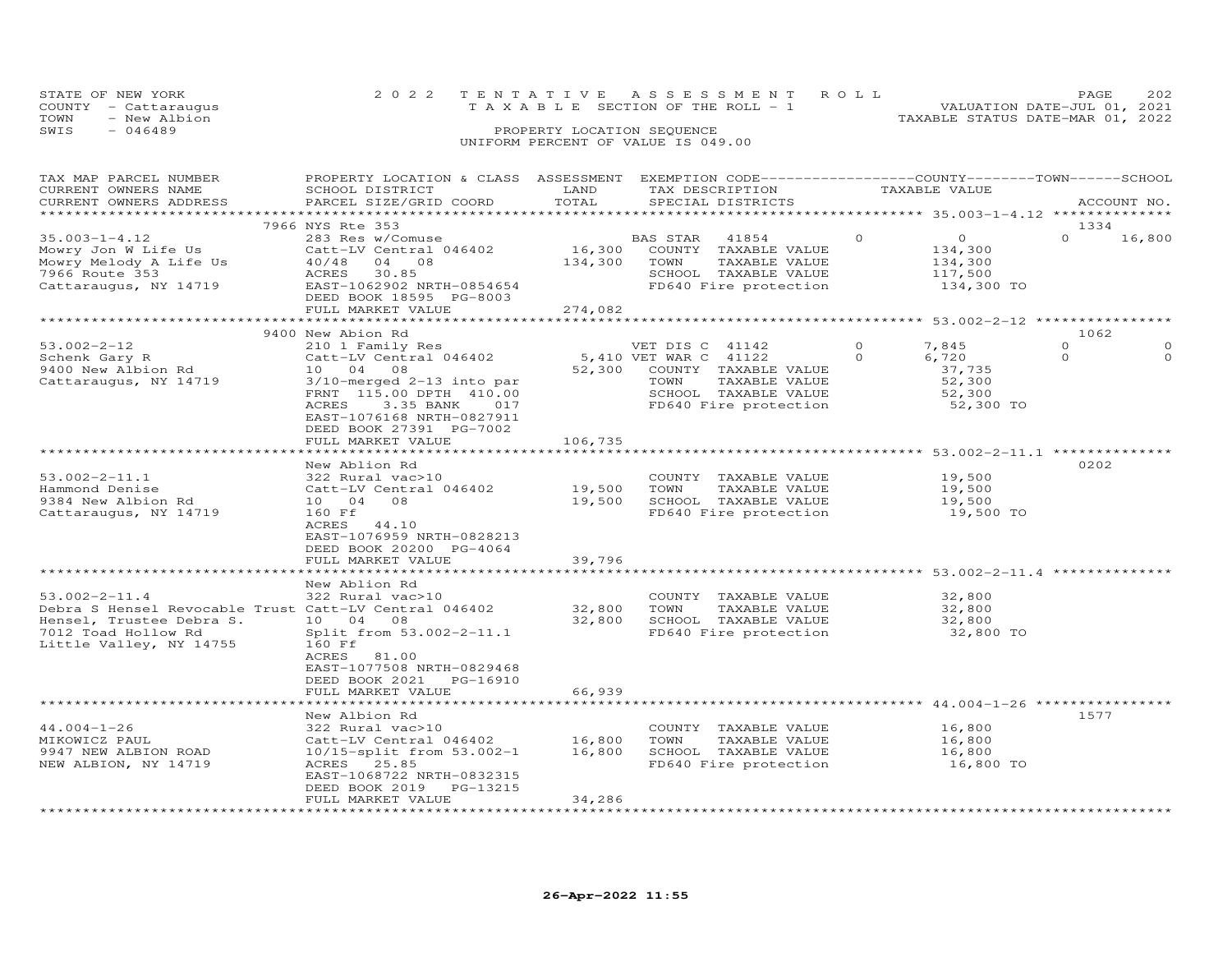|      | STATE OF NEW YORK    |  | 2022 TENTATIVE ASSESSMENT ROLL     |  |  |                                  | PAGE.                       | 202 |
|------|----------------------|--|------------------------------------|--|--|----------------------------------|-----------------------------|-----|
|      | COUNTY - Cattaraugus |  | TAXABLE SECTION OF THE ROLL - 1    |  |  |                                  | VALUATION DATE-JUL 01, 2021 |     |
| TOWN | - New Albion         |  |                                    |  |  | TAXABLE STATUS DATE-MAR 01, 2022 |                             |     |
| SWIS | - 046489             |  | PROPERTY LOCATION SEQUENCE         |  |  |                                  |                             |     |
|      |                      |  | UNIFORM PERCENT OF VALUE IS 049.00 |  |  |                                  |                             |     |

| TAX MAP PARCEL NUMBER                                 | PROPERTY LOCATION & CLASS ASSESSMENT EXEMPTION CODE----------------COUNTY-------TOWN------SCHOOL |             |                       |                                  |          |                                                 |          |             |
|-------------------------------------------------------|--------------------------------------------------------------------------------------------------|-------------|-----------------------|----------------------------------|----------|-------------------------------------------------|----------|-------------|
| CURRENT OWNERS NAME                                   | SCHOOL DISTRICT                                                                                  | LAND        |                       | TAX DESCRIPTION                  |          | TAXABLE VALUE                                   |          |             |
| CURRENT OWNERS ADDRESS                                | PARCEL SIZE/GRID COORD                                                                           | TOTAL       |                       | SPECIAL DISTRICTS                |          |                                                 |          | ACCOUNT NO. |
|                                                       |                                                                                                  |             |                       |                                  |          |                                                 |          |             |
|                                                       | 7966 NYS Rte 353                                                                                 |             |                       |                                  |          |                                                 |          | 1334        |
| $35.003 - 1 - 4.12$                                   | 283 Res w/Comuse                                                                                 |             |                       | BAS STAR 41854                   | $\Omega$ | $\overline{0}$                                  | $\Omega$ | 16,800      |
| Mowry Jon W Life Us                                   | Catt-LV Central 046402                                                                           | 16,300      |                       | COUNTY TAXABLE VALUE             |          | 134,300                                         |          |             |
| Mowry Melody A Life Us                                | 40/48<br>04 08                                                                                   | 134,300     | TOWN                  | TAXABLE VALUE                    |          | 134,300                                         |          |             |
| 7966 Route 353                                        | ACRES<br>30.85                                                                                   |             |                       | SCHOOL TAXABLE VALUE             |          | 117,500                                         |          |             |
| Cattaraugus, NY 14719                                 | EAST-1062902 NRTH-0854654                                                                        |             |                       | FD640 Fire protection 134,300 TO |          |                                                 |          |             |
|                                                       | DEED BOOK 18595 PG-8003                                                                          |             |                       |                                  |          |                                                 |          |             |
|                                                       | FULL MARKET VALUE                                                                                | 274,082     |                       |                                  |          |                                                 |          |             |
|                                                       |                                                                                                  |             |                       |                                  |          | ***************** 53.002-2-12 ***************** |          |             |
|                                                       |                                                                                                  |             |                       |                                  |          |                                                 |          | 1062        |
| $53.002 - 2 - 12$                                     | 9400 New Abion Rd                                                                                |             |                       |                                  | $\circ$  |                                                 | $\Omega$ |             |
|                                                       | 210 1 Family Res<br>Catt-LV Central 046402                                                       |             | VET DIS C 41142       |                                  |          | 7,845                                           |          |             |
| Schenk Gary R                                         |                                                                                                  |             | 5,410 VET WAR C 41122 |                                  | $\Omega$ | 6,720                                           | $\Omega$ |             |
| 9400 New Albion Rd                                    | 10 04 08                                                                                         | 52,300      |                       | COUNTY TAXABLE VALUE             |          | 37,735                                          |          |             |
| Cattaraugus, NY 14719                                 | $3/10$ -merged 2-13 into par                                                                     |             | TOWN                  | TAXABLE VALUE                    |          | 52,300<br>52,300                                |          |             |
|                                                       | FRNT 115.00 DPTH 410.00                                                                          |             |                       | SCHOOL TAXABLE VALUE             |          |                                                 |          |             |
|                                                       | ACRES<br>3.35 BANK<br>017                                                                        |             |                       | FD640 Fire protection 52,300 TO  |          |                                                 |          |             |
|                                                       | EAST-1076168 NRTH-0827911                                                                        |             |                       |                                  |          |                                                 |          |             |
|                                                       | DEED BOOK 27391 PG-7002                                                                          |             |                       |                                  |          |                                                 |          |             |
|                                                       | FULL MARKET VALUE                                                                                | 106,735     |                       |                                  |          |                                                 |          |             |
|                                                       |                                                                                                  |             |                       |                                  |          |                                                 |          |             |
|                                                       | New Ablion Rd                                                                                    |             |                       |                                  |          |                                                 |          | 0202        |
| $53.002 - 2 - 11.1$                                   | 322 Rural vac>10                                                                                 |             |                       | COUNTY TAXABLE VALUE             |          | 19,500                                          |          |             |
| Hammond Denise                                        | 322 Rural vac>10<br>Catt-LV Central 046402                                                       | 19,500 TOWN |                       | TAXABLE VALUE                    |          | 19,500                                          |          |             |
| 9384 New Albion Rd                                    | 10 04 08                                                                                         |             |                       | 19,500 SCHOOL TAXABLE VALUE      |          | 19,500                                          |          |             |
| Cattaraugus, NY 14719                                 | 160 Ff                                                                                           |             |                       | FD640 Fire protection            |          | 19,500 TO                                       |          |             |
|                                                       | ACRES 44.10                                                                                      |             |                       |                                  |          |                                                 |          |             |
|                                                       | EAST-1076959 NRTH-0828213                                                                        |             |                       |                                  |          |                                                 |          |             |
|                                                       | DEED BOOK 20200 PG-4064                                                                          |             |                       |                                  |          |                                                 |          |             |
|                                                       |                                                                                                  | 39,796      |                       |                                  |          |                                                 |          |             |
|                                                       | FULL MARKET VALUE                                                                                |             |                       |                                  |          |                                                 |          |             |
|                                                       |                                                                                                  |             |                       |                                  |          |                                                 |          |             |
|                                                       | New Ablion Rd                                                                                    |             |                       |                                  |          |                                                 |          |             |
| $53.002 - 2 - 11.4$                                   | 322 Rural vac>10                                                                                 |             |                       | COUNTY TAXABLE VALUE             |          | 32,800                                          |          |             |
| Debra S Hensel Revocable Trust Catt-LV Central 046402 |                                                                                                  | 32,800 TOWN |                       | TAXABLE VALUE                    |          | 32,800                                          |          |             |
| Hensel, Trustee Debra S. 10 04 08                     |                                                                                                  |             |                       | 32,800 SCHOOL TAXABLE VALUE      |          | 32,800                                          |          |             |
| 7012 Toad Hollow Rd                                   | Split from 53.002-2-11.1                                                                         |             |                       | FD640 Fire protection            |          | 32,800 TO                                       |          |             |
| Little Valley, NY 14755                               | 160 Ff                                                                                           |             |                       |                                  |          |                                                 |          |             |
|                                                       | ACRES 81.00                                                                                      |             |                       |                                  |          |                                                 |          |             |
|                                                       | EAST-1077508 NRTH-0829468                                                                        |             |                       |                                  |          |                                                 |          |             |
|                                                       | DEED BOOK 2021 PG-16910                                                                          |             |                       |                                  |          |                                                 |          |             |
|                                                       | FULL MARKET VALUE                                                                                | 66,939      |                       |                                  |          |                                                 |          |             |
|                                                       |                                                                                                  |             |                       |                                  |          |                                                 |          |             |
|                                                       | New Albion Rd                                                                                    |             |                       |                                  |          |                                                 |          | 1577        |
| $44.004 - 1 - 26$                                     | 322 Rural vac>10                                                                                 |             |                       | COUNTY TAXABLE VALUE             |          | 16,800                                          |          |             |
| MIKOWICZ PAUL                                         |                                                                                                  |             | TOWN                  | TAXABLE VALUE                    |          | 16,800                                          |          |             |
| 9947 NEW ALBION ROAD                                  | Catt-LV Central 046402 16,800<br>10/15-split from 53.002-1 16,800                                |             |                       | SCHOOL TAXABLE VALUE             |          | 16,800                                          |          |             |
| NEW ALBION, NY 14719                                  | ACRES 25.85                                                                                      |             |                       | FD640 Fire protection            |          | 16,800 TO                                       |          |             |
|                                                       | EAST-1068722 NRTH-0832315                                                                        |             |                       |                                  |          |                                                 |          |             |
|                                                       | DEED BOOK 2019 PG-13215                                                                          |             |                       |                                  |          |                                                 |          |             |
|                                                       |                                                                                                  |             |                       |                                  |          |                                                 |          |             |
|                                                       | FULL MARKET VALUE                                                                                | 34,286      |                       |                                  |          |                                                 |          |             |
|                                                       |                                                                                                  |             |                       |                                  |          |                                                 |          |             |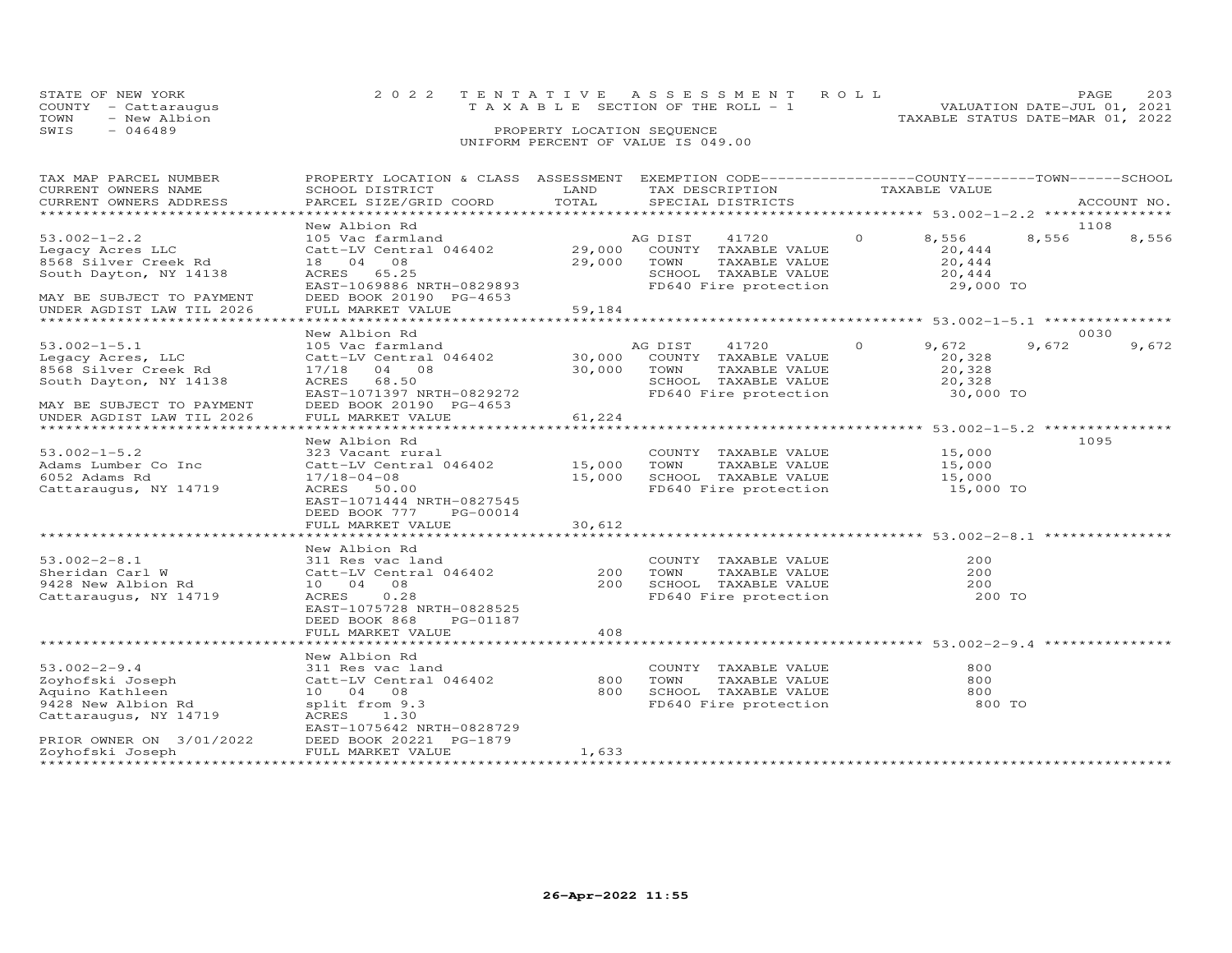| STATE OF NEW YORK    | 2022 TENTATIVE ASSESSMENT ROLL        | -205<br>PAGE.                    |
|----------------------|---------------------------------------|----------------------------------|
| COUNTY - Cattarauqus | T A X A B L E SECTION OF THE ROLL - 1 | VALUATION DATE-JUL 01, 2021      |
| TOWN<br>- New Albion |                                       | TAXABLE STATUS DATE-MAR 01, 2022 |
| SWIS<br>$-046489$    | PROPERTY LOCATION SEQUENCE            |                                  |

## UNIFORM PERCENT OF VALUE IS 049.00

| TAX MAP PARCEL NUMBER<br>CURRENT OWNERS NAME | PROPERTY LOCATION & CLASS ASSESSMENT<br>SCHOOL DISTRICT | LAND       | TAX DESCRIPTION | EXEMPTION CODE-----------------COUNTY-------TOWN------SCHOOL |          | TAXABLE VALUE       |       |             |
|----------------------------------------------|---------------------------------------------------------|------------|-----------------|--------------------------------------------------------------|----------|---------------------|-------|-------------|
| CURRENT OWNERS ADDRESS                       | PARCEL SIZE/GRID COORD                                  | TOTAL      |                 | SPECIAL DISTRICTS                                            |          |                     |       | ACCOUNT NO. |
|                                              |                                                         |            |                 |                                                              |          |                     |       |             |
|                                              | New Albion Rd                                           |            |                 |                                                              | $\Omega$ |                     | 8,556 | 1108        |
| $53.002 - 1 - 2.2$<br>Legacy Acres LLC       | 105 Vac farmland<br>Catt-LV Central 046402              | 29,000     | AG DIST         | 41720<br>COUNTY TAXABLE VALUE                                |          | 8,556<br>20,444     |       | 8,556       |
| 8568 Silver Creek Rd                         | 18  04  08                                              | 29,000     | TOWN            | TAXABLE VALUE                                                |          | 20,444              |       |             |
| South Dayton, NY 14138                       | ACRES 65.25                                             |            |                 | SCHOOL TAXABLE VALUE                                         |          | 20,444              |       |             |
|                                              | EAST-1069886 NRTH-0829893                               |            |                 | FD640 Fire protection                                        |          | 29,000 TO           |       |             |
| MAY BE SUBJECT TO PAYMENT                    | DEED BOOK 20190 PG-4653                                 |            |                 |                                                              |          |                     |       |             |
| UNDER AGDIST LAW TIL 2026                    | FULL MARKET VALUE                                       | 59,184     |                 |                                                              |          |                     |       |             |
|                                              |                                                         |            |                 |                                                              |          |                     |       |             |
|                                              | New Albion Rd                                           |            |                 |                                                              |          |                     |       | 0030        |
| $53.002 - 1 - 5.1$                           | 105 Vac farmland                                        |            | AG DIST         | 41720                                                        | $\Omega$ | 9,672               | 9,672 | 9,672       |
| Legacy Acres, LLC                            | Catt-LV Central 046402                                  | 30,000     |                 | COUNTY TAXABLE VALUE                                         |          | 20,328              |       |             |
| 8568 Silver Creek Rd                         | 17/18 04 08                                             | 30,000     | TOWN            | TAXABLE VALUE                                                |          | 20,328              |       |             |
| South Dayton, NY 14138                       | ACRES 68.50                                             |            |                 | SCHOOL TAXABLE VALUE                                         |          | 20,328              |       |             |
|                                              | EAST-1071397 NRTH-0829272                               |            |                 | FD640 Fire protection                                        |          | 30,000 TO           |       |             |
| MAY BE SUBJECT TO PAYMENT                    | DEED BOOK 20190 PG-4653                                 |            |                 |                                                              |          |                     |       |             |
| UNDER AGDIST LAW TIL 2026                    | FULL MARKET VALUE                                       | 61,224     |                 |                                                              |          |                     |       |             |
|                                              |                                                         |            |                 |                                                              |          |                     |       |             |
|                                              | New Albion Rd                                           |            |                 |                                                              |          |                     |       | 1095        |
| $53.002 - 1 - 5.2$                           | 323 Vacant rural                                        |            |                 | COUNTY TAXABLE VALUE                                         |          | 15,000              |       |             |
| Adams Lumber Co Inc                          | Catt-LV Central 046402                                  | 15,000     | TOWN            | TAXABLE VALUE                                                |          | 15,000              |       |             |
| 6052 Adams Rd                                | $17/18 - 04 - 08$<br>ACRES 50.00                        | 15,000     |                 | SCHOOL TAXABLE VALUE<br>FD640 Fire protection                |          | 15,000<br>15,000 TO |       |             |
| Cattaraugus, NY 14719                        | EAST-1071444 NRTH-0827545                               |            |                 |                                                              |          |                     |       |             |
|                                              | DEED BOOK 777<br>PG-00014                               |            |                 |                                                              |          |                     |       |             |
|                                              | FULL MARKET VALUE                                       | 30,612     |                 |                                                              |          |                     |       |             |
|                                              |                                                         |            |                 |                                                              |          |                     |       |             |
|                                              | New Albion Rd                                           |            |                 |                                                              |          |                     |       |             |
| $53.002 - 2 - 8.1$                           | 311 Res vac land                                        |            |                 | COUNTY TAXABLE VALUE                                         |          | 200                 |       |             |
| Sheridan Carl W                              | Catt-LV Central 046402                                  | 200        | TOWN            | TAXABLE VALUE                                                |          | 200                 |       |             |
| 9428 New Albion Rd                           | 10 04 08                                                | 200        |                 | SCHOOL TAXABLE VALUE                                         |          | 200                 |       |             |
| Cattaraugus, NY 14719                        | ACRES<br>0.28                                           |            |                 | FD640 Fire protection                                        |          | 200 TO              |       |             |
|                                              | EAST-1075728 NRTH-0828525                               |            |                 |                                                              |          |                     |       |             |
|                                              | DEED BOOK 868<br>PG-01187                               |            |                 |                                                              |          |                     |       |             |
|                                              | FULL MARKET VALUE                                       | 408        |                 |                                                              |          |                     |       |             |
|                                              |                                                         |            |                 |                                                              |          |                     |       |             |
|                                              | New Albion Rd                                           |            |                 |                                                              |          |                     |       |             |
| $53.002 - 2 - 9.4$                           | 311 Res vac land                                        |            |                 | COUNTY TAXABLE VALUE                                         |          | 800                 |       |             |
| Zoyhofski Joseph<br>Aquino Kathleen          | Catt-LV Central 046402<br>10 04 08                      | 800<br>800 | TOWN            | TAXABLE VALUE<br>SCHOOL TAXABLE VALUE                        |          | 800<br>800          |       |             |
| 9428 New Albion Rd                           | split from 9.3                                          |            |                 | FD640 Fire protection                                        |          | 800 TO              |       |             |
| Cattaraugus, NY 14719                        | ACRES 1.30                                              |            |                 |                                                              |          |                     |       |             |
|                                              | EAST-1075642 NRTH-0828729                               |            |                 |                                                              |          |                     |       |             |
| PRIOR OWNER ON 3/01/2022                     | DEED BOOK 20221 PG-1879                                 |            |                 |                                                              |          |                     |       |             |
| Zoyhofski Joseph                             | FULL MARKET VALUE                                       | 1,633      |                 |                                                              |          |                     |       |             |
| *******************                          |                                                         |            |                 |                                                              |          |                     |       |             |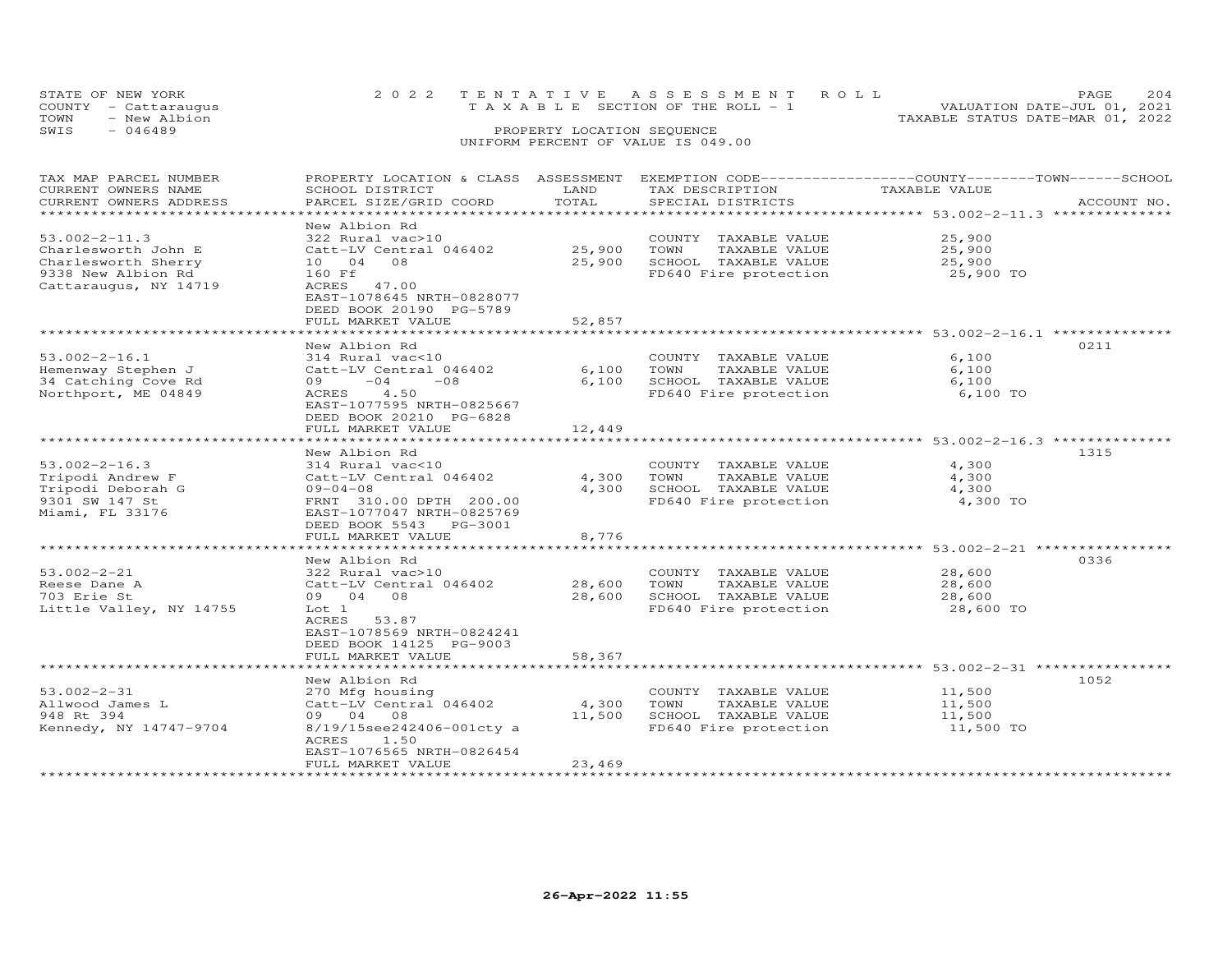| TOWN | STATE OF NEW YORK<br>COUNTY - Cattaraugus<br>- New Albion |                                      |                            | 2022 TENTATIVE ASSESSMENT ROLL<br>T A X A B L E SECTION OF THE ROLL - 1 | TAXABLE STATUS DATE-MAR 01, 2022 | <b>PAGE</b><br>VALUATION DATE-JUL 01, 2021 | 204 |
|------|-----------------------------------------------------------|--------------------------------------|----------------------------|-------------------------------------------------------------------------|----------------------------------|--------------------------------------------|-----|
| SWIS | $-046489$                                                 |                                      | PROPERTY LOCATION SEQUENCE | UNIFORM PERCENT OF VALUE IS 049.00                                      |                                  |                                            |     |
|      |                                                           |                                      |                            |                                                                         |                                  |                                            |     |
|      | TAX MAP PARCEL NUMBER                                     | PROPERTY LOCATION & CLASS ASSESSMENT |                            | EXEMPTION CODE-----------------COUNTY-------TOWN-----SCHOOL             |                                  |                                            |     |
|      | CURRENT OWNERS NAME                                       | SCHOOL DISTRICT                      | LAND                       | TAX DESCRIPTION                                                         | TAXABLE VALUE                    |                                            |     |

| CURRENT OWNERS ADDRESS<br>**********************                                                                 | PARCEL SIZE/GRID COORD                                                                                                                                                                              | TOTAL                      | SPECIAL DISTRICTS<br>***************** 53.002-2-11.3 **************                                                                                      |                                         | ACCOUNT NO. |
|------------------------------------------------------------------------------------------------------------------|-----------------------------------------------------------------------------------------------------------------------------------------------------------------------------------------------------|----------------------------|----------------------------------------------------------------------------------------------------------------------------------------------------------|-----------------------------------------|-------------|
| $53.002 - 2 - 11.3$<br>Charlesworth John E<br>Charlesworth Sherry<br>9338 New Albion Rd<br>Cattaraugus, NY 14719 | New Albion Rd<br>322 Rural vac>10<br>Catt-LV Central 046402<br>10  04  08<br>160 Ff<br>ACRES 47.00<br>EAST-1078645 NRTH-0828077<br>DEED BOOK 20190 PG-5789<br>FULL MARKET VALUE                     | 25,900<br>25,900<br>52,857 | COUNTY TAXABLE VALUE<br>TOWN<br>TAXABLE VALUE<br>SCHOOL TAXABLE VALUE<br>FD640 Fire protection                                                           | 25,900<br>25,900<br>25,900<br>25,900 TO |             |
|                                                                                                                  |                                                                                                                                                                                                     |                            |                                                                                                                                                          |                                         |             |
| $53.002 - 2 - 16.1$<br>Hemenway Stephen J<br>34 Catching Cove Rd<br>Northport, ME 04849                          | New Albion Rd<br>314 Rural vac<10<br>Catt-LV Central 046402<br>$-08$<br>09<br>$-04$<br>4.50<br>ACRES<br>EAST-1077595 NRTH-0825667<br>DEED BOOK 20210 PG-6828<br>FULL MARKET VALUE                   | 6,100<br>6,100<br>12,449   | COUNTY TAXABLE VALUE<br>TOWN<br>TAXABLE VALUE<br>SCHOOL TAXABLE VALUE<br>FD640 Fire protection                                                           | 6,100<br>6,100<br>6,100<br>6,100 TO     | 0211        |
|                                                                                                                  | New Albion Rd                                                                                                                                                                                       |                            |                                                                                                                                                          |                                         | 1315        |
| $53.002 - 2 - 16.3$<br>Tripodi Andrew F<br>Tripodi Deborah G<br>9301 SW 147 St<br>Miami, FL 33176                | 314 Rural vac<10<br>Catt-LV Central 046402<br>$09 - 04 - 08$<br>FRNT 310.00 DPTH 200.00<br>EAST-1077047 NRTH-0825769<br>DEED BOOK 5543 PG-3001<br>FULL MARKET VALUE<br>**************************** | 4,300<br>4,300<br>8,776    | COUNTY TAXABLE VALUE<br>TOWN<br>TAXABLE VALUE<br>SCHOOL TAXABLE VALUE<br>FD640 Fire protection<br>************************ 53.002-2-21 ***************** | 4,300<br>4,300<br>4,300<br>4,300 TO     |             |
|                                                                                                                  | New Albion Rd                                                                                                                                                                                       |                            |                                                                                                                                                          |                                         | 0336        |
| $53.002 - 2 - 21$<br>Reese Dane A<br>703 Erie St<br>Little Valley, NY 14755                                      | 322 Rural vac>10<br>Catt-LV Central 046402<br>09 04 08<br>Lot 1<br>53.87<br>ACRES<br>EAST-1078569 NRTH-0824241<br>DEED BOOK 14125 PG-9003                                                           | 28,600<br>28,600           | COUNTY TAXABLE VALUE<br>TOWN<br>TAXABLE VALUE<br>SCHOOL TAXABLE VALUE<br>FD640 Fire protection                                                           | 28,600<br>28,600<br>28,600<br>28,600 TO |             |
|                                                                                                                  | FULL MARKET VALUE                                                                                                                                                                                   | 58,367                     |                                                                                                                                                          |                                         |             |
| $53.002 - 2 - 31$<br>Allwood James L<br>948 Rt 394<br>Kennedy, NY 14747-9704                                     | New Albion Rd<br>270 Mfg housing<br>Catt-LV Central 046402<br>09 04 08<br>8/19/15see242406-001cty a<br>ACRES<br>1.50<br>EAST-1076565 NRTH-0826454<br>FULL MARKET VALUE                              | 4,300<br>11,500<br>23,469  | COUNTY TAXABLE VALUE<br>TOWN<br>TAXABLE VALUE<br>SCHOOL TAXABLE VALUE<br>FD640 Fire protection                                                           | 11,500<br>11,500<br>11,500<br>11,500 TO | 1052        |
|                                                                                                                  | *****************************                                                                                                                                                                       |                            |                                                                                                                                                          |                                         |             |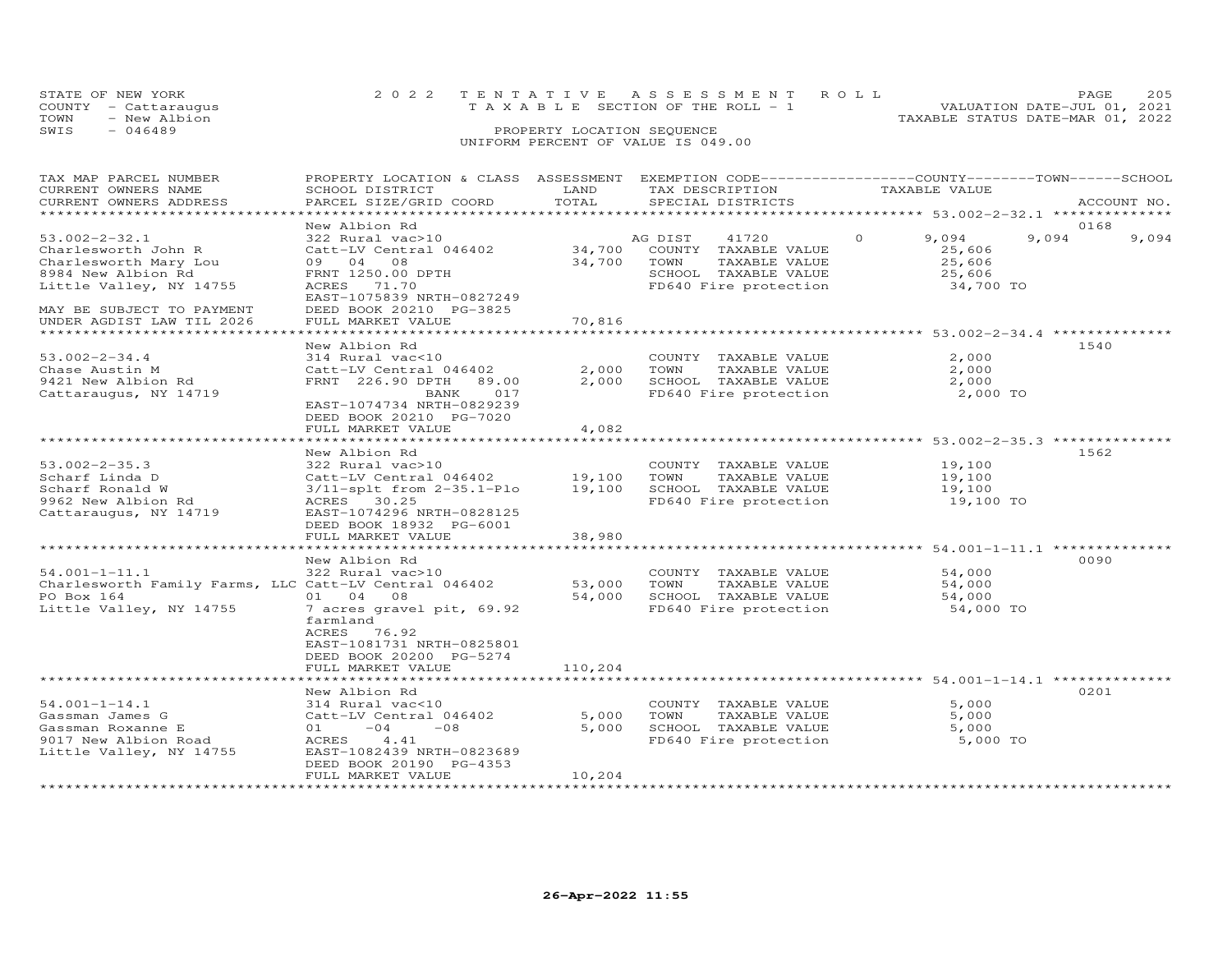| STATE OF NEW YORK    | 2022 TENTATIVE ASSESSMENT ROLL        |  |                                  | PAGE.                       | 205 |
|----------------------|---------------------------------------|--|----------------------------------|-----------------------------|-----|
| COUNTY - Cattaraugus | T A X A B L E SECTION OF THE ROLL - 1 |  |                                  | VALUATION DATE-JUL 01, 2021 |     |
| TOWN<br>- New Albion |                                       |  | TAXABLE STATUS DATE-MAR 01, 2022 |                             |     |
| SWIS<br>$-046489$    | PROPERTY LOCATION SEQUENCE            |  |                                  |                             |     |
|                      | UNIFORM PERCENT OF VALUE IS 049.00    |  |                                  |                             |     |

| TAX MAP PARCEL NUMBER<br>CURRENT OWNERS NAME<br>CURRENT OWNERS ADDRESS<br>***********************                                                                              | PROPERTY LOCATION & CLASS ASSESSMENT<br>SCHOOL DISTRICT<br>PARCEL SIZE/GRID COORD                                                                                                         | LAND<br>TOTAL              | EXEMPTION CODE------------------COUNTY-------TOWN-----SCHOOL<br>TAX DESCRIPTION<br>SPECIAL DISTRICTS               | TAXABLE VALUE                                                | ACCOUNT NO.            |
|--------------------------------------------------------------------------------------------------------------------------------------------------------------------------------|-------------------------------------------------------------------------------------------------------------------------------------------------------------------------------------------|----------------------------|--------------------------------------------------------------------------------------------------------------------|--------------------------------------------------------------|------------------------|
|                                                                                                                                                                                |                                                                                                                                                                                           |                            |                                                                                                                    |                                                              |                        |
| $53.002 - 2 - 32.1$<br>Charlesworth John R<br>Charlesworth Mary Lou<br>8984 New Albion Rd<br>Little Valley, NY 14755<br>MAY BE SUBJECT TO PAYMENT<br>UNDER AGDIST LAW TIL 2026 | New Albion Rd<br>322 Rural vac>10<br>Catt-LV Central 046402<br>09 04 08<br>FRNT 1250.00 DPTH<br>ACRES 71.70<br>EAST-1075839 NRTH-0827249<br>DEED BOOK 20210 PG-3825<br>FULL MARKET VALUE  | 34,700<br>34,700<br>70,816 | AG DIST<br>41720<br>COUNTY TAXABLE VALUE<br>TOWN<br>TAXABLE VALUE<br>SCHOOL TAXABLE VALUE<br>FD640 Fire protection | $\Omega$<br>9,094<br>25,606<br>25,606<br>25,606<br>34,700 TO | 0168<br>9,094<br>9,094 |
| ******************************                                                                                                                                                 |                                                                                                                                                                                           |                            |                                                                                                                    |                                                              |                        |
| $53.002 - 2 - 34.4$<br>Chase Austin M<br>9421 New Albion Rd<br>Cattaraugus, NY 14719                                                                                           | New Albion Rd<br>314 Rural vac<10<br>Catt-LV Central 046402<br>FRNT 226.90 DPTH<br>89.00<br>BANK<br>017<br>EAST-1074734 NRTH-0829239<br>DEED BOOK 20210 PG-7020<br>FULL MARKET VALUE      | 2,000<br>2,000<br>4,082    | COUNTY TAXABLE VALUE<br>TOWN<br>TAXABLE VALUE<br>SCHOOL TAXABLE VALUE<br>FD640 Fire protection                     | 2,000<br>2,000<br>2,000<br>2,000 TO                          | 1540                   |
|                                                                                                                                                                                | ********************                                                                                                                                                                      |                            |                                                                                                                    | ******************** 53.002-2-35.3 **************            |                        |
| $53.002 - 2 - 35.3$<br>Scharf Linda D<br>Scharf Ronald W<br>9962 New Albion Rd<br>Cattaraugus, NY 14719                                                                        | New Albion Rd<br>322 Rural vac>10<br>Catt-LV Central 046402<br>$3/11$ -splt from $2-35.1-P10$<br>ACRES 30.25<br>EAST-1074296 NRTH-0828125<br>DEED BOOK 18932 PG-6001<br>FULL MARKET VALUE | 19,100<br>19,100<br>38,980 | COUNTY TAXABLE VALUE<br>TOWN<br>TAXABLE VALUE<br>SCHOOL TAXABLE VALUE<br>FD640 Fire protection                     | 19,100<br>19,100<br>19,100<br>19,100 TO                      | 1562                   |
|                                                                                                                                                                                |                                                                                                                                                                                           |                            |                                                                                                                    |                                                              |                        |
| $54.001 - 1 - 11.1$<br>Charlesworth Family Farms, LLC Catt-LV Central 046402<br>PO Box 164<br>Little Valley, NY 14755                                                          | New Albion Rd<br>322 Rural vac>10<br>01 04 08<br>7 acres gravel pit, 69.92<br>farmland<br>ACRES 76.92<br>EAST-1081731 NRTH-0825801                                                        | 53,000<br>54,000           | COUNTY TAXABLE VALUE<br>TOWN<br>TAXABLE VALUE<br>SCHOOL TAXABLE VALUE<br>FD640 Fire protection                     | 54,000<br>54,000<br>54,000<br>54,000 TO                      | 0090                   |
|                                                                                                                                                                                | DEED BOOK 20200 PG-5274                                                                                                                                                                   |                            |                                                                                                                    |                                                              |                        |
|                                                                                                                                                                                | FULL MARKET VALUE                                                                                                                                                                         | 110,204                    |                                                                                                                    |                                                              |                        |
| $54.001 - 1 - 14.1$<br>Gassman James G<br>Gassman Roxanne E<br>9017 New Albion Road<br>Little Valley, NY 14755                                                                 | New Albion Rd<br>314 Rural vac<10<br>Catt-LV Central 046402<br>$-04$<br>01<br>$-08$<br>ACRES<br>4.41<br>EAST-1082439 NRTH-0823689<br>DEED BOOK 20190 PG-4353                              | 5,000<br>5,000             | COUNTY TAXABLE VALUE<br>TOWN<br>TAXABLE VALUE<br>SCHOOL TAXABLE VALUE<br>FD640 Fire protection                     | 5,000<br>5,000<br>5,000<br>5,000 TO                          | 0201                   |
| *******************                                                                                                                                                            | FULL MARKET VALUE                                                                                                                                                                         | 10,204                     |                                                                                                                    |                                                              |                        |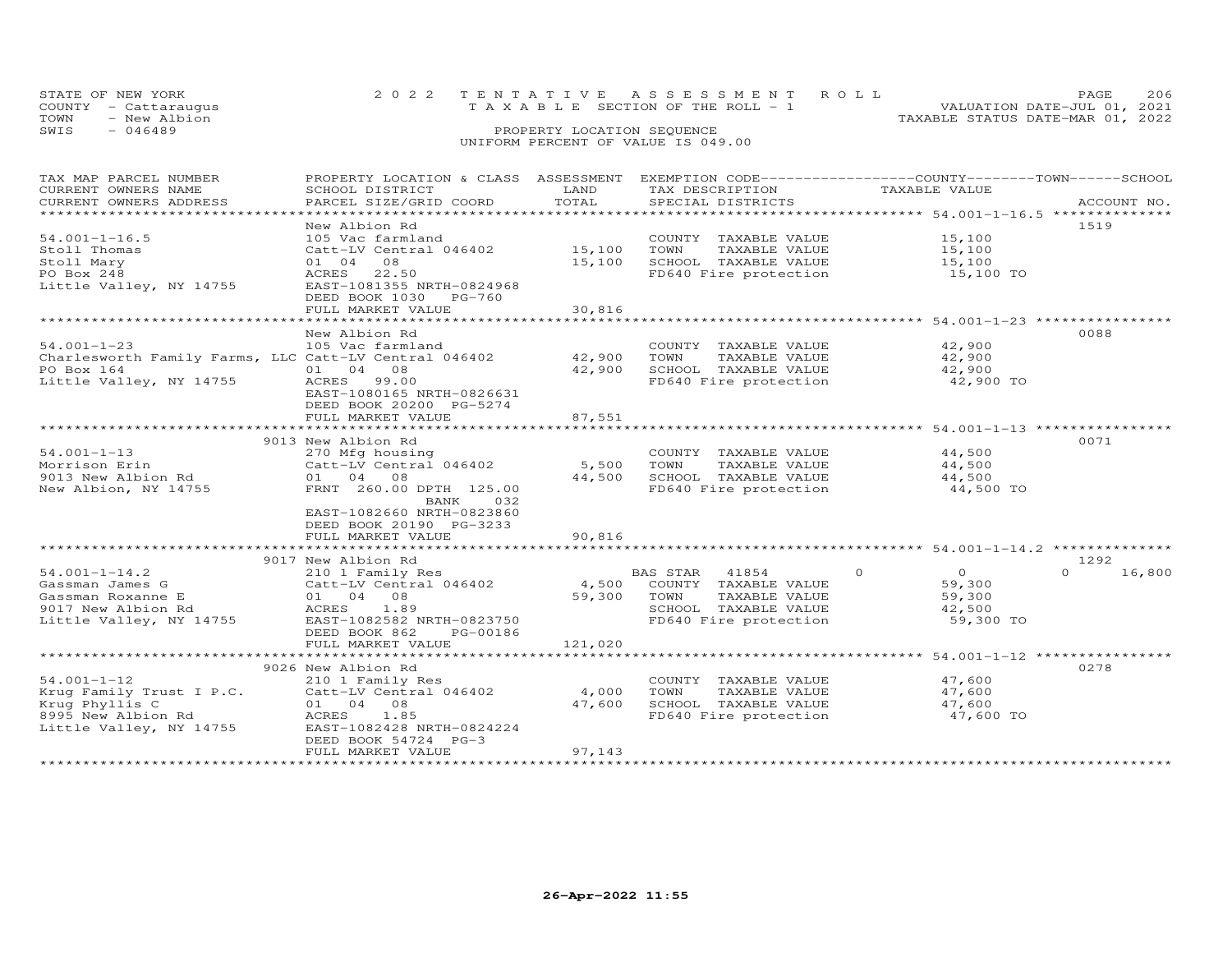| STATE OF NEW YORK    | 2022 TENTATIVE ASSESSMENT ROLL     | - 206<br>PAGE.                   |
|----------------------|------------------------------------|----------------------------------|
| COUNTY - Cattarauqus | TAXABLE SECTION OF THE ROLL - 1    | VALUATION DATE-JUL 01, 2021      |
| TOWN<br>- New Albion |                                    | TAXABLE STATUS DATE-MAR 01, 2022 |
| SWIS<br>- 046489     | PROPERTY LOCATION SEQUENCE         |                                  |
|                      | UNIFORM PERCENT OF VALUE IS 049.00 |                                  |

| TAX MAP PARCEL NUMBER<br>CURRENT OWNERS NAME          | PROPERTY LOCATION & CLASS ASSESSMENT EXEMPTION CODE----------------COUNTY-------TOWN------SCHOOL<br>SCHOOL DISTRICT | LAND                | TAX DESCRIPTION            | TAXABLE VALUE                                                |                    |
|-------------------------------------------------------|---------------------------------------------------------------------------------------------------------------------|---------------------|----------------------------|--------------------------------------------------------------|--------------------|
| CURRENT OWNERS ADDRESS                                | PARCEL SIZE/GRID COORD                                                                                              | TOTAL               | SPECIAL DISTRICTS          |                                                              | ACCOUNT NO.        |
| ********************                                  |                                                                                                                     |                     |                            |                                                              |                    |
|                                                       | New Albion Rd                                                                                                       |                     |                            |                                                              | 1519               |
| $54.001 - 1 - 16.5$                                   | 105 Vac farmland                                                                                                    |                     | COUNTY TAXABLE VALUE       | 15,100                                                       |                    |
| Stoll Thomas                                          | Catt-LV Central 046402                                                                                              | 15,100              | TOWN<br>TAXABLE VALUE      | 15,100                                                       |                    |
| Stoll Mary                                            | 08<br>01 04                                                                                                         | 15,100              | SCHOOL TAXABLE VALUE       | 15,100                                                       |                    |
| PO Box 248                                            | ACRES 22.50                                                                                                         |                     | FD640 Fire protection      | 15,100 TO                                                    |                    |
| Little Valley, NY 14755                               | EAST-1081355 NRTH-0824968                                                                                           |                     |                            |                                                              |                    |
|                                                       | DEED BOOK 1030 PG-760                                                                                               |                     |                            |                                                              |                    |
|                                                       | FULL MARKET VALUE                                                                                                   | 30,816              |                            |                                                              |                    |
|                                                       | **********************                                                                                              | **************      |                            |                                                              |                    |
|                                                       | New Albion Rd                                                                                                       |                     |                            |                                                              | 0088               |
| $54.001 - 1 - 23$                                     | 105 Vac farmland                                                                                                    |                     | COUNTY TAXABLE VALUE       | 42,900                                                       |                    |
| Charlesworth Family Farms, LLC Catt-LV Central 046402 |                                                                                                                     | 42,900              | TOWN<br>TAXABLE VALUE      | 42,900                                                       |                    |
| PO Box 164                                            | 01 04 08                                                                                                            | 42,900              | SCHOOL TAXABLE VALUE       | 42,900                                                       |                    |
| Little Valley, NY 14755                               | ACRES<br>99.00                                                                                                      |                     | FD640 Fire protection      | 42,900 TO                                                    |                    |
|                                                       | EAST-1080165 NRTH-0826631                                                                                           |                     |                            |                                                              |                    |
|                                                       | DEED BOOK 20200 PG-5274                                                                                             |                     |                            |                                                              |                    |
|                                                       | FULL MARKET VALUE                                                                                                   | 87,551              |                            |                                                              |                    |
|                                                       | ******************************                                                                                      |                     |                            | ************************************54.001-1-13 ************ |                    |
|                                                       | 9013 New Albion Rd                                                                                                  |                     |                            |                                                              | 0071               |
| $54.001 - 1 - 13$                                     | 270 Mfg housing                                                                                                     |                     | COUNTY TAXABLE VALUE       | 44,500                                                       |                    |
| Morrison Erin                                         | Catt-LV Central 046402                                                                                              | 5,500               | TOWN<br>TAXABLE VALUE      | 44,500                                                       |                    |
| 9013 New Albion Rd                                    | 01 04 08                                                                                                            | 44,500              | SCHOOL TAXABLE VALUE       | 44,500                                                       |                    |
| New Albion, NY 14755                                  | FRNT 260.00 DPTH 125.00                                                                                             |                     | FD640 Fire protection      | 44,500 TO                                                    |                    |
|                                                       | BANK<br>032                                                                                                         |                     |                            |                                                              |                    |
|                                                       | EAST-1082660 NRTH-0823860                                                                                           |                     |                            |                                                              |                    |
|                                                       | DEED BOOK 20190 PG-3233                                                                                             |                     |                            |                                                              |                    |
|                                                       | FULL MARKET VALUE                                                                                                   | 90,816              |                            |                                                              |                    |
|                                                       | **********************                                                                                              | * * * * * * * * * * |                            |                                                              |                    |
|                                                       | 9017 New Albion Rd                                                                                                  |                     |                            |                                                              | 1292               |
| $54.001 - 1 - 14.2$                                   | 210 1 Family Res                                                                                                    |                     | BAS STAR<br>41854          | $\circ$<br>$\overline{O}$                                    | $\Omega$<br>16,800 |
| Gassman James G                                       | Catt-LV Central 046402                                                                                              |                     | 4,500 COUNTY TAXABLE VALUE | 59,300                                                       |                    |
| Gassman Roxanne E                                     | 01 04 08                                                                                                            | 59,300              | TOWN<br>TAXABLE VALUE      | 59,300                                                       |                    |
| 9017 New Albion Rd                                    | ACRES 1.89                                                                                                          |                     | SCHOOL TAXABLE VALUE       | 42,500                                                       |                    |
| Little Valley, NY 14755                               | EAST-1082582 NRTH-0823750                                                                                           |                     | FD640 Fire protection      | 59,300 TO                                                    |                    |
|                                                       | DEED BOOK 862<br>PG-00186                                                                                           |                     |                            |                                                              |                    |
|                                                       | FULL MARKET VALUE                                                                                                   | 121,020             |                            |                                                              |                    |
|                                                       |                                                                                                                     |                     |                            |                                                              |                    |
|                                                       | 9026 New Albion Rd                                                                                                  |                     |                            |                                                              | 0278               |
| $54.001 - 1 - 12$                                     | 210 1 Family Res                                                                                                    |                     | COUNTY TAXABLE VALUE       | 47,600                                                       |                    |
| Krug Family Trust I P.C.                              | Catt-LV Central 046402                                                                                              | 4,000               | TOWN<br>TAXABLE VALUE      | 47,600                                                       |                    |
| Krug Phyllis C                                        | 01 04 08                                                                                                            | 47,600              | SCHOOL TAXABLE VALUE       | 47,600                                                       |                    |
| 8995 New Albion Rd                                    | ACRES 1.85                                                                                                          |                     | FD640 Fire protection      | 47,600 TO                                                    |                    |
| Little Valley, NY 14755                               | EAST-1082428 NRTH-0824224                                                                                           |                     |                            |                                                              |                    |
|                                                       | DEED BOOK 54724 PG-3                                                                                                |                     |                            |                                                              |                    |
|                                                       | FULL MARKET VALUE                                                                                                   | 97,143              |                            |                                                              |                    |
|                                                       |                                                                                                                     |                     |                            |                                                              |                    |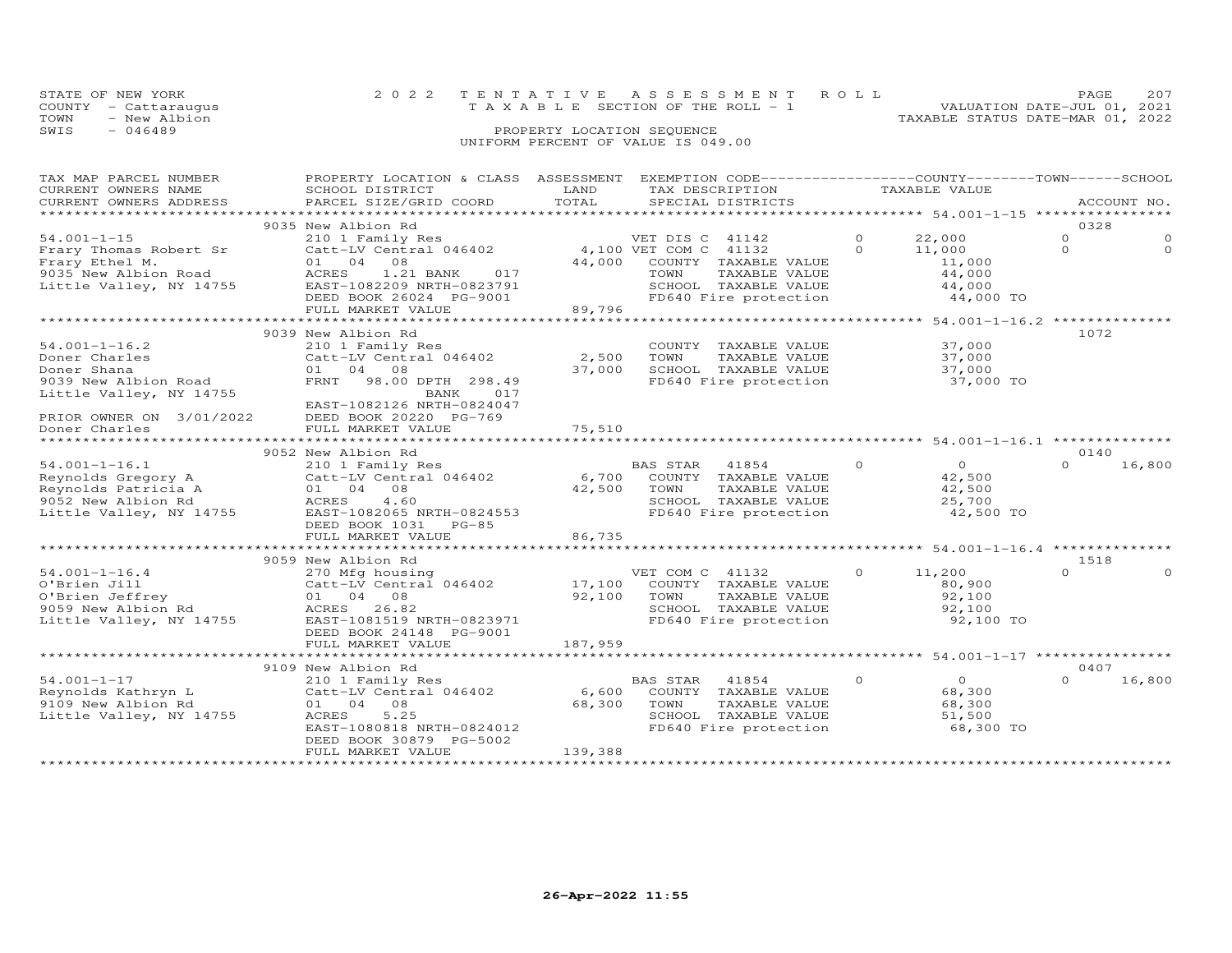| STATE OF NEW YORK    | 2022 TENTATIVE ASSESSMENT ROLL        | PAGE.                            | 207 |
|----------------------|---------------------------------------|----------------------------------|-----|
| COUNTY - Cattaraugus | T A X A B L E SECTION OF THE ROLL - 1 | VALUATION DATE-JUL 01, 2021      |     |
| - New Albion<br>TOWN |                                       | TAXABLE STATUS DATE-MAR 01, 2022 |     |
| SWIS<br>$-046489$    | PROPERTY LOCATION SEQUENCE            |                                  |     |
|                      | UNIFORM PERCENT OF VALUE IS 049.00    |                                  |     |

| TAX MAP PARCEL NUMBER<br>CURRENT OWNERS NAME                                               | PROPERTY LOCATION & CLASS ASSESSMENT<br>SCHOOL DISTRICT                                                                                     | LAND        | EXEMPTION CODE-----------------COUNTY-------TOWN------SCHOOL<br>TAX DESCRIPTION |          | TAXABLE VALUE         |          |             |
|--------------------------------------------------------------------------------------------|---------------------------------------------------------------------------------------------------------------------------------------------|-------------|---------------------------------------------------------------------------------|----------|-----------------------|----------|-------------|
| CURRENT OWNERS ADDRESS                                                                     | PARCEL SIZE/GRID COORD                                                                                                                      | TOTAL       | SPECIAL DISTRICTS                                                               |          |                       |          | ACCOUNT NO. |
|                                                                                            |                                                                                                                                             |             |                                                                                 |          |                       |          |             |
|                                                                                            | 9035 New Albion Rd                                                                                                                          |             |                                                                                 |          |                       | 0328     |             |
| $54.001 - 1 - 15$                                                                          | 210 1 Family Res                                                                                                                            |             | VET DIS C 41142                                                                 | $\Omega$ | 22,000                | $\Omega$ |             |
| Frary Thomas Robert Sr                                                                     | $\begin{array}{ccc}\n\text{Catt-LV Central} & \text{046402} \\ \text{Catt-LV Central} & \text{046402} \\ \end{array}$ 4,100 VET COM C 41132 |             |                                                                                 | $\Omega$ | 11,000                | $\Omega$ | $\Omega$    |
| Frary Ethel M.                                                                             | 01 04 08                                                                                                                                    | 44,000      | COUNTY TAXABLE VALUE                                                            |          | 11,000                |          |             |
| 9035 New Albion Road                                                                       | $-$ 1.21 BANK 017<br>EAST-1082209 NRTH-0823791<br>DEED BOOK 26024 PC 221                                                                    |             | TAXABLE VALUE<br>TOWN                                                           |          | 44,000                |          |             |
| Little Valley, NY 14755                                                                    |                                                                                                                                             |             | SCHOOL TAXABLE VALUE<br>FD640 Fire protection                                   |          | 44,000                |          |             |
|                                                                                            | DEED BOOK 26024 PG-9001<br>FULL MARKET VALUE                                                                                                |             |                                                                                 |          | 44,000 TO             |          |             |
|                                                                                            |                                                                                                                                             | 89,796      |                                                                                 |          |                       |          |             |
|                                                                                            | 9039 New Albion Rd                                                                                                                          |             |                                                                                 |          |                       | 1072     |             |
| $54.001 - 1 - 16.2$                                                                        | 210 1 Family Res                                                                                                                            |             | COUNTY TAXABLE VALUE                                                            |          | 37,000                |          |             |
| Doner Charles                                                                              | Catt-LV Central 046402                                                                                                                      | 2,500       | TAXABLE VALUE<br>TOWN                                                           |          | 37,000                |          |             |
| Doner Shana                                                                                | 01 04 08                                                                                                                                    | 37,000      | SCHOOL TAXABLE VALUE                                                            |          | 37,000                |          |             |
| 9039 New Albion Road                                                                       | FRNT 98.00 DPTH 298.49                                                                                                                      |             | FD640 Fire protection                                                           |          | 37,000 TO             |          |             |
| Little Valley, NY 14755                                                                    | BANK<br>017                                                                                                                                 |             |                                                                                 |          |                       |          |             |
|                                                                                            | EAST-1082126 NRTH-0824047                                                                                                                   |             |                                                                                 |          |                       |          |             |
| PRIOR OWNER ON 3/01/2022                                                                   | DEED BOOK 20220 PG-769                                                                                                                      |             |                                                                                 |          |                       |          |             |
| Doner Charles                                                                              | FULL MARKET VALUE                                                                                                                           | 75,510      |                                                                                 |          |                       |          |             |
| *******************                                                                        |                                                                                                                                             |             |                                                                                 |          |                       |          |             |
|                                                                                            | 9052 New Albion Rd                                                                                                                          |             |                                                                                 |          |                       | 0140     |             |
| $54.001 - 1 - 16.1$                                                                        | 210 1 Family Res                                                                                                                            |             | BAS STAR<br>41854                                                               | $\circ$  | $\overline{O}$        | $\Omega$ | 16,800      |
| Reynolds Gregory A<br>Reynolds Patricia A<br>9052 New Albion Rd<br>Little Valley, NY 14755 | Catt-LV Central 046402                                                                                                                      |             | 6,700 COUNTY TAXABLE VALUE                                                      |          | 42,500                |          |             |
|                                                                                            | 01 04 08                                                                                                                                    | 42,500 TOWN | TAXABLE VALUE                                                                   |          | 42,500                |          |             |
|                                                                                            | 4.60<br>ACRES                                                                                                                               |             | SCHOOL TAXABLE VALUE<br>FD640 Fire protection                                   |          | 25,700<br>$42,500$ TO |          |             |
|                                                                                            | EAST-1082065 NRTH-0824553<br>DEED BOOK 1031<br>$PG-85$                                                                                      |             |                                                                                 |          |                       |          |             |
|                                                                                            | FULL MARKET VALUE                                                                                                                           | 86,735      |                                                                                 |          |                       |          |             |
|                                                                                            |                                                                                                                                             |             |                                                                                 |          |                       |          |             |
|                                                                                            | 9059 New Albion Rd                                                                                                                          |             |                                                                                 |          |                       | 1518     |             |
| $54.001 - 1 - 16.4$                                                                        |                                                                                                                                             |             | VET COM C 41132                                                                 | $\circ$  | 11,200                | $\Omega$ |             |
|                                                                                            | 270 Mfg housing [17,100 Mg NE Catt-LV Central 046402 [17,100 Mg                                                                             |             | COUNTY TAXABLE VALUE                                                            |          | 80,900                |          |             |
|                                                                                            | 01 04 08                                                                                                                                    | 92,100      | TOWN                                                                            |          | 92,100                |          |             |
| 54.001-1-16.4<br>O'Brien Jill<br>O'Brien Jeffrey<br>9059 New Albion Rd                     | ACRES 26.82                                                                                                                                 |             | TOWN     TAXABLE VALUE<br>SCHOOL   TAXABLE VALUE                                |          | 92,100                |          |             |
| Little Valley, NY 14755                                                                    | EAST-1081519 NRTH-0823971                                                                                                                   |             | FD640 Fire protection                                                           |          | 92,100 TO             |          |             |
|                                                                                            | DEED BOOK 24148 PG-9001                                                                                                                     |             |                                                                                 |          |                       |          |             |
|                                                                                            | FULL MARKET VALUE                                                                                                                           | 187,959     |                                                                                 |          |                       |          |             |
|                                                                                            |                                                                                                                                             |             |                                                                                 |          |                       |          |             |
|                                                                                            | 9109 New Albion Rd                                                                                                                          |             |                                                                                 |          |                       | 0407     |             |
| $54.001 - 1 - 17$                                                                          |                                                                                                                                             |             | 41854<br>BAS STAR                                                               | $\Omega$ | $\overline{0}$        | $\Omega$ | 16,800      |
|                                                                                            |                                                                                                                                             | 6,600       | COUNTY TAXABLE VALUE                                                            |          | 68,300                |          |             |
| 9109 New Albion Rd                                                                         | 01 04 08                                                                                                                                    | 68,300      | TOWN<br>TAXABLE VALUE                                                           |          | 68,300                |          |             |
| Little Valley, NY 14755                                                                    | ACRES<br>5.25<br>EAST-1080818 NRTH-0824012                                                                                                  |             | SCHOOL TAXABLE VALUE<br>FD640 Fire protection                                   |          | 51,500<br>68,300 TO   |          |             |
|                                                                                            | DEED BOOK 30879 PG-5002                                                                                                                     |             |                                                                                 |          |                       |          |             |
|                                                                                            | FULL MARKET VALUE                                                                                                                           | 139,388     |                                                                                 |          |                       |          |             |
|                                                                                            |                                                                                                                                             |             |                                                                                 |          |                       |          |             |
|                                                                                            |                                                                                                                                             |             |                                                                                 |          |                       |          |             |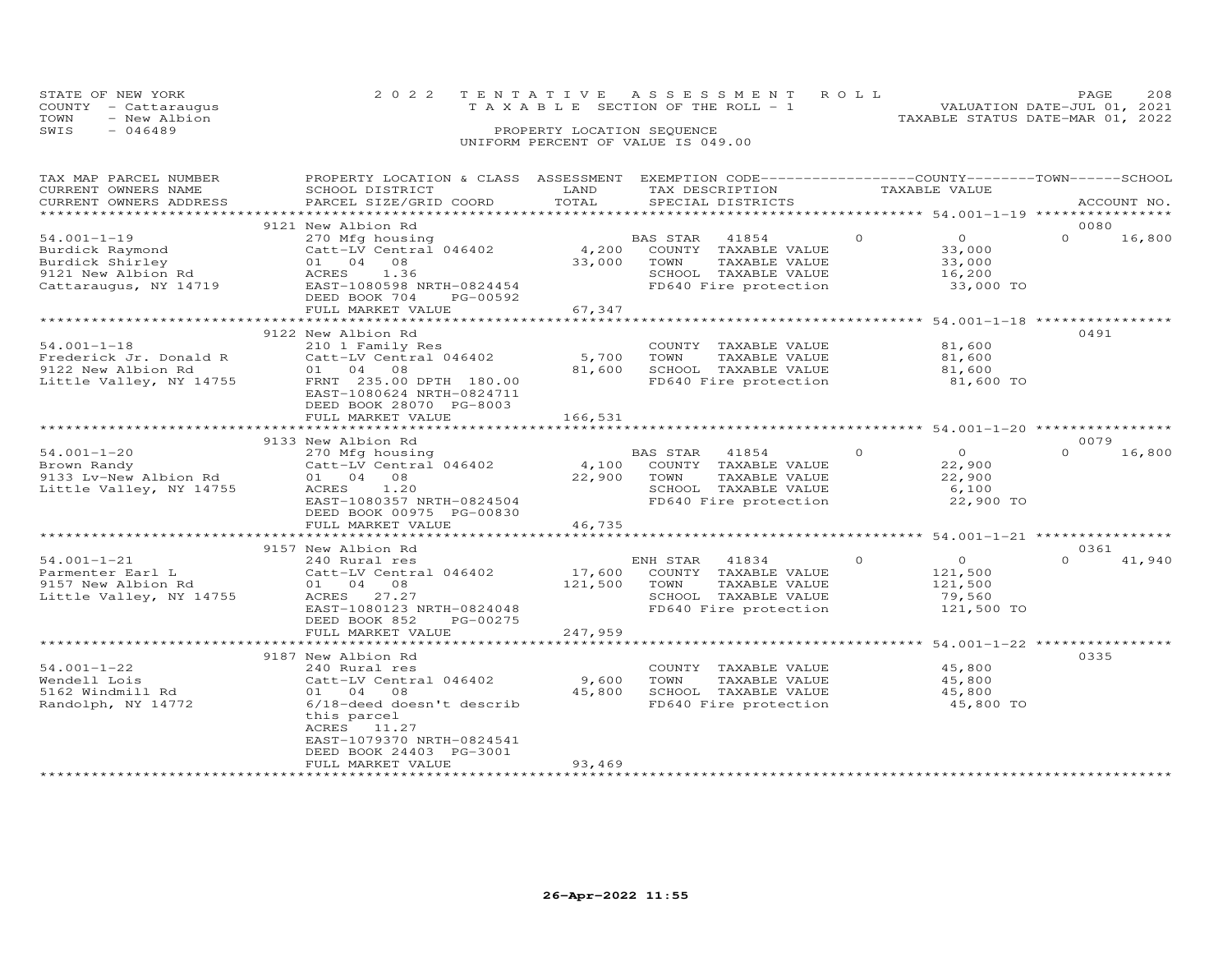|      | STATE OF NEW YORK    | 2022 TENTATIVE ASSESSMENT ROLL        |  |                                  | PAGE                        | 208 |
|------|----------------------|---------------------------------------|--|----------------------------------|-----------------------------|-----|
|      | COUNTY - Cattaraugus | T A X A B L E SECTION OF THE ROLL - 1 |  |                                  | VALUATION DATE-JUL 01, 2021 |     |
| TOWN | - New Albion         |                                       |  | TAXABLE STATUS DATE-MAR 01, 2022 |                             |     |
| SWIS | $-046489$            | PROPERTY LOCATION SEQUENCE            |  |                                  |                             |     |
|      |                      | UNIFORM PERCENT OF VALUE IS 049.00    |  |                                  |                             |     |

| TAX MAP PARCEL NUMBER<br>CURRENT OWNERS NAME<br>CURRENT OWNERS ADDRESS                                 | PROPERTY LOCATION & CLASS ASSESSMENT EXEMPTION CODE----------------COUNTY-------TOWN------SCHOOL<br>SCHOOL DISTRICT<br>PARCEL SIZE/GRID COORD                                      | LAND<br>TOTAL              | TAX DESCRIPTION TAXABLE VALUE<br>SPECIAL DISTRICTS                                                          |                                                                         | ACCOUNT NO.                                            |
|--------------------------------------------------------------------------------------------------------|------------------------------------------------------------------------------------------------------------------------------------------------------------------------------------|----------------------------|-------------------------------------------------------------------------------------------------------------|-------------------------------------------------------------------------|--------------------------------------------------------|
|                                                                                                        |                                                                                                                                                                                    |                            |                                                                                                             |                                                                         |                                                        |
| $54.001 - 1 - 19$<br>Burdick Raymond<br>Burdick Shirley<br>9121 New Albion Rd<br>Cattaraugus, NY 14719 | 9121 New Albion Rd<br>270 Mfg housing<br>Catt-LV Central 046402<br>01 04 08<br>ACRES<br>1.36<br>EAST-1080598 NRTH-0824454<br>PG-00592<br>DEED BOOK 704                             | 4,200<br>33,000 TOWN       | BAS STAR<br>41854<br>COUNTY TAXABLE VALUE<br>TAXABLE VALUE<br>SCHOOL TAXABLE VALUE<br>FD640 Fire protection | $\Omega$<br>$\overline{O}$<br>33,000<br>33,000<br>16,200<br>33,000 TO   | 0080<br>$\Omega$<br>16,800                             |
|                                                                                                        | FULL MARKET VALUE                                                                                                                                                                  | 67,347                     |                                                                                                             |                                                                         |                                                        |
| $54.001 - 1 - 18$<br>Frederick Jr. Donald R<br>9122 New Albion Rd<br>Little Valley, NY 14755           | 9122 New Albion Rd<br>210 1 Family Res<br>Catt-LV Central 046402<br>01 04 08<br>FRNT 235.00 DPTH 180.00<br>EAST-1080624 NRTH-0824711<br>DEED BOOK 28070 PG-8003                    | 5,700<br>81,600            | COUNTY TAXABLE VALUE<br>TOWN<br>TAXABLE VALUE<br>SCHOOL TAXABLE VALUE<br>FD640 Fire protection              | 81,600<br>81,600<br>81,600<br>81,600 TO                                 | 0491                                                   |
|                                                                                                        | FULL MARKET VALUE                                                                                                                                                                  | 166,531                    |                                                                                                             |                                                                         |                                                        |
|                                                                                                        | *************************                                                                                                                                                          |                            |                                                                                                             |                                                                         | 0079                                                   |
| $54.001 - 1 - 20$<br>Brown Randy<br>9133 Lv-New Albion Rd<br>Little Valley, NY 14755                   | 9133 New Albion Rd<br>270 Mfg housing<br>$Catt-LV$ Central 046402 4,100<br>01 04 08<br>ACRES<br>1.20<br>EAST-1080357 NRTH-0824504<br>DEED BOOK 00975 PG-00830<br>FULL MARKET VALUE | 22,900 TOWN<br>46,735      | BAS STAR 41854<br>COUNTY TAXABLE VALUE<br>TAXABLE VALUE<br>SCHOOL TAXABLE VALUE<br>FD640 Fire protection    | $\Omega$<br>$\overline{0}$<br>22,900<br>22,900<br>6,100<br>22,900 TO    | $\Omega$<br>16,800                                     |
|                                                                                                        | **************************                                                                                                                                                         | **************             |                                                                                                             |                                                                         | ************************ 54.001-1-21 ***************** |
| $54.001 - 1 - 21$<br>Parmenter Earl L<br>9157 New Albion Rd<br>Little Valley, NY 14755                 | 9157 New Albion Rd<br>240 Rural res<br>Catt-LV Central 046402<br>01 04 08<br>ACRES 27.27<br>EAST-1080123 NRTH-0824048<br>DEED BOOK 852<br>PG-00275                                 | $17,600$ E<br>121,500 TOWN | ENH STAR<br>41834<br>COUNTY TAXABLE VALUE<br>TAXABLE VALUE<br>SCHOOL TAXABLE VALUE<br>FD640 Fire protection | $\circ$<br>$\overline{O}$<br>121,500<br>121,500<br>79,560<br>121,500 TO | 0361<br>$\cap$<br>41,940                               |
|                                                                                                        | FULL MARKET VALUE                                                                                                                                                                  | 247,959                    |                                                                                                             |                                                                         |                                                        |
| $54.001 - 1 - 22$<br>Wendell Lois<br>5162 Windmill Rd<br>Randolph, NY 14772                            | 9187 New Albion Rd<br>240 Rural res<br>Catt-LV Central 046402<br>01 04<br>08<br>6/18-deed doesn't describ<br>this parcel<br>ACRES 11.27<br>EAST-1079370 NRTH-0824541               | 9,600<br>45,800            | COUNTY TAXABLE VALUE<br>TOWN<br>TAXABLE VALUE<br>SCHOOL TAXABLE VALUE<br>FD640 Fire protection              | 45,800<br>45,800<br>45,800<br>45,800 TO                                 | 0335                                                   |
| *********************                                                                                  | DEED BOOK 24403 PG-3001<br>FULL MARKET VALUE                                                                                                                                       | 93,469                     |                                                                                                             |                                                                         |                                                        |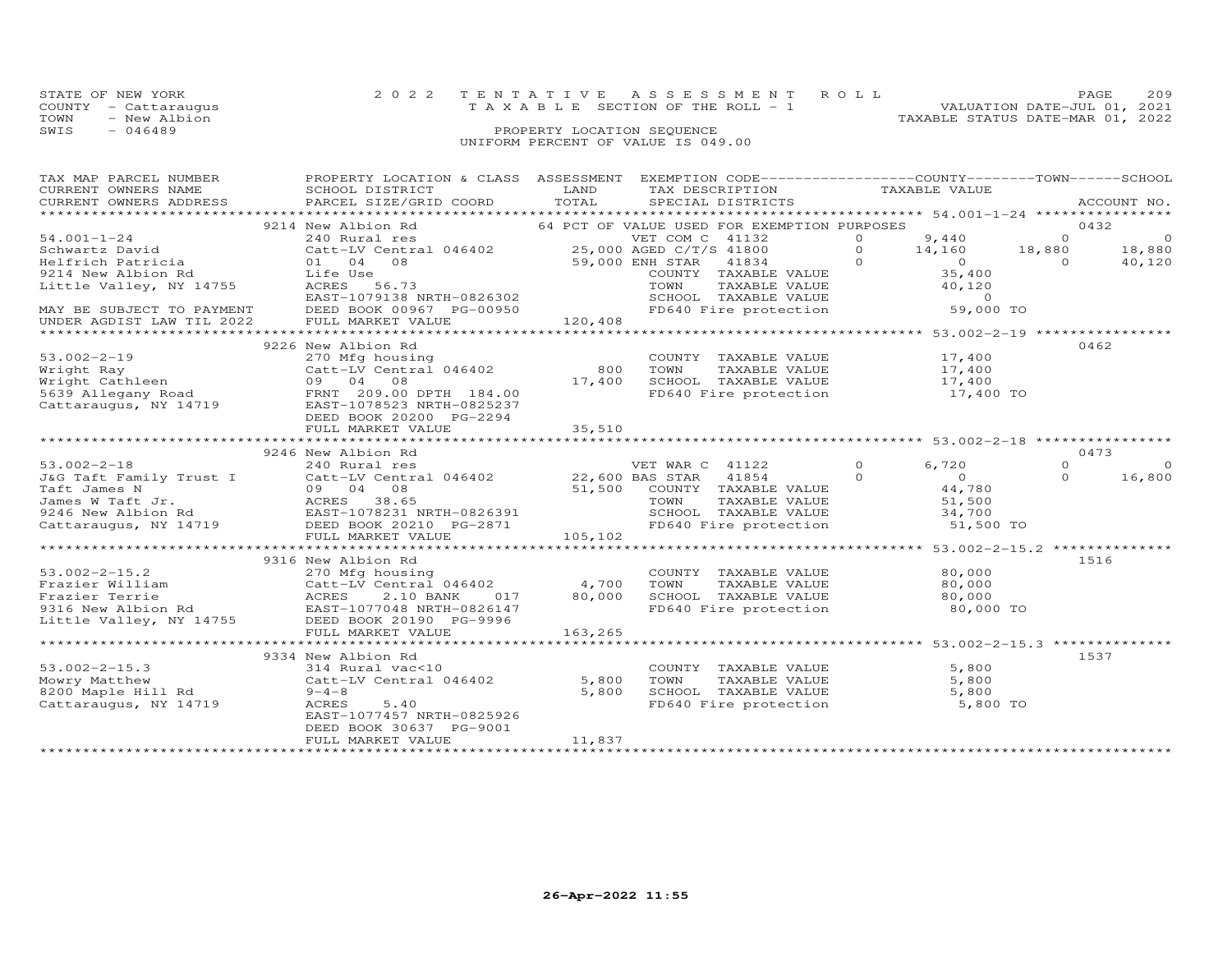| STATE OF NEW YORK    |              | 2022 TENTATIVE ASSESSMENT ROLL        |                            |  |                                  | PAGE                        | 209 |
|----------------------|--------------|---------------------------------------|----------------------------|--|----------------------------------|-----------------------------|-----|
| COUNTY - Cattaraugus |              | T A X A B L E SECTION OF THE ROLL - 1 |                            |  |                                  | VALUATION DATE-JUL 01, 2021 |     |
| TOWN                 | - New Albion |                                       |                            |  | TAXABLE STATUS DATE-MAR 01, 2022 |                             |     |
| SWIS<br>$-046489$    |              |                                       | PROPERTY LOCATION SEQUENCE |  |                                  |                             |     |
|                      |              | UNIFORM PERCENT OF VALUE IS 049.00    |                            |  |                                  |                             |     |

| TAX MAP PARCEL NUMBER | PROPERTY LOCATION & CLASS ASSESSMENT EXEMPTION CODE----------------COUNTY-------TOWN------SCHOOL                                                                                                                                                   |        |                                                                                                                                                                                                                                                                                                                                                                                                                                                                                    |       |                     |
|-----------------------|----------------------------------------------------------------------------------------------------------------------------------------------------------------------------------------------------------------------------------------------------|--------|------------------------------------------------------------------------------------------------------------------------------------------------------------------------------------------------------------------------------------------------------------------------------------------------------------------------------------------------------------------------------------------------------------------------------------------------------------------------------------|-------|---------------------|
|                       |                                                                                                                                                                                                                                                    |        |                                                                                                                                                                                                                                                                                                                                                                                                                                                                                    |       |                     |
|                       | 9214 New Albion Rd<br>240 Rural res<br>240 Rural res<br>25,000 AGED Catt-LV Central 046402<br>25,000 AGED CTT/S 41800                                                                                                                              |        | VET COM C 41132<br>25,000 AGED C/T/S 41800 0 9,440 0 0<br>59,000 ENH STAR 41834 0 0 0 14,160 18,880 18,880<br>COUNTY TAXABLE VALUE<br>TOWN TAXABLE VALUE<br>TOWN TAXABLE VALUE                                                                                                                                                                                                                                                                                                     |       |                     |
| $54.001 - 1 - 24$     |                                                                                                                                                                                                                                                    |        |                                                                                                                                                                                                                                                                                                                                                                                                                                                                                    |       |                     |
|                       |                                                                                                                                                                                                                                                    |        |                                                                                                                                                                                                                                                                                                                                                                                                                                                                                    |       |                     |
|                       |                                                                                                                                                                                                                                                    |        |                                                                                                                                                                                                                                                                                                                                                                                                                                                                                    |       |                     |
|                       |                                                                                                                                                                                                                                                    |        |                                                                                                                                                                                                                                                                                                                                                                                                                                                                                    |       |                     |
|                       |                                                                                                                                                                                                                                                    |        |                                                                                                                                                                                                                                                                                                                                                                                                                                                                                    |       |                     |
|                       |                                                                                                                                                                                                                                                    |        |                                                                                                                                                                                                                                                                                                                                                                                                                                                                                    |       |                     |
|                       |                                                                                                                                                                                                                                                    |        |                                                                                                                                                                                                                                                                                                                                                                                                                                                                                    |       |                     |
|                       | 3-1.01-1-24<br>Schwartz David<br>Helfrich Patricia (16402)<br>Helfrich Patricia (16402)<br>Schwartz David<br>Centre COUNTY TAXABLE VALUE<br>SP,000 ENH STAR 41834<br>COUNTY TAXABLE VALUE<br>COUNTY TAXABLE VALUE<br>COUNTY TAXABLE VALUE<br>COUNT |        |                                                                                                                                                                                                                                                                                                                                                                                                                                                                                    |       |                     |
|                       | 9226 New Albion Rd                                                                                                                                                                                                                                 |        |                                                                                                                                                                                                                                                                                                                                                                                                                                                                                    |       | 0462                |
| $53.002 - 2 - 19$     | New Albion Ra<br>270 Mfg housing<br>Catt-LV Central 046402 800 TOWN<br>09 04 08 17,400 SCHOC<br>09 04 22 17,400 FD64                                                                                                                               |        |                                                                                                                                                                                                                                                                                                                                                                                                                                                                                    |       |                     |
|                       |                                                                                                                                                                                                                                                    |        | $\begin{tabular}{llllll} \multicolumn{2}{l}{{\small\texttt{COUNTY}}} & \multicolumn{2}{l}{\small\texttt{TAXABLE VALUE}} & & & 17,400\\ \multicolumn{2}{l}{\small\texttt{TOWN}} & \multicolumn{2}{l}{\small\texttt{TAXABLE VALUE}} & & & 17,400\\ \multicolumn{2}{l}{\small\texttt{TOWN}} & \multicolumn{2}{l}{\small\texttt{TAXABLE VALUE}} & & & 17,400\\ \multicolumn{2}{l}{\small\texttt{TOMN}} & \multicolumn{2}{l}{\small\texttt{TOMN}} & \multicolumn{2}{l}{\small\texttt{T$ |       |                     |
|                       |                                                                                                                                                                                                                                                    |        |                                                                                                                                                                                                                                                                                                                                                                                                                                                                                    |       |                     |
|                       |                                                                                                                                                                                                                                                    |        | SCHOOL TAXABLE VALUE 17,400<br>FD640 Fire protection 17,400 TO                                                                                                                                                                                                                                                                                                                                                                                                                     |       |                     |
|                       | 53.002-2-19<br>Wright Ray<br>Wright Cathleen<br>5639 Allegany Road<br>Cattaraugus, NY 14719<br>Cattaraugus, NY 14719<br>Cattaraugus, NY 14719<br>CALLEGAN PREST-1078523 NRTH-0825234                                                               |        |                                                                                                                                                                                                                                                                                                                                                                                                                                                                                    |       |                     |
|                       | DEED BOOK 20200 PG-2294                                                                                                                                                                                                                            |        |                                                                                                                                                                                                                                                                                                                                                                                                                                                                                    |       |                     |
|                       |                                                                                                                                                                                                                                                    |        |                                                                                                                                                                                                                                                                                                                                                                                                                                                                                    |       |                     |
|                       |                                                                                                                                                                                                                                                    |        |                                                                                                                                                                                                                                                                                                                                                                                                                                                                                    |       |                     |
|                       | 9246 New Albion Rd                                                                                                                                                                                                                                 |        |                                                                                                                                                                                                                                                                                                                                                                                                                                                                                    |       | 0473                |
|                       |                                                                                                                                                                                                                                                    |        |                                                                                                                                                                                                                                                                                                                                                                                                                                                                                    |       | $\Omega$<br>$\circ$ |
|                       |                                                                                                                                                                                                                                                    |        |                                                                                                                                                                                                                                                                                                                                                                                                                                                                                    |       | $\Omega$<br>16,800  |
|                       |                                                                                                                                                                                                                                                    |        |                                                                                                                                                                                                                                                                                                                                                                                                                                                                                    |       |                     |
|                       |                                                                                                                                                                                                                                                    |        |                                                                                                                                                                                                                                                                                                                                                                                                                                                                                    |       |                     |
|                       |                                                                                                                                                                                                                                                    |        |                                                                                                                                                                                                                                                                                                                                                                                                                                                                                    |       |                     |
|                       |                                                                                                                                                                                                                                                    |        |                                                                                                                                                                                                                                                                                                                                                                                                                                                                                    |       |                     |
|                       |                                                                                                                                                                                                                                                    |        |                                                                                                                                                                                                                                                                                                                                                                                                                                                                                    |       |                     |
|                       |                                                                                                                                                                                                                                                    |        |                                                                                                                                                                                                                                                                                                                                                                                                                                                                                    |       |                     |
|                       | 9316 New Albion Rd                                                                                                                                                                                                                                 |        |                                                                                                                                                                                                                                                                                                                                                                                                                                                                                    |       | 1516                |
| $53.002 - 2 - 15.2$   | 270 Mfg housing                                                                                                                                                                                                                                    |        | COUNTY TAXABLE VALUE 80,000                                                                                                                                                                                                                                                                                                                                                                                                                                                        |       |                     |
|                       |                                                                                                                                                                                                                                                    |        |                                                                                                                                                                                                                                                                                                                                                                                                                                                                                    |       |                     |
|                       |                                                                                                                                                                                                                                                    |        | TOWN TAXABLE VALUE<br>SCHOOL TAXABLE VALUE<br>FD640 Fire protection 80,000 TO                                                                                                                                                                                                                                                                                                                                                                                                      |       |                     |
|                       |                                                                                                                                                                                                                                                    |        |                                                                                                                                                                                                                                                                                                                                                                                                                                                                                    |       |                     |
|                       |                                                                                                                                                                                                                                                    |        |                                                                                                                                                                                                                                                                                                                                                                                                                                                                                    |       |                     |
|                       |                                                                                                                                                                                                                                                    |        |                                                                                                                                                                                                                                                                                                                                                                                                                                                                                    |       |                     |
|                       |                                                                                                                                                                                                                                                    |        |                                                                                                                                                                                                                                                                                                                                                                                                                                                                                    |       | 1537                |
| $53.002 - 2 - 15.3$   | 9334 New Albion Rd                                                                                                                                                                                                                                 |        | COUNTY TAXABLE VALUE                                                                                                                                                                                                                                                                                                                                                                                                                                                               | 5,800 |                     |
|                       | 53.002-2-15.3<br>Mowry Matthew Catt-LV Central 046402 5,800<br>8200 Maple Hill Rd 9-4-8<br>Cattaraugus, NY 14719 ACRES 5.40<br>ACRES 5.40                                                                                                          |        | TAXABLE VALUE<br>TOWN                                                                                                                                                                                                                                                                                                                                                                                                                                                              | 5,800 |                     |
|                       |                                                                                                                                                                                                                                                    |        |                                                                                                                                                                                                                                                                                                                                                                                                                                                                                    |       |                     |
|                       |                                                                                                                                                                                                                                                    |        | SCHOOL TAXABLE VALUE 5,800<br>FD640 Fire protection 5,800 TO                                                                                                                                                                                                                                                                                                                                                                                                                       |       |                     |
|                       | EAST-1077457 NRTH-0825926                                                                                                                                                                                                                          |        |                                                                                                                                                                                                                                                                                                                                                                                                                                                                                    |       |                     |
|                       | DEED BOOK 30637 PG-9001                                                                                                                                                                                                                            |        |                                                                                                                                                                                                                                                                                                                                                                                                                                                                                    |       |                     |
|                       | FULL MARKET VALUE                                                                                                                                                                                                                                  | 11,837 |                                                                                                                                                                                                                                                                                                                                                                                                                                                                                    |       |                     |
|                       |                                                                                                                                                                                                                                                    |        |                                                                                                                                                                                                                                                                                                                                                                                                                                                                                    |       |                     |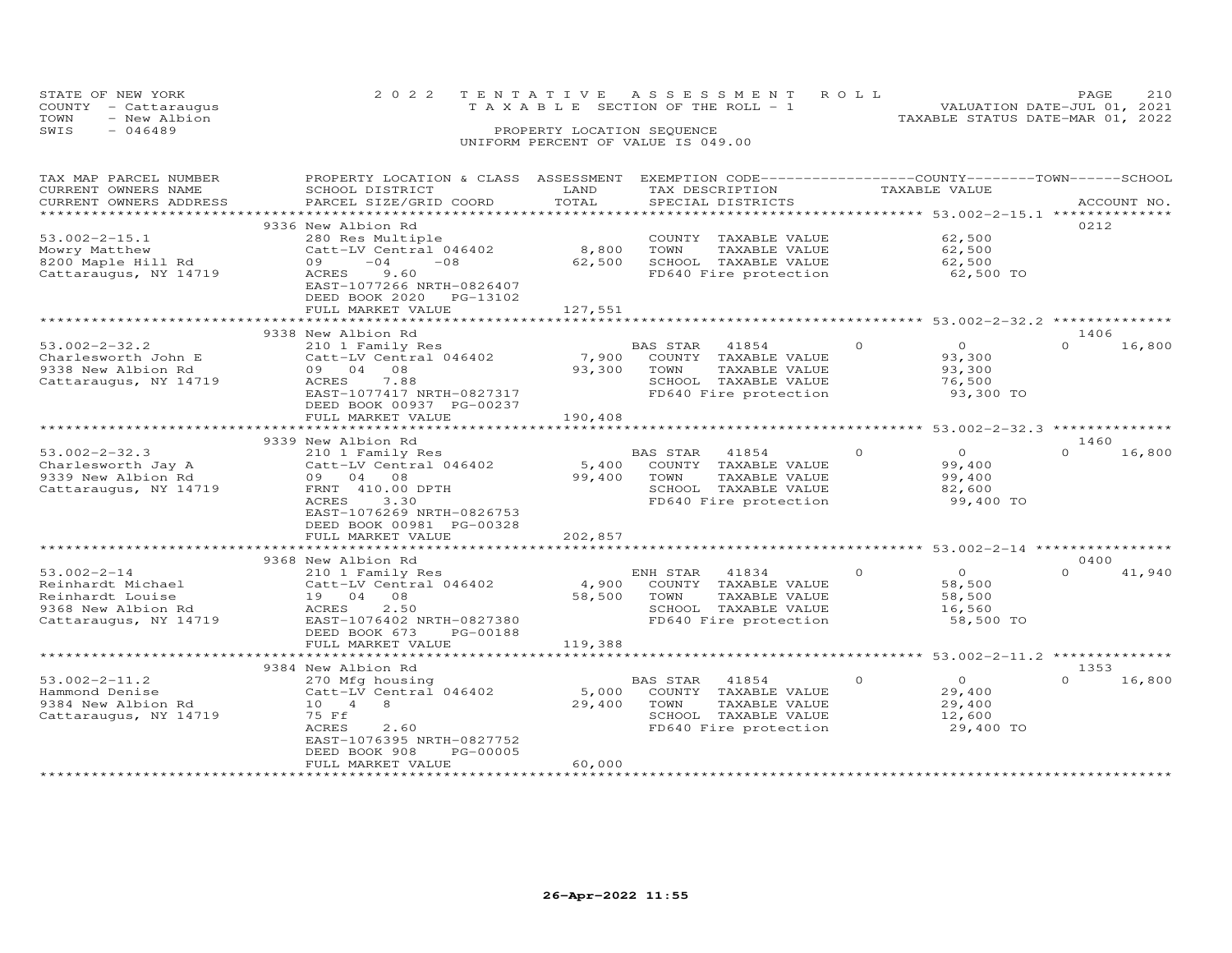|      | STATE OF NEW YORK    | 2022 TENTATIVE ASSESSMENT ROLL        |                            |  |                                  | PAGE                        | 2.1.0 |
|------|----------------------|---------------------------------------|----------------------------|--|----------------------------------|-----------------------------|-------|
|      | COUNTY - Cattaraugus | T A X A B L E SECTION OF THE ROLL - 1 |                            |  |                                  | VALUATION DATE-JUL 01, 2021 |       |
| TOWN | - New Albion         |                                       |                            |  | TAXABLE STATUS DATE-MAR 01, 2022 |                             |       |
| SWIS | - 046489             |                                       | PROPERTY LOCATION SEQUENCE |  |                                  |                             |       |
|      |                      | UNIFORM PERCENT OF VALUE IS 049.00    |                            |  |                                  |                             |       |

| TAX MAP PARCEL NUMBER<br>CURRENT OWNERS NAME<br>CURRENT OWNERS ADDRESS                                    | PROPERTY LOCATION & CLASS ASSESSMENT<br>SCHOOL DISTRICT<br>PARCEL SIZE/GRID COORD                                                                                                               | LAND<br>TOTAL              | TAX DESCRIPTION<br>SPECIAL DISTRICTS                                                                                | EXEMPTION CODE-----------------COUNTY-------TOWN-----SCHOOL<br>TAXABLE VALUE | ACCOUNT NO.                |
|-----------------------------------------------------------------------------------------------------------|-------------------------------------------------------------------------------------------------------------------------------------------------------------------------------------------------|----------------------------|---------------------------------------------------------------------------------------------------------------------|------------------------------------------------------------------------------|----------------------------|
| $53.002 - 2 - 15.1$<br>Mowry Matthew<br>8200 Maple Hill Rd<br>Cattaraugus, NY 14719                       | 9336 New Albion Rd<br>280 Res Multiple<br>Catt-LV Central 046402<br>$-04$<br>$-08$<br>09<br>ACRES<br>9.60<br>EAST-1077266 NRTH-0826407<br>DEED BOOK 2020<br>PG-13102<br>FULL MARKET VALUE       | 8,800<br>62,500<br>127,551 | COUNTY TAXABLE VALUE<br>TOWN<br>TAXABLE VALUE<br>SCHOOL TAXABLE VALUE<br>FD640 Fire protection                      | 62,500<br>62,500<br>62,500<br>62,500 TO                                      | 0212                       |
|                                                                                                           |                                                                                                                                                                                                 |                            |                                                                                                                     | ********************************* 53.002-2-32.2 ***************              |                            |
| $53.002 - 2 - 32.2$<br>Charlesworth John E<br>9338 New Albion Rd<br>Cattaraugus, NY 14719                 | 9338 New Albion Rd<br>210 1 Family Res<br>Catt-LV Central 046402<br>09 04<br>08<br>ACRES<br>7.88<br>EAST-1077417 NRTH-0827317<br>DEED BOOK 00937 PG-00237<br>FULL MARKET VALUE                  | 7,900<br>93,300<br>190,408 | BAS STAR 41854<br>COUNTY TAXABLE VALUE<br>TOWN<br>TAXABLE VALUE<br>SCHOOL TAXABLE VALUE<br>FD640 Fire protection    | $\circ$<br>$\Omega$<br>93,300<br>93,300<br>76,500<br>93,300 TO               | 1406<br>$\Omega$<br>16,800 |
|                                                                                                           |                                                                                                                                                                                                 |                            |                                                                                                                     |                                                                              | 1460                       |
| $53.002 - 2 - 32.3$<br>Charlesworth Jay A<br>9339 New Albion Rd<br>Cattaraugus, NY 14719                  | 9339 New Albion Rd<br>210 1 Family Res<br>Catt-LV Central 046402<br>09 04 08<br>FRNT 410.00 DPTH<br>ACRES<br>3.30<br>EAST-1076269 NRTH-0826753<br>DEED BOOK 00981 PG-00328<br>FULL MARKET VALUE | 5,400<br>99,400<br>202,857 | 41854<br>BAS STAR<br>COUNTY TAXABLE VALUE<br>TOWN<br>TAXABLE VALUE<br>SCHOOL TAXABLE VALUE<br>FD640 Fire protection | $\Omega$<br>$\Omega$<br>99,400<br>99,400<br>82,600<br>99,400 TO              | $\Omega$<br>16,800         |
|                                                                                                           |                                                                                                                                                                                                 |                            |                                                                                                                     |                                                                              |                            |
| $53.002 - 2 - 14$<br>Reinhardt Michael<br>Reinhardt Louise<br>9368 New Albion Rd<br>Cattaraugus, NY 14719 | 9368 New Albion Rd<br>210 1 Family Res<br>Catt-LV Central 046402<br>19 04 08<br>ACRES<br>2.50<br>EAST-1076402 NRTH-0827380<br>DEED BOOK 673<br>PG-00188                                         | 4,900<br>58,500            | ENH STAR<br>41834<br>COUNTY TAXABLE VALUE<br>TOWN<br>TAXABLE VALUE<br>SCHOOL TAXABLE VALUE<br>FD640 Fire protection | $\Omega$<br>$\circ$<br>58,500<br>58,500<br>16,560<br>58,500 TO               | 0400<br>$\Omega$<br>41,940 |
|                                                                                                           | FULL MARKET VALUE                                                                                                                                                                               | 119,388                    |                                                                                                                     |                                                                              |                            |
|                                                                                                           | 9384 New Albion Rd                                                                                                                                                                              |                            |                                                                                                                     | ********* 53.002-2-11.2 ************                                         | 1353                       |
| $53.002 - 2 - 11.2$<br>Hammond Denise<br>9384 New Albion Rd<br>Cattaraugus, NY 14719                      | 270 Mfg housing<br>Catt-LV Central 046402<br>10 4<br>8<br>75 Ff<br>2.60<br>ACRES<br>EAST-1076395 NRTH-0827752<br>DEED BOOK 908<br>PG-00005<br>FULL MARKET VALUE                                 | 5,000<br>29,400<br>60,000  | BAS STAR<br>41854<br>COUNTY TAXABLE VALUE<br>TOWN<br>TAXABLE VALUE<br>SCHOOL TAXABLE VALUE<br>FD640 Fire protection | $\circ$<br>$\circ$<br>29,400<br>29,400<br>12,600<br>29,400 TO                | $\Omega$<br>16,800         |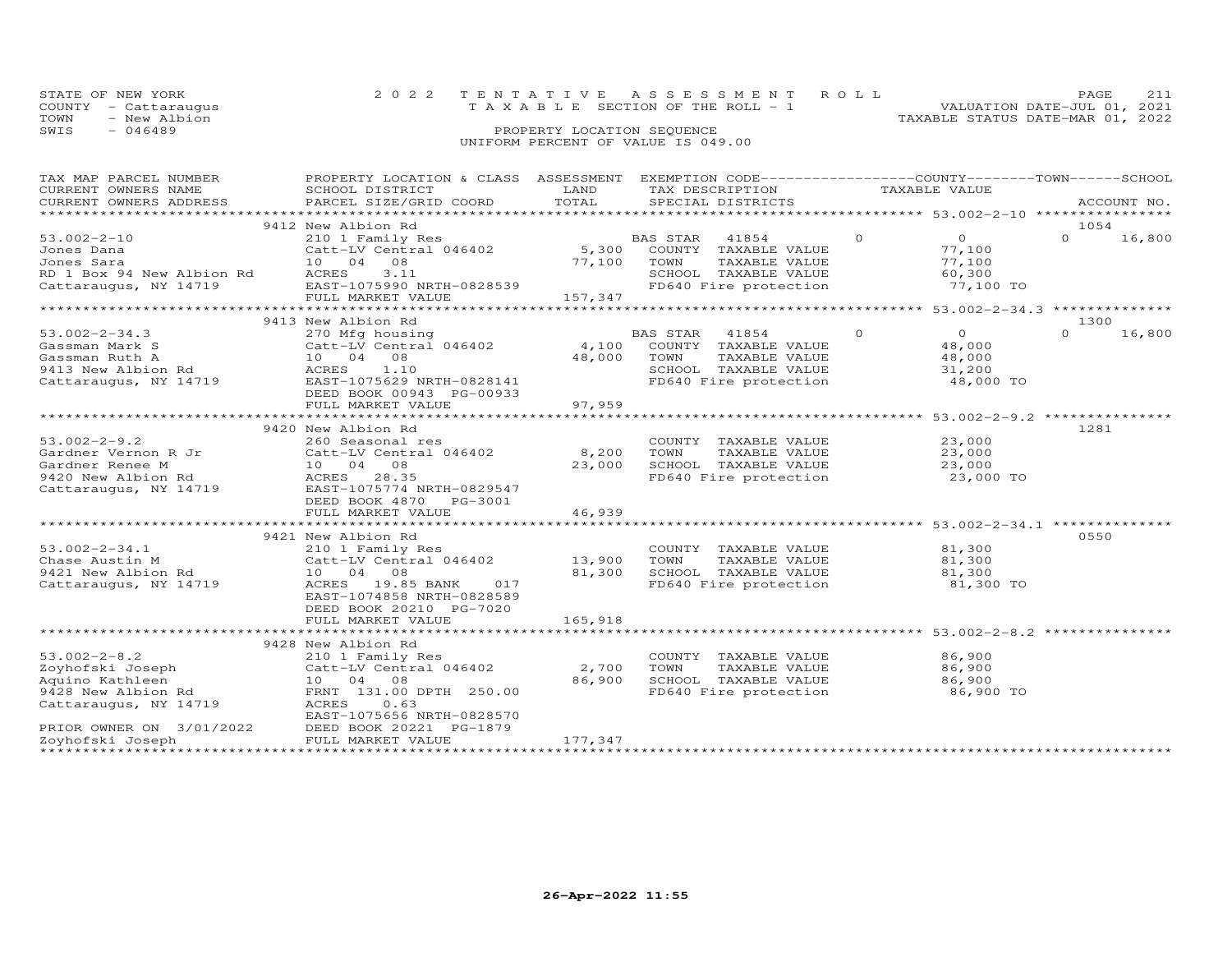| STATE OF NEW YORK    | 2022 TENTATIVE ASSESSMENT ROLL        | PAGE.                            |
|----------------------|---------------------------------------|----------------------------------|
| COUNTY - Cattaraugus | T A X A B L E SECTION OF THE ROLL - 1 | VALUATION DATE-JUL 01, 2021      |
| TOWN<br>- New Albion |                                       | TAXABLE STATUS DATE-MAR 01, 2022 |
| SWIS<br>$-046489$    | PROPERTY LOCATION SEQUENCE            |                                  |
|                      | UNIFORM PERCENT OF VALUE IS 049.00    |                                  |

| TAX MAP PARCEL NUMBER                           | PROPERTY LOCATION & CLASS ASSESSMENT EXEMPTION CODE----------------COUNTY-------TOWN-----SCHOOL |                       |                 |                                                                |         |                                                    |          |             |
|-------------------------------------------------|-------------------------------------------------------------------------------------------------|-----------------------|-----------------|----------------------------------------------------------------|---------|----------------------------------------------------|----------|-------------|
| CURRENT OWNERS NAME                             | SCHOOL DISTRICT                                                                                 | LAND                  | TAX DESCRIPTION |                                                                |         | TAXABLE VALUE                                      |          |             |
| CURRENT OWNERS ADDRESS                          | PARCEL SIZE/GRID COORD                                                                          | TOTAL                 |                 | SPECIAL DISTRICTS                                              |         |                                                    |          | ACCOUNT NO. |
|                                                 |                                                                                                 |                       |                 |                                                                |         |                                                    |          |             |
|                                                 | 9412 New Albion Rd                                                                              |                       |                 |                                                                |         |                                                    | 1054     |             |
| $53.002 - 2 - 10$                               | 210 1 Family Res                                                                                |                       | BAS STAR        | 41854                                                          | $\circ$ | $\overline{O}$                                     | $\Omega$ | 16,800      |
| Jones Dana                                      | Catt-LV Central 046402                                                                          | 5,300                 |                 | COUNTY TAXABLE VALUE                                           |         | 77,100                                             |          |             |
| Jones Sara                                      | 10 04 08                                                                                        | 77,100                | TOWN            | TAXABLE VALUE                                                  |         | 77,100                                             |          |             |
| RD 1 Box 94 New Albion Rd                       | ACRES<br>3.11                                                                                   |                       |                 | SCHOOL TAXABLE VALUE                                           |         | 60,300                                             |          |             |
| Cattaraugus, NY 14719 EAST-1075990 NRTH-0828539 |                                                                                                 |                       |                 | FD640 Fire protection                                          |         | 77,100 TO                                          |          |             |
|                                                 | FULL MARKET VALUE                                                                               | 157,347               |                 |                                                                |         |                                                    |          |             |
|                                                 |                                                                                                 |                       |                 |                                                                |         |                                                    |          |             |
|                                                 | 9413 New Albion Rd                                                                              |                       |                 |                                                                |         |                                                    | 1300     |             |
| $53.002 - 2 - 34.3$                             | 270 Mfg housing                                                                                 |                       | <b>BAS STAR</b> | 41854                                                          | $\circ$ | $\overline{O}$                                     | $\Omega$ | 16,800      |
| Gassman Mark S                                  | Catt-LV Central 046402                                                                          | 4,100                 |                 | COUNTY TAXABLE VALUE                                           |         | 48,000                                             |          |             |
| Gassman Ruth A                                  | 10 04 08                                                                                        | 48,000                | TOWN            | TAXABLE VALUE                                                  |         | 48,000                                             |          |             |
| 9413 New Albion Rd                              | ACRES<br>1.10                                                                                   |                       |                 | SCHOOL TAXABLE VALUE                                           |         | 31,200                                             |          |             |
| Cattaraugus, NY 14719                           | EAST-1075629 NRTH-0828141                                                                       |                       |                 | FD640 Fire protection                                          |         | 48,000 TO                                          |          |             |
|                                                 | DEED BOOK 00943 PG-00933                                                                        |                       |                 |                                                                |         |                                                    |          |             |
|                                                 | FULL MARKET VALUE                                                                               | 97,959                |                 |                                                                |         |                                                    |          |             |
|                                                 |                                                                                                 |                       |                 | ********************************* 53.002-2-9.2 *************** |         |                                                    |          |             |
|                                                 | 9420 New Albion Rd                                                                              |                       |                 |                                                                |         |                                                    | 1281     |             |
| $53.002 - 2 - 9.2$                              | 260 Seasonal res                                                                                |                       |                 | COUNTY TAXABLE VALUE                                           |         | 23,000                                             |          |             |
| Gardner Vernon R Jr                             | Catt-LV Central 046402                                                                          | 8,200                 | TOWN            | TAXABLE VALUE                                                  |         | 23,000                                             |          |             |
| Gardner Renee M                                 | 10 04 08                                                                                        | 23,000                |                 | SCHOOL TAXABLE VALUE                                           |         | 23,000                                             |          |             |
|                                                 | ACRES 28.35                                                                                     |                       |                 | FD640 Fire protection                                          |         | 23,000 TO                                          |          |             |
| Cattaraugus, NY 14719                           | EAST-1075774 NRTH-0829547                                                                       |                       |                 |                                                                |         |                                                    |          |             |
|                                                 |                                                                                                 |                       |                 |                                                                |         |                                                    |          |             |
|                                                 | DEED BOOK 4870<br>PG-3001                                                                       |                       |                 |                                                                |         |                                                    |          |             |
|                                                 | FULL MARKET VALUE<br>*************************                                                  | 46,939<br>*********** |                 |                                                                |         | ********************* 53.002-2-34.1 ************** |          |             |
|                                                 |                                                                                                 |                       |                 |                                                                |         |                                                    |          |             |
|                                                 | 9421 New Albion Rd                                                                              |                       |                 |                                                                |         |                                                    | 0550     |             |
| $53.002 - 2 - 34.1$                             | 210 1 Family Res                                                                                |                       |                 | COUNTY TAXABLE VALUE                                           |         | 81,300                                             |          |             |
| Chase Austin M                                  | Catt-LV Central 046402                                                                          | 13,900                | TOWN            | TAXABLE VALUE                                                  |         | 81,300                                             |          |             |
| 9421 New Albion Rd                              | 10 04 08                                                                                        | 81,300                |                 | SCHOOL TAXABLE VALUE                                           |         | 81,300                                             |          |             |
| Cattaraugus, NY 14719                           | ACRES 19.85 BANK<br>017                                                                         |                       |                 | FD640 Fire protection                                          |         | 81,300 TO                                          |          |             |
|                                                 | EAST-1074858 NRTH-0828589                                                                       |                       |                 |                                                                |         |                                                    |          |             |
|                                                 | DEED BOOK 20210 PG-7020                                                                         |                       |                 |                                                                |         |                                                    |          |             |
|                                                 | FULL MARKET VALUE                                                                               | 165,918               |                 |                                                                |         |                                                    |          |             |
|                                                 |                                                                                                 |                       |                 |                                                                |         |                                                    |          |             |
|                                                 | 9428 New Albion Rd                                                                              |                       |                 |                                                                |         |                                                    |          |             |
| $53.002 - 2 - 8.2$                              | 210 1 Family Res                                                                                |                       |                 | COUNTY TAXABLE VALUE                                           |         | 86,900                                             |          |             |
| Zoyhofski Joseph                                | Catt-LV Central 046402                                                                          | 2,700                 | TOWN            | TAXABLE VALUE                                                  |         | 86,900                                             |          |             |
| Aquino Kathleen                                 | 10 04 08                                                                                        | 86,900                |                 | SCHOOL TAXABLE VALUE                                           |         | 86,900                                             |          |             |
| 9428 New Albion Rd                              | FRNT 131.00 DPTH 250.00                                                                         |                       |                 | FD640 Fire protection                                          |         | 86,900 TO                                          |          |             |
| Cattaraugus, NY 14719                           | ACRES<br>0.63                                                                                   |                       |                 |                                                                |         |                                                    |          |             |
|                                                 | EAST-1075656 NRTH-0828570                                                                       |                       |                 |                                                                |         |                                                    |          |             |
| PRIOR OWNER ON 3/01/2022                        | DEED BOOK 20221 PG-1879                                                                         |                       |                 |                                                                |         |                                                    |          |             |
| Zoyhofski Joseph                                | FULL MARKET VALUE                                                                               | 177,347               |                 |                                                                |         |                                                    |          |             |
|                                                 |                                                                                                 |                       |                 |                                                                |         |                                                    |          |             |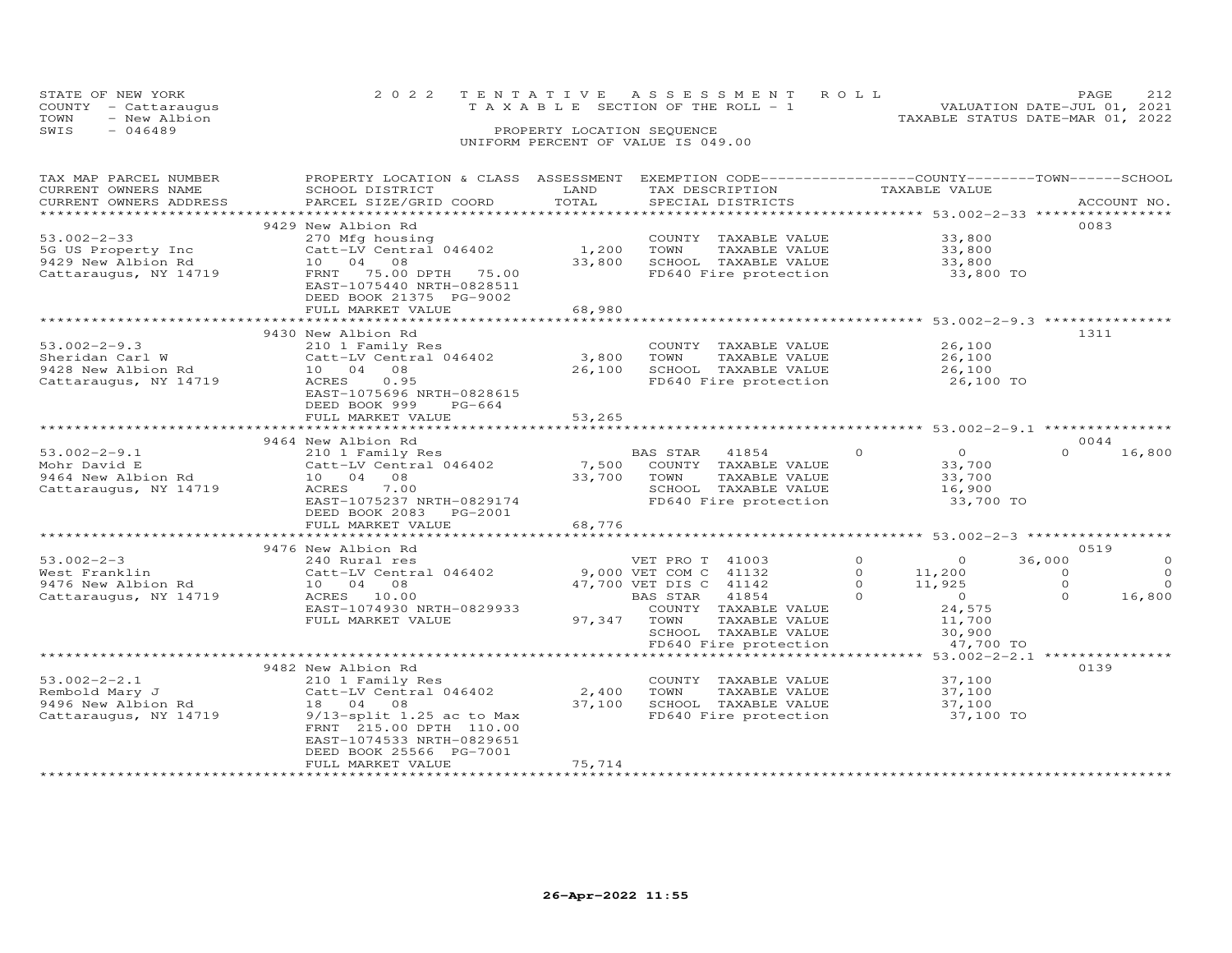| STATE OF NEW YORK<br>COUNTY - Cattaraugus<br>TOWN<br>- New Albion<br>SWIS<br>- 046489 | 2022 TENTATIVE ASSESSMENT ROLL<br>T A X A B L E SECTION OF THE ROLL - 1<br>PROPERTY LOCATION SEQUENCE<br>UNIFORM PERCENT OF VALUE IS 049.00 | 212<br><b>PAGE</b><br>VALUATION DATE-JUL 01, 2021<br>TAXABLE STATUS DATE-MAR 01, 2022 |
|---------------------------------------------------------------------------------------|---------------------------------------------------------------------------------------------------------------------------------------------|---------------------------------------------------------------------------------------|
|                                                                                       |                                                                                                                                             |                                                                                       |

| TAX MAP PARCEL NUMBER<br>CURRENT OWNERS NAME<br>CURRENT OWNERS ADDRESS                                            | PROPERTY LOCATION & CLASS ASSESSMENT<br>SCHOOL DISTRICT<br>PARCEL SIZE/GRID COORD                                                                                                                                      | LAND<br>TOTAL                                 | EXEMPTION CODE-----------------COUNTY-------TOWN------SCHOOL<br>TAX DESCRIPTION<br>SPECIAL DISTRICTS                                                                                      | TAXABLE VALUE                                                                                                                          | ACCOUNT NO.                                                                                     |
|-------------------------------------------------------------------------------------------------------------------|------------------------------------------------------------------------------------------------------------------------------------------------------------------------------------------------------------------------|-----------------------------------------------|-------------------------------------------------------------------------------------------------------------------------------------------------------------------------------------------|----------------------------------------------------------------------------------------------------------------------------------------|-------------------------------------------------------------------------------------------------|
| ***********************<br>$53.002 - 2 - 33$<br>5G US Property Inc<br>9429 New Albion Rd<br>Cattaraugus, NY 14719 | 9429 New Albion Rd<br>270 Mfg housing<br>Catt-LV Central 046402<br>10 04 08<br>FRNT 75.00 DPTH 75.00<br>EAST-1075440 NRTH-0828511<br>DEED BOOK 21375 PG-9002<br>FULL MARKET VALUE                                      | 1,200<br>33,800<br>68,980                     | COUNTY TAXABLE VALUE<br>TAXABLE VALUE<br>TOWN<br>SCHOOL TAXABLE VALUE<br>FD640 Fire protection                                                                                            | 33,800<br>33,800<br>33,800<br>33,800 TO                                                                                                | 0083                                                                                            |
| $53.002 - 2 - 9.3$<br>Sheridan Carl W<br>9428 New Albion Rd<br>Cattaraugus, NY 14719                              | ************************<br>9430 New Albion Rd<br>210 1 Family Res<br>Catt-LV Central 046402<br>10 04<br>08<br>0.95<br>ACRES<br>EAST-1075696 NRTH-0828615<br>DEED BOOK 999<br>$PG-664$<br>FULL MARKET VALUE            | ****************<br>3,800<br>26,100<br>53,265 | ******************************** 53.002-2-9.3 ***<br>COUNTY TAXABLE VALUE<br>TAXABLE VALUE<br>TOWN<br>SCHOOL TAXABLE VALUE<br>FD640 Fire protection                                       | 26,100<br>26,100<br>26,100<br>26,100 TO                                                                                                | 1311                                                                                            |
| $53.002 - 2 - 9.1$<br>Mohr David E<br>9464 New Albion Rd<br>Cattaraugus, NY 14719                                 | 9464 New Albion Rd<br>210 1 Family Res<br>Catt-LV Central 046402<br>10 04 08<br>ACRES<br>7.00<br>EAST-1075237 NRTH-0829174<br>DEED BOOK 2083<br>PG-2001<br>FULL MARKET VALUE                                           | 7,500<br>33,700<br>68,776                     | BAS STAR 41854<br>COUNTY TAXABLE VALUE<br>TOWN<br>TAXABLE VALUE<br>SCHOOL TAXABLE VALUE<br>FD640 Fire protection                                                                          | $\Omega$<br>$\overline{O}$<br>33,700<br>33,700<br>16,900<br>33,700 TO                                                                  | 0044<br>$\Omega$<br>16,800                                                                      |
| $53.002 - 2 - 3$<br>West Franklin<br>9476 New Albion Rd<br>Cattaraugus, NY 14719                                  | 9476 New Albion Rd<br>240 Rural res<br>Catt-LV Central 046402<br>10 04 08<br>ACRES 10.00<br>EAST-1074930 NRTH-0829933<br>FULL MARKET VALUE                                                                             | 97,347                                        | VET PRO T 41003<br>9,000 VET COM C 41132<br>47,700 VET DIS C 41142<br>BAS STAR<br>41854<br>COUNTY TAXABLE VALUE<br>TOWN<br>TAXABLE VALUE<br>SCHOOL TAXABLE VALUE<br>FD640 Fire protection | $\circ$<br>$\circ$<br>$\circ$<br>11,200<br>$\Omega$<br>11,925<br>$\Omega$<br>$\overline{0}$<br>24,575<br>11,700<br>30,900<br>47,700 TO | 0519<br>36,000<br>$\circ$<br>$\Omega$<br>$\Omega$<br>$\Omega$<br>$\Omega$<br>$\Omega$<br>16,800 |
| $53.002 - 2 - 2.1$<br>Rembold Mary J<br>9496 New Albion Rd<br>Cattaraugus, NY 14719                               | 9482 New Albion Rd<br>210 1 Family Res<br>Catt-LV Central 046402<br>18  04  08<br>$9/13$ -split 1.25 ac to Max<br>FRNT 215.00 DPTH 110.00<br>EAST-1074533 NRTH-0829651<br>DEED BOOK 25566 PG-7001<br>FULL MARKET VALUE | 2,400<br>37,100<br>75,714                     | *******************<br>COUNTY TAXABLE VALUE<br>TOWN<br>TAXABLE VALUE<br>SCHOOL TAXABLE VALUE<br>FD640 Fire protection                                                                     | $53.002 - 2 - 2.1$ ***<br>37,100<br>37,100<br>37,100<br>37,100 TO                                                                      | 0139                                                                                            |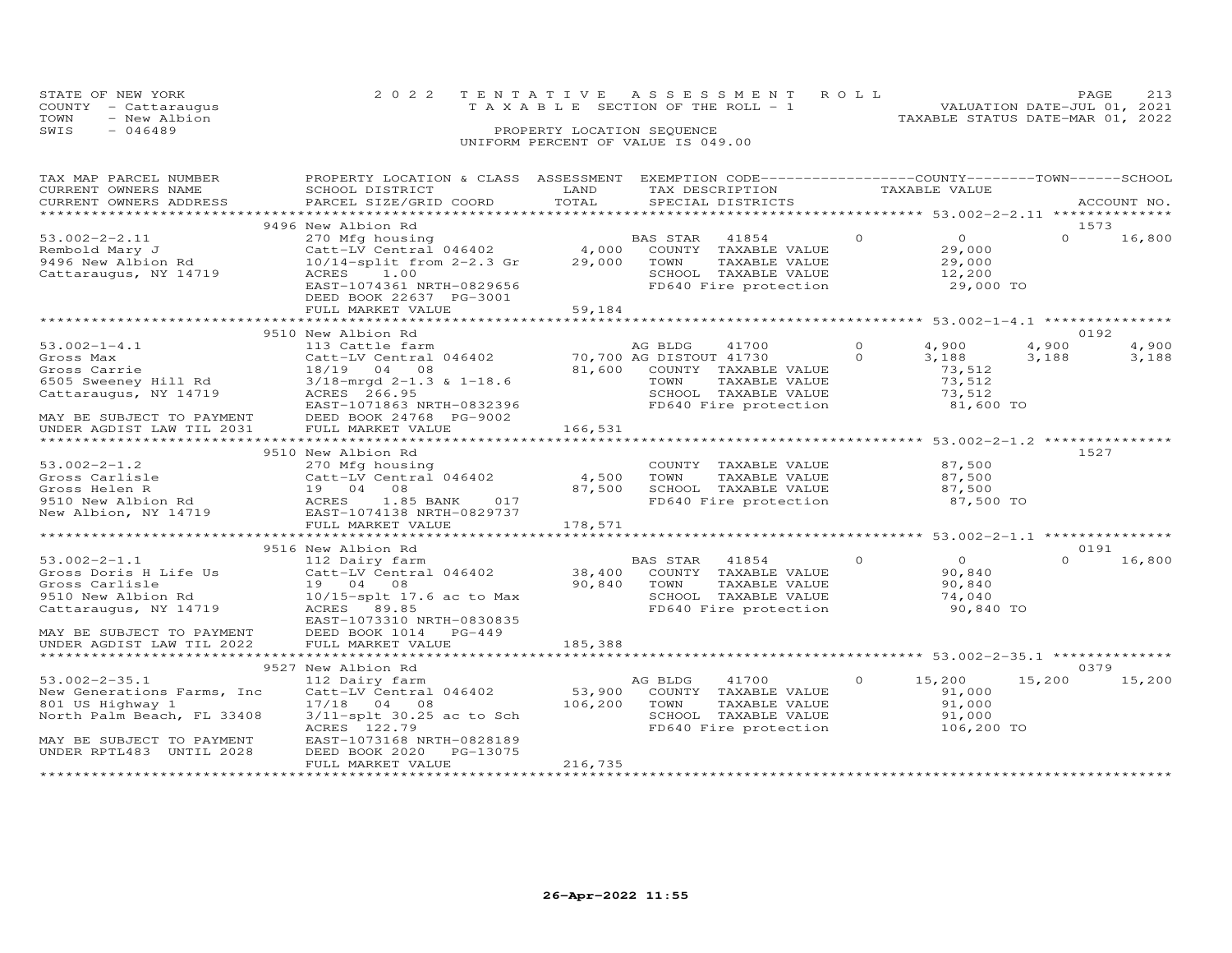| STATE OF NEW YORK    | 2022 TENTATIVE ASSESSMENT ROLL        | 213<br><b>PAGE</b>               |
|----------------------|---------------------------------------|----------------------------------|
| COUNTY - Cattaraugus | T A X A B L E SECTION OF THE ROLL - 1 | VALUATION DATE-JUL 01, 2021      |
| - New Albion<br>TOWN |                                       | TAXABLE STATUS DATE-MAR 01, 2022 |
| SWIS<br>$-046489$    | PROPERTY LOCATION SEQUENCE            |                                  |
|                      | UNIFORM PERCENT OF VALUE IS 049.00    |                                  |
|                      |                                       |                                  |

| TAX MAP PARCEL NUMBER<br>CURRENT OWNERS NAME<br>CURRENT OWNERS ADDRESS               | PROPERTY LOCATION & CLASS ASSESSMENT EXEMPTION CODE----------------COUNTY-------TOWN-----SCHOOL<br>SCHOOL DISTRICT<br>PARCEL SIZE/GRID COORD      | LAND<br>TOTAL       | TAX DESCRIPTION<br>SPECIAL DISTRICTS                                                                                |          | TAXABLE VALUE                                             |          | ACCOUNT NO. |
|--------------------------------------------------------------------------------------|---------------------------------------------------------------------------------------------------------------------------------------------------|---------------------|---------------------------------------------------------------------------------------------------------------------|----------|-----------------------------------------------------------|----------|-------------|
|                                                                                      |                                                                                                                                                   |                     |                                                                                                                     |          |                                                           |          |             |
|                                                                                      | 9496 New Albion Rd                                                                                                                                |                     |                                                                                                                     |          |                                                           | 1573     |             |
| $53.002 - 2 - 2.11$<br>Rembold Mary J<br>9496 New Albion Rd<br>Cattaraugus, NY 14719 | 270 Mfg housing<br>Catt-LV Central 046402<br>$10/14$ -split from $2-2.3$ Gr<br>ACRES 1.00<br>EAST-1074361 NRTH-0829656<br>DEED BOOK 22637 PG-3001 | 4,000<br>29,000     | BAS STAR<br>41854<br>COUNTY TAXABLE VALUE<br>TOWN<br>TAXABLE VALUE<br>SCHOOL TAXABLE VALUE<br>FD640 Fire protection | $\Omega$ | $\overline{O}$<br>29,000<br>29,000<br>12,200<br>29,000 TO | $\Omega$ | 16,800      |
|                                                                                      | FULL MARKET VALUE                                                                                                                                 | 59,184              |                                                                                                                     |          |                                                           |          |             |
|                                                                                      | **************************                                                                                                                        | ******************* | ********************************* 53.002-1-4.1 ****************                                                     |          |                                                           |          |             |
|                                                                                      | 9510 New Albion Rd                                                                                                                                |                     |                                                                                                                     |          |                                                           | 0192     |             |
| $53.002 - 1 - 4.1$                                                                   | 113 Cattle farm                                                                                                                                   |                     | AG BLDG<br>41700                                                                                                    | $\circ$  | 4,900                                                     | 4,900    | 4,900       |
| Gross Max                                                                            | Catt-LV Central 046402<br>18/19 04 08                                                                                                             | 81,600              | 70,700 AG DISTOUT 41730                                                                                             | $\Omega$ | 3,188<br>73,512                                           | 3,188    | 3,188       |
| Gross Carrie                                                                         |                                                                                                                                                   |                     | COUNTY TAXABLE VALUE                                                                                                |          | 73,512                                                    |          |             |
| 6505 Sweeney Hill Rd<br>Cattaraugus, NY 14719                                        | $3/18$ -mrgd $2-1.3$ & $1-18.6$<br>ACRES 266.95                                                                                                   |                     | TOWN TAXABLE VALUE<br>SCHOOL TAXABLE VALUE                                                                          |          | 73,512                                                    |          |             |
|                                                                                      | EAST-1071863 NRTH-0832396                                                                                                                         |                     |                                                                                                                     |          | 81,600 TO                                                 |          |             |
| MAY BE SUBJECT TO PAYMENT                                                            | DEED BOOK 24768 PG-9002                                                                                                                           |                     | FD640 Fire protection                                                                                               |          |                                                           |          |             |
| UNDER AGDIST LAW TIL 2031                                                            | FULL MARKET VALUE                                                                                                                                 | 166,531             |                                                                                                                     |          |                                                           |          |             |
|                                                                                      |                                                                                                                                                   |                     |                                                                                                                     |          |                                                           |          |             |
|                                                                                      | 9510 New Albion Rd                                                                                                                                |                     |                                                                                                                     |          |                                                           | 1527     |             |
| $53.002 - 2 - 1.2$                                                                   | 270 Mfg housing                                                                                                                                   |                     | COUNTY TAXABLE VALUE                                                                                                |          | 87,500                                                    |          |             |
| Gross Carlisle                                                                       | Catt-LV Central 046402                                                                                                                            | 4,500               | TOWN<br>TAXABLE VALUE                                                                                               |          | 87,500                                                    |          |             |
|                                                                                      |                                                                                                                                                   | 87,500              | SCHOOL TAXABLE VALUE                                                                                                |          | 87,500                                                    |          |             |
| Gross Belen R<br>9510 New Albion Rd                                                  | 19 04 08<br>ACRES 1.85 BANK<br>017                                                                                                                |                     | FD640 Fire protection                                                                                               |          | 87,500 TO                                                 |          |             |
| New Albion, NY 14719 EAST-1074138 NRTH-0829737                                       |                                                                                                                                                   |                     |                                                                                                                     |          |                                                           |          |             |
|                                                                                      | FULL MARKET VALUE                                                                                                                                 | 178,571             |                                                                                                                     |          |                                                           |          |             |
|                                                                                      |                                                                                                                                                   |                     |                                                                                                                     |          |                                                           |          |             |
|                                                                                      | 9516 New Albion Rd                                                                                                                                |                     |                                                                                                                     |          |                                                           | 0191     |             |
| $53.002 - 2 - 1.1$                                                                   | 112 Dairy farm                                                                                                                                    |                     | BAS STAR<br>41854                                                                                                   | $\circ$  | $\overline{O}$                                            | $\Omega$ | 16,800      |
| Gross Doris H Life Us                                                                | Catt-LV Central 046402                                                                                                                            | 38,400              | COUNTY TAXABLE VALUE                                                                                                |          | 90,840                                                    |          |             |
| Gross Carlisle                                                                       | 19 04 08                                                                                                                                          | 90,840              | TOWN      TAXABLE VALUE<br>SCHOOL   TAXABLE VALUE                                                                   |          | 90,840                                                    |          |             |
| 9510 New Albion Rd                                                                   | 10/15-splt 17.6 ac to Max                                                                                                                         |                     |                                                                                                                     |          | 74,040                                                    |          |             |
| Cattaraugus, NY 14719                                                                | ACRES 89.85                                                                                                                                       |                     | FD640 Fire protection                                                                                               |          | 90,840 TO                                                 |          |             |
|                                                                                      | EAST-1073310 NRTH-0830835                                                                                                                         |                     |                                                                                                                     |          |                                                           |          |             |
| MAY BE SUBJECT TO PAYMENT                                                            | DEED BOOK 1014 PG-449                                                                                                                             |                     |                                                                                                                     |          |                                                           |          |             |
| UNDER AGDIST LAW TIL 2022                                                            | FULL MARKET VALUE                                                                                                                                 | 185,388             |                                                                                                                     |          |                                                           |          |             |
|                                                                                      |                                                                                                                                                   |                     |                                                                                                                     |          |                                                           |          |             |
|                                                                                      | 9527 New Albion Rd                                                                                                                                |                     |                                                                                                                     |          |                                                           | 0379     |             |
| $53.002 - 2 - 35.1$                                                                  | 112 Dairy farm                                                                                                                                    |                     | AG BLDG<br>41700                                                                                                    | $\circ$  | 15,200                                                    | 15,200   | 15,200      |
| New Generations Farms, Inc                                                           | Catt-LV Central 046402                                                                                                                            | 53,900<br>106, 200  | COUNTY TAXABLE VALUE                                                                                                |          | 91,000                                                    |          |             |
| 801 US Highway 1                                                                     | 17/18 04 08                                                                                                                                       |                     | TOWN<br>TAXABLE VALUE                                                                                               |          | 91,000                                                    |          |             |
| North Palm Beach, FL 33408                                                           | $3/11$ -splt $30.25$ ac to Sch<br>ACRES 122.79                                                                                                    |                     | SCHOOL TAXABLE VALUE<br>FD640 Fire protection                                                                       |          | 91,000<br>$106, 200$ TO                                   |          |             |
| MAY BE SUBJECT TO PAYMENT                                                            | EAST-1073168 NRTH-0828189                                                                                                                         |                     |                                                                                                                     |          |                                                           |          |             |
| UNDER RPTL483 UNTIL 2028                                                             | DEED BOOK 2020<br>PG-13075                                                                                                                        |                     |                                                                                                                     |          |                                                           |          |             |
|                                                                                      | FULL MARKET VALUE                                                                                                                                 | 216,735             |                                                                                                                     |          |                                                           |          |             |
|                                                                                      | *************************************                                                                                                             |                     |                                                                                                                     |          |                                                           |          |             |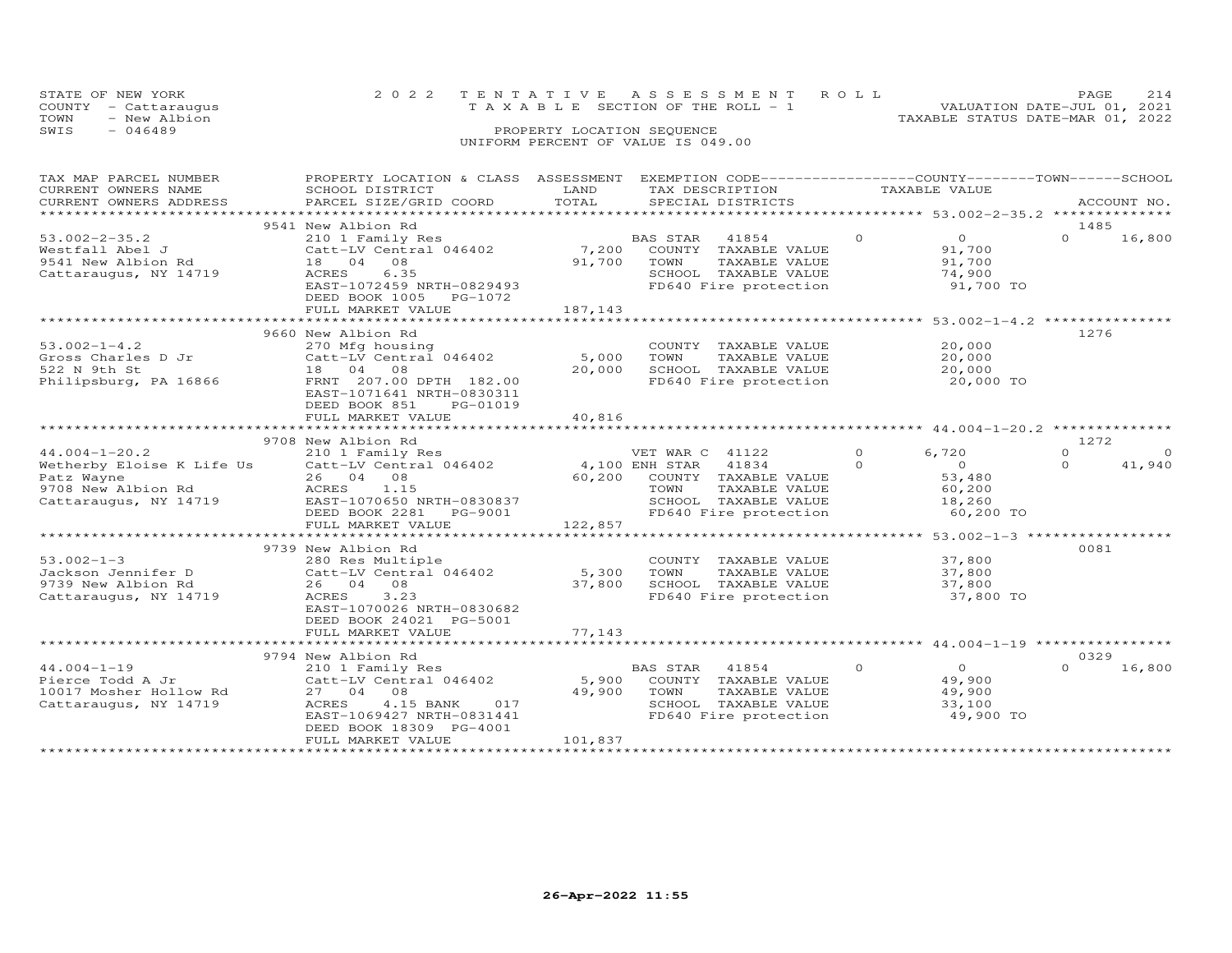| STATE OF NEW YORK    |              | 2022 TENTATIVE ASSESSMENT ROLL        |  |  |                                  | <b>PAGE</b>                 | 214 |
|----------------------|--------------|---------------------------------------|--|--|----------------------------------|-----------------------------|-----|
| COUNTY - Cattaraugus |              | T A X A B L E SECTION OF THE ROLL - 1 |  |  |                                  | VALUATION DATE-JUL 01, 2021 |     |
| TOWN                 | - New Albion |                                       |  |  | TAXABLE STATUS DATE-MAR 01, 2022 |                             |     |
| SWIS<br>- 046489     |              | PROPERTY LOCATION SEQUENCE            |  |  |                                  |                             |     |
|                      |              | UNIFORM PERCENT OF VALUE IS 049.00    |  |  |                                  |                             |     |

| TAX MAP PARCEL NUMBER                           | PROPERTY LOCATION & CLASS ASSESSMENT                                                                                                                                                                                          |         | EXEMPTION CODE-----------------COUNTY-------TOWN------SCHOOL        |                            |                            |
|-------------------------------------------------|-------------------------------------------------------------------------------------------------------------------------------------------------------------------------------------------------------------------------------|---------|---------------------------------------------------------------------|----------------------------|----------------------------|
| CURRENT OWNERS NAME                             | SCHOOL DISTRICT                                                                                                                                                                                                               | LAND    | TAX DESCRIPTION                                                     | TAXABLE VALUE              |                            |
| CURRENT OWNERS ADDRESS                          | PARCEL SIZE/GRID COORD                                                                                                                                                                                                        | TOTAL   | SPECIAL DISTRICTS                                                   |                            | ACCOUNT NO.                |
|                                                 |                                                                                                                                                                                                                               |         |                                                                     |                            |                            |
|                                                 | 9541 New Albion Rd                                                                                                                                                                                                            |         |                                                                     |                            | 1485                       |
| $53.002 - 2 - 35.2$                             |                                                                                                                                                                                                                               |         |                                                                     | $\Omega$<br>$\overline{O}$ | $\Omega$<br>16,800         |
| Westfall Abel J                                 | 210 1 Family Res<br>Catt-LV Central 046402 7,200 COUNTY TAXABLE VALUE                                                                                                                                                         |         |                                                                     | 91,700                     |                            |
| 9541 New Albion Rd                              | 18  04  08                                                                                                                                                                                                                    |         | 91,700 TOWN<br>TAXABLE VALUE                                        | 91,700                     |                            |
| Cattaraugus, NY 14719                           | 6.35<br>ACRES                                                                                                                                                                                                                 |         |                                                                     | 74,900                     |                            |
|                                                 | EAST-1072459 NRTH-0829493                                                                                                                                                                                                     |         | SCHOOL TAXABLE VALUE<br>FD640 Fire protection                       | 91,700 TO                  |                            |
|                                                 | DEED BOOK 1005 PG-1072                                                                                                                                                                                                        |         |                                                                     |                            |                            |
|                                                 | FULL MARKET VALUE                                                                                                                                                                                                             | 187,143 |                                                                     |                            |                            |
|                                                 |                                                                                                                                                                                                                               |         |                                                                     |                            |                            |
|                                                 |                                                                                                                                                                                                                               |         |                                                                     |                            |                            |
|                                                 | 9660 New Albion Rd                                                                                                                                                                                                            |         |                                                                     |                            | 1276                       |
| $53.002 - 1 - 4.2$                              | 270 Mfg housing<br>270 mig nousing<br>Catt-LV Central 046402 5,000 TOWN                                                                                                                                                       |         | COUNTY TAXABLE VALUE                                                | 20,000                     |                            |
| Gross Charles D Jr<br>522 N 9th St              |                                                                                                                                                                                                                               |         | TAXABLE VALUE                                                       | 20,000                     |                            |
|                                                 | 18  04  08                                                                                                                                                                                                                    | 20,000  | SCHOOL TAXABLE VALUE                                                | 20,000                     |                            |
| Philipsburg, PA 16866                           | FRNT 207.00 DPTH 182.00                                                                                                                                                                                                       |         | FD640 Fire protection                                               | 20,000 TO                  |                            |
|                                                 | EAST-1071641 NRTH-0830311                                                                                                                                                                                                     |         |                                                                     |                            |                            |
|                                                 | DEED BOOK 851<br>PG-01019                                                                                                                                                                                                     |         |                                                                     |                            |                            |
|                                                 | FULL MARKET VALUE                                                                                                                                                                                                             | 40,816  |                                                                     |                            |                            |
|                                                 |                                                                                                                                                                                                                               |         |                                                                     |                            |                            |
|                                                 | 9708 New Albion Rd                                                                                                                                                                                                            |         |                                                                     |                            | 1272                       |
|                                                 |                                                                                                                                                                                                                               |         |                                                                     | $\circ$<br>6,720           | $\overline{0}$<br>$\Omega$ |
|                                                 | 44.004-1-20.2<br>WET WAR C 41122<br>Wetherby Eloise K Life Us Catt-LV Central 046402 4,100 ENH STAR 41834<br>Patz Wayne 26 04 08 60,200 COUNTY TAXABLE VA<br>9708 New Albion Rd ACRES 1.15<br>Packets 1.15<br>TOWN TAXABLE VA |         |                                                                     | $\Omega$<br>$\overline{0}$ | $\Omega$<br>41,940         |
|                                                 |                                                                                                                                                                                                                               |         | 60,200 COUNTY TAXABLE VALUE                                         | 53,480                     |                            |
|                                                 |                                                                                                                                                                                                                               |         | TAXABLE VALUE                                                       | 60,200                     |                            |
|                                                 | Cattaraugus, NY 14719 EAST-1070650 NRTH-0830837                                                                                                                                                                               |         | SCHOOL TAXABLE VALUE                                                | 18,260                     |                            |
|                                                 | DEED BOOK 2281 PG-9001                                                                                                                                                                                                        |         | FD640 Fire protection                                               | 60,200 TO                  |                            |
|                                                 | FULL MARKET VALUE                                                                                                                                                                                                             | 122,857 |                                                                     |                            |                            |
|                                                 |                                                                                                                                                                                                                               |         |                                                                     |                            |                            |
|                                                 | 9739 New Albion Rd                                                                                                                                                                                                            |         |                                                                     |                            | 0081                       |
| $53.002 - 1 - 3$                                |                                                                                                                                                                                                                               |         |                                                                     |                            |                            |
|                                                 | 280 Res Multiple                                                                                                                                                                                                              |         | COUNTY TAXABLE VALUE<br>TAXABLE VALUE                               | 37,800                     |                            |
| Jackson Jennifer D                              | 280 Res Multiple<br>Catt-LV Central 046402 5,300 TOWN<br>27 800 SCHOO                                                                                                                                                         |         |                                                                     | 37,800                     |                            |
| 9739 New Albion Rd                              | 26 04 08                                                                                                                                                                                                                      | 37,800  | SCHOOL TAXABLE VALUE                                                | 37,800                     |                            |
| Cattaraugus, NY 14719                           | ACRES 3.23                                                                                                                                                                                                                    |         | FD640 Fire protection                                               | 37,800 TO                  |                            |
|                                                 | EAST-1070026 NRTH-0830682                                                                                                                                                                                                     |         |                                                                     |                            |                            |
|                                                 | DEED BOOK 24021 PG-5001                                                                                                                                                                                                       |         |                                                                     |                            |                            |
|                                                 | FULL MARKET VALUE                                                                                                                                                                                                             | 77,143  |                                                                     |                            |                            |
|                                                 |                                                                                                                                                                                                                               |         |                                                                     |                            |                            |
|                                                 | 9794 New Albion Rd                                                                                                                                                                                                            |         |                                                                     |                            | 0329                       |
| $44.004 - 1 - 19$                               | 210 1 Family Res                                                                                                                                                                                                              |         | BAS STAR 41854                                                      | $\Omega$<br>$\overline{O}$ | $\Omega$<br>16,800         |
| Pierce Todd A Jr                                | Catt-LV Central 046402                                                                                                                                                                                                        | 5,900   | COUNTY TAXABLE VALUE                                                | 49,900                     |                            |
|                                                 | 27 04 08                                                                                                                                                                                                                      | 49,900  | TOWN                                                                | 49,900                     |                            |
| 10017 Mosher Hollow Rd<br>Cattaraugus, NY 14719 | 4.15 BANK<br>ACRES<br>017                                                                                                                                                                                                     |         |                                                                     | 33,100                     |                            |
|                                                 | EAST-1069427 NRTH-0831441                                                                                                                                                                                                     |         | TOWN TAXABLE VALUE<br>SCHOOL TAXABLE VALUE<br>FD640 Fire protection | 49,900 TO                  |                            |
|                                                 | DEED BOOK 18309 PG-4001                                                                                                                                                                                                       |         |                                                                     |                            |                            |
|                                                 | FULL MARKET VALUE                                                                                                                                                                                                             | 101,837 |                                                                     |                            |                            |
|                                                 |                                                                                                                                                                                                                               |         |                                                                     |                            |                            |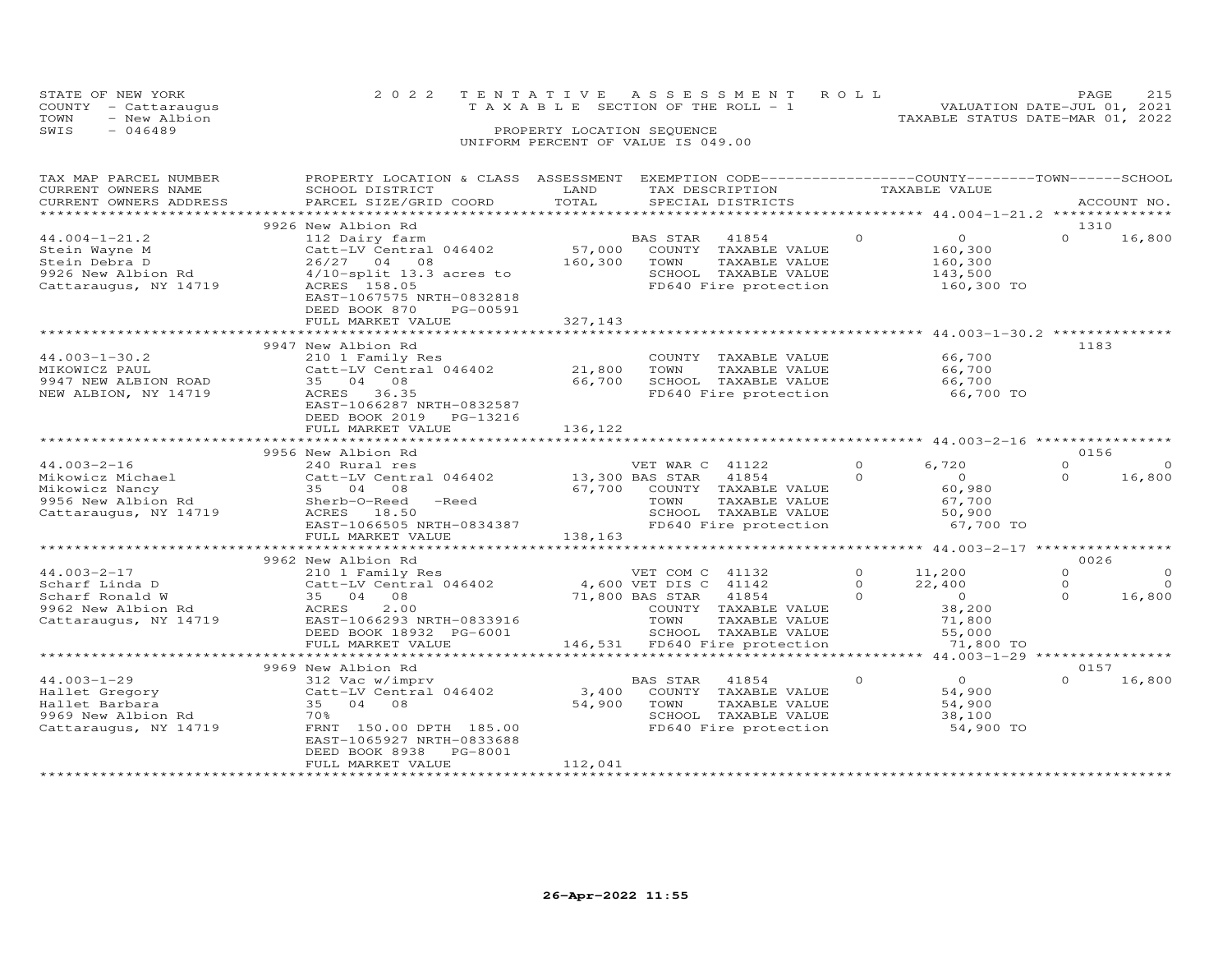|      | STATE OF NEW YORK    | 2022 TENTATIVE ASSESSMENT ROLL        |                            |  | PAGE                             |  |
|------|----------------------|---------------------------------------|----------------------------|--|----------------------------------|--|
|      | COUNTY - Cattaraugus | T A X A B L E SECTION OF THE ROLL - 1 |                            |  | VALUATION DATE-JUL 01, 2021      |  |
| TOWN | - New Albion         |                                       |                            |  | TAXABLE STATUS DATE-MAR 01, 2022 |  |
| SWIS | $-046489$            |                                       | PROPERTY LOCATION SEQUENCE |  |                                  |  |
|      |                      | UNIFORM PERCENT OF VALUE IS 049.00    |                            |  |                                  |  |

| TAX MAP PARCEL NUMBER  | PROPERTY LOCATION & CLASS     | ASSESSMENT      | EXEMPTION CODE-----------------COUNTY-------TOWN-----SCHOOL |               |                  |          |             |
|------------------------|-------------------------------|-----------------|-------------------------------------------------------------|---------------|------------------|----------|-------------|
| CURRENT OWNERS NAME    | SCHOOL DISTRICT               | LAND            | TAX DESCRIPTION                                             | TAXABLE VALUE |                  |          |             |
| CURRENT OWNERS ADDRESS | PARCEL SIZE/GRID COORD        | TOTAL           | SPECIAL DISTRICTS                                           |               |                  |          | ACCOUNT NO. |
|                        |                               |                 |                                                             |               |                  |          |             |
|                        | 9926 New Albion Rd            |                 |                                                             |               |                  | 1310     |             |
| $44.004 - 1 - 21.2$    | 112 Dairy farm                |                 | BAS STAR<br>41854                                           | $\Omega$      | $\circ$          | $\Omega$ | 16,800      |
| Stein Wayne M          | Catt-LV Central 046402        | 57,000          | COUNTY<br>TAXABLE VALUE                                     |               | 160,300          |          |             |
| Stein Debra D          | 26/27 04 08                   | 160,300         | TOWN<br>TAXABLE VALUE                                       |               | 160,300          |          |             |
| 9926 New Albion Rd     | $4/10$ -split 13.3 acres to   |                 | SCHOOL TAXABLE VALUE                                        |               | 143,500          |          |             |
| Cattaraugus, NY 14719  | ACRES 158.05                  |                 | FD640 Fire protection                                       |               | 160,300 TO       |          |             |
|                        | EAST-1067575 NRTH-0832818     |                 |                                                             |               |                  |          |             |
|                        | DEED BOOK 870<br>PG-00591     |                 |                                                             |               |                  |          |             |
|                        | FULL MARKET VALUE             | 327,143         |                                                             |               |                  |          |             |
|                        |                               |                 |                                                             |               |                  |          |             |
|                        | 9947 New Albion Rd            |                 |                                                             |               |                  | 1183     |             |
| $44.003 - 1 - 30.2$    | 210 1 Family Res              |                 | COUNTY TAXABLE VALUE                                        |               | 66,700           |          |             |
| MIKOWICZ PAUL          | Catt-LV Central 046402 21,800 |                 | TOWN<br>TAXABLE VALUE                                       |               | 66,700           |          |             |
| 9947 NEW ALBION ROAD   | 35 04 08                      | 66,700          | SCHOOL TAXABLE VALUE                                        |               | 66,700           |          |             |
| NEW ALBION, NY 14719   | ACRES 36.35                   |                 | FD640 Fire protection                                       |               | 66,700 TO        |          |             |
|                        | EAST-1066287 NRTH-0832587     |                 |                                                             |               |                  |          |             |
|                        | DEED BOOK 2019 PG-13216       |                 |                                                             |               |                  |          |             |
|                        | FULL MARKET VALUE             | 136,122         |                                                             |               |                  |          |             |
|                        |                               |                 |                                                             |               |                  |          |             |
|                        | 9956 New Albion Rd            |                 |                                                             |               |                  | 0156     |             |
| $44.003 - 2 - 16$      | 240 Rural res                 |                 | VET WAR C 41122                                             | $\Omega$      | 6,720            | $\Omega$ | $\circ$     |
| Mikowicz Michael       | Catt-LV Central 046402        | 13,300 BAS STAR | 41854                                                       | $\Omega$      | $\overline{0}$   | $\Omega$ | 16,800      |
| Mikowicz Nancy         | 35 04 08                      | 67,700          | COUNTY TAXABLE VALUE                                        |               | 60,980           |          |             |
| 9956 New Albion Rd     | Sherb-O-Reed<br>$-$ Reed      |                 | TOWN<br>TAXABLE VALUE                                       |               | 67,700<br>50,900 |          |             |
| Cattaraugus, NY 14719  | ACRES 18.50                   |                 | SCHOOL TAXABLE VALUE                                        |               |                  |          |             |
|                        | EAST-1066505 NRTH-0834387     |                 | FD640 Fire protection                                       |               | 67,700 TO        |          |             |
|                        | FULL MARKET VALUE             | 138,163         |                                                             |               |                  |          |             |
|                        | **************************    |                 |                                                             |               |                  |          |             |
|                        | 9962 New Albion Rd            |                 |                                                             |               |                  | 0026     |             |
| $44.003 - 2 - 17$      | 210 1 Family Res              |                 | VET COM C 41132                                             | $\circ$       | 11,200           | $\circ$  | $\circ$     |
| Scharf Linda D         | Catt-LV Central 046402        |                 | 4,600 VET DIS C 41142                                       | $\Omega$      | 22,400           | $\Omega$ | $\circ$     |
| Scharf Ronald W        | 35 04 08                      | 71,800 BAS STAR | 41854                                                       | $\Omega$      | $\overline{0}$   | $\Omega$ | 16,800      |
| 9962 New Albion Rd     | 2.00<br>ACRES                 |                 | COUNTY TAXABLE VALUE                                        |               | 38,200           |          |             |
| Cattaraugus, NY 14719  | EAST-1066293 NRTH-0833916     |                 | TOWN<br>TAXABLE VALUE                                       |               | 71,800           |          |             |
|                        | DEED BOOK 18932 PG-6001       |                 | SCHOOL TAXABLE VALUE                                        |               | 55,000           |          |             |
|                        | FULL MARKET VALUE             |                 | 146,531 FD640 Fire protection                               |               | 71,800 TO        |          |             |
|                        |                               |                 |                                                             |               |                  |          |             |
|                        | 9969 New Albion Rd            |                 |                                                             |               |                  | 0157     |             |
| $44.003 - 1 - 29$      | 312 Vac w/imprv               |                 | <b>BAS STAR</b><br>41854                                    | $\Omega$      | $\overline{O}$   | $\Omega$ | 16,800      |
| Hallet Gregory         | Catt-LV Central 046402        | 3,400           | COUNTY TAXABLE VALUE                                        |               | 54,900           |          |             |
| Hallet Barbara         | 35 04 08                      | 54,900          | TOWN<br>TAXABLE VALUE                                       |               | 54,900           |          |             |
| 9969 New Albion Rd     | 70%                           |                 | SCHOOL TAXABLE VALUE                                        |               | 38,100           |          |             |
| Cattaraugus, NY 14719  | FRNT 150.00 DPTH 185.00       |                 | FD640 Fire protection                                       |               | 54,900 TO        |          |             |
|                        | EAST-1065927 NRTH-0833688     |                 |                                                             |               |                  |          |             |
|                        | DEED BOOK 8938<br>PG-8001     |                 |                                                             |               |                  |          |             |
|                        | FULL MARKET VALUE             | 112,041         |                                                             |               |                  |          |             |
|                        |                               |                 |                                                             |               |                  |          |             |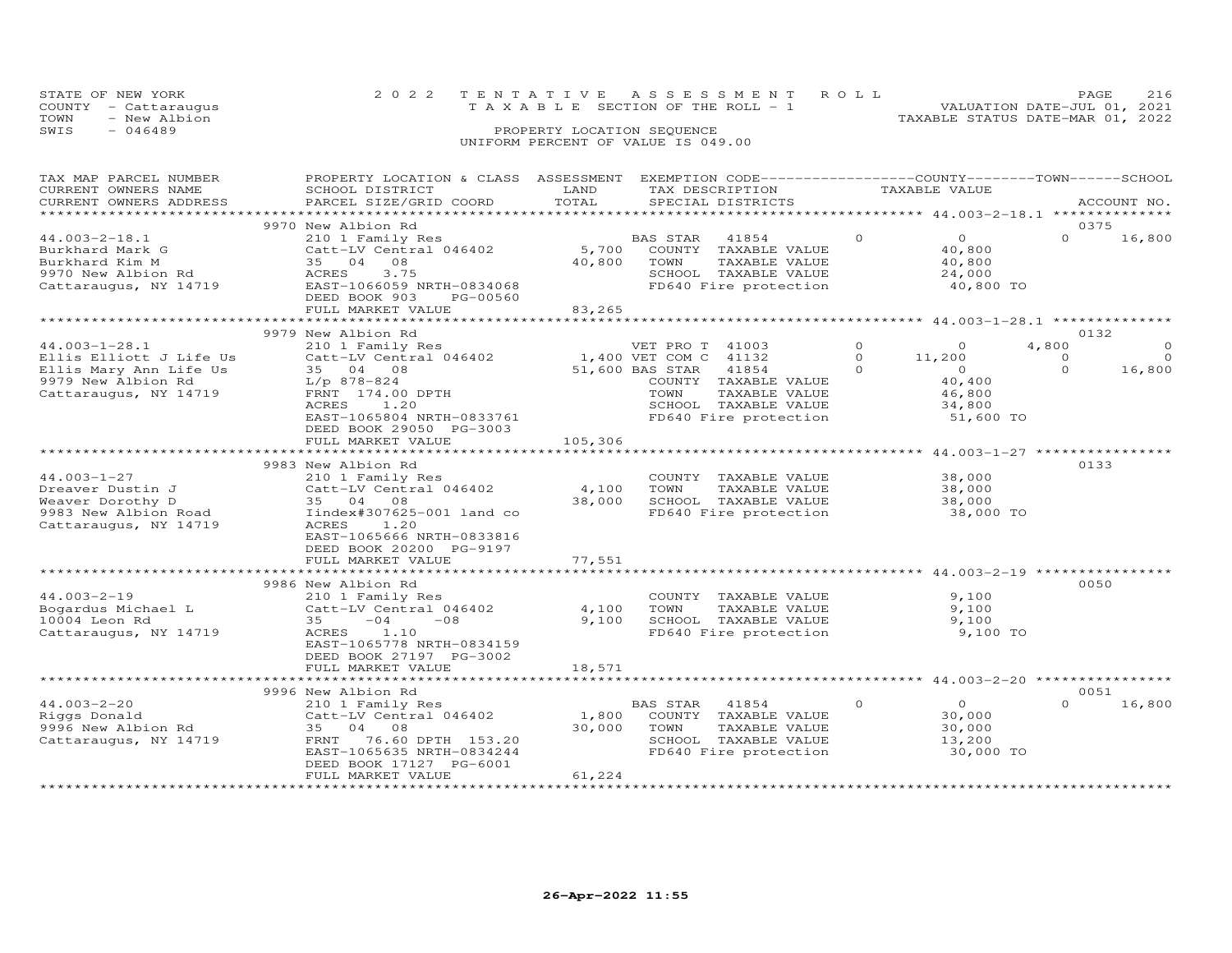| STATE OF NEW YORK<br>COUNTY - Cattaraugus<br>TOWN<br>- New Albion |                                              |                            | 2022 TENTATIVE ASSESSMENT ROLL<br>T A X A B L E SECTION OF THE ROLL - 1                    | TAXABLE STATUS DATE-MAR 01, 2022 | PAGE<br>VALUATION DATE-JUL 01, 2021 | 216 |
|-------------------------------------------------------------------|----------------------------------------------|----------------------------|--------------------------------------------------------------------------------------------|----------------------------------|-------------------------------------|-----|
| SWIS<br>$-046489$                                                 |                                              | PROPERTY LOCATION SEQUENCE | UNIFORM PERCENT OF VALUE IS 049.00                                                         |                                  |                                     |     |
| TAX MAP PARCEL NUMBER<br>CURRENT OWNERS NAME                      | PROPERTY LOCATION & CLASS<br>SCHOOL DISTRICT | LAND                       | ASSESSMENT EXEMPTION CODE-----------------COUNTY-------TOWN------SCHOOL<br>TAX DESCRIPTION | TAXABLE VALUE                    |                                     |     |

| CURRENT OWNERS NAME     | SCHOOT DISTRICT             | LAND                 | TAX DESCRIPTION          | TAXABLE VALUE        |                    |
|-------------------------|-----------------------------|----------------------|--------------------------|----------------------|--------------------|
| CURRENT OWNERS ADDRESS  | PARCEL SIZE/GRID COORD      | TOTAL                | SPECIAL DISTRICTS        |                      | ACCOUNT NO.        |
| *********************** |                             |                      |                          |                      |                    |
|                         | 9970 New Albion Rd          |                      |                          |                      | 0375               |
|                         |                             |                      |                          | $\Omega$             | $\Omega$           |
| $44.003 - 2 - 18.1$     | 210 1 Family Res            |                      | 41854<br>BAS STAR        | $\circ$              | 16,800             |
| Burkhard Mark G         | Catt-LV Central 046402      | 5,700                | COUNTY TAXABLE VALUE     | 40,800               |                    |
| Burkhard Kim M          | 35 04 08                    | 40,800               | TAXABLE VALUE<br>TOWN    | 40,800               |                    |
| 9970 New Albion Rd      | <b>ACRES</b><br>3.75        |                      | SCHOOL TAXABLE VALUE     | 24,000               |                    |
|                         | EAST-1066059 NRTH-0834068   |                      | FD640 Fire protection    |                      |                    |
| Cattaraugus, NY 14719   |                             |                      |                          | 40,800 TO            |                    |
|                         | DEED BOOK 903<br>PG-00560   |                      |                          |                      |                    |
|                         | FULL MARKET VALUE           | 83,265               |                          |                      |                    |
|                         |                             |                      |                          |                      |                    |
|                         | 9979 New Albion Rd          |                      |                          |                      | 0132               |
|                         |                             |                      |                          | $\Omega$             | $\Omega$           |
| $44.003 - 1 - 28.1$     | 210 1 Family Res            |                      | VET PRO T 41003          | $\Omega$             | 4,800              |
| Ellis Elliott J Life Us | Catt-LV Central 046402      |                      | 1,400 VET COM C 41132    | $\Omega$<br>11,200   | $\circ$<br>$\circ$ |
| Ellis Mary Ann Life Us  | 35 04 08                    |                      | 51,600 BAS STAR<br>41854 | $\Omega$<br>$\Omega$ | $\Omega$<br>16,800 |
| 9979 New Albion Rd      | $L/p$ 878-824               |                      | COUNTY TAXABLE VALUE     | 40,400               |                    |
| Cattaraugus, NY 14719   | FRNT 174.00 DPTH            |                      | TOWN<br>TAXABLE VALUE    | 46,800               |                    |
|                         |                             |                      |                          |                      |                    |
|                         | ACRES<br>1.20               |                      | SCHOOL TAXABLE VALUE     | 34,800               |                    |
|                         | EAST-1065804 NRTH-0833761   |                      | FD640 Fire protection    | 51,600 TO            |                    |
|                         | DEED BOOK 29050 PG-3003     |                      |                          |                      |                    |
|                         | FULL MARKET VALUE           | 105,306              |                          |                      |                    |
|                         | *************************** | ******************** |                          |                      |                    |
|                         |                             |                      |                          |                      |                    |
|                         | 9983 New Albion Rd          |                      |                          |                      | 0133               |
| $44.003 - 1 - 27$       | 210 1 Family Res            |                      | COUNTY TAXABLE VALUE     | 38,000               |                    |
| Dreaver Dustin J        | Catt-LV Central 046402      | 4,100                | TOWN<br>TAXABLE VALUE    | 38,000               |                    |
| Weaver Dorothy D        |                             | 38,000               | SCHOOL TAXABLE VALUE     |                      |                    |
|                         | 35 04 08                    |                      |                          | 38,000               |                    |
| 9983 New Albion Road    | Iindex#307625-001 land co   |                      | FD640 Fire protection    | 38,000 TO            |                    |
| Cattaraugus, NY 14719   | ACRES<br>1.20               |                      |                          |                      |                    |
|                         | EAST-1065666 NRTH-0833816   |                      |                          |                      |                    |
|                         | DEED BOOK 20200 PG-9197     |                      |                          |                      |                    |
|                         | FULL MARKET VALUE           | 77,551               |                          |                      |                    |
|                         |                             |                      |                          |                      |                    |
|                         |                             |                      |                          |                      |                    |
|                         | 9986 New Albion Rd          |                      |                          |                      | 0050               |
| $44.003 - 2 - 19$       | 210 1 Family Res            |                      | COUNTY TAXABLE VALUE     | 9,100                |                    |
| Bogardus Michael L      | Catt-LV Central 046402      | 4,100                | TOWN<br>TAXABLE VALUE    | 9,100                |                    |
|                         |                             |                      |                          |                      |                    |
| 10004 Leon Rd           | 35<br>$-04$<br>$-08$        | 9,100                | SCHOOL TAXABLE VALUE     | 9,100                |                    |
| Cattaraugus, NY 14719   | ACRES<br>1.10               |                      | FD640 Fire protection    | 9,100 TO             |                    |
|                         | EAST-1065778 NRTH-0834159   |                      |                          |                      |                    |
|                         | DEED BOOK 27197 PG-3002     |                      |                          |                      |                    |
|                         | FULL MARKET VALUE           | 18,571               |                          |                      |                    |
|                         |                             |                      |                          |                      |                    |
|                         |                             |                      |                          |                      |                    |
|                         | 9996 New Albion Rd          |                      |                          |                      | 0051               |
| $44.003 - 2 - 20$       | 210 1 Family Res            |                      | BAS STAR<br>41854        | $\circ$<br>$\Omega$  | $\Omega$<br>16,800 |
| Riggs Donald            | Catt-LV Central 046402      | 1,800                | COUNTY TAXABLE VALUE     | 30,000               |                    |
|                         | 35 04                       |                      |                          |                      |                    |
| 9996 New Albion Rd      | 08                          | 30,000               | TAXABLE VALUE<br>TOWN    | 30,000               |                    |
| Cattaraugus, NY 14719   | 76.60 DPTH 153.20<br>FRNT   |                      | SCHOOL TAXABLE VALUE     | 13,200               |                    |
|                         | EAST-1065635 NRTH-0834244   |                      | FD640 Fire protection    | 30,000 TO            |                    |
|                         | DEED BOOK 17127 PG-6001     |                      |                          |                      |                    |
|                         | FULL MARKET VALUE           | 61,224               |                          |                      |                    |
|                         |                             |                      |                          |                      |                    |
|                         |                             |                      |                          |                      |                    |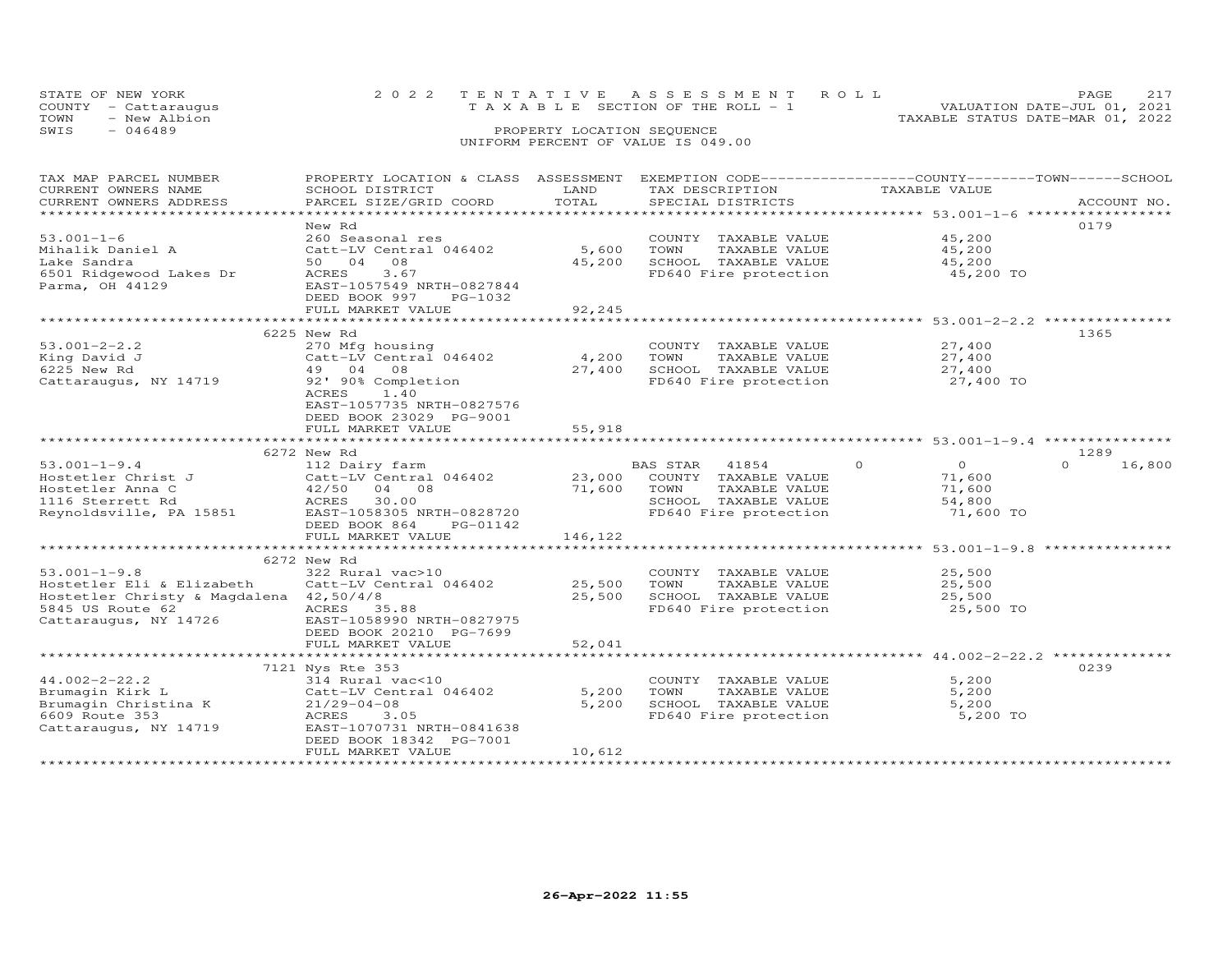|      | STATE OF NEW YORK    | 2022 TENTATIVE ASSESSMENT ROLL                                          | <b>PAGE</b> |  |
|------|----------------------|-------------------------------------------------------------------------|-------------|--|
|      | COUNTY - Cattaraugus | VALUATION DATE-JUL 01, 2021<br>$T A X A B L E$ SECTION OF THE ROLL $-1$ |             |  |
| TOWN | - New Albion         | TAXABLE STATUS DATE-MAR 01, 2022                                        |             |  |
| SWIS | - 046489             | PROPERTY LOCATION SEQUENCE                                              |             |  |
|      |                      | UNIFORM PERCENT OF VALUE IS 049.00                                      |             |  |

## TAX MAP PARCEL NUMBER PROPERTY LOCATION & CLASS ASSESSMENT EXEMPTION CODE------------------COUNTY--------TOWN------SCHOOL CURRENT OWNERS NAME SCHOOL DISTRICT LAND TAX DESCRIPTION TAXABLE VALUE CURRENT OWNERS ADDRESS PARCEL SIZE/GRID COORD TOTAL SPECIAL DISTRICTS ACCOUNT NO. \*\*\*\*\*\*\*\*\*\*\*\*\*\*\*\*\*\*\*\*\*\*\*\*\*\*\*\*\*\*\*\*\*\*\*\*\*\*\*\*\*\*\*\*\*\*\*\*\*\*\*\*\*\*\*\*\*\*\*\*\*\*\*\*\*\*\*\*\*\*\*\*\*\*\*\*\*\*\*\*\*\*\*\*\*\*\*\*\*\*\*\*\*\*\*\*\*\*\*\*\*\*\* 53.001-1-6 \*\*\*\*\*\*\*\*\*\*\*\*\*\*\*\*\* New Rd 017953.001-1-6 260 Seasonal res COUNTY TAXABLE VALUE 45,200Mihalik Daniel A Catt-LV Central 046402 5,600 TOWN TAXABLE VALUE 45,200Lake Sandra 50 04 08 45,200 SCHOOL TAXABLE VALUE 45,2006501 Ridgewood Lakes Dr ACRES 3.67 FD640 Fire protection 45,200 TOParma, OH 44129 EAST-1057549 NRTH-0827844 DEED BOOK 997 PG-103245,200 ֖֖֚֚֚֚֚֚֚֚֚֚֚֚֚֚֚֚֚֚֚֚֡֡֡֡֡֡֡֡֡֡֡֞ FULL MARKET VALUE 92,245 \*\*\*\*\*\*\*\*\*\*\*\*\*\*\*\*\*\*\*\*\*\*\*\*\*\*\*\*\*\*\*\*\*\*\*\*\*\*\*\*\*\*\*\*\*\*\*\*\*\*\*\*\*\*\*\*\*\*\*\*\*\*\*\*\*\*\*\*\*\*\*\*\*\*\*\*\*\*\*\*\*\*\*\*\*\*\*\*\*\*\*\*\*\*\*\*\*\*\*\*\*\*\* 53.001-2-2.2 \*\*\*\*\*\*\*\*\*\*\*\*\*\*\* 6225 New Rd 136553.001-2-2.2 270 Mfg housing COUNTY TAXABLE VALUE 27,400 King David J Catt-LV Central 046402 4,200 TOWN TAXABLE VALUE 27,400 6225 New Rd 49 04 08 27,400 SCHOOL TAXABLE VALUE 27,400 Cattaraugus, NY 14719 92' 90% Completion FD640 Fire protection 27,400 TO ACRES 1.40 EAST-1057735 NRTH-0827576 DEED BOOK 23029 PG-9001FULL MARKET VALUE FULL MARKET VALUE 55,918 \*\*\*\*\*\*\*\*\*\*\*\*\*\*\*\*\*\*\*\*\*\*\*\*\*\*\*\*\*\*\*\*\*\*\*\*\*\*\*\*\*\*\*\*\*\*\*\*\*\*\*\*\*\*\*\*\*\*\*\*\*\*\*\*\*\*\*\*\*\*\*\*\*\*\*\*\*\*\*\*\*\*\*\*\*\*\*\*\*\*\*\*\*\*\*\*\*\*\*\*\*\*\* 53.001-1-9.4 \*\*\*\*\*\*\*\*\*\*\*\*\*\*\* 6272 New Rd 1289 53.001-1-9.4 112 Dairy farm BAS STAR 41854 0 0 0 16,800Hostetler Christ J Catt-LV Central 046402 23,000 COUNTY TAXABLE VALUE 71,600 Hostetler Anna C 42/50 04 08 71,600 TOWN TAXABLE VALUE 71,600 1116 Sterrett Rd ACRES 30.00 SCHOOL TAXABLE VALUE 54,800 Reynoldsville, PA 15851 EAST-1058305 NRTH-0828720 FD640 Fire protection 71,600 TO DEED BOOK 864 PG-01142 FULL MARKET VALUE 146,122 \*\*\*\*\*\*\*\*\*\*\*\*\*\*\*\*\*\*\*\*\*\*\*\*\*\*\*\*\*\*\*\*\*\*\*\*\*\*\*\*\*\*\*\*\*\*\*\*\*\*\*\*\*\*\*\*\*\*\*\*\*\*\*\*\*\*\*\*\*\*\*\*\*\*\*\*\*\*\*\*\*\*\*\*\*\*\*\*\*\*\*\*\*\*\*\*\*\*\*\*\*\*\* 53.001-1-9.8 \*\*\*\*\*\*\*\*\*\*\*\*\*\*\* 6272 New Rd53.001-1-9.8 (25,500 COUNTY TAXABLE VALUE 25,500 25,500 COUNTY TAXABLE VALUE 25,500 25,500 25,500 FORM TAXABLE VALUE 25,500 25,500 25,500 FORM TAXABLE VALUE 25,500 25,500 EAST-1058990 NRTH-0827975 (25,500 FORM TAXABLE VALU \*\*\*\*\*\*\*\*\*\*\*\*\*\*\*\*\*\*\*\*\*\*\*\*\*\*\*\*\*\*\*\*\*\*\*\*\*\*\*\*\*\*\*\*\*\*\*\*\*\*\*\*\*\*\*\*\*\*\*\*\*\*\*\*\*\*\*\*\*\*\*\*\*\*\*\*\*\*\*\*\*\*\*\*\*\*\*\*\*\*\*\*\*\*\*\*\*\*\*\*\*\*\* 44.002-2-22.2 \*\*\*\*\*\*\*\*\*\*\*\*\*\*7121 Nys Rte 353 023944.002-2-22.2 314 Rural vac<10 COUNTY TAXABLE VALUE 5,200 Brumagin Kirk L Catt-LV Central 046402 5,200 TOWN TAXABLE VALUE 5,200 Brumagin Christina K 21/29-04-08 5,200 SCHOOL TAXABLE VALUE 5,200 6609 Route 353 ACRES 3.05 FD640 Fire protection 5,200 TO Cattaraugus, NY 14719 EAST-1070731 NRTH-0841638 DEED BOOK 18342 PG-7001 FULL MARKET VALUE 10,612

\*\*\*\*\*\*\*\*\*\*\*\*\*\*\*\*\*\*\*\*\*\*\*\*\*\*\*\*\*\*\*\*\*\*\*\*\*\*\*\*\*\*\*\*\*\*\*\*\*\*\*\*\*\*\*\*\*\*\*\*\*\*\*\*\*\*\*\*\*\*\*\*\*\*\*\*\*\*\*\*\*\*\*\*\*\*\*\*\*\*\*\*\*\*\*\*\*\*\*\*\*\*\*\*\*\*\*\*\*\*\*\*\*\*\*\*\*\*\*\*\*\*\*\*\*\*\*\*\*\*\*\*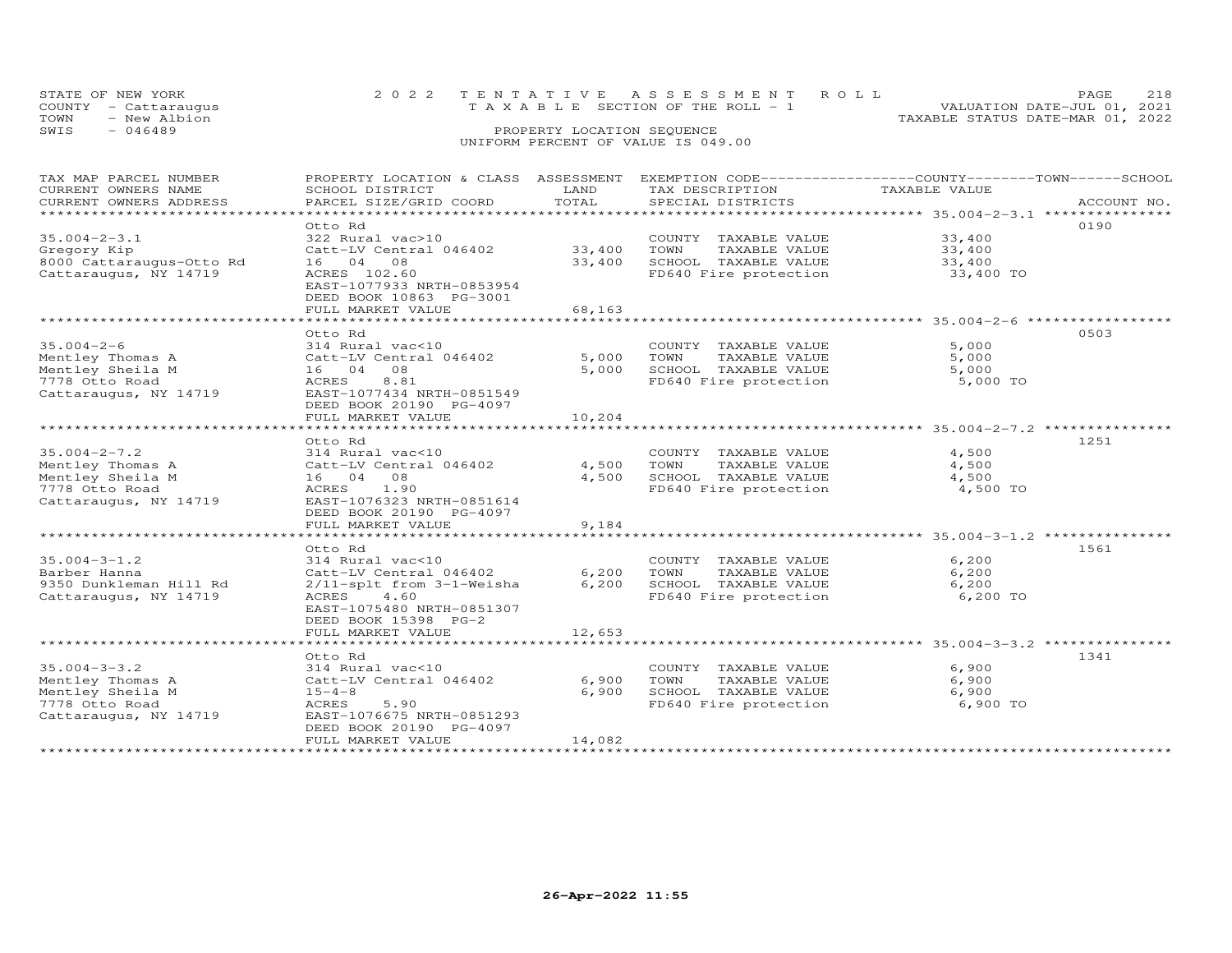| STATE OF NEW YORK<br>COUNTY - Cattaraugus | 2022 TENTATIVE ASSESSMENT ROLL<br>VALUATION DATE-JUL 01, 2021<br>T A X A B L E SECTION OF THE ROLL - 1 | PAGE. |  |
|-------------------------------------------|--------------------------------------------------------------------------------------------------------|-------|--|
| TOWN<br>- New Albion                      | TAXABLE STATUS DATE-MAR 01, 2022                                                                       |       |  |
| SWIS<br>$-046489$                         | PROPERTY LOCATION SEQUENCE                                                                             |       |  |
|                                           | UNIFORM PERCENT OF VALUE IS 049.00                                                                     |       |  |

| TAX MAP PARCEL NUMBER    | PROPERTY LOCATION & CLASS ASSESSMENT EXEMPTION CODE---------------COUNTY-------TOWN------SCHOOL |        |                       |                                                           |             |
|--------------------------|-------------------------------------------------------------------------------------------------|--------|-----------------------|-----------------------------------------------------------|-------------|
| CURRENT OWNERS NAME      | SCHOOL DISTRICT                                                                                 | LAND   | TAX DESCRIPTION       | TAXABLE VALUE                                             |             |
| CURRENT OWNERS ADDRESS   | PARCEL SIZE/GRID COORD                                                                          | TOTAL  | SPECIAL DISTRICTS     |                                                           | ACCOUNT NO. |
|                          |                                                                                                 |        |                       |                                                           |             |
|                          | Otto Rd                                                                                         |        |                       |                                                           | 0190        |
|                          |                                                                                                 |        |                       |                                                           |             |
| $35.004 - 2 - 3.1$       | 322 Rural vac>10                                                                                |        | COUNTY TAXABLE VALUE  | 33,400                                                    |             |
| Gregory Kip              | Catt-LV Central 046402                                                                          | 33,400 | TOWN<br>TAXABLE VALUE | 33,400                                                    |             |
| 8000 Cattaraugus-Otto Rd | 16 04 08                                                                                        | 33,400 | SCHOOL TAXABLE VALUE  | 33,400                                                    |             |
| Cattaraugus, NY 14719    | ACRES 102.60                                                                                    |        | FD640 Fire protection | 33,400 TO                                                 |             |
|                          | EAST-1077933 NRTH-0853954                                                                       |        |                       |                                                           |             |
|                          | DEED BOOK 10863 PG-3001                                                                         |        |                       |                                                           |             |
|                          | FULL MARKET VALUE                                                                               | 68,163 |                       |                                                           |             |
|                          |                                                                                                 |        |                       |                                                           |             |
|                          |                                                                                                 |        |                       |                                                           |             |
|                          | Otto Rd                                                                                         |        |                       |                                                           | 0503        |
| $35.004 - 2 - 6$         | 314 Rural vac<10                                                                                |        | COUNTY TAXABLE VALUE  | 5,000                                                     |             |
| Mentley Thomas A         | Catt-LV Central 046402                                                                          | 5,000  | TOWN<br>TAXABLE VALUE | 5,000                                                     |             |
| Mentley Sheila M         | 16 04 08                                                                                        | 5,000  | SCHOOL TAXABLE VALUE  | 5,000                                                     |             |
| 7778 Otto Road           | 8.81<br>ACRES                                                                                   |        | FD640 Fire protection | 5,000 TO                                                  |             |
| Cattaraugus, NY 14719    | EAST-1077434 NRTH-0851549                                                                       |        |                       |                                                           |             |
|                          | DEED BOOK 20190 PG-4097                                                                         |        |                       |                                                           |             |
|                          |                                                                                                 |        |                       |                                                           |             |
|                          | FULL MARKET VALUE                                                                               | 10,204 |                       |                                                           |             |
|                          |                                                                                                 |        |                       |                                                           |             |
|                          | Otto Rd                                                                                         |        |                       |                                                           | 1251        |
| $35.004 - 2 - 7.2$       | 314 Rural vac<10                                                                                |        | COUNTY TAXABLE VALUE  | 4,500                                                     |             |
| Mentley Thomas A         | Catt-LV Central 046402                                                                          | 4,500  | TAXABLE VALUE<br>TOWN | 4,500                                                     |             |
| Mentley Sheila M         | 16 04 08                                                                                        | 4,500  | SCHOOL TAXABLE VALUE  | 4,500                                                     |             |
| 7778 Otto Road           | ACRES<br>1.90                                                                                   |        | FD640 Fire protection | 4,500 TO                                                  |             |
| Cattaraugus, NY 14719    | EAST-1076323 NRTH-0851614                                                                       |        |                       |                                                           |             |
|                          |                                                                                                 |        |                       |                                                           |             |
|                          | DEED BOOK 20190 PG-4097                                                                         |        |                       |                                                           |             |
|                          | FULL MARKET VALUE<br>********************                                                       | 9,184  |                       |                                                           |             |
|                          |                                                                                                 |        |                       | ********************************* 35.004-3-1.2 ********** |             |
|                          | Otto Rd                                                                                         |        |                       |                                                           | 1561        |
| $35.004 - 3 - 1.2$       | 314 Rural vac<10                                                                                |        | COUNTY TAXABLE VALUE  | 6,200                                                     |             |
| Barber Hanna             | Catt-LV Central 046402                                                                          | 6,200  | TOWN<br>TAXABLE VALUE | 6,200                                                     |             |
| 9350 Dunkleman Hill Rd   | 2/11-splt from 3-1-Weisha                                                                       | 6,200  | SCHOOL TAXABLE VALUE  | 6,200                                                     |             |
| Cattaraugus, NY 14719    | ACRES<br>4.60                                                                                   |        | FD640 Fire protection | 6,200 TO                                                  |             |
|                          | EAST-1075480 NRTH-0851307                                                                       |        |                       |                                                           |             |
|                          | DEED BOOK 15398 PG-2                                                                            |        |                       |                                                           |             |
|                          |                                                                                                 |        |                       |                                                           |             |
|                          | FULL MARKET VALUE                                                                               | 12,653 |                       |                                                           |             |
|                          |                                                                                                 |        |                       |                                                           |             |
|                          | Otto Rd                                                                                         |        |                       |                                                           | 1341        |
| $35.004 - 3 - 3.2$       | 314 Rural vac<10                                                                                |        | COUNTY TAXABLE VALUE  | 6,900                                                     |             |
| Mentley Thomas A         | Catt-LV Central 046402                                                                          | 6,900  | TOWN<br>TAXABLE VALUE | 6,900                                                     |             |
| Mentley Sheila M         | $15 - 4 - 8$                                                                                    | 6,900  | SCHOOL TAXABLE VALUE  | 6,900                                                     |             |
| 7778 Otto Road           | 5.90<br>ACRES                                                                                   |        | FD640 Fire protection | 6,900 TO                                                  |             |
| Cattaraugus, NY 14719    | EAST-1076675 NRTH-0851293                                                                       |        |                       |                                                           |             |
|                          |                                                                                                 |        |                       |                                                           |             |
|                          | DEED BOOK 20190 PG-4097                                                                         |        |                       |                                                           |             |
|                          | FULL MARKET VALUE                                                                               | 14,082 |                       |                                                           |             |
|                          |                                                                                                 |        |                       |                                                           |             |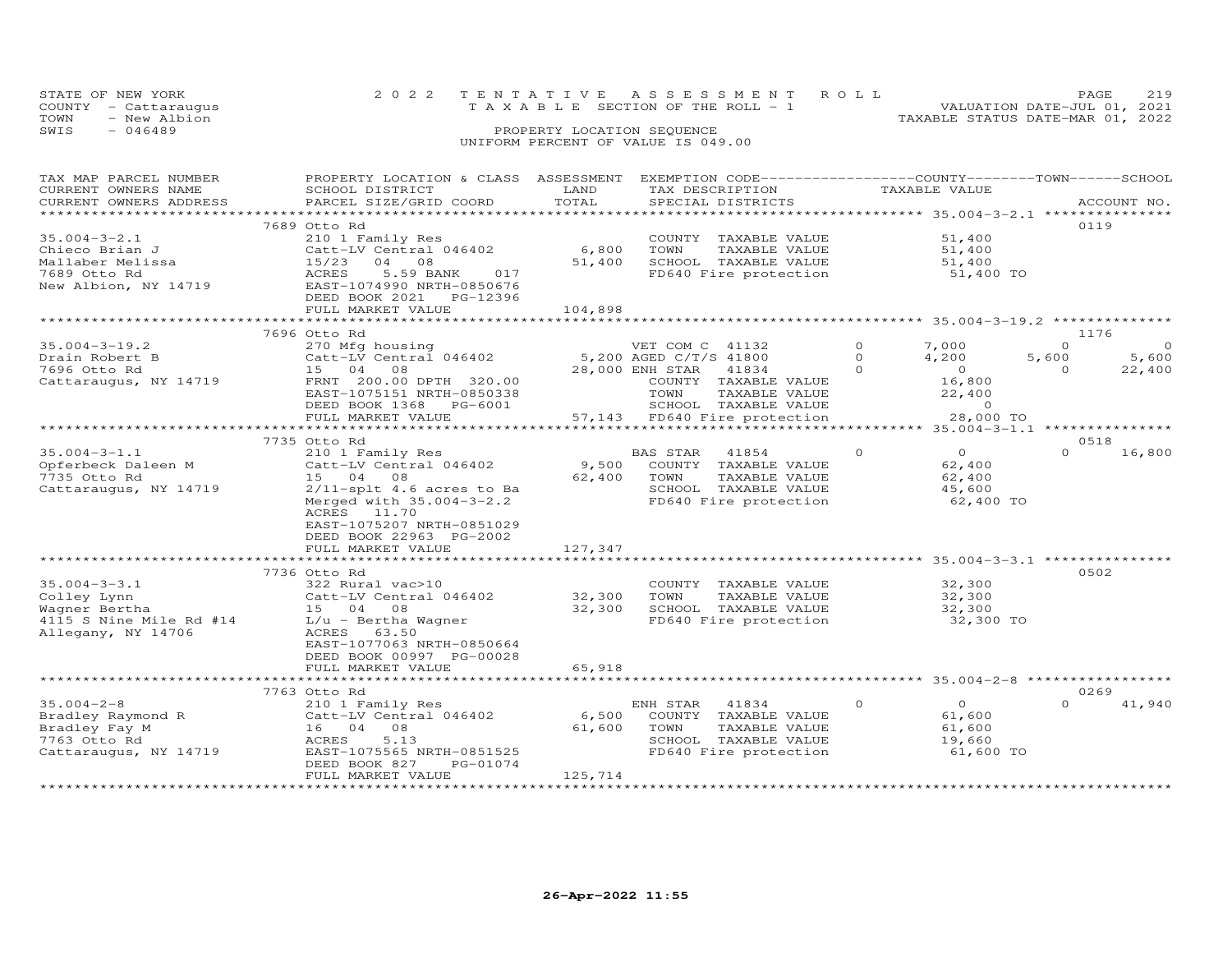| STATE OF NEW YORK    |                                    | 2022 TENTATIVE ASSESSMENT ROLL        |                                  | PAGE.                       |  |
|----------------------|------------------------------------|---------------------------------------|----------------------------------|-----------------------------|--|
| COUNTY - Cattaraugus |                                    | T A X A B L E SECTION OF THE ROLL - 1 |                                  | VALUATION DATE-JUL 01, 2021 |  |
| TOWN<br>- New Albion |                                    |                                       | TAXABLE STATUS DATE-MAR 01, 2022 |                             |  |
| SWIS<br>$-046489$    | PROPERTY LOCATION SEQUENCE         |                                       |                                  |                             |  |
|                      | UNIFORM PERCENT OF VALUE IS 049.00 |                                       |                                  |                             |  |

| TAX MAP PARCEL NUMBER<br>CURRENT OWNERS NAME | PROPERTY LOCATION & CLASS ASSESSMENT<br>SCHOOL DISTRICT | LAND         | EXEMPTION CODE-----------------COUNTY-------TOWN-----SCHOOL<br>TAX DESCRIPTION | TAXABLE VALUE                                                      |                                   |
|----------------------------------------------|---------------------------------------------------------|--------------|--------------------------------------------------------------------------------|--------------------------------------------------------------------|-----------------------------------|
| CURRENT OWNERS ADDRESS                       | PARCEL SIZE/GRID COORD                                  | TOTAL        | SPECIAL DISTRICTS                                                              |                                                                    | ACCOUNT NO.                       |
|                                              |                                                         | ***********  |                                                                                | *********** 35.004-3-2.1 ****************                          |                                   |
|                                              | 7689 Otto Rd                                            |              |                                                                                |                                                                    | 0119                              |
| $35.004 - 3 - 2.1$                           | 210 1 Family Res                                        |              | COUNTY TAXABLE VALUE                                                           | 51,400                                                             |                                   |
| Chieco Brian J                               | Catt-LV Central 046402                                  | 6,800        | TOWN<br>TAXABLE VALUE                                                          | 51,400                                                             |                                   |
| Mallaber Melissa                             | 15/23<br>04<br>08                                       | 51,400       | SCHOOL TAXABLE VALUE                                                           | 51,400                                                             |                                   |
| 7689 Otto Rd                                 | 5.59 BANK<br>ACRES<br>017                               |              | FD640 Fire protection                                                          | 51,400 TO                                                          |                                   |
| New Albion, NY 14719                         | EAST-1074990 NRTH-0850676<br>DEED BOOK 2021<br>PG-12396 |              |                                                                                |                                                                    |                                   |
|                                              | FULL MARKET VALUE                                       | 104,898      |                                                                                |                                                                    |                                   |
|                                              |                                                         |              |                                                                                | ****************************** 35.004-3-19.2 **************        |                                   |
|                                              | 7696 Otto Rd                                            |              |                                                                                |                                                                    | 1176                              |
| $35.004 - 3 - 19.2$                          | 270 Mfg housing                                         |              | VET COM C 41132                                                                | $\Omega$<br>7,000                                                  | $\Omega$<br>$\Omega$              |
| Drain Robert B                               | Catt-LV Central 046402                                  |              | 5,200 AGED C/T/S 41800                                                         | $\Omega$<br>4,200                                                  | 5,600<br>5,600                    |
| 7696 Otto Rd                                 | 15 04<br>08                                             |              | 28,000 ENH STAR<br>41834                                                       | $\Omega$<br>$\overline{0}$                                         | 22,400<br>$\Omega$                |
| Cattaraugus, NY 14719                        | FRNT 200.00 DPTH 320.00                                 |              | COUNTY TAXABLE VALUE                                                           | 16,800                                                             |                                   |
|                                              | EAST-1075151 NRTH-0850338                               |              | TOWN<br>TAXABLE VALUE                                                          | 22,400                                                             |                                   |
|                                              | DEED BOOK 1368<br>PG-6001                               |              | SCHOOL TAXABLE VALUE                                                           | $\Omega$                                                           |                                   |
|                                              | FULL MARKET VALUE                                       |              | 57,143 FD640 Fire protection                                                   | 28,000 TO                                                          |                                   |
|                                              |                                                         |              |                                                                                |                                                                    | $35.004 - 3 - 1.1$ ************** |
|                                              | 7735 Otto Rd                                            |              |                                                                                |                                                                    | 0518                              |
| $35.004 - 3 - 1.1$                           | 210 1 Family Res                                        |              | <b>BAS STAR</b><br>41854                                                       | $\overline{O}$<br>$\circ$                                          | $\Omega$<br>16,800                |
| Opferbeck Daleen M                           | Catt-LV Central 046402                                  | 9,500        | COUNTY TAXABLE VALUE                                                           | 62,400                                                             |                                   |
| 7735 Otto Rd                                 | 15 04<br>08                                             | 62,400       | TAXABLE VALUE<br>TOWN                                                          | 62,400                                                             |                                   |
| Cattaraugus, NY 14719                        | $2/11$ -splt 4.6 acres to Ba                            |              | SCHOOL TAXABLE VALUE                                                           | 45,600                                                             |                                   |
|                                              | Merged with 35.004-3-2.2                                |              | FD640 Fire protection                                                          | 62,400 TO                                                          |                                   |
|                                              | ACRES<br>11.70                                          |              |                                                                                |                                                                    |                                   |
|                                              | EAST-1075207 NRTH-0851029                               |              |                                                                                |                                                                    |                                   |
|                                              | DEED BOOK 22963 PG-2002                                 |              |                                                                                |                                                                    |                                   |
|                                              | FULL MARKET VALUE                                       | 127,347      |                                                                                |                                                                    |                                   |
|                                              | ************************                                | ************ |                                                                                | ************************************ 35.004–3–3.1 **************** |                                   |
|                                              | 7736 Otto Rd                                            |              |                                                                                |                                                                    | 0502                              |
| $35.004 - 3 - 3.1$                           | 322 Rural vac>10                                        |              | COUNTY TAXABLE VALUE                                                           | 32,300                                                             |                                   |
| Colley Lynn                                  | Catt-LV Central 046402                                  | 32,300       | TOWN<br>TAXABLE VALUE                                                          | 32,300                                                             |                                   |
| Wagner Bertha                                | 15 04<br>08                                             | 32,300       | SCHOOL TAXABLE VALUE                                                           | 32,300                                                             |                                   |
| 4115 S Nine Mile Rd #14                      | L/u - Bertha Wagner                                     |              | FD640 Fire protection                                                          | 32,300 TO                                                          |                                   |
| Allegany, NY 14706                           | ACRES<br>63.50                                          |              |                                                                                |                                                                    |                                   |
|                                              | EAST-1077063 NRTH-0850664<br>DEED BOOK 00997 PG-00028   |              |                                                                                |                                                                    |                                   |
|                                              | FULL MARKET VALUE                                       | 65,918       |                                                                                |                                                                    |                                   |
|                                              |                                                         |              |                                                                                |                                                                    |                                   |
|                                              | 7763 Otto Rd                                            |              |                                                                                |                                                                    | 0269                              |
| $35.004 - 2 - 8$                             | 210 1 Family Res                                        |              | ENH STAR<br>41834                                                              | $\Omega$<br>$\circ$                                                | $\Omega$<br>41,940                |
| Bradley Raymond R                            | Catt-LV Central 046402                                  | 6,500        | COUNTY TAXABLE VALUE                                                           | 61,600                                                             |                                   |
| Bradley Fay M                                | 08<br>16 04                                             | 61,600       | TOWN<br>TAXABLE VALUE                                                          | 61,600                                                             |                                   |
| 7763 Otto Rd                                 | ACRES<br>5.13                                           |              | SCHOOL TAXABLE VALUE                                                           | 19,660                                                             |                                   |
| Cattaraugus, NY 14719                        | EAST-1075565 NRTH-0851525                               |              | FD640 Fire protection                                                          | 61,600 TO                                                          |                                   |
|                                              | DEED BOOK 827<br>PG-01074                               |              |                                                                                |                                                                    |                                   |
|                                              | FULL MARKET VALUE                                       | 125,714      |                                                                                |                                                                    |                                   |
|                                              |                                                         |              |                                                                                |                                                                    |                                   |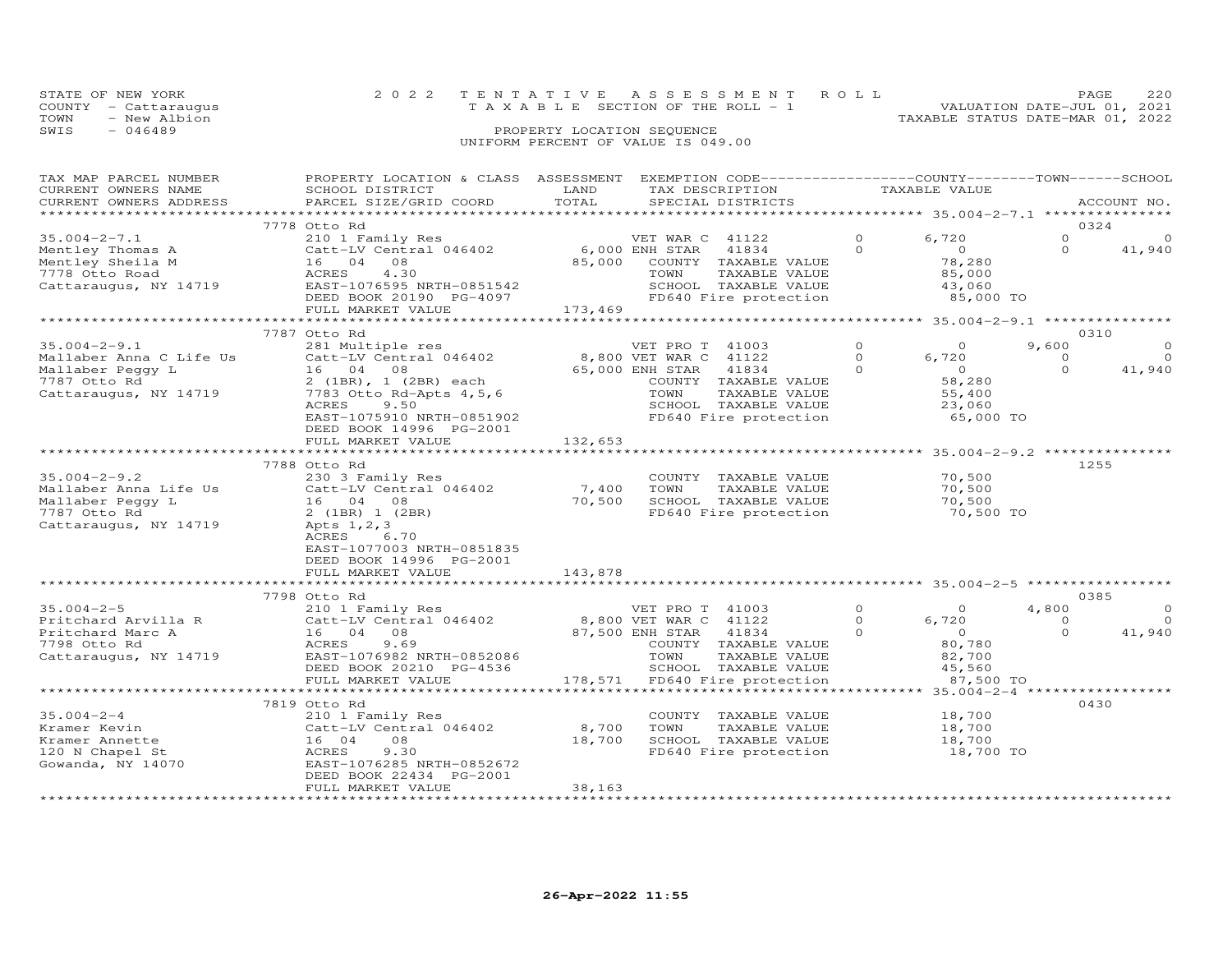| STATE OF NEW YORK    | 2022 TENTATIVE ASSESSMENT ROLL        | 220<br><b>PAGE</b>               |  |
|----------------------|---------------------------------------|----------------------------------|--|
| COUNTY - Cattaraugus | T A X A B L E SECTION OF THE ROLL - 1 | VALUATION DATE-JUL 01, 2021      |  |
| TOWN<br>- New Albion |                                       | TAXABLE STATUS DATE-MAR 01, 2022 |  |
| SWIS<br>- 046489     | PROPERTY LOCATION SEQUENCE            |                                  |  |
|                      | UNIFORM PERCENT OF VALUE IS 049.00    |                                  |  |

| TAX MAP PARCEL NUMBER                | PROPERTY LOCATION & CLASS ASSESSMENT EXEMPTION CODE----------------COUNTY-------TOWN------SCHOOL |                           |                                                                                |          |                                                    |                |             |
|--------------------------------------|--------------------------------------------------------------------------------------------------|---------------------------|--------------------------------------------------------------------------------|----------|----------------------------------------------------|----------------|-------------|
| CURRENT OWNERS NAME                  | SCHOOL DISTRICT                                                                                  | LAND                      | TAX DESCRIPTION                                                                |          | TAXABLE VALUE                                      |                |             |
| CURRENT OWNERS ADDRESS               | PARCEL SIZE/GRID COORD                                                                           | TOTAL                     | SPECIAL DISTRICTS                                                              |          |                                                    |                | ACCOUNT NO. |
|                                      |                                                                                                  |                           |                                                                                |          |                                                    |                |             |
|                                      | 7778 Otto Rd                                                                                     |                           |                                                                                |          |                                                    |                | 0324        |
| $35.004 - 2 - 7.1$                   |                                                                                                  |                           |                                                                                | $\Omega$ | 6,720                                              | $\Omega$       | $\Omega$    |
|                                      | 210 1 Family Res                                                                                 |                           | VET WAR C 41122                                                                |          |                                                    |                |             |
| Mentley Thomas A                     | Catt-LV Central 046402                                                                           | 6,000 ENH STAR            | 41834                                                                          | $\Omega$ | $\overline{0}$                                     | $\Omega$       | 41,940      |
| Mentley Sheila M                     | 16 04 08<br>16 04 08<br>ACRES 4.30                                                               |                           | 85,000 COUNTY TAXABLE VALUE                                                    |          | 78,280                                             |                |             |
| 7778 Otto Road                       | 4.30                                                                                             |                           | TOWN<br>TAXABLE VALUE                                                          |          | 85,000                                             |                |             |
|                                      | Cattaraugus, NY 14719 EAST-1076595 NRTH-0851542                                                  |                           |                                                                                |          | 43,060<br>85,000 TO                                |                |             |
|                                      |                                                                                                  |                           |                                                                                |          |                                                    |                |             |
|                                      | FULL MARKET VALUE                                                                                | 173,469                   |                                                                                |          |                                                    |                |             |
|                                      | ***************************                                                                      |                           | ***********************                                                        |          | ********************* 35.004-2-9.1 *************** |                |             |
|                                      | 7787 Otto Rd                                                                                     |                           |                                                                                |          |                                                    |                | 0310        |
| $35.004 - 2 - 9.1$                   | 281 Multiple res                                                                                 |                           | VET PRO T 41003                                                                | $\circ$  | $\Omega$                                           | 9,600          |             |
|                                      |                                                                                                  |                           |                                                                                |          |                                                    |                |             |
| Mallaber Anna C Life Us              | Catt-LV Central 046402                                                                           |                           | 8,800 VET WAR C 41122                                                          | $\Omega$ | 6,720                                              | $\Omega$       | $\Omega$    |
| Mallaber Peggy L                     | 16 04 08                                                                                         |                           | 41834                                                                          | $\Omega$ | $\overline{0}$                                     | $\Omega$       | 41,940      |
| 7787 Otto Rd                         | 2 (1BR), 1 (2BR) each                                                                            | 65,000 ENH STAR<br>COUNTY | COUNTY TAXABLE VALUE                                                           |          | 58,280                                             |                |             |
| Cattaraugus, NY 14719                | 7783 Otto Rd-Apts 4,5,6                                                                          |                           | TAXABLE VALUE<br>TOWN                                                          |          | 55,400                                             |                |             |
|                                      | 9.50<br>ACRES                                                                                    |                           | SCHOOL TAXABLE VALUE                                                           |          | 23,060                                             |                |             |
|                                      | EAST-1075910 NRTH-0851902                                                                        |                           | FD640 Fire protection                                                          |          | 65,000 TO                                          |                |             |
|                                      | DEED BOOK 14996 PG-2001                                                                          |                           |                                                                                |          |                                                    |                |             |
|                                      | FULL MARKET VALUE                                                                                | 132,653                   |                                                                                |          |                                                    |                |             |
|                                      |                                                                                                  |                           |                                                                                |          |                                                    |                |             |
|                                      |                                                                                                  |                           |                                                                                |          |                                                    |                |             |
|                                      | 7788 Otto Rd                                                                                     |                           |                                                                                |          |                                                    |                | 1255        |
| $35.004 - 2 - 9.2$                   | 230 3 Family Res                                                                                 |                           | COUNTY TAXABLE VALUE                                                           |          | 70,500                                             |                |             |
| Mallaber Anna Life Us                | Catt-LV Central 046402                                                                           | 7,400                     | TOWN<br>TAXABLE VALUE                                                          |          | 70,500                                             |                |             |
| Mallaber Peggy L                     | 16 04 08                                                                                         | 70,500                    | SCHOOL TAXABLE VALUE                                                           |          | 70,500                                             |                |             |
| 7787 Otto Rd                         | 2 (1BR) 1 (2BR)                                                                                  |                           | FD640 Fire protection                                                          |          | 70,500 TO                                          |                |             |
| Cattaraugus, NY 14719                | Apts 1, 2, 3                                                                                     |                           |                                                                                |          |                                                    |                |             |
|                                      | ACRES<br>6.70                                                                                    |                           |                                                                                |          |                                                    |                |             |
|                                      | EAST-1077003 NRTH-0851835                                                                        |                           |                                                                                |          |                                                    |                |             |
|                                      |                                                                                                  |                           |                                                                                |          |                                                    |                |             |
|                                      | DEED BOOK 14996 PG-2001                                                                          |                           |                                                                                |          |                                                    |                |             |
|                                      | FULL MARKET VALUE                                                                                | 143,878                   |                                                                                |          |                                                    |                |             |
|                                      | **************************                                                                       |                           |                                                                                |          |                                                    |                |             |
|                                      | 7798 Otto Rd                                                                                     |                           |                                                                                |          |                                                    |                | 0385        |
| $35.004 - 2 - 5$                     | 210 1 Family Res                                                                                 |                           | VET PRO T 41003<br>VET PRO T 41003<br>8,800 VET WAR C 41122<br>87,500 ENP CTAL | $\Omega$ | $\overline{O}$                                     | 4,800          | $\circ$     |
| Pritchard Arvilla R                  | Catt-LV Central 046402<br>Catt-LV<br>16 04<br>ACBES                                              |                           |                                                                                | $\circ$  | 6,720                                              | $\overline{0}$ | $\Omega$    |
| Pritchard Marc A                     | 08                                                                                               |                           |                                                                                | $\Omega$ | $\overline{0}$                                     | $\Omega$       | 41,940      |
| 7798 Otto Rd                         | ACRES<br>9.69                                                                                    |                           | COUNTY TAXABLE VALUE                                                           |          | 80,780                                             |                |             |
|                                      | Cattaraugus, NY 14719 EAST-1076982 NRTH-0852086                                                  |                           | TOWN<br>TAXABLE VALUE                                                          |          |                                                    |                |             |
|                                      |                                                                                                  |                           |                                                                                |          | 82,700<br>45.560                                   |                |             |
|                                      | DEED BOOK 20210 PG-4536                                                                          |                           | SCHOOL TAXABLE VALUE                                                           |          | 45,560                                             |                |             |
|                                      | FULL MARKET VALUE                                                                                |                           | 178,571 FD640 Fire protection                                                  |          | 87,500 TO                                          |                |             |
|                                      |                                                                                                  |                           |                                                                                |          |                                                    |                |             |
|                                      | 7819 Otto Rd                                                                                     |                           |                                                                                |          |                                                    |                | 0430        |
| $35.004 - 2 - 4$                     | 210 1 Family Res                                                                                 |                           | COUNTY TAXABLE VALUE                                                           |          | 18,700                                             |                |             |
| Kramer Kevin                         | Catt-LV Central 046402                                                                           | 8,700                     | TOWN<br>TAXABLE VALUE                                                          |          | 18,700                                             |                |             |
| Kramer Annette                       | 08<br>16 04                                                                                      | 18,700                    | SCHOOL TAXABLE VALUE                                                           |          | 18,700                                             |                |             |
| 120 N Chapel St                      | 9.30<br>ACRES                                                                                    |                           | FD640 Fire protection                                                          |          | 18,700 TO                                          |                |             |
| 120 N Chapel St<br>Gowanda, NY 14070 | EAST-1076285 NRTH-0852672                                                                        |                           |                                                                                |          |                                                    |                |             |
|                                      |                                                                                                  |                           |                                                                                |          |                                                    |                |             |
|                                      | DEED BOOK 22434 PG-2001                                                                          |                           |                                                                                |          |                                                    |                |             |
|                                      | FULL MARKET VALUE                                                                                | 38,163                    |                                                                                |          |                                                    |                |             |
|                                      |                                                                                                  |                           |                                                                                |          |                                                    |                |             |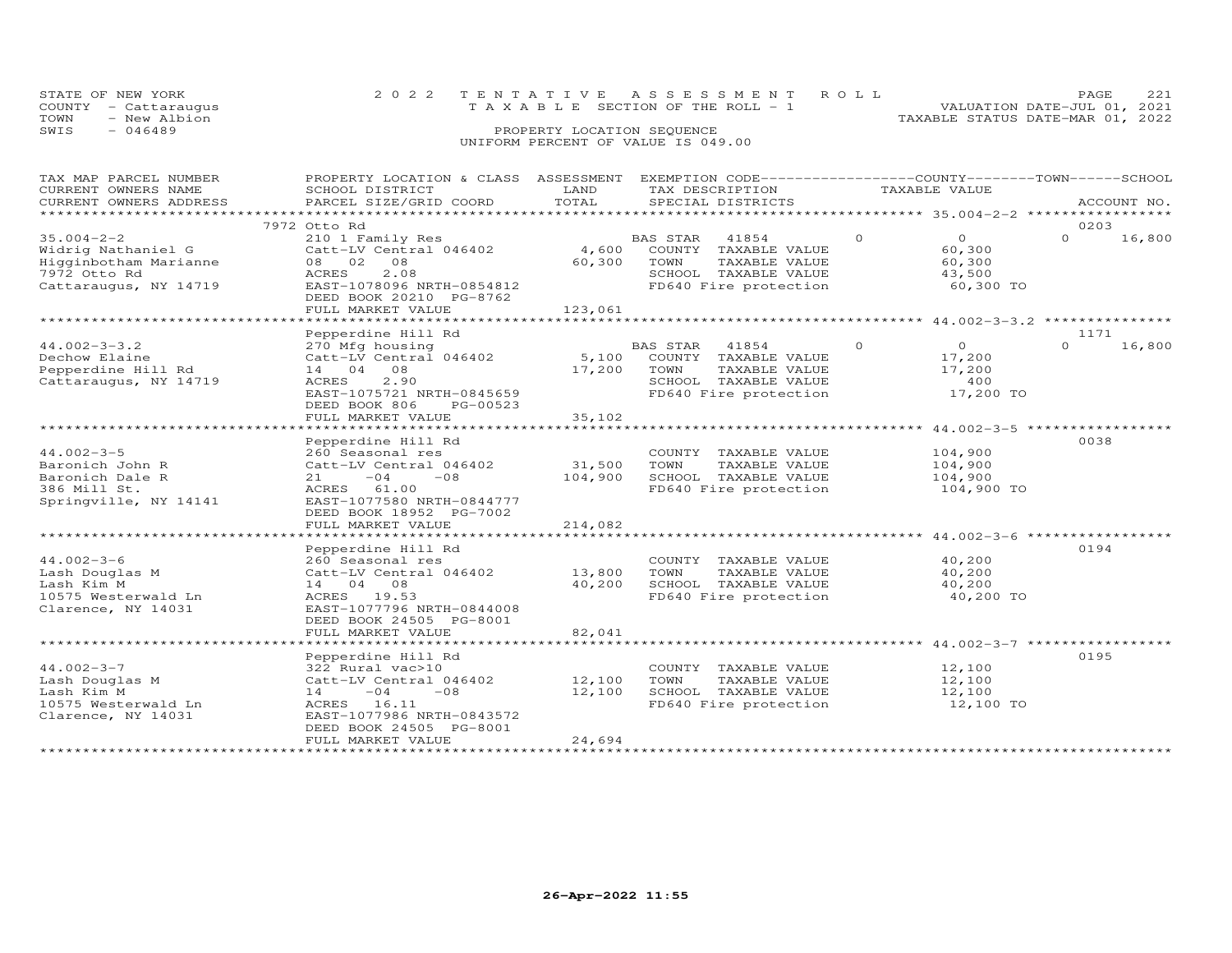| STATE OF NEW YORK |                      | 2022 TENTATIVE ASSESSMENT ROLL                                       | PAGE. |  |
|-------------------|----------------------|----------------------------------------------------------------------|-------|--|
|                   | COUNTY - Cattaraugus | VALUATION DATE-JUL 01, 2021<br>T A X A B L E SECTION OF THE ROLL - 1 |       |  |
| TOWN              | - New Albion         | TAXABLE STATUS DATE-MAR 01, 2022                                     |       |  |
| SWIS              | - 046489             | PROPERTY LOCATION SEQUENCE                                           |       |  |
|                   |                      | UNIFORM PERCENT OF VALUE IS 049.00                                   |       |  |

# TAX MAP PARCEL NUMBER PROPERTY LOCATION & CLASS ASSESSMENT EXEMPTION CODE------------------COUNTY--------TOWN------SCHOOL CURRENT OWNERS NAME SCHOOL DISTRICT LAND TAX DESCRIPTION TAXABLE VALUE CURRENT OWNERS ADDRESS PARCEL SIZE/GRID COORD TOTAL SPECIAL DISTRICTS ACCOUNT NO. \*\*\*\*\*\*\*\*\*\*\*\*\*\*\*\*\*\*\*\*\*\*\*\*\*\*\*\*\*\*\*\*\*\*\*\*\*\*\*\*\*\*\*\*\*\*\*\*\*\*\*\*\*\*\*\*\*\*\*\*\*\*\*\*\*\*\*\*\*\*\*\*\*\*\*\*\*\*\*\*\*\*\*\*\*\*\*\*\*\*\*\*\*\*\*\*\*\*\*\*\*\*\* 35.004-2-2 \*\*\*\*\*\*\*\*\*\*\*\*\*\*\*\*\* 7972 Otto Rd 0203 35.004-2-2 210 1 Family Res BAS STAR 41854 0 0 0 16,800 Widrig Nathaniel G Catt-LV Central 046402 4,600 COUNTY TAXABLE VALUE 60,300 Higginbotham Marianne 08 02 08 60,300 TOWN TAXABLE VALUE 60,300 7972 Otto Rd ACRES 2.08 SCHOOL TAXABLE VALUE 43,500 Cattaraugus, NY 14719 EAST-1078096 NRTH-0854812 FD640 Fire protection 60,300 TO DEED BOOK 20210 PG-8762 FULL MARKET VALUE 123,061 \*\*\*\*\*\*\*\*\*\*\*\*\*\*\*\*\*\*\*\*\*\*\*\*\*\*\*\*\*\*\*\*\*\*\*\*\*\*\*\*\*\*\*\*\*\*\*\*\*\*\*\*\*\*\*\*\*\*\*\*\*\*\*\*\*\*\*\*\*\*\*\*\*\*\*\*\*\*\*\*\*\*\*\*\*\*\*\*\*\*\*\*\*\*\*\*\*\*\*\*\*\*\* 44.002-3-3.2 \*\*\*\*\*\*\*\*\*\*\*\*\*\*\* Pepperdine Hill Rd 117144.002-3-3.2 270 Mfg housing BAS STAR 41854 0 0 0 16,800Dechow Elaine Catt-LV Central 046402 5,100 COUNTY TAXABLE VALUE 17,200 Pepperdine Hill Rd 14 04 08 17,200 TOWN TAXABLE VALUE 17,200 Cattaraugus, NY 14719 ACRES 2.90 SCHOOL TAXABLE VALUE 400 EAST-1075721 NRTH-0845659 FD640 Fire protection 17,200 TO DEED BOOK 806 PG-00523 FULL MARKET VALUE 35,102  $0 \t 16,800$ \*\*\*\*\*\*\*\*\*\*\*\*\*\*\*\*\*\*\*\*\*\*\*\*\*\*\*\*\*\*\*\*\*\*\*\*\*\*\*\*\*\*\*\*\*\*\*\*\*\*\*\*\*\*\*\*\*\*\*\*\*\*\*\*\*\*\*\*\*\*\*\*\*\*\*\*\*\*\*\*\*\*\*\*\*\*\*\*\*\*\*\*\*\*\*\*\*\*\*\*\*\*\* 44.002-3-5 \*\*\*\*\*\*\*\*\*\*\*\*\*\*\*\*\*44.002-3-5<br>
Baronich John R 260 Seasonal res 2000NTY TAXABLE VALUE 104,900<br>
Baronich John R Catt-LV Central 046402 31,500 TOWN TAXABLE VALUE 104,900<br>
Baronich Dale R 21 -04 -08 104,900 SCHOOL TAXABLE VALUE 104,900<br>
386 Mi \*\*\*\*\*\*\*\*\*\*\*\*\*\*\*\*\*\*\*\*\*\*\*\*\*\*\*\*\*\*\*\*\*\*\*\*\*\*\*\*\*\*\*\*\*\*\*\*\*\*\*\*\*\*\*\*\*\*\*\*\*\*\*\*\*\*\*\*\*\*\*\*\*\*\*\*\*\*\*\*\*\*\*\*\*\*\*\*\*\*\*\*\*\*\*\*\*\*\*\*\*\*\* 44.002-3-6 \*\*\*\*\*\*\*\*\*\*\*\*\*\*\*\*\* Pepperdine Hill Rd 019444.002-3-6 260 Seasonal res COUNTY TAXABLE VALUE 40,200Lash Douglas M Catt-LV Central 046402 13,800 TOWN TAXABLE VALUE 40,200Lash Kim M 14 04 08 40,200 SCHOOL TAXABLE VALUE 40,20010575 Westerwald Ln ACRES 19.53 FD640 Fire protection 40,200 TOClarence, NY 14031 EAST-1077796 NRTH-0844008 DEED BOOK 24505 PG-8001 FULL MARKET VALUE 82,041֖֧֧֧֧֧֧֧֧֧֚֚֚֚֚֚֚֚֚֚֚֚֚֚֚֚֡֝֝֝֝֝֝֝֝֓֕֝֬֝֓֝֬֝֓֝֬֝֓֝֬֝֓֝֬֝֓֝֬֝֓֝֬֝֓֝֬֝֬֝֓֝֬֝֬֝֓֝֬֝֓֝֬֝֬֝֬֝<br>֧֧֧֧֪֪֪֪֪֪֪֪֪֪֪֪֪֪֪֪֪֪֪֪֪֪֪֪֪֪֪ׅ֧֚֝֝֝֝֝֝֝<br>֧֪֝ \*\*\*\*\*\*\*\*\*\*\*\*\*\*\*\*\*\*\*\*\*\*\*\*\*\*\*\*\*\*\*\*\*\*\*\*\*\*\*\*\*\*\*\*\*\*\*\*\*\*\*\*\*\*\*\*\*\*\*\*\*\*\*\*\*\*\*\*\*\*\*\*\*\*\*\*\*\*\*\*\*\*\*\*\*\*\*\*\*\*\*\*\*\*\*\*\*\*\*\*\*\*\* 44.002-3-7 \*\*\*\*\*\*\*\*\*\*\*\*\*\*\*\*\* $\begin{tabular}{lllllllllllll} \multicolumn{3}{c}{\textbf{12,100}} & \multicolumn{3}{c}{\textbf{13,100}} & \multicolumn{3}{c}{\textbf{14.002-3-7}} & \multicolumn{3}{c}{\textbf{15,100}} & \multicolumn{3}{c}{\textbf{16,100}} & \multicolumn{3}{c}{\textbf{17,100}} & \multicolumn{3}{c}{\textbf{18,100}} & \multicolumn{3}{c}{\textbf{195}} & \multicolumn{3}{c}{\textbf{100}} & \multicolumn{3}{c}{\textbf{12,100$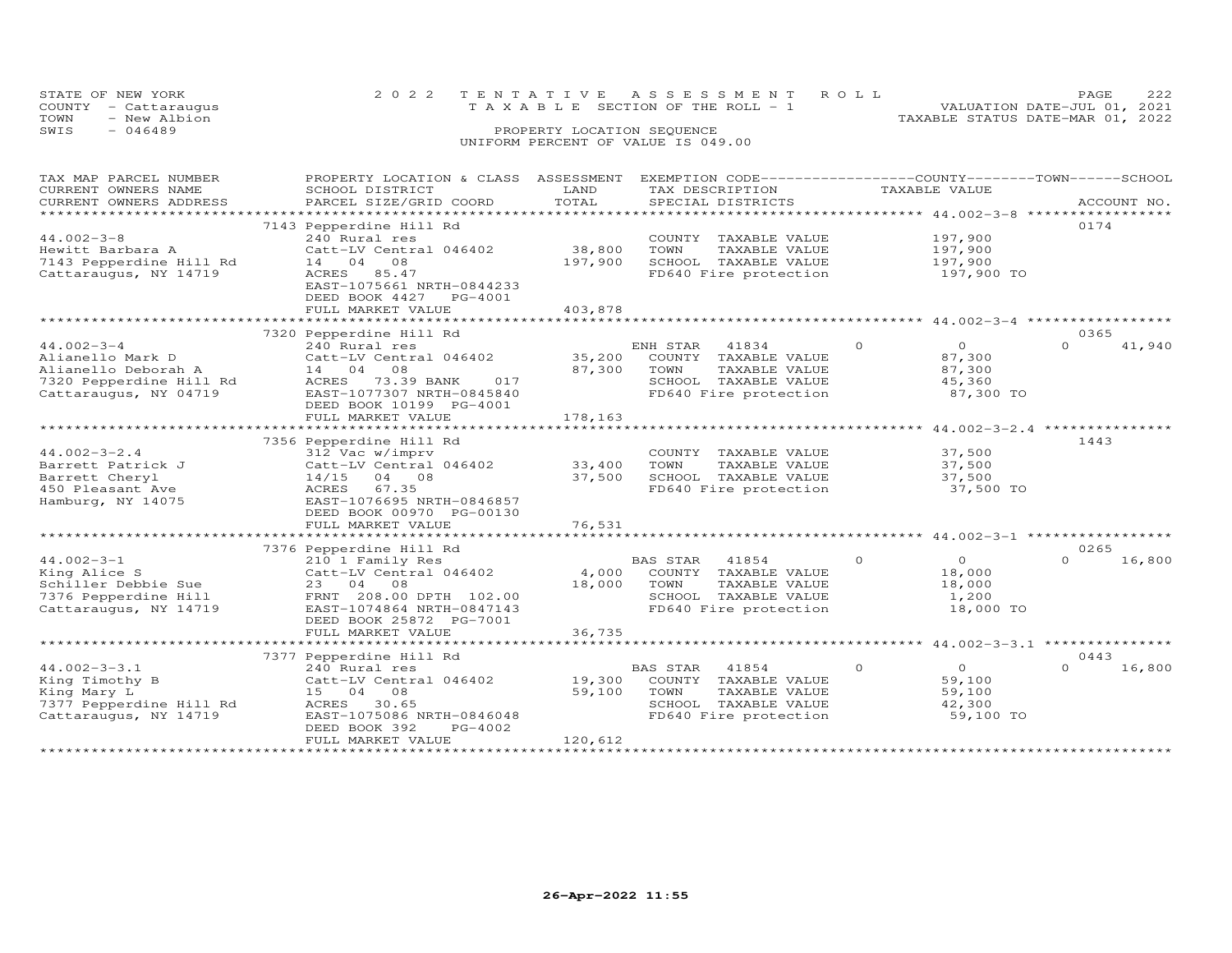| STATE OF NEW YORK |                      | 2022 TENTATIVE ASSESSMENT ROLL     |                                 |                                  | <b>PAGE</b>                 | 222 |
|-------------------|----------------------|------------------------------------|---------------------------------|----------------------------------|-----------------------------|-----|
|                   | COUNTY - Cattaraugus |                                    | TAXABLE SECTION OF THE ROLL - 1 |                                  | VALUATION DATE-JUL 01, 2021 |     |
| TOWN              | - New Albion         |                                    |                                 | TAXABLE STATUS DATE-MAR 01, 2022 |                             |     |
| SWIS              | - 046489             | PROPERTY LOCATION SEOUENCE         |                                 |                                  |                             |     |
|                   |                      | UNIFORM PERCENT OF VALUE IS 049.00 |                                 |                                  |                             |     |
|                   |                      |                                    |                                 |                                  |                             |     |

| TAX MAP PARCEL NUMBER<br>CURRENT OWNERS NAME<br>CURRENT OWNERS ADDRESS<br>*************************                              | PROPERTY LOCATION & CLASS ASSESSMENT<br>SCHOOL DISTRICT<br>PARCEL SIZE/GRID COORD                                                                                                  | LAND<br>TOTAL                                  | EXEMPTION CODE------------------COUNTY--------TOWN------SCHOOL<br>TAX DESCRIPTION<br>SPECIAL DISTRICTS              | TAXABLE VALUE                                                                                         | ACCOUNT NO.                |
|----------------------------------------------------------------------------------------------------------------------------------|------------------------------------------------------------------------------------------------------------------------------------------------------------------------------------|------------------------------------------------|---------------------------------------------------------------------------------------------------------------------|-------------------------------------------------------------------------------------------------------|----------------------------|
| $44.002 - 3 - 8$<br>Hewitt Barbara A<br>7143 Pepperdine Hill Rd<br>Cattaraugus, NY 14719                                         | 7143 Pepperdine Hill Rd<br>240 Rural res<br>Catt-LV Central 046402<br>14 04<br>08<br>85.47<br>ACRES<br>EAST-1075661 NRTH-0844233<br>DEED BOOK 4427<br>PG-4001<br>FULL MARKET VALUE | 38,800<br>197,900<br>403,878<br>************** | COUNTY TAXABLE VALUE<br>TOWN<br>TAXABLE VALUE<br>SCHOOL TAXABLE VALUE<br>FD640 Fire protection                      | 197,900<br>197,900<br>197,900<br>197,900 TO<br>************************ 44.002-3-4 ****************** | 0174                       |
| $44.002 - 3 - 4$                                                                                                                 | 7320 Pepperdine Hill Rd<br>240 Rural res                                                                                                                                           |                                                | ENH STAR<br>41834                                                                                                   | $\circ$<br>$\circ$                                                                                    | 0365<br>$\Omega$<br>41,940 |
| Alianello Mark D<br>Alianello Deborah A<br>7320 Pepperdine Hill Rd<br>Cattaraugus, NY 04719                                      | Catt-LV Central 046402<br>08<br>14 04<br>73.39 BANK<br>ACRES<br>017<br>EAST-1077307 NRTH-0845840<br>DEED BOOK 10199 PG-4001<br>FULL MARKET VALUE                                   | 35,200<br>87,300<br>178,163                    | COUNTY TAXABLE VALUE<br>TOWN<br>TAXABLE VALUE<br>SCHOOL TAXABLE VALUE<br>FD640 Fire protection                      | 87,300<br>87,300<br>45,360<br>87,300 TO                                                               |                            |
|                                                                                                                                  | 7356 Pepperdine Hill Rd                                                                                                                                                            |                                                |                                                                                                                     |                                                                                                       | 1443                       |
| $44.002 - 3 - 2.4$<br>Barrett Patrick J<br>Barrett Cheryl<br>450 Pleasant Ave<br>Hamburg, NY 14075                               | 312 Vac w/imprv<br>Catt-LV Central 046402<br>14/15<br>04 08<br>ACRES<br>67.35<br>EAST-1076695 NRTH-0846857<br>DEED BOOK 00970 PG-00130                                             | 33,400<br>37,500                               | COUNTY TAXABLE VALUE<br>TOWN<br>TAXABLE VALUE<br>SCHOOL TAXABLE VALUE<br>FD640 Fire protection                      | 37,500<br>37,500<br>37,500<br>37,500 TO                                                               |                            |
|                                                                                                                                  | FULL MARKET VALUE<br>*************************                                                                                                                                     | 76,531                                         |                                                                                                                     |                                                                                                       |                            |
|                                                                                                                                  | 7376 Pepperdine Hill Rd                                                                                                                                                            |                                                |                                                                                                                     |                                                                                                       | 0265                       |
| $44.002 - 3 - 1$<br>King Alice S<br>Schiller Debbie Sue<br>7376 Pepperdine Hill<br>Cattaraugus, NY 14719                         | 210 1 Family Res<br>Catt-LV Central 046402<br>23 04 08<br>FRNT 208.00 DPTH 102.00<br>EAST-1074864 NRTH-0847143<br>DEED BOOK 25872 PG-7001                                          | 4,000<br>18,000                                | BAS STAR<br>41854<br>COUNTY TAXABLE VALUE<br>TOWN<br>TAXABLE VALUE<br>SCHOOL TAXABLE VALUE<br>FD640 Fire protection | $\circ$<br>$\circ$<br>18,000<br>18,000<br>1,200<br>18,000 TO                                          | 16,800<br>$\Omega$         |
|                                                                                                                                  | FULL MARKET VALUE                                                                                                                                                                  | 36,735                                         |                                                                                                                     |                                                                                                       |                            |
|                                                                                                                                  | 7377 Pepperdine Hill Rd                                                                                                                                                            |                                                |                                                                                                                     |                                                                                                       | 0443                       |
| $44.002 - 3 - 3.1$<br>King Timothy B<br>King Mary L<br>7377 Pepperdine Hill Rd<br>Cattaraugus, NY 14719<br>********************* | 240 Rural res<br>Catt-LV Central 046402<br>15 04 08<br>30.65<br>ACRES<br>EAST-1075086 NRTH-0846048<br>DEED BOOK 392<br>PG-4002<br>FULL MARKET VALUE                                | 19,300<br>59,100<br>120,612                    | BAS STAR<br>41854<br>COUNTY TAXABLE VALUE<br>TOWN<br>TAXABLE VALUE<br>SCHOOL TAXABLE VALUE<br>FD640 Fire protection | $\Omega$<br>$\overline{0}$<br>59,100<br>59,100<br>42,300<br>59,100 TO                                 | $\Omega$<br>16,800         |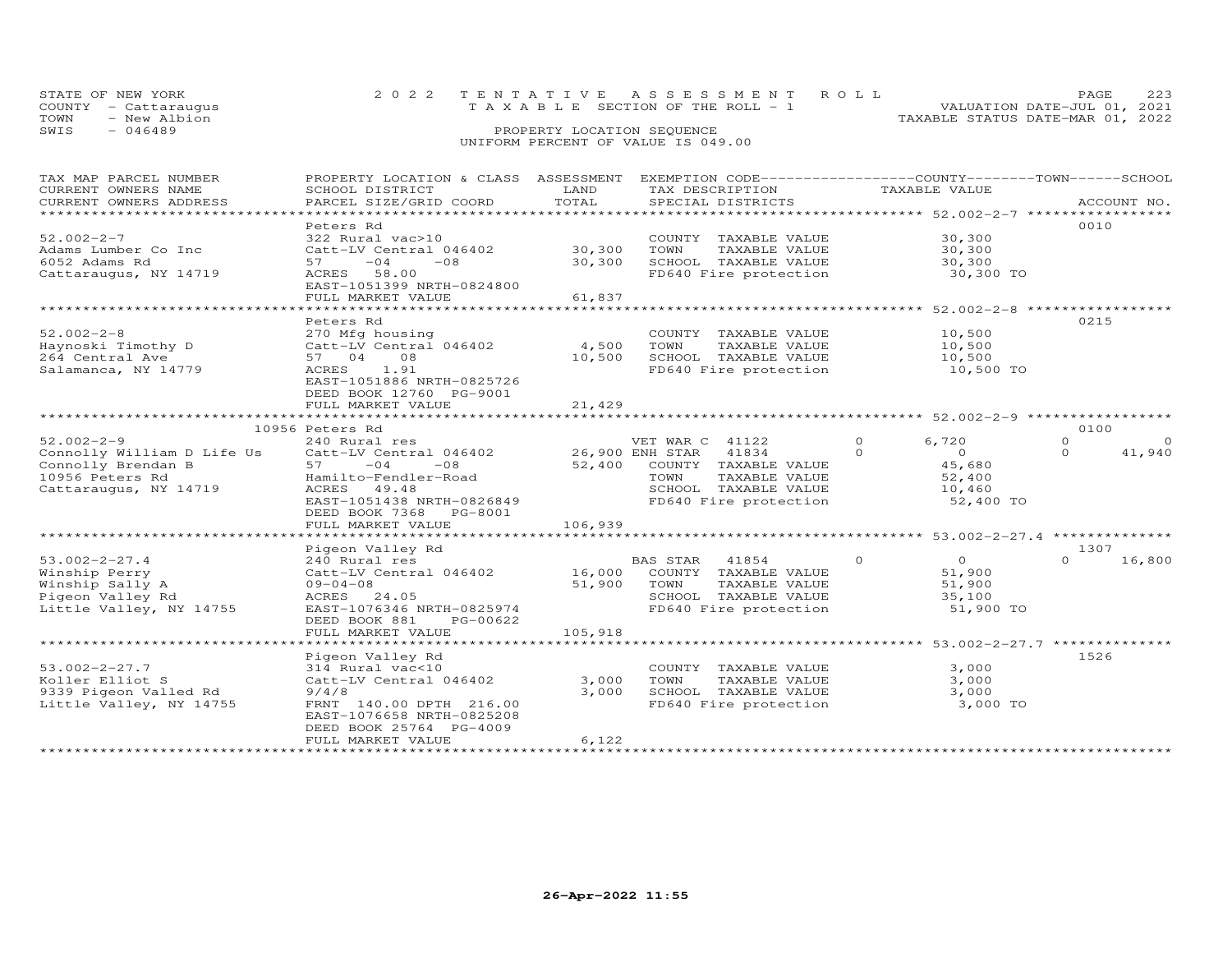| STATE OF NEW YORK    | 2022 TENTATIVE ASSESSMENT ROLL        | PAGE.                            |
|----------------------|---------------------------------------|----------------------------------|
| COUNTY - Cattaraugus | T A X A B L E SECTION OF THE ROLL - 1 | VALUATION DATE-JUL 01, 2021      |
| TOWN<br>- New Albion |                                       | TAXABLE STATUS DATE-MAR 01, 2022 |
| SWIS<br>- 046489     | PROPERTY LOCATION SEQUENCE            |                                  |
|                      | UNIFORM PERCENT OF VALUE IS 049.00    |                                  |

| TAX MAP PARCEL NUMBER          | PROPERTY LOCATION & CLASS ASSESSMENT      |              | EXEMPTION CODE-----------------COUNTY-------TOWN------SCHOOL |                                                              |                      |
|--------------------------------|-------------------------------------------|--------------|--------------------------------------------------------------|--------------------------------------------------------------|----------------------|
| CURRENT OWNERS NAME            | SCHOOL DISTRICT                           | LAND         | TAX DESCRIPTION                                              | TAXABLE VALUE                                                |                      |
| CURRENT OWNERS ADDRESS         | PARCEL SIZE/GRID COORD                    | TOTAL        | SPECIAL DISTRICTS                                            |                                                              | ACCOUNT NO.          |
| ****************************** |                                           |              |                                                              |                                                              |                      |
|                                | Peters Rd                                 |              |                                                              |                                                              | 0010                 |
| $52.002 - 2 - 7$               | 322 Rural vac>10                          |              | COUNTY TAXABLE VALUE                                         | 30,300                                                       |                      |
| Adams Lumber Co Inc            | Catt-LV Central 046402                    | 30,300       | TOWN<br>TAXABLE VALUE                                        | 30,300                                                       |                      |
| 6052 Adams Rd                  | 57<br>$-04$<br>$-08$                      | 30,300       | SCHOOL TAXABLE VALUE                                         | 30,300                                                       |                      |
| Cattaraugus, NY 14719          | ACRES 58.00                               |              | FD640 Fire protection                                        | 30,300 TO                                                    |                      |
|                                | EAST-1051399 NRTH-0824800                 |              |                                                              |                                                              |                      |
|                                | FULL MARKET VALUE                         | 61,837       |                                                              |                                                              |                      |
|                                | ****************************              | ***********  |                                                              | ****************** 52.002-2-8                                |                      |
|                                | Peters Rd                                 |              |                                                              |                                                              | 0215                 |
| $52.002 - 2 - 8$               |                                           |              | COUNTY TAXABLE VALUE                                         | 10,500                                                       |                      |
|                                | 270 Mfg housing<br>Catt-LV Central 046402 | 4,500        | TOWN                                                         |                                                              |                      |
| Haynoski Timothy D             |                                           |              | TAXABLE VALUE                                                | 10,500                                                       |                      |
| 264 Central Ave                | 57 04<br>08                               | 10,500       | SCHOOL TAXABLE VALUE                                         | 10,500                                                       |                      |
| Salamanca, NY 14779            | ACRES<br>1.91                             |              | FD640 Fire protection                                        | 10,500 TO                                                    |                      |
|                                | EAST-1051886 NRTH-0825726                 |              |                                                              |                                                              |                      |
|                                | DEED BOOK 12760 PG-9001                   |              |                                                              |                                                              |                      |
|                                | FULL MARKET VALUE                         | 21,429       |                                                              |                                                              |                      |
|                                | *******************************           | ************ |                                                              | ******************************* 52.002-2-9 ***************** |                      |
|                                | 10956 Peters Rd                           |              |                                                              |                                                              | 0100                 |
| $52.002 - 2 - 9$               | 240 Rural res                             |              | VET WAR C 41122                                              | $\Omega$<br>6,720                                            | $\Omega$<br>$\Omega$ |
| Connolly William D Life Us     | Catt-LV Central 046402                    |              | 26,900 ENH STAR<br>41834                                     | $\Omega$<br>$\Omega$                                         | 41,940<br>$\Omega$   |
| Connolly Brendan B             | 57 —<br>$-04$<br>$-08$                    | 52,400       | COUNTY TAXABLE VALUE                                         | 45,680                                                       |                      |
| 10956 Peters Rd                | Hamilto-Fendler-Road                      |              | TAXABLE VALUE<br>TOWN                                        | 52,400                                                       |                      |
| Cattaraugus, NY 14719          | ACRES 49.48                               |              | SCHOOL TAXABLE VALUE                                         | 10,460                                                       |                      |
|                                | EAST-1051438 NRTH-0826849                 |              | FD640 Fire protection                                        | 52,400 TO                                                    |                      |
|                                | DEED BOOK 7368 PG-8001                    |              |                                                              |                                                              |                      |
|                                | FULL MARKET VALUE                         | 106,939      |                                                              |                                                              |                      |
|                                |                                           |              |                                                              |                                                              |                      |
|                                | Pigeon Valley Rd                          |              |                                                              |                                                              | 1307                 |
| $53.002 - 2 - 27.4$            | 240 Rural res                             |              | BAS STAR<br>41854                                            | $\Omega$<br>$\Omega$                                         | 16,800<br>$\Omega$   |
| Winship Perry                  | Catt-LV Central 046402                    | 16,000       | COUNTY TAXABLE VALUE                                         | 51,900                                                       |                      |
| Winship Sally A                | $09 - 04 - 08$                            | 51,900       | TAXABLE VALUE<br>TOWN                                        | 51,900                                                       |                      |
| Pigeon Valley Rd               | ACRES 24.05                               |              | SCHOOL TAXABLE VALUE                                         | 35,100                                                       |                      |
| Little Valley, NY 14755        | EAST-1076346 NRTH-0825974                 |              | FD640 Fire protection                                        | 51,900 TO                                                    |                      |
|                                | DEED BOOK 881<br>PG-00622                 |              |                                                              |                                                              |                      |
|                                | FULL MARKET VALUE                         | 105,918      |                                                              |                                                              |                      |
|                                |                                           |              |                                                              |                                                              |                      |
|                                |                                           |              |                                                              |                                                              |                      |
|                                | Pigeon Valley Rd                          |              |                                                              |                                                              | 1526                 |
| $53.002 - 2 - 27.7$            | 314 Rural vac<10                          |              | COUNTY TAXABLE VALUE                                         | 3,000                                                        |                      |
| Koller Elliot S                | Catt-LV Central 046402                    | 3,000        | TOWN<br>TAXABLE VALUE                                        | 3,000                                                        |                      |
| 9339 Pigeon Valled Rd          | 9/4/8                                     | 3,000        | SCHOOL TAXABLE VALUE                                         | 3,000                                                        |                      |
| Little Valley, NY 14755        | FRNT 140.00 DPTH 216.00                   |              | FD640 Fire protection                                        | 3,000 TO                                                     |                      |
|                                | EAST-1076658 NRTH-0825208                 |              |                                                              |                                                              |                      |
|                                | DEED BOOK 25764 PG-4009                   |              |                                                              |                                                              |                      |
|                                | FULL MARKET VALUE                         | 6,122        |                                                              |                                                              |                      |
|                                |                                           |              |                                                              |                                                              |                      |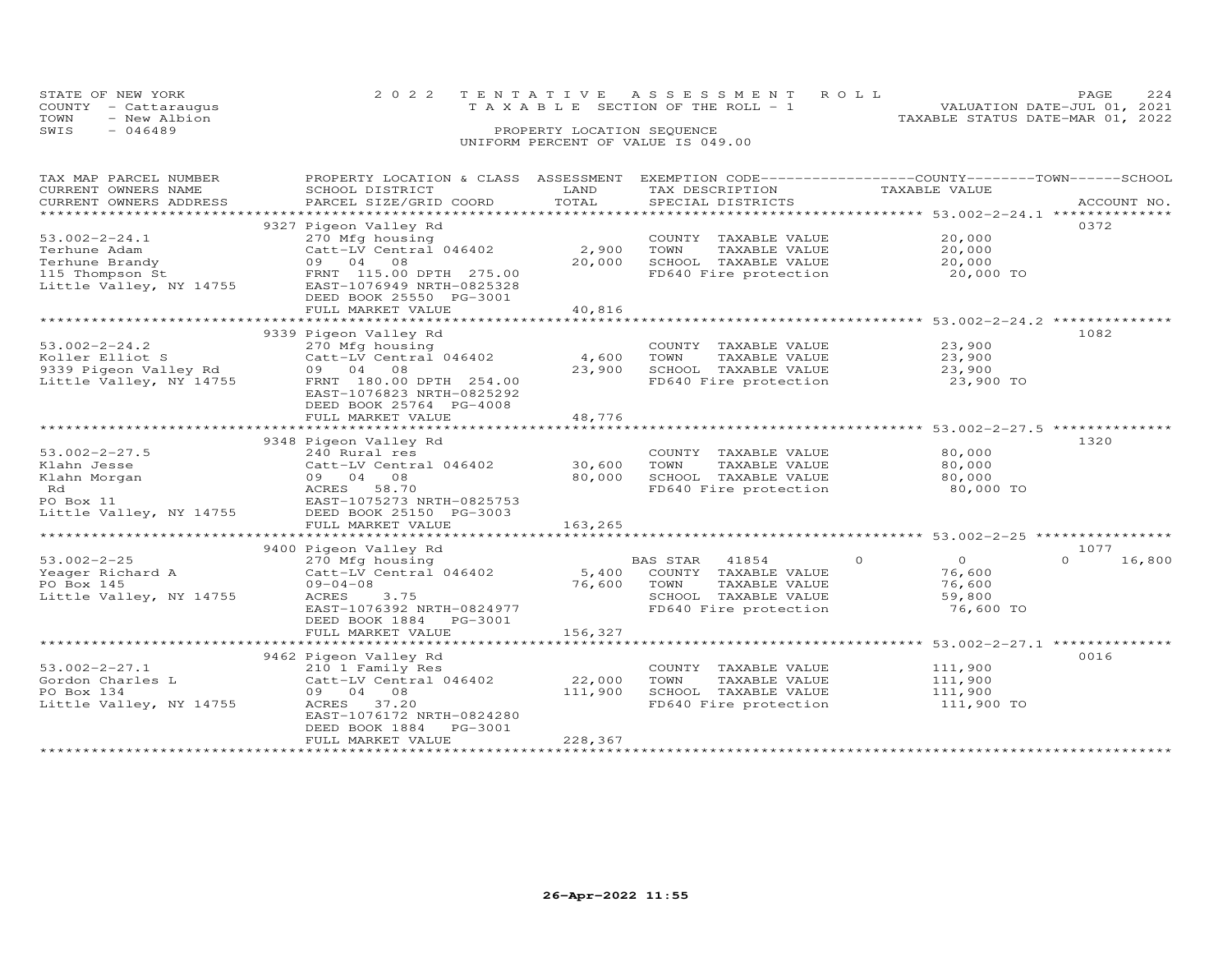|      | STATE OF NEW YORK    | 2022 TENTATIVE ASSESSMENT ROLL        |  |                                  | PAGE                        |  |
|------|----------------------|---------------------------------------|--|----------------------------------|-----------------------------|--|
|      | COUNTY - Cattaraugus | T A X A B L E SECTION OF THE ROLL - 1 |  |                                  | VALUATION DATE-JUL 01, 2021 |  |
| TOWN | - New Albion         |                                       |  | TAXABLE STATUS DATE-MAR 01, 2022 |                             |  |
| SWIS | $-046489$            | PROPERTY LOCATION SEQUENCE            |  |                                  |                             |  |
|      |                      | UNIFORM PERCENT OF VALUE IS 049.00    |  |                                  |                             |  |

## TAX MAP PARCEL NUMBER PROPERTY LOCATION & CLASS ASSESSMENT EXEMPTION CODE------------------COUNTY--------TOWN------SCHOOL CURRENT OWNERS NAME SCHOOL DISTRICT LAND TAX DESCRIPTION TAXABLE VALUE CURRENT OWNERS ADDRESS PARCEL SIZE/GRID COORD TOTAL SPECIAL DISTRICTS ACCOUNT NO. \*\*\*\*\*\*\*\*\*\*\*\*\*\*\*\*\*\*\*\*\*\*\*\*\*\*\*\*\*\*\*\*\*\*\*\*\*\*\*\*\*\*\*\*\*\*\*\*\*\*\*\*\*\*\*\*\*\*\*\*\*\*\*\*\*\*\*\*\*\*\*\*\*\*\*\*\*\*\*\*\*\*\*\*\*\*\*\*\*\*\*\*\*\*\*\*\*\*\*\*\*\*\* 53.002-2-24.1 \*\*\*\*\*\*\*\*\*\*\*\*\*\*9327 Pigeon Valley Rd (1932) 9327 Pigeon Valley Rd (19372) 9327 Pigeon Valley Rd (19372) 9372<br>
270 Mfg housing (1938) 827 Pigeon Maring (19372) 83.002-2-24.1 53.002-2-24.1 270 Mfg housing COUNTY TAXABLE VALUE 20,000 Terhune Adam Catt-LV Central 046402 2,900 TOWN TAXABLE VALUE 20,000 Terhune Brandy 09 04 08 20,000 SCHOOL TAXABLE VALUE 20,000 115 Thompson St FRNT 115.00 DPTH 275.00 FD640 Fire protection 20,000 TO Little Valley, NY 14755 EAST-1076949 NRTH-0825328 DEED BOOK 25550 PG-3001FULL MARKET VALUE 40,816 \*\*\*\*\*\*\*\*\*\*\*\*\*\*\*\*\*\*\*\*\*\*\*\*\*\*\*\*\*\*\*\*\*\*\*\*\*\*\*\*\*\*\*\*\*\*\*\*\*\*\*\*\*\*\*\*\*\*\*\*\*\*\*\*\*\*\*\*\*\*\*\*\*\*\*\*\*\*\*\*\*\*\*\*\*\*\*\*\*\*\*\*\*\*\*\*\*\*\*\*\*\*\* 53.002-2-24.2 \*\*\*\*\*\*\*\*\*\*\*\*\*\*9339 Pigeon Valley Rd 108253.002-2-24.2 270 Mfg housing COUNTY TAXABLE VALUE 23,900 Koller Elliot S Catt-LV Central 046402 4,600 TOWN TAXABLE VALUE 23,900 9339 Pigeon Valley Rd 09 04 08 23,900 SCHOOL TAXABLE VALUE 23,900 Little Valley, NY 14755 FRNT 180.00 DPTH 254.00 FD640 Fire protection 23,900 TO EAST-1076823 NRTH-0825292 DEED BOOK 25764 PG-4008 FULL MARKET VALUE 48,776

|                         | FULL MARNEI VALUE         | 40.770  |          |                       |          |                     |      |                |
|-------------------------|---------------------------|---------|----------|-----------------------|----------|---------------------|------|----------------|
|                         |                           |         |          |                       |          | $53.002 - 2 - 27.5$ |      | ************** |
|                         | 9348 Pigeon Valley Rd     |         |          |                       |          |                     | 1320 |                |
| $53.002 - 2 - 27.5$     | 240 Rural res             |         | COUNTY   | TAXABLE VALUE         |          | 80,000              |      |                |
| Klahn Jesse             | Catt-LV Central 046402    | 30,600  | TOWN     | TAXABLE VALUE         |          | 80,000              |      |                |
| Klahn Morgan            | 09 04<br>08               | 80,000  | SCHOOL   | TAXABLE VALUE         |          | 80,000              |      |                |
| Rd                      | ACRES<br>58.70            |         |          | FD640 Fire protection |          | 80,000 TO           |      |                |
| PO Box 11               | EAST-1075273 NRTH-0825753 |         |          |                       |          |                     |      |                |
| Little Valley, NY 14755 | DEED BOOK 25150 PG-3003   |         |          |                       |          |                     |      |                |
|                         | FULL MARKET VALUE         | 163,265 |          |                       |          |                     |      |                |
|                         |                           |         |          |                       |          | $53.002 - 2 - 25$   |      |                |
|                         | 9400 Pigeon Valley Rd     |         |          |                       |          |                     | 1077 |                |
| $53.002 - 2 - 25$       | 270 Mfg housing           |         | BAS STAR | 41854                 | $\Omega$ | $\circ$             | 0    | 16,800         |
| Yeager Richard A        | Catt-LV Central 046402    | 5,400   | COUNTY   | TAXABLE VALUE         |          | 76,600              |      |                |
| PO Box 145              | $09 - 04 - 08$            | 76,600  | TOWN     | TAXABLE VALUE         |          | 76,600              |      |                |
| Little Valley, NY 14755 | 3.75<br>ACRES             |         | SCHOOL   | TAXABLE VALUE         |          | 59,800              |      |                |
|                         | EAST-1076392 NRTH-0824977 |         |          | FD640 Fire protection |          | 76,600 TO           |      |                |
|                         | DEED BOOK 1884<br>PG-3001 |         |          |                       |          |                     |      |                |
|                         | FULL MARKET VALUE         | 156,327 |          |                       |          |                     |      |                |
|                         |                           |         |          |                       |          | $53.002 - 2 - 27.1$ |      |                |
|                         | 9462 Pigeon Valley Rd     |         |          |                       |          |                     | 0016 |                |
| $53.002 - 2 - 27.1$     | 210 1 Family Res          |         | COUNTY   | TAXABLE VALUE         |          | 111,900             |      |                |
| Gordon Charles L        | Catt-LV Central 046402    | 22,000  | TOWN     | TAXABLE VALUE         |          | 111,900             |      |                |
| PO Box 134              | 09 04<br>08               | 111,900 | SCHOOL   | TAXABLE VALUE         |          | 111,900             |      |                |
| Little Valley, NY 14755 | 37.20<br>ACRES            |         |          | FD640 Fire protection |          | 111,900 TO          |      |                |
|                         | EAST-1076172 NRTH-0824280 |         |          |                       |          |                     |      |                |
|                         | DEED BOOK 1884<br>PG-3001 |         |          |                       |          |                     |      |                |
|                         | FULL MARKET VALUE         | 228,367 |          |                       |          |                     |      |                |
|                         |                           |         |          |                       |          |                     |      |                |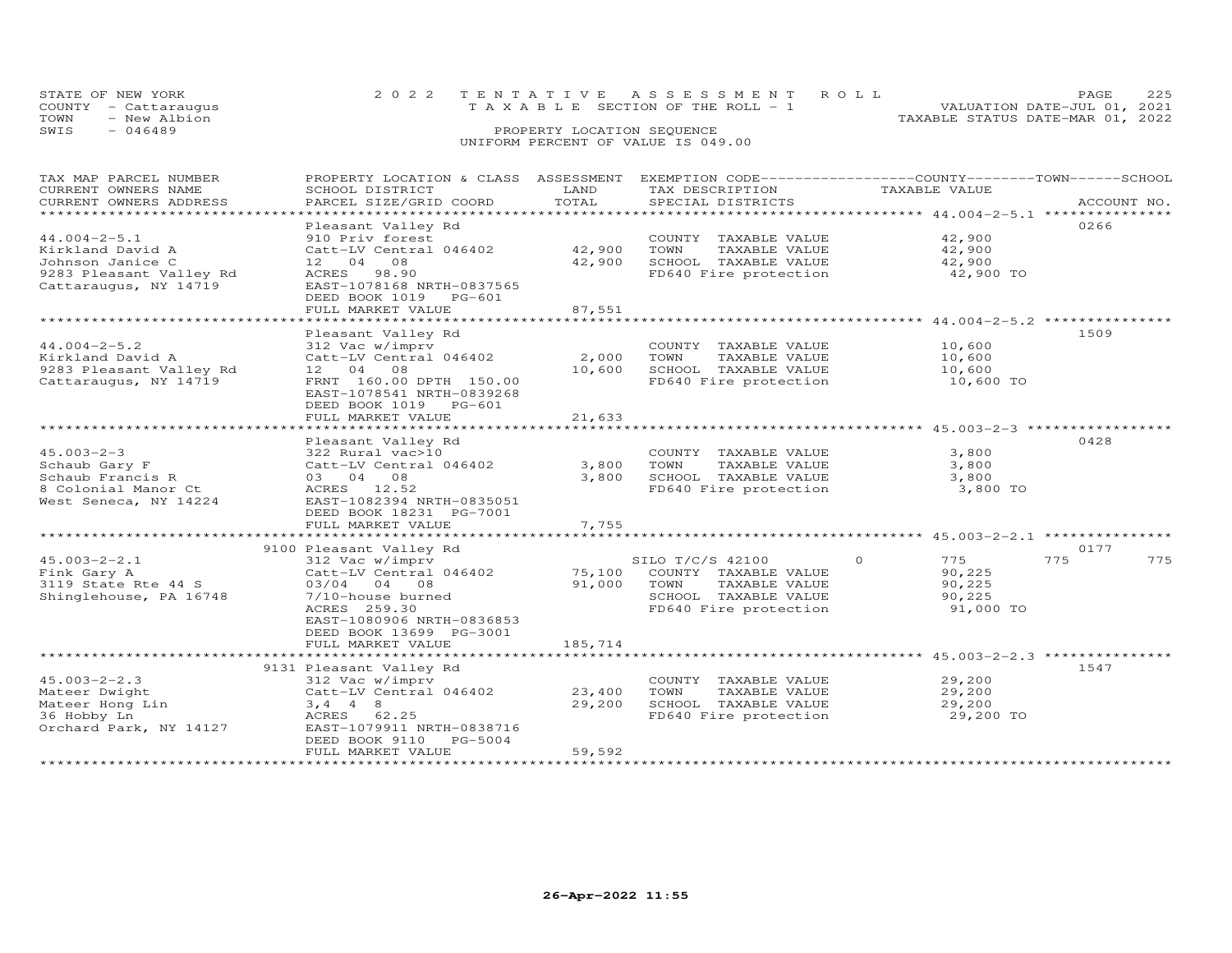| STATE OF NEW YORK<br>COUNTY - Cattaraugus<br>TOWN<br>- New Albion | 2022 TENTATIVE ASSESSMENT ROLL<br>T A X A B L E SECTION OF THE ROLL - 1 | PAGE<br>VALUATION DATE-JUL 01, 2021 |
|-------------------------------------------------------------------|-------------------------------------------------------------------------|-------------------------------------|
| SWIS<br>$-046489$                                                 | PROPERTY LOCATION SEQUENCE                                              | TAXABLE STATUS DATE-MAR 01, 2022    |
|                                                                   | UNIFORM PERCENT OF VALUE IS 049.00                                      |                                     |

| TAX MAP PARCEL NUMBER   | PROPERTY LOCATION & CLASS ASSESSMENT |         | EXEMPTION CODE-----------------COUNTY-------TOWN------SCHOOL |                                                                                  |             |
|-------------------------|--------------------------------------|---------|--------------------------------------------------------------|----------------------------------------------------------------------------------|-------------|
| CURRENT OWNERS NAME     | SCHOOL DISTRICT                      | LAND    | TAX DESCRIPTION                                              | TAXABLE VALUE                                                                    |             |
| CURRENT OWNERS ADDRESS  | PARCEL SIZE/GRID COORD               | TOTAL   | SPECIAL DISTRICTS                                            |                                                                                  | ACCOUNT NO. |
| *********************   |                                      |         |                                                              |                                                                                  |             |
|                         | Pleasant Valley Rd                   |         |                                                              |                                                                                  | 0266        |
| $44.004 - 2 - 5.1$      | 910 Priv forest                      |         | COUNTY TAXABLE VALUE                                         | 42,900                                                                           |             |
| Kirkland David A        | Catt-LV Central 046402               | 42,900  | TAXABLE VALUE<br>TOWN                                        | 42,900                                                                           |             |
| Johnson Janice C        | 12 04 08                             | 42,900  | SCHOOL TAXABLE VALUE                                         | 42,900                                                                           |             |
| 9283 Pleasant Valley Rd | ACRES 98.90                          |         | FD640 Fire protection                                        | 42,900 TO                                                                        |             |
| Cattaraugus, NY 14719   | EAST-1078168 NRTH-0837565            |         |                                                              |                                                                                  |             |
|                         | DEED BOOK 1019 PG-601                |         |                                                              |                                                                                  |             |
|                         | FULL MARKET VALUE                    | 87,551  |                                                              |                                                                                  |             |
|                         |                                      |         |                                                              | ***********************************44.004-2-5.2 ******************************** |             |
|                         | Pleasant Valley Rd                   |         |                                                              |                                                                                  | 1509        |
| $44.004 - 2 - 5.2$      | 312 Vac w/imprv                      |         | COUNTY TAXABLE VALUE                                         | 10,600                                                                           |             |
| Kirkland David A        | Catt-LV Central 046402               | 2,000   | TOWN<br>TAXABLE VALUE                                        | 10,600                                                                           |             |
| 9283 Pleasant Valley Rd | 12 04 08                             | 10,600  | SCHOOL TAXABLE VALUE                                         | 10,600                                                                           |             |
| Cattaraugus, NY 14719   | FRNT 160.00 DPTH 150.00              |         | FD640 Fire protection                                        | 10,600 TO                                                                        |             |
|                         | EAST-1078541 NRTH-0839268            |         |                                                              |                                                                                  |             |
|                         | DEED BOOK 1019 PG-601                |         |                                                              |                                                                                  |             |
|                         |                                      |         |                                                              |                                                                                  |             |
|                         | FULL MARKET VALUE                    | 21,633  |                                                              |                                                                                  |             |
|                         |                                      |         |                                                              |                                                                                  |             |
|                         | Pleasant Valley Rd                   |         |                                                              |                                                                                  | 0428        |
| $45.003 - 2 - 3$        | 322 Rural vac>10                     |         | COUNTY TAXABLE VALUE                                         | 3,800                                                                            |             |
| Schaub Gary F           | Catt-LV Central 046402               | 3,800   | TOWN<br>TAXABLE VALUE                                        | 3,800                                                                            |             |
| Schaub Francis R        | 03 04 08                             | 3,800   | SCHOOL TAXABLE VALUE                                         | 3,800                                                                            |             |
| 8 Colonial Manor Ct     | ACRES 12.52                          |         | FD640 Fire protection                                        | 3,800 TO                                                                         |             |
| West Seneca, NY 14224   | EAST-1082394 NRTH-0835051            |         |                                                              |                                                                                  |             |
|                         | DEED BOOK 18231 PG-7001              |         |                                                              |                                                                                  |             |
|                         | FULL MARKET VALUE                    | 7,755   |                                                              |                                                                                  |             |
|                         |                                      |         |                                                              |                                                                                  |             |
|                         | 9100 Pleasant Valley Rd              |         |                                                              |                                                                                  | 0177        |
| $45.003 - 2 - 2.1$      | 312 Vac w/imprv                      |         | SILO T/C/S 42100                                             | $\Omega$<br>775                                                                  | 775<br>775  |
| Fink Gary A             | Catt-LV Central 046402               | 75,100  | COUNTY TAXABLE VALUE                                         | 90,225                                                                           |             |
| 3119 State Rte 44 S     | 03/04 04 08                          | 91,000  | TAXABLE VALUE<br>TOWN                                        | 90,225                                                                           |             |
| Shinglehouse, PA 16748  | 7/10-house burned                    |         | SCHOOL TAXABLE VALUE                                         | 90,225                                                                           |             |
|                         | ACRES 259.30                         |         | FD640 Fire protection                                        | 91,000 TO                                                                        |             |
|                         | EAST-1080906 NRTH-0836853            |         |                                                              |                                                                                  |             |
|                         | DEED BOOK 13699 PG-3001              |         |                                                              |                                                                                  |             |
|                         | FULL MARKET VALUE                    | 185,714 |                                                              |                                                                                  |             |
|                         |                                      |         |                                                              |                                                                                  |             |
|                         | 9131 Pleasant Valley Rd              |         |                                                              |                                                                                  | 1547        |
| $45.003 - 2 - 2.3$      | 312 Vac w/imprv                      |         | COUNTY TAXABLE VALUE                                         | 29,200                                                                           |             |
| Mateer Dwight           | Catt-LV Central 046402               | 23,400  | TOWN<br>TAXABLE VALUE                                        | 29,200                                                                           |             |
| Mateer Hong Lin         | $3, 4$ 4 8                           | 29,200  | SCHOOL TAXABLE VALUE                                         | 29,200                                                                           |             |
| 36 Hobby Ln             | ACRES 62.25                          |         | FD640 Fire protection                                        | 29,200 TO                                                                        |             |
| Orchard Park, NY 14127  | EAST-1079911 NRTH-0838716            |         |                                                              |                                                                                  |             |
|                         | DEED BOOK 9110 PG-5004               |         |                                                              |                                                                                  |             |
|                         | FULL MARKET VALUE                    | 59,592  |                                                              |                                                                                  |             |
|                         |                                      |         |                                                              |                                                                                  |             |
|                         |                                      |         |                                                              |                                                                                  |             |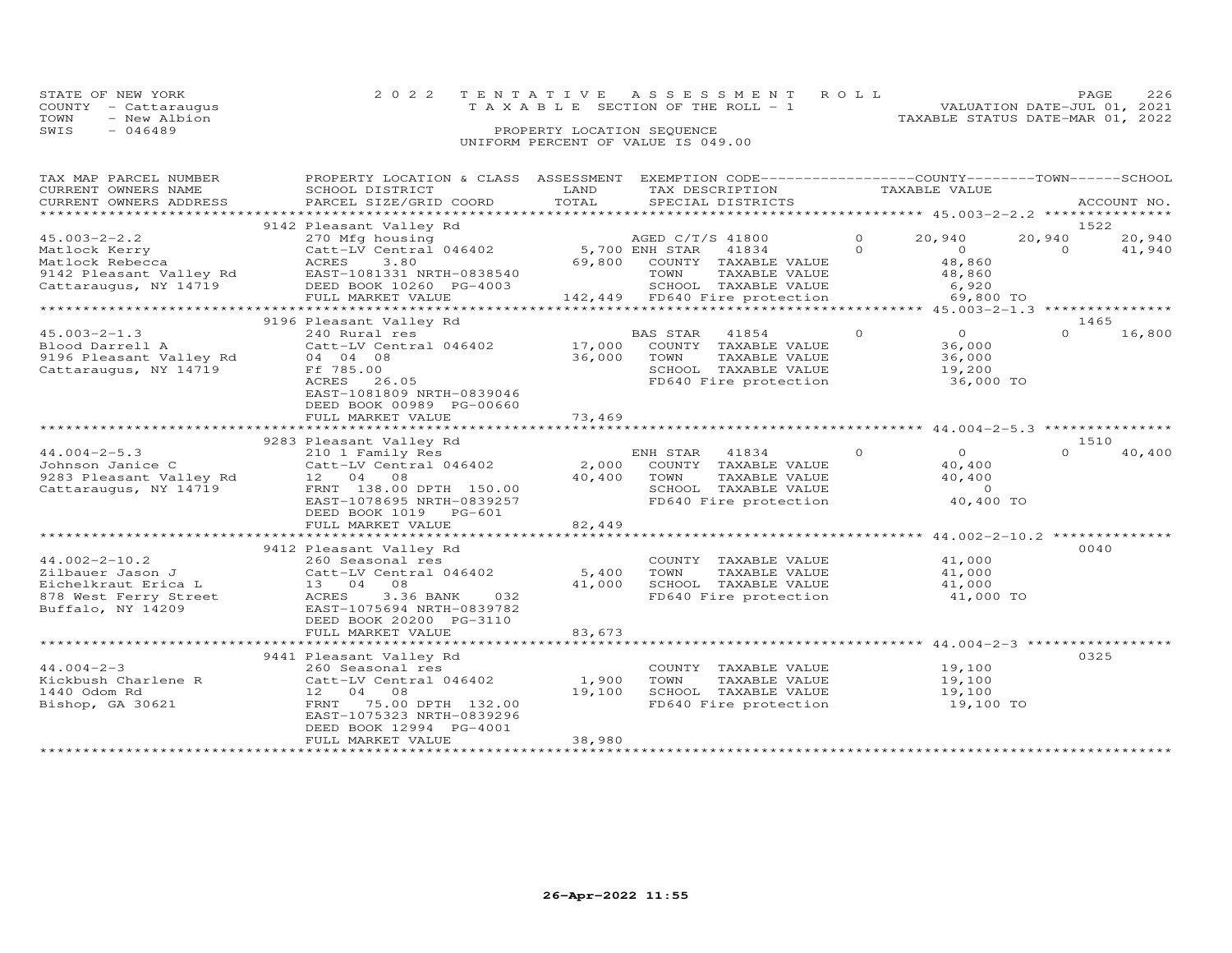| STATE OF NEW YORK    | 2022 TENTATIVE ASSESSMENT ROLL        | PAGE.                            |  |
|----------------------|---------------------------------------|----------------------------------|--|
| COUNTY - Cattaraugus | T A X A B L E SECTION OF THE ROLL - 1 | VALUATION DATE-JUL 01, 2021      |  |
| TOWN<br>- New Albion |                                       | TAXABLE STATUS DATE-MAR 01, 2022 |  |
| SWIS<br>- 046489     | PROPERTY LOCATION SEQUENCE            |                                  |  |
|                      | UNIFORM PERCENT OF VALUE IS 049.00    |                                  |  |

| TAX MAP PARCEL NUMBER<br>CURRENT OWNERS NAME<br>CURRENT OWNERS ADDRESS<br>*************************                                  | PROPERTY LOCATION & CLASS ASSESSMENT EXEMPTION CODE----------------COUNTY-------TOWN------SCHOOL<br>SCHOOL DISTRICT<br>PARCEL SIZE/GRID COORD                                           | LAND<br>TOTAL              | TAX DESCRIPTION<br>SPECIAL DISTRICTS                                                                                                                  | TAXABLE VALUE                                                                              | ACCOUNT NO.                                    |
|--------------------------------------------------------------------------------------------------------------------------------------|-----------------------------------------------------------------------------------------------------------------------------------------------------------------------------------------|----------------------------|-------------------------------------------------------------------------------------------------------------------------------------------------------|--------------------------------------------------------------------------------------------|------------------------------------------------|
| $45.003 - 2 - 2.2$<br>Matlock Kerry<br>Matlock Rebecca<br>9142 Pleasant Valley Rd<br>Cattaraugus, NY 14719<br>********************** | 9142 Pleasant Valley Rd<br>270 Mfg housing<br>Catt-LV Central 046402<br>ACRES<br>3.80<br>EAST-1081331 NRTH-0838540<br>DEED BOOK 10260 PG-4003<br>FULL MARKET VALUE                      | 69.800                     | AGED C/T/S 41800<br>5,700 ENH STAR<br>41834<br>COUNTY TAXABLE VALUE<br>TOWN<br>TAXABLE VALUE<br>SCHOOL TAXABLE VALUE<br>142,449 FD640 Fire protection | $\Omega$<br>20,940<br>$\Omega$<br>$\overline{O}$<br>48,860<br>48,860<br>6,920<br>69,800 TO | 1522<br>20,940<br>20,940<br>$\Omega$<br>41,940 |
|                                                                                                                                      | 9196 Pleasant Valley Rd                                                                                                                                                                 |                            |                                                                                                                                                       |                                                                                            | 1465                                           |
| $45.003 - 2 - 1.3$<br>Blood Darrell A<br>9196 Pleasant Valley Rd<br>Cattaraugus, NY 14719                                            | 240 Rural res<br>Catt-LV Central 046402<br>04 04 08<br>Ff 785.00<br>ACRES<br>26.05<br>EAST-1081809 NRTH-0839046<br>DEED BOOK 00989 PG-00660<br>FULL MARKET VALUE                        | 17,000<br>36,000<br>73,469 | 41854<br>BAS STAR<br>COUNTY TAXABLE VALUE<br>TAXABLE VALUE<br>TOWN<br>SCHOOL TAXABLE VALUE<br>FD640 Fire protection                                   | $\Omega$<br>$\Omega$<br>36,000<br>36,000<br>19,200<br>36,000 TO                            | $\Omega$<br>16,800                             |
|                                                                                                                                      |                                                                                                                                                                                         |                            |                                                                                                                                                       |                                                                                            |                                                |
| $44.004 - 2 - 5.3$<br>Johnson Janice C<br>9283 Pleasant Valley Rd<br>Cattaraugus, NY 14719                                           | 9283 Pleasant Valley Rd<br>210 1 Family Res<br>Catt-LV Central 046402<br>12 04 08<br>FRNT 138.00 DPTH 150.00<br>EAST-1078695 NRTH-0839257<br>DEED BOOK 1019 PG-601<br>FULL MARKET VALUE | 2,000<br>40,400<br>82,449  | ENH STAR 41834<br>COUNTY TAXABLE VALUE<br>TOWN<br>TAXABLE VALUE<br>SCHOOL TAXABLE VALUE<br>FD640 Fire protection                                      | $\Omega$<br>$\overline{O}$<br>40,400<br>40,400<br>$\overline{a}$<br>40,400 TO              | 1510<br>$\Omega$<br>40,400                     |
|                                                                                                                                      | *********************************                                                                                                                                                       |                            |                                                                                                                                                       |                                                                                            |                                                |
| $44.002 - 2 - 10.2$<br>Zilbauer Jason J<br>Eichelkraut Erica L<br>878 West Ferry Street<br>Buffalo, NY 14209                         | 9412 Pleasant Valley Rd<br>260 Seasonal res<br>Catt-LV Central 046402<br>08<br>13 04<br>ACRES<br>3.36 BANK<br>032<br>EAST-1075694 NRTH-0839782<br>DEED BOOK 20200 PG-3110               | 5,400<br>41,000            | COUNTY TAXABLE VALUE<br>TOWN<br>TAXABLE VALUE<br>SCHOOL TAXABLE VALUE<br>FD640 Fire protection                                                        | 41,000<br>41,000<br>41,000<br>41,000 TO                                                    | 0040                                           |
|                                                                                                                                      | FULL MARKET VALUE                                                                                                                                                                       | 83,673                     |                                                                                                                                                       |                                                                                            |                                                |
|                                                                                                                                      | 9441 Pleasant Valley Rd                                                                                                                                                                 |                            |                                                                                                                                                       |                                                                                            | 0325                                           |
| $44.004 - 2 - 3$<br>Kickbush Charlene R<br>1440 Odom Rd<br>Bishop, GA 30621                                                          | 260 Seasonal res<br>Catt-LV Central 046402<br>12 04 08<br>75.00 DPTH 132.00<br>FRNT<br>EAST-1075323 NRTH-0839296<br>DEED BOOK 12994 PG-4001                                             | 1,900<br>19,100            | COUNTY TAXABLE VALUE<br>TOWN<br>TAXABLE VALUE<br>SCHOOL TAXABLE VALUE<br>FD640 Fire protection                                                        | 19,100<br>19,100<br>19,100<br>19,100 TO                                                    |                                                |
|                                                                                                                                      | FULL MARKET VALUE                                                                                                                                                                       | 38,980                     |                                                                                                                                                       |                                                                                            |                                                |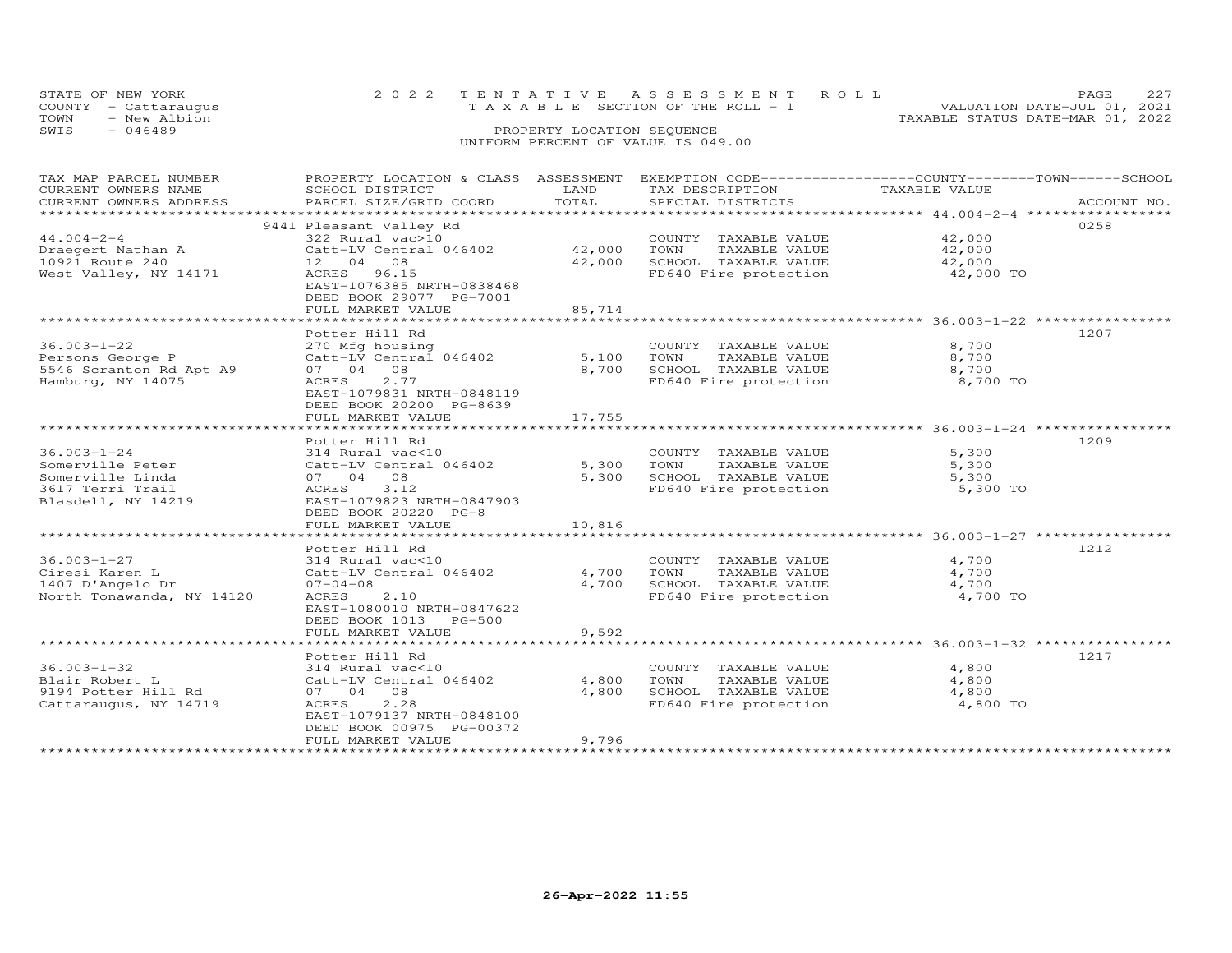|      | STATE OF NEW YORK<br>COUNTY - Cattaraugus | 2022 TENTATIVE ASSESSMENT ROLL<br>T A X A B L E SECTION OF THE ROLL - 1 |  | <b>PAGE</b><br>VALUATION DATE-JUL 01, 2021 |
|------|-------------------------------------------|-------------------------------------------------------------------------|--|--------------------------------------------|
| TOWN | - New Albion                              |                                                                         |  | TAXABLE STATUS DATE-MAR 01, 2022           |
| SWIS | - 046489                                  | PROPERTY LOCATION SEQUENCE                                              |  |                                            |
|      |                                           | UNIFORM PERCENT OF VALUE IS 049.00                                      |  |                                            |

| TOTAL<br>CURRENT OWNERS ADDRESS<br>PARCEL SIZE/GRID COORD<br>SPECIAL DISTRICTS<br>ACCOUNT NO.<br>***********************<br>0258<br>9441 Pleasant Valley Rd<br>$44.004 - 2 - 4$<br>322 Rural vac>10<br>42,000<br>COUNTY TAXABLE VALUE<br>Catt-LV Central 046402<br>42,000<br>TOWN<br>TAXABLE VALUE<br>42,000<br>Draegert Nathan A<br>10921 Route 240<br>42,000<br>SCHOOL TAXABLE VALUE<br>42,000<br>12 04 08<br>FD640 Fire protection<br>West Valley, NY 14171<br>ACRES 96.15<br>42,000 TO<br>EAST-1076385 NRTH-0838468<br>DEED BOOK 29077 PG-7001<br>FULL MARKET VALUE<br>85,714<br>********************* 36.003-1-22 ***********<br>**********************<br>1207<br>Potter Hill Rd<br>$36.003 - 1 - 22$<br>8,700<br>270 Mfg housing<br>COUNTY TAXABLE VALUE<br>8,700<br>Persons George P<br>Catt-LV Central 046402<br>5,100<br>TOWN<br>TAXABLE VALUE<br>8,700<br>5546 Scranton Rd Apt A9<br>07 04 08<br>8,700<br>SCHOOL TAXABLE VALUE<br>Hamburg, NY 14075<br>8,700 TO<br>2.77<br>FD640 Fire protection<br>ACRES<br>EAST-1079831 NRTH-0848119<br>DEED BOOK 20200 PG-8639<br>17,755<br>FULL MARKET VALUE<br>1209<br>Potter Hill Rd<br>$36.003 - 1 - 24$<br>5,300<br>314 Rural vac<10<br>COUNTY TAXABLE VALUE<br>5,300<br>Somerville Peter<br>Catt-LV Central 046402<br>TOWN<br>TAXABLE VALUE<br>5,300<br>Somerville Linda<br>5,300<br>SCHOOL TAXABLE VALUE<br>07 04 08<br>5,300<br>3.12<br>3617 Terri Trail<br>ACRES<br>FD640 Fire protection<br>5,300 TO<br>EAST-1079823 NRTH-0847903<br>Blasdell, NY 14219<br>DEED BOOK 20220 PG-8<br>FULL MARKET VALUE<br>10,816<br>1212<br>Potter Hill Rd<br>$36.003 - 1 - 27$<br>4,700<br>314 Rural vac<10<br>COUNTY TAXABLE VALUE<br>4,700<br>4,700<br>Ciresi Karen L<br>Catt-LV Central 046402<br>TOWN<br>TAXABLE VALUE<br>1407 D'Angelo Dr<br>4,700<br>SCHOOL TAXABLE VALUE<br>4,700<br>$07 - 04 - 08$<br>2.10<br>FD640 Fire protection<br>4,700 TO<br>North Tonawanda, NY 14120<br>ACRES<br>EAST-1080010 NRTH-0847622<br>DEED BOOK 1013 PG-500<br>9,592<br>FULL MARKET VALUE<br>1217<br>Potter Hill Rd<br>$36.003 - 1 - 32$<br>4,800<br>314 Rural vac<10<br>COUNTY TAXABLE VALUE<br>4,800<br>4,800<br>Blair Robert L<br>Catt-LV Central 046402<br>TOWN<br>TAXABLE VALUE<br>4,800<br>9194 Potter Hill Rd<br>07 04 08<br>SCHOOL TAXABLE VALUE<br>4,800<br>Cattaraugus, NY 14719<br>ACRES<br>2.28<br>FD640 Fire protection<br>4,800 TO<br>EAST-1079137 NRTH-0848100<br>DEED BOOK 00975 PG-00372<br>9,796<br>FULL MARKET VALUE | TAX MAP PARCEL NUMBER | PROPERTY LOCATION & CLASS ASSESSMENT |      | EXEMPTION CODE------------------COUNTY-------TOWN-----SCHOOL |               |  |
|------------------------------------------------------------------------------------------------------------------------------------------------------------------------------------------------------------------------------------------------------------------------------------------------------------------------------------------------------------------------------------------------------------------------------------------------------------------------------------------------------------------------------------------------------------------------------------------------------------------------------------------------------------------------------------------------------------------------------------------------------------------------------------------------------------------------------------------------------------------------------------------------------------------------------------------------------------------------------------------------------------------------------------------------------------------------------------------------------------------------------------------------------------------------------------------------------------------------------------------------------------------------------------------------------------------------------------------------------------------------------------------------------------------------------------------------------------------------------------------------------------------------------------------------------------------------------------------------------------------------------------------------------------------------------------------------------------------------------------------------------------------------------------------------------------------------------------------------------------------------------------------------------------------------------------------------------------------------------------------------------------------------------------------------------------------------------------------------------------------------------------------------------------------------------------------------------------------------------------------------------------------------------------------------------------------------------------------------------------------------------------------------------------------------------------------------------------------------|-----------------------|--------------------------------------|------|--------------------------------------------------------------|---------------|--|
|                                                                                                                                                                                                                                                                                                                                                                                                                                                                                                                                                                                                                                                                                                                                                                                                                                                                                                                                                                                                                                                                                                                                                                                                                                                                                                                                                                                                                                                                                                                                                                                                                                                                                                                                                                                                                                                                                                                                                                                                                                                                                                                                                                                                                                                                                                                                                                                                                                                                        | CURRENT OWNERS NAME   | SCHOOL DISTRICT                      | LAND | TAX DESCRIPTION                                              | TAXABLE VALUE |  |
|                                                                                                                                                                                                                                                                                                                                                                                                                                                                                                                                                                                                                                                                                                                                                                                                                                                                                                                                                                                                                                                                                                                                                                                                                                                                                                                                                                                                                                                                                                                                                                                                                                                                                                                                                                                                                                                                                                                                                                                                                                                                                                                                                                                                                                                                                                                                                                                                                                                                        |                       |                                      |      |                                                              |               |  |
|                                                                                                                                                                                                                                                                                                                                                                                                                                                                                                                                                                                                                                                                                                                                                                                                                                                                                                                                                                                                                                                                                                                                                                                                                                                                                                                                                                                                                                                                                                                                                                                                                                                                                                                                                                                                                                                                                                                                                                                                                                                                                                                                                                                                                                                                                                                                                                                                                                                                        |                       |                                      |      |                                                              |               |  |
|                                                                                                                                                                                                                                                                                                                                                                                                                                                                                                                                                                                                                                                                                                                                                                                                                                                                                                                                                                                                                                                                                                                                                                                                                                                                                                                                                                                                                                                                                                                                                                                                                                                                                                                                                                                                                                                                                                                                                                                                                                                                                                                                                                                                                                                                                                                                                                                                                                                                        |                       |                                      |      |                                                              |               |  |
|                                                                                                                                                                                                                                                                                                                                                                                                                                                                                                                                                                                                                                                                                                                                                                                                                                                                                                                                                                                                                                                                                                                                                                                                                                                                                                                                                                                                                                                                                                                                                                                                                                                                                                                                                                                                                                                                                                                                                                                                                                                                                                                                                                                                                                                                                                                                                                                                                                                                        |                       |                                      |      |                                                              |               |  |
|                                                                                                                                                                                                                                                                                                                                                                                                                                                                                                                                                                                                                                                                                                                                                                                                                                                                                                                                                                                                                                                                                                                                                                                                                                                                                                                                                                                                                                                                                                                                                                                                                                                                                                                                                                                                                                                                                                                                                                                                                                                                                                                                                                                                                                                                                                                                                                                                                                                                        |                       |                                      |      |                                                              |               |  |
|                                                                                                                                                                                                                                                                                                                                                                                                                                                                                                                                                                                                                                                                                                                                                                                                                                                                                                                                                                                                                                                                                                                                                                                                                                                                                                                                                                                                                                                                                                                                                                                                                                                                                                                                                                                                                                                                                                                                                                                                                                                                                                                                                                                                                                                                                                                                                                                                                                                                        |                       |                                      |      |                                                              |               |  |
|                                                                                                                                                                                                                                                                                                                                                                                                                                                                                                                                                                                                                                                                                                                                                                                                                                                                                                                                                                                                                                                                                                                                                                                                                                                                                                                                                                                                                                                                                                                                                                                                                                                                                                                                                                                                                                                                                                                                                                                                                                                                                                                                                                                                                                                                                                                                                                                                                                                                        |                       |                                      |      |                                                              |               |  |
|                                                                                                                                                                                                                                                                                                                                                                                                                                                                                                                                                                                                                                                                                                                                                                                                                                                                                                                                                                                                                                                                                                                                                                                                                                                                                                                                                                                                                                                                                                                                                                                                                                                                                                                                                                                                                                                                                                                                                                                                                                                                                                                                                                                                                                                                                                                                                                                                                                                                        |                       |                                      |      |                                                              |               |  |
|                                                                                                                                                                                                                                                                                                                                                                                                                                                                                                                                                                                                                                                                                                                                                                                                                                                                                                                                                                                                                                                                                                                                                                                                                                                                                                                                                                                                                                                                                                                                                                                                                                                                                                                                                                                                                                                                                                                                                                                                                                                                                                                                                                                                                                                                                                                                                                                                                                                                        |                       |                                      |      |                                                              |               |  |
|                                                                                                                                                                                                                                                                                                                                                                                                                                                                                                                                                                                                                                                                                                                                                                                                                                                                                                                                                                                                                                                                                                                                                                                                                                                                                                                                                                                                                                                                                                                                                                                                                                                                                                                                                                                                                                                                                                                                                                                                                                                                                                                                                                                                                                                                                                                                                                                                                                                                        |                       |                                      |      |                                                              |               |  |
|                                                                                                                                                                                                                                                                                                                                                                                                                                                                                                                                                                                                                                                                                                                                                                                                                                                                                                                                                                                                                                                                                                                                                                                                                                                                                                                                                                                                                                                                                                                                                                                                                                                                                                                                                                                                                                                                                                                                                                                                                                                                                                                                                                                                                                                                                                                                                                                                                                                                        |                       |                                      |      |                                                              |               |  |
|                                                                                                                                                                                                                                                                                                                                                                                                                                                                                                                                                                                                                                                                                                                                                                                                                                                                                                                                                                                                                                                                                                                                                                                                                                                                                                                                                                                                                                                                                                                                                                                                                                                                                                                                                                                                                                                                                                                                                                                                                                                                                                                                                                                                                                                                                                                                                                                                                                                                        |                       |                                      |      |                                                              |               |  |
|                                                                                                                                                                                                                                                                                                                                                                                                                                                                                                                                                                                                                                                                                                                                                                                                                                                                                                                                                                                                                                                                                                                                                                                                                                                                                                                                                                                                                                                                                                                                                                                                                                                                                                                                                                                                                                                                                                                                                                                                                                                                                                                                                                                                                                                                                                                                                                                                                                                                        |                       |                                      |      |                                                              |               |  |
|                                                                                                                                                                                                                                                                                                                                                                                                                                                                                                                                                                                                                                                                                                                                                                                                                                                                                                                                                                                                                                                                                                                                                                                                                                                                                                                                                                                                                                                                                                                                                                                                                                                                                                                                                                                                                                                                                                                                                                                                                                                                                                                                                                                                                                                                                                                                                                                                                                                                        |                       |                                      |      |                                                              |               |  |
|                                                                                                                                                                                                                                                                                                                                                                                                                                                                                                                                                                                                                                                                                                                                                                                                                                                                                                                                                                                                                                                                                                                                                                                                                                                                                                                                                                                                                                                                                                                                                                                                                                                                                                                                                                                                                                                                                                                                                                                                                                                                                                                                                                                                                                                                                                                                                                                                                                                                        |                       |                                      |      |                                                              |               |  |
|                                                                                                                                                                                                                                                                                                                                                                                                                                                                                                                                                                                                                                                                                                                                                                                                                                                                                                                                                                                                                                                                                                                                                                                                                                                                                                                                                                                                                                                                                                                                                                                                                                                                                                                                                                                                                                                                                                                                                                                                                                                                                                                                                                                                                                                                                                                                                                                                                                                                        |                       |                                      |      |                                                              |               |  |
|                                                                                                                                                                                                                                                                                                                                                                                                                                                                                                                                                                                                                                                                                                                                                                                                                                                                                                                                                                                                                                                                                                                                                                                                                                                                                                                                                                                                                                                                                                                                                                                                                                                                                                                                                                                                                                                                                                                                                                                                                                                                                                                                                                                                                                                                                                                                                                                                                                                                        |                       |                                      |      |                                                              |               |  |
|                                                                                                                                                                                                                                                                                                                                                                                                                                                                                                                                                                                                                                                                                                                                                                                                                                                                                                                                                                                                                                                                                                                                                                                                                                                                                                                                                                                                                                                                                                                                                                                                                                                                                                                                                                                                                                                                                                                                                                                                                                                                                                                                                                                                                                                                                                                                                                                                                                                                        |                       |                                      |      |                                                              |               |  |
|                                                                                                                                                                                                                                                                                                                                                                                                                                                                                                                                                                                                                                                                                                                                                                                                                                                                                                                                                                                                                                                                                                                                                                                                                                                                                                                                                                                                                                                                                                                                                                                                                                                                                                                                                                                                                                                                                                                                                                                                                                                                                                                                                                                                                                                                                                                                                                                                                                                                        |                       |                                      |      |                                                              |               |  |
|                                                                                                                                                                                                                                                                                                                                                                                                                                                                                                                                                                                                                                                                                                                                                                                                                                                                                                                                                                                                                                                                                                                                                                                                                                                                                                                                                                                                                                                                                                                                                                                                                                                                                                                                                                                                                                                                                                                                                                                                                                                                                                                                                                                                                                                                                                                                                                                                                                                                        |                       |                                      |      |                                                              |               |  |
|                                                                                                                                                                                                                                                                                                                                                                                                                                                                                                                                                                                                                                                                                                                                                                                                                                                                                                                                                                                                                                                                                                                                                                                                                                                                                                                                                                                                                                                                                                                                                                                                                                                                                                                                                                                                                                                                                                                                                                                                                                                                                                                                                                                                                                                                                                                                                                                                                                                                        |                       |                                      |      |                                                              |               |  |
|                                                                                                                                                                                                                                                                                                                                                                                                                                                                                                                                                                                                                                                                                                                                                                                                                                                                                                                                                                                                                                                                                                                                                                                                                                                                                                                                                                                                                                                                                                                                                                                                                                                                                                                                                                                                                                                                                                                                                                                                                                                                                                                                                                                                                                                                                                                                                                                                                                                                        |                       |                                      |      |                                                              |               |  |
|                                                                                                                                                                                                                                                                                                                                                                                                                                                                                                                                                                                                                                                                                                                                                                                                                                                                                                                                                                                                                                                                                                                                                                                                                                                                                                                                                                                                                                                                                                                                                                                                                                                                                                                                                                                                                                                                                                                                                                                                                                                                                                                                                                                                                                                                                                                                                                                                                                                                        |                       |                                      |      |                                                              |               |  |
|                                                                                                                                                                                                                                                                                                                                                                                                                                                                                                                                                                                                                                                                                                                                                                                                                                                                                                                                                                                                                                                                                                                                                                                                                                                                                                                                                                                                                                                                                                                                                                                                                                                                                                                                                                                                                                                                                                                                                                                                                                                                                                                                                                                                                                                                                                                                                                                                                                                                        |                       |                                      |      |                                                              |               |  |
|                                                                                                                                                                                                                                                                                                                                                                                                                                                                                                                                                                                                                                                                                                                                                                                                                                                                                                                                                                                                                                                                                                                                                                                                                                                                                                                                                                                                                                                                                                                                                                                                                                                                                                                                                                                                                                                                                                                                                                                                                                                                                                                                                                                                                                                                                                                                                                                                                                                                        |                       |                                      |      |                                                              |               |  |
|                                                                                                                                                                                                                                                                                                                                                                                                                                                                                                                                                                                                                                                                                                                                                                                                                                                                                                                                                                                                                                                                                                                                                                                                                                                                                                                                                                                                                                                                                                                                                                                                                                                                                                                                                                                                                                                                                                                                                                                                                                                                                                                                                                                                                                                                                                                                                                                                                                                                        |                       |                                      |      |                                                              |               |  |
|                                                                                                                                                                                                                                                                                                                                                                                                                                                                                                                                                                                                                                                                                                                                                                                                                                                                                                                                                                                                                                                                                                                                                                                                                                                                                                                                                                                                                                                                                                                                                                                                                                                                                                                                                                                                                                                                                                                                                                                                                                                                                                                                                                                                                                                                                                                                                                                                                                                                        |                       |                                      |      |                                                              |               |  |
|                                                                                                                                                                                                                                                                                                                                                                                                                                                                                                                                                                                                                                                                                                                                                                                                                                                                                                                                                                                                                                                                                                                                                                                                                                                                                                                                                                                                                                                                                                                                                                                                                                                                                                                                                                                                                                                                                                                                                                                                                                                                                                                                                                                                                                                                                                                                                                                                                                                                        |                       |                                      |      |                                                              |               |  |
|                                                                                                                                                                                                                                                                                                                                                                                                                                                                                                                                                                                                                                                                                                                                                                                                                                                                                                                                                                                                                                                                                                                                                                                                                                                                                                                                                                                                                                                                                                                                                                                                                                                                                                                                                                                                                                                                                                                                                                                                                                                                                                                                                                                                                                                                                                                                                                                                                                                                        |                       |                                      |      |                                                              |               |  |
|                                                                                                                                                                                                                                                                                                                                                                                                                                                                                                                                                                                                                                                                                                                                                                                                                                                                                                                                                                                                                                                                                                                                                                                                                                                                                                                                                                                                                                                                                                                                                                                                                                                                                                                                                                                                                                                                                                                                                                                                                                                                                                                                                                                                                                                                                                                                                                                                                                                                        |                       |                                      |      |                                                              |               |  |
|                                                                                                                                                                                                                                                                                                                                                                                                                                                                                                                                                                                                                                                                                                                                                                                                                                                                                                                                                                                                                                                                                                                                                                                                                                                                                                                                                                                                                                                                                                                                                                                                                                                                                                                                                                                                                                                                                                                                                                                                                                                                                                                                                                                                                                                                                                                                                                                                                                                                        |                       |                                      |      |                                                              |               |  |
|                                                                                                                                                                                                                                                                                                                                                                                                                                                                                                                                                                                                                                                                                                                                                                                                                                                                                                                                                                                                                                                                                                                                                                                                                                                                                                                                                                                                                                                                                                                                                                                                                                                                                                                                                                                                                                                                                                                                                                                                                                                                                                                                                                                                                                                                                                                                                                                                                                                                        |                       |                                      |      |                                                              |               |  |
|                                                                                                                                                                                                                                                                                                                                                                                                                                                                                                                                                                                                                                                                                                                                                                                                                                                                                                                                                                                                                                                                                                                                                                                                                                                                                                                                                                                                                                                                                                                                                                                                                                                                                                                                                                                                                                                                                                                                                                                                                                                                                                                                                                                                                                                                                                                                                                                                                                                                        |                       |                                      |      |                                                              |               |  |
|                                                                                                                                                                                                                                                                                                                                                                                                                                                                                                                                                                                                                                                                                                                                                                                                                                                                                                                                                                                                                                                                                                                                                                                                                                                                                                                                                                                                                                                                                                                                                                                                                                                                                                                                                                                                                                                                                                                                                                                                                                                                                                                                                                                                                                                                                                                                                                                                                                                                        |                       |                                      |      |                                                              |               |  |
|                                                                                                                                                                                                                                                                                                                                                                                                                                                                                                                                                                                                                                                                                                                                                                                                                                                                                                                                                                                                                                                                                                                                                                                                                                                                                                                                                                                                                                                                                                                                                                                                                                                                                                                                                                                                                                                                                                                                                                                                                                                                                                                                                                                                                                                                                                                                                                                                                                                                        |                       |                                      |      |                                                              |               |  |
|                                                                                                                                                                                                                                                                                                                                                                                                                                                                                                                                                                                                                                                                                                                                                                                                                                                                                                                                                                                                                                                                                                                                                                                                                                                                                                                                                                                                                                                                                                                                                                                                                                                                                                                                                                                                                                                                                                                                                                                                                                                                                                                                                                                                                                                                                                                                                                                                                                                                        |                       |                                      |      |                                                              |               |  |
|                                                                                                                                                                                                                                                                                                                                                                                                                                                                                                                                                                                                                                                                                                                                                                                                                                                                                                                                                                                                                                                                                                                                                                                                                                                                                                                                                                                                                                                                                                                                                                                                                                                                                                                                                                                                                                                                                                                                                                                                                                                                                                                                                                                                                                                                                                                                                                                                                                                                        |                       |                                      |      |                                                              |               |  |
|                                                                                                                                                                                                                                                                                                                                                                                                                                                                                                                                                                                                                                                                                                                                                                                                                                                                                                                                                                                                                                                                                                                                                                                                                                                                                                                                                                                                                                                                                                                                                                                                                                                                                                                                                                                                                                                                                                                                                                                                                                                                                                                                                                                                                                                                                                                                                                                                                                                                        |                       |                                      |      |                                                              |               |  |
|                                                                                                                                                                                                                                                                                                                                                                                                                                                                                                                                                                                                                                                                                                                                                                                                                                                                                                                                                                                                                                                                                                                                                                                                                                                                                                                                                                                                                                                                                                                                                                                                                                                                                                                                                                                                                                                                                                                                                                                                                                                                                                                                                                                                                                                                                                                                                                                                                                                                        |                       |                                      |      |                                                              |               |  |
|                                                                                                                                                                                                                                                                                                                                                                                                                                                                                                                                                                                                                                                                                                                                                                                                                                                                                                                                                                                                                                                                                                                                                                                                                                                                                                                                                                                                                                                                                                                                                                                                                                                                                                                                                                                                                                                                                                                                                                                                                                                                                                                                                                                                                                                                                                                                                                                                                                                                        |                       |                                      |      |                                                              |               |  |
|                                                                                                                                                                                                                                                                                                                                                                                                                                                                                                                                                                                                                                                                                                                                                                                                                                                                                                                                                                                                                                                                                                                                                                                                                                                                                                                                                                                                                                                                                                                                                                                                                                                                                                                                                                                                                                                                                                                                                                                                                                                                                                                                                                                                                                                                                                                                                                                                                                                                        |                       |                                      |      |                                                              |               |  |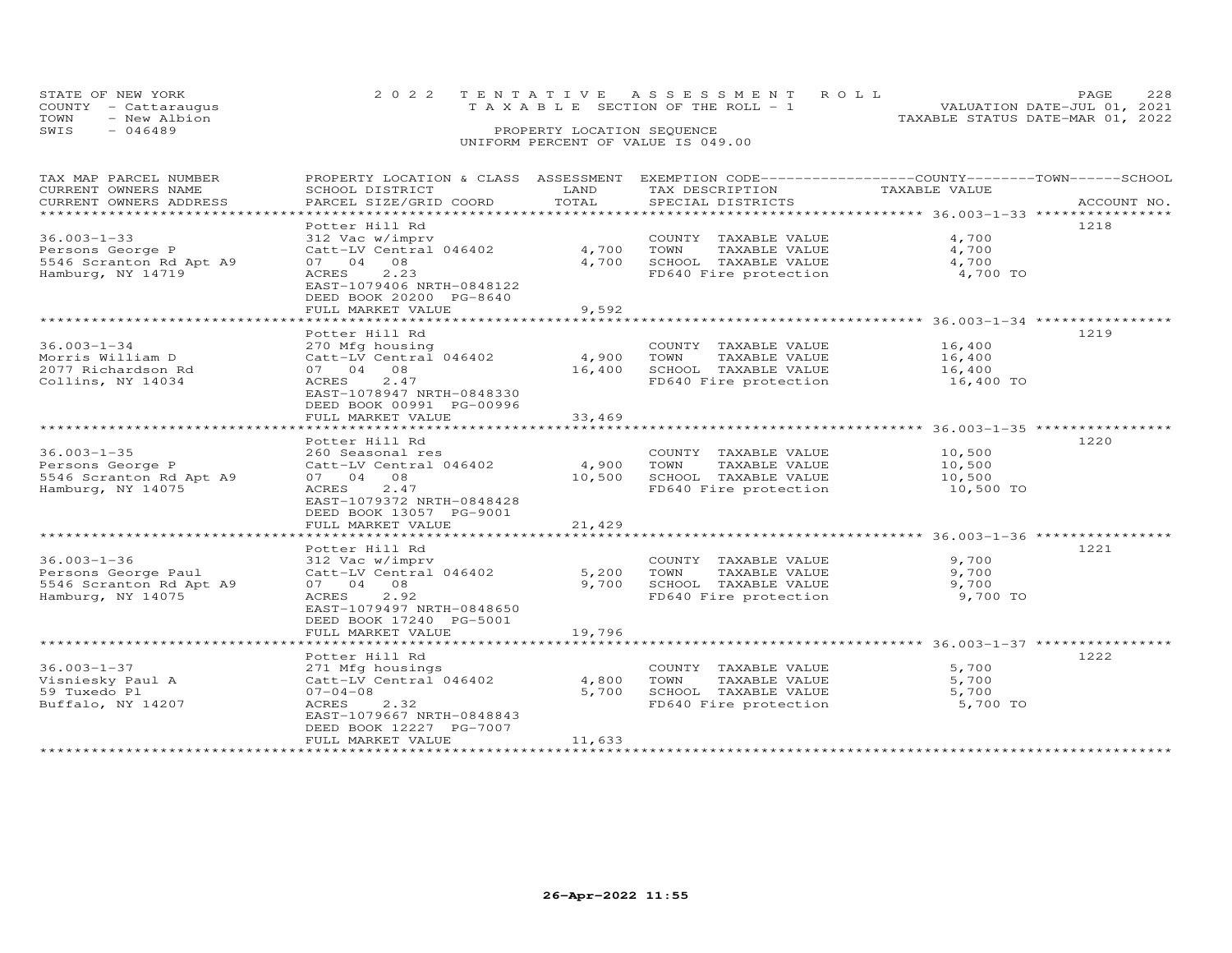| STATE OF NEW YORK<br>COUNTY - Cattaraugus<br>TOWN<br>- New Albion | 2022 TENTATIVE ASSESSMENT ROLL<br>T A X A B L E SECTION OF THE ROLL - 1 | PAGE<br>VALUATION DATE-JUL 01, 2021<br>TAXABLE STATUS DATE-MAR 01, 2022 | 228 |
|-------------------------------------------------------------------|-------------------------------------------------------------------------|-------------------------------------------------------------------------|-----|
| SWIS<br>$-046489$                                                 | PROPERTY LOCATION SEQUENCE<br>UNIFORM PERCENT OF VALUE IS 049.00        |                                                                         |     |

| TAX MAP PARCEL NUMBER                                    | PROPERTY LOCATION & CLASS ASSESSMENT EXEMPTION CODE-----------------COUNTY-------TOWN------SCHOOL |            |                                               |               |             |
|----------------------------------------------------------|---------------------------------------------------------------------------------------------------|------------|-----------------------------------------------|---------------|-------------|
| CURRENT OWNERS NAME                                      | SCHOOL DISTRICT                                                                                   | LAND       | TAX DESCRIPTION                               | TAXABLE VALUE |             |
| CURRENT OWNERS ADDRESS<br>****************************** | PARCEL SIZE/GRID COORD                                                                            | TOTAL      | SPECIAL DISTRICTS                             |               | ACCOUNT NO. |
|                                                          |                                                                                                   |            |                                               |               |             |
|                                                          | Potter Hill Rd                                                                                    |            |                                               |               | 1218        |
| $36.003 - 1 - 33$                                        | 312 Vac w/imprv                                                                                   |            | COUNTY TAXABLE VALUE                          | 4,700         |             |
| Persons George P                                         | Catt-LV Central 046402                                                                            | 4,700      | TOWN<br>TAXABLE VALUE                         | 4,700         |             |
| 5546 Scranton Rd Apt A9                                  | 07 04 08                                                                                          | 4,700      | SCHOOL TAXABLE VALUE                          | 4,700         |             |
| Hamburg, NY 14719                                        | 2.23<br>ACRES                                                                                     |            | FD640 Fire protection                         | 4,700 TO      |             |
|                                                          | EAST-1079406 NRTH-0848122                                                                         |            |                                               |               |             |
|                                                          | DEED BOOK 20200 PG-8640                                                                           |            |                                               |               |             |
|                                                          | FULL MARKET VALUE                                                                                 | 9,592      |                                               |               |             |
|                                                          |                                                                                                   |            |                                               |               |             |
|                                                          | Potter Hill Rd                                                                                    |            |                                               |               | 1219        |
| $36.003 - 1 - 34$                                        | 270 Mfg housing                                                                                   |            | COUNTY TAXABLE VALUE                          | 16,400        |             |
| Morris William D                                         | Catt-LV Central 046402                                                                            | 4,900 TOWN | TAXABLE VALUE                                 | 16,400        |             |
| 2077 Richardson Rd                                       | 07 04 08                                                                                          |            | 16,400 SCHOOL TAXABLE VALUE                   | 16,400        |             |
| Collins, NY 14034                                        | ACRES 2.47                                                                                        |            | FD640 Fire protection                         | 16,400 TO     |             |
|                                                          | EAST-1078947 NRTH-0848330                                                                         |            |                                               |               |             |
|                                                          | DEED BOOK 00991 PG-00996                                                                          |            |                                               |               |             |
|                                                          | FULL MARKET VALUE                                                                                 | 33,469     |                                               |               |             |
|                                                          |                                                                                                   |            |                                               |               |             |
|                                                          | Potter Hill Rd                                                                                    |            |                                               |               | 1220        |
| $36.003 - 1 - 35$                                        | 260 Seasonal res                                                                                  |            | COUNTY TAXABLE VALUE                          | 10,500        |             |
| Persons George P                                         | Catt-LV Central 046402                                                                            | 4,900 TOWN | TAXABLE VALUE                                 | 10,500        |             |
| 5546 Scranton Rd Apt A9                                  | 07 04 08                                                                                          | 10,500     | SCHOOL TAXABLE VALUE                          | 10,500        |             |
| Hamburg, NY 14075                                        | ACRES<br>2.47                                                                                     |            | FD640 Fire protection                         | 10,500 TO     |             |
|                                                          | EAST-1079372 NRTH-0848428                                                                         |            |                                               |               |             |
|                                                          | DEED BOOK 13057 PG-9001                                                                           |            |                                               |               |             |
|                                                          | FULL MARKET VALUE                                                                                 | 21,429     |                                               |               |             |
|                                                          |                                                                                                   |            |                                               |               |             |
|                                                          | Potter Hill Rd                                                                                    |            |                                               |               | 1221        |
| $36.003 - 1 - 36$                                        | 312 Vac w/imprv                                                                                   |            | COUNTY TAXABLE VALUE                          | 9,700         |             |
| Persons George Paul                                      | Catt-LV Central 046402                                                                            | 5,200      | TAXABLE VALUE<br>TOWN                         | 9,700         |             |
| 5546 Scranton Rd Apt A9                                  | 07 04 08                                                                                          | 9,700      |                                               | 9,700         |             |
| Hamburg, NY 14075                                        | ACRES 2.92                                                                                        |            | SCHOOL TAXABLE VALUE<br>FD640 Fire protection | 9,700 TO      |             |
|                                                          | EAST-1079497 NRTH-0848650                                                                         |            |                                               |               |             |
|                                                          | DEED BOOK 17240 PG-5001                                                                           |            |                                               |               |             |
|                                                          | FULL MARKET VALUE                                                                                 | 19,796     |                                               |               |             |
|                                                          |                                                                                                   |            |                                               |               |             |
|                                                          | Potter Hill Rd                                                                                    |            |                                               |               | 1222        |
| $36.003 - 1 - 37$                                        | 271 Mfg housings                                                                                  |            | COUNTY TAXABLE VALUE                          | 5,700         |             |
| Visniesky Paul A                                         | Catt-LV Central 046402                                                                            | 4,800      | TOWN<br>TAXABLE VALUE                         | 5,700         |             |
| 59 Tuxedo Pl                                             | $07 - 04 - 08$                                                                                    | 5,700      |                                               | 5,700         |             |
| Buffalo, NY 14207                                        | ACRES<br>2.32                                                                                     |            | SCHOOL TAXABLE VALUE<br>FD640 Fire protection | 5,700 TO      |             |
|                                                          | EAST-1079667 NRTH-0848843                                                                         |            |                                               |               |             |
|                                                          | DEED BOOK 12227 PG-7007                                                                           |            |                                               |               |             |
|                                                          | FULL MARKET VALUE                                                                                 | 11,633     |                                               |               |             |
|                                                          |                                                                                                   |            |                                               |               |             |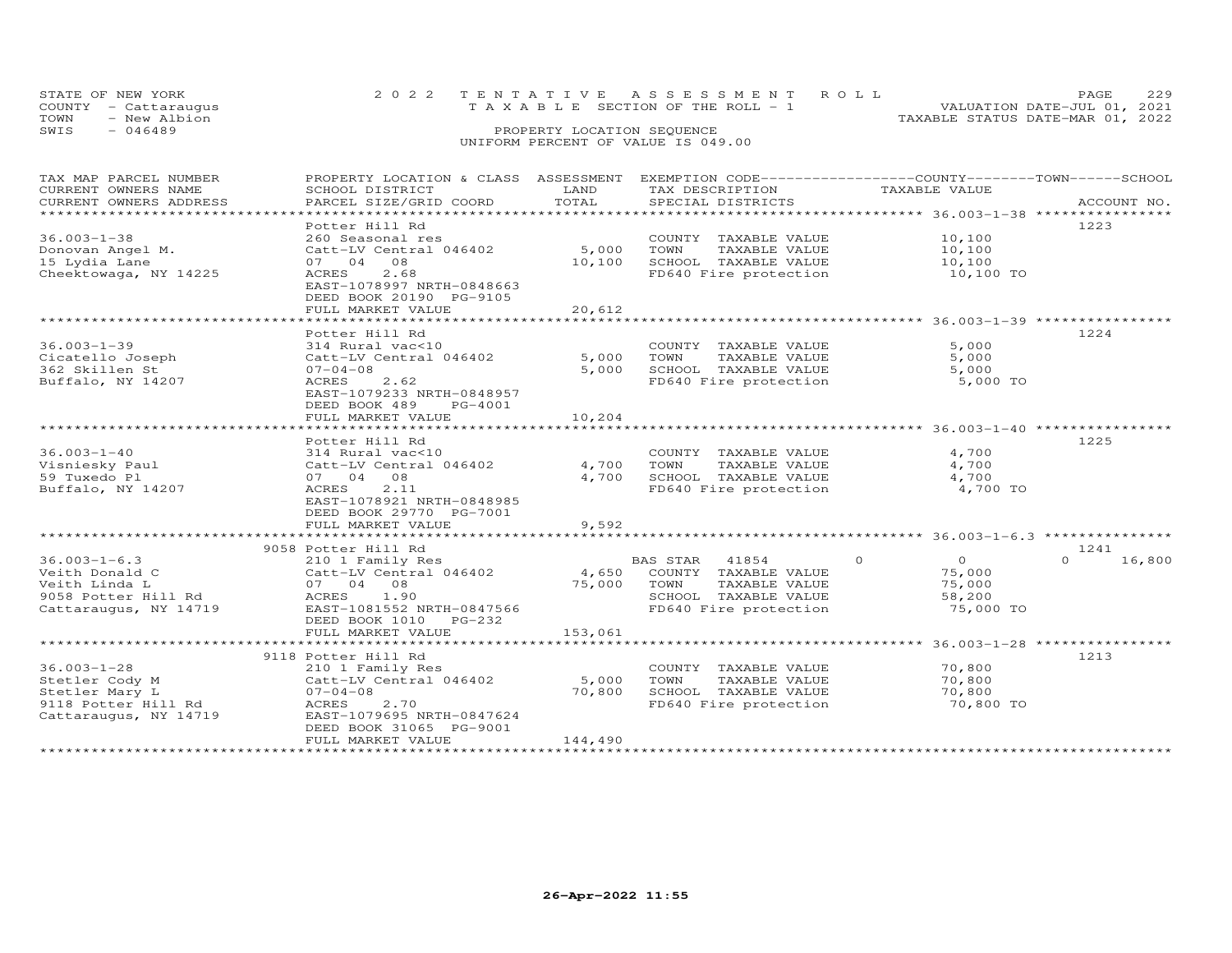|      | STATE OF NEW YORK    | 2022 TENTATIVE ASSESSMENT ROLL           | PAGE.                            |  |
|------|----------------------|------------------------------------------|----------------------------------|--|
|      | COUNTY - Cattaraugus | $T A X A B I F$ SECTION OF THE ROLL $-1$ | VALUATION DATE-JUL 01, 2021      |  |
| TOWN | - New Albion         |                                          | TAXABLE STATUS DATE-MAR 01, 2022 |  |
| SWIS | - 046489             | PROPERTY LOCATION SEQUENCE               |                                  |  |
|      |                      | UNIFORM PERCENT OF VALUE IS 049.00       |                                  |  |

| TAX MAP PARCEL NUMBER<br>CURRENT OWNERS NAME<br>CURRENT OWNERS ADDRESS | PROPERTY LOCATION & CLASS ASSESSMENT<br>SCHOOL DISTRICT<br>PARCEL SIZE/GRID COORD | LAND<br>TOTAL                 | EXEMPTION CODE------------------COUNTY-------TOWN------SCHOOL<br>TAX DESCRIPTION<br>SPECIAL DISTRICTS | TAXABLE VALUE             |                    |
|------------------------------------------------------------------------|-----------------------------------------------------------------------------------|-------------------------------|-------------------------------------------------------------------------------------------------------|---------------------------|--------------------|
| *****************************                                          |                                                                                   |                               |                                                                                                       |                           | ACCOUNT NO.        |
| $36.003 - 1 - 38$                                                      | Potter Hill Rd<br>260 Seasonal res                                                |                               | COUNTY TAXABLE VALUE                                                                                  | 10,100                    | 1223               |
| Donovan Angel M.<br>15 Lydia Lane                                      | Catt-LV Central 046402<br>07 04 08                                                | 5,000<br>10,100               | TOWN<br>TAXABLE VALUE<br>SCHOOL TAXABLE VALUE                                                         | 10,100<br>10,100          |                    |
| Cheektowaga, NY 14225                                                  | 2.68<br>ACRES<br>EAST-1078997 NRTH-0848663<br>DEED BOOK 20190 PG-9105             |                               | FD640 Fire protection                                                                                 | 10,100 TO                 |                    |
|                                                                        | FULL MARKET VALUE                                                                 | 20,612                        |                                                                                                       |                           |                    |
|                                                                        | Potter Hill Rd                                                                    |                               |                                                                                                       |                           | 1224               |
| $36.003 - 1 - 39$                                                      | 314 Rural vac<10                                                                  |                               | COUNTY TAXABLE VALUE                                                                                  | 5,000                     |                    |
| Cicatello Joseph                                                       | Catt-LV Central 046402                                                            | 5,000                         | TOWN<br>TAXABLE VALUE                                                                                 | 5,000                     |                    |
| 362 Skillen St                                                         | $07 - 04 - 08$                                                                    | 5,000                         | SCHOOL TAXABLE VALUE                                                                                  | 5,000                     |                    |
| Buffalo, NY 14207                                                      | 2.62<br>ACRES<br>EAST-1079233 NRTH-0848957<br>DEED BOOK 489<br>PG-4001            |                               | FD640 Fire protection                                                                                 | 5,000 TO                  |                    |
|                                                                        | FULL MARKET VALUE                                                                 | 10,204<br>* * * * * * * * * * |                                                                                                       |                           |                    |
|                                                                        |                                                                                   |                               |                                                                                                       |                           |                    |
| $36.003 - 1 - 40$                                                      | Potter Hill Rd<br>314 Rural vac<10                                                |                               | COUNTY TAXABLE VALUE                                                                                  | 4,700                     | 1225               |
| Visniesky Paul                                                         | Catt-LV Central 046402                                                            | 4,700                         | TOWN<br>TAXABLE VALUE                                                                                 | 4,700                     |                    |
| 59 Tuxedo Pl                                                           | 07 04 08                                                                          | 4,700                         | SCHOOL TAXABLE VALUE                                                                                  | 4,700                     |                    |
| Buffalo, NY 14207                                                      | 2.11<br>ACRES<br>EAST-1078921 NRTH-0848985<br>DEED BOOK 29770 PG-7001             |                               | FD640 Fire protection                                                                                 | 4,700 TO                  |                    |
|                                                                        | FULL MARKET VALUE                                                                 | 9,592                         |                                                                                                       |                           |                    |
|                                                                        |                                                                                   |                               |                                                                                                       |                           |                    |
|                                                                        | 9058 Potter Hill Rd                                                               |                               |                                                                                                       |                           | 1241               |
| $36.003 - 1 - 6.3$                                                     | 210 1 Family Res                                                                  |                               | BAS STAR 41854                                                                                        | $\overline{O}$<br>$\circ$ | 16,800<br>$\Omega$ |
| Veith Donald C                                                         | Catt-LV Central 046402                                                            | 4,650                         | COUNTY TAXABLE VALUE                                                                                  | 75,000                    |                    |
| Veith Linda L<br>9058 Potter Hill Rd                                   | 07 04 08<br>1.90<br>ACRES                                                         | 75,000                        | TOWN<br>TAXABLE VALUE<br>SCHOOL TAXABLE VALUE                                                         | 75,000<br>58,200          |                    |
| Cattaraugus, NY 14719                                                  | EAST-1081552 NRTH-0847566<br>DEED BOOK 1010 PG-232                                |                               | FD640 Fire protection                                                                                 | 75,000 TO                 |                    |
|                                                                        | FULL MARKET VALUE                                                                 | 153,061                       |                                                                                                       |                           |                    |
|                                                                        |                                                                                   |                               |                                                                                                       |                           |                    |
| $36.003 - 1 - 28$                                                      | 9118 Potter Hill Rd<br>210 1 Family Res                                           |                               | COUNTY TAXABLE VALUE                                                                                  | 70,800                    | 1213               |
| Stetler Cody M                                                         | Catt-LV Central 046402                                                            | 5,000                         | TOWN<br>TAXABLE VALUE                                                                                 | 70,800                    |                    |
| Stetler Mary L                                                         | $07 - 04 - 08$                                                                    | 70,800                        | SCHOOL TAXABLE VALUE                                                                                  | 70,800                    |                    |
| 9118 Potter Hill Rd                                                    | 2.70<br>ACRES                                                                     |                               | FD640 Fire protection                                                                                 | 70,800 TO                 |                    |
| Cattaraugus, NY 14719                                                  | EAST-1079695 NRTH-0847624<br>DEED BOOK 31065 PG-9001<br>FULL MARKET VALUE         | 144,490                       |                                                                                                       |                           |                    |
|                                                                        |                                                                                   |                               |                                                                                                       |                           |                    |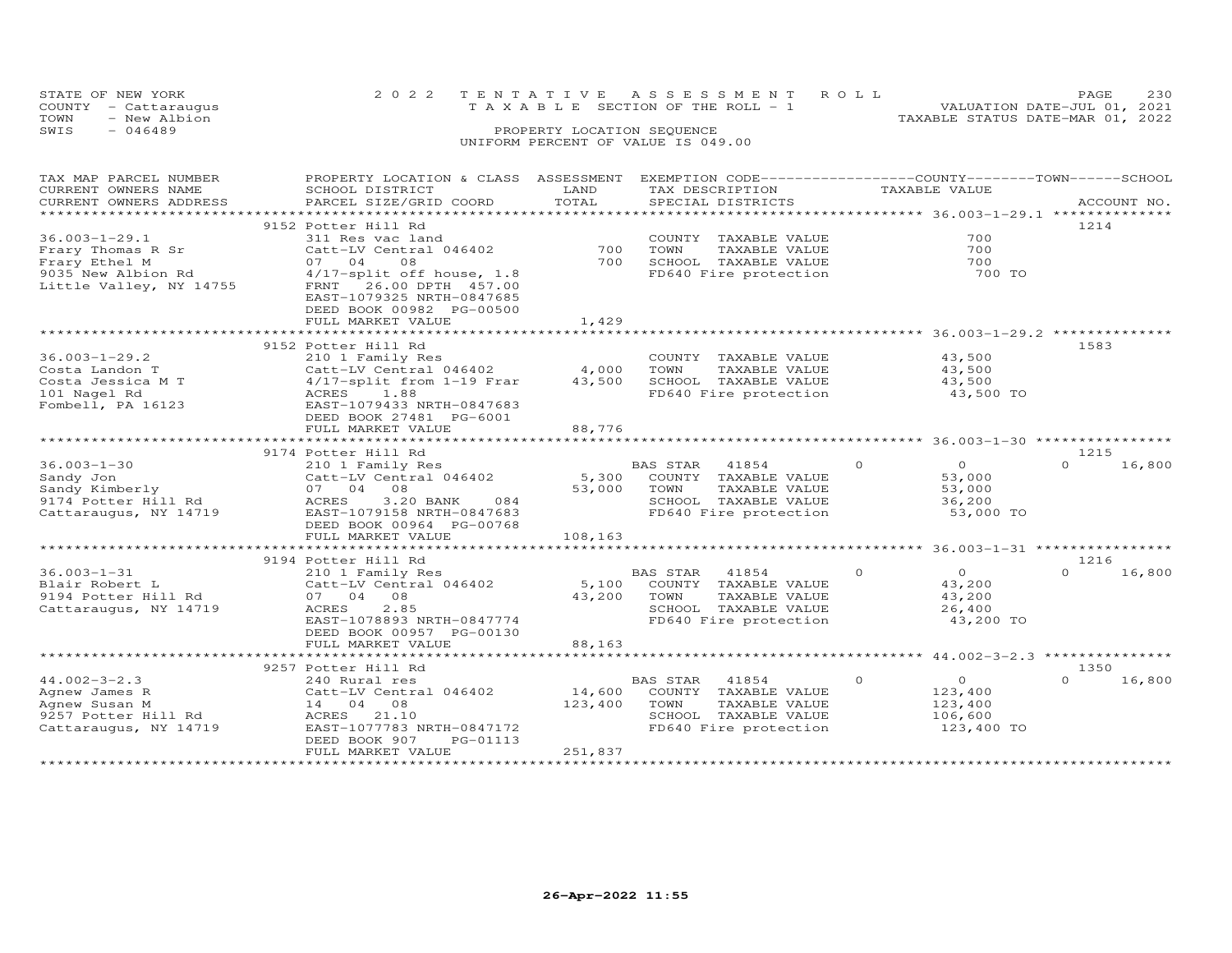|      | STATE OF NEW YORK    | 2022 TENTATIVE ASSESSMENT ROLL        | <b>PAGE</b>                      | 230 |
|------|----------------------|---------------------------------------|----------------------------------|-----|
|      | COUNTY - Cattaraugus | T A X A B L E SECTION OF THE ROLL - 1 | VALUATION DATE-JUL 01, 2021      |     |
| TOWN | - New Albion         |                                       | TAXABLE STATUS DATE-MAR 01, 2022 |     |
| SWIS | $-046489$            | PROPERTY LOCATION SEQUENCE            |                                  |     |
|      |                      | UNIFORM PERCENT OF VALUE IS 049.00    |                                  |     |

| TAX MAP PARCEL NUMBER   | PROPERTY LOCATION & CLASS ASSESSMENT                |         | EXEMPTION CODE-----------------COUNTY-------TOWN------SCHOOL |                                        |                    |
|-------------------------|-----------------------------------------------------|---------|--------------------------------------------------------------|----------------------------------------|--------------------|
| CURRENT OWNERS NAME     | SCHOOL DISTRICT                                     | LAND    | TAX DESCRIPTION                                              | TAXABLE VALUE                          |                    |
| CURRENT OWNERS ADDRESS  | PARCEL SIZE/GRID COORD                              | TOTAL   | SPECIAL DISTRICTS                                            |                                        | ACCOUNT NO.        |
| *********************** |                                                     |         |                                                              |                                        |                    |
|                         | 9152 Potter Hill Rd                                 |         |                                                              |                                        | 1214               |
| $36.003 - 1 - 29.1$     | 311 Res vac land                                    |         | COUNTY TAXABLE VALUE                                         | 700                                    |                    |
| Frary Thomas R Sr       | Catt-LV Central 046402                              | 700     | TOWN<br>TAXABLE VALUE                                        | 700                                    |                    |
| Frary Ethel M           | 07 04<br>08                                         | 700     | SCHOOL TAXABLE VALUE                                         | 700                                    |                    |
| 9035 New Albion Rd      | 4/17-split off house, 1.8                           |         | FD640 Fire protection                                        | 700 TO                                 |                    |
| Little Valley, NY 14755 | FRNT 26.00 DPTH 457.00<br>EAST-1079325 NRTH-0847685 |         |                                                              |                                        |                    |
|                         | DEED BOOK 00982 PG-00500<br>FULL MARKET VALUE       | 1,429   |                                                              |                                        |                    |
|                         |                                                     |         |                                                              |                                        |                    |
|                         | 9152 Potter Hill Rd                                 |         |                                                              |                                        | 1583               |
| $36.003 - 1 - 29.2$     | 210 1 Family Res                                    |         | COUNTY TAXABLE VALUE                                         | 43,500                                 |                    |
|                         |                                                     |         |                                                              |                                        |                    |
| Costa Landon T          | Catt-LV Central 046402                              | 4,000   | TOWN<br>TAXABLE VALUE                                        | 43,500                                 |                    |
| Costa Jessica M T       | 4/17-split from 1-19 Frar                           | 43,500  | SCHOOL TAXABLE VALUE                                         | 43,500                                 |                    |
| 101 Nagel Rd            | ACRES 1.88                                          |         | FD640 Fire protection                                        | 43,500 TO                              |                    |
| Fombell, PA 16123       | EAST-1079433 NRTH-0847683                           |         |                                                              |                                        |                    |
|                         | DEED BOOK 27481 PG-6001                             |         |                                                              |                                        |                    |
|                         | FULL MARKET VALUE                                   | 88,776  |                                                              |                                        |                    |
|                         |                                                     |         |                                                              | ********************* 36.003-1-30 **** |                    |
|                         | 9174 Potter Hill Rd                                 |         |                                                              |                                        | 1215               |
| $36.003 - 1 - 30$       | 210 1 Family Res                                    |         | BAS STAR 41854                                               | $\circ$<br>$\overline{O}$              | $\Omega$<br>16,800 |
| Sandy Jon               | Catt-LV Central 046402                              | 5,300   | COUNTY TAXABLE VALUE                                         | 53,000                                 |                    |
| Sandy Kimberly          | 07 04 08                                            | 53,000  | TOWN<br>TAXABLE VALUE                                        | 53,000                                 |                    |
| 9174 Potter Hill Rd     | 3.20 BANK<br>ACRES<br>084                           |         | SCHOOL TAXABLE VALUE                                         | 36,200                                 |                    |
| Cattaraugus, NY 14719   | EAST-1079158 NRTH-0847683                           |         | FD640 Fire protection                                        | 53,000 TO                              |                    |
|                         | DEED BOOK 00964 PG-00768                            |         |                                                              |                                        |                    |
|                         | FULL MARKET VALUE                                   | 108,163 |                                                              |                                        |                    |
|                         |                                                     |         |                                                              |                                        |                    |
|                         | 9194 Potter Hill Rd                                 |         |                                                              |                                        | 1216               |
| $36.003 - 1 - 31$       | 210 1 Family Res                                    |         | BAS STAR<br>41854                                            | $\Omega$<br>$\Omega$                   | $\Omega$<br>16,800 |
| Blair Robert L          | Catt-LV Central 046402                              | 5,100   | COUNTY TAXABLE VALUE                                         | 43,200                                 |                    |
| 9194 Potter Hill Rd     | 07 04 08                                            | 43,200  | TAXABLE VALUE<br>TOWN                                        | 43,200                                 |                    |
|                         | ACRES<br>2.85                                       |         | SCHOOL TAXABLE VALUE                                         | 26,400                                 |                    |
| Cattaraugus, NY 14719   |                                                     |         |                                                              |                                        |                    |
|                         | EAST-1078893 NRTH-0847774                           |         | FD640 Fire protection                                        | 43,200 TO                              |                    |
|                         | DEED BOOK 00957 PG-00130                            |         |                                                              |                                        |                    |
|                         | FULL MARKET VALUE                                   | 88,163  |                                                              |                                        |                    |
|                         |                                                     |         |                                                              |                                        |                    |
|                         | 9257 Potter Hill Rd                                 |         |                                                              |                                        | 1350               |
| $44.002 - 3 - 2.3$      | 240 Rural res                                       |         | BAS STAR<br>41854                                            | $\Omega$<br>$\overline{O}$             | $\cap$<br>16,800   |
| Agnew James R           | Catt-LV Central 046402                              | 14,600  | COUNTY TAXABLE VALUE                                         | 123,400                                |                    |
| Agnew Susan M           | 14 04 08                                            | 123,400 | TOWN<br>TAXABLE VALUE                                        | 123,400                                |                    |
| 9257 Potter Hill Rd     | ACRES<br>21.10                                      |         | SCHOOL TAXABLE VALUE                                         | 106,600                                |                    |
| Cattaraugus, NY 14719   | EAST-1077783 NRTH-0847172                           |         | FD640 Fire protection                                        | 123,400 TO                             |                    |
|                         | DEED BOOK 907<br>PG-01113                           |         |                                                              |                                        |                    |
|                         | FULL MARKET VALUE                                   | 251,837 |                                                              |                                        |                    |
|                         |                                                     |         |                                                              |                                        |                    |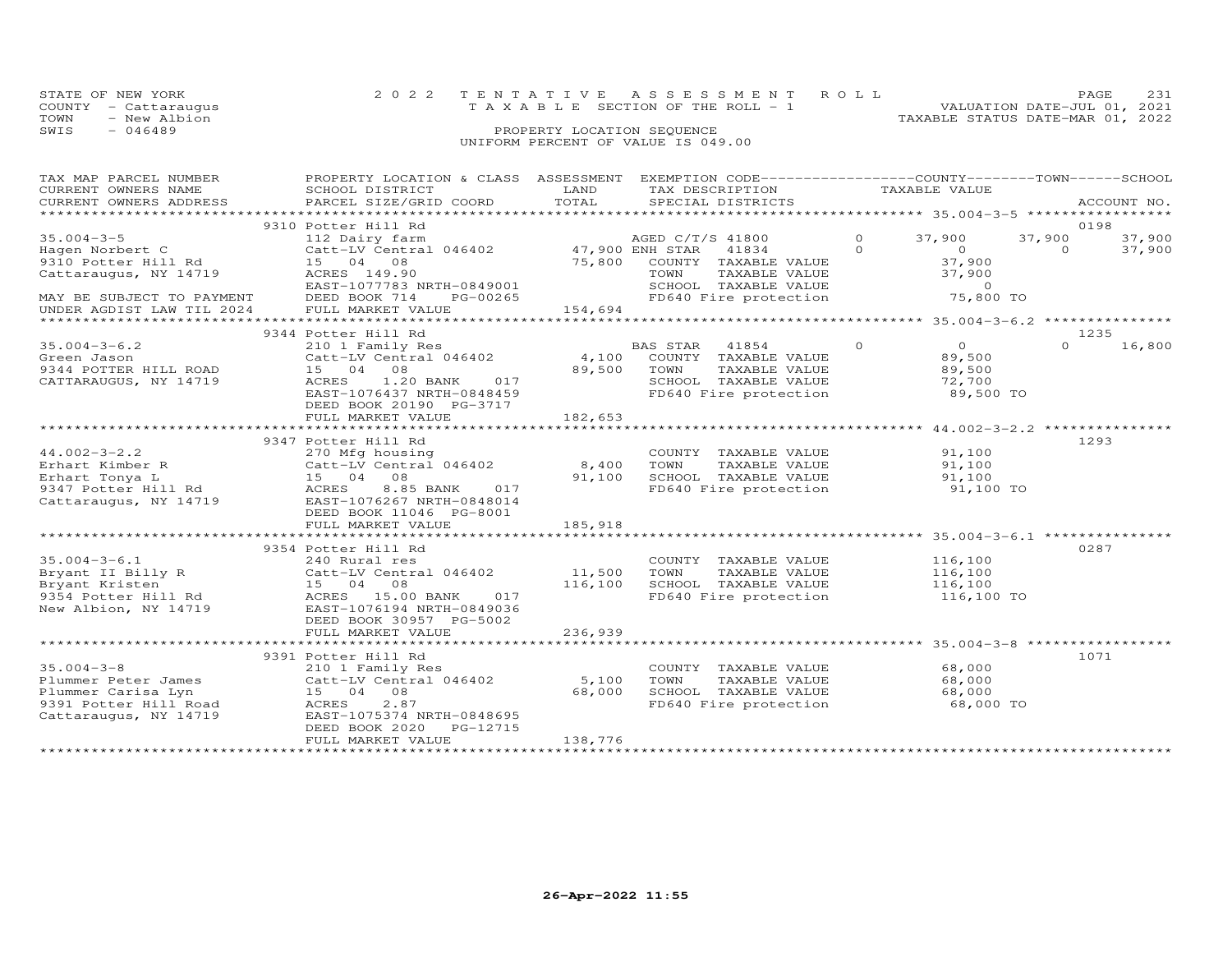| STATE OF NEW YORK    | 2022 TENTATIVE ASSESSMENT ROLL        | PAGE                             |
|----------------------|---------------------------------------|----------------------------------|
| COUNTY - Cattarauqus | T A X A B L E SECTION OF THE ROLL - 1 | VALUATION DATE-JUL 01, 2021      |
| TOWN<br>- New Albion |                                       | TAXABLE STATUS DATE-MAR 01, 2022 |
| SWIS<br>- 046489     | PROPERTY LOCATION SEQUENCE            |                                  |
|                      |                                       |                                  |

### UNIFORM PERCENT OF VALUE IS 049.00

| TAX MAP PARCEL NUMBER                                                    | PROPERTY LOCATION & CLASS ASSESSMENT EXEMPTION CODE----------------COUNTY-------TOWN-----SCHOOL |             |      |                                                                                                                               |          |                                                                                                                                                                                                                                                                                                                                    |          |             |
|--------------------------------------------------------------------------|-------------------------------------------------------------------------------------------------|-------------|------|-------------------------------------------------------------------------------------------------------------------------------|----------|------------------------------------------------------------------------------------------------------------------------------------------------------------------------------------------------------------------------------------------------------------------------------------------------------------------------------------|----------|-------------|
| CURRENT OWNERS NAME                                                      | SCHOOL DISTRICT                                                                                 | LAND        |      | TAX DESCRIPTION                                                                                                               |          | TAXABLE VALUE                                                                                                                                                                                                                                                                                                                      |          |             |
| CURRENT OWNERS ADDRESS                                                   | PARCEL SIZE/GRID COORD                                                                          | TOTAL       |      | SPECIAL DISTRICTS                                                                                                             |          |                                                                                                                                                                                                                                                                                                                                    |          | ACCOUNT NO. |
|                                                                          |                                                                                                 |             |      |                                                                                                                               |          |                                                                                                                                                                                                                                                                                                                                    |          |             |
|                                                                          | 9310 Potter Hill Rd                                                                             |             |      |                                                                                                                               |          |                                                                                                                                                                                                                                                                                                                                    |          | 0198        |
| $35.004 - 3 - 5$                                                         | 112 Dairy farm<br>Catt-LV Central 046402 47,900 ENH STAR 41834                                  |             |      | AGED C/T/S 41800                                                                                                              | $\circ$  | 37,900                                                                                                                                                                                                                                                                                                                             | 37,900   | 37,900      |
| Hagen Norbert C                                                          |                                                                                                 |             |      |                                                                                                                               | $\Omega$ | $\overline{0}$                                                                                                                                                                                                                                                                                                                     | $\Omega$ | 37,900      |
| 9310 Potter Hill Rd                                                      | 15 04 08                                                                                        |             |      |                                                                                                                               |          | 37,900                                                                                                                                                                                                                                                                                                                             |          |             |
| Cattaraugus, NY 14719                                                    | ACRES 149.90                                                                                    |             |      | 75,800 COUNTY TAXABLE VALUE<br>TOWN TAXABLE VALUE<br>SCHOOL TAXABLE VALUE<br>TOWN     TAXABLE VALUE<br>SCHOOL   TAXABLE VALUE |          | 37,900                                                                                                                                                                                                                                                                                                                             |          |             |
|                                                                          | EAST-1077783 NRTH-0849001                                                                       |             |      |                                                                                                                               |          | $\overline{a}$ and $\overline{a}$ and $\overline{a}$ and $\overline{a}$ and $\overline{a}$ and $\overline{a}$ and $\overline{a}$ and $\overline{a}$ and $\overline{a}$ and $\overline{a}$ and $\overline{a}$ and $\overline{a}$ and $\overline{a}$ and $\overline{a}$ and $\overline{a}$ and $\overline{a}$ and $\overline{a}$ and |          |             |
| MAY BE SUBJECT TO PAYMENT<br>UNDER AGDIST LAW TIL 2024 FULL MARKET VALUE | PG-00265                                                                                        |             |      | FD640 Fire protection                                                                                                         |          | 75,800 TO                                                                                                                                                                                                                                                                                                                          |          |             |
|                                                                          |                                                                                                 | 154,694     |      |                                                                                                                               |          |                                                                                                                                                                                                                                                                                                                                    |          |             |
|                                                                          |                                                                                                 |             |      |                                                                                                                               |          |                                                                                                                                                                                                                                                                                                                                    |          |             |
|                                                                          | 9344 Potter Hill Rd                                                                             |             |      |                                                                                                                               |          |                                                                                                                                                                                                                                                                                                                                    |          | 1235        |
| $35.004 - 3 - 6.2$                                                       | 210 1 Family Res<br>Catt-LV Central 046402 1,100 COUNTY TAXABLE VALUE                           |             |      |                                                                                                                               | $\circ$  | $\overline{O}$                                                                                                                                                                                                                                                                                                                     | $\Omega$ | 16,800      |
| Green Jason                                                              |                                                                                                 |             |      |                                                                                                                               |          | 89,500                                                                                                                                                                                                                                                                                                                             |          |             |
| 9344 POTTER HILL ROAD                                                    | 15 04 08                                                                                        | 89,500 TOWN |      | TAXABLE VALUE                                                                                                                 |          | 89,500                                                                                                                                                                                                                                                                                                                             |          |             |
| CATTARAUGUS, NY 14719                                                    | ACRES 1.20 BANK 017                                                                             |             |      | SCHOOL TAXABLE VALUE 72,700<br>FD640 Fire protection 89,500 TO                                                                |          |                                                                                                                                                                                                                                                                                                                                    |          |             |
|                                                                          | EAST-1076437 NRTH-0848459                                                                       |             |      |                                                                                                                               |          |                                                                                                                                                                                                                                                                                                                                    |          |             |
|                                                                          | DEED BOOK 20190 PG-3717                                                                         |             |      |                                                                                                                               |          |                                                                                                                                                                                                                                                                                                                                    |          |             |
|                                                                          | FULL MARKET VALUE                                                                               | 182,653     |      |                                                                                                                               |          |                                                                                                                                                                                                                                                                                                                                    |          |             |
|                                                                          |                                                                                                 |             |      |                                                                                                                               |          |                                                                                                                                                                                                                                                                                                                                    |          |             |
|                                                                          | 9347 Potter Hill Rd                                                                             |             |      |                                                                                                                               |          |                                                                                                                                                                                                                                                                                                                                    |          | 1293        |
| $44.002 - 3 - 2.2$                                                       | 270 Mfg housing                                                                                 |             |      | COUNTY TAXABLE VALUE<br>TOWN     TAXABLE VALUE                                                                                |          | 91,100                                                                                                                                                                                                                                                                                                                             |          |             |
|                                                                          |                                                                                                 |             |      |                                                                                                                               |          | 91,100                                                                                                                                                                                                                                                                                                                             |          |             |
|                                                                          |                                                                                                 |             |      | SCHOOL TAXABLE VALUE<br>FD640 Fire protection                                                                                 |          | $91,100$ TO<br>$91,100$ TO                                                                                                                                                                                                                                                                                                         |          |             |
|                                                                          |                                                                                                 |             |      |                                                                                                                               |          |                                                                                                                                                                                                                                                                                                                                    |          |             |
|                                                                          | Cattaraugus, NY 14719 EAST-1076267 NRTH-0848014                                                 |             |      |                                                                                                                               |          |                                                                                                                                                                                                                                                                                                                                    |          |             |
|                                                                          | DEED BOOK 11046 PG-8001                                                                         |             |      |                                                                                                                               |          |                                                                                                                                                                                                                                                                                                                                    |          |             |
|                                                                          | FULL MARKET VALUE                                                                               | 185,918     |      |                                                                                                                               |          |                                                                                                                                                                                                                                                                                                                                    |          |             |
|                                                                          |                                                                                                 |             |      |                                                                                                                               |          |                                                                                                                                                                                                                                                                                                                                    |          |             |
|                                                                          | 9354 Potter Hill Rd                                                                             |             |      |                                                                                                                               |          |                                                                                                                                                                                                                                                                                                                                    |          | 0287        |
| $35.004 - 3 - 6.1$                                                       | 240 Rural res                                                                                   |             |      | COUNTY TAXABLE VALUE                                                                                                          |          | 116,100                                                                                                                                                                                                                                                                                                                            |          |             |
|                                                                          |                                                                                                 |             | TOWN | TAXABLE VALUE                                                                                                                 |          | 116,100                                                                                                                                                                                                                                                                                                                            |          |             |
|                                                                          |                                                                                                 |             |      | SCHOOL TAXABLE VALUE<br>FD640 Fire protection                                                                                 |          | 116,100<br>116,100 TO                                                                                                                                                                                                                                                                                                              |          |             |
|                                                                          |                                                                                                 |             |      |                                                                                                                               |          |                                                                                                                                                                                                                                                                                                                                    |          |             |
|                                                                          | New Albion, NY 14719 EAST-1076194 NRTH-0849036                                                  |             |      |                                                                                                                               |          |                                                                                                                                                                                                                                                                                                                                    |          |             |
|                                                                          | DEED BOOK 30957 PG-5002                                                                         |             |      |                                                                                                                               |          |                                                                                                                                                                                                                                                                                                                                    |          |             |
|                                                                          | FULL MARKET VALUE                                                                               | 236,939     |      |                                                                                                                               |          |                                                                                                                                                                                                                                                                                                                                    |          |             |
|                                                                          |                                                                                                 |             |      |                                                                                                                               |          |                                                                                                                                                                                                                                                                                                                                    |          |             |
|                                                                          | 9391 Potter Hill Rd                                                                             |             |      |                                                                                                                               |          |                                                                                                                                                                                                                                                                                                                                    |          | 1071        |
| $35.004 - 3 - 8$                                                         | 210 1 Family Res                                                                                |             |      | COUNTY TAXABLE VALUE                                                                                                          |          | 68,000                                                                                                                                                                                                                                                                                                                             |          |             |
|                                                                          | Plummer Peter James Catt-LV Central 046402 5,100                                                |             | TOWN | TAXABLE VALUE                                                                                                                 |          | 68,000                                                                                                                                                                                                                                                                                                                             |          |             |
| 9391 Potter Hill Road<br>Cattaraugus, NY 14710<br>Cattaraugus, NY 14710  |                                                                                                 | 68,000      |      |                                                                                                                               |          |                                                                                                                                                                                                                                                                                                                                    |          |             |
|                                                                          | 2.87                                                                                            |             |      | SCHOOL TAXABLE VALUE 68,000<br>FD640 Fire protection 68,000 TO                                                                |          |                                                                                                                                                                                                                                                                                                                                    |          |             |
|                                                                          | EAST-1075374 NRTH-0848695                                                                       |             |      |                                                                                                                               |          |                                                                                                                                                                                                                                                                                                                                    |          |             |
|                                                                          | DEED BOOK 2020 PG-12715                                                                         |             |      |                                                                                                                               |          |                                                                                                                                                                                                                                                                                                                                    |          |             |
|                                                                          | FULL MARKET VALUE                                                                               | 138,776     |      |                                                                                                                               |          |                                                                                                                                                                                                                                                                                                                                    |          |             |
|                                                                          |                                                                                                 |             |      |                                                                                                                               |          |                                                                                                                                                                                                                                                                                                                                    |          |             |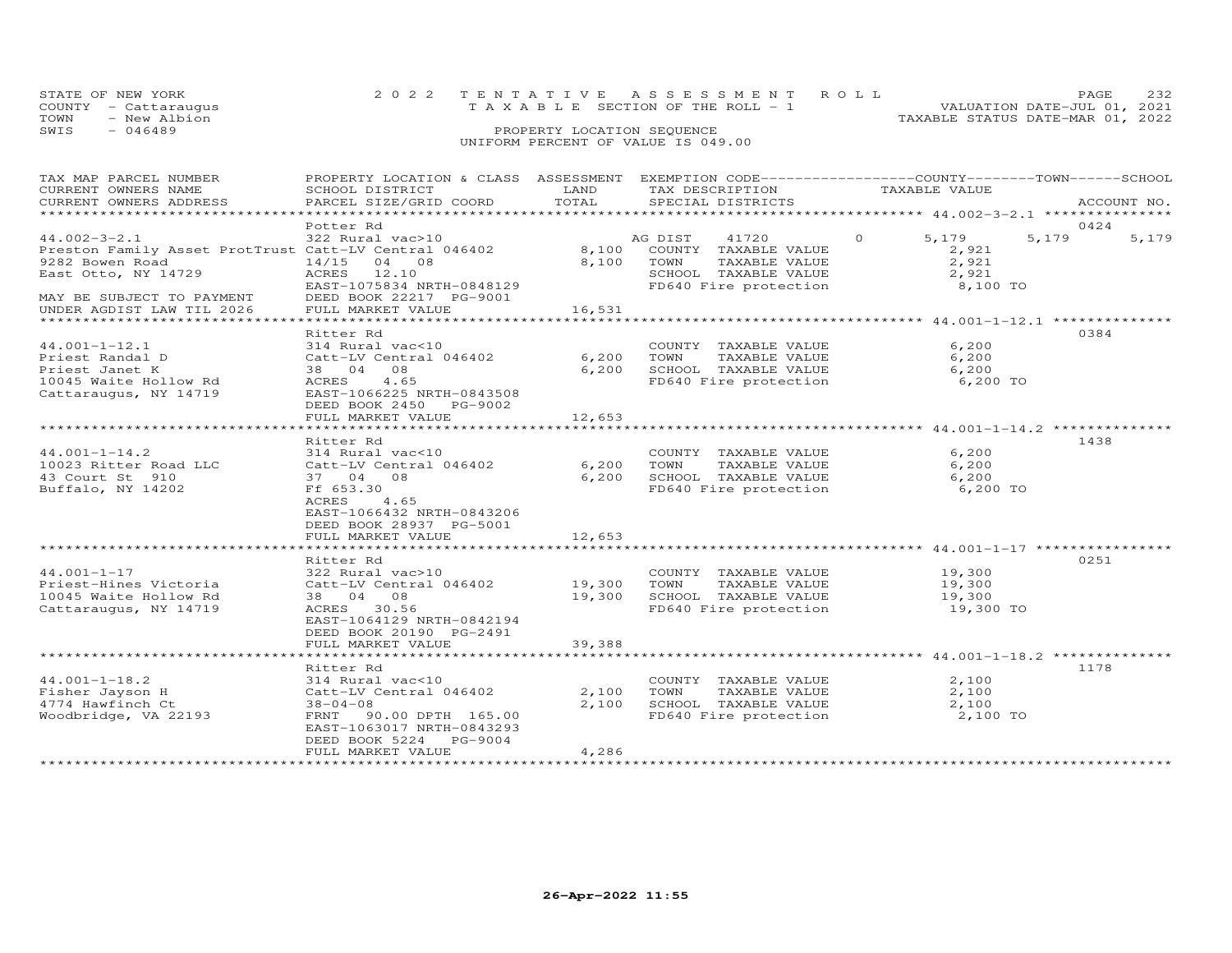| STATE OF NEW YORK    | 2022 TENTATIVE ASSESSMENT ROLL        | PAGE.                            |
|----------------------|---------------------------------------|----------------------------------|
| COUNTY - Cattarauqus | T A X A B L E SECTION OF THE ROLL - 1 | VALUATION DATE-JUL 01, 2021      |
| TOWN<br>- New Albion |                                       | TAXABLE STATUS DATE-MAR 01, 2022 |
| SWIS<br>- 046489     | PROPERTY LOCATION SEQUENCE            |                                  |
|                      | UNIFORM PERCENT OF VALUE IS 049.00    |                                  |

| TAX MAP PARCEL NUMBER<br>CURRENT OWNERS NAME<br>CURRENT OWNERS ADDRESS                                                                                                                                     | PROPERTY LOCATION & CLASS ASSESSMENT EXEMPTION CODE-----------------COUNTY--------TOWN------SCHOOL<br>SCHOOL DISTRICT<br>PARCEL SIZE/GRID COORD                                    | LAND<br>TOTAL            | TAX DESCRIPTION<br>SPECIAL DISTRICTS                                                                               | TAXABLE VALUE                                                     | ACCOUNT NO.            |
|------------------------------------------------------------------------------------------------------------------------------------------------------------------------------------------------------------|------------------------------------------------------------------------------------------------------------------------------------------------------------------------------------|--------------------------|--------------------------------------------------------------------------------------------------------------------|-------------------------------------------------------------------|------------------------|
| ***********************<br>$44.002 - 3 - 2.1$<br>Preston Family Asset ProtTrust Catt-LV Central 046402<br>9282 Bowen Road<br>East Otto, NY 14729<br>MAY BE SUBJECT TO PAYMENT<br>UNDER AGDIST LAW TIL 2026 | Potter Rd<br>322 Rural vac>10<br>14/15<br>04 08<br>ACRES<br>12.10<br>EAST-1075834 NRTH-0848129<br>DEED BOOK 22217 PG-9001<br>FULL MARKET VALUE                                     | 8,100<br>8,100<br>16,531 | AG DIST<br>41720<br>COUNTY TAXABLE VALUE<br>TOWN<br>TAXABLE VALUE<br>SCHOOL TAXABLE VALUE<br>FD640 Fire protection | $\Omega$<br>5,179<br>2,921<br>2,921<br>2,921<br>8,100 TO          | 0424<br>5,179<br>5,179 |
|                                                                                                                                                                                                            |                                                                                                                                                                                    |                          |                                                                                                                    |                                                                   |                        |
| $44.001 - 1 - 12.1$<br>Priest Randal D<br>Priest Janet K<br>10045 Waite Hollow Rd<br>Cattaraugus, NY 14719                                                                                                 | Ritter Rd<br>314 Rural vac<10<br>Catt-LV Central 046402<br>38 04 08<br>ACRES<br>4.65<br>EAST-1066225 NRTH-0843508<br>DEED BOOK 2450 PG-9002<br>FULL MARKET VALUE                   | 6,200<br>6,200<br>12,653 | COUNTY TAXABLE VALUE<br>TOWN<br>TAXABLE VALUE<br>SCHOOL TAXABLE VALUE<br>FD640 Fire protection                     | 6,200<br>6,200<br>6,200<br>6,200 TO                               | 0384                   |
|                                                                                                                                                                                                            |                                                                                                                                                                                    |                          |                                                                                                                    |                                                                   |                        |
| $44.001 - 1 - 14.2$<br>10023 Ritter Road LLC<br>43 Court St 910<br>Buffalo, NY 14202                                                                                                                       | Ritter Rd<br>314 Rural vac<10<br>Catt-LV Central 046402<br>37 04 08<br>Ff 653.30<br>ACRES<br>4.65<br>EAST-1066432 NRTH-0843206<br>DEED BOOK 28937 PG-5001<br>FULL MARKET VALUE     | 6,200<br>6,200<br>12,653 | COUNTY TAXABLE VALUE<br>TOWN<br>TAXABLE VALUE<br>SCHOOL TAXABLE VALUE<br>FD640 Fire protection                     | 6,200<br>6,200<br>6,200<br>6,200 TO                               | 1438                   |
|                                                                                                                                                                                                            |                                                                                                                                                                                    |                          |                                                                                                                    |                                                                   | 0251                   |
| $44.001 - 1 - 17$<br>Priest-Hines Victoria<br>10045 Waite Hollow Rd<br>Cattaraugus, NY 14719                                                                                                               | Ritter Rd<br>322 Rural vac>10<br>Catt-LV Central 046402<br>38 04 08<br>ACRES 30.56<br>EAST-1064129 NRTH-0842194<br>DEED BOOK 20190 PG-2491                                         | 19,300 TOWN<br>19,300    | COUNTY TAXABLE VALUE<br>TAXABLE VALUE<br>SCHOOL TAXABLE VALUE<br>FD640 Fire protection                             | 19,300<br>19,300<br>19,300<br>19,300 TO                           |                        |
|                                                                                                                                                                                                            | FULL MARKET VALUE<br>*************************                                                                                                                                     | 39,388<br>************   |                                                                                                                    | ************************************* 44.001-1-18.2 ************* |                        |
| $44.001 - 1 - 18.2$<br>Fisher Jayson H<br>4774 Hawfinch Ct<br>Woodbridge, VA 22193                                                                                                                         | Ritter Rd<br>314 Rural vac<10<br>Catt-LV Central 046402<br>$38 - 04 - 08$<br>FRNT<br>90.00 DPTH 165.00<br>EAST-1063017 NRTH-0843293<br>DEED BOOK 5224 PG-9004<br>FULL MARKET VALUE | 2,100<br>2,100<br>4,286  | COUNTY TAXABLE VALUE<br>TOWN<br>TAXABLE VALUE<br>SCHOOL TAXABLE VALUE<br>FD640 Fire protection                     | 2,100<br>2,100<br>2,100<br>2,100 TO                               | 1178                   |
| **********************                                                                                                                                                                                     |                                                                                                                                                                                    |                          |                                                                                                                    |                                                                   |                        |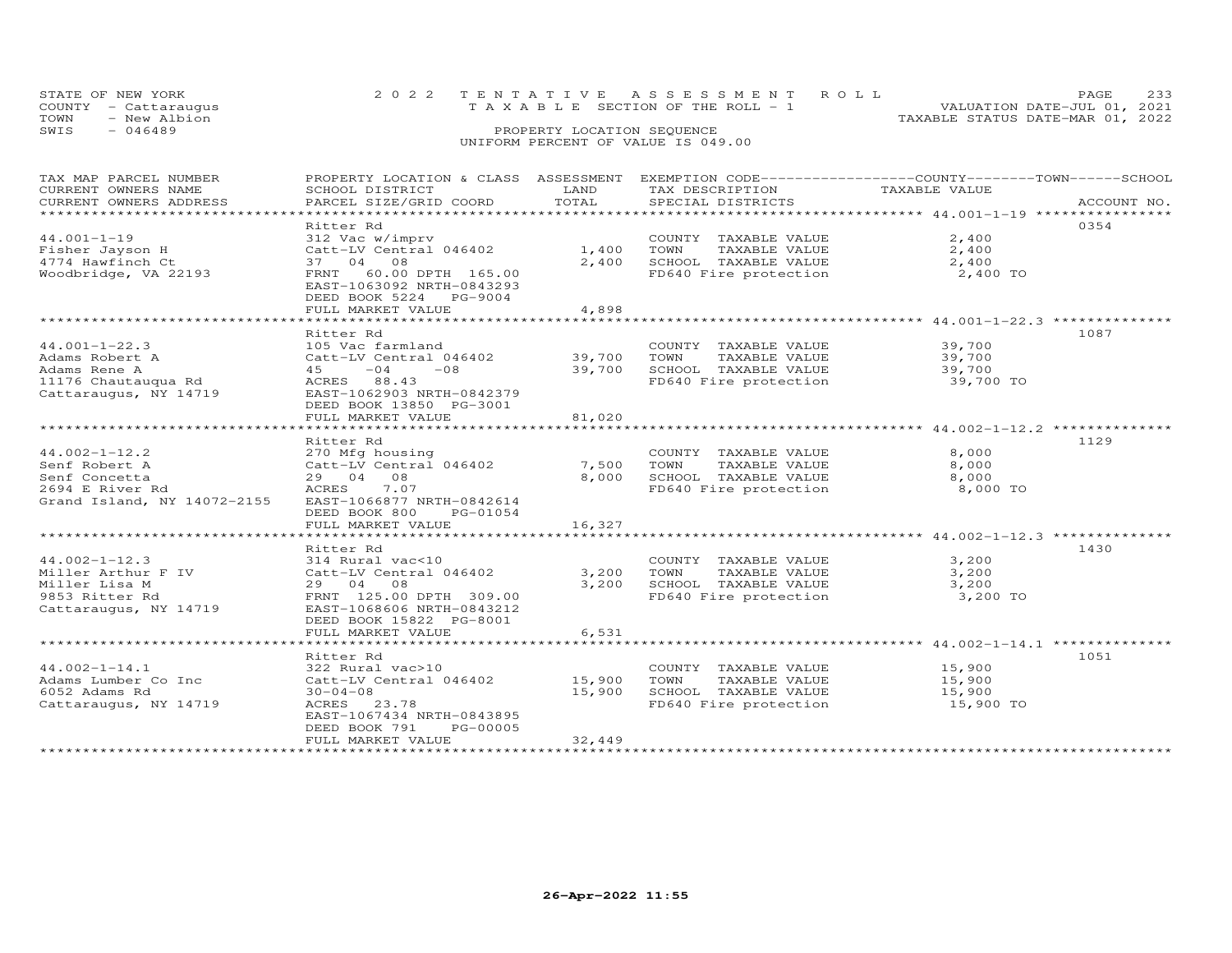| STATE OF NEW YORK<br>COUNTY - Cattaraugus |  | 2022 TENTATIVE ASSESSMENT ROLL<br>T A X A B L E SECTION OF THE ROLL - 1 |  |                                  | PAGE<br>VALUATION DATE-JUL 01, 2021 |  |
|-------------------------------------------|--|-------------------------------------------------------------------------|--|----------------------------------|-------------------------------------|--|
| TOWN<br>- New Albion                      |  |                                                                         |  | TAXABLE STATUS DATE-MAR 01, 2022 |                                     |  |
| SWIS<br>- 046489                          |  | PROPERTY LOCATION SEQUENCE                                              |  |                                  |                                     |  |
|                                           |  | UNIFORM PERCENT OF VALUE IS 049.00                                      |  |                                  |                                     |  |

| TAX MAP PARCEL NUMBER       | PROPERTY LOCATION & CLASS ASSESSMENT EXEMPTION CODE----------------COUNTY-------TOWN------SCHOOL |              |                                               |               |             |
|-----------------------------|--------------------------------------------------------------------------------------------------|--------------|-----------------------------------------------|---------------|-------------|
| CURRENT OWNERS NAME         | SCHOOL DISTRICT                                                                                  | LAND         | TAX DESCRIPTION                               | TAXABLE VALUE |             |
| CURRENT OWNERS ADDRESS      | PARCEL SIZE/GRID COORD                                                                           | TOTAL        | SPECIAL DISTRICTS                             |               | ACCOUNT NO. |
|                             |                                                                                                  |              |                                               |               |             |
|                             | Ritter Rd                                                                                        |              |                                               |               | 0354        |
| $44.001 - 1 - 19$           | 312 Vac w/imprv                                                                                  |              | COUNTY TAXABLE VALUE                          | 2,400         |             |
| Fisher Jayson H             | Catt-LV Central 046402                                                                           | $1,400$ TOWN | TAXABLE VALUE                                 | 2,400         |             |
| 4774 Hawfinch Ct            | 37 04 08                                                                                         | 2,400        | SCHOOL TAXABLE VALUE                          | 2,400         |             |
| Woodbridge, VA 22193        | FRNT 60.00 DPTH 165.00                                                                           |              | FD640 Fire protection                         | 2,400 TO      |             |
|                             | EAST-1063092 NRTH-0843293                                                                        |              |                                               |               |             |
|                             | DEED BOOK 5224 PG-9004                                                                           |              |                                               |               |             |
|                             | FULL MARKET VALUE                                                                                | 4,898        |                                               |               |             |
|                             |                                                                                                  |              |                                               |               |             |
|                             | Ritter Rd                                                                                        |              |                                               |               | 1087        |
|                             |                                                                                                  |              |                                               |               |             |
| $44.001 - 1 - 22.3$         | 105 Vac farmland                                                                                 |              | COUNTY TAXABLE VALUE                          | 39,700        |             |
| Adams Robert A              | Catt-LV Central 046402                                                                           | 39,700       | TOWN<br>TAXABLE VALUE                         | 39,700        |             |
| Adams Rene A                | $45 -04 -08$                                                                                     | 39,700       | SCHOOL TAXABLE VALUE                          | 39,700        |             |
| 11176 Chautauqua Rd         | ACRES 88.43                                                                                      |              | FD640 Fire protection                         | 39,700 TO     |             |
| Cattaraugus, NY 14719       | EAST-1062903 NRTH-0842379                                                                        |              |                                               |               |             |
|                             | DEED BOOK 13850 PG-3001                                                                          |              |                                               |               |             |
|                             | FULL MARKET VALUE                                                                                | 81,020       |                                               |               |             |
|                             |                                                                                                  |              |                                               |               |             |
|                             | Ritter Rd                                                                                        |              |                                               |               | 1129        |
| $44.002 - 1 - 12.2$         | 270 Mfg housing                                                                                  |              | COUNTY TAXABLE VALUE                          | 8,000         |             |
| Senf Robert A               | Catt-LV Central 046402                                                                           | 7,500        | TAXABLE VALUE<br>TOWN                         | 8,000         |             |
| Senf Concetta               | 29 04 08                                                                                         | 8,000        | SCHOOL TAXABLE VALUE<br>FD640 Fire protection | 8,000         |             |
| 2694 E River Rd             | 7.07<br>ACRES                                                                                    |              |                                               | 8,000 TO      |             |
| Grand Island, NY 14072-2155 | EAST-1066877 NRTH-0842614                                                                        |              |                                               |               |             |
|                             | DEED BOOK 800 PG-01054                                                                           |              |                                               |               |             |
|                             | FULL MARKET VALUE                                                                                | 16,327       |                                               |               |             |
|                             |                                                                                                  |              |                                               |               |             |
|                             | Ritter Rd                                                                                        |              |                                               |               | 1430        |
| $44.002 - 1 - 12.3$         | 314 Rural vac<10                                                                                 |              | COUNTY TAXABLE VALUE                          | 3,200         |             |
| Miller Arthur F IV          | Catt-LV Central 046402                                                                           | 3,200        | TOWN<br>TAXABLE VALUE                         | 3,200         |             |
| Miller Lisa M               | 29 04 08                                                                                         | 3,200        |                                               | 3,200         |             |
| 9853 Ritter Rd              | FRNT 125.00 DPTH 309.00                                                                          |              | SCHOOL TAXABLE VALUE<br>FD640 Fire protection | 3,200 TO      |             |
| Cattaraugus, NY 14719       | EAST-1068606 NRTH-0843212                                                                        |              |                                               |               |             |
|                             | DEED BOOK 15822 PG-8001                                                                          |              |                                               |               |             |
|                             | FULL MARKET VALUE                                                                                | 6,531        |                                               |               |             |
|                             |                                                                                                  |              |                                               |               |             |
|                             | Ritter Rd                                                                                        |              |                                               |               | 1051        |
| $44.002 - 1 - 14.1$         |                                                                                                  |              |                                               | 15,900        |             |
|                             | 322 Rural vac>10                                                                                 |              | COUNTY TAXABLE VALUE                          |               |             |
| Adams Lumber Co Inc         | Catt-LV Central 046402                                                                           | 15,900       | TOWN<br>TAXABLE VALUE                         | 15,900        |             |
| 6052 Adams Rd               | $30 - 04 - 08$                                                                                   | 15,900       | SCHOOL TAXABLE VALUE                          | 15,900        |             |
| Cattaraugus, NY 14719       | ACRES 23.78                                                                                      |              | FD640 Fire protection                         | 15,900 TO     |             |
|                             | EAST-1067434 NRTH-0843895                                                                        |              |                                               |               |             |
|                             | DEED BOOK 791<br>PG-00005                                                                        |              |                                               |               |             |
|                             | FULL MARKET VALUE                                                                                | 32,449       |                                               |               |             |
|                             |                                                                                                  |              |                                               |               |             |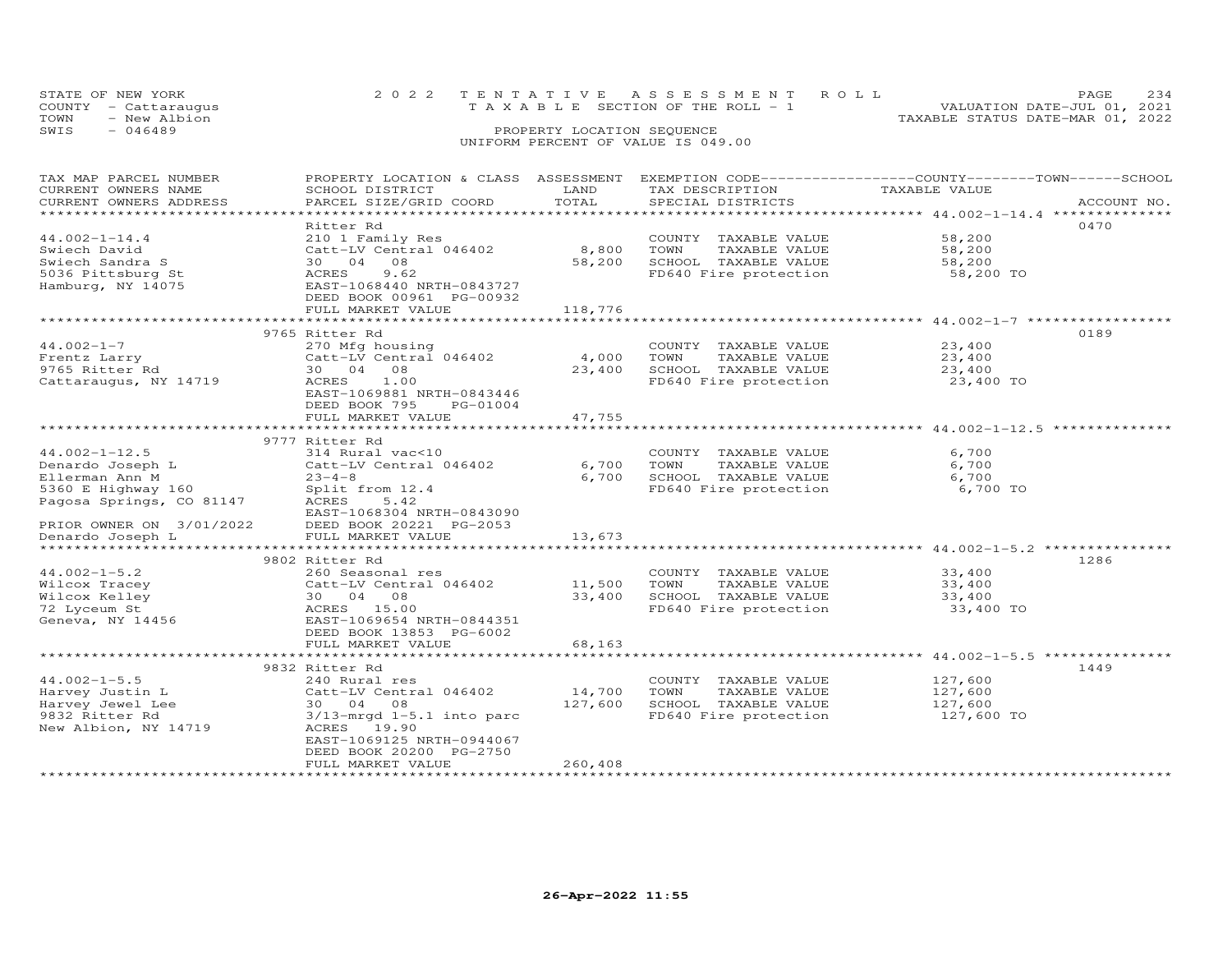| STATE OF NEW YORK<br>COUNTY - Cattaraugus | 2022 TENTATIVE ASSESSMENT ROLL<br>T A X A B L E SECTION OF THE ROLL - 1 | PAGE.<br>VALUATION DATE-JUL 01, 2021 | 234 |
|-------------------------------------------|-------------------------------------------------------------------------|--------------------------------------|-----|
| - New Albion<br>TOWN<br>SWIS<br>$-046489$ | PROPERTY LOCATION SEQUENCE                                              | TAXABLE STATUS DATE-MAR 01, 2022     |     |
|                                           | UNIFORM PERCENT OF VALUE IS 049.00                                      |                                      |     |

| TAX MAP PARCEL NUMBER<br>CURRENT OWNERS NAME<br>CURRENT OWNERS ADDRESS | PROPERTY LOCATION & CLASS ASSESSMENT<br>SCHOOL DISTRICT<br>PARCEL SIZE/GRID COORD | LAND<br>TOTAL | TAX DESCRIPTION<br>SPECIAL DISTRICTS | EXEMPTION CODE-----------------COUNTY-------TOWN------SCHOOL<br>TAXABLE VALUE | ACCOUNT NO. |
|------------------------------------------------------------------------|-----------------------------------------------------------------------------------|---------------|--------------------------------------|-------------------------------------------------------------------------------|-------------|
| **********************                                                 |                                                                                   |               |                                      |                                                                               |             |
|                                                                        | Ritter Rd                                                                         |               |                                      |                                                                               | 0470        |
| $44.002 - 1 - 14.4$                                                    | 210 1 Family Res                                                                  |               | COUNTY TAXABLE VALUE                 | 58,200                                                                        |             |
| Swiech David                                                           | Catt-LV Central 046402                                                            | 8,800         | TOWN<br>TAXABLE VALUE                | 58,200                                                                        |             |
| Swiech Sandra S                                                        | 30 04<br>08                                                                       | 58,200        | SCHOOL TAXABLE VALUE                 | 58,200                                                                        |             |
| 5036 Pittsburg St                                                      | 9.62<br>ACRES                                                                     |               | FD640 Fire protection                | 58,200 TO                                                                     |             |
| Hamburg, NY 14075                                                      | EAST-1068440 NRTH-0843727                                                         |               |                                      |                                                                               |             |
|                                                                        | DEED BOOK 00961 PG-00932                                                          |               |                                      |                                                                               |             |
|                                                                        | FULL MARKET VALUE                                                                 | 118,776       |                                      |                                                                               |             |
|                                                                        |                                                                                   |               |                                      |                                                                               |             |
|                                                                        | 9765 Ritter Rd                                                                    |               |                                      |                                                                               | 0189        |
| $44.002 - 1 - 7$                                                       | 270 Mfg housing                                                                   |               | COUNTY TAXABLE VALUE                 | 23,400                                                                        |             |
| Frentz Larry                                                           | Catt-LV Central 046402                                                            | 4,000         | TOWN<br>TAXABLE VALUE                | 23,400                                                                        |             |
| 9765 Ritter Rd                                                         | 30 04<br>08                                                                       | 23,400        | SCHOOL TAXABLE VALUE                 | 23,400                                                                        |             |
| Cattaraugus, NY 14719                                                  | ACRES<br>1.00                                                                     |               | FD640 Fire protection                | 23,400 TO                                                                     |             |
|                                                                        | EAST-1069881 NRTH-0843446                                                         |               |                                      |                                                                               |             |
|                                                                        | DEED BOOK 795<br>PG-01004                                                         |               |                                      |                                                                               |             |
|                                                                        | FULL MARKET VALUE                                                                 | 47,755        |                                      |                                                                               |             |
|                                                                        |                                                                                   |               |                                      |                                                                               |             |
|                                                                        | 9777 Ritter Rd                                                                    |               |                                      |                                                                               |             |
| $44.002 - 1 - 12.5$                                                    | 314 Rural vac<10                                                                  |               | COUNTY TAXABLE VALUE                 | 6,700                                                                         |             |
| Denardo Joseph L                                                       | Catt-LV Central 046402                                                            | 6,700         | TOWN<br>TAXABLE VALUE                | 6,700                                                                         |             |
| Ellerman Ann M                                                         | $23 - 4 - 8$                                                                      | 6,700         | SCHOOL TAXABLE VALUE                 | 6,700                                                                         |             |
| 5360 E Highway 160                                                     | Split from 12.4                                                                   |               | FD640 Fire protection                | 6,700 TO                                                                      |             |
| Pagosa Springs, CO 81147                                               | 5.42<br>ACRES                                                                     |               |                                      |                                                                               |             |
|                                                                        | EAST-1068304 NRTH-0843090                                                         |               |                                      |                                                                               |             |
| PRIOR OWNER ON 3/01/2022                                               | DEED BOOK 20221 PG-2053                                                           |               |                                      |                                                                               |             |
| Denardo Joseph L                                                       | FULL MARKET VALUE                                                                 | 13,673        |                                      |                                                                               |             |
| *****************                                                      |                                                                                   |               |                                      |                                                                               |             |
|                                                                        | 9802 Ritter Rd                                                                    |               |                                      |                                                                               | 1286        |
| $44.002 - 1 - 5.2$                                                     | 260 Seasonal res                                                                  |               | COUNTY TAXABLE VALUE                 | 33,400                                                                        |             |
| Wilcox Tracey                                                          | Catt-LV Central 046402                                                            | 11,500        | TAXABLE VALUE<br>TOWN                | 33,400                                                                        |             |
| Wilcox Kelley                                                          | 30 04 08                                                                          | 33,400        | SCHOOL TAXABLE VALUE                 | 33,400                                                                        |             |
| 72 Lyceum St                                                           | ACRES 15.00                                                                       |               | FD640 Fire protection                | 33,400 TO                                                                     |             |
| Geneva, NY 14456                                                       | EAST-1069654 NRTH-0844351                                                         |               |                                      |                                                                               |             |
|                                                                        | DEED BOOK 13853 PG-6002                                                           |               |                                      |                                                                               |             |
|                                                                        | FULL MARKET VALUE                                                                 | 68,163        |                                      |                                                                               |             |
|                                                                        |                                                                                   |               |                                      |                                                                               |             |
|                                                                        | 9832 Ritter Rd                                                                    |               |                                      |                                                                               | 1449        |
| $44.002 - 1 - 5.5$                                                     | 240 Rural res                                                                     |               | COUNTY TAXABLE VALUE                 | 127,600                                                                       |             |
| Harvey Justin L                                                        | Catt-LV Central 046402                                                            | 14,700        | TOWN<br>TAXABLE VALUE                | 127,600                                                                       |             |
| Harvey Jewel Lee                                                       | 30 04 08                                                                          | 127,600       | SCHOOL TAXABLE VALUE                 | 127,600                                                                       |             |
| 9832 Ritter Rd                                                         | $3/13$ -mrqd $1-5.1$ into parc                                                    |               | FD640 Fire protection                | 127,600 TO                                                                    |             |
| New Albion, NY 14719                                                   | ACRES 19.90                                                                       |               |                                      |                                                                               |             |
|                                                                        | EAST-1069125 NRTH-0944067                                                         |               |                                      |                                                                               |             |
|                                                                        | DEED BOOK 20200 PG-2750                                                           |               |                                      |                                                                               |             |
|                                                                        | FULL MARKET VALUE                                                                 | 260,408       |                                      |                                                                               |             |
|                                                                        | ***********************                                                           |               |                                      |                                                                               |             |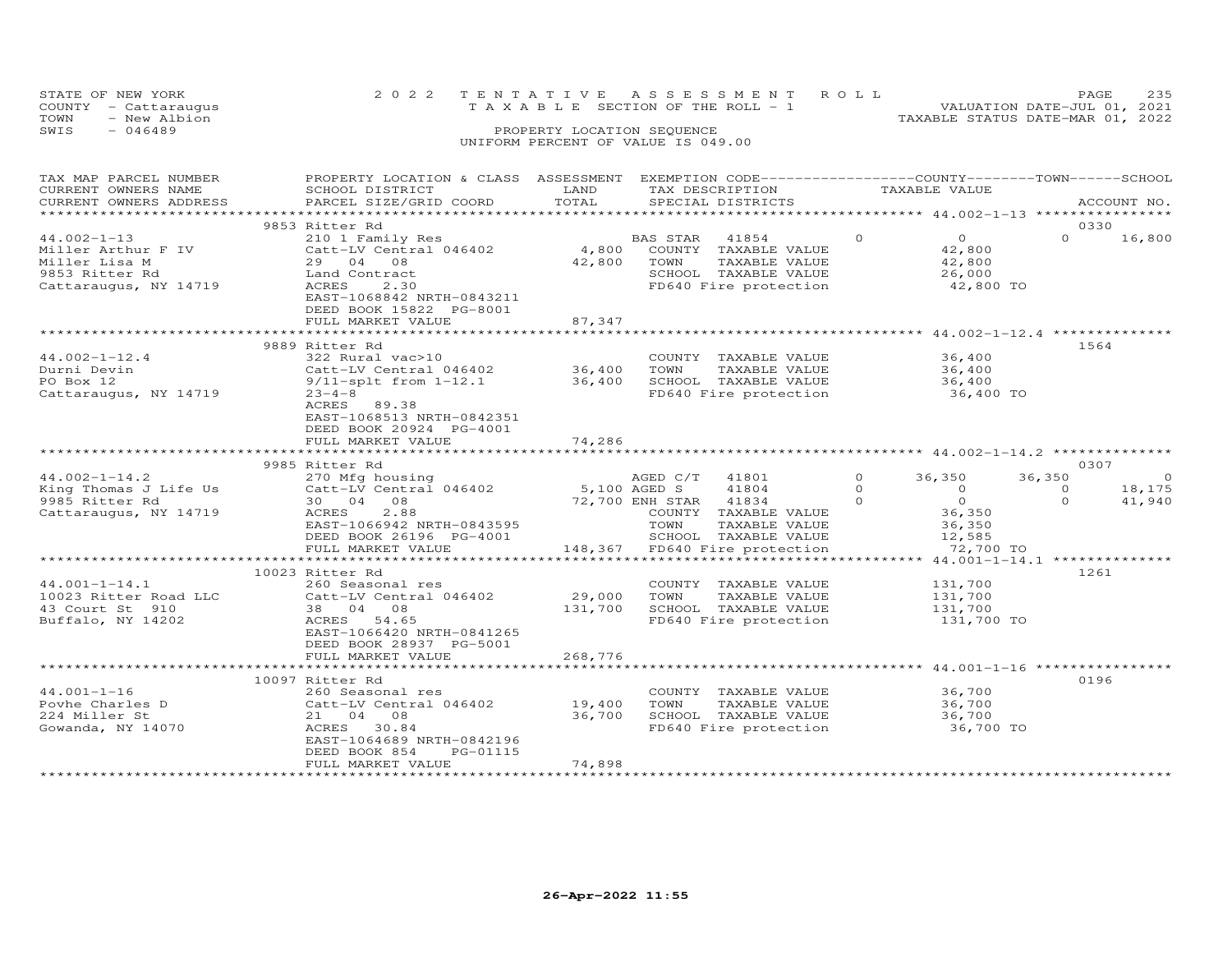| STATE OF NEW YORK<br>COUNTY - Cattaraugus |              |  |                                    |  | 2022 TENTATIVE ASSESSMENT ROLL<br>T A X A B L E SECTION OF THE ROLL - 1 |                                  | PAGE<br>VALUATION DATE-JUL 01, 2021 | 235 |
|-------------------------------------------|--------------|--|------------------------------------|--|-------------------------------------------------------------------------|----------------------------------|-------------------------------------|-----|
| TOWN                                      | - New Albion |  |                                    |  |                                                                         | TAXABLE STATUS DATE-MAR 01, 2022 |                                     |     |
| SWIS<br>- 046489                          |              |  | PROPERTY LOCATION SEQUENCE         |  |                                                                         |                                  |                                     |     |
|                                           |              |  | UNIFORM PERCENT OF VALUE IS 049.00 |  |                                                                         |                                  |                                     |     |

| TAX MAP PARCEL NUMBER<br>CURRENT OWNERS NAME<br>CURRENT OWNERS ADDRESS                              | PROPERTY LOCATION & CLASS ASSESSMENT<br>SCHOOL DISTRICT<br>PARCEL SIZE/GRID COORD                                                                                       | LAND<br>TOTAL                     | TAX DESCRIPTION                                 | EXEMPTION CODE------------------COUNTY-------TOWN-----SCHOOL<br>SPECIAL DISTRICTS                       |                                  | TAXABLE VALUE                                                             |                                | ACCOUNT NO.                        |
|-----------------------------------------------------------------------------------------------------|-------------------------------------------------------------------------------------------------------------------------------------------------------------------------|-----------------------------------|-------------------------------------------------|---------------------------------------------------------------------------------------------------------|----------------------------------|---------------------------------------------------------------------------|--------------------------------|------------------------------------|
|                                                                                                     |                                                                                                                                                                         |                                   |                                                 |                                                                                                         |                                  |                                                                           |                                |                                    |
| $44.002 - 1 - 13$<br>Miller Arthur F IV<br>Miller Lisa M<br>9853 Ritter Rd<br>Cattaraugus, NY 14719 | 9853 Ritter Rd<br>210 1 Family Res<br>Catt-LV Central 046402<br>29 04 08<br>Land Contract<br>ACRES<br>2.30<br>EAST-1068842 NRTH-0843211<br>DEED BOOK 15822 PG-8001      | 42,800 TOWN                       | BAS STAR                                        | 41854<br>4,800 COUNTY TAXABLE VALUE<br>TAXABLE VALUE<br>SCHOOL TAXABLE VALUE<br>FD640 Fire protection   | $\Omega$                         | $\overline{O}$<br>42,800<br>42,800<br>26,000<br>42,800 TO                 | 0330<br>$\Omega$               | 16,800                             |
|                                                                                                     | FULL MARKET VALUE<br>************************                                                                                                                           | 87,347                            |                                                 | *********************** 44.002-1-12.4 **                                                                |                                  |                                                                           |                                |                                    |
| $44.002 - 1 - 12.4$<br>Durni Devin<br>PO Box 12<br>Cattaraugus, NY 14719                            | 9889 Ritter Rd<br>322 Rural vac>10<br>Catt-LV Central 046402<br>$9/11$ -splt from $1-12.1$<br>$23 - 4 - 8$<br>ACRES<br>89.38<br>EAST-1068513 NRTH-0842351               | 36,400<br>36,400                  | TOWN                                            | COUNTY TAXABLE VALUE<br>TAXABLE VALUE<br>SCHOOL TAXABLE VALUE<br>FD640 Fire protection                  |                                  | 36,400<br>36,400<br>36,400<br>36,400 TO                                   | 1564                           |                                    |
|                                                                                                     | DEED BOOK 20924 PG-4001<br>FULL MARKET VALUE                                                                                                                            | 74,286                            |                                                 |                                                                                                         |                                  |                                                                           |                                |                                    |
|                                                                                                     | *************************                                                                                                                                               |                                   |                                                 |                                                                                                         |                                  |                                                                           |                                |                                    |
|                                                                                                     | 9985 Ritter Rd                                                                                                                                                          |                                   |                                                 |                                                                                                         |                                  |                                                                           | 0307                           |                                    |
| $44.002 - 1 - 14.2$<br>King Thomas J Life Us<br>9985 Ritter Rd<br>Cattaraugus, NY 14719             | 270 Mfg housing<br>Catt-LV Central 046402<br>30 04 08<br>2.88<br>ACRES<br>EAST-1066942 NRTH-0843595<br>DEED BOOK 26196 PG-4001<br>FULL MARKET VALUE                     | 5,100 AGED S                      | AGED C/T 41801<br>72,700 ENH STAR 41834<br>TOWN | 41804<br>COUNTY TAXABLE VALUE<br>TAXABLE VALUE<br>SCHOOL TAXABLE VALUE<br>148,367 FD640 Fire protection | $\Omega$<br>$\Omega$<br>$\Omega$ | 36,350<br>$\Omega$<br>$\Omega$<br>36,350<br>36,350<br>12,585<br>72,700 TO | 36,350<br>$\Omega$<br>$\Omega$ | $\overline{0}$<br>18,175<br>41,940 |
|                                                                                                     | **********************<br>10023 Ritter Rd                                                                                                                               |                                   |                                                 |                                                                                                         |                                  | **** 44.001-1-14.1 **                                                     | 1261                           |                                    |
| $44.001 - 1 - 14.1$<br>10023 Ritter Road LLC<br>43 Court St 910<br>Buffalo, NY 14202                | 260 Seasonal res<br>Catt-LV Central 046402<br>38 04 08<br>ACRES 54.65<br>EAST-1066420 NRTH-0841265<br>DEED BOOK 28937 PG-5001<br>FULL MARKET VALUE                      | 29,000 TOWN<br>131,700<br>268,776 |                                                 | COUNTY TAXABLE VALUE<br>TAXABLE VALUE<br>SCHOOL TAXABLE VALUE<br>FD640 Fire protection                  |                                  | 131,700<br>131,700<br>131,700<br>131,700 TO                               |                                |                                    |
|                                                                                                     | *************************                                                                                                                                               |                                   |                                                 | *********************** 44.001-1-16 ****************                                                    |                                  |                                                                           |                                |                                    |
| $44.001 - 1 - 16$<br>Povhe Charles D<br>224 Miller St<br>Gowanda, NY 14070                          | 10097 Ritter Rd<br>260 Seasonal res<br>Catt-LV Central 046402<br>21 04 08<br>ACRES 30.84<br>EAST-1064689 NRTH-0842196<br>DEED BOOK 854<br>PG-01115<br>FULL MARKET VALUE | 19,400<br>36,700<br>74,898        | TOWN                                            | COUNTY TAXABLE VALUE<br>TAXABLE VALUE<br>SCHOOL TAXABLE VALUE<br>FD640 Fire protection                  |                                  | 36,700<br>36,700<br>36,700<br>36,700 TO                                   | 0196                           |                                    |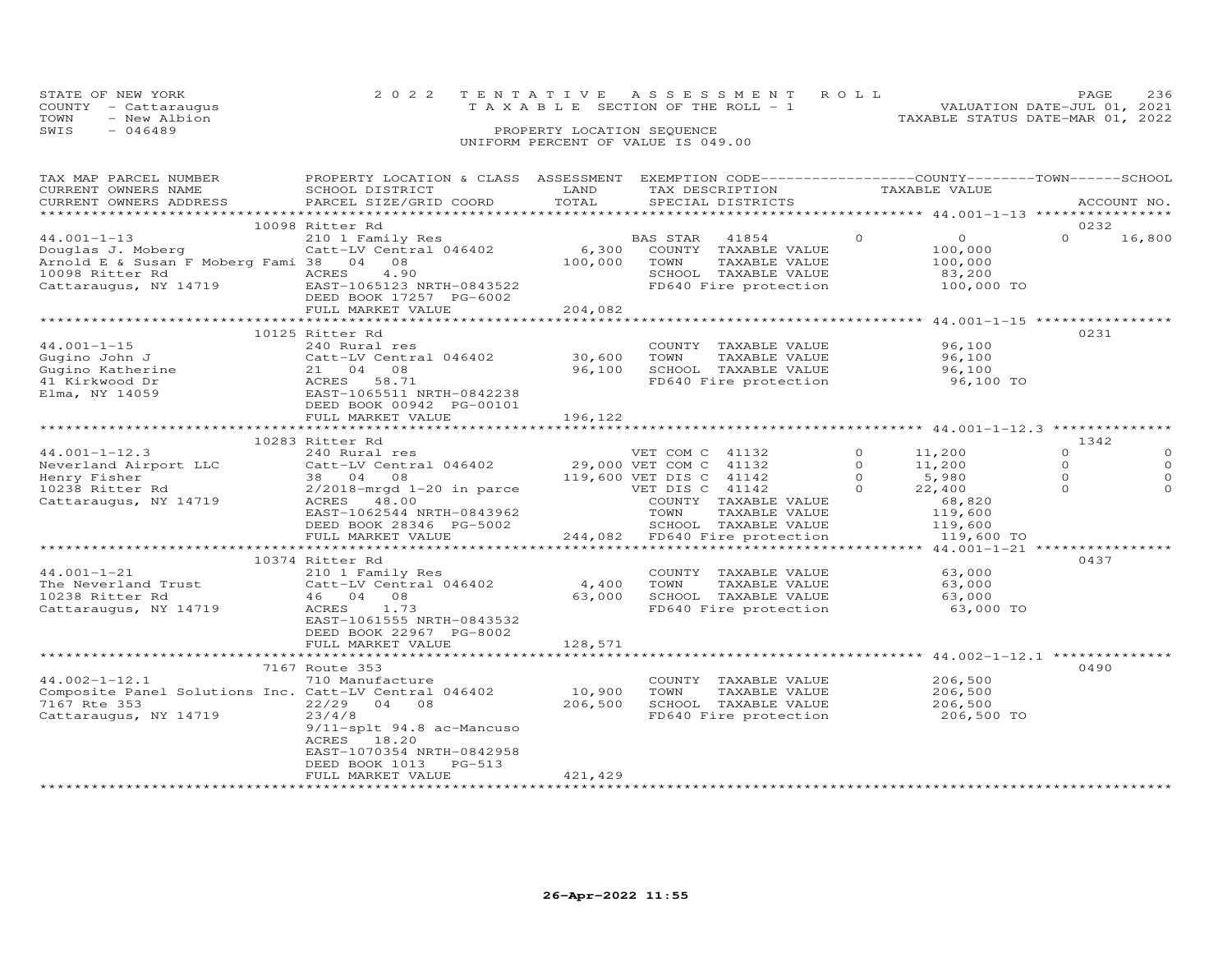| STATE OF NEW YORK    | 2022 TENTATIVE ASSESSMENT ROLL                                                              | 236<br><b>PAGE</b>               |
|----------------------|---------------------------------------------------------------------------------------------|----------------------------------|
| COUNTY - Cattaraugus | TAXABLE SECTION OF THE ROLL - 1                                                             | VALUATION DATE-JUL 01, 2021      |
| TOWN<br>- New Albion |                                                                                             | TAXABLE STATUS DATE-MAR 01, 2022 |
| $-046489$<br>SWIS    | PROPERTY LOCATION SEQUENCE                                                                  |                                  |
|                      | $\ldots$ , $\ldots$ $\ldots$ $\ldots$ $\ldots$ $\ldots$ $\ldots$ $\ldots$ $\ldots$ $\ldots$ |                                  |

### UNIFORM PERCENT OF VALUE IS 049.00

| TAX MAP PARCEL NUMBER                                 | PROPERTY LOCATION & CLASS ASSESSMENT EXEMPTION CODE-----------------COUNTY-------TOWN------SCHOOL               |                  |                                       |          |                   |                  |             |
|-------------------------------------------------------|-----------------------------------------------------------------------------------------------------------------|------------------|---------------------------------------|----------|-------------------|------------------|-------------|
| CURRENT OWNERS NAME                                   | SCHOOL DISTRICT                                                                                                 | LAND             | TAX DESCRIPTION                       |          | TAXABLE VALUE     |                  |             |
| CURRENT OWNERS ADDRESS                                | PARCEL SIZE/GRID COORD                                                                                          | TOTAL            | SPECIAL DISTRICTS                     |          |                   |                  | ACCOUNT NO. |
|                                                       |                                                                                                                 |                  |                                       |          |                   |                  |             |
|                                                       | 10098 Ritter Rd                                                                                                 |                  |                                       | $\Omega$ | $\Omega$          | 0232<br>$\Omega$ |             |
| $44.001 - 1 - 13$                                     | 210 1 Family Res                                                                                                |                  | BAS STAR<br>41854                     |          |                   |                  | 16,800      |
| Douglas J. Moberg                                     | Catt-LV Central 046402                                                                                          | 6,300<br>100,000 | COUNTY TAXABLE VALUE<br>TOWN          |          | 100,000           |                  |             |
| Arnold E & Susan F Moberg Fami 38 04 08               |                                                                                                                 |                  | TAXABLE VALUE<br>SCHOOL TAXABLE VALUE |          | 100,000<br>83,200 |                  |             |
|                                                       | 10098 Ritter Rd                     ACRES     4.90<br>Cattaraugus, NY 14719           EAST-1065123 NRTH-0843522 |                  | FD640 Fire protection                 |          | 100,000 TO        |                  |             |
|                                                       | DEED BOOK 17257 PG-6002                                                                                         |                  |                                       |          |                   |                  |             |
|                                                       | FULL MARKET VALUE                                                                                               | 204,082          |                                       |          |                   |                  |             |
|                                                       |                                                                                                                 |                  |                                       |          |                   |                  |             |
|                                                       | 10125 Ritter Rd                                                                                                 |                  |                                       |          |                   | 0231             |             |
| $44.001 - 1 - 15$                                     | 240 Rural res                                                                                                   |                  | COUNTY TAXABLE VALUE                  |          | 96,100            |                  |             |
| Gugino John J                                         | Catt-LV Central 046402                                                                                          | 30,600           | TOWN<br>TAXABLE VALUE                 |          | 96,100            |                  |             |
| Gugino Katherine                                      | 21 04 08                                                                                                        | 96,100           | SCHOOL TAXABLE VALUE                  |          | 96,100            |                  |             |
| 41 Kirkwood Dr                                        | ACRES<br>58.71                                                                                                  |                  | FD640 Fire protection 56,100 TO       |          |                   |                  |             |
| Elma, NY 14059                                        | EAST-1065511 NRTH-0842238                                                                                       |                  |                                       |          |                   |                  |             |
|                                                       | DEED BOOK 00942 PG-00101                                                                                        |                  |                                       |          |                   |                  |             |
|                                                       | FULL MARKET VALUE                                                                                               | 196,122          |                                       |          |                   |                  |             |
|                                                       |                                                                                                                 |                  |                                       |          |                   |                  |             |
|                                                       | 10283 Ritter Rd                                                                                                 |                  |                                       |          |                   | 1342             |             |
| $44.001 - 1 - 12.3$                                   | 240 Rural res                                                                                                   |                  | VET COM C 41132                       | $\Omega$ | 11,200            | $\Omega$         | $\Omega$    |
| Neverland Airport LLC                                 | Catt-LV Central 046402                                                                                          |                  | 29,000 VET COM C 41132                | $\Omega$ | 11,200            | $\circ$          |             |
| Henry Fisher                                          | 38 04 08                                                                                                        |                  | 119,600 VET DIS C 41142               | $\Omega$ | 5,980             | $\Omega$         |             |
| 10238 Ritter Rd                                       | $2/2018$ -mrgd $1-20$ in parce                                                                                  |                  | VET DIS C 41142                       | $\Omega$ | 22,400            | $\Omega$         |             |
| Cattaraugus, NY 14719                                 | ACRES 48.00                                                                                                     |                  | COUNTY TAXABLE VALUE                  |          | 68,820            |                  |             |
|                                                       | EAST-1062544 NRTH-0843962                                                                                       |                  | TOWN<br>TAXABLE VALUE                 |          | 119,600           |                  |             |
|                                                       | DEED BOOK 28346 PG-5002                                                                                         |                  | SCHOOL TAXABLE VALUE                  |          | 119,600           |                  |             |
|                                                       | FULL MARKET VALUE                                                                                               |                  | 244,082 FD640 Fire protection         |          | 119,600 TO        |                  |             |
|                                                       | 10374 Ritter Rd                                                                                                 |                  |                                       |          |                   | 0437             |             |
| $44.001 - 1 - 21$                                     | 210 1 Family Res                                                                                                |                  | COUNTY TAXABLE VALUE                  |          | 63,000            |                  |             |
| The Neverland Trust                                   | Catt-LV Central 046402                                                                                          | 4,400            | TOWN<br>TAXABLE VALUE                 |          | 63,000            |                  |             |
| 10238 Ritter Rd                                       | 46 04 08                                                                                                        | 63,000           | SCHOOL TAXABLE VALUE                  |          | 63,000            |                  |             |
| Cattaraugus, NY 14719                                 | ACRES<br>1.73                                                                                                   |                  | FD640 Fire protection                 |          | 63,000 TO         |                  |             |
|                                                       | EAST-1061555 NRTH-0843532                                                                                       |                  |                                       |          |                   |                  |             |
|                                                       | DEED BOOK 22967 PG-8002                                                                                         |                  |                                       |          |                   |                  |             |
|                                                       | FULL MARKET VALUE                                                                                               | 128,571          |                                       |          |                   |                  |             |
|                                                       |                                                                                                                 |                  |                                       |          |                   |                  |             |
|                                                       | 7167 Route 353                                                                                                  |                  |                                       |          |                   | 0490             |             |
| $44.002 - 1 - 12.1$                                   | 710 Manufacture                                                                                                 |                  | COUNTY TAXABLE VALUE                  |          | 206,500           |                  |             |
| Composite Panel Solutions Inc. Catt-LV Central 046402 |                                                                                                                 | 10,900           | TOWN<br>TAXABLE VALUE                 |          | 206,500           |                  |             |
| 7167 Rte 353                                          | $22/29$ 04 08                                                                                                   | 206,500          | SCHOOL TAXABLE VALUE                  |          | 206,500           |                  |             |
| Cattaraugus, NY 14719                                 | 23/4/8                                                                                                          |                  | FD640 Fire protection                 |          | 206,500 TO        |                  |             |
|                                                       | 9/11-splt 94.8 ac-Mancuso                                                                                       |                  |                                       |          |                   |                  |             |
|                                                       | 18.20<br>ACRES                                                                                                  |                  |                                       |          |                   |                  |             |
|                                                       | EAST-1070354 NRTH-0842958                                                                                       |                  |                                       |          |                   |                  |             |
|                                                       | DEED BOOK 1013<br>PG-513                                                                                        |                  |                                       |          |                   |                  |             |
|                                                       | FULL MARKET VALUE                                                                                               | 421,429          |                                       |          |                   |                  |             |
|                                                       |                                                                                                                 |                  |                                       |          |                   |                  |             |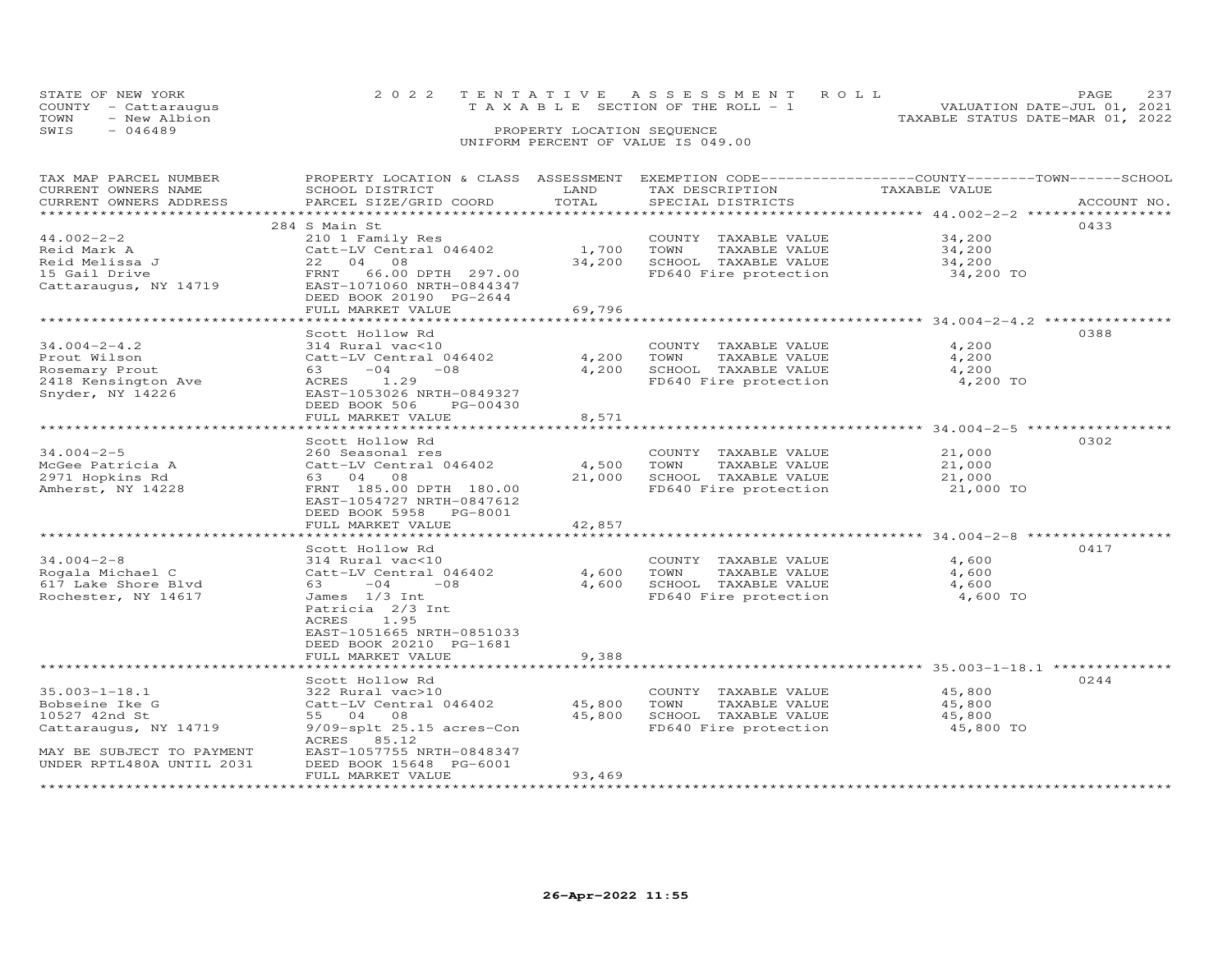| STATE OF NEW YORK    | 2022 TENTATIVE ASSESSMENT ROLL            |  |                                  | PAGE.                       | つっつ |
|----------------------|-------------------------------------------|--|----------------------------------|-----------------------------|-----|
| COUNTY - Cattaraugus | $T A X A B I. E$ SECTION OF THE ROLL $-1$ |  |                                  | VALUATION DATE-JUL 01, 2021 |     |
| TOWN<br>- New Albion |                                           |  | TAXABLE STATUS DATE-MAR 01, 2022 |                             |     |
| SWIS<br>- 046489     | PROPERTY LOCATION SEQUENCE                |  |                                  |                             |     |
|                      | UNIFORM PERCENT OF VALUE IS 049.00        |  |                                  |                             |     |

| TAX MAP PARCEL NUMBER<br>CURRENT OWNERS NAME<br>CURRENT OWNERS ADDRESS                                                                                             | PROPERTY LOCATION & CLASS ASSESSMENT<br>SCHOOL DISTRICT<br>PARCEL SIZE/GRID COORD                                                                                                                                                                                                                                                                                                                              | LAND<br>TOTAL                                        | EXEMPTION CODE-----------------COUNTY-------TOWN------SCHOOL<br>TAX DESCRIPTION<br>SPECIAL DISTRICTS                                                                                             | TAXABLE VALUE                                                                  | ACCOUNT NO.  |
|--------------------------------------------------------------------------------------------------------------------------------------------------------------------|----------------------------------------------------------------------------------------------------------------------------------------------------------------------------------------------------------------------------------------------------------------------------------------------------------------------------------------------------------------------------------------------------------------|------------------------------------------------------|--------------------------------------------------------------------------------------------------------------------------------------------------------------------------------------------------|--------------------------------------------------------------------------------|--------------|
|                                                                                                                                                                    |                                                                                                                                                                                                                                                                                                                                                                                                                |                                                      |                                                                                                                                                                                                  |                                                                                |              |
| $44.002 - 2 - 2$<br>Reid Mark A<br>Reid Melissa J<br>15 Gail Drive<br>Cattaraugus, NY 14719                                                                        | 284 S Main St<br>210 1 Family Res<br>Catt-LV Central 046402<br>22 04<br>08<br>FRNT<br>66.00 DPTH 297.00<br>EAST-1071060 NRTH-0844347<br>DEED BOOK 20190 PG-2644                                                                                                                                                                                                                                                | 1,700<br>34,200                                      | COUNTY TAXABLE VALUE<br>TOWN<br>TAXABLE VALUE<br>SCHOOL TAXABLE VALUE<br>FD640 Fire protection                                                                                                   | 34,200<br>34,200<br>34,200<br>34,200 TO                                        | 0433         |
|                                                                                                                                                                    | FULL MARKET VALUE                                                                                                                                                                                                                                                                                                                                                                                              | 69,796                                               |                                                                                                                                                                                                  |                                                                                |              |
| $34.004 - 2 - 4.2$<br>Prout Wilson<br>Rosemary Prout<br>2418 Kensington Ave<br>Snyder, NY 14226                                                                    | Scott Hollow Rd<br>314 Rural vac<10<br>Catt-LV Central 046402<br>$-04$<br>$-08$<br>63 — 1<br>ACRES 1.29<br>EAST-1053026 NRTH-0849327<br>DEED BOOK 506<br>PG-00430<br>FULL MARKET VALUE                                                                                                                                                                                                                         | 4,200<br>4,200<br>8,571                              | COUNTY TAXABLE VALUE<br>TAXABLE VALUE<br>TOWN<br>SCHOOL TAXABLE VALUE<br>FD640 Fire protection                                                                                                   | 4,200<br>4,200<br>4,200<br>4,200 TO                                            | 0388         |
|                                                                                                                                                                    | ******************************                                                                                                                                                                                                                                                                                                                                                                                 | *************                                        |                                                                                                                                                                                                  |                                                                                |              |
| $34.004 - 2 - 5$<br>McGee Patricia A<br>2971 Hopkins Rd<br>Amherst, NY 14228<br>$34.004 - 2 - 8$<br>Rogala Michael C<br>617 Lake Shore Blvd<br>Rochester, NY 14617 | Scott Hollow Rd<br>260 Seasonal res<br>Catt-LV Central 046402<br>63 04 08<br>FRNT 185.00 DPTH 180.00<br>EAST-1054727 NRTH-0847612<br>DEED BOOK 5958 PG-8001<br>FULL MARKET VALUE<br>Scott Hollow Rd<br>314 Rural vac<10<br>Catt-LV Central 046402<br>63 —<br>$-04$<br>$-08$<br>James 1/3 Int<br>Patricia 2/3 Int<br>ACRES<br>1.95<br>EAST-1051665 NRTH-0851033<br>DEED BOOK 20210 PG-1681<br>FULL MARKET VALUE | 4,500<br>21,000<br>42,857<br>4,600<br>4,600<br>9,388 | COUNTY TAXABLE VALUE<br>TOWN<br>TAXABLE VALUE<br>SCHOOL TAXABLE VALUE<br>FD640 Fire protection<br>COUNTY TAXABLE VALUE<br>TOWN<br>TAXABLE VALUE<br>SCHOOL TAXABLE VALUE<br>FD640 Fire protection | 21,000<br>21,000<br>21,000<br>21,000 TO<br>4,600<br>4,600<br>4,600<br>4,600 TO | 0302<br>0417 |
| $35.003 - 1 - 18.1$<br>Bobseine Ike G<br>10527 42nd St<br>Cattaraugus, NY 14719<br>MAY BE SUBJECT TO PAYMENT<br>UNDER RPTL480A UNTIL 2031                          | Scott Hollow Rd<br>322 Rural vac>10<br>Catt-LV Central 046402<br>55 04 08<br>9/09-splt 25.15 acres-Con<br>ACRES 85.12<br>EAST-1057755 NRTH-0848347<br>DEED BOOK 15648 PG-6001<br>FULL MARKET VALUE                                                                                                                                                                                                             | 45,800<br>45,800<br>93,469                           | COUNTY TAXABLE VALUE<br>TOWN<br>TAXABLE VALUE<br>SCHOOL TAXABLE VALUE<br>FD640 Fire protection                                                                                                   | 45,800<br>45,800<br>45,800<br>45,800 TO                                        | 0244         |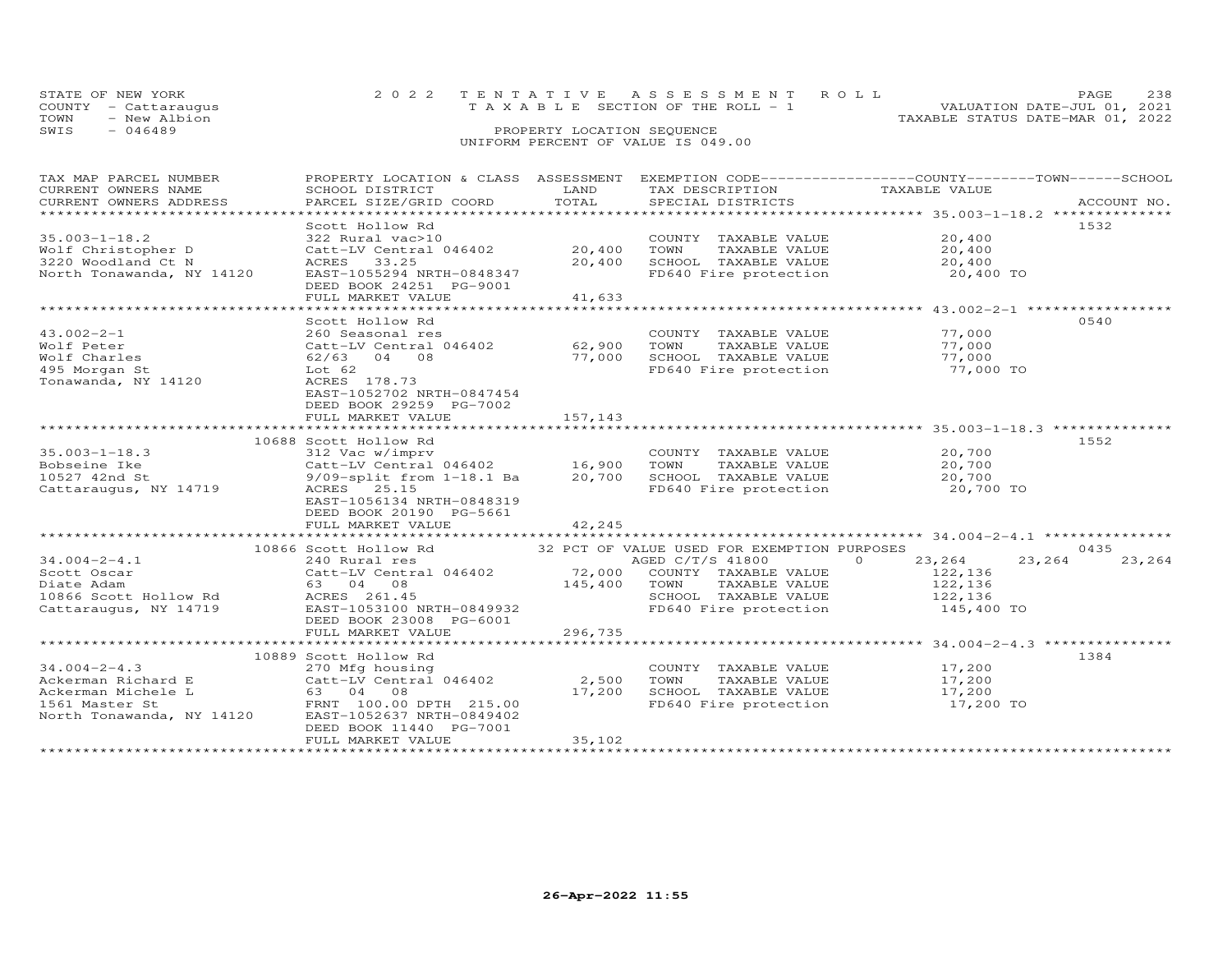|      | STATE OF NEW YORK    | 2022 TENTATIVE ASSESSMENT ROLL        |                            |  | PAGE                             | 238 |
|------|----------------------|---------------------------------------|----------------------------|--|----------------------------------|-----|
|      | COUNTY - Cattaraugus | T A X A B L E SECTION OF THE ROLL - 1 |                            |  | VALUATION DATE-JUL 01, 2021      |     |
| TOWN | - New Albion         |                                       |                            |  | TAXABLE STATUS DATE-MAR 01, 2022 |     |
| SWIS | $-046489$            |                                       | PROPERTY LOCATION SEQUENCE |  |                                  |     |
|      |                      | UNIFORM PERCENT OF VALUE IS 049.00    |                            |  |                                  |     |

| TAX MAP PARCEL NUMBER                                                                                                                                                                     |                                                                                                                                               |                |                                                            | PROPERTY LOCATION & CLASS ASSESSMENT EXEMPTION CODE----------------COUNTY-------TOWN-----SCHOOL                                                                                                                                |  |
|-------------------------------------------------------------------------------------------------------------------------------------------------------------------------------------------|-----------------------------------------------------------------------------------------------------------------------------------------------|----------------|------------------------------------------------------------|--------------------------------------------------------------------------------------------------------------------------------------------------------------------------------------------------------------------------------|--|
| CURRENT OWNERS NAME                                                                                                                                                                       | SCHOOL DISTRICT                                                                                                                               | LAND           | TAX DESCRIPTION                                            | TAXABLE VALUE                                                                                                                                                                                                                  |  |
|                                                                                                                                                                                           |                                                                                                                                               |                |                                                            | .CURRENT OWNERS ADDRESS PARCEL SIZE/GRID COORD TOTAL SPECIAL DISTRICTS ACCOUNT NO ACCOUNT NO ACCOUNT NO ARE THE SERVER AND RESERVE THE SERVER SERVER AND HER ASSESS THAT A LOCOUNT NO A THE SERVER SERVER AND THE SERVER SERVE |  |
|                                                                                                                                                                                           |                                                                                                                                               |                |                                                            |                                                                                                                                                                                                                                |  |
|                                                                                                                                                                                           | Scott Hollow Rd                                                                                                                               |                |                                                            | 1532                                                                                                                                                                                                                           |  |
| $35.003 - 1 - 18.2$                                                                                                                                                                       | $\begin{array}{ccc}\n & -22 & \sqrt{10} \\ \text{Catt-LV Central} & 046402 & 20,400 \\ \text{ACRES} & 33.25\n\end{array}$                     |                | COUNTY TAXABLE VALUE 20,400                                |                                                                                                                                                                                                                                |  |
| Wolf Christopher D                                                                                                                                                                        |                                                                                                                                               | 20,400         |                                                            |                                                                                                                                                                                                                                |  |
| 3220 Woodland Ct N                                                                                                                                                                        | ACRES<br>33.25                                                                                                                                | 20,400         |                                                            |                                                                                                                                                                                                                                |  |
| North Tonawanda, NY 14120                                                                                                                                                                 | EAST-1055294 NRTH-0848347                                                                                                                     |                | FD640 Fire protection 20,400 TO                            |                                                                                                                                                                                                                                |  |
|                                                                                                                                                                                           | DEED BOOK 24251 PG-9001                                                                                                                       |                |                                                            |                                                                                                                                                                                                                                |  |
|                                                                                                                                                                                           | FULL MARKET VALUE                                                                                                                             | 41,633         |                                                            |                                                                                                                                                                                                                                |  |
|                                                                                                                                                                                           |                                                                                                                                               |                |                                                            |                                                                                                                                                                                                                                |  |
|                                                                                                                                                                                           | Scott Hollow Rd                                                                                                                               |                |                                                            | 0540                                                                                                                                                                                                                           |  |
| $43.002 - 2 - 1$                                                                                                                                                                          | 260 Seasonal res                                                                                                                              |                | COUNTY TAXABLE VALUE 77,000                                |                                                                                                                                                                                                                                |  |
| Wolf Peter                                                                                                                                                                                | Catt-LV Central 046402 62,900<br>62/63 04 08 77,000                                                                                           |                | TOWN                                                       |                                                                                                                                                                                                                                |  |
| Wolf Charles                                                                                                                                                                              |                                                                                                                                               |                |                                                            | TAXABLE VALUE 77,000<br>L TAXABLE VALUE 77,000                                                                                                                                                                                 |  |
| 495 Morgan St                                                                                                                                                                             | Lot 62                                                                                                                                        |                |                                                            |                                                                                                                                                                                                                                |  |
| Tonawanda, NY 14120                                                                                                                                                                       | ACRES 178.73                                                                                                                                  |                |                                                            |                                                                                                                                                                                                                                |  |
|                                                                                                                                                                                           | EAST-1052702 NRTH-0847454                                                                                                                     |                |                                                            |                                                                                                                                                                                                                                |  |
|                                                                                                                                                                                           | DEED BOOK 29259 PG-7002                                                                                                                       |                |                                                            |                                                                                                                                                                                                                                |  |
|                                                                                                                                                                                           | FULL MARKET VALUE                                                                                                                             | 157,143        |                                                            |                                                                                                                                                                                                                                |  |
|                                                                                                                                                                                           |                                                                                                                                               |                |                                                            |                                                                                                                                                                                                                                |  |
|                                                                                                                                                                                           | 10688 Scott Hollow Rd                                                                                                                         |                |                                                            | 1552                                                                                                                                                                                                                           |  |
| $35.003 - 1 - 18.3$                                                                                                                                                                       |                                                                                                                                               |                |                                                            |                                                                                                                                                                                                                                |  |
| Bobseine Ike                                                                                                                                                                              |                                                                                                                                               |                | COUNTY TAXABLE VALUE 20,700<br>TOWN TAXABLE VALUE 20,700   |                                                                                                                                                                                                                                |  |
| 10527 42nd St                                                                                                                                                                             | 312 Vac w/imprv<br>Catt-LV Central 046402<br>9/09-split from 1-18.1 Ba<br>ACRES 25.15<br>20,700 SCHOOL TAXABLE VALUE<br>FD640 Fire protection |                |                                                            |                                                                                                                                                                                                                                |  |
| Cattaraugus, NY 14719                                                                                                                                                                     |                                                                                                                                               |                |                                                            | 20,700<br>20,700 TO                                                                                                                                                                                                            |  |
|                                                                                                                                                                                           | EAST-1056134 NRTH-0848319                                                                                                                     |                |                                                            |                                                                                                                                                                                                                                |  |
|                                                                                                                                                                                           | DEED BOOK 20190 PG-5661                                                                                                                       |                |                                                            |                                                                                                                                                                                                                                |  |
|                                                                                                                                                                                           | FULL MARKET VALUE                                                                                                                             |                |                                                            |                                                                                                                                                                                                                                |  |
|                                                                                                                                                                                           |                                                                                                                                               | 42,245         |                                                            |                                                                                                                                                                                                                                |  |
|                                                                                                                                                                                           |                                                                                                                                               |                |                                                            | 0435                                                                                                                                                                                                                           |  |
| $34.004 - 2 - 4.1$                                                                                                                                                                        | 10866 Scott Hollow Rd 32 PCT OF VALUE USED FOR EXEMPTION PURPOSES                                                                             |                |                                                            | AGED C/T/S 41800 0 23, 264 23, 264<br>23,264                                                                                                                                                                                   |  |
|                                                                                                                                                                                           |                                                                                                                                               |                |                                                            |                                                                                                                                                                                                                                |  |
| Scott Oscar                                                                                                                                                                               |                                                                                                                                               |                |                                                            |                                                                                                                                                                                                                                |  |
| Diate Adam                                                                                                                                                                                |                                                                                                                                               | $145,400$ TOWN | TOWN TAXABLE VALUE 122,136<br>SCHOOL TAXABLE VALUE 122,136 |                                                                                                                                                                                                                                |  |
| 145,400<br>10866 Scott Hollow Rd<br>Cattaraugus, NY 14719 EAST-1053100 NRTH-0849932                                                                                                       |                                                                                                                                               |                |                                                            |                                                                                                                                                                                                                                |  |
|                                                                                                                                                                                           |                                                                                                                                               |                | FD640 Fire protection 145,400 TO                           |                                                                                                                                                                                                                                |  |
|                                                                                                                                                                                           | DEED BOOK 23008 PG-6001                                                                                                                       |                |                                                            |                                                                                                                                                                                                                                |  |
|                                                                                                                                                                                           | FULL MARKET VALUE                                                                                                                             | 296,735        |                                                            |                                                                                                                                                                                                                                |  |
|                                                                                                                                                                                           |                                                                                                                                               |                |                                                            |                                                                                                                                                                                                                                |  |
|                                                                                                                                                                                           | 10889 Scott Hollow Rd                                                                                                                         |                |                                                            | 1384                                                                                                                                                                                                                           |  |
| $34.004 - 2 - 4.3$                                                                                                                                                                        | 270 Mfg housing                                                                                                                               |                | COUNTY TAXABLE VALUE 17,200                                |                                                                                                                                                                                                                                |  |
| External Richard E<br>Catt-LV Central 046402 2,500<br>Ackerman Michele L 63 04 08 17,200<br>1561 Master St FRNT 100.00 DPTH 215.00<br>North Tonawanda, NY 14120 EAST-1052637 NRTH-0849402 |                                                                                                                                               |                | TOWN                                                       | TAXABLE VALUE 17,200                                                                                                                                                                                                           |  |
|                                                                                                                                                                                           |                                                                                                                                               |                | SCHOOL TAXABLE VALUE                                       | 17,200                                                                                                                                                                                                                         |  |
|                                                                                                                                                                                           |                                                                                                                                               |                | FD640 Fire protection 17,200 TO                            |                                                                                                                                                                                                                                |  |
|                                                                                                                                                                                           |                                                                                                                                               |                |                                                            |                                                                                                                                                                                                                                |  |
|                                                                                                                                                                                           | DEED BOOK 11440 PG-7001                                                                                                                       |                |                                                            |                                                                                                                                                                                                                                |  |
|                                                                                                                                                                                           | FULL MARKET VALUE                                                                                                                             | 35,102         |                                                            |                                                                                                                                                                                                                                |  |
|                                                                                                                                                                                           |                                                                                                                                               |                |                                                            |                                                                                                                                                                                                                                |  |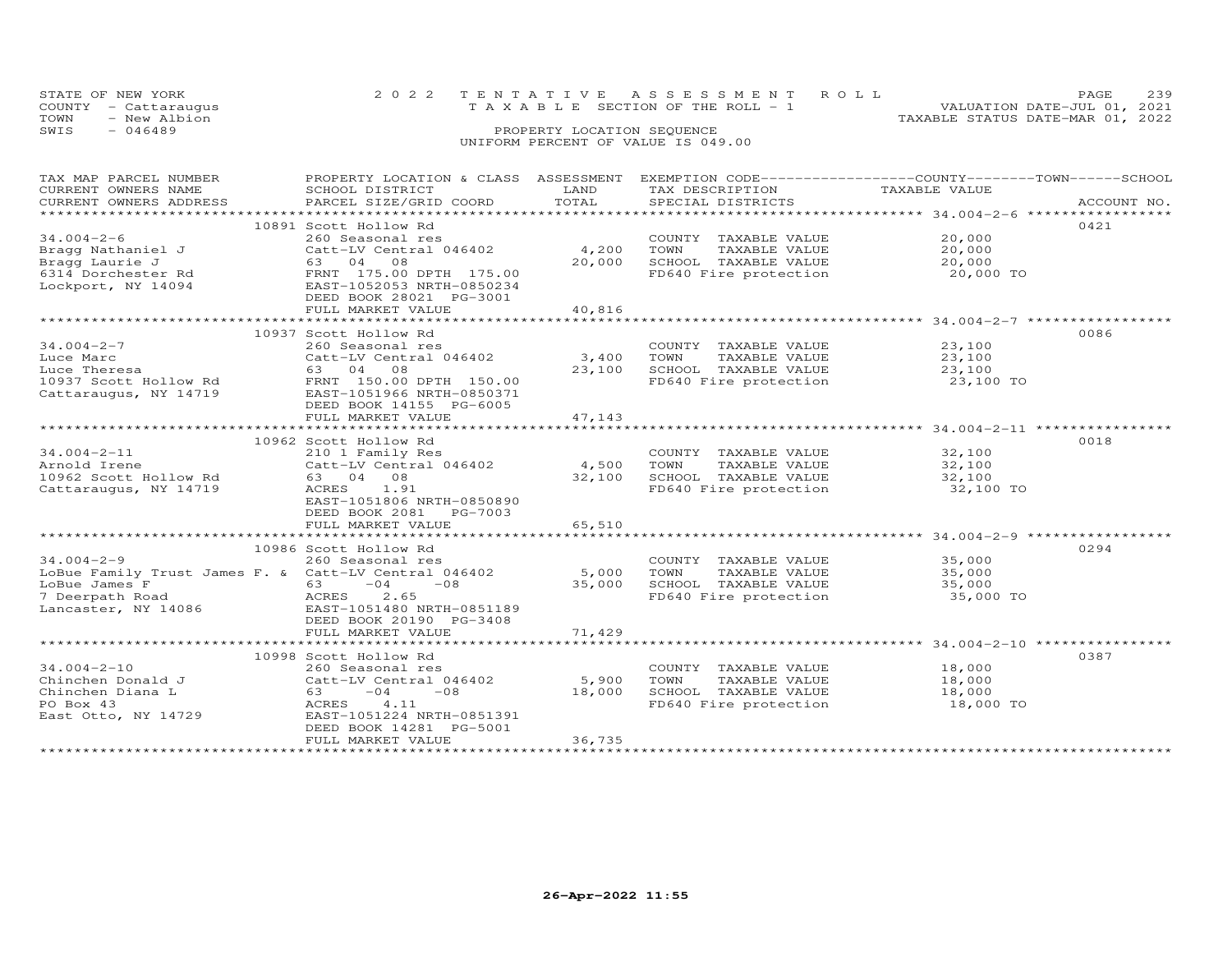|      | STATE OF NEW YORK    |  | 2022 TENTATIVE ASSESSMENT ROLL     | PAGE.                            | 239 |
|------|----------------------|--|------------------------------------|----------------------------------|-----|
|      | COUNTY - Cattaraugus |  | TAXABLE SECTION OF THE ROLL - 1    | VALUATION DATE-JUL 01, 2021      |     |
| TOWN | - New Albion         |  |                                    | TAXABLE STATUS DATE-MAR 01, 2022 |     |
| SWIS | - 046489             |  | PROPERTY LOCATION SEQUENCE         |                                  |     |
|      |                      |  | UNIFORM PERCENT OF VALUE IS 049.00 |                                  |     |

| TAX MAP PARCEL NUMBER  | PROPERTY LOCATION & CLASS ASSESSMENT EXEMPTION CODE---------------COUNTY-------TOWN------SCHOOL                                                                                                                                                                |        |                                                                |                      |             |
|------------------------|----------------------------------------------------------------------------------------------------------------------------------------------------------------------------------------------------------------------------------------------------------------|--------|----------------------------------------------------------------|----------------------|-------------|
| CURRENT OWNERS NAME    | SCHOOL DISTRICT                                                                                                                                                                                                                                                | LAND   | TAX DESCRIPTION                                                | TAXABLE VALUE        |             |
| CURRENT OWNERS ADDRESS | PARCEL SIZE/GRID COORD                                                                                                                                                                                                                                         | TOTAL  | SPECIAL DISTRICTS                                              |                      | ACCOUNT NO. |
|                        |                                                                                                                                                                                                                                                                |        |                                                                |                      |             |
|                        | 10891 Scott Hollow Rd                                                                                                                                                                                                                                          |        |                                                                |                      | 0421        |
| $34.004 - 2 - 6$       | 260 Seasonal res                                                                                                                                                                                                                                               |        | COUNTY TAXABLE VALUE                                           | 20,000               |             |
| Bragg Nathaniel J      | 260 Seasonal res<br>Catt-LV Central 046402              4,200                                                                                                                                                                                                  |        | TOWN<br>TAXABLE VALUE                                          | 20,000               |             |
|                        |                                                                                                                                                                                                                                                                | 20,000 | SCHOOL TAXABLE VALUE                                           | 20,000               |             |
|                        |                                                                                                                                                                                                                                                                |        | FD640 Fire protection                                          | 20,000 TO            |             |
|                        | Bragg Machaniel 5<br>63 04 08<br>6314 Dorchester Rd<br>Lockport, NY 14094<br>ERAT 175.00 DPTH 175.00<br>ERAT 176.00 DPTH 175.00<br>ERAT 176.0001<br>ERAT 105.0001<br>PRODUCED 2001                                                                             |        |                                                                |                      |             |
|                        | DEED BOOK 28021 PG-3001                                                                                                                                                                                                                                        |        |                                                                |                      |             |
|                        | FULL MARKET VALUE                                                                                                                                                                                                                                              | 40,816 |                                                                |                      |             |
|                        |                                                                                                                                                                                                                                                                |        |                                                                |                      |             |
|                        | 10937 Scott Hollow Rd                                                                                                                                                                                                                                          |        |                                                                |                      | 0086        |
| 34.004-2-7             | 260 Seasonal res                                                                                                                                                                                                                                               |        |                                                                | 23,100               |             |
| Luce Marc              | Catt-LV Central 046402 3,400                                                                                                                                                                                                                                   |        | COUNTY TAXABLE VALUE<br>TOWN     TAXABLE VALUE                 | 23,100               |             |
|                        |                                                                                                                                                                                                                                                                | 23,100 | SCHOOL TAXABLE VALUE                                           | 23,100               |             |
|                        |                                                                                                                                                                                                                                                                |        | FD640 Fire protection                                          |                      |             |
|                        |                                                                                                                                                                                                                                                                |        |                                                                | 23,100 TO            |             |
|                        |                                                                                                                                                                                                                                                                |        |                                                                |                      |             |
|                        | DEED BOOK 14155 PG-6005                                                                                                                                                                                                                                        |        |                                                                |                      |             |
|                        | FULL MARKET VALUE                                                                                                                                                                                                                                              | 47,143 |                                                                |                      |             |
|                        |                                                                                                                                                                                                                                                                |        |                                                                |                      |             |
|                        | 10962 Scott Hollow Rd                                                                                                                                                                                                                                          |        |                                                                |                      | 0018        |
| $34.004 - 2 - 11$      | 210 1 Family Res                                                                                                                                                                                                                                               |        | COUNTY TAXABLE VALUE<br>TOWN      TAXABLE VALUE                | 32,100               |             |
| Arnold Irene           | $\begin{array}{r} \text{210} \text{ } 1 \text{ } 1 \text{ } \text{matrix} \end{array}$ $\begin{array}{r} \text{100} \\ \text{104} \end{array}$ $\begin{array}{r} \text{211} \\ \text{212} \end{array}$ $\begin{array}{r} \text{213} \\ \text{214} \end{array}$ |        |                                                                | 32,100               |             |
|                        | 63 04 08                                                                                                                                                                                                                                                       | 32,100 | SCHOOL TAXABLE VALUE 32,100<br>FD640 Fire protection 32,100 TO |                      |             |
| Cattaraugus, NY 14719  | ACRES 1.91                                                                                                                                                                                                                                                     |        |                                                                |                      |             |
|                        | EAST-1051806 NRTH-0850890                                                                                                                                                                                                                                      |        |                                                                |                      |             |
|                        | DEED BOOK 2081 PG-7003                                                                                                                                                                                                                                         |        |                                                                |                      |             |
|                        | FULL MARKET VALUE                                                                                                                                                                                                                                              | 65,510 |                                                                |                      |             |
|                        |                                                                                                                                                                                                                                                                |        |                                                                |                      |             |
|                        | 10986 Scott Hollow Rd                                                                                                                                                                                                                                          |        |                                                                |                      | 0294        |
| $34.004 - 2 - 9$       | 260 Seasonal res                                                                                                                                                                                                                                               |        | COUNTY TAXABLE VALUE                                           | 35,000               |             |
|                        | LoBue Family Trust James F. & Catt-LV Central 046402 5,000                                                                                                                                                                                                     |        | TAXABLE VALUE<br>TOWN                                          | 35,000               |             |
|                        |                                                                                                                                                                                                                                                                | 35,000 |                                                                |                      |             |
|                        | 1999<br>LoBue James F<br>7 Deerpath Road<br>Lancaster, NY 14086<br>Lancaster, NY 14086<br>Premierons 20190 PG-3408                                                                                                                                             |        | SCHOOL TAXABLE VALUE<br>FD640 Fire protection                  | $35,000$ TO          |             |
|                        |                                                                                                                                                                                                                                                                |        |                                                                |                      |             |
|                        | DEED BOOK 20190 PG-3408                                                                                                                                                                                                                                        |        |                                                                |                      |             |
|                        | FULL MARKET VALUE                                                                                                                                                                                                                                              | 71,429 |                                                                |                      |             |
|                        |                                                                                                                                                                                                                                                                |        |                                                                |                      |             |
|                        | 10998 Scott Hollow Rd                                                                                                                                                                                                                                          |        |                                                                |                      | 0387        |
| $34.004 - 2 - 10$      | 260 Seasonal res                                                                                                                                                                                                                                               |        | COUNTY TAXABLE VALUE                                           | 18,000               |             |
| Chinchen Donald J      | Catt-LV Central 046402                                                                                                                                                                                                                                         | 5,900  | TOWN                                                           | TAXABLE VALUE 18,000 |             |
| Chinchen Diana L       | $63 -04 -08$                                                                                                                                                                                                                                                   | 18,000 |                                                                | 18,000               |             |
| PO Box 43              | ACRES 4.11                                                                                                                                                                                                                                                     |        | SCHOOL TAXABLE VALUE<br>FD640 Fire protection                  | $18,000$ TO          |             |
| East Otto, NY 14729    | EAST-1051224 NRTH-0851391                                                                                                                                                                                                                                      |        |                                                                |                      |             |
|                        | DEED BOOK 14281 PG-5001                                                                                                                                                                                                                                        |        |                                                                |                      |             |
|                        | FULL MARKET VALUE                                                                                                                                                                                                                                              | 36,735 |                                                                |                      |             |
|                        |                                                                                                                                                                                                                                                                |        |                                                                |                      |             |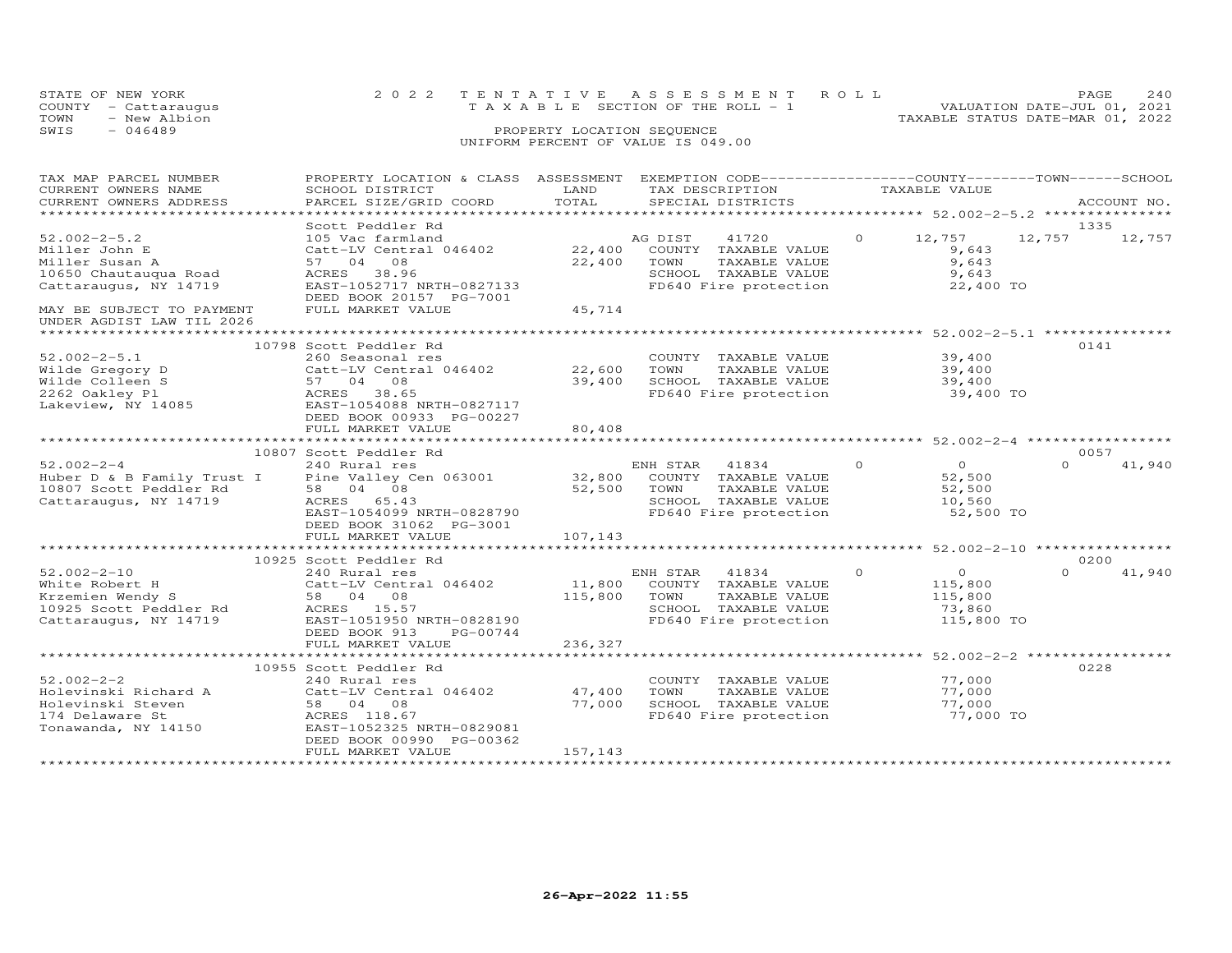|      | STATE OF NEW YORK<br>COUNTY - Cattaraugus | 2022 TENTATIVE ASSESSMENT ROLL<br>TAXABLE SECTION OF THE ROLL - 1 | PAGE<br>VALUATION DATE-JUL 01, 2021 | 2.40 |
|------|-------------------------------------------|-------------------------------------------------------------------|-------------------------------------|------|
| TOWN | - New Albion                              | TAXABLE STATUS DATE-MAR 01, 2022                                  |                                     |      |
| SWIS | $-046489$                                 | PROPERTY LOCATION SEQUENCE                                        |                                     |      |
|      |                                           | UNIFORM PERCENT OF VALUE IS 049.00                                |                                     |      |

| TAX MAP PARCEL NUMBER                                                                                                                      | PROPERTY LOCATION & CLASS ASSESSMENT EXEMPTION CODE----------------COUNTY-------TOWN------SCHOOL |                            |                                                                  |                           |                    |
|--------------------------------------------------------------------------------------------------------------------------------------------|--------------------------------------------------------------------------------------------------|----------------------------|------------------------------------------------------------------|---------------------------|--------------------|
| CURRENT OWNERS NAME                                                                                                                        | SCHOOL DISTRICT                                                                                  | LAND                       | TAX DESCRIPTION                                                  | TAXABLE VALUE             |                    |
| CURRENT OWNERS ADDRESS                                                                                                                     | PARCEL SIZE/GRID COORD                                                                           | TOTAL                      | SPECIAL DISTRICTS                                                |                           | ACCOUNT NO.        |
|                                                                                                                                            |                                                                                                  |                            |                                                                  |                           |                    |
|                                                                                                                                            | Scott Peddler Rd                                                                                 |                            |                                                                  |                           | 1335               |
| $52.002 - 2 - 5.2$                                                                                                                         | 105 Vac farmland                                                                                 |                            | AG DIST<br>41720                                                 | $\circ$<br>12,757         | 12,757 12,757      |
| Miller John E                                                                                                                              | Catt-LV Central 046402                                                                           | 22,400                     | COUNTY TAXABLE VALUE                                             | 9,643                     |                    |
| Miller Susan A                                                                                                                             | 57 04 08                                                                                         | 22,400                     | TOWN<br>TAXABLE VALUE                                            | 9,643                     |                    |
| 10650 Chautauqua Road                                                                                                                      | ACRES 38.96                                                                                      |                            | SCHOOL TAXABLE VALUE                                             | 9,643                     |                    |
| Cattaraugus, NY 14719                                                                                                                      | EAST-1052717 NRTH-0827133                                                                        |                            | FD640 Fire protection                                            | 22,400 TO                 |                    |
|                                                                                                                                            | DEED BOOK 20157 PG-7001                                                                          |                            |                                                                  |                           |                    |
| MAY BE SUBJECT TO PAYMENT<br>UNDER AGDIST LAW TIL 2026                                                                                     | FULL MARKET VALUE                                                                                | 45,714                     |                                                                  |                           |                    |
|                                                                                                                                            |                                                                                                  |                            |                                                                  |                           |                    |
|                                                                                                                                            | 10798 Scott Peddler Rd                                                                           |                            |                                                                  |                           | 0141               |
| $52.002 - 2 - 5.1$                                                                                                                         | 260 Seasonal res                                                                                 |                            | COUNTY TAXABLE VALUE                                             | 39,400                    |                    |
| Wilde Gregory D                                                                                                                            | Catt-LV Central 046402                                                                           | 22,600                     | TOWN<br>TAXABLE VALUE                                            | 39,400                    |                    |
| Wilde Colleen S                                                                                                                            | 57 04 08                                                                                         | 39,400                     | SCHOOL TAXABLE VALUE                                             | 39,400                    |                    |
| 2262 Oakley Pl                                                                                                                             | ACRES 38.65                                                                                      |                            | FD640 Fire protection                                            | 39,400 TO                 |                    |
| Lakeview, NY 14085                                                                                                                         | EAST-1054088 NRTH-0827117                                                                        |                            |                                                                  |                           |                    |
|                                                                                                                                            | DEED BOOK 00933 PG-00227                                                                         |                            |                                                                  |                           |                    |
|                                                                                                                                            | FULL MARKET VALUE                                                                                | 80,408                     |                                                                  |                           |                    |
|                                                                                                                                            |                                                                                                  |                            |                                                                  |                           |                    |
|                                                                                                                                            | 10807 Scott Peddler Rd                                                                           |                            |                                                                  |                           | 0057               |
| $52.002 - 2 - 4$                                                                                                                           | 240 Rural res                                                                                    |                            | ENH STAR 41834                                                   | $\Omega$<br>$\bigcirc$    | 41,940<br>$\Omega$ |
|                                                                                                                                            |                                                                                                  |                            |                                                                  | 52,500                    |                    |
| Huber D & B Family Trust I Pine Valley Cen 063001 32,800 COUNTY TAXABLE VALUE<br>10807 Scott Peddler Rd 58 04 08 52,500 TOWN TAXABLE VALUE |                                                                                                  |                            | TAXABLE VALUE                                                    | 52,500                    |                    |
| Cattaraugus, NY 14719 ACRES 65.43                                                                                                          |                                                                                                  |                            |                                                                  | 10,560                    |                    |
|                                                                                                                                            | EAST-1054099 NRTH-0828790                                                                        |                            | SCHOOL TAXABLE VALUE<br>FD640 Fire protection                    | 52,500 TO                 |                    |
|                                                                                                                                            |                                                                                                  |                            |                                                                  |                           |                    |
|                                                                                                                                            | DEED BOOK 31062 PG-3001                                                                          |                            |                                                                  |                           |                    |
|                                                                                                                                            | FULL MARKET VALUE                                                                                | 107,143<br>*************** | ***********************************52.002-2-10 ***************** |                           |                    |
|                                                                                                                                            |                                                                                                  |                            |                                                                  |                           |                    |
|                                                                                                                                            | 10925 Scott Peddler Rd                                                                           |                            |                                                                  |                           | 0200               |
| $52.002 - 2 - 10$                                                                                                                          | 240 Rural res                                                                                    |                            | ENH STAR<br>41834                                                | $\circ$<br>$\overline{0}$ | 41,940<br>$\Omega$ |
| White Robert H                                                                                                                             | 240 Rural I <del>co</del><br>Catt-LV Central 046402<br>58 04 08<br>- --                          | 11,800                     | COUNTY TAXABLE VALUE                                             | 115,800                   |                    |
| White Robert H (Calc-Ly Centre<br>Krzemien Wendy S 58 04 08<br>10925 Scott Peddler Rd (ACRES 15.57                                         |                                                                                                  | 115,800                    | TOWN<br>TAXABLE VALUE                                            | 115,800                   |                    |
|                                                                                                                                            |                                                                                                  |                            | SCHOOL TAXABLE VALUE                                             | 73,860                    |                    |
| Cattaraugus, NY 14719                                                                                                                      | EAST-1051950 NRTH-0828190                                                                        |                            | FD640 Fire protection                                            | 115,800 TO                |                    |
|                                                                                                                                            | DEED BOOK 913<br>PG-00744                                                                        |                            |                                                                  |                           |                    |
|                                                                                                                                            | FULL MARKET VALUE                                                                                | 236,327                    |                                                                  |                           |                    |
|                                                                                                                                            |                                                                                                  |                            |                                                                  |                           |                    |
|                                                                                                                                            | 10955 Scott Peddler Rd                                                                           |                            |                                                                  |                           | 0228               |
| $52.002 - 2 - 2$                                                                                                                           | 240 Rural res                                                                                    |                            | COUNTY TAXABLE VALUE                                             | 77,000                    |                    |
| Holevinski Richard A                                                                                                                       | Catt-LV Central 046402                                                                           | 47,400                     | TOWN<br>TAXABLE VALUE                                            | 77,000                    |                    |
| Holevinski Steven                                                                                                                          | 58 04 08                                                                                         | 77,000                     | SCHOOL TAXABLE VALUE                                             | 77,000                    |                    |
| 174 Delaware St                                                                                                                            | ACRES 118.67                                                                                     |                            | FD640 Fire protection                                            | 77,000 TO                 |                    |
| Tonawanda, NY 14150                                                                                                                        | EAST-1052325 NRTH-0829081                                                                        |                            |                                                                  |                           |                    |
|                                                                                                                                            | DEED BOOK 00990 PG-00362                                                                         |                            |                                                                  |                           |                    |
|                                                                                                                                            | FULL MARKET VALUE                                                                                | 157,143                    |                                                                  |                           |                    |
|                                                                                                                                            |                                                                                                  |                            |                                                                  |                           |                    |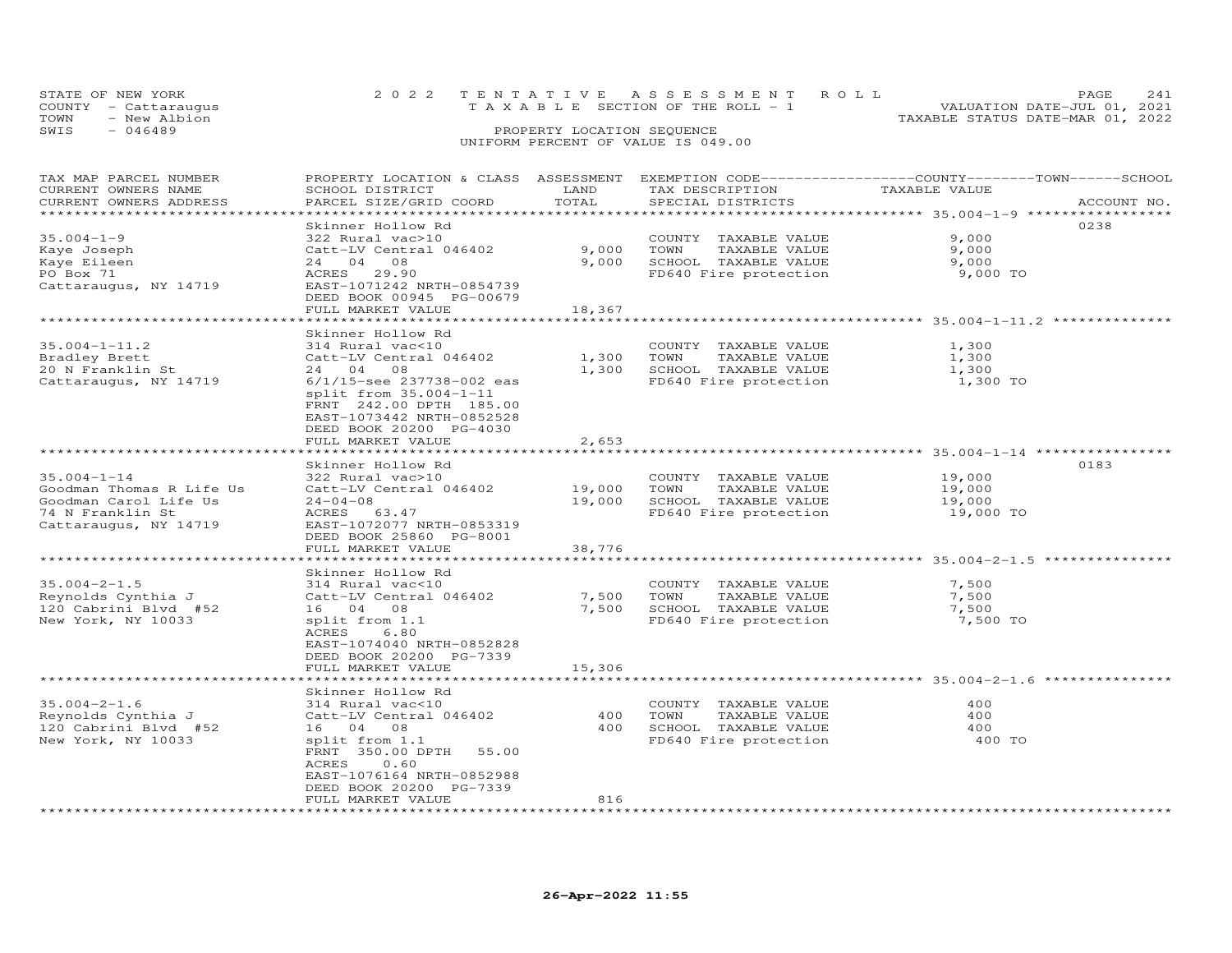|      | STATE OF NEW YORK    | 2022 TENTATIVE ASSESSMENT ROLL        |                            |  |                                  | PAGE.                       |  |
|------|----------------------|---------------------------------------|----------------------------|--|----------------------------------|-----------------------------|--|
|      | COUNTY - Cattaraugus | T A X A B L E SECTION OF THE ROLL - 1 |                            |  |                                  | VALUATION DATE-JUL 01, 2021 |  |
| TOWN | - New Albion         |                                       |                            |  | TAXABLE STATUS DATE-MAR 01, 2022 |                             |  |
| SWIS | $-046489$            |                                       | PROPERTY LOCATION SEQUENCE |  |                                  |                             |  |
|      |                      | UNIFORM PERCENT OF VALUE IS 049.00    |                            |  |                                  |                             |  |

| TAX MAP PARCEL NUMBER<br>CURRENT OWNERS NAME<br>CURRENT OWNERS ADDRESS | PROPERTY LOCATION & CLASS ASSESSMENT<br>SCHOOL DISTRICT<br>PARCEL SIZE/GRID COORD                                                                           | LAND<br>TOTAL       | EXEMPTION CODE-----------------COUNTY-------TOWN------SCHOOL<br>TAX DESCRIPTION<br>SPECIAL DISTRICTS | TAXABLE VALUE                                  | ACCOUNT NO. |
|------------------------------------------------------------------------|-------------------------------------------------------------------------------------------------------------------------------------------------------------|---------------------|------------------------------------------------------------------------------------------------------|------------------------------------------------|-------------|
|                                                                        |                                                                                                                                                             | * * * * * * * * * * |                                                                                                      | ************ 35.004-1-9 *****                  |             |
|                                                                        | Skinner Hollow Rd                                                                                                                                           |                     |                                                                                                      |                                                | 0238        |
| $35.004 - 1 - 9$                                                       | 322 Rural vac>10                                                                                                                                            |                     | COUNTY<br>TAXABLE VALUE                                                                              | 9,000                                          |             |
| Kaye Joseph                                                            | Catt-LV Central 046402                                                                                                                                      | 9,000               | TOWN<br>TAXABLE VALUE                                                                                | 9,000                                          |             |
| Kaye Eileen                                                            | 08<br>04<br>24                                                                                                                                              | 9,000               | SCHOOL TAXABLE VALUE                                                                                 | 9,000                                          |             |
| PO Box 71                                                              | ACRES<br>29.90                                                                                                                                              |                     | FD640 Fire protection                                                                                | 9,000 TO                                       |             |
| Cattaraugus, NY 14719                                                  | EAST-1071242 NRTH-0854739<br>DEED BOOK 00945 PG-00679<br>FULL MARKET VALUE                                                                                  | 18,367              |                                                                                                      |                                                |             |
|                                                                        |                                                                                                                                                             |                     |                                                                                                      | ***************** 35.004-1-11.2 ************** |             |
|                                                                        | Skinner Hollow Rd                                                                                                                                           |                     |                                                                                                      |                                                |             |
| $35.004 - 1 - 11.2$                                                    | 314 Rural vac<10                                                                                                                                            |                     | COUNTY TAXABLE VALUE                                                                                 | 1,300                                          |             |
| Bradley Brett                                                          | Catt-LV Central 046402                                                                                                                                      | 1,300               | TOWN<br>TAXABLE VALUE                                                                                | 1,300                                          |             |
| 20 N Franklin St                                                       | 24 04<br>- 08                                                                                                                                               | 1,300               | SCHOOL TAXABLE VALUE                                                                                 | 1,300                                          |             |
|                                                                        |                                                                                                                                                             |                     |                                                                                                      |                                                |             |
| Cattaraugus, NY 14719                                                  | 6/1/15-see 237738-002 eas<br>split from 35.004-1-11<br>FRNT 242.00 DPTH 185.00<br>EAST-1073442 NRTH-0852528<br>DEED BOOK 20200 PG-4030<br>FULL MARKET VALUE | 2,653               | FD640 Fire protection                                                                                | 1,300 TO                                       |             |
|                                                                        | *******************                                                                                                                                         |                     |                                                                                                      | ********************* 35.004-1-14 ***********  |             |
|                                                                        | Skinner Hollow Rd                                                                                                                                           |                     |                                                                                                      |                                                | 0183        |
| $35.004 - 1 - 14$                                                      | 322 Rural vac>10                                                                                                                                            |                     | COUNTY TAXABLE VALUE                                                                                 | 19,000                                         |             |
| Goodman Thomas R Life Us                                               | Catt-LV Central 046402                                                                                                                                      | 19,000              | TAXABLE VALUE<br>TOWN                                                                                | 19,000                                         |             |
| Goodman Carol Life Us                                                  | $24 - 04 - 08$                                                                                                                                              | 19,000              | SCHOOL TAXABLE VALUE                                                                                 | 19,000                                         |             |
| 74 N Franklin St                                                       | 63.47<br>ACRES                                                                                                                                              |                     | FD640 Fire protection                                                                                | 19,000 TO                                      |             |
| Cattaraugus, NY 14719                                                  | EAST-1072077 NRTH-0853319<br>DEED BOOK 25860 PG-8001                                                                                                        |                     |                                                                                                      |                                                |             |
|                                                                        | FULL MARKET VALUE                                                                                                                                           | 38,776              |                                                                                                      |                                                |             |
|                                                                        |                                                                                                                                                             |                     |                                                                                                      | ************* 35.004-2-1.5                     |             |
|                                                                        | Skinner Hollow Rd                                                                                                                                           |                     |                                                                                                      |                                                |             |
| $35.004 - 2 - 1.5$                                                     | 314 Rural vac<10                                                                                                                                            |                     | COUNTY<br>TAXABLE VALUE                                                                              | 7,500                                          |             |
| Reynolds Cynthia J                                                     | Catt-LV Central 046402                                                                                                                                      | 7,500               | TOWN<br>TAXABLE VALUE                                                                                | 7,500                                          |             |
| 120 Cabrini Blvd #52                                                   | 16 04 08                                                                                                                                                    | 7,500               | SCHOOL TAXABLE VALUE                                                                                 | 7,500                                          |             |
| New York, NY 10033                                                     | split from 1.1<br>ACRES<br>6.80<br>EAST-1074040 NRTH-0852828<br>DEED BOOK 20200 PG-7339                                                                     |                     | FD640 Fire protection                                                                                | 7,500 TO                                       |             |
|                                                                        | FULL MARKET VALUE                                                                                                                                           | 15,306              |                                                                                                      |                                                |             |
|                                                                        |                                                                                                                                                             |                     |                                                                                                      | ******************** 35.004-2-1.6              |             |
|                                                                        | Skinner Hollow Rd                                                                                                                                           |                     |                                                                                                      |                                                |             |
| $35.004 - 2 - 1.6$                                                     | 314 Rural vac<10                                                                                                                                            |                     | COUNTY<br>TAXABLE VALUE                                                                              | 400                                            |             |
| Reynolds Cynthia J                                                     | Catt-LV Central 046402                                                                                                                                      | 400                 | TAXABLE VALUE<br>TOWN                                                                                | 400                                            |             |
| 120 Cabrini Blvd #52                                                   | 16 04 08                                                                                                                                                    | 400                 | SCHOOL TAXABLE VALUE                                                                                 | 400                                            |             |
| New York, NY 10033                                                     | split from 1.1<br>FRNT 350.00 DPTH<br>55.00<br>0.60<br>ACRES<br>EAST-1076164 NRTH-0852988<br>DEED BOOK 20200 PG-7339                                        |                     | FD640 Fire protection                                                                                | 400 TO                                         |             |
|                                                                        | FULL MARKET VALUE                                                                                                                                           | 816                 |                                                                                                      |                                                |             |
| *********************                                                  | ************************                                                                                                                                    |                     |                                                                                                      |                                                |             |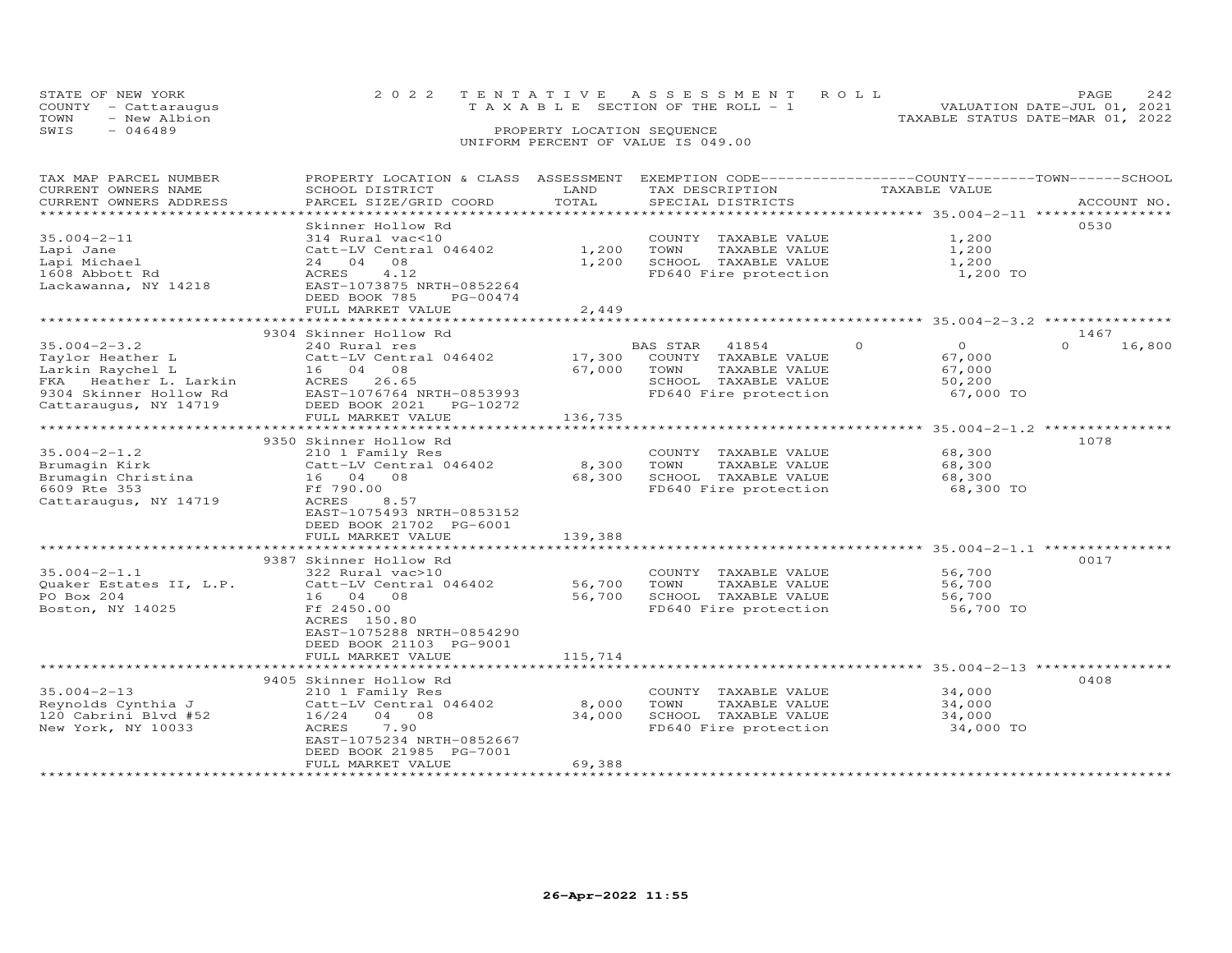|      | STATE OF NEW YORK    | 2022 TENTATIVE ASSESSMENT ROLL |                                       |  |                                  | PAGE.                       |  |
|------|----------------------|--------------------------------|---------------------------------------|--|----------------------------------|-----------------------------|--|
|      | COUNTY - Cattaraugus |                                | T A X A B L E SECTION OF THE ROLL - 1 |  |                                  | VALUATION DATE-JUL 01, 2021 |  |
| TOWN | - New Albion         |                                |                                       |  | TAXABLE STATUS DATE-MAR 01, 2022 |                             |  |
| SWIS | $-046489$            |                                | PROPERTY LOCATION SEQUENCE            |  |                                  |                             |  |
|      |                      |                                | UNIFORM PERCENT OF VALUE IS 049.00    |  |                                  |                             |  |

| TAX MAP PARCEL NUMBER<br>CURRENT OWNERS NAME<br>CURRENT OWNERS ADDRESS<br>******************************                               | PROPERTY LOCATION & CLASS ASSESSMENT EXEMPTION CODE-----------------COUNTY-------TOWN------SCHOOL<br>SCHOOL DISTRICT<br>PARCEL SIZE/GRID COORD                                        | LAND<br>TOTAL               | TAX DESCRIPTION<br>SPECIAL DISTRICTS                                                                                | TAXABLE VALUE                                                  | ACCOUNT NO.              |
|----------------------------------------------------------------------------------------------------------------------------------------|---------------------------------------------------------------------------------------------------------------------------------------------------------------------------------------|-----------------------------|---------------------------------------------------------------------------------------------------------------------|----------------------------------------------------------------|--------------------------|
| $35.004 - 2 - 11$<br>Lapi Jane<br>Lapi Michael<br>1608 Abbott Rd<br>Lackawanna, NY 14218                                               | Skinner Hollow Rd<br>314 Rural vac<10<br>Catt-LV Central 046402<br>24 04<br>08<br><b>ACRES</b><br>4.12<br>EAST-1073875 NRTH-0852264<br>DEED BOOK 785<br>PG-00474<br>FULL MARKET VALUE | 1,200<br>1,200<br>2,449     | COUNTY TAXABLE VALUE<br>TOWN<br>TAXABLE VALUE<br>SCHOOL TAXABLE VALUE<br>FD640 Fire protection                      | 1,200<br>1,200<br>1,200<br>1,200 TO                            | 0530                     |
|                                                                                                                                        |                                                                                                                                                                                       |                             |                                                                                                                     |                                                                |                          |
| $35.004 - 2 - 3.2$<br>Taylor Heather L<br>Larkin Raychel L<br>FKA Heather L. Larkin<br>9304 Skinner Hollow Rd<br>Cattaraugus, NY 14719 | 9304 Skinner Hollow Rd<br>240 Rural res<br>Catt-LV Central 046402<br>16 04 08<br>ACRES 26.65<br>EAST-1076764 NRTH-0853993<br>DEED BOOK 2021<br>PG-10272<br>FULL MARKET VALUE          | 17,300<br>67,000<br>136,735 | BAS STAR<br>41854<br>COUNTY TAXABLE VALUE<br>TOWN<br>TAXABLE VALUE<br>SCHOOL TAXABLE VALUE<br>FD640 Fire protection | $\Omega$<br>$\circ$<br>67,000<br>67,000<br>50,200<br>67,000 TO | 1467<br>16,800<br>$\cap$ |
|                                                                                                                                        | 9350 Skinner Hollow Rd                                                                                                                                                                |                             |                                                                                                                     |                                                                | 1078                     |
| $35.004 - 2 - 1.2$<br>Brumagin Kirk<br>Brumagin Christina<br>6609 Rte 353<br>Cattaraugus, NY 14719                                     | 210 1 Family Res<br>Catt-LV Central 046402<br>16 04 08<br>Ff 790.00<br>ACRES<br>8.57<br>EAST-1075493 NRTH-0853152<br>DEED BOOK 21702 PG-6001                                          | 8,300<br>68,300             | COUNTY TAXABLE VALUE<br>TOWN<br>TAXABLE VALUE<br>SCHOOL TAXABLE VALUE<br>FD640 Fire protection                      | 68,300<br>68,300<br>68,300<br>68,300 TO                        |                          |
|                                                                                                                                        | FULL MARKET VALUE                                                                                                                                                                     | 139,388                     |                                                                                                                     |                                                                |                          |
| $35.004 - 2 - 1.1$<br>Quaker Estates II, L.P.<br>PO Box 204<br>Boston, NY 14025                                                        | ***************************<br>9387 Skinner Hollow Rd<br>322 Rural vac>10<br>Catt-LV Central 046402<br>16 04 08<br>Ff 2450.00<br>ACRES 150.80                                         | 56,700<br>56,700            | COUNTY TAXABLE VALUE<br>TOWN<br>TAXABLE VALUE<br>SCHOOL TAXABLE VALUE<br>FD640 Fire protection                      | 56,700<br>56,700<br>56,700<br>56,700 TO                        | 0017                     |
|                                                                                                                                        | EAST-1075288 NRTH-0854290<br>DEED BOOK 21103 PG-9001<br>FULL MARKET VALUE<br>**************************                                                                               | 115,714                     |                                                                                                                     |                                                                |                          |
|                                                                                                                                        | 9405 Skinner Hollow Rd                                                                                                                                                                |                             |                                                                                                                     |                                                                | 0408                     |
| $35.004 - 2 - 13$<br>Reynolds Cynthia J<br>120 Cabrini Blvd #52<br>New York, NY 10033                                                  | 210 1 Family Res<br>Catt-LV Central 046402<br>16/24<br>04 08<br>ACRES<br>7.90<br>EAST-1075234 NRTH-0852667<br>DEED BOOK 21985 PG-7001                                                 | 8,000<br>34,000             | COUNTY TAXABLE VALUE<br>TOWN<br>TAXABLE VALUE<br>SCHOOL TAXABLE VALUE<br>FD640 Fire protection                      | 34,000<br>34,000<br>34,000<br>34,000 TO                        |                          |
|                                                                                                                                        | FULL MARKET VALUE                                                                                                                                                                     | 69,388                      |                                                                                                                     |                                                                |                          |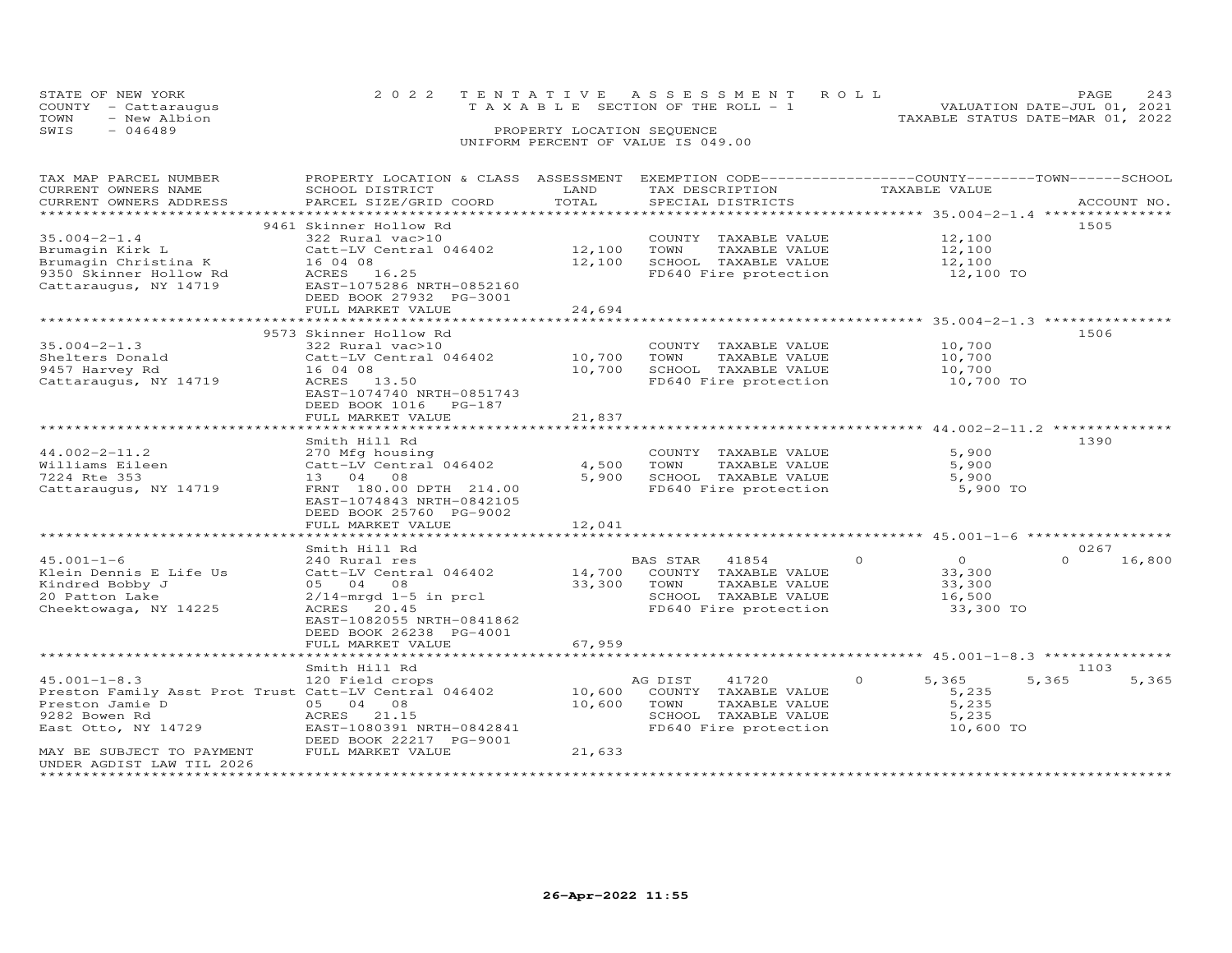|      | STATE OF NEW YORK                    | 2022 TENTATIVE ASSESSMENT ROLL<br>T A X A B L E SECTION OF THE ROLL - 1 |                            |  |                                  | <b>PAGE</b>                 | 2.43 |
|------|--------------------------------------|-------------------------------------------------------------------------|----------------------------|--|----------------------------------|-----------------------------|------|
| TOWN | COUNTY - Cattaraugus<br>- New Albion |                                                                         |                            |  | TAXABLE STATUS DATE-MAR 01, 2022 | VALUATION DATE-JUL 01, 2021 |      |
| SWIS | $-046489$                            |                                                                         | PROPERTY LOCATION SEQUENCE |  |                                  |                             |      |
|      |                                      | UNIFORM PERCENT OF VALUE IS 049.00                                      |                            |  |                                  |                             |      |

| TAX MAP PARCEL NUMBER<br>CURRENT OWNERS NAME          | PROPERTY LOCATION & CLASS ASSESSMENT EXEMPTION CODE----------------COUNTY-------TOWN------SCHOOL<br>SCHOOL DISTRICT | LAND   | TAX DESCRIPTION       | TAXABLE VALUE                                  |                    |
|-------------------------------------------------------|---------------------------------------------------------------------------------------------------------------------|--------|-----------------------|------------------------------------------------|--------------------|
| CURRENT OWNERS ADDRESS                                | PARCEL SIZE/GRID COORD                                                                                              | TOTAL  | SPECIAL DISTRICTS     |                                                | ACCOUNT NO.        |
|                                                       |                                                                                                                     |        |                       |                                                |                    |
|                                                       | 9461 Skinner Hollow Rd                                                                                              |        |                       |                                                | 1505               |
| $35.004 - 2 - 1.4$                                    | 322 Rural vac>10                                                                                                    |        | COUNTY TAXABLE VALUE  | 12,100                                         |                    |
| Brumagin Kirk L                                       | Catt-LV Central 046402                                                                                              | 12,100 | TOWN<br>TAXABLE VALUE | 12,100                                         |                    |
| Brumagin Christina K                                  | 16 04 08                                                                                                            | 12,100 | SCHOOL TAXABLE VALUE  | 12,100                                         |                    |
| 9350 Skinner Hollow Rd                                | ACRES 16.25                                                                                                         |        | FD640 Fire protection | 12,100 TO                                      |                    |
| Cattaraugus, NY 14719                                 | EAST-1075286 NRTH-0852160                                                                                           |        |                       |                                                |                    |
|                                                       | DEED BOOK 27932 PG-3001                                                                                             |        |                       |                                                |                    |
|                                                       | FULL MARKET VALUE                                                                                                   | 24,694 |                       |                                                |                    |
|                                                       |                                                                                                                     |        |                       |                                                |                    |
|                                                       | 9573 Skinner Hollow Rd                                                                                              |        |                       |                                                | 1506               |
| $35.004 - 2 - 1.3$                                    | 322 Rural vac>10                                                                                                    |        | COUNTY TAXABLE VALUE  | 10,700                                         |                    |
| Shelters Donald                                       | Catt-LV Central 046402                                                                                              | 10,700 | TOWN<br>TAXABLE VALUE | 10,700                                         |                    |
| 9457 Harvey Rd                                        | 16 04 08                                                                                                            | 10,700 | SCHOOL TAXABLE VALUE  | 10,700                                         |                    |
| Cattaraugus, NY 14719                                 | ACRES 13.50                                                                                                         |        | FD640 Fire protection | 10,700 TO                                      |                    |
|                                                       | EAST-1074740 NRTH-0851743                                                                                           |        |                       |                                                |                    |
|                                                       | DEED BOOK 1016 PG-187                                                                                               |        |                       |                                                |                    |
|                                                       | FULL MARKET VALUE                                                                                                   | 21,837 |                       |                                                |                    |
|                                                       |                                                                                                                     |        |                       | ***************** 44.002-2-11.2 ************** |                    |
|                                                       | Smith Hill Rd                                                                                                       |        |                       |                                                | 1390               |
| $44.002 - 2 - 11.2$                                   | 270 Mfg housing                                                                                                     |        | COUNTY TAXABLE VALUE  | 5,900                                          |                    |
| Williams Eileen                                       | Catt-LV Central 046402                                                                                              | 4,500  | TOWN<br>TAXABLE VALUE | 5,900                                          |                    |
| 7224 Rte 353                                          | 13 04 08                                                                                                            | 5,900  | SCHOOL TAXABLE VALUE  | 5,900                                          |                    |
| Cattaraugus, NY 14719                                 | FRNT 180.00 DPTH 214.00                                                                                             |        | FD640 Fire protection | 5,900 TO                                       |                    |
|                                                       | EAST-1074843 NRTH-0842105                                                                                           |        |                       |                                                |                    |
|                                                       | DEED BOOK 25760 PG-9002                                                                                             |        |                       |                                                |                    |
|                                                       | FULL MARKET VALUE                                                                                                   | 12,041 |                       |                                                |                    |
|                                                       |                                                                                                                     |        |                       |                                                |                    |
|                                                       | Smith Hill Rd                                                                                                       |        |                       |                                                | 0267               |
| $45.001 - 1 - 6$                                      | 240 Rural res                                                                                                       |        | BAS STAR<br>41854     | $\circ$<br>$\Omega$                            | $\Omega$<br>16,800 |
| Klein Dennis E Life Us                                | Catt-LV Central 046402                                                                                              | 14,700 | COUNTY TAXABLE VALUE  | 33,300                                         |                    |
| Kindred Bobby J                                       | 05 04 08                                                                                                            | 33,300 | TOWN<br>TAXABLE VALUE | 33,300                                         |                    |
| 20 Patton Lake                                        | $2/14$ -mrgd $1-5$ in prcl                                                                                          |        | SCHOOL TAXABLE VALUE  | 16,500                                         |                    |
| Cheektowaga, NY 14225                                 | ACRES 20.45<br>EAST-1082055 NRTH-0841862                                                                            |        | FD640 Fire protection | 33,300 TO                                      |                    |
|                                                       |                                                                                                                     |        |                       |                                                |                    |
|                                                       | DEED BOOK 26238 PG-4001<br>FULL MARKET VALUE                                                                        | 67,959 |                       |                                                |                    |
|                                                       |                                                                                                                     |        |                       | **************** 45.001-1-8.3 **************** |                    |
|                                                       | Smith Hill Rd                                                                                                       |        |                       |                                                | 1103               |
| $45.001 - 1 - 8.3$                                    | 120 Field crops                                                                                                     |        | 41720<br>AG DIST      | $\circ$<br>5,365                               | 5,365<br>5,365     |
| Preston Family Asst Prot Trust Catt-LV Central 046402 |                                                                                                                     | 10,600 | COUNTY TAXABLE VALUE  | 5,235                                          |                    |
| Preston Jamie D                                       | 05 04 08                                                                                                            | 10,600 | TOWN<br>TAXABLE VALUE | 5,235                                          |                    |
| 9282 Bowen Rd                                         | ACRES 21.15                                                                                                         |        | SCHOOL TAXABLE VALUE  | 5,235                                          |                    |
| East Otto, NY 14729                                   | EAST-1080391 NRTH-0842841                                                                                           |        | FD640 Fire protection | 10,600 TO                                      |                    |
|                                                       | DEED BOOK 22217 PG-9001                                                                                             |        |                       |                                                |                    |
| MAY BE SUBJECT TO PAYMENT                             | FULL MARKET VALUE                                                                                                   | 21,633 |                       |                                                |                    |
| UNDER AGDIST LAW TIL 2026                             |                                                                                                                     |        |                       |                                                |                    |
| ********************                                  |                                                                                                                     |        |                       |                                                |                    |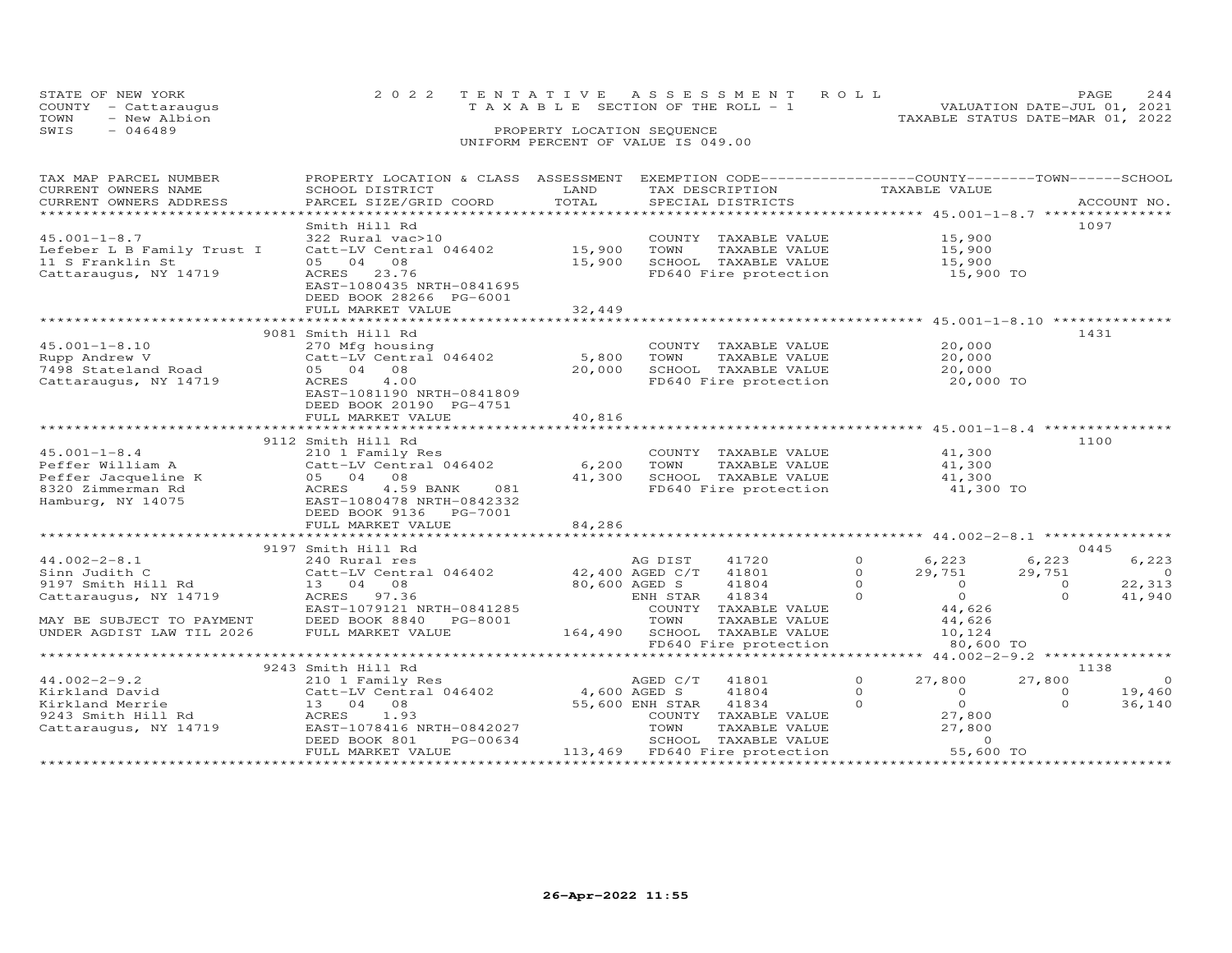|      | STATE OF NEW YORK    | 2022 TENTATIVE ASSESSMENT ROLL           |                            |  |                                  | PAGE.                       | 2.44 |
|------|----------------------|------------------------------------------|----------------------------|--|----------------------------------|-----------------------------|------|
|      | COUNTY - Cattaraugus | $T A X A B L E$ SECTION OF THE ROLL $-1$ |                            |  |                                  | VALUATION DATE-JUL 01, 2021 |      |
| TOWN | - New Albion         |                                          |                            |  | TAXABLE STATUS DATE-MAR 01, 2022 |                             |      |
| SWIS | - 046489             |                                          | PROPERTY LOCATION SEQUENCE |  |                                  |                             |      |
|      |                      | UNIFORM PERCENT OF VALUE IS 049.00       |                            |  |                                  |                             |      |

| TAX MAP PARCEL NUMBER<br>CURRENT OWNERS NAME<br>CURRENT OWNERS ADDRESS                                                                       | PROPERTY LOCATION & CLASS ASSESSMENT<br>SCHOOL DISTRICT<br>PARCEL SIZE/GRID COORD                                                                                                                                           | LAND<br>TOTAL                    | EXEMPTION CODE-----------------COUNTY-------TOWN------SCHOOL<br>TAX DESCRIPTION<br>SPECIAL DISTRICTS                                                                 | TAXABLE VALUE                                                                                                                      | ACCOUNT NO.                                                                           |
|----------------------------------------------------------------------------------------------------------------------------------------------|-----------------------------------------------------------------------------------------------------------------------------------------------------------------------------------------------------------------------------|----------------------------------|----------------------------------------------------------------------------------------------------------------------------------------------------------------------|------------------------------------------------------------------------------------------------------------------------------------|---------------------------------------------------------------------------------------|
| $45.001 - 1 - 8.7$<br>Lefeber L B Family Trust I<br>11 S Franklin St<br>Cattaraugus, NY 14719                                                | Smith Hill Rd<br>322 Rural vac>10<br>Catt-LV Central 046402<br>05 04<br>08<br>ACRES<br>23.76<br>EAST-1080435 NRTH-0841695<br>DEED BOOK 28266 PG-6001<br>FULL MARKET VALUE                                                   | 15,900<br>15,900<br>32,449       | COUNTY TAXABLE VALUE<br>TOWN<br>TAXABLE VALUE<br>SCHOOL TAXABLE VALUE<br>FD640 Fire protection                                                                       | 15,900<br>15,900<br>15,900<br>15,900 TO                                                                                            | 1097                                                                                  |
|                                                                                                                                              | ****************************                                                                                                                                                                                                |                                  |                                                                                                                                                                      |                                                                                                                                    |                                                                                       |
| $45.001 - 1 - 8.10$<br>Rupp Andrew V<br>7498 Stateland Road<br>Cattaraugus, NY 14719                                                         | 9081 Smith Hill Rd<br>270 Mfg housing<br>Catt-LV Central 046402<br>05 04<br>08<br>ACRES<br>4.00<br>EAST-1081190 NRTH-0841809<br>DEED BOOK 20190 PG-4751<br>FULL MARKET VALUE                                                | 5,800<br>20,000<br>40,816        | COUNTY TAXABLE VALUE<br>TOWN<br>TAXABLE VALUE<br>SCHOOL TAXABLE VALUE<br>FD640 Fire protection                                                                       | 20,000<br>20,000<br>20,000<br>20,000 TO                                                                                            | 1431                                                                                  |
|                                                                                                                                              |                                                                                                                                                                                                                             |                                  |                                                                                                                                                                      |                                                                                                                                    |                                                                                       |
| $45.001 - 1 - 8.4$<br>Peffer William A<br>Peffer Jacqueline K<br>8320 Zimmerman Rd<br>Hamburg, NY 14075                                      | 9112 Smith Hill Rd<br>210 1 Family Res<br>Catt-LV Central 046402<br>05 04<br>08<br>ACRES<br>4.59 BANK<br>081<br>EAST-1080478 NRTH-0842332<br>DEED BOOK 9136 PG-7001<br>FULL MARKET VALUE<br>******************************* | 6,200<br>41,300<br>84,286        | COUNTY TAXABLE VALUE<br>TOWN<br>TAXABLE VALUE<br>SCHOOL TAXABLE VALUE<br>FD640 Fire protection                                                                       | 41,300<br>41,300<br>41,300<br>41,300 TO                                                                                            | 1100                                                                                  |
|                                                                                                                                              |                                                                                                                                                                                                                             |                                  |                                                                                                                                                                      |                                                                                                                                    | 0445                                                                                  |
| $44.002 - 2 - 8.1$<br>Sinn Judith C<br>9197 Smith Hill Rd<br>Cattaraugus, NY 14719<br>MAY BE SUBJECT TO PAYMENT<br>UNDER AGDIST LAW TIL 2026 | 9197 Smith Hill Rd<br>240 Rural res<br>Catt-LV Central 046402<br>13 04 08<br>97.36<br>ACRES<br>EAST-1079121 NRTH-0841285<br>DEED BOOK 8840<br>PG-8001<br>FULL MARKET VALUE                                                  | 42,400 AGED C/T<br>80,600 AGED S | AG DIST<br>41720<br>41801<br>41804<br>41834<br>ENH STAR<br>COUNTY<br>TAXABLE VALUE<br>TOWN<br>TAXABLE VALUE<br>164,490 SCHOOL TAXABLE VALUE<br>FD640 Fire protection | $\Omega$<br>6,223<br>$\Omega$<br>29,751<br>$\Omega$<br>$\Omega$<br>$\Omega$<br>$\Omega$<br>44,626<br>44,626<br>10,124<br>80,600 TO | 6,223<br>6,223<br>29,751<br>$\overline{0}$<br>22,313<br>$\circ$<br>$\Omega$<br>41,940 |
|                                                                                                                                              |                                                                                                                                                                                                                             |                                  |                                                                                                                                                                      |                                                                                                                                    |                                                                                       |
| $44.002 - 2 - 9.2$<br>Kirkland David<br>Kirkland Merrie<br>9243 Smith Hill Rd<br>Cattaraugus, NY 14719                                       | 9243 Smith Hill Rd<br>210 1 Family Res<br>Catt-LV Central 046402<br>08<br>13 04<br>ACRES<br>1.93<br>EAST-1078416 NRTH-0842027<br>DEED BOOK 801<br>PG-00634<br>FULL MARKET VALUE                                             | 4,600 AGED S                     | AGED C/T<br>41801<br>41804<br>55,600 ENH STAR<br>41834<br>COUNTY TAXABLE VALUE<br>TOWN<br>TAXABLE VALUE<br>SCHOOL TAXABLE VALUE<br>113,469 FD640 Fire protection     | $\circ$<br>27,800<br>$\Omega$<br>$\Omega$<br>$\circ$<br>$\Omega$<br>27,800<br>27,800<br>$\circ$<br>55,600 TO                       | 1138<br>$\overline{0}$<br>27,800<br>19,460<br>$\Omega$<br>$\Omega$<br>36,140          |
|                                                                                                                                              |                                                                                                                                                                                                                             |                                  |                                                                                                                                                                      |                                                                                                                                    |                                                                                       |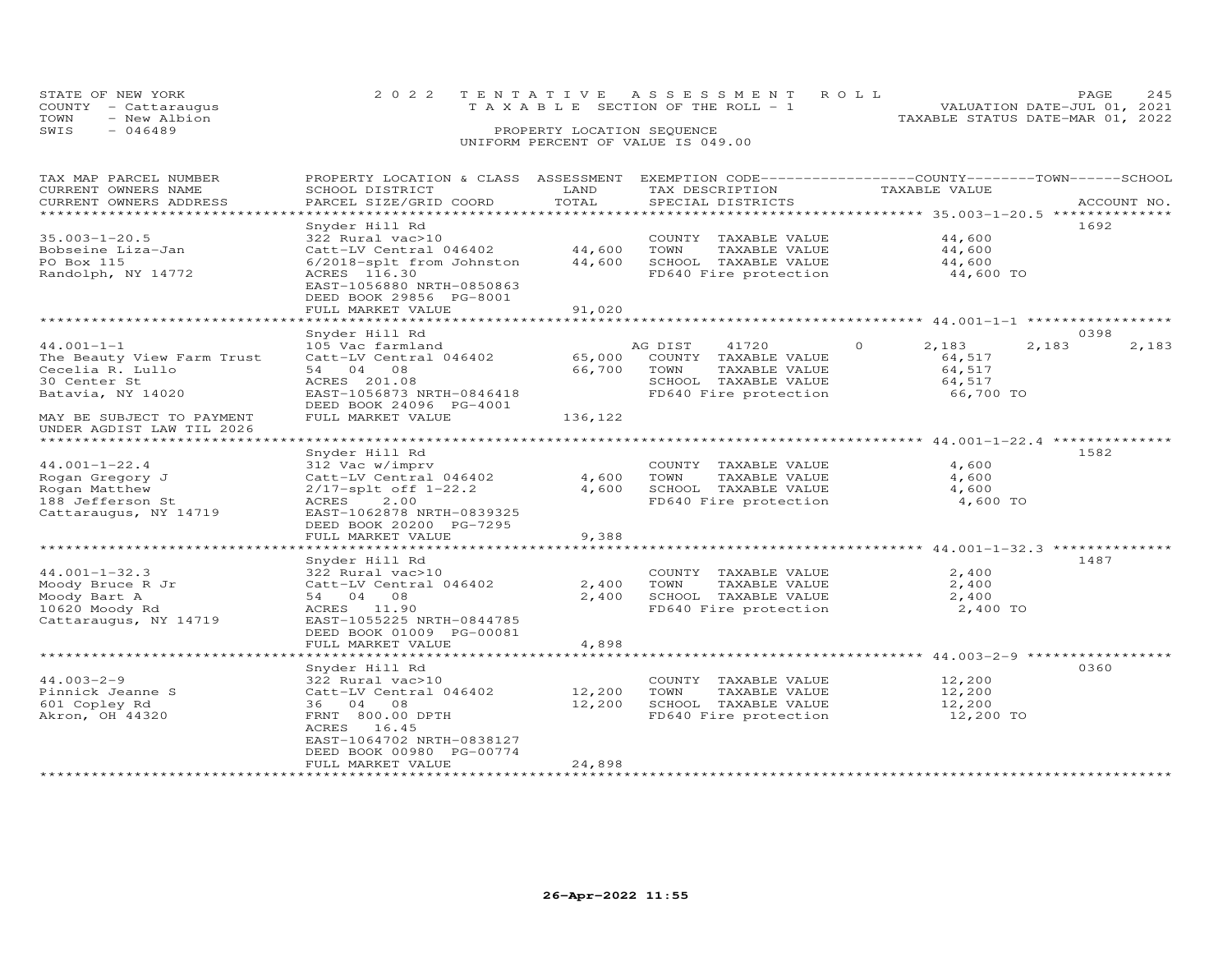|      | STATE OF NEW YORK<br>COUNTY - Cattaraugus | 2022 TENTATIVE ASSESSMENT ROLL<br>$T A X A B L E$ SECTION OF THE ROLL $-1$ |                            |  |                                  | PAGE 245<br>VALUATION DATE-JUL 01, 2021 |  |
|------|-------------------------------------------|----------------------------------------------------------------------------|----------------------------|--|----------------------------------|-----------------------------------------|--|
| TOWN | - New Albion                              |                                                                            |                            |  | TAXABLE STATUS DATE-MAR 01, 2022 |                                         |  |
| SWIS | $-046489$                                 |                                                                            | PROPERTY LOCATION SEQUENCE |  |                                  |                                         |  |
|      |                                           | UNIFORM PERCENT OF VALUE IS 049.00                                         |                            |  |                                  |                                         |  |

| TOTAL<br>CURRENT OWNERS ADDRESS<br>PARCEL SIZE/GRID COORD<br>SPECIAL DISTRICTS<br>ACCOUNT NO.<br>**************************<br>1692<br>Snyder Hill Rd<br>$35.003 - 1 - 20.5$<br>44,600<br>322 Rural vac>10<br>COUNTY TAXABLE VALUE<br>44,600<br>44,600<br>Bobseine Liza-Jan<br>Catt-LV Central 046402<br>TOWN<br>TAXABLE VALUE<br>PO Box 115<br>6/2018-splt from Johnston<br>44,600<br>SCHOOL TAXABLE VALUE<br>44,600<br>Randolph, NY 14772<br>ACRES 116.30<br>FD640 Fire protection<br>44,600 TO<br>EAST-1056880 NRTH-0850863<br>DEED BOOK 29856 PG-8001<br>FULL MARKET VALUE<br>91,020<br>Snyder Hill Rd<br>0398<br>$44.001 - 1 - 1$<br>2,183<br>105 Vac farmland<br>AG DIST<br>41720<br>$\Omega$<br>2,183<br>2,183<br>64,517<br>The Beauty View Farm Trust<br>Catt-LV Central 046402<br>65,000<br>COUNTY TAXABLE VALUE<br>Cecelia R. Lullo<br>54 04 08<br>66,700<br>64,517<br>TOWN<br>TAXABLE VALUE<br>30 Center St<br>ACRES 201.08<br>SCHOOL TAXABLE VALUE<br>64,517<br>FD640 Fire protection<br>Batavia, NY 14020<br>EAST-1056873 NRTH-0846418<br>66,700 TO<br>DEED BOOK 24096 PG-4001<br>136,122<br>MAY BE SUBJECT TO PAYMENT<br>FULL MARKET VALUE<br>UNDER AGDIST LAW TIL 2026<br>******************************<br>1582<br>Snyder Hill Rd<br>$44.001 - 1 - 22.4$<br>312 Vac w/imprv<br>COUNTY TAXABLE VALUE<br>4,600<br>Rogan Gregory J<br>4,600<br>TOWN<br>TAXABLE VALUE<br>4,600<br>Catt-LV Central 046402<br>4,600<br>SCHOOL TAXABLE VALUE<br>Rogan Matthew<br>$2/17$ -splt off $1-22.2$<br>4,600<br>188 Jefferson St<br>FD640 Fire protection<br>4,600 TO<br>ACRES<br>2.00<br>Cattaraugus, NY 14719<br>EAST-1062878 NRTH-0839325<br>DEED BOOK 20200 PG-7295<br>9,388<br>FULL MARKET VALUE<br>1487<br>Snyder Hill Rd<br>2,400<br>$44.001 - 1 - 32.3$<br>322 Rural vac>10<br>COUNTY TAXABLE VALUE<br>Catt-LV Central 046402<br>2,400<br>TOWN<br>TAXABLE VALUE<br>2,400<br>Moody Bruce R Jr<br>SCHOOL TAXABLE VALUE<br>Moody Bart A<br>54 04 08<br>2,400<br>2,400<br>2,400 TO<br>10620 Moody Rd<br>ACRES 11.90<br>FD640 Fire protection<br>Cattaraugus, NY 14719<br>EAST-1055225 NRTH-0844785<br>DEED BOOK 01009 PG-00081<br>4,898<br>FULL MARKET VALUE<br>******** 44.003-2-9 *****<br>0360<br>Snyder Hill Rd<br>$44.003 - 2 - 9$<br>322 Rural vac>10<br>COUNTY TAXABLE VALUE<br>12,200<br>Pinnick Jeanne S<br>Catt-LV Central 046402<br>12,200<br>TOWN<br>TAXABLE VALUE<br>12,200<br>601 Copley Rd<br>12,200<br>12,200<br>36 04 08<br>SCHOOL TAXABLE VALUE<br>Akron, OH 44320<br>FRNT 800.00 DPTH<br>FD640 Fire protection<br>12,200 TO<br>16.45<br>ACRES<br>EAST-1064702 NRTH-0838127<br>DEED BOOK 00980 PG-00774<br>24,898<br>FULL MARKET VALUE | TAX MAP PARCEL NUMBER<br>CURRENT OWNERS NAME | PROPERTY LOCATION & CLASS ASSESSMENT EXEMPTION CODE----------------COUNTY-------TOWN------SCHOOL<br>SCHOOL DISTRICT | LAND | TAX DESCRIPTION | TAXABLE VALUE |  |
|--------------------------------------------------------------------------------------------------------------------------------------------------------------------------------------------------------------------------------------------------------------------------------------------------------------------------------------------------------------------------------------------------------------------------------------------------------------------------------------------------------------------------------------------------------------------------------------------------------------------------------------------------------------------------------------------------------------------------------------------------------------------------------------------------------------------------------------------------------------------------------------------------------------------------------------------------------------------------------------------------------------------------------------------------------------------------------------------------------------------------------------------------------------------------------------------------------------------------------------------------------------------------------------------------------------------------------------------------------------------------------------------------------------------------------------------------------------------------------------------------------------------------------------------------------------------------------------------------------------------------------------------------------------------------------------------------------------------------------------------------------------------------------------------------------------------------------------------------------------------------------------------------------------------------------------------------------------------------------------------------------------------------------------------------------------------------------------------------------------------------------------------------------------------------------------------------------------------------------------------------------------------------------------------------------------------------------------------------------------------------------------------------------------------------------------------------------------------------------------------------------------------------------------------------------------------------------------------------------------------------------------------------------------|----------------------------------------------|---------------------------------------------------------------------------------------------------------------------|------|-----------------|---------------|--|
|                                                                                                                                                                                                                                                                                                                                                                                                                                                                                                                                                                                                                                                                                                                                                                                                                                                                                                                                                                                                                                                                                                                                                                                                                                                                                                                                                                                                                                                                                                                                                                                                                                                                                                                                                                                                                                                                                                                                                                                                                                                                                                                                                                                                                                                                                                                                                                                                                                                                                                                                                                                                                                                              |                                              |                                                                                                                     |      |                 |               |  |
|                                                                                                                                                                                                                                                                                                                                                                                                                                                                                                                                                                                                                                                                                                                                                                                                                                                                                                                                                                                                                                                                                                                                                                                                                                                                                                                                                                                                                                                                                                                                                                                                                                                                                                                                                                                                                                                                                                                                                                                                                                                                                                                                                                                                                                                                                                                                                                                                                                                                                                                                                                                                                                                              |                                              |                                                                                                                     |      |                 |               |  |
|                                                                                                                                                                                                                                                                                                                                                                                                                                                                                                                                                                                                                                                                                                                                                                                                                                                                                                                                                                                                                                                                                                                                                                                                                                                                                                                                                                                                                                                                                                                                                                                                                                                                                                                                                                                                                                                                                                                                                                                                                                                                                                                                                                                                                                                                                                                                                                                                                                                                                                                                                                                                                                                              |                                              |                                                                                                                     |      |                 |               |  |
|                                                                                                                                                                                                                                                                                                                                                                                                                                                                                                                                                                                                                                                                                                                                                                                                                                                                                                                                                                                                                                                                                                                                                                                                                                                                                                                                                                                                                                                                                                                                                                                                                                                                                                                                                                                                                                                                                                                                                                                                                                                                                                                                                                                                                                                                                                                                                                                                                                                                                                                                                                                                                                                              |                                              |                                                                                                                     |      |                 |               |  |
|                                                                                                                                                                                                                                                                                                                                                                                                                                                                                                                                                                                                                                                                                                                                                                                                                                                                                                                                                                                                                                                                                                                                                                                                                                                                                                                                                                                                                                                                                                                                                                                                                                                                                                                                                                                                                                                                                                                                                                                                                                                                                                                                                                                                                                                                                                                                                                                                                                                                                                                                                                                                                                                              |                                              |                                                                                                                     |      |                 |               |  |
|                                                                                                                                                                                                                                                                                                                                                                                                                                                                                                                                                                                                                                                                                                                                                                                                                                                                                                                                                                                                                                                                                                                                                                                                                                                                                                                                                                                                                                                                                                                                                                                                                                                                                                                                                                                                                                                                                                                                                                                                                                                                                                                                                                                                                                                                                                                                                                                                                                                                                                                                                                                                                                                              |                                              |                                                                                                                     |      |                 |               |  |
|                                                                                                                                                                                                                                                                                                                                                                                                                                                                                                                                                                                                                                                                                                                                                                                                                                                                                                                                                                                                                                                                                                                                                                                                                                                                                                                                                                                                                                                                                                                                                                                                                                                                                                                                                                                                                                                                                                                                                                                                                                                                                                                                                                                                                                                                                                                                                                                                                                                                                                                                                                                                                                                              |                                              |                                                                                                                     |      |                 |               |  |
|                                                                                                                                                                                                                                                                                                                                                                                                                                                                                                                                                                                                                                                                                                                                                                                                                                                                                                                                                                                                                                                                                                                                                                                                                                                                                                                                                                                                                                                                                                                                                                                                                                                                                                                                                                                                                                                                                                                                                                                                                                                                                                                                                                                                                                                                                                                                                                                                                                                                                                                                                                                                                                                              |                                              |                                                                                                                     |      |                 |               |  |
|                                                                                                                                                                                                                                                                                                                                                                                                                                                                                                                                                                                                                                                                                                                                                                                                                                                                                                                                                                                                                                                                                                                                                                                                                                                                                                                                                                                                                                                                                                                                                                                                                                                                                                                                                                                                                                                                                                                                                                                                                                                                                                                                                                                                                                                                                                                                                                                                                                                                                                                                                                                                                                                              |                                              |                                                                                                                     |      |                 |               |  |
|                                                                                                                                                                                                                                                                                                                                                                                                                                                                                                                                                                                                                                                                                                                                                                                                                                                                                                                                                                                                                                                                                                                                                                                                                                                                                                                                                                                                                                                                                                                                                                                                                                                                                                                                                                                                                                                                                                                                                                                                                                                                                                                                                                                                                                                                                                                                                                                                                                                                                                                                                                                                                                                              |                                              |                                                                                                                     |      |                 |               |  |
|                                                                                                                                                                                                                                                                                                                                                                                                                                                                                                                                                                                                                                                                                                                                                                                                                                                                                                                                                                                                                                                                                                                                                                                                                                                                                                                                                                                                                                                                                                                                                                                                                                                                                                                                                                                                                                                                                                                                                                                                                                                                                                                                                                                                                                                                                                                                                                                                                                                                                                                                                                                                                                                              |                                              |                                                                                                                     |      |                 |               |  |
|                                                                                                                                                                                                                                                                                                                                                                                                                                                                                                                                                                                                                                                                                                                                                                                                                                                                                                                                                                                                                                                                                                                                                                                                                                                                                                                                                                                                                                                                                                                                                                                                                                                                                                                                                                                                                                                                                                                                                                                                                                                                                                                                                                                                                                                                                                                                                                                                                                                                                                                                                                                                                                                              |                                              |                                                                                                                     |      |                 |               |  |
|                                                                                                                                                                                                                                                                                                                                                                                                                                                                                                                                                                                                                                                                                                                                                                                                                                                                                                                                                                                                                                                                                                                                                                                                                                                                                                                                                                                                                                                                                                                                                                                                                                                                                                                                                                                                                                                                                                                                                                                                                                                                                                                                                                                                                                                                                                                                                                                                                                                                                                                                                                                                                                                              |                                              |                                                                                                                     |      |                 |               |  |
|                                                                                                                                                                                                                                                                                                                                                                                                                                                                                                                                                                                                                                                                                                                                                                                                                                                                                                                                                                                                                                                                                                                                                                                                                                                                                                                                                                                                                                                                                                                                                                                                                                                                                                                                                                                                                                                                                                                                                                                                                                                                                                                                                                                                                                                                                                                                                                                                                                                                                                                                                                                                                                                              |                                              |                                                                                                                     |      |                 |               |  |
|                                                                                                                                                                                                                                                                                                                                                                                                                                                                                                                                                                                                                                                                                                                                                                                                                                                                                                                                                                                                                                                                                                                                                                                                                                                                                                                                                                                                                                                                                                                                                                                                                                                                                                                                                                                                                                                                                                                                                                                                                                                                                                                                                                                                                                                                                                                                                                                                                                                                                                                                                                                                                                                              |                                              |                                                                                                                     |      |                 |               |  |
|                                                                                                                                                                                                                                                                                                                                                                                                                                                                                                                                                                                                                                                                                                                                                                                                                                                                                                                                                                                                                                                                                                                                                                                                                                                                                                                                                                                                                                                                                                                                                                                                                                                                                                                                                                                                                                                                                                                                                                                                                                                                                                                                                                                                                                                                                                                                                                                                                                                                                                                                                                                                                                                              |                                              |                                                                                                                     |      |                 |               |  |
|                                                                                                                                                                                                                                                                                                                                                                                                                                                                                                                                                                                                                                                                                                                                                                                                                                                                                                                                                                                                                                                                                                                                                                                                                                                                                                                                                                                                                                                                                                                                                                                                                                                                                                                                                                                                                                                                                                                                                                                                                                                                                                                                                                                                                                                                                                                                                                                                                                                                                                                                                                                                                                                              |                                              |                                                                                                                     |      |                 |               |  |
|                                                                                                                                                                                                                                                                                                                                                                                                                                                                                                                                                                                                                                                                                                                                                                                                                                                                                                                                                                                                                                                                                                                                                                                                                                                                                                                                                                                                                                                                                                                                                                                                                                                                                                                                                                                                                                                                                                                                                                                                                                                                                                                                                                                                                                                                                                                                                                                                                                                                                                                                                                                                                                                              |                                              |                                                                                                                     |      |                 |               |  |
|                                                                                                                                                                                                                                                                                                                                                                                                                                                                                                                                                                                                                                                                                                                                                                                                                                                                                                                                                                                                                                                                                                                                                                                                                                                                                                                                                                                                                                                                                                                                                                                                                                                                                                                                                                                                                                                                                                                                                                                                                                                                                                                                                                                                                                                                                                                                                                                                                                                                                                                                                                                                                                                              |                                              |                                                                                                                     |      |                 |               |  |
|                                                                                                                                                                                                                                                                                                                                                                                                                                                                                                                                                                                                                                                                                                                                                                                                                                                                                                                                                                                                                                                                                                                                                                                                                                                                                                                                                                                                                                                                                                                                                                                                                                                                                                                                                                                                                                                                                                                                                                                                                                                                                                                                                                                                                                                                                                                                                                                                                                                                                                                                                                                                                                                              |                                              |                                                                                                                     |      |                 |               |  |
|                                                                                                                                                                                                                                                                                                                                                                                                                                                                                                                                                                                                                                                                                                                                                                                                                                                                                                                                                                                                                                                                                                                                                                                                                                                                                                                                                                                                                                                                                                                                                                                                                                                                                                                                                                                                                                                                                                                                                                                                                                                                                                                                                                                                                                                                                                                                                                                                                                                                                                                                                                                                                                                              |                                              |                                                                                                                     |      |                 |               |  |
|                                                                                                                                                                                                                                                                                                                                                                                                                                                                                                                                                                                                                                                                                                                                                                                                                                                                                                                                                                                                                                                                                                                                                                                                                                                                                                                                                                                                                                                                                                                                                                                                                                                                                                                                                                                                                                                                                                                                                                                                                                                                                                                                                                                                                                                                                                                                                                                                                                                                                                                                                                                                                                                              |                                              |                                                                                                                     |      |                 |               |  |
|                                                                                                                                                                                                                                                                                                                                                                                                                                                                                                                                                                                                                                                                                                                                                                                                                                                                                                                                                                                                                                                                                                                                                                                                                                                                                                                                                                                                                                                                                                                                                                                                                                                                                                                                                                                                                                                                                                                                                                                                                                                                                                                                                                                                                                                                                                                                                                                                                                                                                                                                                                                                                                                              |                                              |                                                                                                                     |      |                 |               |  |
|                                                                                                                                                                                                                                                                                                                                                                                                                                                                                                                                                                                                                                                                                                                                                                                                                                                                                                                                                                                                                                                                                                                                                                                                                                                                                                                                                                                                                                                                                                                                                                                                                                                                                                                                                                                                                                                                                                                                                                                                                                                                                                                                                                                                                                                                                                                                                                                                                                                                                                                                                                                                                                                              |                                              |                                                                                                                     |      |                 |               |  |
|                                                                                                                                                                                                                                                                                                                                                                                                                                                                                                                                                                                                                                                                                                                                                                                                                                                                                                                                                                                                                                                                                                                                                                                                                                                                                                                                                                                                                                                                                                                                                                                                                                                                                                                                                                                                                                                                                                                                                                                                                                                                                                                                                                                                                                                                                                                                                                                                                                                                                                                                                                                                                                                              |                                              |                                                                                                                     |      |                 |               |  |
|                                                                                                                                                                                                                                                                                                                                                                                                                                                                                                                                                                                                                                                                                                                                                                                                                                                                                                                                                                                                                                                                                                                                                                                                                                                                                                                                                                                                                                                                                                                                                                                                                                                                                                                                                                                                                                                                                                                                                                                                                                                                                                                                                                                                                                                                                                                                                                                                                                                                                                                                                                                                                                                              |                                              |                                                                                                                     |      |                 |               |  |
|                                                                                                                                                                                                                                                                                                                                                                                                                                                                                                                                                                                                                                                                                                                                                                                                                                                                                                                                                                                                                                                                                                                                                                                                                                                                                                                                                                                                                                                                                                                                                                                                                                                                                                                                                                                                                                                                                                                                                                                                                                                                                                                                                                                                                                                                                                                                                                                                                                                                                                                                                                                                                                                              |                                              |                                                                                                                     |      |                 |               |  |
|                                                                                                                                                                                                                                                                                                                                                                                                                                                                                                                                                                                                                                                                                                                                                                                                                                                                                                                                                                                                                                                                                                                                                                                                                                                                                                                                                                                                                                                                                                                                                                                                                                                                                                                                                                                                                                                                                                                                                                                                                                                                                                                                                                                                                                                                                                                                                                                                                                                                                                                                                                                                                                                              |                                              |                                                                                                                     |      |                 |               |  |
|                                                                                                                                                                                                                                                                                                                                                                                                                                                                                                                                                                                                                                                                                                                                                                                                                                                                                                                                                                                                                                                                                                                                                                                                                                                                                                                                                                                                                                                                                                                                                                                                                                                                                                                                                                                                                                                                                                                                                                                                                                                                                                                                                                                                                                                                                                                                                                                                                                                                                                                                                                                                                                                              |                                              |                                                                                                                     |      |                 |               |  |
|                                                                                                                                                                                                                                                                                                                                                                                                                                                                                                                                                                                                                                                                                                                                                                                                                                                                                                                                                                                                                                                                                                                                                                                                                                                                                                                                                                                                                                                                                                                                                                                                                                                                                                                                                                                                                                                                                                                                                                                                                                                                                                                                                                                                                                                                                                                                                                                                                                                                                                                                                                                                                                                              |                                              |                                                                                                                     |      |                 |               |  |
|                                                                                                                                                                                                                                                                                                                                                                                                                                                                                                                                                                                                                                                                                                                                                                                                                                                                                                                                                                                                                                                                                                                                                                                                                                                                                                                                                                                                                                                                                                                                                                                                                                                                                                                                                                                                                                                                                                                                                                                                                                                                                                                                                                                                                                                                                                                                                                                                                                                                                                                                                                                                                                                              |                                              |                                                                                                                     |      |                 |               |  |
|                                                                                                                                                                                                                                                                                                                                                                                                                                                                                                                                                                                                                                                                                                                                                                                                                                                                                                                                                                                                                                                                                                                                                                                                                                                                                                                                                                                                                                                                                                                                                                                                                                                                                                                                                                                                                                                                                                                                                                                                                                                                                                                                                                                                                                                                                                                                                                                                                                                                                                                                                                                                                                                              |                                              |                                                                                                                     |      |                 |               |  |
|                                                                                                                                                                                                                                                                                                                                                                                                                                                                                                                                                                                                                                                                                                                                                                                                                                                                                                                                                                                                                                                                                                                                                                                                                                                                                                                                                                                                                                                                                                                                                                                                                                                                                                                                                                                                                                                                                                                                                                                                                                                                                                                                                                                                                                                                                                                                                                                                                                                                                                                                                                                                                                                              |                                              |                                                                                                                     |      |                 |               |  |
|                                                                                                                                                                                                                                                                                                                                                                                                                                                                                                                                                                                                                                                                                                                                                                                                                                                                                                                                                                                                                                                                                                                                                                                                                                                                                                                                                                                                                                                                                                                                                                                                                                                                                                                                                                                                                                                                                                                                                                                                                                                                                                                                                                                                                                                                                                                                                                                                                                                                                                                                                                                                                                                              |                                              |                                                                                                                     |      |                 |               |  |
|                                                                                                                                                                                                                                                                                                                                                                                                                                                                                                                                                                                                                                                                                                                                                                                                                                                                                                                                                                                                                                                                                                                                                                                                                                                                                                                                                                                                                                                                                                                                                                                                                                                                                                                                                                                                                                                                                                                                                                                                                                                                                                                                                                                                                                                                                                                                                                                                                                                                                                                                                                                                                                                              |                                              |                                                                                                                     |      |                 |               |  |
|                                                                                                                                                                                                                                                                                                                                                                                                                                                                                                                                                                                                                                                                                                                                                                                                                                                                                                                                                                                                                                                                                                                                                                                                                                                                                                                                                                                                                                                                                                                                                                                                                                                                                                                                                                                                                                                                                                                                                                                                                                                                                                                                                                                                                                                                                                                                                                                                                                                                                                                                                                                                                                                              |                                              |                                                                                                                     |      |                 |               |  |
|                                                                                                                                                                                                                                                                                                                                                                                                                                                                                                                                                                                                                                                                                                                                                                                                                                                                                                                                                                                                                                                                                                                                                                                                                                                                                                                                                                                                                                                                                                                                                                                                                                                                                                                                                                                                                                                                                                                                                                                                                                                                                                                                                                                                                                                                                                                                                                                                                                                                                                                                                                                                                                                              |                                              |                                                                                                                     |      |                 |               |  |
|                                                                                                                                                                                                                                                                                                                                                                                                                                                                                                                                                                                                                                                                                                                                                                                                                                                                                                                                                                                                                                                                                                                                                                                                                                                                                                                                                                                                                                                                                                                                                                                                                                                                                                                                                                                                                                                                                                                                                                                                                                                                                                                                                                                                                                                                                                                                                                                                                                                                                                                                                                                                                                                              |                                              |                                                                                                                     |      |                 |               |  |
|                                                                                                                                                                                                                                                                                                                                                                                                                                                                                                                                                                                                                                                                                                                                                                                                                                                                                                                                                                                                                                                                                                                                                                                                                                                                                                                                                                                                                                                                                                                                                                                                                                                                                                                                                                                                                                                                                                                                                                                                                                                                                                                                                                                                                                                                                                                                                                                                                                                                                                                                                                                                                                                              |                                              |                                                                                                                     |      |                 |               |  |
|                                                                                                                                                                                                                                                                                                                                                                                                                                                                                                                                                                                                                                                                                                                                                                                                                                                                                                                                                                                                                                                                                                                                                                                                                                                                                                                                                                                                                                                                                                                                                                                                                                                                                                                                                                                                                                                                                                                                                                                                                                                                                                                                                                                                                                                                                                                                                                                                                                                                                                                                                                                                                                                              |                                              |                                                                                                                     |      |                 |               |  |
|                                                                                                                                                                                                                                                                                                                                                                                                                                                                                                                                                                                                                                                                                                                                                                                                                                                                                                                                                                                                                                                                                                                                                                                                                                                                                                                                                                                                                                                                                                                                                                                                                                                                                                                                                                                                                                                                                                                                                                                                                                                                                                                                                                                                                                                                                                                                                                                                                                                                                                                                                                                                                                                              |                                              |                                                                                                                     |      |                 |               |  |
|                                                                                                                                                                                                                                                                                                                                                                                                                                                                                                                                                                                                                                                                                                                                                                                                                                                                                                                                                                                                                                                                                                                                                                                                                                                                                                                                                                                                                                                                                                                                                                                                                                                                                                                                                                                                                                                                                                                                                                                                                                                                                                                                                                                                                                                                                                                                                                                                                                                                                                                                                                                                                                                              |                                              |                                                                                                                     |      |                 |               |  |
|                                                                                                                                                                                                                                                                                                                                                                                                                                                                                                                                                                                                                                                                                                                                                                                                                                                                                                                                                                                                                                                                                                                                                                                                                                                                                                                                                                                                                                                                                                                                                                                                                                                                                                                                                                                                                                                                                                                                                                                                                                                                                                                                                                                                                                                                                                                                                                                                                                                                                                                                                                                                                                                              |                                              |                                                                                                                     |      |                 |               |  |
|                                                                                                                                                                                                                                                                                                                                                                                                                                                                                                                                                                                                                                                                                                                                                                                                                                                                                                                                                                                                                                                                                                                                                                                                                                                                                                                                                                                                                                                                                                                                                                                                                                                                                                                                                                                                                                                                                                                                                                                                                                                                                                                                                                                                                                                                                                                                                                                                                                                                                                                                                                                                                                                              |                                              |                                                                                                                     |      |                 |               |  |
|                                                                                                                                                                                                                                                                                                                                                                                                                                                                                                                                                                                                                                                                                                                                                                                                                                                                                                                                                                                                                                                                                                                                                                                                                                                                                                                                                                                                                                                                                                                                                                                                                                                                                                                                                                                                                                                                                                                                                                                                                                                                                                                                                                                                                                                                                                                                                                                                                                                                                                                                                                                                                                                              |                                              |                                                                                                                     |      |                 |               |  |
|                                                                                                                                                                                                                                                                                                                                                                                                                                                                                                                                                                                                                                                                                                                                                                                                                                                                                                                                                                                                                                                                                                                                                                                                                                                                                                                                                                                                                                                                                                                                                                                                                                                                                                                                                                                                                                                                                                                                                                                                                                                                                                                                                                                                                                                                                                                                                                                                                                                                                                                                                                                                                                                              |                                              |                                                                                                                     |      |                 |               |  |
|                                                                                                                                                                                                                                                                                                                                                                                                                                                                                                                                                                                                                                                                                                                                                                                                                                                                                                                                                                                                                                                                                                                                                                                                                                                                                                                                                                                                                                                                                                                                                                                                                                                                                                                                                                                                                                                                                                                                                                                                                                                                                                                                                                                                                                                                                                                                                                                                                                                                                                                                                                                                                                                              |                                              |                                                                                                                     |      |                 |               |  |
|                                                                                                                                                                                                                                                                                                                                                                                                                                                                                                                                                                                                                                                                                                                                                                                                                                                                                                                                                                                                                                                                                                                                                                                                                                                                                                                                                                                                                                                                                                                                                                                                                                                                                                                                                                                                                                                                                                                                                                                                                                                                                                                                                                                                                                                                                                                                                                                                                                                                                                                                                                                                                                                              |                                              |                                                                                                                     |      |                 |               |  |
|                                                                                                                                                                                                                                                                                                                                                                                                                                                                                                                                                                                                                                                                                                                                                                                                                                                                                                                                                                                                                                                                                                                                                                                                                                                                                                                                                                                                                                                                                                                                                                                                                                                                                                                                                                                                                                                                                                                                                                                                                                                                                                                                                                                                                                                                                                                                                                                                                                                                                                                                                                                                                                                              |                                              |                                                                                                                     |      |                 |               |  |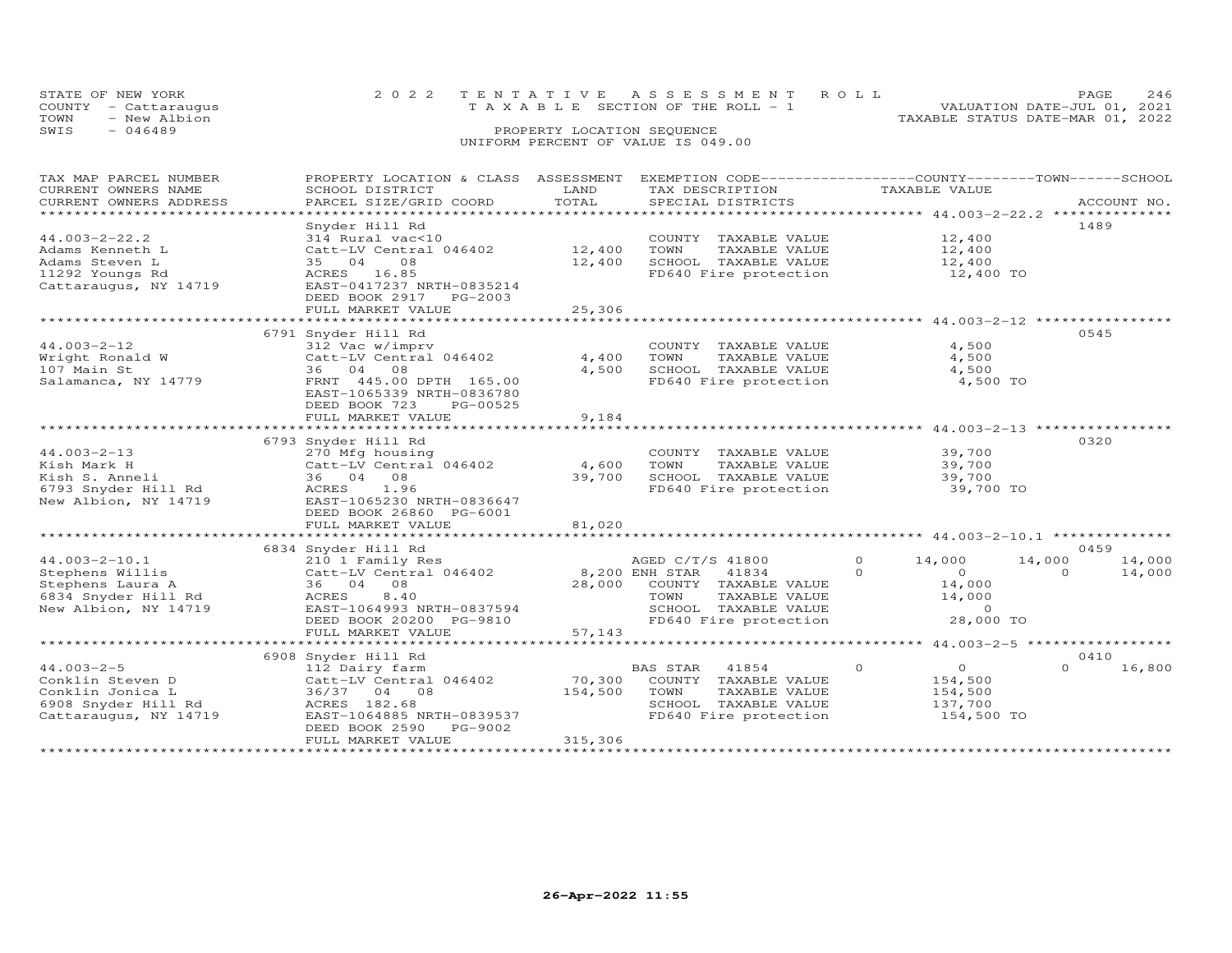|      | STATE OF NEW YORK    |  |  |  |                                    |  |  |  | 2022 TENTATIVE ASSESSMENT ROLL |                                  | PAGE.                       | 246 |
|------|----------------------|--|--|--|------------------------------------|--|--|--|--------------------------------|----------------------------------|-----------------------------|-----|
|      | COUNTY - Cattaraugus |  |  |  | TAXABLE SECTION OF THE ROLL - 1    |  |  |  |                                |                                  | VALUATION DATE-JUL 01, 2021 |     |
| TOWN | - New Albion         |  |  |  |                                    |  |  |  |                                | TAXABLE STATUS DATE-MAR 01, 2022 |                             |     |
| SWIS | - 046489             |  |  |  | PROPERTY LOCATION SEQUENCE         |  |  |  |                                |                                  |                             |     |
|      |                      |  |  |  | UNIFORM PERCENT OF VALUE IS 049.00 |  |  |  |                                |                                  |                             |     |

| TAX MAP PARCEL NUMBER                         | PROPERTY LOCATION & CLASS                            | ASSESSMENT            | EXEMPTION CODE------------------COUNTY-------TOWN------SCHOOL |                                           |                    |
|-----------------------------------------------|------------------------------------------------------|-----------------------|---------------------------------------------------------------|-------------------------------------------|--------------------|
| CURRENT OWNERS NAME<br>CURRENT OWNERS ADDRESS | SCHOOL DISTRICT<br>PARCEL SIZE/GRID COORD            | LAND<br>TOTAL         | TAX DESCRIPTION<br>SPECIAL DISTRICTS                          | TAXABLE VALUE                             | ACCOUNT NO.        |
| *************************                     |                                                      |                       |                                                               |                                           |                    |
|                                               | Snyder Hill Rd                                       |                       |                                                               |                                           | 1489               |
| $44.003 - 2 - 22.2$                           | 314 Rural vac<10                                     |                       | COUNTY TAXABLE VALUE                                          | 12,400                                    |                    |
| Adams Kenneth L                               | Catt-LV Central 046402                               | 12,400                | TOWN<br>TAXABLE VALUE                                         | 12,400                                    |                    |
| Adams Steven L                                | 35 04<br>08                                          | 12,400                | SCHOOL TAXABLE VALUE                                          | 12,400                                    |                    |
| 11292 Youngs Rd                               | ACRES 16.85                                          |                       | FD640 Fire protection                                         | 12,400 TO                                 |                    |
| Cattaraugus, NY 14719                         | EAST-0417237 NRTH-0835214                            |                       |                                                               |                                           |                    |
|                                               | DEED BOOK 2917 PG-2003                               |                       |                                                               |                                           |                    |
|                                               | FULL MARKET VALUE                                    | 25,306<br>*********** |                                                               |                                           |                    |
|                                               | *************************                            |                       |                                                               | ******************* 44.003-2-12 ********* |                    |
|                                               | 6791 Snyder Hill Rd                                  |                       |                                                               |                                           | 0545               |
| $44.003 - 2 - 12$                             | 312 Vac w/imprv                                      |                       | COUNTY TAXABLE VALUE                                          | 4,500                                     |                    |
| Wright Ronald W                               | Catt-LV Central 046402                               | 4,400                 | TOWN<br>TAXABLE VALUE                                         | 4,500                                     |                    |
| 107 Main St                                   | 36 04 08                                             | 4,500                 | SCHOOL TAXABLE VALUE                                          | 4,500                                     |                    |
| Salamanca, NY 14779                           | FRNT 445.00 DPTH 165.00<br>EAST-1065339 NRTH-0836780 |                       | FD640 Fire protection                                         | 4,500 TO                                  |                    |
|                                               | DEED BOOK 723<br>PG-00525                            |                       |                                                               |                                           |                    |
|                                               | FULL MARKET VALUE                                    | 9,184                 |                                                               |                                           |                    |
|                                               | **************************                           | **********            |                                                               |                                           |                    |
|                                               | 6793 Snyder Hill Rd                                  |                       |                                                               |                                           | 0320               |
| $44.003 - 2 - 13$                             | 270 Mfg housing                                      |                       | COUNTY TAXABLE VALUE                                          | 39,700                                    |                    |
| Kish Mark H                                   | Catt-LV Central 046402                               | 4,600                 | TOWN<br>TAXABLE VALUE                                         | 39,700                                    |                    |
| Kish S. Anneli                                | 36 04 08                                             | 39,700                | SCHOOL TAXABLE VALUE                                          | 39,700                                    |                    |
| 6793 Snyder Hill Rd                           | ACRES<br>1.96                                        |                       | FD640 Fire protection                                         | 39,700 TO                                 |                    |
| New Albion, NY 14719                          | EAST-1065230 NRTH-0836647                            |                       |                                                               |                                           |                    |
|                                               | DEED BOOK 26860 PG-6001                              |                       |                                                               |                                           |                    |
|                                               | FULL MARKET VALUE                                    | 81,020                |                                                               |                                           |                    |
|                                               | *********************************                    |                       |                                                               |                                           |                    |
|                                               | 6834 Snyder Hill Rd                                  |                       |                                                               |                                           | 0459               |
| $44.003 - 2 - 10.1$                           | 210 1 Family Res                                     |                       | AGED C/T/S 41800                                              | $\circ$<br>14,000                         | 14,000<br>14,000   |
| Stephens Willis                               | Catt-LV Central 046402                               |                       | 8,200 ENH STAR<br>41834                                       | $\Omega$<br>$\Omega$                      | $\Omega$<br>14,000 |
| Stephens Laura A                              | 36 04 08                                             | 28,000                | COUNTY TAXABLE VALUE                                          | 14,000                                    |                    |
| 6834 Snyder Hill Rd                           | 8,40<br>ACRES                                        |                       | TOWN<br>TAXABLE VALUE                                         | 14,000                                    |                    |
| New Albion, NY 14719                          | EAST-1064993 NRTH-0837594                            |                       | SCHOOL TAXABLE VALUE                                          | $\Omega$                                  |                    |
|                                               | DEED BOOK 20200 PG-9810                              |                       | FD640 Fire protection                                         | 28,000 TO                                 |                    |
|                                               | FULL MARKET VALUE                                    | 57,143                |                                                               |                                           |                    |
|                                               |                                                      |                       |                                                               |                                           |                    |
|                                               | 6908 Snyder Hill Rd                                  |                       |                                                               |                                           | 0410               |
| $44.003 - 2 - 5$                              | 112 Dairy farm                                       |                       | BAS STAR<br>41854                                             | $\overline{O}$<br>$\circ$                 | $\Omega$<br>16,800 |
| Conklin Steven D                              | Catt-LV Central 046402                               | 70,300                | COUNTY TAXABLE VALUE                                          | 154,500                                   |                    |
| Conklin Jonica L                              | 36/37 04 08                                          | 154,500               | TOWN<br>TAXABLE VALUE                                         | 154,500                                   |                    |
| 6908 Snyder Hill Rd                           | ACRES 182.68<br>EAST-1064885 NRTH-0839537            |                       | SCHOOL TAXABLE VALUE<br>FD640 Fire protection                 | 137,700<br>154,500 TO                     |                    |
| Cattaraugus, NY 14719                         | DEED BOOK 2590<br>PG-9002                            |                       |                                                               |                                           |                    |
|                                               | FULL MARKET VALUE                                    | 315,306               |                                                               |                                           |                    |
|                                               |                                                      |                       |                                                               |                                           |                    |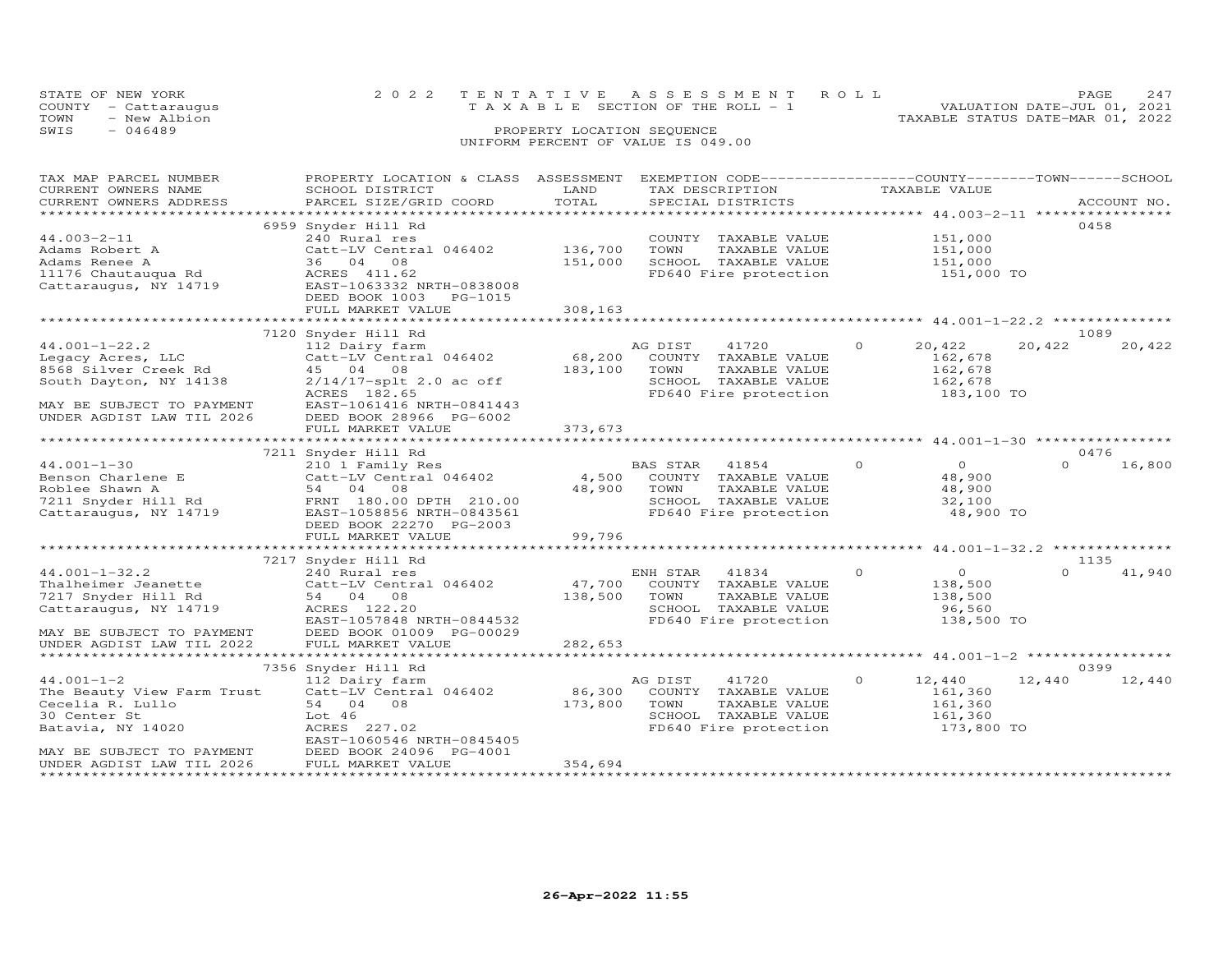| STATE OF NEW YORK                 |                                                                                                 |                            | 2022 TENTATIVE ASSESSMENT ROLL                                                                                                                                                                                                                                                                                                                                                                                               |                                  | <b>PAGE</b>                 | 247 |
|-----------------------------------|-------------------------------------------------------------------------------------------------|----------------------------|------------------------------------------------------------------------------------------------------------------------------------------------------------------------------------------------------------------------------------------------------------------------------------------------------------------------------------------------------------------------------------------------------------------------------|----------------------------------|-----------------------------|-----|
| COUNTY - Cattaraugus              |                                                                                                 |                            | T A X A B L E SECTION OF THE ROLL - 1                                                                                                                                                                                                                                                                                                                                                                                        |                                  | VALUATION DATE-JUL 01, 2021 |     |
| - New Albion<br>TOWN              |                                                                                                 |                            |                                                                                                                                                                                                                                                                                                                                                                                                                              | TAXABLE STATUS DATE-MAR 01, 2022 |                             |     |
| $-046489$<br>SWIS                 |                                                                                                 | PROPERTY LOCATION SEQUENCE |                                                                                                                                                                                                                                                                                                                                                                                                                              |                                  |                             |     |
|                                   |                                                                                                 |                            | UNIFORM PERCENT OF VALUE IS 049.00                                                                                                                                                                                                                                                                                                                                                                                           |                                  |                             |     |
|                                   |                                                                                                 |                            |                                                                                                                                                                                                                                                                                                                                                                                                                              |                                  |                             |     |
|                                   |                                                                                                 |                            |                                                                                                                                                                                                                                                                                                                                                                                                                              |                                  |                             |     |
| TAX MAP PARCEL NUMBER<br>$\alpha$ | PROPERTY LOCATION & CLASS ASSESSMENT EXEMPTION CODE----------------COUNTY-------TOWN-----SCHOOL | $   -$                     | $\overline{m}$ $\overline{m}$ $\overline{n}$ $\overline{n}$ $\overline{n}$ $\overline{n}$ $\overline{n}$ $\overline{n}$ $\overline{n}$ $\overline{n}$ $\overline{n}$ $\overline{n}$ $\overline{n}$ $\overline{n}$ $\overline{n}$ $\overline{n}$ $\overline{n}$ $\overline{n}$ $\overline{n}$ $\overline{n}$ $\overline{n}$ $\overline{n}$ $\overline{n}$ $\overline{n}$ $\overline{n}$ $\overline{n}$ $\overline{n}$ $\over$ |                                  |                             |     |

| CURRENT OWNERS NAME         | SCHOOL DISTRICT            | LAND    | TAX DESCRIPTION       |          | TAXABLE VALUE                            |          |             |
|-----------------------------|----------------------------|---------|-----------------------|----------|------------------------------------------|----------|-------------|
| CURRENT OWNERS ADDRESS      | PARCEL SIZE/GRID COORD     | TOTAL   | SPECIAL DISTRICTS     |          |                                          |          | ACCOUNT NO. |
|                             |                            | ******* |                       |          | ********** 44.003-2-11 ***************** |          |             |
|                             | 6959 Snyder Hill Rd        |         |                       |          |                                          | 0458     |             |
| $44.003 - 2 - 11$           | 240 Rural res              |         | COUNTY TAXABLE VALUE  |          | 151,000                                  |          |             |
| Adams Robert A              | Catt-LV Central 046402     | 136,700 | TOWN<br>TAXABLE VALUE |          | 151,000                                  |          |             |
|                             |                            |         |                       |          |                                          |          |             |
| Adams Renee A               | 36 04 08                   | 151,000 | SCHOOL TAXABLE VALUE  |          | 151,000                                  |          |             |
| 11176 Chautauqua Rd         | ACRES 411.62               |         | FD640 Fire protection |          | 151,000 TO                               |          |             |
| Cattaraugus, NY 14719       | EAST-1063332 NRTH-0838008  |         |                       |          |                                          |          |             |
|                             | DEED BOOK 1003 PG-1015     |         |                       |          |                                          |          |             |
|                             | FULL MARKET VALUE          | 308,163 |                       |          |                                          |          |             |
|                             |                            |         |                       |          |                                          |          |             |
|                             | 7120 Snyder Hill Rd        |         |                       |          |                                          | 1089     |             |
| $44.001 - 1 - 22.2$         | 112 Dairy farm             |         | AG DIST<br>41720      | $\Omega$ | 20,422                                   | 20,422   | 20,422      |
|                             | Catt-LV Central 046402     | 68,200  | COUNTY TAXABLE VALUE  |          | 162,678                                  |          |             |
| Legacy Acres, LLC           |                            |         |                       |          |                                          |          |             |
| 8568 Silver Creek Rd        | 45 04 08                   | 183,100 | TOWN<br>TAXABLE VALUE |          | 162,678                                  |          |             |
| South Dayton, NY 14138      | $2/14/17$ -splt 2.0 ac off |         | SCHOOL TAXABLE VALUE  |          | 162,678                                  |          |             |
|                             | ACRES 182.65               |         | FD640 Fire protection |          | 183,100 TO                               |          |             |
| MAY BE SUBJECT TO PAYMENT   | EAST-1061416 NRTH-0841443  |         |                       |          |                                          |          |             |
| UNDER AGDIST LAW TIL 2026   | DEED BOOK 28966 PG-6002    |         |                       |          |                                          |          |             |
|                             | FULL MARKET VALUE          | 373,673 |                       |          |                                          |          |             |
| **********************      |                            |         |                       |          |                                          |          |             |
|                             | 7211 Snyder Hill Rd        |         |                       |          |                                          | 0476     |             |
|                             |                            |         |                       | $\Omega$ | $\Omega$                                 | $\Omega$ |             |
| $44.001 - 1 - 30$           | 210 1 Family Res           |         | BAS STAR 41854        |          |                                          |          | 16,800      |
| Benson Charlene E           | Catt-LV Central 046402     | 4,500   | COUNTY TAXABLE VALUE  |          | 48,900                                   |          |             |
| Roblee Shawn A              | 54 04 08                   | 48,900  | TOWN<br>TAXABLE VALUE |          | 48,900                                   |          |             |
| 7211 Snyder Hill Rd         | FRNT 180.00 DPTH 210.00    |         | SCHOOL TAXABLE VALUE  |          | 32,100                                   |          |             |
| Cattaraugus, NY 14719       | EAST-1058856 NRTH-0843561  |         | FD640 Fire protection |          | 48,900 TO                                |          |             |
|                             | DEED BOOK 22270 PG-2003    |         |                       |          |                                          |          |             |
|                             | FULL MARKET VALUE          | 99,796  |                       |          |                                          |          |             |
|                             |                            |         |                       |          |                                          |          |             |
|                             | 7217 Snyder Hill Rd        |         |                       |          |                                          | 1135     |             |
|                             |                            |         |                       | $\Omega$ |                                          | $\Omega$ |             |
| $44.001 - 1 - 32.2$         | 240 Rural res              |         | ENH STAR<br>41834     |          | $\overline{O}$                           |          | 41,940      |
| Thalheimer Jeanette         | Catt-LV Central 046402     | 47,700  | COUNTY TAXABLE VALUE  |          | 138,500                                  |          |             |
| 7217 Snyder Hill Rd         | 54 04 08                   | 138,500 | TOWN<br>TAXABLE VALUE |          | 138,500                                  |          |             |
| Cattaraugus, NY 14719       | ACRES 122.20               |         | SCHOOL TAXABLE VALUE  |          | 96,560                                   |          |             |
|                             | EAST-1057848 NRTH-0844532  |         | FD640 Fire protection |          | 138,500 TO                               |          |             |
| MAY BE SUBJECT TO PAYMENT   | DEED BOOK 01009 PG-00029   |         |                       |          |                                          |          |             |
| UNDER AGDIST LAW TIL 2022   | FULL MARKET VALUE          | 282,653 |                       |          |                                          |          |             |
|                             |                            |         |                       |          |                                          |          |             |
|                             | 7356 Snyder Hill Rd        |         |                       |          |                                          | 0399     |             |
|                             |                            |         |                       | $\Omega$ |                                          |          |             |
| $44.001 - 1 - 2$            | 112 Dairy farm             |         | AG DIST<br>41720      |          | 12,440                                   | 12,440   | 12,440      |
| The Beauty View Farm Trust  | Catt-LV Central 046402     | 86,300  | COUNTY TAXABLE VALUE  |          | 161,360                                  |          |             |
| Cecelia R. Lullo            | 54 04 08                   | 173,800 | TOWN<br>TAXABLE VALUE |          | 161,360                                  |          |             |
| 30 Center St                | Lot 46                     |         | SCHOOL TAXABLE VALUE  |          | 161,360                                  |          |             |
| Batavia, NY 14020           | ACRES 227.02               |         | FD640 Fire protection |          | 173,800 TO                               |          |             |
|                             | EAST-1060546 NRTH-0845405  |         |                       |          |                                          |          |             |
| MAY BE SUBJECT TO PAYMENT   | DEED BOOK 24096 PG-4001    |         |                       |          |                                          |          |             |
| UNDER AGDIST LAW TIL 2026   | FULL MARKET VALUE          | 354,694 |                       |          |                                          |          |             |
| *************************** | **********************     |         |                       |          |                                          |          |             |
|                             |                            |         |                       |          |                                          |          |             |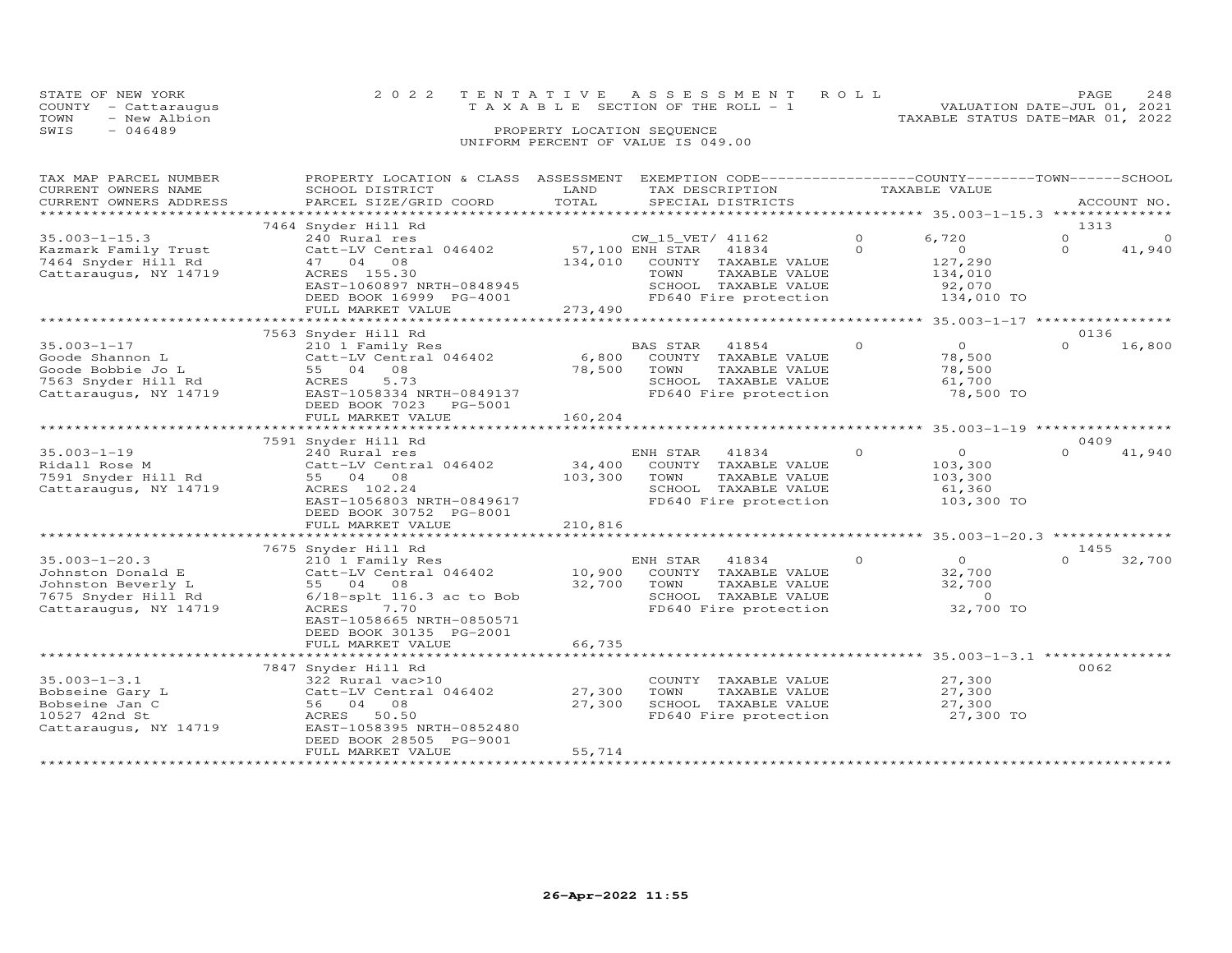| STATE OF NEW YORK |                      | 2022 TENTATIVE ASSESSMENT ROLL                                          | PAGE | 248 |
|-------------------|----------------------|-------------------------------------------------------------------------|------|-----|
|                   | COUNTY - Cattaraugus | VALUATION DATE-JUL 01, 2021<br>$T A X A B L E$ SECTION OF THE ROLL $-1$ |      |     |
| TOWN              | - New Albion         | TAXABLE STATUS DATE-MAR 01, 2022                                        |      |     |
| SWIS              | - 046489             | PROPERTY LOCATION SEQUENCE                                              |      |     |
|                   |                      | UNIFORM PERCENT OF VALUE IS 049.00                                      |      |     |

| TAX MAP PARCEL NUMBER<br>CURRENT OWNERS NAME<br>CURRENT OWNERS ADDRESS                                         | PROPERTY LOCATION & CLASS ASSESSMENT<br>SCHOOL DISTRICT<br>PARCEL SIZE/GRID COORD                                                                                                                          | LAND<br>TOTAL                | EXEMPTION CODE------------------COUNTY-------TOWN-----SCHOOL<br>TAX DESCRIPTION<br>SPECIAL DISTRICTS                                           |                      | TAXABLE VALUE                                                                             |                              | ACCOUNT NO.        |
|----------------------------------------------------------------------------------------------------------------|------------------------------------------------------------------------------------------------------------------------------------------------------------------------------------------------------------|------------------------------|------------------------------------------------------------------------------------------------------------------------------------------------|----------------------|-------------------------------------------------------------------------------------------|------------------------------|--------------------|
|                                                                                                                |                                                                                                                                                                                                            |                              |                                                                                                                                                |                      |                                                                                           |                              |                    |
| $35.003 - 1 - 15.3$<br>Kazmark Family Trust<br>7464 Snyder Hill Rd<br>Cattaraugus, NY 14719                    | 7464 Snyder Hill Rd<br>240 Rural res<br>Catt-LV Central 046402<br>47 04<br>08<br>ACRES 155.30<br>EAST-1060897 NRTH-0848945<br>DEED BOOK 16999 PG-4001                                                      | 134,010                      | CW_15_VET/ 41162<br>57,100 ENH STAR<br>41834<br>COUNTY TAXABLE VALUE<br>TOWN<br>TAXABLE VALUE<br>SCHOOL TAXABLE VALUE<br>FD640 Fire protection | $\Omega$<br>$\Omega$ | 6,720<br>$\circ$<br>127,290<br>134,010<br>92,070<br>134,010 TO                            | 1313<br>$\Omega$<br>$\Omega$ | $\Omega$<br>41,940 |
|                                                                                                                | FULL MARKET VALUE                                                                                                                                                                                          | 273,490                      |                                                                                                                                                |                      | ***** 35.003-1-17 **************                                                          |                              |                    |
| $35.003 - 1 - 17$<br>Goode Shannon L<br>Goode Bobbie Jo L<br>7563 Snyder Hill Rd<br>Cattaraugus, NY 14719      | 7563 Snyder Hill Rd<br>210 1 Family Res<br>Catt-LV Central 046402<br>55 04<br>08<br>ACRES<br>5.73<br>EAST-1058334 NRTH-0849137<br>DEED BOOK 7023 PG-5001                                                   | 6,800<br>78,500              | BAS STAR<br>41854<br>COUNTY TAXABLE VALUE<br>TOWN<br>TAXABLE VALUE<br>SCHOOL TAXABLE VALUE<br>FD640 Fire protection                            | $\circ$              | $\circ$<br>78,500<br>78,500<br>61,700<br>78,500 TO                                        | 0136<br>$\Omega$             | 16,800             |
|                                                                                                                | FULL MARKET VALUE                                                                                                                                                                                          | 160,204                      |                                                                                                                                                |                      |                                                                                           |                              |                    |
|                                                                                                                |                                                                                                                                                                                                            |                              |                                                                                                                                                |                      |                                                                                           |                              |                    |
| $35.003 - 1 - 19$<br>Ridall Rose M<br>7591 Snyder Hill Rd<br>Cattaraugus, NY 14719                             | 7591 Snyder Hill Rd<br>240 Rural res<br>Catt-LV Central 046402<br>55 04 08<br>ACRES 102.24<br>EAST-1056803 NRTH-0849617<br>DEED BOOK 30752 PG-8001<br>FULL MARKET VALUE                                    | 34,400<br>103,300<br>210,816 | 41834<br>ENH STAR<br>COUNTY TAXABLE VALUE<br>TOWN<br>TAXABLE VALUE<br>SCHOOL TAXABLE VALUE<br>FD640 Fire protection                            | $\Omega$             | $\Omega$<br>103,300<br>103,300<br>61,360<br>103,300 TO                                    | 0409<br>$\Omega$             | 41,940             |
|                                                                                                                |                                                                                                                                                                                                            |                              |                                                                                                                                                |                      |                                                                                           |                              |                    |
| $35.003 - 1 - 20.3$<br>Johnston Donald E<br>Johnston Beverly L<br>7675 Snyder Hill Rd<br>Cattaraugus, NY 14719 | 7675 Snyder Hill Rd<br>210 1 Family Res<br>Catt-LV Central 046402<br>55 04 08<br>6/18-splt 116.3 ac to Bob<br>ACRES<br>7.70<br>EAST-1058665 NRTH-0850571<br>DEED BOOK 30135 PG-2001                        | 10,900<br>32,700             | ENH STAR<br>41834<br>COUNTY TAXABLE VALUE<br>TOWN<br>TAXABLE VALUE<br>SCHOOL TAXABLE VALUE<br>FD640 Fire protection                            | $\Omega$             | $\Omega$<br>32,700<br>32,700<br>$\circ$<br>32,700 TO                                      | 1455<br>$\Omega$             | 32,700             |
|                                                                                                                | FULL MARKET VALUE                                                                                                                                                                                          | 66,735                       |                                                                                                                                                |                      |                                                                                           |                              |                    |
| $35.003 - 1 - 3.1$<br>Bobseine Gary L<br>Bobseine Jan C<br>10527 42nd St<br>Cattaraugus, NY 14719              | ***********************<br>7847 Snyder Hill Rd<br>322 Rural vac>10<br>Catt-LV Central 046402<br>56 04<br>08<br>ACRES<br>50.50<br>EAST-1058395 NRTH-0852480<br>DEED BOOK 28505 PG-9001<br>FULL MARKET VALUE | 27,300<br>27,300<br>55,714   | COUNTY TAXABLE VALUE<br>TOWN<br>TAXABLE VALUE<br>SCHOOL TAXABLE VALUE<br>FD640 Fire protection                                                 |                      | ********************* 35.003-1-3.1 ***********<br>27,300<br>27,300<br>27,300<br>27,300 TO | 0062                         |                    |
|                                                                                                                |                                                                                                                                                                                                            |                              |                                                                                                                                                |                      |                                                                                           |                              |                    |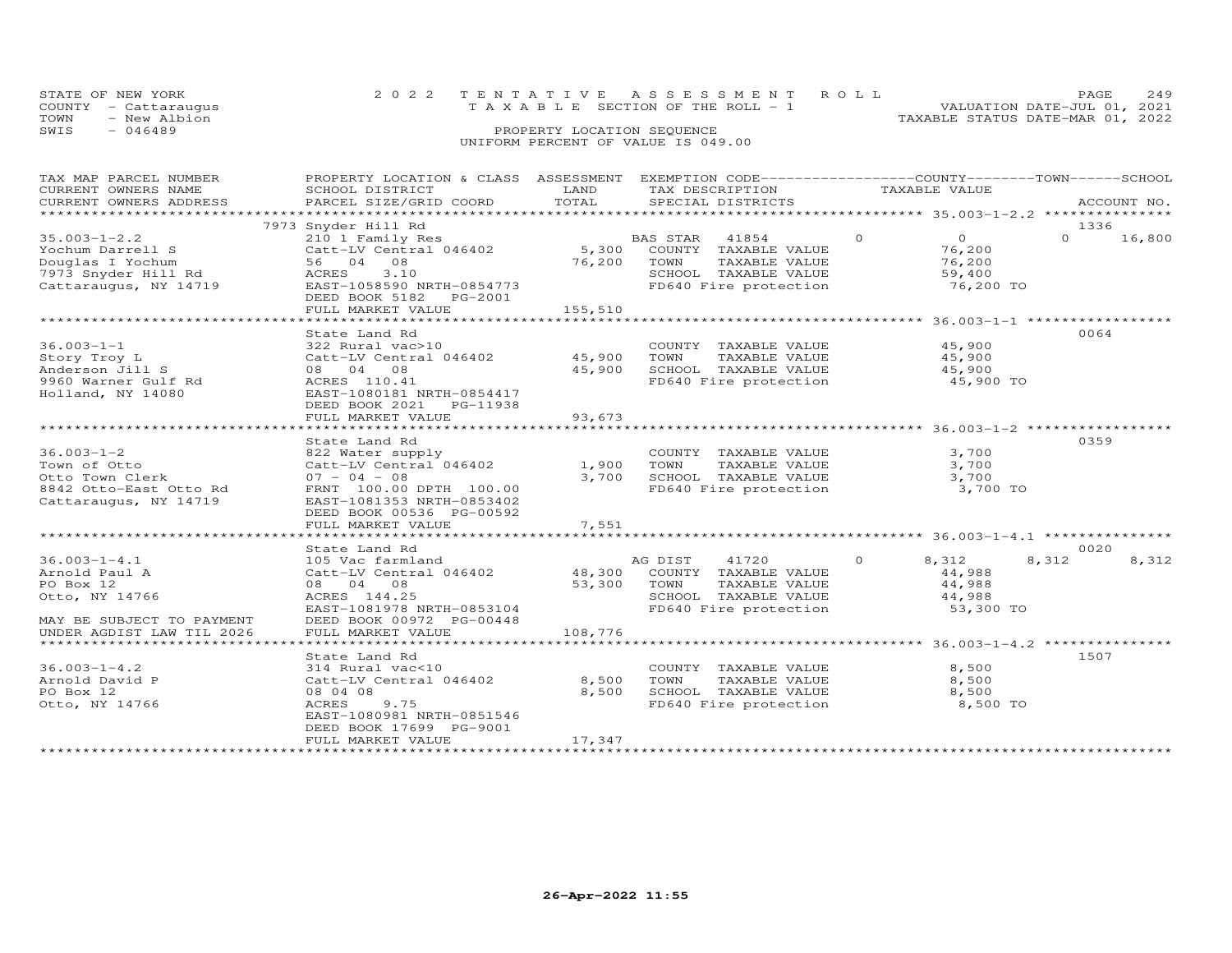| STATE OF NEW YORK |                      | 2022 TENTATIVE ASSESSMENT ROLL                                 | PAGE 249 |  |
|-------------------|----------------------|----------------------------------------------------------------|----------|--|
|                   | COUNTY - Cattaraugus | VALUATION DATE-JUL 01, 2021<br>TAXABLE SECTION OF THE ROLL - 1 |          |  |
| TOWN              | - New Albion         | TAXABLE STATUS DATE-MAR 01, 2022                               |          |  |
| SWIS              | $-046489$            | PROPERTY LOCATION SEQUENCE                                     |          |  |
|                   |                      | UNIFORM PERCENT OF VALUE IS 049.00                             |          |  |

| TAX MAP PARCEL NUMBER     | PROPERTY LOCATION & CLASS ASSESSMENT |         | EXEMPTION CODE-----------------COUNTY-------TOWN------SCHOOL |                            |                    |
|---------------------------|--------------------------------------|---------|--------------------------------------------------------------|----------------------------|--------------------|
| CURRENT OWNERS NAME       | SCHOOL DISTRICT                      | LAND    | TAX DESCRIPTION                                              | TAXABLE VALUE              |                    |
| CURRENT OWNERS ADDRESS    | PARCEL SIZE/GRID COORD               | TOTAL   | SPECIAL DISTRICTS                                            |                            | ACCOUNT NO.        |
|                           |                                      |         |                                                              |                            |                    |
|                           | 7973 Snyder Hill Rd                  |         |                                                              |                            | 1336               |
| $35.003 - 1 - 2.2$        | 210 1 Family Res                     |         | BAS STAR<br>41854                                            | $\overline{O}$<br>$\Omega$ | 16,800<br>$\Omega$ |
| Yochum Darrell S          | Catt-LV Central 046402               |         | 5,300 COUNTY TAXABLE VALUE                                   | 76,200                     |                    |
| Douglas I Yochum          | 56 04 08                             | 76,200  | TOWN<br>TAXABLE VALUE                                        | 76,200                     |                    |
| 7973 Snyder Hill Rd       | 3.10<br>ACRES                        |         | SCHOOL TAXABLE VALUE                                         | 59,400                     |                    |
| Cattaraugus, NY 14719     | EAST-1058590 NRTH-0854773            |         | FD640 Fire protection                                        | 76,200 TO                  |                    |
|                           | DEED BOOK 5182 PG-2001               |         |                                                              |                            |                    |
|                           | FULL MARKET VALUE                    | 155,510 |                                                              |                            |                    |
|                           | ******************************       |         |                                                              |                            |                    |
|                           |                                      |         |                                                              |                            |                    |
|                           | State Land Rd                        |         |                                                              |                            | 0064               |
| $36.003 - 1 - 1$          | 322 Rural vac>10                     |         | COUNTY TAXABLE VALUE                                         | 45,900                     |                    |
| Story Troy L              | Catt-LV Central 046402               | 45,900  | TOWN<br>TAXABLE VALUE                                        | 45,900                     |                    |
| Anderson Jill S           | 08 04 08                             | 45,900  | SCHOOL TAXABLE VALUE                                         | 45,900                     |                    |
| 9960 Warner Gulf Rd       | ACRES 110.41                         |         | FD640 Fire protection                                        | 45,900 TO                  |                    |
| Holland, NY 14080         | EAST-1080181 NRTH-0854417            |         |                                                              |                            |                    |
|                           | DEED BOOK 2021    PG-11938           |         |                                                              |                            |                    |
|                           | FULL MARKET VALUE                    | 93,673  |                                                              |                            |                    |
|                           |                                      |         |                                                              |                            |                    |
|                           | State Land Rd                        |         |                                                              |                            | 0359               |
| $36.003 - 1 - 2$          | 822 Water supply                     |         | COUNTY TAXABLE VALUE                                         | 3,700                      |                    |
| Town of Otto              | Catt-LV Central 046402               | 1,900   | TOWN<br>TAXABLE VALUE                                        | 3,700                      |                    |
| Otto Town Clerk           | $07 - 04 - 08$                       | 3,700   | SCHOOL TAXABLE VALUE                                         | 3,700                      |                    |
| 8842 Otto-East Otto Rd    | FRNT 100.00 DPTH 100.00              |         | FD640 Fire protection                                        | 3,700 TO                   |                    |
| Cattaraugus, NY 14719     | EAST-1081353 NRTH-0853402            |         |                                                              |                            |                    |
|                           | DEED BOOK 00536 PG-00592             |         |                                                              |                            |                    |
|                           | FULL MARKET VALUE                    | 7,551   |                                                              |                            |                    |
|                           |                                      |         |                                                              |                            |                    |
|                           | State Land Rd                        |         |                                                              |                            | 0020               |
| $36.003 - 1 - 4.1$        | 105 Vac farmland                     |         | AG DIST<br>41720                                             | $\Omega$<br>8,312          | 8,312<br>8,312     |
|                           | Catt-LV Central 046402               | 48,300  |                                                              |                            |                    |
| Arnold Paul A             |                                      |         | COUNTY TAXABLE VALUE                                         | 44,988                     |                    |
| PO Box 12                 | 08 04 08                             | 53,300  | TOWN<br>TAXABLE VALUE                                        | 44,988                     |                    |
| Otto, NY 14766            | ACRES 144.25                         |         | SCHOOL TAXABLE VALUE                                         | 44,988                     |                    |
|                           | EAST-1081978 NRTH-0853104            |         | FD640 Fire protection                                        | 53,300 TO                  |                    |
| MAY BE SUBJECT TO PAYMENT | DEED BOOK 00972 PG-00448             |         |                                                              |                            |                    |
| UNDER AGDIST LAW TIL 2026 | FULL MARKET VALUE                    | 108,776 |                                                              |                            |                    |
|                           |                                      |         |                                                              |                            |                    |
|                           | State Land Rd                        |         |                                                              |                            | 1507               |
| $36.003 - 1 - 4.2$        | 314 Rural vac<10                     |         | COUNTY TAXABLE VALUE                                         | 8,500                      |                    |
| Arnold David P            | Catt-LV Central 046402               | 8,500   | TOWN<br>TAXABLE VALUE                                        | 8,500                      |                    |
| PO Box 12                 | 08 04 08                             | 8,500   | SCHOOL TAXABLE VALUE                                         | 8,500                      |                    |
| Otto, NY 14766            | 9.75<br>ACRES                        |         | FD640 Fire protection                                        | 8,500 TO                   |                    |
|                           | EAST-1080981 NRTH-0851546            |         |                                                              |                            |                    |
|                           | DEED BOOK 17699 PG-9001              |         |                                                              |                            |                    |
|                           | FULL MARKET VALUE                    | 17,347  |                                                              |                            |                    |
|                           |                                      |         |                                                              |                            |                    |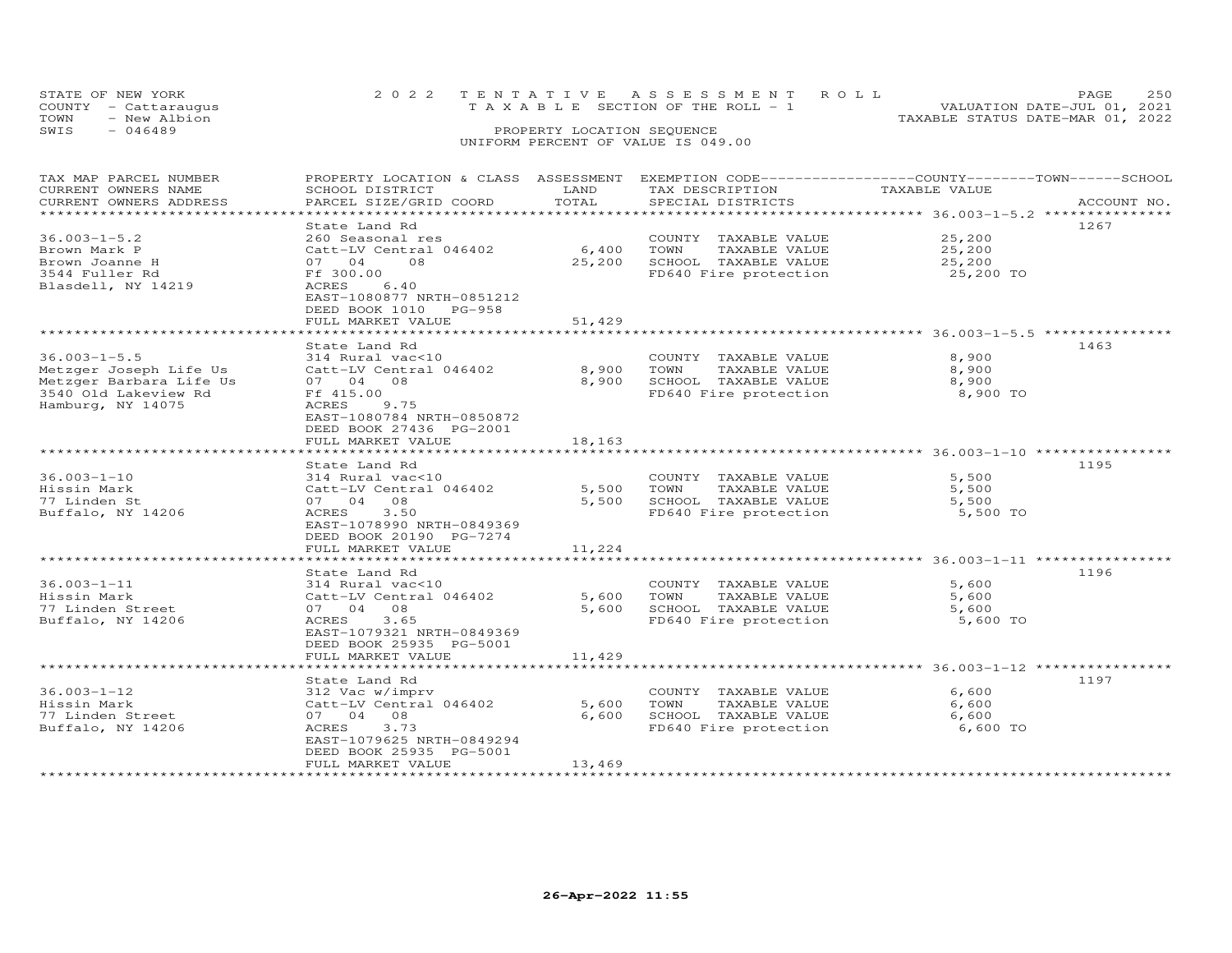|      | STATE OF NEW YORK<br>COUNTY - Cattaraugus | 2022 TENTATIVE ASSESSMENT ROLL | TAXABLE SECTION OF THE ROLL - 1 |  |  |  |  |                                  | PAGE.<br>VALUATION DATE-JUL 01, 2021 | 250 |
|------|-------------------------------------------|--------------------------------|---------------------------------|--|--|--|--|----------------------------------|--------------------------------------|-----|
| TOWN | - New Albion                              |                                |                                 |  |  |  |  | TAXABLE STATUS DATE-MAR 01, 2022 |                                      |     |
| SWIS | $-046489$                                 |                                | PROPERTY LOCATION SEOUENCE      |  |  |  |  |                                  |                                      |     |
|      | UNIFORM PERCENT OF VALUE IS 049.00        |                                |                                 |  |  |  |  |                                  |                                      |     |

| TAX MAP PARCEL NUMBER          | PROPERTY LOCATION & CLASS ASSESSMENT EXEMPTION CODE----------------COUNTY-------TOWN-----SCHOOL |                       |                       |               |             |
|--------------------------------|-------------------------------------------------------------------------------------------------|-----------------------|-----------------------|---------------|-------------|
| CURRENT OWNERS NAME            | SCHOOL DISTRICT                                                                                 | LAND                  | TAX DESCRIPTION       | TAXABLE VALUE |             |
| CURRENT OWNERS ADDRESS         | PARCEL SIZE/GRID COORD                                                                          | TOTAL                 | SPECIAL DISTRICTS     |               | ACCOUNT NO. |
| ****************************** |                                                                                                 |                       |                       |               |             |
|                                | State Land Rd                                                                                   |                       |                       |               | 1267        |
| $36.003 - 1 - 5.2$             | 260 Seasonal res                                                                                |                       | COUNTY TAXABLE VALUE  | 25,200        |             |
| Brown Mark P                   | Catt-LV Central 046402                                                                          | 6,400                 | TOWN<br>TAXABLE VALUE | 25,200        |             |
| Brown Joanne H                 | 07 04<br>$\overline{08}$                                                                        | 25,200                | SCHOOL TAXABLE VALUE  | 25,200        |             |
| 3544 Fuller Rd                 | Ff 300.00                                                                                       |                       | FD640 Fire protection | 25,200 TO     |             |
| Blasdell, NY 14219             | 6.40<br>ACRES                                                                                   |                       |                       |               |             |
|                                | EAST-1080877 NRTH-0851212                                                                       |                       |                       |               |             |
|                                | DEED BOOK 1010 PG-958                                                                           |                       |                       |               |             |
|                                | FULL MARKET VALUE                                                                               | 51,429                |                       |               |             |
|                                |                                                                                                 |                       |                       |               |             |
|                                | State Land Rd                                                                                   |                       |                       |               | 1463        |
| $36.003 - 1 - 5.5$             | 314 Rural vac<10                                                                                |                       | COUNTY TAXABLE VALUE  | 8,900         |             |
| Metzger Joseph Life Us         | Catt-LV Central 046402                                                                          | 8,900                 | TOWN<br>TAXABLE VALUE | 8,900         |             |
| Metzger Barbara Life Us        | 07 04 08                                                                                        | 8,900                 | SCHOOL TAXABLE VALUE  | 8,900         |             |
| 3540 Old Lakeview Rd           | Ff 415.00                                                                                       |                       | FD640 Fire protection | 8,900 TO      |             |
| Hamburg, NY 14075              | <b>ACRES</b><br>9.75                                                                            |                       |                       |               |             |
|                                | EAST-1080784 NRTH-0850872                                                                       |                       |                       |               |             |
|                                | DEED BOOK 27436 PG-2001                                                                         |                       |                       |               |             |
|                                | FULL MARKET VALUE                                                                               | 18,163                |                       |               |             |
|                                | *********************************                                                               | ********************* |                       |               |             |
|                                | State Land Rd                                                                                   |                       |                       |               | 1195        |
| $36.003 - 1 - 10$              | 314 Rural vac<10                                                                                |                       | COUNTY TAXABLE VALUE  | 5,500         |             |
| Hissin Mark                    | Catt-LV Central 046402                                                                          | 5,500                 | TAXABLE VALUE<br>TOWN | 5,500         |             |
| 77 Linden St                   | 07 04 08                                                                                        | 5,500                 | SCHOOL TAXABLE VALUE  | 5,500         |             |
| Buffalo, NY 14206              | ACRES<br>3.50                                                                                   |                       | FD640 Fire protection | 5,500 TO      |             |
|                                | EAST-1078990 NRTH-0849369                                                                       |                       |                       |               |             |
|                                | DEED BOOK 20190 PG-7274                                                                         |                       |                       |               |             |
|                                | FULL MARKET VALUE                                                                               | 11,224                |                       |               |             |
|                                |                                                                                                 |                       |                       |               |             |
|                                | State Land Rd                                                                                   |                       |                       |               | 1196        |
| $36.003 - 1 - 11$              | 314 Rural vac<10                                                                                |                       | COUNTY TAXABLE VALUE  | 5,600         |             |
| Hissin Mark                    | Catt-LV Central 046402                                                                          | 5,600                 | TAXABLE VALUE<br>TOWN | 5,600         |             |
| 77 Linden Street               | 07 04 08                                                                                        | 5,600                 | SCHOOL TAXABLE VALUE  | 5,600         |             |
| Buffalo, NY 14206              | 3.65<br>ACRES                                                                                   |                       | FD640 Fire protection | 5,600 TO      |             |
|                                | EAST-1079321 NRTH-0849369                                                                       |                       |                       |               |             |
|                                | DEED BOOK 25935 PG-5001                                                                         |                       |                       |               |             |
|                                | FULL MARKET VALUE                                                                               | 11,429                |                       |               |             |
|                                |                                                                                                 |                       |                       |               |             |
|                                |                                                                                                 |                       |                       |               | 1197        |
| $36.003 - 1 - 12$              | State Land Rd                                                                                   |                       | COUNTY TAXABLE VALUE  | 6,600         |             |
|                                | 312 Vac w/imprv<br>Catt-LV Central 046402                                                       | 5,600                 | TOWN<br>TAXABLE VALUE |               |             |
| Hissin Mark                    |                                                                                                 |                       | SCHOOL TAXABLE VALUE  | 6,600         |             |
| 77 Linden Street               | 07 04 08                                                                                        | 6,600                 |                       | 6,600         |             |
| Buffalo, NY 14206              | ACRES<br>3.73                                                                                   |                       | FD640 Fire protection | 6,600 TO      |             |
|                                | EAST-1079625 NRTH-0849294                                                                       |                       |                       |               |             |
|                                | DEED BOOK 25935 PG-5001                                                                         |                       |                       |               |             |
|                                | FULL MARKET VALUE                                                                               | 13,469                |                       |               |             |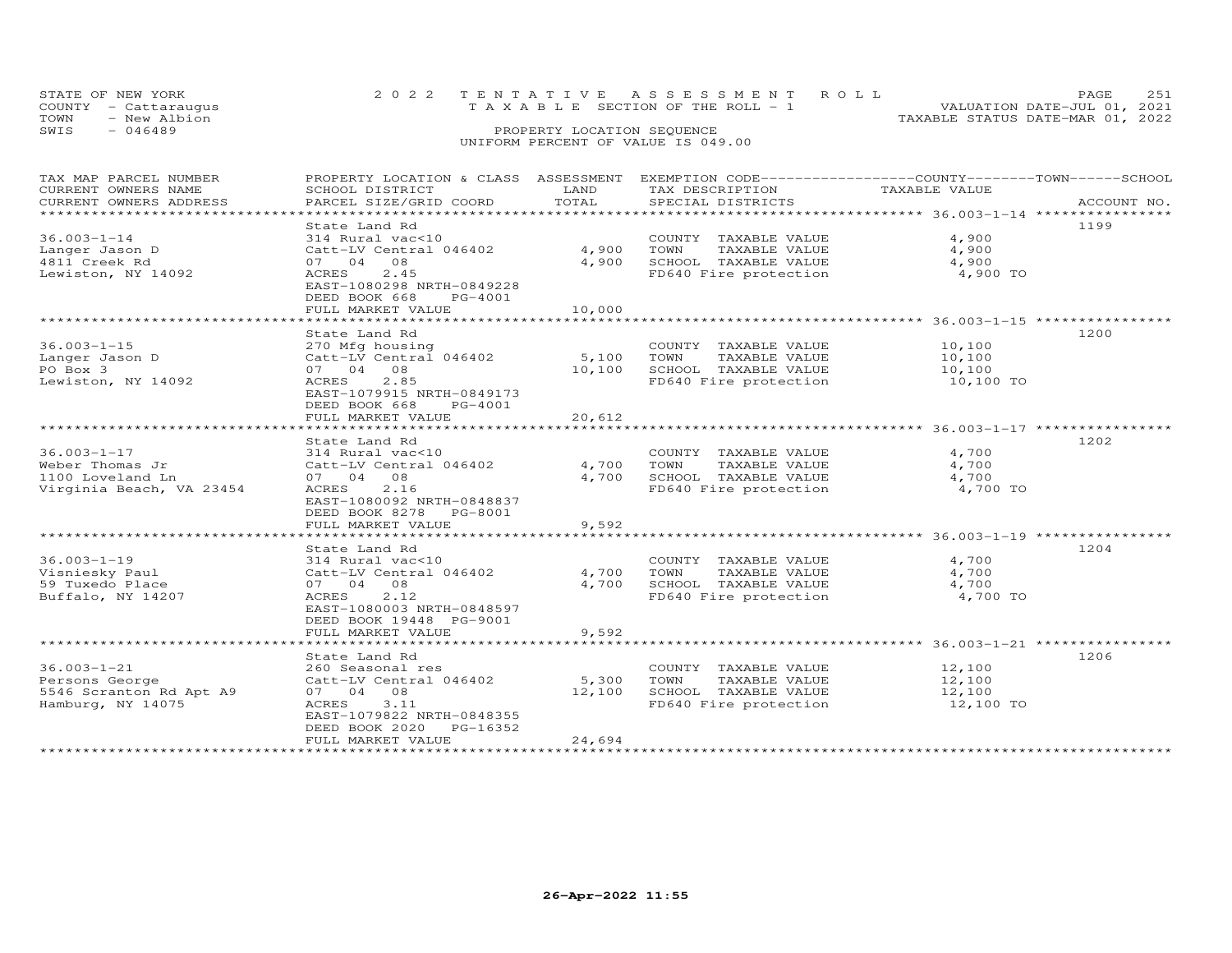|      | STATE OF NEW YORK<br>COUNTY - Cattaraugus |  |                            | 2022 TENTATIVE ASSESSMENT ROLL<br>T A X A B L E SECTION OF THE ROLL - 1 |  |                                  | PAGE.<br>VALUATION DATE-JUL 01, 2021 |  |
|------|-------------------------------------------|--|----------------------------|-------------------------------------------------------------------------|--|----------------------------------|--------------------------------------|--|
| TOWN | - New Albion                              |  |                            |                                                                         |  | TAXABLE STATUS DATE-MAR 01, 2022 |                                      |  |
| SWIS | $-046489$                                 |  | PROPERTY LOCATION SEQUENCE |                                                                         |  |                                  |                                      |  |
|      | UNIFORM PERCENT OF VALUE IS 049.00        |  |                            |                                                                         |  |                                  |                                      |  |

| TAX MAP PARCEL NUMBER<br>CURRENT OWNERS NAME<br>CURRENT OWNERS ADDRESS                              | PROPERTY LOCATION & CLASS ASSESSMENT EXEMPTION CODE----------------COUNTY-------TOWN-----SCHOOL<br>SCHOOL DISTRICT<br>PARCEL SIZE/GRID COORD                                                            | LAND<br>TOTAL             | TAX DESCRIPTION<br>SPECIAL DISTRICTS                                                                                                                           | TAXABLE VALUE                           | ACCOUNT NO. |
|-----------------------------------------------------------------------------------------------------|---------------------------------------------------------------------------------------------------------------------------------------------------------------------------------------------------------|---------------------------|----------------------------------------------------------------------------------------------------------------------------------------------------------------|-----------------------------------------|-------------|
| *********************<br>$36.003 - 1 - 14$<br>Langer Jason D<br>4811 Creek Rd<br>Lewiston, NY 14092 | State Land Rd<br>314 Rural vac<10<br>Catt-LV Central 046402<br>07 04<br>08<br>2.45<br>ACRES<br>EAST-1080298 NRTH-0849228<br>DEED BOOK 668<br>PG-4001<br>FULL MARKET VALUE<br>************************** | 4,900<br>4,900<br>10,000  | COUNTY TAXABLE VALUE<br>TOWN<br>TAXABLE VALUE<br>SCHOOL TAXABLE VALUE<br>FD640 Fire protection                                                                 | 4,900<br>4,900<br>4,900<br>4,900 TO     | 1199        |
| $36.003 - 1 - 15$<br>Langer Jason D<br>PO Box 3<br>Lewiston, NY 14092                               | State Land Rd<br>270 Mfg housing<br>Catt-LV Central 046402<br>07 04 08<br>2.85<br>ACRES<br>EAST-1079915 NRTH-0849173<br>DEED BOOK 668<br>PG-4001<br>FULL MARKET VALUE                                   | 5,100<br>10,100<br>20,612 | COUNTY TAXABLE VALUE<br>TOWN<br>TAXABLE VALUE<br>SCHOOL TAXABLE VALUE<br>FD640 Fire protection                                                                 | 10,100<br>10,100<br>10,100<br>10,100 TO | 1200        |
| $36.003 - 1 - 17$<br>Weber Thomas Jr<br>1100 Loveland Ln<br>Virginia Beach, VA 23454                | State Land Rd<br>314 Rural vac<10<br>Catt-LV Central 046402<br>07 04 08<br>2.16<br>ACRES<br>EAST-1080092 NRTH-0848837<br>DEED BOOK 8278<br>PG-8001<br>FULL MARKET VALUE                                 | 4,700<br>4,700<br>9,592   | COUNTY TAXABLE VALUE<br>TOWN<br>TAXABLE VALUE<br>SCHOOL TAXABLE VALUE<br>FD640 Fire protection                                                                 | 4,700<br>4,700<br>4,700<br>4,700 TO     | 1202        |
| $36.003 - 1 - 19$<br>Visniesky Paul<br>59 Tuxedo Place<br>Buffalo, NY 14207                         | State Land Rd<br>314 Rural vac<10<br>Catt-LV Central 046402<br>07 04<br>08<br>ACRES<br>2.12<br>EAST-1080003 NRTH-0848597<br>DEED BOOK 19448 PG-9001<br>FULL MARKET VALUE                                | 4,700<br>4,700<br>9,592   | ******************************** 36.003-1-19 ***************<br>COUNTY TAXABLE VALUE<br>TOWN<br>TAXABLE VALUE<br>SCHOOL TAXABLE VALUE<br>FD640 Fire protection | 4,700<br>4,700<br>4,700<br>4,700 TO     | 1204        |
| $36.003 - 1 - 21$<br>Persons George<br>5546 Scranton Rd Apt A9<br>Hamburg, NY 14075                 | State Land Rd<br>260 Seasonal res<br>Catt-LV Central 046402<br>07 04 08<br>3.11<br>ACRES<br>EAST-1079822 NRTH-0848355<br>DEED BOOK 2020<br>PG-16352<br>FULL MARKET VALUE                                | 5,300<br>12,100<br>24,694 | COUNTY TAXABLE VALUE<br>TOWN<br>TAXABLE VALUE<br>SCHOOL TAXABLE VALUE<br>FD640 Fire protection                                                                 | 12,100<br>12,100<br>12,100<br>12,100 TO | 1206        |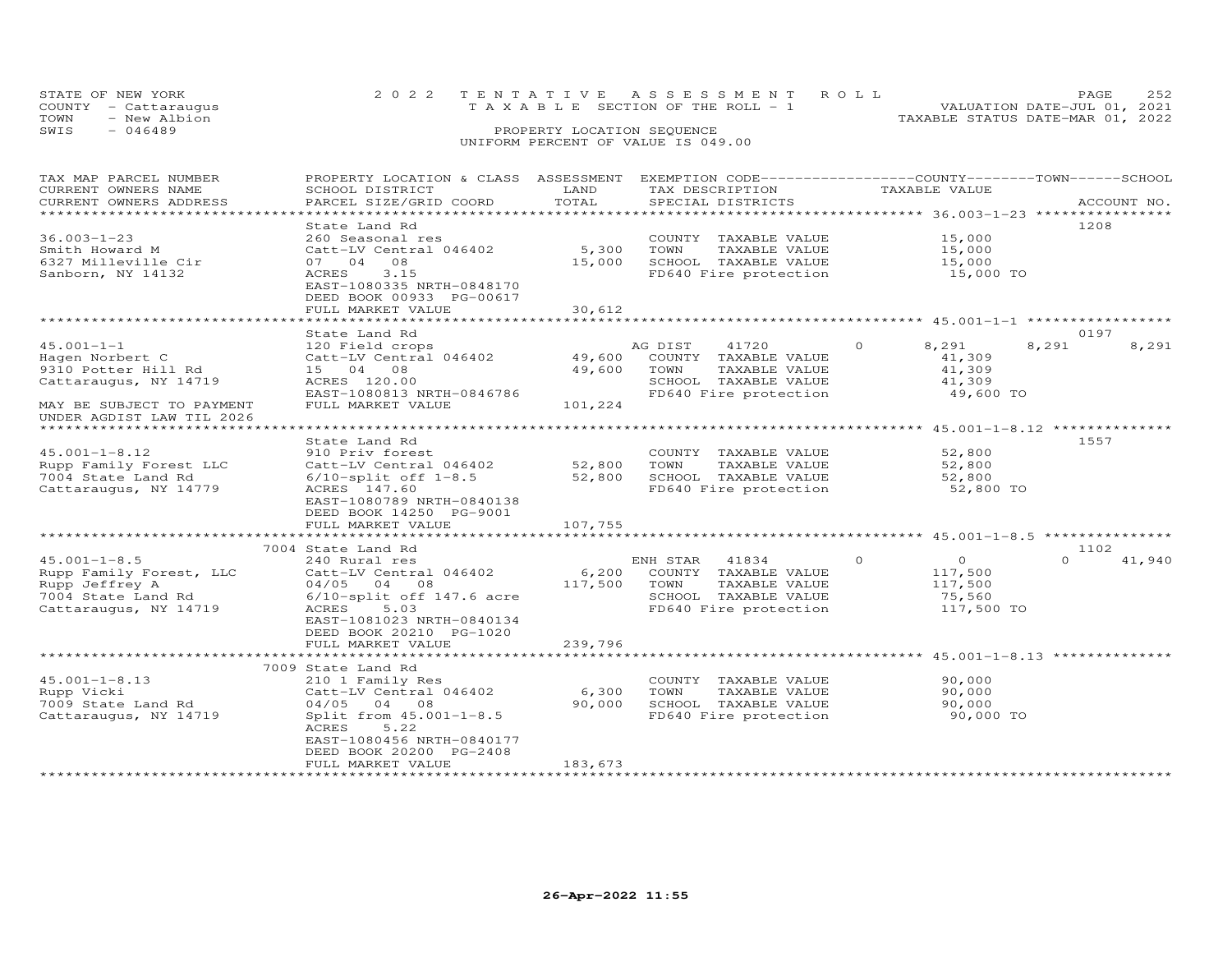| STATE OF NEW YORK    | 2022 TENTATIVE ASSESSMENT ROLL        | 252<br>PAGE.                     |
|----------------------|---------------------------------------|----------------------------------|
| COUNTY - Cattaraugus | T A X A B L E SECTION OF THE ROLL - 1 | VALUATION DATE-JUL 01, 2021      |
| TOWN<br>- New Albion |                                       | TAXABLE STATUS DATE-MAR 01, 2022 |
| SWIS<br>$-046489$    | PROPERTY LOCATION SEQUENCE            |                                  |
|                      | UNIFORM PERCENT OF VALUE IS 049.00    |                                  |

| TAX MAP PARCEL NUMBER<br>CURRENT OWNERS NAME<br>CURRENT OWNERS ADDRESS                                                                        | PROPERTY LOCATION & CLASS ASSESSMENT<br>SCHOOL DISTRICT<br>PARCEL SIZE/GRID COORD                                                                                                                                                             | LAND<br>TOTAL                              | EXEMPTION CODE-----------------COUNTY-------TOWN------SCHOOL<br>TAX DESCRIPTION<br>SPECIAL DISTRICTS               | TAXABLE VALUE                                                                                     | ACCOUNT NO.                |
|-----------------------------------------------------------------------------------------------------------------------------------------------|-----------------------------------------------------------------------------------------------------------------------------------------------------------------------------------------------------------------------------------------------|--------------------------------------------|--------------------------------------------------------------------------------------------------------------------|---------------------------------------------------------------------------------------------------|----------------------------|
| $36.003 - 1 - 23$<br>Smith Howard M<br>6327 Milleville Cir<br>Sanborn, NY 14132                                                               | State Land Rd<br>260 Seasonal res<br>Catt-LV Central 046402<br>07 04 08<br>3.15<br>ACRES<br>EAST-1080335 NRTH-0848170<br>DEED BOOK 00933 PG-00617<br>FULL MARKET VALUE                                                                        | 5,300<br>15,000<br>30,612                  | COUNTY TAXABLE VALUE<br>TOWN<br>TAXABLE VALUE<br>SCHOOL TAXABLE VALUE<br>FD640 Fire protection                     | 15,000<br>15,000<br>15,000<br>15,000 TO                                                           | 1208                       |
|                                                                                                                                               | State Land Rd                                                                                                                                                                                                                                 |                                            |                                                                                                                    |                                                                                                   | 0197                       |
| $45.001 - 1 - 1$<br>Hagen Norbert C<br>9310 Potter Hill Rd<br>Cattaraugus, NY 14719<br>MAY BE SUBJECT TO PAYMENT<br>UNDER AGDIST LAW TIL 2026 | 120 Field crops<br>Catt-LV Central 046402<br>15 04 08<br>ACRES 120.00<br>EAST-1080813 NRTH-0846786<br>FULL MARKET VALUE                                                                                                                       | 49,600<br>49,600<br>101,224                | AG DIST<br>41720<br>COUNTY TAXABLE VALUE<br>TAXABLE VALUE<br>TOWN<br>SCHOOL TAXABLE VALUE<br>FD640 Fire protection | $\Omega$<br>8,291<br>41,309<br>41,309<br>41,309<br>49,600 TO                                      | 8,291<br>8,291             |
| *******************************                                                                                                               |                                                                                                                                                                                                                                               |                                            |                                                                                                                    |                                                                                                   |                            |
| $45.001 - 1 - 8.12$<br>Rupp Family Forest LLC<br>7004 State Land Rd<br>Cattaraugus, NY 14779                                                  | State Land Rd<br>910 Priv forest<br>Catt-LV Central 046402<br>$6/10$ -split off $1-8.5$<br>ACRES 147.60<br>EAST-1080789 NRTH-0840138<br>DEED BOOK 14250 PG-9001                                                                               | 52,800<br>52,800                           | COUNTY TAXABLE VALUE<br>TOWN<br>TAXABLE VALUE<br>SCHOOL TAXABLE VALUE<br>FD640 Fire protection                     | 52,800<br>52,800<br>52,800<br>52,800 TO                                                           | 1557                       |
|                                                                                                                                               | FULL MARKET VALUE                                                                                                                                                                                                                             | 107,755                                    |                                                                                                                    |                                                                                                   |                            |
| $45.001 - 1 - 8.5$<br>Rupp Family Forest, LLC<br>Rupp Jeffrey A<br>7004 State Land Rd<br>Cattaraugus, NY 14719                                | 7004 State Land Rd<br>240 Rural res<br>Catt-LV Central 046402<br>08<br>04/05 04<br>$6/10$ -split off 147.6 acre<br>5.03<br>ACRES<br>EAST-1081023 NRTH-0840134<br>DEED BOOK 20210 PG-1020                                                      | 6,200<br>117,500                           | ENH STAR 41834<br>COUNTY TAXABLE VALUE<br>TOWN<br>TAXABLE VALUE<br>SCHOOL TAXABLE VALUE<br>FD640 Fire protection   | $\Omega$<br>$\circ$<br>117,500<br>117,500<br>75,560<br>117,500 TO                                 | 1102<br>$\Omega$<br>41,940 |
|                                                                                                                                               | FULL MARKET VALUE                                                                                                                                                                                                                             | 239,796                                    |                                                                                                                    |                                                                                                   |                            |
| $45.001 - 1 - 8.13$<br>Rupp Vicki<br>7009 State Land Rd<br>Cattaraugus, NY 14719                                                              | ******************************<br>7009 State Land Rd<br>210 1 Family Res<br>Catt-LV Central 046402<br>04/05<br>04 08<br>Split from 45.001-1-8.5<br>ACRES<br>5.22<br>EAST-1080456 NRTH-0840177<br>DEED BOOK 20200 PG-2408<br>FULL MARKET VALUE | ************<br>6,300<br>90,000<br>183,673 | COUNTY TAXABLE VALUE<br>TOWN<br>TAXABLE VALUE<br>SCHOOL TAXABLE VALUE<br>FD640 Fire protection                     | ************************ 45.001-1-8.13 ***************<br>90,000<br>90,000<br>90,000<br>90,000 TO |                            |
|                                                                                                                                               | **********************                                                                                                                                                                                                                        |                                            |                                                                                                                    |                                                                                                   |                            |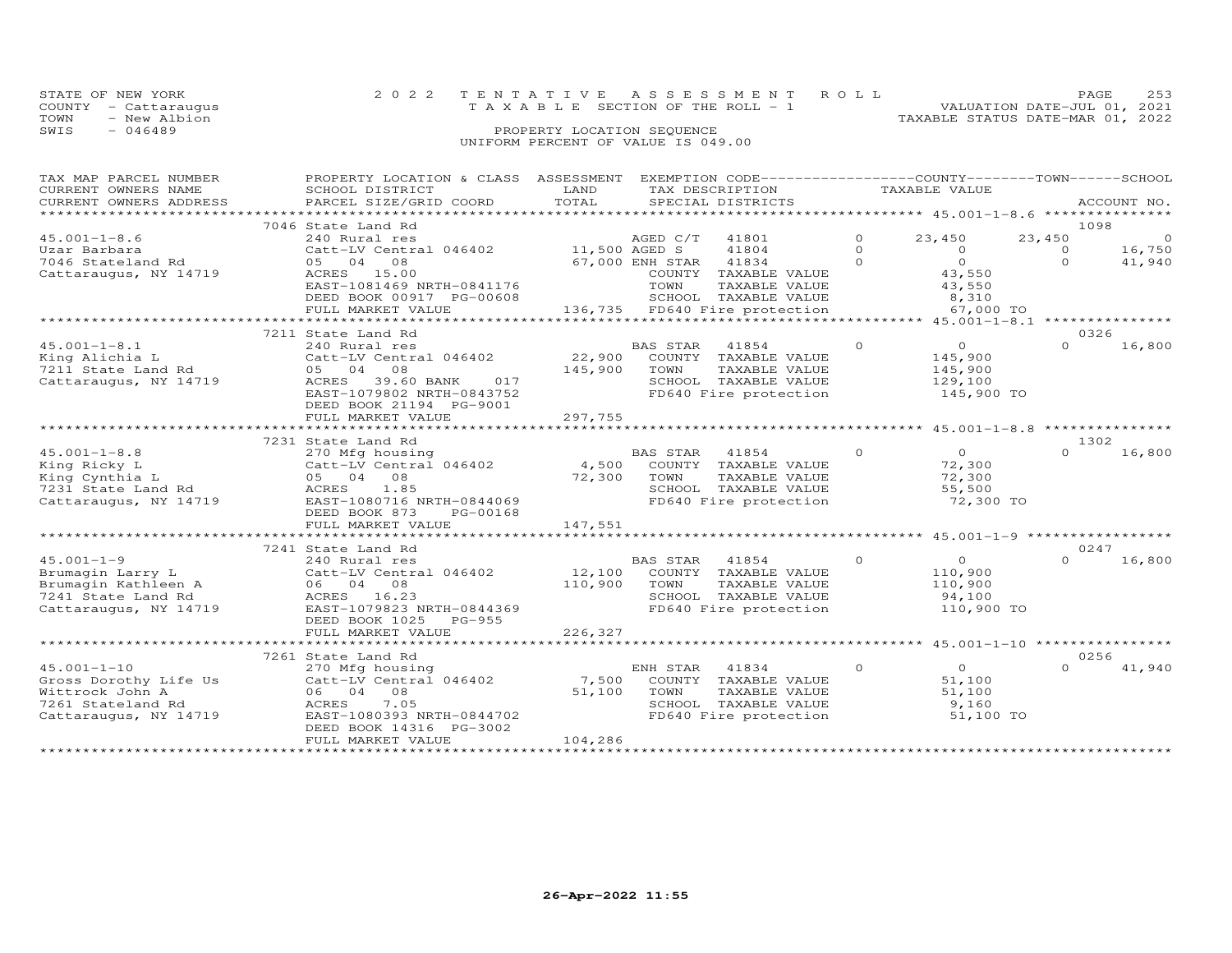| STATE OF NEW YORK    | 2022 TENTATIVE ASSESSMENT ROLL     | PAGE.                            |  |
|----------------------|------------------------------------|----------------------------------|--|
| COUNTY - Cattaraugus | TAXABLE SECTION OF THE ROLL - 1    | VALUATION DATE-JUL 01, 2021      |  |
| TOWN<br>- New Albion |                                    | TAXABLE STATUS DATE-MAR 01, 2022 |  |
| $-046489$<br>SWIS    | PROPERTY LOCATION SEQUENCE         |                                  |  |
|                      | UNIFORM PERCENT OF VALUE IS 049.00 |                                  |  |

| TAX MAP PARCEL NUMBER<br>CURRENT OWNERS NAME | PROPERTY LOCATION & CLASS ASSESSMENT<br>SCHOOL DISTRICT       | LAND    | EXEMPTION CODE-----------------COUNTY-------TOWN------SCHOOL<br>TAX DESCRIPTION |          | TAXABLE VALUE                    |                      |                  |
|----------------------------------------------|---------------------------------------------------------------|---------|---------------------------------------------------------------------------------|----------|----------------------------------|----------------------|------------------|
|                                              | PARCEL SIZE/GRID COORD                                        | TOTAL   |                                                                                 |          |                                  |                      |                  |
| CURRENT OWNERS ADDRESS                       |                                                               |         | SPECIAL DISTRICTS                                                               |          |                                  |                      | ACCOUNT NO.      |
|                                              | 7046 State Land Rd                                            |         |                                                                                 |          |                                  |                      | 1098             |
| $45.001 - 1 - 8.6$                           | 240 Rural res                                                 |         | AGED C/T 41801                                                                  | $\Omega$ | 23,450                           | 23,450               | $\overline{0}$   |
|                                              |                                                               |         |                                                                                 | $\Omega$ |                                  |                      |                  |
| Uzar Barbara                                 |                                                               |         | 41804                                                                           | $\Omega$ | $\overline{O}$<br>$\overline{O}$ | $\Omega$<br>$\Omega$ | 16,750<br>41,940 |
| 7046 Stateland Rd                            | 05 04 08                                                      |         | 67,000 ENH STAR 41834                                                           |          |                                  |                      |                  |
| Cattaraugus, NY 14719                        | ACRES 15.00                                                   |         | COUNTY TAXABLE VALUE                                                            |          | 43,550                           |                      |                  |
|                                              | EAST-1081469 NRTH-0841176                                     |         | TOWN<br>TAXABLE VALUE                                                           |          | 43,550                           |                      |                  |
|                                              | DEED BOOK 00917 PG-00608                                      |         | SCHOOL TAXABLE VALUE                                                            |          | 8,310                            |                      |                  |
|                                              | FULL MARKET VALUE                                             |         | 136,735 FD640 Fire protection                                                   |          | 67,000 TO                        |                      |                  |
|                                              |                                                               |         |                                                                                 |          |                                  |                      |                  |
|                                              | 7211 State Land Rd                                            |         |                                                                                 |          |                                  |                      | 0326             |
| $45.001 - 1 - 8.1$                           | 240 Rural res                                                 |         | BAS STAR<br>41854                                                               | $\circ$  | $\overline{O}$                   | $\cap$               | 16,800           |
| King Alichia L                               | Catt-LV Central 046402 22,900                                 |         | COUNTY TAXABLE VALUE                                                            |          | 145,900                          |                      |                  |
| 7211 State Land Rd                           | 05 04 08                                                      | 145,900 | TAXABLE VALUE<br>TOWN                                                           |          | 145,900<br>129,100               |                      |                  |
| Cattaraugus, NY 14719                        | 39.60 BANK 017<br>ACRES                                       |         | SCHOOL TAXABLE VALUE                                                            |          |                                  |                      |                  |
|                                              | EAST-1079802 NRTH-0843752                                     |         | FD640 Fire protection                                                           |          | 145,900 TO                       |                      |                  |
|                                              | DEED BOOK 21194 PG-9001                                       |         |                                                                                 |          |                                  |                      |                  |
|                                              | FULL MARKET VALUE                                             | 297,755 |                                                                                 |          |                                  |                      |                  |
|                                              |                                                               |         |                                                                                 |          |                                  |                      |                  |
|                                              | 7231 State Land Rd                                            |         |                                                                                 |          |                                  |                      | 1302             |
| $45.001 - 1 - 8.8$                           | 270 Mfg housing                                               |         | BAS STAR<br>41854                                                               | $\circ$  | $\overline{O}$                   | $\Omega$             | 16,800           |
| King Ricky L                                 | Catt-LV Central 046402 4,500<br>05 04 08 72,300<br>ACRES 1.85 |         | COUNTY TAXABLE VALUE                                                            |          | 72,300                           |                      |                  |
| King Cynthia L                               |                                                               |         | TOWN<br>TOWN     TAXABLE VALUE<br>SCHOOL   TAXABLE VALUE                        |          | 72,300                           |                      |                  |
| 7231 State Land Rd                           |                                                               |         |                                                                                 |          | 55,500                           |                      |                  |
| Cattaraugus, NY 14719                        | EAST-1080716 NRTH-0844069                                     |         | FD640 Fire protection                                                           |          | 72,300 TO                        |                      |                  |
|                                              | DEED BOOK 873<br>PG-00168                                     |         |                                                                                 |          |                                  |                      |                  |
|                                              | FULL MARKET VALUE                                             | 147,551 |                                                                                 |          |                                  |                      |                  |
|                                              |                                                               |         |                                                                                 |          |                                  |                      |                  |
|                                              | 7241 State Land Rd                                            |         |                                                                                 |          |                                  |                      | 0247             |
| $45.001 - 1 - 9$                             | 240 Rural res                                                 |         | BAS STAR 41854                                                                  | $\circ$  | $\overline{O}$                   | $\Omega$             | 16,800           |
| Brumagin Larry L                             | Catt-LV Central 046402                                        | 12,100  | COUNTY TAXABLE VALUE                                                            |          | 110,900                          |                      |                  |
| Brumagin Kathleen A                          | 06 04 08                                                      | 110,900 | TOWN                                                                            |          | 110,900                          |                      |                  |
| 7241 State Land Rd                           | ACRES 16.23                                                   |         | TOWN      TAXABLE VALUE<br>SCHOOL   TAXABLE VALUE                               |          | 94,100                           |                      |                  |
| Cattaraugus, NY 14719                        | EAST-1079823 NRTH-0844369                                     |         | FD640 Fire protection                                                           |          | 110,900 TO                       |                      |                  |
|                                              | DEED BOOK 1025 PG-955                                         |         |                                                                                 |          |                                  |                      |                  |
|                                              | FULL MARKET VALUE                                             | 226,327 |                                                                                 |          |                                  |                      |                  |
|                                              |                                                               |         |                                                                                 |          |                                  |                      |                  |
|                                              | 7261 State Land Rd                                            |         |                                                                                 |          |                                  |                      | 0256             |
| $45.001 - 1 - 10$                            | 270 Mfg housing                                               |         | ENH STAR 41834                                                                  | $\Omega$ | $\overline{O}$                   | $\cap$               | 41,940           |
| Gross Dorothy Life Us                        | Catt-LV Central 046402                                        | 7,500   | COUNTY TAXABLE VALUE                                                            |          | 51,100                           |                      |                  |
| Wittrock John A                              | 06 04 08                                                      | 51,100  |                                                                                 |          | 51,100                           |                      |                  |
| 7261 Stateland Rd                            | 7.05<br>ACRES                                                 |         | TOWN TAXABLE VALUE<br>SCHOOL TAXABLE VALUE                                      |          | 9,160                            |                      |                  |
| Cattaraugus, NY 14719                        | EAST-1080393 NRTH-0844702                                     |         | FD640 Fire protection                                                           |          | 51,100 TO                        |                      |                  |
|                                              | DEED BOOK 14316 PG-3002                                       |         |                                                                                 |          |                                  |                      |                  |
|                                              | FULL MARKET VALUE                                             | 104,286 |                                                                                 |          |                                  |                      |                  |
|                                              |                                                               |         |                                                                                 |          |                                  |                      |                  |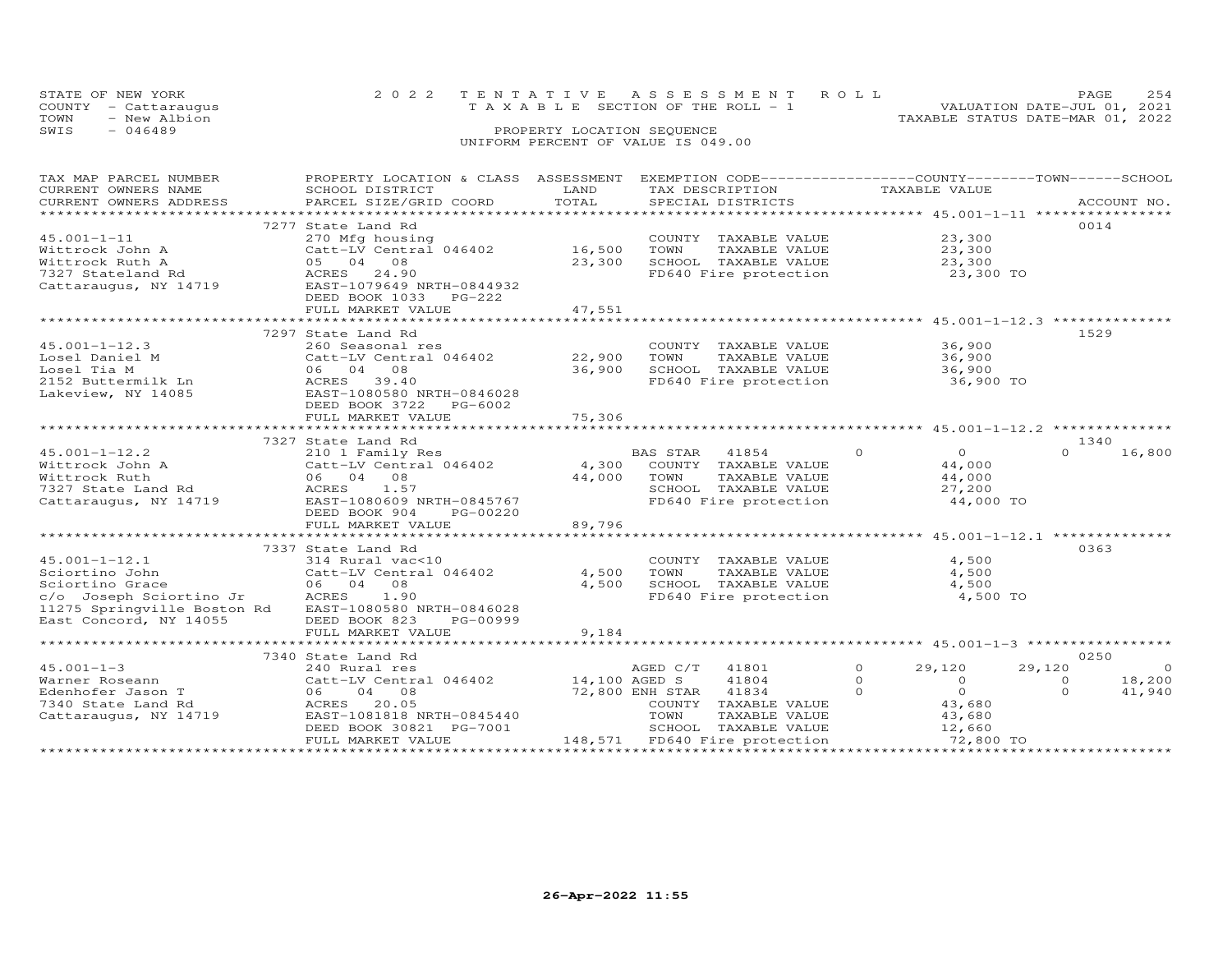|      | STATE OF NEW YORK    | 2022 TENTATIVE ASSESSMENT ROLL           |                            |  |                                  | <b>PAGE</b>                 | 2.54 |
|------|----------------------|------------------------------------------|----------------------------|--|----------------------------------|-----------------------------|------|
|      | COUNTY - Cattaraugus | $T A X A B L E$ SECTION OF THE ROLL $-1$ |                            |  |                                  | VALUATION DATE-JUL 01, 2021 |      |
| TOWN | - New Albion         |                                          |                            |  | TAXABLE STATUS DATE-MAR 01, 2022 |                             |      |
| SWIS | - 046489             |                                          | PROPERTY LOCATION SEQUENCE |  |                                  |                             |      |
|      |                      | UNIFORM PERCENT OF VALUE IS 049.00       |                            |  |                                  |                             |      |

| TAX MAP PARCEL NUMBER                                                                                                                                                                                                                                                                                                                                                                                                                                      | PROPERTY LOCATION & CLASS ASSESSMENT                                                                                                                                                                                           |        | EXEMPTION CODE------------------COUNTY-------TOWN------SCHOOL                                                                                                                                                                                                                                                                                               |                             |                          |
|------------------------------------------------------------------------------------------------------------------------------------------------------------------------------------------------------------------------------------------------------------------------------------------------------------------------------------------------------------------------------------------------------------------------------------------------------------|--------------------------------------------------------------------------------------------------------------------------------------------------------------------------------------------------------------------------------|--------|-------------------------------------------------------------------------------------------------------------------------------------------------------------------------------------------------------------------------------------------------------------------------------------------------------------------------------------------------------------|-----------------------------|--------------------------|
| CURRENT OWNERS NAME                                                                                                                                                                                                                                                                                                                                                                                                                                        | SCHOOL DISTRICT                                                                                                                                                                                                                | LAND   | TAX DESCRIPTION                                                                                                                                                                                                                                                                                                                                             | TAXABLE VALUE               |                          |
| .CURRENT OWNERS ADDRESS PARCEL SIZE/GRID COORD TOTAL SPECIAL DISTRICTS ACCOUNT NO ACCOUNT NO ACCOUNT NO ARE A LATA AND MALL THAT A LATA A LATA A LATA A LATA A LATA A LATA A LATA A LATA A LATA A LATA A LATA A LATA A LATA A                                                                                                                                                                                                                              |                                                                                                                                                                                                                                |        |                                                                                                                                                                                                                                                                                                                                                             |                             | ACCOUNT NO.              |
|                                                                                                                                                                                                                                                                                                                                                                                                                                                            |                                                                                                                                                                                                                                |        |                                                                                                                                                                                                                                                                                                                                                             |                             |                          |
|                                                                                                                                                                                                                                                                                                                                                                                                                                                            | 7277 State Land Rd                                                                                                                                                                                                             |        |                                                                                                                                                                                                                                                                                                                                                             |                             | 0014                     |
| $45.001 - 1 - 11$                                                                                                                                                                                                                                                                                                                                                                                                                                          | 270 Mfg housing                                                                                                                                                                                                                |        | COUNTY TAXABLE VALUE                                                                                                                                                                                                                                                                                                                                        | 23,300                      |                          |
| Wittrock John A                                                                                                                                                                                                                                                                                                                                                                                                                                            | z/u mrg nousing<br>Catt-LV Central 046402 16,500 TOWN                                                                                                                                                                          |        |                                                                                                                                                                                                                                                                                                                                                             |                             |                          |
|                                                                                                                                                                                                                                                                                                                                                                                                                                                            |                                                                                                                                                                                                                                | 23,300 | TOWN TAXABLE VALUE 23,300<br>SCHOOL TAXABLE VALUE 23,300                                                                                                                                                                                                                                                                                                    |                             |                          |
| Wittrock Ruth A<br>Vittrock Ruth A<br>7327 Stateland Rd 18 (1998)<br>Cattaraugus, NY 14719 EAST-1079649 NRTH-0844932                                                                                                                                                                                                                                                                                                                                       |                                                                                                                                                                                                                                |        | FD640 Fire protection 23,300 TO                                                                                                                                                                                                                                                                                                                             |                             |                          |
|                                                                                                                                                                                                                                                                                                                                                                                                                                                            |                                                                                                                                                                                                                                |        |                                                                                                                                                                                                                                                                                                                                                             |                             |                          |
|                                                                                                                                                                                                                                                                                                                                                                                                                                                            | DEED BOOK 1033 PG-222                                                                                                                                                                                                          |        |                                                                                                                                                                                                                                                                                                                                                             |                             |                          |
|                                                                                                                                                                                                                                                                                                                                                                                                                                                            | FULL MARKET VALUE                                                                                                                                                                                                              | 47,551 |                                                                                                                                                                                                                                                                                                                                                             |                             |                          |
|                                                                                                                                                                                                                                                                                                                                                                                                                                                            |                                                                                                                                                                                                                                |        |                                                                                                                                                                                                                                                                                                                                                             |                             |                          |
|                                                                                                                                                                                                                                                                                                                                                                                                                                                            | 7297 State Land Rd                                                                                                                                                                                                             |        |                                                                                                                                                                                                                                                                                                                                                             |                             | 1529                     |
|                                                                                                                                                                                                                                                                                                                                                                                                                                                            |                                                                                                                                                                                                                                |        |                                                                                                                                                                                                                                                                                                                                                             |                             |                          |
| $45.001 - 1 - 12.3$                                                                                                                                                                                                                                                                                                                                                                                                                                        | 260 Seasonal res<br>200 Seasonal Les<br>Catt-LV Central 046402 22,900 TOWN                                                                                                                                                     |        | COUNTY TAXABLE VALUE                                                                                                                                                                                                                                                                                                                                        | 36,900                      |                          |
|                                                                                                                                                                                                                                                                                                                                                                                                                                                            |                                                                                                                                                                                                                                |        | TAXABLE VALUE                                                                                                                                                                                                                                                                                                                                               | 36,900                      |                          |
|                                                                                                                                                                                                                                                                                                                                                                                                                                                            |                                                                                                                                                                                                                                | 36,900 | 10ww Indiana<br>SCHOOL TAXABLE VALUE 36,900<br>FD640 Fire protection 36,900 TO                                                                                                                                                                                                                                                                              |                             |                          |
| Losel Daniel M<br>Losel Tia M<br>2152 Buttermilk Ln<br>2152 Buttermilk Ln<br>2152 Buttermilk Ln<br>2152 Buttermilk Ln<br>2152 Buttermilk Ln<br>2252 Buttermilk Ln<br>2252 Buttermilk Ln<br>2252 Buttermilk Ln<br>2252 Buttermilk Ln<br>2252 Buttermi                                                                                                                                                                                                       | Collect - LV Centre - Catt - LV Centre - Collect - Collect - Collect - Collect - Collect - Collect - Collect - Collect - Collect - Collect - Collect - Collect - Collect - Collect - Collect - Collect - Collect - Collect - C |        |                                                                                                                                                                                                                                                                                                                                                             |                             |                          |
|                                                                                                                                                                                                                                                                                                                                                                                                                                                            |                                                                                                                                                                                                                                |        |                                                                                                                                                                                                                                                                                                                                                             |                             |                          |
|                                                                                                                                                                                                                                                                                                                                                                                                                                                            |                                                                                                                                                                                                                                |        |                                                                                                                                                                                                                                                                                                                                                             |                             |                          |
|                                                                                                                                                                                                                                                                                                                                                                                                                                                            | FULL MARKET VALUE                                                                                                                                                                                                              | 75,306 |                                                                                                                                                                                                                                                                                                                                                             |                             |                          |
|                                                                                                                                                                                                                                                                                                                                                                                                                                                            |                                                                                                                                                                                                                                |        |                                                                                                                                                                                                                                                                                                                                                             |                             |                          |
|                                                                                                                                                                                                                                                                                                                                                                                                                                                            | 7327 State Land Rd                                                                                                                                                                                                             |        |                                                                                                                                                                                                                                                                                                                                                             |                             | 1340                     |
|                                                                                                                                                                                                                                                                                                                                                                                                                                                            |                                                                                                                                                                                                                                |        |                                                                                                                                                                                                                                                                                                                                                             | $\overline{0}$              | $\Omega$<br>16,800       |
|                                                                                                                                                                                                                                                                                                                                                                                                                                                            |                                                                                                                                                                                                                                |        |                                                                                                                                                                                                                                                                                                                                                             | 44,000                      |                          |
| $\begin{array}{cccccc} \texttt{45.001--1-12.2} & \texttt{2101 Family Res} & \texttt{BAS STAR} & \texttt{41854} & \texttt{0} \\ \texttt{Wittrock John A} & \texttt{Catt-LV Central 046402} & \texttt{4,300 COUNTY TAXABLE VALUE} & \texttt{0} & \texttt{0} & \texttt{0} \\ \texttt{Wittrock Ruth} & \texttt{06} & \texttt{04} & \texttt{08} & \texttt{44,000 TOWN} & \texttt{TAXABLE VALUE} & \texttt{0} \\ \texttt{7327 State Land Rd} & \texttt{ACRES} &$ |                                                                                                                                                                                                                                |        | TAXABLE VALUE                                                                                                                                                                                                                                                                                                                                               | $44,000$<br>27.200          |                          |
|                                                                                                                                                                                                                                                                                                                                                                                                                                                            |                                                                                                                                                                                                                                |        |                                                                                                                                                                                                                                                                                                                                                             | 27,200                      |                          |
| Cattaraugus, NY 14719 EAST-1080609 NRTH-0845767                                                                                                                                                                                                                                                                                                                                                                                                            |                                                                                                                                                                                                                                |        | FD640 Fire protection 44,000 TO                                                                                                                                                                                                                                                                                                                             |                             |                          |
|                                                                                                                                                                                                                                                                                                                                                                                                                                                            | DEED BOOK 904<br>PG-00220                                                                                                                                                                                                      |        |                                                                                                                                                                                                                                                                                                                                                             |                             |                          |
|                                                                                                                                                                                                                                                                                                                                                                                                                                                            | FULL MARKET VALUE                                                                                                                                                                                                              | 89,796 |                                                                                                                                                                                                                                                                                                                                                             |                             |                          |
|                                                                                                                                                                                                                                                                                                                                                                                                                                                            |                                                                                                                                                                                                                                |        |                                                                                                                                                                                                                                                                                                                                                             |                             |                          |
|                                                                                                                                                                                                                                                                                                                                                                                                                                                            |                                                                                                                                                                                                                                |        |                                                                                                                                                                                                                                                                                                                                                             |                             | 0363                     |
|                                                                                                                                                                                                                                                                                                                                                                                                                                                            | 7337 State Land Rd                                                                                                                                                                                                             |        |                                                                                                                                                                                                                                                                                                                                                             |                             |                          |
|                                                                                                                                                                                                                                                                                                                                                                                                                                                            |                                                                                                                                                                                                                                |        | COUNTY TAXABLE VALUE<br>TOWN      TAXABLE VALUE                                                                                                                                                                                                                                                                                                             | 4,500                       |                          |
|                                                                                                                                                                                                                                                                                                                                                                                                                                                            |                                                                                                                                                                                                                                |        |                                                                                                                                                                                                                                                                                                                                                             | 4,500                       |                          |
| 45.001-1-12.1 314 Rural vac<10<br>Sciortino John Catt-LV Central 046402 4,500<br>Sciortino Grace 66 04 08<br>c/o Joseph Sciortino Jr ACRES 1.90 4,500<br>11275 Springville Boston Rd EAST-1080580 NRTH-0846028                                                                                                                                                                                                                                             |                                                                                                                                                                                                                                |        | SCHOOL TAXABLE VALUE<br>FD640 Fire protection                                                                                                                                                                                                                                                                                                               | 4,500                       |                          |
|                                                                                                                                                                                                                                                                                                                                                                                                                                                            |                                                                                                                                                                                                                                |        |                                                                                                                                                                                                                                                                                                                                                             | 4,500 TO                    |                          |
|                                                                                                                                                                                                                                                                                                                                                                                                                                                            |                                                                                                                                                                                                                                |        |                                                                                                                                                                                                                                                                                                                                                             |                             |                          |
| East Concord, NY 14055                                                                                                                                                                                                                                                                                                                                                                                                                                     | DEED BOOK 823<br>PG-00999                                                                                                                                                                                                      |        |                                                                                                                                                                                                                                                                                                                                                             |                             |                          |
|                                                                                                                                                                                                                                                                                                                                                                                                                                                            | FULL MARKET VALUE                                                                                                                                                                                                              | 9,184  |                                                                                                                                                                                                                                                                                                                                                             |                             |                          |
|                                                                                                                                                                                                                                                                                                                                                                                                                                                            |                                                                                                                                                                                                                                |        |                                                                                                                                                                                                                                                                                                                                                             |                             |                          |
|                                                                                                                                                                                                                                                                                                                                                                                                                                                            | 7340 State Land Rd                                                                                                                                                                                                             |        |                                                                                                                                                                                                                                                                                                                                                             |                             | 0250                     |
| $45.001 - 1 - 3$                                                                                                                                                                                                                                                                                                                                                                                                                                           | 240 Rural res                                                                                                                                                                                                                  |        | AGED C/T 41801                                                                                                                                                                                                                                                                                                                                              | $0 \qquad \qquad$<br>29,120 | $\overline{0}$<br>29,120 |
|                                                                                                                                                                                                                                                                                                                                                                                                                                                            | Catt-LV Central 046402 14,100 AGED S                                                                                                                                                                                           |        | 41804                                                                                                                                                                                                                                                                                                                                                       | $\Omega$<br>$\overline{0}$  | 18,200<br>$\Omega$       |
| Warner Roseaun<br>Edenhofer Jason T<br>ACRES 20.05<br>ACRES 20.05<br>Trem_1081818 1                                                                                                                                                                                                                                                                                                                                                                        |                                                                                                                                                                                                                                |        | 72,800 ENH STAR 41834<br>$\overline{a}$ and $\overline{a}$ and $\overline{a}$ and $\overline{a}$ and $\overline{a}$ and $\overline{a}$ and $\overline{a}$ and $\overline{a}$ and $\overline{a}$ and $\overline{a}$ and $\overline{a}$ and $\overline{a}$ and $\overline{a}$ and $\overline{a}$ and $\overline{a}$ and $\overline{a}$ and $\overline{a}$ and | $\overline{0}$              | $\Omega$<br>41,940       |
|                                                                                                                                                                                                                                                                                                                                                                                                                                                            |                                                                                                                                                                                                                                |        | COUNTY TAXABLE VALUE                                                                                                                                                                                                                                                                                                                                        | $0$<br>43,680               |                          |
| Cattaraugus, NY 14719                                                                                                                                                                                                                                                                                                                                                                                                                                      | EAST-1081818 NRTH-0845440                                                                                                                                                                                                      |        |                                                                                                                                                                                                                                                                                                                                                             |                             |                          |
|                                                                                                                                                                                                                                                                                                                                                                                                                                                            | DEED BOOK 30821 PG-7001                                                                                                                                                                                                        |        | TOWN TAXABLE VALUE<br>SCHOOL TAXABLE VALUE                                                                                                                                                                                                                                                                                                                  | 43,680<br>12,660            |                          |
|                                                                                                                                                                                                                                                                                                                                                                                                                                                            | FULL MARKET VALUE                                                                                                                                                                                                              |        | 148,571 FD640 Fire protection                                                                                                                                                                                                                                                                                                                               | 72,800 TO                   |                          |
|                                                                                                                                                                                                                                                                                                                                                                                                                                                            |                                                                                                                                                                                                                                |        |                                                                                                                                                                                                                                                                                                                                                             |                             |                          |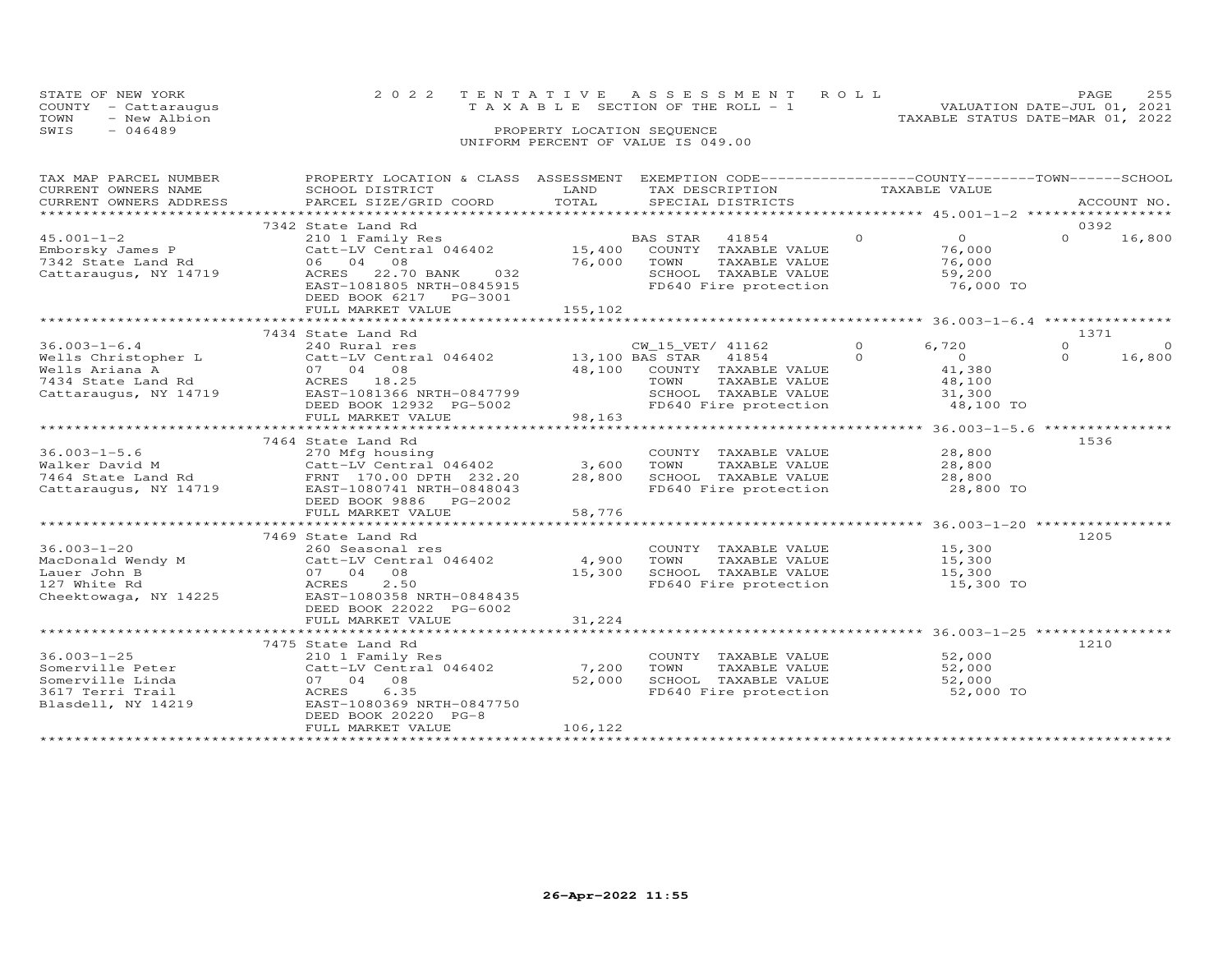| STATE OF NEW YORK<br>COUNTY<br>- Cattaraugus<br>- New Albion<br>TOWN<br>$-046489$<br>SWIS | 2 0 2 2<br>TAXABLE                           | TENTATIVE<br>PROPERTY LOCATION SEQUENCE | A S S E S S M E N T<br>SECTION OF THE ROLL - 1<br>UNIFORM PERCENT OF VALUE IS 049.00 | ROLL | VALUATION DATE-JUL 01,<br>TAXABLE STATUS DATE-MAR 01, 2022 | PAGE    | 255<br>2021 |
|-------------------------------------------------------------------------------------------|----------------------------------------------|-----------------------------------------|--------------------------------------------------------------------------------------|------|------------------------------------------------------------|---------|-------------|
| TAX MAP PARCEL NUMBER<br>CURRENT OWNERS NAME                                              | PROPERTY LOCATION & CLASS<br>SCHOOL DISTRICT | ASSESSMENT<br>LAND                      | EXEMPTION CODE-----------------COUNTY-------TOWN------SCHOOL<br>TAX DESCRIPTION      |      | TAXABLE VALUE                                              |         |             |
|                                                                                           |                                              |                                         |                                                                                      |      |                                                            |         |             |
| CURRENT OWNERS ADDRESS<br>*************************                                       | PARCEL SIZE/GRID COORD                       | TOTAL                                   | SPECIAL DISTRICTS                                                                    |      |                                                            |         | ACCOUNT NO. |
|                                                                                           |                                              |                                         |                                                                                      |      |                                                            |         |             |
|                                                                                           | 7342 State Land Rd                           |                                         |                                                                                      |      |                                                            | 0392    |             |
| $45.001 - 1 - 2$                                                                          | 210 1 Family Res                             |                                         | 41854<br>BAS STAR                                                                    |      | $\circ$                                                    | $\circ$ | 16,800      |
| Emborsky James P                                                                          | Catt-LV Central 046402                       | 15,400                                  | COUNTY<br>TAXABLE VALUE                                                              |      | 76,000                                                     |         |             |
| 7342 State Land Rd                                                                        | 06 04<br>08                                  | 76,000                                  | TOWN<br>TAXABLE VALUE                                                                |      | 76,000                                                     |         |             |
| Cattaraugus, NY 14719                                                                     | 22.70 BANK<br>032<br>ACRES                   |                                         | TAXABLE VALUE<br>SCHOOL                                                              |      | 59,200                                                     |         |             |
|                                                                                           | EAST-1081805 NRTH-0845915                    |                                         | FD640 Fire protection                                                                |      | 76,000 TO                                                  |         |             |
|                                                                                           | DEED BOOK 6217<br>PG-3001                    |                                         |                                                                                      |      |                                                            |         |             |
|                                                                                           | FULL MARKET VALUE                            | 155,102                                 |                                                                                      |      |                                                            |         |             |
|                                                                                           |                                              |                                         |                                                                                      |      |                                                            |         |             |

|                       | 7434 State Land Rd                                                                                                                                                                                                                   |         |                                 |               |                      | 1371     |                |
|-----------------------|--------------------------------------------------------------------------------------------------------------------------------------------------------------------------------------------------------------------------------------|---------|---------------------------------|---------------|----------------------|----------|----------------|
| $36.003 - 1 - 6.4$    | 240 Rural res                                                                                                                                                                                                                        |         |                                 |               |                      | $\Omega$ | $\overline{O}$ |
|                       | Vells Christopher L (2011-102) 2012 13,100 BAS STAR 41854 (1854)<br>Wells Ariana A (1970-1980) 2012 13,100 BAS STAR 41854 (1854) 0<br>7434 State Land Rd (1871) 2012 2012 2012 2013 (1872) 2013<br>2020 2020 2020 2020 2021 2013 201 |         |                                 |               |                      | $\Omega$ | 16,800         |
|                       |                                                                                                                                                                                                                                      |         |                                 |               |                      |          |                |
|                       |                                                                                                                                                                                                                                      |         |                                 | TAXABLE VALUE | 48,100               |          |                |
|                       | Cattaraugus, NY 14719 EAST-1081366 NRTH-0847799                                                                                                                                                                                      |         | SCHOOL TAXABLE VALUE            |               | 31,300               |          |                |
|                       | DEED BOOK 12932 PG-5002<br>FULL MARKET VALUE 98,163                                                                                                                                                                                  |         | FD640 Fire protection 48,100 TO |               |                      |          |                |
|                       |                                                                                                                                                                                                                                      |         |                                 |               |                      |          |                |
|                       |                                                                                                                                                                                                                                      |         |                                 |               |                      |          |                |
|                       | 7464 State Land Rd                                                                                                                                                                                                                   |         |                                 |               |                      | 1536     |                |
| $36.003 - 1 - 5.6$    | 270 Mfg housing and the manufacturer                                                                                                                                                                                                 |         | COUNTY TAXABLE VALUE            |               | 28,800               |          |                |
|                       | Walker David M $Cat-tV$ Central 046402 3,600                                                                                                                                                                                         |         | TOWN TAXABLE VALUE              |               | 28,800               |          |                |
|                       |                                                                                                                                                                                                                                      |         | SCHOOL TAXABLE VALUE            |               | 28,800               |          |                |
|                       |                                                                                                                                                                                                                                      |         | FD640 Fire protection           |               | 28,800 TO            |          |                |
|                       | 58,776                                                                                                                                                                                                                               |         |                                 |               |                      |          |                |
|                       | FULL MARKET VALUE                                                                                                                                                                                                                    |         |                                 |               |                      |          |                |
|                       | 7469 State Land Rd                                                                                                                                                                                                                   |         |                                 |               |                      | 1205     |                |
| 36.003-1-20           | 260 Seasonal res                                                                                                                                                                                                                     |         | COUNTY TAXABLE VALUE 15,300     |               |                      |          |                |
|                       |                                                                                                                                                                                                                                      |         |                                 |               | TAXABLE VALUE 15,300 |          |                |
|                       |                                                                                                                                                                                                                                      |         | SCHOOL TAXABLE VALUE 15,300     |               |                      |          |                |
|                       |                                                                                                                                                                                                                                      |         | FD640 Fire protection 15,300 TO |               |                      |          |                |
| Cheektowaga, NY 14225 | EAST-1080358 NRTH-0848435                                                                                                                                                                                                            |         |                                 |               |                      |          |                |
|                       | DEED BOOK 22022 PG-6002                                                                                                                                                                                                              |         |                                 |               |                      |          |                |
|                       | FULL MARKET VALUE                                                                                                                                                                                                                    | 31,224  |                                 |               |                      |          |                |
|                       |                                                                                                                                                                                                                                      |         |                                 |               |                      |          |                |
|                       | 7475 State Land Rd                                                                                                                                                                                                                   |         |                                 |               |                      | 1210     |                |
| $36.003 - 1 - 25$     | 210 1 Family Res                                                                                                                                                                                                                     |         | COUNTY TAXABLE VALUE            |               | 52,000               |          |                |
| Somerville Peter      | Catt-LV Central 046402                                                                                                                                                                                                               |         | 7,200 TOWN TAXABLE VALUE        |               | 52,000               |          |                |
| Somerville Linda      | 07 04 08                                                                                                                                                                                                                             | 52,000  | SCHOOL TAXABLE VALUE            |               | 52,000               |          |                |
| 3617 Terri Trail      | 6.35<br>ACRES                                                                                                                                                                                                                        |         | FD640 Fire protection 52,000 TO |               |                      |          |                |
| Blasdell, NY 14219    | EAST-1080369 NRTH-0847750                                                                                                                                                                                                            |         |                                 |               |                      |          |                |
|                       | DEED BOOK 20220 PG-8                                                                                                                                                                                                                 |         |                                 |               |                      |          |                |
|                       | FULL MARKET VALUE                                                                                                                                                                                                                    | 106,122 |                                 |               |                      |          |                |
|                       |                                                                                                                                                                                                                                      |         |                                 |               |                      |          |                |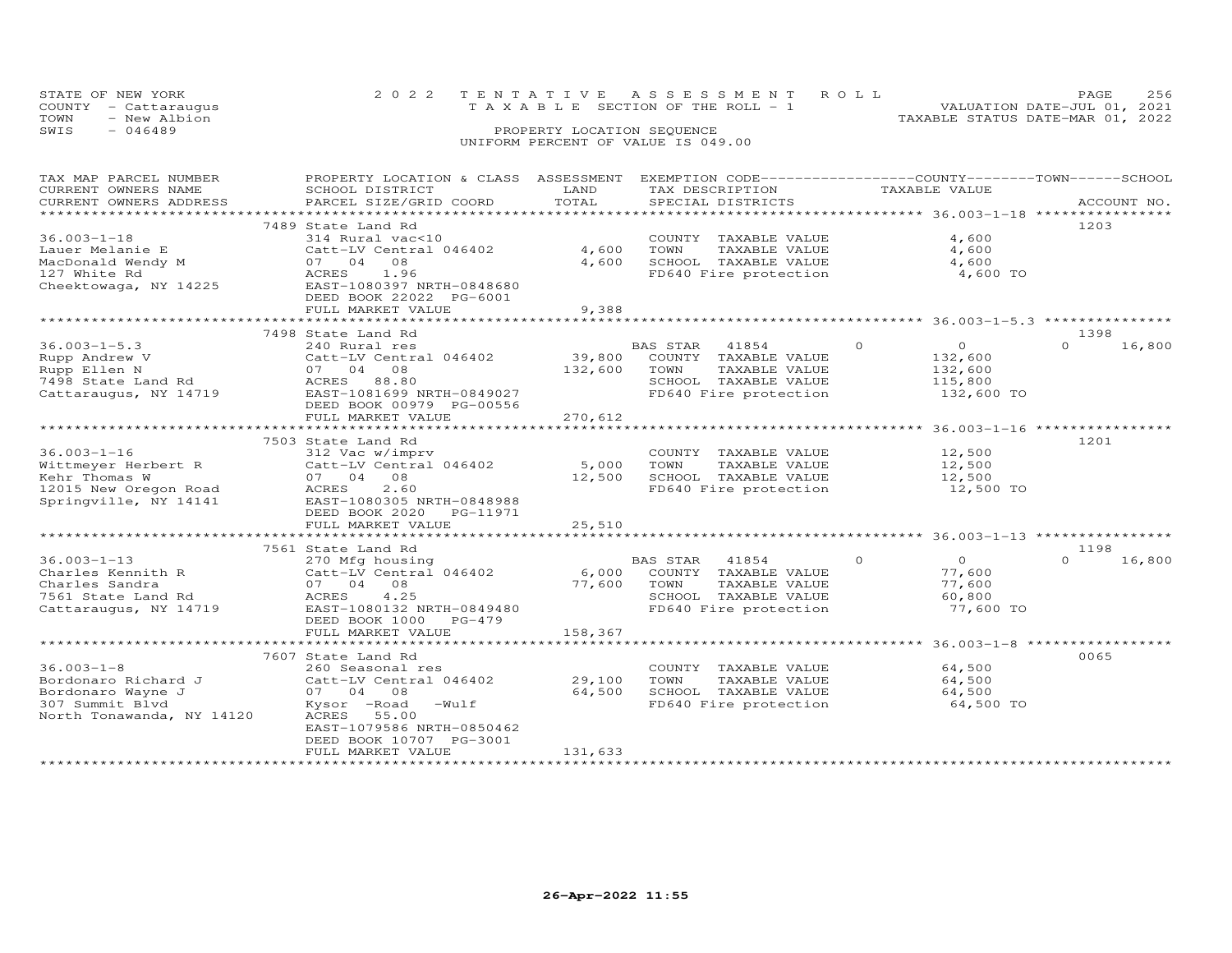|      | STATE OF NEW YORK    | 2022 TENTATIVE ASSESSMENT ROLL        | PAGE                        | 256 |
|------|----------------------|---------------------------------------|-----------------------------|-----|
|      | COUNTY - Cattaraugus | T A X A B L E SECTION OF THE ROLL - 1 | VALUATION DATE-JUL 01, 2021 |     |
| TOWN | - New Albion         | TAXABLE STATUS DATE-MAR 01, 2022      |                             |     |
| SWIS | $-046489$            | PROPERTY LOCATION SEQUENCE            |                             |     |
|      |                      | UNIFORM PERCENT OF VALUE IS 049.00    |                             |     |

| TAX MAP PARCEL NUMBER                          | PROPERTY LOCATION & CLASS ASSESSMENT EXEMPTION CODE----------------COUNTY-------TOWN------SCHOOL |             |                            |                                                            |          |                |          |             |
|------------------------------------------------|--------------------------------------------------------------------------------------------------|-------------|----------------------------|------------------------------------------------------------|----------|----------------|----------|-------------|
| CURRENT OWNERS NAME                            | SCHOOL DISTRICT                                                                                  | LAND        | TAX DESCRIPTION            |                                                            |          | TAXABLE VALUE  |          |             |
| CURRENT OWNERS ADDRESS                         | PARCEL SIZE/GRID COORD                                                                           | TOTAL       | SPECIAL DISTRICTS          |                                                            |          |                |          | ACCOUNT NO. |
|                                                |                                                                                                  |             |                            |                                                            |          |                |          |             |
|                                                | 7489 State Land Rd                                                                               |             |                            |                                                            |          |                | 1203     |             |
| $36.003 - 1 - 18$                              | 314 Rural vac<10                                                                                 |             |                            | COUNTY TAXABLE VALUE                                       |          | 4,600          |          |             |
| Lauer Melanie E                                | Catt-LV Central 046402                                                                           | 4,600       | TOWN                       | TAXABLE VALUE                                              |          | 4,600          |          |             |
| MacDonald Wendy M                              | 07 04 08                                                                                         | 4,600       |                            | SCHOOL TAXABLE VALUE                                       |          | 4,600          |          |             |
| 127 White Rd                                   | ACRES<br>1.96                                                                                    |             |                            | FD640 Fire protection                                      |          | 4,600 TO       |          |             |
| Cheektowaga, NY 14225                          | EAST-1080397 NRTH-0848680                                                                        |             |                            |                                                            |          |                |          |             |
|                                                | DEED BOOK 22022 PG-6001                                                                          |             |                            |                                                            |          |                |          |             |
|                                                | FULL MARKET VALUE                                                                                | 9,388       |                            |                                                            |          |                |          |             |
|                                                | ********************************                                                                 |             |                            |                                                            |          |                |          |             |
|                                                | 7498 State Land Rd                                                                               |             |                            |                                                            |          |                | 1398     |             |
| $36.003 - 1 - 5.3$                             | 240 Rural res                                                                                    |             | BAS STAR                   | 41854                                                      | $\Omega$ | $\overline{O}$ | $\Omega$ | 16,800      |
| Rupp Andrew V                                  | Catt-LV Central 046402                                                                           | 39,800      |                            | COUNTY TAXABLE VALUE                                       |          | 132,600        |          |             |
| Rupp Ellen N                                   | 07 04 08                                                                                         | 132,600     | TOWN                       | TAXABLE VALUE                                              |          | 132,600        |          |             |
| 7498 State Land Rd                             | ACRES 88.80                                                                                      |             |                            | SCHOOL TAXABLE VALUE                                       |          | 115,800        |          |             |
| Cattaraugus, NY 14719                          | EAST-1081699 NRTH-0849027                                                                        |             |                            | FD640 Fire protection                                      |          | 132,600 TO     |          |             |
|                                                |                                                                                                  |             |                            |                                                            |          |                |          |             |
|                                                | DEED BOOK 00979 PG-00556                                                                         |             |                            |                                                            |          |                |          |             |
|                                                | FULL MARKET VALUE                                                                                | 270,612     |                            |                                                            |          |                |          |             |
|                                                |                                                                                                  |             |                            |                                                            |          |                |          |             |
|                                                | 7503 State Land Rd                                                                               |             |                            |                                                            |          |                | 1201     |             |
| $36.003 - 1 - 16$                              | 312 Vac w/imprv                                                                                  |             |                            | COUNTY TAXABLE VALUE                                       |          | 12,500         |          |             |
| Wittmeyer Herbert R                            | $Catt-LV$ Central $046402$ 5,000                                                                 |             | TOWN                       | TAXABLE VALUE                                              |          | 12,500         |          |             |
| Kehr Thomas W                                  | 07 04 08                                                                                         | 12,500      |                            | SCHOOL TAXABLE VALUE<br>FD640 Fire protection              |          | 12,500         |          |             |
| 12015 New Oregon Road<br>Springville, NY 14141 | 2.60<br>ACRES                                                                                    |             |                            |                                                            |          | 12,500 TO      |          |             |
|                                                | EAST-1080305 NRTH-0848988                                                                        |             |                            |                                                            |          |                |          |             |
|                                                | DEED BOOK 2020 PG-11971                                                                          |             |                            |                                                            |          |                |          |             |
|                                                | FULL MARKET VALUE                                                                                | 25,510      |                            |                                                            |          |                |          |             |
|                                                | *************************                                                                        |             |                            | **************************** 36.003-1-13 ***************** |          |                |          |             |
|                                                | 7561 State Land Rd                                                                               |             |                            |                                                            |          |                | 1198     |             |
| $36.003 - 1 - 13$                              | 270 Mfg housing                                                                                  |             | BAS STAR                   | 41854                                                      | $\circ$  | $\overline{0}$ | $\Omega$ | 16,800      |
| Charles Kennith R                              | Catt-LV Central 046402                                                                           |             | 6,000 COUNTY TAXABLE VALUE |                                                            |          | 77,600         |          |             |
| Charles Sandra                                 | 07 04 08                                                                                         | 77,600 TOWN |                            | TAXABLE VALUE                                              |          | 77,600         |          |             |
| 7561 State Land Rd                             | ACRES<br>4.25                                                                                    |             |                            | SCHOOL TAXABLE VALUE                                       |          | 60,800         |          |             |
| Cattaraugus, NY 14719                          | EAST-1080132 NRTH-0849480                                                                        |             |                            | FD640 Fire protection                                      |          | 77,600 TO      |          |             |
|                                                | DEED BOOK 1000 PG-479                                                                            |             |                            |                                                            |          |                |          |             |
|                                                | FULL MARKET VALUE                                                                                | 158,367     |                            |                                                            |          |                |          |             |
|                                                |                                                                                                  |             |                            |                                                            |          |                |          |             |
|                                                | 7607 State Land Rd                                                                               |             |                            |                                                            |          |                | 0065     |             |
| $36.003 - 1 - 8$                               | 260 Seasonal res                                                                                 |             |                            | COUNTY TAXABLE VALUE                                       |          | 64,500         |          |             |
| Bordonaro Richard J                            | Catt-LV Central 046402                                                                           | 29,100      | TOWN                       | TAXABLE VALUE                                              |          | 64,500         |          |             |
| Bordonaro Wayne J                              | 07 04 08                                                                                         | 64,500      |                            | SCHOOL TAXABLE VALUE                                       |          | 64,500         |          |             |
| 307 Summit Blvd                                | Kysor -Road -Wulf                                                                                |             |                            | FD640 Fire protection                                      |          | 64,500 TO      |          |             |
| North Tonawanda, NY 14120                      | ACRES 55.00                                                                                      |             |                            |                                                            |          |                |          |             |
|                                                | EAST-1079586 NRTH-0850462                                                                        |             |                            |                                                            |          |                |          |             |
|                                                | DEED BOOK 10707 PG-3001                                                                          |             |                            |                                                            |          |                |          |             |
|                                                |                                                                                                  | 131,633     |                            |                                                            |          |                |          |             |
|                                                | FULL MARKET VALUE                                                                                |             |                            |                                                            |          |                |          |             |
|                                                |                                                                                                  |             |                            |                                                            |          |                |          |             |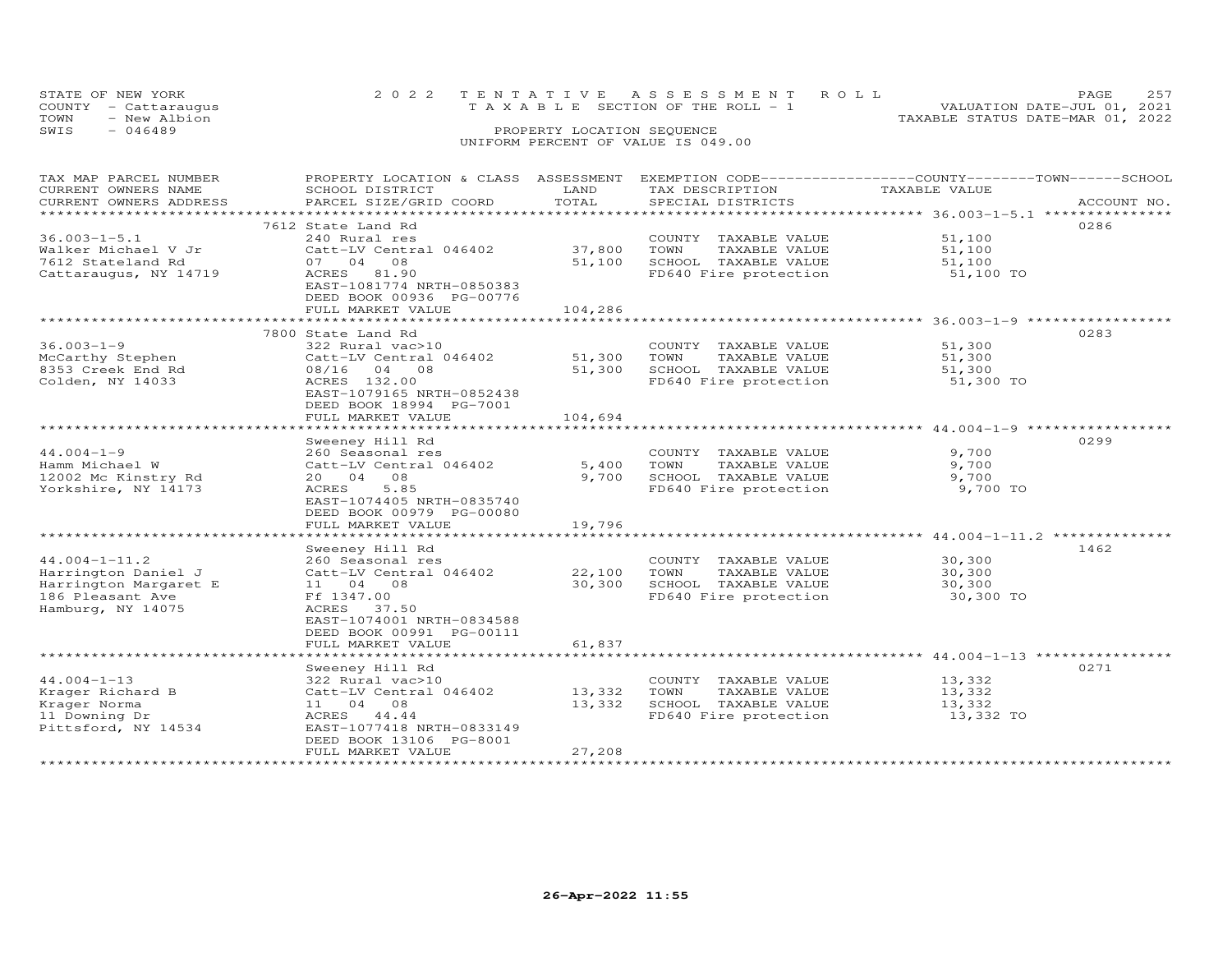| STATE OF NEW YORK       |                           |                            | 2022 TENTATIVE ASSESSMENT ROLL        |               | PAGE                                                        | 257 |
|-------------------------|---------------------------|----------------------------|---------------------------------------|---------------|-------------------------------------------------------------|-----|
| COUNTY<br>- Cattaraugus |                           |                            | T A X A B L E SECTION OF THE ROLL - 1 |               | VALUATION DATE-JUL 01, 2021                                 |     |
| TOWN<br>- New Albion    |                           |                            |                                       |               | TAXABLE STATUS DATE-MAR 01, 2022                            |     |
| SWIS<br>$-046489$       |                           | PROPERTY LOCATION SEQUENCE |                                       |               |                                                             |     |
|                         |                           |                            | UNIFORM PERCENT OF VALUE IS 049.00    |               |                                                             |     |
|                         |                           |                            |                                       |               |                                                             |     |
|                         |                           |                            |                                       |               |                                                             |     |
| TAX MAP PARCEL NUMBER   | PROPERTY LOCATION & CLASS | ASSESSMENT                 |                                       |               | EXEMPTION CODE-----------------COUNTY-------TOWN-----SCHOOL |     |
| CURRENT OWNERS NAME     | SCHOOL DISTRICT           | LAND                       | TAX DESCRIPTION                       | TAXABLE VALUE |                                                             |     |
| CURRENT OWNERS ADDRESS  | PARCEL SIZE/GRID COORD    | TOTAL                      | SPECIAL DISTRICTS                     |               | ACCOUNT NO.                                                 |     |
|                         |                           |                            |                                       |               |                                                             |     |
|                         | 7612 State Land Rd        |                            |                                       |               | 0286                                                        |     |

|                       | 1012 State Land Rd        |         |                         |                                         | ∪∠○○ |
|-----------------------|---------------------------|---------|-------------------------|-----------------------------------------|------|
| $36.003 - 1 - 5.1$    | 240 Rural res             |         | COUNTY TAXABLE VALUE    | 51,100                                  |      |
| Walker Michael V Jr   | Catt-LV Central 046402    | 37,800  | TOWN<br>TAXABLE VALUE   | 51,100                                  |      |
| 7612 Stateland Rd     | 04<br>08<br>07            | 51,100  | SCHOOL TAXABLE VALUE    | 51,100                                  |      |
| Cattaraugus, NY 14719 | 81.90<br>ACRES            |         | FD640 Fire protection   | 51,100 TO                               |      |
|                       | EAST-1081774 NRTH-0850383 |         |                         |                                         |      |
|                       | DEED BOOK 00936 PG-00776  |         |                         |                                         |      |
|                       |                           |         |                         |                                         |      |
|                       | FULL MARKET VALUE         | 104,286 |                         |                                         |      |
|                       |                           |         |                         | $************36.003-1-9$                |      |
|                       | 7800 State Land Rd        |         |                         |                                         | 0283 |
| $36.003 - 1 - 9$      | 322 Rural vac>10          |         | COUNTY TAXABLE VALUE    | 51,300                                  |      |
| McCarthy Stephen      | Catt-LV Central 046402    | 51,300  | TOWN<br>TAXABLE VALUE   | 51,300                                  |      |
| 8353 Creek End Rd     | 08/16 04<br>08            | 51,300  | SCHOOL TAXABLE VALUE    | 51,300                                  |      |
| Colden, NY 14033      | ACRES 132.00              |         | FD640 Fire protection   | 51,300 TO                               |      |
|                       | EAST-1079165 NRTH-0852438 |         |                         |                                         |      |
|                       | DEED BOOK 18994 PG-7001   |         |                         |                                         |      |
|                       | FULL MARKET VALUE         | 104,694 |                         |                                         |      |
|                       | ************************* |         |                         |                                         |      |
|                       | Sweeney Hill Rd           |         |                         |                                         | 0299 |
|                       |                           |         |                         |                                         |      |
| $44.004 - 1 - 9$      | 260 Seasonal res          |         | COUNTY<br>TAXABLE VALUE | 9,700                                   |      |
| Hamm Michael W        | Catt-LV Central 046402    | 5,400   | TOWN<br>TAXABLE VALUE   | 9,700                                   |      |
| 12002 Mc Kinstry Rd   | 08<br>20 04               | 9,700   | SCHOOL TAXABLE VALUE    | 9,700                                   |      |
| Yorkshire, NY 14173   | <b>ACRES</b><br>5.85      |         | FD640 Fire protection   | 9,700 TO                                |      |
|                       | EAST-1074405 NRTH-0835740 |         |                         |                                         |      |
|                       | DEED BOOK 00979 PG-00080  |         |                         |                                         |      |
|                       | FULL MARKET VALUE         | 19,796  |                         |                                         |      |
|                       | *******************       |         |                         | **************** 44.004-1-11.2 ******** |      |
|                       | Sweeney Hill Rd           |         |                         |                                         | 1462 |
| $44.004 - 1 - 11.2$   | 260 Seasonal res          |         | COUNTY TAXABLE VALUE    | 30,300                                  |      |
| Harrington Daniel J   | Catt-LV Central 046402    | 22,100  | TOWN<br>TAXABLE VALUE   | 30,300                                  |      |
| Harrington Margaret E | 11 04 08                  | 30,300  | SCHOOL TAXABLE VALUE    | 30,300                                  |      |
| 186 Pleasant Ave      | Ff 1347.00                |         | FD640 Fire protection   | 30,300 TO                               |      |
|                       | ACRES<br>37.50            |         |                         |                                         |      |
| Hamburg, NY 14075     |                           |         |                         |                                         |      |
|                       | EAST-1074001 NRTH-0834588 |         |                         |                                         |      |
|                       | DEED BOOK 00991 PG-00111  |         |                         |                                         |      |
|                       | FULL MARKET VALUE         | 61,837  |                         |                                         |      |
|                       |                           |         |                         | ************* 44.004-1-13 **********    |      |
|                       | Sweeney Hill Rd           |         |                         |                                         | 0271 |
| $44.004 - 1 - 13$     | 322 Rural vac>10          |         | COUNTY TAXABLE VALUE    | 13,332                                  |      |
| Krager Richard B      | Catt-LV Central 046402    | 13,332  | TOWN<br>TAXABLE VALUE   | 13,332                                  |      |
| Krager Norma          | 11 04 08                  | 13,332  | SCHOOL TAXABLE VALUE    | 13,332                                  |      |
| 11 Downing Dr         | ACRES 44.44               |         | FD640 Fire protection   | 13,332 TO                               |      |
| Pittsford, NY 14534   | EAST-1077418 NRTH-0833149 |         |                         |                                         |      |
|                       | DEED BOOK 13106 PG-8001   |         |                         |                                         |      |
|                       | FULL MARKET VALUE         | 27,208  |                         |                                         |      |
|                       |                           |         |                         |                                         |      |
|                       |                           |         |                         |                                         |      |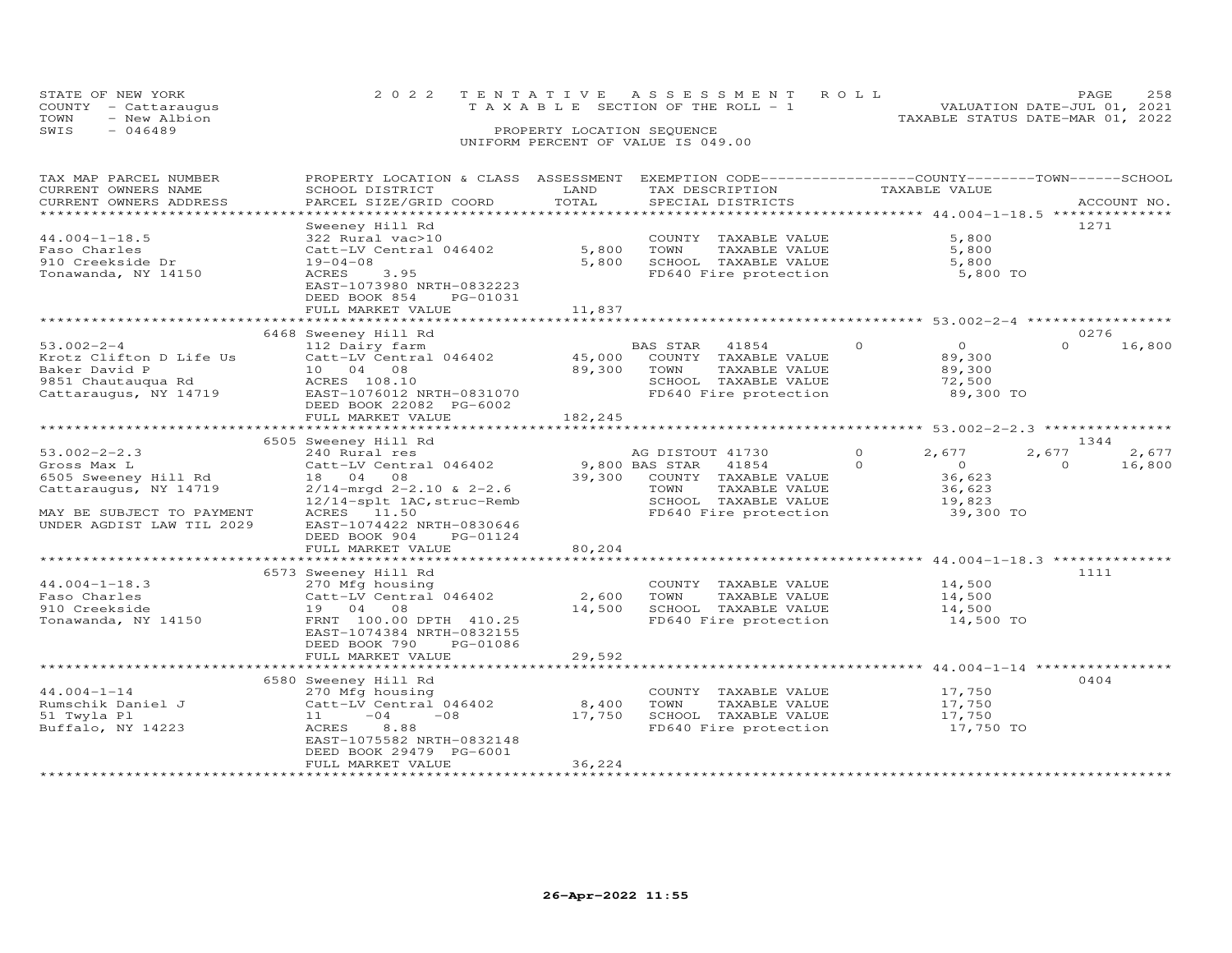| TOWN<br>- New Albion<br>$-046489$<br>SWIS                                                                                                    |                                                                                                                                                                                                                                                                                                                                                                                                                                                                                                                                                                                   | PROPERTY LOCATION SEQUENCE | UNIFORM PERCENT OF VALUE IS 049.00                                                                                                                |                      | TAXABLE STATUS DATE-MAR 01, 2022                             |                   |                         |
|----------------------------------------------------------------------------------------------------------------------------------------------|-----------------------------------------------------------------------------------------------------------------------------------------------------------------------------------------------------------------------------------------------------------------------------------------------------------------------------------------------------------------------------------------------------------------------------------------------------------------------------------------------------------------------------------------------------------------------------------|----------------------------|---------------------------------------------------------------------------------------------------------------------------------------------------|----------------------|--------------------------------------------------------------|-------------------|-------------------------|
| TAX MAP PARCEL NUMBER<br>CURRENT OWNERS NAME<br>CURRENT OWNERS ADDRESS<br>******************************                                     | PROPERTY LOCATION & CLASS ASSESSMENT<br>SCHOOL DISTRICT<br>$\begin{minipage}{.45\textwidth} \begin{minipage}{.45\textwidth} \begin{minipage}{.45\textwidth} \begin{minipage}{.45\textwidth} \begin{minipage}{.45\textwidth} \begin{minipage}{.45\textwidth} \begin{minipage}{.45\textwidth} \begin{minipage}{.45\textwidth} \begin{minipage}{.45\textwidth} \begin{minipage}{.45\textwidth} \begin{minipage}{.45\textwidth} \begin{minipage}{.45\textwidth} \begin{minipage}{.45\textwidth} \begin{minipage}{.45\textwidth} \begin{minipage}{.45\textwidth} \begin{minipage}{.45$ | LAND                       | EXEMPTION CODE-----------------COUNTY-------TOWN------SCHOOL<br>TAX DESCRIPTION                                                                   |                      | TAXABLE VALUE                                                |                   |                         |
| $44.004 - 1 - 18.5$<br>Faso Charles<br>910 Creekside Dr<br>Tonawanda, NY 14150                                                               | Sweeney Hill Rd<br>322 Rural vac>10<br>Catt-LV Central 046402<br>$19 - 04 - 08$<br>3.95<br>ACRES<br>EAST-1073980 NRTH-0832223<br>DEED BOOK 854<br>PG-01031<br>FULL MARKET VALUE                                                                                                                                                                                                                                                                                                                                                                                                   | 5,800<br>5,800<br>11,837   | COUNTY TAXABLE VALUE<br>TAXABLE VALUE<br>TOWN<br>SCHOOL TAXABLE VALUE<br>FD640 Fire protection                                                    |                      | 5,800<br>5,800<br>5,800<br>5,800 TO                          | 1271              |                         |
|                                                                                                                                              | ***************************                                                                                                                                                                                                                                                                                                                                                                                                                                                                                                                                                       |                            |                                                                                                                                                   |                      |                                                              |                   |                         |
| $53.002 - 2 - 4$<br>Krotz Clifton D Life Us<br>Baker David P                                                                                 | 6468 Sweeney Hill Rd<br>112 Dairy farm<br>Catt-LV Central 046402 45,000 COUNTY TAXABLE VALUE<br>10 04 08<br>EAST-1076012 NRTH-0831070<br>DEED BOOK 22082 PG-6002<br>FULL MARKET VALUE                                                                                                                                                                                                                                                                                                                                                                                             | 89,300<br>182,245          | <b>BAS STAR</b><br>41854<br>TOWN<br>TAXABLE VALUE<br>SCHOOL TAXABLE VALUE<br>FD640 Fire protection                                                | $\Omega$             | $\Omega$<br>89,300<br>89,300<br>72,500<br>89,300 TO          | $\Omega$          | 0276<br>16,800          |
|                                                                                                                                              |                                                                                                                                                                                                                                                                                                                                                                                                                                                                                                                                                                                   |                            |                                                                                                                                                   |                      |                                                              |                   |                         |
| $53.002 - 2 - 2.3$<br>Gross Max L<br>6505 Sweeney Hill Rd<br>Cattaraugus, NY 14719<br>MAY BE SUBJECT TO PAYMENT<br>UNDER AGDIST LAW TIL 2029 | 6505 Sweeney Hill Rd<br>240 Rural res<br>Catt-LV Central 046402<br>18  04  08<br>$2/14$ -mrgd 2-2.10 & 2-2.6<br>12/14-splt 1AC, struc-Remb<br>ACRES 11.50<br>EAST-1074422 NRTH-0830646                                                                                                                                                                                                                                                                                                                                                                                            |                            | AG DISTOUT 41730<br>9,800 BAS STAR 41854<br>39,300 COUNTY TAXABLE VALUE<br>TAXABLE VALUE<br>TOWN<br>SCHOOL TAXABLE VALUE<br>FD640 Fire protection | $\Omega$<br>$\Omega$ | 2,677<br>$\Omega$<br>36,623<br>36,623<br>19,823<br>39,300 TO | 2,677<br>$\Omega$ | 1344<br>2,677<br>16,800 |

STATE OF NEW YORK 2 0 2 2 T E N T A T I V E A S S E S S M E N T R O L L PAGE 258COUNTY - Cattaraugus T A X A B L E SECTION OF THE ROLL - 1 VALUATION DATE-JUL 01, 2021

PAGE 258<br>VALUATION DATE-JUL 01, 2021

|                     | DEED BOOK 904<br>PG-01124 |        |                         |                     |                  |
|---------------------|---------------------------|--------|-------------------------|---------------------|------------------|
|                     | FULL MARKET VALUE         | 80,204 |                         |                     |                  |
|                     |                           |        |                         | $44.004 - 1 - 18.3$ | **************   |
|                     | 6573 Sweeney Hill Rd      |        |                         |                     | 1111             |
| $44.004 - 1 - 18.3$ | 270 Mfg housing           |        | TAXABLE VALUE<br>COUNTY | 14,500              |                  |
| Faso Charles        | Catt-LV Central 046402    | 2,600  | TAXABLE VALUE<br>TOWN   | 14,500              |                  |
| 910 Creekside       | 19 04 08                  | 14,500 | SCHOOL<br>TAXABLE VALUE | 14,500              |                  |
| Tonawanda, NY 14150 | FRNT 100.00 DPTH 410.25   |        | FD640 Fire protection   | 14,500 TO           |                  |
|                     | EAST-1074384 NRTH-0832155 |        |                         |                     |                  |
|                     | DEED BOOK 790<br>PG-01086 |        |                         |                     |                  |
|                     | FULL MARKET VALUE         | 29,592 |                         |                     |                  |
|                     |                           |        |                         |                     | **************** |
|                     | 6580 Sweeney Hill Rd      |        |                         |                     | 0404             |
| $44.004 - 1 - 14$   | 270 Mfg housing           |        | TAXABLE VALUE<br>COUNTY | 17,750              |                  |
| Rumschik Daniel J   | Catt-LV Central 046402    | 8,400  | TAXABLE VALUE<br>TOWN   | 17,750              |                  |
| 51 Twyla Pl         | $-04$<br>11<br>$-08$      | 17,750 | SCHOOL<br>TAXABLE VALUE | 17,750              |                  |
| Buffalo, NY 14223   | ACRES<br>8.88             |        | FD640 Fire protection   | 17,750 TO           |                  |
|                     | EAST-1075582 NRTH-0832148 |        |                         |                     |                  |
|                     | DEED BOOK 29479 PG-6001   |        |                         |                     |                  |
|                     |                           |        |                         |                     |                  |
|                     | FULL MARKET VALUE         | 36,224 |                         |                     |                  |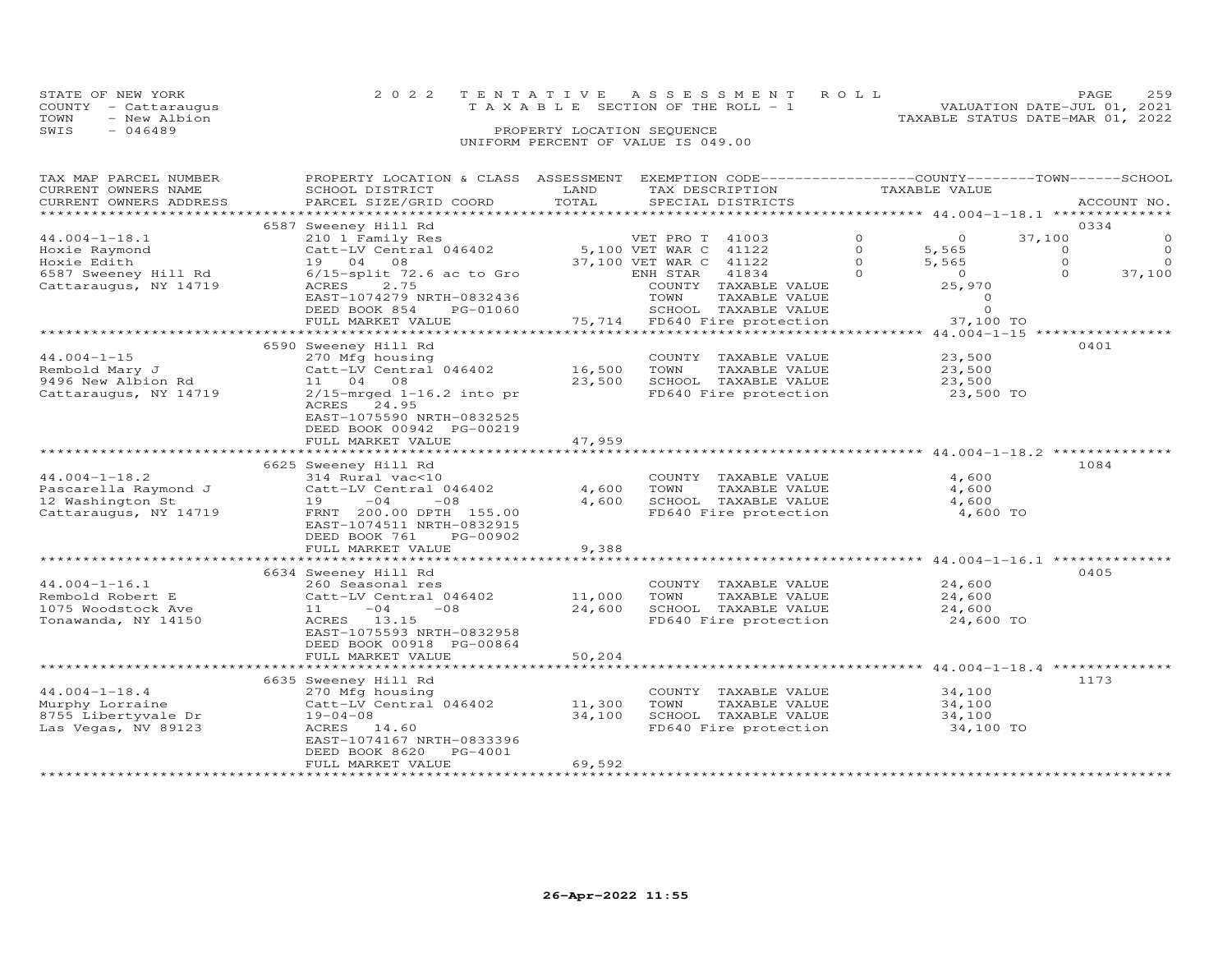| STATE OF NEW YORK |                      | 2022 TENTATIVE ASSESSMENT ROLL        | PAGE                             | 259 |
|-------------------|----------------------|---------------------------------------|----------------------------------|-----|
|                   | COUNTY - Cattaraugus | T A X A B L E SECTION OF THE ROLL - 1 | VALUATION DATE-JUL 01, 2021      |     |
| TOWN              | - New Albion         |                                       | TAXABLE STATUS DATE-MAR 01, 2022 |     |
| SWIS              | $-046489$            | PROPERTY LOCATION SEQUENCE            |                                  |     |
|                   |                      | UNIFORM PERCENT OF VALUE IS 049.00    |                                  |     |

| ACCOUNT NO.<br>**********************<br>0334<br>6587 Sweeney Hill Rd<br>$\circ$<br>$44.004 - 1 - 18.1$<br>210 1 Family Res<br>VET PRO T<br>41003<br>$\circ$<br>37,100<br>5,100 VET WAR C<br>41122<br>$\Omega$<br>5,565<br>$\circ$<br>Hoxie Raymond<br>Catt-LV Central 046402<br>$\circ$<br>$\Omega$<br>Hoxie Edith<br>19 04 08<br>37,100 VET WAR C<br>41122<br>$\circ$<br>5,565<br>$\circ$<br>$\overline{O}$<br>37,100<br>6587 Sweeney Hill Rd<br>$6/15$ -split 72.6 ac to Gro<br>ENH STAR<br>41834<br>$\Omega$<br>$\Omega$<br>2.75<br>ACRES<br>25,970<br>Cattaraugus, NY 14719<br>COUNTY TAXABLE VALUE<br>EAST-1074279 NRTH-0832436<br>TOWN<br>$\circ$<br>TAXABLE VALUE<br>$\Omega$<br>DEED BOOK 854<br>SCHOOL TAXABLE VALUE<br>PG-01060<br>75,714 FD640 Fire protection<br>FULL MARKET VALUE<br>37,100 TO<br>*******************<br>***************<br>**** 44.004-1-15 *<br>6590 Sweeney Hill Rd<br>0401<br>$44.004 - 1 - 15$<br>270 Mfg housing<br>COUNTY TAXABLE VALUE<br>23,500<br>16,500<br>Rembold Mary J<br>Catt-LV Central 046402<br>TOWN<br>TAXABLE VALUE<br>23,500<br>11 04 08<br>23,500<br>SCHOOL TAXABLE VALUE<br>9496 New Albion Rd<br>23,500<br>$2/15$ -mrged $1-16.2$ into pr<br>Cattaraugus, NY 14719<br>FD640 Fire protection<br>23,500 TO<br>ACRES 24.95<br>EAST-1075590 NRTH-0832525<br>DEED BOOK 00942 PG-00219<br>FULL MARKET VALUE<br>47,959<br>* * * * * * * * * * *<br>******************* 44.004-1-18.2 *******<br>**********************<br>1084<br>6625 Sweeney Hill Rd<br>$44.004 - 1 - 18.2$<br>4,600<br>314 Rural vac<10<br>COUNTY TAXABLE VALUE<br>Pascarella Raymond J<br>Catt-LV Central 046402<br>4,600<br>TOWN<br>TAXABLE VALUE<br>4,600<br>4,600<br>12 Washington St<br>19<br>$-04$<br>$-08$<br>SCHOOL TAXABLE VALUE<br>4,600<br>Cattaraugus, NY 14719<br>4,600 TO<br>FRNT 200.00 DPTH 155.00<br>FD640 Fire protection<br>EAST-1074511 NRTH-0832915<br>PG-00902<br>DEED BOOK 761<br>FULL MARKET VALUE<br>9,388<br>*************** 44.004-1-16.1 ********<br>6634 Sweeney Hill Rd<br>0405<br>$44.004 - 1 - 16.1$<br>COUNTY TAXABLE VALUE<br>24,600<br>260 Seasonal res<br>11,000<br>Rembold Robert E<br>Catt-LV Central 046402<br>TOWN<br>TAXABLE VALUE<br>24,600<br>24,600<br>SCHOOL TAXABLE VALUE<br>1075 Woodstock Ave<br>11<br>$-04$<br>$-08$<br>24,600<br>Tonawanda, NY 14150<br>ACRES 13.15<br>FD640 Fire protection<br>24,600 TO<br>EAST-1075593 NRTH-0832958<br>DEED BOOK 00918 PG-00864<br>50,204<br>FULL MARKET VALUE<br>******** 44.004-1-18.4 ********<br>1173<br>6635 Sweeney Hill Rd<br>$44.004 - 1 - 18.4$<br>COUNTY TAXABLE VALUE<br>270 Mfg housing<br>34,100<br>Murphy Lorraine<br>Catt-LV Central 046402<br>11,300<br>TOWN<br>TAXABLE VALUE<br>34,100<br>8755 Libertyvale Dr<br>34,100<br>SCHOOL TAXABLE VALUE<br>34,100<br>$19 - 04 - 08$<br>Las Vegas, NV 89123<br>ACRES 14.60<br>FD640 Fire protection<br>34,100 TO<br>EAST-1074167 NRTH-0833396<br>DEED BOOK 8620<br>$PG-4001$<br>69,592<br>FULL MARKET VALUE | TAX MAP PARCEL NUMBER<br>CURRENT OWNERS NAME | PROPERTY LOCATION & CLASS ASSESSMENT EXEMPTION CODE----------------COUNTY-------TOWN-----SCHOOL<br>SCHOOL DISTRICT | LAND  | TAX DESCRIPTION   | TAXABLE VALUE |  |
|----------------------------------------------------------------------------------------------------------------------------------------------------------------------------------------------------------------------------------------------------------------------------------------------------------------------------------------------------------------------------------------------------------------------------------------------------------------------------------------------------------------------------------------------------------------------------------------------------------------------------------------------------------------------------------------------------------------------------------------------------------------------------------------------------------------------------------------------------------------------------------------------------------------------------------------------------------------------------------------------------------------------------------------------------------------------------------------------------------------------------------------------------------------------------------------------------------------------------------------------------------------------------------------------------------------------------------------------------------------------------------------------------------------------------------------------------------------------------------------------------------------------------------------------------------------------------------------------------------------------------------------------------------------------------------------------------------------------------------------------------------------------------------------------------------------------------------------------------------------------------------------------------------------------------------------------------------------------------------------------------------------------------------------------------------------------------------------------------------------------------------------------------------------------------------------------------------------------------------------------------------------------------------------------------------------------------------------------------------------------------------------------------------------------------------------------------------------------------------------------------------------------------------------------------------------------------------------------------------------------------------------------------------------------------------------------------------------------------------------------------------------------------------------------------------------------------------------------------------------------------------------------------------------------------------------------------------------------------|----------------------------------------------|--------------------------------------------------------------------------------------------------------------------|-------|-------------------|---------------|--|
|                                                                                                                                                                                                                                                                                                                                                                                                                                                                                                                                                                                                                                                                                                                                                                                                                                                                                                                                                                                                                                                                                                                                                                                                                                                                                                                                                                                                                                                                                                                                                                                                                                                                                                                                                                                                                                                                                                                                                                                                                                                                                                                                                                                                                                                                                                                                                                                                                                                                                                                                                                                                                                                                                                                                                                                                                                                                                                                                                                            | CURRENT OWNERS ADDRESS                       | PARCEL SIZE/GRID COORD                                                                                             | TOTAL | SPECIAL DISTRICTS |               |  |
|                                                                                                                                                                                                                                                                                                                                                                                                                                                                                                                                                                                                                                                                                                                                                                                                                                                                                                                                                                                                                                                                                                                                                                                                                                                                                                                                                                                                                                                                                                                                                                                                                                                                                                                                                                                                                                                                                                                                                                                                                                                                                                                                                                                                                                                                                                                                                                                                                                                                                                                                                                                                                                                                                                                                                                                                                                                                                                                                                                            |                                              |                                                                                                                    |       |                   |               |  |
|                                                                                                                                                                                                                                                                                                                                                                                                                                                                                                                                                                                                                                                                                                                                                                                                                                                                                                                                                                                                                                                                                                                                                                                                                                                                                                                                                                                                                                                                                                                                                                                                                                                                                                                                                                                                                                                                                                                                                                                                                                                                                                                                                                                                                                                                                                                                                                                                                                                                                                                                                                                                                                                                                                                                                                                                                                                                                                                                                                            |                                              |                                                                                                                    |       |                   |               |  |
|                                                                                                                                                                                                                                                                                                                                                                                                                                                                                                                                                                                                                                                                                                                                                                                                                                                                                                                                                                                                                                                                                                                                                                                                                                                                                                                                                                                                                                                                                                                                                                                                                                                                                                                                                                                                                                                                                                                                                                                                                                                                                                                                                                                                                                                                                                                                                                                                                                                                                                                                                                                                                                                                                                                                                                                                                                                                                                                                                                            |                                              |                                                                                                                    |       |                   |               |  |
|                                                                                                                                                                                                                                                                                                                                                                                                                                                                                                                                                                                                                                                                                                                                                                                                                                                                                                                                                                                                                                                                                                                                                                                                                                                                                                                                                                                                                                                                                                                                                                                                                                                                                                                                                                                                                                                                                                                                                                                                                                                                                                                                                                                                                                                                                                                                                                                                                                                                                                                                                                                                                                                                                                                                                                                                                                                                                                                                                                            |                                              |                                                                                                                    |       |                   |               |  |
|                                                                                                                                                                                                                                                                                                                                                                                                                                                                                                                                                                                                                                                                                                                                                                                                                                                                                                                                                                                                                                                                                                                                                                                                                                                                                                                                                                                                                                                                                                                                                                                                                                                                                                                                                                                                                                                                                                                                                                                                                                                                                                                                                                                                                                                                                                                                                                                                                                                                                                                                                                                                                                                                                                                                                                                                                                                                                                                                                                            |                                              |                                                                                                                    |       |                   |               |  |
|                                                                                                                                                                                                                                                                                                                                                                                                                                                                                                                                                                                                                                                                                                                                                                                                                                                                                                                                                                                                                                                                                                                                                                                                                                                                                                                                                                                                                                                                                                                                                                                                                                                                                                                                                                                                                                                                                                                                                                                                                                                                                                                                                                                                                                                                                                                                                                                                                                                                                                                                                                                                                                                                                                                                                                                                                                                                                                                                                                            |                                              |                                                                                                                    |       |                   |               |  |
|                                                                                                                                                                                                                                                                                                                                                                                                                                                                                                                                                                                                                                                                                                                                                                                                                                                                                                                                                                                                                                                                                                                                                                                                                                                                                                                                                                                                                                                                                                                                                                                                                                                                                                                                                                                                                                                                                                                                                                                                                                                                                                                                                                                                                                                                                                                                                                                                                                                                                                                                                                                                                                                                                                                                                                                                                                                                                                                                                                            |                                              |                                                                                                                    |       |                   |               |  |
|                                                                                                                                                                                                                                                                                                                                                                                                                                                                                                                                                                                                                                                                                                                                                                                                                                                                                                                                                                                                                                                                                                                                                                                                                                                                                                                                                                                                                                                                                                                                                                                                                                                                                                                                                                                                                                                                                                                                                                                                                                                                                                                                                                                                                                                                                                                                                                                                                                                                                                                                                                                                                                                                                                                                                                                                                                                                                                                                                                            |                                              |                                                                                                                    |       |                   |               |  |
|                                                                                                                                                                                                                                                                                                                                                                                                                                                                                                                                                                                                                                                                                                                                                                                                                                                                                                                                                                                                                                                                                                                                                                                                                                                                                                                                                                                                                                                                                                                                                                                                                                                                                                                                                                                                                                                                                                                                                                                                                                                                                                                                                                                                                                                                                                                                                                                                                                                                                                                                                                                                                                                                                                                                                                                                                                                                                                                                                                            |                                              |                                                                                                                    |       |                   |               |  |
|                                                                                                                                                                                                                                                                                                                                                                                                                                                                                                                                                                                                                                                                                                                                                                                                                                                                                                                                                                                                                                                                                                                                                                                                                                                                                                                                                                                                                                                                                                                                                                                                                                                                                                                                                                                                                                                                                                                                                                                                                                                                                                                                                                                                                                                                                                                                                                                                                                                                                                                                                                                                                                                                                                                                                                                                                                                                                                                                                                            |                                              |                                                                                                                    |       |                   |               |  |
|                                                                                                                                                                                                                                                                                                                                                                                                                                                                                                                                                                                                                                                                                                                                                                                                                                                                                                                                                                                                                                                                                                                                                                                                                                                                                                                                                                                                                                                                                                                                                                                                                                                                                                                                                                                                                                                                                                                                                                                                                                                                                                                                                                                                                                                                                                                                                                                                                                                                                                                                                                                                                                                                                                                                                                                                                                                                                                                                                                            |                                              |                                                                                                                    |       |                   |               |  |
|                                                                                                                                                                                                                                                                                                                                                                                                                                                                                                                                                                                                                                                                                                                                                                                                                                                                                                                                                                                                                                                                                                                                                                                                                                                                                                                                                                                                                                                                                                                                                                                                                                                                                                                                                                                                                                                                                                                                                                                                                                                                                                                                                                                                                                                                                                                                                                                                                                                                                                                                                                                                                                                                                                                                                                                                                                                                                                                                                                            |                                              |                                                                                                                    |       |                   |               |  |
|                                                                                                                                                                                                                                                                                                                                                                                                                                                                                                                                                                                                                                                                                                                                                                                                                                                                                                                                                                                                                                                                                                                                                                                                                                                                                                                                                                                                                                                                                                                                                                                                                                                                                                                                                                                                                                                                                                                                                                                                                                                                                                                                                                                                                                                                                                                                                                                                                                                                                                                                                                                                                                                                                                                                                                                                                                                                                                                                                                            |                                              |                                                                                                                    |       |                   |               |  |
|                                                                                                                                                                                                                                                                                                                                                                                                                                                                                                                                                                                                                                                                                                                                                                                                                                                                                                                                                                                                                                                                                                                                                                                                                                                                                                                                                                                                                                                                                                                                                                                                                                                                                                                                                                                                                                                                                                                                                                                                                                                                                                                                                                                                                                                                                                                                                                                                                                                                                                                                                                                                                                                                                                                                                                                                                                                                                                                                                                            |                                              |                                                                                                                    |       |                   |               |  |
|                                                                                                                                                                                                                                                                                                                                                                                                                                                                                                                                                                                                                                                                                                                                                                                                                                                                                                                                                                                                                                                                                                                                                                                                                                                                                                                                                                                                                                                                                                                                                                                                                                                                                                                                                                                                                                                                                                                                                                                                                                                                                                                                                                                                                                                                                                                                                                                                                                                                                                                                                                                                                                                                                                                                                                                                                                                                                                                                                                            |                                              |                                                                                                                    |       |                   |               |  |
|                                                                                                                                                                                                                                                                                                                                                                                                                                                                                                                                                                                                                                                                                                                                                                                                                                                                                                                                                                                                                                                                                                                                                                                                                                                                                                                                                                                                                                                                                                                                                                                                                                                                                                                                                                                                                                                                                                                                                                                                                                                                                                                                                                                                                                                                                                                                                                                                                                                                                                                                                                                                                                                                                                                                                                                                                                                                                                                                                                            |                                              |                                                                                                                    |       |                   |               |  |
|                                                                                                                                                                                                                                                                                                                                                                                                                                                                                                                                                                                                                                                                                                                                                                                                                                                                                                                                                                                                                                                                                                                                                                                                                                                                                                                                                                                                                                                                                                                                                                                                                                                                                                                                                                                                                                                                                                                                                                                                                                                                                                                                                                                                                                                                                                                                                                                                                                                                                                                                                                                                                                                                                                                                                                                                                                                                                                                                                                            |                                              |                                                                                                                    |       |                   |               |  |
|                                                                                                                                                                                                                                                                                                                                                                                                                                                                                                                                                                                                                                                                                                                                                                                                                                                                                                                                                                                                                                                                                                                                                                                                                                                                                                                                                                                                                                                                                                                                                                                                                                                                                                                                                                                                                                                                                                                                                                                                                                                                                                                                                                                                                                                                                                                                                                                                                                                                                                                                                                                                                                                                                                                                                                                                                                                                                                                                                                            |                                              |                                                                                                                    |       |                   |               |  |
|                                                                                                                                                                                                                                                                                                                                                                                                                                                                                                                                                                                                                                                                                                                                                                                                                                                                                                                                                                                                                                                                                                                                                                                                                                                                                                                                                                                                                                                                                                                                                                                                                                                                                                                                                                                                                                                                                                                                                                                                                                                                                                                                                                                                                                                                                                                                                                                                                                                                                                                                                                                                                                                                                                                                                                                                                                                                                                                                                                            |                                              |                                                                                                                    |       |                   |               |  |
|                                                                                                                                                                                                                                                                                                                                                                                                                                                                                                                                                                                                                                                                                                                                                                                                                                                                                                                                                                                                                                                                                                                                                                                                                                                                                                                                                                                                                                                                                                                                                                                                                                                                                                                                                                                                                                                                                                                                                                                                                                                                                                                                                                                                                                                                                                                                                                                                                                                                                                                                                                                                                                                                                                                                                                                                                                                                                                                                                                            |                                              |                                                                                                                    |       |                   |               |  |
|                                                                                                                                                                                                                                                                                                                                                                                                                                                                                                                                                                                                                                                                                                                                                                                                                                                                                                                                                                                                                                                                                                                                                                                                                                                                                                                                                                                                                                                                                                                                                                                                                                                                                                                                                                                                                                                                                                                                                                                                                                                                                                                                                                                                                                                                                                                                                                                                                                                                                                                                                                                                                                                                                                                                                                                                                                                                                                                                                                            |                                              |                                                                                                                    |       |                   |               |  |
|                                                                                                                                                                                                                                                                                                                                                                                                                                                                                                                                                                                                                                                                                                                                                                                                                                                                                                                                                                                                                                                                                                                                                                                                                                                                                                                                                                                                                                                                                                                                                                                                                                                                                                                                                                                                                                                                                                                                                                                                                                                                                                                                                                                                                                                                                                                                                                                                                                                                                                                                                                                                                                                                                                                                                                                                                                                                                                                                                                            |                                              |                                                                                                                    |       |                   |               |  |
|                                                                                                                                                                                                                                                                                                                                                                                                                                                                                                                                                                                                                                                                                                                                                                                                                                                                                                                                                                                                                                                                                                                                                                                                                                                                                                                                                                                                                                                                                                                                                                                                                                                                                                                                                                                                                                                                                                                                                                                                                                                                                                                                                                                                                                                                                                                                                                                                                                                                                                                                                                                                                                                                                                                                                                                                                                                                                                                                                                            |                                              |                                                                                                                    |       |                   |               |  |
|                                                                                                                                                                                                                                                                                                                                                                                                                                                                                                                                                                                                                                                                                                                                                                                                                                                                                                                                                                                                                                                                                                                                                                                                                                                                                                                                                                                                                                                                                                                                                                                                                                                                                                                                                                                                                                                                                                                                                                                                                                                                                                                                                                                                                                                                                                                                                                                                                                                                                                                                                                                                                                                                                                                                                                                                                                                                                                                                                                            |                                              |                                                                                                                    |       |                   |               |  |
|                                                                                                                                                                                                                                                                                                                                                                                                                                                                                                                                                                                                                                                                                                                                                                                                                                                                                                                                                                                                                                                                                                                                                                                                                                                                                                                                                                                                                                                                                                                                                                                                                                                                                                                                                                                                                                                                                                                                                                                                                                                                                                                                                                                                                                                                                                                                                                                                                                                                                                                                                                                                                                                                                                                                                                                                                                                                                                                                                                            |                                              |                                                                                                                    |       |                   |               |  |
|                                                                                                                                                                                                                                                                                                                                                                                                                                                                                                                                                                                                                                                                                                                                                                                                                                                                                                                                                                                                                                                                                                                                                                                                                                                                                                                                                                                                                                                                                                                                                                                                                                                                                                                                                                                                                                                                                                                                                                                                                                                                                                                                                                                                                                                                                                                                                                                                                                                                                                                                                                                                                                                                                                                                                                                                                                                                                                                                                                            |                                              |                                                                                                                    |       |                   |               |  |
|                                                                                                                                                                                                                                                                                                                                                                                                                                                                                                                                                                                                                                                                                                                                                                                                                                                                                                                                                                                                                                                                                                                                                                                                                                                                                                                                                                                                                                                                                                                                                                                                                                                                                                                                                                                                                                                                                                                                                                                                                                                                                                                                                                                                                                                                                                                                                                                                                                                                                                                                                                                                                                                                                                                                                                                                                                                                                                                                                                            |                                              |                                                                                                                    |       |                   |               |  |
|                                                                                                                                                                                                                                                                                                                                                                                                                                                                                                                                                                                                                                                                                                                                                                                                                                                                                                                                                                                                                                                                                                                                                                                                                                                                                                                                                                                                                                                                                                                                                                                                                                                                                                                                                                                                                                                                                                                                                                                                                                                                                                                                                                                                                                                                                                                                                                                                                                                                                                                                                                                                                                                                                                                                                                                                                                                                                                                                                                            |                                              |                                                                                                                    |       |                   |               |  |
|                                                                                                                                                                                                                                                                                                                                                                                                                                                                                                                                                                                                                                                                                                                                                                                                                                                                                                                                                                                                                                                                                                                                                                                                                                                                                                                                                                                                                                                                                                                                                                                                                                                                                                                                                                                                                                                                                                                                                                                                                                                                                                                                                                                                                                                                                                                                                                                                                                                                                                                                                                                                                                                                                                                                                                                                                                                                                                                                                                            |                                              |                                                                                                                    |       |                   |               |  |
|                                                                                                                                                                                                                                                                                                                                                                                                                                                                                                                                                                                                                                                                                                                                                                                                                                                                                                                                                                                                                                                                                                                                                                                                                                                                                                                                                                                                                                                                                                                                                                                                                                                                                                                                                                                                                                                                                                                                                                                                                                                                                                                                                                                                                                                                                                                                                                                                                                                                                                                                                                                                                                                                                                                                                                                                                                                                                                                                                                            |                                              |                                                                                                                    |       |                   |               |  |
|                                                                                                                                                                                                                                                                                                                                                                                                                                                                                                                                                                                                                                                                                                                                                                                                                                                                                                                                                                                                                                                                                                                                                                                                                                                                                                                                                                                                                                                                                                                                                                                                                                                                                                                                                                                                                                                                                                                                                                                                                                                                                                                                                                                                                                                                                                                                                                                                                                                                                                                                                                                                                                                                                                                                                                                                                                                                                                                                                                            |                                              |                                                                                                                    |       |                   |               |  |
|                                                                                                                                                                                                                                                                                                                                                                                                                                                                                                                                                                                                                                                                                                                                                                                                                                                                                                                                                                                                                                                                                                                                                                                                                                                                                                                                                                                                                                                                                                                                                                                                                                                                                                                                                                                                                                                                                                                                                                                                                                                                                                                                                                                                                                                                                                                                                                                                                                                                                                                                                                                                                                                                                                                                                                                                                                                                                                                                                                            |                                              |                                                                                                                    |       |                   |               |  |
|                                                                                                                                                                                                                                                                                                                                                                                                                                                                                                                                                                                                                                                                                                                                                                                                                                                                                                                                                                                                                                                                                                                                                                                                                                                                                                                                                                                                                                                                                                                                                                                                                                                                                                                                                                                                                                                                                                                                                                                                                                                                                                                                                                                                                                                                                                                                                                                                                                                                                                                                                                                                                                                                                                                                                                                                                                                                                                                                                                            |                                              |                                                                                                                    |       |                   |               |  |
|                                                                                                                                                                                                                                                                                                                                                                                                                                                                                                                                                                                                                                                                                                                                                                                                                                                                                                                                                                                                                                                                                                                                                                                                                                                                                                                                                                                                                                                                                                                                                                                                                                                                                                                                                                                                                                                                                                                                                                                                                                                                                                                                                                                                                                                                                                                                                                                                                                                                                                                                                                                                                                                                                                                                                                                                                                                                                                                                                                            |                                              |                                                                                                                    |       |                   |               |  |
|                                                                                                                                                                                                                                                                                                                                                                                                                                                                                                                                                                                                                                                                                                                                                                                                                                                                                                                                                                                                                                                                                                                                                                                                                                                                                                                                                                                                                                                                                                                                                                                                                                                                                                                                                                                                                                                                                                                                                                                                                                                                                                                                                                                                                                                                                                                                                                                                                                                                                                                                                                                                                                                                                                                                                                                                                                                                                                                                                                            |                                              |                                                                                                                    |       |                   |               |  |
|                                                                                                                                                                                                                                                                                                                                                                                                                                                                                                                                                                                                                                                                                                                                                                                                                                                                                                                                                                                                                                                                                                                                                                                                                                                                                                                                                                                                                                                                                                                                                                                                                                                                                                                                                                                                                                                                                                                                                                                                                                                                                                                                                                                                                                                                                                                                                                                                                                                                                                                                                                                                                                                                                                                                                                                                                                                                                                                                                                            |                                              |                                                                                                                    |       |                   |               |  |
|                                                                                                                                                                                                                                                                                                                                                                                                                                                                                                                                                                                                                                                                                                                                                                                                                                                                                                                                                                                                                                                                                                                                                                                                                                                                                                                                                                                                                                                                                                                                                                                                                                                                                                                                                                                                                                                                                                                                                                                                                                                                                                                                                                                                                                                                                                                                                                                                                                                                                                                                                                                                                                                                                                                                                                                                                                                                                                                                                                            |                                              |                                                                                                                    |       |                   |               |  |
|                                                                                                                                                                                                                                                                                                                                                                                                                                                                                                                                                                                                                                                                                                                                                                                                                                                                                                                                                                                                                                                                                                                                                                                                                                                                                                                                                                                                                                                                                                                                                                                                                                                                                                                                                                                                                                                                                                                                                                                                                                                                                                                                                                                                                                                                                                                                                                                                                                                                                                                                                                                                                                                                                                                                                                                                                                                                                                                                                                            |                                              |                                                                                                                    |       |                   |               |  |
|                                                                                                                                                                                                                                                                                                                                                                                                                                                                                                                                                                                                                                                                                                                                                                                                                                                                                                                                                                                                                                                                                                                                                                                                                                                                                                                                                                                                                                                                                                                                                                                                                                                                                                                                                                                                                                                                                                                                                                                                                                                                                                                                                                                                                                                                                                                                                                                                                                                                                                                                                                                                                                                                                                                                                                                                                                                                                                                                                                            |                                              |                                                                                                                    |       |                   |               |  |
|                                                                                                                                                                                                                                                                                                                                                                                                                                                                                                                                                                                                                                                                                                                                                                                                                                                                                                                                                                                                                                                                                                                                                                                                                                                                                                                                                                                                                                                                                                                                                                                                                                                                                                                                                                                                                                                                                                                                                                                                                                                                                                                                                                                                                                                                                                                                                                                                                                                                                                                                                                                                                                                                                                                                                                                                                                                                                                                                                                            |                                              |                                                                                                                    |       |                   |               |  |
|                                                                                                                                                                                                                                                                                                                                                                                                                                                                                                                                                                                                                                                                                                                                                                                                                                                                                                                                                                                                                                                                                                                                                                                                                                                                                                                                                                                                                                                                                                                                                                                                                                                                                                                                                                                                                                                                                                                                                                                                                                                                                                                                                                                                                                                                                                                                                                                                                                                                                                                                                                                                                                                                                                                                                                                                                                                                                                                                                                            |                                              |                                                                                                                    |       |                   |               |  |
|                                                                                                                                                                                                                                                                                                                                                                                                                                                                                                                                                                                                                                                                                                                                                                                                                                                                                                                                                                                                                                                                                                                                                                                                                                                                                                                                                                                                                                                                                                                                                                                                                                                                                                                                                                                                                                                                                                                                                                                                                                                                                                                                                                                                                                                                                                                                                                                                                                                                                                                                                                                                                                                                                                                                                                                                                                                                                                                                                                            |                                              |                                                                                                                    |       |                   |               |  |
|                                                                                                                                                                                                                                                                                                                                                                                                                                                                                                                                                                                                                                                                                                                                                                                                                                                                                                                                                                                                                                                                                                                                                                                                                                                                                                                                                                                                                                                                                                                                                                                                                                                                                                                                                                                                                                                                                                                                                                                                                                                                                                                                                                                                                                                                                                                                                                                                                                                                                                                                                                                                                                                                                                                                                                                                                                                                                                                                                                            |                                              |                                                                                                                    |       |                   |               |  |
|                                                                                                                                                                                                                                                                                                                                                                                                                                                                                                                                                                                                                                                                                                                                                                                                                                                                                                                                                                                                                                                                                                                                                                                                                                                                                                                                                                                                                                                                                                                                                                                                                                                                                                                                                                                                                                                                                                                                                                                                                                                                                                                                                                                                                                                                                                                                                                                                                                                                                                                                                                                                                                                                                                                                                                                                                                                                                                                                                                            |                                              |                                                                                                                    |       |                   |               |  |
|                                                                                                                                                                                                                                                                                                                                                                                                                                                                                                                                                                                                                                                                                                                                                                                                                                                                                                                                                                                                                                                                                                                                                                                                                                                                                                                                                                                                                                                                                                                                                                                                                                                                                                                                                                                                                                                                                                                                                                                                                                                                                                                                                                                                                                                                                                                                                                                                                                                                                                                                                                                                                                                                                                                                                                                                                                                                                                                                                                            |                                              |                                                                                                                    |       |                   |               |  |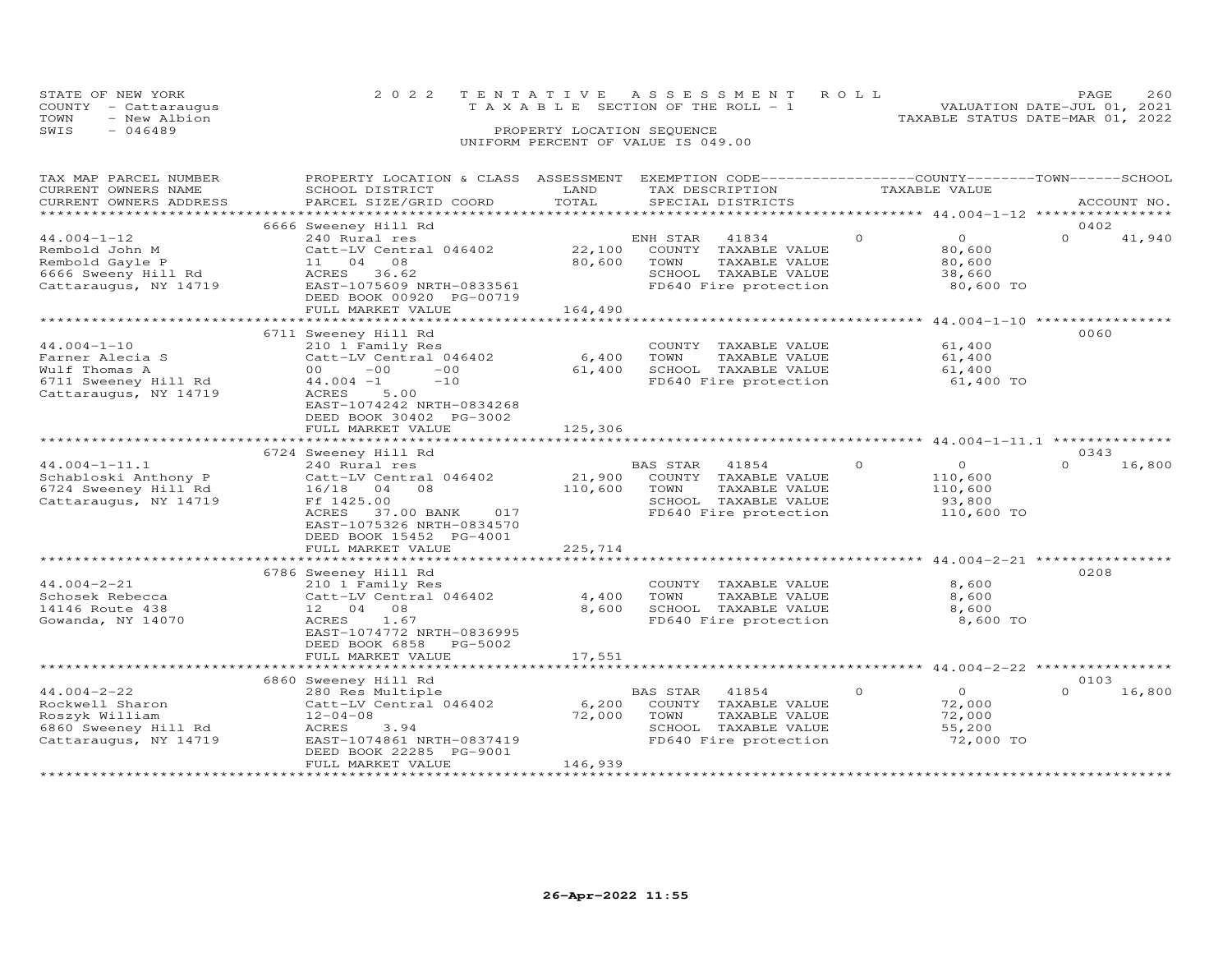| STATE OF NEW YORK    | 2022 TENTATIVE ASSESSMENT ROLL                                       | <b>PAGE</b> | 260 |
|----------------------|----------------------------------------------------------------------|-------------|-----|
| COUNTY - Cattaraugus | VALUATION DATE-JUL 01, 2021<br>T A X A B L E SECTION OF THE ROLL - 1 |             |     |
| - New Albion<br>TOWN | TAXABLE STATUS DATE-MAR 01, 2022                                     |             |     |
| $-046489$<br>SWIS    | PROPERTY LOCATION SEQUENCE                                           |             |     |
|                      | UNIFORM PERCENT OF VALUE IS 049.00                                   |             |     |
|                      |                                                                      |             |     |

| TAX MAP PARCEL NUMBER<br>CURRENT OWNERS NAME<br>CURRENT OWNERS ADDRESS                                  | PROPERTY LOCATION & CLASS<br>SCHOOL DISTRICT<br>PARCEL SIZE/GRID COORD                                                                                                                                     | ASSESSMENT<br>LAND<br>TOTAL  | EXEMPTION CODE-----------------COUNTY-------TOWN-----SCHOOL<br>TAX DESCRIPTION<br>SPECIAL DISTRICTS                 |          | TAXABLE VALUE                                                | ACCOUNT NO.                                                |
|---------------------------------------------------------------------------------------------------------|------------------------------------------------------------------------------------------------------------------------------------------------------------------------------------------------------------|------------------------------|---------------------------------------------------------------------------------------------------------------------|----------|--------------------------------------------------------------|------------------------------------------------------------|
| ***********************                                                                                 |                                                                                                                                                                                                            |                              |                                                                                                                     |          |                                                              |                                                            |
| $44.004 - 1 - 12$<br>Rembold John M<br>Rembold Gayle P<br>6666 Sweeny Hill Rd<br>Cattaraugus, NY 14719  | 6666 Sweeney Hill Rd<br>240 Rural res<br>Catt-LV Central 046402<br>11 04 08<br>ACRES 36.62<br>EAST-1075609 NRTH-0833561<br>DEED BOOK 00920 PG-00719                                                        | 22,100<br>80,600             | 41834<br>ENH STAR<br>COUNTY TAXABLE VALUE<br>TOWN<br>TAXABLE VALUE<br>SCHOOL TAXABLE VALUE<br>FD640 Fire protection | $\Omega$ | $\circ$<br>80,600<br>80,600<br>38,660<br>80,600 TO           | 0402<br>$\Omega$<br>41,940                                 |
|                                                                                                         | FULL MARKET VALUE                                                                                                                                                                                          | 164,490                      |                                                                                                                     |          |                                                              |                                                            |
| $44.004 - 1 - 10$<br>Farner Alecia S<br>Wulf Thomas A<br>6711 Sweeney Hill Rd<br>Cattaraugus, NY 14719  | 6711 Sweeney Hill Rd<br>210 1 Family Res<br>Catt-LV Central 046402<br>$-00$<br>$-00$<br>00 <sup>o</sup><br>$44.004 -1$<br>$-10$<br>ACRES<br>5.00<br>EAST-1074242 NRTH-0834268<br>DEED BOOK 30402 PG-3002   | 6,400<br>61,400              | COUNTY TAXABLE VALUE<br>TOWN<br>TAXABLE VALUE<br>SCHOOL TAXABLE VALUE<br>FD640 Fire protection                      |          | 61,400<br>61,400<br>61,400<br>61,400 TO                      | 0060                                                       |
|                                                                                                         | FULL MARKET VALUE<br>************************                                                                                                                                                              | 125,306<br>**********        |                                                                                                                     |          |                                                              |                                                            |
|                                                                                                         |                                                                                                                                                                                                            |                              |                                                                                                                     |          |                                                              | ******************** 44.004-1-11.1 ***************<br>0343 |
| $44.004 - 1 - 11.1$<br>Schabloski Anthony P<br>6724 Sweeney Hill Rd<br>Cattaraugus, NY 14719            | 6724 Sweeney Hill Rd<br>240 Rural res<br>Catt-LV Central 046402<br>16/18 04<br>08<br>Ff 1425.00<br>ACRES<br>37.00 BANK<br>017<br>EAST-1075326 NRTH-0834570<br>DEED BOOK 15452 PG-4001<br>FULL MARKET VALUE | 21,900<br>110,600<br>225,714 | BAS STAR<br>41854<br>COUNTY TAXABLE VALUE<br>TOWN<br>TAXABLE VALUE<br>SCHOOL TAXABLE VALUE<br>FD640 Fire protection | $\circ$  | $\overline{O}$<br>110,600<br>110,600<br>93,800<br>110,600 TO | $\Omega$<br>16,800                                         |
|                                                                                                         | *********************                                                                                                                                                                                      |                              |                                                                                                                     |          |                                                              |                                                            |
| $44.004 - 2 - 21$<br>Schosek Rebecca<br>14146 Route 438<br>Gowanda, NY 14070                            | 6786 Sweeney Hill Rd<br>210 1 Family Res<br>Catt-LV Central 046402<br>08<br>12 04<br>1.67<br>ACRES<br>EAST-1074772 NRTH-0836995<br>DEED BOOK 6858<br>PG-5002<br>FULL MARKET VALUE                          | 4,400<br>8,600<br>17,551     | COUNTY TAXABLE VALUE<br>TOWN<br>TAXABLE VALUE<br>SCHOOL TAXABLE VALUE<br>FD640 Fire protection                      |          | 8,600<br>8,600<br>8,600<br>8,600 TO                          | 0208                                                       |
|                                                                                                         |                                                                                                                                                                                                            | ************                 | ************************************44.004-2-22 *****************                                                   |          |                                                              |                                                            |
|                                                                                                         | 6860 Sweeney Hill Rd                                                                                                                                                                                       |                              |                                                                                                                     |          |                                                              | 0103                                                       |
| $44.004 - 2 - 22$<br>Rockwell Sharon<br>Roszyk William<br>6860 Sweeney Hill Rd<br>Cattaraugus, NY 14719 | 280 Res Multiple<br>Catt-LV Central 046402<br>$12 - 04 - 08$<br>ACRES<br>3.94<br>EAST-1074861 NRTH-0837419<br>DEED BOOK 22285 PG-9001<br>FULL MARKET VALUE                                                 | 6,200<br>72,000<br>146,939   | BAS STAR<br>41854<br>COUNTY TAXABLE VALUE<br>TOWN<br>TAXABLE VALUE<br>SCHOOL TAXABLE VALUE<br>FD640 Fire protection | $\circ$  | $\overline{0}$<br>72,000<br>72,000<br>55,200<br>72,000 TO    | $\Omega$<br>16,800                                         |
|                                                                                                         |                                                                                                                                                                                                            |                              |                                                                                                                     |          |                                                              |                                                            |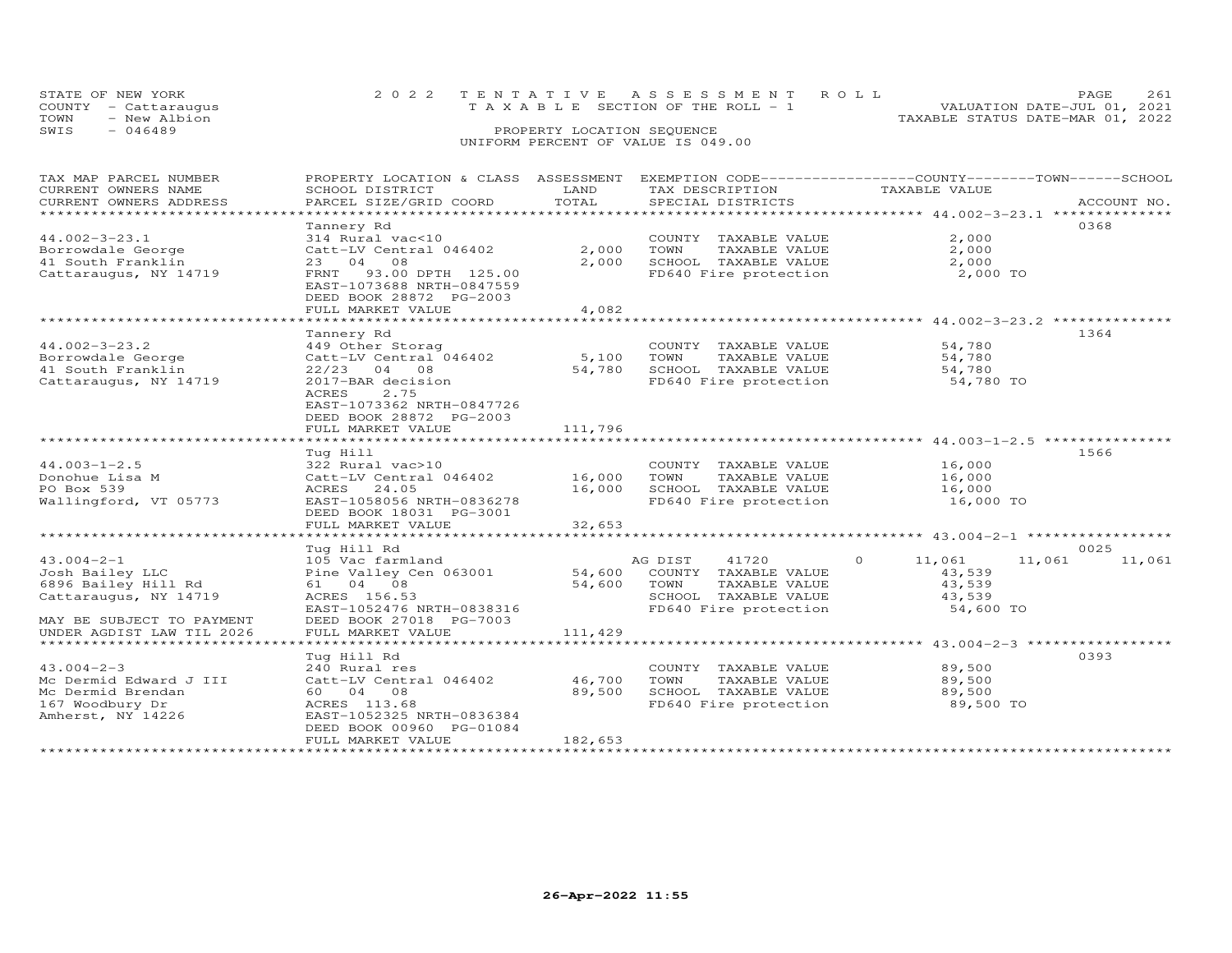|      | STATE OF NEW YORK<br>COUNTY - Cattaraugus | 2022 TENTATIVE ASSESSMENT ROLL<br>T A X A B L E SECTION OF THE ROLL - 1 |                            |  |                                  | PAGE.<br>VALUATION DATE-JUL 01, 2021 | 2.61 |
|------|-------------------------------------------|-------------------------------------------------------------------------|----------------------------|--|----------------------------------|--------------------------------------|------|
| TOWN | - New Albion                              |                                                                         |                            |  | TAXABLE STATUS DATE-MAR 01, 2022 |                                      |      |
| SWIS | $-046489$                                 |                                                                         | PROPERTY LOCATION SEQUENCE |  |                                  |                                      |      |
|      |                                           | UNIFORM PERCENT OF VALUE IS 049.00                                      |                            |  |                                  |                                      |      |

| TAX MAP PARCEL NUMBER     |                           |         |                       | PROPERTY LOCATION & CLASS ASSESSMENT EXEMPTION CODE----------------COUNTY-------TOWN-----SCHOOL |  |
|---------------------------|---------------------------|---------|-----------------------|-------------------------------------------------------------------------------------------------|--|
| CURRENT OWNERS NAME       | SCHOOL DISTRICT           | LAND    | TAX DESCRIPTION       | TAXABLE VALUE                                                                                   |  |
| CURRENT OWNERS ADDRESS    | PARCEL SIZE/GRID COORD    | TOTAL   | SPECIAL DISTRICTS     | ACCOUNT NO.                                                                                     |  |
|                           |                           |         |                       |                                                                                                 |  |
|                           | Tannery Rd                |         |                       | 0368                                                                                            |  |
| $44.002 - 3 - 23.1$       | 314 Rural vac<10          |         | COUNTY TAXABLE VALUE  | 2,000                                                                                           |  |
| Borrowdale George         | Catt-LV Central 046402    | 2,000   | TOWN<br>TAXABLE VALUE | 2,000                                                                                           |  |
| 41 South Franklin         | 23 04 08                  | 2,000   | SCHOOL TAXABLE VALUE  | 2,000                                                                                           |  |
|                           |                           |         |                       |                                                                                                 |  |
| Cattaraugus, NY 14719     | FRNT 93.00 DPTH 125.00    |         | FD640 Fire protection | 2,000 TO                                                                                        |  |
|                           | EAST-1073688 NRTH-0847559 |         |                       |                                                                                                 |  |
|                           | DEED BOOK 28872 PG-2003   |         |                       |                                                                                                 |  |
|                           | FULL MARKET VALUE         | 4,082   |                       |                                                                                                 |  |
|                           |                           |         |                       |                                                                                                 |  |
|                           | Tannery Rd                |         |                       | 1364                                                                                            |  |
| $44.002 - 3 - 23.2$       | 449 Other Storag          |         | COUNTY TAXABLE VALUE  | 54,780                                                                                          |  |
| Borrowdale George         | Catt-LV Central 046402    | 5,100   | TOWN<br>TAXABLE VALUE | 54,780                                                                                          |  |
| 41 South Franklin         | $22/23$ 04 08             | 54,780  | SCHOOL TAXABLE VALUE  | 54,780                                                                                          |  |
| Cattaraugus, NY 14719     | 2017-BAR decision         |         | FD640 Fire protection | 54,780 TO                                                                                       |  |
|                           | ACRES<br>2.75             |         |                       |                                                                                                 |  |
|                           | EAST-1073362 NRTH-0847726 |         |                       |                                                                                                 |  |
|                           | DEED BOOK 28872 PG-2003   |         |                       |                                                                                                 |  |
|                           | FULL MARKET VALUE         | 111,796 |                       |                                                                                                 |  |
|                           |                           |         |                       |                                                                                                 |  |
|                           |                           |         |                       |                                                                                                 |  |
|                           | Tug Hill                  |         |                       | 1566                                                                                            |  |
| $44.003 - 1 - 2.5$        | 322 Rural vac>10          |         | COUNTY TAXABLE VALUE  | 16,000                                                                                          |  |
| Donohue Lisa M            | Catt-LV Central 046402    | 16,000  | TAXABLE VALUE<br>TOWN | 16,000                                                                                          |  |
| PO Box 539                | ACRES 24.05               | 16,000  | SCHOOL TAXABLE VALUE  | 16,000                                                                                          |  |
| Wallingford, VT 05773     | EAST-1058056 NRTH-0836278 |         | FD640 Fire protection | 16,000 TO                                                                                       |  |
|                           | DEED BOOK 18031 PG-3001   |         |                       |                                                                                                 |  |
|                           | FULL MARKET VALUE         | 32,653  |                       |                                                                                                 |  |
|                           |                           |         |                       |                                                                                                 |  |
|                           | Tug Hill Rd               |         |                       | 0025                                                                                            |  |
| $43.004 - 2 - 1$          | 105 Vac farmland          |         | 41720<br>AG DIST      | $\circ$<br>11,061<br>11,061<br>11,061                                                           |  |
| Josh Bailey LLC           | Pine Valley Cen 063001    | 54,600  | COUNTY TAXABLE VALUE  | 43,539                                                                                          |  |
| 6896 Bailey Hill Rd       | 61 04 08                  | 54,600  | TAXABLE VALUE<br>TOWN | 43,539                                                                                          |  |
| Cattaraugus, NY 14719     | ACRES 156.53              |         | SCHOOL TAXABLE VALUE  | 43,539                                                                                          |  |
|                           | EAST-1052476 NRTH-0838316 |         | FD640 Fire protection | 54,600 TO                                                                                       |  |
|                           |                           |         |                       |                                                                                                 |  |
| MAY BE SUBJECT TO PAYMENT | DEED BOOK 27018 PG-7003   |         |                       |                                                                                                 |  |
| UNDER AGDIST LAW TIL 2026 | FULL MARKET VALUE         | 111,429 |                       |                                                                                                 |  |
|                           |                           |         |                       |                                                                                                 |  |
|                           | Tug Hill Rd               |         |                       | 0393                                                                                            |  |
| $43.004 - 2 - 3$          | 240 Rural res             |         | COUNTY TAXABLE VALUE  | 89,500                                                                                          |  |
| Mc Dermid Edward J III    | Catt-LV Central 046402    | 46,700  | TOWN<br>TAXABLE VALUE | 89,500                                                                                          |  |
| Mc Dermid Brendan         | 60 04 08                  | 89,500  | SCHOOL TAXABLE VALUE  | 89,500                                                                                          |  |
| 167 Woodbury Dr           | ACRES 113.68              |         | FD640 Fire protection | 89,500 TO                                                                                       |  |
| Amherst, NY 14226         | EAST-1052325 NRTH-0836384 |         |                       |                                                                                                 |  |
|                           | DEED BOOK 00960 PG-01084  |         |                       |                                                                                                 |  |
|                           | FULL MARKET VALUE         | 182,653 |                       |                                                                                                 |  |
|                           |                           |         |                       |                                                                                                 |  |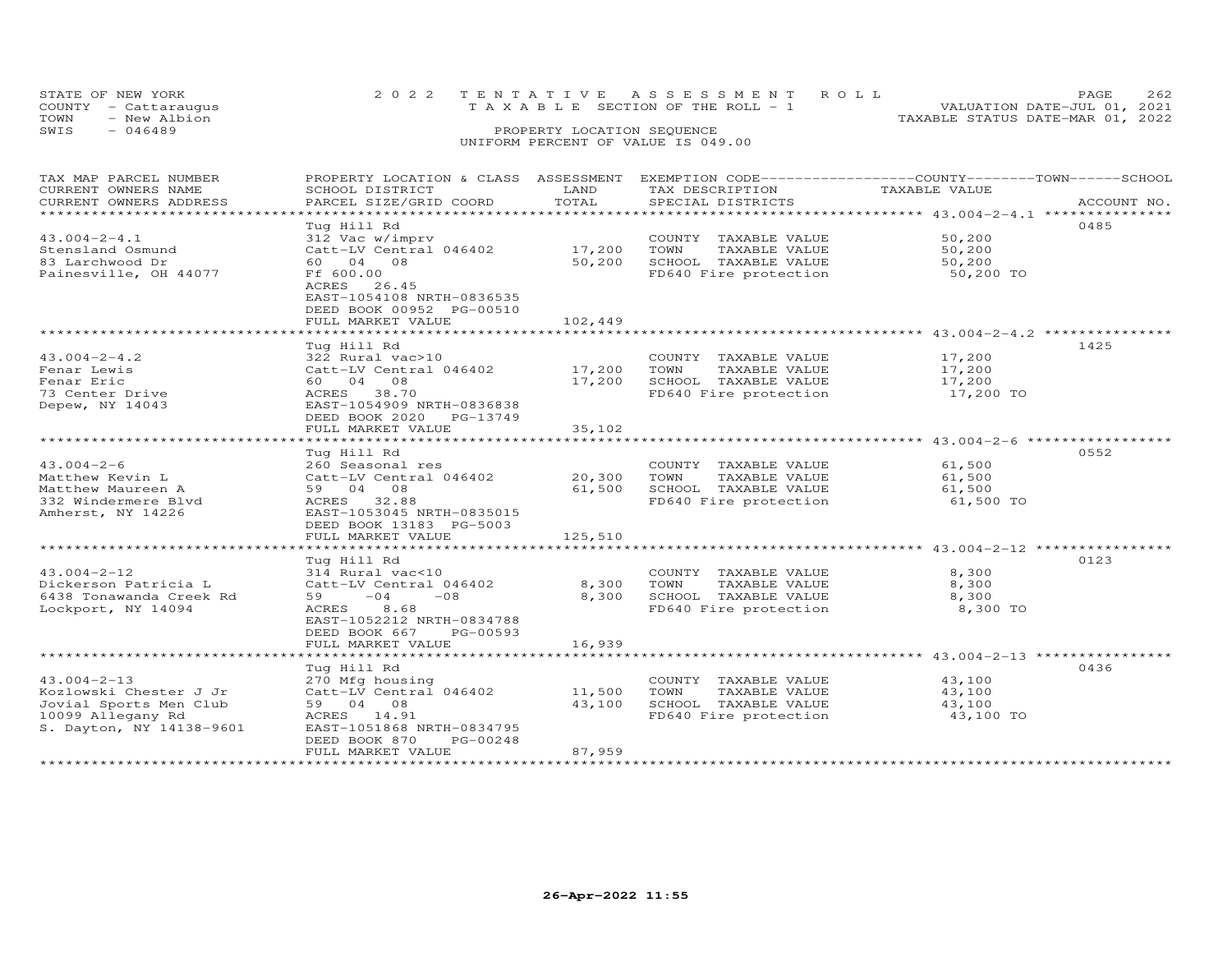| PROPERTY LOCATION & CLASS ASSESSMENT EXEMPTION CODE----------------COUNTY-------TOWN------SCHOOL<br>TAX MAP PARCEL NUMBER<br>LAND<br>CURRENT OWNERS NAME<br>SCHOOL DISTRICT<br>TAX DESCRIPTION<br>TAXABLE VALUE<br>TOTAL<br>CURRENT OWNERS ADDRESS<br>PARCEL SIZE/GRID COORD<br>SPECIAL DISTRICTS<br>ACCOUNT NO.<br>***************************** 43.004-2-4.1 *************<br>******************<br>Tug Hill Rd<br>0485<br>$43.004 - 2 - 4.1$<br>312 Vac w/imprv<br>50,200<br>COUNTY TAXABLE VALUE<br>17,200 TOWN<br>Stensland Osmund<br>Catt-LV Central 046402<br>TAXABLE VALUE<br>50,200<br>50,200<br>SCHOOL TAXABLE VALUE<br>83 Larchwood Dr<br>60 04 08<br>50,200<br>Ff 600.00<br>Painesville, OH 44077<br>FD640 Fire protection<br>50,200 TO<br>ACRES 26.45<br>EAST-1054108 NRTH-0836535<br>DEED BOOK 00952 PG-00510<br>FULL MARKET VALUE<br>102,449<br>**************** 43.004-2-4.2 *************<br>* * * * * * * * * * * * * * * * * *<br>Tug Hill Rd<br>1425<br>$43.004 - 2 - 4.2$<br>COUNTY TAXABLE VALUE<br>17,200<br>322 Rural vac>10<br>Catt-LV Central 046402<br>17,200<br>TAXABLE VALUE<br>17,200<br>Fenar Lewis<br>TOWN<br>60 04 08<br>17,200<br>SCHOOL TAXABLE VALUE<br>17,200<br>Fenar Eric<br>ACRES 38.70<br>FD640 Fire protection<br>17,200 TO<br>73 Center Drive<br>Depew, NY 14043<br>EAST-1054909 NRTH-0836838<br>DEED BOOK 2020 PG-13749<br>FULL MARKET VALUE<br>35,102<br>*********************<br>0552<br>Tug Hill Rd<br>$43.004 - 2 - 6$<br>COUNTY TAXABLE VALUE<br>61,500<br>260 Seasonal res<br>20,300<br>Catt-LV Central 046402<br>TOWN<br>TAXABLE VALUE<br>61,500<br>Matthew Kevin L<br>61,500 SCHOOL TAXABLE VALUE<br>Matthew Maureen A<br>59 04 08<br>61,500<br>332 Windermere Blvd<br>ACRES 32.88<br>FD640 Fire protection<br>61,500 TO<br>EAST-1053045 NRTH-0835015<br>Amherst, NY 14226<br>DEED BOOK 13183 PG-5003<br>FULL MARKET VALUE<br>125,510<br>0123<br>Tug Hill Rd<br>$43.004 - 2 - 12$<br>8,300<br>314 Rural vac<10<br>COUNTY TAXABLE VALUE<br>8,300<br>Dickerson Patricia L<br>8,300<br>Catt-LV Central 046402<br>TOWN<br>TAXABLE VALUE<br>8,300<br>SCHOOL TAXABLE VALUE<br>8,300<br>6438 Tonawanda Creek Rd<br>59<br>$-04$<br>$-08$<br>8,300 TO<br>Lockport, NY 14094<br>ACRES<br>8.68<br>FD640 Fire protection<br>EAST-1052212 NRTH-0834788<br>DEED BOOK 667<br>PG-00593<br>16,939<br>FULL MARKET VALUE<br>******** 43.004-2-13 **********<br>0436<br>Tug Hill Rd<br>$43.004 - 2 - 13$<br>270 Mfg housing<br>COUNTY TAXABLE VALUE<br>43,100<br>11,500<br>Kozlowski Chester J Jr<br>Catt-LV Central 046402<br>TOWN<br>TAXABLE VALUE<br>43,100<br>59 04 08<br>Jovial Sports Men Club<br>43,100<br>SCHOOL TAXABLE VALUE<br>43,100<br>43,100 TO<br>10099 Allegany Rd<br>ACRES 14.91<br>FD640 Fire protection<br>S. Dayton, NY 14138-9601<br>EAST-1051868 NRTH-0834795 | TOWN<br>- New Albion<br>TAXABLE STATUS DATE-MAR 01, 2022<br>$-046489$<br>SWIS<br>PROPERTY LOCATION SEQUENCE<br>UNIFORM PERCENT OF VALUE IS 049.00 |  |  |  |  |  |  |  |  |  |  |  |  |
|---------------------------------------------------------------------------------------------------------------------------------------------------------------------------------------------------------------------------------------------------------------------------------------------------------------------------------------------------------------------------------------------------------------------------------------------------------------------------------------------------------------------------------------------------------------------------------------------------------------------------------------------------------------------------------------------------------------------------------------------------------------------------------------------------------------------------------------------------------------------------------------------------------------------------------------------------------------------------------------------------------------------------------------------------------------------------------------------------------------------------------------------------------------------------------------------------------------------------------------------------------------------------------------------------------------------------------------------------------------------------------------------------------------------------------------------------------------------------------------------------------------------------------------------------------------------------------------------------------------------------------------------------------------------------------------------------------------------------------------------------------------------------------------------------------------------------------------------------------------------------------------------------------------------------------------------------------------------------------------------------------------------------------------------------------------------------------------------------------------------------------------------------------------------------------------------------------------------------------------------------------------------------------------------------------------------------------------------------------------------------------------------------------------------------------------------------------------------------------------------------------------------------------------------------------------------------------------------------------------------------------------------------------------------------------------------------------------------------------------------------------------------------------------------------------------------|---------------------------------------------------------------------------------------------------------------------------------------------------|--|--|--|--|--|--|--|--|--|--|--|--|
|                                                                                                                                                                                                                                                                                                                                                                                                                                                                                                                                                                                                                                                                                                                                                                                                                                                                                                                                                                                                                                                                                                                                                                                                                                                                                                                                                                                                                                                                                                                                                                                                                                                                                                                                                                                                                                                                                                                                                                                                                                                                                                                                                                                                                                                                                                                                                                                                                                                                                                                                                                                                                                                                                                                                                                                                                     |                                                                                                                                                   |  |  |  |  |  |  |  |  |  |  |  |  |
|                                                                                                                                                                                                                                                                                                                                                                                                                                                                                                                                                                                                                                                                                                                                                                                                                                                                                                                                                                                                                                                                                                                                                                                                                                                                                                                                                                                                                                                                                                                                                                                                                                                                                                                                                                                                                                                                                                                                                                                                                                                                                                                                                                                                                                                                                                                                                                                                                                                                                                                                                                                                                                                                                                                                                                                                                     |                                                                                                                                                   |  |  |  |  |  |  |  |  |  |  |  |  |
|                                                                                                                                                                                                                                                                                                                                                                                                                                                                                                                                                                                                                                                                                                                                                                                                                                                                                                                                                                                                                                                                                                                                                                                                                                                                                                                                                                                                                                                                                                                                                                                                                                                                                                                                                                                                                                                                                                                                                                                                                                                                                                                                                                                                                                                                                                                                                                                                                                                                                                                                                                                                                                                                                                                                                                                                                     |                                                                                                                                                   |  |  |  |  |  |  |  |  |  |  |  |  |
|                                                                                                                                                                                                                                                                                                                                                                                                                                                                                                                                                                                                                                                                                                                                                                                                                                                                                                                                                                                                                                                                                                                                                                                                                                                                                                                                                                                                                                                                                                                                                                                                                                                                                                                                                                                                                                                                                                                                                                                                                                                                                                                                                                                                                                                                                                                                                                                                                                                                                                                                                                                                                                                                                                                                                                                                                     |                                                                                                                                                   |  |  |  |  |  |  |  |  |  |  |  |  |
|                                                                                                                                                                                                                                                                                                                                                                                                                                                                                                                                                                                                                                                                                                                                                                                                                                                                                                                                                                                                                                                                                                                                                                                                                                                                                                                                                                                                                                                                                                                                                                                                                                                                                                                                                                                                                                                                                                                                                                                                                                                                                                                                                                                                                                                                                                                                                                                                                                                                                                                                                                                                                                                                                                                                                                                                                     |                                                                                                                                                   |  |  |  |  |  |  |  |  |  |  |  |  |
|                                                                                                                                                                                                                                                                                                                                                                                                                                                                                                                                                                                                                                                                                                                                                                                                                                                                                                                                                                                                                                                                                                                                                                                                                                                                                                                                                                                                                                                                                                                                                                                                                                                                                                                                                                                                                                                                                                                                                                                                                                                                                                                                                                                                                                                                                                                                                                                                                                                                                                                                                                                                                                                                                                                                                                                                                     |                                                                                                                                                   |  |  |  |  |  |  |  |  |  |  |  |  |
|                                                                                                                                                                                                                                                                                                                                                                                                                                                                                                                                                                                                                                                                                                                                                                                                                                                                                                                                                                                                                                                                                                                                                                                                                                                                                                                                                                                                                                                                                                                                                                                                                                                                                                                                                                                                                                                                                                                                                                                                                                                                                                                                                                                                                                                                                                                                                                                                                                                                                                                                                                                                                                                                                                                                                                                                                     |                                                                                                                                                   |  |  |  |  |  |  |  |  |  |  |  |  |
|                                                                                                                                                                                                                                                                                                                                                                                                                                                                                                                                                                                                                                                                                                                                                                                                                                                                                                                                                                                                                                                                                                                                                                                                                                                                                                                                                                                                                                                                                                                                                                                                                                                                                                                                                                                                                                                                                                                                                                                                                                                                                                                                                                                                                                                                                                                                                                                                                                                                                                                                                                                                                                                                                                                                                                                                                     |                                                                                                                                                   |  |  |  |  |  |  |  |  |  |  |  |  |
|                                                                                                                                                                                                                                                                                                                                                                                                                                                                                                                                                                                                                                                                                                                                                                                                                                                                                                                                                                                                                                                                                                                                                                                                                                                                                                                                                                                                                                                                                                                                                                                                                                                                                                                                                                                                                                                                                                                                                                                                                                                                                                                                                                                                                                                                                                                                                                                                                                                                                                                                                                                                                                                                                                                                                                                                                     |                                                                                                                                                   |  |  |  |  |  |  |  |  |  |  |  |  |
|                                                                                                                                                                                                                                                                                                                                                                                                                                                                                                                                                                                                                                                                                                                                                                                                                                                                                                                                                                                                                                                                                                                                                                                                                                                                                                                                                                                                                                                                                                                                                                                                                                                                                                                                                                                                                                                                                                                                                                                                                                                                                                                                                                                                                                                                                                                                                                                                                                                                                                                                                                                                                                                                                                                                                                                                                     |                                                                                                                                                   |  |  |  |  |  |  |  |  |  |  |  |  |
|                                                                                                                                                                                                                                                                                                                                                                                                                                                                                                                                                                                                                                                                                                                                                                                                                                                                                                                                                                                                                                                                                                                                                                                                                                                                                                                                                                                                                                                                                                                                                                                                                                                                                                                                                                                                                                                                                                                                                                                                                                                                                                                                                                                                                                                                                                                                                                                                                                                                                                                                                                                                                                                                                                                                                                                                                     |                                                                                                                                                   |  |  |  |  |  |  |  |  |  |  |  |  |
|                                                                                                                                                                                                                                                                                                                                                                                                                                                                                                                                                                                                                                                                                                                                                                                                                                                                                                                                                                                                                                                                                                                                                                                                                                                                                                                                                                                                                                                                                                                                                                                                                                                                                                                                                                                                                                                                                                                                                                                                                                                                                                                                                                                                                                                                                                                                                                                                                                                                                                                                                                                                                                                                                                                                                                                                                     |                                                                                                                                                   |  |  |  |  |  |  |  |  |  |  |  |  |
|                                                                                                                                                                                                                                                                                                                                                                                                                                                                                                                                                                                                                                                                                                                                                                                                                                                                                                                                                                                                                                                                                                                                                                                                                                                                                                                                                                                                                                                                                                                                                                                                                                                                                                                                                                                                                                                                                                                                                                                                                                                                                                                                                                                                                                                                                                                                                                                                                                                                                                                                                                                                                                                                                                                                                                                                                     |                                                                                                                                                   |  |  |  |  |  |  |  |  |  |  |  |  |
|                                                                                                                                                                                                                                                                                                                                                                                                                                                                                                                                                                                                                                                                                                                                                                                                                                                                                                                                                                                                                                                                                                                                                                                                                                                                                                                                                                                                                                                                                                                                                                                                                                                                                                                                                                                                                                                                                                                                                                                                                                                                                                                                                                                                                                                                                                                                                                                                                                                                                                                                                                                                                                                                                                                                                                                                                     |                                                                                                                                                   |  |  |  |  |  |  |  |  |  |  |  |  |
|                                                                                                                                                                                                                                                                                                                                                                                                                                                                                                                                                                                                                                                                                                                                                                                                                                                                                                                                                                                                                                                                                                                                                                                                                                                                                                                                                                                                                                                                                                                                                                                                                                                                                                                                                                                                                                                                                                                                                                                                                                                                                                                                                                                                                                                                                                                                                                                                                                                                                                                                                                                                                                                                                                                                                                                                                     |                                                                                                                                                   |  |  |  |  |  |  |  |  |  |  |  |  |
|                                                                                                                                                                                                                                                                                                                                                                                                                                                                                                                                                                                                                                                                                                                                                                                                                                                                                                                                                                                                                                                                                                                                                                                                                                                                                                                                                                                                                                                                                                                                                                                                                                                                                                                                                                                                                                                                                                                                                                                                                                                                                                                                                                                                                                                                                                                                                                                                                                                                                                                                                                                                                                                                                                                                                                                                                     |                                                                                                                                                   |  |  |  |  |  |  |  |  |  |  |  |  |
|                                                                                                                                                                                                                                                                                                                                                                                                                                                                                                                                                                                                                                                                                                                                                                                                                                                                                                                                                                                                                                                                                                                                                                                                                                                                                                                                                                                                                                                                                                                                                                                                                                                                                                                                                                                                                                                                                                                                                                                                                                                                                                                                                                                                                                                                                                                                                                                                                                                                                                                                                                                                                                                                                                                                                                                                                     |                                                                                                                                                   |  |  |  |  |  |  |  |  |  |  |  |  |
|                                                                                                                                                                                                                                                                                                                                                                                                                                                                                                                                                                                                                                                                                                                                                                                                                                                                                                                                                                                                                                                                                                                                                                                                                                                                                                                                                                                                                                                                                                                                                                                                                                                                                                                                                                                                                                                                                                                                                                                                                                                                                                                                                                                                                                                                                                                                                                                                                                                                                                                                                                                                                                                                                                                                                                                                                     |                                                                                                                                                   |  |  |  |  |  |  |  |  |  |  |  |  |
|                                                                                                                                                                                                                                                                                                                                                                                                                                                                                                                                                                                                                                                                                                                                                                                                                                                                                                                                                                                                                                                                                                                                                                                                                                                                                                                                                                                                                                                                                                                                                                                                                                                                                                                                                                                                                                                                                                                                                                                                                                                                                                                                                                                                                                                                                                                                                                                                                                                                                                                                                                                                                                                                                                                                                                                                                     |                                                                                                                                                   |  |  |  |  |  |  |  |  |  |  |  |  |
|                                                                                                                                                                                                                                                                                                                                                                                                                                                                                                                                                                                                                                                                                                                                                                                                                                                                                                                                                                                                                                                                                                                                                                                                                                                                                                                                                                                                                                                                                                                                                                                                                                                                                                                                                                                                                                                                                                                                                                                                                                                                                                                                                                                                                                                                                                                                                                                                                                                                                                                                                                                                                                                                                                                                                                                                                     |                                                                                                                                                   |  |  |  |  |  |  |  |  |  |  |  |  |
|                                                                                                                                                                                                                                                                                                                                                                                                                                                                                                                                                                                                                                                                                                                                                                                                                                                                                                                                                                                                                                                                                                                                                                                                                                                                                                                                                                                                                                                                                                                                                                                                                                                                                                                                                                                                                                                                                                                                                                                                                                                                                                                                                                                                                                                                                                                                                                                                                                                                                                                                                                                                                                                                                                                                                                                                                     |                                                                                                                                                   |  |  |  |  |  |  |  |  |  |  |  |  |
|                                                                                                                                                                                                                                                                                                                                                                                                                                                                                                                                                                                                                                                                                                                                                                                                                                                                                                                                                                                                                                                                                                                                                                                                                                                                                                                                                                                                                                                                                                                                                                                                                                                                                                                                                                                                                                                                                                                                                                                                                                                                                                                                                                                                                                                                                                                                                                                                                                                                                                                                                                                                                                                                                                                                                                                                                     |                                                                                                                                                   |  |  |  |  |  |  |  |  |  |  |  |  |
|                                                                                                                                                                                                                                                                                                                                                                                                                                                                                                                                                                                                                                                                                                                                                                                                                                                                                                                                                                                                                                                                                                                                                                                                                                                                                                                                                                                                                                                                                                                                                                                                                                                                                                                                                                                                                                                                                                                                                                                                                                                                                                                                                                                                                                                                                                                                                                                                                                                                                                                                                                                                                                                                                                                                                                                                                     |                                                                                                                                                   |  |  |  |  |  |  |  |  |  |  |  |  |
|                                                                                                                                                                                                                                                                                                                                                                                                                                                                                                                                                                                                                                                                                                                                                                                                                                                                                                                                                                                                                                                                                                                                                                                                                                                                                                                                                                                                                                                                                                                                                                                                                                                                                                                                                                                                                                                                                                                                                                                                                                                                                                                                                                                                                                                                                                                                                                                                                                                                                                                                                                                                                                                                                                                                                                                                                     |                                                                                                                                                   |  |  |  |  |  |  |  |  |  |  |  |  |
|                                                                                                                                                                                                                                                                                                                                                                                                                                                                                                                                                                                                                                                                                                                                                                                                                                                                                                                                                                                                                                                                                                                                                                                                                                                                                                                                                                                                                                                                                                                                                                                                                                                                                                                                                                                                                                                                                                                                                                                                                                                                                                                                                                                                                                                                                                                                                                                                                                                                                                                                                                                                                                                                                                                                                                                                                     |                                                                                                                                                   |  |  |  |  |  |  |  |  |  |  |  |  |
|                                                                                                                                                                                                                                                                                                                                                                                                                                                                                                                                                                                                                                                                                                                                                                                                                                                                                                                                                                                                                                                                                                                                                                                                                                                                                                                                                                                                                                                                                                                                                                                                                                                                                                                                                                                                                                                                                                                                                                                                                                                                                                                                                                                                                                                                                                                                                                                                                                                                                                                                                                                                                                                                                                                                                                                                                     |                                                                                                                                                   |  |  |  |  |  |  |  |  |  |  |  |  |
|                                                                                                                                                                                                                                                                                                                                                                                                                                                                                                                                                                                                                                                                                                                                                                                                                                                                                                                                                                                                                                                                                                                                                                                                                                                                                                                                                                                                                                                                                                                                                                                                                                                                                                                                                                                                                                                                                                                                                                                                                                                                                                                                                                                                                                                                                                                                                                                                                                                                                                                                                                                                                                                                                                                                                                                                                     |                                                                                                                                                   |  |  |  |  |  |  |  |  |  |  |  |  |
|                                                                                                                                                                                                                                                                                                                                                                                                                                                                                                                                                                                                                                                                                                                                                                                                                                                                                                                                                                                                                                                                                                                                                                                                                                                                                                                                                                                                                                                                                                                                                                                                                                                                                                                                                                                                                                                                                                                                                                                                                                                                                                                                                                                                                                                                                                                                                                                                                                                                                                                                                                                                                                                                                                                                                                                                                     |                                                                                                                                                   |  |  |  |  |  |  |  |  |  |  |  |  |
|                                                                                                                                                                                                                                                                                                                                                                                                                                                                                                                                                                                                                                                                                                                                                                                                                                                                                                                                                                                                                                                                                                                                                                                                                                                                                                                                                                                                                                                                                                                                                                                                                                                                                                                                                                                                                                                                                                                                                                                                                                                                                                                                                                                                                                                                                                                                                                                                                                                                                                                                                                                                                                                                                                                                                                                                                     |                                                                                                                                                   |  |  |  |  |  |  |  |  |  |  |  |  |
|                                                                                                                                                                                                                                                                                                                                                                                                                                                                                                                                                                                                                                                                                                                                                                                                                                                                                                                                                                                                                                                                                                                                                                                                                                                                                                                                                                                                                                                                                                                                                                                                                                                                                                                                                                                                                                                                                                                                                                                                                                                                                                                                                                                                                                                                                                                                                                                                                                                                                                                                                                                                                                                                                                                                                                                                                     |                                                                                                                                                   |  |  |  |  |  |  |  |  |  |  |  |  |
|                                                                                                                                                                                                                                                                                                                                                                                                                                                                                                                                                                                                                                                                                                                                                                                                                                                                                                                                                                                                                                                                                                                                                                                                                                                                                                                                                                                                                                                                                                                                                                                                                                                                                                                                                                                                                                                                                                                                                                                                                                                                                                                                                                                                                                                                                                                                                                                                                                                                                                                                                                                                                                                                                                                                                                                                                     |                                                                                                                                                   |  |  |  |  |  |  |  |  |  |  |  |  |
|                                                                                                                                                                                                                                                                                                                                                                                                                                                                                                                                                                                                                                                                                                                                                                                                                                                                                                                                                                                                                                                                                                                                                                                                                                                                                                                                                                                                                                                                                                                                                                                                                                                                                                                                                                                                                                                                                                                                                                                                                                                                                                                                                                                                                                                                                                                                                                                                                                                                                                                                                                                                                                                                                                                                                                                                                     |                                                                                                                                                   |  |  |  |  |  |  |  |  |  |  |  |  |
|                                                                                                                                                                                                                                                                                                                                                                                                                                                                                                                                                                                                                                                                                                                                                                                                                                                                                                                                                                                                                                                                                                                                                                                                                                                                                                                                                                                                                                                                                                                                                                                                                                                                                                                                                                                                                                                                                                                                                                                                                                                                                                                                                                                                                                                                                                                                                                                                                                                                                                                                                                                                                                                                                                                                                                                                                     |                                                                                                                                                   |  |  |  |  |  |  |  |  |  |  |  |  |
|                                                                                                                                                                                                                                                                                                                                                                                                                                                                                                                                                                                                                                                                                                                                                                                                                                                                                                                                                                                                                                                                                                                                                                                                                                                                                                                                                                                                                                                                                                                                                                                                                                                                                                                                                                                                                                                                                                                                                                                                                                                                                                                                                                                                                                                                                                                                                                                                                                                                                                                                                                                                                                                                                                                                                                                                                     |                                                                                                                                                   |  |  |  |  |  |  |  |  |  |  |  |  |
|                                                                                                                                                                                                                                                                                                                                                                                                                                                                                                                                                                                                                                                                                                                                                                                                                                                                                                                                                                                                                                                                                                                                                                                                                                                                                                                                                                                                                                                                                                                                                                                                                                                                                                                                                                                                                                                                                                                                                                                                                                                                                                                                                                                                                                                                                                                                                                                                                                                                                                                                                                                                                                                                                                                                                                                                                     |                                                                                                                                                   |  |  |  |  |  |  |  |  |  |  |  |  |
|                                                                                                                                                                                                                                                                                                                                                                                                                                                                                                                                                                                                                                                                                                                                                                                                                                                                                                                                                                                                                                                                                                                                                                                                                                                                                                                                                                                                                                                                                                                                                                                                                                                                                                                                                                                                                                                                                                                                                                                                                                                                                                                                                                                                                                                                                                                                                                                                                                                                                                                                                                                                                                                                                                                                                                                                                     |                                                                                                                                                   |  |  |  |  |  |  |  |  |  |  |  |  |
|                                                                                                                                                                                                                                                                                                                                                                                                                                                                                                                                                                                                                                                                                                                                                                                                                                                                                                                                                                                                                                                                                                                                                                                                                                                                                                                                                                                                                                                                                                                                                                                                                                                                                                                                                                                                                                                                                                                                                                                                                                                                                                                                                                                                                                                                                                                                                                                                                                                                                                                                                                                                                                                                                                                                                                                                                     |                                                                                                                                                   |  |  |  |  |  |  |  |  |  |  |  |  |

STATE OF NEW YORK 2 0 2 2 T E N T A T I V E A S S E S S M E N T R O L L PAGE 262 COUNTY - Cattaraugus T A X A B L E SECTION OF THE ROLL - 1 VALUATION DATE-JUL 01, 2021 TOWN - New Albion TAXABLE STATUS DATE-MAR 01, 2022

\*\*\*\*\*\*\*\*\*\*\*\*\*\*\*\*\*\*\*\*\*\*\*\*\*\*\*\*\*\*\*\*\*\*\*\*\*\*\*\*\*\*\*\*\*\*\*\*\*\*\*\*\*\*\*\*\*\*\*\*\*\*\*\*\*\*\*\*\*\*\*\*\*\*\*\*\*\*\*\*\*\*\*\*\*\*\*\*\*\*\*\*\*\*\*\*\*\*\*\*\*\*\*\*\*\*\*\*\*\*\*\*\*\*\*\*\*\*\*\*\*\*\*\*\*\*\*\*\*\*\*\*

DEED BOOK 870 PG-00248 FULL MARKET VALUE 87,959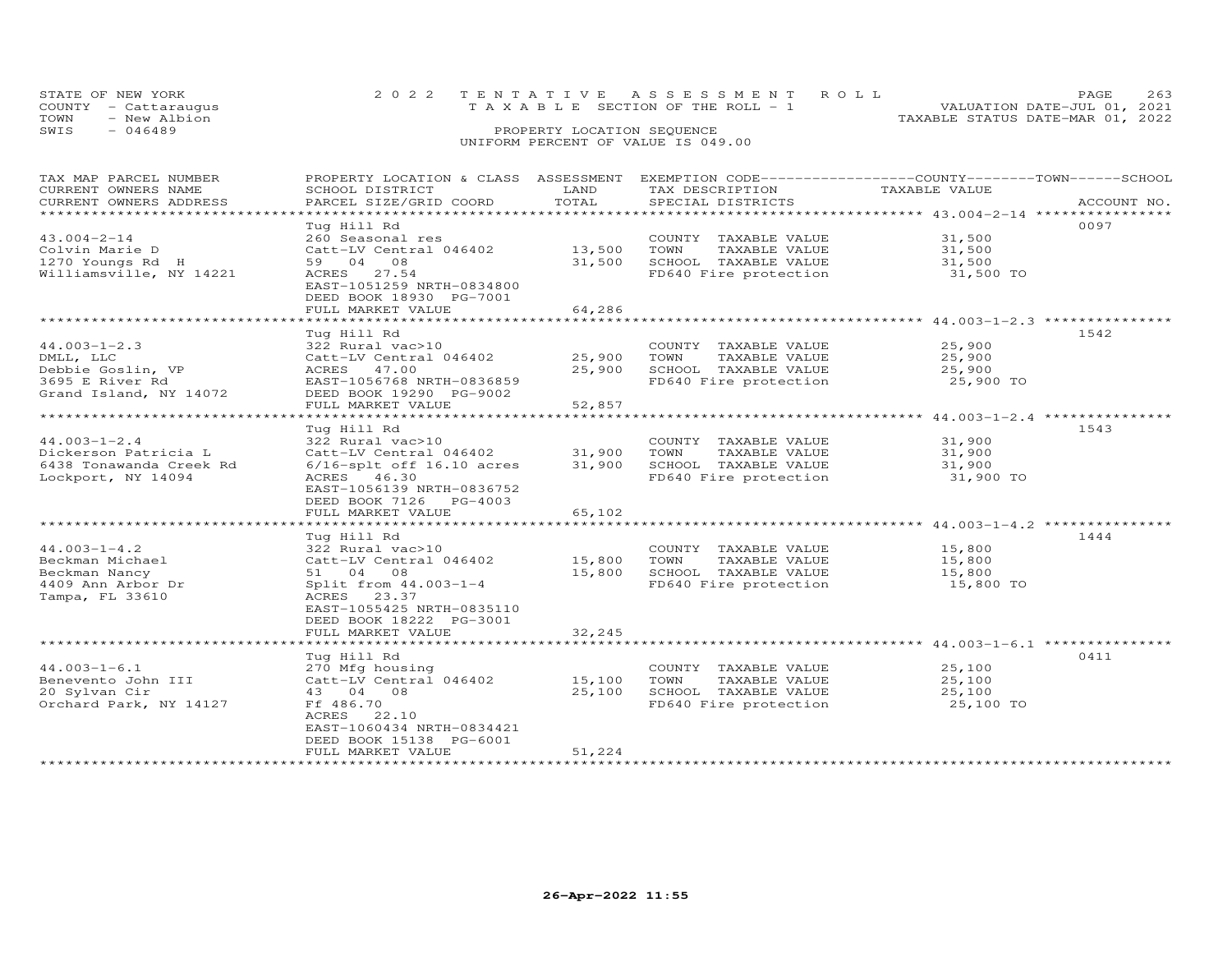| STATE OF NEW YORK                  |                            | 2022 TENTATIVE ASSESSMENT ROLL        | PAGE 263                         |  |  |  |  |  |  |
|------------------------------------|----------------------------|---------------------------------------|----------------------------------|--|--|--|--|--|--|
| COUNTY - Cattaraugus               |                            | T A X A B L E SECTION OF THE ROLL - 1 | VALUATION DATE-JUL 01, 2021      |  |  |  |  |  |  |
| TOWN<br>- New Albion               |                            |                                       | TAXABLE STATUS DATE-MAR 01, 2022 |  |  |  |  |  |  |
| SWIS<br>- 046489                   | PROPERTY LOCATION SEQUENCE |                                       |                                  |  |  |  |  |  |  |
| UNIFORM PERCENT OF VALUE IS 049.00 |                            |                                       |                                  |  |  |  |  |  |  |

| TAXABLE VALUE<br>CURRENT OWNERS NAME<br>SCHOOL DISTRICT<br>LAND<br>TAX DESCRIPTION<br>TOTAL<br>CURRENT OWNERS ADDRESS<br>PARCEL SIZE/GRID COORD<br>SPECIAL DISTRICTS<br>ACCOUNT NO.<br>*************<br>Tug Hill Rd<br>0097<br>$43.004 - 2 - 14$<br>260 Seasonal res<br>31,500<br>COUNTY TAXABLE VALUE<br>Colvin Marie D<br>Catt-LV Central 046402<br>13,500<br>TOWN<br>TAXABLE VALUE<br>31,500<br>59 04 08<br>31,500<br>SCHOOL TAXABLE VALUE<br>1270 Youngs Rd H<br>31,500<br>Williamsville, NY 14221<br>ACRES 27.54<br>FD640 Fire protection<br>31,500 TO<br>EAST-1051259 NRTH-0834800<br>DEED BOOK 18930 PG-7001<br>64,286<br>FULL MARKET VALUE<br>1542<br>Tug Hill Rd<br>$44.003 - 1 - 2.3$<br>322 Rural vac>10<br>COUNTY TAXABLE VALUE<br>25,900<br>TAXABLE VALUE<br>Catt-LV Central 046402<br>25,900<br>TOWN<br>25,900<br>DMLL, LLC<br>25,900<br>SCHOOL TAXABLE VALUE<br>Debbie Goslin, VP<br>ACRES 47.00<br>25,900<br>FD640 Fire protection<br>3695 E River Rd<br>EAST-1056768 NRTH-0836859<br>25,900 TO<br>DEED BOOK 19290 PG-9002<br>Grand Island, NY 14072<br>FULL MARKET VALUE<br>52,857<br>Tug Hill Rd<br>1543<br>$44.003 - 1 - 2.4$<br>322 Rural vac>10<br>COUNTY TAXABLE VALUE<br>31,900<br>Dickerson Patricia L<br>Catt-LV Central 046402<br>31,900<br>TOWN<br>TAXABLE VALUE<br>31,900<br>31,900<br>SCHOOL TAXABLE VALUE<br>6438 Tonawanda Creek Rd<br>$6/16$ -splt off $16.10$ acres<br>31,900<br>Lockport, NY 14094<br>ACRES 46.30<br>FD640 Fire protection<br>31,900 TO<br>EAST-1056139 NRTH-0836752<br>DEED BOOK 7126 PG-4003<br>FULL MARKET VALUE<br>65,102<br>1444<br>Tug Hill Rd<br>$44.003 - 1 - 4.2$<br>322 Rural vac>10<br>15,800<br>COUNTY TAXABLE VALUE<br>Catt-LV Central 046402<br>15,800<br>Beckman Michael<br>TOWN<br>TAXABLE VALUE<br>15,800<br>Beckman Nancy<br>51 04 08<br>15,800<br>SCHOOL TAXABLE VALUE<br>15,800<br>4409 Ann Arbor Dr<br>Split from 44.003-1-4<br>FD640 Fire protection<br>15,800 TO<br>Tampa, FL 33610<br>ACRES 23.37<br>EAST-1055425 NRTH-0835110<br>DEED BOOK 18222 PG-3001<br>FULL MARKET VALUE<br>32,245<br>Tug Hill Rd<br>0411<br>$44.003 - 1 - 6.1$<br>COUNTY TAXABLE VALUE<br>25,100<br>270 Mfg housing<br>Catt-LV Central 046402<br>Benevento John III<br>15,100<br>TOWN<br>TAXABLE VALUE<br>25,100<br>20 Sylvan Cir<br>25,100<br>SCHOOL TAXABLE VALUE<br>43 04 08<br>25,100<br>FD640 Fire protection<br>Orchard Park, NY 14127<br>Ff 486.70<br>25,100 TO<br>ACRES 22.10<br>EAST-1060434 NRTH-0834421<br>DEED BOOK 15138 PG-6001<br>51,224<br>FULL MARKET VALUE | TAX MAP PARCEL NUMBER | PROPERTY LOCATION & CLASS ASSESSMENT | EXEMPTION CODE-----------------COUNTY-------TOWN------SCHOOL |  |
|-------------------------------------------------------------------------------------------------------------------------------------------------------------------------------------------------------------------------------------------------------------------------------------------------------------------------------------------------------------------------------------------------------------------------------------------------------------------------------------------------------------------------------------------------------------------------------------------------------------------------------------------------------------------------------------------------------------------------------------------------------------------------------------------------------------------------------------------------------------------------------------------------------------------------------------------------------------------------------------------------------------------------------------------------------------------------------------------------------------------------------------------------------------------------------------------------------------------------------------------------------------------------------------------------------------------------------------------------------------------------------------------------------------------------------------------------------------------------------------------------------------------------------------------------------------------------------------------------------------------------------------------------------------------------------------------------------------------------------------------------------------------------------------------------------------------------------------------------------------------------------------------------------------------------------------------------------------------------------------------------------------------------------------------------------------------------------------------------------------------------------------------------------------------------------------------------------------------------------------------------------------------------------------------------------------------------------------------------------------------------------------------------------------------------------------------------------------------------------------------------------------------------------|-----------------------|--------------------------------------|--------------------------------------------------------------|--|
|                                                                                                                                                                                                                                                                                                                                                                                                                                                                                                                                                                                                                                                                                                                                                                                                                                                                                                                                                                                                                                                                                                                                                                                                                                                                                                                                                                                                                                                                                                                                                                                                                                                                                                                                                                                                                                                                                                                                                                                                                                                                                                                                                                                                                                                                                                                                                                                                                                                                                                                               |                       |                                      |                                                              |  |
|                                                                                                                                                                                                                                                                                                                                                                                                                                                                                                                                                                                                                                                                                                                                                                                                                                                                                                                                                                                                                                                                                                                                                                                                                                                                                                                                                                                                                                                                                                                                                                                                                                                                                                                                                                                                                                                                                                                                                                                                                                                                                                                                                                                                                                                                                                                                                                                                                                                                                                                               |                       |                                      |                                                              |  |
|                                                                                                                                                                                                                                                                                                                                                                                                                                                                                                                                                                                                                                                                                                                                                                                                                                                                                                                                                                                                                                                                                                                                                                                                                                                                                                                                                                                                                                                                                                                                                                                                                                                                                                                                                                                                                                                                                                                                                                                                                                                                                                                                                                                                                                                                                                                                                                                                                                                                                                                               |                       |                                      |                                                              |  |
|                                                                                                                                                                                                                                                                                                                                                                                                                                                                                                                                                                                                                                                                                                                                                                                                                                                                                                                                                                                                                                                                                                                                                                                                                                                                                                                                                                                                                                                                                                                                                                                                                                                                                                                                                                                                                                                                                                                                                                                                                                                                                                                                                                                                                                                                                                                                                                                                                                                                                                                               |                       |                                      |                                                              |  |
|                                                                                                                                                                                                                                                                                                                                                                                                                                                                                                                                                                                                                                                                                                                                                                                                                                                                                                                                                                                                                                                                                                                                                                                                                                                                                                                                                                                                                                                                                                                                                                                                                                                                                                                                                                                                                                                                                                                                                                                                                                                                                                                                                                                                                                                                                                                                                                                                                                                                                                                               |                       |                                      |                                                              |  |
|                                                                                                                                                                                                                                                                                                                                                                                                                                                                                                                                                                                                                                                                                                                                                                                                                                                                                                                                                                                                                                                                                                                                                                                                                                                                                                                                                                                                                                                                                                                                                                                                                                                                                                                                                                                                                                                                                                                                                                                                                                                                                                                                                                                                                                                                                                                                                                                                                                                                                                                               |                       |                                      |                                                              |  |
|                                                                                                                                                                                                                                                                                                                                                                                                                                                                                                                                                                                                                                                                                                                                                                                                                                                                                                                                                                                                                                                                                                                                                                                                                                                                                                                                                                                                                                                                                                                                                                                                                                                                                                                                                                                                                                                                                                                                                                                                                                                                                                                                                                                                                                                                                                                                                                                                                                                                                                                               |                       |                                      |                                                              |  |
|                                                                                                                                                                                                                                                                                                                                                                                                                                                                                                                                                                                                                                                                                                                                                                                                                                                                                                                                                                                                                                                                                                                                                                                                                                                                                                                                                                                                                                                                                                                                                                                                                                                                                                                                                                                                                                                                                                                                                                                                                                                                                                                                                                                                                                                                                                                                                                                                                                                                                                                               |                       |                                      |                                                              |  |
|                                                                                                                                                                                                                                                                                                                                                                                                                                                                                                                                                                                                                                                                                                                                                                                                                                                                                                                                                                                                                                                                                                                                                                                                                                                                                                                                                                                                                                                                                                                                                                                                                                                                                                                                                                                                                                                                                                                                                                                                                                                                                                                                                                                                                                                                                                                                                                                                                                                                                                                               |                       |                                      |                                                              |  |
|                                                                                                                                                                                                                                                                                                                                                                                                                                                                                                                                                                                                                                                                                                                                                                                                                                                                                                                                                                                                                                                                                                                                                                                                                                                                                                                                                                                                                                                                                                                                                                                                                                                                                                                                                                                                                                                                                                                                                                                                                                                                                                                                                                                                                                                                                                                                                                                                                                                                                                                               |                       |                                      |                                                              |  |
|                                                                                                                                                                                                                                                                                                                                                                                                                                                                                                                                                                                                                                                                                                                                                                                                                                                                                                                                                                                                                                                                                                                                                                                                                                                                                                                                                                                                                                                                                                                                                                                                                                                                                                                                                                                                                                                                                                                                                                                                                                                                                                                                                                                                                                                                                                                                                                                                                                                                                                                               |                       |                                      |                                                              |  |
|                                                                                                                                                                                                                                                                                                                                                                                                                                                                                                                                                                                                                                                                                                                                                                                                                                                                                                                                                                                                                                                                                                                                                                                                                                                                                                                                                                                                                                                                                                                                                                                                                                                                                                                                                                                                                                                                                                                                                                                                                                                                                                                                                                                                                                                                                                                                                                                                                                                                                                                               |                       |                                      |                                                              |  |
|                                                                                                                                                                                                                                                                                                                                                                                                                                                                                                                                                                                                                                                                                                                                                                                                                                                                                                                                                                                                                                                                                                                                                                                                                                                                                                                                                                                                                                                                                                                                                                                                                                                                                                                                                                                                                                                                                                                                                                                                                                                                                                                                                                                                                                                                                                                                                                                                                                                                                                                               |                       |                                      |                                                              |  |
|                                                                                                                                                                                                                                                                                                                                                                                                                                                                                                                                                                                                                                                                                                                                                                                                                                                                                                                                                                                                                                                                                                                                                                                                                                                                                                                                                                                                                                                                                                                                                                                                                                                                                                                                                                                                                                                                                                                                                                                                                                                                                                                                                                                                                                                                                                                                                                                                                                                                                                                               |                       |                                      |                                                              |  |
|                                                                                                                                                                                                                                                                                                                                                                                                                                                                                                                                                                                                                                                                                                                                                                                                                                                                                                                                                                                                                                                                                                                                                                                                                                                                                                                                                                                                                                                                                                                                                                                                                                                                                                                                                                                                                                                                                                                                                                                                                                                                                                                                                                                                                                                                                                                                                                                                                                                                                                                               |                       |                                      |                                                              |  |
|                                                                                                                                                                                                                                                                                                                                                                                                                                                                                                                                                                                                                                                                                                                                                                                                                                                                                                                                                                                                                                                                                                                                                                                                                                                                                                                                                                                                                                                                                                                                                                                                                                                                                                                                                                                                                                                                                                                                                                                                                                                                                                                                                                                                                                                                                                                                                                                                                                                                                                                               |                       |                                      |                                                              |  |
|                                                                                                                                                                                                                                                                                                                                                                                                                                                                                                                                                                                                                                                                                                                                                                                                                                                                                                                                                                                                                                                                                                                                                                                                                                                                                                                                                                                                                                                                                                                                                                                                                                                                                                                                                                                                                                                                                                                                                                                                                                                                                                                                                                                                                                                                                                                                                                                                                                                                                                                               |                       |                                      |                                                              |  |
|                                                                                                                                                                                                                                                                                                                                                                                                                                                                                                                                                                                                                                                                                                                                                                                                                                                                                                                                                                                                                                                                                                                                                                                                                                                                                                                                                                                                                                                                                                                                                                                                                                                                                                                                                                                                                                                                                                                                                                                                                                                                                                                                                                                                                                                                                                                                                                                                                                                                                                                               |                       |                                      |                                                              |  |
|                                                                                                                                                                                                                                                                                                                                                                                                                                                                                                                                                                                                                                                                                                                                                                                                                                                                                                                                                                                                                                                                                                                                                                                                                                                                                                                                                                                                                                                                                                                                                                                                                                                                                                                                                                                                                                                                                                                                                                                                                                                                                                                                                                                                                                                                                                                                                                                                                                                                                                                               |                       |                                      |                                                              |  |
|                                                                                                                                                                                                                                                                                                                                                                                                                                                                                                                                                                                                                                                                                                                                                                                                                                                                                                                                                                                                                                                                                                                                                                                                                                                                                                                                                                                                                                                                                                                                                                                                                                                                                                                                                                                                                                                                                                                                                                                                                                                                                                                                                                                                                                                                                                                                                                                                                                                                                                                               |                       |                                      |                                                              |  |
|                                                                                                                                                                                                                                                                                                                                                                                                                                                                                                                                                                                                                                                                                                                                                                                                                                                                                                                                                                                                                                                                                                                                                                                                                                                                                                                                                                                                                                                                                                                                                                                                                                                                                                                                                                                                                                                                                                                                                                                                                                                                                                                                                                                                                                                                                                                                                                                                                                                                                                                               |                       |                                      |                                                              |  |
|                                                                                                                                                                                                                                                                                                                                                                                                                                                                                                                                                                                                                                                                                                                                                                                                                                                                                                                                                                                                                                                                                                                                                                                                                                                                                                                                                                                                                                                                                                                                                                                                                                                                                                                                                                                                                                                                                                                                                                                                                                                                                                                                                                                                                                                                                                                                                                                                                                                                                                                               |                       |                                      |                                                              |  |
|                                                                                                                                                                                                                                                                                                                                                                                                                                                                                                                                                                                                                                                                                                                                                                                                                                                                                                                                                                                                                                                                                                                                                                                                                                                                                                                                                                                                                                                                                                                                                                                                                                                                                                                                                                                                                                                                                                                                                                                                                                                                                                                                                                                                                                                                                                                                                                                                                                                                                                                               |                       |                                      |                                                              |  |
|                                                                                                                                                                                                                                                                                                                                                                                                                                                                                                                                                                                                                                                                                                                                                                                                                                                                                                                                                                                                                                                                                                                                                                                                                                                                                                                                                                                                                                                                                                                                                                                                                                                                                                                                                                                                                                                                                                                                                                                                                                                                                                                                                                                                                                                                                                                                                                                                                                                                                                                               |                       |                                      |                                                              |  |
|                                                                                                                                                                                                                                                                                                                                                                                                                                                                                                                                                                                                                                                                                                                                                                                                                                                                                                                                                                                                                                                                                                                                                                                                                                                                                                                                                                                                                                                                                                                                                                                                                                                                                                                                                                                                                                                                                                                                                                                                                                                                                                                                                                                                                                                                                                                                                                                                                                                                                                                               |                       |                                      |                                                              |  |
|                                                                                                                                                                                                                                                                                                                                                                                                                                                                                                                                                                                                                                                                                                                                                                                                                                                                                                                                                                                                                                                                                                                                                                                                                                                                                                                                                                                                                                                                                                                                                                                                                                                                                                                                                                                                                                                                                                                                                                                                                                                                                                                                                                                                                                                                                                                                                                                                                                                                                                                               |                       |                                      |                                                              |  |
|                                                                                                                                                                                                                                                                                                                                                                                                                                                                                                                                                                                                                                                                                                                                                                                                                                                                                                                                                                                                                                                                                                                                                                                                                                                                                                                                                                                                                                                                                                                                                                                                                                                                                                                                                                                                                                                                                                                                                                                                                                                                                                                                                                                                                                                                                                                                                                                                                                                                                                                               |                       |                                      |                                                              |  |
|                                                                                                                                                                                                                                                                                                                                                                                                                                                                                                                                                                                                                                                                                                                                                                                                                                                                                                                                                                                                                                                                                                                                                                                                                                                                                                                                                                                                                                                                                                                                                                                                                                                                                                                                                                                                                                                                                                                                                                                                                                                                                                                                                                                                                                                                                                                                                                                                                                                                                                                               |                       |                                      |                                                              |  |
|                                                                                                                                                                                                                                                                                                                                                                                                                                                                                                                                                                                                                                                                                                                                                                                                                                                                                                                                                                                                                                                                                                                                                                                                                                                                                                                                                                                                                                                                                                                                                                                                                                                                                                                                                                                                                                                                                                                                                                                                                                                                                                                                                                                                                                                                                                                                                                                                                                                                                                                               |                       |                                      |                                                              |  |
|                                                                                                                                                                                                                                                                                                                                                                                                                                                                                                                                                                                                                                                                                                                                                                                                                                                                                                                                                                                                                                                                                                                                                                                                                                                                                                                                                                                                                                                                                                                                                                                                                                                                                                                                                                                                                                                                                                                                                                                                                                                                                                                                                                                                                                                                                                                                                                                                                                                                                                                               |                       |                                      |                                                              |  |
|                                                                                                                                                                                                                                                                                                                                                                                                                                                                                                                                                                                                                                                                                                                                                                                                                                                                                                                                                                                                                                                                                                                                                                                                                                                                                                                                                                                                                                                                                                                                                                                                                                                                                                                                                                                                                                                                                                                                                                                                                                                                                                                                                                                                                                                                                                                                                                                                                                                                                                                               |                       |                                      |                                                              |  |
|                                                                                                                                                                                                                                                                                                                                                                                                                                                                                                                                                                                                                                                                                                                                                                                                                                                                                                                                                                                                                                                                                                                                                                                                                                                                                                                                                                                                                                                                                                                                                                                                                                                                                                                                                                                                                                                                                                                                                                                                                                                                                                                                                                                                                                                                                                                                                                                                                                                                                                                               |                       |                                      |                                                              |  |
|                                                                                                                                                                                                                                                                                                                                                                                                                                                                                                                                                                                                                                                                                                                                                                                                                                                                                                                                                                                                                                                                                                                                                                                                                                                                                                                                                                                                                                                                                                                                                                                                                                                                                                                                                                                                                                                                                                                                                                                                                                                                                                                                                                                                                                                                                                                                                                                                                                                                                                                               |                       |                                      |                                                              |  |
|                                                                                                                                                                                                                                                                                                                                                                                                                                                                                                                                                                                                                                                                                                                                                                                                                                                                                                                                                                                                                                                                                                                                                                                                                                                                                                                                                                                                                                                                                                                                                                                                                                                                                                                                                                                                                                                                                                                                                                                                                                                                                                                                                                                                                                                                                                                                                                                                                                                                                                                               |                       |                                      |                                                              |  |
|                                                                                                                                                                                                                                                                                                                                                                                                                                                                                                                                                                                                                                                                                                                                                                                                                                                                                                                                                                                                                                                                                                                                                                                                                                                                                                                                                                                                                                                                                                                                                                                                                                                                                                                                                                                                                                                                                                                                                                                                                                                                                                                                                                                                                                                                                                                                                                                                                                                                                                                               |                       |                                      |                                                              |  |
|                                                                                                                                                                                                                                                                                                                                                                                                                                                                                                                                                                                                                                                                                                                                                                                                                                                                                                                                                                                                                                                                                                                                                                                                                                                                                                                                                                                                                                                                                                                                                                                                                                                                                                                                                                                                                                                                                                                                                                                                                                                                                                                                                                                                                                                                                                                                                                                                                                                                                                                               |                       |                                      |                                                              |  |
|                                                                                                                                                                                                                                                                                                                                                                                                                                                                                                                                                                                                                                                                                                                                                                                                                                                                                                                                                                                                                                                                                                                                                                                                                                                                                                                                                                                                                                                                                                                                                                                                                                                                                                                                                                                                                                                                                                                                                                                                                                                                                                                                                                                                                                                                                                                                                                                                                                                                                                                               |                       |                                      |                                                              |  |
|                                                                                                                                                                                                                                                                                                                                                                                                                                                                                                                                                                                                                                                                                                                                                                                                                                                                                                                                                                                                                                                                                                                                                                                                                                                                                                                                                                                                                                                                                                                                                                                                                                                                                                                                                                                                                                                                                                                                                                                                                                                                                                                                                                                                                                                                                                                                                                                                                                                                                                                               |                       |                                      |                                                              |  |
|                                                                                                                                                                                                                                                                                                                                                                                                                                                                                                                                                                                                                                                                                                                                                                                                                                                                                                                                                                                                                                                                                                                                                                                                                                                                                                                                                                                                                                                                                                                                                                                                                                                                                                                                                                                                                                                                                                                                                                                                                                                                                                                                                                                                                                                                                                                                                                                                                                                                                                                               |                       |                                      |                                                              |  |
|                                                                                                                                                                                                                                                                                                                                                                                                                                                                                                                                                                                                                                                                                                                                                                                                                                                                                                                                                                                                                                                                                                                                                                                                                                                                                                                                                                                                                                                                                                                                                                                                                                                                                                                                                                                                                                                                                                                                                                                                                                                                                                                                                                                                                                                                                                                                                                                                                                                                                                                               |                       |                                      |                                                              |  |
|                                                                                                                                                                                                                                                                                                                                                                                                                                                                                                                                                                                                                                                                                                                                                                                                                                                                                                                                                                                                                                                                                                                                                                                                                                                                                                                                                                                                                                                                                                                                                                                                                                                                                                                                                                                                                                                                                                                                                                                                                                                                                                                                                                                                                                                                                                                                                                                                                                                                                                                               |                       |                                      |                                                              |  |
|                                                                                                                                                                                                                                                                                                                                                                                                                                                                                                                                                                                                                                                                                                                                                                                                                                                                                                                                                                                                                                                                                                                                                                                                                                                                                                                                                                                                                                                                                                                                                                                                                                                                                                                                                                                                                                                                                                                                                                                                                                                                                                                                                                                                                                                                                                                                                                                                                                                                                                                               |                       |                                      |                                                              |  |
|                                                                                                                                                                                                                                                                                                                                                                                                                                                                                                                                                                                                                                                                                                                                                                                                                                                                                                                                                                                                                                                                                                                                                                                                                                                                                                                                                                                                                                                                                                                                                                                                                                                                                                                                                                                                                                                                                                                                                                                                                                                                                                                                                                                                                                                                                                                                                                                                                                                                                                                               |                       |                                      |                                                              |  |
|                                                                                                                                                                                                                                                                                                                                                                                                                                                                                                                                                                                                                                                                                                                                                                                                                                                                                                                                                                                                                                                                                                                                                                                                                                                                                                                                                                                                                                                                                                                                                                                                                                                                                                                                                                                                                                                                                                                                                                                                                                                                                                                                                                                                                                                                                                                                                                                                                                                                                                                               |                       |                                      |                                                              |  |
|                                                                                                                                                                                                                                                                                                                                                                                                                                                                                                                                                                                                                                                                                                                                                                                                                                                                                                                                                                                                                                                                                                                                                                                                                                                                                                                                                                                                                                                                                                                                                                                                                                                                                                                                                                                                                                                                                                                                                                                                                                                                                                                                                                                                                                                                                                                                                                                                                                                                                                                               |                       |                                      |                                                              |  |
|                                                                                                                                                                                                                                                                                                                                                                                                                                                                                                                                                                                                                                                                                                                                                                                                                                                                                                                                                                                                                                                                                                                                                                                                                                                                                                                                                                                                                                                                                                                                                                                                                                                                                                                                                                                                                                                                                                                                                                                                                                                                                                                                                                                                                                                                                                                                                                                                                                                                                                                               |                       |                                      |                                                              |  |
|                                                                                                                                                                                                                                                                                                                                                                                                                                                                                                                                                                                                                                                                                                                                                                                                                                                                                                                                                                                                                                                                                                                                                                                                                                                                                                                                                                                                                                                                                                                                                                                                                                                                                                                                                                                                                                                                                                                                                                                                                                                                                                                                                                                                                                                                                                                                                                                                                                                                                                                               |                       |                                      |                                                              |  |
|                                                                                                                                                                                                                                                                                                                                                                                                                                                                                                                                                                                                                                                                                                                                                                                                                                                                                                                                                                                                                                                                                                                                                                                                                                                                                                                                                                                                                                                                                                                                                                                                                                                                                                                                                                                                                                                                                                                                                                                                                                                                                                                                                                                                                                                                                                                                                                                                                                                                                                                               |                       |                                      |                                                              |  |
|                                                                                                                                                                                                                                                                                                                                                                                                                                                                                                                                                                                                                                                                                                                                                                                                                                                                                                                                                                                                                                                                                                                                                                                                                                                                                                                                                                                                                                                                                                                                                                                                                                                                                                                                                                                                                                                                                                                                                                                                                                                                                                                                                                                                                                                                                                                                                                                                                                                                                                                               |                       |                                      |                                                              |  |
|                                                                                                                                                                                                                                                                                                                                                                                                                                                                                                                                                                                                                                                                                                                                                                                                                                                                                                                                                                                                                                                                                                                                                                                                                                                                                                                                                                                                                                                                                                                                                                                                                                                                                                                                                                                                                                                                                                                                                                                                                                                                                                                                                                                                                                                                                                                                                                                                                                                                                                                               |                       |                                      |                                                              |  |
|                                                                                                                                                                                                                                                                                                                                                                                                                                                                                                                                                                                                                                                                                                                                                                                                                                                                                                                                                                                                                                                                                                                                                                                                                                                                                                                                                                                                                                                                                                                                                                                                                                                                                                                                                                                                                                                                                                                                                                                                                                                                                                                                                                                                                                                                                                                                                                                                                                                                                                                               |                       |                                      |                                                              |  |
|                                                                                                                                                                                                                                                                                                                                                                                                                                                                                                                                                                                                                                                                                                                                                                                                                                                                                                                                                                                                                                                                                                                                                                                                                                                                                                                                                                                                                                                                                                                                                                                                                                                                                                                                                                                                                                                                                                                                                                                                                                                                                                                                                                                                                                                                                                                                                                                                                                                                                                                               |                       |                                      |                                                              |  |
|                                                                                                                                                                                                                                                                                                                                                                                                                                                                                                                                                                                                                                                                                                                                                                                                                                                                                                                                                                                                                                                                                                                                                                                                                                                                                                                                                                                                                                                                                                                                                                                                                                                                                                                                                                                                                                                                                                                                                                                                                                                                                                                                                                                                                                                                                                                                                                                                                                                                                                                               |                       |                                      |                                                              |  |
|                                                                                                                                                                                                                                                                                                                                                                                                                                                                                                                                                                                                                                                                                                                                                                                                                                                                                                                                                                                                                                                                                                                                                                                                                                                                                                                                                                                                                                                                                                                                                                                                                                                                                                                                                                                                                                                                                                                                                                                                                                                                                                                                                                                                                                                                                                                                                                                                                                                                                                                               |                       |                                      |                                                              |  |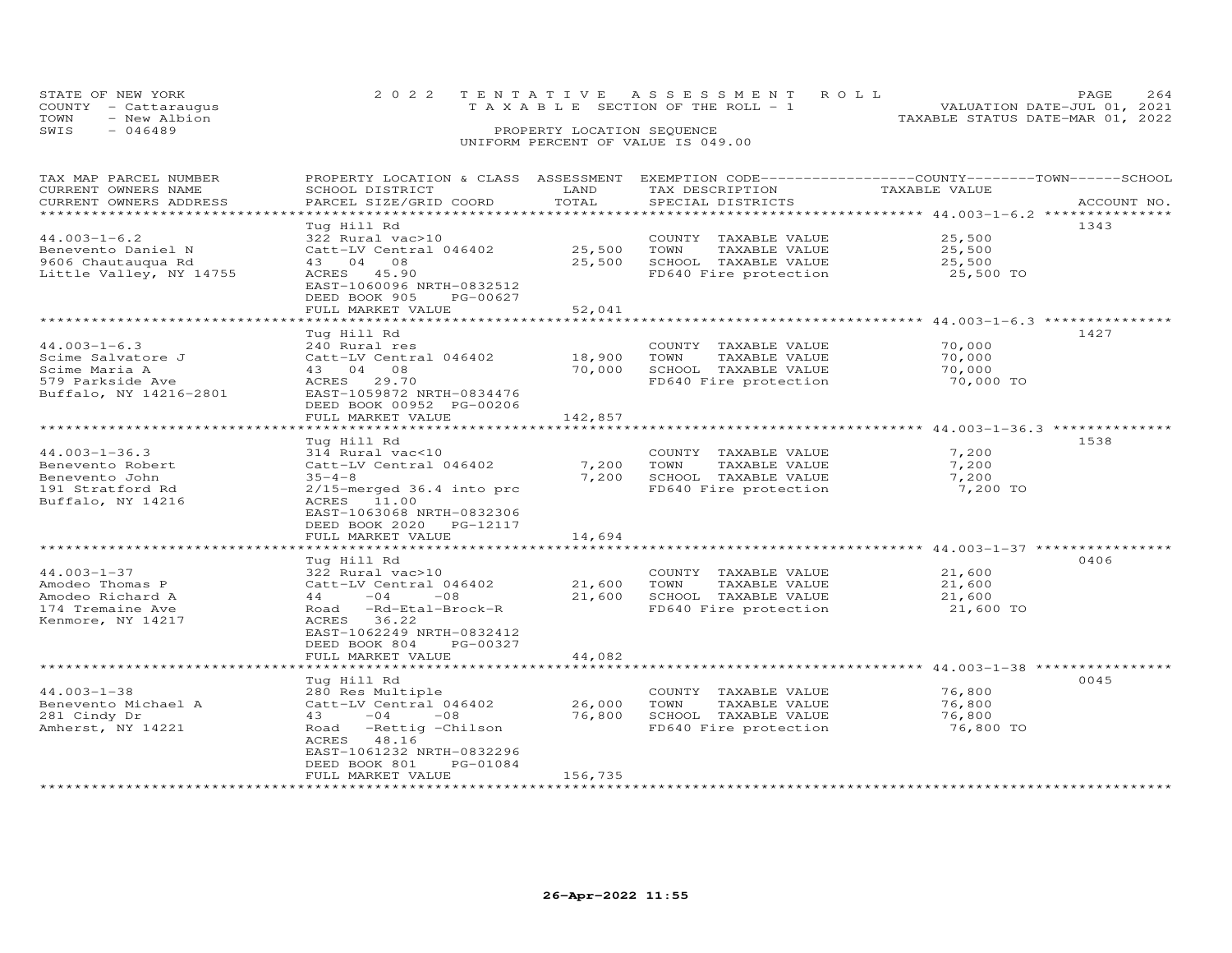| STATE OF NEW YORK<br>COUNTY - Cattaraugus |                            | 2022 TENTATIVE ASSESSMENT ROLL<br>T A X A B L E SECTION OF THE ROLL - 1 |  | PAGE.<br>VALUATION DATE-JUL 01, 2021 |  |  |  |  |
|-------------------------------------------|----------------------------|-------------------------------------------------------------------------|--|--------------------------------------|--|--|--|--|
| TOWN<br>- New Albion                      |                            |                                                                         |  | TAXABLE STATUS DATE-MAR 01, 2022     |  |  |  |  |
| SWIS<br>$-046489$                         | PROPERTY LOCATION SEQUENCE |                                                                         |  |                                      |  |  |  |  |
|                                           |                            | UNIFORM PERCENT OF VALUE IS 049.00                                      |  |                                      |  |  |  |  |

| TAX MAP PARCEL NUMBER<br>CURRENT OWNERS NAME | PROPERTY LOCATION & CLASS ASSESSMENT<br>SCHOOL DISTRICT | LAND              | EXEMPTION CODE-----------------COUNTY-------TOWN-----SCHOOL<br>TAX DESCRIPTION | TAXABLE VALUE                                                   |             |
|----------------------------------------------|---------------------------------------------------------|-------------------|--------------------------------------------------------------------------------|-----------------------------------------------------------------|-------------|
| CURRENT OWNERS ADDRESS                       | PARCEL SIZE/GRID COORD                                  | TOTAL<br>******** | SPECIAL DISTRICTS                                                              | ********************************* 44.003-1-6.2 **************** | ACCOUNT NO. |
|                                              | Tug Hill Rd                                             |                   |                                                                                |                                                                 | 1343        |
| $44.003 - 1 - 6.2$                           | 322 Rural vac>10                                        |                   | COUNTY TAXABLE VALUE                                                           | 25,500                                                          |             |
| Benevento Daniel N                           | Catt-LV Central 046402                                  | 25,500            | TOWN<br>TAXABLE VALUE                                                          | 25,500                                                          |             |
| 9606 Chautauqua Rd                           | 43 04 08                                                | 25,500            | SCHOOL TAXABLE VALUE                                                           | 25,500                                                          |             |
| Little Valley, NY 14755                      | ACRES<br>45.90                                          |                   | FD640 Fire protection                                                          | 25,500 TO                                                       |             |
|                                              | EAST-1060096 NRTH-0832512                               |                   |                                                                                |                                                                 |             |
|                                              | DEED BOOK 905<br>PG-00627                               |                   |                                                                                |                                                                 |             |
|                                              | FULL MARKET VALUE                                       | 52,041            |                                                                                |                                                                 |             |
|                                              |                                                         |                   |                                                                                | **************************** 44.003-1-6.3 ***************       |             |
|                                              | Tug Hill Rd                                             |                   |                                                                                |                                                                 | 1427        |
| $44.003 - 1 - 6.3$                           | 240 Rural res                                           |                   | COUNTY TAXABLE VALUE                                                           | 70,000                                                          |             |
| Scime Salvatore J                            | Catt-LV Central 046402                                  | 18,900            | TOWN<br>TAXABLE VALUE                                                          | 70,000                                                          |             |
| Scime Maria A                                | 43 04 08                                                | 70,000            | SCHOOL TAXABLE VALUE                                                           | 70,000                                                          |             |
| 579 Parkside Ave                             | ACRES<br>29.70                                          |                   | FD640 Fire protection                                                          | 70,000 TO                                                       |             |
| Buffalo, NY 14216-2801                       | EAST-1059872 NRTH-0834476                               |                   |                                                                                |                                                                 |             |
|                                              | DEED BOOK 00952 PG-00206                                |                   |                                                                                |                                                                 |             |
|                                              | FULL MARKET VALUE                                       | 142,857           |                                                                                |                                                                 |             |
|                                              | * * * * * * * * * * * * * * * * * *                     | **********        |                                                                                |                                                                 |             |
|                                              | Tug Hill Rd                                             |                   |                                                                                |                                                                 | 1538        |
| $44.003 - 1 - 36.3$                          | 314 Rural vac<10                                        |                   | COUNTY TAXABLE VALUE                                                           | 7,200                                                           |             |
| Benevento Robert                             | Catt-LV Central 046402                                  | 7,200             | TOWN<br>TAXABLE VALUE                                                          | 7,200                                                           |             |
| Benevento John                               | $35 - 4 - 8$                                            | 7,200             | SCHOOL TAXABLE VALUE                                                           | 7,200                                                           |             |
| 191 Stratford Rd                             | 2/15-merged 36.4 into prc                               |                   | FD640 Fire protection                                                          | 7,200 TO                                                        |             |
| Buffalo, NY 14216                            | ACRES 11.00                                             |                   |                                                                                |                                                                 |             |
|                                              | EAST-1063068 NRTH-0832306                               |                   |                                                                                |                                                                 |             |
|                                              | DEED BOOK 2020 PG-12117                                 |                   |                                                                                |                                                                 |             |
|                                              | FULL MARKET VALUE                                       | 14,694            |                                                                                | ************************ 44.003-1-37 **********                 |             |
|                                              | Tug Hill Rd                                             |                   |                                                                                |                                                                 | 0406        |
| $44.003 - 1 - 37$                            | 322 Rural vac>10                                        |                   | COUNTY TAXABLE VALUE                                                           | 21,600                                                          |             |
| Amodeo Thomas P                              | Catt-LV Central 046402                                  | 21,600            | TOWN<br>TAXABLE VALUE                                                          | 21,600                                                          |             |
| Amodeo Richard A                             | $-08$<br>44<br>$-04$                                    | 21,600            | SCHOOL TAXABLE VALUE                                                           | 21,600                                                          |             |
| 174 Tremaine Ave                             | Road -Rd-Etal-Brock-R                                   |                   | FD640 Fire protection                                                          | 21,600 TO                                                       |             |
| Kenmore, NY 14217                            | ACRES 36.22                                             |                   |                                                                                |                                                                 |             |
|                                              | EAST-1062249 NRTH-0832412                               |                   |                                                                                |                                                                 |             |
|                                              | DEED BOOK 804<br>PG-00327                               |                   |                                                                                |                                                                 |             |
|                                              | FULL MARKET VALUE                                       | 44,082            |                                                                                |                                                                 |             |
|                                              |                                                         |                   |                                                                                | ************************* 44.003-1-38 *****                     |             |
|                                              | Tug Hill Rd                                             |                   |                                                                                |                                                                 | 0045        |
| $44.003 - 1 - 38$                            | 280 Res Multiple                                        |                   | COUNTY TAXABLE VALUE                                                           | 76,800                                                          |             |
| Benevento Michael A                          | Catt-LV Central 046402                                  | 26,000            | TOWN<br>TAXABLE VALUE                                                          | 76,800                                                          |             |
| 281 Cindy Dr                                 | 43<br>$-04$<br>$-08$                                    | 76,800            | SCHOOL TAXABLE VALUE                                                           | 76,800                                                          |             |
| Amherst, NY 14221                            | Road -Rettig -Chilson                                   |                   | FD640 Fire protection                                                          | 76,800 TO                                                       |             |
|                                              | ACRES<br>48.16                                          |                   |                                                                                |                                                                 |             |
|                                              | EAST-1061232 NRTH-0832296                               |                   |                                                                                |                                                                 |             |
|                                              | DEED BOOK 801<br>PG-01084                               |                   |                                                                                |                                                                 |             |
|                                              | FULL MARKET VALUE                                       | 156,735           |                                                                                |                                                                 |             |
|                                              |                                                         |                   |                                                                                |                                                                 |             |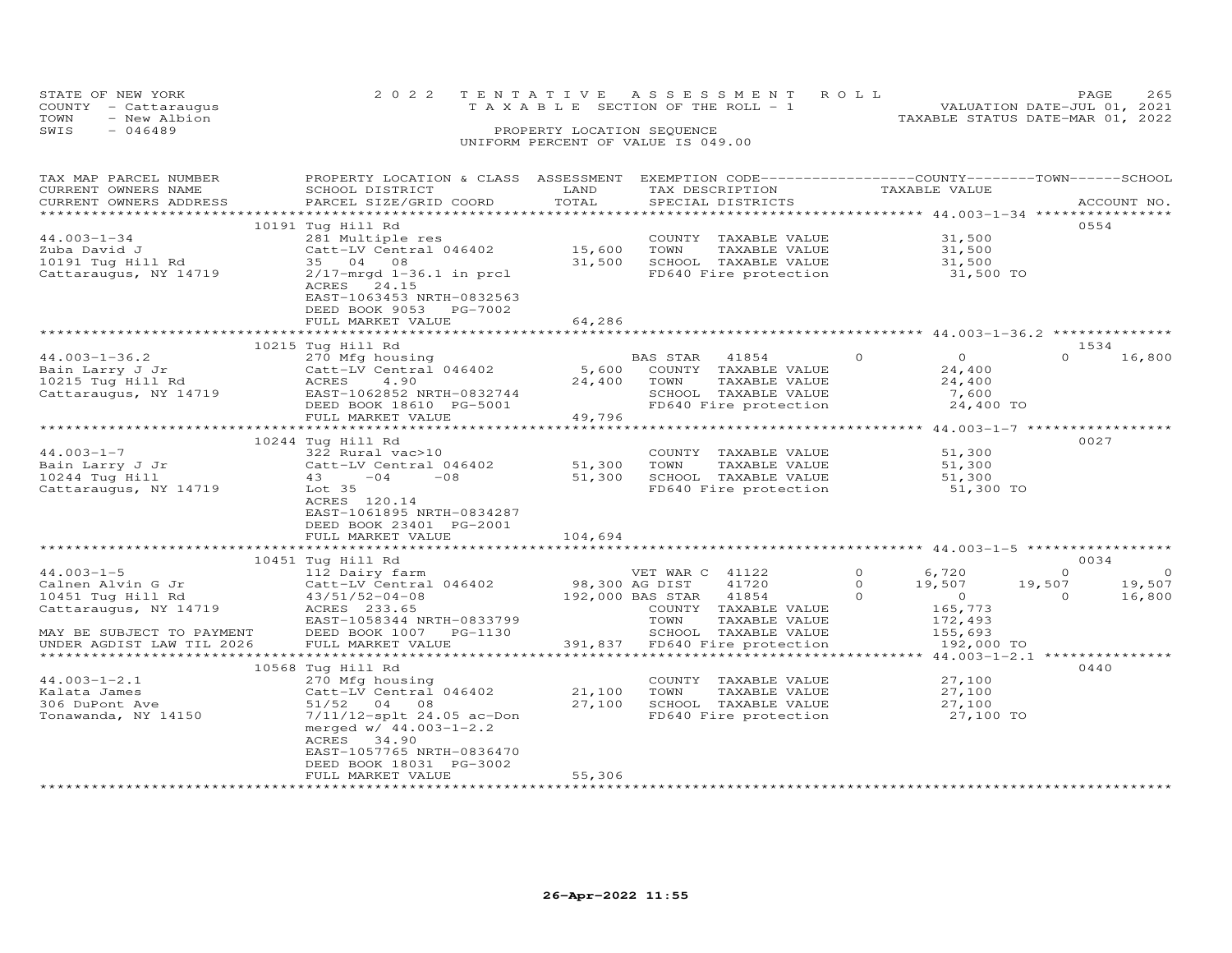| STATE OF NEW YORK |                      |  |  |  |                                    |  |  | 2022 TENTATIVE ASSESSMENT ROLL |                                  | <b>PAGE</b>                 | 265 |
|-------------------|----------------------|--|--|--|------------------------------------|--|--|--------------------------------|----------------------------------|-----------------------------|-----|
|                   | COUNTY - Cattaraugus |  |  |  | TAXABLE SECTION OF THE ROLL - 1    |  |  |                                |                                  | VALUATION DATE-JUL 01, 2021 |     |
| TOWN              | - New Albion         |  |  |  |                                    |  |  |                                | TAXABLE STATUS DATE-MAR 01, 2022 |                             |     |
| SWIS              | - 046489             |  |  |  | PROPERTY LOCATION SEQUENCE         |  |  |                                |                                  |                             |     |
|                   |                      |  |  |  | UNIFORM PERCENT OF VALUE IS 049.00 |  |  |                                |                                  |                             |     |

# TAX MAP PARCEL NUMBER PROPERTY LOCATION & CLASS ASSESSMENT EXEMPTION CODE------------------COUNTY--------TOWN------SCHOOL CURRENT OWNERS NAME SCHOOL DISTRICT LAND TAX DESCRIPTION TAXABLE VALUE CURRENT OWNERS ADDRESS PARCEL SIZE/GRID COORD TOTAL SPECIAL DISTRICTS ACCOUNT NO. \*\*\*\*\*\*\*\*\*\*\*\*\*\*\*\*\*\*\*\*\*\*\*\*\*\*\*\*\*\*\*\*\*\*\*\*\*\*\*\*\*\*\*\*\*\*\*\*\*\*\*\*\*\*\*\*\*\*\*\*\*\*\*\*\*\*\*\*\*\*\*\*\*\*\*\*\*\*\*\*\*\*\*\*\*\*\*\*\*\*\*\*\*\*\*\*\*\*\*\*\*\*\* 44.003-1-34 \*\*\*\*\*\*\*\*\*\*\*\*\*\*\*\* 10191 Tug Hill Rd 055444.003-1-34 281 Multiple res COUNTY TAXABLE VALUE 31,500<br>Zuba David J Catt-LV Central 046402 15,600 TOWN TAXABLE VALUE 31,500<br>10191 Tug Hill Rd 35 04 08 31,500 ֖֚֚֚֚֚֚֚֚֚֬ ACRES 24.15 EAST-1063453 NRTH-0832563 DEED BOOK 9053 PG-7002FULL MARKET VALUE 64,286 \*\*\*\*\*\*\*\*\*\*\*\*\*\*\*\*\*\*\*\*\*\*\*\*\*\*\*\*\*\*\*\*\*\*\*\*\*\*\*\*\*\*\*\*\*\*\*\*\*\*\*\*\*\*\*\*\*\*\*\*\*\*\*\*\*\*\*\*\*\*\*\*\*\*\*\*\*\*\*\*\*\*\*\*\*\*\*\*\*\*\*\*\*\*\*\*\*\*\*\*\*\*\* 44.003-1-36.2 \*\*\*\*\*\*\*\*\*\*\*\*\*\* $\frac{4}{16}$  80. 10215 Tug Hill Rd<br>
2703-1-36.2 2016 16,800<br>
Bain Larry J Jr Catt-LV Central 046402 5,600 COUNTY TAXABLE VALUE<br>
10215 Tug Hill Rd Cattar<br>
24,400 24,400 24,400 24,400 TOWN TAXABLE VALUE 24,400<br>
Cattaraugus, NY 14719 EAST-106 \*\*\*\*\*\*\*\*\*\*\*\*\*\*\*\*\*\*\*\*\*\*\*\*\*\*\*\*\*\*\*\*\*\*\*\*\*\*\*\*\*\*\*\*\*\*\*\*\*\*\*\*\*\*\*\*\*\*\*\*\*\*\*\*\*\*\*\*\*\*\*\*\*\*\*\*\*\*\*\*\*\*\*\*\*\*\*\*\*\*\*\*\*\*\*\*\*\*\*\*\*\*\* 44.003-1-7 \*\*\*\*\*\*\*\*\*\*\*\*\*\*\*\*\*10244 Tug Hill Rd<br>
322 Rural vac>10<br>
22 Rural vac>10<br>
232 Rural 046402<br>
232 Rural 046402<br>
232 Rural 046402<br>
232 Rural 046402<br>
232 Rural 046402<br>
241 Tug Hill 235<br>
241 Tug Hill 235<br>
232 Rural 046402<br>
241 Tug Hill 2010<br>
2027  $51,300$ l EAST-1061895 NRTH-0834287 DEED BOOK 23401 PG-2001FULL MARKET VALUE 104,694 \*\*\*\*\*\*\*\*\*\*\*\*\*\*\*\*\*\*\*\*\*\*\*\*\*\*\*\*\*\*\*\*\*\*\*\*\*\*\*\*\*\*\*\*\*\*\*\*\*\*\*\*\*\*\*\*\*\*\*\*\*\*\*\*\*\*\*\*\*\*\*\*\*\*\*\*\*\*\*\*\*\*\*\*\*\*\*\*\*\*\*\*\*\*\*\*\*\*\*\*\*\*\* 44.003-1-5 \*\*\*\*\*\*\*\*\*\*\*\*\*\*\*\*\* 10451 Tug Hill Rd 0034 44.003-1-5 112 Dairy farm VET WAR C 41122 0 6,720 0 0 Calnen Alvin G Jr Catt-LV Central 046402 98,300 AG DIST 41720 0 19,507 19,507 19,507 10451 Tug Hill Rd 43/51/52-04-08 192,000 BAS STAR 41854 0 0 0 16,800 Cattaraugus, NY 14719 ACRES 233.65 COUNTY TAXABLE VALUE 165,773 EAST-1058344 NRTH-0833799 TOWN TAXABLE VALUE 172,493 MAY BE SUBJECT TO PAYMENT DEED BOOK 1007 PG-1130 SCHOOL TAXABLE VALUE 155,693 UNDER AGDIST LAW TIL 2026 FULL MARKET VALUE 391,837 FD640 Fire protection 192,000 TO \*\*\*\*\*\*\*\*\*\*\*\*\*\*\*\*\*\*\*\*\*\*\*\*\*\*\*\*\*\*\*\*\*\*\*\*\*\*\*\*\*\*\*\*\*\*\*\*\*\*\*\*\*\*\*\*\*\*\*\*\*\*\*\*\*\*\*\*\*\*\*\*\*\*\*\*\*\*\*\*\*\*\*\*\*\*\*\*\*\*\*\*\*\*\*\*\*\*\*\*\*\*\* 44.003-1-2.1 \*\*\*\*\*\*\*\*\*\*\*\*\*\*\*10568 Tug Hill Rd (1998)<br>
27,100 10568 Tug Hill Rd (2000)<br>
21,100 TOWN TAXABLE VALUE 27,100 27,100 27,100 51/52 04 08<br>
306 DuPont Ave 51/52 04 08 27,100 SCHOOL TAXABLE VALUE 27,100<br>
27,100 51/52 04 08 27,100 SCHOOL TAXABLE merged w/ 44.003-1-2.2 ACRES 34.90 EAST-1057765 NRTH-0836470 DEED BOOK 18031 PG-3002FULL MARKET VALUE 55,306

\*\*\*\*\*\*\*\*\*\*\*\*\*\*\*\*\*\*\*\*\*\*\*\*\*\*\*\*\*\*\*\*\*\*\*\*\*\*\*\*\*\*\*\*\*\*\*\*\*\*\*\*\*\*\*\*\*\*\*\*\*\*\*\*\*\*\*\*\*\*\*\*\*\*\*\*\*\*\*\*\*\*\*\*\*\*\*\*\*\*\*\*\*\*\*\*\*\*\*\*\*\*\*\*\*\*\*\*\*\*\*\*\*\*\*\*\*\*\*\*\*\*\*\*\*\*\*\*\*\*\*\*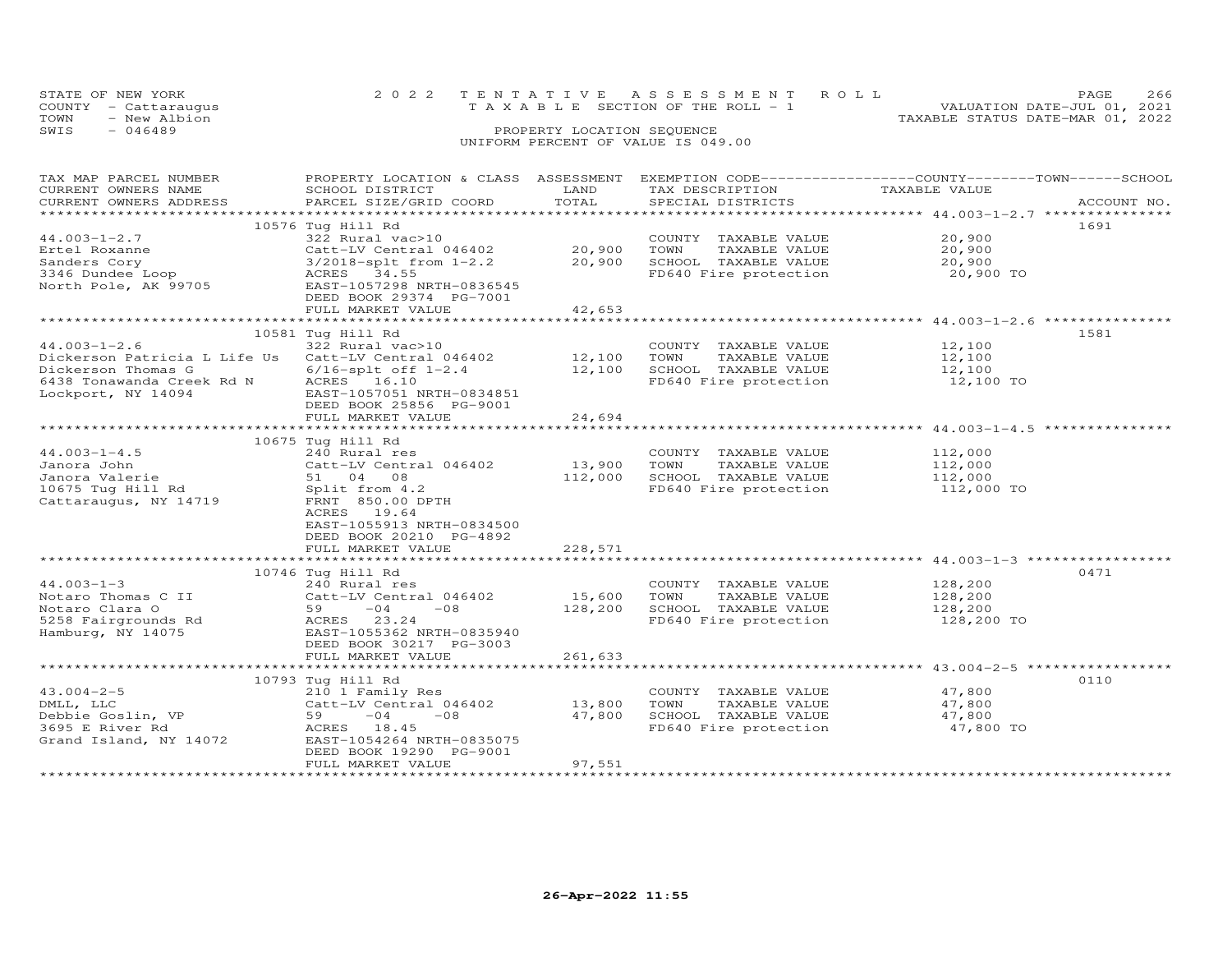|                                    | STATE OF NEW YORK    |                            | 2022 TENTATIVE ASSESSMENT ROLL        | PAGE                             | 266 |  |  |  |
|------------------------------------|----------------------|----------------------------|---------------------------------------|----------------------------------|-----|--|--|--|
|                                    | COUNTY - Cattaraugus |                            | T A X A B L E SECTION OF THE ROLL - 1 | VALUATION DATE-JUL 01, 2021      |     |  |  |  |
| TOWN                               | - New Albion         |                            |                                       | TAXABLE STATUS DATE-MAR 01, 2022 |     |  |  |  |
| SWIS                               | $-046489$            | PROPERTY LOCATION SEQUENCE |                                       |                                  |     |  |  |  |
| UNIFORM PERCENT OF VALUE IS 049.00 |                      |                            |                                       |                                  |     |  |  |  |

# TAX MAP PARCEL NUMBER PROPERTY LOCATION & CLASS ASSESSMENT EXEMPTION CODE------------------COUNTY--------TOWN------SCHOOL CURRENT OWNERS NAME SCHOOL DISTRICT LAND TAX DESCRIPTION TAXABLE VALUE CURRENT OWNERS ADDRESS PARCEL SIZE/GRID COORD TOTAL SPECIAL DISTRICTS ACCOUNT NO. \*\*\*\*\*\*\*\*\*\*\*\*\*\*\*\*\*\*\*\*\*\*\*\*\*\*\*\*\*\*\*\*\*\*\*\*\*\*\*\*\*\*\*\*\*\*\*\*\*\*\*\*\*\*\*\*\*\*\*\*\*\*\*\*\*\*\*\*\*\*\*\*\*\*\*\*\*\*\*\*\*\*\*\*\*\*\*\*\*\*\*\*\*\*\*\*\*\*\*\*\*\*\* 44.003-1-2.7 \*\*\*\*\*\*\*\*\*\*\*\*\*\*\* 10576 Tug Hill Rd 169144.003-1-2.7 322 Rural vac>10 COUNTY TAXABLE VALUE 20,900 Ertel Roxanne Catt-LV Central 046402 20,900 TOWN TAXABLE VALUE 20,900 Sanders Cory 3/2018-splt from 1-2.2 20,900 SCHOOL TAXABLE VALUE 20,900 3346 Dundee Loop ACRES 34.55 FD640 Fire protection 20,900 TO North Pole, AK 99705 EAST-1057298 NRTH-0836545 DEED BOOK 29374 PG-7001 FULL MARKET VALUE 42,653 \*\*\*\*\*\*\*\*\*\*\*\*\*\*\*\*\*\*\*\*\*\*\*\*\*\*\*\*\*\*\*\*\*\*\*\*\*\*\*\*\*\*\*\*\*\*\*\*\*\*\*\*\*\*\*\*\*\*\*\*\*\*\*\*\*\*\*\*\*\*\*\*\*\*\*\*\*\*\*\*\*\*\*\*\*\*\*\*\*\*\*\*\*\*\*\*\*\*\*\*\*\*\* 44.003-1-2.6 \*\*\*\*\*\*\*\*\*\*\*\*\*\*\*10581 Tug Hill Rd<br>
Dickerson Patricia L Life Us 22 Rural vac>10<br>
Dickerson Thomas G 6/16-splt off 1-2.4 12,100 SCHOOL TAXABLE VALUE 12,100<br>
Dickerson Thomas G 6/16-splt off 1-2.4 12,100 SCHOOL TAXABLE VALUE 12,100<br>
6438 To \*\*\*\*\*\*\*\*\*\*\*\*\*\*\*\*\*\*\*\*\*\*\*\*\*\*\*\*\*\*\*\*\*\*\*\*\*\*\*\*\*\*\*\*\*\*\*\*\*\*\*\*\*\*\*\*\*\*\*\*\*\*\*\*\*\*\*\*\*\*\*\*\*\*\*\*\*\*\*\*\*\*\*\*\*\*\*\*\*\*\*\*\*\*\*\*\*\*\*\*\*\*\* 44.003-1-4.5 \*\*\*\*\*\*\*\*\*\*\*\*\*\*\* 10675 Tug Hill Rd44.003-1-4.5 240 Rural res COUNTY TAXABLE VALUE 112,000 Janora John Catt-LV Central 046402 13,900 TOWN TAXABLE VALUE 112,000 Janora Valerie 51 04 08 112,000 SCHOOL TAXABLE VALUE 112,000 10675 Tug Hill Rd Split from 4.2 FD640 Fire protection 112,000 TO Cattaraugus, NY 14719 FRNT 850.00 DPTH ACRES 19.64 $10675$  Tug Hill Rd<br> $240$  Rural res<br> $240$  Rural res EAST-1055913 NRTH-0834500 DEED BOOK 20210 PG-4892FULL MARKET VALUE 228,571 \*\*\*\*\*\*\*\*\*\*\*\*\*\*\*\*\*\*\*\*\*\*\*\*\*\*\*\*\*\*\*\*\*\*\*\*\*\*\*\*\*\*\*\*\*\*\*\*\*\*\*\*\*\*\*\*\*\*\*\*\*\*\*\*\*\*\*\*\*\*\*\*\*\*\*\*\*\*\*\*\*\*\*\*\*\*\*\*\*\*\*\*\*\*\*\*\*\*\*\*\*\*\* 44.003-1-3 \*\*\*\*\*\*\*\*\*\*\*\*\*\*\*\*\* $\begin{array}{cccccccc} 44.003-1-3 & 10746\; \mathrm{Tug\; Hil}\; \mathrm{Rd} & 10746\; \mathrm{Fug\; Hil}\; \mathrm{Rd} & 240\; \mathrm{Rurl} \; \mathrm{res} & \mathrm{COUNTY} & \mathrm{TXABLE\; VALUE} & 128,200 & 0471\; \mathrm{Notaro\; Thomas}\; \mathrm{C}\; \mathrm{I} & 240\; \mathrm{Rurl} \; \mathrm{res} & \mathrm{COur\; Teb\;ALUE} & 15,600\; \mathrm{TON}\; \mathrm{TXABLE\; VALUE} & 128,200\; \mathrm$ \*\*\*\*\*\*\*\*\*\*\*\*\*\*\*\*\*\*\*\*\*\*\*\*\*\*\*\*\*\*\*\*\*\*\*\*\*\*\*\*\*\*\*\*\*\*\*\*\*\*\*\*\*\*\*\*\*\*\*\*\*\*\*\*\*\*\*\*\*\*\*\*\*\*\*\*\*\*\*\*\*\*\*\*\*\*\*\*\*\*\*\*\*\*\*\*\*\*\*\*\*\*\* 43.004-2-5 \*\*\*\*\*\*\*\*\*\*\*\*\*\*\*\*\*43.004-2-5 210 1 Family Res COUNTY TAXABLE VALUE 47,800 DMLL, LLC Catt-LV Central 046402 13,800 TOWN TAXABLE VALUE 47,800 Debbie Goslin, VP 59 -04 -08 47,800 SCHOOL TAXABLE VALUE 47,800 3695 E River Rd ACRES 18.45 FD640 Fire protection 47,800 TO Grand Island, NY 14072 EAST-1054264 NRTH-0835075 DEED BOOK 19290 PG-9001 FULL MARKET VALUE 97,551

\*\*\*\*\*\*\*\*\*\*\*\*\*\*\*\*\*\*\*\*\*\*\*\*\*\*\*\*\*\*\*\*\*\*\*\*\*\*\*\*\*\*\*\*\*\*\*\*\*\*\*\*\*\*\*\*\*\*\*\*\*\*\*\*\*\*\*\*\*\*\*\*\*\*\*\*\*\*\*\*\*\*\*\*\*\*\*\*\*\*\*\*\*\*\*\*\*\*\*\*\*\*\*\*\*\*\*\*\*\*\*\*\*\*\*\*\*\*\*\*\*\*\*\*\*\*\*\*\*\*\*\*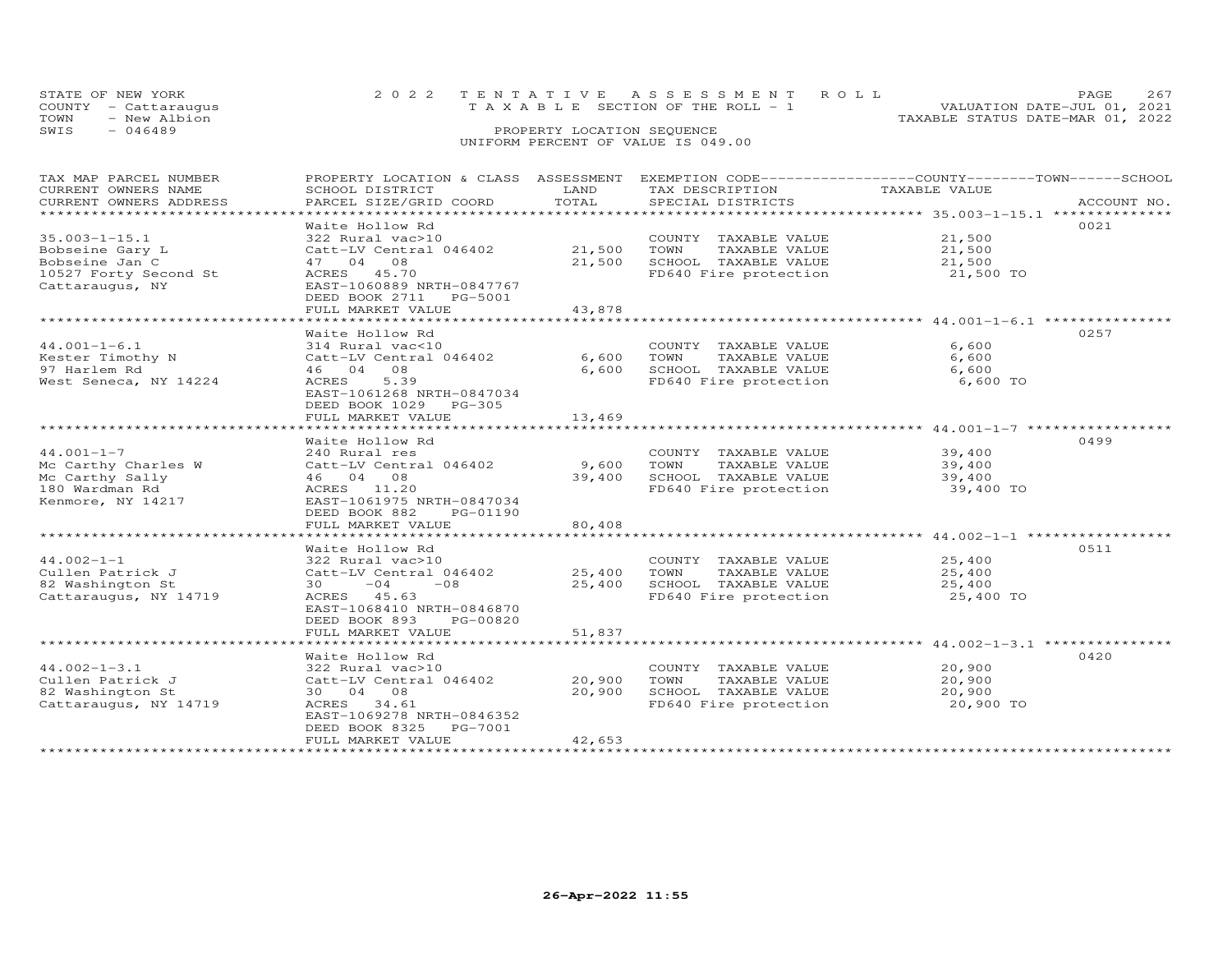| STATE OF NEW YORK<br>COUNTY - Cattaraugus | 2022 TENTATIVE ASSESSMENT ROLL<br>T A X A B L E SECTION OF THE ROLL - 1 | 2.67<br><b>PAGE</b><br>VALUATION DATE-JUL 01, 2021 |
|-------------------------------------------|-------------------------------------------------------------------------|----------------------------------------------------|
| TOWN<br>- New Albion                      |                                                                         | TAXABLE STATUS DATE-MAR 01, 2022                   |
| SWIS<br>- 046489                          | PROPERTY LOCATION SEQUENCE                                              |                                                    |
|                                           | UNIFORM PERCENT OF VALUE IS 049.00                                      |                                                    |

| TAX MAP PARCEL NUMBER<br>CURRENT OWNERS NAME | PROPERTY LOCATION & CLASS ASSESSMENT<br>SCHOOL DISTRICT                  | LAND                  | EXEMPTION CODE-----------------COUNTY-------TOWN-----SCHOOL<br>TAX DESCRIPTION | TAXABLE VALUE                                                                    |             |
|----------------------------------------------|--------------------------------------------------------------------------|-----------------------|--------------------------------------------------------------------------------|----------------------------------------------------------------------------------|-------------|
| CURRENT OWNERS ADDRESS                       | PARCEL SIZE/GRID COORD                                                   | TOTAL                 | SPECIAL DISTRICTS                                                              |                                                                                  | ACCOUNT NO. |
| *************************                    |                                                                          |                       |                                                                                |                                                                                  |             |
|                                              | Waite Hollow Rd                                                          |                       |                                                                                |                                                                                  | 0021        |
| $35.003 - 1 - 15.1$                          | 322 Rural vac>10                                                         |                       | COUNTY TAXABLE VALUE                                                           | 21,500                                                                           |             |
| Bobseine Gary L                              | Catt-LV Central 046402                                                   | 21,500                | TOWN<br>TAXABLE VALUE                                                          | 21,500                                                                           |             |
| Bobseine Jan C                               | 47 04 08                                                                 | 21,500                | SCHOOL TAXABLE VALUE                                                           | 21,500                                                                           |             |
| 10527 Forty Second St<br>Cattaraugus, NY     | ACRES 45.70<br>EAST-1060889 NRTH-0847767<br>DEED BOOK 2711<br>PG-5001    |                       | FD640 Fire protection                                                          | 21,500 TO                                                                        |             |
|                                              | FULL MARKET VALUE<br>************************                            | 43,878<br>*********** |                                                                                | ********************************** 44.001-1-6.1 ******************************** |             |
|                                              |                                                                          |                       |                                                                                |                                                                                  |             |
| $44.001 - 1 - 6.1$                           | Waite Hollow Rd                                                          |                       |                                                                                | 6,600                                                                            | 0257        |
|                                              | 314 Rural vac<10                                                         |                       | COUNTY TAXABLE VALUE                                                           | 6,600                                                                            |             |
| Kester Timothy N<br>97 Harlem Rd             | Catt-LV Central 046402<br>46 04 08                                       | 6,600<br>6,600        | TOWN<br>TAXABLE VALUE<br>SCHOOL TAXABLE VALUE                                  | 6,600                                                                            |             |
|                                              | 5.39                                                                     |                       | FD640 Fire protection                                                          | 6,600 TO                                                                         |             |
| West Seneca, NY 14224                        | ACRES<br>EAST-1061268 NRTH-0847034<br>DEED BOOK 1029 PG-305              |                       |                                                                                |                                                                                  |             |
|                                              | FULL MARKET VALUE                                                        | 13,469                |                                                                                |                                                                                  |             |
|                                              | Waite Hollow Rd                                                          |                       |                                                                                |                                                                                  | 0499        |
| $44.001 - 1 - 7$                             | 240 Rural res                                                            |                       | COUNTY TAXABLE VALUE                                                           | 39,400                                                                           |             |
| Mc Carthy Charles W                          | Catt-LV Central 046402                                                   | 9,600                 | TOWN<br>TAXABLE VALUE                                                          | 39,400                                                                           |             |
| Mc Carthy Sally                              | 46 04 08                                                                 | 39,400                | SCHOOL TAXABLE VALUE                                                           | 39,400                                                                           |             |
| 180 Wardman Rd                               | ACRES 11.20                                                              |                       | FD640 Fire protection                                                          | 39,400 TO                                                                        |             |
| Kenmore, NY 14217                            | EAST-1061975 NRTH-0847034                                                |                       |                                                                                |                                                                                  |             |
|                                              | DEED BOOK 882<br>PG-01190                                                |                       |                                                                                |                                                                                  |             |
|                                              | FULL MARKET VALUE                                                        | 80,408                |                                                                                |                                                                                  |             |
|                                              | Waite Hollow Rd                                                          |                       |                                                                                |                                                                                  | 0511        |
| $44.002 - 1 - 1$                             | 322 Rural vac>10                                                         |                       | COUNTY TAXABLE VALUE                                                           | 25,400                                                                           |             |
| Cullen Patrick J                             | Catt-LV Central 046402                                                   | 25,400                | TAXABLE VALUE<br>TOWN                                                          | 25,400                                                                           |             |
| 82 Washington St                             | $30 -04$<br>$-08$                                                        | 25,400                | SCHOOL TAXABLE VALUE                                                           | 25,400                                                                           |             |
| Cattaraugus, NY 14719                        | ACRES 45.63                                                              |                       | FD640 Fire protection                                                          | 25,400 TO                                                                        |             |
|                                              | EAST-1068410 NRTH-0846870<br>PG-00820<br>DEED BOOK 893                   |                       |                                                                                |                                                                                  |             |
|                                              | FULL MARKET VALUE                                                        | 51,837                |                                                                                |                                                                                  |             |
|                                              |                                                                          |                       |                                                                                |                                                                                  |             |
|                                              | Waite Hollow Rd                                                          |                       |                                                                                |                                                                                  | 0420        |
| $44.002 - 1 - 3.1$                           | 322 Rural vac>10                                                         |                       | COUNTY TAXABLE VALUE                                                           | 20,900                                                                           |             |
| Cullen Patrick J                             | Catt-LV Central 046402                                                   | 20,900                | TOWN<br>TAXABLE VALUE                                                          | 20,900                                                                           |             |
| 82 Washington St                             | 30 04 08                                                                 | 20,900                | SCHOOL TAXABLE VALUE                                                           | 20,900                                                                           |             |
| Cattaraugus, NY 14719                        | 34.61<br>ACRES<br>EAST-1069278 NRTH-0846352<br>DEED BOOK 8325<br>PG-7001 |                       | FD640 Fire protection                                                          | 20,900 TO                                                                        |             |
|                                              | FULL MARKET VALUE                                                        | 42,653                |                                                                                |                                                                                  |             |
|                                              |                                                                          |                       |                                                                                |                                                                                  |             |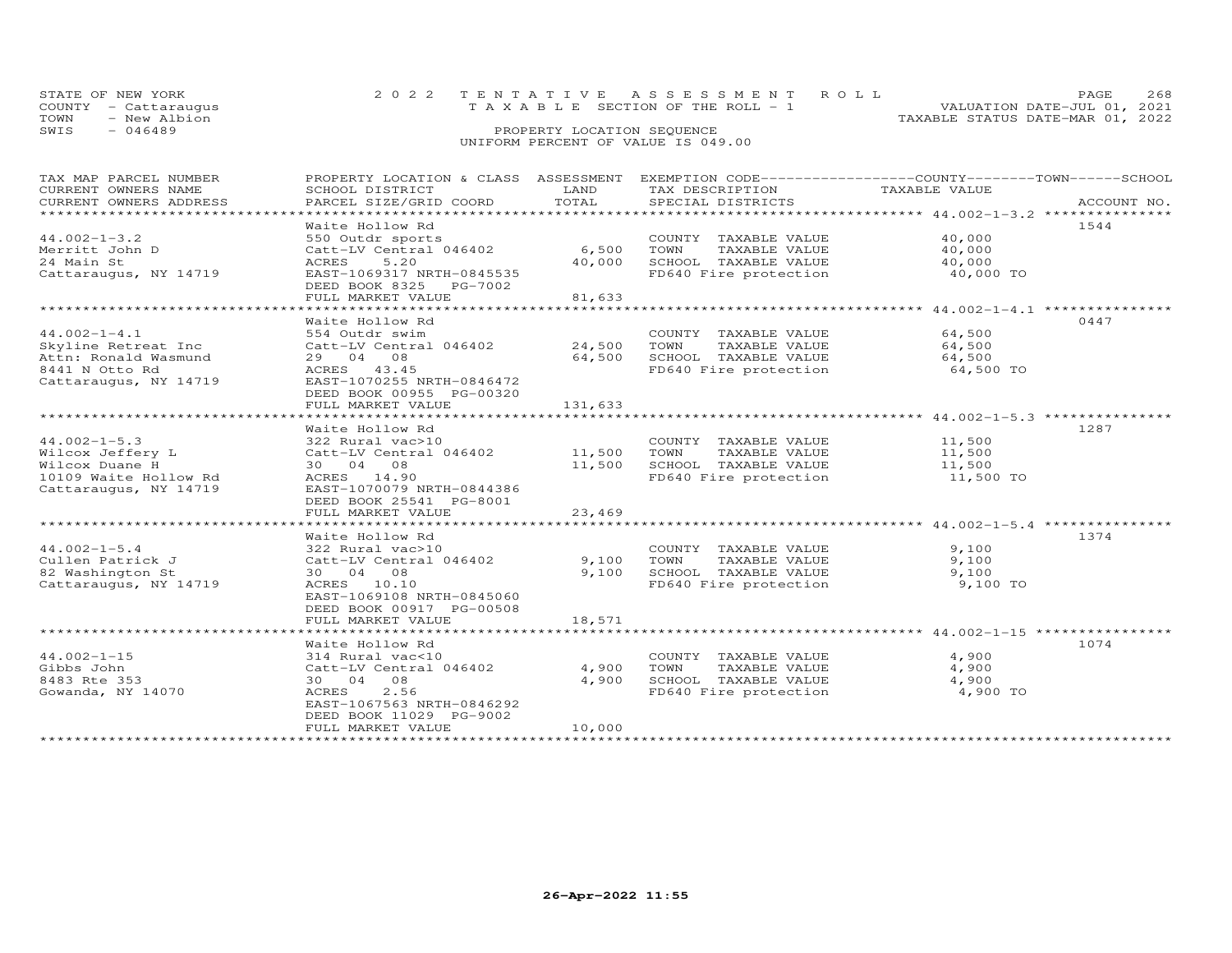| STATE OF NEW YORK    | 2022 TENTATIVE ASSESSMENT ROLL     |                                  | PAGE.                       | 2.68 |
|----------------------|------------------------------------|----------------------------------|-----------------------------|------|
| COUNTY - Cattarauqus | TAXABLE SECTION OF THE ROLL - 1    |                                  | VALUATION DATE-JUL 01, 2021 |      |
| TOWN<br>- New Albion |                                    | TAXABLE STATUS DATE-MAR 01, 2022 |                             |      |
| SWIS<br>- 046489     | PROPERTY LOCATION SEQUENCE         |                                  |                             |      |
|                      | UNIFORM PERCENT OF VALUE IS 049.00 |                                  |                             |      |

| TAX MAP PARCEL NUMBER  | PROPERTY LOCATION & CLASS ASSESSMENT                |         |                       | EXEMPTION CODE-----------------COUNTY-------TOWN------SCHOOL |             |
|------------------------|-----------------------------------------------------|---------|-----------------------|--------------------------------------------------------------|-------------|
| CURRENT OWNERS NAME    | SCHOOL DISTRICT                                     | LAND    | TAX DESCRIPTION       | TAXABLE VALUE                                                |             |
| CURRENT OWNERS ADDRESS | PARCEL SIZE/GRID COORD                              | TOTAL   | SPECIAL DISTRICTS     |                                                              | ACCOUNT NO. |
| *********************  |                                                     |         |                       |                                                              |             |
|                        | Waite Hollow Rd                                     |         |                       |                                                              | 1544        |
| $44.002 - 1 - 3.2$     | 550 Outdr sports                                    |         | COUNTY TAXABLE VALUE  | 40,000                                                       |             |
| Merritt John D         | Catt-LV Central 046402                              | 6,500   | TOWN<br>TAXABLE VALUE | 40,000                                                       |             |
| 24 Main St             | 5.20<br>ACRES                                       | 40,000  | SCHOOL TAXABLE VALUE  | 40,000                                                       |             |
| Cattaraugus, NY 14719  | EAST-1069317 NRTH-0845535<br>DEED BOOK 8325 PG-7002 |         | FD640 Fire protection | 40,000 TO                                                    |             |
|                        | FULL MARKET VALUE                                   | 81,633  |                       |                                                              |             |
|                        |                                                     |         |                       |                                                              |             |
|                        | Waite Hollow Rd                                     |         |                       |                                                              | 0447        |
| $44.002 - 1 - 4.1$     | 554 Outdr swim                                      |         | COUNTY TAXABLE VALUE  | 64,500                                                       |             |
| Skyline Retreat Inc    | Catt-LV Central 046402                              | 24,500  | TOWN<br>TAXABLE VALUE | 64,500                                                       |             |
| Attn: Ronald Wasmund   | 29 04 08                                            | 64,500  | SCHOOL TAXABLE VALUE  | 64,500                                                       |             |
| 8441 N Otto Rd         | ACRES 43.45                                         |         | FD640 Fire protection | 64,500 TO                                                    |             |
| Cattaraugus, NY 14719  | EAST-1070255 NRTH-0846472                           |         |                       |                                                              |             |
|                        | DEED BOOK 00955 PG-00320                            |         |                       |                                                              |             |
|                        |                                                     | 131,633 |                       |                                                              |             |
|                        | FULL MARKET VALUE                                   |         |                       |                                                              |             |
|                        |                                                     |         |                       |                                                              | 1287        |
|                        | Waite Hollow Rd                                     |         |                       |                                                              |             |
| $44.002 - 1 - 5.3$     | 322 Rural vac>10                                    |         | COUNTY TAXABLE VALUE  | 11,500                                                       |             |
| Wilcox Jeffery L       | Catt-LV Central 046402                              | 11,500  | TOWN<br>TAXABLE VALUE | 11,500                                                       |             |
| Wilcox Duane H         | 30  04  08                                          | 11,500  | SCHOOL TAXABLE VALUE  | 11,500                                                       |             |
| 10109 Waite Hollow Rd  | ACRES 14.90                                         |         | FD640 Fire protection | 11,500 TO                                                    |             |
| Cattaraugus, NY 14719  | EAST-1070079 NRTH-0844386                           |         |                       |                                                              |             |
|                        | DEED BOOK 25541 PG-8001                             |         |                       |                                                              |             |
|                        | FULL MARKET VALUE                                   | 23,469  |                       |                                                              |             |
|                        |                                                     |         |                       |                                                              |             |
|                        | Waite Hollow Rd                                     |         |                       |                                                              | 1374        |
| $44.002 - 1 - 5.4$     | 322 Rural vac>10                                    |         | COUNTY TAXABLE VALUE  | 9,100                                                        |             |
| Cullen Patrick J       | Catt-LV Central 046402                              | 9,100   | TOWN<br>TAXABLE VALUE | 9,100                                                        |             |
| 82 Washington St       | 30 04 08                                            | 9,100   | SCHOOL TAXABLE VALUE  | 9,100                                                        |             |
| Cattaraugus, NY 14719  | ACRES 10.10                                         |         | FD640 Fire protection | 9,100 TO                                                     |             |
|                        | EAST-1069108 NRTH-0845060                           |         |                       |                                                              |             |
|                        | DEED BOOK 00917 PG-00508                            |         |                       |                                                              |             |
|                        | FULL MARKET VALUE                                   | 18,571  |                       |                                                              |             |
|                        |                                                     |         |                       |                                                              |             |
|                        | Waite Hollow Rd                                     |         |                       |                                                              | 1074        |
| $44.002 - 1 - 15$      | 314 Rural vac<10                                    |         | COUNTY TAXABLE VALUE  | 4,900                                                        |             |
| Gibbs John             | Catt-LV Central 046402                              | 4,900   | TOWN<br>TAXABLE VALUE | 4,900                                                        |             |
| 8483 Rte 353           | 30 04 08                                            | 4,900   | SCHOOL TAXABLE VALUE  | 4,900                                                        |             |
| Gowanda, NY 14070      | 2.56<br>ACRES                                       |         | FD640 Fire protection | 4,900 TO                                                     |             |
|                        | EAST-1067563 NRTH-0846292                           |         |                       |                                                              |             |
|                        | DEED BOOK 11029 PG-9002                             |         |                       |                                                              |             |
|                        | FULL MARKET VALUE                                   | 10,000  |                       |                                                              |             |
|                        | **********************                              |         |                       |                                                              |             |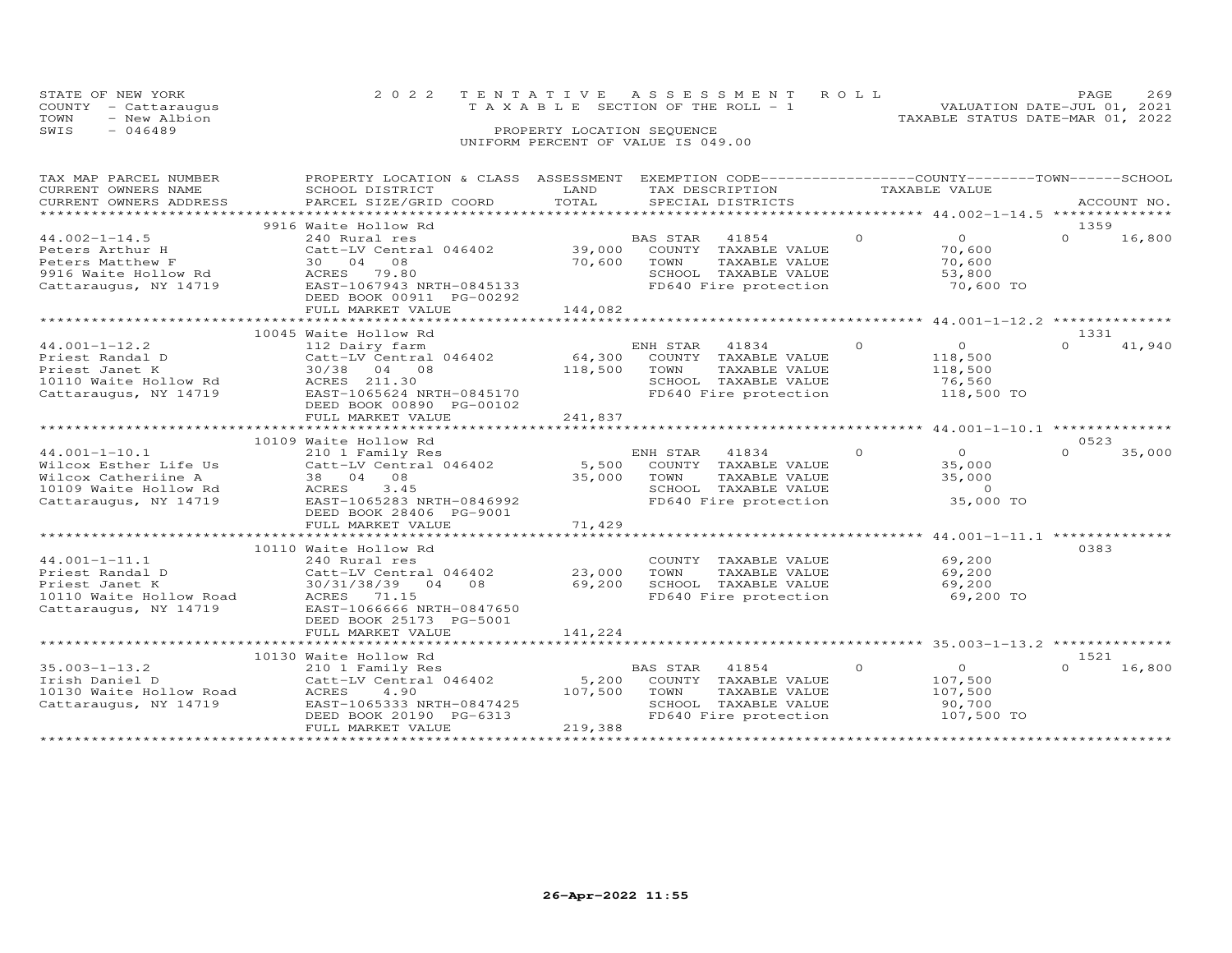| STATE OF NEW YORK |                                    |                            |  | 2022 TENTATIVE ASSESSMENT ROLL        |  |                                  | PAGE.                       | 269 |
|-------------------|------------------------------------|----------------------------|--|---------------------------------------|--|----------------------------------|-----------------------------|-----|
|                   | COUNTY - Cattaraugus               |                            |  | T A X A B L E SECTION OF THE ROLL - 1 |  |                                  | VALUATION DATE-JUL 01, 2021 |     |
| TOWN              | - New Albion                       |                            |  |                                       |  | TAXABLE STATUS DATE-MAR 01, 2022 |                             |     |
| SWIS              | $-046489$                          | PROPERTY LOCATION SEQUENCE |  |                                       |  |                                  |                             |     |
|                   | UNIFORM PERCENT OF VALUE IS 049.00 |                            |  |                                       |  |                                  |                             |     |

| TAX MAP PARCEL NUMBER<br>CURRENT OWNERS NAME                                                                          | PROPERTY LOCATION & CLASS ASSESSMENT EXEMPTION CODE---------------COUNTY-------TOWN------SCHOOL<br>SCHOOL DISTRICT                                                                   | LAND                                                  | TAX DESCRIPTION                                                                                                     | TAXABLE VALUE |                                                                   |                                                               |
|-----------------------------------------------------------------------------------------------------------------------|--------------------------------------------------------------------------------------------------------------------------------------------------------------------------------------|-------------------------------------------------------|---------------------------------------------------------------------------------------------------------------------|---------------|-------------------------------------------------------------------|---------------------------------------------------------------|
| CURRENT OWNERS ADDRESS                                                                                                | PARCEL SIZE/GRID COORD                                                                                                                                                               | TOTAL                                                 | SPECIAL DISTRICTS                                                                                                   |               |                                                                   | ACCOUNT NO.                                                   |
|                                                                                                                       |                                                                                                                                                                                      | **********************                                |                                                                                                                     |               |                                                                   | ********************* 44.002-1-14.5 ***************           |
|                                                                                                                       | 9916 Waite Hollow Rd                                                                                                                                                                 |                                                       |                                                                                                                     |               |                                                                   | 1359                                                          |
| $44.002 - 1 - 14.5$<br>Peters Arthur H<br>Peters Matthew F<br>9916 Waite Hollow Rd<br>Cattaraugus, NY 14719           | 240 Rural res<br>Catt-LV Central 046402<br>08<br>30 04<br>ACRES 79.80<br>EAST-1067943 NRTH-0845133<br>DEED BOOK 00911 PG-00292<br>FULL MARKET VALUE                                  | 39,000<br>70,600<br>144,082                           | BAS STAR<br>41854<br>COUNTY TAXABLE VALUE<br>TOWN<br>TAXABLE VALUE<br>SCHOOL TAXABLE VALUE<br>FD640 Fire protection | $\Omega$      | $\Omega$<br>70,600<br>70,600<br>53,800<br>70,600 TO               | $\Omega$<br>16,800                                            |
|                                                                                                                       |                                                                                                                                                                                      |                                                       |                                                                                                                     |               |                                                                   | 1331                                                          |
| $44.001 - 1 - 12.2$<br>Priest Randal D<br>Priest Janet K<br>10110 Waite Hollow Rd<br>Cattaraugus, NY 14719            | 10045 Waite Hollow Rd<br>112 Dairy farm<br>Catt-LV Central 046402<br>30/38 04 08<br>ACRES 211.30<br>EAST-1065624 NRTH-0845170<br>DEED BOOK 00890 PG-00102<br>FULL MARKET VALUE       | 64,300<br>118,500<br>241,837<br>********************* | ENH STAR<br>41834<br>COUNTY TAXABLE VALUE<br>TOWN<br>TAXABLE VALUE<br>SCHOOL TAXABLE VALUE<br>FD640 Fire protection | $\circ$       | $\overline{0}$<br>118,500<br>118,500<br>76,560<br>118,500 TO      | 41,940<br>$\cap$                                              |
|                                                                                                                       | 10109 Waite Hollow Rd                                                                                                                                                                |                                                       |                                                                                                                     |               |                                                                   | *********************** 44.001-1-10.1 ***************<br>0523 |
| $44.001 - 1 - 10.1$<br>Wilcox Esther Life Us<br>Wilcox Catheriine A<br>10109 Waite Hollow Rd<br>Cattaraugus, NY 14719 | 210 1 Family Res<br>Catt-LV Central $046402$ 5,500<br>38 04 08<br>3.45<br>ACRES<br>EAST-1065283 NRTH-0846992<br>DEED BOOK 28406 PG-9001<br>FULL MARKET VALUE                         | 35,000<br>71,429                                      | ENH STAR 41834<br>COUNTY TAXABLE VALUE<br>TOWN<br>TAXABLE VALUE<br>SCHOOL TAXABLE VALUE<br>FD640 Fire protection    | $\Omega$      | $\overline{0}$<br>35,000<br>35,000<br>$\overline{0}$<br>35,000 TO | $\Omega$<br>35,000                                            |
|                                                                                                                       | *****************************                                                                                                                                                        |                                                       |                                                                                                                     |               |                                                                   | ****************** 44.001-1-11.1 ***************              |
| $44.001 - 1 - 11.1$<br>Priest Randal D<br>Priest Janet K<br>10110 Waite Hollow Road<br>Cattaraugus, NY 14719          | 10110 Waite Hollow Rd<br>240 Rural res<br>Catt-LV Central 046402<br>30/31/38/39 04 08<br>ACRES<br>71.15<br>EAST-1066666 NRTH-0847650<br>DEED BOOK 25173 PG-5001<br>FULL MARKET VALUE | 23,000<br>69,200<br>141,224                           | COUNTY TAXABLE VALUE<br>TOWN<br>TAXABLE VALUE<br>SCHOOL TAXABLE VALUE<br>FD640 Fire protection                      |               | 69,200<br>69,200<br>69,200<br>69,200 TO                           | 0383                                                          |
|                                                                                                                       |                                                                                                                                                                                      |                                                       |                                                                                                                     |               |                                                                   |                                                               |
| $35.003 - 1 - 13.2$<br>Irish Daniel D<br>10130 Waite Hollow Road<br>Cattaraugus, NY 14719                             | 10130 Waite Hollow Rd<br>210 1 Family Res<br>Catt-LV Central 046402<br>ACRES<br>4.90<br>EAST-1065333 NRTH-0847425<br>DEED BOOK 20190 PG-6313<br>FULL MARKET VALUE                    | 5,200<br>107,500<br>219,388                           | BAS STAR<br>41854<br>COUNTY TAXABLE VALUE<br>TOWN<br>TAXABLE VALUE<br>SCHOOL TAXABLE VALUE<br>FD640 Fire protection | $\circ$       | $\overline{O}$<br>107,500<br>107,500<br>90,700<br>107,500 TO      | 1521<br>16,800<br>$\Omega$                                    |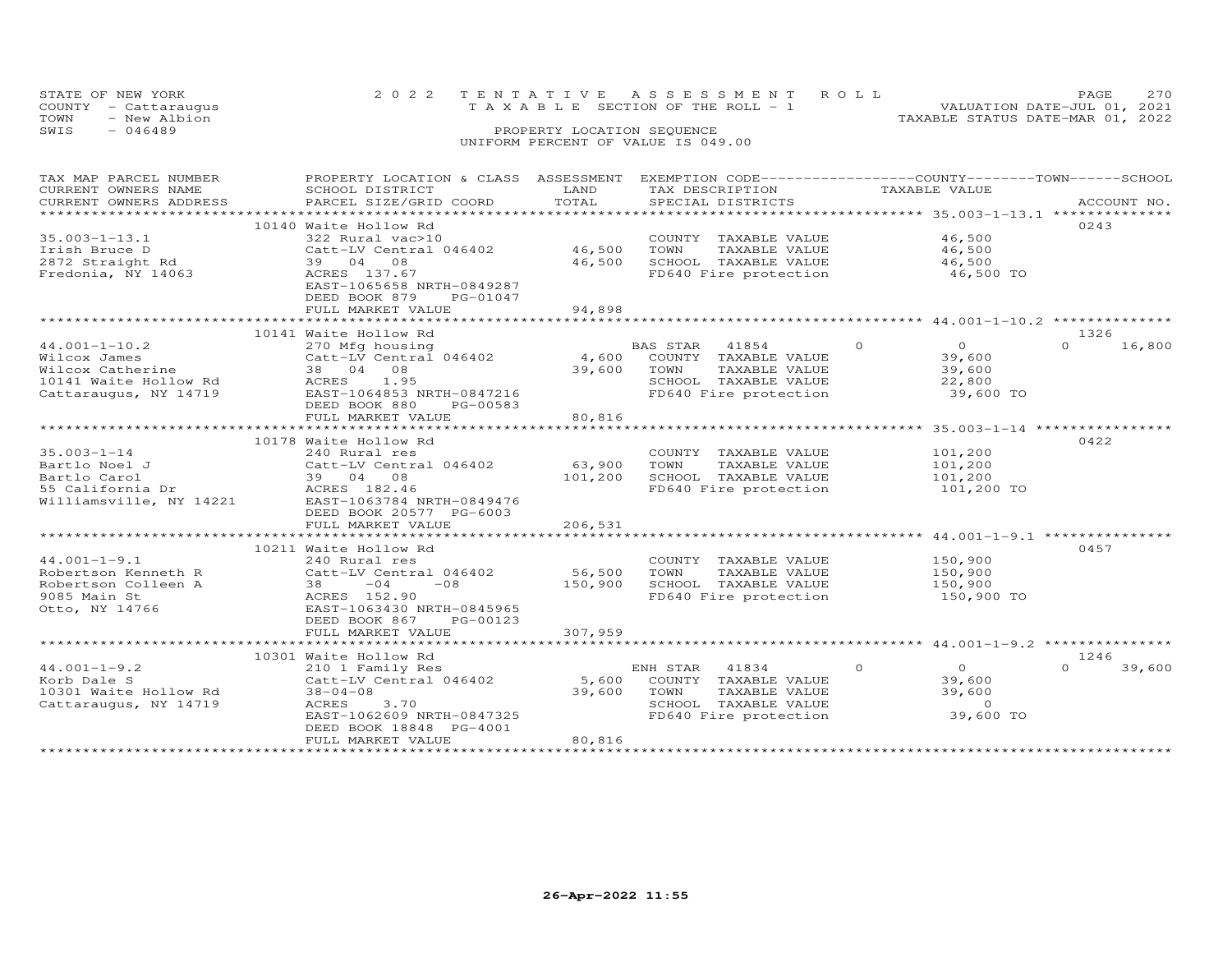|      | STATE OF NEW YORK    | 2022 TENTATIVE ASSESSMENT ROLL     |                            |  |                                  | <b>PAGE</b>                 | 2.70 |
|------|----------------------|------------------------------------|----------------------------|--|----------------------------------|-----------------------------|------|
|      | COUNTY - Cattaraugus | TAXABLE SECTION OF THE ROLL - 1    |                            |  |                                  | VALUATION DATE-JUL 01, 2021 |      |
| TOWN | - New Albion         |                                    |                            |  | TAXABLE STATUS DATE-MAR 01, 2022 |                             |      |
| SWIS | - 046489             |                                    | PROPERTY LOCATION SEQUENCE |  |                                  |                             |      |
|      |                      | UNIFORM PERCENT OF VALUE IS 049.00 |                            |  |                                  |                             |      |

| TAX MAP PARCEL NUMBER                            | PROPERTY LOCATION & CLASS ASSESSMENT                                                                                  |             | EXEMPTION CODE-----------------COUNTY-------TOWN------SCHOOL                                                                                                                                                                                                                                                                                                                                                                                                                                                           |                                  |                  |
|--------------------------------------------------|-----------------------------------------------------------------------------------------------------------------------|-------------|------------------------------------------------------------------------------------------------------------------------------------------------------------------------------------------------------------------------------------------------------------------------------------------------------------------------------------------------------------------------------------------------------------------------------------------------------------------------------------------------------------------------|----------------------------------|------------------|
| CURRENT OWNERS NAME                              | SCHOOL DISTRICT                                                                                                       | LAND        | TAX DESCRIPTION                                                                                                                                                                                                                                                                                                                                                                                                                                                                                                        | TAXABLE VALUE                    |                  |
| CURRENT OWNERS ADDRESS<br>********************** | PARCEL SIZE/GRID COORD<br>*****************************                                                               |             | $\begin{minipage}{.45\textwidth} \begin{minipage}{.45\textwidth} \begin{minipage}{.45\textwidth} \begin{minipage}{.45\textwidth} \begin{minipage}{.45\textwidth} \begin{minipage}{.45\textwidth} \begin{minipage}{.45\textwidth} \begin{minipage}{.45\textwidth} \begin{minipage}{.45\textwidth} \begin{minipage}{.45\textwidth} \begin{minipage}{.45\textwidth} \begin{minipage}{.45\textwidth} \begin{minipage}{.45\textwidth} \begin{minipage}{.45\textwidth} \begin{minipage}{.45\textwidth} \begin{minipage}{.45$ |                                  |                  |
|                                                  |                                                                                                                       |             |                                                                                                                                                                                                                                                                                                                                                                                                                                                                                                                        |                                  |                  |
|                                                  | 10140 Waite Hollow Rd                                                                                                 |             |                                                                                                                                                                                                                                                                                                                                                                                                                                                                                                                        |                                  | 0243             |
| $35.003 - 1 - 13.1$                              | 322 Rural vac>10                                                                                                      |             | COUNTY TAXABLE VALUE                                                                                                                                                                                                                                                                                                                                                                                                                                                                                                   | 46,500                           |                  |
| Irish Bruce D                                    | Catt-LV Central 046402                                                                                                |             | 46,500 TOWN<br>TAXABLE VALUE                                                                                                                                                                                                                                                                                                                                                                                                                                                                                           | 46,500                           |                  |
| 2872 Straight Rd                                 | 39 04 08                                                                                                              |             | 46,500 SCHOOL TAXABLE VALUE                                                                                                                                                                                                                                                                                                                                                                                                                                                                                            | 46,500                           |                  |
| Fredonia, NY 14063                               | ACRES 137.67                                                                                                          |             | FD640 Fire protection                                                                                                                                                                                                                                                                                                                                                                                                                                                                                                  | 46,500 TO                        |                  |
|                                                  | EAST-1065658 NRTH-0849287                                                                                             |             |                                                                                                                                                                                                                                                                                                                                                                                                                                                                                                                        |                                  |                  |
|                                                  | DEED BOOK 879<br>PG-01047                                                                                             |             |                                                                                                                                                                                                                                                                                                                                                                                                                                                                                                                        |                                  |                  |
|                                                  | FULL MARKET VALUE                                                                                                     | 94,898      |                                                                                                                                                                                                                                                                                                                                                                                                                                                                                                                        |                                  |                  |
|                                                  |                                                                                                                       |             |                                                                                                                                                                                                                                                                                                                                                                                                                                                                                                                        |                                  |                  |
|                                                  | 10141 Waite Hollow Rd                                                                                                 |             |                                                                                                                                                                                                                                                                                                                                                                                                                                                                                                                        |                                  | 1326             |
| $44.001 - 1 - 10.2$                              |                                                                                                                       |             | BAS STAR 41854                                                                                                                                                                                                                                                                                                                                                                                                                                                                                                         | $\overline{0}$<br>$\overline{O}$ | 16,800<br>$\cap$ |
| Wilcox James                                     | 270 Mfg housing<br>Catt-LV Central 046402<br>38 04 08<br>ACRES 1.95                                                   |             | 4,600 COUNTY TAXABLE VALUE                                                                                                                                                                                                                                                                                                                                                                                                                                                                                             | 39,600                           |                  |
| Wilcox Catherine                                 |                                                                                                                       |             | 39,600 TOWN<br>TAXABLE VALUE                                                                                                                                                                                                                                                                                                                                                                                                                                                                                           | 39,600                           |                  |
|                                                  | 10141 Waite Hollow Rd                ACRES    1.95<br>Cattaraugus, NY 14719                 EAST-1064853 NRTH-0847216 |             | SCHOOL TAXABLE VALUE                                                                                                                                                                                                                                                                                                                                                                                                                                                                                                   | 22,800                           |                  |
|                                                  |                                                                                                                       |             | FD640 Fire protection                                                                                                                                                                                                                                                                                                                                                                                                                                                                                                  | 39,600 TO                        |                  |
|                                                  | DEED BOOK 880<br>PG-00583                                                                                             |             |                                                                                                                                                                                                                                                                                                                                                                                                                                                                                                                        |                                  |                  |
|                                                  | FULL MARKET VALUE                                                                                                     | 80,816      |                                                                                                                                                                                                                                                                                                                                                                                                                                                                                                                        |                                  |                  |
|                                                  |                                                                                                                       |             |                                                                                                                                                                                                                                                                                                                                                                                                                                                                                                                        |                                  |                  |
|                                                  | 10178 Waite Hollow Rd                                                                                                 |             |                                                                                                                                                                                                                                                                                                                                                                                                                                                                                                                        |                                  | 0422             |
| $35.003 - 1 - 14$                                | 240 Rural res                                                                                                         |             | COUNTY TAXABLE VALUE                                                                                                                                                                                                                                                                                                                                                                                                                                                                                                   | 101,200<br>101,200               |                  |
| Bartlo Noel J                                    | Catt-LV Central 046402                                                                                                | 63,900 TOWN | TAXABLE VALUE                                                                                                                                                                                                                                                                                                                                                                                                                                                                                                          |                                  |                  |
| Bartlo Carol<br>55 California Dr                 | 39 04 08<br>ACRES 182.46                                                                                              | 101,200     | SCHOOL TAXABLE VALUE                                                                                                                                                                                                                                                                                                                                                                                                                                                                                                   | 101,200                          |                  |
|                                                  |                                                                                                                       |             | FD640 Fire protection                                                                                                                                                                                                                                                                                                                                                                                                                                                                                                  | 101,200 TO                       |                  |
|                                                  | Williamsville, NY 14221 EAST-1063784 NRTH-0849476                                                                     |             |                                                                                                                                                                                                                                                                                                                                                                                                                                                                                                                        |                                  |                  |
|                                                  | DEED BOOK 20577 PG-6003                                                                                               |             |                                                                                                                                                                                                                                                                                                                                                                                                                                                                                                                        |                                  |                  |
|                                                  | FULL MARKET VALUE                                                                                                     | 206,531     |                                                                                                                                                                                                                                                                                                                                                                                                                                                                                                                        |                                  |                  |
|                                                  |                                                                                                                       |             |                                                                                                                                                                                                                                                                                                                                                                                                                                                                                                                        |                                  |                  |
|                                                  | 10211 Waite Hollow Rd                                                                                                 |             |                                                                                                                                                                                                                                                                                                                                                                                                                                                                                                                        |                                  | 0457             |
| $44.001 - 1 - 9.1$                               |                                                                                                                       |             | COUNTY TAXABLE VALUE                                                                                                                                                                                                                                                                                                                                                                                                                                                                                                   | 150,900                          |                  |
| Robertson Kenneth R                              | 240 Rural res<br>Catt-LV Central 046402                                                                               | 56,500      | TOWN<br>TAXABLE VALUE                                                                                                                                                                                                                                                                                                                                                                                                                                                                                                  | 150,900                          |                  |
| Robertson Colleen A                              |                                                                                                                       | 150,900     | SCHOOL TAXABLE VALUE                                                                                                                                                                                                                                                                                                                                                                                                                                                                                                   | 150,900                          |                  |
| 9085 Main St                                     | $38 -04 -08$<br>ACRES 152.90                                                                                          |             | FD640 Fire protection                                                                                                                                                                                                                                                                                                                                                                                                                                                                                                  | $150,900$ TO                     |                  |
| Otto, NY 14766                                   | EAST-1063430 NRTH-0845965                                                                                             |             |                                                                                                                                                                                                                                                                                                                                                                                                                                                                                                                        |                                  |                  |
|                                                  | DEED BOOK 867<br>PG-00123                                                                                             |             |                                                                                                                                                                                                                                                                                                                                                                                                                                                                                                                        |                                  |                  |
|                                                  |                                                                                                                       |             |                                                                                                                                                                                                                                                                                                                                                                                                                                                                                                                        |                                  |                  |
|                                                  |                                                                                                                       |             |                                                                                                                                                                                                                                                                                                                                                                                                                                                                                                                        |                                  |                  |
|                                                  | 10301 Waite Hollow Rd                                                                                                 |             |                                                                                                                                                                                                                                                                                                                                                                                                                                                                                                                        |                                  | 1246             |
| $44.001 - 1 - 9.2$                               | 210 1 Family Res                                                                                                      |             | ENH STAR 41834                                                                                                                                                                                                                                                                                                                                                                                                                                                                                                         | $\circ$<br>$\overline{O}$        | $\cap$<br>39,600 |
| Korb Dale S                                      | Catt-LV Central 046402                                                                                                | 5,600       | COUNTY TAXABLE VALUE                                                                                                                                                                                                                                                                                                                                                                                                                                                                                                   | 39,600                           |                  |
| 10301 Waite Hollow Rd                            | $38 - 04 - 08$                                                                                                        | 39,600      | TOWN<br>TOWN     TAXABLE VALUE<br>SCHOOL   TAXABLE VALUE                                                                                                                                                                                                                                                                                                                                                                                                                                                               | 39,600                           |                  |
| Cattaraugus, NY 14719                            | ACRES<br>3.70                                                                                                         |             |                                                                                                                                                                                                                                                                                                                                                                                                                                                                                                                        | $\overline{0}$                   |                  |
|                                                  | EAST-1062609 NRTH-0847325                                                                                             |             | FD640 Fire protection                                                                                                                                                                                                                                                                                                                                                                                                                                                                                                  | 39,600 TO                        |                  |
|                                                  | DEED BOOK 18848 PG-4001                                                                                               |             |                                                                                                                                                                                                                                                                                                                                                                                                                                                                                                                        |                                  |                  |
|                                                  | FULL MARKET VALUE                                                                                                     | 80,816      |                                                                                                                                                                                                                                                                                                                                                                                                                                                                                                                        |                                  |                  |
|                                                  |                                                                                                                       |             |                                                                                                                                                                                                                                                                                                                                                                                                                                                                                                                        |                                  |                  |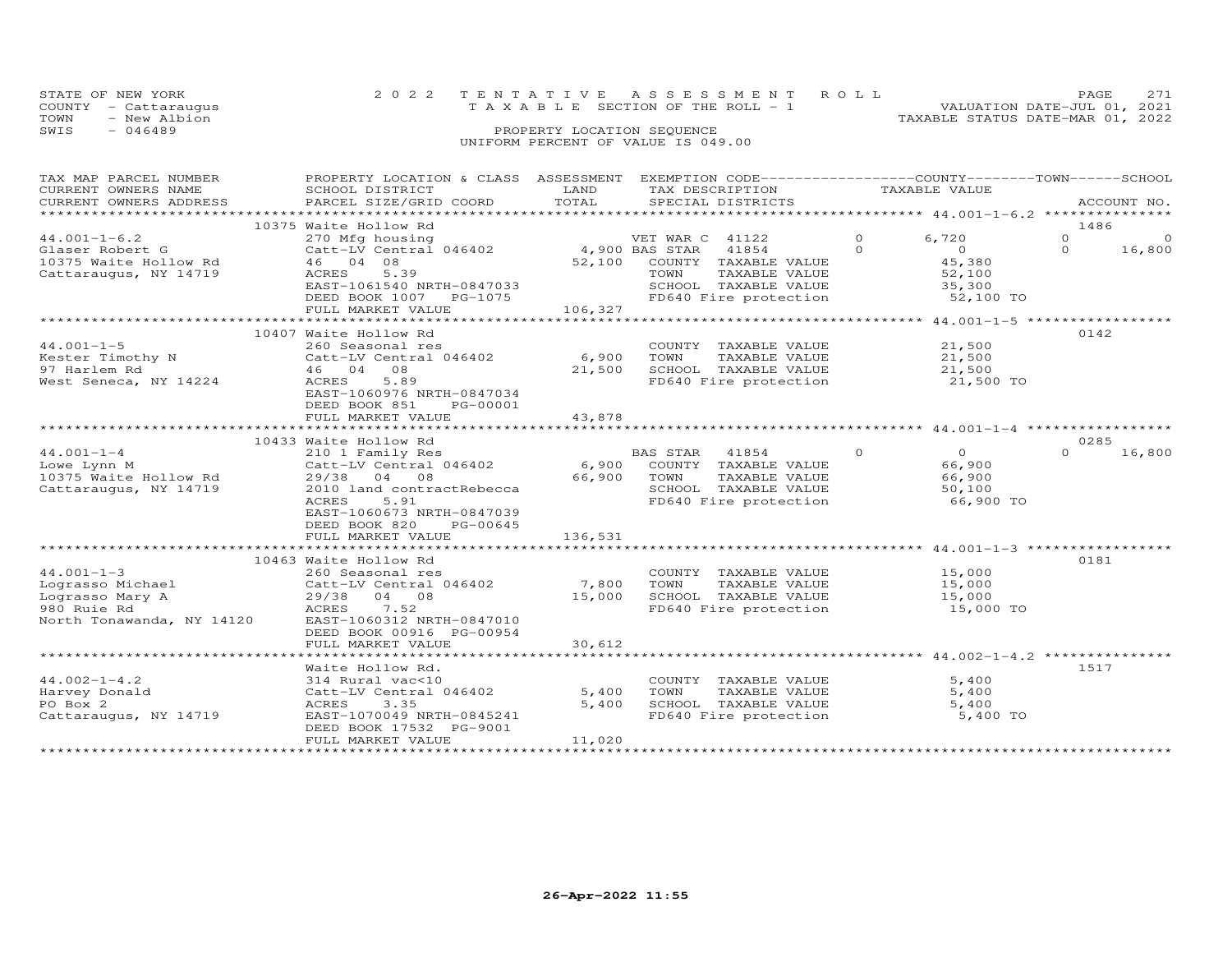| STATE OF NEW YORK    | 2022 TENTATIVE ASSESSMENT ROLL     | <b>PAGE</b>                      | 2.71 |
|----------------------|------------------------------------|----------------------------------|------|
| COUNTY - Cattaraugus | TAXABLE SECTION OF THE ROLL - 1    | VALUATION DATE-JUL 01, 2021      |      |
| TOWN<br>- New Albion |                                    | TAXABLE STATUS DATE-MAR 01, 2022 |      |
| SWIS<br>- 046489     | PROPERTY LOCATION SEQUENCE         |                                  |      |
|                      | UNIFORM PERCENT OF VALUE IS 049.00 |                                  |      |

| TAX MAP PARCEL NUMBER                                           | PROPERTY LOCATION & CLASS ASSESSMENT EXEMPTION CODE-----------------COUNTY-------TOWN------SCHOOL                                                                                                                                                                                                                                                                                                                             |                      |                                                       |                    |                |             |
|-----------------------------------------------------------------|-------------------------------------------------------------------------------------------------------------------------------------------------------------------------------------------------------------------------------------------------------------------------------------------------------------------------------------------------------------------------------------------------------------------------------|----------------------|-------------------------------------------------------|--------------------|----------------|-------------|
| CURRENT OWNERS NAME                                             | SCHOOL DISTRICT                                                                                                                                                                                                                                                                                                                                                                                                               | LAND                 | TAX DESCRIPTION                                       | TAXABLE VALUE      |                |             |
| CURRENT OWNERS ADDRESS                                          | PARCEL SIZE/GRID COORD TOTAL                                                                                                                                                                                                                                                                                                                                                                                                  |                      | SPECIAL DISTRICTS                                     |                    |                | ACCOUNT NO. |
|                                                                 |                                                                                                                                                                                                                                                                                                                                                                                                                               |                      |                                                       |                    |                |             |
|                                                                 | 10375 Waite Hollow Rd                                                                                                                                                                                                                                                                                                                                                                                                         |                      |                                                       |                    | 1486           |             |
| $44.001 - 1 - 6.2$                                              | 270 Mfg housing<br>Catt-LV Central 046402 (200 BAS STAR 41854 (200 M)                                                                                                                                                                                                                                                                                                                                                         |                      |                                                       | 6,720              | $\overline{0}$ | $\circ$     |
| Glaser Robert G                                                 |                                                                                                                                                                                                                                                                                                                                                                                                                               |                      |                                                       | $\overline{O}$     | $\Omega$       | 16,800      |
| 10375 Waite Hollow Rd                                           | 46 04 08                                                                                                                                                                                                                                                                                                                                                                                                                      |                      | 52,100 COUNTY TAXABLE VALUE                           |                    |                |             |
| Cattaraugus, NY 14719                                           | ACRES 5.39                                                                                                                                                                                                                                                                                                                                                                                                                    |                      | TOWN<br>TAXABLE VALUE                                 | 45,380<br>52,100   |                |             |
|                                                                 | EAST-1061540 NRTH-0847033<br>DEED BOOK 1007 PG-1075                                                                                                                                                                                                                                                                                                                                                                           |                      | SCHOOL TAXABLE VALUE 35,300                           |                    |                |             |
|                                                                 |                                                                                                                                                                                                                                                                                                                                                                                                                               |                      | FD640 Fire protection                                 | 52,100 TO          |                |             |
|                                                                 | FULL MARKET VALUE                                                                                                                                                                                                                                                                                                                                                                                                             | 106,327              |                                                       |                    |                |             |
|                                                                 |                                                                                                                                                                                                                                                                                                                                                                                                                               |                      |                                                       |                    |                |             |
|                                                                 | 10407 Waite Hollow Rd                                                                                                                                                                                                                                                                                                                                                                                                         |                      |                                                       |                    | 0142           |             |
|                                                                 | External of the Magnetic COUNS Associates<br>External Official Data and Catt-LV Central 046402<br>Magnetic Magnetic Magnetic Magnetic Magnetic Magnetic Magnetic Magnetic Magnetic Magnetic Magnetic Magnetic Magnetic<br>Magnetic M                                                                                                                                                                                          |                      | COUNTY TAXABLE VALUE                                  | 21,500             |                |             |
|                                                                 |                                                                                                                                                                                                                                                                                                                                                                                                                               |                      | TAXABLE VALUE 21,500                                  |                    |                |             |
|                                                                 |                                                                                                                                                                                                                                                                                                                                                                                                                               |                      |                                                       |                    |                |             |
|                                                                 |                                                                                                                                                                                                                                                                                                                                                                                                                               | 21,500               |                                                       |                    |                |             |
| West Seneca, NY 14224                                           | ACRES 5.89                                                                                                                                                                                                                                                                                                                                                                                                                    |                      |                                                       |                    |                |             |
|                                                                 | EAST-1060976 NRTH-0847034                                                                                                                                                                                                                                                                                                                                                                                                     |                      |                                                       |                    |                |             |
|                                                                 | DEED BOOK 851 PG-00001                                                                                                                                                                                                                                                                                                                                                                                                        |                      |                                                       |                    |                |             |
|                                                                 | FULL MARKET VALUE                                                                                                                                                                                                                                                                                                                                                                                                             | 43,878               |                                                       |                    |                |             |
|                                                                 |                                                                                                                                                                                                                                                                                                                                                                                                                               |                      |                                                       |                    |                |             |
|                                                                 | 10433 Waite Hollow Rd                                                                                                                                                                                                                                                                                                                                                                                                         |                      |                                                       |                    | 0285           |             |
| $44.001 - 1 - 4$                                                |                                                                                                                                                                                                                                                                                                                                                                                                                               |                      |                                                       | $\overline{0}$     | $\Omega$       | 16,800      |
| Lowe Lynn M                                                     |                                                                                                                                                                                                                                                                                                                                                                                                                               |                      |                                                       |                    |                |             |
| 10375 Waite Hollow Rd<br>Cattaraugus, NY 14719 2010 land contra |                                                                                                                                                                                                                                                                                                                                                                                                                               |                      | TOWN TAXABLE VALUE<br>SCHOOL TAXABLE VALUE            | $66,900$<br>50.100 |                |             |
|                                                                 | 2010 land contractRebecca                                                                                                                                                                                                                                                                                                                                                                                                     | 66,900 TOWN<br>SCHOO |                                                       |                    |                |             |
|                                                                 | 5.91<br>ACRES                                                                                                                                                                                                                                                                                                                                                                                                                 |                      | FD640 Fire protection 66,900 TO                       |                    |                |             |
|                                                                 | EAST-1060673 NRTH-0847039                                                                                                                                                                                                                                                                                                                                                                                                     |                      |                                                       |                    |                |             |
|                                                                 | PG-00645                                                                                                                                                                                                                                                                                                                                                                                                                      |                      |                                                       |                    |                |             |
|                                                                 | DEED BOOK 820                                                                                                                                                                                                                                                                                                                                                                                                                 |                      |                                                       |                    |                |             |
|                                                                 |                                                                                                                                                                                                                                                                                                                                                                                                                               |                      |                                                       |                    |                |             |
|                                                                 |                                                                                                                                                                                                                                                                                                                                                                                                                               |                      |                                                       |                    |                |             |
|                                                                 | 10463 Waite Hollow Rd                                                                                                                                                                                                                                                                                                                                                                                                         |                      |                                                       |                    | 0181           |             |
|                                                                 |                                                                                                                                                                                                                                                                                                                                                                                                                               |                      | COUNTY TAXABLE VALUE 15,000                           |                    |                |             |
|                                                                 | $\begin{tabular}{lllllllllllll} \multicolumn{3}{c}{44.001-1-3} & 260 \text{ Seasonal res} \\ \multicolumn{3}{c}{Lograsso Michael} & \multicolumn{3}{c}{Catt-LV Central 046402} \\ \multicolumn{3}{c}{Lograsso Mary A} & 29/38 & 04 & 08 \\ \multicolumn{3}{c}{980 Ruie Rd} & \multicolumn{3}{c}{ACRES} & 7.52 \\ \multicolumn{3}{c}{North Tonawanda, NY 14120} & \multicolumn{3}{c}{EAST-1060312 NRFH-0847010} \end{tabular}$ | 7,800                | TOWN      TAXABLE VALUE<br>SCHOOL   TAXABLE VALUE     | 15,000             |                |             |
|                                                                 |                                                                                                                                                                                                                                                                                                                                                                                                                               | 15,000               |                                                       | 15,000             |                |             |
|                                                                 |                                                                                                                                                                                                                                                                                                                                                                                                                               |                      | FD640 Fire protection 15,000 TO                       |                    |                |             |
|                                                                 |                                                                                                                                                                                                                                                                                                                                                                                                                               |                      |                                                       |                    |                |             |
|                                                                 | DEED BOOK 00916 PG-00954                                                                                                                                                                                                                                                                                                                                                                                                      |                      |                                                       |                    |                |             |
|                                                                 | FULL MARKET VALUE                                                                                                                                                                                                                                                                                                                                                                                                             | 30,612               |                                                       |                    |                |             |
|                                                                 |                                                                                                                                                                                                                                                                                                                                                                                                                               |                      |                                                       |                    |                |             |
|                                                                 | Waite Hollow Rd.                                                                                                                                                                                                                                                                                                                                                                                                              |                      |                                                       |                    | 1517           |             |
| $44.002 - 1 - 4.2$                                              | 314 Rural vac<10                                                                                                                                                                                                                                                                                                                                                                                                              |                      | COUNTY TAXABLE VALUE                                  | 5,400              |                |             |
| Harvey Donald                                                   | Catt-LV Central 046402                                                                                                                                                                                                                                                                                                                                                                                                        | 5,400                |                                                       | 5,400              |                |             |
| PO Box 2                                                        | 3.35<br>ACRES                                                                                                                                                                                                                                                                                                                                                                                                                 | 5,400                | TOWN       TAXABLE  VALUE<br>SCHOOL    TAXABLE  VALUE | 5,400              |                |             |
| Cattaraugus, NY 14719                                           | EAST-1070049 NRTH-0845241                                                                                                                                                                                                                                                                                                                                                                                                     |                      | FD640 Fire protection 5,400 TO                        |                    |                |             |
|                                                                 |                                                                                                                                                                                                                                                                                                                                                                                                                               |                      |                                                       |                    |                |             |
|                                                                 | DEED BOOK 17532 PG-9001                                                                                                                                                                                                                                                                                                                                                                                                       |                      |                                                       |                    |                |             |
|                                                                 | FULL MARKET VALUE                                                                                                                                                                                                                                                                                                                                                                                                             | 11,020               |                                                       |                    |                |             |
|                                                                 |                                                                                                                                                                                                                                                                                                                                                                                                                               |                      |                                                       |                    |                |             |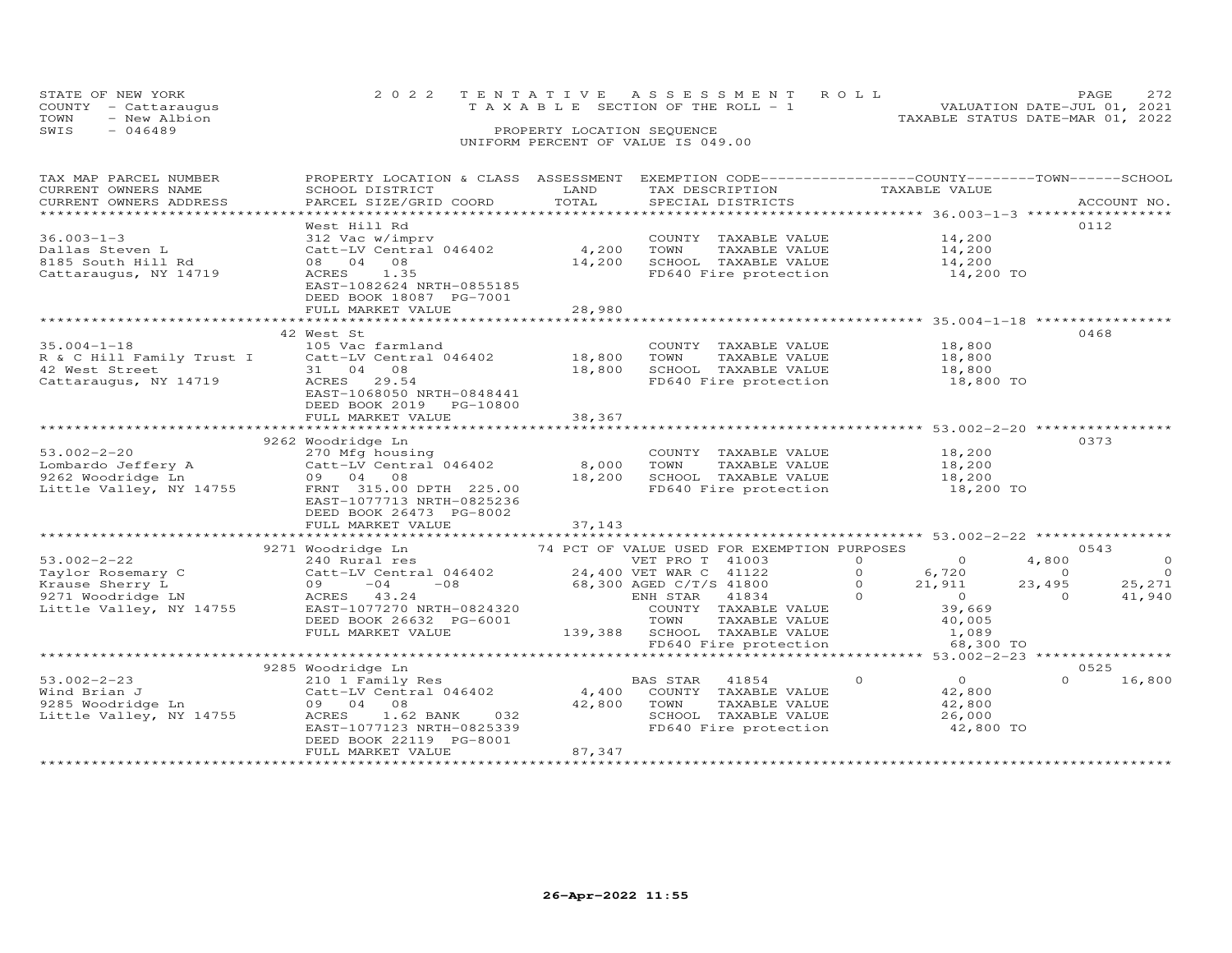| STATE OF NEW YORK<br>COUNTY - Cattaraugus |              | 2022 TENTATIVE ASSESSMENT ROLL<br>T A X A B L E SECTION OF THE ROLL - 1 |  |                                  | <b>PAGE</b><br>VALUATION DATE-JUL 01, 2021 | 272 |
|-------------------------------------------|--------------|-------------------------------------------------------------------------|--|----------------------------------|--------------------------------------------|-----|
| TOWN                                      | - New Albion |                                                                         |  | TAXABLE STATUS DATE-MAR 01, 2022 |                                            |     |
| SWIS<br>- 046489                          |              | PROPERTY LOCATION SEQUENCE                                              |  |                                  |                                            |     |
|                                           |              | UNIFORM PERCENT OF VALUE IS 049.00                                      |  |                                  |                                            |     |

| CURRENT OWNERS NAME<br>SCHOOL DISTRICT<br>LAND<br>TAX DESCRIPTION<br>TAXABLE VALUE<br>TOTAL<br>PARCEL SIZE/GRID COORD<br>CURRENT OWNERS ADDRESS<br>SPECIAL DISTRICTS<br>ACCOUNT NO.<br>***********************<br>West Hill Rd<br>0112<br>14,200<br>$36.003 - 1 - 3$<br>312 Vac w/imprv<br>COUNTY TAXABLE VALUE<br>312 Vac w/imprv<br>Catt-LV Central 046402       4,200<br>Dallas Steven L<br>TOWN<br>TAXABLE VALUE<br>14,200<br>14,200<br>SCHOOL TAXABLE VALUE<br>8185 South Hill Rd<br>08 04 08<br>14,200<br>$14,200$ TO<br>ACRES 1.35<br>FD640 Fire protection<br>Cattaraugus, NY 14719<br>EAST-1082624 NRTH-0855185<br>DEED BOOK 18087 PG-7001<br>28,980<br>FULL MARKET VALUE<br>42 West St<br>0468<br>$35.004 - 1 - 18$<br>18,800<br>105 Vac farmland<br>COUNTY TAXABLE VALUE<br>R & C Hill Family Trust I Catt-LV Central 046402<br>42 West Street 31 04 08<br>18,800<br>TOWN<br>TAXABLE VALUE<br>18,800<br>18,800<br>SCHOOL TAXABLE VALUE<br>18,800<br>Cattaraugus, NY 14719<br>FD640 Fire protection 18,800 TO<br>ACRES<br>29.54<br>EAST-1068050 NRTH-0848441<br>DEED BOOK 2019 PG-10800<br>38,367<br>FULL MARKET VALUE<br>******************************** 53.002-2-20 ****<br>9262 Woodridge Ln<br>0373<br>$53.002 - 2 - 20$<br>270 Mfg housing<br>18,200<br>COUNTY TAXABLE VALUE<br>53.002-2-20<br>Lombardo Jeffery A<br>9262 Woodridge Ln<br>Catt-LV Central 046402<br>8,000<br>TOWN<br>TAXABLE VALUE<br>18,200<br>18,200<br>SCHOOL TAXABLE VALUE 18,200<br>09 04 08<br>Little Valley, NY 14755<br>FRNT 315.00 DPTH 225.00<br>FD640 Fire protection<br>18,200 TO<br>EAST-1077713 NRTH-0825236<br>DEED BOOK 26473 PG-8002<br>FULL MARKET VALUE<br>37,143<br>****************************<br>74 PCT OF VALUE USED FOR EXEMPTION PURPOSES<br>0543<br>9271 Woodridge Ln<br>$\circ$<br>$53.002 - 2 - 22$<br>VET PRO T 41003<br>$\Omega$<br>$\overline{0}$ and $\overline{0}$ and $\overline{0}$ and $\overline{0}$ and $\overline{0}$ and $\overline{0}$ and $\overline{0}$ and $\overline{0}$ and $\overline{0}$ and $\overline{0}$ and $\overline{0}$ and $\overline{0}$ and $\overline{0}$ and $\overline{0}$ and $\overline{0}$ and $\overline{0}$ and $\overline{0}$ and<br>4,800<br>240 Rural res<br>Anylor Rosemary C<br>Krause Sherry L<br>9271 W<br>$6,720$<br>21,911<br>Catt-LV Central 046402 24,400 VET WAR C 41122<br>$\overline{a}$<br>$\overline{O}$<br>$\overline{0}$<br>$09 -04 -08$<br>68,300 AGED C/T/S 41800<br>$\overline{O}$<br>23,495<br>25,271<br>$\overline{0}$<br>9271 Woodridge LN<br>ENH STAR<br>$\overline{0}$<br>41,940<br>ACRES 43.24<br>41834<br>$\Omega$<br>EAST-1077270 NRTH-0824320<br>39,669<br>Little Valley, NY 14755<br>COUNTY TAXABLE VALUE<br>DEED BOOK 26632 PG-6001<br>TOWN<br>TAXABLE VALUE<br>40,005<br>TOWN TAXABLE VALUE<br>139,388 SCHOOL TAXABLE VALUE<br>FULL MARKET VALUE<br>1,089<br>FD640 Fire protection<br>68,300 TO<br>9285 Woodridge Ln<br>0525<br>$53.002 - 2 - 23$<br>$\overline{0}$<br>$\Omega$<br>$\Omega$<br>16,800<br>210 1 Family Res<br>BAS STAR 41854<br>Catt-LV Central $046402$ 4,400<br>Wind Brian J<br>COUNTY TAXABLE VALUE<br>42,800<br>9285 Woodridge Ln<br>09 04 08<br>42,800<br>TAXABLE VALUE<br>42,800<br>TOWN<br>SCHOOL TAXABLE VALUE<br>Little Valley, NY 14755<br>032<br>26,000<br>ACRES<br>1.62 BANK<br>FD640 Fire protection<br>EAST-1077123 NRTH-0825339<br>42,800 TO<br>DEED BOOK 22119 PG-8001<br>87,347<br>FULL MARKET VALUE | TAX MAP PARCEL NUMBER | PROPERTY LOCATION & CLASS ASSESSMENT | EXEMPTION CODE-----------------COUNTY-------TOWN------SCHOOL |  |
|--------------------------------------------------------------------------------------------------------------------------------------------------------------------------------------------------------------------------------------------------------------------------------------------------------------------------------------------------------------------------------------------------------------------------------------------------------------------------------------------------------------------------------------------------------------------------------------------------------------------------------------------------------------------------------------------------------------------------------------------------------------------------------------------------------------------------------------------------------------------------------------------------------------------------------------------------------------------------------------------------------------------------------------------------------------------------------------------------------------------------------------------------------------------------------------------------------------------------------------------------------------------------------------------------------------------------------------------------------------------------------------------------------------------------------------------------------------------------------------------------------------------------------------------------------------------------------------------------------------------------------------------------------------------------------------------------------------------------------------------------------------------------------------------------------------------------------------------------------------------------------------------------------------------------------------------------------------------------------------------------------------------------------------------------------------------------------------------------------------------------------------------------------------------------------------------------------------------------------------------------------------------------------------------------------------------------------------------------------------------------------------------------------------------------------------------------------------------------------------------------------------------------------------------------------------------------------------------------------------------------------------------------------------------------------------------------------------------------------------------------------------------------------------------------------------------------------------------------------------------------------------------------------------------------------------------------------------------------------------------------------------------------------------------------------------------------------------------------------------------------------------------------------------------------------------------------------------------------------------------------------------------------------------------------------------------------------------------------------------------------------------------------------------------------|-----------------------|--------------------------------------|--------------------------------------------------------------|--|
|                                                                                                                                                                                                                                                                                                                                                                                                                                                                                                                                                                                                                                                                                                                                                                                                                                                                                                                                                                                                                                                                                                                                                                                                                                                                                                                                                                                                                                                                                                                                                                                                                                                                                                                                                                                                                                                                                                                                                                                                                                                                                                                                                                                                                                                                                                                                                                                                                                                                                                                                                                                                                                                                                                                                                                                                                                                                                                                                                                                                                                                                                                                                                                                                                                                                                                                                                                                                                          |                       |                                      |                                                              |  |
|                                                                                                                                                                                                                                                                                                                                                                                                                                                                                                                                                                                                                                                                                                                                                                                                                                                                                                                                                                                                                                                                                                                                                                                                                                                                                                                                                                                                                                                                                                                                                                                                                                                                                                                                                                                                                                                                                                                                                                                                                                                                                                                                                                                                                                                                                                                                                                                                                                                                                                                                                                                                                                                                                                                                                                                                                                                                                                                                                                                                                                                                                                                                                                                                                                                                                                                                                                                                                          |                       |                                      |                                                              |  |
|                                                                                                                                                                                                                                                                                                                                                                                                                                                                                                                                                                                                                                                                                                                                                                                                                                                                                                                                                                                                                                                                                                                                                                                                                                                                                                                                                                                                                                                                                                                                                                                                                                                                                                                                                                                                                                                                                                                                                                                                                                                                                                                                                                                                                                                                                                                                                                                                                                                                                                                                                                                                                                                                                                                                                                                                                                                                                                                                                                                                                                                                                                                                                                                                                                                                                                                                                                                                                          |                       |                                      |                                                              |  |
|                                                                                                                                                                                                                                                                                                                                                                                                                                                                                                                                                                                                                                                                                                                                                                                                                                                                                                                                                                                                                                                                                                                                                                                                                                                                                                                                                                                                                                                                                                                                                                                                                                                                                                                                                                                                                                                                                                                                                                                                                                                                                                                                                                                                                                                                                                                                                                                                                                                                                                                                                                                                                                                                                                                                                                                                                                                                                                                                                                                                                                                                                                                                                                                                                                                                                                                                                                                                                          |                       |                                      |                                                              |  |
|                                                                                                                                                                                                                                                                                                                                                                                                                                                                                                                                                                                                                                                                                                                                                                                                                                                                                                                                                                                                                                                                                                                                                                                                                                                                                                                                                                                                                                                                                                                                                                                                                                                                                                                                                                                                                                                                                                                                                                                                                                                                                                                                                                                                                                                                                                                                                                                                                                                                                                                                                                                                                                                                                                                                                                                                                                                                                                                                                                                                                                                                                                                                                                                                                                                                                                                                                                                                                          |                       |                                      |                                                              |  |
|                                                                                                                                                                                                                                                                                                                                                                                                                                                                                                                                                                                                                                                                                                                                                                                                                                                                                                                                                                                                                                                                                                                                                                                                                                                                                                                                                                                                                                                                                                                                                                                                                                                                                                                                                                                                                                                                                                                                                                                                                                                                                                                                                                                                                                                                                                                                                                                                                                                                                                                                                                                                                                                                                                                                                                                                                                                                                                                                                                                                                                                                                                                                                                                                                                                                                                                                                                                                                          |                       |                                      |                                                              |  |
|                                                                                                                                                                                                                                                                                                                                                                                                                                                                                                                                                                                                                                                                                                                                                                                                                                                                                                                                                                                                                                                                                                                                                                                                                                                                                                                                                                                                                                                                                                                                                                                                                                                                                                                                                                                                                                                                                                                                                                                                                                                                                                                                                                                                                                                                                                                                                                                                                                                                                                                                                                                                                                                                                                                                                                                                                                                                                                                                                                                                                                                                                                                                                                                                                                                                                                                                                                                                                          |                       |                                      |                                                              |  |
|                                                                                                                                                                                                                                                                                                                                                                                                                                                                                                                                                                                                                                                                                                                                                                                                                                                                                                                                                                                                                                                                                                                                                                                                                                                                                                                                                                                                                                                                                                                                                                                                                                                                                                                                                                                                                                                                                                                                                                                                                                                                                                                                                                                                                                                                                                                                                                                                                                                                                                                                                                                                                                                                                                                                                                                                                                                                                                                                                                                                                                                                                                                                                                                                                                                                                                                                                                                                                          |                       |                                      |                                                              |  |
|                                                                                                                                                                                                                                                                                                                                                                                                                                                                                                                                                                                                                                                                                                                                                                                                                                                                                                                                                                                                                                                                                                                                                                                                                                                                                                                                                                                                                                                                                                                                                                                                                                                                                                                                                                                                                                                                                                                                                                                                                                                                                                                                                                                                                                                                                                                                                                                                                                                                                                                                                                                                                                                                                                                                                                                                                                                                                                                                                                                                                                                                                                                                                                                                                                                                                                                                                                                                                          |                       |                                      |                                                              |  |
|                                                                                                                                                                                                                                                                                                                                                                                                                                                                                                                                                                                                                                                                                                                                                                                                                                                                                                                                                                                                                                                                                                                                                                                                                                                                                                                                                                                                                                                                                                                                                                                                                                                                                                                                                                                                                                                                                                                                                                                                                                                                                                                                                                                                                                                                                                                                                                                                                                                                                                                                                                                                                                                                                                                                                                                                                                                                                                                                                                                                                                                                                                                                                                                                                                                                                                                                                                                                                          |                       |                                      |                                                              |  |
|                                                                                                                                                                                                                                                                                                                                                                                                                                                                                                                                                                                                                                                                                                                                                                                                                                                                                                                                                                                                                                                                                                                                                                                                                                                                                                                                                                                                                                                                                                                                                                                                                                                                                                                                                                                                                                                                                                                                                                                                                                                                                                                                                                                                                                                                                                                                                                                                                                                                                                                                                                                                                                                                                                                                                                                                                                                                                                                                                                                                                                                                                                                                                                                                                                                                                                                                                                                                                          |                       |                                      |                                                              |  |
|                                                                                                                                                                                                                                                                                                                                                                                                                                                                                                                                                                                                                                                                                                                                                                                                                                                                                                                                                                                                                                                                                                                                                                                                                                                                                                                                                                                                                                                                                                                                                                                                                                                                                                                                                                                                                                                                                                                                                                                                                                                                                                                                                                                                                                                                                                                                                                                                                                                                                                                                                                                                                                                                                                                                                                                                                                                                                                                                                                                                                                                                                                                                                                                                                                                                                                                                                                                                                          |                       |                                      |                                                              |  |
|                                                                                                                                                                                                                                                                                                                                                                                                                                                                                                                                                                                                                                                                                                                                                                                                                                                                                                                                                                                                                                                                                                                                                                                                                                                                                                                                                                                                                                                                                                                                                                                                                                                                                                                                                                                                                                                                                                                                                                                                                                                                                                                                                                                                                                                                                                                                                                                                                                                                                                                                                                                                                                                                                                                                                                                                                                                                                                                                                                                                                                                                                                                                                                                                                                                                                                                                                                                                                          |                       |                                      |                                                              |  |
|                                                                                                                                                                                                                                                                                                                                                                                                                                                                                                                                                                                                                                                                                                                                                                                                                                                                                                                                                                                                                                                                                                                                                                                                                                                                                                                                                                                                                                                                                                                                                                                                                                                                                                                                                                                                                                                                                                                                                                                                                                                                                                                                                                                                                                                                                                                                                                                                                                                                                                                                                                                                                                                                                                                                                                                                                                                                                                                                                                                                                                                                                                                                                                                                                                                                                                                                                                                                                          |                       |                                      |                                                              |  |
|                                                                                                                                                                                                                                                                                                                                                                                                                                                                                                                                                                                                                                                                                                                                                                                                                                                                                                                                                                                                                                                                                                                                                                                                                                                                                                                                                                                                                                                                                                                                                                                                                                                                                                                                                                                                                                                                                                                                                                                                                                                                                                                                                                                                                                                                                                                                                                                                                                                                                                                                                                                                                                                                                                                                                                                                                                                                                                                                                                                                                                                                                                                                                                                                                                                                                                                                                                                                                          |                       |                                      |                                                              |  |
|                                                                                                                                                                                                                                                                                                                                                                                                                                                                                                                                                                                                                                                                                                                                                                                                                                                                                                                                                                                                                                                                                                                                                                                                                                                                                                                                                                                                                                                                                                                                                                                                                                                                                                                                                                                                                                                                                                                                                                                                                                                                                                                                                                                                                                                                                                                                                                                                                                                                                                                                                                                                                                                                                                                                                                                                                                                                                                                                                                                                                                                                                                                                                                                                                                                                                                                                                                                                                          |                       |                                      |                                                              |  |
|                                                                                                                                                                                                                                                                                                                                                                                                                                                                                                                                                                                                                                                                                                                                                                                                                                                                                                                                                                                                                                                                                                                                                                                                                                                                                                                                                                                                                                                                                                                                                                                                                                                                                                                                                                                                                                                                                                                                                                                                                                                                                                                                                                                                                                                                                                                                                                                                                                                                                                                                                                                                                                                                                                                                                                                                                                                                                                                                                                                                                                                                                                                                                                                                                                                                                                                                                                                                                          |                       |                                      |                                                              |  |
|                                                                                                                                                                                                                                                                                                                                                                                                                                                                                                                                                                                                                                                                                                                                                                                                                                                                                                                                                                                                                                                                                                                                                                                                                                                                                                                                                                                                                                                                                                                                                                                                                                                                                                                                                                                                                                                                                                                                                                                                                                                                                                                                                                                                                                                                                                                                                                                                                                                                                                                                                                                                                                                                                                                                                                                                                                                                                                                                                                                                                                                                                                                                                                                                                                                                                                                                                                                                                          |                       |                                      |                                                              |  |
|                                                                                                                                                                                                                                                                                                                                                                                                                                                                                                                                                                                                                                                                                                                                                                                                                                                                                                                                                                                                                                                                                                                                                                                                                                                                                                                                                                                                                                                                                                                                                                                                                                                                                                                                                                                                                                                                                                                                                                                                                                                                                                                                                                                                                                                                                                                                                                                                                                                                                                                                                                                                                                                                                                                                                                                                                                                                                                                                                                                                                                                                                                                                                                                                                                                                                                                                                                                                                          |                       |                                      |                                                              |  |
|                                                                                                                                                                                                                                                                                                                                                                                                                                                                                                                                                                                                                                                                                                                                                                                                                                                                                                                                                                                                                                                                                                                                                                                                                                                                                                                                                                                                                                                                                                                                                                                                                                                                                                                                                                                                                                                                                                                                                                                                                                                                                                                                                                                                                                                                                                                                                                                                                                                                                                                                                                                                                                                                                                                                                                                                                                                                                                                                                                                                                                                                                                                                                                                                                                                                                                                                                                                                                          |                       |                                      |                                                              |  |
|                                                                                                                                                                                                                                                                                                                                                                                                                                                                                                                                                                                                                                                                                                                                                                                                                                                                                                                                                                                                                                                                                                                                                                                                                                                                                                                                                                                                                                                                                                                                                                                                                                                                                                                                                                                                                                                                                                                                                                                                                                                                                                                                                                                                                                                                                                                                                                                                                                                                                                                                                                                                                                                                                                                                                                                                                                                                                                                                                                                                                                                                                                                                                                                                                                                                                                                                                                                                                          |                       |                                      |                                                              |  |
|                                                                                                                                                                                                                                                                                                                                                                                                                                                                                                                                                                                                                                                                                                                                                                                                                                                                                                                                                                                                                                                                                                                                                                                                                                                                                                                                                                                                                                                                                                                                                                                                                                                                                                                                                                                                                                                                                                                                                                                                                                                                                                                                                                                                                                                                                                                                                                                                                                                                                                                                                                                                                                                                                                                                                                                                                                                                                                                                                                                                                                                                                                                                                                                                                                                                                                                                                                                                                          |                       |                                      |                                                              |  |
|                                                                                                                                                                                                                                                                                                                                                                                                                                                                                                                                                                                                                                                                                                                                                                                                                                                                                                                                                                                                                                                                                                                                                                                                                                                                                                                                                                                                                                                                                                                                                                                                                                                                                                                                                                                                                                                                                                                                                                                                                                                                                                                                                                                                                                                                                                                                                                                                                                                                                                                                                                                                                                                                                                                                                                                                                                                                                                                                                                                                                                                                                                                                                                                                                                                                                                                                                                                                                          |                       |                                      |                                                              |  |
|                                                                                                                                                                                                                                                                                                                                                                                                                                                                                                                                                                                                                                                                                                                                                                                                                                                                                                                                                                                                                                                                                                                                                                                                                                                                                                                                                                                                                                                                                                                                                                                                                                                                                                                                                                                                                                                                                                                                                                                                                                                                                                                                                                                                                                                                                                                                                                                                                                                                                                                                                                                                                                                                                                                                                                                                                                                                                                                                                                                                                                                                                                                                                                                                                                                                                                                                                                                                                          |                       |                                      |                                                              |  |
|                                                                                                                                                                                                                                                                                                                                                                                                                                                                                                                                                                                                                                                                                                                                                                                                                                                                                                                                                                                                                                                                                                                                                                                                                                                                                                                                                                                                                                                                                                                                                                                                                                                                                                                                                                                                                                                                                                                                                                                                                                                                                                                                                                                                                                                                                                                                                                                                                                                                                                                                                                                                                                                                                                                                                                                                                                                                                                                                                                                                                                                                                                                                                                                                                                                                                                                                                                                                                          |                       |                                      |                                                              |  |
|                                                                                                                                                                                                                                                                                                                                                                                                                                                                                                                                                                                                                                                                                                                                                                                                                                                                                                                                                                                                                                                                                                                                                                                                                                                                                                                                                                                                                                                                                                                                                                                                                                                                                                                                                                                                                                                                                                                                                                                                                                                                                                                                                                                                                                                                                                                                                                                                                                                                                                                                                                                                                                                                                                                                                                                                                                                                                                                                                                                                                                                                                                                                                                                                                                                                                                                                                                                                                          |                       |                                      |                                                              |  |
|                                                                                                                                                                                                                                                                                                                                                                                                                                                                                                                                                                                                                                                                                                                                                                                                                                                                                                                                                                                                                                                                                                                                                                                                                                                                                                                                                                                                                                                                                                                                                                                                                                                                                                                                                                                                                                                                                                                                                                                                                                                                                                                                                                                                                                                                                                                                                                                                                                                                                                                                                                                                                                                                                                                                                                                                                                                                                                                                                                                                                                                                                                                                                                                                                                                                                                                                                                                                                          |                       |                                      |                                                              |  |
|                                                                                                                                                                                                                                                                                                                                                                                                                                                                                                                                                                                                                                                                                                                                                                                                                                                                                                                                                                                                                                                                                                                                                                                                                                                                                                                                                                                                                                                                                                                                                                                                                                                                                                                                                                                                                                                                                                                                                                                                                                                                                                                                                                                                                                                                                                                                                                                                                                                                                                                                                                                                                                                                                                                                                                                                                                                                                                                                                                                                                                                                                                                                                                                                                                                                                                                                                                                                                          |                       |                                      |                                                              |  |
|                                                                                                                                                                                                                                                                                                                                                                                                                                                                                                                                                                                                                                                                                                                                                                                                                                                                                                                                                                                                                                                                                                                                                                                                                                                                                                                                                                                                                                                                                                                                                                                                                                                                                                                                                                                                                                                                                                                                                                                                                                                                                                                                                                                                                                                                                                                                                                                                                                                                                                                                                                                                                                                                                                                                                                                                                                                                                                                                                                                                                                                                                                                                                                                                                                                                                                                                                                                                                          |                       |                                      |                                                              |  |
|                                                                                                                                                                                                                                                                                                                                                                                                                                                                                                                                                                                                                                                                                                                                                                                                                                                                                                                                                                                                                                                                                                                                                                                                                                                                                                                                                                                                                                                                                                                                                                                                                                                                                                                                                                                                                                                                                                                                                                                                                                                                                                                                                                                                                                                                                                                                                                                                                                                                                                                                                                                                                                                                                                                                                                                                                                                                                                                                                                                                                                                                                                                                                                                                                                                                                                                                                                                                                          |                       |                                      |                                                              |  |
|                                                                                                                                                                                                                                                                                                                                                                                                                                                                                                                                                                                                                                                                                                                                                                                                                                                                                                                                                                                                                                                                                                                                                                                                                                                                                                                                                                                                                                                                                                                                                                                                                                                                                                                                                                                                                                                                                                                                                                                                                                                                                                                                                                                                                                                                                                                                                                                                                                                                                                                                                                                                                                                                                                                                                                                                                                                                                                                                                                                                                                                                                                                                                                                                                                                                                                                                                                                                                          |                       |                                      |                                                              |  |
|                                                                                                                                                                                                                                                                                                                                                                                                                                                                                                                                                                                                                                                                                                                                                                                                                                                                                                                                                                                                                                                                                                                                                                                                                                                                                                                                                                                                                                                                                                                                                                                                                                                                                                                                                                                                                                                                                                                                                                                                                                                                                                                                                                                                                                                                                                                                                                                                                                                                                                                                                                                                                                                                                                                                                                                                                                                                                                                                                                                                                                                                                                                                                                                                                                                                                                                                                                                                                          |                       |                                      |                                                              |  |
|                                                                                                                                                                                                                                                                                                                                                                                                                                                                                                                                                                                                                                                                                                                                                                                                                                                                                                                                                                                                                                                                                                                                                                                                                                                                                                                                                                                                                                                                                                                                                                                                                                                                                                                                                                                                                                                                                                                                                                                                                                                                                                                                                                                                                                                                                                                                                                                                                                                                                                                                                                                                                                                                                                                                                                                                                                                                                                                                                                                                                                                                                                                                                                                                                                                                                                                                                                                                                          |                       |                                      |                                                              |  |
|                                                                                                                                                                                                                                                                                                                                                                                                                                                                                                                                                                                                                                                                                                                                                                                                                                                                                                                                                                                                                                                                                                                                                                                                                                                                                                                                                                                                                                                                                                                                                                                                                                                                                                                                                                                                                                                                                                                                                                                                                                                                                                                                                                                                                                                                                                                                                                                                                                                                                                                                                                                                                                                                                                                                                                                                                                                                                                                                                                                                                                                                                                                                                                                                                                                                                                                                                                                                                          |                       |                                      |                                                              |  |
|                                                                                                                                                                                                                                                                                                                                                                                                                                                                                                                                                                                                                                                                                                                                                                                                                                                                                                                                                                                                                                                                                                                                                                                                                                                                                                                                                                                                                                                                                                                                                                                                                                                                                                                                                                                                                                                                                                                                                                                                                                                                                                                                                                                                                                                                                                                                                                                                                                                                                                                                                                                                                                                                                                                                                                                                                                                                                                                                                                                                                                                                                                                                                                                                                                                                                                                                                                                                                          |                       |                                      |                                                              |  |
|                                                                                                                                                                                                                                                                                                                                                                                                                                                                                                                                                                                                                                                                                                                                                                                                                                                                                                                                                                                                                                                                                                                                                                                                                                                                                                                                                                                                                                                                                                                                                                                                                                                                                                                                                                                                                                                                                                                                                                                                                                                                                                                                                                                                                                                                                                                                                                                                                                                                                                                                                                                                                                                                                                                                                                                                                                                                                                                                                                                                                                                                                                                                                                                                                                                                                                                                                                                                                          |                       |                                      |                                                              |  |
|                                                                                                                                                                                                                                                                                                                                                                                                                                                                                                                                                                                                                                                                                                                                                                                                                                                                                                                                                                                                                                                                                                                                                                                                                                                                                                                                                                                                                                                                                                                                                                                                                                                                                                                                                                                                                                                                                                                                                                                                                                                                                                                                                                                                                                                                                                                                                                                                                                                                                                                                                                                                                                                                                                                                                                                                                                                                                                                                                                                                                                                                                                                                                                                                                                                                                                                                                                                                                          |                       |                                      |                                                              |  |
|                                                                                                                                                                                                                                                                                                                                                                                                                                                                                                                                                                                                                                                                                                                                                                                                                                                                                                                                                                                                                                                                                                                                                                                                                                                                                                                                                                                                                                                                                                                                                                                                                                                                                                                                                                                                                                                                                                                                                                                                                                                                                                                                                                                                                                                                                                                                                                                                                                                                                                                                                                                                                                                                                                                                                                                                                                                                                                                                                                                                                                                                                                                                                                                                                                                                                                                                                                                                                          |                       |                                      |                                                              |  |
|                                                                                                                                                                                                                                                                                                                                                                                                                                                                                                                                                                                                                                                                                                                                                                                                                                                                                                                                                                                                                                                                                                                                                                                                                                                                                                                                                                                                                                                                                                                                                                                                                                                                                                                                                                                                                                                                                                                                                                                                                                                                                                                                                                                                                                                                                                                                                                                                                                                                                                                                                                                                                                                                                                                                                                                                                                                                                                                                                                                                                                                                                                                                                                                                                                                                                                                                                                                                                          |                       |                                      |                                                              |  |
|                                                                                                                                                                                                                                                                                                                                                                                                                                                                                                                                                                                                                                                                                                                                                                                                                                                                                                                                                                                                                                                                                                                                                                                                                                                                                                                                                                                                                                                                                                                                                                                                                                                                                                                                                                                                                                                                                                                                                                                                                                                                                                                                                                                                                                                                                                                                                                                                                                                                                                                                                                                                                                                                                                                                                                                                                                                                                                                                                                                                                                                                                                                                                                                                                                                                                                                                                                                                                          |                       |                                      |                                                              |  |
|                                                                                                                                                                                                                                                                                                                                                                                                                                                                                                                                                                                                                                                                                                                                                                                                                                                                                                                                                                                                                                                                                                                                                                                                                                                                                                                                                                                                                                                                                                                                                                                                                                                                                                                                                                                                                                                                                                                                                                                                                                                                                                                                                                                                                                                                                                                                                                                                                                                                                                                                                                                                                                                                                                                                                                                                                                                                                                                                                                                                                                                                                                                                                                                                                                                                                                                                                                                                                          |                       |                                      |                                                              |  |
|                                                                                                                                                                                                                                                                                                                                                                                                                                                                                                                                                                                                                                                                                                                                                                                                                                                                                                                                                                                                                                                                                                                                                                                                                                                                                                                                                                                                                                                                                                                                                                                                                                                                                                                                                                                                                                                                                                                                                                                                                                                                                                                                                                                                                                                                                                                                                                                                                                                                                                                                                                                                                                                                                                                                                                                                                                                                                                                                                                                                                                                                                                                                                                                                                                                                                                                                                                                                                          |                       |                                      |                                                              |  |
|                                                                                                                                                                                                                                                                                                                                                                                                                                                                                                                                                                                                                                                                                                                                                                                                                                                                                                                                                                                                                                                                                                                                                                                                                                                                                                                                                                                                                                                                                                                                                                                                                                                                                                                                                                                                                                                                                                                                                                                                                                                                                                                                                                                                                                                                                                                                                                                                                                                                                                                                                                                                                                                                                                                                                                                                                                                                                                                                                                                                                                                                                                                                                                                                                                                                                                                                                                                                                          |                       |                                      |                                                              |  |
|                                                                                                                                                                                                                                                                                                                                                                                                                                                                                                                                                                                                                                                                                                                                                                                                                                                                                                                                                                                                                                                                                                                                                                                                                                                                                                                                                                                                                                                                                                                                                                                                                                                                                                                                                                                                                                                                                                                                                                                                                                                                                                                                                                                                                                                                                                                                                                                                                                                                                                                                                                                                                                                                                                                                                                                                                                                                                                                                                                                                                                                                                                                                                                                                                                                                                                                                                                                                                          |                       |                                      |                                                              |  |
|                                                                                                                                                                                                                                                                                                                                                                                                                                                                                                                                                                                                                                                                                                                                                                                                                                                                                                                                                                                                                                                                                                                                                                                                                                                                                                                                                                                                                                                                                                                                                                                                                                                                                                                                                                                                                                                                                                                                                                                                                                                                                                                                                                                                                                                                                                                                                                                                                                                                                                                                                                                                                                                                                                                                                                                                                                                                                                                                                                                                                                                                                                                                                                                                                                                                                                                                                                                                                          |                       |                                      |                                                              |  |
|                                                                                                                                                                                                                                                                                                                                                                                                                                                                                                                                                                                                                                                                                                                                                                                                                                                                                                                                                                                                                                                                                                                                                                                                                                                                                                                                                                                                                                                                                                                                                                                                                                                                                                                                                                                                                                                                                                                                                                                                                                                                                                                                                                                                                                                                                                                                                                                                                                                                                                                                                                                                                                                                                                                                                                                                                                                                                                                                                                                                                                                                                                                                                                                                                                                                                                                                                                                                                          |                       |                                      |                                                              |  |
|                                                                                                                                                                                                                                                                                                                                                                                                                                                                                                                                                                                                                                                                                                                                                                                                                                                                                                                                                                                                                                                                                                                                                                                                                                                                                                                                                                                                                                                                                                                                                                                                                                                                                                                                                                                                                                                                                                                                                                                                                                                                                                                                                                                                                                                                                                                                                                                                                                                                                                                                                                                                                                                                                                                                                                                                                                                                                                                                                                                                                                                                                                                                                                                                                                                                                                                                                                                                                          |                       |                                      |                                                              |  |
|                                                                                                                                                                                                                                                                                                                                                                                                                                                                                                                                                                                                                                                                                                                                                                                                                                                                                                                                                                                                                                                                                                                                                                                                                                                                                                                                                                                                                                                                                                                                                                                                                                                                                                                                                                                                                                                                                                                                                                                                                                                                                                                                                                                                                                                                                                                                                                                                                                                                                                                                                                                                                                                                                                                                                                                                                                                                                                                                                                                                                                                                                                                                                                                                                                                                                                                                                                                                                          |                       |                                      |                                                              |  |
|                                                                                                                                                                                                                                                                                                                                                                                                                                                                                                                                                                                                                                                                                                                                                                                                                                                                                                                                                                                                                                                                                                                                                                                                                                                                                                                                                                                                                                                                                                                                                                                                                                                                                                                                                                                                                                                                                                                                                                                                                                                                                                                                                                                                                                                                                                                                                                                                                                                                                                                                                                                                                                                                                                                                                                                                                                                                                                                                                                                                                                                                                                                                                                                                                                                                                                                                                                                                                          |                       |                                      |                                                              |  |
|                                                                                                                                                                                                                                                                                                                                                                                                                                                                                                                                                                                                                                                                                                                                                                                                                                                                                                                                                                                                                                                                                                                                                                                                                                                                                                                                                                                                                                                                                                                                                                                                                                                                                                                                                                                                                                                                                                                                                                                                                                                                                                                                                                                                                                                                                                                                                                                                                                                                                                                                                                                                                                                                                                                                                                                                                                                                                                                                                                                                                                                                                                                                                                                                                                                                                                                                                                                                                          |                       |                                      |                                                              |  |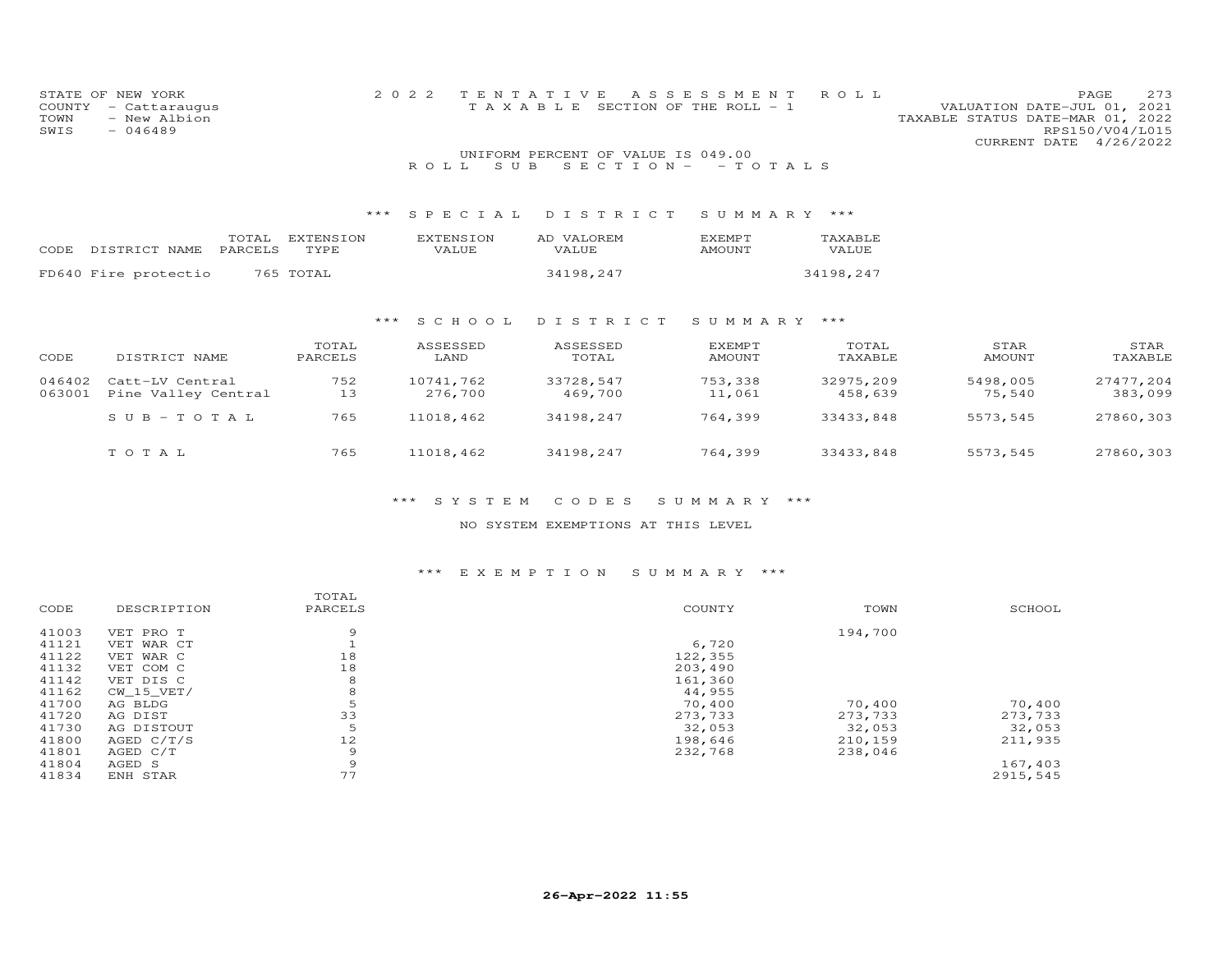| STATE OF<br>COUNTY<br>TOWN<br>SWIS | NEW YORK<br>- Cattaraugus<br>- New Albion<br>$-046489$ |                          | 2 0 2 2<br>T E N<br>T A<br>TAXABLE | Е<br>ASSES                                     | S M E N T<br>SECTION OF THE ROLL - 1 | R O L L              | TAXABLE STATUS DATE-MAR 01, 2022<br>CURRENT DATE | PAGE<br>273<br>VALUATION DATE-JUL 01, 2021<br>RPS150/V04/L015<br>4/26/2022 |
|------------------------------------|--------------------------------------------------------|--------------------------|------------------------------------|------------------------------------------------|--------------------------------------|----------------------|--------------------------------------------------|----------------------------------------------------------------------------|
|                                    |                                                        |                          | S U B<br>ROLL.                     | UNIFORM PERCENT OF VALUE IS 049.00<br>SECTION- | $-$ TOTALS                           |                      |                                                  |                                                                            |
|                                    |                                                        | ***                      | SPECIAL                            | DISTRICT                                       | SUMMARY                              | $***$                |                                                  |                                                                            |
| CODE                               | TOTAL<br>DISTRICT NAME<br>PARCELS                      | <b>EXTENSION</b><br>TYPE | <b>EXTENSION</b><br>VALUE          | AD VALOREM<br>VALUE                            | EXEMPT<br><b>AMOUNT</b>              | TAXABLE<br>VALUE     |                                                  |                                                                            |
|                                    | FD640 Fire protectio                                   | 765 TOTAL                |                                    | 34198,247                                      |                                      | 34198,247            |                                                  |                                                                            |
|                                    |                                                        | ***                      | S C H O O L                        | DISTRICT                                       | SUMMARY ***                          |                      |                                                  |                                                                            |
| CODE                               | DISTRICT NAME                                          | TOTAL<br>PARCELS         | ASSESSED<br>LAND                   | ASSESSED<br>TOTAL                              | EXEMPT<br><b>AMOUNT</b>              | TOTAL<br>TAXABLE     | STAR<br>AMOUNT                                   | STAR<br>TAXABLE                                                            |
| 046402<br>063001                   | Catt-LV Central<br>Pine Valley Central                 | 752<br>13                | 10741,762<br>276,700               | 33728,547<br>469,700                           | 753,338<br>11,061                    | 32975,209<br>458,639 | 5498,005<br>75,540                               | 27477,204<br>383,099                                                       |
|                                    | $SUB - TO T AL$                                        | 765                      | 11018,462                          | 34198,247                                      | 764,399                              | 33433,848            | 5573,545                                         | 27860,303                                                                  |
|                                    | TOTAL                                                  | 765                      | 11018,462                          | 34198,247                                      | 764,399                              | 33433,848            | 5573,545                                         | 27860,303                                                                  |

#### \*\*\* S Y S T E M C O D E S S U M M A R Y \*\*\*

#### NO SYSTEM EXEMPTIONS AT THIS LEVEL

#### \*\*\* E X E M P T I O N S U M M A R Y \*\*\*

|       |              | TOTAL   |         |         |          |
|-------|--------------|---------|---------|---------|----------|
| CODE  | DESCRIPTION  | PARCELS | COUNTY  | TOWN    | SCHOOL   |
| 41003 | VET PRO T    | 9       |         | 194,700 |          |
| 41121 | VET WAR CT   |         | 6,720   |         |          |
| 41122 | VET WAR C    | 18      | 122,355 |         |          |
| 41132 | VET COM C    | 18      | 203,490 |         |          |
| 41142 | VET DIS C    | 8       | 161,360 |         |          |
| 41162 | $CW_15_VET/$ | 8       | 44,955  |         |          |
| 41700 | AG BLDG      | 5       | 70,400  | 70,400  | 70,400   |
| 41720 | AG DIST      | 33      | 273,733 | 273,733 | 273,733  |
| 41730 | AG DISTOUT   | 5       | 32,053  | 32,053  | 32,053   |
| 41800 | AGED $C/T/S$ | 12      | 198,646 | 210,159 | 211,935  |
| 41801 | AGED C/T     | 9       | 232,768 | 238,046 |          |
| 41804 | AGED S       | 9       |         |         | 167,403  |
| 41834 | ENH STAR     | 77      |         |         | 2915,545 |
|       |              |         |         |         |          |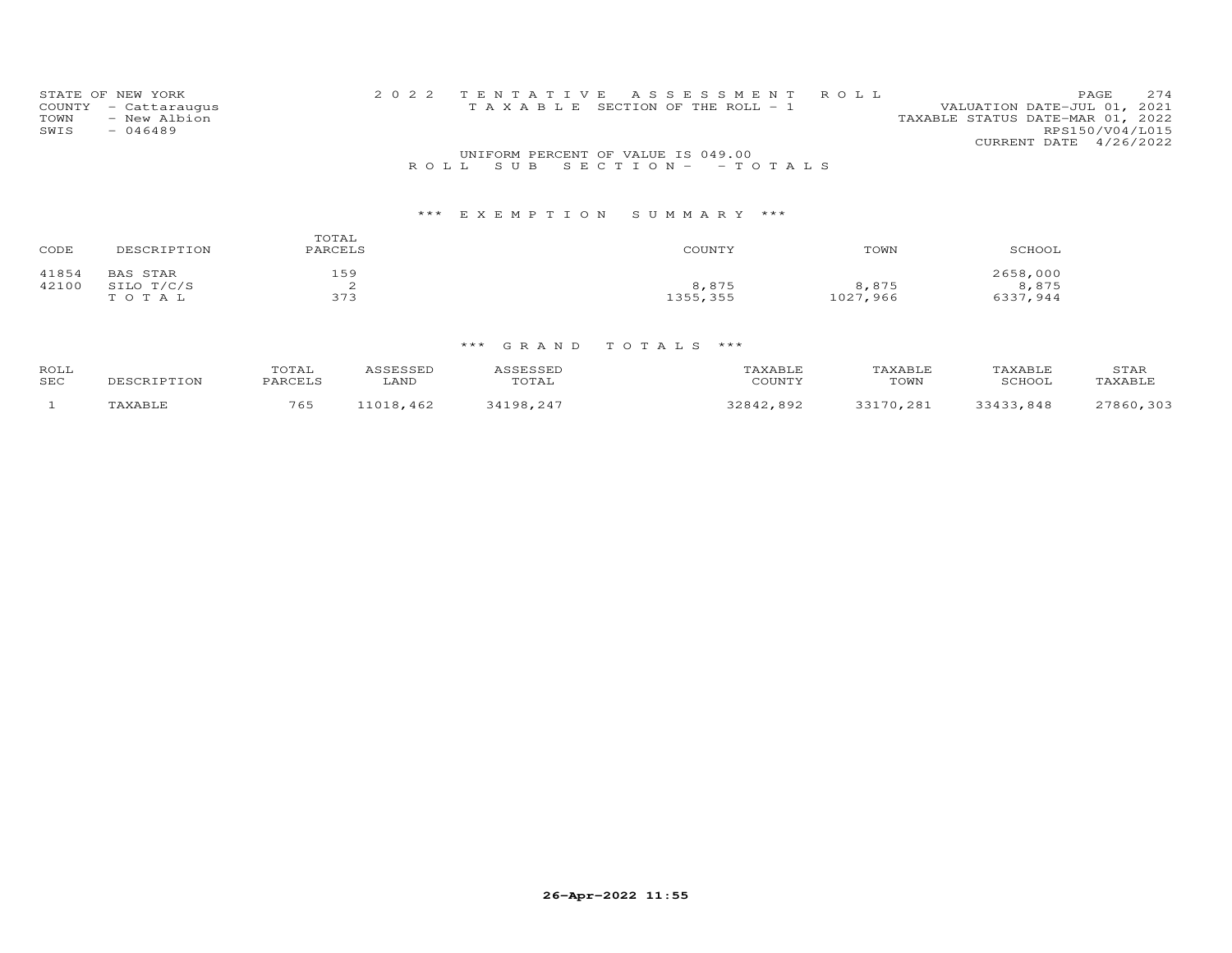| STATE OF NEW YORK    | 2022 TENTATIVE ASSESSMENT ROLL                                       | PAGE.           | 2.74 |
|----------------------|----------------------------------------------------------------------|-----------------|------|
| COUNTY - Cattaraugus | VALUATION DATE-JUL 01, 2021<br>T A X A B L E SECTION OF THE ROLL - 1 |                 |      |
| - New Albion<br>TOWN | TAXABLE STATUS DATE-MAR 01, 2022                                     |                 |      |
| $-046489$<br>SWIS    |                                                                      | RPS150/V04/L015 |      |
|                      | CURRENT DATE 4/26/2022                                               |                 |      |
|                      | UNIFORM PERCENT OF VALUE IS 049.00                                   |                 |      |
|                      | ROLL SUBSECTION - - TOTALS                                           |                 |      |

| CODE           | DESCRIPTION                            | TOTAL<br>PARCELS | COUNTY            | TOWN              | SCHOOL                        |
|----------------|----------------------------------------|------------------|-------------------|-------------------|-------------------------------|
| 41854<br>42100 | <b>BAS STAR</b><br>SILO T/C/S<br>TOTAL | 159<br>373       | 8,875<br>1355,355 | 8,875<br>1027,966 | 2658,000<br>8,875<br>6337,944 |

| <b>ROLI</b><br>SEC | DESCRIPTION | TOTAI<br>PARCELS | LAND     | <i>ISSESSED</i><br>TOTAL | TAXABLE<br>COUNTY | TAXABLE<br>TOWN | TAXABLE<br>SCHOOL | STAR<br>TAXABLE |
|--------------------|-------------|------------------|----------|--------------------------|-------------------|-----------------|-------------------|-----------------|
|                    | TAXABLE     | 765              | 1018,462 | 34198 247                | 22812<br>892      | 33170,281       | 33433.848         | 27860 303       |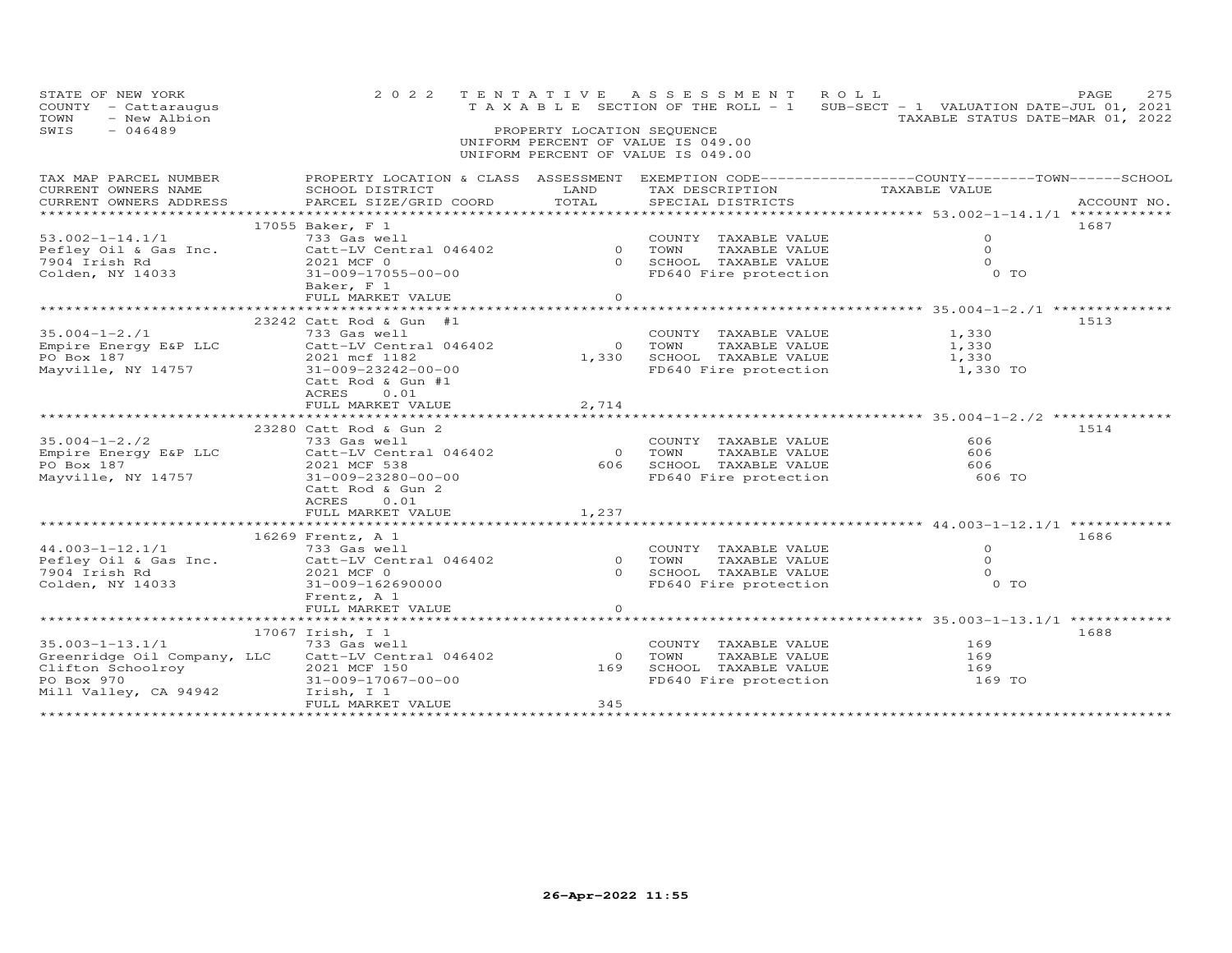| STATE OF NEW YORK<br>COUNTY - Cattaraugus<br>- New Albion<br>TOWN<br>SWIS<br>$-046489$                           | 2 0 2 2                                                                                                                                                             | TENTATIVE<br>PROPERTY LOCATION SEQUENCE | A S S E S S M E N T<br>T A X A B L E SECTION OF THE ROLL - 1<br>UNIFORM PERCENT OF VALUE IS 049.00 | ROLL<br>SUB-SECT - 1 VALUATION DATE-JUL 01, 2021<br>TAXABLE STATUS DATE-MAR 01, 2022                             | 275<br>PAGE |
|------------------------------------------------------------------------------------------------------------------|---------------------------------------------------------------------------------------------------------------------------------------------------------------------|-----------------------------------------|----------------------------------------------------------------------------------------------------|------------------------------------------------------------------------------------------------------------------|-------------|
|                                                                                                                  |                                                                                                                                                                     |                                         | UNIFORM PERCENT OF VALUE IS 049.00                                                                 |                                                                                                                  |             |
| TAX MAP PARCEL NUMBER<br>CURRENT OWNERS NAME<br>CURRENT OWNERS ADDRESS                                           | SCHOOL DISTRICT<br>PARCEL SIZE/GRID COORD                                                                                                                           | LAND<br>TOTAL                           | TAX DESCRIPTION<br>SPECIAL DISTRICTS                                                               | PROPERTY LOCATION & CLASS ASSESSMENT EXEMPTION CODE----------------COUNTY-------TOWN-----SCHOOL<br>TAXABLE VALUE | ACCOUNT NO. |
| ********************                                                                                             |                                                                                                                                                                     | ************                            |                                                                                                    | *************************************53.002-1-14.1/1 ************                                                |             |
| $53.002 - 1 - 14.1/1$<br>Pefley Oil & Gas Inc.<br>7904 Irish Rd<br>Colden, NY 14033                              | 17055 Baker, F 1<br>733 Gas well<br>Catt-LV Central 046402<br>2021 MCF 0<br>31-009-17055-00-00<br>Baker, F 1<br>FULL MARKET VALUE                                   | $\Omega$<br>$\Omega$<br>$\circ$         | COUNTY TAXABLE VALUE<br>TAXABLE VALUE<br>TOWN<br>SCHOOL TAXABLE VALUE<br>FD640 Fire protection     | 0<br>$\Omega$<br>$\Omega$<br>0 TO                                                                                | 1687        |
|                                                                                                                  |                                                                                                                                                                     |                                         |                                                                                                    | **************** 35.004-1-2./1 ************                                                                      |             |
| $35.004 - 1 - 2.71$<br>Empire Energy E&P LLC<br>PO Box 187<br>Mayville, NY 14757                                 | 23242 Catt Rod & Gun #1<br>733 Gas well<br>Catt-LV Central 046402<br>2021 mcf 1182<br>31-009-23242-00-00<br>Catt Rod & Gun #1<br>0.01<br>ACRES<br>FULL MARKET VALUE | $\circ$<br>1,330<br>2,714               | COUNTY TAXABLE VALUE<br>TOWN<br>TAXABLE VALUE<br>SCHOOL TAXABLE VALUE<br>FD640 Fire protection     | 1,330<br>1,330<br>1,330<br>1,330 TO                                                                              | 1513        |
|                                                                                                                  |                                                                                                                                                                     |                                         |                                                                                                    | ******************** 35.004-1-2./2 ********                                                                      |             |
| $35.004 - 1 - 2.72$<br>Empire Energy E&P LLC<br>PO Box 187<br>Mayville, NY 14757                                 | 23280 Catt Rod & Gun 2<br>733 Gas well<br>Catt-LV Central 046402<br>2021 MCF 538<br>31-009-23280-00-00<br>Catt Rod & Gun 2<br>ACRES<br>0.01<br>FULL MARKET VALUE    | $\Omega$<br>606<br>1,237                | COUNTY TAXABLE VALUE<br>TAXABLE VALUE<br>TOWN<br>SCHOOL TAXABLE VALUE<br>FD640 Fire protection     | 606<br>606<br>606<br>606 TO                                                                                      | 1514        |
|                                                                                                                  | **************************                                                                                                                                          |                                         |                                                                                                    |                                                                                                                  |             |
| $44.003 - 1 - 12.1/1$<br>Pefley Oil & Gas Inc.<br>7904 Irish Rd<br>Colden, NY 14033                              | 16269 Frentz, A 1<br>733 Gas well<br>Catt-LV Central 046402<br>2021 MCF 0<br>31-009-162690000<br>Frentz, A 1                                                        | $\circ$<br>$\Omega$                     | COUNTY TAXABLE VALUE<br>TOWN<br>TAXABLE VALUE<br>SCHOOL TAXABLE VALUE<br>FD640 Fire protection     | $\Omega$<br>$\Omega$<br>$\Omega$<br>0 <sub>T</sub>                                                               | 1686        |
|                                                                                                                  | FULL MARKET VALUE                                                                                                                                                   | $\Omega$                                |                                                                                                    |                                                                                                                  |             |
| $35.003 - 1 - 13.1/1$<br>Greenridge Oil Company, LLC<br>Clifton Schoolroy<br>PO Box 970<br>Mill Valley, CA 94942 | 17067 Irish, I 1<br>733 Gas well<br>Catt-LV Central 046402<br>2021 MCF 150<br>31-009-17067-00-00<br>Irish, I 1<br>FULL MARKET VALUE                                 | $\Omega$<br>169<br>345                  | COUNTY TAXABLE VALUE<br>TOWN<br>TAXABLE VALUE<br>SCHOOL TAXABLE VALUE<br>FD640 Fire protection     | 169<br>169<br>169<br>169 TO                                                                                      | 1688        |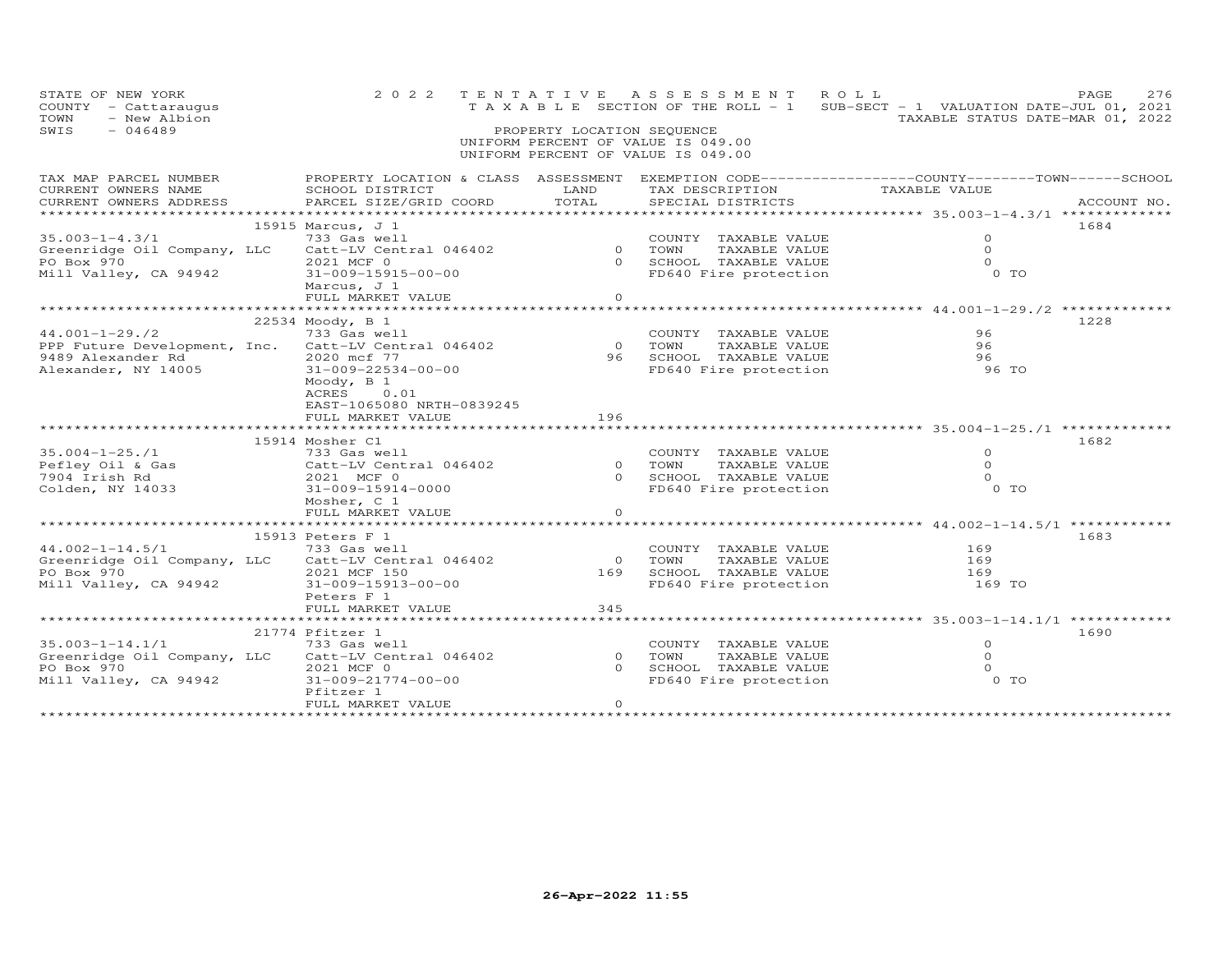| STATE OF NEW YORK<br>COUNTY - Cattaraugus<br>- New Albion<br>TOWN<br>SWIS<br>$-046489$         | 2 0 2 2                                                                                                                                      | PROPERTY LOCATION SEQUENCE | TENTATIVE ASSESSMENT ROLL<br>UNIFORM PERCENT OF VALUE IS 049.00<br>UNIFORM PERCENT OF VALUE IS 049.00 | T A X A B L E SECTION OF THE ROLL - 1 SUB-SECT - 1 VALUATION DATE-JUL 01, 2021<br>TAXABLE STATUS DATE-MAR 01, 2022 | PAGE<br>276 |
|------------------------------------------------------------------------------------------------|----------------------------------------------------------------------------------------------------------------------------------------------|----------------------------|-------------------------------------------------------------------------------------------------------|--------------------------------------------------------------------------------------------------------------------|-------------|
| TAX MAP PARCEL NUMBER<br>CURRENT OWNERS NAME<br>CURRENT OWNERS ADDRESS<br>******************** | PROPERTY LOCATION & CLASS ASSESSMENT EXEMPTION CODE----------------COUNTY-------TOWN-----SCHOOL<br>SCHOOL DISTRICT<br>PARCEL SIZE/GRID COORD | LAND<br>TOTAL              | TAX DESCRIPTION<br>SPECIAL DISTRICTS                                                                  | TAXABLE VALUE                                                                                                      | ACCOUNT NO. |
|                                                                                                | 15915 Marcus, J 1                                                                                                                            |                            |                                                                                                       |                                                                                                                    | 1684        |
| $35.003 - 1 - 4.3/1$                                                                           | 733 Gas well                                                                                                                                 |                            | COUNTY TAXABLE VALUE                                                                                  | $\circ$                                                                                                            |             |
|                                                                                                | Greenridge Oil Company, LLC Catt-LV Central 046402                                                                                           | $\circ$                    | TAXABLE VALUE<br>TOWN                                                                                 | $\Omega$                                                                                                           |             |
| PO Box 970                                                                                     | 2021 MCF 0                                                                                                                                   | $\Omega$                   | SCHOOL TAXABLE VALUE                                                                                  | $\Omega$                                                                                                           |             |
| Mill Valley, CA 94942                                                                          | 31-009-15915-00-00                                                                                                                           |                            | FD640 Fire protection                                                                                 | $0$ TO                                                                                                             |             |
|                                                                                                | Marcus, J 1                                                                                                                                  |                            |                                                                                                       |                                                                                                                    |             |
|                                                                                                | FULL MARKET VALUE                                                                                                                            | $\circ$                    |                                                                                                       | ********************* 44.001-1-29./2 **********                                                                    |             |
|                                                                                                | 22534 Moody, B 1                                                                                                                             |                            |                                                                                                       |                                                                                                                    | 1228        |
| $44.001 - 1 - 29.72$                                                                           | 733 Gas well                                                                                                                                 |                            | COUNTY TAXABLE VALUE                                                                                  | 96                                                                                                                 |             |
|                                                                                                | PPP Future Development, Inc. Catt-LV Central 046402                                                                                          | $\overline{0}$             | TOWN<br>TAXABLE VALUE                                                                                 | 96                                                                                                                 |             |
| 9489 Alexander Rd                                                                              | 2020 mcf 77                                                                                                                                  | 96 -                       | SCHOOL TAXABLE VALUE                                                                                  | 96                                                                                                                 |             |
| Alexander, NY 14005                                                                            | 31-009-22534-00-00                                                                                                                           |                            | FD640 Fire protection                                                                                 | 96 TO                                                                                                              |             |
|                                                                                                | Moody, $B_1$<br>0.01<br>ACRES<br>EAST-1065080 NRTH-0839245                                                                                   |                            |                                                                                                       |                                                                                                                    |             |
|                                                                                                | FULL MARKET VALUE                                                                                                                            | 196                        |                                                                                                       |                                                                                                                    |             |
|                                                                                                |                                                                                                                                              |                            |                                                                                                       |                                                                                                                    |             |
|                                                                                                | 15914 Mosher C1                                                                                                                              |                            |                                                                                                       |                                                                                                                    | 1682        |
| $35.004 - 1 - 25.71$                                                                           | 733 Gas well                                                                                                                                 |                            | COUNTY TAXABLE VALUE                                                                                  | $\Omega$                                                                                                           |             |
| Pefley Oil & Gas                                                                               | Catt-LV Central 046402                                                                                                                       | $\overline{0}$             | TAXABLE VALUE<br>TOWN                                                                                 | $\Omega$                                                                                                           |             |
| 7904 Irish Rd                                                                                  | 2021 MCF 0                                                                                                                                   | $\Omega$                   | SCHOOL TAXABLE VALUE                                                                                  | $\Omega$                                                                                                           |             |
| Colden, NY 14033                                                                               | 31-009-15914-0000                                                                                                                            |                            | FD640 Fire protection                                                                                 | $0$ TO                                                                                                             |             |
|                                                                                                | Mosher, C 1                                                                                                                                  |                            |                                                                                                       |                                                                                                                    |             |
|                                                                                                | FULL MARKET VALUE                                                                                                                            | $\circ$                    |                                                                                                       |                                                                                                                    |             |
|                                                                                                |                                                                                                                                              |                            |                                                                                                       |                                                                                                                    |             |
|                                                                                                | 15913 Peters F 1                                                                                                                             |                            |                                                                                                       |                                                                                                                    | 1683        |
| $44.002 - 1 - 14.5/1$                                                                          | 733 Gas well                                                                                                                                 |                            | COUNTY TAXABLE VALUE                                                                                  | 169                                                                                                                |             |
|                                                                                                | Greenridge Oil Company, LLC Catt-LV Central 046402                                                                                           | $\overline{O}$             | TOWN<br>TAXABLE VALUE                                                                                 | 169                                                                                                                |             |
| PO Box 970                                                                                     | 2021 MCF 150                                                                                                                                 | 169                        | SCHOOL TAXABLE VALUE                                                                                  | 169                                                                                                                |             |
| Mill Valley, CA 94942                                                                          | 31-009-15913-00-00                                                                                                                           |                            | FD640 Fire protection                                                                                 | 169 TO                                                                                                             |             |
|                                                                                                | Peters F 1                                                                                                                                   | 345                        |                                                                                                       |                                                                                                                    |             |
|                                                                                                | FULL MARKET VALUE<br>***********************                                                                                                 |                            |                                                                                                       | ********* 35.003-1-14.1/1 *********                                                                                |             |
|                                                                                                | 21774 Pfitzer 1                                                                                                                              |                            |                                                                                                       |                                                                                                                    | 1690        |
| $35.003 - 1 - 14.1/1$                                                                          | 733 Gas well                                                                                                                                 |                            | COUNTY TAXABLE VALUE                                                                                  | $\circ$                                                                                                            |             |
|                                                                                                | Greenridge Oil Company, LLC Catt-LV Central 046402                                                                                           | $\Omega$                   | TAXABLE VALUE<br>TOWN                                                                                 | $\Omega$                                                                                                           |             |
| PO Box 970                                                                                     | 2021 MCF 0                                                                                                                                   | $\Omega$                   | SCHOOL TAXABLE VALUE                                                                                  | $\Omega$                                                                                                           |             |
| Mill Valley, CA 94942                                                                          | 31-009-21774-00-00                                                                                                                           |                            | FD640 Fire protection                                                                                 | 0 TO                                                                                                               |             |
|                                                                                                | Pfitzer 1                                                                                                                                    |                            |                                                                                                       |                                                                                                                    |             |
|                                                                                                | FULL MARKET VALUE                                                                                                                            | $\Omega$                   |                                                                                                       |                                                                                                                    |             |
|                                                                                                |                                                                                                                                              |                            |                                                                                                       |                                                                                                                    |             |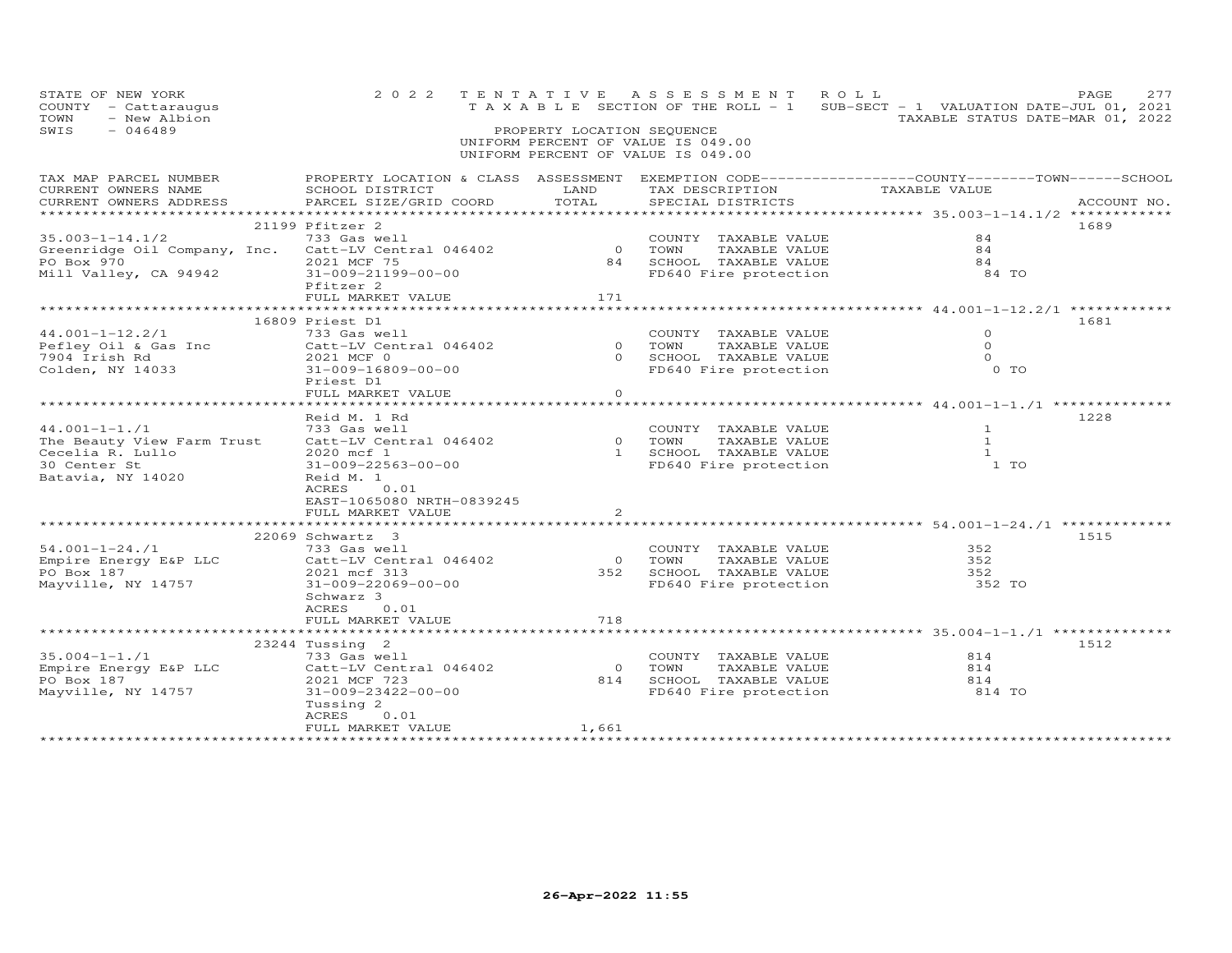| STATE OF NEW YORK<br>COUNTY - Cattaraugus<br>- New Albion<br>TOWN<br>SWIS<br>$-046489$ | 2 0 2 2                                                                                                                                        | PROPERTY LOCATION SEQUENCE | TENTATIVE ASSESSMENT ROLL<br>UNIFORM PERCENT OF VALUE IS 049.00<br>UNIFORM PERCENT OF VALUE IS 049.00 | TAXABLE SECTION OF THE ROLL - 1 SUB-SECT - 1 VALUATION DATE-JUL 01, 2021 | PAGE<br>277<br>TAXABLE STATUS DATE-MAR 01, 2022 |
|----------------------------------------------------------------------------------------|------------------------------------------------------------------------------------------------------------------------------------------------|----------------------------|-------------------------------------------------------------------------------------------------------|--------------------------------------------------------------------------|-------------------------------------------------|
| TAX MAP PARCEL NUMBER<br>CURRENT OWNERS NAME                                           | PROPERTY LOCATION & CLASS ASSESSMENT EXEMPTION CODE-----------------COUNTY-------TOWN------SCHOOL<br>SCHOOL DISTRICT<br>PARCEL SIZE/GRID COORD | LAND<br>TOTAL              |                                                                                                       | TAX DESCRIPTION TAXABLE VALUE                                            |                                                 |
| CURRENT OWNERS ADDRESS                                                                 |                                                                                                                                                |                            | SPECIAL DISTRICTS                                                                                     |                                                                          | ACCOUNT NO.                                     |
|                                                                                        | 21199 Pfitzer 2                                                                                                                                |                            |                                                                                                       |                                                                          | 1689                                            |
| $35.003 - 1 - 14.1/2$                                                                  | 733 Gas well                                                                                                                                   |                            | COUNTY TAXABLE VALUE                                                                                  | 84                                                                       |                                                 |
| Greenridge Oil Company, Inc. Catt-LV Central 046402                                    |                                                                                                                                                | $\overline{O}$             | TOWN<br>TAXABLE VALUE                                                                                 | 84                                                                       |                                                 |
|                                                                                        | 2021 MCF 75                                                                                                                                    | 84                         | SCHOOL TAXABLE VALUE                                                                                  | 84                                                                       |                                                 |
| PO Box 970<br>Mill Valley, CA 94942                                                    | 31-009-21199-00-00                                                                                                                             |                            | FD640 Fire protection                                                                                 | 84 TO                                                                    |                                                 |
|                                                                                        | Pfitzer 2                                                                                                                                      |                            |                                                                                                       |                                                                          |                                                 |
|                                                                                        | FULL MARKET VALUE                                                                                                                              | 171                        |                                                                                                       |                                                                          |                                                 |
|                                                                                        |                                                                                                                                                |                            |                                                                                                       |                                                                          |                                                 |
|                                                                                        | 16809 Priest D1<br>733 Gas well                                                                                                                |                            | COUNTY TAXABLE VALUE                                                                                  | $\Omega$                                                                 | 1681                                            |
| $44.001 - 1 - 12.2/1$<br>Pefley Oil & Gas Inc                                          | Catt-LV Central 046402                                                                                                                         | $\overline{O}$             | TOWN<br>TAXABLE VALUE                                                                                 | $\circ$                                                                  |                                                 |
| 7904 Irish Rd                                                                          | 2021 MCF 0                                                                                                                                     |                            | 0 SCHOOL TAXABLE VALUE                                                                                | $\Omega$                                                                 |                                                 |
| Colden, NY 14033                                                                       | 31-009-16809-00-00                                                                                                                             |                            | FD640 Fire protection                                                                                 | $0$ TO                                                                   |                                                 |
|                                                                                        | Priest D1                                                                                                                                      |                            |                                                                                                       |                                                                          |                                                 |
|                                                                                        | FULL MARKET VALUE                                                                                                                              | $\circ$                    |                                                                                                       |                                                                          |                                                 |
|                                                                                        |                                                                                                                                                |                            |                                                                                                       |                                                                          |                                                 |
|                                                                                        | Reid M. 1 Rd                                                                                                                                   |                            |                                                                                                       |                                                                          | 1228                                            |
| $44.001 - 1 - 1.71$                                                                    | 733 Gas well                                                                                                                                   |                            | COUNTY TAXABLE VALUE                                                                                  | $\mathbf{1}$                                                             |                                                 |
| The Beauty View Farm Trust Catt-LV Central 046402                                      |                                                                                                                                                |                            | 0 TOWN<br>TAXABLE VALUE                                                                               | $\overline{1}$                                                           |                                                 |
| Cecelia R. Lullo                                                                       | 2020 mcf 1                                                                                                                                     |                            | 1 SCHOOL TAXABLE VALUE                                                                                | $\mathbf{1}$                                                             |                                                 |
| 30 Center St                                                                           | 31-009-22563-00-00                                                                                                                             |                            | FD640 Fire protection                                                                                 | 1 <sub>T</sub>                                                           |                                                 |
| Batavia, NY 14020                                                                      | Reid M. 1<br>ACRES<br>0.01                                                                                                                     |                            |                                                                                                       |                                                                          |                                                 |
|                                                                                        | EAST-1065080 NRTH-0839245                                                                                                                      |                            |                                                                                                       |                                                                          |                                                 |
|                                                                                        | FULL MARKET VALUE                                                                                                                              | 2                          |                                                                                                       |                                                                          |                                                 |
|                                                                                        | ************************                                                                                                                       |                            |                                                                                                       |                                                                          |                                                 |
|                                                                                        | 22069 Schwartz 3                                                                                                                               |                            |                                                                                                       |                                                                          | 1515                                            |
| 54.001-1-24./1                                                                         | 733 Gas well                                                                                                                                   |                            | COUNTY TAXABLE VALUE                                                                                  | 352                                                                      |                                                 |
| Empire Energy E&P LLC                                                                  | Catt-LV Central 046402                                                                                                                         | $\overline{0}$             | TAXABLE VALUE<br>TOWN                                                                                 | 352                                                                      |                                                 |
| PO Box 187                                                                             | 2021 mcf 313                                                                                                                                   |                            | 352 SCHOOL TAXABLE VALUE                                                                              | 352                                                                      |                                                 |
| Mayville, NY 14757                                                                     | 31-009-22069-00-00                                                                                                                             |                            | FD640 Fire protection                                                                                 | 352 TO                                                                   |                                                 |
|                                                                                        | Schwarz 3                                                                                                                                      |                            |                                                                                                       |                                                                          |                                                 |
|                                                                                        | ACRES<br>0.01<br>FULL MARKET VALUE                                                                                                             | 718                        |                                                                                                       |                                                                          |                                                 |
|                                                                                        |                                                                                                                                                |                            |                                                                                                       |                                                                          |                                                 |
|                                                                                        | 23244 Tussing 2                                                                                                                                |                            |                                                                                                       |                                                                          | 1512                                            |
| $35.004 - 1 - 1.71$                                                                    | 733 Gas well                                                                                                                                   |                            | COUNTY TAXABLE VALUE                                                                                  | 814                                                                      |                                                 |
| Empire Energy E&P LLC                                                                  | Catt-LV Central 046402                                                                                                                         | $\overline{0}$             | TOWN<br>TAXABLE VALUE                                                                                 | 814                                                                      |                                                 |
| PO Box 187                                                                             | 2021 MCF 723                                                                                                                                   |                            | 814 SCHOOL TAXABLE VALUE                                                                              | 814                                                                      |                                                 |
| Mayville, NY 14757                                                                     | 31-009-23422-00-00                                                                                                                             |                            | FD640 Fire protection                                                                                 | 814 TO                                                                   |                                                 |
|                                                                                        | Tussing 2                                                                                                                                      |                            |                                                                                                       |                                                                          |                                                 |
|                                                                                        | ACRES<br>0.01                                                                                                                                  |                            |                                                                                                       |                                                                          |                                                 |
|                                                                                        | FULL MARKET VALUE                                                                                                                              | 1,661                      |                                                                                                       |                                                                          |                                                 |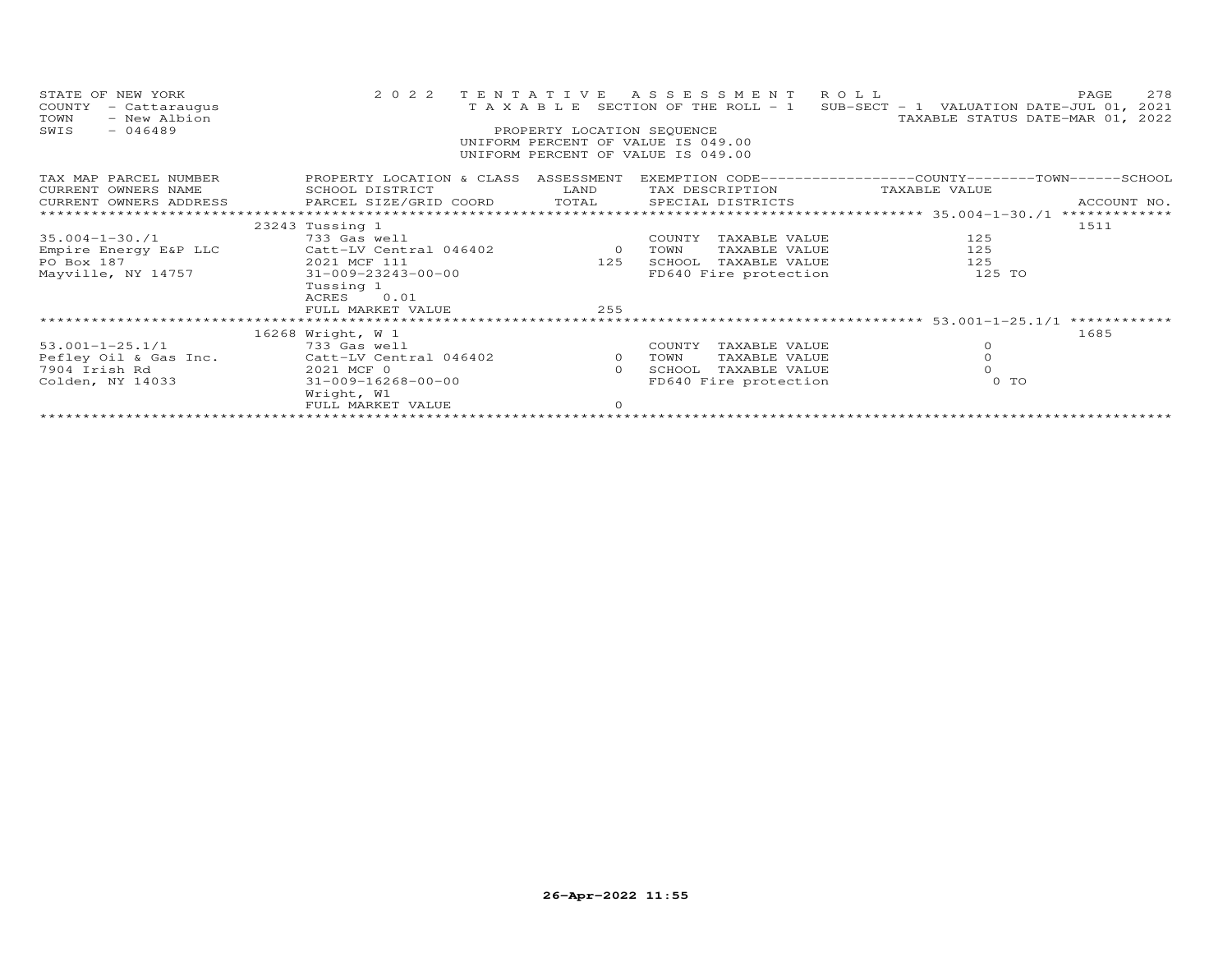| STATE OF NEW YORK<br>COUNTY<br>- Cattaraugus<br>- New Albion<br>TOWN<br>SWIS<br>$-046489$ | 2 0 2 2                              | TENTATIVE<br>PROPERTY LOCATION SEQUENCE | ASSESSMENT ROLL<br>UNIFORM PERCENT OF VALUE IS 049.00<br>UNIFORM PERCENT OF VALUE IS 049.00 | T A X A B L E SECTION OF THE ROLL - 1 SUB-SECT - 1 VALUATION DATE-JUL 01, 2021<br>TAXABLE STATUS DATE-MAR 01, 2022 | 278<br>PAGE                  |
|-------------------------------------------------------------------------------------------|--------------------------------------|-----------------------------------------|---------------------------------------------------------------------------------------------|--------------------------------------------------------------------------------------------------------------------|------------------------------|
| TAX MAP PARCEL NUMBER                                                                     | PROPERTY LOCATION & CLASS ASSESSMENT |                                         |                                                                                             | EXEMPTION CODE-----------------COUNTY-------TOWN------SCHOOL                                                       |                              |
| CURRENT OWNERS NAME                                                                       | SCHOOL DISTRICT                      | LAND                                    | TAX DESCRIPTION                                                                             | TAXABLE VALUE                                                                                                      |                              |
| CURRENT OWNERS ADDRESS                                                                    | PARCEL SIZE/GRID COORD TOTAL         |                                         | SPECIAL DISTRICTS                                                                           |                                                                                                                    | ACCOUNT NO.<br>************* |
|                                                                                           |                                      |                                         |                                                                                             |                                                                                                                    | 1511                         |
| $35.004 - 1 - 30.71$                                                                      | 23243 Tussing 1<br>733 Gas well      |                                         | COUNTY<br>TAXABLE VALUE                                                                     | 125                                                                                                                |                              |
| Empire Energy E&P LLC                                                                     | Catt-LV Central 046402               | $\overline{0}$                          | TAXABLE VALUE<br>TOWN                                                                       | 125                                                                                                                |                              |
| PO Box 187                                                                                | 2021 MCF 111                         | 125                                     | SCHOOL<br>TAXABLE VALUE                                                                     | 125                                                                                                                |                              |
| Mayville, NY 14757                                                                        | 31-009-23243-00-00                   |                                         | FD640 Fire protection                                                                       | 125 TO                                                                                                             |                              |
|                                                                                           | Tussing 1                            |                                         |                                                                                             |                                                                                                                    |                              |
|                                                                                           | ACRES 0.01                           |                                         |                                                                                             |                                                                                                                    |                              |
|                                                                                           | FULL MARKET VALUE                    | 255                                     |                                                                                             |                                                                                                                    |                              |
|                                                                                           |                                      |                                         |                                                                                             |                                                                                                                    | ************                 |
|                                                                                           | 16268 Wright, W 1                    |                                         |                                                                                             |                                                                                                                    | 1685                         |
| $53.001 - 1 - 25.1/1$                                                                     | 733 Gas well                         |                                         | COUNTY<br>TAXABLE VALUE                                                                     | $\circ$                                                                                                            |                              |
| Pefley Oil & Gas Inc.                                                                     | Catt-LV Central 046402               | $\circ$                                 | TAXABLE VALUE<br>TOWN                                                                       | $\circ$                                                                                                            |                              |
| 7904 Irish Rd                                                                             | 2021 MCF 0                           | $\Omega$                                | SCHOOL<br>TAXABLE VALUE                                                                     |                                                                                                                    |                              |
| Colden, NY 14033                                                                          | 31-009-16268-00-00                   |                                         | FD640 Fire protection                                                                       | $0$ TO                                                                                                             |                              |
|                                                                                           | Wright, W1                           |                                         |                                                                                             |                                                                                                                    |                              |
|                                                                                           | FULL MARKET VALUE                    | $\circ$                                 |                                                                                             |                                                                                                                    |                              |
|                                                                                           |                                      |                                         |                                                                                             |                                                                                                                    |                              |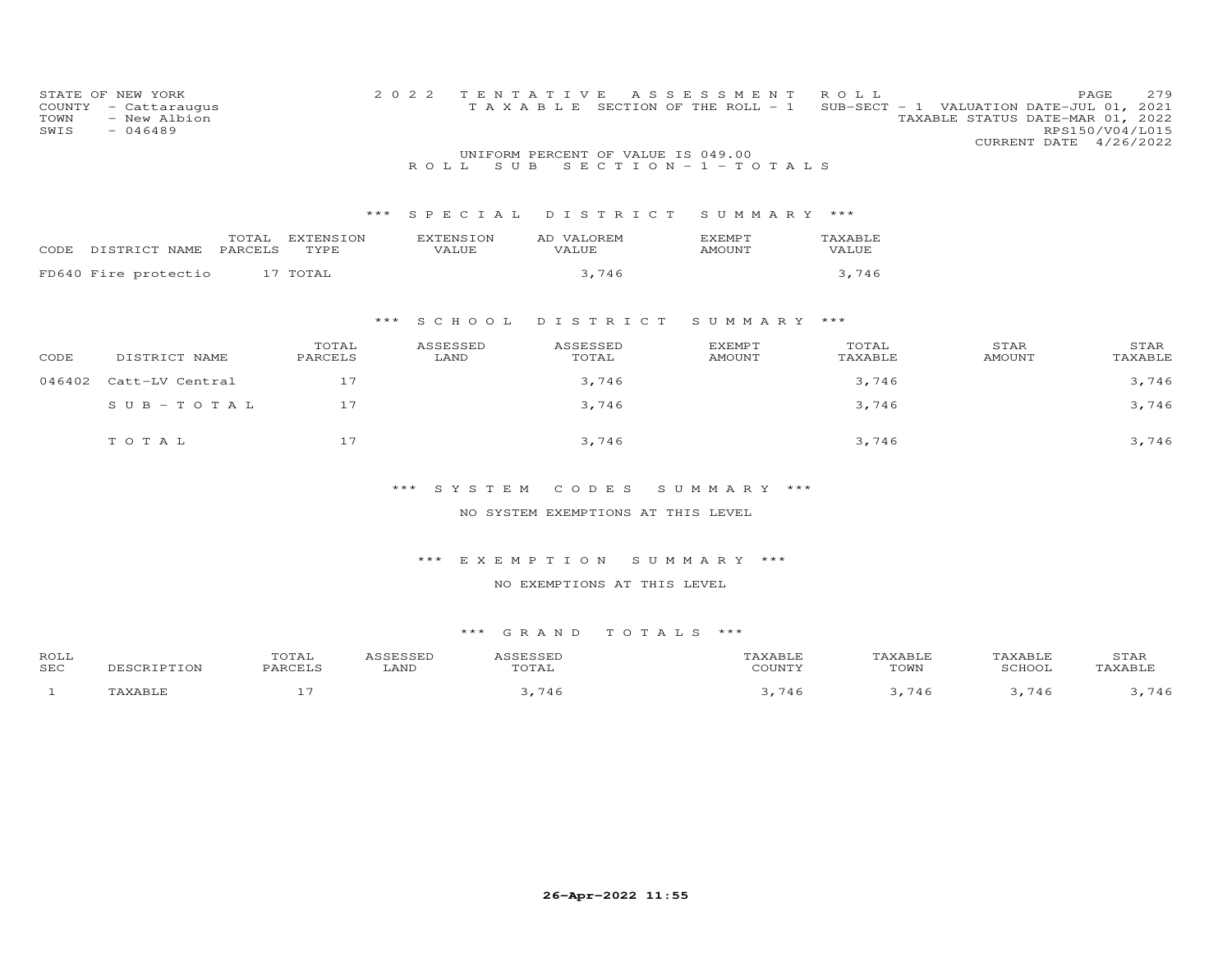| STATE OF NEW YORK<br>COUNTY<br>- Cattaraugus<br>TOWN<br>- New Albion<br>SWIS<br>$-046489$ | 2 0 2 2                   | TENTATIVE<br>TAXABLE SECTION OF THE ROLL - 1                 | ASSESSMENT              | ROLL                    | 279<br>PAGE<br>SUB-SECT - 1 VALUATION DATE-JUL 01, 2021<br>TAXABLE STATUS DATE-MAR 01, 2022<br>RPS150/V04/L015<br>CURRENT DATE 4/26/2022 |
|-------------------------------------------------------------------------------------------|---------------------------|--------------------------------------------------------------|-------------------------|-------------------------|------------------------------------------------------------------------------------------------------------------------------------------|
|                                                                                           | S U B<br>ROLL.            | UNIFORM PERCENT OF VALUE IS 049.00<br>SECTION - $1$ - TOTALS |                         |                         |                                                                                                                                          |
|                                                                                           |                           |                                                              |                         |                         |                                                                                                                                          |
|                                                                                           | ***<br>SPECIAL            | DISTRICT                                                     | SUMMARY ***             |                         |                                                                                                                                          |
| TOTAL<br>EXTENSION<br>PARCELS<br>DISTRICT NAME<br>TYPE<br>CODE                            | <b>EXTENSION</b><br>VALUE | AD VALOREM<br><b>VALUE</b>                                   | EXEMPT<br><b>AMOUNT</b> | TAXABLE<br><b>VALUE</b> |                                                                                                                                          |
|                                                                                           |                           |                                                              |                         |                         |                                                                                                                                          |
| FD640 Fire protectio<br>17 TOTAL                                                          |                           | 3,746                                                        |                         | 3,746                   |                                                                                                                                          |
|                                                                                           |                           |                                                              |                         |                         |                                                                                                                                          |
|                                                                                           | S C H O O L<br>***        | DISTRICT                                                     | SUMMARY ***             |                         |                                                                                                                                          |
| TOTAL<br>CODE<br>DISTRICT NAME<br>PARCELS                                                 | ASSESSED<br>LAND          | ASSESSED<br>TOTAL                                            | EXEMPT<br><b>AMOUNT</b> | TOTAL<br>TAXABLE        | STAR<br>STAR<br><b>AMOUNT</b><br>TAXABLE                                                                                                 |
| 17<br>046402<br>Catt-LV Central                                                           |                           | 3,746                                                        |                         | 3,746                   | 3,746                                                                                                                                    |
| 17<br>$SUB - TO TAL$                                                                      |                           | 3,746                                                        |                         | 3,746                   | 3,746                                                                                                                                    |
| 17<br>TOTAL                                                                               |                           | 3,746                                                        |                         | 3,746                   | 3,746                                                                                                                                    |
|                                                                                           | $***$<br>SYSTEM           | CODES                                                        | SUMMARY ***             |                         |                                                                                                                                          |
|                                                                                           |                           | NO SYSTEM EXEMPTIONS AT THIS LEVEL                           |                         |                         |                                                                                                                                          |

NO EXEMPTIONS AT THIS LEVEL

| ROLL<br><b>SEC</b> | 17 J | .<br>LAND | $m \wedge m \wedge r$<br>'TAL | .<br>COTINT | $T$ $\cap$ $\overline{M}$<br>∪w₽ | SCHOOT                   | <b>STAR</b> |
|--------------------|------|-----------|-------------------------------|-------------|----------------------------------|--------------------------|-------------|
|                    | $-$  |           |                               |             |                                  | $\overline{\phantom{0}}$ | 7.1<br>4 t  |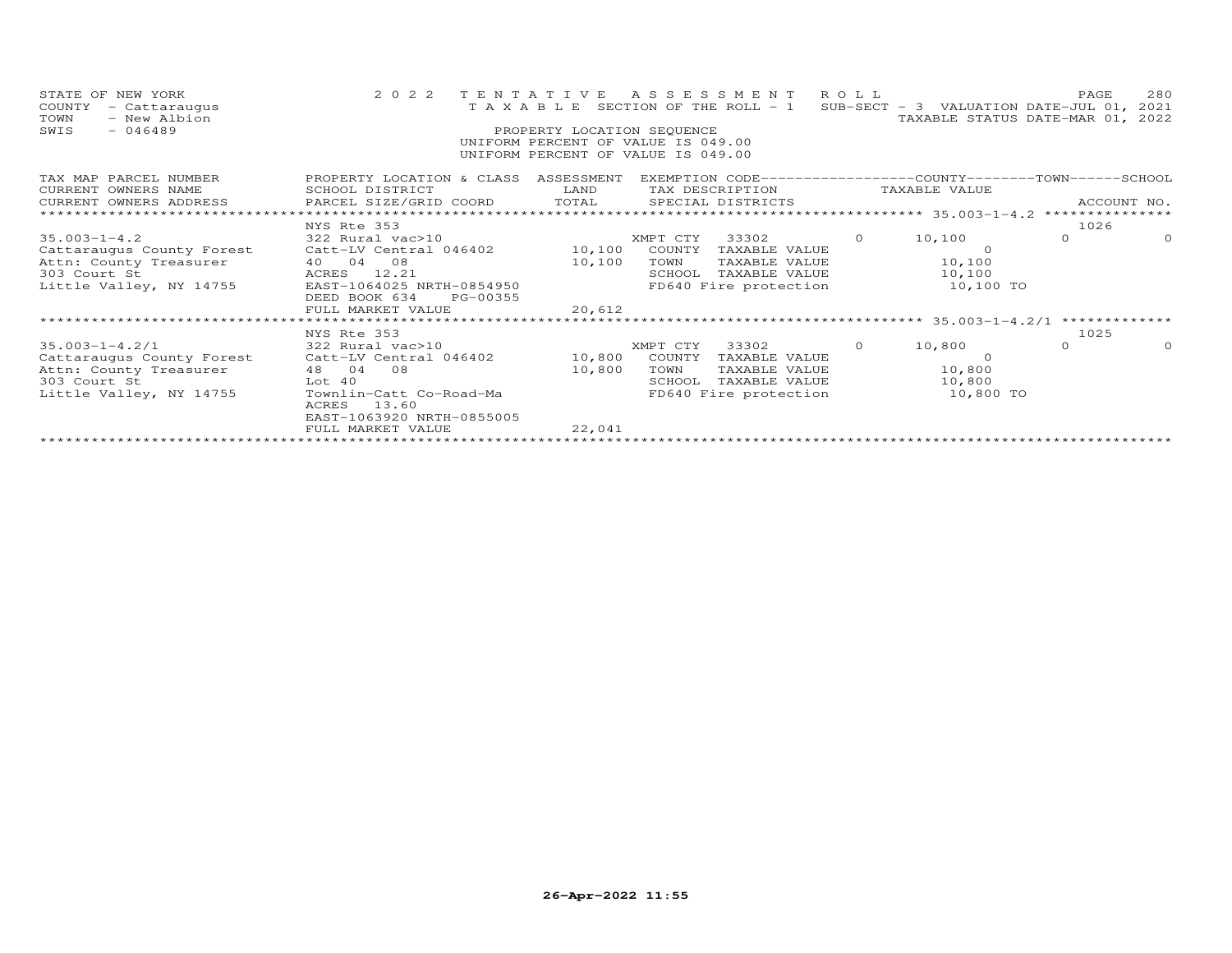| STATE OF NEW YORK<br>COUNTY<br>- Cattaraugus<br>- New Albion<br>TOWN<br>$-046489$<br>SWIS                                                                         | 2 0 2 2                                                                                                                                                                                                                                                                                         | PROPERTY LOCATION SEQUENCE | UNIFORM PERCENT OF VALUE IS 049.00<br>UNIFORM PERCENT OF VALUE IS 049.00 | TENTATIVE ASSESSMENT ROLL                                                                |          | T A X A B L E SECTION OF THE ROLL - 1 SUB-SECT - 3 VALUATION DATE-JUL 01, 2021<br>TAXABLE STATUS DATE-MAR 01, 2022 | PAGE             | 280      |
|-------------------------------------------------------------------------------------------------------------------------------------------------------------------|-------------------------------------------------------------------------------------------------------------------------------------------------------------------------------------------------------------------------------------------------------------------------------------------------|----------------------------|--------------------------------------------------------------------------|------------------------------------------------------------------------------------------|----------|--------------------------------------------------------------------------------------------------------------------|------------------|----------|
| TAX MAP PARCEL NUMBER<br>CURRENT OWNERS NAME<br>CURRENT OWNERS ADDRESS                                                                                            | PROPERTY LOCATION & CLASS ASSESSMENT EXEMPTION CODE----------------COUNTY-------TOWN------SCHOOL<br><b>EXAMPLE SERVICE SERVICE SERVICE SERVICE SERVICE SERVICE SERVICE SERVICE SERVICE SERVICE SERVICE SERVICE SERVICE</b><br>SCHOOL DISTRICT<br>PARCEL SIZE/GRID COORD TOTAL SPECIAL DISTRICTS |                            |                                                                          |                                                                                          |          | TAX DESCRIPTION TAXABLE VALUE                                                                                      | ACCOUNT NO.      |          |
| $35.003 - 1 - 4.2$<br>Cattaraugus County Forest Catt-LV Central 046402 10,100<br>Attn: County Treasurer 10 04 08<br>303 Court St 12.21<br>Little Valley, NY 14755 | NYS Rte 353<br>322 Rural vac>10<br>EAST-1064025 NRTH-0854950<br>DEED BOOK 634<br>PG-00355<br>FULL MARKET VALUE<br>********************                                                                                                                                                          | 10,100<br>20,612           | XMPT CTY<br>COUNTY<br>TOWN                                               | 33302<br>TAXABLE VALUE<br>TAXABLE VALUE<br>SCHOOL TAXABLE VALUE<br>FD640 Fire protection | $\Omega$ | 10,100<br>$\Omega$<br>10,100<br>10,100<br>10,100 TO                                                                | 1026<br>$\Omega$ | $\Omega$ |
| $35.003 - 1 - 4.2/1$<br>Cattaraugus County Forest Catt-LV Central 046402 10,800<br>Attn: County Treasurer<br>303 Court St<br>Little Valley, NY 14755              | NYS Rte 353<br>322 Rural vac>10<br>48 04 08<br>Lot 40<br>Townlin-Catt Co-Road-Ma<br>13.60<br>ACRES<br>EAST-1063920 NRTH-0855005<br>FULL MARKET VALUE                                                                                                                                            | 10,800<br>22,041           | XMPT CTY<br>COUNTY<br>TOWN<br>SCHOOL                                     | 33302 0<br>TAXABLE VALUE<br>TAXABLE VALUE<br>FD640 Fire protection                       |          | 10,800<br>$\Omega$<br>TAXABLE VALUE 10,800<br>10,800<br>10,800 TO                                                  | 1025<br>$\Omega$ | $\Omega$ |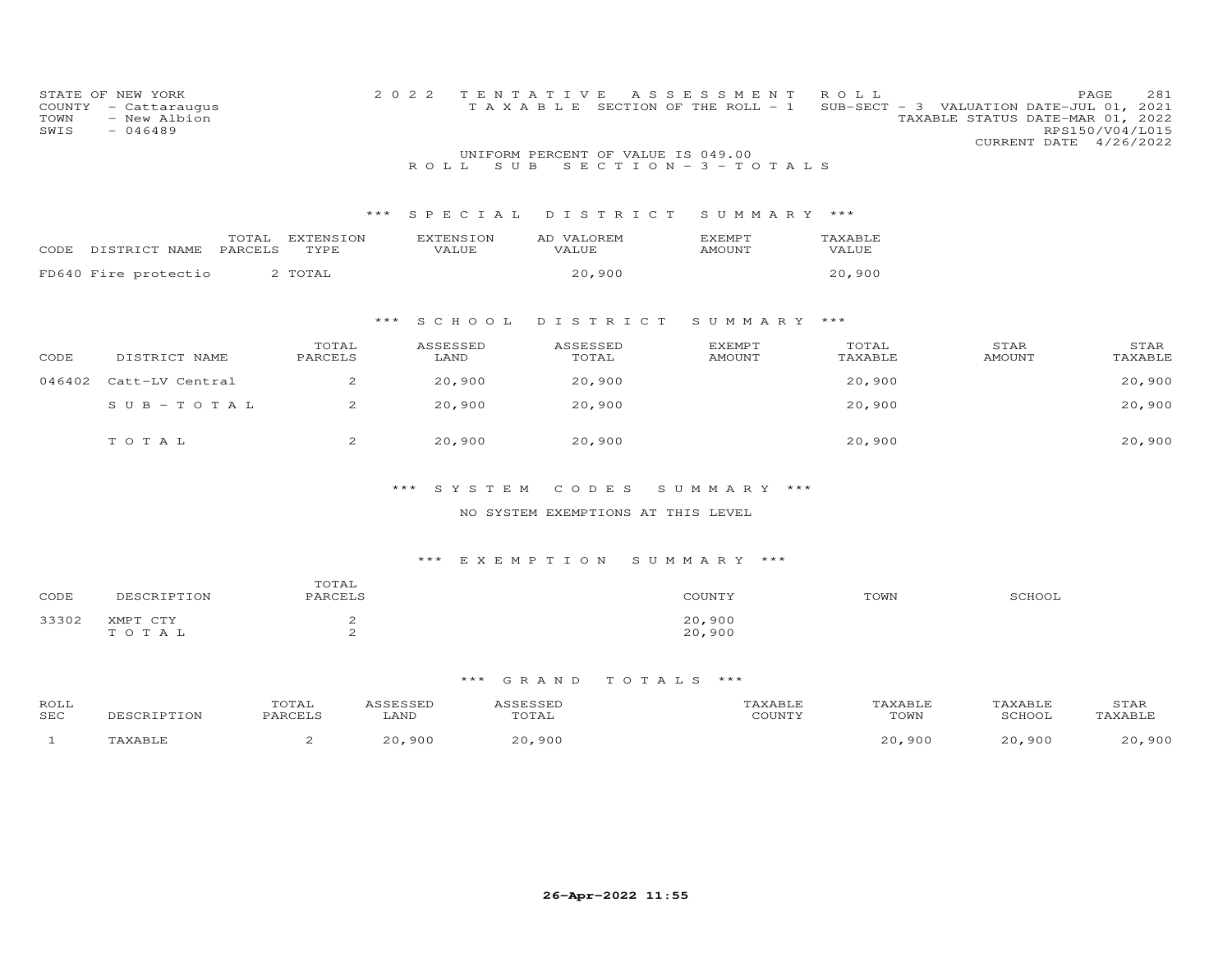| COUNTY<br>TOWN<br>SWIS | STATE OF NEW YORK<br>- Cattaraugus<br>- New Albion<br>$-046489$ |                   | 2 0 2 2<br>R O L L        | TENTATIVE<br>TAXABLE SECTION OF THE ROLL - 1<br>UNIFORM PERCENT OF VALUE IS 049.00<br>S U B | A S S E S S M E N T<br>$S E C T I O N - 3 - T O T A L S$ | ROLL             | 281<br>PAGE<br>SUB-SECT - 3 VALUATION DATE-JUL 01, 2021<br>TAXABLE STATUS DATE-MAR 01, 2022<br>RPS150/V04/L015<br>CURRENT DATE 4/26/2022 |
|------------------------|-----------------------------------------------------------------|-------------------|---------------------------|---------------------------------------------------------------------------------------------|----------------------------------------------------------|------------------|------------------------------------------------------------------------------------------------------------------------------------------|
|                        |                                                                 | ***               | SPECIAL                   | DISTRICT                                                                                    | SUMMARY ***                                              |                  |                                                                                                                                          |
| CODE                   | TOTAL<br>PARCELS<br>DISTRICT NAME                               | EXTENSION<br>TYPE | <b>EXTENSION</b><br>VALUE | AD VALOREM<br>VALUE                                                                         | EXEMPT<br>AMOUNT                                         | TAXABLE<br>VALUE |                                                                                                                                          |
|                        | FD640 Fire protectio                                            | 2 TOTAL           |                           | 20,900                                                                                      |                                                          | 20,900           |                                                                                                                                          |
|                        |                                                                 | ***               | SCHOOL                    | DISTRICT                                                                                    | SUMMARY ***                                              |                  |                                                                                                                                          |
| CODE                   | DISTRICT NAME                                                   | TOTAL<br>PARCELS  | ASSESSED<br>LAND          | ASSESSED<br>TOTAL                                                                           | EXEMPT<br><b>AMOUNT</b>                                  | TOTAL<br>TAXABLE | STAR<br>STAR<br>AMOUNT<br>TAXABLE                                                                                                        |
| 046402                 | Catt-LV Central                                                 | 2                 | 20,900                    | 20,900                                                                                      |                                                          | 20,900           | 20,900                                                                                                                                   |
|                        | $S \cup B - TO T A L$                                           | $\overline{2}$    | 20,900                    | 20,900                                                                                      |                                                          | 20,900           | 20,900                                                                                                                                   |
|                        | TOTAL                                                           | $\overline{2}$    | 20,900                    | 20,900                                                                                      |                                                          | 20,900           | 20,900                                                                                                                                   |
|                        |                                                                 |                   |                           |                                                                                             |                                                          |                  |                                                                                                                                          |

\*\*\* S Y S T E M C O D E S S U M M A R Y \*\*\*

NO SYSTEM EXEMPTIONS AT THIS LEVEL

#### \*\*\* E X E M P T I O N S U M M A R Y \*\*\*

|       |                                              | TOTAL   |                  |      |               |
|-------|----------------------------------------------|---------|------------------|------|---------------|
| CODE  | ነ ኮ ‹                                        | PARCELS | COUNTY           | TOWN | <b>SCHOOL</b> |
|       |                                              |         |                  |      |               |
| 33302 | <b>YMPT</b><br>$\sim$ $\sim$ $\sim$<br>TOTA. |         | 20,900<br>20,900 |      |               |

| ROLL<br>SEC | TON | TOTAL<br>PARCELS | LAND | 0000000<br>.<br><b>TOTAL</b> | CCTNTT1 | TOWN               | TAYARI.<br>SCHOOT | STAR      |
|-------------|-----|------------------|------|------------------------------|---------|--------------------|-------------------|-----------|
|             |     |                  | 900  | 900                          |         | ,900<br><u>ລດ </u> | , 90 C            | 900<br>っぺ |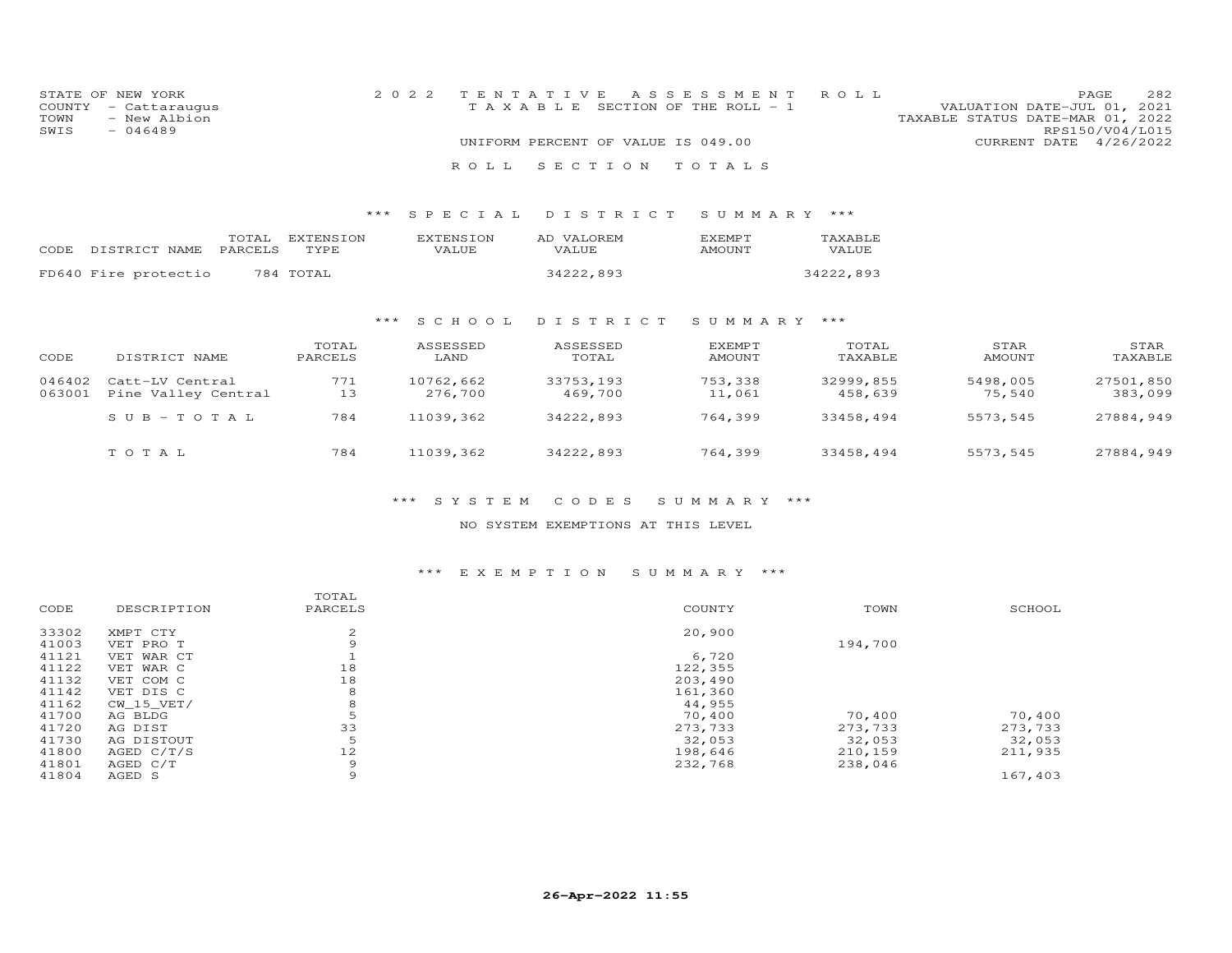|      | STATE OF NEW YORK    |  |                                    | 2022 TENTATIVE ASSESSMENT ROLL        |                                  |                        | PAGE | 282 |
|------|----------------------|--|------------------------------------|---------------------------------------|----------------------------------|------------------------|------|-----|
|      | COUNTY - Cattaraugus |  |                                    | T A X A B L E SECTION OF THE ROLL - 1 | VALUATION DATE-JUL 01, 2021      |                        |      |     |
|      | TOWN - New Albion    |  |                                    |                                       | TAXABLE STATUS DATE-MAR 01, 2022 |                        |      |     |
| SWIS | - 046489             |  |                                    |                                       |                                  | RPS150/V04/L015        |      |     |
|      |                      |  | UNIFORM PERCENT OF VALUE IS 049.00 |                                       |                                  | CURRENT DATE 4/26/2022 |      |     |
|      |                      |  |                                    | ROLL SECTION TOTALS                   |                                  |                        |      |     |

#### \*\*\* S P E C I A L D I S T R I C T S U M M A R Y \*\*\*

|                            | TOTAL EXTENSION | EXTENSION    | AD VALOREM   | <b>FXFMPT</b> | TAXABLE   |
|----------------------------|-----------------|--------------|--------------|---------------|-----------|
| CODE DISTRICT NAME PARCELS | TYPE            | <b>VALUE</b> | <b>VALUE</b> | AMOUNT        | VALUE     |
| FD640 Fire protectio       | 784 TOTAL       |              | 34222,893    |               | 34222,893 |

#### \*\*\* S C H O O L D I S T R I C T S U M M A R Y \*\*\*

| CODE             | DISTRICT NAME                          | TOTAL<br>PARCELS | ASSESSED<br>LAND     | ASSESSED<br>TOTAL    | <b>EXEMPT</b><br>AMOUNT | TOTAL<br>TAXABLE     | STAR<br>AMOUNT     | STAR<br>TAXABLE      |
|------------------|----------------------------------------|------------------|----------------------|----------------------|-------------------------|----------------------|--------------------|----------------------|
| 046402<br>063001 | Catt-LV Central<br>Pine Valley Central | 771<br>13        | 10762,662<br>276,700 | 33753,193<br>469,700 | 753,338<br>11,061       | 32999,855<br>458,639 | 5498,005<br>75,540 | 27501,850<br>383,099 |
|                  | $SUB - TO T AL$                        | 784              | 11039,362            | 34222,893            | 764,399                 | 33458,494            | 5573,545           | 27884,949            |
|                  | тотаь                                  | 784              | 11039,362            | 34222,893            | 764,399                 | 33458,494            | 5573,545           | 27884,949            |

#### \*\*\* S Y S T E M C O D E S S U M M A R Y \*\*\*

#### NO SYSTEM EXEMPTIONS AT THIS LEVEL

#### \*\*\* E X E M P T I O N S U M M A R Y \*\*\*

|       |              | TOTAL   |         |         |         |
|-------|--------------|---------|---------|---------|---------|
| CODE  | DESCRIPTION  | PARCELS | COUNTY  | TOWN    | SCHOOL  |
| 33302 | XMPT CTY     | 2       | 20,900  |         |         |
| 41003 | VET PRO T    | 9       |         | 194,700 |         |
| 41121 | VET WAR CT   |         | 6,720   |         |         |
| 41122 | VET WAR C    | 18      | 122,355 |         |         |
| 41132 | VET COM C    | 18      | 203,490 |         |         |
| 41142 | VET DIS C    | 8       | 161,360 |         |         |
| 41162 | CW 15 VET/   | 8       | 44,955  |         |         |
| 41700 | AG BLDG      |         | 70,400  | 70,400  | 70,400  |
| 41720 | AG DIST      | 33      | 273,733 | 273,733 | 273,733 |
| 41730 | AG DISTOUT   | 5       | 32,053  | 32,053  | 32,053  |
| 41800 | AGED $C/T/S$ | 12      | 198,646 | 210,159 | 211,935 |
| 41801 | AGED C/T     | 9       | 232,768 | 238,046 |         |
| 41804 | AGED S       | 9       |         |         | 167,403 |
|       |              |         |         |         |         |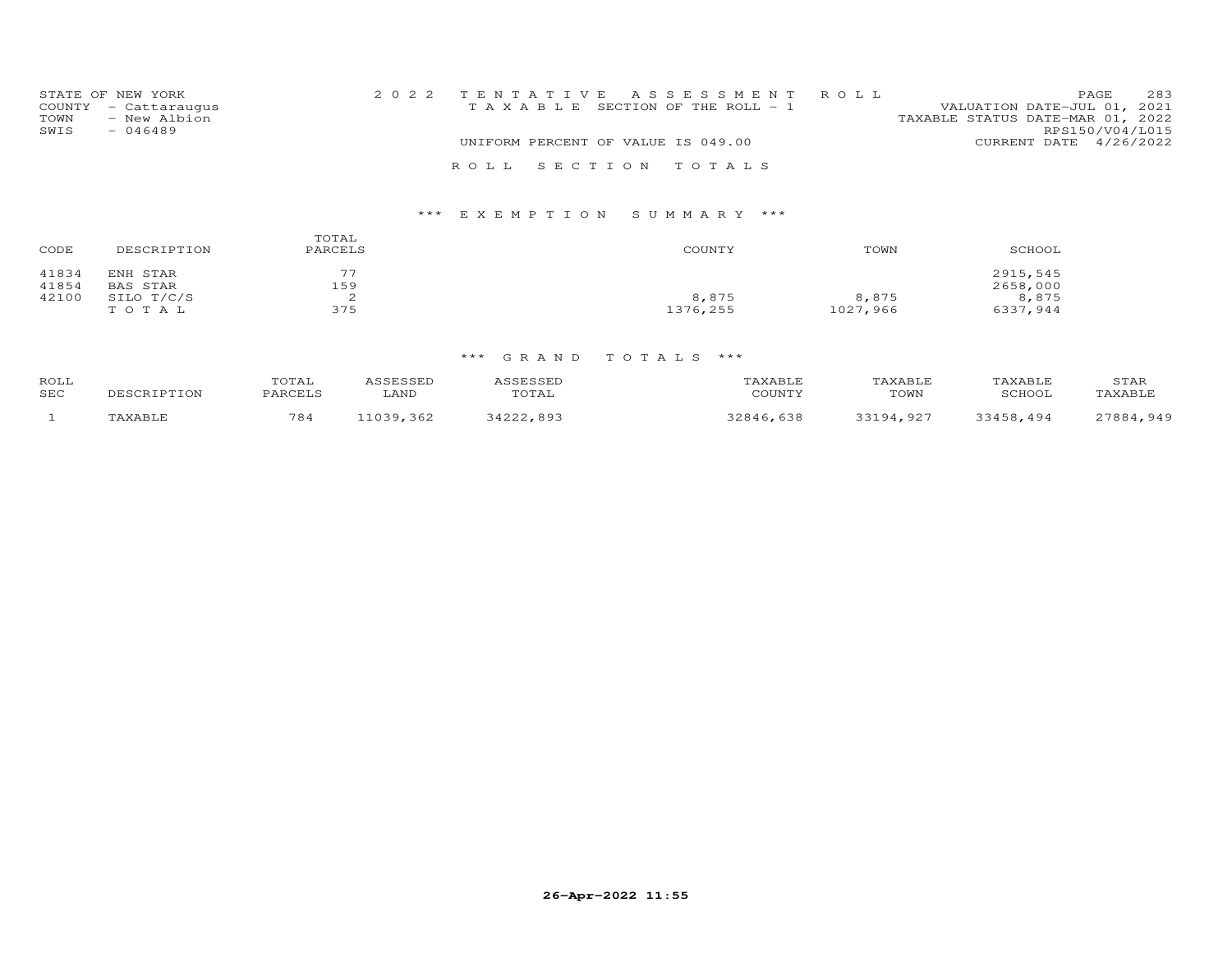| STATE OF NEW YORK    |                                       | 2022 TENTATIVE ASSESSMENT ROLL |                                  | PAGE.           | 283 |
|----------------------|---------------------------------------|--------------------------------|----------------------------------|-----------------|-----|
| COUNTY - Cattaraugus | T A X A B L E SECTION OF THE ROLL - 1 |                                | VALUATION DATE-JUL 01, 2021      |                 |     |
| TOWN<br>- New Albion |                                       |                                | TAXABLE STATUS DATE-MAR 01, 2022 |                 |     |
| SWIS<br>$-046489$    |                                       |                                |                                  | RPS150/V04/L015 |     |
|                      | UNIFORM PERCENT OF VALUE IS 049.00    |                                | CURRENT DATE 4/26/2022           |                 |     |
|                      | ROLL SECTION TOTALS                   |                                |                                  |                 |     |

| CODE           | DESCRIPTION          | TOTAL<br>PARCELS | COUNTY   | TOWN     | SCHOOL               |
|----------------|----------------------|------------------|----------|----------|----------------------|
| 41834<br>41854 | ENH STAR<br>BAS STAR | 77<br>159        |          |          | 2915,545<br>2658,000 |
| 42100          | SILO T/C/S           | <u>.</u>         | 8,875    | 8,875    | 8,875                |
|                | TOTAL                | 375              | 1376,255 | 1027,966 | 6337,944             |

| ROLL<br>SEC | <b>DESCRIPTION</b> | TOTAL<br>PARCELS | CCLCCLL<br>LAND | <b>\SSESSED</b><br>TOTAL | 'AXABLE<br>COUNTY           | TAXABLE<br>TOWN      | TAXABLE<br>SCHOOL | STAR<br>'AXABLF |
|-------------|--------------------|------------------|-----------------|--------------------------|-----------------------------|----------------------|-------------------|-----------------|
|             | TAXABLE            | 784              | U30<br>-362     | 1000<br>893              | 638<br>$\cap$ $\cap$ $\cap$ | _ വ റ "<br>$\bigcap$ | 3458<br>494       | , 949<br>27884  |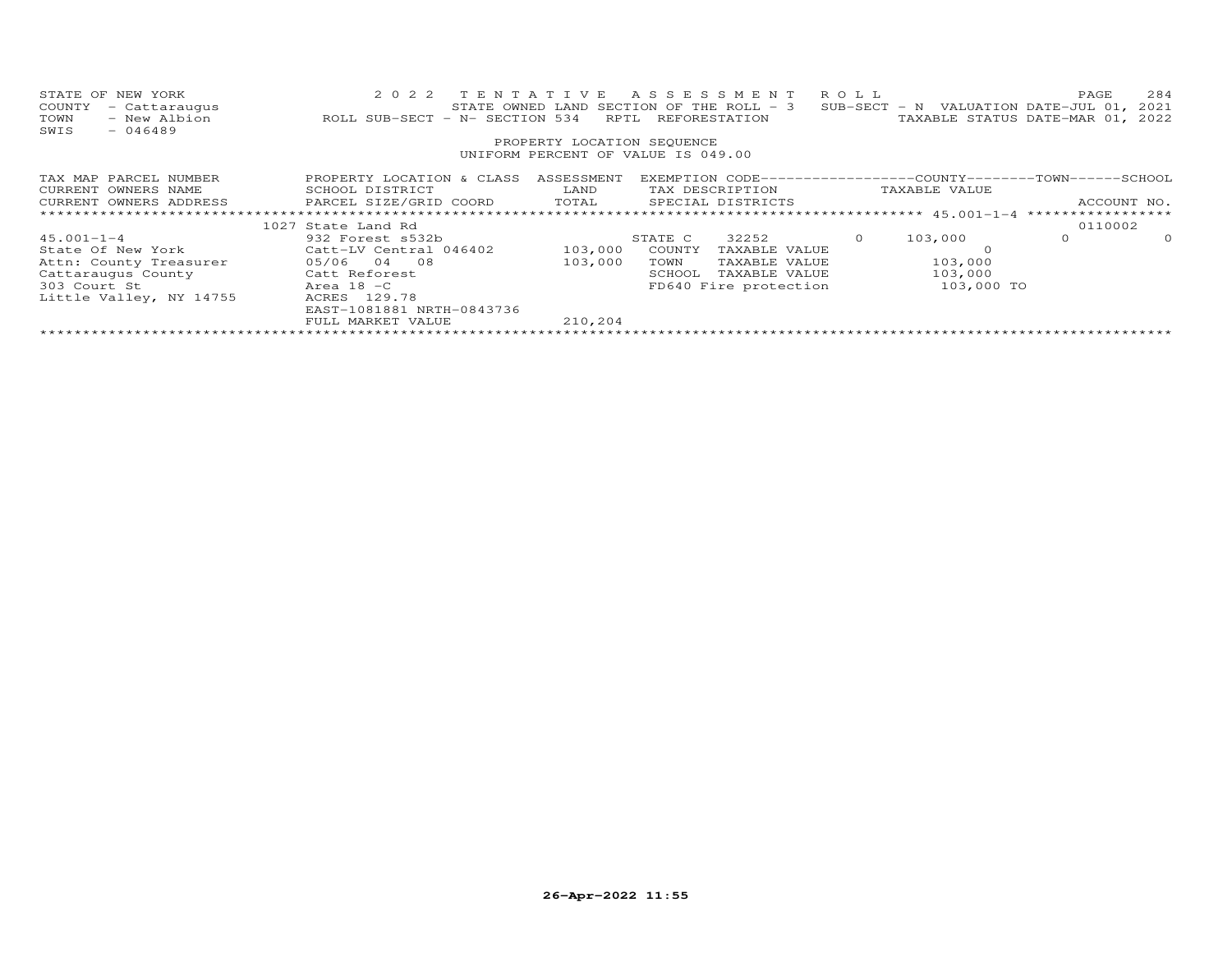| STATE OF NEW YORK<br>COUNTY<br>- Cattaraugus<br>- New Albion<br>TOWN<br>$-046489$<br>SWIS | 2022 TENTATIVE<br>ROLL SUB-SECT - N- SECTION 534                                          | RPTL<br>PROPERTY LOCATION SEQUENCE | A S S E S S M E N T R O L L<br>STATE OWNED LAND SECTION OF THE ROLL - 3<br>REFORESTATION<br>UNIFORM PERCENT OF VALUE IS 049.00 | SUB-SECT - N VALUATION DATE-JUL $01$ ,                       | 284<br>PAGE<br>2021<br>TAXABLE STATUS DATE-MAR 01, 2022 |
|-------------------------------------------------------------------------------------------|-------------------------------------------------------------------------------------------|------------------------------------|--------------------------------------------------------------------------------------------------------------------------------|--------------------------------------------------------------|---------------------------------------------------------|
| TAX MAP PARCEL NUMBER                                                                     | PROPERTY LOCATION & CLASS ASSESSMENT                                                      |                                    |                                                                                                                                | EXEMPTION CODE-----------------COUNTY-------TOWN------SCHOOL |                                                         |
| CURRENT OWNERS NAME                                                                       | SCHOOL DISTRICT                                                                           | LAND                               | TAX DESCRIPTION                                                                                                                | TAXABLE VALUE                                                |                                                         |
|                                                                                           | CURRENT OWNERS ADDRESS         PARCEL SIZE/GRID COORD       TOTAL       SPECIAL DISTRICTS |                                    |                                                                                                                                |                                                              | ACCOUNT NO.                                             |
|                                                                                           |                                                                                           |                                    |                                                                                                                                |                                                              |                                                         |
|                                                                                           | 1027 State Land Rd                                                                        |                                    |                                                                                                                                |                                                              | 0110002                                                 |
| $45.001 - 1 - 4$                                                                          | 932 Forest s532b                                                                          |                                    | 32252<br>STATE C                                                                                                               | 103,000<br>$\Omega$                                          | 0<br>$\circ$                                            |
|                                                                                           | State Of New York Catt-LV Central 046402                                                  | 103,000                            | COUNTY<br>TAXABLE VALUE                                                                                                        |                                                              |                                                         |
| Attn: County Treasurer                                                                    | 05/06 04 08                                                                               | 103,000                            | TAXABLE VALUE<br>TOWN                                                                                                          | 103,000                                                      |                                                         |
| Cattaraugus County                                                                        | Catt Reforest                                                                             |                                    | SCHOOL<br>TAXABLE VALUE                                                                                                        | 103,000                                                      |                                                         |
| 303 Court St                                                                              | Area 18 - C                                                                               |                                    | FD640 Fire protection                                                                                                          | 103,000 TO                                                   |                                                         |
| Little Valley, NY 14755                                                                   | ACRES 129.78                                                                              |                                    |                                                                                                                                |                                                              |                                                         |
|                                                                                           | EAST-1081881 NRTH-0843736                                                                 |                                    |                                                                                                                                |                                                              |                                                         |
|                                                                                           | FULL MARKET VALUE                                                                         | 210,204                            |                                                                                                                                |                                                              |                                                         |
|                                                                                           |                                                                                           |                                    |                                                                                                                                |                                                              |                                                         |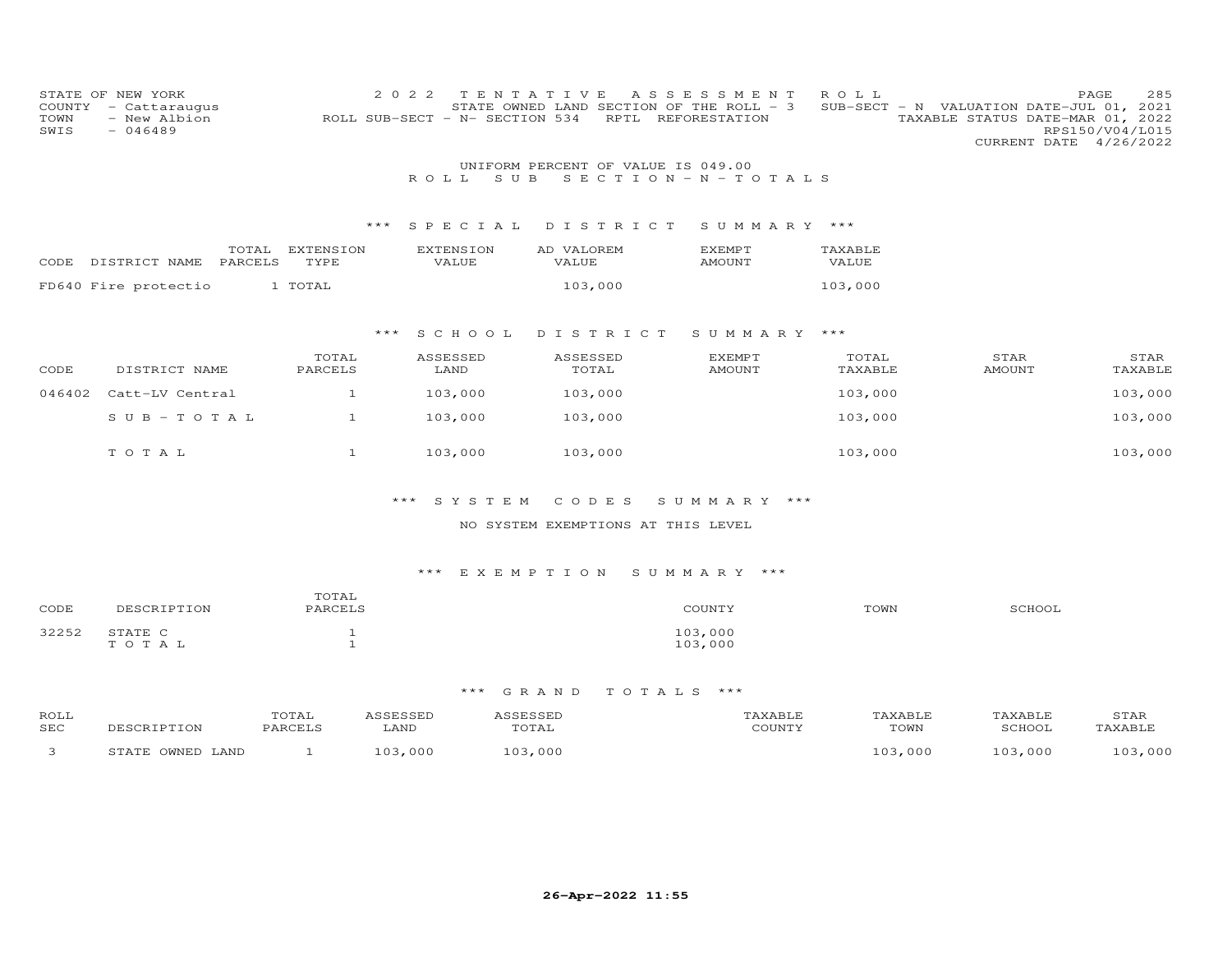| COUNTY<br>TOWN<br>SWIS | STATE OF NEW YORK<br>- Cattaraugus<br>- New Albion<br>$-046489$ |                   | 2 0 2 2 | TENTATIVE<br>ROLL SUB-SECT - N- SECTION 534 |                                    | RPTL | A S S E S S M E N T<br>STATE OWNED LAND SECTION OF THE ROLL - 3<br>REFORESTATION | ROLL             |               | 285<br>PAGE<br>SUB-SECT - N VALUATION DATE-JUL 01, 2021<br>TAXABLE STATUS DATE-MAR 01, 2022<br>RPS150/V04/L015<br>CURRENT DATE 4/26/2022 |
|------------------------|-----------------------------------------------------------------|-------------------|---------|---------------------------------------------|------------------------------------|------|----------------------------------------------------------------------------------|------------------|---------------|------------------------------------------------------------------------------------------------------------------------------------------|
|                        |                                                                 |                   |         |                                             | UNIFORM PERCENT OF VALUE IS 049.00 |      |                                                                                  |                  |               |                                                                                                                                          |
|                        |                                                                 |                   |         | ROLL.<br>S U B                              |                                    |      | SECTION - $N - T$ OTALS                                                          |                  |               |                                                                                                                                          |
|                        |                                                                 |                   |         |                                             |                                    |      |                                                                                  |                  |               |                                                                                                                                          |
|                        |                                                                 |                   | ***     | SPECIAL                                     | DISTRICT                           |      | SUMMARY ***                                                                      |                  |               |                                                                                                                                          |
|                        | TOTAL<br>PARCELS<br>CODE DISTRICT NAME                          | EXTENSION<br>TYPE |         | <b>EXTENSION</b><br>VALUE                   | AD VALOREM<br>VALUE                |      | <b>EXEMPT</b><br>AMOUNT                                                          | TAXABLE<br>VALUE |               |                                                                                                                                          |
|                        | FD640 Fire protectio                                            | 1 TOTAL           |         |                                             | 103,000                            |      |                                                                                  | 103,000          |               |                                                                                                                                          |
|                        |                                                                 |                   |         |                                             |                                    |      |                                                                                  |                  |               |                                                                                                                                          |
|                        |                                                                 |                   | $***$   | S C H O O L                                 | DISTRICT                           |      | SUMMARY ***                                                                      |                  |               |                                                                                                                                          |
|                        |                                                                 | TOTAL             |         | ASSESSED                                    | ASSESSED                           |      | <b>EXEMPT</b>                                                                    | TOTAL            | STAR          | STAR                                                                                                                                     |
| CODE                   | DISTRICT NAME                                                   | PARCELS           |         | LAND                                        | TOTAL                              |      | <b>AMOUNT</b>                                                                    | TAXABLE          | <b>AMOUNT</b> | TAXABLE                                                                                                                                  |
| 046402                 | Catt-LV Central                                                 | $\mathbf{1}$      |         | 103,000                                     | 103,000                            |      |                                                                                  | 103,000          |               | 103,000                                                                                                                                  |
|                        | SUB-TOTAL                                                       | $\mathbf{1}$      |         | 103,000                                     | 103,000                            |      |                                                                                  | 103,000          |               | 103,000                                                                                                                                  |
|                        |                                                                 |                   |         |                                             |                                    |      |                                                                                  |                  |               |                                                                                                                                          |
|                        | TOTAL                                                           | $\mathbf{1}$      |         | 103,000                                     | 103,000                            |      |                                                                                  | 103,000          |               | 103,000                                                                                                                                  |
|                        |                                                                 |                   |         |                                             |                                    |      |                                                                                  |                  |               |                                                                                                                                          |
|                        |                                                                 |                   | $***$   | SYSTEM                                      | CODES                              |      | SUMMARY ***                                                                      |                  |               |                                                                                                                                          |
|                        |                                                                 |                   |         |                                             | NO SYSTEM EXEMPTIONS AT THIS LEVEL |      |                                                                                  |                  |               |                                                                                                                                          |
|                        |                                                                 |                   |         |                                             |                                    |      |                                                                                  |                  |               |                                                                                                                                          |
|                        |                                                                 |                   |         |                                             |                                    |      |                                                                                  |                  |               |                                                                                                                                          |

| CODE  | DESCRIPTION      | TOTAL<br>PARCELS | COUNTY             | TOWN | SCHOOL |
|-------|------------------|------------------|--------------------|------|--------|
| 32252 | STATE C<br>TOTAL |                  | 103,000<br>103,000 |      |        |

| ROLL<br>SEC | TPTTON<br>.          | UIAI | .AND | TOTAL           | AXABLF<br>TOWN | .<br>$\sim$ $\sim$ | STAF           |
|-------------|----------------------|------|------|-----------------|----------------|--------------------|----------------|
|             | <b>MNED</b><br>LAND. |      | 000  | . ೧೧೧<br>$\cap$ | ,000           | -00C               | $\sim$<br>.000 |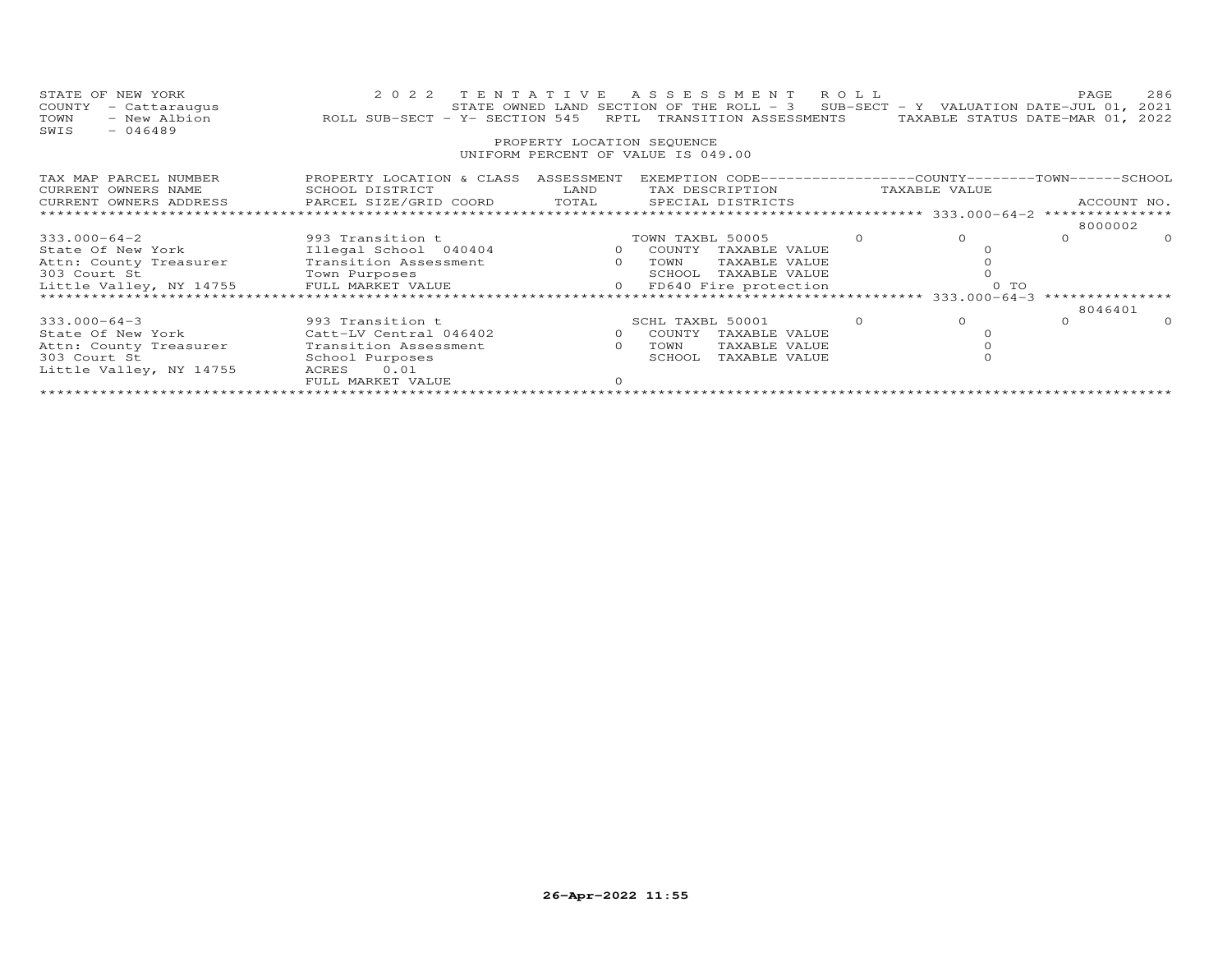| STATE OF NEW YORK<br>COUNTY<br>- Cattaraugus<br>TOWN<br>- New Albion<br>$-046489$<br>SWIS | 2 0 2 2<br>ROLL SUB-SECT - Y- SECTION 545 RPTL TRANSITION ASSESSMENTS             | TENTATIVE<br>PROPERTY LOCATION SEQUENCE                                                                                                                                                                                                                                                                                            | ASSESSMENT ROLL<br>STATE OWNED LAND SECTION OF THE ROLL - 3 SUB-SECT - Y VALUATION DATE-JUL 01,       |                                   |               | PAGE<br>TAXABLE STATUS DATE-MAR 01, 2022          | 286<br>2021 |
|-------------------------------------------------------------------------------------------|-----------------------------------------------------------------------------------|------------------------------------------------------------------------------------------------------------------------------------------------------------------------------------------------------------------------------------------------------------------------------------------------------------------------------------|-------------------------------------------------------------------------------------------------------|-----------------------------------|---------------|---------------------------------------------------|-------------|
|                                                                                           |                                                                                   |                                                                                                                                                                                                                                                                                                                                    | UNIFORM PERCENT OF VALUE IS 049.00                                                                    |                                   |               |                                                   |             |
| TAX MAP PARCEL NUMBER<br>CURRENT OWNERS NAME<br>CURRENT OWNERS ADDRESS                    | PROPERTY LOCATION & CLASS ASSESSMENT<br>SCHOOL DISTRICT<br>PARCEL SIZE/GRID COORD | LAND<br>TOTAL                                                                                                                                                                                                                                                                                                                      | EXEMPTION CODE------------------COUNTY-------TOWN------SCHOOL<br>TAX DESCRIPTION<br>SPECIAL DISTRICTS |                                   | TAXABLE VALUE |                                                   | ACCOUNT NO. |
|                                                                                           |                                                                                   |                                                                                                                                                                                                                                                                                                                                    |                                                                                                       | ******************** 333.000-64-2 |               | ***************                                   |             |
|                                                                                           |                                                                                   |                                                                                                                                                                                                                                                                                                                                    |                                                                                                       |                                   |               | 8000002                                           |             |
| 333.000-64-2                                                                              | 993 Transition t                                                                  |                                                                                                                                                                                                                                                                                                                                    | TOWN TAXBL 50005                                                                                      |                                   | $\Omega$      | $\Omega$                                          | $\Omega$    |
| State Of New York                                                                         | Illegal School 040404                                                             | 0 COUNTY                                                                                                                                                                                                                                                                                                                           | TAXABLE VALUE                                                                                         |                                   |               |                                                   |             |
| Attn: County Treasurer                                                                    | Transition Assessment                                                             | $\overline{a}$ and $\overline{a}$ and $\overline{a}$ and $\overline{a}$ and $\overline{a}$ and $\overline{a}$ and $\overline{a}$ and $\overline{a}$ and $\overline{a}$ and $\overline{a}$ and $\overline{a}$ and $\overline{a}$ and $\overline{a}$ and $\overline{a}$ and $\overline{a}$ and $\overline{a}$ and $\overline{a}$ and | TOWN<br>TAXABLE VALUE                                                                                 |                                   |               |                                                   |             |
| 303 Court St                                                                              | Town Purposes                                                                     |                                                                                                                                                                                                                                                                                                                                    | TAXABLE VALUE<br>SCHOOL                                                                               |                                   |               |                                                   |             |
| Little Valley, NY 14755 FULL MARKET VALUE                                                 |                                                                                   |                                                                                                                                                                                                                                                                                                                                    | 0 FD640 Fire protection                                                                               |                                   | 0 TO          |                                                   |             |
|                                                                                           |                                                                                   |                                                                                                                                                                                                                                                                                                                                    |                                                                                                       |                                   |               | ******************** 333.000-64-3 *************** |             |
|                                                                                           |                                                                                   |                                                                                                                                                                                                                                                                                                                                    |                                                                                                       |                                   | $\Omega$      | 8046401                                           |             |
| $333.000 - 64 - 3$                                                                        | 993 Transition t                                                                  |                                                                                                                                                                                                                                                                                                                                    | SCHL TAXBL 50001                                                                                      | $\Omega$                          |               | $\Omega$                                          | $\Omega$    |
| State Of New York                                                                         | Catt-LV Central 046402                                                            | $\circ$                                                                                                                                                                                                                                                                                                                            | COUNTY<br>TAXABLE VALUE                                                                               |                                   |               |                                                   |             |
| Attn: County Treasurer                                                                    | Transition Assessment                                                             | $\Omega$                                                                                                                                                                                                                                                                                                                           | TOWN<br>TAXABLE VALUE                                                                                 |                                   |               |                                                   |             |
| 303 Court St                                                                              | School Purposes                                                                   |                                                                                                                                                                                                                                                                                                                                    | SCHOOL<br>TAXABLE VALUE                                                                               |                                   |               |                                                   |             |
| Little Valley, NY 14755                                                                   | 0.01<br>ACRES                                                                     |                                                                                                                                                                                                                                                                                                                                    |                                                                                                       |                                   |               |                                                   |             |
|                                                                                           | FULL MARKET VALUE                                                                 | $\Omega$                                                                                                                                                                                                                                                                                                                           |                                                                                                       |                                   |               |                                                   |             |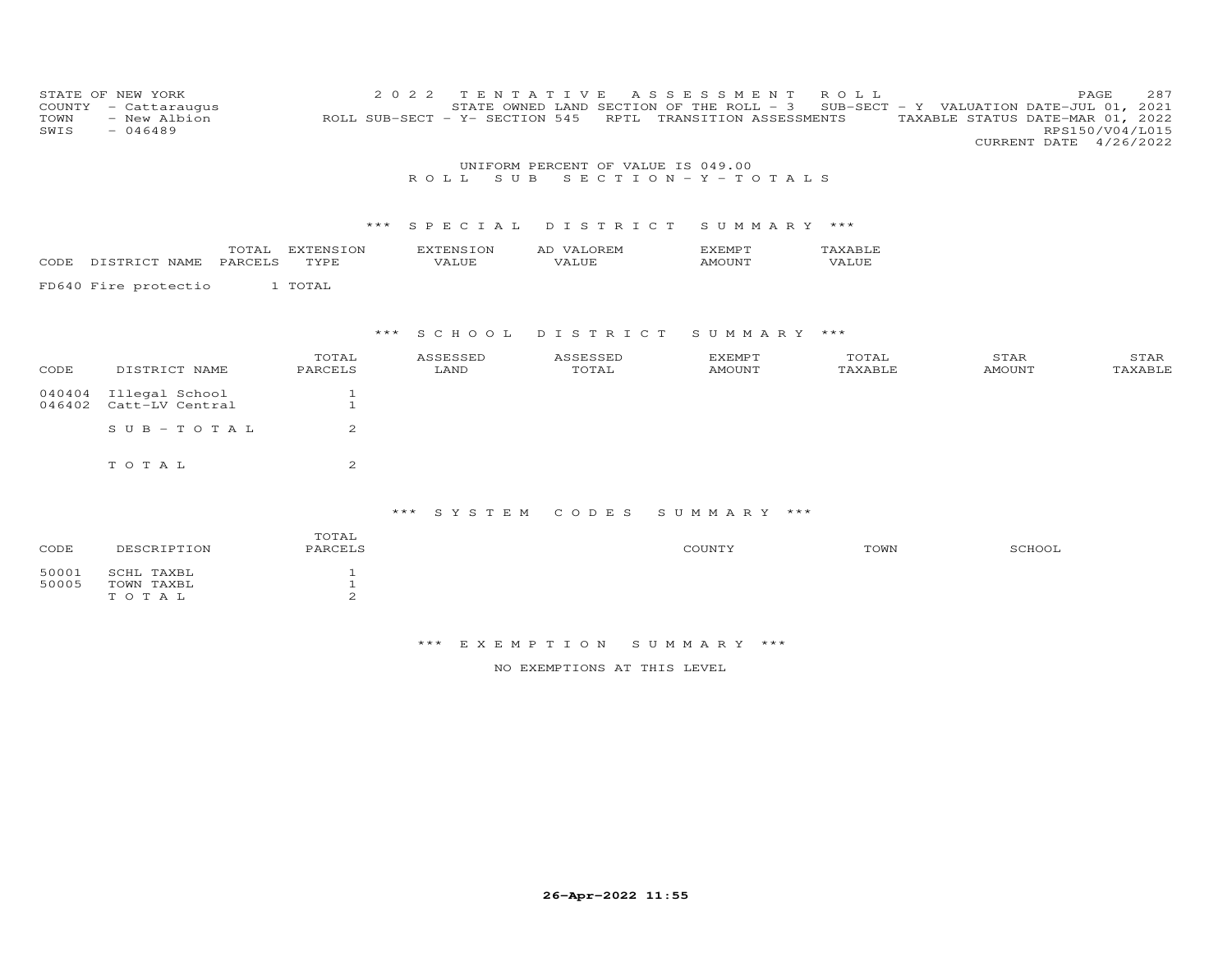| COUNTY<br>TOWN<br>SWIS | STATE OF NEW YORK<br>- Cattaraugus<br>- New Albion<br>$-046489$ |                              | 2 0 2 2<br>ROLL SUB-SECT - Y- SECTION 545 | TENTATIVE<br>STATE OWNED LAND SECTION OF THE ROLL - 3 | ASSESSMENT<br>RPTL TRANSITION ASSESSMENTS | ROLL             | SUB-SECT - Y VALUATION DATE-JUL 01, 2021<br>TAXABLE STATUS DATE-MAR 01, 2022<br>CURRENT DATE 4/26/2022 | 287<br>PAGE<br>RPS150/V04/L015 |
|------------------------|-----------------------------------------------------------------|------------------------------|-------------------------------------------|-------------------------------------------------------|-------------------------------------------|------------------|--------------------------------------------------------------------------------------------------------|--------------------------------|
|                        |                                                                 |                              |                                           | UNIFORM PERCENT OF VALUE IS 049.00                    |                                           |                  |                                                                                                        |                                |
|                        |                                                                 |                              | S U B<br>ROLL.                            |                                                       | SECTION - Y - TOTALS                      |                  |                                                                                                        |                                |
|                        |                                                                 | ***                          | SPECIAL                                   | DISTRICT                                              | SUMMARY ***                               |                  |                                                                                                        |                                |
| CODE                   | TOTAL<br>DISTRICT NAME<br>PARCELS                               | EXTENSION<br>TYPE            | <b>EXTENSION</b><br>VALUE                 | AD VALOREM<br>VALUE                                   | <b>EXEMPT</b><br><b>AMOUNT</b>            | TAXABLE<br>VALUE |                                                                                                        |                                |
|                        | FD640 Fire protectio                                            | 1 TOTAL                      |                                           |                                                       |                                           |                  |                                                                                                        |                                |
|                        |                                                                 | ***                          | SCHOOL                                    | DISTRICT                                              | SUMMARY ***                               |                  |                                                                                                        |                                |
| CODE                   | DISTRICT NAME                                                   | TOTAL<br>PARCELS             | ASSESSED<br>LAND                          | ASSESSED<br>TOTAL                                     | <b>EXEMPT</b><br><b>AMOUNT</b>            | TOTAL<br>TAXABLE | STAR<br><b>AMOUNT</b>                                                                                  | STAR<br>TAXABLE                |
| 040404<br>046402       | Illegal School<br>Catt-LV Central                               | $\mathbf{1}$<br>$\mathbf{1}$ |                                           |                                                       |                                           |                  |                                                                                                        |                                |
|                        | $S \cup B - T \cup T A L$                                       | 2                            |                                           |                                                       |                                           |                  |                                                                                                        |                                |
|                        | TOTAL                                                           | 2                            |                                           |                                                       |                                           |                  |                                                                                                        |                                |
|                        |                                                                 |                              | *** SYSTEM                                | CODES                                                 | SUMMARY ***                               |                  |                                                                                                        |                                |
| CODE                   | DESCRIPTION                                                     | TOTAL<br>PARCELS             |                                           |                                                       | COUNTY                                    | TOWN             | SCHOOL                                                                                                 |                                |
| 50001<br>50005         | SCHL TAXBL<br>TOWN TAXBL                                        | $\mathbf{1}$<br>$\mathbf{1}$ |                                           |                                                       |                                           |                  |                                                                                                        |                                |

T O T A L 2

NO EXEMPTIONS AT THIS LEVEL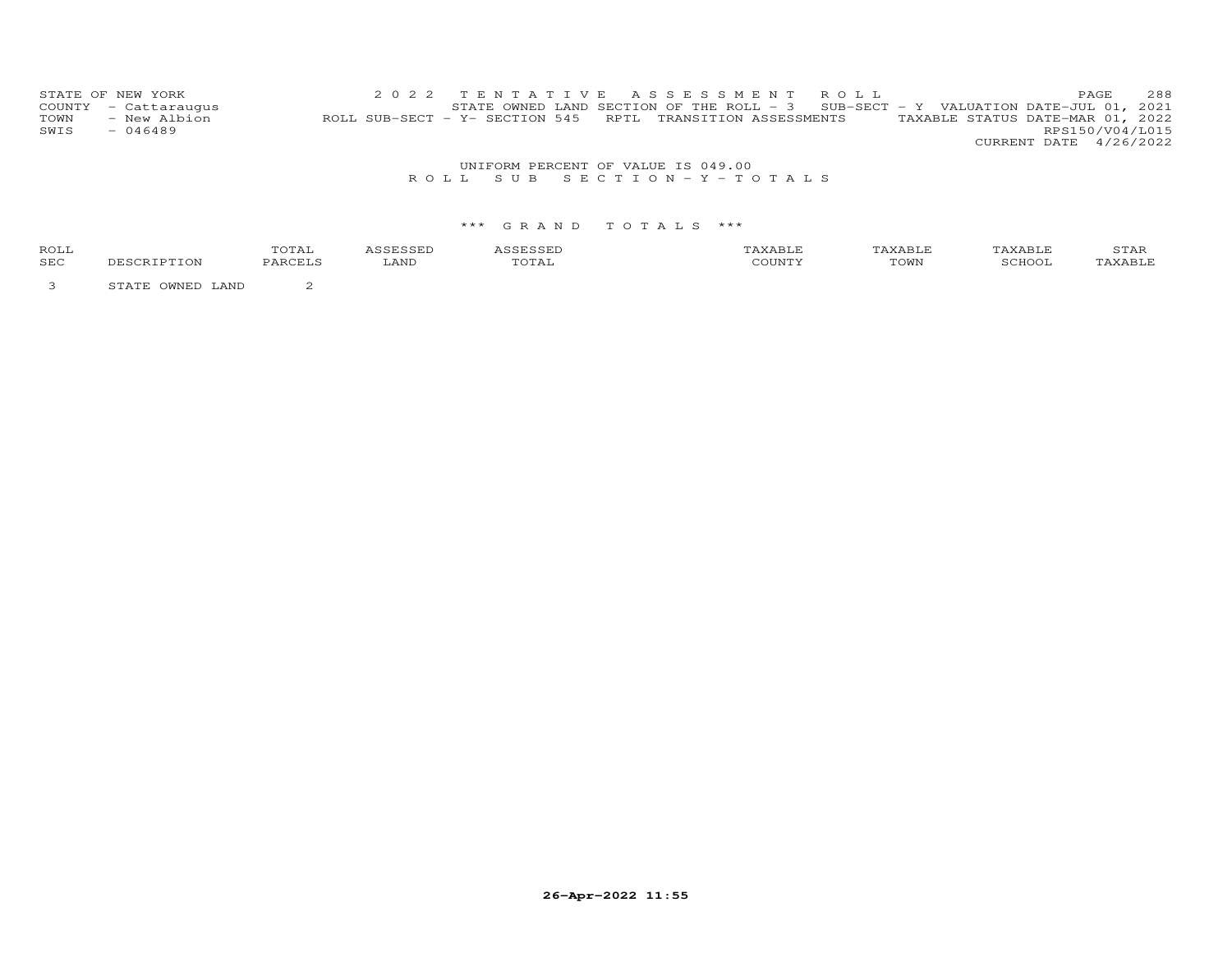|      | STATE OF NEW YORK    | 2022 TENTATIVE ASSESSMENT ROLL                             |  |  |  |  |                                                                                     |                                  | PAGE. | 288             |
|------|----------------------|------------------------------------------------------------|--|--|--|--|-------------------------------------------------------------------------------------|----------------------------------|-------|-----------------|
|      | COUNTY - Cattaraugus |                                                            |  |  |  |  | STATE OWNED LAND SECTION OF THE ROLL - $3$ SUB-SECT - Y VALUATION DATE-JUL 01, 2021 |                                  |       |                 |
| TOWN | - New Albion         | ROLL SUB-SECT - Y- SECTION 545 RPTL TRANSITION ASSESSMENTS |  |  |  |  |                                                                                     | TAXABLE STATUS DATE-MAR 01, 2022 |       |                 |
| SWIS | $-046489$            |                                                            |  |  |  |  |                                                                                     |                                  |       | RPS150/V04/L015 |
|      |                      |                                                            |  |  |  |  |                                                                                     | CURRENT DATE 4/26/2022           |       |                 |

# UNIFORM PERCENT OF VALUE IS 049.00<br>R O L L S U B S E C T I O N – Y – T O T A L S

#### \*\*\* G R A N D T O T A L S \*\*\*

| ROLL |     | UIAL     |      |                                  |                       | . AABLF | $A$ $\vdash$  | 5 T.HR                     |
|------|-----|----------|------|----------------------------------|-----------------------|---------|---------------|----------------------------|
| SEC  | ſON | DADCET C | LAND | $\overline{\phantom{a}}$<br>UIAL | $\alpha$ or the time. | TOWN    | <b>RCHOOL</b> | $\Delta$ $\times$ $\Delta$ |
|      |     |          |      |                                  |                       |         |               |                            |

3 STATE OWNED LAND 2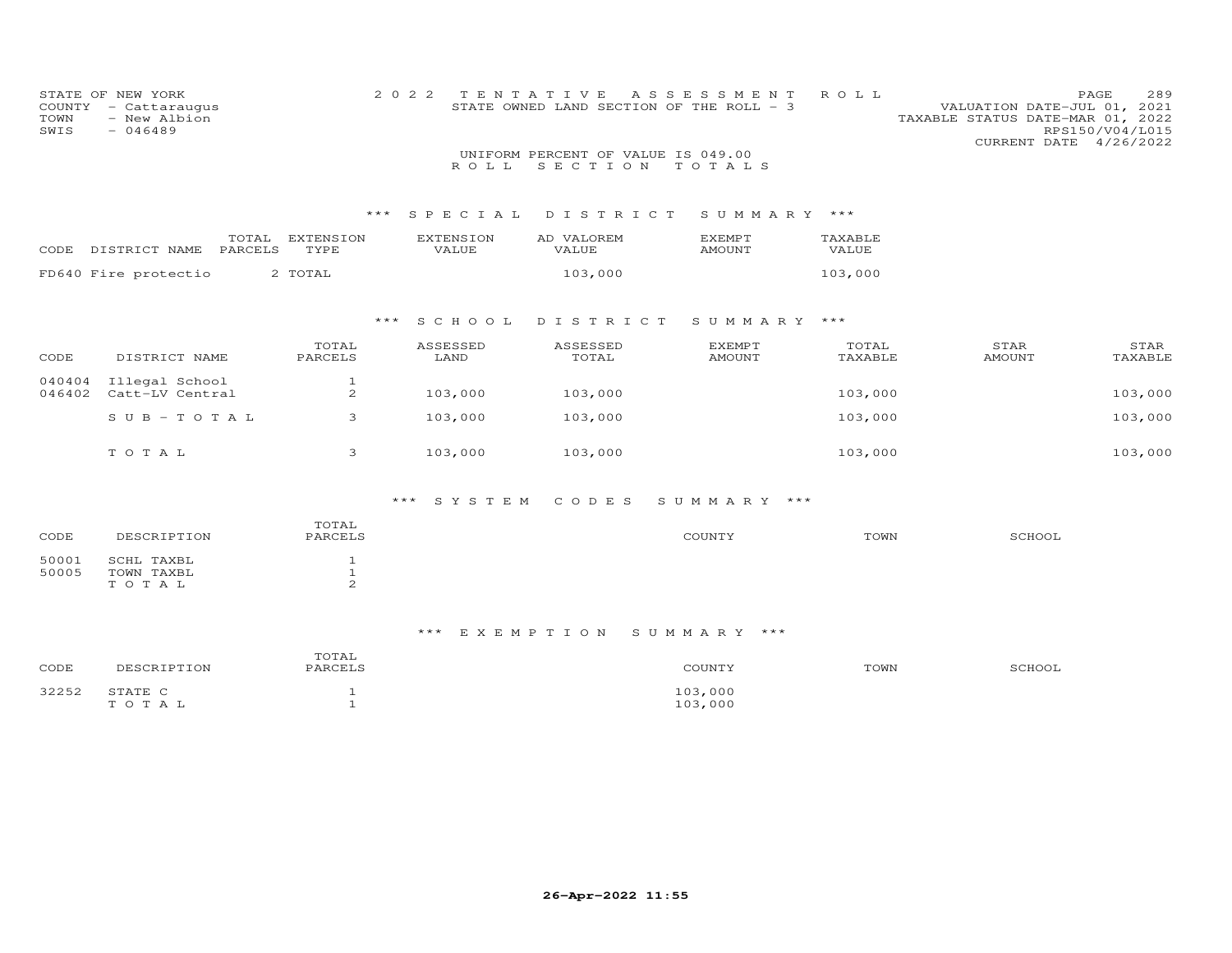| COUNTY<br>TOWN<br>SWIS | STATE OF NEW YORK<br>- Cattaraugus<br>- New Albion<br>$-046489$ |                                   | 2 0 2 2                          | TENTATIVE                                     | A S S E S S M E N T<br>STATE OWNED LAND SECTION OF THE ROLL - 3 | ROLL             | VALUATION DATE-JUL 01, 2021<br>TAXABLE STATUS DATE-MAR 01, 2022<br>CURRENT DATE 4/26/2022 | 289<br>PAGE<br>RPS150/V04/L015 |
|------------------------|-----------------------------------------------------------------|-----------------------------------|----------------------------------|-----------------------------------------------|-----------------------------------------------------------------|------------------|-------------------------------------------------------------------------------------------|--------------------------------|
|                        |                                                                 |                                   | ROLL                             | UNIFORM PERCENT OF VALUE IS 049.00<br>SECTION | TOTALS                                                          |                  |                                                                                           |                                |
|                        |                                                                 | ***                               | SPECIAL                          | DISTRICT                                      | SUMMARY ***                                                     |                  |                                                                                           |                                |
| CODE                   | TOTAL<br>PARCELS<br>DISTRICT NAME                               | EXTENSION<br>TYPE                 | <b>EXTENSION</b><br><b>VALUE</b> | AD VALOREM<br><b>VALUE</b>                    | EXEMPT<br><b>AMOUNT</b>                                         | TAXABLE<br>VALUE |                                                                                           |                                |
|                        | FD640 Fire protectio                                            | 2 TOTAL                           |                                  | 103,000                                       |                                                                 | 103,000          |                                                                                           |                                |
|                        |                                                                 |                                   | ***<br>S C H O O L               | DISTRICT                                      | SUMMARY ***                                                     |                  |                                                                                           |                                |
| CODE                   | DISTRICT NAME                                                   | TOTAL<br>PARCELS                  | ASSESSED<br>LAND                 | ASSESSED<br>TOTAL                             | <b>EXEMPT</b><br><b>AMOUNT</b>                                  | TOTAL<br>TAXABLE | STAR<br><b>AMOUNT</b>                                                                     | STAR<br>TAXABLE                |
| 040404<br>046402       | Illegal School<br>Catt-LV Central                               | 1<br>2                            | 103,000                          | 103,000                                       |                                                                 | 103,000          |                                                                                           | 103,000                        |
|                        | $S \text{ U } B - T \text{ O } T \text{ A } L$                  | 3                                 | 103,000                          | 103,000                                       |                                                                 | 103,000          |                                                                                           | 103,000                        |
|                        | TOTAL                                                           | 3                                 | 103,000                          | 103,000                                       |                                                                 | 103,000          |                                                                                           | 103,000                        |
|                        |                                                                 |                                   | $***$<br>SYSTEM                  | CODES                                         | SUMMARY ***                                                     |                  |                                                                                           |                                |
| CODE                   | DESCRIPTION                                                     | TOTAL<br>PARCELS                  |                                  |                                               | COUNTY                                                          | TOWN             | SCHOOL                                                                                    |                                |
| 50001<br>50005         | SCHL TAXBL<br>TOWN TAXBL<br>TOTAL                               | $\mathbf{1}$<br>$\mathbf{1}$<br>2 |                                  |                                               |                                                                 |                  |                                                                                           |                                |

| CODE  | DESCRIPTION      | TOTAL<br>PARCELS | COUNTY             | TOWN | SCHOOL |
|-------|------------------|------------------|--------------------|------|--------|
| 32252 | STATE C<br>TOTAL |                  | 103,000<br>103,000 |      |        |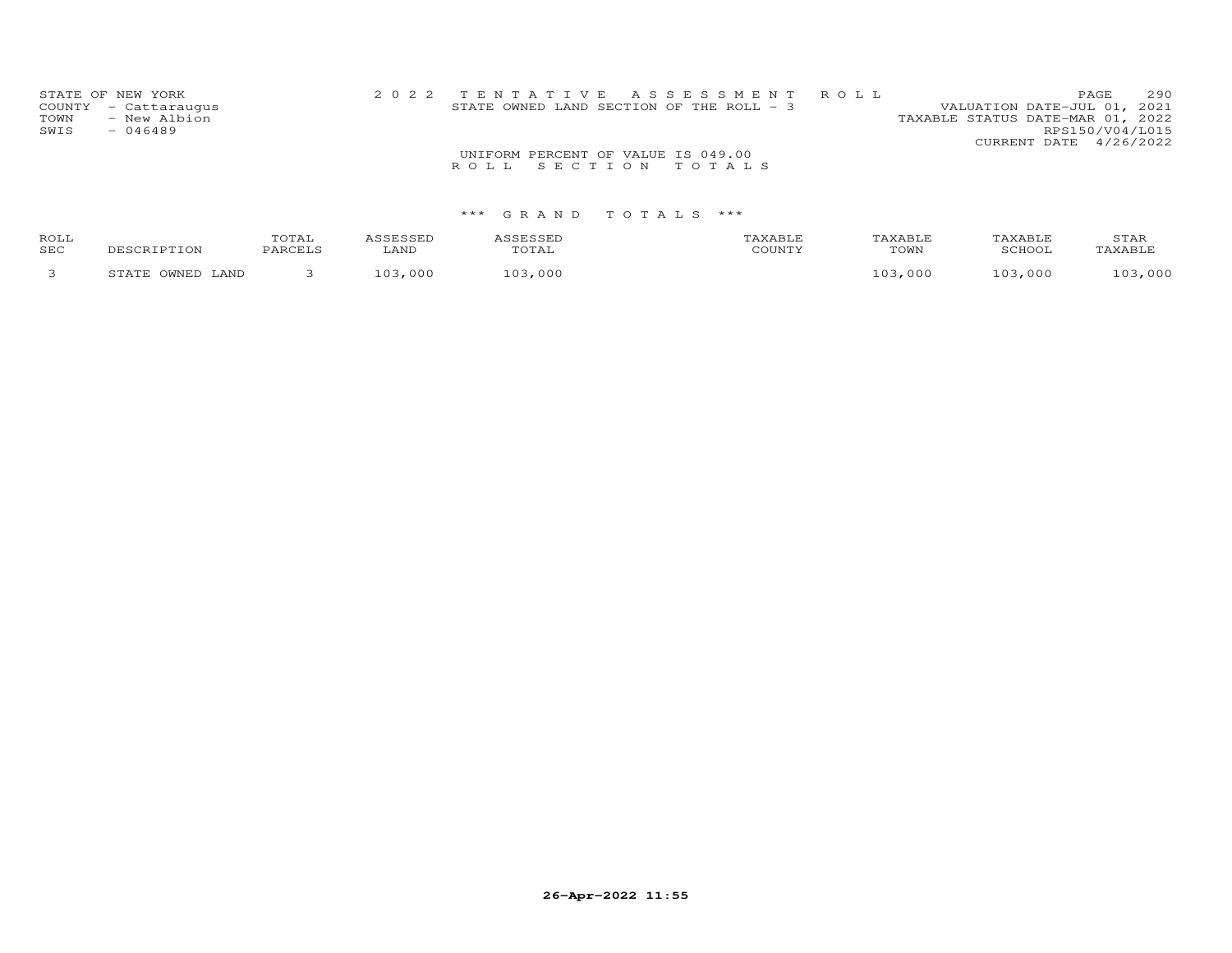| STATE OF NEW YORK    | 2022 TENTATIVE ASSESSMENT ROLL             |  |                                  | PAGE                   | 290 |
|----------------------|--------------------------------------------|--|----------------------------------|------------------------|-----|
| COUNTY - Cattaraugus | STATE OWNED LAND SECTION OF THE ROLL $-$ 3 |  | VALUATION DATE-JUL 01, 2021      |                        |     |
| TOWN<br>- New Albion |                                            |  | TAXABLE STATUS DATE-MAR 01, 2022 |                        |     |
| SWIS<br>$-046489$    |                                            |  |                                  | RPS150/V04/L015        |     |
|                      |                                            |  |                                  | CURRENT DATE 4/26/2022 |     |
|                      | UNIFORM PERCENT OF VALUE IS 049.00         |  |                                  |                        |     |
|                      | ROLL SECTION TOTALS                        |  |                                  |                        |     |
|                      |                                            |  |                                  |                        |     |

| ROLL<br>SEC |        | LANI |                       | C <sub>0</sub> | TOWN | ΔR<br>20U <sub>0</sub> | 5 T.A.F |
|-------------|--------|------|-----------------------|----------------|------|------------------------|---------|
|             | . A ND |      | $\sim$<br><u>∩∩ ≀</u> |                | nnn  | . O O O                | 000     |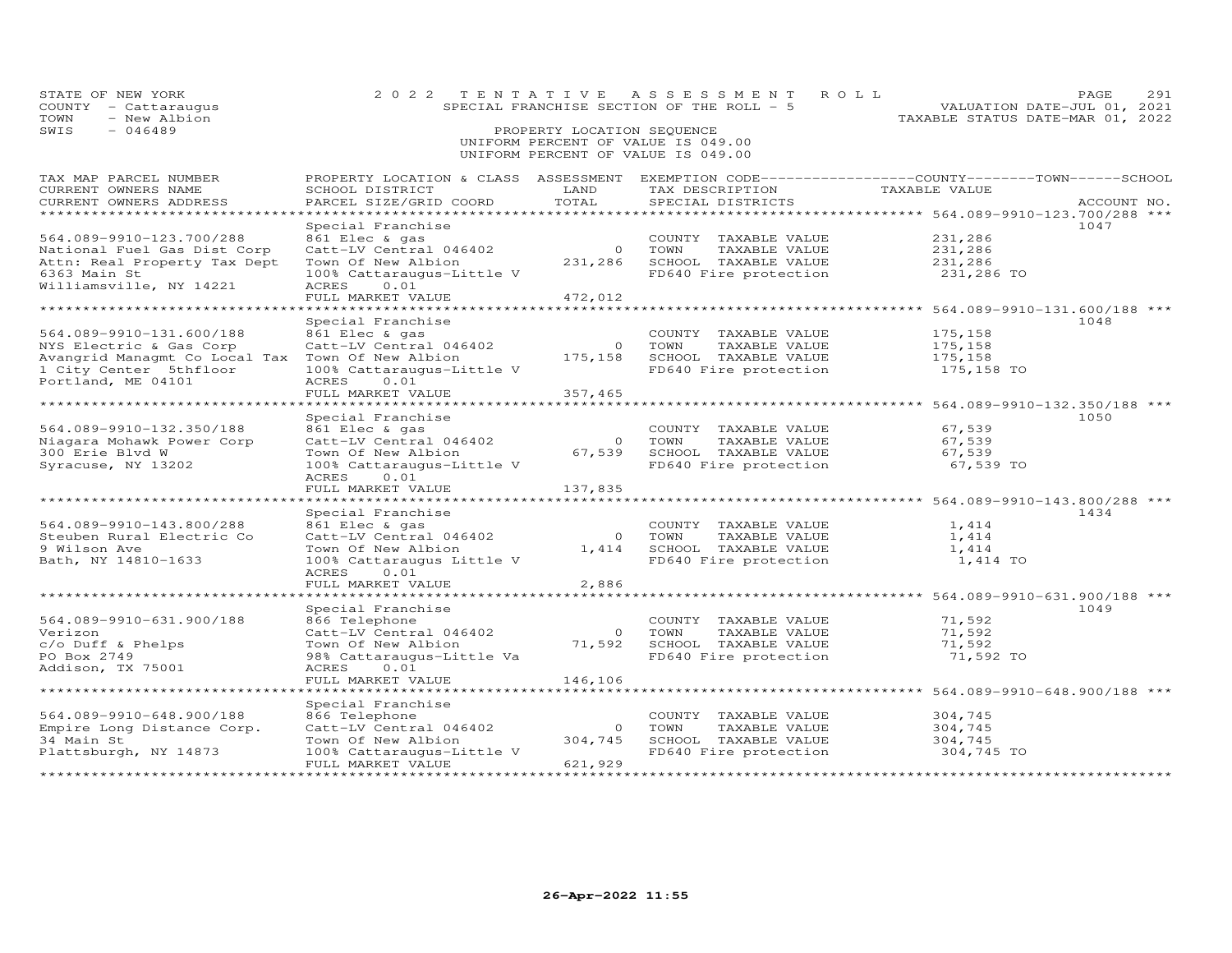| STATE OF NEW YORK<br>COUNTY - Cattaraugus<br>TOWN<br>- New Albion<br>SWIS<br>$-046489$                   |                                                                                                | PROPERTY LOCATION SEQUENCE         | 2022 TENTATIVE ASSESSMENT<br>ROLL<br>SPECIAL FRANCHISE SECTION OF THE ROLL - 5<br>UNIFORM PERCENT OF VALUE IS 049.00<br>UNIFORM PERCENT OF VALUE IS 049.00 | TAXABLE STATUS DATE-MAR 01, 2022                                 | 291<br>PAGE<br>VALUATION DATE-JUL 01, 2021 |
|----------------------------------------------------------------------------------------------------------|------------------------------------------------------------------------------------------------|------------------------------------|------------------------------------------------------------------------------------------------------------------------------------------------------------|------------------------------------------------------------------|--------------------------------------------|
| TAX MAP PARCEL NUMBER<br>CURRENT OWNERS NAME                                                             | PROPERTY LOCATION & CLASS ASSESSMENT<br>SCHOOL DISTRICT                                        | LAND                               | EXEMPTION CODE-----------------COUNTY-------TOWN------SCHOOL<br>TAX DESCRIPTION TAXABLE VALUE                                                              |                                                                  |                                            |
| CURRENT OWNERS ADDRESS                                                                                   | PARCEL SIZE/GRID COORD                                                                         | TOTAL                              | SPECIAL DISTRICTS                                                                                                                                          |                                                                  | ACCOUNT NO.                                |
| ***********************                                                                                  |                                                                                                |                                    |                                                                                                                                                            |                                                                  |                                            |
| 564.089-9910-123.700/288                                                                                 | Special Franchise<br>861 Elec & gas                                                            |                                    | COUNTY TAXABLE VALUE                                                                                                                                       | 231,286                                                          | 1047                                       |
| National Fuel Gas Dist Corp                                                                              |                                                                                                |                                    |                                                                                                                                                            | 231,286                                                          |                                            |
| Attn: Real Property Tax Dept                                                                             | Catt-LV Central 046402 0 TOWN TAXABLE VALUE<br>Town Of New Albion 231,286 SCHOOL TAXABLE VALUE |                                    |                                                                                                                                                            | 231,286                                                          |                                            |
| 6363 Main St                                                                                             | 100% Cattaraugus-Little V                                                                      |                                    | FD640 Fire protection                                                                                                                                      | 231,286 TO                                                       |                                            |
| Williamsville, NY 14221                                                                                  | ACRES<br>0.01                                                                                  |                                    |                                                                                                                                                            |                                                                  |                                            |
|                                                                                                          | FULL MARKET VALUE                                                                              | 472,012                            |                                                                                                                                                            |                                                                  |                                            |
|                                                                                                          |                                                                                                |                                    |                                                                                                                                                            | *********************************** 564.089-9910-131.600/188 *** |                                            |
|                                                                                                          | Special Franchise                                                                              |                                    |                                                                                                                                                            |                                                                  | 1048                                       |
| 564.089-9910-131.600/188                                                                                 | 861 Elec & gas                                                                                 |                                    | COUNTY TAXABLE VALUE                                                                                                                                       | 175,158                                                          |                                            |
| NYS Electric & Gas Corp<br>Avangrid Managmt Co Local Tax Town Of New Albion 175,158 SCHOOL TAXABLE VALUE | Catt-LV Central 046402                                                                         |                                    | 0 TOWN<br>TAXABLE VALUE                                                                                                                                    | 175,158                                                          |                                            |
| 1 City Center 5thfloor                                                                                   | 100% Cattaraugus-Little V                                                                      |                                    | FD640 Fire protection                                                                                                                                      | 175,158<br>175,158 TO                                            |                                            |
| Portland, ME 04101                                                                                       | ACRES<br>0.01                                                                                  |                                    |                                                                                                                                                            |                                                                  |                                            |
|                                                                                                          | FULL MARKET VALUE                                                                              | 357,465                            |                                                                                                                                                            |                                                                  |                                            |
|                                                                                                          | ************************                                                                       |                                    |                                                                                                                                                            | **************** 564.089-9910-132.350/188 ***                    |                                            |
|                                                                                                          | Special Franchise                                                                              |                                    |                                                                                                                                                            |                                                                  | 1050                                       |
| 564.089-9910-132.350/188                                                                                 | 861 Elec & gas                                                                                 |                                    | COUNTY TAXABLE VALUE                                                                                                                                       | 67,539                                                           |                                            |
| Niagara Mohawk Power Corp                                                                                | Catt-LV Central 046402                                                                         |                                    | 0 TOWN<br>TAXABLE VALUE                                                                                                                                    | 67,539                                                           |                                            |
| 300 Erie Blvd W                                                                                          | Town Of New Albion                                                                             |                                    | 67,539 SCHOOL TAXABLE VALUE                                                                                                                                | 67,539                                                           |                                            |
| Syracuse, NY 13202                                                                                       | 100% Cattaraugus-Little V                                                                      |                                    | FD640 Fire protection                                                                                                                                      | 67,539 TO                                                        |                                            |
|                                                                                                          | ACRES<br>0.01                                                                                  |                                    |                                                                                                                                                            |                                                                  |                                            |
|                                                                                                          | FULL MARKET VALUE                                                                              | 137,835                            |                                                                                                                                                            |                                                                  |                                            |
|                                                                                                          | Special Franchise                                                                              |                                    |                                                                                                                                                            |                                                                  | 1434                                       |
| 564.089-9910-143.800/288                                                                                 | 861 Elec & gas                                                                                 |                                    | COUNTY TAXABLE VALUE                                                                                                                                       | 1,414                                                            |                                            |
| Steuben Rural Electric Co                                                                                | Catt-LV Central 046402                                                                         |                                    | 0 TOWN<br>TAXABLE VALUE                                                                                                                                    | 1,414                                                            |                                            |
| 9 Wilson Ave                                                                                             | Town Of New Albion                                                                             |                                    | 1,414 SCHOOL TAXABLE VALUE                                                                                                                                 | 1,414                                                            |                                            |
| Bath, NY 14810-1633                                                                                      | 100% Cattaraugus Little V                                                                      |                                    | FD640 Fire protection                                                                                                                                      | 1,414 TO                                                         |                                            |
|                                                                                                          | ACRES<br>0.01                                                                                  |                                    |                                                                                                                                                            |                                                                  |                                            |
|                                                                                                          | FULL MARKET VALUE                                                                              | 2,886                              |                                                                                                                                                            |                                                                  |                                            |
|                                                                                                          | *****************                                                                              |                                    |                                                                                                                                                            | ********************* 564.089-9910-631.900/188 ***               |                                            |
| 564.089-9910-631.900/188                                                                                 | Special Franchise                                                                              |                                    | COUNTY TAXABLE VALUE                                                                                                                                       | 71,592                                                           | 1049                                       |
| Verizon                                                                                                  | 866 Telephone<br>Catt-LV Central 046402                                                        | $\overline{0}$                     | TOWN<br>TAXABLE VALUE                                                                                                                                      | 71,592                                                           |                                            |
| c/o Duff & Phelps                                                                                        | Town Of New Albion                                                                             |                                    | 71,592 SCHOOL TAXABLE VALUE                                                                                                                                | 71,592                                                           |                                            |
| PO Box 2749                                                                                              | 98% Cattaraugus-Little Va                                                                      |                                    | FD640 Fire protection                                                                                                                                      | 71,592 TO                                                        |                                            |
| Addison, TX 75001                                                                                        | ACRES<br>0.01                                                                                  |                                    |                                                                                                                                                            |                                                                  |                                            |
|                                                                                                          | FULL MARKET VALUE                                                                              | 146,106                            |                                                                                                                                                            |                                                                  |                                            |
|                                                                                                          |                                                                                                |                                    |                                                                                                                                                            | *************** 564.089-9910-648.900/188 ***                     |                                            |
|                                                                                                          | Special Franchise                                                                              |                                    |                                                                                                                                                            |                                                                  |                                            |
| 564.089-9910-648.900/188                                                                                 | 866 Telephone                                                                                  |                                    | COUNTY TAXABLE VALUE                                                                                                                                       | 304,745                                                          |                                            |
| Empire Long Distance Corp.                                                                               | Catt-LV Central 046402                                                                         | $\Omega$                           | TOWN<br>TAXABLE VALUE                                                                                                                                      | 304,745                                                          |                                            |
| 34 Main St                                                                                               | Town Of New Albion                                                                             | 304,745                            | SCHOOL TAXABLE VALUE                                                                                                                                       | 304,745                                                          |                                            |
| Plattsburgh, NY 14873                                                                                    | 100% Cattaraugus-Little V<br>FULL MARKET VALUE<br>********************                         | 621,929<br>*********************** | FD640 Fire protection                                                                                                                                      | 304,745 TO                                                       |                                            |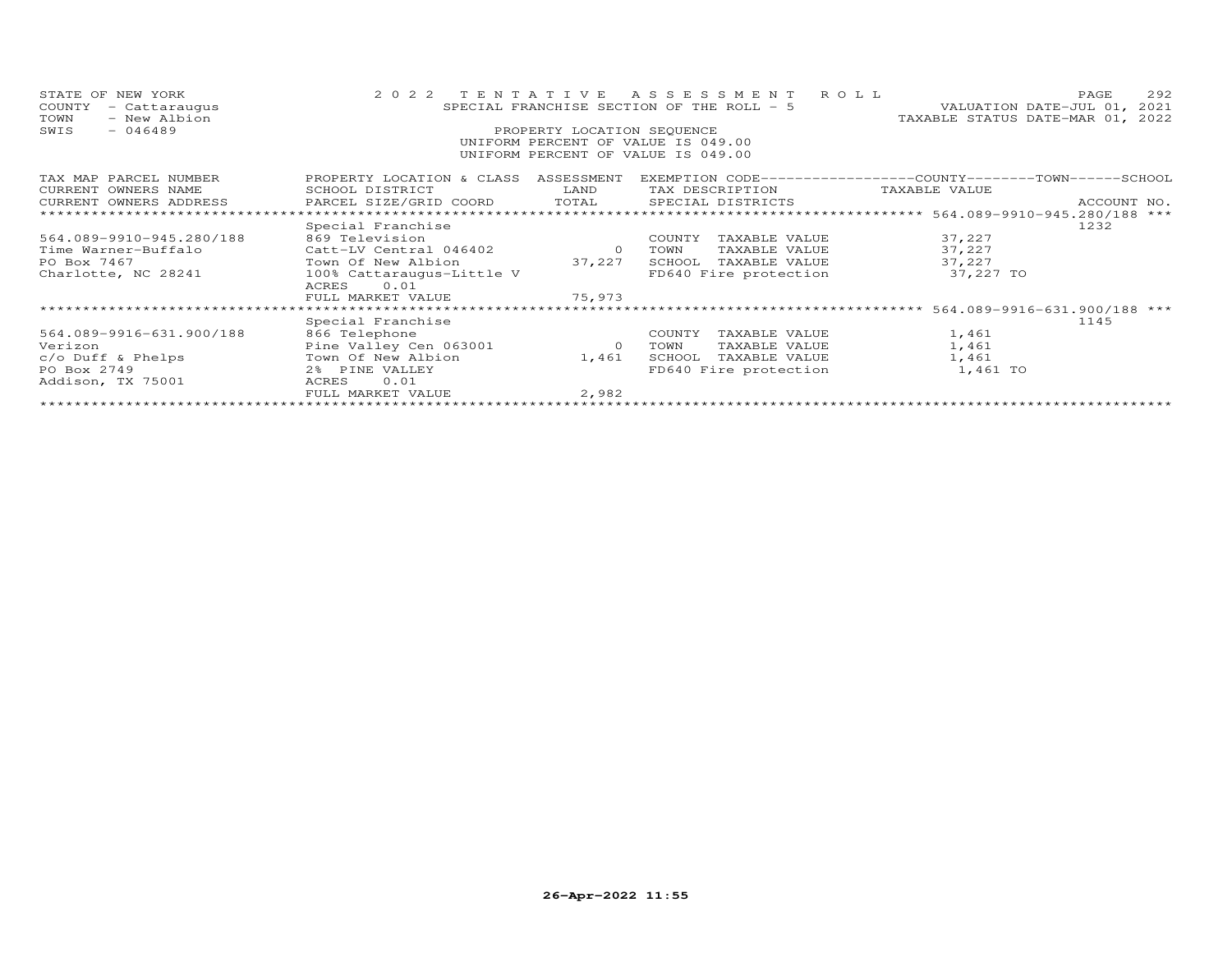| STATE OF NEW YORK<br>COUNTY<br>- Cattaraugus<br>- New Albion<br>TOWN<br>SWIS<br>$-046489$ | 2022 TENTATIVE<br>SPECIAL FRANCHISE SECTION OF THE ROLL - 5<br>PROPERTY LOCATION SEQUENCE<br>UNIFORM PERCENT OF VALUE IS 049.00<br>UNIFORM PERCENT OF VALUE IS 049.00 | A S S E S S M E N T R O L L<br>TAXABLE STATUS DATE-MAR 01, 2022 | 292<br>PAGE<br>VALUATION DATE-JUL 01, 2021 |                                                              |                              |
|-------------------------------------------------------------------------------------------|-----------------------------------------------------------------------------------------------------------------------------------------------------------------------|-----------------------------------------------------------------|--------------------------------------------|--------------------------------------------------------------|------------------------------|
| TAX MAP PARCEL NUMBER                                                                     | PROPERTY LOCATION & CLASS ASSESSMENT                                                                                                                                  |                                                                 |                                            | EXEMPTION CODE-----------------COUNTY-------TOWN------SCHOOL |                              |
| CURRENT OWNERS NAME                                                                       | SCHOOL DISTRICT                                                                                                                                                       | LAND                                                            | TAX DESCRIPTION                            | TAXABLE VALUE                                                |                              |
| CURRENT OWNERS ADDRESS                                                                    | PARCEL SIZE/GRID COORD                                                                                                                                                | TOTAL                                                           | SPECIAL DISTRICTS                          |                                                              | ACCOUNT NO.                  |
| ******************************                                                            |                                                                                                                                                                       |                                                                 |                                            |                                                              |                              |
|                                                                                           | Special Franchise                                                                                                                                                     |                                                                 |                                            |                                                              | 1232                         |
| 564.089-9910-945.280/188                                                                  | 869 Television                                                                                                                                                        |                                                                 | TAXABLE VALUE<br>COUNTY                    | 37,227                                                       |                              |
| Time Warner-Buffalo                                                                       | Catt-LV Central 046402                                                                                                                                                | $\circ$                                                         | TOWN<br>TAXABLE VALUE                      | 37,227                                                       |                              |
| PO Box 7467                                                                               | Town Of New Albion                                                                                                                                                    | 37,227                                                          | SCHOOL<br>TAXABLE VALUE                    | 37,227                                                       |                              |
| Charlotte, NC 28241                                                                       | 100% Cattaraugus-Little V<br>0.01<br>ACRES                                                                                                                            |                                                                 | FD640 Fire protection                      | 37,227 TO                                                    |                              |
|                                                                                           | FULL MARKET VALUE                                                                                                                                                     | 75,973                                                          |                                            |                                                              |                              |
|                                                                                           |                                                                                                                                                                       |                                                                 |                                            |                                                              | 564.089-9916-631.900/188 *** |
|                                                                                           | Special Franchise                                                                                                                                                     |                                                                 |                                            |                                                              | 1145                         |
| 564.089-9916-631.900/188                                                                  | 866 Telephone                                                                                                                                                         |                                                                 | COUNTY<br>TAXABLE VALUE                    | 1,461                                                        |                              |
| Verizon                                                                                   | Pine Valley Cen 063001                                                                                                                                                | $\overline{0}$                                                  | TAXABLE VALUE<br>TOWN                      | 1,461                                                        |                              |
| c/o Duff & Phelps                                                                         | Town Of New Albion                                                                                                                                                    | 1,461                                                           | SCHOOL<br>TAXABLE VALUE                    | 1,461                                                        |                              |
| PO Box 2749                                                                               | 2% PINE VALLEY                                                                                                                                                        |                                                                 | FD640 Fire protection                      | 1,461 TO                                                     |                              |
| Addison, TX 75001                                                                         | 0.01<br>ACRES                                                                                                                                                         |                                                                 |                                            |                                                              |                              |
|                                                                                           | FULL MARKET VALUE                                                                                                                                                     | 2,982                                                           |                                            |                                                              |                              |
|                                                                                           |                                                                                                                                                                       |                                                                 |                                            |                                                              |                              |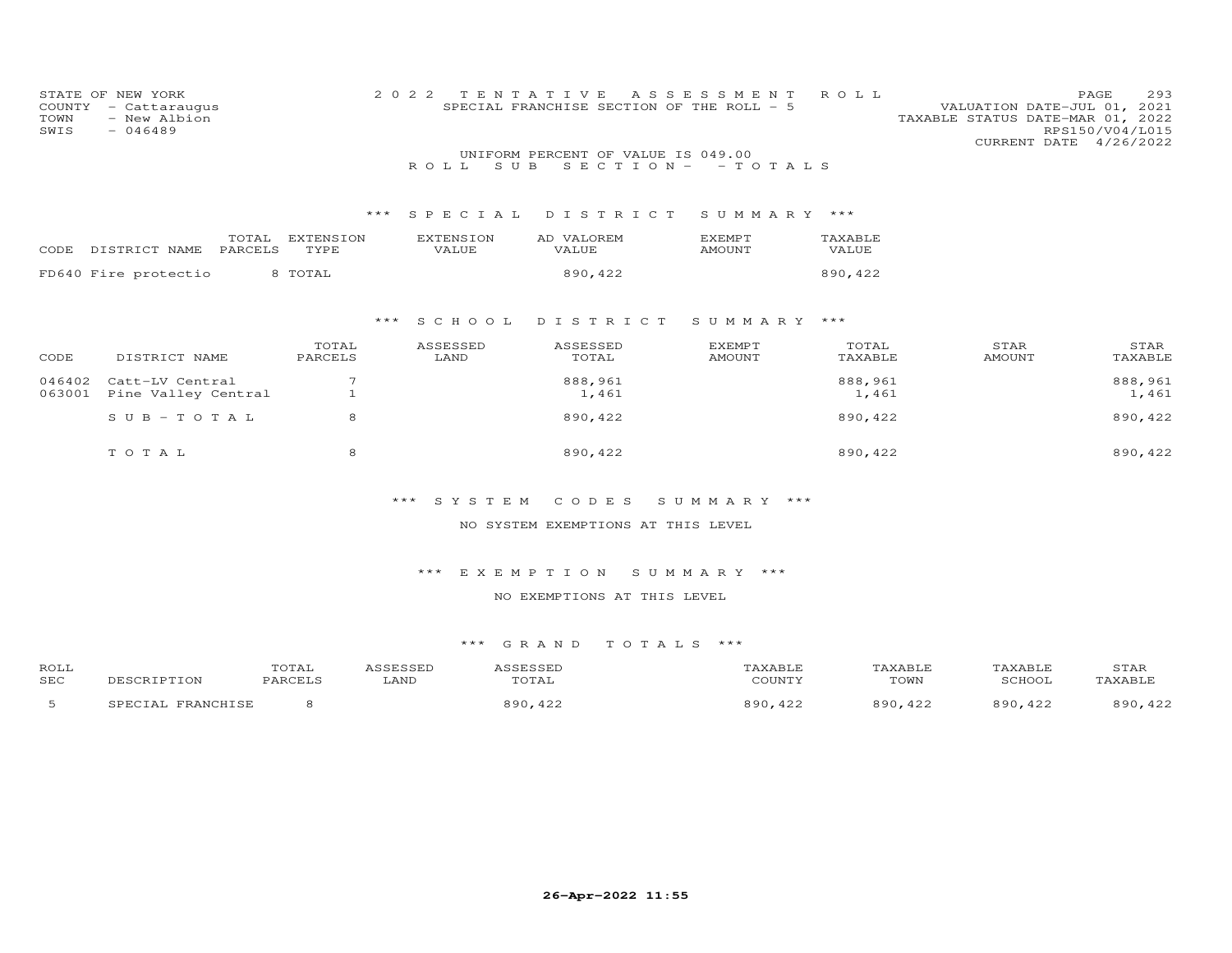| COUNTY<br>TOWN<br>SWIS | STATE OF NEW YORK<br>- Cattaraugus<br>- New Albion<br>$-046489$ |                   | TENTATIVE<br>2 0 2 2      | SPECIAL FRANCHISE SECTION OF THE ROLL - 5                 | A S S E S S M E N T            | ROLL             | 293<br>PAGE<br>VALUATION DATE-JUL 01, 2021<br>TAXABLE STATUS DATE-MAR 01, 2022<br>RPS150/V04/L015<br>CURRENT DATE 4/26/2022 |
|------------------------|-----------------------------------------------------------------|-------------------|---------------------------|-----------------------------------------------------------|--------------------------------|------------------|-----------------------------------------------------------------------------------------------------------------------------|
|                        |                                                                 |                   | S U B<br>R O L L          | UNIFORM PERCENT OF VALUE IS 049.00<br>SECTION $ -$ TOTALS |                                |                  |                                                                                                                             |
|                        |                                                                 |                   |                           |                                                           |                                |                  |                                                                                                                             |
|                        |                                                                 | ***               | SPECIAL                   | DISTRICT                                                  | SUMMARY ***                    |                  |                                                                                                                             |
|                        | TOTAL<br>PARCELS<br>CODE DISTRICT NAME                          | EXTENSION<br>TYPE | <b>EXTENSION</b><br>VALUE | AD VALOREM<br>VALUE                                       | <b>EXEMPT</b><br>AMOUNT        | TAXABLE<br>VALUE |                                                                                                                             |
|                        | FD640 Fire protectio                                            | 8 TOTAL           |                           | 890,422                                                   |                                | 890,422          |                                                                                                                             |
|                        |                                                                 |                   |                           |                                                           |                                |                  |                                                                                                                             |
|                        |                                                                 | ***               | S C H O O L               | DISTRICT                                                  | SUMMARY ***                    |                  |                                                                                                                             |
| CODE                   | DISTRICT NAME                                                   | TOTAL<br>PARCELS  | ASSESSED<br>LAND          | ASSESSED<br>TOTAL                                         | <b>EXEMPT</b><br><b>AMOUNT</b> | TOTAL<br>TAXABLE | STAR<br>STAR<br><b>AMOUNT</b><br>TAXABLE                                                                                    |
| 046402<br>063001       | Catt-LV Central<br>Pine Valley Central                          | 7<br>$\mathbf{1}$ |                           | 888,961<br>1,461                                          |                                | 888,961<br>1,461 | 888,961<br>1,461                                                                                                            |
|                        | $S \cup B - T \cup T A L$                                       | 8                 |                           | 890,422                                                   |                                | 890,422          | 890, 422                                                                                                                    |
|                        | TOTAL                                                           | 8                 |                           | 890,422                                                   |                                | 890,422          | 890,422                                                                                                                     |
|                        |                                                                 |                   |                           |                                                           |                                |                  |                                                                                                                             |

NO SYSTEM EXEMPTIONS AT THIS LEVEL

\*\*\* E X E M P T I O N S U M M A R Y \*\*\*

NO EXEMPTIONS AT THIS LEVEL

| ROLL       | UIAI |      |      |                             |      |                         | JIAK   |
|------------|------|------|------|-----------------------------|------|-------------------------|--------|
| <b>SEC</b> |      | .ANF |      | $C$ $C$ $T$ $T$ $T$ $T$ $T$ | TOWN |                         |        |
|            |      |      | ח הפ |                             |      | $\circ$ $\circ$ $\circ$ | $\sim$ |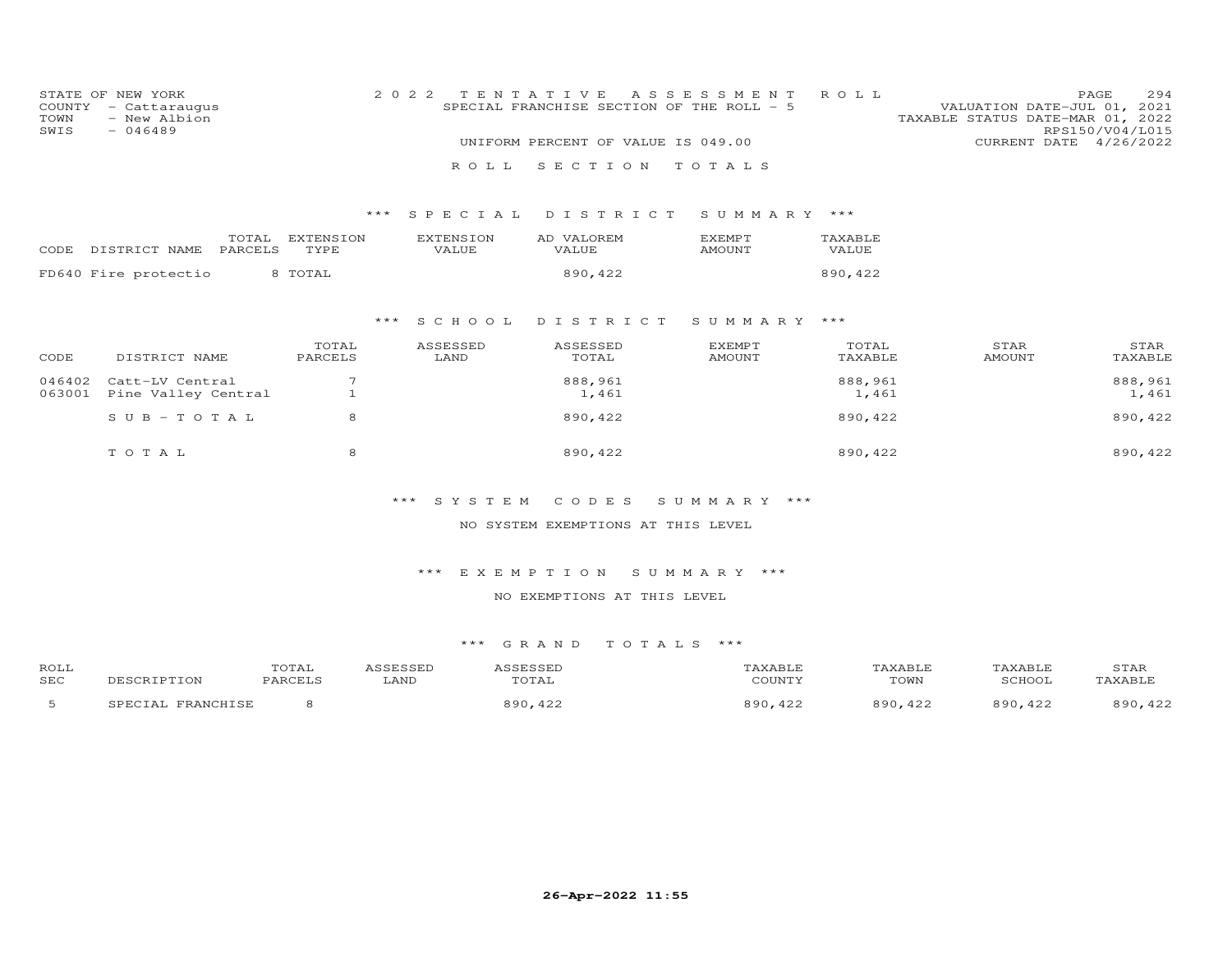| COUNTY<br>TOWN<br>SWIS | STATE OF NEW YORK<br>- Cattaraugus<br>- New Albion<br>$-046489$ |                   | 2 0 2 2                   | TENTATIVE<br>SPECIAL FRANCHISE SECTION OF THE ROLL - 5<br>UNIFORM PERCENT OF VALUE IS 049.00 | ASSESSMENT                     | ROLL             | VALUATION DATE-JUL 01,<br>TAXABLE STATUS DATE-MAR 01, 2022<br>CURRENT DATE 4/26/2022 | 294<br>PAGE<br>2021<br>RPS150/V04/L015 |
|------------------------|-----------------------------------------------------------------|-------------------|---------------------------|----------------------------------------------------------------------------------------------|--------------------------------|------------------|--------------------------------------------------------------------------------------|----------------------------------------|
|                        |                                                                 |                   | ROLL                      | SECTION TOTALS                                                                               |                                |                  |                                                                                      |                                        |
|                        |                                                                 | ***               | SPECIAL                   | DISTRICT                                                                                     | SUMMARY                        | ***              |                                                                                      |                                        |
| CODE                   | TOTAL<br>DISTRICT NAME<br>PARCELS                               | EXTENSION<br>TYPE | <b>EXTENSION</b><br>VALUE | AD VALOREM<br>VALUE                                                                          | <b>EXEMPT</b><br>AMOUNT        | TAXABLE<br>VALUE |                                                                                      |                                        |
|                        | FD640 Fire protectio                                            | 8 TOTAL           |                           | 890,422                                                                                      |                                | 890,422          |                                                                                      |                                        |
|                        |                                                                 |                   | S C H O O L<br>***        | DISTRICT                                                                                     | SUMMARY ***                    |                  |                                                                                      |                                        |
| CODE                   | DISTRICT NAME                                                   | TOTAL<br>PARCELS  | ASSESSED<br>LAND          | ASSESSED<br>TOTAL                                                                            | <b>EXEMPT</b><br><b>AMOUNT</b> | TOTAL<br>TAXABLE | STAR<br><b>AMOUNT</b>                                                                | STAR<br>TAXABLE                        |
| 046402<br>063001       | Catt-LV Central<br>Pine Valley Central                          |                   |                           | 888,961<br>1,461                                                                             |                                | 888,961<br>1,461 |                                                                                      | 888,961<br>1,461                       |
|                        | $SUB - TO TAL$                                                  | 8                 |                           | 890,422                                                                                      |                                | 890,422          |                                                                                      | 890, 422                               |
|                        | TOTAL                                                           | 8                 |                           | 890, 422                                                                                     |                                | 890,422          |                                                                                      | 890, 422                               |

#### NO SYSTEM EXEMPTIONS AT THIS LEVEL

#### \*\*\* E X E M P T I O N S U M M A R Y \*\*\*

#### NO EXEMPTIONS AT THIS LEVEL

| <b>ROLL</b> |                              | TOTAL   |      |                           |                                |                                | <u>INXABLE</u>                  | STAF                          |
|-------------|------------------------------|---------|------|---------------------------|--------------------------------|--------------------------------|---------------------------------|-------------------------------|
| <b>SEC</b>  |                              | PARCELS | LAND | TOTAL                     | COUNTY                         | TOWN                           | <b>RCHOOL</b>                   | TAXABLF                       |
| -           | <b>TDAMCUTCL</b><br>$\Delta$ |         |      | 890<br>$\bigwedge$<br>422 | $\circ$ $\circ$ $\circ$<br>422 | $\circ$ $\circ$ $\circ$<br>422 | $\circ$ $\circ$ $\circ$<br>,422 | 890<br>$\bigwedge$<br>- - - - |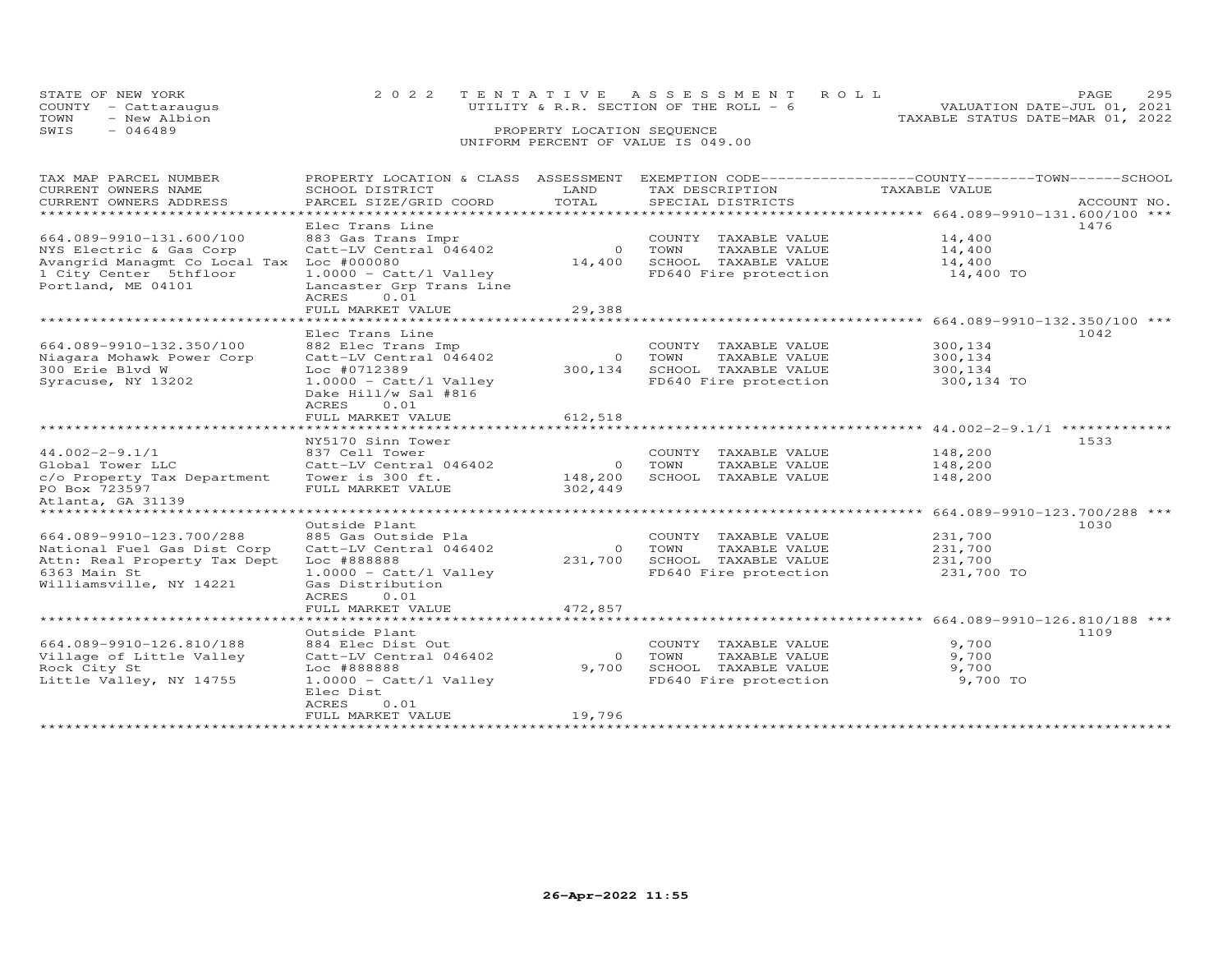|      | STATE OF NEW YORK<br>COUNTY - Cattaraugus | 2022 TENTATIVE ASSESSMENT ROLL<br>UTILITY & R.R. SECTION OF THE ROLL $-6$ | PAGE.<br>VALUATION DATE-JUL 01, 2021 | 295 |
|------|-------------------------------------------|---------------------------------------------------------------------------|--------------------------------------|-----|
| TOWN | - New Albion                              |                                                                           | TAXABLE STATUS DATE-MAR 01, 2022     |     |
| SWIS | - 046489                                  | PROPERTY LOCATION SEQUENCE                                                |                                      |     |
|      |                                           | UNIFORM PERCENT OF VALUE IS 049.00                                        |                                      |     |

# TAX MAP PARCEL NUMBER PROPERTY LOCATION & CLASS ASSESSMENT EXEMPTION CODE------------------COUNTY--------TOWN------SCHOOL CURRENT OWNERS NAME SCHOOL DISTRICT LAND TAX DESCRIPTION TAXABLE VALUE CURRENT OWNERS ADDRESS PARCEL SIZE/GRID COORD TOTAL SPECIAL DISTRICTS ACCOUNT NO. \*\*\*\*\*\*\*\*\*\*\*\*\*\*\*\*\*\*\*\*\*\*\*\*\*\*\*\*\*\*\*\*\*\*\*\*\*\*\*\*\*\*\*\*\*\*\*\*\*\*\*\*\*\*\*\*\*\*\*\*\*\*\*\*\*\*\*\*\*\*\*\*\*\*\*\*\*\*\*\*\*\*\*\*\*\*\*\*\*\*\*\*\*\*\*\*\*\*\*\*\*\*\* 664.089-9910-131.600/100 \*\*\*Elec Trans Line (1476)<br>NYS Electric & Gas Corp (2000) Country TAXABLE VALUE 14,400<br>NYS Electric & Gas Corp (2010) Cattle (2008) (2010) COUNTY TAXABLE VALUE 14,400<br>Avangrid Managmt Co Local Tax Loc #00000 (2011) 14,400 (201 14,400 14,400 14,400 TO ACRES 0.01FULL MARKET VALUE 29,388 \*\*\*\*\*\*\*\*\*\*\*\*\*\*\*\*\*\*\*\*\*\*\*\*\*\*\*\*\*\*\*\*\*\*\*\*\*\*\*\*\*\*\*\*\*\*\*\*\*\*\*\*\*\*\*\*\*\*\*\*\*\*\*\*\*\*\*\*\*\*\*\*\*\*\*\*\*\*\*\*\*\*\*\*\*\*\*\*\*\*\*\*\*\*\*\*\*\*\*\*\*\*\* 664.089-9910-132.350/100 \*\*\* Elec Trans Line 1042664.089-9910-132.350/100 882 Elec Trans Imp COUNTY TAXABLE VALUE 300,134 Niagara Mohawk Power Corp Catt-LV Central 046402 0 TOWN TAXABLE VALUE 300,134 300 Erie Blvd W Loc #0712389 300,134 SCHOOL TAXABLE VALUE 300,134 Syracuse, NY 13202 1.0000 - Catt/l Valley FD640 Fire protection 300,134 TO Dake Hill/w Sal #816example and the contract of the ACRES and  $\Lambda$ CRES and  $\Lambda$ FULL MARKET VALUE FULL MARKET VALUE 612,518 NY5170 Sinn Tower 153344.002-2-9.1/1 837 Cell Tower COUNTY TAXABLE VALUE 148,200 Global Tower LLC Catt-LV Central 046402 0 TOWN TAXABLE VALUE 148,200 c/o Property Tax Department Tower is 300 ft. 148,200 SCHOOL TAXABLE VALUE 148,200 PO Box 723597 FULL MARKET VALUE 302,449 Atlanta, GA 31139\*\*\*\*\*\*\*\*\*\*\*\*\*\*\*\*\*\*\*\*\*\*\*\*\*\*\*\*\*\*\*\*\*\*\*\*\*\*\*\*\*\*\*\*\*\*\*\*\*\*\*\*\*\*\*\*\*\*\*\*\*\*\*\*\*\*\*\*\*\*\*\*\*\*\*\*\*\*\*\*\*\*\*\*\*\*\*\*\*\*\*\*\*\*\*\*\*\*\*\*\*\*\* 44.002-2-9.1/1 \*\*\*\*\*\*\*\*\*\*\*\*\* \*\*\*\*\*\*\*\*\*\*\*\*\*\*\*\*\*\*\*\*\*\*\*\*\*\*\*\*\*\*\*\*\*\*\*\*\*\*\*\*\*\*\*\*\*\*\*\*\*\*\*\*\*\*\*\*\*\*\*\*\*\*\*\*\*\*\*\*\*\*\*\*\*\*\*\*\*\*\*\*\*\*\*\*\*\*\*\*\*\*\*\*\*\*\*\*\*\*\*\*\*\*\* 664.089-9910-123.700/288 \*\*\* Outside Plant 1030664.089-9910-123.700/288 885 Gas Outside Pla COUNTY TAXABLE VALUE 231,700National Fuel Gas Dist Corp Catt-LV Central 046402 0 TOWN TAXABLE VALUE 231,700 Attn: Real Property Tax Dept Loc #888888 231,700 SCHOOL TAXABLE VALUE 231,7006363 Main St 1.0000 - Catt/l Valley FD640 Fire protection 231,700 TOWilliamsville, NY 14221 Gas Distribution ACRES 0.01FULL MARKET VALUE FULL MARKET VALUE 472,857 \*\*\*\*\*\*\*\*\*\*\*\*\*\*\*\*\*\*\*\*\*\*\*\*\*\*\*\*\*\*\*\*\*\*\*\*\*\*\*\*\*\*\*\*\*\*\*\*\*\*\*\*\*\*\*\*\*\*\*\*\*\*\*\*\*\*\*\*\*\*\*\*\*\*\*\*\*\*\*\*\*\*\*\*\*\*\*\*\*\*\*\*\*\*\*\*\*\*\*\*\*\*\* 664.089-9910-126.810/188 \*\*\* Outside Plant 1109664.089-9910-126.810/188 884 Elec Dist Out COUNTY TAXABLE VALUE 9,700 Village of Little Valley Catt-LV Central 046402 0 TOWN TAXABLE VALUE 9,700 Rock City St Loc #888888 9,700 SCHOOL TAXABLE VALUE 9,700 Little Valley, NY 14755 1.0000 - Catt/l Valley FD640 Fire protection 9,700 TO Rock City St<br>
Little Valley, NY 14755 <br>
Elec Dist<br>
Elec Dist ACRES 0.01FULL MARKET VALUE 19,796

\*\*\*\*\*\*\*\*\*\*\*\*\*\*\*\*\*\*\*\*\*\*\*\*\*\*\*\*\*\*\*\*\*\*\*\*\*\*\*\*\*\*\*\*\*\*\*\*\*\*\*\*\*\*\*\*\*\*\*\*\*\*\*\*\*\*\*\*\*\*\*\*\*\*\*\*\*\*\*\*\*\*\*\*\*\*\*\*\*\*\*\*\*\*\*\*\*\*\*\*\*\*\*\*\*\*\*\*\*\*\*\*\*\*\*\*\*\*\*\*\*\*\*\*\*\*\*\*\*\*\*\*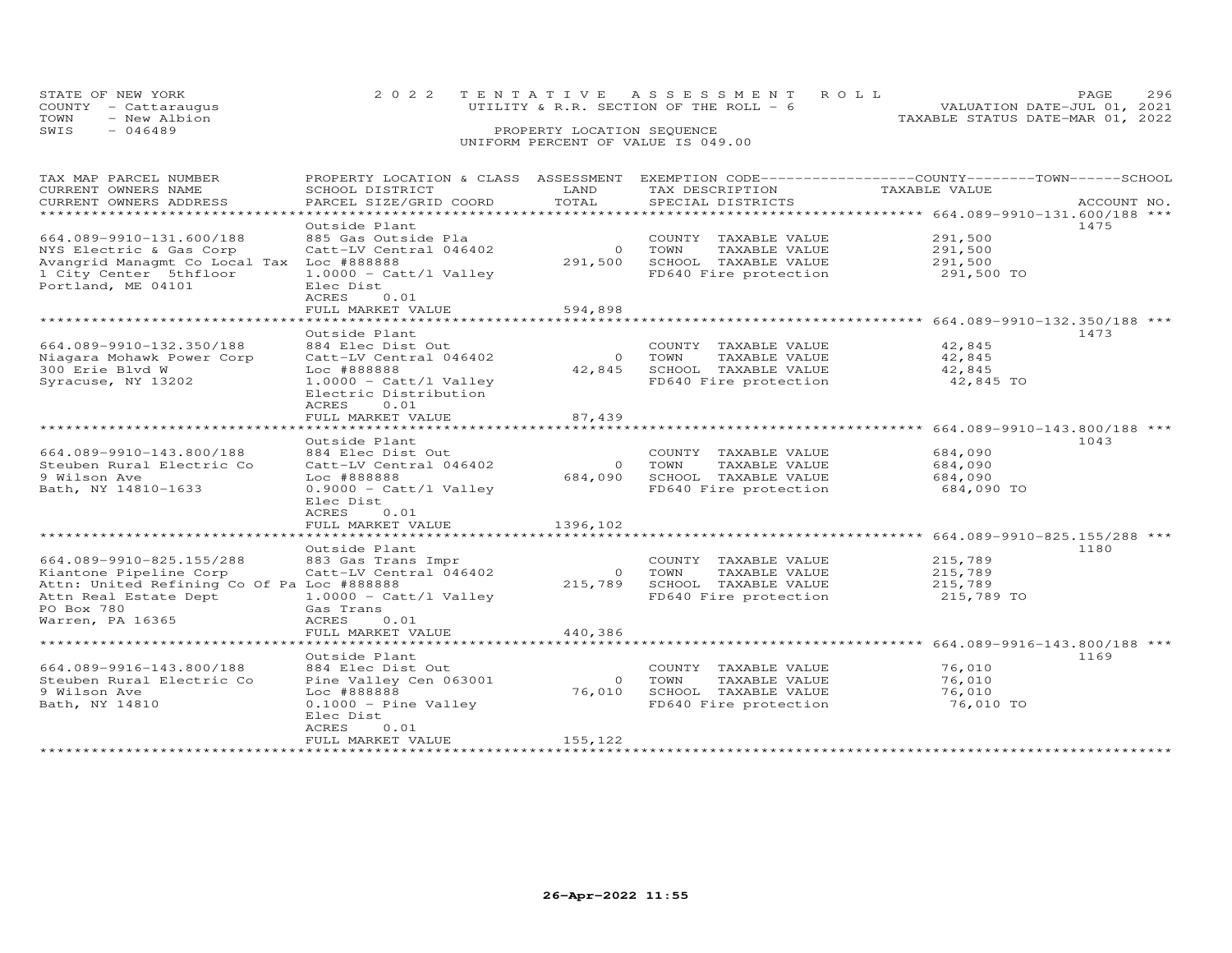| STATE OF NEW YORK<br>COUNTY - Cattaraugus |              | 2022 TENTATIVE ASSESSMENT ROLL<br>UTILITY & R.R. SECTION OF THE ROLL $-6$ |                            |  |  | PAGE.<br>VALUATION DATE-JUL 01, 2021 | 296 |
|-------------------------------------------|--------------|---------------------------------------------------------------------------|----------------------------|--|--|--------------------------------------|-----|
| TOWN                                      | - New Albion |                                                                           |                            |  |  | TAXABLE STATUS DATE-MAR 01, 2022     |     |
| SWIS<br>$-046489$                         |              |                                                                           | PROPERTY LOCATION SEQUENCE |  |  |                                      |     |
|                                           |              | UNIFORM PERCENT OF VALUE IS 049.00                                        |                            |  |  |                                      |     |

# TAX MAP PARCEL NUMBER PROPERTY LOCATION & CLASS ASSESSMENT EXEMPTION CODE------------------COUNTY--------TOWN------SCHOOL CURRENT OWNERS NAME SCHOOL DISTRICT LAND TAX DESCRIPTION TAXABLE VALUE CURRENT OWNERS ADDRESS PARCEL SIZE/GRID COORD TOTAL SPECIAL DISTRICTS ACCOUNT NO. \*\*\*\*\*\*\*\*\*\*\*\*\*\*\*\*\*\*\*\*\*\*\*\*\*\*\*\*\*\*\*\*\*\*\*\*\*\*\*\*\*\*\*\*\*\*\*\*\*\*\*\*\*\*\*\*\*\*\*\*\*\*\*\*\*\*\*\*\*\*\*\*\*\*\*\*\*\*\*\*\*\*\*\*\*\*\*\*\*\*\*\*\*\*\*\*\*\*\*\*\*\*\* 664.089-9910-131.600/188 \*\*\*3910-131.600/188 Outside Plant<br>
NYS Electric & Gas Corp Catt-LV Central 046402 291,500 TOWN TAXABLE VALUE 291,500<br>
Avangrid Managmt Co Local Tax Loc #888888 291,500 SCHOOL TAXABLE VALUE 291,500<br>
1 City Center 5thfloor 1.00 \*\*\*\*\*\*\*\*\*\*\*\*\*\*\*\*\*\*\*\*\*\*\*\*\*\*\*\*\*\*\*\*\*\*\*\*\*\*\*\*\*\*\*\*\*\*\*\*\*\*\*\*\*\*\*\*\*\*\*\*\*\*\*\*\*\*\*\*\*\*\*\*\*\*\*\*\*\*\*\*\*\*\*\*\*\*\*\*\*\*\*\*\*\*\*\*\*\*\*\*\*\*\* 664.089-9910-132.350/188 \*\*\* Outside Plant 1473664.089-9910-132.350/188 884 Elec Dist Out COUNTY TAXABLE VALUE 42,845 Niagara Mohawk Power Corp Catt-LV Central 046402 0 TOWN TAXABLE VALUE 42,845 300 Erie Blvd W Loc #888888 42,845 SCHOOL TAXABLE VALUE 42,845 Syracuse, NY 13202 1.0000 - Catt/l Valley FD640 Fire protection 42,845 TO Electric Distributionacres to the contract of the contract of the contract of the contract of the contract of the contract of the c FULL MARKET VALUE FULL MARKET VALUE 87,439 \*\*\*\*\*\*\*\*\*\*\*\*\*\*\*\*\*\*\*\*\*\*\*\*\*\*\*\*\*\*\*\*\*\*\*\*\*\*\*\*\*\*\*\*\*\*\*\*\*\*\*\*\*\*\*\*\*\*\*\*\*\*\*\*\*\*\*\*\*\*\*\*\*\*\*\*\*\*\*\*\*\*\*\*\*\*\*\*\*\*\*\*\*\*\*\*\*\*\*\*\*\*\* 664.089-9910-143.800/188 \*\*\* Outside Plant 1043664.089-9910-143.800/188 884 Elec Dist Out COUNTY TAXABLE VALUE 684,090 Steuben Rural Electric Co Catt-LV Central 046402 0 TOWN TAXABLE VALUE 684,090 9 Wilson Ave Loc #888888 684,090 SCHOOL TAXABLE VALUE 684,090 Bath, NY 14810-1633 0.9000 - Catt/l Valley FD640 Fire protection 684,090 TO Elec Dist ACRES 0.01ACRES 0.01<br>ACRES 0.01<br>FULT MAT FULL MARKET VALUE 1396,102 \*\*\*\*\*\*\*\*\*\*\*\*\*\*\*\*\*\*\*\*\*\*\*\*\*\*\*\*\*\*\*\*\*\*\*\*\*\*\*\*\*\*\*\*\*\*\*\*\*\*\*\*\*\*\*\*\*\*\*\*\*\*\*\*\*\*\*\*\*\*\*\*\*\*\*\*\*\*\*\*\*\*\*\*\*\*\*\*\*\*\*\*\*\*\*\*\*\*\*\*\*\*\* 664.089-9910-825.155/288 \*\*\*Outside Plant<br>1180 - المحلة المحلة المحلة المحلة المحلة المحلة المحلة المحلة المحلة المحلة المحلة المحلة المحلة المحلة المحل 664.089-9910-825.155/288 883 Gas Trans Impr COUNTY TAXABLE VALUE 215,789 Kiantone Pipeline Corp Catt-LV Central 046402 0 TOWN TAXABLE VALUE 215,789 Attn: United Refining Co Of Pa Loc #888888 215,789 SCHOOL TAXABLE VALUE 215,789 Attn Real Estate Dept 1.0000 - Catt/l Valley FD640 Fire protection 215,789 TOPO Box 780 Gas Trans Warren, PA 16365 ACRES 0.01FULL MARKET VALUE FULL MARKET VALUE 440,386 \*\*\*\*\*\*\*\*\*\*\*\*\*\*\*\*\*\*\*\*\*\*\*\*\*\*\*\*\*\*\*\*\*\*\*\*\*\*\*\*\*\*\*\*\*\*\*\*\*\*\*\*\*\*\*\*\*\*\*\*\*\*\*\*\*\*\*\*\*\*\*\*\*\*\*\*\*\*\*\*\*\*\*\*\*\*\*\*\*\*\*\*\*\*\*\*\*\*\*\*\*\*\* 664.089-9916-143.800/188 \*\*\*Outside Plant<br>Steuben Rural Electric Controller (Search Community Country TAXABLE VALUE 169<br>1169 Steuben Rural Electric Controller (Search Controller May a TOWN TAXABLE VALUE 16,010<br>16,010 SCHOOL TAXABLE VALUE 76,010<br>16,01 Elec Dist ACRES 0.01FULL MARKET VALUE 155,122

\*\*\*\*\*\*\*\*\*\*\*\*\*\*\*\*\*\*\*\*\*\*\*\*\*\*\*\*\*\*\*\*\*\*\*\*\*\*\*\*\*\*\*\*\*\*\*\*\*\*\*\*\*\*\*\*\*\*\*\*\*\*\*\*\*\*\*\*\*\*\*\*\*\*\*\*\*\*\*\*\*\*\*\*\*\*\*\*\*\*\*\*\*\*\*\*\*\*\*\*\*\*\*\*\*\*\*\*\*\*\*\*\*\*\*\*\*\*\*\*\*\*\*\*\*\*\*\*\*\*\*\*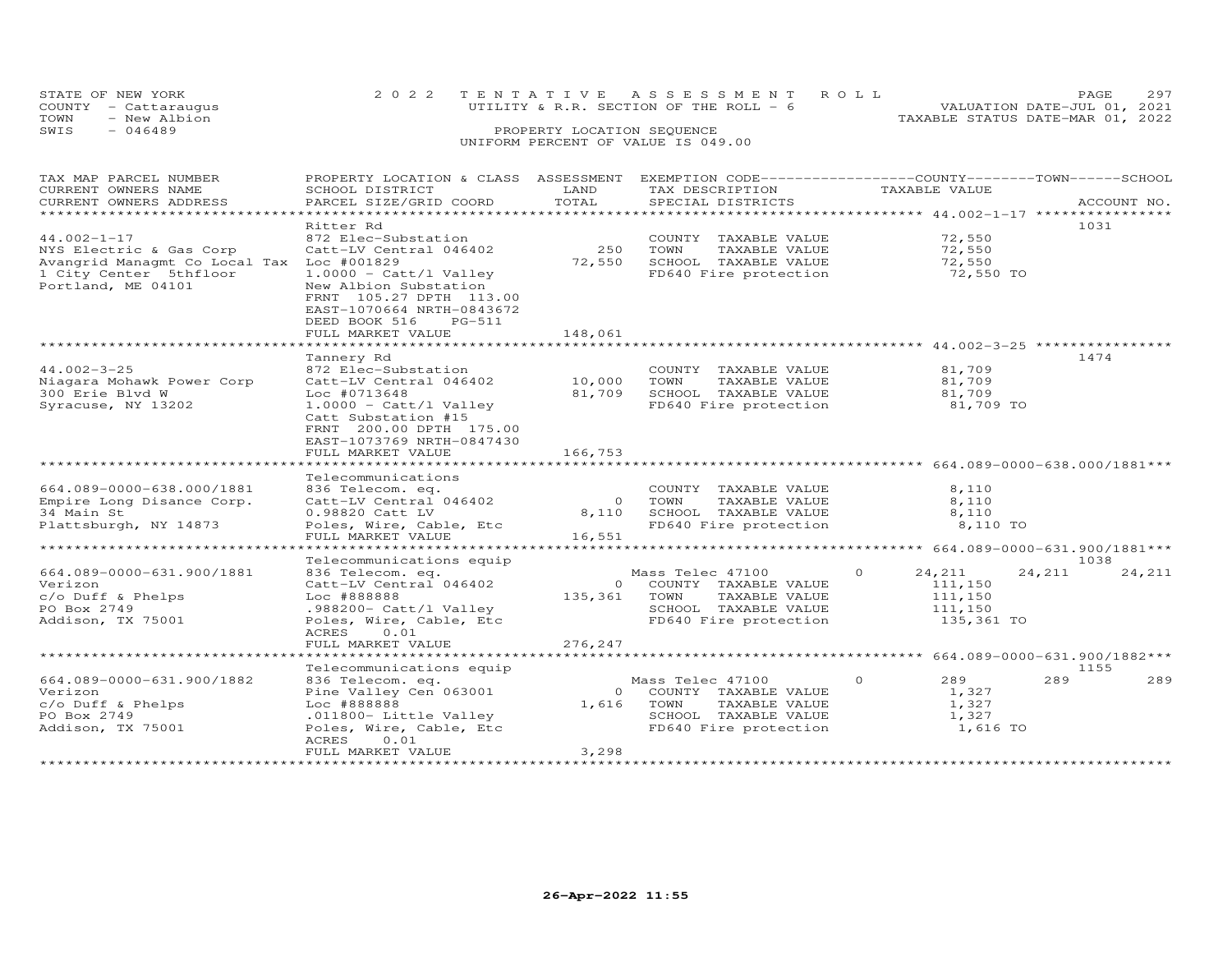|      | STATE OF NEW YORK    | 2022 TENTATIVE ASSESSMENT ROLL         | 297<br>PAGE.                     |
|------|----------------------|----------------------------------------|----------------------------------|
|      | COUNTY - Cattaraugus | UTILITY & R.R. SECTION OF THE ROLL - 6 | VALUATION DATE-JUL 01, 2021      |
| TOWN | - New Albion         |                                        | TAXABLE STATUS DATE-MAR 01, 2022 |
| SWIS | $-046489$            | PROPERTY LOCATION SEQUENCE             |                                  |
|      |                      | UNIFORM PERCENT OF VALUE IS 049.00     |                                  |

| TAX MAP PARCEL NUMBER<br>CURRENT OWNERS NAME<br>CURRENT OWNERS ADDRESS                        | PROPERTY LOCATION & CLASS ASSESSMENT<br>SCHOOL DISTRICT<br>PARCEL SIZE/GRID COORD                                                                                               | LAND<br>TOTAL     | EXEMPTION CODE-----------------COUNTY-------TOWN------SCHOOL<br>TAX DESCRIPTION<br>SPECIAL DISTRICTS                         | TAXABLE VALUE                                                     | ACCOUNT NO.      |
|-----------------------------------------------------------------------------------------------|---------------------------------------------------------------------------------------------------------------------------------------------------------------------------------|-------------------|------------------------------------------------------------------------------------------------------------------------------|-------------------------------------------------------------------|------------------|
| **********************                                                                        |                                                                                                                                                                                 |                   |                                                                                                                              |                                                                   |                  |
| $44.002 - 1 - 17$<br>NYS Electric & Gas Corp                                                  | Ritter Rd<br>872 Elec-Substation<br>Catt-LV Central 046402                                                                                                                      | 250               | COUNTY TAXABLE VALUE<br>TOWN<br>TAXABLE VALUE                                                                                | 72,550<br>72,550                                                  | 1031             |
| Avangrid Managmt Co Local Tax<br>1 City Center 5thfloor<br>Portland, ME 04101                 | Loc #001829<br>$1.0000 - \text{Catt/l Valley}$<br>New Albion Substation<br>FRNT 105.27 DPTH 113.00<br>EAST-1070664 NRTH-0843672<br>DEED BOOK 516<br>PG-511<br>FULL MARKET VALUE | 72,550<br>148,061 | SCHOOL TAXABLE VALUE<br>FD640 Fire protection                                                                                | 72,550<br>72,550 TO                                               |                  |
|                                                                                               |                                                                                                                                                                                 |                   |                                                                                                                              |                                                                   |                  |
|                                                                                               | Tannery Rd                                                                                                                                                                      |                   |                                                                                                                              |                                                                   | 1474             |
| $44.002 - 3 - 25$<br>Niagara Mohawk Power Corp<br>300 Erie Blvd W<br>Syracuse, NY 13202       | 872 Elec-Substation<br>Catt-LV Central 046402<br>$Loc$ #0713648<br>$1.0000 - \text{Cat} / 1$ Valley                                                                             | 10,000<br>81,709  | COUNTY TAXABLE VALUE<br>TAXABLE VALUE<br>TOWN<br>SCHOOL TAXABLE VALUE<br>FD640 Fire protection                               | 81,709<br>81,709<br>81,709<br>81,709 TO                           |                  |
|                                                                                               | Catt Substation #15<br>FRNT 200.00 DPTH 175.00<br>EAST-1073769 NRTH-0847430<br>FULL MARKET VALUE                                                                                | 166,753           |                                                                                                                              |                                                                   |                  |
|                                                                                               | *******************                                                                                                                                                             | ************      |                                                                                                                              |                                                                   |                  |
| 664.089-0000-638.000/1881<br>Empire Long Disance Corp.                                        | Telecommunications<br>836 Telecom. eq.<br>Catt-LV Central 046402                                                                                                                | $\overline{O}$    | COUNTY TAXABLE VALUE<br>TOWN<br>TAXABLE VALUE                                                                                | 8,110<br>8,110                                                    |                  |
| 34 Main St<br>Plattsburgh, NY 14873                                                           | 0.98820 Catt LV<br>Poles, Wire, Cable, Etc<br>FULL MARKET VALUE                                                                                                                 | 8,110<br>16,551   | SCHOOL TAXABLE VALUE<br>FD640 Fire protection                                                                                | 8,110<br>8,110 TO                                                 |                  |
| ******************************                                                                |                                                                                                                                                                                 |                   |                                                                                                                              |                                                                   |                  |
|                                                                                               | Telecommunications equip                                                                                                                                                        |                   |                                                                                                                              |                                                                   | 1038             |
| 664.089-0000-631.900/1881<br>Verizon<br>c/o Duff & Phelps<br>PO Box 2749<br>Addison, TX 75001 | 836 Telecom. eq.<br>Catt-LV Central 046402<br>Loc #888888<br>.988200- Catt/l Valley<br>Poles, Wire, Cable, Etc<br>ACRES<br>0.01                                                 |                   | Mass Telec 47100<br>0 COUNTY TAXABLE VALUE<br>135,361 TOWN<br>TAXABLE VALUE<br>SCHOOL TAXABLE VALUE<br>FD640 Fire protection | $\Omega$<br>24,211<br>111,150<br>111,150<br>111,150<br>135,361 TO | 24,211<br>24,211 |
|                                                                                               | FULL MARKET VALUE                                                                                                                                                               | 276,247           |                                                                                                                              |                                                                   |                  |
|                                                                                               | Telecommunications equip                                                                                                                                                        |                   |                                                                                                                              |                                                                   | 1155             |
| 664.089-0000-631.900/1882<br>Verizon<br>c/o Duff & Phelps<br>PO Box 2749<br>Addison, TX 75001 | 836 Telecom. eq.<br>Pine Valley Cen 063001<br>Loc #888888<br>.011800- Little Valley<br>Poles, Wire, Cable, Etc<br>ACRES<br>0.01                                                 | $\overline{0}$    | Mass Telec 47100<br>COUNTY TAXABLE VALUE<br>1,616 TOWN<br>TAXABLE VALUE<br>SCHOOL TAXABLE VALUE<br>FD640 Fire protection     | 289<br>$\circ$<br>1,327<br>1,327<br>1,327<br>1,616 TO             | 289<br>289       |
|                                                                                               | FULL MARKET VALUE                                                                                                                                                               | 3,298             |                                                                                                                              |                                                                   |                  |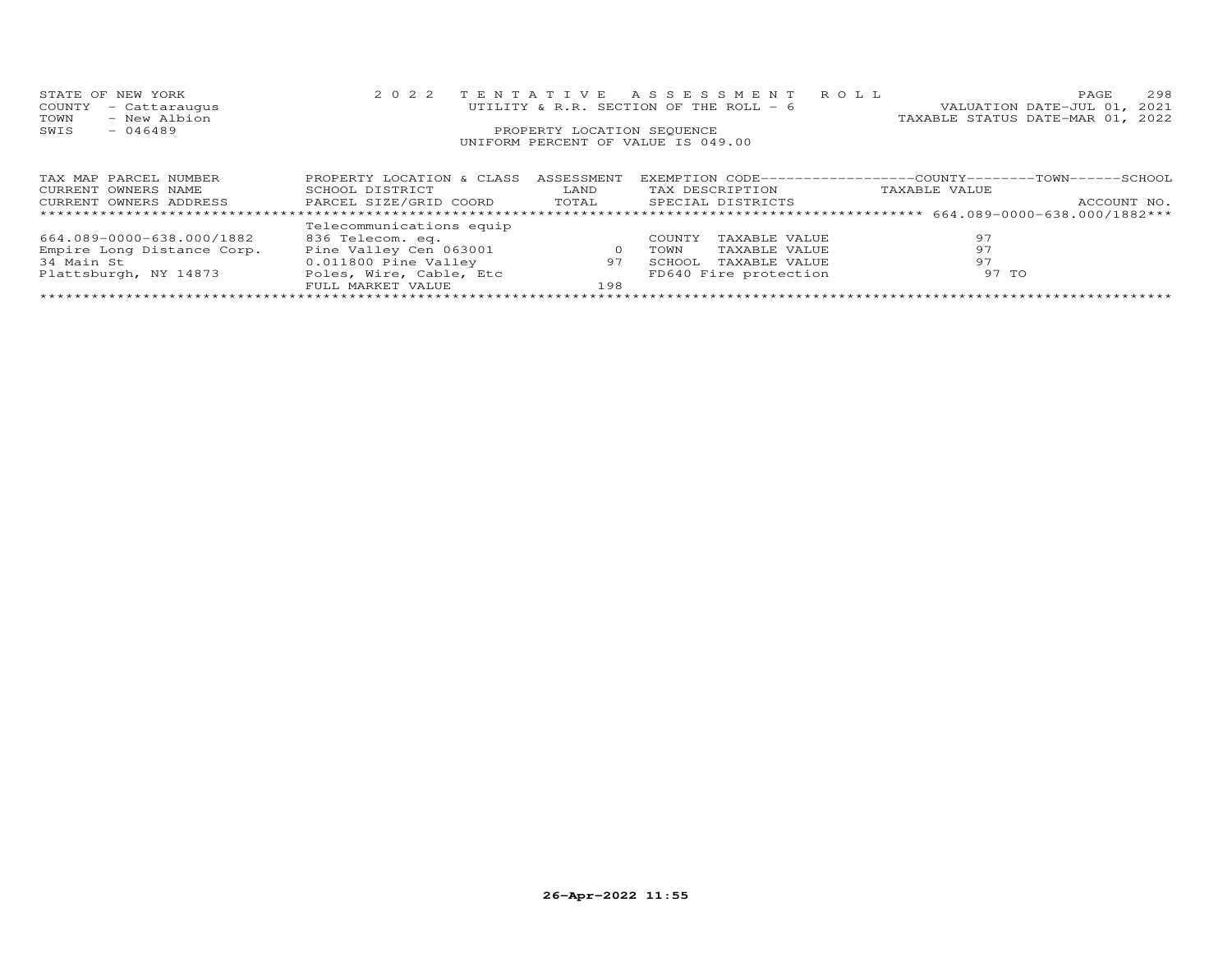| STATE OF NEW YORK                                   |                           |                            | 2022 TENTATIVE ASSESSMENT ROLL         |                                                              | 298<br>PAGE                      |
|-----------------------------------------------------|---------------------------|----------------------------|----------------------------------------|--------------------------------------------------------------|----------------------------------|
| COUNTY<br>- Cattaraugus                             |                           |                            | UTILITY & R.R. SECTION OF THE ROLL - 6 |                                                              | VALUATION DATE-JUL 01, 2021      |
| TOWN<br>- New Albion                                |                           |                            |                                        |                                                              | TAXABLE STATUS DATE-MAR 01, 2022 |
| $-046489$<br>SWIS                                   |                           | PROPERTY LOCATION SEQUENCE |                                        |                                                              |                                  |
|                                                     |                           |                            | UNIFORM PERCENT OF VALUE IS 049.00     |                                                              |                                  |
|                                                     |                           |                            |                                        |                                                              |                                  |
|                                                     |                           |                            |                                        |                                                              |                                  |
| TAX MAP PARCEL NUMBER                               | PROPERTY LOCATION & CLASS | ASSESSMENT                 |                                        | EXEMPTION CODE-----------------COUNTY-------TOWN------SCHOOL |                                  |
| CURRENT OWNERS NAME                                 | SCHOOL DISTRICT           | LAND                       | TAX DESCRIPTION                        | TAXABLE VALUE                                                |                                  |
| CURRENT OWNERS ADDRESS FARCEL SIZE/GRID COORD TOTAL |                           |                            | SPECIAL DISTRICTS                      |                                                              | ACCOUNT NO.                      |
|                                                     |                           |                            |                                        |                                                              |                                  |
|                                                     | Telecommunications equip  |                            |                                        |                                                              |                                  |
| 664.089-0000-638.000/1882                           | 836 Telecom. eq.          |                            | COUNTY<br>TAXABLE VALUE                | 97                                                           |                                  |
| Empire Long Distance Corp.                          | Pine Valley Cen 063001    | $\circ$                    | TAXABLE VALUE<br>TOWN                  | 97                                                           |                                  |
| 34 Main St                                          | 0.011800 Pine Valley      | 97                         | SCHOOL<br>TAXABLE VALUE                | 97                                                           |                                  |
| Plattsburgh, NY 14873                               | Poles, Wire, Cable, Etc   |                            | FD640 Fire protection                  | 97 TO                                                        |                                  |
|                                                     | FULL MARKET VALUE         | 198                        |                                        |                                                              |                                  |
|                                                     |                           |                            |                                        |                                                              |                                  |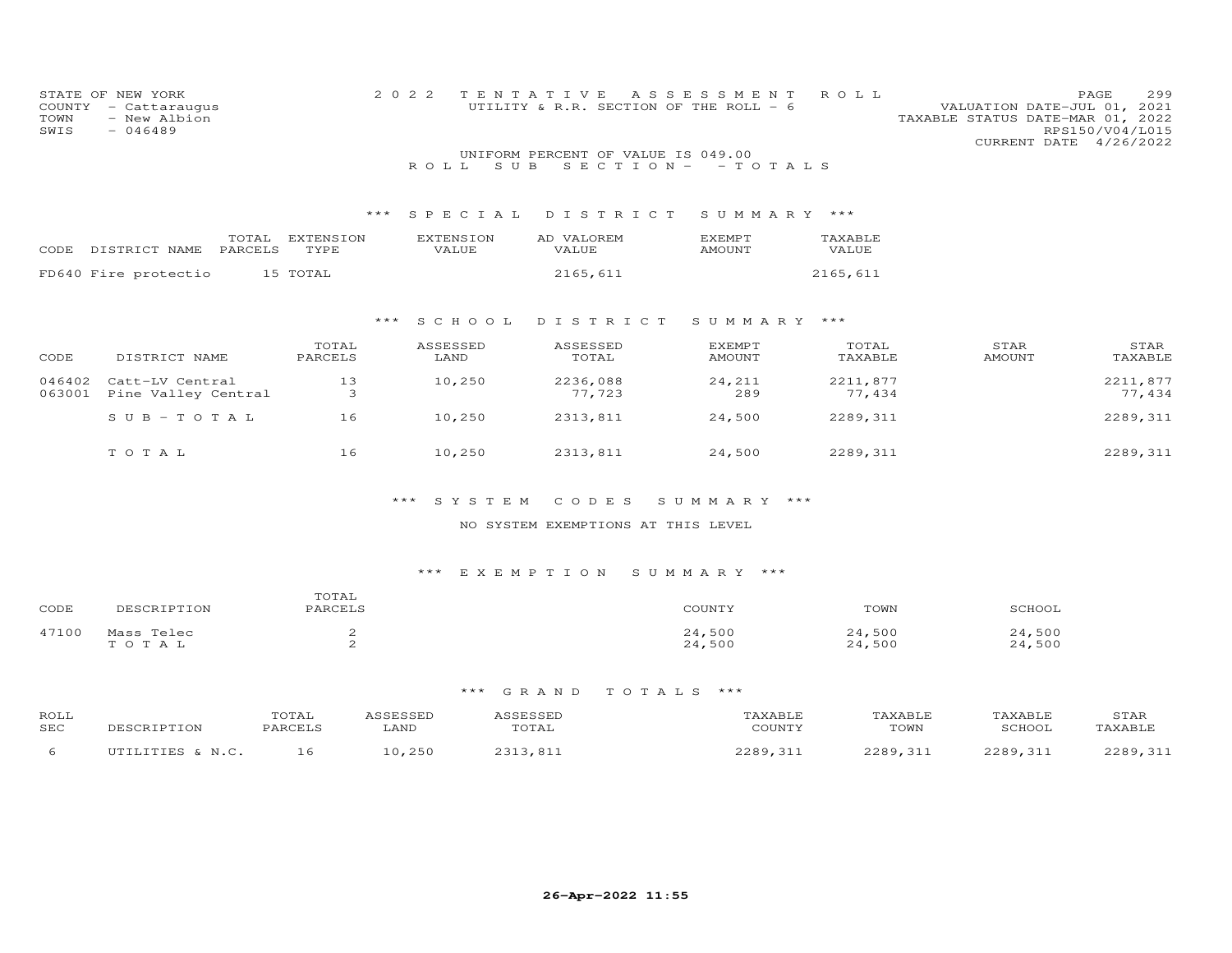| COUNTY<br>TOWN<br>SWIS | STATE OF NEW YORK<br>- Cattaraugus<br>- New Albion<br>$-046489$ |                          | 2 0 2 2                   | TENTATIVE<br>UTILITY & R.R. SECTION OF THE ROLL - 6<br>UNIFORM PERCENT OF VALUE IS 049.00 | ASSESSMENT                     | ROLL               | VALUATION DATE-JUL 01,<br>TAXABLE STATUS DATE-MAR 01, 2022<br>CURRENT DATE 4/26/2022 | 299<br>PAGE<br>2021<br>RPS150/V04/L015 |
|------------------------|-----------------------------------------------------------------|--------------------------|---------------------------|-------------------------------------------------------------------------------------------|--------------------------------|--------------------|--------------------------------------------------------------------------------------|----------------------------------------|
|                        |                                                                 |                          | S U B<br>ROLL.            | SECTION-                                                                                  | - TOTALS                       |                    |                                                                                      |                                        |
|                        |                                                                 | $***$                    | SPECIAL                   | DISTRICT                                                                                  | SUMMARY                        | ***                |                                                                                      |                                        |
| CODE                   | TOTAL<br>DISTRICT NAME<br>PARCELS                               | <b>EXTENSION</b><br>TYPE | <b>EXTENSION</b><br>VALUE | AD VALOREM<br>VALUE                                                                       | <b>EXEMPT</b><br><b>AMOUNT</b> | TAXABLE<br>VALUE   |                                                                                      |                                        |
|                        | FD640 Fire protectio                                            | 15 TOTAL                 |                           | 2165,611                                                                                  |                                | 2165,611           |                                                                                      |                                        |
|                        |                                                                 | ***                      | S C H O O L               | DISTRICT                                                                                  | SUMMARY                        | ***                |                                                                                      |                                        |
| CODE                   | DISTRICT NAME                                                   | TOTAL<br>PARCELS         | ASSESSED<br>LAND          | ASSESSED<br>TOTAL                                                                         | EXEMPT<br><b>AMOUNT</b>        | TOTAL<br>TAXABLE   | STAR<br><b>AMOUNT</b>                                                                | STAR<br>TAXABLE                        |
| 046402<br>063001       | Catt-LV Central<br>Pine Valley Central                          | 13<br>3                  | 10,250                    | 2236,088<br>77,723                                                                        | 24,211<br>289                  | 2211,877<br>77,434 |                                                                                      | 2211,877<br>77,434                     |
|                        | $SUB - TO T AL$                                                 | 16                       | 10,250                    | 2313,811                                                                                  | 24,500                         | 2289, 311          |                                                                                      | 2289, 311                              |
|                        | TO TAL                                                          | 16                       | 10,250                    | 2313,811                                                                                  | 24,500                         | 2289,311           |                                                                                      | 2289, 311                              |

#### NO SYSTEM EXEMPTIONS AT THIS LEVEL

# \*\*\* E X E M P T I O N S U M M A R Y \*\*\*

| CODE  | DESCRIPTION         | TOTAL<br>PARCELS | COUNTY           | TOWN             | SCHOOL           |
|-------|---------------------|------------------|------------------|------------------|------------------|
| 47100 | Mass Telec<br>TOTAL |                  | 24,500<br>24,500 | 24,500<br>24,500 | 24,500<br>24,500 |

| ROLL<br>SEC | DESCRIPTION                 | TOTAL<br><b>PARCELS</b> | CCECCED<br>LAND | ICCFCCFI<br>TOTAL | 'AXABLE<br>COUNTY | 'AXABLE<br>TOWN | TAXABLE<br>SCHOOL | STAR<br>TAXABLE |
|-------------|-----------------------------|-------------------------|-----------------|-------------------|-------------------|-----------------|-------------------|-----------------|
|             | $IITTITTTTFQ$ $I$ , $M$ $C$ |                         | 25C             | 2313.81           | 2200<br>.31.      | 229931          | 2289.31           | 2200<br>211     |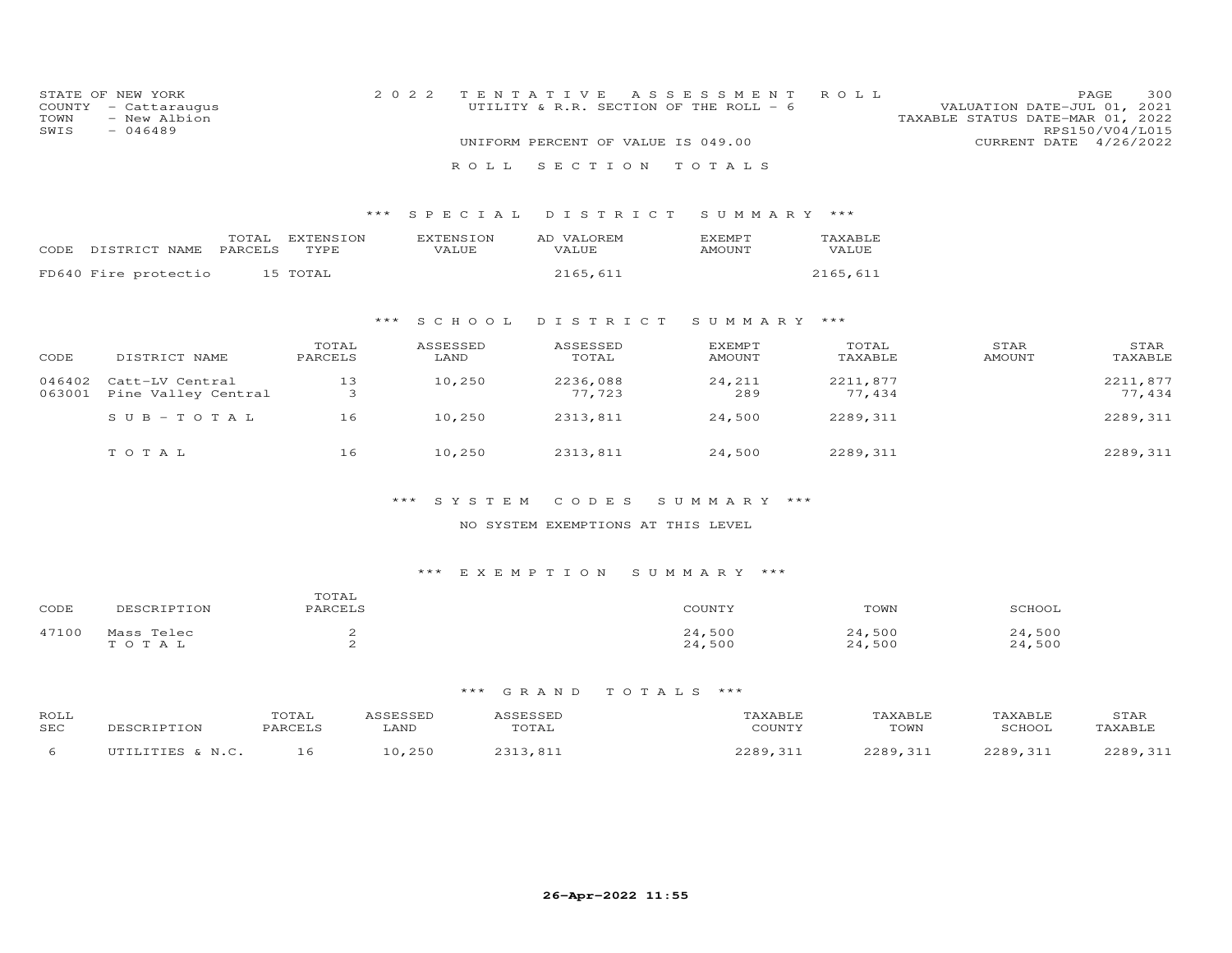| COUNTY<br>TOWN<br>SWIS | STATE OF NEW YORK<br>- Cattaraugus<br>- New Albion<br>$-046489$ | ROLL<br>2 0 2 2<br>TENTATIVE<br>A S S E S S M E N T<br>UTILITY & R.R. SECTION OF THE ROLL - 6<br>UNIFORM PERCENT OF VALUE IS 049.00<br>SECTION<br>R O L L<br>TOTALS |                           |                     |                         |                    | VALUATION DATE-JUL 01, 2021<br>TAXABLE STATUS DATE-MAR 01, 2022 | 300<br>PAGE<br>RPS150/V04/L015<br>CURRENT DATE 4/26/2022 |
|------------------------|-----------------------------------------------------------------|---------------------------------------------------------------------------------------------------------------------------------------------------------------------|---------------------------|---------------------|-------------------------|--------------------|-----------------------------------------------------------------|----------------------------------------------------------|
|                        |                                                                 | ***                                                                                                                                                                 | SPECIAL                   | DISTRICT            | SUMMARY                 | ***                |                                                                 |                                                          |
|                        | TOTAL<br>CODE DISTRICT NAME<br>PARCELS                          | <b>EXTENSION</b><br>TYPE                                                                                                                                            | <b>EXTENSION</b><br>VALUE | AD VALOREM<br>VALUE | EXEMPT<br>AMOUNT        | TAXABLE<br>VALUE   |                                                                 |                                                          |
|                        | FD640 Fire protectio                                            | 15 TOTAL                                                                                                                                                            |                           | 2165,611            |                         | 2165,611           |                                                                 |                                                          |
|                        |                                                                 |                                                                                                                                                                     | S C H O O L<br>***        | DISTRICT            | SUMMARY ***             |                    |                                                                 |                                                          |
| CODE                   | DISTRICT NAME                                                   | TOTAL<br>PARCELS                                                                                                                                                    | ASSESSED<br>LAND          | ASSESSED<br>TOTAL   | <b>EXEMPT</b><br>AMOUNT | TOTAL<br>TAXABLE   | STAR<br><b>AMOUNT</b>                                           | STAR<br>TAXABLE                                          |
| 046402<br>063001       | Catt-LV Central<br>Pine Valley Central                          | 13<br>3                                                                                                                                                             | 10,250                    | 2236,088<br>77,723  | 24,211<br>289           | 2211,877<br>77,434 |                                                                 | 2211,877<br>77,434                                       |
|                        | $S \cup B - T \cup T A L$                                       | 16                                                                                                                                                                  | 10,250                    | 2313,811            | 24,500                  | 2289,311           |                                                                 | 2289, 311                                                |
|                        | TOTAL                                                           | 16                                                                                                                                                                  | 10,250                    | 2313,811            | 24,500                  | 2289, 311          |                                                                 | 2289, 311                                                |

#### NO SYSTEM EXEMPTIONS AT THIS LEVEL

#### \*\*\* E X E M P T I O N S U M M A R Y \*\*\*

| CODE  | IPTION<br>フロピし          | TATAT<br>PARCELS | COUNTY                | TOWN                     | SCHOOL             |
|-------|-------------------------|------------------|-----------------------|--------------------------|--------------------|
| 47100 | Mass Telec<br>T O T A T | -                | ,500<br>24.<br>24,500 | ,500<br>24<br>.500<br>ク4 | ,500<br>,500<br>24 |

| ROLL<br>SEC | DESCRIPTION                 | TOTAL<br><b>PARCELS</b> | CCECCED<br>LAND | ICCFCCFI<br>TOTAL | 'AXABLE<br>COUNTY | 'AXABLE<br>TOWN | TAXABLE<br>SCHOOL | STAR<br>TAXABLE |
|-------------|-----------------------------|-------------------------|-----------------|-------------------|-------------------|-----------------|-------------------|-----------------|
|             | $IITTITTTTFQ$ $I$ , $M$ $C$ |                         | 25C             | 2313.81           | 2200<br>.31.      | 229931          | 2289.31           | 2200<br>211     |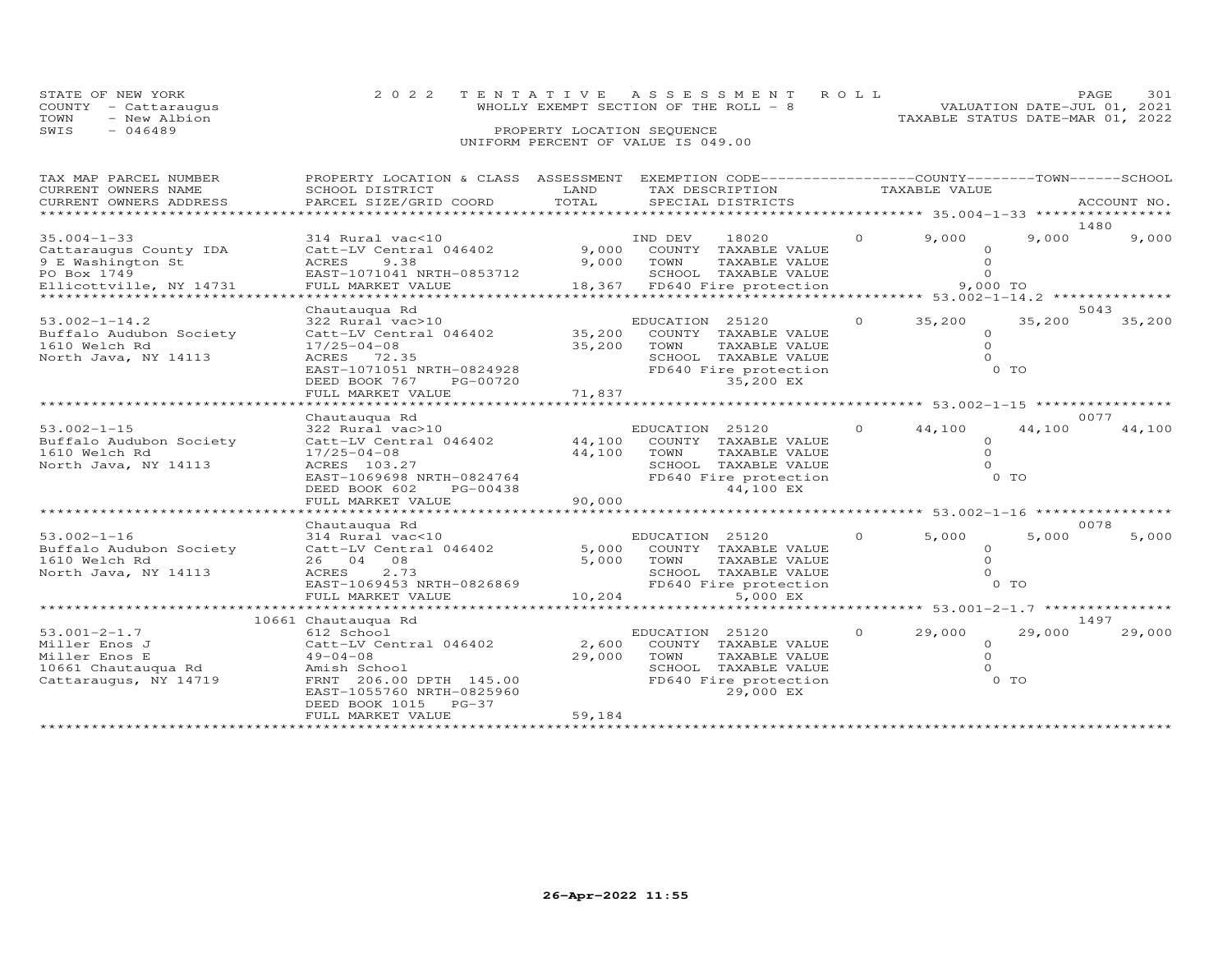|      | STATE OF NEW YORK    | 2022 TENTATIVE ASSESSMENT ROLL         |  |                                  | PAGE.                       | 301 |
|------|----------------------|----------------------------------------|--|----------------------------------|-----------------------------|-----|
|      | COUNTY - Cattaraugus | WHOLLY EXEMPT SECTION OF THE ROLL $-8$ |  |                                  | VALUATION DATE-JUL 01, 2021 |     |
| TOWN | - New Albion         |                                        |  | TAXABLE STATUS DATE-MAR 01, 2022 |                             |     |
| SWIS | - 046489             | PROPERTY LOCATION SEQUENCE             |  |                                  |                             |     |
|      |                      | UNIFORM PERCENT OF VALUE IS 049.00     |  |                                  |                             |     |

| TAX MAP PARCEL NUMBER<br>CURRENT OWNERS NAME<br>CURRENT OWNERS ADDRESS | PROPERTY LOCATION & CLASS ASSESSMENT<br>SCHOOL DISTRICT<br>PARCEL SIZE/GRID COORD | LAND<br>TOTAL | EXEMPTION CODE-----------------COUNTY-------TOWN------SCHOOL<br>TAX DESCRIPTION<br>SPECIAL DISTRICTS |          | TAXABLE VALUE                                       |        | ACCOUNT NO.    |
|------------------------------------------------------------------------|-----------------------------------------------------------------------------------|---------------|------------------------------------------------------------------------------------------------------|----------|-----------------------------------------------------|--------|----------------|
| **********************                                                 |                                                                                   |               |                                                                                                      |          |                                                     |        |                |
|                                                                        |                                                                                   |               |                                                                                                      |          |                                                     |        | 1480           |
| $35.004 - 1 - 33$                                                      | 314 Rural vac<10                                                                  |               | IND DEV<br>18020                                                                                     | $\Omega$ | 9,000                                               | 9,000  | 9,000          |
| Cattaraugus County IDA                                                 | Catt-LV Central 046402                                                            | 9,000         | COUNTY TAXABLE VALUE                                                                                 |          | $\Omega$                                            |        |                |
| 9 E Washington St                                                      | ACRES<br>9.38                                                                     | 9,000         | TOWN<br>TAXABLE VALUE                                                                                |          | $\Omega$                                            |        |                |
| PO Box 1749                                                            | EAST-1071041 NRTH-0853712                                                         |               | SCHOOL TAXABLE VALUE                                                                                 |          | $\Omega$                                            |        |                |
| Ellicottville, NY 14731                                                | FULL MARKET VALUE<br>**********************                                       | 18,367        | FD640 Fire protection                                                                                |          | 9,000 TO                                            |        |                |
|                                                                        |                                                                                   |               |                                                                                                      |          |                                                     |        |                |
|                                                                        | Chautauqua Rd                                                                     |               |                                                                                                      | $\Omega$ | 35,200                                              | 35,200 | 5043<br>35,200 |
| $53.002 - 1 - 14.2$                                                    | 322 Rural vac>10                                                                  | 35,200        | EDUCATION 25120                                                                                      |          |                                                     |        |                |
| Buffalo Audubon Society<br>1610 Welch Rd                               | Catt-LV Central 046402                                                            | 35,200        | COUNTY TAXABLE VALUE<br>TOWN<br>TAXABLE VALUE                                                        |          | $\circ$<br>$\Omega$                                 |        |                |
| North Java, NY 14113                                                   | $17/25 - 04 - 08$<br>ACRES 72.35                                                  |               | SCHOOL TAXABLE VALUE                                                                                 |          | $\Omega$                                            |        |                |
|                                                                        | EAST-1071051 NRTH-0824928                                                         |               | FD640 Fire protection                                                                                |          |                                                     | $0$ TO |                |
|                                                                        | DEED BOOK 767<br>PG-00720                                                         |               | 35,200 EX                                                                                            |          |                                                     |        |                |
|                                                                        | FULL MARKET VALUE                                                                 | 71,837        |                                                                                                      |          |                                                     |        |                |
|                                                                        |                                                                                   |               | ********************                                                                                 |          | ********************* 53.002-1-15 ***************** |        |                |
|                                                                        | Chautauqua Rd                                                                     |               |                                                                                                      |          |                                                     |        | 0077           |
| $53.002 - 1 - 15$                                                      | 322 Rural vac>10                                                                  |               | EDUCATION 25120                                                                                      | $\Omega$ | 44,100                                              | 44,100 | 44,100         |
| Buffalo Audubon Society                                                | Catt-LV Central 046402                                                            | 44,100        | COUNTY TAXABLE VALUE                                                                                 |          | $\circ$                                             |        |                |
| 1610 Welch Rd                                                          | $17/25 - 04 - 08$                                                                 | 44,100        | TOWN<br>TAXABLE VALUE                                                                                |          | $\Omega$                                            |        |                |
| North Java, NY 14113                                                   | ACRES 103.27                                                                      |               | SCHOOL TAXABLE VALUE                                                                                 |          | $\Omega$                                            |        |                |
|                                                                        | EAST-1069698 NRTH-0824764                                                         |               | FD640 Fire protection                                                                                |          |                                                     | 0 TO   |                |
|                                                                        | DEED BOOK 602<br>PG-00438                                                         |               | 44,100 EX                                                                                            |          |                                                     |        |                |
|                                                                        | FULL MARKET VALUE                                                                 | 90,000        |                                                                                                      |          |                                                     |        |                |
|                                                                        |                                                                                   |               |                                                                                                      |          |                                                     |        |                |
|                                                                        | Chautauqua Rd                                                                     |               |                                                                                                      |          |                                                     |        | 0078           |
| $53.002 - 1 - 16$                                                      | 314 Rural vac<10                                                                  |               | EDUCATION 25120                                                                                      | $\Omega$ | 5,000                                               | 5,000  | 5,000          |
| Buffalo Audubon Society                                                | Catt-LV Central 046402                                                            | 5,000         | COUNTY TAXABLE VALUE                                                                                 |          | $\Omega$                                            |        |                |
| 1610 Welch Rd                                                          | 26 04 08                                                                          | 5,000         | TOWN<br>TAXABLE VALUE                                                                                |          | $\Omega$                                            |        |                |
| North Java, NY 14113                                                   | 2.73<br>ACRES                                                                     |               | SCHOOL TAXABLE VALUE                                                                                 |          | $\Omega$                                            |        |                |
|                                                                        | EAST-1069453 NRTH-0826869                                                         |               | FD640 Fire protection                                                                                |          |                                                     | 0 TO   |                |
|                                                                        | FULL MARKET VALUE                                                                 | 10,204        | 5,000 EX                                                                                             |          |                                                     |        |                |
|                                                                        | *********************                                                             |               |                                                                                                      |          | ********* 53.001-2-1.7 *******                      |        |                |
|                                                                        | 10661 Chautauqua Rd                                                               |               |                                                                                                      |          |                                                     |        | 1497           |
| $53.001 - 2 - 1.7$                                                     | 612 School                                                                        |               | EDUCATION 25120                                                                                      | $\Omega$ | 29,000                                              | 29,000 | 29,000         |
| Miller Enos J                                                          | Catt-LV Central 046402                                                            | 2,600         | COUNTY TAXABLE VALUE                                                                                 |          | $\circ$                                             |        |                |
| Miller Enos E                                                          | $49 - 04 - 08$                                                                    | 29,000        | TOWN<br>TAXABLE VALUE                                                                                |          | $\Omega$                                            |        |                |
| 10661 Chautauqua Rd                                                    | Amish School                                                                      |               | SCHOOL TAXABLE VALUE                                                                                 |          | $\Omega$                                            |        |                |
| Cattaraugus, NY 14719                                                  | FRNT 206.00 DPTH 145.00                                                           |               | FD640 Fire protection                                                                                |          |                                                     | 0 TO   |                |
|                                                                        | EAST-1055760 NRTH-0825960                                                         |               | 29,000 EX                                                                                            |          |                                                     |        |                |
|                                                                        | $PG-37$<br>DEED BOOK 1015                                                         |               |                                                                                                      |          |                                                     |        |                |
|                                                                        | FULL MARKET VALUE                                                                 | 59,184        |                                                                                                      |          |                                                     |        |                |
|                                                                        |                                                                                   |               |                                                                                                      |          |                                                     |        |                |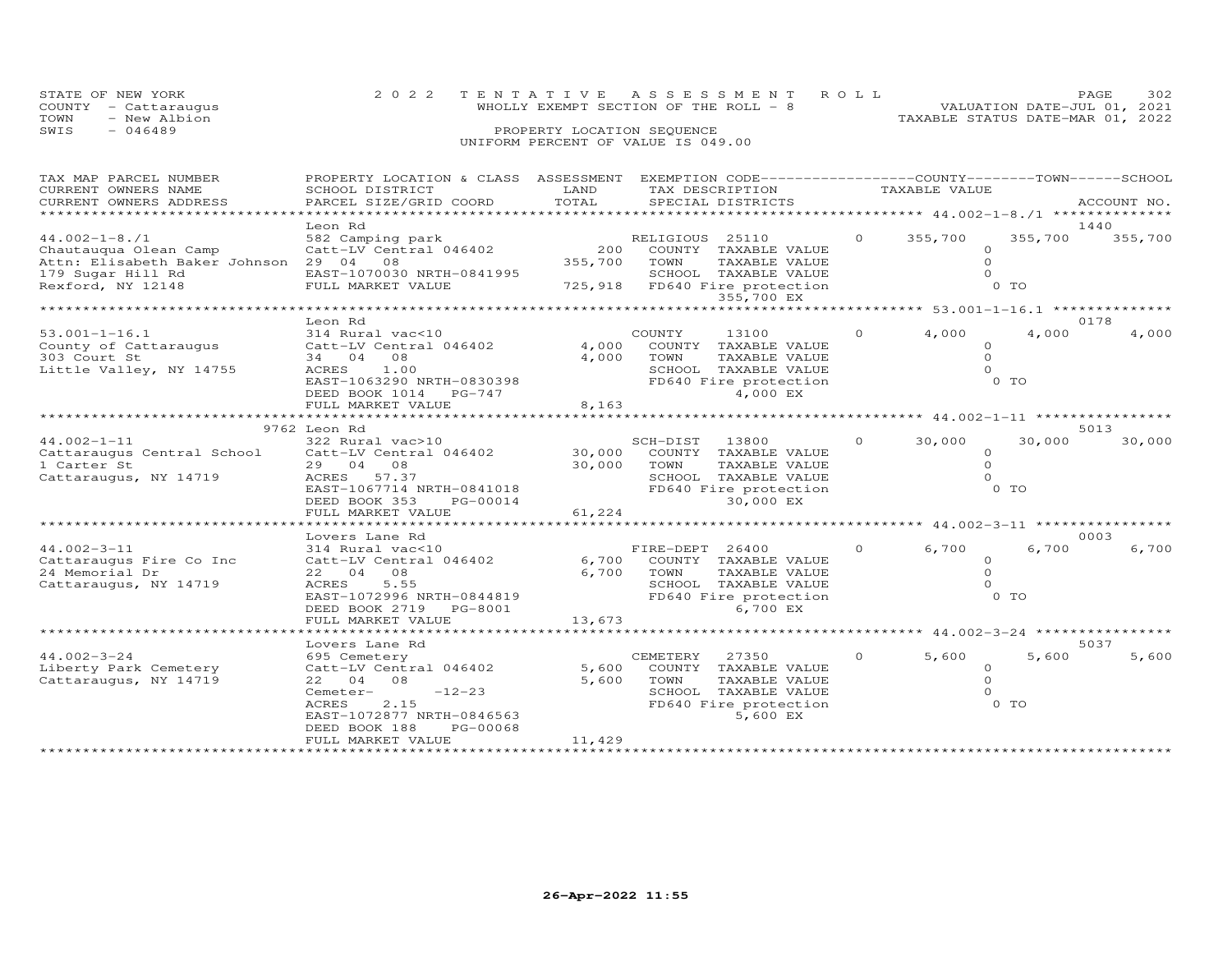|      | STATE OF NEW YORK    | 2022 TENTATIVE ASSESSMENT ROLL         |  |                                  | PAGF                        | 302 |
|------|----------------------|----------------------------------------|--|----------------------------------|-----------------------------|-----|
|      | COUNTY - Cattaraugus | WHOLLY EXEMPT SECTION OF THE ROLL $-8$ |  |                                  | VALUATION DATE-JUL 01, 2021 |     |
| TOWN | - New Albion         |                                        |  | TAXABLE STATUS DATE-MAR 01, 2022 |                             |     |
| SWIS | $-046489$            | PROPERTY LOCATION SEQUENCE             |  |                                  |                             |     |
|      |                      | UNIFORM PERCENT OF VALUE IS 049.00     |  |                                  |                             |     |

| TAX MAP PARCEL NUMBER                  | PROPERTY LOCATION & CLASS ASSESSMENT |         |                   | EXEMPTION CODE-----------------COUNTY-------TOWN------SCHOOL |          |                                        |          |             |
|----------------------------------------|--------------------------------------|---------|-------------------|--------------------------------------------------------------|----------|----------------------------------------|----------|-------------|
| CURRENT OWNERS NAME                    | SCHOOL DISTRICT                      | LAND    | TAX DESCRIPTION   |                                                              |          | TAXABLE VALUE                          |          |             |
| CURRENT OWNERS ADDRESS                 | PARCEL SIZE/GRID COORD               | TOTAL   | SPECIAL DISTRICTS |                                                              |          |                                        |          | ACCOUNT NO. |
|                                        |                                      |         |                   |                                                              |          |                                        |          |             |
|                                        | Leon Rd                              |         |                   |                                                              |          |                                        |          | 1440        |
| $44.002 - 1 - 8.71$                    | 582 Camping park                     |         | RELIGIOUS 25110   |                                                              | $\circ$  | 355,700                                | 355,700  | 355,700     |
| Chautauqua Olean Camp                  | Catt-LV Central 046402               | 200     |                   | COUNTY TAXABLE VALUE                                         |          |                                        | $\Omega$ |             |
| Attn: Elisabeth Baker Johnson 29 04 08 |                                      | 355,700 | TOWN              | TAXABLE VALUE                                                |          |                                        | $\circ$  |             |
| 179 Sugar Hill Rd                      | EAST-1070030 NRTH-0841995            |         |                   | SCHOOL TAXABLE VALUE                                         |          |                                        | $\Omega$ |             |
|                                        |                                      |         |                   |                                                              |          |                                        | 0 TO     |             |
| Rexford, NY 12148                      | FULL MARKET VALUE                    |         |                   | 725,918 FD640 Fire protection                                |          |                                        |          |             |
|                                        |                                      |         |                   | 355,700 EX<br>***************                                |          |                                        |          |             |
|                                        |                                      |         |                   |                                                              |          | ******** 53.001-1-16.1 *************** |          |             |
|                                        | Leon Rd                              |         |                   |                                                              |          |                                        |          | 0178        |
| $53.001 - 1 - 16.1$                    | 314 Rural vac<10                     |         | COUNTY            | 13100                                                        | $\Omega$ | 4,000                                  | 4,000    | 4,000       |
| County of Cattaraugus                  | Catt-LV Central 046402               |         |                   | 4,000 COUNTY TAXABLE VALUE                                   |          |                                        |          |             |
| 303 Court St                           | 34 04 08                             |         | 4,000 TOWN        | TAXABLE VALUE                                                |          |                                        | $\Omega$ |             |
| Little Valley, NY 14755                | ACRES<br>1.00                        |         |                   | SCHOOL TAXABLE VALUE                                         |          |                                        |          |             |
|                                        | EAST-1063290 NRTH-0830398            |         |                   | FD640 Fire protection                                        |          |                                        | $0$ TO   |             |
|                                        | DEED BOOK 1014 PG-747                |         |                   | 4,000 EX                                                     |          |                                        |          |             |
|                                        | FULL MARKET VALUE                    | 8,163   |                   |                                                              |          |                                        |          |             |
|                                        |                                      |         |                   |                                                              |          |                                        |          |             |
|                                        | 9762 Leon Rd                         |         |                   |                                                              |          |                                        |          | 5013        |
| $44.002 - 1 - 11$                      |                                      |         |                   |                                                              | $\Omega$ | 30,000                                 | 30,000   |             |
|                                        | 322 Rural vac>10                     |         | SCH-DIST          | 13800                                                        |          |                                        |          | 30,000      |
| Cattaraugus Central School             | Catt-LV Central 046402               |         |                   | 30,000 COUNTY TAXABLE VALUE                                  |          |                                        | $\Omega$ |             |
| 1 Carter St                            | 29 04 08                             | 30,000  | TOWN              | TAXABLE VALUE                                                |          |                                        | $\Omega$ |             |
| Cattaraugus, NY 14719                  | ACRES 57.37                          |         |                   | SCHOOL TAXABLE VALUE                                         |          |                                        |          |             |
|                                        | EAST-1067714 NRTH-0841018            |         |                   | FD640 Fire protection                                        |          |                                        | $0$ TO   |             |
|                                        | DEED BOOK 353<br>PG-00014            |         |                   | 30,000 EX                                                    |          |                                        |          |             |
|                                        | FULL MARKET VALUE                    | 61,224  |                   |                                                              |          |                                        |          |             |
|                                        | ******************************       |         |                   |                                                              |          |                                        |          |             |
|                                        | Lovers Lane Rd                       |         |                   |                                                              |          |                                        |          | 0003        |
| $44.002 - 3 - 11$                      | 314 Rural vac<10                     |         | FIRE-DEPT 26400   |                                                              | $\circ$  | 6,700                                  | 6,700    | 6,700       |
| Cattaraugus Fire Co Inc                | Catt-LV Central 046402               |         |                   | 6,700 COUNTY TAXABLE VALUE                                   |          |                                        | $\Omega$ |             |
| 24 Memorial Dr                         | 22 04 08                             |         | 6,700 TOWN        | TAXABLE VALUE                                                |          |                                        | $\Omega$ |             |
| Cattaraugus, NY 14719                  | ACRES<br>5.55                        |         |                   | SCHOOL TAXABLE VALUE                                         |          |                                        | $\cap$   |             |
|                                        | EAST-1072996 NRTH-0844819            |         |                   | FD640 Fire protection                                        |          |                                        | $0$ TO   |             |
|                                        |                                      |         |                   |                                                              |          |                                        |          |             |
|                                        | DEED BOOK 2719 PG-8001               |         |                   | 6,700 EX                                                     |          |                                        |          |             |
|                                        | FULL MARKET VALUE                    | 13,673  |                   |                                                              |          |                                        |          |             |
|                                        | *************************            |         |                   |                                                              |          |                                        |          |             |
|                                        | Lovers Lane Rd                       |         |                   |                                                              |          |                                        |          | 5037        |
| $44.002 - 3 - 24$                      | 695 Cemetery                         |         | CEMETERY          | 27350                                                        | $\circ$  | 5,600                                  | 5,600    | 5,600       |
| Liberty Park Cemetery                  | Catt-LV Central 046402               | 5,600   |                   | COUNTY TAXABLE VALUE                                         |          |                                        | $\Omega$ |             |
| Cattaraugus, NY 14719                  | 22 04 08                             | 5,600   | TOWN              | TAXABLE VALUE                                                |          |                                        | $\Omega$ |             |
|                                        | $-12-23$<br>Cemeter-                 |         |                   | SCHOOL TAXABLE VALUE                                         |          |                                        | $\Omega$ |             |
|                                        | 2.15<br><b>ACRES</b>                 |         |                   | FD640 Fire protection                                        |          |                                        | 0 TO     |             |
|                                        | EAST-1072877 NRTH-0846563            |         |                   | 5,600 EX                                                     |          |                                        |          |             |
|                                        | DEED BOOK 188<br>PG-00068            |         |                   |                                                              |          |                                        |          |             |
|                                        | FULL MARKET VALUE                    | 11,429  |                   |                                                              |          |                                        |          |             |
|                                        |                                      |         |                   |                                                              |          |                                        |          |             |
|                                        |                                      |         |                   |                                                              |          |                                        |          |             |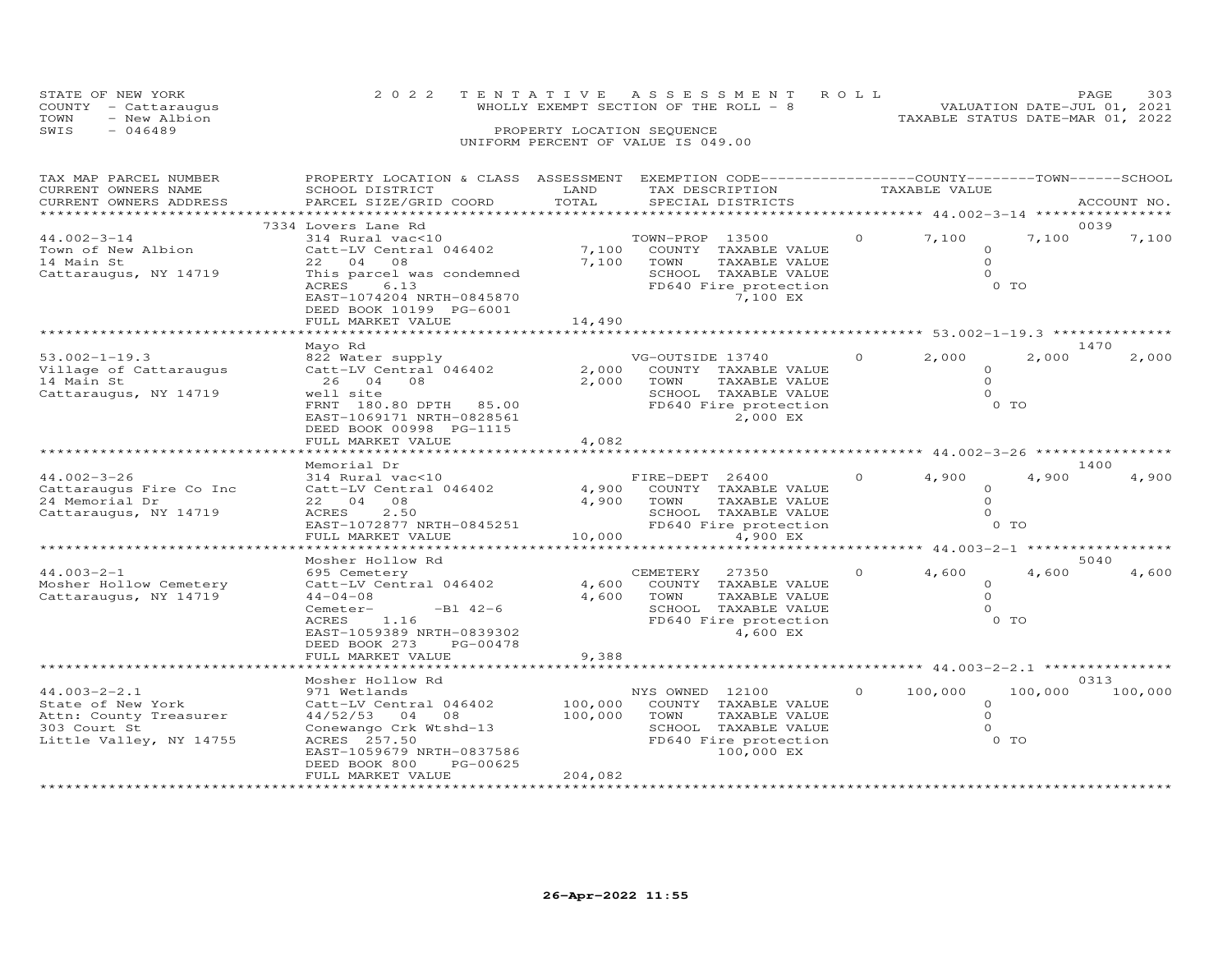|      | STATE OF NEW YORK    | 2022 TENTATIVE ASSESSMENT ROLL         | PAGE.                       | 303 |
|------|----------------------|----------------------------------------|-----------------------------|-----|
|      | COUNTY - Cattaraugus | WHOLLY EXEMPT SECTION OF THE ROLL $-8$ | VALUATION DATE-JUL 01, 2021 |     |
| TOWN | - New Albion         | TAXABLE STATUS DATE-MAR 01, 2022       |                             |     |
| SWIS | $-046489$            | PROPERTY LOCATION SEQUENCE             |                             |     |
|      |                      | UNIFORM PERCENT OF VALUE IS 049.00     |                             |     |

| TAX MAP PARCEL NUMBER<br>CURRENT OWNERS NAME<br>CURRENT OWNERS ADDRESS                                       | PROPERTY LOCATION & CLASS ASSESSMENT<br>SCHOOL DISTRICT<br>PARCEL SIZE/GRID COORD                                                                                                                        | LAND<br>TOTAL                 | EXEMPTION CODE-----------------COUNTY-------TOWN-----SCHOOL<br>TAX DESCRIPTION<br>SPECIAL DISTRICTS                                  |                | TAXABLE VALUE                                      |                         | ACCOUNT NO.     |
|--------------------------------------------------------------------------------------------------------------|----------------------------------------------------------------------------------------------------------------------------------------------------------------------------------------------------------|-------------------------------|--------------------------------------------------------------------------------------------------------------------------------------|----------------|----------------------------------------------------|-------------------------|-----------------|
|                                                                                                              |                                                                                                                                                                                                          | ******************            |                                                                                                                                      |                | $*************************44.002-3-14*********$    |                         |                 |
| $44.002 - 3 - 14$<br>Town of New Albion<br>14 Main St<br>Cattaraugus, NY 14719                               | 7334 Lovers Lane Rd<br>314 Rural vac<10<br>Catt-LV Central 046402<br>22 04 08<br>This parcel was condemned<br>ACRES<br>6.13<br>EAST-1074204 NRTH-0845870<br>DEED BOOK 10199 PG-6001<br>FULL MARKET VALUE | 7,100<br>7,100<br>14,490      | TOWN-PROP 13500<br>COUNTY TAXABLE VALUE<br>TOWN<br>TAXABLE VALUE<br>SCHOOL TAXABLE VALUE<br>FD640 Fire protection<br>7,100 EX        | $\circ$        | 7,100<br>$\Omega$<br>$\circ$<br>$\Omega$<br>$0$ TO | 7,100                   | 0039<br>7,100   |
|                                                                                                              | Mayo Rd                                                                                                                                                                                                  |                               |                                                                                                                                      |                | ********** 53.002-1-19.3 *******                   |                         | 1470            |
| $53.002 - 1 - 19.3$<br>Village of Cattaraugus<br>14 Main St<br>Cattaraugus, NY 14719                         | 822 Water supply<br>Catt-LV Central 046402<br>26 04 08<br>well site<br>FRNT 180.80 DPTH 85.00<br>EAST-1069171 NRTH-0828561<br>DEED BOOK 00998 PG-1115<br>FULL MARKET VALUE                               | 2,000<br>4,082                | VG-OUTSIDE 13740<br>2,000 COUNTY TAXABLE VALUE<br>TAXABLE VALUE<br>TOWN<br>SCHOOL TAXABLE VALUE<br>FD640 Fire protection<br>2,000 EX | $\overline{O}$ | 2,000<br>$\circ$<br>$\Omega$<br>$\Omega$<br>0 TO   | 2,000                   | 2,000           |
|                                                                                                              |                                                                                                                                                                                                          |                               | ************************************ 44.002-3-26 ********                                                                            |                |                                                    |                         |                 |
| $44.002 - 3 - 26$<br>Cattaraugus Fire Co Inc<br>24 Memorial Dr<br>Cattaraugus, NY 14719                      | Memorial Dr<br>314 Rural vac<10<br>Catt-LV Central 046402<br>22 04 08<br>2.50<br>ACRES<br>EAST-1072877 NRTH-0845251<br>FULL MARKET VALUE                                                                 | 4,900<br>4,900 TOWN<br>10,000 | FIRE-DEPT 26400<br>COUNTY TAXABLE VALUE<br>TAXABLE VALUE<br>SCHOOL TAXABLE VALUE<br>FD640 Fire protection<br>4,900 EX                | $\Omega$       | 4,900<br>$\Omega$<br>$\circ$<br>$\Omega$           | 4,900<br>0 <sub>T</sub> | 1400<br>4,900   |
|                                                                                                              | ************************<br>Mosher Hollow Rd                                                                                                                                                             |                               |                                                                                                                                      |                |                                                    |                         | 5040            |
| $44.003 - 2 - 1$<br>Mosher Hollow Cemetery<br>Cattaraugus, NY 14719                                          | 695 Cemetery<br>Catt-LV Central 046402<br>$44 - 04 - 08$<br>$-B1 42-6$<br>Cemeter-<br>1.16<br>ACRES<br>EAST-1059389 NRTH-0839302<br>DEED BOOK 273<br>PG-00478                                            | 4,600<br>4,600                | CEMETERY 27350<br>COUNTY TAXABLE VALUE<br>TOWN<br>TAXABLE VALUE<br>SCHOOL TAXABLE VALUE<br>FD640 Fire protection<br>4,600 EX         | $\Omega$       | 4,600<br>$\circ$<br>$\Omega$<br>$\Omega$           | 4,600<br>0 <sub>T</sub> | 4,600           |
|                                                                                                              | FULL MARKET VALUE                                                                                                                                                                                        | 9,388                         | ************************************ 44.003-2-2.1 ****************                                                                   |                |                                                    |                         |                 |
| $44.003 - 2 - 2.1$<br>State of New York<br>Attn: County Treasurer<br>303 Court St<br>Little Valley, NY 14755 | Mosher Hollow Rd<br>971 Wetlands<br>Catt-LV Central 046402<br>44/52/53 04<br>08<br>Conewango Crk Wtshd-13<br>ACRES 257.50<br>EAST-1059679 NRTH-0837586<br>PG-00625<br>DEED BOOK 800                      | 100,000<br>100,000            | NYS OWNED 12100<br>COUNTY TAXABLE VALUE<br>TOWN<br>TAXABLE VALUE<br>SCHOOL TAXABLE VALUE<br>FD640 Fire protection<br>100,000 EX      | $\circ$        | 100,000<br>$\circ$<br>$\circ$<br>$\Omega$          | 100,000<br>0 TO         | 0313<br>100,000 |
|                                                                                                              | FULL MARKET VALUE                                                                                                                                                                                        | 204,082                       |                                                                                                                                      |                |                                                    |                         |                 |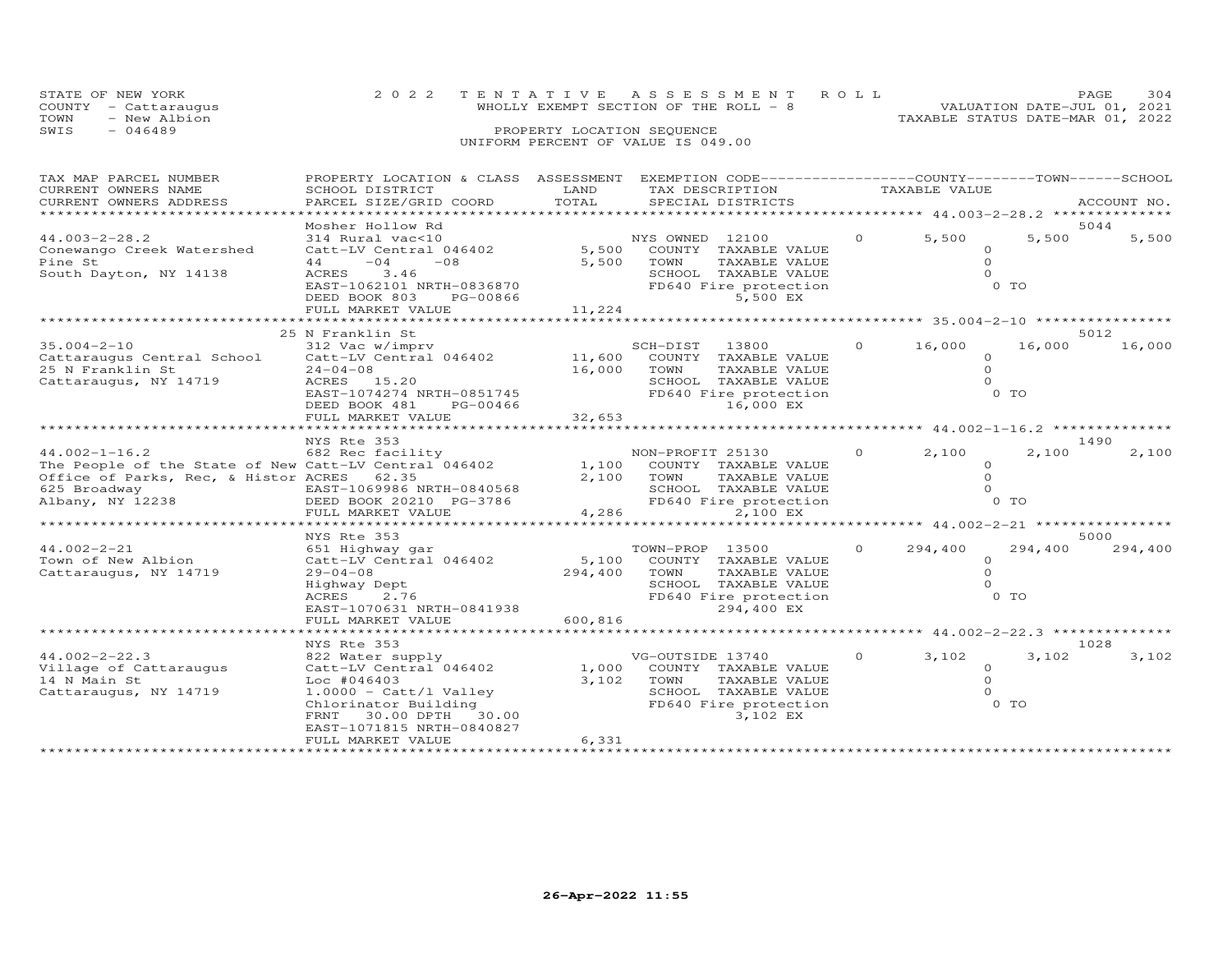|      | STATE OF NEW YORK    | 2022 TENTATIVE ASSESSMENT ROLL        |  |                                  | PAGE                        | 304 |
|------|----------------------|---------------------------------------|--|----------------------------------|-----------------------------|-----|
|      | COUNTY - Cattaraugus | WHOLLY EXEMPT SECTION OF THE ROLL - 8 |  |                                  | VALUATION DATE-JUL 01, 2021 |     |
| TOWN | - New Albion         |                                       |  | TAXABLE STATUS DATE-MAR 01, 2022 |                             |     |
| SWIS | $-046489$            | PROPERTY LOCATION SEQUENCE            |  |                                  |                             |     |
|      |                      | UNIFORM PERCENT OF VALUE IS 049.00    |  |                                  |                             |     |

| TAX MAP PARCEL NUMBER                                 | PROPERTY LOCATION & CLASS ASSESSMENT |                                | EXEMPTION CODE-----------------COUNTY-------TOWN------SCHOOL |               |          |               |                                                |               |
|-------------------------------------------------------|--------------------------------------|--------------------------------|--------------------------------------------------------------|---------------|----------|---------------|------------------------------------------------|---------------|
| CURRENT OWNERS NAME                                   | SCHOOL DISTRICT                      | LAND                           | TAX DESCRIPTION                                              |               |          | TAXABLE VALUE |                                                |               |
| CURRENT OWNERS ADDRESS                                | PARCEL SIZE/GRID COORD               | TOTAL<br>********************* | SPECIAL DISTRICTS                                            |               |          |               |                                                | ACCOUNT NO.   |
|                                                       |                                      |                                |                                                              |               |          |               | *********************** 44.003-2-28.2 ******** |               |
| $44.003 - 2 - 28.2$                                   | Mosher Hollow Rd<br>314 Rural vac<10 |                                | NYS OWNED 12100                                              |               | $\Omega$ | 5,500         | 5,500                                          | 5044<br>5,500 |
| Conewango Creek Watershed                             | Catt-LV Central 046402               | 5,500                          | COUNTY TAXABLE VALUE                                         |               |          |               | $\Omega$                                       |               |
| Pine St                                               | $-08$<br>44<br>$-04$                 | 5,500                          | TOWN                                                         | TAXABLE VALUE |          |               | $\Omega$                                       |               |
| South Dayton, NY 14138                                | ACRES<br>3.46                        |                                | SCHOOL TAXABLE VALUE                                         |               |          |               | $\Omega$                                       |               |
|                                                       | EAST-1062101 NRTH-0836870            |                                | FD640 Fire protection                                        |               |          |               | $0$ TO                                         |               |
|                                                       | DEED BOOK 803<br>PG-00866            |                                |                                                              | 5,500 EX      |          |               |                                                |               |
|                                                       | FULL MARKET VALUE                    | 11,224                         |                                                              |               |          |               |                                                |               |
|                                                       | **************************           |                                |                                                              |               |          |               |                                                |               |
|                                                       | 25 N Franklin St                     |                                |                                                              |               |          |               |                                                | 5012          |
| $35.004 - 2 - 10$                                     | 312 Vac w/imprv                      |                                | SCH-DIST<br>13800                                            |               | $\Omega$ | 16,000        | 16,000                                         | 16,000        |
| Cattaraugus Central School                            | Catt-LV Central 046402               |                                | 11,600 COUNTY TAXABLE VALUE                                  |               |          |               | $\circ$                                        |               |
| 25 N Franklin St                                      | $24 - 04 - 08$                       | 16,000                         | TOWN                                                         | TAXABLE VALUE |          |               | $\circ$                                        |               |
| Cattaraugus, NY 14719                                 | ACRES 15.20                          |                                | SCHOOL TAXABLE VALUE                                         |               |          |               | $\Omega$                                       |               |
|                                                       | EAST-1074274 NRTH-0851745            |                                | FD640 Fire protection                                        |               |          |               | $0$ TO                                         |               |
|                                                       | DEED BOOK 481<br>PG-00466            |                                | 16,000 EX                                                    |               |          |               |                                                |               |
|                                                       | FULL MARKET VALUE                    | 32,653                         |                                                              |               |          |               |                                                |               |
|                                                       |                                      |                                |                                                              |               |          |               |                                                |               |
|                                                       | NYS Rte 353                          |                                |                                                              |               |          |               |                                                | 1490          |
| $44.002 - 1 - 16.2$                                   | 682 Rec facility                     |                                | NON-PROFIT 25130                                             |               | $\Omega$ | 2,100         | 2,100                                          | 2,100         |
| The People of the State of New Catt-LV Central 046402 |                                      | 1,100                          | COUNTY TAXABLE VALUE                                         |               |          |               | $\Omega$                                       |               |
| Office of Parks, Rec, & Histor ACRES 62.35            |                                      | 2,100                          | TOWN                                                         | TAXABLE VALUE |          |               | $\Omega$                                       |               |
| 625 Broadway                                          | EAST-1069986 NRTH-0840568            |                                | SCHOOL TAXABLE VALUE                                         |               |          |               | $\Omega$                                       |               |
| Albany, NY 12238                                      | DEED BOOK 20210 PG-3786              |                                | FD640 Fire protection                                        |               |          |               | 0 TO                                           |               |
|                                                       | FULL MARKET VALUE                    | 4,286                          |                                                              | 2,100 EX      |          |               |                                                |               |
|                                                       | ***********************              |                                |                                                              |               |          |               | ******** 44.002-2-21 ****************          |               |
|                                                       | NYS Rte 353                          |                                |                                                              |               |          |               |                                                | 5000          |
| $44.002 - 2 - 21$                                     | 651 Highway gar                      |                                | TOWN-PROP 13500                                              |               | $\Omega$ | 294,400       | 294,400                                        | 294,400       |
| Town of New Albion                                    | Catt-LV Central 046402               | 5,100                          | COUNTY TAXABLE VALUE                                         |               |          |               | $\circ$                                        |               |
| Cattaraugus, NY 14719                                 | $29 - 04 - 08$                       | 294,400                        | TOWN                                                         | TAXABLE VALUE |          |               | $\Omega$                                       |               |
|                                                       | Highway Dept                         |                                | SCHOOL TAXABLE VALUE                                         |               |          |               | $\Omega$                                       |               |
|                                                       | ACRES<br>2.76                        |                                | FD640 Fire protection                                        |               |          |               | 0 <sub>T</sub>                                 |               |
|                                                       | EAST-1070631 NRTH-0841938            |                                | 294,400 EX                                                   |               |          |               |                                                |               |
|                                                       | FULL MARKET VALUE                    | 600,816                        |                                                              |               |          |               |                                                |               |
|                                                       | *********************                | *************                  |                                                              |               |          |               | ************ 44.002-2-22.3 **************      |               |
|                                                       | NYS Rte 353                          |                                |                                                              |               |          |               |                                                | 1028          |
| $44.002 - 2 - 22.3$                                   | 822 Water supply                     |                                | VG-OUTSIDE 13740                                             |               | $\Omega$ | 3,102         | 3,102                                          | 3,102         |
| Village of Cattaraugus                                | Catt-LV Central 046402               | 1,000                          | COUNTY TAXABLE VALUE                                         |               |          |               | $\Omega$                                       |               |
| 14 N Main St                                          | $Loc$ #046403                        | 3,102                          | TOWN                                                         | TAXABLE VALUE |          |               | $\Omega$                                       |               |
| Cattaraugus, NY 14719                                 | $1.0000 - \text{Catt/l Value}$       |                                | SCHOOL TAXABLE VALUE                                         |               |          |               | $\Omega$                                       |               |
|                                                       | Chlorinator Building                 |                                | FD640 Fire protection                                        |               |          |               | 0 TO                                           |               |
|                                                       | FRNT 30.00 DPTH 30.00                |                                |                                                              | 3,102 EX      |          |               |                                                |               |
|                                                       | EAST-1071815 NRTH-0840827            |                                |                                                              |               |          |               |                                                |               |
|                                                       | FULL MARKET VALUE                    | 6,331                          |                                                              |               |          |               |                                                |               |
|                                                       |                                      |                                |                                                              |               |          |               |                                                |               |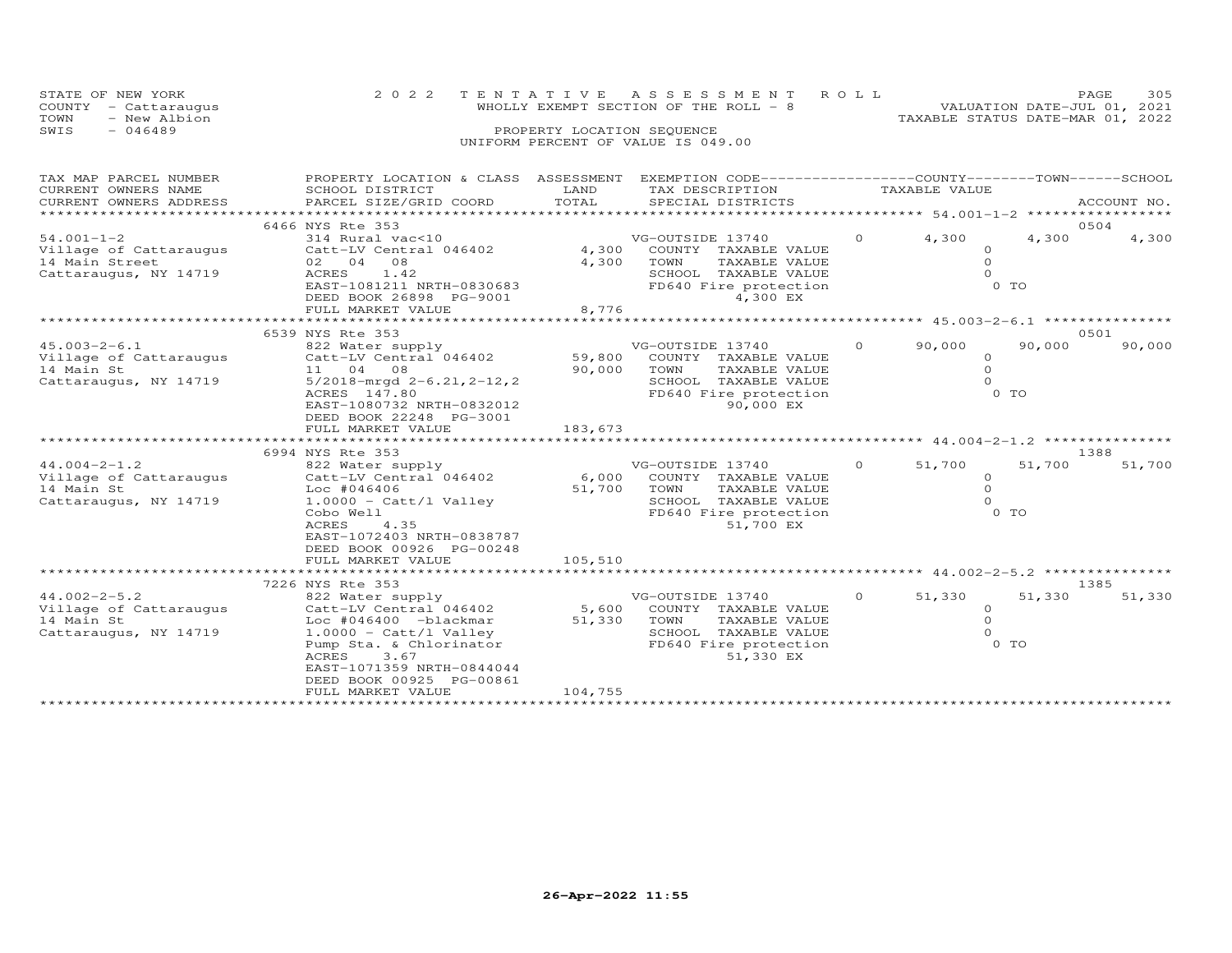| STATE OF NEW YORK<br>COUNTY - Cattaraugus | 2022 TENTATIVE ASSESSMENT ROLL<br>WHOLLY EXEMPT SECTION OF THE ROLL - 8 | 305<br>PAGE.<br>VALUATION DATE-JUL 01, 2021 |
|-------------------------------------------|-------------------------------------------------------------------------|---------------------------------------------|
| TOWN<br>- New Albion                      |                                                                         | TAXABLE STATUS DATE-MAR 01, 2022            |
| SWIS<br>- 046489                          | PROPERTY LOCATION SEQUENCE                                              |                                             |
|                                           | UNIFORM PERCENT OF VALUE IS 049.00                                      |                                             |

| TAX MAP PARCEL NUMBER<br>CURRENT OWNERS NAME | PROPERTY LOCATION & CLASS ASSESSMENT EXEMPTION CODE----------------COUNTY-------TOWN------SCHOOL<br>SCHOOL DISTRICT | LAND    | TAX DESCRIPTION                               |          | TAXABLE VALUE                             |        |             |
|----------------------------------------------|---------------------------------------------------------------------------------------------------------------------|---------|-----------------------------------------------|----------|-------------------------------------------|--------|-------------|
| CURRENT OWNERS ADDRESS                       | PARCEL SIZE/GRID COORD                                                                                              | TOTAL   | SPECIAL DISTRICTS                             |          |                                           |        | ACCOUNT NO. |
|                                              |                                                                                                                     |         | *****************************                 |          | ****************** 54.001-1-2 *********** |        |             |
|                                              | 6466 NYS Rte 353                                                                                                    |         |                                               |          |                                           |        | 0504        |
| $54.001 - 1 - 2$                             | 314 Rural vac<10                                                                                                    |         | VG-OUTSIDE 13740                              | $\Omega$ | 4,300                                     | 4,300  | 4,300       |
| Village of Cattaraugus                       | Catt-LV Central 046402                                                                                              | 4,300   | COUNTY TAXABLE VALUE                          |          | $\circ$                                   |        |             |
| 14 Main Street                               | 02 04<br>08                                                                                                         | 4,300   | TOWN<br>TAXABLE VALUE                         |          | $\Omega$                                  |        |             |
| Cattaraugus, NY 14719                        | ACRES<br>1.42                                                                                                       |         | SCHOOL TAXABLE VALUE                          |          | $\Omega$                                  |        |             |
|                                              | EAST-1081211 NRTH-0830683                                                                                           |         | FD640 Fire protection                         |          |                                           | 0 TO   |             |
|                                              | DEED BOOK 26898 PG-9001                                                                                             |         | 4,300 EX                                      |          |                                           |        |             |
|                                              | FULL MARKET VALUE                                                                                                   | 8,776   |                                               |          | ********* 45.003-2-6.1 ***                |        |             |
|                                              | 6539 NYS Rte 353                                                                                                    |         |                                               |          |                                           |        | 0501        |
| $45.003 - 2 - 6.1$                           | 822 Water supply                                                                                                    |         | VG-OUTSIDE 13740                              | $\Omega$ | 90,000                                    | 90,000 | 90,000      |
| Village of Cattaraugus                       | Catt-LV Central 046402                                                                                              | 59,800  | COUNTY TAXABLE VALUE                          |          | $\circ$                                   |        |             |
| 14 Main St                                   | 11 04 08                                                                                                            | 90,000  | TOWN<br>TAXABLE VALUE                         |          | $\Omega$                                  |        |             |
| Cattaraugus, NY 14719                        | $5/2018$ -mrgd $2-6.21, 2-12, 2$                                                                                    |         | SCHOOL TAXABLE VALUE                          |          | $\Omega$                                  |        |             |
|                                              | ACRES 147.80                                                                                                        |         | FD640 Fire protection                         |          |                                           | $0$ TO |             |
|                                              | EAST-1080732 NRTH-0832012                                                                                           |         | 90,000 EX                                     |          |                                           |        |             |
|                                              | DEED BOOK 22248 PG-3001                                                                                             |         |                                               |          |                                           |        |             |
|                                              | FULL MARKET VALUE                                                                                                   | 183,673 |                                               |          |                                           |        |             |
|                                              |                                                                                                                     |         |                                               |          |                                           |        |             |
|                                              | 6994 NYS Rte 353                                                                                                    |         |                                               |          |                                           |        | 1388        |
| $44.004 - 2 - 1.2$                           | 822 Water supply                                                                                                    | 6,000   | VG-OUTSIDE 13740                              | $\Omega$ | 51,700                                    | 51,700 | 51,700      |
| Village of Cattaraugus<br>14 Main St         | Catt-LV Central 046402<br>$Loc$ #046406                                                                             | 51,700  | COUNTY TAXABLE VALUE<br>TOWN<br>TAXABLE VALUE |          | $\circ$<br>$\circ$                        |        |             |
| Cattaraugus, NY 14719                        | $1.0000 - \text{Cat} / 1$ Valley                                                                                    |         | SCHOOL TAXABLE VALUE                          |          | $\Omega$                                  |        |             |
|                                              | Cobo Well                                                                                                           |         | FD640 Fire protection                         |          |                                           | 0 TO   |             |
|                                              | 4.35<br>ACRES                                                                                                       |         | 51,700 EX                                     |          |                                           |        |             |
|                                              | EAST-1072403 NRTH-0838787                                                                                           |         |                                               |          |                                           |        |             |
|                                              | DEED BOOK 00926 PG-00248                                                                                            |         |                                               |          |                                           |        |             |
|                                              | FULL MARKET VALUE                                                                                                   | 105,510 |                                               |          |                                           |        |             |
|                                              |                                                                                                                     |         |                                               |          |                                           |        |             |
|                                              | 7226 NYS Rte 353                                                                                                    |         |                                               |          |                                           |        | 1385        |
| $44.002 - 2 - 5.2$                           | 822 Water supply                                                                                                    |         | VG-OUTSIDE 13740                              | $\circ$  | 51,330                                    | 51,330 | 51,330      |
| Village of Cattaraugus                       | Catt-LV Central 046402                                                                                              | 5,600   | COUNTY TAXABLE VALUE                          |          | $\circ$                                   |        |             |
| 14 Main St                                   | Loc #046400 -blackmar                                                                                               | 51,330  | TOWN<br>TAXABLE VALUE                         |          | $\circ$                                   |        |             |
| Cattaraugus, NY 14719                        | $1.0000 - \text{Cat}/1 \text{ Valley}$                                                                              |         | SCHOOL TAXABLE VALUE                          |          | $\Omega$                                  |        |             |
|                                              | Pump Sta. & Chlorinator                                                                                             |         | FD640 Fire protection                         |          |                                           | 0 TO   |             |
|                                              | ACRES<br>3.67                                                                                                       |         | 51,330 EX                                     |          |                                           |        |             |
|                                              | EAST-1071359 NRTH-0844044                                                                                           |         |                                               |          |                                           |        |             |
|                                              | DEED BOOK 00925 PG-00861<br>FULL MARKET VALUE                                                                       | 104,755 |                                               |          |                                           |        |             |
|                                              |                                                                                                                     |         |                                               |          |                                           |        |             |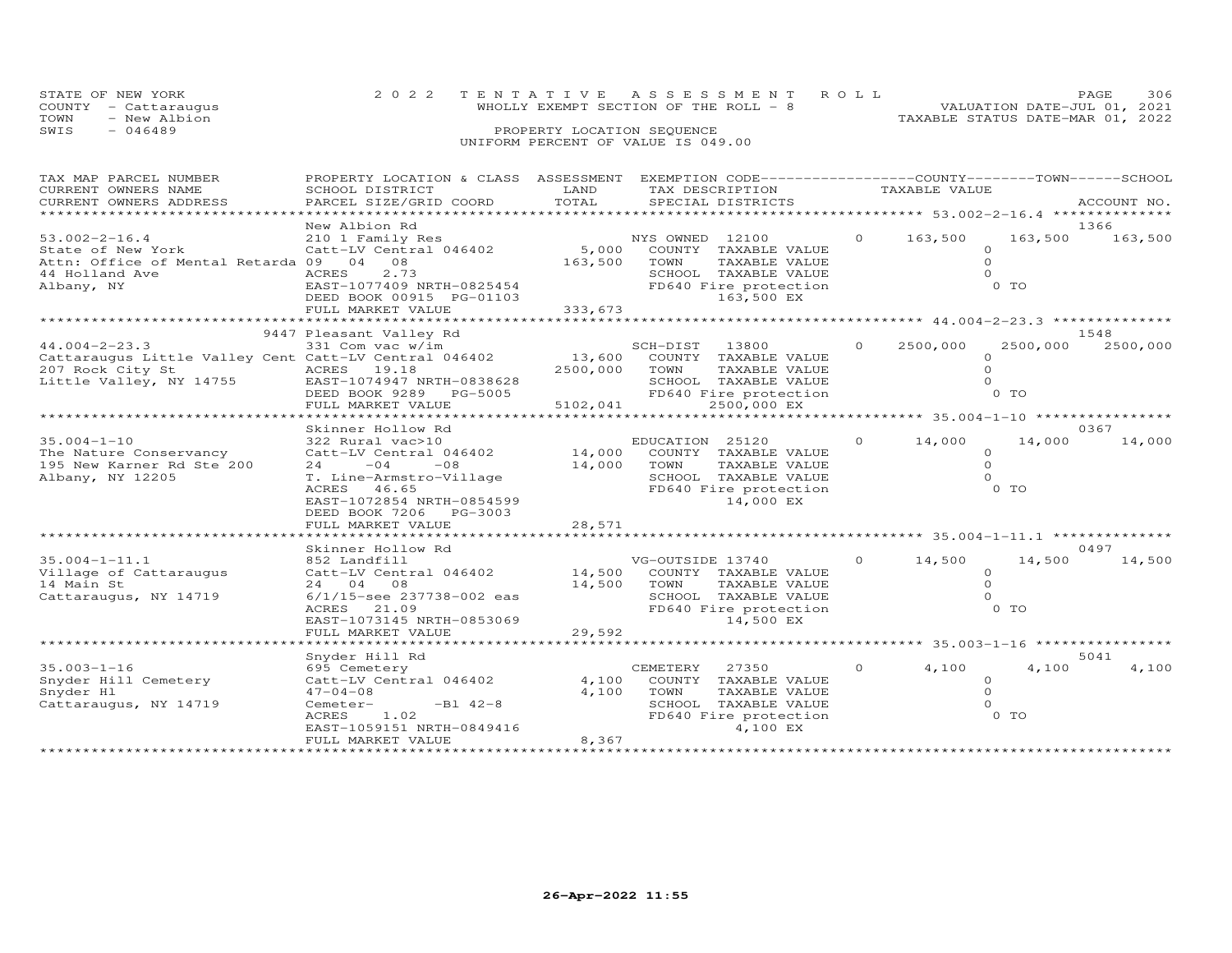|      | STATE OF NEW YORK    | 2022 TENTATIVE ASSESSMENT ROLL         |  |                                  | PAGE.                       | 306 |
|------|----------------------|----------------------------------------|--|----------------------------------|-----------------------------|-----|
|      | COUNTY - Cattaraugus | WHOLLY EXEMPT SECTION OF THE ROLL $-8$ |  |                                  | VALUATION DATE-JUL 01, 2021 |     |
| TOWN | - New Albion         |                                        |  | TAXABLE STATUS DATE-MAR 01, 2022 |                             |     |
| SWIS | $-046489$            | PROPERTY LOCATION SEQUENCE             |  |                                  |                             |     |
|      |                      | UNIFORM PERCENT OF VALUE IS 049.00     |  |                                  |                             |     |

| TAX MAP PARCEL NUMBER<br>CURRENT OWNERS NAME<br>CURRENT OWNERS ADDRESS                                                      | PROPERTY LOCATION & CLASS ASSESSMENT<br>SCHOOL DISTRICT<br>PARCEL SIZE/GRID COORD                                                                                                                                                     | LAND<br>TOTAL                                       | EXEMPTION CODE-----------------COUNTY-------TOWN------SCHOOL<br>TAX DESCRIPTION<br>SPECIAL DISTRICTS                               |          | TAXABLE VALUE                           |                                                     | ACCOUNT NO.      |
|-----------------------------------------------------------------------------------------------------------------------------|---------------------------------------------------------------------------------------------------------------------------------------------------------------------------------------------------------------------------------------|-----------------------------------------------------|------------------------------------------------------------------------------------------------------------------------------------|----------|-----------------------------------------|-----------------------------------------------------|------------------|
| $53.002 - 2 - 16.4$<br>State of New York<br>Attn: Office of Mental Retarda 09 04 08<br>44 Holland Ave<br>Albany, NY         | New Albion Rd<br>210 1 Family Res<br>Catt-LV Central 046402<br>2.73<br>ACRES<br>EAST-1077409 NRTH-0825454<br>DEED BOOK 00915 PG-01103<br>FULL MARKET VALUE                                                                            | 5,000<br>163,500<br>333,673                         | NYS OWNED 12100<br>COUNTY TAXABLE VALUE<br>TOWN<br>TAXABLE VALUE<br>SCHOOL TAXABLE VALUE<br>FD640 Fire protection<br>163,500 EX    | $\circ$  | 163,500                                 | 163,500<br>$\circ$<br>$\circ$<br>$\Omega$<br>0 TO   | 1366<br>163,500  |
| $44.004 - 2 - 23.3$<br>Cattaraugus Little Valley Cent Catt-LV Central 046402<br>207 Rock City St<br>Little Valley, NY 14755 | 9447 Pleasant Valley Rd<br>331 Com vac w/im<br>ACRES 19.18<br>EAST-1074947 NRTH-0838628<br>DEED BOOK 9289 PG-5005<br>FULL MARKET VALUE                                                                                                | 13,600<br>2500,000<br>5102,041                      | SCH-DIST<br>13800<br>COUNTY TAXABLE VALUE<br>TOWN<br>TAXABLE VALUE<br>SCHOOL TAXABLE VALUE<br>FD640 Fire protection<br>2500,000 EX | $\circ$  | ********* 44.004-2-23.3 ***<br>2500,000 | 2500,000<br>$\circ$<br>$\Omega$<br>$\cap$<br>$0$ TO | 1548<br>2500,000 |
| $35.004 - 1 - 10$<br>The Nature Conservancy<br>195 New Karner Rd Ste 200<br>Albany, NY 12205                                | Skinner Hollow Rd<br>322 Rural vac>10<br>Catt-LV Central 046402<br>$-08$<br>24<br>$-04$<br>T. Line-Armstro-Village<br>ACRES<br>46.65<br>EAST-1072854 NRTH-0854599<br>DEED BOOK 7206 PG-3003<br>FULL MARKET VALUE<br>***************** | 14,000<br>14,000<br>28,571<br>* * * * * * * * * * * | EDUCATION 25120<br>COUNTY TAXABLE VALUE<br>TOWN<br>TAXABLE VALUE<br>SCHOOL TAXABLE VALUE<br>FD640 Fire protection<br>14,000 EX     | $\Omega$ | 14,000                                  | 14,000<br>$\circ$<br>$\circ$<br>$\Omega$<br>0 TO    | 0367<br>14,000   |
| $35.004 - 1 - 11.1$<br>Village of Cattaraugus<br>14 Main St<br>Cattaraugus, NY 14719                                        | Skinner Hollow Rd<br>852 Landfill<br>Catt-LV Central 046402<br>24 04 08<br>6/1/15-see 237738-002 eas<br>ACRES 21.09<br>EAST-1073145 NRTH-0853069<br>FULL MARKET VALUE                                                                 | 14,500<br>14,500<br>29,592                          | VG-OUTSIDE 13740<br>COUNTY TAXABLE VALUE<br>TOWN<br>TAXABLE VALUE<br>SCHOOL TAXABLE VALUE<br>FD640 Fire protection<br>14,500 EX    | $\Omega$ | 14,500                                  | 14,500<br>$\Omega$<br>$\Omega$<br>$\Omega$<br>0 TO  | 0497<br>14,500   |
| $35.003 - 1 - 16$<br>Snyder Hill Cemetery<br>Snyder Hl<br>Cattaraugus, NY 14719                                             | Snyder Hill Rd<br>695 Cemetery<br>Catt-LV Central 046402<br>$47 - 04 - 08$<br>$-B1 42-8$<br>Cemeter-<br>1.02<br>ACRES<br>EAST-1059151 NRTH-0849416<br>FULL MARKET VALUE                                                               | 4,100<br>4,100<br>8,367                             | CEMETERY<br>27350<br>COUNTY TAXABLE VALUE<br>TOWN<br>TAXABLE VALUE<br>SCHOOL TAXABLE VALUE<br>FD640 Fire protection<br>4,100 EX    | $\circ$  | 4,100                                   | 4,100<br>$\circ$<br>$\circ$<br>$\Omega$<br>0 TO     | 5041<br>4,100    |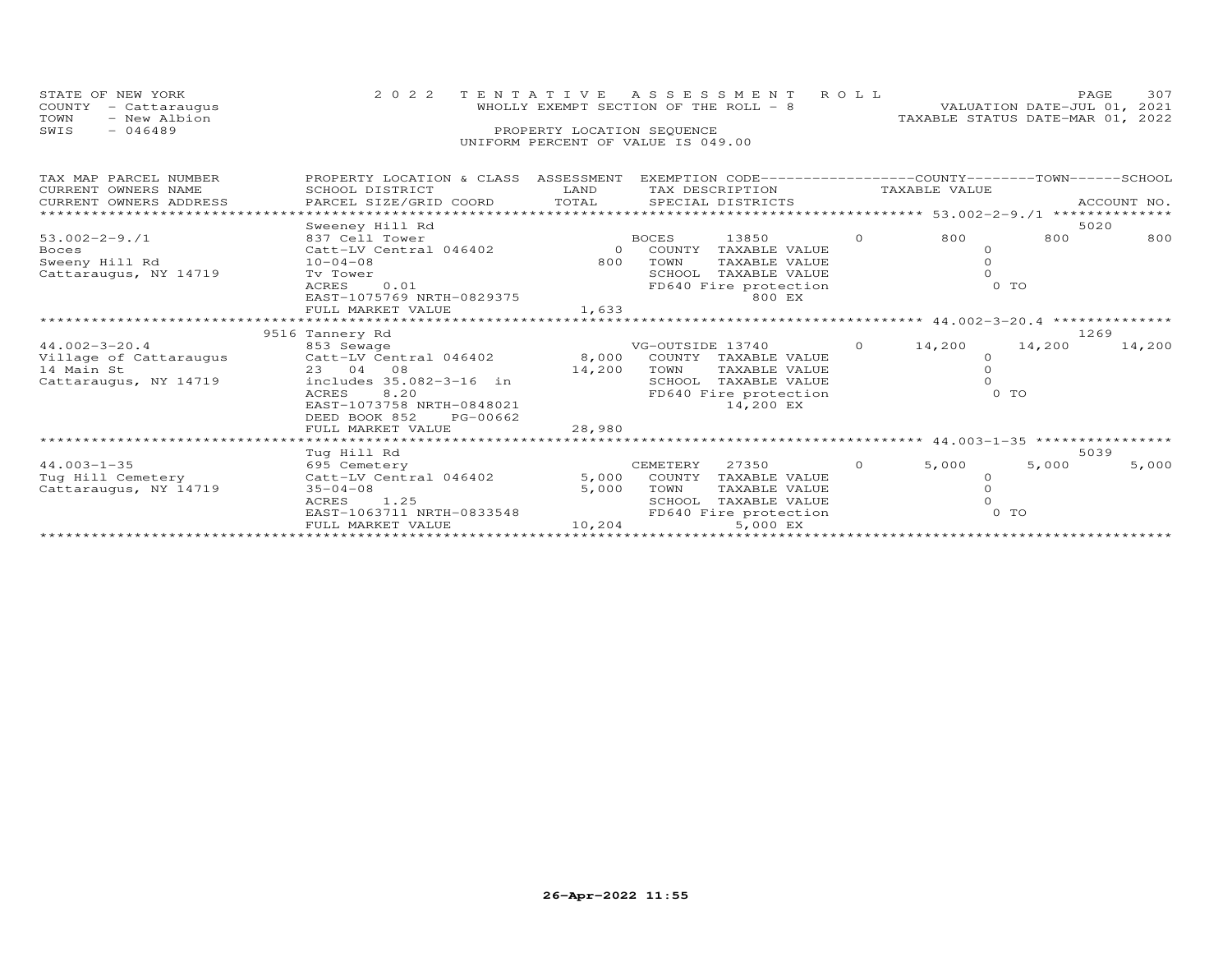| STATE OF NEW YORK<br>COUNTY<br>- Cattaraugus<br>- New Albion<br>TOWN<br>$-046489$<br>SWIS                | 2 0 2 2                                                                                                                                                                                                                        | TENTATIVE<br>PROPERTY LOCATION SEQUENCE | A S S E S S M E N T<br>WHOLLY EXEMPT SECTION OF THE ROLL - 8<br>UNIFORM PERCENT OF VALUE IS 049.00                                      | ROLL     | TAXABLE STATUS DATE-MAR 01, 2022                   | PAGE<br>VALUATION DATE-JUL 01, 2021 | 307         |
|----------------------------------------------------------------------------------------------------------|--------------------------------------------------------------------------------------------------------------------------------------------------------------------------------------------------------------------------------|-----------------------------------------|-----------------------------------------------------------------------------------------------------------------------------------------|----------|----------------------------------------------------|-------------------------------------|-------------|
| TAX MAP PARCEL NUMBER<br>CURRENT OWNERS NAME<br>CURRENT OWNERS ADDRESS<br>****************************** | PROPERTY LOCATION & CLASS ASSESSMENT<br>SCHOOL DISTRICT<br>PARCEL SIZE/GRID COORD                                                                                                                                              | LAND<br>TOTAL                           | EXEMPTION CODE-----------------COUNTY-------TOWN------SCHOOL<br>TAX DESCRIPTION<br>SPECIAL DISTRICTS                                    |          | TAXABLE VALUE                                      |                                     | ACCOUNT NO. |
| $53.002 - 2 - 9.1$<br><b>Boces</b><br>Sweeny Hill Rd<br>Cattaraugus, NY 14719                            | Sweeney Hill Rd<br>837 Cell Tower<br>Catt-LV Central 046402<br>$10 - 04 - 08$<br>Ty Tower<br>ACRES<br>0.01<br>EAST-1075769 NRTH-0829375<br>FULL MARKET VALUE                                                                   | $\Omega$<br>800<br>1,633                | <b>BOCES</b><br>13850<br>COUNTY<br>TAXABLE VALUE<br>TOWN<br>TAXABLE VALUE<br>SCHOOL<br>TAXABLE VALUE<br>FD640 Fire protection<br>800 EX | $\Omega$ | 800<br>$\Omega$<br>$\Omega$<br>$\cap$<br>$0$ TO    | 5020<br>800                         | 800         |
|                                                                                                          |                                                                                                                                                                                                                                |                                         |                                                                                                                                         |          | **** 44.002-3-20.4 ***************                 |                                     |             |
| $44.002 - 3 - 20.4$<br>Village of Cattaraugus<br>14 Main St<br>Cattaraugus, NY 14719                     | 9516 Tannery Rd<br>853 Sewage<br>Catt-LV Central 046402<br>23 04<br>08<br>includes 35.082-3-16 in<br>8.20<br>ACRES<br>EAST-1073758 NRTH-0848021<br>DEED BOOK 852<br>PG-00662<br>FULL MARKET VALUE<br>************************* | 8,000<br>14,200<br>28,980               | VG-OUTSIDE 13740<br>COUNTY TAXABLE VALUE<br>TOWN<br>TAXABLE VALUE<br>TAXABLE VALUE<br>SCHOOL<br>FD640 Fire protection<br>14,200 EX      | $\circ$  | 14,200<br>$\circ$<br>$\circ$<br>$\Omega$<br>$0$ TO | 1269<br>14,200                      | 14,200      |
|                                                                                                          | Tug Hill Rd                                                                                                                                                                                                                    |                                         |                                                                                                                                         |          |                                                    | 5039                                |             |
| $44.003 - 1 - 35$<br>Tug Hill Cemetery<br>Cattaraugus, NY 14719                                          | 695 Cemetery<br>Catt-LV Central 046402<br>$35 - 04 - 08$<br>1.25<br>ACRES<br>EAST-1063711 NRTH-0833548<br>FULL MARKET VALUE                                                                                                    | 5,000<br>5,000<br>10,204                | CEMETERY<br>27350<br>COUNTY<br>TAXABLE VALUE<br>TOWN<br>TAXABLE VALUE<br>SCHOOL<br>TAXABLE VALUE<br>FD640 Fire protection<br>5,000 EX   | $\Omega$ | 5,000<br>$\circ$<br>$\Omega$<br>$0$ TO             | 5,000                               | 5,000       |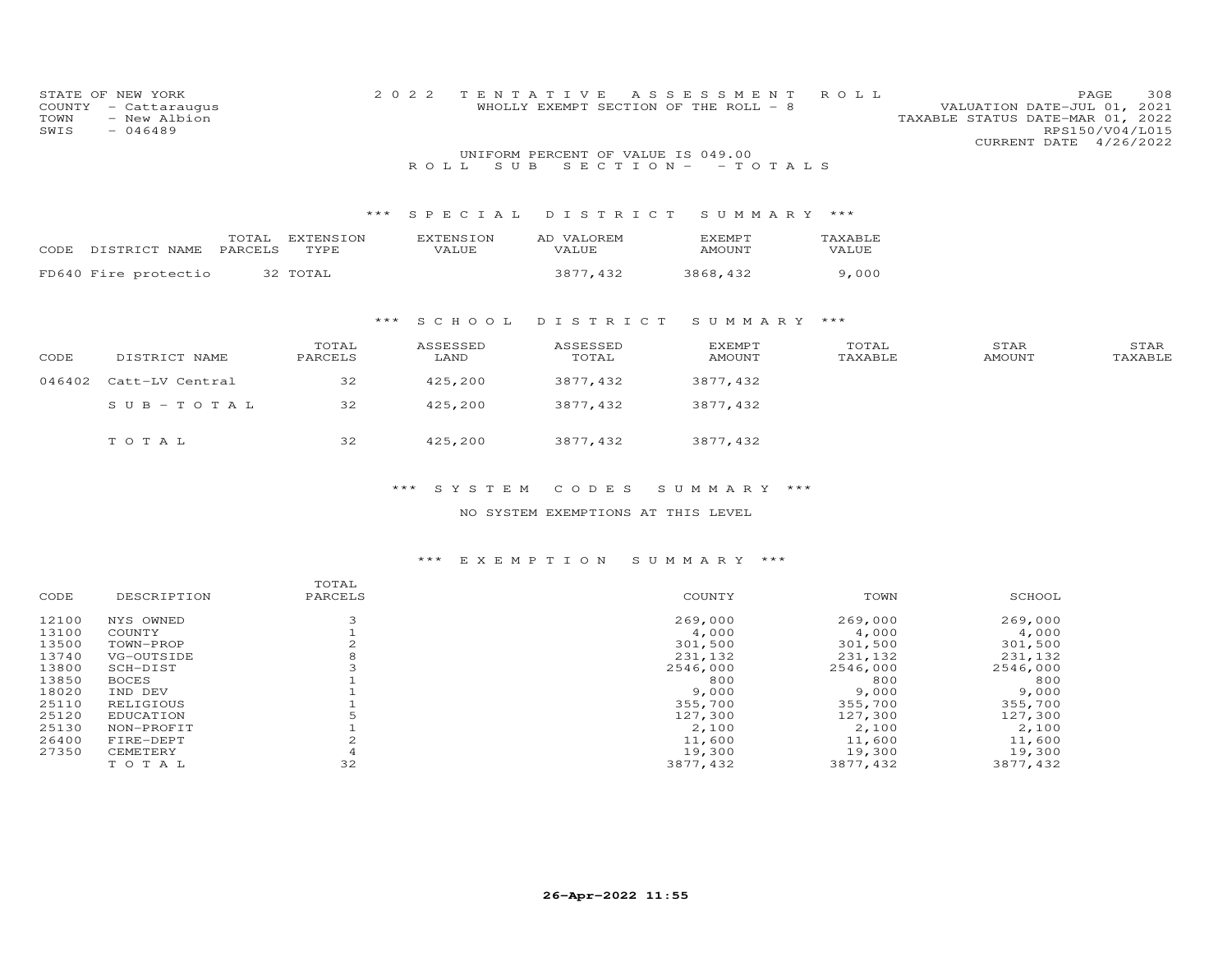| COUNTY<br>TOWN<br>SWIS | STATE OF NEW YORK<br>- Cattaraugus<br>- New Albion<br>$-046489$ |                  | 2 0 2 2          | TENTATIVE<br>WHOLLY EXEMPT SECTION OF THE ROLL - 8 | A S S E S S M E N T | ROLL    | 308<br>PAGE<br>VALUATION DATE-JUL 01, 2021<br>TAXABLE STATUS DATE-MAR 01, 2022<br>RPS150/V04/L015<br>CURRENT DATE 4/26/2022 |
|------------------------|-----------------------------------------------------------------|------------------|------------------|----------------------------------------------------|---------------------|---------|-----------------------------------------------------------------------------------------------------------------------------|
|                        |                                                                 |                  |                  | UNIFORM PERCENT OF VALUE IS 049.00                 |                     |         |                                                                                                                             |
|                        |                                                                 |                  | S U B<br>ROLL.   | $S E C T I O N -$                                  | $-$ TOTALS          |         |                                                                                                                             |
|                        |                                                                 |                  |                  |                                                    |                     |         |                                                                                                                             |
|                        |                                                                 | $***$            | SPECIAL          | DISTRICT                                           | SUMMARY ***         |         |                                                                                                                             |
|                        | TOTAL                                                           | <b>EXTENSION</b> | <b>EXTENSION</b> | AD VALOREM                                         | <b>EXEMPT</b>       | TAXABLE |                                                                                                                             |
| CODE                   | PARCELS<br>DISTRICT NAME                                        | TYPE             | VALUE            | VALUE                                              | <b>AMOUNT</b>       | VALUE   |                                                                                                                             |
|                        | FD640 Fire protectio                                            | 32 TOTAL         |                  | 3877,432                                           | 3868,432            | 9,000   |                                                                                                                             |
|                        |                                                                 | ***              | S C H O O L      | DISTRICT                                           | SUMMARY ***         |         |                                                                                                                             |
|                        |                                                                 | TOTAL            | ASSESSED         | ASSESSED                                           | <b>EXEMPT</b>       | TOTAL   | STAR<br>STAR                                                                                                                |
| CODE                   | DISTRICT NAME                                                   | PARCELS          | LAND             | TOTAL                                              | AMOUNT              | TAXABLE | TAXABLE<br><b>AMOUNT</b>                                                                                                    |
| 046402                 | Catt-LV Central                                                 | 32               | 425,200          | 3877,432                                           | 3877,432            |         |                                                                                                                             |
|                        | $SUB - TO TAL$                                                  | 32               | 425,200          | 3877,432                                           | 3877,432            |         |                                                                                                                             |
|                        | TOTAL                                                           | 32               | 425,200          | 3877,432                                           | 3877,432            |         |                                                                                                                             |

NO SYSTEM EXEMPTIONS AT THIS LEVEL

| DESCRIPTION  | TOTAL<br>PARCELS | COUNTY   | TOWN     | SCHOOL   |
|--------------|------------------|----------|----------|----------|
| NYS OWNED    |                  | 269,000  | 269,000  | 269,000  |
| COUNTY       |                  | 4,000    | 4,000    | 4,000    |
| TOWN-PROP    |                  | 301,500  | 301,500  | 301,500  |
| VG-OUTSIDE   |                  | 231,132  | 231,132  | 231,132  |
| SCH-DIST     |                  | 2546,000 | 2546,000 | 2546,000 |
| <b>BOCES</b> |                  | 800      | 800      | 800      |
| IND DEV      |                  | 9,000    | 9,000    | 9,000    |
| RELIGIOUS    |                  | 355,700  | 355,700  | 355,700  |
| EDUCATION    |                  | 127,300  | 127,300  | 127,300  |
| NON-PROFIT   |                  | 2,100    | 2,100    | 2,100    |
| FIRE-DEPT    |                  | 11,600   | 11,600   | 11,600   |
| CEMETERY     |                  | 19,300   | 19,300   | 19,300   |
| TOTAL        | 32               | 3877,432 | 3877,432 | 3877,432 |
|              |                  |          |          |          |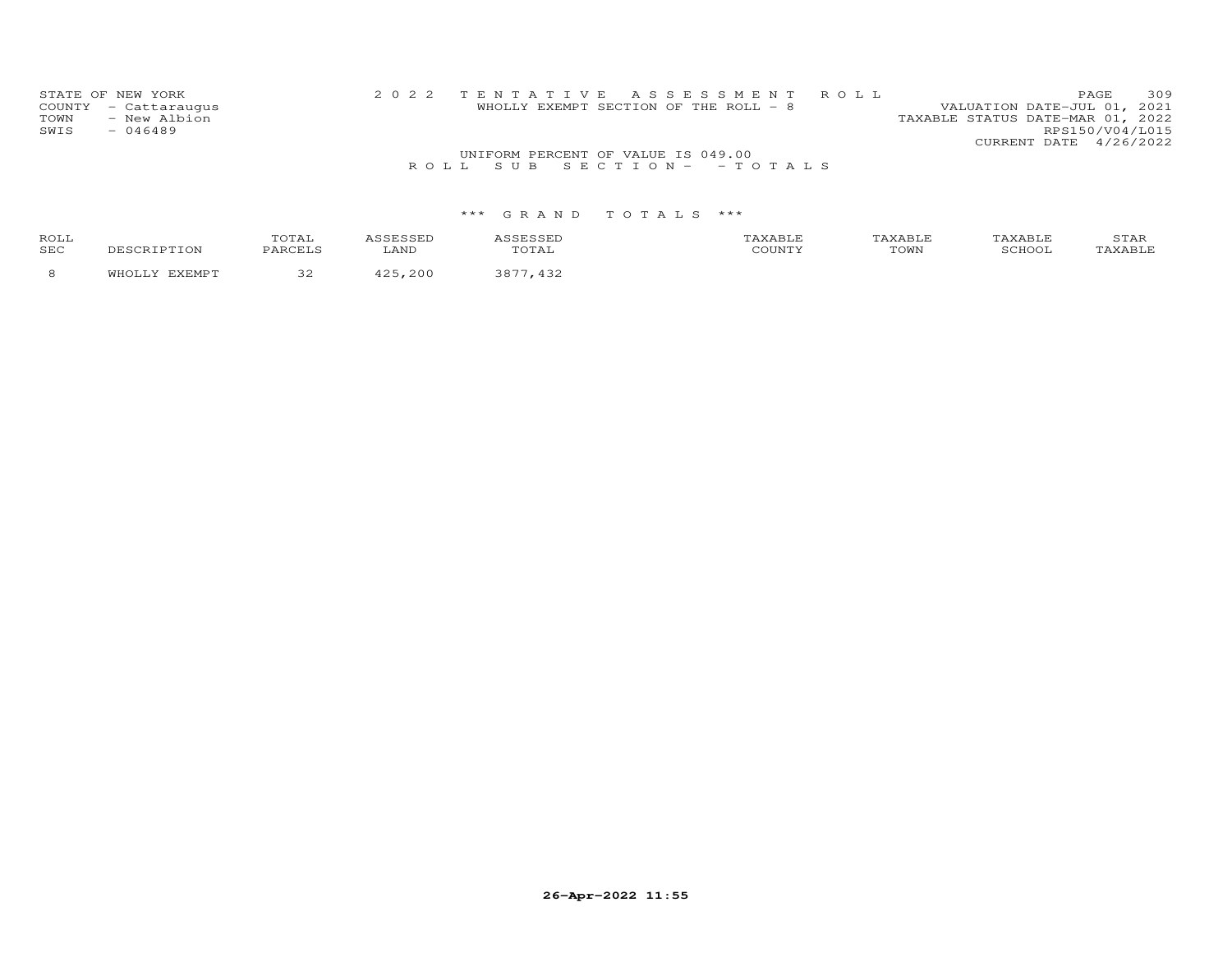|              | STATE OF NEW YORK<br>COUNTY - Cattaraugus |                                    | 2022 TENTATIVE ASSESSMENT ROLL<br>WHOLLY EXEMPT SECTION OF THE ROLL - 8 | VALUATION DATE-JUL 01, 2021      | PAGE.           | 309 |
|--------------|-------------------------------------------|------------------------------------|-------------------------------------------------------------------------|----------------------------------|-----------------|-----|
| TOWN<br>SWIS | - New Albion<br>$-046489$                 |                                    |                                                                         | TAXABLE STATUS DATE-MAR 01, 2022 | RPS150/V04/L015 |     |
|              |                                           |                                    |                                                                         | CURRENT DATE 4/26/2022           |                 |     |
|              |                                           | UNIFORM PERCENT OF VALUE IS 049.00 |                                                                         |                                  |                 |     |
|              |                                           |                                    | ROLL SUB SECTION- - TOTALS                                              |                                  |                 |     |

| ROLL<br>SEC | DESCRIPTION   | TOTAL<br>PARCELS | <i><b>\SSESSED</b></i><br>∟AND | ASSESSED<br>TOTAL | TAXABLE<br>COUNTY | TAXABLE<br>TOWN | TAXABLE<br>SCHOOL | STAR<br>TAXABLE |
|-------------|---------------|------------------|--------------------------------|-------------------|-------------------|-----------------|-------------------|-----------------|
|             | WHOLLY EXEMPT | ے ب              | .200<br><b>A つ ら</b>           | 3877.<br>.432     |                   |                 |                   |                 |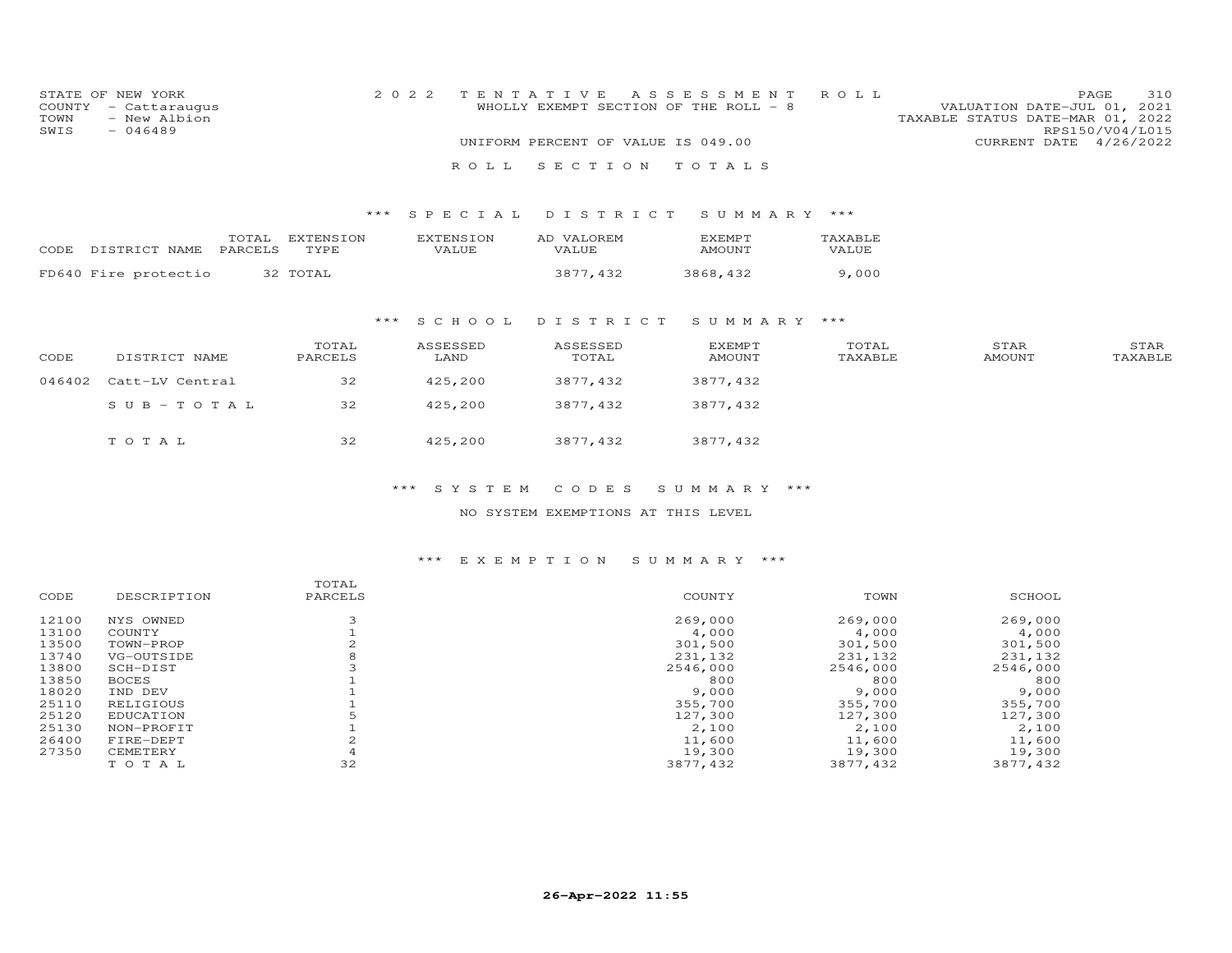| STATE OF NEW YORK    | 2022 TENTATIVE ASSESSMENT ROLL        | 310<br><b>PAGE</b>               |
|----------------------|---------------------------------------|----------------------------------|
| COUNTY - Cattaraugus | WHOLLY EXEMPT SECTION OF THE ROLL - 8 | VALUATION DATE-JUL 01, 2021      |
| TOWN - New Albion    |                                       | TAXABLE STATUS DATE-MAR 01, 2022 |
| SWIS<br>$-046489$    |                                       | RPS150/V04/L015                  |
|                      | UNIFORM PERCENT OF VALUE IS 049.00    | CURRENT DATE 4/26/2022           |
|                      |                                       |                                  |
|                      | ROLL SECTION TOTALS                   |                                  |

#### \*\*\* S P E C I A L D I S T R I C T S U M M A R Y \*\*\*

| CODE DISTRICT NAME PARCELS TYPE | TOTAL | <b>FXTENSION</b> | EXTENSION<br>VALUE. | AD VALOREM<br>VALUE. | <b>EXEMPT</b><br>AMOUNT | TAXABLE<br>VALUE |
|---------------------------------|-------|------------------|---------------------|----------------------|-------------------------|------------------|
| FD640 Fire protectio            |       | 32 TOTAL         |                     | 3877,432             | 3868,432                | 9,000            |

# \*\*\* S C H O O L D I S T R I C T S U M M A R Y \*\*\*

| CODE | DISTRICT NAME          | TOTAL<br>PARCELS | ASSESSED<br>LAND | ASSESSED<br>TOTAL | <b>EXEMPT</b><br>AMOUNT | TOTAL<br>TAXABLE | STAR<br>AMOUNT | STAR<br>TAXABLE |
|------|------------------------|------------------|------------------|-------------------|-------------------------|------------------|----------------|-----------------|
|      | 046402 Catt-LV Central | 32               | 425,200          | 3877,432          | 3877,432                |                  |                |                 |
|      | SUB-TOTAL              | 32               | 425,200          | 3877,432          | 3877,432                |                  |                |                 |
|      | TOTAL                  | 32               | 425,200          | 3877,432          | 3877,432                |                  |                |                 |

#### \*\*\* S Y S T E M C O D E S S U M M A R Y \*\*\*

#### NO SYSTEM EXEMPTIONS AT THIS LEVEL

|       |              | TOTAL   |          |          |          |
|-------|--------------|---------|----------|----------|----------|
| CODE  | DESCRIPTION  | PARCELS | COUNTY   | TOWN     | SCHOOL   |
| 12100 | NYS OWNED    |         | 269,000  | 269,000  | 269,000  |
| 13100 | COUNTY       |         | 4,000    | 4,000    | 4,000    |
| 13500 | TOWN-PROP    |         | 301,500  | 301,500  | 301,500  |
| 13740 | VG-OUTSIDE   |         | 231,132  | 231,132  | 231,132  |
| 13800 | SCH-DIST     |         | 2546,000 | 2546,000 | 2546,000 |
| 13850 | <b>BOCES</b> |         | 800      | 800      | 800      |
| 18020 | IND DEV      |         | 9,000    | 9,000    | 9,000    |
| 25110 | RELIGIOUS    |         | 355,700  | 355,700  | 355,700  |
| 25120 | EDUCATION    |         | 127,300  | 127,300  | 127,300  |
| 25130 | NON-PROFIT   |         | 2,100    | 2,100    | 2,100    |
| 26400 | FIRE-DEPT    |         | 11,600   | 11,600   | 11,600   |
| 27350 | CEMETERY     |         | 19,300   | 19,300   | 19,300   |
|       | TOTAL        | 32      | 3877,432 | 3877,432 | 3877,432 |
|       |              |         |          |          |          |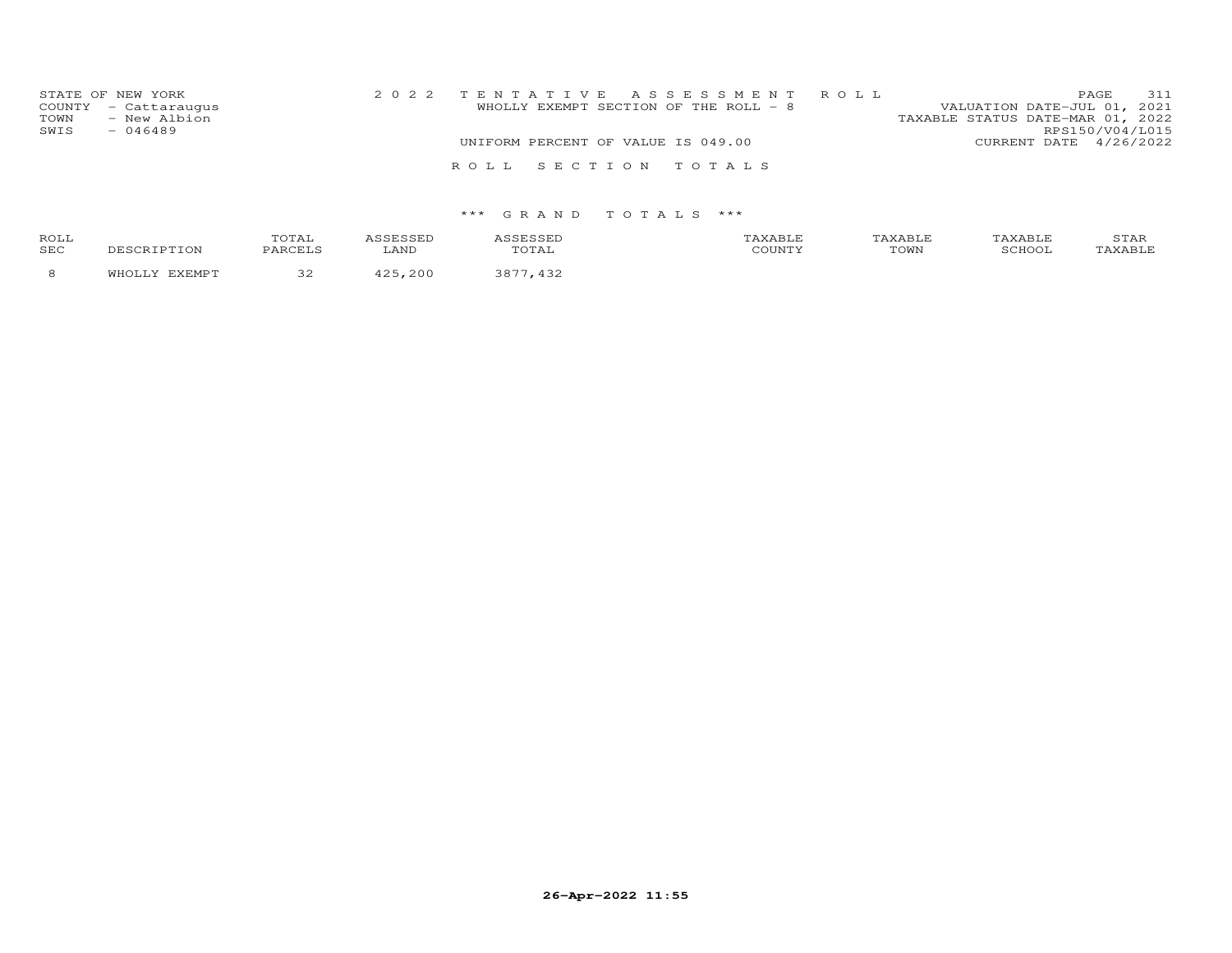| STATE OF NEW YORK<br>COUNTY<br>- Cattaraugus<br>- New Albion<br>TOWN<br>SWIS<br>$-046489$ |                                    | 2022 TENTATIVE ASSESSMENT ROLL<br>WHOLLY EXEMPT SECTION OF THE ROLL - 8 | VALUATION DATE-JUL 01, 2021<br>TAXABLE STATUS DATE-MAR 01, 2022 | PAGE<br>RPS150/V04/L015 | 311 |
|-------------------------------------------------------------------------------------------|------------------------------------|-------------------------------------------------------------------------|-----------------------------------------------------------------|-------------------------|-----|
|                                                                                           | UNIFORM PERCENT OF VALUE IS 049.00 |                                                                         | CURRENT DATE 4/26/2022                                          |                         |     |
|                                                                                           |                                    |                                                                         |                                                                 |                         |     |
|                                                                                           | ROLL SECTION TOTALS                |                                                                         |                                                                 |                         |     |
|                                                                                           |                                    |                                                                         |                                                                 |                         |     |
|                                                                                           |                                    |                                                                         |                                                                 |                         |     |

| ROLI<br>SEC | TOTAL | $T^{\text{NT}}$<br>.AN | ASSESSED<br>$P \cap T$<br>≀⊥A⊥ | $\cdots$<br>, orinin | TOWN | SCHOC. | STAF |
|-------------|-------|------------------------|--------------------------------|----------------------|------|--------|------|
|             | ے ر   |                        |                                |                      |      |        |      |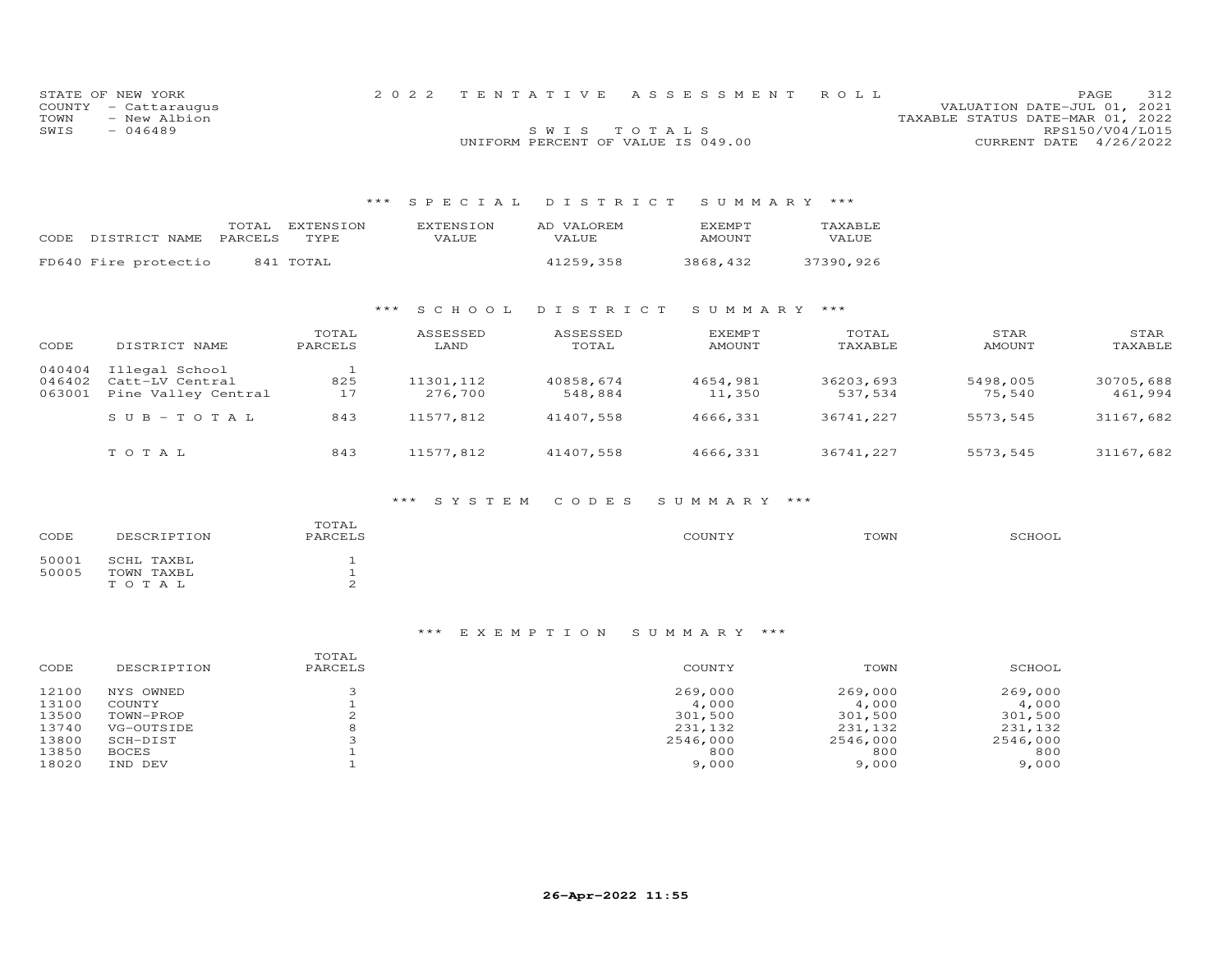|      | STATE OF NEW YORK    |                                    | 2022 TENTATIVE ASSESSMENT ROLL |                                  | PAGE.                  | 312 |
|------|----------------------|------------------------------------|--------------------------------|----------------------------------|------------------------|-----|
|      | COUNTY - Cattaraugus |                                    |                                | VALUATION DATE-JUL 01, 2021      |                        |     |
| TOWN | - New Albion         |                                    |                                | TAXABLE STATUS DATE-MAR 01, 2022 |                        |     |
| SWIS | $-046489$            | SWIS TOTALS                        |                                |                                  | RPS150/V04/L015        |     |
|      |                      | UNIFORM PERCENT OF VALUE IS 049.00 |                                |                                  | CURRENT DATE 4/26/2022 |     |

# \*\*\* S P E C I A L D I S T R I C T S U M M A R Y \*\*\*

| CODE | DISTRICT NAME        | TOTAL<br>PARCELS | EXTENSION<br>TYPE. | <b>EXTENSION</b><br>VALUE | AD VALOREM<br>VALUE | <b>F.XFMPT</b><br><b>AMOUNT</b> | TAXARLE<br>VALUE |
|------|----------------------|------------------|--------------------|---------------------------|---------------------|---------------------------------|------------------|
|      | FD640 Fire protectio |                  | 841 TOTAL          |                           | 41259.358           | 3868,432                        | 37390,926        |

#### \*\*\* S C H O O L D I S T R I C T S U M M A R Y \*\*\*

| CODE   | DISTRICT NAME       | TOTAL<br>PARCELS | ASSESSED<br>LAND | ASSESSED<br>TOTAL | EXEMPT<br>AMOUNT | TOTAL<br>TAXABLE | STAR<br>AMOUNT | STAR<br>TAXABLE |
|--------|---------------------|------------------|------------------|-------------------|------------------|------------------|----------------|-----------------|
| 040404 | Illegal School      |                  |                  |                   |                  |                  |                |                 |
| 046402 | Catt-LV Central     | 825              | 11301,112        | 40858,674         | 4654,981         | 36203,693        | 5498,005       | 30705,688       |
| 063001 | Pine Valley Central | 17               | 276,700          | 548,884           | 11,350           | 537,534          | 75,540         | 461,994         |
|        | $SUB-TOTAL$         | 843              | 11577,812        | 41407,558         | 4666.331         | 36741,227        | 5573,545       | 31167,682       |
|        | TOTAL               | 843              | 11577.812        | 41407,558         | 4666.331         | 36741,227        | 5573,545       | 31167,682       |

#### \*\*\* S Y S T E M C O D E S S U M M A R Y \*\*\*

| CODE           | DESCRIPTION                           | TOTAL<br>PARCELS | COUNTY | TOWN | SCHOOL |
|----------------|---------------------------------------|------------------|--------|------|--------|
| 50001<br>50005 | SCHL TAXBL<br>TOWN TAXBL<br>T O T A L |                  |        |      |        |

| CODE  | DESCRIPTION  | TOTAL<br>PARCELS | COUNTY   | TOWN     | SCHOOL   |
|-------|--------------|------------------|----------|----------|----------|
| 12100 | NYS OWNED    |                  | 269,000  | 269,000  | 269,000  |
| 13100 | COUNTY       |                  | 4,000    | 4,000    | 4,000    |
| 13500 | TOWN-PROP    |                  | 301,500  | 301,500  | 301,500  |
| 13740 | VG-OUTSIDE   |                  | 231,132  | 231,132  | 231,132  |
| 13800 | SCH-DIST     |                  | 2546,000 | 2546,000 | 2546,000 |
| 13850 | <b>BOCES</b> |                  | 800      | 800      | 800      |
| 18020 | IND DEV      |                  | 9,000    | 9,000    | 9,000    |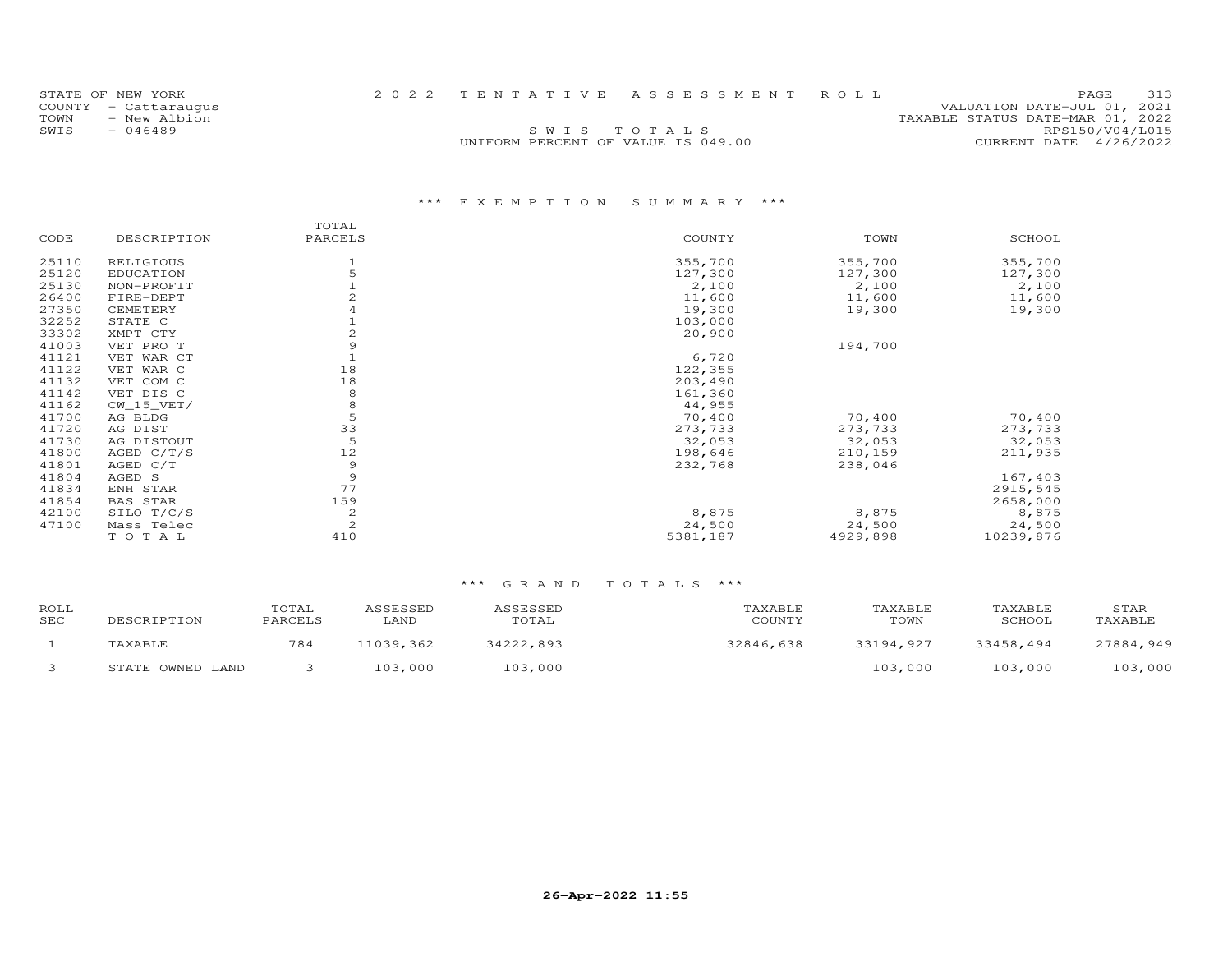| STATE OF NEW YORK    |  | 2022 TENTATIVE ASSESSMENT ROLL     | PAGE                             | 313 |
|----------------------|--|------------------------------------|----------------------------------|-----|
| COUNTY - Cattarauqus |  |                                    | VALUATION DATE-JUL 01, 2021      |     |
| TOWN<br>- New Albion |  |                                    | TAXABLE STATUS DATE-MAR 01, 2022 |     |
| SWIS<br>- 046489     |  | SWIS TOTALS                        | RPS150/V04/L015                  |     |
|                      |  | UNIFORM PERCENT OF VALUE IS 049.00 | CURRENT DATE 4/26/2022           |     |
|                      |  |                                    |                                  |     |

# \*\*\* E X E M P T I O N S U M M A R Y \*\*\*

|       |                 | TOTAL        |          |          |           |
|-------|-----------------|--------------|----------|----------|-----------|
| CODE  | DESCRIPTION     | PARCELS      | COUNTY   | TOWN     | SCHOOL    |
| 25110 | RELIGIOUS       |              | 355,700  | 355,700  | 355,700   |
| 25120 | EDUCATION       |              | 127,300  | 127,300  | 127,300   |
| 25130 | NON-PROFIT      |              | 2,100    | 2,100    | 2,100     |
| 26400 | FIRE-DEPT       |              | 11,600   | 11,600   | 11,600    |
| 27350 | CEMETERY        |              | 19,300   | 19,300   | 19,300    |
| 32252 | STATE C         |              | 103,000  |          |           |
| 33302 | XMPT CTY        | 2            | 20,900   |          |           |
| 41003 | VET PRO T       | 9            |          | 194,700  |           |
| 41121 | VET WAR CT      |              | 6,720    |          |           |
| 41122 | VET WAR C       | 18           | 122,355  |          |           |
| 41132 | VET COM C       | 18           | 203,490  |          |           |
| 41142 | VET DIS C       | 8            | 161,360  |          |           |
| 41162 | $CW_15_VET/$    | 8            | 44,955   |          |           |
| 41700 | AG BLDG         | 5            | 70,400   | 70,400   | 70,400    |
| 41720 | AG DIST         | 33           | 273,733  | 273,733  | 273,733   |
| 41730 | AG DISTOUT      | 5            | 32,053   | 32,053   | 32,053    |
| 41800 | AGED $C/T/S$    | 12           | 198,646  | 210,159  | 211,935   |
| 41801 | AGED C/T        | 9            | 232,768  | 238,046  |           |
| 41804 | AGED S          | 9            |          |          | 167,403   |
| 41834 | ENH STAR        | 77           |          |          | 2915,545  |
| 41854 | <b>BAS STAR</b> | 159          |          |          | 2658,000  |
| 42100 | SILO T/C/S      | 2            | 8,875    | 8,875    | 8,875     |
| 47100 | Mass Telec      | $\mathbf{2}$ | 24,500   | 24,500   | 24,500    |
|       | TOTAL           | 410          | 5381,187 | 4929,898 | 10239,876 |

| ROLL<br>SEC | DESCRIPTION      | TOTAL<br>PARCELS | ASSESSED<br>LAND | ASSESSED<br>TOTAL | TAXABLE<br>COUNTY | TAXABLE<br>TOWN | TAXABLE<br>SCHOOL | STAR<br>TAXABLE |
|-------------|------------------|------------------|------------------|-------------------|-------------------|-----------------|-------------------|-----------------|
|             | TAXABLE          | 784              | 11039,362        | 34222,893         | 32846,638         | 33194,927       | 33458,494         | 27884,949       |
|             | STATE OWNED LAND |                  | 103,000          | 103,000           |                   | 103,000         | 103,000           | 103,000         |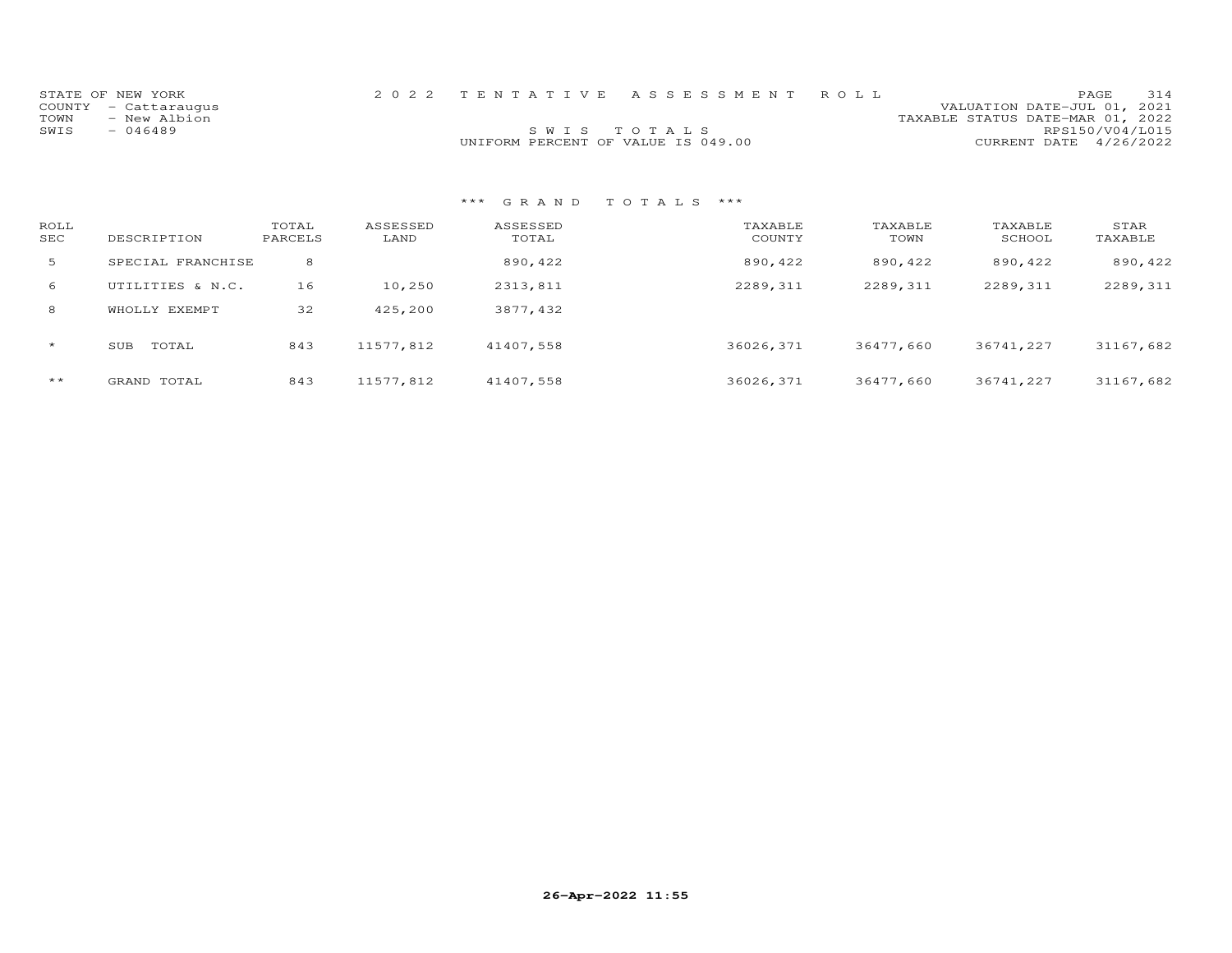|      | STATE OF NEW YORK    |                                    | 2022 TENTATIVE ASSESSMENT ROLL |                                  | PAGE.                  | 314 |
|------|----------------------|------------------------------------|--------------------------------|----------------------------------|------------------------|-----|
|      | COUNTY - Cattaraugus |                                    |                                | VALUATION DATE-JUL 01, 2021      |                        |     |
| TOWN | - New Albion         |                                    |                                | TAXABLE STATUS DATE-MAR 01, 2022 |                        |     |
| SWIS | - 046489             | SWIS TOTALS                        |                                |                                  | RPS150/V04/L015        |     |
|      |                      | UNIFORM PERCENT OF VALUE IS 049.00 |                                |                                  | CURRENT DATE 4/26/2022 |     |

| ROLL<br><b>SEC</b> | DESCRIPTION       | TOTAL<br>PARCELS | ASSESSED<br>LAND | ASSESSED<br>TOTAL | TAXABLE<br>COUNTY | TAXABLE<br>TOWN | TAXABLE<br>SCHOOL | STAR<br>TAXABLE |
|--------------------|-------------------|------------------|------------------|-------------------|-------------------|-----------------|-------------------|-----------------|
| 5                  | SPECIAL FRANCHISE | 8                |                  | 890,422           | 890,422           | 890,422         | 890,422           | 890,422         |
| 6                  | UTILITIES & N.C.  | 16               | 10,250           | 2313,811          | 2289,311          | 2289,311        | 2289,311          | 2289,311        |
| 8                  | EXEMPT<br>WHOLLY  | 32               | 425,200          | 3877,432          |                   |                 |                   |                 |
| $\star$            | TOTAL<br>SUB      | 843              | 11577,812        | 41407,558         | 36026,371         | 36477,660       | 36741,227         | 31167,682       |
| $***$              | GRAND TOTAL       | 843              | 11577,812        | 41407,558         | 36026,371         | 36477,660       | 36741,227         | 31167,682       |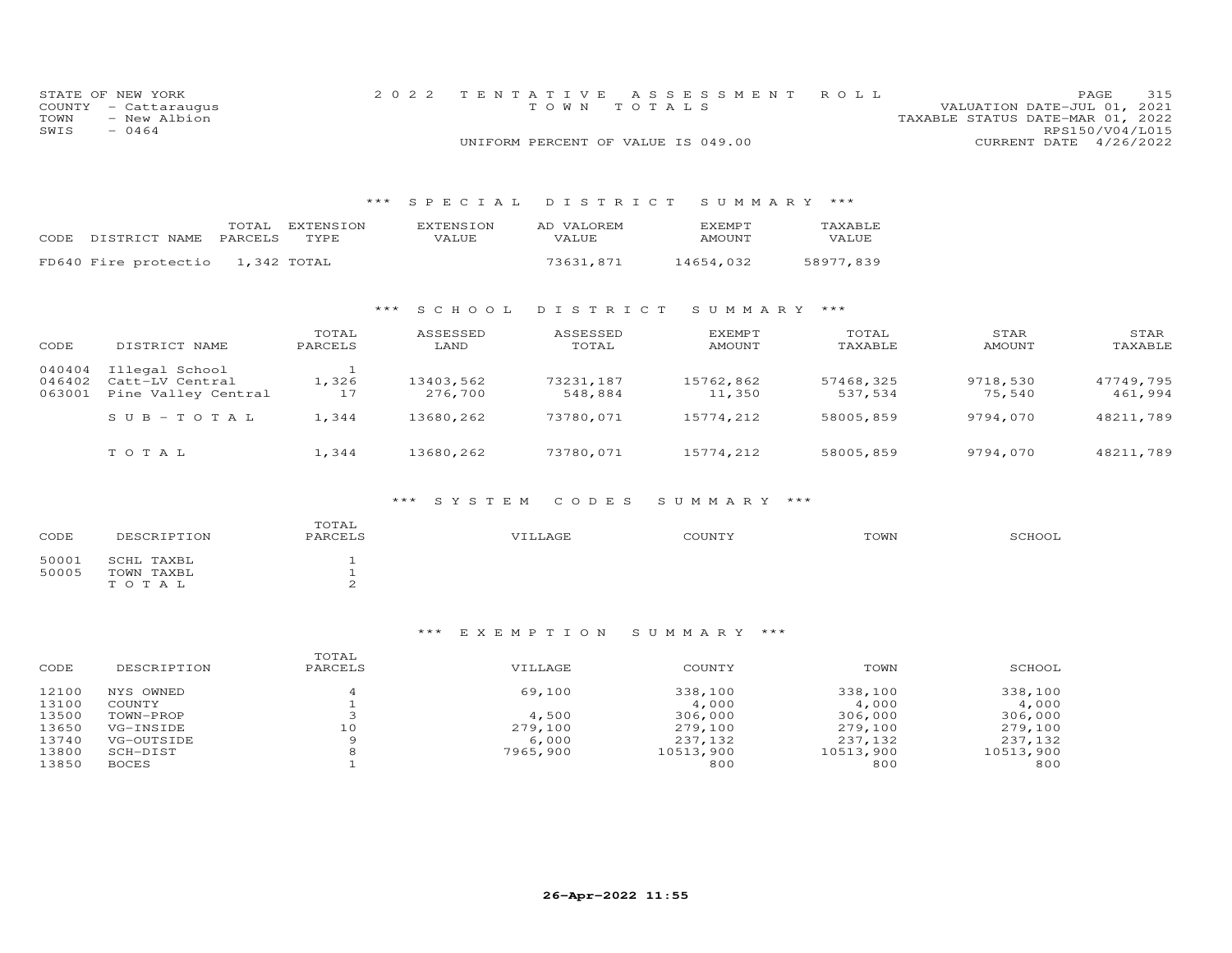|      | STATE OF NEW YORK    | 2022 TENTATIVE ASSESSMENT ROLL     |  |                                  |                        | PAGE | 315 |
|------|----------------------|------------------------------------|--|----------------------------------|------------------------|------|-----|
|      | COUNTY - Cattaraugus | TOWN TOTALS                        |  | VALUATION DATE-JUL 01, 2021      |                        |      |     |
| TOWN | - New Albion         |                                    |  | TAXABLE STATUS DATE-MAR 01, 2022 |                        |      |     |
| SWIS | $-0464$              |                                    |  |                                  | RPS150/V04/L015        |      |     |
|      |                      | UNIFORM PERCENT OF VALUE IS 049.00 |  |                                  | CURRENT DATE 4/26/2022 |      |     |

#### \*\*\* S P E C I A L D I S T R I C T S U M M A R Y \*\*\*

| CODE DISTRICT NAME               | TOTAL<br>PARCELS TYPE | EXTENSION | EXTENSION<br><b>VALUE</b> | AD VALOREM<br>VALUE. | <b>EXEMPT</b><br><b>AMOUNT</b> | TAXABLE<br><b>VALUE</b> |
|----------------------------------|-----------------------|-----------|---------------------------|----------------------|--------------------------------|-------------------------|
| FD640 Fire protectio 1,342 TOTAL |                       |           |                           | 73631,871            | 14654.032                      | 58977.839               |

#### \*\*\* S C H O O L D I S T R I C T S U M M A R Y \*\*\*

| CODE                       | DISTRICT NAME                                            | TOTAL<br>PARCELS | ASSESSED<br>LAND     | ASSESSED<br>TOTAL    | <b>EXEMPT</b><br>AMOUNT | TOTAL<br>TAXABLE     | STAR<br>AMOUNT     | STAR<br>TAXABLE      |
|----------------------------|----------------------------------------------------------|------------------|----------------------|----------------------|-------------------------|----------------------|--------------------|----------------------|
| 040404<br>046402<br>063001 | Illegal School<br>Catt-LV Central<br>Pine Valley Central | 1,326<br>17      | 13403,562<br>276,700 | 73231,187<br>548,884 | 15762,862<br>11,350     | 57468,325<br>537,534 | 9718,530<br>75,540 | 47749,795<br>461,994 |
|                            | $S \cup B - T \cup T A L$                                | 1.344            | 13680,262            | 73780,071            | 15774,212               | 58005,859            | 9794,070           | 48211,789            |
|                            | тотаь                                                    | 1.344            | 13680,262            | 73780,071            | 15774,212               | 58005,859            | 9794,070           | 48211,789            |

#### \*\*\* S Y S T E M C O D E S S U M M A R Y \*\*\*

| CODE  | DESCRIPTION | TOTAL<br>PARCELS | VILLAGE | COUNTY | TOWN | SCHOOL |
|-------|-------------|------------------|---------|--------|------|--------|
| 50001 | SCHL TAXBL  |                  |         |        |      |        |
| 50005 | TOWN TAXBL  |                  |         |        |      |        |
|       | TOTAL       |                  |         |        |      |        |

| CODE  | DESCRIPTION  | TOTAL<br>PARCELS | VILLAGE  | COUNTY    | TOWN      | SCHOOL    |
|-------|--------------|------------------|----------|-----------|-----------|-----------|
| 12100 | NYS OWNED    |                  | 69,100   | 338,100   | 338,100   | 338,100   |
| 13100 | COUNTY       |                  |          | 4,000     | 4,000     | 4,000     |
| 13500 | TOWN-PROP    |                  | 4,500    | 306,000   | 306,000   | 306,000   |
| 13650 | VG-INSIDE    | 10               | 279,100  | 279,100   | 279,100   | 279,100   |
| 13740 | VG-OUTSIDE   | Q                | 6,000    | 237,132   | 237,132   | 237,132   |
| 13800 | SCH-DIST     | 8                | 7965,900 | 10513,900 | 10513,900 | 10513,900 |
| 13850 | <b>BOCES</b> |                  |          | 800       | 800       | 800       |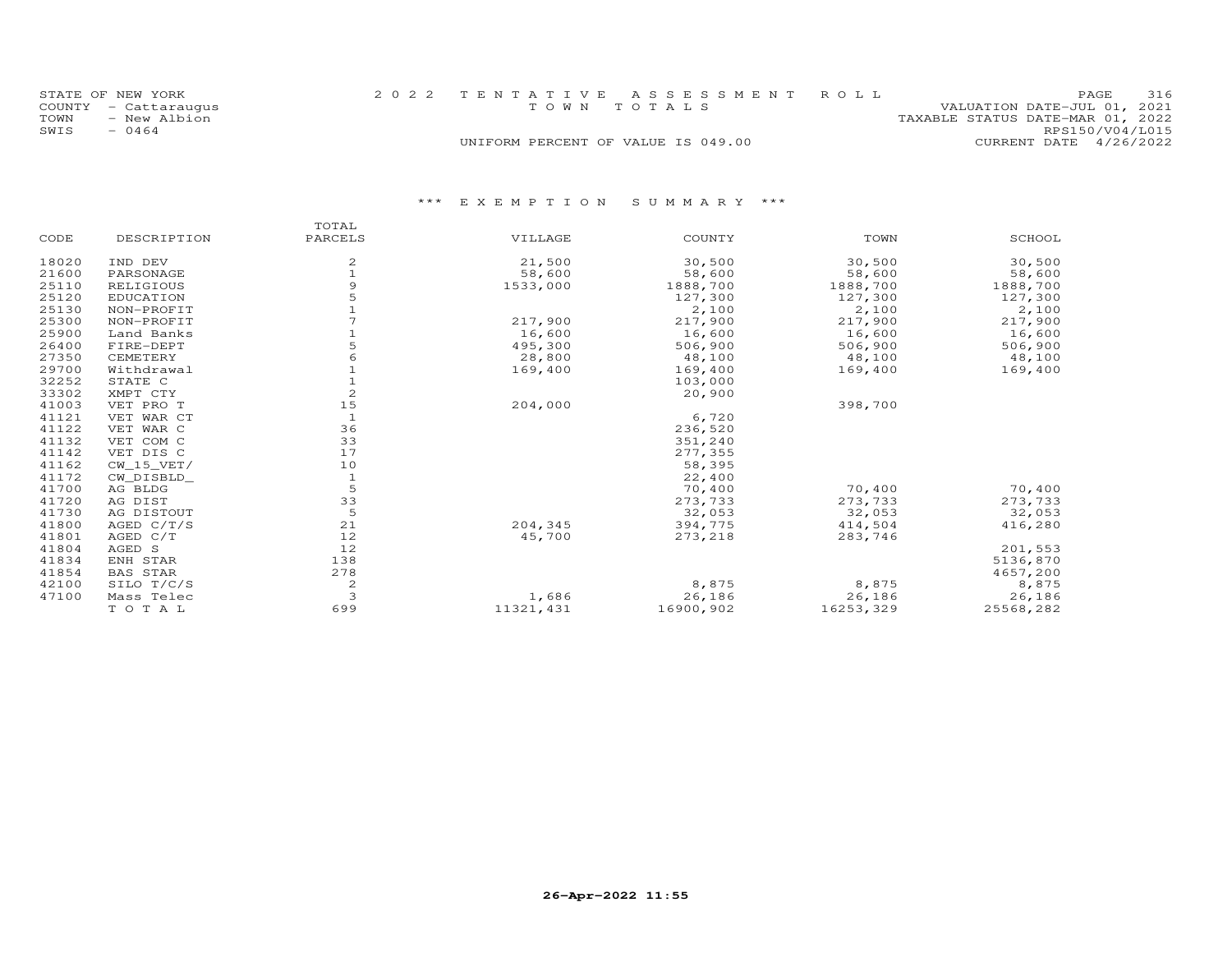| STATE OF NEW YORK    | 2022 TENTATIVE ASSESSMENT ROLL     | 316<br>PAGE.                     |
|----------------------|------------------------------------|----------------------------------|
| COUNTY - Cattaraugus | TOWN TOTALS                        | VALUATION DATE-JUL 01, 2021      |
| TOWN<br>- New Albion |                                    | TAXABLE STATUS DATE-MAR 01, 2022 |
| SWIS<br>$-0464$      |                                    | RPS150/V04/L015                  |
|                      | UNIFORM PERCENT OF VALUE IS 049.00 | CURRENT DATE 4/26/2022           |

|       |                  | TOTAL          |            |           |           |           |
|-------|------------------|----------------|------------|-----------|-----------|-----------|
| CODE  | DESCRIPTION      | PARCELS        | VILLAGE    | COUNTY    | TOWN      | SCHOOL    |
| 18020 | IND DEV          | 2              | 21,500     | 30,500    | 30,500    | 30,500    |
| 21600 | PARSONAGE        |                | 58,600     | 58,600    | 58,600    | 58,600    |
| 25110 | RELIGIOUS        |                | 1533,000   | 1888,700  | 1888,700  | 1888,700  |
| 25120 | <b>EDUCATION</b> |                |            | 127,300   | 127,300   | 127,300   |
| 25130 | NON-PROFIT       |                |            | 2,100     | 2,100     | 2,100     |
| 25300 | NON-PROFIT       |                | 217,900    | 217,900   | 217,900   | 217,900   |
| 25900 | Land Banks       |                | 16,600     | 16,600    | 16,600    | 16,600    |
| 26400 | FIRE-DEPT        |                | 495,300    | 506,900   | 506,900   | 506,900   |
| 27350 | CEMETERY         |                | 28,800     | 48,100    | 48,100    | 48,100    |
| 29700 | Withdrawal       |                | 169,400    | 169,400   | 169,400   | 169,400   |
| 32252 | STATE C          |                |            | 103,000   |           |           |
| 33302 | XMPT CTY         | $\overline{c}$ |            | 20,900    |           |           |
| 41003 | VET PRO T        | 15             | 204,000    |           | 398,700   |           |
| 41121 | VET WAR CT       | $\mathbf{1}$   |            | 6,720     |           |           |
| 41122 | VET WAR C        | 36             |            | 236,520   |           |           |
| 41132 | VET COM C        | 33             |            | 351,240   |           |           |
| 41142 | VET DIS C        | 17             |            | 277,355   |           |           |
| 41162 | $CW_15_VET/$     | 10             |            | 58,395    |           |           |
| 41172 | CW DISBLD        | $\mathbf{1}$   |            | 22,400    |           |           |
| 41700 | AG BLDG          | 5              |            | 70,400    | 70,400    | 70,400    |
| 41720 | AG DIST          | 33             |            | 273,733   | 273,733   | 273,733   |
| 41730 | AG DISTOUT       | 5              |            | 32,053    | 32,053    | 32,053    |
| 41800 | AGED $C/T/S$     | 21             | 204,345    | 394,775   | 414,504   | 416,280   |
| 41801 | AGED C/T         | 12             | 45,700     | 273,218   | 283,746   |           |
| 41804 | AGED S           | 12             |            |           |           | 201,553   |
| 41834 | ENH STAR         | 138            |            |           |           | 5136,870  |
| 41854 | <b>BAS STAR</b>  | 278            |            |           |           | 4657,200  |
| 42100 | SILO T/C/S       | 2              |            | 8,875     | 8,875     | 8,875     |
| 47100 | Mass Telec       | 3              | 1,686      | 26,186    | 26,186    | 26,186    |
|       | TO TAL           | 699            | 11321, 431 | 16900,902 | 16253,329 | 25568,282 |